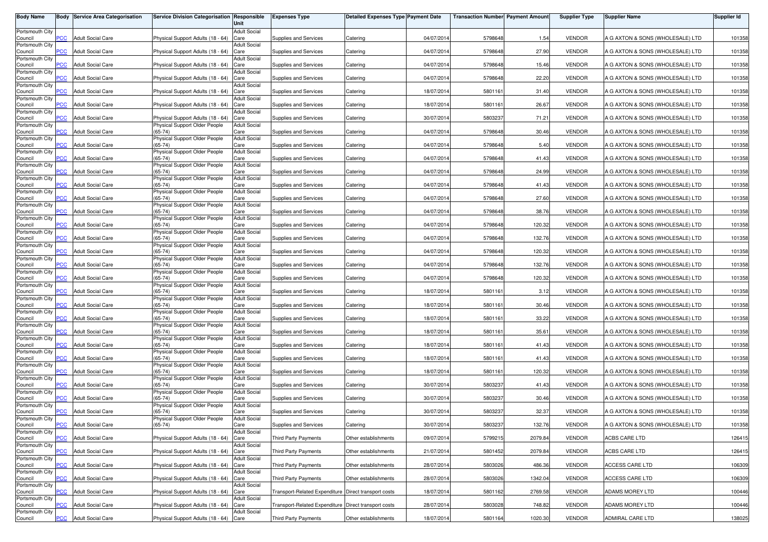| <b>Body Name</b>           |                | <b>Body Service Area Categorisation</b> | Service Division Categorisation Responsible                        | Unit                        | <b>Expenses Type</b>                                 | <b>Detailed Expenses Type Payment Date</b> |            | <b>Transaction Number Payment Amount</b> |         | <b>Supplier Type</b> | <b>Supplier Name</b>             | Supplier Id |
|----------------------------|----------------|-----------------------------------------|--------------------------------------------------------------------|-----------------------------|------------------------------------------------------|--------------------------------------------|------------|------------------------------------------|---------|----------------------|----------------------------------|-------------|
| Portsmouth City            |                |                                         |                                                                    | <b>Adult Social</b>         |                                                      |                                            |            |                                          |         |                      |                                  |             |
| Council<br>Portsmouth City | PCC            | <b>Adult Social Care</b>                | Physical Support Adults (18 - 64)                                  | Care<br><b>Adult Social</b> | Supplies and Services                                | Catering                                   | 04/07/2014 | 5798648                                  | 1.54    | <b>VENDOR</b>        | A G AXTON & SONS (WHOLESALE) LTD | 101358      |
| Council                    | <b>PCC</b>     | <b>Adult Social Care</b>                | Physical Support Adults (18 - 64)                                  | Care                        | Supplies and Services                                | Catering                                   | 04/07/2014 | 5798648                                  | 27.90   | <b>VENDOR</b>        | A G AXTON & SONS (WHOLESALE) LTD | 101358      |
| Portsmouth City<br>Council | $\overline{C}$ | <b>Adult Social Care</b>                | Physical Support Adults (18 - 64)                                  | <b>Adult Social</b><br>Care | Supplies and Services                                | Catering                                   | 04/07/2014 | 5798648                                  | 15.46   | <b>VENDOR</b>        | A G AXTON & SONS (WHOLESALE) LTD | 101358      |
| Portsmouth City            |                |                                         |                                                                    | <b>Adult Social</b>         |                                                      |                                            |            |                                          |         |                      |                                  |             |
| Council<br>Portsmouth City | сC             | Adult Social Care                       | Physical Support Adults (18 - 64)                                  | Care<br><b>Adult Social</b> | Supplies and Services                                | Catering                                   | 04/07/2014 | 5798648                                  | 22.20   | <b>VENDOR</b>        | A G AXTON & SONS (WHOLESALE) LTD | 101358      |
| Council                    | <b>PCC</b>     | <b>Adult Social Care</b>                | Physical Support Adults (18 - 64)                                  | Care                        | Supplies and Services                                | Catering                                   | 18/07/201  | 5801161                                  | 31.40   | <b>VENDOR</b>        | A G AXTON & SONS (WHOLESALE) LTD | 101358      |
| Portsmouth City<br>Council | PСC            | <b>Adult Social Care</b>                | Physical Support Adults (18 - 64)                                  | <b>Adult Social</b><br>Care | Supplies and Services                                | Catering                                   | 18/07/2014 | 5801161                                  | 26.67   | <b>VENDOR</b>        | A G AXTON & SONS (WHOLESALE) LTD | 101358      |
| Portsmouth City            |                |                                         |                                                                    | <b>Adult Social</b>         |                                                      |                                            |            |                                          |         |                      |                                  |             |
| Council<br>Portsmouth City | $\overline{C}$ | <b>Adult Social Care</b>                | Physical Support Adults (18 - 64)<br>Physical Support Older People | Care<br><b>Adult Social</b> | Supplies and Services                                | Catering                                   | 30/07/2014 | 580323                                   | 71.21   | <b>VENDOR</b>        | A G AXTON & SONS (WHOLESALE) LTD | 101358      |
| Council<br>Portsmouth City | <b>PCC</b>     | <b>Adult Social Care</b>                | $(65-74)$<br>Physical Support Older People                         | Care<br><b>Adult Social</b> | Supplies and Services                                | Catering                                   | 04/07/2014 | 5798648                                  | 30.46   | <b>VENDOR</b>        | A G AXTON & SONS (WHOLESALE) LTD | 101358      |
| Council                    | <b>PCC</b>     | <b>Adult Social Care</b>                | $65 - 74$                                                          | Care                        | Supplies and Services                                | Catering                                   | 04/07/2014 | 5798648                                  | 5.40    | <b>VENDOR</b>        | A G AXTON & SONS (WHOLESALE) LTD | 101358      |
| Portsmouth City<br>Council | <b>PCC</b>     | <b>Adult Social Care</b>                | Physical Support Older People<br>$(65-74)$                         | <b>Adult Social</b><br>Care | Supplies and Services                                | Catering                                   | 04/07/2014 | 5798648                                  | 41.43   | <b>VENDOR</b>        | A G AXTON & SONS (WHOLESALE) LTD | 101358      |
| Portsmouth City            |                |                                         | Physical Support Older People                                      | <b>Adult Social</b>         |                                                      |                                            |            |                                          |         |                      |                                  |             |
| Council<br>Portsmouth City | PСC            | <b>Adult Social Care</b>                | $65 - 74$<br>Physical Support Older People                         | Care<br><b>Adult Social</b> | Supplies and Services                                | Catering                                   | 04/07/2014 | 5798648                                  | 24.99   | <b>VENDOR</b>        | A G AXTON & SONS (WHOLESALE) LTD | 101358      |
| Council                    | PCC            | <b>Adult Social Care</b>                | $(65-74)$                                                          | Care                        | Supplies and Services                                | Catering                                   | 04/07/201  | 5798648                                  | 41.43   | <b>VENDOR</b>        | A G AXTON & SONS (WHOLESALE) LTD | 101358      |
| Portsmouth City<br>Council | <b>CC</b>      | <b>Adult Social Care</b>                | Physical Support Older People<br>$(65-74)$                         | <b>Adult Social</b><br>Care | Supplies and Services                                | Catering                                   | 04/07/2014 | 5798648                                  | 27.60   | <b>VENDOR</b>        | A G AXTON & SONS (WHOLESALE) LTD | 101358      |
| Portsmouth City            |                |                                         | Physical Support Older People                                      | <b>Adult Social</b>         |                                                      |                                            |            |                                          |         |                      |                                  |             |
| Council<br>Portsmouth City | PCC            | <b>Adult Social Care</b>                | $(65-74)$<br>Physical Support Older People                         | Care<br><b>Adult Social</b> | Supplies and Services                                | Catering                                   | 04/07/201  | 5798648                                  | 38.76   | <b>VENDOR</b>        | A G AXTON & SONS (WHOLESALE) LTD | 101358      |
| Council                    | PСC            | <b>Adult Social Care</b>                | $(65-74)$                                                          | Care<br><b>Adult Social</b> | Supplies and Services                                | Catering                                   | 04/07/2014 | 5798648                                  | 120.32  | <b>VENDOR</b>        | A G AXTON & SONS (WHOLESALE) LTD | 101358      |
| Portsmouth City<br>Council | PCC            | <b>Adult Social Care</b>                | Physical Support Older People<br>$(65-74)$                         | Care                        | Supplies and Services                                | Catering                                   | 04/07/2014 | 5798648                                  | 132.76  | <b>VENDOR</b>        | A G AXTON & SONS (WHOLESALE) LTD | 101358      |
| Portsmouth City<br>Council | PCC            | <b>Adult Social Care</b>                | Physical Support Older People<br>$(65-74)$                         | <b>Adult Social</b><br>Care | Supplies and Services                                | Catering                                   | 04/07/2014 | 5798648                                  | 120.32  | <b>VENDOR</b>        | A G AXTON & SONS (WHOLESALE) LTD | 101358      |
| Portsmouth City            |                |                                         | Physical Support Older People                                      | <b>Adult Social</b>         |                                                      |                                            |            |                                          |         |                      |                                  |             |
| Council<br>Portsmouth City | PСC            | <b>Adult Social Care</b>                | $(65-74)$<br>Physical Support Older People                         | Care<br><b>Adult Social</b> | Supplies and Services                                | Catering                                   | 04/07/2014 | 5798648                                  | 132.76  | <b>VENDOR</b>        | A G AXTON & SONS (WHOLESALE) LTD | 101358      |
| Council                    | PCC            | <b>Adult Social Care</b>                | $(65-74)$                                                          | Care                        | Supplies and Services                                | Catering                                   | 04/07/2014 | 5798648                                  | 120.32  | <b>VENDOR</b>        | A G AXTON & SONS (WHOLESALE) LTD | 101358      |
| Portsmouth City<br>Council | <b>PCC</b>     | <b>Adult Social Care</b>                | Physical Support Older People<br>$(65-74)$                         | <b>Adult Social</b><br>Care | Supplies and Services                                | Catering                                   | 18/07/201  | 5801161                                  | 3.12    | <b>VENDOR</b>        | A G AXTON & SONS (WHOLESALE) LTD | 101358      |
| Portsmouth City            |                |                                         | Physical Support Older People                                      | <b>Adult Social</b>         |                                                      |                                            |            |                                          |         |                      |                                  |             |
| Council<br>Portsmouth City | PCC            | <b>Adult Social Care</b>                | $(65 - 74)$<br>Physical Support Older People                       | Care<br><b>Adult Social</b> | Supplies and Services                                | Catering                                   | 18/07/201  | 5801161                                  | 30.46   | <b>VENDOR</b>        | A G AXTON & SONS (WHOLESALE) LTD | 101358      |
| Council                    | PСC            | Adult Social Care                       | $(65-74)$                                                          | Care                        | Supplies and Services                                | Catering                                   | 18/07/201  | 5801161                                  | 33.22   | <b>VENDOR</b>        | A G AXTON & SONS (WHOLESALE) LTD | 101358      |
| Portsmouth City<br>Council | <b>PCC</b>     | <b>Adult Social Care</b>                | Physical Support Older People<br>$(65-74)$                         | <b>Adult Social</b><br>Care | Supplies and Services                                | Catering                                   | 18/07/201  | 5801161                                  | 35.61   | <b>VENDOR</b>        | A G AXTON & SONS (WHOLESALE) LTD | 101358      |
| Portsmouth City            |                |                                         | Physical Support Older People                                      | <b>Adult Social</b>         |                                                      |                                            |            |                                          |         |                      |                                  |             |
| Council<br>Portsmouth City | <b>PCC</b>     | <b>Adult Social Care</b>                | $(65-74)$<br>Physical Support Older People                         | Care<br><b>Adult Social</b> | Supplies and Services                                | Catering                                   | 18/07/2014 | 5801161                                  | 41.43   | <b>VENDOR</b>        | A G AXTON & SONS (WHOLESALE) LTD | 101358      |
| Council<br>Portsmouth City | <b>PCC</b>     | <b>Adult Social Care</b>                | $(65-74)$<br>Physical Support Older People                         | Care<br><b>Adult Social</b> | Supplies and Services                                | Catering                                   | 18/07/2014 | 5801161                                  | 41.43   | <b>VENDOR</b>        | A G AXTON & SONS (WHOLESALE) LTD | 101358      |
| Council                    | <b>PCC</b>     | <b>Adult Social Care</b>                | $(65-74)$                                                          | Care                        | Supplies and Services                                | Catering                                   | 18/07/2014 | 5801161                                  | 120.32  | <b>VENDOR</b>        | A G AXTON & SONS (WHOLESALE) LTD | 101358      |
| Portsmouth City<br>Council | PСC            | <b>Adult Social Care</b>                | Physical Support Older People<br>$(65-74)$                         | <b>Adult Social</b><br>Care | Supplies and Services                                | Catering                                   | 30/07/2014 | 5803237                                  | 41.43   | <b>VENDOR</b>        | A G AXTON & SONS (WHOLESALE) LTD | 101358      |
| Portsmouth City            |                |                                         | Physical Support Older People                                      | <b>Adult Social</b>         |                                                      |                                            |            |                                          |         |                      |                                  |             |
| Council<br>Portsmouth City | $\overline{C}$ | <b>Adult Social Care</b>                | $(65-74)$<br>Physical Support Older People                         | Care<br><b>Adult Social</b> | Supplies and Services                                | Catering                                   | 30/07/2014 | 580323                                   | 30.46   | <b>VENDOR</b>        | A G AXTON & SONS (WHOLESALE) LTD | 101358      |
| Council                    | $\overline{C}$ | <b>Adult Social Care</b>                | $(65-74)$                                                          | Care                        | Supplies and Services                                | Catering                                   | 30/07/2014 | 580323                                   | 32.37   | <b>VENDOR</b>        | A G AXTON & SONS (WHOLESALE) LTD | 101358      |
| Portsmouth City<br>Council | <b>PCC</b>     | <b>Adult Social Care</b>                | Physical Support Older People<br>$(65-74)$                         | <b>Adult Social</b><br>Care | Supplies and Services                                | Catering                                   | 30/07/2014 | 5803237                                  | 132.76  | <b>VENDOR</b>        | A G AXTON & SONS (WHOLESALE) LTD | 101358      |
| Portsmouth City            |                |                                         |                                                                    | <b>Adult Social</b>         |                                                      |                                            |            |                                          |         |                      |                                  |             |
| Council<br>Portsmouth City | <b>PCC</b>     | <b>Adult Social Care</b>                | Physical Support Adults (18 - 64)                                  | Care<br><b>Adult Social</b> | <b>Third Party Payments</b>                          | Other establishments                       | 09/07/2014 | 5799215                                  | 2079.84 | <b>VENDOR</b>        | ACBS CARE LTD                    | 126415      |
| Council                    | <b>PCC</b>     | <b>Adult Social Care</b>                | Physical Support Adults (18 - 64) Care                             |                             | Third Party Payments                                 | Other establishments                       | 21/07/2014 | 5801452                                  | 2079.84 | <b>VENDOR</b>        | ACBS CARE LTD                    | 126415      |
| Portsmouth City<br>Council | PCC            | <b>Adult Social Care</b>                | Physical Support Adults (18 - 64) Care                             | <b>Adult Social</b>         | Third Party Payments                                 | Other establishments                       | 28/07/2014 | 5803026                                  | 486.36  | <b>VENDOR</b>        | ACCESS CARE LTD                  | 106309      |
| Portsmouth City            |                |                                         |                                                                    | <b>Adult Social</b>         |                                                      |                                            |            |                                          |         |                      |                                  |             |
| Council<br>Portsmouth City | PCC            | <b>Adult Social Care</b>                | Physical Support Adults (18 - 64) Care                             | <b>Adult Social</b>         | Third Party Payments                                 | Other establishments                       | 28/07/2014 | 5803026                                  | 1342.04 | <b>VENDOR</b>        | ACCESS CARE LTD                  | 106309      |
| Council<br>Portsmouth City | PCC            | <b>Adult Social Care</b>                | Physical Support Adults (18 - 64) Care                             | <b>Adult Social</b>         | Transport-Related Expenditure Direct transport costs |                                            | 18/07/2014 | 5801162                                  | 2769.58 | <b>VENDOR</b>        | ADAMS MOREY LTD                  | 100446      |
| Council                    | PСC            | <b>Adult Social Care</b>                | Physical Support Adults (18 - 64)                                  | Care                        | Transport-Related Expenditure Direct transport costs |                                            | 28/07/2014 | 5803028                                  | 748.82  | <b>VENDOR</b>        | <b>ADAMS MOREY LTD</b>           | 100446      |
| Portsmouth City<br>Council | <b>PCC</b>     | <b>Adult Social Care</b>                | Physical Support Adults (18 - 64) Care                             | <b>Adult Social</b>         | <b>Third Party Payments</b>                          | Other establishments                       | 18/07/2014 | 5801164                                  | 1020.30 | <b>VENDOR</b>        | ADMIRAL CARE LTD                 | 138025      |
|                            |                |                                         |                                                                    |                             |                                                      |                                            |            |                                          |         |                      |                                  |             |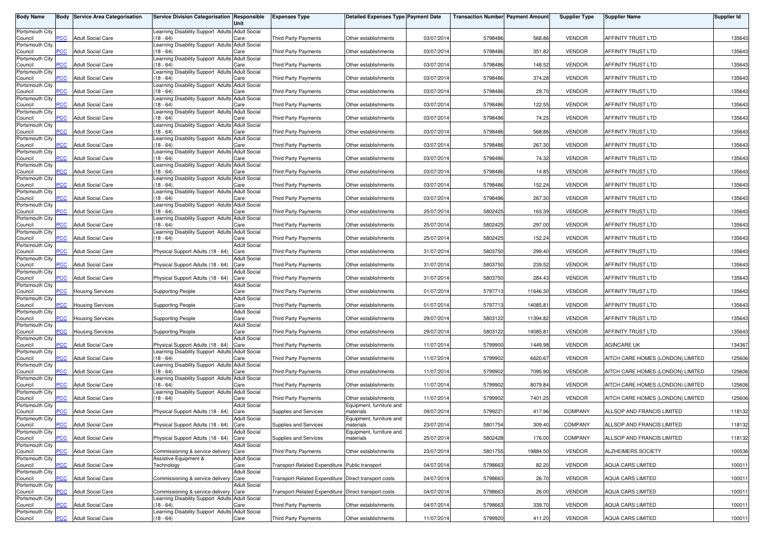| <b>Body Name</b>           |                | <b>Body Service Area Categorisation</b> | Service Division Categorisation Responsible                    | Unit                        | <b>Expenses Type</b>                                 | <b>Detailed Expenses Type Payment Date</b> |            | <b>Transaction Number Payment Amount</b> |          | <b>Supplier Type</b> | <b>Supplier Name</b>              | <b>Supplier Id</b> |
|----------------------------|----------------|-----------------------------------------|----------------------------------------------------------------|-----------------------------|------------------------------------------------------|--------------------------------------------|------------|------------------------------------------|----------|----------------------|-----------------------------------|--------------------|
| Portsmouth City            |                |                                         | Learning Disability Support Adults Adult Social                |                             |                                                      |                                            |            |                                          |          |                      |                                   |                    |
| Council<br>Portsmouth City | <b>PCC</b>     | <b>Adult Social Care</b>                | $(18 - 64)$<br>earning Disability Support Adults Adult Social  | Care                        | <b>Third Party Payments</b>                          | Other establishments                       | 03/07/2014 | 5798486                                  | 568.86   | <b>VENDOR</b>        | AFFINITY TRUST LTD                | 135643             |
| Council                    | $\overline{C}$ | <b>Adult Social Care</b>                | $18 - 64$                                                      | Care                        | <b>Third Party Payments</b>                          | Other establishments                       | 03/07/2014 | 5798486                                  | 351.82   | <b>VENDOR</b>        | AFFINITY TRUST LTD                | 135643             |
| Portsmouth City<br>Council | PCC            | <b>Adult Social Care</b>                | Learning Disability Support Adults Adult Social<br>(18 - 64)   | Care                        | <b>Third Party Payments</b>                          | Other establishments                       | 03/07/2014 | 5798486                                  | 148.52   | <b>VENDOR</b>        | AFFINITY TRUST LTD                | 135643             |
| Portsmouth City            |                |                                         | Learning Disability Support Adults Adult Social                |                             |                                                      |                                            |            |                                          |          |                      |                                   |                    |
| Council<br>Portsmouth City | <b>PCC</b>     | <b>Adult Social Care</b>                | $18 - 64$<br>Learning Disability Support Adults                | Care<br><b>Adult Social</b> | <b>Third Party Payments</b>                          | Other establishments                       | 03/07/2014 | 5798486                                  | 374.28   | <b>VENDOR</b>        | AFFINITY TRUST LTD                | 135643             |
| Council<br>Portsmouth City | PCC            | <b>Adult Social Care</b>                | $(18 - 64)$<br>Learning Disability Support Adults Adult Social | Care                        | <b>Third Party Payments</b>                          | Other establishments                       | 03/07/2014 | 5798486                                  | 29.70    | <b>VENDOR</b>        | AFFINITY TRUST LTD                | 135643             |
| Council                    | PCC            | <b>Adult Social Care</b>                | $(18 - 64)$                                                    | Care                        | Third Party Payments                                 | Other establishments                       | 03/07/2014 | 5798486                                  | 122.55   | <b>VENDOR</b>        | AFFINITY TRUST LTD                | 135643             |
| Portsmouth City<br>Council | PСC            | <b>Adult Social Care</b>                | Learning Disability Support Adults Adult Social<br>(18 - 64)   | Care                        | Third Party Payments                                 | Other establishments                       | 03/07/2014 | 5798486                                  | 74.25    | <b>VENDOR</b>        | AFFINITY TRUST LTD                | 135643             |
| Portsmouth City            | <b>PCC</b>     | <b>Adult Social Care</b>                | Learning Disability Support Adults Adult Social<br>$(18 - 64)$ |                             |                                                      |                                            | 03/07/2014 |                                          | 568.86   | <b>VENDOR</b>        |                                   | 135643             |
| Council<br>Portsmouth City |                |                                         | Learning Disability Support Adults Adult Social                | Care                        | <b>Third Party Payments</b>                          | Other establishments                       |            | 5798486                                  |          |                      | AFFINITY TRUST LTD                |                    |
| Council<br>Portsmouth City | сC             | <b>Adult Social Care</b>                | $18 - 64$<br>Learning Disability Support Adults Adult Social   | Care                        | <b>Third Party Payments</b>                          | Other establishments                       | 03/07/2014 | 5798486                                  | 267.30   | <b>VENDOR</b>        | AFFINITY TRUST LTD                | 135643             |
| Council                    | PCC            | <b>Adult Social Care</b>                | $18 - 64$                                                      | Care                        | <b>Third Party Payments</b>                          | Other establishments                       | 03/07/2014 | 5798486                                  | 74.32    | <b>VENDOR</b>        | AFFINITY TRUST LTD                | 135643             |
| Portsmouth City<br>Council | <b>PCC</b>     | Adult Social Care                       | Learning Disability Support Adults Adult Social<br>$18 - 64$   | Care                        | Third Party Payments                                 | Other establishments                       | 03/07/2014 | 5798486                                  | 14.85    | <b>VENDOR</b>        | AFFINITY TRUST LTD                | 135643             |
| Portsmouth City<br>Council | PCC            | <b>Adult Social Care</b>                | Learning Disability Support Adults Adult Social<br>$(18 - 64)$ | Care                        | <b>Third Party Payments</b>                          | Other establishments                       | 03/07/2014 | 5798486                                  | 152.24   | <b>VENDOR</b>        | AFFINITY TRUST LTD                | 135643             |
| Portsmouth City            |                |                                         | Learning Disability Support Adults Adult Social                |                             |                                                      |                                            |            |                                          |          |                      |                                   |                    |
| Council<br>Portsmouth City | PСC            | <b>Adult Social Care</b>                | $(18 - 64)$<br>Learning Disability Support Adults Adult Social | Care                        | <b>Third Party Payments</b>                          | Other establishments                       | 03/07/2014 | 5798486                                  | 267.30   | <b>VENDOR</b>        | AFFINITY TRUST LTD                | 135643             |
| Council<br>Portsmouth City | <b>PCC</b>     | <b>Adult Social Care</b>                | $(18 - 64)$<br>Learning Disability Support Adults Adult Social | Care                        | Third Party Payments                                 | Other establishments                       | 25/07/2014 | 5802425                                  | 163.39   | <b>VENDOR</b>        | AFFINITY TRUST LTD                | 135643             |
| Council                    | PCC            | <b>Adult Social Care</b>                | $(18 - 64)$                                                    | Care                        | Third Party Payments                                 | Other establishments                       | 25/07/2014 | 5802425                                  | 297.00   | <b>VENDOR</b>        | AFFINITY TRUST LTD                | 135643             |
| Portsmouth City<br>Council | <b>PCC</b>     | <b>Adult Social Care</b>                | Learning Disability Support Adults Adult Social<br>$18 - 64$   | Care                        | <b>Third Party Payments</b>                          | Other establishments                       | 25/07/2014 | 5802425                                  | 152.24   | <b>VENDOR</b>        | AFFINITY TRUST LTD                | 135643             |
| Portsmouth City            |                |                                         | Physical Support Adults (18 - 64)                              | <b>Adult Social</b>         |                                                      |                                            |            |                                          |          |                      |                                   |                    |
| Council<br>Portsmouth City | PCC            | <b>Adult Social Care</b>                |                                                                | Care<br><b>Adult Social</b> | <b>Third Party Payments</b>                          | Other establishments                       | 31/07/2014 | 5803750                                  | 299.40   | <b>VENDOR</b>        | AFFINITY TRUST LTD                | 135643             |
| Council<br>Portsmouth City | сC             | <b>Adult Social Care</b>                | Physical Support Adults (18 - 64)                              | Care<br><b>Adult Social</b> | <b>Third Party Payments</b>                          | Other establishments                       | 31/07/2014 | 5803750                                  | 239.52   | <b>VENDOR</b>        | AFFINITY TRUST LTD                | 135643             |
| Council                    | PCC            | <b>Adult Social Care</b>                | Physical Support Adults (18 - 64)                              | Care                        | <b>Third Party Payments</b>                          | Other establishments                       | 31/07/2014 | 5803750                                  | 284.43   | <b>VENDOR</b>        | AFFINITY TRUST LTD                | 135643             |
| Portsmouth City<br>Council | PСC            | <b>Housing Services</b>                 | <b>Supporting People</b>                                       | <b>Adult Social</b><br>Care | <b>Third Party Payments</b>                          | Other establishments                       | 01/07/2014 | 5797713                                  | 11646.30 | <b>VENDOR</b>        | AFFINITY TRUST LTD                | 135643             |
| Portsmouth City<br>Council | PCC            | <b>Housing Services</b>                 | <b>Supporting People</b>                                       | <b>Adult Social</b><br>Care | Third Party Payments                                 | Other establishments                       | 01/07/2014 | 5797713                                  | 14085.81 | <b>VENDOR</b>        | AFFINITY TRUST LTD                | 135643             |
| Portsmouth City            |                |                                         |                                                                | <b>Adult Social</b>         |                                                      |                                            |            |                                          |          |                      |                                   |                    |
| Council<br>Portsmouth City | PСC            | <b>Housing Services</b>                 | <b>Supporting People</b>                                       | Care<br><b>Adult Social</b> | <b>Third Party Payments</b>                          | Other establishments                       | 29/07/2014 | 5803122                                  | 11394.82 | <b>VENDOR</b>        | AFFINITY TRUST LTD                | 135643             |
| Council<br>Portsmouth City | $\overline{C}$ | <b>Housing Services</b>                 | <b>Supporting People</b>                                       | Care<br><b>Adult Social</b> | Third Party Payments                                 | Other establishments                       | 29/07/2014 | 5803122                                  | 14085.81 | <b>VENDOR</b>        | AFFINITY TRUST LTD                | 135643             |
| Council                    | PCC            | <b>Adult Social Care</b>                | Physical Support Adults (18 - 64)                              | Care                        | Third Party Payments                                 | Other establishments                       | 11/07/2014 | 5799900                                  | 1449.98  | <b>VENDOR</b>        | AGINCARE UK                       | 134367             |
| Portsmouth City<br>Council | °СС            | <b>Adult Social Care</b>                | Learning Disability Support Adults Adult Social<br>$(18 - 64)$ | Care                        | <b>Third Party Payments</b>                          | Other establishments                       | 11/07/2014 | 5799902                                  | 6620.67  | <b>VENDOR</b>        | AITCH CARE HOMES (LONDON) LIMITED | 125606             |
| Portsmouth City            | $\overline{C}$ | <b>Adult Social Care</b>                | Learning Disability Support Adults Adult Social<br>$(18 - 64)$ | Care                        | <b>Third Party Payments</b>                          | Other establishments                       | 11/07/2014 | 5799902                                  | 7095.90  | <b>VENDOR</b>        | AITCH CARE HOMES (LONDON) LIMITED | 125606             |
| Council<br>Portsmouth City |                |                                         | Learning Disability Support Adults Adult Social                |                             |                                                      |                                            |            |                                          |          |                      |                                   |                    |
| Council<br>Portsmouth City | <b>CC</b>      | <b>Adult Social Care</b>                | 18 - 64)<br>Learning Disability Support Adults Adult Social    | Care                        | <b>Third Party Payments</b>                          | Other establishments                       | 11/07/2014 | 5799902                                  | 8079.84  | <b>VENDOR</b>        | AITCH CARE HOMES (LONDON) LIMITED | 125606             |
| Council                    | PCC            | <b>Adult Social Care</b>                | $(18 - 64)$                                                    | Care                        | <b>Third Party Payments</b>                          | Other establishments                       | 11/07/2014 | 5799902                                  | 7401.25  | <b>VENDOR</b>        | AITCH CARE HOMES (LONDON) LIMITED | 125606             |
| Portsmouth City<br>Council | PCC            | <b>Adult Social Care</b>                | Physical Support Adults (18 - 64)                              | <b>Adult Social</b><br>Care | Supplies and Services                                | Equipment, furniture and<br>materials      | 09/07/2014 | 5799221                                  | 417.96   | COMPANY              | ALLSOP AND FRANCIS LIMITED        | 118132             |
| Portsmouth City<br>Council | <b>PCC</b>     | <b>Adult Social Care</b>                | Physical Support Adults (18 - 64) Care                         | Adult Social                | Supplies and Services                                | Equipment, furniture and<br>materials      | 23/07/2014 | 5801754                                  | 309.40   | <b>COMPANY</b>       | ALLSOP AND FRANCIS LIMITED        | 118132             |
| Portsmouth City            |                |                                         |                                                                | <b>Adult Social</b>         |                                                      | Equipment, furniture and                   |            |                                          |          |                      |                                   |                    |
| Council<br>Portsmouth City | PCC            | <b>Adult Social Care</b>                | Physical Support Adults (18 - 64) Care                         | <b>Adult Social</b>         | Supplies and Services                                | materials                                  | 25/07/2014 | 5802428                                  | 176.00   | COMPANY              | ALLSOP AND FRANCIS LIMITED        | 118132             |
| Council<br>Portsmouth City | PCC            | <b>Adult Social Care</b>                | Commissioning & service delivery Care<br>Assistive Equipment & | <b>Adult Social</b>         | Third Party Payments                                 | Other establishments                       | 23/07/2014 | 5801755                                  | 19884.50 | <b>VENDOR</b>        | ALZHEIMERS SOCIETY                | 100536             |
| Council                    | PCC            | <b>Adult Social Care</b>                | Technology                                                     | Care                        | Transport-Related Expenditure Public transport       |                                            | 04/07/2014 | 5798663                                  | 82.20    | <b>VENDOR</b>        | AQUA CARS LIMITED                 | 100011             |
| Portsmouth City<br>Council | PСC            | <b>Adult Social Care</b>                | Commissioning & service delivery Care                          | <b>Adult Social</b>         | Transport-Related Expenditure Direct transport costs |                                            | 04/07/2014 | 5798663                                  | 26.70    | <b>VENDOR</b>        | <b>AQUA CARS LIMITED</b>          | 100011             |
| Portsmouth City<br>Council | PCC            | <b>Adult Social Care</b>                | Commissioning & service delivery Care                          | <b>Adult Social</b>         | Transport-Related Expenditure Direct transport costs |                                            | 04/07/2014 | 5798663                                  | 26.00    | <b>VENDOR</b>        | <b>AQUA CARS LIMITED</b>          | 100011             |
| Portsmouth City            |                |                                         | Learning Disability Support Adults Adult Social                |                             |                                                      |                                            |            |                                          |          |                      |                                   |                    |
| Council<br>Portsmouth City | <b>CC</b>      | <b>Adult Social Care</b>                | $(18 - 64)$<br>Learning Disability Support Adults Adult Social | Care                        | <b>Third Party Payments</b>                          | Other establishments                       | 04/07/2014 | 5798663                                  | 339.70   | <b>VENDOR</b>        | <b>AQUA CARS LIMITED</b>          | 100011             |
| Council                    | PCC            | <b>Adult Social Care</b>                | $(18 - 64)$                                                    | Care                        | Third Party Payments                                 | Other establishments                       | 11/07/2014 | 5799920                                  | 411.20   | <b>VENDOR</b>        | AQUA CARS LIMITED                 | 100011             |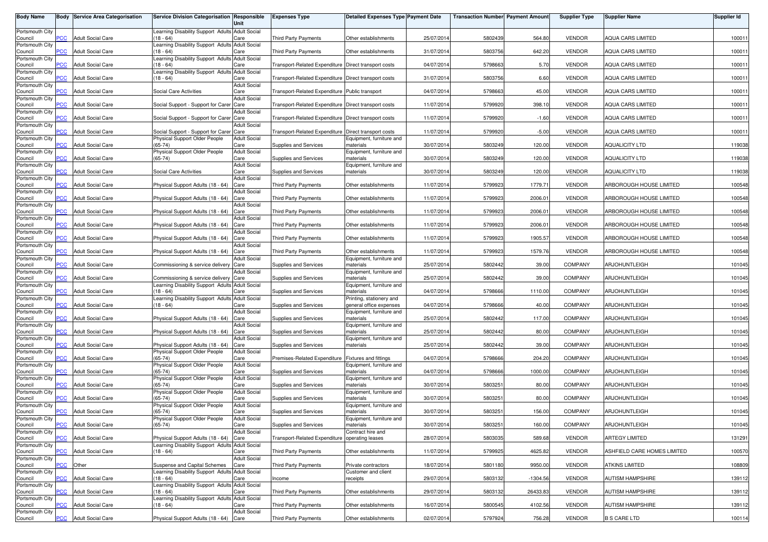| <b>Body Name</b>           |                | <b>Body Service Area Categorisation</b> | Service Division Categorisation Responsible                                     | Unit                        | <b>Expenses Type</b>                                 | <b>Detailed Expenses Type Payment Date</b>               |            | <b>Transaction Number Payment Amount</b> |            | <b>Supplier Type</b> | <b>Supplier Name</b>        | Supplier Id |
|----------------------------|----------------|-----------------------------------------|---------------------------------------------------------------------------------|-----------------------------|------------------------------------------------------|----------------------------------------------------------|------------|------------------------------------------|------------|----------------------|-----------------------------|-------------|
| Portsmouth City            |                |                                         | Learning Disability Support Adults Adult Social                                 |                             |                                                      |                                                          |            |                                          |            |                      |                             |             |
| Council<br>Portsmouth City | <b>PCC</b>     | <b>Adult Social Care</b>                | $(18 - 64)$<br>Learning Disability Support Adults Adult Social                  | Care                        | <b>Third Party Payments</b>                          | Other establishments                                     | 25/07/201  | 5802439                                  | 564.80     | <b>VENDOR</b>        | <b>AQUA CARS LIMITED</b>    | 100011      |
| Council                    | <b>CC</b>      | <b>Adult Social Care</b>                | $18 - 64$                                                                       | Care                        | <b>Third Party Payments</b>                          | Other establishments                                     | 31/07/2014 | 5803756                                  | 642.20     | <b>VENDOR</b>        | <b>AQUA CARS LIMITED</b>    | 100011      |
| Portsmouth City<br>Council | PCC            | <b>Adult Social Care</b>                | Learning Disability Support Adults Adult Social<br>$18 - 64$                    | Care                        | Transport-Related Expenditure Direct transport costs |                                                          | 04/07/2014 | 5798663                                  | 5.70       | <b>VENDOR</b>        | <b>AQUA CARS LIMITED</b>    | 100011      |
| Portsmouth City<br>Council | <b>CC</b>      | Adult Social Care                       | Learning Disability Support Adults Adult Social<br>$18 - 64$                    | Care                        | Transport-Related Expenditure Direct transport costs |                                                          | 31/07/201  | 5803756                                  | 6.60       | <b>VENDOR</b>        | <b>AQUA CARS LIMITED</b>    | 100011      |
| Portsmouth City            |                |                                         |                                                                                 | <b>Adult Social</b>         |                                                      |                                                          |            |                                          |            |                      |                             |             |
| Council<br>Portsmouth City | PCC            | <b>Adult Social Care</b>                | Social Care Activities                                                          | Care<br><b>Adult Social</b> | Transport-Related Expenditure Public transport       |                                                          | 04/07/201  | 5798663                                  | 45.00      | <b>VENDOR</b>        | AQUA CARS LIMITED           | 100011      |
| Council<br>Portsmouth City | <b>PCC</b>     | <b>Adult Social Care</b>                | Social Support - Support for Carer Care                                         | <b>Adult Social</b>         | Transport-Related Expenditure Direct transport costs |                                                          | 11/07/201  | 5799920                                  | 398.10     | <b>VENDOR</b>        | <b>AQUA CARS LIMITED</b>    | 100011      |
| Council                    | PCC            | <b>Adult Social Care</b>                | Social Support - Support for Carer Care                                         |                             | Transport-Related Expenditure Direct transport costs |                                                          | 11/07/201  | 5799920                                  | $-1.60$    | <b>VENDOR</b>        | <b>AQUA CARS LIMITED</b>    | 100011      |
| Portsmouth City<br>Council | PCC            | <b>Adult Social Care</b>                | Social Support - Support for Carer Care                                         | <b>Adult Social</b>         | Transport-Related Expenditure Direct transport costs |                                                          | 11/07/2014 | 5799920                                  | $-5.00$    | <b>VENDOR</b>        | AQUA CARS LIMITED           | 100011      |
| Portsmouth City<br>Council | <b>CC</b>      | <b>Adult Social Care</b>                | Physical Support Older People<br>$(65-74)$                                      | <b>Adult Social</b><br>Care | Supplies and Services                                | Equipment, furniture and<br>materials                    | 30/07/2014 | 5803249                                  | 120.00     | <b>VENDOR</b>        | <b>AQUALICITY LTD</b>       | 119038      |
| Portsmouth City<br>Council | PCC            | <b>Adult Social Care</b>                | Physical Support Older People<br>$(65-74)$                                      | <b>Adult Social</b><br>Care | Supplies and Services                                | Equipment, furniture and<br>materials                    | 30/07/201  | 5803249                                  | 120.00     | <b>VENDOR</b>        | <b>AQUALICITY LTD</b>       | 119038      |
| Portsmouth City<br>Council | <b>PCC</b>     | <b>Adult Social Care</b>                | Social Care Activities                                                          | <b>Adult Social</b><br>Care | Supplies and Services                                | Equipment, furniture and<br>materials                    | 30/07/201  | 5803249                                  | 120.00     | <b>VENDOR</b>        | <b>AQUALICITY LTD</b>       | 119038      |
| Portsmouth City            |                |                                         |                                                                                 | <b>Adult Social</b>         |                                                      |                                                          |            |                                          |            |                      |                             |             |
| Council<br>Portsmouth City | PCC            | <b>Adult Social Care</b>                | Physical Support Adults (18 - 64)                                               | Care<br><b>Adult Social</b> | <b>Third Party Payments</b>                          | Other establishments                                     | 11/07/201  | 5799923                                  | 1779.71    | <b>VENDOR</b>        | ARBOROUGH HOUSE LIMITED     | 100548      |
| Council                    | PСC            | <b>Adult Social Care</b>                | Physical Support Adults (18 - 64)                                               | Care                        | <b>Third Party Payments</b>                          | Other establishments                                     | 11/07/201  | 5799923                                  | 2006.01    | <b>VENDOR</b>        | ARBOROUGH HOUSE LIMITED     | 100548      |
| Portsmouth City<br>Council | PCC            | <b>Adult Social Care</b>                | Physical Support Adults (18 - 64)                                               | <b>Adult Social</b><br>Care | <b>Third Party Payments</b>                          | Other establishments                                     | 11/07/201  | 5799923                                  | 2006.01    | <b>VENDOR</b>        | ARBOROUGH HOUSE LIMITED     | 100548      |
| Portsmouth City<br>Council | PCC            | <b>Adult Social Care</b>                | Physical Support Adults (18 - 64)                                               | <b>Adult Social</b><br>Care | <b>Third Party Payments</b>                          | Other establishments                                     | 11/07/2014 | 5799923                                  | 2006.01    | <b>VENDOR</b>        | ARBOROUGH HOUSE LIMITED     | 100548      |
| Portsmouth City<br>Council | PCC            | <b>Adult Social Care</b>                | Physical Support Adults (18 - 64)                                               | <b>Adult Social</b><br>Care | <b>Third Party Payments</b>                          | Other establishments                                     | 11/07/2014 | 5799923                                  | 1905.57    | <b>VENDOR</b>        | ARBOROUGH HOUSE LIMITED     | 100548      |
| Portsmouth City            |                |                                         |                                                                                 | <b>Adult Social</b>         |                                                      |                                                          |            |                                          |            |                      |                             |             |
| Council<br>Portsmouth City | PCC            | <b>Adult Social Care</b>                | Physical Support Adults (18 - 64)                                               | Care<br><b>Adult Social</b> | Third Party Payments                                 | Other establishments<br>Equipment, furniture and         | 11/07/2014 | 5799923                                  | 1579.76    | <b>VENDOR</b>        | ARBOROUGH HOUSE LIMITED     | 100548      |
| Council                    | °СС            | <b>Adult Social Care</b>                | Commissioning & service delivery Care                                           |                             | <b>Supplies and Services</b>                         | materials                                                | 25/07/201  | 5802442                                  | 39.00      | COMPANY              | <b>ARJOHUNTLEIGH</b>        | 101045      |
| Portsmouth City<br>Council | PCC            | <b>Adult Social Care</b>                | Commissioning & service delivery Care                                           | <b>Adult Social</b>         | <b>Supplies and Services</b>                         | Equipment, furniture and<br>materials                    | 25/07/201  | 5802442                                  | 39.00      | <b>COMPANY</b>       | <b>ARJOHUNTLEIGH</b>        | 101045      |
| Portsmouth City<br>Council | сC             | <b>Adult Social Care</b>                | Learning Disability Support Adults Adult Social<br>(18 - 64)                    | Care                        | Supplies and Services                                | Equipment, furniture and<br>naterials                    | 04/07/201  | 5798666                                  | 1110.00    | COMPANY              | <b>ARJOHUNTLEIGH</b>        | 101045      |
| Portsmouth City            |                |                                         | Learning Disability Support Adults Adult Social                                 |                             |                                                      | Printing, stationery and                                 |            |                                          |            |                      |                             |             |
| Council<br>Portsmouth City | PCC            | <b>Adult Social Care</b>                | (18 - 64)                                                                       | Care<br><b>Adult Social</b> | Supplies and Services                                | general office expenses<br>Equipment, furniture and      | 04/07/201  | 5798666                                  | 40.00      | COMPANY              | ARJOHUNTLEIGH               | 101045      |
| Council                    | PCC            | <b>Adult Social Care</b>                | Physical Support Adults (18 - 64)                                               | Care<br><b>Adult Social</b> | Supplies and Services                                | materials                                                | 25/07/201  | 5802442                                  | 117.00     | COMPANY              | ARJOHUNTLEIGH               | 101045      |
| Portsmouth City<br>Council | $\overline{C}$ | <b>Adult Social Care</b>                | Physical Support Adults (18 - 64)                                               | Care                        | <b>Supplies and Services</b>                         | Equipment, furniture and<br>materials                    | 25/07/201  | 5802442                                  | 80.00      | COMPANY              | ARJOHUNTLEIGH               | 101045      |
| Portsmouth City<br>Council | <b>PCC</b>     | <b>Adult Social Care</b>                | Physical Support Adults (18 - 64)                                               | <b>Adult Social</b><br>Care | Supplies and Services                                | Equipment, furniture and<br>materials                    | 25/07/2014 | 5802442                                  | 39.00      | COMPANY              | <b>ARJOHUNTLEIGH</b>        | 101045      |
| Portsmouth City            |                |                                         | Physical Support Older People                                                   | <b>Adult Social</b>         |                                                      |                                                          |            |                                          |            |                      |                             |             |
| Council<br>Portsmouth City | PCC            | <b>Adult Social Care</b>                | $(65-74)$<br>Physical Support Older People                                      | Care<br><b>Adult Social</b> | Premises-Related Expenditure                         | <b>Fixtures and fittings</b><br>Equipment, furniture and | 04/07/2014 | 5798666                                  | 204.20     | COMPANY              | <b>ARJOHUNTLEIGH</b>        | 101045      |
| Council<br>Portsmouth City | PCC            | <b>Adult Social Care</b>                | $(65-74)$                                                                       | Care<br><b>Adult Social</b> | Supplies and Services                                | materials                                                | 04/07/2014 | 5798666                                  | 1000.00    | COMPANY              | ARJOHUNTLEIGH               | 101045      |
| Council                    | сC             | <b>Adult Social Care</b>                | Physical Support Older People<br>$(65-74)$                                      | Care                        | Supplies and Services                                | Equipment, furniture and<br>materials                    | 30/07/201  | 5803251                                  | 80.00      | COMPANY              | <b>ARJOHUNTLEIGH</b>        | 101045      |
| Portsmouth City<br>Council | PCC            | <b>Adult Social Care</b>                | Physical Support Older People<br>$(65-74)$                                      | <b>Adult Social</b><br>Care | Supplies and Services                                | Equipment, furniture and<br>materials                    | 30/07/201  | 5803251                                  | 80.00      | COMPANY              | <b>ARJOHUNTLEIGH</b>        | 101045      |
| Portsmouth City            |                |                                         | Physical Support Older People                                                   | <b>Adult Social</b>         |                                                      | Equipment, furniture and                                 |            |                                          |            |                      |                             |             |
| Council<br>Portsmouth City | $\overline{C}$ | <b>Adult Social Care</b>                | $(65-74)$<br>Physical Support Older People                                      | Care<br><b>Adult Social</b> | Supplies and Services                                | materials<br>Equipment, furniture and                    | 30/07/201  | 580325                                   | 156.00     | COMPANY              | <b>ARJOHUNTLEIGH</b>        | 101045      |
| Council                    | <b>PCC</b>     | <b>Adult Social Care</b>                | $(65-74)$                                                                       | Care                        | Supplies and Services                                | materials                                                | 30/07/2014 | 5803251                                  | 160.00     | COMPANY              | ARJOHUNTLEIGH               | 101045      |
| Portsmouth City<br>Council | <u>PCC</u>     | <b>Adult Social Care</b>                | Physical Support Adults (18 - 64) Care                                          | <b>Adult Social</b>         | Transport-Related Expenditure operating leases       | Contract hire and                                        | 28/07/2014 | 5803035                                  | 589.68     | <b>VENDOR</b>        | <b>ARTEGY LIMITED</b>       | 131291      |
| Portsmouth City<br>Council | PCC            | <b>Adult Social Care</b>                | Learning Disability Support Adults Adult Social<br>$(18 - 64)$                  | Care                        | <b>Third Party Payments</b>                          | Other establishments                                     | 11/07/2014 | 5799925                                  | 4625.82    | <b>VENDOR</b>        | ASHFIELD CARE HOMES LIMITED | 100570      |
| Portsmouth City            |                |                                         |                                                                                 | <b>Adult Social</b>         |                                                      |                                                          |            |                                          |            |                      |                             |             |
| Council<br>Portsmouth City | PCC            | Other                                   | Suspense and Capital Schemes<br>Learning Disability Support Adults Adult Social | Care                        | Third Party Payments                                 | Private contractors<br>Customer and client               | 18/07/2014 | 5801180                                  | 9950.00    | <b>VENDOR</b>        | <b>ATKINS LIMITED</b>       | 108809      |
| Council                    | PСC            | <b>Adult Social Care</b>                | (18 - 64)                                                                       | Care                        | Income                                               | receipts                                                 | 29/07/2014 | 5803132                                  | $-1304.56$ | <b>VENDOR</b>        | <b>AUTISM HAMPSHIRE</b>     | 139112      |
| Portsmouth City<br>Council | PCC            | <b>Adult Social Care</b>                | Learning Disability Support Adults Adult Social<br>$(18 - 64)$                  | Care                        | Third Party Payments                                 | Other establishments                                     | 29/07/2014 | 5803132                                  | 26433.83   | <b>VENDOR</b>        | <b>AUTISM HAMPSHIRE</b>     | 139112      |
| Portsmouth City<br>Council | ۲CC            | <b>Adult Social Care</b>                | Learning Disability Support Adults Adult Social<br>$18 - 64$                    | Care                        | <b>Third Party Payments</b>                          | Other establishments                                     | 16/07/2014 | 5800545                                  | 4102.56    | <b>VENDOR</b>        | <b>AUTISM HAMPSHIRE</b>     | 139112      |
| Portsmouth City            | PCC            |                                         |                                                                                 | <b>Adult Social</b>         |                                                      |                                                          |            |                                          |            |                      |                             |             |
| Council                    |                | <b>Adult Social Care</b>                | Physical Support Adults (18 - 64) Care                                          |                             | Third Party Payments                                 | Other establishments                                     | 02/07/2014 | 5797924                                  | 756.28     | <b>VENDOR</b>        | <b>B S CARE LTD</b>         | 100114      |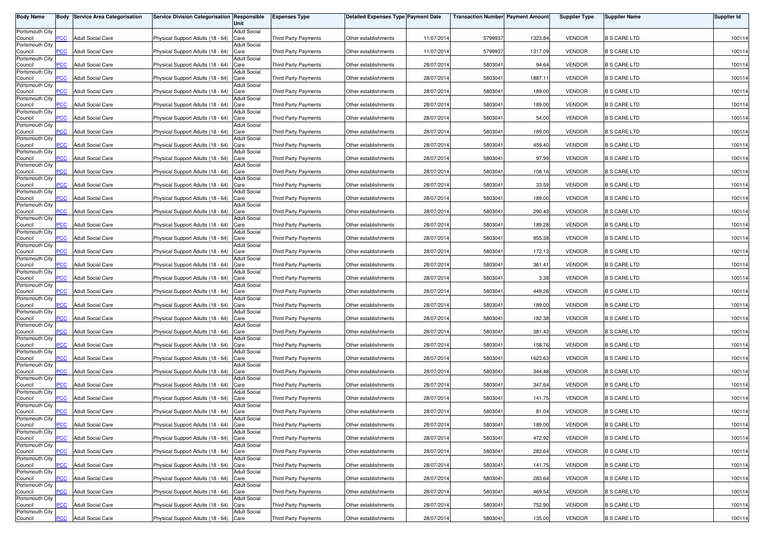| <b>Body Name</b>           |                | <b>Body Service Area Categorisation</b> | Service Division Categorisation Responsible | Unit                        | <b>Expenses Type</b>        | <b>Detailed Expenses Type Payment Date</b> |            | <b>Transaction Number Payment Amount</b> |         | <b>Supplier Type</b> | <b>Supplier Name</b> | <b>Supplier Id</b> |
|----------------------------|----------------|-----------------------------------------|---------------------------------------------|-----------------------------|-----------------------------|--------------------------------------------|------------|------------------------------------------|---------|----------------------|----------------------|--------------------|
| Portsmouth City            |                |                                         |                                             | <b>Adult Social</b>         |                             |                                            |            |                                          |         |                      |                      |                    |
| Council                    | PCC            | <b>Adult Social Care</b>                | Physical Support Adults (18 - 64)           | Care                        | <b>Third Party Payments</b> | Other establishments                       | 11/07/2014 | 579993                                   | 1323.84 | <b>VENDOR</b>        | <b>B S CARE LTD</b>  | 100114             |
| Portsmouth City<br>Council | $\overline{C}$ | <b>Adult Social Care</b>                | Physical Support Adults (18 - 64)           | <b>Adult Social</b><br>Care | <b>Third Party Payments</b> | Other establishments                       | 11/07/2014 | 5799937                                  | 1317.09 | <b>VENDOR</b>        | <b>B S CARE LTD</b>  | 100114             |
| Portsmouth City            |                |                                         |                                             | Adult Social                |                             |                                            |            |                                          |         |                      |                      |                    |
| Council<br>Portsmouth City | <b>PCC</b>     | <b>Adult Social Care</b>                | Physical Support Adults (18 - 64)           | Care<br>Adult Social        | Third Party Payments        | Other establishments                       | 28/07/2014 | 5803041                                  | 94.64   | <b>VENDOR</b>        | <b>B S CARE LTD</b>  | 100114             |
| Council                    | PСC            | <b>Adult Social Care</b>                | Physical Support Adults (18 - 64)           | Care                        | Third Party Payments        | Other establishments                       | 28/07/2014 | 5803041                                  | 1887.11 | <b>VENDOR</b>        | <b>B S CARE LTD</b>  | 100114             |
| Portsmouth City<br>Council | PCC.           | <b>Adult Social Care</b>                | Physical Support Adults (18 - 64)           | <b>Adult Social</b><br>Care | Third Party Payments        | Other establishments                       | 28/07/2014 | 5803041                                  | 189.00  | <b>VENDOR</b>        | <b>B S CARE LTD</b>  | 100114             |
| Portsmouth City            |                | <b>Adult Social Care</b>                |                                             | <b>Adult Social</b>         |                             |                                            |            |                                          |         |                      |                      |                    |
| Council<br>Portsmouth City | PCC            |                                         | Physical Support Adults (18 - 64)           | Care<br><b>Adult Social</b> | <b>Third Party Payments</b> | Other establishments                       | 28/07/2014 | 5803041                                  | 189.00  | <b>VENDOR</b>        | <b>B S CARE LTD</b>  | 100114             |
| Council                    | $\overline{C}$ | <b>Adult Social Care</b>                | Physical Support Adults (18 - 64)           | Care<br><b>Adult Social</b> | Third Party Payments        | Other establishments                       | 28/07/2014 | 5803041                                  | 54.00   | <b>VENDOR</b>        | <b>B S CARE LTD</b>  | 100114             |
| Portsmouth City<br>Council | $\overline{C}$ | <b>Adult Social Care</b>                | Physical Support Adults (18 - 64)           | Care                        | Third Party Payments        | Other establishments                       | 28/07/2014 | 5803041                                  | 189.00  | <b>VENDOR</b>        | <b>B S CARE LTD</b>  | 100114             |
| Portsmouth City<br>Council | <b>PCC</b>     | <b>Adult Social Care</b>                | Physical Support Adults (18 - 64)           | <b>Adult Social</b><br>Care | <b>Third Party Payments</b> | Other establishments                       | 28/07/2014 | 5803041                                  | 459.40  | <b>VENDOR</b>        | <b>B S CARE LTD</b>  | 100114             |
| Portsmouth City            |                |                                         |                                             | <b>Adult Social</b>         |                             |                                            |            |                                          |         |                      |                      |                    |
| Council<br>Portsmouth City | $\overline{C}$ | <b>Adult Social Care</b>                | Physical Support Adults (18 - 64)           | Care<br><b>Adult Social</b> | Third Party Payments        | Other establishments                       | 28/07/2014 | 5803041                                  | 97.99   | <b>VENDOR</b>        | <b>B S CARE LTD</b>  | 100114             |
| Council                    | PСC            | <b>Adult Social Care</b>                | Physical Support Adults (18 - 64)           | Care                        | Third Party Payments        | Other establishments                       | 28/07/2014 | 5803041                                  | 108.16  | <b>VENDOR</b>        | <b>B S CARE LTD</b>  | 100114             |
| Portsmouth City<br>Council | PCC            | <b>Adult Social Care</b>                | Physical Support Adults (18 - 64)           | Adult Social<br>Care        | Third Party Payments        | Other establishments                       | 28/07/2014 | 5803041                                  | 33.59   | <b>VENDOR</b>        | <b>B S CARE LTD</b>  | 100114             |
| Portsmouth City            |                |                                         |                                             | <b>Adult Social</b>         |                             |                                            |            |                                          |         |                      |                      |                    |
| Council<br>Portsmouth City | PСC            | <b>Adult Social Care</b>                | Physical Support Adults (18 - 64)           | Care<br><b>Adult Social</b> | Third Party Payments        | Other establishments                       | 28/07/2014 | 5803041                                  | 189.00  | <b>VENDOR</b>        | <b>B S CARE LTD</b>  | 100114             |
| Council                    | PCC            | <b>Adult Social Care</b>                | Physical Support Adults (18 - 64)           | Care                        | Third Party Payments        | Other establishments                       | 28/07/2014 | 5803041                                  | 290.43  | <b>VENDOR</b>        | <b>B S CARE LTD</b>  | 100114             |
| Portsmouth City<br>Council | PCC            | <b>Adult Social Care</b>                | Physical Support Adults (18 - 64)           | <b>Adult Social</b><br>Care | Third Party Payments        | Other establishments                       | 28/07/2014 | 5803041                                  | 189.28  | <b>VENDOR</b>        | <b>B S CARE LTD</b>  | 100114             |
| Portsmouth City            |                |                                         |                                             | <b>Adult Social</b>         |                             |                                            |            |                                          |         |                      |                      |                    |
| Council<br>Portsmouth City | PСC            | <b>Adult Social Care</b>                | Physical Support Adults (18 - 64)           | Care<br><b>Adult Social</b> | Third Party Payments        | Other establishments                       | 28/07/2014 | 5803041                                  | 955.38  | <b>VENDOR</b>        | <b>B S CARE LTD</b>  | 100114             |
| Council                    | PCC            | <b>Adult Social Care</b>                | Physical Support Adults (18 - 64)           | Care<br><b>Adult Social</b> | Third Party Payments        | Other establishments                       | 28/07/2014 | 5803041                                  | 172.13  | <b>VENDOR</b>        | <b>B S CARE LTD</b>  | 100114             |
| Portsmouth City<br>Council | PСC            | <b>Adult Social Care</b>                | Physical Support Adults (18 - 64)           | Care                        | <b>Third Party Payments</b> | Other establishments                       | 28/07/2014 | 5803041                                  | 361.41  | <b>VENDOR</b>        | <b>B S CARE LTD</b>  | 100114             |
| Portsmouth City<br>Council | PCC            | <b>Adult Social Care</b>                | Physical Support Adults (18 - 64)           | <b>Adult Social</b><br>Care | <b>Third Party Payments</b> | Other establishments                       | 28/07/2014 | 5803041                                  | 3.38    | <b>VENDOR</b>        | <b>B S CARE LTD</b>  | 100114             |
| Portsmouth City            |                |                                         |                                             | <b>Adult Social</b>         |                             |                                            |            |                                          |         |                      |                      |                    |
| Council<br>Portsmouth City | PСC            | <b>Adult Social Care</b>                | Physical Support Adults (18 - 64)           | Care<br>Adult Social        | Third Party Payments        | Other establishments                       | 28/07/2014 | 5803041                                  | 449.26  | <b>VENDOR</b>        | <b>B S CARE LTD</b>  | 100114             |
| Council                    | PCC            | <b>Adult Social Care</b>                | Physical Support Adults (18 - 64)           | Care                        | <b>Third Party Payments</b> | Other establishments                       | 28/07/2014 | 5803041                                  | 189.00  | <b>VENDOR</b>        | <b>B S CARE LTD</b>  | 100114             |
| Portsmouth City<br>Council | PСC            | <b>Adult Social Care</b>                | Physical Support Adults (18 - 64)           | <b>Adult Social</b><br>Care | <b>Third Party Payments</b> | Other establishments                       | 28/07/2014 | 5803041                                  | 182.38  | <b>VENDOR</b>        | <b>B S CARE LTD</b>  | 100114             |
| Portsmouth City            |                |                                         |                                             | <b>Adult Social</b>         |                             |                                            |            |                                          |         |                      |                      |                    |
| Council<br>Portsmouth City | PCC            | <b>Adult Social Care</b>                | Physical Support Adults (18 - 64)           | Care<br><b>Adult Social</b> | Third Party Payments        | Other establishments                       | 28/07/2014 | 5803041                                  | 381.43  | <b>VENDOR</b>        | <b>B S CARE LTD</b>  | 100114             |
| Council                    | <b>PCC</b>     | <b>Adult Social Care</b>                | Physical Support Adults (18 - 64)           | Care                        | Third Party Payments        | Other establishments                       | 28/07/2014 | 5803041                                  | 158.76  | <b>VENDOR</b>        | <b>B S CARE LTD</b>  | 100114             |
| Portsmouth City<br>Council | <b>PCC</b>     | <b>Adult Social Care</b>                | Physical Support Adults (18 - 64)           | <b>Adult Social</b><br>Care | Third Party Payments        | Other establishments                       | 28/07/2014 | 5803041                                  | 1623.63 | <b>VENDOR</b>        | <b>B S CARE LTD</b>  | 100114             |
| Portsmouth City            | <b>PCC</b>     | <b>Adult Social Care</b>                | Physical Support Adults (18 - 64)           | <b>Adult Social</b>         | Third Party Payments        |                                            | 28/07/2014 | 5803041                                  | 344.48  | <b>VENDOR</b>        | <b>B S CARE LTD</b>  | 100114             |
| Council<br>Portsmouth City |                |                                         |                                             | Care<br><b>Adult Social</b> |                             | Other establishments                       |            |                                          |         |                      |                      |                    |
| Council<br>Portsmouth City | PСC            | <b>Adult Social Care</b>                | Physical Support Adults (18 - 64)           | Care<br><b>Adult Social</b> | <b>Third Party Payments</b> | Other establishments                       | 28/07/2014 | 5803041                                  | 347.64  | <b>VENDOR</b>        | <b>B S CARE LTD</b>  | 100114             |
| Council                    | $\overline{C}$ | <b>Adult Social Care</b>                | Physical Support Adults (18 - 64)           | Care                        | Third Party Payments        | Other establishments                       | 28/07/2014 | 5803041                                  | 141.75  | <b>VENDOR</b>        | <b>B S CARE LTD</b>  | 100114             |
| Portsmouth City<br>Council | <b>PCC</b>     | <b>Adult Social Care</b>                | Physical Support Adults (18 - 64)           | Adult Social<br>Care        | Third Party Payments        | Other establishments                       | 28/07/2014 | 5803041                                  | 81.04   | <b>VENDOR</b>        | <b>B S CARE LTD</b>  | 100114             |
| Portsmouth City            |                |                                         |                                             | <b>Adult Social</b>         |                             |                                            |            |                                          |         |                      |                      |                    |
| Council<br>Portsmouth City |                | <b>PCC</b> Adult Social Care            | Physical Support Adults (18 - 64) Care      | <b>Adult Social</b>         | Third Party Payments        | Other establishments                       | 28/07/2014 | 5803041                                  | 189.00  | <b>VENDOR</b>        | <b>B S CARE LTD</b>  | 100114             |
| Council                    | <u>PCC</u>     | <b>Adult Social Care</b>                | Physical Support Adults (18 - 64) Care      |                             | Third Party Payments        | Other establishments                       | 28/07/2014 | 5803041                                  | 472.92  | <b>VENDOR</b>        | <b>B S CARE LTD</b>  | 100114             |
| Portsmouth City<br>Council | PCC            | <b>Adult Social Care</b>                | Physical Support Adults (18 - 64) Care      | <b>Adult Social</b>         | <b>Third Party Payments</b> | Other establishments                       | 28/07/2014 | 5803041                                  | 283.64  | <b>VENDOR</b>        | <b>B S CARE LTD</b>  | 100114             |
| Portsmouth City            |                |                                         |                                             | <b>Adult Social</b>         |                             |                                            |            |                                          |         |                      |                      |                    |
| Council<br>Portsmouth City | PCC            | <b>Adult Social Care</b>                | Physical Support Adults (18 - 64) Care      | <b>Adult Social</b>         | Third Party Payments        | Other establishments                       | 28/07/2014 | 5803041                                  | 141.75  | <b>VENDOR</b>        | <b>B S CARE LTD</b>  | 100114             |
| Council                    | PСC            | <b>Adult Social Care</b>                | Physical Support Adults (18 - 64) Care      | <b>Adult Social</b>         | Third Party Payments        | Other establishments                       | 28/07/2014 | 5803041                                  | 283.64  | <b>VENDOR</b>        | <b>B S CARE LTD</b>  | 100114             |
| Portsmouth City<br>Council | <b>PCC</b>     | <b>Adult Social Care</b>                | Physical Support Adults (18 - 64) Care      |                             | Third Party Payments        | Other establishments                       | 28/07/2014 | 5803041                                  | 469.54  | <b>VENDOR</b>        | <b>B S CARE LTD</b>  | 100114             |
| Portsmouth City<br>Council | <b>PCC</b>     | <b>Adult Social Care</b>                | Physical Support Adults (18 - 64)           | <b>Adult Social</b><br>Care | Third Party Payments        | Other establishments                       | 28/07/2014 | 5803041                                  | 752.90  | <b>VENDOR</b>        | <b>B S CARE LTD</b>  | 100114             |
| Portsmouth City            |                |                                         |                                             | Adult Social                |                             |                                            |            |                                          |         |                      |                      |                    |
| Council                    | <b>PCC</b>     | <b>Adult Social Care</b>                | Physical Support Adults (18 - 64) Care      |                             | Third Party Payments        | Other establishments                       | 28/07/2014 | 5803041                                  | 135.00  | <b>VENDOR</b>        | <b>B S CARE LTD</b>  | 100114             |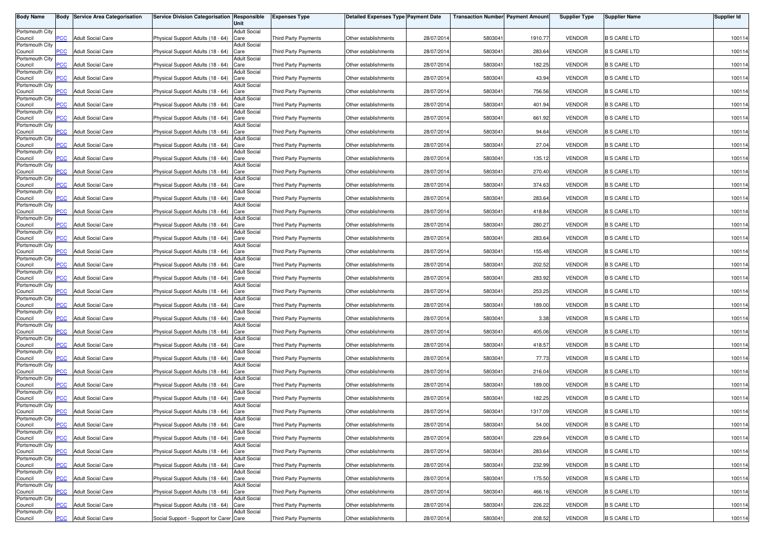| <b>Body Name</b>           |                | <b>Body Service Area Categorisation</b> | Service Division Categorisation Responsible | Unit                        | <b>Expenses Type</b>        | <b>Detailed Expenses Type Payment Date</b> |            | <b>Transaction Number Payment Amount</b> |         | <b>Supplier Type</b> | <b>Supplier Name</b> | <b>Supplier Id</b> |
|----------------------------|----------------|-----------------------------------------|---------------------------------------------|-----------------------------|-----------------------------|--------------------------------------------|------------|------------------------------------------|---------|----------------------|----------------------|--------------------|
| Portsmouth City            |                |                                         |                                             | <b>Adult Social</b>         |                             |                                            |            |                                          |         |                      |                      |                    |
| Council<br>Portsmouth City | PСC            | <b>Adult Social Care</b>                | Physical Support Adults (18 - 64)           | Care<br><b>Adult Social</b> | Third Party Payments        | Other establishments                       | 28/07/2014 | 5803041                                  | 1910.77 | <b>VENDOR</b>        | <b>B S CARE LTD</b>  | 100114             |
| Council                    | $\overline{C}$ | <b>Adult Social Care</b>                | Physical Support Adults (18 - 64)           | Care                        | Third Party Payments        | Other establishments                       | 28/07/2014 | 5803041                                  | 283.64  | <b>VENDOR</b>        | <b>B S CARE LTD</b>  | 100114             |
| Portsmouth City<br>Council | <b>PCC</b>     | <b>Adult Social Care</b>                | Physical Support Adults (18 - 64)           | Adult Social<br>Care        | Third Party Payments        | Other establishments                       | 28/07/2014 | 5803041                                  | 182.25  | <b>VENDOR</b>        | <b>B S CARE LTD</b>  | 100114             |
| Portsmouth City            |                |                                         |                                             | <b>Adult Social</b>         |                             |                                            |            |                                          |         |                      |                      |                    |
| Council<br>Portsmouth City |                | <b>Adult Social Care</b>                | Physical Support Adults (18 - 64)           | Care<br><b>Adult Social</b> | Third Party Payments        | Other establishments                       | 28/07/2014 | 5803041                                  | 43.94   | <b>VENDOR</b>        | <b>B S CARE LTD</b>  | 100114             |
| Council                    | PCC.           | <b>Adult Social Care</b>                | Physical Support Adults (18 - 64) Care      |                             | Third Party Payments        | Other establishments                       | 28/07/2014 | 5803041                                  | 756.56  | <b>VENDOR</b>        | <b>B S CARE LTD</b>  | 100114             |
| Portsmouth City<br>Council | <b>PCC</b>     | <b>Adult Social Care</b>                | Physical Support Adults (18 - 64)           | <b>Adult Social</b><br>Care | Third Party Payments        | Other establishments                       | 28/07/2014 | 5803041                                  | 401.94  | <b>VENDOR</b>        | <b>B S CARE LTD</b>  | 100114             |
| Portsmouth City<br>Council | $\overline{C}$ | <b>Adult Social Care</b>                | Physical Support Adults (18 - 64) Care      | <b>Adult Social</b>         | <b>Third Party Payments</b> | Other establishments                       | 28/07/2014 | 5803041                                  | 661.92  | <b>VENDOR</b>        | <b>B S CARE LTD</b>  | 100114             |
| Portsmouth City            |                |                                         |                                             | <b>Adult Social</b>         |                             |                                            |            |                                          |         |                      |                      |                    |
| Council<br>Portsmouth City | $\overline{C}$ | <b>Adult Social Care</b>                | Physical Support Adults (18 - 64)           | Care<br><b>Adult Social</b> | Third Party Payments        | Other establishments                       | 28/07/2014 | 5803041                                  | 94.64   | <b>VENDOR</b>        | <b>B S CARE LTD</b>  | 100114             |
| Council<br>Portsmouth City | сC             | <b>Adult Social Care</b>                | Physical Support Adults (18 - 64)           | Care<br><b>Adult Social</b> | Third Party Payments        | Other establishments                       | 28/07/2014 | 5803041                                  | 27.04   | <b>VENDOR</b>        | <b>B S CARE LTD</b>  | 100114             |
| Council                    | <b>PCC</b>     | <b>Adult Social Care</b>                | Physical Support Adults (18 - 64)           | Care                        | Third Party Payments        | Other establishments                       | 28/07/2014 | 580304                                   | 135.12  | <b>VENDOR</b>        | <b>B S CARE LTD</b>  | 100114             |
| Portsmouth City<br>Council | PСC            | <b>Adult Social Care</b>                | Physical Support Adults (18 - 64)           | <b>Adult Social</b><br>Care | Third Party Payments        | Other establishments                       | 28/07/2014 | 5803041                                  | 270.40  | <b>VENDOR</b>        | <b>B S CARE LTD</b>  | 100114             |
| Portsmouth City            | PСC            | <b>Adult Social Care</b>                | Physical Support Adults (18 - 64)           | Adult Social                | Third Party Payments        |                                            | 28/07/2014 | 5803041                                  | 374.63  | <b>VENDOR</b>        | <b>B S CARE LTD</b>  | 100114             |
| Council<br>Portsmouth City |                |                                         |                                             | Care<br><b>Adult Social</b> |                             | Other establishments                       |            |                                          |         |                      |                      |                    |
| Council<br>Portsmouth City | PСC            | <b>Adult Social Care</b>                | Physical Support Adults (18 - 64)           | Care<br><b>Adult Social</b> | Third Party Payments        | Other establishments                       | 28/07/2014 | 5803041                                  | 283.64  | <b>VENDOR</b>        | <b>B S CARE LTD</b>  | 100114             |
| Council                    | PCC            | <b>Adult Social Care</b>                | Physical Support Adults (18 - 64)           | Care                        | Third Party Payments        | Other establishments                       | 28/07/2014 | 5803041                                  | 418.84  | <b>VENDOR</b>        | <b>B S CARE LTD</b>  | 100114             |
| Portsmouth City<br>Council | PCC            | <b>Adult Social Care</b>                | Physical Support Adults (18 - 64)           | <b>Adult Social</b><br>Care | Third Party Payments        | Other establishments                       | 28/07/2014 | 5803041                                  | 280.27  | <b>VENDOR</b>        | <b>B S CARE LTD</b>  | 100114             |
| Portsmouth City<br>Council | PСC            | <b>Adult Social Care</b>                | Physical Support Adults (18 - 64) Care      | <b>Adult Social</b>         | Third Party Payments        | Other establishments                       | 28/07/2014 | 5803041                                  | 283.64  | <b>VENDOR</b>        | <b>B S CARE LTD</b>  | 100114             |
| Portsmouth City            |                |                                         |                                             | <b>Adult Social</b>         |                             |                                            |            |                                          |         |                      |                      |                    |
| Council<br>Portsmouth City | PCC            | <b>Adult Social Care</b>                | Physical Support Adults (18 - 64) Care      | <b>Adult Social</b>         | Third Party Payments        | Other establishments                       | 28/07/2014 | 5803041                                  | 155.48  | <b>VENDOR</b>        | <b>B S CARE LTD</b>  | 100114             |
| Council<br>Portsmouth City | PСC            | <b>Adult Social Care</b>                | Physical Support Adults (18 - 64)           | Care<br><b>Adult Social</b> | Third Party Payments        | Other establishments                       | 28/07/2014 | 5803041                                  | 202.52  | <b>VENDOR</b>        | <b>B S CARE LTD</b>  | 100114             |
| Council                    | PCC            | <b>Adult Social Care</b>                | Physical Support Adults (18 - 64)           | Care                        | <b>Third Party Payments</b> | Other establishments                       | 28/07/2014 | 580304                                   | 283.92  | <b>VENDOR</b>        | <b>B S CARE LTD</b>  | 100114             |
| Portsmouth City<br>Council | PСC            | <b>Adult Social Care</b>                | Physical Support Adults (18 - 64)           | <b>Adult Social</b><br>Care | Third Party Payments        | Other establishments                       | 28/07/2014 | 5803041                                  | 253.25  | <b>VENDOR</b>        | <b>B S CARE LTD</b>  | 100114             |
| Portsmouth City            |                | <b>Adult Social Care</b>                |                                             | Adult Social                |                             |                                            | 28/07/201  |                                          |         | <b>VENDOR</b>        |                      |                    |
| Council<br>Portsmouth City | PCC            |                                         | Physical Support Adults (18 - 64)           | Care<br><b>Adult Social</b> | Third Party Payments        | Other establishments                       |            | 5803041                                  | 189.00  |                      | <b>B S CARE LTD</b>  | 100114             |
| Council<br>Portsmouth City | PСC            | <b>Adult Social Care</b>                | Physical Support Adults (18 - 64)           | Care<br><b>Adult Social</b> | Third Party Payments        | Other establishments                       | 28/07/2014 | 5803041                                  | 3.38    | <b>VENDOR</b>        | <b>B S CARE LTD</b>  | 100114             |
| Council                    | PCC            | <b>Adult Social Care</b>                | Physical Support Adults (18 - 64)           | Care                        | Third Party Payments        | Other establishments                       | 28/07/2014 | 5803041                                  | 405.06  | <b>VENDOR</b>        | <b>B S CARE LTD</b>  | 100114             |
| Portsmouth City<br>Council | <b>PCC</b>     | <b>Adult Social Care</b>                | Physical Support Adults (18 - 64)           | <b>Adult Social</b><br>Care | Third Party Payments        | Other establishments                       | 28/07/2014 | 5803041                                  | 418.57  | <b>VENDOR</b>        | <b>B S CARE LTD</b>  | 100114             |
| Portsmouth City<br>Council | <b>PCC</b>     | <b>Adult Social Care</b>                | Physical Support Adults (18 - 64)           | <b>Adult Social</b><br>Care | Third Party Payments        | Other establishments                       | 28/07/2014 | 5803041                                  | 77.73   | <b>VENDOR</b>        | <b>B S CARE LTD</b>  | 100114             |
| Portsmouth City            |                |                                         |                                             | <b>Adult Social</b>         |                             |                                            |            |                                          |         |                      |                      |                    |
| Council<br>Portsmouth City | <b>PCC</b>     | <b>Adult Social Care</b>                | Physical Support Adults (18 - 64)           | Care<br><b>Adult Social</b> | Third Party Payments        | Other establishments                       | 28/07/2014 | 5803041                                  | 216.04  | <b>VENDOR</b>        | <b>B S CARE LTD</b>  | 100114             |
| Council<br>Portsmouth City |                | <b>Adult Social Care</b>                | Physical Support Adults (18 - 64)           | Care<br><b>Adult Social</b> | Third Party Payments        | Other establishments                       | 28/07/2014 | 5803041                                  | 189.00  | <b>VENDOR</b>        | <b>B S CARE LTD</b>  | 100114             |
| Council                    | $\overline{C}$ | <b>Adult Social Care</b>                | Physical Support Adults (18 - 64)           | Care                        | Third Party Payments        | Other establishments                       | 28/07/2014 | 580304                                   | 182.25  | <b>VENDOR</b>        | <b>B S CARE LTD</b>  | 100114             |
| Portsmouth City<br>Council | PСC            | <b>Adult Social Care</b>                | Physical Support Adults (18 - 64)           | Adult Social<br>Care        | Third Party Payments        | Other establishments                       | 28/07/2014 | 5803041                                  | 1317.09 | <b>VENDOR</b>        | <b>B S CARE LTD</b>  | 100114             |
| Portsmouth City            |                |                                         | Physical Support Adults (18 - 64) Care      | <b>Adult Social</b>         |                             |                                            |            |                                          |         |                      |                      |                    |
| Council<br>Portsmouth City | <b>PCC</b>     | <b>Adult Social Care</b>                |                                             | <b>Adult Social</b>         | Third Party Payments        | Other establishments                       | 28/07/2014 | 5803041                                  | 54.00   | VENDOR               | <b>B S CARE LTD</b>  | 100114             |
| Council<br>Portsmouth City | <u>PCC</u>     | <b>Adult Social Care</b>                | Physical Support Adults (18 - 64) Care      | <b>Adult Social</b>         | <b>Third Party Payments</b> | Other establishments                       | 28/07/2014 | 5803041                                  | 229.64  | <b>VENDOR</b>        | <b>B S CARE LTD</b>  | 100114             |
| Council                    | PCC            | <b>Adult Social Care</b>                | Physical Support Adults (18 - 64) Care      |                             | Third Party Payments        | Other establishments                       | 28/07/2014 | 5803041                                  | 283.64  | <b>VENDOR</b>        | <b>B S CARE LTD</b>  | 100114             |
| Portsmouth City<br>Council | PCC            | <b>Adult Social Care</b>                | Physical Support Adults (18 - 64) Care      | <b>Adult Social</b>         | Third Party Payments        | Other establishments                       | 28/07/2014 | 5803041                                  | 232.99  | <b>VENDOR</b>        | <b>B S CARE LTD</b>  | 100114             |
| Portsmouth City<br>Council | PСC            | <b>Adult Social Care</b>                | Physical Support Adults (18 - 64) Care      | <b>Adult Social</b>         | Third Party Payments        | Other establishments                       | 28/07/2014 | 5803041                                  | 175.50  | <b>VENDOR</b>        | <b>B S CARE LTD</b>  | 100114             |
| Portsmouth City            |                |                                         |                                             | <b>Adult Social</b>         |                             |                                            |            |                                          |         |                      |                      |                    |
| Council<br>Portsmouth City | <b>PCC</b>     | <b>Adult Social Care</b>                | Physical Support Adults (18 - 64) Care      | <b>Adult Social</b>         | <b>Third Party Payments</b> | Other establishments                       | 28/07/2014 | 5803041                                  | 466.16  | <b>VENDOR</b>        | <b>B S CARE LTD</b>  | 100114             |
| Council<br>Portsmouth City | <b>PCC</b>     | <b>Adult Social Care</b>                | Physical Support Adults (18 - 64) Care      | Adult Social                | Third Party Payments        | Other establishments                       | 28/07/2014 | 5803041                                  | 226.22  | <b>VENDOR</b>        | <b>B S CARE LTD</b>  | 100114             |
| Council                    | <b>PCC</b>     | <b>Adult Social Care</b>                | Social Support - Support for Carer Care     |                             | <b>Third Party Payments</b> | Other establishments                       | 28/07/2014 | 5803041                                  | 208.52  | <b>VENDOR</b>        | <b>B S CARE LTD</b>  | 100114             |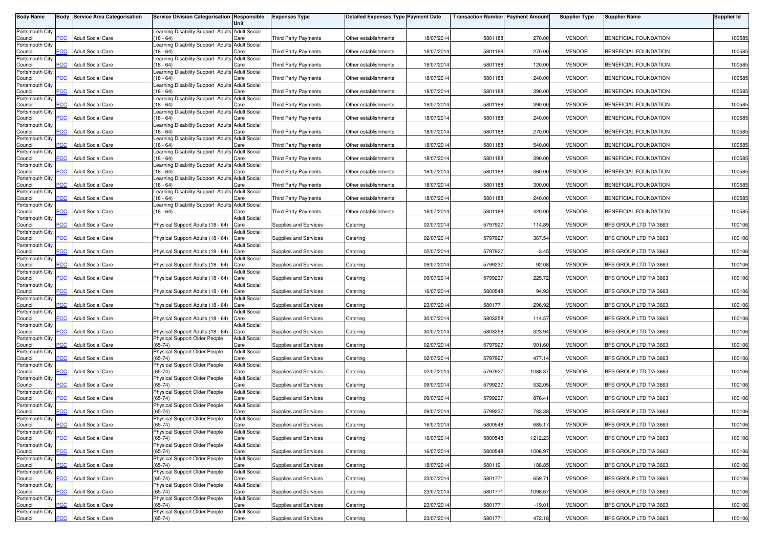| <b>Body Name</b>           |                | <b>Body Service Area Categorisation</b> | Service Division Categorisation Responsible                        | Unit                        | <b>Expenses Type</b>        | <b>Detailed Expenses Type Payment Date</b> |            | <b>Transaction Number Payment Amount</b> |          | <b>Supplier Type</b> | <b>Supplier Name</b>   | <b>Supplier Id</b> |
|----------------------------|----------------|-----------------------------------------|--------------------------------------------------------------------|-----------------------------|-----------------------------|--------------------------------------------|------------|------------------------------------------|----------|----------------------|------------------------|--------------------|
| Portsmouth City            |                |                                         | Learning Disability Support Adults Adult Social                    |                             |                             |                                            |            |                                          |          |                      |                        |                    |
| Council                    | <b>PCC</b>     | <b>Adult Social Care</b>                | $(18 - 64)$                                                        | Care                        | <b>Third Party Payments</b> | Other establishments                       | 18/07/2014 | 5801188                                  | 270.00   | <b>VENDOR</b>        | BENEFICIAL FOUNDATION  | 100585             |
| Portsmouth City<br>Council | $\overline{C}$ | <b>Adult Social Care</b>                | Learning Disability Support Adults Adult Social<br>$18 - 64$       | Care                        | <b>Third Party Payments</b> | Other establishments                       | 18/07/2014 | 5801188                                  | 270.00   | <b>VENDOR</b>        | BENEFICIAL FOUNDATION  | 100585             |
| Portsmouth City            | PCC            | <b>Adult Social Care</b>                | Learning Disability Support Adults Adult Social<br>$(18 - 64)$     | Care                        | <b>Third Party Payments</b> | Other establishments                       | 18/07/201  | 5801188                                  | 120.00   | <b>VENDOR</b>        | BENEFICIAL FOUNDATION  | 100585             |
| Council<br>Portsmouth City |                |                                         | Learning Disability Support Adults Adult Social                    |                             |                             |                                            |            |                                          |          |                      |                        |                    |
| Council<br>Portsmouth City | <b>PCC</b>     | <b>Adult Social Care</b>                | $(18 - 64)$<br>Learning Disability Support Adults Adult Social     | Care                        | <b>Third Party Payments</b> | Other establishments                       | 18/07/201  | 5801188                                  | 240.00   | <b>VENDOR</b>        | BENEFICIAL FOUNDATION  | 100585             |
| Council                    | PCC            | <b>Adult Social Care</b>                | $(18 - 64)$                                                        | Care                        | <b>Third Party Payments</b> | Other establishments                       | 18/07/201  | 5801188                                  | 390.00   | <b>VENDOR</b>        | BENEFICIAL FOUNDATION  | 100585             |
| Portsmouth City<br>Council | PCC            | <b>Adult Social Care</b>                | Learning Disability Support Adults Adult Social<br>$(18 - 64)$     | Care                        | <b>Third Party Payments</b> | Other establishments                       | 18/07/2014 | 5801188                                  | 390.00   | <b>VENDOR</b>        | BENEFICIAL FOUNDATION  | 100585             |
| Portsmouth City            |                |                                         | Learning Disability Support Adults Adult Social                    |                             |                             |                                            |            |                                          |          |                      |                        |                    |
| Council<br>Portsmouth City | $\overline{C}$ | <b>Adult Social Care</b>                | $(18 - 64)$<br>Learning Disability Support Adults Adult Social     | Care                        | Third Party Payments        | Other establishments                       | 18/07/201  | 5801188                                  | 240.00   | <b>VENDOR</b>        | BENEFICIAL FOUNDATION  | 100585             |
| Council                    | PCC            | <b>Adult Social Care</b>                | $(18 - 64)$                                                        | Care                        | Third Party Payments        | Other establishments                       | 18/07/2014 | 5801188                                  | 270.00   | <b>VENDOR</b>        | BENEFICIAL FOUNDATION  | 100585             |
| Portsmouth City<br>Council | °СС            | <b>Adult Social Care</b>                | Learning Disability Support Adults Adult Social<br>$18 - 64$       | Care                        | <b>Third Party Payments</b> | Other establishments                       | 18/07/201  | 5801188                                  | 540.00   | <b>VENDOR</b>        | BENEFICIAL FOUNDATION  | 100585             |
| Portsmouth City<br>Council | PCC            | <b>Adult Social Care</b>                | Learning Disability Support Adults Adult Social<br>$(18 - 64)$     | Care                        | <b>Third Party Payments</b> | Other establishments                       | 18/07/201  | 5801188                                  | 390.00   | <b>VENDOR</b>        | BENEFICIAL FOUNDATION  | 100585             |
| Portsmouth City            |                |                                         | Learning Disability Support Adults Adult Social                    |                             |                             |                                            |            |                                          |          |                      |                        |                    |
| Council<br>Portsmouth City | PСC            | Adult Social Care                       | $18 - 64$<br>Learning Disability Support Adults Adult Social       | Care                        | Third Party Payments        | Other establishments                       | 18/07/201  | 5801188                                  | 360.00   | <b>VENDOR</b>        | BENEFICIAL FOUNDATION  | 100585             |
| Council                    | PCC            | <b>Adult Social Care</b>                | $(18 - 64)$                                                        | Care                        | Third Party Payments        | Other establishments                       | 18/07/201  | 5801188                                  | 300.00   | <b>VENDOR</b>        | BENEFICIAL FOUNDATION  | 100585             |
| Portsmouth City<br>Council | PCC            | <b>Adult Social Care</b>                | Learning Disability Support Adults Adult Social<br>$(18 - 64)$     | Care                        | Third Party Payments        | Other establishments                       | 18/07/201  | 5801188                                  | 240.00   | <b>VENDOR</b>        | BENEFICIAL FOUNDATION  | 100585             |
| Portsmouth City            | PCC            | <b>Adult Social Care</b>                | Learning Disability Support Adults Adult Social<br>(18 - 64)       | Care                        | <b>Third Party Payments</b> | Other establishments                       | 18/07/201  | 5801188                                  | 420.00   | <b>VENDOR</b>        | BENEFICIAL FOUNDATION  | 100585             |
| Council<br>Portsmouth City |                |                                         |                                                                    | <b>Adult Social</b>         |                             |                                            |            |                                          |          |                      |                        |                    |
| Council<br>Portsmouth City | PCC            | <b>Adult Social Care</b>                | Physical Support Adults (18 - 64)                                  | Care<br><b>Adult Social</b> | Supplies and Services       | Catering                                   | 02/07/2014 | 5797927                                  | 114.89   | <b>VENDOR</b>        | BFS GROUP LTD T/A 3663 | 100106             |
| Council                    | °СС            | <b>Adult Social Care</b>                | Physical Support Adults (18 - 64)                                  | Care                        | Supplies and Services       | Catering                                   | 02/07/2014 | 5797927                                  | 367.54   | <b>VENDOR</b>        | BFS GROUP LTD T/A 3663 | 100106             |
| Portsmouth City<br>Council | PCC            | <b>Adult Social Care</b>                | Physical Support Adults (18 - 64)                                  | <b>Adult Social</b><br>Care | Supplies and Services       | Catering                                   | 02/07/2014 | 5797927                                  | $-3.45$  | <b>VENDOR</b>        | BFS GROUP LTD T/A 3663 | 100106             |
| Portsmouth City            | сC             | <b>Adult Social Care</b>                | Physical Support Adults (18 - 64)                                  | <b>Adult Social</b><br>Care |                             |                                            | 09/07/2014 | 5799237                                  | 92.08    | <b>VENDOR</b>        | BFS GROUP LTD T/A 3663 | 100106             |
| Council<br>Portsmouth City |                |                                         |                                                                    | <b>Adult Social</b>         | Supplies and Services       | Catering                                   |            |                                          |          |                      |                        |                    |
| Council<br>Portsmouth City | PCC            | <b>Adult Social Care</b>                | Physical Support Adults (18 - 64)                                  | Care<br><b>Adult Social</b> | Supplies and Services       | Catering                                   | 09/07/201  | 5799237                                  | 225.72   | <b>VENDOR</b>        | BFS GROUP LTD T/A 3663 | 100106             |
| Council                    | <b>PCC</b>     | <b>Adult Social Care</b>                | Physical Support Adults (18 - 64)                                  | Care                        | Supplies and Services       | Catering                                   | 16/07/201  | 5800548                                  | 94.93    | <b>VENDOR</b>        | BFS GROUP LTD T/A 3663 | 100106             |
| Portsmouth City<br>Council | PCC            | <b>Adult Social Care</b>                | Physical Support Adults (18 - 64)                                  | Adult Social<br>Care        | Supplies and Services       | Catering                                   | 23/07/201  | 5801771                                  | 296.92   | <b>VENDOR</b>        | BFS GROUP LTD T/A 3663 | 100106             |
| Portsmouth City<br>Council | PCC            | <b>Adult Social Care</b>                | Physical Support Adults (18 - 64)                                  | <b>Adult Social</b><br>Care | Supplies and Services       | Catering                                   | 30/07/201  | 5803258                                  | 114.57   | <b>VENDOR</b>        | BFS GROUP LTD T/A 3663 | 100106             |
| Portsmouth City            |                |                                         |                                                                    | <b>Adult Social</b>         |                             |                                            |            |                                          |          |                      |                        |                    |
| Council<br>Portsmouth City | PСC            | <b>Adult Social Care</b>                | Physical Support Adults (18 - 64)<br>Physical Support Older People | Care<br><b>Adult Social</b> | Supplies and Services       | Catering                                   | 30/07/201  | 5803258                                  | 323.94   | <b>VENDOR</b>        | BFS GROUP LTD T/A 3663 | 100106             |
| Council                    | PCC            | <b>Adult Social Care</b>                | $(65-74)$                                                          | Care                        | Supplies and Services       | Catering                                   | 02/07/2014 | 5797927                                  | 901.60   | <b>VENDOR</b>        | BFS GROUP LTD T/A 3663 | 100106             |
| Portsmouth City<br>Council | сC             | <b>Adult Social Care</b>                | Physical Support Older People<br>$(65-74)$                         | <b>Adult Social</b><br>Care | Supplies and Services       | Catering                                   | 02/07/2014 | 5797927                                  | 477.14   | <b>VENDOR</b>        | BFS GROUP LTD T/A 3663 | 100106             |
| Portsmouth City            |                |                                         | Physical Support Older People                                      | <b>Adult Social</b>         |                             |                                            |            |                                          |          |                      |                        |                    |
| Council<br>Portsmouth City | $\overline{C}$ | <b>Adult Social Care</b>                | $(65-74)$<br>Physical Support Older People                         | Care<br><b>Adult Social</b> | Supplies and Services       | Catering                                   | 02/07/2014 | 5797927                                  | 1088.37  | <b>VENDOR</b>        | BFS GROUP LTD T/A 3663 | 100106             |
| Council                    | <b>CC</b>      | <b>Adult Social Care</b>                | $(65-74)$                                                          | Care<br><b>Adult Social</b> | Supplies and Services       | Catering                                   | 09/07/2014 | 5799237                                  | 532.05   | <b>VENDOR</b>        | BFS GROUP LTD T/A 3663 | 100106             |
| Portsmouth City<br>Council | PCC            | <b>Adult Social Care</b>                | Physical Support Older People<br>$(65-74)$                         | Care                        | Supplies and Services       | Catering                                   | 09/07/201  | 5799237                                  | 876.41   | <b>VENDOR</b>        | BFS GROUP LTD T/A 3663 | 100106             |
| Portsmouth City<br>Council | PCC            | <b>Adult Social Care</b>                | Physical Support Older People<br>$(65-74)$                         | <b>Adult Social</b><br>Care | Supplies and Services       | Catering                                   | 09/07/2014 | 5799237                                  | 783.38   | <b>VENDOR</b>        | BFS GROUP LTD T/A 3663 | 100106             |
| Portsmouth City            |                |                                         | Physical Support Older People                                      | <b>Adult Social</b>         |                             |                                            |            |                                          |          |                      |                        |                    |
| Council<br>Portsmouth City | <b>PCC</b>     | <b>Adult Social Care</b>                | $(65-74)$<br>Physical Support Older People                         | Care<br><b>Adult Social</b> | Supplies and Services       | Catering                                   | 16/07/2014 | 5800548                                  | 685.17   | <b>VENDOR</b>        | BFS GROUP LTD T/A 3663 | 100106             |
| Council                    | PCC            | <b>Adult Social Care</b>                | $(65-74)$                                                          | Care                        | Supplies and Services       | Catering                                   | 16/07/2014 | 5800548                                  | 1212.23  | <b>VENDOR</b>        | BFS GROUP LTD T/A 3663 | 100106             |
| Portsmouth City<br>Council | PCC            | <b>Adult Social Care</b>                | Physical Support Older People<br>$(65-74)$                         | <b>Adult Social</b><br>Care | Supplies and Services       | Catering                                   | 16/07/2014 | 5800548                                  | 1006.97  | <b>VENDOR</b>        | BFS GROUP LTD T/A 3663 | 100106             |
| Portsmouth City            | PCC            | <b>Adult Social Care</b>                | Physical Support Older People<br>$(65-74)$                         | <b>Adult Social</b>         |                             |                                            | 18/07/2014 |                                          |          | <b>VENDOR</b>        | BFS GROUP LTD T/A 3663 | 100106             |
| Council<br>Portsmouth City |                |                                         | Physical Support Older People                                      | Care<br><b>Adult Social</b> | Supplies and Services       | Catering                                   |            | 5801191                                  | 188.85   |                      |                        |                    |
| Council<br>Portsmouth City | PСC            | <b>Adult Social Care</b>                | $(65-74)$<br>Physical Support Older People                         | Care<br><b>Adult Social</b> | Supplies and Services       | Catering                                   | 23/07/2014 | 5801771                                  | 659.71   | <b>VENDOR</b>        | BFS GROUP LTD T/A 3663 | 100106             |
| Council                    | PCC            | <b>Adult Social Care</b>                | $(65-74)$                                                          | Care                        | Supplies and Services       | Catering                                   | 23/07/2014 | 5801771                                  | 1098.67  | <b>VENDOR</b>        | BFS GROUP LTD T/A 3663 | 100106             |
| Portsmouth City<br>Council | PСC            | <b>Adult Social Care</b>                | Physical Support Older People<br>$(65-74)$                         | <b>Adult Social</b><br>Care | Supplies and Services       | Catering                                   | 23/07/2014 | 5801771                                  | $-19.01$ | <b>VENDOR</b>        | BFS GROUP LTD T/A 3663 | 100106             |
| Portsmouth City<br>Council | PCC            | <b>Adult Social Care</b>                | Physical Support Older People<br>$(65-74)$                         | <b>Adult Social</b><br>Care | Supplies and Services       | Catering                                   | 23/07/2014 | 5801771                                  | 472.18   | <b>VENDOR</b>        | BFS GROUP LTD T/A 3663 | 100106             |
|                            |                |                                         |                                                                    |                             |                             |                                            |            |                                          |          |                      |                        |                    |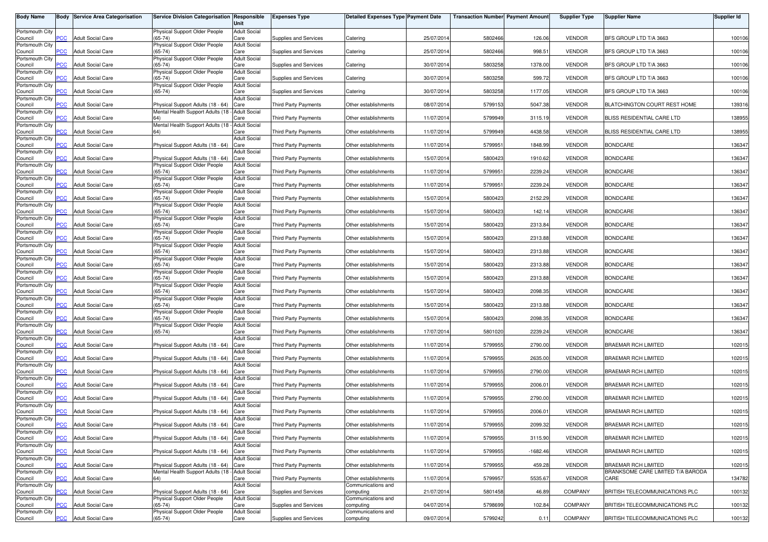| <b>Body Name</b>           |                | <b>Body Service Area Categorisation</b> | Service Division Categorisation Responsible                                          | Unit                        | <b>Expenses Type</b>         | <b>Detailed Expenses Type Payment Date</b> |            | <b>Transaction Number Payment Amount</b> |            | <b>Supplier Type</b> | <b>Supplier Name</b>                                     | Supplier Id |
|----------------------------|----------------|-----------------------------------------|--------------------------------------------------------------------------------------|-----------------------------|------------------------------|--------------------------------------------|------------|------------------------------------------|------------|----------------------|----------------------------------------------------------|-------------|
| Portsmouth City<br>Council | PCC            | <b>Adult Social Care</b>                | Physical Support Older People<br>$(65 - 74)$                                         | <b>Adult Social</b><br>Care | <b>Supplies and Services</b> | Catering                                   | 25/07/201  | 5802466                                  | 126.06     | <b>VENDOR</b>        | BFS GROUP LTD T/A 3663                                   | 100106      |
| Portsmouth City            |                |                                         | Physical Support Older People                                                        | <b>Adult Social</b>         |                              |                                            |            |                                          |            |                      |                                                          |             |
| Council<br>Portsmouth City | $\overline{C}$ | <b>Adult Social Care</b>                | $65 - 74$<br>Physical Support Older People                                           | Care<br><b>Adult Social</b> | Supplies and Services        | Catering                                   | 25/07/2014 | 5802466                                  | 998.51     | <b>VENDOR</b>        | BFS GROUP LTD T/A 3663                                   | 100106      |
| Council<br>Portsmouth City | $\overline{C}$ | <b>Adult Social Care</b>                | $(65-74)$<br>Physical Support Older People                                           | Care<br><b>Adult Social</b> | <b>Supplies and Services</b> | Catering                                   | 30/07/201  | 5803258                                  | 1378.00    | <b>VENDOR</b>        | BFS GROUP LTD T/A 3663                                   | 100106      |
| Council<br>Portsmouth City | <b>PCC</b>     | <b>Adult Social Care</b>                | $(65-74)$<br>Physical Support Older People                                           | Care<br><b>Adult Social</b> | Supplies and Services        | Catering                                   | 30/07/201  | 5803258                                  | 599.72     | <b>VENDOR</b>        | BFS GROUP LTD T/A 3663                                   | 100106      |
| Council                    | $\overline{C}$ | <b>Adult Social Care</b>                | $(65-74)$                                                                            | Care                        | Supplies and Services        | Catering                                   | 30/07/201  | 5803258                                  | 1177.05    | <b>VENDOR</b>        | BFS GROUP LTD T/A 3663                                   | 100106      |
| Portsmouth City<br>Council | <b>PCC</b>     | <b>Adult Social Care</b>                | Physical Support Adults (18 - 64)                                                    | <b>Adult Social</b><br>Care | Third Party Payments         | Other establishments                       | 08/07/2014 | 5799153                                  | 5047.38    | <b>VENDOR</b>        | BLATCHINGTON COURT REST HOME                             | 139316      |
| Portsmouth City<br>Council | PCC            | <b>Adult Social Care</b>                | Mental Health Support Adults (18 - Adult Social                                      | Care                        | Third Party Payments         | Other establishments                       | 11/07/201  | 5799949                                  | 3115.19    | <b>VENDOR</b>        | BLISS RESIDENTIAL CARE LTD                               | 138955      |
| Portsmouth City<br>Council | $\overline{C}$ | <b>Adult Social Care</b>                | Mental Health Support Adults (18 - Adult Social<br>64)                               | Care                        | <b>Third Party Payments</b>  | Other establishments                       | 11/07/201  | 5799949                                  | 4438.58    | <b>VENDOR</b>        | BLISS RESIDENTIAL CARE LTD                               | 138955      |
| Portsmouth City            | <b>PCC</b>     | <b>Adult Social Care</b>                | Physical Support Adults (18 - 64)                                                    | <b>Adult Social</b><br>Care | <b>Third Party Payments</b>  | Other establishments                       | 11/07/201  | 5799951                                  | 1848.99    | <b>VENDOR</b>        | <b>BONDCARE</b>                                          | 136347      |
| Council<br>Portsmouth City |                |                                         |                                                                                      | <b>Adult Social</b>         |                              |                                            |            |                                          |            |                      |                                                          |             |
| Council<br>Portsmouth City | $\overline{C}$ | <b>Adult Social Care</b>                | Physical Support Adults (18 - 64)<br>Physical Support Older People                   | Care<br><b>Adult Social</b> | <b>Third Party Payments</b>  | Other establishments                       | 15/07/201  | 5800423                                  | 1910.62    | <b>VENDOR</b>        | <b>BONDCARE</b>                                          | 136347      |
| Council<br>Portsmouth City | PCC            | <b>Adult Social Care</b>                | $(65 - 74)$<br>Physical Support Older People                                         | Care<br><b>Adult Social</b> | <b>Third Party Payments</b>  | Other establishments                       | 11/07/201  | 5799951                                  | 2239.24    | <b>VENDOR</b>        | <b>BONDCARE</b>                                          | 136347      |
| Council<br>Portsmouth City | PCC            | <b>Adult Social Care</b>                | $(65-74)$<br>Physical Support Older People                                           | Care<br><b>Adult Social</b> | Third Party Payments         | Other establishments                       | 11/07/201  | 5799951                                  | 2239.24    | <b>VENDOR</b>        | <b>BONDCARE</b>                                          | 136347      |
| Council                    | PСC            | <b>Adult Social Care</b>                | $(65-74)$                                                                            | Care                        | Third Party Payments         | Other establishments                       | 15/07/201  | 5800423                                  | 2152.29    | <b>VENDOR</b>        | <b>BONDCARE</b>                                          | 136347      |
| Portsmouth City<br>Council | PCC            | <b>Adult Social Care</b>                | Physical Support Older People<br>$65 - 74$                                           | <b>Adult Social</b><br>Care | <b>Third Party Payments</b>  | Other establishments                       | 15/07/201  | 5800423                                  | 142.1      | <b>VENDOR</b>        | <b>BONDCARE</b>                                          | 136347      |
| Portsmouth City<br>Council | PCC            | <b>Adult Social Care</b>                | Physical Support Older People<br>$(65-74)$                                           | <b>Adult Social</b><br>Care | Third Party Payments         | Other establishments                       | 15/07/201  | 5800423                                  | 2313.84    | <b>VENDOR</b>        | <b>BONDCARE</b>                                          | 136347      |
| Portsmouth City<br>Council | PСC            | <b>Adult Social Care</b>                | Physical Support Older People<br>$65 - 74$                                           | <b>Adult Social</b><br>Care | <b>Third Party Payments</b>  | Other establishments                       | 15/07/201  | 5800423                                  | 2313.88    | <b>VENDOR</b>        | <b>BONDCARE</b>                                          | 136347      |
| Portsmouth City            |                |                                         | Physical Support Older People                                                        | <b>Adult Social</b>         |                              |                                            |            |                                          |            |                      |                                                          |             |
| Council<br>Portsmouth City | PCC            | <b>Adult Social Care</b>                | $(65-74)$<br>Physical Support Older People                                           | Care<br><b>Adult Social</b> | <b>Third Party Payments</b>  | Other establishments                       | 15/07/201  | 5800423                                  | 2313.88    | <b>VENDOR</b>        | <b>BONDCARE</b>                                          | 136347      |
| Council<br>Portsmouth City | PСC            | <b>Adult Social Care</b>                | $65 - 74$<br>Physical Support Older People                                           | Care<br><b>Adult Social</b> | <b>Third Party Payments</b>  | Other establishments                       | 15/07/201  | 5800423                                  | 2313.88    | <b>VENDOR</b>        | <b>BONDCARE</b>                                          | 136347      |
| Council<br>Portsmouth City | PCC            | <b>Adult Social Care</b>                | $(65-74)$<br>Physical Support Older People                                           | Care<br><b>Adult Social</b> | Third Party Payments         | Other establishments                       | 15/07/201  | 5800423                                  | 2313.88    | <b>VENDOR</b>        | <b>BONDCARE</b>                                          | 136347      |
| Council                    | PCC            | <b>Adult Social Care</b>                | $(65-74)$                                                                            | Care                        | Third Party Payments         | Other establishments                       | 15/07/201  | 5800423                                  | 2098.35    | <b>VENDOR</b>        | <b>BONDCARE</b>                                          | 136347      |
| Portsmouth City<br>Council | PCC            | <b>Adult Social Care</b>                | Physical Support Older People<br>$(65-74)$                                           | <b>Adult Social</b><br>Care | Third Party Payments         | Other establishments                       | 15/07/201  | 5800423                                  | 2313.88    | <b>VENDOR</b>        | <b>BONDCARE</b>                                          | 136347      |
| Portsmouth City<br>Council | PСC            | <b>Adult Social Care</b>                | Physical Support Older People<br>$(65-74)$                                           | <b>Adult Social</b><br>Care | <b>Third Party Payments</b>  | Other establishments                       | 15/07/201  | 5800423                                  | 2098.35    | <b>VENDOR</b>        | <b>BONDCARE</b>                                          | 136347      |
| Portsmouth City<br>Council | PСC            | <b>Adult Social Care</b>                | Physical Support Older People<br>$(65-74)$                                           | <b>Adult Social</b><br>Care | <b>Third Party Payments</b>  | Other establishments                       | 17/07/201  | 5801020                                  | 2239.2     | <b>VENDOR</b>        | <b>BONDCARE</b>                                          | 136347      |
| Portsmouth City<br>Council | <b>PCC</b>     | <b>Adult Social Care</b>                | Physical Support Adults (18 - 64)                                                    | <b>Adult Social</b><br>Care | Third Party Payments         | Other establishments                       | 11/07/2014 | 5799955                                  | 2790.00    | <b>VENDOR</b>        | <b>BRAEMAR RCH LIMITED</b>                               | 102015      |
| Portsmouth City            |                |                                         |                                                                                      | <b>Adult Social</b>         |                              |                                            |            |                                          |            |                      |                                                          |             |
| Council<br>Portsmouth City | PCC.           | <b>Adult Social Care</b>                | Physical Support Adults (18 - 64)                                                    | Care<br><b>Adult Social</b> | <b>Third Party Payments</b>  | Other establishments                       | 11/07/201  | 5799955                                  | 2635.00    | <b>VENDOR</b>        | <b>BRAEMAR RCH LIMITED</b>                               | 102015      |
| Council<br>Portsmouth City | $\overline{C}$ | <b>Adult Social Care</b>                | Physical Support Adults (18 - 64)                                                    | Care<br><b>Adult Social</b> | <b>Third Party Payments</b>  | Other establishments                       | 11/07/201  | 5799955                                  | 2790.00    | <b>VENDOR</b>        | <b>BRAEMAR RCH LIMITED</b>                               | 102015      |
| Council<br>Portsmouth City | PСC            | <b>Adult Social Care</b>                | Physical Support Adults (18 - 64)                                                    | Care<br><b>Adult Social</b> | <b>Third Party Payments</b>  | Other establishments                       | 11/07/2014 | 5799955                                  | 2006.01    | <b>VENDOR</b>        | <b>BRAEMAR RCH LIMITED</b>                               | 102015      |
| Council                    | <b>PCC</b>     | <b>Adult Social Care</b>                | Physical Support Adults (18 - 64)                                                    | Care                        | Third Party Payments         | Other establishments                       | 11/07/201  | 5799955                                  | 2790.00    | <b>VENDOR</b>        | <b>BRAEMAR RCH LIMITED</b>                               | 102015      |
| Portsmouth City<br>Council | $\overline{C}$ | <b>Adult Social Care</b>                | Physical Support Adults (18 - 64)                                                    | <b>Adult Social</b><br>Care | Third Party Payments         | Other establishments                       | 11/07/2014 | 5799955                                  | 2006.01    | <b>VENDOR</b>        | <b>BRAEMAR RCH LIMITED</b>                               | 102015      |
| Portsmouth City<br>Council | <b>PCC</b>     | <b>Adult Social Care</b>                | Physical Support Adults (18 - 64) Care                                               | Adult Social                | Third Party Payments         | Other establishments                       | 11/07/2014 | 5799955                                  | 2099.32    | <b>VENDOR</b>        | <b>BRAEMAR RCH LIMITED</b>                               | 102015      |
| Portsmouth City<br>Council | <b>PCC</b>     | <b>Adult Social Care</b>                | Physical Support Adults (18 - 64) Care                                               | <b>Adult Social</b>         | Third Party Payments         | Other establishments                       | 11/07/2014 | 5799955                                  | 3115.90    | <b>VENDOR</b>        | <b>BRAEMAR RCH LIMITED</b>                               | 102015      |
| Portsmouth City<br>Council | PCC            | <b>Adult Social Care</b>                | Physical Support Adults (18 - 64) Care                                               | <b>Adult Social</b>         | Third Party Payments         | Other establishments                       | 11/07/2014 | 5799955                                  | $-1682.46$ | <b>VENDOR</b>        | <b>BRAEMAR RCH LIMITED</b>                               | 102015      |
| Portsmouth City            |                |                                         |                                                                                      | <b>Adult Social</b>         |                              |                                            |            |                                          |            |                      |                                                          |             |
| Council<br>Portsmouth City | PCC            | <b>Adult Social Care</b>                | Physical Support Adults (18 - 64)<br>Mental Health Support Adults (18 - Adult Social | Care                        | Third Party Payments         | Other establishments                       | 11/07/2014 | 5799955                                  | 459.28     | <b>VENDOR</b>        | BRAEMAR RCH LIMITED<br>BRANKSOME CARE LIMITED T/A BARODA | 102015      |
| Council<br>Portsmouth City | PСC            | <b>Adult Social Care</b>                | 64)                                                                                  | Care<br><b>Adult Social</b> | <b>Third Party Payments</b>  | Other establishments<br>Communications and | 11/07/2014 | 5799957                                  | 5535.67    | <b>VENDOR</b>        | CARE                                                     | 134782      |
| Council<br>Portsmouth City | PCC            | <b>Adult Social Care</b>                | Physical Support Adults (18 - 64)<br>Physical Support Older People                   | Care<br><b>Adult Social</b> | Supplies and Services        | computing<br>Communications and            | 21/07/2014 | 5801458                                  | 46.89      | <b>COMPANY</b>       | BRITISH TELECOMMUNICATIONS PLC                           | 100132      |
| Council<br>Portsmouth City | <b>PCC</b>     | <b>Adult Social Care</b>                | $(65-74)$<br>Physical Support Older People                                           | Care<br><b>Adult Social</b> | Supplies and Services        | computing<br>Communications and            | 04/07/2014 | 5798699                                  | 102.84     | <b>COMPANY</b>       | BRITISH TELECOMMUNICATIONS PLC                           | 100132      |
| Council                    | PCC            | <b>Adult Social Care</b>                | $(65-74)$                                                                            | Care                        | Supplies and Services        | computing                                  | 09/07/2014 | 5799242                                  | 0.11       | <b>COMPANY</b>       | BRITISH TELECOMMUNICATIONS PLC                           | 100132      |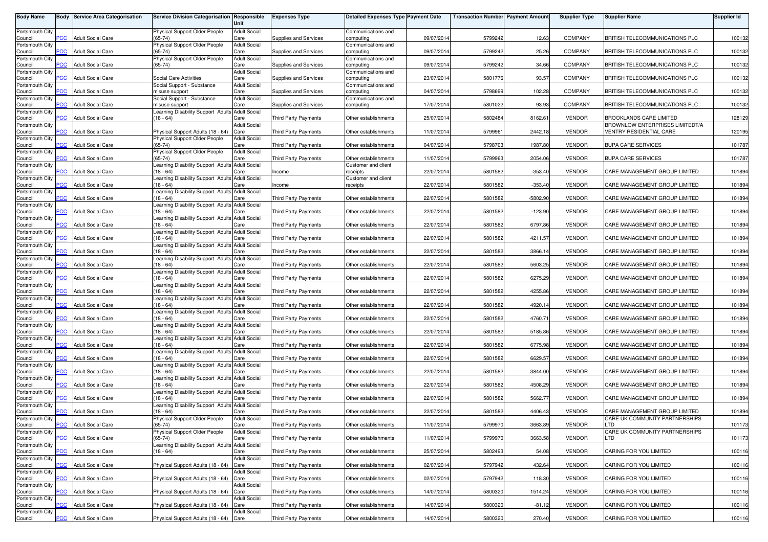| <b>Body Name</b>           | Body           | <b>Service Area Categorisation</b> | Service Division Categorisation Responsible                    | Unit                        | <b>Expenses Type</b>         | Detailed Expenses Type Payment Date                |            | <b>Transaction Number Payment Amount</b> |            | <b>Supplier Type</b> | <b>Supplier Name</b>                                            | <b>Supplier Id</b> |
|----------------------------|----------------|------------------------------------|----------------------------------------------------------------|-----------------------------|------------------------------|----------------------------------------------------|------------|------------------------------------------|------------|----------------------|-----------------------------------------------------------------|--------------------|
| Portsmouth City<br>Council | PCC            | <b>Adult Social Care</b>           | Physical Support Older People<br>$(65-74)$                     | <b>Adult Social</b><br>Care | Supplies and Services        | Communications and<br>computing                    | 09/07/2014 | 5799242                                  | 12.63      | <b>COMPANY</b>       | BRITISH TELECOMMUNICATIONS PLC                                  | 100132             |
| Portsmouth City            |                |                                    | Physical Support Older People                                  | <b>Adult Social</b>         |                              | Communications and                                 |            |                                          |            |                      |                                                                 |                    |
| Council<br>Portsmouth City | <b>PCC</b>     | <b>Adult Social Care</b>           | $(65-74)$<br>Physical Support Older People                     | Care<br><b>Adult Social</b> | <b>Supplies and Services</b> | computing<br>Communications and                    | 09/07/2014 | 5799242                                  | 25.26      | <b>COMPANY</b>       | BRITISH TELECOMMUNICATIONS PLC                                  | 100132             |
| Council<br>Portsmouth City | <b>PCC</b>     | <b>Adult Social Care</b>           | $(65-74)$                                                      | Care<br><b>Adult Social</b> | <b>Supplies and Services</b> | computing<br>Communications and                    | 09/07/2014 | 5799242                                  | 34.66      | <b>COMPANY</b>       | BRITISH TELECOMMUNICATIONS PLC                                  | 100132             |
| Council<br>Portsmouth City | сC             | <b>Adult Social Care</b>           | Social Care Activities<br>Social Support - Substance           | Care<br><b>Adult Social</b> | Supplies and Services        | computing<br>Communications and                    | 23/07/2014 | 5801776                                  | 93.57      | COMPANY              | <b>BRITISH TELECOMMUNICATIONS PLC</b>                           | 100132             |
| Council                    | PСC            | <b>Adult Social Care</b>           | misuse support                                                 | Care                        | Supplies and Services        | computing                                          | 04/07/2014 | 5798699                                  | 102.28     | COMPANY              | BRITISH TELECOMMUNICATIONS PLC                                  | 100132             |
| Portsmouth City<br>Council | PСC            | <b>Adult Social Care</b>           | Social Support - Substance<br>misuse support                   | <b>Adult Social</b><br>Care | Supplies and Services        | Communications and<br>computing                    | 17/07/2014 | 5801022                                  | 93.93      | COMPANY              | BRITISH TELECOMMUNICATIONS PLC                                  | 100132             |
| Portsmouth City<br>Council | <b>PCC</b>     | <b>Adult Social Care</b>           | Learning Disability Support Adults Adult Social<br>$(18 - 64)$ | Care                        | <b>Third Party Payments</b>  | Other establishments                               | 25/07/201  | 5802484                                  | 8162.61    | <b>VENDOR</b>        | <b>BROOKLANDS CARE LIMITED</b>                                  | 128129             |
| Portsmouth City<br>Council | <b>PCC</b>     | <b>Adult Social Care</b>           | Physical Support Adults (18 - 64)                              | <b>Adult Social</b><br>Care | <b>Third Party Payments</b>  | Other establishments                               | 11/07/2014 | 579996                                   | 2442.18    | <b>VENDOR</b>        | BROWNLOW ENTERPRISES LIMITEDT/A<br>VENTRY RESIDENTIAL CARE      | 120195             |
| Portsmouth City            |                |                                    | Physical Support Older People                                  | <b>Adult Social</b>         |                              |                                                    |            |                                          |            |                      |                                                                 |                    |
| Council<br>Portsmouth City | PСC            | <b>Adult Social Care</b>           | $65 - 74$<br>Physical Support Older People                     | Care<br><b>Adult Social</b> | <b>Third Party Payments</b>  | Other establishments                               | 04/07/2014 | 5798703                                  | 1987.80    | <b>VENDOR</b>        | <b>BUPA CARE SERVICES</b>                                       | 101787             |
| Council<br>Portsmouth City | $\overline{C}$ | <b>Adult Social Care</b>           | $(65-74)$<br>earning Disability Support Adults Adult Social    | Care                        | Third Party Payments         | Other establishments<br><b>Customer and client</b> | 11/07/2014 | 5799963                                  | 2054.06    | <b>VENDOR</b>        | <b>BUPA CARE SERVICES</b>                                       | 101787             |
| Council                    | PСC            | <b>Adult Social Care</b>           | $18 - 64$                                                      | Care                        | ncome                        | receipts                                           | 22/07/2014 | 5801582                                  | $-353.40$  | <b>VENDOR</b>        | CARE MANAGEMENT GROUP LIMITED                                   | 101894             |
| Portsmouth City<br>Council | PCC            | <b>Adult Social Care</b>           | Learning Disability Support Adults Adult Social<br>$(18 - 64)$ | Care                        | Income                       | Customer and client<br>receipts                    | 22/07/2014 | 5801582                                  | $-353.40$  | <b>VENDOR</b>        | CARE MANAGEMENT GROUP LIMITED                                   | 101894             |
| Portsmouth City<br>Council | сC             | <b>Adult Social Care</b>           | Learning Disability Support Adults Adult Social<br>$(18 - 64)$ | Care                        | <b>Third Party Payments</b>  | Other establishments                               | 22/07/2014 | 5801582                                  | $-5802.90$ | <b>VENDOR</b>        | CARE MANAGEMENT GROUP LIMITED                                   | 101894             |
| Portsmouth City<br>Council | PCC            | <b>Adult Social Care</b>           | Learning Disability Support Adults<br>$(18 - 64)$              | <b>Adult Social</b><br>Care | <b>Third Party Payments</b>  | Other establishments                               | 22/07/201  | 5801582                                  | $-123.90$  | <b>VENDOR</b>        | CARE MANAGEMENT GROUP LIMITED                                   | 101894             |
| Portsmouth City            |                |                                    | Learning Disability Support Adults Adult Social                |                             |                              | Other establishments                               |            |                                          |            |                      | CARE MANAGEMENT GROUP LIMITED                                   |                    |
| Council<br>Portsmouth City | PСC            | <b>Adult Social Care</b>           | $(18 - 64)$<br>Learning Disability Support Adults Adult Social | Care                        | Third Party Payments         |                                                    | 22/07/2014 | 5801582                                  | 6797.86    | <b>VENDOR</b>        |                                                                 | 101894             |
| Council<br>Portsmouth City | PCC            | <b>Adult Social Care</b>           | (18 - 64)<br>Learning Disability Support Adults Adult Social   | Care                        | Third Party Payments         | Other establishments                               | 22/07/2014 | 5801582                                  | 4211.57    | <b>VENDOR</b>        | CARE MANAGEMENT GROUP LIMITED                                   | 101894             |
| Council<br>Portsmouth City | <b>PCC</b>     | <b>Adult Social Care</b>           | $(18 - 64)$<br>earning Disability Support Adults               | Care<br><b>Adult Social</b> | Third Party Payments         | Other establishments                               | 22/07/2014 | 5801582                                  | 3866.14    | <b>VENDOR</b>        | CARE MANAGEMENT GROUP LIMITED                                   | 101894             |
| Council                    | PСC            | <b>Adult Social Care</b>           | $18 - 64$                                                      | Care                        | <b>Third Party Payments</b>  | Other establishments                               | 22/07/2014 | 5801582                                  | 5603.25    | <b>VENDOR</b>        | CARE MANAGEMENT GROUP LIMITED                                   | 101894             |
| Portsmouth City<br>Council | PCC            | <b>Adult Social Care</b>           | earning Disability Support Adults Adult Social<br>$18 - 64$    | Care                        | <b>Third Party Payments</b>  | Other establishments                               | 22/07/2014 | 5801582                                  | 6275.29    | <b>VENDOR</b>        | CARE MANAGEMENT GROUP LIMITED                                   | 101894             |
| Portsmouth City<br>Council | <b>PCC</b>     | <b>Adult Social Care</b>           | Learning Disability Support Adults Adult Social<br>(18 - 64)   | Care                        | Third Party Payments         | Other establishments                               | 22/07/2014 | 5801582                                  | 4255.86    | <b>VENDOR</b>        | CARE MANAGEMENT GROUP LIMITED                                   | 101894             |
| Portsmouth City<br>Council | PCC            | <b>Adult Social Care</b>           | Learning Disability Support Adults Adult Social<br>$(18 - 64)$ | Care                        | Third Party Payments         | Other establishments                               | 22/07/2014 | 5801582                                  | 4920.14    | <b>VENDOR</b>        | CARE MANAGEMENT GROUP LIMITED                                   | 101894             |
| Portsmouth City            |                |                                    | Learning Disability Support Adults Adult Social                |                             |                              |                                                    |            |                                          |            |                      |                                                                 |                    |
| Council<br>Portsmouth City | сC             | <b>Adult Social Care</b>           | $(18 - 64)$<br>Learning Disability Support Adults              | Care<br><b>Adult Social</b> | <b>Third Party Payments</b>  | Other establishments                               | 22/07/201  | 5801582                                  | 4760.71    | <b>VENDOR</b>        | CARE MANAGEMENT GROUP LIMITED                                   | 101894             |
| Council<br>Portsmouth City | PСC            | <b>Adult Social Care</b>           | $(18 - 64)$<br>Learning Disability Support Adults Adult Social | Care                        | <b>Third Party Payments</b>  | Other establishments                               | 22/07/201  | 5801582                                  | 5185.86    | <b>VENDOR</b>        | CARE MANAGEMENT GROUP LIMITED                                   | 101894             |
| Council<br>Portsmouth City | PСC            | <b>Adult Social Care</b>           | $(18 - 64)$<br>Learning Disability Support Adults Adult Social | Care                        | Third Party Payments         | Other establishments                               | 22/07/2014 | 5801582                                  | 6775.98    | <b>VENDOR</b>        | CARE MANAGEMENT GROUP LIMITED                                   | 101894             |
| Council                    | <b>PCC</b>     | <b>Adult Social Care</b>           | (18 - 64)                                                      | Care                        | Third Party Payments         | Other establishments                               | 22/07/201  | 5801582                                  | 6629.57    | <b>VENDOR</b>        | CARE MANAGEMENT GROUP LIMITED                                   | 101894             |
| Portsmouth City<br>Council | <b>PCC</b>     | <b>Adult Social Care</b>           | Learning Disability Support Adults Adult Social<br>$(18 - 64)$ | Care                        | Third Party Payments         | Other establishments                               | 22/07/2014 | 5801582                                  | 3844.00    | <b>VENDOR</b>        | CARE MANAGEMENT GROUP LIMITED                                   | 101894             |
| Portsmouth City<br>Council | PСC            | <b>Adult Social Care</b>           | earning Disability Support Adults<br>$18 - 64$                 | <b>Adult Social</b><br>Care | <b>Third Party Payments</b>  | Other establishments                               | 22/07/201  | 5801582                                  | 4508.29    | <b>VENDOR</b>        | CARE MANAGEMENT GROUP LIMITED                                   | 101894             |
| Portsmouth City<br>Council | $\overline{C}$ | <b>Adult Social Care</b>           | earning Disability Support Adults Adult Social<br>$18 - 64$    | Care                        | <b>Third Party Payments</b>  | Other establishments                               | 22/07/2014 | 5801582                                  | 5662.77    | <b>VENDOR</b>        | CARE MANAGEMENT GROUP LIMITED                                   | 101894             |
| Portsmouth City            |                |                                    | Learning Disability Support Adults Adult Social                |                             |                              |                                                    |            |                                          |            |                      |                                                                 |                    |
| Council<br>Portsmouth City | $\overline{C}$ | <b>Adult Social Care</b>           | (18 - 64)<br>Physical Support Older People                     | Care<br><b>Adult Social</b> | <b>Third Party Payments</b>  | Other establishments                               | 22/07/2014 | 5801582                                  | 4406.43    | <b>VENDOR</b>        | CARE MANAGEMENT GROUP LIMITED<br>CARE UK COMMUNITY PARTNERSHIPS | 101894             |
| Council<br>Portsmouth City | <b>PCC</b>     | <b>Adult Social Care</b>           | $(65-74)$<br>Physical Support Older People                     | Care<br><b>Adult Social</b> | Third Party Payments         | Other establishments                               | 11/07/2014 | 5799970                                  | 3663.89    | <b>VENDOR</b>        | LTD<br>CARE UK COMMUNITY PARTNERSHIPS                           | 101173             |
| Council<br>Portsmouth City | $\overline{C}$ | <b>Adult Social Care</b>           | $(65-74)$<br>Learning Disability Support Adults Adult Social   | Care                        | Third Party Payments         | Other establishments                               | 11/07/2014 | 5799970                                  | 3663.58    | <b>VENDOR</b>        | LTD                                                             | 101173             |
| Council                    | <b>PCC</b>     | <b>Adult Social Care</b>           | $(18 - 64)$                                                    | Care                        | Third Party Payments         | Other establishments                               | 25/07/2014 | 5802493                                  | 54.08      | <b>VENDOR</b>        | CARING FOR YOU LIMITED                                          | 100116             |
| Portsmouth City<br>Council | <b>PCC</b>     | <b>Adult Social Care</b>           | Physical Support Adults (18 - 64) Care                         | <b>Adult Social</b>         | Third Party Payments         | Other establishments                               | 02/07/2014 | 5797942                                  | 432.64     | <b>VENDOR</b>        | CARING FOR YOU LIMITED                                          | 100116             |
| Portsmouth City<br>Council | PCC            | <b>Adult Social Care</b>           | Physical Support Adults (18 - 64) Care                         | <b>Adult Social</b>         | Third Party Payments         | Other establishments                               | 02/07/2014 | 5797942                                  | 118.30     | <b>VENDOR</b>        | CARING FOR YOU LIMITED                                          | 100116             |
| Portsmouth City<br>Council | PCC            | <b>Adult Social Care</b>           | Physical Support Adults (18 - 64) Care                         | <b>Adult Social</b>         | Third Party Payments         | Other establishments                               | 14/07/2014 | 5800320                                  | 1514.24    | <b>VENDOR</b>        | CARING FOR YOU LIMITED                                          | 100116             |
| Portsmouth City            |                |                                    |                                                                | <b>Adult Social</b>         |                              |                                                    |            |                                          |            |                      |                                                                 |                    |
| Council<br>Portsmouth City | сC             | <b>Adult Social Care</b>           | Physical Support Adults (18 - 64) Care                         | <b>Adult Social</b>         | Third Party Payments         | Other establishments                               | 14/07/2014 | 5800320                                  | $-81.12$   | <b>VENDOR</b>        | CARING FOR YOU LIMITED                                          | 100116             |
| Council                    | <b>PCC</b>     | <b>Adult Social Care</b>           | Physical Support Adults (18 - 64) Care                         |                             | Third Party Payments         | Other establishments                               | 14/07/2014 | 5800320                                  | 270.40     | VENDOR               | CARING FOR YOU LIMITED                                          | 100116             |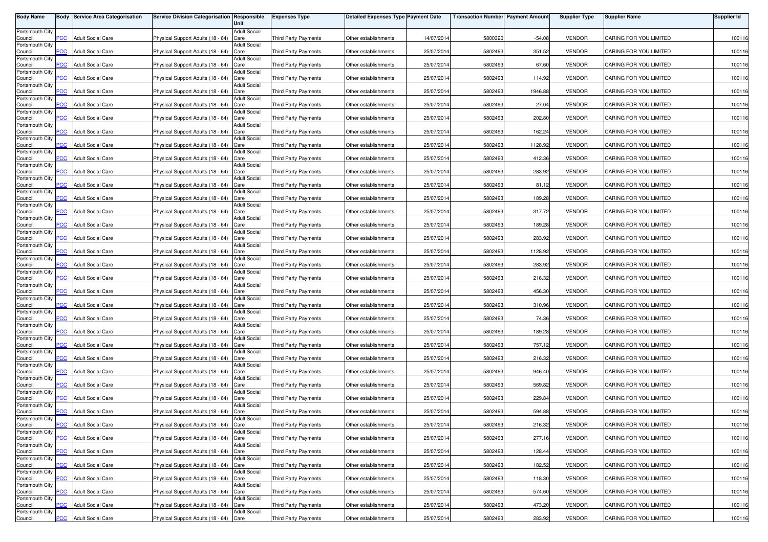| <b>Body Name</b>           |                | <b>Body Service Area Categorisation</b> | Service Division Categorisation Responsible | Unit                        | <b>Expenses Type</b>        | <b>Detailed Expenses Type Payment Date</b> |            | <b>Transaction Number Payment Amount</b> |          | <b>Supplier Type</b> | <b>Supplier Name</b>   | Supplier Id |
|----------------------------|----------------|-----------------------------------------|---------------------------------------------|-----------------------------|-----------------------------|--------------------------------------------|------------|------------------------------------------|----------|----------------------|------------------------|-------------|
| Portsmouth City            |                |                                         |                                             | <b>Adult Social</b>         |                             |                                            |            |                                          |          |                      |                        |             |
| Council<br>Portsmouth City | PCC            | <b>Adult Social Care</b>                | Physical Support Adults (18 - 64)           | Care<br><b>Adult Social</b> | <b>Third Party Payments</b> | Other establishments                       | 14/07/201  | 5800320                                  | $-54.08$ | <b>VENDOR</b>        | CARING FOR YOU LIMITED | 100116      |
| Council<br>Portsmouth City | $\overline{C}$ | <b>Adult Social Care</b>                | Physical Support Adults (18 - 64)           | Care<br><b>Adult Social</b> | Third Party Payments        | Other establishments                       | 25/07/2014 | 5802493                                  | 351.52   | <b>VENDOR</b>        | CARING FOR YOU LIMITED | 100116      |
| Council                    | <b>PCC</b>     | <b>Adult Social Care</b>                | Physical Support Adults (18 - 64)           | Care                        | <b>Third Party Payments</b> | Other establishments                       | 25/07/201  | 5802493                                  | 67.60    | <b>VENDOR</b>        | CARING FOR YOU LIMITED | 100116      |
| Portsmouth City<br>Council | <b>PCC</b>     | <b>Adult Social Care</b>                | Physical Support Adults (18 - 64)           | <b>Adult Social</b><br>Care | Third Party Payments        | Other establishments                       | 25/07/201  | 5802493                                  | 114.92   | <b>VENDOR</b>        | CARING FOR YOU LIMITED | 100116      |
| Portsmouth City<br>Council | <b>PCC</b>     | <b>Adult Social Care</b>                | Physical Support Adults (18 - 64)           | <b>Adult Social</b><br>Care | <b>Third Party Payments</b> | Other establishments                       | 25/07/201  | 5802493                                  | 1946.88  | <b>VENDOR</b>        | CARING FOR YOU LIMITED | 100116      |
| Portsmouth City            |                |                                         |                                             | <b>Adult Social</b>         |                             |                                            |            |                                          |          |                      |                        |             |
| Council<br>Portsmouth City | <b>PCC</b>     | <b>Adult Social Care</b>                | Physical Support Adults (18 - 64)           | Care<br><b>Adult Social</b> | Third Party Payments        | Other establishments                       | 25/07/2014 | 5802493                                  | 27.04    | <b>VENDOR</b>        | CARING FOR YOU LIMITED | 100116      |
| Council<br>Portsmouth City | PCC            | <b>Adult Social Care</b>                | Physical Support Adults (18 - 64)           | Care<br><b>Adult Social</b> | Third Party Payments        | Other establishments                       | 25/07/201  | 5802493                                  | 202.80   | <b>VENDOR</b>        | CARING FOR YOU LIMITED | 100116      |
| Council<br>Portsmouth City | <b>PCC</b>     | <b>Adult Social Care</b>                | Physical Support Adults (18 - 64)           | Care<br><b>Adult Social</b> | <b>Third Party Payments</b> | Other establishments                       | 25/07/201  | 5802493                                  | 162.24   | <b>VENDOR</b>        | CARING FOR YOU LIMITED | 100116      |
| Council                    | PCC.           | <b>Adult Social Care</b>                | Physical Support Adults (18 - 64)           | Care                        | <b>Third Party Payments</b> | Other establishments                       | 25/07/201  | 5802493                                  | 1128.92  | <b>VENDOR</b>        | CARING FOR YOU LIMITED | 100116      |
| Portsmouth City<br>Council | $\overline{C}$ | <b>Adult Social Care</b>                | Physical Support Adults (18 - 64)           | <b>Adult Social</b><br>Care | <b>Third Party Payments</b> | Other establishments                       | 25/07/201  | 5802493                                  | 412.36   | <b>VENDOR</b>        | CARING FOR YOU LIMITED | 100116      |
| Portsmouth City<br>Council | PCC            | <b>Adult Social Care</b>                | Physical Support Adults (18 - 64)           | <b>Adult Social</b><br>Care | Third Party Payments        | Other establishments                       | 25/07/201  | 5802493                                  | 283.92   | <b>VENDOR</b>        | CARING FOR YOU LIMITED | 100116      |
| Portsmouth City<br>Council | PCC            | <b>Adult Social Care</b>                | Physical Support Adults (18 - 64)           | Adult Social<br>Care        | Third Party Payments        | Other establishments                       | 25/07/201  | 5802493                                  | 81.12    | <b>VENDOR</b>        | CARING FOR YOU LIMITED | 100116      |
| Portsmouth City            |                |                                         |                                             | <b>Adult Social</b>         |                             |                                            |            |                                          |          |                      |                        |             |
| Council<br>Portsmouth City | PСC            | <b>Adult Social Care</b>                | Physical Support Adults (18 - 64)           | Care<br><b>Adult Social</b> | Third Party Payments        | Other establishments                       | 25/07/201  | 5802493                                  | 189.28   | <b>VENDOR</b>        | CARING FOR YOU LIMITED | 100116      |
| Council<br>Portsmouth City | PCC            | <b>Adult Social Care</b>                | Physical Support Adults (18 - 64)           | Care<br><b>Adult Social</b> | <b>Third Party Payments</b> | Other establishments                       | 25/07/201  | 5802493                                  | 317.72   | <b>VENDOR</b>        | CARING FOR YOU LIMITED | 100116      |
| Council<br>Portsmouth City | PCC            | <b>Adult Social Care</b>                | Physical Support Adults (18 - 64)           | Care<br><b>Adult Social</b> | Third Party Payments        | Other establishments                       | 25/07/201  | 5802493                                  | 189.28   | <b>VENDOR</b>        | CARING FOR YOU LIMITED | 100116      |
| Council<br>Portsmouth City | PCC.           | <b>Adult Social Care</b>                | Physical Support Adults (18 - 64)           | Care                        | <b>Third Party Payments</b> | Other establishments                       | 25/07/2014 | 5802493                                  | 283.92   | <b>VENDOR</b>        | CARING FOR YOU LIMITED | 100116      |
| Council                    | PCC            | <b>Adult Social Care</b>                | Physical Support Adults (18 - 64)           | <b>Adult Social</b><br>Care | <b>Third Party Payments</b> | Other establishments                       | 25/07/201  | 5802493                                  | 1128.92  | <b>VENDOR</b>        | CARING FOR YOU LIMITED | 100116      |
| Portsmouth City<br>Council | PСC            | <b>Adult Social Care</b>                | Physical Support Adults (18 - 64)           | <b>Adult Social</b><br>Care | <b>Third Party Payments</b> | Other establishments                       | 25/07/201  | 5802493                                  | 283.92   | <b>VENDOR</b>        | CARING FOR YOU LIMITED | 100116      |
| Portsmouth City<br>Council | PCC            | <b>Adult Social Care</b>                | Physical Support Adults (18 - 64)           | <b>Adult Social</b><br>Care | <b>Third Party Payments</b> | Other establishments                       | 25/07/201  | 5802493                                  | 216.32   | <b>VENDOR</b>        | CARING FOR YOU LIMITED | 100116      |
| Portsmouth City<br>Council | PСC            | <b>Adult Social Care</b>                | Physical Support Adults (18 - 64)           | <b>Adult Social</b><br>Care | <b>Third Party Payments</b> | Other establishments                       | 25/07/201  | 5802493                                  | 456.30   | <b>VENDOR</b>        | CARING FOR YOU LIMITED | 100116      |
| Portsmouth City            |                |                                         |                                             | Adult Social                |                             |                                            |            |                                          |          |                      |                        |             |
| Council<br>Portsmouth City | PСC            | <b>Adult Social Care</b>                | Physical Support Adults (18 - 64)           | Care<br><b>Adult Social</b> | <b>Third Party Payments</b> | Other establishments                       | 25/07/201  | 5802493                                  | 310.96   | <b>VENDOR</b>        | CARING FOR YOU LIMITED | 100116      |
| Council<br>Portsmouth City | PСC            | <b>Adult Social Care</b>                | Physical Support Adults (18 - 64)           | Care<br><b>Adult Social</b> | <b>Third Party Payments</b> | Other establishments                       | 25/07/201  | 5802493                                  | 74.36    | <b>VENDOR</b>        | CARING FOR YOU LIMITED | 100116      |
| Council<br>Portsmouth City | PCC.           | <b>Adult Social Care</b>                | Physical Support Adults (18 - 64)           | Care<br><b>Adult Social</b> | Third Party Payments        | Other establishments                       | 25/07/201  | 5802493                                  | 189.28   | <b>VENDOR</b>        | CARING FOR YOU LIMITED | 100116      |
| Council                    | <b>PCC</b>     | <b>Adult Social Care</b>                | Physical Support Adults (18 - 64)           | Care                        | Third Party Payments        | Other establishments                       | 25/07/201  | 5802493                                  | 757.12   | <b>VENDOR</b>        | CARING FOR YOU LIMITED | 100116      |
| Portsmouth City<br>Council | PCC.           | <b>Adult Social Care</b>                | Physical Support Adults (18 - 64)           | <b>Adult Social</b><br>Care | <b>Third Party Payments</b> | Other establishments                       | 25/07/201  | 5802493                                  | 216.32   | <b>VENDOR</b>        | CARING FOR YOU LIMITED | 100116      |
| Portsmouth City<br>Council | $\overline{C}$ | <b>Adult Social Care</b>                | Physical Support Adults (18 - 64)           | <b>Adult Social</b><br>Care | Third Party Payments        | Other establishments                       | 25/07/201  | 5802493                                  | 946.40   | <b>VENDOR</b>        | CARING FOR YOU LIMITED | 100116      |
| Portsmouth City<br>Council | PСC            | <b>Adult Social Care</b>                | Physical Support Adults (18 - 64)           | <b>Adult Social</b><br>Care | <b>Third Party Payments</b> | Other establishments                       | 25/07/2014 | 5802493                                  | 569.82   | <b>VENDOR</b>        | CARING FOR YOU LIMITED | 100116      |
| Portsmouth City            | <b>PCC</b>     | <b>Adult Social Care</b>                |                                             | <b>Adult Social</b>         | Third Party Payments        |                                            |            |                                          |          |                      | CARING FOR YOU LIMITED |             |
| Council<br>Portsmouth City |                |                                         | Physical Support Adults (18 - 64)           | Care<br><b>Adult Social</b> |                             | Other establishments                       | 25/07/201  | 5802493                                  | 229.84   | <b>VENDOR</b>        |                        | 100116      |
| Council<br>Portsmouth City | $\overline{C}$ | <b>Adult Social Care</b>                | Physical Support Adults (18 - 64)           | Care<br>Adult Social        | <b>Third Party Payments</b> | Other establishments                       | 25/07/201  | 5802493                                  | 594.88   | <b>VENDOR</b>        | CARING FOR YOU LIMITED | 100116      |
| Council<br>Portsmouth City | <b>PCC</b>     | <b>Adult Social Care</b>                | Physical Support Adults (18 - 64) Care      | <b>Adult Social</b>         | Third Party Payments        | Other establishments                       | 25/07/2014 | 5802493                                  | 216.32   | <b>VENDOR</b>        | CARING FOR YOU LIMITED | 100116      |
| Council<br>Portsmouth City | <b>PCC</b>     | <b>Adult Social Care</b>                | Physical Support Adults (18 - 64) Care      | <b>Adult Social</b>         | Third Party Payments        | Other establishments                       | 25/07/2014 | 5802493                                  | 277.16   | <b>VENDOR</b>        | CARING FOR YOU LIMITED | 100116      |
| Council                    | <b>PCC</b>     | <b>Adult Social Care</b>                | Physical Support Adults (18 - 64) Care      |                             | Third Party Payments        | Other establishments                       | 25/07/2014 | 5802493                                  | 128.44   | <b>VENDOR</b>        | CARING FOR YOU LIMITED | 100116      |
| Portsmouth City<br>Council | PCC            | <b>Adult Social Care</b>                | Physical Support Adults (18 - 64)           | <b>Adult Social</b><br>Care | Third Party Payments        | Other establishments                       | 25/07/2014 | 5802493                                  | 182.52   | <b>VENDOR</b>        | CARING FOR YOU LIMITED | 100116      |
| Portsmouth City<br>Council | PСC            | <b>Adult Social Care</b>                | Physical Support Adults (18 - 64) Care      | <b>Adult Social</b>         | Third Party Payments        | Other establishments                       | 25/07/2014 | 5802493                                  | 118.30   | <b>VENDOR</b>        | CARING FOR YOU LIMITED | 100116      |
| Portsmouth City<br>Council | PCC            | <b>Adult Social Care</b>                | Physical Support Adults (18 - 64) Care      | <b>Adult Social</b>         | Third Party Payments        | Other establishments                       | 25/07/2014 | 5802493                                  | 574.60   | <b>VENDOR</b>        | CARING FOR YOU LIMITED | 100116      |
| Portsmouth City            |                |                                         |                                             | <b>Adult Social</b>         |                             |                                            |            |                                          |          |                      |                        |             |
| Council<br>Portsmouth City | PСC            | <b>Adult Social Care</b>                | Physical Support Adults (18 - 64)           | Care<br><b>Adult Social</b> | <b>Third Party Payments</b> | Other establishments                       | 25/07/2014 | 5802493                                  | 473.20   | <b>VENDOR</b>        | CARING FOR YOU LIMITED | 100116      |
| Council                    | <b>PCC</b>     | <b>Adult Social Care</b>                | Physical Support Adults (18 - 64) Care      |                             | Third Party Payments        | Other establishments                       | 25/07/2014 | 5802493                                  | 283.92   | <b>VENDOR</b>        | CARING FOR YOU LIMITED | 100116      |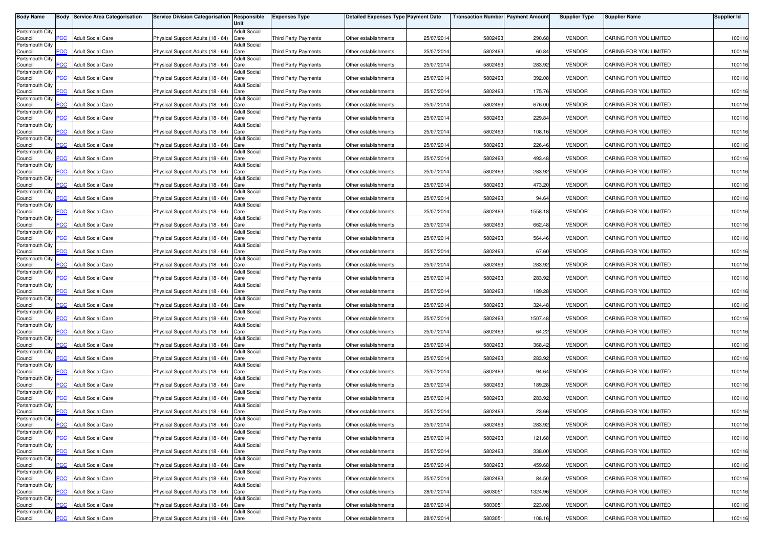| <b>Body Name</b>           |                | <b>Body Service Area Categorisation</b> | Service Division Categorisation Responsible | Unit                        | <b>Expenses Type</b>        | <b>Detailed Expenses Type Payment Date</b> |            | <b>Transaction Number Payment Amount</b> |         | <b>Supplier Type</b> | <b>Supplier Name</b>   | Supplier Id |
|----------------------------|----------------|-----------------------------------------|---------------------------------------------|-----------------------------|-----------------------------|--------------------------------------------|------------|------------------------------------------|---------|----------------------|------------------------|-------------|
| Portsmouth City            |                |                                         |                                             | <b>Adult Social</b>         |                             |                                            |            |                                          |         |                      |                        |             |
| Council<br>Portsmouth City | PCC            | <b>Adult Social Care</b>                | Physical Support Adults (18 - 64)           | Care<br><b>Adult Social</b> | Third Party Payments        | Other establishments                       | 25/07/201  | 5802493                                  | 290.68  | <b>VENDOR</b>        | CARING FOR YOU LIMITED | 100116      |
| Council                    | $\overline{C}$ | <b>Adult Social Care</b>                | Physical Support Adults (18 - 64)           | Care<br><b>Adult Social</b> | Third Party Payments        | Other establishments                       | 25/07/2014 | 5802493                                  | 60.84   | <b>VENDOR</b>        | CARING FOR YOU LIMITED | 100116      |
| Portsmouth City<br>Council | <b>PCC</b>     | <b>Adult Social Care</b>                | Physical Support Adults (18 - 64)           | Care                        | <b>Third Party Payments</b> | Other establishments                       | 25/07/201  | 5802493                                  | 283.92  | <b>VENDOR</b>        | CARING FOR YOU LIMITED | 100116      |
| Portsmouth City<br>Council | <b>PCC</b>     | <b>Adult Social Care</b>                | Physical Support Adults (18 - 64)           | <b>Adult Social</b><br>Care | Third Party Payments        | Other establishments                       | 25/07/201  | 5802493                                  | 392.08  | <b>VENDOR</b>        | CARING FOR YOU LIMITED | 100116      |
| Portsmouth City<br>Council | <b>PCC</b>     | <b>Adult Social Care</b>                | Physical Support Adults (18 - 64)           | <b>Adult Social</b><br>Care | <b>Third Party Payments</b> | Other establishments                       | 25/07/201  | 5802493                                  | 175.76  | <b>VENDOR</b>        | CARING FOR YOU LIMITED | 100116      |
| Portsmouth City            |                |                                         |                                             | <b>Adult Social</b>         |                             |                                            |            |                                          |         |                      |                        |             |
| Council<br>Portsmouth City | <b>PCC</b>     | <b>Adult Social Care</b>                | Physical Support Adults (18 - 64)           | Care<br><b>Adult Social</b> | Third Party Payments        | Other establishments                       | 25/07/2014 | 5802493                                  | 676.00  | <b>VENDOR</b>        | CARING FOR YOU LIMITED | 100116      |
| Council<br>Portsmouth City | PCC            | <b>Adult Social Care</b>                | Physical Support Adults (18 - 64)           | Care<br><b>Adult Social</b> | Third Party Payments        | Other establishments                       | 25/07/201  | 5802493                                  | 229.84  | <b>VENDOR</b>        | CARING FOR YOU LIMITED | 100116      |
| Council<br>Portsmouth City | <b>PCC</b>     | <b>Adult Social Care</b>                | Physical Support Adults (18 - 64)           | Care<br><b>Adult Social</b> | <b>Third Party Payments</b> | Other establishments                       | 25/07/201  | 5802493                                  | 108.16  | <b>VENDOR</b>        | CARING FOR YOU LIMITED | 100116      |
| Council                    | PCC.           | <b>Adult Social Care</b>                | Physical Support Adults (18 - 64)           | Care                        | <b>Third Party Payments</b> | Other establishments                       | 25/07/201  | 5802493                                  | 226.46  | <b>VENDOR</b>        | CARING FOR YOU LIMITED | 100116      |
| Portsmouth City<br>Council | $\overline{C}$ | <b>Adult Social Care</b>                | Physical Support Adults (18 - 64)           | <b>Adult Social</b><br>Care | Third Party Payments        | Other establishments                       | 25/07/201  | 5802493                                  | 493.48  | <b>VENDOR</b>        | CARING FOR YOU LIMITED | 100116      |
| Portsmouth City<br>Council | PCC            | <b>Adult Social Care</b>                | Physical Support Adults (18 - 64)           | <b>Adult Social</b><br>Care | Third Party Payments        | Other establishments                       | 25/07/201  | 5802493                                  | 283.92  | <b>VENDOR</b>        | CARING FOR YOU LIMITED | 100116      |
| Portsmouth City<br>Council | PCC            | <b>Adult Social Care</b>                | Physical Support Adults (18 - 64)           | Adult Social<br>Care        | Third Party Payments        | Other establishments                       | 25/07/201  | 5802493                                  | 473.20  | <b>VENDOR</b>        | CARING FOR YOU LIMITED | 100116      |
| Portsmouth City<br>Council | PСC            | <b>Adult Social Care</b>                | Physical Support Adults (18 - 64)           | <b>Adult Social</b><br>Care | Third Party Payments        | Other establishments                       | 25/07/201  | 5802493                                  | 94.64   | <b>VENDOR</b>        | CARING FOR YOU LIMITED | 100116      |
| Portsmouth City            | PCC            | <b>Adult Social Care</b>                |                                             | <b>Adult Social</b>         | <b>Third Party Payments</b> |                                            |            | 5802493                                  |         | <b>VENDOR</b>        |                        |             |
| Council<br>Portsmouth City |                |                                         | Physical Support Adults (18 - 64)           | Care<br><b>Adult Social</b> |                             | Other establishments                       | 25/07/201  |                                          | 1558.1  |                      | CARING FOR YOU LIMITED | 100116      |
| Council<br>Portsmouth City | PCC            | <b>Adult Social Care</b>                | Physical Support Adults (18 - 64)           | Care<br><b>Adult Social</b> | Third Party Payments        | Other establishments                       | 25/07/201  | 5802493                                  | 662.48  | <b>VENDOR</b>        | CARING FOR YOU LIMITED | 100116      |
| Council<br>Portsmouth City | PCC.           | <b>Adult Social Care</b>                | Physical Support Adults (18 - 64)           | Care<br><b>Adult Social</b> | <b>Third Party Payments</b> | Other establishments                       | 25/07/2014 | 5802493                                  | 564.46  | <b>VENDOR</b>        | CARING FOR YOU LIMITED | 100116      |
| Council<br>Portsmouth City | PCC            | <b>Adult Social Care</b>                | Physical Support Adults (18 - 64)           | Care<br><b>Adult Social</b> | Third Party Payments        | Other establishments                       | 25/07/201  | 5802493                                  | 67.60   | <b>VENDOR</b>        | CARING FOR YOU LIMITED | 100116      |
| Council<br>Portsmouth City | PСC            | <b>Adult Social Care</b>                | Physical Support Adults (18 - 64)           | Care<br><b>Adult Social</b> | <b>Third Party Payments</b> | Other establishments                       | 25/07/201  | 5802493                                  | 283.92  | <b>VENDOR</b>        | CARING FOR YOU LIMITED | 100116      |
| Council                    | PCC            | <b>Adult Social Care</b>                | Physical Support Adults (18 - 64)           | Care                        | <b>Third Party Payments</b> | Other establishments                       | 25/07/201  | 5802493                                  | 283.92  | <b>VENDOR</b>        | CARING FOR YOU LIMITED | 100116      |
| Portsmouth City<br>Council | PСC            | <b>Adult Social Care</b>                | Physical Support Adults (18 - 64)           | <b>Adult Social</b><br>Care | <b>Third Party Payments</b> | Other establishments                       | 25/07/201  | 5802493                                  | 189.28  | <b>VENDOR</b>        | CARING FOR YOU LIMITED | 100116      |
| Portsmouth City<br>Council | PСC            | <b>Adult Social Care</b>                | Physical Support Adults (18 - 64)           | Adult Social<br>Care        | <b>Third Party Payments</b> | Other establishments                       | 25/07/201  | 5802493                                  | 324.48  | <b>VENDOR</b>        | CARING FOR YOU LIMITED | 100116      |
| Portsmouth City<br>Council | PСC            | <b>Adult Social Care</b>                | Physical Support Adults (18 - 64)           | <b>Adult Social</b><br>Care | <b>Third Party Payments</b> | Other establishments                       | 25/07/201  | 5802493                                  | 1507.48 | <b>VENDOR</b>        | CARING FOR YOU LIMITED | 100116      |
| Portsmouth City<br>Council | PCC.           | <b>Adult Social Care</b>                | Physical Support Adults (18 - 64)           | <b>Adult Social</b><br>Care | Third Party Payments        | Other establishments                       | 25/07/201  | 5802493                                  | 64.22   | <b>VENDOR</b>        | CARING FOR YOU LIMITED | 100116      |
| Portsmouth City<br>Council | <b>PCC</b>     | <b>Adult Social Care</b>                | Physical Support Adults (18 - 64)           | <b>Adult Social</b><br>Care | Third Party Payments        | Other establishments                       | 25/07/201  | 5802493                                  | 368.42  | <b>VENDOR</b>        | CARING FOR YOU LIMITED | 100116      |
| Portsmouth City<br>Council | PCC.           | <b>Adult Social Care</b>                | Physical Support Adults (18 - 64)           | <b>Adult Social</b><br>Care | <b>Third Party Payments</b> | Other establishments                       | 25/07/201  | 5802493                                  | 283.92  | <b>VENDOR</b>        | CARING FOR YOU LIMITED | 100116      |
| Portsmouth City            |                |                                         |                                             | <b>Adult Social</b>         |                             |                                            |            |                                          |         |                      |                        |             |
| Council<br>Portsmouth City | $\overline{C}$ | <b>Adult Social Care</b>                | Physical Support Adults (18 - 64)           | Care<br><b>Adult Social</b> | <b>Third Party Payments</b> | Other establishments                       | 25/07/201  | 5802493                                  | 94.64   | <b>VENDOR</b>        | CARING FOR YOU LIMITED | 100116      |
| Council<br>Portsmouth City | PСC            | <b>Adult Social Care</b>                | Physical Support Adults (18 - 64)           | Care<br><b>Adult Social</b> | <b>Third Party Payments</b> | Other establishments                       | 25/07/2014 | 5802493                                  | 189.28  | <b>VENDOR</b>        | CARING FOR YOU LIMITED | 100116      |
| Council                    | <b>PCC</b>     | <b>Adult Social Care</b>                | Physical Support Adults (18 - 64)           | Care                        | Third Party Payments        | Other establishments                       | 25/07/201  | 5802493                                  | 283.92  | <b>VENDOR</b>        | CARING FOR YOU LIMITED | 100116      |
| Portsmouth City<br>Council | $\overline{C}$ | <b>Adult Social Care</b>                | Physical Support Adults (18 - 64)           | <b>Adult Social</b><br>Care | <b>Third Party Payments</b> | Other establishments                       | 25/07/201  | 5802493                                  | 23.66   | <b>VENDOR</b>        | CARING FOR YOU LIMITED | 100116      |
| Portsmouth City<br>Council | <b>PCC</b>     | <b>Adult Social Care</b>                | Physical Support Adults (18 - 64) Care      | Adult Social                | Third Party Payments        | Other establishments                       | 25/07/2014 | 5802493                                  | 283.92  | <b>VENDOR</b>        | CARING FOR YOU LIMITED | 100116      |
| Portsmouth City<br>Council | <b>PCC</b>     | <b>Adult Social Care</b>                | Physical Support Adults (18 - 64) Care      | <b>Adult Social</b>         | Third Party Payments        | Other establishments                       | 25/07/2014 | 5802493                                  | 121.68  | <b>VENDOR</b>        | CARING FOR YOU LIMITED | 100116      |
| Portsmouth City<br>Council | <b>PCC</b>     | <b>Adult Social Care</b>                | Physical Support Adults (18 - 64) Care      | <b>Adult Social</b>         | Third Party Payments        | Other establishments                       | 25/07/2014 | 5802493                                  | 338.00  | <b>VENDOR</b>        | CARING FOR YOU LIMITED | 100116      |
| Portsmouth City            |                |                                         |                                             | <b>Adult Social</b>         |                             |                                            |            |                                          |         |                      |                        |             |
| Council<br>Portsmouth City | PCC            | <b>Adult Social Care</b>                | Physical Support Adults (18 - 64)           | Care<br><b>Adult Social</b> | Third Party Payments        | Other establishments                       | 25/07/2014 | 5802493                                  | 459.68  | <b>VENDOR</b>        | CARING FOR YOU LIMITED | 100116      |
| Council<br>Portsmouth City | PСC            | <b>Adult Social Care</b>                | Physical Support Adults (18 - 64) Care      | <b>Adult Social</b>         | <b>Third Party Payments</b> | Other establishments                       | 25/07/2014 | 5802493                                  | 84.50   | <b>VENDOR</b>        | CARING FOR YOU LIMITED | 100116      |
| Council<br>Portsmouth City | PCC            | <b>Adult Social Care</b>                | Physical Support Adults (18 - 64) Care      | <b>Adult Social</b>         | Third Party Payments        | Other establishments                       | 28/07/2014 | 5803051                                  | 1324.96 | <b>VENDOR</b>        | CARING FOR YOU LIMITED | 100116      |
| Council<br>Portsmouth City | PСC            | <b>Adult Social Care</b>                | Physical Support Adults (18 - 64)           | Care<br><b>Adult Social</b> | <b>Third Party Payments</b> | Other establishments                       | 28/07/2014 | 5803051                                  | 223.08  | <b>VENDOR</b>        | CARING FOR YOU LIMITED | 100116      |
| Council                    | <b>PCC</b>     | <b>Adult Social Care</b>                | Physical Support Adults (18 - 64) Care      |                             | Third Party Payments        | Other establishments                       | 28/07/2014 | 5803051                                  | 108.16  | <b>VENDOR</b>        | CARING FOR YOU LIMITED | 100116      |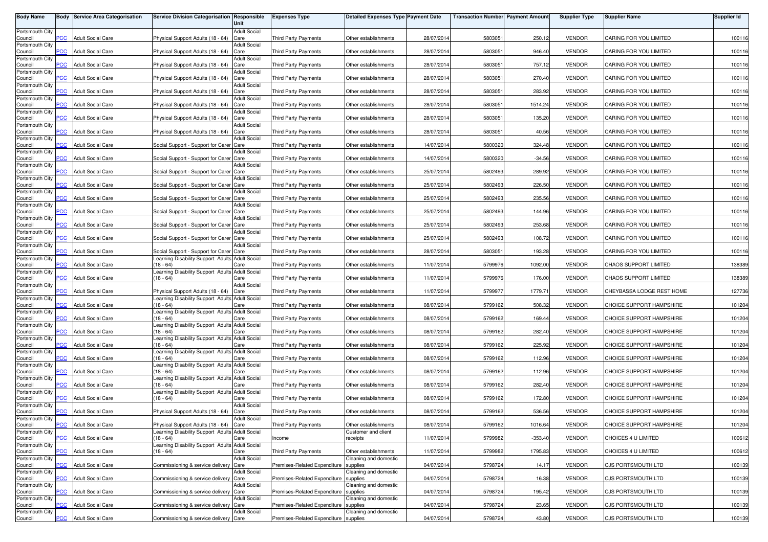| <b>Body Name</b>           |                           | <b>Body Service Area Categorisation</b> | Service Division Categorisation Responsible                                               | Unit                        | <b>Expenses Type</b>                  | <b>Detailed Expenses Type Payment Date</b>  |            | <b>Transaction Number Payment Amount</b> |           | <b>Supplier Type</b> | <b>Supplier Name</b>         | Supplier Id |
|----------------------------|---------------------------|-----------------------------------------|-------------------------------------------------------------------------------------------|-----------------------------|---------------------------------------|---------------------------------------------|------------|------------------------------------------|-----------|----------------------|------------------------------|-------------|
| Portsmouth City            |                           |                                         |                                                                                           | <b>Adult Social</b>         |                                       |                                             |            |                                          |           |                      |                              |             |
| Council<br>Portsmouth City | PCC                       | <b>Adult Social Care</b>                | Physical Support Adults (18 - 64)                                                         | Care<br><b>Adult Social</b> | <b>Third Party Payments</b>           | Other establishments                        | 28/07/2014 | 5803051                                  | 250.12    | <b>VENDOR</b>        | CARING FOR YOU LIMITED       | 100116      |
| Council<br>Portsmouth City | $\overline{C}$            | <b>Adult Social Care</b>                | Physical Support Adults (18 - 64)                                                         | Care<br><b>Adult Social</b> | <b>Third Party Payments</b>           | Other establishments                        | 28/07/2014 | 5803051                                  | 946.40    | <b>VENDOR</b>        | CARING FOR YOU LIMITED       | 100116      |
| Council                    | $\overline{C}$            | <b>Adult Social Care</b>                | Physical Support Adults (18 - 64)                                                         | Care                        | Third Party Payments                  | Other establishments                        | 28/07/2014 | 5803051                                  | 757.12    | <b>VENDOR</b>        | CARING FOR YOU LIMITED       | 100116      |
| Portsmouth City<br>Council | PСC                       | <b>Adult Social Care</b>                | Physical Support Adults (18 - 64)                                                         | <b>Adult Social</b><br>Care | <b>Third Party Payments</b>           | Other establishments                        | 28/07/201  | 5803051                                  | 270.40    | <b>VENDOR</b>        | CARING FOR YOU LIMITED       | 100116      |
| Portsmouth City<br>Council | $\overline{C}$            | <b>Adult Social Care</b>                | Physical Support Adults (18 - 64)                                                         | <b>Adult Social</b><br>Care | Third Party Payments                  | Other establishments                        | 28/07/201  | 5803051                                  | 283.92    | <b>VENDOR</b>        | CARING FOR YOU LIMITED       | 100116      |
| Portsmouth City            |                           | <b>Adult Social Care</b>                |                                                                                           | <b>Adult Social</b>         |                                       |                                             |            |                                          |           |                      |                              |             |
| Council<br>Portsmouth City | PСC                       |                                         | Physical Support Adults (18 - 64)                                                         | Care<br><b>Adult Social</b> | Third Party Payments                  | Other establishments                        | 28/07/201  | 5803051                                  | 1514.24   | <b>VENDOR</b>        | CARING FOR YOU LIMITED       | 100116      |
| Council<br>Portsmouth City | PCC.                      | <b>Adult Social Care</b>                | Physical Support Adults (18 - 64)                                                         | Care<br><b>Adult Social</b> | <b>Third Party Payments</b>           | Other establishments                        | 28/07/201  | 5803051                                  | 135.20    | <b>VENDOR</b>        | CARING FOR YOU LIMITED       | 100116      |
| Council                    | PCC                       | <b>Adult Social Care</b>                | Physical Support Adults (18 - 64)                                                         | Care<br><b>Adult Social</b> | Third Party Payments                  | Other establishments                        | 28/07/2014 | 5803051                                  | 40.56     | <b>VENDOR</b>        | CARING FOR YOU LIMITED       | 100116      |
| Portsmouth City<br>Council | $\overline{C}$            | <b>Adult Social Care</b>                | Social Support - Support for Carer Care                                                   |                             | <b>Third Party Payments</b>           | Other establishments                        | 14/07/2014 | 5800320                                  | 324.48    | <b>VENDOR</b>        | CARING FOR YOU LIMITED       | 100116      |
| Portsmouth City<br>Council | <b>PCC</b>                | <b>Adult Social Care</b>                | Social Support - Support for Carer Care                                                   | <b>Adult Social</b>         | Third Party Payments                  | Other establishments                        | 14/07/201  | 5800320                                  | $-34.56$  | <b>VENDOR</b>        | CARING FOR YOU LIMITED       | 100116      |
| Portsmouth City<br>Council | PCC                       | <b>Adult Social Care</b>                | Social Support - Support for Carer Care                                                   | <b>Adult Social</b>         | Third Party Payments                  | Other establishments                        | 25/07/2014 | 5802493                                  | 289.92    | <b>VENDOR</b>        | CARING FOR YOU LIMITED       | 100116      |
| Portsmouth City            |                           |                                         |                                                                                           | <b>Adult Social</b>         |                                       |                                             |            |                                          |           |                      |                              |             |
| Council<br>Portsmouth City | PCC                       | <b>Adult Social Care</b>                | Social Support - Support for Carer Care                                                   | <b>Adult Social</b>         | Third Party Payments                  | Other establishments                        | 25/07/201  | 5802493                                  | 226.50    | <b>VENDOR</b>        | CARING FOR YOU LIMITED       | 100116      |
| Council<br>Portsmouth City | ۲CС                       | <b>Adult Social Care</b>                | Social Support - Support for Carer Care                                                   | <b>Adult Social</b>         | <b>Third Party Payments</b>           | Other establishments                        | 25/07/201  | 5802493                                  | 235.56    | <b>VENDOR</b>        | CARING FOR YOU LIMITED       | 100116      |
| Council                    | PCC                       | <b>Adult Social Care</b>                | Social Support - Support for Carer Care                                                   |                             | <b>Third Party Payments</b>           | Other establishments                        | 25/07/201  | 5802493                                  | 144.96    | <b>VENDOR</b>        | CARING FOR YOU LIMITED       | 100116      |
| Portsmouth City<br>Council | PCC                       | <b>Adult Social Care</b>                | Social Support - Support for Carer Care                                                   | <b>Adult Social</b>         | <b>Third Party Payments</b>           | Other establishments                        | 25/07/2014 | 5802493                                  | 253.68    | <b>VENDOR</b>        | CARING FOR YOU LIMITED       | 100116      |
| Portsmouth City<br>Council | PCC                       | <b>Adult Social Care</b>                | Social Support - Support for Carer Care                                                   | <b>Adult Social</b>         | <b>Third Party Payments</b>           | Other establishments                        | 25/07/201  | 5802493                                  | 108.72    | <b>VENDOR</b>        | CARING FOR YOU LIMITED       | 100116      |
| Portsmouth City            |                           |                                         | Social Support - Support for Carer Care                                                   | <b>Adult Social</b>         |                                       |                                             |            |                                          |           | <b>VENDOR</b>        |                              |             |
| Council<br>Portsmouth City | PCC                       | <b>Adult Social Care</b>                | earning Disability Support Adults Adult Social                                            |                             | Third Party Payments                  | Other establishments                        | 28/07/2014 | 5803051                                  | 193.28    |                      | CARING FOR YOU LIMITED       | 100116      |
| Council<br>Portsmouth City | <b>PCC</b>                | <b>Adult Social Care</b>                | $18 - 64$<br>Learning Disability Support Adults Adult Social                              | Care                        | <b>Third Party Payments</b>           | Other establishments                        | 11/07/201  | 5799976                                  | 1092.00   | <b>VENDOR</b>        | CHAOS SUPPORT LIMITED        | 138389      |
| Council                    | PCC                       | <b>Adult Social Care</b>                | $18 - 64$                                                                                 | Care                        | <b>Third Party Payments</b>           | Other establishments                        | 11/07/201  | 5799976                                  | 176.00    | <b>VENDOR</b>        | <b>CHAOS SUPPORT LIMITED</b> | 138389      |
| Portsmouth City<br>Council | PCC                       | <b>Adult Social Care</b>                | Physical Support Adults (18 - 64)                                                         | <b>Adult Social</b><br>Care | Third Party Payments                  | Other establishments                        | 11/07/201  | 5799977                                  | 1779.71   | <b>VENDOR</b>        | CHEYBASSA LODGE REST HOME    | 127736      |
| Portsmouth City<br>Council | PCC                       | <b>Adult Social Care</b>                | Learning Disability Support Adults Adult Social<br>$(18 - 64)$                            | Care                        | Third Party Payments                  | Other establishments                        | 08/07/201  | 5799162                                  | 508.32    | <b>VENDOR</b>        | CHOICE SUPPORT HAMPSHIRE     | 101204      |
| Portsmouth City<br>Council | PСC                       | <b>Adult Social Care</b>                | Learning Disability Support Adults Adult Social<br>$(18 - 64)$                            | Care                        | <b>Third Party Payments</b>           | Other establishments                        | 08/07/201  | 5799162                                  | 169.44    | <b>VENDOR</b>        | CHOICE SUPPORT HAMPSHIRE     | 101204      |
| Portsmouth City            |                           |                                         | Learning Disability Support Adults                                                        | <b>Adult Social</b>         |                                       |                                             |            |                                          |           |                      |                              |             |
| Council<br>Portsmouth City | <b>PCC</b>                | <b>Adult Social Care</b>                | $(18 - 64)$<br>Learning Disability Support Adults Adult Social                            | Care                        | <b>Third Party Payments</b>           | Other establishments                        | 08/07/201  | 5799162                                  | 282.40    | <b>VENDOR</b>        | CHOICE SUPPORT HAMPSHIRE     | 101204      |
| Council<br>Portsmouth City | PСC                       | <b>Adult Social Care</b>                | $18 - 64$<br>Learning Disability Support Adults Adult Social                              | Care                        | Third Party Payments                  | Other establishments                        | 08/07/2014 | 5799162                                  | 225.92    | <b>VENDOR</b>        | CHOICE SUPPORT HAMPSHIRE     | 101204      |
| Council                    | $\overline{\mathsf{PCC}}$ | <b>Adult Social Care</b>                | $18 - 64$                                                                                 | Care                        | Third Party Payments                  | Other establishments                        | 08/07/2014 | 5799162                                  | 112.96    | <b>VENDOR</b>        | CHOICE SUPPORT HAMPSHIRE     | 101204      |
| Portsmouth City<br>Council | <b>PCC</b>                | <b>Adult Social Care</b>                | Learning Disability Support Adults Adult Social<br>$18 - 64$                              | Care                        | Third Party Payments                  | Other establishments                        | 08/07/2014 | 5799162                                  | 112.96    | <b>VENDOR</b>        | CHOICE SUPPORT HAMPSHIRE     | 101204      |
| Portsmouth City<br>Council | PСC                       | <b>Adult Social Care</b>                | earning Disability Support Adults<br>$18 - 64$                                            | <b>Adult Social</b><br>Care | <b>Third Party Payments</b>           | Other establishments                        | 08/07/201  | 5799162                                  | 282.40    | <b>VENDOR</b>        | CHOICE SUPPORT HAMPSHIRE     | 101204      |
| Portsmouth City            | $\overline{C}$            | <b>Adult Social Care</b>                | earning Disability Support Adults Adult Social<br>$18 - 64$                               |                             |                                       |                                             |            |                                          | 172.80    | <b>VENDOR</b>        | CHOICE SUPPORT HAMPSHIRE     |             |
| Council<br>Portsmouth City |                           |                                         |                                                                                           | Care<br><b>Adult Social</b> | Third Party Payments                  | Other establishments                        | 08/07/2014 | 5799162                                  |           |                      |                              | 101204      |
| Council<br>Portsmouth City | $\overline{C}$            | <b>Adult Social Care</b>                | Physical Support Adults (18 - 64)                                                         | Care<br>Adult Social        | <b>Third Party Payments</b>           | Other establishments                        | 08/07/201  | 5799162                                  | 536.56    | <b>VENDOR</b>        | CHOICE SUPPORT HAMPSHIRE     | 101204      |
| Council<br>Portsmouth City | <b>PCC</b>                | <b>Adult Social Care</b>                | Physical Support Adults (18 - 64) Care<br>Learning Disability Support Adults Adult Social |                             | Third Party Payments                  | Other establishments<br>Customer and client | 08/07/2014 | 5799162                                  | 1016.64   | VENDOR               | CHOICE SUPPORT HAMPSHIRE     | 101204      |
| Council                    | $\overline{C}$            | <b>Adult Social Care</b>                | $(18 - 64)$                                                                               | Care                        | Income                                | receipts                                    | 11/07/2014 | 5799982                                  | $-353.40$ | <b>VENDOR</b>        | CHOICES 4 U LIMITED          | 100612      |
| Portsmouth City<br>Council | PCC                       | <b>Adult Social Care</b>                | Learning Disability Support Adults Adult Social<br>$(18 - 64)$                            | Care                        | Third Party Payments                  | Other establishments                        | 11/07/2014 | 5799982                                  | 1795.83   | <b>VENDOR</b>        | CHOICES 4 U LIMITED          | 100612      |
| Portsmouth City<br>Council | <b>PCC</b>                | <b>Adult Social Care</b>                | Commissioning & service delivery Care                                                     | <b>Adult Social</b>         | Premises-Related Expenditure          | Cleaning and domestic<br>supplies           | 04/07/2014 | 5798724                                  | 14.17     | <b>VENDOR</b>        | CJS PORTSMOUTH LTD           | 100139      |
| Portsmouth City            |                           |                                         |                                                                                           | <b>Adult Social</b>         |                                       | Cleaning and domestic                       |            |                                          |           |                      |                              |             |
| Council<br>Portsmouth City | PCC                       | <b>Adult Social Care</b>                | Commissioning & service delivery Care                                                     | <b>Adult Social</b>         | Premises-Related Expenditure          | supplies<br>Cleaning and domestic           | 04/07/2014 | 5798724                                  | 16.38     | <b>VENDOR</b>        | CJS PORTSMOUTH LTD           | 100139      |
| Council<br>Portsmouth City | PCC                       | <b>Adult Social Care</b>                | Commissioning & service delivery Care                                                     | <b>Adult Social</b>         | Premises-Related Expenditure supplies | Cleaning and domestic                       | 04/07/2014 | 5798724                                  | 195.42    | <b>VENDOR</b>        | CJS PORTSMOUTH LTD           | 100139      |
| Council                    | PСC                       | <b>Adult Social Care</b>                | Commissioning & service delivery Care                                                     |                             | Premises-Related Expenditure          | supplies                                    | 04/07/2014 | 5798724                                  | 23.65     | <b>VENDOR</b>        | CJS PORTSMOUTH LTD           | 100139      |
| Portsmouth City<br>Council | <b>PCC</b>                | <b>Adult Social Care</b>                | Commissioning & service delivery Care                                                     | <b>Adult Social</b>         | Premises-Related Expenditure supplies | Cleaning and domestic                       | 04/07/2014 | 5798724                                  | 43.80     | <b>VENDOR</b>        | CJS PORTSMOUTH LTD           | 100139      |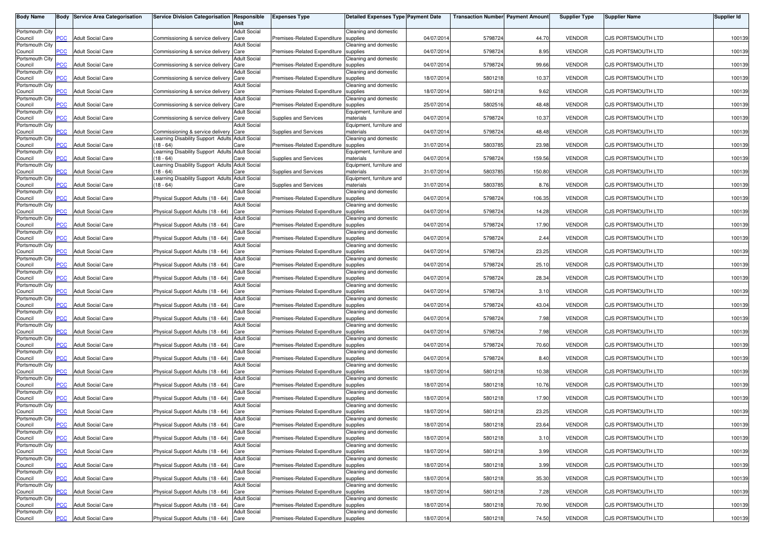| <b>Body Name</b>           |                | <b>Body Service Area Categorisation</b> | Service Division Categorisation Responsible                  | Unit                        | <b>Expenses Type</b>                  | <b>Detailed Expenses Type Payment Date</b> |            | <b>Transaction Number Payment Amount</b> |        | <b>Supplier Type</b> | <b>Supplier Name</b>      | Supplier Id |
|----------------------------|----------------|-----------------------------------------|--------------------------------------------------------------|-----------------------------|---------------------------------------|--------------------------------------------|------------|------------------------------------------|--------|----------------------|---------------------------|-------------|
| Portsmouth City            | PCC            | <b>Adult Social Care</b>                |                                                              | <b>Adult Social</b>         | Premises-Related Expenditure          | Cleaning and domestic                      | 04/07/2014 | 5798724                                  | 44.70  | <b>VENDOR</b>        | <b>CJS PORTSMOUTH LTD</b> | 100139      |
| Council<br>Portsmouth City |                |                                         | Commissioning & service delivery                             | Care<br><b>Adult Social</b> |                                       | supplies<br>Cleaning and domestic          |            |                                          |        |                      |                           |             |
| Council<br>Portsmouth City | <b>PCC</b>     | <b>Adult Social Care</b>                | Commissioning & service delivery                             | Care<br><b>Adult Social</b> | Premises-Related Expenditure          | supplies<br>Cleaning and domestic          | 04/07/2014 | 5798724                                  | 8.95   | <b>VENDOR</b>        | <b>CJS PORTSMOUTH LTD</b> | 100139      |
| Council<br>Portsmouth City | $\overline{C}$ | <b>Adult Social Care</b>                | Commissioning & service delivery                             | Care<br><b>Adult Social</b> | Premises-Related Expenditure          | supplies<br>Cleaning and domestic          | 04/07/2014 | 5798724                                  | 99.66  | <b>VENDOR</b>        | CJS PORTSMOUTH LTD        | 100139      |
| Council<br>Portsmouth City | PСC            | <b>Adult Social Care</b>                | Commissioning & service delivery                             | Care<br><b>Adult Social</b> | Premises-Related Expenditure          | supplies                                   | 18/07/201  | 5801218                                  | 10.37  | <b>VENDOR</b>        | CJS PORTSMOUTH LTD        | 100139      |
| Council                    | $\overline{C}$ | <b>Adult Social Care</b>                | Commissioning & service delivery Care                        |                             | Premises-Related Expenditure          | Cleaning and domestic<br>supplies          | 18/07/201  | 5801218                                  | 9.62   | <b>VENDOR</b>        | CJS PORTSMOUTH LTD        | 100139      |
| Portsmouth City<br>Council | PСC            | <b>Adult Social Care</b>                | Commissioning & service delivery Care                        | <b>Adult Social</b>         | Premises-Related Expenditure          | Cleaning and domestic<br>supplies          | 25/07/201  | 5802516                                  | 48.48  | <b>VENDOR</b>        | CJS PORTSMOUTH LTD        | 100139      |
| Portsmouth City<br>Council | $\overline{C}$ | <b>Adult Social Care</b>                | Commissioning & service delivery Care                        | <b>Adult Social</b>         | Supplies and Services                 | Equipment, furniture and<br>materials      | 04/07/2014 | 5798724                                  | 10.37  | <b>VENDOR</b>        | CJS PORTSMOUTH LTD        | 100139      |
| Portsmouth City<br>Council | <b>PCC</b>     | <b>Adult Social Care</b>                | Commissioning & service delivery Care                        | <b>Adult Social</b>         | Supplies and Services                 | Equipment, furniture and<br>materials      | 04/07/2014 | 5798724                                  | 48.48  | <b>VENDOR</b>        | CJS PORTSMOUTH LTD        | 100139      |
| Portsmouth City            |                |                                         | earning Disability Support Adults Adult Social               |                             |                                       | Cleaning and domestic                      |            |                                          |        |                      |                           |             |
| Council<br>Portsmouth City | <b>PCC</b>     | <b>Adult Social Care</b>                | $18 - 64$<br>earning Disability Support Adults Adult Social  | Care                        | Premises-Related Expenditure          | supplies<br>Equipment, furniture and       | 31/07/2014 | 5803785                                  | 23.98  | <b>VENDOR</b>        | CJS PORTSMOUTH LTD        | 100139      |
| Council<br>Portsmouth City | <b>PCC</b>     | <b>Adult Social Care</b>                | $18 - 64$<br>earning Disability Support Adults Adult Social  | Care                        | Supplies and Services                 | materials<br>Equipment, furniture and      | 04/07/201  | 5798724                                  | 159.56 | <b>VENDOR</b>        | CJS PORTSMOUTH LTD        | 100139      |
| Council<br>Portsmouth City | PCC            | <b>Adult Social Care</b>                | $18 - 64$<br>Learning Disability Support Adults Adult Social | Care                        | Supplies and Services                 | materials<br>Equipment, furniture and      | 31/07/2014 | 5803785                                  | 150.80 | <b>VENDOR</b>        | CJS PORTSMOUTH LTD        | 100139      |
| Council                    | PCC            | <b>Adult Social Care</b>                | $18 - 64$                                                    | Care                        | <b>Supplies and Services</b>          | materials                                  | 31/07/201  | 5803785                                  | 8.76   | <b>VENDOR</b>        | CJS PORTSMOUTH LTD        | 100139      |
| Portsmouth City<br>Council | сC             | <b>Adult Social Care</b>                | Physical Support Adults (18 - 64)                            | <b>Adult Social</b><br>Care | Premises-Related Expenditure          | Cleaning and domestic<br>supplies          | 04/07/201  | 5798724                                  | 106.35 | <b>VENDOR</b>        | CJS PORTSMOUTH LTD        | 100139      |
| Portsmouth City<br>Council | PCC            | <b>Adult Social Care</b>                | Physical Support Adults (18 - 64)                            | <b>Adult Social</b><br>Care | Premises-Related Expenditure          | Cleaning and domestic<br>supplies          | 04/07/201  | 5798724                                  | 14.28  | <b>VENDOR</b>        | CJS PORTSMOUTH LTD        | 100139      |
| Portsmouth City<br>Council | PСC            | <b>Adult Social Care</b>                | Physical Support Adults (18 - 64)                            | <b>Adult Social</b><br>Care | Premises-Related Expenditure          | Cleaning and domestic<br>supplies          | 04/07/2014 | 5798724                                  | 17.90  | <b>VENDOR</b>        | <b>CJS PORTSMOUTH LTD</b> | 100139      |
| Portsmouth City<br>Council | PCC            | <b>Adult Social Care</b>                | Physical Support Adults (18 - 64)                            | <b>Adult Social</b><br>Care | Premises-Related Expenditure          | Cleaning and domestic<br>supplies          | 04/07/2014 | 5798724                                  | 2.44   | <b>VENDOR</b>        | <b>CJS PORTSMOUTH LTD</b> | 100139      |
| Portsmouth City            |                |                                         |                                                              | <b>Adult Social</b>         |                                       | Cleaning and domestic                      |            |                                          |        |                      |                           |             |
| Council<br>Portsmouth City | PCC            | <b>Adult Social Care</b>                | Physical Support Adults (18 - 64)                            | Care<br><b>Adult Social</b> | Premises-Related Expenditure          | supplies<br>Cleaning and domestic          | 04/07/2014 | 5798724                                  | 23.25  | <b>VENDOR</b>        | CJS PORTSMOUTH LTD        | 100139      |
| Council<br>Portsmouth City | PСC            | <b>Adult Social Care</b>                | Physical Support Adults (18 - 64)                            | Care<br><b>Adult Social</b> | Premises-Related Expenditure          | supplies<br>Cleaning and domestic          | 04/07/201  | 5798724                                  | 25.10  | <b>VENDOR</b>        | <b>CJS PORTSMOUTH LTD</b> | 100139      |
| Council<br>Portsmouth City | PCC            | <b>Adult Social Care</b>                | Physical Support Adults (18 - 64)                            | Care<br><b>Adult Social</b> | Premises-Related Expenditure          | supplies<br>Cleaning and domestic          | 04/07/2014 | 5798724                                  | 28.34  | <b>VENDOR</b>        | CJS PORTSMOUTH LTD        | 100139      |
| Council                    | PCC            | <b>Adult Social Care</b>                | Physical Support Adults (18 - 64)                            | Care                        | Premises-Related Expenditure          | supplies                                   | 04/07/201  | 5798724                                  | 3.10   | <b>VENDOR</b>        | CJS PORTSMOUTH LTD        | 100139      |
| Portsmouth City<br>Council | PCC            | <b>Adult Social Care</b>                | Physical Support Adults (18 - 64)                            | <b>Adult Social</b><br>Care | Premises-Related Expenditure          | Cleaning and domestic<br>supplies          | 04/07/201  | 5798724                                  | 43.04  | <b>VENDOR</b>        | CJS PORTSMOUTH LTD        | 100139      |
| Portsmouth City<br>Council | PСC            | <b>Adult Social Care</b>                | Physical Support Adults (18 - 64)                            | <b>Adult Social</b><br>Care | Premises-Related Expenditure          | Cleaning and domestic<br>supplies          | 04/07/201  | 5798724                                  | 7.98   | <b>VENDOR</b>        | CJS PORTSMOUTH LTD        | 100139      |
| Portsmouth City<br>Council | <b>PCC</b>     | <b>Adult Social Care</b>                | Physical Support Adults (18 - 64)                            | <b>Adult Social</b><br>Care | Premises-Related Expenditure          | Cleaning and domestic<br>supplies          | 04/07/201  | 5798724                                  | 7.98   | <b>VENDOR</b>        | CJS PORTSMOUTH LTD        | 100139      |
| Portsmouth City            |                |                                         |                                                              | <b>Adult Social</b>         |                                       | Cleaning and domestic                      |            |                                          |        |                      |                           |             |
| Council<br>Portsmouth City | <b>PCC</b>     | <b>Adult Social Care</b>                | Physical Support Adults (18 - 64)                            | Care<br><b>Adult Social</b> | Premises-Related Expenditure          | supplies<br>Cleaning and domestic          | 04/07/2014 | 5798724                                  | 70.60  | <b>VENDOR</b>        | <b>CJS PORTSMOUTH LTD</b> | 100139      |
| Council<br>Portsmouth City | <b>PCC</b>     | <b>Adult Social Care</b>                | Physical Support Adults (18 - 64)                            | Care<br><b>Adult Social</b> | Premises-Related Expenditure          | supplies<br>Cleaning and domestic          | 04/07/2014 | 5798724                                  | 8.40   | <b>VENDOR</b>        | <b>CJS PORTSMOUTH LTD</b> | 100139      |
| Council<br>Portsmouth City | <b>PCC</b>     | <b>Adult Social Care</b>                | Physical Support Adults (18 - 64)                            | Care<br><b>Adult Social</b> | Premises-Related Expenditure          | supplies<br>Cleaning and domestic          | 18/07/2014 | 5801218                                  | 10.38  | <b>VENDOR</b>        | CJS PORTSMOUTH LTD        | 100139      |
| Council<br>Portsmouth City | PСC            | <b>Adult Social Care</b>                | Physical Support Adults (18 - 64)                            | Care<br><b>Adult Social</b> | Premises-Related Expenditure          | supplies<br>Cleaning and domestic          | 18/07/201  | 5801218                                  | 10.76  | <b>VENDOR</b>        | <b>CJS PORTSMOUTH LTD</b> | 100139      |
| Council                    | $\overline{C}$ | <b>Adult Social Care</b>                | Physical Support Adults (18 - 64)                            | Care                        | Premises-Related Expenditure          | supplies                                   | 18/07/2014 | 5801218                                  | 17.90  | <b>VENDOR</b>        | CJS PORTSMOUTH LTD        | 100139      |
| Portsmouth City<br>Council | $\overline{C}$ | <b>Adult Social Care</b>                | Physical Support Adults (18 - 64)                            | <b>Adult Social</b><br>Care | Premises-Related Expenditure          | Cleaning and domestic<br>supplies          | 18/07/201  | 5801218                                  | 23.25  | <b>VENDOR</b>        | <b>CJS PORTSMOUTH LTD</b> | 100139      |
| Portsmouth City<br>Council | <b>PCC</b>     | <b>Adult Social Care</b>                | Physical Support Adults (18 - 64) Care                       | Adult Social                | Premises-Related Expenditure supplies | Cleaning and domestic                      | 18/07/2014 | 5801218                                  | 23.64  | VENDOR               | CJS PORTSMOUTH LTD        | 100139      |
| Portsmouth City<br>Council | <b>PCC</b>     | <b>Adult Social Care</b>                | Physical Support Adults (18 - 64) Care                       | <b>Adult Social</b>         | Premises-Related Expenditure supplies | Cleaning and domestic                      | 18/07/2014 | 5801218                                  | 3.10   | <b>VENDOR</b>        | <b>CJS PORTSMOUTH LTD</b> | 100139      |
| Portsmouth City            |                |                                         |                                                              | <b>Adult Social</b>         |                                       | Cleaning and domestic                      |            |                                          |        |                      |                           |             |
| Council<br>Portsmouth City | PCC            | <b>Adult Social Care</b>                | Physical Support Adults (18 - 64) Care                       | <b>Adult Social</b>         | Premises-Related Expenditure          | supplies<br>Cleaning and domestic          | 18/07/2014 | 5801218                                  | 3.99   | <b>VENDOR</b>        | CJS PORTSMOUTH LTD        | 100139      |
| Council<br>Portsmouth City | <b>PCC</b>     | <b>Adult Social Care</b>                | Physical Support Adults (18 - 64) Care                       | <b>Adult Social</b>         | Premises-Related Expenditure supplies | Cleaning and domestic                      | 18/07/2014 | 5801218                                  | 3.99   | <b>VENDOR</b>        | CJS PORTSMOUTH LTD        | 100139      |
| Council<br>Portsmouth City | PCC            | <b>Adult Social Care</b>                | Physical Support Adults (18 - 64) Care                       | <b>Adult Social</b>         | Premises-Related Expenditure          | supplies<br>Cleaning and domestic          | 18/07/2014 | 5801218                                  | 35.30  | <b>VENDOR</b>        | <b>CJS PORTSMOUTH LTD</b> | 100139      |
| Council                    | PCC            | <b>Adult Social Care</b>                | Physical Support Adults (18 - 64) Care                       |                             | Premises-Related Expenditure supplies |                                            | 18/07/2014 | 5801218                                  | 7.28   | <b>VENDOR</b>        | CJS PORTSMOUTH LTD        | 100139      |
| Portsmouth City<br>Council | PСC            | <b>Adult Social Care</b>                | Physical Support Adults (18 - 64)                            | <b>Adult Social</b><br>Care | Premises-Related Expenditure          | Cleaning and domestic<br>supplies          | 18/07/2014 | 5801218                                  | 70.90  | <b>VENDOR</b>        | CJS PORTSMOUTH LTD        | 100139      |
| Portsmouth City<br>Council | <b>PCC</b>     | <b>Adult Social Care</b>                | Physical Support Adults (18 - 64) Care                       | <b>Adult Social</b>         | Premises-Related Expenditure supplies | Cleaning and domestic                      | 18/07/2014 | 5801218                                  | 74.50  | <b>VENDOR</b>        | CJS PORTSMOUTH LTD        | 100139      |
|                            |                |                                         |                                                              |                             |                                       |                                            |            |                                          |        |                      |                           |             |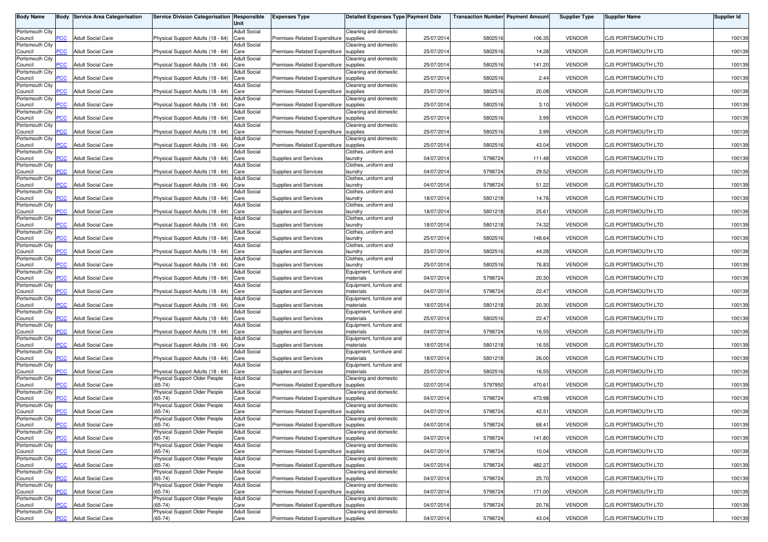| <b>Body Name</b>           |                | <b>Body Service Area Categorisation</b> | Service Division Categorisation Responsible | Unit                        | <b>Expenses Type</b>                  | <b>Detailed Expenses Type Payment Date</b> |            | <b>Transaction Number Payment Amount</b> |        | <b>Supplier Type</b> | <b>Supplier Name</b>      | Supplier Id |
|----------------------------|----------------|-----------------------------------------|---------------------------------------------|-----------------------------|---------------------------------------|--------------------------------------------|------------|------------------------------------------|--------|----------------------|---------------------------|-------------|
| Portsmouth City            |                |                                         | Physical Support Adults (18 - 64)           | <b>Adult Social</b>         |                                       | Cleaning and domestic                      |            |                                          |        | <b>VENDOR</b>        | <b>CJS PORTSMOUTH LTD</b> |             |
| Council<br>Portsmouth City | PCC            | <b>Adult Social Care</b>                |                                             | Care<br><b>Adult Social</b> | Premises-Related Expenditure          | supplies<br>Cleaning and domestic          | 25/07/2014 | 5802516                                  | 106.35 |                      |                           | 100139      |
| Council<br>Portsmouth City | $\overline{C}$ | <b>Adult Social Care</b>                | Physical Support Adults (18 - 64)           | Care<br><b>Adult Social</b> | Premises-Related Expenditure          | supplies<br>Cleaning and domestic          | 25/07/2014 | 5802516                                  | 14.28  | <b>VENDOR</b>        | CJS PORTSMOUTH LTD        | 100139      |
| Council                    | $\overline{C}$ | <b>Adult Social Care</b>                | Physical Support Adults (18 - 64)           | Care                        | Premises-Related Expenditure          | supplies                                   | 25/07/2014 | 5802516                                  | 141.20 | <b>VENDOR</b>        | CJS PORTSMOUTH LTD        | 100139      |
| Portsmouth City<br>Council | PСC            | <b>Adult Social Care</b>                | Physical Support Adults (18 - 64)           | <b>Adult Social</b><br>Care | Premises-Related Expenditure          | Cleaning and domestic<br>supplies          | 25/07/201  | 5802516                                  | 2.44   | <b>VENDOR</b>        | CJS PORTSMOUTH LTD        | 100139      |
| Portsmouth City<br>Council | $\overline{C}$ | <b>Adult Social Care</b>                | Physical Support Adults (18 - 64)           | <b>Adult Social</b><br>Care | Premises-Related Expenditure          | Cleaning and domestic<br>supplies          | 25/07/201  | 5802516                                  | 20.08  | <b>VENDOR</b>        | CJS PORTSMOUTH LTD        | 100139      |
| Portsmouth City            | PСC            | <b>Adult Social Care</b>                | Physical Support Adults (18 - 64)           | <b>Adult Social</b><br>Care | Premises-Related Expenditure          | Cleaning and domestic<br>supplies          |            |                                          | 3.10   | <b>VENDOR</b>        |                           | 100139      |
| Council<br>Portsmouth City |                |                                         |                                             | <b>Adult Social</b>         |                                       | Cleaning and domestic                      | 25/07/201  | 5802516                                  |        |                      | <b>CJS PORTSMOUTH LTD</b> |             |
| Council<br>Portsmouth City | $\overline{C}$ | <b>Adult Social Care</b>                | Physical Support Adults (18 - 64)           | Care<br><b>Adult Social</b> | Premises-Related Expenditure          | supplies<br>Cleaning and domestic          | 25/07/2014 | 5802516                                  | 3.99   | <b>VENDOR</b>        | CJS PORTSMOUTH LTD        | 100139      |
| Council<br>Portsmouth City | <b>PCC</b>     | <b>Adult Social Care</b>                | Physical Support Adults (18 - 64)           | Care<br><b>Adult Social</b> | Premises-Related Expenditure          | supplies<br>Cleaning and domestic          | 25/07/2014 | 5802516                                  | 3.99   | <b>VENDOR</b>        | CJS PORTSMOUTH LTD        | 100139      |
| Council                    | $\overline{C}$ | <b>Adult Social Care</b>                | Physical Support Adults (18 - 64)           | Care                        | Premises-Related Expenditure          | supplies                                   | 25/07/2014 | 5802516                                  | 43.04  | <b>VENDOR</b>        | CJS PORTSMOUTH LTD        | 100139      |
| Portsmouth City<br>Council | <b>PCC</b>     | <b>Adult Social Care</b>                | Physical Support Adults (18 - 64)           | <b>Adult Social</b><br>Care | Supplies and Services                 | Clothes, uniform and<br>laundry            | 04/07/201  | 5798724                                  | 111.48 | <b>VENDOR</b>        | CJS PORTSMOUTH LTD        | 100139      |
| Portsmouth City<br>Council | PCC            | <b>Adult Social Care</b>                | Physical Support Adults (18 - 64)           | <b>Adult Social</b><br>Care | Supplies and Services                 | Clothes, uniform and<br>laundry            | 04/07/2014 | 5798724                                  | 29.52  | <b>VENDOR</b>        | CJS PORTSMOUTH LTD        | 100139      |
| Portsmouth City            |                |                                         |                                             | <b>Adult Social</b>         |                                       | Clothes, uniform and                       |            |                                          |        |                      |                           |             |
| Council<br>Portsmouth City | PCC            | <b>Adult Social Care</b>                | Physical Support Adults (18 - 64)           | Care<br><b>Adult Social</b> | Supplies and Services                 | laundry<br>Clothes, uniform and            | 04/07/201  | 5798724                                  | 51.22  | <b>VENDOR</b>        | CJS PORTSMOUTH LTD        | 100139      |
| Council<br>Portsmouth City | PСC            | <b>Adult Social Care</b>                | Physical Support Adults (18 - 64)           | Care<br><b>Adult Social</b> | Supplies and Services                 | laundry<br>Clothes, uniform and            | 18/07/201  | 5801218                                  | 14.76  | <b>VENDOR</b>        | CJS PORTSMOUTH LTD        | 100139      |
| Council                    | PCC            | <b>Adult Social Care</b>                | Physical Support Adults (18 - 64)           | Care                        | Supplies and Services                 | laundry                                    | 18/07/201  | 5801218                                  | 25.61  | <b>VENDOR</b>        | CJS PORTSMOUTH LTD        | 100139      |
| Portsmouth City<br>Council | PCC            | <b>Adult Social Care</b>                | Physical Support Adults (18 - 64)           | <b>Adult Social</b><br>Care | Supplies and Services                 | Clothes, uniform and<br>laundry            | 18/07/2014 | 5801218                                  | 74.32  | <b>VENDOR</b>        | <b>CJS PORTSMOUTH LTD</b> | 100139      |
| Portsmouth City<br>Council | PCC            | <b>Adult Social Care</b>                | Physical Support Adults (18 - 64)           | <b>Adult Social</b><br>Care | Supplies and Services                 | Clothes, uniform and<br>laundry            | 25/07/2014 | 5802516                                  | 148.64 | <b>VENDOR</b>        | <b>CJS PORTSMOUTH LTD</b> | 100139      |
| Portsmouth City            |                |                                         |                                             | <b>Adult Social</b>         |                                       | Clothes, uniform and                       |            |                                          |        |                      |                           |             |
| Council<br>Portsmouth City | PCC            | <b>Adult Social Care</b>                | Physical Support Adults (18 - 64)           | Care<br><b>Adult Social</b> | Supplies and Services                 | laundry<br>Clothes, uniform and            | 25/07/2014 | 5802516                                  | 44.28  | <b>VENDOR</b>        | CJS PORTSMOUTH LTD        | 100139      |
| Council<br>Portsmouth City | PСC            | <b>Adult Social Care</b>                | Physical Support Adults (18 - 64)           | Care<br><b>Adult Social</b> | <b>Supplies and Services</b>          | laundry<br>Equipment, furniture and        | 25/07/201  | 5802516                                  | 76.83  | <b>VENDOR</b>        | <b>CJS PORTSMOUTH LTD</b> | 100139      |
| Council                    | PCC            | <b>Adult Social Care</b>                | Physical Support Adults (18 - 64)           | Care                        | Supplies and Services                 | materials                                  | 04/07/2014 | 5798724                                  | 20.30  | <b>VENDOR</b>        | CJS PORTSMOUTH LTD        | 100139      |
| Portsmouth City<br>Council | PCC            | <b>Adult Social Care</b>                | Physical Support Adults (18 - 64)           | <b>Adult Social</b><br>Care | Supplies and Services                 | Equipment, furniture and<br>materials      | 04/07/201  | 5798724                                  | 22.47  | <b>VENDOR</b>        | CJS PORTSMOUTH LTD        | 100139      |
| Portsmouth City<br>Council | PCC            | <b>Adult Social Care</b>                | Physical Support Adults (18 - 64)           | <b>Adult Social</b><br>Care | Supplies and Services                 | Equipment, furniture and<br>materials      | 18/07/201  | 5801218                                  | 20.30  | <b>VENDOR</b>        | CJS PORTSMOUTH LTD        | 100139      |
| Portsmouth City            |                |                                         |                                             | <b>Adult Social</b>         |                                       | Equipment, furniture and                   |            |                                          |        |                      |                           |             |
| Council<br>Portsmouth City | PСC            | <b>Adult Social Care</b>                | Physical Support Adults (18 - 64)           | Care<br><b>Adult Social</b> | Supplies and Services                 | materials<br>Equipment, furniture and      | 25/07/201  | 5802516                                  | 22.47  | <b>VENDOR</b>        | CJS PORTSMOUTH LTD        | 100139      |
| Council<br>Portsmouth City | <b>PCC</b>     | <b>Adult Social Care</b>                | Physical Support Adults (18 - 64)           | Care<br><b>Adult Social</b> | Supplies and Services                 | materials<br>Equipment, furniture and      | 04/07/201  | 5798724                                  | 16.55  | <b>VENDOR</b>        | CJS PORTSMOUTH LTD        | 100139      |
| Council                    | <b>PCC</b>     | <b>Adult Social Care</b>                | Physical Support Adults (18 - 64)           | Care                        | Supplies and Services                 | materials                                  | 18/07/2014 | 5801218                                  | 16.55  | <b>VENDOR</b>        | CJS PORTSMOUTH LTD        | 100139      |
| Portsmouth City<br>Council | <b>PCC</b>     | <b>Adult Social Care</b>                | Physical Support Adults (18 - 64)           | <b>Adult Social</b><br>Care | Supplies and Services                 | Equipment, furniture and<br>materials      | 18/07/201  | 5801218                                  | 26.00  | <b>VENDOR</b>        | <b>CJS PORTSMOUTH LTD</b> | 100139      |
| Portsmouth City<br>Council | <b>PCC</b>     | <b>Adult Social Care</b>                | Physical Support Adults (18 - 64)           | <b>Adult Social</b><br>Care | Supplies and Services                 | Equipment, furniture and<br>materials      | 25/07/2014 | 5802516                                  | 16.55  | <b>VENDOR</b>        | CJS PORTSMOUTH LTD        | 100139      |
| Portsmouth City            | PСC            | <b>Adult Social Care</b>                | Physical Support Older People<br>$(65-74)$  | <b>Adult Social</b>         |                                       | Cleaning and domestic                      |            | 5797950                                  | 470.61 | <b>VENDOR</b>        | CJS PORTSMOUTH LTD        |             |
| Council<br>Portsmouth City |                |                                         | Physical Support Older People               | Care<br><b>Adult Social</b> | Premises-Related Expenditure          | supplies<br>Cleaning and domestic          | 02/07/201  |                                          |        |                      |                           | 100139      |
| Council<br>Portsmouth City | $\overline{C}$ | <b>Adult Social Care</b>                | $(65-74)$<br>Physical Support Older People  | Care<br><b>Adult Social</b> | Premises-Related Expenditure          | supplies<br>Cleaning and domestic          | 04/07/2014 | 5798724                                  | 473.98 | <b>VENDOR</b>        | CJS PORTSMOUTH LTD        | 100139      |
| Council<br>Portsmouth City | $\overline{C}$ | <b>Adult Social Care</b>                | $(65-74)$                                   | Care<br><b>Adult Social</b> | Premises-Related Expenditure          | supplies<br>Cleaning and domestic          | 04/07/201  | 5798724                                  | 42.51  | <b>VENDOR</b>        | <b>CJS PORTSMOUTH LTD</b> | 100139      |
| Council                    | <b>PCC</b>     | <b>Adult Social Care</b>                | Physical Support Older People<br>$(65-74)$  | Care                        | Premises-Related Expenditure supplies |                                            | 04/07/2014 | 5798724                                  | 68.41  | VENDOR               | CJS PORTSMOUTH LTD        | 100139      |
| Portsmouth City<br>Council | <b>PCC</b>     | <b>Adult Social Care</b>                | Physical Support Older People<br>$(65-74)$  | <b>Adult Social</b><br>Care | Premises-Related Expenditure supplies | Cleaning and domestic                      | 04/07/2014 | 5798724                                  | 141.80 | <b>VENDOR</b>        | CJS PORTSMOUTH LTD        | 100139      |
| Portsmouth City<br>Council | PCC            | <b>Adult Social Care</b>                | Physical Support Older People<br>$(65-74)$  | <b>Adult Social</b><br>Care | Premises-Related Expenditure          | Cleaning and domestic<br>supplies          | 04/07/2014 | 5798724                                  | 10.04  | <b>VENDOR</b>        | CJS PORTSMOUTH LTD        | 100139      |
| Portsmouth City            |                |                                         | Physical Support Older People               | <b>Adult Social</b>         |                                       | Cleaning and domestic                      |            |                                          |        |                      |                           |             |
| Council<br>Portsmouth City | PCC            | <b>Adult Social Care</b>                | $(65-74)$<br>Physical Support Older People  | Care<br><b>Adult Social</b> | Premises-Related Expenditure supplies | Cleaning and domestic                      | 04/07/2014 | 5798724                                  | 482.27 | <b>VENDOR</b>        | CJS PORTSMOUTH LTD        | 100139      |
| Council<br>Portsmouth City | PCC            | <b>Adult Social Care</b>                | $(65-74)$<br>Physical Support Older People  | Care<br><b>Adult Social</b> | Premises-Related Expenditure          | supplies<br>Cleaning and domestic          | 04/07/2014 | 5798724                                  | 25.70  | <b>VENDOR</b>        | <b>CJS PORTSMOUTH LTD</b> | 100139      |
| Council                    | PCC            | <b>Adult Social Care</b>                | $(65-74)$                                   | Care                        | Premises-Related Expenditure supplies |                                            | 04/07/2014 | 5798724                                  | 171.00 | <b>VENDOR</b>        | CJS PORTSMOUTH LTD        | 100139      |
| Portsmouth City<br>Council | ٥С             | <b>Adult Social Care</b>                | Physical Support Older People<br>$(65-74)$  | <b>Adult Social</b><br>Care | Premises-Related Expenditure          | Cleaning and domestic<br>supplies          | 04/07/2014 | 5798724                                  | 20.76  | <b>VENDOR</b>        | CJS PORTSMOUTH LTD        | 100139      |
| Portsmouth City<br>Council | <b>PCC</b>     | <b>Adult Social Care</b>                | Physical Support Older People<br>$(65-74)$  | <b>Adult Social</b><br>Care | Premises-Related Expenditure supplies | Cleaning and domestic                      | 04/07/2014 | 5798724                                  | 43.04  | <b>VENDOR</b>        | CJS PORTSMOUTH LTD        | 100139      |
|                            |                |                                         |                                             |                             |                                       |                                            |            |                                          |        |                      |                           |             |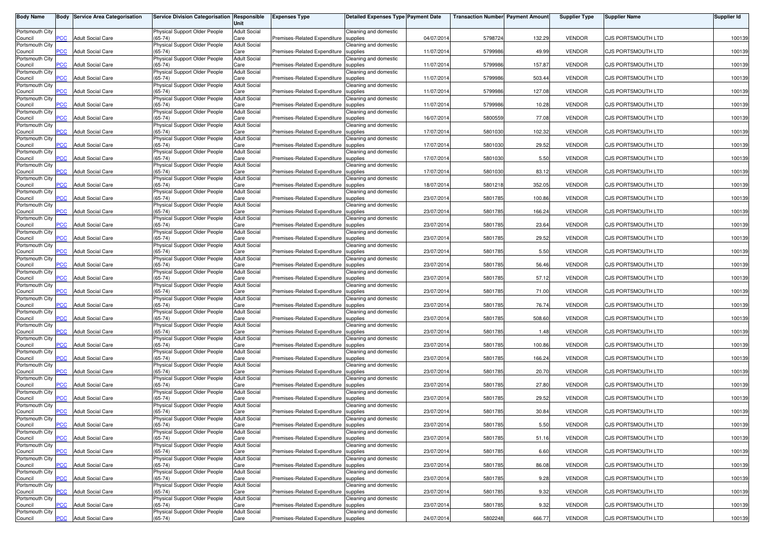| <b>Body Name</b>           |                | <b>Body Service Area Categorisation</b> | Service Division Categorisation Responsible | Unit                        | <b>Expenses Type</b>                  | <b>Detailed Expenses Type Payment Date</b> |            | <b>Transaction Number Payment Amount</b> |        | <b>Supplier Type</b> | <b>Supplier Name</b>      | Supplier Id |
|----------------------------|----------------|-----------------------------------------|---------------------------------------------|-----------------------------|---------------------------------------|--------------------------------------------|------------|------------------------------------------|--------|----------------------|---------------------------|-------------|
| Portsmouth City            |                | <b>Adult Social Care</b>                | Physical Support Older People               | <b>Adult Social</b>         |                                       | Cleaning and domestic                      |            |                                          |        |                      | <b>CJS PORTSMOUTH LTD</b> |             |
| Council<br>Portsmouth City | PCC            |                                         | $(65-74)$<br>Physical Support Older People  | Care<br><b>Adult Social</b> | Premises-Related Expenditure          | supplies<br>Cleaning and domestic          | 04/07/2014 | 5798724                                  | 132.29 | <b>VENDOR</b>        |                           | 100139      |
| Council<br>Portsmouth City | $\overline{C}$ | <b>Adult Social Care</b>                | $(65-74)$<br>Physical Support Older People  | Care<br><b>Adult Social</b> | Premises-Related Expenditure          | supplies<br>Cleaning and domestic          | 11/07/2014 | 5799986                                  | 49.99  | <b>VENDOR</b>        | CJS PORTSMOUTH LTD        | 100139      |
| Council<br>Portsmouth City | $\overline{C}$ | <b>Adult Social Care</b>                | $65 - 74$<br>Physical Support Older People  | Care<br><b>Adult Social</b> | Premises-Related Expenditure          | supplies<br>Cleaning and domestic          | 11/07/2014 | 5799986                                  | 157.87 | <b>VENDOR</b>        | CJS PORTSMOUTH LTD        | 100139      |
| Council                    | PСC            | <b>Adult Social Care</b>                | $(65-74)$                                   | Care                        | Premises-Related Expenditure          | supplies                                   | 11/07/201  | 5799986                                  | 503.44 | <b>VENDOR</b>        | CJS PORTSMOUTH LTD        | 100139      |
| Portsmouth City<br>Council | $\overline{C}$ | <b>Adult Social Care</b>                | Physical Support Older People<br>$(65-74)$  | <b>Adult Social</b><br>Care | Premises-Related Expenditure          | Cleaning and domestic<br>supplies          | 11/07/201  | 5799986                                  | 127.08 | <b>VENDOR</b>        | CJS PORTSMOUTH LTD        | 100139      |
| Portsmouth City<br>Council | PСC            | <b>Adult Social Care</b>                | Physical Support Older People<br>$(65-74)$  | <b>Adult Social</b><br>Care | Premises-Related Expenditure          | Cleaning and domestic<br>supplies          | 11/07/2014 | 5799986                                  | 10.28  | <b>VENDOR</b>        | <b>CJS PORTSMOUTH LTD</b> | 100139      |
| Portsmouth City<br>Council | $\overline{C}$ | <b>Adult Social Care</b>                | Physical Support Older People<br>$(65-74)$  | <b>Adult Social</b><br>Care | Premises-Related Expenditure          | Cleaning and domestic<br>supplies          | 16/07/2014 | 5800559                                  | 77.08  | <b>VENDOR</b>        | CJS PORTSMOUTH LTD        | 100139      |
| Portsmouth City<br>Council | <b>PCC</b>     | <b>Adult Social Care</b>                | Physical Support Older People<br>$(65-74)$  | <b>Adult Social</b><br>Care | Premises-Related Expenditure          | Cleaning and domestic<br>supplies          | 17/07/2014 | 5801030                                  | 102.32 | <b>VENDOR</b>        | CJS PORTSMOUTH LTD        | 100139      |
| Portsmouth City            |                |                                         | Physical Support Older People               | <b>Adult Social</b>         |                                       | Cleaning and domestic                      |            |                                          |        |                      |                           |             |
| Council<br>Portsmouth City | $\overline{C}$ | <b>Adult Social Care</b>                | 65-74)<br>Physical Support Older People     | Care<br><b>Adult Social</b> | Premises-Related Expenditure          | supplies<br>Cleaning and domestic          | 17/07/201  | 5801030                                  | 29.52  | <b>VENDOR</b>        | CJS PORTSMOUTH LTD        | 100139      |
| Council<br>Portsmouth City | $\overline{C}$ | <b>Adult Social Care</b>                | $(65-74)$<br>Physical Support Older People  | Care<br><b>Adult Social</b> | Premises-Related Expenditure          | supplies<br>Cleaning and domestic          | 17/07/201  | 5801030                                  | 5.50   | <b>VENDOR</b>        | CJS PORTSMOUTH LTD        | 100139      |
| Council<br>Portsmouth City | PCC            | <b>Adult Social Care</b>                | $65 - 74$<br>Physical Support Older People  | Care<br><b>Adult Social</b> | Premises-Related Expenditure          | supplies<br>Cleaning and domestic          | 17/07/2014 | 5801030                                  | 83.12  | <b>VENDOR</b>        | CJS PORTSMOUTH LTD        | 100139      |
| Council<br>Portsmouth City | PCC            | <b>Adult Social Care</b>                | $(65-74)$                                   | Care<br><b>Adult Social</b> | Premises-Related Expenditure          | supplies<br>Cleaning and domestic          | 18/07/201  | 5801218                                  | 352.05 | <b>VENDOR</b>        | CJS PORTSMOUTH LTD        | 100139      |
| Council                    | PСC            | <b>Adult Social Care</b>                | Physical Support Older People<br>$(65-74)$  | Care                        | Premises-Related Expenditure          | supplies                                   | 23/07/201  | 5801785                                  | 100.86 | <b>VENDOR</b>        | CJS PORTSMOUTH LTD        | 100139      |
| Portsmouth City<br>Council | PCC            | <b>Adult Social Care</b>                | Physical Support Older People<br>$(65-74)$  | <b>Adult Social</b><br>Care | Premises-Related Expenditure          | Cleaning and domestic<br>supplies          | 23/07/201  | 5801785                                  | 166.24 | <b>VENDOR</b>        | CJS PORTSMOUTH LTD        | 100139      |
| Portsmouth City<br>Council | PCC            | <b>Adult Social Care</b>                | Physical Support Older People<br>$(65-74)$  | <b>Adult Social</b><br>Care | Premises-Related Expenditure          | Cleaning and domestic<br>supplies          | 23/07/2014 | 5801785                                  | 23.64  | <b>VENDOR</b>        | CJS PORTSMOUTH LTD        | 100139      |
| Portsmouth City<br>Council | PCC            | <b>Adult Social Care</b>                | Physical Support Older People<br>$(65-74)$  | <b>Adult Social</b><br>Care | Premises-Related Expenditure          | Cleaning and domestic<br>supplies          | 23/07/2014 | 5801785                                  | 29.52  | <b>VENDOR</b>        | CJS PORTSMOUTH LTD        | 100139      |
| Portsmouth City            | PCC            |                                         | Physical Support Older People<br>$65 - 74$  | <b>Adult Social</b>         |                                       | Cleaning and domestic                      | 23/07/2014 |                                          | 5.50   | <b>VENDOR</b>        | CJS PORTSMOUTH LTD        | 100139      |
| Council<br>Portsmouth City |                | <b>Adult Social Care</b>                | Physical Support Older People               | Care<br><b>Adult Social</b> | Premises-Related Expenditure supplies | Cleaning and domestic                      |            | 5801785                                  |        |                      |                           |             |
| Council<br>Portsmouth City | PСC            | <b>Adult Social Care</b>                | $65 - 74$<br>Physical Support Older People  | Care<br><b>Adult Social</b> | Premises-Related Expenditure          | supplies<br>Cleaning and domestic          | 23/07/201  | 5801785                                  | 56.46  | <b>VENDOR</b>        | CJS PORTSMOUTH LTD        | 100139      |
| Council<br>Portsmouth City | PCC            | <b>Adult Social Care</b>                | $(65-74)$<br>Physical Support Older People  | Care<br><b>Adult Social</b> | Premises-Related Expenditure          | supplies<br>Cleaning and domestic          | 23/07/2014 | 5801785                                  | 57.12  | <b>VENDOR</b>        | CJS PORTSMOUTH LTD        | 100139      |
| Council                    | PCC            | <b>Adult Social Care</b>                | $(65-74)$                                   | Care<br><b>Adult Social</b> | Premises-Related Expenditure          | supplies                                   | 23/07/201  | 5801785                                  | 71.00  | <b>VENDOR</b>        | CJS PORTSMOUTH LTD        | 100139      |
| Portsmouth City<br>Council | <b>PCC</b>     | <b>Adult Social Care</b>                | Physical Support Older People<br>$(65-74)$  | Care                        | Premises-Related Expenditure          | Cleaning and domestic<br>supplies          | 23/07/201  | 5801785                                  | 76.74  | <b>VENDOR</b>        | CJS PORTSMOUTH LTD        | 100139      |
| Portsmouth City<br>Council | PСC            | <b>Adult Social Care</b>                | Physical Support Older People<br>$(65-74)$  | <b>Adult Social</b><br>Care | Premises-Related Expenditure          | Cleaning and domestic<br>supplies          | 23/07/201  | 5801785                                  | 508.60 | <b>VENDOR</b>        | CJS PORTSMOUTH LTD        | 100139      |
| Portsmouth City<br>Council | <b>PCC</b>     | <b>Adult Social Care</b>                | Physical Support Older People<br>$(65-74)$  | <b>Adult Social</b><br>Care | Premises-Related Expenditure          | Cleaning and domestic<br>supplies          | 23/07/201  | 5801785                                  | 1.48   | <b>VENDOR</b>        | CJS PORTSMOUTH LTD        | 100139      |
| Portsmouth City<br>Council | $\overline{C}$ | <b>Adult Social Care</b>                | Physical Support Older People<br>$(65-74)$  | <b>Adult Social</b><br>Care | Premises-Related Expenditure          | Cleaning and domestic<br>supplies          | 23/07/2014 | 5801785                                  | 100.86 | <b>VENDOR</b>        | CJS PORTSMOUTH LTD        | 100139      |
| Portsmouth City            |                |                                         | Physical Support Older People               | <b>Adult Social</b>         |                                       | Cleaning and domestic                      |            |                                          |        |                      |                           |             |
| Council<br>Portsmouth City | <b>PCC</b>     | <b>Adult Social Care</b>                | $(65-74)$<br>Physical Support Older People  | Care<br><b>Adult Social</b> | Premises-Related Expenditure          | supplies<br>Cleaning and domestic          | 23/07/2014 | 5801785                                  | 166.24 | <b>VENDOR</b>        | <b>CJS PORTSMOUTH LTD</b> | 100139      |
| Council<br>Portsmouth City | <b>PCC</b>     | <b>Adult Social Care</b>                | $65 - 74$<br>Physical Support Older People  | Care<br><b>Adult Social</b> | Premises-Related Expenditure          | supplies<br>Cleaning and domestic          | 23/07/2014 | 5801785                                  | 20.70  | <b>VENDOR</b>        | CJS PORTSMOUTH LTD        | 100139      |
| Council<br>Portsmouth City | PСC            | <b>Adult Social Care</b>                | $65 - 74$<br>Physical Support Older People  | Care<br><b>Adult Social</b> | Premises-Related Expenditure          | supplies<br>Cleaning and domestic          | 23/07/201  | 5801785                                  | 27.80  | <b>VENDOR</b>        | CJS PORTSMOUTH LTD        | 100139      |
| Council<br>Portsmouth City | $\overline{C}$ | <b>Adult Social Care</b>                | $(65-74)$<br>Physical Support Older People  | Care<br><b>Adult Social</b> | Premises-Related Expenditure          | supplies                                   | 23/07/2014 | 5801785                                  | 29.52  | <b>VENDOR</b>        | CJS PORTSMOUTH LTD        | 100139      |
| Council                    | $\overline{C}$ | <b>Adult Social Care</b>                | $(65-74)$                                   | Care                        | Premises-Related Expenditure          | Cleaning and domestic<br>supplies          | 23/07/201  | 5801785                                  | 30.84  | <b>VENDOR</b>        | <b>CJS PORTSMOUTH LTD</b> | 100139      |
| Portsmouth City<br>Council | <b>PCC</b>     | <b>Adult Social Care</b>                | Physical Support Older People<br>$(65-74)$  | <b>Adult Social</b><br>Care | Premises-Related Expenditure supplies | Cleaning and domestic                      | 23/07/2014 | 5801785                                  | 5.50   | VENDOR               | CJS PORTSMOUTH LTD        | 100139      |
| Portsmouth City<br>Council | <b>PCC</b>     | <b>Adult Social Care</b>                | Physical Support Older People<br>$(65-74)$  | <b>Adult Social</b><br>Care | Premises-Related Expenditure supplies | Cleaning and domestic                      | 23/07/2014 | 5801785                                  | 51.16  | <b>VENDOR</b>        | CJS PORTSMOUTH LTD        | 100139      |
| Portsmouth City<br>Council | PCC            | <b>Adult Social Care</b>                | Physical Support Older People<br>$(65-74)$  | <b>Adult Social</b><br>Care | Premises-Related Expenditure          | Cleaning and domestic<br>supplies          | 23/07/2014 | 5801785                                  | 6.60   | <b>VENDOR</b>        | CJS PORTSMOUTH LTD        | 100139      |
| Portsmouth City            |                |                                         | Physical Support Older People               | <b>Adult Social</b>         |                                       | Cleaning and domestic                      |            |                                          |        |                      |                           |             |
| Council<br>Portsmouth City | PCC            | <b>Adult Social Care</b>                | $(65-74)$<br>Physical Support Older People  | Care<br><b>Adult Social</b> | Premises-Related Expenditure supplies | Cleaning and domestic                      | 23/07/2014 | 5801785                                  | 86.08  | <b>VENDOR</b>        | CJS PORTSMOUTH LTD        | 100139      |
| Council<br>Portsmouth City | PCC            | <b>Adult Social Care</b>                | $(65-74)$<br>Physical Support Older People  | Care<br><b>Adult Social</b> | Premises-Related Expenditure          | supplies<br>Cleaning and domestic          | 23/07/2014 | 5801785                                  | 9.28   | <b>VENDOR</b>        | CJS PORTSMOUTH LTD        | 100139      |
| Council<br>Portsmouth City | PCC            | <b>Adult Social Care</b>                | $(65-74)$<br>Physical Support Older People  | Care<br><b>Adult Social</b> | Premises-Related Expenditure supplies | Cleaning and domestic                      | 23/07/2014 | 5801785                                  | 9.32   | <b>VENDOR</b>        | CJS PORTSMOUTH LTD        | 100139      |
| Council<br>Portsmouth City | ٥С             | <b>Adult Social Care</b>                | (65-74)<br>Physical Support Older People    | Care<br><b>Adult Social</b> | Premises-Related Expenditure          | supplies<br>Cleaning and domestic          | 23/07/2014 | 5801785                                  | 9.32   | <b>VENDOR</b>        | CJS PORTSMOUTH LTD        | 100139      |
| Council                    | <b>PCC</b>     | <b>Adult Social Care</b>                | $(65-74)$                                   | Care                        | Premises-Related Expenditure supplies |                                            | 24/07/2014 | 5802248                                  | 666.77 | <b>VENDOR</b>        | CJS PORTSMOUTH LTD        | 100139      |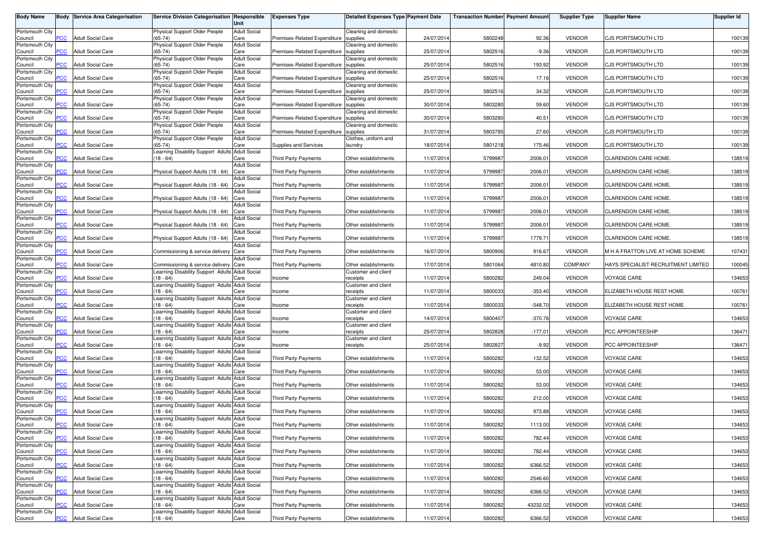| <b>Body Name</b>           |                | <b>Body Service Area Categorisation</b> | Service Division Categorisation Responsible                    | Unit                        | <b>Expenses Type</b>         | Detailed Expenses Type Payment Date |            | <b>Transaction Number Payment Amount</b> |           | <b>Supplier Type</b> | <b>Supplier Name</b>                | Supplier Id |
|----------------------------|----------------|-----------------------------------------|----------------------------------------------------------------|-----------------------------|------------------------------|-------------------------------------|------------|------------------------------------------|-----------|----------------------|-------------------------------------|-------------|
| Portsmouth City<br>Council | PCC            | <b>Adult Social Care</b>                | Physical Support Older People<br>$(65-74)$                     | <b>Adult Social</b><br>Care | Premises-Related Expenditure | Cleaning and domestic<br>supplies   | 24/07/2014 | 5802248                                  | 92.36     | <b>VENDOR</b>        | <b>CJS PORTSMOUTH LTD</b>           | 100139      |
| Portsmouth City            | $\overline{C}$ |                                         | Physical Support Older People<br>$(65-74)$                     | <b>Adult Social</b>         |                              | Cleaning and domestic               |            |                                          | $-9.36$   | <b>VENDOR</b>        | CJS PORTSMOUTH LTD                  | 100139      |
| Council<br>Portsmouth City |                | <b>Adult Social Care</b>                | Physical Support Older People                                  | Care<br><b>Adult Social</b> | Premises-Related Expenditure | supplies<br>Cleaning and domestic   | 25/07/2014 | 5802516                                  |           |                      |                                     |             |
| Council<br>Portsmouth City | $\overline{C}$ | <b>Adult Social Care</b>                | $(65-74)$<br>Physical Support Older People                     | Care<br><b>Adult Social</b> | Premises-Related Expenditure | supplies<br>Cleaning and domestic   | 25/07/2014 | 5802516                                  | 193.92    | <b>VENDOR</b>        | CJS PORTSMOUTH LTD                  | 100139      |
| Council<br>Portsmouth City | PСC            | <b>Adult Social Care</b>                | $(65-74)$<br>Physical Support Older People                     | Care<br><b>Adult Social</b> | Premises-Related Expenditure | supplies<br>Cleaning and domestic   | 25/07/201  | 5802516                                  | 17.16     | <b>VENDOR</b>        | CJS PORTSMOUTH LTD                  | 100139      |
| Council<br>Portsmouth City | $\overline{C}$ | <b>Adult Social Care</b>                | $(65-74)$<br>Physical Support Older People                     | Care<br><b>Adult Social</b> | Premises-Related Expenditure | supplies<br>Cleaning and domestic   | 25/07/201  | 5802516                                  | 34.32     | <b>VENDOR</b>        | CJS PORTSMOUTH LTD                  | 100139      |
| Council                    | PСC            | <b>Adult Social Care</b>                | $(65-74)$                                                      | Care                        | Premises-Related Expenditure | supplies                            | 30/07/2014 | 5803280                                  | 59.60     | <b>VENDOR</b>        | <b>CJS PORTSMOUTH LTD</b>           | 100139      |
| Portsmouth City<br>Council | $\overline{C}$ | <b>Adult Social Care</b>                | Physical Support Older People<br>$(65-74)$                     | <b>Adult Social</b><br>Care | Premises-Related Expenditure | Cleaning and domestic<br>supplies   | 30/07/2014 | 5803280                                  | 40.51     | <b>VENDOR</b>        | CJS PORTSMOUTH LTD                  | 100139      |
| Portsmouth City<br>Council | <b>PCC</b>     | <b>Adult Social Care</b>                | Physical Support Older People<br>$(65-74)$                     | <b>Adult Social</b><br>Care | Premises-Related Expenditure | Cleaning and domestic<br>supplies   | 31/07/2014 | 5803785                                  | 27.60     | <b>VENDOR</b>        | CJS PORTSMOUTH LTD                  | 100139      |
| Portsmouth City<br>Council | $\overline{C}$ | <b>Adult Social Care</b>                | Physical Support Older People<br>65-74)                        | <b>Adult Social</b><br>Care | <b>Supplies and Services</b> | Clothes, uniform and<br>laundry     | 18/07/201  | 5801218                                  | 175.46    | <b>VENDOR</b>        | CJS PORTSMOUTH LTD                  | 100139      |
| Portsmouth City            | <b>PCC</b>     |                                         | earning Disability Support Adults Adult Social<br>$18 - 64$    |                             |                              | Other establishments                |            |                                          | 2006.01   | <b>VENDOR</b>        | CLARENDON CARE HOME.                | 138519      |
| Council<br>Portsmouth City |                | <b>Adult Social Care</b>                |                                                                | Care<br><b>Adult Social</b> | <b>Third Party Payments</b>  |                                     | 11/07/201  | 5799987                                  |           |                      |                                     |             |
| Council<br>Portsmouth City | PCC            | <b>Adult Social Care</b>                | Physical Support Adults (18 - 64)                              | Care<br><b>Adult Social</b> | Third Party Payments         | Other establishments                | 11/07/201  | 5799987                                  | 2006.01   | <b>VENDOR</b>        | CLARENDON CARE HOME.                | 138519      |
| Council<br>Portsmouth City | PCC            | <b>Adult Social Care</b>                | Physical Support Adults (18 - 64)                              | Care<br><b>Adult Social</b> | Third Party Payments         | Other establishments                | 11/07/201  | 5799987                                  | 2006.01   | <b>VENDOR</b>        | CLARENDON CARE HOME.                | 138519      |
| Council<br>Portsmouth City | PСC            | <b>Adult Social Care</b>                | Physical Support Adults (18 - 64)                              | Care<br><b>Adult Social</b> | <b>Third Party Payments</b>  | Other establishments                | 11/07/201  | 5799987                                  | 2006.01   | <b>VENDOR</b>        | CLARENDON CARE HOME.                | 138519      |
| Council                    | PCC            | <b>Adult Social Care</b>                | Physical Support Adults (18 - 64)                              | Care                        | <b>Third Party Payments</b>  | Other establishments                | 11/07/201  | 5799987                                  | 2006.0    | <b>VENDOR</b>        | CLARENDON CARE HOME.                | 138519      |
| Portsmouth City<br>Council | PCC            | <b>Adult Social Care</b>                | Physical Support Adults (18 - 64)                              | <b>Adult Social</b><br>Care | Third Party Payments         | Other establishments                | 11/07/2014 | 5799987                                  | 2006.01   | <b>VENDOR</b>        | <b>CLARENDON CARE HOME.</b>         | 138519      |
| Portsmouth City<br>Council | PCC            | <b>Adult Social Care</b>                | Physical Support Adults (18 - 64)                              | <b>Adult Social</b><br>Care | Third Party Payments         | Other establishments                | 11/07/201  | 5799987                                  | 1779.71   | <b>VENDOR</b>        | CLARENDON CARE HOME.                | 138519      |
| Portsmouth City<br>Council | PCC            | <b>Adult Social Care</b>                | Commissioning & service delivery Care                          | <b>Adult Social</b>         | Third Party Payments         | Other establishments                | 16/07/2014 | 5800906                                  | 916.67    | <b>VENDOR</b>        | M H A FRATTON LIVE AT HOME SCHEME   | 107431      |
| Portsmouth City<br>Council | <b>PCC</b>     | <b>Adult Social Care</b>                | Commissioning & service delivery                               | <b>Adult Social</b><br>Care | <b>Third Party Payments</b>  | Other establishments                | 17/07/201  | 5801064                                  | 4810.80   | COMPANY              | HAYS SPECIALIST RECRUITMENT LIMITED | 100045      |
| Portsmouth City<br>Council | PCC            | <b>Adult Social Care</b>                | Learning Disability Support Adults Adult Social<br>$18 - 64$   | Care                        | Income                       | Customer and client<br>receipts     | 11/07/2014 | 5800282                                  | 249.04    | <b>VENDOR</b>        | VOYAGE CARE                         | 134653      |
| Portsmouth City<br>Council | PCC            | <b>Adult Social Care</b>                | Learning Disability Support Adults Adult Social<br>$18 - 64$   | Care                        | Income                       | Customer and client<br>receipts     | 11/07/201  | 5800033                                  | $-353.40$ | <b>VENDOR</b>        | ELIZABETH HOUSE REST HOME           | 100761      |
| Portsmouth City            |                | <b>Adult Social Care</b>                | Learning Disability Support Adults Adult Social<br>$(18 - 64)$ |                             |                              | Customer and client                 |            |                                          | $-548.70$ | <b>VENDOR</b>        |                                     |             |
| Council<br>Portsmouth City | <b>PCC</b>     |                                         | Learning Disability Support Adults Adult Social                | Care                        | Income                       | receipts<br>Customer and client     | 11/07/201  | 5800033                                  |           |                      | ELIZABETH HOUSE REST HOME           | 100761      |
| Council<br>Portsmouth City | PСC            | <b>Adult Social Care</b>                | $18 - 64$<br>Learning Disability Support Adults                | Care<br><b>Adult Social</b> | Income                       | receipts<br>Customer and client     | 14/07/201  | 5800407                                  | $-370.76$ | <b>VENDOR</b>        | VOYAGE CARE                         | 134653      |
| Council                    | <b>PCC</b>     | <b>Adult Social Care</b>                | $18 - 64$                                                      | Care                        | Income                       | receipts                            | 25/07/201  | 5802828                                  | $-177.01$ | <b>VENDOR</b>        | PCC APPOINTEESHIP                   | 136471      |
| Portsmouth City<br>Council | <b>PCC</b>     | <b>Adult Social Care</b>                | Learning Disability Support Adults Adult Social<br>$18 - 64$   | Care                        | Income                       | Customer and client<br>receipts     | 25/07/2014 | 5802827                                  | $-9.92$   | <b>VENDOR</b>        | PCC APPOINTEESHIP                   | 136471      |
| Portsmouth City<br>Council | <b>PCC</b>     | <b>Adult Social Care</b>                | Learning Disability Support Adults Adult Social<br>$18 - 64$   | Care                        | Third Party Payments         | Other establishments                | 11/07/2014 | 5800282                                  | 132.52    | <b>VENDOR</b>        | VOYAGE CARE                         | 134653      |
| Portsmouth City            |                |                                         | Learning Disability Support Adults Adult Social                |                             |                              |                                     |            |                                          |           |                      |                                     |             |
| Council<br>Portsmouth City | <b>PCC</b>     | <b>Adult Social Care</b>                | $18 - 64$<br>earning Disability Support Adults                 | Care<br><b>Adult Social</b> | Third Party Payments         | Other establishments                | 11/07/2014 | 5800282                                  | 53.00     | <b>VENDOR</b>        | VOYAGE CARE                         | 134653      |
| Council<br>Portsmouth City | PСC            | <b>Adult Social Care</b>                | $18 - 64$<br>earning Disability Support Adults Adult Social    | Care                        | <b>Third Party Payments</b>  | Other establishments                | 11/07/201  | 5800282                                  | 53.00     | <b>VENDOR</b>        | <b>VOYAGE CARE</b>                  | 134653      |
| Council                    | $\overline{C}$ | <b>Adult Social Care</b>                | $18 - 64$                                                      | Care                        | <b>Third Party Payments</b>  | Other establishments                | 11/07/2014 | 5800282                                  | 212.00    | <b>VENDOR</b>        | <b>VOYAGE CARE</b>                  | 134653      |
| Portsmouth City<br>Council | $\overline{C}$ | <b>Adult Social Care</b>                | earning Disability Support Adults Adult Social<br>$18 - 64$    | Care                        | Third Party Payments         | Other establishments                | 11/07/201  | 5800282                                  | 973.88    | <b>VENDOR</b>        | VOYAGE CARE                         | 134653      |
| Portsmouth City            |                |                                         | Learning Disability Support Adults Adult Social                |                             |                              |                                     |            |                                          |           |                      |                                     |             |
| Council<br>Portsmouth City | <b>PCC</b>     | <b>Adult Social Care</b>                | $(18 - 64)$<br>Learning Disability Support Adults Adult Social | Care                        | Third Party Payments         | Other establishments                | 11/07/2014 | 5800282                                  | 1113.00   | VENDOR               | VOYAGE CARE                         | 134653      |
| Council<br>Portsmouth City | $\overline{C}$ | <b>Adult Social Care</b>                | $(18 - 64)$<br>Learning Disability Support Adults Adult Social | Care                        | <b>Third Party Payments</b>  | Other establishments                | 11/07/2014 | 5800282                                  | 782.44    | <b>VENDOR</b>        | VOYAGE CARE                         | 134653      |
| Council                    | PCC            | <b>Adult Social Care</b>                | $(18 - 64)$                                                    | Care                        | Third Party Payments         | Other establishments                | 11/07/2014 | 5800282                                  | 782.44    | <b>VENDOR</b>        | VOYAGE CARE                         | 134653      |
| Portsmouth City<br>Council | <b>PCC</b>     | <b>Adult Social Care</b>                | Learning Disability Support Adults Adult Social<br>(18 - 64)   | Care                        | Third Party Payments         | Other establishments                | 11/07/2014 | 5800282                                  | 6366.52   | <b>VENDOR</b>        | VOYAGE CARE                         | 134653      |
| Portsmouth City<br>Council | PCC.           | <b>Adult Social Care</b>                | Learning Disability Support Adults Adult Social<br>$18 - 64$   | Care                        | <b>Third Party Payments</b>  | Other establishments                | 11/07/2014 | 5800282                                  | 2546.60   | <b>VENDOR</b>        | VOYAGE CARE                         | 134653      |
| Portsmouth City            | PCC            |                                         | Learning Disability Support Adults Adult Social<br>$18 - 64$   |                             |                              |                                     |            |                                          |           |                      | VOYAGE CARE                         |             |
| Council<br>Portsmouth City |                | <b>Adult Social Care</b>                | Learning Disability Support Adults Adult Social                | Care                        | Third Party Payments         | Other establishments                | 11/07/2014 | 5800282                                  | 6366.52   | <b>VENDOR</b>        |                                     | 134653      |
| Council<br>Portsmouth City | <b>PCC</b>     | <b>Adult Social Care</b>                | $18 - 64$<br>Learning Disability Support Adults Adult Social   | Care                        | Third Party Payments         | Other establishments                | 11/07/2014 | 5800282                                  | 43232.02  | <b>VENDOR</b>        | VOYAGE CARE                         | 134653      |
| Council                    | <b>PCC</b>     | <b>Adult Social Care</b>                | $(18 - 64)$                                                    | Care                        | Third Party Payments         | Other establishments                | 11/07/2014 | 5800282                                  | 6366.52   | <b>VENDOR</b>        | VOYAGE CARE                         | 134653      |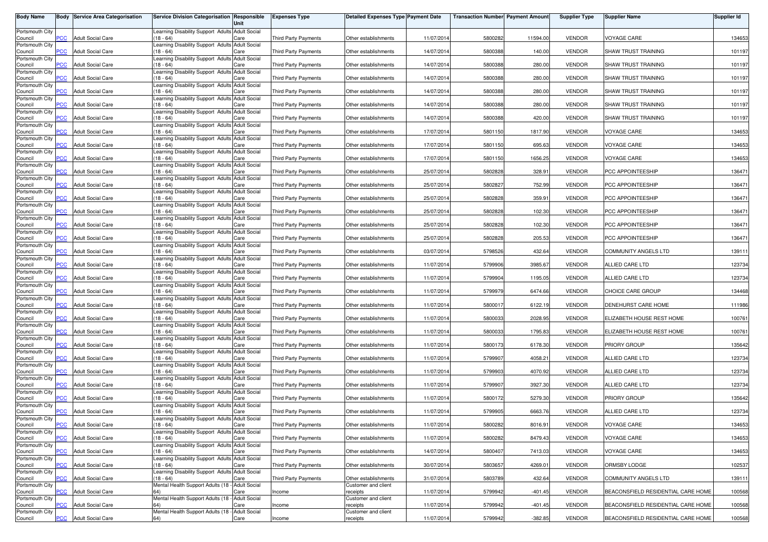| <b>Body Name</b>           |                | <b>Body Service Area Categorisation</b> | Service Division Categorisation Responsible                    | Unit                        | <b>Expenses Type</b>        | <b>Detailed Expenses Type Payment Date</b>  |            | <b>Transaction Number Payment Amount</b> |           | <b>Supplier Type</b> | <b>Supplier Name</b>               | <b>Supplier Id</b> |
|----------------------------|----------------|-----------------------------------------|----------------------------------------------------------------|-----------------------------|-----------------------------|---------------------------------------------|------------|------------------------------------------|-----------|----------------------|------------------------------------|--------------------|
| Portsmouth City            |                |                                         | Learning Disability Support Adults Adult Social                |                             |                             |                                             |            |                                          |           |                      |                                    |                    |
| Council<br>Portsmouth City | <b>PCC</b>     | <b>Adult Social Care</b>                | $(18 - 64)$<br>earning Disability Support Adults Adult Social  | Care                        | <b>Third Party Payments</b> | Other establishments                        | 11/07/2014 | 5800282                                  | 11594.00  | <b>VENDOR</b>        | <b>/OYAGE CARE</b>                 | 134653             |
| Council                    | $\overline{C}$ | <b>Adult Social Care</b>                | $18 - 64$                                                      | Care                        | <b>Third Party Payments</b> | Other establishments                        | 14/07/2014 | 5800388                                  | 140.00    | <b>VENDOR</b>        | SHAW TRUST TRAINING                | 101197             |
| Portsmouth City<br>Council | PCC            | <b>Adult Social Care</b>                | Learning Disability Support Adults Adult Social<br>(18 - 64)   | Care                        | <b>Third Party Payments</b> | Other establishments                        | 14/07/2014 | 5800388                                  | 280.00    | <b>VENDOR</b>        | SHAW TRUST TRAINING                | 101197             |
| Portsmouth City            |                |                                         | Learning Disability Support Adults Adult Social                |                             |                             |                                             |            |                                          |           |                      |                                    |                    |
| Council<br>Portsmouth City | <b>PCC</b>     | <b>Adult Social Care</b>                | $18 - 64$<br>Learning Disability Support Adults                | Care<br><b>Adult Social</b> | <b>Third Party Payments</b> | Other establishments                        | 14/07/2014 | 5800388                                  | 280.00    | <b>VENDOR</b>        | SHAW TRUST TRAINING                | 101197             |
| Council<br>Portsmouth City | PCC            | <b>Adult Social Care</b>                | $(18 - 64)$<br>Learning Disability Support Adults Adult Social | Care                        | <b>Third Party Payments</b> | Other establishments                        | 14/07/2014 | 5800388                                  | 280.00    | <b>VENDOR</b>        | SHAW TRUST TRAINING                | 101197             |
| Council                    | PCC            | <b>Adult Social Care</b>                | $(18 - 64)$                                                    | Care                        | Third Party Payments        | Other establishments                        | 14/07/2014 | 580038                                   | 280.00    | <b>VENDOR</b>        | SHAW TRUST TRAINING                | 101197             |
| Portsmouth City<br>Council | PСC            | <b>Adult Social Care</b>                | Learning Disability Support Adults Adult Social<br>(18 - 64)   | Care                        | Third Party Payments        | Other establishments                        | 14/07/2014 | 5800388                                  | 420.00    | <b>VENDOR</b>        | SHAW TRUST TRAINING                | 101197             |
| Portsmouth City            |                |                                         | Learning Disability Support Adults Adult Social                |                             |                             |                                             |            |                                          |           |                      |                                    |                    |
| Council<br>Portsmouth City | $\overline{C}$ | <b>Adult Social Care</b>                | $(18 - 64)$<br>Learning Disability Support Adults Adult Social | Care                        | <b>Third Party Payments</b> | Other establishments                        | 17/07/2014 | 5801150                                  | 1817.90   | <b>VENDOR</b>        | VOYAGE CARE                        | 134653             |
| Council<br>Portsmouth City | сC             | <b>Adult Social Care</b>                | $18 - 64$<br>Learning Disability Support Adults Adult Social   | Care                        | <b>Third Party Payments</b> | Other establishments                        | 17/07/2014 | 5801150                                  | 695.63    | <b>VENDOR</b>        | VOYAGE CARE                        | 134653             |
| Council                    | PCC            | <b>Adult Social Care</b>                | $18 - 64$                                                      | Care                        | <b>Third Party Payments</b> | Other establishments                        | 17/07/2014 | 5801150                                  | 1656.25   | <b>VENDOR</b>        | VOYAGE CARE                        | 134653             |
| Portsmouth City<br>Council | <b>PCC</b>     | Adult Social Care                       | Learning Disability Support Adults Adult Social<br>$18 - 64$   | Care                        | <b>Third Party Payments</b> | Other establishments                        | 25/07/2014 | 5802828                                  | 328.91    | <b>VENDOR</b>        | PCC APPOINTEESHIP                  | 136471             |
| Portsmouth City            | PCC            |                                         | Learning Disability Support Adults Adult Social<br>$(18 - 64)$ |                             |                             |                                             | 25/07/2014 |                                          | 752.99    | <b>VENDOR</b>        | PCC APPOINTEESHIP                  |                    |
| Council<br>Portsmouth City |                | <b>Adult Social Care</b>                | Learning Disability Support Adults Adult Social                | Care                        | <b>Third Party Payments</b> | Other establishments                        |            | 5802827                                  |           |                      |                                    | 136471             |
| Council<br>Portsmouth City | PCC            | <b>Adult Social Care</b>                | $(18 - 64)$<br>Learning Disability Support Adults Adult Social | Care                        | <b>Third Party Payments</b> | Other establishments                        | 25/07/2014 | 5802828                                  | 359.91    | <b>VENDOR</b>        | PCC APPOINTEESHIP                  | 136471             |
| Council                    | PCC            | <b>Adult Social Care</b>                | $(18 - 64)$                                                    | Care                        | <b>Third Party Payments</b> | Other establishments                        | 25/07/2014 | 5802828                                  | 102.30    | <b>VENDOR</b>        | PCC APPOINTEESHIP                  | 136471             |
| Portsmouth City<br>Council | PCC            | <b>Adult Social Care</b>                | Learning Disability Support Adults Adult Social<br>$(18 - 64)$ | Care                        | Third Party Payments        | Other establishments                        | 25/07/2014 | 5802828                                  | 102.30    | <b>VENDOR</b>        | PCC APPOINTEESHIP                  | 136471             |
| Portsmouth City<br>Council | <b>PCC</b>     | <b>Adult Social Care</b>                | Learning Disability Support Adults Adult Social<br>$18 - 64$   | Care                        | <b>Third Party Payments</b> | Other establishments                        | 25/07/2014 | 5802828                                  | 205.53    | <b>VENDOR</b>        | PCC APPOINTEESHIP                  | 136471             |
| Portsmouth City            |                |                                         | Learning Disability Support Adults Adult Social                |                             |                             |                                             |            |                                          |           |                      |                                    |                    |
| Council<br>Portsmouth City | PCC            | <b>Adult Social Care</b>                | $18 - 64$<br>Learning Disability Support Adults Adult Social   | Care                        | <b>Third Party Payments</b> | Other establishments                        | 03/07/2014 | 5798526                                  | 432.64    | <b>VENDOR</b>        | COMMUNITY ANGELS LTD               | 139111             |
| Council                    | сC             | <b>Adult Social Care</b>                | $18 - 64$                                                      | Care                        | <b>Third Party Payments</b> | Other establishments                        | 11/07/2014 | 5799906                                  | 3985.67   | <b>VENDOR</b>        | ALLIED CARE LTD                    | 123734             |
| Portsmouth City<br>Council | PCC            | <b>Adult Social Care</b>                | Learning Disability Support Adults Adult Social<br>(18 - 64)   | Care                        | <b>Third Party Payments</b> | Other establishments                        | 11/07/2014 | 5799904                                  | 1195.05   | <b>VENDOR</b>        | ALLIED CARE LTD                    | 123734             |
| Portsmouth City<br>Council | PCC            | <b>Adult Social Care</b>                | Learning Disability Support Adults Adult Social<br>$(18 - 64)$ | Care                        | Third Party Payments        | Other establishments                        | 11/07/2014 | 5799979                                  | 6474.66   | <b>VENDOR</b>        | CHOICE CARE GROUP                  | 134468             |
| Portsmouth City            |                |                                         | Learning Disability Support Adults Adult Social                |                             |                             |                                             |            |                                          |           |                      |                                    |                    |
| Council<br>Portsmouth City | PCC            | <b>Adult Social Care</b>                | $(18 - 64)$<br>Learning Disability Support Adults Adult Social | Care                        | Third Party Payments        | Other establishments                        | 11/07/2014 | 5800017                                  | 6122.19   | <b>VENDOR</b>        | DENEHURST CARE HOME                | 111986             |
| Council                    | PCC            | <b>Adult Social Care</b>                | $(18 - 64)$                                                    | Care                        | <b>Third Party Payments</b> | Other establishments                        | 11/07/2014 | 5800033                                  | 2028.95   | <b>VENDOR</b>        | ELIZABETH HOUSE REST HOME          | 100761             |
| Portsmouth City<br>Council | PCC            | <b>Adult Social Care</b>                | Learning Disability Support Adults Adult Social<br>$18 - 64$   | Care                        | Third Party Payments        | Other establishments                        | 11/07/2014 | 580003                                   | 1795.83   | <b>VENDOR</b>        | ELIZABETH HOUSE REST HOME          | 100761             |
| Portsmouth City<br>Council | PCC            | <b>Adult Social Care</b>                | Learning Disability Support Adults Adult Social<br>$(18 - 64)$ | Care                        | Third Party Payments        | Other establishments                        | 11/07/2014 | 5800173                                  | 6178.30   | <b>VENDOR</b>        | PRIORY GROUP                       | 135642             |
| Portsmouth City            |                |                                         | Learning Disability Support Adults Adult Social                |                             |                             |                                             |            |                                          |           |                      |                                    |                    |
| Council<br>Portsmouth City | °СС            | <b>Adult Social Care</b>                | $(18 - 64)$<br>Learning Disability Support Adults Adult Social | Care                        | <b>Third Party Payments</b> | Other establishments                        | 11/07/2014 | 5799907                                  | 4058.21   | <b>VENDOR</b>        | ALLIED CARE LTD                    | 123734             |
| Council<br>Portsmouth City | PCC            | <b>Adult Social Care</b>                | $(18 - 64)$<br>Learning Disability Support Adults Adult Social | Care                        | <b>Third Party Payments</b> | Other establishments                        | 11/07/2014 | 5799903                                  | 4070.92   | <b>VENDOR</b>        | ALLIED CARE LTD                    | 123734             |
| Council                    | <b>CC</b>      | <b>Adult Social Care</b>                | 18 - 64)                                                       | Care                        | <b>Third Party Payments</b> | Other establishments                        | 11/07/2014 | 5799907                                  | 3927.30   | <b>VENDOR</b>        | ALLIED CARE LTD                    | 123734             |
| Portsmouth City<br>Council | PCC            | <b>Adult Social Care</b>                | Learning Disability Support Adults Adult Social<br>$(18 - 64)$ | Care                        | <b>Third Party Payments</b> | Other establishments                        | 11/07/2014 | 5800172                                  | 5279.30   | <b>VENDOR</b>        | PRIORY GROUP                       | 135642             |
| Portsmouth City            |                |                                         | Learning Disability Support Adults Adult Social                |                             |                             |                                             |            |                                          |           |                      |                                    |                    |
| Council<br>Portsmouth City | PCC            | <b>Adult Social Care</b>                | 18 - 64)<br>Learning Disability Support Adults Adult Social    | Care                        | Third Party Payments        | Other establishments                        | 11/07/2014 | 5799905                                  | 6663.76   | <b>VENDOR</b>        | ALLIED CARE LTD                    | 123734             |
| Council<br>Portsmouth City | <b>PCC</b>     | <b>Adult Social Care</b>                | $(18 - 64)$<br>Learning Disability Support Adults Adult Social | Care                        | Third Party Payments        | Other establishments                        | 11/07/2014 | 5800282                                  | 8016.91   | <b>VENDOR</b>        | <b>VOYAGE CARE</b>                 | 134653             |
| Council                    | PCC            | <b>Adult Social Care</b>                | $(18 - 64)$                                                    | Care                        | Third Party Payments        | Other establishments                        | 11/07/2014 | 5800282                                  | 8479.43   | <b>VENDOR</b>        | VOYAGE CARE                        | 134653             |
| Portsmouth City<br>Council | PCC            | <b>Adult Social Care</b>                | Learning Disability Support Adults Adult Social<br>$(18 - 64)$ | Care                        | Third Party Payments        | Other establishments                        | 14/07/2014 | 5800407                                  | 7413.03   | <b>VENDOR</b>        | VOYAGE CARE                        | 134653             |
| Portsmouth City<br>Council | PCC            | <b>Adult Social Care</b>                | Learning Disability Support Adults Adult Social<br>(18 - 64)   | Care                        | Third Party Payments        | Other establishments                        | 30/07/2014 | 5803657                                  | 4269.01   | <b>VENDOR</b>        | ORMSBY LODGE                       | 102537             |
| Portsmouth City            |                |                                         | Learning Disability Support Adults Adult Social                |                             |                             |                                             |            |                                          |           |                      |                                    |                    |
| Council<br>Portsmouth City | <b>PCC</b>     | <b>Adult Social Care</b>                | $(18 - 64)$<br>Mental Health Support Adults (18 - Adult Social | Care                        | <b>Third Party Payments</b> | Other establishments<br>Customer and client | 31/07/2014 | 5803789                                  | 432.64    | <b>VENDOR</b>        | COMMUNITY ANGELS LTD               | 139111             |
| Council                    | PCC            | <b>Adult Social Care</b>                |                                                                | Care                        | Income                      | receipts                                    | 11/07/2014 | 5799942                                  | $-401.45$ | <b>VENDOR</b>        | BEACONSFIELD RESIDENTIAL CARE HOME | 100568             |
| Portsmouth City<br>Council | <b>CC</b>      | <b>Adult Social Care</b>                | Mental Health Support Adults (18 - Adult Social<br>64)         | Care                        | Income                      | Customer and client<br>receipts             | 11/07/2014 | 5799942                                  | $-401.45$ | <b>VENDOR</b>        | BEACONSFIELD RESIDENTIAL CARE HOME | 100568             |
| Portsmouth City<br>Council | PCC            | <b>Adult Social Care</b>                | Mental Health Support Adults (18 - Adult Social<br>64)         | Care                        | Income                      | Customer and client<br>receipts             | 11/07/2014 | 5799942                                  | $-382.85$ | <b>VENDOR</b>        | BEACONSFIELD RESIDENTIAL CARE HOME | 100568             |
|                            |                |                                         |                                                                |                             |                             |                                             |            |                                          |           |                      |                                    |                    |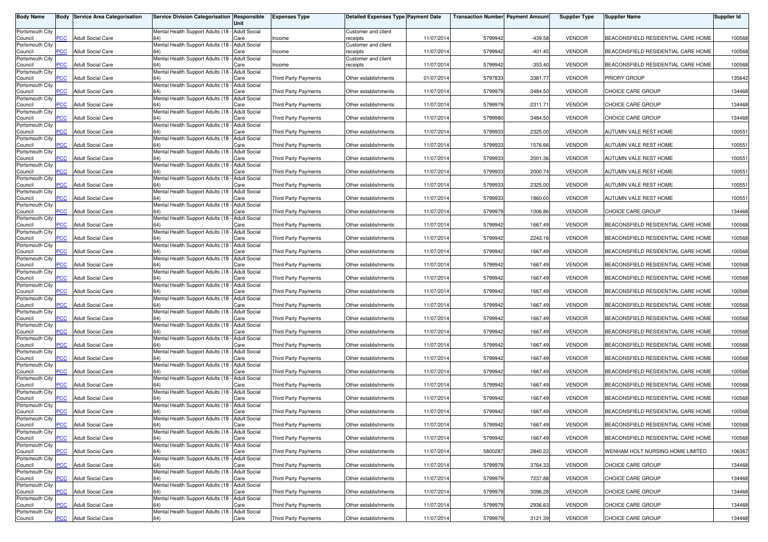| <b>Body Name</b>           | Body           | <b>Service Area Categorisation</b> | Service Division Categorisation Responsible            | Unit                        | <b>Expenses Type</b>        | Detailed Expenses Type Payment Date |            | <b>Transaction Number Payment Amount</b> |            | <b>Supplier Type</b> | <b>Supplier Name</b>               | <b>Supplier Id</b> |
|----------------------------|----------------|------------------------------------|--------------------------------------------------------|-----------------------------|-----------------------------|-------------------------------------|------------|------------------------------------------|------------|----------------------|------------------------------------|--------------------|
| Portsmouth City<br>Council | PСC            | <b>Adult Social Care</b>           | Mental Health Support Adults (18 - Adult Social        | Care                        | Income                      | Customer and client<br>eceipts      | 11/07/2014 | 5799942                                  | $-439.58$  | <b>VENDOR</b>        | BEACONSFIELD RESIDENTIAL CARE HOME | 100568             |
| Portsmouth City            |                |                                    | Mental Health Support Adults (18                       | <b>Adult Social</b>         |                             | Customer and client                 |            |                                          |            |                      |                                    |                    |
| Council<br>Portsmouth City | <b>PCC</b>     | <b>Adult Social Care</b>           | Mental Health Support Adults (18 - Adult Social        | Care                        | ncome                       | receipts<br>Customer and client     | 11/07/2014 | 5799942                                  | $-401.45$  | <b>VENDOR</b>        | BEACONSFIELD RESIDENTIAL CARE HOME | 100568             |
| Council<br>Portsmouth City | <b>PCC</b>     | <b>Adult Social Care</b>           | Mental Health Support Adults (18 - Adult Social        | Care                        | ncome                       | receipts                            | 11/07/2014 | 5799942                                  | $-353.40$  | <b>VENDOR</b>        | BEACONSFIELD RESIDENTIAL CARE HOME | 100568             |
| Council<br>Portsmouth City |                | <b>Adult Social Care</b>           | Mental Health Support Adults (18 - Adult Social        | Care                        | Third Party Payments        | Other establishments                | 01/07/2014 | 5797833                                  | 3381.77    | <b>VENDOR</b>        | <b>PRIORY GROUP</b>                | 135642             |
| Council<br>Portsmouth City | <b>PCC</b>     | <b>Adult Social Care</b>           | Mental Health Support Adults (18 - Adult Social        | Care                        | Third Party Payments        | Other establishments                | 11/07/2014 | 5799979                                  | $-3484.50$ | <b>VENDOR</b>        | CHOICE CARE GROUP                  | 134468             |
| Council<br>Portsmouth City | PСC            | <b>Adult Social Care</b>           | Mental Health Support Adults (18 - Adult Social        | Care                        | Third Party Payments        | Other establishments                | 11/07/2014 | 5799979                                  | $-2311.71$ | <b>VENDOR</b>        | CHOICE CARE GROUP                  | 134468             |
| Council                    | <b>PCC</b>     | <b>Adult Social Care</b>           | 64)                                                    | Care                        | <b>Third Party Payments</b> | Other establishments                | 11/07/201  | 5799980                                  | 3484.50    | <b>VENDOR</b>        | CHOICE CARE GROUP                  | 134468             |
| Portsmouth City<br>Council | <b>PCC</b>     | <b>Adult Social Care</b>           | Mental Health Support Adults (18 - Adult Social<br>64) | Care                        | <b>Third Party Payments</b> | Other establishments                | 11/07/2014 | 5799933                                  | 2325.00    | <b>VENDOR</b>        | AUTUMN VALE REST HOME              | 100551             |
| Portsmouth City<br>Council | <b>PCC</b>     | <b>Adult Social Care</b>           | Mental Health Support Adults (18 -                     | <b>Adult Social</b><br>Care | <b>Third Party Payments</b> | Other establishments                | 11/07/2014 | 5799933                                  | 1576.66    | <b>VENDOR</b>        | AUTUMN VALE REST HOME              | 100551             |
| Portsmouth City<br>Council | $\overline{C}$ | <b>Adult Social Care</b>           | Mental Health Support Adults (18 - Adult Social        | Care                        | Third Party Payments        | Other establishments                | 11/07/2014 | 5799933                                  | 2001.36    | <b>VENDOR</b>        | AUTUMN VALE REST HOME              | 100551             |
| Portsmouth City<br>Council | PСC            | <b>Adult Social Care</b>           | Mental Health Support Adults (18 -                     | <b>Adult Social</b><br>Care | Third Party Payments        | Other establishments                | 11/07/2014 | 5799933                                  | 2000.74    | <b>VENDOR</b>        | AUTUMN VALE REST HOME              | 100551             |
| Portsmouth City<br>Council | PCC            | <b>Adult Social Care</b>           | Mental Health Support Adults (18 - Adult Social        | Care                        | Third Party Payments        | Other establishments                | 11/07/2014 | 5799933                                  | 2325.00    | <b>VENDOR</b>        | AUTUMN VALE REST HOME              | 100551             |
| Portsmouth City            |                |                                    | Mental Health Support Adults (18 - Adult Social        |                             |                             |                                     |            |                                          |            |                      |                                    |                    |
| Council<br>Portsmouth City |                | <b>Adult Social Care</b>           | Mental Health Support Adults (18 -                     | Care<br><b>Adult Social</b> | <b>Third Party Payments</b> | Other establishments                | 11/07/2014 | 5799933                                  | 1860.00    | <b>VENDOR</b>        | AUTUMN VALE REST HOME              | 100551             |
| Council<br>Portsmouth City | PСC            | <b>Adult Social Care</b>           | Mental Health Support Adults (18 - Adult Social        | Care                        | <b>Third Party Payments</b> | Other establishments                | 11/07/201  | 5799979                                  | 1006.86    | <b>VENDOR</b>        | CHOICE CARE GROUP                  | 134468             |
| Council<br>Portsmouth City | PСC            | <b>Adult Social Care</b>           | 64)<br>Mental Health Support Adults (18 - Adult Social | Care                        | <b>Third Party Payments</b> | Other establishments                | 11/07/2014 | 5799942                                  | 1667.49    | <b>VENDOR</b>        | BEACONSFIELD RESIDENTIAL CARE HOME | 100568             |
| Council<br>Portsmouth City | PCC            | <b>Adult Social Care</b>           | 64)<br>Mental Health Support Adults (18 - Adult Social | Care                        | <b>Third Party Payments</b> | Other establishments                | 11/07/201  | 5799942                                  | 2243.16    | <b>VENDOR</b>        | BEACONSFIELD RESIDENTIAL CARE HOME | 100568             |
| Council                    | <b>PCC</b>     | <b>Adult Social Care</b>           |                                                        | Care                        | <b>Third Party Payments</b> | Other establishments                | 11/07/2014 | 5799942                                  | 1667.49    | <b>VENDOR</b>        | BEACONSFIELD RESIDENTIAL CARE HOME | 100568             |
| Portsmouth City<br>Council | PСC            | <b>Adult Social Care</b>           | Mental Health Support Adults (18                       | <b>Adult Social</b><br>Care | <b>Third Party Payments</b> | Other establishments                | 11/07/201  | 5799942                                  | 1667.49    | <b>VENDOR</b>        | BEACONSFIELD RESIDENTIAL CARE HOME | 100568             |
| Portsmouth City<br>Council | PCC            | <b>Adult Social Care</b>           | Mental Health Support Adults (18 - Adult Social        | Care                        | <b>Third Party Payments</b> | Other establishments                | 11/07/2014 | 5799942                                  | 1667.49    | <b>VENDOR</b>        | BEACONSFIELD RESIDENTIAL CARE HOME | 100568             |
| Portsmouth City<br>Council | PСC            | <b>Adult Social Care</b>           | Mental Health Support Adults (18 - Adult Social        | Care                        | Third Party Payments        | Other establishments                | 11/07/2014 | 5799942                                  | 1667.49    | <b>VENDOR</b>        | BEACONSFIELD RESIDENTIAL CARE HOME | 100568             |
| Portsmouth City<br>Council | PCC            | <b>Adult Social Care</b>           | Mental Health Support Adults (18 - Adult Social        | Care                        | Third Party Payments        | Other establishments                | 11/07/2014 | 5799942                                  | 1667.49    | <b>VENDOR</b>        | BEACONSFIELD RESIDENTIAL CARE HOME | 100568             |
| Portsmouth City<br>Council | PСC            | Adult Social Care                  | Mental Health Support Adults (18 - Adult Social        | Care                        | Third Party Payments        | Other establishments                | 11/07/201  | 5799942                                  | 1667.49    | <b>VENDOR</b>        | BEACONSFIELD RESIDENTIAL CARE HOME | 100568             |
| Portsmouth City            |                |                                    | Mental Health Support Adults (18 -                     | <b>Adult Social</b>         |                             |                                     |            |                                          |            |                      |                                    |                    |
| Council<br>Portsmouth City | PСC            | <b>Adult Social Care</b>           | Mental Health Support Adults (18 - Adult Social        | Care                        | <b>Third Party Payments</b> | Other establishments                | 11/07/201  | 5799942                                  | 1667.49    | <b>VENDOR</b>        | BEACONSFIELD RESIDENTIAL CARE HOME | 100568             |
| Council<br>Portsmouth City | PСC            | <b>Adult Social Care</b>           | 64)<br>Mental Health Support Adults (18 - Adult Social | Care                        | Third Party Payments        | Other establishments                | 11/07/2014 | 5799942                                  | 1667.49    | <b>VENDOR</b>        | BEACONSFIELD RESIDENTIAL CARE HOME | 100568             |
| Council<br>Portsmouth City | <b>PCC</b>     | <b>Adult Social Care</b>           | 64)<br>Mental Health Support Adults (18 - Adult Social | Care                        | Third Party Payments        | Other establishments                | 11/07/201  | 5799942                                  | 1667.49    | <b>VENDOR</b>        | BEACONSFIELD RESIDENTIAL CARE HOME | 100568             |
| Council<br>Portsmouth City | <b>PCC</b>     | <b>Adult Social Care</b>           | Mental Health Support Adults (18                       | Care<br><b>Adult Social</b> | Third Party Payments        | Other establishments                | 11/07/2014 | 5799942                                  | 1667.49    | <b>VENDOR</b>        | BEACONSFIELD RESIDENTIAL CARE HOME | 100568             |
| Council                    | PСC            | <b>Adult Social Care</b>           |                                                        | Care                        | <b>Third Party Payments</b> | Other establishments                | 11/07/201  | 5799942                                  | 1667.49    | <b>VENDOR</b>        | BEACONSFIELD RESIDENTIAL CARE HOME | 100568             |
| Portsmouth City<br>Council | $\overline{C}$ | <b>Adult Social Care</b>           | Mental Health Support Adults (18 - Adult Social        | Care                        | <b>Third Party Payments</b> | Other establishments                | 11/07/2014 | 5799942                                  | 1667.49    | <b>VENDOR</b>        | BEACONSFIELD RESIDENTIAL CARE HOME | 100568             |
| Portsmouth City<br>Council | $\overline{C}$ | <b>Adult Social Care</b>           | Mental Health Support Adults (18 - Adult Social        | Care                        | <b>Third Party Payments</b> | Other establishments                | 11/07/2014 | 5799942                                  | 1667.49    | <b>VENDOR</b>        | BEACONSFIELD RESIDENTIAL CARE HOME | 100568             |
| Portsmouth City<br>Council | <b>PCC</b>     | <b>Adult Social Care</b>           | Mental Health Support Adults (18 - Adult Social<br>64) | Care                        | Third Party Payments        | Other establishments                | 11/07/2014 | 5799942                                  | 1667.49    | <b>VENDOR</b>        | BEACONSFIELD RESIDENTIAL CARE HOME | 100568             |
| Portsmouth City<br>Council | <b>PCC</b>     | <b>Adult Social Care</b>           | Mental Health Support Adults (18 - Adult Social<br>64) | Care                        | <b>Third Party Payments</b> | Other establishments                | 11/07/2014 | 5799942                                  | 1667.49    | <b>VENDOR</b>        | BEACONSFIELD RESIDENTIAL CARE HOME | 100568             |
| Portsmouth City<br>Council | <b>PCC</b>     | <b>Adult Social Care</b>           | Mental Health Support Adults (18 - Adult Social<br>64) | Care                        | Third Party Payments        | Other establishments                | 11/07/2014 | 5800287                                  | 2840.22    | <b>VENDOR</b>        | WENHAM HOLT NURSING HOME LIMITED   | 106367             |
| Portsmouth City            |                |                                    | Mental Health Support Adults (18 - Adult Social        |                             |                             |                                     |            |                                          |            |                      |                                    |                    |
| Council<br>Portsmouth City | PCC            | <b>Adult Social Care</b>           | 64)<br>Mental Health Support Adults (18 - Adult Social | Care                        | Third Party Payments        | Other establishments                | 11/07/2014 | 5799979                                  | 3764.33    | VENDOR               | CHOICE CARE GROUP                  | 134468             |
| Council<br>Portsmouth City | PCC            | <b>Adult Social Care</b>           | Mental Health Support Adults (18 - Adult Social        | Care                        | Third Party Payments        | Other establishments                | 11/07/2014 | 5799979                                  | 7237.88    | <b>VENDOR</b>        | <b>CHOICE CARE GROUP</b>           | 134468             |
| Council<br>Portsmouth City | PCC            | <b>Adult Social Care</b>           | 64)<br>Mental Health Support Adults (18 - Adult Social | Care                        | Third Party Payments        | Other establishments                | 11/07/2014 | 5799979                                  | 3096.28    | <b>VENDOR</b>        | CHOICE CARE GROUP                  | 134468             |
| Council<br>Portsmouth City | сC             | <b>Adult Social Care</b>           | 64)<br>Mental Health Support Adults (18 - Adult Social | Care                        | Third Party Payments        | Other establishments                | 11/07/2014 | 5799979                                  | 2936.63    | <b>VENDOR</b>        | CHOICE CARE GROUP                  | 134468             |
| Council                    | <b>PCC</b>     | <b>Adult Social Care</b>           | 64)                                                    | Care                        | Third Party Payments        | Other establishments                | 11/07/2014 | 5799979                                  | 3121.39    | <b>VENDOR</b>        | CHOICE CARE GROUP                  | 134468             |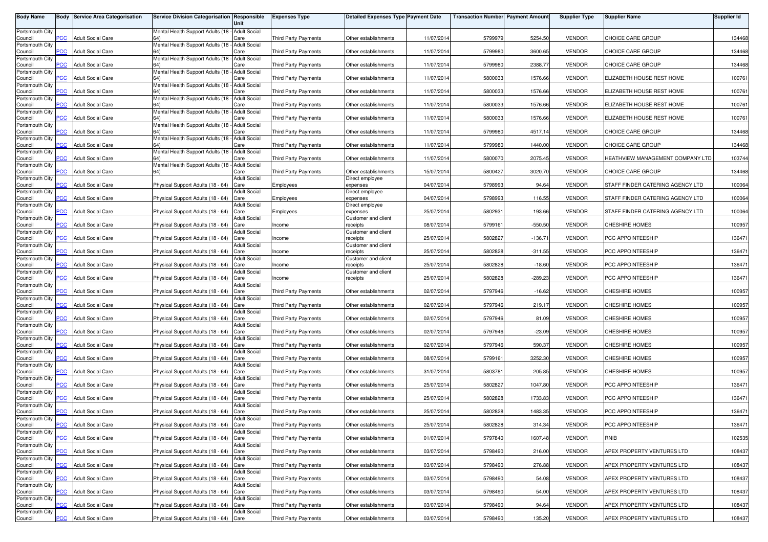| <b>Body Name</b>           |                | <b>Body Service Area Categorisation</b> | Service Division Categorisation Responsible            | Unit                        | <b>Expenses Type</b>        | <b>Detailed Expenses Type Payment Date</b> |            | <b>Transaction Number Payment Amount</b> |           | <b>Supplier Type</b> | <b>Supplier Name</b>                    | <b>Supplier Id</b> |
|----------------------------|----------------|-----------------------------------------|--------------------------------------------------------|-----------------------------|-----------------------------|--------------------------------------------|------------|------------------------------------------|-----------|----------------------|-----------------------------------------|--------------------|
| Portsmouth City            | PCC            | <b>Adult Social Care</b>                | Mental Health Support Adults (18 - Adult Social        |                             | Third Party Payments        |                                            | 11/07/2014 | 5799979                                  | 5254.50   | <b>VENDOR</b>        | CHOICE CARE GROUP                       | 134468             |
| Council<br>Portsmouth City |                |                                         | Mental Health Support Adults (18                       | Care<br><b>Adult Social</b> |                             | Other establishments                       |            |                                          |           |                      |                                         |                    |
| Council<br>Portsmouth City | <b>PCC</b>     | <b>Adult Social Care</b>                | Mental Health Support Adults (18 - Adult Social        | Care                        | <b>Third Party Payments</b> | Other establishments                       | 11/07/2014 | 5799980                                  | 3600.65   | <b>VENDOR</b>        | CHOICE CARE GROUP                       | 134468             |
| Council<br>Portsmouth City | $\overline{C}$ | <b>Adult Social Care</b>                | Mental Health Support Adults (18 -                     | Care<br><b>Adult Social</b> | <b>Third Party Payments</b> | Other establishments                       | 11/07/2014 | 5799980                                  | 2388.77   | <b>VENDOR</b>        | CHOICE CARE GROUP                       | 134468             |
| Council                    | PСC            | <b>Adult Social Care</b>                |                                                        | Care                        | <b>Third Party Payments</b> | Other establishments                       | 11/07/2014 | 580003                                   | 1576.66   | <b>VENDOR</b>        | ELIZABETH HOUSE REST HOME               | 100761             |
| Portsmouth City<br>Council | <b>PCC</b>     | <b>Adult Social Care</b>                | Mental Health Support Adults (18 -                     | <b>Adult Social</b><br>Care | <b>Third Party Payments</b> | Other establishments                       | 11/07/2014 | 580003                                   | 1576.66   | <b>VENDOR</b>        | ELIZABETH HOUSE REST HOME               | 100761             |
| Portsmouth City<br>Council | PСC            | <b>Adult Social Care</b>                | Mental Health Support Adults (18 -                     | <b>Adult Social</b><br>Care | Third Party Payments        | Other establishments                       | 11/07/2014 | 5800033                                  | 1576.66   | <b>VENDOR</b>        | ELIZABETH HOUSE REST HOME               | 100761             |
| Portsmouth City<br>Council | <b>PCC</b>     | <b>Adult Social Care</b>                | Mental Health Support Adults (18 - Adult Social<br>64) | Care                        | Third Party Payments        | Other establishments                       | 11/07/2014 | 580003                                   | 1576.66   | <b>VENDOR</b>        | ELIZABETH HOUSE REST HOME               | 100761             |
| Portsmouth City<br>Council | <b>PCC</b>     | <b>Adult Social Care</b>                | Mental Health Support Adults (18 - Adult Social<br>64) | Care                        | Third Party Payments        | Other establishments                       | 11/07/2014 | 5799980                                  | 4517.14   | <b>VENDOR</b>        | CHOICE CARE GROUP                       | 134468             |
| Portsmouth City            |                |                                         | Mental Health Support Adults (18 -                     | <b>Adult Social</b>         |                             |                                            |            |                                          |           |                      |                                         |                    |
| Council<br>Portsmouth City | <b>PCC</b>     | <b>Adult Social Care</b>                | Mental Health Support Adults (18                       | Care<br><b>Adult Social</b> | Third Party Payments        | Other establishments                       | 11/07/2014 | 5799980                                  | 1440.00   | <b>VENDOR</b>        | CHOICE CARE GROUP                       | 134468             |
| Council<br>Portsmouth City | <b>PCC</b>     | <b>Adult Social Care</b>                | Mental Health Support Adults (18                       | Care<br><b>Adult Social</b> | Third Party Payments        | Other establishments                       | 11/07/2014 | 5800070                                  | 2075.45   | <b>VENDOR</b>        | <b>HEATHVIEW MANAGEMENT COMPANY LTD</b> | 103744             |
| Council<br>Portsmouth City | PCC            | <b>Adult Social Care</b>                |                                                        | Care<br><b>Adult Social</b> | Third Party Payments        | Other establishments                       | 15/07/2014 | 5800427                                  | 3020.70   | <b>VENDOR</b>        | CHOICE CARE GROUP                       | 134468             |
| Council                    | PCC            | <b>Adult Social Care</b>                | Physical Support Adults (18 - 64)                      | Care                        | Employees                   | Direct employee<br>expenses                | 04/07/2014 | 5798993                                  | 94.64     | <b>VENDOR</b>        | STAFF FINDER CATERING AGENCY LTD        | 100064             |
| Portsmouth City<br>Council | сC             | <b>Adult Social Care</b>                | Physical Support Adults (18 - 64)                      | <b>Adult Social</b><br>Care | Employees                   | Direct employee<br>expenses                | 04/07/2014 | 5798993                                  | 116.55    | <b>VENDOR</b>        | STAFF FINDER CATERING AGENCY LTD        | 100064             |
| Portsmouth City<br>Council | PCC            | <b>Adult Social Care</b>                | Physical Support Adults (18 - 64)                      | <b>Adult Social</b><br>Care | Employees                   | Direct employee<br>expenses                | 25/07/2014 | 5802931                                  | 193.66    | <b>VENDOR</b>        | STAFF FINDER CATERING AGENCY LTD        | 100064             |
| Portsmouth City<br>Council | PCC            | <b>Adult Social Care</b>                | Physical Support Adults (18 - 64)                      | <b>Adult Social</b><br>Care | Income                      | Customer and client<br>receipts            | 08/07/2014 | 5799161                                  | $-550.50$ | <b>VENDOR</b>        | CHESHIRE HOMES                          | 100957             |
| Portsmouth City            |                |                                         |                                                        | <b>Adult Social</b>         |                             | Customer and client                        |            |                                          |           |                      |                                         |                    |
| Council<br>Portsmouth City | PCC            | <b>Adult Social Care</b>                | Physical Support Adults (18 - 64)                      | Care<br><b>Adult Social</b> | Income                      | receipts<br>Customer and client            | 25/07/2014 | 5802827                                  | $-136.71$ | <b>VENDOR</b>        | PCC APPOINTEESHIP                       | 136471             |
| Council<br>Portsmouth City | PCC            | <b>Adult Social Care</b>                | Physical Support Adults (18 - 64)                      | Care<br><b>Adult Social</b> | Income                      | receipts<br>Customer and client            | 25/07/2014 | 5802828                                  | $-311.55$ | <b>VENDOR</b>        | PCC APPOINTEESHIP                       | 136471             |
| Council<br>Portsmouth City | PСC            | <b>Adult Social Care</b>                | Physical Support Adults (18 - 64)                      | Care<br><b>Adult Social</b> | Income                      | receipts<br>Customer and client            | 25/07/2014 | 5802828                                  | $-18.60$  | <b>VENDOR</b>        | PCC APPOINTEESHIP                       | 136471             |
| Council                    | PCC            | <b>Adult Social Care</b>                | Physical Support Adults (18 - 64)                      | Care                        | Income                      | receipts                                   | 25/07/2014 | 5802828                                  | $-289.23$ | <b>VENDOR</b>        | PCC APPOINTEESHIP                       | 136471             |
| Portsmouth City<br>Council | <b>PCC</b>     | <b>Adult Social Care</b>                | Physical Support Adults (18 - 64)                      | <b>Adult Social</b><br>Care | <b>Third Party Payments</b> | Other establishments                       | 02/07/2014 | 5797946                                  | $-16.62$  | <b>VENDOR</b>        | <b>CHESHIRE HOMES</b>                   | 100957             |
| Portsmouth City<br>Council | PCC            | <b>Adult Social Care</b>                | Physical Support Adults (18 - 64)                      | <b>Adult Social</b><br>Care | <b>Third Party Payments</b> | Other establishments                       | 02/07/2014 | 5797946                                  | 219.17    | <b>VENDOR</b>        | CHESHIRE HOMES                          | 100957             |
| Portsmouth City<br>Council | PСC            | <b>Adult Social Care</b>                | Physical Support Adults (18 - 64)                      | <b>Adult Social</b><br>Care | Third Party Payments        | Other establishments                       | 02/07/2014 | 5797946                                  | 81.09     | <b>VENDOR</b>        | <b>CHESHIRE HOMES</b>                   | 100957             |
| Portsmouth City            |                |                                         |                                                        | <b>Adult Social</b>         |                             |                                            |            |                                          |           |                      |                                         |                    |
| Council<br>Portsmouth City | <b>PCC</b>     | <b>Adult Social Care</b>                | Physical Support Adults (18 - 64)                      | Care<br><b>Adult Social</b> | <b>Third Party Payments</b> | Other establishments                       | 02/07/2014 | 5797946                                  | $-23.09$  | <b>VENDOR</b>        | <b>CHESHIRE HOMES</b>                   | 100957             |
| Council<br>Portsmouth City | PСC            | <b>Adult Social Care</b>                | Physical Support Adults (18 - 64)                      | Care<br><b>Adult Social</b> | Third Party Payments        | Other establishments                       | 02/07/2014 | 5797946                                  | 590.37    | <b>VENDOR</b>        | CHESHIRE HOMES                          | 100957             |
| Council<br>Portsmouth City | <b>PCC</b>     | <b>Adult Social Care</b>                | Physical Support Adults (18 - 64)                      | Care<br><b>Adult Social</b> | Third Party Payments        | Other establishments                       | 08/07/2014 | 5799161                                  | 3252.30   | <b>VENDOR</b>        | <b>CHESHIRE HOMES</b>                   | 100957             |
| Council                    | <b>PCC</b>     | <b>Adult Social Care</b>                | Physical Support Adults (18 - 64)                      | Care                        | Third Party Payments        | Other establishments                       | 31/07/2014 | 5803781                                  | 205.85    | <b>VENDOR</b>        | CHESHIRE HOMES                          | 100957             |
| Portsmouth City<br>Council | PСC            | <b>Adult Social Care</b>                | Physical Support Adults (18 - 64)                      | <b>Adult Social</b><br>Care | <b>Third Party Payments</b> | Other establishments                       | 25/07/2014 | 5802827                                  | 1047.80   | <b>VENDOR</b>        | PCC APPOINTEESHIP                       | 136471             |
| Portsmouth City<br>Council | $\overline{C}$ | <b>Adult Social Care</b>                | Physical Support Adults (18 - 64)                      | <b>Adult Social</b><br>Care | <b>Third Party Payments</b> | Other establishments                       | 25/07/2014 | 5802828                                  | 1733.83   | <b>VENDOR</b>        | PCC APPOINTEESHIP                       | 136471             |
| Portsmouth City<br>Council | $\overline{C}$ | <b>Adult Social Care</b>                | Physical Support Adults (18 - 64)                      | <b>Adult Social</b><br>Care | Third Party Payments        | Other establishments                       | 25/07/2014 | 580282                                   | 1483.35   | <b>VENDOR</b>        | PCC APPOINTEESHIP                       | 136471             |
| Portsmouth City            |                |                                         |                                                        | <b>Adult Social</b>         |                             |                                            |            |                                          |           |                      |                                         |                    |
| Council<br>Portsmouth City | <b>PCC</b>     | <b>Adult Social Care</b>                | Physical Support Adults (18 - 64) Care                 | Adult Social                | Third Party Payments        | Other establishments                       | 25/07/2014 | 5802828                                  | 314.34    | <b>VENDOR</b>        | PCC APPOINTEESHIP                       | 136471             |
| Council<br>Portsmouth City | <b>PCC</b>     | <b>Adult Social Care</b>                | Physical Support Adults (18 - 64) Care                 | <b>Adult Social</b>         | Third Party Payments        | Other establishments                       | 01/07/2014 | 5797840                                  | 1607.48   | <b>VENDOR</b>        | RNIB                                    | 102535             |
| Council<br>Portsmouth City | <b>PCC</b>     | <b>Adult Social Care</b>                | Physical Support Adults (18 - 64) Care                 | <b>Adult Social</b>         | <b>Third Party Payments</b> | Other establishments                       | 03/07/2014 | 5798490                                  | 216.00    | <b>VENDOR</b>        | APEX PROPERTY VENTURES LTD              | 108437             |
| Council                    | <b>PCC</b>     | <b>Adult Social Care</b>                | Physical Support Adults (18 - 64) Care                 |                             | Third Party Payments        | Other establishments                       | 03/07/2014 | 5798490                                  | 276.88    | <b>VENDOR</b>        | APEX PROPERTY VENTURES LTD              | 108437             |
| Portsmouth City<br>Council | PCC            | <b>Adult Social Care</b>                | Physical Support Adults (18 - 64) Care                 | <b>Adult Social</b>         | <b>Third Party Payments</b> | Other establishments                       | 03/07/2014 | 5798490                                  | 54.08     | <b>VENDOR</b>        | APEX PROPERTY VENTURES LTD              | 108437             |
| Portsmouth City<br>Council | PCC            | <b>Adult Social Care</b>                | Physical Support Adults (18 - 64) Care                 | <b>Adult Social</b>         | Third Party Payments        | Other establishments                       | 03/07/2014 | 5798490                                  | 54.00     | <b>VENDOR</b>        | APEX PROPERTY VENTURES LTD              | 108437             |
| Portsmouth City<br>Council | PСC            | <b>Adult Social Care</b>                | Physical Support Adults (18 - 64)                      | <b>Adult Social</b><br>Care | Third Party Payments        | Other establishments                       | 03/07/2014 | 5798490                                  | 94.64     | <b>VENDOR</b>        | APEX PROPERTY VENTURES LTD              | 108437             |
| Portsmouth City            |                |                                         |                                                        | <b>Adult Social</b>         |                             |                                            |            |                                          |           |                      |                                         |                    |
| Council                    | PCC            | <b>Adult Social Care</b>                | Physical Support Adults (18 - 64) Care                 |                             | Third Party Payments        | Other establishments                       | 03/07/2014 | 5798490                                  | 135.20    | <b>VENDOR</b>        | APEX PROPERTY VENTURES LTD              | 108437             |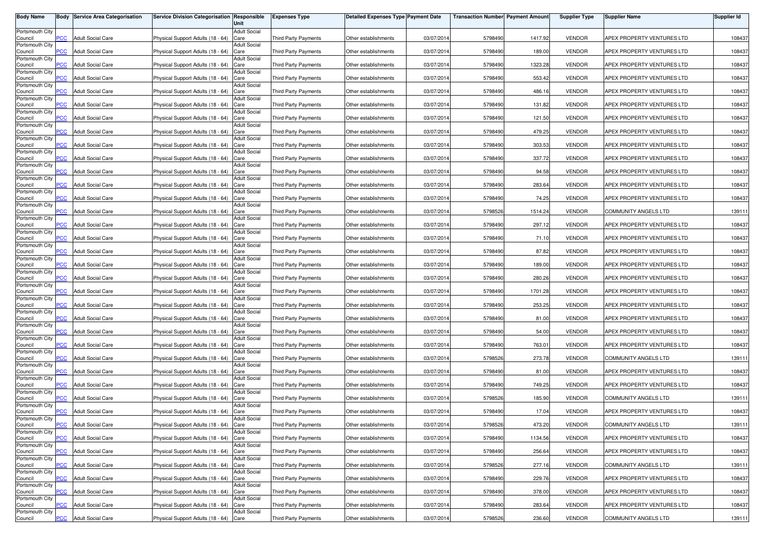| <b>Body Name</b>           |                         | <b>Body Service Area Categorisation</b> | Service Division Categorisation Responsible | Unit                        | <b>Expenses Type</b>        | <b>Detailed Expenses Type Payment Date</b> |            | <b>Transaction Number Payment Amount</b> |         | <b>Supplier Type</b> | <b>Supplier Name</b>        | <b>Supplier Id</b> |
|----------------------------|-------------------------|-----------------------------------------|---------------------------------------------|-----------------------------|-----------------------------|--------------------------------------------|------------|------------------------------------------|---------|----------------------|-----------------------------|--------------------|
| Portsmouth City            |                         |                                         |                                             | <b>Adult Social</b>         |                             |                                            |            |                                          |         |                      |                             |                    |
| Council<br>Portsmouth City | PСC                     | <b>Adult Social Care</b>                | Physical Support Adults (18 - 64)           | Care<br><b>Adult Social</b> | <b>Third Party Payments</b> | Other establishments                       | 03/07/201  | 5798490                                  | 1417.92 | <b>VENDOR</b>        | APEX PROPERTY VENTURES LTD  | 108437             |
| Council                    | $\overline{C}$          | <b>Adult Social Care</b>                | Physical Support Adults (18 - 64)           | Care                        | <b>Third Party Payments</b> | Other establishments                       | 03/07/2014 | 5798490                                  | 189.00  | <b>VENDOR</b>        | APEX PROPERTY VENTURES LTD  | 108437             |
| Portsmouth City<br>Council | <b>PCC</b>              | <b>Adult Social Care</b>                | Physical Support Adults (18 - 64)           | <b>Adult Social</b><br>Care | <b>Third Party Payments</b> | Other establishments                       | 03/07/201  | 5798490                                  | 1323.28 | <b>VENDOR</b>        | APEX PROPERTY VENTURES LTD  | 108437             |
| Portsmouth City<br>Council | <b>PCC</b>              | <b>Adult Social Care</b>                | Physical Support Adults (18 - 64)           | <b>Adult Social</b><br>Care | Third Party Payments        | Other establishments                       | 03/07/201  | 5798490                                  | 553.42  | <b>VENDOR</b>        | APEX PROPERTY VENTURES LTD  | 108437             |
| Portsmouth City            |                         |                                         |                                             | <b>Adult Social</b>         |                             |                                            |            |                                          |         |                      |                             |                    |
| Council<br>Portsmouth City | <b>PCC</b>              | <b>Adult Social Care</b>                | Physical Support Adults (18 - 64)           | Care<br><b>Adult Social</b> | <b>Third Party Payments</b> | Other establishments                       | 03/07/201  | 5798490                                  | 486.16  | <b>VENDOR</b>        | APEX PROPERTY VENTURES LTD  | 108437             |
| Council                    | <b>PCC</b>              | <b>Adult Social Care</b>                | Physical Support Adults (18 - 64)           | Care                        | Third Party Payments        | Other establishments                       | 03/07/2014 | 5798490                                  | 131.82  | <b>VENDOR</b>        | APEX PROPERTY VENTURES LTD  | 108437             |
| Portsmouth City<br>Council | $\overline{\text{PCC}}$ | <b>Adult Social Care</b>                | Physical Support Adults (18 - 64)           | <b>Adult Social</b><br>Care | Third Party Payments        | Other establishments                       | 03/07/201  | 5798490                                  | 121.50  | <b>VENDOR</b>        | APEX PROPERTY VENTURES LTD  | 108437             |
| Portsmouth City<br>Council | <b>PCC</b>              | <b>Adult Social Care</b>                | Physical Support Adults (18 - 64)           | <b>Adult Social</b><br>Care | <b>Third Party Payments</b> | Other establishments                       | 03/07/201  | 5798490                                  | 479.25  | <b>VENDOR</b>        | APEX PROPERTY VENTURES LTD  | 108437             |
| Portsmouth City<br>Council | PCC.                    | <b>Adult Social Care</b>                | Physical Support Adults (18 - 64)           | <b>Adult Social</b><br>Care | <b>Third Party Payments</b> | Other establishments                       | 03/07/201  | 5798490                                  | 303.53  | <b>VENDOR</b>        | APEX PROPERTY VENTURES LTD  | 108437             |
| Portsmouth City            |                         |                                         |                                             | <b>Adult Social</b>         |                             |                                            |            |                                          |         |                      |                             |                    |
| Council<br>Portsmouth City | $\overline{C}$          | <b>Adult Social Care</b>                | Physical Support Adults (18 - 64)           | Care<br><b>Adult Social</b> | <b>Third Party Payments</b> | Other establishments                       | 03/07/201  | 5798490                                  | 337.72  | <b>VENDOR</b>        | APEX PROPERTY VENTURES LTD  | 108437             |
| Council<br>Portsmouth City | PCC                     | <b>Adult Social Care</b>                | Physical Support Adults (18 - 64)           | Care<br>Adult Social        | Third Party Payments        | Other establishments                       | 03/07/201  | 5798490                                  | 94.58   | <b>VENDOR</b>        | APEX PROPERTY VENTURES LTD  | 108437             |
| Council                    | PCC                     | <b>Adult Social Care</b>                | Physical Support Adults (18 - 64)           | Care                        | <b>Third Party Payments</b> | Other establishments                       | 03/07/201  | 5798490                                  | 283.64  | <b>VENDOR</b>        | APEX PROPERTY VENTURES LTD  | 108437             |
| Portsmouth City<br>Council | PСC                     | <b>Adult Social Care</b>                | Physical Support Adults (18 - 64)           | <b>Adult Social</b><br>Care | <b>Third Party Payments</b> | Other establishments                       | 03/07/201  | 5798490                                  | 74.25   | <b>VENDOR</b>        | APEX PROPERTY VENTURES LTD  | 108437             |
| Portsmouth City<br>Council | PCC                     | <b>Adult Social Care</b>                | Physical Support Adults (18 - 64)           | <b>Adult Social</b><br>Care | Third Party Payments        | Other establishments                       | 03/07/201  | 5798526                                  | 1514.24 | <b>VENDOR</b>        | <b>COMMUNITY ANGELS LTD</b> | 139111             |
| Portsmouth City<br>Council | PCC                     | <b>Adult Social Care</b>                | Physical Support Adults (18 - 64)           | <b>Adult Social</b><br>Care | Third Party Payments        | Other establishments                       | 03/07/2014 | 5798490                                  | 297.12  | <b>VENDOR</b>        | APEX PROPERTY VENTURES LTD  | 108437             |
| Portsmouth City<br>Council | PCC.                    | <b>Adult Social Care</b>                | Physical Support Adults (18 - 64)           | <b>Adult Social</b><br>Care | <b>Third Party Payments</b> | Other establishments                       | 03/07/2014 | 5798490                                  | 71.10   | <b>VENDOR</b>        | APEX PROPERTY VENTURES LTD  | 108437             |
| Portsmouth City            |                         |                                         |                                             | <b>Adult Social</b>         |                             |                                            |            |                                          |         |                      |                             |                    |
| Council<br>Portsmouth City | PCC                     | <b>Adult Social Care</b>                | Physical Support Adults (18 - 64)           | Care<br><b>Adult Social</b> | <b>Third Party Payments</b> | Other establishments                       | 03/07/201  | 5798490                                  | 87.82   | <b>VENDOR</b>        | APEX PROPERTY VENTURES LTD  | 108437             |
| Council<br>Portsmouth City | PСC                     | <b>Adult Social Care</b>                | Physical Support Adults (18 - 64)           | Care<br><b>Adult Social</b> | <b>Third Party Payments</b> | Other establishments                       | 03/07/201  | 5798490                                  | 189.00  | <b>VENDOR</b>        | APEX PROPERTY VENTURES LTD  | 108437             |
| Council                    | PCC                     | <b>Adult Social Care</b>                | Physical Support Adults (18 - 64)           | Care                        | <b>Third Party Payments</b> | Other establishments                       | 03/07/201  | 5798490                                  | 280.26  | <b>VENDOR</b>        | APEX PROPERTY VENTURES LTD  | 108437             |
| Portsmouth City<br>Council | PСC                     | <b>Adult Social Care</b>                | Physical Support Adults (18 - 64)           | <b>Adult Social</b><br>Care | <b>Third Party Payments</b> | Other establishments                       | 03/07/201  | 5798490                                  | 1701.28 | <b>VENDOR</b>        | APEX PROPERTY VENTURES LTD  | 108437             |
| Portsmouth City<br>Council | PСC                     | <b>Adult Social Care</b>                | Physical Support Adults (18 - 64)           | Adult Social<br>Care        | <b>Third Party Payments</b> | Other establishments                       | 03/07/201  | 5798490                                  | 253.25  | <b>VENDOR</b>        | APEX PROPERTY VENTURES LTD  | 108437             |
| Portsmouth City<br>Council | PСC                     | <b>Adult Social Care</b>                | Physical Support Adults (18 - 64)           | <b>Adult Social</b><br>Care | Third Party Payments        | Other establishments                       | 03/07/201  | 5798490                                  | 81.00   | <b>VENDOR</b>        | APEX PROPERTY VENTURES LTD  | 108437             |
| Portsmouth City<br>Council | PCC.                    | <b>Adult Social Care</b>                | Physical Support Adults (18 - 64)           | <b>Adult Social</b><br>Care | Third Party Payments        | Other establishments                       | 03/07/201  | 5798490                                  | 54.00   | <b>VENDOR</b>        | APEX PROPERTY VENTURES LTD  | 108437             |
| Portsmouth City<br>Council | <b>PCC</b>              | <b>Adult Social Care</b>                | Physical Support Adults (18 - 64)           | <b>Adult Social</b><br>Care | Third Party Payments        | Other establishments                       | 03/07/2014 | 5798490                                  | 763.01  | <b>VENDOR</b>        | APEX PROPERTY VENTURES LTD  | 108437             |
| Portsmouth City            | PCC.                    | <b>Adult Social Care</b>                | Physical Support Adults (18 - 64)           | <b>Adult Social</b><br>Care | <b>Third Party Payments</b> | Other establishments                       | 03/07/201  | 5798526                                  | 273.78  | <b>VENDOR</b>        | COMMUNITY ANGELS LTD        | 139111             |
| Council<br>Portsmouth City |                         |                                         |                                             | <b>Adult Social</b>         |                             |                                            |            |                                          |         |                      |                             |                    |
| Council<br>Portsmouth City | $\overline{C}$          | <b>Adult Social Care</b>                | Physical Support Adults (18 - 64)           | Care<br><b>Adult Social</b> | <b>Third Party Payments</b> | Other establishments                       | 03/07/201  | 5798490                                  | 81.00   | <b>VENDOR</b>        | APEX PROPERTY VENTURES LTD  | 108437             |
| Council                    | сC                      | <b>Adult Social Care</b>                | Physical Support Adults (18 - 64)           | Care                        | <b>Third Party Payments</b> | Other establishments                       | 03/07/2014 | 5798490                                  | 749.25  | <b>VENDOR</b>        | APEX PROPERTY VENTURES LTD  | 108437             |
| Portsmouth City<br>Council | <b>PCC</b>              | <b>Adult Social Care</b>                | Physical Support Adults (18 - 64)           | <b>Adult Social</b><br>Care | Third Party Payments        | Other establishments                       | 03/07/201  | 5798526                                  | 185.90  | <b>VENDOR</b>        | <b>COMMUNITY ANGELS LTD</b> | 139111             |
| Portsmouth City<br>Council | $\overline{C}$          | <b>Adult Social Care</b>                | Physical Support Adults (18 - 64)           | <b>Adult Social</b><br>Care | <b>Third Party Payments</b> | Other establishments                       | 03/07/201  | 5798490                                  | 17.04   | <b>VENDOR</b>        | APEX PROPERTY VENTURES LTD  | 108437             |
| Portsmouth City            |                         |                                         |                                             | Adult Social                |                             |                                            |            |                                          |         |                      |                             |                    |
| Council<br>Portsmouth City | <b>PCC</b>              | <b>Adult Social Care</b>                | Physical Support Adults (18 - 64) Care      | <b>Adult Social</b>         | Third Party Payments        | Other establishments                       | 03/07/2014 | 5798526                                  | 473.20  | <b>VENDOR</b>        | COMMUNITY ANGELS LTD        | 139111             |
| Council<br>Portsmouth City | <b>PCC</b>              | <b>Adult Social Care</b>                | Physical Support Adults (18 - 64) Care      | <b>Adult Social</b>         | <b>Third Party Payments</b> | Other establishments                       | 03/07/2014 | 5798490                                  | 1134.56 | <b>VENDOR</b>        | APEX PROPERTY VENTURES LTD  | 108437             |
| Council                    | <b>PCC</b>              | <b>Adult Social Care</b>                | Physical Support Adults (18 - 64) Care      | <b>Adult Social</b>         | Third Party Payments        | Other establishments                       | 03/07/2014 | 5798490                                  | 256.64  | <b>VENDOR</b>        | APEX PROPERTY VENTURES LTD  | 108437             |
| Portsmouth City<br>Council | PCC                     | <b>Adult Social Care</b>                | Physical Support Adults (18 - 64) Care      |                             | Third Party Payments        | Other establishments                       | 03/07/2014 | 5798526                                  | 277.16  | <b>VENDOR</b>        | <b>COMMUNITY ANGELS LTD</b> | 139111             |
| Portsmouth City<br>Council | PСC                     | <b>Adult Social Care</b>                | Physical Support Adults (18 - 64) Care      | <b>Adult Social</b>         | <b>Third Party Payments</b> | Other establishments                       | 03/07/2014 | 5798490                                  | 229.76  | <b>VENDOR</b>        | APEX PROPERTY VENTURES LTD  | 108437             |
| Portsmouth City<br>Council | PCC                     | <b>Adult Social Care</b>                | Physical Support Adults (18 - 64) Care      | <b>Adult Social</b>         | Third Party Payments        | Other establishments                       | 03/07/2014 | 5798490                                  | 378.00  | <b>VENDOR</b>        | APEX PROPERTY VENTURES LTD  | 108437             |
| Portsmouth City            |                         |                                         |                                             | <b>Adult Social</b>         |                             |                                            |            |                                          |         |                      |                             |                    |
| Council<br>Portsmouth City | PСC                     | <b>Adult Social Care</b>                | Physical Support Adults (18 - 64) Care      | <b>Adult Social</b>         | <b>Third Party Payments</b> | Other establishments                       | 03/07/2014 | 5798490                                  | 283.64  | <b>VENDOR</b>        | APEX PROPERTY VENTURES LTD  | 108437             |
| Council                    | <b>PCC</b>              | <b>Adult Social Care</b>                | Physical Support Adults (18 - 64) Care      |                             | Third Party Payments        | Other establishments                       | 03/07/2014 | 5798526                                  | 236.60  | <b>VENDOR</b>        | COMMUNITY ANGELS LTD        | 139111             |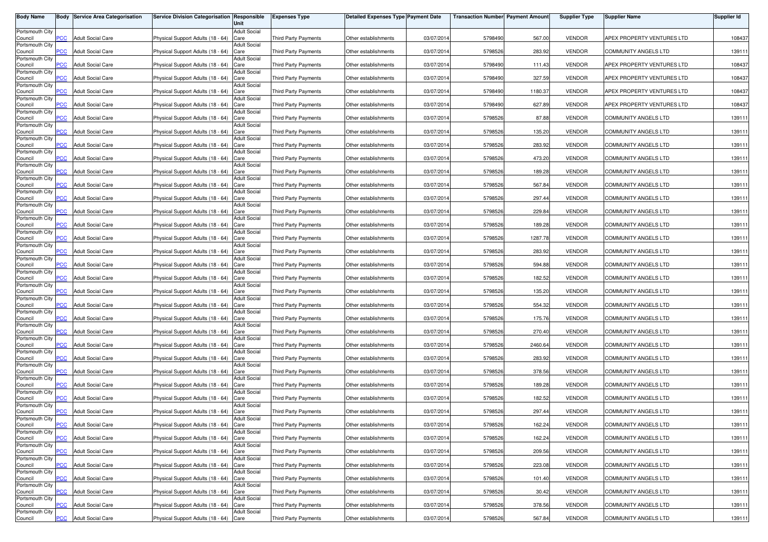| <b>Body Name</b>           |                         | <b>Body Service Area Categorisation</b> | Service Division Categorisation Responsible | Unit                        | <b>Expenses Type</b>        | <b>Detailed Expenses Type Payment Date</b> |            | <b>Transaction Number Payment Amount</b> |         | <b>Supplier Type</b> | <b>Supplier Name</b>        | <b>Supplier Id</b> |
|----------------------------|-------------------------|-----------------------------------------|---------------------------------------------|-----------------------------|-----------------------------|--------------------------------------------|------------|------------------------------------------|---------|----------------------|-----------------------------|--------------------|
| Portsmouth City            |                         |                                         |                                             | <b>Adult Social</b>         |                             |                                            |            |                                          |         |                      |                             |                    |
| Council<br>Portsmouth City | PCC                     | <b>Adult Social Care</b>                | Physical Support Adults (18 - 64)           | Care<br><b>Adult Social</b> | <b>Third Party Payments</b> | Other establishments                       | 03/07/201  | 5798490                                  | 567.00  | <b>VENDOR</b>        | APEX PROPERTY VENTURES LTD  | 108437             |
| Council                    | $\overline{C}$          | <b>Adult Social Care</b>                | Physical Support Adults (18 - 64)           | Care                        | Third Party Payments        | Other establishments                       | 03/07/2014 | 5798526                                  | 283.92  | <b>VENDOR</b>        | COMMUNITY ANGELS LTD        | 139111             |
| Portsmouth City<br>Council | <b>PCC</b>              | <b>Adult Social Care</b>                | Physical Support Adults (18 - 64)           | <b>Adult Social</b><br>Care | Third Party Payments        | Other establishments                       | 03/07/201  | 5798490                                  | 111.43  | <b>VENDOR</b>        | APEX PROPERTY VENTURES LTD  | 108437             |
| Portsmouth City<br>Council | <b>PCC</b>              | <b>Adult Social Care</b>                | Physical Support Adults (18 - 64)           | <b>Adult Social</b><br>Care | Third Party Payments        | Other establishments                       | 03/07/201  | 5798490                                  | 327.59  | <b>VENDOR</b>        | APEX PROPERTY VENTURES LTD  | 108437             |
| Portsmouth City            |                         |                                         |                                             | <b>Adult Social</b>         |                             |                                            |            |                                          |         |                      |                             |                    |
| Council<br>Portsmouth City | <b>PCC</b>              | <b>Adult Social Care</b>                | Physical Support Adults (18 - 64)           | Care<br><b>Adult Social</b> | <b>Third Party Payments</b> | Other establishments                       | 03/07/201  | 5798490                                  | 1180.37 | <b>VENDOR</b>        | APEX PROPERTY VENTURES LTD  | 108437             |
| Council<br>Portsmouth City | <b>PCC</b>              | <b>Adult Social Care</b>                | Physical Support Adults (18 - 64)           | Care<br><b>Adult Social</b> | Third Party Payments        | Other establishments                       | 03/07/2014 | 5798490                                  | 627.89  | <b>VENDOR</b>        | APEX PROPERTY VENTURES LTD  | 108437             |
| Council                    | $\overline{\text{PCC}}$ | <b>Adult Social Care</b>                | Physical Support Adults (18 - 64)           | Care                        | Third Party Payments        | Other establishments                       | 03/07/201  | 5798526                                  | 87.88   | <b>VENDOR</b>        | <b>COMMUNITY ANGELS LTD</b> | 139111             |
| Portsmouth City<br>Council | <b>PCC</b>              | <b>Adult Social Care</b>                | Physical Support Adults (18 - 64)           | <b>Adult Social</b><br>Care | <b>Third Party Payments</b> | Other establishments                       | 03/07/201  | 5798526                                  | 135.20  | <b>VENDOR</b>        | COMMUNITY ANGELS LTD        | 139111             |
| Portsmouth City<br>Council | PCC.                    | <b>Adult Social Care</b>                | Physical Support Adults (18 - 64)           | <b>Adult Social</b><br>Care | <b>Third Party Payments</b> | Other establishments                       | 03/07/201  | 5798526                                  | 283.92  | <b>VENDOR</b>        | COMMUNITY ANGELS LTD        | 139111             |
| Portsmouth City<br>Council | $\overline{C}$          | <b>Adult Social Care</b>                | Physical Support Adults (18 - 64)           | <b>Adult Social</b><br>Care | <b>Third Party Payments</b> | Other establishments                       | 03/07/2014 | 5798526                                  | 473.20  | <b>VENDOR</b>        | COMMUNITY ANGELS LTD        | 139111             |
| Portsmouth City<br>Council | PCC                     | <b>Adult Social Care</b>                | Physical Support Adults (18 - 64)           | <b>Adult Social</b><br>Care | Third Party Payments        | Other establishments                       | 03/07/201  | 5798526                                  | 189.28  | <b>VENDOR</b>        | <b>COMMUNITY ANGELS LTD</b> | 139111             |
| Portsmouth City<br>Council | PCC                     | <b>Adult Social Care</b>                | Physical Support Adults (18 - 64)           | Adult Social<br>Care        | Third Party Payments        | Other establishments                       | 03/07/201  | 5798526                                  | 567.84  | <b>VENDOR</b>        | COMMUNITY ANGELS LTD        | 139111             |
| Portsmouth City            |                         |                                         |                                             | <b>Adult Social</b>         |                             |                                            |            |                                          |         |                      |                             |                    |
| Council<br>Portsmouth City | PСC                     | <b>Adult Social Care</b>                | Physical Support Adults (18 - 64)           | Care<br><b>Adult Social</b> | <b>Third Party Payments</b> | Other establishments                       | 03/07/201  | 5798526                                  | 297.44  | <b>VENDOR</b>        | <b>COMMUNITY ANGELS LTD</b> | 139111             |
| Council<br>Portsmouth City | PCC                     | <b>Adult Social Care</b>                | Physical Support Adults (18 - 64)           | Care<br><b>Adult Social</b> | Third Party Payments        | Other establishments                       | 03/07/201  | 5798526                                  | 229.8   | <b>VENDOR</b>        | <b>COMMUNITY ANGELS LTD</b> | 139111             |
| Council                    | PCC                     | <b>Adult Social Care</b>                | Physical Support Adults (18 - 64)           | Care<br><b>Adult Social</b> | Third Party Payments        | Other establishments                       | 03/07/2014 | 5798526                                  | 189.28  | <b>VENDOR</b>        | <b>COMMUNITY ANGELS LTD</b> | 139111             |
| Portsmouth City<br>Council | PCC.                    | <b>Adult Social Care</b>                | Physical Support Adults (18 - 64)           | Care                        | <b>Third Party Payments</b> | Other establishments                       | 03/07/2014 | 5798526                                  | 1287.78 | <b>VENDOR</b>        | COMMUNITY ANGELS LTD        | 139111             |
| Portsmouth City<br>Council | PCC                     | <b>Adult Social Care</b>                | Physical Support Adults (18 - 64)           | <b>Adult Social</b><br>Care | Third Party Payments        | Other establishments                       | 03/07/201  | 5798526                                  | 283.92  | <b>VENDOR</b>        | <b>COMMUNITY ANGELS LTD</b> | 139111             |
| Portsmouth City<br>Council | PСC                     | <b>Adult Social Care</b>                | Physical Support Adults (18 - 64)           | <b>Adult Social</b><br>Care | <b>Third Party Payments</b> | Other establishments                       | 03/07/2014 | 5798526                                  | 594.88  | <b>VENDOR</b>        | COMMUNITY ANGELS LTD        | 139111             |
| Portsmouth City<br>Council | PCC                     | <b>Adult Social Care</b>                | Physical Support Adults (18 - 64)           | <b>Adult Social</b><br>Care | <b>Third Party Payments</b> | Other establishments                       | 03/07/201  | 5798526                                  | 182.52  | <b>VENDOR</b>        | COMMUNITY ANGELS LTD        | 139111             |
| Portsmouth City<br>Council | PСC                     | <b>Adult Social Care</b>                | Physical Support Adults (18 - 64)           | <b>Adult Social</b><br>Care | <b>Third Party Payments</b> | Other establishments                       | 03/07/201  | 5798526                                  | 135.20  | <b>VENDOR</b>        | <b>COMMUNITY ANGELS LTD</b> | 139111             |
| Portsmouth City<br>Council | PСC                     | <b>Adult Social Care</b>                | Physical Support Adults (18 - 64)           | Adult Social<br>Care        | <b>Third Party Payments</b> | Other establishments                       | 03/07/201  | 5798526                                  | 554.32  | <b>VENDOR</b>        | COMMUNITY ANGELS LTD        | 139111             |
| Portsmouth City<br>Council | PСC                     | <b>Adult Social Care</b>                | Physical Support Adults (18 - 64)           | <b>Adult Social</b><br>Care | Third Party Payments        | Other establishments                       | 03/07/201  | 5798526                                  | 175.76  | <b>VENDOR</b>        | <b>COMMUNITY ANGELS LTD</b> | 139111             |
| Portsmouth City<br>Council | PCC.                    | <b>Adult Social Care</b>                | Physical Support Adults (18 - 64)           | <b>Adult Social</b><br>Care | Third Party Payments        | Other establishments                       | 03/07/201  | 5798526                                  | 270.40  | <b>VENDOR</b>        | COMMUNITY ANGELS LTD        | 139111             |
| Portsmouth City<br>Council | <b>PCC</b>              | <b>Adult Social Care</b>                | Physical Support Adults (18 - 64)           | <b>Adult Social</b><br>Care | Third Party Payments        | Other establishments                       | 03/07/2014 | 5798526                                  | 2460.64 | <b>VENDOR</b>        | <b>COMMUNITY ANGELS LTD</b> | 139111             |
| Portsmouth City            |                         |                                         |                                             | <b>Adult Social</b>         |                             |                                            |            |                                          |         |                      |                             |                    |
| Council<br>Portsmouth City | PCC.                    | <b>Adult Social Care</b>                | Physical Support Adults (18 - 64)           | Care<br><b>Adult Social</b> | <b>Third Party Payments</b> | Other establishments                       | 03/07/201  | 5798526                                  | 283.92  | <b>VENDOR</b>        | COMMUNITY ANGELS LTD        | 139111             |
| Council<br>Portsmouth City | $\overline{C}$          | <b>Adult Social Care</b>                | Physical Support Adults (18 - 64)           | Care<br><b>Adult Social</b> | Third Party Payments        | Other establishments                       | 03/07/201  | 5798526                                  | 378.56  | <b>VENDOR</b>        | <b>COMMUNITY ANGELS LTD</b> | 139111             |
| Council                    | сC                      | <b>Adult Social Care</b>                | Physical Support Adults (18 - 64)           | Care                        | <b>Third Party Payments</b> | Other establishments                       | 03/07/2014 | 5798526                                  | 189.28  | <b>VENDOR</b>        | COMMUNITY ANGELS LTD        | 139111             |
| Portsmouth City<br>Council | <b>PCC</b>              | <b>Adult Social Care</b>                | Physical Support Adults (18 - 64)           | <b>Adult Social</b><br>Care | Third Party Payments        | Other establishments                       | 03/07/201  | 5798526                                  | 182.52  | <b>VENDOR</b>        | COMMUNITY ANGELS LTD        | 139111             |
| Portsmouth City<br>Council | $\overline{C}$          | <b>Adult Social Care</b>                | Physical Support Adults (18 - 64)           | <b>Adult Social</b><br>Care | <b>Third Party Payments</b> | Other establishments                       | 03/07/201  | 5798526                                  | 297.44  | <b>VENDOR</b>        | <b>COMMUNITY ANGELS LTD</b> | 139111             |
| Portsmouth City<br>Council | <b>PCC</b>              | <b>Adult Social Care</b>                | Physical Support Adults (18 - 64) Care      | Adult Social                | Third Party Payments        | Other establishments                       | 03/07/2014 | 5798526                                  | 162.24  | <b>VENDOR</b>        | COMMUNITY ANGELS LTD        | 139111             |
| Portsmouth City            | <b>PCC</b>              | <b>Adult Social Care</b>                | Physical Support Adults (18 - 64) Care      | <b>Adult Social</b>         |                             | Other establishments                       | 03/07/2014 | 5798526                                  | 162.24  | <b>VENDOR</b>        | <b>COMMUNITY ANGELS LTD</b> | 139111             |
| Council<br>Portsmouth City |                         |                                         |                                             | <b>Adult Social</b>         | <b>Third Party Payments</b> |                                            |            |                                          |         |                      |                             |                    |
| Council<br>Portsmouth City | <b>PCC</b>              | <b>Adult Social Care</b>                | Physical Support Adults (18 - 64) Care      | <b>Adult Social</b>         | Third Party Payments        | Other establishments                       | 03/07/2014 | 5798526                                  | 209.56  | <b>VENDOR</b>        | <b>COMMUNITY ANGELS LTD</b> | 139111             |
| Council<br>Portsmouth City | PCC                     | <b>Adult Social Care</b>                | Physical Support Adults (18 - 64) Care      | <b>Adult Social</b>         | Third Party Payments        | Other establishments                       | 03/07/2014 | 5798526                                  | 223.08  | <b>VENDOR</b>        | COMMUNITY ANGELS LTD        | 139111             |
| Council<br>Portsmouth City | PСC                     | <b>Adult Social Care</b>                | Physical Support Adults (18 - 64) Care      | <b>Adult Social</b>         | Third Party Payments        | Other establishments                       | 03/07/2014 | 5798526                                  | 101.40  | <b>VENDOR</b>        | COMMUNITY ANGELS LTD        | 139111             |
| Council                    | PCC                     | <b>Adult Social Care</b>                | Physical Support Adults (18 - 64) Care      |                             | Third Party Payments        | Other establishments                       | 03/07/2014 | 5798526                                  | 30.42   | <b>VENDOR</b>        | COMMUNITY ANGELS LTD        | 139111             |
| Portsmouth City<br>Council | PСC                     | <b>Adult Social Care</b>                | Physical Support Adults (18 - 64) Care      | <b>Adult Social</b>         | <b>Third Party Payments</b> | Other establishments                       | 03/07/2014 | 5798526                                  | 378.56  | <b>VENDOR</b>        | <b>COMMUNITY ANGELS LTD</b> | 139111             |
| Portsmouth City<br>Council | <b>PCC</b>              | <b>Adult Social Care</b>                | Physical Support Adults (18 - 64) Care      | <b>Adult Social</b>         | Third Party Payments        | Other establishments                       | 03/07/2014 | 5798526                                  | 567.84  | <b>VENDOR</b>        | COMMUNITY ANGELS LTD        | 139111             |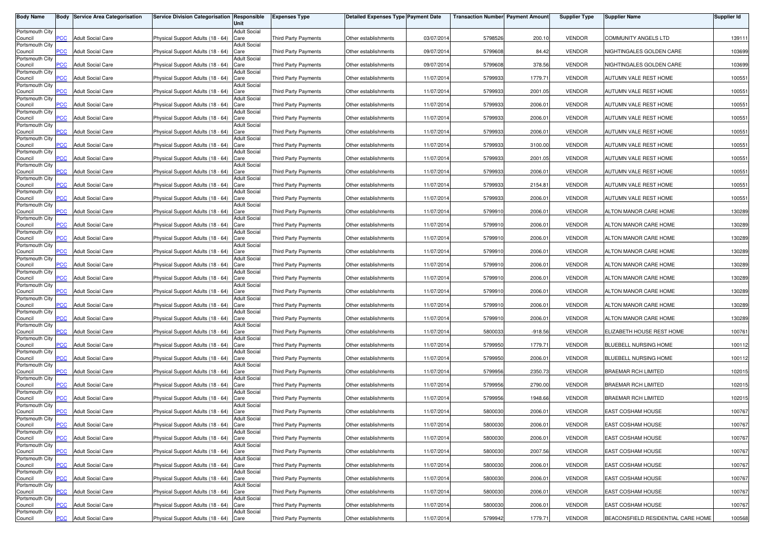| <b>Body Name</b>           |                | <b>Body Service Area Categorisation</b> | Service Division Categorisation Responsible | Unit                        | <b>Expenses Type</b>        | <b>Detailed Expenses Type Payment Date</b> |            | <b>Transaction Number Payment Amount</b> |           | <b>Supplier Type</b> | <b>Supplier Name</b>               | Supplier Id |
|----------------------------|----------------|-----------------------------------------|---------------------------------------------|-----------------------------|-----------------------------|--------------------------------------------|------------|------------------------------------------|-----------|----------------------|------------------------------------|-------------|
| Portsmouth City            |                |                                         |                                             | <b>Adult Social</b>         |                             |                                            |            |                                          |           |                      |                                    |             |
| Council<br>Portsmouth City | PCC            | <b>Adult Social Care</b>                | Physical Support Adults (18 - 64)           | Care<br><b>Adult Social</b> | Third Party Payments        | Other establishments                       | 03/07/201  | 5798526                                  | 200.10    | <b>VENDOR</b>        | COMMUNITY ANGELS LTD               | 139111      |
| Council                    | $\overline{C}$ | <b>Adult Social Care</b>                | Physical Support Adults (18 - 64)           | Care                        | Third Party Payments        | Other establishments                       | 09/07/2014 | 5799608                                  | 84.42     | <b>VENDOR</b>        | NIGHTINGALES GOLDEN CARE           | 103699      |
| Portsmouth City<br>Council | <b>PCC</b>     | <b>Adult Social Care</b>                | Physical Support Adults (18 - 64)           | <b>Adult Social</b><br>Care | Third Party Payments        | Other establishments                       | 09/07/201  | 5799608                                  | 378.56    | <b>VENDOR</b>        | NIGHTINGALES GOLDEN CARE           | 103699      |
| Portsmouth City<br>Council | <b>PCC</b>     | <b>Adult Social Care</b>                | Physical Support Adults (18 - 64)           | <b>Adult Social</b><br>Care | <b>Third Party Payments</b> | Other establishments                       | 11/07/201  | 5799933                                  | 1779.71   | <b>VENDOR</b>        | AUTUMN VALE REST HOME              | 100551      |
| Portsmouth City<br>Council | <b>PCC</b>     | <b>Adult Social Care</b>                | Physical Support Adults (18 - 64)           | <b>Adult Social</b><br>Care | <b>Third Party Payments</b> | Other establishments                       | 11/07/201  | 5799933                                  | 2001.05   | <b>VENDOR</b>        | AUTUMN VALE REST HOME              | 100551      |
| Portsmouth City            |                |                                         |                                             | <b>Adult Social</b>         |                             |                                            |            |                                          |           |                      |                                    |             |
| Council<br>Portsmouth City | <b>PCC</b>     | <b>Adult Social Care</b>                | Physical Support Adults (18 - 64)           | Care<br><b>Adult Social</b> | Third Party Payments        | Other establishments                       | 11/07/2014 | 5799933                                  | 2006.01   | <b>VENDOR</b>        | AUTUMN VALE REST HOME              | 100551      |
| Council                    | PCC            | <b>Adult Social Care</b>                | Physical Support Adults (18 - 64)           | Care                        | Third Party Payments        | Other establishments                       | 11/07/201  | 5799933                                  | 2006.01   | <b>VENDOR</b>        | AUTUMN VALE REST HOME              | 100551      |
| Portsmouth City<br>Council | <b>PCC</b>     | <b>Adult Social Care</b>                | Physical Support Adults (18 - 64)           | <b>Adult Social</b><br>Care | <b>Third Party Payments</b> | Other establishments                       | 11/07/201  | 5799933                                  | 2006.01   | <b>VENDOR</b>        | AUTUMN VALE REST HOME              | 100551      |
| Portsmouth City<br>Council | PCC.           | <b>Adult Social Care</b>                | Physical Support Adults (18 - 64)           | <b>Adult Social</b><br>Care | <b>Third Party Payments</b> | Other establishments                       | 11/07/201  | 5799933                                  | 3100.00   | <b>VENDOR</b>        | AUTUMN VALE REST HOME              | 100551      |
| Portsmouth City<br>Council | $\overline{C}$ | <b>Adult Social Care</b>                | Physical Support Adults (18 - 64)           | <b>Adult Social</b><br>Care | <b>Third Party Payments</b> | Other establishments                       | 11/07/201  | 5799933                                  | 2001.05   | <b>VENDOR</b>        | AUTUMN VALE REST HOME              | 100551      |
| Portsmouth City<br>Council | PCC            | <b>Adult Social Care</b>                | Physical Support Adults (18 - 64)           | <b>Adult Social</b><br>Care | Third Party Payments        | Other establishments                       | 11/07/201  | 5799933                                  | 2006.01   | <b>VENDOR</b>        | AUTUMN VALE REST HOME              | 100551      |
| Portsmouth City<br>Council | PCC            | <b>Adult Social Care</b>                | Physical Support Adults (18 - 64)           | Adult Social<br>Care        | Third Party Payments        | Other establishments                       | 11/07/201  | 5799933                                  | 2154.81   | <b>VENDOR</b>        | AUTUMN VALE REST HOME              | 100551      |
| Portsmouth City<br>Council | PСC            | <b>Adult Social Care</b>                | Physical Support Adults (18 - 64)           | <b>Adult Social</b><br>Care | <b>Third Party Payments</b> | Other establishments                       | 11/07/201  | 5799933                                  | 2006.01   | <b>VENDOR</b>        | AUTUMN VALE REST HOME              | 100551      |
| Portsmouth City<br>Council | PCC            | <b>Adult Social Care</b>                | Physical Support Adults (18 - 64)           | <b>Adult Social</b><br>Care | <b>Third Party Payments</b> | Other establishments                       | 11/07/201  | 5799910                                  | 2006.0    | <b>VENDOR</b>        | ALTON MANOR CARE HOME              | 130289      |
| Portsmouth City<br>Council | PCC            | <b>Adult Social Care</b>                | Physical Support Adults (18 - 64)           | <b>Adult Social</b><br>Care | Third Party Payments        | Other establishments                       | 11/07/2014 | 5799910                                  | 2006.01   | <b>VENDOR</b>        | ALTON MANOR CARE HOME              | 130289      |
| Portsmouth City            | PCC            | <b>Adult Social Care</b>                | Physical Support Adults (18 - 64)           | <b>Adult Social</b><br>Care | <b>Third Party Payments</b> | Other establishments                       | 11/07/201  | 5799910                                  | 2006.01   | <b>VENDOR</b>        | ALTON MANOR CARE HOME              | 130289      |
| Council<br>Portsmouth City |                |                                         |                                             | <b>Adult Social</b>         |                             |                                            |            |                                          |           |                      |                                    |             |
| Council<br>Portsmouth City | PCC            | <b>Adult Social Care</b>                | Physical Support Adults (18 - 64)           | Care<br><b>Adult Social</b> | <b>Third Party Payments</b> | Other establishments                       | 11/07/201  | 5799910                                  | 2006.01   | <b>VENDOR</b>        | ALTON MANOR CARE HOME              | 130289      |
| Council<br>Portsmouth City | PСC            | <b>Adult Social Care</b>                | Physical Support Adults (18 - 64)           | Care<br><b>Adult Social</b> | <b>Third Party Payments</b> | Other establishments                       | 11/07/201  | 5799910                                  | 2006.01   | <b>VENDOR</b>        | ALTON MANOR CARE HOME              | 130289      |
| Council                    | PCC            | <b>Adult Social Care</b>                | Physical Support Adults (18 - 64)           | Care                        | <b>Third Party Payments</b> | Other establishments                       | 11/07/201  | 5799910                                  | 2006.01   | <b>VENDOR</b>        | ALTON MANOR CARE HOME              | 130289      |
| Portsmouth City<br>Council | PСC            | <b>Adult Social Care</b>                | Physical Support Adults (18 - 64)           | <b>Adult Social</b><br>Care | <b>Third Party Payments</b> | Other establishments                       | 11/07/201  | 5799910                                  | 2006.01   | <b>VENDOR</b>        | ALTON MANOR CARE HOME              | 130289      |
| Portsmouth City<br>Council | PСC            | <b>Adult Social Care</b>                | Physical Support Adults (18 - 64)           | Adult Social<br>Care        | <b>Third Party Payments</b> | Other establishments                       | 11/07/201  | 5799910                                  | 2006.01   | <b>VENDOR</b>        | ALTON MANOR CARE HOME              | 130289      |
| Portsmouth City<br>Council | PСC            | <b>Adult Social Care</b>                | Physical Support Adults (18 - 64)           | <b>Adult Social</b><br>Care | <b>Third Party Payments</b> | Other establishments                       | 11/07/201  | 5799910                                  | 2006.01   | <b>VENDOR</b>        | ALTON MANOR CARE HOME              | 130289      |
| Portsmouth City<br>Council | PCC.           | <b>Adult Social Care</b>                | Physical Support Adults (18 - 64)           | <b>Adult Social</b><br>Care | Third Party Payments        | Other establishments                       | 11/07/201  | 5800033                                  | $-918.56$ | <b>VENDOR</b>        | ELIZABETH HOUSE REST HOME          | 100761      |
| Portsmouth City<br>Council | <b>PCC</b>     | <b>Adult Social Care</b>                | Physical Support Adults (18 - 64)           | <b>Adult Social</b><br>Care | Third Party Payments        | Other establishments                       | 11/07/2014 | 5799950                                  | 1779.71   | <b>VENDOR</b>        | BLUEBELL NURSING HOME              | 100112      |
| Portsmouth City<br>Council | PCC.           | <b>Adult Social Care</b>                | Physical Support Adults (18 - 64)           | <b>Adult Social</b><br>Care | <b>Third Party Payments</b> | Other establishments                       | 11/07/201  | 5799950                                  | 2006.01   | <b>VENDOR</b>        | <b>BLUEBELL NURSING HOME</b>       | 100112      |
| Portsmouth City            |                |                                         |                                             | <b>Adult Social</b>         |                             |                                            |            |                                          |           |                      |                                    |             |
| Council<br>Portsmouth City | $\overline{C}$ | <b>Adult Social Care</b>                | Physical Support Adults (18 - 64)           | Care<br><b>Adult Social</b> | <b>Third Party Payments</b> | Other establishments                       | 11/07/201  | 5799956                                  | 2350.73   | <b>VENDOR</b>        | <b>BRAEMAR RCH LIMITED</b>         | 102015      |
| Council<br>Portsmouth City | PСC            | <b>Adult Social Care</b>                | Physical Support Adults (18 - 64)           | Care<br><b>Adult Social</b> | <b>Third Party Payments</b> | Other establishments                       | 11/07/2014 | 5799956                                  | 2790.00   | <b>VENDOR</b>        | <b>BRAEMAR RCH LIMITED</b>         | 102015      |
| Council                    | <b>PCC</b>     | <b>Adult Social Care</b>                | Physical Support Adults (18 - 64)           | Care                        | Third Party Payments        | Other establishments                       | 11/07/201  | 5799956                                  | 1948.66   | <b>VENDOR</b>        | <b>BRAEMAR RCH LIMITED</b>         | 102015      |
| Portsmouth City<br>Council | $\overline{C}$ | <b>Adult Social Care</b>                | Physical Support Adults (18 - 64)           | <b>Adult Social</b><br>Care | <b>Third Party Payments</b> | Other establishments                       | 11/07/201  | 5800030                                  | 2006.01   | <b>VENDOR</b>        | EAST COSHAM HOUSE                  | 100767      |
| Portsmouth City<br>Council | <b>PCC</b>     | <b>Adult Social Care</b>                | Physical Support Adults (18 - 64) Care      | Adult Social                | Third Party Payments        | Other establishments                       | 11/07/2014 | 5800030                                  | 2006.01   | <b>VENDOR</b>        | EAST COSHAM HOUSE                  | 100767      |
| Portsmouth City<br>Council | <b>PCC</b>     | <b>Adult Social Care</b>                | Physical Support Adults (18 - 64) Care      | <b>Adult Social</b>         | Third Party Payments        | Other establishments                       | 11/07/2014 | 5800030                                  | 2006.01   | <b>VENDOR</b>        | EAST COSHAM HOUSE                  | 100767      |
| Portsmouth City<br>Council | <b>PCC</b>     | <b>Adult Social Care</b>                | Physical Support Adults (18 - 64) Care      | <b>Adult Social</b>         | Third Party Payments        | Other establishments                       | 11/07/2014 | 5800030                                  | 2007.56   | <b>VENDOR</b>        | EAST COSHAM HOUSE                  | 100767      |
| Portsmouth City<br>Council | PCC            | <b>Adult Social Care</b>                | Physical Support Adults (18 - 64)           | <b>Adult Social</b><br>Care | Third Party Payments        | Other establishments                       | 11/07/2014 | 5800030                                  | 2006.01   | <b>VENDOR</b>        | EAST COSHAM HOUSE                  | 100767      |
| Portsmouth City            |                |                                         |                                             | <b>Adult Social</b>         |                             |                                            |            |                                          |           |                      |                                    |             |
| Council<br>Portsmouth City | PСC            | <b>Adult Social Care</b>                | Physical Support Adults (18 - 64)           | Care<br><b>Adult Social</b> | <b>Third Party Payments</b> | Other establishments                       | 11/07/2014 | 5800030                                  | 2006.01   | <b>VENDOR</b>        | EAST COSHAM HOUSE                  | 100767      |
| Council<br>Portsmouth City | PCC            | <b>Adult Social Care</b>                | Physical Support Adults (18 - 64)           | Care<br><b>Adult Social</b> | Third Party Payments        | Other establishments                       | 11/07/2014 | 5800030                                  | 2006.01   | <b>VENDOR</b>        | <b>EAST COSHAM HOUSE</b>           | 100767      |
| Council<br>Portsmouth City | PСC            | <b>Adult Social Care</b>                | Physical Support Adults (18 - 64)           | Care<br><b>Adult Social</b> | <b>Third Party Payments</b> | Other establishments                       | 11/07/2014 | 5800030                                  | 2006.01   | <b>VENDOR</b>        | <b>EAST COSHAM HOUSE</b>           | 100767      |
| Council                    | <b>PCC</b>     | <b>Adult Social Care</b>                | Physical Support Adults (18 - 64) Care      |                             | Third Party Payments        | Other establishments                       | 11/07/2014 | 5799942                                  | 1779.71   | <b>VENDOR</b>        | BEACONSFIELD RESIDENTIAL CARE HOME | 100568      |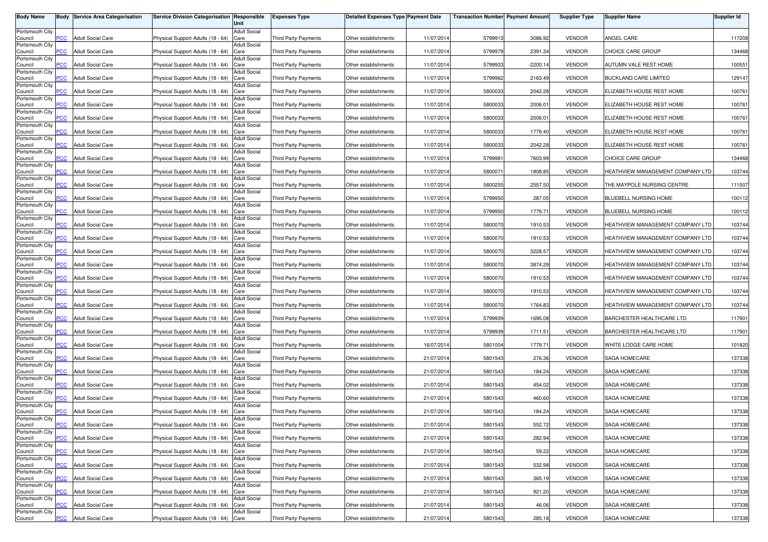| <b>Body Name</b>           | Body           | <b>Service Area Categorisation</b> | Service Division Categorisation Responsible | Unit                        | <b>Expenses Type</b>        | <b>Detailed Expenses Type Payment Date</b> |            | <b>Transaction Number Payment Amount</b> |            | <b>Supplier Type</b> | <b>Supplier Name</b>             | <b>Supplier Id</b> |
|----------------------------|----------------|------------------------------------|---------------------------------------------|-----------------------------|-----------------------------|--------------------------------------------|------------|------------------------------------------|------------|----------------------|----------------------------------|--------------------|
| Portsmouth City            |                |                                    |                                             | <b>Adult Social</b>         |                             |                                            |            |                                          |            |                      |                                  |                    |
| Council                    | PСC            | <b>Adult Social Care</b>           | Physical Support Adults (18 - 64)           | Care                        | <b>Third Party Payments</b> | Other establishments                       | 11/07/2014 | 5799913                                  | 3086.92    | <b>VENDOR</b>        | ANGEL CARE                       | 117208             |
| Portsmouth City<br>Council | <b>PCC</b>     | <b>Adult Social Care</b>           | Physical Support Adults (18 - 64)           | <b>Adult Social</b><br>Care | <b>Third Party Payments</b> | Other establishments                       | 11/07/2014 | 5799979                                  | 2391.34    | <b>VENDOR</b>        | CHOICE CARE GROUP                | 134468             |
| Portsmouth City            |                |                                    |                                             | <b>Adult Social</b>         |                             |                                            |            |                                          |            |                      |                                  |                    |
| Council<br>Portsmouth City | $\overline{C}$ | <b>Adult Social Care</b>           | Physical Support Adults (18 - 64)           | Care<br><b>Adult Social</b> | <b>Third Party Payments</b> | Other establishments                       | 11/07/2014 | 5799933                                  | $-2200.14$ | <b>VENDOR</b>        | AUTUMN VALE REST HOME            | 100551             |
| Council                    | сC             | <b>Adult Social Care</b>           | Physical Support Adults (18 - 64)           | Care                        | Third Party Payments        | Other establishments                       | 11/07/2014 | 5799962                                  | 2163.49    | <b>VENDOR</b>        | BUCKLAND CARE LIMITED            | 129147             |
| Portsmouth City<br>Council | <b>PCC</b>     | <b>Adult Social Care</b>           | Physical Support Adults (18 - 64)           | <b>Adult Social</b><br>Care | <b>Third Party Payments</b> | Other establishments                       | 11/07/201  | 5800033                                  | 2042.28    | <b>VENDOR</b>        | ELIZABETH HOUSE REST HOME        | 100761             |
| Portsmouth City            |                |                                    |                                             | <b>Adult Social</b>         |                             |                                            |            |                                          |            |                      |                                  |                    |
| Council<br>Portsmouth City | <b>PCC</b>     | <b>Adult Social Care</b>           | Physical Support Adults (18 - 64)           | Care<br><b>Adult Social</b> | Third Party Payments        | Other establishments                       | 11/07/2014 | 5800033                                  | 2006.01    | <b>VENDOR</b>        | ELIZABETH HOUSE REST HOME        | 100761             |
| Council                    | $\overline{C}$ | <b>Adult Social Care</b>           | Physical Support Adults (18 - 64)           | Care                        | <b>Third Party Payments</b> | Other establishments                       | 11/07/2014 | 5800033                                  | 2006.01    | <b>VENDOR</b>        | ELIZABETH HOUSE REST HOME        | 100761             |
| Portsmouth City<br>Council | PСC            | <b>Adult Social Care</b>           | Physical Support Adults (18 - 64)           | <b>Adult Social</b><br>Care | Third Party Payments        | Other establishments                       | 11/07/2014 | 5800033                                  | 1779.40    | <b>VENDOR</b>        | ELIZABETH HOUSE REST HOME        | 100761             |
| Portsmouth City            |                |                                    |                                             | <b>Adult Social</b>         |                             |                                            |            |                                          |            |                      |                                  |                    |
| Council<br>Portsmouth City | сc             | <b>Adult Social Care</b>           | Physical Support Adults (18 - 64)           | Care<br><b>Adult Social</b> | <b>Third Party Payments</b> | Other establishments                       | 11/07/2014 | 5800033                                  | 2042.28    | <b>VENDOR</b>        | ELIZABETH HOUSE REST HOME        | 100761             |
| Council                    | $\overline{C}$ | <b>Adult Social Care</b>           | Physical Support Adults (18 - 64)           | Care                        | <b>Third Party Payments</b> | Other establishments                       | 11/07/2014 | 579998                                   | 7603.99    | <b>VENDOR</b>        | CHOICE CARE GROUP                | 134468             |
| Portsmouth City<br>Council | <b>PCC</b>     | <b>Adult Social Care</b>           | Physical Support Adults (18 - 64)           | <b>Adult Social</b><br>Care | Third Party Payments        | Other establishments                       | 11/07/2014 | 580007                                   | 1808.85    | <b>VENDOR</b>        | HEATHVIEW MANAGEMENT COMPANY LTD | 103744             |
| Portsmouth City            | PCC            | <b>Adult Social Care</b>           |                                             | Adult Social<br>Care        | Third Party Payments        |                                            | 11/07/2014 | 5800255                                  | 2557.50    | <b>VENDOR</b>        | THE MAYPOLE NURSING CENTRE       | 111507             |
| Council<br>Portsmouth City |                |                                    | Physical Support Adults (18 - 64)           | <b>Adult Social</b>         |                             | Other establishments                       |            |                                          |            |                      |                                  |                    |
| Council<br>Portsmouth City | PСC            | <b>Adult Social Care</b>           | Physical Support Adults (18 - 64)           | Care<br><b>Adult Social</b> | <b>Third Party Payments</b> | Other establishments                       | 11/07/2014 | 5799950                                  | 287.05     | <b>VENDOR</b>        | BLUEBELL NURSING HOME            | 100112             |
| Council                    | PCC            | <b>Adult Social Care</b>           | Physical Support Adults (18 - 64)           | Care                        | <b>Third Party Payments</b> | Other establishments                       | 11/07/201  | 5799950                                  | 1779.71    | <b>VENDOR</b>        | BLUEBELL NURSING HOME            | 100112             |
| Portsmouth City<br>Council | <b>PCC</b>     | <b>Adult Social Care</b>           | Physical Support Adults (18 - 64)           | <b>Adult Social</b><br>Care | Third Party Payments        | Other establishments                       | 11/07/2014 | 5800070                                  | 1910.53    | <b>VENDOR</b>        | HEATHVIEW MANAGEMENT COMPANY LTD | 103744             |
| Portsmouth City            |                |                                    |                                             | <b>Adult Social</b>         |                             |                                            |            |                                          |            |                      |                                  |                    |
| Council<br>Portsmouth City | <b>PCC</b>     | <b>Adult Social Care</b>           | Physical Support Adults (18 - 64)           | Care<br><b>Adult Social</b> | <b>Third Party Payments</b> | Other establishments                       | 11/07/2014 | 5800070                                  | 1910.53    | <b>VENDOR</b>        | HEATHVIEW MANAGEMENT COMPANY LTD | 103744             |
| Council                    | PСC            | <b>Adult Social Care</b>           | Physical Support Adults (18 - 64)           | Care                        | Third Party Payments        | Other establishments                       | 11/07/2014 | 5800070                                  | 3228.57    | <b>VENDOR</b>        | HEATHVIEW MANAGEMENT COMPANY LTD | 103744             |
| Portsmouth City<br>Council | сC             | Adult Social Care                  | Physical Support Adults (18 - 64)           | <b>Adult Social</b><br>Care | Third Party Payments        | Other establishments                       | 11/07/2014 | 5800070                                  | 3874.29    | <b>VENDOR</b>        | HEATHVIEW MANAGEMENT COMPANY LTD | 103744             |
| Portsmouth City            |                |                                    |                                             | <b>Adult Social</b>         |                             |                                            |            |                                          |            |                      |                                  |                    |
| Council<br>Portsmouth City | PCC            | <b>Adult Social Care</b>           | Physical Support Adults (18 - 64)           | Care<br><b>Adult Social</b> | <b>Third Party Payments</b> | Other establishments                       | 11/07/2014 | 5800070                                  | 1910.53    | <b>VENDOR</b>        | HEATHVIEW MANAGEMENT COMPANY LTD | 103744             |
| Council                    | PСC            | <b>Adult Social Care</b>           | Physical Support Adults (18 - 64)           | Care                        | <b>Third Party Payments</b> | Other establishments                       | 11/07/2014 | 5800070                                  | 1910.53    | <b>VENDOR</b>        | HEATHVIEW MANAGEMENT COMPANY LTD | 103744             |
| Portsmouth City<br>Council | PСC            | <b>Adult Social Care</b>           | Physical Support Adults (18 - 64)           | Adult Social<br>Care        | Third Party Payments        | Other establishments                       | 11/07/201  | 5800070                                  | 1764.83    | <b>VENDOR</b>        | HEATHVIEW MANAGEMENT COMPANY LTD | 103744             |
| Portsmouth City            |                | <b>Adult Social Care</b>           | Physical Support Adults (18 - 64)           | <b>Adult Social</b>         | Third Party Payments        | Other establishments                       | 11/07/2014 | 5799939                                  | 1695.08    | <b>VENDOR</b>        | BARCHESTER HEALTHCARE LTD        |                    |
| Council<br>Portsmouth City | PСC            |                                    |                                             | Care<br><b>Adult Social</b> |                             |                                            |            |                                          |            |                      |                                  | 117901             |
| Council<br>Portsmouth City | PСC            | <b>Adult Social Care</b>           | Physical Support Adults (18 - 64)           | Care<br><b>Adult Social</b> | Third Party Payments        | Other establishments                       | 11/07/201  | 5799939                                  | 1711.51    | <b>VENDOR</b>        | BARCHESTER HEALTHCARE LTD        | 117901             |
| Council                    | <b>PCC</b>     | <b>Adult Social Care</b>           | Physical Support Adults (18 - 64)           | Care                        | Third Party Payments        | Other establishments                       | 16/07/2014 | 5801004                                  | 1779.71    | <b>VENDOR</b>        | WHITE LODGE CARE HOME            | 101820             |
| Portsmouth City<br>Council | PCC.           | <b>Adult Social Care</b>           | Physical Support Adults (18 - 64)           | <b>Adult Social</b><br>Care | <b>Third Party Payments</b> | Other establishments                       | 21/07/2014 | 5801543                                  | 276.36     | <b>VENDOR</b>        | SAGA HOMECARE                    | 137338             |
| Portsmouth City            |                |                                    |                                             | <b>Adult Social</b>         |                             |                                            |            |                                          |            |                      |                                  |                    |
| Council<br>Portsmouth City | <b>PCC</b>     | <b>Adult Social Care</b>           | Physical Support Adults (18 - 64)           | Care<br><b>Adult Social</b> | Third Party Payments        | Other establishments                       | 21/07/2014 | 5801543                                  | 184.24     | <b>VENDOR</b>        | SAGA HOMECARE                    | 137338             |
| Council                    | сC             | Adult Social Care                  | Physical Support Adults (18 - 64)           | Care                        | Third Party Payments        | Other establishments                       | 21/07/2014 | 5801543                                  | 454.02     | <b>VENDOR</b>        | SAGA HOMECARE                    | 137338             |
| Portsmouth City<br>Council | <b>PCC</b>     | <b>Adult Social Care</b>           | Physical Support Adults (18 - 64)           | <b>Adult Social</b><br>Care | Third Party Payments        | Other establishments                       | 21/07/2014 | 5801543                                  | 460.60     | <b>VENDOR</b>        | SAGA HOMECARE                    | 137338             |
| Portsmouth City            |                |                                    |                                             | <b>Adult Social</b>         |                             |                                            |            |                                          |            |                      |                                  |                    |
| Council<br>Portsmouth City | <b>PCC</b>     | <b>Adult Social Care</b>           | Physical Support Adults (18 - 64)           | Care<br><b>Adult Social</b> | <b>Third Party Payments</b> | Other establishments                       | 21/07/2014 | 5801543                                  | 184.24     | <b>VENDOR</b>        | SAGA HOMECARE                    | 137338             |
| Council                    | <b>PCC</b>     | <b>Adult Social Care</b>           | Physical Support Adults (18 - 64) Care      |                             | Third Party Payments        | Other establishments                       | 21/07/2014 | 5801543                                  | 552.72     | <b>VENDOR</b>        | SAGA HOMECARE                    | 137338             |
| Portsmouth City<br>Council | <b>PCC</b>     | <b>Adult Social Care</b>           | Physical Support Adults (18 - 64) Care      | <b>Adult Social</b>         | Third Party Payments        | Other establishments                       | 21/07/2014 | 5801543                                  | 282.94     | <b>VENDOR</b>        | SAGA HOMECARE                    | 137338             |
| Portsmouth City            |                |                                    |                                             | <b>Adult Social</b>         |                             |                                            |            |                                          |            |                      |                                  |                    |
| Council<br>Portsmouth City | <b>PCC</b>     | <b>Adult Social Care</b>           | Physical Support Adults (18 - 64) Care      | <b>Adult Social</b>         | Third Party Payments        | Other establishments                       | 21/07/2014 | 5801543                                  | 59.22      | <b>VENDOR</b>        | SAGA HOMECARE                    | 137338             |
| Council                    | PCC            | <b>Adult Social Care</b>           | Physical Support Adults (18 - 64) Care      | <b>Adult Social</b>         | Third Party Payments        | Other establishments                       | 21/07/2014 | 5801543                                  | 532.98     | <b>VENDOR</b>        | SAGA HOMECARE                    | 137338             |
| Portsmouth City<br>Council | PСC            | <b>Adult Social Care</b>           | Physical Support Adults (18 - 64) Care      |                             | Third Party Payments        | Other establishments                       | 21/07/2014 | 5801543                                  | 365.19     | <b>VENDOR</b>        | SAGA HOMECARE                    | 137338             |
| Portsmouth City<br>Council | PCC            | <b>Adult Social Care</b>           | Physical Support Adults (18 - 64) Care      | <b>Adult Social</b>         | Third Party Payments        | Other establishments                       | 21/07/2014 | 5801543                                  | 921.20     | <b>VENDOR</b>        | SAGA HOMECARE                    | 137338             |
| Portsmouth City            |                |                                    |                                             | <b>Adult Social</b>         |                             |                                            |            |                                          |            |                      |                                  |                    |
| Council<br>Portsmouth City | PСC            | <b>Adult Social Care</b>           | Physical Support Adults (18 - 64) Care      | <b>Adult Social</b>         | <b>Third Party Payments</b> | Other establishments                       | 21/07/2014 | 5801543                                  | 46.06      | <b>VENDOR</b>        | <b>SAGA HOMECARE</b>             | 137338             |
| Council                    | <b>PCC</b>     | <b>Adult Social Care</b>           | Physical Support Adults (18 - 64) Care      |                             | Third Party Payments        | Other establishments                       | 21/07/2014 | 5801543                                  | 285.18     | <b>VENDOR</b>        | SAGA HOMECARE                    | 137338             |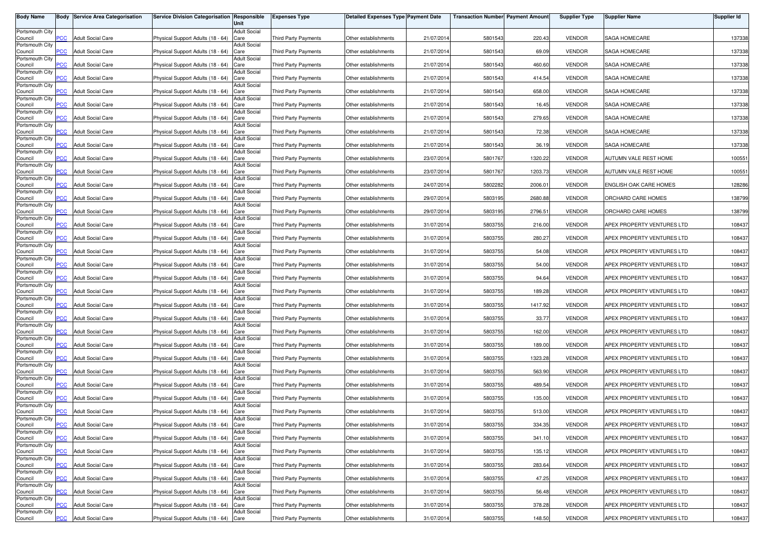| <b>Body Name</b>           |                | <b>Body Service Area Categorisation</b> | Service Division Categorisation Responsible | Unit                        | <b>Expenses Type</b>        | <b>Detailed Expenses Type Payment Date</b> |            | <b>Transaction Number Payment Amount</b> |         | <b>Supplier Type</b> | <b>Supplier Name</b>       | <b>Supplier Id</b> |
|----------------------------|----------------|-----------------------------------------|---------------------------------------------|-----------------------------|-----------------------------|--------------------------------------------|------------|------------------------------------------|---------|----------------------|----------------------------|--------------------|
| Portsmouth City            |                |                                         |                                             | <b>Adult Social</b>         |                             |                                            |            |                                          |         |                      |                            |                    |
| Council<br>Portsmouth City | PСC            | <b>Adult Social Care</b>                | Physical Support Adults (18 - 64)           | Care<br><b>Adult Social</b> | Third Party Payments        | Other establishments                       | 21/07/2014 | 5801543                                  | 220.43  | <b>VENDOR</b>        | SAGA HOMECARE              | 137338             |
| Council                    | $\overline{C}$ | <b>Adult Social Care</b>                | Physical Support Adults (18 - 64)           | Care                        | Third Party Payments        | Other establishments                       | 21/07/2014 | 5801543                                  | 69.09   | <b>VENDOR</b>        | SAGA HOMECARE              | 137338             |
| Portsmouth City<br>Council | <b>PCC</b>     | <b>Adult Social Care</b>                | Physical Support Adults (18 - 64)           | Adult Social<br>Care        | Third Party Payments        | Other establishments                       | 21/07/2014 | 5801543                                  | 460.60  | <b>VENDOR</b>        | SAGA HOMECARE              | 137338             |
| Portsmouth City            |                |                                         |                                             | Adult Social                |                             |                                            |            |                                          |         |                      |                            |                    |
| Council<br>Portsmouth City |                | <b>Adult Social Care</b>                | Physical Support Adults (18 - 64)           | Care<br><b>Adult Social</b> | <b>Third Party Payments</b> | Other establishments                       | 21/07/2014 | 5801543                                  | 414.54  | <b>VENDOR</b>        | SAGA HOMECARE              | 137338             |
| Council                    | <b>PCC</b>     | <b>Adult Social Care</b>                | Physical Support Adults (18 - 64)           | Care                        | Third Party Payments        | Other establishments                       | 21/07/2014 | 5801543                                  | 658.00  | <b>VENDOR</b>        | SAGA HOMECARE              | 137338             |
| Portsmouth City<br>Council | <b>PCC</b>     | <b>Adult Social Care</b>                | Physical Support Adults (18 - 64)           | <b>Adult Social</b><br>Care | Third Party Payments        | Other establishments                       | 21/07/2014 | 5801543                                  | 16.45   | <b>VENDOR</b>        | SAGA HOMECARE              | 137338             |
| Portsmouth City<br>Council | $\overline{C}$ | <b>Adult Social Care</b>                | Physical Support Adults (18 - 64)           | <b>Adult Social</b><br>Care | Third Party Payments        | Other establishments                       | 21/07/2014 | 5801543                                  | 279.65  | <b>VENDOR</b>        | SAGA HOMECARE              | 137338             |
| Portsmouth City            |                |                                         |                                             | <b>Adult Social</b>         |                             |                                            |            |                                          |         |                      |                            |                    |
| Council<br>Portsmouth City | <b>PCC</b>     | <b>Adult Social Care</b>                | Physical Support Adults (18 - 64)           | Care<br><b>Adult Social</b> | Third Party Payments        | Other establishments                       | 21/07/2014 | 5801543                                  | 72.38   | <b>VENDOR</b>        | SAGA HOMECARE              | 137338             |
| Council<br>Portsmouth City | сC             | <b>Adult Social Care</b>                | Physical Support Adults (18 - 64)           | Care<br><b>Adult Social</b> | Third Party Payments        | Other establishments                       | 21/07/2014 | 5801543                                  | 36.19   | <b>VENDOR</b>        | SAGA HOMECARE              | 137338             |
| Council                    | <b>PCC</b>     | <b>Adult Social Care</b>                | Physical Support Adults (18 - 64)           | Care                        | Third Party Payments        | Other establishments                       | 23/07/2014 | 5801767                                  | 1320.22 | <b>VENDOR</b>        | AUTUMN VALE REST HOME      | 100551             |
| Portsmouth City<br>Council | PСC            | <b>Adult Social Care</b>                | Physical Support Adults (18 - 64)           | <b>Adult Social</b><br>Care | Third Party Payments        | Other establishments                       | 23/07/2014 | 5801767                                  | 1203.73 | <b>VENDOR</b>        | AUTUMN VALE REST HOME      | 100551             |
| Portsmouth City<br>Council | PСC            | <b>Adult Social Care</b>                | Physical Support Adults (18 - 64)           | Adult Social<br>Care        | Third Party Payments        | Other establishments                       | 24/07/201  | 5802282                                  | 2006.01 | <b>VENDOR</b>        | ENGLISH OAK CARE HOMES     | 128286             |
| Portsmouth City            |                |                                         |                                             | <b>Adult Social</b>         |                             |                                            |            |                                          |         |                      |                            |                    |
| Council<br>Portsmouth City | PСC            | <b>Adult Social Care</b>                | Physical Support Adults (18 - 64)           | Care<br><b>Adult Social</b> | Third Party Payments        | Other establishments                       | 29/07/2014 | 5803195                                  | 2680.88 | <b>VENDOR</b>        | ORCHARD CARE HOMES         | 138799             |
| Council<br>Portsmouth City | PCC            | <b>Adult Social Care</b>                | Physical Support Adults (18 - 64)           | Care<br><b>Adult Social</b> | Third Party Payments        | Other establishments                       | 29/07/2014 | 5803195                                  | 2796.51 | <b>VENDOR</b>        | ORCHARD CARE HOMES         | 138799             |
| Council                    | PCC            | <b>Adult Social Care</b>                | Physical Support Adults (18 - 64)           | Care                        | <b>Third Party Payments</b> | Other establishments                       | 31/07/2014 | 5803755                                  | 216.00  | <b>VENDOR</b>        | APEX PROPERTY VENTURES LTD | 108437             |
| Portsmouth City<br>Council | PСC            | <b>Adult Social Care</b>                | Physical Support Adults (18 - 64)           | <b>Adult Social</b><br>Care | <b>Third Party Payments</b> | Other establishments                       | 31/07/2014 | 5803755                                  | 280.27  | <b>VENDOR</b>        | APEX PROPERTY VENTURES LTD | 108437             |
| Portsmouth City            |                |                                         |                                             | <b>Adult Social</b>         |                             |                                            |            |                                          |         |                      |                            |                    |
| Council<br>Portsmouth City | PCC            | <b>Adult Social Care</b>                | Physical Support Adults (18 - 64)           | Care<br><b>Adult Social</b> | Third Party Payments        | Other establishments                       | 31/07/2014 | 5803755                                  | 54.08   | <b>VENDOR</b>        | APEX PROPERTY VENTURES LTD | 108437             |
| Council<br>Portsmouth City | PСC            | <b>Adult Social Care</b>                | Physical Support Adults (18 - 64)           | Care<br><b>Adult Social</b> | Third Party Payments        | Other establishments                       | 31/07/2014 | 5803755                                  | 54.00   | <b>VENDOR</b>        | APEX PROPERTY VENTURES LTD | 108437             |
| Council                    | PCC            | <b>Adult Social Care</b>                | Physical Support Adults (18 - 64)           | Care                        | Third Party Payments        | Other establishments                       | 31/07/2014 | 5803755                                  | 94.64   | <b>VENDOR</b>        | APEX PROPERTY VENTURES LTD | 108437             |
| Portsmouth City<br>Council | PСC            | <b>Adult Social Care</b>                | Physical Support Adults (18 - 64)           | <b>Adult Social</b><br>Care | Third Party Payments        | Other establishments                       | 31/07/2014 | 5803755                                  | 189.28  | <b>VENDOR</b>        | APEX PROPERTY VENTURES LTD | 108437             |
| Portsmouth City<br>Council | PCC            | <b>Adult Social Care</b>                | Physical Support Adults (18 - 64)           | Adult Social<br>Care        | Third Party Payments        | Other establishments                       | 31/07/201  | 5803755                                  | 1417.92 | <b>VENDOR</b>        | APEX PROPERTY VENTURES LTD | 108437             |
| Portsmouth City            |                |                                         |                                             | <b>Adult Social</b>         |                             |                                            |            |                                          |         |                      |                            |                    |
| Council<br>Portsmouth City | PСC            | <b>Adult Social Care</b>                | Physical Support Adults (18 - 64)           | Care<br><b>Adult Social</b> | Third Party Payments        | Other establishments                       | 31/07/2014 | 5803755                                  | 33.77   | <b>VENDOR</b>        | APEX PROPERTY VENTURES LTD | 108437             |
| Council<br>Portsmouth City | PCC            | <b>Adult Social Care</b>                | Physical Support Adults (18 - 64)           | Care<br><b>Adult Social</b> | Third Party Payments        | Other establishments                       | 31/07/2014 | 5803755                                  | 162.00  | <b>VENDOR</b>        | APEX PROPERTY VENTURES LTD | 108437             |
| Council                    | <b>PCC</b>     | <b>Adult Social Care</b>                | Physical Support Adults (18 - 64)           | Care                        | Third Party Payments        | Other establishments                       | 31/07/2014 | 5803755                                  | 189.00  | <b>VENDOR</b>        | APEX PROPERTY VENTURES LTD | 108437             |
| Portsmouth City<br>Council | <b>PCC</b>     | <b>Adult Social Care</b>                | Physical Support Adults (18 - 64)           | <b>Adult Social</b><br>Care | <b>Third Party Payments</b> | Other establishments                       | 31/07/2014 | 5803755                                  | 1323.28 | <b>VENDOR</b>        | APEX PROPERTY VENTURES LTD | 108437             |
| Portsmouth City            |                |                                         |                                             | <b>Adult Social</b>         |                             |                                            |            |                                          |         |                      | APEX PROPERTY VENTURES LTD |                    |
| Council<br>Portsmouth City | <b>PCC</b>     | <b>Adult Social Care</b>                | Physical Support Adults (18 - 64)           | Care<br><b>Adult Social</b> | Third Party Payments        | Other establishments                       | 31/07/2014 | 5803755                                  | 563.90  | <b>VENDOR</b>        |                            | 108437             |
| Council<br>Portsmouth City |                | <b>Adult Social Care</b>                | Physical Support Adults (18 - 64)           | Care<br><b>Adult Social</b> | Third Party Payments        | Other establishments                       | 31/07/2014 | 5803755                                  | 489.54  | <b>VENDOR</b>        | APEX PROPERTY VENTURES LTD | 108437             |
| Council                    | $\overline{C}$ | <b>Adult Social Care</b>                | Physical Support Adults (18 - 64)           | Care                        | Third Party Payments        | Other establishments                       | 31/07/2014 | 5803755                                  | 135.00  | <b>VENDOR</b>        | APEX PROPERTY VENTURES LTD | 108437             |
| Portsmouth City<br>Council | PСC            | <b>Adult Social Care</b>                | Physical Support Adults (18 - 64)           | Adult Social<br>Care        | Third Party Payments        | Other establishments                       | 31/07/2014 | 5803755                                  | 513.00  | <b>VENDOR</b>        | APEX PROPERTY VENTURES LTD | 108437             |
| Portsmouth City<br>Council | <b>PCC</b>     | <b>Adult Social Care</b>                | Physical Support Adults (18 - 64) Care      | <b>Adult Social</b>         | Third Party Payments        | Other establishments                       | 31/07/2014 | 5803755                                  | 334.35  | VENDOR               | APEX PROPERTY VENTURES LTD | 108437             |
| Portsmouth City            |                |                                         |                                             | <b>Adult Social</b>         |                             |                                            |            |                                          |         |                      |                            |                    |
| Council<br>Portsmouth City | <u>PCC</u>     | <b>Adult Social Care</b>                | Physical Support Adults (18 - 64) Care      | <b>Adult Social</b>         | Third Party Payments        | Other establishments                       | 31/07/2014 | 5803755                                  | 341.10  | <b>VENDOR</b>        | APEX PROPERTY VENTURES LTD | 108437             |
| Council<br>Portsmouth City | PCC            | <b>Adult Social Care</b>                | Physical Support Adults (18 - 64) Care      | <b>Adult Social</b>         | Third Party Payments        | Other establishments                       | 31/07/2014 | 5803755                                  | 135.12  | <b>VENDOR</b>        | APEX PROPERTY VENTURES LTD | 108437             |
| Council                    | PCC            | <b>Adult Social Care</b>                | Physical Support Adults (18 - 64) Care      |                             | Third Party Payments        | Other establishments                       | 31/07/2014 | 5803755                                  | 283.64  | <b>VENDOR</b>        | APEX PROPERTY VENTURES LTD | 108437             |
| Portsmouth City<br>Council | PСC            | <b>Adult Social Care</b>                | Physical Support Adults (18 - 64) Care      | <b>Adult Social</b>         | Third Party Payments        | Other establishments                       | 31/07/2014 | 5803755                                  | 47.25   | <b>VENDOR</b>        | APEX PROPERTY VENTURES LTD | 108437             |
| Portsmouth City<br>Council | <b>PCC</b>     | <b>Adult Social Care</b>                | Physical Support Adults (18 - 64) Care      | <b>Adult Social</b>         | <b>Third Party Payments</b> | Other establishments                       | 31/07/2014 | 5803755                                  | 56.48   | <b>VENDOR</b>        | APEX PROPERTY VENTURES LTD | 108437             |
| Portsmouth City            |                |                                         |                                             | <b>Adult Social</b>         |                             |                                            |            |                                          |         |                      |                            |                    |
| Council<br>Portsmouth City | <b>PCC</b>     | <b>Adult Social Care</b>                | Physical Support Adults (18 - 64)           | Care<br>Adult Social        | Third Party Payments        | Other establishments                       | 31/07/2014 | 5803755                                  | 378.28  | <b>VENDOR</b>        | APEX PROPERTY VENTURES LTD | 108437             |
| Council                    | <b>PCC</b>     | <b>Adult Social Care</b>                | Physical Support Adults (18 - 64) Care      |                             | <b>Third Party Payments</b> | Other establishments                       | 31/07/2014 | 5803755                                  | 148.50  | VENDOR               | APEX PROPERTY VENTURES LTD | 108437             |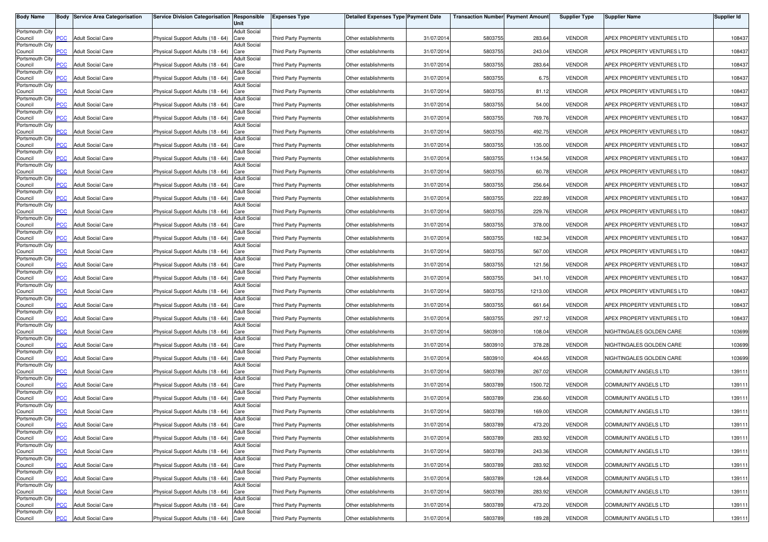| <b>Body Name</b>           |                         | <b>Body Service Area Categorisation</b> | Service Division Categorisation Responsible | Unit                        | <b>Expenses Type</b>        | <b>Detailed Expenses Type Payment Date</b> |            | <b>Transaction Number Payment Amount</b> |         | <b>Supplier Type</b> | <b>Supplier Name</b>        | <b>Supplier Id</b> |
|----------------------------|-------------------------|-----------------------------------------|---------------------------------------------|-----------------------------|-----------------------------|--------------------------------------------|------------|------------------------------------------|---------|----------------------|-----------------------------|--------------------|
| Portsmouth City            |                         |                                         |                                             | <b>Adult Social</b>         |                             |                                            |            |                                          |         |                      |                             |                    |
| Council<br>Portsmouth City | PCC                     | <b>Adult Social Care</b>                | Physical Support Adults (18 - 64)           | Care<br><b>Adult Social</b> | Third Party Payments        | Other establishments                       | 31/07/2014 | 5803755                                  | 283.64  | <b>VENDOR</b>        | APEX PROPERTY VENTURES LTD  | 108437             |
| Council                    | $\overline{C}$          | <b>Adult Social Care</b>                | Physical Support Adults (18 - 64)           | Care                        | Third Party Payments        | Other establishments                       | 31/07/2014 | 5803755                                  | 243.04  | <b>VENDOR</b>        | APEX PROPERTY VENTURES LTD  | 108437             |
| Portsmouth City<br>Council | <b>PCC</b>              | <b>Adult Social Care</b>                | Physical Support Adults (18 - 64)           | <b>Adult Social</b><br>Care | <b>Third Party Payments</b> | Other establishments                       | 31/07/201  | 5803755                                  | 283.64  | <b>VENDOR</b>        | APEX PROPERTY VENTURES LTD  | 108437             |
| Portsmouth City<br>Council | <b>PCC</b>              | <b>Adult Social Care</b>                | Physical Support Adults (18 - 64)           | <b>Adult Social</b><br>Care | Third Party Payments        | Other establishments                       | 31/07/201  | 5803755                                  | 6.75    | <b>VENDOR</b>        | APEX PROPERTY VENTURES LTD  | 108437             |
| Portsmouth City            |                         |                                         |                                             | <b>Adult Social</b>         |                             |                                            |            |                                          |         |                      |                             |                    |
| Council<br>Portsmouth City | <b>PCC</b>              | <b>Adult Social Care</b>                | Physical Support Adults (18 - 64)           | Care<br><b>Adult Social</b> | <b>Third Party Payments</b> | Other establishments                       | 31/07/201  | 5803755                                  | 81.12   | <b>VENDOR</b>        | APEX PROPERTY VENTURES LTD  | 108437             |
| Council                    | <b>PCC</b>              | <b>Adult Social Care</b>                | Physical Support Adults (18 - 64)           | Care                        | Third Party Payments        | Other establishments                       | 31/07/2014 | 5803755                                  | 54.00   | <b>VENDOR</b>        | APEX PROPERTY VENTURES LTD  | 108437             |
| Portsmouth City<br>Council | $\overline{\text{PCC}}$ | <b>Adult Social Care</b>                | Physical Support Adults (18 - 64)           | <b>Adult Social</b><br>Care | Third Party Payments        | Other establishments                       | 31/07/2014 | 5803755                                  | 769.76  | <b>VENDOR</b>        | APEX PROPERTY VENTURES LTD  | 108437             |
| Portsmouth City<br>Council | <b>PCC</b>              | <b>Adult Social Care</b>                | Physical Support Adults (18 - 64)           | <b>Adult Social</b><br>Care | <b>Third Party Payments</b> | Other establishments                       | 31/07/2014 | 5803755                                  | 492.75  | <b>VENDOR</b>        | APEX PROPERTY VENTURES LTD  | 108437             |
| Portsmouth City<br>Council | PCC.                    | <b>Adult Social Care</b>                | Physical Support Adults (18 - 64)           | <b>Adult Social</b><br>Care | <b>Third Party Payments</b> | Other establishments                       | 31/07/201  | 5803755                                  | 135.00  | <b>VENDOR</b>        | APEX PROPERTY VENTURES LTD  | 108437             |
| Portsmouth City            |                         |                                         |                                             | <b>Adult Social</b>         |                             |                                            |            |                                          |         |                      |                             |                    |
| Council<br>Portsmouth City | $\overline{C}$          | <b>Adult Social Care</b>                | Physical Support Adults (18 - 64)           | Care<br><b>Adult Social</b> | Third Party Payments        | Other establishments                       | 31/07/2014 | 5803755                                  | 1134.56 | <b>VENDOR</b>        | APEX PROPERTY VENTURES LTD  | 108437             |
| Council<br>Portsmouth City | PCC                     | <b>Adult Social Care</b>                | Physical Support Adults (18 - 64)           | Care<br>Adult Social        | Third Party Payments        | Other establishments                       | 31/07/201  | 5803755                                  | 60.78   | <b>VENDOR</b>        | APEX PROPERTY VENTURES LTD  | 108437             |
| Council                    | PCC                     | <b>Adult Social Care</b>                | Physical Support Adults (18 - 64)           | Care                        | Third Party Payments        | Other establishments                       | 31/07/201  | 5803755                                  | 256.64  | <b>VENDOR</b>        | APEX PROPERTY VENTURES LTD  | 108437             |
| Portsmouth City<br>Council | PСC                     | <b>Adult Social Care</b>                | Physical Support Adults (18 - 64)           | <b>Adult Social</b><br>Care | Third Party Payments        | Other establishments                       | 31/07/201  | 5803755                                  | 222.89  | <b>VENDOR</b>        | APEX PROPERTY VENTURES LTD  | 108437             |
| Portsmouth City<br>Council | PCC                     | <b>Adult Social Care</b>                | Physical Support Adults (18 - 64)           | <b>Adult Social</b><br>Care | Third Party Payments        | Other establishments                       | 31/07/201  | 5803755                                  | 229.76  | <b>VENDOR</b>        | APEX PROPERTY VENTURES LTD  | 108437             |
| Portsmouth City<br>Council | PCC                     | <b>Adult Social Care</b>                | Physical Support Adults (18 - 64)           | <b>Adult Social</b><br>Care | Third Party Payments        | Other establishments                       | 31/07/2014 | 5803755                                  | 378.00  | <b>VENDOR</b>        | APEX PROPERTY VENTURES LTD  | 108437             |
| Portsmouth City            | PCC.                    |                                         | Physical Support Adults (18 - 64)           | <b>Adult Social</b>         |                             |                                            |            | 5803755                                  | 182.34  | <b>VENDOR</b>        |                             |                    |
| Council<br>Portsmouth City |                         | <b>Adult Social Care</b>                |                                             | Care<br><b>Adult Social</b> | <b>Third Party Payments</b> | Other establishments                       | 31/07/2014 |                                          |         |                      | APEX PROPERTY VENTURES LTD  | 108437             |
| Council<br>Portsmouth City | PCC                     | <b>Adult Social Care</b>                | Physical Support Adults (18 - 64)           | Care<br><b>Adult Social</b> | Third Party Payments        | Other establishments                       | 31/07/201  | 5803755                                  | 567.00  | <b>VENDOR</b>        | APEX PROPERTY VENTURES LTD  | 108437             |
| Council                    | PСC                     | <b>Adult Social Care</b>                | Physical Support Adults (18 - 64)           | Care                        | <b>Third Party Payments</b> | Other establishments                       | 31/07/2014 | 5803755                                  | 121.56  | <b>VENDOR</b>        | APEX PROPERTY VENTURES LTD  | 108437             |
| Portsmouth City<br>Council | PCC                     | <b>Adult Social Care</b>                | Physical Support Adults (18 - 64)           | <b>Adult Social</b><br>Care | <b>Third Party Payments</b> | Other establishments                       | 31/07/201  | 5803755                                  | 341.10  | <b>VENDOR</b>        | APEX PROPERTY VENTURES LTD  | 108437             |
| Portsmouth City<br>Council | PСC                     | <b>Adult Social Care</b>                | Physical Support Adults (18 - 64)           | <b>Adult Social</b><br>Care | <b>Third Party Payments</b> | Other establishments                       | 31/07/201  | 5803755                                  | 1213.00 | <b>VENDOR</b>        | APEX PROPERTY VENTURES LTD  | 108437             |
| Portsmouth City<br>Council | PСC                     | <b>Adult Social Care</b>                | Physical Support Adults (18 - 64)           | Adult Social<br>Care        | <b>Third Party Payments</b> | Other establishments                       | 31/07/201  | 5803755                                  | 661.64  | <b>VENDOR</b>        | APEX PROPERTY VENTURES LTD  | 108437             |
| Portsmouth City<br>Council | PСC                     | <b>Adult Social Care</b>                | Physical Support Adults (18 - 64)           | <b>Adult Social</b><br>Care | Third Party Payments        | Other establishments                       | 31/07/201  | 5803755                                  | 297.12  | <b>VENDOR</b>        | APEX PROPERTY VENTURES LTD  | 108437             |
| Portsmouth City<br>Council | PCC.                    | <b>Adult Social Care</b>                | Physical Support Adults (18 - 64)           | <b>Adult Social</b><br>Care | Third Party Payments        | Other establishments                       | 31/07/201  | 5803910                                  | 108.0   | <b>VENDOR</b>        | NIGHTINGALES GOLDEN CARE    | 103699             |
| Portsmouth City<br>Council | <b>PCC</b>              | <b>Adult Social Care</b>                | Physical Support Adults (18 - 64)           | <b>Adult Social</b><br>Care | Third Party Payments        | Other establishments                       | 31/07/2014 | 5803910                                  | 378.28  | <b>VENDOR</b>        | NIGHTINGALES GOLDEN CARE    | 103699             |
| Portsmouth City            |                         |                                         |                                             | <b>Adult Social</b>         |                             |                                            |            |                                          |         |                      |                             |                    |
| Council<br>Portsmouth City | PCC.                    | <b>Adult Social Care</b>                | Physical Support Adults (18 - 64)           | Care<br><b>Adult Social</b> | <b>Third Party Payments</b> | Other establishments                       | 31/07/201  | 5803910                                  | 404.65  | <b>VENDOR</b>        | NIGHTINGALES GOLDEN CARE    | 103699             |
| Council<br>Portsmouth City | $\overline{C}$          | <b>Adult Social Care</b>                | Physical Support Adults (18 - 64)           | Care<br><b>Adult Social</b> | <b>Third Party Payments</b> | Other establishments                       | 31/07/201  | 5803789                                  | 267.02  | <b>VENDOR</b>        | COMMUNITY ANGELS LTD        | 139111             |
| Council                    | сC                      | <b>Adult Social Care</b>                | Physical Support Adults (18 - 64)           | Care                        | <b>Third Party Payments</b> | Other establishments                       | 31/07/2014 | 5803789                                  | 1500.72 | <b>VENDOR</b>        | COMMUNITY ANGELS LTD        | 139111             |
| Portsmouth City<br>Council | <b>PCC</b>              | <b>Adult Social Care</b>                | Physical Support Adults (18 - 64)           | <b>Adult Social</b><br>Care | Third Party Payments        | Other establishments                       | 31/07/201  | 5803789                                  | 236.60  | <b>VENDOR</b>        | COMMUNITY ANGELS LTD        | 139111             |
| Portsmouth City<br>Council | $\overline{C}$          | <b>Adult Social Care</b>                | Physical Support Adults (18 - 64)           | <b>Adult Social</b><br>Care | <b>Third Party Payments</b> | Other establishments                       | 31/07/2014 | 5803789                                  | 169.00  | <b>VENDOR</b>        | <b>COMMUNITY ANGELS LTD</b> | 139111             |
| Portsmouth City            |                         |                                         |                                             | Adult Social                |                             |                                            |            |                                          |         |                      |                             |                    |
| Council<br>Portsmouth City | <b>PCC</b>              | <b>Adult Social Care</b>                | Physical Support Adults (18 - 64) Care      | <b>Adult Social</b>         | Third Party Payments        | Other establishments                       | 31/07/2014 | 5803789                                  | 473.20  | <b>VENDOR</b>        | COMMUNITY ANGELS LTD        | 139111             |
| Council<br>Portsmouth City | <b>PCC</b>              | <b>Adult Social Care</b>                | Physical Support Adults (18 - 64) Care      | <b>Adult Social</b>         | Third Party Payments        | Other establishments                       | 31/07/2014 | 5803789                                  | 283.92  | <b>VENDOR</b>        | <b>COMMUNITY ANGELS LTD</b> | 139111             |
| Council<br>Portsmouth City | <b>PCC</b>              | <b>Adult Social Care</b>                | Physical Support Adults (18 - 64) Care      | <b>Adult Social</b>         | Third Party Payments        | Other establishments                       | 31/07/2014 | 5803789                                  | 243.36  | <b>VENDOR</b>        | <b>COMMUNITY ANGELS LTD</b> | 139111             |
| Council                    | PCC                     | <b>Adult Social Care</b>                | Physical Support Adults (18 - 64) Care      |                             | Third Party Payments        | Other establishments                       | 31/07/2014 | 5803789                                  | 283.92  | <b>VENDOR</b>        | COMMUNITY ANGELS LTD        | 139111             |
| Portsmouth City<br>Council | PСC                     | <b>Adult Social Care</b>                | Physical Support Adults (18 - 64) Care      | <b>Adult Social</b>         | <b>Third Party Payments</b> | Other establishments                       | 31/07/2014 | 5803789                                  | 128.44  | <b>VENDOR</b>        | COMMUNITY ANGELS LTD        | 139111             |
| Portsmouth City<br>Council | PCC                     | <b>Adult Social Care</b>                | Physical Support Adults (18 - 64) Care      | <b>Adult Social</b>         | Third Party Payments        | Other establishments                       | 31/07/2014 | 5803789                                  | 283.92  | <b>VENDOR</b>        | COMMUNITY ANGELS LTD        | 139111             |
| Portsmouth City<br>Council | PСC                     | <b>Adult Social Care</b>                | Physical Support Adults (18 - 64) Care      | <b>Adult Social</b>         | <b>Third Party Payments</b> | Other establishments                       | 31/07/2014 | 5803789                                  | 473.20  | <b>VENDOR</b>        | COMMUNITY ANGELS LTD        | 139111             |
| Portsmouth City            |                         |                                         |                                             | <b>Adult Social</b>         |                             |                                            |            |                                          |         |                      |                             |                    |
| Council                    | <b>PCC</b>              | <b>Adult Social Care</b>                | Physical Support Adults (18 - 64) Care      |                             | Third Party Payments        | Other establishments                       | 31/07/2014 | 5803789                                  | 189.28  | <b>VENDOR</b>        | COMMUNITY ANGELS LTD        | 139111             |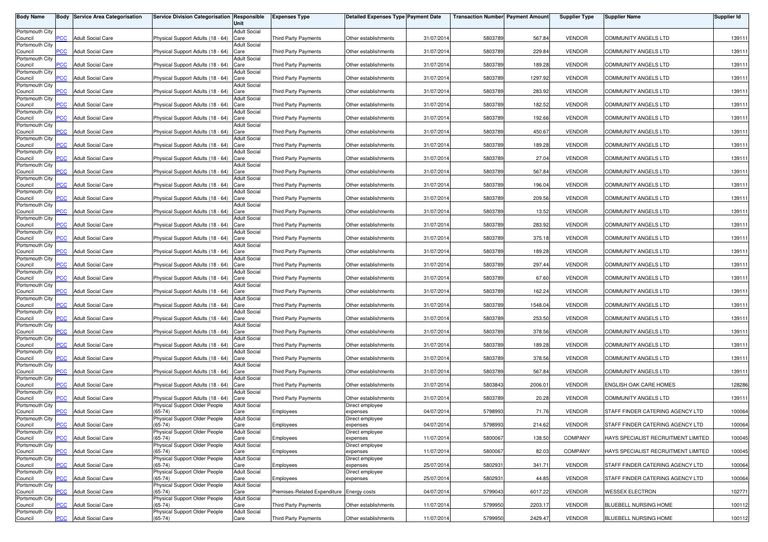| <b>Body Name</b>           |                | <b>Body Service Area Categorisation</b> | Service Division Categorisation Responsible | Unit                        | <b>Expenses Type</b>         | <b>Detailed Expenses Type Payment Date</b> |            | <b>Transaction Number Payment Amount</b> |         | <b>Supplier Type</b> | <b>Supplier Name</b>                | <b>Supplier Id</b> |
|----------------------------|----------------|-----------------------------------------|---------------------------------------------|-----------------------------|------------------------------|--------------------------------------------|------------|------------------------------------------|---------|----------------------|-------------------------------------|--------------------|
| Portsmouth City            |                |                                         |                                             | <b>Adult Social</b>         |                              |                                            |            |                                          |         |                      |                                     |                    |
| Council<br>Portsmouth City | PCC            | <b>Adult Social Care</b>                | Physical Support Adults (18 - 64)           | Care<br><b>Adult Social</b> | Third Party Payments         | Other establishments                       | 31/07/2014 | 5803789                                  | 567.84  | <b>VENDOR</b>        | COMMUNITY ANGELS LTD                | 139111             |
| Council                    | $\overline{C}$ | <b>Adult Social Care</b>                | Physical Support Adults (18 - 64)           | Care                        | Third Party Payments         | Other establishments                       | 31/07/2014 | 5803789                                  | 229.84  | <b>VENDOR</b>        | COMMUNITY ANGELS LTD                | 139111             |
| Portsmouth City            | $\overline{C}$ |                                         |                                             | Adult Social                | Third Party Payments         |                                            |            |                                          |         | <b>VENDOR</b>        |                                     |                    |
| Council<br>Portsmouth City |                | <b>Adult Social Care</b>                | Physical Support Adults (18 - 64)           | Care<br>Adult Social        |                              | Other establishments                       | 31/07/2014 | 5803789                                  | 189.28  |                      | COMMUNITY ANGELS LTD                | 139111             |
| Council                    | PСC            | <b>Adult Social Care</b>                | Physical Support Adults (18 - 64)           | Care<br><b>Adult Social</b> | <b>Third Party Payments</b>  | Other establishments                       | 31/07/201  | 5803789                                  | 1297.92 | <b>VENDOR</b>        | <b>COMMUNITY ANGELS LTD</b>         | 139111             |
| Portsmouth City<br>Council | PCC            | <b>Adult Social Care</b>                | Physical Support Adults (18 - 64)           | Care                        | Third Party Payments         | Other establishments                       | 31/07/201  | 5803789                                  | 283.92  | <b>VENDOR</b>        | COMMUNITY ANGELS LTD                | 139111             |
| Portsmouth City<br>Council | PCC            | <b>Adult Social Care</b>                | Physical Support Adults (18 - 64)           | <b>Adult Social</b><br>Care | Third Party Payments         | Other establishments                       | 31/07/2014 | 5803789                                  | 182.52  | <b>VENDOR</b>        | <b>COMMUNITY ANGELS LTD</b>         | 139111             |
| Portsmouth City            |                |                                         |                                             | <b>Adult Social</b>         |                              |                                            |            |                                          |         |                      |                                     |                    |
| Council<br>Portsmouth City | $\overline{C}$ | <b>Adult Social Care</b>                | Physical Support Adults (18 - 64)           | Care<br><b>Adult Social</b> | Third Party Payments         | Other establishments                       | 31/07/2014 | 5803789                                  | 192.66  | <b>VENDOR</b>        | COMMUNITY ANGELS LTD                | 139111             |
| Council                    | $\overline{C}$ | <b>Adult Social Care</b>                | Physical Support Adults (18 - 64)           | Care                        | <b>Third Party Payments</b>  | Other establishments                       | 31/07/201  | 5803789                                  | 450.67  | <b>VENDOR</b>        | COMMUNITY ANGELS LTD                | 139111             |
| Portsmouth City<br>Council | сC             | <b>Adult Social Care</b>                | Physical Support Adults (18 - 64)           | <b>Adult Social</b><br>Care | <b>Third Party Payments</b>  | Other establishments                       | 31/07/2014 | 5803789                                  | 189.28  | <b>VENDOR</b>        | COMMUNITY ANGELS LTD                | 139111             |
| Portsmouth City<br>Council | $\overline{C}$ | <b>Adult Social Care</b>                |                                             | <b>Adult Social</b><br>Care | Third Party Payments         | Other establishments                       | 31/07/201  | 5803789                                  | 27.04   | <b>VENDOR</b>        | <b>COMMUNITY ANGELS LTD</b>         | 139111             |
| Portsmouth City            |                |                                         | Physical Support Adults (18 - 64)           | <b>Adult Social</b>         |                              |                                            |            |                                          |         |                      |                                     |                    |
| Council<br>Portsmouth City | PСC            | <b>Adult Social Care</b>                | Physical Support Adults (18 - 64)           | Care<br>Adult Social        | <b>Third Party Payments</b>  | Other establishments                       | 31/07/2014 | 5803789                                  | 567.84  | <b>VENDOR</b>        | COMMUNITY ANGELS LTD                | 139111             |
| Council                    | PCC            | <b>Adult Social Care</b>                | Physical Support Adults (18 - 64)           | Care                        | <b>Third Party Payments</b>  | Other establishments                       | 31/07/201  | 5803789                                  | 196.04  | <b>VENDOR</b>        | <b>COMMUNITY ANGELS LTD</b>         | 139111             |
| Portsmouth City<br>Council | PСC            | <b>Adult Social Care</b>                | Physical Support Adults (18 - 64)           | <b>Adult Social</b><br>Care | Third Party Payments         | Other establishments                       | 31/07/2014 | 5803789                                  | 209.56  | <b>VENDOR</b>        | <b>COMMUNITY ANGELS LTD</b>         | 139111             |
| Portsmouth City            | PCC            |                                         |                                             | <b>Adult Social</b>         |                              |                                            |            |                                          | 13.52   | <b>VENDOR</b>        |                                     |                    |
| Council<br>Portsmouth City |                | <b>Adult Social Care</b>                | Physical Support Adults (18 - 64)           | Care<br><b>Adult Social</b> | <b>Third Party Payments</b>  | Other establishments                       | 31/07/201  | 5803789                                  |         |                      | COMMUNITY ANGELS LTD                | 139111             |
| Council<br>Portsmouth City | PCC            | <b>Adult Social Care</b>                | Physical Support Adults (18 - 64)           | Care<br><b>Adult Social</b> | Third Party Payments         | Other establishments                       | 31/07/2014 | 5803789                                  | 283.92  | <b>VENDOR</b>        | COMMUNITY ANGELS LTD                | 139111             |
| Council                    | PСC            | <b>Adult Social Care</b>                | Physical Support Adults (18 - 64)           | Care                        | <b>Third Party Payments</b>  | Other establishments                       | 31/07/201  | 5803789                                  | 375.18  | <b>VENDOR</b>        | COMMUNITY ANGELS LTD                | 139111             |
| Portsmouth City<br>Council | PCC            | <b>Adult Social Care</b>                | Physical Support Adults (18 - 64)           | <b>Adult Social</b><br>Care | Third Party Payments         | Other establishments                       | 31/07/201  | 5803789                                  | 189.28  | <b>VENDOR</b>        | COMMUNITY ANGELS LTD                | 139111             |
| Portsmouth City            |                |                                         |                                             | <b>Adult Social</b>         |                              |                                            |            |                                          |         |                      |                                     |                    |
| Council<br>Portsmouth City | PСC            | <b>Adult Social Care</b>                | Physical Support Adults (18 - 64)           | Care<br><b>Adult Social</b> | Third Party Payments         | Other establishments                       | 31/07/201  | 5803789                                  | 297.44  | <b>VENDOR</b>        | <b>COMMUNITY ANGELS LTD</b>         | 139111             |
| Council<br>Portsmouth City | PCC            | <b>Adult Social Care</b>                | Physical Support Adults (18 - 64)           | Care<br><b>Adult Social</b> | <b>Third Party Payments</b>  | Other establishments                       | 31/07/201  | 5803789                                  | 67.60   | <b>VENDOR</b>        | COMMUNITY ANGELS LTD                | 139111             |
| Council                    | PСC            | <b>Adult Social Care</b>                | Physical Support Adults (18 - 64)           | Care                        | Third Party Payments         | Other establishments                       | 31/07/201  | 5803789                                  | 162.24  | <b>VENDOR</b>        | <b>COMMUNITY ANGELS LTD</b>         | 139111             |
| Portsmouth City<br>Council | PCC            | <b>Adult Social Care</b>                | Physical Support Adults (18 - 64)           | Adult Social<br>Care        | Third Party Payments         | Other establishments                       | 31/07/201  | 5803789                                  | 1548.04 | <b>VENDOR</b>        | COMMUNITY ANGELS LTD                | 139111             |
| Portsmouth City            |                |                                         |                                             | <b>Adult Social</b>         |                              |                                            |            |                                          | 253.50  | <b>VENDOR</b>        |                                     |                    |
| Council<br>Portsmouth City | PСC            | <b>Adult Social Care</b>                | Physical Support Adults (18 - 64)           | Care<br><b>Adult Social</b> | <b>Third Party Payments</b>  | Other establishments                       | 31/07/201  | 5803789                                  |         |                      | <b>COMMUNITY ANGELS LTD</b>         | 139111             |
| Council<br>Portsmouth City | PCC            | <b>Adult Social Care</b>                | Physical Support Adults (18 - 64)           | Care<br><b>Adult Social</b> | <b>Third Party Payments</b>  | Other establishments                       | 31/07/201  | 5803789                                  | 378.56  | <b>VENDOR</b>        | COMMUNITY ANGELS LTD                | 139111             |
| Council                    | <b>PCC</b>     | <b>Adult Social Care</b>                | Physical Support Adults (18 - 64)           | Care                        | Third Party Payments         | Other establishments                       | 31/07/2014 | 5803789                                  | 189.28  | <b>VENDOR</b>        | COMMUNITY ANGELS LTD                | 139111             |
| Portsmouth City<br>Council | $\overline{C}$ | <b>Adult Social Care</b>                | Physical Support Adults (18 - 64)           | <b>Adult Social</b><br>Care | <b>Third Party Payments</b>  | Other establishments                       | 31/07/2014 | 5803789                                  | 378.56  | <b>VENDOR</b>        | COMMUNITY ANGELS LTD                | 139111             |
| Portsmouth City            |                |                                         |                                             | <b>Adult Social</b>         |                              |                                            |            |                                          |         |                      |                                     |                    |
| Council<br>Portsmouth City | $\overline{C}$ | <b>Adult Social Care</b>                | Physical Support Adults (18 - 64)           | Care<br><b>Adult Social</b> | Third Party Payments         | Other establishments                       | 31/07/201  | 5803789                                  | 567.84  | <b>VENDOR</b>        | COMMUNITY ANGELS LTD                | 139111             |
| Council                    | PСC            | <b>Adult Social Care</b>                | Physical Support Adults (18 - 64)           | Care                        | Third Party Payments         | Other establishments                       | 31/07/201  | 5803843                                  | 2006.01 | <b>VENDOR</b>        | <b>ENGLISH OAK CARE HOMES</b>       | 128286             |
| Portsmouth City<br>Council | $\overline{C}$ | <b>Adult Social Care</b>                | Physical Support Adults (18 - 64)           | <b>Adult Social</b><br>Care | Third Party Payments         | Other establishments                       | 31/07/201  | 5803789                                  | 20.28   | <b>VENDOR</b>        | COMMUNITY ANGELS LTD                | 139111             |
| Portsmouth City<br>Council | <b>PCC</b>     | <b>Adult Social Care</b>                | Physical Support Older People<br>$(65-74)$  | <b>Adult Social</b><br>Care | Employees                    | Direct employee<br>expenses                | 04/07/2014 | 5798993                                  | 71.76   | <b>VENDOR</b>        | STAFF FINDER CATERING AGENCY LTD    | 100064             |
| Portsmouth City            |                |                                         | Physical Support Older People               | <b>Adult Social</b>         |                              | Direct employee                            |            |                                          |         |                      |                                     |                    |
| Council<br>Portsmouth City |                | <b>PCC</b> Adult Social Care            | $(65-74)$<br>Physical Support Older People  | Care<br><b>Adult Social</b> | Employees                    | expenses<br>Direct employee                | 04/07/2014 | 5798993                                  | 214.62  | <b>VENDOR</b>        | STAFF FINDER CATERING AGENCY LTD    | 100064             |
| Council                    | <u>PCC</u>     | <b>Adult Social Care</b>                | $(65-74)$                                   | Care                        | Employees                    | expenses                                   | 11/07/2014 | 5800067                                  | 138.50  | COMPANY              | HAYS SPECIALIST RECRUITMENT LIMITED | 100045             |
| Portsmouth City<br>Council | PCC            | <b>Adult Social Care</b>                | Physical Support Older People<br>$65 - 74$  | <b>Adult Social</b><br>Care | Employees                    | Direct employee<br>expenses                | 11/07/2014 | 5800067                                  | 82.03   | COMPANY              | HAYS SPECIALIST RECRUITMENT LIMITED | 100045             |
| Portsmouth City            |                |                                         | Physical Support Older People               | <b>Adult Social</b>         |                              | Direct employee                            |            |                                          |         |                      |                                     |                    |
| Council<br>Portsmouth City | PCC            | <b>Adult Social Care</b>                | $(65-74)$<br>Physical Support Older People  | Care<br><b>Adult Social</b> | Employees                    | expenses<br>Direct employee                | 25/07/2014 | 5802931                                  | 341.71  | <b>VENDOR</b>        | STAFF FINDER CATERING AGENCY LTD    | 100064             |
| Council<br>Portsmouth City | PСC            | <b>Adult Social Care</b>                | (65-74)<br>Physical Support Older People    | Care<br><b>Adult Social</b> | Employees                    | expenses                                   | 25/07/2014 | 5802931                                  | 44.85   | <b>VENDOR</b>        | STAFF FINDER CATERING AGENCY LTD    | 100064             |
| Council                    | PCC            | <b>Adult Social Care</b>                | $(65-74)$                                   | Care                        | Premises-Related Expenditure | <b>Energy costs</b>                        | 04/07/2014 | 5799043                                  | 6017.22 | <b>VENDOR</b>        | <b>WESSEX ELECTRON</b>              | 102771             |
| Portsmouth City<br>Council | PСC            | <b>Adult Social Care</b>                | Physical Support Older People<br>$(65-74)$  | <b>Adult Social</b><br>Care | Third Party Payments         | Other establishments                       | 11/07/2014 | 5799950                                  | 2203.17 | <b>VENDOR</b>        | BLUEBELL NURSING HOME               | 100112             |
| Portsmouth City            |                |                                         | Physical Support Older People               | <b>Adult Social</b>         |                              |                                            |            |                                          |         |                      |                                     |                    |
| Council                    | <b>PCC</b>     | <b>Adult Social Care</b>                | $(65-74)$                                   | Care                        | Third Party Payments         | Other establishments                       | 11/07/2014 | 5799950                                  | 2429.47 | <b>VENDOR</b>        | BLUEBELL NURSING HOME               | 100112             |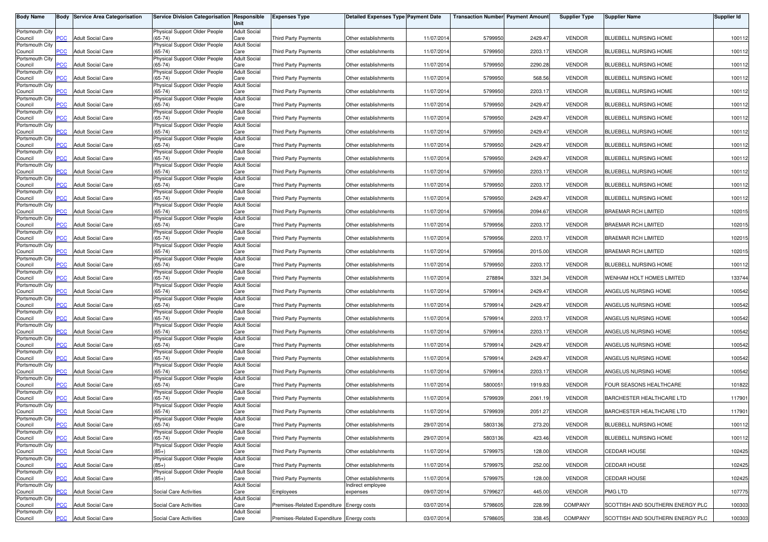| <b>Body Name</b>           |                | <b>Body Service Area Categorisation</b> | Service Division Categorisation Responsible | Unit                        | <b>Expenses Type</b>                      | <b>Detailed Expenses Type Payment Date</b> |            | <b>Transaction Number Payment Amount</b> |         | <b>Supplier Type</b> | <b>Supplier Name</b>             | Supplier Id |
|----------------------------|----------------|-----------------------------------------|---------------------------------------------|-----------------------------|-------------------------------------------|--------------------------------------------|------------|------------------------------------------|---------|----------------------|----------------------------------|-------------|
| Portsmouth City            |                |                                         | Physical Support Older People               | <b>Adult Social</b>         |                                           |                                            |            |                                          |         |                      |                                  |             |
| Council                    | <b>PCC</b>     | <b>Adult Social Care</b>                | $(65-74)$                                   | Care                        | <b>Third Party Payments</b>               | Other establishments                       | 11/07/201  | 5799950                                  | 2429.47 | <b>VENDOR</b>        | BLUEBELL NURSING HOME            | 100112      |
| Portsmouth City<br>Council | $\overline{C}$ | <b>Adult Social Care</b>                | Physical Support Older People<br>$(65-74)$  | <b>Adult Social</b><br>Care | Third Party Payments                      | Other establishments                       | 11/07/2014 | 5799950                                  | 2203.17 | <b>VENDOR</b>        | BLUEBELL NURSING HOME            | 100112      |
| Portsmouth City            |                |                                         | Physical Support Older People               | <b>Adult Social</b>         |                                           |                                            |            |                                          |         |                      |                                  |             |
| Council<br>Portsmouth City | PCC            | <b>Adult Social Care</b>                | $(65-74)$<br>Physical Support Older People  | Care<br><b>Adult Social</b> | <b>Third Party Payments</b>               | Other establishments                       | 11/07/201  | 5799950                                  | 2290.28 | <b>VENDOR</b>        | BLUEBELL NURSING HOME            | 100112      |
| Council                    | <b>PCC</b>     | <b>Adult Social Care</b>                | $(65-74)$                                   | Care                        | <b>Third Party Payments</b>               | Other establishments                       | 11/07/201  | 5799950                                  | 568.56  | <b>VENDOR</b>        | BLUEBELL NURSING HOME            | 100112      |
| Portsmouth City<br>Council | PCC            | <b>Adult Social Care</b>                | Physical Support Older People<br>$(65-74)$  | <b>Adult Social</b><br>Care | <b>Third Party Payments</b>               | Other establishments                       | 11/07/201  | 5799950                                  | 2203.17 | <b>VENDOR</b>        | BLUEBELL NURSING HOME            | 100112      |
| Portsmouth City            |                |                                         | Physical Support Older People               | <b>Adult Social</b>         |                                           |                                            |            |                                          |         |                      |                                  |             |
| Council<br>Portsmouth City | PCC            | <b>Adult Social Care</b>                | $(65-74)$<br>Physical Support Older People  | Care<br><b>Adult Social</b> | Third Party Payments                      | Other establishments                       | 11/07/201  | 5799950                                  | 2429.47 | <b>VENDOR</b>        | BLUEBELL NURSING HOME            | 100112      |
| Council                    | $\overline{C}$ | <b>Adult Social Care</b>                | $(65-74)$                                   | Care                        | Third Party Payments                      | Other establishments                       | 11/07/201  | 5799950                                  | 2429.47 | <b>VENDOR</b>        | BLUEBELL NURSING HOME            | 100112      |
| Portsmouth City<br>Council | PCC            | <b>Adult Social Care</b>                | Physical Support Older People<br>$(65-74)$  | <b>Adult Social</b><br>Care | <b>Third Party Payments</b>               | Other establishments                       | 11/07/201  | 5799950                                  | 2429.47 | <b>VENDOR</b>        | BLUEBELL NURSING HOME            | 100112      |
| Portsmouth City            |                |                                         | Physical Support Older People               | <b>Adult Social</b>         |                                           |                                            |            |                                          |         |                      |                                  |             |
| Council<br>Portsmouth City | °СС            | <b>Adult Social Care</b>                | $(65-74)$<br>Physical Support Older People  | Care<br><b>Adult Social</b> | <b>Third Party Payments</b>               | Other establishments                       | 11/07/201  | 5799950                                  | 2429.47 | <b>VENDOR</b>        | BLUEBELL NURSING HOME            | 100112      |
| Council                    | PCC            | <b>Adult Social Care</b>                | $(65-74)$                                   | Care                        | <b>Third Party Payments</b>               | Other establishments                       | 11/07/201  | 5799950                                  | 2429.47 | <b>VENDOR</b>        | BLUEBELL NURSING HOME            | 100112      |
| Portsmouth City<br>Council | PСC            | Adult Social Care                       | Physical Support Older People<br>$(65-74)$  | <b>Adult Social</b><br>Care | Third Party Payments                      | Other establishments                       | 11/07/201  | 5799950                                  | 2203.17 | <b>VENDOR</b>        | BLUEBELL NURSING HOME            | 100112      |
| Portsmouth City<br>Council | PCC            | <b>Adult Social Care</b>                | Physical Support Older People<br>$(65-74)$  | <b>Adult Social</b><br>Care | Third Party Payments                      | Other establishments                       | 11/07/201  | 5799950                                  | 2203.17 | <b>VENDOR</b>        | BLUEBELL NURSING HOME            | 100112      |
| Portsmouth City            |                |                                         | Physical Support Older People               | <b>Adult Social</b>         |                                           |                                            |            |                                          |         |                      |                                  |             |
| Council<br>Portsmouth City | PCC            | <b>Adult Social Care</b>                | $(65-74)$<br>Physical Support Older People  | Care<br><b>Adult Social</b> | Third Party Payments                      | Other establishments                       | 11/07/201  | 5799950                                  | 2429.47 | <b>VENDOR</b>        | BLUEBELL NURSING HOME            | 100112      |
| Council                    | PCC            | <b>Adult Social Care</b>                | $(65-74)$                                   | Care                        | Third Party Payments                      | Other establishments                       | 11/07/201  | 5799956                                  | 2094.67 | <b>VENDOR</b>        | BRAEMAR RCH LIMITED              | 102015      |
| Portsmouth City<br>Council | PCC            | <b>Adult Social Care</b>                | Physical Support Older People<br>$(65-74)$  | <b>Adult Social</b><br>Care | Third Party Payments                      | Other establishments                       | 11/07/201  | 5799956                                  | 2203.17 | <b>VENDOR</b>        | <b>BRAEMAR RCH LIMITED</b>       | 102015      |
| Portsmouth City            |                |                                         | Physical Support Older People               | <b>Adult Social</b>         |                                           |                                            |            |                                          |         |                      |                                  |             |
| Council<br>Portsmouth City | сC             | <b>Adult Social Care</b>                | $(65-74)$<br>Physical Support Older People  | Care<br><b>Adult Social</b> | <b>Third Party Payments</b>               | Other establishments                       | 11/07/201  | 5799956                                  | 2203.17 | <b>VENDOR</b>        | <b>BRAEMAR RCH LIMITED</b>       | 102015      |
| Council                    | PCC            | <b>Adult Social Care</b>                | $(65-74)$                                   | Care                        | <b>Third Party Payments</b>               | Other establishments                       | 11/07/201  | 5799956                                  | 2015.00 | <b>VENDOR</b>        | <b>BRAEMAR RCH LIMITED</b>       | 102015      |
| Portsmouth City<br>Council | ۲CC            | Adult Social Care                       | Physical Support Older People<br>$(65-74)$  | <b>Adult Social</b><br>Care | Third Party Payments                      | Other establishments                       | 11/07/201  | 5799950                                  | 2203.17 | <b>VENDOR</b>        | BLUEBELL NURSING HOME            | 100112      |
| Portsmouth City            |                |                                         | Physical Support Older People               | <b>Adult Social</b>         |                                           |                                            |            |                                          |         |                      |                                  |             |
| Council<br>Portsmouth City | PCC            | Adult Social Care                       | $(65-74)$<br>Physical Support Older People  | Care<br><b>Adult Social</b> | Third Party Payments                      | Other establishments                       | 11/07/201  | 278894                                   | 3321.34 | <b>VENDOR</b>        | WENHAM HOLT HOMES LIMITED        | 133744      |
| Council                    | <b>PCC</b>     | <b>Adult Social Care</b>                | $(65-74)$                                   | Care                        | Third Party Payments                      | Other establishments                       | 11/07/201  | 5799914                                  | 2429.47 | <b>VENDOR</b>        | ANGELUS NURSING HOME             | 100542      |
| Portsmouth City<br>Council | PCC            | <b>Adult Social Care</b>                | Physical Support Older People<br>$(65-74)$  | <b>Adult Social</b><br>Care | Third Party Payments                      | Other establishments                       | 11/07/201  | 5799914                                  | 2429.47 | <b>VENDOR</b>        | ANGELUS NURSING HOME             | 100542      |
| Portsmouth City<br>Council | PCC            | <b>Adult Social Care</b>                | Physical Support Older People<br>$(65-74)$  | <b>Adult Social</b><br>Care | <b>Third Party Payments</b>               | Other establishments                       | 11/07/201  | 5799914                                  | 2203.17 | <b>VENDOR</b>        | ANGELUS NURSING HOME             | 100542      |
| Portsmouth City            |                |                                         | Physical Support Older People               | <b>Adult Social</b>         |                                           |                                            |            |                                          |         |                      |                                  |             |
| Council<br>Portsmouth City | PCC            | <b>Adult Social Care</b>                | $(65-74)$<br>Physical Support Older People  | Care<br><b>Adult Social</b> | Third Party Payments                      | Other establishments                       | 11/07/201  | 5799914                                  | 2203.1  | <b>VENDOR</b>        | ANGELUS NURSING HOME             | 100542      |
| Council                    | PCC            | <b>Adult Social Care</b>                | $(65-74)$                                   | Care                        | Third Party Payments                      | Other establishments                       | 11/07/2014 | 5799914                                  | 2429.47 | <b>VENDOR</b>        | ANGELUS NURSING HOME             | 100542      |
| Portsmouth City<br>Council | сC             | <b>Adult Social Care</b>                | Physical Support Older People<br>$(65-74)$  | <b>Adult Social</b><br>Care | <b>Third Party Payments</b>               | Other establishments                       | 11/07/201  | 5799914                                  | 2429.47 | <b>VENDOR</b>        | ANGELUS NURSING HOME             | 100542      |
| Portsmouth City            |                |                                         | Physical Support Older People               | <b>Adult Social</b>         |                                           |                                            |            |                                          |         |                      |                                  |             |
| Council<br>Portsmouth City | $\overline{C}$ | <b>Adult Social Care</b>                | $(65-74)$<br>Physical Support Older People  | Care<br><b>Adult Social</b> | <b>Third Party Payments</b>               | Other establishments                       | 11/07/201  | 5799914                                  | 2203.17 | <b>VENDOR</b>        | ANGELUS NURSING HOME             | 100542      |
| Council                    | ۲CC            | Adult Social Care                       | $(65-74)$                                   | Care                        | Third Party Payments                      | Other establishments                       | 11/07/201  | 5800051                                  | 1919.83 | <b>VENDOR</b>        | FOUR SEASONS HEALTHCARE          | 101822      |
| Portsmouth City<br>Council | PCC            | Adult Social Care                       | Physical Support Older People<br>$(65-74)$  | <b>Adult Social</b><br>Care | <b>Third Party Payments</b>               | Other establishments                       | 11/07/201  | 5799939                                  | 2061.19 | <b>VENDOR</b>        | BARCHESTER HEALTHCARE LTD        | 117901      |
| Portsmouth City            |                |                                         | Physical Support Older People               | <b>Adult Social</b>         |                                           |                                            |            |                                          |         |                      |                                  |             |
| Council<br>Portsmouth City | PCC            | <b>Adult Social Care</b>                | $(65-74)$<br>Physical Support Older People  | Care<br><b>Adult Social</b> | Third Party Payments                      | Other establishments                       | 11/07/201  | 5799939                                  | 2051.27 | <b>VENDOR</b>        | BARCHESTER HEALTHCARE LTD        | 117901      |
| Council                    | <b>PCC</b>     | <b>Adult Social Care</b>                | $(65-74)$                                   | Care                        | Third Party Payments                      | Other establishments                       | 29/07/2014 | 5803136                                  | 273.20  | <b>VENDOR</b>        | BLUEBELL NURSING HOME            | 100112      |
| Portsmouth City<br>Council | <b>PCC</b>     | <b>Adult Social Care</b>                | Physical Support Older People<br>$(65-74)$  | <b>Adult Social</b><br>Care | Third Party Payments                      | Other establishments                       | 29/07/2014 | 5803136                                  | 423.46  | <b>VENDOR</b>        | BLUEBELL NURSING HOME            | 100112      |
| Portsmouth City            | PCC            | <b>Adult Social Care</b>                | Physical Support Older People<br>$(85+)$    | <b>Adult Social</b><br>Care |                                           | Other establishments                       |            | 5799975                                  |         | <b>VENDOR</b>        | <b>CEDDAR HOUSE</b>              |             |
| Council<br>Portsmouth City |                |                                         | Physical Support Older People               | <b>Adult Social</b>         | Third Party Payments                      |                                            | 11/07/2014 |                                          | 128.00  |                      |                                  | 102425      |
| Council<br>Portsmouth City | PCC            | <b>Adult Social Care</b>                | $(85+)$<br>Physical Support Older People    | Care<br><b>Adult Social</b> | Third Party Payments                      | Other establishments                       | 11/07/2014 | 5799975                                  | 252.00  | <b>VENDOR</b>        | CEDDAR HOUSE                     | 102425      |
| Council                    | PСC            | <b>Adult Social Care</b>                | $(85+)$                                     | Care                        | <b>Third Party Payments</b>               | Other establishments                       | 11/07/2014 | 5799975                                  | 128.00  | <b>VENDOR</b>        | CEDDAR HOUSE                     | 102425      |
| Portsmouth City<br>Council | PCC            | <b>Adult Social Care</b>                | Social Care Activities                      | <b>Adult Social</b><br>Care | Employees                                 | Indirect employee<br>expenses              | 09/07/2014 | 5799627                                  | 445.00  | <b>VENDOR</b>        | PMG LTD                          | 107775      |
| Portsmouth City            |                |                                         |                                             | <b>Adult Social</b>         |                                           |                                            |            |                                          |         |                      |                                  |             |
| Council<br>Portsmouth City | <b>PCC</b>     | <b>Adult Social Care</b>                | Social Care Activities                      | Care<br><b>Adult Social</b> | Premises-Related Expenditure Energy costs |                                            | 03/07/2014 | 5798605                                  | 228.99  | COMPANY              | SCOTTISH AND SOUTHERN ENERGY PLC | 100303      |
| Council                    | PCC            | <b>Adult Social Care</b>                | Social Care Activities                      | Care                        | Premises-Related Expenditure Energy costs |                                            | 03/07/2014 | 5798605                                  | 338.45  | COMPANY              | SCOTTISH AND SOUTHERN ENERGY PLC | 100303      |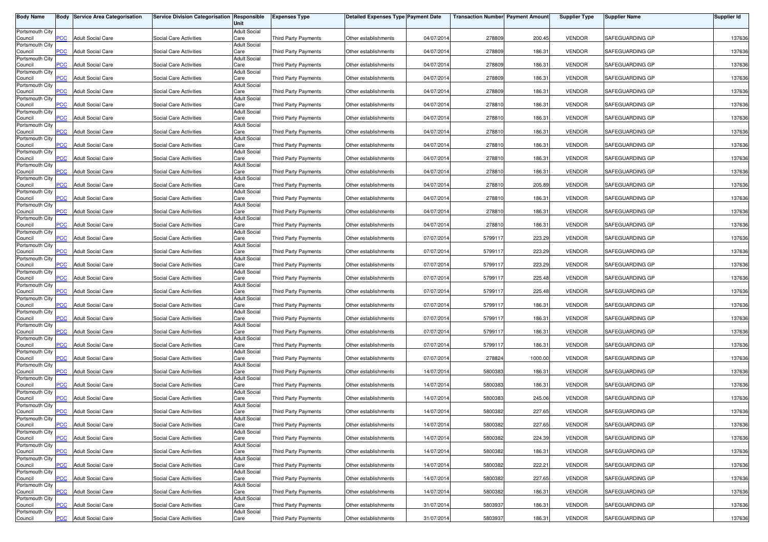| <b>Body Name</b>           |                | <b>Body Service Area Categorisation</b> | Service Division Categorisation Responsible | Unit                        | <b>Expenses Type</b>        | <b>Detailed Expenses Type Payment Date</b> |            | <b>Transaction Number Payment Amount</b> |         | <b>Supplier Type</b> | <b>Supplier Name</b> | <b>Supplier Id</b> |
|----------------------------|----------------|-----------------------------------------|---------------------------------------------|-----------------------------|-----------------------------|--------------------------------------------|------------|------------------------------------------|---------|----------------------|----------------------|--------------------|
| Portsmouth City            |                |                                         |                                             | <b>Adult Social</b>         |                             |                                            |            |                                          |         |                      |                      |                    |
| Council<br>Portsmouth City | PCC            | <b>Adult Social Care</b>                | Social Care Activities                      | Care<br><b>Adult Social</b> | <b>Third Party Payments</b> | Other establishments                       | 04/07/2014 | 278809                                   | 200.45  | <b>VENDOR</b>        | SAFEGUARDING GP      | 137636             |
| Council<br>Portsmouth City | $\overline{C}$ | <b>Adult Social Care</b>                | Social Care Activities                      | Care<br><b>Adult Social</b> | Third Party Payments        | Other establishments                       | 04/07/2014 | 278809                                   | 186.31  | <b>VENDOR</b>        | SAFEGUARDING GP      | 137636             |
| Council                    | $\overline{C}$ | <b>Adult Social Care</b>                | Social Care Activities                      | Care                        | Third Party Payments        | Other establishments                       | 04/07/2014 | 278809                                   | 186.31  | <b>VENDOR</b>        | SAFEGUARDING GP      | 137636             |
| Portsmouth City<br>Council | <b>PCC</b>     | <b>Adult Social Care</b>                | Social Care Activities                      | <b>Adult Social</b><br>Care | Third Party Payments        | Other establishments                       | 04/07/2014 | 278809                                   | 186.31  | <b>VENDOR</b>        | SAFEGUARDING GP      | 137636             |
| Portsmouth City<br>Council | $\overline{C}$ | <b>Adult Social Care</b>                | Social Care Activities                      | <b>Adult Social</b><br>Care | <b>Third Party Payments</b> | Other establishments                       | 04/07/2014 | 278809                                   | 186.31  | <b>VENDOR</b>        | SAFEGUARDING GP      | 137636             |
| Portsmouth City            |                | <b>Adult Social Care</b>                | Social Care Activities                      | <b>Adult Social</b>         |                             |                                            |            |                                          |         | <b>VENDOR</b>        | SAFEGUARDING GP      |                    |
| Council<br>Portsmouth City | <b>PCC</b>     |                                         |                                             | Care<br><b>Adult Social</b> | Third Party Payments        | Other establishments                       | 04/07/2014 | 278810                                   | 186.31  |                      |                      | 137636             |
| Council<br>Portsmouth City | PCC            | <b>Adult Social Care</b>                | Social Care Activities                      | Care<br><b>Adult Social</b> | Third Party Payments        | Other establishments                       | 04/07/2014 | 278810                                   | 186.31  | <b>VENDOR</b>        | SAFEGUARDING GP      | 137636             |
| Council<br>Portsmouth City | <b>PCC</b>     | <b>Adult Social Care</b>                | Social Care Activities                      | Care<br><b>Adult Social</b> | Third Party Payments        | Other establishments                       | 04/07/2014 | 278810                                   | 186.31  | <b>VENDOR</b>        | SAFEGUARDING GP      | 137636             |
| Council                    | PСC            | <b>Adult Social Care</b>                | Social Care Activities                      | Care                        | <b>Third Party Payments</b> | Other establishments                       | 04/07/2014 | 278810                                   | 186.31  | <b>VENDOR</b>        | SAFEGUARDING GP      | 137636             |
| Portsmouth City<br>Council | $\overline{C}$ | <b>Adult Social Care</b>                | Social Care Activities                      | <b>Adult Social</b><br>Care | <b>Third Party Payments</b> | Other establishments                       | 04/07/2014 | 278810                                   | 186.31  | <b>VENDOR</b>        | SAFEGUARDING GP      | 137636             |
| Portsmouth City<br>Council | PCC            | <b>Adult Social Care</b>                | <b>Social Care Activities</b>               | <b>Adult Social</b><br>Care | Third Party Payments        | Other establishments                       | 04/07/2014 | 278810                                   | 186.31  | <b>VENDOR</b>        | SAFEGUARDING GP      | 137636             |
| Portsmouth City            |                |                                         |                                             | <b>Adult Social</b>         |                             |                                            |            |                                          |         |                      |                      |                    |
| Council<br>Portsmouth City | PCC            | <b>Adult Social Care</b>                | Social Care Activities                      | Care<br><b>Adult Social</b> | Third Party Payments        | Other establishments                       | 04/07/2014 | 278810                                   | 205.89  | <b>VENDOR</b>        | SAFEGUARDING GP      | 137636             |
| Council<br>Portsmouth City | PСC            | <b>Adult Social Care</b>                | Social Care Activities                      | Care<br><b>Adult Social</b> | <b>Third Party Payments</b> | Other establishments                       | 04/07/2014 | 278810                                   | 186.31  | <b>VENDOR</b>        | SAFEGUARDING GP      | 137636             |
| Council                    | PCC            | <b>Adult Social Care</b>                | Social Care Activities                      | Care                        | Third Party Payments        | Other establishments                       | 04/07/2014 | 27881                                    | 186.31  | <b>VENDOR</b>        | SAFEGUARDING GP      | 137636             |
| Portsmouth City<br>Council | <b>PCC</b>     | <b>Adult Social Care</b>                | Social Care Activities                      | <b>Adult Social</b><br>Care | Third Party Payments        | Other establishments                       | 04/07/2014 | 278810                                   | 186.31  | <b>VENDOR</b>        | SAFEGUARDING GP      | 137636             |
| Portsmouth City<br>Council | PCC.           | <b>Adult Social Care</b>                | Social Care Activities                      | <b>Adult Social</b><br>Care | Third Party Payments        | Other establishments                       | 07/07/2014 | 5799117                                  | 223.29  | <b>VENDOR</b>        | SAFEGUARDING GP      | 137636             |
| Portsmouth City            | PCC            | <b>Adult Social Care</b>                | Social Care Activities                      | <b>Adult Social</b><br>Care | Third Party Payments        | Other establishments                       | 07/07/2014 | 5799117                                  | 223.29  | <b>VENDOR</b>        | SAFEGUARDING GP      | 137636             |
| Council<br>Portsmouth City |                |                                         |                                             | <b>Adult Social</b>         |                             |                                            |            |                                          |         |                      |                      |                    |
| Council<br>Portsmouth City | PСC            | <b>Adult Social Care</b>                | Social Care Activities                      | Care<br><b>Adult Social</b> | <b>Third Party Payments</b> | Other establishments                       | 07/07/2014 | 5799117                                  | 223.29  | <b>VENDOR</b>        | SAFEGUARDING GP      | 137636             |
| Council<br>Portsmouth City | PCC            | <b>Adult Social Care</b>                | Social Care Activities                      | Care<br><b>Adult Social</b> | Third Party Payments        | Other establishments                       | 07/07/2014 | 5799117                                  | 225.48  | <b>VENDOR</b>        | SAFEGUARDING GP      | 137636             |
| Council                    | PCC            | <b>Adult Social Care</b>                | Social Care Activities                      | Care                        | Third Party Payments        | Other establishments                       | 07/07/2014 | 5799117                                  | 225.48  | <b>VENDOR</b>        | SAFEGUARDING GP      | 137636             |
| Portsmouth City<br>Council | PCC            | <b>Adult Social Care</b>                | Social Care Activities                      | <b>Adult Social</b><br>Care | Third Party Payments        | Other establishments                       | 07/07/2014 | 5799117                                  | 186.31  | <b>VENDOR</b>        | SAFEGUARDING GP      | 137636             |
| Portsmouth City<br>Council | PСC            | <b>Adult Social Care</b>                | Social Care Activities                      | <b>Adult Social</b><br>Care | Third Party Payments        | Other establishments                       | 07/07/2014 | 5799117                                  | 186.31  | <b>VENDOR</b>        | SAFEGUARDING GP      | 137636             |
| Portsmouth City            |                |                                         |                                             | <b>Adult Social</b>         |                             |                                            |            |                                          |         |                      |                      |                    |
| Council<br>Portsmouth City | PСC            | <b>Adult Social Care</b>                | Social Care Activities                      | Care<br><b>Adult Social</b> | Third Party Payments        | Other establishments                       | 07/07/2014 | 5799117                                  | 186.31  | <b>VENDOR</b>        | SAFEGUARDING GP      | 137636             |
| Council<br>Portsmouth City | <b>PCC</b>     | <b>Adult Social Care</b>                | Social Care Activities                      | Care<br><b>Adult Social</b> | Third Party Payments        | Other establishments                       | 07/07/2014 | 5799117                                  | 186.31  | <b>VENDOR</b>        | SAFEGUARDING GP      | 137636             |
| Council                    | PCC.           | <b>Adult Social Care</b>                | Social Care Activities                      | Care                        | Third Party Payments        | Other establishments                       | 07/07/2014 | 278824                                   | 1000.00 | <b>VENDOR</b>        | SAFEGUARDING GP      | 137636             |
| Portsmouth City<br>Council | $\overline{C}$ | <b>Adult Social Care</b>                | Social Care Activities                      | <b>Adult Social</b><br>Care | Third Party Payments        | Other establishments                       | 14/07/2014 | 5800383                                  | 186.31  | <b>VENDOR</b>        | SAFEGUARDING GP      | 137636             |
| Portsmouth City<br>Council | PСC            | <b>Adult Social Care</b>                | Social Care Activities                      | <b>Adult Social</b><br>Care | <b>Third Party Payments</b> | Other establishments                       | 14/07/2014 | 5800383                                  | 186.31  | <b>VENDOR</b>        | SAFEGUARDING GP      | 137636             |
| Portsmouth City<br>Council | <b>PCC</b>     | <b>Adult Social Care</b>                | Social Care Activities                      | <b>Adult Social</b><br>Care | Third Party Payments        | Other establishments                       | 14/07/2014 | 5800383                                  | 245.06  | <b>VENDOR</b>        | SAFEGUARDING GP      | 137636             |
| Portsmouth City            |                |                                         |                                             | <b>Adult Social</b>         |                             |                                            |            |                                          |         |                      |                      |                    |
| Council<br>Portsmouth City | <b>PCC</b>     | <b>Adult Social Care</b>                | Social Care Activities                      | Care<br><b>Adult Social</b> | Third Party Payments        | Other establishments                       | 14/07/2014 | 5800382                                  | 227.65  | <b>VENDOR</b>        | SAFEGUARDING GP      | 137636             |
| Council<br>Portsmouth City | <b>PCC</b>     | <b>Adult Social Care</b>                | Social Care Activities                      | Care<br><b>Adult Social</b> | Third Party Payments        | Other establishments                       | 14/07/2014 | 5800382                                  | 227.65  | <b>VENDOR</b>        | SAFEGUARDING GP      | 137636             |
| Council                    | <b>PCC</b>     | <b>Adult Social Care</b>                | Social Care Activities                      | Care                        | Third Party Payments        | Other establishments                       | 14/07/2014 | 5800382                                  | 224.39  | <b>VENDOR</b>        | SAFEGUARDING GP      | 137636             |
| Portsmouth City<br>Council | <b>PCC</b>     | <b>Adult Social Care</b>                | Social Care Activities                      | <b>Adult Social</b><br>Care | Third Party Payments        | Other establishments                       | 14/07/2014 | 5800382                                  | 186.31  | <b>VENDOR</b>        | SAFEGUARDING GP      | 137636             |
| Portsmouth City<br>Council | PCC            | <b>Adult Social Care</b>                | Social Care Activities                      | <b>Adult Social</b><br>Care | Third Party Payments        | Other establishments                       | 14/07/2014 | 5800382                                  | 222.21  | <b>VENDOR</b>        | SAFEGUARDING GP      | 137636             |
| Portsmouth City            |                |                                         | Social Care Activities                      | <b>Adult Social</b>         |                             |                                            |            |                                          |         |                      |                      |                    |
| Council<br>Portsmouth City | PСC            | <b>Adult Social Care</b>                |                                             | Care<br><b>Adult Social</b> | Third Party Payments        | Other establishments                       | 14/07/2014 | 5800382                                  | 227.65  | <b>VENDOR</b>        | SAFEGUARDING GP      | 137636             |
| Council<br>Portsmouth City | PCC            | <b>Adult Social Care</b>                | Social Care Activities                      | Care<br><b>Adult Social</b> | Third Party Payments        | Other establishments                       | 14/07/2014 | 5800382                                  | 186.31  | <b>VENDOR</b>        | SAFEGUARDING GP      | 137636             |
| Council<br>Portsmouth City | PСC            | <b>Adult Social Care</b>                | Social Care Activities                      | Care<br><b>Adult Social</b> | Third Party Payments        | Other establishments                       | 31/07/2014 | 5803937                                  | 186.31  | <b>VENDOR</b>        | SAFEGUARDING GP      | 137636             |
| Council                    | <b>PCC</b>     | <b>Adult Social Care</b>                | Social Care Activities                      | Care                        | <b>Third Party Payments</b> | Other establishments                       | 31/07/2014 | 5803937                                  | 186.31  | <b>VENDOR</b>        | SAFEGUARDING GP      | 137636             |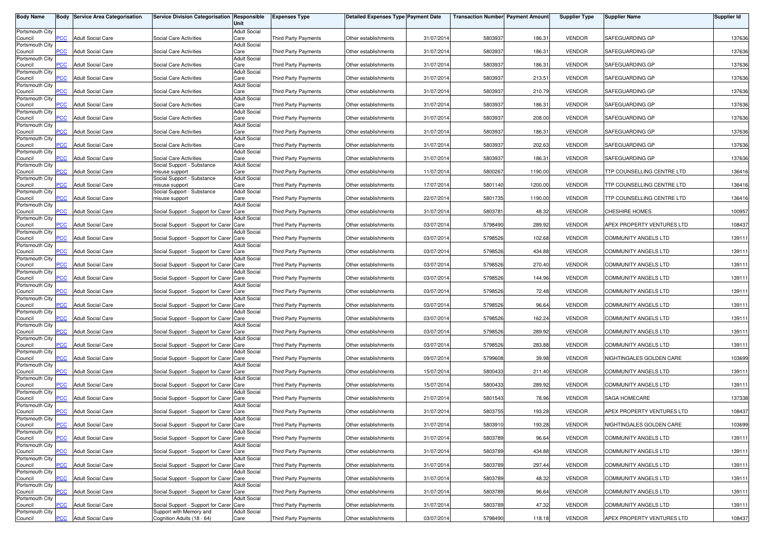| <b>Body Name</b>           |            | <b>Body Service Area Categorisation</b> | Service Division Categorisation Responsible           | Unit                        | <b>Expenses Type</b>        | <b>Detailed Expenses Type Payment Date</b> |            | <b>Transaction Number Payment Amount</b> |         | <b>Supplier Type</b> | <b>Supplier Name</b>        | <b>Supplier Id</b> |
|----------------------------|------------|-----------------------------------------|-------------------------------------------------------|-----------------------------|-----------------------------|--------------------------------------------|------------|------------------------------------------|---------|----------------------|-----------------------------|--------------------|
| Portsmouth City<br>Council | <b>PCC</b> | <b>Adult Social Care</b>                | Social Care Activities                                | <b>Adult Social</b><br>Care | <b>Third Party Payments</b> | Other establishments                       | 31/07/201  | 5803937                                  | 186.31  | <b>VENDOR</b>        | SAFEGUARDING GP             | 137636             |
| Portsmouth City            |            |                                         |                                                       | <b>Adult Social</b>         |                             |                                            |            |                                          |         |                      |                             |                    |
| Council<br>Portsmouth City | <b>PCC</b> | <b>Adult Social Care</b>                | <b>Social Care Activities</b>                         | Care<br><b>Adult Social</b> | Third Party Payments        | Other establishments                       | 31/07/201  | 5803937                                  | 186.31  | <b>VENDOR</b>        | SAFEGUARDING GP             | 137636             |
| Council<br>Portsmouth City | <b>PCC</b> | <b>Adult Social Care</b>                | Social Care Activities                                | Care<br><b>Adult Social</b> | Third Party Payments        | Other establishments                       | 31/07/201  | 5803937                                  | 186.31  | <b>VENDOR</b>        | SAFEGUARDING GP             | 137636             |
| Council<br>Portsmouth City | PСC        | <b>Adult Social Care</b>                | Social Care Activities                                | Care<br><b>Adult Social</b> | <b>Third Party Payments</b> | Other establishments                       | 31/07/201  | 5803937                                  | 213.51  | <b>VENDOR</b>        | SAFEGUARDING GP             | 137636             |
| Council                    | <b>PCC</b> | <b>Adult Social Care</b>                | Social Care Activities                                | Care                        | <b>Third Party Payments</b> | Other establishments                       | 31/07/201  | 5803937                                  | 210.79  | <b>VENDOR</b>        | SAFEGUARDING GP             | 137636             |
| Portsmouth City<br>Council | <b>PCC</b> | <b>Adult Social Care</b>                | Social Care Activities                                | <b>Adult Social</b><br>Care | Third Party Payments        | Other establishments                       | 31/07/201  | 5803937                                  | 186.31  | <b>VENDOR</b>        | SAFEGUARDING GP             | 137636             |
| Portsmouth City<br>Council | <b>PCC</b> | <b>Adult Social Care</b>                | Social Care Activities                                | <b>Adult Social</b><br>Care | Third Party Payments        | Other establishments                       | 31/07/201  | 5803937                                  | 208.00  | <b>VENDOR</b>        | SAFEGUARDING GP             | 137636             |
| Portsmouth City<br>Council | <b>PCC</b> | <b>Adult Social Care</b>                | Social Care Activities                                | <b>Adult Social</b><br>Care | Third Party Payments        | Other establishments                       | 31/07/201  | 5803937                                  | 186.31  | <b>VENDOR</b>        | SAFEGUARDING GP             | 137636             |
| Portsmouth City<br>Council | PСC        | <b>Adult Social Care</b>                | Social Care Activities                                | <b>Adult Social</b><br>Care | <b>Third Party Payments</b> | Other establishments                       | 31/07/201  | 5803937                                  | 202.63  | <b>VENDOR</b>        | SAFEGUARDING GP             | 137636             |
| Portsmouth City            |            |                                         |                                                       | <b>Adult Social</b>         |                             |                                            |            |                                          |         |                      |                             |                    |
| Council<br>Portsmouth City | <b>PCC</b> | <b>Adult Social Care</b>                | Social Care Activities<br>Social Support - Substance  | Care<br><b>Adult Social</b> | Third Party Payments        | Other establishments                       | 31/07/201  | 5803937                                  | 186.31  | <b>VENDOR</b>        | SAFEGUARDING GP             | 137636             |
| Council<br>Portsmouth City | PCC        | <b>Adult Social Care</b>                | nisuse support<br>Social Support - Substance          | Care<br><b>Adult Social</b> | <b>Third Party Payments</b> | Other establishments                       | 11/07/201  | 5800267                                  | 1190.00 | <b>VENDOR</b>        | TTP COUNSELLING CENTRE LTD  | 136416             |
| Council<br>Portsmouth City | <b>PCC</b> | <b>Adult Social Care</b>                | misuse support<br>Social Support - Substance          | Care<br><b>Adult Social</b> | Third Party Payments        | Other establishments                       | 17/07/201  | 5801140                                  | 1200.00 | <b>VENDOR</b>        | TTP COUNSELLING CENTRE LTD  | 136416             |
| Council                    | <b>PCC</b> | <b>Adult Social Care</b>                | misuse support                                        | Care                        | Third Party Payments        | Other establishments                       | 22/07/201  | 5801735                                  | 1190.00 | <b>VENDOR</b>        | TTP COUNSELLING CENTRE LTD  | 136416             |
| Portsmouth City<br>Council | <b>PCC</b> | <b>Adult Social Care</b>                | Social Support - Support for Carer Care               | <b>Adult Social</b>         | Third Party Payments        | Other establishments                       | 31/07/201  | 580378                                   | 48.32   | <b>VENDOR</b>        | CHESHIRE HOMES              | 100957             |
| Portsmouth City<br>Council | <b>PCC</b> | <b>Adult Social Care</b>                | Social Support - Support for Carer Care               | <b>Adult Social</b>         | Third Party Payments        | Other establishments                       | 03/07/201  | 5798490                                  | 289.92  | <b>VENDOR</b>        | APEX PROPERTY VENTURES LTD  | 108437             |
| Portsmouth City<br>Council | PCC        | Adult Social Care                       | Social Support - Support for Carer Care               | <b>Adult Social</b>         | <b>Third Party Payments</b> | Other establishments                       | 03/07/201  | 5798526                                  | 102.68  | <b>VENDOR</b>        | COMMUNITY ANGELS LTD        | 139111             |
| Portsmouth City<br>Council | <b>PCC</b> | <b>Adult Social Care</b>                | Social Support - Support for Carer Care               | <b>Adult Social</b>         | Third Party Payments        | Other establishments                       | 03/07/201  | 5798526                                  | 434.88  | <b>VENDOR</b>        | COMMUNITY ANGELS LTD        | 139111             |
| Portsmouth City<br>Council | ۲CС        | Adult Social Care                       | Social Support - Support for Carer Care               | <b>Adult Social</b>         | <b>Third Party Payments</b> | Other establishments                       | 03/07/201  | 5798526                                  | 270.40  | <b>VENDOR</b>        | COMMUNITY ANGELS LTD        | 139111             |
| Portsmouth City            |            |                                         |                                                       | <b>Adult Social</b>         |                             |                                            |            |                                          |         |                      |                             |                    |
| Council<br>Portsmouth City | <b>PCC</b> | <b>Adult Social Care</b>                | Social Support - Support for Carer Care               | <b>Adult Social</b>         | Third Party Payments        | Other establishments                       | 03/07/201  | 5798526                                  | 144.96  | <b>VENDOR</b>        | COMMUNITY ANGELS LTD        | 139111             |
| Council<br>Portsmouth City | PCC        | <b>Adult Social Care</b>                | Social Support - Support for Carer Care               | Adult Social                | <b>Third Party Payments</b> | Other establishments                       | 03/07/201  | 5798526                                  | 72.48   | <b>VENDOR</b>        | <b>COMMUNITY ANGELS LTD</b> | 139111             |
| Council<br>Portsmouth City | <b>PCC</b> | <b>Adult Social Care</b>                | Social Support - Support for Carer Care               | <b>Adult Social</b>         | Third Party Payments        | Other establishments                       | 03/07/201  | 5798526                                  | 96.64   | <b>VENDOR</b>        | COMMUNITY ANGELS LTD        | 139111             |
| Council<br>Portsmouth City | <b>PCC</b> | <b>Adult Social Care</b>                | Social Support - Support for Carer Care               | <b>Adult Social</b>         | Third Party Payments        | Other establishments                       | 03/07/201  | 5798526                                  | 162.24  | <b>VENDOR</b>        | <b>COMMUNITY ANGELS LTD</b> | 139111             |
| Council                    | <b>PCC</b> | <b>Adult Social Care</b>                | Social Support - Support for Carer Care               |                             | <b>Third Party Payments</b> | Other establishments                       | 03/07/201  | 5798526                                  | 289.92  | <b>VENDOR</b>        | COMMUNITY ANGELS LTD        | 139111             |
| Portsmouth City<br>Council | <b>PCC</b> | <b>Adult Social Care</b>                | Social Support - Support for Carer Care               | <b>Adult Social</b>         | Third Party Payments        | Other establishments                       | 03/07/2014 | 5798526                                  | 283.88  | <b>VENDOR</b>        | <b>COMMUNITY ANGELS LTD</b> | 139111             |
| Portsmouth City<br>Council | PCC        | Adult Social Care                       | Social Support - Support for Carer Care               | <b>Adult Social</b>         | Third Party Payments        | Other establishments                       | 09/07/201  | 5799608                                  | 39.98   | <b>VENDOR</b>        | NIGHTINGALES GOLDEN CARE    | 103699             |
| Portsmouth City<br>Council | <b>PCC</b> | <b>Adult Social Care</b>                | Social Support - Support for Carer Care               | <b>Adult Social</b>         | Third Party Payments        | Other establishments                       | 15/07/201  | 5800433                                  | 211.40  | <b>VENDOR</b>        | COMMUNITY ANGELS LTD        | 139111             |
| Portsmouth City<br>Council | PСC        | <b>Adult Social Care</b>                | Social Support - Support for Carer Care               | <b>Adult Social</b>         | <b>Third Party Payments</b> | Other establishments                       | 15/07/201  | 5800433                                  | 289.92  | <b>VENDOR</b>        | <b>COMMUNITY ANGELS LTD</b> | 139111             |
| Portsmouth City            | <b>PCC</b> | <b>Adult Social Care</b>                | Social Support - Support for Carer Care               | <b>Adult Social</b>         | Third Party Payments        | Other establishments                       | 21/07/201  | 5801543                                  | 78.96   | <b>VENDOR</b>        | SAGA HOMECARE               |                    |
| Council<br>Portsmouth City |            |                                         |                                                       | <b>Adult Social</b>         |                             |                                            |            |                                          |         |                      |                             | 137338             |
| Council<br>Portsmouth City | <b>PCC</b> | <b>Adult Social Care</b>                | Social Support - Support for Carer Care               | <b>Adult Social</b>         | <b>Third Party Payments</b> | Other establishments                       | 31/07/2014 | 5803755                                  | 193.28  | <b>VENDOR</b>        | APEX PROPERTY VENTURES LTD  | 108437             |
| Council<br>Portsmouth City | <b>PCC</b> | <b>Adult Social Care</b>                | Social Support - Support for Carer Care               | Adult Social                | Third Party Payments        | Other establishments                       | 31/07/2014 | 5803910                                  | 193.28  | <b>VENDOR</b>        | NIGHTINGALES GOLDEN CARE    | 103699             |
| Council<br>Portsmouth City | <b>PCC</b> | <b>Adult Social Care</b>                | Social Support - Support for Carer Care               | <b>Adult Social</b>         | Third Party Payments        | Other establishments                       | 31/07/2014 | 5803789                                  | 96.64   | <b>VENDOR</b>        | <b>COMMUNITY ANGELS LTD</b> | 139111             |
| Council                    | <b>PCC</b> | <b>Adult Social Care</b>                | Social Support - Support for Carer Care               |                             | Third Party Payments        | Other establishments                       | 31/07/2014 | 5803789                                  | 434.88  | <b>VENDOR</b>        | COMMUNITY ANGELS LTD        | 139111             |
| Portsmouth City<br>Council | <b>PCC</b> | <b>Adult Social Care</b>                | Social Support - Support for Carer Care               | <b>Adult Social</b>         | Third Party Payments        | Other establishments                       | 31/07/2014 | 5803789                                  | 297.44  | <b>VENDOR</b>        | COMMUNITY ANGELS LTD        | 139111             |
| Portsmouth City<br>Council | <b>PCC</b> | <b>Adult Social Care</b>                | Social Support - Support for Carer Care               | <b>Adult Social</b>         | Third Party Payments        | Other establishments                       | 31/07/201  | 5803789                                  | 48.32   | <b>VENDOR</b>        | COMMUNITY ANGELS LTD        | 139111             |
| Portsmouth City<br>Council | <b>PCC</b> | <b>Adult Social Care</b>                | Social Support - Support for Carer Care               | <b>Adult Social</b>         | Third Party Payments        | Other establishments                       | 31/07/2014 | 5803789                                  | 96.64   | <b>VENDOR</b>        | COMMUNITY ANGELS LTD        | 139111             |
| Portsmouth City<br>Council | PCC        | <b>Adult Social Care</b>                | Social Support - Support for Carer Care               | <b>Adult Social</b>         | Third Party Payments        | Other establishments                       | 31/07/2014 | 5803789                                  | 47.32   | <b>VENDOR</b>        | <b>COMMUNITY ANGELS LTD</b> | 139111             |
| Portsmouth City<br>Council | <b>PCC</b> | <b>Adult Social Care</b>                | Support with Memory and<br>Cognition Adults (18 - 64) | <b>Adult Social</b><br>Care | Third Party Payments        | Other establishments                       | 03/07/2014 | 5798490                                  | 118.18  | <b>VENDOR</b>        | APEX PROPERTY VENTURES LTD  | 108437             |
|                            |            |                                         |                                                       |                             |                             |                                            |            |                                          |         |                      |                             |                    |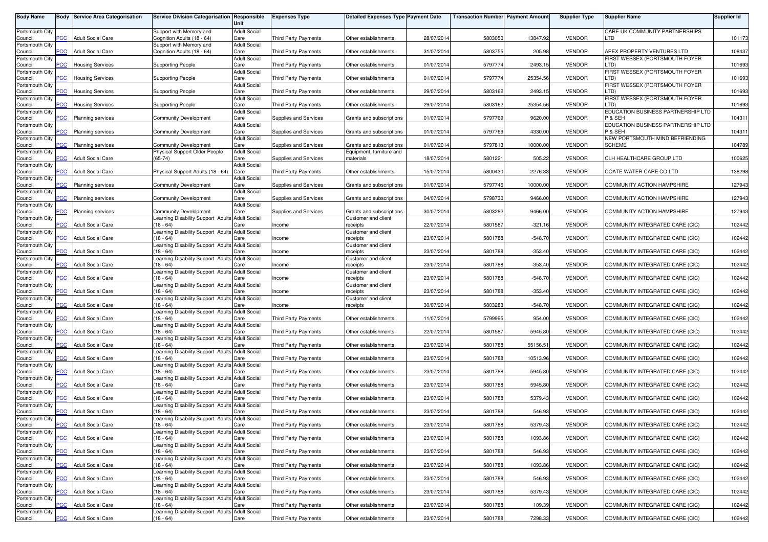| <b>Body Name</b>           | Body           | <b>Service Area Categorisation</b> | <b>Service Division Categorisation Responsible</b>                              | Unit                        | <b>Expenses Type</b>         | <b>Detailed Expenses Type Payment Date</b>      |            | <b>Transaction Number Payment Amount</b> |           | <b>Supplier Type</b> | <b>Supplier Name</b>                             | Supplier Id |
|----------------------------|----------------|------------------------------------|---------------------------------------------------------------------------------|-----------------------------|------------------------------|-------------------------------------------------|------------|------------------------------------------|-----------|----------------------|--------------------------------------------------|-------------|
| Portsmouth City            |                |                                    | Support with Memory and                                                         | <b>Adult Social</b>         |                              |                                                 |            |                                          |           |                      | CARE UK COMMUNITY PARTNERSHIPS                   |             |
| Council                    | <b>PCC</b>     | <b>Adult Social Care</b>           | Cognition Adults (18 - 64)                                                      | Care                        | <b>Third Party Payments</b>  | Other establishments                            | 28/07/2014 | 5803050                                  | 13847.92  | <b>VENDOR</b>        | LTD                                              | 101173      |
| Portsmouth City<br>Council | <b>PCC</b>     | <b>Adult Social Care</b>           | Support with Memory and<br>Cognition Adults (18 - 64)                           | <b>Adult Social</b><br>Care | <b>Third Party Payments</b>  | Other establishments                            | 31/07/2014 | 5803755                                  | 205.98    | <b>VENDOR</b>        | APEX PROPERTY VENTURES LTD                       | 108437      |
| Portsmouth City            |                |                                    |                                                                                 | <b>Adult Social</b>         |                              |                                                 |            |                                          |           |                      | FIRST WESSEX (PORTSMOUTH FOYER                   |             |
| Council<br>Portsmouth City | $\overline{C}$ | <b>Housing Services</b>            | <b>Supporting People</b>                                                        | Care<br><b>Adult Social</b> | <b>Third Party Payments</b>  | Other establishments                            | 01/07/2014 | 5797774                                  | 2493.15   | <b>VENDOR</b>        | LTD)<br>FIRST WESSEX (PORTSMOUTH FOYER           | 101693      |
| Council                    | сC             | Housing Services                   | <b>Supporting People</b>                                                        | Care                        | Third Party Payments         | Other establishments                            | 01/07/2014 | 5797774                                  | 25354.56  | <b>VENDOR</b>        | LTD)                                             | 101693      |
| Portsmouth City            |                |                                    |                                                                                 | <b>Adult Social</b>         |                              |                                                 |            |                                          |           |                      | FIRST WESSEX (PORTSMOUTH FOYER                   |             |
| Council<br>Portsmouth City | PСC            | <b>Housing Services</b>            | <b>Supporting People</b>                                                        | Care<br><b>Adult Social</b> | <b>Third Party Payments</b>  | Other establishments                            | 29/07/201  | 5803162                                  | 2493.15   | <b>VENDOR</b>        | LTD)<br>FIRST WESSEX (PORTSMOUTH FOYER           | 101693      |
| Council                    | PСC            | <b>Housing Services</b>            | <b>Supporting People</b>                                                        | Care                        | Third Party Payments         | Other establishments                            | 29/07/2014 | 5803162                                  | 25354.56  | <b>VENDOR</b>        | LTD)                                             | 101693      |
| Portsmouth City            | PСC            |                                    |                                                                                 | <b>Adult Social</b><br>Care | <b>Supplies and Services</b> |                                                 | 01/07/2014 | 5797769                                  | 9620.00   | <b>VENDOR</b>        | EDUCATION BUSINESS PARTNERSHIP LTD<br>P & SE⊦    | 104311      |
| Council<br>Portsmouth City |                | <b>Planning services</b>           | <b>Community Development</b>                                                    | <b>Adult Social</b>         |                              | Grants and subscriptions                        |            |                                          |           |                      | EDUCATION BUSINESS PARTNERSHIP LTD               |             |
| Council                    | PСC            | <b>Planning services</b>           | <b>Community Development</b>                                                    | Care                        | Supplies and Services        | Grants and subscriptions                        | 01/07/2014 | 5797769                                  | 4330.00   | <b>VENDOR</b>        | P & SE⊦                                          | 104311      |
| Portsmouth City<br>Council | сc             | Planning services                  | <b>Community Development</b>                                                    | <b>Adult Social</b><br>Care | <b>Supplies and Services</b> | Grants and subscriptions                        | 01/07/2014 | 5797813                                  | 10000.00  | <b>VENDOR</b>        | NEW PORTSMOUTH MIND BEFRIENDING<br><b>SCHEME</b> | 104789      |
| Portsmouth City            |                |                                    | Physical Support Older People                                                   | <b>Adult Social</b>         |                              | Equipment, furniture and                        |            |                                          |           |                      |                                                  |             |
| Council<br>Portsmouth City | $\overline{C}$ | <b>Adult Social Care</b>           | $(65-74)$                                                                       | Care<br><b>Adult Social</b> | <b>Supplies and Services</b> | naterials                                       | 18/07/2014 | 5801221                                  | 505.22    | <b>VENDOR</b>        | CLH HEALTHCARE GROUP LTD                         | 100625      |
| Council                    | PСC            | <b>Adult Social Care</b>           | Physical Support Adults (18 - 64)                                               | Care                        | Third Party Payments         | Other establishments                            | 15/07/2014 | 5800430                                  | 2276.33   | <b>VENDOR</b>        | COATE WATER CARE CO LTD                          | 138298      |
| Portsmouth City            |                |                                    |                                                                                 | Adult Social                |                              |                                                 |            |                                          |           |                      |                                                  |             |
| Council<br>Portsmouth City | PCC            | <b>Planning services</b>           | <b>Community Development</b>                                                    | Care<br><b>Adult Social</b> | Supplies and Services        | Grants and subscriptions                        | 01/07/2014 | 5797746                                  | 10000.00  | <b>VENDOR</b>        | COMMUNITY ACTION HAMPSHIRE                       | 127943      |
| Council                    | PСC            | Planning services                  | <b>Community Development</b>                                                    | Care                        | Supplies and Services        | Grants and subscriptions                        | 04/07/201  | 5798730                                  | 9466.00   | <b>VENDOR</b>        | COMMUNITY ACTION HAMPSHIRE                       | 127943      |
| Portsmouth City            | <b>PCC</b>     |                                    |                                                                                 | <b>Adult Social</b>         |                              |                                                 | 30/07/201  | 5803282                                  | 9466.00   | <b>VENDOR</b>        |                                                  |             |
| Council<br>Portsmouth City |                | <b>Planning services</b>           | <b>Community Development</b><br>Learning Disability Support Adults Adult Social | Care                        | Supplies and Services        | Grants and subscriptions<br>Customer and client |            |                                          |           |                      | COMMUNITY ACTION HAMPSHIRE                       | 127943      |
| Council                    | <b>PCC</b>     | <b>Adult Social Care</b>           | (18 - 64)                                                                       | Care                        | Income                       | receipts                                        | 22/07/2014 | 5801587                                  | $-321.16$ | <b>VENDOR</b>        | COMMUNITY INTEGRATED CARE (CIC)                  | 102442      |
| Portsmouth City<br>Council | <b>PCC</b>     | <b>Adult Social Care</b>           | earning Disability Support Adults Adult Social<br>$18 - 64$                     | Care                        | ncome                        | Customer and client<br>receipts                 | 23/07/2014 | 5801788                                  | $-548.70$ | <b>VENDOR</b>        | COMMUNITY INTEGRATED CARE (CIC)                  | 102442      |
| Portsmouth City            |                |                                    | earning Disability Support Adults Adult Social                                  |                             |                              | Customer and client                             |            |                                          |           |                      |                                                  |             |
| Council                    | PСC            | <b>Adult Social Care</b>           | $18 - 64$                                                                       | Care                        | ncome                        | receipts                                        | 23/07/2014 | 5801788                                  | $-353.40$ | <b>VENDOR</b>        | COMMUNITY INTEGRATED CARE (CIC)                  | 102442      |
| Portsmouth City<br>Council | 'СC            | <b>Adult Social Care</b>           | Learning Disability Support Adults Adult Social<br>18 - 64)                     | Care                        | ncome                        | Customer and client<br>receipts                 | 23/07/2014 | 5801788                                  | $-353.40$ | <b>VENDOR</b>        | COMMUNITY INTEGRATED CARE (CIC)                  | 102442      |
| Portsmouth City            |                |                                    | Learning Disability Support Adults Adult Social                                 |                             |                              | Customer and client                             |            |                                          |           |                      |                                                  |             |
| Council<br>Portsmouth City | PCC            | <b>Adult Social Care</b>           | $(18 - 64)$<br>Learning Disability Support Adults Adult Social                  | Care                        | ncome                        | receipts<br>Customer and client                 | 23/07/2014 | 5801788                                  | $-548.70$ | <b>VENDOR</b>        | COMMUNITY INTEGRATED CARE (CIC)                  | 102442      |
| Council                    | PСC            | <b>Adult Social Care</b>           | (18 - 64)                                                                       | Care                        | Income                       | receipts                                        | 23/07/2014 | 5801788                                  | $-353.40$ | <b>VENDOR</b>        | COMMUNITY INTEGRATED CARE (CIC)                  | 102442      |
| Portsmouth City            |                |                                    | Learning Disability Support Adults Adult Social                                 |                             |                              | Customer and client                             |            |                                          |           |                      |                                                  |             |
| Council<br>Portsmouth City | PCC            | <b>Adult Social Care</b>           | $(18 - 64)$<br>earning Disability Support Adults                                | Care<br><b>Adult Social</b> | Income                       | receipts                                        | 30/07/201  | 5803283                                  | $-548.70$ | <b>VENDOR</b>        | COMMUNITY INTEGRATED CARE (CIC)                  | 102442      |
| Council                    | PСC            | <b>Adult Social Care</b>           | (18 - 64)                                                                       | Care                        | Third Party Payments         | Other establishments                            | 11/07/2014 | 5799995                                  | 954.00    | <b>VENDOR</b>        | COMMUNITY INTEGRATED CARE (CIC)                  | 102442      |
| Portsmouth City<br>Council | PСC            | <b>Adult Social Care</b>           | Learning Disability Support Adults<br>$(18 - 64)$                               | <b>Adult Social</b><br>Care | <b>Third Party Payments</b>  | Other establishments                            | 22/07/201  | 5801587                                  | 5945.80   | <b>VENDOR</b>        | COMMUNITY INTEGRATED CARE (CIC)                  | 102442      |
| Portsmouth City            |                |                                    | Learning Disability Support Adults Adult Social                                 |                             |                              |                                                 |            |                                          |           |                      |                                                  |             |
| Council                    | PCC.           | <b>Adult Social Care</b>           | (18 - 64)                                                                       | Care                        | Third Party Payments         | Other establishments                            | 23/07/2014 | 5801788                                  | 55156.51  | <b>VENDOR</b>        | COMMUNITY INTEGRATED CARE (CIC)                  | 102442      |
| Portsmouth City<br>Council | PСC            | <b>Adult Social Care</b>           | earning Disability Support Adults Adult Social<br>$18 - 64$                     | Care                        | <b>Third Party Payments</b>  | Other establishments                            | 23/07/2014 | 5801788                                  | 10513.96  | <b>VENDOR</b>        | COMMUNITY INTEGRATED CARE (CIC)                  | 102442      |
| Portsmouth City            |                |                                    | earning Disability Support Adults Adult Social                                  |                             |                              |                                                 |            |                                          |           |                      |                                                  |             |
| Council<br>Portsmouth City | PСC            | <b>Adult Social Care</b>           | $18 - 64$<br>Learning Disability Support Adults Adult Social                    | Care                        | <b>Third Party Payments</b>  | Other establishments                            | 23/07/2014 | 5801788                                  | 5945.80   | <b>VENDOR</b>        | COMMUNITY INTEGRATED CARE (CIC)                  | 102442      |
| Council                    | сC             | <b>Adult Social Care</b>           | 18 - 64)                                                                        | Care                        | Third Party Payments         | Other establishments                            | 23/07/2014 | 5801788                                  | 5945.80   | <b>VENDOR</b>        | COMMUNITY INTEGRATED CARE (CIC)                  | 102442      |
| Portsmouth City            |                |                                    | Learning Disability Support Adults Adult Social                                 |                             |                              |                                                 |            |                                          |           |                      |                                                  |             |
| Council<br>Portsmouth City | PСC            | <b>Adult Social Care</b>           | (18 - 64)<br>earning Disability Support Adults Adult Social                     | Care                        | Third Party Payments         | Other establishments                            | 23/07/2014 | 5801788                                  | 5379.43   | <b>VENDOR</b>        | COMMUNITY INTEGRATED CARE (CIC)                  | 102442      |
| Council                    | <b>PCC</b>     | <b>Adult Social Care</b>           | $18 - 64$                                                                       | Care                        | <b>Third Party Payments</b>  | Other establishments                            | 23/07/2014 | 5801788                                  | 546.93    | <b>VENDOR</b>        | COMMUNITY INTEGRATED CARE (CIC)                  | 102442      |
| Portsmouth City<br>Council | <b>PCC</b>     | <b>Adult Social Care</b>           | Learning Disability Support Adults Adult Social<br>$(18 - 64)$                  | Care                        | Third Party Payments         | Other establishments                            | 23/07/2014 | 5801788                                  | 5379.43   | <b>VENDOR</b>        | COMMUNITY INTEGRATED CARE (CIC)                  | 102442      |
| Portsmouth City            |                |                                    | Learning Disability Support Adults Adult Social                                 |                             |                              |                                                 |            |                                          |           |                      |                                                  |             |
| Council                    | <b>PCC</b>     | <b>Adult Social Care</b>           | (18 - 64)                                                                       | Care                        | Third Party Payments         | Other establishments                            | 23/07/2014 | 5801788                                  | 1093.86   | <b>VENDOR</b>        | COMMUNITY INTEGRATED CARE (CIC)                  | 102442      |
| Portsmouth City<br>Council | <b>PCC</b>     | <b>Adult Social Care</b>           | Learning Disability Support Adults Adult Social<br>$(18 - 64)$                  | Care                        | Third Party Payments         | Other establishments                            | 23/07/2014 | 5801788                                  | 546.93    | <b>VENDOR</b>        | COMMUNITY INTEGRATED CARE (CIC)                  | 102442      |
| Portsmouth City            |                |                                    | Learning Disability Support Adults Adult Social                                 |                             |                              |                                                 |            |                                          |           |                      |                                                  |             |
| Council<br>Portsmouth City | PCC            | <b>Adult Social Care</b>           | (18 - 64)<br>earning Disability Support Adults Adult Social                     | Care                        | <b>Third Party Payments</b>  | Other establishments                            | 23/07/2014 | 5801788                                  | 1093.86   | <b>VENDOR</b>        | COMMUNITY INTEGRATED CARE (CIC)                  | 102442      |
| Council                    | PСC            | <b>Adult Social Care</b>           | $18 - 64$                                                                       | Care                        | Third Party Payments         | Other establishments                            | 23/07/2014 | 5801788                                  | 546.93    | <b>VENDOR</b>        | COMMUNITY INTEGRATED CARE (CIC)                  | 102442      |
| Portsmouth City            | PCC            | <b>Adult Social Care</b>           | Learning Disability Support Adults Adult Social<br>$(18 - 64)$                  | Care                        | Third Party Payments         | Other establishments                            | 23/07/2014 | 5801788                                  | 5379.43   | <b>VENDOR</b>        | COMMUNITY INTEGRATED CARE (CIC)                  | 102442      |
| Council<br>Portsmouth City |                |                                    | Learning Disability Support Adults Adult Social                                 |                             |                              |                                                 |            |                                          |           |                      |                                                  |             |
| Council                    | PСC            | <b>Adult Social Care</b>           | (18 - 64)                                                                       | Care                        | <b>Third Party Payments</b>  | Other establishments                            | 23/07/2014 | 5801788                                  | 109.39    | <b>VENDOR</b>        | COMMUNITY INTEGRATED CARE (CIC)                  | 102442      |
| Portsmouth City<br>Council | <b>PCC</b>     | <b>Adult Social Care</b>           | Learning Disability Support Adults Adult Social<br>$(18 - 64)$                  | Care                        | Third Party Payments         | Other establishments                            | 23/07/2014 | 5801788                                  | 7298.33   | <b>VENDOR</b>        | COMMUNITY INTEGRATED CARE (CIC)                  | 102442      |
|                            |                |                                    |                                                                                 |                             |                              |                                                 |            |                                          |           |                      |                                                  |             |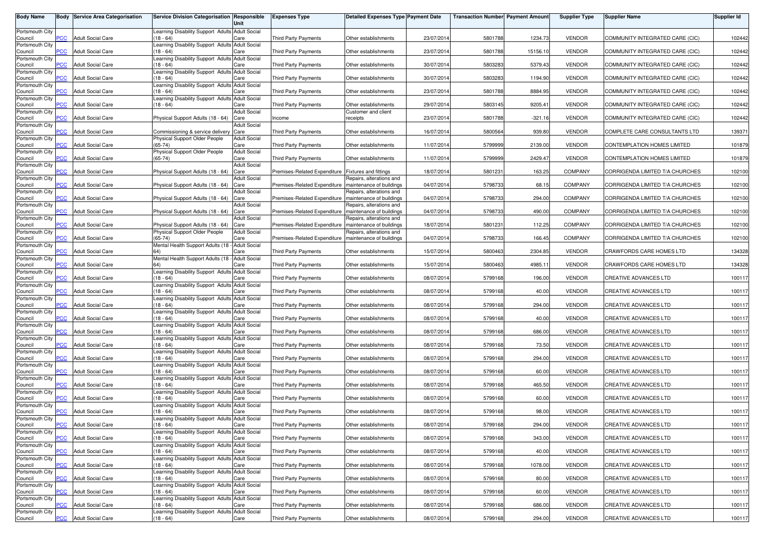| <b>Body Name</b>           | Body                     | <b>Service Area Categorisation</b> | Service Division Categorisation Responsible                       |                             | <b>Expenses Type</b>         | Detailed Expenses Type Payment Date                  |            | <b>Transaction Number Payment Amount</b> |           | <b>Supplier Type</b> | <b>Supplier Name</b>            | Supplier Id |
|----------------------------|--------------------------|------------------------------------|-------------------------------------------------------------------|-----------------------------|------------------------------|------------------------------------------------------|------------|------------------------------------------|-----------|----------------------|---------------------------------|-------------|
|                            |                          |                                    |                                                                   | Unit                        |                              |                                                      |            |                                          |           |                      |                                 |             |
| Portsmouth City<br>Council | PCC                      | <b>Adult Social Care</b>           | Learning Disability Support Adults Adult Social<br>(18 - 64)      | Care                        | Third Party Payments         | Other establishments                                 | 23/07/2014 | 5801788                                  | 1234.73   | <b>VENDOR</b>        | COMMUNITY INTEGRATED CARE (CIC) | 102442      |
| Portsmouth City            |                          |                                    | earning Disability Support Adults Adult Social                    |                             |                              |                                                      |            |                                          |           |                      |                                 |             |
| Council                    | $\overline{C}$           | <b>Adult Social Care</b>           | $18 - 64$                                                         | Care                        | <b>Third Party Payments</b>  | Other establishments                                 | 23/07/2014 | 5801788                                  | 15156.10  | <b>VENDOR</b>        | COMMUNITY INTEGRATED CARE (CIC) | 102442      |
| Portsmouth City<br>Council | $\overline{C}$           | <b>Adult Social Care</b>           | earning Disability Support Adults Adult Social<br>$18 - 64$       | Care                        | Third Party Payments         | Other establishments                                 | 30/07/2014 | 5803283                                  | 5379.43   | <b>VENDOR</b>        | COMMUNITY INTEGRATED CARE (CIC) | 102442      |
| Portsmouth City            |                          |                                    | earning Disability Support Adults Adult Social                    |                             |                              |                                                      |            |                                          |           |                      |                                 |             |
| Council                    | PСC                      | <b>Adult Social Care</b>           | $18 - 64$                                                         | Care                        | <b>Third Party Payments</b>  | Other establishments                                 | 30/07/2014 | 5803283                                  | 1194.90   | <b>VENDOR</b>        | COMMUNITY INTEGRATED CARE (CIC) | 102442      |
| Portsmouth City<br>Council | $\overline{C}$           | <b>Adult Social Care</b>           | Learning Disability Support Adults Adult Social<br>$(18 - 64)$    | Care                        | <b>Third Party Payments</b>  | Other establishments                                 | 23/07/2014 | 5801788                                  | 8884.95   | <b>VENDOR</b>        | COMMUNITY INTEGRATED CARE (CIC) | 102442      |
| Portsmouth City            |                          |                                    | Learning Disability Support Adults Adult Social                   |                             |                              |                                                      |            |                                          |           |                      |                                 |             |
| Council<br>Portsmouth City | <b>PCC</b>               | <b>Adult Social Care</b>           | $(18 - 64)$                                                       | Care<br><b>Adult Social</b> | Third Party Payments         | Other establishments<br>Customer and client          | 29/07/2014 | 5803145                                  | 9205.41   | <b>VENDOR</b>        | COMMUNITY INTEGRATED CARE (CIC) | 102442      |
| Council                    | <b>PCC</b>               | <b>Adult Social Care</b>           | Physical Support Adults (18 - 64)                                 | Care                        | Income                       | receipts                                             | 23/07/201  | 5801788                                  | $-321.16$ | <b>VENDOR</b>        | COMMUNITY INTEGRATED CARE (CIC) | 102442      |
| Portsmouth City            |                          |                                    |                                                                   | <b>Adult Social</b>         |                              |                                                      |            |                                          |           |                      |                                 |             |
| Council<br>Portsmouth City | PСC                      | <b>Adult Social Care</b>           | Commissioning & service delivery<br>Physical Support Older People | Care<br><b>Adult Social</b> | Third Party Payments         | Other establishments                                 | 16/07/2014 | 5800564                                  | 939.80    | <b>VENDOR</b>        | COMPLETE CARE CONSULTANTS LTD   | 139371      |
| Council                    | $\overline{\text{p}}$ CC | <b>Adult Social Care</b>           | $(65-74)$                                                         | Care                        | Third Party Payments         | Other establishments                                 | 11/07/201  | 5799999                                  | 2139.00   | <b>VENDOR</b>        | CONTEMPLATION HOMES LIMITED     | 101879      |
| Portsmouth City            |                          |                                    | Physical Support Older People                                     | <b>Adult Social</b>         |                              |                                                      |            |                                          |           |                      |                                 |             |
| Council<br>Portsmouth City | PCC                      | <b>Adult Social Care</b>           | $(65-74)$                                                         | Care<br><b>Adult Social</b> | Third Party Payments         | Other establishments                                 | 11/07/2014 | 5799999                                  | 2429.47   | <b>VENDOR</b>        | CONTEMPLATION HOMES LIMITED     | 101879      |
| Council                    | PСC                      | <b>Adult Social Care</b>           | Physical Support Adults (18 - 64)                                 | Care                        | Premises-Related Expenditure | <b>Fixtures and fittings</b>                         | 18/07/2014 | 5801231                                  | 163.25    | COMPANY              | CORRIGENDA LIMITED T/A CHURCHES | 102100      |
| Portsmouth City            |                          |                                    |                                                                   | <b>Adult Social</b>         |                              | Repairs, alterations and                             |            |                                          |           |                      |                                 |             |
| Council<br>Portsmouth City | PCC                      | <b>Adult Social Care</b>           | Physical Support Adults (18 - 64)                                 | Care<br><b>Adult Social</b> | Premises-Related Expenditure | maintenance of buildings<br>Repairs, alterations and | 04/07/2014 | 5798733                                  | 68.15     | <b>COMPANY</b>       | CORRIGENDA LIMITED T/A CHURCHES | 102100      |
| Council                    | PСC                      | <b>Adult Social Care</b>           | Physical Support Adults (18 - 64)                                 | Care                        | Premises-Related Expenditure | maintenance of buildings                             | 04/07/2014 | 5798733                                  | 294.00    | COMPANY              | CORRIGENDA LIMITED T/A CHURCHES | 102100      |
| Portsmouth City            | PCC                      | <b>Adult Social Care</b>           | Physical Support Adults (18 - 64)                                 | <b>Adult Social</b><br>Care | Premises-Related Expenditure | Repairs, alterations and<br>maintenance of buildings | 04/07/2014 | 5798733                                  | 490.00    | <b>COMPANY</b>       | CORRIGENDA LIMITED T/A CHURCHES | 102100      |
| Council<br>Portsmouth City |                          |                                    |                                                                   | <b>Adult Social</b>         |                              | Repairs, alterations and                             |            |                                          |           |                      |                                 |             |
| Council                    | PСC                      | <b>Adult Social Care</b>           | Physical Support Adults (18 - 64)                                 | Care                        | Premises-Related Expenditure | maintenance of buildings                             | 18/07/2014 | 5801231                                  | 112.25    | COMPANY              | CORRIGENDA LIMITED T/A CHURCHES | 102100      |
| Portsmouth City<br>Council | <b>PCC</b>               | <b>Adult Social Care</b>           | Physical Support Older People<br>$(65-74)$                        | <b>Adult Social</b><br>Care | Premises-Related Expenditure | Repairs, alterations and<br>maintenance of buildings | 04/07/2014 | 5798733                                  | 166.45    | <b>COMPANY</b>       | CORRIGENDA LIMITED T/A CHURCHES | 102100      |
| Portsmouth City            |                          |                                    | Mental Health Support Adults (18 - Adult Social                   |                             |                              |                                                      |            |                                          |           |                      |                                 |             |
| Council                    | <b>PCC</b>               | <b>Adult Social Care</b>           | 64)                                                               | Care                        | Third Party Payments         | Other establishments                                 | 15/07/2014 | 5800463                                  | 2304.85   | <b>VENDOR</b>        | CRAWFORDS CARE HOMES LTD        | 134328      |
| Portsmouth City<br>Council | PСC                      | <b>Adult Social Care</b>           | Mental Health Support Adults (18 -                                | <b>Adult Social</b><br>Care | <b>Third Party Payments</b>  | Other establishments                                 | 15/07/201  | 5800463                                  | 4985.11   | <b>VENDOR</b>        | CRAWFORDS CARE HOMES LTD        | 134328      |
| Portsmouth City            |                          |                                    | Learning Disability Support Adults Adult Social                   |                             |                              |                                                      |            |                                          |           |                      |                                 |             |
| Council                    | PCC                      | <b>Adult Social Care</b>           | $18 - 64$                                                         | Care                        | Third Party Payments         | Other establishments                                 | 08/07/2014 | 5799168                                  | 196.00    | <b>VENDOR</b>        | CREATIVE ADVANCES LTD           | 100117      |
| Portsmouth City<br>Council | PСC                      | <b>Adult Social Care</b>           | earning Disability Support Adults Adult Social<br>$18 - 64$       | Care                        | Third Party Payments         | Other establishments                                 | 08/07/2014 | 5799168                                  | 40.00     | <b>VENDOR</b>        | CREATIVE ADVANCES LTD           | 100117      |
| Portsmouth City            |                          |                                    | earning Disability Support Adults Adult Social                    |                             |                              |                                                      |            |                                          |           |                      |                                 |             |
| Council                    | PCC                      | <b>Adult Social Care</b>           | $(18 - 64)$                                                       | Care                        | Third Party Payments         | Other establishments                                 | 08/07/2014 | 5799168                                  | 294.00    | <b>VENDOR</b>        | CREATIVE ADVANCES LTD           | 100117      |
| Portsmouth City<br>Council | PСC                      | <b>Adult Social Care</b>           | Learning Disability Support Adults Adult Social<br>(18 - 64)      | Care                        | <b>Third Party Payments</b>  | Other establishments                                 | 08/07/2014 | 5799168                                  | 40.00     | <b>VENDOR</b>        | CREATIVE ADVANCES LTD           | 100117      |
| Portsmouth City            |                          |                                    | Learning Disability Support Adults Adult Social                   |                             |                              |                                                      |            |                                          |           |                      |                                 |             |
| Council                    | <b>PCC</b>               | <b>Adult Social Care</b>           | $(18 - 64)$                                                       | Care                        | <b>Third Party Payments</b>  | Other establishments                                 | 08/07/2014 | 5799168                                  | 686.00    | <b>VENDOR</b>        | CREATIVE ADVANCES LTD           | 100117      |
| Portsmouth City<br>Council | PСC                      | <b>Adult Social Care</b>           | earning Disability Support Adults Adult Social<br>$18 - 64$       | Care                        | Third Party Payments         | Other establishments                                 | 08/07/2014 | 5799168                                  | 73.50     | <b>VENDOR</b>        | <b>CREATIVE ADVANCES LTD</b>    | 100117      |
| Portsmouth City            |                          |                                    | Learning Disability Support Adults Adult Social                   |                             |                              |                                                      |            |                                          |           |                      |                                 |             |
| Council                    | <b>PCC</b>               | <b>Adult Social Care</b>           | $(18 - 64)$                                                       | Care                        | Third Party Payments         | Other establishments                                 | 08/07/2014 | 5799168                                  | 294.00    | <b>VENDOR</b>        | CREATIVE ADVANCES LTD           | 100117      |
| Portsmouth City<br>Council | <b>PCC</b>               | <b>Adult Social Care</b>           | Learning Disability Support Adults Adult Social<br>(18 - 64)      | Care                        | Third Party Payments         | Other establishments                                 | 08/07/2014 | 5799168                                  | 60.00     | <b>VENDOR</b>        | <b>CREATIVE ADVANCES LTD</b>    | 100117      |
| Portsmouth City            |                          |                                    | earning Disability Support Adults Adult Social                    |                             |                              |                                                      |            |                                          |           |                      |                                 |             |
| Council                    | PСC                      | <b>Adult Social Care</b>           | $18 - 64$                                                         | Care                        | <b>Third Party Payments</b>  | Other establishments                                 | 08/07/2014 | 5799168                                  | 465.50    | <b>VENDOR</b>        | CREATIVE ADVANCES LTD           | 100117      |
| Portsmouth City<br>Council | $\overline{C}$           | <b>Adult Social Care</b>           | earning Disability Support Adults Adult Social<br>$18 - 64$       | Care                        | Third Party Payments         | Other establishments                                 | 08/07/2014 | 5799168                                  | 60.00     | <b>VENDOR</b>        | CREATIVE ADVANCES LTD           | 100117      |
| Portsmouth City            |                          |                                    | earning Disability Support Adults Adult Social                    |                             |                              |                                                      |            |                                          |           |                      |                                 |             |
| Council<br>Portsmouth City | <b>PCC</b>               | <b>Adult Social Care</b>           | $18 - 64$<br>Learning Disability Support Adults Adult Social      | Care                        | <b>Third Party Payments</b>  | Other establishments                                 | 08/07/2014 | 5799168                                  | 98.00     | <b>VENDOR</b>        | CREATIVE ADVANCES LTD           | 100117      |
| Council                    | <b>PCC</b>               | <b>Adult Social Care</b>           | $(18 - 64)$                                                       | Care                        | <b>Third Party Payments</b>  | Other establishments                                 | 08/07/2014 | 5799168                                  | 294.00    | VENDOR               | CREATIVE ADVANCES LTD           | 100117      |
| Portsmouth City            |                          |                                    | Learning Disability Support Adults Adult Social                   |                             |                              |                                                      |            |                                          |           |                      |                                 |             |
| Council<br>Portsmouth City | <b>PCC</b>               | <b>Adult Social Care</b>           | $(18 - 64)$<br>Learning Disability Support Adults Adult Social    | Care                        | Third Party Payments         | Other establishments                                 | 08/07/2014 | 5799168                                  | 343.00    | <b>VENDOR</b>        | CREATIVE ADVANCES LTD           | 100117      |
| Council                    | PCC                      | <b>Adult Social Care</b>           | $(18 - 64)$                                                       | Care                        | Third Party Payments         | Other establishments                                 | 08/07/2014 | 5799168                                  | 40.00     | <b>VENDOR</b>        | CREATIVE ADVANCES LTD           | 100117      |
| Portsmouth City            |                          |                                    | Learning Disability Support Adults Adult Social                   |                             |                              |                                                      |            |                                          |           |                      |                                 |             |
| Council<br>Portsmouth City | PСC                      | <b>Adult Social Care</b>           | (18 - 64)<br>Learning Disability Support Adults Adult Social      | Care                        | Third Party Payments         | Other establishments                                 | 08/07/2014 | 5799168                                  | 1078.00   | <b>VENDOR</b>        | <b>CREATIVE ADVANCES LTD</b>    | 100117      |
| Council                    | <b>PCC</b>               | <b>Adult Social Care</b>           | (18 - 64)                                                         | Care                        | Third Party Payments         | Other establishments                                 | 08/07/2014 | 5799168                                  | 80.00     | VENDOR               | CREATIVE ADVANCES LTD           | 100117      |
| Portsmouth City            |                          |                                    | Learning Disability Support Adults Adult Social                   |                             |                              |                                                      |            |                                          |           |                      |                                 |             |
| Council<br>Portsmouth City | PCC                      | <b>Adult Social Care</b>           | (18 - 64)<br>earning Disability Support Adults Adult Social       | Care                        | Third Party Payments         | Other establishments                                 | 08/07/2014 | 5799168                                  | 60.00     | <b>VENDOR</b>        | CREATIVE ADVANCES LTD           | 100117      |
| Council                    | PСC                      | <b>Adult Social Care</b>           | $18 - 64$                                                         | Care                        | Third Party Payments         | Other establishments                                 | 08/07/2014 | 5799168                                  | 686.00    | <b>VENDOR</b>        | <b>CREATIVE ADVANCES LTD</b>    | 100117      |
| Portsmouth City            |                          |                                    | Learning Disability Support Adults Adult Social                   |                             |                              |                                                      |            |                                          |           |                      |                                 |             |
| Council                    | <b>PCC</b>               | <b>Adult Social Care</b>           | $(18 - 64)$                                                       | Care                        | Third Party Payments         | Other establishments                                 | 08/07/2014 | 5799168                                  | 294.00    | <b>VENDOR</b>        | CREATIVE ADVANCES LTD           | 100117      |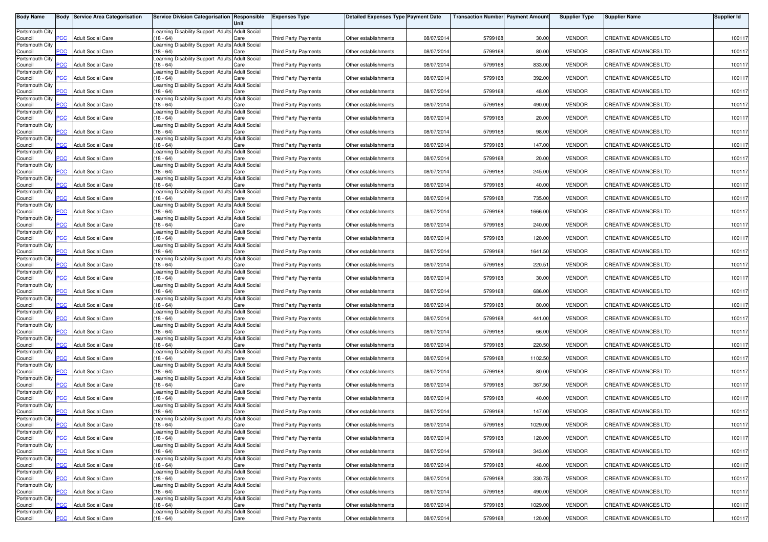| <b>Body Name</b>           |                           | <b>Body Service Area Categorisation</b> | Service Division Categorisation Responsible                    | Unit                        | <b>Expenses Type</b>        | <b>Detailed Expenses Type Payment Date</b> |            | <b>Transaction Number Payment Amount</b> |         | <b>Supplier Type</b> | <b>Supplier Name</b>         | Supplier Id |
|----------------------------|---------------------------|-----------------------------------------|----------------------------------------------------------------|-----------------------------|-----------------------------|--------------------------------------------|------------|------------------------------------------|---------|----------------------|------------------------------|-------------|
| Portsmouth City<br>Council | PCC                       | <b>Adult Social Care</b>                | Learning Disability Support Adults Adult Social<br>$18 - 64$   | Care                        | <b>Third Party Payments</b> | Other establishments                       | 08/07/2014 | 5799168                                  | 30.00   | <b>VENDOR</b>        | <b>CREATIVE ADVANCES LTD</b> | 100117      |
| Portsmouth City            |                           |                                         | earning Disability Support Adults Adult Social                 |                             |                             |                                            |            |                                          |         |                      |                              |             |
| Council<br>Portsmouth City | $\overline{C}$            | <b>Adult Social Care</b>                | $18 - 64$<br>earning Disability Support Adults Adult Social    | Care                        | <b>Third Party Payments</b> | Other establishments                       | 08/07/2014 | 5799168                                  | 80.00   | <b>VENDOR</b>        | <b>CREATIVE ADVANCES LTD</b> | 100117      |
| Council<br>Portsmouth City | $\overline{C}$            | <b>Adult Social Care</b>                | $18 - 64$<br>Learning Disability Support Adults Adult Social   | Care                        | <b>Third Party Payments</b> | Other establishments                       | 08/07/2014 | 5799168                                  | 833.00  | <b>VENDOR</b>        | CREATIVE ADVANCES LTD        | 100117      |
| Council<br>Portsmouth City | PСC                       | <b>Adult Social Care</b>                | $18 - 64$<br>Learning Disability Support Adults Adult Social   | Care                        | Third Party Payments        | Other establishments                       | 08/07/201  | 5799168                                  | 392.00  | <b>VENDOR</b>        | <b>CREATIVE ADVANCES LTD</b> | 100117      |
| Council<br>Portsmouth City | $\overline{C}$            | <b>Adult Social Care</b>                | $18 - 64$<br>Learning Disability Support Adults Adult Social   | Care                        | <b>Third Party Payments</b> | Other establishments                       | 08/07/201  | 5799168                                  | 48.00   | <b>VENDOR</b>        | <b>CREATIVE ADVANCES LTD</b> | 100117      |
| Council<br>Portsmouth City | PСC                       | <b>Adult Social Care</b>                | $18 - 64$                                                      | Care                        | <b>Third Party Payments</b> | Other establishments                       | 08/07/2014 | 5799168                                  | 490.00  | <b>VENDOR</b>        | CREATIVE ADVANCES LTD        | 100117      |
| Council                    | <b>PCC</b>                | <b>Adult Social Care</b>                | Learning Disability Support Adults Adult Social<br>$18 - 64$   | Care                        | <b>Third Party Payments</b> | Other establishments                       | 08/07/2014 | 5799168                                  | 20.00   | <b>VENDOR</b>        | <b>CREATIVE ADVANCES LTD</b> | 100117      |
| Portsmouth City<br>Council | <b>PCC</b>                | <b>Adult Social Care</b>                | Learning Disability Support Adults Adult Social<br>$18 - 64$   | Care                        | Third Party Payments        | Other establishments                       | 08/07/2014 | 5799168                                  | 98.00   | <b>VENDOR</b>        | CREATIVE ADVANCES LTD        | 100117      |
| Portsmouth City<br>Council | $\overline{C}$            | <b>Adult Social Care</b>                | Learning Disability Support Adults Adult Social<br>$18 - 64$   | Care                        | <b>Third Party Payments</b> | Other establishments                       | 08/07/2014 | 5799168                                  | 147.00  | <b>VENDOR</b>        | CREATIVE ADVANCES LTD        | 100117      |
| Portsmouth City<br>Council | <b>PCC</b>                | <b>Adult Social Care</b>                | earning Disability Support Adults Adult Social<br>$18 - 64$    | Care                        | <b>Third Party Payments</b> | Other establishments                       | 08/07/201  | 5799168                                  | 20.00   | <b>VENDOR</b>        | <b>CREATIVE ADVANCES LTD</b> | 100117      |
| Portsmouth City<br>Council | PCC                       | <b>Adult Social Care</b>                | earning Disability Support Adults Adult Social<br>$18 - 64$    | Care                        | Third Party Payments        | Other establishments                       | 08/07/2014 | 5799168                                  | 245.00  | <b>VENDOR</b>        | <b>CREATIVE ADVANCES LTD</b> | 100117      |
| Portsmouth City            |                           |                                         | Learning Disability Support Adults Adult Social                |                             |                             |                                            |            |                                          |         |                      |                              |             |
| Council<br>Portsmouth City | PCC                       | <b>Adult Social Care</b>                | $18 - 64$<br>Learning Disability Support Adults Adult Social   | Care                        | <b>Third Party Payments</b> | Other establishments                       | 08/07/201  | 5799168                                  | 40.00   | <b>VENDOR</b>        | <b>CREATIVE ADVANCES LTD</b> | 100117      |
| Council<br>Portsmouth City | PСC                       | <b>Adult Social Care</b>                | $18 - 64$<br>Learning Disability Support Adults Adult Social   | Care                        | <b>Third Party Payments</b> | Other establishments                       | 08/07/201  | 5799168                                  | 735.00  | <b>VENDOR</b>        | <b>CREATIVE ADVANCES LTD</b> | 100117      |
| Council<br>Portsmouth City | PCC                       | <b>Adult Social Care</b>                | $(18 - 64)$<br>Learning Disability Support Adults Adult Social | Care                        | <b>Third Party Payments</b> | Other establishments                       | 08/07/201  | 5799168                                  | 1666.00 | <b>VENDOR</b>        | CREATIVE ADVANCES LTD        | 100117      |
| Council<br>Portsmouth City | PCC                       | <b>Adult Social Care</b>                | $18 - 64$<br>Learning Disability Support Adults Adult Social   | Care                        | Third Party Payments        | Other establishments                       | 08/07/2014 | 5799168                                  | 240.00  | <b>VENDOR</b>        | <b>CREATIVE ADVANCES LTD</b> | 100117      |
| Council                    | PCC                       | <b>Adult Social Care</b>                | $18 - 64$                                                      | Care                        | Third Party Payments        | Other establishments                       | 08/07/2014 | 5799168                                  | 120.00  | <b>VENDOR</b>        | CREATIVE ADVANCES LTD        | 100117      |
| Portsmouth City<br>Council | PCC                       | <b>Adult Social Care</b>                | Learning Disability Support Adults Adult Social<br>$18 - 64$   | Care                        | <b>Third Party Payments</b> | Other establishments                       | 08/07/2014 | 5799168                                  | 1641.50 | <b>VENDOR</b>        | CREATIVE ADVANCES LTD        | 100117      |
| Portsmouth City<br>Council | <b>PCC</b>                | <b>Adult Social Care</b>                | earning Disability Support Adults Adult Social<br>$18 - 64$    | Care                        | <b>Third Party Payments</b> | Other establishments                       | 08/07/2014 | 5799168                                  | 220.51  | <b>VENDOR</b>        | <b>CREATIVE ADVANCES LTD</b> | 100117      |
| Portsmouth City<br>Council | PCC                       | <b>Adult Social Care</b>                | earning Disability Support Adults Adult Social<br>$18 - 64$    | Care                        | <b>Third Party Payments</b> | Other establishments                       | 08/07/2014 | 5799168                                  | 30.00   | <b>VENDOR</b>        | CREATIVE ADVANCES LTD        | 100117      |
| Portsmouth City<br>Council | PCC                       | <b>Adult Social Care</b>                | Learning Disability Support Adults Adult Social<br>$18 - 64$   | Care                        | Third Party Payments        | Other establishments                       | 08/07/201  | 5799168                                  | 686.00  | <b>VENDOR</b>        | CREATIVE ADVANCES LTD        | 100117      |
| Portsmouth City            |                           |                                         | Learning Disability Support Adults Adult Social                |                             |                             |                                            |            |                                          |         |                      |                              |             |
| Council<br>Portsmouth City | <b>PCC</b>                | <b>Adult Social Care</b>                | $(18 - 64)$<br>Learning Disability Support Adults Adult Social | Care                        | Third Party Payments        | Other establishments                       | 08/07/201  | 5799168                                  | 80.00   | <b>VENDOR</b>        | <b>CREATIVE ADVANCES LTD</b> | 100117      |
| Council<br>Portsmouth City | PСC                       | <b>Adult Social Care</b>                | $18 - 64$<br>Learning Disability Support Adults Adult Social   | Care                        | <b>Third Party Payments</b> | Other establishments                       | 08/07/201  | 5799168                                  | 441.00  | <b>VENDOR</b>        | <b>CREATIVE ADVANCES LTD</b> | 100117      |
| Council<br>Portsmouth City | $\overline{C}$            | <b>Adult Social Care</b>                | $(18 - 64)$<br>Learning Disability Support Adults Adult Social | Care                        | <b>Third Party Payments</b> | Other establishments                       | 08/07/201  | 5799168                                  | 66.00   | <b>VENDOR</b>        | <b>CREATIVE ADVANCES LTD</b> | 100117      |
| Council<br>Portsmouth City | <b>PCC</b>                | <b>Adult Social Care</b>                | $18 - 64$<br>Learning Disability Support Adults Adult Social   | Care                        | Third Party Payments        | Other establishments                       | 08/07/2014 | 5799168                                  | 220.50  | <b>VENDOR</b>        | <b>CREATIVE ADVANCES LTD</b> | 100117      |
| Council                    | $\overline{\mathsf{PCC}}$ | <b>Adult Social Care</b>                | $18 - 64$                                                      | Care                        | Third Party Payments        | Other establishments                       | 08/07/2014 | 5799168                                  | 1102.50 | <b>VENDOR</b>        | CREATIVE ADVANCES LTD        | 100117      |
| Portsmouth City<br>Council | <b>PCC</b>                | <b>Adult Social Care</b>                | Learning Disability Support Adults Adult Social<br>$18 - 64$   | Care                        | Third Party Payments        | Other establishments                       | 08/07/2014 | 5799168                                  | 80.00   | <b>VENDOR</b>        | CREATIVE ADVANCES LTD        | 100117      |
| Portsmouth City<br>Council | PСC                       | <b>Adult Social Care</b>                | earning Disability Support Adults<br>$18 - 64$                 | <b>Adult Social</b><br>Care | <b>Third Party Payments</b> | Other establishments                       | 08/07/201  | 5799168                                  | 367.50  | <b>VENDOR</b>        | CREATIVE ADVANCES LTD        | 100117      |
| Portsmouth City<br>Council | $\overline{C}$            | <b>Adult Social Care</b>                | earning Disability Support Adults Adult Social<br>$18 - 64$    | Care                        | <b>Third Party Payments</b> | Other establishments                       | 08/07/2014 | 5799168                                  | 40.00   | <b>VENDOR</b>        | <b>CREATIVE ADVANCES LTD</b> | 100117      |
| Portsmouth City<br>Council | $\overline{C}$            | <b>Adult Social Care</b>                | Learning Disability Support Adults Adult Social<br>$18 - 64$   | Care                        | Third Party Payments        | Other establishments                       | 08/07/201  | 5799168                                  | 147.00  | <b>VENDOR</b>        | <b>CREATIVE ADVANCES LTD</b> | 100117      |
| Portsmouth City            |                           |                                         | Learning Disability Support Adults Adult Social                |                             |                             |                                            |            |                                          |         |                      |                              |             |
| Council<br>Portsmouth City | <b>PCC</b>                | <b>Adult Social Care</b>                | $(18 - 64)$<br>Learning Disability Support Adults Adult Social | Care                        | Third Party Payments        | Other establishments                       | 08/07/2014 | 5799168                                  | 1029.00 | <b>VENDOR</b>        | CREATIVE ADVANCES LTD        | 100117      |
| Council<br>Portsmouth City | $\overline{C}$            | <b>Adult Social Care</b>                | $(18 - 64)$<br>Learning Disability Support Adults Adult Social | Care                        | Third Party Payments        | Other establishments                       | 08/07/2014 | 5799168                                  | 120.00  | <b>VENDOR</b>        | CREATIVE ADVANCES LTD        | 100117      |
| Council<br>Portsmouth City | PCC                       | <b>Adult Social Care</b>                | $(18 - 64)$<br>Learning Disability Support Adults Adult Social | Care                        | Third Party Payments        | Other establishments                       | 08/07/2014 | 5799168                                  | 343.00  | <b>VENDOR</b>        | <b>CREATIVE ADVANCES LTD</b> | 100117      |
| Council<br>Portsmouth City | <b>PCC</b>                | <b>Adult Social Care</b>                | (18 - 64)<br>Learning Disability Support Adults Adult Social   | Care                        | Third Party Payments        | Other establishments                       | 08/07/2014 | 5799168                                  | 48.00   | <b>VENDOR</b>        | CREATIVE ADVANCES LTD        | 100117      |
| Council                    | PCC.                      | <b>Adult Social Care</b>                | $18 - 64$                                                      | Care                        | <b>Third Party Payments</b> | Other establishments                       | 08/07/2014 | 5799168                                  | 330.75  | <b>VENDOR</b>        | <b>CREATIVE ADVANCES LTD</b> | 100117      |
| Portsmouth City<br>Council | PCC                       | <b>Adult Social Care</b>                | Learning Disability Support Adults Adult Social<br>$18 - 64$   | Care                        | Third Party Payments        | Other establishments                       | 08/07/2014 | 5799168                                  | 490.00  | <b>VENDOR</b>        | CREATIVE ADVANCES LTD        | 100117      |
| Portsmouth City<br>Council | PСC                       | <b>Adult Social Care</b>                | Learning Disability Support Adults Adult Social<br>$18 - 64$   | Care                        | Third Party Payments        | Other establishments                       | 08/07/2014 | 5799168                                  | 1029.00 | <b>VENDOR</b>        | CREATIVE ADVANCES LTD        | 100117      |
| Portsmouth City<br>Council | <b>PCC</b>                | <b>Adult Social Care</b>                | Learning Disability Support Adults Adult Social<br>$(18 - 64)$ | Care                        | Third Party Payments        | Other establishments                       | 08/07/2014 | 5799168                                  | 120.00  | <b>VENDOR</b>        | CREATIVE ADVANCES LTD        | 100117      |
|                            |                           |                                         |                                                                |                             |                             |                                            |            |                                          |         |                      |                              |             |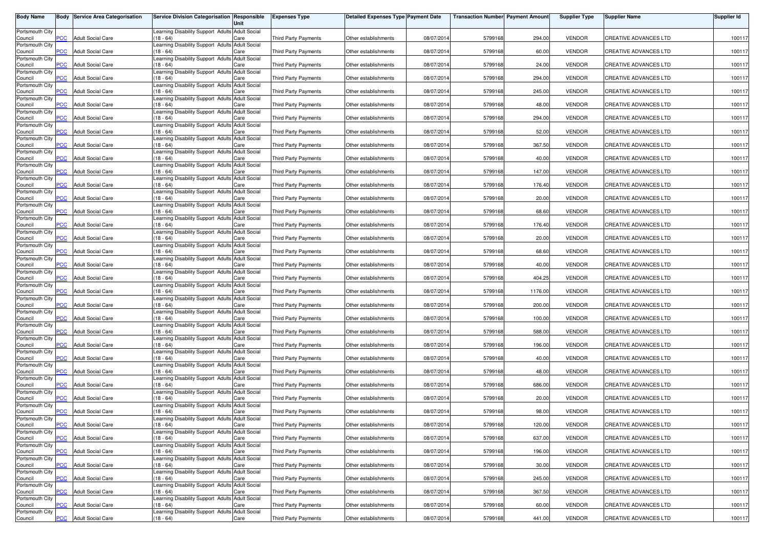| <b>Body Name</b>           |                           | <b>Body Service Area Categorisation</b> | Service Division Categorisation Responsible                    | Unit                        | <b>Expenses Type</b>        | <b>Detailed Expenses Type Payment Date</b> |            | <b>Transaction Number Payment Amount</b> |         | <b>Supplier Type</b> | <b>Supplier Name</b>         | Supplier Id |
|----------------------------|---------------------------|-----------------------------------------|----------------------------------------------------------------|-----------------------------|-----------------------------|--------------------------------------------|------------|------------------------------------------|---------|----------------------|------------------------------|-------------|
| Portsmouth City<br>Council | PCC                       | <b>Adult Social Care</b>                | Learning Disability Support Adults Adult Social<br>$18 - 64$   | Care                        | <b>Third Party Payments</b> | Other establishments                       | 08/07/2014 | 5799168                                  | 294.00  | <b>VENDOR</b>        | <b>CREATIVE ADVANCES LTD</b> | 100117      |
| Portsmouth City            | $\overline{C}$            |                                         | earning Disability Support Adults Adult Social<br>$18 - 64$    |                             |                             |                                            |            | 5799168                                  | 60.00   | <b>VENDOR</b>        |                              | 100117      |
| Council<br>Portsmouth City |                           | <b>Adult Social Care</b>                | earning Disability Support Adults Adult Social                 | Care                        | <b>Third Party Payments</b> | Other establishments                       | 08/07/2014 |                                          |         |                      | <b>CREATIVE ADVANCES LTD</b> |             |
| Council<br>Portsmouth City | $\overline{C}$            | <b>Adult Social Care</b>                | $18 - 64$<br>Learning Disability Support Adults Adult Social   | Care                        | <b>Third Party Payments</b> | Other establishments                       | 08/07/2014 | 5799168                                  | 24.00   | <b>VENDOR</b>        | CREATIVE ADVANCES LTD        | 100117      |
| Council<br>Portsmouth City | PСC                       | <b>Adult Social Care</b>                | $18 - 64$<br>Learning Disability Support Adults Adult Social   | Care                        | Third Party Payments        | Other establishments                       | 08/07/201  | 5799168                                  | 294.00  | <b>VENDOR</b>        | <b>CREATIVE ADVANCES LTD</b> | 100117      |
| Council<br>Portsmouth City | $\overline{C}$            | <b>Adult Social Care</b>                | $18 - 64$<br>Learning Disability Support Adults Adult Social   | Care                        | <b>Third Party Payments</b> | Other establishments                       | 08/07/201  | 5799168                                  | 245.00  | <b>VENDOR</b>        | <b>CREATIVE ADVANCES LTD</b> | 100117      |
| Council<br>Portsmouth City | PСC                       | <b>Adult Social Care</b>                | $18 - 64$<br>Learning Disability Support Adults Adult Social   | Care                        | <b>Third Party Payments</b> | Other establishments                       | 08/07/2014 | 5799168                                  | 48.00   | <b>VENDOR</b>        | CREATIVE ADVANCES LTD        | 100117      |
| Council                    | $\overline{C}$            | <b>Adult Social Care</b>                | $18 - 64$                                                      | Care                        | <b>Third Party Payments</b> | Other establishments                       | 08/07/2014 | 5799168                                  | 294.00  | <b>VENDOR</b>        | <b>CREATIVE ADVANCES LTD</b> | 100117      |
| Portsmouth City<br>Council | <b>PCC</b>                | <b>Adult Social Care</b>                | Learning Disability Support Adults Adult Social<br>$18 - 64$   | Care                        | Third Party Payments        | Other establishments                       | 08/07/2014 | 5799168                                  | 52.00   | <b>VENDOR</b>        | CREATIVE ADVANCES LTD        | 100117      |
| Portsmouth City<br>Council | $\overline{C}$            | <b>Adult Social Care</b>                | Learning Disability Support Adults Adult Social<br>$18 - 64$   | Care                        | Third Party Payments        | Other establishments                       | 08/07/2014 | 5799168                                  | 367.50  | <b>VENDOR</b>        | CREATIVE ADVANCES LTD        | 100117      |
| Portsmouth City<br>Council | <b>PCC</b>                | <b>Adult Social Care</b>                | earning Disability Support Adults Adult Social<br>$18 - 64$    | Care                        | <b>Third Party Payments</b> | Other establishments                       | 08/07/201  | 5799168                                  | 40.00   | <b>VENDOR</b>        | <b>CREATIVE ADVANCES LTD</b> | 100117      |
| Portsmouth City<br>Council | PCC                       | <b>Adult Social Care</b>                | earning Disability Support Adults Adult Social<br>$18 - 64$    | Care                        | Third Party Payments        | Other establishments                       | 08/07/2014 | 5799168                                  | 147.00  | <b>VENDOR</b>        | <b>CREATIVE ADVANCES LTD</b> | 100117      |
| Portsmouth City<br>Council | PCC                       | <b>Adult Social Care</b>                | Learning Disability Support Adults Adult Social<br>$18 - 64$   | Care                        | Third Party Payments        | Other establishments                       | 08/07/201  | 5799168                                  | 176.40  | <b>VENDOR</b>        | <b>CREATIVE ADVANCES LTD</b> | 100117      |
| Portsmouth City            | PСC                       | <b>Adult Social Care</b>                | Learning Disability Support Adults Adult Social                |                             | <b>Third Party Payments</b> | Other establishments                       |            |                                          |         |                      |                              |             |
| Council<br>Portsmouth City |                           |                                         | $18 - 64$<br>Learning Disability Support Adults Adult Social   | Care                        |                             |                                            | 08/07/201  | 5799168                                  | 20.00   | <b>VENDOR</b>        | <b>CREATIVE ADVANCES LTD</b> | 100117      |
| Council<br>Portsmouth City | PCC                       | <b>Adult Social Care</b>                | $(18 - 64)$<br>Learning Disability Support Adults Adult Social | Care                        | <b>Third Party Payments</b> | Other establishments                       | 08/07/201  | 5799168                                  | 68.60   | <b>VENDOR</b>        | CREATIVE ADVANCES LTD        | 100117      |
| Council<br>Portsmouth City | PCC                       | <b>Adult Social Care</b>                | $18 - 64$<br>Learning Disability Support Adults Adult Social   | Care                        | Third Party Payments        | Other establishments                       | 08/07/2014 | 5799168                                  | 176.40  | <b>VENDOR</b>        | <b>CREATIVE ADVANCES LTD</b> | 100117      |
| Council<br>Portsmouth City | PCC                       | <b>Adult Social Care</b>                | $18 - 64$<br>Learning Disability Support Adults Adult Social   | Care                        | Third Party Payments        | Other establishments                       | 08/07/2014 | 5799168                                  | 20.00   | <b>VENDOR</b>        | CREATIVE ADVANCES LTD        | 100117      |
| Council                    | PCC                       | <b>Adult Social Care</b>                | $18 - 64$                                                      | Care                        | <b>Third Party Payments</b> | Other establishments                       | 08/07/2014 | 5799168                                  | 68.60   | <b>VENDOR</b>        | CREATIVE ADVANCES LTD        | 100117      |
| Portsmouth City<br>Council | <b>PCC</b>                | <b>Adult Social Care</b>                | earning Disability Support Adults Adult Social<br>$18 - 64$    | Care                        | <b>Third Party Payments</b> | Other establishments                       | 08/07/2014 | 5799168                                  | 40.00   | <b>VENDOR</b>        | <b>CREATIVE ADVANCES LTD</b> | 100117      |
| Portsmouth City<br>Council | PCC                       | <b>Adult Social Care</b>                | earning Disability Support Adults Adult Social<br>$18 - 64$    | Care                        | <b>Third Party Payments</b> | Other establishments                       | 08/07/2014 | 5799168                                  | 404.25  | <b>VENDOR</b>        | CREATIVE ADVANCES LTD        | 100117      |
| Portsmouth City<br>Council | PCC                       | <b>Adult Social Care</b>                | Learning Disability Support Adults Adult Social<br>$18 - 64$   | Care                        | Third Party Payments        | Other establishments                       | 08/07/201  | 5799168                                  | 1176.00 | <b>VENDOR</b>        | CREATIVE ADVANCES LTD        | 100117      |
| Portsmouth City<br>Council | <b>PCC</b>                | <b>Adult Social Care</b>                | Learning Disability Support Adults Adult Social<br>$(18 - 64)$ | Care                        | Third Party Payments        | Other establishments                       | 08/07/201  | 5799168                                  | 200.00  | <b>VENDOR</b>        | <b>CREATIVE ADVANCES LTD</b> | 100117      |
| Portsmouth City<br>Council | PСC                       | <b>Adult Social Care</b>                | Learning Disability Support Adults Adult Social<br>$18 - 64$   | Care                        | <b>Third Party Payments</b> | Other establishments                       | 08/07/201  | 5799168                                  | 100.00  | <b>VENDOR</b>        | <b>CREATIVE ADVANCES LTD</b> | 100117      |
| Portsmouth City            |                           |                                         | Learning Disability Support Adults Adult Social                |                             |                             |                                            |            |                                          |         |                      |                              |             |
| Council<br>Portsmouth City | $\overline{C}$            | <b>Adult Social Care</b>                | $(18 - 64)$<br>Learning Disability Support Adults Adult Social | Care                        | <b>Third Party Payments</b> | Other establishments                       | 08/07/201  | 5799168                                  | 588.00  | <b>VENDOR</b>        | <b>CREATIVE ADVANCES LTD</b> | 100117      |
| Council<br>Portsmouth City | <b>PCC</b>                | <b>Adult Social Care</b>                | $18 - 64$<br>Learning Disability Support Adults Adult Social   | Care                        | Third Party Payments        | Other establishments                       | 08/07/2014 | 5799168                                  | 196.00  | <b>VENDOR</b>        | <b>CREATIVE ADVANCES LTD</b> | 100117      |
| Council<br>Portsmouth City | $\overline{\mathsf{PCC}}$ | <b>Adult Social Care</b>                | $18 - 64$<br>Learning Disability Support Adults Adult Social   | Care                        | Third Party Payments        | Other establishments                       | 08/07/2014 | 5799168                                  | 40.00   | <b>VENDOR</b>        | CREATIVE ADVANCES LTD        | 100117      |
| Council<br>Portsmouth City | <b>PCC</b>                | <b>Adult Social Care</b>                | $18 - 64$<br>earning Disability Support Adults                 | Care<br><b>Adult Social</b> | Third Party Payments        | Other establishments                       | 08/07/2014 | 5799168                                  | 48.00   | <b>VENDOR</b>        | CREATIVE ADVANCES LTD        | 100117      |
| Council                    | PСC                       | <b>Adult Social Care</b>                | $18 - 64$                                                      | Care                        | <b>Third Party Payments</b> | Other establishments                       | 08/07/201  | 5799168                                  | 686.00  | <b>VENDOR</b>        | CREATIVE ADVANCES LTD        | 100117      |
| Portsmouth City<br>Council | $\overline{C}$            | <b>Adult Social Care</b>                | earning Disability Support Adults Adult Social<br>$18 - 64$    | Care                        | <b>Third Party Payments</b> | Other establishments                       | 08/07/2014 | 5799168                                  | 20.00   | <b>VENDOR</b>        | CREATIVE ADVANCES LTD        | 100117      |
| Portsmouth City<br>Council | $\overline{C}$            | <b>Adult Social Care</b>                | Learning Disability Support Adults Adult Social<br>$18 - 64$   | Care                        | Third Party Payments        | Other establishments                       | 08/07/201  | 5799168                                  | 98.00   | <b>VENDOR</b>        | <b>CREATIVE ADVANCES LTD</b> | 100117      |
| Portsmouth City<br>Council | <b>PCC</b>                | <b>Adult Social Care</b>                | Learning Disability Support Adults Adult Social<br>$(18 - 64)$ | Care                        | Third Party Payments        | Other establishments                       | 08/07/2014 | 5799168                                  | 120.00  | VENDOR               | CREATIVE ADVANCES LTD        | 100117      |
| Portsmouth City<br>Council | $\overline{C}$            | <b>Adult Social Care</b>                | Learning Disability Support Adults Adult Social<br>$(18 - 64)$ | Care                        | Third Party Payments        | Other establishments                       | 08/07/2014 | 5799168                                  | 637.00  | <b>VENDOR</b>        | CREATIVE ADVANCES LTD        | 100117      |
| Portsmouth City            |                           |                                         | Learning Disability Support Adults Adult Social                |                             |                             |                                            |            |                                          |         |                      |                              |             |
| Council<br>Portsmouth City | PCC                       | <b>Adult Social Care</b>                | $(18 - 64)$<br>Learning Disability Support Adults Adult Social | Care                        | Third Party Payments        | Other establishments                       | 08/07/2014 | 5799168                                  | 196.00  | <b>VENDOR</b>        | <b>CREATIVE ADVANCES LTD</b> | 100117      |
| Council<br>Portsmouth City | <b>PCC</b>                | <b>Adult Social Care</b>                | (18 - 64)<br>Learning Disability Support Adults Adult Social   | Care                        | Third Party Payments        | Other establishments                       | 08/07/2014 | 5799168                                  | 30.00   | <b>VENDOR</b>        | CREATIVE ADVANCES LTD        | 100117      |
| Council<br>Portsmouth City | PCC.                      | <b>Adult Social Care</b>                | $18 - 64$<br>Learning Disability Support Adults Adult Social   | Care                        | <b>Third Party Payments</b> | Other establishments                       | 08/07/2014 | 5799168                                  | 245.00  | <b>VENDOR</b>        | <b>CREATIVE ADVANCES LTD</b> | 100117      |
| Council<br>Portsmouth City | PCC                       | <b>Adult Social Care</b>                | $18 - 64$<br>Learning Disability Support Adults Adult Social   | Care                        | Third Party Payments        | Other establishments                       | 08/07/2014 | 5799168                                  | 367.50  | <b>VENDOR</b>        | CREATIVE ADVANCES LTD        | 100117      |
| Council                    | PСC                       | <b>Adult Social Care</b>                | $18 - 64$                                                      | Care                        | Third Party Payments        | Other establishments                       | 08/07/2014 | 5799168                                  | 60.00   | <b>VENDOR</b>        | CREATIVE ADVANCES LTD        | 100117      |
| Portsmouth City<br>Council | <b>PCC</b>                | <b>Adult Social Care</b>                | Learning Disability Support Adults Adult Social<br>$(18 - 64)$ | Care                        | Third Party Payments        | Other establishments                       | 08/07/2014 | 5799168                                  | 441.00  | <b>VENDOR</b>        | CREATIVE ADVANCES LTD        | 100117      |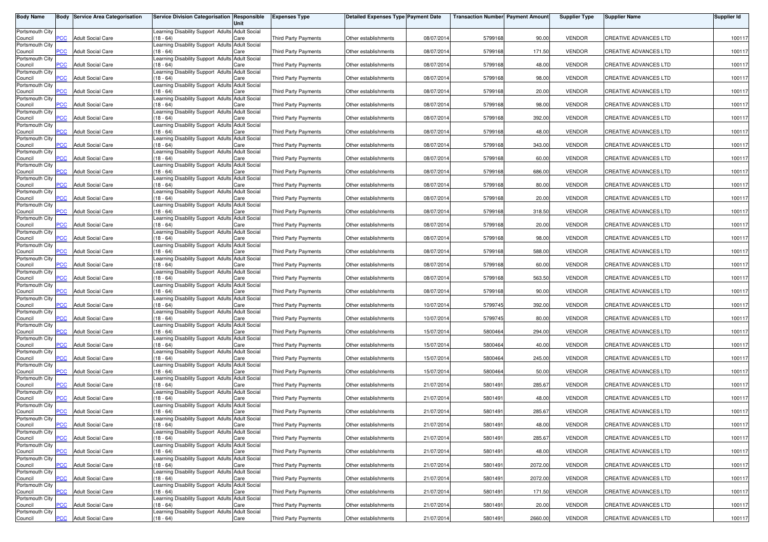| <b>Body Name</b>           |                           | <b>Body Service Area Categorisation</b> | Service Division Categorisation Responsible                    | Unit                        | <b>Expenses Type</b>        | <b>Detailed Expenses Type Payment Date</b> |            | <b>Transaction Number Payment Amount</b> |         | <b>Supplier Type</b> | <b>Supplier Name</b>         | Supplier Id |
|----------------------------|---------------------------|-----------------------------------------|----------------------------------------------------------------|-----------------------------|-----------------------------|--------------------------------------------|------------|------------------------------------------|---------|----------------------|------------------------------|-------------|
| Portsmouth City<br>Council | PCC                       | <b>Adult Social Care</b>                | Learning Disability Support Adults Adult Social<br>$18 - 64$   | Care                        | <b>Third Party Payments</b> | Other establishments                       | 08/07/2014 | 5799168                                  | 90.00   | <b>VENDOR</b>        | <b>CREATIVE ADVANCES LTD</b> | 100117      |
| Portsmouth City            | $\overline{C}$            |                                         | earning Disability Support Adults Adult Social<br>$18 - 64$    |                             |                             |                                            |            |                                          | 171.50  | <b>VENDOR</b>        |                              | 100117      |
| Council<br>Portsmouth City |                           | <b>Adult Social Care</b>                | earning Disability Support Adults Adult Social                 | Care                        | Third Party Payments        | Other establishments                       | 08/07/2014 | 5799168                                  |         |                      | <b>CREATIVE ADVANCES LTD</b> |             |
| Council<br>Portsmouth City | $\overline{C}$            | <b>Adult Social Care</b>                | $18 - 64$<br>Learning Disability Support Adults Adult Social   | Care                        | <b>Third Party Payments</b> | Other establishments                       | 08/07/2014 | 5799168                                  | 48.00   | <b>VENDOR</b>        | CREATIVE ADVANCES LTD        | 100117      |
| Council<br>Portsmouth City | PСC                       | <b>Adult Social Care</b>                | $18 - 64$<br>Learning Disability Support Adults Adult Social   | Care                        | Third Party Payments        | Other establishments                       | 08/07/201  | 5799168                                  | 98.00   | <b>VENDOR</b>        | <b>CREATIVE ADVANCES LTD</b> | 100117      |
| Council<br>Portsmouth City | $\overline{C}$            | <b>Adult Social Care</b>                | $18 - 64$<br>Learning Disability Support Adults Adult Social   | Care                        | <b>Third Party Payments</b> | Other establishments                       | 08/07/201  | 5799168                                  | 20.00   | <b>VENDOR</b>        | <b>CREATIVE ADVANCES LTD</b> | 100117      |
| Council<br>Portsmouth City | PСC                       | <b>Adult Social Care</b>                | $18 - 64$<br>Learning Disability Support Adults Adult Social   | Care                        | <b>Third Party Payments</b> | Other establishments                       | 08/07/2014 | 5799168                                  | 98.00   | <b>VENDOR</b>        | CREATIVE ADVANCES LTD        | 100117      |
| Council                    | $\overline{C}$            | <b>Adult Social Care</b>                | $18 - 64$                                                      | Care                        | <b>Third Party Payments</b> | Other establishments                       | 08/07/2014 | 5799168                                  | 392.00  | <b>VENDOR</b>        | <b>CREATIVE ADVANCES LTD</b> | 100117      |
| Portsmouth City<br>Council | <b>PCC</b>                | <b>Adult Social Care</b>                | Learning Disability Support Adults Adult Social<br>$18 - 64$   | Care                        | Third Party Payments        | Other establishments                       | 08/07/2014 | 5799168                                  | 48.00   | <b>VENDOR</b>        | CREATIVE ADVANCES LTD        | 100117      |
| Portsmouth City<br>Council | $\overline{C}$            | <b>Adult Social Care</b>                | Learning Disability Support Adults Adult Social<br>$18 - 64$   | Care                        | Third Party Payments        | Other establishments                       | 08/07/2014 | 5799168                                  | 343.00  | <b>VENDOR</b>        | CREATIVE ADVANCES LTD        | 100117      |
| Portsmouth City<br>Council | <b>PCC</b>                | <b>Adult Social Care</b>                | earning Disability Support Adults Adult Social<br>$18 - 64$    | Care                        | <b>Third Party Payments</b> | Other establishments                       | 08/07/201  | 5799168                                  | 60.00   | <b>VENDOR</b>        | <b>CREATIVE ADVANCES LTD</b> | 100117      |
| Portsmouth City<br>Council | PCC                       | <b>Adult Social Care</b>                | earning Disability Support Adults Adult Social<br>$18 - 64$    | Care                        | Third Party Payments        | Other establishments                       | 08/07/2014 | 5799168                                  | 686.00  | <b>VENDOR</b>        | <b>CREATIVE ADVANCES LTD</b> | 100117      |
| Portsmouth City<br>Council | PCC                       | <b>Adult Social Care</b>                | Learning Disability Support Adults Adult Social<br>$18 - 64$   | Care                        | Third Party Payments        | Other establishments                       | 08/07/201  | 5799168                                  | 80.00   | <b>VENDOR</b>        | <b>CREATIVE ADVANCES LTD</b> | 100117      |
| Portsmouth City            | PСC                       | <b>Adult Social Care</b>                | Learning Disability Support Adults Adult Social                |                             | <b>Third Party Payments</b> | Other establishments                       |            |                                          |         |                      |                              |             |
| Council<br>Portsmouth City |                           |                                         | $18 - 64$<br>Learning Disability Support Adults Adult Social   | Care                        |                             |                                            | 08/07/201  | 5799168                                  | 20.00   | <b>VENDOR</b>        | <b>CREATIVE ADVANCES LTD</b> | 100117      |
| Council<br>Portsmouth City | PCC                       | <b>Adult Social Care</b>                | $(18 - 64)$<br>Learning Disability Support Adults Adult Social | Care                        | <b>Third Party Payments</b> | Other establishments                       | 08/07/201  | 5799168                                  | 318.50  | <b>VENDOR</b>        | CREATIVE ADVANCES LTD        | 100117      |
| Council<br>Portsmouth City | PCC                       | <b>Adult Social Care</b>                | $18 - 64$<br>Learning Disability Support Adults Adult Social   | Care                        | Third Party Payments        | Other establishments                       | 08/07/2014 | 5799168                                  | 20.00   | <b>VENDOR</b>        | <b>CREATIVE ADVANCES LTD</b> | 100117      |
| Council<br>Portsmouth City | PCC                       | <b>Adult Social Care</b>                | $18 - 64$<br>Learning Disability Support Adults Adult Social   | Care                        | Third Party Payments        | Other establishments                       | 08/07/2014 | 5799168                                  | 98.00   | <b>VENDOR</b>        | CREATIVE ADVANCES LTD        | 100117      |
| Council                    | PCC                       | <b>Adult Social Care</b>                | $18 - 64$                                                      | Care                        | <b>Third Party Payments</b> | Other establishments                       | 08/07/2014 | 5799168                                  | 588.00  | <b>VENDOR</b>        | CREATIVE ADVANCES LTD        | 100117      |
| Portsmouth City<br>Council | <b>PCC</b>                | <b>Adult Social Care</b>                | earning Disability Support Adults Adult Social<br>$18 - 64$    | Care                        | <b>Third Party Payments</b> | Other establishments                       | 08/07/2014 | 5799168                                  | 60.00   | <b>VENDOR</b>        | <b>CREATIVE ADVANCES LTD</b> | 100117      |
| Portsmouth City<br>Council | PCC                       | <b>Adult Social Care</b>                | earning Disability Support Adults Adult Social<br>$18 - 64$    | Care                        | <b>Third Party Payments</b> | Other establishments                       | 08/07/2014 | 5799168                                  | 563.50  | <b>VENDOR</b>        | CREATIVE ADVANCES LTD        | 100117      |
| Portsmouth City<br>Council | PCC                       | <b>Adult Social Care</b>                | Learning Disability Support Adults Adult Social<br>$18 - 64$   | Care                        | Third Party Payments        | Other establishments                       | 08/07/201  | 5799168                                  | 90.00   | <b>VENDOR</b>        | CREATIVE ADVANCES LTD        | 100117      |
| Portsmouth City<br>Council | <b>PCC</b>                | <b>Adult Social Care</b>                | Learning Disability Support Adults Adult Social<br>$(18 - 64)$ | Care                        | Third Party Payments        | Other establishments                       | 10/07/201  | 5799745                                  | 392.00  | <b>VENDOR</b>        | <b>CREATIVE ADVANCES LTD</b> | 100117      |
| Portsmouth City<br>Council | PСC                       | <b>Adult Social Care</b>                | Learning Disability Support Adults Adult Social<br>$18 - 64$   | Care                        | <b>Third Party Payments</b> | Other establishments                       | 10/07/201  | 5799745                                  | 80.00   | <b>VENDOR</b>        | <b>CREATIVE ADVANCES LTD</b> | 100117      |
| Portsmouth City            |                           |                                         | Learning Disability Support Adults Adult Social                |                             |                             |                                            |            |                                          |         |                      |                              |             |
| Council<br>Portsmouth City | $\overline{C}$            | <b>Adult Social Care</b>                | $(18 - 64)$<br>Learning Disability Support Adults Adult Social | Care                        | <b>Third Party Payments</b> | Other establishments                       | 15/07/201  | 5800464                                  | 294.00  | <b>VENDOR</b>        | <b>CREATIVE ADVANCES LTD</b> | 100117      |
| Council<br>Portsmouth City | <b>PCC</b>                | <b>Adult Social Care</b>                | $18 - 64$<br>Learning Disability Support Adults Adult Social   | Care                        | Third Party Payments        | Other establishments                       | 15/07/2014 | 5800464                                  | 40.00   | <b>VENDOR</b>        | <b>CREATIVE ADVANCES LTD</b> | 100117      |
| Council<br>Portsmouth City | $\overline{\mathsf{PCC}}$ | <b>Adult Social Care</b>                | $18 - 64$<br>Learning Disability Support Adults Adult Social   | Care                        | Third Party Payments        | Other establishments                       | 15/07/2014 | 5800464                                  | 245.00  | <b>VENDOR</b>        | CREATIVE ADVANCES LTD        | 100117      |
| Council<br>Portsmouth City | <b>PCC</b>                | <b>Adult Social Care</b>                | $18 - 64$<br>earning Disability Support Adults                 | Care<br><b>Adult Social</b> | Third Party Payments        | Other establishments                       | 15/07/2014 | 5800464                                  | 50.00   | <b>VENDOR</b>        | CREATIVE ADVANCES LTD        | 100117      |
| Council                    | PСC                       | <b>Adult Social Care</b>                | $18 - 64$                                                      | Care                        | <b>Third Party Payments</b> | Other establishments                       | 21/07/201  | 5801491                                  | 285.67  | <b>VENDOR</b>        | CREATIVE ADVANCES LTD        | 100117      |
| Portsmouth City<br>Council | $\overline{C}$            | <b>Adult Social Care</b>                | earning Disability Support Adults Adult Social<br>$18 - 64$    | Care                        | <b>Third Party Payments</b> | Other establishments                       | 21/07/2014 | 5801491                                  | 48.00   | <b>VENDOR</b>        | <b>CREATIVE ADVANCES LTD</b> | 100117      |
| Portsmouth City<br>Council | $\overline{C}$            | <b>Adult Social Care</b>                | Learning Disability Support Adults Adult Social<br>$18 - 64$   | Care                        | Third Party Payments        | Other establishments                       | 21/07/201  | 5801491                                  | 285.67  | <b>VENDOR</b>        | <b>CREATIVE ADVANCES LTD</b> | 100117      |
| Portsmouth City<br>Council | <b>PCC</b>                | <b>Adult Social Care</b>                | Learning Disability Support Adults Adult Social<br>$(18 - 64)$ | Care                        | Third Party Payments        | Other establishments                       | 21/07/2014 | 5801491                                  | 48.00   | VENDOR               | CREATIVE ADVANCES LTD        | 100117      |
| Portsmouth City<br>Council | $\overline{C}$            | <b>Adult Social Care</b>                | Learning Disability Support Adults Adult Social<br>$(18 - 64)$ | Care                        | Third Party Payments        | Other establishments                       | 21/07/2014 | 5801491                                  | 285.67  | <b>VENDOR</b>        | <b>CREATIVE ADVANCES LTD</b> | 100117      |
| Portsmouth City            |                           |                                         | Learning Disability Support Adults Adult Social                |                             |                             |                                            |            |                                          |         |                      |                              |             |
| Council<br>Portsmouth City | <b>PCC</b>                | <b>Adult Social Care</b>                | $(18 - 64)$<br>Learning Disability Support Adults Adult Social | Care                        | Third Party Payments        | Other establishments                       | 21/07/2014 | 5801491                                  | 48.00   | <b>VENDOR</b>        | CREATIVE ADVANCES LTD        | 100117      |
| Council<br>Portsmouth City | <b>PCC</b>                | <b>Adult Social Care</b>                | (18 - 64)<br>Learning Disability Support Adults Adult Social   | Care                        | Third Party Payments        | Other establishments                       | 21/07/2014 | 5801491                                  | 2072.00 | <b>VENDOR</b>        | CREATIVE ADVANCES LTD        | 100117      |
| Council<br>Portsmouth City | $\overline{\text{p}}$ CC  | <b>Adult Social Care</b>                | $18 - 64$<br>Learning Disability Support Adults Adult Social   | Care                        | <b>Third Party Payments</b> | Other establishments                       | 21/07/2014 | 5801491                                  | 2072.00 | <b>VENDOR</b>        | CREATIVE ADVANCES LTD        | 100117      |
| Council<br>Portsmouth City | PCC                       | <b>Adult Social Care</b>                | $18 - 64$<br>Learning Disability Support Adults Adult Social   | Care                        | Third Party Payments        | Other establishments                       | 21/07/2014 | 5801491                                  | 171.50  | <b>VENDOR</b>        | CREATIVE ADVANCES LTD        | 100117      |
| Council                    | PСC                       | <b>Adult Social Care</b>                | $18 - 64$<br>Learning Disability Support Adults Adult Social   | Care                        | Third Party Payments        | Other establishments                       | 21/07/2014 | 5801491                                  | 20.00   | <b>VENDOR</b>        | CREATIVE ADVANCES LTD        | 100117      |
| Portsmouth City<br>Council | <b>PCC</b>                | <b>Adult Social Care</b>                | $(18 - 64)$                                                    | Care                        | Third Party Payments        | Other establishments                       | 21/07/2014 | 5801491                                  | 2660.00 | <b>VENDOR</b>        | <b>CREATIVE ADVANCES LTD</b> | 100117      |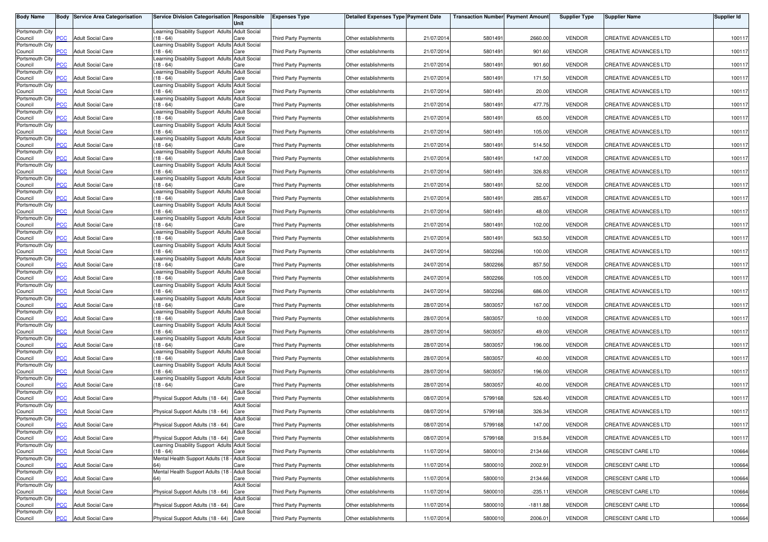| <b>Body Name</b>           |                | <b>Body Service Area Categorisation</b> | Service Division Categorisation Responsible                    | Unit                        | <b>Expenses Type</b>        | Detailed Expenses Type Payment Date |            | <b>Transaction Number Payment Amount</b> |           | <b>Supplier Type</b> | <b>Supplier Name</b>         | Supplier Id |
|----------------------------|----------------|-----------------------------------------|----------------------------------------------------------------|-----------------------------|-----------------------------|-------------------------------------|------------|------------------------------------------|-----------|----------------------|------------------------------|-------------|
| Portsmouth City            | <b>PCC</b>     | <b>Adult Social Care</b>                | Learning Disability Support Adults Adult Social<br>$(18 - 64)$ |                             | <b>Third Party Payments</b> | Other establishments                | 21/07/2014 | 5801491                                  | 2660.00   | <b>VENDOR</b>        | CREATIVE ADVANCES LTD        | 100117      |
| Council<br>Portsmouth City |                |                                         | earning Disability Support Adults Adult Social                 | Care                        |                             |                                     |            |                                          |           |                      |                              |             |
| Council<br>Portsmouth City | <b>CC</b>      | <b>Adult Social Care</b>                | $18 - 64$<br>Learning Disability Support Adults Adult Social   | Care                        | <b>Third Party Payments</b> | Other establishments                | 21/07/2014 | 5801491                                  | 901.60    | <b>VENDOR</b>        | CREATIVE ADVANCES LTD        | 100117      |
| Council<br>Portsmouth City | PCC            | <b>Adult Social Care</b>                | $18 - 64$<br>Learning Disability Support Adults Adult Social   | Care                        | <b>Third Party Payments</b> | Other establishments                | 21/07/2014 | 5801491                                  | 901.60    | <b>VENDOR</b>        | CREATIVE ADVANCES LTD        | 100117      |
| Council                    | <b>CC</b>      | Adult Social Care                       | $18 - 64$<br>Learning Disability Support Adults Adult Social   | Care                        | Third Party Payments        | Other establishments                | 21/07/201  | 5801491                                  | 171.50    | <b>VENDOR</b>        | CREATIVE ADVANCES LTD        | 100117      |
| Portsmouth City<br>Council | PCC            | <b>Adult Social Care</b>                | $(18 - 64)$                                                    | Care                        | <b>Third Party Payments</b> | Other establishments                | 21/07/201  | 5801491                                  | 20.00     | <b>VENDOR</b>        | CREATIVE ADVANCES LTD        | 100117      |
| Portsmouth City<br>Council | PCC            | <b>Adult Social Care</b>                | Learning Disability Support Adults Adult Social<br>$(18 - 64)$ | Care                        | Third Party Payments        | Other establishments                | 21/07/2014 | 5801491                                  | 477.75    | <b>VENDOR</b>        | CREATIVE ADVANCES LTD        | 100117      |
| Portsmouth City<br>Council | PCC            | <b>Adult Social Care</b>                | Learning Disability Support Adults Adult Social<br>$(18 - 64)$ | Care                        | <b>Third Party Payments</b> | Other establishments                | 21/07/2014 | 5801491                                  | 65.00     | <b>VENDOR</b>        | CREATIVE ADVANCES LTD        | 100117      |
| Portsmouth City<br>Council | PCC            | <b>Adult Social Care</b>                | Learning Disability Support Adults Adult Social<br>$(18 - 64)$ | Care                        | Third Party Payments        | Other establishments                | 21/07/2014 | 5801491                                  | 105.00    | <b>VENDOR</b>        | CREATIVE ADVANCES LTD        | 100117      |
| Portsmouth City            |                |                                         | Learning Disability Support Adults Adult Social                |                             |                             |                                     |            |                                          |           |                      |                              |             |
| Council<br>Portsmouth City | $\overline{C}$ | <b>Adult Social Care</b>                | $18 - 64$<br>Learning Disability Support Adults Adult Social   | Care                        | <b>Third Party Payments</b> | Other establishments                | 21/07/2014 | 5801491                                  | 514.50    | <b>VENDOR</b>        | CREATIVE ADVANCES LTD        | 100117      |
| Council<br>Portsmouth City | PCC            | <b>Adult Social Care</b>                | $18 - 64$<br>Learning Disability Support Adults Adult Social   | Care                        | Third Party Payments        | Other establishments                | 21/07/201  | 5801491                                  | 147.00    | <b>VENDOR</b>        | CREATIVE ADVANCES LTD        | 100117      |
| Council<br>Portsmouth City | <b>PCC</b>     | <b>Adult Social Care</b>                | $18 - 64$<br>Learning Disability Support Adults Adult Social   | Care                        | Third Party Payments        | Other establishments                | 21/07/2014 | 5801491                                  | 326.83    | <b>VENDOR</b>        | CREATIVE ADVANCES LTD        | 100117      |
| Council                    | PCC            | <b>Adult Social Care</b>                | $(18 - 64)$                                                    | Care                        | <b>Third Party Payments</b> | Other establishments                | 21/07/201  | 5801491                                  | 52.00     | <b>VENDOR</b>        | CREATIVE ADVANCES LTD        | 100117      |
| Portsmouth City<br>Council | PСC            | <b>Adult Social Care</b>                | Learning Disability Support Adults Adult Social<br>$(18 - 64)$ | Care                        | <b>Third Party Payments</b> | Other establishments                | 21/07/201  | 5801491                                  | 285.67    | <b>VENDOR</b>        | CREATIVE ADVANCES LTD        | 100117      |
| Portsmouth City<br>Council | PCC            | <b>Adult Social Care</b>                | Learning Disability Support Adults Adult Social<br>$(18 - 64)$ | Care                        | <b>Third Party Payments</b> | Other establishments                | 21/07/201  | 5801491                                  | 48.00     | <b>VENDOR</b>        | CREATIVE ADVANCES LTD        | 100117      |
| Portsmouth City<br>Council | PCC            | <b>Adult Social Care</b>                | Learning Disability Support Adults Adult Social<br>$(18 - 64)$ | Care                        | Third Party Payments        | Other establishments                | 21/07/2014 | 5801491                                  | 102.00    | <b>VENDOR</b>        | <b>CREATIVE ADVANCES LTD</b> | 100117      |
| Portsmouth City<br>Council | PCC            | <b>Adult Social Care</b>                | Learning Disability Support Adults Adult Social<br>$(18 - 64)$ | Care                        | <b>Third Party Payments</b> | Other establishments                | 21/07/2014 | 5801491                                  | 563.50    | <b>VENDOR</b>        | CREATIVE ADVANCES LTD        | 100117      |
| Portsmouth City            |                |                                         | Learning Disability Support Adults Adult Social                |                             |                             |                                     |            |                                          |           |                      |                              |             |
| Council<br>Portsmouth City | PCC            | <b>Adult Social Care</b>                | $(18 - 64)$<br>Learning Disability Support Adults Adult Social | Care                        | Third Party Payments        | Other establishments                | 24/07/2014 | 5802266                                  | 100.00    | <b>VENDOR</b>        | CREATIVE ADVANCES LTD        | 100117      |
| Council<br>Portsmouth City | °СС            | <b>Adult Social Care</b>                | $18 - 64$<br>Learning Disability Support Adults Adult Social   | Care                        | <b>Third Party Payments</b> | Other establishments                | 24/07/2014 | 5802266                                  | 857.50    | <b>VENDOR</b>        | CREATIVE ADVANCES LTD        | 100117      |
| Council<br>Portsmouth City | PCC            | <b>Adult Social Care</b>                | $(18 - 64)$<br>Learning Disability Support Adults Adult Social | Care                        | <b>Third Party Payments</b> | Other establishments                | 24/07/2014 | 5802266                                  | 105.00    | <b>VENDOR</b>        | CREATIVE ADVANCES LTD        | 100117      |
| Council                    | PСC            | <b>Adult Social Care</b>                | $(18 - 64)$                                                    | Care                        | Third Party Payments        | Other establishments                | 24/07/201  | 5802266                                  | 686.00    | <b>VENDOR</b>        | CREATIVE ADVANCES LTD        | 100117      |
| Portsmouth City<br>Council | <b>PCC</b>     | <b>Adult Social Care</b>                | Learning Disability Support Adults Adult Social<br>$(18 - 64)$ | Care                        | <b>Third Party Payments</b> | Other establishments                | 28/07/201  | 5803057                                  | 167.00    | <b>VENDOR</b>        | CREATIVE ADVANCES LTD        | 100117      |
| Portsmouth City<br>Council | PCC            | <b>Adult Social Care</b>                | Learning Disability Support Adults Adult Social<br>$(18 - 64)$ | Care                        | <b>Third Party Payments</b> | Other establishments                | 28/07/201  | 5803057                                  | 10.00     | <b>VENDOR</b>        | CREATIVE ADVANCES LTD        | 100117      |
| Portsmouth City<br>Council | PCC            | <b>Adult Social Care</b>                | Learning Disability Support Adults Adult Social<br>$(18 - 64)$ | Care                        | <b>Third Party Payments</b> | Other establishments                | 28/07/201  | 5803057                                  | 49.00     | <b>VENDOR</b>        | CREATIVE ADVANCES LTD        | 100117      |
| Portsmouth City            |                |                                         | Learning Disability Support Adults Adult Social                |                             |                             |                                     |            |                                          |           |                      |                              |             |
| Council<br>Portsmouth City | PCC            | <b>Adult Social Care</b>                | $(18 - 64)$<br>Learning Disability Support Adults Adult Social | Care                        | Third Party Payments        | Other establishments                | 28/07/2014 | 5803057                                  | 196.00    | <b>VENDOR</b>        | <b>CREATIVE ADVANCES LTD</b> | 100117      |
| Council<br>Portsmouth City | <b>PCC</b>     | <b>Adult Social Care</b>                | $(18 - 64)$<br>Learning Disability Support Adults Adult Social | Care                        | <b>Third Party Payments</b> | Other establishments                | 28/07/2014 | 5803057                                  | 40.00     | <b>VENDOR</b>        | <b>CREATIVE ADVANCES LTD</b> | 100117      |
| Council<br>Portsmouth City | PCC            | <b>Adult Social Care</b>                | $18 - 64$<br>earning Disability Support Adults Adult Social    | Care                        | Third Party Payments        | Other establishments                | 28/07/2014 | 5803057                                  | 196.00    | <b>VENDOR</b>        | CREATIVE ADVANCES LTD        | 100117      |
| Council                    | °СС            | <b>Adult Social Care</b>                | $18 - 64$                                                      | Care                        | <b>Third Party Payments</b> | Other establishments                | 28/07/201  | 5803057                                  | 40.00     | <b>VENDOR</b>        | CREATIVE ADVANCES LTD        | 100117      |
| Portsmouth City<br>Council | PCC            | <b>Adult Social Care</b>                | Physical Support Adults (18 - 64)                              | <b>Adult Social</b><br>Care | <b>Third Party Payments</b> | Other establishments                | 08/07/2014 | 5799168                                  | 526.40    | <b>VENDOR</b>        | CREATIVE ADVANCES LTD        | 100117      |
| Portsmouth City<br>Council | $\overline{C}$ | <b>Adult Social Care</b>                | Physical Support Adults (18 - 64)                              | <b>Adult Social</b><br>Care | Third Party Payments        | Other establishments                | 08/07/201  | 5799168                                  | 326.34    | <b>VENDOR</b>        | <b>CREATIVE ADVANCES LTD</b> | 100117      |
| Portsmouth City<br>Council | <b>PCC</b>     | <b>Adult Social Care</b>                | Physical Support Adults (18 - 64) Care                         | <b>Adult Social</b>         | <b>Third Party Payments</b> | Other establishments                | 08/07/2014 | 5799168                                  | 147.00    | <b>VENDOR</b>        | <b>CREATIVE ADVANCES LTD</b> | 100117      |
| Portsmouth City<br>Council | <u>PCC</u>     | <b>Adult Social Care</b>                | Physical Support Adults (18 - 64) Care                         | Adult Social                | <b>Third Party Payments</b> | Other establishments                | 08/07/2014 | 5799168                                  | 315.84    | <b>VENDOR</b>        | <b>CREATIVE ADVANCES LTD</b> | 100117      |
| Portsmouth City            |                |                                         | Learning Disability Support Adults Adult Social                |                             |                             |                                     |            |                                          |           |                      |                              |             |
| Council<br>Portsmouth City | PCC            | <b>Adult Social Care</b>                | $(18 - 64)$<br>Mental Health Support Adults (18 - Adult Social | Care                        | Third Party Payments        | Other establishments                | 11/07/2014 | 5800010                                  | 2134.66   | <b>VENDOR</b>        | CRESCENT CARE LTD            | 100664      |
| Council<br>Portsmouth City | PCC            | <b>Adult Social Care</b>                | 64)<br>Mental Health Support Adults (18 - Adult Social         | Care                        | Third Party Payments        | Other establishments                | 11/07/2014 | 5800010                                  | 2002.91   | <b>VENDOR</b>        | CRESCENT CARE LTD            | 100664      |
| Council<br>Portsmouth City | PСC            | <b>Adult Social Care</b>                | 64)                                                            | Care<br><b>Adult Social</b> | <b>Third Party Payments</b> | Other establishments                | 11/07/2014 | 5800010                                  | 2134.66   | <b>VENDOR</b>        | CRESCENT CARE LTD            | 100664      |
| Council                    | PCC            | <b>Adult Social Care</b>                | Physical Support Adults (18 - 64)                              | Care                        | Third Party Payments        | Other establishments                | 11/07/2014 | 5800010                                  | $-235.11$ | <b>VENDOR</b>        | CRESCENT CARE LTD            | 100664      |
| Portsmouth City<br>Council | ۲CC            | <b>Adult Social Care</b>                | Physical Support Adults (18 - 64)                              | <b>Adult Social</b><br>Care | <b>Third Party Payments</b> | Other establishments                | 11/07/2014 | 5800010                                  | -1811.88  | <b>VENDOR</b>        | CRESCENT CARE LTD            | 100664      |
| Portsmouth City<br>Council | PCC            | <b>Adult Social Care</b>                | Physical Support Adults (18 - 64) Care                         | <b>Adult Social</b>         | Third Party Payments        | Other establishments                | 11/07/2014 | 5800010                                  | 2006.01   | <b>VENDOR</b>        | CRESCENT CARE LTD            | 100664      |
|                            |                |                                         |                                                                |                             |                             |                                     |            |                                          |           |                      |                              |             |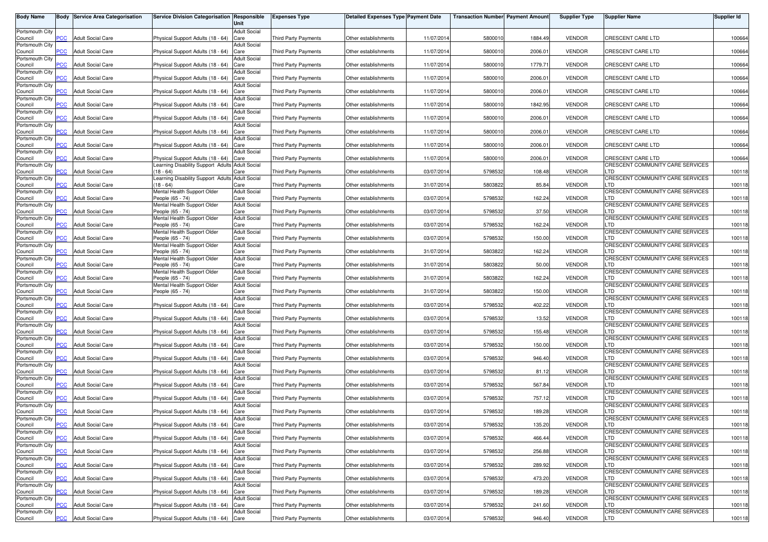| <b>Body Name</b>           |            | <b>Body Service Area Categorisation</b> | <b>Service Division Categorisation Responsible</b>                                        | Unit                        | <b>Expenses Type</b>        | <b>Detailed Expenses Type Payment Date</b> |            | <b>Transaction Number Payment Amount</b> |         | <b>Supplier Type</b> | <b>Supplier Name</b>                                                | <b>Supplier Id</b> |
|----------------------------|------------|-----------------------------------------|-------------------------------------------------------------------------------------------|-----------------------------|-----------------------------|--------------------------------------------|------------|------------------------------------------|---------|----------------------|---------------------------------------------------------------------|--------------------|
| Portsmouth City<br>Council | PCC        | <b>Adult Social Care</b>                | Physical Support Adults (18 - 64)                                                         | <b>Adult Social</b><br>Care | <b>Third Party Payments</b> | Other establishments                       | 11/07/201  | 5800010                                  | 1884.49 | <b>VENDOR</b>        | CRESCENT CARE LTD                                                   | 100664             |
| Portsmouth City            |            | <b>Adult Social Care</b>                |                                                                                           | <b>Adult Social</b>         |                             |                                            | 11/07/201  |                                          | 2006.01 | <b>VENDOR</b>        | <b>CRESCENT CARE LTD</b>                                            |                    |
| Council<br>Portsmouth City | PCC        |                                         | Physical Support Adults (18 - 64) Care                                                    | <b>Adult Social</b>         | Third Party Payments        | Other establishments                       |            | 5800010                                  |         |                      |                                                                     | 100664             |
| Council<br>Portsmouth City | <b>PCC</b> | <b>Adult Social Care</b>                | Physical Support Adults (18 - 64)                                                         | Care<br><b>Adult Social</b> | Third Party Payments        | Other establishments                       | 11/07/201  | 5800010                                  | 1779.71 | <b>VENDOR</b>        | CRESCENT CARE LTD                                                   | 100664             |
| Council<br>Portsmouth City | PСC        | <b>Adult Social Care</b>                | Physical Support Adults (18 - 64)                                                         | Care<br><b>Adult Social</b> | Third Party Payments        | Other establishments                       | 11/07/201  | 5800010                                  | 2006.01 | <b>VENDOR</b>        | <b>CRESCENT CARE LTD</b>                                            | 100664             |
| Council                    | <b>PCC</b> | <b>Adult Social Care</b>                | Physical Support Adults (18 - 64)                                                         | Care                        | Third Party Payments        | Other establishments                       | 11/07/201  | 5800010                                  | 2006.01 | <b>VENDOR</b>        | <b>CRESCENT CARE LTD</b>                                            | 100664             |
| Portsmouth City<br>Council | <b>PCC</b> | <b>Adult Social Care</b>                | Physical Support Adults (18 - 64)                                                         | <b>Adult Social</b><br>Care | Third Party Payments        | Other establishments                       | 11/07/201  | 5800010                                  | 1842.95 | <b>VENDOR</b>        | CRESCENT CARE LTD                                                   | 100664             |
| Portsmouth City<br>Council | <b>PCC</b> | <b>Adult Social Care</b>                | Physical Support Adults (18 - 64) Care                                                    | <b>Adult Social</b>         | Third Party Payments        | Other establishments                       | 11/07/201  | 5800010                                  | 2006.01 | <b>VENDOR</b>        | CRESCENT CARE LTD                                                   | 100664             |
| Portsmouth City<br>Council | <b>PCC</b> | <b>Adult Social Care</b>                | Physical Support Adults (18 - 64) Care                                                    | <b>Adult Social</b>         | Third Party Payments        | Other establishments                       | 11/07/201  | 5800010                                  | 2006.01 | <b>VENDOR</b>        | CRESCENT CARE LTD                                                   | 100664             |
| Portsmouth City<br>Council | PСC        | <b>Adult Social Care</b>                | Physical Support Adults (18 - 64) Care                                                    | <b>Adult Social</b>         | <b>Third Party Payments</b> | Other establishments                       | 11/07/201  | 5800010                                  | 2006.01 | <b>VENDOR</b>        | CRESCENT CARE LTD                                                   | 100664             |
| Portsmouth City            |            |                                         |                                                                                           | <b>Adult Social</b>         |                             |                                            |            |                                          |         |                      |                                                                     |                    |
| Council<br>Portsmouth City | <b>PCC</b> | <b>Adult Social Care</b>                | Physical Support Adults (18 - 64) Care<br>Learning Disability Support Adults Adult Social |                             | Third Party Payments        | Other establishments                       | 11/07/201  | 5800010                                  | 2006.01 | <b>VENDOR</b>        | <b>CRESCENT CARE LTD</b><br><b>CRESCENT COMMUNITY CARE SERVICES</b> | 100664             |
| Council<br>Portsmouth City | PCC        | Adult Social Care                       | $(18 - 64)$<br>Learning Disability Support Adults Adult Social                            | Care                        | <b>Third Party Payments</b> | Other establishments                       | 03/07/201  | 5798532                                  | 108.48  | <b>VENDOR</b>        | TD.<br>CRESCENT COMMUNITY CARE SERVICES                             | 100118             |
| Council<br>Portsmouth City | <b>PCC</b> | <b>Adult Social Care</b>                | $(18 - 64)$<br>Mental Health Support Older                                                | Care<br><b>Adult Social</b> | Third Party Payments        | Other establishments                       | 31/07/201  | 5803822                                  | 85.84   | <b>VENDOR</b>        | LTD<br>CRESCENT COMMUNITY CARE SERVICES                             | 100118             |
| Council                    | <b>PCC</b> | <b>Adult Social Care</b>                | People (65 - 74)                                                                          | Care                        | Third Party Payments        | Other establishments                       | 03/07/201  | 5798532                                  | 162.24  | <b>VENDOR</b>        | LTD                                                                 | 100118             |
| Portsmouth City<br>Council | <b>PCC</b> | <b>Adult Social Care</b>                | Mental Health Support Older<br>People (65 - 74)                                           | <b>Adult Social</b><br>Care | Third Party Payments        | Other establishments                       | 03/07/201  | 5798532                                  | 37.50   | <b>VENDOR</b>        | CRESCENT COMMUNITY CARE SERVICES<br>LTD                             | 100118             |
| Portsmouth City<br>Council | <b>PCC</b> | <b>Adult Social Care</b>                | Mental Health Support Older<br>People (65 - 74)                                           | <b>Adult Social</b><br>Care | Third Party Payments        | Other establishments                       | 03/07/201  | 5798532                                  | 162.24  | <b>VENDOR</b>        | CRESCENT COMMUNITY CARE SERVICES<br>LTD                             | 100118             |
| Portsmouth City<br>Council | PCC        | Adult Social Care                       | Mental Health Support Older<br>People (65 - 74)                                           | <b>Adult Social</b><br>Care | <b>Third Party Payments</b> | Other establishments                       | 03/07/201  | 5798532                                  | 150.00  | <b>VENDOR</b>        | CRESCENT COMMUNITY CARE SERVICES<br>.TD                             | 100118             |
| Portsmouth City            | <b>PCC</b> | <b>Adult Social Care</b>                | Mental Health Support Older<br>People (65 - 74)                                           | <b>Adult Social</b>         | Third Party Payments        | Other establishments                       | 31/07/201  | 5803822                                  | 162.24  | <b>VENDOR</b>        | CRESCENT COMMUNITY CARE SERVICES<br>.TD                             | 100118             |
| Council<br>Portsmouth City |            |                                         | Mental Health Support Older                                                               | Care<br><b>Adult Social</b> |                             |                                            |            |                                          |         |                      | CRESCENT COMMUNITY CARE SERVICES                                    |                    |
| Council<br>Portsmouth City | °СС        | Adult Social Care                       | People (65 - 74)<br>Mental Health Support Older                                           | Care<br><b>Adult Social</b> | Third Party Payments        | Other establishments                       | 31/07/201  | 5803822                                  | 50.00   | <b>VENDOR</b>        | LTD<br>CRESCENT COMMUNITY CARE SERVICES                             | 100118             |
| Council<br>Portsmouth City | <b>PCC</b> | <b>Adult Social Care</b>                | People (65 - 74)<br>Mental Health Support Older                                           | Care<br><b>Adult Social</b> | Third Party Payments        | Other establishments                       | 31/07/201  | 5803822                                  | 162.24  | <b>VENDOR</b>        | LTD<br>CRESCENT COMMUNITY CARE SERVICES                             | 100118             |
| Council<br>Portsmouth City | PCC        | <b>Adult Social Care</b>                | People (65 - 74)                                                                          | Care<br><b>Adult Social</b> | <b>Third Party Payments</b> | Other establishments                       | 31/07/201  | 5803822                                  | 150.00  | <b>VENDOR</b>        | LTD<br>CRESCENT COMMUNITY CARE SERVICES                             | 100118             |
| Council                    | <b>PCC</b> | <b>Adult Social Care</b>                | Physical Support Adults (18 - 64)                                                         | Care                        | Third Party Payments        | Other establishments                       | 03/07/201  | 5798532                                  | 402.22  | <b>VENDOR</b>        | LTD                                                                 | 100118             |
| Portsmouth City<br>Council | <b>PCC</b> | <b>Adult Social Care</b>                | Physical Support Adults (18 - 64)                                                         | <b>Adult Social</b><br>Care | Third Party Payments        | Other establishments                       | 03/07/201  | 5798532                                  | 13.52   | <b>VENDOR</b>        | CRESCENT COMMUNITY CARE SERVICES<br>LTD                             | 100118             |
| Portsmouth City<br>Council | <b>PCC</b> | <b>Adult Social Care</b>                | Physical Support Adults (18 - 64) Care                                                    | <b>Adult Social</b>         | Third Party Payments        | Other establishments                       | 03/07/201  | 5798532                                  | 155.48  | <b>VENDOR</b>        | CRESCENT COMMUNITY CARE SERVICES<br>LTD                             | 100118             |
| Portsmouth City<br>Council | <b>PCC</b> | <b>Adult Social Care</b>                | Physical Support Adults (18 - 64) Care                                                    | <b>Adult Social</b>         | Third Party Payments        | Other establishments                       | 03/07/2014 | 5798532                                  | 150.00  | <b>VENDOR</b>        | CRESCENT COMMUNITY CARE SERVICES<br>LTD                             | 100118             |
| Portsmouth City            |            |                                         |                                                                                           | <b>Adult Social</b>         |                             |                                            |            |                                          |         |                      | CRESCENT COMMUNITY CARE SERVICES                                    |                    |
| Council<br>Portsmouth City | PCC        | Adult Social Care                       | Physical Support Adults (18 - 64) Care                                                    | <b>Adult Social</b>         | Third Party Payments        | Other establishments                       | 03/07/201  | 5798532                                  | 946.40  | <b>VENDOR</b>        | TD.<br>CRESCENT COMMUNITY CARE SERVICES                             | 100118             |
| Council<br>Portsmouth City | <b>PCC</b> | <b>Adult Social Care</b>                | Physical Support Adults (18 - 64) Care                                                    | <b>Adult Social</b>         | Third Party Payments        | Other establishments                       | 03/07/201  | 5798532                                  | 81.12   | <b>VENDOR</b>        | TD.<br>CRESCENT COMMUNITY CARE SERVICES                             | 100118             |
| Council<br>Portsmouth City | ۲CС        | <b>Adult Social Care</b>                | Physical Support Adults (18 - 64) Care                                                    | <b>Adult Social</b>         | Third Party Payments        | Other establishments                       | 03/07/201  | 5798532                                  | 567.84  | <b>VENDOR</b>        | LTD<br>CRESCENT COMMUNITY CARE SERVICES                             | 100118             |
| Council<br>Portsmouth City | <b>PCC</b> | <b>Adult Social Care</b>                | Physical Support Adults (18 - 64)                                                         | Care                        | Third Party Payments        | Other establishments                       | 03/07/201  | 5798532                                  | 757.12  | <b>VENDOR</b>        | LTD                                                                 | 100118             |
| Council                    | <b>PCC</b> | <b>Adult Social Care</b>                | Physical Support Adults (18 - 64)                                                         | <b>Adult Social</b><br>Care | <b>Third Party Payments</b> | Other establishments                       | 03/07/2014 | 5798532                                  | 189.28  | <b>VENDOR</b>        | CRESCENT COMMUNITY CARE SERVICES<br>LTD                             | 100118             |
| Portsmouth City<br>Council | <b>PCC</b> | <b>Adult Social Care</b>                | Physical Support Adults (18 - 64) Care                                                    | <b>Adult Social</b>         | <b>Third Party Payments</b> | Other establishments                       | 03/07/2014 | 5798532                                  | 135.20  | <b>VENDOR</b>        | CRESCENT COMMUNITY CARE SERVICES<br>LTD                             | 100118             |
| Portsmouth City<br>Council | <b>PCC</b> | <b>Adult Social Care</b>                | Physical Support Adults (18 - 64) Care                                                    | Adult Social                | Third Party Payments        | Other establishments                       | 03/07/2014 | 5798532                                  | 466.44  | <b>VENDOR</b>        | CRESCENT COMMUNITY CARE SERVICES<br>LTD                             | 100118             |
| Portsmouth City<br>Council | <b>PCC</b> | <b>Adult Social Care</b>                | Physical Support Adults (18 - 64) Care                                                    | <b>Adult Social</b>         |                             | Other establishments                       | 03/07/2014 | 5798532                                  | 256.88  | <b>VENDOR</b>        | CRESCENT COMMUNITY CARE SERVICES<br>LTD                             | 100118             |
| Portsmouth City            |            |                                         |                                                                                           | <b>Adult Social</b>         | Third Party Payments        |                                            |            |                                          |         |                      | CRESCENT COMMUNITY CARE SERVICES                                    |                    |
| Council<br>Portsmouth City | <b>PCC</b> | <b>Adult Social Care</b>                | Physical Support Adults (18 - 64) Care                                                    | <b>Adult Social</b>         | Third Party Payments        | Other establishments                       | 03/07/2014 | 5798532                                  | 289.92  | <b>VENDOR</b>        | TD.<br>CRESCENT COMMUNITY CARE SERVICES                             | 100118             |
| Council<br>Portsmouth City | <b>PCC</b> | <b>Adult Social Care</b>                | Physical Support Adults (18 - 64) Care                                                    | <b>Adult Social</b>         | Third Party Payments        | Other establishments                       | 03/07/2014 | 5798532                                  | 473.20  | <b>VENDOR</b>        | TD.<br>CRESCENT COMMUNITY CARE SERVICES                             | 100118             |
| Council<br>Portsmouth City | <b>PCC</b> | <b>Adult Social Care</b>                | Physical Support Adults (18 - 64) Care                                                    | <b>Adult Social</b>         | Third Party Payments        | Other establishments                       | 03/07/2014 | 5798532                                  | 189.28  | <b>VENDOR</b>        | LTD<br>CRESCENT COMMUNITY CARE SERVICES                             | 100118             |
| Council<br>Portsmouth City | <b>PCC</b> | <b>Adult Social Care</b>                | Physical Support Adults (18 - 64) Care                                                    |                             | Third Party Payments        | Other establishments                       | 03/07/2014 | 5798532                                  | 241.60  | <b>VENDOR</b>        | LTD<br>CRESCENT COMMUNITY CARE SERVICES                             | 100118             |
| Council                    | <b>PCC</b> | <b>Adult Social Care</b>                | Physical Support Adults (18 - 64) Care                                                    | <b>Adult Social</b>         | Third Party Payments        | Other establishments                       | 03/07/2014 | 5798532                                  | 946.40  | VENDOR               | LTD                                                                 | 100118             |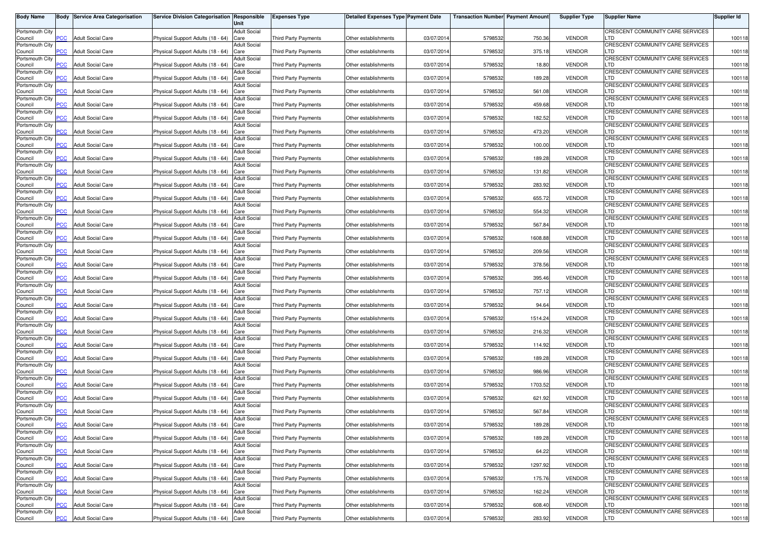| <b>Body Name</b>           |                          | <b>Body Service Area Categorisation</b> | Service Division Categorisation Responsible | Unit                        | <b>Expenses Type</b>        | <b>Detailed Expenses Type Payment Date</b> |            | <b>Transaction Number Payment Amount</b> |         | <b>Supplier Type</b> | <b>Supplier Name</b>                    | <b>Supplier Id</b> |
|----------------------------|--------------------------|-----------------------------------------|---------------------------------------------|-----------------------------|-----------------------------|--------------------------------------------|------------|------------------------------------------|---------|----------------------|-----------------------------------------|--------------------|
| Portsmouth City            |                          |                                         |                                             | <b>Adult Social</b>         |                             |                                            |            |                                          |         |                      | CRESCENT COMMUNITY CARE SERVICES        |                    |
| Council<br>Portsmouth City | PCC                      | <b>Adult Social Care</b>                | Physical Support Adults (18 - 64)           | Care<br><b>Adult Social</b> | Third Party Payments        | Other establishments                       | 03/07/201  | 5798532                                  | 750.36  | <b>VENDOR</b>        | LTD<br>CRESCENT COMMUNITY CARE SERVICES | 100118             |
| Council                    | $\overline{C}$           | <b>Adult Social Care</b>                | Physical Support Adults (18 - 64)           | Care                        | Third Party Payments        | Other establishments                       | 03/07/2014 | 5798532                                  | 375.18  | <b>VENDOR</b>        | LTD                                     | 100118             |
| Portsmouth City<br>Council | $\overline{C}$           | <b>Adult Social Care</b>                | Physical Support Adults (18 - 64)           | Adult Social<br>Care        | Third Party Payments        | Other establishments                       | 03/07/201  | 5798532                                  | 18.80   | <b>VENDOR</b>        | CRESCENT COMMUNITY CARE SERVICES<br>LTD | 100118             |
| Portsmouth City            |                          |                                         |                                             | Adult Social                |                             |                                            |            |                                          |         |                      | CRESCENT COMMUNITY CARE SERVICES        |                    |
| Council<br>Portsmouth City | PСC                      | <b>Adult Social Care</b>                | Physical Support Adults (18 - 64)           | Care<br><b>Adult Social</b> | Third Party Payments        | Other establishments                       | 03/07/201  | 5798532                                  | 189.28  | <b>VENDOR</b>        | LTD<br>CRESCENT COMMUNITY CARE SERVICES | 100118             |
| Council                    | $\overline{\text{p}}$ CC | <b>Adult Social Care</b>                | Physical Support Adults (18 - 64)           | Care                        | Third Party Payments        | Other establishments                       | 03/07/201  | 5798532                                  | 561.08  | <b>VENDOR</b>        | LTD                                     | 100118             |
| Portsmouth City<br>Council | PCC                      | <b>Adult Social Care</b>                | Physical Support Adults (18 - 64)           | <b>Adult Social</b><br>Care | Third Party Payments        | Other establishments                       | 03/07/2014 | 5798532                                  | 459.68  | <b>VENDOR</b>        | CRESCENT COMMUNITY CARE SERVICES<br>LTD | 100118             |
| Portsmouth City            |                          |                                         |                                             | Adult Social                |                             |                                            |            |                                          |         |                      | CRESCENT COMMUNITY CARE SERVICES        |                    |
| Council<br>Portsmouth City | $\overline{C}$           | <b>Adult Social Care</b>                | Physical Support Adults (18 - 64)           | Care<br><b>Adult Social</b> | Third Party Payments        | Other establishments                       | 03/07/2014 | 5798532                                  | 182.52  | <b>VENDOR</b>        | TD.<br>CRESCENT COMMUNITY CARE SERVICES | 100118             |
| Council                    | $\overline{C}$           | <b>Adult Social Care</b>                | Physical Support Adults (18 - 64)           | Care                        | <b>Third Party Payments</b> | Other establishments                       | 03/07/201  | 5798532                                  | 473.20  | <b>VENDOR</b>        | TD.                                     | 100118             |
| Portsmouth City<br>Council | сC                       | <b>Adult Social Care</b>                | Physical Support Adults (18 - 64)           | <b>Adult Social</b><br>Care | <b>Third Party Payments</b> | Other establishments                       | 03/07/201  | 5798532                                  | 100.00  | <b>VENDOR</b>        | CRESCENT COMMUNITY CARE SERVICES<br>LTD | 100118             |
| Portsmouth City<br>Council | $\overline{C}$           | <b>Adult Social Care</b>                |                                             | <b>Adult Social</b><br>Care |                             | Other establishments                       | 03/07/201  | 5798532                                  | 189.28  | <b>VENDOR</b>        | CRESCENT COMMUNITY CARE SERVICES<br>LTD |                    |
| Portsmouth City            |                          |                                         | Physical Support Adults (18 - 64)           | Adult Social                | <b>Third Party Payments</b> |                                            |            |                                          |         |                      | CRESCENT COMMUNITY CARE SERVICES        | 100118             |
| Council<br>Portsmouth City | PСC                      | <b>Adult Social Care</b>                | Physical Support Adults (18 - 64)           | Care<br>Adult Social        | <b>Third Party Payments</b> | Other establishments                       | 03/07/201  | 5798532                                  | 131.82  | <b>VENDOR</b>        | LTD<br>CRESCENT COMMUNITY CARE SERVICES | 100118             |
| Council                    | PCC                      | <b>Adult Social Care</b>                | Physical Support Adults (18 - 64)           | Care                        | <b>Third Party Payments</b> | Other establishments                       | 03/07/201  | 5798532                                  | 283.92  | <b>VENDOR</b>        | LTD                                     | 100118             |
| Portsmouth City<br>Council | PСC                      | <b>Adult Social Care</b>                | Physical Support Adults (18 - 64)           | <b>Adult Social</b><br>Care | <b>Third Party Payments</b> | Other establishments                       | 03/07/2014 | 5798532                                  | 655.72  | <b>VENDOR</b>        | CRESCENT COMMUNITY CARE SERVICES<br>LTD | 100118             |
| Portsmouth City            |                          |                                         |                                             | <b>Adult Social</b>         |                             |                                            |            |                                          |         |                      | CRESCENT COMMUNITY CARE SERVICES        |                    |
| Council<br>Portsmouth City | PCC                      | <b>Adult Social Care</b>                | Physical Support Adults (18 - 64)           | Care<br><b>Adult Social</b> | <b>Third Party Payments</b> | Other establishments                       | 03/07/201  | 5798532                                  | 554.32  | <b>VENDOR</b>        | LTD<br>CRESCENT COMMUNITY CARE SERVICES | 100118             |
| Council                    | PCC                      | <b>Adult Social Care</b>                | Physical Support Adults (18 - 64)           | Care                        | Third Party Payments        | Other establishments                       | 03/07/2014 | 5798532                                  | 567.84  | <b>VENDOR</b>        | LTD                                     | 100118             |
| Portsmouth City<br>Council | <b>PCC</b>               | <b>Adult Social Care</b>                | Physical Support Adults (18 - 64)           | <b>Adult Social</b><br>Care | Third Party Payments        | Other establishments                       | 03/07/201  | 5798532                                  | 1608.88 | <b>VENDOR</b>        | CRESCENT COMMUNITY CARE SERVICES<br>∟TD | 100118             |
| Portsmouth City            |                          |                                         |                                             | <b>Adult Social</b>         |                             |                                            |            |                                          |         |                      | CRESCENT COMMUNITY CARE SERVICES        |                    |
| Council<br>Portsmouth City | PCC                      | <b>Adult Social Care</b>                | Physical Support Adults (18 - 64)           | Care<br><b>Adult Social</b> | <b>Third Party Payments</b> | Other establishments                       | 03/07/201  | 5798532                                  | 209.56  | <b>VENDOR</b>        | LTD<br>CRESCENT COMMUNITY CARE SERVICES | 100118             |
| Council                    | <b>PCC</b>               | <b>Adult Social Care</b>                | Physical Support Adults (18 - 64)           | Care                        | Third Party Payments        | Other establishments                       | 03/07/201  | 5798532                                  | 378.56  | <b>VENDOR</b>        | LTD                                     | 100118             |
| Portsmouth City<br>Council | PCC                      | <b>Adult Social Care</b>                | Physical Support Adults (18 - 64)           | Adult Social<br>Care        | <b>Third Party Payments</b> | Other establishments                       | 03/07/201  | 5798532                                  | 395.46  | <b>VENDOR</b>        | CRESCENT COMMUNITY CARE SERVICES<br>LTD | 100118             |
| Portsmouth City            |                          |                                         |                                             | Adult Social                |                             |                                            |            |                                          |         |                      | CRESCENT COMMUNITY CARE SERVICES<br>LTD |                    |
| Council<br>Portsmouth City | PСC                      | <b>Adult Social Care</b>                | Physical Support Adults (18 - 64)           | Care<br>Adult Social        | Third Party Payments        | Other establishments                       | 03/07/201  | 5798532                                  | 757.12  | <b>VENDOR</b>        | CRESCENT COMMUNITY CARE SERVICES        | 100118             |
| Council                    | PCC                      | <b>Adult Social Care</b>                | Physical Support Adults (18 - 64)           | Care                        | Third Party Payments        | Other establishments                       | 03/07/201  | 5798532                                  | 94.64   | <b>VENDOR</b>        | LTD                                     | 100118             |
| Portsmouth City<br>Council | PСC                      | <b>Adult Social Care</b>                | Physical Support Adults (18 - 64)           | <b>Adult Social</b><br>Care | Third Party Payments        | Other establishments                       | 03/07/201  | 5798532                                  | 1514.24 | <b>VENDOR</b>        | CRESCENT COMMUNITY CARE SERVICES<br>LTD | 100118             |
| Portsmouth City<br>Council | PCC                      | <b>Adult Social Care</b>                | Physical Support Adults (18 - 64)           | <b>Adult Social</b><br>Care | <b>Third Party Payments</b> | Other establishments                       | 03/07/201  | 5798532                                  | 216.32  | <b>VENDOR</b>        | CRESCENT COMMUNITY CARE SERVICES<br>LTD | 100118             |
| Portsmouth City            |                          |                                         |                                             | <b>Adult Social</b>         |                             |                                            |            |                                          |         |                      | CRESCENT COMMUNITY CARE SERVICES        |                    |
| Council<br>Portsmouth City | <b>PCC</b>               | <b>Adult Social Care</b>                | Physical Support Adults (18 - 64)           | Care<br><b>Adult Social</b> | Third Party Payments        | Other establishments                       | 03/07/2014 | 5798532                                  | 114.92  | <b>VENDOR</b>        | TD.<br>CRESCENT COMMUNITY CARE SERVICES | 100118             |
| Council                    | $\overline{C}$           | <b>Adult Social Care</b>                | Physical Support Adults (18 - 64)           | Care                        | Third Party Payments        | Other establishments                       | 03/07/201  | 5798532                                  | 189.28  | <b>VENDOR</b>        | ∟TD                                     | 100118             |
| Portsmouth City<br>Council | <b>PCC</b>               | <b>Adult Social Care</b>                | Physical Support Adults (18 - 64)           | <b>Adult Social</b><br>Care | Third Party Payments        | Other establishments                       | 03/07/201  | 5798532                                  | 986.96  | <b>VENDOR</b>        | CRESCENT COMMUNITY CARE SERVICES<br>LTD | 100118             |
| Portsmouth City            |                          |                                         |                                             | <b>Adult Social</b>         |                             |                                            |            |                                          |         |                      | CRESCENT COMMUNITY CARE SERVICES        |                    |
| Council<br>Portsmouth City | PСC                      | <b>Adult Social Care</b>                | Physical Support Adults (18 - 64)           | Care<br>Adult Social        | Third Party Payments        | Other establishments                       | 03/07/201  | 5798532                                  | 1703.52 | <b>VENDOR</b>        | LTD<br>CRESCENT COMMUNITY CARE SERVICES | 100118             |
| Council                    | $\overline{C}$           | <b>Adult Social Care</b>                | Physical Support Adults (18 - 64)           | Care                        | <b>Third Party Payments</b> | Other establishments                       | 03/07/201  | 5798532                                  | 621.92  | <b>VENDOR</b>        | LTD<br>CRESCENT COMMUNITY CARE SERVICES | 100118             |
| Portsmouth City<br>Council | PСC                      | <b>Adult Social Care</b>                | Physical Support Adults (18 - 64)           | Adult Social<br>Care        | Third Party Payments        | Other establishments                       | 03/07/2014 | 5798532                                  | 567.84  | <b>VENDOR</b>        | LTD                                     | 100118             |
| Portsmouth City            |                          |                                         |                                             | Adult Social                |                             |                                            |            |                                          |         |                      | CRESCENT COMMUNITY CARE SERVICES        |                    |
| Council<br>Portsmouth City |                          | <b>PCC</b> Adult Social Care            | Physical Support Adults (18 - 64) Care      | <b>Adult Social</b>         | Third Party Payments        | Other establishments                       | 03/07/2014 | 5798532                                  | 189.28  | <b>VENDOR</b>        | LTD<br>CRESCENT COMMUNITY CARE SERVICES | 100118             |
| Council<br>Portsmouth City | <u>PCC</u>               | <b>Adult Social Care</b>                | Physical Support Adults (18 - 64) Care      | <b>Adult Social</b>         | Third Party Payments        | Other establishments                       | 03/07/2014 | 5798532                                  | 189.28  | <b>VENDOR</b>        | LTD<br>CRESCENT COMMUNITY CARE SERVICES | 100118             |
| Council                    | PCC                      | <b>Adult Social Care</b>                | Physical Support Adults (18 - 64) Care      |                             | Third Party Payments        | Other establishments                       | 03/07/2014 | 5798532                                  | 64.22   | <b>VENDOR</b>        | LTD                                     | 100118             |
| Portsmouth City<br>Council | PCC                      | <b>Adult Social Care</b>                | Physical Support Adults (18 - 64) Care      | <b>Adult Social</b>         | Third Party Payments        | Other establishments                       | 03/07/2014 | 5798532                                  | 1297.92 | <b>VENDOR</b>        | CRESCENT COMMUNITY CARE SERVICES<br>LTD | 100118             |
| Portsmouth City            |                          |                                         |                                             | <b>Adult Social</b>         |                             |                                            |            |                                          |         |                      | CRESCENT COMMUNITY CARE SERVICES        |                    |
| Council<br>Portsmouth City | PСC                      | <b>Adult Social Care</b>                | Physical Support Adults (18 - 64) Care      | <b>Adult Social</b>         | Third Party Payments        | Other establishments                       | 03/07/2014 | 5798532                                  | 175.76  | <b>VENDOR</b>        | LTD<br>CRESCENT COMMUNITY CARE SERVICES | 100118             |
| Council                    | <b>PCC</b>               | <b>Adult Social Care</b>                | Physical Support Adults (18 - 64) Care      |                             | Third Party Payments        | Other establishments                       | 03/07/2014 | 5798532                                  | 162.24  | <b>VENDOR</b>        | LTD                                     | 100118             |
| Portsmouth City<br>Council | PСC                      | <b>Adult Social Care</b>                | Physical Support Adults (18 - 64)           | Adult Social<br>Care        | Third Party Payments        | Other establishments                       | 03/07/2014 | 5798532                                  | 608.40  | <b>VENDOR</b>        | CRESCENT COMMUNITY CARE SERVICES<br>LTD | 100118             |
| Portsmouth City            |                          |                                         |                                             | Adult Social                |                             |                                            |            |                                          |         |                      | CRESCENT COMMUNITY CARE SERVICES        |                    |
| Council                    | <b>PCC</b>               | <b>Adult Social Care</b>                | Physical Support Adults (18 - 64) Care      |                             | Third Party Payments        | Other establishments                       | 03/07/2014 | 5798532                                  | 283.92  | <b>VENDOR</b>        | <b>LTD</b>                              | 100118             |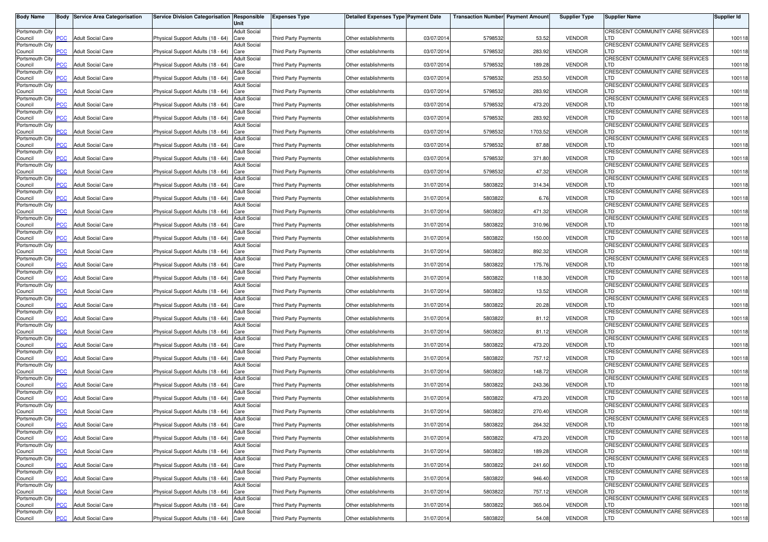| <b>Body Name</b>           |                | <b>Body Service Area Categorisation</b> | Service Division Categorisation Responsible | Unit                        | <b>Expenses Type</b>        | <b>Detailed Expenses Type Payment Date</b> |            | <b>Transaction Number Payment Amount</b> |         | <b>Supplier Type</b> | <b>Supplier Name</b>                    | <b>Supplier Id</b> |
|----------------------------|----------------|-----------------------------------------|---------------------------------------------|-----------------------------|-----------------------------|--------------------------------------------|------------|------------------------------------------|---------|----------------------|-----------------------------------------|--------------------|
| Portsmouth City            |                |                                         |                                             | <b>Adult Social</b>         |                             |                                            |            |                                          |         |                      | CRESCENT COMMUNITY CARE SERVICES        |                    |
| Council<br>Portsmouth City | PCC            | <b>Adult Social Care</b>                | Physical Support Adults (18 - 64)           | Care<br><b>Adult Social</b> | <b>Third Party Payments</b> | Other establishments                       | 03/07/201  | 5798532                                  | 53.52   | <b>VENDOR</b>        | LTD<br>CRESCENT COMMUNITY CARE SERVICES | 100118             |
| Council                    | $\overline{C}$ | <b>Adult Social Care</b>                | Physical Support Adults (18 - 64)           | Care                        | Third Party Payments        | Other establishments                       | 03/07/2014 | 5798532                                  | 283.92  | <b>VENDOR</b>        | LTD                                     | 100118             |
| Portsmouth City            | $\overline{C}$ | <b>Adult Social Care</b>                |                                             | Adult Social<br>Care        | Third Party Payments        | Other establishments                       | 03/07/201  | 5798532                                  | 189.28  | <b>VENDOR</b>        | CRESCENT COMMUNITY CARE SERVICES<br>LTD | 100118             |
| Council<br>Portsmouth City |                |                                         | Physical Support Adults (18 - 64)           | Adult Social                |                             |                                            |            |                                          |         |                      | CRESCENT COMMUNITY CARE SERVICES        |                    |
| Council                    | PСC            | <b>Adult Social Care</b>                | Physical Support Adults (18 - 64)           | Care                        | Third Party Payments        | Other establishments                       | 03/07/201  | 5798532                                  | 253.50  | <b>VENDOR</b>        | LTD                                     | 100118             |
| Portsmouth City<br>Council | PCC            | <b>Adult Social Care</b>                | Physical Support Adults (18 - 64)           | <b>Adult Social</b><br>Care | Third Party Payments        | Other establishments                       | 03/07/201  | 5798532                                  | 283.92  | <b>VENDOR</b>        | CRESCENT COMMUNITY CARE SERVICES<br>LTD | 100118             |
| Portsmouth City            |                |                                         |                                             | <b>Adult Social</b>         |                             |                                            |            |                                          |         |                      | CRESCENT COMMUNITY CARE SERVICES        |                    |
| Council<br>Portsmouth City | PCC            | <b>Adult Social Care</b>                | Physical Support Adults (18 - 64)           | Care<br>Adult Social        | Third Party Payments        | Other establishments                       | 03/07/2014 | 5798532                                  | 473.20  | <b>VENDOR</b>        | LTD<br>CRESCENT COMMUNITY CARE SERVICES | 100118             |
| Council                    | $\overline{C}$ | <b>Adult Social Care</b>                | Physical Support Adults (18 - 64)           | Care                        | Third Party Payments        | Other establishments                       | 03/07/2014 | 5798532                                  | 283.92  | <b>VENDOR</b>        | TD.                                     | 100118             |
| Portsmouth City<br>Council | $\overline{C}$ | <b>Adult Social Care</b>                | Physical Support Adults (18 - 64)           | <b>Adult Social</b><br>Care | <b>Third Party Payments</b> | Other establishments                       | 03/07/201  | 5798532                                  | 1703.52 | <b>VENDOR</b>        | CRESCENT COMMUNITY CARE SERVICES<br>TD. | 100118             |
| Portsmouth City            |                |                                         |                                             | <b>Adult Social</b>         |                             |                                            |            |                                          |         |                      | CRESCENT COMMUNITY CARE SERVICES        |                    |
| Council<br>Portsmouth City | сC             | <b>Adult Social Care</b>                | Physical Support Adults (18 - 64)           | Care<br><b>Adult Social</b> | <b>Third Party Payments</b> | Other establishments                       | 03/07/2014 | 5798532                                  | 87.88   | <b>VENDOR</b>        | LTD<br>CRESCENT COMMUNITY CARE SERVICES | 100118             |
| Council                    | $\overline{C}$ | <b>Adult Social Care</b>                | Physical Support Adults (18 - 64)           | Care                        | <b>Third Party Payments</b> | Other establishments                       | 03/07/201  | 5798532                                  | 371.80  | <b>VENDOR</b>        | LTD                                     | 100118             |
| Portsmouth City<br>Council | PСC            | <b>Adult Social Care</b>                | Physical Support Adults (18 - 64)           | Adult Social<br>Care        | <b>Third Party Payments</b> | Other establishments                       | 03/07/201  | 5798532                                  | 47.32   | <b>VENDOR</b>        | CRESCENT COMMUNITY CARE SERVICES<br>LTD | 100118             |
| Portsmouth City            |                |                                         |                                             | Adult Social                |                             |                                            |            |                                          |         |                      | CRESCENT COMMUNITY CARE SERVICES        |                    |
| Council                    | PCC.           | <b>Adult Social Care</b>                | Physical Support Adults (18 - 64)           | Care                        | <b>Third Party Payments</b> | Other establishments                       | 31/07/201  | 5803822                                  | 314.34  | <b>VENDOR</b>        | LTD<br>CRESCENT COMMUNITY CARE SERVICES | 100118             |
| Portsmouth City<br>Council | PСC            | <b>Adult Social Care</b>                | Physical Support Adults (18 - 64)           | <b>Adult Social</b><br>Care | <b>Third Party Payments</b> | Other establishments                       | 31/07/2014 | 5803822                                  | 6.76    | <b>VENDOR</b>        | LTD                                     | 100118             |
| Portsmouth City            |                |                                         |                                             | <b>Adult Social</b>         |                             |                                            |            |                                          |         |                      | CRESCENT COMMUNITY CARE SERVICES<br>LTD |                    |
| Council<br>Portsmouth City | PCC            | <b>Adult Social Care</b>                | Physical Support Adults (18 - 64)           | Care<br><b>Adult Social</b> | <b>Third Party Payments</b> | Other establishments                       | 31/07/201  | 5803822                                  | 471.32  | <b>VENDOR</b>        | CRESCENT COMMUNITY CARE SERVICES        | 100118             |
| Council                    | PCC            | <b>Adult Social Care</b>                | Physical Support Adults (18 - 64)           | Care                        | Third Party Payments        | Other establishments                       | 31/07/2014 | 5803822                                  | 310.96  | <b>VENDOR</b>        | LTD                                     | 100118             |
| Portsmouth City<br>Council | <b>PCC</b>     | <b>Adult Social Care</b>                | Physical Support Adults (18 - 64)           | <b>Adult Social</b><br>Care | <b>Third Party Payments</b> | Other establishments                       | 31/07/201  | 5803822                                  | 150.00  | <b>VENDOR</b>        | CRESCENT COMMUNITY CARE SERVICES<br>∟TD | 100118             |
| Portsmouth City            |                |                                         |                                             | <b>Adult Social</b>         |                             |                                            |            |                                          |         |                      | CRESCENT COMMUNITY CARE SERVICES        |                    |
| Council<br>Portsmouth City | PCC            | <b>Adult Social Care</b>                | Physical Support Adults (18 - 64)           | Care<br><b>Adult Social</b> | Third Party Payments        | Other establishments                       | 31/07/201  | 5803822                                  | 892.32  | <b>VENDOR</b>        | LTD<br>CRESCENT COMMUNITY CARE SERVICES | 100118             |
| Council                    | <b>PCC</b>     | <b>Adult Social Care</b>                | Physical Support Adults (18 - 64)           | Care                        | Third Party Payments        | Other establishments                       | 31/07/201  | 5803822                                  | 175.76  | <b>VENDOR</b>        | LTD                                     | 100118             |
| Portsmouth City<br>Council | PCC            | <b>Adult Social Care</b>                | Physical Support Adults (18 - 64)           | Adult Social<br>Care        | <b>Third Party Payments</b> | Other establishments                       | 31/07/201  | 5803822                                  | 118.30  | <b>VENDOR</b>        | CRESCENT COMMUNITY CARE SERVICES<br>LTD | 100118             |
| Portsmouth City            |                |                                         |                                             | Adult Social                |                             |                                            |            |                                          |         |                      | CRESCENT COMMUNITY CARE SERVICES        |                    |
| Council<br>Portsmouth City | PСC            | <b>Adult Social Care</b>                | Physical Support Adults (18 - 64)           | Care<br>Adult Social        | Third Party Payments        | Other establishments                       | 31/07/201  | 5803822                                  | 13.52   | <b>VENDOR</b>        | LTD<br>CRESCENT COMMUNITY CARE SERVICES | 100118             |
| Council                    | PCC            | <b>Adult Social Care</b>                | Physical Support Adults (18 - 64)           | Care                        | Third Party Payments        | Other establishments                       | 31/07/201  | 5803822                                  | 20.28   | <b>VENDOR</b>        | LTD                                     | 100118             |
| Portsmouth City<br>Council | PСC            | <b>Adult Social Care</b>                | Physical Support Adults (18 - 64)           | <b>Adult Social</b><br>Care | Third Party Payments        | Other establishments                       | 31/07/201  | 5803822                                  | 81.12   | <b>VENDOR</b>        | CRESCENT COMMUNITY CARE SERVICES<br>LTD | 100118             |
| Portsmouth City            |                |                                         |                                             | <b>Adult Social</b>         |                             |                                            |            |                                          |         |                      | CRESCENT COMMUNITY CARE SERVICES        |                    |
| Council<br>Portsmouth City | PCC            | <b>Adult Social Care</b>                | Physical Support Adults (18 - 64)           | Care<br><b>Adult Social</b> | <b>Third Party Payments</b> | Other establishments                       | 31/07/201  | 5803822                                  | 81.12   | <b>VENDOR</b>        | LTD<br>CRESCENT COMMUNITY CARE SERVICES | 100118             |
| Council                    | <b>PCC</b>     | <b>Adult Social Care</b>                | Physical Support Adults (18 - 64)           | Care                        | Third Party Payments        | Other establishments                       | 31/07/2014 | 5803822                                  | 473.20  | <b>VENDOR</b>        | TD.                                     | 100118             |
| Portsmouth City            | $\overline{C}$ | <b>Adult Social Care</b>                | Physical Support Adults (18 - 64)           | <b>Adult Social</b><br>Care | Third Party Payments        | Other establishments                       | 31/07/201  | 5803822                                  | 757.12  | <b>VENDOR</b>        | CRESCENT COMMUNITY CARE SERVICES<br>∟TD | 100118             |
| Council<br>Portsmouth City |                |                                         |                                             | <b>Adult Social</b>         |                             |                                            |            |                                          |         |                      | CRESCENT COMMUNITY CARE SERVICES        |                    |
| Council                    | <b>PCC</b>     | <b>Adult Social Care</b>                | Physical Support Adults (18 - 64)           | Care                        | Third Party Payments        | Other establishments                       | 31/07/201  | 5803822                                  | 148.72  | <b>VENDOR</b>        | LTD                                     | 100118             |
| Portsmouth City<br>Council | PСC            | <b>Adult Social Care</b>                | Physical Support Adults (18 - 64)           | <b>Adult Social</b><br>Care | Third Party Payments        | Other establishments                       | 31/07/201  | 5803822                                  | 243.36  | <b>VENDOR</b>        | CRESCENT COMMUNITY CARE SERVICES<br>LTD | 100118             |
| Portsmouth City            |                |                                         |                                             | Adult Social                |                             |                                            |            |                                          |         |                      | CRESCENT COMMUNITY CARE SERVICES<br>LTD |                    |
| Council<br>Portsmouth City | $\overline{C}$ | <b>Adult Social Care</b>                | Physical Support Adults (18 - 64)           | Care<br>Adult Social        | <b>Third Party Payments</b> | Other establishments                       | 31/07/201  | 5803822                                  | 473.20  | <b>VENDOR</b>        | CRESCENT COMMUNITY CARE SERVICES        | 100118             |
| Council                    | PСC            | <b>Adult Social Care</b>                | Physical Support Adults (18 - 64)           | Care                        | Third Party Payments        | Other establishments                       | 31/07/2014 | 5803822                                  | 270.40  | <b>VENDOR</b>        | LTD                                     | 100118             |
| Portsmouth City<br>Council |                | <b>PCC</b> Adult Social Care            | Physical Support Adults (18 - 64) Care      | Adult Social                | Third Party Payments        | Other establishments                       | 31/07/2014 | 5803822                                  | 264.32  | <b>VENDOR</b>        | CRESCENT COMMUNITY CARE SERVICES<br>LTD | 100118             |
| Portsmouth City            |                |                                         |                                             | <b>Adult Social</b>         |                             |                                            |            |                                          |         |                      | CRESCENT COMMUNITY CARE SERVICES        |                    |
| Council<br>Portsmouth City | <u>PCC</u>     | <b>Adult Social Care</b>                | Physical Support Adults (18 - 64) Care      | <b>Adult Social</b>         | Third Party Payments        | Other establishments                       | 31/07/2014 | 5803822                                  | 473.20  | <b>VENDOR</b>        | LTD<br>CRESCENT COMMUNITY CARE SERVICES | 100118             |
| Council                    | PCC            | <b>Adult Social Care</b>                | Physical Support Adults (18 - 64) Care      |                             | Third Party Payments        | Other establishments                       | 31/07/2014 | 5803822                                  | 189.28  | <b>VENDOR</b>        | LTD                                     | 100118             |
| Portsmouth City<br>Council | PCC            | <b>Adult Social Care</b>                | Physical Support Adults (18 - 64) Care      | <b>Adult Social</b>         | Third Party Payments        | Other establishments                       | 31/07/2014 | 5803822                                  | 241.60  | <b>VENDOR</b>        | CRESCENT COMMUNITY CARE SERVICES<br>LTD | 100118             |
| Portsmouth City            |                |                                         |                                             | <b>Adult Social</b>         |                             |                                            |            |                                          |         |                      | CRESCENT COMMUNITY CARE SERVICES        |                    |
| Council<br>Portsmouth City | PСC            | <b>Adult Social Care</b>                | Physical Support Adults (18 - 64) Care      | <b>Adult Social</b>         | Third Party Payments        | Other establishments                       | 31/07/2014 | 5803822                                  | 946.40  | <b>VENDOR</b>        | LTD<br>CRESCENT COMMUNITY CARE SERVICES | 100118             |
| Council                    | <b>PCC</b>     | <b>Adult Social Care</b>                | Physical Support Adults (18 - 64) Care      |                             | Third Party Payments        | Other establishments                       | 31/07/2014 | 5803822                                  | 757.12  | <b>VENDOR</b>        | LTD                                     | 100118             |
| Portsmouth City<br>Council | PСC            | <b>Adult Social Care</b>                | Physical Support Adults (18 - 64)           | Adult Social<br>Care        | Third Party Payments        | Other establishments                       | 31/07/2014 | 5803822                                  | 365.04  | <b>VENDOR</b>        | CRESCENT COMMUNITY CARE SERVICES<br>LTD | 100118             |
| Portsmouth City            |                |                                         |                                             | Adult Social                |                             |                                            |            |                                          |         |                      | CRESCENT COMMUNITY CARE SERVICES        |                    |
| Council                    | <b>PCC</b>     | <b>Adult Social Care</b>                | Physical Support Adults (18 - 64) Care      |                             | Third Party Payments        | Other establishments                       | 31/07/2014 | 5803822                                  | 54.08   | VENDOR               | <b>LTD</b>                              | 100118             |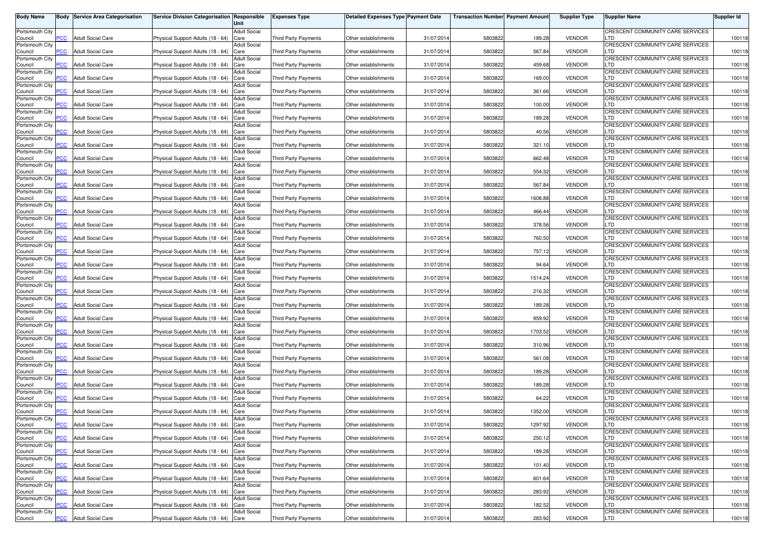| <b>Body Name</b>           |                          | <b>Body Service Area Categorisation</b> | Service Division Categorisation Responsible | Unit                        | <b>Expenses Type</b>        | <b>Detailed Expenses Type Payment Date</b> |            | <b>Transaction Number Payment Amount</b> |         | <b>Supplier Type</b> | <b>Supplier Name</b>                    | <b>Supplier Id</b> |
|----------------------------|--------------------------|-----------------------------------------|---------------------------------------------|-----------------------------|-----------------------------|--------------------------------------------|------------|------------------------------------------|---------|----------------------|-----------------------------------------|--------------------|
| Portsmouth City            |                          |                                         |                                             | <b>Adult Social</b>         |                             |                                            |            |                                          |         |                      | CRESCENT COMMUNITY CARE SERVICES        |                    |
| Council<br>Portsmouth City | PCC                      | <b>Adult Social Care</b>                | Physical Support Adults (18 - 64)           | Care<br><b>Adult Social</b> | <b>Third Party Payments</b> | Other establishments                       | 31/07/201  | 5803822                                  | 189.28  | <b>VENDOR</b>        | LTD<br>CRESCENT COMMUNITY CARE SERVICES | 100118             |
| Council                    | $\overline{C}$           | <b>Adult Social Care</b>                | Physical Support Adults (18 - 64)           | Care                        | Third Party Payments        | Other establishments                       | 31/07/2014 | 5803822                                  | 567.84  | <b>VENDOR</b>        | LTD                                     | 100118             |
| Portsmouth City            | $\overline{C}$           | <b>Adult Social Care</b>                |                                             | Adult Social                | Third Party Payments        |                                            | 31/07/201  | 5803822                                  | 459.68  | <b>VENDOR</b>        | CRESCENT COMMUNITY CARE SERVICES<br>LTD |                    |
| Council<br>Portsmouth City |                          |                                         | Physical Support Adults (18 - 64)           | Care<br>Adult Social        |                             | Other establishments                       |            |                                          |         |                      | CRESCENT COMMUNITY CARE SERVICES        | 100118             |
| Council                    | PСC                      | <b>Adult Social Care</b>                | Physical Support Adults (18 - 64)           | Care                        | Third Party Payments        | Other establishments                       | 31/07/201  | 5803822                                  | 169.00  | <b>VENDOR</b>        | LTD                                     | 100118             |
| Portsmouth City<br>Council | $\overline{\text{p}}$ CC | <b>Adult Social Care</b>                | Physical Support Adults (18 - 64)           | <b>Adult Social</b><br>Care | Third Party Payments        | Other establishments                       | 31/07/201  | 5803822                                  | 361.66  | <b>VENDOR</b>        | CRESCENT COMMUNITY CARE SERVICES<br>LTD | 100118             |
| Portsmouth City            |                          |                                         |                                             | <b>Adult Social</b>         |                             |                                            |            |                                          |         |                      | CRESCENT COMMUNITY CARE SERVICES        |                    |
| Council<br>Portsmouth City | PCC                      | <b>Adult Social Care</b>                | Physical Support Adults (18 - 64)           | Care<br>Adult Social        | Third Party Payments        | Other establishments                       | 31/07/2014 | 5803822                                  | 100.00  | <b>VENDOR</b>        | LTD<br>CRESCENT COMMUNITY CARE SERVICES | 100118             |
| Council                    | $\overline{C}$           | <b>Adult Social Care</b>                | Physical Support Adults (18 - 64)           | Care                        | Third Party Payments        | Other establishments                       | 31/07/2014 | 5803822                                  | 189.28  | <b>VENDOR</b>        | TD.                                     | 100118             |
| Portsmouth City<br>Council | $\overline{C}$           | <b>Adult Social Care</b>                | Physical Support Adults (18 - 64)           | <b>Adult Social</b><br>Care | Third Party Payments        | Other establishments                       | 31/07/201  | 5803822                                  | 40.56   | <b>VENDOR</b>        | CRESCENT COMMUNITY CARE SERVICES<br>TD. | 100118             |
| Portsmouth City            |                          |                                         |                                             | <b>Adult Social</b>         |                             |                                            |            |                                          |         |                      | CRESCENT COMMUNITY CARE SERVICES        |                    |
| Council<br>Portsmouth City | сC                       | <b>Adult Social Care</b>                | Physical Support Adults (18 - 64)           | Care<br><b>Adult Social</b> | <b>Third Party Payments</b> | Other establishments                       | 31/07/2014 | 5803822                                  | 321.10  | <b>VENDOR</b>        | LTD<br>CRESCENT COMMUNITY CARE SERVICES | 100118             |
| Council                    | $\overline{C}$           | <b>Adult Social Care</b>                | Physical Support Adults (18 - 64)           | Care                        | <b>Third Party Payments</b> | Other establishments                       | 31/07/201  | 5803822                                  | 662.48  | <b>VENDOR</b>        | LTD                                     | 100118             |
| Portsmouth City<br>Council | PСC                      | <b>Adult Social Care</b>                | Physical Support Adults (18 - 64)           | Adult Social<br>Care        | <b>Third Party Payments</b> | Other establishments                       | 31/07/2014 | 5803822                                  | 554.32  | <b>VENDOR</b>        | CRESCENT COMMUNITY CARE SERVICES<br>LTD | 100118             |
| Portsmouth City            |                          |                                         |                                             | Adult Social                |                             |                                            |            |                                          |         |                      | CRESCENT COMMUNITY CARE SERVICES        |                    |
| Council                    | PCC.                     | <b>Adult Social Care</b>                | Physical Support Adults (18 - 64)           | Care                        | Third Party Payments        | Other establishments                       | 31/07/201  | 5803822                                  | 567.84  | <b>VENDOR</b>        | LTD<br>CRESCENT COMMUNITY CARE SERVICES | 100118             |
| Portsmouth City<br>Council | PСC                      | <b>Adult Social Care</b>                | Physical Support Adults (18 - 64)           | <b>Adult Social</b><br>Care | Third Party Payments        | Other establishments                       | 31/07/2014 | 5803822                                  | 1608.88 | <b>VENDOR</b>        | LTD                                     | 100118             |
| Portsmouth City            |                          |                                         |                                             | <b>Adult Social</b>         |                             |                                            |            |                                          |         |                      | CRESCENT COMMUNITY CARE SERVICES<br>LTD |                    |
| Council<br>Portsmouth City | PCC                      | <b>Adult Social Care</b>                | Physical Support Adults (18 - 64)           | Care<br><b>Adult Social</b> | <b>Third Party Payments</b> | Other establishments                       | 31/07/201  | 5803822                                  | 466.44  | <b>VENDOR</b>        | CRESCENT COMMUNITY CARE SERVICES        | 100118             |
| Council                    | PCC                      | <b>Adult Social Care</b>                | Physical Support Adults (18 - 64)           | Care                        | Third Party Payments        | Other establishments                       | 31/07/2014 | 5803822                                  | 378.56  | <b>VENDOR</b>        | LTD                                     | 100118             |
| Portsmouth City<br>Council | <b>PCC</b>               | <b>Adult Social Care</b>                | Physical Support Adults (18 - 64)           | <b>Adult Social</b><br>Care | <b>Third Party Payments</b> | Other establishments                       | 31/07/201  | 5803822                                  | 760.50  | <b>VENDOR</b>        | CRESCENT COMMUNITY CARE SERVICES<br>∟TD | 100118             |
| Portsmouth City            |                          |                                         |                                             | <b>Adult Social</b>         |                             |                                            |            |                                          |         |                      | CRESCENT COMMUNITY CARE SERVICES        |                    |
| Council<br>Portsmouth City | PCC                      | <b>Adult Social Care</b>                | Physical Support Adults (18 - 64)           | Care<br><b>Adult Social</b> | Third Party Payments        | Other establishments                       | 31/07/201  | 5803822                                  | 757.12  | <b>VENDOR</b>        | LTD<br>CRESCENT COMMUNITY CARE SERVICES | 100118             |
| Council                    | <b>PCC</b>               | <b>Adult Social Care</b>                | Physical Support Adults (18 - 64)           | Care                        | Third Party Payments        | Other establishments                       | 31/07/201  | 5803822                                  | 94.64   | <b>VENDOR</b>        | LTD                                     | 100118             |
| Portsmouth City<br>Council | PCC                      | <b>Adult Social Care</b>                | Physical Support Adults (18 - 64)           | Adult Social<br>Care        | Third Party Payments        | Other establishments                       | 31/07/201  | 5803822                                  | 1514.24 | <b>VENDOR</b>        | CRESCENT COMMUNITY CARE SERVICES<br>LTD | 100118             |
| Portsmouth City            |                          |                                         |                                             | Adult Social                |                             |                                            |            |                                          |         |                      | CRESCENT COMMUNITY CARE SERVICES        |                    |
| Council<br>Portsmouth City | PСC                      | <b>Adult Social Care</b>                | Physical Support Adults (18 - 64)           | Care<br>Adult Social        | Third Party Payments        | Other establishments                       | 31/07/201  | 5803822                                  | 216.32  | <b>VENDOR</b>        | LTD<br>CRESCENT COMMUNITY CARE SERVICES | 100118             |
| Council                    | PCC                      | <b>Adult Social Care</b>                | Physical Support Adults (18 - 64)           | Care                        | Third Party Payments        | Other establishments                       | 31/07/201  | 5803822                                  | 189.28  | <b>VENDOR</b>        | LTD                                     | 100118             |
| Portsmouth City<br>Council | PСC                      | <b>Adult Social Care</b>                | Physical Support Adults (18 - 64)           | <b>Adult Social</b><br>Care | Third Party Payments        | Other establishments                       | 31/07/201  | 5803822                                  | 959.92  | <b>VENDOR</b>        | CRESCENT COMMUNITY CARE SERVICES<br>LTD | 100118             |
| Portsmouth City            |                          |                                         |                                             | <b>Adult Social</b>         |                             |                                            |            |                                          |         |                      | CRESCENT COMMUNITY CARE SERVICES        |                    |
| Council                    | PCC                      | <b>Adult Social Care</b>                | Physical Support Adults (18 - 64)           | Care<br><b>Adult Social</b> | <b>Third Party Payments</b> | Other establishments                       | 31/07/201  | 5803822                                  | 1703.52 | <b>VENDOR</b>        | LTD<br>CRESCENT COMMUNITY CARE SERVICES | 100118             |
| Portsmouth City<br>Council | <b>PCC</b>               | <b>Adult Social Care</b>                | Physical Support Adults (18 - 64)           | Care                        | Third Party Payments        | Other establishments                       | 31/07/2014 | 5803822                                  | 310.96  | <b>VENDOR</b>        | TD.                                     | 100118             |
| Portsmouth City            |                          |                                         |                                             | <b>Adult Social</b>         |                             |                                            |            |                                          |         | <b>VENDOR</b>        | CRESCENT COMMUNITY CARE SERVICES<br>∟TD |                    |
| Council<br>Portsmouth City | $\overline{C}$           | <b>Adult Social Care</b>                | Physical Support Adults (18 - 64)           | Care<br><b>Adult Social</b> | Third Party Payments        | Other establishments                       | 31/07/201  | 5803822                                  | 561.08  |                      | CRESCENT COMMUNITY CARE SERVICES        | 100118             |
| Council                    | <b>PCC</b>               | <b>Adult Social Care</b>                | Physical Support Adults (18 - 64)           | Care                        | Third Party Payments        | Other establishments                       | 31/07/201  | 5803822                                  | 189.28  | <b>VENDOR</b>        | LTD                                     | 100118             |
| Portsmouth City<br>Council | PСC                      | <b>Adult Social Care</b>                | Physical Support Adults (18 - 64)           | <b>Adult Social</b><br>Care | Third Party Payments        | Other establishments                       | 31/07/201  | 5803822                                  | 189.28  | <b>VENDOR</b>        | CRESCENT COMMUNITY CARE SERVICES<br>LTD | 100118             |
| Portsmouth City            |                          |                                         |                                             | Adult Social                |                             |                                            |            |                                          |         |                      | CRESCENT COMMUNITY CARE SERVICES        |                    |
| Council<br>Portsmouth City | $\overline{C}$           | <b>Adult Social Care</b>                | Physical Support Adults (18 - 64)           | Care<br>Adult Social        | Third Party Payments        | Other establishments                       | 31/07/201  | 5803822                                  | 64.22   | <b>VENDOR</b>        | LTD<br>CRESCENT COMMUNITY CARE SERVICES | 100118             |
| Council                    | PСC                      | <b>Adult Social Care</b>                | Physical Support Adults (18 - 64)           | Care                        | Third Party Payments        | Other establishments                       | 31/07/2014 | 5803822                                  | 1352.00 | <b>VENDOR</b>        | LTD                                     | 100118             |
| Portsmouth City<br>Council |                          | <b>PCC</b> Adult Social Care            | Physical Support Adults (18 - 64) Care      | Adult Social                | Third Party Payments        | Other establishments                       | 31/07/2014 | 5803822                                  | 1297.92 | <b>VENDOR</b>        | CRESCENT COMMUNITY CARE SERVICES<br>LTD | 100118             |
| Portsmouth City            |                          |                                         |                                             | <b>Adult Social</b>         |                             |                                            |            |                                          |         |                      | CRESCENT COMMUNITY CARE SERVICES        |                    |
| Council<br>Portsmouth City | <u>PCC</u>               | <b>Adult Social Care</b>                | Physical Support Adults (18 - 64) Care      | <b>Adult Social</b>         | Third Party Payments        | Other establishments                       | 31/07/2014 | 5803822                                  | 250.12  | <b>VENDOR</b>        | LTD<br>CRESCENT COMMUNITY CARE SERVICES | 100118             |
| Council                    | PCC                      | <b>Adult Social Care</b>                | Physical Support Adults (18 - 64) Care      |                             | Third Party Payments        | Other establishments                       | 31/07/2014 | 5803822                                  | 189.28  | <b>VENDOR</b>        | LTD                                     | 100118             |
| Portsmouth City<br>Council | PCC                      | <b>Adult Social Care</b>                | Physical Support Adults (18 - 64) Care      | <b>Adult Social</b>         | Third Party Payments        | Other establishments                       | 31/07/2014 | 5803822                                  | 101.40  | <b>VENDOR</b>        | CRESCENT COMMUNITY CARE SERVICES<br>LTD | 100118             |
| Portsmouth City            |                          |                                         |                                             | <b>Adult Social</b>         |                             |                                            |            |                                          |         |                      | CRESCENT COMMUNITY CARE SERVICES        |                    |
| Council<br>Portsmouth City | PСC                      | <b>Adult Social Care</b>                | Physical Support Adults (18 - 64) Care      | <b>Adult Social</b>         | Third Party Payments        | Other establishments                       | 31/07/2014 | 5803822                                  | 601.64  | <b>VENDOR</b>        | LTD<br>CRESCENT COMMUNITY CARE SERVICES | 100118             |
| Council                    | <b>PCC</b>               | <b>Adult Social Care</b>                | Physical Support Adults (18 - 64) Care      |                             | Third Party Payments        | Other establishments                       | 31/07/2014 | 5803822                                  | 283.92  | <b>VENDOR</b>        | LTD                                     | 100118             |
| Portsmouth City<br>Council | PСC                      | <b>Adult Social Care</b>                | Physical Support Adults (18 - 64)           | Adult Social<br>Care        | Third Party Payments        | Other establishments                       | 31/07/2014 | 5803822                                  | 182.52  | <b>VENDOR</b>        | CRESCENT COMMUNITY CARE SERVICES<br>LTD | 100118             |
| Portsmouth City            |                          |                                         |                                             | Adult Social                |                             |                                            |            |                                          |         |                      | CRESCENT COMMUNITY CARE SERVICES        |                    |
| Council                    | <b>PCC</b>               | <b>Adult Social Care</b>                | Physical Support Adults (18 - 64) Care      |                             | Third Party Payments        | Other establishments                       | 31/07/2014 | 5803822                                  | 283.92  | <b>VENDOR</b>        | <b>LTD</b>                              | 100118             |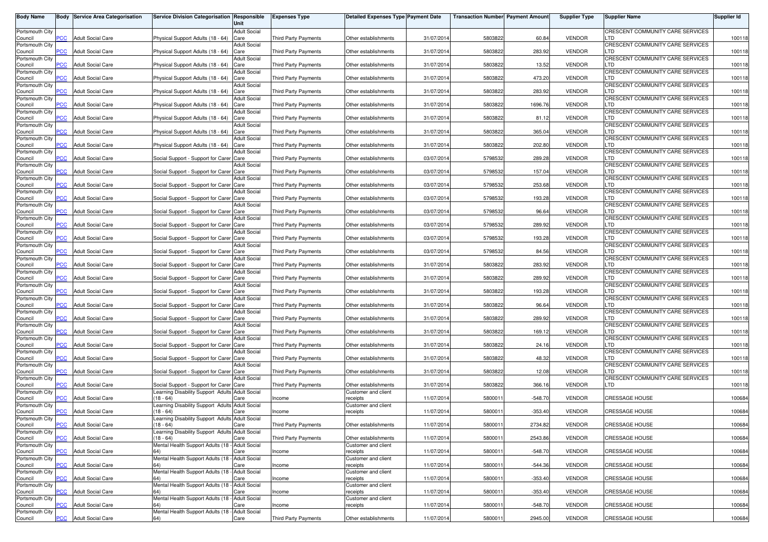| <b>Body Name</b>           |                | <b>Body Service Area Categorisation</b> | Service Division Categorisation Responsible                    | Unit                        | <b>Expenses Type</b>        | <b>Detailed Expenses Type Payment Date</b> |            | <b>Transaction Number Payment Amount</b> |           | <b>Supplier Type</b> | <b>Supplier Name</b>                           | <b>Supplier Id</b> |
|----------------------------|----------------|-----------------------------------------|----------------------------------------------------------------|-----------------------------|-----------------------------|--------------------------------------------|------------|------------------------------------------|-----------|----------------------|------------------------------------------------|--------------------|
| Portsmouth City            |                |                                         |                                                                | <b>Adult Social</b>         |                             |                                            |            |                                          |           |                      | CRESCENT COMMUNITY CARE SERVICES               |                    |
| Council<br>Portsmouth City | PСC            | <b>Adult Social Care</b>                | Physical Support Adults (18 - 64)                              | Care<br><b>Adult Social</b> | Third Party Payments        | Other establishments                       | 31/07/2014 | 5803822                                  | 60.84     | <b>VENDOR</b>        | LTD<br>CRESCENT COMMUNITY CARE SERVICES        | 100118             |
| Council                    | <b>PCC</b>     | <b>Adult Social Care</b>                | Physical Support Adults (18 - 64)                              | Care                        | <b>Third Party Payments</b> | Other establishments                       | 31/07/2014 | 5803822                                  | 283.92    | <b>VENDOR</b>        | LTD                                            | 100118             |
| Portsmouth City            |                |                                         |                                                                | <b>Adult Social</b>         |                             |                                            |            |                                          |           |                      | CRESCENT COMMUNITY CARE SERVICES               |                    |
| Council<br>Portsmouth City | $\overline{C}$ | <b>Adult Social Care</b>                | Physical Support Adults (18 - 64)                              | Care<br><b>Adult Social</b> | <b>Third Party Payments</b> | Other establishments                       | 31/07/2014 | 5803822                                  | 13.52     | <b>VENDOR</b>        | LTD<br>CRESCENT COMMUNITY CARE SERVICES        | 100118             |
| Council                    | сC             | <b>Adult Social Care</b>                | Physical Support Adults (18 - 64)                              | Care                        | <b>Third Party Payments</b> | Other establishments                       | 31/07/2014 | 5803822                                  | 473.20    | <b>VENDOR</b>        | LTD                                            | 100118             |
| Portsmouth City<br>Council | PСC            | <b>Adult Social Care</b>                | Physical Support Adults (18 - 64)                              | <b>Adult Social</b><br>Care | Third Party Payments        | Other establishments                       | 31/07/2014 | 5803822                                  | 283.92    | <b>VENDOR</b>        | CRESCENT COMMUNITY CARE SERVICES<br>LTD        | 100118             |
| Portsmouth City            |                |                                         |                                                                | <b>Adult Social</b>         |                             |                                            |            |                                          |           |                      | <b>CRESCENT COMMUNITY CARE SERVICES</b>        |                    |
| Council                    | PСC            | <b>Adult Social Care</b>                | Physical Support Adults (18 - 64)                              | Care                        | Third Party Payments        | Other establishments                       | 31/07/2014 | 5803822                                  | 1696.76   | <b>VENDOR</b>        | LTD                                            | 100118             |
| Portsmouth City<br>Council | PСC            | <b>Adult Social Care</b>                | Physical Support Adults (18 - 64)                              | <b>Adult Social</b><br>Care | Third Party Payments        | Other establishments                       | 31/07/2014 | 5803822                                  | 81.12     | <b>VENDOR</b>        | CRESCENT COMMUNITY CARE SERVICES<br><b>LTD</b> | 100118             |
| Portsmouth City            |                |                                         |                                                                | <b>Adult Social</b>         |                             |                                            |            |                                          |           |                      | CRESCENT COMMUNITY CARE SERVICES               |                    |
| Council<br>Portsmouth City | PCC.           | <b>Adult Social Care</b>                | Physical Support Adults (18 - 64)                              | Care<br><b>Adult Social</b> | <b>Third Party Payments</b> | Other establishments                       | 31/07/2014 | 5803822                                  | 365.04    | <b>VENDOR</b>        | LTD<br>CRESCENT COMMUNITY CARE SERVICES        | 100118             |
| Council                    | сc             | <b>Adult Social Care</b>                | Physical Support Adults (18 - 64)                              | Care                        | Third Party Payments        | Other establishments                       | 31/07/2014 | 5803822                                  | 202.80    | <b>VENDOR</b>        | LTD                                            | 100118             |
| Portsmouth City<br>Council | $\overline{C}$ | <b>Adult Social Care</b>                | Social Support - Support for Carer Care                        | <b>Adult Social</b>         | Third Party Payments        | Other establishments                       | 03/07/2014 | 5798532                                  | 289.28    | <b>VENDOR</b>        | CRESCENT COMMUNITY CARE SERVICES<br>_TD        | 100118             |
| Portsmouth City            |                |                                         |                                                                | <b>Adult Social</b>         |                             |                                            |            |                                          |           |                      | <b>CRESCENT COMMUNITY CARE SERVICES</b>        |                    |
| Council                    | PCC            | <b>Adult Social Care</b>                | Social Support - Support for Carer Care                        |                             | <b>Third Party Payments</b> | Other establishments                       | 03/07/2014 | 5798532                                  | 157.04    | <b>VENDOR</b>        | LTD<br>CRESCENT COMMUNITY CARE SERVICES        | 100118             |
| Portsmouth City<br>Council | PCC            | <b>Adult Social Care</b>                | Social Support - Support for Carer Care                        | Adult Social                | <b>Third Party Payments</b> | Other establishments                       | 03/07/2014 | 5798532                                  | 253.68    | <b>VENDOR</b>        | LTD                                            | 100118             |
| Portsmouth City            |                |                                         |                                                                | <b>Adult Social</b>         |                             |                                            |            |                                          |           |                      | <b>CRESCENT COMMUNITY CARE SERVICES</b>        |                    |
| Council<br>Portsmouth City | PСC            | <b>Adult Social Care</b>                | Social Support - Support for Carer Care                        | <b>Adult Social</b>         | <b>Third Party Payments</b> | Other establishments                       | 03/07/2014 | 5798532                                  | 193.28    | <b>VENDOR</b>        | LTD<br>CRESCENT COMMUNITY CARE SERVICES        | 100118             |
| Council                    | PCC            | <b>Adult Social Care</b>                | Social Support - Support for Carer Care                        |                             | <b>Third Party Payments</b> | Other establishments                       | 03/07/2014 | 579853                                   | 96.64     | <b>VENDOR</b>        | LTD                                            | 100118             |
| Portsmouth City<br>Council | PCC            | <b>Adult Social Care</b>                | Social Support - Support for Carer Care                        | <b>Adult Social</b>         | <b>Third Party Payments</b> | Other establishments                       | 03/07/2014 | 5798532                                  | 289.92    | <b>VENDOR</b>        | CRESCENT COMMUNITY CARE SERVICES<br>LTD        | 100118             |
| Portsmouth City            |                |                                         |                                                                | <b>Adult Social</b>         |                             |                                            |            |                                          |           |                      | CRESCENT COMMUNITY CARE SERVICES               |                    |
| Council<br>Portsmouth City | <b>PCC</b>     | <b>Adult Social Care</b>                | Social Support - Support for Carer Care                        | <b>Adult Social</b>         | <b>Third Party Payments</b> | Other establishments                       | 03/07/2014 | 5798532                                  | 193.28    | <b>VENDOR</b>        | LTD<br>CRESCENT COMMUNITY CARE SERVICES        | 100118             |
| Council                    | PCC.           | <b>Adult Social Care</b>                | Social Support - Support for Carer Care                        |                             | Third Party Payments        | Other establishments                       | 03/07/2014 | 5798532                                  | 84.56     | <b>VENDOR</b>        | _TD                                            | 100118             |
| Portsmouth City            | PСC            | <b>Adult Social Care</b>                |                                                                | <b>Adult Social</b>         | <b>Third Party Payments</b> | Other establishments                       | 31/07/2014 | 5803822                                  | 283.92    | <b>VENDOR</b>        | <b>CRESCENT COMMUNITY CARE SERVICES</b><br>_TD | 100118             |
| Council<br>Portsmouth City |                |                                         | Social Support - Support for Carer Care                        | <b>Adult Social</b>         |                             |                                            |            |                                          |           |                      | CRESCENT COMMUNITY CARE SERVICES               |                    |
| Council                    | PCC            | <b>Adult Social Care</b>                | Social Support - Support for Carer Care                        |                             | <b>Third Party Payments</b> | Other establishments                       | 31/07/2014 | 5803822                                  | 289.92    | <b>VENDOR</b>        | LTD                                            | 100118             |
| Portsmouth City<br>Council | PСC            | <b>Adult Social Care</b>                | Social Support - Support for Carer Care                        | Adult Social                | <b>Third Party Payments</b> | Other establishments                       | 31/07/2014 | 5803822                                  | 193.28    | <b>VENDOR</b>        | CRESCENT COMMUNITY CARE SERVICES<br>LTD        | 100118             |
| Portsmouth City            |                |                                         |                                                                | Adult Social                |                             |                                            |            |                                          |           |                      | CRESCENT COMMUNITY CARE SERVICES               |                    |
| Council<br>Portsmouth City | PСC            | <b>Adult Social Care</b>                | Social Support - Support for Carer Care                        | <b>Adult Social</b>         | <b>Third Party Payments</b> | Other establishments                       | 31/07/201  | 5803822                                  | 96.64     | <b>VENDOR</b>        | LTD<br><b>CRESCENT COMMUNITY CARE SERVICES</b> | 100118             |
| Council                    | PСC            | <b>Adult Social Care</b>                | Social Support - Support for Carer Care                        |                             | Third Party Payments        | Other establishments                       | 31/07/2014 | 5803822                                  | 289.92    | <b>VENDOR</b>        | LTD                                            | 100118             |
| Portsmouth City<br>Council | PСC            | <b>Adult Social Care</b>                | Social Support - Support for Carer Care                        | <b>Adult Social</b>         | <b>Third Party Payments</b> | Other establishments                       | 31/07/2014 | 580382                                   | 169.12    | <b>VENDOR</b>        | CRESCENT COMMUNITY CARE SERVICES<br>LTD        | 100118             |
| Portsmouth City            |                |                                         |                                                                | <b>Adult Social</b>         |                             |                                            |            |                                          |           |                      | CRESCENT COMMUNITY CARE SERVICES               |                    |
| Council<br>Portsmouth City | <b>PCC</b>     | <b>Adult Social Care</b>                | Social Support - Support for Carer Care                        | <b>Adult Social</b>         | <b>Third Party Payments</b> | Other establishments                       | 31/07/2014 | 5803822                                  | 24.16     | <b>VENDOR</b>        | LTD<br>CRESCENT COMMUNITY CARE SERVICES        | 100118             |
| Council                    | PCC.           | <b>Adult Social Care</b>                | Social Support - Support for Carer Care                        |                             | <b>Third Party Payments</b> | Other establishments                       | 31/07/2014 | 5803822                                  | 48.32     | <b>VENDOR</b>        | LTD                                            | 100118             |
| Portsmouth City            | PCC.           | <b>Adult Social Care</b>                |                                                                | <b>Adult Social</b>         |                             |                                            |            |                                          | 12.08     | <b>VENDOR</b>        | CRESCENT COMMUNITY CARE SERVICES<br>_TD        |                    |
| Council<br>Portsmouth City |                |                                         | Social Support - Support for Carer Care                        | <b>Adult Social</b>         | Third Party Payments        | Other establishments                       | 31/07/2014 | 5803822                                  |           |                      | CRESCENT COMMUNITY CARE SERVICES               | 100118             |
| Council                    | сC             | <b>Adult Social Care</b>                | Social Support - Support for Carer Care                        |                             | Third Party Payments        | Other establishments                       | 31/07/2014 | 5803822                                  | 366.16    | <b>VENDOR</b>        | LTD                                            | 100118             |
| Portsmouth City<br>Council | <b>PCC</b>     | <b>Adult Social Care</b>                | Learning Disability Support Adults Adult Social<br>$18 - 64$   | Care                        | Income                      | Customer and client<br>receipts            | 11/07/2014 | 580001                                   | $-548.70$ | <b>VENDOR</b>        | CRESSAGE HOUSE                                 | 100684             |
| Portsmouth City            |                |                                         | earning Disability Support Adults                              | <b>Adult Social</b>         |                             | Customer and client                        |            |                                          |           |                      |                                                |                    |
| Council<br>Portsmouth City | <b>PCC</b>     | <b>Adult Social Care</b>                | 18 - 64)<br>Learning Disability Support Adults Adult Social    | Care                        | Income                      | receipts                                   | 11/07/2014 | 580001                                   | $-353.40$ | <b>VENDOR</b>        | <b>CRESSAGE HOUSE</b>                          | 100684             |
| Council                    | <b>PCC</b>     | <b>Adult Social Care</b>                | $(18 - 64)$                                                    | Care                        | Third Party Payments        | Other establishments                       | 11/07/2014 | 5800011                                  | 2734.82   | <b>VENDOR</b>        | <b>CRESSAGE HOUSE</b>                          | 100684             |
| Portsmouth City<br>Council | <b>PCC</b>     | <b>Adult Social Care</b>                | Learning Disability Support Adults Adult Social<br>$(18 - 64)$ | Care                        | Third Party Payments        | Other establishments                       | 11/07/2014 | 5800011                                  | 2543.86   | <b>VENDOR</b>        | <b>CRESSAGE HOUSE</b>                          | 100684             |
| Portsmouth City            |                |                                         | Mental Health Support Adults (18 - Adult Social                |                             |                             | Customer and client                        |            |                                          |           |                      |                                                |                    |
| Council                    | PCC            | <b>Adult Social Care</b>                | 64)                                                            | Care                        | Income                      | receipts                                   | 11/07/2014 | 5800011                                  | $-548.70$ | <b>VENDOR</b>        | <b>CRESSAGE HOUSE</b>                          | 100684             |
| Portsmouth City<br>Council | PCC            | <b>Adult Social Care</b>                | Mental Health Support Adults (18 - Adult Social<br>64)         | Care                        | Income                      | Customer and client<br>receipts            | 11/07/2014 | 5800011                                  | $-544.36$ | <b>VENDOR</b>        | CRESSAGE HOUSE                                 | 100684             |
| Portsmouth City            |                |                                         | Mental Health Support Adults (18 -                             | <b>Adult Social</b>         |                             | Customer and client                        |            |                                          |           |                      |                                                |                    |
| Council<br>Portsmouth City | PСC            | <b>Adult Social Care</b>                | Mental Health Support Adults (18 - Adult Social                | Care                        | Income                      | receipts<br>Customer and client            | 11/07/2014 | 5800011                                  | $-353.40$ | <b>VENDOR</b>        | CRESSAGE HOUSE                                 | 100684             |
| Council                    | PCC            | <b>Adult Social Care</b>                | 64)                                                            | Care                        | Income                      | receipts                                   | 11/07/2014 | 5800011                                  | $-353.40$ | <b>VENDOR</b>        | <b>CRESSAGE HOUSE</b>                          | 100684             |
| Portsmouth City<br>Council | <b>PCC</b>     | <b>Adult Social Care</b>                | Mental Health Support Adults (18 - Adult Social<br>64)         | Care                        | Income                      | Customer and client<br>receipts            | 11/07/2014 | 5800011                                  | $-548.70$ | <b>VENDOR</b>        | <b>CRESSAGE HOUSE</b>                          | 100684             |
| Portsmouth City            |                |                                         | Mental Health Support Adults (18 - Adult Social                |                             |                             |                                            |            |                                          |           |                      |                                                |                    |
| Council                    | PCC            | <b>Adult Social Care</b>                | 64)                                                            | Care                        | Third Party Payments        | Other establishments                       | 11/07/2014 | 5800011                                  | 2945.00   | <b>VENDOR</b>        | CRESSAGE HOUSE                                 | 100684             |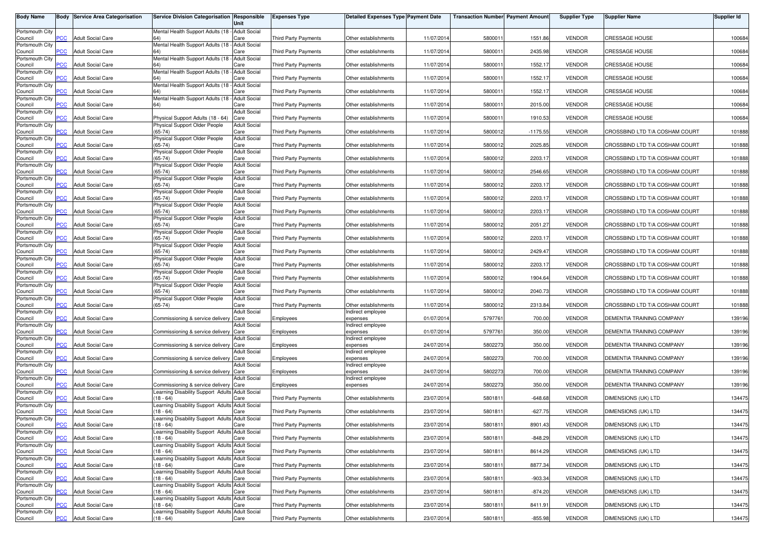| <b>Body Name</b>           | Body           | <b>Service Area Categorisation</b> | Service Division Categorisation Responsible                                         | Unit                        | <b>Expenses Type</b>        | <b>Detailed Expenses Type Payment Date</b> |            | <b>Transaction Number Payment Amount</b> |            | <b>Supplier Type</b> | <b>Supplier Name</b>           | <b>Supplier Id</b> |
|----------------------------|----------------|------------------------------------|-------------------------------------------------------------------------------------|-----------------------------|-----------------------------|--------------------------------------------|------------|------------------------------------------|------------|----------------------|--------------------------------|--------------------|
| Portsmouth City            |                |                                    | Mental Health Support Adults (18 - Adult Social                                     |                             |                             |                                            |            |                                          |            |                      |                                |                    |
| Council<br>Portsmouth City | <b>PCC</b>     | <b>Adult Social Care</b>           | Mental Health Support Adults (18 -                                                  | Care<br><b>Adult Social</b> | <b>Third Party Payments</b> | Other establishments                       | 11/07/2014 | 580001                                   | 1551.86    | <b>VENDOR</b>        | CRESSAGE HOUSE                 | 100684             |
| Council                    | <b>PCC</b>     | <b>Adult Social Care</b>           |                                                                                     | Care                        | <b>Third Party Payments</b> | Other establishments                       | 11/07/2014 | 580001                                   | 2435.98    | <b>VENDOR</b>        | CRESSAGE HOUSE                 | 100684             |
| Portsmouth City<br>Council | $\overline{C}$ | <b>Adult Social Care</b>           | Mental Health Support Adults (18 - Adult Social                                     | Care                        | <b>Third Party Payments</b> | Other establishments                       | 11/07/2014 | 580001                                   | 1552.17    | <b>VENDOR</b>        | CRESSAGE HOUSE                 | 100684             |
| Portsmouth City<br>Council | сC             | <b>Adult Social Care</b>           | Mental Health Support Adults (18 -                                                  | <b>Adult Social</b><br>Care | <b>Third Party Payments</b> | Other establishments                       | 11/07/2014 | 580001                                   | 1552.17    | <b>VENDOR</b>        | CRESSAGE HOUSE                 | 100684             |
| Portsmouth City            |                |                                    | Mental Health Support Adults (18 -                                                  | <b>Adult Social</b>         |                             |                                            |            |                                          |            |                      |                                |                    |
| Council<br>Portsmouth City | PCC            | <b>Adult Social Care</b>           | Mental Health Support Adults (18 -                                                  | Care<br><b>Adult Social</b> | <b>Third Party Payments</b> | Other establishments                       | 11/07/201  | 580001                                   | 1552.17    | <b>VENDOR</b>        | CRESSAGE HOUSE                 | 100684             |
| Council                    | PСC            | <b>Adult Social Care</b>           | 64)                                                                                 | Care                        | Third Party Payments        | Other establishments                       | 11/07/2014 | 580001                                   | 2015.00    | <b>VENDOR</b>        | CRESSAGE HOUSE                 | 100684             |
| Portsmouth City<br>Council | PCC.           | <b>Adult Social Care</b>           | Physical Support Adults (18 - 64)                                                   | <b>Adult Social</b><br>Care | Third Party Payments        | Other establishments                       | 11/07/2014 | 580001                                   | 1910.53    | <b>VENDOR</b>        | CRESSAGE HOUSE                 | 100684             |
| Portsmouth City<br>Council | PСC            | <b>Adult Social Care</b>           | Physical Support Older People<br>$(65-74)$                                          | <b>Adult Social</b><br>Care | Third Party Payments        | Other establishments                       | 11/07/2014 | 5800012                                  | $-1175.55$ | <b>VENDOR</b>        | CROSSBIND LTD T/A COSHAM COURT | 101888             |
| Portsmouth City            |                |                                    | Physical Support Older People                                                       | <b>Adult Social</b>         |                             |                                            |            |                                          |            |                      |                                |                    |
| Council<br>Portsmouth City | сc             | <b>Adult Social Care</b>           | $(65-74)$<br>Physical Support Older People                                          | Care<br><b>Adult Social</b> | <b>Third Party Payments</b> | Other establishments                       | 11/07/201  | 5800012                                  | 2025.85    | <b>VENDOR</b>        | CROSSBIND LTD T/A COSHAM COURT | 101888             |
| Council<br>Portsmouth City | $\overline{C}$ | <b>Adult Social Care</b>           | $(65-74)$<br>Physical Support Older People                                          | Care<br><b>Adult Social</b> | <b>Third Party Payments</b> | Other establishments                       | 11/07/201  | 5800012                                  | 2203.17    | <b>VENDOR</b>        | CROSSBIND LTD T/A COSHAM COURT | 101888             |
| Council                    | PСC            | <b>Adult Social Care</b>           | $(65-74)$                                                                           | Care                        | Third Party Payments        | Other establishments                       | 11/07/2014 | 5800012                                  | 2546.65    | <b>VENDOR</b>        | CROSSBIND LTD T/A COSHAM COURT | 101888             |
| Portsmouth City<br>Council | PCC            | <b>Adult Social Care</b>           | Physical Support Older People<br>$(65-74)$                                          | <b>Adult Social</b><br>Care | Third Party Payments        | Other establishments                       | 11/07/2014 | 5800012                                  | 2203.17    | <b>VENDOR</b>        | CROSSBIND LTD T/A COSHAM COURT | 101888             |
| Portsmouth City            |                |                                    | Physical Support Older People                                                       | <b>Adult Social</b>         |                             |                                            |            |                                          |            |                      |                                |                    |
| Council<br>Portsmouth City | PСC            | <b>Adult Social Care</b>           | $(65 - 74)$<br>Physical Support Older People                                        | Care<br><b>Adult Social</b> | <b>Third Party Payments</b> | Other establishments                       | 11/07/201  | 5800012                                  | 2203.17    | <b>VENDOR</b>        | CROSSBIND LTD T/A COSHAM COURT | 101888             |
| Council<br>Portsmouth City | <b>PCC</b>     | <b>Adult Social Care</b>           | $(65-74)$<br>Physical Support Older People                                          | Care<br><b>Adult Social</b> | <b>Third Party Payments</b> | Other establishments                       | 11/07/201  | 5800012                                  | 2203.17    | <b>VENDOR</b>        | CROSSBIND LTD T/A COSHAM COURT | 101888             |
| Council                    | <b>PCC</b>     | <b>Adult Social Care</b>           | $(65-74)$                                                                           | Care                        | Third Party Payments        | Other establishments                       | 11/07/2014 | 5800012                                  | 2051.27    | <b>VENDOR</b>        | CROSSBIND LTD T/A COSHAM COURT | 101888             |
| Portsmouth City<br>Council | <b>PCC</b>     | <b>Adult Social Care</b>           | Physical Support Older People<br>$65 - 74$                                          | <b>Adult Social</b><br>Care | <b>Third Party Payments</b> | Other establishments                       | 11/07/2014 | 5800012                                  | 2203.17    | <b>VENDOR</b>        | CROSSBIND LTD T/A COSHAM COURT | 101888             |
| Portsmouth City            | PCC            | <b>Adult Social Care</b>           | Physical Support Older People<br>$(65-74)$                                          | <b>Adult Social</b>         | Third Party Payments        | Other establishments                       | 11/07/2014 | 5800012                                  | 2429.47    | <b>VENDOR</b>        | CROSSBIND LTD T/A COSHAM COURT | 101888             |
| Council<br>Portsmouth City |                |                                    | Physical Support Older People                                                       | Care<br><b>Adult Social</b> |                             |                                            |            |                                          |            |                      |                                |                    |
| Council<br>Portsmouth City | 'СC            | <b>Adult Social Care</b>           | $(65-74)$<br>Physical Support Older People                                          | Care<br><b>Adult Social</b> | <b>Third Party Payments</b> | Other establishments                       | 11/07/2014 | 5800012                                  | 2203.17    | <b>VENDOR</b>        | CROSSBIND LTD T/A COSHAM COURT | 101888             |
| Council                    | PCC            | <b>Adult Social Care</b>           | $(65-74)$                                                                           | Care                        | <b>Third Party Payments</b> | Other establishments                       | 11/07/201  | 5800012                                  | 1904.64    | <b>VENDOR</b>        | CROSSBIND LTD T/A COSHAM COURT | 101888             |
| Portsmouth City<br>Council | <b>PCC</b>     | <b>Adult Social Care</b>           | Physical Support Older People<br>$(65-74)$                                          | <b>Adult Social</b><br>Care | Third Party Payments        | Other establishments                       | 11/07/2014 | 5800012                                  | 2040.73    | <b>VENDOR</b>        | CROSSBIND LTD T/A COSHAM COURT | 101888             |
| Portsmouth City<br>Council | PCC            | <b>Adult Social Care</b>           | Physical Support Older People<br>$(65-74)$                                          | <b>Adult Social</b><br>Care | Third Party Payments        | Other establishments                       | 11/07/201  | 5800012                                  | 2313.84    | <b>VENDOR</b>        | CROSSBIND LTD T/A COSHAM COURT | 101888             |
| Portsmouth City            |                |                                    |                                                                                     | <b>Adult Social</b>         |                             | ndirect employee                           |            |                                          |            |                      |                                |                    |
| Council<br>Portsmouth City | PСC            | <b>Adult Social Care</b>           | Commissioning & service delivery                                                    | Care<br><b>Adult Social</b> | Employees                   | expenses<br>ndirect employee               | 01/07/2014 | 579776                                   | 700.00     | <b>VENDOR</b>        | DEMENTIA TRAINING COMPANY      | 139196             |
| Council                    | PСC            | <b>Adult Social Care</b>           | Commissioning & service delivery                                                    | Care                        | Employees                   | expenses                                   | 01/07/201  | 579776                                   | 350.00     | <b>VENDOR</b>        | DEMENTIA TRAINING COMPANY      | 139196             |
| Portsmouth City<br>Council | <b>PCC</b>     | <b>Adult Social Care</b>           | Commissioning & service delivery Care                                               | <b>Adult Social</b>         | Employees                   | ndirect employee<br>expenses               | 24/07/2014 | 5802273                                  | 350.00     | <b>VENDOR</b>        | DEMENTIA TRAINING COMPANY      | 139196             |
| Portsmouth City<br>Council | PСC            | <b>Adult Social Care</b>           | Commissioning & service delivery Care                                               | <b>Adult Social</b>         | Employees                   | Indirect employee<br>expenses              | 24/07/2014 | 5802273                                  | 700.00     | <b>VENDOR</b>        | DEMENTIA TRAINING COMPANY      | 139196             |
| Portsmouth City            |                |                                    |                                                                                     | <b>Adult Social</b>         |                             | ndirect employee                           |            |                                          |            |                      |                                |                    |
| Council<br>Portsmouth City | PСC            | <b>Adult Social Care</b>           | Commissioning & service delivery Care                                               | <b>Adult Social</b>         | Employees                   | expenses<br>Indirect employee              | 24/07/2014 | 5802273                                  | 700.00     | <b>VENDOR</b>        | DEMENTIA TRAINING COMPANY      | 139196             |
| Council<br>Portsmouth City | сC             | <b>Adult Social Care</b>           | Commissioning & service delivery<br>Learning Disability Support Adults Adult Social | Care                        | Employees                   | expenses                                   | 24/07/2014 | 5802273                                  | 350.00     | <b>VENDOR</b>        | DEMENTIA TRAINING COMPANY      | 139196             |
| Council                    | <b>PCC</b>     | <b>Adult Social Care</b>           | $(18 - 64)$                                                                         | Care                        | <b>Third Party Payments</b> | Other establishments                       | 23/07/2014 | 580181                                   | $-648.68$  | <b>VENDOR</b>        | DIMENSIONS (UK) LTD            | 134475             |
| Portsmouth City<br>Council | <b>PCC</b>     | <b>Adult Social Care</b>           | earning Disability Support Adults Adult Social<br>$18 - 64$                         | Care                        | Third Party Payments        | Other establishments                       | 23/07/2014 | 580181                                   | $-627.75$  | <b>VENDOR</b>        | DIMENSIONS (UK) LTD            | 134475             |
| Portsmouth City            |                |                                    | Learning Disability Support Adults Adult Social                                     |                             |                             |                                            |            |                                          |            |                      |                                |                    |
| Council<br>Portsmouth City | <b>PCC</b>     | <b>Adult Social Care</b>           | $(18 - 64)$<br>Learning Disability Support Adults Adult Social                      | Care                        | Third Party Payments        | Other establishments                       | 23/07/2014 | 5801811                                  | 8901.43    | <b>VENDOR</b>        | DIMENSIONS (UK) LTD            | 134475             |
| Council<br>Portsmouth City | <b>PCC</b>     | <b>Adult Social Care</b>           | $(18 - 64)$<br>Learning Disability Support Adults Adult Social                      | Care                        | Third Party Payments        | Other establishments                       | 23/07/2014 | 5801811                                  | $-848.29$  | <b>VENDOR</b>        | DIMENSIONS (UK) LTD            | 134475             |
| Council                    | <b>PCC</b>     | <b>Adult Social Care</b>           | $(18 - 64)$                                                                         | Care                        | Third Party Payments        | Other establishments                       | 23/07/2014 | 5801811                                  | 8614.29    | <b>VENDOR</b>        | DIMENSIONS (UK) LTD            | 134475             |
| Portsmouth City<br>Council | PCC            | <b>Adult Social Care</b>           | Learning Disability Support Adults Adult Social<br>$(18 - 64)$                      | Care                        | Third Party Payments        | Other establishments                       | 23/07/2014 | 5801811                                  | 8877.34    | <b>VENDOR</b>        | DIMENSIONS (UK) LTD            | 134475             |
| Portsmouth City<br>Council | PСC            | <b>Adult Social Care</b>           | earning Disability Support Adults Adult Social<br>$18 - 64$                         | Care                        | Third Party Payments        | Other establishments                       | 23/07/2014 | 5801811                                  | $-903.34$  | <b>VENDOR</b>        | DIMENSIONS (UK) LTD            | 134475             |
| Portsmouth City            |                |                                    | Learning Disability Support Adults Adult Social                                     |                             |                             |                                            |            |                                          |            |                      |                                |                    |
| Council<br>Portsmouth City | PCC            | <b>Adult Social Care</b>           | $(18 - 64)$<br>Learning Disability Support Adults Adult Social                      | Care                        | <b>Third Party Payments</b> | Other establishments                       | 23/07/2014 | 5801811                                  | $-874.20$  | <b>VENDOR</b>        | DIMENSIONS (UK) LTD            | 134475             |
| Council                    | <b>PCC</b>     | <b>Adult Social Care</b>           | (18 - 64)                                                                           | Care                        | Third Party Payments        | Other establishments                       | 23/07/2014 | 5801811                                  | 8411.91    | <b>VENDOR</b>        | DIMENSIONS (UK) LTD            | 134475             |
| Portsmouth City<br>Council | <b>PCC</b>     | <b>Adult Social Care</b>           | Learning Disability Support Adults Adult Social<br>$(18 - 64)$                      | Care                        | <b>Third Party Payments</b> | Other establishments                       | 23/07/2014 | 5801811                                  | $-855.98$  | <b>VENDOR</b>        | DIMENSIONS (UK) LTD            | 134475             |
|                            |                |                                    |                                                                                     |                             |                             |                                            |            |                                          |            |                      |                                |                    |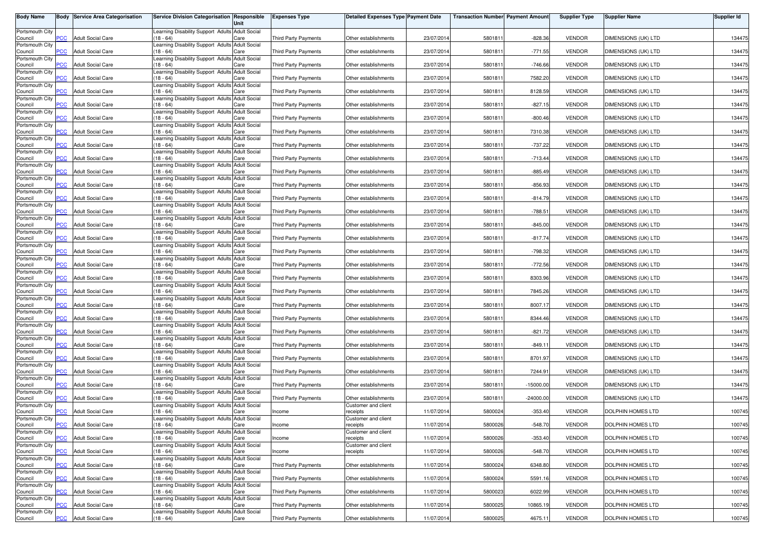| <b>Body Name</b>           |                | <b>Body Service Area Categorisation</b> | Service Division Categorisation Responsible                    | Unit                        | <b>Expenses Type</b>        | Detailed Expenses Type Payment Date |            | <b>Transaction Number Payment Amount</b> |             | <b>Supplier Type</b> | <b>Supplier Name</b>     | <b>Supplier Id</b> |
|----------------------------|----------------|-----------------------------------------|----------------------------------------------------------------|-----------------------------|-----------------------------|-------------------------------------|------------|------------------------------------------|-------------|----------------------|--------------------------|--------------------|
| Portsmouth City            | PCC            | <b>Adult Social Care</b>                | Learning Disability Support Adults Adult Social<br>$(18 - 64)$ |                             |                             |                                     |            |                                          |             |                      |                          |                    |
| Council<br>Portsmouth City |                |                                         | earning Disability Support Adults Adult Social                 | Care                        | Third Party Payments        | Other establishments                | 23/07/2014 | 580181                                   | $-828.36$   | <b>VENDOR</b>        | DIMENSIONS (UK) LTD      | 134475             |
| Council<br>Portsmouth City | <b>PCC</b>     | <b>Adult Social Care</b>                | $18 - 64$<br>Learning Disability Support Adults Adult Social   | Care                        | Third Party Payments        | Other establishments                | 23/07/2014 | 5801811                                  | $-771.55$   | <b>VENDOR</b>        | DIMENSIONS (UK) LTD      | 134475             |
| Council<br>Portsmouth City | $\overline{C}$ | <b>Adult Social Care</b>                | $18 - 64$<br>Learning Disability Support Adults Adult Social   | Care                        | Third Party Payments        | Other establishments                | 23/07/2014 | 580181                                   | $-746.66$   | <b>VENDOR</b>        | DIMENSIONS (UK) LTD      | 134475             |
| Council<br>Portsmouth City | PСC            | <b>Adult Social Care</b>                | $18 - 64$                                                      | Care                        | <b>Third Party Payments</b> | Other establishments                | 23/07/2014 | 580181                                   | 7582.20     | <b>VENDOR</b>        | DIMENSIONS (UK) LTD      | 134475             |
| Council                    | <b>PCC</b>     | <b>Adult Social Care</b>                | Learning Disability Support Adults Adult Social<br>$(18 - 64)$ | Care                        | <b>Third Party Payments</b> | Other establishments                | 23/07/2014 | 580181                                   | 8128.59     | <b>VENDOR</b>        | DIMENSIONS (UK) LTD      | 134475             |
| Portsmouth City<br>Council | PСC            | <b>Adult Social Care</b>                | earning Disability Support Adults Adult Social<br>$(18 - 64)$  | Care                        | Third Party Payments        | Other establishments                | 23/07/2014 | 580181                                   | $-827.15$   | <b>VENDOR</b>        | DIMENSIONS (UK) LTD      | 134475             |
| Portsmouth City<br>Council | <b>PCC</b>     | <b>Adult Social Care</b>                | Learning Disability Support Adults Adult Social<br>$(18 - 64)$ | Care                        | Third Party Payments        | Other establishments                | 23/07/2014 | 5801811                                  | $-800.46$   | <b>VENDOR</b>        | DIMENSIONS (UK) LTD      | 134475             |
| Portsmouth City<br>Council | <b>PCC</b>     | <b>Adult Social Care</b>                | Learning Disability Support Adults Adult Social<br>(18 - 64)   | Care                        | Third Party Payments        | Other establishments                | 23/07/2014 | 5801811                                  | 7310.38     | <b>VENDOR</b>        | DIMENSIONS (UK) LTD      | 134475             |
| Portsmouth City            |                |                                         | Learning Disability Support Adults Adult Social                |                             |                             |                                     |            |                                          |             |                      |                          |                    |
| Council<br>Portsmouth City | <b>PCC</b>     | <b>Adult Social Care</b>                | $18 - 64$<br>earning Disability Support Adults Adult Social    | Care                        | <b>Third Party Payments</b> | Other establishments                | 23/07/2014 | 5801811                                  | $-737.22$   | <b>VENDOR</b>        | DIMENSIONS (UK) LTD      | 134475             |
| Council<br>Portsmouth City | $\overline{C}$ | <b>Adult Social Care</b>                | $18 - 64$<br>earning Disability Support Adults Adult Social    | Care                        | Third Party Payments        | Other establishments                | 23/07/2014 | 5801811                                  | $-713.44$   | <b>VENDOR</b>        | DIMENSIONS (UK) LTD      | 134475             |
| Council<br>Portsmouth City | PCC            | <b>Adult Social Care</b>                | $18 - 64$<br>Learning Disability Support Adults Adult Social   | Care                        | Third Party Payments        | Other establishments                | 23/07/2014 | 5801811                                  | $-885.49$   | <b>VENDOR</b>        | DIMENSIONS (UK) LTD      | 134475             |
| Council                    | PCC            | <b>Adult Social Care</b>                | $(18 - 64)$                                                    | Care                        | <b>Third Party Payments</b> | Other establishments                | 23/07/2014 | 580181                                   | $-856.93$   | <b>VENDOR</b>        | DIMENSIONS (UK) LTD      | 134475             |
| Portsmouth City<br>Council | <b>CC</b>      | <b>Adult Social Care</b>                | Learning Disability Support Adults Adult Social<br>$18 - 64$   | Care                        | Third Party Payments        | Other establishments                | 23/07/2014 | 580181                                   | $-814.79$   | <b>VENDOR</b>        | DIMENSIONS (UK) LTD      | 134475             |
| Portsmouth City<br>Council | PCC            | <b>Adult Social Care</b>                | Learning Disability Support Adults<br>$(18 - 64)$              | <b>Adult Social</b><br>Care | <b>Third Party Payments</b> | Other establishments                | 23/07/2014 | 580181                                   | $-788.51$   | <b>VENDOR</b>        | DIMENSIONS (UK) LTD      | 134475             |
| Portsmouth City<br>Council | PCC            | <b>Adult Social Care</b>                | Learning Disability Support Adults Adult Social<br>$(18 - 64)$ | Care                        | Third Party Payments        | Other establishments                | 23/07/2014 | 580181                                   | $-845.00$   | <b>VENDOR</b>        | DIMENSIONS (UK) LTD      | 134475             |
| Portsmouth City            |                |                                         | Learning Disability Support Adults Adult Social                |                             |                             |                                     |            |                                          |             |                      |                          |                    |
| Council<br>Portsmouth City | PCC            | <b>Adult Social Care</b>                | $(18 - 64)$<br>Learning Disability Support Adults Adult Social | Care                        | Third Party Payments        | Other establishments                | 23/07/2014 | 5801811                                  | $-817.74$   | <b>VENDOR</b>        | DIMENSIONS (UK) LTD      | 134475             |
| Council<br>Portsmouth City | PCC            | <b>Adult Social Care</b>                | $(18 - 64)$<br>earning Disability Support Adults               | Care<br><b>Adult Social</b> | Third Party Payments        | Other establishments                | 23/07/2014 | 5801811                                  | $-798.32$   | <b>VENDOR</b>        | DIMENSIONS (UK) LTD      | 134475             |
| Council<br>Portsmouth City | PСC            | <b>Adult Social Care</b>                | $18 - 64$<br>earning Disability Support Adults Adult Social    | Care                        | <b>Third Party Payments</b> | Other establishments                | 23/07/2014 | 5801811                                  | $-772.56$   | <b>VENDOR</b>        | DIMENSIONS (UK) LTD      | 134475             |
| Council                    | PCC            | <b>Adult Social Care</b>                | $18 - 64$                                                      | Care                        | <b>Third Party Payments</b> | Other establishments                | 23/07/2014 | 580181                                   | 8303.96     | <b>VENDOR</b>        | DIMENSIONS (UK) LTD      | 134475             |
| Portsmouth City<br>Council | <b>PCC</b>     | <b>Adult Social Care</b>                | Learning Disability Support Adults Adult Social<br>(18 - 64)   | Care                        | <b>Third Party Payments</b> | Other establishments                | 23/07/2014 | 580181                                   | 7845.26     | <b>VENDOR</b>        | DIMENSIONS (UK) LTD      | 134475             |
| Portsmouth City<br>Council | PCC            | <b>Adult Social Care</b>                | Learning Disability Support Adults Adult Social<br>$(18 - 64)$ | Care                        | Third Party Payments        | Other establishments                | 23/07/2014 | 580181                                   | 8007.17     | <b>VENDOR</b>        | DIMENSIONS (UK) LTD      | 134475             |
| Portsmouth City<br>Council | PСC            | <b>Adult Social Care</b>                | Learning Disability Support Adults Adult Social<br>$(18 - 64)$ | Care                        | Third Party Payments        | Other establishments                | 23/07/2014 | 580181                                   | 8344.46     | <b>VENDOR</b>        | DIMENSIONS (UK) LTD      | 134475             |
| Portsmouth City            |                |                                         | Learning Disability Support Adults                             | <b>Adult Social</b>         |                             |                                     |            |                                          |             |                      |                          |                    |
| Council<br>Portsmouth City | <b>PCC</b>     | <b>Adult Social Care</b>                | $(18 - 64)$<br>Learning Disability Support Adults Adult Social | Care                        | Third Party Payments        | Other establishments                | 23/07/201  | 580181                                   | $-821.72$   | <b>VENDOR</b>        | DIMENSIONS (UK) LTD      | 134475             |
| Council<br>Portsmouth City | PСC            | <b>Adult Social Care</b>                | $(18 - 64)$<br>Learning Disability Support Adults Adult Social | Care                        | Third Party Payments        | Other establishments                | 23/07/2014 | 580181                                   | $-849.11$   | <b>VENDOR</b>        | DIMENSIONS (UK) LTD      | 134475             |
| Council<br>Portsmouth City | <b>PCC</b>     | <b>Adult Social Care</b>                | $(18 - 64)$<br>Learning Disability Support Adults Adult Social | Care                        | Third Party Payments        | Other establishments                | 23/07/2014 | 5801811                                  | 8701.97     | <b>VENDOR</b>        | DIMENSIONS (UK) LTD      | 134475             |
| Council                    | <b>PCC</b>     | <b>Adult Social Care</b>                | $(18 - 64)$                                                    | Care                        | Third Party Payments        | Other establishments                | 23/07/2014 | 5801811                                  | 7244.91     | <b>VENDOR</b>        | DIMENSIONS (UK) LTD      | 134475             |
| Portsmouth City<br>Council | PСC            | <b>Adult Social Care</b>                | earning Disability Support Adults<br>$18 - 64$                 | <b>Adult Social</b><br>Care | <b>Third Party Payments</b> | Other establishments                | 23/07/201  | 5801811                                  | $-15000.00$ | <b>VENDOR</b>        | DIMENSIONS (UK) LTD      | 134475             |
| Portsmouth City<br>Council | $\overline{C}$ | <b>Adult Social Care</b>                | earning Disability Support Adults Adult Social<br>$18 - 64$    | Care                        | <b>Third Party Payments</b> | Other establishments                | 23/07/2014 | 580181                                   | $-24000.00$ | <b>VENDOR</b>        | DIMENSIONS (UK) LTD      | 134475             |
| Portsmouth City<br>Council | $\overline{C}$ | <b>Adult Social Care</b>                | Learning Disability Support Adults Adult Social<br>$18 - 64$   | Care                        | Income                      | Customer and client<br>receipts     | 11/07/2014 | 5800024                                  | $-353.40$   | <b>VENDOR</b>        | <b>DOLPHIN HOMES LTD</b> | 100745             |
| Portsmouth City            | <b>PCC</b>     | <b>Adult Social Care</b>                | Learning Disability Support Adults Adult Social<br>$(18 - 64)$ |                             |                             | Customer and client                 | 11/07/2014 | 5800026                                  | $-548.70$   | <b>VENDOR</b>        | DOLPHIN HOMES LTD        | 100745             |
| Council<br>Portsmouth City |                |                                         | Learning Disability Support Adults Adult Social                | Care                        | Income                      | receipts<br>Customer and client     |            |                                          |             |                      |                          |                    |
| Council<br>Portsmouth City | $\overline{C}$ | <b>Adult Social Care</b>                | $(18 - 64)$<br>Learning Disability Support Adults Adult Social | Care                        | Income                      | receipts<br>Customer and client     | 11/07/2014 | 5800026                                  | $-353.40$   | <b>VENDOR</b>        | DOLPHIN HOMES LTD        | 100745             |
| Council<br>Portsmouth City | PCC            | <b>Adult Social Care</b>                | $(18 - 64)$<br>Learning Disability Support Adults Adult Social | Care                        | Income                      | receipts                            | 11/07/2014 | 5800026                                  | $-548.70$   | <b>VENDOR</b>        | DOLPHIN HOMES LTD        | 100745             |
| Council                    | PCC            | <b>Adult Social Care</b>                | (18 - 64)<br>Learning Disability Support Adults Adult Social   | Care                        | Third Party Payments        | Other establishments                | 11/07/2014 | 5800024                                  | 6348.80     | <b>VENDOR</b>        | DOLPHIN HOMES LTD        | 100745             |
| Portsmouth City<br>Council | PCC.           | <b>Adult Social Care</b>                | (18 - 64)                                                      | Care                        | Third Party Payments        | Other establishments                | 11/07/2014 | 5800024                                  | 5591.16     | <b>VENDOR</b>        | DOLPHIN HOMES LTD        | 100745             |
| Portsmouth City<br>Council | PCC            | <b>Adult Social Care</b>                | Learning Disability Support Adults Adult Social<br>$18 - 64$   | Care                        | Third Party Payments        | Other establishments                | 11/07/2014 | 5800023                                  | 6022.99     | <b>VENDOR</b>        | <b>DOLPHIN HOMES LTD</b> | 100745             |
| Portsmouth City<br>Council | сC             | <b>Adult Social Care</b>                | Learning Disability Support Adults Adult Social<br>$18 - 64$   | Care                        | Third Party Payments        | Other establishments                | 11/07/2014 | 5800025                                  | 10865.19    | <b>VENDOR</b>        | DOLPHIN HOMES LTD        | 100745             |
| Portsmouth City<br>Council | <b>PCC</b>     | <b>Adult Social Care</b>                | Learning Disability Support Adults Adult Social<br>$(18 - 64)$ | Care                        | Third Party Payments        | Other establishments                | 11/07/2014 | 5800025                                  | 4675.11     | VENDOR               | DOLPHIN HOMES LTD        | 100745             |
|                            |                |                                         |                                                                |                             |                             |                                     |            |                                          |             |                      |                          |                    |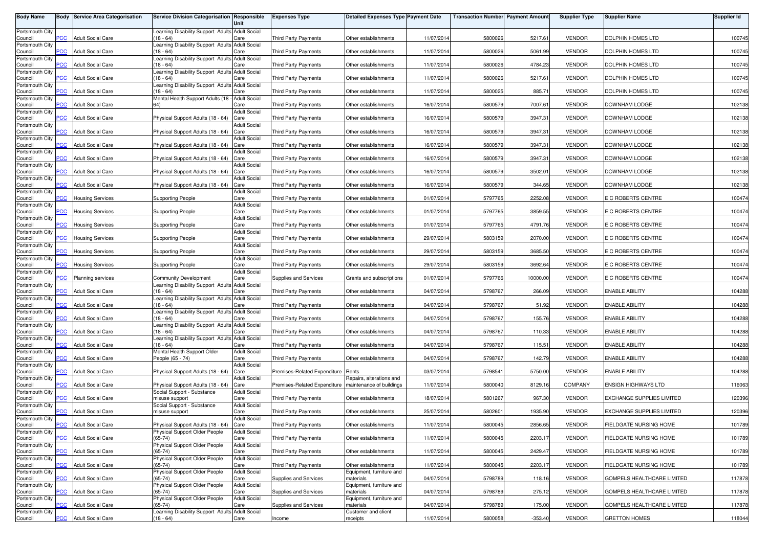| <b>Body Name</b>           |                | <b>Body Service Area Categorisation</b> | Service Division Categorisation Responsible                    | Unit                        | <b>Expenses Type</b>         | <b>Detailed Expenses Type Payment Date</b> |            | <b>Transaction Number Payment Amount</b> |           | <b>Supplier Type</b> | <b>Supplier Name</b>             | <b>Supplier Id</b> |
|----------------------------|----------------|-----------------------------------------|----------------------------------------------------------------|-----------------------------|------------------------------|--------------------------------------------|------------|------------------------------------------|-----------|----------------------|----------------------------------|--------------------|
| Portsmouth City            |                |                                         | Learning Disability Support Adults Adult Social                |                             |                              |                                            |            |                                          |           |                      |                                  |                    |
| Council                    | <b>PCC</b>     | <b>Adult Social Care</b>                | $(18 - 64)$                                                    | Care                        | <b>Third Party Payments</b>  | Other establishments                       | 11/07/2014 | 5800026                                  | 5217.61   | <b>VENDOR</b>        | DOLPHIN HOMES LTD                | 100745             |
| Portsmouth City<br>Council | <b>CC</b>      | <b>Adult Social Care</b>                | Learning Disability Support Adults Adult Social<br>$18 - 64$   | Care                        | Third Party Payments         | Other establishments                       | 11/07/2014 | 5800026                                  | 5061.99   | <b>VENDOR</b>        | DOLPHIN HOMES LTD                | 100745             |
| Portsmouth City            |                |                                         | Learning Disability Support Adults Adult Social                |                             |                              |                                            |            |                                          |           |                      |                                  |                    |
| Council                    | PCC            | <b>Adult Social Care</b>                | $(18 - 64)$                                                    | Care                        | Third Party Payments         | Other establishments                       | 11/07/201  | 5800026                                  | 4784.23   | <b>VENDOR</b>        | DOLPHIN HOMES LTD                | 100745             |
| Portsmouth City<br>Council | <b>PCC</b>     | <b>Adult Social Care</b>                | Learning Disability Support Adults Adult Social<br>$18 - 64$   | Care                        | <b>Third Party Payments</b>  | Other establishments                       | 11/07/201  | 5800026                                  | 5217.61   | <b>VENDOR</b>        | DOLPHIN HOMES LTD                | 100745             |
| Portsmouth City            |                |                                         | Learning Disability Support Adults Adult Social                |                             |                              |                                            |            |                                          |           |                      |                                  |                    |
| Council<br>Portsmouth City | PCC            | <b>Adult Social Care</b>                | $(18 - 64)$<br>Mental Health Support Adults (18 - Adult Social | Care                        | Third Party Payments         | Other establishments                       | 11/07/201  | 5800025                                  | 885.71    | <b>VENDOR</b>        | DOLPHIN HOMES LTD                | 100745             |
| Council                    | PCC            | <b>Adult Social Care</b>                |                                                                | Care                        | Third Party Payments         | Other establishments                       | 16/07/201  | 5800579                                  | 7007.61   | <b>VENDOR</b>        | DOWNHAM LODGE                    | 102138             |
| Portsmouth City<br>Council | $\overline{C}$ | <b>Adult Social Care</b>                | Physical Support Adults (18 - 64)                              | <b>Adult Social</b><br>Care | Third Party Payments         | Other establishments                       | 16/07/201  | 5800579                                  | 3947.31   | <b>VENDOR</b>        | DOWNHAM LODGE                    | 102138             |
| Portsmouth City            |                |                                         |                                                                | <b>Adult Social</b>         |                              |                                            |            |                                          |           |                      |                                  |                    |
| Council<br>Portsmouth City | PCC            | <b>Adult Social Care</b>                | Physical Support Adults (18 - 64)                              | Care<br><b>Adult Social</b> | Third Party Payments         | Other establishments                       | 16/07/2014 | 5800579                                  | 3947.31   | <b>VENDOR</b>        | DOWNHAM LODGE                    | 102138             |
| Council                    | °СС            | <b>Adult Social Care</b>                | Physical Support Adults (18 - 64)                              | Care                        | <b>Third Party Payments</b>  | Other establishments                       | 16/07/201  | 5800579                                  | 3947.31   | <b>VENDOR</b>        | DOWNHAM LODGE                    | 102138             |
| Portsmouth City<br>Council | PCC            | <b>Adult Social Care</b>                | Physical Support Adults (18 - 64)                              | <b>Adult Social</b><br>Care | Third Party Payments         | Other establishments                       | 16/07/201  | 5800579                                  | 3947.31   | <b>VENDOR</b>        | DOWNHAM LODGE                    | 102138             |
| Portsmouth City            |                |                                         |                                                                | <b>Adult Social</b>         |                              |                                            |            |                                          |           |                      |                                  |                    |
| Council                    | PСC            | Adult Social Care                       | Physical Support Adults (18 - 64)                              | Care                        | Third Party Payments         | Other establishments                       | 16/07/201  | 5800579                                  | 3502.01   | <b>VENDOR</b>        | <b>DOWNHAM LODGE</b>             | 102138             |
| Portsmouth City<br>Council | PCC            | <b>Adult Social Care</b>                | Physical Support Adults (18 - 64)                              | Adult Social<br>Care        | Third Party Payments         | Other establishments                       | 16/07/201  | 5800579                                  | 344.65    | <b>VENDOR</b>        | DOWNHAM LODGE                    | 102138             |
| Portsmouth City            |                |                                         |                                                                | <b>Adult Social</b>         |                              |                                            |            |                                          |           |                      |                                  |                    |
| Council<br>Portsmouth City | PCC            | <b>Housing Services</b>                 | <b>Supporting People</b>                                       | Care<br><b>Adult Social</b> | Third Party Payments         | Other establishments                       | 01/07/201  | 5797765                                  | 2252.08   | <b>VENDOR</b>        | E C ROBERTS CENTRE               | 100474             |
| Council                    | PCC            | <b>Housing Services</b>                 | <b>Supporting People</b>                                       | Care                        | Third Party Payments         | Other establishments                       | 01/07/201  | 5797765                                  | 3859.55   | <b>VENDOR</b>        | E C ROBERTS CENTRE               | 100474             |
| Portsmouth City<br>Council | PCC            | <b>Housing Services</b>                 | <b>Supporting People</b>                                       | <b>Adult Social</b><br>Care | Third Party Payments         | Other establishments                       | 01/07/2014 | 5797765                                  | 4791.76   | <b>VENDOR</b>        | E C ROBERTS CENTRE               | 100474             |
| Portsmouth City            |                |                                         |                                                                | <b>Adult Social</b>         |                              |                                            |            |                                          |           |                      |                                  |                    |
| Council<br>Portsmouth City | <b>CC</b>      | <b>Housing Services</b>                 | <b>Supporting People</b>                                       | Care<br><b>Adult Social</b> | <b>Third Party Payments</b>  | Other establishments                       | 29/07/2014 | 5803159                                  | 2070.00   | <b>VENDOR</b>        | E C ROBERTS CENTRE               | 100474             |
| Council                    | PCC            | <b>Housing Services</b>                 | <b>Supporting People</b>                                       | Care                        | Third Party Payments         | Other establishments                       | 29/07/2014 | 5803159                                  | 3685.50   | <b>VENDOR</b>        | E C ROBERTS CENTRE               | 100474             |
| Portsmouth City<br>Council | ۲CC            | <b>Housing Services</b>                 | <b>Supporting People</b>                                       | <b>Adult Social</b><br>Care | Third Party Payments         | Other establishments                       | 29/07/201  | 5803159                                  | 3692.64   | <b>VENDOR</b>        | E C ROBERTS CENTRE               | 100474             |
| Portsmouth City            |                |                                         |                                                                | <b>Adult Social</b>         |                              |                                            |            |                                          |           |                      |                                  |                    |
| Council                    | PCC            | Planning services                       | Community Development                                          | Care                        | Supplies and Services        | Grants and subscriptions                   | 01/07/201  | 5797766                                  | 10000.00  | <b>VENDOR</b>        | E C ROBERTS CENTRE               | 100474             |
| Portsmouth City<br>Council | <b>PCC</b>     | <b>Adult Social Care</b>                | Learning Disability Support Adults Adult Social<br>$(18 - 64)$ | Care                        | Third Party Payments         | Other establishments                       | 04/07/201  | 5798767                                  | 266.09    | <b>VENDOR</b>        | <b>ENABLE ABILITY</b>            | 104288             |
| Portsmouth City            |                |                                         | Learning Disability Support Adults Adult Social                |                             |                              |                                            |            |                                          |           |                      |                                  |                    |
| Council<br>Portsmouth City | PCC            | <b>Adult Social Care</b>                | $(18 - 64)$<br>Learning Disability Support Adults Adult Social | Care                        | Third Party Payments         | Other establishments                       | 04/07/201  | 5798767                                  | 51.92     | <b>VENDOR</b>        | <b>ENABLE ABILITY</b>            | 104288             |
| Council                    | PCC            | <b>Adult Social Care</b>                | (18 - 64)                                                      | Care                        | Third Party Payments         | Other establishments                       | 04/07/201  | 5798767                                  | 155.76    | <b>VENDOR</b>        | <b>ENABLE ABILITY</b>            | 104288             |
| Portsmouth City<br>Council | PCC            | <b>Adult Social Care</b>                | Learning Disability Support Adults Adult Social<br>$(18 - 64)$ | Care                        | Third Party Payments         | Other establishments                       | 04/07/201  | 5798767                                  | 110.33    | <b>VENDOR</b>        | <b>ENABLE ABILITY</b>            | 104288             |
| Portsmouth City            |                |                                         | Learning Disability Support Adults Adult Social                |                             |                              |                                            |            |                                          |           |                      |                                  |                    |
| Council<br>Portsmouth City | PCC            | <b>Adult Social Care</b>                | (18 - 64)<br>Mental Health Support Older                       | Care<br><b>Adult Social</b> | Third Party Payments         | Other establishments                       | 04/07/2014 | 5798767                                  | 115.51    | <b>VENDOR</b>        | <b>ENABLE ABILITY</b>            | 104288             |
| Council                    | сC             | <b>Adult Social Care</b>                | People (65 - 74)                                               | Care                        | <b>Third Party Payments</b>  | Other establishments                       | 04/07/2014 | 5798767                                  | 142.79    | <b>VENDOR</b>        | <b>ENABLE ABILITY</b>            | 104288             |
| Portsmouth City<br>Council | $\overline{C}$ | <b>Adult Social Care</b>                | Physical Support Adults (18 - 64)                              | <b>Adult Social</b><br>Care | Premises-Related Expenditure | Rents                                      | 03/07/2014 | 5798541                                  | 5750.00   | <b>VENDOR</b>        | <b>ENABLE ABILITY</b>            | 104288             |
| Portsmouth City            |                |                                         |                                                                | <b>Adult Social</b>         |                              | Repairs, alterations and                   |            |                                          |           |                      |                                  |                    |
| Council                    | <b>CC</b>      | <b>Adult Social Care</b>                | Physical Support Adults (18 - 64)                              | Care                        | Premises-Related Expenditure | maintenance of buildings                   | 11/07/201  | 5800040                                  | 8129.16   | <b>COMPANY</b>       | <b>ENSIGN HIGHWAYS LTD</b>       | 116063             |
| Portsmouth City<br>Council | PCC            | <b>Adult Social Care</b>                | Social Support - Substance<br>misuse support                   | <b>Adult Social</b><br>Care | Third Party Payments         | Other establishments                       | 18/07/201  | 5801267                                  | 967.30    | <b>VENDOR</b>        | EXCHANGE SUPPLIES LIMITED        | 120396             |
| Portsmouth City            |                |                                         | Social Support - Substance                                     | <b>Adult Social</b>         |                              |                                            |            |                                          |           |                      |                                  |                    |
| Council<br>Portsmouth City | PCC            | <b>Adult Social Care</b>                | misuse support                                                 | Care<br><b>Adult Social</b> | <b>Third Party Payments</b>  | Other establishments                       | 25/07/2014 | 5802601                                  | 1935.90   | <b>VENDOR</b>        | <b>EXCHANGE SUPPLIES LIMITED</b> | 120396             |
| Council                    | <b>PCC</b>     | <b>Adult Social Care</b>                | Physical Support Adults (18 - 64) Care                         |                             | Third Party Payments         | Other establishments                       | 11/07/2014 | 5800045                                  | 2856.65   | <b>VENDOR</b>        | FIELDGATE NURSING HOME           | 101789             |
| Portsmouth City<br>Council | PCC            | <b>Adult Social Care</b>                | Physical Support Older People<br>$(65-74)$                     | <b>Adult Social</b><br>Care | Third Party Payments         | Other establishments                       | 11/07/2014 | 5800045                                  | 2203.17   | <b>VENDOR</b>        | FIELDGATE NURSING HOME           | 101789             |
| Portsmouth City            |                |                                         | Physical Support Older People                                  | <b>Adult Social</b>         |                              |                                            |            |                                          |           |                      |                                  |                    |
| Council<br>Portsmouth City | PCC            | <b>Adult Social Care</b>                | $(65-74)$<br>Physical Support Older People                     | Care<br><b>Adult Social</b> | Third Party Payments         | Other establishments                       | 11/07/2014 | 5800045                                  | 2429.47   | <b>VENDOR</b>        | FIELDGATE NURSING HOME           | 101789             |
| Council                    | <b>PCC</b>     | <b>Adult Social Care</b>                | $(65-74)$                                                      | Care                        | Third Party Payments         | Other establishments                       | 11/07/2014 | 5800045                                  | 2203.17   | <b>VENDOR</b>        | FIELDGATE NURSING HOME           | 101789             |
| Portsmouth City            | сC             |                                         | Physical Support Older People<br>$(65-74)$                     | <b>Adult Social</b>         |                              | Equipment, furniture and                   |            |                                          |           |                      | GOMPELS HEALTHCARE LIMITED       |                    |
| Council<br>Portsmouth City |                | <b>Adult Social Care</b>                | Physical Support Older People                                  | Care<br><b>Adult Social</b> | Supplies and Services        | materials<br>Equipment, furniture and      | 04/07/2014 | 5798789                                  | 118.16    | <b>VENDOR</b>        |                                  | 117878             |
| Council                    | PCC            | <b>Adult Social Care</b>                | $(65-74)$                                                      | Care                        | Supplies and Services        | materials                                  | 04/07/2014 | 5798789                                  | 275.12    | <b>VENDOR</b>        | GOMPELS HEALTHCARE LIMITED       | 117878             |
| Portsmouth City<br>Council | <b>PCC</b>     | <b>Adult Social Care</b>                | Physical Support Older People<br>$(65-74)$                     | <b>Adult Social</b><br>Care | Supplies and Services        | Equipment, furniture and<br>materials      | 04/07/2014 | 5798789                                  | 175.00    | <b>VENDOR</b>        | GOMPELS HEALTHCARE LIMITED       | 117878             |
| Portsmouth City            |                |                                         | Learning Disability Support Adults Adult Social                |                             |                              | Customer and client                        |            |                                          |           |                      |                                  |                    |
| Council                    | PCC            | <b>Adult Social Care</b>                | $(18 - 64)$                                                    | Care                        | Income                       | receipts                                   | 11/07/2014 | 5800058                                  | $-353.40$ | <b>VENDOR</b>        | <b>GRETTON HOMES</b>             | 118044             |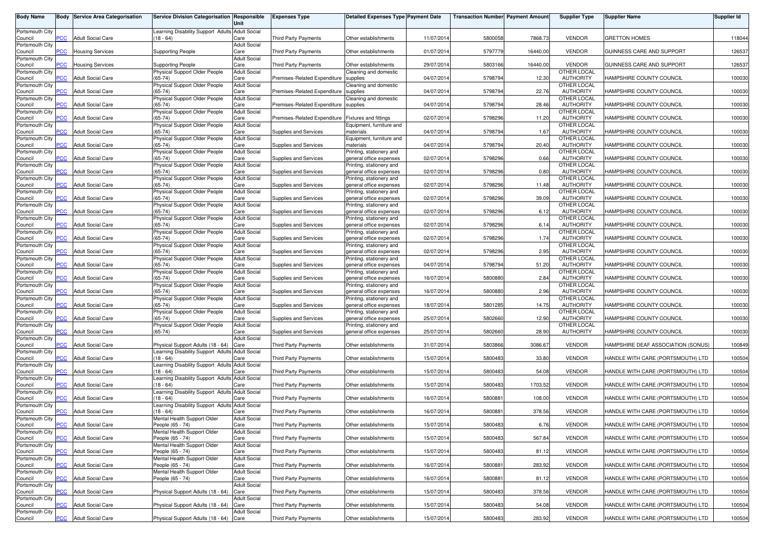| <b>Body Name</b>           | Body           | <b>Service Area Categorisation</b> | <b>Service Division Categorisation Responsible</b>             |                             | <b>Expenses Type</b>         | <b>Detailed Expenses Type Payment Date</b>          |            | <b>Transaction Numberl Payment Amount</b> |          | <b>Supplier Type</b>            | <b>Supplier Name</b>               | <b>Supplier Id</b> |
|----------------------------|----------------|------------------------------------|----------------------------------------------------------------|-----------------------------|------------------------------|-----------------------------------------------------|------------|-------------------------------------------|----------|---------------------------------|------------------------------------|--------------------|
|                            |                |                                    |                                                                | Unit                        |                              |                                                     |            |                                           |          |                                 |                                    |                    |
| Portsmouth City            |                |                                    | Learning Disability Support Adults Adult Social                |                             |                              |                                                     |            |                                           |          |                                 |                                    |                    |
| Council                    | PCC            | <b>Adult Social Care</b>           | $18 - 64$                                                      | Care                        | <b>Third Party Payments</b>  | Other establishments                                | 11/07/2014 | 5800058                                   | 7868.73  | <b>VENDOR</b>                   | <b>GRETTON HOMES</b>               | 118044             |
| Portsmouth City<br>Council | <b>PCC</b>     | <b>Housing Services</b>            | <b>Supporting People</b>                                       | <b>Adult Social</b><br>Care | Third Party Payments         | Other establishments                                | 01/07/2014 | 5797779                                   | 16440.00 | <b>VENDOR</b>                   | GUINNESS CARE AND SUPPORT          | 126537             |
| Portsmouth City            |                |                                    |                                                                | <b>Adult Social</b>         |                              |                                                     |            |                                           |          |                                 |                                    |                    |
| Council                    | <b>PCC</b>     | <b>Housing Services</b>            | <b>Supporting People</b>                                       | Care                        | Third Party Payments         | Other establishments                                | 29/07/2014 | 5803166                                   | 16440.00 | <b>VENDOR</b>                   | GUINNESS CARE AND SUPPORT          | 126537             |
| Portsmouth City            |                |                                    | Physical Support Older People                                  | <b>Adult Social</b>         |                              | Cleaning and domestic                               |            |                                           |          | OTHER LOCAL                     |                                    |                    |
| Council                    | PСC            | Adult Social Care                  | $(65-74)$                                                      | Care                        | Premises-Related Expenditure | supplies                                            | 04/07/2014 | 5798794                                   | 12.30    | <b>AUTHORITY</b>                | HAMPSHIRE COUNTY COUNCIL           | 100030             |
| Portsmouth City<br>Council | $\overline{C}$ | <b>Adult Social Care</b>           | Physical Support Older People<br>$(65-74)$                     | <b>Adult Social</b><br>Care | Premises-Related Expenditure | Cleaning and domestic<br>supplies                   | 04/07/201  | 5798794                                   | 22.76    | OTHER LOCAL<br><b>AUTHORITY</b> | HAMPSHIRE COUNTY COUNCIL           | 100030             |
| Portsmouth City            |                |                                    | Physical Support Older People                                  | <b>Adult Social</b>         |                              | Cleaning and domestic                               |            |                                           |          | OTHER LOCAL                     |                                    |                    |
| Council                    | <b>PCC</b>     | <b>Adult Social Care</b>           | $(65-74)$                                                      | Care                        | Premises-Related Expenditure | supplies                                            | 04/07/2014 | 5798794                                   | 28.46    | <b>AUTHORITY</b>                | HAMPSHIRE COUNTY COUNCIL           | 100030             |
| Portsmouth City            |                |                                    | Physical Support Older People                                  | <b>Adult Social</b>         |                              |                                                     |            |                                           |          | OTHER LOCAL                     |                                    |                    |
| Council                    | <b>PCC</b>     | <b>Adult Social Care</b>           | $(65-74)$                                                      | Care                        | Premises-Related Expenditure | <b>Fixtures and fittings</b>                        | 02/07/2014 | 5798296                                   | 11.20    | <b>AUTHORITY</b>                | HAMPSHIRE COUNTY COUNCIL           | 100030             |
| Portsmouth City            |                |                                    | Physical Support Older People                                  | <b>Adult Social</b>         |                              | Equipment, furniture and                            |            |                                           |          | OTHER LOCAL                     |                                    |                    |
| Council<br>Portsmouth City | PСC            | <b>Adult Social Care</b>           | $(65-74)$                                                      | Care<br><b>Adult Social</b> | Supplies and Services        | materials<br>Equipment, furniture and               | 04/07/2014 | 5798794                                   | 1.67     | <b>AUTHORITY</b><br>OTHER LOCAL | HAMPSHIRE COUNTY COUNCIL           | 100030             |
| Council                    | PCC.           | <b>Adult Social Care</b>           | Physical Support Older People<br>$(65-74)$                     | Care                        | Supplies and Services        | materials                                           | 04/07/201  | 5798794                                   | 20.40    | <b>AUTHORITY</b>                | HAMPSHIRE COUNTY COUNCIL           | 100030             |
| Portsmouth City            |                |                                    | Physical Support Older People                                  | <b>Adult Social</b>         |                              | Printing, stationery and                            |            |                                           |          | OTHER LOCAL                     |                                    |                    |
| Council                    | PCC            | <b>Adult Social Care</b>           | $(65-74)$                                                      | Care                        | Supplies and Services        | general office expenses                             | 02/07/2014 | 5798296                                   | 0.66     | <b>AUTHORITY</b>                | HAMPSHIRE COUNTY COUNCIL           | 100030             |
| Portsmouth City            |                |                                    | Physical Support Older People                                  | <b>Adult Social</b>         |                              | Printing, stationery and                            |            |                                           |          | OTHER LOCAL                     |                                    |                    |
| Council                    | сC             | <b>Adult Social Care</b>           | $(65-74)$                                                      | Care                        | <b>Supplies and Services</b> | general office expenses                             | 02/07/2014 | 5798296                                   | 0.80     | <b>AUTHORITY</b>                | HAMPSHIRE COUNTY COUNCIL           | 100030             |
| Portsmouth City<br>Council | PCC            | <b>Adult Social Care</b>           | Physical Support Older People<br>$(65-74)$                     | <b>Adult Social</b><br>Care | <b>Supplies and Services</b> | Printing, stationery and<br>general office expenses | 02/07/201  | 5798296                                   | 11.48    | OTHER LOCAL<br><b>AUTHORITY</b> | HAMPSHIRE COUNTY COUNCIL           | 100030             |
| Portsmouth City            |                |                                    | Physical Support Older People                                  | <b>Adult Social</b>         |                              | Printing, stationery and                            |            |                                           |          | <b>OTHER LOCAL</b>              |                                    |                    |
| Council                    | PСC            | <b>Adult Social Care</b>           | $(65-74)$                                                      | Care                        | Supplies and Services        | general office expenses                             | 02/07/201  | 5798296                                   | 39.09    | <b>AUTHORITY</b>                | HAMPSHIRE COUNTY COUNCIL           | 100030             |
| Portsmouth City            |                |                                    | Physical Support Older People                                  | <b>Adult Social</b>         |                              | Printing, stationery and                            |            |                                           |          | OTHER LOCAL                     |                                    |                    |
| Council                    | PCC            | <b>Adult Social Care</b>           | $(65-74)$                                                      | Care                        | Supplies and Services        | general office expenses                             | 02/07/201  | 5798296                                   | 6.12     | <b>AUTHORITY</b>                | HAMPSHIRE COUNTY COUNCIL           | 100030             |
| Portsmouth City            | PСC            | <b>Adult Social Care</b>           | Physical Support Older People<br>$(65 - 74)$                   | <b>Adult Social</b><br>Care | Supplies and Services        | Printing, stationery and<br>general office expenses | 02/07/2014 | 5798296                                   | 6.14     | OTHER LOCAL<br><b>AUTHORITY</b> | HAMPSHIRE COUNTY COUNCIL           | 100030             |
| Council<br>Portsmouth City |                |                                    | Physical Support Older People                                  | <b>Adult Social</b>         |                              | Printing, stationery and                            |            |                                           |          | OTHER LOCAL                     |                                    |                    |
| Council                    | <b>PCC</b>     | <b>Adult Social Care</b>           | $(65-74)$                                                      | Care                        | Supplies and Services        | general office expenses                             | 02/07/201  | 5798296                                   | 1.74     | <b>AUTHORITY</b>                | HAMPSHIRE COUNTY COUNCIL           | 100030             |
| Portsmouth City            |                |                                    | Physical Support Older People                                  | <b>Adult Social</b>         |                              | Printing, stationery and                            |            |                                           |          | OTHER LOCAL                     |                                    |                    |
| Council                    | PCC            | <b>Adult Social Care</b>           | $(65-74)$                                                      | Care                        | Supplies and Services        | general office expenses                             | 02/07/2014 | 5798296                                   | 2.95     | <b>AUTHORITY</b>                | HAMPSHIRE COUNTY COUNCIL           | 100030             |
| Portsmouth City            |                |                                    | Physical Support Older People                                  | <b>Adult Social</b>         |                              | Printing, stationery and                            |            |                                           |          | OTHER LOCAL                     |                                    |                    |
| Council<br>Portsmouth City | PСC            | <b>Adult Social Care</b>           | $65 - 74$<br>Physical Support Older People                     | Care<br><b>Adult Social</b> | Supplies and Services        | general office expenses<br>Printing, stationery and | 04/07/2014 | 5798794                                   | 51.20    | <b>AUTHORITY</b><br>OTHER LOCAL | HAMPSHIRE COUNTY COUNCIL           | 100030             |
| Council                    | PCC            | <b>Adult Social Care</b>           | $(65-74)$                                                      | Care                        | Supplies and Services        | general office expenses                             | 16/07/201  | 5800880                                   | 2.84     | <b>AUTHORITY</b>                | HAMPSHIRE COUNTY COUNCIL           | 100030             |
| Portsmouth City            |                |                                    | Physical Support Older People                                  | <b>Adult Social</b>         |                              | Printing, stationery and                            |            |                                           |          | OTHER LOCAL                     |                                    |                    |
| Council                    | PСC            | Adult Social Care                  | $(65-74)$                                                      | Care                        | Supplies and Services        | general office expenses                             | 16/07/2014 | 5800880                                   | 2.96     | <b>AUTHORITY</b>                | HAMPSHIRE COUNTY COUNCIL           | 100030             |
| Portsmouth City            |                |                                    | Physical Support Older People                                  | <b>Adult Social</b>         |                              | Printing, stationery and                            |            |                                           |          | OTHER LOCAL                     |                                    |                    |
| Council                    | PСC            | Adult Social Care                  | $(65-74)$                                                      | Care                        | Supplies and Services        | general office expenses                             | 18/07/201  | 5801285                                   | 14.75    | <b>AUTHORITY</b>                | HAMPSHIRE COUNTY COUNCIL           | 100030             |
| Portsmouth City<br>Council | PСC            | <b>Adult Social Care</b>           | Physical Support Older People<br>$(65-74)$                     | <b>Adult Social</b><br>Care | Supplies and Services        | Printing, stationery and<br>general office expenses | 25/07/201  | 5802660                                   | 12.90    | OTHER LOCAL<br><b>AUTHORITY</b> | HAMPSHIRE COUNTY COUNCIL           | 100030             |
| Portsmouth City            |                |                                    | Physical Support Older People                                  | <b>Adult Social</b>         |                              | Printing, stationery and                            |            |                                           |          | OTHER LOCAL                     |                                    |                    |
| Council                    | <b>PCC</b>     | <b>Adult Social Care</b>           | $(65-74)$                                                      | Care                        | Supplies and Services        | general office expenses                             | 25/07/201  | 5802660                                   | 28.90    | <b>AUTHORITY</b>                | HAMPSHIRE COUNTY COUNCIL           | 100030             |
| Portsmouth City            |                |                                    |                                                                | <b>Adult Social</b>         |                              |                                                     |            |                                           |          |                                 |                                    |                    |
| Council                    | PСC            | <b>Adult Social Care</b>           | Physical Support Adults (18 - 64)                              | Care                        | Third Party Payments         | Other establishments                                | 31/07/2014 | 5803866                                   | 3086.67  | <b>VENDOR</b>                   | HAMPSHIRE DEAF ASSOCIATION (SONUS) | 100849             |
| Portsmouth City            |                |                                    | Learning Disability Support Adults                             | <b>Adult Social</b>         |                              |                                                     |            |                                           |          |                                 |                                    |                    |
| Council<br>Portsmouth City | <b>PCC</b>     | <b>Adult Social Care</b>           | $(18 - 64)$<br>Learning Disability Support Adults Adult Social | Care                        | <b>Third Party Payments</b>  | Other establishments                                | 15/07/201  | 580048                                    | 33.80    | <b>VENDOR</b>                   | HANDLE WITH CARE (PORTSMOUTH) LTD  | 100504             |
| Council                    | PCC.           | <b>Adult Social Care</b>           | (18 - 64)                                                      | Care                        | <b>Third Party Payments</b>  | Other establishments                                | 15/07/2014 | 5800483                                   | 54.08    | <b>VENDOR</b>                   | HANDLE WITH CARE (PORTSMOUTH) LTD  | 100504             |
| Portsmouth City            |                |                                    | earning Disability Support Adults                              | <b>Adult Social</b>         |                              |                                                     |            |                                           |          |                                 |                                    |                    |
| Council                    | PСC            | <b>Adult Social Care</b>           | 18 - 64)                                                       | Care                        | Third Party Payments         | Other establishments                                | 15/07/2014 | 5800483                                   | 1703.52  | <b>VENDOR</b>                   | HANDLE WITH CARE (PORTSMOUTH) LTD  | 100504             |
| Portsmouth City            |                |                                    | earning Disability Support Adults                              | <b>Adult Social</b>         |                              |                                                     |            |                                           |          |                                 |                                    |                    |
| Council                    | $\overline{C}$ | <b>Adult Social Care</b>           | $18 - 64$<br>earning Disability Support Adults                 | Care<br><b>Adult Social</b> | <b>Third Party Payments</b>  | Other establishments                                | 16/07/2014 | 5800881                                   | 108.00   | <b>VENDOR</b>                   | HANDLE WITH CARE (PORTSMOUTH) LTD  | 100504             |
| Portsmouth City<br>Council | <b>PCC</b>     | <b>Adult Social Care</b>           | 18 - 64)                                                       | Care                        | <b>Third Party Payments</b>  | Other establishments                                | 16/07/2014 | 580088                                    | 378.56   | <b>VENDOR</b>                   | HANDLE WITH CARE (PORTSMOUTH) LTD  | 100504             |
| Portsmouth City            |                |                                    | Mental Health Support Older                                    | <b>Adult Social</b>         |                              |                                                     |            |                                           |          |                                 |                                    |                    |
| Council                    | <b>PCC</b>     | <b>Adult Social Care</b>           | People (65 - 74)                                               | Care                        | Third Party Payments         | Other establishments                                | 15/07/2014 | 5800483                                   | 6.76     | VENDOR                          | HANDLE WITH CARE (PORTSMOUTH) LTD  | 100504             |
| Portsmouth City            |                |                                    | Mental Health Support Older                                    | <b>Adult Social</b>         |                              |                                                     |            |                                           |          |                                 |                                    |                    |
| Council                    | <b>PCC</b>     | <b>Adult Social Care</b>           | People (65 - 74)                                               | Care                        | Third Party Payments         | Other establishments                                | 15/07/2014 | 5800483                                   | 567.84   | <b>VENDOR</b>                   | HANDLE WITH CARE (PORTSMOUTH) LTD  | 100504             |
| Portsmouth City<br>Council | PCC            | <b>Adult Social Care</b>           | Mental Health Support Older<br>People (65 - 74)                | <b>Adult Social</b><br>Care | Third Party Payments         | Other establishments                                | 15/07/2014 | 5800483                                   | 81.12    | <b>VENDOR</b>                   | HANDLE WITH CARE (PORTSMOUTH) LTD  | 100504             |
| Portsmouth City            |                |                                    | Mental Health Support Older                                    | <b>Adult Social</b>         |                              |                                                     |            |                                           |          |                                 |                                    |                    |
| Council                    | PСC            | <b>Adult Social Care</b>           | People (65 - 74)                                               | Care                        | Third Party Payments         | Other establishments                                | 16/07/2014 | 5800881                                   | 283.92   | <b>VENDOR</b>                   | HANDLE WITH CARE (PORTSMOUTH) LTD  | 100504             |
| Portsmouth City            |                |                                    | Mental Health Support Older                                    | <b>Adult Social</b>         |                              |                                                     |            |                                           |          |                                 |                                    |                    |
| Council                    | <b>PCC</b>     | <b>Adult Social Care</b>           | People (65 - 74)                                               | Care                        | Third Party Payments         | Other establishments                                | 16/07/2014 | 5800881                                   | 81.12    | <b>VENDOR</b>                   | HANDLE WITH CARE (PORTSMOUTH) LTD  | 100504             |
| Portsmouth City<br>Council | PCC            | <b>Adult Social Care</b>           | Physical Support Adults (18 - 64)                              | <b>Adult Social</b><br>Care | Third Party Payments         | Other establishments                                | 15/07/2014 | 5800483                                   | 378.56   | <b>VENDOR</b>                   | HANDLE WITH CARE (PORTSMOUTH) LTD  | 100504             |
| Portsmouth City            |                |                                    |                                                                | <b>Adult Social</b>         |                              |                                                     |            |                                           |          |                                 |                                    |                    |
| Council                    | PСC            | <b>Adult Social Care</b>           | Physical Support Adults (18 - 64)                              | Care                        | Third Party Payments         | Other establishments                                | 15/07/2014 | 5800483                                   | 54.08    | <b>VENDOR</b>                   | HANDLE WITH CARE (PORTSMOUTH) LTD  | 100504             |
| Portsmouth City            |                |                                    |                                                                | <b>Adult Social</b>         |                              |                                                     |            |                                           |          |                                 |                                    |                    |
| Council                    | <b>PCC</b>     | <b>Adult Social Care</b>           | Physical Support Adults (18 - 64) Care                         |                             | Third Party Payments         | Other establishments                                | 15/07/2014 | 5800483                                   | 283.92   | <b>VENDOR</b>                   | HANDLE WITH CARE (PORTSMOUTH) LTD  | 100504             |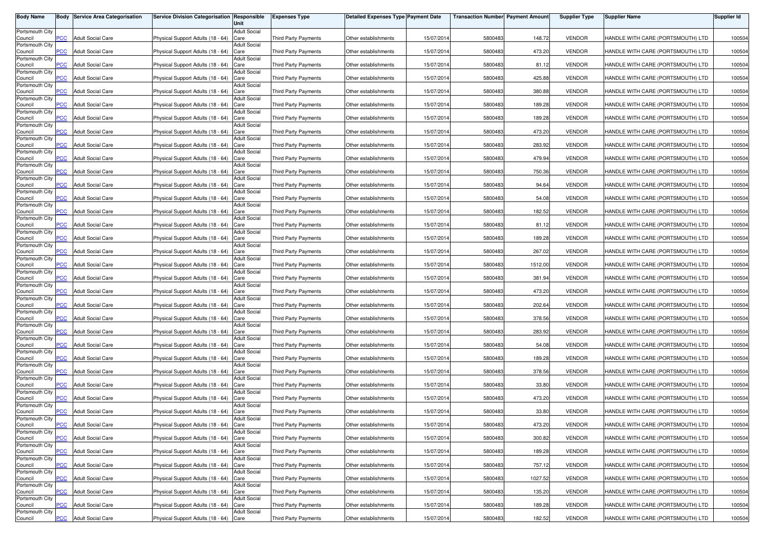| <b>Body Name</b>           | Body           | <b>Service Area Categorisation</b> | <b>Service Division Categorisation Responsible</b> | Unit                        | <b>Expenses Type</b>        | <b>Detailed Expenses Type Payment Date</b> |            | <b>Transaction Number Payment Amount</b> |         | <b>Supplier Type</b> | <b>Supplier Name</b>              | <b>Supplier Id</b> |
|----------------------------|----------------|------------------------------------|----------------------------------------------------|-----------------------------|-----------------------------|--------------------------------------------|------------|------------------------------------------|---------|----------------------|-----------------------------------|--------------------|
| Portsmouth City            |                |                                    |                                                    | <b>Adult Social</b>         |                             |                                            |            |                                          |         |                      |                                   |                    |
| Council<br>Portsmouth City | PСC            | <b>Adult Social Care</b>           | Physical Support Adults (18 - 64)                  | Care<br><b>Adult Social</b> | Third Party Payments        | Other establishments                       | 15/07/2014 | 5800483                                  | 148.72  | <b>VENDOR</b>        | HANDLE WITH CARE (PORTSMOUTH) LTD | 100504             |
| Council                    | <b>PCC</b>     | <b>Adult Social Care</b>           | Physical Support Adults (18 - 64)                  | Care                        | Third Party Payments        | Other establishments                       | 15/07/2014 | 5800483                                  | 473.20  | <b>VENDOR</b>        | HANDLE WITH CARE (PORTSMOUTH) LTD | 100504             |
| Portsmouth City<br>Council | $\overline{C}$ | <b>Adult Social Care</b>           | Physical Support Adults (18 - 64)                  | <b>Adult Social</b><br>Care | <b>Third Party Payments</b> | Other establishments                       | 15/07/2014 | 5800483                                  | 81.12   | <b>VENDOR</b>        | HANDLE WITH CARE (PORTSMOUTH) LTD | 100504             |
| Portsmouth City<br>Council | сC             | <b>Adult Social Care</b>           | Physical Support Adults (18 - 64)                  | <b>Adult Social</b><br>Care | <b>Third Party Payments</b> | Other establishments                       | 15/07/2014 | 5800483                                  | 425.88  | <b>VENDOR</b>        | HANDLE WITH CARE (PORTSMOUTH) LTD | 100504             |
| Portsmouth City            |                |                                    |                                                    | <b>Adult Social</b>         |                             |                                            |            |                                          |         |                      |                                   |                    |
| Council<br>Portsmouth City | $\overline{C}$ | <b>Adult Social Care</b>           | Physical Support Adults (18 - 64)                  | Care<br>Adult Social        | <b>Third Party Payments</b> | Other establishments                       | 15/07/201  | 5800483                                  | 380.88  | <b>VENDOR</b>        | HANDLE WITH CARE (PORTSMOUTH) LTD | 100504             |
| Council                    | PСC            | <b>Adult Social Care</b>           | Physical Support Adults (18 - 64)                  | Care                        | Third Party Payments        | Other establishments                       | 15/07/2014 | 5800483                                  | 189.28  | <b>VENDOR</b>        | HANDLE WITH CARE (PORTSMOUTH) LTD | 100504             |
| Portsmouth City<br>Council | <b>PCC</b>     | <b>Adult Social Care</b>           | Physical Support Adults (18 - 64)                  | <b>Adult Social</b><br>Care | <b>Third Party Payments</b> | Other establishments                       | 15/07/2014 | 5800483                                  | 189.28  | <b>VENDOR</b>        | HANDLE WITH CARE (PORTSMOUTH) LTD | 100504             |
| Portsmouth City<br>Council | <b>PCC</b>     | <b>Adult Social Care</b>           | Physical Support Adults (18 - 64)                  | <b>Adult Social</b><br>Care | <b>Third Party Payments</b> | Other establishments                       | 15/07/2014 | 5800483                                  | 473.20  | <b>VENDOR</b>        | HANDLE WITH CARE (PORTSMOUTH) LTD | 100504             |
| Portsmouth City<br>Council | <b>PCC</b>     | <b>Adult Social Care</b>           | Physical Support Adults (18 - 64)                  | <b>Adult Social</b><br>Care | Third Party Payments        | Other establishments                       | 15/07/2014 | 5800483                                  | 283.92  | <b>VENDOR</b>        | HANDLE WITH CARE (PORTSMOUTH) LTD | 100504             |
| Portsmouth City            |                |                                    |                                                    | <b>Adult Social</b>         |                             |                                            |            |                                          |         |                      |                                   |                    |
| Council<br>Portsmouth City | <b>PCC</b>     | <b>Adult Social Care</b>           | Physical Support Adults (18 - 64)                  | Care<br><b>Adult Social</b> | Third Party Payments        | Other establishments                       | 15/07/2014 | 5800483                                  | 479.94  | <b>VENDOR</b>        | HANDLE WITH CARE (PORTSMOUTH) LTD | 100504             |
| Council<br>Portsmouth City | PCC.           | <b>Adult Social Care</b>           | Physical Support Adults (18 - 64)                  | Care<br><b>Adult Social</b> | <b>Third Party Payments</b> | Other establishments                       | 15/07/2014 | 5800483                                  | 750.36  | <b>VENDOR</b>        | HANDLE WITH CARE (PORTSMOUTH) LTD | 100504             |
| Council                    | PCC            | <b>Adult Social Care</b>           | Physical Support Adults (18 - 64)                  | Care                        | <b>Third Party Payments</b> | Other establishments                       | 15/07/201  | 5800483                                  | 94.64   | <b>VENDOR</b>        | HANDLE WITH CARE (PORTSMOUTH) LTD | 100504             |
| Portsmouth City<br>Council | сC             | <b>Adult Social Care</b>           | Physical Support Adults (18 - 64)                  | <b>Adult Social</b><br>Care | <b>Third Party Payments</b> | Other establishments                       | 15/07/2014 | 5800483                                  | 54.08   | <b>VENDOR</b>        | HANDLE WITH CARE (PORTSMOUTH) LTD | 100504             |
| Portsmouth City<br>Council | PCC.           | <b>Adult Social Care</b>           | Physical Support Adults (18 - 64)                  | <b>Adult Social</b><br>Care | <b>Third Party Payments</b> | Other establishments                       | 15/07/2014 | 5800483                                  | 182.52  | <b>VENDOR</b>        | HANDLE WITH CARE (PORTSMOUTH) LTD | 100504             |
| Portsmouth City<br>Council | PСC            | <b>Adult Social Care</b>           | Physical Support Adults (18 - 64)                  | <b>Adult Social</b><br>Care | <b>Third Party Payments</b> | Other establishments                       | 15/07/2014 | 5800483                                  | 81.12   | <b>VENDOR</b>        | HANDLE WITH CARE (PORTSMOUTH) LTD | 100504             |
| Portsmouth City<br>Council | PCC            | <b>Adult Social Care</b>           | Physical Support Adults (18 - 64)                  | <b>Adult Social</b><br>Care | <b>Third Party Payments</b> | Other establishments                       | 15/07/2014 | 5800483                                  | 189.28  | <b>VENDOR</b>        | HANDLE WITH CARE (PORTSMOUTH) LTD | 100504             |
| Portsmouth City            |                |                                    |                                                    | <b>Adult Social</b>         |                             |                                            |            |                                          |         |                      |                                   |                    |
| Council<br>Portsmouth City | <b>PCC</b>     | <b>Adult Social Care</b>           | Physical Support Adults (18 - 64)                  | Care<br><b>Adult Social</b> | <b>Third Party Payments</b> | Other establishments                       | 15/07/2014 | 5800483                                  | 267.02  | <b>VENDOR</b>        | HANDLE WITH CARE (PORTSMOUTH) LTD | 100504             |
| Council<br>Portsmouth City | PСC            | <b>Adult Social Care</b>           | Physical Support Adults (18 - 64)                  | Care<br><b>Adult Social</b> | Third Party Payments        | Other establishments                       | 15/07/2014 | 5800483                                  | 1512.00 | <b>VENDOR</b>        | HANDLE WITH CARE (PORTSMOUTH) LTD | 100504             |
| Council<br>Portsmouth City | PCC            | <b>Adult Social Care</b>           | Physical Support Adults (18 - 64)                  | Care<br><b>Adult Social</b> | Third Party Payments        | Other establishments                       | 15/07/2014 | 5800483                                  | 381.94  | <b>VENDOR</b>        | HANDLE WITH CARE (PORTSMOUTH) LTD | 100504             |
| Council                    | PСC            | <b>Adult Social Care</b>           | Physical Support Adults (18 - 64)                  | Care                        | <b>Third Party Payments</b> | Other establishments                       | 15/07/201  | 5800483                                  | 473.20  | <b>VENDOR</b>        | HANDLE WITH CARE (PORTSMOUTH) LTD | 100504             |
| Portsmouth City<br>Council | PCC            | <b>Adult Social Care</b>           | Physical Support Adults (18 - 64)                  | <b>Adult Social</b><br>Care | <b>Third Party Payments</b> | Other establishments                       | 15/07/2014 | 5800483                                  | 202.64  | <b>VENDOR</b>        | HANDLE WITH CARE (PORTSMOUTH) LTD | 100504             |
| Portsmouth City<br>Council | PСC            | <b>Adult Social Care</b>           | Physical Support Adults (18 - 64)                  | <b>Adult Social</b><br>Care | <b>Third Party Payments</b> | Other establishments                       | 15/07/2014 | 5800483                                  | 378.56  | <b>VENDOR</b>        | HANDLE WITH CARE (PORTSMOUTH) LTD | 100504             |
| Portsmouth City<br>Council | <b>PCC</b>     | <b>Adult Social Care</b>           | Physical Support Adults (18 - 64)                  | <b>Adult Social</b><br>Care | <b>Third Party Payments</b> | Other establishments                       | 15/07/201  | 5800483                                  | 283.92  | <b>VENDOR</b>        | HANDLE WITH CARE (PORTSMOUTH) LTD | 100504             |
| Portsmouth City<br>Council | PСC            | <b>Adult Social Care</b>           | Physical Support Adults (18 - 64)                  | <b>Adult Social</b><br>Care | Third Party Payments        | Other establishments                       | 15/07/2014 | 5800483                                  | 54.08   | <b>VENDOR</b>        | HANDLE WITH CARE (PORTSMOUTH) LTD | 100504             |
| Portsmouth City            |                |                                    |                                                    | <b>Adult Social</b>         |                             |                                            |            |                                          |         |                      |                                   |                    |
| Council<br>Portsmouth City | <b>PCC</b>     | <b>Adult Social Care</b>           | Physical Support Adults (18 - 64)                  | Care<br><b>Adult Social</b> | Third Party Payments        | Other establishments                       | 15/07/2014 | 5800483                                  | 189.28  | <b>VENDOR</b>        | HANDLE WITH CARE (PORTSMOUTH) LTD | 100504             |
| Council<br>Portsmouth City | <b>PCC</b>     | <b>Adult Social Care</b>           | Physical Support Adults (18 - 64)                  | Care<br><b>Adult Social</b> | Third Party Payments        | Other establishments                       | 15/07/2014 | 5800483                                  | 378.56  | <b>VENDOR</b>        | HANDLE WITH CARE (PORTSMOUTH) LTD | 100504             |
| Council                    | PСC            | <b>Adult Social Care</b>           | Physical Support Adults (18 - 64)                  | Care                        | Third Party Payments        | Other establishments                       | 15/07/2014 | 5800483                                  | 33.80   | <b>VENDOR</b>        | HANDLE WITH CARE (PORTSMOUTH) LTD | 100504             |
| Portsmouth City<br>Council | $\overline{C}$ | <b>Adult Social Care</b>           | Physical Support Adults (18 - 64)                  | <b>Adult Social</b><br>Care | <b>Third Party Payments</b> | Other establishments                       | 15/07/2014 | 5800483                                  | 473.20  | <b>VENDOR</b>        | HANDLE WITH CARE (PORTSMOUTH) LTD | 100504             |
| Portsmouth City<br>Council | $\overline{C}$ | <b>Adult Social Care</b>           | Physical Support Adults (18 - 64)                  | <b>Adult Social</b><br>Care | <b>Third Party Payments</b> | Other establishments                       | 15/07/2014 | 5800483                                  | 33.80   | <b>VENDOR</b>        | HANDLE WITH CARE (PORTSMOUTH) LTD | 100504             |
| Portsmouth City            |                |                                    |                                                    | <b>Adult Social</b>         |                             |                                            |            |                                          |         |                      |                                   |                    |
| Council<br>Portsmouth City | $\overline{C}$ | <b>Adult Social Care</b>           | Physical Support Adults (18 - 64) Care             | <b>Adult Social</b>         | Third Party Payments        | Other establishments                       | 15/07/2014 | 5800483                                  | 473.20  | <b>VENDOR</b>        | HANDLE WITH CARE (PORTSMOUTH) LTD | 100504             |
| Council<br>Portsmouth City | <b>PCC</b>     | <b>Adult Social Care</b>           | Physical Support Adults (18 - 64)                  | Care<br><b>Adult Social</b> | Third Party Payments        | Other establishments                       | 15/07/2014 | 5800483                                  | 300.82  | <b>VENDOR</b>        | HANDLE WITH CARE (PORTSMOUTH) LTD | 100504             |
| Council                    | <b>PCC</b>     | <b>Adult Social Care</b>           | Physical Support Adults (18 - 64) Care             |                             | Third Party Payments        | Other establishments                       | 15/07/2014 | 5800483                                  | 189.28  | <b>VENDOR</b>        | HANDLE WITH CARE (PORTSMOUTH) LTD | 100504             |
| Portsmouth City<br>Council | PCC            | <b>Adult Social Care</b>           | Physical Support Adults (18 - 64) Care             | <b>Adult Social</b>         | Third Party Payments        | Other establishments                       | 15/07/2014 | 5800483                                  | 757.12  | <b>VENDOR</b>        | HANDLE WITH CARE (PORTSMOUTH) LTD | 100504             |
| Portsmouth City<br>Council | PCC            | <b>Adult Social Care</b>           | Physical Support Adults (18 - 64) Care             | <b>Adult Social</b>         | Third Party Payments        | Other establishments                       | 15/07/2014 | 5800483                                  | 1027.52 | <b>VENDOR</b>        | HANDLE WITH CARE (PORTSMOUTH) LTD | 100504             |
| Portsmouth City<br>Council | PCC            | <b>Adult Social Care</b>           | Physical Support Adults (18 - 64) Care             | <b>Adult Social</b>         | Third Party Payments        | Other establishments                       | 15/07/2014 | 5800483                                  | 135.20  | <b>VENDOR</b>        | HANDLE WITH CARE (PORTSMOUTH) LTD | 100504             |
| Portsmouth City            |                |                                    |                                                    | <b>Adult Social</b>         |                             |                                            |            |                                          |         |                      |                                   |                    |
| Council<br>Portsmouth City | сC             | <b>Adult Social Care</b>           | Physical Support Adults (18 - 64)                  | Care<br><b>Adult Social</b> | Third Party Payments        | Other establishments                       | 15/07/2014 | 5800483                                  | 189.28  | <b>VENDOR</b>        | HANDLE WITH CARE (PORTSMOUTH) LTD | 100504             |
| Council                    | <b>PCC</b>     | <b>Adult Social Care</b>           | Physical Support Adults (18 - 64) Care             |                             | Third Party Payments        | Other establishments                       | 15/07/2014 | 5800483                                  | 182.52  | <b>VENDOR</b>        | HANDLE WITH CARE (PORTSMOUTH) LTD | 100504             |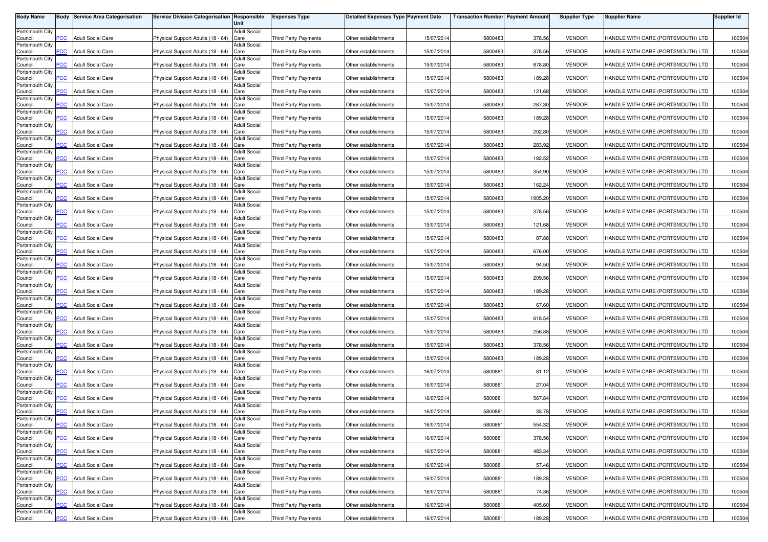| <b>Body Name</b>           | Body           | <b>Service Area Categorisation</b> | <b>Service Division Categorisation Responsible</b> | Unit                        | <b>Expenses Type</b>        | <b>Detailed Expenses Type Payment Date</b> |            | <b>Transaction Number Payment Amount</b> |         | <b>Supplier Type</b> | <b>Supplier Name</b>              | <b>Supplier Id</b> |
|----------------------------|----------------|------------------------------------|----------------------------------------------------|-----------------------------|-----------------------------|--------------------------------------------|------------|------------------------------------------|---------|----------------------|-----------------------------------|--------------------|
| Portsmouth City            |                |                                    |                                                    | <b>Adult Social</b>         |                             |                                            |            |                                          |         |                      |                                   |                    |
| Council<br>Portsmouth City | PСC            | <b>Adult Social Care</b>           | Physical Support Adults (18 - 64)                  | Care<br><b>Adult Social</b> | Third Party Payments        | Other establishments                       | 15/07/2014 | 5800483                                  | 378.56  | <b>VENDOR</b>        | HANDLE WITH CARE (PORTSMOUTH) LTD | 100504             |
| Council                    | <b>PCC</b>     | <b>Adult Social Care</b>           | Physical Support Adults (18 - 64)                  | Care                        | Third Party Payments        | Other establishments                       | 15/07/2014 | 5800483                                  | 378.56  | <b>VENDOR</b>        | HANDLE WITH CARE (PORTSMOUTH) LTD | 100504             |
| Portsmouth City<br>Council | $\overline{C}$ | <b>Adult Social Care</b>           | Physical Support Adults (18 - 64)                  | <b>Adult Social</b><br>Care | Third Party Payments        | Other establishments                       | 15/07/2014 | 5800483                                  | 878.80  | <b>VENDOR</b>        | HANDLE WITH CARE (PORTSMOUTH) LTD | 100504             |
| Portsmouth City<br>Council | сC             | <b>Adult Social Care</b>           | Physical Support Adults (18 - 64)                  | <b>Adult Social</b><br>Care | <b>Third Party Payments</b> | Other establishments                       | 15/07/2014 | 5800483                                  | 189.28  | <b>VENDOR</b>        | HANDLE WITH CARE (PORTSMOUTH) LTD | 100504             |
| Portsmouth City            |                |                                    |                                                    | <b>Adult Social</b>         |                             |                                            |            |                                          |         |                      |                                   |                    |
| Council<br>Portsmouth City | $\overline{C}$ | <b>Adult Social Care</b>           | Physical Support Adults (18 - 64)                  | Care<br>Adult Social        | <b>Third Party Payments</b> | Other establishments                       | 15/07/201  | 5800483                                  | 121.68  | <b>VENDOR</b>        | HANDLE WITH CARE (PORTSMOUTH) LTD | 100504             |
| Council                    | PСC            | <b>Adult Social Care</b>           | Physical Support Adults (18 - 64)                  | Care                        | Third Party Payments        | Other establishments                       | 15/07/2014 | 5800483                                  | 287.30  | <b>VENDOR</b>        | HANDLE WITH CARE (PORTSMOUTH) LTD | 100504             |
| Portsmouth City<br>Council | <b>PCC</b>     | <b>Adult Social Care</b>           | Physical Support Adults (18 - 64)                  | <b>Adult Social</b><br>Care | <b>Third Party Payments</b> | Other establishments                       | 15/07/2014 | 5800483                                  | 189.28  | <b>VENDOR</b>        | HANDLE WITH CARE (PORTSMOUTH) LTD | 100504             |
| Portsmouth City<br>Council | <b>PCC</b>     | <b>Adult Social Care</b>           | Physical Support Adults (18 - 64)                  | <b>Adult Social</b><br>Care | <b>Third Party Payments</b> | Other establishments                       | 15/07/2014 | 5800483                                  | 202.80  | <b>VENDOR</b>        | HANDLE WITH CARE (PORTSMOUTH) LTD | 100504             |
| Portsmouth City<br>Council | <b>PCC</b>     | <b>Adult Social Care</b>           | Physical Support Adults (18 - 64)                  | <b>Adult Social</b><br>Care | Third Party Payments        | Other establishments                       | 15/07/2014 | 5800483                                  | 283.92  | <b>VENDOR</b>        | HANDLE WITH CARE (PORTSMOUTH) LTD | 100504             |
| Portsmouth City            |                |                                    |                                                    | <b>Adult Social</b>         |                             |                                            |            |                                          |         |                      |                                   |                    |
| Council<br>Portsmouth City | <b>PCC</b>     | <b>Adult Social Care</b>           | Physical Support Adults (18 - 64)                  | Care<br><b>Adult Social</b> | Third Party Payments        | Other establishments                       | 15/07/2014 | 5800483                                  | 182.52  | <b>VENDOR</b>        | HANDLE WITH CARE (PORTSMOUTH) LTD | 100504             |
| Council<br>Portsmouth City | PCC.           | <b>Adult Social Care</b>           | Physical Support Adults (18 - 64)                  | Care<br><b>Adult Social</b> | <b>Third Party Payments</b> | Other establishments                       | 15/07/2014 | 5800483                                  | 354.90  | <b>VENDOR</b>        | HANDLE WITH CARE (PORTSMOUTH) LTD | 100504             |
| Council<br>Portsmouth City | PCC            | <b>Adult Social Care</b>           | Physical Support Adults (18 - 64)                  | Care<br><b>Adult Social</b> | <b>Third Party Payments</b> | Other establishments                       | 15/07/201  | 5800483                                  | 162.24  | <b>VENDOR</b>        | HANDLE WITH CARE (PORTSMOUTH) LTD | 100504             |
| Council                    | сC             | <b>Adult Social Care</b>           | Physical Support Adults (18 - 64)                  | Care                        | <b>Third Party Payments</b> | Other establishments                       | 15/07/2014 | 5800483                                  | 1905.20 | <b>VENDOR</b>        | HANDLE WITH CARE (PORTSMOUTH) LTD | 100504             |
| Portsmouth City<br>Council | PCC.           | <b>Adult Social Care</b>           | Physical Support Adults (18 - 64)                  | <b>Adult Social</b><br>Care | <b>Third Party Payments</b> | Other establishments                       | 15/07/2014 | 5800483                                  | 378.56  | <b>VENDOR</b>        | HANDLE WITH CARE (PORTSMOUTH) LTD | 100504             |
| Portsmouth City<br>Council | PСC            | <b>Adult Social Care</b>           | Physical Support Adults (18 - 64)                  | <b>Adult Social</b><br>Care | <b>Third Party Payments</b> | Other establishments                       | 15/07/2014 | 5800483                                  | 121.68  | <b>VENDOR</b>        | HANDLE WITH CARE (PORTSMOUTH) LTD | 100504             |
| Portsmouth City<br>Council | PCC            | <b>Adult Social Care</b>           | Physical Support Adults (18 - 64)                  | <b>Adult Social</b><br>Care | <b>Third Party Payments</b> | Other establishments                       | 15/07/2014 | 5800483                                  | 87.88   | <b>VENDOR</b>        | HANDLE WITH CARE (PORTSMOUTH) LTD | 100504             |
| Portsmouth City            |                |                                    |                                                    | <b>Adult Social</b>         |                             |                                            |            |                                          |         | <b>VENDOR</b>        |                                   |                    |
| Council<br>Portsmouth City | <b>PCC</b>     | <b>Adult Social Care</b>           | Physical Support Adults (18 - 64)                  | Care<br><b>Adult Social</b> | <b>Third Party Payments</b> | Other establishments                       | 15/07/2014 | 5800483                                  | 676.00  |                      | HANDLE WITH CARE (PORTSMOUTH) LTD | 100504             |
| Council<br>Portsmouth City | PСC            | <b>Adult Social Care</b>           | Physical Support Adults (18 - 64)                  | Care<br><b>Adult Social</b> | Third Party Payments        | Other establishments                       | 15/07/2014 | 5800483                                  | 94.50   | <b>VENDOR</b>        | HANDLE WITH CARE (PORTSMOUTH) LTD | 100504             |
| Council                    | PCC            | <b>Adult Social Care</b>           | Physical Support Adults (18 - 64)                  | Care                        | Third Party Payments        | Other establishments                       | 15/07/2014 | 5800483                                  | 209.56  | <b>VENDOR</b>        | HANDLE WITH CARE (PORTSMOUTH) LTD | 100504             |
| Portsmouth City<br>Council | PСC            | <b>Adult Social Care</b>           | Physical Support Adults (18 - 64)                  | <b>Adult Social</b><br>Care | <b>Third Party Payments</b> | Other establishments                       | 15/07/201  | 5800483                                  | 189.28  | <b>VENDOR</b>        | HANDLE WITH CARE (PORTSMOUTH) LTD | 100504             |
| Portsmouth City<br>Council | PCC            | <b>Adult Social Care</b>           | Physical Support Adults (18 - 64)                  | <b>Adult Social</b><br>Care | <b>Third Party Payments</b> | Other establishments                       | 15/07/2014 | 5800483                                  | 67.60   | <b>VENDOR</b>        | HANDLE WITH CARE (PORTSMOUTH) LTD | 100504             |
| Portsmouth City<br>Council | PСC            | <b>Adult Social Care</b>           | Physical Support Adults (18 - 64)                  | <b>Adult Social</b><br>Care | <b>Third Party Payments</b> | Other establishments                       | 15/07/2014 | 5800483                                  | 618.54  | <b>VENDOR</b>        | HANDLE WITH CARE (PORTSMOUTH) LTD | 100504             |
| Portsmouth City<br>Council | <b>PCC</b>     | <b>Adult Social Care</b>           | Physical Support Adults (18 - 64)                  | <b>Adult Social</b><br>Care | <b>Third Party Payments</b> | Other establishments                       | 15/07/201  | 5800483                                  | 256.88  | <b>VENDOR</b>        | HANDLE WITH CARE (PORTSMOUTH) LTD | 100504             |
| Portsmouth City<br>Council | PСC            | <b>Adult Social Care</b>           | Physical Support Adults (18 - 64)                  | <b>Adult Social</b><br>Care | Third Party Payments        | Other establishments                       | 15/07/2014 | 5800483                                  | 378.56  | <b>VENDOR</b>        | HANDLE WITH CARE (PORTSMOUTH) LTD | 100504             |
| Portsmouth City<br>Council | <b>PCC</b>     | <b>Adult Social Care</b>           | Physical Support Adults (18 - 64)                  | <b>Adult Social</b><br>Care | Third Party Payments        | Other establishments                       | 15/07/2014 | 5800483                                  | 189.28  | <b>VENDOR</b>        | HANDLE WITH CARE (PORTSMOUTH) LTD | 100504             |
| Portsmouth City            |                |                                    |                                                    | <b>Adult Social</b>         |                             |                                            |            |                                          |         |                      |                                   |                    |
| Council<br>Portsmouth City | <b>PCC</b>     | <b>Adult Social Care</b>           | Physical Support Adults (18 - 64)                  | Care<br><b>Adult Social</b> | Third Party Payments        | Other establishments                       | 16/07/2014 | 5800881                                  | 81.12   | <b>VENDOR</b>        | HANDLE WITH CARE (PORTSMOUTH) LTD | 100504             |
| Council                    | PСC            | <b>Adult Social Care</b>           | Physical Support Adults (18 - 64)                  | Care                        | Third Party Payments        | Other establishments                       | 16/07/2014 | 5800881                                  | 27.04   | <b>VENDOR</b>        | HANDLE WITH CARE (PORTSMOUTH) LTD | 100504             |
| Portsmouth City<br>Council | $\overline{C}$ | <b>Adult Social Care</b>           | Physical Support Adults (18 - 64)                  | <b>Adult Social</b><br>Care | <b>Third Party Payments</b> | Other establishments                       | 16/07/2014 | 580088                                   | 567.84  | <b>VENDOR</b>        | HANDLE WITH CARE (PORTSMOUTH) LTD | 100504             |
| Portsmouth City<br>Council | $\overline{C}$ | <b>Adult Social Care</b>           | Physical Support Adults (18 - 64)                  | <b>Adult Social</b><br>Care | <b>Third Party Payments</b> | Other establishments                       | 16/07/2014 | 580088                                   | 33.78   | <b>VENDOR</b>        | HANDLE WITH CARE (PORTSMOUTH) LTD | 100504             |
| Portsmouth City            | $\overline{C}$ | <b>Adult Social Care</b>           |                                                    | <b>Adult Social</b>         |                             |                                            |            | 5800881                                  | 554.32  | <b>VENDOR</b>        |                                   |                    |
| Council<br>Portsmouth City |                |                                    | Physical Support Adults (18 - 64) Care             | <b>Adult Social</b>         | Third Party Payments        | Other establishments                       | 16/07/2014 |                                          |         |                      | HANDLE WITH CARE (PORTSMOUTH) LTD | 100504             |
| Council<br>Portsmouth City | <b>PCC</b>     | <b>Adult Social Care</b>           | Physical Support Adults (18 - 64)                  | Care<br><b>Adult Social</b> | Third Party Payments        | Other establishments                       | 16/07/2014 | 5800881                                  | 378.56  | <b>VENDOR</b>        | HANDLE WITH CARE (PORTSMOUTH) LTD | 100504             |
| Council<br>Portsmouth City | <b>PCC</b>     | <b>Adult Social Care</b>           | Physical Support Adults (18 - 64) Care             | <b>Adult Social</b>         | Third Party Payments        | Other establishments                       | 16/07/2014 | 5800881                                  | 483.34  | <b>VENDOR</b>        | HANDLE WITH CARE (PORTSMOUTH) LTD | 100504             |
| Council                    | PCC            | <b>Adult Social Care</b>           | Physical Support Adults (18 - 64) Care             |                             | Third Party Payments        | Other establishments                       | 16/07/2014 | 5800881                                  | 57.46   | <b>VENDOR</b>        | HANDLE WITH CARE (PORTSMOUTH) LTD | 100504             |
| Portsmouth City<br>Council | PCC            | <b>Adult Social Care</b>           | Physical Support Adults (18 - 64) Care             | <b>Adult Social</b>         | Third Party Payments        | Other establishments                       | 16/07/2014 | 5800881                                  | 189.28  | <b>VENDOR</b>        | HANDLE WITH CARE (PORTSMOUTH) LTD | 100504             |
| Portsmouth City<br>Council | PCC            | <b>Adult Social Care</b>           | Physical Support Adults (18 - 64) Care             | <b>Adult Social</b>         | Third Party Payments        | Other establishments                       | 16/07/2014 | 5800881                                  | 74.36   | <b>VENDOR</b>        | HANDLE WITH CARE (PORTSMOUTH) LTD | 100504             |
| Portsmouth City            |                |                                    |                                                    | <b>Adult Social</b>         |                             |                                            |            |                                          |         |                      |                                   |                    |
| Council<br>Portsmouth City | сC             | <b>Adult Social Care</b>           | Physical Support Adults (18 - 64)                  | Care<br><b>Adult Social</b> | Third Party Payments        | Other establishments                       | 16/07/2014 | 5800881                                  | 405.60  | <b>VENDOR</b>        | HANDLE WITH CARE (PORTSMOUTH) LTD | 100504             |
| Council                    | <b>PCC</b>     | <b>Adult Social Care</b>           | Physical Support Adults (18 - 64) Care             |                             | Third Party Payments        | Other establishments                       | 16/07/2014 | 5800881                                  | 189.28  | <b>VENDOR</b>        | HANDLE WITH CARE (PORTSMOUTH) LTD | 100504             |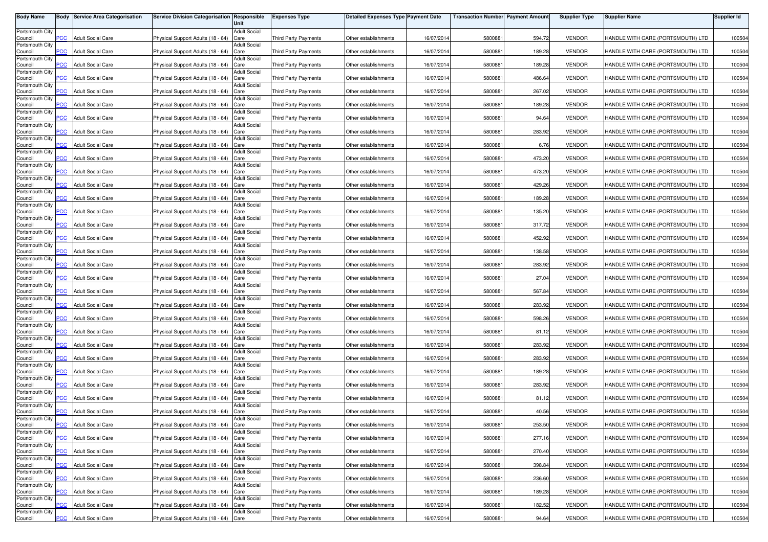| <b>Body Name</b>           | Body           | <b>Service Area Categorisation</b> | <b>Service Division Categorisation Responsible</b> | Unit                        | <b>Expenses Type</b>        | <b>Detailed Expenses Type Payment Date</b> |            | <b>Transaction Number Payment Amount</b> |        | <b>Supplier Type</b> | <b>Supplier Name</b>              | <b>Supplier Id</b> |
|----------------------------|----------------|------------------------------------|----------------------------------------------------|-----------------------------|-----------------------------|--------------------------------------------|------------|------------------------------------------|--------|----------------------|-----------------------------------|--------------------|
| Portsmouth City            |                |                                    |                                                    | <b>Adult Social</b>         |                             |                                            |            |                                          |        |                      |                                   |                    |
| Council<br>Portsmouth City | PСC            | <b>Adult Social Care</b>           | Physical Support Adults (18 - 64)                  | Care<br><b>Adult Social</b> | Third Party Payments        | Other establishments                       | 16/07/2014 | 5800881                                  | 594.72 | <b>VENDOR</b>        | HANDLE WITH CARE (PORTSMOUTH) LTD | 100504             |
| Council                    | <b>PCC</b>     | <b>Adult Social Care</b>           | Physical Support Adults (18 - 64)                  | Care                        | Third Party Payments        | Other establishments                       | 16/07/2014 | 5800881                                  | 189.28 | <b>VENDOR</b>        | HANDLE WITH CARE (PORTSMOUTH) LTD | 100504             |
| Portsmouth City<br>Council | $\overline{C}$ | <b>Adult Social Care</b>           | Physical Support Adults (18 - 64)                  | <b>Adult Social</b><br>Care | <b>Third Party Payments</b> | Other establishments                       | 16/07/2014 | 580088                                   | 189.28 | <b>VENDOR</b>        | HANDLE WITH CARE (PORTSMOUTH) LTD | 100504             |
| Portsmouth City<br>Council | сC             | <b>Adult Social Care</b>           | Physical Support Adults (18 - 64)                  | <b>Adult Social</b><br>Care | <b>Third Party Payments</b> | Other establishments                       | 16/07/2014 | 580088                                   | 486.64 | <b>VENDOR</b>        | HANDLE WITH CARE (PORTSMOUTH) LTD | 100504             |
| Portsmouth City            |                |                                    |                                                    | <b>Adult Social</b>         |                             |                                            |            |                                          |        |                      |                                   |                    |
| Council<br>Portsmouth City | $\overline{C}$ | <b>Adult Social Care</b>           | Physical Support Adults (18 - 64)                  | Care<br>Adult Social        | <b>Third Party Payments</b> | Other establishments                       | 16/07/2014 | 580088                                   | 267.02 | <b>VENDOR</b>        | HANDLE WITH CARE (PORTSMOUTH) LTD | 100504             |
| Council                    | PСC            | <b>Adult Social Care</b>           | Physical Support Adults (18 - 64)                  | Care                        | Third Party Payments        | Other establishments                       | 16/07/2014 | 5800881                                  | 189.28 | <b>VENDOR</b>        | HANDLE WITH CARE (PORTSMOUTH) LTD | 100504             |
| Portsmouth City<br>Council | <b>PCC</b>     | <b>Adult Social Care</b>           | Physical Support Adults (18 - 64)                  | <b>Adult Social</b><br>Care | <b>Third Party Payments</b> | Other establishments                       | 16/07/2014 | 5800881                                  | 94.64  | <b>VENDOR</b>        | HANDLE WITH CARE (PORTSMOUTH) LTD | 100504             |
| Portsmouth City<br>Council | <b>PCC</b>     | <b>Adult Social Care</b>           | Physical Support Adults (18 - 64)                  | <b>Adult Social</b><br>Care | <b>Third Party Payments</b> | Other establishments                       | 16/07/2014 | 5800881                                  | 283.92 | <b>VENDOR</b>        | HANDLE WITH CARE (PORTSMOUTH) LTD | 100504             |
| Portsmouth City            | $\overline{C}$ | <b>Adult Social Care</b>           |                                                    | <b>Adult Social</b><br>Care | Third Party Payments        |                                            | 16/07/2014 | 5800881                                  | 6.76   | <b>VENDOR</b>        | HANDLE WITH CARE (PORTSMOUTH) LTD | 100504             |
| Council<br>Portsmouth City |                |                                    | Physical Support Adults (18 - 64)                  | <b>Adult Social</b>         |                             | Other establishments                       |            |                                          |        |                      |                                   |                    |
| Council<br>Portsmouth City | <b>PCC</b>     | <b>Adult Social Care</b>           | Physical Support Adults (18 - 64)                  | Care<br><b>Adult Social</b> | Third Party Payments        | Other establishments                       | 16/07/2014 | 5800881                                  | 473.20 | <b>VENDOR</b>        | HANDLE WITH CARE (PORTSMOUTH) LTD | 100504             |
| Council                    | PCC.           | <b>Adult Social Care</b>           | Physical Support Adults (18 - 64)                  | Care<br><b>Adult Social</b> | <b>Third Party Payments</b> | Other establishments                       | 16/07/2014 | 5800881                                  | 473.20 | <b>VENDOR</b>        | HANDLE WITH CARE (PORTSMOUTH) LTD | 100504             |
| Portsmouth City<br>Council | PCC            | <b>Adult Social Care</b>           | Physical Support Adults (18 - 64)                  | Care                        | <b>Third Party Payments</b> | Other establishments                       | 16/07/201  | 580088                                   | 429.26 | <b>VENDOR</b>        | HANDLE WITH CARE (PORTSMOUTH) LTD | 100504             |
| Portsmouth City<br>Council | сC             | <b>Adult Social Care</b>           | Physical Support Adults (18 - 64)                  | <b>Adult Social</b><br>Care | <b>Third Party Payments</b> | Other establishments                       | 16/07/2014 | 5800881                                  | 189.28 | <b>VENDOR</b>        | HANDLE WITH CARE (PORTSMOUTH) LTD | 100504             |
| Portsmouth City<br>Council | PCC.           | <b>Adult Social Care</b>           | Physical Support Adults (18 - 64)                  | <b>Adult Social</b><br>Care | <b>Third Party Payments</b> | Other establishments                       | 16/07/2014 | 5800881                                  | 135.20 | <b>VENDOR</b>        | HANDLE WITH CARE (PORTSMOUTH) LTD | 100504             |
| Portsmouth City<br>Council | PСC            | <b>Adult Social Care</b>           | Physical Support Adults (18 - 64)                  | <b>Adult Social</b><br>Care | <b>Third Party Payments</b> | Other establishments                       | 16/07/2014 | 5800881                                  | 317.72 | <b>VENDOR</b>        | HANDLE WITH CARE (PORTSMOUTH) LTD | 100504             |
| Portsmouth City            |                |                                    |                                                    | <b>Adult Social</b>         |                             |                                            |            |                                          |        |                      |                                   |                    |
| Council<br>Portsmouth City | PCC            | <b>Adult Social Care</b>           | Physical Support Adults (18 - 64)                  | Care<br><b>Adult Social</b> | <b>Third Party Payments</b> | Other establishments                       | 16/07/2014 | 5800881                                  | 452.92 | <b>VENDOR</b>        | HANDLE WITH CARE (PORTSMOUTH) LTD | 100504             |
| Council<br>Portsmouth City | <b>PCC</b>     | <b>Adult Social Care</b>           | Physical Support Adults (18 - 64)                  | Care<br><b>Adult Social</b> | <b>Third Party Payments</b> | Other establishments                       | 16/07/2014 | 5800881                                  | 138.58 | <b>VENDOR</b>        | HANDLE WITH CARE (PORTSMOUTH) LTD | 100504             |
| Council                    | PСC            | <b>Adult Social Care</b>           | Physical Support Adults (18 - 64)                  | Care                        | Third Party Payments        | Other establishments                       | 16/07/2014 | 5800881                                  | 283.92 | <b>VENDOR</b>        | HANDLE WITH CARE (PORTSMOUTH) LTD | 100504             |
| Portsmouth City<br>Council | PCC            | <b>Adult Social Care</b>           | Physical Support Adults (18 - 64)                  | <b>Adult Social</b><br>Care | <b>Third Party Payments</b> | Other establishments                       | 16/07/2014 | 580088                                   | 27.04  | <b>VENDOR</b>        | HANDLE WITH CARE (PORTSMOUTH) LTD | 100504             |
| Portsmouth City<br>Council | PСC            | <b>Adult Social Care</b>           | Physical Support Adults (18 - 64)                  | <b>Adult Social</b><br>Care | <b>Third Party Payments</b> | Other establishments                       | 16/07/201  | 580088                                   | 567.84 | <b>VENDOR</b>        | HANDLE WITH CARE (PORTSMOUTH) LTD | 100504             |
| Portsmouth City<br>Council | PCC            | <b>Adult Social Care</b>           | Physical Support Adults (18 - 64)                  | <b>Adult Social</b><br>Care | <b>Third Party Payments</b> | Other establishments                       | 16/07/2014 | 5800881                                  | 283.92 | <b>VENDOR</b>        | HANDLE WITH CARE (PORTSMOUTH) LTD | 100504             |
| Portsmouth City<br>Council | PСC            | <b>Adult Social Care</b>           | Physical Support Adults (18 - 64)                  | <b>Adult Social</b><br>Care | <b>Third Party Payments</b> | Other establishments                       | 16/07/2014 | 5800881                                  | 598.26 | <b>VENDOR</b>        | HANDLE WITH CARE (PORTSMOUTH) LTD | 100504             |
| Portsmouth City<br>Council | <b>PCC</b>     | <b>Adult Social Care</b>           | Physical Support Adults (18 - 64)                  | <b>Adult Social</b><br>Care | <b>Third Party Payments</b> | Other establishments                       | 16/07/201  | 5800881                                  | 81.12  | <b>VENDOR</b>        | HANDLE WITH CARE (PORTSMOUTH) LTD | 100504             |
| Portsmouth City<br>Council | PСC            | <b>Adult Social Care</b>           | Physical Support Adults (18 - 64)                  | <b>Adult Social</b><br>Care | Third Party Payments        | Other establishments                       | 16/07/2014 | 5800881                                  | 283.92 | <b>VENDOR</b>        | HANDLE WITH CARE (PORTSMOUTH) LTD | 100504             |
| Portsmouth City            |                |                                    |                                                    | <b>Adult Social</b>         |                             |                                            |            |                                          |        |                      |                                   |                    |
| Council<br>Portsmouth City | <b>PCC</b>     | <b>Adult Social Care</b>           | Physical Support Adults (18 - 64)                  | Care<br><b>Adult Social</b> | Third Party Payments        | Other establishments                       | 16/07/2014 | 5800881                                  | 283.92 | <b>VENDOR</b>        | HANDLE WITH CARE (PORTSMOUTH) LTD | 100504             |
| Council                    | <b>PCC</b>     | <b>Adult Social Care</b>           | Physical Support Adults (18 - 64)                  | Care                        | Third Party Payments        | Other establishments                       | 16/07/2014 | 5800881                                  | 189.28 | <b>VENDOR</b>        | HANDLE WITH CARE (PORTSMOUTH) LTD | 100504             |
| Portsmouth City<br>Council | PСC            | <b>Adult Social Care</b>           | Physical Support Adults (18 - 64)                  | <b>Adult Social</b><br>Care | Third Party Payments        | Other establishments                       | 16/07/2014 | 5800881                                  | 283.92 | <b>VENDOR</b>        | HANDLE WITH CARE (PORTSMOUTH) LTD | 100504             |
| Portsmouth City<br>Council | $\overline{C}$ | <b>Adult Social Care</b>           | Physical Support Adults (18 - 64)                  | <b>Adult Social</b><br>Care | <b>Third Party Payments</b> | Other establishments                       | 16/07/2014 | 580088                                   | 81.12  | <b>VENDOR</b>        | HANDLE WITH CARE (PORTSMOUTH) LTD | 100504             |
| Portsmouth City            |                |                                    |                                                    | <b>Adult Social</b>         |                             |                                            |            |                                          |        |                      |                                   |                    |
| Council<br>Portsmouth City | $\overline{C}$ | <b>Adult Social Care</b>           | Physical Support Adults (18 - 64)                  | Care<br><b>Adult Social</b> | <b>Third Party Payments</b> | Other establishments                       | 16/07/2014 | 580088                                   | 40.56  | <b>VENDOR</b>        | HANDLE WITH CARE (PORTSMOUTH) LTD | 100504             |
| Council<br>Portsmouth City | $\overline{C}$ | <b>Adult Social Care</b>           | Physical Support Adults (18 - 64) Care             | <b>Adult Social</b>         | Third Party Payments        | Other establishments                       | 16/07/2014 | 5800881                                  | 253.50 | <b>VENDOR</b>        | HANDLE WITH CARE (PORTSMOUTH) LTD | 100504             |
| Council                    | <b>PCC</b>     | <b>Adult Social Care</b>           | Physical Support Adults (18 - 64)                  | Care                        | Third Party Payments        | Other establishments                       | 16/07/2014 | 5800881                                  | 277.16 | <b>VENDOR</b>        | HANDLE WITH CARE (PORTSMOUTH) LTD | 100504             |
| Portsmouth City<br>Council | <b>PCC</b>     | <b>Adult Social Care</b>           | Physical Support Adults (18 - 64) Care             | <b>Adult Social</b>         | Third Party Payments        | Other establishments                       | 16/07/2014 | 5800881                                  | 270.40 | <b>VENDOR</b>        | HANDLE WITH CARE (PORTSMOUTH) LTD | 100504             |
| Portsmouth City<br>Council | PCC            | <b>Adult Social Care</b>           | Physical Support Adults (18 - 64) Care             | <b>Adult Social</b>         | Third Party Payments        | Other establishments                       | 16/07/2014 | 5800881                                  | 398.84 | <b>VENDOR</b>        | HANDLE WITH CARE (PORTSMOUTH) LTD | 100504             |
| Portsmouth City            |                |                                    |                                                    | <b>Adult Social</b>         |                             |                                            |            |                                          |        |                      |                                   |                    |
| Council<br>Portsmouth City | PCC            | <b>Adult Social Care</b>           | Physical Support Adults (18 - 64) Care             | <b>Adult Social</b>         | Third Party Payments        | Other establishments                       | 16/07/2014 | 5800881                                  | 236.60 | <b>VENDOR</b>        | HANDLE WITH CARE (PORTSMOUTH) LTD | 100504             |
| Council<br>Portsmouth City | PCC            | <b>Adult Social Care</b>           | Physical Support Adults (18 - 64) Care             | <b>Adult Social</b>         | Third Party Payments        | Other establishments                       | 16/07/2014 | 5800881                                  | 189.28 | <b>VENDOR</b>        | HANDLE WITH CARE (PORTSMOUTH) LTD | 100504             |
| Council                    | сC             | <b>Adult Social Care</b>           | Physical Support Adults (18 - 64)                  | Care                        | Third Party Payments        | Other establishments                       | 16/07/2014 | 5800881                                  | 182.52 | <b>VENDOR</b>        | HANDLE WITH CARE (PORTSMOUTH) LTD | 100504             |
| Portsmouth City<br>Council | <b>PCC</b>     | <b>Adult Social Care</b>           | Physical Support Adults (18 - 64) Care             | <b>Adult Social</b>         | Third Party Payments        | Other establishments                       | 16/07/2014 | 5800881                                  | 94.64  | <b>VENDOR</b>        | HANDLE WITH CARE (PORTSMOUTH) LTD | 100504             |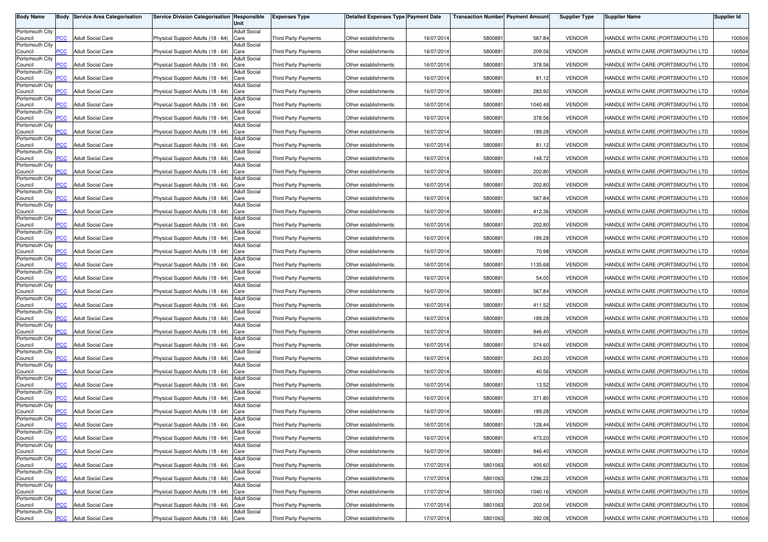| <b>Body Name</b>           | Body           | <b>Service Area Categorisation</b> | <b>Service Division Categorisation Responsible</b> | Unit                        | <b>Expenses Type</b>        | <b>Detailed Expenses Type Payment Date</b> |            | <b>Transaction Number Payment Amount</b> |         | <b>Supplier Type</b> | <b>Supplier Name</b>              | <b>Supplier Id</b> |
|----------------------------|----------------|------------------------------------|----------------------------------------------------|-----------------------------|-----------------------------|--------------------------------------------|------------|------------------------------------------|---------|----------------------|-----------------------------------|--------------------|
| Portsmouth City            |                |                                    |                                                    | <b>Adult Social</b>         |                             |                                            |            |                                          |         |                      |                                   |                    |
| Council<br>Portsmouth City | PСC            | <b>Adult Social Care</b>           | Physical Support Adults (18 - 64)                  | Care<br><b>Adult Social</b> | Third Party Payments        | Other establishments                       | 16/07/2014 | 5800881                                  | 567.84  | <b>VENDOR</b>        | HANDLE WITH CARE (PORTSMOUTH) LTD | 100504             |
| Council                    | <b>PCC</b>     | <b>Adult Social Care</b>           | Physical Support Adults (18 - 64)                  | Care                        | Third Party Payments        | Other establishments                       | 16/07/2014 | 5800881                                  | 209.56  | <b>VENDOR</b>        | HANDLE WITH CARE (PORTSMOUTH) LTD | 100504             |
| Portsmouth City<br>Council | <b>PCC</b>     | <b>Adult Social Care</b>           | Physical Support Adults (18 - 64)                  | <b>Adult Social</b><br>Care | <b>Third Party Payments</b> | Other establishments                       | 16/07/2014 | 580088                                   | 378.56  | <b>VENDOR</b>        | HANDLE WITH CARE (PORTSMOUTH) LTD | 100504             |
| Portsmouth City<br>Council | сc             | <b>Adult Social Care</b>           | Physical Support Adults (18 - 64)                  | <b>Adult Social</b><br>Care | <b>Third Party Payments</b> | Other establishments                       | 16/07/2014 | 580088                                   | 81.12   | <b>VENDOR</b>        | HANDLE WITH CARE (PORTSMOUTH) LTD | 100504             |
| Portsmouth City            |                |                                    |                                                    | <b>Adult Social</b>         |                             |                                            |            |                                          |         |                      |                                   |                    |
| Council<br>Portsmouth City | $\overline{C}$ | <b>Adult Social Care</b>           | Physical Support Adults (18 - 64)                  | Care<br>Adult Social        | <b>Third Party Payments</b> | Other establishments                       | 16/07/2014 | 580088                                   | 283.92  | <b>VENDOR</b>        | HANDLE WITH CARE (PORTSMOUTH) LTD | 100504             |
| Council                    | PСC            | <b>Adult Social Care</b>           | Physical Support Adults (18 - 64)                  | Care                        | Third Party Payments        | Other establishments                       | 16/07/2014 | 5800881                                  | 1040.48 | <b>VENDOR</b>        | HANDLE WITH CARE (PORTSMOUTH) LTD | 100504             |
| Portsmouth City<br>Council | <b>PCC</b>     | <b>Adult Social Care</b>           | Physical Support Adults (18 - 64)                  | <b>Adult Social</b><br>Care | <b>Third Party Payments</b> | Other establishments                       | 16/07/2014 | 5800881                                  | 378.56  | <b>VENDOR</b>        | HANDLE WITH CARE (PORTSMOUTH) LTD | 100504             |
| Portsmouth City<br>Council | <b>PCC</b>     | <b>Adult Social Care</b>           | Physical Support Adults (18 - 64)                  | <b>Adult Social</b><br>Care | <b>Third Party Payments</b> | Other establishments                       | 16/07/2014 | 5800881                                  | 189.28  | <b>VENDOR</b>        | HANDLE WITH CARE (PORTSMOUTH) LTD | 100504             |
| Portsmouth City            | $\overline{C}$ | <b>Adult Social Care</b>           |                                                    | <b>Adult Social</b><br>Care | Third Party Payments        |                                            | 16/07/2014 | 5800881                                  | 81.12   | <b>VENDOR</b>        | HANDLE WITH CARE (PORTSMOUTH) LTD | 100504             |
| Council<br>Portsmouth City |                |                                    | Physical Support Adults (18 - 64)                  | <b>Adult Social</b>         |                             | Other establishments                       |            |                                          |         |                      |                                   |                    |
| Council<br>Portsmouth City | <b>PCC</b>     | <b>Adult Social Care</b>           | Physical Support Adults (18 - 64)                  | Care<br><b>Adult Social</b> | Third Party Payments        | Other establishments                       | 16/07/2014 | 5800881                                  | 148.72  | <b>VENDOR</b>        | HANDLE WITH CARE (PORTSMOUTH) LTD | 100504             |
| Council                    | PCC.           | <b>Adult Social Care</b>           | Physical Support Adults (18 - 64)                  | Care<br><b>Adult Social</b> | <b>Third Party Payments</b> | Other establishments                       | 16/07/2014 | 580088                                   | 202.80  | <b>VENDOR</b>        | HANDLE WITH CARE (PORTSMOUTH) LTD | 100504             |
| Portsmouth City<br>Council | PCC            | <b>Adult Social Care</b>           | Physical Support Adults (18 - 64)                  | Care                        | <b>Third Party Payments</b> | Other establishments                       | 16/07/201  | 580088                                   | 202.80  | <b>VENDOR</b>        | HANDLE WITH CARE (PORTSMOUTH) LTD | 100504             |
| Portsmouth City<br>Council | сC             | <b>Adult Social Care</b>           | Physical Support Adults (18 - 64)                  | <b>Adult Social</b><br>Care | <b>Third Party Payments</b> | Other establishments                       | 16/07/2014 | 580088                                   | 567.84  | <b>VENDOR</b>        | HANDLE WITH CARE (PORTSMOUTH) LTD | 100504             |
| Portsmouth City<br>Council | PCC.           | <b>Adult Social Care</b>           | Physical Support Adults (18 - 64)                  | <b>Adult Social</b><br>Care | <b>Third Party Payments</b> | Other establishments                       | 16/07/2014 | 5800881                                  | 412.36  | <b>VENDOR</b>        | HANDLE WITH CARE (PORTSMOUTH) LTD | 100504             |
| Portsmouth City            | PСC            | <b>Adult Social Care</b>           | Physical Support Adults (18 - 64)                  | <b>Adult Social</b><br>Care | <b>Third Party Payments</b> | Other establishments                       | 16/07/2014 | 5800881                                  | 202.80  | <b>VENDOR</b>        | HANDLE WITH CARE (PORTSMOUTH) LTD | 100504             |
| Council<br>Portsmouth City |                |                                    |                                                    | <b>Adult Social</b>         |                             |                                            |            |                                          |         |                      |                                   |                    |
| Council<br>Portsmouth City | PCC            | <b>Adult Social Care</b>           | Physical Support Adults (18 - 64)                  | Care<br><b>Adult Social</b> | <b>Third Party Payments</b> | Other establishments                       | 16/07/2014 | 5800881                                  | 189.28  | <b>VENDOR</b>        | HANDLE WITH CARE (PORTSMOUTH) LTD | 100504             |
| Council<br>Portsmouth City | <b>PCC</b>     | <b>Adult Social Care</b>           | Physical Support Adults (18 - 64)                  | Care<br><b>Adult Social</b> | <b>Third Party Payments</b> | Other establishments                       | 16/07/2014 | 5800881                                  | 70.98   | <b>VENDOR</b>        | HANDLE WITH CARE (PORTSMOUTH) LTD | 100504             |
| Council                    | PСC            | <b>Adult Social Care</b>           | Physical Support Adults (18 - 64)                  | Care                        | Third Party Payments        | Other establishments                       | 16/07/2014 | 5800881                                  | 1135.68 | <b>VENDOR</b>        | HANDLE WITH CARE (PORTSMOUTH) LTD | 100504             |
| Portsmouth City<br>Council | PCC            | <b>Adult Social Care</b>           | Physical Support Adults (18 - 64)                  | <b>Adult Social</b><br>Care | <b>Third Party Payments</b> | Other establishments                       | 16/07/2014 | 580088                                   | 54.00   | <b>VENDOR</b>        | HANDLE WITH CARE (PORTSMOUTH) LTD | 100504             |
| Portsmouth City<br>Council | PСC            | <b>Adult Social Care</b>           | Physical Support Adults (18 - 64)                  | <b>Adult Social</b><br>Care | <b>Third Party Payments</b> | Other establishments                       | 16/07/201  | 580088                                   | 567.84  | <b>VENDOR</b>        | HANDLE WITH CARE (PORTSMOUTH) LTD | 100504             |
| Portsmouth City<br>Council | PCC            | <b>Adult Social Care</b>           | Physical Support Adults (18 - 64)                  | <b>Adult Social</b><br>Care | <b>Third Party Payments</b> | Other establishments                       | 16/07/2014 | 5800881                                  | 411.52  | <b>VENDOR</b>        | HANDLE WITH CARE (PORTSMOUTH) LTD | 100504             |
| Portsmouth City<br>Council | PСC            | <b>Adult Social Care</b>           | Physical Support Adults (18 - 64)                  | <b>Adult Social</b><br>Care | <b>Third Party Payments</b> | Other establishments                       | 16/07/2014 | 580088                                   | 189.28  | <b>VENDOR</b>        | HANDLE WITH CARE (PORTSMOUTH) LTD | 100504             |
| Portsmouth City            | <b>PCC</b>     | <b>Adult Social Care</b>           | Physical Support Adults (18 - 64)                  | <b>Adult Social</b><br>Care | <b>Third Party Payments</b> | Other establishments                       | 16/07/201  | 5800881                                  | 946.40  | <b>VENDOR</b>        | HANDLE WITH CARE (PORTSMOUTH) LTD | 100504             |
| Council<br>Portsmouth City |                |                                    |                                                    | <b>Adult Social</b>         |                             |                                            |            |                                          |         |                      |                                   |                    |
| Council<br>Portsmouth City | PСC            | <b>Adult Social Care</b>           | Physical Support Adults (18 - 64)                  | Care<br><b>Adult Social</b> | Third Party Payments        | Other establishments                       | 16/07/2014 | 5800881                                  | 574.60  | <b>VENDOR</b>        | HANDLE WITH CARE (PORTSMOUTH) LTD | 100504             |
| Council                    | <b>PCC</b>     | <b>Adult Social Care</b>           | Physical Support Adults (18 - 64)                  | Care                        | Third Party Payments        | Other establishments                       | 16/07/2014 | 5800881                                  | 243.20  | <b>VENDOR</b>        | HANDLE WITH CARE (PORTSMOUTH) LTD | 100504             |
| Portsmouth City<br>Council | <b>PCC</b>     | <b>Adult Social Care</b>           | Physical Support Adults (18 - 64)                  | <b>Adult Social</b><br>Care | Third Party Payments        | Other establishments                       | 16/07/2014 | 5800881                                  | 40.56   | <b>VENDOR</b>        | HANDLE WITH CARE (PORTSMOUTH) LTD | 100504             |
| Portsmouth City<br>Council | PСC            | <b>Adult Social Care</b>           | Physical Support Adults (18 - 64)                  | <b>Adult Social</b><br>Care | Third Party Payments        | Other establishments                       | 16/07/2014 | 5800881                                  | 13.52   | <b>VENDOR</b>        | HANDLE WITH CARE (PORTSMOUTH) LTD | 100504             |
| Portsmouth City            |                |                                    |                                                    | <b>Adult Social</b>         |                             |                                            |            |                                          |         |                      |                                   |                    |
| Council<br>Portsmouth City | $\overline{C}$ | <b>Adult Social Care</b>           | Physical Support Adults (18 - 64)                  | Care<br><b>Adult Social</b> | <b>Third Party Payments</b> | Other establishments                       | 16/07/2014 | 580088                                   | 371.80  | <b>VENDOR</b>        | HANDLE WITH CARE (PORTSMOUTH) LTD | 100504             |
| Council<br>Portsmouth City | $\overline{C}$ | <b>Adult Social Care</b>           | Physical Support Adults (18 - 64)                  | Care                        | <b>Third Party Payments</b> | Other establishments                       | 16/07/2014 | 580088                                   | 189.28  | <b>VENDOR</b>        | HANDLE WITH CARE (PORTSMOUTH) LTD | 100504             |
| Council                    | $\overline{C}$ | <b>Adult Social Care</b>           | Physical Support Adults (18 - 64) Care             | <b>Adult Social</b>         | Third Party Payments        | Other establishments                       | 16/07/2014 | 5800881                                  | 128.44  | <b>VENDOR</b>        | HANDLE WITH CARE (PORTSMOUTH) LTD | 100504             |
| Portsmouth City<br>Council | <b>PCC</b>     | <b>Adult Social Care</b>           | Physical Support Adults (18 - 64)                  | <b>Adult Social</b><br>Care | Third Party Payments        | Other establishments                       | 16/07/2014 | 5800881                                  | 473.20  | <b>VENDOR</b>        | HANDLE WITH CARE (PORTSMOUTH) LTD | 100504             |
| Portsmouth City<br>Council | <b>PCC</b>     | <b>Adult Social Care</b>           | Physical Support Adults (18 - 64) Care             | <b>Adult Social</b>         | Third Party Payments        | Other establishments                       | 16/07/2014 | 5800881                                  | 946.40  | <b>VENDOR</b>        | HANDLE WITH CARE (PORTSMOUTH) LTD | 100504             |
| Portsmouth City            |                |                                    |                                                    | <b>Adult Social</b>         |                             |                                            |            |                                          |         |                      |                                   |                    |
| Council<br>Portsmouth City | PCC            | <b>Adult Social Care</b>           | Physical Support Adults (18 - 64) Care             | <b>Adult Social</b>         | Third Party Payments        | Other establishments                       | 17/07/2014 | 5801063                                  | 405.60  | <b>VENDOR</b>        | HANDLE WITH CARE (PORTSMOUTH) LTD | 100504             |
| Council<br>Portsmouth City | PCC            | <b>Adult Social Care</b>           | Physical Support Adults (18 - 64) Care             | <b>Adult Social</b>         | Third Party Payments        | Other establishments                       | 17/07/2014 | 5801063                                  | 1296.22 | <b>VENDOR</b>        | HANDLE WITH CARE (PORTSMOUTH) LTD | 100504             |
| Council                    | PCC            | <b>Adult Social Care</b>           | Physical Support Adults (18 - 64) Care             |                             | Third Party Payments        | Other establishments                       | 17/07/2014 | 5801063                                  | 1040.16 | <b>VENDOR</b>        | HANDLE WITH CARE (PORTSMOUTH) LTD | 100504             |
| Portsmouth City<br>Council | сC             | <b>Adult Social Care</b>           | Physical Support Adults (18 - 64)                  | <b>Adult Social</b><br>Care | Third Party Payments        | Other establishments                       | 17/07/2014 | 5801063                                  | 202.04  | <b>VENDOR</b>        | HANDLE WITH CARE (PORTSMOUTH) LTD | 100504             |
| Portsmouth City<br>Council | <b>PCC</b>     | <b>Adult Social Care</b>           | Physical Support Adults (18 - 64) Care             | <b>Adult Social</b>         | Third Party Payments        | Other establishments                       | 17/07/2014 | 5801063                                  | 392.08  | <b>VENDOR</b>        | HANDLE WITH CARE (PORTSMOUTH) LTD | 100504             |
|                            |                |                                    |                                                    |                             |                             |                                            |            |                                          |         |                      |                                   |                    |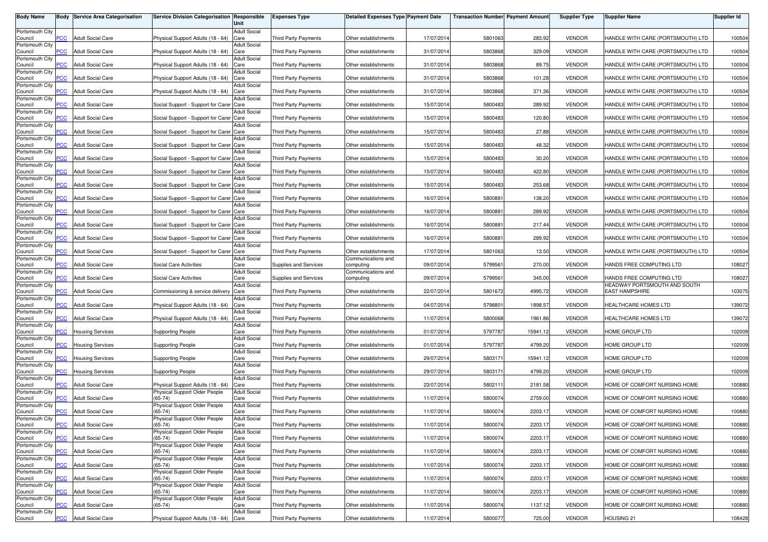| <b>Body Name</b>           |                | <b>Body Service Area Categorisation</b> | Service Division Categorisation Responsible | Unit                        | <b>Expenses Type</b>        | <b>Detailed Expenses Type Payment Date</b> |            | <b>Transaction Number Payment Amount</b> |          | <b>Supplier Type</b> | <b>Supplier Name</b>              | <b>Supplier Id</b> |
|----------------------------|----------------|-----------------------------------------|---------------------------------------------|-----------------------------|-----------------------------|--------------------------------------------|------------|------------------------------------------|----------|----------------------|-----------------------------------|--------------------|
| Portsmouth City            |                |                                         |                                             | <b>Adult Social</b>         |                             |                                            |            |                                          |          |                      |                                   |                    |
| Council<br>Portsmouth City | PCC            | <b>Adult Social Care</b>                | Physical Support Adults (18 - 64)           | Care<br><b>Adult Social</b> | Third Party Payments        | Other establishments                       | 17/07/2014 | 5801063                                  | 283.92   | <b>VENDOR</b>        | HANDLE WITH CARE (PORTSMOUTH) LTD | 100504             |
| Council                    | <b>PCC</b>     | <b>Adult Social Care</b>                | Physical Support Adults (18 - 64)           | Care                        | <b>Third Party Payments</b> | Other establishments                       | 31/07/2014 | 5803868                                  | 329.09   | <b>VENDOR</b>        | HANDLE WITH CARE (PORTSMOUTH) LTD | 100504             |
| Portsmouth City<br>Council | $\overline{C}$ | <b>Adult Social Care</b>                | Physical Support Adults (18 - 64)           | <b>Adult Social</b><br>Care | <b>Third Party Payments</b> | Other establishments                       | 31/07/2014 | 5803868                                  | 89.75    | <b>VENDOR</b>        | HANDLE WITH CARE (PORTSMOUTH) LTD | 100504             |
| Portsmouth City            |                |                                         |                                             | <b>Adult Social</b>         |                             |                                            |            |                                          |          |                      |                                   |                    |
| Council<br>Portsmouth City | сc             | <b>Adult Social Care</b>                | Physical Support Adults (18 - 64)           | Care<br><b>Adult Social</b> | <b>Third Party Payments</b> | Other establishments                       | 31/07/2014 | 5803868                                  | 101.28   | <b>VENDOR</b>        | HANDLE WITH CARE (PORTSMOUTH) LTD | 100504             |
| Council                    | <b>PCC</b>     | <b>Adult Social Care</b>                | Physical Support Adults (18 - 64)           | Care                        | <b>Third Party Payments</b> | Other establishments                       | 31/07/2014 | 5803868                                  | 371.36   | <b>VENDOR</b>        | HANDLE WITH CARE (PORTSMOUTH) LTD | 100504             |
| Portsmouth City            |                |                                         |                                             | <b>Adult Social</b>         |                             |                                            |            |                                          |          | <b>VENDOR</b>        |                                   |                    |
| Council<br>Portsmouth City | PСC            | <b>Adult Social Care</b>                | Social Support - Support for Carer Care     | <b>Adult Social</b>         | Third Party Payments        | Other establishments                       | 15/07/2014 | 5800483                                  | 289.92   |                      | HANDLE WITH CARE (PORTSMOUTH) LTD | 100504             |
| Council                    | <b>PCC</b>     | <b>Adult Social Care</b>                | Social Support - Support for Carer Care     |                             | <b>Third Party Payments</b> | Other establishments                       | 15/07/2014 | 5800483                                  | 120.80   | <b>VENDOR</b>        | HANDLE WITH CARE (PORTSMOUTH) LTD | 100504             |
| Portsmouth City<br>Council | <b>PCC</b>     | <b>Adult Social Care</b>                | Social Support - Support for Carer Care     | <b>Adult Social</b>         | <b>Third Party Payments</b> | Other establishments                       | 15/07/2014 | 5800483                                  | 27.88    | <b>VENDOR</b>        | HANDLE WITH CARE (PORTSMOUTH) LTD | 100504             |
| Portsmouth City            |                |                                         |                                             | <b>Adult Social</b>         |                             |                                            |            |                                          |          |                      |                                   |                    |
| Council<br>Portsmouth City | <b>PCC</b>     | <b>Adult Social Care</b>                | Social Support - Support for Carer Care     | <b>Adult Social</b>         | Third Party Payments        | Other establishments                       | 15/07/2014 | 5800483                                  | 48.32    | <b>VENDOR</b>        | HANDLE WITH CARE (PORTSMOUTH) LTD | 100504             |
| Council                    | <b>PCC</b>     | <b>Adult Social Care</b>                | Social Support - Support for Carer Care     |                             | Third Party Payments        | Other establishments                       | 15/07/2014 | 5800483                                  | 30.20    | <b>VENDOR</b>        | HANDLE WITH CARE (PORTSMOUTH) LTD | 100504             |
| Portsmouth City<br>Council | PCC            | <b>Adult Social Care</b>                | Social Support - Support for Carer Care     | <b>Adult Social</b>         | <b>Third Party Payments</b> | Other establishments                       | 15/07/2014 | 5800483                                  | 422.80   | <b>VENDOR</b>        | HANDLE WITH CARE (PORTSMOUTH) LTD | 100504             |
| Portsmouth City            |                |                                         |                                             | <b>Adult Social</b>         |                             |                                            |            |                                          |          |                      |                                   |                    |
| Council<br>Portsmouth City | PCC            | <b>Adult Social Care</b>                | Social Support - Support for Carer Care     | <b>Adult Social</b>         | <b>Third Party Payments</b> | Other establishments                       | 15/07/201  | 5800483                                  | 253.68   | <b>VENDOR</b>        | HANDLE WITH CARE (PORTSMOUTH) LTD | 100504             |
| Council                    | сC             | <b>Adult Social Care</b>                | Social Support - Support for Carer Care     |                             | <b>Third Party Payments</b> | Other establishments                       | 16/07/2014 | 580088                                   | 138.20   | <b>VENDOR</b>        | HANDLE WITH CARE (PORTSMOUTH) LTD | 100504             |
| Portsmouth City<br>Council | PСC            | <b>Adult Social Care</b>                | Social Support - Support for Carer Care     | <b>Adult Social</b>         | Third Party Payments        | Other establishments                       | 16/07/201  | 5800881                                  | 289.92   | <b>VENDOR</b>        | HANDLE WITH CARE (PORTSMOUTH) LTD | 100504             |
| Portsmouth City            |                |                                         |                                             | <b>Adult Social</b>         |                             |                                            |            |                                          |          |                      |                                   |                    |
| Council<br>Portsmouth City | PCC            | <b>Adult Social Care</b>                | Social Support - Support for Carer Care     | <b>Adult Social</b>         | <b>Third Party Payments</b> | Other establishments                       | 16/07/2014 | 5800881                                  | 217.44   | <b>VENDOR</b>        | HANDLE WITH CARE (PORTSMOUTH) LTD | 100504             |
| Council                    | PCC            | <b>Adult Social Care</b>                | Social Support - Support for Carer Care     |                             | <b>Third Party Payments</b> | Other establishments                       | 16/07/2014 | 5800881                                  | 289.92   | <b>VENDOR</b>        | HANDLE WITH CARE (PORTSMOUTH) LTD | 100504             |
| Portsmouth City            |                |                                         |                                             | <b>Adult Social</b>         |                             |                                            |            |                                          |          | <b>VENDOR</b>        |                                   |                    |
| Council<br>Portsmouth City | PCC            | <b>Adult Social Care</b>                | Social Support - Support for Carer Care     | <b>Adult Social</b>         | <b>Third Party Payments</b> | Other establishments<br>Communications and | 17/07/2014 | 5801063                                  | 13.50    |                      | HANDLE WITH CARE (PORTSMOUTH) LTD | 100504             |
| Council                    | PСC            | <b>Adult Social Care</b>                | Social Care Activities                      | Care                        | Supplies and Services       | computing                                  | 09/07/2014 | 5799561                                  | 270.00   | <b>VENDOR</b>        | HANDS FREE COMPUTING LTD          | 108027             |
| Portsmouth City<br>Council | PCC            | <b>Adult Social Care</b>                | Social Care Activities                      | <b>Adult Social</b><br>Care | Supplies and Services       | Communications and<br>computing            | 09/07/2014 | 5799561                                  | 345.00   | <b>VENDOR</b>        | HANDS FREE COMPUTING LTD          | 108027             |
| Portsmouth City            |                |                                         |                                             | <b>Adult Social</b>         |                             |                                            |            |                                          |          |                      | HEADWAY PORTSMOUTH AND SOUTH      |                    |
| Council<br>Portsmouth City | <b>PCC</b>     | <b>Adult Social Care</b>                | Commissioning & service delivery            | Care<br><b>Adult Social</b> | <b>Third Party Payments</b> | Other establishments                       | 22/07/201  | 5801672                                  | 4995.72  | <b>VENDOR</b>        | <b>EAST HAMPSHIRE</b>             | 103075             |
| Council                    | PCC            | <b>Adult Social Care</b>                | Physical Support Adults (18 - 64)           | Care                        | <b>Third Party Payments</b> | Other establishments                       | 04/07/2014 | 579880                                   | 1898.57  | <b>VENDOR</b>        | HEALTHCARE HOMES LTD              | 139072             |
| Portsmouth City<br>Council | PСC            | <b>Adult Social Care</b>                | Physical Support Adults (18 - 64)           | <b>Adult Social</b><br>Care | Third Party Payments        | Other establishments                       | 11/07/2014 | 5800068                                  | 1961.86  | <b>VENDOR</b>        | HEALTHCARE HOMES LTD              | 139072             |
| Portsmouth City            |                |                                         |                                             | <b>Adult Social</b>         |                             |                                            |            |                                          |          |                      |                                   |                    |
| Council<br>Portsmouth City | <b>PCC</b>     | <b>Housing Services</b>                 | <b>Supporting People</b>                    | Care<br><b>Adult Social</b> | Third Party Payments        | Other establishments                       | 01/07/201  | 5797787                                  | 15941.12 | <b>VENDOR</b>        | HOME GROUP LTD                    | 102009             |
| Council                    | PСC            | <b>Housing Services</b>                 | <b>Supporting People</b>                    | Care                        | Third Party Payments        | Other establishments                       | 01/07/2014 | 5797787                                  | 4799.20  | <b>VENDOR</b>        | HOME GROUP LTD                    | 102009             |
| Portsmouth City<br>Council | <b>PCC</b>     | <b>Housing Services</b>                 | <b>Supporting People</b>                    | <b>Adult Social</b><br>Care | Third Party Payments        | Other establishments                       | 29/07/2014 | 5803171                                  | 15941.12 | <b>VENDOR</b>        | HOME GROUP LTD                    | 102009             |
| Portsmouth City            |                |                                         |                                             | <b>Adult Social</b>         |                             |                                            |            |                                          |          |                      |                                   |                    |
| Council<br>Portsmouth City | <b>PCC</b>     | <b>Housing Services</b>                 | <b>Supporting People</b>                    | Care<br><b>Adult Social</b> | Third Party Payments        | Other establishments                       | 29/07/2014 | 5803171                                  | 4799.20  | <b>VENDOR</b>        | HOME GROUP LTD                    | 102009             |
| Council                    | PСC            | <b>Adult Social Care</b>                | Physical Support Adults (18 - 64)           | Care                        | Third Party Payments        | Other establishments                       | 23/07/2014 | 5802111                                  | 2181.58  | <b>VENDOR</b>        | HOME OF COMFORT NURSING HOME      | 100880             |
| Portsmouth City            | $\overline{C}$ | <b>Adult Social Care</b>                | Physical Support Older People               | <b>Adult Social</b>         |                             | Other establishments                       |            | 5800074                                  |          | <b>VENDOR</b>        | HOME OF COMFORT NURSING HOME      |                    |
| Council<br>Portsmouth City |                |                                         | $(65-74)$<br>Physical Support Older People  | Care<br><b>Adult Social</b> | Third Party Payments        |                                            | 11/07/2014 |                                          | 2759.00  |                      |                                   | 100880             |
| Council                    | $\overline{C}$ | <b>Adult Social Care</b>                | $(65-74)$                                   | Care                        | <b>Third Party Payments</b> | Other establishments                       | 11/07/2014 | 580007                                   | 2203.17  | <b>VENDOR</b>        | HOME OF COMFORT NURSING HOME      | 100880             |
| Portsmouth City<br>Council | $\overline{C}$ | <b>Adult Social Care</b>                | Physical Support Older People<br>$(65-74)$  | <b>Adult Social</b><br>Care | Third Party Payments        | Other establishments                       | 11/07/2014 | 5800074                                  | 2203.17  | <b>VENDOR</b>        | HOME OF COMFORT NURSING HOME      | 100880             |
| Portsmouth City            |                |                                         | Physical Support Older People               | <b>Adult Social</b>         |                             |                                            |            |                                          |          |                      |                                   |                    |
| Council<br>Portsmouth City | <b>PCC</b>     | <b>Adult Social Care</b>                | $(65-74)$<br>Physical Support Older People  | Care<br><b>Adult Social</b> | Third Party Payments        | Other establishments                       | 11/07/2014 | 5800074                                  | 2203.17  | <b>VENDOR</b>        | HOME OF COMFORT NURSING HOME      | 100880             |
| Council                    | PCC            | <b>Adult Social Care</b>                | $(65-74)$                                   | Care                        | Third Party Payments        | Other establishments                       | 11/07/2014 | 5800074                                  | 2203.17  | <b>VENDOR</b>        | HOME OF COMFORT NURSING HOME      | 100880             |
| Portsmouth City<br>Council | PCC            | <b>Adult Social Care</b>                | Physical Support Older People<br>$(65-74)$  | <b>Adult Social</b><br>Care | Third Party Payments        | Other establishments                       | 11/07/2014 | 5800074                                  | 2203.17  | <b>VENDOR</b>        | HOME OF COMFORT NURSING HOME      | 100880             |
| Portsmouth City            |                |                                         | Physical Support Older People               | <b>Adult Social</b>         |                             |                                            |            |                                          |          |                      |                                   |                    |
| Council<br>Portsmouth City | PCC.           | <b>Adult Social Care</b>                | $(65-74)$<br>Physical Support Older People  | Care<br><b>Adult Social</b> | Third Party Payments        | Other establishments                       | 11/07/2014 | 5800074                                  | 2203.17  | <b>VENDOR</b>        | HOME OF COMFORT NURSING HOME      | 100880             |
| Council                    | PCC            | <b>Adult Social Care</b>                | $(65-74)$                                   | Care                        | Third Party Payments        | Other establishments                       | 11/07/2014 | 5800074                                  | 2203.17  | <b>VENDOR</b>        | HOME OF COMFORT NURSING HOME      | 100880             |
| Portsmouth City<br>Council | сC             | <b>Adult Social Care</b>                | Physical Support Older People<br>$(65-74)$  | <b>Adult Social</b><br>Care | Third Party Payments        | Other establishments                       | 11/07/2014 | 5800074                                  | 1137.12  | <b>VENDOR</b>        | HOME OF COMFORT NURSING HOME      | 100880             |
| Portsmouth City            |                |                                         |                                             | <b>Adult Social</b>         |                             |                                            |            |                                          |          |                      |                                   |                    |
| Council                    | <b>PCC</b>     | <b>Adult Social Care</b>                | Physical Support Adults (18 - 64) Care      |                             | Third Party Payments        | Other establishments                       | 11/07/2014 | 5800077                                  | 725.00   | <b>VENDOR</b>        | HOUSING 21                        | 108428             |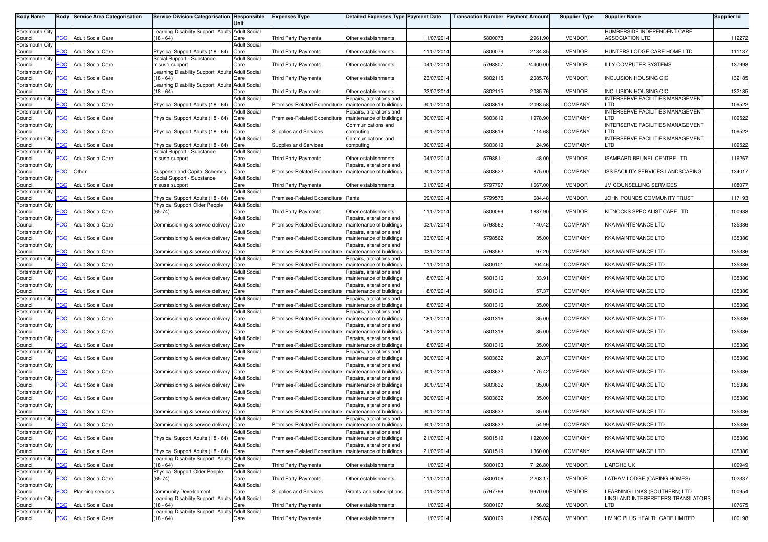| <b>Body Name</b>           |                | <b>Body Service Area Categorisation</b> | Service Division Categorisation Responsible                                               | Unit                        | <b>Expenses Type</b>                                    | <b>Detailed Expenses Type Payment Date</b>           |            | <b>Transaction Number</b> Payment Amoun |            | <b>Supplier Type</b> | <b>Supplier Name</b>                                               | Supplier Id |
|----------------------------|----------------|-----------------------------------------|-------------------------------------------------------------------------------------------|-----------------------------|---------------------------------------------------------|------------------------------------------------------|------------|-----------------------------------------|------------|----------------------|--------------------------------------------------------------------|-------------|
| Portsmouth City            |                |                                         | Learning Disability Support Adults Adult Social                                           |                             |                                                         |                                                      |            |                                         |            |                      | HUMBERSIDE INDEPENDENT CARE                                        |             |
| Council                    | PCC            | <b>Adult Social Care</b>                | $18 - 64$                                                                                 | Care<br><b>Adult Social</b> | Third Party Payments                                    | Other establishments                                 | 11/07/201  | 5800078                                 | 2961.90    | <b>VENDOR</b>        | ASSOCIATION LTD                                                    | 112272      |
| Portsmouth City<br>Council | <b>PCC</b>     | <b>Adult Social Care</b>                | Physical Support Adults (18 - 64)                                                         | Care                        | <b>Third Party Payments</b>                             | Other establishments                                 | 11/07/2014 | 5800079                                 | 2134.35    | <b>VENDOR</b>        | HUNTERS LODGE CARE HOME LTD                                        | 111137      |
| Portsmouth City            |                |                                         | Social Support - Substance                                                                | <b>Adult Social</b>         |                                                         |                                                      |            |                                         |            |                      |                                                                    |             |
| Council<br>Portsmouth City | $\overline{C}$ | <b>Adult Social Care</b>                | misuse support<br>Learning Disability Support Adults Adult Social                         | Care                        | <b>Third Party Payments</b>                             | Other establishments                                 | 04/07/2014 | 5798807                                 | 24400.00   | <b>VENDOR</b>        | ILLY COMPUTER SYSTEMS                                              | 137998      |
| Council                    | PСC            | <b>Adult Social Care</b>                | $18 - 64$                                                                                 | Care                        | Third Party Payments                                    | Other establishments                                 | 23/07/201  | 5802115                                 | 2085.76    | <b>VENDOR</b>        | <b>INCLUSION HOUSING CIC</b>                                       | 132185      |
| Portsmouth City<br>Council | $\overline{C}$ | <b>Adult Social Care</b>                | Learning Disability Support Adults Adult Social<br>$18 - 64$                              | Care                        | Third Party Payments                                    | Other establishments                                 | 23/07/201  | 5802115                                 | 2085.76    | <b>VENDOR</b>        | <b>INCLUSION HOUSING CIC</b>                                       | 132185      |
| Portsmouth City            |                |                                         |                                                                                           | <b>Adult Social</b>         |                                                         | Repairs, alterations and                             |            |                                         |            |                      | <b>INTERSERVE FACILITIES MANAGEMENT</b>                            |             |
| Council<br>Portsmouth City | PСC            | <b>Adult Social Care</b>                | Physical Support Adults (18 - 64)                                                         | Care<br><b>Adult Social</b> | Premises-Related Expenditure                            | maintenance of buildings<br>Repairs, alterations and | 30/07/201  | 5803619                                 | $-2093.58$ | COMPANY              | LTD<br>INTERSERVE FACILITIES MANAGEMENT                            | 109522      |
| Council                    | $\overline{C}$ | <b>Adult Social Care</b>                | Physical Support Adults (18 - 64)                                                         | Care                        | Premises-Related Expenditure                            | maintenance of buildings                             | 30/07/201  | 5803619                                 | 1978.90    | COMPANY              | LTD                                                                | 109522      |
| Portsmouth City<br>Council | <b>PCC</b>     | <b>Adult Social Care</b>                | Physical Support Adults (18 - 64)                                                         | <b>Adult Social</b><br>Care | Supplies and Services                                   | Communications and<br>computing                      | 30/07/201  | 5803619                                 | 114.68     | COMPANY              | INTERSERVE FACILITIES MANAGEMENT<br>LTD                            | 109522      |
| Portsmouth City            |                |                                         |                                                                                           | <b>Adult Social</b>         |                                                         | Communications and                                   |            |                                         |            |                      | INTERSERVE FACILITIES MANAGEMENT                                   |             |
| Council<br>Portsmouth City | <b>PCC</b>     | <b>Adult Social Care</b>                | Physical Support Adults (18 - 64)<br>Social Support - Substance                           | Care<br><b>Adult Social</b> | Supplies and Services                                   | computing                                            | 30/07/201  | 5803619                                 | 124.96     | COMPANY              | ∟TD                                                                | 109522      |
| Council                    | <b>PCC</b>     | <b>Adult Social Care</b>                | misuse support                                                                            | Care                        | Third Party Payments                                    | Other establishments                                 | 04/07/201  | 5798811                                 | 48.00      | <b>VENDOR</b>        | ISAMBARD BRUNEL CENTRE LTD                                         | 116267      |
| Portsmouth City<br>Council | <b>PCC</b>     | Other                                   | Suspense and Capital Schemes                                                              | <b>Adult Social</b><br>Care | Premises-Related Expenditure                            | Repairs, alterations and<br>maintenance of buildings | 30/07/2014 | 5803622                                 | 875.00     | COMPANY              | ISS FACILITY SERVICES LANDSCAPING                                  | 134017      |
| Portsmouth City            |                |                                         | Social Support - Substance                                                                | <b>Adult Social</b>         |                                                         |                                                      |            |                                         |            |                      |                                                                    |             |
| Council<br>Portsmouth City | PCC            | <b>Adult Social Care</b>                | misuse support                                                                            | Care<br><b>Adult Social</b> | Third Party Payments                                    | Other establishments                                 | 01/07/201  | 5797797                                 | 1667.00    | <b>VENDOR</b>        | JM COUNSELLING SERVICES                                            | 108077      |
| Council                    | ۲CС            | <b>Adult Social Care</b>                | Physical Support Adults (18 - 64)                                                         | Care                        | Premises-Related Expenditure                            | Rents                                                | 09/07/201  | 5799575                                 | 684.48     | <b>VENDOR</b>        | IOHN POUNDS COMMUNITY TRUST                                        | 117193      |
| Portsmouth City<br>Council | PCC            | <b>Adult Social Care</b>                | Physical Support Older People<br>$(65-74)$                                                | <b>Adult Social</b><br>Care | <b>Third Party Payments</b>                             | Other establishments                                 | 11/07/201  | 5800099                                 | 1887.90    | <b>VENDOR</b>        | KITNOCKS SPECIALIST CARE LTD                                       | 100938      |
| Portsmouth City            |                |                                         |                                                                                           | <b>Adult Social</b>         |                                                         | Repairs, alterations and                             |            |                                         |            |                      |                                                                    |             |
| Council<br>Portsmouth City | PСC            | <b>Adult Social Care</b>                | Commissioning & service delivery                                                          | Care<br><b>Adult Social</b> | Premises-Related Expenditure                            | maintenance of buildings<br>Repairs, alterations and | 03/07/2014 | 5798562                                 | 140.42     | <b>COMPANY</b>       | <b>KKA MAINTENANCE LTD</b>                                         | 135386      |
| Council                    | PCC            | <b>Adult Social Care</b>                | Commissioning & service delivery                                                          | Care                        | Premises-Related Expenditure                            | maintenance of buildings                             | 03/07/201  | 5798562                                 | 35.00      | COMPANY              | <b>KKA MAINTENANCE LTD</b>                                         | 135386      |
| Portsmouth City<br>Council | PCC            | <b>Adult Social Care</b>                | Commissioning & service delivery Care                                                     | <b>Adult Social</b>         | Premises-Related Expenditure                            | Repairs, alterations and<br>maintenance of buildings | 03/07/201  | 5798562                                 | 97.20      | COMPANY              | KKA MAINTENANCE LTD                                                | 135386      |
| Portsmouth City            |                |                                         |                                                                                           | <b>Adult Social</b>         |                                                         | Repairs, alterations and                             |            |                                         |            |                      |                                                                    |             |
| Council<br>Portsmouth City | PСC            | <b>Adult Social Care</b>                | Commissioning & service delivery                                                          | Care<br><b>Adult Social</b> | Premises-Related Expenditure                            | maintenance of buildings<br>Repairs, alterations and | 11/07/201  | 5800101                                 | 204.46     | <b>COMPANY</b>       | KKA MAINTENANCE LTD                                                | 135386      |
| Council                    | PCC            | <b>Adult Social Care</b>                | Commissioning & service delivery                                                          | Care                        | Premises-Related Expenditure                            | maintenance of buildings                             | 18/07/201  | 5801316                                 | 133.91     | <b>COMPANY</b>       | KKA MAINTENANCE LTD                                                | 135386      |
| Portsmouth City<br>Council | PСC            | <b>Adult Social Care</b>                | Commissioning & service delivery                                                          | <b>Adult Social</b><br>Care | Premises-Related Expenditure                            | Repairs, alterations and<br>maintenance of buildings | 18/07/201  | 5801316                                 | 157.37     | <b>COMPANY</b>       | KKA MAINTENANCE LTD                                                | 135386      |
| Portsmouth City            |                |                                         |                                                                                           | <b>Adult Social</b>         |                                                         | Repairs, alterations and                             |            |                                         |            |                      |                                                                    |             |
| Council<br>Portsmouth City | PCC            | <b>Adult Social Care</b>                | Commissioning & service delivery Care                                                     | <b>Adult Social</b>         | Premises-Related Expenditure                            | maintenance of buildings                             | 18/07/201  | 5801316                                 | 35.00      | COMPANY              | KKA MAINTENANCE LTD                                                | 135386      |
| Council                    | PСC            | <b>Adult Social Care</b>                | Commissioning & service delivery                                                          | Care                        | Premises-Related Expenditure                            | Repairs, alterations and<br>maintenance of buildings | 18/07/201  | 5801316                                 | 35.00      | COMPANY              | KKA MAINTENANCE LTD                                                | 135386      |
| Portsmouth City<br>Council | $\overline{C}$ | <b>Adult Social Care</b>                | Commissioning & service delivery                                                          | <b>Adult Social</b><br>Care | Premises-Related Expenditure                            | Repairs, alterations and<br>maintenance of buildings | 18/07/201  | 5801316                                 | 35.00      | <b>COMPANY</b>       | KKA MAINTENANCE LTD                                                | 135386      |
| Portsmouth City            |                |                                         |                                                                                           | <b>Adult Social</b>         |                                                         | Repairs, alterations and                             |            |                                         |            |                      |                                                                    |             |
| Council                    | PСC            | <b>Adult Social Care</b>                | Commissioning & service delivery                                                          | Care<br><b>Adult Social</b> | Premises-Related Expenditure                            | maintenance of buildings                             | 18/07/2014 | 5801316                                 | 35.00      | <b>COMPANY</b>       | <b>KKA MAINTENANCE LTD</b>                                         | 135386      |
| Portsmouth City<br>Council | <b>PCC</b>     | <b>Adult Social Care</b>                | Commissioning & service delivery                                                          | Care                        | Premises-Related Expenditure                            | Repairs, alterations and<br>maintenance of buildings | 30/07/201  | 5803632                                 | 120.37     | <b>COMPANY</b>       | <b>KKA MAINTENANCE LTD</b>                                         | 135386      |
| Portsmouth City            | <b>PCC</b>     |                                         | Commissioning & service delivery Care                                                     | <b>Adult Social</b>         |                                                         | Repairs, alterations and                             |            |                                         |            | <b>COMPANY</b>       |                                                                    | 135386      |
| Council<br>Portsmouth City |                | <b>Adult Social Care</b>                |                                                                                           | <b>Adult Social</b>         | Premises-Related Expenditure                            | maintenance of buildings<br>Repairs, alterations and | 30/07/201  | 5803632                                 | 175.42     |                      | KKA MAINTENANCE LTD                                                |             |
| Council                    | PСC            | <b>Adult Social Care</b>                | Commissioning & service delivery                                                          | Care                        | Premises-Related Expenditure                            | maintenance of buildings                             | 30/07/201  | 5803632                                 | 35.00      | <b>COMPANY</b>       | <b>KKA MAINTENANCE LTD</b>                                         | 135386      |
| Portsmouth City<br>Council | $\overline{C}$ | <b>Adult Social Care</b>                | Commissioning & service delivery                                                          | <b>Adult Social</b><br>Care | Premises-Related Expenditure                            | Repairs, alterations and<br>maintenance of buildings | 30/07/201  | 5803632                                 | 35.00      | <b>COMPANY</b>       | KKA MAINTENANCE LTD                                                | 135386      |
| Portsmouth City            | $\overline{C}$ | <b>Adult Social Care</b>                |                                                                                           | <b>Adult Social</b>         |                                                         | Repairs, alterations and                             | 30/07/201  |                                         |            | <b>COMPANY</b>       | <b>KKA MAINTENANCE LTD</b>                                         |             |
| Council<br>Portsmouth City |                |                                         | Commissioning & service delivery                                                          | Care<br>Adult Social        | Premises-Related Expenditure                            | maintenance of buildings<br>Repairs, alterations and |            | 5803632                                 | 35.00      |                      |                                                                    | 135386      |
| Council                    | <b>PCC</b>     | <b>Adult Social Care</b>                | Commissioning & service delivery Care                                                     |                             | Premises-Related Expenditure   maintenance of buildings |                                                      | 30/07/2014 | 5803632                                 | 54.99      | COMPANY              | KKA MAINTENANCE LTD                                                | 135386      |
| Portsmouth City<br>Council | $\overline{C}$ | <b>Adult Social Care</b>                | Physical Support Adults (18 - 64) Care                                                    | <b>Adult Social</b>         | Premises-Related Expenditure                            | Repairs, alterations and<br>maintenance of buildings | 21/07/2014 | 5801519                                 | 1920.00    | COMPANY              | <b>KKA MAINTENANCE LTD</b>                                         | 135386      |
| Portsmouth City            |                |                                         |                                                                                           | <b>Adult Social</b>         |                                                         | Repairs, alterations and                             |            |                                         |            |                      |                                                                    |             |
| Council<br>Portsmouth City | PCC            | <b>Adult Social Care</b>                | Physical Support Adults (18 - 64) Care<br>Learning Disability Support Adults Adult Social |                             | Premises-Related Expenditure                            | maintenance of buildings                             | 21/07/2014 | 5801519                                 | 1360.00    | <b>COMPANY</b>       | KKA MAINTENANCE LTD                                                | 135386      |
| Council                    | PCC            | <b>Adult Social Care</b>                | (18 - 64)                                                                                 | Care                        | Third Party Payments                                    | Other establishments                                 | 11/07/2014 | 5800103                                 | 7126.80    | <b>VENDOR</b>        | L'ARCHE UK                                                         | 100949      |
| Portsmouth City<br>Council | PCC.           | <b>Adult Social Care</b>                | Physical Support Older People<br>(65-74)                                                  | <b>Adult Social</b><br>Care | Third Party Payments                                    | Other establishments                                 | 11/07/2014 | 5800106                                 | 2203.17    | <b>VENDOR</b>        | LATHAM LODGE (CARING HOMES)                                        | 102337      |
| Portsmouth City            |                |                                         |                                                                                           | <b>Adult Social</b>         |                                                         |                                                      |            |                                         |            |                      |                                                                    |             |
| Council<br>Portsmouth City | PCC            | Planning services                       | <b>Community Development</b><br>Learning Disability Support Adults Adult Social           | Care                        | Supplies and Services                                   | Grants and subscriptions                             | 01/07/2014 | 5797799                                 | 9970.00    | <b>VENDOR</b>        | LEARNING LINKS (SOUTHERN) LTD<br>LINGLAND INTERPRETERS-TRANSLATORS | 100954      |
| Council                    | сC             | <b>Adult Social Care</b>                | $18 - 64$<br>Learning Disability Support Adults Adult Social                              | Care                        | Third Party Payments                                    | Other establishments                                 | 11/07/2014 | 5800107                                 | 56.02      | <b>VENDOR</b>        | ∟TD                                                                | 107675      |
| Portsmouth City<br>Council | <b>PCC</b>     | <b>Adult Social Care</b>                | $(18 - 64)$                                                                               | Care                        | Third Party Payments                                    | Other establishments                                 | 11/07/2014 | 5800109                                 | 1795.83    | <b>VENDOR</b>        | LIVING PLUS HEALTH CARE LIMITED                                    | 100198      |
|                            |                |                                         |                                                                                           |                             |                                                         |                                                      |            |                                         |            |                      |                                                                    |             |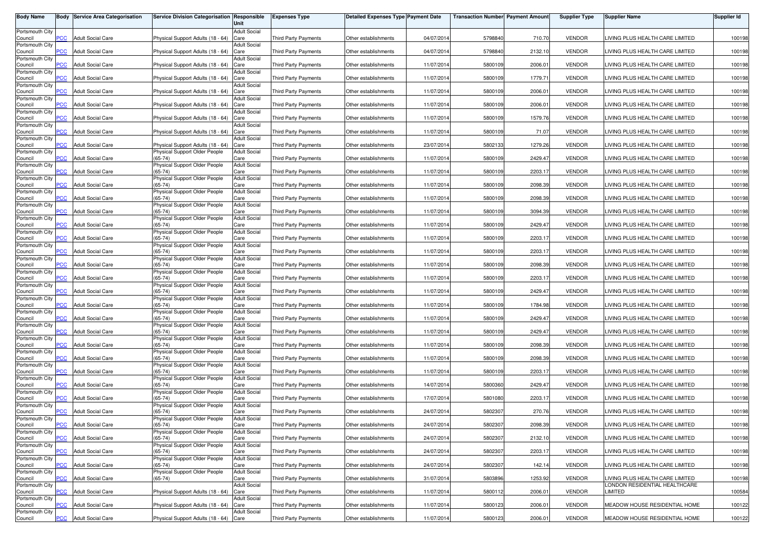| <b>Body Name</b>           | Body           | <b>Service Area Categorisation</b> | Service Division Categorisation Responsible                        | Unit                        | <b>Expenses Type</b>        | <b>Detailed Expenses Type Payment Date</b> |            | <b>Transaction Number Payment Amount</b> |         | <b>Supplier Type</b> | <b>Supplier Name</b>                                             | <b>Supplier Id</b> |
|----------------------------|----------------|------------------------------------|--------------------------------------------------------------------|-----------------------------|-----------------------------|--------------------------------------------|------------|------------------------------------------|---------|----------------------|------------------------------------------------------------------|--------------------|
| Portsmouth City            |                |                                    |                                                                    | <b>Adult Social</b>         |                             |                                            |            |                                          |         |                      |                                                                  |                    |
| Council                    | PСC            | <b>Adult Social Care</b>           | Physical Support Adults (18 - 64)                                  | Care                        | <b>Third Party Payments</b> | Other establishments                       | 04/07/2014 | 5798840                                  | 710.70  | <b>VENDOR</b>        | LIVING PLUS HEALTH CARE LIMITED                                  | 100198             |
| Portsmouth City<br>Council | <b>PCC</b>     | <b>Adult Social Care</b>           | Physical Support Adults (18 - 64)                                  | <b>Adult Social</b><br>Care | Third Party Payments        | Other establishments                       | 04/07/2014 | 5798840                                  | 2132.10 | <b>VENDOR</b>        | LIVING PLUS HEALTH CARE LIMITED                                  | 100198             |
| Portsmouth City            |                |                                    |                                                                    | <b>Adult Social</b>         |                             |                                            |            |                                          |         |                      | LIVING PLUS HEALTH CARE LIMITED                                  |                    |
| Council<br>Portsmouth City | $\overline{C}$ | <b>Adult Social Care</b>           | Physical Support Adults (18 - 64)                                  | Care<br><b>Adult Social</b> | <b>Third Party Payments</b> | Other establishments                       | 11/07/2014 | 5800109                                  | 2006.01 | <b>VENDOR</b>        |                                                                  | 100198             |
| Council                    | сC             | <b>Adult Social Care</b>           | Physical Support Adults (18 - 64)                                  | Care                        | <b>Third Party Payments</b> | Other establishments                       | 11/07/2014 | 5800109                                  | 1779.71 | <b>VENDOR</b>        | LIVING PLUS HEALTH CARE LIMITED                                  | 100198             |
| Portsmouth City<br>Council | <b>PCC</b>     | <b>Adult Social Care</b>           | Physical Support Adults (18 - 64)                                  | <b>Adult Social</b><br>Care | Third Party Payments        | Other establishments                       | 11/07/201  | 5800109                                  | 2006.01 | <b>VENDOR</b>        | LIVING PLUS HEALTH CARE LIMITED                                  | 100198             |
| Portsmouth City            |                |                                    |                                                                    | <b>Adult Social</b>         |                             |                                            |            |                                          |         |                      |                                                                  |                    |
| Council<br>Portsmouth City | <b>PCC</b>     | <b>Adult Social Care</b>           | Physical Support Adults (18 - 64)                                  | Care<br><b>Adult Social</b> | Third Party Payments        | Other establishments                       | 11/07/2014 | 5800109                                  | 2006.01 | <b>VENDOR</b>        | LIVING PLUS HEALTH CARE LIMITED                                  | 100198             |
| Council                    | PCC.           | <b>Adult Social Care</b>           | Physical Support Adults (18 - 64)                                  | Care                        | Third Party Payments        | Other establishments                       | 11/07/2014 | 5800109                                  | 1579.76 | <b>VENDOR</b>        | LIVING PLUS HEALTH CARE LIMITED                                  | 100198             |
| Portsmouth City<br>Council | PСC            | <b>Adult Social Care</b>           | Physical Support Adults (18 - 64)                                  | <b>Adult Social</b><br>Care | Third Party Payments        | Other establishments                       | 11/07/2014 | 5800109                                  | 71.07   | <b>VENDOR</b>        | LIVING PLUS HEALTH CARE LIMITED                                  | 100198             |
| Portsmouth City            |                |                                    |                                                                    | <b>Adult Social</b>         |                             |                                            |            |                                          |         |                      |                                                                  |                    |
| Council<br>Portsmouth City | сc             | <b>Adult Social Care</b>           | Physical Support Adults (18 - 64)<br>Physical Support Older People | Care<br><b>Adult Social</b> | <b>Third Party Payments</b> | Other establishments                       | 23/07/2014 | 5802133                                  | 1279.26 | <b>VENDOR</b>        | LIVING PLUS HEALTH CARE LIMITED                                  | 100198             |
| Council                    | $\overline{C}$ | <b>Adult Social Care</b>           | $(65-74)$                                                          | Care                        | <b>Third Party Payments</b> | Other establishments                       | 11/07/2014 | 5800109                                  | 2429.47 | <b>VENDOR</b>        | LIVING PLUS HEALTH CARE LIMITED                                  | 100198             |
| Portsmouth City<br>Council | PCC            | <b>Adult Social Care</b>           | Physical Support Older People<br>$(65-74)$                         | <b>Adult Social</b><br>Care | Third Party Payments        | Other establishments                       | 11/07/2014 | 5800109                                  | 2203.17 | <b>VENDOR</b>        | LIVING PLUS HEALTH CARE LIMITED                                  | 100198             |
| Portsmouth City            |                |                                    | Physical Support Older People                                      | <b>Adult Social</b>         |                             |                                            |            |                                          |         |                      |                                                                  |                    |
| Council<br>Portsmouth City | PCC            | <b>Adult Social Care</b>           | $(65-74)$<br>Physical Support Older People                         | Care<br><b>Adult Social</b> | Third Party Payments        | Other establishments                       | 11/07/2014 | 5800109                                  | 2098.39 | <b>VENDOR</b>        | LIVING PLUS HEALTH CARE LIMITED                                  | 100198             |
| Council                    | PСC            | <b>Adult Social Care</b>           | $(65 - 74)$                                                        | Care                        | Third Party Payments        | Other establishments                       | 11/07/2014 | 5800109                                  | 2098.39 | <b>VENDOR</b>        | LIVING PLUS HEALTH CARE LIMITED                                  | 100198             |
| Portsmouth City<br>Council | PCC            | <b>Adult Social Care</b>           | Physical Support Older People<br>$(65-74)$                         | <b>Adult Social</b><br>Care | Third Party Payments        | Other establishments                       | 11/07/201  | 5800109                                  | 3094.39 | <b>VENDOR</b>        | LIVING PLUS HEALTH CARE LIMITED                                  | 100198             |
| Portsmouth City            |                | <b>Adult Social Care</b>           | Physical Support Older People                                      | <b>Adult Social</b>         |                             |                                            |            |                                          |         |                      |                                                                  |                    |
| Council<br>Portsmouth City | <b>PCC</b>     |                                    | $(65-74)$<br>Physical Support Older People                         | Care<br><b>Adult Social</b> | Third Party Payments        | Other establishments                       | 11/07/2014 | 5800109                                  | 2429.47 | <b>VENDOR</b>        | LIVING PLUS HEALTH CARE LIMITED                                  | 100198             |
| Council<br>Portsmouth City | <b>PCC</b>     | <b>Adult Social Care</b>           | $(65-74)$<br>Physical Support Older People                         | Care<br><b>Adult Social</b> | <b>Third Party Payments</b> | Other establishments                       | 11/07/2014 | 5800109                                  | 2203.17 | <b>VENDOR</b>        | LIVING PLUS HEALTH CARE LIMITED                                  | 100198             |
| Council                    | PCC            | <b>Adult Social Care</b>           | $(65-74)$                                                          | Care                        | Third Party Payments        | Other establishments                       | 11/07/2014 | 5800109                                  | 2203.17 | <b>VENDOR</b>        | LIVING PLUS HEALTH CARE LIMITED                                  | 100198             |
| Portsmouth City<br>Council | сC             | Adult Social Care                  | Physical Support Older People<br>$(65-74)$                         | <b>Adult Social</b><br>Care | <b>Third Party Payments</b> | Other establishments                       | 11/07/2014 | 5800109                                  | 2098.39 | <b>VENDOR</b>        | LIVING PLUS HEALTH CARE LIMITED                                  | 100198             |
| Portsmouth City            |                |                                    | Physical Support Older People                                      | <b>Adult Social</b>         |                             |                                            |            |                                          |         |                      |                                                                  |                    |
| Council<br>Portsmouth City | PCC            | <b>Adult Social Care</b>           | $(65-74)$<br>Physical Support Older People                         | Care<br><b>Adult Social</b> | Third Party Payments        | Other establishments                       | 11/07/201  | 5800109                                  | 2203.17 | <b>VENDOR</b>        | LIVING PLUS HEALTH CARE LIMITED                                  | 100198             |
| Council                    | PСC            | <b>Adult Social Care</b>           | $(65-74)$                                                          | Care                        | <b>Third Party Payments</b> | Other establishments                       | 11/07/2014 | 5800109                                  | 2429.47 | <b>VENDOR</b>        | LIVING PLUS HEALTH CARE LIMITED                                  | 100198             |
| Portsmouth City<br>Council | PCC            | <b>Adult Social Care</b>           | Physical Support Older People<br>$(65-74)$                         | <b>Adult Social</b><br>Care | <b>Third Party Payments</b> | Other establishments                       | 11/07/201  | 5800109                                  | 1784.98 | <b>VENDOR</b>        | LIVING PLUS HEALTH CARE LIMITED                                  | 100198             |
| Portsmouth City            |                |                                    | Physical Support Older People                                      | <b>Adult Social</b>         |                             |                                            |            |                                          |         |                      |                                                                  |                    |
| Council<br>Portsmouth City | PСC            | <b>Adult Social Care</b>           | $(65-74)$<br>Physical Support Older People                         | Care<br><b>Adult Social</b> | Third Party Payments        | Other establishments                       | 11/07/2014 | 5800109                                  | 2429.47 | <b>VENDOR</b>        | LIVING PLUS HEALTH CARE LIMITED                                  | 100198             |
| Council                    | PСC            | <b>Adult Social Care</b>           | $(65-74)$                                                          | Care                        | Third Party Payments        | Other establishments                       | 11/07/201  | 5800109                                  | 2429.47 | <b>VENDOR</b>        | LIVING PLUS HEALTH CARE LIMITED                                  | 100198             |
| Portsmouth City<br>Council | <b>PCC</b>     | <b>Adult Social Care</b>           | Physical Support Older People<br>$(65-74)$                         | <b>Adult Social</b><br>Care | Third Party Payments        | Other establishments                       | 11/07/2014 | 5800109                                  | 2098.39 | <b>VENDOR</b>        | LIVING PLUS HEALTH CARE LIMITED                                  | 100198             |
| Portsmouth City            |                |                                    | Physical Support Older People                                      | <b>Adult Social</b>         |                             |                                            |            |                                          |         |                      |                                                                  |                    |
| Council<br>Portsmouth City | PCC.           | <b>Adult Social Care</b>           | $(65-74)$<br>Physical Support Older People                         | Care<br><b>Adult Social</b> | <b>Third Party Payments</b> | Other establishments                       | 11/07/2014 | 5800109                                  | 2098.39 | <b>VENDOR</b>        | LIVING PLUS HEALTH CARE LIMITED                                  | 100198             |
| Council                    | <b>PCC</b>     | <b>Adult Social Care</b>           | $(65-74)$                                                          | Care                        | Third Party Payments        | Other establishments                       | 11/07/2014 | 5800109                                  | 2203.17 | <b>VENDOR</b>        | LIVING PLUS HEALTH CARE LIMITED                                  | 100198             |
| Portsmouth City<br>Council | сC             | Adult Social Care                  | Physical Support Older People<br>$(65-74)$                         | <b>Adult Social</b><br>Care | Third Party Payments        | Other establishments                       | 14/07/2014 | 5800360                                  | 2429.47 | <b>VENDOR</b>        | LIVING PLUS HEALTH CARE LIMITED                                  | 100198             |
| Portsmouth City            |                |                                    | Physical Support Older People                                      | <b>Adult Social</b>         |                             |                                            |            |                                          |         |                      |                                                                  |                    |
| Council<br>Portsmouth City | <b>PCC</b>     | <b>Adult Social Care</b>           | $(65-74)$<br>Physical Support Older People                         | Care<br><b>Adult Social</b> | Third Party Payments        | Other establishments                       | 17/07/2014 | 5801080                                  | 2203.17 | <b>VENDOR</b>        | LIVING PLUS HEALTH CARE LIMITED                                  | 100198             |
| Council                    | <b>PCC</b>     | <b>Adult Social Care</b>           | $(65-74)$                                                          | Care                        | <b>Third Party Payments</b> | Other establishments                       | 24/07/2014 | 5802307                                  | 270.76  | <b>VENDOR</b>        | LIVING PLUS HEALTH CARE LIMITED                                  | 100198             |
| Portsmouth City<br>Council | <b>PCC</b>     | <b>Adult Social Care</b>           | Physical Support Older People<br>$(65-74)$                         | <b>Adult Social</b><br>Care | Third Party Payments        | Other establishments                       | 24/07/2014 | 5802307                                  | 2098.39 | <b>VENDOR</b>        | LIVING PLUS HEALTH CARE LIMITED                                  | 100198             |
| Portsmouth City            |                |                                    | Physical Support Older People                                      | <b>Adult Social</b>         |                             |                                            |            |                                          |         |                      |                                                                  |                    |
| Council<br>Portsmouth City | <b>PCC</b>     | <b>Adult Social Care</b>           | $(65-74)$<br>Physical Support Older People                         | Care<br><b>Adult Social</b> | Third Party Payments        | Other establishments                       | 24/07/2014 | 5802307                                  | 2132.10 | <b>VENDOR</b>        | LIVING PLUS HEALTH CARE LIMITED                                  | 100198             |
| Council                    | <b>PCC</b>     | <b>Adult Social Care</b>           | $(65-74)$                                                          | Care                        | Third Party Payments        | Other establishments                       | 24/07/2014 | 5802307                                  | 2203.17 | <b>VENDOR</b>        | LIVING PLUS HEALTH CARE LIMITED                                  | 100198             |
| Portsmouth City<br>Council | PCC            | <b>Adult Social Care</b>           | Physical Support Older People<br>$(65-74)$                         | <b>Adult Social</b><br>Care | Third Party Payments        | Other establishments                       | 24/07/2014 | 5802307                                  | 142.14  | <b>VENDOR</b>        | LIVING PLUS HEALTH CARE LIMITED                                  | 100198             |
| Portsmouth City            |                |                                    | Physical Support Older People                                      | <b>Adult Social</b>         |                             |                                            |            |                                          |         |                      |                                                                  |                    |
| Council<br>Portsmouth City | PСC            | <b>Adult Social Care</b>           | $(65-74)$                                                          | Care<br><b>Adult Social</b> | Third Party Payments        | Other establishments                       | 31/07/2014 | 5803896                                  | 1253.92 | <b>VENDOR</b>        | LIVING PLUS HEALTH CARE LIMITED<br>LONDON RESIDENTIAL HEALTHCARE | 100198             |
| Council                    | PCC            | <b>Adult Social Care</b>           | Physical Support Adults (18 - 64)                                  | Care                        | Third Party Payments        | Other establishments                       | 11/07/2014 | 5800112                                  | 2006.01 | <b>VENDOR</b>        | LIMITED                                                          | 100584             |
| Portsmouth City<br>Council | PСC            | <b>Adult Social Care</b>           | Physical Support Adults (18 - 64) Care                             | <b>Adult Social</b>         | Third Party Payments        | Other establishments                       | 11/07/2014 | 5800123                                  | 2006.01 | <b>VENDOR</b>        | MEADOW HOUSE RESIDENTIAL HOME                                    | 100122             |
| Portsmouth City<br>Council | <b>PCC</b>     | <b>Adult Social Care</b>           | Physical Support Adults (18 - 64) Care                             | <b>Adult Social</b>         | Third Party Payments        | Other establishments                       | 11/07/2014 | 5800123                                  | 2006.01 | <b>VENDOR</b>        | MEADOW HOUSE RESIDENTIAL HOME                                    | 100122             |
|                            |                |                                    |                                                                    |                             |                             |                                            |            |                                          |         |                      |                                                                  |                    |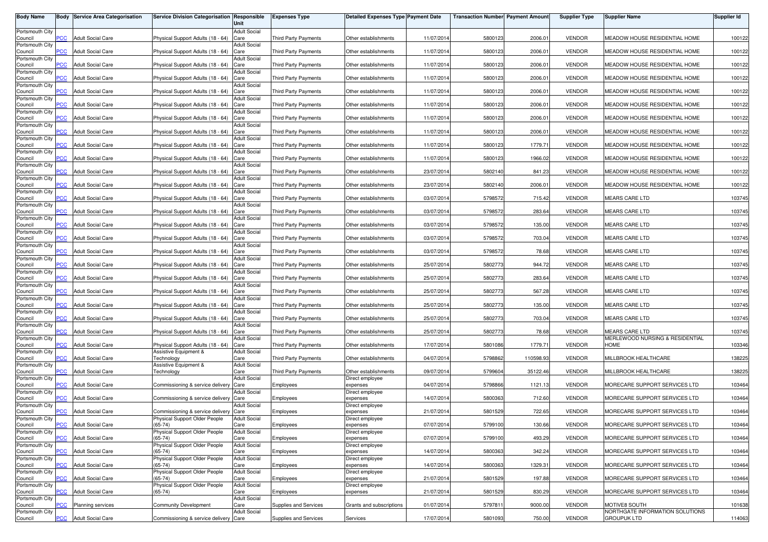| <b>Body Name</b>           | Body           | <b>Service Area Categorisation</b> | Service Division Categorisation Responsible | Unit                        | <b>Expenses Type</b>        | <b>Detailed Expenses Type Payment Date</b> |            | <b>Transaction Number Payment Amount</b> |           | <b>Supplier Type</b> | <b>Supplier Name</b>                             | <b>Supplier Id</b> |
|----------------------------|----------------|------------------------------------|---------------------------------------------|-----------------------------|-----------------------------|--------------------------------------------|------------|------------------------------------------|-----------|----------------------|--------------------------------------------------|--------------------|
| Portsmouth City            |                |                                    |                                             | <b>Adult Social</b>         |                             |                                            |            |                                          |           |                      |                                                  |                    |
| Council                    | <b>PCC</b>     | <b>Adult Social Care</b>           | Physical Support Adults (18 - 64)           | Care                        | <b>Third Party Payments</b> | Other establishments                       | 11/07/2014 | 5800123                                  | 2006.01   | <b>VENDOR</b>        | MEADOW HOUSE RESIDENTIAL HOME                    | 100122             |
| Portsmouth City<br>Council | <b>PCC</b>     | <b>Adult Social Care</b>           | Physical Support Adults (18 - 64)           | <b>Adult Social</b><br>Care | <b>Third Party Payments</b> | Other establishments                       | 11/07/2014 | 5800123                                  | 2006.01   | <b>VENDOR</b>        | MEADOW HOUSE RESIDENTIAL HOME                    | 100122             |
| Portsmouth City            |                |                                    |                                             | <b>Adult Social</b>         |                             |                                            |            |                                          |           |                      |                                                  |                    |
| Council                    | $\overline{C}$ | <b>Adult Social Care</b>           | Physical Support Adults (18 - 64)           | Care                        | Third Party Payments        | Other establishments                       | 11/07/2014 | 5800123                                  | 2006.01   | <b>VENDOR</b>        | MEADOW HOUSE RESIDENTIAL HOME                    | 100122             |
| Portsmouth City<br>Council | сC             | <b>Adult Social Care</b>           | Physical Support Adults (18 - 64)           | <b>Adult Social</b><br>Care | Third Party Payments        | Other establishments                       | 11/07/2014 | 5800123                                  | 2006.01   | <b>VENDOR</b>        | MEADOW HOUSE RESIDENTIAL HOME                    | 100122             |
| Portsmouth City            |                |                                    |                                             | <b>Adult Social</b>         |                             |                                            |            |                                          |           |                      |                                                  |                    |
| Council<br>Portsmouth City | PCC            | <b>Adult Social Care</b>           | Physical Support Adults (18 - 64)           | Care<br><b>Adult Social</b> | <b>Third Party Payments</b> | Other establishments                       | 11/07/201  | 5800123                                  | 2006.01   | <b>VENDOR</b>        | MEADOW HOUSE RESIDENTIAL HOME                    | 100122             |
| Council                    | <b>PCC</b>     | <b>Adult Social Care</b>           | Physical Support Adults (18 - 64)           | Care                        | Third Party Payments        | Other establishments                       | 11/07/2014 | 5800123                                  | 2006.01   | <b>VENDOR</b>        | MEADOW HOUSE RESIDENTIAL HOME                    | 100122             |
| Portsmouth City<br>Council | PCC.           | <b>Adult Social Care</b>           | Physical Support Adults (18 - 64)           | <b>Adult Social</b><br>Care | Third Party Payments        | Other establishments                       | 11/07/2014 | 5800123                                  | 2006.01   | <b>VENDOR</b>        | MEADOW HOUSE RESIDENTIAL HOME                    | 100122             |
| Portsmouth City            |                |                                    |                                             | <b>Adult Social</b>         |                             |                                            |            |                                          |           |                      |                                                  |                    |
| Council<br>Portsmouth City | PСC            | <b>Adult Social Care</b>           | Physical Support Adults (18 - 64)           | Care<br><b>Adult Social</b> | Third Party Payments        | Other establishments                       | 11/07/2014 | 5800123                                  | 2006.01   | <b>VENDOR</b>        | MEADOW HOUSE RESIDENTIAL HOME                    | 100122             |
| Council                    | сc             | <b>Adult Social Care</b>           | Physical Support Adults (18 - 64)           | Care                        | <b>Third Party Payments</b> | Other establishments                       | 11/07/2014 | 5800123                                  | 1779.71   | <b>VENDOR</b>        | MEADOW HOUSE RESIDENTIAL HOME                    | 100122             |
| Portsmouth City<br>Council | $\overline{C}$ | <b>Adult Social Care</b>           | Physical Support Adults (18 - 64)           | <b>Adult Social</b><br>Care | <b>Third Party Payments</b> | Other establishments                       | 11/07/2014 | 5800123                                  | 1966.02   | <b>VENDOR</b>        | MEADOW HOUSE RESIDENTIAL HOME                    | 100122             |
| Portsmouth City            |                |                                    |                                             | <b>Adult Social</b>         |                             |                                            |            |                                          |           |                      |                                                  |                    |
| Council<br>Portsmouth City | PСC            | <b>Adult Social Care</b>           | Physical Support Adults (18 - 64)           | Care<br>Adult Social        | Third Party Payments        | Other establishments                       | 23/07/2014 | 5802140                                  | 841.23    | <b>VENDOR</b>        | MEADOW HOUSE RESIDENTIAL HOME                    | 100122             |
| Council                    | PCC            | <b>Adult Social Care</b>           | Physical Support Adults (18 - 64)           | Care                        | Third Party Payments        | Other establishments                       | 23/07/2014 | 5802140                                  | 2006.01   | <b>VENDOR</b>        | MEADOW HOUSE RESIDENTIAL HOME                    | 100122             |
| Portsmouth City            | PСC            | <b>Adult Social Care</b>           | Physical Support Adults (18 - 64)           | <b>Adult Social</b><br>Care | Third Party Payments        | Other establishments                       | 03/07/2014 | 5798572                                  | 715.42    | <b>VENDOR</b>        | <b>MEARS CARE LTD</b>                            | 103745             |
| Council<br>Portsmouth City |                |                                    |                                             | <b>Adult Social</b>         |                             |                                            |            |                                          |           |                      |                                                  |                    |
| Council                    | <b>PCC</b>     | <b>Adult Social Care</b>           | Physical Support Adults (18 - 64)           | Care                        | Third Party Payments        | Other establishments                       | 03/07/201  | 5798572                                  | 283.64    | <b>VENDOR</b>        | MEARS CARE LTD                                   | 103745             |
| Portsmouth City<br>Council | PCC            | <b>Adult Social Care</b>           | Physical Support Adults (18 - 64)           | <b>Adult Social</b><br>Care | Third Party Payments        | Other establishments                       | 03/07/2014 | 5798572                                  | 135.00    | <b>VENDOR</b>        | <b>MEARS CARE LTD</b>                            | 103745             |
| Portsmouth City            |                |                                    |                                             | <b>Adult Social</b>         |                             |                                            |            |                                          |           |                      |                                                  |                    |
| Council<br>Portsmouth City | <b>PCC</b>     | <b>Adult Social Care</b>           | Physical Support Adults (18 - 64)           | Care<br><b>Adult Social</b> | <b>Third Party Payments</b> | Other establishments                       | 03/07/2014 | 5798572                                  | 703.04    | <b>VENDOR</b>        | <b>MEARS CARE LTD</b>                            | 103745             |
| Council                    | PCC            | <b>Adult Social Care</b>           | Physical Support Adults (18 - 64)           | Care                        | <b>Third Party Payments</b> | Other establishments                       | 03/07/2014 | 5798572                                  | 78.68     | <b>VENDOR</b>        | <b>MEARS CARE LTD</b>                            | 103745             |
| Portsmouth City<br>Council | сC             | Adult Social Care                  | Physical Support Adults (18 - 64)           | <b>Adult Social</b><br>Care | <b>Third Party Payments</b> | Other establishments                       | 25/07/2014 | 5802773                                  | 944.72    | <b>VENDOR</b>        | <b>MEARS CARE LTD</b>                            | 103745             |
| Portsmouth City            |                |                                    |                                             | <b>Adult Social</b>         |                             |                                            |            |                                          |           |                      |                                                  |                    |
| Council<br>Portsmouth City | PCC            | <b>Adult Social Care</b>           | Physical Support Adults (18 - 64)           | Care<br><b>Adult Social</b> | <b>Third Party Payments</b> | Other establishments                       | 25/07/201  | 5802773                                  | 283.64    | <b>VENDOR</b>        | MEARS CARE LTD                                   | 103745             |
| Council                    | PCC            | <b>Adult Social Care</b>           | Physical Support Adults (18 - 64)           | Care                        | <b>Third Party Payments</b> | Other establishments                       | 25/07/2014 | 5802773                                  | 567.28    | <b>VENDOR</b>        | <b>MEARS CARE LTD</b>                            | 103745             |
| Portsmouth City<br>Council | PCC            | <b>Adult Social Care</b>           | Physical Support Adults (18 - 64)           | <b>Adult Social</b><br>Care | <b>Third Party Payments</b> | Other establishments                       | 25/07/201  | 5802773                                  | 135.00    | <b>VENDOR</b>        | MEARS CARE LTD                                   | 103745             |
| Portsmouth City            |                |                                    |                                             | <b>Adult Social</b>         |                             |                                            |            |                                          |           |                      |                                                  |                    |
| Council<br>Portsmouth City | PСC            | <b>Adult Social Care</b>           | Physical Support Adults (18 - 64)           | Care<br><b>Adult Social</b> | Third Party Payments        | Other establishments                       | 25/07/2014 | 5802773                                  | 703.04    | <b>VENDOR</b>        | <b>MEARS CARE LTD</b>                            | 103745             |
| Council                    | PСC            | <b>Adult Social Care</b>           | Physical Support Adults (18 - 64)           | Care                        | Third Party Payments        | Other establishments                       | 25/07/201  | 5802773                                  | 78.68     | <b>VENDOR</b>        | MEARS CARE LTD                                   | 103745             |
| Portsmouth City<br>Council | <b>PCC</b>     | <b>Adult Social Care</b>           | Physical Support Adults (18 - 64)           | <b>Adult Social</b><br>Care | Third Party Payments        | Other establishments                       | 17/07/2014 | 5801086                                  | 1779.71   | <b>VENDOR</b>        | MERLEWOOD NURSING & RESIDENTIAL<br>HOME          | 103346             |
| Portsmouth City            |                |                                    | Assistive Equipment &                       | <b>Adult Social</b>         |                             |                                            |            |                                          |           |                      |                                                  |                    |
| Council<br>Portsmouth City | PCC.           | <b>Adult Social Care</b>           | <b>Fechnology</b><br>Assistive Equipment &  | Care<br><b>Adult Social</b> | <b>Third Party Payments</b> | Other establishments                       | 04/07/2014 | 5798862                                  | 110598.93 | <b>VENDOR</b>        | MILLBROOK HEALTHCARE                             | 138225             |
| Council                    | <b>PCC</b>     | <b>Adult Social Care</b>           | <b>Technology</b>                           | Care                        | Third Party Payments        | Other establishments                       | 09/07/2014 | 5799604                                  | 35122.46  | <b>VENDOR</b>        | MILLBROOK HEALTHCARE                             | 138225             |
| Portsmouth City            | сC             | <b>Adult Social Care</b>           |                                             | <b>Adult Social</b>         |                             | Direct employee                            | 04/07/2014 |                                          |           | <b>VENDOR</b>        | MORECARE SUPPORT SERVICES LTD                    |                    |
| Council<br>Portsmouth City |                |                                    | Commissioning & service delivery            | Care<br><b>Adult Social</b> | Employees                   | expenses<br>Direct employee                |            | 5798866                                  | 1121.13   |                      |                                                  | 103464             |
| Council                    | <b>PCC</b>     | <b>Adult Social Care</b>           | Commissioning & service delivery            | Care                        | Employees                   | expenses                                   | 14/07/2014 | 5800363                                  | 712.60    | <b>VENDOR</b>        | MORECARE SUPPORT SERVICES LTD                    | 103464             |
| Portsmouth City<br>Council | <b>PCC</b>     | <b>Adult Social Care</b>           | Commissioning & service delivery            | <b>Adult Social</b><br>Care | Employees                   | Direct employee<br>expenses                | 21/07/2014 | 5801529                                  | 722.65    | <b>VENDOR</b>        | MORECARE SUPPORT SERVICES LTD                    | 103464             |
| Portsmouth City            |                |                                    | Physical Support Older People               | <b>Adult Social</b>         |                             | Direct employee                            |            |                                          |           |                      |                                                  |                    |
| Council<br>Portsmouth City | <b>PCC</b>     | <b>Adult Social Care</b>           | $(65-74)$<br>Physical Support Older People  | Care<br><b>Adult Social</b> | Employees                   | expenses<br>Direct employee                | 07/07/2014 | 5799100                                  | 130.66    | <b>VENDOR</b>        | MORECARE SUPPORT SERVICES LTD                    | 103464             |
| Council                    | <b>PCC</b>     | <b>Adult Social Care</b>           | $(65-74)$                                   | Care                        | Employees                   | expenses                                   | 07/07/2014 | 5799100                                  | 493.29    | <b>VENDOR</b>        | MORECARE SUPPORT SERVICES LTD                    | 103464             |
| Portsmouth City<br>Council | PCC            | <b>Adult Social Care</b>           | Physical Support Older People<br>$(65-74)$  | <b>Adult Social</b><br>Care | Employees                   | Direct employee<br>expenses                | 14/07/2014 | 5800363                                  | 342.24    | <b>VENDOR</b>        | MORECARE SUPPORT SERVICES LTD                    | 103464             |
| Portsmouth City            |                |                                    | Physical Support Older People               | <b>Adult Social</b>         |                             | Direct employee                            |            |                                          |           |                      |                                                  |                    |
| Council<br>Portsmouth City | PCC            | <b>Adult Social Care</b>           | $(65-74)$<br>Physical Support Older People  | Care<br><b>Adult Social</b> | Employees                   | expenses<br>Direct employee                | 14/07/2014 | 5800363                                  | 1329.31   | <b>VENDOR</b>        | MORECARE SUPPORT SERVICES LTD                    | 103464             |
| Council                    | PСC            | <b>Adult Social Care</b>           | $(65-74)$                                   | Care                        | Employees                   | expenses                                   | 21/07/2014 | 5801529                                  | 197.88    | <b>VENDOR</b>        | MORECARE SUPPORT SERVICES LTD                    | 103464             |
| Portsmouth City<br>Council | PCC            | <b>Adult Social Care</b>           | Physical Support Older People<br>$(65-74)$  | <b>Adult Social</b><br>Care | Employees                   | Direct employee<br>expenses                | 21/07/2014 | 5801529                                  | 830.29    | <b>VENDOR</b>        | MORECARE SUPPORT SERVICES LTD                    | 103464             |
| Portsmouth City            |                |                                    |                                             | <b>Adult Social</b>         |                             |                                            |            |                                          |           |                      |                                                  |                    |
| Council<br>Portsmouth City | сC             | <b>Planning services</b>           | Community Development                       | Care<br><b>Adult Social</b> | Supplies and Services       | Grants and subscriptions                   | 01/07/2014 | 579781                                   | 9000.00   | <b>VENDOR</b>        | MOTIVE8 SOUTH<br>NORTHGATE INFORMATION SOLUTIONS | 101638             |
| Council                    | PCC            | <b>Adult Social Care</b>           | Commissioning & service delivery Care       |                             | Supplies and Services       | Services                                   | 17/07/2014 | 5801093                                  | 750.00    | <b>VENDOR</b>        | <b>GROUPUK LTD</b>                               | 114063             |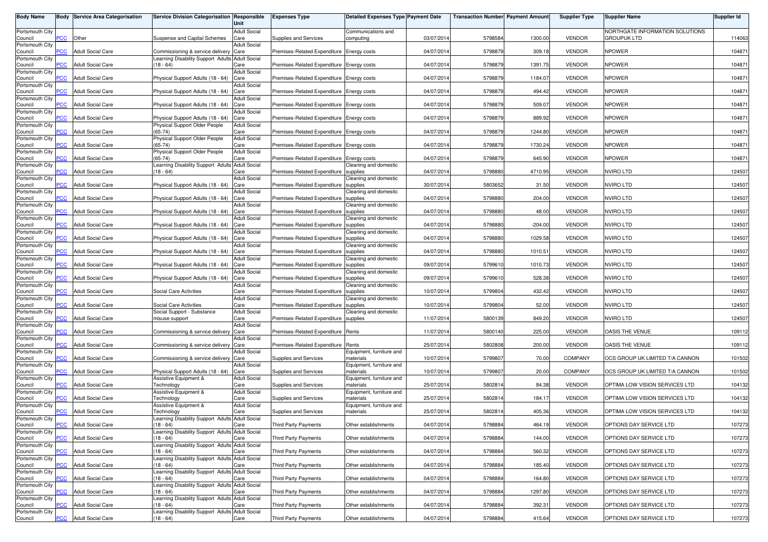| <b>Body Name</b>           |                | <b>Body Service Area Categorisation</b> | Service Division Categorisation Responsible                        | Unit                        | <b>Expenses Type</b>                      | Detailed Expenses Type Payment Date   |            | <b>Transaction Number Payment Amount</b> |           | <b>Supplier Type</b> | <b>Supplier Name</b>                           | <b>Supplier Id</b> |
|----------------------------|----------------|-----------------------------------------|--------------------------------------------------------------------|-----------------------------|-------------------------------------------|---------------------------------------|------------|------------------------------------------|-----------|----------------------|------------------------------------------------|--------------------|
| Portsmouth City<br>Council | <b>PCC</b>     | Other                                   | Suspense and Capital Schemes                                       | <b>Adult Social</b><br>Care | Supplies and Services                     | Communications and<br>computing       | 03/07/2014 | 5798584                                  | 1300.00   | <b>VENDOR</b>        | NORTHGATE INFORMATION SOLUTIONS<br>GROUPUK LTD | 114063             |
| Portsmouth City<br>Council | $\overline{C}$ | <b>Adult Social Care</b>                | Commissioning & service delivery                                   | <b>Adult Social</b><br>Care | Premises-Related Expenditure Energy costs |                                       | 04/07/2014 | 5798879                                  | 309.18    | <b>VENDOR</b>        | <b>NPOWER</b>                                  | 104871             |
| Portsmouth City<br>Council | <b>PCC</b>     | <b>Adult Social Care</b>                | earning Disability Support Adults Adult Social<br>$18 - 64$        | Care                        | Premises-Related Expenditure Energy costs |                                       | 04/07/2014 | 5798879                                  | 1391.75   | <b>VENDOR</b>        | <b>NPOWER</b>                                  | 104871             |
| Portsmouth City<br>Council | сC             | <b>Adult Social Care</b>                | Physical Support Adults (18 - 64)                                  | <b>Adult Social</b><br>Care | Premises-Related Expenditure Energy costs |                                       | 04/07/2014 | 5798879                                  | 1184.07   | <b>VENDOR</b>        | <b>NPOWER</b>                                  | 104871             |
| Portsmouth City            |                |                                         |                                                                    | <b>Adult Social</b>         |                                           |                                       |            |                                          |           |                      |                                                |                    |
| Council<br>Portsmouth City | PСC            | <b>Adult Social Care</b>                | Physical Support Adults (18 - 64)                                  | Care<br><b>Adult Social</b> | Premises-Related Expenditure Energy costs |                                       | 04/07/2014 | 5798879                                  | 494.42    | <b>VENDOR</b>        | NPOWER                                         | 104871             |
| Council<br>Portsmouth City | PСC            | <b>Adult Social Care</b>                | Physical Support Adults (18 - 64)                                  | Care<br><b>Adult Social</b> | Premises-Related Expenditure Energy costs |                                       | 04/07/2014 | 5798879                                  | 509.07    | <b>VENDOR</b>        | <b>NPOWER</b>                                  | 104871             |
| Council<br>Portsmouth City | <b>PCC</b>     | <b>Adult Social Care</b>                | Physical Support Adults (18 - 64)<br>Physical Support Older People | Care<br><b>Adult Social</b> | Premises-Related Expenditure Energy costs |                                       | 04/07/2014 | 5798879                                  | 889.92    | <b>VENDOR</b>        | <b>NPOWER</b>                                  | 104871             |
| Council<br>Portsmouth City | <b>PCC</b>     | <b>Adult Social Care</b>                | $(65-74)$                                                          | Care<br><b>Adult Social</b> | Premises-Related Expenditure Energy costs |                                       | 04/07/2014 | 5798879                                  | 1244.80   | <b>VENDOR</b>        | <b>NPOWER</b>                                  | 104871             |
| Council                    | <b>PCC</b>     | <b>Adult Social Care</b>                | Physical Support Older People<br>$65 - 74$                         | Care                        | Premises-Related Expenditure Energy costs |                                       | 04/07/2014 | 5798879                                  | 1730.24   | <b>VENDOR</b>        | <b>NPOWER</b>                                  | 104871             |
| Portsmouth City<br>Council | $\overline{C}$ | <b>Adult Social Care</b>                | Physical Support Older People<br>$(65-74)$                         | <b>Adult Social</b><br>Care | Premises-Related Expenditure Energy costs |                                       | 04/07/2014 | 5798879                                  | 645.90    | <b>VENDOR</b>        | NPOWER                                         | 104871             |
| Portsmouth City<br>Council | PСC            | <b>Adult Social Care</b>                | earning Disability Support Adults Adult Social<br>$18 - 64$        | Care                        | Premises-Related Expenditure              | Cleaning and domestic<br>supplies     | 04/07/2014 | 5798880                                  | 4710.95   | <b>VENDOR</b>        | <b>NVIRO LTD</b>                               | 124507             |
| Portsmouth City<br>Council | PCC            | <b>Adult Social Care</b>                | Physical Support Adults (18 - 64)                                  | <b>Adult Social</b><br>Care | Premises-Related Expenditure              | Cleaning and domestic<br>supplies     | 30/07/2014 | 5803652                                  | 31.50     | <b>VENDOR</b>        | <b>NVIRO LTD</b>                               | 124507             |
| Portsmouth City<br>Council | сC             | <b>Adult Social Care</b>                | Physical Support Adults (18 - 64)                                  | <b>Adult Social</b><br>Care | Premises-Related Expenditure              | Cleaning and domestic<br>supplies     | 04/07/2014 | 5798880                                  | 204.00    | <b>VENDOR</b>        | <b>NVIRO LTD</b>                               | 124507             |
| Portsmouth City            | PCC            |                                         |                                                                    | <b>Adult Social</b>         | Premises-Related Expenditure              | Cleaning and domestic                 |            |                                          |           |                      |                                                |                    |
| Council<br>Portsmouth City |                | <b>Adult Social Care</b>                | Physical Support Adults (18 - 64)                                  | Care<br><b>Adult Social</b> |                                           | supplies<br>Cleaning and domestic     | 04/07/201  | 5798880                                  | 48.00     | <b>VENDOR</b>        | <b>NVIRO LTD</b>                               | 124507             |
| Council<br>Portsmouth City | PСC            | <b>Adult Social Care</b>                | Physical Support Adults (18 - 64)                                  | Care<br><b>Adult Social</b> | Premises-Related Expenditure              | supplies<br>Cleaning and domestic     | 04/07/2014 | 5798880                                  | $-204.00$ | <b>VENDOR</b>        | <b>NVIRO LTD</b>                               | 124507             |
| Council<br>Portsmouth City | PCC            | <b>Adult Social Care</b>                | Physical Support Adults (18 - 64)                                  | Care<br><b>Adult Social</b> | Premises-Related Expenditure              | supplies<br>Cleaning and domestic     | 04/07/2014 | 5798880                                  | 1029.58   | <b>VENDOR</b>        | <b>NVIRO LTD</b>                               | 124507             |
| Council<br>Portsmouth City | PCC            | <b>Adult Social Care</b>                | Physical Support Adults (18 - 64)                                  | Care<br><b>Adult Social</b> | Premises-Related Expenditure              | supplies<br>Cleaning and domestic     | 04/07/2014 | 5798880                                  | 1010.51   | <b>VENDOR</b>        | <b>NVIRO LTD</b>                               | 124507             |
| Council                    | сC             | <b>Adult Social Care</b>                | Physical Support Adults (18 - 64)                                  | Care                        | Premises-Related Expenditure              | supplies                              | 09/07/201  | 5799610                                  | 1010.73   | <b>VENDOR</b>        | <b>NVIRO LTD</b>                               | 124507             |
| Portsmouth City<br>Council | PCC            | <b>Adult Social Care</b>                | Physical Support Adults (18 - 64)                                  | <b>Adult Social</b><br>Care | Premises-Related Expenditure              | Cleaning and domestic<br>supplies     | 09/07/2014 | 5799610                                  | 528.38    | <b>VENDOR</b>        | <b>NVIRO LTD</b>                               | 124507             |
| Portsmouth City<br>Council | <b>PCC</b>     | <b>Adult Social Care</b>                | <b>Social Care Activities</b>                                      | <b>Adult Social</b><br>Care | Premises-Related Expenditure              | Cleaning and domestic<br>supplies     | 10/07/2014 | 5799804                                  | 432.42    | <b>VENDOR</b>        | <b>NVIRO LTD</b>                               | 124507             |
| Portsmouth City<br>Council | PCC            | <b>Adult Social Care</b>                | Social Care Activities                                             | <b>Adult Social</b><br>Care | Premises-Related Expenditure              | Cleaning and domestic<br>supplies     | 10/07/2014 | 5799804                                  | 52.00     | <b>VENDOR</b>        | <b>NVIRO LTD</b>                               | 124507             |
| Portsmouth City<br>Council | сC             | <b>Adult Social Care</b>                | Social Support - Substance<br>misuse support                       | <b>Adult Social</b><br>Care | Premises-Related Expenditure              | Cleaning and domestic<br>supplies     | 11/07/201  | 5800139                                  | 849.20    | <b>VENDOR</b>        | <b>NVIRO LTD</b>                               | 124507             |
| Portsmouth City<br>Council | PСC            | <b>Adult Social Care</b>                | Commissioning & service delivery                                   | <b>Adult Social</b><br>Care | Premises-Related Expenditure              | Rents                                 | 11/07/201  | 5800140                                  | 225.00    | <b>VENDOR</b>        | OASIS THE VENUE                                | 109112             |
| Portsmouth City            |                |                                         |                                                                    | <b>Adult Social</b>         |                                           |                                       |            |                                          |           | <b>VENDOR</b>        | OASIS THE VENUE                                |                    |
| Council<br>Portsmouth City | PСC            | <b>Adult Social Care</b>                | Commissioning & service delivery                                   | Care<br><b>Adult Social</b> | Premises-Related Expenditure              | Rents<br>Equipment, furniture and     | 25/07/2014 | 5802808                                  | 200.00    |                      |                                                | 109112             |
| Council<br>Portsmouth City | <b>PCC</b>     | <b>Adult Social Care</b>                | Commissioning & service delivery                                   | Care<br><b>Adult Social</b> | Supplies and Services                     | materials<br>Equipment, furniture and | 10/07/2014 | 5799807                                  | 70.00     | <b>COMPANY</b>       | OCS GROUP UK LIMITED T/A CANNON                | 101502             |
| Council<br>Portsmouth City | <b>PCC</b>     | <b>Adult Social Care</b>                | Physical Support Adults (18 - 64)<br>Assistive Equipment &         | Care<br><b>Adult Social</b> | Supplies and Services                     | materials<br>Equipment, furniture and | 10/07/2014 | 5799807                                  | 20.00     | COMPANY              | OCS GROUP UK LIMITED T/A CANNON                | 101502             |
| Council<br>Portsmouth City | PСC            | <b>Adult Social Care</b>                | echnology<br>Assistive Equipment &                                 | Care<br><b>Adult Social</b> | Supplies and Services                     | naterials<br>Equipment, furniture and | 25/07/201  | 5802814                                  | 84.38     | <b>VENDOR</b>        | OPTIMA LOW VISION SERVICES LTD                 | 104132             |
| Council                    | $\overline{C}$ | <b>Adult Social Care</b>                | Technology                                                         | Care                        | <b>Supplies and Services</b>              | naterials                             | 25/07/2014 | 5802814                                  | 184.17    | <b>VENDOR</b>        | OPTIMA LOW VISION SERVICES LTD                 | 104132             |
| Portsmouth City<br>Council | <b>PCC</b>     | <b>Adult Social Care</b>                | Assistive Equipment &<br>Technology                                | <b>Adult Social</b><br>Care | Supplies and Services                     | Equipment, furniture and<br>materials | 25/07/2014 | 580281                                   | 405.36    | <b>VENDOR</b>        | OPTIMA LOW VISION SERVICES LTD                 | 104132             |
| Portsmouth City<br>Council | <b>PCC</b>     | <b>Adult Social Care</b>                | Learning Disability Support Adults Adult Social<br>$(18 - 64)$     | Care                        | <b>Third Party Payments</b>               | Other establishments                  | 04/07/2014 | 5798884                                  | 464.19    | <b>VENDOR</b>        | OPTIONS DAY SERVICE LTD                        | 107273             |
| Portsmouth City<br>Council | <b>PCC</b>     | <b>Adult Social Care</b>                | Learning Disability Support Adults Adult Social<br>$(18 - 64)$     | Care                        | Third Party Payments                      | Other establishments                  | 04/07/2014 | 5798884                                  | 144.00    | <b>VENDOR</b>        | OPTIONS DAY SERVICE LTD                        | 107273             |
| Portsmouth City<br>Council | <b>PCC</b>     | <b>Adult Social Care</b>                | Learning Disability Support Adults Adult Social<br>$(18 - 64)$     | Care                        | Third Party Payments                      | Other establishments                  | 04/07/2014 | 5798884                                  | 560.32    | <b>VENDOR</b>        | OPTIONS DAY SERVICE LTD                        | 107273             |
| Portsmouth City            |                |                                         | Learning Disability Support Adults Adult Social                    |                             |                                           |                                       |            |                                          |           |                      |                                                |                    |
| Council<br>Portsmouth City | <b>PCC</b>     | <b>Adult Social Care</b>                | (18 - 64)<br>Learning Disability Support Adults Adult Social       | Care                        | Third Party Payments                      | Other establishments                  | 04/07/2014 | 5798884                                  | 185.40    | VENDOR               | OPTIONS DAY SERVICE LTD                        | 107273             |
| Council<br>Portsmouth City | PCC.           | <b>Adult Social Care</b>                | (18 - 64)<br>Learning Disability Support Adults Adult Social       | Care                        | Third Party Payments                      | Other establishments                  | 04/07/2014 | 5798884                                  | 164.80    | <b>VENDOR</b>        | OPTIONS DAY SERVICE LTD                        | 107273             |
| Council<br>Portsmouth City | PCC            | <b>Adult Social Care</b>                | $(18 - 64)$<br>Learning Disability Support Adults Adult Social     | Care                        | Third Party Payments                      | Other establishments                  | 04/07/2014 | 5798884                                  | 1297.80   | <b>VENDOR</b>        | OPTIONS DAY SERVICE LTD                        | 107273             |
| Council<br>Portsmouth City | сC             | <b>Adult Social Care</b>                | $18 - 64$<br>Learning Disability Support Adults Adult Social       | Care                        | Third Party Payments                      | Other establishments                  | 04/07/2014 | 5798884                                  | 392.31    | <b>VENDOR</b>        | OPTIONS DAY SERVICE LTD                        | 107273             |
| Council                    | <b>PCC</b>     | <b>Adult Social Care</b>                | $(18 - 64)$                                                        | Care                        | <b>Third Party Payments</b>               | Other establishments                  | 04/07/2014 | 5798884                                  | 415.64    | VENDOR               | OPTIONS DAY SERVICE LTD                        | 107273             |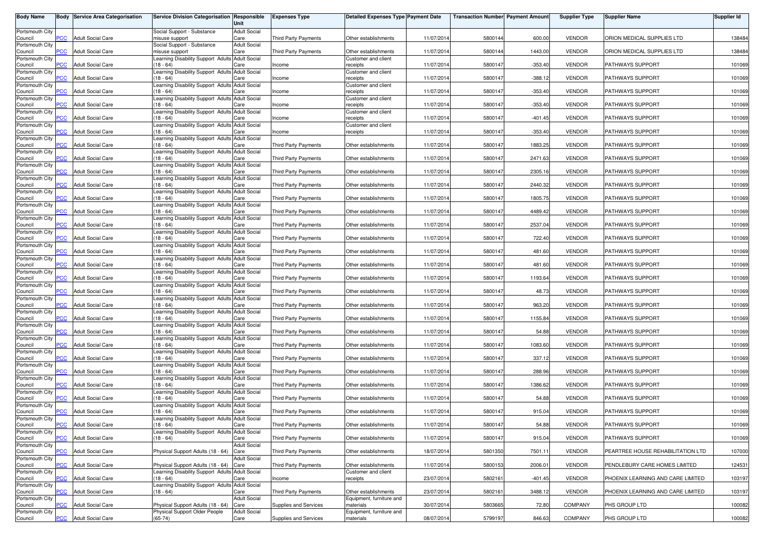| <b>Body Name</b>           |                | <b>Body Service Area Categorisation</b> | Service Division Categorisation Responsible                        | Unit                        | <b>Expenses Type</b>        | Detailed Expenses Type Payment Date                |            | <b>Transaction Number Payment Amount</b> |           | <b>Supplier Type</b> | <b>Supplier Name</b>              | <b>Supplier Id</b> |
|----------------------------|----------------|-----------------------------------------|--------------------------------------------------------------------|-----------------------------|-----------------------------|----------------------------------------------------|------------|------------------------------------------|-----------|----------------------|-----------------------------------|--------------------|
| Portsmouth City            |                | <b>Adult Social Care</b>                | Social Support - Substance                                         | <b>Adult Social</b>         |                             |                                                    |            |                                          |           |                      |                                   |                    |
| Council<br>Portsmouth City | PCC            |                                         | misuse support<br>Social Support - Substance                       | Care<br><b>Adult Social</b> | Third Party Payments        | Other establishments                               | 11/07/2014 | 5800144                                  | 600.00    | <b>VENDOR</b>        | ORION MEDICAL SUPPLIES LTD        | 138484             |
| Council<br>Portsmouth City | <b>PCC</b>     | <b>Adult Social Care</b>                | misuse support<br>earning Disability Support Adults Adult Social   | Care                        | Third Party Payments        | Other establishments<br><b>Customer and client</b> | 11/07/2014 | 5800144                                  | 1443.00   | <b>VENDOR</b>        | ORION MEDICAL SUPPLIES LTD        | 138484             |
| Council<br>Portsmouth City | $\overline{C}$ | <b>Adult Social Care</b>                | $18 - 64$<br>Learning Disability Support Adults Adult Social       | Care                        | ncome                       | receipts<br>Customer and client                    | 11/07/2014 | 5800147                                  | $-353.40$ | <b>VENDOR</b>        | PATHWAYS SUPPORT                  | 101069             |
| Council                    | сC             | <b>Adult Social Care</b>                | $18 - 64$                                                          | Care                        | ncome                       | receipts                                           | 11/07/2014 | 5800147                                  | $-388.12$ | <b>VENDOR</b>        | PATHWAYS SUPPORT                  | 101069             |
| Portsmouth City<br>Council | <b>PCC</b>     | <b>Adult Social Care</b>                | Learning Disability Support Adults Adult Social<br>$(18 - 64)$     | Care                        | Income                      | Customer and client<br>receipts                    | 11/07/2014 | 5800147                                  | $-353.40$ | <b>VENDOR</b>        | PATHWAYS SUPPORT                  | 101069             |
| Portsmouth City<br>Council | PСC            | <b>Adult Social Care</b>                | earning Disability Support Adults Adult Social<br>$(18 - 64)$      | Care                        | Income                      | Customer and client<br>receipts                    | 11/07/2014 | 5800147                                  | $-353.40$ | <b>VENDOR</b>        | PATHWAYS SUPPORT                  | 101069             |
| Portsmouth City            |                |                                         | Learning Disability Support Adults Adult Social                    |                             |                             | Customer and client                                |            |                                          |           |                      |                                   |                    |
| Council<br>Portsmouth City | <b>PCC</b>     | <b>Adult Social Care</b>                | $(18 - 64)$<br>Learning Disability Support Adults Adult Social     | Care                        | Income                      | receipts<br>Customer and client                    | 11/07/2014 | 5800147                                  | $-401.45$ | <b>VENDOR</b>        | PATHWAYS SUPPORT                  | 101069             |
| Council<br>Portsmouth City | <b>PCC</b>     | <b>Adult Social Care</b>                | $(18 - 64)$<br>Learning Disability Support Adults Adult Social     | Care                        | Income                      | receipts                                           | 11/07/2014 | 5800147                                  | $-353.40$ | <b>VENDOR</b>        | PATHWAYS SUPPORT                  | 101069             |
| Council                    | <b>PCC</b>     | <b>Adult Social Care</b>                | $18 - 64$                                                          | Care                        | <b>Third Party Payments</b> | Other establishments                               | 11/07/2014 | 5800147                                  | 1883.25   | <b>VENDOR</b>        | PATHWAYS SUPPORT                  | 101069             |
| Portsmouth City<br>Council | <b>PCC</b>     | <b>Adult Social Care</b>                | earning Disability Support Adults Adult Social<br>$18 - 64$        | Care                        | Third Party Payments        | Other establishments                               | 11/07/2014 | 5800147                                  | 2471.63   | <b>VENDOR</b>        | PATHWAYS SUPPORT                  | 101069             |
| Portsmouth City<br>Council | PCC            | <b>Adult Social Care</b>                | earning Disability Support Adults Adult Social<br>$18 - 64$        | Care                        | Third Party Payments        | Other establishments                               | 11/07/2014 | 5800147                                  | 2305.16   | <b>VENDOR</b>        | PATHWAYS SUPPORT                  | 101069             |
| Portsmouth City<br>Council | PCC            | <b>Adult Social Care</b>                | Learning Disability Support Adults Adult Social<br>$(18 - 64)$     | Care                        | <b>Third Party Payments</b> | Other establishments                               | 11/07/2014 | 5800147                                  | 2440.32   | <b>VENDOR</b>        | PATHWAYS SUPPORT                  | 101069             |
| Portsmouth City            |                |                                         | Learning Disability Support Adults Adult Social                    |                             |                             |                                                    |            |                                          |           |                      |                                   |                    |
| Council<br>Portsmouth City | <b>CC</b>      | <b>Adult Social Care</b>                | $(18 - 64)$<br>Learning Disability Support Adults                  | Care<br><b>Adult Social</b> | Third Party Payments        | Other establishments                               | 11/07/2014 | 5800147                                  | 1805.75   | <b>VENDOR</b>        | PATHWAYS SUPPORT                  | 101069             |
| Council<br>Portsmouth City | PCC            | <b>Adult Social Care</b>                | $(18 - 64)$<br>Learning Disability Support Adults Adult Social     | Care                        | <b>Third Party Payments</b> | Other establishments                               | 11/07/201  | 5800147                                  | 4489.42   | <b>VENDOR</b>        | PATHWAYS SUPPORT                  | 101069             |
| Council                    | PCC            | <b>Adult Social Care</b>                | $(18 - 64)$                                                        | Care                        | Third Party Payments        | Other establishments                               | 11/07/2014 | 5800147                                  | 2537.04   | <b>VENDOR</b>        | PATHWAYS SUPPORT                  | 101069             |
| Portsmouth City<br>Council | PCC            | <b>Adult Social Care</b>                | Learning Disability Support Adults Adult Social<br>$(18 - 64)$     | Care                        | Third Party Payments        | Other establishments                               | 11/07/2014 | 5800147                                  | 722.40    | <b>VENDOR</b>        | PATHWAYS SUPPORT                  | 101069             |
| Portsmouth City<br>Council | <b>PCC</b>     | <b>Adult Social Care</b>                | Learning Disability Support Adults Adult Social<br>$(18 - 64)$     | Care                        | Third Party Payments        | Other establishments                               | 11/07/2014 | 5800147                                  | 481.60    | <b>VENDOR</b>        | PATHWAYS SUPPORT                  | 101069             |
| Portsmouth City            |                |                                         | earning Disability Support Adults                                  | <b>Adult Social</b>         |                             |                                                    |            |                                          |           |                      |                                   |                    |
| Council<br>Portsmouth City | PСC            | <b>Adult Social Care</b>                | $18 - 64$<br>earning Disability Support Adults Adult Social        | Care                        | <b>Third Party Payments</b> | Other establishments                               | 11/07/201  | 5800147                                  | 481.60    | <b>VENDOR</b>        | PATHWAYS SUPPORT                  | 101069             |
| Council<br>Portsmouth City | PCC            | <b>Adult Social Care</b>                | $18 - 64$<br>Learning Disability Support Adults Adult Social       | Care                        | <b>Third Party Payments</b> | Other establishments                               | 11/07/2014 | 5800147                                  | 1193.64   | <b>VENDOR</b>        | PATHWAYS SUPPORT                  | 101069             |
| Council                    | <b>PCC</b>     | <b>Adult Social Care</b>                | (18 - 64)                                                          | Care                        | <b>Third Party Payments</b> | Other establishments                               | 11/07/2014 | 5800147                                  | 48.73     | <b>VENDOR</b>        | PATHWAYS SUPPORT                  | 101069             |
| Portsmouth City<br>Council | PCC            | <b>Adult Social Care</b>                | Learning Disability Support Adults Adult Social<br>$(18 - 64)$     | Care                        | Third Party Payments        | Other establishments                               | 11/07/2014 | 5800147                                  | 963.20    | <b>VENDOR</b>        | PATHWAYS SUPPORT                  | 101069             |
| Portsmouth City<br>Council | PСC            | <b>Adult Social Care</b>                | Learning Disability Support Adults Adult Social<br>$(18 - 64)$     | Care                        | Third Party Payments        | Other establishments                               | 11/07/201  | 5800147                                  | 1155.84   | <b>VENDOR</b>        | PATHWAYS SUPPORT                  | 101069             |
| Portsmouth City<br>Council | PСC            | <b>Adult Social Care</b>                | Learning Disability Support Adults<br>$(18 - 64)$                  | <b>Adult Social</b><br>Care | <b>Third Party Payments</b> | Other establishments                               | 11/07/201  | 5800147                                  | 54.88     | <b>VENDOR</b>        | PATHWAYS SUPPORT                  | 101069             |
| Portsmouth City            |                |                                         | Learning Disability Support Adults Adult Social                    |                             |                             |                                                    |            |                                          |           |                      |                                   |                    |
| Council<br>Portsmouth City | PСC            | <b>Adult Social Care</b>                | $(18 - 64)$<br>Learning Disability Support Adults Adult Social     | Care                        | Third Party Payments        | Other establishments                               | 11/07/2014 | 5800147                                  | 1083.60   | <b>VENDOR</b>        | PATHWAYS SUPPORT                  | 101069             |
| Council<br>Portsmouth City | <b>PCC</b>     | <b>Adult Social Care</b>                | $(18 - 64)$<br>Learning Disability Support Adults Adult Social     | Care                        | Third Party Payments        | Other establishments                               | 11/07/2014 | 5800147                                  | 337.12    | <b>VENDOR</b>        | PATHWAYS SUPPORT                  | 101069             |
| Council                    | <b>PCC</b>     | <b>Adult Social Care</b>                | $(18 - 64)$                                                        | Care                        | <b>Third Party Payments</b> | Other establishments                               | 11/07/2014 | 5800147                                  | 288.96    | <b>VENDOR</b>        | PATHWAYS SUPPORT                  | 101069             |
| Portsmouth City<br>Council | PСC            | <b>Adult Social Care</b>                | earning Disability Support Adults<br>$18 - 64$                     | <b>Adult Social</b><br>Care | <b>Third Party Payments</b> | Other establishments                               | 11/07/201  | 5800147                                  | 1386.62   | <b>VENDOR</b>        | PATHWAYS SUPPORT                  | 101069             |
| Portsmouth City<br>Council | $\overline{C}$ | <b>Adult Social Care</b>                | earning Disability Support Adults Adult Social<br>$18 - 64$        | Care                        | <b>Third Party Payments</b> | Other establishments                               | 11/07/2014 | 5800147                                  | 54.88     | <b>VENDOR</b>        | PATHWAYS SUPPORT                  | 101069             |
| Portsmouth City            |                |                                         | Learning Disability Support Adults Adult Social                    |                             |                             |                                                    |            |                                          |           |                      |                                   |                    |
| Council<br>Portsmouth City | $\overline{C}$ | <b>Adult Social Care</b>                | $18 - 64$<br>Learning Disability Support Adults Adult Social       | Care                        | Third Party Payments        | Other establishments                               | 11/07/2014 | 5800147                                  | 915.04    | <b>VENDOR</b>        | PATHWAYS SUPPORT                  | 101069             |
| Council<br>Portsmouth City | <b>PCC</b>     | <b>Adult Social Care</b>                | $(18 - 64)$<br>Learning Disability Support Adults Adult Social     | Care                        | Third Party Payments        | Other establishments                               | 11/07/2014 | 5800147                                  | 54.88     | <b>VENDOR</b>        | PATHWAYS SUPPORT                  | 101069             |
| Council<br>Portsmouth City | $\overline{C}$ | <b>Adult Social Care</b>                | $(18 - 64)$                                                        | Care                        | Third Party Payments        | Other establishments                               | 11/07/2014 | 5800147                                  | 915.04    | <b>VENDOR</b>        | PATHWAYS SUPPORT                  | 101069             |
| Council                    | PCC            | <b>Adult Social Care</b>                | Physical Support Adults (18 - 64) Care                             | <b>Adult Social</b>         | Third Party Payments        | Other establishments                               | 18/07/2014 | 5801350                                  | 7501.11   | <b>VENDOR</b>        | PEARTREE HOUSE REHABILITATION LTD | 107000             |
| Portsmouth City<br>Council | PCC            | <b>Adult Social Care</b>                | Physical Support Adults (18 - 64) Care                             | <b>Adult Social</b>         | Third Party Payments        | Other establishments                               | 11/07/2014 | 5800153                                  | 2006.01   | <b>VENDOR</b>        | PENDLEBURY CARE HOMES LIMITED     | 124531             |
| Portsmouth City<br>Council | PCC.           | <b>Adult Social Care</b>                | Learning Disability Support Adults Adult Social<br>(18 - 64)       | Care                        | Income                      | Customer and client<br>receipts                    | 23/07/2014 | 5802161                                  | $-401.45$ | <b>VENDOR</b>        | PHOENIX LEARNING AND CARE LIMITED | 103197             |
| Portsmouth City            |                |                                         | Learning Disability Support Adults Adult Social                    |                             |                             |                                                    |            |                                          |           |                      |                                   |                    |
| Council<br>Portsmouth City | PCC            | <b>Adult Social Care</b>                | $(18 - 64)$                                                        | Care<br><b>Adult Social</b> | <b>Third Party Payments</b> | Other establishments<br>Equipment, furniture and   | 23/07/2014 | 5802161                                  | 3488.12   | <b>VENDOR</b>        | PHOENIX LEARNING AND CARE LIMITED | 103197             |
| Council<br>Portsmouth City | сC             | <b>Adult Social Care</b>                | Physical Support Adults (18 - 64)<br>Physical Support Older People | Care<br><b>Adult Social</b> | Supplies and Services       | materials<br>Equipment, furniture and              | 30/07/2014 | 5803665                                  | 72.80     | <b>COMPANY</b>       | PHS GROUP LTD                     | 100082             |
| Council                    | <b>PCC</b>     | <b>Adult Social Care</b>                | $(65-74)$                                                          | Care                        | Supplies and Services       | materials                                          | 08/07/2014 | 5799197                                  | 846.63    | <b>COMPANY</b>       | PHS GROUP LTD                     | 100082             |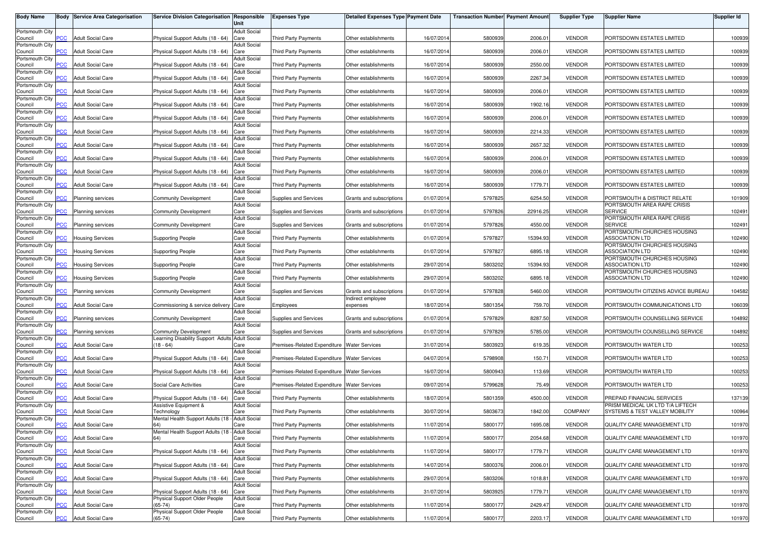| <b>Body Name</b>           | Body           | <b>Service Area Categorisation</b> | Service Division Categorisation Responsible     | Unit                        | <b>Expenses Type</b>                          | <b>Detailed Expenses Type Payment Date</b> |            | <b>Transaction Number Payment Amount</b> |          | <b>Supplier Type</b> | <b>Supplier Name</b>                                           | <b>Supplier Id</b> |
|----------------------------|----------------|------------------------------------|-------------------------------------------------|-----------------------------|-----------------------------------------------|--------------------------------------------|------------|------------------------------------------|----------|----------------------|----------------------------------------------------------------|--------------------|
| Portsmouth City            |                |                                    |                                                 | <b>Adult Social</b>         |                                               |                                            |            |                                          |          |                      |                                                                |                    |
| Council                    | <b>PCC</b>     | <b>Adult Social Care</b>           | Physical Support Adults (18 - 64)               | Care                        | <b>Third Party Payments</b>                   | Other establishments                       | 16/07/2014 | 5800939                                  | 2006.01  | <b>VENDOR</b>        | PORTSDOWN ESTATES LIMITED                                      | 100939             |
| Portsmouth City<br>Council | <b>PCC</b>     | <b>Adult Social Care</b>           | Physical Support Adults (18 - 64)               | <b>Adult Social</b><br>Care | <b>Third Party Payments</b>                   | Other establishments                       | 16/07/2014 | 5800939                                  | 2006.01  | <b>VENDOR</b>        | PORTSDOWN ESTATES LIMITED                                      | 100939             |
| Portsmouth City            |                |                                    |                                                 | <b>Adult Social</b>         |                                               |                                            |            |                                          |          |                      |                                                                |                    |
| Council<br>Portsmouth City | $\overline{C}$ | <b>Adult Social Care</b>           | Physical Support Adults (18 - 64)               | Care<br><b>Adult Social</b> | Third Party Payments                          | Other establishments                       | 16/07/2014 | 5800939                                  | 2550.00  | <b>VENDOR</b>        | PORTSDOWN ESTATES LIMITED                                      | 100939             |
| Council                    | сC             | <b>Adult Social Care</b>           | Physical Support Adults (18 - 64)               | Care                        | Third Party Payments                          | Other establishments                       | 16/07/2014 | 5800939                                  | 2267.34  | <b>VENDOR</b>        | PORTSDOWN ESTATES LIMITED                                      | 100939             |
| Portsmouth City            |                |                                    |                                                 | <b>Adult Social</b>         |                                               |                                            |            |                                          |          |                      |                                                                |                    |
| Council<br>Portsmouth City | PСC            | <b>Adult Social Care</b>           | Physical Support Adults (18 - 64)               | Care<br><b>Adult Social</b> | <b>Third Party Payments</b>                   | Other establishments                       | 16/07/201  | 5800939                                  | 2006.01  | <b>VENDOR</b>        | PORTSDOWN ESTATES LIMITED                                      | 100939             |
| Council                    | PСC            | <b>Adult Social Care</b>           | Physical Support Adults (18 - 64)               | Care                        | Third Party Payments                          | Other establishments                       | 16/07/2014 | 5800939                                  | 1902.16  | <b>VENDOR</b>        | PORTSDOWN ESTATES LIMITED                                      | 100939             |
| Portsmouth City            | PCC.           | <b>Adult Social Care</b>           | Physical Support Adults (18 - 64)               | <b>Adult Social</b><br>Care |                                               | Other establishments                       | 16/07/2014 | 5800939                                  | 2006.01  | <b>VENDOR</b>        |                                                                | 100939             |
| Council<br>Portsmouth City |                |                                    |                                                 | <b>Adult Social</b>         | Third Party Payments                          |                                            |            |                                          |          |                      | PORTSDOWN ESTATES LIMITED                                      |                    |
| Council                    | PСC            | <b>Adult Social Care</b>           | Physical Support Adults (18 - 64)               | Care                        | Third Party Payments                          | Other establishments                       | 16/07/2014 | 5800939                                  | 2214.33  | <b>VENDOR</b>        | PORTSDOWN ESTATES LIMITED                                      | 100939             |
| Portsmouth City<br>Council | сc             | <b>Adult Social Care</b>           | Physical Support Adults (18 - 64)               | <b>Adult Social</b><br>Care | <b>Third Party Payments</b>                   | Other establishments                       | 16/07/2014 | 5800939                                  | 2657.32  | <b>VENDOR</b>        | PORTSDOWN ESTATES LIMITED                                      | 100939             |
| Portsmouth City            |                |                                    |                                                 | <b>Adult Social</b>         |                                               |                                            |            |                                          |          |                      |                                                                |                    |
| Council<br>Portsmouth City | $\overline{C}$ | <b>Adult Social Care</b>           | Physical Support Adults (18 - 64)               | Care<br><b>Adult Social</b> | <b>Third Party Payments</b>                   | Other establishments                       | 16/07/2014 | 5800939                                  | 2006.01  | <b>VENDOR</b>        | PORTSDOWN ESTATES LIMITED                                      | 100939             |
| Council                    | PСC            | <b>Adult Social Care</b>           | Physical Support Adults (18 - 64)               | Care                        | Third Party Payments                          | Other establishments                       | 16/07/2014 | 5800939                                  | 2006.01  | <b>VENDOR</b>        | PORTSDOWN ESTATES LIMITED                                      | 100939             |
| Portsmouth City            |                |                                    |                                                 | <b>Adult Social</b>         |                                               |                                            |            |                                          |          |                      |                                                                |                    |
| Council<br>Portsmouth City | PCC            | <b>Adult Social Care</b>           | Physical Support Adults (18 - 64)               | Care<br><b>Adult Social</b> | Third Party Payments                          | Other establishments                       | 16/07/2014 | 5800939                                  | 1779.71  | <b>VENDOR</b>        | PORTSDOWN ESTATES LIMITED                                      | 100939             |
| Council                    | PСC            | Planning services                  | <b>Community Development</b>                    | Care                        | Supplies and Services                         | Grants and subscriptions                   | 01/07/201  | 5797825                                  | 6254.50  | <b>VENDOR</b>        | PORTSMOUTH & DISTRICT RELATE                                   | 101909             |
| Portsmouth City<br>Council | <b>PCC</b>     | <b>Planning services</b>           | <b>Community Development</b>                    | <b>Adult Social</b><br>Care | Supplies and Services                         | Grants and subscriptions                   | 01/07/201  | 5797826                                  | 22916.25 | <b>VENDOR</b>        | PORTSMOUTH AREA RAPE CRISIS<br><b>SERVICE</b>                  | 102491             |
| Portsmouth City            |                |                                    |                                                 | <b>Adult Social</b>         |                                               |                                            |            |                                          |          |                      | PORTSMOUTH AREA RAPE CRISIS                                    |                    |
| Council                    | <b>PCC</b>     | <b>Planning services</b>           | <b>Community Development</b>                    | Care                        | Supplies and Services                         | Grants and subscriptions                   | 01/07/2014 | 5797826                                  | 4550.00  | <b>VENDOR</b>        | <b>SERVICE</b>                                                 | 102491             |
| Portsmouth City<br>Council | PСC            | <b>Housing Services</b>            | <b>Supporting People</b>                        | <b>Adult Social</b><br>Care | <b>Third Party Payments</b>                   | Other establishments                       | 01/07/2014 | 5797827                                  | 15394.93 | <b>VENDOR</b>        | PORTSMOUTH CHURCHES HOUSING<br><b>ASSOCIATION LTD</b>          | 102490             |
| Portsmouth City            |                |                                    |                                                 | <b>Adult Social</b>         |                                               |                                            |            |                                          |          |                      | PORTSMOUTH CHURCHES HOUSING                                    |                    |
| Council                    | PСC            | <b>Housing Services</b>            | <b>Supporting People</b>                        | Care<br><b>Adult Social</b> | Third Party Payments                          | Other establishments                       | 01/07/2014 | 5797827                                  | 6895.18  | <b>VENDOR</b>        | <b>ASSOCIATION LTD</b><br>PORTSMOUTH CHURCHES HOUSING          | 102490             |
| Portsmouth City<br>Council | 'СC            | Housing Services                   | <b>Supporting People</b>                        | Care                        | Third Party Payments                          | Other establishments                       | 29/07/2014 | 5803202                                  | 15394.93 | <b>VENDOR</b>        | <b>ASSOCIATION LTD</b>                                         | 102490             |
| Portsmouth City            |                |                                    |                                                 | <b>Adult Social</b>         |                                               |                                            |            |                                          |          |                      | PORTSMOUTH CHURCHES HOUSING                                    |                    |
| Council<br>Portsmouth City | PCC            | <b>Housing Services</b>            | <b>Supporting People</b>                        | Care<br><b>Adult Social</b> | Third Party Payments                          | Other establishments                       | 29/07/201  | 5803202                                  | 6895.18  | <b>VENDOR</b>        | ASSOCIATION LTD                                                | 102490             |
| Council                    | <b>PCC</b>     | Planning services                  | <b>Community Development</b>                    | Care                        | Supplies and Services                         | Grants and subscriptions                   | 01/07/2014 | 5797828                                  | 5460.00  | <b>VENDOR</b>        | PORTSMOUTH CITIZENS ADVICE BUREAU                              | 104582             |
| Portsmouth City            | PCC            |                                    |                                                 | <b>Adult Social</b>         |                                               | Indirect employee                          |            |                                          |          |                      |                                                                |                    |
| Council<br>Portsmouth City |                | <b>Adult Social Care</b>           | Commissioning & service delivery                | Care<br><b>Adult Social</b> | Employees                                     | expenses                                   | 18/07/201  | 5801354                                  | 759.70   | <b>VENDOR</b>        | PORTSMOUTH COMMUNICATIONS LTD                                  | 106039             |
| Council                    | PСC            | Planning services                  | <b>Community Development</b>                    | Care                        | Supplies and Services                         | Grants and subscriptions                   | 01/07/2014 | 5797829                                  | 8287.50  | <b>VENDOR</b>        | PORTSMOUTH COUNSELLING SERVICE                                 | 104892             |
| Portsmouth City<br>Council | <b>PCC</b>     | <b>Planning services</b>           | <b>Community Development</b>                    | <b>Adult Social</b><br>Care | Supplies and Services                         | Grants and subscriptions                   | 01/07/201  | 5797829                                  | 5785.00  | <b>VENDOR</b>        | PORTSMOUTH COUNSELLING SERVICE                                 | 104892             |
| Portsmouth City            |                |                                    | Learning Disability Support Adults Adult Social |                             |                                               |                                            |            |                                          |          |                      |                                                                |                    |
| Council                    | <b>PCC</b>     | <b>Adult Social Care</b>           | (18 - 64)                                       | Care                        | Premises-Related Expenditure Water Services   |                                            | 31/07/2014 | 5803923                                  | 619.35   | <b>VENDOR</b>        | PORTSMOUTH WATER LTD                                           | 100253             |
| Portsmouth City<br>Council | PCC.           | <b>Adult Social Care</b>           | Physical Support Adults (18 - 64)               | <b>Adult Social</b><br>Care | Premises-Related Expenditure Water Services   |                                            | 04/07/2014 | 5798908                                  | 150.71   | <b>VENDOR</b>        | PORTSMOUTH WATER LTD                                           | 100253             |
| Portsmouth City            |                |                                    |                                                 | <b>Adult Social</b>         |                                               |                                            |            |                                          |          |                      |                                                                |                    |
| Council<br>Portsmouth City | <b>PCC</b>     | <b>Adult Social Care</b>           | Physical Support Adults (18 - 64)               | Care<br><b>Adult Social</b> | Premises-Related Expenditure Water Services   |                                            | 16/07/2014 | 5800943                                  | 113.69   | <b>VENDOR</b>        | PORTSMOUTH WATER LTD                                           | 100253             |
| Council                    | сC             | <b>Adult Social Care</b>           | <b>Social Care Activities</b>                   | Care                        | Premises-Related Expenditure   Water Services |                                            | 09/07/2014 | 5799628                                  | 75.49    | <b>VENDOR</b>        | PORTSMOUTH WATER LTD                                           | 100253             |
| Portsmouth City            | <b>PCC</b>     | <b>Adult Social Care</b>           | Physical Support Adults (18 - 64)               | <b>Adult Social</b>         |                                               |                                            | 18/07/2014 | 5801359                                  | 4500.00  |                      |                                                                |                    |
| Council<br>Portsmouth City |                |                                    | Assistive Equipment &                           | Care<br><b>Adult Social</b> | Third Party Payments                          | Other establishments                       |            |                                          |          | <b>VENDOR</b>        | PREPAID FINANCIAL SERVICES<br>PRISM MEDICAL UK LTD T/A LIFTECH | 137139             |
| Council                    | <b>PCC</b>     | <b>Adult Social Care</b>           | Technology                                      | Care                        | <b>Third Party Payments</b>                   | Other establishments                       | 30/07/2014 | 5803673                                  | 1842.00  | <b>COMPANY</b>       | SYSTEMS & TEST VALLEY MOBILITY                                 | 100964             |
| Portsmouth City<br>Council | <b>PCC</b>     | <b>Adult Social Care</b>           | Mental Health Support Adults (18 - Adult Social | Care                        | Third Party Payments                          | Other establishments                       | 11/07/2014 | 5800177                                  | 1695.08  | <b>VENDOR</b>        | QUALITY CARE MANAGEMENT LTD                                    | 101970             |
| Portsmouth City            |                |                                    | Mental Health Support Adults (18 - Adult Social |                             |                                               |                                            |            |                                          |          |                      |                                                                |                    |
| Council                    | <b>PCC</b>     | <b>Adult Social Care</b>           | 64)                                             | Care<br><b>Adult Social</b> | Third Party Payments                          | Other establishments                       | 11/07/2014 | 5800177                                  | 2054.68  | <b>VENDOR</b>        | QUALITY CARE MANAGEMENT LTD                                    | 101970             |
| Portsmouth City<br>Council | <b>PCC</b>     | <b>Adult Social Care</b>           | Physical Support Adults (18 - 64) Care          |                             | Third Party Payments                          | Other establishments                       | 11/07/2014 | 5800177                                  | 1779.71  | <b>VENDOR</b>        | QUALITY CARE MANAGEMENT LTD                                    | 101970             |
| Portsmouth City            |                |                                    |                                                 | <b>Adult Social</b>         |                                               |                                            |            |                                          |          |                      |                                                                |                    |
| Council<br>Portsmouth City | PCC            | <b>Adult Social Care</b>           | Physical Support Adults (18 - 64) Care          | <b>Adult Social</b>         | Third Party Payments                          | Other establishments                       | 14/07/2014 | 5800376                                  | 2006.01  | <b>VENDOR</b>        | QUALITY CARE MANAGEMENT LTD                                    | 101970             |
| Council                    | PСC            | <b>Adult Social Care</b>           | Physical Support Adults (18 - 64) Care          |                             | Third Party Payments                          | Other establishments                       | 29/07/2014 | 5803206                                  | 1018.81  | <b>VENDOR</b>        | QUALITY CARE MANAGEMENT LTD                                    | 101970             |
| Portsmouth City            | PCC            | <b>Adult Social Care</b>           | Physical Support Adults (18 - 64) Care          | <b>Adult Social</b>         | Third Party Payments                          |                                            | 31/07/2014 | 5803925                                  | 1779.71  | <b>VENDOR</b>        | QUALITY CARE MANAGEMENT LTD                                    | 101970             |
| Council<br>Portsmouth City |                |                                    | Physical Support Older People                   | <b>Adult Social</b>         |                                               | Other establishments                       |            |                                          |          |                      |                                                                |                    |
| Council                    | сC             | <b>Adult Social Care</b>           | $(65-74)$                                       | Care                        | Third Party Payments                          | Other establishments                       | 11/07/2014 | 5800177                                  | 2429.47  | <b>VENDOR</b>        | QUALITY CARE MANAGEMENT LTD                                    | 101970             |
| Portsmouth City<br>Council | <b>PCC</b>     | <b>Adult Social Care</b>           | Physical Support Older People<br>$(65-74)$      | <b>Adult Social</b><br>Care | <b>Third Party Payments</b>                   | Other establishments                       | 11/07/2014 | 5800177                                  | 2203.17  | <b>VENDOR</b>        | QUALITY CARE MANAGEMENT LTD                                    | 101970             |
|                            |                |                                    |                                                 |                             |                                               |                                            |            |                                          |          |                      |                                                                |                    |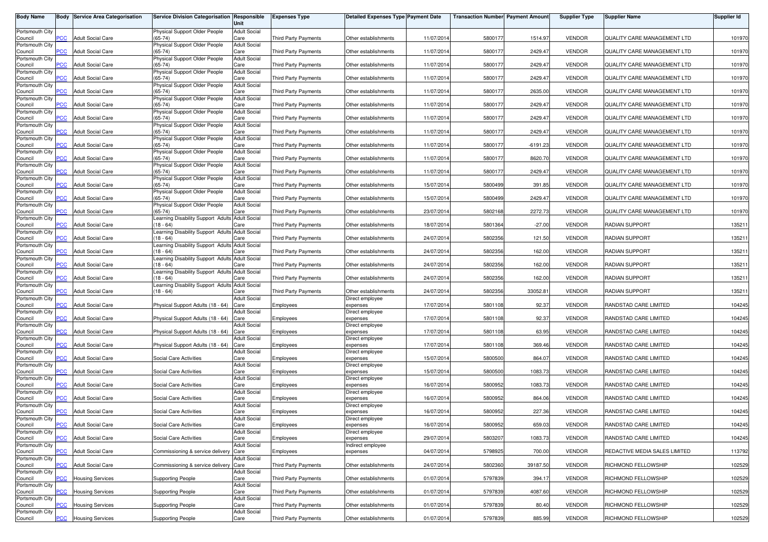| <b>Body Name</b>           | Body           | <b>Service Area Categorisation</b> | Service Division Categorisation Responsible                  | Unit                        | <b>Expenses Type</b>        | <b>Detailed Expenses Type Payment Date</b> |            | <b>Transaction Number Payment Amoun</b> |            | <b>Supplier Type</b> | <b>Supplier Name</b>          | Supplier Id |
|----------------------------|----------------|------------------------------------|--------------------------------------------------------------|-----------------------------|-----------------------------|--------------------------------------------|------------|-----------------------------------------|------------|----------------------|-------------------------------|-------------|
| Portsmouth City<br>Council | <b>PCC</b>     | <b>Adult Social Care</b>           | Physical Support Older People<br>$(65 - 74)$                 | <b>Adult Social</b><br>Care | <b>Third Party Payments</b> | Other establishments                       | 11/07/201  | 5800177                                 | 1514.97    | <b>VENDOR</b>        | QUALITY CARE MANAGEMENT LTD   | 101970      |
| Portsmouth City            |                |                                    | Physical Support Older People                                | <b>Adult Social</b>         |                             |                                            |            |                                         |            |                      |                               |             |
| Council<br>Portsmouth City | $\overline{C}$ | <b>Adult Social Care</b>           | $65 - 74$<br>Physical Support Older People                   | Care<br><b>Adult Social</b> | <b>Third Party Payments</b> | Other establishments                       | 11/07/2014 | 5800177                                 | 2429.47    | <b>VENDOR</b>        | QUALITY CARE MANAGEMENT LTD   | 101970      |
| Council<br>Portsmouth City | $\overline{C}$ | <b>Adult Social Care</b>           | $(65 - 74)$<br>Physical Support Older People                 | Care<br><b>Adult Social</b> | <b>Third Party Payments</b> | Other establishments                       | 11/07/201  | 5800177                                 | 2429.47    | <b>VENDOR</b>        | QUALITY CARE MANAGEMENT LTD   | 101970      |
| Council                    | <b>PCC</b>     | <b>Adult Social Care</b>           | $(65-74)$                                                    | Care                        | <b>Third Party Payments</b> | Other establishments                       | 11/07/201  | 5800177                                 | 2429.47    | <b>VENDOR</b>        | QUALITY CARE MANAGEMENT LTD   | 101970      |
| Portsmouth City<br>Council | PCC            | <b>Adult Social Care</b>           | Physical Support Older People<br>$(65-74)$                   | <b>Adult Social</b><br>Care | <b>Third Party Payments</b> | Other establishments                       | 11/07/201  | 5800177                                 | 2635.00    | <b>VENDOR</b>        | QUALITY CARE MANAGEMENT LTD   | 101970      |
| Portsmouth City<br>Council | PСC            | <b>Adult Social Care</b>           | Physical Support Older People<br>$(65-74)$                   | <b>Adult Social</b><br>Care | <b>Third Party Payments</b> | Other establishments                       | 11/07/201  | 5800177                                 | 2429.47    | <b>VENDOR</b>        | QUALITY CARE MANAGEMENT LTD   | 101970      |
| Portsmouth City            | PCC.           | <b>Adult Social Care</b>           | Physical Support Older People<br>$(65-74)$                   | <b>Adult Social</b><br>Care |                             | Other establishments                       | 11/07/201  | 5800177                                 | 2429.47    | <b>VENDOR</b>        |                               | 101970      |
| Council<br>Portsmouth City |                |                                    | Physical Support Older People                                | <b>Adult Social</b>         | Third Party Payments        |                                            |            |                                         |            |                      | QUALITY CARE MANAGEMENT LTD   |             |
| Council<br>Portsmouth City | PCC            | <b>Adult Social Care</b>           | $65 - 74$<br>Physical Support Older People                   | Care<br><b>Adult Social</b> | <b>Third Party Payments</b> | Other establishments                       | 11/07/201  | 5800177                                 | 2429.47    | <b>VENDOR</b>        | QUALITY CARE MANAGEMENT LTD   | 101970      |
| Council<br>Portsmouth City | сC             | <b>Adult Social Care</b>           | $(65-74)$<br>Physical Support Older People                   | Care<br><b>Adult Social</b> | <b>Third Party Payments</b> | Other establishments                       | 11/07/201  | 5800177                                 | $-6191.23$ | <b>VENDOR</b>        | QUALITY CARE MANAGEMENT LTD   | 101970      |
| Council                    | $\overline{C}$ | <b>Adult Social Care</b>           | $(65-74)$                                                    | Care                        | <b>Third Party Payments</b> | Other establishments                       | 11/07/201  | 5800177                                 | 8620.70    | <b>VENDOR</b>        | QUALITY CARE MANAGEMENT LTD   | 101970      |
| Portsmouth City<br>Council | PCC            | <b>Adult Social Care</b>           | Physical Support Older People<br>$(65-74)$                   | <b>Adult Social</b><br>Care | <b>Third Party Payments</b> | Other establishments                       | 11/07/201  | 5800177                                 | 2429.47    | <b>VENDOR</b>        | QUALITY CARE MANAGEMENT LTD   | 101970      |
| Portsmouth City<br>Council | PCC            | <b>Adult Social Care</b>           | Physical Support Older People<br>$(65-74)$                   | <b>Adult Social</b><br>Care | Third Party Payments        | Other establishments                       | 15/07/201  | 5800499                                 | 391.85     | <b>VENDOR</b>        | QUALITY CARE MANAGEMENT LTD   | 101970      |
| Portsmouth City<br>Council | PСC            | <b>Adult Social Care</b>           | Physical Support Older People<br>$(65-74)$                   | <b>Adult Social</b><br>Care | Third Party Payments        | Other establishments                       | 15/07/201  | 5800499                                 | 2429.47    | <b>VENDOR</b>        | QUALITY CARE MANAGEMENT LTD   | 101970      |
| Portsmouth City            |                |                                    | Physical Support Older People                                | <b>Adult Social</b>         |                             |                                            |            |                                         |            |                      |                               |             |
| Council<br>Portsmouth City | PCC            | <b>Adult Social Care</b>           | $(65-74)$<br>Learning Disability Support Adults Adult Social | Care                        | <b>Third Party Payments</b> | Other establishments                       | 23/07/201  | 5802168                                 | 2272.73    | <b>VENDOR</b>        | QUALITY CARE MANAGEMENT LTD   | 101970      |
| Council<br>Portsmouth City | <b>PCC</b>     | <b>Adult Social Care</b>           | $18 - 64$<br>earning Disability Support Adults Adult Social  | Care                        | Third Party Payments        | Other establishments                       | 18/07/201  | 5801364                                 | $-27.00$   | <b>VENDOR</b>        | RADIAN SUPPORT                | 135211      |
| Council<br>Portsmouth City | <b>PCC</b>     | <b>Adult Social Care</b>           | $18 - 64$<br>earning Disability Support Adults               | Care<br><b>Adult Social</b> | <b>Third Party Payments</b> | Other establishments                       | 24/07/201  | 5802356                                 | 121.50     | <b>VENDOR</b>        | RADIAN SUPPORT                | 135211      |
| Council                    | PCC            | <b>Adult Social Care</b>           | $18 - 64$                                                    | Care                        | <b>Third Party Payments</b> | Other establishments                       | 24/07/201  | 5802356                                 | 162.00     | <b>VENDOR</b>        | RADIAN SUPPORT                | 135211      |
| Portsmouth City<br>Council | ۲CС            | <b>Adult Social Care</b>           | earning Disability Support Adults<br>$18 - 64$               | <b>Adult Social</b><br>Care | <b>Third Party Payments</b> | Other establishments                       | 24/07/201  | 5802356                                 | 162.00     | <b>VENDOR</b>        | <b>RADIAN SUPPORT</b>         | 135211      |
| Portsmouth City<br>Council | PCC            | <b>Adult Social Care</b>           | Learning Disability Support Adults<br>$18 - 64$              | <b>Adult Social</b><br>Care | <b>Third Party Payments</b> | Other establishments                       | 24/07/201  | 5802356                                 | 162.00     | <b>VENDOR</b>        | <b>RADIAN SUPPORT</b>         | 135211      |
| Portsmouth City            | PCC            | <b>Adult Social Care</b>           | Learning Disability Support Adults Adult Social<br>$18 - 64$ | Care                        | <b>Third Party Payments</b> | Other establishments                       | 24/07/201  | 5802356                                 | 33052.8    | <b>VENDOR</b>        | RADIAN SUPPORT                | 135211      |
| Council<br>Portsmouth City |                |                                    |                                                              | <b>Adult Social</b>         |                             | Direct employee                            |            |                                         |            |                      |                               |             |
| Council<br>Portsmouth City | PCC            | <b>Adult Social Care</b>           | Physical Support Adults (18 - 64)                            | Care<br><b>Adult Social</b> | Employees                   | expenses<br>Direct employee                | 17/07/201  | 5801108                                 | 92.37      | <b>VENDOR</b>        | RANDSTAD CARE LIMITED         | 104245      |
| Council<br>Portsmouth City | PСC            | <b>Adult Social Care</b>           | Physical Support Adults (18 - 64)                            | Care<br><b>Adult Social</b> | Employees                   | expenses<br>Direct employee                | 17/07/201  | 5801108                                 | 92.37      | <b>VENDOR</b>        | RANDSTAD CARE LIMITED         | 104245      |
| Council                    | PСC            | <b>Adult Social Care</b>           | Physical Support Adults (18 - 64)                            | Care                        | Employees                   | expenses                                   | 17/07/201  | 5801108                                 | 63.95      | <b>VENDOR</b>        | RANDSTAD CARE LIMITED         | 104245      |
| Portsmouth City<br>Council | <b>PCC</b>     | <b>Adult Social Care</b>           | Physical Support Adults (18 - 64)                            | <b>Adult Social</b><br>Care | Employees                   | Direct employee<br>expenses                | 17/07/201  | 5801108                                 | 369.46     | <b>VENDOR</b>        | RANDSTAD CARE LIMITED         | 104245      |
| Portsmouth City<br>Council | <b>PCC</b>     | <b>Adult Social Care</b>           | Social Care Activities                                       | <b>Adult Social</b><br>Care | Employees                   | Direct employee<br>expenses                | 15/07/201  | 5800500                                 | 864.07     | <b>VENDOR</b>        | RANDSTAD CARE LIMITED         | 104245      |
| Portsmouth City            | $\overline{C}$ | <b>Adult Social Care</b>           | Social Care Activities                                       | <b>Adult Social</b><br>Care |                             | Direct employee<br>expenses                | 15/07/201  | 5800500                                 | 1083.73    | <b>VENDOR</b>        | RANDSTAD CARE LIMITED         | 104245      |
| Council<br>Portsmouth City |                |                                    |                                                              | <b>Adult Social</b>         | Employees                   | Direct employee                            |            |                                         |            |                      |                               |             |
| Council<br>Portsmouth City | ۲CС            | <b>Adult Social Care</b>           | Social Care Activities                                       | Care<br><b>Adult Social</b> | Employees                   | expenses<br>Direct employee                | 16/07/201  | 5800952                                 | 1083.73    | <b>VENDOR</b>        | RANDSTAD CARE LIMITED         | 104245      |
| Council<br>Portsmouth City | $\overline{C}$ | <b>Adult Social Care</b>           | Social Care Activities                                       | Care<br><b>Adult Social</b> | Employees                   | expenses<br>Direct employee                | 16/07/201  | 5800952                                 | 864.06     | <b>VENDOR</b>        | RANDSTAD CARE LIMITED         | 104245      |
| Council                    | <b>PCC</b>     | <b>Adult Social Care</b>           | Social Care Activities                                       | Care                        | Employees                   | expenses                                   | 16/07/2014 | 5800952                                 | 227.36     | <b>VENDOR</b>        | RANDSTAD CARE LIMITED         | 104245      |
| Portsmouth City<br>Council | <b>PCC</b>     | <b>Adult Social Care</b>           | Social Care Activities                                       | <b>Adult Social</b><br>Care | Employees                   | Direct employee<br>expenses                | 16/07/2014 | 5800952                                 | 659.03     | <b>VENDOR</b>        | RANDSTAD CARE LIMITED         | 104245      |
| Portsmouth City<br>Council | <b>PCC</b>     | <b>Adult Social Care</b>           | Social Care Activities                                       | <b>Adult Social</b><br>Care | Employees                   | Direct employee<br>expenses                | 29/07/2014 | 5803207                                 | 1083.73    | <b>VENDOR</b>        | RANDSTAD CARE LIMITED         | 104245      |
| Portsmouth City<br>Council | PCC            | <b>Adult Social Care</b>           | Commissioning & service delivery Care                        | <b>Adult Social</b>         | Employees                   | Indirect employee<br>expenses              | 04/07/2014 | 5798925                                 | 700.00     | <b>VENDOR</b>        | REDACTIVE MEDIA SALES LIMITED | 113792      |
| Portsmouth City            |                |                                    |                                                              | <b>Adult Social</b>         |                             |                                            |            |                                         |            |                      |                               |             |
| Council<br>Portsmouth City | PCC            | <b>Adult Social Care</b>           | Commissioning & service delivery Care                        | <b>Adult Social</b>         | Third Party Payments        | Other establishments                       | 24/07/2014 | 5802360                                 | 39187.50   | <b>VENDOR</b>        | RICHMOND FELLOWSHIP           | 102529      |
| Council<br>Portsmouth City | PСC            | <b>Housing Services</b>            | <b>Supporting People</b>                                     | Care<br><b>Adult Social</b> | <b>Third Party Payments</b> | Other establishments                       | 01/07/2014 | 5797839                                 | 394.17     | <b>VENDOR</b>        | RICHMOND FELLOWSHIP           | 102529      |
| Council                    | PCC            | <b>Housing Services</b>            | <b>Supporting People</b>                                     | Care                        | Third Party Payments        | Other establishments                       | 01/07/2014 | 5797839                                 | 4087.60    | <b>VENDOR</b>        | RICHMOND FELLOWSHIP           | 102529      |
| Portsmouth City<br>Council | <b>PCC</b>     | <b>Housing Services</b>            | <b>Supporting People</b>                                     | <b>Adult Social</b><br>Care | <b>Third Party Payments</b> | Other establishments                       | 01/07/2014 | 5797839                                 | 80.40      | <b>VENDOR</b>        | RICHMOND FELLOWSHIP           | 102529      |
| Portsmouth City<br>Council | PCC            | <b>Housing Services</b>            | <b>Supporting People</b>                                     | <b>Adult Social</b><br>Care | <b>Third Party Payments</b> | Other establishments                       | 01/07/2014 | 5797839                                 | 885.99     | <b>VENDOR</b>        | RICHMOND FELLOWSHIP           | 102529      |
|                            |                |                                    |                                                              |                             |                             |                                            |            |                                         |            |                      |                               |             |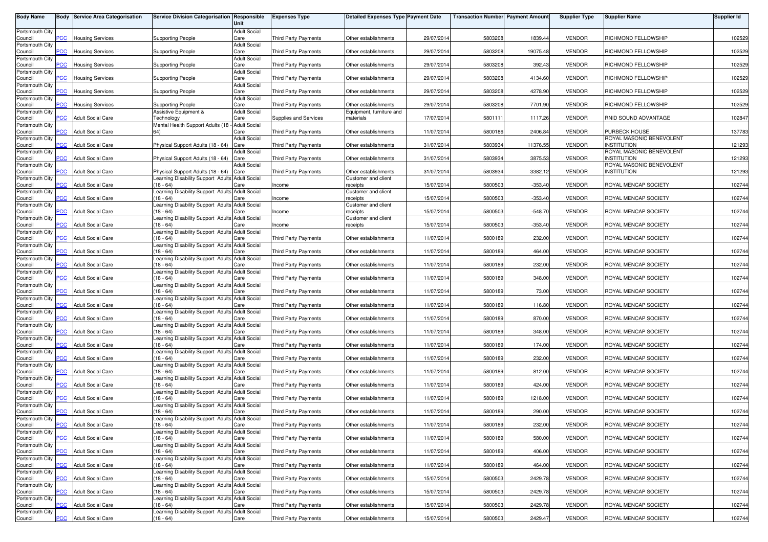| <b>Body Name</b>           |                | <b>Body Service Area Categorisation</b> | Service Division Categorisation Responsible                                          | Unit                        | <b>Expenses Type</b>        | <b>Detailed Expenses Type Payment Date</b>  |            | <b>Transaction Number Payment Amount</b> |           | <b>Supplier Type</b> | <b>Supplier Name</b>                             | Supplier Id |
|----------------------------|----------------|-----------------------------------------|--------------------------------------------------------------------------------------|-----------------------------|-----------------------------|---------------------------------------------|------------|------------------------------------------|-----------|----------------------|--------------------------------------------------|-------------|
| Portsmouth City            |                |                                         |                                                                                      | <b>Adult Social</b>         |                             |                                             |            |                                          |           |                      |                                                  |             |
| Council<br>Portsmouth City | PCC            | <b>Housing Services</b>                 | Supporting People                                                                    | Care<br><b>Adult Social</b> | Third Party Payments        | Other establishments                        | 29/07/2014 | 5803208                                  | 1839.44   | <b>VENDOR</b>        | RICHMOND FELLOWSHIP                              | 102529      |
| Council                    | $\overline{C}$ | <b>Housing Services</b>                 | <b>Supporting People</b>                                                             | Care                        | Third Party Payments        | Other establishments                        | 29/07/2014 | 5803208                                  | 19075.48  | <b>VENDOR</b>        | RICHMOND FELLOWSHIP                              | 102529      |
| Portsmouth City<br>Council | <b>PCC</b>     | <b>Housing Services</b>                 | <b>Supporting People</b>                                                             | <b>Adult Social</b><br>Care | <b>Third Party Payments</b> | Other establishments                        | 29/07/2014 | 5803208                                  | 392.43    | <b>VENDOR</b>        | RICHMOND FELLOWSHIP                              | 102529      |
| Portsmouth City            | PСC            |                                         |                                                                                      | <b>Adult Social</b><br>Care | <b>Third Party Payments</b> |                                             | 29/07/2014 |                                          | 4134.60   | <b>VENDOR</b>        | RICHMOND FELLOWSHIP                              |             |
| Council<br>Portsmouth City |                | <b>Housing Services</b>                 | <b>Supporting People</b>                                                             | <b>Adult Social</b>         |                             | Other establishments                        |            | 5803208                                  |           |                      |                                                  | 102529      |
| Council<br>Portsmouth City | <b>PCC</b>     | <b>Housing Services</b>                 | <b>Supporting People</b>                                                             | Care<br><b>Adult Social</b> | Third Party Payments        | Other establishments                        | 29/07/2014 | 5803208                                  | 4278.90   | <b>VENDOR</b>        | RICHMOND FELLOWSHIP                              | 102529      |
| Council                    | PСC            | <b>Housing Services</b>                 | <b>Supporting People</b>                                                             | Care                        | Third Party Payments        | Other establishments                        | 29/07/2014 | 5803208                                  | 7701.90   | <b>VENDOR</b>        | RICHMOND FELLOWSHIP                              | 102529      |
| Portsmouth City<br>Council | $\overline{C}$ | <b>Adult Social Care</b>                | Assistive Equipment &<br>Technology                                                  | <b>Adult Social</b><br>Care | Supplies and Services       | Equipment, furniture and<br>materials       | 17/07/2014 | 5801111                                  | 1117.26   | <b>VENDOR</b>        | RNID SOUND ADVANTAGE                             | 102847      |
| Portsmouth City            |                |                                         | Mental Health Support Adults (18 - Adult Social                                      |                             |                             |                                             |            |                                          |           |                      |                                                  |             |
| Council<br>Portsmouth City | <b>PCC</b>     | <b>Adult Social Care</b>                | 64)                                                                                  | Care<br><b>Adult Social</b> | Third Party Payments        | Other establishments                        | 11/07/2014 | 5800186                                  | 2406.84   | <b>VENDOR</b>        | <b>PURBECK HOUSE</b><br>ROYAL MASONIC BENEVOLENT | 137783      |
| Council                    | PСC            | <b>Adult Social Care</b>                | Physical Support Adults (18 - 64)                                                    | Care                        | Third Party Payments        | Other establishments                        | 31/07/2014 | 5803934                                  | 11376.55  | <b>VENDOR</b>        | <b>INSTITUTION</b>                               | 121293      |
| Portsmouth City<br>Council | <b>PCC</b>     | <b>Adult Social Care</b>                | Physical Support Adults (18 - 64)                                                    | <b>Adult Social</b><br>Care | Third Party Payments        | Other establishments                        | 31/07/2014 | 5803934                                  | 3875.53   | <b>VENDOR</b>        | ROYAL MASONIC BENEVOLENT<br><b>INSTITUTION</b>   | 121293      |
| Portsmouth City            |                |                                         |                                                                                      | <b>Adult Social</b>         |                             |                                             |            |                                          |           |                      | ROYAL MASONIC BENEVOLENT                         |             |
| Council<br>Portsmouth City | PCC            | <b>Adult Social Care</b>                | Physical Support Adults (18 - 64)<br>Learning Disability Support Adults Adult Social | Care                        | Third Party Payments        | Other establishments<br>Customer and client | 31/07/2014 | 5803934                                  | 3382.12   | <b>VENDOR</b>        | <b>INSTITUTION</b>                               | 121293      |
| Council                    | PCC            | <b>Adult Social Care</b>                | (18 - 64)                                                                            | Care                        | Income                      | receipts                                    | 15/07/201  | 5800503                                  | $-353.40$ | <b>VENDOR</b>        | ROYAL MENCAP SOCIETY                             | 102744      |
| Portsmouth City<br>Council | <b>CC</b>      | <b>Adult Social Care</b>                | Learning Disability Support Adults Adult Social<br>$18 - 64$                         | Care                        | Income                      | Customer and client<br>receipts             | 15/07/2014 | 5800503                                  | $-353.40$ | <b>VENDOR</b>        | ROYAL MENCAP SOCIETY                             | 102744      |
| Portsmouth City<br>Council | PCC            | <b>Adult Social Care</b>                | Learning Disability Support Adults<br>$(18 - 64)$                                    | <b>Adult Social</b><br>Care | Income                      | Customer and client<br>receipts             | 15/07/2014 | 5800503                                  | $-548.70$ | <b>VENDOR</b>        | ROYAL MENCAP SOCIETY                             | 102744      |
| Portsmouth City            |                |                                         | Learning Disability Support Adults Adult Social                                      |                             |                             | Customer and client                         |            |                                          |           |                      |                                                  |             |
| Council<br>Portsmouth City | PCC            | <b>Adult Social Care</b>                | $18 - 64$<br>Learning Disability Support Adults Adult Social                         | Care                        | Income                      | receipts                                    | 15/07/2014 | 5800503                                  | $-353.40$ | <b>VENDOR</b>        | ROYAL MENCAP SOCIETY                             | 102744      |
| Council                    | PCC            | <b>Adult Social Care</b>                | $18 - 64$                                                                            | Care                        | <b>Third Party Payments</b> | Other establishments                        | 11/07/2014 | 5800189                                  | 232.00    | <b>VENDOR</b>        | ROYAL MENCAP SOCIETY                             | 102744      |
| Portsmouth City<br>Council | PCC            | <b>Adult Social Care</b>                | Learning Disability Support Adults Adult Social<br>$(18 - 64)$                       | Care                        | Third Party Payments        | Other establishments                        | 11/07/2014 | 5800189                                  | 464.00    | <b>VENDOR</b>        | ROYAL MENCAP SOCIETY                             | 102744      |
| Portsmouth City            |                |                                         | earning Disability Support Adults                                                    | <b>Adult Social</b>         |                             |                                             |            |                                          |           |                      |                                                  |             |
| Council<br>Portsmouth City | PСC            | <b>Adult Social Care</b>                | $18 - 64$<br>earning Disability Support Adults Adult Social                          | Care                        | <b>Third Party Payments</b> | Other establishments                        | 11/07/2014 | 5800189                                  | 232.00    | <b>VENDOR</b>        | ROYAL MENCAP SOCIETY                             | 102744      |
| Council                    | PCC            | <b>Adult Social Care</b>                | $18 - 64$                                                                            | Care                        | Third Party Payments        | Other establishments                        | 11/07/2014 | 5800189                                  | 348.00    | <b>VENDOR</b>        | ROYAL MENCAP SOCIETY                             | 102744      |
| Portsmouth City<br>Council | PCC            | <b>Adult Social Care</b>                | Learning Disability Support Adults Adult Social<br>$18 - 64$                         | Care                        | <b>Third Party Payments</b> | Other establishments                        | 11/07/201  | 5800189                                  | 73.00     | <b>VENDOR</b>        | ROYAL MENCAP SOCIETY                             | 102744      |
| Portsmouth City            | PCC            | <b>Adult Social Care</b>                | Learning Disability Support Adults Adult Social<br>$(18 - 64)$                       | Care                        | Third Party Payments        |                                             | 11/07/2014 | 5800189                                  | 116.80    | <b>VENDOR</b>        | ROYAL MENCAP SOCIETY                             | 102744      |
| Council<br>Portsmouth City |                |                                         | Learning Disability Support Adults Adult Social                                      |                             |                             | Other establishments                        |            |                                          |           |                      |                                                  |             |
| Council<br>Portsmouth City | PСC            | <b>Adult Social Care</b>                | $18 - 64$<br>Learning Disability Support Adults                                      | Care<br><b>Adult Social</b> | Third Party Payments        | Other establishments                        | 11/07/2014 | 5800189                                  | 870.00    | <b>VENDOR</b>        | ROYAL MENCAP SOCIETY                             | 102744      |
| Council                    | PСC            | <b>Adult Social Care</b>                | $(18 - 64)$                                                                          | Care                        | Third Party Payments        | Other establishments                        | 11/07/2014 | 5800189                                  | 348.00    | <b>VENDOR</b>        | ROYAL MENCAP SOCIETY                             | 102744      |
| Portsmouth City<br>Council | PСC            | <b>Adult Social Care</b>                | Learning Disability Support Adults Adult Social<br>$18 - 64$                         | Care                        | Third Party Payments        | Other establishments                        | 11/07/2014 | 5800189                                  | 174.00    | <b>VENDOR</b>        | ROYAL MENCAP SOCIETY                             | 102744      |
| Portsmouth City            |                |                                         | Learning Disability Support Adults Adult Social                                      |                             |                             |                                             |            |                                          |           |                      |                                                  |             |
| Council<br>Portsmouth City | <b>PCC</b>     | <b>Adult Social Care</b>                | $18 - 64$<br>Learning Disability Support Adults Adult Social                         | Care                        | Third Party Payments        | Other establishments                        | 11/07/2014 | 5800189                                  | 232.00    | <b>VENDOR</b>        | ROYAL MENCAP SOCIETY                             | 102744      |
| Council                    | <b>PCC</b>     | <b>Adult Social Care</b>                | $18 - 64$                                                                            | Care                        | Third Party Payments        | Other establishments                        | 11/07/2014 | 5800189                                  | 812.00    | <b>VENDOR</b>        | ROYAL MENCAP SOCIETY                             | 102744      |
| Portsmouth City<br>Council | PСC            | <b>Adult Social Care</b>                | earning Disability Support Adults<br>$18 - 64$                                       | <b>Adult Social</b><br>Care | Third Party Payments        | Other establishments                        | 11/07/2014 | 5800189                                  | 424.00    | <b>VENDOR</b>        | ROYAL MENCAP SOCIETY                             | 102744      |
| Portsmouth City            | $\overline{C}$ | <b>Adult Social Care</b>                | earning Disability Support Adults Adult Social<br>$18 - 64$                          |                             | <b>Third Party Payments</b> |                                             |            |                                          |           |                      |                                                  | 102744      |
| Council<br>Portsmouth City |                |                                         | Learning Disability Support Adults Adult Social                                      | Care                        |                             | Other establishments                        | 11/07/2014 | 5800189                                  | 1218.00   | <b>VENDOR</b>        | ROYAL MENCAP SOCIETY                             |             |
| Council<br>Portsmouth City | $\overline{C}$ | <b>Adult Social Care</b>                | $18 - 64$<br>Learning Disability Support Adults Adult Social                         | Care                        | <b>Third Party Payments</b> | Other establishments                        | 11/07/2014 | 5800189                                  | 290.00    | <b>VENDOR</b>        | ROYAL MENCAP SOCIETY                             | 102744      |
| Council                    | <b>PCC</b>     | <b>Adult Social Care</b>                | $(18 - 64)$                                                                          | Care                        | Third Party Payments        | Other establishments                        | 11/07/2014 | 5800189                                  | 232.00    | <b>VENDOR</b>        | ROYAL MENCAP SOCIETY                             | 102744      |
| Portsmouth City<br>Council | <b>PCC</b>     | <b>Adult Social Care</b>                | Learning Disability Support Adults Adult Social<br>$(18 - 64)$                       | Care                        | <b>Third Party Payments</b> | Other establishments                        | 11/07/2014 | 5800189                                  | 580.00    | <b>VENDOR</b>        | ROYAL MENCAP SOCIETY                             | 102744      |
| Portsmouth City            |                |                                         | Learning Disability Support Adults Adult Social                                      |                             |                             |                                             |            |                                          |           |                      |                                                  |             |
| Council<br>Portsmouth City | <b>PCC</b>     | <b>Adult Social Care</b>                | $(18 - 64)$<br>Learning Disability Support Adults Adult Social                       | Care                        | Third Party Payments        | Other establishments                        | 11/07/2014 | 5800189                                  | 406.00    | <b>VENDOR</b>        | ROYAL MENCAP SOCIETY                             | 102744      |
| Council                    | <b>PCC</b>     | <b>Adult Social Care</b>                | (18 - 64)                                                                            | Care                        | Third Party Payments        | Other establishments                        | 11/07/2014 | 5800189                                  | 464.00    | <b>VENDOR</b>        | ROYAL MENCAP SOCIETY                             | 102744      |
| Portsmouth City<br>Council | PCC.           | <b>Adult Social Care</b>                | Learning Disability Support Adults Adult Social<br>(18 - 64)                         | Care                        | Third Party Payments        | Other establishments                        | 15/07/2014 | 5800503                                  | 2429.78   | <b>VENDOR</b>        | ROYAL MENCAP SOCIETY                             | 102744      |
| Portsmouth City            |                |                                         | Learning Disability Support Adults Adult Social                                      |                             |                             |                                             |            |                                          |           |                      |                                                  |             |
| Council<br>Portsmouth City | PCC            | <b>Adult Social Care</b>                | $18 - 64$<br>Learning Disability Support Adults Adult Social                         | Care                        | Third Party Payments        | Other establishments                        | 15/07/2014 | 5800503                                  | 2429.78   | <b>VENDOR</b>        | ROYAL MENCAP SOCIETY                             | 102744      |
| Council<br>Portsmouth City | сC             | <b>Adult Social Care</b>                | $18 - 64$<br>Learning Disability Support Adults Adult Social                         | Care                        | Third Party Payments        | Other establishments                        | 15/07/2014 | 5800503                                  | 2429.78   | <b>VENDOR</b>        | ROYAL MENCAP SOCIETY                             | 102744      |
| Council                    | <b>PCC</b>     | <b>Adult Social Care</b>                | $(18 - 64)$                                                                          | Care                        | Third Party Payments        | Other establishments                        | 15/07/2014 | 5800503                                  | 2429.47   | <b>VENDOR</b>        | ROYAL MENCAP SOCIETY                             | 102744      |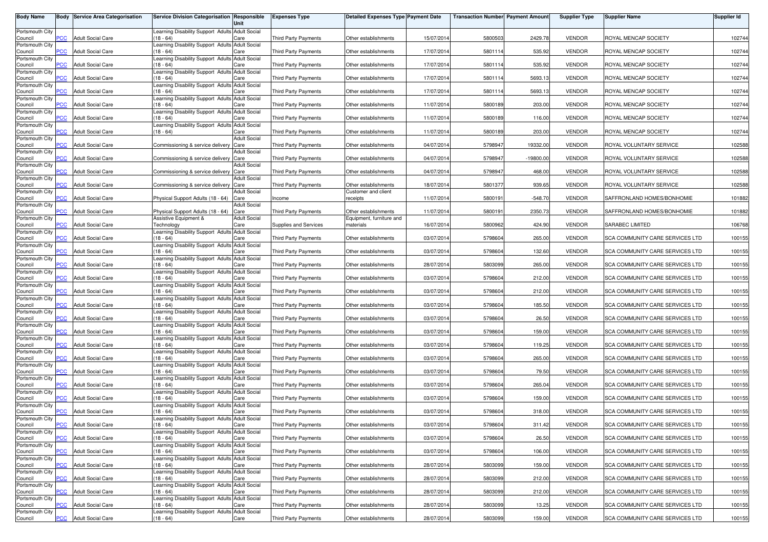| <b>Body Name</b>           |                | <b>Body Service Area Categorisation</b> | Service Division Categorisation Responsible                    | Unit                        | <b>Expenses Type</b>        | <b>Detailed Expenses Type Payment Date</b> |            | <b>Transaction Number Payment Amount</b> |             | <b>Supplier Type</b> | <b>Supplier Name</b>                   | <b>Supplier Id</b> |
|----------------------------|----------------|-----------------------------------------|----------------------------------------------------------------|-----------------------------|-----------------------------|--------------------------------------------|------------|------------------------------------------|-------------|----------------------|----------------------------------------|--------------------|
| Portsmouth City            |                |                                         | Learning Disability Support Adults Adult Social                |                             |                             |                                            |            |                                          |             |                      |                                        |                    |
| Council                    | <b>PCC</b>     | <b>Adult Social Care</b>                | $(18 - 64)$                                                    | Care                        | <b>Third Party Payments</b> | Other establishments                       | 15/07/2014 | 5800503                                  | 2429.78     | <b>VENDOR</b>        | ROYAL MENCAP SOCIETY                   | 102744             |
| Portsmouth City<br>Council | $\overline{C}$ | <b>Adult Social Care</b>                | Learning Disability Support Adults Adult Social<br>$18 - 64$   | Care                        | <b>Third Party Payments</b> | Other establishments                       | 17/07/2014 | 5801114                                  | 535.92      | <b>VENDOR</b>        | ROYAL MENCAP SOCIETY                   | 102744             |
| Portsmouth City            |                |                                         | Learning Disability Support Adults Adult Social                |                             |                             |                                            |            |                                          |             |                      |                                        |                    |
| Council<br>Portsmouth City | PCC            | <b>Adult Social Care</b>                | (18 - 64)<br>Learning Disability Support Adults                | Care<br><b>Adult Social</b> | <b>Third Party Payments</b> | Other establishments                       | 17/07/2014 | 5801114                                  | 535.92      | <b>VENDOR</b>        | ROYAL MENCAP SOCIETY                   | 102744             |
| Council                    | <b>PCC</b>     | <b>Adult Social Care</b>                | $18 - 64$                                                      | Care                        | <b>Third Party Payments</b> | Other establishments                       | 17/07/2014 | 5801114                                  | 5693.13     | <b>VENDOR</b>        | ROYAL MENCAP SOCIETY                   | 102744             |
| Portsmouth City<br>Council | PCC            | <b>Adult Social Care</b>                | Learning Disability Support Adults<br>$(18 - 64)$              | <b>Adult Social</b><br>Care | <b>Third Party Payments</b> | Other establishments                       | 17/07/2014 | 5801114                                  | 5693.13     | <b>VENDOR</b>        | ROYAL MENCAP SOCIETY                   | 102744             |
| Portsmouth City            |                |                                         | Learning Disability Support Adults Adult Social                |                             |                             |                                            |            |                                          |             |                      |                                        |                    |
| Council<br>Portsmouth City | PCC            | <b>Adult Social Care</b>                | $(18 - 64)$<br>Learning Disability Support Adults Adult Social | Care                        | Third Party Payments        | Other establishments                       | 11/07/2014 | 5800189                                  | 203.00      | <b>VENDOR</b>        | ROYAL MENCAP SOCIETY                   | 102744             |
| Council                    | PСC            | <b>Adult Social Care</b>                | $(18 - 64)$                                                    | Care                        | <b>Third Party Payments</b> | Other establishments                       | 11/07/2014 | 5800189                                  | 116.00      | <b>VENDOR</b>        | ROYAL MENCAP SOCIETY                   | 102744             |
| Portsmouth City<br>Council | <b>PCC</b>     | <b>Adult Social Care</b>                | Learning Disability Support Adults Adult Social<br>$(18 - 64)$ | Care                        | <b>Third Party Payments</b> | Other establishments                       | 11/07/2014 | 5800189                                  | 203.00      | <b>VENDOR</b>        | ROYAL MENCAP SOCIETY                   | 102744             |
| Portsmouth City            |                |                                         |                                                                | <b>Adult Social</b>         |                             |                                            |            |                                          |             |                      |                                        |                    |
| Council<br>Portsmouth City | сC             | <b>Adult Social Care</b>                | Commissioning & service delivery                               | Care<br><b>Adult Social</b> | <b>Third Party Payments</b> | Other establishments                       | 04/07/2014 | 5798947                                  | 19332.00    | <b>VENDOR</b>        | ROYAL VOLUNTARY SERVICE                | 102588             |
| Council                    | PCC            | <b>Adult Social Care</b>                | Commissioning & service delivery                               | Care                        | <b>Third Party Payments</b> | Other establishments                       | 04/07/2014 | 5798947                                  | $-19800.00$ | <b>VENDOR</b>        | ROYAL VOLUNTARY SERVICE                | 102588             |
| Portsmouth City<br>Council | <b>PCC</b>     | Adult Social Care                       | Commissioning & service delivery                               | <b>Adult Social</b><br>Care | <b>Third Party Payments</b> | Other establishments                       | 04/07/2014 | 5798947                                  | 468.00      | <b>VENDOR</b>        | ROYAL VOLUNTARY SERVICE                | 102588             |
| Portsmouth City<br>Council | PCC            | <b>Adult Social Care</b>                | Commissioning & service delivery Care                          | Adult Social                | Third Party Payments        | Other establishments                       | 18/07/2014 | 5801377                                  | 939.65      | <b>VENDOR</b>        | ROYAL VOLUNTARY SERVICE                | 102588             |
| Portsmouth City            |                |                                         |                                                                | <b>Adult Social</b>         |                             | Customer and client                        |            |                                          |             |                      |                                        |                    |
| Council<br>Portsmouth City | PСC            | <b>Adult Social Care</b>                | Physical Support Adults (18 - 64)                              | Care<br><b>Adult Social</b> | Income                      | receipts                                   | 11/07/2014 | 5800191                                  | $-548.70$   | <b>VENDOR</b>        | SAFFRONLAND HOMES/BONHOMIE             | 101882             |
| Council                    | <b>PCC</b>     | <b>Adult Social Care</b>                | Physical Support Adults (18 - 64)                              | Care                        | <b>Third Party Payments</b> | Other establishments                       | 11/07/2014 | 5800191                                  | 2350.73     | <b>VENDOR</b>        | SAFFRONLAND HOMES/BONHOMIE             | 101882             |
| Portsmouth City<br>Council | PCC            | <b>Adult Social Care</b>                | Assistive Equipment &<br>Technology                            | <b>Adult Social</b><br>Care | Supplies and Services       | Equipment, furniture and<br>materials      | 16/07/2014 | 5800962                                  | 424.90      | <b>VENDOR</b>        | SARABEC LIMITED                        | 106768             |
| Portsmouth City            |                |                                         | Learning Disability Support Adults Adult Social                |                             |                             |                                            |            |                                          |             |                      |                                        |                    |
| Council<br>Portsmouth City | <b>PCC</b>     | <b>Adult Social Care</b>                | $18 - 64$<br>Learning Disability Support Adults Adult Social   | Care                        | <b>Third Party Payments</b> | Other establishments                       | 03/07/2014 | 5798604                                  | 265.00      | <b>VENDOR</b>        | SCA COMMUNITY CARE SERVICES LTD        | 100155             |
| Council                    | PCC            | <b>Adult Social Care</b>                | $(18 - 64)$                                                    | Care                        | <b>Third Party Payments</b> | Other establishments                       | 03/07/2014 | 5798604                                  | 132.60      | <b>VENDOR</b>        | SCA COMMUNITY CARE SERVICES LTD        | 100155             |
| Portsmouth City<br>Council | сC             | <b>Adult Social Care</b>                | Learning Disability Support Adults Adult Social<br>$18 - 64$   | Care                        | <b>Third Party Payments</b> | Other establishments                       | 28/07/2014 | 5803099                                  | 265.00      | <b>VENDOR</b>        | SCA COMMUNITY CARE SERVICES LTD        | 100155             |
| Portsmouth City            |                |                                         | Learning Disability Support Adults Adult Social                |                             |                             |                                            |            |                                          |             |                      |                                        |                    |
| Council<br>Portsmouth City | PCC            | <b>Adult Social Care</b>                | (18 - 64)<br>Learning Disability Support Adults Adult Social   | Care                        | <b>Third Party Payments</b> | Other establishments                       | 03/07/2014 | 5798604                                  | 212.00      | <b>VENDOR</b>        | SCA COMMUNITY CARE SERVICES LTD        | 100155             |
| Council                    | PСC            | <b>Adult Social Care</b>                | (18 - 64)                                                      | Care                        | <b>Third Party Payments</b> | Other establishments                       | 03/07/2014 | 5798604                                  | 212.00      | <b>VENDOR</b>        | SCA COMMUNITY CARE SERVICES LTD        | 100155             |
| Portsmouth City<br>Council | PCC            | <b>Adult Social Care</b>                | Learning Disability Support Adults Adult Social<br>$(18 - 64)$ | Care                        | Third Party Payments        | Other establishments                       | 03/07/2014 | 5798604                                  | 185.50      | <b>VENDOR</b>        | SCA COMMUNITY CARE SERVICES LTD        | 100155             |
| Portsmouth City<br>Council | PCC            | <b>Adult Social Care</b>                | Learning Disability Support Adults Adult Social<br>$(18 - 64)$ | Care                        | <b>Third Party Payments</b> | Other establishments                       | 03/07/2014 | 5798604                                  | 26.50       | <b>VENDOR</b>        | SCA COMMUNITY CARE SERVICES LTD        | 100155             |
| Portsmouth City            |                |                                         | Learning Disability Support Adults Adult Social                |                             |                             |                                            |            |                                          |             |                      |                                        |                    |
| Council<br>Portsmouth City | $\overline{C}$ | <b>Adult Social Care</b>                | $(18 - 64)$<br>Learning Disability Support Adults Adult Social | Care                        | <b>Third Party Payments</b> | Other establishments                       | 03/07/2014 | 5798604                                  | 159.00      | <b>VENDOR</b>        | SCA COMMUNITY CARE SERVICES LTD        | 100155             |
| Council                    | PCC            | <b>Adult Social Care</b>                | $(18 - 64)$                                                    | Care                        | Third Party Payments        | Other establishments                       | 03/07/2014 | 5798604                                  | 119.25      | <b>VENDOR</b>        | SCA COMMUNITY CARE SERVICES LTD        | 100155             |
| Portsmouth City<br>Council | сC             | <b>Adult Social Care</b>                | Learning Disability Support Adults Adult Social<br>$(18 - 64)$ | Care                        | <b>Third Party Payments</b> | Other establishments                       | 03/07/2014 | 5798604                                  | 265.00      | <b>VENDOR</b>        | SCA COMMUNITY CARE SERVICES LTD        | 100155             |
| Portsmouth City            |                |                                         | Learning Disability Support Adults Adult Social                |                             |                             |                                            |            |                                          |             |                      |                                        |                    |
| Council<br>Portsmouth City | $\overline{C}$ | <b>Adult Social Care</b>                | $(18 - 64)$<br>Learning Disability Support Adults Adult Social | Care                        | <b>Third Party Payments</b> | Other establishments                       | 03/07/2014 | 5798604                                  | 79.50       | <b>VENDOR</b>        | SCA COMMUNITY CARE SERVICES LTD        | 100155             |
| Council                    | <b>CC</b>      | <b>Adult Social Care</b>                | $18 - 64$                                                      | Care                        | <b>Third Party Payments</b> | Other establishments                       | 03/07/2014 | 5798604                                  | 265.04      | <b>VENDOR</b>        | SCA COMMUNITY CARE SERVICES LTD        | 100155             |
| Portsmouth City<br>Council | PCC            | <b>Adult Social Care</b>                | Learning Disability Support Adults Adult Social<br>$(18 - 64)$ | Care                        | <b>Third Party Payments</b> | Other establishments                       | 03/07/2014 | 5798604                                  | 159.00      | <b>VENDOR</b>        | SCA COMMUNITY CARE SERVICES LTD        | 100155             |
| Portsmouth City            | PCC            | <b>Adult Social Care</b>                | Learning Disability Support Adults Adult Social<br>18 - 64)    |                             | <b>Third Party Payments</b> |                                            | 03/07/2014 | 5798604                                  | 318.00      | <b>VENDOR</b>        | SCA COMMUNITY CARE SERVICES LTD        | 100155             |
| Council<br>Portsmouth City |                |                                         | Learning Disability Support Adults Adult Social                | Care                        |                             | Other establishments                       |            |                                          |             |                      |                                        |                    |
| Council<br>Portsmouth City | <b>PCC</b>     | <b>Adult Social Care</b>                | $(18 - 64)$<br>Learning Disability Support Adults Adult Social | Care                        | Third Party Payments        | Other establishments                       | 03/07/2014 | 5798604                                  | 311.42      | <b>VENDOR</b>        | SCA COMMUNITY CARE SERVICES LTD        | 100155             |
| Council                    | PCC            | <b>Adult Social Care</b>                | $(18 - 64)$                                                    | Care                        | Third Party Payments        | Other establishments                       | 03/07/2014 | 5798604                                  | 26.50       | <b>VENDOR</b>        | SCA COMMUNITY CARE SERVICES LTD        | 100155             |
| Portsmouth City<br>Council | PCC            | <b>Adult Social Care</b>                | Learning Disability Support Adults Adult Social<br>$(18 - 64)$ | Care                        | Third Party Payments        | Other establishments                       | 03/07/2014 | 5798604                                  | 106.00      | <b>VENDOR</b>        | SCA COMMUNITY CARE SERVICES LTD        | 100155             |
| Portsmouth City            |                |                                         | Learning Disability Support Adults Adult Social                |                             |                             |                                            |            |                                          |             |                      |                                        |                    |
| Council<br>Portsmouth City | PCC            | <b>Adult Social Care</b>                | $(18 - 64)$<br>Learning Disability Support Adults Adult Social | Care                        | Third Party Payments        | Other establishments                       | 28/07/2014 | 5803099                                  | 159.00      | <b>VENDOR</b>        | SCA COMMUNITY CARE SERVICES LTD        | 100155             |
| Council                    | PСC            | <b>Adult Social Care</b>                | $(18 - 64)$                                                    | Care                        | <b>Third Party Payments</b> | Other establishments                       | 28/07/2014 | 5803099                                  | 212.00      | <b>VENDOR</b>        | SCA COMMUNITY CARE SERVICES LTD        | 100155             |
| Portsmouth City<br>Council | PCC            | <b>Adult Social Care</b>                | Learning Disability Support Adults Adult Social<br>(18 - 64)   | Care                        | Third Party Payments        | Other establishments                       | 28/07/2014 | 5803099                                  | 212.00      | <b>VENDOR</b>        | SCA COMMUNITY CARE SERVICES LTD        | 100155             |
| Portsmouth City            |                |                                         | Learning Disability Support Adults Adult Social                |                             |                             |                                            |            |                                          |             |                      |                                        |                    |
| Council<br>Portsmouth City | <b>CC</b>      | <b>Adult Social Care</b>                | $(18 - 64)$<br>Learning Disability Support Adults Adult Social | Care                        | <b>Third Party Payments</b> | Other establishments                       | 28/07/2014 | 5803099                                  | 13.25       | <b>VENDOR</b>        | <b>SCA COMMUNITY CARE SERVICES LTD</b> | 100155             |
| Council                    | PCC            | <b>Adult Social Care</b>                | $(18 - 64)$                                                    | Care                        | <b>Third Party Payments</b> | Other establishments                       | 28/07/2014 | 5803099                                  | 159.00      | <b>VENDOR</b>        | SCA COMMUNITY CARE SERVICES LTD        | 100155             |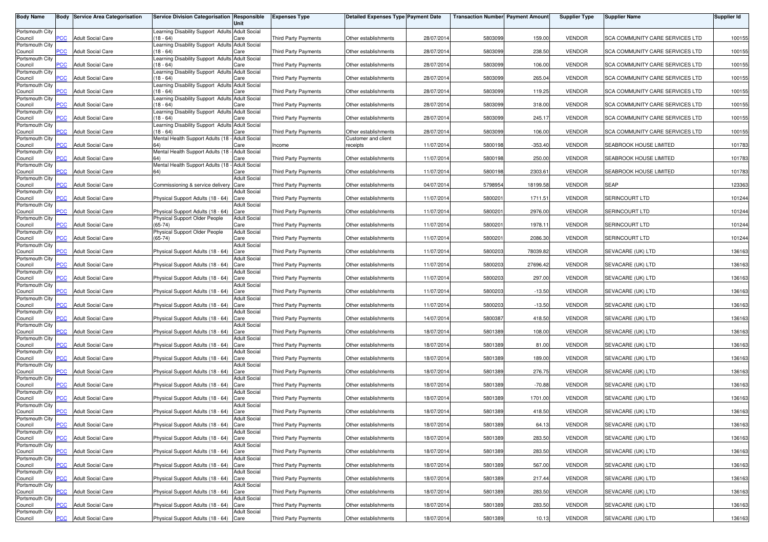| <b>Body Name</b>           |                | <b>Body Service Area Categorisation</b> | Service Division Categorisation Responsible                        | Unit                        | <b>Expenses Type</b>        | Detailed Expenses Type Payment Date |            | <b>Transaction Number Payment Amount</b> |           | <b>Supplier Type</b> | <b>Supplier Name</b>            | <b>Supplier Id</b> |
|----------------------------|----------------|-----------------------------------------|--------------------------------------------------------------------|-----------------------------|-----------------------------|-------------------------------------|------------|------------------------------------------|-----------|----------------------|---------------------------------|--------------------|
| Portsmouth City<br>Council | PCC            | <b>Adult Social Care</b>                | Learning Disability Support Adults Adult Social<br>$(18 - 64)$     | Care                        | <b>Third Party Payments</b> | Other establishments                | 28/07/2014 | 5803099                                  | 159.00    | <b>VENDOR</b>        | SCA COMMUNITY CARE SERVICES LTD | 100155             |
| Portsmouth City            |                |                                         | earning Disability Support Adults Adult Social                     |                             |                             |                                     |            |                                          |           |                      |                                 |                    |
| Council<br>Portsmouth City | <b>PCC</b>     | <b>Adult Social Care</b>                | $18 - 64$<br>Learning Disability Support Adults Adult Social       | Care                        | <b>Third Party Payments</b> | Other establishments                | 28/07/2014 | 5803099                                  | 238.50    | <b>VENDOR</b>        | SCA COMMUNITY CARE SERVICES LTD | 100155             |
| Council<br>Portsmouth City | $\overline{C}$ | <b>Adult Social Care</b>                | $18 - 64$<br>Learning Disability Support Adults Adult Social       | Care                        | <b>Third Party Payments</b> | Other establishments                | 28/07/2014 | 5803099                                  | 106.00    | <b>VENDOR</b>        | SCA COMMUNITY CARE SERVICES LTD | 100155             |
| Council<br>Portsmouth City | сC             | <b>Adult Social Care</b>                | $18 - 64$<br>Learning Disability Support Adults Adult Social       | Care                        | Third Party Payments        | Other establishments                | 28/07/2014 | 5803099                                  | 265.04    | <b>VENDOR</b>        | SCA COMMUNITY CARE SERVICES LTD | 100155             |
| Council<br>Portsmouth City | <b>PCC</b>     | <b>Adult Social Care</b>                | $(18 - 64)$<br>earning Disability Support Adults Adult Social      | Care                        | <b>Third Party Payments</b> | Other establishments                | 28/07/2014 | 5803099                                  | 119.25    | <b>VENDOR</b>        | SCA COMMUNITY CARE SERVICES LTD | 100155             |
| Council<br>Portsmouth City | PСC            | <b>Adult Social Care</b>                | $(18 - 64)$<br>Learning Disability Support Adults Adult Social     | Care                        | Third Party Payments        | Other establishments                | 28/07/2014 | 5803099                                  | 318.00    | <b>VENDOR</b>        | SCA COMMUNITY CARE SERVICES LTD | 100155             |
| Council                    | <b>PCC</b>     | <b>Adult Social Care</b>                | $(18 - 64)$                                                        | Care                        | Third Party Payments        | Other establishments                | 28/07/2014 | 5803099                                  | 245.17    | <b>VENDOR</b>        | SCA COMMUNITY CARE SERVICES LTD | 100155             |
| Portsmouth City<br>Council | <b>PCC</b>     | <b>Adult Social Care</b>                | Learning Disability Support Adults Adult Social<br>(18 - 64)       | Care                        | Third Party Payments        | Other establishments                | 28/07/2014 | 5803099                                  | 106.00    | <b>VENDOR</b>        | SCA COMMUNITY CARE SERVICES LTD | 100155             |
| Portsmouth City<br>Council | <b>PCC</b>     | <b>Adult Social Care</b>                | Mental Health Support Adults (18 -                                 | <b>Adult Social</b><br>Care | ncome                       | Customer and client<br>receipts     | 11/07/2014 | 5800198                                  | $-353.40$ | <b>VENDOR</b>        | SEABROOK HOUSE LIMITED          | 101783             |
| Portsmouth City<br>Council | <b>PCC</b>     | <b>Adult Social Care</b>                | Mental Health Support Adults (18 - Adult Social                    | Care                        | Third Party Payments        | Other establishments                | 11/07/2014 | 5800198                                  | 250.00    | <b>VENDOR</b>        | SEABROOK HOUSE LIMITED          | 101783             |
| Portsmouth City<br>Council | PСC            | <b>Adult Social Care</b>                | Mental Health Support Adults (18 -                                 | <b>Adult Social</b><br>Care | Third Party Payments        | Other establishments                | 11/07/2014 | 5800198                                  | 2303.61   | <b>VENDOR</b>        | SEABROOK HOUSE LIMITED          | 101783             |
| Portsmouth City<br>Council | PCC            | <b>Adult Social Care</b>                | Commissioning & service delivery                                   | <b>Adult Social</b><br>Care | Third Party Payments        | Other establishments                | 04/07/2014 | 5798954                                  | 18199.58  | <b>VENDOR</b>        | <b>SEAP</b>                     | 123363             |
| Portsmouth City            |                |                                         |                                                                    | <b>Adult Social</b>         |                             |                                     |            |                                          |           |                      |                                 |                    |
| Council<br>Portsmouth City | сC             | <b>Adult Social Care</b>                | Physical Support Adults (18 - 64)                                  | Care<br><b>Adult Social</b> | <b>Third Party Payments</b> | Other establishments                | 11/07/2014 | 580020                                   | 1711.51   | <b>VENDOR</b>        | SERINCOURT LTD                  | 101244             |
| Council<br>Portsmouth City | PCC            | <b>Adult Social Care</b>                | Physical Support Adults (18 - 64)<br>Physical Support Older People | Care<br><b>Adult Social</b> | <b>Third Party Payments</b> | Other establishments                | 11/07/201  | 580020                                   | 2976.00   | <b>VENDOR</b>        | SERINCOURT LTD                  | 101244             |
| Council<br>Portsmouth City | PCC            | <b>Adult Social Care</b>                | $(65-74)$<br>Physical Support Older People                         | Care<br><b>Adult Social</b> | <b>Third Party Payments</b> | Other establishments                | 11/07/2014 | 580020                                   | 1978.11   | <b>VENDOR</b>        | SERINCOURT LTD                  | 101244             |
| Council<br>Portsmouth City | PCC            | <b>Adult Social Care</b>                | $(65-74)$                                                          | Care<br><b>Adult Social</b> | <b>Third Party Payments</b> | Other establishments                | 11/07/2014 | 5800201                                  | 2086.30   | <b>VENDOR</b>        | SERINCOURT LTD                  | 101244             |
| Council                    | PCC            | <b>Adult Social Care</b>                | Physical Support Adults (18 - 64)                                  | Care                        | Third Party Payments        | Other establishments                | 11/07/2014 | 5800203                                  | 78039.82  | <b>VENDOR</b>        | SEVACARE (UK) LTD               | 136163             |
| Portsmouth City<br>Council | PСC            | <b>Adult Social Care</b>                | Physical Support Adults (18 - 64)                                  | <b>Adult Social</b><br>Care | <b>Third Party Payments</b> | Other establishments                | 11/07/2014 | 5800203                                  | 27696.42  | <b>VENDOR</b>        | SEVACARE (UK) LTD               | 136163             |
| Portsmouth City<br>Council | PCC            | <b>Adult Social Care</b>                | Physical Support Adults (18 - 64)                                  | <b>Adult Social</b><br>Care | <b>Third Party Payments</b> | Other establishments                | 11/07/2014 | 5800203                                  | 297.00    | <b>VENDOR</b>        | SEVACARE (UK) LTD               | 136163             |
| Portsmouth City<br>Council | <b>PCC</b>     | <b>Adult Social Care</b>                | Physical Support Adults (18 - 64)                                  | <b>Adult Social</b><br>Care | Third Party Payments        | Other establishments                | 11/07/2014 | 5800203                                  | $-13.50$  | <b>VENDOR</b>        | SEVACARE (UK) LTD               | 136163             |
| Portsmouth City<br>Council | PCC            | <b>Adult Social Care</b>                | Physical Support Adults (18 - 64)                                  | <b>Adult Social</b><br>Care | Third Party Payments        | Other establishments                | 11/07/2014 | 5800203                                  | $-13.50$  | <b>VENDOR</b>        | SEVACARE (UK) LTD               | 136163             |
| Portsmouth City<br>Council | PСC            | <b>Adult Social Care</b>                | Physical Support Adults (18 - 64)                                  | <b>Adult Social</b><br>Care | Third Party Payments        | Other establishments                | 14/07/2014 | 5800387                                  | 418.50    | <b>VENDOR</b>        | SEVACARE (UK) LTD               | 136163             |
| Portsmouth City            |                |                                         |                                                                    | <b>Adult Social</b>         |                             |                                     |            |                                          |           |                      |                                 |                    |
| Council<br>Portsmouth City | PСC            | <b>Adult Social Care</b>                | Physical Support Adults (18 - 64)                                  | Care<br><b>Adult Social</b> | <b>Third Party Payments</b> | Other establishments                | 18/07/201  | 5801389                                  | 108.00    | <b>VENDOR</b>        | SEVACARE (UK) LTD               | 136163             |
| Council<br>Portsmouth City | PСC            | <b>Adult Social Care</b>                | Physical Support Adults (18 - 64)                                  | Care<br><b>Adult Social</b> | Third Party Payments        | Other establishments                | 18/07/2014 | 5801389                                  | 81.00     | <b>VENDOR</b>        | SEVACARE (UK) LTD               | 136163             |
| Council<br>Portsmouth City | <b>PCC</b>     | <b>Adult Social Care</b>                | Physical Support Adults (18 - 64)                                  | Care<br><b>Adult Social</b> | Third Party Payments        | Other establishments                | 18/07/2014 | 5801389                                  | 189.00    | <b>VENDOR</b>        | SEVACARE (UK) LTD               | 136163             |
| Council<br>Portsmouth City | <b>PCC</b>     | <b>Adult Social Care</b>                | Physical Support Adults (18 - 64)                                  | Care<br><b>Adult Social</b> | Third Party Payments        | Other establishments                | 18/07/2014 | 5801389                                  | 276.75    | <b>VENDOR</b>        | SEVACARE (UK) LTD               | 136163             |
| Council                    | PСC            | <b>Adult Social Care</b>                | Physical Support Adults (18 - 64)                                  | Care                        | <b>Third Party Payments</b> | Other establishments                | 18/07/2014 | 5801389                                  | $-70.88$  | <b>VENDOR</b>        | SEVACARE (UK) LTD               | 136163             |
| Portsmouth City<br>Council | $\overline{C}$ | <b>Adult Social Care</b>                | Physical Support Adults (18 - 64)                                  | <b>Adult Social</b><br>Care | Third Party Payments        | Other establishments                | 18/07/2014 | 5801389                                  | 1701.00   | <b>VENDOR</b>        | SEVACARE (UK) LTD               | 136163             |
| Portsmouth City<br>Council | $\overline{C}$ | <b>Adult Social Care</b>                | Physical Support Adults (18 - 64)                                  | <b>Adult Social</b><br>Care | <b>Third Party Payments</b> | Other establishments                | 18/07/2014 | 5801389                                  | 418.50    | <b>VENDOR</b>        | SEVACARE (UK) LTD               | 136163             |
| Portsmouth City<br>Council | <b>PCC</b>     | <b>Adult Social Care</b>                | Physical Support Adults (18 - 64) Care                             | <b>Adult Social</b>         | <b>Third Party Payments</b> | Other establishments                | 18/07/2014 | 5801389                                  | 64.13     | <b>VENDOR</b>        | SEVACARE (UK) LTD               | 136163             |
| Portsmouth City<br>Council | <b>PCC</b>     | <b>Adult Social Care</b>                | Physical Support Adults (18 - 64) Care                             | <b>Adult Social</b>         | Third Party Payments        | Other establishments                | 18/07/2014 | 5801389                                  | 283.50    | <b>VENDOR</b>        | SEVACARE (UK) LTD               | 136163             |
| Portsmouth City<br>Council | <b>PCC</b>     | <b>Adult Social Care</b>                | Physical Support Adults (18 - 64) Care                             | <b>Adult Social</b>         | Third Party Payments        | Other establishments                | 18/07/2014 | 5801389                                  | 283.50    | <b>VENDOR</b>        | SEVACARE (UK) LTD               | 136163             |
| Portsmouth City            |                |                                         | Physical Support Adults (18 - 64) Care                             | <b>Adult Social</b>         |                             |                                     |            |                                          |           |                      |                                 |                    |
| Council<br>Portsmouth City | <b>PCC</b>     | <b>Adult Social Care</b>                |                                                                    | <b>Adult Social</b>         | Third Party Payments        | Other establishments                | 18/07/2014 | 5801389                                  | 567.00    | VENDOR               | SEVACARE (UK) LTD               | 136163             |
| Council<br>Portsmouth City | PCC            | <b>Adult Social Care</b>                | Physical Support Adults (18 - 64) Care                             | <b>Adult Social</b>         | <b>Third Party Payments</b> | Other establishments                | 18/07/2014 | 5801389                                  | 217.44    | <b>VENDOR</b>        | SEVACARE (UK) LTD               | 136163             |
| Council<br>Portsmouth City | PCC            | <b>Adult Social Care</b>                | Physical Support Adults (18 - 64) Care                             | <b>Adult Social</b>         | Third Party Payments        | Other establishments                | 18/07/2014 | 5801389                                  | 283.50    | <b>VENDOR</b>        | SEVACARE (UK) LTD               | 136163             |
| Council<br>Portsmouth City | сC             | <b>Adult Social Care</b>                | Physical Support Adults (18 - 64) Care                             | <b>Adult Social</b>         | Third Party Payments        | Other establishments                | 18/07/2014 | 5801389                                  | 283.50    | <b>VENDOR</b>        | SEVACARE (UK) LTD               | 136163             |
| Council                    | <b>PCC</b>     | <b>Adult Social Care</b>                | Physical Support Adults (18 - 64) Care                             |                             | <b>Third Party Payments</b> | Other establishments                | 18/07/2014 | 5801389                                  | 10.13     | VENDOR               | SEVACARE (UK) LTD               | 136163             |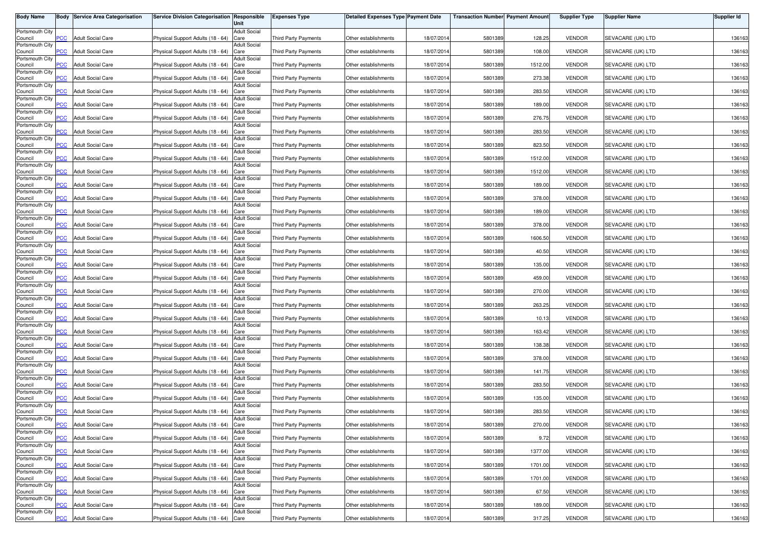| <b>Body Name</b>           |                | <b>Body Service Area Categorisation</b> | Service Division Categorisation Responsible | Unit                        | <b>Expenses Type</b>        | <b>Detailed Expenses Type Payment Date</b> |            | <b>Transaction Number Payment Amount</b> |         | <b>Supplier Type</b> | <b>Supplier Name</b> | <b>Supplier Id</b> |
|----------------------------|----------------|-----------------------------------------|---------------------------------------------|-----------------------------|-----------------------------|--------------------------------------------|------------|------------------------------------------|---------|----------------------|----------------------|--------------------|
| Portsmouth City            |                |                                         |                                             | <b>Adult Social</b>         |                             |                                            |            |                                          |         |                      |                      |                    |
| Council                    | <b>PCC</b>     | <b>Adult Social Care</b>                | Physical Support Adults (18 - 64)           | Care                        | <b>Third Party Payments</b> | Other establishments                       | 18/07/2014 | 5801389                                  | 128.25  | <b>VENDOR</b>        | SEVACARE (UK) LTD    | 136163             |
| Portsmouth City<br>Council | <b>PCC</b>     | <b>Adult Social Care</b>                | Physical Support Adults (18 - 64) Care      | <b>Adult Social</b>         | <b>Third Party Payments</b> | Other establishments                       | 18/07/2014 | 5801389                                  | 108.00  | <b>VENDOR</b>        | SEVACARE (UK) LTD    | 136163             |
| Portsmouth City            |                |                                         |                                             | <b>Adult Social</b>         |                             |                                            |            |                                          |         |                      |                      |                    |
| Council<br>Portsmouth City | $\overline{C}$ | <b>Adult Social Care</b>                | Physical Support Adults (18 - 64)           | Care<br><b>Adult Social</b> | Third Party Payments        | Other establishments                       | 18/07/2014 | 5801389                                  | 1512.00 | <b>VENDOR</b>        | SEVACARE (UK) LTD    | 136163             |
| Council                    | сC             | <b>Adult Social Care</b>                | Physical Support Adults (18 - 64)           | Care                        | Third Party Payments        | Other establishments                       | 18/07/2014 | 5801389                                  | 273.38  | <b>VENDOR</b>        | SEVACARE (UK) LTD    | 136163             |
| Portsmouth City<br>Council | <b>PCC</b>     | <b>Adult Social Care</b>                | Physical Support Adults (18 - 64)           | <b>Adult Social</b><br>Care | <b>Third Party Payments</b> | Other establishments                       | 18/07/201  | 5801389                                  | 283.50  | <b>VENDOR</b>        | SEVACARE (UK) LTD    | 136163             |
| Portsmouth City            |                | <b>Adult Social Care</b>                |                                             | <b>Adult Social</b>         | <b>Third Party Payments</b> |                                            |            |                                          |         | <b>VENDOR</b>        | SEVACARE (UK) LTD    |                    |
| Council<br>Portsmouth City | <b>PCC</b>     |                                         | Physical Support Adults (18 - 64)           | Care<br><b>Adult Social</b> |                             | Other establishments                       | 18/07/2014 | 5801389                                  | 189.00  |                      |                      | 136163             |
| Council<br>Portsmouth City | $\overline{C}$ | <b>Adult Social Care</b>                | Physical Support Adults (18 - 64)           | Care<br><b>Adult Social</b> | Third Party Payments        | Other establishments                       | 18/07/2014 | 5801389                                  | 276.75  | <b>VENDOR</b>        | SEVACARE (UK) LTD    | 136163             |
| Council                    | PСC            | <b>Adult Social Care</b>                | Physical Support Adults (18 - 64)           | Care                        | Third Party Payments        | Other establishments                       | 18/07/2014 | 5801389                                  | 283.50  | <b>VENDOR</b>        | SEVACARE (UK) LTD    | 136163             |
| Portsmouth City<br>Council | сC             | <b>Adult Social Care</b>                | Physical Support Adults (18 - 64)           | <b>Adult Social</b><br>Care | <b>Third Party Payments</b> | Other establishments                       | 18/07/2014 | 5801389                                  | 823.50  | <b>VENDOR</b>        | SEVACARE (UK) LTD    | 136163             |
| Portsmouth City            | $\overline{C}$ | <b>Adult Social Care</b>                |                                             | <b>Adult Social</b>         |                             |                                            | 18/07/2014 |                                          |         | <b>VENDOR</b>        |                      |                    |
| Council<br>Portsmouth City |                |                                         | Physical Support Adults (18 - 64)           | Care<br><b>Adult Social</b> | <b>Third Party Payments</b> | Other establishments                       |            | 5801389                                  | 1512.00 |                      | SEVACARE (UK) LTD    | 136163             |
| Council<br>Portsmouth City | PCC            | <b>Adult Social Care</b>                | Physical Support Adults (18 - 64)           | Care<br>Adult Social        | Third Party Payments        | Other establishments                       | 18/07/2014 | 5801389                                  | 1512.00 | <b>VENDOR</b>        | SEVACARE (UK) LTD    | 136163             |
| Council                    | PCC            | <b>Adult Social Care</b>                | Physical Support Adults (18 - 64)           | Care                        | Third Party Payments        | Other establishments                       | 18/07/2014 | 5801389                                  | 189.00  | <b>VENDOR</b>        | SEVACARE (UK) LTD    | 136163             |
| Portsmouth City<br>Council | PСC            | <b>Adult Social Care</b>                | Physical Support Adults (18 - 64)           | <b>Adult Social</b><br>Care | Third Party Payments        | Other establishments                       | 18/07/2014 | 5801389                                  | 378.00  | <b>VENDOR</b>        | SEVACARE (UK) LTD    | 136163             |
| Portsmouth City<br>Council | PCC            | <b>Adult Social Care</b>                | Physical Support Adults (18 - 64)           | <b>Adult Social</b><br>Care | Third Party Payments        | Other establishments                       | 18/07/201  | 5801389                                  | 189.00  | <b>VENDOR</b>        | SEVACARE (UK) LTD    | 136163             |
| Portsmouth City            |                |                                         |                                             | <b>Adult Social</b>         |                             |                                            |            |                                          |         |                      |                      |                    |
| Council<br>Portsmouth City | PCC            | <b>Adult Social Care</b>                | Physical Support Adults (18 - 64)           | Care<br><b>Adult Social</b> | Third Party Payments        | Other establishments                       | 18/07/2014 | 5801389                                  | 378.00  | <b>VENDOR</b>        | SEVACARE (UK) LTD    | 136163             |
| Council                    | <b>PCC</b>     | <b>Adult Social Care</b>                | Physical Support Adults (18 - 64)           | Care                        | <b>Third Party Payments</b> | Other establishments                       | 18/07/2014 | 5801389                                  | 1606.50 | <b>VENDOR</b>        | SEVACARE (UK) LTD    | 136163             |
| Portsmouth City<br>Council | PCC            | <b>Adult Social Care</b>                | Physical Support Adults (18 - 64)           | <b>Adult Social</b><br>Care | <b>Third Party Payments</b> | Other establishments                       | 18/07/2014 | 5801389                                  | 40.50   | <b>VENDOR</b>        | SEVACARE (UK) LTD    | 136163             |
| Portsmouth City<br>Council | сC             | Adult Social Care                       | Physical Support Adults (18 - 64)           | <b>Adult Social</b><br>Care | Third Party Payments        | Other establishments                       | 18/07/2014 | 5801389                                  | 135.00  | <b>VENDOR</b>        | SEVACARE (UK) LTD    | 136163             |
| Portsmouth City            |                |                                         |                                             | <b>Adult Social</b>         |                             |                                            |            |                                          |         |                      |                      |                    |
| Council<br>Portsmouth City | PCC            | <b>Adult Social Care</b>                | Physical Support Adults (18 - 64)           | Care<br><b>Adult Social</b> | <b>Third Party Payments</b> | Other establishments                       | 18/07/2014 | 5801389                                  | 459.00  | <b>VENDOR</b>        | SEVACARE (UK) LTD    | 136163             |
| Council<br>Portsmouth City | PСC            | <b>Adult Social Care</b>                | Physical Support Adults (18 - 64)           | Care<br>Adult Social        | <b>Third Party Payments</b> | Other establishments                       | 18/07/2014 | 5801389                                  | 270.00  | <b>VENDOR</b>        | SEVACARE (UK) LTD    | 136163             |
| Council                    | PCC            | <b>Adult Social Care</b>                | Physical Support Adults (18 - 64)           | Care                        | Third Party Payments        | Other establishments                       | 18/07/201  | 5801389                                  | 263.25  | <b>VENDOR</b>        | SEVACARE (UK) LTD    | 136163             |
| Portsmouth City<br>Council | PСC            | <b>Adult Social Care</b>                | Physical Support Adults (18 - 64)           | <b>Adult Social</b><br>Care | Third Party Payments        | Other establishments                       | 18/07/2014 | 5801389                                  | 10.13   | <b>VENDOR</b>        | SEVACARE (UK) LTD    | 136163             |
| Portsmouth City            |                |                                         |                                             | <b>Adult Social</b>         |                             |                                            |            |                                          |         |                      |                      |                    |
| Council<br>Portsmouth City | PСC            | <b>Adult Social Care</b>                | Physical Support Adults (18 - 64)           | Care<br><b>Adult Social</b> | Third Party Payments        | Other establishments                       | 18/07/201  | 5801389                                  | 163.42  | <b>VENDOR</b>        | SEVACARE (UK) LTD    | 136163             |
| Council<br>Portsmouth City | <b>PCC</b>     | <b>Adult Social Care</b>                | Physical Support Adults (18 - 64)           | Care<br><b>Adult Social</b> | Third Party Payments        | Other establishments                       | 18/07/2014 | 5801389                                  | 138.38  | <b>VENDOR</b>        | SEVACARE (UK) LTD    | 136163             |
| Council                    | PCC.           | <b>Adult Social Care</b>                | Physical Support Adults (18 - 64) Care      |                             | <b>Third Party Payments</b> | Other establishments                       | 18/07/2014 | 5801389                                  | 378.00  | <b>VENDOR</b>        | SEVACARE (UK) LTD    | 136163             |
| Portsmouth City<br>Council | <b>PCC</b>     | <b>Adult Social Care</b>                | Physical Support Adults (18 - 64)           | <b>Adult Social</b><br>Care | Third Party Payments        | Other establishments                       | 18/07/2014 | 5801389                                  | 141.75  | <b>VENDOR</b>        | SEVACARE (UK) LTD    | 136163             |
| Portsmouth City            | PСC            | <b>Adult Social Care</b>                | Physical Support Adults (18 - 64)           | <b>Adult Social</b><br>Care | <b>Third Party Payments</b> | Other establishments                       | 18/07/2014 | 5801389                                  | 283.50  | <b>VENDOR</b>        | SEVACARE (UK) LTD    | 136163             |
| Council<br>Portsmouth City |                |                                         |                                             | <b>Adult Social</b>         |                             |                                            |            |                                          |         |                      |                      |                    |
| Council<br>Portsmouth City | <b>PCC</b>     | <b>Adult Social Care</b>                | Physical Support Adults (18 - 64)           | Care<br><b>Adult Social</b> | Third Party Payments        | Other establishments                       | 18/07/2014 | 5801389                                  | 135.00  | <b>VENDOR</b>        | SEVACARE (UK) LTD    | 136163             |
| Council                    | <b>PCC</b>     | <b>Adult Social Care</b>                | Physical Support Adults (18 - 64)           | Care                        | <b>Third Party Payments</b> | Other establishments                       | 18/07/2014 | 5801389                                  | 283.50  | <b>VENDOR</b>        | SEVACARE (UK) LTD    | 136163             |
| Portsmouth City<br>Council | <b>PCC</b>     | <b>Adult Social Care</b>                | Physical Support Adults (18 - 64) Care      | <b>Adult Social</b>         | Third Party Payments        | Other establishments                       | 18/07/2014 | 5801389                                  | 270.00  | <b>VENDOR</b>        | SEVACARE (UK) LTD    | 136163             |
| Portsmouth City<br>Council | <b>PCC</b>     | <b>Adult Social Care</b>                | Physical Support Adults (18 - 64) Care      | <b>Adult Social</b>         | Third Party Payments        | Other establishments                       | 18/07/2014 | 5801389                                  | 9.72    | <b>VENDOR</b>        | SEVACARE (UK) LTD    | 136163             |
| Portsmouth City            |                |                                         |                                             | <b>Adult Social</b>         |                             |                                            |            |                                          |         |                      |                      |                    |
| Council<br>Portsmouth City | <b>PCC</b>     | <b>Adult Social Care</b>                | Physical Support Adults (18 - 64) Care      | <b>Adult Social</b>         | Third Party Payments        | Other establishments                       | 18/07/2014 | 5801389                                  | 1377.00 | <b>VENDOR</b>        | SEVACARE (UK) LTD    | 136163             |
| Council                    | PCC            | <b>Adult Social Care</b>                | Physical Support Adults (18 - 64) Care      |                             | Third Party Payments        | Other establishments                       | 18/07/2014 | 5801389                                  | 1701.00 | <b>VENDOR</b>        | SEVACARE (UK) LTD    | 136163             |
| Portsmouth City<br>Council | PСC            | <b>Adult Social Care</b>                | Physical Support Adults (18 - 64) Care      | <b>Adult Social</b>         | Third Party Payments        | Other establishments                       | 18/07/2014 | 5801389                                  | 1701.00 | <b>VENDOR</b>        | SEVACARE (UK) LTD    | 136163             |
| Portsmouth City<br>Council | PCC            | <b>Adult Social Care</b>                | Physical Support Adults (18 - 64) Care      | <b>Adult Social</b>         | Third Party Payments        | Other establishments                       | 18/07/2014 | 5801389                                  | 67.50   | <b>VENDOR</b>        | SEVACARE (UK) LTD    | 136163             |
| Portsmouth City            |                |                                         |                                             | <b>Adult Social</b>         |                             |                                            |            |                                          |         |                      |                      |                    |
| Council<br>Portsmouth City | PСC            | <b>Adult Social Care</b>                | Physical Support Adults (18 - 64) Care      | <b>Adult Social</b>         | <b>Third Party Payments</b> | Other establishments                       | 18/07/2014 | 5801389                                  | 189.00  | <b>VENDOR</b>        | SEVACARE (UK) LTD    | 136163             |
| Council                    | <b>PCC</b>     | <b>Adult Social Care</b>                | Physical Support Adults (18 - 64) Care      |                             | Third Party Payments        | Other establishments                       | 18/07/2014 | 5801389                                  | 317.25  | <b>VENDOR</b>        | SEVACARE (UK) LTD    | 136163             |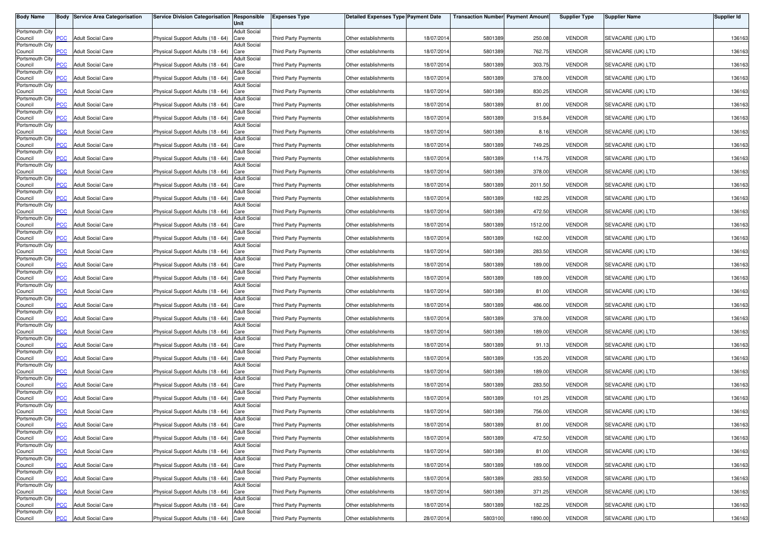| <b>Body Name</b>           |                | <b>Body Service Area Categorisation</b> | Service Division Categorisation Responsible | Unit                        | <b>Expenses Type</b>        | <b>Detailed Expenses Type Payment Date</b> |            | <b>Transaction Number Payment Amount</b> |         | <b>Supplier Type</b> | <b>Supplier Name</b> | <b>Supplier Id</b> |
|----------------------------|----------------|-----------------------------------------|---------------------------------------------|-----------------------------|-----------------------------|--------------------------------------------|------------|------------------------------------------|---------|----------------------|----------------------|--------------------|
| Portsmouth City            |                |                                         |                                             | <b>Adult Social</b>         |                             |                                            |            |                                          |         |                      |                      |                    |
| Council                    | <b>PCC</b>     | <b>Adult Social Care</b>                | Physical Support Adults (18 - 64)           | Care                        | <b>Third Party Payments</b> | Other establishments                       | 18/07/2014 | 5801389                                  | 250.08  | <b>VENDOR</b>        | SEVACARE (UK) LTD    | 136163             |
| Portsmouth City<br>Council | <b>PCC</b>     | <b>Adult Social Care</b>                | Physical Support Adults (18 - 64) Care      | <b>Adult Social</b>         | <b>Third Party Payments</b> | Other establishments                       | 18/07/2014 | 5801389                                  | 762.75  | <b>VENDOR</b>        | SEVACARE (UK) LTD    | 136163             |
| Portsmouth City            |                |                                         |                                             | <b>Adult Social</b>         |                             |                                            |            |                                          |         |                      |                      |                    |
| Council<br>Portsmouth City | $\overline{C}$ | <b>Adult Social Care</b>                | Physical Support Adults (18 - 64)           | Care<br><b>Adult Social</b> | Third Party Payments        | Other establishments                       | 18/07/2014 | 5801389                                  | 303.75  | <b>VENDOR</b>        | SEVACARE (UK) LTD    | 136163             |
| Council                    | сC             | <b>Adult Social Care</b>                | Physical Support Adults (18 - 64)           | Care                        | Third Party Payments        | Other establishments                       | 18/07/2014 | 5801389                                  | 378.00  | <b>VENDOR</b>        | SEVACARE (UK) LTD    | 136163             |
| Portsmouth City<br>Council | <b>PCC</b>     | <b>Adult Social Care</b>                | Physical Support Adults (18 - 64)           | <b>Adult Social</b><br>Care | <b>Third Party Payments</b> | Other establishments                       | 18/07/201  | 5801389                                  | 830.25  | <b>VENDOR</b>        | SEVACARE (UK) LTD    | 136163             |
| Portsmouth City            |                | <b>Adult Social Care</b>                |                                             | <b>Adult Social</b>         | <b>Third Party Payments</b> |                                            |            |                                          |         | <b>VENDOR</b>        | SEVACARE (UK) LTD    |                    |
| Council<br>Portsmouth City | <b>PCC</b>     |                                         | Physical Support Adults (18 - 64)           | Care<br><b>Adult Social</b> |                             | Other establishments                       | 18/07/2014 | 5801389                                  | 81.00   |                      |                      | 136163             |
| Council<br>Portsmouth City | $\overline{C}$ | <b>Adult Social Care</b>                | Physical Support Adults (18 - 64)           | Care<br><b>Adult Social</b> | Third Party Payments        | Other establishments                       | 18/07/2014 | 5801389                                  | 315.84  | <b>VENDOR</b>        | SEVACARE (UK) LTD    | 136163             |
| Council                    | PСC            | <b>Adult Social Care</b>                | Physical Support Adults (18 - 64)           | Care                        | Third Party Payments        | Other establishments                       | 18/07/2014 | 5801389                                  | 8.16    | <b>VENDOR</b>        | SEVACARE (UK) LTD    | 136163             |
| Portsmouth City<br>Council | сC             | <b>Adult Social Care</b>                | Physical Support Adults (18 - 64)           | <b>Adult Social</b><br>Care | <b>Third Party Payments</b> | Other establishments                       | 18/07/2014 | 5801389                                  | 749.25  | <b>VENDOR</b>        | SEVACARE (UK) LTD    | 136163             |
| Portsmouth City            | $\overline{C}$ | <b>Adult Social Care</b>                |                                             | <b>Adult Social</b>         |                             |                                            | 18/07/2014 |                                          |         | <b>VENDOR</b>        |                      |                    |
| Council<br>Portsmouth City |                |                                         | Physical Support Adults (18 - 64)           | Care<br><b>Adult Social</b> | <b>Third Party Payments</b> | Other establishments                       |            | 5801389                                  | 114.75  |                      | SEVACARE (UK) LTD    | 136163             |
| Council<br>Portsmouth City | PCC            | <b>Adult Social Care</b>                | Physical Support Adults (18 - 64)           | Care<br>Adult Social        | Third Party Payments        | Other establishments                       | 18/07/2014 | 5801389                                  | 378.00  | <b>VENDOR</b>        | SEVACARE (UK) LTD    | 136163             |
| Council                    | PCC            | <b>Adult Social Care</b>                | Physical Support Adults (18 - 64)           | Care                        | Third Party Payments        | Other establishments                       | 18/07/2014 | 5801389                                  | 2011.50 | <b>VENDOR</b>        | SEVACARE (UK) LTD    | 136163             |
| Portsmouth City<br>Council | PСC            | <b>Adult Social Care</b>                | Physical Support Adults (18 - 64)           | <b>Adult Social</b><br>Care | Third Party Payments        | Other establishments                       | 18/07/2014 | 5801389                                  | 182.25  | <b>VENDOR</b>        | SEVACARE (UK) LTD    | 136163             |
| Portsmouth City<br>Council | PCC            | <b>Adult Social Care</b>                | Physical Support Adults (18 - 64)           | <b>Adult Social</b><br>Care | Third Party Payments        | Other establishments                       | 18/07/201  | 5801389                                  | 472.50  | <b>VENDOR</b>        | SEVACARE (UK) LTD    | 136163             |
| Portsmouth City            |                |                                         |                                             | <b>Adult Social</b>         |                             |                                            |            |                                          |         |                      |                      |                    |
| Council<br>Portsmouth City | PCC            | <b>Adult Social Care</b>                | Physical Support Adults (18 - 64)           | Care<br><b>Adult Social</b> | Third Party Payments        | Other establishments                       | 18/07/2014 | 5801389                                  | 1512.00 | <b>VENDOR</b>        | SEVACARE (UK) LTD    | 136163             |
| Council                    | <b>PCC</b>     | <b>Adult Social Care</b>                | Physical Support Adults (18 - 64)           | Care                        | <b>Third Party Payments</b> | Other establishments                       | 18/07/2014 | 5801389                                  | 162.00  | <b>VENDOR</b>        | SEVACARE (UK) LTD    | 136163             |
| Portsmouth City<br>Council | PCC            | <b>Adult Social Care</b>                | Physical Support Adults (18 - 64)           | <b>Adult Social</b><br>Care | <b>Third Party Payments</b> | Other establishments                       | 18/07/2014 | 5801389                                  | 283.50  | <b>VENDOR</b>        | SEVACARE (UK) LTD    | 136163             |
| Portsmouth City<br>Council | сC             | Adult Social Care                       | Physical Support Adults (18 - 64)           | <b>Adult Social</b><br>Care | Third Party Payments        | Other establishments                       | 18/07/2014 | 5801389                                  | 189.00  | <b>VENDOR</b>        | SEVACARE (UK) LTD    | 136163             |
| Portsmouth City            |                |                                         |                                             | <b>Adult Social</b>         |                             |                                            |            |                                          |         |                      |                      |                    |
| Council<br>Portsmouth City | PCC            | <b>Adult Social Care</b>                | Physical Support Adults (18 - 64)           | Care<br><b>Adult Social</b> | <b>Third Party Payments</b> | Other establishments                       | 18/07/2014 | 5801389                                  | 189.00  | <b>VENDOR</b>        | SEVACARE (UK) LTD    | 136163             |
| Council<br>Portsmouth City | PСC            | <b>Adult Social Care</b>                | Physical Support Adults (18 - 64)           | Care<br>Adult Social        | <b>Third Party Payments</b> | Other establishments                       | 18/07/2014 | 5801389                                  | 81.00   | <b>VENDOR</b>        | SEVACARE (UK) LTD    | 136163             |
| Council                    | PCC            | <b>Adult Social Care</b>                | Physical Support Adults (18 - 64)           | Care                        | Third Party Payments        | Other establishments                       | 18/07/201  | 5801389                                  | 486.00  | <b>VENDOR</b>        | SEVACARE (UK) LTD    | 136163             |
| Portsmouth City<br>Council | PСC            | <b>Adult Social Care</b>                | Physical Support Adults (18 - 64)           | <b>Adult Social</b><br>Care | Third Party Payments        | Other establishments                       | 18/07/2014 | 5801389                                  | 378.00  | <b>VENDOR</b>        | SEVACARE (UK) LTD    | 136163             |
| Portsmouth City            |                |                                         |                                             | <b>Adult Social</b>         |                             |                                            |            |                                          |         |                      |                      |                    |
| Council<br>Portsmouth City | PСC            | <b>Adult Social Care</b>                | Physical Support Adults (18 - 64)           | Care<br><b>Adult Social</b> | Third Party Payments        | Other establishments                       | 18/07/201  | 5801389                                  | 189.00  | <b>VENDOR</b>        | SEVACARE (UK) LTD    | 136163             |
| Council<br>Portsmouth City | <b>PCC</b>     | <b>Adult Social Care</b>                | Physical Support Adults (18 - 64)           | Care<br><b>Adult Social</b> | Third Party Payments        | Other establishments                       | 18/07/2014 | 5801389                                  | 91.13   | <b>VENDOR</b>        | SEVACARE (UK) LTD    | 136163             |
| Council                    | PCC.           | <b>Adult Social Care</b>                | Physical Support Adults (18 - 64) Care      |                             | <b>Third Party Payments</b> | Other establishments                       | 18/07/2014 | 5801389                                  | 135.20  | <b>VENDOR</b>        | SEVACARE (UK) LTD    | 136163             |
| Portsmouth City<br>Council | <b>PCC</b>     | <b>Adult Social Care</b>                | Physical Support Adults (18 - 64)           | <b>Adult Social</b><br>Care | Third Party Payments        | Other establishments                       | 18/07/2014 | 5801389                                  | 189.00  | <b>VENDOR</b>        | SEVACARE (UK) LTD    | 136163             |
| Portsmouth City            | PСC            | <b>Adult Social Care</b>                | Physical Support Adults (18 - 64)           | <b>Adult Social</b><br>Care | <b>Third Party Payments</b> | Other establishments                       | 18/07/2014 | 5801389                                  | 283.50  | <b>VENDOR</b>        | SEVACARE (UK) LTD    | 136163             |
| Council<br>Portsmouth City |                |                                         |                                             | <b>Adult Social</b>         |                             |                                            |            |                                          |         |                      |                      |                    |
| Council<br>Portsmouth City | <b>PCC</b>     | <b>Adult Social Care</b>                | Physical Support Adults (18 - 64)           | Care<br><b>Adult Social</b> | Third Party Payments        | Other establishments                       | 18/07/2014 | 5801389                                  | 101.25  | <b>VENDOR</b>        | SEVACARE (UK) LTD    | 136163             |
| Council                    | <b>PCC</b>     | <b>Adult Social Care</b>                | Physical Support Adults (18 - 64)           | Care                        | <b>Third Party Payments</b> | Other establishments                       | 18/07/2014 | 5801389                                  | 756.00  | <b>VENDOR</b>        | SEVACARE (UK) LTD    | 136163             |
| Portsmouth City<br>Council | <b>PCC</b>     | <b>Adult Social Care</b>                | Physical Support Adults (18 - 64) Care      | <b>Adult Social</b>         | Third Party Payments        | Other establishments                       | 18/07/2014 | 5801389                                  | 81.00   | <b>VENDOR</b>        | SEVACARE (UK) LTD    | 136163             |
| Portsmouth City<br>Council | <b>PCC</b>     | <b>Adult Social Care</b>                | Physical Support Adults (18 - 64) Care      | <b>Adult Social</b>         | Third Party Payments        | Other establishments                       | 18/07/2014 | 5801389                                  | 472.50  | <b>VENDOR</b>        | SEVACARE (UK) LTD    | 136163             |
| Portsmouth City            |                |                                         |                                             | <b>Adult Social</b>         |                             |                                            |            |                                          |         |                      |                      |                    |
| Council<br>Portsmouth City | <b>PCC</b>     | <b>Adult Social Care</b>                | Physical Support Adults (18 - 64) Care      | <b>Adult Social</b>         | Third Party Payments        | Other establishments                       | 18/07/2014 | 5801389                                  | 81.00   | <b>VENDOR</b>        | SEVACARE (UK) LTD    | 136163             |
| Council                    | PCC            | <b>Adult Social Care</b>                | Physical Support Adults (18 - 64) Care      |                             | Third Party Payments        | Other establishments                       | 18/07/2014 | 5801389                                  | 189.00  | <b>VENDOR</b>        | SEVACARE (UK) LTD    | 136163             |
| Portsmouth City<br>Council | PСC            | <b>Adult Social Care</b>                | Physical Support Adults (18 - 64) Care      | <b>Adult Social</b>         | Third Party Payments        | Other establishments                       | 18/07/2014 | 5801389                                  | 283.50  | <b>VENDOR</b>        | SEVACARE (UK) LTD    | 136163             |
| Portsmouth City<br>Council | PCC            | <b>Adult Social Care</b>                | Physical Support Adults (18 - 64) Care      | <b>Adult Social</b>         | Third Party Payments        | Other establishments                       | 18/07/2014 | 5801389                                  | 371.25  | <b>VENDOR</b>        | SEVACARE (UK) LTD    | 136163             |
| Portsmouth City            |                |                                         |                                             | <b>Adult Social</b>         |                             |                                            |            |                                          |         |                      |                      |                    |
| Council<br>Portsmouth City | PСC            | <b>Adult Social Care</b>                | Physical Support Adults (18 - 64) Care      | <b>Adult Social</b>         | <b>Third Party Payments</b> | Other establishments                       | 18/07/2014 | 5801389                                  | 182.25  | <b>VENDOR</b>        | SEVACARE (UK) LTD    | 136163             |
| Council                    | <b>PCC</b>     | <b>Adult Social Care</b>                | Physical Support Adults (18 - 64) Care      |                             | Third Party Payments        | Other establishments                       | 28/07/2014 | 5803100                                  | 1890.00 | <b>VENDOR</b>        | SEVACARE (UK) LTD    | 136163             |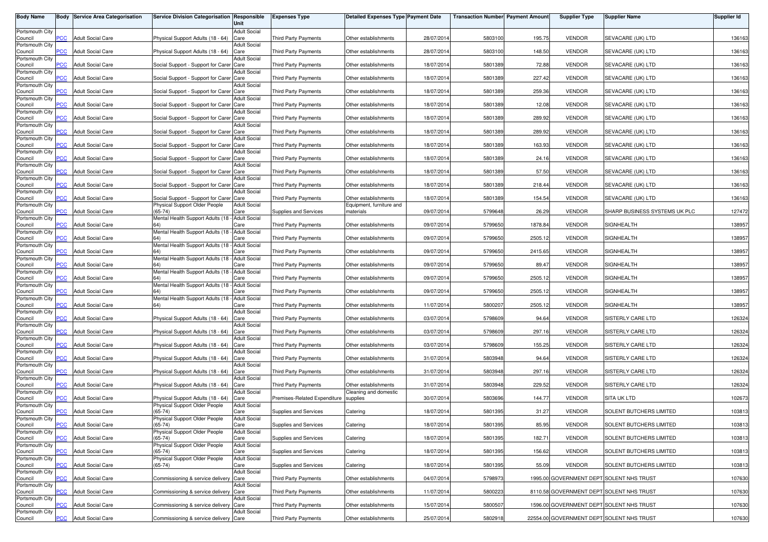| Body Name                  |            | <b>Body Service Area Categorisation</b> | Service Division Categorisation Responsible            | Unit                        | <b>Expenses Type</b>                  | <b>Detailed Expenses Type Payment Date</b>    |            | <b>Transaction Number Payment Amount</b> |         | <b>Supplier Type</b> | <b>Supplier Name</b>                      | <b>Supplier Id</b> |
|----------------------------|------------|-----------------------------------------|--------------------------------------------------------|-----------------------------|---------------------------------------|-----------------------------------------------|------------|------------------------------------------|---------|----------------------|-------------------------------------------|--------------------|
| Portsmouth City            | <b>PCC</b> | <b>Adult Social Care</b>                | Physical Support Adults (18 - 64)                      | <b>Adult Social</b>         | <b>Third Party Payments</b>           | Other establishments                          | 28/07/201  | 5803100                                  | 195.75  | <b>VENDOR</b>        | SEVACARE (UK) LTD                         | 136163             |
| Council<br>Portsmouth City |            |                                         |                                                        | Care<br><b>Adult Social</b> |                                       |                                               |            |                                          |         |                      |                                           |                    |
| Council<br>Portsmouth City | <b>PCC</b> | <b>Adult Social Care</b>                | Physical Support Adults (18 - 64) Care                 | <b>Adult Social</b>         | <b>Third Party Payments</b>           | Other establishments                          | 28/07/201  | 5803100                                  | 148.50  | <b>VENDOR</b>        | SEVACARE (UK) LTD                         | 136163             |
| Council                    | <b>PCC</b> | <b>Adult Social Care</b>                | Social Support - Support for Carer Care                |                             | Third Party Payments                  | Other establishments                          | 18/07/201  | 5801389                                  | 72.88   | <b>VENDOR</b>        | SEVACARE (UK) LTD                         | 136163             |
| Portsmouth City<br>Council | PCC        | <b>Adult Social Care</b>                | Social Support - Support for Carer Care                | <b>Adult Social</b>         | <b>Third Party Payments</b>           | Other establishments                          | 18/07/201  | 5801389                                  | 227.42  | <b>VENDOR</b>        | SEVACARE (UK) LTD                         | 136163             |
| Portsmouth City<br>Council | <b>PCC</b> | <b>Adult Social Care</b>                | Social Support - Support for Carer Care                | <b>Adult Social</b>         | <b>Third Party Payments</b>           | Other establishments                          | 18/07/201  | 5801389                                  | 259.36  | <b>VENDOR</b>        | SEVACARE (UK) LTD                         | 136163             |
| Portsmouth City            |            |                                         |                                                        | <b>Adult Social</b>         |                                       |                                               |            |                                          |         |                      |                                           |                    |
| Council<br>Portsmouth City | <b>PCC</b> | <b>Adult Social Care</b>                | Social Support - Support for Carer Care                | <b>Adult Social</b>         | Third Party Payments                  | Other establishments                          | 18/07/201  | 5801389                                  | 12.08   | <b>VENDOR</b>        | SEVACARE (UK) LTD                         | 136163             |
| Council<br>Portsmouth City | <b>PCC</b> | <b>Adult Social Care</b>                | Social Support - Support for Carer Care                | <b>Adult Social</b>         | Third Party Payments                  | Other establishments                          | 18/07/201  | 5801389                                  | 289.92  | <b>VENDOR</b>        | SEVACARE (UK) LTD                         | 136163             |
| Council                    | <b>PCC</b> | <b>Adult Social Care</b>                | Social Support - Support for Carer Care                |                             | Third Party Payments                  | Other establishments                          | 18/07/201  | 5801389                                  | 289.92  | <b>VENDOR</b>        | SEVACARE (UK) LTD                         | 136163             |
| Portsmouth City<br>Council | PСC        | <b>Adult Social Care</b>                | Social Support - Support for Carer Care                | <b>Adult Social</b>         | <b>Third Party Payments</b>           | Other establishments                          | 18/07/201  | 5801389                                  | 163.93  | <b>VENDOR</b>        | SEVACARE (UK) LTD                         | 136163             |
| Portsmouth City<br>Council | <b>PCC</b> | <b>Adult Social Care</b>                | Social Support - Support for Carer Care                | <b>Adult Social</b>         | <b>Third Party Payments</b>           | Other establishments                          | 18/07/201  | 5801389                                  | 24.16   | <b>VENDOR</b>        | SEVACARE (UK) LTD                         | 136163             |
| Portsmouth City            |            |                                         |                                                        | <b>Adult Social</b>         |                                       |                                               |            |                                          |         |                      |                                           |                    |
| Council<br>Portsmouth City | PCC        | <b>Adult Social Care</b>                | Social Support - Support for Carer Care                | Adult Social                | <b>Third Party Payments</b>           | Other establishments                          | 18/07/201  | 5801389                                  | 57.50   | <b>VENDOR</b>        | SEVACARE (UK) LTD                         | 136163             |
| Council<br>Portsmouth City | <b>PCC</b> | <b>Adult Social Care</b>                | Social Support - Support for Carer Care                | <b>Adult Social</b>         | Third Party Payments                  | Other establishments                          | 18/07/201  | 5801389                                  | 218.44  | <b>VENDOR</b>        | SEVACARE (UK) LTD                         | 136163             |
| Council                    | <b>PCC</b> | <b>Adult Social Care</b>                | Social Support - Support for Carer Care                |                             | <b>Third Party Payments</b>           | Other establishments                          | 18/07/201  | 5801389                                  | 154.54  | <b>VENDOR</b>        | SEVACARE (UK) LTD                         | 136163             |
| Portsmouth City<br>Council | <b>PCC</b> | <b>Adult Social Care</b>                | Physical Support Older People<br>$(65-74)$             | <b>Adult Social</b><br>Care | Supplies and Services                 | Equipment, furniture and<br>materials         | 09/07/201  | 5799648                                  | 26.29   | <b>VENDOR</b>        | SHARP BUSINESS SYSTEMS UK PLC             | 127472             |
| Portsmouth City<br>Council | <b>PCC</b> | <b>Adult Social Care</b>                | Mental Health Support Adults (18 - Adult Social<br>64) | Care                        | Third Party Payments                  | Other establishments                          | 09/07/2014 | 5799650                                  | 1878.84 | <b>VENDOR</b>        | <b>SIGNHEALTH</b>                         | 138957             |
| Portsmouth City            |            |                                         | Mental Health Support Adults (18 - Adult Social        |                             |                                       |                                               |            |                                          |         |                      |                                           |                    |
| Council<br>Portsmouth City | PCC        | <b>Adult Social Care</b>                | Mental Health Support Adults (18 - Adult Social        | Care                        | <b>Third Party Payments</b>           | Other establishments                          | 09/07/201  | 5799650                                  | 2505.12 | <b>VENDOR</b>        | SIGNHEALTH                                | 138957             |
| Council<br>Portsmouth City | <b>PCC</b> | <b>Adult Social Care</b>                | Mental Health Support Adults (18 - Adult Social        | Care                        | Third Party Payments                  | Other establishments                          | 09/07/201  | 5799650                                  | 2415.65 | <b>VENDOR</b>        | SIGNHEALTH                                | 138957             |
| Council                    | ۲CС        | <b>Adult Social Care</b>                |                                                        | Care                        | <b>Third Party Payments</b>           | Other establishments                          | 09/07/201  | 5799650                                  | 89.47   | <b>VENDOR</b>        | <b>SIGNHEALTH</b>                         | 138957             |
| Portsmouth City<br>Council | <b>PCC</b> | <b>Adult Social Care</b>                | Mental Health Support Adults (18 - Adult Social        | Care                        | Third Party Payments                  | Other establishments                          | 09/07/201  | 5799650                                  | 2505.12 | <b>VENDOR</b>        | SIGNHEALTH                                | 138957             |
| Portsmouth City<br>Council | PCC        | <b>Adult Social Care</b>                | Mental Health Support Adults (18 - Adult Social        | Care                        | Third Party Payments                  | Other establishments                          | 09/07/201  | 5799650                                  | 2505.12 | <b>VENDOR</b>        | <b>SIGNHEALTH</b>                         | 138957             |
| Portsmouth City            |            |                                         | Mental Health Support Adults (18 - Adult Social        |                             |                                       |                                               |            |                                          |         |                      |                                           |                    |
| Council<br>Portsmouth City | <b>PCC</b> | <b>Adult Social Care</b>                | 64)                                                    | Care<br><b>Adult Social</b> | Third Party Payments                  | Other establishments                          | 11/07/201  | 5800207                                  | 2505.12 | <b>VENDOR</b>        | SIGNHEALTH                                | 138957             |
| Council<br>Portsmouth City | <b>PCC</b> | <b>Adult Social Care</b>                | Physical Support Adults (18 - 64)                      | Care<br><b>Adult Social</b> | <b>Third Party Payments</b>           | Other establishments                          | 03/07/201  | 5798609                                  | 94.64   | <b>VENDOR</b>        | SISTERLY CARE LTD                         | 126324             |
| Council                    | <b>PCC</b> | <b>Adult Social Care</b>                | Physical Support Adults (18 - 64) Care                 |                             | <b>Third Party Payments</b>           | Other establishments                          | 03/07/201  | 5798609                                  | 297.16  | <b>VENDOR</b>        | SISTERLY CARE LTD                         | 126324             |
| Portsmouth City<br>Council | <b>PCC</b> | <b>Adult Social Care</b>                | Physical Support Adults (18 - 64) Care                 | <b>Adult Social</b>         | Third Party Payments                  | Other establishments                          | 03/07/2014 | 5798609                                  | 155.25  | <b>VENDOR</b>        | SISTERLY CARE LTD                         | 126324             |
| Portsmouth City<br>Council | PCC        | <b>Adult Social Care</b>                | Physical Support Adults (18 - 64) Care                 | <b>Adult Social</b>         | <b>Third Party Payments</b>           | Other establishments                          | 31/07/201  | 5803948                                  | 94.64   | <b>VENDOR</b>        | SISTERLY CARE LTD                         | 126324             |
| Portsmouth City            |            |                                         |                                                        | <b>Adult Social</b>         |                                       |                                               |            |                                          |         |                      |                                           |                    |
| Council<br>Portsmouth City | <b>PCC</b> | <b>Adult Social Care</b>                | Physical Support Adults (18 - 64) Care                 | <b>Adult Social</b>         | Third Party Payments                  | Other establishments                          | 31/07/201  | 5803948                                  | 297.16  | <b>VENDOR</b>        | SISTERLY CARE LTD                         | 126324             |
| Council<br>Portsmouth City | PСC        | <b>Adult Social Care</b>                | Physical Support Adults (18 - 64) Care                 | <b>Adult Social</b>         | <b>Third Party Payments</b>           | Other establishments<br>Cleaning and domestic | 31/07/201  | 5803948                                  | 229.52  | <b>VENDOR</b>        | SISTERLY CARE LTD                         | 126324             |
| Council                    | <b>PCC</b> | <b>Adult Social Care</b>                | Physical Support Adults (18 - 64)                      | Care                        | Premises-Related Expenditure supplies |                                               | 30/07/201  | 5803696                                  | 144.77  | <b>VENDOR</b>        | <b>SITA UK LTD</b>                        | 102673             |
| Portsmouth City<br>Council | <b>PCC</b> | <b>Adult Social Care</b>                | Physical Support Older People<br>$(65-74)$             | <b>Adult Social</b><br>Care | Supplies and Services                 | Catering                                      | 18/07/2014 | 5801395                                  | 31.27   | <b>VENDOR</b>        | SOLENT BUTCHERS LIMITED                   | 103813             |
| Portsmouth City<br>Council |            | <b>PCC</b> Adult Social Care            | Physical Support Older People<br>$(65-74)$             | <b>Adult Social</b><br>Care | Supplies and Services                 | Catering                                      | 18/07/2014 | 5801395                                  | 85.95   | <b>VENDOR</b>        | SOLENT BUTCHERS LIMITED                   | 103813             |
| Portsmouth City            |            |                                         | Physical Support Older People                          | <b>Adult Social</b>         |                                       |                                               |            |                                          |         |                      |                                           |                    |
| Council<br>Portsmouth City | <b>PCC</b> | <b>Adult Social Care</b>                | $(65-74)$<br>Physical Support Older People             | Care<br><b>Adult Social</b> | Supplies and Services                 | Catering                                      | 18/07/2014 | 5801395                                  | 182.71  | <b>VENDOR</b>        | <b>SOLENT BUTCHERS LIMITED</b>            | 103813             |
| Council<br>Portsmouth City | <b>PCC</b> | <b>Adult Social Care</b>                | $(65-74)$<br>Physical Support Older People             | Care<br><b>Adult Social</b> | Supplies and Services                 | Catering                                      | 18/07/2014 | 5801395                                  | 156.62  | <b>VENDOR</b>        | SOLENT BUTCHERS LIMITED                   | 103813             |
| Council                    | <b>PCC</b> | <b>Adult Social Care</b>                | $(65-74)$                                              | Care                        | Supplies and Services                 | Catering                                      | 18/07/2014 | 5801395                                  | 55.09   | <b>VENDOR</b>        | SOLENT BUTCHERS LIMITED                   | 103813             |
| Portsmouth City<br>Council | <b>PCC</b> | <b>Adult Social Care</b>                | Commissioning & service delivery Care                  | <b>Adult Social</b>         | Third Party Payments                  | Other establishments                          | 04/07/2014 | 5798973                                  |         |                      | 1995.00 GOVERNMENT DEPT SOLENT NHS TRUST  | 107630             |
| Portsmouth City<br>Council | <b>PCC</b> | <b>Adult Social Care</b>                | Commissioning & service delivery Care                  | <b>Adult Social</b>         | Third Party Payments                  | Other establishments                          | 11/07/201  | 5800223                                  |         |                      | 8110.58 GOVERNMENT DEPT SOLENT NHS TRUST  | 107630             |
| Portsmouth City            |            |                                         |                                                        | <b>Adult Social</b>         |                                       |                                               |            |                                          |         |                      |                                           |                    |
| Council<br>Portsmouth City | PCC        | <b>Adult Social Care</b>                | Commissioning & service delivery Care                  | <b>Adult Social</b>         | Third Party Payments                  | Other establishments                          | 15/07/2014 | 5800507                                  |         |                      | 1596.00 GOVERNMENT DEPT SOLENT NHS TRUST  | 107630             |
| Council                    | <b>PCC</b> | <b>Adult Social Care</b>                | Commissioning & service delivery Care                  |                             | <b>Third Party Payments</b>           | Other establishments                          | 25/07/2014 | 5802918                                  |         |                      | 22554.00 GOVERNMENT DEPT SOLENT NHS TRUST | 107630             |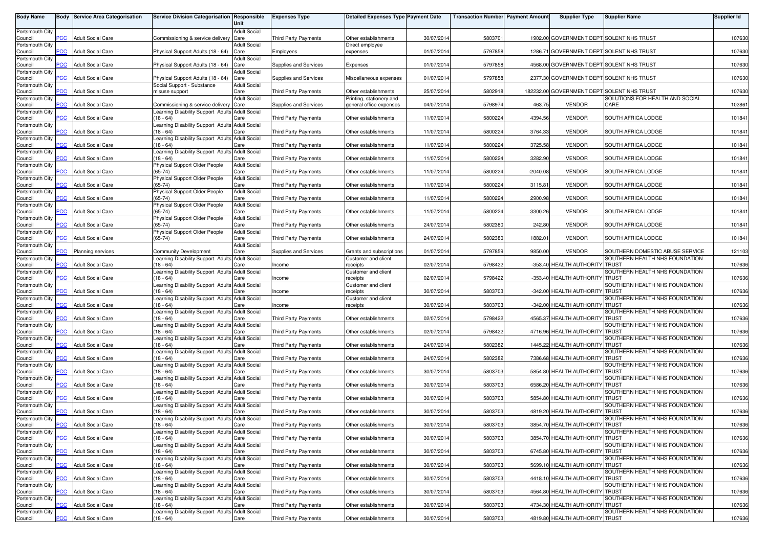| <b>Body Name</b>           | Body           | <b>Service Area Categorisation</b> | Service Division Categorisation Responsible                                    | Unit                        | <b>Expenses Type</b>        | <b>Detailed Expenses Type Payment Date</b>             |            | <b>Transaction Number Payment Amount</b> |            | <b>Supplier Type</b>                       | <b>Supplier Name</b>                                              | <b>Supplier Id</b> |
|----------------------------|----------------|------------------------------------|--------------------------------------------------------------------------------|-----------------------------|-----------------------------|--------------------------------------------------------|------------|------------------------------------------|------------|--------------------------------------------|-------------------------------------------------------------------|--------------------|
| Portsmouth City            |                |                                    |                                                                                | <b>Adult Social</b>         |                             |                                                        |            |                                          |            |                                            |                                                                   |                    |
| Council                    | <b>PCC</b>     | <b>Adult Social Care</b>           | Commissioning & service delivery                                               | Care                        | <b>Third Party Payments</b> | Other establishments                                   | 30/07/2014 | 580370                                   |            | 1902.00 GOVERNMENT DEPT SOLENT NHS TRUST   |                                                                   | 107630             |
| Portsmouth City            |                |                                    |                                                                                | <b>Adult Social</b>         |                             | Direct employee                                        |            |                                          |            |                                            |                                                                   |                    |
| Council<br>Portsmouth City | <b>PCC</b>     | <b>Adult Social Care</b>           | Physical Support Adults (18 - 64)                                              | Care<br><b>Adult Social</b> | Employees                   | expenses                                               | 01/07/2014 | 5797858                                  |            | 1286.71 GOVERNMENT DEPT SOLENT NHS TRUST   |                                                                   | 107630             |
| Council                    | $\overline{C}$ | <b>Adult Social Care</b>           | Physical Support Adults (18 - 64)                                              | Care                        | Supplies and Services       | Expenses                                               | 01/07/2014 | 5797858                                  |            | 4568.00 GOVERNMENT DEPT SOLENT NHS TRUST   |                                                                   | 107630             |
| Portsmouth City<br>Council | <b>CC</b>      | <b>Adult Social Care</b>           | Physical Support Adults (18 - 64)                                              | <b>Adult Social</b><br>Care | Supplies and Services       | Miscellaneous expenses                                 | 01/07/2014 | 5797858                                  |            | 2377.30 GOVERNMENT DEPT SOLENT NHS TRUST   |                                                                   | 107630             |
| Portsmouth City            |                |                                    | Social Support - Substance                                                     | <b>Adult Social</b>         |                             |                                                        |            |                                          |            |                                            |                                                                   |                    |
| Council                    | PCC            | <b>Adult Social Care</b>           | misuse support                                                                 | Care                        | <b>Third Party Payments</b> | Other establishments                                   | 25/07/201  | 580291                                   |            | 182232.00 GOVERNMENT DEPT SOLENT NHS TRUST |                                                                   | 107630             |
| Portsmouth City<br>Council | PСC            | <b>Adult Social Care</b>           | Commissioning & service delivery                                               | <b>Adult Social</b><br>Care | Supplies and Services       | Printing, stationery and<br>general office expenses    | 04/07/2014 | 5798974                                  | 463.75     | <b>VENDOR</b>                              | SOLUTIONS FOR HEALTH AND SOCIAL<br>CARE                           | 102861             |
| Portsmouth City            |                |                                    | Learning Disability Support Adults Adult Social                                |                             |                             |                                                        |            |                                          |            |                                            |                                                                   |                    |
| Council<br>Portsmouth City | $\overline{C}$ | <b>Adult Social Care</b>           | (18 - 64)<br>Learning Disability Support Adults Adult Social                   | Care                        | Third Party Payments        | Other establishments                                   | 11/07/2014 | 5800224                                  | 4394.56    | <b>VENDOR</b>                              | SOUTH AFRICA LODGE                                                | 101841             |
| Council                    | PСC            | <b>Adult Social Care</b>           | $(18 - 64)$                                                                    | Care                        | Third Party Payments        | Other establishments                                   | 11/07/2014 | 5800224                                  | 3764.33    | <b>VENDOR</b>                              | SOUTH AFRICA LODGE                                                | 101841             |
| Portsmouth City<br>Council | сC             | <b>Adult Social Care</b>           | earning Disability Support Adults<br>$18 - 64$                                 | <b>Adult Social</b><br>Care | <b>Third Party Payments</b> | Other establishments                                   | 11/07/201  | 5800224                                  | 3725.58    | <b>VENDOR</b>                              | SOUTH AFRICA LODGE                                                | 101841             |
| Portsmouth City            |                |                                    | earning Disability Support Adults Adult Social                                 |                             |                             |                                                        |            |                                          |            |                                            |                                                                   |                    |
| Council                    | $\overline{C}$ | <b>Adult Social Care</b>           | $18 - 64$                                                                      | Care                        | <b>Third Party Payments</b> | Other establishments                                   | 11/07/2014 | 5800224                                  | 3282.90    | <b>VENDOR</b>                              | SOUTH AFRICA LODGE                                                | 101841             |
| Portsmouth City<br>Council | PСC            | <b>Adult Social Care</b>           | Physical Support Older People<br>$(65-74)$                                     | <b>Adult Social</b><br>Care | Third Party Payments        | Other establishments                                   | 11/07/2014 | 5800224                                  | $-2040.08$ | <b>VENDOR</b>                              | SOUTH AFRICA LODGE                                                | 101841             |
| Portsmouth City            |                |                                    | Physical Support Older People                                                  | <b>Adult Social</b>         |                             |                                                        |            |                                          |            |                                            |                                                                   |                    |
| Council<br>Portsmouth City | PCC            | <b>Adult Social Care</b>           | $(65-74)$<br>Physical Support Older People                                     | Care<br><b>Adult Social</b> | Third Party Payments        | Other establishments                                   | 11/07/2014 | 5800224                                  | 3115.81    | <b>VENDOR</b>                              | SOUTH AFRICA LODGE                                                | 101841             |
| Council                    | PСC            | <b>Adult Social Care</b>           | $(65 - 74)$                                                                    | Care                        | Third Party Payments        | Other establishments                                   | 11/07/201  | 5800224                                  | 2900.98    | <b>VENDOR</b>                              | SOUTH AFRICA LODGE                                                | 101841             |
| Portsmouth City<br>Council | <b>PCC</b>     | <b>Adult Social Care</b>           | Physical Support Older People<br>$(65-74)$                                     | <b>Adult Social</b><br>Care | <b>Third Party Payments</b> | Other establishments                                   | 11/07/201  | 5800224                                  | 3300.26    | <b>VENDOR</b>                              | SOUTH AFRICA LODGE                                                | 101841             |
| Portsmouth City            |                |                                    | Physical Support Older People                                                  | <b>Adult Social</b>         |                             |                                                        |            |                                          |            |                                            |                                                                   |                    |
| Council                    | <b>PCC</b>     | <b>Adult Social Care</b>           | (65-74)                                                                        | Care                        | Third Party Payments        | Other establishments                                   | 24/07/2014 | 5802380                                  | 242.80     | <b>VENDOR</b>                              | SOUTH AFRICA LODGE                                                | 101841             |
| Portsmouth City<br>Council | PСC            | <b>Adult Social Care</b>           | Physical Support Older People<br>$(65-74)$                                     | <b>Adult Social</b><br>Care | <b>Third Party Payments</b> | Other establishments                                   | 24/07/2014 | 5802380                                  | 1882.01    | <b>VENDOR</b>                              | SOUTH AFRICA LODGE                                                | 101841             |
| Portsmouth City            |                |                                    |                                                                                | <b>Adult Social</b>         |                             |                                                        |            |                                          |            |                                            |                                                                   |                    |
| Council<br>Portsmouth City | PСC            | Planning services                  | <b>Community Development</b><br>earning Disability Support Adults Adult Social | Care                        | Supplies and Services       | Grants and subscriptions<br><b>Customer and client</b> | 01/07/2014 | 5797859                                  | 9850.00    | <b>VENDOR</b>                              | SOUTHERN DOMESTIC ABUSE SERVICE<br>SOUTHERN HEALTH NHS FOUNDATION | 121103             |
| Council                    | 'СC            | <b>Adult Social Care</b>           | $18 - 64$                                                                      | Care                        | ncome                       | receipts                                               | 02/07/2014 | 5798422                                  |            | -353.40 HEALTH AUTHORITY TRUST             |                                                                   | 107636             |
| Portsmouth City<br>Council | PCC            | <b>Adult Social Care</b>           | Learning Disability Support Adults Adult Social<br>$(18 - 64)$                 | Care                        | ncome                       | Customer and client<br>receipts                        | 02/07/2014 | 5798422                                  |            | -353.40 HEALTH AUTHORITY TRUST             | SOUTHERN HEALTH NHS FOUNDATION                                    | 107636             |
| Portsmouth City            |                |                                    | Learning Disability Support Adults Adult Social                                |                             |                             | Customer and client                                    |            |                                          |            |                                            | SOUTHERN HEALTH NHS FOUNDATION                                    |                    |
| Council                    | <b>PCC</b>     | <b>Adult Social Care</b>           | (18 - 64)                                                                      | Care                        | Income                      | receipts                                               | 30/07/2014 | 5803703                                  |            | -342.00 HEALTH AUTHORITY                   | <b>TRUST</b>                                                      | 107636             |
| Portsmouth City<br>Council | PCC            | <b>Adult Social Care</b>           | Learning Disability Support Adults Adult Social<br>$(18 - 64)$                 | Care                        | Income                      | Customer and client<br>receipts                        | 30/07/201  | 5803703                                  |            | -342.00 HEALTH AUTHORITY TRUST             | SOUTHERN HEALTH NHS FOUNDATION                                    | 107636             |
| Portsmouth City            |                |                                    | earning Disability Support Adults Adult Social                                 |                             |                             |                                                        |            |                                          |            |                                            | SOUTHERN HEALTH NHS FOUNDATION                                    |                    |
| Council<br>Portsmouth City | PСC            | <b>Adult Social Care</b>           | $(18 - 64)$<br>Learning Disability Support Adults                              | Care<br><b>Adult Social</b> | Third Party Payments        | Other establishments                                   | 02/07/2014 | 5798422                                  |            | 4565.37 HEALTH AUTHORIT                    | <b>TRUST</b><br>SOUTHERN HEALTH NHS FOUNDATION                    | 107636             |
| Council                    | PСC            | <b>Adult Social Care</b>           | $(18 - 64)$                                                                    | Care                        | <b>Third Party Payments</b> | Other establishments                                   | 02/07/201  | 5798422                                  |            | 4716.96 HEALTH AUTHORITY TRUST             |                                                                   | 107636             |
| Portsmouth City            |                |                                    | Learning Disability Support Adults Adult Social                                |                             |                             |                                                        |            |                                          |            |                                            | SOUTHERN HEALTH NHS FOUNDATION                                    |                    |
| Council<br>Portsmouth City | <b>PCC</b>     | <b>Adult Social Care</b>           | (18 - 64)<br>earning Disability Support Adults Adult Social                    | Care                        | Third Party Payments        | Other establishments                                   | 24/07/2014 | 5802382                                  |            | 1445.22 HEALTH AUTHORITY TRUST             | SOUTHERN HEALTH NHS FOUNDATION                                    | 107636             |
| Council                    | PCC.           | <b>Adult Social Care</b>           | $18 - 64$                                                                      | Care                        | <b>Third Party Payments</b> | Other establishments                                   | 24/07/2014 | 5802382                                  |            | 7386.68 HEALTH AUTHORITY TRUST             |                                                                   | 107636             |
| Portsmouth City<br>Council | <b>PCC</b>     | <b>Adult Social Care</b>           | earning Disability Support Adults Adult Social<br>$18 - 64$                    | Care                        | <b>Third Party Payments</b> | Other establishments                                   | 30/07/2014 | 5803703                                  |            | 5854.80 HEALTH AUTHORITY TRUST             | SOUTHERN HEALTH NHS FOUNDATION                                    | 107636             |
| Portsmouth City            |                |                                    | earning Disability Support Adults Adult Social                                 |                             |                             |                                                        |            |                                          |            |                                            | SOUTHERN HEALTH NHS FOUNDATION                                    |                    |
| Council<br>Portsmouth City | сC             | <b>Adult Social Care</b>           | $18 - 64$<br>Learning Disability Support Adults Adult Social                   | Care                        | <b>Third Party Payments</b> | Other establishments                                   | 30/07/2014 | 5803703                                  |            | 6586.20 HEALTH AUTHORITY TRUST             | SOUTHERN HEALTH NHS FOUNDATION                                    | 107636             |
| Council                    | <b>PCC</b>     | <b>Adult Social Care</b>           | $(18 - 64)$                                                                    | Care                        | <b>Third Party Payments</b> | Other establishments                                   | 30/07/2014 | 5803703                                  |            | 5854.80 HEALTH AUTHORITY TRUST             |                                                                   | 107636             |
| Portsmouth City            |                |                                    | earning Disability Support Adults Adult Social                                 |                             |                             |                                                        |            |                                          |            |                                            | SOUTHERN HEALTH NHS FOUNDATION                                    |                    |
| Council<br>Portsmouth City | <b>PCC</b>     | <b>Adult Social Care</b>           | $18 - 64$<br>Learning Disability Support Adults Adult Social                   | Care                        | <b>Third Party Payments</b> | Other establishments                                   | 30/07/2014 | 5803703                                  |            | 4819.20 HEALTH AUTHORITY                   | <b>TRUST</b><br>SOUTHERN HEALTH NHS FOUNDATION                    | 107636             |
| Council                    | <b>PCC</b>     | <b>Adult Social Care</b>           | $(18 - 64)$                                                                    | Care                        | Third Party Payments        | Other establishments                                   | 30/07/2014 | 5803703                                  |            | 3854.70 HEALTH AUTHORITY TRUST             |                                                                   | 107636             |
| Portsmouth City<br>Council | <b>PCC</b>     | <b>Adult Social Care</b>           | Learning Disability Support Adults Adult Social<br>(18 - 64)                   | Care                        | Third Party Payments        | Other establishments                                   | 30/07/2014 | 5803703                                  |            | 3854.70 HEALTH AUTHORITY TRUST             | SOUTHERN HEALTH NHS FOUNDATION                                    | 107636             |
| Portsmouth City            |                |                                    | Learning Disability Support Adults Adult Social                                |                             |                             |                                                        |            |                                          |            |                                            | SOUTHERN HEALTH NHS FOUNDATION                                    |                    |
| Council<br>Portsmouth City | <b>PCC</b>     | <b>Adult Social Care</b>           | (18 - 64)<br>Learning Disability Support Adults Adult Social                   | Care                        | Third Party Payments        | Other establishments                                   | 30/07/2014 | 5803703                                  |            | 6745.80 HEALTH AUTHORITY TRUST             | SOUTHERN HEALTH NHS FOUNDATION                                    | 107636             |
| Council                    | PCC            | <b>Adult Social Care</b>           | (18 - 64)                                                                      | Care                        | Third Party Payments        | Other establishments                                   | 30/07/2014 | 5803703                                  |            | 5699.10 HEALTH AUTHORITY TRUST             |                                                                   | 107636             |
| Portsmouth City            |                |                                    | earning Disability Support Adults Adult Social                                 |                             |                             |                                                        |            |                                          |            |                                            | SOUTHERN HEALTH NHS FOUNDATION                                    |                    |
| Council<br>Portsmouth City | PСC            | <b>Adult Social Care</b>           | $18 - 64$<br>Learning Disability Support Adults Adult Social                   | Care                        | Third Party Payments        | Other establishments                                   | 30/07/2014 | 5803703                                  |            | 4418.10 HEALTH AUTHORITY TRUST             | SOUTHERN HEALTH NHS FOUNDATION                                    | 107636             |
| Council                    | PCC            | <b>Adult Social Care</b>           | $(18 - 64)$                                                                    | Care                        | <b>Third Party Payments</b> | Other establishments                                   | 30/07/2014 | 5803703                                  |            | 4564.80 HEALTH AUTHORITY TRUST             |                                                                   | 107636             |
| Portsmouth City<br>Council | PСC            | <b>Adult Social Care</b>           | Learning Disability Support Adults Adult Social<br>(18 - 64)                   | Care                        | Third Party Payments        | Other establishments                                   | 30/07/2014 | 5803703                                  |            | 4734.30 HEALTH AUTHORITY TRUST             | SOUTHERN HEALTH NHS FOUNDATION                                    | 107636             |
| Portsmouth City            |                |                                    | Learning Disability Support Adults Adult Social                                |                             |                             |                                                        |            |                                          |            |                                            | SOUTHERN HEALTH NHS FOUNDATION                                    |                    |
| Council                    | PCC            | <b>Adult Social Care</b>           | $(18 - 64)$                                                                    | Care                        | <b>Third Party Payments</b> | Other establishments                                   | 30/07/2014 | 5803703                                  |            | 4819.80 HEALTH AUTHORITY TRUST             |                                                                   | 107636             |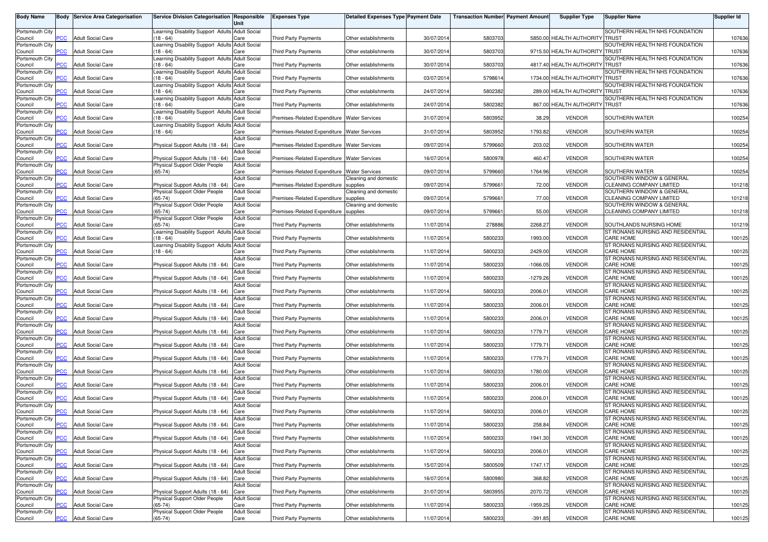| <b>Body Name</b>           |                | <b>Body Service Area Categorisation</b> | Service Division Categorisation Responsible                        | Unit                        | <b>Expenses Type</b>                          | <b>Detailed Expenses Type Payment Date</b> |            | <b>Transaction Number Payment Amount</b> |            | <b>Supplier Type</b>           | <b>Supplier Name</b>                                         | <b>Supplier Id</b> |
|----------------------------|----------------|-----------------------------------------|--------------------------------------------------------------------|-----------------------------|-----------------------------------------------|--------------------------------------------|------------|------------------------------------------|------------|--------------------------------|--------------------------------------------------------------|--------------------|
| Portsmouth City            |                |                                         | Learning Disability Support Adults Adult Social                    |                             |                                               |                                            |            |                                          |            |                                | SOUTHERN HEALTH NHS FOUNDATION                               |                    |
| Council<br>Portsmouth City | PСC            | <b>Adult Social Care</b>                | (18 - 64)<br>Learning Disability Support Adults Adult Social       | Care                        | Third Party Payments                          | Other establishments                       | 30/07/2014 | 5803703                                  |            | 5850.00 HEALTH AUTHORITY TRUST | SOUTHERN HEALTH NHS FOUNDATION                               | 107636             |
| Council                    | <b>PCC</b>     | <b>Adult Social Care</b>                | $18 - 64$                                                          | Care                        | Third Party Payments                          | Other establishments                       | 30/07/2014 | 5803703                                  |            | 9715.50 HEALTH AUTHORITY TRUST |                                                              | 107636             |
| Portsmouth City<br>Council | PСC            | <b>Adult Social Care</b>                | Learning Disability Support Adults Adult Social<br>$(18 - 64)$     | Care                        | Third Party Payments                          | Other establishments                       | 30/07/2014 | 5803703                                  |            | 4817.40 HEALTH AUTHORITY TRUST | SOUTHERN HEALTH NHS FOUNDATION                               | 107636             |
| Portsmouth City<br>Council |                | <b>Adult Social Care</b>                | earning Disability Support Adults Adult Social<br>$(18 - 64)$      | Care                        | Third Party Payments                          | Other establishments                       | 03/07/2014 | 5798614                                  |            | 1734.00 HEALTH AUTHORITY       | SOUTHERN HEALTH NHS FOUNDATION<br>'ITRUST                    | 107636             |
| Portsmouth City            |                |                                         | Learning Disability Support Adults Adult Social                    |                             |                                               |                                            |            |                                          |            |                                | SOUTHERN HEALTH NHS FOUNDATION                               |                    |
| Council<br>Portsmouth City | PCC.           | <b>Adult Social Care</b>                | $(18 - 64)$<br>Learning Disability Support Adults Adult Social     | Care                        | Third Party Payments                          | Other establishments                       | 24/07/2014 | 5802382                                  |            | 289.00 HEALTH AUTHORITY TRUST  | SOUTHERN HEALTH NHS FOUNDATION                               | 107636             |
| Council                    | <b>PCC</b>     | <b>Adult Social Care</b>                | (18 - 64)                                                          | Care                        | Third Party Payments                          | Other establishments                       | 24/07/2014 | 5802382                                  |            | 867.00 HEALTH AUTHORITY TRUST  |                                                              | 107636             |
| Portsmouth City<br>Council | $\overline{C}$ | <b>Adult Social Care</b>                | earning Disability Support Adults Adult Social<br>$18 - 64$        | Care                        | Premises-Related Expenditure Water Services   |                                            | 31/07/2014 | 5803952                                  | 38.29      | <b>VENDOR</b>                  | SOUTHERN WATER                                               | 100254             |
| Portsmouth City<br>Council | <b>PCC</b>     | <b>Adult Social Care</b>                | earning Disability Support Adults Adult Social<br>$18 - 64$        | Care                        | Premises-Related Expenditure Water Services   |                                            | 31/07/2014 | 5803952                                  | 1793.82    | <b>VENDOR</b>                  | SOUTHERN WATER                                               | 100254             |
| Portsmouth City<br>Council | сC             | <b>Adult Social Care</b>                | Physical Support Adults (18 - 64)                                  | <b>Adult Social</b><br>Care | Premises-Related Expenditure   Water Services |                                            | 09/07/2014 | 5799660                                  | 203.02     | <b>VENDOR</b>                  | SOUTHERN WATER                                               | 100254             |
| Portsmouth City            |                |                                         |                                                                    | <b>Adult Social</b>         |                                               |                                            |            |                                          |            |                                |                                                              |                    |
| Council<br>Portsmouth City | PСC            | <b>Adult Social Care</b>                | Physical Support Adults (18 - 64)<br>Physical Support Older People | Care<br><b>Adult Social</b> | Premises-Related Expenditure Water Services   |                                            | 16/07/2014 | 5800978                                  | 460.47     | <b>VENDOR</b>                  | SOUTHERN WATER                                               | 100254             |
| Council                    | <b>CC</b>      | <b>Adult Social Care</b>                | $(65-74)$                                                          | Care<br><b>Adult Social</b> | Premises-Related Expenditure Water Services   |                                            | 09/07/2014 | 5799660                                  | 1764.96    | <b>VENDOR</b>                  | SOUTHERN WATER<br>SOUTHERN WINDOW & GENERAL                  | 100254             |
| Portsmouth City<br>Council | PСC            | <b>Adult Social Care</b>                | Physical Support Adults (18 - 64)                                  | Care                        | Premises-Related Expenditure                  | Cleaning and domestic<br>supplies          | 09/07/201  | 5799661                                  | 72.00      | <b>VENDOR</b>                  | CLEANING COMPANY LIMITED                                     | 101218             |
| Portsmouth City<br>Council | PСC            | <b>Adult Social Care</b>                | Physical Support Older People<br>$(65 - 74)$                       | <b>Adult Social</b><br>Care | Premises-Related Expenditure                  | Cleaning and domestic<br>supplies          | 09/07/2014 | 579966                                   | 77.00      | <b>VENDOR</b>                  | SOUTHERN WINDOW & GENERAL<br>CLEANING COMPANY LIMITED        | 101218             |
| Portsmouth City            |                |                                         | Physical Support Older People                                      | <b>Adult Social</b>         |                                               | Cleaning and domestic                      |            |                                          |            |                                | SOUTHERN WINDOW & GENERAL                                    |                    |
| Council<br>Portsmouth City | <b>PCC</b>     | <b>Adult Social Care</b>                | $(65-74)$<br>Physical Support Older People                         | Care<br><b>Adult Social</b> | Premises-Related Expenditure                  | supplies                                   | 09/07/201  | 579966                                   | 55.00      | <b>VENDOR</b>                  | CLEANING COMPANY LIMITED                                     | 101218             |
| Council<br>Portsmouth City | PCC            | <b>Adult Social Care</b>                | $(65-74)$<br>earning Disability Support Adults                     | Care<br><b>Adult Social</b> | <b>Third Party Payments</b>                   | Other establishments                       | 11/07/2014 | 278886                                   | 2268.27    | <b>VENDOR</b>                  | SOUTHLANDS NURSING HOME<br>ST RONANS NURSING AND RESIDENTIAL | 101219             |
| Council                    | PСC            | <b>Adult Social Care</b>                | $18 - 64$                                                          | Care                        | <b>Third Party Payments</b>                   | Other establishments                       | 11/07/2014 | 5800233                                  | 1993.00    | <b>VENDOR</b>                  | <b>CARE HOME</b>                                             | 100125             |
| Portsmouth City<br>Council | PCC            | <b>Adult Social Care</b>                | earning Disability Support Adults Adult Social<br>$18 - 64$        | Care                        | Third Party Payments                          | Other establishments                       | 11/07/2014 | 5800233                                  | 2429.00    | <b>VENDOR</b>                  | ST RONANS NURSING AND RESIDENTIAL<br>CARE HOME               | 100125             |
| Portsmouth City<br>Council | PСC            | <b>Adult Social Care</b>                | Physical Support Adults (18 - 64)                                  | <b>Adult Social</b><br>Care | Third Party Payments                          | Other establishments                       | 11/07/2014 | 580023                                   | $-1066.05$ | <b>VENDOR</b>                  | ST RONANS NURSING AND RESIDENTIAL<br><b>CARE HOME</b>        | 100125             |
| Portsmouth City            | <b>PCC</b>     | <b>Adult Social Care</b>                |                                                                    | <b>Adult Social</b>         |                                               |                                            |            | 5800233                                  |            | <b>VENDOR</b>                  | ST RONANS NURSING AND RESIDENTIAL<br>CARE HOME               |                    |
| Council<br>Portsmouth City |                |                                         | Physical Support Adults (18 - 64)                                  | Care<br><b>Adult Social</b> | Third Party Payments                          | Other establishments                       | 11/07/201  |                                          | $-1279.26$ |                                | ST RONANS NURSING AND RESIDENTIAL                            | 100125             |
| Council<br>Portsmouth City | PСC            | <b>Adult Social Care</b>                | Physical Support Adults (18 - 64)                                  | Care<br>Adult Social        | Third Party Payments                          | Other establishments                       | 11/07/201  | 5800233                                  | 2006.01    | <b>VENDOR</b>                  | <b>CARE HOME</b><br>ST RONANS NURSING AND RESIDENTIAL        | 100125             |
| Council                    | PCC            | <b>Adult Social Care</b>                | Physical Support Adults (18 - 64)                                  | Care                        | Third Party Payments                          | Other establishments                       | 11/07/201  | 5800233                                  | 2006.01    | <b>VENDOR</b>                  | CARE HOME                                                    | 100125             |
| Portsmouth City<br>Council | PСC            | <b>Adult Social Care</b>                | Physical Support Adults (18 - 64)                                  | <b>Adult Social</b><br>Care | Third Party Payments                          | Other establishments                       | 11/07/2014 | 580023                                   | 2006.01    | <b>VENDOR</b>                  | ST RONANS NURSING AND RESIDENTIAL<br>CARE HOME               | 100125             |
| Portsmouth City<br>Council | <b>PCC</b>     | <b>Adult Social Care</b>                | Physical Support Adults (18 - 64)                                  | <b>Adult Social</b><br>Care | Third Party Payments                          | Other establishments                       | 11/07/201  | 5800233                                  | 1779.71    | <b>VENDOR</b>                  | ST RONANS NURSING AND RESIDENTIAL<br>CARE HOME               | 100125             |
| Portsmouth City<br>Council | <b>PCC</b>     | <b>Adult Social Care</b>                | Physical Support Adults (18 - 64)                                  | <b>Adult Social</b><br>Care | Third Party Payments                          | Other establishments                       | 11/07/2014 | 5800233                                  | 1779.71    | <b>VENDOR</b>                  | ST RONANS NURSING AND RESIDENTIAL<br>CARE HOME               | 100125             |
| Portsmouth City            |                |                                         |                                                                    | <b>Adult Social</b>         |                                               |                                            |            |                                          |            |                                | ST RONANS NURSING AND RESIDENTIAL                            |                    |
| Council<br>Portsmouth City | <b>PCC</b>     | <b>Adult Social Care</b>                | Physical Support Adults (18 - 64)                                  | Care<br><b>Adult Social</b> | <b>Third Party Payments</b>                   | Other establishments                       | 11/07/2014 | 5800233                                  | 1779.71    | <b>VENDOR</b>                  | <b>CARE HOME</b><br>ST RONANS NURSING AND RESIDENTIAL        | 100125             |
| Council<br>Portsmouth City | <b>PCC</b>     | <b>Adult Social Care</b>                | Physical Support Adults (18 - 64)                                  | Care<br><b>Adult Social</b> | Third Party Payments                          | Other establishments                       | 11/07/2014 | 5800233                                  | 1780.00    | <b>VENDOR</b>                  | <b>CARE HOME</b><br>ST RONANS NURSING AND RESIDENTIAL        | 100125             |
| Council                    |                | <b>Adult Social Care</b>                | Physical Support Adults (18 - 64)                                  | Care                        | Third Party Payments                          | Other establishments                       | 11/07/2014 | 580023                                   | 2006.01    | <b>VENDOR</b>                  | <b>CARE HOME</b>                                             | 100125             |
| Portsmouth City<br>Council | PCC            | <b>Adult Social Care</b>                | Physical Support Adults (18 - 64)                                  | <b>Adult Social</b><br>Care | Third Party Payments                          | Other establishments                       | 11/07/201  | 5800233                                  | 2006.01    | <b>VENDOR</b>                  | ST RONANS NURSING AND RESIDENTIAL<br>CARE HOME               | 100125             |
| Portsmouth City            |                |                                         |                                                                    | Adult Social                |                                               |                                            |            |                                          |            |                                | ST RONANS NURSING AND RESIDENTIAL                            |                    |
| Council<br>Portsmouth City | PСC            | <b>Adult Social Care</b>                | Physical Support Adults (18 - 64)                                  | Care<br><b>Adult Social</b> | <b>Third Party Payments</b>                   | Other establishments                       | 11/07/2014 | 5800233                                  | 2006.01    | <b>VENDOR</b>                  | CARE HOME<br>ST RONANS NURSING AND RESIDENTIAL               | 100125             |
| Council<br>Portsmouth City |                | <b>PCC</b> Adult Social Care            | Physical Support Adults (18 - 64) Care                             | <b>Adult Social</b>         | Third Party Payments                          | Other establishments                       | 11/07/2014 | 5800233                                  | 258.84     | VENDOR                         | CARE HOME<br>ST RONANS NURSING AND RESIDENTIAL               | 100125             |
| Council                    | <u>PCC</u>     | <b>Adult Social Care</b>                | Physical Support Adults (18 - 64) Care                             |                             | Third Party Payments                          | Other establishments                       | 11/07/2014 | 5800233                                  | 1941.30    | <b>VENDOR</b>                  | CARE HOME                                                    | 100125             |
| Portsmouth City<br>Council | PCC            | <b>Adult Social Care</b>                | Physical Support Adults (18 - 64) Care                             | <b>Adult Social</b>         | Third Party Payments                          | Other establishments                       | 11/07/2014 | 5800233                                  | 2006.01    | <b>VENDOR</b>                  | ST RONANS NURSING AND RESIDENTIAL<br>CARE HOME               | 100125             |
| Portsmouth City<br>Council | PCC            | <b>Adult Social Care</b>                | Physical Support Adults (18 - 64) Care                             | <b>Adult Social</b>         | Third Party Payments                          | Other establishments                       | 15/07/2014 | 5800509                                  | 1747.17    | <b>VENDOR</b>                  | ST RONANS NURSING AND RESIDENTIAL<br>CARE HOME               | 100125             |
| Portsmouth City            |                |                                         |                                                                    | <b>Adult Social</b>         |                                               |                                            |            |                                          |            |                                | ST RONANS NURSING AND RESIDENTIAL                            |                    |
| Council<br>Portsmouth City | PСC            | <b>Adult Social Care</b>                | Physical Support Adults (18 - 64) Care                             | <b>Adult Social</b>         | Third Party Payments                          | Other establishments                       | 16/07/2014 | 5800980                                  | 368.82     | <b>VENDOR</b>                  | CARE HOME<br>ST RONANS NURSING AND RESIDENTIAL               | 100125             |
| Council                    | PCC            | <b>Adult Social Care</b>                | Physical Support Adults (18 - 64)                                  | Care                        | Third Party Payments                          | Other establishments                       | 31/07/2014 | 5803955                                  | 2070.72    | <b>VENDOR</b>                  | CARE HOME<br>ST RONANS NURSING AND RESIDENTIAL               | 100125             |
| Portsmouth City<br>Council | <b>CC</b>      | <b>Adult Social Care</b>                | Physical Support Older People<br>$(65-74)$                         | <b>Adult Social</b><br>Care | Third Party Payments                          | Other establishments                       | 11/07/2014 | 5800233                                  | -1959.25   | <b>VENDOR</b>                  | CARE HOME                                                    | 100125             |
| Portsmouth City<br>Council | <b>PCC</b>     | <b>Adult Social Care</b>                | Physical Support Older People<br>$(65-74)$                         | <b>Adult Social</b><br>Care | Third Party Payments                          | Other establishments                       | 11/07/2014 | 5800233                                  | $-391.85$  | VENDOR                         | ST RONANS NURSING AND RESIDENTIAL<br><b>CARE HOME</b>        | 100125             |
|                            |                |                                         |                                                                    |                             |                                               |                                            |            |                                          |            |                                |                                                              |                    |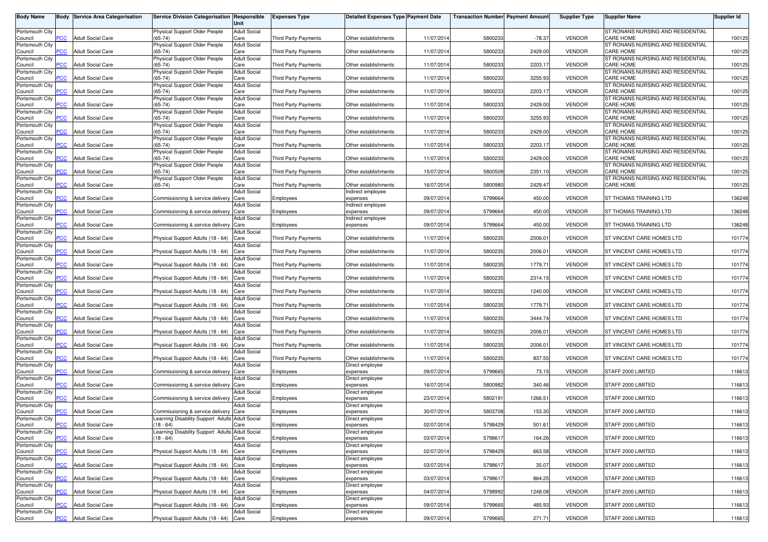| <b>Body Name</b>           |            | <b>Body Service Area Categorisation</b> | Service Division Categorisation Responsible                                         | Unit                        | <b>Expenses Type</b>        | <b>Detailed Expenses Type Payment Date</b> |            | <b>Transaction Number Payment Amount</b> |          | <b>Supplier Type</b> | <b>Supplier Name</b>                                  | Supplier Id |
|----------------------------|------------|-----------------------------------------|-------------------------------------------------------------------------------------|-----------------------------|-----------------------------|--------------------------------------------|------------|------------------------------------------|----------|----------------------|-------------------------------------------------------|-------------|
| Portsmouth City            |            |                                         | Physical Support Older People                                                       | <b>Adult Social</b>         |                             |                                            |            |                                          |          |                      | ST RONANS NURSING AND RESIDENTIAL                     |             |
| Council<br>Portsmouth City | PCC        | <b>Adult Social Care</b>                | $(65 - 74)$<br>Physical Support Older People                                        | Care<br><b>Adult Social</b> | <b>Third Party Payments</b> | Other establishments                       | 11/07/2014 | 5800233                                  | $-78.37$ | <b>VENDOR</b>        | CARE HOME<br>ST RONANS NURSING AND RESIDENTIAL        | 100125      |
| Council<br>Portsmouth City | <b>CC</b>  | Adult Social Care                       | $(65-74)$<br>Physical Support Older People                                          | Care<br><b>Adult Social</b> | <b>Third Party Payments</b> | Other establishments                       | 11/07/2014 | 5800233                                  | 2429.00  | <b>VENDOR</b>        | <b>CARE HOME</b><br>ST RONANS NURSING AND RESIDENTIAL | 100125      |
| Council                    | <b>PCC</b> | <b>Adult Social Care</b>                | $(65 - 74)$                                                                         | Care                        | Third Party Payments        | Other establishments                       | 11/07/201  | 5800233                                  | 2203.17  | <b>VENDOR</b>        | <b>CARE HOME</b>                                      | 100125      |
| Portsmouth City<br>Council |            | <b>Adult Social Care</b>                | Physical Support Older People<br>$(65-74)$                                          | <b>Adult Social</b><br>Care | <b>Third Party Payments</b> | Other establishments                       | 11/07/201  | 5800233                                  | 3255.93  | <b>VENDOR</b>        | ST RONANS NURSING AND RESIDENTIAL<br>CARE HOME        | 100125      |
| Portsmouth City            |            |                                         | Physical Support Older People                                                       | <b>Adult Social</b>         |                             |                                            |            |                                          |          |                      | ST RONANS NURSING AND RESIDENTIAL                     |             |
| Council<br>Portsmouth City | PCC        | <b>Adult Social Care</b>                | $(65-74)$<br>Physical Support Older People                                          | Care<br><b>Adult Social</b> | <b>Third Party Payments</b> | Other establishments                       | 11/07/201  | 5800233                                  | 2203.17  | <b>VENDOR</b>        | CARE HOME<br>ST RONANS NURSING AND RESIDENTIAL        | 100125      |
| Council                    | <b>PCC</b> | <b>Adult Social Care</b>                | $(65 - 74)$                                                                         | Care                        | Third Party Payments        | Other establishments                       | 11/07/2014 | 5800233                                  | 2429.00  | <b>VENDOR</b>        | <b>CARE HOME</b>                                      | 100125      |
| Portsmouth City<br>Council | <b>PCC</b> | Adult Social Care                       | Physical Support Older People<br>$(65-74)$                                          | <b>Adult Social</b><br>Care | <b>Third Party Payments</b> | Other establishments                       | 11/07/2014 | 5800233                                  | 3255.93  | <b>VENDOR</b>        | ST RONANS NURSING AND RESIDENTIAL<br><b>CARE HOME</b> | 100125      |
| Portsmouth City<br>Council | <b>PCC</b> | <b>Adult Social Care</b>                | Physical Support Older People<br>$(65-74)$                                          | <b>Adult Social</b><br>Care | <b>Third Party Payments</b> | Other establishments                       | 11/07/2014 | 5800233                                  | 2429.00  | <b>VENDOR</b>        | ST RONANS NURSING AND RESIDENTIAL<br>CARE HOME        | 100125      |
| Portsmouth City            |            |                                         | Physical Support Older People                                                       | <b>Adult Social</b>         |                             |                                            |            |                                          |          |                      | ST RONANS NURSING AND RESIDENTIAL                     |             |
| Council<br>Portsmouth City | PСC        | <b>Adult Social Care</b>                | $(65 - 74)$<br>Physical Support Older People                                        | Care<br><b>Adult Social</b> | <b>Third Party Payments</b> | Other establishments                       | 11/07/201  | 5800233                                  | 2203.17  | <b>VENDOR</b>        | <b>CARE HOME</b><br>ST RONANS NURSING AND RESIDENTIAL | 100125      |
| Council                    | <b>PCC</b> | <b>Adult Social Care</b>                | $(65-74)$                                                                           | Care                        | <b>Third Party Payments</b> | Other establishments                       | 11/07/201  | 5800233                                  | 2429.00  | <b>VENDOR</b>        | <b>CARE HOME</b>                                      | 100125      |
| Portsmouth City<br>Council | сC         | Adult Social Care                       | Physical Support Older People<br>$(65-74)$                                          | <b>Adult Social</b><br>Care | <b>Third Party Payments</b> | Other establishments                       | 15/07/201  | 5800509                                  | 2351.10  | <b>VENDOR</b>        | ST RONANS NURSING AND RESIDENTIAL<br><b>CARE HOME</b> | 100125      |
| Portsmouth City<br>Council | PCC        | <b>Adult Social Care</b>                | Physical Support Older People<br>$(65-74)$                                          | <b>Adult Social</b><br>Care | Third Party Payments        | Other establishments                       | 16/07/201  | 5800980                                  | 2429.47  | <b>VENDOR</b>        | ST RONANS NURSING AND RESIDENTIAL<br>CARE HOME        | 100125      |
| Portsmouth City            |            |                                         |                                                                                     | <b>Adult Social</b>         |                             | Indirect employee                          |            |                                          |          |                      |                                                       |             |
| Council<br>Portsmouth City | PCC        | <b>Adult Social Care</b>                | Commissioning & service delivery                                                    | Care<br><b>Adult Social</b> | Employees                   | expenses<br>ndirect employee               | 09/07/2014 | 5799664                                  | 450.00   | <b>VENDOR</b>        | ST THOMAS TRAINING LTD                                | 136248      |
| Council                    | <b>PCC</b> | <b>Adult Social Care</b>                | Commissioning & service delivery                                                    | Care                        | Employees                   | expenses                                   | 09/07/201  | 5799664                                  | 450.00   | <b>VENDOR</b>        | ST THOMAS TRAINING LTD                                | 136248      |
| Portsmouth City<br>Council | <b>PCC</b> | Adult Social Care                       | Commissioning & service delivery                                                    | <b>Adult Social</b><br>Care | Employees                   | ndirect employee<br>expenses               | 09/07/2014 | 5799664                                  | 450.00   | <b>VENDOR</b>        | ST THOMAS TRAINING LTD                                | 136248      |
| Portsmouth City<br>Council | PCC        | Adult Social Care                       | Physical Support Adults (18 - 64)                                                   | <b>Adult Social</b><br>Care | Third Party Payments        | Other establishments                       | 11/07/2014 | 5800235                                  | 2006.01  | <b>VENDOR</b>        | ST VINCENT CARE HOMES LTD                             | 101774      |
| Portsmouth City            |            |                                         |                                                                                     | <b>Adult Social</b>         |                             |                                            |            |                                          |          |                      |                                                       |             |
| Council<br>Portsmouth City | <b>PCC</b> | <b>Adult Social Care</b>                | Physical Support Adults (18 - 64)                                                   | Care<br><b>Adult Social</b> | <b>Third Party Payments</b> | Other establishments                       | 11/07/2014 | 5800235                                  | 2006.01  | <b>VENDOR</b>        | ST VINCENT CARE HOMES LTD                             | 101774      |
| Council                    | сC         | Adult Social Care                       | Physical Support Adults (18 - 64) Care                                              |                             | Third Party Payments        | Other establishments                       | 11/07/201  | 5800235                                  | 1779.71  | <b>VENDOR</b>        | ST VINCENT CARE HOMES LTD                             | 101774      |
| Portsmouth City<br>Council | <b>PCC</b> | <b>Adult Social Care</b>                | Physical Support Adults (18 - 64)                                                   | <b>Adult Social</b><br>Care | <b>Third Party Payments</b> | Other establishments                       | 11/07/201  | 5800235                                  | 2314.15  | <b>VENDOR</b>        | ST VINCENT CARE HOMES LTD                             | 101774      |
| Portsmouth City<br>Council | <b>PCC</b> | <b>Adult Social Care</b>                | Physical Support Adults (18 - 64)                                                   | <b>Adult Social</b><br>Care | <b>Third Party Payments</b> | Other establishments                       | 11/07/201  | 5800235                                  | 1240.00  | <b>VENDOR</b>        | ST VINCENT CARE HOMES LTD                             | 101774      |
| Portsmouth City            |            |                                         |                                                                                     | Adult Social                |                             |                                            |            |                                          |          |                      |                                                       |             |
| Council<br>Portsmouth City | <b>PCC</b> | <b>Adult Social Care</b>                | Physical Support Adults (18 - 64)                                                   | Care<br><b>Adult Social</b> | <b>Third Party Payments</b> | Other establishments                       | 11/07/201  | 5800235                                  | 1779.71  | <b>VENDOR</b>        | ST VINCENT CARE HOMES LTD                             | 101774      |
| Council                    | <b>PCC</b> | <b>Adult Social Care</b>                | Physical Support Adults (18 - 64)                                                   | Care                        | <b>Third Party Payments</b> | Other establishments                       | 11/07/2014 | 5800235                                  | 3444.74  | <b>VENDOR</b>        | ST VINCENT CARE HOMES LTD                             | 101774      |
| Portsmouth City<br>Council | <b>PCC</b> | <b>Adult Social Care</b>                | Physical Support Adults (18 - 64)                                                   | <b>Adult Social</b><br>Care | Third Party Payments        | Other establishments                       | 11/07/201  | 5800235                                  | 2006.0   | <b>VENDOR</b>        | ST VINCENT CARE HOMES LTD                             | 101774      |
| Portsmouth City<br>Council | <b>PCC</b> | <b>Adult Social Care</b>                | Physical Support Adults (18 - 64)                                                   | <b>Adult Social</b><br>Care | Third Party Payments        | Other establishments                       | 11/07/2014 | 5800235                                  | 2006.01  | <b>VENDOR</b>        | ST VINCENT CARE HOMES LTD                             | 101774      |
| Portsmouth City            |            |                                         |                                                                                     | <b>Adult Social</b>         |                             |                                            |            |                                          |          |                      |                                                       |             |
| Council<br>Portsmouth City | PCC        | Adult Social Care                       | Physical Support Adults (18 - 64)                                                   | Care<br><b>Adult Social</b> | <b>Third Party Payments</b> | Other establishments<br>Direct employee    | 11/07/2014 | 5800235                                  | 837.55   | <b>VENDOR</b>        | ST VINCENT CARE HOMES LTD                             | 101774      |
| Council                    | <b>PCC</b> | <b>Adult Social Care</b>                | Commissioning & service delivery Care                                               |                             | Employees                   | expenses                                   | 09/07/2014 | 5799665                                  | 73.15    | <b>VENDOR</b>        | STAFF 2000 LIMITED                                    | 116613      |
| Portsmouth City<br>Council | сC         | Adult Social Care                       | Commissioning & service delivery                                                    | <b>Adult Social</b><br>Care | Employees                   | Direct employee<br>expenses                | 16/07/2014 | 5800982                                  | 340.46   | <b>VENDOR</b>        | STAFF 2000 LIMITED                                    | 116613      |
| Portsmouth City<br>Council | <b>PCC</b> | <b>Adult Social Care</b>                | Commissioning & service delivery                                                    | <b>Adult Social</b><br>Care | Employees                   | Direct employee<br>expenses                | 23/07/201  | 5802191                                  | 1266.51  | <b>VENDOR</b>        | STAFF 2000 LIMITED                                    | 116613      |
| Portsmouth City            |            |                                         |                                                                                     | <b>Adult Social</b>         |                             | Direct employee                            |            |                                          |          |                      |                                                       |             |
| Council<br>Portsmouth City | <b>PCC</b> | <b>Adult Social Care</b>                | Commissioning & service delivery<br>Learning Disability Support Adults Adult Social | Care                        | Employees                   | expenses<br>Direct employee                | 30/07/2014 | 5803708                                  | 153.30   | <b>VENDOR</b>        | STAFF 2000 LIMITED                                    | 116613      |
| Council                    | <b>PCC</b> | <b>Adult Social Care</b>                | $(18 - 64)$                                                                         | Care                        | Employees                   | expenses                                   | 02/07/2014 | 5798429                                  | 501.61   | <b>VENDOR</b>        | STAFF 2000 LIMITED                                    | 116613      |
| Portsmouth City<br>Council | <b>PCC</b> | <b>Adult Social Care</b>                | Learning Disability Support Adults Adult Social<br>$(18 - 64)$                      | Care                        | Employees                   | Direct employee<br>expenses                | 03/07/2014 | 5798617                                  | 164.26   | <b>VENDOR</b>        | STAFF 2000 LIMITED                                    | 116613      |
| Portsmouth City<br>Council | <b>PCC</b> | <b>Adult Social Care</b>                | Physical Support Adults (18 - 64) Care                                              | <b>Adult Social</b>         | Employees                   | Direct employee<br>expenses                | 02/07/2014 | 5798429                                  | 663.58   | <b>VENDOR</b>        | STAFF 2000 LIMITED                                    | 116613      |
| Portsmouth City            |            |                                         |                                                                                     | <b>Adult Social</b>         |                             | Direct employee                            |            |                                          |          |                      |                                                       |             |
| Council<br>Portsmouth City | <b>PCC</b> | <b>Adult Social Care</b>                | Physical Support Adults (18 - 64) Care                                              | <b>Adult Social</b>         | Employees                   | expenses<br>Direct employee                | 03/07/2014 | 5798617                                  | 35.07    | <b>VENDOR</b>        | STAFF 2000 LIMITED                                    | 116613      |
| Council                    | PCC        | <b>Adult Social Care</b>                | Physical Support Adults (18 - 64) Care                                              |                             | Employees                   | expenses                                   | 03/07/2014 | 5798617                                  | 864.25   | <b>VENDOR</b>        | STAFF 2000 LIMITED                                    | 116613      |
| Portsmouth City<br>Council | <b>PCC</b> | <b>Adult Social Care</b>                | Physical Support Adults (18 - 64) Care                                              | <b>Adult Social</b>         | Employees                   | Direct employee<br>expenses                | 04/07/2014 | 5798992                                  | 1248.08  | <b>VENDOR</b>        | STAFF 2000 LIMITED                                    | 116613      |
| Portsmouth City<br>Council | PСC        | <b>Adult Social Care</b>                | Physical Support Adults (18 - 64) Care                                              | <b>Adult Social</b>         | Employees                   | Direct employee<br>expenses                | 09/07/2014 | 5799665                                  | 485.93   | <b>VENDOR</b>        | STAFF 2000 LIMITED                                    | 116613      |
| Portsmouth City            |            |                                         |                                                                                     | <b>Adult Social</b>         |                             | Direct employee                            |            |                                          |          |                      |                                                       |             |
| Council                    | <b>PCC</b> | <b>Adult Social Care</b>                | Physical Support Adults (18 - 64) Care                                              |                             | Employees                   | expenses                                   | 09/07/2014 | 5799665                                  | 271.71   | VENDOR               | STAFF 2000 LIMITED                                    | 116613      |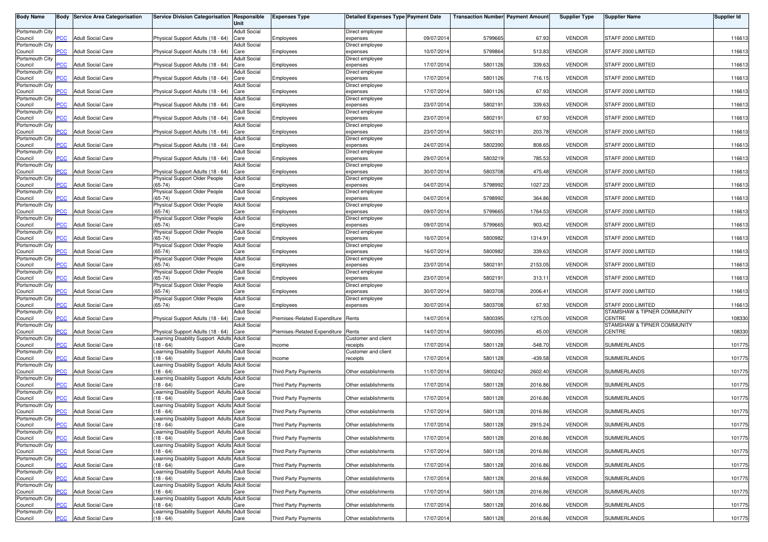| <b>Body Name</b>           |                | <b>Body Service Area Categorisation</b> | Service Division Categorisation Responsible                    | Unit                        | <b>Expenses Type</b>         | Detailed Expenses Type Payment Date |            | <b>Transaction Number Payment Amount</b> |           | <b>Supplier Type</b> | <b>Supplier Name</b>                  | <b>Supplier Id</b> |
|----------------------------|----------------|-----------------------------------------|----------------------------------------------------------------|-----------------------------|------------------------------|-------------------------------------|------------|------------------------------------------|-----------|----------------------|---------------------------------------|--------------------|
| Portsmouth City            |                |                                         |                                                                | <b>Adult Social</b>         |                              | Direct employee                     |            |                                          |           |                      |                                       |                    |
| Council                    | <b>CC</b>      | <b>Adult Social Care</b>                | Physical Support Adults (18 - 64)                              | Care<br><b>Adult Social</b> | Employees                    | expenses                            | 09/07/2014 | 5799665                                  | 67.93     | <b>VENDOR</b>        | STAFF 2000 LIMITED                    | 116613             |
| Portsmouth City<br>Council | <b>CC</b>      | <b>Adult Social Care</b>                | Physical Support Adults (18 - 64)                              | Care                        | Employees                    | Direct employee<br>expenses         | 10/07/2014 | 5799864                                  | 513.83    | <b>VENDOR</b>        | STAFF 2000 LIMITED                    | 116613             |
| Portsmouth City            | <b>PCC</b>     | <b>Adult Social Care</b>                |                                                                | <b>Adult Social</b>         |                              | Direct employee                     |            |                                          | 339.63    |                      | STAFF 2000 LIMITED                    |                    |
| Council<br>Portsmouth City |                |                                         | Physical Support Adults (18 - 64)                              | Care<br><b>Adult Social</b> | Employees                    | expenses<br>Direct employee         | 17/07/2014 | 5801126                                  |           | <b>VENDOR</b>        |                                       | 116613             |
| Council                    | <b>CC</b>      | <b>Adult Social Care</b>                | Physical Support Adults (18 - 64)                              | Care                        | Employees                    | expenses                            | 17/07/2014 | 5801126                                  | 716.15    | <b>VENDOR</b>        | STAFF 2000 LIMITED                    | 116613             |
| Portsmouth City<br>Council | PCC            | <b>Adult Social Care</b>                | Physical Support Adults (18 - 64)                              | <b>Adult Social</b><br>Care | Employees                    | Direct employee<br>expenses         | 17/07/2014 | 5801126                                  | 67.93     | <b>VENDOR</b>        | STAFF 2000 LIMITED                    | 116613             |
| Portsmouth City            |                |                                         |                                                                | <b>Adult Social</b>         |                              | Direct employee                     |            |                                          |           |                      |                                       |                    |
| Council<br>Portsmouth City | <b>PCC</b>     | <b>Adult Social Care</b>                | Physical Support Adults (18 - 64)                              | Care<br><b>Adult Social</b> | Employees                    | expenses<br>Direct employee         | 23/07/2014 | 5802191                                  | 339.63    | <b>VENDOR</b>        | STAFF 2000 LIMITED                    | 116613             |
| Council                    | $\overline{C}$ | <b>Adult Social Care</b>                | Physical Support Adults (18 - 64)                              | Care                        | Employees                    | expenses                            | 23/07/2014 | 5802191                                  | 67.93     | <b>VENDOR</b>        | STAFF 2000 LIMITED                    | 116613             |
| Portsmouth City<br>Council | <b>PCC</b>     | <b>Adult Social Care</b>                | Physical Support Adults (18 - 64)                              | <b>Adult Social</b><br>Care | Employees                    | Direct employee<br>expenses         | 23/07/2014 | 5802191                                  | 203.78    | <b>VENDOR</b>        | STAFF 2000 LIMITED                    | 116613             |
| Portsmouth City            |                |                                         |                                                                | <b>Adult Social</b>         |                              | Direct employee                     |            |                                          |           |                      |                                       |                    |
| Council<br>Portsmouth City | <b>CC</b>      | <b>Adult Social Care</b>                | Physical Support Adults (18 - 64)                              | Care<br><b>Adult Social</b> | Employees                    | expenses<br>Direct employee         | 24/07/2014 | 5802390                                  | 808.65    | <b>VENDOR</b>        | STAFF 2000 LIMITED                    | 116613             |
| Council                    | $\overline{C}$ | <b>Adult Social Care</b>                | Physical Support Adults (18 - 64)                              | Care                        | Employees                    | expenses                            | 29/07/2014 | 5803219                                  | 785.53    | <b>VENDOR</b>        | STAFF 2000 LIMITED                    | 116613             |
| Portsmouth City<br>Council | <b>CC</b>      | <b>Adult Social Care</b>                | Physical Support Adults (18 - 64)                              | <b>Adult Social</b><br>Care | Employees                    | Direct employee<br>expenses         | 30/07/2014 | 5803708                                  | 475.48    | <b>VENDOR</b>        | STAFF 2000 LIMITED                    | 116613             |
| Portsmouth City            |                |                                         | Physical Support Older People                                  | <b>Adult Social</b>         |                              | Direct employee                     |            |                                          |           |                      |                                       |                    |
| Council<br>Portsmouth City | PCC            | <b>Adult Social Care</b>                | $(65 - 74)$<br>Physical Support Older People                   | Care<br><b>Adult Social</b> | Employees                    | expenses<br>Direct employee         | 04/07/2014 | 5798992                                  | 1027.23   | <b>VENDOR</b>        | STAFF 2000 LIMITED                    | 116613             |
| Council                    | PCC            | <b>Adult Social Care</b>                | $(65-74)$                                                      | Care                        | Employees                    | expenses                            | 04/07/2014 | 5798992                                  | 364.86    | <b>VENDOR</b>        | STAFF 2000 LIMITED                    | 116613             |
| Portsmouth City<br>Council | PCC            | <b>Adult Social Care</b>                | Physical Support Older People<br>$(65-74)$                     | <b>Adult Social</b><br>Care | Employees                    | Direct employee<br>expenses         | 09/07/201  | 5799665                                  | 1764.53   | <b>VENDOR</b>        | STAFF 2000 LIMITED                    | 116613             |
| Portsmouth City            |                |                                         | Physical Support Older People                                  | <b>Adult Social</b>         |                              | Direct employee                     |            |                                          |           |                      |                                       |                    |
| Council<br>Portsmouth City | PCC            | <b>Adult Social Care</b>                | $(65-74)$<br>Physical Support Older People                     | Care<br><b>Adult Social</b> | Employees                    | expenses<br>Direct employee         | 09/07/2014 | 5799665                                  | 903.42    | <b>VENDOR</b>        | STAFF 2000 LIMITED                    | 116613             |
| Council                    | PCC            | <b>Adult Social Care</b>                | $(65-74)$                                                      | Care                        | Employees                    | expenses                            | 16/07/2014 | 5800982                                  | 1314.91   | <b>VENDOR</b>        | STAFF 2000 LIMITED                    | 116613             |
| Portsmouth City<br>Council | <b>PCC</b>     | <b>Adult Social Care</b>                | Physical Support Older People<br>$(65-74)$                     | <b>Adult Social</b><br>Care | Employees                    | Direct employee<br>expenses         | 16/07/2014 | 5800982                                  | 339.63    | <b>VENDOR</b>        | STAFF 2000 LIMITED                    | 116613             |
| Portsmouth City            |                |                                         | Physical Support Older People                                  | <b>Adult Social</b>         |                              | Direct employee                     |            |                                          |           |                      |                                       |                    |
| Council<br>Portsmouth City | <b>CC</b>      | <b>Adult Social Care</b>                | $(65-74)$<br>Physical Support Older People                     | Care<br><b>Adult Social</b> | Employees                    | expenses<br>Direct employee         | 23/07/2014 | 5802191                                  | 2153.05   | <b>VENDOR</b>        | STAFF 2000 LIMITED                    | 116613             |
| Council                    | PCC            | <b>Adult Social Care</b>                | $(65-74)$                                                      | Care                        | Employees                    | expenses                            | 23/07/2014 | 5802191                                  | 313.11    | <b>VENDOR</b>        | STAFF 2000 LIMITED                    | 116613             |
| Portsmouth City<br>Council | сC             | <b>Adult Social Care</b>                | Physical Support Older People<br>$(65-74)$                     | <b>Adult Social</b><br>Care | Employees                    | Direct employee<br>expenses         | 30/07/2014 | 5803708                                  | 2006.41   | <b>VENDOR</b>        | STAFF 2000 LIMITED                    | 116613             |
| Portsmouth City            |                |                                         | Physical Support Older People<br>$(65 - 74)$                   | <b>Adult Social</b>         |                              | Direct employee                     |            |                                          |           |                      | STAFF 2000 LIMITED                    |                    |
| Council<br>Portsmouth City | PCC            | <b>Adult Social Care</b>                |                                                                | Care<br><b>Adult Social</b> | Employees                    | expenses                            | 30/07/2014 | 5803708                                  | 67.93     | <b>VENDOR</b>        | STAMSHAW & TIPNER COMMUNITY           | 116613             |
| Council                    | PСC            | <b>Adult Social Care</b>                | Physical Support Adults (18 - 64)                              | Care                        | Premises-Related Expenditure | Rents                               | 14/07/201  | 580039                                   | 1275.00   | <b>VENDOR</b>        | CENTRE                                | 108330             |
| Portsmouth City<br>Council | PCC            | <b>Adult Social Care</b>                | Physical Support Adults (18 - 64)                              | <b>Adult Social</b><br>Care | Premises-Related Expenditure | Rents                               | 14/07/201  | 5800395                                  | 45.00     | <b>VENDOR</b>        | STAMSHAW & TIPNER COMMUNITY<br>CENTRE | 108330             |
| Portsmouth City            |                |                                         | Learning Disability Support Adults Adult Social                |                             |                              | Customer and client                 |            |                                          |           |                      |                                       |                    |
| Council<br>Portsmouth City | PCC            | <b>Adult Social Care</b>                | $(18 - 64)$<br>Learning Disability Support Adults Adult Social | Care                        | Income                       | receipts<br>Customer and client     | 17/07/2014 | 5801128                                  | $-548.70$ | <b>VENDOR</b>        | <b>SUMMERLANDS</b>                    | 101775             |
| Council                    | $\overline{C}$ | <b>Adult Social Care</b>                | $(18 - 64)$                                                    | Care                        | Income                       | receipts                            | 17/07/2014 | 5801128                                  | $-439.58$ | <b>VENDOR</b>        | <b>SUMMERLANDS</b>                    | 101775             |
| Portsmouth City<br>Council | PCC            | <b>Adult Social Care</b>                | Learning Disability Support Adults Adult Social<br>$(18 - 64)$ | Care                        | <b>Third Party Payments</b>  | Other establishments                | 11/07/2014 | 5800242                                  | 2602.40   | <b>VENDOR</b>        | <b>SUMMERLANDS</b>                    | 101775             |
| Portsmouth City            |                |                                         | earning Disability Support Adults                              | <b>Adult Social</b>         |                              |                                     |            |                                          |           |                      |                                       |                    |
| Council<br>Portsmouth City | <b>CC</b>      | <b>Adult Social Care</b>                | $18 - 64$<br>Learning Disability Support Adults Adult Social   | Care                        | <b>Third Party Payments</b>  | Other establishments                | 17/07/201  | 5801128                                  | 2016.86   | <b>VENDOR</b>        | <b>SUMMERLANDS</b>                    | 101775             |
| Council                    | PCC            | <b>Adult Social Care</b>                | $(18 - 64)$                                                    | Care                        | <b>Third Party Payments</b>  | Other establishments                | 17/07/2014 | 5801128                                  | 2016.86   | <b>VENDOR</b>        | <b>SUMMERLANDS</b>                    | 101775             |
| Portsmouth City<br>Council | <b>PCC</b>     | <b>Adult Social Care</b>                | Learning Disability Support Adults Adult Social<br>$(18 - 64)$ | Care                        | <b>Third Party Payments</b>  | Other establishments                | 17/07/2014 | 5801128                                  | 2016.86   | <b>VENDOR</b>        | <b>SUMMERLANDS</b>                    | 101775             |
| Portsmouth City            |                |                                         | Learning Disability Support Adults Adult Social                |                             |                              |                                     |            |                                          |           |                      |                                       |                    |
| Council<br>Portsmouth City | <b>PCC</b>     | <b>Adult Social Care</b>                | $(18 - 64)$<br>Learning Disability Support Adults Adult Social | Care                        | Third Party Payments         | Other establishments                | 17/07/2014 | 5801128                                  | 2915.24   | <b>VENDOR</b>        | SUMMERLANDS                           | 101775             |
| Council                    | <b>PCC</b>     | <b>Adult Social Care</b>                | $(18 - 64)$                                                    | Care                        | Third Party Payments         | Other establishments                | 17/07/2014 | 5801128                                  | 2016.86   | <b>VENDOR</b>        | <b>SUMMERLANDS</b>                    | 101775             |
| Portsmouth City<br>Council | PCC            | <b>Adult Social Care</b>                | Learning Disability Support Adults Adult Social<br>$(18 - 64)$ | Care                        | <b>Third Party Payments</b>  | Other establishments                | 17/07/2014 | 5801128                                  | 2016.86   | <b>VENDOR</b>        | <b>SUMMERLANDS</b>                    | 101775             |
| Portsmouth City            |                | <b>Adult Social Care</b>                | Learning Disability Support Adults Adult Social                |                             |                              |                                     |            |                                          |           |                      |                                       |                    |
| Council<br>Portsmouth City | PCC            |                                         | $(18 - 64)$<br>Learning Disability Support Adults Adult Social | Care                        | Third Party Payments         | Other establishments                | 17/07/2014 | 5801128                                  | 2016.86   | <b>VENDOR</b>        | SUMMERLANDS                           | 101775             |
| Council                    | сC             | <b>Adult Social Care</b>                | (18 - 64)                                                      | Care                        | <b>Third Party Payments</b>  | Other establishments                | 17/07/2014 | 5801128                                  | 2016.86   | <b>VENDOR</b>        | SUMMERLANDS                           | 101775             |
| Portsmouth City<br>Council | PCC            | <b>Adult Social Care</b>                | Learning Disability Support Adults Adult Social<br>$(18 - 64)$ | Care                        | Third Party Payments         | Other establishments                | 17/07/2014 | 5801128                                  | 2016.86   | <b>VENDOR</b>        | SUMMERLANDS                           | 101775             |
| Portsmouth City            | <b>CC</b>      |                                         | Learning Disability Support Adults Adult Social                |                             |                              |                                     |            |                                          |           |                      | <b>SUMMERLANDS</b>                    |                    |
| Council<br>Portsmouth City |                | <b>Adult Social Care</b>                | $18 - 64$<br>Learning Disability Support Adults Adult Social   | Care                        | Third Party Payments         | Other establishments                | 17/07/2014 | 5801128                                  | 2016.86   | <b>VENDOR</b>        |                                       | 101775             |
| Council                    | PCC            | <b>Adult Social Care</b>                | $(18 - 64)$                                                    | Care                        | Third Party Payments         | Other establishments                | 17/07/2014 | 5801128                                  | 2016.86   | <b>VENDOR</b>        | <b>SUMMERLANDS</b>                    | 101775             |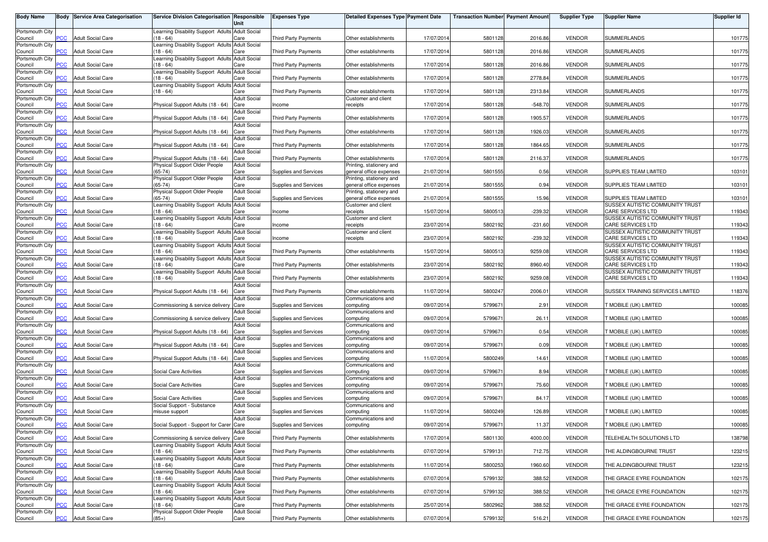| <b>Body Name</b>           |                | <b>Body Service Area Categorisation</b> | Service Division Categorisation Responsible                    | Unit                        | <b>Expenses Type</b>         | <b>Detailed Expenses Type Payment Date</b>          |            | <b>Transaction Number Payment Amount</b> |           | <b>Supplier Type</b> | <b>Supplier Name</b>                                        | Supplier Id |
|----------------------------|----------------|-----------------------------------------|----------------------------------------------------------------|-----------------------------|------------------------------|-----------------------------------------------------|------------|------------------------------------------|-----------|----------------------|-------------------------------------------------------------|-------------|
| Portsmouth City<br>Council | <b>PCC</b>     | <b>Adult Social Care</b>                | Learning Disability Support Adults Adult Social<br>$(18 - 64)$ | Care                        | <b>Third Party Payments</b>  | Other establishments                                | 17/07/201  | 5801128                                  | 2016.86   | <b>VENDOR</b>        | SUMMERLANDS                                                 | 101775      |
| Portsmouth City<br>Council | <b>PCC</b>     | <b>Adult Social Care</b>                | earning Disability Support Adults<br>$18 - 64$                 | <b>Adult Social</b><br>Care | <b>Third Party Payments</b>  | Other establishments                                | 17/07/2014 | 5801128                                  | 2016.86   | <b>VENDOR</b>        | <b>SUMMERLANDS</b>                                          | 101775      |
| Portsmouth City<br>Council | <b>PCC</b>     | <b>Adult Social Care</b>                | Learning Disability Support Adults Adult Social<br>$18 - 64$   | Care                        | <b>Third Party Payments</b>  | Other establishments                                | 17/07/2014 | 5801128                                  | 2016.86   | <b>VENDOR</b>        | <b>SUMMERLANDS</b>                                          | 101775      |
| Portsmouth City<br>Council | сC             | <b>Adult Social Care</b>                | Learning Disability Support Adults Adult Social<br>$18 - 64$   | Care                        | <b>Third Party Payments</b>  | Other establishments                                | 17/07/2014 | 5801128                                  | 2778.84   | <b>VENDOR</b>        | <b>SUMMERLANDS</b>                                          | 101775      |
| Portsmouth City            |                |                                         | Learning Disability Support Adults Adult Social                |                             |                              |                                                     |            |                                          |           |                      |                                                             |             |
| Council<br>Portsmouth City | PСC            | <b>Adult Social Care</b>                | $(18 - 64)$                                                    | Care<br><b>Adult Social</b> | <b>Third Party Payments</b>  | Other establishments<br>Customer and client         | 17/07/2014 | 5801128                                  | 2313.84   | <b>VENDOR</b>        | <b>SUMMERLANDS</b>                                          | 101775      |
| Council                    | PСC            | <b>Adult Social Care</b>                | Physical Support Adults (18 - 64)                              | Care                        | Income                       | receipts                                            | 17/07/2014 | 5801128                                  | $-548.70$ | <b>VENDOR</b>        | <b>SUMMERLANDS</b>                                          | 101775      |
| Portsmouth City<br>Council | PCC            | <b>Adult Social Care</b>                | Physical Support Adults (18 - 64)                              | <b>Adult Social</b><br>Care | <b>Third Party Payments</b>  | Other establishments                                | 17/07/201  | 5801128                                  | 1905.57   | <b>VENDOR</b>        | <b>SUMMERLANDS</b>                                          | 101775      |
| Portsmouth City<br>Council | <b>PCC</b>     | <b>Adult Social Care</b>                | Physical Support Adults (18 - 64)                              | <b>Adult Social</b><br>Care | Third Party Payments         | Other establishments                                | 17/07/2014 | 5801128                                  | 1926.03   | <b>VENDOR</b>        | <b>SUMMERLANDS</b>                                          | 101775      |
| Portsmouth City<br>Council | PСC            | <b>Adult Social Care</b>                | Physical Support Adults (18 - 64)                              | <b>Adult Social</b><br>Care | <b>Third Party Payments</b>  | Other establishments                                | 17/07/2014 | 5801128                                  | 1864.65   | <b>VENDOR</b>        | <b>SUMMERLANDS</b>                                          | 101775      |
| Portsmouth City<br>Council | $\overline{C}$ | <b>Adult Social Care</b>                | Physical Support Adults (18 - 64)                              | <b>Adult Social</b><br>Care | Third Party Payments         | Other establishments                                | 17/07/201  | 5801128                                  | 2116.37   | <b>VENDOR</b>        | <b>SUMMERLANDS</b>                                          | 101775      |
| Portsmouth City            |                |                                         | Physical Support Older People                                  | <b>Adult Social</b>         |                              | Printing, stationery and                            |            |                                          |           |                      |                                                             |             |
| Council<br>Portsmouth City | PCC            | <b>Adult Social Care</b>                | $(65-74)$<br>Physical Support Older People                     | Care<br><b>Adult Social</b> | <b>Supplies and Services</b> | general office expenses<br>Printing, stationery and | 21/07/2014 | 5801555                                  | 0.56      | <b>VENDOR</b>        | SUPPLIES TEAM LIMITED                                       | 103101      |
| Council<br>Portsmouth City | PCC            | <b>Adult Social Care</b>                | $(65-74)$<br>Physical Support Older People                     | Care<br><b>Adult Social</b> | Supplies and Services        | general office expenses<br>Printing, stationery and | 21/07/2014 | 5801555                                  | 0.94      | <b>VENDOR</b>        | SUPPLIES TEAM LIMITED                                       | 103101      |
| Council                    | <b>CC</b>      | <b>Adult Social Care</b>                | $(65-74)$                                                      | Care                        | Supplies and Services        | general office expenses                             | 21/07/2014 | 5801555                                  | 15.96     | <b>VENDOR</b>        | SUPPLIES TEAM LIMITED<br>SUSSEX AUTISTIC COMMUNITY TRUST    | 103101      |
| Portsmouth City<br>Council | PCC            | <b>Adult Social Care</b>                | Learning Disability Support Adults<br>$(18 - 64)$              | <b>Adult Social</b><br>Care | Income                       | Customer and client<br>receipts                     | 15/07/201  | 5800513                                  | $-239.32$ | <b>VENDOR</b>        | CARE SERVICES LTD                                           | 119343      |
| Portsmouth City<br>Council | PCC            | <b>Adult Social Care</b>                | Learning Disability Support Adults Adult Social<br>$(18 - 64)$ | Care                        | Income                       | Customer and client<br>receipts                     | 23/07/2014 | 5802192                                  | $-231.60$ | <b>VENDOR</b>        | SUSSEX AUTISTIC COMMUNITY TRUST<br>CARE SERVICES LTD        | 119343      |
| Portsmouth City<br>Council | PCC            | <b>Adult Social Care</b>                | Learning Disability Support Adults Adult Social<br>$(18 - 64)$ | Care                        | ncome                        | Customer and client<br>receipts                     | 23/07/2014 | 5802192                                  | $-239.32$ | <b>VENDOR</b>        | SUSSEX AUTISTIC COMMUNITY TRUST<br>CARE SERVICES LTD        | 119343      |
| Portsmouth City            |                |                                         | Learning Disability Support Adults Adult Social                |                             |                              |                                                     |            |                                          |           |                      | SUSSEX AUTISTIC COMMUNITY TRUST                             |             |
| Council<br>Portsmouth City | <b>PCC</b>     | <b>Adult Social Care</b>                | $(18 - 64)$<br>earning Disability Support Adults               | Care<br><b>Adult Social</b> | Third Party Payments         | Other establishments                                | 15/07/2014 | 5800513                                  | 9259.08   | <b>VENDOR</b>        | <b>CARE SERVICES LTD</b><br>SUSSEX AUTISTIC COMMUNITY TRUST | 119343      |
| Council<br>Portsmouth City | сC             | <b>Adult Social Care</b>                | $18 - 64$<br>Learning Disability Support Adults Adult Social   | Care                        | <b>Third Party Payments</b>  | Other establishments                                | 23/07/2014 | 5802192                                  | 8960.40   | <b>VENDOR</b>        | <b>CARE SERVICES LTD</b><br>SUSSEX AUTISTIC COMMUNITY TRUST | 119343      |
| Council                    | PCC            | <b>Adult Social Care</b>                | $18 - 64$                                                      | Care                        | <b>Third Party Payments</b>  | Other establishments                                | 23/07/201  | 5802192                                  | 9259.08   | <b>VENDOR</b>        | <b>CARE SERVICES LTD</b>                                    | 119343      |
| Portsmouth City<br>Council | PСC            | <b>Adult Social Care</b>                | Physical Support Adults (18 - 64)                              | <b>Adult Social</b><br>Care | <b>Third Party Payments</b>  | Other establishments                                | 11/07/2014 | 5800247                                  | 2006.01   | <b>VENDOR</b>        | SUSSEX TRAINING SERVICES LIMITED                            | 118376      |
| Portsmouth City<br>Council | PCC            | <b>Adult Social Care</b>                | Commissioning & service delivery Care                          | <b>Adult Social</b>         | Supplies and Services        | Communications and<br>computing                     | 09/07/2014 | 579967                                   | 2.91      | <b>VENDOR</b>        | T MOBILE (UK) LIMITED                                       | 100085      |
| Portsmouth City<br>Council | сC             | <b>Adult Social Care</b>                | Commissioning & service delivery                               | <b>Adult Social</b><br>Care | Supplies and Services        | Communications and<br>computing                     | 09/07/201  | 579967                                   | 26.11     | <b>VENDOR</b>        | <b>T MOBILE (UK) LIMITED</b>                                | 100085      |
| Portsmouth City            |                |                                         |                                                                | <b>Adult Social</b>         |                              | Communications and                                  |            |                                          |           |                      |                                                             |             |
| Council<br>Portsmouth City | PСC            | <b>Adult Social Care</b>                | Physical Support Adults (18 - 64)                              | Care<br><b>Adult Social</b> | Supplies and Services        | computing<br>Communications and                     | 09/07/201  | 579967                                   | 0.54      | <b>VENDOR</b>        | MOBILE (UK) LIMITED                                         | 100085      |
| Council<br>Portsmouth City | PСC            | <b>Adult Social Care</b>                | Physical Support Adults (18 - 64)                              | Care<br><b>Adult Social</b> | Supplies and Services        | computing<br>Communications and                     | 09/07/2014 | 579967                                   | 0.09      | <b>VENDOR</b>        | <b>T MOBILE (UK) LIMITED</b>                                | 100085      |
| Council                    | <b>PCC</b>     | <b>Adult Social Care</b>                | Physical Support Adults (18 - 64)                              | Care                        | Supplies and Services        | computing                                           | 11/07/2014 | 5800249                                  | 14.61     | <b>VENDOR</b>        | MOBILE (UK) LIMITED                                         | 100085      |
| Portsmouth City<br>Council | <b>PCC</b>     | <b>Adult Social Care</b>                | Social Care Activities                                         | <b>Adult Social</b><br>Care | Supplies and Services        | Communications and<br>computing                     | 09/07/2014 | 579967                                   | 8.94      | <b>VENDOR</b>        | T MOBILE (UK) LIMITED                                       | 100085      |
| Portsmouth City<br>Council | PСC            | <b>Adult Social Care</b>                | Social Care Activities                                         | <b>Adult Social</b><br>Care | <b>Supplies and Services</b> | Communications and<br>computing                     | 09/07/201  | 579967                                   | 75.60     | <b>VENDOR</b>        | T MOBILE (UK) LIMITED                                       | 100085      |
| Portsmouth City<br>Council | $\overline{C}$ | <b>Adult Social Care</b>                | Social Care Activities                                         | <b>Adult Social</b><br>Care | Supplies and Services        | Communications and<br>computing                     | 09/07/2014 | 579967                                   | 84.17     | <b>VENDOR</b>        | <b>T MOBILE (UK) LIMITED</b>                                | 100085      |
| Portsmouth City            |                |                                         | Social Support - Substance                                     | <b>Adult Social</b>         |                              | Communications and                                  |            |                                          |           |                      |                                                             |             |
| Council<br>Portsmouth City | $\overline{C}$ | <b>Adult Social Care</b>                | misuse support                                                 | Care<br><b>Adult Social</b> | Supplies and Services        | computing<br>Communications and                     | 11/07/2014 | 5800249                                  | 126.89    | <b>VENDOR</b>        | T MOBILE (UK) LIMITED                                       | 100085      |
| Council                    | <b>PCC</b>     | <b>Adult Social Care</b>                | Social Support - Support for Carer Care                        |                             | Supplies and Services        | computing                                           | 09/07/2014 | 5799671                                  | 11.37     | <b>VENDOR</b>        | T MOBILE (UK) LIMITED                                       | 100085      |
| Portsmouth City<br>Council | $\overline{C}$ | <b>Adult Social Care</b>                | Commissioning & service delivery Care                          | <b>Adult Social</b>         | Third Party Payments         | Other establishments                                | 17/07/2014 | 5801130                                  | 4000.00   | <b>VENDOR</b>        | TELEHEALTH SOLUTIONS LTD                                    | 138798      |
| Portsmouth City<br>Council | PCC            | <b>Adult Social Care</b>                | Learning Disability Support Adults Adult Social<br>$(18 - 64)$ | Care                        | Third Party Payments         | Other establishments                                | 07/07/2014 | 5799131                                  | 712.75    | <b>VENDOR</b>        | THE ALDINGBOURNE TRUST                                      | 123215      |
| Portsmouth City            | PCC            | <b>Adult Social Care</b>                | Learning Disability Support Adults Adult Social<br>(18 - 64)   |                             |                              |                                                     |            |                                          |           |                      | THE ALDINGBOURNE TRUST                                      | 123215      |
| Council<br>Portsmouth City |                |                                         | Learning Disability Support Adults Adult Social                | Care                        | Third Party Payments         | Other establishments                                | 11/07/2014 | 5800253                                  | 1960.60   | VENDOR               |                                                             |             |
| Council<br>Portsmouth City | PCC.           | <b>Adult Social Care</b>                | (18 - 64)<br>Learning Disability Support Adults Adult Social   | Care                        | Third Party Payments         | Other establishments                                | 07/07/2014 | 5799132                                  | 388.52    | <b>VENDOR</b>        | THE GRACE EYRE FOUNDATION                                   | 102175      |
| Council<br>Portsmouth City | PCC            | <b>Adult Social Care</b>                | $(18 - 64)$<br>Learning Disability Support Adults Adult Social | Care                        | <b>Third Party Payments</b>  | Other establishments                                | 07/07/2014 | 5799132                                  | 388.52    | <b>VENDOR</b>        | THE GRACE EYRE FOUNDATION                                   | 102175      |
| Council                    | сC             | <b>Adult Social Care</b>                | $18 - 64$                                                      | Care                        | Third Party Payments         | Other establishments                                | 25/07/2014 | 5802962                                  | 388.52    | <b>VENDOR</b>        | THE GRACE EYRE FOUNDATION                                   | 102175      |
| Portsmouth City<br>Council | <b>PCC</b>     | <b>Adult Social Care</b>                | Physical Support Older People<br>$(85+)$                       | <b>Adult Social</b><br>Care | Third Party Payments         | Other establishments                                | 07/07/2014 | 5799132                                  | 516.21    | <b>VENDOR</b>        | THE GRACE EYRE FOUNDATION                                   | 102175      |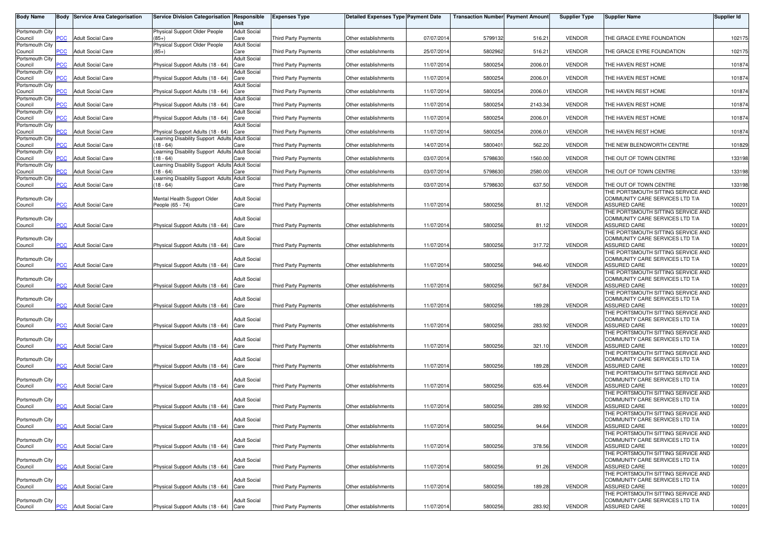| <b>Body Name</b>           |                | <b>Body Service Area Categorisation</b> | Service Division Categorisation Responsible                    | Unit                        | <b>Expenses Type</b>        | <b>Detailed Expenses Type Payment Date</b> |            | Transaction Number Payment Amount |         | <b>Supplier Type</b> | <b>Supplier Name</b>                                                  | <b>Supplier Id</b> |
|----------------------------|----------------|-----------------------------------------|----------------------------------------------------------------|-----------------------------|-----------------------------|--------------------------------------------|------------|-----------------------------------|---------|----------------------|-----------------------------------------------------------------------|--------------------|
| Portsmouth City            |                |                                         | Physical Support Older People                                  | <b>Adult Social</b>         |                             |                                            |            |                                   |         |                      |                                                                       |                    |
| Council<br>Portsmouth City | <b>CC</b>      | <b>Adult Social Care</b>                | $(85+)$<br>Physical Support Older People                       | Care<br><b>Adult Social</b> | <b>Third Party Payments</b> | Other establishments                       | 07/07/2014 | 5799132                           | 516.21  | <b>VENDOR</b>        | THE GRACE EYRE FOUNDATION                                             | 102175             |
| Council                    | <b>PCC</b>     | <b>Adult Social Care</b>                | $(85+)$                                                        | Care                        | <b>Third Party Payments</b> | Other establishments                       | 25/07/2014 | 5802962                           | 516.21  | <b>VENDOR</b>        | THE GRACE EYRE FOUNDATION                                             | 102175             |
| Portsmouth City<br>Council | <b>PCC</b>     | <b>Adult Social Care</b>                | Physical Support Adults (18 - 64)                              | <b>Adult Social</b><br>Care | Third Party Payments        | Other establishments                       | 11/07/2014 | 5800254                           | 2006.01 | <b>VENDOR</b>        | THE HAVEN REST HOME                                                   | 101874             |
| Portsmouth City            |                |                                         |                                                                | Adult Social                |                             |                                            |            |                                   |         |                      |                                                                       |                    |
| Council<br>Portsmouth City | PCC            | <b>Adult Social Care</b>                | Physical Support Adults (18 - 64)                              | Care<br><b>Adult Social</b> | <b>Third Party Payments</b> | Other establishments                       | 11/07/2014 | 5800254                           | 2006.01 | <b>VENDOR</b>        | THE HAVEN REST HOME                                                   | 101874             |
| Council                    | PCC            | <b>Adult Social Care</b>                | Physical Support Adults (18 - 64)                              | Care                        | <b>Third Party Payments</b> | Other establishments                       | 11/07/2014 | 5800254                           | 2006.01 | <b>VENDOR</b>        | THE HAVEN REST HOME                                                   | 101874             |
| Portsmouth City<br>Council | PCC            | <b>Adult Social Care</b>                | Physical Support Adults (18 - 64)                              | <b>Adult Social</b><br>Care | <b>Third Party Payments</b> | Other establishments                       | 11/07/2014 | 5800254                           | 2143.34 | <b>VENDOR</b>        | THE HAVEN REST HOME                                                   | 101874             |
| Portsmouth City            |                |                                         |                                                                | <b>Adult Social</b>         |                             |                                            |            |                                   |         |                      |                                                                       |                    |
| Council<br>Portsmouth City | <b>CC</b>      | <b>Adult Social Care</b>                | Physical Support Adults (18 - 64)                              | Care<br><b>Adult Social</b> | Third Party Payments        | Other establishments                       | 11/07/2014 | 5800254                           | 2006.01 | <b>VENDOR</b>        | THE HAVEN REST HOME                                                   | 101874             |
| Council                    | PCC            | <b>Adult Social Care</b>                | Physical Support Adults (18 - 64)                              | Care                        | Third Party Payments        | Other establishments                       | 11/07/2014 | 5800254                           | 2006.01 | <b>VENDOR</b>        | THE HAVEN REST HOME                                                   | 101874             |
| Portsmouth City<br>Council | $\overline{C}$ | <b>Adult Social Care</b>                | Learning Disability Support Adults Adult Social<br>$18 - 64$   | Care                        | <b>Third Party Payments</b> | Other establishments                       | 14/07/2014 | 5800401                           | 562.20  | <b>VENDOR</b>        | THE NEW BLENDWORTH CENTRE                                             | 101829             |
| Portsmouth City            |                |                                         | Learning Disability Support Adults Adult Social                |                             |                             |                                            |            |                                   |         |                      |                                                                       |                    |
| Council<br>Portsmouth City | PCC            | <b>Adult Social Care</b>                | $18 - 64$<br>Learning Disability Support Adults Adult Social   | Care                        | <b>Third Party Payments</b> | Other establishments                       | 03/07/2014 | 5798630                           | 1560.00 | <b>VENDOR</b>        | THE OUT OF TOWN CENTRE                                                | 133198             |
| Council                    | PCC            | <b>Adult Social Care</b>                | $18 - 64$                                                      | Care                        | <b>Third Party Payments</b> | Other establishments                       | 03/07/2014 | 5798630                           | 2580.00 | <b>VENDOR</b>        | THE OUT OF TOWN CENTRE                                                | 133198             |
| Portsmouth City<br>Council | PCC            | <b>Adult Social Care</b>                | Learning Disability Support Adults Adult Social<br>$(18 - 64)$ | Care                        | <b>Third Party Payments</b> | Other establishments                       | 03/07/2014 | 5798630                           | 637.50  | <b>VENDOR</b>        | THE OUT OF TOWN CENTRE                                                | 133198             |
|                            |                |                                         |                                                                |                             |                             |                                            |            |                                   |         |                      | THE PORTSMOUTH SITTING SERVICE AND<br>COMMUNITY CARE SERVICES LTD T/A |                    |
| Portsmouth City<br>Council | PCC            | <b>Adult Social Care</b>                | Mental Health Support Older<br>People (65 - 74)                | <b>Adult Social</b><br>Care | <b>Third Party Payments</b> | Other establishments                       | 11/07/2014 | 5800256                           | 81.12   | <b>VENDOR</b>        | <b>ASSURED CARE</b>                                                   | 100201             |
|                            |                |                                         |                                                                |                             |                             |                                            |            |                                   |         |                      | THE PORTSMOUTH SITTING SERVICE AND                                    |                    |
| Portsmouth City<br>Council | PCC            | <b>Adult Social Care</b>                | Physical Support Adults (18 - 64) Care                         | <b>Adult Social</b>         | Third Party Payments        | Other establishments                       | 11/07/2014 | 5800256                           | 81.12   | <b>VENDOR</b>        | COMMUNITY CARE SERVICES LTD T/A<br><b>ASSURED CARE</b>                | 100201             |
|                            |                |                                         |                                                                |                             |                             |                                            |            |                                   |         |                      | THE PORTSMOUTH SITTING SERVICE AND                                    |                    |
| Portsmouth City<br>Council | PCC            | <b>Adult Social Care</b>                | Physical Support Adults (18 - 64)                              | Adult Social<br>Care        | <b>Third Party Payments</b> | Other establishments                       | 11/07/201  | 5800256                           | 317.72  | <b>VENDOR</b>        | COMMUNITY CARE SERVICES LTD T/A<br>ASSURED CARE                       | 100201             |
|                            |                |                                         |                                                                | <b>Adult Social</b>         |                             |                                            |            |                                   |         |                      | THE PORTSMOUTH SITTING SERVICE AND<br>COMMUNITY CARE SERVICES LTD T/A |                    |
| Portsmouth City<br>Council | PСC            | <b>Adult Social Care</b>                | Physical Support Adults (18 - 64) Care                         |                             | <b>Third Party Payments</b> | Other establishments                       | 11/07/2014 | 5800256                           | 946.40  | <b>VENDOR</b>        | ASSURED CARE                                                          | 100201             |
|                            |                |                                         |                                                                | <b>Adult Social</b>         |                             |                                            |            |                                   |         |                      | THE PORTSMOUTH SITTING SERVICE AND<br>COMMUNITY CARE SERVICES LTD T/A |                    |
| Portsmouth City<br>Council | PCC            | <b>Adult Social Care</b>                | Physical Support Adults (18 - 64)                              | Care                        | Third Party Payments        | Other establishments                       | 11/07/2014 | 5800256                           | 567.84  | <b>VENDOR</b>        | ASSURED CARE                                                          | 100201             |
| Portsmouth City            |                |                                         |                                                                | Adult Social                |                             |                                            |            |                                   |         |                      | THE PORTSMOUTH SITTING SERVICE AND<br>COMMUNITY CARE SERVICES LTD T/A |                    |
| Council                    | PCC            | <b>Adult Social Care</b>                | Physical Support Adults (18 - 64)                              | Care                        | Third Party Payments        | Other establishments                       | 11/07/2014 | 5800256                           | 189.28  | <b>VENDOR</b>        | ASSURED CARE                                                          | 100201             |
| Portsmouth City            |                |                                         |                                                                | <b>Adult Social</b>         |                             |                                            |            |                                   |         |                      | THE PORTSMOUTH SITTING SERVICE AND<br>COMMUNITY CARE SERVICES LTD T/A |                    |
| Council                    | PCC            | <b>Adult Social Care</b>                | Physical Support Adults (18 - 64) Care                         |                             | <b>Third Party Payments</b> | Other establishments                       | 11/07/2014 | 5800256                           | 283.92  | <b>VENDOR</b>        | ASSURED CARE                                                          | 100201             |
| Portsmouth City            |                |                                         |                                                                | <b>Adult Social</b>         |                             |                                            |            |                                   |         |                      | THE PORTSMOUTH SITTING SERVICE AND<br>COMMUNITY CARE SERVICES LTD T/A |                    |
| Council                    | PCC            | <b>Adult Social Care</b>                | Physical Support Adults (18 - 64) Care                         |                             | Third Party Payments        | Other establishments                       | 11/07/2014 | 5800256                           | 321.10  | <b>VENDOR</b>        | <b>ASSURED CARE</b>                                                   | 100201             |
| Portsmouth City            |                |                                         |                                                                | <b>Adult Social</b>         |                             |                                            |            |                                   |         |                      | THE PORTSMOUTH SITTING SERVICE AND<br>COMMUNITY CARE SERVICES LTD T/A |                    |
| Council                    | PCC            | <b>Adult Social Care</b>                | Physical Support Adults (18 - 64) Care                         |                             | <b>Third Party Payments</b> | Other establishments                       | 11/07/201  | 5800256                           | 189.28  | <b>VENDOR</b>        | <b>ASSURED CARE</b>                                                   | 100201             |
| Portsmouth City            |                |                                         |                                                                | <b>Adult Social</b>         |                             |                                            |            |                                   |         |                      | THE PORTSMOUTH SITTING SERVICE AND<br>COMMUNITY CARE SERVICES LTD T/A |                    |
| Council                    | $\overline{C}$ | <b>Adult Social Care</b>                | Physical Support Adults (18 - 64)                              | Care                        | Third Party Payments        | Other establishments                       | 11/07/2014 | 5800256                           | 635.44  | <b>VENDOR</b>        | ASSURED CARE                                                          | 100201             |
| Portsmouth City            |                |                                         |                                                                | <b>Adult Social</b>         |                             |                                            |            |                                   |         |                      | THE PORTSMOUTH SITTING SERVICE AND<br>COMMUNITY CARE SERVICES LTD T/A |                    |
| Council                    | PCC            | <b>Adult Social Care</b>                | Physical Support Adults (18 - 64)                              | Care                        | <b>Third Party Payments</b> | Other establishments                       | 11/07/2014 | 5800256                           | 289.92  | <b>VENDOR</b>        | <b>ASSURED CARE</b>                                                   | 100201             |
| Portsmouth City            |                |                                         |                                                                | <b>Adult Social</b>         |                             |                                            |            |                                   |         |                      | THE PORTSMOUTH SITTING SERVICE AND<br>COMMUNITY CARE SERVICES LTD T/A |                    |
| Council                    |                | <b>PCC</b> Adult Social Care            | Physical Support Adults (18 - 64) Care                         |                             | <b>Third Party Payments</b> | Other establishments                       | 11/07/2014 | 5800256                           | 94.64   | <b>VENDOR</b>        | <b>ASSURED CARE</b>                                                   | 100201             |
| Portsmouth City            |                |                                         |                                                                | <b>Adult Social</b>         |                             |                                            |            |                                   |         |                      | THE PORTSMOUTH SITTING SERVICE AND<br>COMMUNITY CARE SERVICES LTD T/A |                    |
| Council                    | PСC            | <b>Adult Social Care</b>                | Physical Support Adults (18 - 64) Care                         |                             | Third Party Payments        | Other establishments                       | 11/07/2014 | 5800256                           | 378.56  | <b>VENDOR</b>        | <b>ASSURED CARE</b>                                                   | 100201             |
| Portsmouth City            |                |                                         |                                                                | <b>Adult Social</b>         |                             |                                            |            |                                   |         |                      | THE PORTSMOUTH SITTING SERVICE AND<br>COMMUNITY CARE SERVICES LTD T/A |                    |
| Council                    | PCC            | <b>Adult Social Care</b>                | Physical Support Adults (18 - 64) Care                         |                             | <b>Third Party Payments</b> | Other establishments                       | 11/07/2014 | 5800256                           | 91.26   | <b>VENDOR</b>        | ASSURED CARE                                                          | 100201             |
| Portsmouth City            |                |                                         |                                                                | <b>Adult Social</b>         |                             |                                            |            |                                   |         |                      | THE PORTSMOUTH SITTING SERVICE AND<br>COMMUNITY CARE SERVICES LTD T/A |                    |
| Council                    |                | <b>PCC</b> Adult Social Care            | Physical Support Adults (18 - 64) Care                         |                             | Third Party Payments        | Other establishments                       | 11/07/2014 | 5800256                           | 189.28  | <b>VENDOR</b>        | ASSURED CARE                                                          | 100201             |
| Portsmouth City            |                |                                         |                                                                | <b>Adult Social</b>         |                             |                                            |            |                                   |         |                      | THE PORTSMOUTH SITTING SERVICE AND<br>COMMUNITY CARE SERVICES LTD T/A |                    |
| Council                    |                | <b>PCC</b> Adult Social Care            | Physical Support Adults (18 - 64) Care                         |                             | Third Party Payments        | Other establishments                       | 11/07/2014 | 5800256                           | 283.92  | VENDOR               | <b>ASSURED CARE</b>                                                   | 100201             |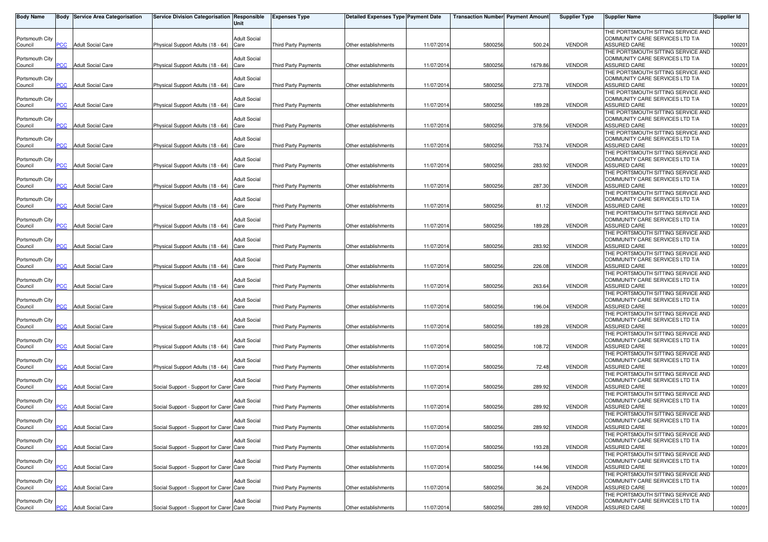| <b>Body Name</b>           |            | <b>Body Service Area Categorisation</b> | Service Division Categorisation Responsible | Unit                        | <b>Expenses Type</b>        | Detailed Expenses Type Payment Date |            | <b>Transaction Number</b> Payment Amount |         | <b>Supplier Type</b> | <b>Supplier Name</b>                                                  | Supplier Id |
|----------------------------|------------|-----------------------------------------|---------------------------------------------|-----------------------------|-----------------------------|-------------------------------------|------------|------------------------------------------|---------|----------------------|-----------------------------------------------------------------------|-------------|
|                            |            |                                         |                                             |                             |                             |                                     |            |                                          |         |                      | THE PORTSMOUTH SITTING SERVICE AND                                    |             |
| Portsmouth City<br>Council | PCC        | <b>Adult Social Care</b>                | Physical Support Adults (18 - 64)           | <b>Adult Social</b><br>Care | <b>Third Party Payments</b> | Other establishments                | 11/07/2014 | 5800256                                  | 500.24  | <b>VENDOR</b>        | COMMUNITY CARE SERVICES LTD T/A<br>ASSURED CARE                       | 100201      |
|                            |            |                                         |                                             |                             |                             |                                     |            |                                          |         |                      | THE PORTSMOUTH SITTING SERVICE AND                                    |             |
| Portsmouth City            |            |                                         |                                             | <b>Adult Social</b>         |                             |                                     |            |                                          |         |                      | COMMUNITY CARE SERVICES LTD T/A                                       |             |
| Council                    | PCC        | <b>Adult Social Care</b>                | Physical Support Adults (18 - 64) Care      |                             | <b>Third Party Payments</b> | Other establishments                | 11/07/2014 | 5800256                                  | 1679.86 | <b>VENDOR</b>        | ASSURED CARE                                                          | 100201      |
| Portsmouth City            |            |                                         |                                             | Adult Social                |                             |                                     |            |                                          |         |                      | THE PORTSMOUTH SITTING SERVICE AND<br>COMMUNITY CARE SERVICES LTD T/A |             |
| Council                    | PCC        | <b>Adult Social Care</b>                | Physical Support Adults (18 - 64)           | Care                        | Third Party Payments        | Other establishments                | 11/07/2014 | 5800256                                  | 273.78  | <b>VENDOR</b>        | ASSURED CARE                                                          | 100201      |
|                            |            |                                         |                                             |                             |                             |                                     |            |                                          |         |                      | THE PORTSMOUTH SITTING SERVICE AND                                    |             |
| Portsmouth City            |            |                                         |                                             | <b>Adult Social</b>         |                             |                                     |            |                                          |         |                      | COMMUNITY CARE SERVICES LTD T/A                                       |             |
| Council                    | PCC        | <b>Adult Social Care</b>                | Physical Support Adults (18 - 64)           | Care                        | <b>Third Party Payments</b> | Other establishments                | 11/07/2014 | 5800256                                  | 189.28  | <b>VENDOR</b>        | ASSURED CARE<br>THE PORTSMOUTH SITTING SERVICE AND                    | 100201      |
| Portsmouth City            |            |                                         |                                             | <b>Adult Social</b>         |                             |                                     |            |                                          |         |                      | COMMUNITY CARE SERVICES LTD T/A                                       |             |
| Council                    | PCC        | <b>Adult Social Care</b>                | Physical Support Adults (18 - 64)           | Care                        | <b>Third Party Payments</b> | Other establishments                | 11/07/201  | 5800256                                  | 378.56  | <b>VENDOR</b>        | ASSURED CARE                                                          | 100201      |
|                            |            |                                         |                                             |                             |                             |                                     |            |                                          |         |                      | THE PORTSMOUTH SITTING SERVICE AND                                    |             |
| Portsmouth City<br>Council | PCC        | <b>Adult Social Care</b>                | Physical Support Adults (18 - 64)           | Adult Social<br>Care        | <b>Third Party Payments</b> | Other establishments                | 11/07/2014 | 5800256                                  | 753.74  | <b>VENDOR</b>        | COMMUNITY CARE SERVICES LTD T/A<br>ASSURED CARE                       | 100201      |
|                            |            |                                         |                                             |                             |                             |                                     |            |                                          |         |                      | THE PORTSMOUTH SITTING SERVICE AND                                    |             |
| Portsmouth City            |            |                                         |                                             | <b>Adult Social</b>         |                             |                                     |            |                                          |         |                      | COMMUNITY CARE SERVICES LTD T/A                                       |             |
| Council                    | <b>PCC</b> | <b>Adult Social Care</b>                | Physical Support Adults (18 - 64)           | Care                        | Third Party Payments        | Other establishments                | 11/07/2014 | 5800256                                  | 283.92  | <b>VENDOR</b>        | ASSURED CARE                                                          | 100201      |
| Portsmouth City            |            |                                         |                                             | <b>Adult Social</b>         |                             |                                     |            |                                          |         |                      | THE PORTSMOUTH SITTING SERVICE AND<br>COMMUNITY CARE SERVICES LTD T/A |             |
| Council                    | <b>PCC</b> | <b>Adult Social Care</b>                | Physical Support Adults (18 - 64)           | Care                        | Third Party Payments        | Other establishments                | 11/07/2014 | 5800256                                  | 287.30  | <b>VENDOR</b>        | ASSURED CARE                                                          | 100201      |
|                            |            |                                         |                                             |                             |                             |                                     |            |                                          |         |                      | THE PORTSMOUTH SITTING SERVICE AND                                    |             |
| Portsmouth City            |            |                                         |                                             | <b>Adult Social</b>         |                             |                                     |            |                                          |         |                      | COMMUNITY CARE SERVICES LTD T/A                                       |             |
| Council                    | PСC        | <b>Adult Social Care</b>                | Physical Support Adults (18 - 64)           | Care                        | <b>Third Party Payments</b> | Other establishments                | 11/07/2014 | 5800256                                  | 81.12   | <b>VENDOR</b>        | ASSURED CARE<br>THE PORTSMOUTH SITTING SERVICE AND                    | 100201      |
| Portsmouth City            |            |                                         |                                             | Adult Social                |                             |                                     |            |                                          |         |                      | COMMUNITY CARE SERVICES LTD T/A                                       |             |
| Council                    | PCC        | <b>Adult Social Care</b>                | Physical Support Adults (18 - 64)           | Care                        | Third Party Payments        | Other establishments                | 11/07/2014 | 5800256                                  | 189.28  | <b>VENDOR</b>        | ASSURED CARE                                                          | 100201      |
|                            |            |                                         |                                             |                             |                             |                                     |            |                                          |         |                      | THE PORTSMOUTH SITTING SERVICE AND                                    |             |
| Portsmouth City<br>Council | PCC        | <b>Adult Social Care</b>                | Physical Support Adults (18 - 64)           | <b>Adult Social</b><br>Care | Third Party Payments        | Other establishments                | 11/07/201  | 5800256                                  | 283.92  | <b>VENDOR</b>        | COMMUNITY CARE SERVICES LTD T/A<br>ASSURED CARE                       | 100201      |
|                            |            |                                         |                                             |                             |                             |                                     |            |                                          |         |                      | THE PORTSMOUTH SITTING SERVICE AND                                    |             |
| Portsmouth City            |            |                                         |                                             | <b>Adult Social</b>         |                             |                                     |            |                                          |         |                      | COMMUNITY CARE SERVICES LTD T/A                                       |             |
| Council                    | <b>PCC</b> | <b>Adult Social Care</b>                | Physical Support Adults (18 - 64)           | Care                        | Third Party Payments        | Other establishments                | 11/07/2014 | 5800256                                  | 226.08  | <b>VENDOR</b>        | <b>ASSURED CARE</b>                                                   | 100201      |
| Portsmouth City            |            |                                         |                                             | <b>Adult Social</b>         |                             |                                     |            |                                          |         |                      | THE PORTSMOUTH SITTING SERVICE AND<br>COMMUNITY CARE SERVICES LTD T/A |             |
| Council                    | <b>PCC</b> | <b>Adult Social Care</b>                | Physical Support Adults (18 - 64)           | Care                        | Third Party Payments        | Other establishments                | 11/07/2014 | 5800256                                  | 263.64  | <b>VENDOR</b>        | ASSURED CARE                                                          | 100201      |
|                            |            |                                         |                                             |                             |                             |                                     |            |                                          |         |                      | THE PORTSMOUTH SITTING SERVICE AND                                    |             |
| Portsmouth City            |            |                                         |                                             | Adult Social                |                             |                                     |            |                                          |         |                      | COMMUNITY CARE SERVICES LTD T/A                                       |             |
| Council                    | <b>PCC</b> | <b>Adult Social Care</b>                | Physical Support Adults (18 - 64)           | Care                        | <b>Third Party Payments</b> | Other establishments                | 11/07/2014 | 5800256                                  | 196.04  | <b>VENDOR</b>        | ASSURED CARE<br>THE PORTSMOUTH SITTING SERVICE AND                    | 100201      |
| Portsmouth City            |            |                                         |                                             | <b>Adult Social</b>         |                             |                                     |            |                                          |         |                      | COMMUNITY CARE SERVICES LTD T/A                                       |             |
| Council                    | PCC        | <b>Adult Social Care</b>                | Physical Support Adults (18 - 64)           | Care                        | Third Party Payments        | Other establishments                | 11/07/2014 | 5800256                                  | 189.28  | <b>VENDOR</b>        | ASSURED CARE                                                          | 100201      |
|                            |            |                                         |                                             |                             |                             |                                     |            |                                          |         |                      | THE PORTSMOUTH SITTING SERVICE AND                                    |             |
| Portsmouth City<br>Council | <b>PCC</b> | <b>Adult Social Care</b>                | Physical Support Adults (18 - 64)           | <b>Adult Social</b><br>Care | Third Party Payments        | Other establishments                | 11/07/2014 | 5800256                                  | 108.72  | <b>VENDOR</b>        | COMMUNITY CARE SERVICES LTD T/A<br>ASSURED CARE                       | 100201      |
|                            |            |                                         |                                             |                             |                             |                                     |            |                                          |         |                      | THE PORTSMOUTH SITTING SERVICE AND                                    |             |
| Portsmouth City            |            |                                         |                                             | <b>Adult Social</b>         |                             |                                     |            |                                          |         |                      | COMMUNITY CARE SERVICES LTD T/A                                       |             |
| Council                    | <b>PCC</b> | <b>Adult Social Care</b>                | Physical Support Adults (18 - 64)           | Care                        | <b>Third Party Payments</b> | Other establishments                | 11/07/2014 | 5800256                                  | 72.48   | <b>VENDOR</b>        | ASSURED CARE                                                          | 100201      |
| Portsmouth City            |            |                                         |                                             | Adult Social                |                             |                                     |            |                                          |         |                      | THE PORTSMOUTH SITTING SERVICE AND<br>COMMUNITY CARE SERVICES LTD T/A |             |
| Council                    | <b>PCC</b> | <b>Adult Social Care</b>                | Social Support - Support for Carer Care     |                             | <b>Third Party Payments</b> | Other establishments                | 11/07/201  | 5800256                                  | 289.92  | <b>VENDOR</b>        | ASSURED CARE                                                          | 100201      |
|                            |            |                                         |                                             |                             |                             |                                     |            |                                          |         |                      | THE PORTSMOUTH SITTING SERVICE AND                                    |             |
| Portsmouth City<br>Council | PCC        | <b>Adult Social Care</b>                | Social Support - Support for Carer Care     | <b>Adult Social</b>         | <b>Third Party Payments</b> | Other establishments                | 11/07/201  | 5800256                                  | 289.92  | <b>VENDOR</b>        | COMMUNITY CARE SERVICES LTD T/A<br>ASSURED CARE                       | 100201      |
|                            |            |                                         |                                             |                             |                             |                                     |            |                                          |         |                      | THE PORTSMOUTH SITTING SERVICE AND                                    |             |
| Portsmouth City            |            |                                         |                                             | <b>Adult Social</b>         |                             |                                     |            |                                          |         |                      | COMMUNITY CARE SERVICES LTD T/A                                       |             |
| Council                    | <b>PCC</b> | <b>Adult Social Care</b>                | Social Support - Support for Carer Care     |                             | Third Party Payments        | Other establishments                | 11/07/2014 | 5800256                                  | 289.92  | <b>VENDOR</b>        | <b>ASSURED CARE</b>                                                   | 100201      |
|                            |            |                                         |                                             | <b>Adult Social</b>         |                             |                                     |            |                                          |         |                      | THE PORTSMOUTH SITTING SERVICE AND<br>COMMUNITY CARE SERVICES LTD T/A |             |
| Portsmouth City<br>Council | PCC        | <b>Adult Social Care</b>                | Social Support - Support for Carer Care     |                             | Third Party Payments        | Other establishments                | 11/07/2014 | 5800256                                  | 193.28  | <b>VENDOR</b>        | ASSURED CARE                                                          | 100201      |
|                            |            |                                         |                                             |                             |                             |                                     |            |                                          |         |                      | THE PORTSMOUTH SITTING SERVICE AND                                    |             |
| Portsmouth City            |            |                                         |                                             | <b>Adult Social</b>         |                             |                                     |            |                                          |         |                      | COMMUNITY CARE SERVICES LTD T/A                                       |             |
| Council                    | <b>PCC</b> | <b>Adult Social Care</b>                | Social Support - Support for Carer Care     |                             | Third Party Payments        | Other establishments                | 11/07/2014 | 5800256                                  | 144.96  | <b>VENDOR</b>        | ASSURED CARE<br>THE PORTSMOUTH SITTING SERVICE AND                    | 100201      |
| Portsmouth City            |            |                                         |                                             | <b>Adult Social</b>         |                             |                                     |            |                                          |         |                      | COMMUNITY CARE SERVICES LTD T/A                                       |             |
| Council                    | PCC        | <b>Adult Social Care</b>                | Social Support - Support for Carer Care     |                             | <b>Third Party Payments</b> | Other establishments                | 11/07/2014 | 5800256                                  | 36.24   | <b>VENDOR</b>        | ASSURED CARE                                                          | 100201      |
|                            |            |                                         |                                             |                             |                             |                                     |            |                                          |         |                      | THE PORTSMOUTH SITTING SERVICE AND                                    |             |
| Portsmouth City<br>Council |            | <b>PCC</b> Adult Social Care            | Social Support - Support for Carer Care     | <b>Adult Social</b>         | Third Party Payments        | Other establishments                | 11/07/2014 | 5800256                                  | 289.92  | VENDOR               | COMMUNITY CARE SERVICES LTD T/A<br>ASSURED CARE                       | 100201      |
|                            |            |                                         |                                             |                             |                             |                                     |            |                                          |         |                      |                                                                       |             |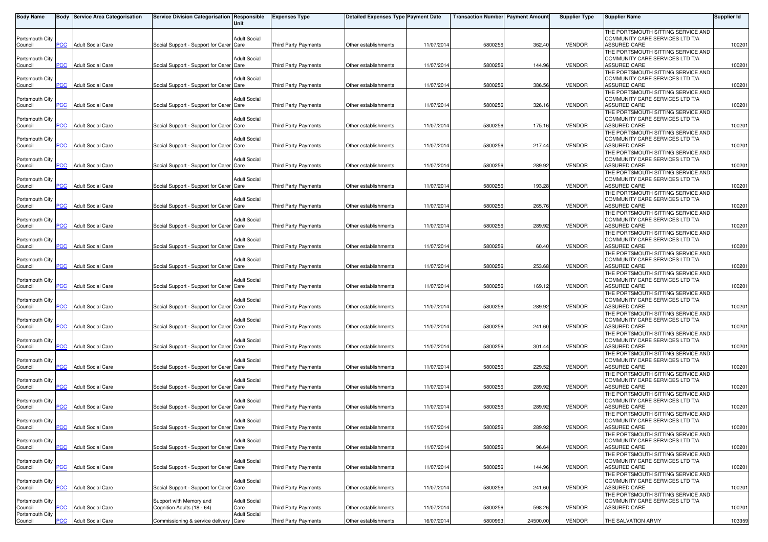| <b>Body Name</b>           |            | <b>Body Service Area Categorisation</b> | Service Division Categorisation Responsible | Unit                        | <b>Expenses Type</b>        | Detailed Expenses Type Payment Date |            | <b>Transaction Number Payment Amount</b> |          | <b>Supplier Type</b> | <b>Supplier Name</b>                                                  | Supplier Id |
|----------------------------|------------|-----------------------------------------|---------------------------------------------|-----------------------------|-----------------------------|-------------------------------------|------------|------------------------------------------|----------|----------------------|-----------------------------------------------------------------------|-------------|
|                            |            |                                         |                                             |                             |                             |                                     |            |                                          |          |                      | THE PORTSMOUTH SITTING SERVICE AND                                    |             |
| Portsmouth City<br>Council | PCC.       | <b>Adult Social Care</b>                | Social Support - Support for Carer Care     | Adult Social                | <b>Third Party Payments</b> | Other establishments                | 11/07/2014 | 5800256                                  | 362.40   | <b>VENDOR</b>        | COMMUNITY CARE SERVICES LTD T/A<br>ASSURED CARE                       | 100201      |
|                            |            |                                         |                                             |                             |                             |                                     |            |                                          |          |                      | THE PORTSMOUTH SITTING SERVICE AND                                    |             |
| Portsmouth City            |            |                                         |                                             | <b>Adult Social</b>         |                             |                                     |            |                                          |          |                      | COMMUNITY CARE SERVICES LTD T/A                                       |             |
| Council                    | <b>PCC</b> | <b>Adult Social Care</b>                | Social Support - Support for Carer Care     |                             | <b>Third Party Payments</b> | Other establishments                | 11/07/2014 | 5800256                                  | 144.96   | <b>VENDOR</b>        | ASSURED CARE                                                          | 100201      |
| Portsmouth City            |            |                                         |                                             | <b>Adult Social</b>         |                             |                                     |            |                                          |          |                      | THE PORTSMOUTH SITTING SERVICE AND<br>COMMUNITY CARE SERVICES LTD T/A |             |
| Council                    | сC         | <b>Adult Social Care</b>                | Social Support - Support for Carer Care     |                             | Third Party Payments        | Other establishments                | 11/07/2014 | 5800256                                  | 386.56   | <b>VENDOR</b>        | ASSURED CARE                                                          | 100201      |
|                            |            |                                         |                                             |                             |                             |                                     |            |                                          |          |                      | THE PORTSMOUTH SITTING SERVICE AND                                    |             |
| Portsmouth City            |            |                                         |                                             | <b>Adult Social</b>         |                             |                                     |            |                                          |          | <b>VENDOR</b>        | COMMUNITY CARE SERVICES LTD T/A                                       |             |
| Council                    | PCC        | <b>Adult Social Care</b>                | Social Support - Support for Carer Care     |                             | Third Party Payments        | Other establishments                | 11/07/2014 | 5800256                                  | 326.16   |                      | ASSURED CARE<br>THE PORTSMOUTH SITTING SERVICE AND                    | 100201      |
| Portsmouth City            |            |                                         |                                             | Adult Social                |                             |                                     |            |                                          |          |                      | COMMUNITY CARE SERVICES LTD T/A                                       |             |
| Council                    | PСC        | <b>Adult Social Care</b>                | Social Support - Support for Carer Care     |                             | <b>Third Party Payments</b> | Other establishments                | 11/07/2014 | 5800256                                  | 175.16   | <b>VENDOR</b>        | ASSURED CARE                                                          | 100201      |
| Portsmouth City            |            |                                         |                                             | Adult Social                |                             |                                     |            |                                          |          |                      | THE PORTSMOUTH SITTING SERVICE AND<br>COMMUNITY CARE SERVICES LTD T/A |             |
| Council                    | сC         | <b>Adult Social Care</b>                | Social Support - Support for Carer Care     |                             | Third Party Payments        | Other establishments                | 11/07/2014 | 5800256                                  | 217.44   | <b>VENDOR</b>        | ASSURED CARE                                                          | 100201      |
|                            |            |                                         |                                             |                             |                             |                                     |            |                                          |          |                      | THE PORTSMOUTH SITTING SERVICE AND                                    |             |
| Portsmouth City            | <b>PCC</b> | <b>Adult Social Care</b>                |                                             | <b>Adult Social</b>         |                             |                                     |            |                                          | 289.92   |                      | COMMUNITY CARE SERVICES LTD T/A                                       |             |
| Council                    |            |                                         | Social Support - Support for Carer Care     |                             | Third Party Payments        | Other establishments                | 11/07/2014 | 5800256                                  |          | <b>VENDOR</b>        | ASSURED CARE<br>THE PORTSMOUTH SITTING SERVICE AND                    | 100201      |
| Portsmouth City            |            |                                         |                                             | <b>Adult Social</b>         |                             |                                     |            |                                          |          |                      | COMMUNITY CARE SERVICES LTD T/A                                       |             |
| Council                    | PСC        | <b>Adult Social Care</b>                | Social Support - Support for Carer Care     |                             | <b>Third Party Payments</b> | Other establishments                | 11/07/2014 | 5800256                                  | 193.28   | <b>VENDOR</b>        | ASSURED CARE                                                          | 100201      |
| Portsmouth City            |            |                                         |                                             | Adult Social                |                             |                                     |            |                                          |          |                      | THE PORTSMOUTH SITTING SERVICE AND<br>COMMUNITY CARE SERVICES LTD T/A |             |
| Council                    | сC         | <b>Adult Social Care</b>                | Social Support - Support for Carer Care     |                             | Third Party Payments        | Other establishments                | 11/07/2014 | 5800256                                  | 265.76   | <b>VENDOR</b>        | ASSURED CARE                                                          | 100201      |
|                            |            |                                         |                                             |                             |                             |                                     |            |                                          |          |                      | THE PORTSMOUTH SITTING SERVICE AND                                    |             |
| Portsmouth City            |            |                                         |                                             | <b>Adult Social</b>         |                             |                                     |            |                                          |          |                      | COMMUNITY CARE SERVICES LTD T/A                                       |             |
| Council                    | PСC        | <b>Adult Social Care</b>                | Social Support - Support for Carer Care     |                             | Third Party Payments        | Other establishments                | 11/07/2014 | 5800256                                  | 289.92   | <b>VENDOR</b>        | <b>ASSURED CARE</b><br>THE PORTSMOUTH SITTING SERVICE AND             | 100201      |
| Portsmouth City            |            |                                         |                                             | <b>Adult Social</b>         |                             |                                     |            |                                          |          |                      | COMMUNITY CARE SERVICES LTD T/A                                       |             |
| Council                    | PСC        | <b>Adult Social Care</b>                | Social Support - Support for Carer Care     |                             | <b>Third Party Payments</b> | Other establishments                | 11/07/2014 | 5800256                                  | 60.40    | <b>VENDOR</b>        | ASSURED CARE                                                          | 100201      |
|                            |            |                                         |                                             |                             |                             |                                     |            |                                          |          |                      | THE PORTSMOUTH SITTING SERVICE AND                                    |             |
| Portsmouth City<br>Council | сC         | <b>Adult Social Care</b>                | Social Support - Support for Carer Care     | Adult Social                | Third Party Payments        | Other establishments                | 11/07/2014 | 5800256                                  | 253.68   | <b>VENDOR</b>        | COMMUNITY CARE SERVICES LTD T/A<br><b>ASSURED CARE</b>                | 100201      |
|                            |            |                                         |                                             |                             |                             |                                     |            |                                          |          |                      | THE PORTSMOUTH SITTING SERVICE AND                                    |             |
| Portsmouth City            |            |                                         |                                             | <b>Adult Social</b>         |                             |                                     |            |                                          |          |                      | COMMUNITY CARE SERVICES LTD T/A                                       |             |
| Council                    | PCC        | <b>Adult Social Care</b>                | Social Support - Support for Carer Care     |                             | Third Party Payments        | Other establishments                | 11/07/2014 | 5800256                                  | 169.12   | <b>VENDOR</b>        | ASSURED CARE                                                          | 100201      |
| Portsmouth City            |            |                                         |                                             | <b>Adult Social</b>         |                             |                                     |            |                                          |          |                      | THE PORTSMOUTH SITTING SERVICE AND<br>COMMUNITY CARE SERVICES LTD T/A |             |
| Council                    | <b>PCC</b> | <b>Adult Social Care</b>                | Social Support - Support for Carer Care     |                             | <b>Third Party Payments</b> | Other establishments                | 11/07/2014 | 5800256                                  | 289.92   | <b>VENDOR</b>        | ASSURED CARE                                                          | 100201      |
|                            |            |                                         |                                             |                             |                             |                                     |            |                                          |          |                      | THE PORTSMOUTH SITTING SERVICE AND                                    |             |
| Portsmouth City<br>Council | PCC.       | <b>Adult Social Care</b>                | Social Support - Support for Carer Care     | <b>Adult Social</b>         | <b>Third Party Payments</b> | Other establishments                | 11/07/2014 | 5800256                                  | 241.60   | <b>VENDOR</b>        | COMMUNITY CARE SERVICES LTD T/A<br>ASSURED CARE                       | 100201      |
|                            |            |                                         |                                             |                             |                             |                                     |            |                                          |          |                      | THE PORTSMOUTH SITTING SERVICE AND                                    |             |
| Portsmouth City            |            |                                         |                                             | Adult Social                |                             |                                     |            |                                          |          |                      | COMMUNITY CARE SERVICES LTD T/A                                       |             |
| Council                    | <b>PCC</b> | <b>Adult Social Care</b>                | Social Support - Support for Carer Care     |                             | <b>Third Party Payments</b> | Other establishments                | 11/07/2014 | 5800256                                  | 301.44   | <b>VENDOR</b>        | ASSURED CARE                                                          | 100201      |
| Portsmouth City            |            |                                         |                                             | <b>Adult Social</b>         |                             |                                     |            |                                          |          |                      | THE PORTSMOUTH SITTING SERVICE AND<br>COMMUNITY CARE SERVICES LTD T/A |             |
| Council                    | PСC        | <b>Adult Social Care</b>                | Social Support - Support for Carer Care     |                             | Third Party Payments        | Other establishments                | 11/07/2014 | 5800256                                  | 229.52   | <b>VENDOR</b>        | <b>ASSURED CARE</b>                                                   | 100201      |
|                            |            |                                         |                                             |                             |                             |                                     |            |                                          |          |                      | THE PORTSMOUTH SITTING SERVICE AND                                    |             |
| Portsmouth City<br>Council | PСC        | <b>Adult Social Care</b>                | Social Support - Support for Carer Care     | <b>Adult Social</b>         | <b>Third Party Payments</b> | Other establishments                | 11/07/2014 | 5800256                                  | 289.92   | <b>VENDOR</b>        | COMMUNITY CARE SERVICES LTD T/A<br>ASSURED CARE                       | 100201      |
|                            |            |                                         |                                             |                             |                             |                                     |            |                                          |          |                      | THE PORTSMOUTH SITTING SERVICE AND                                    |             |
| Portsmouth City            |            |                                         |                                             | <b>Adult Social</b>         |                             |                                     |            |                                          |          |                      | COMMUNITY CARE SERVICES LTD T/A                                       |             |
| Council                    | <b>PCC</b> | <b>Adult Social Care</b>                | Social Support - Support for Carer          | Care                        | <b>Third Party Payments</b> | Other establishments                | 11/07/2014 | 5800256                                  | 289.92   | <b>VENDOR</b>        | <b>ASSURED CARE</b>                                                   | 100201      |
| Portsmouth City            |            |                                         |                                             | <b>Adult Social</b>         |                             |                                     |            |                                          |          |                      | THE PORTSMOUTH SITTING SERVICE AND<br>COMMUNITY CARE SERVICES LTD T/A |             |
| Council                    | <b>PCC</b> | <b>Adult Social Care</b>                | Social Support - Support for Carer Care     |                             | Third Party Payments        | Other establishments                | 11/07/2014 | 5800256                                  | 289.92   | <b>VENDOR</b>        | <b>ASSURED CARE</b>                                                   | 100201      |
|                            |            |                                         |                                             |                             |                             |                                     |            |                                          |          |                      | THE PORTSMOUTH SITTING SERVICE AND                                    |             |
| Portsmouth City            | PСC        | <b>Adult Social Care</b>                | Social Support - Support for Carer Care     | <b>Adult Social</b>         | <b>Third Party Payments</b> | Other establishments                | 11/07/2014 | 5800256                                  | 96.64    | <b>VENDOR</b>        | COMMUNITY CARE SERVICES LTD T/A<br>ASSURED CARE                       | 100201      |
| Council                    |            |                                         |                                             |                             |                             |                                     |            |                                          |          |                      | THE PORTSMOUTH SITTING SERVICE AND                                    |             |
| Portsmouth City            |            |                                         |                                             | <b>Adult Social</b>         |                             |                                     |            |                                          |          |                      | COMMUNITY CARE SERVICES LTD T/A                                       |             |
| Council                    | PСC        | <b>Adult Social Care</b>                | Social Support - Support for Carer Care     |                             | <b>Third Party Payments</b> | Other establishments                | 11/07/2014 | 5800256                                  | 144.96   | <b>VENDOR</b>        | ASSURED CARE                                                          | 100201      |
| Portsmouth City            |            |                                         |                                             | <b>Adult Social</b>         |                             |                                     |            |                                          |          |                      | THE PORTSMOUTH SITTING SERVICE AND<br>COMMUNITY CARE SERVICES LTD T/A |             |
| Council                    | PCC        | <b>Adult Social Care</b>                | Social Support - Support for Carer Care     |                             | Third Party Payments        | Other establishments                | 11/07/2014 | 5800256                                  | 241.60   | <b>VENDOR</b>        | ASSURED CARE                                                          | 100201      |
|                            |            |                                         |                                             |                             |                             |                                     |            |                                          |          |                      | THE PORTSMOUTH SITTING SERVICE AND                                    |             |
| Portsmouth City            |            |                                         | Support with Memory and                     | <b>Adult Social</b>         |                             |                                     |            |                                          |          |                      | COMMUNITY CARE SERVICES LTD T/A                                       |             |
| Council<br>Portsmouth City | <b>PCC</b> | <b>Adult Social Care</b>                | Cognition Adults (18 - 64)                  | Care<br><b>Adult Social</b> | Third Party Payments        | Other establishments                | 11/07/2014 | 5800256                                  | 598.26   | <b>VENDOR</b>        | ASSURED CARE                                                          | 100201      |
| Council                    | <b>PCC</b> | <b>Adult Social Care</b>                | Commissioning & service delivery Care       |                             | Third Party Payments        | Other establishments                | 16/07/2014 | 5800993                                  | 24500.00 | <b>VENDOR</b>        | THE SALVATION ARMY                                                    | 103359      |
|                            |            |                                         |                                             |                             |                             |                                     |            |                                          |          |                      |                                                                       |             |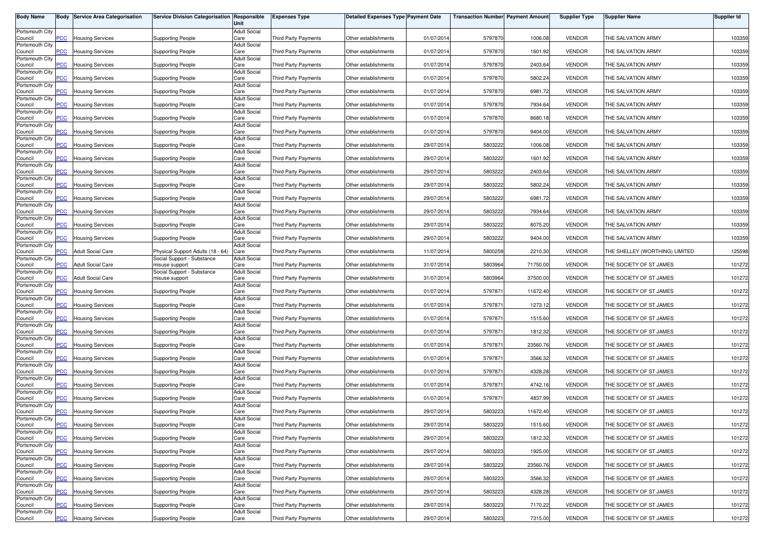| <b>Body Name</b>           |            | <b>Body Service Area Categorisation</b> | Service Division Categorisation Responsible  | Unit                        | <b>Expenses Type</b>        | <b>Detailed Expenses Type Payment Date</b> |            | <b>Transaction Number Payment Amount</b> |          | <b>Supplier Type</b> | <b>Supplier Name</b>           | <b>Supplier Id</b> |
|----------------------------|------------|-----------------------------------------|----------------------------------------------|-----------------------------|-----------------------------|--------------------------------------------|------------|------------------------------------------|----------|----------------------|--------------------------------|--------------------|
| Portsmouth City<br>Council | <b>PCC</b> | <b>Housing Services</b>                 | <b>Supporting People</b>                     | <b>Adult Social</b><br>Care | <b>Third Party Payments</b> | Other establishments                       | 01/07/201  | 5797870                                  | 1006.08  | <b>VENDOR</b>        | THE SALVATION ARMY             | 103359             |
| Portsmouth City            |            |                                         |                                              | <b>Adult Social</b>         |                             |                                            | 01/07/201  |                                          |          |                      | THE SALVATION ARMY             |                    |
| Council<br>Portsmouth City | PCC        | <b>Housing Services</b>                 | <b>Supporting People</b>                     | Care<br><b>Adult Social</b> | Third Party Payments        | Other establishments                       |            | 5797870                                  | 1601.92  | <b>VENDOR</b>        |                                | 103359             |
| Council<br>Portsmouth City | <b>PCC</b> | <b>Housing Services</b>                 | <b>Supporting People</b>                     | Care<br><b>Adult Social</b> | <b>Third Party Payments</b> | Other establishments                       | 01/07/201  | 5797870                                  | 2403.64  | <b>VENDOR</b>        | THE SALVATION ARMY             | 103359             |
| Council<br>Portsmouth City | PСC        | Housing Services                        | Supporting People                            | Care<br><b>Adult Social</b> | <b>Third Party Payments</b> | Other establishments                       | 01/07/201  | 5797870                                  | 5802.24  | <b>VENDOR</b>        | THE SALVATION ARMY             | 103359             |
| Council<br>Portsmouth City | <b>PCC</b> | <b>Housing Services</b>                 | Supporting People                            | Care<br><b>Adult Social</b> | <b>Third Party Payments</b> | Other establishments                       | 01/07/201  | 5797870                                  | 6981.72  | <b>VENDOR</b>        | THE SALVATION ARMY             | 103359             |
| Council                    | <b>PCC</b> | <b>Housing Services</b>                 | <b>Supporting People</b>                     | Care                        | Third Party Payments        | Other establishments                       | 01/07/201  | 5797870                                  | 7934.64  | <b>VENDOR</b>        | THE SALVATION ARMY             | 103359             |
| Portsmouth City<br>Council | PCC        | <b>Housing Services</b>                 | <b>Supporting People</b>                     | <b>Adult Social</b><br>Care | Third Party Payments        | Other establishments                       | 01/07/201  | 5797870                                  | 8680.18  | <b>VENDOR</b>        | THE SALVATION ARMY             | 103359             |
| Portsmouth City<br>Council | PCC        | <b>Housing Services</b>                 | <b>Supporting People</b>                     | <b>Adult Social</b><br>Care | Third Party Payments        | Other establishments                       | 01/07/201  | 5797870                                  | 9404.00  | <b>VENDOR</b>        | THE SALVATION ARMY             | 103359             |
| Portsmouth City<br>Council | PСC        | <b>Housing Services</b>                 | <b>Supporting People</b>                     | <b>Adult Social</b><br>Care | <b>Third Party Payments</b> | Other establishments                       | 29/07/201  | 5803222                                  | 1006.08  | <b>VENDOR</b>        | THE SALVATION ARMY             | 103359             |
| Portsmouth City            |            |                                         |                                              | <b>Adult Social</b>         |                             |                                            |            |                                          |          |                      |                                |                    |
| Council<br>Portsmouth City | <b>PCC</b> | <b>Housing Services</b>                 | <b>Supporting People</b>                     | Care<br><b>Adult Social</b> | <b>Third Party Payments</b> | Other establishments                       | 29/07/201  | 5803222                                  | 1601.92  | <b>VENDOR</b>        | THE SALVATION ARMY             | 103359             |
| Council<br>Portsmouth City | PСC        | Housing Services                        | Supporting People                            | Care<br><b>Adult Social</b> | <b>Third Party Payments</b> | Other establishments                       | 29/07/201  | 5803222                                  | 2403.64  | <b>VENDOR</b>        | THE SALVATION ARMY             | 103359             |
| Council<br>Portsmouth City | <b>PCC</b> | <b>Housing Services</b>                 | Supporting People                            | Care<br><b>Adult Social</b> | Third Party Payments        | Other establishments                       | 29/07/201  | 5803222                                  | 5802.24  | <b>VENDOR</b>        | THE SALVATION ARMY             | 103359             |
| Council<br>Portsmouth City | <b>PCC</b> | <b>Housing Services</b>                 | Supporting People                            | Care<br><b>Adult Social</b> | Third Party Payments        | Other establishments                       | 29/07/201  | 5803222                                  | 6981.72  | <b>VENDOR</b>        | THE SALVATION ARMY             | 103359             |
| Council                    | <b>PCC</b> | <b>Housing Services</b>                 | Supporting People                            | Care                        | <b>Third Party Payments</b> | Other establishments                       | 29/07/201  | 5803222                                  | 7934.64  | <b>VENDOR</b>        | THE SALVATION ARMY             | 103359             |
| Portsmouth City<br>Council | <b>PCC</b> | <b>Housing Services</b>                 | <b>Supporting People</b>                     | <b>Adult Social</b><br>Care | Third Party Payments        | Other establishments                       | 29/07/201  | 5803222                                  | 8075.20  | <b>VENDOR</b>        | THE SALVATION ARMY             | 103359             |
| Portsmouth City<br>Council | PCC        | <b>Housing Services</b>                 | <b>Supporting People</b>                     | <b>Adult Social</b><br>Care | <b>Third Party Payments</b> | Other establishments                       | 29/07/201  | 5803222                                  | 9404.00  | <b>VENDOR</b>        | THE SALVATION ARMY             | 103359             |
| Portsmouth City<br>Council | <b>PCC</b> | <b>Adult Social Care</b>                | Physical Support Adults (18 - 64) Care       | <b>Adult Social</b>         | Third Party Payments        | Other establishments                       | 11/07/201  | 5800259                                  | 2210.30  | <b>VENDOR</b>        | THE SHELLEY (WORTHING) LIMITED | 125598             |
| Portsmouth City            |            |                                         | Social Support - Substance                   | <b>Adult Social</b>         |                             |                                            |            |                                          |          |                      |                                |                    |
| Council<br>Portsmouth City | °СС        | Adult Social Care                       | misuse support<br>Social Support - Substance | Care<br><b>Adult Social</b> | <b>Third Party Payments</b> | Other establishments                       | 31/07/201  | 5803964                                  | 71750.00 | <b>VENDOR</b>        | THE SOCIETY OF ST JAMES        | 101272             |
| Council<br>Portsmouth City | <b>PCC</b> | <b>Adult Social Care</b>                | misuse support                               | Care<br><b>Adult Social</b> | Third Party Payments        | Other establishments                       | 31/07/201  | 5803964                                  | 37500.00 | <b>VENDOR</b>        | THE SOCIETY OF ST JAMES        | 101272             |
| Council<br>Portsmouth City | PCC        | Housing Services                        | Supporting People                            | Care<br><b>Adult Social</b> | <b>Third Party Payments</b> | Other establishments                       | 01/07/201  | 579787                                   | 11672.40 | <b>VENDOR</b>        | THE SOCIETY OF ST JAMES        | 101272             |
| Council                    | PCC        | <b>Housing Services</b>                 | Supporting People                            | Care                        | Third Party Payments        | Other establishments                       | 01/07/201  | 579787                                   | 1273.12  | <b>VENDOR</b>        | THE SOCIETY OF ST JAMES        | 101272             |
| Portsmouth City<br>Council | <b>PCC</b> | <b>Housing Services</b>                 | <b>Supporting People</b>                     | <b>Adult Social</b><br>Care | Third Party Payments        | Other establishments                       | 01/07/201  | 579787                                   | 1515.60  | <b>VENDOR</b>        | THE SOCIETY OF ST JAMES        | 101272             |
| Portsmouth City<br>Council | <b>PCC</b> | <b>Housing Services</b>                 | Supporting People                            | <b>Adult Social</b><br>Care | Third Party Payments        | Other establishments                       | 01/07/201  | 579787                                   | 1812.32  | <b>VENDOR</b>        | THE SOCIETY OF ST JAMES        | 101272             |
| Portsmouth City<br>Council | <b>PCC</b> | <b>Housing Services</b>                 | <b>Supporting People</b>                     | <b>Adult Social</b><br>Care | Third Party Payments        | Other establishments                       | 01/07/2014 | 579787                                   | 23560.76 | <b>VENDOR</b>        | THE SOCIETY OF ST JAMES        | 101272             |
| Portsmouth City<br>Council | PCC        | <b>Housing Services</b>                 | <b>Supporting People</b>                     | <b>Adult Social</b><br>Care | Third Party Payments        | Other establishments                       | 01/07/201  | 579787                                   | 3566.32  | <b>VENDOR</b>        | THE SOCIETY OF ST JAMES        | 101272             |
| Portsmouth City            |            |                                         |                                              | <b>Adult Social</b>         |                             |                                            |            |                                          |          |                      |                                |                    |
| Council<br>Portsmouth City | <b>PCC</b> | <b>Housing Services</b>                 | <b>Supporting People</b>                     | Care<br><b>Adult Social</b> | Third Party Payments        | Other establishments                       | 01/07/201  | 579787                                   | 4328.28  | <b>VENDOR</b>        | THE SOCIETY OF ST JAMES        | 101272             |
| Council<br>Portsmouth City | ۲CC        | Housing Services                        | <b>Supporting People</b>                     | Care<br><b>Adult Social</b> | <b>Third Party Payments</b> | Other establishments                       | 01/07/201  | 5797871                                  | 4742.16  | <b>VENDOR</b>        | THE SOCIETY OF ST JAMES        | 101272             |
| Council<br>Portsmouth City | <b>PCC</b> | <b>Housing Services</b>                 | <b>Supporting People</b>                     | Care<br><b>Adult Social</b> | Third Party Payments        | Other establishments                       | 01/07/201  | 579787                                   | 4837.99  | <b>VENDOR</b>        | THE SOCIETY OF ST JAMES        | 101272             |
| Council<br>Portsmouth City | <b>PCC</b> | <b>Housing Services</b>                 | Supporting People                            | Care<br><b>Adult Social</b> | Third Party Payments        | Other establishments                       | 29/07/2014 | 5803223                                  | 11672.40 | <b>VENDOR</b>        | THE SOCIETY OF ST JAMES        | 101272             |
| Council                    |            | <b>Housing Services</b>                 | <b>Supporting People</b>                     | Care                        | Third Party Payments        | Other establishments                       | 29/07/2014 | 5803223                                  | 1515.60  | <b>VENDOR</b>        | THE SOCIETY OF ST JAMES        | 101272             |
| Portsmouth City<br>Council | <b>PCC</b> | <b>Housing Services</b>                 | <b>Supporting People</b>                     | <b>Adult Social</b><br>Care | Third Party Payments        | Other establishments                       | 29/07/2014 | 5803223                                  | 1812.32  | <b>VENDOR</b>        | THE SOCIETY OF ST JAMES        | 101272             |
| Portsmouth City<br>Council | <b>PCC</b> | <b>Housing Services</b>                 | <b>Supporting People</b>                     | <b>Adult Social</b><br>Care | Third Party Payments        | Other establishments                       | 29/07/2014 | 5803223                                  | 1925.00  | <b>VENDOR</b>        | THE SOCIETY OF ST JAMES        | 101272             |
| Portsmouth City<br>Council | <b>PCC</b> | <b>Housing Services</b>                 | <b>Supporting People</b>                     | <b>Adult Social</b><br>Care | Third Party Payments        | Other establishments                       | 29/07/2014 | 5803223                                  | 23560.76 | <b>VENDOR</b>        | THE SOCIETY OF ST JAMES        | 101272             |
| Portsmouth City            |            |                                         | Supporting People                            | <b>Adult Social</b>         |                             |                                            |            |                                          |          |                      |                                |                    |
| Council<br>Portsmouth City | PCC        | <b>Housing Services</b>                 |                                              | Care<br><b>Adult Social</b> | Third Party Payments        | Other establishments                       | 29/07/201  | 5803223                                  | 3566.32  | <b>VENDOR</b>        | THE SOCIETY OF ST JAMES        | 101272             |
| Council<br>Portsmouth City | <b>PCC</b> | <b>Housing Services</b>                 | <b>Supporting People</b>                     | Care<br><b>Adult Social</b> | <b>Third Party Payments</b> | Other establishments                       | 29/07/201  | 5803223                                  | 4328.28  | <b>VENDOR</b>        | THE SOCIETY OF ST JAMES        | 101272             |
| Council<br>Portsmouth City | PСC        | <b>Housing Services</b>                 | <b>Supporting People</b>                     | Care<br><b>Adult Social</b> | Third Party Payments        | Other establishments                       | 29/07/2014 | 5803223                                  | 7170.22  | <b>VENDOR</b>        | THE SOCIETY OF ST JAMES        | 101272             |
| Council                    | <b>PCC</b> | <b>Housing Services</b>                 | <b>Supporting People</b>                     | Care                        | <b>Third Party Payments</b> | Other establishments                       | 29/07/2014 | 5803223                                  | 7315.00  | <b>VENDOR</b>        | THE SOCIETY OF ST JAMES        | 101272             |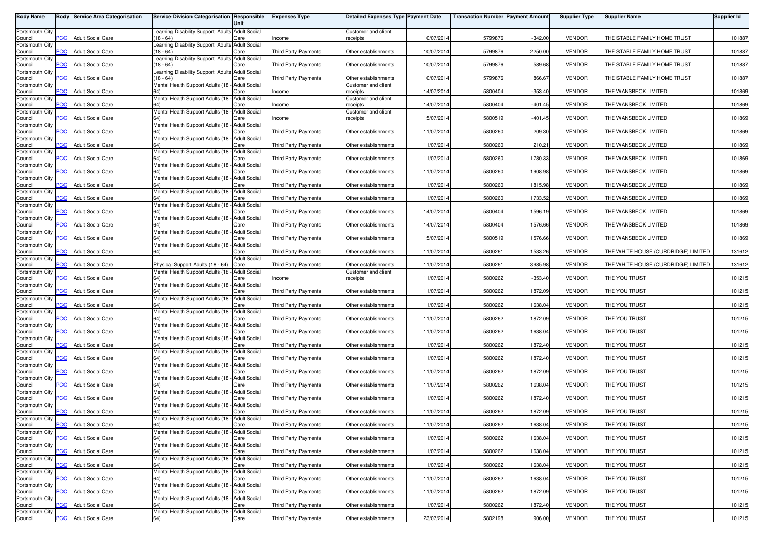| <b>Body Name</b>           |                | <b>Body Service Area Categorisation</b> | Service Division Categorisation Responsible                    | Unit                        | <b>Expenses Type</b>        | Detailed Expenses Type Payment Date |            | <b>Transaction Number</b> Payment Amount |           | <b>Supplier Type</b> | <b>Supplier Name</b>                | <b>Supplier Id</b> |
|----------------------------|----------------|-----------------------------------------|----------------------------------------------------------------|-----------------------------|-----------------------------|-------------------------------------|------------|------------------------------------------|-----------|----------------------|-------------------------------------|--------------------|
| Portsmouth City            |                |                                         | Learning Disability Support Adults Adult Social                |                             |                             | Customer and client                 |            |                                          |           |                      |                                     |                    |
| Council<br>Portsmouth City | <b>PCC</b>     | <b>Adult Social Care</b>                | $(18 - 64)$<br>earning Disability Support Adults Adult Social  | Care                        | Income                      | receipts                            | 10/07/2014 | 5799876                                  | $-342.00$ | <b>VENDOR</b>        | THE STABLE FAMILY HOME TRUST        | 101887             |
| Council                    | <b>CC</b>      | <b>Adult Social Care</b>                | $18 - 64$                                                      | Care                        | <b>Third Party Payments</b> | Other establishments                | 10/07/2014 | 5799876                                  | 2250.00   | <b>VENDOR</b>        | THE STABLE FAMILY HOME TRUST        | 101887             |
| Portsmouth City<br>Council | $\overline{C}$ | <b>Adult Social Care</b>                | Learning Disability Support Adults Adult Social<br>$18 - 64$   | Care                        | <b>Third Party Payments</b> | Other establishments                | 10/07/2014 | 5799876                                  | 589.68    | <b>VENDOR</b>        | THE STABLE FAMILY HOME TRUST        | 101887             |
| Portsmouth City<br>Council | <b>CC</b>      | <b>Adult Social Care</b>                | Learning Disability Support Adults Adult Social<br>$18 - 64$   | Care                        | <b>Third Party Payments</b> | Other establishments                | 10/07/2014 | 5799876                                  | 866.67    | <b>VENDOR</b>        | THE STABLE FAMILY HOME TRUST        | 101887             |
| Portsmouth City<br>Council | PCC            | <b>Adult Social Care</b>                | Mental Health Support Adults (18 - Adult Social                | Care                        | Income                      | Customer and client                 | 14/07/2014 | 5800404                                  | $-353.40$ | <b>VENDOR</b>        | THE WANSBECK LIMITED                | 101869             |
| Portsmouth City            |                |                                         | Mental Health Support Adults (18 - Adult Social                |                             |                             | receipts<br>Customer and client     |            |                                          |           |                      |                                     |                    |
| Council<br>Portsmouth City | <b>PCC</b>     | <b>Adult Social Care</b>                | Mental Health Support Adults (18 - Adult Social                | Care                        | Income                      | receipts<br>Customer and client     | 14/07/2014 | 5800404                                  | $-401.45$ | <b>VENDOR</b>        | THE WANSBECK LIMITED                | 101869             |
| Council                    | PCC            | <b>Adult Social Care</b>                |                                                                | Care                        | Income                      | receipts                            | 15/07/2014 | 5800519                                  | $-401.45$ | <b>VENDOR</b>        | THE WANSBECK LIMITED                | 101869             |
| Portsmouth City<br>Council | <b>PCC</b>     | <b>Adult Social Care</b>                | Mental Health Support Adults (18 - Adult Social<br>64)         | Care                        | Third Party Payments        | Other establishments                | 11/07/2014 | 5800260                                  | 209.30    | <b>VENDOR</b>        | THE WANSBECK LIMITED                | 101869             |
| Portsmouth City<br>Council | сC             | <b>Adult Social Care</b>                | Mental Health Support Adults (18 - Adult Social                | Care                        | <b>Third Party Payments</b> | Other establishments                | 11/07/2014 | 5800260                                  | 210.21    | <b>VENDOR</b>        | THE WANSBECK LIMITED                | 101869             |
| Portsmouth City            |                |                                         | Mental Health Support Adults (18 - Adult Social                |                             |                             |                                     |            |                                          |           |                      |                                     |                    |
| Council<br>Portsmouth City | PCC            | <b>Adult Social Care</b>                | Mental Health Support Adults (18 - Adult Social                | Care                        | <b>Third Party Payments</b> | Other establishments                | 11/07/2014 | 5800260                                  | 1780.33   | <b>VENDOR</b>        | THE WANSBECK LIMITED                | 101869             |
| Council<br>Portsmouth City | <b>CC</b>      | <b>Adult Social Care</b>                | Mental Health Support Adults (18 - Adult Social                | Care                        | <b>Third Party Payments</b> | Other establishments                | 11/07/2014 | 5800260                                  | 1908.98   | <b>VENDOR</b>        | THE WANSBECK LIMITED                | 101869             |
| Council                    | PCC            | <b>Adult Social Care</b>                |                                                                | Care<br><b>Adult Social</b> | <b>Third Party Payments</b> | Other establishments                | 11/07/2014 | 5800260                                  | 1815.98   | <b>VENDOR</b>        | THE WANSBECK LIMITED                | 101869             |
| Portsmouth City<br>Council | PCC            | <b>Adult Social Care</b>                | Mental Health Support Adults (18 -                             | Care                        | <b>Third Party Payments</b> | Other establishments                | 11/07/2014 | 5800260                                  | 1733.52   | <b>VENDOR</b>        | THE WANSBECK LIMITED                | 101869             |
| Portsmouth City<br>Council | PCC            | <b>Adult Social Care</b>                | Mental Health Support Adults (18 -                             | <b>Adult Social</b><br>Care | <b>Third Party Payments</b> | Other establishments                | 14/07/201  | 5800404                                  | 1596.19   | <b>VENDOR</b>        | THE WANSBECK LIMITED                | 101869             |
| Portsmouth City<br>Council | PCC            | <b>Adult Social Care</b>                | Mental Health Support Adults (18 - Adult Social                | Care                        | Third Party Payments        | Other establishments                | 14/07/2014 | 5800404                                  | 1576.66   | <b>VENDOR</b>        | THE WANSBECK LIMITED                | 101869             |
| Portsmouth City            |                |                                         | Mental Health Support Adults (18 - Adult Social                |                             |                             |                                     |            |                                          |           |                      |                                     |                    |
| Council<br>Portsmouth City | PCC            | <b>Adult Social Care</b>                | 64)<br>Mental Health Support Adults (18 - Adult Social         | Care                        | <b>Third Party Payments</b> | Other establishments                | 15/07/2014 | 5800519                                  | 1576.66   | <b>VENDOR</b>        | THE WANSBECK LIMITED                | 101869             |
| Council<br>Portsmouth City | <b>PCC</b>     | <b>Adult Social Care</b>                | 64)                                                            | Care<br><b>Adult Social</b> | <b>Third Party Payments</b> | Other establishments                | 11/07/2014 | 5800261                                  | 1533.26   | <b>VENDOR</b>        | THE WHITE HOUSE (CURDRIDGE) LIMITED | 131612             |
| Council                    | сC             | <b>Adult Social Care</b>                | Physical Support Adults (18 - 64)                              | Care                        | <b>Third Party Payments</b> | Other establishments                | 11/07/2014 | 5800261                                  | 3985.98   | <b>VENDOR</b>        | THE WHITE HOUSE (CURDRIDGE) LIMITED | 131612             |
| Portsmouth City<br>Council | PCC            | <b>Adult Social Care</b>                | Mental Health Support Adults (18 - Adult Social                | Care                        | Income                      | Customer and client<br>receipts     | 11/07/2014 | 5800262                                  | $-353.40$ | <b>VENDOR</b>        | THE YOU TRUST                       | 101215             |
| Portsmouth City<br>Council | <b>PCC</b>     | <b>Adult Social Care</b>                | Mental Health Support Adults (18 - Adult Social                | Care                        | Third Party Payments        | Other establishments                | 11/07/2014 | 5800262                                  | 1872.09   | <b>VENDOR</b>        | THE YOU TRUST                       | 101215             |
| Portsmouth City            |                |                                         | Mental Health Support Adults (18 - Adult Social                |                             |                             |                                     |            |                                          |           |                      |                                     |                    |
| Council<br>Portsmouth City | PCC            | <b>Adult Social Care</b>                | (64)<br>Mental Health Support Adults (18 - Adult Social        | Care                        | Third Party Payments        | Other establishments                | 11/07/2014 | 5800262                                  | 1638.04   | <b>VENDOR</b>        | THE YOU TRUST                       | 101215             |
| Council<br>Portsmouth City | PСC            | <b>Adult Social Care</b>                | Mental Health Support Adults (18 -                             | Care<br><b>Adult Social</b> | <b>Third Party Payments</b> | Other establishments                | 11/07/2014 | 5800262                                  | 1872.09   | <b>VENDOR</b>        | THE YOU TRUST                       | 101215             |
| Council                    | PCC            | <b>Adult Social Care</b>                | 64)                                                            | Care                        | <b>Third Party Payments</b> | Other establishments                | 11/07/201  | 5800262                                  | 1638.04   | <b>VENDOR</b>        | THE YOU TRUST                       | 101215             |
| Portsmouth City<br>Council | PCC            | <b>Adult Social Care</b>                | Mental Health Support Adults (18 - Adult Social                | Care                        | Third Party Payments        | Other establishments                | 11/07/2014 | 5800262                                  | 1872.40   | <b>VENDOR</b>        | THE YOU TRUST                       | 101215             |
| Portsmouth City            |                |                                         | Mental Health Support Adults (18 - Adult Social                |                             |                             |                                     |            |                                          |           | <b>VENDOR</b>        |                                     |                    |
| Council<br>Portsmouth City | PCC            | <b>Adult Social Care</b>                | 64)<br>Mental Health Support Adults (18 - Adult Social         | Care                        | <b>Third Party Payments</b> | Other establishments                | 11/07/2014 | 5800262                                  | 1872.40   |                      | THE YOU TRUST                       | 101215             |
| Council<br>Portsmouth City | PCC            | <b>Adult Social Care</b>                | Mental Health Support Adults (18                               | Care<br><b>Adult Social</b> | Third Party Payments        | Other establishments                | 11/07/2014 | 5800262                                  | 1872.09   | <b>VENDOR</b>        | THE YOU TRUST                       | 101215             |
| Council                    | сC             | <b>Adult Social Care</b>                |                                                                | Care                        | <b>Third Party Payments</b> | Other establishments                | 11/07/2014 | 5800262                                  | 1638.04   | <b>VENDOR</b>        | THE YOU TRUST                       | 101215             |
| Portsmouth City<br>Council | PCC            | <b>Adult Social Care</b>                | Mental Health Support Adults (18 - Adult Social                | Care                        | <b>Third Party Payments</b> | Other establishments                | 11/07/2014 | 5800262                                  | 1872.40   | <b>VENDOR</b>        | THE YOU TRUST                       | 101215             |
| Portsmouth City<br>Council | $\overline{C}$ | <b>Adult Social Care</b>                | Mental Health Support Adults (18 - Adult Social                | Care                        | Third Party Payments        | Other establishments                | 11/07/2014 | 5800262                                  | 1872.09   | <b>VENDOR</b>        | THE YOU TRUST                       | 101215             |
| Portsmouth City            |                |                                         | Mental Health Support Adults (18 - Adult Social                |                             |                             |                                     |            |                                          |           |                      |                                     |                    |
| Council<br>Portsmouth City | <u>PCC</u>     | <b>Adult Social Care</b>                | (64<br>Mental Health Support Adults (18 - Adult Social         | Care                        | Third Party Payments        | Other establishments                | 11/07/2014 | 5800262                                  | 1638.04   | <b>VENDOR</b>        | THE YOU TRUST                       | 101215             |
| Council                    | <b>PCC</b>     | <b>Adult Social Care</b>                | 64)                                                            | Care                        | <b>Third Party Payments</b> | Other establishments                | 11/07/2014 | 5800262                                  | 1638.04   | <b>VENDOR</b>        | THE YOU TRUST                       | 101215             |
| Portsmouth City<br>Council | PCC            | <b>Adult Social Care</b>                | Mental Health Support Adults (18 - Adult Social<br>64)         | Care                        | Third Party Payments        | Other establishments                | 11/07/2014 | 5800262                                  | 1638.04   | <b>VENDOR</b>        | THE YOU TRUST                       | 101215             |
| Portsmouth City<br>Council | PCC            | <b>Adult Social Care</b>                | Mental Health Support Adults (18 - Adult Social<br>64)         | Care                        | Third Party Payments        | Other establishments                | 11/07/2014 | 5800262                                  | 1638.04   | <b>VENDOR</b>        | THE YOU TRUST                       | 101215             |
| Portsmouth City            |                |                                         | Mental Health Support Adults (18 - Adult Social                |                             |                             |                                     |            |                                          |           |                      |                                     |                    |
| Council<br>Portsmouth City | сC             | <b>Adult Social Care</b>                | Mental Health Support Adults (18 - Adult Social                | Care                        | <b>Third Party Payments</b> | Other establishments                | 11/07/2014 | 5800262                                  | 1638.04   | <b>VENDOR</b>        | THE YOU TRUST                       | 101215             |
| Council<br>Portsmouth City | PCC            | <b>Adult Social Care</b>                | <b>64</b> )<br>Mental Health Support Adults (18 - Adult Social | Care                        | Third Party Payments        | Other establishments                | 11/07/2014 | 5800262                                  | 1872.09   | <b>VENDOR</b>        | THE YOU TRUST                       | 101215             |
| Council                    | <b>CC</b>      | <b>Adult Social Care</b>                |                                                                | Care                        | Third Party Payments        | Other establishments                | 11/07/2014 | 5800262                                  | 1872.40   | <b>VENDOR</b>        | THE YOU TRUST                       | 101215             |
| Portsmouth City<br>Council | PCC            | <b>Adult Social Care</b>                | Mental Health Support Adults (18 - Adult Social<br>64)         | Care                        | Third Party Payments        | Other establishments                | 23/07/2014 | 5802198                                  | 906.00    | <b>VENDOR</b>        | THE YOU TRUST                       | 101215             |
|                            |                |                                         |                                                                |                             |                             |                                     |            |                                          |           |                      |                                     |                    |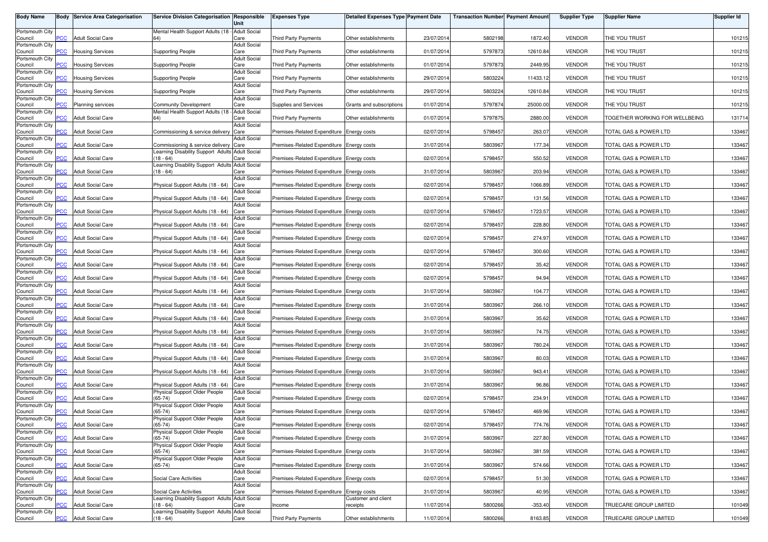| <b>Body Name</b>           |            | <b>Body Service Area Categorisation</b> | Service Division Categorisation Responsible                                              | Unit                        | <b>Expenses Type</b>                      | Detailed Expenses Type Payment Date |            | <b>Transaction Number Payment Amount</b> |           | <b>Supplier Type</b> | <b>Supplier Name</b>           | <b>Supplier Id</b> |
|----------------------------|------------|-----------------------------------------|------------------------------------------------------------------------------------------|-----------------------------|-------------------------------------------|-------------------------------------|------------|------------------------------------------|-----------|----------------------|--------------------------------|--------------------|
| Portsmouth City<br>Council | <b>PCC</b> | <b>Adult Social Care</b>                | Mental Health Support Adults (18 - Adult Social                                          | Care                        | Third Party Payments                      | Other establishments                | 23/07/201  | 5802198                                  | 1872.40   | <b>VENDOR</b>        | THE YOU TRUST                  | 101215             |
| Portsmouth City            |            |                                         |                                                                                          | <b>Adult Social</b>         |                                           |                                     |            |                                          |           |                      |                                |                    |
| Council<br>Portsmouth City | PCC        | <b>Housing Services</b>                 | <b>Supporting People</b>                                                                 | Care<br><b>Adult Social</b> | Third Party Payments                      | Other establishments                | 01/07/201  | 5797873                                  | 12610.84  | <b>VENDOR</b>        | THE YOU TRUST                  | 101215             |
| Council<br>Portsmouth City | <b>PCC</b> | <b>Housing Services</b>                 | <b>Supporting People</b>                                                                 | Care<br><b>Adult Social</b> | <b>Third Party Payments</b>               | Other establishments                | 01/07/201  | 5797873                                  | 2449.95   | <b>VENDOR</b>        | THE YOU TRUST                  | 101215             |
| Council<br>Portsmouth City |            | <b>Housing Services</b>                 | Supporting People                                                                        | Care<br><b>Adult Social</b> | <b>Third Party Payments</b>               | Other establishments                | 29/07/201  | 5803224                                  | 11433.12  | <b>VENDOR</b>        | THE YOU TRUST                  | 101215             |
| Council                    | <b>PCC</b> | <b>Housing Services</b>                 | Supporting People                                                                        | Care                        | <b>Third Party Payments</b>               | Other establishments                | 29/07/201  | 5803224                                  | 12610.84  | <b>VENDOR</b>        | THE YOU TRUST                  | 101215             |
| Portsmouth City<br>Council | <b>PCC</b> | Planning services                       | Community Development                                                                    | <b>Adult Social</b><br>Care | Supplies and Services                     | Grants and subscriptions            | 01/07/201  | 5797874                                  | 25000.00  | <b>VENDOR</b>        | THE YOU TRUST                  | 101215             |
| Portsmouth City<br>Council | <b>PCC</b> | <b>Adult Social Care</b>                | Mental Health Support Adults (18 - Adult Social<br>64)                                   | Care                        | <b>Third Party Payments</b>               | Other establishments                | 01/07/201  | 5797875                                  | 2880.00   | <b>VENDOR</b>        | TOGETHER WORKING FOR WELLBEING | 131714             |
| Portsmouth City<br>Council | <b>PCC</b> | <b>Adult Social Care</b>                | Commissioning & service delivery Care                                                    | <b>Adult Social</b>         | Premises-Related Expenditure Energy costs |                                     | 02/07/201  | 5798457                                  | 263.07    | <b>VENDOR</b>        | TOTAL GAS & POWER LTD          | 133467             |
| Portsmouth City            | <b>PCC</b> | <b>Adult Social Care</b>                |                                                                                          | <b>Adult Social</b>         |                                           |                                     |            |                                          | 177.34    | <b>VENDOR</b>        | TOTAL GAS & POWER LTD          |                    |
| Council<br>Portsmouth City |            |                                         | Commissioning & service delivery Care<br>Learning Disability Support Adults Adult Social |                             | Premises-Related Expenditure Energy costs |                                     | 31/07/201  | 5803967                                  |           |                      |                                | 133467             |
| Council<br>Portsmouth City | <b>PCC</b> | <b>Adult Social Care</b>                | $(18 - 64)$<br>Learning Disability Support Adults Adult Social                           | Care                        | Premises-Related Expenditure Energy costs |                                     | 02/07/201  | 5798457                                  | 550.52    | <b>VENDOR</b>        | TOTAL GAS & POWER LTD          | 133467             |
| Council<br>Portsmouth City | PCC        | Adult Social Care                       | $(18 - 64)$                                                                              | Care<br><b>Adult Social</b> | Premises-Related Expenditure Energy costs |                                     | 31/07/201  | 5803967                                  | 203.94    | <b>VENDOR</b>        | TOTAL GAS & POWER LTD          | 133467             |
| Council<br>Portsmouth City | <b>PCC</b> | <b>Adult Social Care</b>                | Physical Support Adults (18 - 64) Care                                                   | <b>Adult Social</b>         | Premises-Related Expenditure Energy costs |                                     | 02/07/201  | 5798457                                  | 1066.89   | <b>VENDOR</b>        | TOTAL GAS & POWER LTD          | 133467             |
| Council                    | PСC        | <b>Adult Social Care</b>                | Physical Support Adults (18 - 64)                                                        | Care                        | Premises-Related Expenditure Energy costs |                                     | 02/07/201  | 5798457                                  | 131.56    | <b>VENDOR</b>        | TOTAL GAS & POWER LTD          | 133467             |
| Portsmouth City<br>Council | <b>PCC</b> | <b>Adult Social Care</b>                | Physical Support Adults (18 - 64) Care                                                   | <b>Adult Social</b>         | Premises-Related Expenditure Energy costs |                                     | 02/07/201  | 5798457                                  | 1723.57   | <b>VENDOR</b>        | TOTAL GAS & POWER LTD          | 133467             |
| Portsmouth City<br>Council | <b>PCC</b> | <b>Adult Social Care</b>                | Physical Support Adults (18 - 64) Care                                                   | <b>Adult Social</b>         | Premises-Related Expenditure Energy costs |                                     | 02/07/2014 | 5798457                                  | 228.80    | <b>VENDOR</b>        | TOTAL GAS & POWER LTD          | 133467             |
| Portsmouth City<br>Council | <b>PCC</b> | <b>Adult Social Care</b>                | Physical Support Adults (18 - 64) Care                                                   | <b>Adult Social</b>         | Premises-Related Expenditure Energy costs |                                     | 02/07/201  | 5798457                                  | 274.97    | <b>VENDOR</b>        | TOTAL GAS & POWER LTD          | 133467             |
| Portsmouth City            |            |                                         |                                                                                          | <b>Adult Social</b>         |                                           |                                     |            |                                          |           |                      |                                |                    |
| Council<br>Portsmouth City | <b>PCC</b> | <b>Adult Social Care</b>                | Physical Support Adults (18 - 64) Care                                                   | <b>Adult Social</b>         | Premises-Related Expenditure Energy costs |                                     | 02/07/201  | 5798457                                  | 300.60    | <b>VENDOR</b>        | TOTAL GAS & POWER LTD          | 133467             |
| Council<br>Portsmouth City | PCC        | <b>Adult Social Care</b>                | Physical Support Adults (18 - 64) Care                                                   | <b>Adult Social</b>         | Premises-Related Expenditure Energy costs |                                     | 02/07/201  | 5798457                                  | 35.42     | <b>VENDOR</b>        | TOTAL GAS & POWER LTD          | 133467             |
| Council<br>Portsmouth City | <b>PCC</b> | <b>Adult Social Care</b>                | Physical Support Adults (18 - 64) Care                                                   | <b>Adult Social</b>         | Premises-Related Expenditure Energy costs |                                     | 02/07/201  | 5798457                                  | 94.94     | <b>VENDOR</b>        | TOTAL GAS & POWER LTD          | 133467             |
| Council                    | PCC        | Adult Social Care                       | Physical Support Adults (18 - 64) Care                                                   |                             | Premises-Related Expenditure Energy costs |                                     | 31/07/201  | 5803967                                  | 104.77    | <b>VENDOR</b>        | TOTAL GAS & POWER LTD          | 133467             |
| Portsmouth City<br>Council | <b>PCC</b> | <b>Adult Social Care</b>                | Physical Support Adults (18 - 64) Care                                                   | Adult Social                | Premises-Related Expenditure Energy costs |                                     | 31/07/201  | 5803967                                  | 266.10    | <b>VENDOR</b>        | TOTAL GAS & POWER LTD          | 133467             |
| Portsmouth City<br>Council | PCC        | <b>Adult Social Care</b>                | Physical Support Adults (18 - 64)                                                        | Adult Social<br>Care        | Premises-Related Expenditure Energy costs |                                     | 31/07/201  | 5803967                                  | 35.62     | <b>VENDOR</b>        | TOTAL GAS & POWER LTD          | 133467             |
| Portsmouth City<br>Council | <b>PCC</b> | <b>Adult Social Care</b>                | Physical Support Adults (18 - 64)                                                        | <b>Adult Social</b><br>Care | Premises-Related Expenditure Energy costs |                                     | 31/07/201  | 5803967                                  | 74.75     | <b>VENDOR</b>        | TOTAL GAS & POWER LTD          | 133467             |
| Portsmouth City<br>Council | <b>PCC</b> | <b>Adult Social Care</b>                | Physical Support Adults (18 - 64) Care                                                   | <b>Adult Social</b>         | Premises-Related Expenditure Energy costs |                                     | 31/07/2014 | 5803967                                  | 780.24    | <b>VENDOR</b>        | TOTAL GAS & POWER LTD          | 133467             |
| Portsmouth City            |            |                                         |                                                                                          | <b>Adult Social</b>         |                                           |                                     |            |                                          |           |                      |                                |                    |
| Council<br>Portsmouth City | <b>PCC</b> | <b>Adult Social Care</b>                | Physical Support Adults (18 - 64) Care                                                   | <b>Adult Social</b>         | Premises-Related Expenditure Energy costs |                                     | 31/07/201  | 5803967                                  | 80.03     | <b>VENDOR</b>        | TOTAL GAS & POWER LTD          | 133467             |
| Council<br>Portsmouth City | <b>PCC</b> | <b>Adult Social Care</b>                | Physical Support Adults (18 - 64) Care                                                   | <b>Adult Social</b>         | Premises-Related Expenditure Energy costs |                                     | 31/07/201  | 5803967                                  | 943.41    | <b>VENDOR</b>        | TOTAL GAS & POWER LTD          | 133467             |
| Council<br>Portsmouth City | PCC        | <b>Adult Social Care</b>                | Physical Support Adults (18 - 64)<br>Physical Support Older People                       | Care<br><b>Adult Social</b> | Premises-Related Expenditure Energy costs |                                     | 31/07/201  | 5803967                                  | 96.86     | <b>VENDOR</b>        | TOTAL GAS & POWER LTD          | 133467             |
| Council                    | <b>PCC</b> | <b>Adult Social Care</b>                | $(65-74)$                                                                                | Care                        | Premises-Related Expenditure Energy costs |                                     | 02/07/201  | 5798457                                  | 234.91    | <b>VENDOR</b>        | TOTAL GAS & POWER LTD          | 133467             |
| Portsmouth City<br>Council | <b>PCC</b> | <b>Adult Social Care</b>                | Physical Support Older People<br>$(65-74)$                                               | <b>Adult Social</b><br>Care | Premises-Related Expenditure Energy costs |                                     | 02/07/201  | 5798457                                  | 469.96    | <b>VENDOR</b>        | TOTAL GAS & POWER LTD          | 133467             |
| Portsmouth City<br>Council | <b>PCC</b> | <b>Adult Social Care</b>                | Physical Support Older People<br>$(65-74)$                                               | <b>Adult Social</b><br>Care | Premises-Related Expenditure Energy costs |                                     | 02/07/2014 | 5798457                                  | 774.76    | <b>VENDOR</b>        | TOTAL GAS & POWER LTD          | 133467             |
| Portsmouth City<br>Council | <b>PCC</b> | <b>Adult Social Care</b>                | Physical Support Older People<br>$(65-74)$                                               | <b>Adult Social</b><br>Care | Premises-Related Expenditure Energy costs |                                     | 31/07/2014 | 5803967                                  | 227.80    | <b>VENDOR</b>        | TOTAL GAS & POWER LTD          | 133467             |
| Portsmouth City            |            |                                         | Physical Support Older People                                                            | <b>Adult Social</b>         |                                           |                                     |            |                                          |           |                      |                                |                    |
| Council<br>Portsmouth City | <b>PCC</b> | <b>Adult Social Care</b>                | $(65-74)$<br>Physical Support Older People                                               | Care<br><b>Adult Social</b> | Premises-Related Expenditure Energy costs |                                     | 31/07/2014 | 5803967                                  | 381.59    | <b>VENDOR</b>        | TOTAL GAS & POWER LTD          | 133467             |
| Council<br>Portsmouth City | <b>PCC</b> | <b>Adult Social Care</b>                | $(65-74)$                                                                                | Care<br><b>Adult Social</b> | Premises-Related Expenditure Energy costs |                                     | 31/07/2014 | 5803967                                  | 574.66    | VENDOR               | TOTAL GAS & POWER LTD          | 133467             |
| Council<br>Portsmouth City | <b>PCC</b> | <b>Adult Social Care</b>                | Social Care Activities                                                                   | Care<br><b>Adult Social</b> | Premises-Related Expenditure Energy costs |                                     | 02/07/2014 | 5798457                                  | 51.30     | <b>VENDOR</b>        | TOTAL GAS & POWER LTD          | 133467             |
| Council                    | <b>PCC</b> | <b>Adult Social Care</b>                | Social Care Activities                                                                   | Care                        | Premises-Related Expenditure Energy costs |                                     | 31/07/2014 | 5803967                                  | 40.95     | <b>VENDOR</b>        | TOTAL GAS & POWER LTD          | 133467             |
| Portsmouth City<br>Council | ۲CС        | <b>Adult Social Care</b>                | Learning Disability Support Adults Adult Social<br>(18 - 64)                             | Care                        | Income                                    | Customer and client<br>receipts     | 11/07/201  | 5800266                                  | $-353.40$ | <b>VENDOR</b>        | TRUECARE GROUP LIMITED         | 101049             |
| Portsmouth City<br>Council | <b>PCC</b> | <b>Adult Social Care</b>                | Learning Disability Support Adults Adult Social<br>(18 - 64)                             | Care                        | Third Party Payments                      | Other establishments                | 11/07/2014 | 5800266                                  | 8163.85   | <b>VENDOR</b>        | TRUECARE GROUP LIMITED         | 101049             |
|                            |            |                                         |                                                                                          |                             |                                           |                                     |            |                                          |           |                      |                                |                    |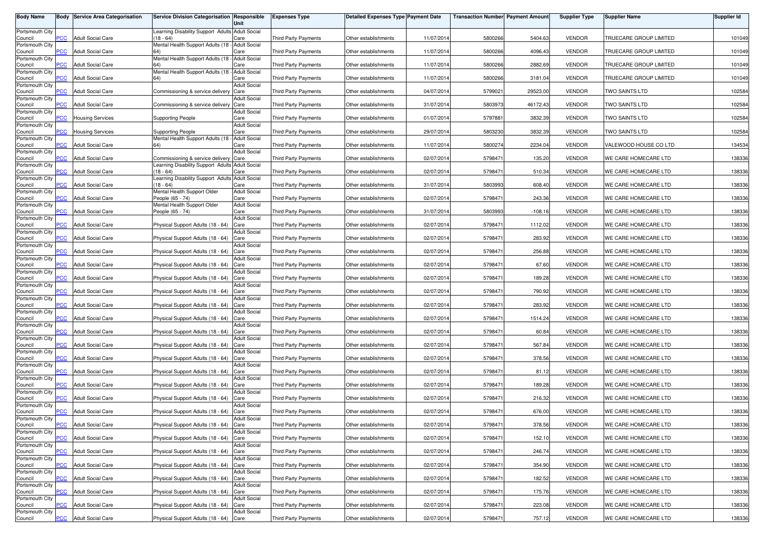| <b>Body Name</b>           |                | <b>Body Service Area Categorisation</b> | <b>Service Division Categorisation Responsible</b>           | Unit                        | <b>Expenses Type</b>        | <b>Detailed Expenses Type Payment Date</b> |            | <b>Transaction Number Payment Amount</b> |           | <b>Supplier Type</b> | <b>Supplier Name</b>                 | <b>Supplier Id</b> |
|----------------------------|----------------|-----------------------------------------|--------------------------------------------------------------|-----------------------------|-----------------------------|--------------------------------------------|------------|------------------------------------------|-----------|----------------------|--------------------------------------|--------------------|
| Portsmouth City            |                |                                         | Learning Disability Support Adults Adult Social              |                             |                             |                                            |            |                                          |           |                      |                                      |                    |
| Council<br>Portsmouth City | <b>PCC</b>     | <b>Adult Social Care</b>                | $18 - 64$<br>Mental Health Support Adults (18 -              | Care<br><b>Adult Social</b> | <b>Third Party Payments</b> | Other establishments                       | 11/07/2014 | 5800266                                  | 5404.63   | <b>VENDOR</b>        | <b><i>TRUECARE GROUP LIMITED</i></b> | 101049             |
| Council                    | <b>PCC</b>     | <b>Adult Social Care</b>                |                                                              | Care                        | <b>Third Party Payments</b> | Other establishments                       | 11/07/2014 | 5800266                                  | 4096.43   | <b>VENDOR</b>        | TRUECARE GROUP LIMITED               | 101049             |
| Portsmouth City<br>Council | $\overline{C}$ | <b>Adult Social Care</b>                | Mental Health Support Adults (18 - Adult Social              | Care                        | <b>Third Party Payments</b> | Other establishments                       | 11/07/2014 | 5800266                                  | 2882.69   | <b>VENDOR</b>        | TRUECARE GROUP LIMITED               | 101049             |
| Portsmouth City            |                |                                         | Mental Health Support Adults (18 -                           | <b>Adult Social</b>         |                             |                                            |            |                                          |           |                      |                                      |                    |
| Council<br>Portsmouth City | <b>PCC</b>     | <b>Adult Social Care</b>                |                                                              | Care<br><b>Adult Social</b> | <b>Third Party Payments</b> | Other establishments                       | 11/07/2014 | 5800266                                  | 3181.04   | <b>VENDOR</b>        | TRUECARE GROUP LIMITED               | 101049             |
| Council<br>Portsmouth City | <b>PCC</b>     | <b>Adult Social Care</b>                | Commissioning & service delivery                             | Care<br><b>Adult Social</b> | Third Party Payments        | Other establishments                       | 04/07/2014 | 5799021                                  | 29523.00  | <b>VENDOR</b>        | TWO SAINTS LTD                       | 102584             |
| Council                    | PСC            | <b>Adult Social Care</b>                | Commissioning & service delivery                             | Care                        | Third Party Payments        | Other establishments                       | 31/07/2014 | 5803973                                  | 46172.43  | <b>VENDOR</b>        | TWO SAINTS LTD                       | 102584             |
| Portsmouth City<br>Council | $\overline{C}$ | <b>Housing Services</b>                 | <b>Supporting People</b>                                     | <b>Adult Social</b><br>Care | Third Party Payments        | Other establishments                       | 01/07/2014 | 5797881                                  | 3832.39   | <b>VENDOR</b>        | <b>TWO SAINTS LTD</b>                | 102584             |
| Portsmouth City<br>Council | PСC            | <b>Housing Services</b>                 | <b>Supporting People</b>                                     | <b>Adult Social</b><br>Care | <b>Third Party Payments</b> | Other establishments                       | 29/07/2014 | 5803230                                  | 3832.39   | <b>VENDOR</b>        | TWO SAINTS LTD                       | 102584             |
| Portsmouth City            |                |                                         | Mental Health Support Adults (18 -                           | <b>Adult Social</b>         |                             |                                            |            |                                          |           |                      |                                      |                    |
| Council<br>Portsmouth City | сc             | <b>Adult Social Care</b>                |                                                              | Care<br><b>Adult Social</b> | Third Party Payments        | Other establishments                       | 11/07/2014 | 5800274                                  | 2234.04   | <b>VENDOR</b>        | VALEWOOD HOUSE CO LTD                | 134534             |
| Council                    | $\overline{C}$ | <b>Adult Social Care</b>                | Commissioning & service delivery                             | Care                        | Third Party Payments        | Other establishments                       | 02/07/2014 | 5798471                                  | 135.20    | <b>VENDOR</b>        | WE CARE HOMECARE LTD                 | 138336             |
| Portsmouth City<br>Council | PCC            | <b>Adult Social Care</b>                | Learning Disability Support Adults Adult Social<br>$18 - 64$ | Care                        | <b>Third Party Payments</b> | Other establishments                       | 02/07/2014 | 5798471                                  | 510.34    | <b>VENDOR</b>        | WE CARE HOMECARE LTD                 | 138336             |
| Portsmouth City<br>Council | PCC            | <b>Adult Social Care</b>                | Learning Disability Support Adults Adult Social<br>$18 - 64$ | Care                        | Third Party Payments        | Other establishments                       | 31/07/2014 | 5803993                                  | 608.40    | <b>VENDOR</b>        | WE CARE HOMECARE LTD                 | 138336             |
| Portsmouth City<br>Council | PСC            | <b>Adult Social Care</b>                | Mental Health Support Older<br>People (65 - 74)              | <b>Adult Social</b><br>Care | <b>Third Party Payments</b> | Other establishments                       | 02/07/2014 | 5798471                                  | 243.36    | <b>VENDOR</b>        | WE CARE HOMECARE LTD                 | 138336             |
| Portsmouth City            |                |                                         | Mental Health Support Older                                  | <b>Adult Social</b>         |                             |                                            |            |                                          |           |                      |                                      |                    |
| Council<br>Portsmouth City | PCC            | <b>Adult Social Care</b>                | People (65 - 74)                                             | Care<br><b>Adult Social</b> | <b>Third Party Payments</b> | Other establishments                       | 31/07/2014 | 580399                                   | $-108.16$ | <b>VENDOR</b>        | WE CARE HOMECARE LTD                 | 138336             |
| Council<br>Portsmouth City | PCC            | <b>Adult Social Care</b>                | Physical Support Adults (18 - 64)                            | Care<br><b>Adult Social</b> | <b>Third Party Payments</b> | Other establishments                       | 02/07/2014 | 5798471                                  | 1112.02   | <b>VENDOR</b>        | WE CARE HOMECARE LTD                 | 138336             |
| Council<br>Portsmouth City | <b>PCC</b>     | <b>Adult Social Care</b>                | Physical Support Adults (18 - 64)                            | Care<br><b>Adult Social</b> | <b>Third Party Payments</b> | Other establishments                       | 02/07/2014 | 5798471                                  | 283.92    | <b>VENDOR</b>        | WE CARE HOMECARE LTD                 | 138336             |
| Council                    | PCC            | <b>Adult Social Care</b>                | Physical Support Adults (18 - 64)                            | Care                        | <b>Third Party Payments</b> | Other establishments                       | 02/07/2014 | 5798471                                  | 256.88    | <b>VENDOR</b>        | WE CARE HOMECARE LTD                 | 138336             |
| Portsmouth City<br>Council | сC             | <b>Adult Social Care</b>                | Physical Support Adults (18 - 64)                            | <b>Adult Social</b><br>Care | Third Party Payments        | Other establishments                       | 02/07/2014 | 5798471                                  | 67.60     | <b>VENDOR</b>        | WE CARE HOMECARE LTD                 | 138336             |
| Portsmouth City<br>Council | PCC            | <b>Adult Social Care</b>                | Physical Support Adults (18 - 64)                            | <b>Adult Social</b><br>Care | <b>Third Party Payments</b> | Other establishments                       | 02/07/2014 | 579847                                   | 189.28    | <b>VENDOR</b>        | WE CARE HOMECARE LTD                 | 138336             |
| Portsmouth City<br>Council | PСC            | <b>Adult Social Care</b>                | Physical Support Adults (18 - 64)                            | <b>Adult Social</b><br>Care | <b>Third Party Payments</b> | Other establishments                       | 02/07/2014 | 5798471                                  | 790.92    | <b>VENDOR</b>        | WE CARE HOMECARE LTD                 | 138336             |
| Portsmouth City<br>Council | PСC            | <b>Adult Social Care</b>                | Physical Support Adults (18 - 64)                            | Adult Social<br>Care        | <b>Third Party Payments</b> | Other establishments                       | 02/07/201  | 5798471                                  | 283.92    | <b>VENDOR</b>        | WE CARE HOMECARE LTD                 | 138336             |
| Portsmouth City            |                |                                         |                                                              | <b>Adult Social</b>         |                             |                                            |            |                                          |           |                      |                                      |                    |
| Council<br>Portsmouth City | PСC            | <b>Adult Social Care</b>                | Physical Support Adults (18 - 64)                            | Care<br><b>Adult Social</b> | Third Party Payments        | Other establishments                       | 02/07/2014 | 5798471                                  | 1514.24   | <b>VENDOR</b>        | WE CARE HOMECARE LTD                 | 138336             |
| Council<br>Portsmouth City | PСC            | <b>Adult Social Care</b>                | Physical Support Adults (18 - 64)                            | Care<br><b>Adult Social</b> | <b>Third Party Payments</b> | Other establishments                       | 02/07/201  | 5798471                                  | 60.84     | <b>VENDOR</b>        | WE CARE HOMECARE LTD                 | 138336             |
| Council                    | <b>PCC</b>     | <b>Adult Social Care</b>                | Physical Support Adults (18 - 64)                            | Care<br><b>Adult Social</b> | <b>Third Party Payments</b> | Other establishments                       | 02/07/2014 | 5798471                                  | 567.84    | <b>VENDOR</b>        | WE CARE HOMECARE LTD                 | 138336             |
| Portsmouth City<br>Council | PCC.           | <b>Adult Social Care</b>                | Physical Support Adults (18 - 64)                            | Care                        | <b>Third Party Payments</b> | Other establishments                       | 02/07/2014 | 5798471                                  | 378.56    | <b>VENDOR</b>        | WE CARE HOMECARE LTD                 | 138336             |
| Portsmouth City<br>Council | <b>PCC</b>     | <b>Adult Social Care</b>                | Physical Support Adults (18 - 64)                            | <b>Adult Social</b><br>Care | Third Party Payments        | Other establishments                       | 02/07/2014 | 5798471                                  | 81.12     | <b>VENDOR</b>        | WE CARE HOMECARE LTD                 | 138336             |
| Portsmouth City<br>Council | сC             | Adult Social Care                       | Physical Support Adults (18 - 64)                            | <b>Adult Social</b><br>Care | Third Party Payments        | Other establishments                       | 02/07/2014 | 5798471                                  | 189.28    | <b>VENDOR</b>        | WE CARE HOMECARE LTD                 | 138336             |
| Portsmouth City            |                |                                         |                                                              | <b>Adult Social</b>         |                             |                                            |            |                                          |           |                      |                                      |                    |
| Council<br>Portsmouth City | <b>PCC</b>     | <b>Adult Social Care</b>                | Physical Support Adults (18 - 64)                            | Care<br><b>Adult Social</b> | <b>Third Party Payments</b> | Other establishments                       | 02/07/2014 | 579847                                   | 216.32    | <b>VENDOR</b>        | WE CARE HOMECARE LTD                 | 138336             |
| Council<br>Portsmouth City | <b>PCC</b>     | <b>Adult Social Care</b>                | Physical Support Adults (18 - 64)                            | Care<br>Adult Social        | <b>Third Party Payments</b> | Other establishments                       | 02/07/2014 | 5798471                                  | 676.00    | <b>VENDOR</b>        | WE CARE HOMECARE LTD                 | 138336             |
| Council                    | <b>PCC</b>     | <b>Adult Social Care</b>                | Physical Support Adults (18 - 64) Care                       |                             | Third Party Payments        | Other establishments                       | 02/07/2014 | 5798471                                  | 378.56    | <b>VENDOR</b>        | WE CARE HOMECARE LTD                 | 138336             |
| Portsmouth City<br>Council | <b>PCC</b>     | <b>Adult Social Care</b>                | Physical Support Adults (18 - 64) Care                       | <b>Adult Social</b>         | Third Party Payments        | Other establishments                       | 02/07/2014 | 5798471                                  | 152.10    | <b>VENDOR</b>        | WE CARE HOMECARE LTD                 | 138336             |
| Portsmouth City<br>Council | <b>PCC</b>     | <b>Adult Social Care</b>                | Physical Support Adults (18 - 64) Care                       | <b>Adult Social</b>         | Third Party Payments        | Other establishments                       | 02/07/2014 | 5798471                                  | 246.74    | <b>VENDOR</b>        | WE CARE HOMECARE LTD                 | 138336             |
| Portsmouth City<br>Council | PCC            | <b>Adult Social Care</b>                | Physical Support Adults (18 - 64) Care                       | <b>Adult Social</b>         | Third Party Payments        | Other establishments                       | 02/07/2014 | 5798471                                  | 354.90    | <b>VENDOR</b>        | WE CARE HOMECARE LTD                 | 138336             |
| Portsmouth City            |                |                                         |                                                              | <b>Adult Social</b>         |                             |                                            |            |                                          |           |                      |                                      |                    |
| Council<br>Portsmouth City | PСC            | <b>Adult Social Care</b>                | Physical Support Adults (18 - 64) Care                       | <b>Adult Social</b>         | Third Party Payments        | Other establishments                       | 02/07/2014 | 5798471                                  | 182.52    | <b>VENDOR</b>        | WE CARE HOMECARE LTD                 | 138336             |
| Council<br>Portsmouth City | PCC            | <b>Adult Social Care</b>                | Physical Support Adults (18 - 64) Care                       | <b>Adult Social</b>         | Third Party Payments        | Other establishments                       | 02/07/2014 | 5798471                                  | 175.76    | <b>VENDOR</b>        | WE CARE HOMECARE LTD                 | 138336             |
| Council<br>Portsmouth City | PСC            | <b>Adult Social Care</b>                | Physical Support Adults (18 - 64)                            | Care<br><b>Adult Social</b> | <b>Third Party Payments</b> | Other establishments                       | 02/07/2014 | 5798471                                  | 223.08    | <b>VENDOR</b>        | WE CARE HOMECARE LTD                 | 138336             |
| Council                    | <b>PCC</b>     | <b>Adult Social Care</b>                | Physical Support Adults (18 - 64) Care                       |                             | Third Party Payments        | Other establishments                       | 02/07/2014 | 5798471                                  | 757.12    | <b>VENDOR</b>        | WE CARE HOMECARE LTD                 | 138336             |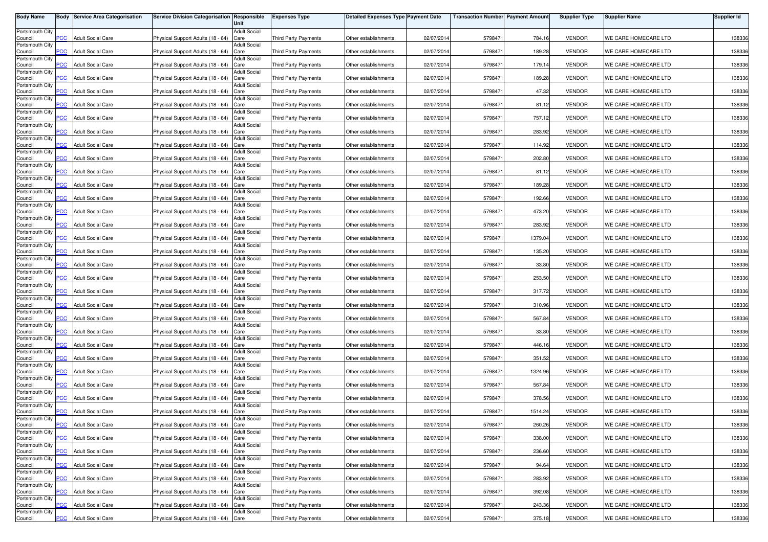| <b>Body Name</b>           |                | <b>Body Service Area Categorisation</b> | Service Division Categorisation Responsible | Unit                        | <b>Expenses Type</b>        | <b>Detailed Expenses Type Payment Date</b> |            | <b>Transaction Number Payment Amount</b> |         | <b>Supplier Type</b> | <b>Supplier Name</b> | <b>Supplier Id</b> |
|----------------------------|----------------|-----------------------------------------|---------------------------------------------|-----------------------------|-----------------------------|--------------------------------------------|------------|------------------------------------------|---------|----------------------|----------------------|--------------------|
| Portsmouth City            |                |                                         |                                             | <b>Adult Social</b>         |                             |                                            |            |                                          |         |                      |                      |                    |
| Council<br>Portsmouth City | PCC            | <b>Adult Social Care</b>                | Physical Support Adults (18 - 64)           | Care<br><b>Adult Social</b> | <b>Third Party Payments</b> | Other establishments                       | 02/07/201  | 5798471                                  | 784.16  | <b>VENDOR</b>        | WE CARE HOMECARE LTD | 138336             |
| Council                    | $\overline{C}$ | <b>Adult Social Care</b>                | Physical Support Adults (18 - 64)           | Care                        | <b>Third Party Payments</b> | Other establishments                       | 02/07/2014 | 5798471                                  | 189.28  | <b>VENDOR</b>        | WE CARE HOMECARE LTD | 138336             |
| Portsmouth City<br>Council | <b>PCC</b>     | <b>Adult Social Care</b>                | Physical Support Adults (18 - 64)           | <b>Adult Social</b><br>Care | <b>Third Party Payments</b> | Other establishments                       | 02/07/201  | 5798471                                  | 179.14  | <b>VENDOR</b>        | WE CARE HOMECARE LTD | 138336             |
| Portsmouth City<br>Council | <b>PCC</b>     | <b>Adult Social Care</b>                | Physical Support Adults (18 - 64)           | <b>Adult Social</b><br>Care | <b>Third Party Payments</b> | Other establishments                       | 02/07/201  | 5798471                                  | 189.28  | <b>VENDOR</b>        | WE CARE HOMECARE LTD | 138336             |
| Portsmouth City            |                |                                         |                                             | <b>Adult Social</b>         |                             |                                            |            |                                          |         |                      |                      |                    |
| Council<br>Portsmouth City | <b>PCC</b>     | <b>Adult Social Care</b>                | Physical Support Adults (18 - 64)           | Care<br><b>Adult Social</b> | <b>Third Party Payments</b> | Other establishments                       | 02/07/201  | 5798471                                  | 47.32   | <b>VENDOR</b>        | WE CARE HOMECARE LTD | 138336             |
| Council<br>Portsmouth City | <b>PCC</b>     | <b>Adult Social Care</b>                | Physical Support Adults (18 - 64)           | Care<br><b>Adult Social</b> | Third Party Payments        | Other establishments                       | 02/07/2014 | 5798471                                  | 81.12   | <b>VENDOR</b>        | WE CARE HOMECARE LTD | 138336             |
| Council                    | PCC            | <b>Adult Social Care</b>                | Physical Support Adults (18 - 64)           | Care                        | Third Party Payments        | Other establishments                       | 02/07/201  | 5798471                                  | 757.12  | <b>VENDOR</b>        | WE CARE HOMECARE LTD | 138336             |
| Portsmouth City<br>Council | <b>PCC</b>     | <b>Adult Social Care</b>                | Physical Support Adults (18 - 64)           | <b>Adult Social</b><br>Care | <b>Third Party Payments</b> | Other establishments                       | 02/07/2014 | 5798471                                  | 283.92  | <b>VENDOR</b>        | WE CARE HOMECARE LTD | 138336             |
| Portsmouth City<br>Council | PCC.           | <b>Adult Social Care</b>                | Physical Support Adults (18 - 64)           | <b>Adult Social</b><br>Care | <b>Third Party Payments</b> | Other establishments                       | 02/07/201  | 5798471                                  | 114.92  | <b>VENDOR</b>        | WE CARE HOMECARE LTD | 138336             |
| Portsmouth City            |                |                                         |                                             | <b>Adult Social</b>         |                             |                                            |            |                                          |         |                      |                      |                    |
| Council<br>Portsmouth City | $\overline{C}$ | <b>Adult Social Care</b>                | Physical Support Adults (18 - 64)           | Care<br><b>Adult Social</b> | <b>Third Party Payments</b> | Other establishments                       | 02/07/2014 | 5798471                                  | 202.80  | <b>VENDOR</b>        | WE CARE HOMECARE LTD | 138336             |
| Council<br>Portsmouth City | PCC            | <b>Adult Social Care</b>                | Physical Support Adults (18 - 64)           | Care<br>Adult Social        | Third Party Payments        | Other establishments                       | 02/07/201  | 5798471                                  | 81.12   | <b>VENDOR</b>        | WE CARE HOMECARE LTD | 138336             |
| Council                    | PCC            | <b>Adult Social Care</b>                | Physical Support Adults (18 - 64)           | Care                        | Third Party Payments        | Other establishments                       | 02/07/201  | 5798471                                  | 189.28  | <b>VENDOR</b>        | WE CARE HOMECARE LTD | 138336             |
| Portsmouth City<br>Council | PСC            | <b>Adult Social Care</b>                | Physical Support Adults (18 - 64)           | <b>Adult Social</b><br>Care | Third Party Payments        | Other establishments                       | 02/07/201  | 5798471                                  | 192.66  | <b>VENDOR</b>        | WE CARE HOMECARE LTD | 138336             |
| Portsmouth City<br>Council | PCC            | <b>Adult Social Care</b>                | Physical Support Adults (18 - 64)           | <b>Adult Social</b><br>Care | <b>Third Party Payments</b> | Other establishments                       | 02/07/201  | 5798471                                  | 473.20  | <b>VENDOR</b>        | WE CARE HOMECARE LTD | 138336             |
| Portsmouth City<br>Council | PCC            | <b>Adult Social Care</b>                | Physical Support Adults (18 - 64)           | <b>Adult Social</b><br>Care | Third Party Payments        | Other establishments                       | 02/07/2014 | 5798471                                  | 283.92  | <b>VENDOR</b>        | WE CARE HOMECARE LTD | 138336             |
| Portsmouth City<br>Council | PCC.           | <b>Adult Social Care</b>                | Physical Support Adults (18 - 64)           | <b>Adult Social</b><br>Care | <b>Third Party Payments</b> | Other establishments                       | 02/07/2014 | 5798471                                  | 1379.04 | <b>VENDOR</b>        | WE CARE HOMECARE LTD | 138336             |
| Portsmouth City            |                |                                         |                                             | <b>Adult Social</b>         |                             |                                            |            |                                          |         |                      |                      |                    |
| Council<br>Portsmouth City | PCC            | <b>Adult Social Care</b>                | Physical Support Adults (18 - 64)           | Care<br><b>Adult Social</b> | <b>Third Party Payments</b> | Other establishments                       | 02/07/201  | 5798471                                  | 135.20  | <b>VENDOR</b>        | WE CARE HOMECARE LTD | 138336             |
| Council<br>Portsmouth City | PСC            | <b>Adult Social Care</b>                | Physical Support Adults (18 - 64)           | Care<br><b>Adult Social</b> | <b>Third Party Payments</b> | Other establishments                       | 02/07/2014 | 5798471                                  | 33.80   | <b>VENDOR</b>        | WE CARE HOMECARE LTD | 138336             |
| Council                    | PCC            | <b>Adult Social Care</b>                | Physical Support Adults (18 - 64)           | Care                        | <b>Third Party Payments</b> | Other establishments                       | 02/07/201  | 5798471                                  | 253.50  | <b>VENDOR</b>        | WE CARE HOMECARE LTD | 138336             |
| Portsmouth City<br>Council | PСC            | <b>Adult Social Care</b>                | Physical Support Adults (18 - 64)           | <b>Adult Social</b><br>Care | <b>Third Party Payments</b> | Other establishments                       | 02/07/201  | 5798471                                  | 317.72  | <b>VENDOR</b>        | WE CARE HOMECARE LTD | 138336             |
| Portsmouth City<br>Council | PСC            | <b>Adult Social Care</b>                | Physical Support Adults (18 - 64)           | Adult Social<br>Care        | <b>Third Party Payments</b> | Other establishments                       | 02/07/201  | 5798471                                  | 310.96  | <b>VENDOR</b>        | WE CARE HOMECARE LTD | 138336             |
| Portsmouth City<br>Council | PСC            | <b>Adult Social Care</b>                | Physical Support Adults (18 - 64)           | <b>Adult Social</b><br>Care | <b>Third Party Payments</b> | Other establishments                       | 02/07/201  | 5798471                                  | 567.84  | <b>VENDOR</b>        | WE CARE HOMECARE LTD | 138336             |
| Portsmouth City<br>Council | PCC.           | <b>Adult Social Care</b>                | Physical Support Adults (18 - 64)           | <b>Adult Social</b><br>Care | Third Party Payments        | Other establishments                       | 02/07/201  | 5798471                                  | 33.80   | <b>VENDOR</b>        | WE CARE HOMECARE LTD | 138336             |
| Portsmouth City<br>Council | PCC            | <b>Adult Social Care</b>                | Physical Support Adults (18 - 64)           | <b>Adult Social</b><br>Care | Third Party Payments        | Other establishments                       | 02/07/2014 | 5798471                                  | 446.16  | <b>VENDOR</b>        | WE CARE HOMECARE LTD | 138336             |
| Portsmouth City            |                |                                         |                                             | <b>Adult Social</b>         |                             |                                            |            |                                          |         |                      |                      |                    |
| Council<br>Portsmouth City | PCC.           | <b>Adult Social Care</b>                | Physical Support Adults (18 - 64)           | Care<br><b>Adult Social</b> | <b>Third Party Payments</b> | Other establishments                       | 02/07/201  | 5798471                                  | 351.52  | <b>VENDOR</b>        | WE CARE HOMECARE LTD | 138336             |
| Council<br>Portsmouth City | $\overline{C}$ | <b>Adult Social Care</b>                | Physical Support Adults (18 - 64)           | Care<br><b>Adult Social</b> | <b>Third Party Payments</b> | Other establishments                       | 02/07/201  | 5798471                                  | 1324.96 | <b>VENDOR</b>        | WE CARE HOMECARE LTD | 138336             |
| Council                    | PСC            | <b>Adult Social Care</b>                | Physical Support Adults (18 - 64)           | Care                        | <b>Third Party Payments</b> | Other establishments                       | 02/07/2014 | 5798471                                  | 567.84  | <b>VENDOR</b>        | WE CARE HOMECARE LTD | 138336             |
| Portsmouth City<br>Council | <b>PCC</b>     | <b>Adult Social Care</b>                | Physical Support Adults (18 - 64)           | <b>Adult Social</b><br>Care | Third Party Payments        | Other establishments                       | 02/07/201  | 5798471                                  | 378.56  | <b>VENDOR</b>        | WE CARE HOMECARE LTD | 138336             |
| Portsmouth City<br>Council | $\overline{C}$ | <b>Adult Social Care</b>                | Physical Support Adults (18 - 64)           | <b>Adult Social</b><br>Care | <b>Third Party Payments</b> | Other establishments                       | 02/07/2014 | 5798471                                  | 1514.24 | <b>VENDOR</b>        | WE CARE HOMECARE LTD | 138336             |
| Portsmouth City            |                |                                         |                                             | Adult Social                |                             |                                            |            |                                          |         |                      |                      |                    |
| Council<br>Portsmouth City | <b>PCC</b>     | <b>Adult Social Care</b>                | Physical Support Adults (18 - 64) Care      | <b>Adult Social</b>         | Third Party Payments        | Other establishments                       | 02/07/2014 | 5798471                                  | 260.26  | <b>VENDOR</b>        | WE CARE HOMECARE LTD | 138336             |
| Council<br>Portsmouth City | <b>PCC</b>     | <b>Adult Social Care</b>                | Physical Support Adults (18 - 64) Care      | <b>Adult Social</b>         | <b>Third Party Payments</b> | Other establishments                       | 02/07/2014 | 5798471                                  | 338.00  | <b>VENDOR</b>        | WE CARE HOMECARE LTD | 138336             |
| Council                    | <b>PCC</b>     | <b>Adult Social Care</b>                | Physical Support Adults (18 - 64) Care      |                             | Third Party Payments        | Other establishments                       | 02/07/2014 | 5798471                                  | 236.60  | <b>VENDOR</b>        | WE CARE HOMECARE LTD | 138336             |
| Portsmouth City<br>Council | PCC            | <b>Adult Social Care</b>                | Physical Support Adults (18 - 64) Care      | <b>Adult Social</b>         | Third Party Payments        | Other establishments                       | 02/07/2014 | 5798471                                  | 94.64   | <b>VENDOR</b>        | WE CARE HOMECARE LTD | 138336             |
| Portsmouth City<br>Council | PСC            | <b>Adult Social Care</b>                | Physical Support Adults (18 - 64) Care      | <b>Adult Social</b>         | <b>Third Party Payments</b> | Other establishments                       | 02/07/2014 | 5798471                                  | 283.92  | <b>VENDOR</b>        | WE CARE HOMECARE LTD | 138336             |
| Portsmouth City<br>Council | PCC            | <b>Adult Social Care</b>                | Physical Support Adults (18 - 64) Care      | <b>Adult Social</b>         | Third Party Payments        | Other establishments                       | 02/07/2014 | 5798471                                  | 392.08  | <b>VENDOR</b>        | WE CARE HOMECARE LTD | 138336             |
| Portsmouth City            |                |                                         |                                             | <b>Adult Social</b>         |                             |                                            |            |                                          |         |                      |                      |                    |
| Council<br>Portsmouth City | PСC            | <b>Adult Social Care</b>                | Physical Support Adults (18 - 64) Care      | <b>Adult Social</b>         | <b>Third Party Payments</b> | Other establishments                       | 02/07/2014 | 5798471                                  | 243.36  | <b>VENDOR</b>        | WE CARE HOMECARE LTD | 138336             |
| Council                    | <b>PCC</b>     | <b>Adult Social Care</b>                | Physical Support Adults (18 - 64) Care      |                             | Third Party Payments        | Other establishments                       | 02/07/2014 | 5798471                                  | 375.18  | <b>VENDOR</b>        | WE CARE HOMECARE LTD | 138336             |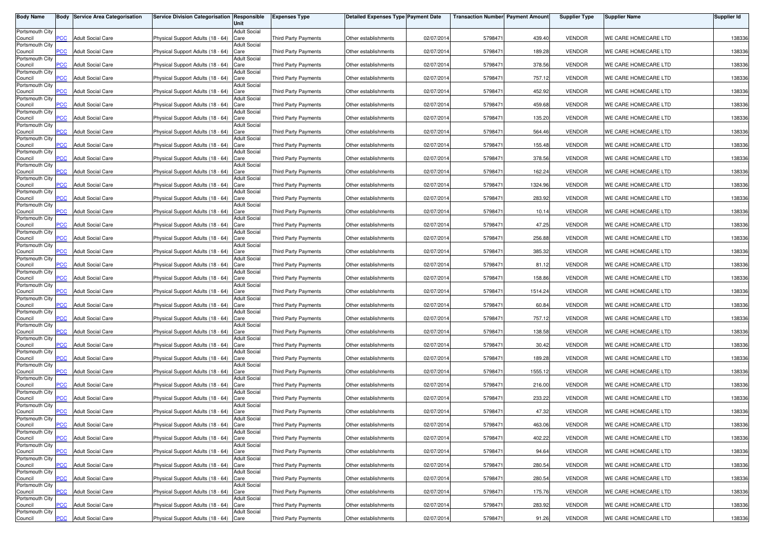| <b>Body Name</b>           |                  | <b>Body Service Area Categorisation</b> | Service Division Categorisation Responsible | Unit                        | <b>Expenses Type</b>        | <b>Detailed Expenses Type Payment Date</b> |            | <b>Transaction Number Payment Amount</b> |         | <b>Supplier Type</b> | <b>Supplier Name</b> | <b>Supplier Id</b> |
|----------------------------|------------------|-----------------------------------------|---------------------------------------------|-----------------------------|-----------------------------|--------------------------------------------|------------|------------------------------------------|---------|----------------------|----------------------|--------------------|
| Portsmouth City            |                  |                                         |                                             | <b>Adult Social</b>         |                             |                                            |            |                                          |         |                      |                      |                    |
| Council                    | PСC              | <b>Adult Social Care</b>                | Physical Support Adults (18 - 64)           | Care                        | Third Party Payments        | Other establishments                       | 02/07/2014 | 5798471                                  | 439.40  | <b>VENDOR</b>        | WE CARE HOMECARE LTD | 138336             |
| Portsmouth City<br>Council | <b>PCC</b>       | <b>Adult Social Care</b>                | Physical Support Adults (18 - 64)           | <b>Adult Social</b><br>Care | <b>Third Party Payments</b> | Other establishments                       | 02/07/2014 | 5798471                                  | 189.28  | <b>VENDOR</b>        | WE CARE HOMECARE LTD | 138336             |
| Portsmouth City            |                  |                                         |                                             | <b>Adult Social</b>         |                             |                                            |            |                                          |         |                      |                      |                    |
| Council<br>Portsmouth City | $\overline{C}$   | <b>Adult Social Care</b>                | Physical Support Adults (18 - 64)           | Care<br><b>Adult Social</b> | <b>Third Party Payments</b> | Other establishments                       | 02/07/2014 | 579847                                   | 378.56  | <b>VENDOR</b>        | WE CARE HOMECARE LTD | 138336             |
| Council                    | PСC              | <b>Adult Social Care</b>                | Physical Support Adults (18 - 64)           | Care                        | <b>Third Party Payments</b> | Other establishments                       | 02/07/2014 | 579847                                   | 757.12  | <b>VENDOR</b>        | WE CARE HOMECARE LTD | 138336             |
| Portsmouth City<br>Council | <b>PCC</b>       | <b>Adult Social Care</b>                | Physical Support Adults (18 - 64)           | <b>Adult Social</b><br>Care | <b>Third Party Payments</b> | Other establishments                       | 02/07/2014 | 5798471                                  | 452.92  | <b>VENDOR</b>        | WE CARE HOMECARE LTD | 138336             |
| Portsmouth City            |                  |                                         |                                             | <b>Adult Social</b>         |                             |                                            |            |                                          |         |                      |                      |                    |
| Council<br>Portsmouth City | PСC              | <b>Adult Social Care</b>                | Physical Support Adults (18 - 64)           | Care<br><b>Adult Social</b> | <b>Third Party Payments</b> | Other establishments                       | 02/07/2014 | 5798471                                  | 459.68  | <b>VENDOR</b>        | WE CARE HOMECARE LTD | 138336             |
| Council                    | $\overline{PCC}$ | <b>Adult Social Care</b>                | Physical Support Adults (18 - 64)           | Care                        | Third Party Payments        | Other establishments                       | 02/07/2014 | 5798471                                  | 135.20  | <b>VENDOR</b>        | WE CARE HOMECARE LTD | 138336             |
| Portsmouth City<br>Council | PCC.             | <b>Adult Social Care</b>                | Physical Support Adults (18 - 64)           | <b>Adult Social</b><br>Care | <b>Third Party Payments</b> | Other establishments                       | 02/07/2014 | 5798471                                  | 564.46  | <b>VENDOR</b>        | WE CARE HOMECARE LTD | 138336             |
| Portsmouth City            |                  |                                         |                                             | <b>Adult Social</b>         |                             |                                            |            |                                          |         |                      |                      |                    |
| Council<br>Portsmouth City | сc               | <b>Adult Social Care</b>                | Physical Support Adults (18 - 64)           | Care<br><b>Adult Social</b> | Third Party Payments        | Other establishments                       | 02/07/2014 | 5798471                                  | 155.48  | <b>VENDOR</b>        | WE CARE HOMECARE LTD | 138336             |
| Council                    | $\overline{C}$   | <b>Adult Social Care</b>                | Physical Support Adults (18 - 64)           | Care                        | <b>Third Party Payments</b> | Other establishments                       | 02/07/2014 | 5798471                                  | 378.56  | <b>VENDOR</b>        | WE CARE HOMECARE LTD | 138336             |
| Portsmouth City<br>Council | PCC              | <b>Adult Social Care</b>                | Physical Support Adults (18 - 64)           | <b>Adult Social</b><br>Care | <b>Third Party Payments</b> | Other establishments                       | 02/07/2014 | 5798471                                  | 162.24  | <b>VENDOR</b>        | WE CARE HOMECARE LTD | 138336             |
| Portsmouth City<br>Council | PCC              | <b>Adult Social Care</b>                |                                             | Adult Social<br>Care        |                             | Other establishments                       | 02/07/2014 | 5798471                                  | 1324.96 | <b>VENDOR</b>        | WE CARE HOMECARE LTD | 138336             |
| Portsmouth City            |                  |                                         | Physical Support Adults (18 - 64)           | Adult Social                | <b>Third Party Payments</b> |                                            |            |                                          |         |                      |                      |                    |
| Council<br>Portsmouth City | PСC              | <b>Adult Social Care</b>                | Physical Support Adults (18 - 64)           | Care<br><b>Adult Social</b> | <b>Third Party Payments</b> | Other establishments                       | 02/07/2014 | 5798471                                  | 283.92  | <b>VENDOR</b>        | WE CARE HOMECARE LTD | 138336             |
| Council                    | PCC              | <b>Adult Social Care</b>                | Physical Support Adults (18 - 64)           | Care                        | <b>Third Party Payments</b> | Other establishments                       | 02/07/2014 | 5798471                                  | 10.14   | <b>VENDOR</b>        | WE CARE HOMECARE LTD | 138336             |
| Portsmouth City<br>Council | PCC              | <b>Adult Social Care</b>                | Physical Support Adults (18 - 64)           | <b>Adult Social</b><br>Care | <b>Third Party Payments</b> | Other establishments                       | 02/07/2014 | 5798471                                  | 47.25   | <b>VENDOR</b>        | WE CARE HOMECARE LTD | 138336             |
| Portsmouth City            |                  |                                         |                                             | <b>Adult Social</b>         |                             |                                            |            |                                          |         |                      |                      |                    |
| Council<br>Portsmouth City | PCC.             | <b>Adult Social Care</b>                | Physical Support Adults (18 - 64)           | Care<br><b>Adult Social</b> | Third Party Payments        | Other establishments                       | 02/07/2014 | 5798471                                  | 256.88  | <b>VENDOR</b>        | WE CARE HOMECARE LTD | 138336             |
| Council                    | PCC              | <b>Adult Social Care</b>                | Physical Support Adults (18 - 64)           | Care                        | Third Party Payments        | Other establishments                       | 02/07/2014 | 5798471                                  | 385.32  | <b>VENDOR</b>        | WE CARE HOMECARE LTD | 138336             |
| Portsmouth City<br>Council | PСC              | <b>Adult Social Care</b>                | Physical Support Adults (18 - 64)           | <b>Adult Social</b><br>Care | Third Party Payments        | Other establishments                       | 02/07/2014 | 5798471                                  | 81.12   | <b>VENDOR</b>        | WE CARE HOMECARE LTD | 138336             |
| Portsmouth City            |                  |                                         |                                             | <b>Adult Social</b>         |                             |                                            |            |                                          |         |                      |                      |                    |
| Council<br>Portsmouth City | PCC              | <b>Adult Social Care</b>                | Physical Support Adults (18 - 64)           | Care<br><b>Adult Social</b> | <b>Third Party Payments</b> | Other establishments                       | 02/07/2014 | 579847                                   | 158.86  | <b>VENDOR</b>        | WE CARE HOMECARE LTD | 138336             |
| Council                    | PСC              | <b>Adult Social Care</b>                | Physical Support Adults (18 - 64)           | Care                        | <b>Third Party Payments</b> | Other establishments                       | 02/07/2014 | 5798471                                  | 1514.24 | <b>VENDOR</b>        | WE CARE HOMECARE LTD | 138336             |
| Portsmouth City<br>Council | PСC              | <b>Adult Social Care</b>                | Physical Support Adults (18 - 64)           | Adult Social<br>Care        | <b>Third Party Payments</b> | Other establishments                       | 02/07/201  | 579847                                   | 60.84   | <b>VENDOR</b>        | WE CARE HOMECARE LTD | 138336             |
| Portsmouth City            |                  | <b>Adult Social Care</b>                | Physical Support Adults (18 - 64)           | <b>Adult Social</b><br>Care | Third Party Payments        | Other establishments                       | 02/07/2014 | 5798471                                  | 757.12  | <b>VENDOR</b>        | WE CARE HOMECARE LTD | 138336             |
| Council<br>Portsmouth City | PСC              |                                         |                                             | <b>Adult Social</b>         |                             |                                            |            |                                          |         |                      |                      |                    |
| Council<br>Portsmouth City | PСC              | <b>Adult Social Care</b>                | Physical Support Adults (18 - 64)           | Care<br><b>Adult Social</b> | <b>Third Party Payments</b> | Other establishments                       | 02/07/201  | 5798471                                  | 138.58  | <b>VENDOR</b>        | WE CARE HOMECARE LTD | 138336             |
| Council                    | <b>PCC</b>       | <b>Adult Social Care</b>                | Physical Support Adults (18 - 64)           | Care                        | <b>Third Party Payments</b> | Other establishments                       | 02/07/2014 | 5798471                                  | 30.42   | <b>VENDOR</b>        | WE CARE HOMECARE LTD | 138336             |
| Portsmouth City<br>Council | PCC.             | <b>Adult Social Care</b>                | Physical Support Adults (18 - 64)           | <b>Adult Social</b><br>Care | Third Party Payments        | Other establishments                       | 02/07/2014 | 5798471                                  | 189.28  | <b>VENDOR</b>        | WE CARE HOMECARE LTD | 138336             |
| Portsmouth City            |                  |                                         |                                             | <b>Adult Social</b>         |                             |                                            |            |                                          |         |                      |                      |                    |
| Council<br>Portsmouth City | <b>PCC</b>       | <b>Adult Social Care</b>                | Physical Support Adults (18 - 64)           | Care<br><b>Adult Social</b> | Third Party Payments        | Other establishments                       | 02/07/2014 | 5798471                                  | 1555.12 | <b>VENDOR</b>        | WE CARE HOMECARE LTD | 138336             |
| Council                    | сC               | <b>Adult Social Care</b>                | Physical Support Adults (18 - 64)           | Care                        | <b>Third Party Payments</b> | Other establishments                       | 02/07/2014 | 5798471                                  | 216.00  | <b>VENDOR</b>        | WE CARE HOMECARE LTD | 138336             |
| Portsmouth City<br>Council | <b>PCC</b>       | <b>Adult Social Care</b>                | Physical Support Adults (18 - 64)           | <b>Adult Social</b><br>Care | <b>Third Party Payments</b> | Other establishments                       | 02/07/2014 | 579847                                   | 233.22  | <b>VENDOR</b>        | WE CARE HOMECARE LTD | 138336             |
| Portsmouth City            |                  |                                         |                                             | <b>Adult Social</b>         |                             |                                            |            |                                          |         |                      |                      |                    |
| Council<br>Portsmouth City | <b>PCC</b>       | <b>Adult Social Care</b>                | Physical Support Adults (18 - 64)           | Care<br>Adult Social        | <b>Third Party Payments</b> | Other establishments                       | 02/07/2014 | 5798471                                  | 47.32   | <b>VENDOR</b>        | WE CARE HOMECARE LTD | 138336             |
| Council                    | <b>PCC</b>       | <b>Adult Social Care</b>                | Physical Support Adults (18 - 64) Care      |                             | Third Party Payments        | Other establishments                       | 02/07/2014 | 5798471                                  | 463.06  | <b>VENDOR</b>        | WE CARE HOMECARE LTD | 138336             |
| Portsmouth City<br>Council | <b>PCC</b>       | <b>Adult Social Care</b>                | Physical Support Adults (18 - 64) Care      | <b>Adult Social</b>         | Third Party Payments        | Other establishments                       | 02/07/2014 | 5798471                                  | 402.22  | <b>VENDOR</b>        | WE CARE HOMECARE LTD | 138336             |
| Portsmouth City            |                  |                                         |                                             | <b>Adult Social</b>         |                             |                                            |            |                                          |         |                      |                      |                    |
| Council<br>Portsmouth City | <b>PCC</b>       | <b>Adult Social Care</b>                | Physical Support Adults (18 - 64) Care      | <b>Adult Social</b>         | Third Party Payments        | Other establishments                       | 02/07/2014 | 5798471                                  | 94.64   | <b>VENDOR</b>        | WE CARE HOMECARE LTD | 138336             |
| Council                    | PCC              | <b>Adult Social Care</b>                | Physical Support Adults (18 - 64) Care      | <b>Adult Social</b>         | Third Party Payments        | Other establishments                       | 02/07/2014 | 5798471                                  | 280.54  | <b>VENDOR</b>        | WE CARE HOMECARE LTD | 138336             |
| Portsmouth City<br>Council | PСC              | <b>Adult Social Care</b>                | Physical Support Adults (18 - 64) Care      |                             | Third Party Payments        | Other establishments                       | 02/07/2014 | 5798471                                  | 280.54  | <b>VENDOR</b>        | WE CARE HOMECARE LTD | 138336             |
| Portsmouth City<br>Council | PCC              | <b>Adult Social Care</b>                | Physical Support Adults (18 - 64) Care      | <b>Adult Social</b>         | Third Party Payments        | Other establishments                       | 02/07/2014 | 5798471                                  | 175.76  | <b>VENDOR</b>        | WE CARE HOMECARE LTD | 138336             |
| Portsmouth City            |                  |                                         |                                             | <b>Adult Social</b>         |                             |                                            |            |                                          |         |                      |                      |                    |
| Council<br>Portsmouth City | PСC              | <b>Adult Social Care</b>                | Physical Support Adults (18 - 64)           | Care<br><b>Adult Social</b> | <b>Third Party Payments</b> | Other establishments                       | 02/07/2014 | 5798471                                  | 283.92  | <b>VENDOR</b>        | WE CARE HOMECARE LTD | 138336             |
| Council                    | <b>PCC</b>       | <b>Adult Social Care</b>                | Physical Support Adults (18 - 64) Care      |                             | Third Party Payments        | Other establishments                       | 02/07/2014 | 5798471                                  | 91.26   | <b>VENDOR</b>        | WE CARE HOMECARE LTD | 138336             |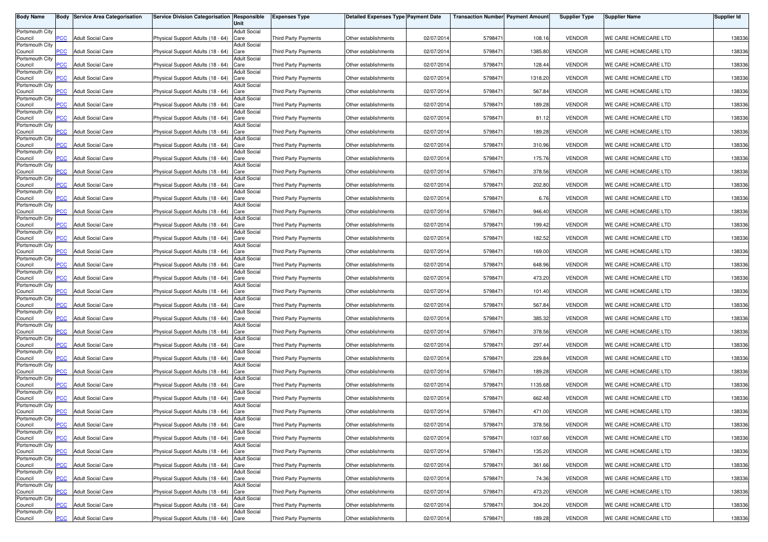| <b>Body Name</b>           |                  | <b>Body Service Area Categorisation</b> | Service Division Categorisation Responsible | Unit                        | <b>Expenses Type</b>        | <b>Detailed Expenses Type Payment Date</b> |            | <b>Transaction Number Payment Amount</b> |         | <b>Supplier Type</b> | <b>Supplier Name</b> | <b>Supplier Id</b> |
|----------------------------|------------------|-----------------------------------------|---------------------------------------------|-----------------------------|-----------------------------|--------------------------------------------|------------|------------------------------------------|---------|----------------------|----------------------|--------------------|
| Portsmouth City            |                  |                                         |                                             | <b>Adult Social</b>         |                             |                                            |            |                                          |         |                      |                      |                    |
| Council                    | PСC              | <b>Adult Social Care</b>                | Physical Support Adults (18 - 64)           | Care                        | Third Party Payments        | Other establishments                       | 02/07/2014 | 5798471                                  | 108.16  | <b>VENDOR</b>        | WE CARE HOMECARE LTD | 138336             |
| Portsmouth City<br>Council | <b>PCC</b>       | <b>Adult Social Care</b>                | Physical Support Adults (18 - 64)           | <b>Adult Social</b><br>Care | <b>Third Party Payments</b> | Other establishments                       | 02/07/2014 | 5798471                                  | 1385.80 | <b>VENDOR</b>        | WE CARE HOMECARE LTD | 138336             |
| Portsmouth City            |                  |                                         |                                             | <b>Adult Social</b>         |                             |                                            |            |                                          |         |                      |                      |                    |
| Council<br>Portsmouth City | $\overline{C}$   | <b>Adult Social Care</b>                | Physical Support Adults (18 - 64)           | Care<br><b>Adult Social</b> | <b>Third Party Payments</b> | Other establishments                       | 02/07/2014 | 579847                                   | 128.44  | <b>VENDOR</b>        | WE CARE HOMECARE LTD | 138336             |
| Council                    | <b>PCC</b>       | <b>Adult Social Care</b>                | Physical Support Adults (18 - 64)           | Care                        | <b>Third Party Payments</b> | Other establishments                       | 02/07/2014 | 579847                                   | 1318.20 | <b>VENDOR</b>        | WE CARE HOMECARE LTD | 138336             |
| Portsmouth City<br>Council | <b>PCC</b>       | <b>Adult Social Care</b>                | Physical Support Adults (18 - 64)           | <b>Adult Social</b><br>Care | <b>Third Party Payments</b> | Other establishments                       | 02/07/2014 | 5798471                                  | 567.84  | <b>VENDOR</b>        | WE CARE HOMECARE LTD | 138336             |
| Portsmouth City            |                  |                                         |                                             | <b>Adult Social</b>         |                             |                                            |            |                                          |         |                      |                      |                    |
| Council<br>Portsmouth City | <b>PCC</b>       | <b>Adult Social Care</b>                | Physical Support Adults (18 - 64)           | Care<br><b>Adult Social</b> | <b>Third Party Payments</b> | Other establishments                       | 02/07/2014 | 5798471                                  | 189.28  | <b>VENDOR</b>        | WE CARE HOMECARE LTD | 138336             |
| Council                    | $\overline{PCC}$ | <b>Adult Social Care</b>                | Physical Support Adults (18 - 64)           | Care                        | Third Party Payments        | Other establishments                       | 02/07/2014 | 5798471                                  | 81.12   | <b>VENDOR</b>        | WE CARE HOMECARE LTD | 138336             |
| Portsmouth City<br>Council | PCC.             | <b>Adult Social Care</b>                | Physical Support Adults (18 - 64)           | <b>Adult Social</b><br>Care | <b>Third Party Payments</b> | Other establishments                       | 02/07/2014 | 5798471                                  | 189.28  | <b>VENDOR</b>        | WE CARE HOMECARE LTD | 138336             |
| Portsmouth City            |                  | <b>Adult Social Care</b>                |                                             | <b>Adult Social</b>         |                             |                                            |            | 5798471                                  | 310.96  | <b>VENDOR</b>        | WE CARE HOMECARE LTD |                    |
| Council<br>Portsmouth City | сc               |                                         | Physical Support Adults (18 - 64)           | Care<br><b>Adult Social</b> | Third Party Payments        | Other establishments                       | 02/07/2014 |                                          |         |                      |                      | 138336             |
| Council<br>Portsmouth City | $\overline{C}$   | <b>Adult Social Care</b>                | Physical Support Adults (18 - 64)           | Care<br><b>Adult Social</b> | <b>Third Party Payments</b> | Other establishments                       | 02/07/2014 | 5798471                                  | 175.76  | <b>VENDOR</b>        | WE CARE HOMECARE LTD | 138336             |
| Council                    | PCC              | <b>Adult Social Care</b>                | Physical Support Adults (18 - 64)           | Care                        | <b>Third Party Payments</b> | Other establishments                       | 02/07/2014 | 5798471                                  | 378.56  | <b>VENDOR</b>        | WE CARE HOMECARE LTD | 138336             |
| Portsmouth City<br>Council | PCC              | <b>Adult Social Care</b>                | Physical Support Adults (18 - 64)           | Adult Social<br>Care        | <b>Third Party Payments</b> | Other establishments                       | 02/07/2014 | 5798471                                  | 202.80  | <b>VENDOR</b>        | WE CARE HOMECARE LTD | 138336             |
| Portsmouth City            |                  |                                         |                                             | Adult Social                |                             |                                            |            |                                          |         |                      |                      |                    |
| Council<br>Portsmouth City | PСC              | <b>Adult Social Care</b>                | Physical Support Adults (18 - 64)           | Care<br><b>Adult Social</b> | <b>Third Party Payments</b> | Other establishments                       | 02/07/2014 | 5798471                                  | 6.76    | <b>VENDOR</b>        | WE CARE HOMECARE LTD | 138336             |
| Council                    | PCC              | <b>Adult Social Care</b>                | Physical Support Adults (18 - 64)           | Care                        | <b>Third Party Payments</b> | Other establishments                       | 02/07/2014 | 5798471                                  | 946.40  | <b>VENDOR</b>        | WE CARE HOMECARE LTD | 138336             |
| Portsmouth City<br>Council | PCC              | <b>Adult Social Care</b>                | Physical Support Adults (18 - 64)           | <b>Adult Social</b><br>Care | <b>Third Party Payments</b> | Other establishments                       | 02/07/2014 | 5798471                                  | 199.42  | <b>VENDOR</b>        | WE CARE HOMECARE LTD | 138336             |
| Portsmouth City            |                  |                                         |                                             | <b>Adult Social</b>         |                             |                                            |            |                                          |         |                      |                      |                    |
| Council<br>Portsmouth City | PCC.             | <b>Adult Social Care</b>                | Physical Support Adults (18 - 64)           | Care<br><b>Adult Social</b> | Third Party Payments        | Other establishments                       | 02/07/2014 | 5798471                                  | 182.52  | <b>VENDOR</b>        | WE CARE HOMECARE LTD | 138336             |
| Council                    | PCC              | <b>Adult Social Care</b>                | Physical Support Adults (18 - 64)           | Care                        | Third Party Payments        | Other establishments                       | 02/07/2014 | 5798471                                  | 169.00  | <b>VENDOR</b>        | WE CARE HOMECARE LTD | 138336             |
| Portsmouth City<br>Council | PСC              | <b>Adult Social Care</b>                | Physical Support Adults (18 - 64)           | <b>Adult Social</b><br>Care | Third Party Payments        | Other establishments                       | 02/07/2014 | 5798471                                  | 648.96  | <b>VENDOR</b>        | WE CARE HOMECARE LTD | 138336             |
| Portsmouth City<br>Council | PCC              | <b>Adult Social Care</b>                | Physical Support Adults (18 - 64)           | <b>Adult Social</b><br>Care | <b>Third Party Payments</b> | Other establishments                       | 02/07/2014 | 579847                                   | 473.20  | <b>VENDOR</b>        | WE CARE HOMECARE LTD | 138336             |
| Portsmouth City            |                  |                                         |                                             | <b>Adult Social</b>         |                             |                                            |            |                                          |         |                      |                      |                    |
| Council<br>Portsmouth City | PСC              | <b>Adult Social Care</b>                | Physical Support Adults (18 - 64)           | Care<br>Adult Social        | <b>Third Party Payments</b> | Other establishments                       | 02/07/2014 | 5798471                                  | 101.40  | <b>VENDOR</b>        | WE CARE HOMECARE LTD | 138336             |
| Council                    | PСC              | <b>Adult Social Care</b>                | Physical Support Adults (18 - 64)           | Care                        | <b>Third Party Payments</b> | Other establishments                       | 02/07/201  | 579847                                   | 567.84  | <b>VENDOR</b>        | WE CARE HOMECARE LTD | 138336             |
| Portsmouth City<br>Council | PСC              | <b>Adult Social Care</b>                | Physical Support Adults (18 - 64)           | <b>Adult Social</b><br>Care | Third Party Payments        | Other establishments                       | 02/07/2014 | 5798471                                  | 385.32  | <b>VENDOR</b>        | WE CARE HOMECARE LTD | 138336             |
| Portsmouth City            |                  |                                         |                                             | <b>Adult Social</b>         |                             |                                            |            |                                          |         |                      |                      |                    |
| Council<br>Portsmouth City | PСC              | <b>Adult Social Care</b>                | Physical Support Adults (18 - 64)           | Care<br><b>Adult Social</b> | <b>Third Party Payments</b> | Other establishments                       | 02/07/201  | 5798471                                  | 378.56  | <b>VENDOR</b>        | WE CARE HOMECARE LTD | 138336             |
| Council                    | <b>PCC</b>       | <b>Adult Social Care</b>                | Physical Support Adults (18 - 64)           | Care                        | <b>Third Party Payments</b> | Other establishments                       | 02/07/2014 | 5798471                                  | 297.44  | <b>VENDOR</b>        | WE CARE HOMECARE LTD | 138336             |
| Portsmouth City<br>Council | PCC.             | <b>Adult Social Care</b>                | Physical Support Adults (18 - 64)           | <b>Adult Social</b><br>Care | Third Party Payments        | Other establishments                       | 02/07/2014 | 5798471                                  | 229.84  | <b>VENDOR</b>        | WE CARE HOMECARE LTD | 138336             |
| Portsmouth City            |                  |                                         |                                             | <b>Adult Social</b>         |                             |                                            |            |                                          |         |                      |                      |                    |
| Council<br>Portsmouth City | <b>PCC</b>       | <b>Adult Social Care</b>                | Physical Support Adults (18 - 64)           | Care<br><b>Adult Social</b> | Third Party Payments        | Other establishments                       | 02/07/2014 | 5798471                                  | 189.28  | <b>VENDOR</b>        | WE CARE HOMECARE LTD | 138336             |
| Council                    | сC               | <b>Adult Social Care</b>                | Physical Support Adults (18 - 64)           | Care                        | <b>Third Party Payments</b> | Other establishments                       | 02/07/2014 | 5798471                                  | 1135.68 | <b>VENDOR</b>        | WE CARE HOMECARE LTD | 138336             |
| Portsmouth City<br>Council | <b>PCC</b>       | <b>Adult Social Care</b>                | Physical Support Adults (18 - 64)           | <b>Adult Social</b><br>Care | <b>Third Party Payments</b> | Other establishments                       | 02/07/2014 | 5798471                                  | 662.48  | <b>VENDOR</b>        | WE CARE HOMECARE LTD | 138336             |
| Portsmouth City<br>Council | <b>PCC</b>       | <b>Adult Social Care</b>                | Physical Support Adults (18 - 64)           | <b>Adult Social</b><br>Care | <b>Third Party Payments</b> | Other establishments                       | 02/07/2014 | 5798471                                  | 471.00  | <b>VENDOR</b>        | WE CARE HOMECARE LTD | 138336             |
| Portsmouth City            |                  |                                         |                                             | Adult Social                |                             |                                            |            |                                          |         |                      |                      |                    |
| Council<br>Portsmouth City | <b>PCC</b>       | <b>Adult Social Care</b>                | Physical Support Adults (18 - 64) Care      | <b>Adult Social</b>         | Third Party Payments        | Other establishments                       | 02/07/2014 | 5798471                                  | 378.56  | <b>VENDOR</b>        | WE CARE HOMECARE LTD | 138336             |
| Council                    | <b>PCC</b>       | <b>Adult Social Care</b>                | Physical Support Adults (18 - 64) Care      |                             | Third Party Payments        | Other establishments                       | 02/07/2014 | 5798471                                  | 1037.66 | <b>VENDOR</b>        | WE CARE HOMECARE LTD | 138336             |
| Portsmouth City<br>Council | <b>PCC</b>       | <b>Adult Social Care</b>                | Physical Support Adults (18 - 64) Care      | <b>Adult Social</b>         | Third Party Payments        | Other establishments                       | 02/07/2014 | 5798471                                  | 135.20  | <b>VENDOR</b>        | WE CARE HOMECARE LTD | 138336             |
| Portsmouth City            |                  |                                         |                                             | <b>Adult Social</b>         |                             |                                            |            |                                          |         |                      |                      |                    |
| Council<br>Portsmouth City | PCC              | <b>Adult Social Care</b>                | Physical Support Adults (18 - 64) Care      | <b>Adult Social</b>         | Third Party Payments        | Other establishments                       | 02/07/2014 | 5798471                                  | 361.66  | <b>VENDOR</b>        | WE CARE HOMECARE LTD | 138336             |
| Council                    | PСC              | <b>Adult Social Care</b>                | Physical Support Adults (18 - 64) Care      |                             | Third Party Payments        | Other establishments                       | 02/07/2014 | 5798471                                  | 74.36   | <b>VENDOR</b>        | WE CARE HOMECARE LTD | 138336             |
| Portsmouth City<br>Council | PCC              | <b>Adult Social Care</b>                | Physical Support Adults (18 - 64) Care      | <b>Adult Social</b>         | Third Party Payments        | Other establishments                       | 02/07/2014 | 5798471                                  | 473.20  | <b>VENDOR</b>        | WE CARE HOMECARE LTD | 138336             |
| Portsmouth City            |                  |                                         |                                             | <b>Adult Social</b>         |                             |                                            |            |                                          |         |                      |                      |                    |
| Council<br>Portsmouth City | PСC              | <b>Adult Social Care</b>                | Physical Support Adults (18 - 64)           | Care<br><b>Adult Social</b> | <b>Third Party Payments</b> | Other establishments                       | 02/07/2014 | 5798471                                  | 304.20  | <b>VENDOR</b>        | WE CARE HOMECARE LTD | 138336             |
| Council                    | <b>PCC</b>       | <b>Adult Social Care</b>                | Physical Support Adults (18 - 64) Care      |                             | Third Party Payments        | Other establishments                       | 02/07/2014 | 5798471                                  | 189.28  | <b>VENDOR</b>        | WE CARE HOMECARE LTD | 138336             |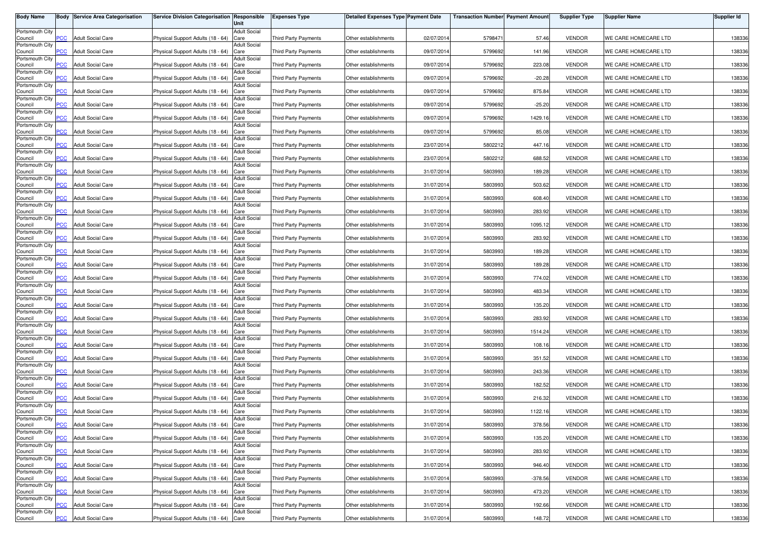| <b>Body Name</b>           |                | <b>Body Service Area Categorisation</b> | Service Division Categorisation Responsible | Unit                        | <b>Expenses Type</b>        | <b>Detailed Expenses Type Payment Date</b> |            | <b>Transaction Number Payment Amount</b> |           | <b>Supplier Type</b> | <b>Supplier Name</b> | Supplier Id |
|----------------------------|----------------|-----------------------------------------|---------------------------------------------|-----------------------------|-----------------------------|--------------------------------------------|------------|------------------------------------------|-----------|----------------------|----------------------|-------------|
| Portsmouth City            |                |                                         |                                             | <b>Adult Social</b>         |                             |                                            |            |                                          |           |                      |                      |             |
| Council<br>Portsmouth City | PCC            | <b>Adult Social Care</b>                | Physical Support Adults (18 - 64)           | Care<br><b>Adult Social</b> | <b>Third Party Payments</b> | Other establishments                       | 02/07/201  | 5798471                                  | 57.46     | <b>VENDOR</b>        | WE CARE HOMECARE LTD | 138336      |
| Council<br>Portsmouth City | $\overline{C}$ | <b>Adult Social Care</b>                | Physical Support Adults (18 - 64)           | Care<br><b>Adult Social</b> | Third Party Payments        | Other establishments                       | 09/07/2014 | 5799692                                  | 141.96    | <b>VENDOR</b>        | WE CARE HOMECARE LTD | 138336      |
| Council                    | <b>PCC</b>     | <b>Adult Social Care</b>                | Physical Support Adults (18 - 64)           | Care                        | <b>Third Party Payments</b> | Other establishments                       | 09/07/201  | 5799692                                  | 223.08    | <b>VENDOR</b>        | WE CARE HOMECARE LTD | 138336      |
| Portsmouth City<br>Council | <b>PCC</b>     | <b>Adult Social Care</b>                | Physical Support Adults (18 - 64)           | <b>Adult Social</b><br>Care | <b>Third Party Payments</b> | Other establishments                       | 09/07/201  | 5799692                                  | $-20.28$  | <b>VENDOR</b>        | WE CARE HOMECARE LTD | 138336      |
| Portsmouth City<br>Council | <b>PCC</b>     | <b>Adult Social Care</b>                | Physical Support Adults (18 - 64)           | <b>Adult Social</b><br>Care | <b>Third Party Payments</b> | Other establishments                       | 09/07/201  | 5799692                                  | 875.84    | <b>VENDOR</b>        | WE CARE HOMECARE LTD | 138336      |
| Portsmouth City            |                |                                         |                                             | <b>Adult Social</b>         |                             |                                            |            |                                          |           |                      |                      |             |
| Council<br>Portsmouth City | <b>PCC</b>     | <b>Adult Social Care</b>                | Physical Support Adults (18 - 64)           | Care<br><b>Adult Social</b> | Third Party Payments        | Other establishments                       | 09/07/2014 | 5799692                                  | $-25.20$  | <b>VENDOR</b>        | WE CARE HOMECARE LTD | 138336      |
| Council<br>Portsmouth City | PCC            | <b>Adult Social Care</b>                | Physical Support Adults (18 - 64)           | Care<br><b>Adult Social</b> | Third Party Payments        | Other establishments                       | 09/07/201  | 5799692                                  | 1429.16   | <b>VENDOR</b>        | WE CARE HOMECARE LTD | 138336      |
| Council<br>Portsmouth City | <b>PCC</b>     | <b>Adult Social Care</b>                | Physical Support Adults (18 - 64)           | Care<br><b>Adult Social</b> | <b>Third Party Payments</b> | Other establishments                       | 09/07/2014 | 5799692                                  | 85.08     | <b>VENDOR</b>        | WE CARE HOMECARE LTD | 138336      |
| Council                    | PCC.           | <b>Adult Social Care</b>                | Physical Support Adults (18 - 64)           | Care                        | <b>Third Party Payments</b> | Other establishments                       | 23/07/201  | 5802212                                  | 447.16    | <b>VENDOR</b>        | WE CARE HOMECARE LTD | 138336      |
| Portsmouth City<br>Council | $\overline{C}$ | <b>Adult Social Care</b>                | Physical Support Adults (18 - 64)           | <b>Adult Social</b><br>Care | <b>Third Party Payments</b> | Other establishments                       | 23/07/201  | 5802212                                  | 688.52    | <b>VENDOR</b>        | WE CARE HOMECARE LTD | 138336      |
| Portsmouth City<br>Council | PCC            | <b>Adult Social Care</b>                | Physical Support Adults (18 - 64)           | <b>Adult Social</b><br>Care | Third Party Payments        | Other establishments                       | 31/07/201  | 5803993                                  | 189.28    | <b>VENDOR</b>        | WE CARE HOMECARE LTD | 138336      |
| Portsmouth City<br>Council | PCC            | <b>Adult Social Care</b>                | Physical Support Adults (18 - 64)           | Adult Social<br>Care        | Third Party Payments        | Other establishments                       | 31/07/201  | 5803993                                  | 503.62    | <b>VENDOR</b>        | WE CARE HOMECARE LTD | 138336      |
| Portsmouth City            |                |                                         |                                             | <b>Adult Social</b>         |                             |                                            |            |                                          |           |                      |                      |             |
| Council<br>Portsmouth City | PСC            | <b>Adult Social Care</b>                | Physical Support Adults (18 - 64)           | Care<br><b>Adult Social</b> | Third Party Payments        | Other establishments                       | 31/07/201  | 5803993                                  | 608.40    | <b>VENDOR</b>        | WE CARE HOMECARE LTD | 138336      |
| Council<br>Portsmouth City | PCC            | <b>Adult Social Care</b>                | Physical Support Adults (18 - 64)           | Care<br><b>Adult Social</b> | <b>Third Party Payments</b> | Other establishments                       | 31/07/201  | 5803993                                  | 283.92    | <b>VENDOR</b>        | WE CARE HOMECARE LTD | 138336      |
| Council<br>Portsmouth City | PCC            | <b>Adult Social Care</b>                | Physical Support Adults (18 - 64)           | Care<br><b>Adult Social</b> | Third Party Payments        | Other establishments                       | 31/07/2014 | 5803993                                  | 1095.12   | <b>VENDOR</b>        | WE CARE HOMECARE LTD | 138336      |
| Council<br>Portsmouth City | PCC.           | <b>Adult Social Care</b>                | Physical Support Adults (18 - 64)           | Care<br><b>Adult Social</b> | <b>Third Party Payments</b> | Other establishments                       | 31/07/2014 | 5803993                                  | 283.92    | <b>VENDOR</b>        | WE CARE HOMECARE LTD | 138336      |
| Council                    | PCC            | <b>Adult Social Care</b>                | Physical Support Adults (18 - 64)           | Care                        | <b>Third Party Payments</b> | Other establishments                       | 31/07/201  | 5803993                                  | 189.28    | <b>VENDOR</b>        | WE CARE HOMECARE LTD | 138336      |
| Portsmouth City<br>Council | PСC            | <b>Adult Social Care</b>                | Physical Support Adults (18 - 64)           | <b>Adult Social</b><br>Care | <b>Third Party Payments</b> | Other establishments                       | 31/07/2014 | 5803993                                  | 189.28    | <b>VENDOR</b>        | WE CARE HOMECARE LTD | 138336      |
| Portsmouth City<br>Council | PCC            | <b>Adult Social Care</b>                | Physical Support Adults (18 - 64)           | <b>Adult Social</b><br>Care | <b>Third Party Payments</b> | Other establishments                       | 31/07/201  | 5803993                                  | 774.02    | <b>VENDOR</b>        | WE CARE HOMECARE LTD | 138336      |
| Portsmouth City<br>Council | PСC            | <b>Adult Social Care</b>                | Physical Support Adults (18 - 64)           | <b>Adult Social</b><br>Care | <b>Third Party Payments</b> | Other establishments                       | 31/07/201  | 5803993                                  | 483.34    | <b>VENDOR</b>        | WE CARE HOMECARE LTD | 138336      |
| Portsmouth City<br>Council | PСC            | <b>Adult Social Care</b>                | Physical Support Adults (18 - 64)           | Adult Social<br>Care        | <b>Third Party Payments</b> | Other establishments                       | 31/07/201  | 5803993                                  | 135.20    | <b>VENDOR</b>        | WE CARE HOMECARE LTD | 138336      |
| Portsmouth City            |                |                                         |                                             | <b>Adult Social</b>         |                             |                                            |            |                                          |           |                      |                      |             |
| Council<br>Portsmouth City | PСC            | <b>Adult Social Care</b>                | Physical Support Adults (18 - 64)           | Care<br><b>Adult Social</b> | <b>Third Party Payments</b> | Other establishments                       | 31/07/201  | 5803993                                  | 283.92    | <b>VENDOR</b>        | WE CARE HOMECARE LTD | 138336      |
| Council<br>Portsmouth City | PCC.           | <b>Adult Social Care</b>                | Physical Support Adults (18 - 64)           | Care<br><b>Adult Social</b> | Third Party Payments        | Other establishments                       | 31/07/201  | 5803993                                  | 1514.24   | <b>VENDOR</b>        | WE CARE HOMECARE LTD | 138336      |
| Council<br>Portsmouth City | PCC            | <b>Adult Social Care</b>                | Physical Support Adults (18 - 64)           | Care<br><b>Adult Social</b> | Third Party Payments        | Other establishments                       | 31/07/2014 | 5803993                                  | 108.16    | <b>VENDOR</b>        | WE CARE HOMECARE LTD | 138336      |
| Council                    | PCC.           | <b>Adult Social Care</b>                | Physical Support Adults (18 - 64)           | Care                        | <b>Third Party Payments</b> | Other establishments                       | 31/07/201  | 5803993                                  | 351.52    | <b>VENDOR</b>        | WE CARE HOMECARE LTD | 138336      |
| Portsmouth City<br>Council | $\overline{C}$ | <b>Adult Social Care</b>                | Physical Support Adults (18 - 64)           | <b>Adult Social</b><br>Care | <b>Third Party Payments</b> | Other establishments                       | 31/07/2014 | 5803993                                  | 243.36    | <b>VENDOR</b>        | WE CARE HOMECARE LTD | 138336      |
| Portsmouth City<br>Council | PСC            | <b>Adult Social Care</b>                | Physical Support Adults (18 - 64)           | <b>Adult Social</b><br>Care | <b>Third Party Payments</b> | Other establishments                       | 31/07/2014 | 5803993                                  | 182.52    | <b>VENDOR</b>        | WE CARE HOMECARE LTD | 138336      |
| Portsmouth City<br>Council | <b>PCC</b>     | <b>Adult Social Care</b>                | Physical Support Adults (18 - 64)           | <b>Adult Social</b><br>Care | Third Party Payments        | Other establishments                       | 31/07/201  | 5803993                                  | 216.32    | <b>VENDOR</b>        | WE CARE HOMECARE LTD | 138336      |
| Portsmouth City            |                |                                         |                                             | <b>Adult Social</b>         |                             |                                            |            |                                          |           |                      |                      |             |
| Council<br>Portsmouth City | $\overline{C}$ | <b>Adult Social Care</b>                | Physical Support Adults (18 - 64)           | Care<br>Adult Social        | <b>Third Party Payments</b> | Other establishments                       | 31/07/2014 | 5803993                                  | 1122.16   | <b>VENDOR</b>        | WE CARE HOMECARE LTD | 138336      |
| Council<br>Portsmouth City | <b>PCC</b>     | <b>Adult Social Care</b>                | Physical Support Adults (18 - 64) Care      | <b>Adult Social</b>         | Third Party Payments        | Other establishments                       | 31/07/2014 | 5803993                                  | 378.56    | <b>VENDOR</b>        | WE CARE HOMECARE LTD | 138336      |
| Council<br>Portsmouth City | <b>PCC</b>     | <b>Adult Social Care</b>                | Physical Support Adults (18 - 64) Care      | <b>Adult Social</b>         | <b>Third Party Payments</b> | Other establishments                       | 31/07/2014 | 5803993                                  | 135.20    | <b>VENDOR</b>        | WE CARE HOMECARE LTD | 138336      |
| Council                    | <b>PCC</b>     | <b>Adult Social Care</b>                | Physical Support Adults (18 - 64) Care      |                             | Third Party Payments        | Other establishments                       | 31/07/2014 | 5803993                                  | 283.92    | <b>VENDOR</b>        | WE CARE HOMECARE LTD | 138336      |
| Portsmouth City<br>Council | PCC            | <b>Adult Social Care</b>                | Physical Support Adults (18 - 64) Care      | <b>Adult Social</b>         | Third Party Payments        | Other establishments                       | 31/07/2014 | 5803993                                  | 946.40    | <b>VENDOR</b>        | WE CARE HOMECARE LTD | 138336      |
| Portsmouth City<br>Council | PСC            | <b>Adult Social Care</b>                | Physical Support Adults (18 - 64) Care      | <b>Adult Social</b>         | <b>Third Party Payments</b> | Other establishments                       | 31/07/2014 | 5803993                                  | $-378.56$ | <b>VENDOR</b>        | WE CARE HOMECARE LTD | 138336      |
| Portsmouth City<br>Council | PCC            | <b>Adult Social Care</b>                | Physical Support Adults (18 - 64) Care      | <b>Adult Social</b>         | Third Party Payments        | Other establishments                       | 31/07/2014 | 5803993                                  | 473.20    | <b>VENDOR</b>        | WE CARE HOMECARE LTD | 138336      |
| Portsmouth City<br>Council | PСC            | <b>Adult Social Care</b>                | Physical Support Adults (18 - 64) Care      | <b>Adult Social</b>         | <b>Third Party Payments</b> | Other establishments                       | 31/07/2014 | 5803993                                  | 192.66    | <b>VENDOR</b>        | WE CARE HOMECARE LTD | 138336      |
| Portsmouth City            |                |                                         |                                             | <b>Adult Social</b>         |                             |                                            |            |                                          |           |                      |                      |             |
| Council                    | <b>PCC</b>     | <b>Adult Social Care</b>                | Physical Support Adults (18 - 64) Care      |                             | Third Party Payments        | Other establishments                       | 31/07/2014 | 5803993                                  | 148.72    | <b>VENDOR</b>        | WE CARE HOMECARE LTD | 138336      |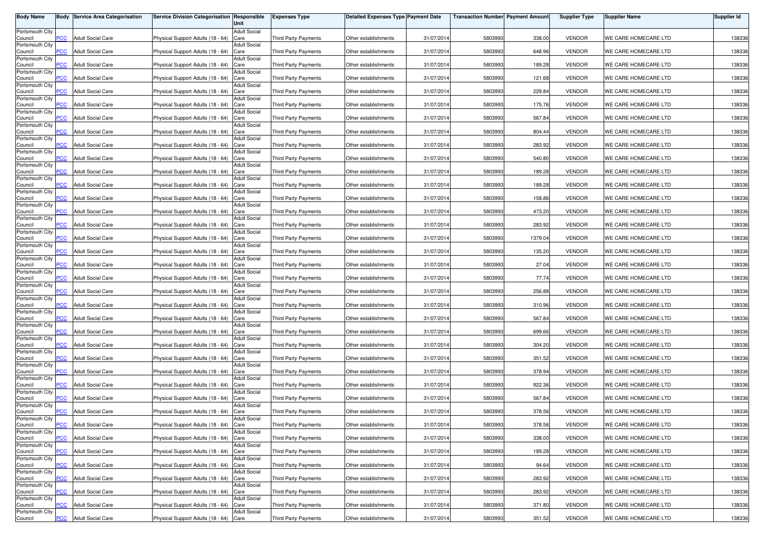| <b>Body Name</b>           |                | <b>Body Service Area Categorisation</b> | Service Division Categorisation Responsible | Unit                        | <b>Expenses Type</b>        | <b>Detailed Expenses Type Payment Date</b> |            | <b>Transaction Number Payment Amount</b> |         | <b>Supplier Type</b> | <b>Supplier Name</b> | Supplier Id |
|----------------------------|----------------|-----------------------------------------|---------------------------------------------|-----------------------------|-----------------------------|--------------------------------------------|------------|------------------------------------------|---------|----------------------|----------------------|-------------|
| Portsmouth City            |                |                                         |                                             | <b>Adult Social</b>         |                             |                                            |            |                                          |         |                      |                      |             |
| Council<br>Portsmouth City | PCC            | <b>Adult Social Care</b>                | Physical Support Adults (18 - 64)           | Care<br><b>Adult Social</b> | <b>Third Party Payments</b> | Other establishments                       | 31/07/2014 | 5803993                                  | 338.00  | <b>VENDOR</b>        | WE CARE HOMECARE LTD | 138336      |
| Council<br>Portsmouth City | $\overline{C}$ | <b>Adult Social Care</b>                | Physical Support Adults (18 - 64)           | Care<br><b>Adult Social</b> | Third Party Payments        | Other establishments                       | 31/07/2014 | 5803993                                  | 648.96  | <b>VENDOR</b>        | WE CARE HOMECARE LTD | 138336      |
| Council                    | <b>PCC</b>     | <b>Adult Social Care</b>                | Physical Support Adults (18 - 64)           | Care                        | <b>Third Party Payments</b> | Other establishments                       | 31/07/201  | 5803993                                  | 189.28  | <b>VENDOR</b>        | WE CARE HOMECARE LTD | 138336      |
| Portsmouth City<br>Council | <b>PCC</b>     | <b>Adult Social Care</b>                | Physical Support Adults (18 - 64)           | <b>Adult Social</b><br>Care | Third Party Payments        | Other establishments                       | 31/07/201  | 5803993                                  | 121.68  | <b>VENDOR</b>        | WE CARE HOMECARE LTD | 138336      |
| Portsmouth City<br>Council | <b>PCC</b>     | <b>Adult Social Care</b>                | Physical Support Adults (18 - 64)           | <b>Adult Social</b><br>Care | <b>Third Party Payments</b> | Other establishments                       | 31/07/201  | 5803993                                  | 229.84  | <b>VENDOR</b>        | WE CARE HOMECARE LTD | 138336      |
| Portsmouth City            |                |                                         |                                             | <b>Adult Social</b>         |                             |                                            |            |                                          |         |                      |                      |             |
| Council<br>Portsmouth City | <b>PCC</b>     | <b>Adult Social Care</b>                | Physical Support Adults (18 - 64)           | Care<br><b>Adult Social</b> | Third Party Payments        | Other establishments                       | 31/07/2014 | 5803993                                  | 175.76  | <b>VENDOR</b>        | WE CARE HOMECARE LTD | 138336      |
| Council<br>Portsmouth City | PCC            | <b>Adult Social Care</b>                | Physical Support Adults (18 - 64)           | Care<br><b>Adult Social</b> | Third Party Payments        | Other establishments                       | 31/07/201  | 5803993                                  | 567.84  | <b>VENDOR</b>        | WE CARE HOMECARE LTD | 138336      |
| Council<br>Portsmouth City | <b>PCC</b>     | <b>Adult Social Care</b>                | Physical Support Adults (18 - 64)           | Care<br><b>Adult Social</b> | <b>Third Party Payments</b> | Other establishments                       | 31/07/2014 | 5803993                                  | 804.44  | <b>VENDOR</b>        | WE CARE HOMECARE LTD | 138336      |
| Council                    | PCC.           | <b>Adult Social Care</b>                | Physical Support Adults (18 - 64)           | Care                        | <b>Third Party Payments</b> | Other establishments                       | 31/07/201  | 5803993                                  | 283.92  | <b>VENDOR</b>        | WE CARE HOMECARE LTD | 138336      |
| Portsmouth City<br>Council | $\overline{C}$ | <b>Adult Social Care</b>                | Physical Support Adults (18 - 64)           | <b>Adult Social</b><br>Care | <b>Third Party Payments</b> | Other establishments                       | 31/07/2014 | 5803993                                  | 540.80  | <b>VENDOR</b>        | WE CARE HOMECARE LTD | 138336      |
| Portsmouth City<br>Council | PCC            | <b>Adult Social Care</b>                | Physical Support Adults (18 - 64)           | <b>Adult Social</b><br>Care | Third Party Payments        | Other establishments                       | 31/07/201  | 5803993                                  | 189.28  | <b>VENDOR</b>        | WE CARE HOMECARE LTD | 138336      |
| Portsmouth City<br>Council | PCC            | <b>Adult Social Care</b>                | Physical Support Adults (18 - 64)           | Adult Social<br>Care        | Third Party Payments        | Other establishments                       | 31/07/201  | 5803993                                  | 189.28  | <b>VENDOR</b>        | WE CARE HOMECARE LTD | 138336      |
| Portsmouth City<br>Council | PСC            | <b>Adult Social Care</b>                | Physical Support Adults (18 - 64)           | <b>Adult Social</b><br>Care | Third Party Payments        | Other establishments                       | 31/07/201  | 5803993                                  | 158.86  | <b>VENDOR</b>        | WE CARE HOMECARE LTD | 138336      |
| Portsmouth City            |                |                                         |                                             | <b>Adult Social</b>         |                             |                                            |            |                                          |         |                      |                      |             |
| Council<br>Portsmouth City | PCC            | <b>Adult Social Care</b>                | Physical Support Adults (18 - 64)           | Care<br><b>Adult Social</b> | <b>Third Party Payments</b> | Other establishments                       | 31/07/201  | 5803993                                  | 473.20  | <b>VENDOR</b>        | WE CARE HOMECARE LTD | 138336      |
| Council<br>Portsmouth City | PCC            | <b>Adult Social Care</b>                | Physical Support Adults (18 - 64)           | Care<br><b>Adult Social</b> | Third Party Payments        | Other establishments                       | 31/07/2014 | 5803993                                  | 283.92  | <b>VENDOR</b>        | WE CARE HOMECARE LTD | 138336      |
| Council<br>Portsmouth City | PCC.           | <b>Adult Social Care</b>                | Physical Support Adults (18 - 64)           | Care<br><b>Adult Social</b> | <b>Third Party Payments</b> | Other establishments                       | 31/07/2014 | 5803993                                  | 1379.04 | <b>VENDOR</b>        | WE CARE HOMECARE LTD | 138336      |
| Council<br>Portsmouth City | PCC            | <b>Adult Social Care</b>                | Physical Support Adults (18 - 64)           | Care<br><b>Adult Social</b> | <b>Third Party Payments</b> | Other establishments                       | 31/07/2014 | 5803993                                  | 135.20  | <b>VENDOR</b>        | WE CARE HOMECARE LTD | 138336      |
| Council                    | PСC            | <b>Adult Social Care</b>                | Physical Support Adults (18 - 64)           | Care                        | <b>Third Party Payments</b> | Other establishments                       | 31/07/2014 | 5803993                                  | 27.04   | <b>VENDOR</b>        | WE CARE HOMECARE LTD | 138336      |
| Portsmouth City<br>Council | PCC            | <b>Adult Social Care</b>                | Physical Support Adults (18 - 64)           | <b>Adult Social</b><br>Care | <b>Third Party Payments</b> | Other establishments                       | 31/07/201  | 5803993                                  | 77.74   | <b>VENDOR</b>        | WE CARE HOMECARE LTD | 138336      |
| Portsmouth City<br>Council | PСC            | <b>Adult Social Care</b>                | Physical Support Adults (18 - 64)           | <b>Adult Social</b><br>Care | <b>Third Party Payments</b> | Other establishments                       | 31/07/201  | 5803993                                  | 256.88  | <b>VENDOR</b>        | WE CARE HOMECARE LTD | 138336      |
| Portsmouth City<br>Council | PСC            | <b>Adult Social Care</b>                | Physical Support Adults (18 - 64)           | Adult Social<br>Care        | <b>Third Party Payments</b> | Other establishments                       | 31/07/201  | 5803993                                  | 310.96  | <b>VENDOR</b>        | WE CARE HOMECARE LTD | 138336      |
| Portsmouth City<br>Council | PСC            | <b>Adult Social Care</b>                | Physical Support Adults (18 - 64)           | <b>Adult Social</b><br>Care | <b>Third Party Payments</b> | Other establishments                       | 31/07/201  | 5803993                                  | 567.84  | <b>VENDOR</b>        | WE CARE HOMECARE LTD | 138336      |
| Portsmouth City<br>Council | PCC.           | <b>Adult Social Care</b>                | Physical Support Adults (18 - 64)           | <b>Adult Social</b><br>Care | Third Party Payments        | Other establishments                       | 31/07/201  | 5803993                                  | 699.66  | <b>VENDOR</b>        | WE CARE HOMECARE LTD | 138336      |
| Portsmouth City            | PCC            | <b>Adult Social Care</b>                |                                             | <b>Adult Social</b><br>Care |                             | Other establishments                       | 31/07/2014 | 5803993                                  | 304.20  | <b>VENDOR</b>        | WE CARE HOMECARE LTD |             |
| Council<br>Portsmouth City |                |                                         | Physical Support Adults (18 - 64)           | <b>Adult Social</b>         | Third Party Payments        |                                            |            |                                          |         |                      |                      | 138336      |
| Council<br>Portsmouth City | PCC.           | <b>Adult Social Care</b>                | Physical Support Adults (18 - 64)           | Care<br><b>Adult Social</b> | <b>Third Party Payments</b> | Other establishments                       | 31/07/2014 | 5803993                                  | 351.52  | <b>VENDOR</b>        | WE CARE HOMECARE LTD | 138336      |
| Council                    | $\overline{C}$ | <b>Adult Social Care</b>                | Physical Support Adults (18 - 64)           | Care                        | <b>Third Party Payments</b> | Other establishments                       | 31/07/2014 | 5803993                                  | 378.94  | <b>VENDOR</b>        | WE CARE HOMECARE LTD | 138336      |
| Portsmouth City<br>Council | PСC            | <b>Adult Social Care</b>                | Physical Support Adults (18 - 64)           | <b>Adult Social</b><br>Care | <b>Third Party Payments</b> | Other establishments                       | 31/07/2014 | 5803993                                  | 922.36  | <b>VENDOR</b>        | WE CARE HOMECARE LTD | 138336      |
| Portsmouth City<br>Council | <b>PCC</b>     | <b>Adult Social Care</b>                | Physical Support Adults (18 - 64)           | <b>Adult Social</b><br>Care | Third Party Payments        | Other establishments                       | 31/07/201  | 5803993                                  | 567.84  | <b>VENDOR</b>        | WE CARE HOMECARE LTD | 138336      |
| Portsmouth City<br>Council | PCC            | <b>Adult Social Care</b>                | Physical Support Adults (18 - 64)           | <b>Adult Social</b><br>Care | <b>Third Party Payments</b> | Other establishments                       | 31/07/2014 | 5803993                                  | 378.56  | <b>VENDOR</b>        | WE CARE HOMECARE LTD | 138336      |
| Portsmouth City<br>Council | <b>PCC</b>     | <b>Adult Social Care</b>                | Physical Support Adults (18 - 64) Care      | Adult Social                | Third Party Payments        | Other establishments                       | 31/07/2014 | 5803993                                  | 378.56  | <b>VENDOR</b>        | WE CARE HOMECARE LTD | 138336      |
| Portsmouth City<br>Council | <b>PCC</b>     | <b>Adult Social Care</b>                | Physical Support Adults (18 - 64) Care      | <b>Adult Social</b>         | Third Party Payments        | Other establishments                       | 31/07/2014 | 5803993                                  | 338.00  | <b>VENDOR</b>        | WE CARE HOMECARE LTD | 138336      |
| Portsmouth City            |                |                                         |                                             | <b>Adult Social</b>         |                             |                                            |            |                                          |         |                      |                      |             |
| Council<br>Portsmouth City | <b>PCC</b>     | <b>Adult Social Care</b>                | Physical Support Adults (18 - 64) Care      | <b>Adult Social</b>         | Third Party Payments        | Other establishments                       | 31/07/2014 | 5803993                                  | 189.28  | <b>VENDOR</b>        | WE CARE HOMECARE LTD | 138336      |
| Council<br>Portsmouth City | PCC            | <b>Adult Social Care</b>                | Physical Support Adults (18 - 64) Care      | <b>Adult Social</b>         | Third Party Payments        | Other establishments                       | 31/07/2014 | 5803993                                  | 94.64   | <b>VENDOR</b>        | WE CARE HOMECARE LTD | 138336      |
| Council<br>Portsmouth City | PСC            | <b>Adult Social Care</b>                | Physical Support Adults (18 - 64) Care      | <b>Adult Social</b>         | <b>Third Party Payments</b> | Other establishments                       | 31/07/2014 | 5803993                                  | 283.92  | <b>VENDOR</b>        | WE CARE HOMECARE LTD | 138336      |
| Council<br>Portsmouth City | PCC            | <b>Adult Social Care</b>                | Physical Support Adults (18 - 64) Care      | <b>Adult Social</b>         | Third Party Payments        | Other establishments                       | 31/07/2014 | 5803993                                  | 283.92  | <b>VENDOR</b>        | WE CARE HOMECARE LTD | 138336      |
| Council                    | PСC            | <b>Adult Social Care</b>                | Physical Support Adults (18 - 64) Care      |                             | <b>Third Party Payments</b> | Other establishments                       | 31/07/2014 | 5803993                                  | 371.80  | <b>VENDOR</b>        | WE CARE HOMECARE LTD | 138336      |
| Portsmouth City<br>Council | <b>PCC</b>     | <b>Adult Social Care</b>                | Physical Support Adults (18 - 64) Care      | <b>Adult Social</b>         | Third Party Payments        | Other establishments                       | 31/07/2014 | 5803993                                  | 351.52  | <b>VENDOR</b>        | WE CARE HOMECARE LTD | 138336      |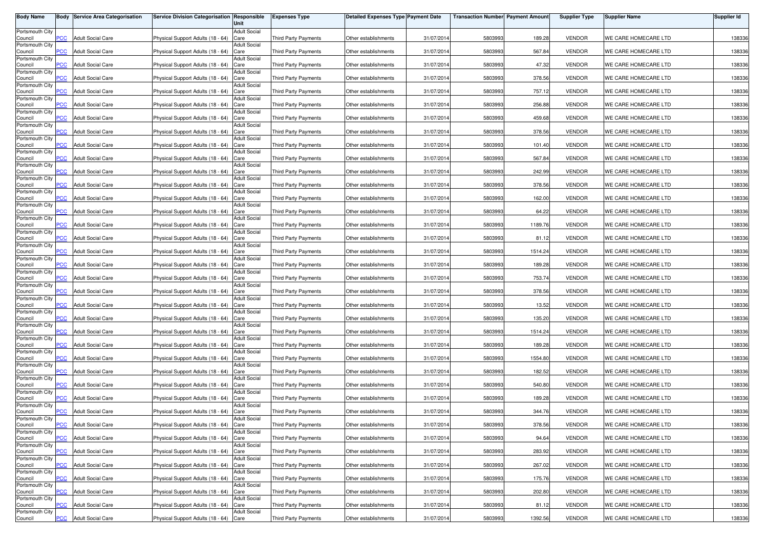| <b>Body Name</b>           |                         | <b>Body Service Area Categorisation</b> | Service Division Categorisation Responsible | Unit                        | <b>Expenses Type</b>        | <b>Detailed Expenses Type Payment Date</b> |            | <b>Transaction Number Payment Amount</b> |         | <b>Supplier Type</b> | <b>Supplier Name</b> | <b>Supplier Id</b> |
|----------------------------|-------------------------|-----------------------------------------|---------------------------------------------|-----------------------------|-----------------------------|--------------------------------------------|------------|------------------------------------------|---------|----------------------|----------------------|--------------------|
| Portsmouth City            |                         |                                         |                                             | <b>Adult Social</b>         |                             |                                            |            |                                          |         |                      |                      |                    |
| Council                    | PСC                     | <b>Adult Social Care</b>                | Physical Support Adults (18 - 64)           | Care                        | Third Party Payments        | Other establishments                       | 31/07/2014 | 5803993                                  | 189.28  | <b>VENDOR</b>        | WE CARE HOMECARE LTD | 138336             |
| Portsmouth City<br>Council | $\overline{C}$          | <b>Adult Social Care</b>                | Physical Support Adults (18 - 64)           | <b>Adult Social</b><br>Care | <b>Third Party Payments</b> | Other establishments                       | 31/07/2014 | 5803993                                  | 567.84  | <b>VENDOR</b>        | WE CARE HOMECARE LTD | 138336             |
| Portsmouth City            |                         |                                         |                                             | <b>Adult Social</b>         |                             |                                            |            |                                          |         |                      |                      |                    |
| Council<br>Portsmouth City | $\overline{C}$          | <b>Adult Social Care</b>                | Physical Support Adults (18 - 64)           | Care<br><b>Adult Social</b> | <b>Third Party Payments</b> | Other establishments                       | 31/07/2014 | 5803993                                  | 47.32   | <b>VENDOR</b>        | WE CARE HOMECARE LTD | 138336             |
| Council                    | PСC                     | <b>Adult Social Care</b>                | Physical Support Adults (18 - 64)           | Care                        | <b>Third Party Payments</b> | Other establishments                       | 31/07/2014 | 5803993                                  | 378.56  | <b>VENDOR</b>        | WE CARE HOMECARE LTD | 138336             |
| Portsmouth City<br>Council | <b>PCC</b>              | <b>Adult Social Care</b>                | Physical Support Adults (18 - 64)           | <b>Adult Social</b><br>Care | <b>Third Party Payments</b> | Other establishments                       | 31/07/2014 | 5803993                                  | 757.12  | <b>VENDOR</b>        | WE CARE HOMECARE LTD | 138336             |
| Portsmouth City            |                         |                                         |                                             | <b>Adult Social</b>         |                             |                                            |            |                                          |         |                      |                      |                    |
| Council<br>Portsmouth City | PСC                     | <b>Adult Social Care</b>                | Physical Support Adults (18 - 64)           | Care<br><b>Adult Social</b> | <b>Third Party Payments</b> | Other establishments                       | 31/07/2014 | 5803993                                  | 256.88  | <b>VENDOR</b>        | WE CARE HOMECARE LTD | 138336             |
| Council                    | $\overline{\text{PCC}}$ | <b>Adult Social Care</b>                | Physical Support Adults (18 - 64)           | Care                        | Third Party Payments        | Other establishments                       | 31/07/2014 | 5803993                                  | 459.68  | <b>VENDOR</b>        | WE CARE HOMECARE LTD | 138336             |
| Portsmouth City<br>Council | PCC.                    | <b>Adult Social Care</b>                | Physical Support Adults (18 - 64)           | <b>Adult Social</b><br>Care | <b>Third Party Payments</b> | Other establishments                       | 31/07/2014 | 5803993                                  | 378.56  | <b>VENDOR</b>        | WE CARE HOMECARE LTD | 138336             |
| Portsmouth City            |                         |                                         |                                             | <b>Adult Social</b>         |                             |                                            |            |                                          |         |                      |                      |                    |
| Council<br>Portsmouth City | сc                      | <b>Adult Social Care</b>                | Physical Support Adults (18 - 64)           | Care<br><b>Adult Social</b> | Third Party Payments        | Other establishments                       | 31/07/2014 | 5803993                                  | 101.40  | <b>VENDOR</b>        | WE CARE HOMECARE LTD | 138336             |
| Council<br>Portsmouth City | $\overline{C}$          | <b>Adult Social Care</b>                | Physical Support Adults (18 - 64)           | Care<br><b>Adult Social</b> | Third Party Payments        | Other establishments                       | 31/07/2014 | 5803993                                  | 567.84  | <b>VENDOR</b>        | WE CARE HOMECARE LTD | 138336             |
| Council                    | PCC                     | <b>Adult Social Care</b>                | Physical Support Adults (18 - 64)           | Care                        | <b>Third Party Payments</b> | Other establishments                       | 31/07/2014 | 5803993                                  | 242.99  | <b>VENDOR</b>        | WE CARE HOMECARE LTD | 138336             |
| Portsmouth City<br>Council | PCC                     | <b>Adult Social Care</b>                | Physical Support Adults (18 - 64)           | Adult Social<br>Care        | Third Party Payments        | Other establishments                       | 31/07/2014 | 5803993                                  | 378.56  | <b>VENDOR</b>        | WE CARE HOMECARE LTD | 138336             |
| Portsmouth City            |                         |                                         |                                             | Adult Social                |                             |                                            |            |                                          |         |                      |                      |                    |
| Council<br>Portsmouth City | PСC                     | <b>Adult Social Care</b>                | Physical Support Adults (18 - 64)           | Care<br><b>Adult Social</b> | <b>Third Party Payments</b> | Other establishments                       | 31/07/2014 | 5803993                                  | 162.00  | <b>VENDOR</b>        | WE CARE HOMECARE LTD | 138336             |
| Council                    | PCC                     | <b>Adult Social Care</b>                | Physical Support Adults (18 - 64)           | Care                        | <b>Third Party Payments</b> | Other establishments                       | 31/07/2014 | 580399                                   | 64.22   | <b>VENDOR</b>        | WE CARE HOMECARE LTD | 138336             |
| Portsmouth City<br>Council | PCC                     | <b>Adult Social Care</b>                | Physical Support Adults (18 - 64)           | <b>Adult Social</b><br>Care | <b>Third Party Payments</b> | Other establishments                       | 31/07/2014 | 5803993                                  | 1189.76 | <b>VENDOR</b>        | WE CARE HOMECARE LTD | 138336             |
| Portsmouth City            |                         |                                         |                                             | <b>Adult Social</b>         |                             |                                            |            |                                          |         |                      |                      |                    |
| Council<br>Portsmouth City | PCC.                    | <b>Adult Social Care</b>                | Physical Support Adults (18 - 64)           | Care<br><b>Adult Social</b> | <b>Third Party Payments</b> | Other establishments                       | 31/07/2014 | 5803993                                  | 81.12   | <b>VENDOR</b>        | WE CARE HOMECARE LTD | 138336             |
| Council                    | PCC                     | <b>Adult Social Care</b>                | Physical Support Adults (18 - 64)           | Care                        | Third Party Payments        | Other establishments                       | 31/07/2014 | 5803993                                  | 1514.24 | <b>VENDOR</b>        | WE CARE HOMECARE LTD | 138336             |
| Portsmouth City<br>Council | PСC                     | <b>Adult Social Care</b>                | Physical Support Adults (18 - 64)           | <b>Adult Social</b><br>Care | Third Party Payments        | Other establishments                       | 31/07/2014 | 5803993                                  | 189.28  | <b>VENDOR</b>        | WE CARE HOMECARE LTD | 138336             |
| Portsmouth City<br>Council | PCC                     | <b>Adult Social Care</b>                | Physical Support Adults (18 - 64)           | <b>Adult Social</b><br>Care | <b>Third Party Payments</b> | Other establishments                       | 31/07/2014 | 5803993                                  | 753.74  | <b>VENDOR</b>        | WE CARE HOMECARE LTD | 138336             |
| Portsmouth City            |                         |                                         |                                             | <b>Adult Social</b>         |                             |                                            |            |                                          |         |                      |                      |                    |
| Council                    | PСC                     | <b>Adult Social Care</b>                | Physical Support Adults (18 - 64)           | Care                        | <b>Third Party Payments</b> | Other establishments                       | 31/07/2014 | 5803993                                  | 378.56  | <b>VENDOR</b>        | WE CARE HOMECARE LTD | 138336             |
| Portsmouth City<br>Council | PСC                     | <b>Adult Social Care</b>                | Physical Support Adults (18 - 64)           | Adult Social<br>Care        | <b>Third Party Payments</b> | Other establishments                       | 31/07/201  | 5803993                                  | 13.52   | <b>VENDOR</b>        | WE CARE HOMECARE LTD | 138336             |
| Portsmouth City<br>Council | PСC                     | <b>Adult Social Care</b>                | Physical Support Adults (18 - 64)           | <b>Adult Social</b><br>Care | <b>Third Party Payments</b> | Other establishments                       | 31/07/2014 | 5803993                                  | 135.20  | <b>VENDOR</b>        | WE CARE HOMECARE LTD | 138336             |
| Portsmouth City            |                         |                                         |                                             | <b>Adult Social</b>         |                             |                                            |            |                                          |         |                      |                      |                    |
| Council<br>Portsmouth City | PСC                     | <b>Adult Social Care</b>                | Physical Support Adults (18 - 64)           | Care<br><b>Adult Social</b> | <b>Third Party Payments</b> | Other establishments                       | 31/07/2014 | 5803993                                  | 1514.24 | <b>VENDOR</b>        | WE CARE HOMECARE LTD | 138336             |
| Council                    | <b>PCC</b>              | <b>Adult Social Care</b>                | Physical Support Adults (18 - 64)           | Care                        | <b>Third Party Payments</b> | Other establishments                       | 31/07/2014 | 5803993                                  | 189.28  | <b>VENDOR</b>        | WE CARE HOMECARE LTD | 138336             |
| Portsmouth City<br>Council | PCC.                    | <b>Adult Social Care</b>                | Physical Support Adults (18 - 64)           | <b>Adult Social</b><br>Care | Third Party Payments        | Other establishments                       | 31/07/2014 | 5803993                                  | 1554.80 | <b>VENDOR</b>        | WE CARE HOMECARE LTD | 138336             |
| Portsmouth City            |                         |                                         |                                             | <b>Adult Social</b>         |                             |                                            |            |                                          |         |                      |                      |                    |
| Council<br>Portsmouth City | $\overline{C}$          | <b>Adult Social Care</b>                | Physical Support Adults (18 - 64)           | Care<br><b>Adult Social</b> | Third Party Payments        | Other establishments                       | 31/07/2014 | 5803993                                  | 182.52  | <b>VENDOR</b>        | WE CARE HOMECARE LTD | 138336             |
| Council                    | сC                      | <b>Adult Social Care</b>                | Physical Support Adults (18 - 64)           | Care                        | Third Party Payments        | Other establishments                       | 31/07/2014 | 5803993                                  | 540.80  | <b>VENDOR</b>        | WE CARE HOMECARE LTD | 138336             |
| Portsmouth City<br>Council | <b>PCC</b>              | <b>Adult Social Care</b>                | Physical Support Adults (18 - 64)           | <b>Adult Social</b><br>Care | <b>Third Party Payments</b> | Other establishments                       | 31/07/2014 | 5803993                                  | 189.28  | <b>VENDOR</b>        | WE CARE HOMECARE LTD | 138336             |
| Portsmouth City            | <b>PCC</b>              |                                         | Physical Support Adults (18 - 64)           | <b>Adult Social</b>         | <b>Third Party Payments</b> |                                            |            |                                          |         |                      |                      |                    |
| Council<br>Portsmouth City |                         | <b>Adult Social Care</b>                |                                             | Care<br>Adult Social        |                             | Other establishments                       | 31/07/2014 | 5803993                                  | 344.76  | <b>VENDOR</b>        | WE CARE HOMECARE LTD | 138336             |
| Council<br>Portsmouth City | <b>PCC</b>              | <b>Adult Social Care</b>                | Physical Support Adults (18 - 64) Care      | <b>Adult Social</b>         | Third Party Payments        | Other establishments                       | 31/07/2014 | 5803993                                  | 378.56  | <b>VENDOR</b>        | WE CARE HOMECARE LTD | 138336             |
| Council                    | <b>PCC</b>              | <b>Adult Social Care</b>                | Physical Support Adults (18 - 64) Care      |                             | Third Party Payments        | Other establishments                       | 31/07/2014 | 5803993                                  | 94.64   | <b>VENDOR</b>        | WE CARE HOMECARE LTD | 138336             |
| Portsmouth City<br>Council | <b>PCC</b>              | <b>Adult Social Care</b>                | Physical Support Adults (18 - 64) Care      | <b>Adult Social</b>         | Third Party Payments        | Other establishments                       | 31/07/2014 | 5803993                                  | 283.92  | <b>VENDOR</b>        | WE CARE HOMECARE LTD | 138336             |
| Portsmouth City            |                         |                                         |                                             | <b>Adult Social</b>         |                             |                                            |            |                                          |         |                      |                      |                    |
| Council<br>Portsmouth City | PCC                     | <b>Adult Social Care</b>                | Physical Support Adults (18 - 64) Care      | <b>Adult Social</b>         | Third Party Payments        | Other establishments                       | 31/07/2014 | 5803993                                  | 267.02  | <b>VENDOR</b>        | WE CARE HOMECARE LTD | 138336             |
| Council                    | PСC                     | <b>Adult Social Care</b>                | Physical Support Adults (18 - 64) Care      |                             | Third Party Payments        | Other establishments                       | 31/07/2014 | 5803993                                  | 175.76  | <b>VENDOR</b>        | WE CARE HOMECARE LTD | 138336             |
| Portsmouth City<br>Council | PCC                     | <b>Adult Social Care</b>                | Physical Support Adults (18 - 64) Care      | <b>Adult Social</b>         | Third Party Payments        | Other establishments                       | 31/07/2014 | 5803993                                  | 202.80  | <b>VENDOR</b>        | WE CARE HOMECARE LTD | 138336             |
| Portsmouth City            |                         |                                         |                                             | <b>Adult Social</b>         |                             |                                            |            |                                          |         |                      |                      |                    |
| Council<br>Portsmouth City | PСC                     | <b>Adult Social Care</b>                | Physical Support Adults (18 - 64)           | Care<br><b>Adult Social</b> | <b>Third Party Payments</b> | Other establishments                       | 31/07/2014 | 5803993                                  | 81.12   | <b>VENDOR</b>        | WE CARE HOMECARE LTD | 138336             |
| Council                    | <b>PCC</b>              | <b>Adult Social Care</b>                | Physical Support Adults (18 - 64) Care      |                             | Third Party Payments        | Other establishments                       | 31/07/2014 | 5803993                                  | 1392.56 | <b>VENDOR</b>        | WE CARE HOMECARE LTD | 138336             |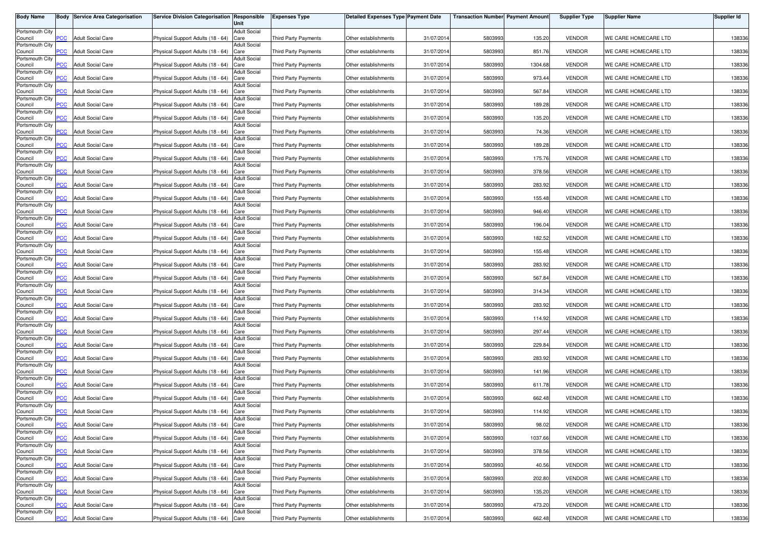| <b>Body Name</b>           |                | <b>Body Service Area Categorisation</b> | Service Division Categorisation Responsible | Unit                        | <b>Expenses Type</b>        | <b>Detailed Expenses Type Payment Date</b> |            | <b>Transaction Number Payment Amount</b> |         | <b>Supplier Type</b> | <b>Supplier Name</b> | Supplier Id |
|----------------------------|----------------|-----------------------------------------|---------------------------------------------|-----------------------------|-----------------------------|--------------------------------------------|------------|------------------------------------------|---------|----------------------|----------------------|-------------|
| Portsmouth City            |                |                                         |                                             | <b>Adult Social</b>         |                             |                                            |            |                                          |         |                      |                      |             |
| Council<br>Portsmouth City | PCC            | <b>Adult Social Care</b>                | Physical Support Adults (18 - 64)           | Care<br><b>Adult Social</b> | Third Party Payments        | Other establishments                       | 31/07/2014 | 5803993                                  | 135.20  | <b>VENDOR</b>        | WE CARE HOMECARE LTD | 138336      |
| Council<br>Portsmouth City | $\overline{C}$ | <b>Adult Social Care</b>                | Physical Support Adults (18 - 64)           | Care<br><b>Adult Social</b> | Third Party Payments        | Other establishments                       | 31/07/2014 | 5803993                                  | 851.76  | <b>VENDOR</b>        | WE CARE HOMECARE LTD | 138336      |
| Council                    | <b>PCC</b>     | <b>Adult Social Care</b>                | Physical Support Adults (18 - 64)           | Care                        | <b>Third Party Payments</b> | Other establishments                       | 31/07/201  | 5803993                                  | 1304.68 | <b>VENDOR</b>        | WE CARE HOMECARE LTD | 138336      |
| Portsmouth City<br>Council | <b>PCC</b>     | <b>Adult Social Care</b>                | Physical Support Adults (18 - 64)           | <b>Adult Social</b><br>Care | Third Party Payments        | Other establishments                       | 31/07/201  | 5803993                                  | 973.44  | <b>VENDOR</b>        | WE CARE HOMECARE LTD | 138336      |
| Portsmouth City<br>Council | <b>PCC</b>     | <b>Adult Social Care</b>                | Physical Support Adults (18 - 64)           | <b>Adult Social</b><br>Care | <b>Third Party Payments</b> | Other establishments                       | 31/07/201  | 5803993                                  | 567.84  | <b>VENDOR</b>        | WE CARE HOMECARE LTD | 138336      |
| Portsmouth City            |                |                                         |                                             | <b>Adult Social</b>         |                             |                                            |            |                                          |         |                      |                      |             |
| Council<br>Portsmouth City | <b>PCC</b>     | <b>Adult Social Care</b>                | Physical Support Adults (18 - 64)           | Care<br><b>Adult Social</b> | Third Party Payments        | Other establishments                       | 31/07/2014 | 5803993                                  | 189.28  | <b>VENDOR</b>        | WE CARE HOMECARE LTD | 138336      |
| Council<br>Portsmouth City | PCC            | <b>Adult Social Care</b>                | Physical Support Adults (18 - 64)           | Care<br><b>Adult Social</b> | Third Party Payments        | Other establishments                       | 31/07/2014 | 5803993                                  | 135.20  | <b>VENDOR</b>        | WE CARE HOMECARE LTD | 138336      |
| Council<br>Portsmouth City | <b>PCC</b>     | <b>Adult Social Care</b>                | Physical Support Adults (18 - 64)           | Care<br><b>Adult Social</b> | <b>Third Party Payments</b> | Other establishments                       | 31/07/2014 | 5803993                                  | 74.36   | <b>VENDOR</b>        | WE CARE HOMECARE LTD | 138336      |
| Council                    | PCC.           | <b>Adult Social Care</b>                | Physical Support Adults (18 - 64)           | Care                        | <b>Third Party Payments</b> | Other establishments                       | 31/07/201  | 5803993                                  | 189.28  | <b>VENDOR</b>        | WE CARE HOMECARE LTD | 138336      |
| Portsmouth City<br>Council | $\overline{C}$ | <b>Adult Social Care</b>                | Physical Support Adults (18 - 64)           | <b>Adult Social</b><br>Care | Third Party Payments        | Other establishments                       | 31/07/2014 | 5803993                                  | 175.76  | <b>VENDOR</b>        | WE CARE HOMECARE LTD | 138336      |
| Portsmouth City<br>Council | PCC            | <b>Adult Social Care</b>                | Physical Support Adults (18 - 64)           | <b>Adult Social</b><br>Care | Third Party Payments        | Other establishments                       | 31/07/201  | 5803993                                  | 378.56  | <b>VENDOR</b>        | WE CARE HOMECARE LTD | 138336      |
| Portsmouth City<br>Council | PCC            | <b>Adult Social Care</b>                | Physical Support Adults (18 - 64)           | Adult Social<br>Care        | Third Party Payments        | Other establishments                       | 31/07/201  | 5803993                                  | 283.92  | <b>VENDOR</b>        | WE CARE HOMECARE LTD | 138336      |
| Portsmouth City            | PСC            | <b>Adult Social Care</b>                |                                             | <b>Adult Social</b>         |                             |                                            |            |                                          |         | <b>VENDOR</b>        | WE CARE HOMECARE LTD |             |
| Council<br>Portsmouth City |                |                                         | Physical Support Adults (18 - 64)           | Care<br><b>Adult Social</b> | Third Party Payments        | Other establishments                       | 31/07/201  | 5803993                                  | 155.48  |                      |                      | 138336      |
| Council<br>Portsmouth City | PCC            | <b>Adult Social Care</b>                | Physical Support Adults (18 - 64)           | Care<br><b>Adult Social</b> | <b>Third Party Payments</b> | Other establishments                       | 31/07/201  | 5803993                                  | 946.40  | <b>VENDOR</b>        | WE CARE HOMECARE LTD | 138336      |
| Council<br>Portsmouth City | PCC            | <b>Adult Social Care</b>                | Physical Support Adults (18 - 64)           | Care<br><b>Adult Social</b> | Third Party Payments        | Other establishments                       | 31/07/2014 | 5803993                                  | 196.04  | <b>VENDOR</b>        | WE CARE HOMECARE LTD | 138336      |
| Council<br>Portsmouth City | PCC.           | <b>Adult Social Care</b>                | Physical Support Adults (18 - 64)           | Care<br><b>Adult Social</b> | <b>Third Party Payments</b> | Other establishments                       | 31/07/2014 | 5803993                                  | 182.52  | <b>VENDOR</b>        | WE CARE HOMECARE LTD | 138336      |
| Council                    | PCC            | <b>Adult Social Care</b>                | Physical Support Adults (18 - 64)           | Care                        | Third Party Payments        | Other establishments                       | 31/07/201  | 5803993                                  | 155.48  | <b>VENDOR</b>        | WE CARE HOMECARE LTD | 138336      |
| Portsmouth City<br>Council | PСC            | <b>Adult Social Care</b>                | Physical Support Adults (18 - 64)           | <b>Adult Social</b><br>Care | <b>Third Party Payments</b> | Other establishments                       | 31/07/2014 | 5803993                                  | 283.92  | <b>VENDOR</b>        | WE CARE HOMECARE LTD | 138336      |
| Portsmouth City<br>Council | PCC            | <b>Adult Social Care</b>                | Physical Support Adults (18 - 64)           | <b>Adult Social</b><br>Care | <b>Third Party Payments</b> | Other establishments                       | 31/07/201  | 5803993                                  | 567.84  | <b>VENDOR</b>        | WE CARE HOMECARE LTD | 138336      |
| Portsmouth City<br>Council | PСC            | <b>Adult Social Care</b>                | Physical Support Adults (18 - 64)           | <b>Adult Social</b><br>Care | <b>Third Party Payments</b> | Other establishments                       | 31/07/201  | 5803993                                  | 314.34  | <b>VENDOR</b>        | WE CARE HOMECARE LTD | 138336      |
| Portsmouth City<br>Council | PСC            | <b>Adult Social Care</b>                | Physical Support Adults (18 - 64)           | Adult Social<br>Care        | <b>Third Party Payments</b> | Other establishments                       | 31/07/201  | 5803993                                  | 283.92  | <b>VENDOR</b>        | WE CARE HOMECARE LTD | 138336      |
| Portsmouth City            |                |                                         |                                             | <b>Adult Social</b>         |                             |                                            |            |                                          |         |                      |                      |             |
| Council<br>Portsmouth City | PСC            | <b>Adult Social Care</b>                | Physical Support Adults (18 - 64)           | Care<br><b>Adult Social</b> | Third Party Payments        | Other establishments                       | 31/07/201  | 5803993                                  | 114.92  | <b>VENDOR</b>        | WE CARE HOMECARE LTD | 138336      |
| Council<br>Portsmouth City | PCC.           | <b>Adult Social Care</b>                | Physical Support Adults (18 - 64)           | Care<br><b>Adult Social</b> | Third Party Payments        | Other establishments                       | 31/07/201  | 5803993                                  | 297.4   | <b>VENDOR</b>        | WE CARE HOMECARE LTD | 138336      |
| Council<br>Portsmouth City | PCC            | <b>Adult Social Care</b>                | Physical Support Adults (18 - 64)           | Care<br><b>Adult Social</b> | Third Party Payments        | Other establishments                       | 31/07/2014 | 5803993                                  | 229.84  | <b>VENDOR</b>        | WE CARE HOMECARE LTD | 138336      |
| Council                    | PCC.           | <b>Adult Social Care</b>                | Physical Support Adults (18 - 64)           | Care                        | <b>Third Party Payments</b> | Other establishments                       | 31/07/2014 | 5803993                                  | 283.92  | <b>VENDOR</b>        | WE CARE HOMECARE LTD | 138336      |
| Portsmouth City<br>Council | $\overline{C}$ | <b>Adult Social Care</b>                | Physical Support Adults (18 - 64)           | <b>Adult Social</b><br>Care | Third Party Payments        | Other establishments                       | 31/07/2014 | 5803993                                  | 141.96  | <b>VENDOR</b>        | WE CARE HOMECARE LTD | 138336      |
| Portsmouth City<br>Council | PСC            | <b>Adult Social Care</b>                | Physical Support Adults (18 - 64)           | <b>Adult Social</b><br>Care | <b>Third Party Payments</b> | Other establishments                       | 31/07/2014 | 5803993                                  | 611.78  | <b>VENDOR</b>        | WE CARE HOMECARE LTD | 138336      |
| Portsmouth City<br>Council | <b>PCC</b>     | <b>Adult Social Care</b>                | Physical Support Adults (18 - 64)           | <b>Adult Social</b><br>Care | Third Party Payments        | Other establishments                       | 31/07/201  | 5803993                                  | 662.48  | <b>VENDOR</b>        | WE CARE HOMECARE LTD | 138336      |
| Portsmouth City            |                |                                         |                                             | <b>Adult Social</b>         |                             |                                            |            |                                          |         |                      |                      |             |
| Council<br>Portsmouth City | PCC            | <b>Adult Social Care</b>                | Physical Support Adults (18 - 64)           | Care<br>Adult Social        | <b>Third Party Payments</b> | Other establishments                       | 31/07/2014 | 5803993                                  | 114.92  | <b>VENDOR</b>        | WE CARE HOMECARE LTD | 138336      |
| Council<br>Portsmouth City | <b>PCC</b>     | <b>Adult Social Care</b>                | Physical Support Adults (18 - 64) Care      | <b>Adult Social</b>         | Third Party Payments        | Other establishments                       | 31/07/2014 | 5803993                                  | 98.02   | <b>VENDOR</b>        | WE CARE HOMECARE LTD | 138336      |
| Council                    | <b>PCC</b>     | <b>Adult Social Care</b>                | Physical Support Adults (18 - 64) Care      |                             | Third Party Payments        | Other establishments                       | 31/07/2014 | 5803993                                  | 1037.66 | <b>VENDOR</b>        | WE CARE HOMECARE LTD | 138336      |
| Portsmouth City<br>Council | <b>PCC</b>     | <b>Adult Social Care</b>                | Physical Support Adults (18 - 64) Care      | <b>Adult Social</b>         | Third Party Payments        | Other establishments                       | 31/07/2014 | 5803993                                  | 378.56  | <b>VENDOR</b>        | WE CARE HOMECARE LTD | 138336      |
| Portsmouth City<br>Council | PCC            | <b>Adult Social Care</b>                | Physical Support Adults (18 - 64) Care      | <b>Adult Social</b>         | Third Party Payments        | Other establishments                       | 31/07/2014 | 5803993                                  | 40.56   | <b>VENDOR</b>        | WE CARE HOMECARE LTD | 138336      |
| Portsmouth City<br>Council | PСC            | <b>Adult Social Care</b>                | Physical Support Adults (18 - 64) Care      | <b>Adult Social</b>         | <b>Third Party Payments</b> | Other establishments                       | 31/07/2014 | 5803993                                  | 202.80  | <b>VENDOR</b>        | WE CARE HOMECARE LTD | 138336      |
| Portsmouth City<br>Council | PCC            | <b>Adult Social Care</b>                | Physical Support Adults (18 - 64) Care      | <b>Adult Social</b>         | Third Party Payments        | Other establishments                       | 31/07/2014 | 5803993                                  | 135.20  | <b>VENDOR</b>        | WE CARE HOMECARE LTD | 138336      |
| Portsmouth City            |                |                                         |                                             | <b>Adult Social</b>         |                             |                                            |            |                                          |         |                      |                      |             |
| Council<br>Portsmouth City | PСC            | <b>Adult Social Care</b>                | Physical Support Adults (18 - 64) Care      | <b>Adult Social</b>         | <b>Third Party Payments</b> | Other establishments                       | 31/07/2014 | 5803993                                  | 473.20  | <b>VENDOR</b>        | WE CARE HOMECARE LTD | 138336      |
| Council                    | <b>PCC</b>     | <b>Adult Social Care</b>                | Physical Support Adults (18 - 64) Care      |                             | Third Party Payments        | Other establishments                       | 31/07/2014 | 5803993                                  | 662.48  | <b>VENDOR</b>        | WE CARE HOMECARE LTD | 138336      |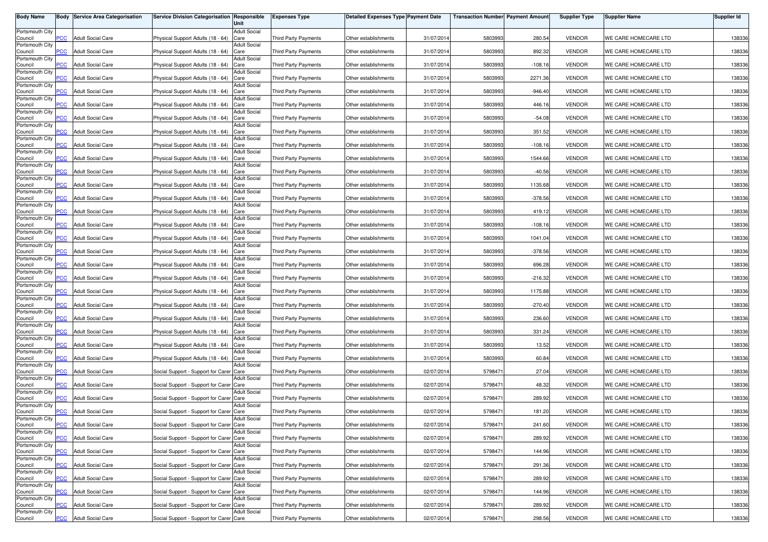| <b>Body Name</b>           |                         | <b>Body Service Area Categorisation</b> | Service Division Categorisation Responsible | Unit                        | <b>Expenses Type</b>        | <b>Detailed Expenses Type Payment Date</b> |            | <b>Transaction Number Payment Amount</b> |           | <b>Supplier Type</b> | <b>Supplier Name</b> | <b>Supplier Id</b> |
|----------------------------|-------------------------|-----------------------------------------|---------------------------------------------|-----------------------------|-----------------------------|--------------------------------------------|------------|------------------------------------------|-----------|----------------------|----------------------|--------------------|
| Portsmouth City            |                         |                                         |                                             | <b>Adult Social</b>         |                             |                                            |            |                                          |           |                      |                      |                    |
| Council                    | PСC                     | <b>Adult Social Care</b>                | Physical Support Adults (18 - 64)           | Care                        | Third Party Payments        | Other establishments                       | 31/07/2014 | 5803993                                  | 280.54    | <b>VENDOR</b>        | WE CARE HOMECARE LTD | 138336             |
| Portsmouth City<br>Council | $\overline{C}$          | <b>Adult Social Care</b>                | Physical Support Adults (18 - 64)           | <b>Adult Social</b><br>Care | <b>Third Party Payments</b> | Other establishments                       | 31/07/2014 | 5803993                                  | 892.32    | <b>VENDOR</b>        | WE CARE HOMECARE LTD | 138336             |
| Portsmouth City            |                         |                                         |                                             | <b>Adult Social</b>         |                             |                                            |            |                                          |           |                      |                      |                    |
| Council<br>Portsmouth City | $\overline{C}$          | <b>Adult Social Care</b>                | Physical Support Adults (18 - 64)           | Care<br><b>Adult Social</b> | <b>Third Party Payments</b> | Other establishments                       | 31/07/2014 | 5803993                                  | $-108.16$ | <b>VENDOR</b>        | WE CARE HOMECARE LTD | 138336             |
| Council                    | PСC                     | <b>Adult Social Care</b>                | Physical Support Adults (18 - 64)           | Care                        | <b>Third Party Payments</b> | Other establishments                       | 31/07/2014 | 5803993                                  | 2271.36   | <b>VENDOR</b>        | WE CARE HOMECARE LTD | 138336             |
| Portsmouth City<br>Council | <b>PCC</b>              | <b>Adult Social Care</b>                | Physical Support Adults (18 - 64)           | <b>Adult Social</b><br>Care | <b>Third Party Payments</b> | Other establishments                       | 31/07/2014 | 5803993                                  | $-946.40$ | <b>VENDOR</b>        | WE CARE HOMECARE LTD | 138336             |
| Portsmouth City            |                         |                                         |                                             | <b>Adult Social</b>         |                             |                                            |            |                                          |           |                      |                      |                    |
| Council<br>Portsmouth City | PСC                     | <b>Adult Social Care</b>                | Physical Support Adults (18 - 64)           | Care<br><b>Adult Social</b> | <b>Third Party Payments</b> | Other establishments                       | 31/07/2014 | 5803993                                  | 446.16    | <b>VENDOR</b>        | WE CARE HOMECARE LTD | 138336             |
| Council                    | $\overline{\text{PCC}}$ | <b>Adult Social Care</b>                | Physical Support Adults (18 - 64)           | Care                        | Third Party Payments        | Other establishments                       | 31/07/2014 | 5803993                                  | $-54.08$  | <b>VENDOR</b>        | WE CARE HOMECARE LTD | 138336             |
| Portsmouth City<br>Council | PCC.                    | <b>Adult Social Care</b>                | Physical Support Adults (18 - 64)           | <b>Adult Social</b><br>Care | <b>Third Party Payments</b> | Other establishments                       | 31/07/2014 | 5803993                                  | 351.52    | <b>VENDOR</b>        | WE CARE HOMECARE LTD | 138336             |
| Portsmouth City            |                         |                                         |                                             | <b>Adult Social</b>         |                             |                                            |            |                                          |           |                      |                      |                    |
| Council<br>Portsmouth City | сc                      | <b>Adult Social Care</b>                | Physical Support Adults (18 - 64)           | Care<br><b>Adult Social</b> | Third Party Payments        | Other establishments                       | 31/07/2014 | 5803993                                  | $-108.16$ | <b>VENDOR</b>        | WE CARE HOMECARE LTD | 138336             |
| Council                    | $\overline{C}$          | <b>Adult Social Care</b>                | Physical Support Adults (18 - 64)           | Care                        | Third Party Payments        | Other establishments                       | 31/07/2014 | 5803993                                  | 1544.66   | <b>VENDOR</b>        | WE CARE HOMECARE LTD | 138336             |
| Portsmouth City<br>Council | PCC                     | <b>Adult Social Care</b>                | Physical Support Adults (18 - 64)           | <b>Adult Social</b><br>Care | <b>Third Party Payments</b> | Other establishments                       | 31/07/2014 | 5803993                                  | $-40.56$  | <b>VENDOR</b>        | WE CARE HOMECARE LTD | 138336             |
| Portsmouth City            |                         |                                         |                                             | Adult Social                |                             |                                            |            |                                          |           |                      |                      |                    |
| Council<br>Portsmouth City | PCC                     | <b>Adult Social Care</b>                | Physical Support Adults (18 - 64)           | Care<br>Adult Social        | Third Party Payments        | Other establishments                       | 31/07/2014 | 5803993                                  | 1135.68   | <b>VENDOR</b>        | WE CARE HOMECARE LTD | 138336             |
| Council                    | PСC                     | <b>Adult Social Care</b>                | Physical Support Adults (18 - 64)           | Care                        | <b>Third Party Payments</b> | Other establishments                       | 31/07/2014 | 5803993                                  | $-378.56$ | <b>VENDOR</b>        | WE CARE HOMECARE LTD | 138336             |
| Portsmouth City<br>Council | PCC                     | <b>Adult Social Care</b>                | Physical Support Adults (18 - 64)           | <b>Adult Social</b><br>Care | <b>Third Party Payments</b> | Other establishments                       | 31/07/2014 | 580399                                   | 419.12    | <b>VENDOR</b>        | WE CARE HOMECARE LTD | 138336             |
| Portsmouth City            |                         |                                         |                                             | <b>Adult Social</b>         |                             |                                            |            |                                          |           |                      |                      |                    |
| Council<br>Portsmouth City | PCC                     | <b>Adult Social Care</b>                | Physical Support Adults (18 - 64)           | Care<br><b>Adult Social</b> | <b>Third Party Payments</b> | Other establishments                       | 31/07/2014 | 5803993                                  | $-108.16$ | <b>VENDOR</b>        | WE CARE HOMECARE LTD | 138336             |
| Council<br>Portsmouth City | PCC.                    | <b>Adult Social Care</b>                | Physical Support Adults (18 - 64)           | Care                        | <b>Third Party Payments</b> | Other establishments                       | 31/07/2014 | 5803993                                  | 1041.04   | <b>VENDOR</b>        | WE CARE HOMECARE LTD | 138336             |
| Council                    | PCC                     | <b>Adult Social Care</b>                | Physical Support Adults (18 - 64)           | <b>Adult Social</b><br>Care | Third Party Payments        | Other establishments                       | 31/07/2014 | 5803993                                  | $-378.56$ | <b>VENDOR</b>        | WE CARE HOMECARE LTD | 138336             |
| Portsmouth City<br>Council | PСC                     | <b>Adult Social Care</b>                | Physical Support Adults (18 - 64)           | <b>Adult Social</b><br>Care | Third Party Payments        | Other establishments                       | 31/07/2014 | 5803993                                  | 696.28    | <b>VENDOR</b>        | WE CARE HOMECARE LTD | 138336             |
| Portsmouth City            |                         |                                         |                                             | <b>Adult Social</b>         |                             |                                            |            |                                          |           |                      |                      |                    |
| Council<br>Portsmouth City | PCC                     | <b>Adult Social Care</b>                | Physical Support Adults (18 - 64)           | Care<br><b>Adult Social</b> | <b>Third Party Payments</b> | Other establishments                       | 31/07/2014 | 5803993                                  | $-216.32$ | <b>VENDOR</b>        | WE CARE HOMECARE LTD | 138336             |
| Council                    | PСC                     | <b>Adult Social Care</b>                | Physical Support Adults (18 - 64)           | Care                        | <b>Third Party Payments</b> | Other establishments                       | 31/07/2014 | 5803993                                  | 1175.88   | <b>VENDOR</b>        | WE CARE HOMECARE LTD | 138336             |
| Portsmouth City<br>Council | PСC                     | <b>Adult Social Care</b>                | Physical Support Adults (18 - 64)           | Adult Social<br>Care        | <b>Third Party Payments</b> | Other establishments                       | 31/07/201  | 5803993                                  | $-270.40$ | <b>VENDOR</b>        | WE CARE HOMECARE LTD | 138336             |
| Portsmouth City            |                         |                                         |                                             | <b>Adult Social</b>         |                             |                                            |            |                                          |           |                      |                      |                    |
| Council<br>Portsmouth City | PСC                     | <b>Adult Social Care</b>                | Physical Support Adults (18 - 64)           | Care<br><b>Adult Social</b> | <b>Third Party Payments</b> | Other establishments                       | 31/07/2014 | 5803993                                  | 236.60    | <b>VENDOR</b>        | WE CARE HOMECARE LTD | 138336             |
| Council                    | PСC                     | <b>Adult Social Care</b>                | Physical Support Adults (18 - 64)           | Care                        | <b>Third Party Payments</b> | Other establishments                       | 31/07/2014 | 580399                                   | 331.24    | <b>VENDOR</b>        | WE CARE HOMECARE LTD | 138336             |
| Portsmouth City<br>Council | <b>PCC</b>              | <b>Adult Social Care</b>                | Physical Support Adults (18 - 64)           | <b>Adult Social</b><br>Care | <b>Third Party Payments</b> | Other establishments                       | 31/07/2014 | 5803993                                  | 13.52     | <b>VENDOR</b>        | WE CARE HOMECARE LTD | 138336             |
| Portsmouth City            |                         |                                         |                                             | <b>Adult Social</b>         |                             |                                            |            |                                          |           |                      |                      |                    |
| Council<br>Portsmouth City | PCC.                    | <b>Adult Social Care</b>                | Physical Support Adults (18 - 64)           | Care<br><b>Adult Social</b> | Third Party Payments        | Other establishments                       | 31/07/2014 | 5803993                                  | 60.84     | <b>VENDOR</b>        | WE CARE HOMECARE LTD | 138336             |
| Council                    | $\overline{C}$          | <b>Adult Social Care</b>                | Social Support - Support for Carer Care     |                             | Third Party Payments        | Other establishments                       | 02/07/2014 | 5798471                                  | 27.04     | <b>VENDOR</b>        | WE CARE HOMECARE LTD | 138336             |
| Portsmouth City<br>Council | сC                      | <b>Adult Social Care</b>                | Social Support - Support for Carer Care     | <b>Adult Social</b>         | Third Party Payments        | Other establishments                       | 02/07/2014 | 5798471                                  | 48.32     | <b>VENDOR</b>        | WE CARE HOMECARE LTD | 138336             |
| Portsmouth City            |                         |                                         |                                             | <b>Adult Social</b>         |                             |                                            |            |                                          |           |                      |                      |                    |
| Council<br>Portsmouth City | <b>PCC</b>              | <b>Adult Social Care</b>                | Social Support - Support for Carer Care     | <b>Adult Social</b>         | <b>Third Party Payments</b> | Other establishments                       | 02/07/2014 | 579847                                   | 289.92    | <b>VENDOR</b>        | WE CARE HOMECARE LTD | 138336             |
| Council                    | <b>PCC</b>              | <b>Adult Social Care</b>                | Social Support - Support for Carer Care     |                             | <b>Third Party Payments</b> | Other establishments                       | 02/07/2014 | 5798471                                  | 181.20    | <b>VENDOR</b>        | WE CARE HOMECARE LTD | 138336             |
| Portsmouth City<br>Council | <b>PCC</b>              | <b>Adult Social Care</b>                | Social Support - Support for Carer Care     | Adult Social                | Third Party Payments        | Other establishments                       | 02/07/2014 | 5798471                                  | 241.60    | <b>VENDOR</b>        | WE CARE HOMECARE LTD | 138336             |
| Portsmouth City            |                         |                                         |                                             | <b>Adult Social</b>         |                             |                                            |            |                                          |           |                      |                      |                    |
| Council<br>Portsmouth City | <b>PCC</b>              | <b>Adult Social Care</b>                | Social Support - Support for Carer Care     | <b>Adult Social</b>         | Third Party Payments        | Other establishments                       | 02/07/2014 | 5798471                                  | 289.92    | <b>VENDOR</b>        | WE CARE HOMECARE LTD | 138336             |
| Council                    | <b>PCC</b>              | <b>Adult Social Care</b>                | Social Support - Support for Carer Care     |                             | Third Party Payments        | Other establishments                       | 02/07/2014 | 5798471                                  | 144.96    | <b>VENDOR</b>        | WE CARE HOMECARE LTD | 138336             |
| Portsmouth City<br>Council | PCC                     | <b>Adult Social Care</b>                | Social Support - Support for Carer Care     | <b>Adult Social</b>         | Third Party Payments        | Other establishments                       | 02/07/2014 | 5798471                                  | 291.36    | <b>VENDOR</b>        | WE CARE HOMECARE LTD | 138336             |
| Portsmouth City            | PСC                     | <b>Adult Social Care</b>                | Social Support - Support for Carer Care     | <b>Adult Social</b>         | Third Party Payments        | Other establishments                       | 02/07/2014 | 5798471                                  | 289.92    | <b>VENDOR</b>        | WE CARE HOMECARE LTD | 138336             |
| Council<br>Portsmouth City |                         |                                         |                                             | <b>Adult Social</b>         |                             |                                            |            |                                          |           |                      |                      |                    |
| Council<br>Portsmouth City | PCC                     | <b>Adult Social Care</b>                | Social Support - Support for Carer Care     | <b>Adult Social</b>         | Third Party Payments        | Other establishments                       | 02/07/2014 | 5798471                                  | 144.96    | <b>VENDOR</b>        | WE CARE HOMECARE LTD | 138336             |
| Council                    | PСC                     | <b>Adult Social Care</b>                | Social Support - Support for Carer Care     |                             | <b>Third Party Payments</b> | Other establishments                       | 02/07/2014 | 5798471                                  | 289.92    | <b>VENDOR</b>        | WE CARE HOMECARE LTD | 138336             |
| Portsmouth City<br>Council | <b>PCC</b>              | <b>Adult Social Care</b>                | Social Support - Support for Carer Care     | <b>Adult Social</b>         | <b>Third Party Payments</b> | Other establishments                       | 02/07/2014 | 5798471                                  | 298.56    | <b>VENDOR</b>        | WE CARE HOMECARE LTD | 138336             |
|                            |                         |                                         |                                             |                             |                             |                                            |            |                                          |           |                      |                      |                    |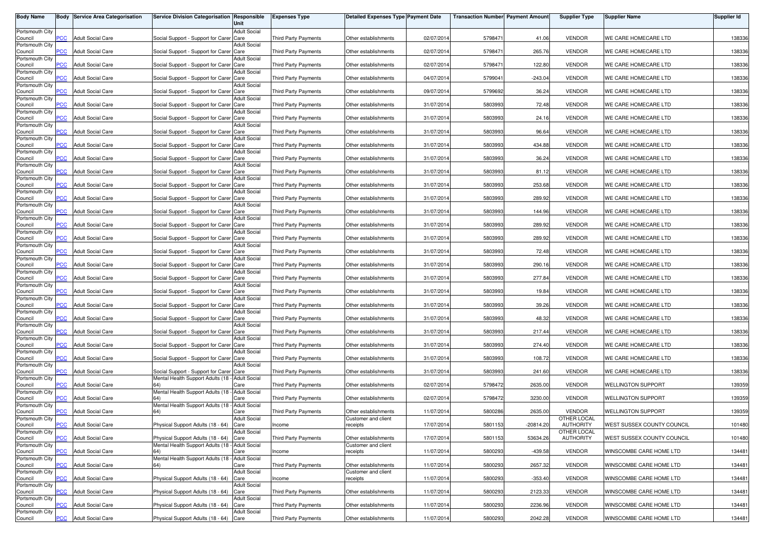| <b>Body Name</b>           |                | <b>Body Service Area Categorisation</b> | Service Division Categorisation Responsible                                               | Unit                        | <b>Expenses Type</b>        | <b>Detailed Expenses Type Payment Date</b>  |            | <b>Transaction Number Payment Amount</b> |           | <b>Supplier Type</b>            | <b>Supplier Name</b>       | <b>Supplier Id</b> |
|----------------------------|----------------|-----------------------------------------|-------------------------------------------------------------------------------------------|-----------------------------|-----------------------------|---------------------------------------------|------------|------------------------------------------|-----------|---------------------------------|----------------------------|--------------------|
| Portsmouth City            |                |                                         |                                                                                           | <b>Adult Social</b>         |                             |                                             |            |                                          |           |                                 |                            |                    |
| Council                    | PCC            | <b>Adult Social Care</b>                | Social Support - Support for Carer Care                                                   |                             | Third Party Payments        | Other establishments                        | 02/07/2014 | 5798471                                  | 41.06     | <b>VENDOR</b>                   | WE CARE HOMECARE LTD       | 138336             |
| Portsmouth City<br>Council | $\overline{C}$ | <b>Adult Social Care</b>                | Social Support - Support for Carer Care                                                   | <b>Adult Social</b>         | <b>Third Party Payments</b> | Other establishments                        | 02/07/2014 | 5798471                                  | 265.76    | <b>VENDOR</b>                   | WE CARE HOMECARE LTD       | 138336             |
| Portsmouth City            |                |                                         |                                                                                           | <b>Adult Social</b>         |                             |                                             |            |                                          |           |                                 |                            |                    |
| Council<br>Portsmouth City | $\overline{C}$ | <b>Adult Social Care</b>                | Social Support - Support for Carer Care                                                   | <b>Adult Social</b>         | <b>Third Party Payments</b> | Other establishments                        | 02/07/2014 | 579847                                   | 122.80    | <b>VENDOR</b>                   | WE CARE HOMECARE LTD       | 138336             |
| Council                    | PСC            | <b>Adult Social Care</b>                | Social Support - Support for Carer Care                                                   |                             | Third Party Payments        | Other establishments                        | 04/07/2014 | 5799041                                  | $-243.04$ | <b>VENDOR</b>                   | WE CARE HOMECARE LTD       | 138336             |
| Portsmouth City            |                |                                         |                                                                                           | <b>Adult Social</b>         |                             |                                             |            |                                          |           |                                 |                            |                    |
| Council<br>Portsmouth City | PСC            | <b>Adult Social Care</b>                | Social Support - Support for Carer Care                                                   | <b>Adult Social</b>         | <b>Third Party Payments</b> | Other establishments                        | 09/07/2014 | 5799692                                  | 36.24     | <b>VENDOR</b>                   | WE CARE HOMECARE LTD       | 138336             |
| Council                    | PСC            | <b>Adult Social Care</b>                | Social Support - Support for Carer Care                                                   |                             | Third Party Payments        | Other establishments                        | 31/07/2014 | 5803993                                  | 72.48     | <b>VENDOR</b>                   | WE CARE HOMECARE LTD       | 138336             |
| Portsmouth City<br>Council | PCC⊹           | <b>Adult Social Care</b>                | Social Support - Support for Carer Care                                                   | <b>Adult Social</b>         | <b>Third Party Payments</b> | Other establishments                        | 31/07/2014 | 5803993                                  | 24.16     | <b>VENDOR</b>                   | WE CARE HOMECARE LTD       | 138336             |
| Portsmouth City            |                |                                         |                                                                                           | <b>Adult Social</b>         |                             |                                             |            |                                          |           |                                 |                            |                    |
| Council                    | PCC.           | <b>Adult Social Care</b>                | Social Support - Support for Carer Care                                                   |                             | <b>Third Party Payments</b> | Other establishments                        | 31/07/2014 | 5803993                                  | 96.64     | <b>VENDOR</b>                   | WE CARE HOMECARE LTD       | 138336             |
| Portsmouth City<br>Council | сc             | <b>Adult Social Care</b>                | Social Support - Support for Carer Care                                                   | <b>Adult Social</b>         | Third Party Payments        | Other establishments                        | 31/07/2014 | 5803993                                  | 434.88    | <b>VENDOR</b>                   | WE CARE HOMECARE LTD       | 138336             |
| Portsmouth City            |                |                                         |                                                                                           | <b>Adult Social</b>         |                             |                                             |            |                                          |           |                                 |                            |                    |
| Council<br>Portsmouth City | $\overline{C}$ | <b>Adult Social Care</b>                | Social Support - Support for Carer Care                                                   | <b>Adult Social</b>         | Third Party Payments        | Other establishments                        | 31/07/2014 | 5803993                                  | 36.24     | <b>VENDOR</b>                   | WE CARE HOMECARE LTD       | 138336             |
| Council                    | PCC            | <b>Adult Social Care</b>                | Social Support - Support for Carer Care                                                   |                             | <b>Third Party Payments</b> | Other establishments                        | 31/07/2014 | 5803993                                  | 81.12     | <b>VENDOR</b>                   | WE CARE HOMECARE LTD       | 138336             |
| Portsmouth City<br>Council | PCC            | <b>Adult Social Care</b>                | Social Support - Support for Carer Care                                                   | Adult Social                | <b>Third Party Payments</b> | Other establishments                        | 31/07/2014 | 5803993                                  | 253.68    | <b>VENDOR</b>                   | WE CARE HOMECARE LTD       | 138336             |
| Portsmouth City            |                |                                         |                                                                                           | <b>Adult Social</b>         |                             |                                             |            |                                          |           |                                 |                            |                    |
| Council                    | PСC            | <b>Adult Social Care</b>                | Social Support - Support for Carer Care                                                   |                             | Third Party Payments        | Other establishments                        | 31/07/2014 | 5803993                                  | 289.92    | <b>VENDOR</b>                   | WE CARE HOMECARE LTD       | 138336             |
| Portsmouth City<br>Council | PCC            | <b>Adult Social Care</b>                | Social Support - Support for Carer Care                                                   | <b>Adult Social</b>         | <b>Third Party Payments</b> | Other establishments                        | 31/07/2014 | 5803993                                  | 144.96    | <b>VENDOR</b>                   | WE CARE HOMECARE LTD       | 138336             |
| Portsmouth City            |                |                                         |                                                                                           | <b>Adult Social</b>         |                             |                                             |            |                                          |           |                                 |                            |                    |
| Council<br>Portsmouth City | PCC            | <b>Adult Social Care</b>                | Social Support - Support for Carer Care                                                   | <b>Adult Social</b>         | <b>Third Party Payments</b> | Other establishments                        | 31/07/2014 | 5803993                                  | 289.92    | <b>VENDOR</b>                   | WE CARE HOMECARE LTD       | 138336             |
| Council                    | <b>PCC</b>     | <b>Adult Social Care</b>                | Social Support - Support for Carer Care                                                   |                             | Third Party Payments        | Other establishments                        | 31/07/2014 | 5803993                                  | 289.92    | <b>VENDOR</b>                   | WE CARE HOMECARE LTD       | 138336             |
| Portsmouth City<br>Council | PCC            | <b>Adult Social Care</b>                | Social Support - Support for Carer Care                                                   | <b>Adult Social</b>         | <b>Third Party Payments</b> | Other establishments                        | 31/07/2014 | 5803993                                  | 72.48     | <b>VENDOR</b>                   | WE CARE HOMECARE LTD       | 138336             |
| Portsmouth City            |                |                                         |                                                                                           | <b>Adult Social</b>         |                             |                                             |            |                                          |           |                                 |                            |                    |
| Council<br>Portsmouth City | PСC            | <b>Adult Social Care</b>                | Social Support - Support for Carer Care                                                   | <b>Adult Social</b>         | Third Party Payments        | Other establishments                        | 31/07/2014 | 5803993                                  | 290.16    | <b>VENDOR</b>                   | WE CARE HOMECARE LTD       | 138336             |
| Council                    | PCC            | <b>Adult Social Care</b>                | Social Support - Support for Carer Care                                                   |                             | <b>Third Party Payments</b> | Other establishments                        | 31/07/2014 | 5803993                                  | 277.84    | <b>VENDOR</b>                   | WE CARE HOMECARE LTD       | 138336             |
| Portsmouth City            | PСC            | <b>Adult Social Care</b>                | Social Support - Support for Carer Care                                                   | <b>Adult Social</b>         | <b>Third Party Payments</b> | Other establishments                        | 31/07/2014 | 5803993                                  | 19.84     | <b>VENDOR</b>                   | WE CARE HOMECARE LTD       | 138336             |
| Council<br>Portsmouth City |                |                                         |                                                                                           | Adult Social                |                             |                                             |            |                                          |           |                                 |                            |                    |
| Council                    | PСC            | <b>Adult Social Care</b>                | Social Support - Support for Carer Care                                                   |                             | <b>Third Party Payments</b> | Other establishments                        | 31/07/201  | 5803993                                  | 39.26     | <b>VENDOR</b>                   | WE CARE HOMECARE LTD       | 138336             |
| Portsmouth City<br>Council | PСC            | <b>Adult Social Care</b>                | Social Support - Support for Carer Care                                                   | <b>Adult Social</b>         | Third Party Payments        | Other establishments                        | 31/07/2014 | 5803993                                  | 48.32     | <b>VENDOR</b>                   | WE CARE HOMECARE LTD       | 138336             |
| Portsmouth City            |                |                                         |                                                                                           | <b>Adult Social</b>         |                             |                                             |            |                                          |           |                                 |                            |                    |
| Council<br>Portsmouth City | PСC            | <b>Adult Social Care</b>                | Social Support - Support for Carer Care                                                   | <b>Adult Social</b>         | <b>Third Party Payments</b> | Other establishments                        | 31/07/2014 | 580399                                   | 217.44    | <b>VENDOR</b>                   | WE CARE HOMECARE LTD       | 138336             |
| Council                    | <b>PCC</b>     | <b>Adult Social Care</b>                | Social Support - Support for Carer Care                                                   |                             | <b>Third Party Payments</b> | Other establishments                        | 31/07/2014 | 5803993                                  | 274.40    | <b>VENDOR</b>                   | WE CARE HOMECARE LTD       | 138336             |
| Portsmouth City<br>Council | PCC.           | <b>Adult Social Care</b>                | Social Support - Support for Carer Care                                                   | <b>Adult Social</b>         | Third Party Payments        | Other establishments                        | 31/07/2014 | 5803993                                  | 108.72    | <b>VENDOR</b>                   | WE CARE HOMECARE LTD       | 138336             |
| Portsmouth City            |                |                                         |                                                                                           | <b>Adult Social</b>         |                             |                                             |            |                                          |           |                                 |                            |                    |
| Council                    | $\overline{C}$ | <b>Adult Social Care</b>                | Social Support - Support for Carer Care                                                   |                             | Third Party Payments        | Other establishments                        | 31/07/2014 | 5803993                                  | 241.60    | <b>VENDOR</b>                   | WE CARE HOMECARE LTD       | 138336             |
| Portsmouth City<br>Council | PСC            | <b>Adult Social Care</b>                | Mental Health Support Adults (18 - Adult Social                                           | Care                        | Third Party Payments        | Other establishments                        | 02/07/2014 | 5798472                                  | 2635.00   | <b>VENDOR</b>                   | <b>WELLINGTON SUPPORT</b>  | 139359             |
| Portsmouth City            |                |                                         | Mental Health Support Adults (18 - Adult Social                                           |                             |                             |                                             |            |                                          |           |                                 |                            |                    |
| Council<br>Portsmouth City | <b>PCC</b>     | <b>Adult Social Care</b>                | Mental Health Support Adults (18 -                                                        | Care<br><b>Adult Social</b> | Third Party Payments        | Other establishments                        | 02/07/2014 | 5798472                                  | 3230.00   | <b>VENDOR</b>                   | WELLINGTON SUPPORT         | 139359             |
| Council                    | <b>PCC</b>     | <b>Adult Social Care</b>                |                                                                                           | Care                        | <b>Third Party Payments</b> | Other establishments                        | 11/07/2014 | 5800286                                  | 2635.00   | <b>VENDOR</b>                   | <b>WELLINGTON SUPPORT</b>  | 139359             |
| Portsmouth City<br>Council | <b>PCC</b>     | <b>Adult Social Care</b>                | Physical Support Adults (18 - 64) Care                                                    | <b>Adult Social</b>         | Income                      | Customer and client<br>receipts             | 17/07/2014 | 5801153                                  | -20814.20 | OTHER LOCAL<br><b>AUTHORITY</b> | WEST SUSSEX COUNTY COUNCIL | 101480             |
| Portsmouth City            |                |                                         |                                                                                           | <b>Adult Social</b>         |                             |                                             |            |                                          |           | OTHER LOCAL                     |                            |                    |
| Council                    | <b>PCC</b>     | <b>Adult Social Care</b>                | Physical Support Adults (18 - 64) Care<br>Mental Health Support Adults (18 - Adult Social |                             | Third Party Payments        | Other establishments                        | 17/07/2014 | 5801153                                  | 53634.26  | AUTHORITY                       | WEST SUSSEX COUNTY COUNCIL | 101480             |
| Portsmouth City<br>Council | <b>PCC</b>     | <b>Adult Social Care</b>                | 64)                                                                                       | Care                        | Income                      | Customer and client<br>receipts             | 11/07/2014 | 5800293                                  | $-439.58$ | <b>VENDOR</b>                   | WINSCOMBE CARE HOME LTD    | 134481             |
| Portsmouth City            |                |                                         | Mental Health Support Adults (18 - Adult Social                                           |                             |                             |                                             |            |                                          |           |                                 |                            |                    |
| Council<br>Portsmouth City | PCC            | <b>Adult Social Care</b>                | 64)                                                                                       | Care<br><b>Adult Social</b> | Third Party Payments        | Other establishments<br>Customer and client | 11/07/2014 | 5800293                                  | 2657.32   | <b>VENDOR</b>                   | WINSCOMBE CARE HOME LTD    | 134481             |
| Council                    | PСC            | <b>Adult Social Care</b>                | Physical Support Adults (18 - 64)                                                         | Care                        | Income                      | receipts                                    | 11/07/2014 | 5800293                                  | $-353.40$ | <b>VENDOR</b>                   | WINSCOMBE CARE HOME LTD    | 134481             |
| Portsmouth City<br>Council | PCC            | <b>Adult Social Care</b>                | Physical Support Adults (18 - 64) Care                                                    | <b>Adult Social</b>         | <b>Third Party Payments</b> | Other establishments                        | 11/07/2014 | 5800293                                  | 2123.33   | <b>VENDOR</b>                   | WINSCOMBE CARE HOME LTD    | 134481             |
| Portsmouth City            |                |                                         |                                                                                           | <b>Adult Social</b>         |                             |                                             |            |                                          |           |                                 |                            |                    |
| Council<br>Portsmouth City | <b>PCC</b>     | <b>Adult Social Care</b>                | Physical Support Adults (18 - 64)                                                         | Care<br><b>Adult Social</b> | <b>Third Party Payments</b> | Other establishments                        | 11/07/2014 | 5800293                                  | 2236.96   | <b>VENDOR</b>                   | WINSCOMBE CARE HOME LTD    | 134481             |
| Council                    | <b>PCC</b>     | <b>Adult Social Care</b>                | Physical Support Adults (18 - 64) Care                                                    |                             | Third Party Payments        | Other establishments                        | 11/07/2014 | 5800293                                  | 2042.28   | <b>VENDOR</b>                   | WINSCOMBE CARE HOME LTD    | 134481             |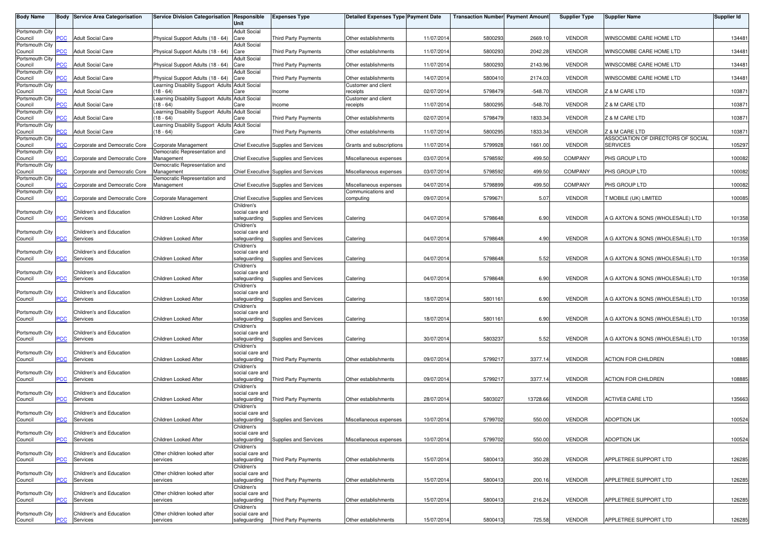| <b>Body Name</b>           |                | <b>Body Service Area Categorisation</b> | Service Division Categorisation Responsible                    | Unit                            | <b>Expenses Type</b>                         | <b>Detailed Expenses Type Payment Date</b> |            | <b>Transaction Number Payment Amount</b> |           | <b>Supplier Type</b> | <b>Supplier Name</b>                                 | <b>Supplier Id</b> |
|----------------------------|----------------|-----------------------------------------|----------------------------------------------------------------|---------------------------------|----------------------------------------------|--------------------------------------------|------------|------------------------------------------|-----------|----------------------|------------------------------------------------------|--------------------|
| Portsmouth City            |                |                                         |                                                                | <b>Adult Social</b>             |                                              |                                            |            |                                          |           |                      |                                                      |                    |
| Council                    | <b>PCC</b>     | <b>Adult Social Care</b>                | Physical Support Adults (18 - 64)                              | Care                            | <b>Third Party Payments</b>                  | Other establishments                       | 11/07/2014 | 5800293                                  | 2669.10   | <b>VENDOR</b>        | WINSCOMBE CARE HOME LTD                              | 134481             |
| Portsmouth City<br>Council | <b>PCC</b>     | <b>Adult Social Care</b>                | Physical Support Adults (18 - 64) Care                         | <b>Adult Social</b>             | Third Party Payments                         | Other establishments                       | 11/07/2014 | 5800293                                  | 2042.28   | <b>VENDOR</b>        | WINSCOMBE CARE HOME LTD                              | 134481             |
| Portsmouth City            |                |                                         |                                                                | <b>Adult Social</b>             |                                              |                                            |            |                                          |           |                      |                                                      |                    |
| Council<br>Portsmouth City | $\overline{C}$ | <b>Adult Social Care</b>                | Physical Support Adults (18 - 64)                              | Care<br><b>Adult Social</b>     | <b>Third Party Payments</b>                  | Other establishments                       | 11/07/2014 | 5800293                                  | 2143.96   | <b>VENDOR</b>        | WINSCOMBE CARE HOME LTD                              | 134481             |
| Council                    | сC             | <b>Adult Social Care</b>                | Physical Support Adults (18 - 64)                              | Care                            | <b>Third Party Payments</b>                  | Other establishments                       | 14/07/2014 | 5800410                                  | 2174.03   | <b>VENDOR</b>        | WINSCOMBE CARE HOME LTD                              | 134481             |
| Portsmouth City            |                |                                         | Learning Disability Support Adults Adult Social                |                                 |                                              | Customer and client                        |            |                                          |           |                      |                                                      |                    |
| Council<br>Portsmouth City | $\overline{C}$ | <b>Adult Social Care</b>                | $(18 - 64)$<br>Learning Disability Support Adults Adult Social | Care                            | Income                                       | receipts<br>Customer and client            | 02/07/2014 | 5798479                                  | $-548.70$ | <b>VENDOR</b>        | Z & M CARE LTD                                       | 103871             |
| Council                    | <b>PCC</b>     | <b>Adult Social Care</b>                | (18 - 64)                                                      | Care                            | Income                                       | receipts                                   | 11/07/2014 | 5800295                                  | $-548.70$ | <b>VENDOR</b>        | Z & M CARE LTD                                       | 103871             |
| Portsmouth City<br>Council | $\overline{C}$ | <b>Adult Social Care</b>                | Learning Disability Support Adults Adult Social<br>(18 - 64)   | Care                            | <b>Third Party Payments</b>                  | Other establishments                       | 02/07/2014 | 5798479                                  | 1833.34   | <b>VENDOR</b>        | Z & M CARE LTD                                       | 103871             |
| Portsmouth City            |                |                                         | Learning Disability Support Adults Adult Social                |                                 |                                              |                                            |            |                                          |           |                      |                                                      |                    |
| Council<br>Portsmouth City | PСC            | <b>Adult Social Care</b>                | (18 - 64)                                                      | Care                            | Third Party Payments                         | Other establishments                       | 11/07/2014 | 5800295                                  | 1833.34   | <b>VENDOR</b>        | Z & M CARE LTD<br>ASSOCIATION OF DIRECTORS OF SOCIAL | 103871             |
| Council                    | сc             | Corporate and Democratic Core           | Corporate Management                                           |                                 | Chief Executive Supplies and Services        | Grants and subscriptions                   | 11/07/2014 | 5799928                                  | 1661.00   | <b>VENDOR</b>        | <b>SERVICES</b>                                      | 105297             |
| Portsmouth City            |                |                                         | Democratic Representation and                                  |                                 |                                              |                                            |            |                                          |           |                      |                                                      |                    |
| Council<br>Portsmouth City | $\overline{C}$ | Corporate and Democratic Core           | Management<br>Democratic Representation and                    |                                 | Chief Executive Supplies and Services        | Miscellaneous expenses                     | 03/07/2014 | 5798592                                  | 499.50    | <b>COMPANY</b>       | PHS GROUP LTD                                        | 100082             |
| Council                    | PCC            | Corporate and Democratic Core           | Management                                                     |                                 | <b>Chief Executive Supplies and Services</b> | Miscellaneous expenses                     | 03/07/2014 | 5798592                                  | 499.50    | COMPANY              | PHS GROUP LTD                                        | 100082             |
| Portsmouth City<br>Council | PCC            | Corporate and Democratic Core           | Democratic Representation and<br>Management                    |                                 | <b>Chief Executive Supplies and Services</b> | Miscellaneous expenses                     | 04/07/2014 | 5798899                                  | 499.50    | <b>COMPANY</b>       | PHS GROUP LTD                                        | 100082             |
| Portsmouth City            |                |                                         |                                                                |                                 |                                              | Communications and                         |            |                                          |           |                      |                                                      |                    |
| Council                    | PСC            | Corporate and Democratic Core           | Corporate Management                                           | Children's                      | Chief Executive Supplies and Services        | computing                                  | 09/07/2014 | 579967                                   | 5.07      | <b>VENDOR</b>        | T MOBILE (UK) LIMITED                                | 100085             |
| Portsmouth City            |                | Children's and Education                |                                                                | social care and                 |                                              |                                            |            |                                          |           |                      |                                                      |                    |
| Council                    | PCC            | Services                                | Children Looked After                                          | safeguarding                    | Supplies and Services                        | Catering                                   | 04/07/2014 | 5798648                                  | 6.90      | <b>VENDOR</b>        | A G AXTON & SONS (WHOLESALE) LTD                     | 101358             |
| Portsmouth City            |                | Children's and Education                |                                                                | Children's<br>social care and   |                                              |                                            |            |                                          |           |                      |                                                      |                    |
| Council                    | <u>PCC</u>     | Services                                | Children Looked After                                          | safeguarding                    | Supplies and Services                        | Catering                                   | 04/07/201  | 5798648                                  | 4.90      | <b>VENDOR</b>        | A G AXTON & SONS (WHOLESALE) LTD                     | 101358             |
| Portsmouth City            |                | Children's and Education                |                                                                | Children's<br>social care and   |                                              |                                            |            |                                          |           |                      |                                                      |                    |
| Council                    | PСC            | Services                                | Children Looked After                                          | safeguarding                    | Supplies and Services                        | Catering                                   | 04/07/2014 | 5798648                                  | 5.52      | <b>VENDOR</b>        | A G AXTON & SONS (WHOLESALE) LTD                     | 101358             |
| Portsmouth City            |                |                                         |                                                                | Children's                      |                                              |                                            |            |                                          |           |                      |                                                      |                    |
| Council                    | <b>PCC</b>     | Children's and Education<br>Services    | Children Looked After                                          | social care and<br>safeguarding | Supplies and Services                        | Catering                                   | 04/07/2014 | 5798648                                  | 6.90      | <b>VENDOR</b>        | A G AXTON & SONS (WHOLESALE) LTD                     | 101358             |
|                            |                |                                         |                                                                | Children's                      |                                              |                                            |            |                                          |           |                      |                                                      |                    |
| Portsmouth City<br>Council | <b>PCC</b>     | Children's and Education<br>Services    | Children Looked After                                          | social care and<br>safeguarding | Supplies and Services                        | Catering                                   | 18/07/201  | 580116                                   | 6.90      | <b>VENDOR</b>        | A G AXTON & SONS (WHOLESALE) LTD                     | 101358             |
|                            |                |                                         |                                                                | Children's                      |                                              |                                            |            |                                          |           |                      |                                                      |                    |
| Portsmouth City<br>Council | PCC            | Children's and Education<br>Services    | Children Looked After                                          | social care and<br>safeguarding | Supplies and Services                        | Catering                                   | 18/07/2014 | 5801161                                  | 6.90      | <b>VENDOR</b>        | A G AXTON & SONS (WHOLESALE) LTD                     | 101358             |
|                            |                |                                         |                                                                | Children's                      |                                              |                                            |            |                                          |           |                      |                                                      |                    |
| Portsmouth City            |                | Children's and Education                |                                                                | social care and                 |                                              |                                            |            |                                          |           |                      |                                                      |                    |
| Council                    | PCC.           | Services                                | Children Looked After                                          | safeguarding<br>Children's      | Supplies and Services                        | Catering                                   | 30/07/2014 | 580323                                   | 5.52      | <b>VENDOR</b>        | A G AXTON & SONS (WHOLESALE) LTD                     | 101358             |
| Portsmouth City            |                | Children's and Education                |                                                                | social care and                 |                                              |                                            |            |                                          |           |                      |                                                      |                    |
| Council                    | <b>PCC</b>     | Services                                | Children Looked After                                          | safeguarding<br>Children's      | Third Party Payments                         | Other establishments                       | 09/07/2014 | 579921                                   | 3377.14   | <b>VENDOR</b>        | <b>ACTION FOR CHILDREN</b>                           | 108885             |
| Portsmouth City            |                | Children's and Education                |                                                                | social care and                 |                                              |                                            |            |                                          |           |                      |                                                      |                    |
| Council                    | PСC            | Services                                | Children Looked After                                          | safeguarding<br>Children's      | <b>Third Party Payments</b>                  | Other establishments                       | 09/07/2014 | 5799217                                  | 3377.14   | <b>VENDOR</b>        | <b>ACTION FOR CHILDREN</b>                           | 108885             |
| Portsmouth City            |                | Children's and Education                |                                                                | social care and                 |                                              |                                            |            |                                          |           |                      |                                                      |                    |
| Council                    | <b>PCC</b>     | Services                                | Children Looked After                                          | safeguarding                    | Third Party Payments                         | Other establishments                       | 28/07/2014 | 5803027                                  | 13728.66  | <b>VENDOR</b>        | <b>ACTIVE8 CARE LTD</b>                              | 135663             |
| Portsmouth City            |                | Children's and Education                |                                                                | Children's<br>social care and   |                                              |                                            |            |                                          |           |                      |                                                      |                    |
| Council                    | <b>PCC</b>     | Services                                | Children Looked After                                          | safeguarding                    | Supplies and Services                        | Miscellaneous expenses                     | 10/07/2014 | 5799702                                  | 550.00    | <b>VENDOR</b>        | <b>ADOPTION UK</b>                                   | 100524             |
| Portsmouth City            |                | Children's and Education                |                                                                | Children's<br>social care and   |                                              |                                            |            |                                          |           |                      |                                                      |                    |
| Council                    | <u>CC</u>      | Services                                | Children Looked After                                          | safeguarding                    | Supplies and Services                        | Miscellaneous expenses                     | 10/07/2014 | 5799702                                  | 550.00    | <b>VENDOR</b>        | <b>ADOPTION UK</b>                                   | 100524             |
| Portsmouth City            |                | Children's and Education                | Other children looked after                                    | Children's<br>social care and   |                                              |                                            |            |                                          |           |                      |                                                      |                    |
| Council                    | <b>PCC</b>     | Services                                | services                                                       | safeguarding                    | Third Party Payments                         | Other establishments                       | 15/07/2014 | 5800413                                  | 350.28    | VENDOR               | APPLETREE SUPPORT LTD                                | 126285             |
|                            |                |                                         |                                                                | Children's                      |                                              |                                            |            |                                          |           |                      |                                                      |                    |
| Portsmouth City<br>Council | <b>PCC</b>     | Children's and Education<br>Services    | Other children looked after<br>services                        | social care and<br>safeguarding | <b>Third Party Payments</b>                  | Other establishments                       | 15/07/2014 | 580041                                   | 200.16    | <b>VENDOR</b>        | APPLETREE SUPPORT LTD                                | 126285             |
|                            |                |                                         |                                                                | Children's                      |                                              |                                            |            |                                          |           |                      |                                                      |                    |
| Portsmouth City<br>Council | PСC            | Children's and Education<br>Services    | Other children looked after<br>services                        | social care and<br>safeguarding | <b>Third Party Payments</b>                  | Other establishments                       | 15/07/2014 | 5800413                                  | 216.24    | <b>VENDOR</b>        | APPLETREE SUPPORT LTD                                | 126285             |
|                            |                |                                         |                                                                | Children's                      |                                              |                                            |            |                                          |           |                      |                                                      |                    |
| Portsmouth City<br>Council | <b>PCC</b>     | Children's and Education<br>Services    | Other children looked after<br>services                        | social care and<br>safeguarding | Third Party Payments                         | Other establishments                       | 15/07/2014 | 5800413                                  | 725.58    | <b>VENDOR</b>        | APPLETREE SUPPORT LTD                                | 126285             |
|                            |                |                                         |                                                                |                                 |                                              |                                            |            |                                          |           |                      |                                                      |                    |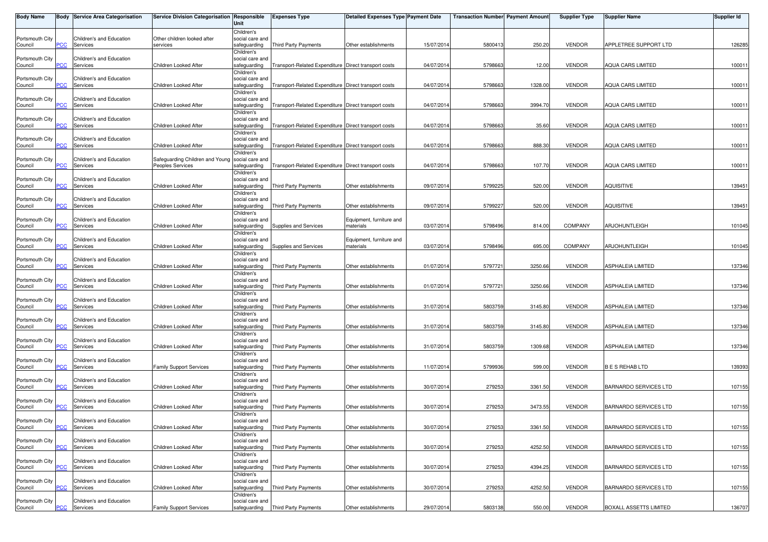| <b>Body Name</b>           |                | <b>Body Service Area Categorisation</b> | Service Division Categorisation Responsible                         | Unit                            | <b>Expenses Type</b>                                 | <b>Detailed Expenses Type Payment Date</b> |            | <b>Transaction Number Payment Amount</b> |         | <b>Supplier Type</b> | <b>Supplier Name</b>         | <b>Supplier Id</b> |
|----------------------------|----------------|-----------------------------------------|---------------------------------------------------------------------|---------------------------------|------------------------------------------------------|--------------------------------------------|------------|------------------------------------------|---------|----------------------|------------------------------|--------------------|
|                            |                |                                         |                                                                     | Children's                      |                                                      |                                            |            |                                          |         |                      |                              |                    |
| Portsmouth City<br>Council | PCC            | Children's and Education<br>Services    | Other children looked after<br>services                             | social care and<br>safeguarding | <b>Third Party Payments</b>                          | Other establishments                       | 15/07/2014 | 5800413                                  | 250.20  | <b>VENDOR</b>        | APPLETREE SUPPORT LTD        | 126285             |
|                            |                |                                         |                                                                     | Children's                      |                                                      |                                            |            |                                          |         |                      |                              |                    |
| Portsmouth City            |                | Children's and Education                |                                                                     | social care and                 |                                                      |                                            |            |                                          |         |                      |                              |                    |
| Council                    | PCC            | Services                                | Children Looked After                                               | safeguarding                    | Transport-Related Expenditure Direct transport costs |                                            | 04/07/2014 | 579866                                   | 12.00   | <b>VENDOR</b>        | <b>AQUA CARS LIMITED</b>     | 100011             |
|                            |                |                                         |                                                                     | Children's                      |                                                      |                                            |            |                                          |         |                      |                              |                    |
| Portsmouth City<br>Council | <b>PCC</b>     | Children's and Education<br>Services    | Children Looked After                                               | social care and<br>safeguarding | Transport-Related Expenditure Direct transport costs |                                            | 04/07/2014 | 5798663                                  | 1328.00 | <b>VENDOR</b>        | AQUA CARS LIMITED            | 100011             |
|                            |                |                                         |                                                                     | Children's                      |                                                      |                                            |            |                                          |         |                      |                              |                    |
| Portsmouth City            |                | Children's and Education                |                                                                     | social care and                 |                                                      |                                            |            |                                          |         |                      |                              |                    |
| Council                    | PCC            | Services                                | Children Looked After                                               | safeguarding                    | Transport-Related Expenditure Direct transport costs |                                            | 04/07/2014 | 5798663                                  | 3994.70 | <b>VENDOR</b>        | <b>AQUA CARS LIMITED</b>     | 100011             |
|                            |                |                                         |                                                                     | Children's                      |                                                      |                                            |            |                                          |         |                      |                              |                    |
| Portsmouth City<br>Council | PCC            | Children's and Education<br>Services    | Children Looked After                                               | social care and<br>safeguarding | Transport-Related Expenditure Direct transport costs |                                            | 04/07/201  | 5798663                                  | 35.60   | <b>VENDOR</b>        | <b>AQUA CARS LIMITED</b>     | 100011             |
|                            |                |                                         |                                                                     | Children's                      |                                                      |                                            |            |                                          |         |                      |                              |                    |
| Portsmouth City            |                | Children's and Education                |                                                                     | social care and                 |                                                      |                                            |            |                                          |         |                      |                              |                    |
| Council                    | $\overline{C}$ | Services                                | Children Looked After                                               | safeguarding                    | Transport-Related Expenditure Direct transport costs |                                            | 04/07/2014 | 5798663                                  | 888.30  | <b>VENDOR</b>        | <b>AQUA CARS LIMITED</b>     | 100011             |
|                            |                |                                         |                                                                     | Children's                      |                                                      |                                            |            |                                          |         |                      |                              |                    |
| Portsmouth City<br>Council | PCC            | Children's and Education<br>Services    | Safeguarding Children and Young social care and<br>Peoples Services | safeguarding                    | Transport-Related Expenditure Direct transport costs |                                            | 04/07/2014 | 5798663                                  | 107.70  | <b>VENDOR</b>        | <b>AQUA CARS LIMITED</b>     | 100011             |
|                            |                |                                         |                                                                     | Children's                      |                                                      |                                            |            |                                          |         |                      |                              |                    |
| Portsmouth City            |                | Children's and Education                |                                                                     | social care and                 |                                                      |                                            |            |                                          |         |                      |                              |                    |
| Council                    | <b>PCC</b>     | Services                                | Children Looked After                                               | safeguarding                    | Third Party Payments                                 | Other establishments                       | 09/07/2014 | 5799225                                  | 520.00  | <b>VENDOR</b>        | <b>AQUISITIVE</b>            | 139451             |
|                            |                |                                         |                                                                     | Children's                      |                                                      |                                            |            |                                          |         |                      |                              |                    |
| Portsmouth City<br>Council | сC             | Children's and Education<br>Services    | Children Looked After                                               | social care and<br>safeguarding | Third Party Payments                                 | Other establishments                       | 09/07/2014 | 5799227                                  | 520.00  | <b>VENDOR</b>        | <b>AQUISITIVE</b>            | 139451             |
|                            |                |                                         |                                                                     | Children's                      |                                                      |                                            |            |                                          |         |                      |                              |                    |
| Portsmouth City            |                | Children's and Education                |                                                                     | social care and                 |                                                      | Equipment, furniture and                   |            |                                          |         |                      |                              |                    |
| Council                    | PCC            | Services                                | Children Looked After                                               | safeguarding                    | Supplies and Services                                | materials                                  | 03/07/2014 | 5798496                                  | 814.00  | <b>COMPANY</b>       | <b>ARJOHUNTLEIGH</b>         | 101045             |
|                            |                |                                         |                                                                     | Children's                      |                                                      |                                            |            |                                          |         |                      |                              |                    |
| Portsmouth City<br>Council | PCC            | Children's and Education<br>Services    | Children Looked After                                               | social care and<br>safeguarding | Supplies and Services                                | Equipment, furniture and<br>materials      | 03/07/2014 | 5798496                                  | 695.00  | COMPANY              | ARJOHUNTLEIGH                | 101045             |
|                            |                |                                         |                                                                     | Children's                      |                                                      |                                            |            |                                          |         |                      |                              |                    |
| Portsmouth City            |                | Children's and Education                |                                                                     | social care and                 |                                                      |                                            |            |                                          |         |                      |                              |                    |
| Council                    | сC             | Services                                | Children Looked After                                               | safeguarding                    | Third Party Payments                                 | Other establishments                       | 01/07/2014 | 579772                                   | 3250.66 | <b>VENDOR</b>        | ASPHALEIA LIMITED            | 137346             |
|                            |                |                                         |                                                                     | Children's                      |                                                      |                                            |            |                                          |         |                      |                              |                    |
| Portsmouth City<br>Council | PCC            | Children's and Education<br>Services    | Children Looked After                                               | social care and<br>safeguarding | Third Party Payments                                 | Other establishments                       | 01/07/2014 | 579772                                   | 3250.66 | <b>VENDOR</b>        | ASPHALEIA LIMITED            | 137346             |
|                            |                |                                         |                                                                     | Children's                      |                                                      |                                            |            |                                          |         |                      |                              |                    |
| Portsmouth City            |                | Children's and Education                |                                                                     | social care and                 |                                                      |                                            |            |                                          |         |                      |                              |                    |
| Council                    | PCC            | Services                                | Children Looked After                                               | safeguarding                    | <b>Third Party Payments</b>                          | Other establishments                       | 31/07/2014 | 5803759                                  | 3145.80 | <b>VENDOR</b>        | ASPHALEIA LIMITED            | 137346             |
|                            |                |                                         |                                                                     | Children's                      |                                                      |                                            |            |                                          |         |                      |                              |                    |
| Portsmouth City<br>Council | $\overline{C}$ | Children's and Education<br>Services    | Children Looked After                                               | social care and<br>safeguarding | Third Party Payments                                 | Other establishments                       | 31/07/2014 | 5803759                                  | 3145.80 | <b>VENDOR</b>        | ASPHALEIA LIMITED            | 137346             |
|                            |                |                                         |                                                                     | Children's                      |                                                      |                                            |            |                                          |         |                      |                              |                    |
| Portsmouth City            |                | Children's and Education                |                                                                     | social care and                 |                                                      |                                            |            |                                          |         |                      |                              |                    |
| Council                    | PCC            | Services                                | Children Looked After                                               | safeguarding                    | Third Party Payments                                 | Other establishments                       | 31/07/2014 | 5803759                                  | 1309.68 | <b>VENDOR</b>        | <b>ASPHALEIA LIMITED</b>     | 137346             |
|                            |                |                                         |                                                                     | Children's                      |                                                      |                                            |            |                                          |         |                      |                              |                    |
| Portsmouth City<br>Council | PCC            | Children's and Education<br>Services    | <b>Family Support Services</b>                                      | social care and<br>safeguarding | Third Party Payments                                 | Other establishments                       | 11/07/2014 | 5799936                                  | 599.00  | <b>VENDOR</b>        | <b>BES REHABLTD</b>          | 139393             |
|                            |                |                                         |                                                                     | Children's                      |                                                      |                                            |            |                                          |         |                      |                              |                    |
| Portsmouth City            |                | Children's and Education                |                                                                     | social care and                 |                                                      |                                            |            |                                          |         |                      |                              |                    |
| Council                    | PСC            | Services                                | Children Looked After                                               | safeguarding                    | Third Party Payments                                 | Other establishments                       | 30/07/2014 | 279253                                   | 3361.50 | <b>VENDOR</b>        | BARNARDO SERVICES LTD        | 107155             |
|                            |                |                                         |                                                                     | Children's                      |                                                      |                                            |            |                                          |         |                      |                              |                    |
| Portsmouth City<br>Council | PCC            | Children's and Education<br>Services    | Children Looked After                                               | social care and<br>safeguarding | Third Party Payments                                 | Other establishments                       | 30/07/2014 | 279253                                   | 3473.55 | <b>VENDOR</b>        | BARNARDO SERVICES LTD        | 107155             |
|                            |                |                                         |                                                                     | Children's                      |                                                      |                                            |            |                                          |         |                      |                              |                    |
| Portsmouth City            |                | Children's and Education                |                                                                     | social care and                 |                                                      |                                            |            |                                          |         |                      |                              |                    |
| Council                    |                | <b>PCC</b> Services                     | Children Looked After                                               | safeguarding                    | <b>Third Party Payments</b>                          | Other establishments                       | 30/07/2014 | 279253                                   | 3361.50 | <b>VENDOR</b>        | BARNARDO SERVICES LTD        | 107155             |
|                            |                |                                         |                                                                     | Children's                      |                                                      |                                            |            |                                          |         |                      |                              |                    |
| Portsmouth City<br>Council | PCC            | Children's and Education<br>Services    | Children Looked After                                               | social care and<br>safeguarding | <b>Third Party Payments</b>                          | Other establishments                       | 30/07/2014 | 279253                                   | 4252.50 | <b>VENDOR</b>        | BARNARDO SERVICES LTD        | 107155             |
|                            |                |                                         |                                                                     | Children's                      |                                                      |                                            |            |                                          |         |                      |                              |                    |
| Portsmouth City            |                | Children's and Education                |                                                                     | social care and                 |                                                      |                                            |            |                                          |         |                      |                              |                    |
| Council                    | PСC            | Services                                | Children Looked After                                               | safeguarding                    | Third Party Payments                                 | Other establishments                       | 30/07/2014 | 279253                                   | 4394.25 | <b>VENDOR</b>        | <b>BARNARDO SERVICES LTD</b> | 107155             |
|                            |                |                                         |                                                                     | Children's                      |                                                      |                                            |            |                                          |         |                      |                              |                    |
| Portsmouth City<br>Council | PCC            | Children's and Education<br>Services    | Children Looked After                                               | social care and<br>safeguarding | Third Party Payments                                 | Other establishments                       | 30/07/2014 | 279253                                   | 4252.50 | <b>VENDOR</b>        | BARNARDO SERVICES LTD        | 107155             |
|                            |                |                                         |                                                                     | Children's                      |                                                      |                                            |            |                                          |         |                      |                              |                    |
| Portsmouth City            |                | Children's and Education                |                                                                     | social care and                 |                                                      |                                            |            |                                          |         |                      |                              |                    |
| Council                    | <u>PCC</u>     | Services                                | <b>Family Support Services</b>                                      | safeguarding                    | Third Party Payments                                 | Other establishments                       | 29/07/2014 | 5803138                                  | 550.00  | <b>VENDOR</b>        | BOXALL ASSETTS LIMITED       | 136707             |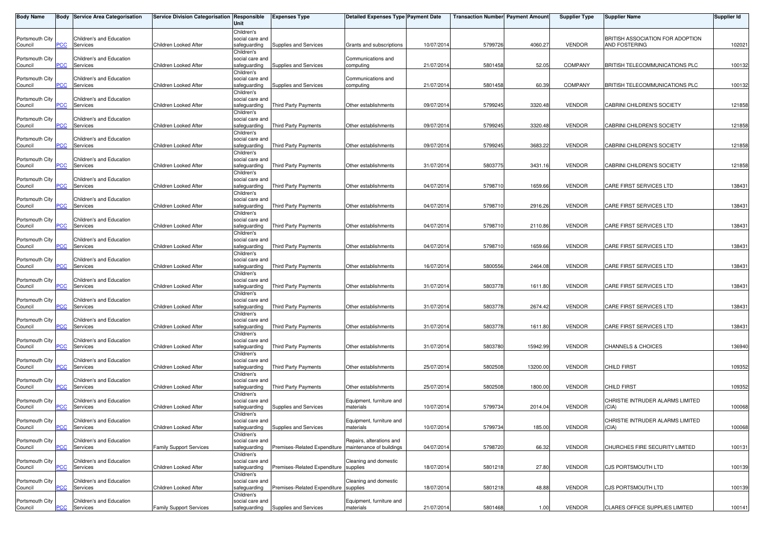| Body Name                  |            | <b>Body Service Area Categorisation</b>     | Service Division Categorisation Responsible | Unit                                                        | <b>Expenses Type</b>                  | <b>Detailed Expenses Type Payment Date</b>           |            | <b>Transaction Number Payment Amount</b> |          | <b>Supplier Type</b> | Supplier Name                                     | <b>Supplier Id</b> |
|----------------------------|------------|---------------------------------------------|---------------------------------------------|-------------------------------------------------------------|---------------------------------------|------------------------------------------------------|------------|------------------------------------------|----------|----------------------|---------------------------------------------------|--------------------|
| Portsmouth City<br>Council | PСC        | Children's and Education<br>Services        | Children Looked After                       | Children's<br>social care and<br>safeguarding               | Supplies and Services                 | Grants and subscriptions                             | 10/07/2014 | 5799726                                  | 4060.27  | <b>VENDOR</b>        | BRITISH ASSOCIATION FOR ADOPTION<br>AND FOSTERING | 102021             |
| Portsmouth City<br>Council | <b>PCC</b> | Children's and Education<br><b>Services</b> | Children Looked After                       | Children's<br>social care and<br>safeguarding               | Supplies and Services                 | Communications and<br>computing                      | 21/07/2014 | 5801458                                  | 52.05    | <b>COMPANY</b>       | <b>BRITISH TELECOMMUNICATIONS PLC</b>             | 100132             |
| Portsmouth City<br>Council | PСC        | Children's and Education<br>Services        | Children Looked After                       | Children's<br>social care and<br>safeguarding               | Supplies and Services                 | Communications and<br>computing                      | 21/07/2014 | 5801458                                  | 60.39    | <b>COMPANY</b>       | <b>BRITISH TELECOMMUNICATIONS PLC</b>             | 100132             |
| Portsmouth City<br>Council | PСC        | Children's and Education<br>Services        | Children Looked After                       | Children's<br>social care and<br>safeguarding               | Third Party Payments                  | Other establishments                                 | 09/07/2014 | 5799245                                  | 3320.48  | <b>VENDOR</b>        | CABRINI CHILDREN'S SOCIETY                        | 121858             |
| Portsmouth City<br>Council | <u>PCC</u> | Children's and Education<br>Services        | Children Looked After                       | Children's<br>social care and<br>safeguarding               | Third Party Payments                  | Other establishments                                 | 09/07/201  | 5799245                                  | 3320.48  | <b>VENDOR</b>        | CABRINI CHILDREN'S SOCIETY                        | 121858             |
| Portsmouth City<br>Council | <u>PCC</u> | Children's and Education<br>Services        | Children Looked After                       | Children's<br>social care and<br>safeguarding               | Third Party Payments                  | Other establishments                                 | 09/07/2014 | 5799245                                  | 3683.22  | <b>VENDOR</b>        | CABRINI CHILDREN'S SOCIETY                        | 121858             |
| Portsmouth City<br>Council | <b>PCC</b> | Children's and Education<br>Services        | Children Looked After                       | Children's<br>social care and<br>safeguarding               | Third Party Payments                  | Other establishments                                 | 31/07/2014 | 5803775                                  | 3431.16  | <b>VENDOR</b>        | CABRINI CHILDREN'S SOCIETY                        | 121858             |
| Portsmouth City<br>Council | PCC        | Children's and Education<br>Services        | Children Looked After                       | Children's<br>social care and<br>safeguarding               | Third Party Payments                  | Other establishments                                 | 04/07/2014 | 5798710                                  | 1659.66  | <b>VENDOR</b>        | CARE FIRST SERVICES LTD                           | 138431             |
| Portsmouth City<br>Council | PСC        | Children's and Education<br>Services        | Children Looked After                       | Children's<br>social care and<br>safeguarding               | <b>Third Party Payments</b>           | Other establishments                                 | 04/07/2014 | 5798710                                  | 2916.26  | <b>VENDOR</b>        | CARE FIRST SERVICES LTD                           | 138431             |
| Portsmouth City<br>Council | <b>PCC</b> | Children's and Education<br>Services        | Children Looked After                       | Children's<br>social care and<br>safeguarding               | Third Party Payments                  | Other establishments                                 | 04/07/2014 | 5798710                                  | 2110.86  | <b>VENDOR</b>        | CARE FIRST SERVICES LTD                           | 138431             |
| Portsmouth City<br>Council | PCC        | Children's and Education<br>Services        | Children Looked After                       | Children's<br>social care and<br>safeguarding               | Third Party Payments                  | Other establishments                                 | 04/07/2014 | 5798710                                  | 1659.66  | <b>VENDOR</b>        | CARE FIRST SERVICES LTD                           | 138431             |
| Portsmouth City<br>Council | сC         | Children's and Education<br>Services        | Children Looked After                       | Children's<br>social care and<br>safeguarding<br>Children's | Third Party Payments                  | Other establishments                                 | 16/07/2014 | 5800556                                  | 2464.08  | <b>VENDOR</b>        | CARE FIRST SERVICES LTD                           | 138431             |
| Portsmouth City<br>Council | PCC.       | Children's and Education<br>Services        | Children Looked After                       | social care and<br>safeguarding                             | Third Party Payments                  | Other establishments                                 | 31/07/2014 | 5803778                                  | 1611.80  | <b>VENDOR</b>        | CARE FIRST SERVICES LTD                           | 138431             |
| Portsmouth City<br>Council | <u>PCC</u> | Children's and Education<br>Services        | Children Looked After                       | Children's<br>social care and<br>safeguarding<br>Children's | Third Party Payments                  | Other establishments                                 | 31/07/2014 | 5803778                                  | 2674.42  | <b>VENDOR</b>        | CARE FIRST SERVICES LTD                           | 138431             |
| Portsmouth City<br>Council | сC         | Children's and Education<br>Services        | Children Looked After                       | social care and<br>safeguarding<br>Children's               | Third Party Payments                  | Other establishments                                 | 31/07/2014 | 5803778                                  | 1611.80  | <b>VENDOR</b>        | CARE FIRST SERVICES LTD                           | 138431             |
| Portsmouth City<br>Council | PCC        | Children's and Education<br>Services        | Children Looked After                       | social care and<br>safeguarding<br>Children's               | Third Party Payments                  | Other establishments                                 | 31/07/2014 | 5803780                                  | 15942.99 | <b>VENDOR</b>        | CHANNELS & CHOICES                                | 136940             |
| Portsmouth City<br>Council | PCC        | Children's and Education<br>Services        | Children Looked After                       | social care and<br>safeguarding<br>Children's               | Third Party Payments                  | Other establishments                                 | 25/07/2014 | 5802508                                  | 13200.00 | <b>VENDOR</b>        | <b>CHILD FIRST</b>                                | 109352             |
| Portsmouth City<br>Council | PСC        | Children's and Education<br>Services        | Children Looked After                       | social care and<br>safeguarding<br>Children's               | Third Party Payments                  | Other establishments                                 | 25/07/2014 | 5802508                                  | 1800.00  | <b>VENDOR</b>        | <b>CHILD FIRST</b>                                | 109352             |
| Portsmouth City<br>Council | PCC        | Children's and Education<br>Services        | Children Looked After                       | social care and<br>safeguarding<br>Children's               | Supplies and Services                 | Equipment, furniture and<br>materials                | 10/07/2014 | 5799734                                  | 2014.04  | <b>VENDOR</b>        | CHRISTIE INTRUDER ALARMS LIMITED<br>(CIA)         | 100068             |
| Portsmouth City<br>Council | <b>PCC</b> | Children's and Education<br>Services        | Children Looked After                       | social care and<br>safeguarding<br>Children's               | Supplies and Services                 | Equipment, furniture and<br>materials                | 10/07/2014 | 5799734                                  | 185.00   | <b>VENDOR</b>        | CHRISTIE INTRUDER ALARMS LIMITED<br>(CIA)         | 100068             |
| Portsmouth City<br>Council | PCC        | Children's and Education<br>Services        | <b>Family Support Services</b>              | social care and<br>safeguarding<br>Children's               | Premises-Related Expenditure          | Repairs, alterations and<br>maintenance of buildings | 04/07/2014 | 5798720                                  | 66.32    | <b>VENDOR</b>        | CHURCHES FIRE SECURITY LIMITED                    | 100131             |
| Portsmouth City<br>Council | CC         | Children's and Education<br>Services        | Children Looked After                       | social care and<br>safeguarding<br>Children's               | Premises-Related Expenditure supplies | Cleaning and domestic                                | 18/07/2014 | 5801218                                  | 27.80    | <b>VENDOR</b>        | <b>CJS PORTSMOUTH LTD</b>                         | 100139             |
| Portsmouth City<br>Council | PСC        | Children's and Education<br>Services        | Children Looked After                       | social care and<br>safeguarding<br>Children's               | Premises-Related Expenditure supplies | Cleaning and domestic                                | 18/07/2014 | 5801218                                  | 48.88    | <b>VENDOR</b>        | <b>CJS PORTSMOUTH LTD</b>                         | 100139             |
| Portsmouth City<br>Council | <b>PCC</b> | Children's and Education<br>Services        | <b>Family Support Services</b>              | social care and<br>safeguarding                             | Supplies and Services                 | Equipment, furniture and<br>materials                | 21/07/2014 | 5801468                                  | 1.00     | <b>VENDOR</b>        | CLARES OFFICE SUPPLIES LIMITED                    | 100141             |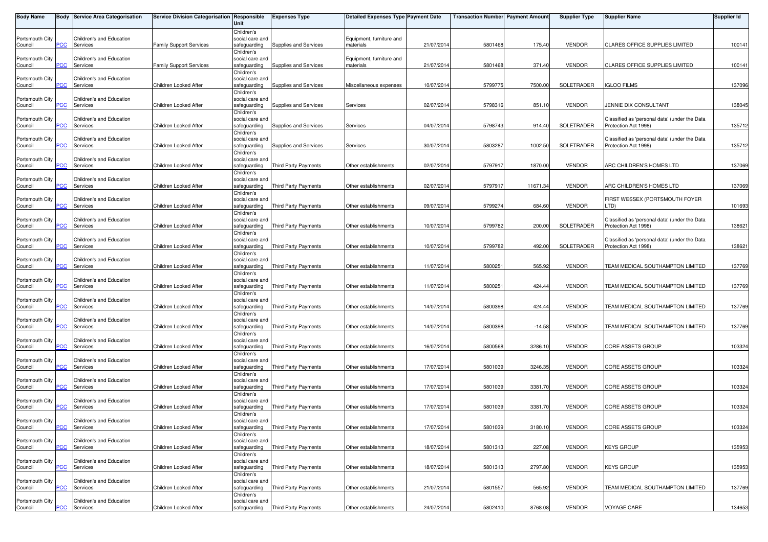| <b>Body Name</b>           |                | <b>Body Service Area Categorisation</b> | Service Division Categorisation Responsible | Unit                                          | <b>Expenses Type</b>        | Detailed Expenses Type Payment Date   |            | Transaction Number  Payment Amount |          | <b>Supplier Type</b> | <b>Supplier Name</b>                                                  | <b>Supplier Id</b> |
|----------------------------|----------------|-----------------------------------------|---------------------------------------------|-----------------------------------------------|-----------------------------|---------------------------------------|------------|------------------------------------|----------|----------------------|-----------------------------------------------------------------------|--------------------|
| Portsmouth City<br>Council | <b>PCC</b>     | Children's and Education<br>Services    | <b>Family Support Services</b>              | Children's<br>social care and<br>safeguarding | Supplies and Services       | Equipment, furniture and<br>materials | 21/07/2014 | 5801468                            | 175.40   | <b>VENDOR</b>        | CLARES OFFICE SUPPLIES LIMITED                                        | 100141             |
| Portsmouth City<br>Council | PCC            | Children's and Education<br>Services    | <b>Family Support Services</b>              | Children's<br>social care and<br>safeguarding | Supplies and Services       | Equipment, furniture and<br>materials | 21/07/201  | 5801468                            | 371.40   | <b>VENDOR</b>        | <b>CLARES OFFICE SUPPLIES LIMITED</b>                                 | 100141             |
| Portsmouth City<br>Council | PСC            | Children's and Education<br>Services    | Children Looked After                       | Children's<br>social care and<br>safequarding | Supplies and Services       | Miscellaneous expenses                | 10/07/201  | 5799775                            | 7500.00  | SOLETRADER           | <b>IGLOO FILMS</b>                                                    | 137096             |
| Portsmouth City<br>Council | <b>PCC</b>     | Children's and Education<br>Services    | Children Looked After                       | Children's<br>social care and<br>safeguarding | Supplies and Services       | Services                              | 02/07/2014 | 5798316                            | 851.10   | <b>VENDOR</b>        | JENNIE DIX CONSULTANT                                                 | 138045             |
| Portsmouth City<br>Council | <b>PCC</b>     | Children's and Education<br>Services    | Children Looked After                       | Children's<br>social care and<br>safeguarding | Supplies and Services       | Services                              | 04/07/201  | 5798743                            | 914.40   | SOLETRADER           | Classified as 'personal data' (under the Data<br>Protection Act 1998) | 135712             |
| Portsmouth City<br>Council | $\overline{C}$ | Children's and Education<br>Services    | Children Looked After                       | Children's<br>social care and<br>safeguarding | Supplies and Services       | Services                              | 30/07/2014 | 580328                             | 1002.50  | SOLETRADER           | Classified as 'personal data' (under the Data<br>Protection Act 1998) | 135712             |
| Portsmouth City<br>Council | PCC⊹           | Children's and Education<br>Services    | Children Looked After                       | Children's<br>social care and<br>safeguarding | Third Party Payments        | Other establishments                  | 02/07/2014 | 579791                             | 1870.00  | <b>VENDOR</b>        | ARC CHILDREN'S HOMES LTD                                              | 137069             |
| Portsmouth City<br>Council | <b>PCC</b>     | Children's and Education<br>Services    | Children Looked After                       | Children's<br>social care and<br>safeguarding | <b>Third Party Payments</b> | Other establishments                  | 02/07/201  | 579791                             | 11671.34 | <b>VENDOR</b>        | ARC CHILDREN'S HOMES LTD                                              | 137069             |
| Portsmouth City<br>Council | сC             | Children's and Education<br>Services    | Children Looked After                       | Children's<br>social care and<br>safeguarding | <b>Third Party Payments</b> | Other establishments                  | 09/07/2014 | 5799274                            | 684.60   | <b>VENDOR</b>        | FIRST WESSEX (PORTSMOUTH FOYER<br>LTD)                                | 101693             |
| Portsmouth City<br>Council | <b>PCC</b>     | Children's and Education<br>Services    | Children Looked After                       | Children's<br>social care and<br>safeguarding | Third Party Payments        | Other establishments                  | 10/07/201  | 5799782                            | 200.00   | SOLETRADER           | Classified as 'personal data' (under the Data<br>Protection Act 1998) | 138621             |
| Portsmouth City<br>Council | PCC            | Children's and Education<br>Services    | Children Looked After                       | Children's<br>social care and<br>safeguarding | Third Party Payments        | Other establishments                  | 10/07/201  | 5799782                            | 492.00   | SOLETRADER           | Classified as 'personal data' (under the Data<br>Protection Act 1998) | 138621             |
| Portsmouth City<br>Council | сC             | Children's and Education<br>Services    | Children Looked After                       | Children's<br>social care and<br>safeguarding | Third Party Payments        | Other establishments                  | 11/07/2014 | 5800251                            | 565.92   | <b>VENDOR</b>        | TEAM MEDICAL SOUTHAMPTON LIMITED                                      | 137769             |
| Portsmouth City<br>Council | PСC            | Children's and Education<br>Services    | Children Looked After                       | Children's<br>social care and<br>safeguarding | Third Party Payments        | Other establishments                  | 11/07/2014 | 580025                             | 424.44   | <b>VENDOR</b>        | TEAM MEDICAL SOUTHAMPTON LIMITED                                      | 137769             |
| Portsmouth City<br>Council | <b>PCC</b>     | Children's and Education<br>Services    | Children Looked After                       | Children's<br>social care and<br>safeguarding | <b>Third Party Payments</b> | Other establishments                  | 14/07/2014 | 580039                             | 424.44   | <b>VENDOR</b>        | TEAM MEDICAL SOUTHAMPTON LIMITED                                      | 137769             |
| Portsmouth City<br>Council | <u>CC</u>      | Children's and Education<br>Services    | Children Looked After                       | Children's<br>social care and<br>safeguarding | Third Party Payments        | Other establishments                  | 14/07/2014 | 5800398                            | $-14.58$ | <b>VENDOR</b>        | TEAM MEDICAL SOUTHAMPTON LIMITED                                      | 137769             |
| Portsmouth City<br>Council | <b>PCC</b>     | Children's and Education<br>Services    | Children Looked After                       | Children's<br>social care and<br>safeguarding | Third Party Payments        | Other establishments                  | 16/07/2014 | 5800568                            | 3286.10  | <b>VENDOR</b>        | CORE ASSETS GROUP                                                     | 103324             |
| Portsmouth City<br>Council | $\overline{C}$ | Children's and Education<br>Services    | Children Looked After                       | Children's<br>social care and<br>safeguarding | Third Party Payments        | Other establishments                  | 17/07/201  | 580103                             | 3246.35  | <b>VENDOR</b>        | CORE ASSETS GROUP                                                     | 103324             |
| Portsmouth City<br>Council | PСC            | Children's and Education<br>Services    | Children Looked After                       | Children's<br>social care and<br>safeguarding | Third Party Payments        | Other establishments                  | 17/07/201  | 5801039                            | 3381.70  | <b>VENDOR</b>        | CORE ASSETS GROUP                                                     | 103324             |
| Portsmouth City<br>Council | PСC            | Children's and Education<br>Services    | Children Looked After                       | Children's<br>social care and<br>safeguarding | <b>Third Party Payments</b> | Other establishments                  | 17/07/201  | 5801039                            | 3381.70  | <b>VENDOR</b>        | CORE ASSETS GROUP                                                     | 103324             |
| Portsmouth City<br>Council | <b>PCC</b>     | Children's and Education<br>Services    | Children Looked After                       | Children's<br>social care and<br>safeguarding | <b>Third Party Payments</b> | Other establishments                  | 17/07/2014 | 5801039                            | 3180.10  | <b>VENDOR</b>        | <b>CORE ASSETS GROUP</b>                                              | 103324             |
| Portsmouth City<br>Council | PСC            | Children's and Education<br>Services    | Children Looked After                       | Children's<br>social care and<br>safeguarding | Third Party Payments        | Other establishments                  | 18/07/2014 | 5801313                            | 227.08   | <b>VENDOR</b>        | <b>KEYS GROUP</b>                                                     | 135953             |
| Portsmouth City<br>Council | <b>CC</b>      | Children's and Education<br>Services    | Children Looked After                       | Children's<br>social care and<br>safeguarding | Third Party Payments        | Other establishments                  | 18/07/2014 | 5801313                            | 2797.80  | <b>VENDOR</b>        | <b>KEYS GROUP</b>                                                     | 135953             |
| Portsmouth City<br>Council | PСC            | Children's and Education<br>Services    | Children Looked After                       | Children's<br>social care and<br>safeguarding | Third Party Payments        | Other establishments                  | 21/07/2014 | 5801557                            | 565.92   | <b>VENDOR</b>        | TEAM MEDICAL SOUTHAMPTON LIMITED                                      | 137769             |
| Portsmouth City<br>Council | <b>PCC</b>     | Children's and Education<br>Services    | Children Looked After                       | Children's<br>social care and<br>safeguarding | <b>Third Party Payments</b> | Other establishments                  | 24/07/2014 | 5802410                            | 8768.08  | <b>VENDOR</b>        | <b>VOYAGE CARE</b>                                                    | 134653             |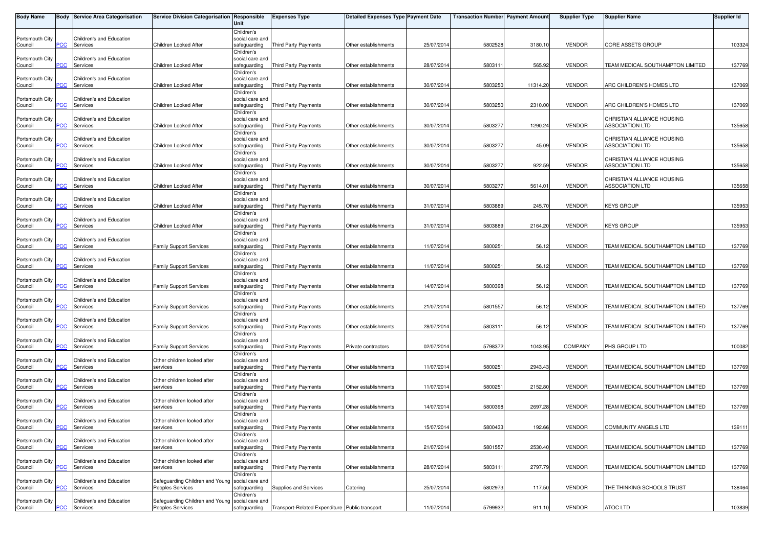| Body Name                  |            | <b>Body Service Area Categorisation</b> | Service Division Categorisation Responsible                         | Unit                                          | <b>Expenses Type</b>                           | Detailed Expenses Type Payment Date |            | Transaction Number  Payment Amount |          | <b>Supplier Type</b> | <b>Supplier Name</b>                                 | Supplier Id |
|----------------------------|------------|-----------------------------------------|---------------------------------------------------------------------|-----------------------------------------------|------------------------------------------------|-------------------------------------|------------|------------------------------------|----------|----------------------|------------------------------------------------------|-------------|
| Portsmouth City<br>Council | PСC        | Children's and Education<br>Services    | Children Looked After                                               | Children's<br>social care and<br>safeguarding | <b>Third Party Payments</b>                    | Other establishments                | 25/07/2014 | 5802528                            | 3180.10  | <b>VENDOR</b>        | <b>CORE ASSETS GROUP</b>                             | 103324      |
| Portsmouth City<br>Council | PCC        | Children's and Education<br>Services    | Children Looked After                                               | Children's<br>social care and<br>safeguarding | Third Party Payments                           | Other establishments                | 28/07/201  | 5803111                            | 565.92   | <b>VENDOR</b>        | TEAM MEDICAL SOUTHAMPTON LIMITED                     | 137769      |
| Portsmouth City<br>Council | PСC        | Children's and Education<br>Services    | Children Looked After                                               | Children's<br>social care and<br>safeguarding | Third Party Payments                           | Other establishments                | 30/07/2014 | 5803250                            | 11314.20 | <b>VENDOR</b>        | ARC CHILDREN'S HOMES LTD                             | 137069      |
| Portsmouth City<br>Council | PСC        | Children's and Education<br>Services    | Children Looked After                                               | Children's<br>social care and<br>safeguarding | Third Party Payments                           | Other establishments                | 30/07/201  | 5803250                            | 2310.00  | <b>VENDOR</b>        | ARC CHILDREN'S HOMES LTD                             | 137069      |
| Portsmouth City<br>Council | <u>PCC</u> | Children's and Education<br>Services    | Children Looked After                                               | Children's<br>social care and<br>safeguarding | <b>Third Party Payments</b>                    | Other establishments                | 30/07/201  | 580327                             | 1290.24  | <b>VENDOR</b>        | CHRISTIAN ALLIANCE HOUSING<br><b>ASSOCIATION LTD</b> | 135658      |
| Portsmouth City<br>Council | PСC        | Children's and Education<br>Services    | Children Looked After                                               | Children's<br>social care and<br>safeguarding | <b>Third Party Payments</b>                    | Other establishments                | 30/07/2014 | 5803277                            | 45.09    | <b>VENDOR</b>        | CHRISTIAN ALLIANCE HOUSING<br>ASSOCIATION LTD        | 135658      |
| Portsmouth City<br>Council | <u>PCC</u> | Children's and Education<br>Services    | Children Looked After                                               | Children's<br>social care and<br>safeguarding | Third Party Payments                           | Other establishments                | 30/07/2014 | 5803277                            | 922.59   | <b>VENDOR</b>        | CHRISTIAN ALLIANCE HOUSING<br><b>ASSOCIATION LTD</b> | 135658      |
| Portsmouth City<br>Council | <b>PCC</b> | Children's and Education<br>Services    | Children Looked After                                               | Children's<br>social care and<br>safeguarding | Third Party Payments                           | Other establishments                | 30/07/201  | 5803277                            | 5614.01  | <b>VENDOR</b>        | CHRISTIAN ALLIANCE HOUSING<br><b>ASSOCIATION LTD</b> | 135658      |
| Portsmouth City<br>Council | PСC        | Children's and Education<br>Services    | Children Looked After                                               | Children's<br>social care and<br>safeguarding | <b>Third Party Payments</b>                    | Other establishments                | 31/07/201  | 5803889                            | 245.70   | <b>VENDOR</b>        | <b>KEYS GROUP</b>                                    | 135953      |
| Portsmouth City<br>Council | PCC.       | Children's and Education<br>Services    | Children Looked After                                               | Children's<br>social care and<br>safeguarding | Third Party Payments                           | Other establishments                | 31/07/201  | 5803889                            | 2164.20  | <b>VENDOR</b>        | <b>KEYS GROUP</b>                                    | 135953      |
| Portsmouth City<br>Council | PCC        | Children's and Education<br>Services    | <b>Family Support Services</b>                                      | Children's<br>social care and<br>safeguarding | <b>Third Party Payments</b>                    | Other establishments                | 11/07/201  | 580025                             | 56.12    | <b>VENDOR</b>        | TEAM MEDICAL SOUTHAMPTON LIMITED                     | 137769      |
| Portsmouth City<br>Council | сC         | Children's and Education<br>Services    | <b>Family Support Services</b>                                      | Children's<br>social care and<br>safeguarding | <b>Third Party Payments</b>                    | Other establishments                | 11/07/2014 | 580025                             | 56.12    | <b>VENDOR</b>        | TEAM MEDICAL SOUTHAMPTON LIMITED                     | 137769      |
| Portsmouth City<br>Council | PСC        | Children's and Education<br>Services    | <b>Family Support Services</b>                                      | Children's<br>social care and<br>safeguarding | Third Party Payments                           | Other establishments                | 14/07/2014 | 5800398                            | 56.12    | <b>VENDOR</b>        | TEAM MEDICAL SOUTHAMPTON LIMITED                     | 137769      |
| Portsmouth City<br>Council | <b>PCC</b> | Children's and Education<br>Services    | <b>Family Support Services</b>                                      | Children's<br>social care and<br>safeguarding | Third Party Payments                           | Other establishments                | 21/07/201  | 580155                             | 56.12    | <b>VENDOR</b>        | TEAM MEDICAL SOUTHAMPTON LIMITED                     | 137769      |
| Portsmouth City<br>Council | сC         | Children's and Education<br>Services    | <b>Family Support Services</b>                                      | Children's<br>social care and<br>safeguarding | <b>Third Party Payments</b>                    | Other establishments                | 28/07/2014 | 5803111                            | 56.12    | <b>VENDOR</b>        | TEAM MEDICAL SOUTHAMPTON LIMITED                     | 137769      |
| Portsmouth City<br>Council | PСC        | Children's and Education<br>Services    | <b>Family Support Services</b>                                      | Children's<br>social care and<br>safeguarding | Third Party Payments                           | Private contractors                 | 02/07/2014 | 5798372                            | 1043.95  | <b>COMPANY</b>       | PHS GROUP LTD                                        | 100082      |
| Portsmouth City<br>Council | PСC        | Children's and Education<br>Services    | Other children looked after<br>services                             | Children's<br>social care and<br>safeguarding | <b>Third Party Payments</b>                    | Other establishments                | 11/07/201  | 580025                             | 2943.43  | <b>VENDOR</b>        | TEAM MEDICAL SOUTHAMPTON LIMITED                     | 137769      |
| Portsmouth City<br>Council | °СС        | Children's and Education<br>Services    | Other children looked after<br>services                             | Children's<br>social care and<br>safeguarding | Third Party Payments                           | Other establishments                | 11/07/201  | 580025                             | 2152.80  | <b>VENDOR</b>        | TEAM MEDICAL SOUTHAMPTON LIMITED                     | 137769      |
| Portsmouth City<br>Council | PСC        | Children's and Education<br>Services    | Other children looked after<br>services                             | Children's<br>social care and<br>safeguarding | Third Party Payments                           | Other establishments                | 14/07/201  | 580039                             | 2697.28  | <b>VENDOR</b>        | TEAM MEDICAL SOUTHAMPTON LIMITED                     | 137769      |
| Portsmouth City<br>Council | <b>PCC</b> | Children's and Education<br>Services    | Other children looked after<br>services                             | Children's<br>social care and<br>safeguarding | <b>Third Party Payments</b>                    | Other establishments                | 15/07/2014 | 5800433                            | 192.66   | <b>VENDOR</b>        | COMMUNITY ANGELS LTD                                 | 139111      |
| Portsmouth City<br>Council | PСC        | Children's and Education<br>Services    | Other children looked after<br>services                             | Children's<br>social care and<br>safeguarding | Third Party Payments                           | Other establishments                | 21/07/2014 | 580155                             | 2530.40  | <b>VENDOR</b>        | TEAM MEDICAL SOUTHAMPTON LIMITED                     | 137769      |
| Portsmouth City<br>Council | PСC        | Children's and Education<br>Services    | Other children looked after<br>services                             | Children's<br>social care and<br>safeguarding | Third Party Payments                           | Other establishments                | 28/07/2014 | 5803111                            | 2797.79  | <b>VENDOR</b>        | TEAM MEDICAL SOUTHAMPTON LIMITED                     | 137769      |
| Portsmouth City<br>Council | PСC        | Children's and Education<br>Services    | Safeguarding Children and Young social care and<br>Peoples Services | Children's<br>safeguarding                    | Supplies and Services                          | Catering                            | 25/07/2014 | 580297                             | 117.50   | <b>VENDOR</b>        | THE THINKING SCHOOLS TRUST                           | 138464      |
| Portsmouth City<br>Council | <u>PCC</u> | Children's and Education<br>Services    | Safeguarding Children and Young<br>Peoples Services                 | Children's<br>social care and<br>safequarding | Transport-Related Expenditure Public transport |                                     | 11/07/2014 | 5799932                            | 911.10   | <b>VENDOR</b>        | <b>ATOC LTD</b>                                      | 103839      |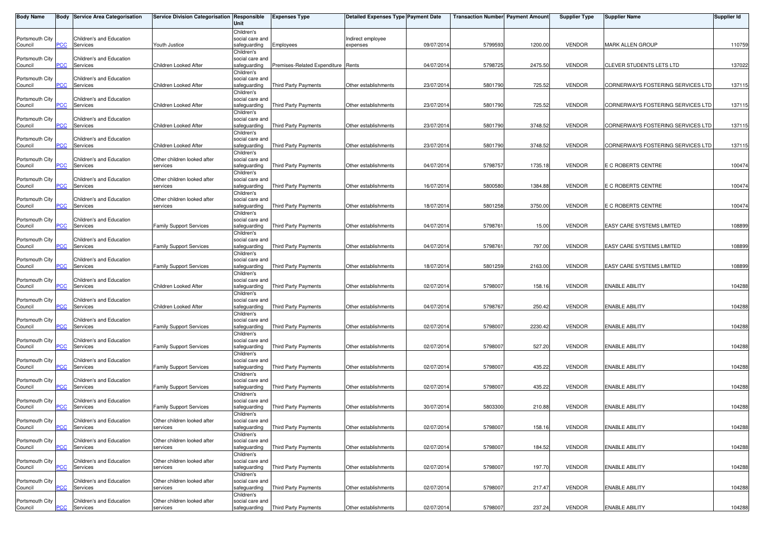| <b>Body Name</b>           |                | <b>Body Service Area Categorisation</b> | Service Division Categorisation   Responsible | Unit                            | <b>Expenses Type</b>               | Detailed Expenses Type Payment Date |            | Transaction Number Payment Amount |         | <b>Supplier Type</b> | Supplier Name                     | Supplier Id |
|----------------------------|----------------|-----------------------------------------|-----------------------------------------------|---------------------------------|------------------------------------|-------------------------------------|------------|-----------------------------------|---------|----------------------|-----------------------------------|-------------|
|                            |                |                                         |                                               | Children's                      |                                    |                                     |            |                                   |         |                      |                                   |             |
| Portsmouth City            |                | Children's and Education                |                                               | social care and                 |                                    | Indirect employee                   |            |                                   |         |                      |                                   |             |
| Council                    | PCC            | Services                                | Youth Justice                                 | safeguarding                    | Employees                          | expenses                            | 09/07/201  | 5799593                           | 1200.00 | <b>VENDOR</b>        | <b>MARK ALLEN GROUP</b>           | 110759      |
| Portsmouth City            |                | Children's and Education                |                                               | Children's<br>social care and   |                                    |                                     |            |                                   |         |                      |                                   |             |
| Council                    | PCC            | Services                                | Children Looked After                         | safeguarding                    | Premises-Related Expenditure Rents |                                     | 04/07/201  | 5798725                           | 2475.50 | <b>VENDOR</b>        | <b>CLEVER STUDENTS LETS LTD</b>   | 137022      |
|                            |                |                                         |                                               | Children's                      |                                    |                                     |            |                                   |         |                      |                                   |             |
| Portsmouth City            |                | Children's and Education                |                                               | social care and                 |                                    |                                     |            |                                   |         |                      |                                   |             |
| Council                    | PCC            | Services                                | Children Looked After                         | safeguarding                    | <b>Third Party Payments</b>        | Other establishments                | 23/07/2014 | 5801790                           | 725.52  | <b>VENDOR</b>        | CORNERWAYS FOSTERING SERVICES LTD | 137115      |
| Portsmouth City            |                | Children's and Education                |                                               | Children's<br>social care and   |                                    |                                     |            |                                   |         |                      |                                   |             |
| Council                    | PCC            | Services                                | Children Looked After                         | safeguarding                    | Third Party Payments               | Other establishments                | 23/07/201  | 5801790                           | 725.52  | <b>VENDOR</b>        | CORNERWAYS FOSTERING SERVICES LTD | 137115      |
|                            |                |                                         |                                               | Children's                      |                                    |                                     |            |                                   |         |                      |                                   |             |
| Portsmouth City            |                | Children's and Education                |                                               | social care and                 |                                    |                                     |            |                                   |         |                      |                                   |             |
| Council                    | $\overline{C}$ | Services                                | Children Looked After                         | safeguarding                    | Third Party Payments               | Other establishments                | 23/07/201  | 5801790                           | 3748.52 | <b>VENDOR</b>        | CORNERWAYS FOSTERING SERVICES LTD | 137115      |
|                            |                |                                         |                                               | Children's                      |                                    |                                     |            |                                   |         |                      |                                   |             |
| Portsmouth City<br>Council | PCC            | Children's and Education<br>Services    | Children Looked After                         | social care and<br>safeguarding | <b>Third Party Payments</b>        | Other establishments                | 23/07/201  | 5801790                           | 3748.52 | <b>VENDOR</b>        | CORNERWAYS FOSTERING SERVICES LTD | 137115      |
|                            |                |                                         |                                               | Children's                      |                                    |                                     |            |                                   |         |                      |                                   |             |
| Portsmouth City            |                | Children's and Education                | Other children looked after                   | social care and                 |                                    |                                     |            |                                   |         |                      |                                   |             |
| Council                    | PCC            | Services                                | services                                      | safeguarding                    | Third Party Payments               | Other establishments                | 04/07/2014 | 5798757                           | 1735.18 | <b>VENDOR</b>        | E C ROBERTS CENTRE                | 100474      |
|                            |                |                                         |                                               | Children's                      |                                    |                                     |            |                                   |         |                      |                                   |             |
| Portsmouth City            |                | Children's and Education                | Other children looked after                   | social care and                 |                                    |                                     |            |                                   |         |                      |                                   |             |
| Council                    | <b>PCC</b>     | Services                                | services                                      | safeguarding<br>Children's      | Third Party Payments               | Other establishments                | 16/07/201  | 5800580                           | 1384.88 | <b>VENDOR</b>        | E C ROBERTS CENTRE                | 100474      |
| Portsmouth City            |                | Children's and Education                | Other children looked after                   | social care and                 |                                    |                                     |            |                                   |         |                      |                                   |             |
| Council                    | PСC            | Services                                | services                                      | safeguarding                    | Third Party Payments               | Other establishments                | 18/07/201  | 5801258                           | 3750.00 | <b>VENDOR</b>        | E C ROBERTS CENTRE                | 100474      |
|                            |                |                                         |                                               | Children's                      |                                    |                                     |            |                                   |         |                      |                                   |             |
| Portsmouth City            |                | Children's and Education                |                                               | social care and                 |                                    |                                     |            |                                   |         |                      |                                   |             |
| Council                    | <b>PCC</b>     | Services                                | <b>Family Support Services</b>                | safeguarding<br>Children's      | Third Party Payments               | Other establishments                | 04/07/201  | 5798761                           | 15.00   | <b>VENDOR</b>        | EASY CARE SYSTEMS LIMITED         | 108899      |
| Portsmouth City            |                | Children's and Education                |                                               | social care and                 |                                    |                                     |            |                                   |         |                      |                                   |             |
| Council                    | PCC            | Services                                | <b>Family Support Services</b>                | safeguarding                    | <b>Third Party Payments</b>        | Other establishments                | 04/07/201  | 579876                            | 797.00  | <b>VENDOR</b>        | EASY CARE SYSTEMS LIMITED         | 108899      |
|                            |                |                                         |                                               | Children's                      |                                    |                                     |            |                                   |         |                      |                                   |             |
| Portsmouth City            |                | Children's and Education                |                                               | social care and                 |                                    |                                     |            |                                   |         |                      |                                   |             |
| Council                    | сC             | Services                                | <b>Family Support Services</b>                | safeguarding                    | Third Party Payments               | Other establishments                | 18/07/201  | 5801259                           | 2163.00 | <b>VENDOR</b>        | EASY CARE SYSTEMS LIMITED         | 108899      |
| Portsmouth City            |                | Children's and Education                |                                               | Children's<br>social care and   |                                    |                                     |            |                                   |         |                      |                                   |             |
| Council                    | PCC            | Services                                | Children Looked After                         | safeguarding                    | Third Party Payments               | Other establishments                | 02/07/201  | 5798007                           | 158.16  | <b>VENDOR</b>        | <b>ENABLE ABILITY</b>             | 104288      |
|                            |                |                                         |                                               | Children's                      |                                    |                                     |            |                                   |         |                      |                                   |             |
| Portsmouth City            |                | Children's and Education                |                                               | social care and                 |                                    |                                     |            |                                   |         |                      |                                   |             |
| Council                    | PCC            | Services                                | Children Looked After                         | safeguarding                    | <b>Third Party Payments</b>        | Other establishments                | 04/07/201  | 5798767                           | 250.42  | <b>VENDOR</b>        | <b>ENABLE ABILITY</b>             | 104288      |
|                            |                |                                         |                                               | Children's                      |                                    |                                     |            |                                   |         |                      |                                   |             |
| Portsmouth City<br>Council | $\overline{C}$ | Children's and Education<br>Services    | <b>Family Support Services</b>                | social care and<br>safeguarding | Third Party Payments               | Other establishments                | 02/07/2014 | 5798007                           | 2230.42 | <b>VENDOR</b>        | <b>ENABLE ABILITY</b>             | 104288      |
|                            |                |                                         |                                               | Children's                      |                                    |                                     |            |                                   |         |                      |                                   |             |
| Portsmouth City            |                | Children's and Education                |                                               | social care and                 |                                    |                                     |            |                                   |         |                      |                                   |             |
| Council                    | PCC            | Services                                | <b>Family Support Services</b>                | safeguarding                    | Third Party Payments               | Other establishments                | 02/07/201  | 5798007                           | 527.20  | <b>VENDOR</b>        | <b>ENABLE ABILITY</b>             | 104288      |
|                            |                |                                         |                                               | Children's                      |                                    |                                     |            |                                   |         |                      |                                   |             |
| Portsmouth City<br>Council | PCC            | Children's and Education<br>Services    | <b>Family Support Services</b>                | social care and<br>safeguarding | <b>Third Party Payments</b>        | Other establishments                | 02/07/201  | 5798007                           | 435.22  | <b>VENDOR</b>        | <b>ENABLE ABILITY</b>             | 104288      |
|                            |                |                                         |                                               | Children's                      |                                    |                                     |            |                                   |         |                      |                                   |             |
| Portsmouth City            |                | Children's and Education                |                                               | social care and                 |                                    |                                     |            |                                   |         |                      |                                   |             |
| Council                    | сC             | Services                                | <b>Family Support Services</b>                | safeguarding                    | Third Party Payments               | Other establishments                | 02/07/201  | 5798007                           | 435.22  | <b>VENDOR</b>        | <b>ENABLE ABILITY</b>             | 104288      |
|                            |                |                                         |                                               | Children's                      |                                    |                                     |            |                                   |         |                      |                                   |             |
| Portsmouth City            | PCC            | Children's and Education<br>Services    |                                               | social care and                 |                                    | Other establishments                | 30/07/201  | 5803300                           | 210.88  | <b>VENDOR</b>        | <b>ENABLE ABILITY</b>             | 104288      |
| Council                    |                |                                         | <b>Family Support Services</b>                | safeguarding<br>Children's      | Third Party Payments               |                                     |            |                                   |         |                      |                                   |             |
| Portsmouth City            |                | Children's and Education                | Other children looked after                   | social care and                 |                                    |                                     |            |                                   |         |                      |                                   |             |
| Council                    |                | <b>PCC</b> Services                     | services                                      | safeguarding                    | <b>Third Party Payments</b>        | Other establishments                | 02/07/2014 | 5798007                           | 158.16  | <b>VENDOR</b>        | <b>ENABLE ABILITY</b>             | 104288      |
|                            |                |                                         |                                               | Children's                      |                                    |                                     |            |                                   |         |                      |                                   |             |
| Portsmouth City            |                | Children's and Education                | Other children looked after                   | social care and                 |                                    |                                     |            |                                   |         |                      |                                   |             |
| Council                    | PСC            | Services                                | services                                      | safeguarding                    | Third Party Payments               | Other establishments                | 02/07/201  | 5798007                           | 184.52  | <b>VENDOR</b>        | <b>ENABLE ABILITY</b>             | 104288      |
| Portsmouth City            |                | Children's and Education                | Other children looked after                   | Children's<br>social care and   |                                    |                                     |            |                                   |         |                      |                                   |             |
| Council                    | PCC            | Services                                | services                                      | safeguarding                    | Third Party Payments               | Other establishments                | 02/07/201  | 5798007                           | 197.70  | <b>VENDOR</b>        | <b>ENABLE ABILITY</b>             | 104288      |
|                            |                |                                         |                                               | Children's                      |                                    |                                     |            |                                   |         |                      |                                   |             |
| Portsmouth City            |                | Children's and Education                | Other children looked after                   | social care and                 |                                    |                                     |            |                                   |         |                      |                                   |             |
| Council                    | PCC            | Services                                | services                                      | safeguarding                    | Third Party Payments               | Other establishments                | 02/07/201  | 5798007                           | 217.47  | <b>VENDOR</b>        | <b>ENABLE ABILITY</b>             | 104288      |
| Portsmouth City            |                | Children's and Education                | Other children looked after                   | Children's                      |                                    |                                     |            |                                   |         |                      |                                   |             |
| Council                    | <u>PCC</u>     | Services                                | services                                      | social care and<br>safeguarding | Third Party Payments               | Other establishments                | 02/07/2014 | 5798007                           | 237.24  | <b>VENDOR</b>        | <b>ENABLE ABILITY</b>             | 104288      |
|                            |                |                                         |                                               |                                 |                                    |                                     |            |                                   |         |                      |                                   |             |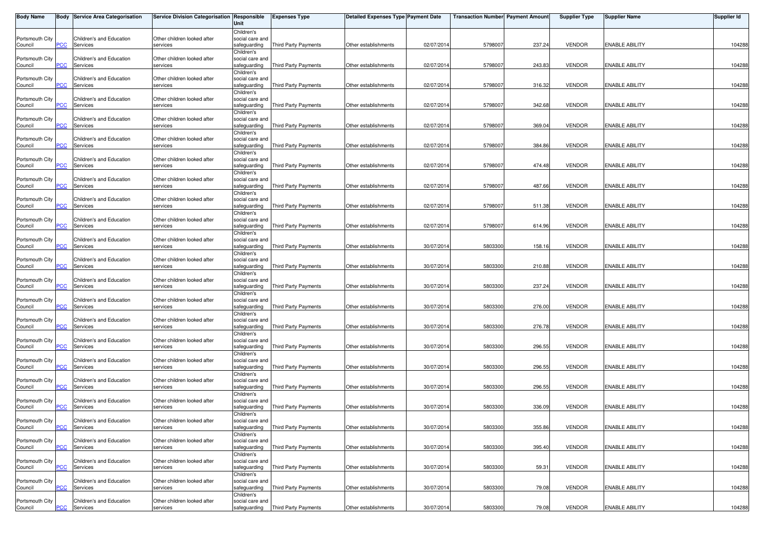| <b>Body Name</b> |                | Body Service Area Categorisation | Service Division Categorisation Responsible | Unit                            | <b>Expenses Type</b>        | Detailed Expenses Type Payment Date |            | Transaction Number  Payment Amount |        | <b>Supplier Type</b> | Supplier Name         | <b>Supplier Id</b> |
|------------------|----------------|----------------------------------|---------------------------------------------|---------------------------------|-----------------------------|-------------------------------------|------------|------------------------------------|--------|----------------------|-----------------------|--------------------|
|                  |                |                                  |                                             | Children's                      |                             |                                     |            |                                    |        |                      |                       |                    |
| Portsmouth City  |                | Children's and Education         | Other children looked after                 | social care and                 |                             |                                     |            |                                    |        |                      |                       |                    |
| Council          | PCC            | Services                         | services                                    | safeguarding                    | Third Party Payments        | Other establishments                | 02/07/201  | 5798007                            | 237.24 | <b>VENDOR</b>        | <b>ENABLE ABILITY</b> | 104288             |
|                  |                |                                  |                                             | Children's                      |                             |                                     |            |                                    |        |                      |                       |                    |
| Portsmouth City  |                | Children's and Education         | Other children looked after                 | social care and                 |                             |                                     |            |                                    |        |                      |                       |                    |
| Council          | PCC            | Services                         | services                                    | safeguarding                    | Third Party Payments        | Other establishments                | 02/07/201  | 5798007                            | 243.83 | <b>VENDOR</b>        | <b>ENABLE ABILITY</b> | 104288             |
|                  |                |                                  |                                             | Children's                      |                             |                                     |            |                                    |        |                      |                       |                    |
| Portsmouth City  |                | Children's and Education         | Other children looked after                 | social care and                 |                             |                                     |            |                                    |        |                      |                       |                    |
| Council          | <b>PCC</b>     | Services                         | services                                    | safeguarding                    | Third Party Payments        | Other establishments                | 02/07/2014 | 5798007                            | 316.32 | <b>VENDOR</b>        | <b>ENABLE ABILITY</b> | 104288             |
|                  |                |                                  |                                             | Children's                      |                             |                                     |            |                                    |        |                      |                       |                    |
| Portsmouth City  |                | Children's and Education         | Other children looked after                 | social care and                 |                             |                                     |            |                                    |        |                      |                       |                    |
| Council          | PCC            | Services                         | services                                    | safeguarding                    | <b>Third Party Payments</b> | Other establishments                | 02/07/201  | 5798007                            | 342.68 | <b>VENDOR</b>        | <b>ENABLE ABILITY</b> | 104288             |
|                  |                |                                  |                                             | Children's                      |                             |                                     |            |                                    |        |                      |                       |                    |
| Portsmouth City  |                | Children's and Education         | Other children looked after                 | social care and                 |                             |                                     |            |                                    |        |                      |                       |                    |
| Council          | PCC            | Services                         | services                                    | safeguarding                    | <b>Third Party Payments</b> | Other establishments                | 02/07/201  | 5798007                            | 369.04 | <b>VENDOR</b>        | <b>ENABLE ABILITY</b> | 104288             |
|                  |                |                                  |                                             | Children's                      |                             |                                     |            |                                    |        |                      |                       |                    |
| Portsmouth City  |                | Children's and Education         | Other children looked after                 | social care and                 |                             |                                     |            |                                    |        |                      |                       |                    |
| Council          | $\overline{C}$ | Services                         | services                                    | safeguarding                    | Third Party Payments        | Other establishments                | 02/07/201  | 5798007                            | 384.86 | <b>VENDOR</b>        | <b>ENABLE ABILITY</b> | 104288             |
|                  |                |                                  |                                             | Children's                      |                             |                                     |            |                                    |        |                      |                       |                    |
| Portsmouth City  |                | Children's and Education         | Other children looked after                 | social care and                 |                             |                                     |            |                                    |        |                      |                       |                    |
| Council          | PCC            | Services                         | services                                    | safeguarding                    | Third Party Payments        | Other establishments                | 02/07/201  | 5798007                            | 474.48 | <b>VENDOR</b>        | <b>ENABLE ABILITY</b> | 104288             |
|                  |                |                                  |                                             | Children's                      |                             |                                     |            |                                    |        |                      |                       |                    |
| Portsmouth City  |                | Children's and Education         | Other children looked after                 | social care and                 |                             |                                     |            |                                    |        |                      |                       |                    |
| Council          | PCC            | Services                         | services                                    | safeguarding                    | <b>Third Party Payments</b> | Other establishments                | 02/07/201  | 5798007                            | 487.66 | <b>VENDOR</b>        | <b>ENABLE ABILITY</b> | 104288             |
|                  |                |                                  |                                             | Children's                      |                             |                                     |            |                                    |        |                      |                       |                    |
| Portsmouth City  |                | Children's and Education         | Other children looked after                 | social care and                 |                             |                                     |            |                                    |        |                      |                       |                    |
| Council          | сC             | Services                         | services                                    | safeguarding                    | Third Party Payments        | Other establishments                | 02/07/201  | 5798007                            | 511.38 | <b>VENDOR</b>        | <b>ENABLE ABILITY</b> | 104288             |
|                  |                |                                  |                                             | Children's                      |                             |                                     |            |                                    |        |                      |                       |                    |
| Portsmouth City  |                | Children's and Education         | Other children looked after                 | social care and                 |                             |                                     |            |                                    |        |                      |                       |                    |
| Council          | PCC            | Services                         | services                                    | safeguarding                    | Third Party Payments        | Other establishments                | 02/07/201  | 5798007                            | 614.96 | <b>VENDOR</b>        | <b>ENABLE ABILITY</b> | 104288             |
|                  |                |                                  |                                             | Children's                      |                             |                                     |            |                                    |        |                      |                       |                    |
| Portsmouth City  |                | Children's and Education         | Other children looked after                 | social care and                 |                             |                                     |            |                                    |        |                      |                       |                    |
| Council          | PCC            | Services                         | services                                    | safeguarding                    | <b>Third Party Payments</b> | Other establishments                | 30/07/201  | 5803300                            | 158.16 | <b>VENDOR</b>        | <b>ENABLE ABILITY</b> | 104288             |
|                  |                |                                  |                                             | Children's                      |                             |                                     |            |                                    |        |                      |                       |                    |
| Portsmouth City  |                | Children's and Education         | Other children looked after                 | social care and                 |                             |                                     |            |                                    |        |                      |                       |                    |
| Council          | сC             | Services                         | services                                    | safeguarding                    | Third Party Payments        | Other establishments                | 30/07/201  | 5803300                            | 210.88 | <b>VENDOR</b>        | <b>ENABLE ABILITY</b> | 104288             |
|                  |                |                                  |                                             | Children's                      |                             |                                     |            |                                    |        |                      |                       |                    |
| Portsmouth City  |                | Children's and Education         | Other children looked after                 | social care and                 |                             |                                     |            |                                    |        |                      |                       |                    |
| Council          | PCC            | Services                         | services                                    | safeguarding                    | Third Party Payments        | Other establishments                | 30/07/201  | 5803300                            | 237.24 | <b>VENDOR</b>        | <b>ENABLE ABILITY</b> | 104288             |
|                  |                |                                  |                                             | Children's                      |                             |                                     |            |                                    |        |                      |                       |                    |
| Portsmouth City  |                | Children's and Education         | Other children looked after                 | social care and                 |                             |                                     |            |                                    |        |                      |                       |                    |
| Council          | PCC            | Services                         | services                                    | safeguarding                    | <b>Third Party Payments</b> | Other establishments                | 30/07/201  | 5803300                            | 276.00 | <b>VENDOR</b>        | <b>ENABLE ABILITY</b> | 104288             |
|                  |                |                                  |                                             | Children's                      |                             |                                     |            |                                    |        |                      |                       |                    |
| Portsmouth City  |                | Children's and Education         | Other children looked after                 | social care and                 |                             |                                     |            |                                    |        |                      |                       |                    |
| Council          | $\overline{C}$ | Services                         | services                                    | safeguarding                    | Third Party Payments        | Other establishments                | 30/07/201  | 5803300                            | 276.78 | <b>VENDOR</b>        | <b>ENABLE ABILITY</b> | 104288             |
|                  |                |                                  |                                             | Children's                      |                             |                                     |            |                                    |        |                      |                       |                    |
| Portsmouth City  |                | Children's and Education         | Other children looked after                 | social care and                 |                             |                                     |            |                                    |        |                      |                       |                    |
| Council          | PCC            | Services                         | services                                    | safeguarding                    | <b>Third Party Payments</b> | Other establishments                | 30/07/201  | 5803300                            | 296.55 | <b>VENDOR</b>        | <b>ENABLE ABILITY</b> | 104288             |
|                  |                |                                  |                                             | Children's                      |                             |                                     |            |                                    |        |                      |                       |                    |
| Portsmouth City  |                | Children's and Education         | Other children looked after                 | social care and                 |                             |                                     |            |                                    |        |                      |                       |                    |
| Council          | <b>PCC</b>     | Services                         | services                                    | safeguarding                    | <b>Third Party Payments</b> | Other establishments                | 30/07/201  | 5803300                            | 296.55 | <b>VENDOR</b>        | <b>ENABLE ABILITY</b> | 104288             |
|                  |                |                                  |                                             | Children's                      |                             |                                     |            |                                    |        |                      |                       |                    |
| Portsmouth City  |                | Children's and Education         | Other children looked after                 | social care and                 |                             |                                     |            |                                    |        |                      |                       |                    |
| Council          | PСC            | Services                         | services                                    | safeguarding                    | Third Party Payments        | Other establishments                | 30/07/201  | 5803300                            | 296.55 | <b>VENDOR</b>        | <b>ENABLE ABILITY</b> | 104288             |
|                  |                |                                  |                                             | Children's                      |                             |                                     |            |                                    |        |                      |                       |                    |
| Portsmouth City  |                | Children's and Education         | Other children looked after                 | social care and                 |                             |                                     |            |                                    |        |                      |                       |                    |
| Council          | PСC            | Services                         | services                                    | safeguarding                    | Third Party Payments        | Other establishments                | 30/07/201  | 5803300                            | 336.09 | <b>VENDOR</b>        | <b>ENABLE ABILITY</b> | 104288             |
|                  |                |                                  |                                             | Children's                      |                             |                                     |            |                                    |        |                      |                       |                    |
| Portsmouth City  |                | Children's and Education         | Other children looked after                 | social care and                 |                             |                                     |            |                                    |        |                      |                       |                    |
| Council          |                | <b>PCC</b> Services              | services                                    | safeguarding                    | Third Party Payments        | Other establishments                | 30/07/2014 | 5803300                            | 355.86 | <b>VENDOR</b>        | <b>ENABLE ABILITY</b> | 104288             |
|                  |                |                                  |                                             | Children's                      |                             |                                     |            |                                    |        |                      |                       |                    |
| Portsmouth City  |                | Children's and Education         | Other children looked after                 |                                 |                             |                                     |            |                                    |        |                      |                       |                    |
| Council          | PCC            | Services                         | services                                    | social care and<br>safeguarding | Third Party Payments        | Other establishments                | 30/07/201  | 5803300                            | 395.40 | <b>VENDOR</b>        | <b>ENABLE ABILITY</b> | 104288             |
|                  |                |                                  |                                             |                                 |                             |                                     |            |                                    |        |                      |                       |                    |
|                  |                |                                  |                                             | Children's                      |                             |                                     |            |                                    |        |                      |                       |                    |
| Portsmouth City  | PСC            | Children's and Education         | Other children looked after                 | social care and                 | Third Party Payments        | Other establishments                | 30/07/2014 | 5803300                            | 59.31  | <b>VENDOR</b>        | <b>ENABLE ABILITY</b> | 104288             |
| Council          |                | Services                         | services                                    | safeguarding                    |                             |                                     |            |                                    |        |                      |                       |                    |
|                  |                |                                  |                                             | Children's                      |                             |                                     |            |                                    |        |                      |                       |                    |
| Portsmouth City  |                | Children's and Education         | Other children looked after                 | social care and                 |                             |                                     |            |                                    |        |                      |                       |                    |
| Council          | PСC            | Services                         | services                                    | safeguarding                    | Third Party Payments        | Other establishments                | 30/07/201  | 5803300                            | 79.08  | <b>VENDOR</b>        | <b>ENABLE ABILITY</b> | 104288             |
|                  |                |                                  |                                             | Children's                      |                             |                                     |            |                                    |        |                      |                       |                    |
| Portsmouth City  |                | Children's and Education         | Other children looked after                 | social care and                 |                             |                                     |            |                                    |        |                      |                       |                    |
| Council          | <u>PCC</u>     | Services                         | services                                    | safeguarding                    | Third Party Payments        | Other establishments                | 30/07/2014 | 5803300                            | 79.08  | <b>VENDOR</b>        | <b>ENABLE ABILITY</b> | 104288             |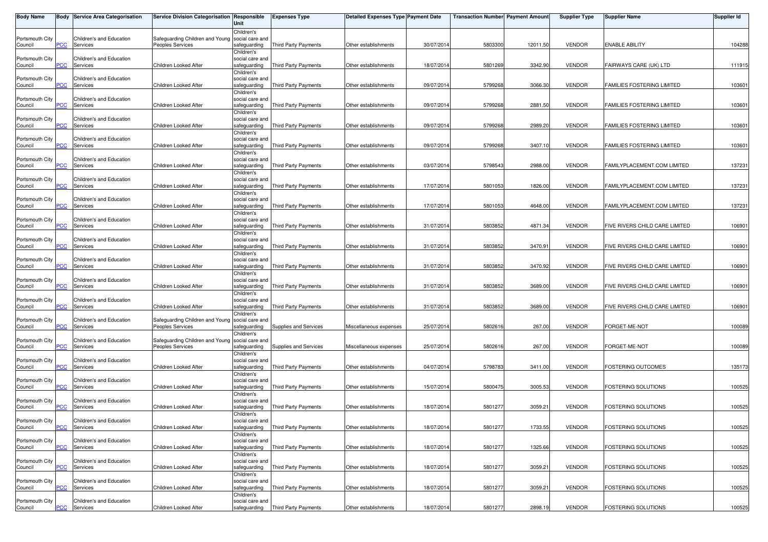| Body Name                  |            | <b>Body Service Area Categorisation</b> | Service Division Categorisation   Responsible       | Unit                                          | <b>Expenses Type</b>        | <b>Detailed Expenses Type Payment Date</b> |            | <b>Transaction Number</b> Payment Amount |          | <b>Supplier Type</b> | <b>Supplier Name</b>           | Supplier Id |
|----------------------------|------------|-----------------------------------------|-----------------------------------------------------|-----------------------------------------------|-----------------------------|--------------------------------------------|------------|------------------------------------------|----------|----------------------|--------------------------------|-------------|
| Portsmouth City<br>Council | PСC        | Children's and Education<br>Services    | Safeguarding Children and Young<br>Peoples Services | Children's<br>social care and<br>safeguarding | <b>Third Party Payments</b> | Other establishments                       | 30/07/2014 | 5803300                                  | 12011.50 | <b>VENDOR</b>        | <b>ENABLE ABILITY</b>          | 104288      |
| Portsmouth City<br>Council | PСC        | Children's and Education<br>Services    | Children Looked After                               | Children's<br>social care and<br>safeguarding | <b>Third Party Payments</b> | Other establishments                       | 18/07/2014 | 5801269                                  | 3342.90  | <b>VENDOR</b>        | FAIRWAYS CARE (UK) LTD         | 111915      |
| Portsmouth City<br>Council | PСC        | Children's and Education<br>Services    | Children Looked After                               | Children's<br>social care and<br>safeguarding | <b>Third Party Payments</b> | Other establishments                       | 09/07/2014 | 5799268                                  | 3066.30  | <b>VENDOR</b>        | FAMILIES FOSTERING LIMITED     | 103601      |
| Portsmouth City<br>Council | PСC        | Children's and Education<br>Services    | Children Looked After                               | Children's<br>social care and<br>safeguarding | Third Party Payments        | Other establishments                       | 09/07/2014 | 5799268                                  | 2881.50  | <b>VENDOR</b>        | FAMILIES FOSTERING LIMITED     | 103601      |
| Portsmouth City<br>Council | <b>PCC</b> | Children's and Education<br>Services    | Children Looked After                               | Children's<br>social care and<br>safeguarding | <b>Third Party Payments</b> | Other establishments                       | 09/07/2014 | 5799268                                  | 2989.20  | <b>VENDOR</b>        | FAMILIES FOSTERING LIMITED     | 103601      |
| Portsmouth City<br>Council | PСC        | Children's and Education<br>Services    | Children Looked After                               | Children's<br>social care and<br>safeguarding | <b>Third Party Payments</b> | Other establishments                       | 09/07/2014 | 5799268                                  | 3407.10  | <b>VENDOR</b>        | FAMILIES FOSTERING LIMITED     | 103601      |
| Portsmouth City<br>Council | <b>PCC</b> | Children's and Education<br>Services    | Children Looked After                               | Children's<br>social care and<br>safeguarding | Third Party Payments        | Other establishments                       | 03/07/2014 | 5798543                                  | 2988.00  | <b>VENDOR</b>        | FAMILYPLACEMENT.COM LIMITED    | 137231      |
| Portsmouth City<br>Council | <b>PCC</b> | Children's and Education<br>Services    | Children Looked After                               | Children's<br>social care and<br>safeguarding | Third Party Payments        | Other establishments                       | 17/07/2014 | 5801053                                  | 1826.00  | <b>VENDOR</b>        | FAMILYPLACEMENT.COM LIMITED    | 137231      |
| Portsmouth City<br>Council | сC         | Children's and Education<br>Services    | Children Looked After                               | Children's<br>social care and<br>safeguarding | Third Party Payments        | Other establishments                       | 17/07/2014 | 5801053                                  | 4648.00  | <b>VENDOR</b>        | FAMILYPLACEMENT.COM LIMITED    | 137231      |
| Portsmouth City<br>Council | сC         | Children's and Education<br>Services    | Children Looked After                               | Children's<br>social care and<br>safeguarding | <b>Third Party Payments</b> | Other establishments                       | 31/07/2014 | 5803852                                  | 4871.34  | <b>VENDOR</b>        | FIVE RIVERS CHILD CARE LIMITED | 106901      |
| Portsmouth City<br>Council | PCC        | Children's and Education<br>Services    | Children Looked After                               | Children's<br>social care and<br>safeguarding | <b>Third Party Payments</b> | Other establishments                       | 31/07/2014 | 5803852                                  | 3470.91  | <b>VENDOR</b>        | FIVE RIVERS CHILD CARE LIMITED | 106901      |
| Portsmouth City<br>Council | сC         | Children's and Education<br>Services    | Children Looked After                               | Children's<br>social care and<br>safeguarding | <b>Third Party Payments</b> | Other establishments                       | 31/07/2014 | 5803852                                  | 3470.92  | <b>VENDOR</b>        | FIVE RIVERS CHILD CARE LIMITED | 106901      |
| Portsmouth City<br>Council | PСC        | Children's and Education<br>Services    | Children Looked After                               | Children's<br>social care and<br>safeguarding | Third Party Payments        | Other establishments                       | 31/07/2014 | 5803852                                  | 3689.00  | <b>VENDOR</b>        | FIVE RIVERS CHILD CARE LIMITED | 106901      |
| Portsmouth City<br>Council | <b>PCC</b> | Children's and Education<br>Services    | Children Looked After                               | Children's<br>social care and<br>safeguarding | Third Party Payments        | Other establishments                       | 31/07/2014 | 5803852                                  | 3689.00  | <b>VENDOR</b>        | FIVE RIVERS CHILD CARE LIMITED | 106901      |
| Portsmouth City<br>Council | сc         | Children's and Education<br>Services    | Safeguarding Children and Young<br>Peoples Services | Children's<br>social care and<br>safeguarding | Supplies and Services       | Miscellaneous expenses                     | 25/07/2014 | 5802616                                  | 267.00   | <b>VENDOR</b>        | FORGET-ME-NOT                  | 100089      |
| Portsmouth City<br>Council | PСC        | Children's and Education<br>Services    | Safeguarding Children and Young<br>Peoples Services | Children's<br>social care and<br>safeguarding | Supplies and Services       | Miscellaneous expenses                     | 25/07/2014 | 5802616                                  | 267.00   | <b>VENDOR</b>        | FORGET-ME-NOT                  | 100089      |
| Portsmouth City<br>Council | PСC        | Children's and Education<br>Services    | Children Looked After                               | Children's<br>social care and<br>safeguarding | Third Party Payments        | Other establishments                       | 04/07/2014 | 5798783                                  | 3411.00  | <b>VENDOR</b>        | FOSTERING OUTCOMES             | 135173      |
| Portsmouth City<br>Council | сC         | Children's and Education<br>Services    | Children Looked After                               | Children's<br>social care and<br>safeguarding | <b>Third Party Payments</b> | Other establishments                       | 15/07/2014 | 5800475                                  | 3005.53  | <b>VENDOR</b>        | FOSTERING SOLUTIONS            | 100525      |
| Portsmouth City<br>Council | PСC        | Children's and Education<br>Services    | Children Looked After                               | Children's<br>social care and<br>safequarding | Third Party Payments        | Other establishments                       | 18/07/2014 | 5801277                                  | 3059.21  | <b>VENDOR</b>        | FOSTERING SOLUTIONS            | 100525      |
| Portsmouth City<br>Council | <b>PCC</b> | Children's and Education<br>Services    | Children Looked After                               | Children's<br>social care and<br>safeguarding | Third Party Payments        | Other establishments                       | 18/07/2014 | 5801277                                  | 1733.55  | <b>VENDOR</b>        | FOSTERING SOLUTIONS            | 100525      |
| Portsmouth City<br>Council | PСC        | Children's and Education<br>Services    | Children Looked After                               | Children's<br>social care and<br>safeguarding | <b>Third Party Payments</b> | Other establishments                       | 18/07/2014 | 5801277                                  | 1325.66  | <b>VENDOR</b>        | FOSTERING SOLUTIONS            | 100525      |
| Portsmouth City<br>Council | PСC        | Children's and Education<br>Services    | Children Looked After                               | Children's<br>social care and<br>safeguarding | <b>Third Party Payments</b> | Other establishments                       | 18/07/2014 | 5801277                                  | 3059.21  | <b>VENDOR</b>        | FOSTERING SOLUTIONS            | 100525      |
| Portsmouth City<br>Council | PСC        | Children's and Education<br>Services    | Children Looked After                               | Children's<br>social care and<br>safeguarding | <b>Third Party Payments</b> | Other establishments                       | 18/07/2014 | 5801277                                  | 3059.21  | <b>VENDOR</b>        | FOSTERING SOLUTIONS            | 100525      |
| Portsmouth City<br>Council | <b>PCC</b> | Children's and Education<br>Services    | Children Looked After                               | Children's<br>social care and<br>safeguarding | Third Party Payments        | Other establishments                       | 18/07/2014 | 5801277                                  | 2898.19  | <b>VENDOR</b>        | <b>FOSTERING SOLUTIONS</b>     | 100525      |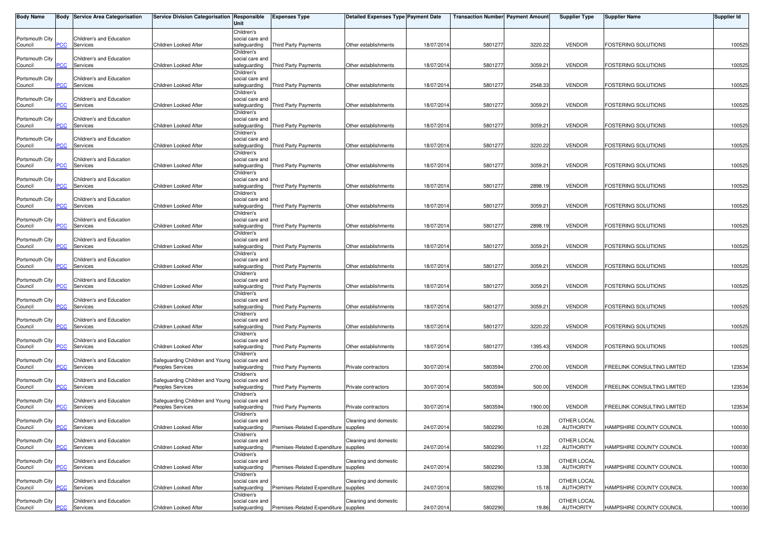| <b>Body Name</b>           |                | <b>Body Service Area Categorisation</b> | Service Division Categorisation Responsible     | Unit                            | <b>Expenses Type</b>                  | Detailed Expenses Type Payment Date |            | Transaction Number Payment Amount |         | <b>Supplier Type</b>            | <b>Supplier Name</b>        | Supplier Id |
|----------------------------|----------------|-----------------------------------------|-------------------------------------------------|---------------------------------|---------------------------------------|-------------------------------------|------------|-----------------------------------|---------|---------------------------------|-----------------------------|-------------|
|                            |                | Children's and Education                |                                                 | Children's                      |                                       |                                     |            |                                   |         |                                 |                             |             |
| Portsmouth City<br>Council | PCC            | Services                                | Children Looked After                           | social care and<br>safeguarding | Third Party Payments                  | Other establishments                | 18/07/2014 | 5801277                           | 3220.22 | <b>VENDOR</b>                   | FOSTERING SOLUTIONS         | 100525      |
|                            |                |                                         |                                                 | Children's                      |                                       |                                     |            |                                   |         |                                 |                             |             |
| Portsmouth City<br>Council | PCC            | Children's and Education<br>Services    | Children Looked After                           | social care and<br>safeguarding | <b>Third Party Payments</b>           | Other establishments                | 18/07/2014 | 5801277                           | 3059.21 | <b>VENDOR</b>                   | FOSTERING SOLUTIONS         | 100525      |
|                            |                |                                         |                                                 | Children's                      |                                       |                                     |            |                                   |         |                                 |                             |             |
| Portsmouth City<br>Council | PCC            | Children's and Education<br>Services    | Children Looked After                           | social care and<br>safeguarding | Third Party Payments                  | Other establishments                | 18/07/2014 | 5801277                           | 2548.33 | <b>VENDOR</b>                   | FOSTERING SOLUTIONS         | 100525      |
|                            |                |                                         |                                                 | Children's                      |                                       |                                     |            |                                   |         |                                 |                             |             |
| Portsmouth City            |                | Children's and Education                |                                                 | social care and                 |                                       |                                     |            |                                   |         |                                 | FOSTERING SOLUTIONS         |             |
| Council                    | PCC            | Services                                | Children Looked After                           | safeguarding<br>Children's      | Third Party Payments                  | Other establishments                | 18/07/2014 | 5801277                           | 3059.21 | <b>VENDOR</b>                   |                             | 100525      |
| Portsmouth City            |                | Children's and Education                |                                                 | social care and                 |                                       |                                     |            |                                   |         |                                 |                             |             |
| Council                    | $\overline{C}$ | Services                                | Children Looked After                           | safeguarding<br>Children's      | Third Party Payments                  | Other establishments                | 18/07/2014 | 5801277                           | 3059.21 | <b>VENDOR</b>                   | FOSTERING SOLUTIONS         | 100525      |
| Portsmouth City            |                | Children's and Education                |                                                 | social care and                 |                                       |                                     |            |                                   |         |                                 |                             |             |
| Council                    | PCC            | Services                                | Children Looked After                           | safeguarding                    | <b>Third Party Payments</b>           | Other establishments                | 18/07/2014 | 5801277                           | 3220.22 | <b>VENDOR</b>                   | <b>FOSTERING SOLUTIONS</b>  | 100525      |
| Portsmouth City            |                | Children's and Education                |                                                 | Children's<br>social care and   |                                       |                                     |            |                                   |         |                                 |                             |             |
| Council                    | PCC            | Services                                | Children Looked After                           | safeguarding                    | Third Party Payments                  | Other establishments                | 18/07/2014 | 5801277                           | 3059.21 | <b>VENDOR</b>                   | <b>FOSTERING SOLUTIONS</b>  | 100525      |
| Portsmouth City            |                | Children's and Education                |                                                 | Children's<br>social care and   |                                       |                                     |            |                                   |         |                                 |                             |             |
| Council                    | <b>PCC</b>     | Services                                | Children Looked After                           | safeguarding                    | Third Party Payments                  | Other establishments                | 18/07/2014 | 5801277                           | 2898.19 | <b>VENDOR</b>                   | <b>FOSTERING SOLUTIONS</b>  | 100525      |
|                            |                |                                         |                                                 | Children's                      |                                       |                                     |            |                                   |         |                                 |                             |             |
| Portsmouth City<br>Council | PСC            | Children's and Education<br>Services    | Children Looked After                           | social care and<br>safeguarding | <b>Third Party Payments</b>           | Other establishments                | 18/07/2014 | 5801277                           | 3059.21 | <b>VENDOR</b>                   | FOSTERING SOLUTIONS         | 100525      |
|                            |                |                                         |                                                 | Children's                      |                                       |                                     |            |                                   |         |                                 |                             |             |
| Portsmouth City            | <b>PCC</b>     | Children's and Education                |                                                 | social care and                 |                                       |                                     | 18/07/2014 | 5801277                           | 2898.19 | <b>VENDOR</b>                   | FOSTERING SOLUTIONS         | 100525      |
| Council                    |                | Services                                | Children Looked After                           | safeguarding<br>Children's      | Third Party Payments                  | Other establishments                |            |                                   |         |                                 |                             |             |
| Portsmouth City            |                | Children's and Education                |                                                 | social care and                 |                                       |                                     |            |                                   |         |                                 |                             |             |
| Council                    | PCC            | Services                                | Children Looked After                           | safeguarding<br>Children's      | Third Party Payments                  | Other establishments                | 18/07/201  | 5801277                           | 3059.21 | <b>VENDOR</b>                   | FOSTERING SOLUTIONS         | 100525      |
| Portsmouth City            |                | Children's and Education                |                                                 | social care and                 |                                       |                                     |            |                                   |         |                                 |                             |             |
| Council                    | сC             | Services                                | Children Looked After                           | safeguarding                    | Third Party Payments                  | Other establishments                | 18/07/2014 | 5801277                           | 3059.21 | <b>VENDOR</b>                   | FOSTERING SOLUTIONS         | 100525      |
| Portsmouth City            |                | Children's and Education                |                                                 | Children's<br>social care and   |                                       |                                     |            |                                   |         |                                 |                             |             |
| Council                    | PCC            | Services                                | Children Looked After                           | safeguarding                    | Third Party Payments                  | Other establishments                | 18/07/2014 | 5801277                           | 3059.21 | <b>VENDOR</b>                   | <b>FOSTERING SOLUTIONS</b>  | 100525      |
|                            |                |                                         |                                                 | Children's                      |                                       |                                     |            |                                   |         |                                 |                             |             |
| Portsmouth City<br>Council | PCC            | Children's and Education<br>Services    | Children Looked After                           | social care and<br>safeguarding | Third Party Payments                  | Other establishments                | 18/07/2014 | 5801277                           | 3059.21 | <b>VENDOR</b>                   | <b>FOSTERING SOLUTIONS</b>  | 100525      |
|                            |                |                                         |                                                 | Children's                      |                                       |                                     |            |                                   |         |                                 |                             |             |
| Portsmouth City<br>Council | $\overline{C}$ | Children's and Education<br>Services    | Children Looked After                           | social care and<br>safeguarding | <b>Third Party Payments</b>           | Other establishments                | 18/07/2014 | 5801277                           | 3220.22 | <b>VENDOR</b>                   | FOSTERING SOLUTIONS         | 100525      |
|                            |                |                                         |                                                 | Children's                      |                                       |                                     |            |                                   |         |                                 |                             |             |
| Portsmouth City            | PCC            | Children's and Education<br>Services    | Children Looked After                           | social care and                 |                                       | Other establishments                | 18/07/2014 | 5801277                           | 1395.43 | <b>VENDOR</b>                   | FOSTERING SOLUTIONS         | 100525      |
| Council                    |                |                                         |                                                 | safeguarding<br>Children's      | Third Party Payments                  |                                     |            |                                   |         |                                 |                             |             |
| Portsmouth City            |                | Children's and Education                | Safeguarding Children and Young Social care and |                                 |                                       |                                     |            |                                   |         |                                 |                             |             |
| Council                    | $\overline{C}$ | Services                                | <b>Peoples Services</b>                         | safeguarding<br>Children's      | Third Party Payments                  | Private contractors                 | 30/07/2014 | 5803594                           | 2700.00 | <b>VENDOR</b>                   | FREELINK CONSULTING LIMITED | 123534      |
| Portsmouth City            |                | Children's and Education                | Safeguarding Children and Young social care and |                                 |                                       |                                     |            |                                   |         |                                 |                             |             |
| Council                    | сC             | Services                                | Peoples Services                                | safeguarding                    | <b>Third Party Payments</b>           | Private contractors                 | 30/07/2014 | 5803594                           | 500.00  | <b>VENDOR</b>                   | FREELINK CONSULTING LIMITED | 123534      |
| Portsmouth City            |                | Children's and Education                | Safeguarding Children and Young social care and | Children's                      |                                       |                                     |            |                                   |         |                                 |                             |             |
| Council                    | PCC            | Services                                | <b>Peoples Services</b>                         | safeguarding                    | Third Party Payments                  | Private contractors                 | 30/07/2014 | 5803594                           | 1900.00 | <b>VENDOR</b>                   | FREELINK CONSULTING LIMITED | 123534      |
| Portsmouth City            |                | Children's and Education                |                                                 | Children's<br>social care and   |                                       | Cleaning and domestic               |            |                                   |         | OTHER LOCAL                     |                             |             |
| Council                    |                | <b>PCC</b> Services                     | Children Looked After                           | safeguarding                    | Premises-Related Expenditure supplies |                                     | 24/07/2014 | 5802290                           | 10.28   | AUTHORITY                       | HAMPSHIRE COUNTY COUNCIL    | 100030      |
|                            |                |                                         |                                                 | Children's                      |                                       |                                     |            |                                   |         |                                 |                             |             |
| Portsmouth City<br>Council | <b>PCC</b>     | Children's and Education<br>Services    | Children Looked After                           | social care and<br>safeguarding | Premises-Related Expenditure          | Cleaning and domestic<br>supplies   | 24/07/2014 | 5802290                           | 11.22   | OTHER LOCAL<br><b>AUTHORITY</b> | HAMPSHIRE COUNTY COUNCIL    | 100030      |
|                            |                |                                         |                                                 | Children's                      |                                       |                                     |            |                                   |         |                                 |                             |             |
| Portsmouth City<br>Council | PCC            | Children's and Education<br>Services    | Children Looked After                           | social care and<br>safeguarding | Premises-Related Expenditure supplies | Cleaning and domestic               | 24/07/2014 | 5802290                           | 13.38   | OTHER LOCAL<br><b>AUTHORITY</b> | HAMPSHIRE COUNTY COUNCIL    | 100030      |
|                            |                |                                         |                                                 | Children's                      |                                       |                                     |            |                                   |         |                                 |                             |             |
| Portsmouth City            |                | Children's and Education                |                                                 | social care and                 |                                       | Cleaning and domestic               |            |                                   |         | OTHER LOCAL                     |                             |             |
| Council                    | PCC            | Services                                | Children Looked After                           | safeguarding<br>Children's      | Premises-Related Expenditure supplies |                                     | 24/07/2014 | 580229                            | 15.18   | <b>AUTHORITY</b>                | HAMPSHIRE COUNTY COUNCIL    | 100030      |
| Portsmouth City            |                | Children's and Education                |                                                 | social care and                 |                                       | Cleaning and domestic               |            |                                   |         | OTHER LOCAL                     |                             |             |
| Council                    | PCC            | Services                                | Children Looked After                           | safeguarding                    | Premises-Related Expenditure supplies |                                     | 24/07/2014 | 5802290                           | 19.86   | AUTHORITY                       | HAMPSHIRE COUNTY COUNCIL    | 100030      |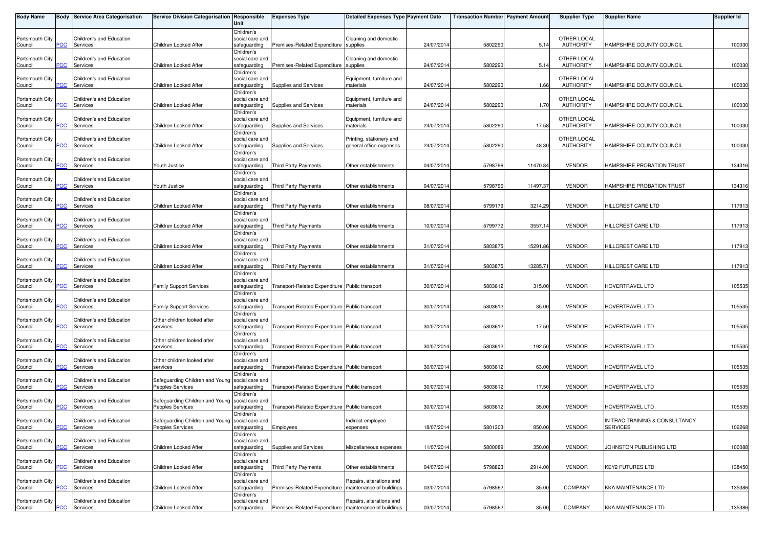| Body Name                  |            | <b>Body Service Area Categorisation</b> | Service Division Categorisation Responsible                         | Unit                                          | <b>Expenses Type</b>                                    | <b>Detailed Expenses Type Payment Date</b>           |            | <b>Transaction Number  Payment Amount </b> |          | <b>Supplier Type</b>            | <b>Supplier Name</b>                              | <b>Supplier Id</b> |
|----------------------------|------------|-----------------------------------------|---------------------------------------------------------------------|-----------------------------------------------|---------------------------------------------------------|------------------------------------------------------|------------|--------------------------------------------|----------|---------------------------------|---------------------------------------------------|--------------------|
| Portsmouth City<br>Council | PСC        | Children's and Education<br>Services    | Children Looked After                                               | Children's<br>social care and<br>safeguarding | Premises-Related Expenditure supplies                   | Cleaning and domestic                                | 24/07/2014 | 5802290                                    | 5.14     | OTHER LOCAL<br><b>AUTHORITY</b> | HAMPSHIRE COUNTY COUNCIL                          | 100030             |
| Portsmouth City<br>Council | PСC        | Children's and Education<br>Services    | Children Looked After                                               | Children's<br>social care and<br>safeguarding | Premises-Related Expenditure supplies                   | Cleaning and domestic                                | 24/07/201  | 580229                                     | 5.14     | OTHER LOCAL<br><b>AUTHORITY</b> | HAMPSHIRE COUNTY COUNCIL                          | 100030             |
| Portsmouth City<br>Council | ۲CC        | Children's and Education<br>Services    | Children Looked After                                               | Children's<br>social care and<br>safeguarding | Supplies and Services                                   | Equipment, furniture and<br>materials                | 24/07/201  | 5802290                                    | 1.66     | OTHER LOCAL<br><b>AUTHORITY</b> | HAMPSHIRE COUNTY COUNCIL                          | 100030             |
| Portsmouth City<br>Council | <b>PCC</b> | Children's and Education<br>Services    | Children Looked After                                               | Children's<br>social care and<br>safeguarding | Supplies and Services                                   | Equipment, furniture and<br>materials                | 24/07/201  | 5802290                                    | 1.70     | OTHER LOCAL<br><b>AUTHORITY</b> | HAMPSHIRE COUNTY COUNCIL                          | 100030             |
| Portsmouth City<br>Council | <b>PCC</b> | Children's and Education<br>Services    | Children Looked After                                               | Children's<br>social care and<br>safeguarding | Supplies and Services                                   | Equipment, furniture and<br>materials                | 24/07/201  | 5802290                                    | 17.58    | OTHER LOCAL<br><b>AUTHORITY</b> | HAMPSHIRE COUNTY COUNCIL                          | 100030             |
| Portsmouth City<br>Council | <b>CC</b>  | Children's and Education<br>Services    | Children Looked After                                               | Children's<br>social care and<br>safeguarding | Supplies and Services                                   | Printing, stationery and<br>general office expenses  | 24/07/2014 | 5802290                                    | 48.30    | OTHER LOCAL<br><b>AUTHORITY</b> | HAMPSHIRE COUNTY COUNCIL                          | 100030             |
| Portsmouth City<br>Council | PCC.       | Children's and Education<br>Services    | Youth Justice                                                       | Children's<br>social care and<br>safeguarding | Third Party Payments                                    | Other establishments                                 | 04/07/201  | 5798796                                    | 11470.84 | <b>VENDOR</b>                   | HAMPSHIRE PROBATION TRUST                         | 134316             |
| Portsmouth City<br>Council | <b>PCC</b> | Children's and Education<br>Services    | Youth Justice                                                       | Children's<br>social care and<br>safeguarding | Third Party Payments                                    | Other establishments                                 | 04/07/201  | 5798796                                    | 11497.37 | <b>VENDOR</b>                   | HAMPSHIRE PROBATION TRUST                         | 134316             |
| Portsmouth City<br>Council | °СС        | Children's and Education<br>Services    | Children Looked After                                               | Children's<br>social care and<br>safeguarding | <b>Third Party Payments</b>                             | Other establishments                                 | 08/07/201  | 5799179                                    | 3214.29  | <b>VENDOR</b>                   | HILLCREST CARE LTD                                | 117913             |
| Portsmouth City<br>Council | PСC        | Children's and Education<br>Services    | Children Looked After                                               | Children's<br>social care and<br>safeguarding | Third Party Payments                                    | Other establishments                                 | 10/07/201  | 5799772                                    | 3557.14  | <b>VENDOR</b>                   | HILLCREST CARE LTD                                | 117913             |
| Portsmouth City<br>Council | PСC        | Children's and Education<br>Services    | Children Looked After                                               | Children's<br>social care and<br>safeguarding | Third Party Payments                                    | Other establishments                                 | 31/07/201  | 5803875                                    | 15291.86 | <b>VENDOR</b>                   | HILLCREST CARE LTD                                | 117913             |
| Portsmouth City<br>Council | сC         | Children's and Education<br>Services    | Children Looked After                                               | Children's<br>social care and<br>safeguarding | Third Party Payments                                    | Other establishments                                 | 31/07/2014 | 5803875                                    | 13285.71 | <b>VENDOR</b>                   | HILLCREST CARE LTD                                | 117913             |
| Portsmouth City<br>Council | PСC        | Children's and Education<br>Services    | <b>Family Support Services</b>                                      | Children's<br>social care and<br>safeguarding | Transport-Related Expenditure Public transport          |                                                      | 30/07/201  | 580361                                     | 315.00   | <b>VENDOR</b>                   | HOVERTRAVEL LTD                                   | 105535             |
| Portsmouth City<br>Council | PСC        | Children's and Education<br>Services    | <b>Family Support Services</b>                                      | Children's<br>social care and<br>safeguarding | Transport-Related Expenditure Public transport          |                                                      | 30/07/201  | 580361                                     | 35.00    | <b>VENDOR</b>                   | HOVERTRAVEL LTD                                   | 105535             |
| Portsmouth City<br>Council | <u>CC</u>  | Children's and Education<br>Services    | Other children looked after<br>services                             | Children's<br>social care and<br>safeguarding | Transport-Related Expenditure Public transport          |                                                      | 30/07/2014 | 580361                                     | 17.50    | <b>VENDOR</b>                   | HOVERTRAVEL LTD                                   | 105535             |
| Portsmouth City<br>Council | <b>PCC</b> | Children's and Education<br>Services    | Other children looked after<br>services                             | Children's<br>social care and<br>safeguarding | Transport-Related Expenditure Public transport          |                                                      | 30/07/201  | 5803612                                    | 192.50   | <b>VENDOR</b>                   | HOVERTRAVEL LTD                                   | 105535             |
| Portsmouth City<br>Council | <b>PCC</b> | Children's and Education<br>Services    | Other children looked after<br>services                             | Children's<br>social care and<br>safeguarding | Transport-Related Expenditure Public transport          |                                                      | 30/07/201  | 580361                                     | 63.00    | <b>VENDOR</b>                   | HOVERTRAVEL LTD                                   | 105535             |
| Portsmouth City<br>Council | PСC        | Children's and Education<br>Services    | Safeguarding Children and Young<br>Peoples Services                 | Children's<br>social care and<br>safeguarding | Transport-Related Expenditure Public transport          |                                                      | 30/07/201  | 580361                                     | 17.50    | <b>VENDOR</b>                   | HOVERTRAVEL LTD                                   | 105535             |
| Portsmouth City<br>Council | PСC        | Children's and Education<br>Services    | Safeguarding Children and Young social care and<br>Peoples Services | Children's<br>safeguarding                    | Transport-Related Expenditure Public transport          |                                                      | 30/07/201  | 580361                                     | 35.00    | <b>VENDOR</b>                   | HOVERTRAVEL LTD                                   | 105535             |
| Portsmouth City<br>Council | <b>PCC</b> | Children's and Education<br>Services    | Safeguarding Children and Young social care and<br>Peoples Services | Children's<br>safeguarding                    | Employees                                               | Indirect employee<br>expenses                        | 18/07/2014 | 5801303                                    | 850.00   | <b>VENDOR</b>                   | IN TRAC TRAINING & CONSULTANCY<br><b>SERVICES</b> | 102268             |
| Portsmouth City<br>Council | PСC        | Children's and Education<br>Services    | Children Looked After                                               | Children's<br>social care and<br>safeguarding | Supplies and Services                                   | Miscellaneous expenses                               | 11/07/2014 | 5800089                                    | 350.00   | <b>VENDOR</b>                   | JOHNSTON PUBLISHING LTD                           | 100088             |
| Portsmouth City<br>Council | PСC        | Children's and Education<br>Services    | Children Looked After                                               | Children's<br>social care and<br>safeguarding | Third Party Payments                                    | Other establishments                                 | 04/07/2014 | 5798823                                    | 2914.00  | <b>VENDOR</b>                   | <b>KEY2 FUTURES LTD</b>                           | 138450             |
| Portsmouth City<br>Council | PСC        | Children's and Education<br>Services    | Children Looked After                                               | Children's<br>social care and<br>safeguarding | Premises-Related Expenditure                            | Repairs, alterations and<br>maintenance of buildings | 03/07/2014 | 5798562                                    | 35.00    | COMPANY                         | KKA MAINTENANCE LTD                               | 135386             |
| Portsmouth City<br>Council | <b>PCC</b> | Children's and Education<br>Services    | Children Looked After                                               | Children's<br>social care and<br>safeguarding | Premises-Related Expenditure   maintenance of buildings | Repairs, alterations and                             | 03/07/2014 | 5798562                                    | 35.00    | COMPANY                         | KKA MAINTENANCE LTD                               | 135386             |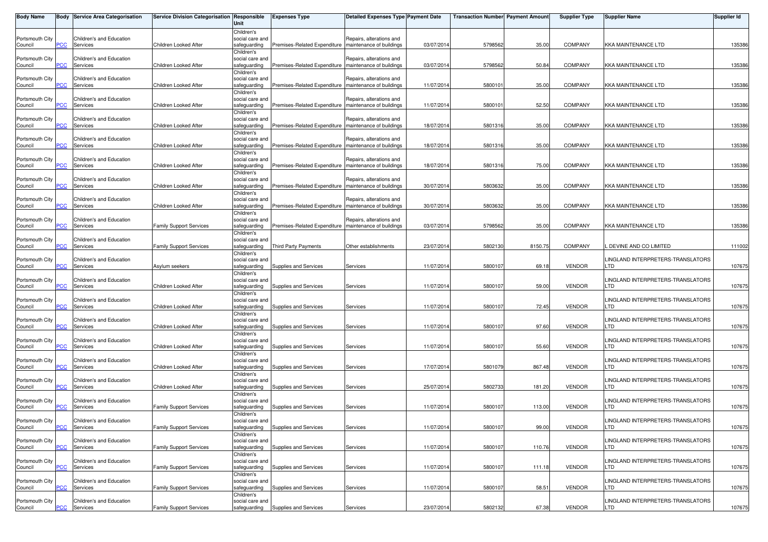| <b>Body Name</b>           |                       | <b>Body Service Area Categorisation</b>         | Service Division Categorisation Responsible | Unit                                                        | <b>Expenses Type</b>                                    | <b>Detailed Expenses Type Payment Date</b>           |            | <b>Transaction Number Payment Amount</b> |         | <b>Supplier Type</b> | <b>Supplier Name</b>                            | <b>Supplier Id</b> |
|----------------------------|-----------------------|-------------------------------------------------|---------------------------------------------|-------------------------------------------------------------|---------------------------------------------------------|------------------------------------------------------|------------|------------------------------------------|---------|----------------------|-------------------------------------------------|--------------------|
| Portsmouth City<br>Council | PСC                   | Children's and Education<br>Services            | Children Looked After                       | Children's<br>social care and<br>safeguarding               | Premises-Related Expenditure                            | Repairs, alterations and<br>maintenance of buildings | 03/07/2014 | 5798562                                  | 35.00   | <b>COMPANY</b>       | KKA MAINTENANCE LTD                             | 135386             |
| Portsmouth City<br>Council | <b>PCC</b>            | Children's and Education<br>Services            | Children Looked After                       | Children's<br>social care and<br>safeguarding               | Premises-Related Expenditure                            | Repairs, alterations and<br>maintenance of buildings | 03/07/201  | 5798562                                  | 50.84   | <b>COMPANY</b>       | <b>KKA MAINTENANCE LTD</b>                      | 135386             |
| Portsmouth City<br>Council | ۲CС                   | Children's and Education<br>Services            | Children Looked After                       | Children's<br>social care and<br>safeguarding               | Premises-Related Expenditure                            | Repairs, alterations and<br>maintenance of buildings | 11/07/2014 | 5800101                                  | 35.00   | <b>COMPANY</b>       | KKA MAINTENANCE LTD                             | 135386             |
| Portsmouth City<br>Council | PCC.                  | Children's and Education<br>Services            | Children Looked After                       | Children's<br>social care and<br>safeguarding               | Premises-Related Expenditure   maintenance of buildings | Repairs, alterations and                             | 11/07/2014 | 5800101                                  | 52.50   | <b>COMPANY</b>       | <b>KKA MAINTENANCE LTD</b>                      | 135386             |
| Portsmouth City<br>Council | $\overline{C}$        | Children's and Education<br>Services            | Children Looked After                       | Children's<br>social care and<br>safeguarding               | Premises-Related Expenditure                            | Repairs, alterations and<br>maintenance of buildings | 18/07/201  | 5801316                                  | 35.00   | <b>COMPANY</b>       | KKA MAINTENANCE LTD                             | 135386             |
| Portsmouth City<br>Council | <b>CC</b>             | Children's and Education<br>Services            | Children Looked After                       | Children's<br>social care and<br>safeguarding               | Premises-Related Expenditure                            | Repairs, alterations and<br>maintenance of buildings | 18/07/2014 | 5801316                                  | 35.00   | <b>COMPANY</b>       | KKA MAINTENANCE LTD                             | 135386             |
| Portsmouth City<br>Council | PСC                   | Children's and Education<br>Services            | Children Looked After                       | Children's<br>social care and<br>safeguarding               | Premises-Related Expenditure   maintenance of buildings | Repairs, alterations and                             | 18/07/2014 | 5801316                                  | 75.00   | <b>COMPANY</b>       | <b>KKA MAINTENANCE LTD</b>                      | 135386             |
| Portsmouth City<br>Council | PСC                   | Children's and Education<br>Services            | Children Looked After                       | Children's<br>social care and<br>safeguarding               | Premises-Related Expenditure                            | Repairs, alterations and<br>maintenance of buildings | 30/07/201  | 5803632                                  | 35.00   | <b>COMPANY</b>       | <b>KKA MAINTENANCE LTD</b>                      | 135386             |
| Portsmouth City<br>Council | °СС                   | Children's and Education<br>Services            | Children Looked After                       | Children's<br>social care and<br>safeguarding               | Premises-Related Expenditure                            | Repairs, alterations and<br>maintenance of buildings | 30/07/2014 | 5803632                                  | 35.00   | <b>COMPANY</b>       | KKA MAINTENANCE LTD                             | 135386             |
| Portsmouth City<br>Council | PСC                   | Children's and Education<br>Services            | <b>Family Support Services</b>              | Children's<br>social care and<br>safeguarding<br>Children's | Premises-Related Expenditure   maintenance of buildings | Repairs, alterations and                             | 03/07/201  | 5798562                                  | 35.00   | <b>COMPANY</b>       | <b>KKA MAINTENANCE LTD</b>                      | 135386             |
| Portsmouth City<br>Council | PСC                   | Children's and Education<br>Services            | <b>Family Support Services</b>              | social care and<br>safequarding<br>Children's               | <b>Third Party Payments</b>                             | Other establishments                                 | 23/07/201  | 5802130                                  | 8150.75 | <b>COMPANY</b>       | . DEVINE AND CO LIMITED                         | 111002             |
| Portsmouth City<br>Council | °СС                   | Children's and Education<br>Services            | Asylum seekers                              | social care and<br>safeguarding<br>Children's               | Supplies and Services                                   | Services                                             | 11/07/2014 | 5800107                                  | 69.18   | <b>VENDOR</b>        | LINGLAND INTERPRETERS-TRANSLATORS<br>LTD        | 107675             |
| Portsmouth City<br>Council | PСC                   | Children's and Education<br>Services            | Children Looked After                       | social care and<br>safeguarding<br>Children's               | Supplies and Services                                   | Services                                             | 11/07/2014 | 5800107                                  | 59.00   | <b>VENDOR</b>        | LINGLAND INTERPRETERS-TRANSLATORS<br>LTD        | 107675             |
| Portsmouth City<br>Council | $\overline{C}$        | Children's and Education<br>Services            | Children Looked After                       | social care and<br>safeguarding<br>Children's               | Supplies and Services                                   | Services                                             | 11/07/2014 | 5800107                                  | 72.45   | <b>VENDOR</b>        | LINGLAND INTERPRETERS-TRANSLATORS<br>LTD        | 107675             |
| Portsmouth City<br>Council | PCC.                  | Children's and Education<br>Services            | Children Looked After                       | social care and<br>safeguarding<br>Children's               | Supplies and Services                                   | Services                                             | 11/07/201  | 5800107                                  | 97.60   | <b>VENDOR</b>        | LINGLAND INTERPRETERS-TRANSLATORS<br>LTD        | 107675             |
| Portsmouth City<br>Council | ۲CС                   | Children's and Education<br>Services            | Children Looked After                       | social care and<br>safeguarding<br>Children's               | Supplies and Services                                   | Services                                             | 11/07/2014 | 5800107                                  | 55.60   | <b>VENDOR</b>        | LINGLAND INTERPRETERS-TRANSLATORS<br>LTD        | 107675             |
| Portsmouth City<br>Council | <b>PCC</b>            | Children's and Education<br>Services            | Children Looked After                       | social care and<br>safeguarding<br>Children's               | Supplies and Services                                   | Services                                             | 17/07/2014 | 5801079                                  | 867.48  | <b>VENDOR</b>        | LINGLAND INTERPRETERS-TRANSLATORS<br>LTD        | 107675             |
| Portsmouth City<br>Council | $\overline{\text{c}}$ | Children's and Education<br>Services            | Children Looked After                       | social care and<br>safeguarding<br>Children's               | Supplies and Services                                   | Services                                             | 25/07/201  | 5802733                                  | 181.20  | <b>VENDOR</b>        | LINGLAND INTERPRETERS-TRANSLATORS<br>LTD        | 107675             |
| Portsmouth City<br>Council | <b>PCC</b>            | Children's and Education<br>Services            | <b>Family Support Services</b>              | social care and<br>safeguarding<br>Children's               | Supplies and Services                                   | Services                                             | 11/07/2014 | 5800107                                  | 113.00  | <b>VENDOR</b>        | LINGLAND INTERPRETERS-TRANSLATORS<br>LTD        | 107675             |
| Portsmouth City<br>Council |                       | Children's and Education<br><b>PCC</b> Services | <b>Family Support Services</b>              | social care and<br>safeguarding<br>Children's               | Supplies and Services                                   | Services                                             | 11/07/2014 | 5800107                                  | 99.00   | <b>VENDOR</b>        | LINGLAND INTERPRETERS-TRANSLATORS<br>LTD        | 107675             |
| Portsmouth City<br>Council | PСC                   | Children's and Education<br>Services            | <b>Family Support Services</b>              | social care and<br>safeguarding<br>Children's               | Supplies and Services                                   | Services                                             | 11/07/201  | 5800107                                  | 110.76  | <b>VENDOR</b>        | LINGLAND INTERPRETERS-TRANSLATORS<br>LTD        | 107675             |
| Portsmouth City<br>Council | PСC                   | Children's and Education<br>Services            | <b>Family Support Services</b>              | social care and<br>safeguarding<br>Children's               | Supplies and Services                                   | Services                                             | 11/07/2014 | 5800107                                  | 111.18  | <b>VENDOR</b>        | LINGLAND INTERPRETERS-TRANSLATORS<br>LTD        | 107675             |
| Portsmouth City<br>Council | PСC                   | Children's and Education<br>Services            | <b>Family Support Services</b>              | social care and<br>safeguarding<br>Children's               | Supplies and Services                                   | Services                                             | 11/07/2014 | 5800107                                  | 58.51   | <b>VENDOR</b>        | LINGLAND INTERPRETERS-TRANSLATORS<br>LTD        | 107675             |
| Portsmouth City<br>Council | <b>PCC</b>            | Children's and Education<br>Services            | <b>Family Support Services</b>              | social care and<br>safeguarding                             | Supplies and Services                                   | Services                                             | 23/07/2014 | 5802132                                  | 67.38   | <b>VENDOR</b>        | LINGLAND INTERPRETERS-TRANSLATORS<br><b>LTD</b> | 107675             |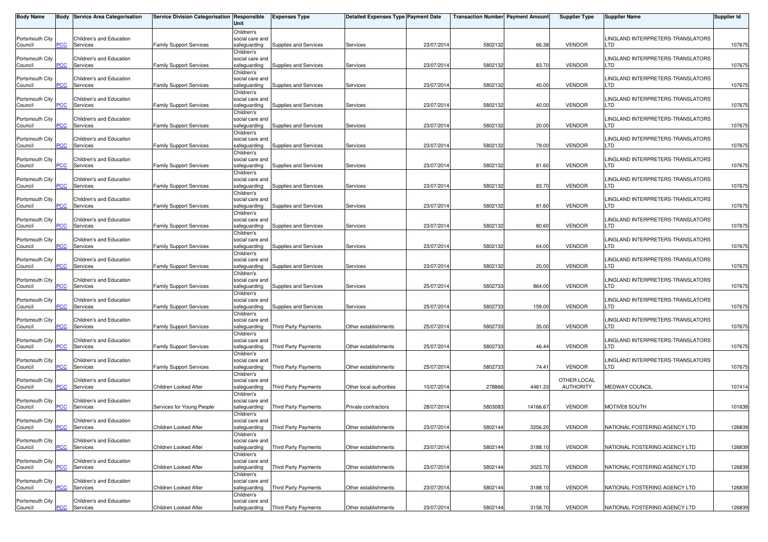| <b>Body Name</b>           |                | <b>Body Service Area Categorisation</b>         | Service Division Categorisation Responsible | Unit                                          | <b>Expenses Type</b>              | <b>Detailed Expenses Type Payment Date</b> |            | <b>Transaction Number Payment Amount</b> |          | <b>Supplier Type</b>            | <b>Supplier Name</b>                            | Supplier Id |
|----------------------------|----------------|-------------------------------------------------|---------------------------------------------|-----------------------------------------------|-----------------------------------|--------------------------------------------|------------|------------------------------------------|----------|---------------------------------|-------------------------------------------------|-------------|
| Portsmouth City<br>Council | PСC            | Children's and Education<br>Services            | <b>Family Support Services</b>              | Children's<br>social care and<br>safeguarding | Supplies and Services             | Services                                   | 23/07/2014 | 5802132                                  | 66.38    | <b>VENDOR</b>                   | LINGLAND INTERPRETERS-TRANSLATORS<br>.TD        | 107675      |
| Portsmouth City<br>Council | <b>PCC</b>     | Children's and Education<br>Services            | <b>Family Support Services</b>              | Children's<br>social care and<br>safeguarding | Supplies and Services             | Services                                   | 23/07/2014 | 5802132                                  | 83.70    | <b>VENDOR</b>                   | LINGLAND INTERPRETERS-TRANSLATORS<br>LTD        | 107675      |
| Portsmouth City<br>Council | сC             | Children's and Education<br>Services            | <b>Family Support Services</b>              | Children's<br>social care and<br>safeguarding | Supplies and Services             | Services                                   | 23/07/2014 | 5802132                                  | 40.00    | <b>VENDOR</b>                   | LINGLAND INTERPRETERS-TRANSLATORS<br>LTD        | 107675      |
| Portsmouth City<br>Council | PCC            | Children's and Education<br>Services            | <b>Family Support Services</b>              | Children's<br>social care and<br>safeguarding | Supplies and Services             | Services                                   | 23/07/2014 | 5802132                                  | 40.00    | <b>VENDOR</b>                   | LINGLAND INTERPRETERS-TRANSLATORS<br>LTD        | 107675      |
| Portsmouth City<br>Council | $\overline{C}$ | Children's and Education<br>Services            | <b>Family Support Services</b>              | Children's<br>social care and<br>safeguarding | Supplies and Services             | Services                                   | 23/07/2014 | 5802132                                  | 20.00    | <b>VENDOR</b>                   | LINGLAND INTERPRETERS-TRANSLATORS<br>LTD        | 107675      |
| Portsmouth City<br>Council | <b>CC</b>      | Children's and Education<br>Services            | <b>Family Support Services</b>              | Children's<br>social care and<br>safeguarding | Supplies and Services             | Services                                   | 23/07/2014 | 5802132                                  | 79.00    | <b>VENDOR</b>                   | LINGLAND INTERPRETERS-TRANSLATORS<br>LTD        | 107675      |
| Portsmouth City<br>Council | PСC            | Children's and Education<br>Services            | <b>Family Support Services</b>              | Children's<br>social care and<br>safeguarding | Supplies and Services             | Services                                   | 23/07/2014 | 5802132                                  | 81.60    | <b>VENDOR</b>                   | LINGLAND INTERPRETERS-TRANSLATORS<br>LTD        | 107675      |
| Portsmouth City<br>Council | PСC            | Children's and Education<br>Services            | <b>Family Support Services</b>              | Children's<br>social care and<br>safeguarding | Supplies and Services             | Services                                   | 23/07/2014 | 5802132                                  | 83.70    | <b>VENDOR</b>                   | LINGLAND INTERPRETERS-TRANSLATORS<br>LTD        | 107675      |
| Portsmouth City<br>Council | сC             | Children's and Education<br>Services            | <b>Family Support Services</b>              | Children's<br>social care and<br>safeguarding | Supplies and Services             | Services                                   | 23/07/2014 | 5802132                                  | 81.60    | <b>VENDOR</b>                   | LINGLAND INTERPRETERS-TRANSLATORS<br>LTD        | 107675      |
| Portsmouth City<br>Council | PСC            | Children's and Education<br>Services            | <b>Family Support Services</b>              | Children's<br>social care and<br>safeguarding | Supplies and Services             | Services                                   | 23/07/2014 | 5802132                                  | 80.60    | <b>VENDOR</b>                   | LINGLAND INTERPRETERS-TRANSLATORS<br><b>LTD</b> | 107675      |
| Portsmouth City<br>Council | PСC            | Children's and Education<br>Services            | <b>Family Support Services</b>              | Children's<br>social care and<br>safeguarding | Supplies and Services             | Services                                   | 23/07/2014 | 5802132                                  | 64.00    | <b>VENDOR</b>                   | LINGLAND INTERPRETERS-TRANSLATORS<br>LTD        | 107675      |
| Portsmouth City<br>Council | 'CC            | Children's and Education<br>Services            | <b>Family Support Services</b>              | Children's<br>social care and<br>safeguarding | Supplies and Services             | Services                                   | 23/07/2014 | 5802132                                  | 20.00    | <b>VENDOR</b>                   | LINGLAND INTERPRETERS-TRANSLATORS<br>.TD        | 107675      |
| Portsmouth City<br>Council | PСC            | Children's and Education<br>Services            | <b>Family Support Services</b>              | Children's<br>social care and<br>safeguarding | Supplies and Services             | Services                                   | 25/07/2014 | 5802733                                  | 864.00   | <b>VENDOR</b>                   | LINGLAND INTERPRETERS-TRANSLATORS<br>LTD.       | 107675      |
| Portsmouth City<br>Council | <b>PCC</b>     | Children's and Education<br>Services            | <b>Family Support Services</b>              | Children's<br>social care and<br>safeguarding | Supplies and Services             | Services                                   | 25/07/2014 | 580273                                   | 159.00   | <b>VENDOR</b>                   | LINGLAND INTERPRETERS-TRANSLATORS<br>LTD        | 107675      |
| Portsmouth City<br>Council | PСC            | Children's and Education<br>Services            | <b>Family Support Services</b>              | Children's<br>social care and<br>safeguarding | <b>Third Party Payments</b>       | Other establishments                       | 25/07/2014 | 5802733                                  | 35.00    | VENDOR                          | LINGLAND INTERPRETERS-TRANSLATORS<br>LTD        | 107675      |
| Portsmouth City<br>Council | сC             | Children's and Education<br>Services            | <b>Family Support Services</b>              | Children's<br>social care and<br>safeguarding | Third Party Payments              | Other establishments                       | 25/07/2014 | 5802733                                  | 46.44    | <b>VENDOR</b>                   | LINGLAND INTERPRETERS-TRANSLATORS<br>LTD        | 107675      |
| Portsmouth City<br>Council | PCC.           | Children's and Education<br>Services            | <b>Family Support Services</b>              | Children's<br>social care and<br>safeguarding | Third Party Payments              | Other establishments                       | 25/07/2014 | 5802733                                  | 74.41    | <b>VENDOR</b>                   | LINGLAND INTERPRETERS-TRANSLATORS<br>LTD.       | 107675      |
| Portsmouth City<br>Council | PСC            | Children's and Education<br>Services            | Children Looked After                       | Children's<br>social care and<br>safeguarding | <b>Third Party Payments</b>       | Other local authorities                    | 10/07/2014 | 278866                                   | 4461.33  | OTHER LOCAL<br><b>AUTHORITY</b> | <b>MEDWAY COUNCIL</b>                           | 107414      |
| Portsmouth City<br>Council | <b>PCC</b>     | Children's and Education<br>Services            | Services for Young People                   | Children's<br>social care and<br>safeguarding | Third Party Payments              | Private contractors                        | 28/07/2014 | 5803083                                  | 14166.67 | <b>VENDOR</b>                   | MOTIVE8 SOUTH                                   | 101638      |
| Portsmouth City<br>Council |                | Children's and Education<br><b>PCC</b> Services | Children Looked After                       | Children's<br>social care and<br>safeguarding | Third Party Payments              | Other establishments                       | 23/07/2014 | 5802144                                  | 3256.20  | <b>VENDOR</b>                   | NATIONAL FOSTERING AGENCY LTD                   | 126839      |
| Portsmouth City<br>Council | PСC            | Children's and Education<br>Services            | Children Looked After                       | Children's<br>social care and<br>safeguarding | Third Party Payments              | Other establishments                       | 23/07/2014 | 5802144                                  | 3188.1   | <b>VENDOR</b>                   | NATIONAL FOSTERING AGENCY LTD                   | 126839      |
| Portsmouth City<br>Council | PСC            | Children's and Education<br>Services            | Children Looked After                       | Children's<br>social care and<br>safeguarding | Third Party Payments              | Other establishments                       | 23/07/2014 | 5802144                                  | 3023.70  | <b>VENDOR</b>                   | NATIONAL FOSTERING AGENCY LTD                   | 126839      |
| Portsmouth City<br>Council | PСC            | Children's and Education<br>Services            | Children Looked After                       | Children's<br>social care and<br>safeguarding | Third Party Payments              | Other establishments                       | 23/07/2014 | 5802144                                  | 3188.10  | <b>VENDOR</b>                   | NATIONAL FOSTERING AGENCY LTD                   | 126839      |
| Portsmouth City<br>Council | <b>PCC</b>     | Children's and Education<br>Services            | Children Looked After                       | Children's<br>social care and                 | safequarding Third Party Payments | Other establishments                       | 23/07/2014 | 5802144                                  | 3158.70  | <b>VENDOR</b>                   | NATIONAL FOSTERING AGENCY LTD                   | 126839      |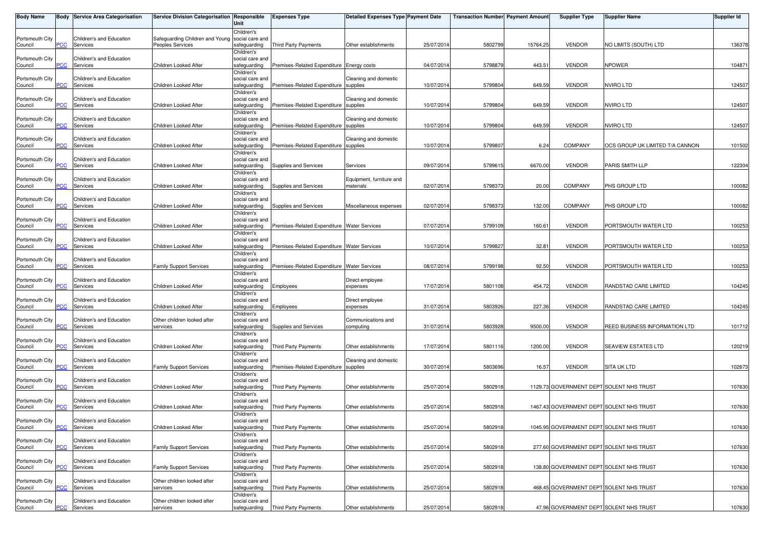| <b>Body Name</b>           |                | <b>Body Service Area Categorisation</b>         | Service Division Categorisation Responsible         | Unit                                                        | <b>Expenses Type</b>                          | <b>Detailed Expenses Type Payment Date</b> |            | <b>Transaction Number Payment Amount</b> |          | <b>Supplier Type</b>                     | <b>Supplier Name</b>                     | <b>Supplier Id</b> |
|----------------------------|----------------|-------------------------------------------------|-----------------------------------------------------|-------------------------------------------------------------|-----------------------------------------------|--------------------------------------------|------------|------------------------------------------|----------|------------------------------------------|------------------------------------------|--------------------|
| Portsmouth City<br>Council | PСC            | Children's and Education<br>Services            | Safeguarding Children and Young<br>Peoples Services | Children's<br>social care and<br>safeguarding               | Third Party Payments                          | Other establishments                       | 25/07/2014 | 5802799                                  | 15764.25 | <b>VENDOR</b>                            | NO LIMITS (SOUTH) LTD                    | 136378             |
| Portsmouth City<br>Council | PCC            | Children's and Education<br>Services            | Children Looked After                               | Children's<br>social care and<br>safeguarding               | Premises-Related Expenditure Energy costs     |                                            | 04/07/2014 | 579887                                   | 443.51   | <b>VENDOR</b>                            | <b>NPOWER</b>                            | 104871             |
| Portsmouth City<br>Council | сC             | Children's and Education<br>Services            | Children Looked After                               | Children's<br>social care and<br>safeguarding               | Premises-Related Expenditure supplies         | Cleaning and domestic                      | 10/07/2014 | 5799804                                  | 649.59   | <b>VENDOR</b>                            | <b>NVIRO LTD</b>                         | 124507             |
| Portsmouth City<br>Council | <b>PCC</b>     | Children's and Education<br>Services            | Children Looked After                               | Children's<br>social care and<br>safeguarding               | Premises-Related Expenditure supplies         | Cleaning and domestic                      | 10/07/2014 | 5799804                                  | 649.59   | <b>VENDOR</b>                            | <b>NVIRO LTD</b>                         | 124507             |
| Portsmouth City<br>Council | $\overline{C}$ | Children's and Education<br>Services            | Children Looked After                               | Children's<br>social care and<br>safeguarding               | Premises-Related Expenditure supplies         | Cleaning and domestic                      | 10/07/2014 | 5799804                                  | 649.59   | <b>VENDOR</b>                            | <b>NVIRO LTD</b>                         | 124507             |
| Portsmouth City<br>Council | <b>CC</b>      | Children's and Education<br>Services            | Children Looked After                               | Children's<br>social care and<br>safeguarding               | Premises-Related Expenditure supplies         | Cleaning and domestic                      | 10/07/2014 | 5799807                                  | 6.24     | <b>COMPANY</b>                           | OCS GROUP UK LIMITED T/A CANNON          | 101502             |
| Portsmouth City<br>Council | PСC            | Children's and Education<br>Services            | Children Looked After                               | Children's<br>social care and<br>safeguarding               | Supplies and Services                         | Services                                   | 09/07/2014 | 5799615                                  | 6670.00  | <b>VENDOR</b>                            | PARIS SMITH LLP                          | 122304             |
| Portsmouth City<br>Council | PСC            | Children's and Education<br>Services            | Children Looked After                               | Children's<br>social care and<br>safeguarding               | Supplies and Services                         | Equipment, furniture and<br>materials      | 02/07/2014 | 579837                                   | 20.00    | <b>COMPANY</b>                           | PHS GROUP LTD                            | 100082             |
| Portsmouth City<br>Council | сC             | Children's and Education<br>Services            | Children Looked After                               | Children's<br>social care and<br>safeguarding               | Supplies and Services                         | Miscellaneous expenses                     | 02/07/2014 | 5798373                                  | 132.00   | <b>COMPANY</b>                           | PHS GROUP LTD                            | 100082             |
| Portsmouth City<br>Council | PСC            | Children's and Education<br>Services            | Children Looked After                               | Children's<br>social care and<br>safeguarding               | Premises-Related Expenditure Water Services   |                                            | 07/07/2014 | 5799109                                  | 160.61   | <b>VENDOR</b>                            | PORTSMOUTH WATER LTD                     | 100253             |
| Portsmouth City<br>Council | PСC            | Children's and Education<br>Services            | Children Looked After                               | Children's<br>social care and<br>safeguarding               | Premises-Related Expenditure   Water Services |                                            | 10/07/2014 | 579982                                   | 32.81    | <b>VENDOR</b>                            | PORTSMOUTH WATER LTD                     | 100253             |
| Portsmouth City<br>Council | сC             | Children's and Education<br>Services            | <b>Family Support Services</b>                      | Children's<br>social care and<br>safeguarding               | Premises-Related Expenditure Water Services   |                                            | 08/07/2014 | 5799198                                  | 92.50    | <b>VENDOR</b>                            | PORTSMOUTH WATER LTD                     | 100253             |
| Portsmouth City<br>Council | PСC            | Children's and Education<br>Services            | Children Looked After                               | Children's<br>social care and<br>safeguarding               | Employees                                     | Direct employee<br>expenses                | 17/07/2014 | 5801108                                  | 454.72   | <b>VENDOR</b>                            | RANDSTAD CARE LIMITED                    | 104245             |
| Portsmouth City<br>Council | <b>PCC</b>     | Children's and Education<br>Services            | Children Looked After                               | Children's<br>social care and<br>safeguarding               | Employees                                     | Direct employee<br>expenses                | 31/07/2014 | 5803926                                  | 227.36   | <b>VENDOR</b>                            | RANDSTAD CARE LIMITED                    | 104245             |
| Portsmouth City<br>Council | PСC            | Children's and Education<br>Services            | Other children looked after<br>services             | Children's<br>social care and<br>safeguarding               | Supplies and Services                         | Communications and<br>computing            | 31/07/2014 | 5803928                                  | 9500.00  | <b>VENDOR</b>                            | REED BUSINESS INFORMATION LTD            | 101712             |
| Portsmouth City<br>Council | сC             | Children's and Education<br>Services            | Children Looked After                               | Children's<br>social care and<br>safeguarding               | <b>Third Party Payments</b>                   | Other establishments                       | 17/07/2014 | 5801116                                  | 1200.00  | <b>VENDOR</b>                            | SEAVIEW ESTATES LTD                      | 120219             |
| Portsmouth City<br>Council | <b>PCC</b>     | Children's and Education<br>Services            | <b>Family Support Services</b>                      | Children's<br>social care and<br>safeguarding<br>Children's | Premises-Related Expenditure supplies         | Cleaning and domestic                      | 30/07/2014 | 5803696                                  | 16.57    | <b>VENDOR</b>                            | <b>SITA UK LTD</b>                       | 102673             |
| Portsmouth City<br>Council | PСC            | Children's and Education<br>Services            | Children Looked After                               | social care and<br>safeguarding<br>Children's               | Third Party Payments                          | Other establishments                       | 25/07/2014 | 580291                                   |          | 1129.73 GOVERNMENT DEPT SOLENT NHS TRUST |                                          | 107630             |
| Portsmouth City<br>Council | <b>PCC</b>     | Children's and Education<br>Services            | Children Looked After                               | social care and<br>safeguarding<br>Children's               | Third Party Payments                          | Other establishments                       | 25/07/2014 | 5802918                                  |          |                                          | 1467.43 GOVERNMENT DEPT SOLENT NHS TRUST | 107630             |
| Portsmouth City<br>Council |                | Children's and Education<br><b>PCC</b> Services | Children Looked After                               | social care and<br>safeguarding<br>Children's               | Third Party Payments                          | Other establishments                       | 25/07/2014 | 5802918                                  |          | 1045.95 GOVERNMENT DEPT SOLENT NHS TRUST |                                          | 107630             |
| Portsmouth City<br>Council | PСC            | Children's and Education<br>Services            | <b>Family Support Services</b>                      | social care and<br>safeguarding<br>Children's               | <b>Third Party Payments</b>                   | Other establishments                       | 25/07/2014 | 580291                                   |          | 277.60 GOVERNMENT DEPT SOLENT NHS TRUST  |                                          | 107630             |
| Portsmouth City<br>Council | PСC            | Children's and Education<br>Services            | <b>Family Support Services</b>                      | social care and<br>safequarding<br>Children's               | Third Party Payments                          | Other establishments                       | 25/07/2014 | 5802918                                  |          | 138.80 GOVERNMENT DEPT SOLENT NHS TRUST  |                                          | 107630             |
| Portsmouth City<br>Council | PСC            | Children's and Education<br>Services            | Other children looked after<br>services             | social care and<br>safeguarding<br>Children's               | Third Party Payments                          | Other establishments                       | 25/07/2014 | 5802918                                  |          |                                          | 468.45 GOVERNMENT DEPT SOLENT NHS TRUST  | 107630             |
| Portsmouth City<br>Council | <b>PCC</b>     | Children's and Education<br>Services            | Other children looked after<br>services             | social care and                                             | safeguarding Third Party Payments             | Other establishments                       | 25/07/2014 | 5802918                                  |          |                                          | 47.96 GOVERNMENT DEPT SOLENT NHS TRUST   | 107630             |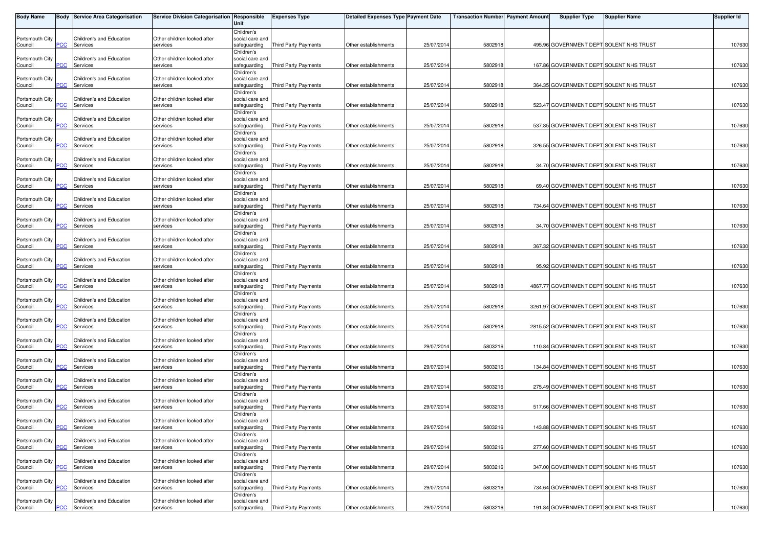| <b>Body Name</b>           |            | Body Service Area Categorisation            | Service Division Categorisation Responsible | Unit                            | <b>Expenses Type</b>        | <b>Detailed Expenses Type Payment Date</b> |            | <b>Transaction Number</b> Payment Amount | <b>Supplier Type</b>                     | Supplier Name | Supplier Id |
|----------------------------|------------|---------------------------------------------|---------------------------------------------|---------------------------------|-----------------------------|--------------------------------------------|------------|------------------------------------------|------------------------------------------|---------------|-------------|
|                            |            |                                             |                                             | Children's                      |                             |                                            |            |                                          |                                          |               |             |
| Portsmouth City            |            | Children's and Education                    | Other children looked after                 | social care and                 |                             |                                            |            |                                          |                                          |               |             |
| Council                    | PСC        | Services                                    | services                                    | safeguarding<br>Children's      | Third Party Payments        | Other establishments                       | 25/07/2014 | 5802918                                  | 495.96 GOVERNMENT DEPT SOLENT NHS TRUST  |               | 107630      |
| Portsmouth City            |            | Children's and Education                    | Other children looked after                 | social care and                 |                             |                                            |            |                                          |                                          |               |             |
| Council                    | PCC        | Services                                    | services                                    | safeguarding                    | Third Party Payments        | Other establishments                       | 25/07/201  | 5802918                                  | 167.86 GOVERNMENT DEPT SOLENT NHS TRUST  |               | 107630      |
|                            |            |                                             |                                             | Children's                      |                             |                                            |            |                                          |                                          |               |             |
| Portsmouth City            | PСC        | Children's and Education<br>Services        | Other children looked after                 | social care and                 |                             |                                            | 25/07/2014 | 5802918                                  | 364.35 GOVERNMENT DEPT SOLENT NHS TRUST  |               | 107630      |
| Council                    |            |                                             | services                                    | safeguarding<br>Children's      | Third Party Payments        | Other establishments                       |            |                                          |                                          |               |             |
| Portsmouth City            |            | Children's and Education                    | Other children looked after                 | social care and                 |                             |                                            |            |                                          |                                          |               |             |
| Council                    | PCC        | Services                                    | services                                    | safeguarding                    | Third Party Payments        | Other establishments                       | 25/07/201  | 5802918                                  | 523.47 GOVERNMENT DEPT SOLENT NHS TRUST  |               | 107630      |
|                            |            |                                             |                                             | Children's                      |                             |                                            |            |                                          |                                          |               |             |
| Portsmouth City            |            | Children's and Education                    | Other children looked after                 | social care and                 |                             |                                            |            |                                          |                                          |               |             |
| Council                    | PCC        | Services                                    | services                                    | safeguarding                    | Third Party Payments        | Other establishments                       | 25/07/201  | 580291                                   | 537.85 GOVERNMENT DEPT SOLENT NHS TRUST  |               | 107630      |
| Portsmouth City            |            | Children's and Education                    | Other children looked after                 | Children's<br>social care and   |                             |                                            |            |                                          |                                          |               |             |
| Council                    | <b>CC</b>  | Services                                    | services                                    | safeguarding                    | Third Party Payments        | Other establishments                       | 25/07/2014 | 5802918                                  | 326.55 GOVERNMENT DEPT SOLENT NHS TRUST  |               | 107630      |
|                            |            |                                             |                                             | Children's                      |                             |                                            |            |                                          |                                          |               |             |
| Portsmouth City            |            | Children's and Education                    | Other children looked after                 | social care and                 |                             |                                            |            |                                          |                                          |               |             |
| Council                    | PСC        | Services                                    | services                                    | safeguarding                    | Third Party Payments        | Other establishments                       | 25/07/2014 | 580291                                   | 34.70 GOVERNMENT DEPT SOLENT NHS TRUST   |               | 107630      |
|                            |            |                                             |                                             | Children's                      |                             |                                            |            |                                          |                                          |               |             |
| Portsmouth City<br>Council | <b>PCC</b> | Children's and Education<br>Services        | Other children looked after<br>services     | social care and<br>safeguarding | <b>Third Party Payments</b> | Other establishments                       | 25/07/201  | 5802918                                  | 69.40 GOVERNMENT DEPT SOLENT NHS TRUST   |               | 107630      |
|                            |            |                                             |                                             | Children's                      |                             |                                            |            |                                          |                                          |               |             |
| Portsmouth City            |            | Children's and Education                    | Other children looked after                 | social care and                 |                             |                                            |            |                                          |                                          |               |             |
| Council                    | °СС        | Services                                    | services                                    | safeguarding                    | <b>Third Party Payments</b> | Other establishments                       | 25/07/2014 | 5802918                                  | 734.64 GOVERNMENT DEPT SOLENT NHS TRUST  |               | 107630      |
|                            |            |                                             |                                             | Children's                      |                             |                                            |            |                                          |                                          |               |             |
| Portsmouth City            | PСC        | Children's and Education<br><b>Services</b> | Other children looked after<br>services     | social care and                 |                             |                                            | 25/07/2014 |                                          |                                          |               |             |
| Council                    |            |                                             |                                             | safeguarding<br>Children's      | Third Party Payments        | Other establishments                       |            | 580291                                   | 34.70 GOVERNMENT DEPT SOLENT NHS TRUST   |               | 107630      |
| Portsmouth City            |            | Children's and Education                    | Other children looked after                 | social care and                 |                             |                                            |            |                                          |                                          |               |             |
| Council                    | PCC        | Services                                    | services                                    | safeguarding                    | <b>Third Party Payments</b> | Other establishments                       | 25/07/201  | 580291                                   | 367.32 GOVERNMENT DEPT SOLENT NHS TRUST  |               | 107630      |
|                            |            |                                             |                                             | Children's                      |                             |                                            |            |                                          |                                          |               |             |
| Portsmouth City            |            | Children's and Education                    | Other children looked after                 | social care and                 |                             |                                            |            |                                          |                                          |               |             |
| Council                    | сC         | Services                                    | services                                    | safeguarding                    | Third Party Payments        | Other establishments                       | 25/07/201  | 580291                                   | 95.92 GOVERNMENT DEPT SOLENT NHS TRUST   |               | 107630      |
| Portsmouth City            |            | Children's and Education                    | Other children looked after                 | Children's<br>social care and   |                             |                                            |            |                                          |                                          |               |             |
| Council                    | PСC        | Services                                    | services                                    | safeguarding                    | Third Party Payments        | Other establishments                       | 25/07/2014 | 5802918                                  | 4867.77 GOVERNMENT DEPT SOLENT NHS TRUST |               | 107630      |
|                            |            |                                             |                                             | Children's                      |                             |                                            |            |                                          |                                          |               |             |
| Portsmouth City            |            | Children's and Education                    | Other children looked after                 | social care and                 |                             |                                            |            |                                          |                                          |               |             |
| Council                    | <b>PCC</b> | Services                                    | services                                    | safeguarding                    | <b>Third Party Payments</b> | Other establishments                       | 25/07/2014 | 5802918                                  | 3261.97 GOVERNMENT DEPT SOLENT NHS TRUST |               | 107630      |
|                            |            |                                             |                                             | Children's                      |                             |                                            |            |                                          |                                          |               |             |
| Portsmouth City<br>Council | <u>PCC</u> | Children's and Education<br>Services        | Other children looked after<br>services     | social care and<br>safeguarding | Third Party Payments        | Other establishments                       | 25/07/201  | 5802918                                  | 2815.52 GOVERNMENT DEPT SOLENT NHS TRUST |               | 107630      |
|                            |            |                                             |                                             | Children's                      |                             |                                            |            |                                          |                                          |               |             |
| Portsmouth City            |            | Children's and Education                    | Other children looked after                 | social care and                 |                             |                                            |            |                                          |                                          |               |             |
| Council                    | сC         | Services                                    | services                                    | safeguarding                    | Third Party Payments        | Other establishments                       | 29/07/2014 | 580321                                   | 110.84 GOVERNMENT DEPT SOLENT NHS TRUST  |               | 107630      |
|                            |            |                                             |                                             | Children's                      |                             |                                            |            |                                          |                                          |               |             |
| Portsmouth City            |            | Children's and Education                    | Other children looked after                 | social care and                 |                             |                                            |            |                                          |                                          |               |             |
| Council                    | PСC        | Services                                    | services                                    | safeguarding                    | Third Party Payments        | Other establishments                       | 29/07/2014 | 5803216                                  | 134.84 GOVERNMENT DEPT SOLENT NHS TRUST  |               | 107630      |
| Portsmouth City            |            | Children's and Education                    | Other children looked after                 | Children's<br>social care and   |                             |                                            |            |                                          |                                          |               |             |
| Council                    | PСC        | Services                                    | services                                    | safeguarding                    | <b>Third Party Payments</b> | Other establishments                       | 29/07/201  | 580321                                   | 275.49 GOVERNMENT DEPT SOLENT NHS TRUST  |               | 107630      |
|                            |            |                                             |                                             | Children's                      |                             |                                            |            |                                          |                                          |               |             |
| Portsmouth City            |            | Children's and Education                    | Other children looked after                 | social care and                 |                             |                                            |            |                                          |                                          |               |             |
| Council                    | PСC        | Services                                    | services                                    | safequarding                    | Third Party Payments        | Other establishments                       | 29/07/201  | 580321                                   | 517.66 GOVERNMENT DEPT SOLENT NHS TRUST  |               | 107630      |
|                            |            |                                             |                                             | Children's                      |                             |                                            |            |                                          |                                          |               |             |
| Portsmouth City<br>Council | <b>PCC</b> | Children's and Education<br>Services        | Other children looked after<br>services     | social care and<br>safequarding | Third Party Payments        | Other establishments                       | 29/07/2014 | 5803216                                  | 143.88 GOVERNMENT DEPT SOLENT NHS TRUST  |               | 107630      |
|                            |            |                                             |                                             | Children's                      |                             |                                            |            |                                          |                                          |               |             |
| Portsmouth City            |            | Children's and Education                    | Other children looked after                 | social care and                 |                             |                                            |            |                                          |                                          |               |             |
| Council                    | PCC        | Services                                    | services                                    | safeguarding                    | Third Party Payments        | Other establishments                       | 29/07/201  | 580321                                   | 277.60 GOVERNMENT DEPT SOLENT NHS TRUST  |               | 107630      |
|                            |            |                                             |                                             | Children's                      |                             |                                            |            |                                          |                                          |               |             |
| Portsmouth City            |            | Children's and Education                    | Other children looked after                 | social care and                 |                             |                                            |            |                                          |                                          |               |             |
| Council                    | PСC        | Services                                    | services                                    | safeguarding<br>Children's      | <b>Third Party Payments</b> | Other establishments                       | 29/07/2014 | 5803216                                  | 347.00 GOVERNMENT DEPT SOLENT NHS TRUST  |               | 107630      |
| Portsmouth City            |            | Children's and Education                    | Other children looked after                 | social care and                 |                             |                                            |            |                                          |                                          |               |             |
| Council                    | PCC        | Services                                    | services                                    | safeguarding                    | Third Party Payments        | Other establishments                       | 29/07/2014 | 5803216                                  | 734.64 GOVERNMENT DEPT SOLENT NHS TRUST  |               | 107630      |
|                            |            |                                             |                                             | Children's                      |                             |                                            |            |                                          |                                          |               |             |
| Portsmouth City            |            | Children's and Education                    | Other children looked after                 | social care and                 |                             |                                            |            |                                          |                                          |               |             |
| Council                    | <b>PCC</b> | Services                                    | services                                    | safeguarding                    | Third Party Payments        | Other establishments                       | 29/07/2014 | 5803216                                  | 191.84 GOVERNMENT DEPT SOLENT NHS TRUST  |               | 107630      |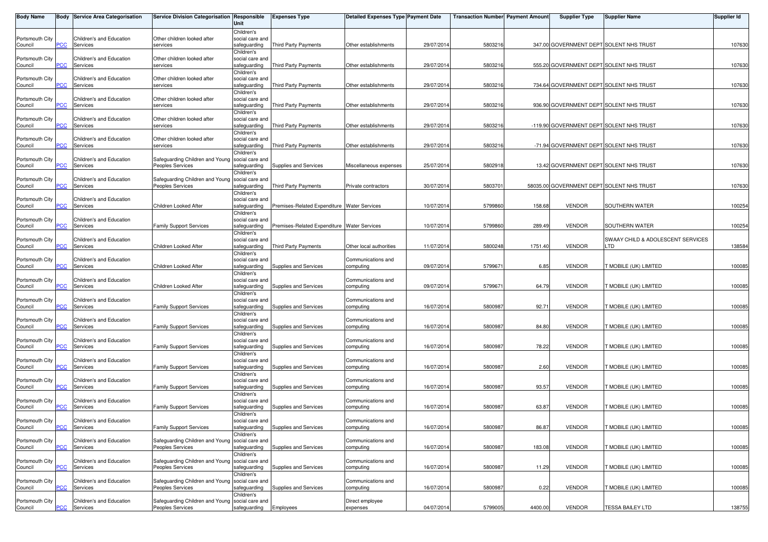| <b>Body Name</b> |                | Body Service Area Categorisation | Service Division Categorisation Responsible                         | Unit                          | <b>Expenses Type</b>                        | Detailed Expenses Type Payment Date |            | <b>Transaction Numberl Payment Amount</b> |         | <b>Supplier Type</b>                      | Supplier Name                     | <b>Supplier Id</b> |
|------------------|----------------|----------------------------------|---------------------------------------------------------------------|-------------------------------|---------------------------------------------|-------------------------------------|------------|-------------------------------------------|---------|-------------------------------------------|-----------------------------------|--------------------|
|                  |                |                                  |                                                                     | Children's                    |                                             |                                     |            |                                           |         |                                           |                                   |                    |
| Portsmouth City  |                | Children's and Education         | Other children looked after                                         | social care and               |                                             |                                     |            |                                           |         |                                           |                                   |                    |
| Council          | PCC            | Services                         | services                                                            | safeguarding                  | Third Party Payments                        | Other establishments                | 29/07/201  | 5803216                                   |         | 347.00 GOVERNMENT DEPT SOLENT NHS TRUST   |                                   | 107630             |
|                  |                |                                  |                                                                     | Children's                    |                                             |                                     |            |                                           |         |                                           |                                   |                    |
| Portsmouth City  |                | Children's and Education         | Other children looked after                                         | social care and               |                                             |                                     |            |                                           |         |                                           |                                   |                    |
| Council          | PCC            | Services                         | services                                                            | safeguarding                  | Third Party Payments                        | Other establishments                | 29/07/201  | 5803216                                   |         | 555.20 GOVERNMENT DEPT SOLENT NHS TRUST   |                                   | 107630             |
|                  |                |                                  |                                                                     | Children's                    |                                             |                                     |            |                                           |         |                                           |                                   |                    |
| Portsmouth City  |                | Children's and Education         | Other children looked after                                         | social care and               |                                             |                                     |            |                                           |         |                                           |                                   |                    |
| Council          | PСC            | Services                         | services                                                            | safeguarding                  | <b>Third Party Payments</b>                 | Other establishments                | 29/07/201  | 5803216                                   |         | 734.64 GOVERNMENT DEPT SOLENT NHS TRUST   |                                   | 107630             |
|                  |                |                                  |                                                                     | Children's                    |                                             |                                     |            |                                           |         |                                           |                                   |                    |
| Portsmouth City  |                | Children's and Education         | Other children looked after                                         | social care and               |                                             |                                     |            |                                           |         |                                           |                                   |                    |
| Council          | PCC            | Services                         | services                                                            | safeguarding                  | Third Party Payments                        | Other establishments                | 29/07/201  | 5803216                                   |         | 936.90 GOVERNMENT DEPT SOLENT NHS TRUST   |                                   | 107630             |
|                  |                |                                  |                                                                     | Children's                    |                                             |                                     |            |                                           |         |                                           |                                   |                    |
| Portsmouth City  |                | Children's and Education         | Other children looked after                                         | social care and               |                                             |                                     |            |                                           |         |                                           |                                   |                    |
| Council          | PCC            | Services                         | services                                                            | safeguarding                  | <b>Third Party Payments</b>                 | Other establishments                | 29/07/201  | 5803216                                   |         | -119.90 GOVERNMENT DEPT SOLENT NHS TRUST  |                                   | 107630             |
|                  |                |                                  |                                                                     | Children's                    |                                             |                                     |            |                                           |         |                                           |                                   |                    |
| Portsmouth City  |                | Children's and Education         | Other children looked after                                         | social care and               |                                             |                                     |            |                                           |         |                                           |                                   |                    |
| Council          | $\overline{C}$ | Services                         | services                                                            | safeguarding                  | Third Party Payments                        | Other establishments                | 29/07/201  | 5803216                                   |         | -71.94 GOVERNMENT DEPT SOLENT NHS TRUST   |                                   | 107630             |
|                  |                |                                  |                                                                     | Children's                    |                                             |                                     |            |                                           |         |                                           |                                   |                    |
| Portsmouth City  |                | Children's and Education         | Safeguarding Children and Young social care and                     |                               |                                             |                                     |            |                                           |         |                                           |                                   |                    |
| Council          | PCC            | Services                         | Peoples Services                                                    | safeguarding                  | Supplies and Services                       | Miscellaneous expenses              | 25/07/201  | 5802918                                   |         | 13.42 GOVERNMENT DEPT SOLENT NHS TRUST    |                                   | 107630             |
|                  |                |                                  |                                                                     | Children's                    |                                             |                                     |            |                                           |         |                                           |                                   |                    |
| Portsmouth City  |                | Children's and Education         | Safeguarding Children and Young social care and                     |                               |                                             |                                     |            |                                           |         |                                           |                                   |                    |
| Council          | PCC            | Services                         | Peoples Services                                                    | safeguarding                  | <b>Third Party Payments</b>                 | Private contractors                 | 30/07/201  | 580370                                    |         | 58035.00 GOVERNMENT DEPT SOLENT NHS TRUST |                                   | 107630             |
|                  |                |                                  |                                                                     | Children's                    |                                             |                                     |            |                                           |         |                                           |                                   |                    |
| Portsmouth City  |                | <b>Children's and Education</b>  |                                                                     | social care and               |                                             |                                     |            |                                           |         |                                           |                                   |                    |
| Council          | сC             | Services                         | Children Looked After                                               | safeguarding                  | Premises-Related Expenditure Water Services |                                     | 10/07/201  | 5799860                                   | 158.68  | <b>VENDOR</b>                             | SOUTHERN WATER                    | 100254             |
|                  |                |                                  |                                                                     | Children's                    |                                             |                                     |            |                                           |         |                                           |                                   |                    |
| Portsmouth City  | PCC            | Children's and Education         |                                                                     | social care and               |                                             |                                     |            |                                           | 289.49  | <b>VENDOR</b>                             | SOUTHERN WATER                    |                    |
| Council          |                | Services                         | <b>Family Support Services</b>                                      | safeguarding                  | Premises-Related Expenditure Water Services |                                     | 10/07/201  | 5799860                                   |         |                                           |                                   | 100254             |
| Portsmouth City  |                | Children's and Education         |                                                                     | Children's<br>social care and |                                             |                                     |            |                                           |         |                                           | SWAAY CHILD & ADOLESCENT SERVICES |                    |
| Council          | PCC            | Services                         | Children Looked After                                               | safeguarding                  | <b>Third Party Payments</b>                 | Other local authorities             | 11/07/201  | 5800248                                   | 1751.40 | <b>VENDOR</b>                             | _TD                               | 138584             |
|                  |                |                                  |                                                                     | Children's                    |                                             |                                     |            |                                           |         |                                           |                                   |                    |
| Portsmouth City  |                | Children's and Education         |                                                                     | social care and               |                                             | Communications and                  |            |                                           |         |                                           |                                   |                    |
| Council          | сC             | Services                         | Children Looked After                                               | safeguarding                  | <b>Supplies and Services</b>                | computing                           | 09/07/201  | 5799671                                   | 6.85    | <b>VENDOR</b>                             | <b>T MOBILE (UK) LIMITED</b>      | 100085             |
|                  |                |                                  |                                                                     | Children's                    |                                             |                                     |            |                                           |         |                                           |                                   |                    |
| Portsmouth City  |                | Children's and Education         |                                                                     | social care and               |                                             | Communications and                  |            |                                           |         |                                           |                                   |                    |
| Council          | PCC            | Services                         | Children Looked After                                               | safeguarding                  | Supplies and Services                       | computing                           | 09/07/201  | 5799671                                   | 64.79   | <b>VENDOR</b>                             | <b>T MOBILE (UK) LIMITED</b>      | 100085             |
|                  |                |                                  |                                                                     | Children's                    |                                             |                                     |            |                                           |         |                                           |                                   |                    |
| Portsmouth City  |                | Children's and Education         |                                                                     | social care and               |                                             | Communications and                  |            |                                           |         |                                           |                                   |                    |
| Council          | PCC            | Services                         | <b>Family Support Services</b>                                      | safeguarding                  | Supplies and Services                       | computing                           | 16/07/201  | 5800987                                   | 92.71   | <b>VENDOR</b>                             | T MOBILE (UK) LIMITED             | 100085             |
|                  |                |                                  |                                                                     | Children's                    |                                             |                                     |            |                                           |         |                                           |                                   |                    |
| Portsmouth City  |                | Children's and Education         |                                                                     | social care and               |                                             | Communications and                  |            |                                           |         |                                           |                                   |                    |
| Council          | $\overline{C}$ | Services                         | <b>Family Support Services</b>                                      | safeguarding                  | Supplies and Services                       | computing                           | 16/07/201  | 5800987                                   | 84.80   | <b>VENDOR</b>                             | 「MOBILE (UK) LIMITED              | 100085             |
|                  |                |                                  |                                                                     | Children's                    |                                             |                                     |            |                                           |         |                                           |                                   |                    |
| Portsmouth City  |                | Children's and Education         |                                                                     | social care and               |                                             | Communications and                  |            |                                           |         |                                           |                                   |                    |
| Council          | PCC            | Services                         | <b>Family Support Services</b>                                      | safeguarding                  | Supplies and Services                       | computing                           | 16/07/201  | 5800987                                   | 78.22   | <b>VENDOR</b>                             | T MOBILE (UK) LIMITED             | 100085             |
|                  |                |                                  |                                                                     | Children's                    |                                             |                                     |            |                                           |         |                                           |                                   |                    |
| Portsmouth City  |                | Children's and Education         |                                                                     | social care and               |                                             | Communications and                  |            |                                           |         |                                           |                                   |                    |
| Council          | <b>PCC</b>     | Services                         | <b>Family Support Services</b>                                      | safeguarding                  | Supplies and Services                       | computing                           | 16/07/201  | 580098                                    | 2.60    | <b>VENDOR</b>                             | T MOBILE (UK) LIMITED             | 100085             |
|                  |                |                                  |                                                                     | Children's                    |                                             |                                     |            |                                           |         |                                           |                                   |                    |
| Portsmouth City  |                | Children's and Education         |                                                                     | social care and               |                                             | Communications and                  |            |                                           |         |                                           |                                   |                    |
| Council          | PСC            | Services                         | <b>Family Support Services</b>                                      | safeguarding                  | Supplies and Services                       | computing                           | 16/07/201  | 5800987                                   | 93.57   | <b>VENDOR</b>                             | 「MOBILE (UK) LIMITED              | 100085             |
|                  |                |                                  |                                                                     | Children's                    |                                             |                                     |            |                                           |         |                                           |                                   |                    |
| Portsmouth City  |                | Children's and Education         |                                                                     | social care and               |                                             | Communications and                  |            |                                           |         |                                           |                                   |                    |
| Council          | <b>PCC</b>     | Services                         | <b>Family Support Services</b>                                      | safeguarding                  | Supplies and Services                       | computing                           | 16/07/201  | 5800987                                   | 63.87   | <b>VENDOR</b>                             | T MOBILE (UK) LIMITED             | 100085             |
|                  |                |                                  |                                                                     | Children's                    |                                             |                                     |            |                                           |         |                                           |                                   |                    |
| Portsmouth City  |                | Children's and Education         |                                                                     | social care and               |                                             | Communications and                  |            |                                           |         |                                           |                                   |                    |
| Council          |                | <b>PCC</b> Services              | <b>Family Support Services</b>                                      | safeguarding                  | Supplies and Services                       | computing                           | 16/07/2014 | 5800987                                   | 86.87   | <b>VENDOR</b>                             | T MOBILE (UK) LIMITED             | 100085             |
|                  |                |                                  |                                                                     | Children's                    |                                             |                                     |            |                                           |         |                                           |                                   |                    |
| Portsmouth City  |                | Children's and Education         | Safeguarding Children and Young social care and                     |                               |                                             | Communications and                  |            |                                           |         |                                           |                                   |                    |
| Council          | PCC            | Services                         | Peoples Services                                                    | safeguarding                  | Supplies and Services                       | computing                           | 16/07/201  | 5800987                                   | 183.08  | <b>VENDOR</b>                             | <b>T MOBILE (UK) LIMITED</b>      | 100085             |
|                  |                |                                  |                                                                     | Children's                    |                                             |                                     |            |                                           |         |                                           |                                   |                    |
| Portsmouth City  |                | Children's and Education         | Safeguarding Children and Young social care and                     |                               |                                             | Communications and                  |            |                                           |         |                                           |                                   |                    |
| Council          | PСC            | Services                         | Peoples Services                                                    | safeguarding                  | Supplies and Services                       | computing                           | 16/07/201  | 5800987                                   | 11.29   | <b>VENDOR</b>                             | T MOBILE (UK) LIMITED             | 100085             |
|                  |                |                                  |                                                                     | Children's                    |                                             |                                     |            |                                           |         |                                           |                                   |                    |
| Portsmouth City  |                | Children's and Education         | Safeguarding Children and Young social care and                     |                               |                                             | Communications and                  |            |                                           |         |                                           |                                   |                    |
| Council          | PCC            | Services                         | Peoples Services                                                    | safeguarding                  | Supplies and Services                       | computing                           | 16/07/201  | 5800987                                   | 0.22    | <b>VENDOR</b>                             | T MOBILE (UK) LIMITED             | 100085             |
|                  |                |                                  |                                                                     | Children's                    |                                             |                                     |            |                                           |         |                                           |                                   |                    |
| Portsmouth City  | <b>PCC</b>     | Children's and Education         | Safeguarding Children and Young social care and<br>Peoples Services |                               |                                             | Direct employee                     |            |                                           | 4400.00 | <b>VENDOR</b>                             | <b>TESSA BAILEY LTD</b>           |                    |
| Council          |                | Services                         |                                                                     | safeguarding                  | Employees                                   | expenses                            | 04/07/2014 | 5799005                                   |         |                                           |                                   | 138755             |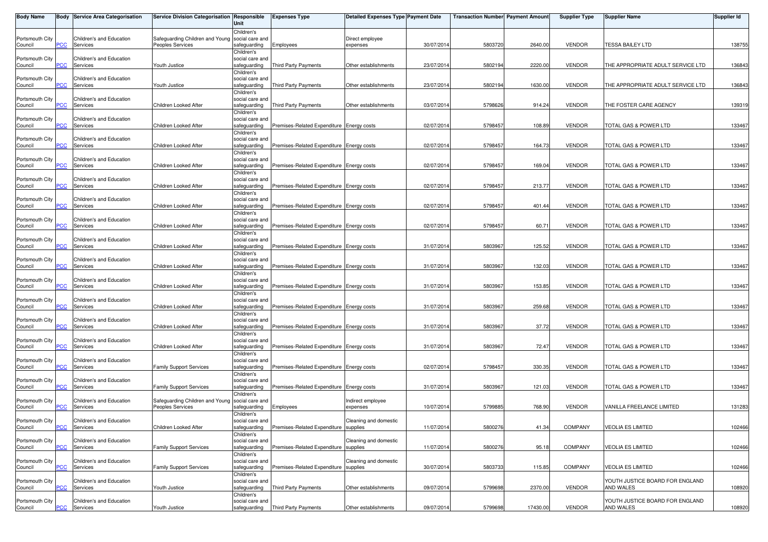| Body Name                  |                  | <b>Body Service Area Categorisation</b> | Service Division Categorisation   Responsible       | Unit                                                        | <b>Expenses Type</b>                      | <b>Detailed Expenses Type Payment Date</b> |            | <b>Transaction Number</b> Payment Amount |          | <b>Supplier Type</b> | <b>Supplier Name</b>                         | Supplier Id |
|----------------------------|------------------|-----------------------------------------|-----------------------------------------------------|-------------------------------------------------------------|-------------------------------------------|--------------------------------------------|------------|------------------------------------------|----------|----------------------|----------------------------------------------|-------------|
| Portsmouth City<br>Council | PСC              | Children's and Education<br>Services    | Safeguarding Children and Young<br>Peoples Services | Children's<br>social care and<br>safeguarding               | Employees                                 | Direct employee<br>expenses                | 30/07/2014 | 5803720                                  | 2640.00  | <b>VENDOR</b>        | <b>TESSA BAILEY LTD</b>                      | 138755      |
| Portsmouth City<br>Council | PСC              | Children's and Education<br>Services    | Youth Justice                                       | Children's<br>social care and<br>safeguarding               | Third Party Payments                      | Other establishments                       | 23/07/201  | 5802194                                  | 2220.00  | <b>VENDOR</b>        | THE APPROPRIATE ADULT SERVICE LTD            | 136843      |
| Portsmouth City<br>Council | PСC              | Children's and Education<br>Services    | Youth Justice                                       | Children's<br>social care and<br>safeguarding               | Third Party Payments                      | Other establishments                       | 23/07/201  | 5802194                                  | 1630.00  | <b>VENDOR</b>        | THE APPROPRIATE ADULT SERVICE LTD            | 136843      |
| Portsmouth City<br>Council | PСC              | Children's and Education<br>Services    | Children Looked After                               | Children's<br>social care and<br>safeguarding               | Third Party Payments                      | Other establishments                       | 03/07/201  | 5798626                                  | 914.24   | <b>VENDOR</b>        | THE FOSTER CARE AGENCY                       | 139319      |
| Portsmouth City<br>Council | <b>PCC</b>       | Children's and Education<br>Services    | Children Looked After                               | Children's<br>social care and<br>safeguarding               | Premises-Related Expenditure Energy costs |                                            | 02/07/201  | 579845                                   | 108.89   | <b>VENDOR</b>        | TOTAL GAS & POWER LTD                        | 133467      |
| Portsmouth City<br>Council | PСC              | Children's and Education<br>Services    | Children Looked After                               | Children's<br>social care and<br>safequarding               | Premises-Related Expenditure Energy costs |                                            | 02/07/2014 | 579845                                   | 164.73   | <b>VENDOR</b>        | TOTAL GAS & POWER LTD                        | 133467      |
| Portsmouth City<br>Council | <b>PCC</b>       | Children's and Education<br>Services    | Children Looked After                               | Children's<br>social care and<br>safeguarding               | Premises-Related Expenditure Energy costs |                                            | 02/07/2014 | 5798457                                  | 169.04   | <b>VENDOR</b>        | TOTAL GAS & POWER LTD                        | 133467      |
| Portsmouth City<br>Council | <b>PCC</b>       | Children's and Education<br>Services    | Children Looked After                               | Children's<br>social care and<br>safeguarding               | Premises-Related Expenditure Energy costs |                                            | 02/07/201  | 579845                                   | 213.77   | <b>VENDOR</b>        | TOTAL GAS & POWER LTD                        | 133467      |
| Portsmouth City<br>Council | сC               | Children's and Education<br>Services    | Children Looked After                               | Children's<br>social care and<br>safeguarding               | Premises-Related Expenditure Energy costs |                                            | 02/07/201  | 579845                                   | 401.44   | <b>VENDOR</b>        | TOTAL GAS & POWER LTD                        | 133467      |
| Portsmouth City<br>Council | PСC              | Children's and Education<br>Services    | Children Looked After                               | Children's<br>social care and<br>safeguarding               | Premises-Related Expenditure Energy costs |                                            | 02/07/201  | 579845                                   | 60.71    | <b>VENDOR</b>        | TOTAL GAS & POWER LTD                        | 133467      |
| Portsmouth City<br>Council | PCC              | Children's and Education<br>Services    | Children Looked After                               | Children's<br>social care and<br>safeguarding               | Premises-Related Expenditure Energy costs |                                            | 31/07/201  | 580396                                   | 125.52   | <b>VENDOR</b>        | TOTAL GAS & POWER LTD                        | 133467      |
| Portsmouth City<br>Council | сC               | Children's and Education<br>Services    | Children Looked After                               | Children's<br>social care and<br>safeguarding               | Premises-Related Expenditure Energy costs |                                            | 31/07/2014 | 580396                                   | 132.03   | <b>VENDOR</b>        | TOTAL GAS & POWER LTD                        | 133467      |
| Portsmouth City<br>Council | PCC.             | Children's and Education<br>Services    | Children Looked After                               | Children's<br>social care and<br>safeguarding               | Premises-Related Expenditure Energy costs |                                            | 31/07/2014 | 580396                                   | 153.85   | <b>VENDOR</b>        | TOTAL GAS & POWER LTD                        | 133467      |
| Portsmouth City<br>Council | <b>PCC</b>       | Children's and Education<br>Services    | Children Looked After                               | Children's<br>social care and<br>safeguarding               | Premises-Related Expenditure Energy costs |                                            | 31/07/201  | 580396                                   | 259.68   | <b>VENDOR</b>        | TOTAL GAS & POWER LTD                        | 133467      |
| Portsmouth City<br>Council | сC               | Children's and Education<br>Services    | Children Looked After                               | Children's<br>social care and<br>safeguarding               | Premises-Related Expenditure Energy costs |                                            | 31/07/2014 | 5803967                                  | 37.72    | <b>VENDOR</b>        | TOTAL GAS & POWER LTD                        | 133467      |
| Portsmouth City<br>Council | PСC              | Children's and Education<br>Services    | Children Looked After                               | Children's<br>social care and<br>safeguarding               | Premises-Related Expenditure Energy costs |                                            | 31/07/2014 | 580396                                   | 72.47    | <b>VENDOR</b>        | TOTAL GAS & POWER LTD                        | 133467      |
| Portsmouth City<br>Council | PСC              | Children's and Education<br>Services    | <b>Family Support Services</b>                      | Children's<br>social care and<br>safeguarding               | Premises-Related Expenditure Energy costs |                                            | 02/07/201  | 579845                                   | 330.35   | <b>VENDOR</b>        | TOTAL GAS & POWER LTD                        | 133467      |
| Portsmouth City<br>Council | °СС              | Children's and Education<br>Services    | <b>Family Support Services</b>                      | Children's<br>social care and<br>safeguarding               | Premises-Related Expenditure Energy costs |                                            | 31/07/201  | 580396                                   | 121.03   | <b>VENDOR</b>        | TOTAL GAS & POWER LTD                        | 133467      |
| Portsmouth City<br>Council | PСC              | Children's and Education<br>Services    | Safeguarding Children and Young<br>Peoples Services | Children's<br>social care and<br>safeguarding<br>Children's | Employees                                 | Indirect employee<br>expenses              | 10/07/201  | 579988                                   | 768.90   | <b>VENDOR</b>        | VANILLA FREELANCE LIMITED                    | 131283      |
| Portsmouth City<br>Council | <b>PCC</b>       | Children's and Education<br>Services    | Children Looked After                               | social care and<br>safeguarding<br>Children's               | Premises-Related Expenditure supplies     | Cleaning and domestic                      | 11/07/2014 | 5800276                                  | 41.34    | <b>COMPANY</b>       | <b>VEOLIA ES LIMITED</b>                     | 102466      |
| Portsmouth City<br>Council | PСC              | Children's and Education<br>Services    | <b>Family Support Services</b>                      | social care and<br>safeguarding<br>Children's               | Premises-Related Expenditure              | Cleaning and domestic<br>supplies          | 11/07/2014 | 5800276                                  | 95.18    | COMPANY              | <b>VEOLIA ES LIMITED</b>                     | 102466      |
| Portsmouth City<br>Council | PСC              | Children's and Education<br>Services    | <b>Family Support Services</b>                      | social care and<br>safeguarding<br>Children's               | Premises-Related Expenditure supplies     | Cleaning and domestic                      | 30/07/2014 | 5803733                                  | 115.85   | COMPANY              | <b>VEOLIA ES LIMITED</b>                     | 102466      |
| Portsmouth City<br>Council | PСC              | Children's and Education<br>Services    | Youth Justice                                       | social care and<br>safeguarding<br>Children's               | Third Party Payments                      | Other establishments                       | 09/07/2014 | 5799698                                  | 2370.00  | <b>VENDOR</b>        | YOUTH JUSTICE BOARD FOR ENGLAND<br>AND WALES | 108920      |
| Portsmouth City<br>Council | $\overline{PCC}$ | Children's and Education<br>Services    | Youth Justice                                       | social care and<br>safeguarding                             | Third Party Payments                      | Other establishments                       | 09/07/2014 | 5799698                                  | 17430.00 | <b>VENDOR</b>        | YOUTH JUSTICE BOARD FOR ENGLAND<br>AND WALES | 108920      |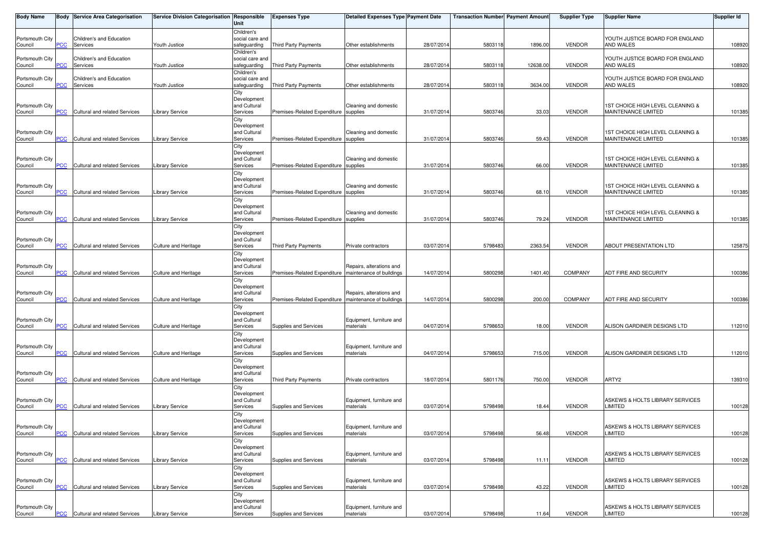| Body Name                  | Body           | <b>Service Area Categorisation</b>   | Service Division Categorisation Responsible | Unit                        | <b>Expenses Type</b>                  | <b>Detailed Expenses Type Payment Date</b> |            | <b>Transaction Number Payment Amount</b> |          | <b>Supplier Type</b> | <b>Supplier Name</b>                       | <b>Supplier Id</b> |
|----------------------------|----------------|--------------------------------------|---------------------------------------------|-----------------------------|---------------------------------------|--------------------------------------------|------------|------------------------------------------|----------|----------------------|--------------------------------------------|--------------------|
|                            |                |                                      |                                             | Children's                  |                                       |                                            |            |                                          |          |                      |                                            |                    |
| Portsmouth City            |                | Children's and Education             |                                             | social care and             |                                       |                                            |            |                                          |          |                      | YOUTH JUSTICE BOARD FOR ENGLAND            |                    |
| Council                    | PCC            | Services                             | Youth Justice                               | safeguarding<br>Children's  | <b>Third Party Payments</b>           | Other establishments                       | 28/07/2014 | 5803118                                  | 1896.00  | <b>VENDOR</b>        | AND WALES                                  | 108920             |
| Portsmouth City            |                | Children's and Education             |                                             | social care and             |                                       |                                            |            |                                          |          |                      | YOUTH JUSTICE BOARD FOR ENGLAND            |                    |
| Council                    | PCC            | Services                             | Youth Justice                               | safeguarding                | Third Party Payments                  | Other establishments                       | 28/07/2014 | 5803118                                  | 12638.00 | <b>VENDOR</b>        | AND WALES                                  | 108920             |
|                            |                |                                      |                                             | Children's                  |                                       |                                            |            |                                          |          |                      |                                            |                    |
| Portsmouth City            |                | Children's and Education             |                                             | social care and             |                                       |                                            |            |                                          |          |                      | YOUTH JUSTICE BOARD FOR ENGLAND            |                    |
| Council                    | PСC            | Services                             | Youth Justice                               | safeguarding                | Third Party Payments                  | Other establishments                       | 28/07/2014 | 5803118                                  | 3634.00  | <b>VENDOR</b>        | AND WALES                                  | 108920             |
|                            |                |                                      |                                             | City<br>Development         |                                       |                                            |            |                                          |          |                      |                                            |                    |
| Portsmouth City            |                |                                      |                                             | and Cultural                |                                       | Cleaning and domestic                      |            |                                          |          |                      | 1ST CHOICE HIGH LEVEL CLEANING &           |                    |
| Council                    | $\overline{C}$ | Cultural and related Services        | <b>Library Service</b>                      | Services                    | Premises-Related Expenditure          | supplies                                   | 31/07/2014 | 5803746                                  | 33.03    | <b>VENDOR</b>        | MAINTENANCE LIMITED                        | 101385             |
|                            |                |                                      |                                             | City                        |                                       |                                            |            |                                          |          |                      |                                            |                    |
| Portsmouth City            |                |                                      |                                             | Development<br>and Cultural |                                       | Cleaning and domestic                      |            |                                          |          |                      | 1ST CHOICE HIGH LEVEL CLEANING &           |                    |
| Council                    | PСC            | Cultural and related Services        | <b>Library Service</b>                      | Services                    | Premises-Related Expenditure supplies |                                            | 31/07/2014 | 5803746                                  | 59.43    | <b>VENDOR</b>        | <b>MAINTENANCE LIMITED</b>                 | 101385             |
|                            |                |                                      |                                             | City                        |                                       |                                            |            |                                          |          |                      |                                            |                    |
|                            |                |                                      |                                             | Development                 |                                       |                                            |            |                                          |          |                      |                                            |                    |
| Portsmouth City            | <b>PCC</b>     |                                      |                                             | and Cultural                |                                       | Cleaning and domestic                      |            |                                          |          |                      | 1ST CHOICE HIGH LEVEL CLEANING &           |                    |
| Council                    |                | Cultural and related Services        | <b>Library Service</b>                      | Services<br>City            | Premises-Related Expenditure supplies |                                            | 31/07/2014 | 5803746                                  | 66.00    | <b>VENDOR</b>        | MAINTENANCE LIMITED                        | 101385             |
|                            |                |                                      |                                             | Development                 |                                       |                                            |            |                                          |          |                      |                                            |                    |
| Portsmouth City            |                |                                      |                                             | and Cultural                |                                       | Cleaning and domestic                      |            |                                          |          |                      | 1ST CHOICE HIGH LEVEL CLEANING &           |                    |
| Council                    | $\overline{C}$ | Cultural and related Services        | Library Service                             | Services                    | Premises-Related Expenditure supplies |                                            | 31/07/2014 | 5803746                                  | 68.10    | <b>VENDOR</b>        | MAINTENANCE LIMITED                        | 101385             |
|                            |                |                                      |                                             | City                        |                                       |                                            |            |                                          |          |                      |                                            |                    |
| Portsmouth City            |                |                                      |                                             | Development<br>and Cultural |                                       | Cleaning and domestic                      |            |                                          |          |                      | 1ST CHOICE HIGH LEVEL CLEANING &           |                    |
| Council                    | <b>PCC</b>     | Cultural and related Services        | <b>Library Service</b>                      | Services                    | Premises-Related Expenditure          | supplies                                   | 31/07/2014 | 5803746                                  | 79.24    | <b>VENDOR</b>        | MAINTENANCE LIMITED                        | 101385             |
|                            |                |                                      |                                             | City                        |                                       |                                            |            |                                          |          |                      |                                            |                    |
|                            |                |                                      |                                             | Development                 |                                       |                                            |            |                                          |          |                      |                                            |                    |
| Portsmouth City            | $\overline{C}$ |                                      |                                             | and Cultural<br>Services    |                                       |                                            | 03/07/2014 | 5798483                                  | 2363.54  | <b>VENDOR</b>        | <b>ABOUT PRESENTATION LTD</b>              | 125875             |
| Council                    |                | Cultural and related Services        | Culture and Heritage                        | City                        | <b>Third Party Payments</b>           | Private contractors                        |            |                                          |          |                      |                                            |                    |
|                            |                |                                      |                                             | Development                 |                                       |                                            |            |                                          |          |                      |                                            |                    |
| Portsmouth City            |                |                                      |                                             | and Cultural                |                                       | Repairs, alterations and                   |            |                                          |          |                      |                                            |                    |
| Council                    | <b>PCC</b>     | Cultural and related Services        | Culture and Heritage                        | Services                    | Premises-Related Expenditure          | maintenance of buildings                   | 14/07/2014 | 5800298                                  | 1401.40  | <b>COMPANY</b>       | ADT FIRE AND SECURITY                      | 100386             |
|                            |                |                                      |                                             | City<br>Development         |                                       |                                            |            |                                          |          |                      |                                            |                    |
| Portsmouth City            |                |                                      |                                             | and Cultural                |                                       | Repairs, alterations and                   |            |                                          |          |                      |                                            |                    |
| Council                    | PCC            | Cultural and related Services        | Culture and Heritage                        | Services                    | Premises-Related Expenditure          | maintenance of buildings                   | 14/07/201  | 5800298                                  | 200.00   | <b>COMPANY</b>       | ADT FIRE AND SECURITY                      | 100386             |
|                            |                |                                      |                                             | City                        |                                       |                                            |            |                                          |          |                      |                                            |                    |
|                            |                |                                      |                                             | Development                 |                                       |                                            |            |                                          |          |                      |                                            |                    |
| Portsmouth City<br>Council | $\overline{C}$ | Cultural and related Services        | Culture and Heritage                        | and Cultural<br>Services    | Supplies and Services                 | Equipment, furniture and<br>materials      | 04/07/2014 | 5798653                                  | 18.00    | <b>VENDOR</b>        | ALISON GARDINER DESIGNS LTD                | 112010             |
|                            |                |                                      |                                             | City                        |                                       |                                            |            |                                          |          |                      |                                            |                    |
|                            |                |                                      |                                             | Development                 |                                       |                                            |            |                                          |          |                      |                                            |                    |
| Portsmouth City            |                |                                      |                                             | and Cultural                |                                       | Equipment, furniture and                   |            |                                          |          |                      |                                            |                    |
| Council                    | PCC            | Cultural and related Services        | <b>Culture and Heritage</b>                 | Services                    | Supplies and Services                 | materials                                  | 04/07/2014 | 5798653                                  | 715.00   | <b>VENDOR</b>        | ALISON GARDINER DESIGNS LTD                | 112010             |
|                            |                |                                      |                                             | City<br>Development         |                                       |                                            |            |                                          |          |                      |                                            |                    |
| Portsmouth City            |                |                                      |                                             | and Cultural                |                                       |                                            |            |                                          |          |                      |                                            |                    |
| Council                    | PСC            | <b>Cultural and related Services</b> | Culture and Heritage                        | Services                    | <b>Third Party Payments</b>           | Private contractors                        | 18/07/2014 | 5801176                                  | 750.00   | <b>VENDOR</b>        | ARTY2                                      | 139310             |
|                            |                |                                      |                                             | City                        |                                       |                                            |            |                                          |          |                      |                                            |                    |
| Portsmouth City            |                |                                      |                                             | Development<br>and Cultural |                                       | Equipment, furniture and                   |            |                                          |          |                      | ASKEWS & HOLTS LIBRARY SERVICES            |                    |
| Council                    | <b>PCC</b>     | Cultural and related Services        | <b>Library Service</b>                      | Services                    | Supplies and Services                 | materials                                  | 03/07/2014 | 5798498                                  | 18.44    | <b>VENDOR</b>        | LIMITED                                    | 100128             |
|                            |                |                                      |                                             | City                        |                                       |                                            |            |                                          |          |                      |                                            |                    |
|                            |                |                                      |                                             | Development                 |                                       |                                            |            |                                          |          |                      |                                            |                    |
| Portsmouth City            |                |                                      |                                             | and Cultural                |                                       | Equipment, furniture and                   |            |                                          |          |                      | ASKEWS & HOLTS LIBRARY SERVICES            |                    |
| Council                    | <b>PCC</b>     | Cultural and related Services        | <b>Library Service</b>                      | Services<br>City            | Supplies and Services                 | materials                                  | 03/07/2014 | 5798498                                  | 56.48    | <b>VENDOR</b>        | LIMITED                                    | 100128             |
|                            |                |                                      |                                             | Development                 |                                       |                                            |            |                                          |          |                      |                                            |                    |
| Portsmouth City            |                |                                      |                                             | and Cultural                |                                       | Equipment, furniture and                   |            |                                          |          |                      | ASKEWS & HOLTS LIBRARY SERVICES            |                    |
| Council                    | PCC            | Cultural and related Services        | Library Service                             | Services                    | Supplies and Services                 | materials                                  | 03/07/2014 | 5798498                                  | 11.11    | <b>VENDOR</b>        | LIMITED                                    | 100128             |
|                            |                |                                      |                                             | City                        |                                       |                                            |            |                                          |          |                      |                                            |                    |
| Portsmouth City            |                |                                      |                                             | Development<br>and Cultural |                                       | Equipment, furniture and                   |            |                                          |          |                      | ASKEWS & HOLTS LIBRARY SERVICES            |                    |
| Council                    | <b>PCC</b>     | Cultural and related Services        | <b>Library Service</b>                      | Services                    | Supplies and Services                 | materials                                  | 03/07/2014 | 5798498                                  | 43.22    | <b>VENDOR</b>        | <b>LIMITED</b>                             | 100128             |
|                            |                |                                      |                                             | City                        |                                       |                                            |            |                                          |          |                      |                                            |                    |
|                            |                |                                      |                                             | Development                 |                                       |                                            |            |                                          |          |                      |                                            |                    |
| Portsmouth City<br>Council | <b>PCC</b>     | Cultural and related Services        | <b>Library Service</b>                      | and Cultural<br>Services    | Supplies and Services                 | Equipment, furniture and<br>materials      | 03/07/2014 | 5798498                                  | 11.64    | VENDOR               | ASKEWS & HOLTS LIBRARY SERVICES<br>LIMITED | 100128             |
|                            |                |                                      |                                             |                             |                                       |                                            |            |                                          |          |                      |                                            |                    |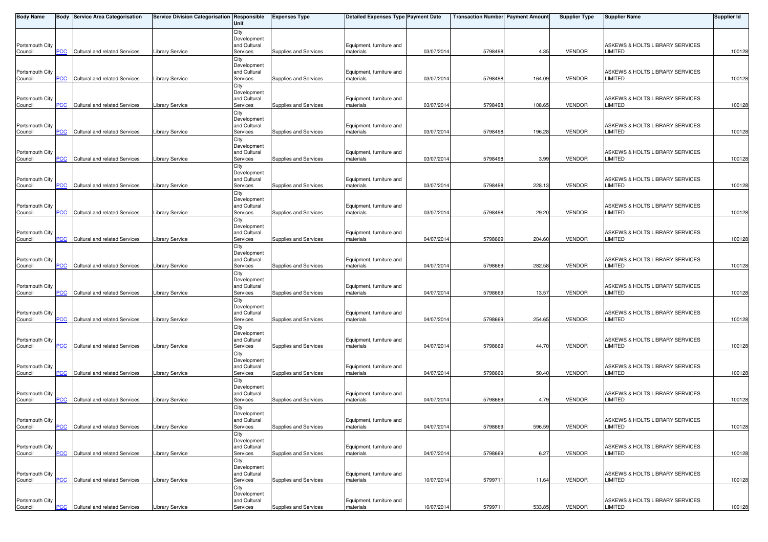| <b>Body Name</b> |                | <b>Body Service Area Categorisation</b> | Service Division Categorisation Responsible | Unit                        | <b>Expenses Type</b>  | <b>Detailed Expenses Type Payment Date</b> |            | <b>Transaction Number Payment Amount</b> |        | <b>Supplier Type</b> | <b>Supplier Name</b>            | Supplier Id |
|------------------|----------------|-----------------------------------------|---------------------------------------------|-----------------------------|-----------------------|--------------------------------------------|------------|------------------------------------------|--------|----------------------|---------------------------------|-------------|
|                  |                |                                         |                                             | City                        |                       |                                            |            |                                          |        |                      |                                 |             |
| Portsmouth City  |                |                                         |                                             | Development<br>and Cultural |                       | Equipment, furniture and                   |            |                                          |        |                      | ASKEWS & HOLTS LIBRARY SERVICES |             |
| Council          | PCC            | Cultural and related Services           | <b>Library Service</b>                      | Services                    | Supplies and Services | materials                                  | 03/07/201  | 5798498                                  | 4.35   | <b>VENDOR</b>        | LIMITED                         | 100128      |
|                  |                |                                         |                                             | City                        |                       |                                            |            |                                          |        |                      |                                 |             |
| Portsmouth City  |                |                                         |                                             | Development<br>and Cultural |                       | Equipment, furniture and                   |            |                                          |        |                      | ASKEWS & HOLTS LIBRARY SERVICES |             |
| Council          | <b>PCC</b>     | Cultural and related Services           | <b>Library Service</b>                      | Services                    | Supplies and Services | materials                                  | 03/07/201  | 5798498                                  | 164.09 | VENDOR               | LIMITED                         | 100128      |
|                  |                |                                         |                                             | City                        |                       |                                            |            |                                          |        |                      |                                 |             |
| Portsmouth City  |                |                                         |                                             | Development<br>and Cultural |                       | Equipment, furniture and                   |            |                                          |        |                      | ASKEWS & HOLTS LIBRARY SERVICES |             |
| Council          | PCC            | Cultural and related Services           | Library Service                             | Services                    | Supplies and Services | materials                                  | 03/07/201  | 5798498                                  | 108.65 | <b>VENDOR</b>        | LIMITED                         | 100128      |
|                  |                |                                         |                                             | City                        |                       |                                            |            |                                          |        |                      |                                 |             |
| Portsmouth City  |                |                                         |                                             | Development<br>and Cultural |                       | Equipment, furniture and                   |            |                                          |        |                      | ASKEWS & HOLTS LIBRARY SERVICES |             |
| Council          | <b>PCC</b>     | Cultural and related Services           | <b>Library Service</b>                      | Services                    | Supplies and Services | materials                                  | 03/07/201  | 5798498                                  | 196.28 | VENDOR               | LIMITED                         | 100128      |
|                  |                |                                         |                                             | City                        |                       |                                            |            |                                          |        |                      |                                 |             |
| Portsmouth City  |                |                                         |                                             | Development<br>and Cultural |                       | Equipment, furniture and                   |            |                                          |        |                      | ASKEWS & HOLTS LIBRARY SERVICES |             |
| Council          | PCC            | Cultural and related Services           | <b>Library Service</b>                      | Services                    | Supplies and Services | materials                                  | 03/07/201  | 5798498                                  | 3.99   | <b>VENDOR</b>        | <b>LIMITED</b>                  | 100128      |
|                  |                |                                         |                                             | City                        |                       |                                            |            |                                          |        |                      |                                 |             |
| Portsmouth City  |                |                                         |                                             | Development<br>and Cultural |                       | Equipment, furniture and                   |            |                                          |        |                      | ASKEWS & HOLTS LIBRARY SERVICES |             |
| Council          | <b>PCC</b>     | Cultural and related Services           | <b>Library Service</b>                      | Services                    | Supplies and Services | materials                                  | 03/07/201  | 5798498                                  | 228.13 | <b>VENDOR</b>        | <b>LIMITED</b>                  | 100128      |
|                  |                |                                         |                                             | City                        |                       |                                            |            |                                          |        |                      |                                 |             |
| Portsmouth City  |                |                                         |                                             | Development<br>and Cultural |                       | Equipment, furniture and                   |            |                                          |        |                      | ASKEWS & HOLTS LIBRARY SERVICES |             |
| Council          | <b>PCC</b>     | Cultural and related Services           | Library Service                             | Services                    | Supplies and Services | materials                                  | 03/07/201  | 5798498                                  | 29.20  | <b>VENDOR</b>        | LIMITED                         | 100128      |
|                  |                |                                         |                                             | City                        |                       |                                            |            |                                          |        |                      |                                 |             |
| Portsmouth City  |                |                                         |                                             | Development<br>and Cultural |                       | Equipment, furniture and                   |            |                                          |        |                      | ASKEWS & HOLTS LIBRARY SERVICES |             |
| Council          | <u>PCC</u>     | Cultural and related Services           | Library Service                             | Services                    | Supplies and Services | materials                                  | 04/07/201  | 5798669                                  | 204.60 | <b>VENDOR</b>        | LIMITED                         | 100128      |
|                  |                |                                         |                                             | City                        |                       |                                            |            |                                          |        |                      |                                 |             |
| Portsmouth City  |                |                                         |                                             | Development<br>and Cultural |                       | Equipment, furniture and                   |            |                                          |        |                      | ASKEWS & HOLTS LIBRARY SERVICES |             |
| Council          | PCC            | Cultural and related Services           | Library Service                             | Services                    | Supplies and Services | materials                                  | 04/07/201  | 5798669                                  | 282.58 | <b>VENDOR</b>        | LIMITED                         | 100128      |
|                  |                |                                         |                                             | City                        |                       |                                            |            |                                          |        |                      |                                 |             |
| Portsmouth City  |                |                                         |                                             | Development<br>and Cultural |                       | Equipment, furniture and                   |            |                                          |        |                      | ASKEWS & HOLTS LIBRARY SERVICES |             |
| Council          | $\overline{C}$ | Cultural and related Services           | <b>Library Service</b>                      | Services                    | Supplies and Services | materials                                  | 04/07/201  | 5798669                                  | 13.57  | <b>VENDOR</b>        | LIMITED                         | 100128      |
|                  |                |                                         |                                             | City<br>Development         |                       |                                            |            |                                          |        |                      |                                 |             |
| Portsmouth City  |                |                                         |                                             | and Cultural                |                       | Equipment, furniture and                   |            |                                          |        |                      | ASKEWS & HOLTS LIBRARY SERVICES |             |
| Council          | PCC            | Cultural and related Services           | <b>Library Service</b>                      | Services                    | Supplies and Services | materials                                  | 04/07/201  | 5798669                                  | 254.65 | <b>VENDOR</b>        | LIMITED                         | 100128      |
|                  |                |                                         |                                             | City<br>Development         |                       |                                            |            |                                          |        |                      |                                 |             |
| Portsmouth City  |                |                                         |                                             | and Cultural                |                       | Equipment, furniture and                   |            |                                          |        |                      | ASKEWS & HOLTS LIBRARY SERVICES |             |
| Council          | PCC            | Cultural and related Services           | <b>Library Service</b>                      | Services                    | Supplies and Services | materials                                  | 04/07/201  | 5798669                                  | 44.70  | <b>VENDOR</b>        | <b>LIMITED</b>                  | 100128      |
|                  |                |                                         |                                             | City<br>Development         |                       |                                            |            |                                          |        |                      |                                 |             |
| Portsmouth City  |                |                                         |                                             | and Cultural                |                       | Equipment, furniture and                   |            |                                          |        |                      | ASKEWS & HOLTS LIBRARY SERVICES |             |
| Council          | <b>PCC</b>     | Cultural and related Services           | Library Service                             | Services                    | Supplies and Services | materials                                  | 04/07/201  | 5798669                                  | 50.40  | <b>VENDOR</b>        | LIMITED                         | 100128      |
|                  |                |                                         |                                             | City<br>Development         |                       |                                            |            |                                          |        |                      |                                 |             |
| Portsmouth City  |                |                                         |                                             | and Cultural                |                       | Equipment, furniture and                   |            |                                          |        |                      | ASKEWS & HOLTS LIBRARY SERVICES |             |
| Council          | <b>PCC</b>     | Cultural and related Services           | <b>Library Service</b>                      | Services                    | Supplies and Services | materials                                  | 04/07/201  | 5798669                                  | 4.79   | VENDOR               | LIMITED                         | 100128      |
|                  |                |                                         |                                             | City<br>Development         |                       |                                            |            |                                          |        |                      |                                 |             |
| Portsmouth City  |                |                                         |                                             | and Cultural                |                       | Equipment, furniture and                   |            |                                          |        |                      | ASKEWS & HOLTS LIBRARY SERVICES |             |
| Council          | <b>PCC</b>     | Cultural and related Services           | <b>Library Service</b>                      | Services<br>City            | Supplies and Services | materials                                  | 04/07/2014 | 5798669                                  | 596.59 | VENDOR               | LIMITED                         | 100128      |
|                  |                |                                         |                                             | Development                 |                       |                                            |            |                                          |        |                      |                                 |             |
| Portsmouth City  |                |                                         |                                             | and Cultural                |                       | Equipment, furniture and                   |            |                                          |        |                      | ASKEWS & HOLTS LIBRARY SERVICES |             |
| Council          | PCC            | Cultural and related Services           | <b>Library Service</b>                      | Services<br>City            | Supplies and Services | materials                                  | 04/07/201  | 5798669                                  | 6.27   | <b>VENDOR</b>        | <b>LIMITED</b>                  | 100128      |
|                  |                |                                         |                                             | Development                 |                       |                                            |            |                                          |        |                      |                                 |             |
| Portsmouth City  |                |                                         |                                             | and Cultural                |                       | Equipment, furniture and                   |            |                                          |        |                      | ASKEWS & HOLTS LIBRARY SERVICES |             |
| Council          | PCC            | Cultural and related Services           | <b>Library Service</b>                      | Services<br>City            | Supplies and Services | materials                                  | 10/07/201  | 579971                                   | 11.64  | VENDOR               | LIMITED                         | 100128      |
|                  |                |                                         |                                             | Development                 |                       |                                            |            |                                          |        |                      |                                 |             |
| Portsmouth City  |                |                                         |                                             | and Cultural                |                       | Equipment, furniture and                   |            |                                          |        |                      | ASKEWS & HOLTS LIBRARY SERVICES |             |
| Council          | <b>PCC</b>     | Cultural and related Services           | <b>Library Service</b>                      | Services                    | Supplies and Services | materials                                  | 10/07/2014 | 579971                                   | 533.85 | VENDOR               | LIMITED                         | 100128      |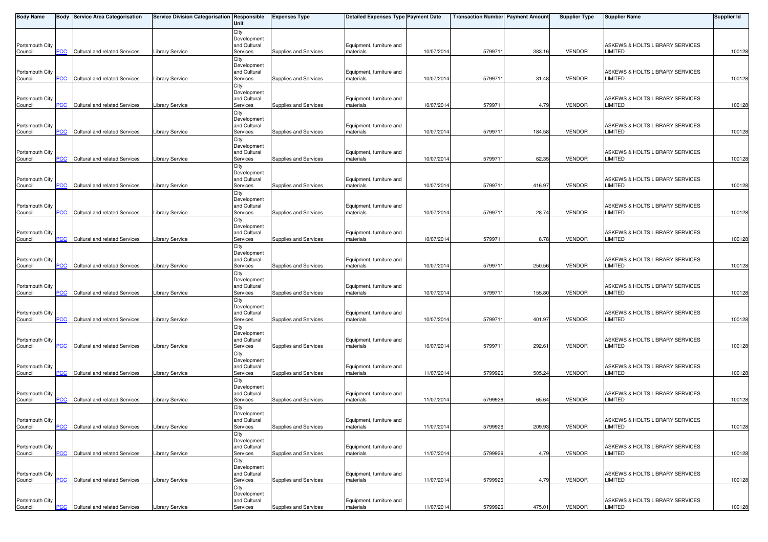| <b>Body Name</b>           |            | <b>Body Service Area Categorisation</b> | Service Division Categorisation Responsible | Unit                        | <b>Expenses Type</b>  | <b>Detailed Expenses Type Payment Date</b> |            | <b>Transaction Number Payment Amount</b> |        | <b>Supplier Type</b> | Supplier Name                                     | Supplier Id |
|----------------------------|------------|-----------------------------------------|---------------------------------------------|-----------------------------|-----------------------|--------------------------------------------|------------|------------------------------------------|--------|----------------------|---------------------------------------------------|-------------|
|                            |            |                                         |                                             | City                        |                       |                                            |            |                                          |        |                      |                                                   |             |
| Portsmouth City            |            |                                         |                                             | Development<br>and Cultural |                       | Equipment, furniture and                   |            |                                          |        |                      | ASKEWS & HOLTS LIBRARY SERVICES                   |             |
| Council                    | PCC        | Cultural and related Services           | <b>Library Service</b>                      | Services                    | Supplies and Services | materials                                  | 10/07/201  | 579971                                   | 383.16 | <b>VENDOR</b>        | LIMITED                                           | 100128      |
|                            |            |                                         |                                             | City                        |                       |                                            |            |                                          |        |                      |                                                   |             |
|                            |            |                                         |                                             | Development<br>and Cultural |                       |                                            |            |                                          |        |                      | ASKEWS & HOLTS LIBRARY SERVICES                   |             |
| Portsmouth City<br>Council | <b>PCC</b> | Cultural and related Services           | <b>Library Service</b>                      | Services                    | Supplies and Services | Equipment, furniture and<br>materials      | 10/07/201  | 579971                                   | 31.48  | <b>VENDOR</b>        | LIMITED                                           | 100128      |
|                            |            |                                         |                                             | City                        |                       |                                            |            |                                          |        |                      |                                                   |             |
|                            |            |                                         |                                             | Development                 |                       |                                            |            |                                          |        |                      |                                                   |             |
| Portsmouth City<br>Council | PCC        | Cultural and related Services           | Library Service                             | and Cultural<br>Services    | Supplies and Services | Equipment, furniture and<br>materials      | 10/07/201  | 579971                                   | 4.79   | <b>VENDOR</b>        | ASKEWS & HOLTS LIBRARY SERVICES<br><b>LIMITED</b> | 100128      |
|                            |            |                                         |                                             | City                        |                       |                                            |            |                                          |        |                      |                                                   |             |
|                            |            |                                         |                                             | Development                 |                       |                                            |            |                                          |        |                      |                                                   |             |
| Portsmouth City<br>Council | <b>PCC</b> | Cultural and related Services           | <b>Library Service</b>                      | and Cultural<br>Services    | Supplies and Services | Equipment, furniture and<br>materials      | 10/07/201  | 579971                                   | 184.58 | <b>VENDOR</b>        | ASKEWS & HOLTS LIBRARY SERVICES<br>LIMITED        | 100128      |
|                            |            |                                         |                                             | City                        |                       |                                            |            |                                          |        |                      |                                                   |             |
|                            |            |                                         |                                             | Development                 |                       |                                            |            |                                          |        |                      |                                                   |             |
| Portsmouth City            | PCC        | Cultural and related Services           | Library Service                             | and Cultural<br>Services    | Supplies and Services | Equipment, furniture and<br>materials      | 10/07/201  | 579971                                   | 62.35  | <b>VENDOR</b>        | ASKEWS & HOLTS LIBRARY SERVICES<br>LIMITED        | 100128      |
| Council                    |            |                                         |                                             | City                        |                       |                                            |            |                                          |        |                      |                                                   |             |
|                            |            |                                         |                                             | Development                 |                       |                                            |            |                                          |        |                      |                                                   |             |
| Portsmouth City            | <b>PCC</b> | Cultural and related Services           | Library Service                             | and Cultural<br>Services    | Supplies and Services | Equipment, furniture and<br>materials      | 10/07/201  | 579971                                   | 416.97 | <b>VENDOR</b>        | ASKEWS & HOLTS LIBRARY SERVICES<br>LIMITED        | 100128      |
| Council                    |            |                                         |                                             | City                        |                       |                                            |            |                                          |        |                      |                                                   |             |
|                            |            |                                         |                                             | Development                 |                       |                                            |            |                                          |        |                      |                                                   |             |
| Portsmouth City<br>Council | PCC        | Cultural and related Services           | Library Service                             | and Cultural<br>Services    | Supplies and Services | Equipment, furniture and<br>materials      | 10/07/201  | 579971                                   | 28.74  | <b>VENDOR</b>        | ASKEWS & HOLTS LIBRARY SERVICES<br>LIMITED        | 100128      |
|                            |            |                                         |                                             | City                        |                       |                                            |            |                                          |        |                      |                                                   |             |
|                            |            |                                         |                                             | Development                 |                       |                                            |            |                                          |        |                      |                                                   |             |
| Portsmouth City            | <u>PCC</u> | Cultural and related Services           | Library Service                             | and Cultural<br>Services    | Supplies and Services | Equipment, furniture and<br>materials      | 10/07/201  | 579971                                   | 8.78   | <b>VENDOR</b>        | ASKEWS & HOLTS LIBRARY SERVICES<br>LIMITED        | 100128      |
| Council                    |            |                                         |                                             | City                        |                       |                                            |            |                                          |        |                      |                                                   |             |
|                            |            |                                         |                                             | Development                 |                       |                                            |            |                                          |        |                      |                                                   |             |
| Portsmouth City<br>Council | PCC        | Cultural and related Services           | Library Service                             | and Cultural<br>Services    | Supplies and Services | Equipment, furniture and<br>materials      | 10/07/201  | 579971                                   | 250.56 | <b>VENDOR</b>        | ASKEWS & HOLTS LIBRARY SERVICES<br>LIMITED        | 100128      |
|                            |            |                                         |                                             | City                        |                       |                                            |            |                                          |        |                      |                                                   |             |
|                            |            |                                         |                                             | Development                 |                       |                                            |            |                                          |        |                      |                                                   |             |
| Portsmouth City<br>Council | PCC        | Cultural and related Services           | <b>Library Service</b>                      | and Cultural<br>Services    | Supplies and Services | Equipment, furniture and<br>materials      | 10/07/201  | 579971                                   | 155.80 | <b>VENDOR</b>        | ASKEWS & HOLTS LIBRARY SERVICES<br>LIMITED        | 100128      |
|                            |            |                                         |                                             | City                        |                       |                                            |            |                                          |        |                      |                                                   |             |
|                            |            |                                         |                                             | Development                 |                       |                                            |            |                                          |        |                      |                                                   |             |
| Portsmouth City<br>Council | PCC        | Cultural and related Services           | Library Service                             | and Cultural<br>Services    | Supplies and Services | Equipment, furniture and<br>materials      | 10/07/201  | 579971                                   | 401.97 | VENDOR               | ASKEWS & HOLTS LIBRARY SERVICES<br>LIMITED        | 100128      |
|                            |            |                                         |                                             | City                        |                       |                                            |            |                                          |        |                      |                                                   |             |
|                            |            |                                         |                                             | Development                 |                       |                                            |            |                                          |        |                      |                                                   |             |
| Portsmouth City<br>Council | PCC        | Cultural and related Services           | <b>Library Service</b>                      | and Cultural<br>Services    | Supplies and Services | Equipment, furniture and<br>materials      | 10/07/201  | 579971                                   | 292.61 | <b>VENDOR</b>        | ASKEWS & HOLTS LIBRARY SERVICES<br>LIMITED        | 100128      |
|                            |            |                                         |                                             | City                        |                       |                                            |            |                                          |        |                      |                                                   |             |
|                            |            |                                         |                                             | Development                 |                       |                                            |            |                                          |        |                      |                                                   |             |
| Portsmouth City<br>Council | <b>PCC</b> | Cultural and related Services           | Library Service                             | and Cultural<br>Services    | Supplies and Services | Equipment, furniture and<br>materials      | 11/07/201  | 5799926                                  | 505.24 | <b>VENDOR</b>        | ASKEWS & HOLTS LIBRARY SERVICES<br>LIMITED        | 100128      |
|                            |            |                                         |                                             | City                        |                       |                                            |            |                                          |        |                      |                                                   |             |
|                            |            |                                         |                                             | Development                 |                       |                                            |            |                                          |        |                      | ASKEWS & HOLTS LIBRARY SERVICES                   |             |
| Portsmouth City<br>Council | PCC        | Cultural and related Services           | <b>Library Service</b>                      | and Cultural<br>Services    | Supplies and Services | Equipment, furniture and<br>materials      | 11/07/201  | 5799926                                  | 65.64  | <b>VENDOR</b>        | LIMITED                                           | 100128      |
|                            |            |                                         |                                             | City                        |                       |                                            |            |                                          |        |                      |                                                   |             |
|                            |            |                                         |                                             | Development                 |                       |                                            |            |                                          |        |                      |                                                   |             |
| Portsmouth City<br>Council | $PCC$      | <b>Cultural and related Services</b>    | <b>Library Service</b>                      | and Cultural<br>Services    | Supplies and Services | Equipment, furniture and<br>materials      | 11/07/2014 | 5799926                                  | 209.93 | VENDOR               | ASKEWS & HOLTS LIBRARY SERVICES<br>LIMITED        | 100128      |
|                            |            |                                         |                                             | City                        |                       |                                            |            |                                          |        |                      |                                                   |             |
| Portsmouth City            |            |                                         |                                             | Development<br>and Cultural |                       | Equipment, furniture and                   |            |                                          |        |                      | ASKEWS & HOLTS LIBRARY SERVICES                   |             |
| Council                    | <b>PCC</b> | Cultural and related Services           | <b>Library Service</b>                      | Services                    | Supplies and Services | materials                                  | 11/07/2014 | 5799926                                  | 4.79   | VENDOR               | <b>LIMITED</b>                                    | 100128      |
|                            |            |                                         |                                             | City                        |                       |                                            |            |                                          |        |                      |                                                   |             |
| Portsmouth City            |            |                                         |                                             | Development<br>and Cultural |                       | Equipment, furniture and                   |            |                                          |        |                      | ASKEWS & HOLTS LIBRARY SERVICES                   |             |
| Council                    | PCC        | Cultural and related Services           | <b>Library Service</b>                      | Services                    | Supplies and Services | materials                                  | 11/07/201  | 5799926                                  | 4.79   | VENDOR               | <b>LIMITED</b>                                    | 100128      |
|                            |            |                                         |                                             | City                        |                       |                                            |            |                                          |        |                      |                                                   |             |
| Portsmouth City            |            |                                         |                                             | Development<br>and Cultural |                       | Equipment, furniture and                   |            |                                          |        |                      | ASKEWS & HOLTS LIBRARY SERVICES                   |             |
| Council                    | <u>PCC</u> | Cultural and related Services           | <b>Library Service</b>                      | Services                    | Supplies and Services | materials                                  | 11/07/2014 | 5799926                                  | 475.01 | VENDOR               | LIMITED                                           | 100128      |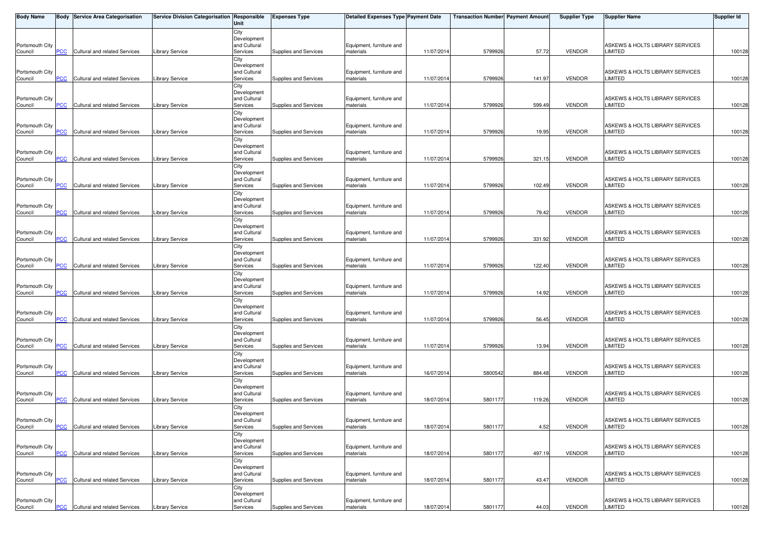| <b>Body Name</b>           |            | <b>Body Service Area Categorisation</b> | Service Division Categorisation Responsible | Unit                        | <b>Expenses Type</b>  | <b>Detailed Expenses Type Payment Date</b> |            | <b>Transaction Number Payment Amount</b> |        | <b>Supplier Type</b> | Supplier Name                                     | Supplier Id |
|----------------------------|------------|-----------------------------------------|---------------------------------------------|-----------------------------|-----------------------|--------------------------------------------|------------|------------------------------------------|--------|----------------------|---------------------------------------------------|-------------|
|                            |            |                                         |                                             | City                        |                       |                                            |            |                                          |        |                      |                                                   |             |
| Portsmouth City            |            |                                         |                                             | Development<br>and Cultural |                       | Equipment, furniture and                   |            |                                          |        |                      | ASKEWS & HOLTS LIBRARY SERVICES                   |             |
| Council                    | PCC        | Cultural and related Services           | <b>Library Service</b>                      | Services                    | Supplies and Services | materials                                  | 11/07/201  | 5799926                                  | 57.72  | <b>VENDOR</b>        | LIMITED                                           | 100128      |
|                            |            |                                         |                                             | City                        |                       |                                            |            |                                          |        |                      |                                                   |             |
|                            |            |                                         |                                             | Development<br>and Cultural |                       |                                            |            |                                          |        |                      | ASKEWS & HOLTS LIBRARY SERVICES                   |             |
| Portsmouth City<br>Council | <b>PCC</b> | Cultural and related Services           | <b>Library Service</b>                      | Services                    | Supplies and Services | Equipment, furniture and<br>materials      | 11/07/201  | 5799926                                  | 141.97 | <b>VENDOR</b>        | LIMITED                                           | 100128      |
|                            |            |                                         |                                             | City                        |                       |                                            |            |                                          |        |                      |                                                   |             |
|                            |            |                                         |                                             | Development                 |                       |                                            |            |                                          |        |                      |                                                   |             |
| Portsmouth City<br>Council | PCC        | Cultural and related Services           | Library Service                             | and Cultural<br>Services    | Supplies and Services | Equipment, furniture and<br>materials      | 11/07/201  | 5799926                                  | 599.49 | <b>VENDOR</b>        | ASKEWS & HOLTS LIBRARY SERVICES<br><b>LIMITED</b> | 100128      |
|                            |            |                                         |                                             | City                        |                       |                                            |            |                                          |        |                      |                                                   |             |
|                            |            |                                         |                                             | Development                 |                       |                                            |            |                                          |        |                      |                                                   |             |
| Portsmouth City<br>Council | <b>PCC</b> | Cultural and related Services           | <b>Library Service</b>                      | and Cultural<br>Services    | Supplies and Services | Equipment, furniture and<br>materials      | 11/07/201  | 5799926                                  | 19.95  | <b>VENDOR</b>        | ASKEWS & HOLTS LIBRARY SERVICES<br>LIMITED        | 100128      |
|                            |            |                                         |                                             | City                        |                       |                                            |            |                                          |        |                      |                                                   |             |
|                            |            |                                         |                                             | Development                 |                       |                                            |            |                                          |        |                      |                                                   |             |
| Portsmouth City<br>Council | PCC        | Cultural and related Services           | Library Service                             | and Cultural<br>Services    | Supplies and Services | Equipment, furniture and<br>materials      | 11/07/201  | 5799926                                  | 321.15 | <b>VENDOR</b>        | ASKEWS & HOLTS LIBRARY SERVICES<br>LIMITED        | 100128      |
|                            |            |                                         |                                             | City                        |                       |                                            |            |                                          |        |                      |                                                   |             |
|                            |            |                                         |                                             | Development                 |                       |                                            |            |                                          |        |                      |                                                   |             |
| Portsmouth City<br>Council | <b>PCC</b> | Cultural and related Services           | Library Service                             | and Cultural<br>Services    | Supplies and Services | Equipment, furniture and<br>materials      | 11/07/201  | 5799926                                  | 102.49 | <b>VENDOR</b>        | ASKEWS & HOLTS LIBRARY SERVICES<br>LIMITED        | 100128      |
|                            |            |                                         |                                             | City                        |                       |                                            |            |                                          |        |                      |                                                   |             |
|                            |            |                                         |                                             | Development                 |                       |                                            |            |                                          |        |                      |                                                   |             |
| Portsmouth City<br>Council | PCC        | Cultural and related Services           | Library Service                             | and Cultural<br>Services    | Supplies and Services | Equipment, furniture and<br>materials      | 11/07/201  | 5799926                                  | 79.42  | <b>VENDOR</b>        | ASKEWS & HOLTS LIBRARY SERVICES<br>LIMITED        | 100128      |
|                            |            |                                         |                                             | City                        |                       |                                            |            |                                          |        |                      |                                                   |             |
|                            |            |                                         |                                             | Development                 |                       |                                            |            |                                          |        |                      |                                                   |             |
| Portsmouth City<br>Council | <u>PCC</u> | Cultural and related Services           | Library Service                             | and Cultural<br>Services    | Supplies and Services | Equipment, furniture and<br>materials      | 11/07/201  | 5799926                                  | 331.92 | <b>VENDOR</b>        | ASKEWS & HOLTS LIBRARY SERVICES<br>LIMITED        | 100128      |
|                            |            |                                         |                                             | City                        |                       |                                            |            |                                          |        |                      |                                                   |             |
|                            |            |                                         |                                             | Development                 |                       |                                            |            |                                          |        |                      |                                                   |             |
| Portsmouth City<br>Council | PCC        | Cultural and related Services           | Library Service                             | and Cultural<br>Services    | Supplies and Services | Equipment, furniture and<br>materials      | 11/07/201  | 5799926                                  | 122.40 | <b>VENDOR</b>        | ASKEWS & HOLTS LIBRARY SERVICES<br>LIMITED        | 100128      |
|                            |            |                                         |                                             | City                        |                       |                                            |            |                                          |        |                      |                                                   |             |
|                            |            |                                         |                                             | Development                 |                       |                                            |            |                                          |        |                      |                                                   |             |
| Portsmouth City<br>Council | PCC        | Cultural and related Services           | Library Service                             | and Cultural<br>Services    | Supplies and Services | Equipment, furniture and<br>materials      | 11/07/201  | 5799926                                  | 14.92  | <b>VENDOR</b>        | ASKEWS & HOLTS LIBRARY SERVICES<br>LIMITED        | 100128      |
|                            |            |                                         |                                             | City                        |                       |                                            |            |                                          |        |                      |                                                   |             |
|                            |            |                                         |                                             | Development<br>and Cultural |                       |                                            |            |                                          |        |                      |                                                   |             |
| Portsmouth City<br>Council | PCC        | Cultural and related Services           | Library Service                             | Services                    | Supplies and Services | Equipment, furniture and<br>materials      | 11/07/201  | 5799926                                  | 56.45  | VENDOR               | ASKEWS & HOLTS LIBRARY SERVICES<br>LIMITED        | 100128      |
|                            |            |                                         |                                             | City                        |                       |                                            |            |                                          |        |                      |                                                   |             |
|                            |            |                                         |                                             | Development<br>and Cultural |                       |                                            |            |                                          |        |                      |                                                   |             |
| Portsmouth City<br>Council | PCC        | Cultural and related Services           | <b>Library Service</b>                      | Services                    | Supplies and Services | Equipment, furniture and<br>materials      | 11/07/201  | 5799926                                  | 13.94  | <b>VENDOR</b>        | ASKEWS & HOLTS LIBRARY SERVICES<br>LIMITED        | 100128      |
|                            |            |                                         |                                             | City                        |                       |                                            |            |                                          |        |                      |                                                   |             |
| Portsmouth City            |            |                                         |                                             | Development<br>and Cultural |                       | Equipment, furniture and                   |            |                                          |        |                      | ASKEWS & HOLTS LIBRARY SERVICES                   |             |
| Council                    | <b>PCC</b> | Cultural and related Services           | Library Service                             | Services                    | Supplies and Services | materials                                  | 16/07/201  | 5800542                                  | 884.48 | <b>VENDOR</b>        | LIMITED                                           | 100128      |
|                            |            |                                         |                                             | City                        |                       |                                            |            |                                          |        |                      |                                                   |             |
| Portsmouth City            |            |                                         |                                             | Development<br>and Cultural |                       | Equipment, furniture and                   |            |                                          |        |                      | ASKEWS & HOLTS LIBRARY SERVICES                   |             |
| Council                    | PCC        | Cultural and related Services           | <b>Library Service</b>                      | Services                    | Supplies and Services | materials                                  | 18/07/201  | 5801177                                  | 119.26 | <b>VENDOR</b>        | LIMITED                                           | 100128      |
|                            |            |                                         |                                             | City                        |                       |                                            |            |                                          |        |                      |                                                   |             |
| Portsmouth City            |            |                                         |                                             | Development<br>and Cultural |                       | Equipment, furniture and                   |            |                                          |        |                      | ASKEWS & HOLTS LIBRARY SERVICES                   |             |
| Council                    | $PCC$      | <b>Cultural and related Services</b>    | <b>Library Service</b>                      | Services                    | Supplies and Services | materials                                  | 18/07/2014 | 5801177                                  | 4.52   | VENDOR               | LIMITED                                           | 100128      |
|                            |            |                                         |                                             | City<br>Development         |                       |                                            |            |                                          |        |                      |                                                   |             |
| Portsmouth City            |            |                                         |                                             | and Cultural                |                       | Equipment, furniture and                   |            |                                          |        |                      | ASKEWS & HOLTS LIBRARY SERVICES                   |             |
| Council                    | <b>PCC</b> | Cultural and related Services           | <b>Library Service</b>                      | Services                    | Supplies and Services | materials                                  | 18/07/2014 | 5801177                                  | 497.19 | VENDOR               | <b>LIMITED</b>                                    | 100128      |
|                            |            |                                         |                                             | City<br>Development         |                       |                                            |            |                                          |        |                      |                                                   |             |
| Portsmouth City            |            |                                         |                                             | and Cultural                |                       | Equipment, furniture and                   |            |                                          |        |                      | ASKEWS & HOLTS LIBRARY SERVICES                   |             |
| Council                    | PCC        | Cultural and related Services           | <b>Library Service</b>                      | Services                    | Supplies and Services | materials                                  | 18/07/201  | 5801177                                  | 43.47  | VENDOR               | <b>LIMITED</b>                                    | 100128      |
|                            |            |                                         |                                             | City<br>Development         |                       |                                            |            |                                          |        |                      |                                                   |             |
| Portsmouth City            |            |                                         |                                             | and Cultural                |                       | Equipment, furniture and                   |            |                                          |        |                      | ASKEWS & HOLTS LIBRARY SERVICES                   |             |
| Council                    | <u>PCC</u> | Cultural and related Services           | <b>Library Service</b>                      | Services                    | Supplies and Services | materials                                  | 18/07/2014 | 5801177                                  | 44.03  | VENDOR               | LIMITED                                           | 100128      |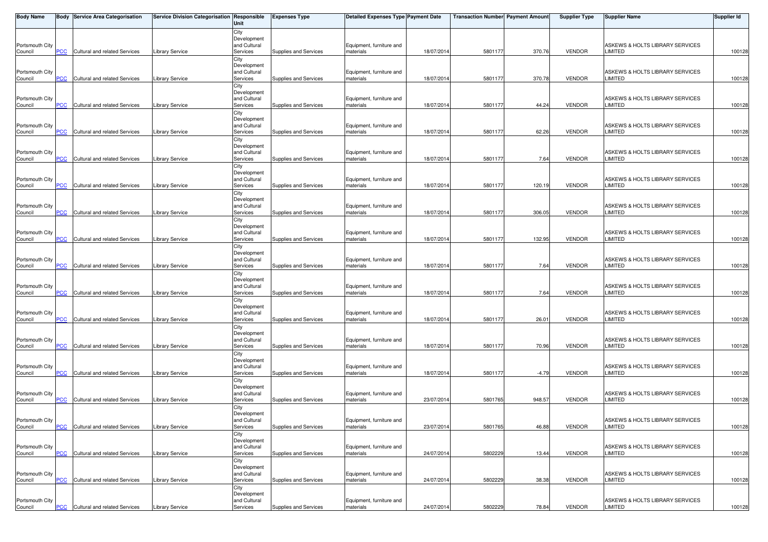| <b>Body Name</b>           |            | <b>Body Service Area Categorisation</b> | Service Division Categorisation Responsible | Unit                        | <b>Expenses Type</b>  | <b>Detailed Expenses Type Payment Date</b> |            | <b>Transaction Number Payment Amount</b> |         | <b>Supplier Type</b> | <b>Supplier Name</b>                              | Supplier Id |
|----------------------------|------------|-----------------------------------------|---------------------------------------------|-----------------------------|-----------------------|--------------------------------------------|------------|------------------------------------------|---------|----------------------|---------------------------------------------------|-------------|
|                            |            |                                         |                                             | City                        |                       |                                            |            |                                          |         |                      |                                                   |             |
| Portsmouth City            |            |                                         |                                             | Development<br>and Cultural |                       | Equipment, furniture and                   |            |                                          |         |                      | ASKEWS & HOLTS LIBRARY SERVICES                   |             |
| Council                    | PCC        | Cultural and related Services           | <b>Library Service</b>                      | Services                    | Supplies and Services | materials                                  | 18/07/201  | 5801177                                  | 370.76  | <b>VENDOR</b>        | LIMITED                                           | 100128      |
|                            |            |                                         |                                             | City                        |                       |                                            |            |                                          |         |                      |                                                   |             |
|                            |            |                                         |                                             | Development<br>and Cultural |                       |                                            |            |                                          |         |                      | ASKEWS & HOLTS LIBRARY SERVICES                   |             |
| Portsmouth City<br>Council | <b>PCC</b> | Cultural and related Services           | <b>Library Service</b>                      | Services                    | Supplies and Services | Equipment, furniture and<br>materials      | 18/07/201  | 5801177                                  | 370.78  | <b>VENDOR</b>        | LIMITED                                           | 100128      |
|                            |            |                                         |                                             | City                        |                       |                                            |            |                                          |         |                      |                                                   |             |
|                            |            |                                         |                                             | Development                 |                       |                                            |            |                                          |         |                      |                                                   |             |
| Portsmouth City<br>Council | PCC        | Cultural and related Services           | Library Service                             | and Cultural<br>Services    | Supplies and Services | Equipment, furniture and<br>materials      | 18/07/201  | 5801177                                  | 44.24   | <b>VENDOR</b>        | ASKEWS & HOLTS LIBRARY SERVICES<br><b>LIMITED</b> | 100128      |
|                            |            |                                         |                                             | City                        |                       |                                            |            |                                          |         |                      |                                                   |             |
|                            |            |                                         |                                             | Development                 |                       |                                            |            |                                          |         |                      |                                                   |             |
| Portsmouth City<br>Council | <b>PCC</b> | Cultural and related Services           | <b>Library Service</b>                      | and Cultural<br>Services    | Supplies and Services | Equipment, furniture and<br>materials      | 18/07/201  | 5801177                                  | 62.26   | <b>VENDOR</b>        | ASKEWS & HOLTS LIBRARY SERVICES<br>LIMITED        | 100128      |
|                            |            |                                         |                                             | City                        |                       |                                            |            |                                          |         |                      |                                                   |             |
|                            |            |                                         |                                             | Development                 |                       |                                            |            |                                          |         |                      |                                                   |             |
| Portsmouth City<br>Council | PCC        | Cultural and related Services           | Library Service                             | and Cultural<br>Services    | Supplies and Services | Equipment, furniture and<br>materials      | 18/07/201  | 5801177                                  | 7.64    | <b>VENDOR</b>        | ASKEWS & HOLTS LIBRARY SERVICES<br>LIMITED        | 100128      |
|                            |            |                                         |                                             | City                        |                       |                                            |            |                                          |         |                      |                                                   |             |
|                            |            |                                         |                                             | Development                 |                       |                                            |            |                                          |         |                      |                                                   |             |
| Portsmouth City<br>Council | <b>PCC</b> | Cultural and related Services           | Library Service                             | and Cultural<br>Services    | Supplies and Services | Equipment, furniture and<br>materials      | 18/07/201  | 5801177                                  | 120.19  | <b>VENDOR</b>        | ASKEWS & HOLTS LIBRARY SERVICES<br>LIMITED        | 100128      |
|                            |            |                                         |                                             | City                        |                       |                                            |            |                                          |         |                      |                                                   |             |
|                            |            |                                         |                                             | Development                 |                       |                                            |            |                                          |         |                      |                                                   |             |
| Portsmouth City<br>Council | PCC        | Cultural and related Services           | Library Service                             | and Cultural<br>Services    | Supplies and Services | Equipment, furniture and<br>materials      | 18/07/201  | 580117                                   | 306.05  | <b>VENDOR</b>        | ASKEWS & HOLTS LIBRARY SERVICES<br>LIMITED        | 100128      |
|                            |            |                                         |                                             | City                        |                       |                                            |            |                                          |         |                      |                                                   |             |
|                            |            |                                         |                                             | Development                 |                       |                                            |            |                                          |         |                      |                                                   |             |
| Portsmouth City<br>Council | <u>PCC</u> | Cultural and related Services           | Library Service                             | and Cultural<br>Services    | Supplies and Services | Equipment, furniture and<br>materials      | 18/07/201  | 5801177                                  | 132.95  | <b>VENDOR</b>        | ASKEWS & HOLTS LIBRARY SERVICES<br>LIMITED        | 100128      |
|                            |            |                                         |                                             | City                        |                       |                                            |            |                                          |         |                      |                                                   |             |
|                            |            |                                         |                                             | Development                 |                       |                                            |            |                                          |         |                      |                                                   |             |
| Portsmouth City<br>Council | PCC        | Cultural and related Services           | Library Service                             | and Cultural<br>Services    | Supplies and Services | Equipment, furniture and<br>materials      | 18/07/201  | 5801177                                  | 7.64    | <b>VENDOR</b>        | ASKEWS & HOLTS LIBRARY SERVICES<br>LIMITED        | 100128      |
|                            |            |                                         |                                             | City                        |                       |                                            |            |                                          |         |                      |                                                   |             |
|                            |            |                                         |                                             | Development                 |                       |                                            |            |                                          |         |                      |                                                   |             |
| Portsmouth City<br>Council | PCC        | Cultural and related Services           | Library Service                             | and Cultural<br>Services    | Supplies and Services | Equipment, furniture and<br>materials      | 18/07/201  | 5801177                                  | 7.64    | <b>VENDOR</b>        | ASKEWS & HOLTS LIBRARY SERVICES<br>LIMITED        | 100128      |
|                            |            |                                         |                                             | City                        |                       |                                            |            |                                          |         |                      |                                                   |             |
|                            |            |                                         |                                             | Development<br>and Cultural |                       |                                            |            |                                          |         |                      |                                                   |             |
| Portsmouth City<br>Council | PCC        | Cultural and related Services           | Library Service                             | Services                    | Supplies and Services | Equipment, furniture and<br>materials      | 18/07/201  | 5801177                                  | 26.01   | VENDOR               | ASKEWS & HOLTS LIBRARY SERVICES<br>LIMITED        | 100128      |
|                            |            |                                         |                                             | City                        |                       |                                            |            |                                          |         |                      |                                                   |             |
|                            |            |                                         |                                             | Development<br>and Cultural |                       |                                            |            |                                          |         |                      |                                                   |             |
| Portsmouth City<br>Council | PCC        | Cultural and related Services           | <b>Library Service</b>                      | Services                    | Supplies and Services | Equipment, furniture and<br>materials      | 18/07/201  | 5801177                                  | 70.96   | <b>VENDOR</b>        | ASKEWS & HOLTS LIBRARY SERVICES<br>LIMITED        | 100128      |
|                            |            |                                         |                                             | City                        |                       |                                            |            |                                          |         |                      |                                                   |             |
| Portsmouth City            |            |                                         |                                             | Development<br>and Cultural |                       | Equipment, furniture and                   |            |                                          |         |                      | ASKEWS & HOLTS LIBRARY SERVICES                   |             |
| Council                    | <b>PCC</b> | Cultural and related Services           | Library Service                             | Services                    | Supplies and Services | materials                                  | 18/07/201  | 5801177                                  | $-4.79$ | <b>VENDOR</b>        | LIMITED                                           | 100128      |
|                            |            |                                         |                                             | City                        |                       |                                            |            |                                          |         |                      |                                                   |             |
| Portsmouth City            |            |                                         |                                             | Development<br>and Cultural |                       | Equipment, furniture and                   |            |                                          |         |                      | ASKEWS & HOLTS LIBRARY SERVICES                   |             |
| Council                    | PCC        | Cultural and related Services           | <b>Library Service</b>                      | Services                    | Supplies and Services | materials                                  | 23/07/201  | 5801765                                  | 948.57  | <b>VENDOR</b>        | LIMITED                                           | 100128      |
|                            |            |                                         |                                             | City                        |                       |                                            |            |                                          |         |                      |                                                   |             |
| Portsmouth City            |            |                                         |                                             | Development<br>and Cultural |                       | Equipment, furniture and                   |            |                                          |         |                      | ASKEWS & HOLTS LIBRARY SERVICES                   |             |
| Council                    | $PCC$      | <b>Cultural and related Services</b>    | <b>Library Service</b>                      | Services                    | Supplies and Services | materials                                  | 23/07/2014 | 5801765                                  | 46.88   | VENDOR               | LIMITED                                           | 100128      |
|                            |            |                                         |                                             | City                        |                       |                                            |            |                                          |         |                      |                                                   |             |
| Portsmouth City            |            |                                         |                                             | Development<br>and Cultural |                       | Equipment, furniture and                   |            |                                          |         |                      | ASKEWS & HOLTS LIBRARY SERVICES                   |             |
| Council                    | <b>PCC</b> | Cultural and related Services           | <b>Library Service</b>                      | Services                    | Supplies and Services | materials                                  | 24/07/2014 | 5802229                                  | 13.44   | VENDOR               | <b>LIMITED</b>                                    | 100128      |
|                            |            |                                         |                                             | City                        |                       |                                            |            |                                          |         |                      |                                                   |             |
| Portsmouth City            |            |                                         |                                             | Development<br>and Cultural |                       | Equipment, furniture and                   |            |                                          |         |                      | ASKEWS & HOLTS LIBRARY SERVICES                   |             |
| Council                    | PCC        | Cultural and related Services           | <b>Library Service</b>                      | Services                    | Supplies and Services | materials                                  | 24/07/201  | 5802229                                  | 38.38   | VENDOR               | <b>LIMITED</b>                                    | 100128      |
|                            |            |                                         |                                             | City<br>Development         |                       |                                            |            |                                          |         |                      |                                                   |             |
| Portsmouth City            |            |                                         |                                             | and Cultural                |                       | Equipment, furniture and                   |            |                                          |         |                      | ASKEWS & HOLTS LIBRARY SERVICES                   |             |
| Council                    | <u>PCC</u> | Cultural and related Services           | <b>Library Service</b>                      | Services                    | Supplies and Services | materials                                  | 24/07/2014 | 5802229                                  | 78.84   | VENDOR               | LIMITED                                           | 100128      |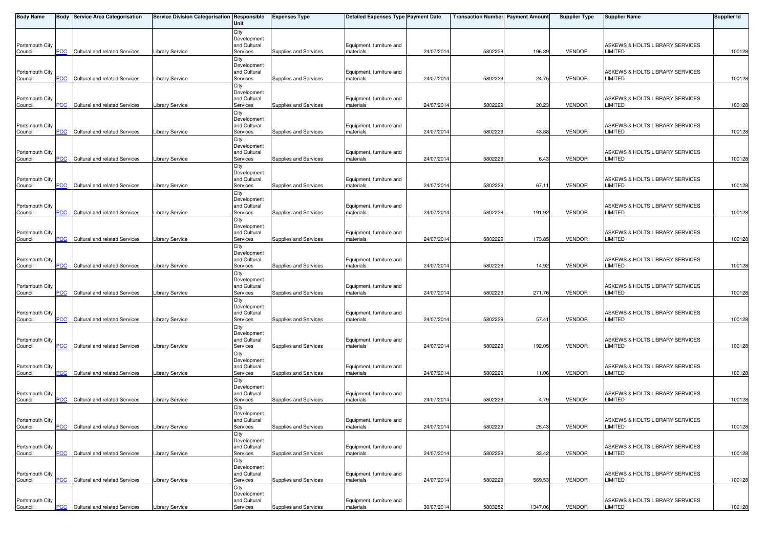| <b>Body Name</b>           |            | <b>Body Service Area Categorisation</b> | Service Division Categorisation Responsible | Unit                        | <b>Expenses Type</b>  | <b>Detailed Expenses Type Payment Date</b> |            | <b>Transaction Number Payment Amount</b> |         | <b>Supplier Type</b> | <b>Supplier Name</b>                              | Supplier Id |
|----------------------------|------------|-----------------------------------------|---------------------------------------------|-----------------------------|-----------------------|--------------------------------------------|------------|------------------------------------------|---------|----------------------|---------------------------------------------------|-------------|
|                            |            |                                         |                                             | City                        |                       |                                            |            |                                          |         |                      |                                                   |             |
| Portsmouth City            |            |                                         |                                             | Development<br>and Cultural |                       | Equipment, furniture and                   |            |                                          |         |                      | ASKEWS & HOLTS LIBRARY SERVICES                   |             |
| Council                    | PCC        | Cultural and related Services           | <b>Library Service</b>                      | Services                    | Supplies and Services | materials                                  | 24/07/201  | 5802229                                  | 196.39  | <b>VENDOR</b>        | LIMITED                                           | 100128      |
|                            |            |                                         |                                             | City                        |                       |                                            |            |                                          |         |                      |                                                   |             |
|                            |            |                                         |                                             | Development                 |                       |                                            |            |                                          |         |                      |                                                   |             |
| Portsmouth City<br>Council | <b>PCC</b> | Cultural and related Services           | <b>Library Service</b>                      | and Cultural<br>Services    | Supplies and Services | Equipment, furniture and<br>materials      | 24/07/201  | 5802229                                  | 24.75   | <b>VENDOR</b>        | ASKEWS & HOLTS LIBRARY SERVICES<br>LIMITED        | 100128      |
|                            |            |                                         |                                             | City                        |                       |                                            |            |                                          |         |                      |                                                   |             |
|                            |            |                                         |                                             | Development                 |                       |                                            |            |                                          |         |                      |                                                   |             |
| Portsmouth City            | PCC        | Cultural and related Services           | Library Service                             | and Cultural<br>Services    | Supplies and Services | Equipment, furniture and<br>materials      | 24/07/201  | 5802229                                  | 20.23   | <b>VENDOR</b>        | ASKEWS & HOLTS LIBRARY SERVICES<br><b>LIMITED</b> | 100128      |
| Council                    |            |                                         |                                             | City                        |                       |                                            |            |                                          |         |                      |                                                   |             |
|                            |            |                                         |                                             | Development                 |                       |                                            |            |                                          |         |                      |                                                   |             |
| Portsmouth City            |            | Cultural and related Services           |                                             | and Cultural                |                       | Equipment, furniture and                   |            |                                          |         |                      | ASKEWS & HOLTS LIBRARY SERVICES                   |             |
| Council                    | <b>PCC</b> |                                         | <b>Library Service</b>                      | Services<br>City            | Supplies and Services | materials                                  | 24/07/201  | 5802229                                  | 43.88   | <b>VENDOR</b>        | LIMITED                                           | 100128      |
|                            |            |                                         |                                             | Development                 |                       |                                            |            |                                          |         |                      |                                                   |             |
| Portsmouth City            |            |                                         |                                             | and Cultural                |                       | Equipment, furniture and                   |            |                                          |         |                      | ASKEWS & HOLTS LIBRARY SERVICES                   |             |
| Council                    | PCC        | Cultural and related Services           | Library Service                             | Services                    | Supplies and Services | materials                                  | 24/07/201  | 5802229                                  | 6.43    | <b>VENDOR</b>        | <b>LIMITED</b>                                    | 100128      |
|                            |            |                                         |                                             | City<br>Development         |                       |                                            |            |                                          |         |                      |                                                   |             |
| Portsmouth City            |            |                                         |                                             | and Cultural                |                       | Equipment, furniture and                   |            |                                          |         |                      | ASKEWS & HOLTS LIBRARY SERVICES                   |             |
| Council                    | <b>PCC</b> | Cultural and related Services           | Library Service                             | Services                    | Supplies and Services | materials                                  | 24/07/201  | 5802229                                  | 67.11   | <b>VENDOR</b>        | LIMITED                                           | 100128      |
|                            |            |                                         |                                             | City<br>Development         |                       |                                            |            |                                          |         |                      |                                                   |             |
| Portsmouth City            |            |                                         |                                             | and Cultural                |                       | Equipment, furniture and                   |            |                                          |         |                      | ASKEWS & HOLTS LIBRARY SERVICES                   |             |
| Council                    | PCC        | Cultural and related Services           | Library Service                             | Services                    | Supplies and Services | materials                                  | 24/07/201  | 580222                                   | 191.92  | <b>VENDOR</b>        | LIMITED                                           | 100128      |
|                            |            |                                         |                                             | City                        |                       |                                            |            |                                          |         |                      |                                                   |             |
| Portsmouth City            |            |                                         |                                             | Development<br>and Cultural |                       | Equipment, furniture and                   |            |                                          |         |                      | ASKEWS & HOLTS LIBRARY SERVICES                   |             |
| Council                    | <u>PCC</u> | Cultural and related Services           | Library Service                             | Services                    | Supplies and Services | materials                                  | 24/07/201  | 5802229                                  | 173.85  | <b>VENDOR</b>        | LIMITED                                           | 100128      |
|                            |            |                                         |                                             | City                        |                       |                                            |            |                                          |         |                      |                                                   |             |
| Portsmouth City            |            |                                         |                                             | Development<br>and Cultural |                       | Equipment, furniture and                   |            |                                          |         |                      | ASKEWS & HOLTS LIBRARY SERVICES                   |             |
| Council                    | PCC        | Cultural and related Services           | Library Service                             | Services                    | Supplies and Services | materials                                  | 24/07/201  | 5802229                                  | 14.92   | <b>VENDOR</b>        | LIMITED                                           | 100128      |
|                            |            |                                         |                                             | City                        |                       |                                            |            |                                          |         |                      |                                                   |             |
|                            |            |                                         |                                             | Development                 |                       |                                            |            |                                          |         |                      |                                                   |             |
| Portsmouth City<br>Council | PCC        | Cultural and related Services           | <b>Library Service</b>                      | and Cultural<br>Services    | Supplies and Services | Equipment, furniture and<br>materials      | 24/07/201  | 5802229                                  | 271.76  | <b>VENDOR</b>        | ASKEWS & HOLTS LIBRARY SERVICES<br>LIMITED        | 100128      |
|                            |            |                                         |                                             | City                        |                       |                                            |            |                                          |         |                      |                                                   |             |
|                            |            |                                         |                                             | Development                 |                       |                                            |            |                                          |         |                      |                                                   |             |
| Portsmouth City<br>Council | PCC        | Cultural and related Services           | Library Service                             | and Cultural<br>Services    | Supplies and Services | Equipment, furniture and<br>materials      | 24/07/201  | 5802229                                  | 57.41   | VENDOR               | ASKEWS & HOLTS LIBRARY SERVICES<br>LIMITED        | 100128      |
|                            |            |                                         |                                             | City                        |                       |                                            |            |                                          |         |                      |                                                   |             |
|                            |            |                                         |                                             | Development                 |                       |                                            |            |                                          |         |                      |                                                   |             |
| Portsmouth City<br>Council | PCC        | Cultural and related Services           | <b>Library Service</b>                      | and Cultural<br>Services    | Supplies and Services | Equipment, furniture and<br>materials      | 24/07/201  | 5802229                                  | 192.05  | <b>VENDOR</b>        | ASKEWS & HOLTS LIBRARY SERVICES<br>LIMITED        | 100128      |
|                            |            |                                         |                                             | City                        |                       |                                            |            |                                          |         |                      |                                                   |             |
|                            |            |                                         |                                             | Development                 |                       |                                            |            |                                          |         |                      |                                                   |             |
| Portsmouth City            |            | Cultural and related Services           |                                             | and Cultural<br>Services    | Supplies and Services | Equipment, furniture and                   |            | 5802229                                  |         | <b>VENDOR</b>        | ASKEWS & HOLTS LIBRARY SERVICES<br>LIMITED        |             |
| Council                    | <b>PCC</b> |                                         | Library Service                             | City                        |                       | materials                                  | 24/07/201  |                                          | 11.06   |                      |                                                   | 100128      |
|                            |            |                                         |                                             | Development                 |                       |                                            |            |                                          |         |                      |                                                   |             |
| Portsmouth City            |            |                                         |                                             | and Cultural                |                       | Equipment, furniture and<br>materials      |            |                                          | 4.79    | <b>VENDOR</b>        | ASKEWS & HOLTS LIBRARY SERVICES<br>LIMITED        |             |
| Council                    | PCC        | Cultural and related Services           | <b>Library Service</b>                      | Services<br>City            | Supplies and Services |                                            | 24/07/201  | 5802229                                  |         |                      |                                                   | 100128      |
|                            |            |                                         |                                             | Development                 |                       |                                            |            |                                          |         |                      |                                                   |             |
| Portsmouth City            |            |                                         |                                             | and Cultural                |                       | Equipment, furniture and                   |            |                                          |         |                      | ASKEWS & HOLTS LIBRARY SERVICES                   |             |
| Council                    | $PCC$      | <b>Cultural and related Services</b>    | <b>Library Service</b>                      | Services<br>City            | Supplies and Services | materials                                  | 24/07/2014 | 5802229                                  | 25.43   | VENDOR               | LIMITED                                           | 100128      |
|                            |            |                                         |                                             | Development                 |                       |                                            |            |                                          |         |                      |                                                   |             |
| Portsmouth City            |            |                                         |                                             | and Cultural                |                       | Equipment, furniture and                   |            |                                          |         |                      | ASKEWS & HOLTS LIBRARY SERVICES                   |             |
| Council                    | <b>PCC</b> | Cultural and related Services           | <b>Library Service</b>                      | Services                    | Supplies and Services | materials                                  | 24/07/2014 | 5802229                                  | 33.42   | VENDOR               | <b>LIMITED</b>                                    | 100128      |
|                            |            |                                         |                                             | City<br>Development         |                       |                                            |            |                                          |         |                      |                                                   |             |
| Portsmouth City            |            |                                         |                                             | and Cultural                |                       | Equipment, furniture and                   |            |                                          |         |                      | ASKEWS & HOLTS LIBRARY SERVICES                   |             |
| Council                    | PCC        | Cultural and related Services           | <b>Library Service</b>                      | Services                    | Supplies and Services | materials                                  | 24/07/201  | 5802229                                  | 569.53  | VENDOR               | <b>LIMITED</b>                                    | 100128      |
|                            |            |                                         |                                             | City<br>Development         |                       |                                            |            |                                          |         |                      |                                                   |             |
| Portsmouth City            |            |                                         |                                             | and Cultural                |                       | Equipment, furniture and                   |            |                                          |         |                      | ASKEWS & HOLTS LIBRARY SERVICES                   |             |
| Council                    | <u>PCC</u> | Cultural and related Services           | <b>Library Service</b>                      | Services                    | Supplies and Services | materials                                  | 30/07/2014 | 5803252                                  | 1347.06 | VENDOR               | LIMITED                                           | 100128      |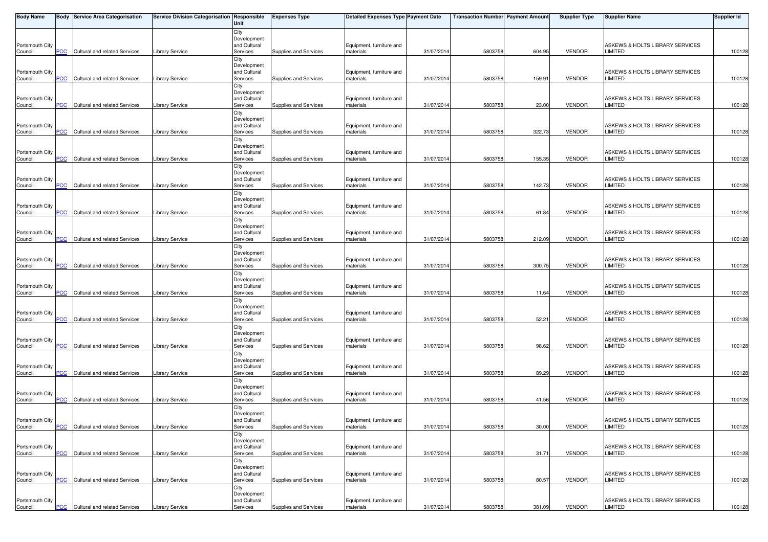| <b>Body Name</b>           |            | <b>Body Service Area Categorisation</b> | Service Division Categorisation Responsible | Unit                        | <b>Expenses Type</b>  | <b>Detailed Expenses Type Payment Date</b> |            | <b>Transaction Number Payment Amount</b> |        | <b>Supplier Type</b> | <b>Supplier Name</b>                              | Supplier Id |
|----------------------------|------------|-----------------------------------------|---------------------------------------------|-----------------------------|-----------------------|--------------------------------------------|------------|------------------------------------------|--------|----------------------|---------------------------------------------------|-------------|
|                            |            |                                         |                                             | City                        |                       |                                            |            |                                          |        |                      |                                                   |             |
| Portsmouth City            |            |                                         |                                             | Development<br>and Cultural |                       | Equipment, furniture and                   |            |                                          |        |                      | ASKEWS & HOLTS LIBRARY SERVICES                   |             |
| Council                    | PCC        | Cultural and related Services           | <b>Library Service</b>                      | Services                    | Supplies and Services | materials                                  | 31/07/201  | 5803758                                  | 604.95 | <b>VENDOR</b>        | LIMITED                                           | 100128      |
|                            |            |                                         |                                             | City                        |                       |                                            |            |                                          |        |                      |                                                   |             |
|                            |            |                                         |                                             | Development<br>and Cultural |                       |                                            |            |                                          |        |                      | ASKEWS & HOLTS LIBRARY SERVICES                   |             |
| Portsmouth City<br>Council | <b>PCC</b> | Cultural and related Services           | <b>Library Service</b>                      | Services                    | Supplies and Services | Equipment, furniture and<br>materials      | 31/07/201  | 5803758                                  | 159.91 | <b>VENDOR</b>        | LIMITED                                           | 100128      |
|                            |            |                                         |                                             | City                        |                       |                                            |            |                                          |        |                      |                                                   |             |
|                            |            |                                         |                                             | Development                 |                       |                                            |            |                                          |        |                      |                                                   |             |
| Portsmouth City<br>Council | PCC        | Cultural and related Services           | Library Service                             | and Cultural<br>Services    | Supplies and Services | Equipment, furniture and<br>materials      | 31/07/201  | 5803758                                  | 23.00  | <b>VENDOR</b>        | ASKEWS & HOLTS LIBRARY SERVICES<br><b>LIMITED</b> | 100128      |
|                            |            |                                         |                                             | City                        |                       |                                            |            |                                          |        |                      |                                                   |             |
|                            |            |                                         |                                             | Development                 |                       |                                            |            |                                          |        |                      |                                                   |             |
| Portsmouth City<br>Council | <b>PCC</b> | Cultural and related Services           | <b>Library Service</b>                      | and Cultural<br>Services    | Supplies and Services | Equipment, furniture and<br>materials      | 31/07/201  | 5803758                                  | 322.73 | <b>VENDOR</b>        | ASKEWS & HOLTS LIBRARY SERVICES<br>LIMITED        | 100128      |
|                            |            |                                         |                                             | City                        |                       |                                            |            |                                          |        |                      |                                                   |             |
|                            |            |                                         |                                             | Development                 |                       |                                            |            |                                          |        |                      |                                                   |             |
| Portsmouth City<br>Council | PCC        | Cultural and related Services           | Library Service                             | and Cultural<br>Services    | Supplies and Services | Equipment, furniture and<br>materials      | 31/07/201  | 5803758                                  | 155.35 | <b>VENDOR</b>        | ASKEWS & HOLTS LIBRARY SERVICES<br>LIMITED        | 100128      |
|                            |            |                                         |                                             | City                        |                       |                                            |            |                                          |        |                      |                                                   |             |
|                            |            |                                         |                                             | Development                 |                       |                                            |            |                                          |        |                      |                                                   |             |
| Portsmouth City<br>Council | <b>PCC</b> | Cultural and related Services           | Library Service                             | and Cultural<br>Services    | Supplies and Services | Equipment, furniture and<br>materials      | 31/07/201  | 5803758                                  | 142.73 | <b>VENDOR</b>        | ASKEWS & HOLTS LIBRARY SERVICES<br>LIMITED        | 100128      |
|                            |            |                                         |                                             | City                        |                       |                                            |            |                                          |        |                      |                                                   |             |
|                            |            |                                         |                                             | Development                 |                       |                                            |            |                                          |        |                      |                                                   |             |
| Portsmouth City<br>Council | PCC        | Cultural and related Services           | Library Service                             | and Cultural<br>Services    | Supplies and Services | Equipment, furniture and<br>materials      | 31/07/201  | 580375                                   | 61.84  | <b>VENDOR</b>        | ASKEWS & HOLTS LIBRARY SERVICES<br>LIMITED        | 100128      |
|                            |            |                                         |                                             | City                        |                       |                                            |            |                                          |        |                      |                                                   |             |
|                            |            |                                         |                                             | Development                 |                       |                                            |            |                                          |        |                      |                                                   |             |
| Portsmouth City<br>Council | <u>PCC</u> | Cultural and related Services           | Library Service                             | and Cultural<br>Services    | Supplies and Services | Equipment, furniture and<br>materials      | 31/07/201  | 5803758                                  | 212.09 | <b>VENDOR</b>        | ASKEWS & HOLTS LIBRARY SERVICES<br>LIMITED        | 100128      |
|                            |            |                                         |                                             | City                        |                       |                                            |            |                                          |        |                      |                                                   |             |
|                            |            |                                         |                                             | Development                 |                       |                                            |            |                                          |        |                      |                                                   |             |
| Portsmouth City<br>Council | PCC        | Cultural and related Services           | Library Service                             | and Cultural<br>Services    | Supplies and Services | Equipment, furniture and<br>materials      | 31/07/201  | 5803758                                  | 300.75 | <b>VENDOR</b>        | ASKEWS & HOLTS LIBRARY SERVICES<br>LIMITED        | 100128      |
|                            |            |                                         |                                             | City                        |                       |                                            |            |                                          |        |                      |                                                   |             |
|                            |            |                                         |                                             | Development                 |                       |                                            |            |                                          |        |                      |                                                   |             |
| Portsmouth City<br>Council | PCC        | Cultural and related Services           | Library Service                             | and Cultural<br>Services    | Supplies and Services | Equipment, furniture and<br>materials      | 31/07/201  | 5803758                                  | 11.64  | <b>VENDOR</b>        | ASKEWS & HOLTS LIBRARY SERVICES<br>LIMITED        | 100128      |
|                            |            |                                         |                                             | City                        |                       |                                            |            |                                          |        |                      |                                                   |             |
|                            |            |                                         |                                             | Development<br>and Cultural |                       |                                            |            |                                          |        |                      |                                                   |             |
| Portsmouth City<br>Council | PCC        | Cultural and related Services           | Library Service                             | Services                    | Supplies and Services | Equipment, furniture and<br>materials      | 31/07/201  | 5803758                                  | 52.21  | VENDOR               | ASKEWS & HOLTS LIBRARY SERVICES<br>LIMITED        | 100128      |
|                            |            |                                         |                                             | City                        |                       |                                            |            |                                          |        |                      |                                                   |             |
|                            |            |                                         |                                             | Development<br>and Cultural |                       |                                            |            |                                          |        |                      |                                                   |             |
| Portsmouth City<br>Council | PCC        | Cultural and related Services           | <b>Library Service</b>                      | Services                    | Supplies and Services | Equipment, furniture and<br>materials      | 31/07/201  | 5803758                                  | 98.62  | <b>VENDOR</b>        | ASKEWS & HOLTS LIBRARY SERVICES<br>LIMITED        | 100128      |
|                            |            |                                         |                                             | City                        |                       |                                            |            |                                          |        |                      |                                                   |             |
| Portsmouth City            |            |                                         |                                             | Development<br>and Cultural |                       | Equipment, furniture and                   |            |                                          |        |                      | ASKEWS & HOLTS LIBRARY SERVICES                   |             |
| Council                    | <b>PCC</b> | Cultural and related Services           | Library Service                             | Services                    | Supplies and Services | materials                                  | 31/07/201  | 5803758                                  | 89.29  | <b>VENDOR</b>        | LIMITED                                           | 100128      |
|                            |            |                                         |                                             | City                        |                       |                                            |            |                                          |        |                      |                                                   |             |
| Portsmouth City            |            |                                         |                                             | Development<br>and Cultural |                       | Equipment, furniture and                   |            |                                          |        |                      | ASKEWS & HOLTS LIBRARY SERVICES                   |             |
| Council                    | PCC        | Cultural and related Services           | <b>Library Service</b>                      | Services                    | Supplies and Services | materials                                  | 31/07/201  | 5803758                                  | 41.56  | <b>VENDOR</b>        | LIMITED                                           | 100128      |
|                            |            |                                         |                                             | City                        |                       |                                            |            |                                          |        |                      |                                                   |             |
| Portsmouth City            |            |                                         |                                             | Development<br>and Cultural |                       | Equipment, furniture and                   |            |                                          |        |                      | ASKEWS & HOLTS LIBRARY SERVICES                   |             |
| Council                    | $PCC$      | <b>Cultural and related Services</b>    | <b>Library Service</b>                      | Services                    | Supplies and Services | materials                                  | 31/07/2014 | 5803758                                  | 30.00  | VENDOR               | LIMITED                                           | 100128      |
|                            |            |                                         |                                             | City                        |                       |                                            |            |                                          |        |                      |                                                   |             |
| Portsmouth City            |            |                                         |                                             | Development<br>and Cultural |                       | Equipment, furniture and                   |            |                                          |        |                      | ASKEWS & HOLTS LIBRARY SERVICES                   |             |
| Council                    | <b>PCC</b> | Cultural and related Services           | <b>Library Service</b>                      | Services                    | Supplies and Services | materials                                  | 31/07/2014 | 5803758                                  | 31.71  | <b>VENDOR</b>        | <b>LIMITED</b>                                    | 100128      |
|                            |            |                                         |                                             | City<br>Development         |                       |                                            |            |                                          |        |                      |                                                   |             |
| Portsmouth City            |            |                                         |                                             | and Cultural                |                       | Equipment, furniture and                   |            |                                          |        |                      | ASKEWS & HOLTS LIBRARY SERVICES                   |             |
| Council                    | PCC        | Cultural and related Services           | <b>Library Service</b>                      | Services                    | Supplies and Services | materials                                  | 31/07/201  | 5803758                                  | 80.57  | <b>VENDOR</b>        | <b>LIMITED</b>                                    | 100128      |
|                            |            |                                         |                                             | City<br>Development         |                       |                                            |            |                                          |        |                      |                                                   |             |
| Portsmouth City            |            |                                         |                                             | and Cultural                |                       | Equipment, furniture and                   |            |                                          |        |                      | ASKEWS & HOLTS LIBRARY SERVICES                   |             |
| Council                    | <u>PCC</u> | Cultural and related Services           | <b>Library Service</b>                      | Services                    | Supplies and Services | materials                                  | 31/07/2014 | 5803758                                  | 381.09 | <b>VENDOR</b>        | LIMITED                                           | 100128      |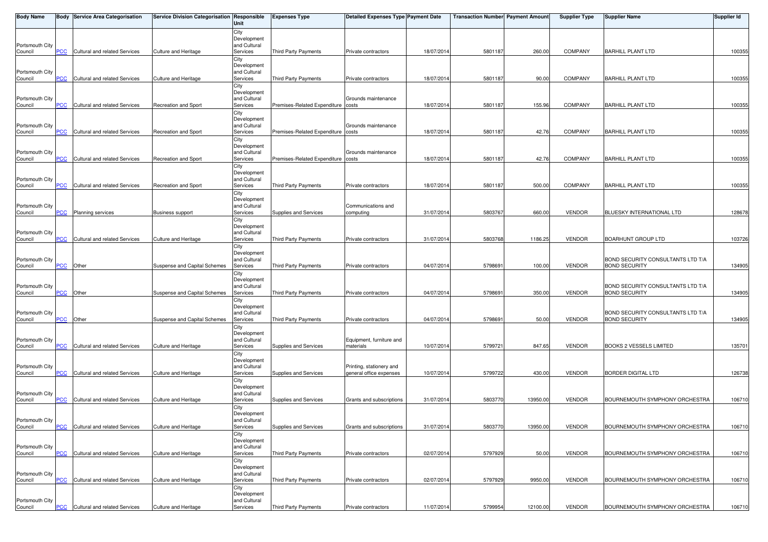| <b>Body Name</b>           |            | <b>Body Service Area Categorisation</b> | Service Division Categorisation Responsible | Unit                        | <b>Expenses Type</b>               | <b>Detailed Expenses Type Payment Date</b>          |            | <b>Transaction Number Payment Amount</b> |          | <b>Supplier Type</b> | <b>Supplier Name</b>                  | <b>Supplier Id</b> |
|----------------------------|------------|-----------------------------------------|---------------------------------------------|-----------------------------|------------------------------------|-----------------------------------------------------|------------|------------------------------------------|----------|----------------------|---------------------------------------|--------------------|
|                            |            |                                         |                                             | City                        |                                    |                                                     |            |                                          |          |                      |                                       |                    |
| Portsmouth City            |            |                                         |                                             | Development<br>and Cultural |                                    |                                                     |            |                                          |          |                      |                                       |                    |
| Council                    | PСC        | Cultural and related Services           | Culture and Heritage                        | Services                    | <b>Third Party Payments</b>        | Private contractors                                 | 18/07/2014 | 5801187                                  | 260.00   | <b>COMPANY</b>       | <b>BARHILL PLANT LTD</b>              | 100355             |
|                            |            |                                         |                                             | City                        |                                    |                                                     |            |                                          |          |                      |                                       |                    |
| Portsmouth City            |            |                                         |                                             | Development<br>and Cultural |                                    |                                                     |            |                                          |          |                      |                                       |                    |
| Council                    | <b>PCC</b> | Cultural and related Services           | Culture and Heritage                        | Services                    | Third Party Payments               | Private contractors                                 | 18/07/2014 | 5801187                                  | 90.00    | <b>COMPANY</b>       | <b>BARHILL PLANT LTD</b>              | 100355             |
|                            |            |                                         |                                             | City<br>Development         |                                    |                                                     |            |                                          |          |                      |                                       |                    |
| Portsmouth City            |            |                                         |                                             | and Cultural                |                                    | Grounds maintenance                                 |            |                                          |          |                      |                                       |                    |
| Council                    | <b>PCC</b> | Cultural and related Services           | Recreation and Sport                        | Services                    | Premises-Related Expenditure costs |                                                     | 18/07/2014 | 5801187                                  | 155.96   | <b>COMPANY</b>       | <b>BARHILL PLANT LTD</b>              | 100355             |
|                            |            |                                         |                                             | City<br>Development         |                                    |                                                     |            |                                          |          |                      |                                       |                    |
| Portsmouth City            |            |                                         |                                             | and Cultural                |                                    | Grounds maintenance                                 |            |                                          |          |                      |                                       |                    |
| Council                    | <b>PCC</b> | Cultural and related Services           | Recreation and Sport                        | Services<br>City            | Premises-Related Expenditure costs |                                                     | 18/07/2014 | 5801187                                  | 42.76    | COMPANY              | <b>BARHILL PLANT LTD</b>              | 100355             |
|                            |            |                                         |                                             | Development                 |                                    |                                                     |            |                                          |          |                      |                                       |                    |
| Portsmouth City            |            |                                         |                                             | and Cultural                |                                    | Grounds maintenance                                 |            |                                          |          |                      |                                       |                    |
| Council                    | PCC        | Cultural and related Services           | Recreation and Sport                        | Services<br>City            | Premises-Related Expenditure costs |                                                     | 18/07/2014 | 5801187                                  | 42.76    | <b>COMPANY</b>       | <b>BARHILL PLANT LTD</b>              | 100355             |
|                            |            |                                         |                                             | Development                 |                                    |                                                     |            |                                          |          |                      |                                       |                    |
| Portsmouth City<br>Council | <b>PCC</b> | Cultural and related Services           | <b>Recreation and Sport</b>                 | and Cultural<br>Services    | <b>Third Party Payments</b>        | Private contractors                                 | 18/07/2014 | 5801187                                  | 500.00   | <b>COMPANY</b>       | <b>BARHILL PLANT LTD</b>              | 100355             |
|                            |            |                                         |                                             | City                        |                                    |                                                     |            |                                          |          |                      |                                       |                    |
|                            |            |                                         |                                             | Development                 |                                    |                                                     |            |                                          |          |                      |                                       |                    |
| Portsmouth City<br>Council | PCC        | Planning services                       | <b>Business support</b>                     | and Cultural<br>Services    | Supplies and Services              | Communications and<br>computing                     | 31/07/2014 | 5803767                                  | 660.00   | <b>VENDOR</b>        | BLUESKY INTERNATIONAL LTD             | 128678             |
|                            |            |                                         |                                             | City                        |                                    |                                                     |            |                                          |          |                      |                                       |                    |
| Portsmouth City            |            |                                         |                                             | Development<br>and Cultural |                                    |                                                     |            |                                          |          |                      |                                       |                    |
| Council                    | <b>PCC</b> | Cultural and related Services           | <b>Culture and Heritage</b>                 | Services                    | Third Party Payments               | Private contractors                                 | 31/07/2014 | 5803768                                  | 1186.25  | <b>VENDOR</b>        | <b>BOARHUNT GROUP LTD</b>             | 103726             |
|                            |            |                                         |                                             | City                        |                                    |                                                     |            |                                          |          |                      |                                       |                    |
| Portsmouth City            |            |                                         |                                             | Development<br>and Cultural |                                    |                                                     |            |                                          |          |                      | BOND SECURITY CONSULTANTS LTD T/A     |                    |
| Council                    | PCC        | Other                                   | Suspense and Capital Schemes                | Services                    | Third Party Payments               | Private contractors                                 | 04/07/2014 | 579869                                   | 100.00   | <b>VENDOR</b>        | <b>BOND SECURITY</b>                  | 134905             |
|                            |            |                                         |                                             | City                        |                                    |                                                     |            |                                          |          |                      |                                       |                    |
| Portsmouth City            |            |                                         |                                             | Development<br>and Cultural |                                    |                                                     |            |                                          |          |                      | BOND SECURITY CONSULTANTS LTD T/A     |                    |
| Council                    | <b>PCC</b> | Other                                   | Suspense and Capital Schemes                | Services                    | Third Party Payments               | Private contractors                                 | 04/07/2014 | 579869                                   | 350.00   | <b>VENDOR</b>        | <b>BOND SECURITY</b>                  | 134905             |
|                            |            |                                         |                                             | City<br>Development         |                                    |                                                     |            |                                          |          |                      |                                       |                    |
| Portsmouth City            |            |                                         |                                             | and Cultural                |                                    |                                                     |            |                                          |          |                      | BOND SECURITY CONSULTANTS LTD T/A     |                    |
| Council                    | PCC        | Other                                   | Suspense and Capital Schemes                | Services                    | <b>Third Party Payments</b>        | Private contractors                                 | 04/07/2014 | 579869                                   | 50.00    | <b>VENDOR</b>        | <b>BOND SECURITY</b>                  | 134905             |
|                            |            |                                         |                                             | City<br>Development         |                                    |                                                     |            |                                          |          |                      |                                       |                    |
| Portsmouth City            |            |                                         |                                             | and Cultural                |                                    | Equipment, furniture and                            |            |                                          |          |                      |                                       |                    |
| Council                    | PСC        | Cultural and related Services           | Culture and Heritage                        | Services<br>City            | Supplies and Services              | materials                                           | 10/07/2014 | 579972                                   | 847.65   | <b>VENDOR</b>        | <b>BOOKS 2 VESSELS LIMITED</b>        | 135701             |
|                            |            |                                         |                                             | Development                 |                                    |                                                     |            |                                          |          |                      |                                       |                    |
| Portsmouth City<br>Council | <b>PCC</b> | Cultural and related Services           | Culture and Heritage                        | and Cultural<br>Services    | Supplies and Services              | Printing, stationery and<br>general office expenses | 10/07/2014 | 5799722                                  | 430.00   | <b>VENDOR</b>        | <b>BORDER DIGITAL LTD</b>             | 126738             |
|                            |            |                                         |                                             | City                        |                                    |                                                     |            |                                          |          |                      |                                       |                    |
|                            |            |                                         |                                             | Development                 |                                    |                                                     |            |                                          |          |                      |                                       |                    |
| Portsmouth City<br>Council | <b>PCC</b> | Cultural and related Services           | Culture and Heritage                        | and Cultural<br>Services    | Supplies and Services              | Grants and subscriptions                            | 31/07/2014 | 5803770                                  | 13950.00 | <b>VENDOR</b>        | BOURNEMOUTH SYMPHONY ORCHESTRA        | 106710             |
|                            |            |                                         |                                             | City                        |                                    |                                                     |            |                                          |          |                      |                                       |                    |
|                            |            |                                         |                                             | Development                 |                                    |                                                     |            |                                          |          |                      |                                       |                    |
| Portsmouth City<br>Council | <b>PCC</b> | Cultural and related Services           | Culture and Heritage                        | and Cultural<br>Services    | Supplies and Services              | Grants and subscriptions                            | 31/07/2014 | 5803770                                  | 13950.00 | <b>VENDOR</b>        | BOURNEMOUTH SYMPHONY ORCHESTRA        | 106710             |
|                            |            |                                         |                                             | City                        |                                    |                                                     |            |                                          |          |                      |                                       |                    |
| Portsmouth City            |            |                                         |                                             | Development<br>and Cultural |                                    |                                                     |            |                                          |          |                      |                                       |                    |
| Council                    | PCC        | Cultural and related Services           | Culture and Heritage                        | Services                    | <b>Third Party Payments</b>        | Private contractors                                 | 02/07/2014 | 5797929                                  | 50.00    | <b>VENDOR</b>        | BOURNEMOUTH SYMPHONY ORCHESTRA        | 106710             |
|                            |            |                                         |                                             | City                        |                                    |                                                     |            |                                          |          |                      |                                       |                    |
| Portsmouth City            |            |                                         |                                             | Development<br>and Cultural |                                    |                                                     |            |                                          |          |                      |                                       |                    |
| Council                    | <b>PCC</b> | Cultural and related Services           | Culture and Heritage                        | Services                    | Third Party Payments               | Private contractors                                 | 02/07/2014 | 5797929                                  | 9950.00  | <b>VENDOR</b>        | <b>BOURNEMOUTH SYMPHONY ORCHESTRA</b> | 106710             |
|                            |            |                                         |                                             | City<br>Development         |                                    |                                                     |            |                                          |          |                      |                                       |                    |
| Portsmouth City            |            |                                         |                                             | and Cultural                |                                    |                                                     |            |                                          |          |                      |                                       |                    |
| Council                    | <u>PCC</u> | Cultural and related Services           | Culture and Heritage                        | Services                    | Third Party Payments               | Private contractors                                 | 11/07/2014 | 5799954                                  | 12100.00 | <b>VENDOR</b>        | BOURNEMOUTH SYMPHONY ORCHESTRA        | 106710             |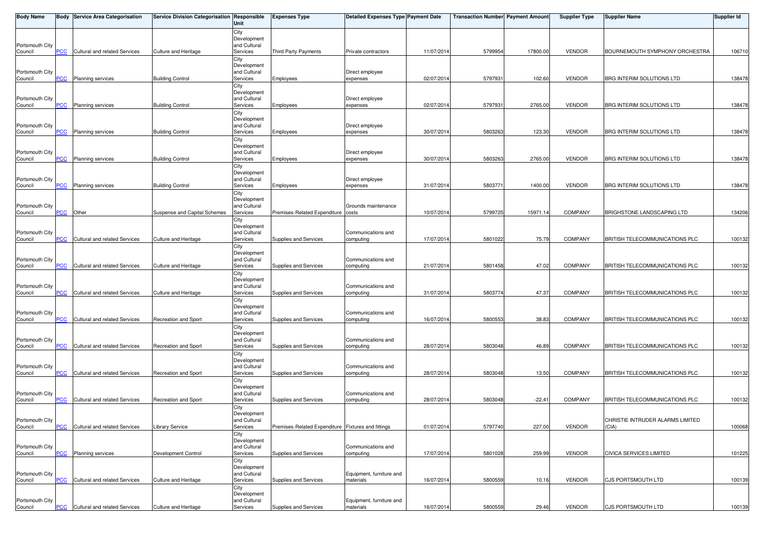| <b>Body Name</b>           |                | <b>Body Service Area Categorisation</b> | Service Division Categorisation Responsible | Unit                        | <b>Expenses Type</b>                               | <b>Detailed Expenses Type Payment Date</b> |            | <b>Transaction Number Payment Amount</b> |          | <b>Supplier Type</b> | <b>Supplier Name</b>                      | <b>Supplier Id</b> |
|----------------------------|----------------|-----------------------------------------|---------------------------------------------|-----------------------------|----------------------------------------------------|--------------------------------------------|------------|------------------------------------------|----------|----------------------|-------------------------------------------|--------------------|
|                            |                |                                         |                                             | City                        |                                                    |                                            |            |                                          |          |                      |                                           |                    |
| Portsmouth City            |                |                                         |                                             | Development<br>and Cultural |                                                    |                                            |            |                                          |          |                      |                                           |                    |
| Council                    | PCC            | Cultural and related Services           | Culture and Heritage                        | Services                    | <b>Third Party Payments</b>                        | Private contractors                        | 11/07/201  | 5799954                                  | 17800.00 | <b>VENDOR</b>        | BOURNEMOUTH SYMPHONY ORCHESTRA            | 106710             |
|                            |                |                                         |                                             | City                        |                                                    |                                            |            |                                          |          |                      |                                           |                    |
| Portsmouth City            |                |                                         |                                             | Development<br>and Cultural |                                                    | Direct employee                            |            |                                          |          |                      |                                           |                    |
| Council                    | <b>PCC</b>     | Planning services                       | <b>Building Control</b>                     | Services                    | Employees                                          | expenses                                   | 02/07/201  | 579793                                   | 102.60   | <b>VENDOR</b>        | BRG INTERIM SOLUTIONS LTD                 | 138478             |
|                            |                |                                         |                                             | City<br>Development         |                                                    |                                            |            |                                          |          |                      |                                           |                    |
| Portsmouth City            |                |                                         |                                             | and Cultural                |                                                    | Direct employee                            |            |                                          |          |                      |                                           |                    |
| Council                    | <b>PCC</b>     | <b>Planning services</b>                | <b>Building Control</b>                     | Services                    | Employees                                          | expenses                                   | 02/07/201  | 579793                                   | 2765.00  | <b>VENDOR</b>        | BRG INTERIM SOLUTIONS LTD                 | 138478             |
|                            |                |                                         |                                             | City<br>Development         |                                                    |                                            |            |                                          |          |                      |                                           |                    |
| Portsmouth City            |                |                                         |                                             | and Cultural                |                                                    | Direct employee                            |            |                                          |          |                      |                                           |                    |
| Council                    | <b>PCC</b>     | <b>Planning services</b>                | <b>Building Control</b>                     | Services                    | Employees                                          | expenses                                   | 30/07/201  | 5803263                                  | 123.30   | <b>VENDOR</b>        | BRG INTERIM SOLUTIONS LTD                 | 138478             |
|                            |                |                                         |                                             | City<br>Development         |                                                    |                                            |            |                                          |          |                      |                                           |                    |
| Portsmouth City            |                |                                         |                                             | and Cultural                |                                                    | Direct employee                            |            |                                          |          |                      |                                           |                    |
| Council                    | PCC            | <b>Planning services</b>                | <b>Building Control</b>                     | Services<br>City            | Employees                                          | expenses                                   | 30/07/201  | 5803263                                  | 2765.00  | <b>VENDOR</b>        | BRG INTERIM SOLUTIONS LTD                 | 138478             |
|                            |                |                                         |                                             | Development                 |                                                    |                                            |            |                                          |          |                      |                                           |                    |
| Portsmouth City            | <b>PCC</b>     | <b>Planning services</b>                | <b>Building Control</b>                     | and Cultural<br>Services    |                                                    | Direct employee<br>expenses                | 31/07/201  | 580377                                   | 1400.00  | <b>VENDOR</b>        | BRG INTERIM SOLUTIONS LTD                 | 138478             |
| Council                    |                |                                         |                                             | City                        | Employees                                          |                                            |            |                                          |          |                      |                                           |                    |
|                            |                |                                         |                                             | Development                 |                                                    |                                            |            |                                          |          |                      |                                           |                    |
| Portsmouth City<br>Council | <b>PCC</b>     | Other                                   | Suspense and Capital Schemes                | and Cultural<br>Services    | Premises-Related Expenditure costs                 | Grounds maintenance                        | 10/07/201  | 579972                                   | 15971.1  | <b>COMPANY</b>       | BRIGHSTONE LANDSCAPING LTD                | 134206             |
|                            |                |                                         |                                             | City                        |                                                    |                                            |            |                                          |          |                      |                                           |                    |
|                            |                |                                         |                                             | Development                 |                                                    |                                            |            |                                          |          |                      |                                           |                    |
| Portsmouth City<br>Council | <b>PCC</b>     | Cultural and related Services           | <b>Culture and Heritage</b>                 | and Cultural<br>Services    | Supplies and Services                              | Communications and<br>computing            | 17/07/201  | 5801022                                  | 75.79    | <b>COMPANY</b>       | BRITISH TELECOMMUNICATIONS PLC            | 100132             |
|                            |                |                                         |                                             | City                        |                                                    |                                            |            |                                          |          |                      |                                           |                    |
| Portsmouth City            |                |                                         |                                             | Development<br>and Cultural |                                                    | Communications and                         |            |                                          |          |                      |                                           |                    |
| Council                    | PCC            | Cultural and related Services           | Culture and Heritage                        | Services                    | Supplies and Services                              | computing                                  | 21/07/201  | 5801458                                  | 47.02    | <b>COMPANY</b>       | BRITISH TELECOMMUNICATIONS PLC            | 100132             |
|                            |                |                                         |                                             | City                        |                                                    |                                            |            |                                          |          |                      |                                           |                    |
| Portsmouth City            |                |                                         |                                             | Development<br>and Cultural |                                                    | Communications and                         |            |                                          |          |                      |                                           |                    |
| Council                    | $\overline{C}$ | Cultural and related Services           | Culture and Heritage                        | Services                    | Supplies and Services                              | computing                                  | 31/07/201  | 5803774                                  | 47.37    | <b>COMPANY</b>       | BRITISH TELECOMMUNICATIONS PLC            | 100132             |
|                            |                |                                         |                                             | City<br>Development         |                                                    |                                            |            |                                          |          |                      |                                           |                    |
| Portsmouth City            |                |                                         |                                             | and Cultural                |                                                    | Communications and                         |            |                                          |          |                      |                                           |                    |
| Council                    | PCC            | Cultural and related Services           | <b>Recreation and Sport</b>                 | Services                    | Supplies and Services                              | computing                                  | 16/07/201  | 5800553                                  | 38.83    | <b>COMPANY</b>       | BRITISH TELECOMMUNICATIONS PLC            | 100132             |
|                            |                |                                         |                                             | City<br>Development         |                                                    |                                            |            |                                          |          |                      |                                           |                    |
| Portsmouth City            |                |                                         |                                             | and Cultural                |                                                    | Communications and                         |            |                                          |          |                      |                                           |                    |
| Council                    | PCC            | Cultural and related Services           | <b>Recreation and Sport</b>                 | Services                    | Supplies and Services                              | computing                                  | 28/07/201  | 5803048                                  | 46.89    | <b>COMPANY</b>       | BRITISH TELECOMMUNICATIONS PLC            | 100132             |
|                            |                |                                         |                                             | City<br>Development         |                                                    |                                            |            |                                          |          |                      |                                           |                    |
| Portsmouth City            |                |                                         |                                             | and Cultural                |                                                    | Communications and                         |            |                                          |          |                      |                                           |                    |
| Council                    | <b>PCC</b>     | Cultural and related Services           | Recreation and Sport                        | Services<br>City            | Supplies and Services                              | computing                                  | 28/07/201  | 5803048                                  | 13.50    | <b>COMPANY</b>       | BRITISH TELECOMMUNICATIONS PLC            | 100132             |
|                            |                |                                         |                                             | Development                 |                                                    |                                            |            |                                          |          |                      |                                           |                    |
| Portsmouth City            | <b>PCC</b>     | Cultural and related Services           | <b>Recreation and Sport</b>                 | and Cultural<br>Services    | Supplies and Services                              | Communications and<br>computing            | 28/07/201  | 5803048                                  | $-22.41$ | COMPANY              | BRITISH TELECOMMUNICATIONS PLC            | 100132             |
| Council                    |                |                                         |                                             | City                        |                                                    |                                            |            |                                          |          |                      |                                           |                    |
|                            |                |                                         |                                             | Development                 |                                                    |                                            |            |                                          |          |                      |                                           |                    |
| Portsmouth City<br>Council | <b>PCC</b>     | Cultural and related Services           | <b>Library Service</b>                      | and Cultural<br>Services    | Premises-Related Expenditure Fixtures and fittings |                                            | 01/07/2014 | 5797740                                  | 227.00   | <b>VENDOR</b>        | CHRISTIE INTRUDER ALARMS LIMITED<br>(CIA) | 100068             |
|                            |                |                                         |                                             | City                        |                                                    |                                            |            |                                          |          |                      |                                           |                    |
|                            |                |                                         |                                             | Development                 |                                                    |                                            |            |                                          |          |                      |                                           |                    |
| Portsmouth City<br>Council | PCC            | <b>Planning services</b>                | Development Control                         | and Cultural<br>Services    | Supplies and Services                              | Communications and<br>computing            | 17/07/201  | 5801028                                  | 259.99   | <b>VENDOR</b>        | <b>CIVICA SERVICES LIMITED</b>            | 101225             |
|                            |                |                                         |                                             | City                        |                                                    |                                            |            |                                          |          |                      |                                           |                    |
| Portsmouth City            |                |                                         |                                             | Development<br>and Cultural |                                                    | Equipment, furniture and                   |            |                                          |          |                      |                                           |                    |
| Council                    | PCC            | Cultural and related Services           | Culture and Heritage                        | Services                    | Supplies and Services                              | materials                                  | 16/07/201  | 5800559                                  | 10.16    | <b>VENDOR</b>        | CJS PORTSMOUTH LTD                        | 100139             |
|                            |                |                                         |                                             | City                        |                                                    |                                            |            |                                          |          |                      |                                           |                    |
| Portsmouth City            |                |                                         |                                             | Development<br>and Cultural |                                                    | Equipment, furniture and                   |            |                                          |          |                      |                                           |                    |
| Council                    | <b>PCC</b>     | Cultural and related Services           | Culture and Heritage                        | Services                    | Supplies and Services                              | materials                                  | 16/07/2014 | 5800559                                  | 29.46    | VENDOR               | CJS PORTSMOUTH LTD                        | 100139             |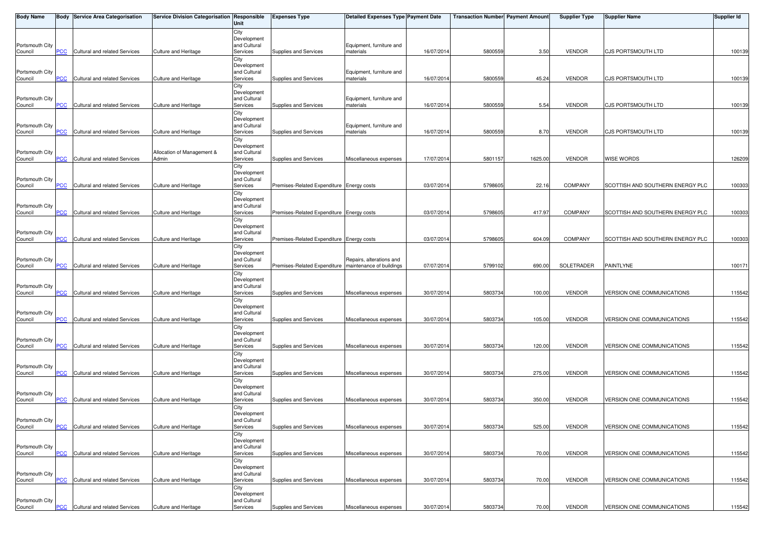| <b>Body Name</b>           |                           | <b>Body Service Area Categorisation</b> | Service Division Categorisation Responsible | Unit                        | <b>Expenses Type</b>                      | <b>Detailed Expenses Type Payment Date</b>           |            | <b>Transaction Number Payment Amount</b> |         | <b>Supplier Type</b> | <b>Supplier Name</b>             | <b>Supplier Id</b> |
|----------------------------|---------------------------|-----------------------------------------|---------------------------------------------|-----------------------------|-------------------------------------------|------------------------------------------------------|------------|------------------------------------------|---------|----------------------|----------------------------------|--------------------|
|                            |                           |                                         |                                             | City                        |                                           |                                                      |            |                                          |         |                      |                                  |                    |
| Portsmouth City            |                           |                                         |                                             | Development<br>and Cultural |                                           | Equipment, furniture and                             |            |                                          |         |                      |                                  |                    |
| Council                    | PСC                       | Cultural and related Services           | Culture and Heritage                        | Services                    | Supplies and Services                     | materials                                            | 16/07/201  | 580055                                   | 3.50    | <b>VENDOR</b>        | <b>CJS PORTSMOUTH LTD</b>        | 100139             |
|                            |                           |                                         |                                             | City<br>Development         |                                           |                                                      |            |                                          |         |                      |                                  |                    |
| Portsmouth City            |                           |                                         |                                             | and Cultural                |                                           | Equipment, furniture and                             |            |                                          |         |                      |                                  |                    |
| Council                    | <b>PCC</b>                | Cultural and related Services           | <b>Culture and Heritage</b>                 | Services<br>City            | Supplies and Services                     | materials                                            | 16/07/2014 | 5800559                                  | 45.24   | <b>VENDOR</b>        | <b>CJS PORTSMOUTH LTD</b>        | 100139             |
|                            |                           |                                         |                                             | Development                 |                                           |                                                      |            |                                          |         |                      |                                  |                    |
| Portsmouth City<br>Council | <u>PCC</u>                | Cultural and related Services           | <b>Culture and Heritage</b>                 | and Cultural<br>Services    | Supplies and Services                     | Equipment, furniture and<br>materials                | 16/07/201  | 580055                                   | 5.54    | <b>VENDOR</b>        | <b>CJS PORTSMOUTH LTD</b>        | 100139             |
|                            |                           |                                         |                                             | City                        |                                           |                                                      |            |                                          |         |                      |                                  |                    |
| Portsmouth City            |                           |                                         |                                             | Development<br>and Cultural |                                           | Equipment, furniture and                             |            |                                          |         |                      |                                  |                    |
| Council                    | <b>PCC</b>                | Cultural and related Services           | <b>Culture and Heritage</b>                 | Services                    | Supplies and Services                     | materials                                            | 16/07/2014 | 580055                                   | 8.70    | <b>VENDOR</b>        | <b>CJS PORTSMOUTH LTD</b>        | 100139             |
|                            |                           |                                         |                                             | City<br>Development         |                                           |                                                      |            |                                          |         |                      |                                  |                    |
| Portsmouth City            |                           |                                         | Allocation of Management &                  | and Cultural                |                                           |                                                      |            |                                          |         |                      |                                  |                    |
| Council                    | PCC                       | Cultural and related Services           | Admin                                       | Services<br>City            | Supplies and Services                     | Miscellaneous expenses                               | 17/07/201  | 5801157                                  | 1625.00 | <b>VENDOR</b>        | <b>WISE WORDS</b>                | 126209             |
|                            |                           |                                         |                                             | Development                 |                                           |                                                      |            |                                          |         |                      |                                  |                    |
| Portsmouth City<br>Council | <b>PCC</b>                | Cultural and related Services           | <b>Culture and Heritage</b>                 | and Cultural<br>Services    | Premises-Related Expenditure Energy costs |                                                      | 03/07/201  | 579860                                   | 22.16   | <b>COMPANY</b>       | SCOTTISH AND SOUTHERN ENERGY PLC | 100303             |
|                            |                           |                                         |                                             | City                        |                                           |                                                      |            |                                          |         |                      |                                  |                    |
| Portsmouth City            |                           |                                         |                                             | Development<br>and Cultural |                                           |                                                      |            |                                          |         |                      |                                  |                    |
| Council                    | <b>PCC</b>                | Cultural and related Services           | Culture and Heritage                        | Services                    | Premises-Related Expenditure Energy costs |                                                      | 03/07/201  | 579860                                   | 417.97  | <b>COMPANY</b>       | SCOTTISH AND SOUTHERN ENERGY PLC | 100303             |
|                            |                           |                                         |                                             | City<br>Development         |                                           |                                                      |            |                                          |         |                      |                                  |                    |
| Portsmouth City            |                           |                                         |                                             | and Cultural                |                                           |                                                      |            |                                          |         |                      |                                  |                    |
| Council                    | <b>PCC</b>                | Cultural and related Services           | <b>Culture and Heritage</b>                 | Services                    | Premises-Related Expenditure Energy costs |                                                      | 03/07/201  | 579860                                   | 604.09  | <b>COMPANY</b>       | SCOTTISH AND SOUTHERN ENERGY PLC | 100303             |
|                            |                           |                                         |                                             | City<br>Development         |                                           |                                                      |            |                                          |         |                      |                                  |                    |
| Portsmouth City            | PСC                       |                                         |                                             | and Cultural<br>Services    | Premises-Related Expenditure              | Repairs, alterations and<br>maintenance of buildings | 07/07/201  | 5799102                                  | 690.00  | SOLETRADER           | PAINTLYNE                        | 100171             |
| Council                    |                           | Cultural and related Services           | Culture and Heritage                        | City                        |                                           |                                                      |            |                                          |         |                      |                                  |                    |
|                            |                           |                                         |                                             | Development                 |                                           |                                                      |            |                                          |         |                      |                                  |                    |
| Portsmouth City<br>Council | PCC                       | Cultural and related Services           | <b>Culture and Heritage</b>                 | and Cultural<br>Services    | Supplies and Services                     | Miscellaneous expenses                               | 30/07/2014 | 5803734                                  | 100.00  | <b>VENDOR</b>        | VERSION ONE COMMUNICATIONS       | 115542             |
|                            |                           |                                         |                                             | City                        |                                           |                                                      |            |                                          |         |                      |                                  |                    |
| Portsmouth City            |                           |                                         |                                             | Development<br>and Cultural |                                           |                                                      |            |                                          |         |                      |                                  |                    |
| Council                    | PCC                       | Cultural and related Services           | Culture and Heritage                        | Services                    | Supplies and Services                     | Miscellaneous expenses                               | 30/07/201  | 5803734                                  | 105.00  | <b>VENDOR</b>        | VERSION ONE COMMUNICATIONS       | 115542             |
|                            |                           |                                         |                                             | City<br>Development         |                                           |                                                      |            |                                          |         |                      |                                  |                    |
| Portsmouth City            |                           |                                         |                                             | and Cultural                |                                           |                                                      |            |                                          |         |                      |                                  |                    |
| Council                    | PCC                       | Cultural and related Services           | Culture and Heritage                        | Services<br>City            | Supplies and Services                     | Miscellaneous expenses                               | 30/07/201  | 580373                                   | 120.00  | <b>VENDOR</b>        | VERSION ONE COMMUNICATIONS       | 115542             |
|                            |                           |                                         |                                             | Development                 |                                           |                                                      |            |                                          |         |                      |                                  |                    |
| Portsmouth City<br>Council | <b>PCC</b>                | Cultural and related Services           | Culture and Heritage                        | and Cultural<br>Services    | Supplies and Services                     | Miscellaneous expenses                               | 30/07/2014 | 5803734                                  | 275.00  | <b>VENDOR</b>        | VERSION ONE COMMUNICATIONS       | 115542             |
|                            |                           |                                         |                                             | City                        |                                           |                                                      |            |                                          |         |                      |                                  |                    |
| Portsmouth City            |                           |                                         |                                             | Development<br>and Cultural |                                           |                                                      |            |                                          |         |                      |                                  |                    |
| Council                    | <b>PCC</b>                | Cultural and related Services           | <b>Culture and Heritage</b>                 | Services                    | Supplies and Services                     | Miscellaneous expenses                               | 30/07/2014 | 5803734                                  | 350.00  | <b>VENDOR</b>        | VERSION ONE COMMUNICATIONS       | 115542             |
|                            |                           |                                         |                                             | City<br>Development         |                                           |                                                      |            |                                          |         |                      |                                  |                    |
| Portsmouth City            |                           |                                         |                                             | and Cultural                |                                           |                                                      |            |                                          |         |                      |                                  |                    |
| Council                    | <b>PCC</b>                | Cultural and related Services           | Culture and Heritage                        | Services<br>City            | Supplies and Services                     | Miscellaneous expenses                               | 30/07/2014 | 5803734                                  | 525.00  | <b>VENDOR</b>        | VERSION ONE COMMUNICATIONS       | 115542             |
|                            |                           |                                         |                                             | Development                 |                                           |                                                      |            |                                          |         |                      |                                  |                    |
| Portsmouth City<br>Council | PCC                       | Cultural and related Services           | <b>Culture and Heritage</b>                 | and Cultural<br>Services    | Supplies and Services                     | Miscellaneous expenses                               | 30/07/201  | 5803734                                  | 70.00   | <b>VENDOR</b>        | VERSION ONE COMMUNICATIONS       | 115542             |
|                            |                           |                                         |                                             | City                        |                                           |                                                      |            |                                          |         |                      |                                  |                    |
| Portsmouth City            |                           |                                         |                                             | Development<br>and Cultural |                                           |                                                      |            |                                          |         |                      |                                  |                    |
| Council                    | <b>PCC</b>                | Cultural and related Services           | <b>Culture and Heritage</b>                 | Services                    | Supplies and Services                     | Miscellaneous expenses                               | 30/07/201  | 580373                                   | 70.00   | <b>VENDOR</b>        | VERSION ONE COMMUNICATIONS       | 115542             |
|                            |                           |                                         |                                             | City<br>Development         |                                           |                                                      |            |                                          |         |                      |                                  |                    |
| Portsmouth City            |                           |                                         |                                             | and Cultural                |                                           |                                                      |            |                                          |         |                      |                                  |                    |
| Council                    | $\overline{\mathsf{PCC}}$ | Cultural and related Services           | Culture and Heritage                        | Services                    | Supplies and Services                     | Miscellaneous expenses                               | 30/07/2014 | 5803734                                  | 70.00   | VENDOR               | VERSION ONE COMMUNICATIONS       | 115542             |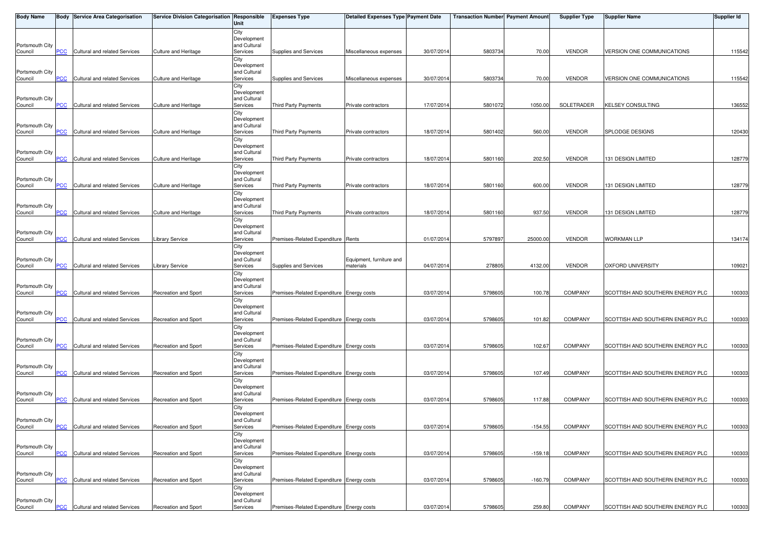| <b>Body Name</b>           |                | <b>Body Service Area Categorisation</b> | Service Division Categorisation Responsible | Unit                        | <b>Expenses Type</b>                      | <b>Detailed Expenses Type Payment Date</b> |            | <b>Transaction Number Payment Amount</b> |           | <b>Supplier Type</b> | <b>Supplier Name</b>              | <b>Supplier Id</b> |
|----------------------------|----------------|-----------------------------------------|---------------------------------------------|-----------------------------|-------------------------------------------|--------------------------------------------|------------|------------------------------------------|-----------|----------------------|-----------------------------------|--------------------|
|                            |                |                                         |                                             | City                        |                                           |                                            |            |                                          |           |                      |                                   |                    |
| Portsmouth City            |                |                                         |                                             | Development<br>and Cultural |                                           |                                            |            |                                          |           |                      |                                   |                    |
| Council                    | PСC            | Cultural and related Services           | Culture and Heritage                        | Services                    | Supplies and Services                     | Miscellaneous expenses                     | 30/07/2014 | 5803734                                  | 70.00     | <b>VENDOR</b>        | <b>VERSION ONE COMMUNICATIONS</b> | 115542             |
|                            |                |                                         |                                             | City<br>Development         |                                           |                                            |            |                                          |           |                      |                                   |                    |
| Portsmouth City            |                |                                         |                                             | and Cultural                |                                           |                                            |            |                                          |           |                      |                                   |                    |
| Council                    | <b>PCC</b>     | Cultural and related Services           | Culture and Heritage                        | Services<br>City            | Supplies and Services                     | Miscellaneous expenses                     | 30/07/2014 | 5803734                                  | 70.00     | <b>VENDOR</b>        | VERSION ONE COMMUNICATIONS        | 115542             |
|                            |                |                                         |                                             | Development                 |                                           |                                            |            |                                          |           |                      |                                   |                    |
| Portsmouth City<br>Council | <b>PCC</b>     | Cultural and related Services           | Culture and Heritage                        | and Cultural<br>Services    | Third Party Payments                      | Private contractors                        | 17/07/201  | 5801072                                  | 1050.00   | SOLETRADER           | <b>KELSEY CONSULTING</b>          | 136552             |
|                            |                |                                         |                                             | City                        |                                           |                                            |            |                                          |           |                      |                                   |                    |
| Portsmouth City            |                |                                         |                                             | Development<br>and Cultural |                                           |                                            |            |                                          |           |                      |                                   |                    |
| Council                    | <b>PCC</b>     | Cultural and related Services           | Culture and Heritage                        | Services                    | Third Party Payments                      | Private contractors                        | 18/07/2014 | 5801402                                  | 560.00    | <b>VENDOR</b>        | SPLODGE DESIGNS                   | 120430             |
|                            |                |                                         |                                             | City<br>Development         |                                           |                                            |            |                                          |           |                      |                                   |                    |
| Portsmouth City            |                |                                         |                                             | and Cultural                |                                           |                                            |            |                                          |           |                      |                                   |                    |
| Council                    | PCC            | Cultural and related Services           | Culture and Heritage                        | Services                    | Third Party Payments                      | Private contractors                        | 18/07/201  | 5801160                                  | 202.50    | <b>VENDOR</b>        | 131 DESIGN LIMITED                | 128779             |
|                            |                |                                         |                                             | City<br>Development         |                                           |                                            |            |                                          |           |                      |                                   |                    |
| Portsmouth City            |                |                                         |                                             | and Cultural                |                                           |                                            |            |                                          |           |                      |                                   |                    |
| Council                    | <b>PCC</b>     | Cultural and related Services           | Culture and Heritage                        | Services<br>City            | Third Party Payments                      | Private contractors                        | 18/07/2014 | 5801160                                  | 600.00    | <b>VENDOR</b>        | 131 DESIGN LIMITED                | 128779             |
|                            |                |                                         |                                             | Development                 |                                           |                                            |            |                                          |           |                      |                                   |                    |
| Portsmouth City<br>Council | <b>PCC</b>     | Cultural and related Services           | <b>Culture and Heritage</b>                 | and Cultural<br>Services    | Third Party Payments                      | Private contractors                        | 18/07/201  | 5801160                                  | 937.50    | <b>VENDOR</b>        | 131 DESIGN LIMITED                | 128779             |
|                            |                |                                         |                                             | City                        |                                           |                                            |            |                                          |           |                      |                                   |                    |
| Portsmouth City            |                |                                         |                                             | Development<br>and Cultural |                                           |                                            |            |                                          |           |                      |                                   |                    |
| Council                    | <u>PCC</u>     | Cultural and related Services           | <b>Library Service</b>                      | Services                    | Premises-Related Expenditure Rents        |                                            | 01/07/201  | 5797897                                  | 25000.00  | <b>VENDOR</b>        | <b>WORKMAN LLP</b>                | 134174             |
|                            |                |                                         |                                             | City<br>Development         |                                           |                                            |            |                                          |           |                      |                                   |                    |
| Portsmouth City            |                |                                         |                                             | and Cultural                |                                           | Equipment, furniture and                   |            |                                          |           |                      |                                   |                    |
| Council                    | PCC            | Cultural and related Services           | Library Service                             | Services<br>City            | Supplies and Services                     | materials                                  | 04/07/201  | 278805                                   | 4132.00   | <b>VENDOR</b>        | <b>OXFORD UNIVERSITY</b>          | 109021             |
|                            |                |                                         |                                             | Development                 |                                           |                                            |            |                                          |           |                      |                                   |                    |
| Portsmouth City<br>Council | $\overline{C}$ | Cultural and related Services           | <b>Recreation and Sport</b>                 | and Cultural<br>Services    | Premises-Related Expenditure Energy costs |                                            | 03/07/2014 | 5798605                                  | 100.78    | <b>COMPANY</b>       | SCOTTISH AND SOUTHERN ENERGY PLC  | 100303             |
|                            |                |                                         |                                             | City                        |                                           |                                            |            |                                          |           |                      |                                   |                    |
| Portsmouth City            |                |                                         |                                             | Development<br>and Cultural |                                           |                                            |            |                                          |           |                      |                                   |                    |
| Council                    | PCC            | Cultural and related Services           | Recreation and Sport                        | Services                    | Premises-Related Expenditure Energy costs |                                            | 03/07/2014 | 5798605                                  | 101.82    | <b>COMPANY</b>       | SCOTTISH AND SOUTHERN ENERGY PLC  | 100303             |
|                            |                |                                         |                                             | City<br>Development         |                                           |                                            |            |                                          |           |                      |                                   |                    |
| Portsmouth City            |                |                                         |                                             | and Cultural                |                                           |                                            |            |                                          |           |                      |                                   |                    |
| Council                    | PСC            | Cultural and related Services           | Recreation and Sport                        | Services                    | Premises-Related Expenditure Energy costs |                                            | 03/07/2014 | 5798605                                  | 102.67    | <b>COMPANY</b>       | SCOTTISH AND SOUTHERN ENERGY PLC  | 100303             |
|                            |                |                                         |                                             | City<br>Development         |                                           |                                            |            |                                          |           |                      |                                   |                    |
| Portsmouth City<br>Council | <b>PCC</b>     | Cultural and related Services           | <b>Recreation and Sport</b>                 | and Cultural<br>Services    | Premises-Related Expenditure Energy costs |                                            | 03/07/2014 | 5798605                                  | 107.49    | <b>COMPANY</b>       | SCOTTISH AND SOUTHERN ENERGY PLC  | 100303             |
|                            |                |                                         |                                             | City                        |                                           |                                            |            |                                          |           |                      |                                   |                    |
|                            |                |                                         |                                             | Development                 |                                           |                                            |            |                                          |           |                      |                                   |                    |
| Portsmouth City<br>Council | <b>PCC</b>     | Cultural and related Services           | Recreation and Sport                        | and Cultural<br>Services    | Premises-Related Expenditure Energy costs |                                            | 03/07/2014 | 5798605                                  | 117.88    | COMPANY              | SCOTTISH AND SOUTHERN ENERGY PLC  | 100303             |
|                            |                |                                         |                                             | City                        |                                           |                                            |            |                                          |           |                      |                                   |                    |
| Portsmouth City            |                |                                         |                                             | Development<br>and Cultural |                                           |                                            |            |                                          |           |                      |                                   |                    |
| Council                    | <b>PCC</b>     | Cultural and related Services           | Recreation and Sport                        | Services                    | Premises-Related Expenditure Energy costs |                                            | 03/07/2014 | 5798605                                  | $-154.55$ | <b>COMPANY</b>       | SCOTTISH AND SOUTHERN ENERGY PLC  | 100303             |
|                            |                |                                         |                                             | City<br>Development         |                                           |                                            |            |                                          |           |                      |                                   |                    |
| Portsmouth City            |                |                                         |                                             | and Cultural                |                                           |                                            |            |                                          |           |                      |                                   |                    |
| Council                    | PCC            | Cultural and related Services           | <b>Recreation and Sport</b>                 | Services<br>City            | Premises-Related Expenditure Energy costs |                                            | 03/07/2014 | 5798605                                  | $-159.18$ | COMPANY              | SCOTTISH AND SOUTHERN ENERGY PLC  | 100303             |
|                            |                |                                         |                                             | Development                 |                                           |                                            |            |                                          |           |                      |                                   |                    |
| Portsmouth City<br>Council | PCC            | Cultural and related Services           | Recreation and Sport                        | and Cultural<br>Services    | Premises-Related Expenditure Energy costs |                                            | 03/07/201  | 5798605                                  | $-160.79$ | <b>COMPANY</b>       | SCOTTISH AND SOUTHERN ENERGY PLC  | 100303             |
|                            |                |                                         |                                             | City                        |                                           |                                            |            |                                          |           |                      |                                   |                    |
| Portsmouth City            |                |                                         |                                             | Development<br>and Cultural |                                           |                                            |            |                                          |           |                      |                                   |                    |
| Council                    | <b>PCC</b>     | Cultural and related Services           | Recreation and Sport                        | Services                    | Premises-Related Expenditure Energy costs |                                            | 03/07/2014 | 5798605                                  | 259.80    | <b>COMPANY</b>       | SCOTTISH AND SOUTHERN ENERGY PLC  | 100303             |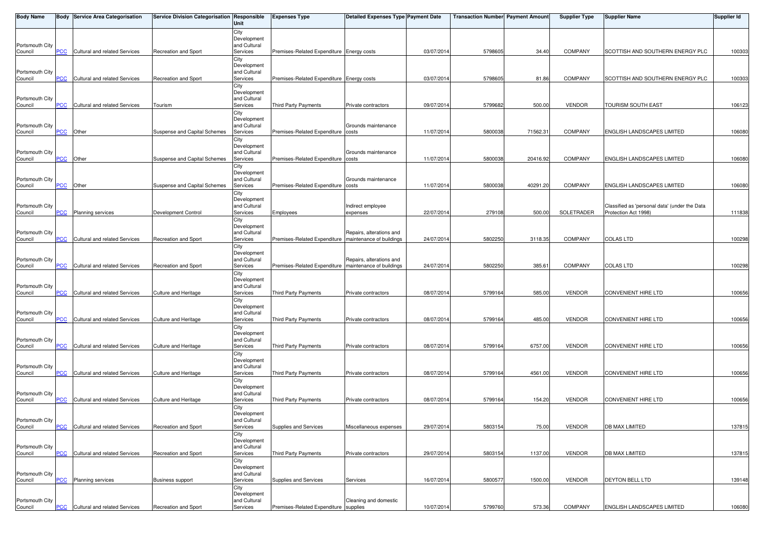| <b>Body Name</b>           |                           | <b>Body Service Area Categorisation</b> | Service Division Categorisation Responsible | Unit                        | <b>Expenses Type</b>                                    | <b>Detailed Expenses Type Payment Date</b> |            | <b>Transaction Number Payment Amount</b> |          | <b>Supplier Type</b> | <b>Supplier Name</b>                          | <b>Supplier Id</b> |
|----------------------------|---------------------------|-----------------------------------------|---------------------------------------------|-----------------------------|---------------------------------------------------------|--------------------------------------------|------------|------------------------------------------|----------|----------------------|-----------------------------------------------|--------------------|
|                            |                           |                                         |                                             | City                        |                                                         |                                            |            |                                          |          |                      |                                               |                    |
| Portsmouth City            |                           |                                         |                                             | Development<br>and Cultural |                                                         |                                            |            |                                          |          |                      |                                               |                    |
| Council                    | PСC                       | Cultural and related Services           | Recreation and Sport                        | Services                    | Premises-Related Expenditure Energy costs               |                                            | 03/07/2014 | 5798605                                  | 34.40    | <b>COMPANY</b>       | SCOTTISH AND SOUTHERN ENERGY PLC              | 100303             |
|                            |                           |                                         |                                             | City                        |                                                         |                                            |            |                                          |          |                      |                                               |                    |
| Portsmouth City            |                           |                                         |                                             | Development<br>and Cultural |                                                         |                                            |            |                                          |          |                      |                                               |                    |
| Council                    | <b>PCC</b>                | Cultural and related Services           | <b>Recreation and Sport</b>                 | Services                    | Premises-Related Expenditure Energy costs               |                                            | 03/07/2014 | 5798605                                  | 81.86    | <b>COMPANY</b>       | SCOTTISH AND SOUTHERN ENERGY PLC              | 100303             |
|                            |                           |                                         |                                             | City                        |                                                         |                                            |            |                                          |          |                      |                                               |                    |
| Portsmouth City            |                           |                                         |                                             | Development<br>and Cultural |                                                         |                                            |            |                                          |          |                      |                                               |                    |
| Council                    | <b>PCC</b>                | Cultural and related Services           | Tourism                                     | Services                    | Third Party Payments                                    | Private contractors                        | 09/07/2014 | 5799682                                  | 500.00   | <b>VENDOR</b>        | <b>TOURISM SOUTH EAST</b>                     | 106123             |
|                            |                           |                                         |                                             | City                        |                                                         |                                            |            |                                          |          |                      |                                               |                    |
| Portsmouth City            |                           |                                         |                                             | Development<br>and Cultural |                                                         | Grounds maintenance                        |            |                                          |          |                      |                                               |                    |
| Council                    | <b>PCC</b>                | Other                                   | Suspense and Capital Schemes                | Services                    | Premises-Related Expenditure costs                      |                                            | 11/07/2014 | 5800038                                  | 71562.31 | <b>COMPANY</b>       | <b>ENGLISH LANDSCAPES LIMITED</b>             | 106080             |
|                            |                           |                                         |                                             | City<br>Development         |                                                         |                                            |            |                                          |          |                      |                                               |                    |
| Portsmouth City            |                           |                                         |                                             | and Cultural                |                                                         | Grounds maintenance                        |            |                                          |          |                      |                                               |                    |
| Council                    | $\overline{\mathsf{PCC}}$ | Other                                   | Suspense and Capital Schemes                | Services                    | Premises-Related Expenditure costs                      |                                            | 11/07/2014 | 5800038                                  | 20416.92 | <b>COMPANY</b>       | <b>ENGLISH LANDSCAPES LIMITED</b>             | 106080             |
|                            |                           |                                         |                                             | City<br>Development         |                                                         |                                            |            |                                          |          |                      |                                               |                    |
| Portsmouth City            |                           |                                         |                                             | and Cultural                |                                                         | Grounds maintenance                        |            |                                          |          |                      |                                               |                    |
| Council                    | <u>PCC</u>                | Other                                   | Suspense and Capital Schemes                | Services                    | Premises-Related Expenditure costs                      |                                            | 11/07/2014 | 5800038                                  | 40291.20 | <b>COMPANY</b>       | <b>ENGLISH LANDSCAPES LIMITED</b>             | 106080             |
|                            |                           |                                         |                                             | City<br>Development         |                                                         |                                            |            |                                          |          |                      |                                               |                    |
| Portsmouth City            |                           |                                         |                                             | and Cultural                |                                                         | Indirect employee                          |            |                                          |          |                      | Classified as 'personal data' (under the Data |                    |
| Council                    | <b>PCC</b>                | Planning services                       | Development Control                         | Services                    | Employees                                               | expenses                                   | 22/07/2014 | 279108                                   | 500.00   | SOLETRADER           | Protection Act 1998)                          | 111838             |
|                            |                           |                                         |                                             | City<br>Development         |                                                         |                                            |            |                                          |          |                      |                                               |                    |
| Portsmouth City            |                           |                                         |                                             | and Cultural                |                                                         | Repairs, alterations and                   |            |                                          |          |                      |                                               |                    |
| Council                    | <b>PCC</b>                | Cultural and related Services           | Recreation and Sport                        | Services<br>City            | Premises-Related Expenditure   maintenance of buildings |                                            | 24/07/2014 | 5802250                                  | 3118.35  | <b>COMPANY</b>       | <b>COLAS LTD</b>                              | 100298             |
|                            |                           |                                         |                                             | Development                 |                                                         |                                            |            |                                          |          |                      |                                               |                    |
| Portsmouth City            |                           |                                         |                                             | and Cultural                |                                                         | Repairs, alterations and                   |            |                                          |          |                      |                                               |                    |
| Council                    | PCC                       | Cultural and related Services           | Recreation and Sport                        | Services<br>City            | Premises-Related Expenditure   maintenance of buildings |                                            | 24/07/2014 | 5802250                                  | 385.61   | COMPANY              | <b>COLAS LTD</b>                              | 100298             |
|                            |                           |                                         |                                             | Development                 |                                                         |                                            |            |                                          |          |                      |                                               |                    |
| Portsmouth City<br>Council | <b>PCC</b>                | Cultural and related Services           | Culture and Heritage                        | and Cultural<br>Services    | Third Party Payments                                    | Private contractors                        | 08/07/2014 | 5799164                                  | 585.00   | <b>VENDOR</b>        | <b>CONVENIENT HIRE LTD</b>                    | 100656             |
|                            |                           |                                         |                                             | City                        |                                                         |                                            |            |                                          |          |                      |                                               |                    |
|                            |                           |                                         |                                             | Development                 |                                                         |                                            |            |                                          |          |                      |                                               |                    |
| Portsmouth City<br>Council | PСC                       | Cultural and related Services           | Culture and Heritage                        | and Cultural<br>Services    | <b>Third Party Payments</b>                             | Private contractors                        | 08/07/2014 | 5799164                                  | 485.00   | <b>VENDOR</b>        | <b>CONVENIENT HIRE LTD</b>                    | 100656             |
|                            |                           |                                         |                                             | City                        |                                                         |                                            |            |                                          |          |                      |                                               |                    |
|                            |                           |                                         |                                             | Development                 |                                                         |                                            |            |                                          |          |                      |                                               |                    |
| Portsmouth City<br>Council | PСC                       | Cultural and related Services           | Culture and Heritage                        | and Cultural<br>Services    | Third Party Payments                                    | Private contractors                        | 08/07/2014 | 5799164                                  | 6757.00  | <b>VENDOR</b>        | <b>CONVENIENT HIRE LTD</b>                    | 100656             |
|                            |                           |                                         |                                             | City                        |                                                         |                                            |            |                                          |          |                      |                                               |                    |
| Portsmouth City            |                           |                                         |                                             | Development<br>and Cultural |                                                         |                                            |            |                                          |          |                      |                                               |                    |
| Council                    | <b>PCC</b>                | Cultural and related Services           | Culture and Heritage                        | Services                    | Third Party Payments                                    | Private contractors                        | 08/07/2014 | 5799164                                  | 4561.00  | <b>VENDOR</b>        | <b>CONVENIENT HIRE LTD</b>                    | 100656             |
|                            |                           |                                         |                                             | City                        |                                                         |                                            |            |                                          |          |                      |                                               |                    |
| Portsmouth City            |                           |                                         |                                             | Development<br>and Cultural |                                                         |                                            |            |                                          |          |                      |                                               |                    |
| Council                    | <b>PCC</b>                | Cultural and related Services           | Culture and Heritage                        | Services                    | Third Party Payments                                    | Private contractors                        | 08/07/2014 | 5799164                                  | 154.20   | <b>VENDOR</b>        | CONVENIENT HIRE LTD                           | 100656             |
|                            |                           |                                         |                                             | City                        |                                                         |                                            |            |                                          |          |                      |                                               |                    |
| Portsmouth City            |                           |                                         |                                             | Development<br>and Cultural |                                                         |                                            |            |                                          |          |                      |                                               |                    |
| Council                    | <b>PCC</b>                | Cultural and related Services           | Recreation and Sport                        | Services                    | Supplies and Services                                   | Miscellaneous expenses                     | 29/07/2014 | 5803154                                  | 75.00    | <b>VENDOR</b>        | <b>DB MAX LIMITED</b>                         | 137815             |
|                            |                           |                                         |                                             | City<br>Development         |                                                         |                                            |            |                                          |          |                      |                                               |                    |
| Portsmouth City            |                           |                                         |                                             | and Cultural                |                                                         |                                            |            |                                          |          |                      |                                               |                    |
| Council                    | PCC                       | Cultural and related Services           | Recreation and Sport                        | Services                    | Third Party Payments                                    | Private contractors                        | 29/07/2014 | 5803154                                  | 1137.00  | <b>VENDOR</b>        | DB MAX LIMITED                                | 137815             |
|                            |                           |                                         |                                             | City<br>Development         |                                                         |                                            |            |                                          |          |                      |                                               |                    |
| Portsmouth City            |                           |                                         |                                             | and Cultural                |                                                         |                                            |            |                                          |          |                      |                                               |                    |
| Council                    | PCC                       | Planning services                       | <b>Business support</b>                     | Services                    | Supplies and Services                                   | Services                                   | 16/07/2014 | 5800577                                  | 1500.00  | <b>VENDOR</b>        | DEYTON BELL LTD                               | 139148             |
|                            |                           |                                         |                                             | City<br>Development         |                                                         |                                            |            |                                          |          |                      |                                               |                    |
| Portsmouth City            |                           |                                         |                                             | and Cultural                |                                                         | Cleaning and domestic                      |            |                                          |          |                      |                                               |                    |
| Council                    | <u>PCC</u>                | Cultural and related Services           | Recreation and Sport                        | Services                    | Premises-Related Expenditure supplies                   |                                            | 10/07/2014 | 5799760                                  | 573.36   | COMPANY              | ENGLISH LANDSCAPES LIMITED                    | 106080             |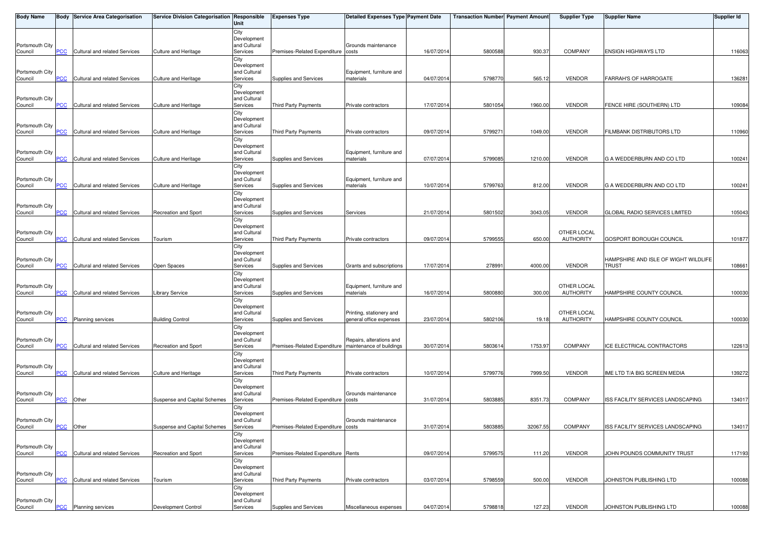| <b>Body Name</b>           |            | <b>Body Service Area Categorisation</b> | Service Division Categorisation Responsible | Unit                        | <b>Expenses Type</b>                                    | <b>Detailed Expenses Type Payment Date</b> |            | <b>Transaction Number Payment Amount</b> |          | <b>Supplier Type</b> | <b>Supplier Name</b>                 | <b>Supplier Id</b> |
|----------------------------|------------|-----------------------------------------|---------------------------------------------|-----------------------------|---------------------------------------------------------|--------------------------------------------|------------|------------------------------------------|----------|----------------------|--------------------------------------|--------------------|
|                            |            |                                         |                                             | City                        |                                                         |                                            |            |                                          |          |                      |                                      |                    |
| Portsmouth City            |            |                                         |                                             | Development<br>and Cultural |                                                         | Grounds maintenance                        |            |                                          |          |                      |                                      |                    |
| Council                    | PСC        | <b>Cultural and related Services</b>    | Culture and Heritage                        | Services                    | Premises-Related Expenditure costs                      |                                            | 16/07/2014 | 5800588                                  | 930.37   | <b>COMPANY</b>       | <b>ENSIGN HIGHWAYS LTD</b>           | 116063             |
|                            |            |                                         |                                             | City<br>Development         |                                                         |                                            |            |                                          |          |                      |                                      |                    |
| Portsmouth City            |            |                                         |                                             | and Cultural                |                                                         | Equipment, furniture and                   |            |                                          |          |                      |                                      |                    |
| Council                    | PCC        | Cultural and related Services           | Culture and Heritage                        | Services                    | Supplies and Services                                   | materials                                  | 04/07/2014 | 5798770                                  | 565.12   | <b>VENDOR</b>        | <b>FARRAH'S OF HARROGATE</b>         | 136281             |
|                            |            |                                         |                                             | City<br>Development         |                                                         |                                            |            |                                          |          |                      |                                      |                    |
| Portsmouth City            |            |                                         |                                             | and Cultural                |                                                         |                                            |            |                                          |          |                      |                                      |                    |
| Council                    | <b>PCC</b> | Cultural and related Services           | Culture and Heritage                        | Services                    | Third Party Payments                                    | Private contractors                        | 17/07/2014 | 5801054                                  | 1960.00  | <b>VENDOR</b>        | FENCE HIRE (SOUTHERN) LTD            | 109084             |
|                            |            |                                         |                                             | City<br>Development         |                                                         |                                            |            |                                          |          |                      |                                      |                    |
| Portsmouth City            |            |                                         |                                             | and Cultural                |                                                         |                                            |            |                                          |          |                      |                                      |                    |
| Council                    | <b>PCC</b> | Cultural and related Services           | Culture and Heritage                        | Services<br>City            | Third Party Payments                                    | Private contractors                        | 09/07/2014 | 579927                                   | 1049.00  | <b>VENDOR</b>        | FILMBANK DISTRIBUTORS LTD            | 110960             |
|                            |            |                                         |                                             | Development                 |                                                         |                                            |            |                                          |          |                      |                                      |                    |
| Portsmouth City            |            |                                         |                                             | and Cultural                |                                                         | Equipment, furniture and                   |            |                                          |          |                      |                                      |                    |
| Council                    | PСC        | Cultural and related Services           | Culture and Heritage                        | Services<br>City            | Supplies and Services                                   | materials                                  | 07/07/2014 | 5799085                                  | 1210.00  | <b>VENDOR</b>        | G A WEDDERBURN AND CO LTD            | 100241             |
|                            |            |                                         |                                             | Development                 |                                                         |                                            |            |                                          |          |                      |                                      |                    |
| Portsmouth City<br>Council | <b>PCC</b> | Cultural and related Services           | Culture and Heritage                        | and Cultural<br>Services    | Supplies and Services                                   | Equipment, furniture and<br>materials      | 10/07/2014 | 5799763                                  | 812.00   | <b>VENDOR</b>        | G A WEDDERBURN AND CO LTD            | 100241             |
|                            |            |                                         |                                             | City                        |                                                         |                                            |            |                                          |          |                      |                                      |                    |
|                            |            |                                         |                                             | Development                 |                                                         |                                            |            |                                          |          |                      |                                      |                    |
| Portsmouth City<br>Council | <b>PCC</b> | Cultural and related Services           | Recreation and Sport                        | and Cultural<br>Services    | Supplies and Services                                   | Services                                   | 21/07/2014 | 5801502                                  | 3043.05  | <b>VENDOR</b>        | <b>GLOBAL RADIO SERVICES LIMITED</b> | 105043             |
|                            |            |                                         |                                             | City                        |                                                         |                                            |            |                                          |          |                      |                                      |                    |
| Portsmouth City            |            |                                         |                                             | Development<br>and Cultural |                                                         |                                            |            |                                          |          | OTHER LOCAL          |                                      |                    |
| Council                    | <b>PCC</b> | Cultural and related Services           | Tourism                                     | Services                    | Third Party Payments                                    | Private contractors                        | 09/07/2014 | 5799555                                  | 650.00   | <b>AUTHORITY</b>     | GOSPORT BOROUGH COUNCIL              | 101877             |
|                            |            |                                         |                                             | City                        |                                                         |                                            |            |                                          |          |                      |                                      |                    |
| Portsmouth City            |            |                                         |                                             | Development<br>and Cultural |                                                         |                                            |            |                                          |          |                      | HAMPSHIRE AND ISLE OF WIGHT WILDLIFE |                    |
| Council                    | PCC        | Cultural and related Services           | Open Spaces                                 | Services                    | Supplies and Services                                   | Grants and subscriptions                   | 17/07/2014 | 27899                                    | 4000.00  | <b>VENDOR</b>        | <b>TRUST</b>                         | 108661             |
|                            |            |                                         |                                             | City                        |                                                         |                                            |            |                                          |          |                      |                                      |                    |
| Portsmouth City            |            |                                         |                                             | Development<br>and Cultural |                                                         | Equipment, furniture and                   |            |                                          |          | OTHER LOCAL          |                                      |                    |
| Council                    | <b>PCC</b> | Cultural and related Services           | Library Service                             | Services                    | Supplies and Services                                   | materials                                  | 16/07/2014 | 5800880                                  | 300.00   | <b>AUTHORITY</b>     | HAMPSHIRE COUNTY COUNCIL             | 100030             |
|                            |            |                                         |                                             | City<br>Development         |                                                         |                                            |            |                                          |          |                      |                                      |                    |
| Portsmouth City            |            |                                         |                                             | and Cultural                |                                                         | Printing, stationery and                   |            |                                          |          | OTHER LOCAL          |                                      |                    |
| Council                    | PCC        | <b>Planning services</b>                | <b>Building Control</b>                     | Services                    | Supplies and Services                                   | general office expenses                    | 23/07/2014 | 5802106                                  | 19.18    | <b>AUTHORITY</b>     | HAMPSHIRE COUNTY COUNCIL             | 100030             |
|                            |            |                                         |                                             | City<br>Development         |                                                         |                                            |            |                                          |          |                      |                                      |                    |
| Portsmouth City            |            |                                         |                                             | and Cultural                |                                                         | Repairs, alterations and                   |            |                                          |          |                      |                                      |                    |
| Council                    | PСC        | Cultural and related Services           | Recreation and Sport                        | Services                    | Premises-Related Expenditure   maintenance of buildings |                                            | 30/07/2014 | 5803614                                  | 1753.97  | <b>COMPANY</b>       | ICE ELECTRICAL CONTRACTORS           | 122613             |
|                            |            |                                         |                                             | City<br>Development         |                                                         |                                            |            |                                          |          |                      |                                      |                    |
| Portsmouth City            |            | Cultural and related Services           |                                             | and Cultural                |                                                         |                                            |            |                                          |          |                      |                                      |                    |
| Council                    | <b>PCC</b> |                                         | Culture and Heritage                        | Services<br>City            | Third Party Payments                                    | Private contractors                        | 10/07/2014 | 5799776                                  | 7999.50  | <b>VENDOR</b>        | IME LTD T/A BIG SCREEN MEDIA         | 139272             |
|                            |            |                                         |                                             | Development                 |                                                         |                                            |            |                                          |          |                      |                                      |                    |
| Portsmouth City<br>Council | <b>PCC</b> | Other                                   | Suspense and Capital Schemes                | and Cultural<br>Services    | Premises-Related Expenditure costs                      | Grounds maintenance                        | 31/07/2014 | 5803885                                  | 8351.73  | <b>COMPANY</b>       | ISS FACILITY SERVICES LANDSCAPING    | 134017             |
|                            |            |                                         |                                             | City                        |                                                         |                                            |            |                                          |          |                      |                                      |                    |
|                            |            |                                         |                                             | Development                 |                                                         |                                            |            |                                          |          |                      |                                      |                    |
| Portsmouth City<br>Council | PCC Other  |                                         | Suspense and Capital Schemes                | and Cultural<br>Services    | Premises-Related Expenditure costs                      | Grounds maintenance                        | 31/07/2014 | 5803885                                  | 32067.55 | COMPANY              | ISS FACILITY SERVICES LANDSCAPING    | 134017             |
|                            |            |                                         |                                             | City                        |                                                         |                                            |            |                                          |          |                      |                                      |                    |
|                            |            |                                         |                                             | Development                 |                                                         |                                            |            |                                          |          |                      |                                      |                    |
| Portsmouth City<br>Council | <b>PCC</b> | Cultural and related Services           | Recreation and Sport                        | and Cultural<br>Services    | Premises-Related Expenditure Rents                      |                                            | 09/07/2014 | 5799575                                  | 111.20   | <b>VENDOR</b>        | JOHN POUNDS COMMUNITY TRUST          | 117193             |
|                            |            |                                         |                                             | City                        |                                                         |                                            |            |                                          |          |                      |                                      |                    |
| Portsmouth City            |            |                                         |                                             | Development<br>and Cultural |                                                         |                                            |            |                                          |          |                      |                                      |                    |
| Council                    | <b>PCC</b> | Cultural and related Services           | Tourism                                     | Services                    | Third Party Payments                                    | Private contractors                        | 03/07/2014 | 5798559                                  | 500.00   | <b>VENDOR</b>        | JOHNSTON PUBLISHING LTD              | 100088             |
|                            |            |                                         |                                             | City                        |                                                         |                                            |            |                                          |          |                      |                                      |                    |
| Portsmouth City            |            |                                         |                                             | Development<br>and Cultural |                                                         |                                            |            |                                          |          |                      |                                      |                    |
| Council                    | <u>PCC</u> | Planning services                       | Development Control                         | Services                    | Supplies and Services                                   | Miscellaneous expenses                     | 04/07/2014 | 5798818                                  | 127.23   | <b>VENDOR</b>        | JOHNSTON PUBLISHING LTD              | 100088             |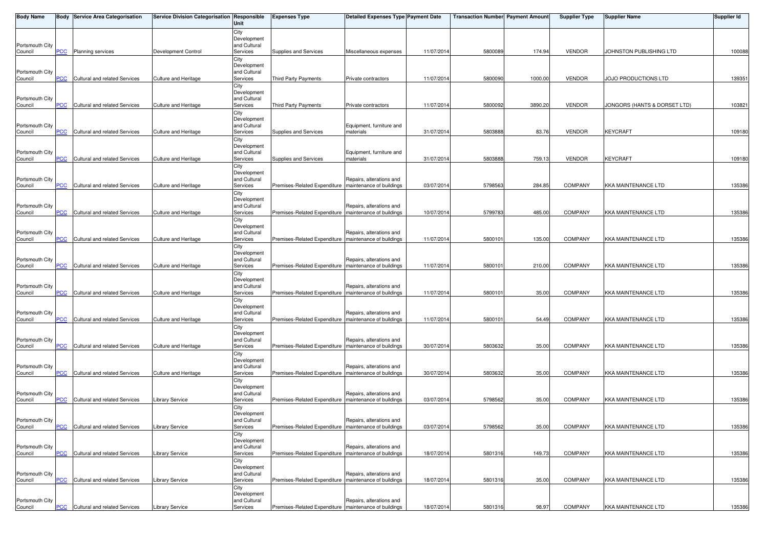| <b>Body Name</b>           |                | <b>Body Service Area Categorisation</b> | Service Division Categorisation Responsible | Unit                        | <b>Expenses Type</b>                                    | <b>Detailed Expenses Type Payment Date</b> |            | <b>Transaction Number Payment Amount</b> |         | <b>Supplier Type</b> | Supplier Name                | <b>Supplier Id</b> |
|----------------------------|----------------|-----------------------------------------|---------------------------------------------|-----------------------------|---------------------------------------------------------|--------------------------------------------|------------|------------------------------------------|---------|----------------------|------------------------------|--------------------|
|                            |                |                                         |                                             | City                        |                                                         |                                            |            |                                          |         |                      |                              |                    |
| Portsmouth City            |                |                                         |                                             | Development<br>and Cultural |                                                         |                                            |            |                                          |         |                      |                              |                    |
| Council                    | <b>PCC</b>     | <b>Planning services</b>                | Development Control                         | Services                    | Supplies and Services                                   | Miscellaneous expenses                     | 11/07/2014 | 5800089                                  | 174.94  | <b>VENDOR</b>        | JOHNSTON PUBLISHING LTD      | 100088             |
|                            |                |                                         |                                             | City<br>Development         |                                                         |                                            |            |                                          |         |                      |                              |                    |
| Portsmouth City            |                |                                         |                                             | and Cultural                |                                                         |                                            |            |                                          |         |                      |                              |                    |
| Council                    | <b>PCC</b>     | Cultural and related Services           | Culture and Heritage                        | Services                    | Third Party Payments                                    | Private contractors                        | 11/07/2014 | 5800090                                  | 1000.00 | <b>VENDOR</b>        | JOJO PRODUCTIONS LTD         | 139351             |
|                            |                |                                         |                                             | City<br>Development         |                                                         |                                            |            |                                          |         |                      |                              |                    |
| Portsmouth City            |                |                                         |                                             | and Cultural                |                                                         |                                            |            |                                          |         |                      |                              |                    |
| Council                    | <b>PCC</b>     | Cultural and related Services           | Culture and Heritage                        | Services<br>City            | Third Party Payments                                    | Private contractors                        | 11/07/2014 | 5800092                                  | 3890.20 | <b>VENDOR</b>        | JONGORS (HANTS & DORSET LTD) | 103821             |
|                            |                |                                         |                                             | Development                 |                                                         |                                            |            |                                          |         |                      |                              |                    |
| Portsmouth City<br>Council | <b>PCC</b>     | Cultural and related Services           | Culture and Heritage                        | and Cultural<br>Services    | Supplies and Services                                   | Equipment, furniture and<br>materials      | 31/07/2014 | 5803888                                  | 83.76   | <b>VENDOR</b>        | <b>KEYCRAFT</b>              | 109180             |
|                            |                |                                         |                                             | City                        |                                                         |                                            |            |                                          |         |                      |                              |                    |
|                            |                |                                         |                                             | Development                 |                                                         |                                            |            |                                          |         |                      |                              |                    |
| Portsmouth City<br>Council | <b>PCC</b>     | Cultural and related Services           | Culture and Heritage                        | and Cultural<br>Services    | Supplies and Services                                   | Equipment, furniture and<br>materials      | 31/07/2014 | 580388                                   | 759.13  | <b>VENDOR</b>        | <b>KEYCRAFT</b>              | 109180             |
|                            |                |                                         |                                             | City                        |                                                         |                                            |            |                                          |         |                      |                              |                    |
| Portsmouth City            |                |                                         |                                             | Development<br>and Cultural |                                                         | Repairs, alterations and                   |            |                                          |         |                      |                              |                    |
| Council                    | <b>PCC</b>     | Cultural and related Services           | Culture and Heritage                        | Services                    | Premises-Related Expenditure   maintenance of buildings |                                            | 03/07/2014 | 5798563                                  | 284.85  | <b>COMPANY</b>       | <b>KKA MAINTENANCE LTD</b>   | 135386             |
|                            |                |                                         |                                             | City                        |                                                         |                                            |            |                                          |         |                      |                              |                    |
| Portsmouth City            |                |                                         |                                             | Development<br>and Cultural |                                                         | Repairs, alterations and                   |            |                                          |         |                      |                              |                    |
| Council                    | <b>PCC</b>     | Cultural and related Services           | <b>Culture and Heritage</b>                 | Services                    | Premises-Related Expenditure   maintenance of buildings |                                            | 10/07/2014 | 579978                                   | 485.00  | <b>COMPANY</b>       | <b>KKA MAINTENANCE LTD</b>   | 135386             |
|                            |                |                                         |                                             | City<br>Development         |                                                         |                                            |            |                                          |         |                      |                              |                    |
| Portsmouth City            |                |                                         |                                             | and Cultural                |                                                         | Repairs, alterations and                   |            |                                          |         |                      |                              |                    |
| Council                    | <b>PCC</b>     | Cultural and related Services           | Culture and Heritage                        | Services<br>City            | Premises-Related Expenditure   maintenance of buildings |                                            | 11/07/2014 | 580010                                   | 135.00  | <b>COMPANY</b>       | <b>KKA MAINTENANCE LTD</b>   | 135386             |
|                            |                |                                         |                                             | Development                 |                                                         |                                            |            |                                          |         |                      |                              |                    |
| Portsmouth City<br>Council | PCC            | Cultural and related Services           | Culture and Heritage                        | and Cultural<br>Services    | Premises-Related Expenditure   maintenance of buildings | Repairs, alterations and                   | 11/07/2014 | 5800101                                  | 210.00  | <b>COMPANY</b>       | <b>KKA MAINTENANCE LTD</b>   | 135386             |
|                            |                |                                         |                                             | City                        |                                                         |                                            |            |                                          |         |                      |                              |                    |
|                            |                |                                         |                                             | Development                 |                                                         |                                            |            |                                          |         |                      |                              |                    |
| Portsmouth City<br>Council | $\overline{C}$ | Cultural and related Services           | Culture and Heritage                        | and Cultural<br>Services    | Premises-Related Expenditure   maintenance of buildings | Repairs, alterations and                   | 11/07/2014 | 5800101                                  | 35.00   | <b>COMPANY</b>       | <b>KKA MAINTENANCE LTD</b>   | 135386             |
|                            |                |                                         |                                             | City                        |                                                         |                                            |            |                                          |         |                      |                              |                    |
| Portsmouth City            |                |                                         |                                             | Development<br>and Cultural |                                                         | Repairs, alterations and                   |            |                                          |         |                      |                              |                    |
| Council                    | PCC            | Cultural and related Services           | Culture and Heritage                        | Services                    | Premises-Related Expenditure   maintenance of buildings |                                            | 11/07/2014 | 5800101                                  | 54.49   | <b>COMPANY</b>       | <b>KKA MAINTENANCE LTD</b>   | 135386             |
|                            |                |                                         |                                             | City                        |                                                         |                                            |            |                                          |         |                      |                              |                    |
| Portsmouth City            |                |                                         |                                             | Development<br>and Cultural |                                                         | Repairs, alterations and                   |            |                                          |         |                      |                              |                    |
| Council                    | PCC            | Cultural and related Services           | Culture and Heritage                        | Services                    | Premises-Related Expenditure   maintenance of buildings |                                            | 30/07/2014 | 5803632                                  | 35.00   | <b>COMPANY</b>       | <b>KKA MAINTENANCE LTD</b>   | 135386             |
|                            |                |                                         |                                             | City<br>Development         |                                                         |                                            |            |                                          |         |                      |                              |                    |
| Portsmouth City            |                |                                         |                                             | and Cultural                |                                                         | Repairs, alterations and                   |            |                                          |         |                      |                              |                    |
| Council                    | PCC            | Cultural and related Services           | Culture and Heritage                        | Services<br>City            | Premises-Related Expenditure   maintenance of buildings |                                            | 30/07/2014 | 5803632                                  | 35.00   | COMPANY              | <b>KKA MAINTENANCE LTD</b>   | 135386             |
|                            |                |                                         |                                             | Development                 |                                                         |                                            |            |                                          |         |                      |                              |                    |
| Portsmouth City<br>Council | <b>PCC</b>     | Cultural and related Services           | <b>Library Service</b>                      | and Cultural<br>Services    | Premises-Related Expenditure   maintenance of buildings | Repairs, alterations and                   | 03/07/2014 | 5798562                                  | 35.00   | <b>COMPANY</b>       | <b>KKA MAINTENANCE LTD</b>   | 135386             |
|                            |                |                                         |                                             | City                        |                                                         |                                            |            |                                          |         |                      |                              |                    |
|                            |                |                                         |                                             | Development                 |                                                         |                                            |            |                                          |         |                      |                              |                    |
| Portsmouth City<br>Council | $PCC$          | Cultural and related Services           | <b>Library Service</b>                      | and Cultural<br>Services    | Premises-Related Expenditure   maintenance of buildings | Repairs, alterations and                   | 03/07/2014 | 5798562                                  | 35.00   | <b>COMPANY</b>       | <b>KKA MAINTENANCE LTD</b>   | 135386             |
|                            |                |                                         |                                             | City                        |                                                         |                                            |            |                                          |         |                      |                              |                    |
| Portsmouth City            |                |                                         |                                             | Development<br>and Cultural |                                                         | Repairs, alterations and                   |            |                                          |         |                      |                              |                    |
| Council                    | <b>PCC</b>     | Cultural and related Services           | <b>Library Service</b>                      | Services                    | Premises-Related Expenditure   maintenance of buildings |                                            | 18/07/2014 | 5801316                                  | 149.73  | COMPANY              | <b>KKA MAINTENANCE LTD</b>   | 135386             |
|                            |                |                                         |                                             | City                        |                                                         |                                            |            |                                          |         |                      |                              |                    |
| Portsmouth City            |                |                                         |                                             | Development<br>and Cultural |                                                         | Repairs, alterations and                   |            |                                          |         |                      |                              |                    |
| Council                    | <u>PCC</u>     | Cultural and related Services           | Library Service                             | Services                    | Premises-Related Expenditure   maintenance of buildings |                                            | 18/07/2014 | 5801316                                  | 35.00   | <b>COMPANY</b>       | <b>KKA MAINTENANCE LTD</b>   | 135386             |
|                            |                |                                         |                                             | City<br>Development         |                                                         |                                            |            |                                          |         |                      |                              |                    |
| Portsmouth City            |                |                                         |                                             | and Cultural                |                                                         | Repairs, alterations and                   |            |                                          |         |                      |                              |                    |
| Council                    | <b>PCC</b>     | Cultural and related Services           | <b>Library Service</b>                      | Services                    | Premises-Related Expenditure   maintenance of buildings |                                            | 18/07/2014 | 5801316                                  | 98.97   | COMPANY              | <b>KKA MAINTENANCE LTD</b>   | 135386             |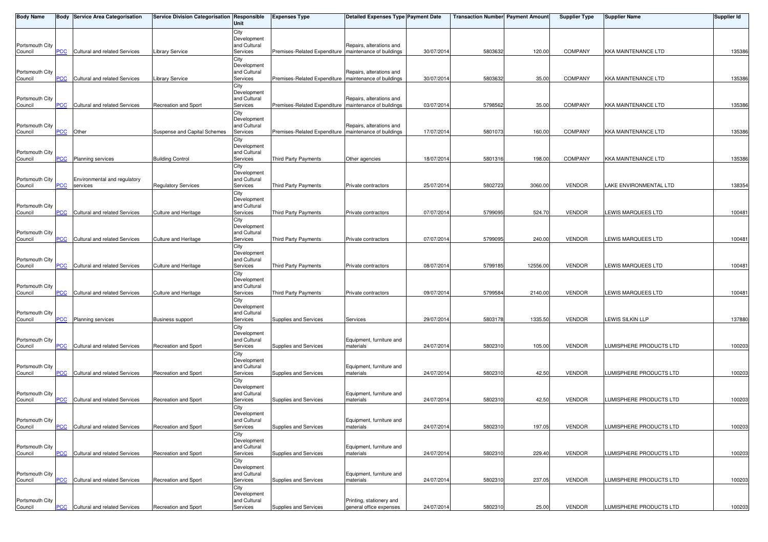| <b>Body Name</b> |                           | <b>Body Service Area Categorisation</b> | Service Division Categorisation Responsible | Unit                        | <b>Expenses Type</b>                                    | <b>Detailed Expenses Type Payment Date</b> |            | <b>Transaction Number Payment Amount</b> |          | <b>Supplier Type</b> | <b>Supplier Name</b>       | <b>Supplier Id</b> |
|------------------|---------------------------|-----------------------------------------|---------------------------------------------|-----------------------------|---------------------------------------------------------|--------------------------------------------|------------|------------------------------------------|----------|----------------------|----------------------------|--------------------|
|                  |                           |                                         |                                             | City                        |                                                         |                                            |            |                                          |          |                      |                            |                    |
| Portsmouth City  |                           |                                         |                                             | Development<br>and Cultural |                                                         | Repairs, alterations and                   |            |                                          |          |                      |                            |                    |
| Council          | <b>PCC</b>                | Cultural and related Services           | Library Service                             | Services                    | Premises-Related Expenditure   maintenance of buildings |                                            | 30/07/2014 | 5803632                                  | 120.00   | <b>COMPANY</b>       | <b>KKA MAINTENANCE LTD</b> | 135386             |
|                  |                           |                                         |                                             | City                        |                                                         |                                            |            |                                          |          |                      |                            |                    |
| Portsmouth City  |                           |                                         |                                             | Development<br>and Cultural |                                                         | Repairs, alterations and                   |            |                                          |          |                      |                            |                    |
| Council          | <b>PCC</b>                | Cultural and related Services           | <b>Library Service</b>                      | Services                    | Premises-Related Expenditure   maintenance of buildings |                                            | 30/07/2014 | 5803632                                  | 35.00    | <b>COMPANY</b>       | <b>KKA MAINTENANCE LTD</b> | 135386             |
|                  |                           |                                         |                                             | City                        |                                                         |                                            |            |                                          |          |                      |                            |                    |
| Portsmouth City  |                           |                                         |                                             | Development<br>and Cultural |                                                         | Repairs, alterations and                   |            |                                          |          |                      |                            |                    |
| Council          | <b>PCC</b>                | Cultural and related Services           | Recreation and Sport                        | Services                    | Premises-Related Expenditure   maintenance of buildings |                                            | 03/07/2014 | 5798562                                  | 35.00    | <b>COMPANY</b>       | <b>KKA MAINTENANCE LTD</b> | 135386             |
|                  |                           |                                         |                                             | City                        |                                                         |                                            |            |                                          |          |                      |                            |                    |
| Portsmouth City  |                           |                                         |                                             | Development<br>and Cultural |                                                         | Repairs, alterations and                   |            |                                          |          |                      |                            |                    |
| Council          | <b>PCC</b>                | Other                                   | Suspense and Capital Schemes                | Services                    | Premises-Related Expenditure   maintenance of buildings |                                            | 17/07/2014 | 5801073                                  | 160.00   | <b>COMPANY</b>       | <b>KKA MAINTENANCE LTD</b> | 135386             |
|                  |                           |                                         |                                             | City                        |                                                         |                                            |            |                                          |          |                      |                            |                    |
| Portsmouth City  |                           |                                         |                                             | Development<br>and Cultural |                                                         |                                            |            |                                          |          |                      |                            |                    |
| Council          | $\overline{\mathsf{PCC}}$ | <b>Planning services</b>                | <b>Building Control</b>                     | Services                    | Third Party Payments                                    | Other agencies                             | 18/07/2014 | 5801316                                  | 198.00   | <b>COMPANY</b>       | <b>KKA MAINTENANCE LTD</b> | 135386             |
|                  |                           |                                         |                                             | City                        |                                                         |                                            |            |                                          |          |                      |                            |                    |
| Portsmouth City  |                           | Environmental and regulatory            |                                             | Development<br>and Cultural |                                                         |                                            |            |                                          |          |                      |                            |                    |
| Council          | <b>PCC</b>                | services                                | <b>Regulatory Services</b>                  | Services                    | <b>Third Party Payments</b>                             | Private contractors                        | 25/07/2014 | 5802723                                  | 3060.00  | <b>VENDOR</b>        | LAKE ENVIRONMENTAL LTD     | 138354             |
|                  |                           |                                         |                                             | City                        |                                                         |                                            |            |                                          |          |                      |                            |                    |
| Portsmouth City  |                           |                                         |                                             | Development<br>and Cultural |                                                         |                                            |            |                                          |          |                      |                            |                    |
| Council          | <b>PCC</b>                | Cultural and related Services           | <b>Culture and Heritage</b>                 | Services                    | Third Party Payments                                    | Private contractors                        | 07/07/2014 | 5799095                                  | 524.70   | <b>VENDOR</b>        | LEWIS MARQUEES LTD         | 100481             |
|                  |                           |                                         |                                             | City                        |                                                         |                                            |            |                                          |          |                      |                            |                    |
| Portsmouth City  |                           |                                         |                                             | Development<br>and Cultural |                                                         |                                            |            |                                          |          |                      |                            |                    |
| Council          | <b>PCC</b>                | Cultural and related Services           | Culture and Heritage                        | Services                    | Third Party Payments                                    | Private contractors                        | 07/07/2014 | 579909                                   | 240.00   | <b>VENDOR</b>        | LEWIS MARQUEES LTD         | 100481             |
|                  |                           |                                         |                                             | City                        |                                                         |                                            |            |                                          |          |                      |                            |                    |
| Portsmouth City  |                           |                                         |                                             | Development<br>and Cultural |                                                         |                                            |            |                                          |          |                      |                            |                    |
| Council          | PCC                       | Cultural and related Services           | Culture and Heritage                        | Services                    | Third Party Payments                                    | Private contractors                        | 08/07/2014 | 5799185                                  | 12556.00 | <b>VENDOR</b>        | LEWIS MARQUEES LTD         | 100481             |
|                  |                           |                                         |                                             | City                        |                                                         |                                            |            |                                          |          |                      |                            |                    |
| Portsmouth City  |                           |                                         |                                             | Development<br>and Cultural |                                                         |                                            |            |                                          |          |                      |                            |                    |
| Council          | <b>PCC</b>                | Cultural and related Services           | Culture and Heritage                        | Services                    | Third Party Payments                                    | Private contractors                        | 09/07/2014 | 5799584                                  | 2140.00  | <b>VENDOR</b>        | LEWIS MARQUEES LTD         | 100481             |
|                  |                           |                                         |                                             | City                        |                                                         |                                            |            |                                          |          |                      |                            |                    |
| Portsmouth City  |                           |                                         |                                             | Development<br>and Cultural |                                                         |                                            |            |                                          |          |                      |                            |                    |
| Council          | PCC                       | <b>Planning services</b>                | <b>Business support</b>                     | Services                    | Supplies and Services                                   | Services                                   | 29/07/2014 | 5803178                                  | 1335.50  | <b>VENDOR</b>        | <b>LEWIS SILKIN LLP</b>    | 137880             |
|                  |                           |                                         |                                             | City                        |                                                         |                                            |            |                                          |          |                      |                            |                    |
| Portsmouth City  |                           |                                         |                                             | Development<br>and Cultural |                                                         | Equipment, furniture and                   |            |                                          |          |                      |                            |                    |
| Council          | PCC                       | Cultural and related Services           | Recreation and Sport                        | Services                    | Supplies and Services                                   | materials                                  | 24/07/2014 | 580231                                   | 105.00   | <b>VENDOR</b>        | LUMISPHERE PRODUCTS LTD    | 100203             |
|                  |                           |                                         |                                             | City                        |                                                         |                                            |            |                                          |          |                      |                            |                    |
| Portsmouth City  |                           |                                         |                                             | Development<br>and Cultural |                                                         | Equipment, furniture and                   |            |                                          |          |                      |                            |                    |
| Council          | <b>PCC</b>                | Cultural and related Services           | <b>Recreation and Sport</b>                 | Services                    | Supplies and Services                                   | materials                                  | 24/07/2014 | 5802310                                  | 42.50    | <b>VENDOR</b>        | LUMISPHERE PRODUCTS LTD    | 100203             |
|                  |                           |                                         |                                             | City<br>Development         |                                                         |                                            |            |                                          |          |                      |                            |                    |
| Portsmouth City  |                           |                                         |                                             | and Cultural                |                                                         | Equipment, furniture and                   |            |                                          |          |                      |                            |                    |
| Council          | <b>PCC</b>                | Cultural and related Services           | Recreation and Sport                        | Services                    | Supplies and Services                                   | materials                                  | 24/07/2014 | 5802310                                  | 42.50    | <b>VENDOR</b>        | LUMISPHERE PRODUCTS LTD    | 100203             |
|                  |                           |                                         |                                             | City<br>Development         |                                                         |                                            |            |                                          |          |                      |                            |                    |
| Portsmouth City  |                           |                                         |                                             | and Cultural                |                                                         | Equipment, furniture and                   |            |                                          |          |                      |                            |                    |
| Council          | <b>PCC</b>                | Cultural and related Services           | Recreation and Sport                        | Services                    | Supplies and Services                                   | materials                                  | 24/07/2014 | 5802310                                  | 197.05   | <b>VENDOR</b>        | LUMISPHERE PRODUCTS LTD    | 100203             |
|                  |                           |                                         |                                             | City<br>Development         |                                                         |                                            |            |                                          |          |                      |                            |                    |
| Portsmouth City  |                           |                                         |                                             | and Cultural                |                                                         | Equipment, furniture and                   |            |                                          |          |                      |                            |                    |
| Council          | PCC                       | Cultural and related Services           | Recreation and Sport                        | Services                    | Supplies and Services                                   | materials                                  | 24/07/2014 | 5802310                                  | 229.40   | <b>VENDOR</b>        | LUMISPHERE PRODUCTS LTD    | 100203             |
|                  |                           |                                         |                                             | City<br>Development         |                                                         |                                            |            |                                          |          |                      |                            |                    |
| Portsmouth City  |                           |                                         |                                             | and Cultural                |                                                         | Equipment, furniture and                   |            |                                          |          |                      |                            |                    |
| Council          | PCC                       | Cultural and related Services           | Recreation and Sport                        | Services                    | Supplies and Services                                   | materials                                  | 24/07/2014 | 580231                                   | 237.05   | <b>VENDOR</b>        | LUMISPHERE PRODUCTS LTD    | 100203             |
|                  |                           |                                         |                                             | City<br>Development         |                                                         |                                            |            |                                          |          |                      |                            |                    |
| Portsmouth City  |                           |                                         |                                             | and Cultural                |                                                         | Printing, stationery and                   |            |                                          |          |                      |                            |                    |
| Council          | <u>PCC</u>                | Cultural and related Services           | Recreation and Sport                        | Services                    | Supplies and Services                                   | general office expenses                    | 24/07/2014 | 5802310                                  | 25.00    | <b>VENDOR</b>        | LUMISPHERE PRODUCTS LTD    | 100203             |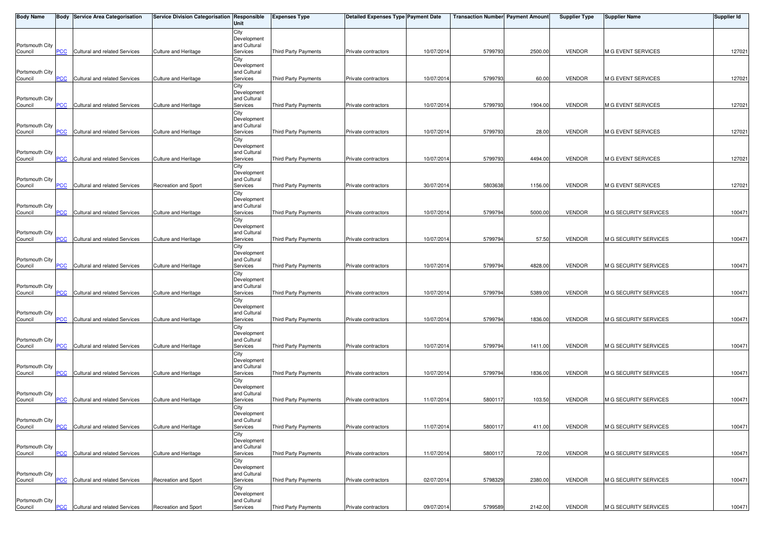| <b>Body Name</b>           |                           | <b>Body Service Area Categorisation</b> | Service Division Categorisation Responsible | Unit                        | <b>Expenses Type</b>        | Detailed Expenses Type Payment Date |            | <b>Transaction Number Payment Amount</b> |         | <b>Supplier Type</b> | <b>Supplier Name</b>      | <b>Supplier Id</b> |
|----------------------------|---------------------------|-----------------------------------------|---------------------------------------------|-----------------------------|-----------------------------|-------------------------------------|------------|------------------------------------------|---------|----------------------|---------------------------|--------------------|
|                            |                           |                                         |                                             | City                        |                             |                                     |            |                                          |         |                      |                           |                    |
| Portsmouth City            |                           |                                         |                                             | Development<br>and Cultural |                             |                                     |            |                                          |         |                      |                           |                    |
| Council                    | PСC                       | Cultural and related Services           | <b>Culture and Heritage</b>                 | Services                    | <b>Third Party Payments</b> | Private contractors                 | 10/07/2014 | 5799793                                  | 2500.00 | <b>VENDOR</b>        | <b>M G EVENT SERVICES</b> | 127021             |
|                            |                           |                                         |                                             | City<br>Development         |                             |                                     |            |                                          |         |                      |                           |                    |
| Portsmouth City            |                           |                                         |                                             | and Cultural                |                             |                                     |            |                                          |         |                      |                           |                    |
| Council                    | <b>PCC</b>                | Cultural and related Services           | <b>Culture and Heritage</b>                 | Services                    | Third Party Payments        | Private contractors                 | 10/07/2014 | 5799793                                  | 60.00   | <b>VENDOR</b>        | <b>M G EVENT SERVICES</b> | 127021             |
|                            |                           |                                         |                                             | City<br>Development         |                             |                                     |            |                                          |         |                      |                           |                    |
| Portsmouth City            |                           |                                         |                                             | and Cultural                |                             |                                     |            |                                          |         |                      |                           |                    |
| Council                    | <u>PCC</u>                | Cultural and related Services           | <b>Culture and Heritage</b>                 | Services<br>City            | Third Party Payments        | Private contractors                 | 10/07/201  | 579979                                   | 1904.00 | <b>VENDOR</b>        | M G EVENT SERVICES        | 127021             |
|                            |                           |                                         |                                             | Development                 |                             |                                     |            |                                          |         |                      |                           |                    |
| Portsmouth City<br>Council | <b>PCC</b>                | <b>Cultural and related Services</b>    | <b>Culture and Heritage</b>                 | and Cultural<br>Services    | Third Party Payments        | Private contractors                 | 10/07/2014 | 5799793                                  | 28.00   | <b>VENDOR</b>        | <b>M G EVENT SERVICES</b> | 127021             |
|                            |                           |                                         |                                             | City                        |                             |                                     |            |                                          |         |                      |                           |                    |
| Portsmouth City            |                           |                                         |                                             | Development<br>and Cultural |                             |                                     |            |                                          |         |                      |                           |                    |
| Council                    | PCC                       | Cultural and related Services           | <b>Culture and Heritage</b>                 | Services                    | Third Party Payments        | Private contractors                 | 10/07/201  | 5799793                                  | 4494.00 | <b>VENDOR</b>        | <b>M G EVENT SERVICES</b> | 127021             |
|                            |                           |                                         |                                             | City                        |                             |                                     |            |                                          |         |                      |                           |                    |
| Portsmouth City            |                           |                                         |                                             | Development<br>and Cultural |                             |                                     |            |                                          |         |                      |                           |                    |
| Council                    | <b>PCC</b>                | Cultural and related Services           | <b>Recreation and Sport</b>                 | Services                    | <b>Third Party Payments</b> | Private contractors                 | 30/07/201  | 580363                                   | 1156.00 | <b>VENDOR</b>        | M G EVENT SERVICES        | 127021             |
|                            |                           |                                         |                                             | City<br>Development         |                             |                                     |            |                                          |         |                      |                           |                    |
| Portsmouth City            |                           |                                         |                                             | and Cultural                |                             |                                     |            |                                          |         |                      |                           |                    |
| Council                    | <b>PCC</b>                | Cultural and related Services           | Culture and Heritage                        | Services<br>City            | Third Party Payments        | Private contractors                 | 10/07/201  | 5799794                                  | 5000.00 | <b>VENDOR</b>        | M G SECURITY SERVICES     | 100471             |
|                            |                           |                                         |                                             | Development                 |                             |                                     |            |                                          |         |                      |                           |                    |
| Portsmouth City            |                           |                                         | <b>Culture and Heritage</b>                 | and Cultural                |                             | Private contractors                 | 10/07/201  | 5799794                                  | 57.50   | <b>VENDOR</b>        | M G SECURITY SERVICES     | 100471             |
| Council                    | <b>PCC</b>                | Cultural and related Services           |                                             | Services<br>City            | Third Party Payments        |                                     |            |                                          |         |                      |                           |                    |
|                            |                           |                                         |                                             | Development                 |                             |                                     |            |                                          |         |                      |                           |                    |
| Portsmouth City<br>Council | PCC                       | Cultural and related Services           | Culture and Heritage                        | and Cultural<br>Services    | Third Party Payments        | Private contractors                 | 10/07/201  | 5799794                                  | 4828.00 | <b>VENDOR</b>        | M G SECURITY SERVICES     | 100471             |
|                            |                           |                                         |                                             | City                        |                             |                                     |            |                                          |         |                      |                           |                    |
| Portsmouth City            |                           |                                         |                                             | Development<br>and Cultural |                             |                                     |            |                                          |         |                      |                           |                    |
| Council                    | $\overline{C}$            | Cultural and related Services           | <b>Culture and Heritage</b>                 | Services                    | Third Party Payments        | Private contractors                 | 10/07/2014 | 5799794                                  | 5389.00 | <b>VENDOR</b>        | M G SECURITY SERVICES     | 100471             |
|                            |                           |                                         |                                             | City                        |                             |                                     |            |                                          |         |                      |                           |                    |
| Portsmouth City            |                           |                                         |                                             | Development<br>and Cultural |                             |                                     |            |                                          |         |                      |                           |                    |
| Council                    | PCC                       | Cultural and related Services           | Culture and Heritage                        | Services                    | <b>Third Party Payments</b> | Private contractors                 | 10/07/2014 | 5799794                                  | 1836.00 | <b>VENDOR</b>        | M G SECURITY SERVICES     | 100471             |
|                            |                           |                                         |                                             | City<br>Development         |                             |                                     |            |                                          |         |                      |                           |                    |
| Portsmouth City            |                           |                                         |                                             | and Cultural                |                             |                                     |            |                                          |         |                      |                           |                    |
| Council                    | PCC                       | Cultural and related Services           | Culture and Heritage                        | Services<br>City            | Third Party Payments        | Private contractors                 | 10/07/201  | 5799794                                  | 1411.00 | <b>VENDOR</b>        | M G SECURITY SERVICES     | 100471             |
|                            |                           |                                         |                                             | Development                 |                             |                                     |            |                                          |         |                      |                           |                    |
| Portsmouth City<br>Council | <b>PCC</b>                | Cultural and related Services           | Culture and Heritage                        | and Cultural<br>Services    | Third Party Payments        | Private contractors                 | 10/07/2014 | 5799794                                  | 1836.00 | <b>VENDOR</b>        | M G SECURITY SERVICES     | 100471             |
|                            |                           |                                         |                                             | City                        |                             |                                     |            |                                          |         |                      |                           |                    |
| Portsmouth City            |                           |                                         |                                             | Development<br>and Cultural |                             |                                     |            |                                          |         |                      |                           |                    |
| Council                    | <b>PCC</b>                | Cultural and related Services           | <b>Culture and Heritage</b>                 | Services                    | Third Party Payments        | Private contractors                 | 11/07/2014 | 5800117                                  | 103.50  | <b>VENDOR</b>        | M G SECURITY SERVICES     | 100471             |
|                            |                           |                                         |                                             | City                        |                             |                                     |            |                                          |         |                      |                           |                    |
| Portsmouth City            |                           |                                         |                                             | Development<br>and Cultural |                             |                                     |            |                                          |         |                      |                           |                    |
| Council                    | <b>PCC</b>                | Cultural and related Services           | <b>Culture and Heritage</b>                 | Services                    | Third Party Payments        | Private contractors                 | 11/07/2014 | 5800117                                  | 411.00  | <b>VENDOR</b>        | M G SECURITY SERVICES     | 100471             |
|                            |                           |                                         |                                             | City<br>Development         |                             |                                     |            |                                          |         |                      |                           |                    |
| Portsmouth City            |                           |                                         |                                             | and Cultural                |                             |                                     |            |                                          |         |                      |                           |                    |
| Council                    | PCC                       | Cultural and related Services           | <b>Culture and Heritage</b>                 | Services                    | Third Party Payments        | Private contractors                 | 11/07/2014 | 580011                                   | 72.00   | <b>VENDOR</b>        | M G SECURITY SERVICES     | 100471             |
|                            |                           |                                         |                                             | City<br>Development         |                             |                                     |            |                                          |         |                      |                           |                    |
| Portsmouth City            | <b>PCC</b>                | Cultural and related Services           | Recreation and Sport                        | and Cultural<br>Services    |                             |                                     |            |                                          | 2380.00 | <b>VENDOR</b>        |                           | 100471             |
| Council                    |                           |                                         |                                             | City                        | Third Party Payments        | Private contractors                 | 02/07/201  | 5798329                                  |         |                      | M G SECURITY SERVICES     |                    |
|                            |                           |                                         |                                             | Development                 |                             |                                     |            |                                          |         |                      |                           |                    |
| Portsmouth City<br>Council | $\overline{\mathsf{PCC}}$ | Cultural and related Services           | Recreation and Sport                        | and Cultural<br>Services    | Third Party Payments        | Private contractors                 | 09/07/2014 | 5799589                                  | 2142.00 | <b>VENDOR</b>        | M G SECURITY SERVICES     | 100471             |
|                            |                           |                                         |                                             |                             |                             |                                     |            |                                          |         |                      |                           |                    |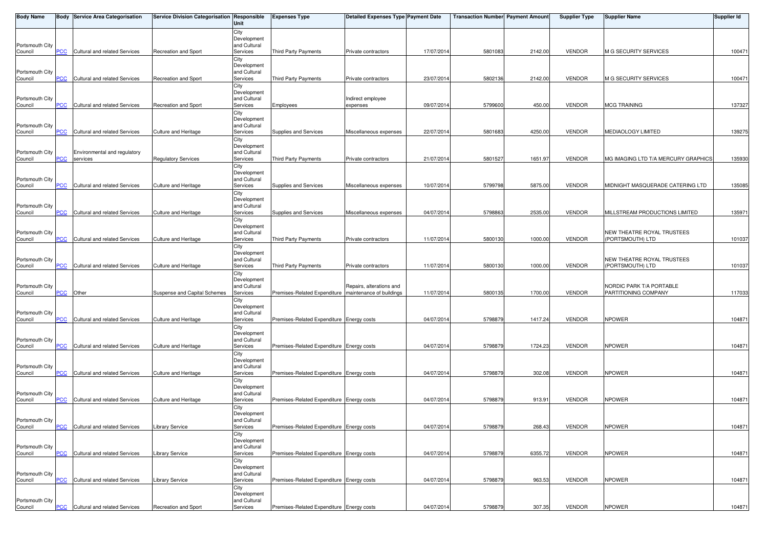| <b>Body Name</b>           |                | <b>Body Service Area Categorisation</b> | Service Division Categorisation Responsible | Unit                        | <b>Expenses Type</b>                                    | <b>Detailed Expenses Type Payment Date</b> |            | <b>Transaction Number Payment Amount</b> |         | <b>Supplier Type</b> | <b>Supplier Name</b>                           | Supplier Id |
|----------------------------|----------------|-----------------------------------------|---------------------------------------------|-----------------------------|---------------------------------------------------------|--------------------------------------------|------------|------------------------------------------|---------|----------------------|------------------------------------------------|-------------|
|                            |                |                                         |                                             | City<br>Development         |                                                         |                                            |            |                                          |         |                      |                                                |             |
| Portsmouth City            |                |                                         |                                             | and Cultural                |                                                         |                                            |            |                                          |         |                      |                                                |             |
| Council                    | PСC            | <b>Cultural and related Services</b>    | Recreation and Sport                        | Services                    | <b>Third Party Payments</b>                             | Private contractors                        | 17/07/2014 | 5801083                                  | 2142.00 | <b>VENDOR</b>        | M G SECURITY SERVICES                          | 10047       |
|                            |                |                                         |                                             | City<br>Development         |                                                         |                                            |            |                                          |         |                      |                                                |             |
| Portsmouth City<br>Council | PCC            | Cultural and related Services           | Recreation and Sport                        | and Cultural<br>Services    | Third Party Payments                                    | Private contractors                        | 23/07/2014 | 5802136                                  | 2142.00 | <b>VENDOR</b>        | M G SECURITY SERVICES                          | 100471      |
|                            |                |                                         |                                             | City                        |                                                         |                                            |            |                                          |         |                      |                                                |             |
|                            |                |                                         |                                             | Development<br>and Cultural |                                                         |                                            |            |                                          |         |                      |                                                |             |
| Portsmouth City<br>Council | <u>PCC</u>     | Cultural and related Services           | Recreation and Sport                        | Services                    | Employees                                               | Indirect employee<br>expenses              | 09/07/2014 | 5799600                                  | 450.00  | <b>VENDOR</b>        | <b>MCG TRAINING</b>                            | 137327      |
|                            |                |                                         |                                             | City                        |                                                         |                                            |            |                                          |         |                      |                                                |             |
| Portsmouth City            |                |                                         |                                             | Development<br>and Cultural |                                                         |                                            |            |                                          |         |                      |                                                |             |
| Council                    | PCC            | Cultural and related Services           | Culture and Heritage                        | Services                    | Supplies and Services                                   | Miscellaneous expenses                     | 22/07/2014 | 5801683                                  | 4250.00 | <b>VENDOR</b>        | MEDIAOLOGY LIMITED                             | 139275      |
|                            |                |                                         |                                             | City<br>Development         |                                                         |                                            |            |                                          |         |                      |                                                |             |
| Portsmouth City            |                | Environmental and regulatory            | <b>Regulatory Services</b>                  | and Cultural<br>Services    |                                                         |                                            | 21/07/2014 | 5801527                                  | 1651.97 | <b>VENDOR</b>        | MG IMAGING LTD T/A MERCURY GRAPHICS            | 135930      |
| Council                    | $\overline{C}$ | services                                |                                             | City                        | Third Party Payments                                    | Private contractors                        |            |                                          |         |                      |                                                |             |
|                            |                |                                         |                                             | Development                 |                                                         |                                            |            |                                          |         |                      |                                                |             |
| Portsmouth City<br>Council | <u>PCC</u>     | Cultural and related Services           | Culture and Heritage                        | and Cultural<br>Services    | Supplies and Services                                   | Miscellaneous expenses                     | 10/07/2014 | 5799798                                  | 5875.00 | <b>VENDOR</b>        | MIDNIGHT MASQUERADE CATERING LTD               | 135085      |
|                            |                |                                         |                                             | City                        |                                                         |                                            |            |                                          |         |                      |                                                |             |
| Portsmouth City            |                |                                         |                                             | Development<br>and Cultural |                                                         |                                            |            |                                          |         |                      |                                                |             |
| Council                    | PCC            | Cultural and related Services           | Culture and Heritage                        | Services                    | Supplies and Services                                   | Miscellaneous expenses                     | 04/07/201  | 5798863                                  | 2535.00 | <b>VENDOR</b>        | MILLSTREAM PRODUCTIONS LIMITED                 | 13597       |
|                            |                |                                         |                                             | City<br>Development         |                                                         |                                            |            |                                          |         |                      |                                                |             |
| Portsmouth City            |                |                                         |                                             | and Cultural                |                                                         |                                            |            |                                          |         |                      | NEW THEATRE ROYAL TRUSTEES                     |             |
| Council                    | <u>PCC</u>     | Cultural and related Services           | Culture and Heritage                        | Services<br>City            | Third Party Payments                                    | Private contractors                        | 11/07/2014 | 5800130                                  | 1000.00 | VENDOR               | (PORTSMOUTH) LTD                               | 101037      |
|                            |                |                                         |                                             | Development                 |                                                         |                                            |            |                                          |         |                      |                                                |             |
| Portsmouth City<br>Council | <b>PCC</b>     | Cultural and related Services           | <b>Culture and Heritage</b>                 | and Cultural<br>Services    | Third Party Payments                                    | Private contractors                        | 11/07/2014 | 5800130                                  | 1000.00 | <b>VENDOR</b>        | NEW THEATRE ROYAL TRUSTEES<br>(PORTSMOUTH) LTD | 101037      |
|                            |                |                                         |                                             | City                        |                                                         |                                            |            |                                          |         |                      |                                                |             |
| Portsmouth City            |                |                                         |                                             | Development<br>and Cultural |                                                         | Repairs, alterations and                   |            |                                          |         |                      | NORDIC PARK T/A PORTABLE                       |             |
| Council                    | $\overline{C}$ | Other                                   | Suspense and Capital Schemes                | Services                    | Premises-Related Expenditure   maintenance of buildings |                                            | 11/07/2014 | 5800135                                  | 1700.00 | <b>VENDOR</b>        | PARTITIONING COMPANY                           | 117033      |
|                            |                |                                         |                                             | City<br>Development         |                                                         |                                            |            |                                          |         |                      |                                                |             |
| Portsmouth City            |                |                                         |                                             | and Cultural                |                                                         |                                            |            |                                          |         |                      |                                                |             |
| Council                    | PCC            | Cultural and related Services           | Culture and Heritage                        | Services<br>City            | Premises-Related Expenditure Energy costs               |                                            | 04/07/2014 | 5798879                                  | 1417.24 | <b>VENDOR</b>        | <b>NPOWER</b>                                  | 104871      |
|                            |                |                                         |                                             | Development                 |                                                         |                                            |            |                                          |         |                      |                                                |             |
| Portsmouth City<br>Council | PСC            | Cultural and related Services           | Culture and Heritage                        | and Cultural<br>Services    | Premises-Related Expenditure Energy costs               |                                            | 04/07/2014 | 5798879                                  | 1724.23 | <b>VENDOR</b>        | <b>NPOWER</b>                                  | 10487       |
|                            |                |                                         |                                             | City                        |                                                         |                                            |            |                                          |         |                      |                                                |             |
| Portsmouth City            |                |                                         |                                             | Development<br>and Cultural |                                                         |                                            |            |                                          |         |                      |                                                |             |
| Council                    | <b>PCC</b>     | Cultural and related Services           | Culture and Heritage                        | Services                    | Premises-Related Expenditure Energy costs               |                                            | 04/07/2014 | 5798879                                  | 302.08  | VENDOR               | <b>NPOWER</b>                                  | 10487       |
|                            |                |                                         |                                             | City<br>Development         |                                                         |                                            |            |                                          |         |                      |                                                |             |
| Portsmouth City            |                |                                         |                                             | and Cultural                |                                                         |                                            |            |                                          |         |                      |                                                |             |
| Council                    | PCC            | Cultural and related Services           | Culture and Heritage                        | Services<br>City            | Premises-Related Expenditure Energy costs               |                                            | 04/07/2014 | 5798879                                  | 913.91  | <b>VENDOR</b>        | <b>NPOWER</b>                                  | 104871      |
|                            |                |                                         |                                             | Development                 |                                                         |                                            |            |                                          |         |                      |                                                |             |
| Portsmouth City<br>Council | <b>PCC</b>     | Cultural and related Services           | Library Service                             | and Cultural<br>Services    | Premises-Related Expenditure Energy costs               |                                            | 04/07/2014 | 5798879                                  | 268.43  | <b>VENDOR</b>        | <b>NPOWER</b>                                  | 104871      |
|                            |                |                                         |                                             | City                        |                                                         |                                            |            |                                          |         |                      |                                                |             |
| Portsmouth City            |                |                                         |                                             | Development<br>and Cultural |                                                         |                                            |            |                                          |         |                      |                                                |             |
| Council                    | PCC            | Cultural and related Services           | <b>Library Service</b>                      | Services                    | Premises-Related Expenditure Energy costs               |                                            | 04/07/2014 | 5798879                                  | 6355.72 | <b>VENDOR</b>        | <b>NPOWER</b>                                  | 104871      |
|                            |                |                                         |                                             | City<br>Development         |                                                         |                                            |            |                                          |         |                      |                                                |             |
| Portsmouth City            |                |                                         |                                             | and Cultural                |                                                         |                                            |            |                                          |         |                      |                                                |             |
| Council                    | PCC            | Cultural and related Services           | Library Service                             | Services<br>City            | Premises-Related Expenditure Energy costs               |                                            | 04/07/2014 | 5798879                                  | 963.53  | VENDOR               | <b>NPOWER</b>                                  | 104871      |
|                            |                |                                         |                                             | Development                 |                                                         |                                            |            |                                          |         |                      |                                                |             |
| Portsmouth City<br>Council | $PCC$          | Cultural and related Services           | Recreation and Sport                        | and Cultural<br>Services    | Premises-Related Expenditure Energy costs               |                                            | 04/07/2014 | 5798879                                  | 307.35  | VENDOR               | <b>NPOWER</b>                                  | 104871      |
|                            |                |                                         |                                             |                             |                                                         |                                            |            |                                          |         |                      |                                                |             |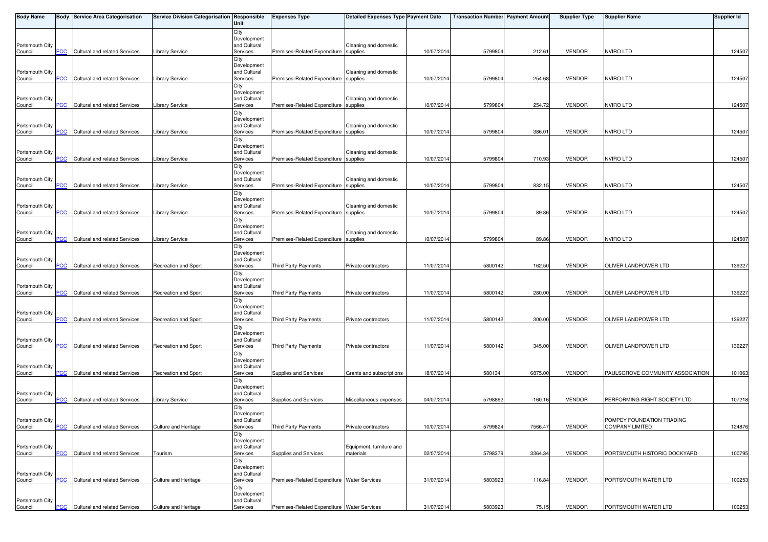| <b>Body Name</b>           |            | <b>Body Service Area Categorisation</b> | Service Division Categorisation Responsible | Unit                        | <b>Expenses Type</b>                        | <b>Detailed Expenses Type Payment Date</b> |            | <b>Transaction Number Payment Amount</b> |           | <b>Supplier Type</b> | <b>Supplier Name</b>             | <b>Supplier Id</b> |
|----------------------------|------------|-----------------------------------------|---------------------------------------------|-----------------------------|---------------------------------------------|--------------------------------------------|------------|------------------------------------------|-----------|----------------------|----------------------------------|--------------------|
|                            |            |                                         |                                             | City                        |                                             |                                            |            |                                          |           |                      |                                  |                    |
| Portsmouth City            |            |                                         |                                             | Development<br>and Cultural |                                             | Cleaning and domestic                      |            |                                          |           |                      |                                  |                    |
| Council                    | <b>PCC</b> | Cultural and related Services           | Library Service                             | Services                    | Premises-Related Expenditure supplies       |                                            | 10/07/2014 | 5799804                                  | 212.61    | <b>VENDOR</b>        | <b>NVIRO LTD</b>                 | 124507             |
|                            |            |                                         |                                             | City                        |                                             |                                            |            |                                          |           |                      |                                  |                    |
| Portsmouth City            |            |                                         |                                             | Development<br>and Cultural |                                             | Cleaning and domestic                      |            |                                          |           |                      |                                  |                    |
| Council                    | PCC        | Cultural and related Services           | Library Service                             | Services                    | Premises-Related Expenditure supplies       |                                            | 10/07/2014 | 5799804                                  | 254.68    | <b>VENDOR</b>        | <b>NVIRO LTD</b>                 | 124507             |
|                            |            |                                         |                                             | City<br>Development         |                                             |                                            |            |                                          |           |                      |                                  |                    |
| Portsmouth City            |            |                                         |                                             | and Cultural                |                                             | Cleaning and domestic                      |            |                                          |           |                      |                                  |                    |
| Council                    | <u>PCC</u> | Cultural and related Services           | Library Service                             | Services                    | Premises-Related Expenditure supplies       |                                            | 10/07/2014 | 5799804                                  | 254.72    | <b>VENDOR</b>        | <b>NVIRO LTD</b>                 | 124507             |
|                            |            |                                         |                                             | City<br>Development         |                                             |                                            |            |                                          |           |                      |                                  |                    |
| Portsmouth City            |            |                                         |                                             | and Cultural                |                                             | Cleaning and domestic                      |            |                                          |           |                      |                                  |                    |
| Council                    | <b>PCC</b> | Cultural and related Services           | Library Service                             | Services<br>City            | Premises-Related Expenditure supplies       |                                            | 10/07/2014 | 5799804                                  | 386.01    | <b>VENDOR</b>        | <b>NVIRO LTD</b>                 | 124507             |
|                            |            |                                         |                                             | Development                 |                                             |                                            |            |                                          |           |                      |                                  |                    |
| Portsmouth City            |            |                                         |                                             | and Cultural                |                                             | Cleaning and domestic                      |            |                                          |           |                      |                                  |                    |
| Council                    | PCC        | Cultural and related Services           | Library Service                             | Services<br>City            | Premises-Related Expenditure supplies       |                                            | 10/07/2014 | 579980                                   | 710.93    | <b>VENDOR</b>        | <b>NVIRO LTD</b>                 | 124507             |
|                            |            |                                         |                                             | Development                 |                                             |                                            |            |                                          |           |                      |                                  |                    |
| Portsmouth City<br>Council | <u>PCC</u> | Cultural and related Services           | Library Service                             | and Cultural<br>Services    | Premises-Related Expenditure supplies       | Cleaning and domestic                      | 10/07/2014 | 5799804                                  | 832.15    | <b>VENDOR</b>        | <b>NVIRO LTD</b>                 | 124507             |
|                            |            |                                         |                                             | City                        |                                             |                                            |            |                                          |           |                      |                                  |                    |
|                            |            |                                         |                                             | Development                 |                                             |                                            |            |                                          |           |                      |                                  |                    |
| Portsmouth City<br>Council | <b>PCC</b> | Cultural and related Services           | Library Service                             | and Cultural<br>Services    | Premises-Related Expenditure supplies       | Cleaning and domestic                      | 10/07/2014 | 579980                                   | 89.86     | <b>VENDOR</b>        | <b>NVIRO LTD</b>                 | 124507             |
|                            |            |                                         |                                             | City                        |                                             |                                            |            |                                          |           |                      |                                  |                    |
|                            |            |                                         |                                             | Development<br>and Cultural |                                             |                                            |            |                                          |           |                      |                                  |                    |
| Portsmouth City<br>Council | <u>PCC</u> | Cultural and related Services           | <b>Library Service</b>                      | Services                    | Premises-Related Expenditure supplies       | Cleaning and domestic                      | 10/07/2014 | 5799804                                  | 89.86     | <b>VENDOR</b>        | <b>NVIRO LTD</b>                 | 124507             |
|                            |            |                                         |                                             | City                        |                                             |                                            |            |                                          |           |                      |                                  |                    |
| Portsmouth City            |            |                                         |                                             | Development<br>and Cultural |                                             |                                            |            |                                          |           |                      |                                  |                    |
| Council                    | <b>PCC</b> | Cultural and related Services           | Recreation and Sport                        | Services                    | <b>Third Party Payments</b>                 | Private contractors                        | 11/07/2014 | 5800142                                  | 162.50    | <b>VENDOR</b>        | OLIVER LANDPOWER LTD             | 139227             |
|                            |            |                                         |                                             | City                        |                                             |                                            |            |                                          |           |                      |                                  |                    |
| Portsmouth City            |            |                                         |                                             | Development<br>and Cultural |                                             |                                            |            |                                          |           |                      |                                  |                    |
| Council                    | PCC        | Cultural and related Services           | Recreation and Sport                        | Services                    | Third Party Payments                        | Private contractors                        | 11/07/2014 | 5800142                                  | 280.00    | <b>VENDOR</b>        | OLIVER LANDPOWER LTD             | 139227             |
|                            |            |                                         |                                             | City<br>Development         |                                             |                                            |            |                                          |           |                      |                                  |                    |
| Portsmouth City            |            |                                         |                                             | and Cultural                |                                             |                                            |            |                                          |           |                      |                                  |                    |
| Council                    | PCC        | Cultural and related Services           | Recreation and Sport                        | Services                    | Third Party Payments                        | Private contractors                        | 11/07/2014 | 5800142                                  | 300.00    | <b>VENDOR</b>        | OLIVER LANDPOWER LTD             | 139227             |
|                            |            |                                         |                                             | City<br>Development         |                                             |                                            |            |                                          |           |                      |                                  |                    |
| Portsmouth City            |            |                                         |                                             | and Cultural                |                                             |                                            |            |                                          |           |                      |                                  |                    |
| Council                    | PCC        | Cultural and related Services           | Recreation and Sport                        | Services<br>City            | <b>Third Party Payments</b>                 | Private contractors                        | 11/07/2014 | 5800142                                  | 345.00    | <b>VENDOR</b>        | OLIVER LANDPOWER LTD             | 139227             |
|                            |            |                                         |                                             | Development                 |                                             |                                            |            |                                          |           |                      |                                  |                    |
| Portsmouth City<br>Council | <b>PCC</b> | Cultural and related Services           | Recreation and Sport                        | and Cultural<br>Services    | Supplies and Services                       | Grants and subscriptions                   | 18/07/2014 | 5801341                                  | 6875.00   | <b>VENDOR</b>        | PAULSGROVE COMMUNITY ASSOCIATION | 101063             |
|                            |            |                                         |                                             | City                        |                                             |                                            |            |                                          |           |                      |                                  |                    |
|                            |            |                                         |                                             | Development                 |                                             |                                            |            |                                          |           |                      |                                  |                    |
| Portsmouth City<br>Council | <b>PCC</b> | Cultural and related Services           | Library Service                             | and Cultural<br>Services    | Supplies and Services                       | Miscellaneous expenses                     | 04/07/2014 | 5798892                                  | $-160.16$ | <b>VENDOR</b>        | PERFORMING RIGHT SOCIETY LTD     | 107218             |
|                            |            |                                         |                                             | City                        |                                             |                                            |            |                                          |           |                      |                                  |                    |
| Portsmouth City            |            |                                         |                                             | Development                 |                                             |                                            |            |                                          |           |                      | POMPEY FOUNDATION TRADING        |                    |
| Council                    | <b>PCC</b> | Cultural and related Services           | Culture and Heritage                        | and Cultural<br>Services    | Third Party Payments                        | Private contractors                        | 10/07/2014 | 5799824                                  | 7566.47   | <b>VENDOR</b>        | <b>COMPANY LIMITED</b>           | 124876             |
|                            |            |                                         |                                             | City                        |                                             |                                            |            |                                          |           |                      |                                  |                    |
| Portsmouth City            |            |                                         |                                             | Development<br>and Cultural |                                             | Equipment, furniture and                   |            |                                          |           |                      |                                  |                    |
| Council                    | <b>PCC</b> | Cultural and related Services           | Tourism                                     | Services                    | Supplies and Services                       | materials                                  | 02/07/2014 | 5798379                                  | 3364.34   | <b>VENDOR</b>        | PORTSMOUTH HISTORIC DOCKYARD     | 100795             |
|                            |            |                                         |                                             | City                        |                                             |                                            |            |                                          |           |                      |                                  |                    |
| Portsmouth City            |            |                                         |                                             | Development<br>and Cultural |                                             |                                            |            |                                          |           |                      |                                  |                    |
| Council                    | PCC        | Cultural and related Services           | Culture and Heritage                        | Services                    | Premises-Related Expenditure Water Services |                                            | 31/07/2014 | 5803923                                  | 116.84    | <b>VENDOR</b>        | PORTSMOUTH WATER LTD             | 100253             |
|                            |            |                                         |                                             | City<br>Development         |                                             |                                            |            |                                          |           |                      |                                  |                    |
| Portsmouth City            |            |                                         |                                             | and Cultural                |                                             |                                            |            |                                          |           |                      |                                  |                    |
| Council                    | <b>PCC</b> | Cultural and related Services           | Culture and Heritage                        | Services                    | Premises-Related Expenditure Water Services |                                            | 31/07/2014 | 5803923                                  | 75.15     | <b>VENDOR</b>        | PORTSMOUTH WATER LTD             | 100253             |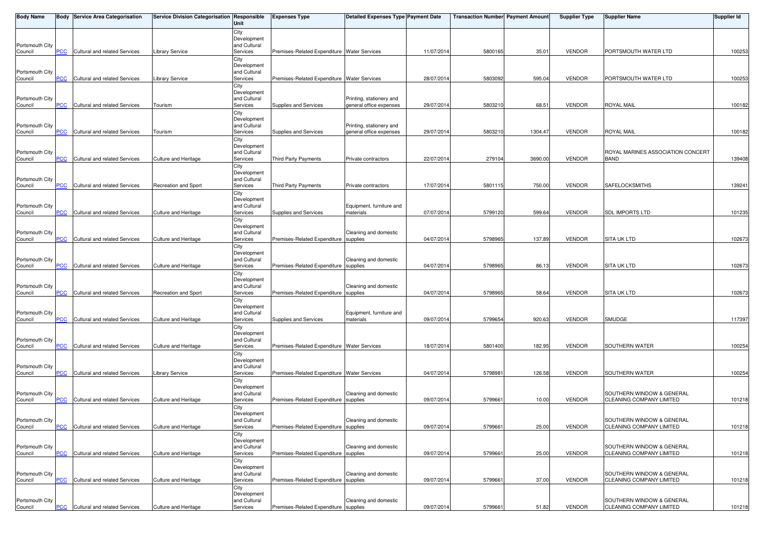| <b>Body Name</b>           |            | <b>Body Service Area Categorisation</b> | Service Division Categorisation Responsible | Unit                        | <b>Expenses Type</b>                        | <b>Detailed Expenses Type Payment Date</b> |            | <b>Transaction Number Payment Amount</b> |         | <b>Supplier Type</b> | <b>Supplier Name</b>                                  | <b>Supplier Id</b> |
|----------------------------|------------|-----------------------------------------|---------------------------------------------|-----------------------------|---------------------------------------------|--------------------------------------------|------------|------------------------------------------|---------|----------------------|-------------------------------------------------------|--------------------|
|                            |            |                                         |                                             | City                        |                                             |                                            |            |                                          |         |                      |                                                       |                    |
| Portsmouth City            |            |                                         |                                             | Development<br>and Cultural |                                             |                                            |            |                                          |         |                      |                                                       |                    |
| Council                    | PСC        | Cultural and related Services           | Library Service                             | Services                    | Premises-Related Expenditure Water Services |                                            | 11/07/2014 | 5800165                                  | 35.01   | <b>VENDOR</b>        | PORTSMOUTH WATER LTD                                  | 100253             |
|                            |            |                                         |                                             | City<br>Development         |                                             |                                            |            |                                          |         |                      |                                                       |                    |
| Portsmouth City            |            |                                         |                                             | and Cultural                |                                             |                                            |            |                                          |         |                      |                                                       |                    |
| Council                    | PCC        | Cultural and related Services           | Library Service                             | Services                    | Premises-Related Expenditure Water Services |                                            | 28/07/2014 | 5803092                                  | 595.04  | <b>VENDOR</b>        | PORTSMOUTH WATER LTD                                  | 100253             |
|                            |            |                                         |                                             | City<br>Development         |                                             |                                            |            |                                          |         |                      |                                                       |                    |
| Portsmouth City            |            |                                         |                                             | and Cultural                |                                             | Printing, stationery and                   |            |                                          |         |                      |                                                       |                    |
| Council                    | <b>PCC</b> | Cultural and related Services           | Tourism                                     | Services                    | Supplies and Services                       | general office expenses                    | 29/07/201  | 5803210                                  | 68.51   | <b>VENDOR</b>        | <b>ROYAL MAIL</b>                                     | 100182             |
|                            |            |                                         |                                             | City<br>Development         |                                             |                                            |            |                                          |         |                      |                                                       |                    |
| Portsmouth City            |            |                                         |                                             | and Cultural                |                                             | Printing, stationery and                   |            |                                          |         |                      |                                                       |                    |
| Council                    | <b>PCC</b> | Cultural and related Services           | Tourism                                     | Services<br>City            | Supplies and Services                       | general office expenses                    | 29/07/201  | 5803210                                  | 1304.47 | <b>VENDOR</b>        | <b>ROYAL MAIL</b>                                     | 100182             |
|                            |            |                                         |                                             | Development                 |                                             |                                            |            |                                          |         |                      |                                                       |                    |
| Portsmouth City<br>Council | PCC        | Cultural and related Services           | <b>Culture and Heritage</b>                 | and Cultural<br>Services    | Third Party Payments                        | Private contractors                        | 22/07/201  | 279104                                   | 3690.00 | <b>VENDOR</b>        | ROYAL MARINES ASSOCIATION CONCERT<br><b>BAND</b>      | 139408             |
|                            |            |                                         |                                             | City                        |                                             |                                            |            |                                          |         |                      |                                                       |                    |
|                            |            |                                         |                                             | Development                 |                                             |                                            |            |                                          |         |                      |                                                       |                    |
| Portsmouth City<br>Council | <b>PCC</b> | Cultural and related Services           | <b>Recreation and Sport</b>                 | and Cultural<br>Services    | Third Party Payments                        | Private contractors                        | 17/07/201  | 5801115                                  | 750.00  | <b>VENDOR</b>        | <b>SAFELOCKSMITHS</b>                                 | 139241             |
|                            |            |                                         |                                             | City                        |                                             |                                            |            |                                          |         |                      |                                                       |                    |
| Portsmouth City            |            |                                         |                                             | Development<br>and Cultural |                                             | Equipment, furniture and                   |            |                                          |         |                      |                                                       |                    |
| Council                    | <b>PCC</b> | Cultural and related Services           | Culture and Heritage                        | Services                    | Supplies and Services                       | materials                                  | 07/07/201  | 5799120                                  | 599.64  | <b>VENDOR</b>        | <b>SDL IMPORTS LTD</b>                                | 101235             |
|                            |            |                                         |                                             | City                        |                                             |                                            |            |                                          |         |                      |                                                       |                    |
| Portsmouth City            |            |                                         |                                             | Development<br>and Cultural |                                             | Cleaning and domestic                      |            |                                          |         |                      |                                                       |                    |
| Council                    | <u>PCC</u> | Cultural and related Services           | <b>Culture and Heritage</b>                 | Services                    | Premises-Related Expenditure supplies       |                                            | 04/07/201  | 5798965                                  | 137.89  | <b>VENDOR</b>        | <b>SITA UK LTD</b>                                    | 102673             |
|                            |            |                                         |                                             | City<br>Development         |                                             |                                            |            |                                          |         |                      |                                                       |                    |
| Portsmouth City            |            |                                         |                                             | and Cultural                |                                             | Cleaning and domestic                      |            |                                          |         |                      |                                                       |                    |
| Council                    | PCC.       | Cultural and related Services           | <b>Culture and Heritage</b>                 | Services                    | Premises-Related Expenditure supplies       |                                            | 04/07/201  | 5798965                                  | 86.13   | <b>VENDOR</b>        | <b>SITA UK LTD</b>                                    | 102673             |
|                            |            |                                         |                                             | City<br>Development         |                                             |                                            |            |                                          |         |                      |                                                       |                    |
| Portsmouth City            |            |                                         |                                             | and Cultural                |                                             | Cleaning and domestic                      |            |                                          |         |                      |                                                       |                    |
| Council                    | <b>PCC</b> | Cultural and related Services           | <b>Recreation and Sport</b>                 | Services<br>City            | Premises-Related Expenditure supplies       |                                            | 04/07/2014 | 5798965                                  | 58.64   | <b>VENDOR</b>        | <b>SITA UK LTD</b>                                    | 102673             |
|                            |            |                                         |                                             | Development                 |                                             |                                            |            |                                          |         |                      |                                                       |                    |
| Portsmouth City            | PCC        |                                         |                                             | and Cultural                |                                             | Equipment, furniture and                   |            |                                          |         |                      |                                                       |                    |
| Council                    |            | Cultural and related Services           | Culture and Heritage                        | Services<br>City            | Supplies and Services                       | materials                                  | 09/07/2014 | 5799654                                  | 920.63  | <b>VENDOR</b>        | SMUDGE                                                | 117397             |
|                            |            |                                         |                                             | Development                 |                                             |                                            |            |                                          |         |                      |                                                       |                    |
| Portsmouth City<br>Council | PСC        | Cultural and related Services           | Culture and Heritage                        | and Cultural<br>Services    | Premises-Related Expenditure Water Services |                                            | 18/07/201  | 5801400                                  | 182.95  | <b>VENDOR</b>        | SOUTHERN WATER                                        | 100254             |
|                            |            |                                         |                                             | City                        |                                             |                                            |            |                                          |         |                      |                                                       |                    |
| Portsmouth City            |            |                                         |                                             | Development<br>and Cultural |                                             |                                            |            |                                          |         |                      |                                                       |                    |
| Council                    | <b>PCC</b> | Cultural and related Services           | Library Service                             | Services                    | Premises-Related Expenditure Water Services |                                            | 04/07/2014 | 5798981                                  | 126.58  | <b>VENDOR</b>        | SOUTHERN WATER                                        | 100254             |
|                            |            |                                         |                                             | City                        |                                             |                                            |            |                                          |         |                      |                                                       |                    |
| Portsmouth City            |            |                                         |                                             | Development<br>and Cultural |                                             | Cleaning and domestic                      |            |                                          |         |                      | SOUTHERN WINDOW & GENERAL                             |                    |
| Council                    | <b>PCC</b> | Cultural and related Services           | <b>Culture and Heritage</b>                 | Services                    | Premises-Related Expenditure supplies       |                                            | 09/07/2014 | 5799661                                  | 10.00   | <b>VENDOR</b>        | CLEANING COMPANY LIMITED                              | 101218             |
|                            |            |                                         |                                             | City<br>Development         |                                             |                                            |            |                                          |         |                      |                                                       |                    |
| Portsmouth City            |            |                                         |                                             | and Cultural                |                                             | Cleaning and domestic                      |            |                                          |         |                      | SOUTHERN WINDOW & GENERAL                             |                    |
| Council                    | <b>PCC</b> | Cultural and related Services           | Culture and Heritage                        | Services                    | Premises-Related Expenditure supplies       |                                            | 09/07/2014 | 5799661                                  | 25.00   | <b>VENDOR</b>        | CLEANING COMPANY LIMITED                              | 101218             |
|                            |            |                                         |                                             | City<br>Development         |                                             |                                            |            |                                          |         |                      |                                                       |                    |
| Portsmouth City            |            |                                         |                                             | and Cultural                |                                             | Cleaning and domestic                      |            |                                          |         |                      | SOUTHERN WINDOW & GENERAL                             |                    |
| Council                    | PCC        | Cultural and related Services           | Culture and Heritage                        | Services<br>City            | Premises-Related Expenditure supplies       |                                            | 09/07/2014 | 579966                                   | 25.00   | <b>VENDOR</b>        | CLEANING COMPANY LIMITED                              | 101218             |
|                            |            |                                         |                                             | Development                 |                                             |                                            |            |                                          |         |                      |                                                       |                    |
| Portsmouth City<br>Council | PCC        | Cultural and related Services           | Culture and Heritage                        | and Cultural<br>Services    | Premises-Related Expenditure                | Cleaning and domestic<br>supplies          | 09/07/201  | 5799661                                  | 37.00   | <b>VENDOR</b>        | SOUTHERN WINDOW & GENERAL<br>CLEANING COMPANY LIMITED | 101218             |
|                            |            |                                         |                                             | City                        |                                             |                                            |            |                                          |         |                      |                                                       |                    |
|                            |            |                                         |                                             | Development                 |                                             |                                            |            |                                          |         |                      |                                                       |                    |
| Portsmouth City<br>Council | <b>PCC</b> | Cultural and related Services           | Culture and Heritage                        | and Cultural<br>Services    | Premises-Related Expenditure supplies       | Cleaning and domestic                      | 09/07/2014 | 5799661                                  | 51.82   | VENDOR               | SOUTHERN WINDOW & GENERAL<br>CLEANING COMPANY LIMITED | 101218             |
|                            |            |                                         |                                             |                             |                                             |                                            |            |                                          |         |                      |                                                       |                    |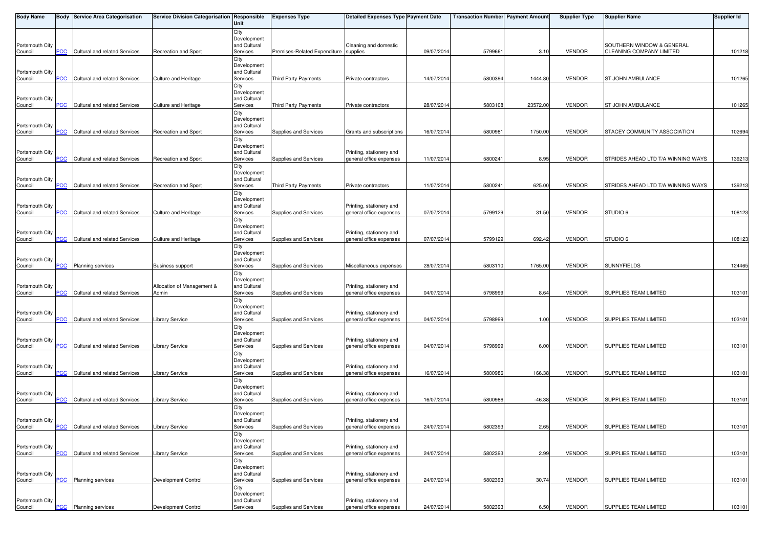| Body Name                  |                | <b>Body Service Area Categorisation</b> | Service Division Categorisation Responsible | Unit                        | <b>Expenses Type</b>                  | <b>Detailed Expenses Type Payment Date</b>          |            | <b>Transaction Number Payment Amount</b> |          | <b>Supplier Type</b> | <b>Supplier Name</b>               | Supplier Id |
|----------------------------|----------------|-----------------------------------------|---------------------------------------------|-----------------------------|---------------------------------------|-----------------------------------------------------|------------|------------------------------------------|----------|----------------------|------------------------------------|-------------|
|                            |                |                                         |                                             | City                        |                                       |                                                     |            |                                          |          |                      |                                    |             |
| Portsmouth City            |                |                                         |                                             | Development<br>and Cultural |                                       | Cleaning and domestic                               |            |                                          |          |                      | SOUTHERN WINDOW & GENERAL          |             |
| Council                    | PСC            | Cultural and related Services           | Recreation and Sport                        | Services                    | Premises-Related Expenditure supplies |                                                     | 09/07/2014 | 579966                                   | 3.10     | <b>VENDOR</b>        | CLEANING COMPANY LIMITED           | 101218      |
|                            |                |                                         |                                             | City                        |                                       |                                                     |            |                                          |          |                      |                                    |             |
| Portsmouth City            |                |                                         |                                             | Development<br>and Cultural |                                       |                                                     |            |                                          |          |                      |                                    |             |
| Council                    | <b>PCC</b>     | Cultural and related Services           | Culture and Heritage                        | Services                    | Third Party Payments                  | Private contractors                                 | 14/07/2014 | 5800394                                  | 1444.80  | <b>VENDOR</b>        | <b>ST JOHN AMBULANCE</b>           | 101265      |
|                            |                |                                         |                                             | City                        |                                       |                                                     |            |                                          |          |                      |                                    |             |
| Portsmouth City            |                |                                         |                                             | Development<br>and Cultural |                                       |                                                     |            |                                          |          |                      |                                    |             |
| Council                    | <b>PCC</b>     | Cultural and related Services           | Culture and Heritage                        | Services                    | Third Party Payments                  | Private contractors                                 | 28/07/2014 | 5803108                                  | 23572.00 | <b>VENDOR</b>        | <b>ST JOHN AMBULANCE</b>           | 101265      |
|                            |                |                                         |                                             | City                        |                                       |                                                     |            |                                          |          |                      |                                    |             |
| Portsmouth City            |                |                                         |                                             | Development<br>and Cultural |                                       |                                                     |            |                                          |          |                      |                                    |             |
| Council                    | <b>PCC</b>     | Cultural and related Services           | Recreation and Sport                        | Services                    | Supplies and Services                 | Grants and subscriptions                            | 16/07/2014 | 580098                                   | 1750.00  | <b>VENDOR</b>        | STACEY COMMUNITY ASSOCIATION       | 102694      |
|                            |                |                                         |                                             | City                        |                                       |                                                     |            |                                          |          |                      |                                    |             |
| Portsmouth City            |                |                                         |                                             | Development<br>and Cultural |                                       |                                                     |            |                                          |          |                      |                                    |             |
| Council                    | PCC            | Cultural and related Services           | Recreation and Sport                        | Services                    | Supplies and Services                 | Printing, stationery and<br>general office expenses | 11/07/201  | 580024                                   | 8.95     | <b>VENDOR</b>        | STRIDES AHEAD LTD T/A WINNING WAYS | 139213      |
|                            |                |                                         |                                             | City                        |                                       |                                                     |            |                                          |          |                      |                                    |             |
| Portsmouth City            |                |                                         |                                             | Development<br>and Cultural |                                       |                                                     |            |                                          |          |                      |                                    |             |
| Council                    | <b>PCC</b>     | Cultural and related Services           | Recreation and Sport                        | Services                    | Third Party Payments                  | Private contractors                                 | 11/07/2014 | 580024                                   | 625.00   | <b>VENDOR</b>        | STRIDES AHEAD LTD T/A WINNING WAYS | 139213      |
|                            |                |                                         |                                             | City                        |                                       |                                                     |            |                                          |          |                      |                                    |             |
|                            |                |                                         |                                             | Development                 |                                       | Printing, stationery and                            |            |                                          |          |                      |                                    |             |
| Portsmouth City<br>Council | <b>PCC</b>     | Cultural and related Services           | <b>Culture and Heritage</b>                 | and Cultural<br>Services    | Supplies and Services                 | general office expenses                             | 07/07/201  | 5799129                                  | 31.50    | <b>VENDOR</b>        | <b>STUDIO 6</b>                    | 108123      |
|                            |                |                                         |                                             | City                        |                                       |                                                     |            |                                          |          |                      |                                    |             |
|                            |                |                                         |                                             | Development                 |                                       |                                                     |            |                                          |          |                      |                                    |             |
| Portsmouth City<br>Council | <u>PCC</u>     | Cultural and related Services           | Culture and Heritage                        | and Cultural<br>Services    | Supplies and Services                 | Printing, stationery and<br>general office expenses | 07/07/2014 | 5799129                                  | 692.42   | <b>VENDOR</b>        | STUDIO 6                           | 108123      |
|                            |                |                                         |                                             | City                        |                                       |                                                     |            |                                          |          |                      |                                    |             |
|                            |                |                                         |                                             | Development                 |                                       |                                                     |            |                                          |          |                      |                                    |             |
| Portsmouth City<br>Council | PСC            | <b>Planning services</b>                | Business support                            | and Cultural<br>Services    | Supplies and Services                 | Miscellaneous expenses                              | 28/07/2014 | 5803110                                  | 1765.00  | <b>VENDOR</b>        | <b>SUNNYFIELDS</b>                 | 124465      |
|                            |                |                                         |                                             | City                        |                                       |                                                     |            |                                          |          |                      |                                    |             |
|                            |                |                                         |                                             | Development                 |                                       |                                                     |            |                                          |          |                      |                                    |             |
| Portsmouth City<br>Council | $\overline{C}$ | Cultural and related Services           | Allocation of Management &<br>Admin         | and Cultural<br>Services    | Supplies and Services                 | Printing, stationery and<br>general office expenses | 04/07/2014 | 5798999                                  | 8.64     | <b>VENDOR</b>        | SUPPLIES TEAM LIMITED              | 103101      |
|                            |                |                                         |                                             | City                        |                                       |                                                     |            |                                          |          |                      |                                    |             |
|                            |                |                                         |                                             | Development                 |                                       |                                                     |            |                                          |          |                      |                                    |             |
| Portsmouth City<br>Council | PCC            | Cultural and related Services           | Library Service                             | and Cultural<br>Services    | Supplies and Services                 | Printing, stationery and<br>general office expenses | 04/07/2014 | 5798999                                  | 1.00     | <b>VENDOR</b>        | SUPPLIES TEAM LIMITED              | 103101      |
|                            |                |                                         |                                             | City                        |                                       |                                                     |            |                                          |          |                      |                                    |             |
|                            |                |                                         |                                             | Development                 |                                       |                                                     |            |                                          |          |                      |                                    |             |
| Portsmouth City<br>Council | PСC            | Cultural and related Services           | <b>Library Service</b>                      | and Cultural<br>Services    | Supplies and Services                 | Printing, stationery and<br>general office expenses | 04/07/2014 | 5798999                                  | 6.00     | <b>VENDOR</b>        | SUPPLIES TEAM LIMITED              | 103101      |
|                            |                |                                         |                                             | City                        |                                       |                                                     |            |                                          |          |                      |                                    |             |
|                            |                |                                         |                                             | Development                 |                                       |                                                     |            |                                          |          |                      |                                    |             |
| Portsmouth City<br>Council | PCC            | Cultural and related Services           | Library Service                             | and Cultural<br>Services    | Supplies and Services                 | Printing, stationery and<br>general office expenses | 16/07/2014 | 5800986                                  | 166.38   | <b>VENDOR</b>        | <b>SUPPLIES TEAM LIMITED</b>       | 103101      |
|                            |                |                                         |                                             | City                        |                                       |                                                     |            |                                          |          |                      |                                    |             |
|                            |                |                                         |                                             | Development                 |                                       |                                                     |            |                                          |          |                      |                                    |             |
| Portsmouth City<br>Council | PCC            | Cultural and related Services           | Library Service                             | and Cultural<br>Services    | Supplies and Services                 | Printing, stationery and<br>general office expenses | 16/07/2014 | 5800986                                  | $-46.38$ | <b>VENDOR</b>        | SUPPLIES TEAM LIMITED              | 103101      |
|                            |                |                                         |                                             | City                        |                                       |                                                     |            |                                          |          |                      |                                    |             |
|                            |                |                                         |                                             | Development                 |                                       |                                                     |            |                                          |          |                      |                                    |             |
| Portsmouth City            | $PCC$          | Cultural and related Services           |                                             | and Cultural<br>Services    |                                       | Printing, stationery and<br>general office expenses | 24/07/2014 | 5802393                                  | 2.65     |                      | SUPPLIES TEAM LIMITED              | 103101      |
| Council                    |                |                                         | <b>Library Service</b>                      | City                        | Supplies and Services                 |                                                     |            |                                          |          | <b>VENDOR</b>        |                                    |             |
|                            |                |                                         |                                             | Development                 |                                       |                                                     |            |                                          |          |                      |                                    |             |
| Portsmouth City<br>Council | <b>PCC</b>     | Cultural and related Services           |                                             | and Cultural<br>Services    |                                       | Printing, stationery and<br>general office expenses | 24/07/2014 | 5802393                                  | 2.99     | <b>VENDOR</b>        | SUPPLIES TEAM LIMITED              | 103101      |
|                            |                |                                         | <b>Library Service</b>                      | City                        | Supplies and Services                 |                                                     |            |                                          |          |                      |                                    |             |
|                            |                |                                         |                                             | Development                 |                                       |                                                     |            |                                          |          |                      |                                    |             |
| Portsmouth City<br>Council |                | Planning services                       | Development Control                         | and Cultural<br>Services    | Supplies and Services                 | Printing, stationery and<br>general office expenses | 24/07/2014 | 5802393                                  | 30.74    | <b>VENDOR</b>        | SUPPLIES TEAM LIMITED              | 103101      |
|                            | <u>PCC</u>     |                                         |                                             | City                        |                                       |                                                     |            |                                          |          |                      |                                    |             |
|                            |                |                                         |                                             | Development                 |                                       |                                                     |            |                                          |          |                      |                                    |             |
| Portsmouth City            |                |                                         |                                             | and Cultural                |                                       | Printing, stationery and                            |            |                                          |          |                      |                                    |             |
| Council                    | <u>PCC</u>     | <b>Planning services</b>                | Development Control                         | Services                    | Supplies and Services                 | general office expenses                             | 24/07/2014 | 5802393                                  | 6.50     | <b>VENDOR</b>        | SUPPLIES TEAM LIMITED              | 103101      |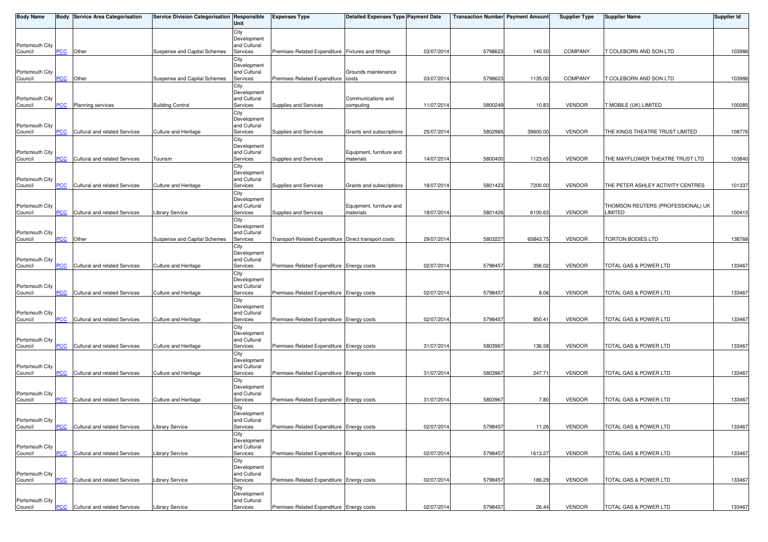| <b>Body Name</b>           |                | <b>Body Service Area Categorisation</b> | Service Division Categorisation Responsible | Unit                        | <b>Expenses Type</b>                                 | <b>Detailed Expenses Type Payment Date</b> |            | <b>Transaction Number Payment Amount</b> |          | <b>Supplier Type</b> | <b>Supplier Name</b>                                | <b>Supplier Id</b> |
|----------------------------|----------------|-----------------------------------------|---------------------------------------------|-----------------------------|------------------------------------------------------|--------------------------------------------|------------|------------------------------------------|----------|----------------------|-----------------------------------------------------|--------------------|
|                            |                |                                         |                                             | City                        |                                                      |                                            |            |                                          |          |                      |                                                     |                    |
| Portsmouth City            |                |                                         |                                             | Development<br>and Cultural |                                                      |                                            |            |                                          |          |                      |                                                     |                    |
| Council                    | PCC            | Other                                   | Suspense and Capital Schemes                | Services                    | Premises-Related Expenditure Fixtures and fittings   |                                            | 03/07/2014 | 5798623                                  | 140.50   | <b>COMPANY</b>       | T COLEBORN AND SON LTD                              | 103986             |
|                            |                |                                         |                                             | City<br>Development         |                                                      |                                            |            |                                          |          |                      |                                                     |                    |
| Portsmouth City<br>Council | <b>PCC</b>     | Other                                   | Suspense and Capital Schemes                | and Cultural<br>Services    | Premises-Related Expenditure costs                   | Grounds maintenance                        | 03/07/2014 | 5798623                                  | 1135.00  | <b>COMPANY</b>       | T COLEBORN AND SON LTD                              | 103986             |
|                            |                |                                         |                                             | City                        |                                                      |                                            |            |                                          |          |                      |                                                     |                    |
| Portsmouth City            |                |                                         |                                             | Development<br>and Cultural |                                                      | Communications and                         |            |                                          |          |                      |                                                     |                    |
| Council                    | <b>PCC</b>     | <b>Planning services</b>                | <b>Building Control</b>                     | Services                    | Supplies and Services                                | computing                                  | 11/07/2014 | 580024                                   | 10.83    | <b>VENDOR</b>        | T MOBILE (UK) LIMITED                               | 100085             |
|                            |                |                                         |                                             | City<br>Development         |                                                      |                                            |            |                                          |          |                      |                                                     |                    |
| Portsmouth City            |                |                                         |                                             | and Cultural                |                                                      |                                            |            |                                          |          |                      |                                                     |                    |
| Council                    | <b>PCC</b>     | Cultural and related Services           | <b>Culture and Heritage</b>                 | Services<br>City            | Supplies and Services                                | Grants and subscriptions                   | 25/07/2014 | 5802965                                  | 39600.00 | <b>VENDOR</b>        | THE KINGS THEATRE TRUST LIMITED                     | 108776             |
|                            |                |                                         |                                             | Development                 |                                                      |                                            |            |                                          |          |                      |                                                     |                    |
| Portsmouth City<br>Council | PCC            | Cultural and related Services           | Tourism                                     | and Cultural<br>Services    | Supplies and Services                                | Equipment, furniture and<br>materials      | 14/07/201  | 5800400                                  | 1123.65  | <b>VENDOR</b>        | THE MAYFLOWER THEATRE TRUST LTD                     | 103840             |
|                            |                |                                         |                                             | City                        |                                                      |                                            |            |                                          |          |                      |                                                     |                    |
| Portsmouth City            |                |                                         |                                             | Development<br>and Cultural |                                                      |                                            |            |                                          |          |                      |                                                     |                    |
| Council                    | <b>PCC</b>     | Cultural and related Services           | Culture and Heritage                        | Services<br>City            | Supplies and Services                                | Grants and subscriptions                   | 18/07/201  | 5801423                                  | 7200.00  | <b>VENDOR</b>        | THE PETER ASHLEY ACTIVITY CENTRES                   | 101337             |
|                            |                |                                         |                                             | Development                 |                                                      |                                            |            |                                          |          |                      |                                                     |                    |
| Portsmouth City<br>Council | <b>PCC</b>     | Cultural and related Services           | Library Service                             | and Cultural<br>Services    | Supplies and Services                                | Equipment, furniture and<br>materials      | 18/07/201  | 5801426                                  | 6100.63  | <b>VENDOR</b>        | THOMSON REUTERS (PROFESSIONAL) UK<br><b>LIMITED</b> | 100413             |
|                            |                |                                         |                                             | City                        |                                                      |                                            |            |                                          |          |                      |                                                     |                    |
| Portsmouth City            |                |                                         |                                             | Development<br>and Cultural |                                                      |                                            |            |                                          |          |                      |                                                     |                    |
| Council                    | $PCC$          | Other                                   | Suspense and Capital Schemes                | Services                    | Transport-Related Expenditure Direct transport costs |                                            | 29/07/201  | 580322                                   | 65843.75 | <b>VENDOR</b>        | TORTON BODIES LTD                                   | 138768             |
|                            |                |                                         |                                             | City<br>Development         |                                                      |                                            |            |                                          |          |                      |                                                     |                    |
| Portsmouth City<br>Council | PCC            | Cultural and related Services           | Culture and Heritage                        | and Cultural<br>Services    | Premises-Related Expenditure Energy costs            |                                            | 02/07/2014 | 5798457                                  | 356.02   | <b>VENDOR</b>        | TOTAL GAS & POWER LTD                               | 133467             |
|                            |                |                                         |                                             | City                        |                                                      |                                            |            |                                          |          |                      |                                                     |                    |
| Portsmouth City            |                |                                         |                                             | Development<br>and Cultural |                                                      |                                            |            |                                          |          |                      |                                                     |                    |
| Council                    | $\overline{C}$ | Cultural and related Services           | <b>Culture and Heritage</b>                 | Services                    | Premises-Related Expenditure Energy costs            |                                            | 02/07/2014 | 5798457                                  | 8.06     | <b>VENDOR</b>        | TOTAL GAS & POWER LTD                               | 133467             |
|                            |                |                                         |                                             | City<br>Development         |                                                      |                                            |            |                                          |          |                      |                                                     |                    |
| Portsmouth City            |                |                                         |                                             | and Cultural                |                                                      |                                            |            |                                          |          |                      |                                                     |                    |
| Council                    | PCC            | Cultural and related Services           | Culture and Heritage                        | Services<br>City            | Premises-Related Expenditure Energy costs            |                                            | 02/07/2014 | 5798457                                  | 850.41   | <b>VENDOR</b>        | TOTAL GAS & POWER LTD                               | 133467             |
|                            |                |                                         |                                             | Development                 |                                                      |                                            |            |                                          |          |                      |                                                     |                    |
| Portsmouth City<br>Council | PCC            | Cultural and related Services           | Culture and Heritage                        | and Cultural<br>Services    | Premises-Related Expenditure Energy costs            |                                            | 31/07/201  | 5803967                                  | 136.58   | <b>VENDOR</b>        | TOTAL GAS & POWER LTD                               | 133467             |
|                            |                |                                         |                                             | City<br>Development         |                                                      |                                            |            |                                          |          |                      |                                                     |                    |
| Portsmouth City            |                |                                         |                                             | and Cultural                |                                                      |                                            |            |                                          |          |                      |                                                     |                    |
| Council                    | <b>PCC</b>     | Cultural and related Services           | Culture and Heritage                        | Services<br>City            | Premises-Related Expenditure Energy costs            |                                            | 31/07/2014 | 5803967                                  | 247.71   | <b>VENDOR</b>        | TOTAL GAS & POWER LTD                               | 133467             |
|                            |                |                                         |                                             | Development                 |                                                      |                                            |            |                                          |          |                      |                                                     |                    |
| Portsmouth City<br>Council | <b>PCC</b>     | Cultural and related Services           | <b>Culture and Heritage</b>                 | and Cultural<br>Services    | Premises-Related Expenditure Energy costs            |                                            | 31/07/2014 | 5803967                                  | 7.80     | <b>VENDOR</b>        | TOTAL GAS & POWER LTD                               | 133467             |
|                            |                |                                         |                                             | City                        |                                                      |                                            |            |                                          |          |                      |                                                     |                    |
| Portsmouth City            |                |                                         |                                             | Development<br>and Cultural |                                                      |                                            |            |                                          |          |                      |                                                     |                    |
| Council                    | <b>PCC</b>     | Cultural and related Services           | <b>Library Service</b>                      | Services                    | Premises-Related Expenditure Energy costs            |                                            | 02/07/2014 | 5798457                                  | 11.26    | <b>VENDOR</b>        | TOTAL GAS & POWER LTD                               | 133467             |
|                            |                |                                         |                                             | City<br>Development         |                                                      |                                            |            |                                          |          |                      |                                                     |                    |
| Portsmouth City<br>Council | PCC            | Cultural and related Services           | <b>Library Service</b>                      | and Cultural<br>Services    | Premises-Related Expenditure Energy costs            |                                            | 02/07/2014 | 579845                                   | 1613.27  | <b>VENDOR</b>        | TOTAL GAS & POWER LTD                               | 133467             |
|                            |                |                                         |                                             | City                        |                                                      |                                            |            |                                          |          |                      |                                                     |                    |
| Portsmouth City            |                |                                         |                                             | Development<br>and Cultural |                                                      |                                            |            |                                          |          |                      |                                                     |                    |
| Council                    | <b>PCC</b>     | Cultural and related Services           | <b>Library Service</b>                      | Services                    | Premises-Related Expenditure Energy costs            |                                            | 02/07/201  | 5798457                                  | 186.29   | <b>VENDOR</b>        | TOTAL GAS & POWER LTD                               | 133467             |
|                            |                |                                         |                                             | City<br>Development         |                                                      |                                            |            |                                          |          |                      |                                                     |                    |
| Portsmouth City            |                |                                         |                                             | and Cultural                |                                                      |                                            |            |                                          |          |                      |                                                     |                    |
| Council                    | <b>PCC</b>     | Cultural and related Services           | <b>Library Service</b>                      | Services                    | Premises-Related Expenditure Energy costs            |                                            | 02/07/2014 | 5798457                                  | 26.44    | <b>VENDOR</b>        | TOTAL GAS & POWER LTD                               | 133467             |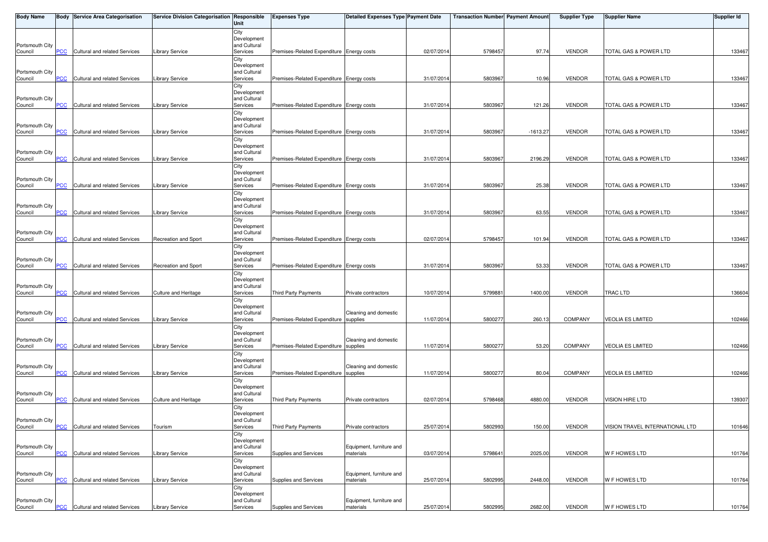| <b>Body Name</b>           |            | <b>Body Service Area Categorisation</b> | Service Division Categorisation Responsible | Unit                        | <b>Expenses Type</b>                      | Detailed Expenses Type Payment Date |            | <b>Transaction Number Payment Amount</b> |            | <b>Supplier Type</b> | <b>Supplier Name</b>            | <b>Supplier Id</b> |
|----------------------------|------------|-----------------------------------------|---------------------------------------------|-----------------------------|-------------------------------------------|-------------------------------------|------------|------------------------------------------|------------|----------------------|---------------------------------|--------------------|
|                            |            |                                         |                                             | City                        |                                           |                                     |            |                                          |            |                      |                                 |                    |
| Portsmouth City            |            |                                         |                                             | Development<br>and Cultural |                                           |                                     |            |                                          |            |                      |                                 |                    |
| Council                    | PCC        | Cultural and related Services           | <b>Library Service</b>                      | Services                    | Premises-Related Expenditure Energy costs |                                     | 02/07/2014 | 5798457                                  | 97.74      | <b>VENDOR</b>        | TOTAL GAS & POWER LTD           | 133467             |
|                            |            |                                         |                                             | City                        |                                           |                                     |            |                                          |            |                      |                                 |                    |
| Portsmouth City            |            |                                         |                                             | Development<br>and Cultural |                                           |                                     |            |                                          |            |                      |                                 |                    |
| Council                    | <b>PCC</b> | Cultural and related Services           | <b>Library Service</b>                      | Services                    | Premises-Related Expenditure Energy costs |                                     | 31/07/2014 | 5803967                                  | 10.96      | <b>VENDOR</b>        | TOTAL GAS & POWER LTD           | 133467             |
|                            |            |                                         |                                             | City                        |                                           |                                     |            |                                          |            |                      |                                 |                    |
| Portsmouth City            |            |                                         |                                             | Development<br>and Cultural |                                           |                                     |            |                                          |            |                      |                                 |                    |
| Council                    | <b>PCC</b> | Cultural and related Services           | Library Service                             | Services                    | Premises-Related Expenditure Energy costs |                                     | 31/07/2014 | 580396                                   | 121.26     | <b>VENDOR</b>        | TOTAL GAS & POWER LTD           | 133467             |
|                            |            |                                         |                                             | City                        |                                           |                                     |            |                                          |            |                      |                                 |                    |
| Portsmouth City            |            |                                         |                                             | Development<br>and Cultural |                                           |                                     |            |                                          |            |                      |                                 |                    |
| Council                    | <b>PCC</b> | Cultural and related Services           | Library Service                             | Services                    | Premises-Related Expenditure Energy costs |                                     | 31/07/2014 | 5803967                                  | $-1613.27$ | <b>VENDOR</b>        | TOTAL GAS & POWER LTD           | 133467             |
|                            |            |                                         |                                             | City<br>Development         |                                           |                                     |            |                                          |            |                      |                                 |                    |
| Portsmouth City            |            |                                         |                                             | and Cultural                |                                           |                                     |            |                                          |            |                      |                                 |                    |
| Council                    | PCC        | Cultural and related Services           | <b>Library Service</b>                      | Services                    | Premises-Related Expenditure Energy costs |                                     | 31/07/2014 | 5803967                                  | 2196.29    | <b>VENDOR</b>        | TOTAL GAS & POWER LTD           | 133467             |
|                            |            |                                         |                                             | City<br>Development         |                                           |                                     |            |                                          |            |                      |                                 |                    |
| Portsmouth City            |            |                                         |                                             | and Cultural                |                                           |                                     |            |                                          |            |                      |                                 |                    |
| Council                    | <b>PCC</b> | Cultural and related Services           | <b>Library Service</b>                      | Services                    | Premises-Related Expenditure Energy costs |                                     | 31/07/2014 | 580396                                   | 25.38      | <b>VENDOR</b>        | TOTAL GAS & POWER LTD           | 133467             |
|                            |            |                                         |                                             | City<br>Development         |                                           |                                     |            |                                          |            |                      |                                 |                    |
| Portsmouth City            |            |                                         |                                             | and Cultural                |                                           |                                     |            |                                          |            |                      |                                 |                    |
| Council                    | <b>PCC</b> | Cultural and related Services           | Library Service                             | Services                    | Premises-Related Expenditure Energy costs |                                     | 31/07/2014 | 5803967                                  | 63.55      | <b>VENDOR</b>        | TOTAL GAS & POWER LTD           | 133467             |
|                            |            |                                         |                                             | City<br>Development         |                                           |                                     |            |                                          |            |                      |                                 |                    |
| Portsmouth City            |            |                                         |                                             | and Cultural                |                                           |                                     |            |                                          |            |                      |                                 |                    |
| Council                    | <b>PCC</b> | Cultural and related Services           | Recreation and Sport                        | Services                    | Premises-Related Expenditure Energy costs |                                     | 02/07/2014 | 5798457                                  | 101.94     | <b>VENDOR</b>        | TOTAL GAS & POWER LTD           | 133467             |
|                            |            |                                         |                                             | City<br>Development         |                                           |                                     |            |                                          |            |                      |                                 |                    |
| Portsmouth City            |            |                                         |                                             | and Cultural                |                                           |                                     |            |                                          |            |                      |                                 |                    |
| Council                    | PCC        | Cultural and related Services           | Recreation and Sport                        | Services<br>City            | Premises-Related Expenditure Energy costs |                                     | 31/07/2014 | 5803967                                  | 53.33      | <b>VENDOR</b>        | TOTAL GAS & POWER LTD           | 133467             |
|                            |            |                                         |                                             | Development                 |                                           |                                     |            |                                          |            |                      |                                 |                    |
| Portsmouth City            |            |                                         |                                             | and Cultural                |                                           |                                     |            |                                          |            |                      |                                 |                    |
| Council                    | <b>PCC</b> | Cultural and related Services           | Culture and Heritage                        | Services<br>City            | Third Party Payments                      | Private contractors                 | 10/07/2014 | 579988                                   | 1400.00    | <b>VENDOR</b>        | <b>TRAC LTD</b>                 | 136604             |
|                            |            |                                         |                                             | Development                 |                                           |                                     |            |                                          |            |                      |                                 |                    |
| Portsmouth City            | PCC        | Cultural and related Services           |                                             | and Cultural                | Premises-Related Expenditure supplies     | Cleaning and domestic               |            |                                          |            | <b>COMPANY</b>       |                                 | 102466             |
| Council                    |            |                                         | Library Service                             | Services<br>City            |                                           |                                     | 11/07/2014 | 5800277                                  | 260.13     |                      | <b>VEOLIA ES LIMITED</b>        |                    |
|                            |            |                                         |                                             | Development                 |                                           |                                     |            |                                          |            |                      |                                 |                    |
| Portsmouth City<br>Council | PCC        | Cultural and related Services           | <b>Library Service</b>                      | and Cultural<br>Services    | Premises-Related Expenditure supplies     | Cleaning and domestic               | 11/07/2014 | 5800277                                  | 53.20      | <b>COMPANY</b>       | <b>VEOLIA ES LIMITED</b>        | 102466             |
|                            |            |                                         |                                             | City                        |                                           |                                     |            |                                          |            |                      |                                 |                    |
|                            |            |                                         |                                             | Development                 |                                           |                                     |            |                                          |            |                      |                                 |                    |
| Portsmouth City<br>Council | <b>PCC</b> | Cultural and related Services           | Library Service                             | and Cultural<br>Services    | Premises-Related Expenditure supplies     | Cleaning and domestic               | 11/07/2014 | 5800277                                  | 80.04      | <b>COMPANY</b>       | <b>VEOLIA ES LIMITED</b>        | 102466             |
|                            |            |                                         |                                             | City                        |                                           |                                     |            |                                          |            |                      |                                 |                    |
| Portsmouth City            |            |                                         |                                             | Development<br>and Cultural |                                           |                                     |            |                                          |            |                      |                                 |                    |
| Council                    | <b>PCC</b> | Cultural and related Services           | Culture and Heritage                        | Services                    | Third Party Payments                      | Private contractors                 | 02/07/2014 | 5798468                                  | 4880.00    | <b>VENDOR</b>        | VISION HIRE LTD                 | 139307             |
|                            |            |                                         |                                             | City                        |                                           |                                     |            |                                          |            |                      |                                 |                    |
| Portsmouth City            |            |                                         |                                             | Development<br>and Cultural |                                           |                                     |            |                                          |            |                      |                                 |                    |
| Council                    | <b>PCC</b> | Cultural and related Services           | Tourism                                     | Services                    | Third Party Payments                      | Private contractors                 | 25/07/2014 | 5802993                                  | 150.00     | <b>VENDOR</b>        | VISION TRAVEL INTERNATIONAL LTD | 101646             |
|                            |            |                                         |                                             | City                        |                                           |                                     |            |                                          |            |                      |                                 |                    |
| Portsmouth City            |            |                                         |                                             | Development<br>and Cultural |                                           | Equipment, furniture and            |            |                                          |            |                      |                                 |                    |
| Council                    | <b>PCC</b> | Cultural and related Services           | <b>Library Service</b>                      | Services                    | Supplies and Services                     | materials                           | 03/07/2014 | 579864                                   | 2025.00    | <b>VENDOR</b>        | <b>W F HOWES LTD</b>            | 101764             |
|                            |            |                                         |                                             | City                        |                                           |                                     |            |                                          |            |                      |                                 |                    |
| Portsmouth City            |            |                                         |                                             | Development<br>and Cultural |                                           | Equipment, furniture and            |            |                                          |            |                      |                                 |                    |
| Council                    | PCC        | Cultural and related Services           | Library Service                             | Services                    | Supplies and Services                     | materials                           | 25/07/2014 | 5802995                                  | 2448.00    | <b>VENDOR</b>        | W F HOWES LTD                   | 101764             |
|                            |            |                                         |                                             | City<br>Development         |                                           |                                     |            |                                          |            |                      |                                 |                    |
| Portsmouth City            |            |                                         |                                             | and Cultural                |                                           | Equipment, furniture and            |            |                                          |            |                      |                                 |                    |
| Council                    | <u>PCC</u> | Cultural and related Services           | Library Service                             | Services                    | Supplies and Services                     | materials                           | 25/07/2014 | 5802995                                  | 2682.00    | <b>VENDOR</b>        | <b>W F HOWES LTD</b>            | 101764             |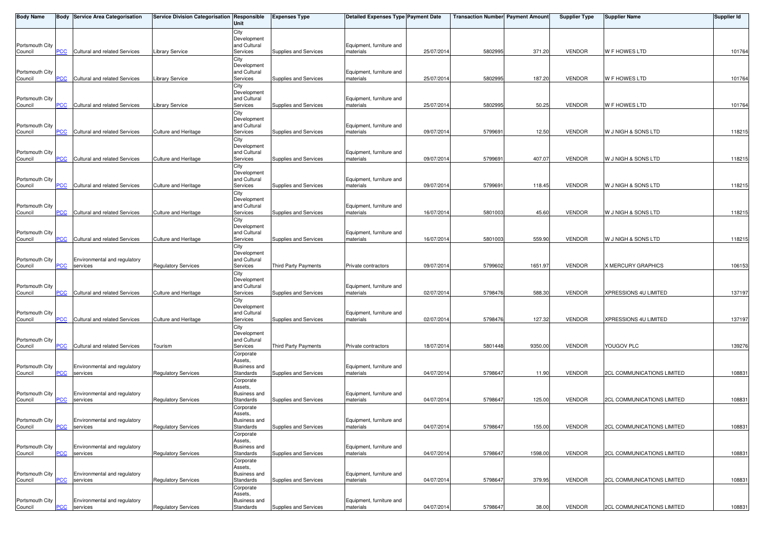| <b>Body Name</b>           |                | <b>Body Service Area Categorisation</b> | Service Division Categorisation Responsible | Unit                           | <b>Expenses Type</b>  | Detailed Expenses Type Payment Date   |            | Transaction Number Payment Amount |         | <b>Supplier Type</b> | <b>Supplier Name</b>              | <b>Supplier Id</b> |
|----------------------------|----------------|-----------------------------------------|---------------------------------------------|--------------------------------|-----------------------|---------------------------------------|------------|-----------------------------------|---------|----------------------|-----------------------------------|--------------------|
|                            |                |                                         |                                             | City                           |                       |                                       |            |                                   |         |                      |                                   |                    |
|                            |                |                                         |                                             | Development                    |                       |                                       |            |                                   |         |                      |                                   |                    |
| Portsmouth City<br>Council | $\overline{C}$ | Cultural and related Services           | <b>Library Service</b>                      | and Cultural<br>Services       | Supplies and Services | Equipment, furniture and<br>materials | 25/07/2014 | 580299                            | 371.20  | <b>VENDOR</b>        | <b>W F HOWES LTD</b>              | 101764             |
|                            |                |                                         |                                             | City                           |                       |                                       |            |                                   |         |                      |                                   |                    |
|                            |                |                                         |                                             | Development                    |                       |                                       |            |                                   |         |                      |                                   |                    |
| Portsmouth City            |                |                                         |                                             | and Cultural                   |                       | Equipment, furniture and              |            |                                   |         |                      |                                   |                    |
| Council                    | <b>PCC</b>     | Cultural and related Services           | <b>Library Service</b>                      | Services                       | Supplies and Services | materials                             | 25/07/2014 | 5802995                           | 187.20  | <b>VENDOR</b>        | W F HOWES LTD                     | 101764             |
|                            |                |                                         |                                             | City                           |                       |                                       |            |                                   |         |                      |                                   |                    |
| Portsmouth City            |                |                                         |                                             | Development<br>and Cultural    |                       | Equipment, furniture and              |            |                                   |         |                      |                                   |                    |
| Council                    | <b>PCC</b>     | Cultural and related Services           | <b>Library Service</b>                      | Services                       | Supplies and Services | materials                             | 25/07/2014 | 580299                            | 50.25   | <b>VENDOR</b>        | W F HOWES LTD                     | 101764             |
|                            |                |                                         |                                             | City                           |                       |                                       |            |                                   |         |                      |                                   |                    |
|                            |                |                                         |                                             | Development                    |                       |                                       |            |                                   |         |                      |                                   |                    |
| Portsmouth City            |                |                                         |                                             | and Cultural                   |                       | Equipment, furniture and              |            |                                   |         |                      |                                   |                    |
| Council                    | <b>PCC</b>     | Cultural and related Services           | Culture and Heritage                        | Services                       | Supplies and Services | materials                             | 09/07/2014 | 579969                            | 12.50   | <b>VENDOR</b>        | W J NIGH & SONS LTD               | 118215             |
|                            |                |                                         |                                             | City                           |                       |                                       |            |                                   |         |                      |                                   |                    |
| Portsmouth City            |                |                                         |                                             | Development<br>and Cultural    |                       | Equipment, furniture and              |            |                                   |         |                      |                                   |                    |
| Council                    | PCC            | Cultural and related Services           | Culture and Heritage                        | Services                       | Supplies and Services | materials                             | 09/07/2014 | 579969                            | 407.07  | <b>VENDOR</b>        | W J NIGH & SONS LTD               | 118215             |
|                            |                |                                         |                                             | City                           |                       |                                       |            |                                   |         |                      |                                   |                    |
|                            |                |                                         |                                             | Development                    |                       |                                       |            |                                   |         |                      |                                   |                    |
| Portsmouth City            |                |                                         |                                             | and Cultural                   |                       | Equipment, furniture and              |            |                                   |         |                      |                                   |                    |
| Council                    | <b>PCC</b>     | Cultural and related Services           | Culture and Heritage                        | Services                       | Supplies and Services | materials                             | 09/07/2014 | 579969                            | 118.45  | <b>VENDOR</b>        | W J NIGH & SONS LTD               | 118215             |
|                            |                |                                         |                                             | City                           |                       |                                       |            |                                   |         |                      |                                   |                    |
| Portsmouth City            |                |                                         |                                             | Development<br>and Cultural    |                       | Equipment, furniture and              |            |                                   |         |                      |                                   |                    |
| Council                    | <b>PCC</b>     | Cultural and related Services           | Culture and Heritage                        | Services                       | Supplies and Services | materials                             | 16/07/2014 | 5801003                           | 45.60   | <b>VENDOR</b>        | W J NIGH & SONS LTD               | 118215             |
|                            |                |                                         |                                             | City                           |                       |                                       |            |                                   |         |                      |                                   |                    |
|                            |                |                                         |                                             | Development                    |                       |                                       |            |                                   |         |                      |                                   |                    |
| Portsmouth City            |                |                                         |                                             | and Cultural                   |                       | Equipment, furniture and              |            |                                   |         |                      |                                   |                    |
| Council                    | <b>PCC</b>     | Cultural and related Services           | Culture and Heritage                        | Services                       | Supplies and Services | materials                             | 16/07/2014 | 5801003                           | 559.90  | <b>VENDOR</b>        | W J NIGH & SONS LTD               | 118215             |
|                            |                |                                         |                                             | City<br>Development            |                       |                                       |            |                                   |         |                      |                                   |                    |
| Portsmouth City            |                | Environmental and regulatory            |                                             | and Cultural                   |                       |                                       |            |                                   |         |                      |                                   |                    |
| Council                    | PCC            | services                                | Regulatory Services                         | Services                       | Third Party Payments  | Private contractors                   | 09/07/2014 | 5799602                           | 1651.97 | <b>VENDOR</b>        | X MERCURY GRAPHICS                | 106153             |
|                            |                |                                         |                                             | City                           |                       |                                       |            |                                   |         |                      |                                   |                    |
|                            |                |                                         |                                             | Development                    |                       |                                       |            |                                   |         |                      |                                   |                    |
| Portsmouth City<br>Council | <b>PCC</b>     | Cultural and related Services           | Culture and Heritage                        | and Cultural<br>Services       | Supplies and Services | Equipment, furniture and<br>materials | 02/07/2014 | 5798476                           | 588.30  | <b>VENDOR</b>        | XPRESSIONS 4U LIMITED             | 137197             |
|                            |                |                                         |                                             | City                           |                       |                                       |            |                                   |         |                      |                                   |                    |
|                            |                |                                         |                                             | Development                    |                       |                                       |            |                                   |         |                      |                                   |                    |
| Portsmouth City            |                |                                         |                                             | and Cultural                   |                       | Equipment, furniture and              |            |                                   |         |                      |                                   |                    |
| Council                    | PCC            | Cultural and related Services           | Culture and Heritage                        | Services                       | Supplies and Services | materials                             | 02/07/2014 | 5798476                           | 127.32  | <b>VENDOR</b>        | XPRESSIONS 4U LIMITED             | 137197             |
|                            |                |                                         |                                             | City                           |                       |                                       |            |                                   |         |                      |                                   |                    |
|                            |                |                                         |                                             | Development<br>and Cultural    |                       |                                       |            |                                   |         |                      |                                   |                    |
| Portsmouth City<br>Council | PCC            | Cultural and related Services           | Tourism                                     | Services                       | Third Party Payments  | Private contractors                   | 18/07/2014 | 5801448                           | 9350.00 | <b>VENDOR</b>        | YOUGOV PLC                        | 139276             |
|                            |                |                                         |                                             | Corporate                      |                       |                                       |            |                                   |         |                      |                                   |                    |
|                            |                |                                         |                                             | Assets,                        |                       |                                       |            |                                   |         |                      |                                   |                    |
| Portsmouth City            |                | Environmental and regulatory            |                                             | <b>Business and</b>            |                       | Equipment, furniture and              |            |                                   |         |                      |                                   |                    |
| Council                    | <b>PCC</b>     | services                                | <b>Regulatory Services</b>                  | Standards                      | Supplies and Services | materials                             | 04/07/2014 | 5798647                           | 11.90   | <b>VENDOR</b>        | <b>2CL COMMUNICATIONS LIMITED</b> | 108831             |
|                            |                |                                         |                                             | Corporate                      |                       |                                       |            |                                   |         |                      |                                   |                    |
| Portsmouth City            |                | Environmental and regulatory            |                                             | Assets,<br><b>Business and</b> |                       | Equipment, furniture and              |            |                                   |         |                      |                                   |                    |
| Council                    | <b>PCC</b>     | services                                | <b>Regulatory Services</b>                  | Standards                      | Supplies and Services | materials                             | 04/07/2014 | 5798647                           | 125.00  | <b>VENDOR</b>        | <b>2CL COMMUNICATIONS LIMITED</b> | 108831             |
|                            |                |                                         |                                             | Corporate                      |                       |                                       |            |                                   |         |                      |                                   |                    |
|                            |                |                                         |                                             | Assets,                        |                       |                                       |            |                                   |         |                      |                                   |                    |
| Portsmouth City            |                | Environmental and regulatory            |                                             | Business and                   |                       | Equipment, furniture and              |            |                                   |         |                      |                                   |                    |
| Council                    | <b>PCC</b>     | services                                | <b>Regulatory Services</b>                  | Standards                      | Supplies and Services | materials                             | 04/07/2014 | 5798647                           | 155.00  | <b>VENDOR</b>        | <b>2CL COMMUNICATIONS LIMITED</b> | 108831             |
|                            |                |                                         |                                             | Corporate<br>Assets,           |                       |                                       |            |                                   |         |                      |                                   |                    |
| Portsmouth City            |                | Environmental and regulatory            |                                             | <b>Business and</b>            |                       | Equipment, furniture and              |            |                                   |         |                      |                                   |                    |
| Council                    | PCC            | services                                | <b>Regulatory Services</b>                  | Standards                      | Supplies and Services | materials                             | 04/07/2014 | 5798647                           | 1598.00 | <b>VENDOR</b>        | <b>2CL COMMUNICATIONS LIMITED</b> | 108831             |
|                            |                |                                         |                                             | Corporate                      |                       |                                       |            |                                   |         |                      |                                   |                    |
|                            |                |                                         |                                             | Assets,                        |                       |                                       |            |                                   |         |                      |                                   |                    |
| Portsmouth City            |                | Environmental and regulatory            |                                             | <b>Business and</b>            | Supplies and Services | Equipment, furniture and              |            |                                   |         |                      | <b>2CL COMMUNICATIONS LIMITED</b> |                    |
| Council                    | PCC            | services                                | <b>Regulatory Services</b>                  | Standards                      |                       | materials                             | 04/07/2014 | 5798647                           | 379.95  | <b>VENDOR</b>        |                                   | 108831             |
|                            |                |                                         |                                             | Corporate<br>Assets,           |                       |                                       |            |                                   |         |                      |                                   |                    |
| Portsmouth City            |                | Environmental and regulatory            |                                             | Business and                   |                       | Equipment, furniture and              |            |                                   |         |                      |                                   |                    |
| Council                    | <u>PCC</u>     | services                                | <b>Regulatory Services</b>                  | Standards                      | Supplies and Services | materials                             | 04/07/2014 | 5798647                           | 38.00   | <b>VENDOR</b>        | <b>2CL COMMUNICATIONS LIMITED</b> | 108831             |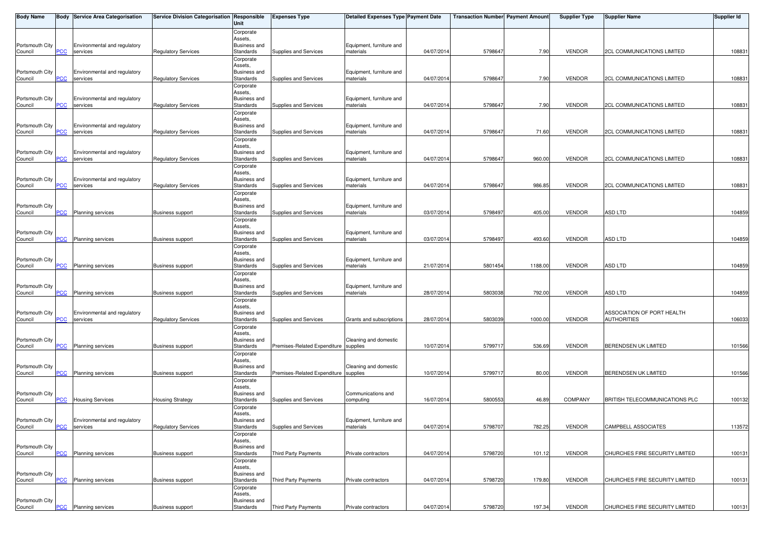| <b>Body Name</b>           |                           | Body Service Area Categorisation         | Service Division Categorisation Responsible | Unit                             | <b>Expenses Type</b>                  | Detailed Expenses Type Payment Date   |            | Transaction Number Payment Amount |         | <b>Supplier Type</b> | Supplier Name                     | <b>Supplier Id</b> |
|----------------------------|---------------------------|------------------------------------------|---------------------------------------------|----------------------------------|---------------------------------------|---------------------------------------|------------|-----------------------------------|---------|----------------------|-----------------------------------|--------------------|
|                            |                           |                                          |                                             | Corporate                        |                                       |                                       |            |                                   |         |                      |                                   |                    |
| Portsmouth City            |                           | Environmental and regulatory             |                                             | Assets,<br><b>Business and</b>   |                                       | Equipment, furniture and              |            |                                   |         |                      |                                   |                    |
| Council                    | <b>PCC</b>                | services                                 | <b>Regulatory Services</b>                  | Standards                        | Supplies and Services                 | materials                             | 04/07/2014 | 5798647                           | 7.90    | <b>VENDOR</b>        | <b>2CL COMMUNICATIONS LIMITED</b> | 108831             |
|                            |                           |                                          |                                             | Corporate                        |                                       |                                       |            |                                   |         |                      |                                   |                    |
| Portsmouth City            |                           | Environmental and regulatory             |                                             | Assets,<br><b>Business and</b>   |                                       | Equipment, furniture and              |            |                                   |         |                      |                                   |                    |
| Council                    | <b>PCC</b>                | services                                 | <b>Regulatory Services</b>                  | Standards                        | Supplies and Services                 | materials                             | 04/07/2014 | 5798647                           | 7.90    | <b>VENDOR</b>        | <b>2CL COMMUNICATIONS LIMITED</b> | 108831             |
|                            |                           |                                          |                                             | Corporate                        |                                       |                                       |            |                                   |         |                      |                                   |                    |
|                            |                           |                                          |                                             | Assets,                          |                                       |                                       |            |                                   |         |                      |                                   |                    |
| Portsmouth City<br>Council | <b>PCC</b>                | Environmental and regulatory<br>services | <b>Regulatory Services</b>                  | <b>Business and</b><br>Standards | Supplies and Services                 | Equipment, furniture and<br>materials | 04/07/201  | 5798647                           | 7.90    | <b>VENDOR</b>        | <b>2CL COMMUNICATIONS LIMITED</b> | 108831             |
|                            |                           |                                          |                                             | Corporate                        |                                       |                                       |            |                                   |         |                      |                                   |                    |
|                            |                           |                                          |                                             | Assets,                          |                                       |                                       |            |                                   |         |                      |                                   |                    |
| Portsmouth City<br>Council | <b>PCC</b>                | Environmental and regulatory<br>services | <b>Regulatory Services</b>                  | <b>Business and</b><br>Standards | Supplies and Services                 | Equipment, furniture and<br>materials | 04/07/2014 | 579864                            | 71.60   | <b>VENDOR</b>        | <b>2CL COMMUNICATIONS LIMITED</b> | 108831             |
|                            |                           |                                          |                                             | Corporate                        |                                       |                                       |            |                                   |         |                      |                                   |                    |
|                            |                           |                                          |                                             | Assets,                          |                                       |                                       |            |                                   |         |                      |                                   |                    |
| Portsmouth City<br>Council | PCC                       | Environmental and regulatory<br>services | <b>Regulatory Services</b>                  | <b>Business and</b><br>Standards | Supplies and Services                 | Equipment, furniture and<br>materials | 04/07/201  | 579864                            | 960.00  | <b>VENDOR</b>        | <b>2CL COMMUNICATIONS LIMITED</b> | 108831             |
|                            |                           |                                          |                                             | Corporate                        |                                       |                                       |            |                                   |         |                      |                                   |                    |
|                            |                           |                                          |                                             | Assets,                          |                                       |                                       |            |                                   |         |                      |                                   |                    |
| Portsmouth City<br>Council | <b>PCC</b>                | Environmental and regulatory<br>services | <b>Regulatory Services</b>                  | <b>Business and</b><br>Standards | Supplies and Services                 | Equipment, furniture and<br>materials | 04/07/201  | 579864                            | 986.85  | <b>VENDOR</b>        | <b>2CL COMMUNICATIONS LIMITED</b> | 108831             |
|                            |                           |                                          |                                             | Corporate                        |                                       |                                       |            |                                   |         |                      |                                   |                    |
|                            |                           |                                          |                                             | Assets,                          |                                       |                                       |            |                                   |         |                      |                                   |                    |
| Portsmouth City<br>Council | <b>PCC</b>                | <b>Planning services</b>                 | <b>Business support</b>                     | <b>Business and</b><br>Standards | Supplies and Services                 | Equipment, furniture and<br>materials | 03/07/201  | 579849                            | 405.00  | <b>VENDOR</b>        | <b>ASD LTD</b>                    | 104859             |
|                            |                           |                                          |                                             | Corporate                        |                                       |                                       |            |                                   |         |                      |                                   |                    |
|                            |                           |                                          |                                             | Assets,                          |                                       |                                       |            |                                   |         |                      |                                   |                    |
| Portsmouth City            | $\overline{\mathsf{PCC}}$ | <b>Planning services</b>                 | <b>Business support</b>                     | <b>Business and</b><br>Standards | Supplies and Services                 | Equipment, furniture and<br>materials | 03/07/2014 | 5798497                           | 493.60  | <b>VENDOR</b>        | <b>ASD LTD</b>                    | 104859             |
| Council                    |                           |                                          |                                             | Corporate                        |                                       |                                       |            |                                   |         |                      |                                   |                    |
|                            |                           |                                          |                                             | Assets,                          |                                       |                                       |            |                                   |         |                      |                                   |                    |
| Portsmouth City            | PCC                       |                                          |                                             | <b>Business and</b><br>Standards |                                       | Equipment, furniture and<br>materials | 21/07/2014 | 5801454                           | 1188.00 | <b>VENDOR</b>        | ASD LTD                           | 104859             |
| Council                    |                           | <b>Planning services</b>                 | <b>Business support</b>                     | Corporate                        | Supplies and Services                 |                                       |            |                                   |         |                      |                                   |                    |
|                            |                           |                                          |                                             | Assets,                          |                                       |                                       |            |                                   |         |                      |                                   |                    |
| Portsmouth City            |                           |                                          |                                             | <b>Business and</b>              |                                       | Equipment, furniture and              |            |                                   |         |                      |                                   |                    |
| Council                    | <u>PCC </u>               | <b>Planning services</b>                 | <b>Business support</b>                     | Standards<br>Corporate           | Supplies and Services                 | materials                             | 28/07/2014 | 5803038                           | 792.00  | <b>VENDOR</b>        | ASD LTD                           | 104859             |
|                            |                           |                                          |                                             | Assets,                          |                                       |                                       |            |                                   |         |                      |                                   |                    |
| Portsmouth City            |                           | Environmental and regulatory             |                                             | <b>Business and</b>              |                                       |                                       |            |                                   |         |                      | ASSOCIATION OF PORT HEALTH        |                    |
| Council                    | PCC                       | services                                 | <b>Regulatory Services</b>                  | Standards<br>Corporate           | Supplies and Services                 | Grants and subscriptions              | 28/07/2014 | 5803039                           | 1000.00 | <b>VENDOR</b>        | <b>AUTHORITIES</b>                | 106033             |
|                            |                           |                                          |                                             | Assets,                          |                                       |                                       |            |                                   |         |                      |                                   |                    |
| Portsmouth City            |                           |                                          |                                             | <b>Business and</b>              |                                       | Cleaning and domestic                 |            |                                   |         |                      |                                   |                    |
| Council                    | PCC                       | <b>Planning services</b>                 | <b>Business support</b>                     | Standards                        | Premises-Related Expenditure          | supplies                              | 10/07/2014 | 5799717                           | 536.69  | <b>VENDOR</b>        | <b>BERENDSEN UK LIMITED</b>       | 101566             |
|                            |                           |                                          |                                             | Corporate<br>Assets,             |                                       |                                       |            |                                   |         |                      |                                   |                    |
| Portsmouth City            |                           |                                          |                                             | <b>Business and</b>              |                                       | Cleaning and domestic                 |            |                                   |         |                      |                                   |                    |
| Council                    | <b>PCC</b>                | <b>Planning services</b>                 | <b>Business support</b>                     | Standards                        | Premises-Related Expenditure supplies |                                       | 10/07/2014 | 579971                            | 80.00   | <b>VENDOR</b>        | <b>BERENDSEN UK LIMITED</b>       | 101566             |
|                            |                           |                                          |                                             | Corporate<br>Assets,             |                                       |                                       |            |                                   |         |                      |                                   |                    |
| Portsmouth City            |                           |                                          |                                             | <b>Business and</b>              |                                       | Communications and                    |            |                                   |         |                      |                                   |                    |
| Council                    | <b>PCC</b>                | <b>Housing Services</b>                  | <b>Housing Strategy</b>                     | Standards                        | Supplies and Services                 | computing                             | 16/07/2014 | 5800553                           | 46.89   | <b>COMPANY</b>       | BRITISH TELECOMMUNICATIONS PLC    | 100132             |
|                            |                           |                                          |                                             | Corporate<br>Assets,             |                                       |                                       |            |                                   |         |                      |                                   |                    |
| Portsmouth City            |                           | Environmental and regulatory             |                                             | <b>Business and</b>              |                                       | Equipment, furniture and              |            |                                   |         |                      |                                   |                    |
| Council                    |                           | PCC services                             | <b>Regulatory Services</b>                  | Standards                        | Supplies and Services                 | materials                             | 04/07/2014 | 5798707                           | 782.25  | <b>VENDOR</b>        | CAMPBELL ASSOCIATES               | 113572             |
|                            |                           |                                          |                                             | Corporate<br>Assets,             |                                       |                                       |            |                                   |         |                      |                                   |                    |
| Portsmouth City            |                           |                                          |                                             | <b>Business and</b>              |                                       |                                       |            |                                   |         |                      |                                   |                    |
| Council                    | <b>PCC</b>                | Planning services                        | <b>Business support</b>                     | Standards                        | Third Party Payments                  | Private contractors                   | 04/07/201  | 5798720                           | 101.12  | <b>VENDOR</b>        | CHURCHES FIRE SECURITY LIMITED    | 100131             |
|                            |                           |                                          |                                             | Corporate                        |                                       |                                       |            |                                   |         |                      |                                   |                    |
| Portsmouth City            |                           |                                          |                                             | Assets,<br><b>Business and</b>   |                                       |                                       |            |                                   |         |                      |                                   |                    |
| Council                    | <b>PCC</b>                | Planning services                        | <b>Business support</b>                     | Standards                        | Third Party Payments                  | Private contractors                   | 04/07/201  | 5798720                           | 179.80  | <b>VENDOR</b>        | CHURCHES FIRE SECURITY LIMITED    | 100131             |
|                            |                           |                                          |                                             | Corporate                        |                                       |                                       |            |                                   |         |                      |                                   |                    |
| Portsmouth City            |                           |                                          |                                             | Assets,<br><b>Business and</b>   |                                       |                                       |            |                                   |         |                      |                                   |                    |
| Council                    | $PCC$                     | Planning services                        | <b>Business support</b>                     | Standards                        | Third Party Payments                  | Private contractors                   | 04/07/2014 | 5798720                           | 197.34  | <b>VENDOR</b>        | CHURCHES FIRE SECURITY LIMITED    | 100131             |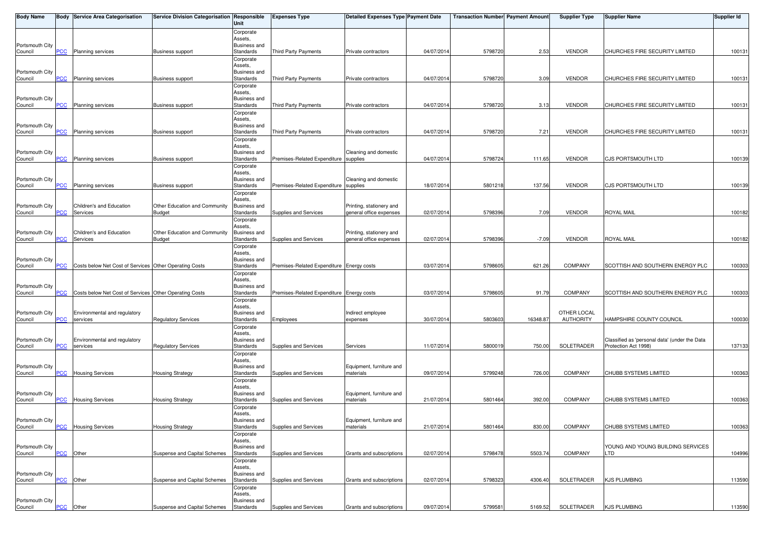| <b>Body Name</b>           |                           | <b>Body Service Area Categorisation</b>                | Service Division Categorisation Responsible | Unit                      | <b>Expenses Type</b>                      | <b>Detailed Expenses Type Payment Date</b> |            | <b>Transaction Number Payment Amount</b> |          | <b>Supplier Type</b>            | Supplier Name                                                         | Supplier Id |
|----------------------------|---------------------------|--------------------------------------------------------|---------------------------------------------|---------------------------|-------------------------------------------|--------------------------------------------|------------|------------------------------------------|----------|---------------------------------|-----------------------------------------------------------------------|-------------|
|                            |                           |                                                        |                                             | Corporate                 |                                           |                                            |            |                                          |          |                                 |                                                                       |             |
| Portsmouth City            |                           |                                                        |                                             | Assets,                   |                                           |                                            |            |                                          |          |                                 |                                                                       |             |
| Council                    | PCC                       | <b>Planning services</b>                               | <b>Business support</b>                     | Business and<br>Standards | Third Party Payments                      | Private contractors                        | 04/07/201  | 5798720                                  | 2.53     | <b>VENDOR</b>                   | CHURCHES FIRE SECURITY LIMITED                                        | 100131      |
|                            |                           |                                                        |                                             | Corporate                 |                                           |                                            |            |                                          |          |                                 |                                                                       |             |
|                            |                           |                                                        |                                             | Assets,                   |                                           |                                            |            |                                          |          |                                 |                                                                       |             |
| Portsmouth City<br>Council | <b>PCC</b>                | Planning services                                      | <b>Business support</b>                     | Business and<br>Standards | Third Party Payments                      | Private contractors                        | 04/07/201  | 5798720                                  | 3.09     | <b>VENDOR</b>                   | CHURCHES FIRE SECURITY LIMITED                                        | 100131      |
|                            |                           |                                                        |                                             | Corporate                 |                                           |                                            |            |                                          |          |                                 |                                                                       |             |
|                            |                           |                                                        |                                             | Assets,                   |                                           |                                            |            |                                          |          |                                 |                                                                       |             |
| Portsmouth City            | PCC                       | Planning services                                      | <b>Business support</b>                     | Business and<br>Standards |                                           | Private contractors                        | 04/07/201  | 5798720                                  | 3.13     | <b>VENDOR</b>                   | CHURCHES FIRE SECURITY LIMITED                                        | 100131      |
| Council                    |                           |                                                        |                                             | Corporate                 | Third Party Payments                      |                                            |            |                                          |          |                                 |                                                                       |             |
|                            |                           |                                                        |                                             | Assets.                   |                                           |                                            |            |                                          |          |                                 |                                                                       |             |
| Portsmouth City            |                           |                                                        |                                             | Business and              |                                           |                                            |            |                                          |          |                                 |                                                                       |             |
| Council                    | PCC                       | <b>Planning services</b>                               | <b>Business support</b>                     | Standards<br>Corporate    | Third Party Payments                      | Private contractors                        | 04/07/201  | 5798720                                  | 7.21     | <b>VENDOR</b>                   | CHURCHES FIRE SECURITY LIMITED                                        | 100131      |
|                            |                           |                                                        |                                             | Assets,                   |                                           |                                            |            |                                          |          |                                 |                                                                       |             |
| Portsmouth City            |                           |                                                        |                                             | Business and              |                                           | Cleaning and domestic                      |            |                                          |          |                                 |                                                                       |             |
| Council                    | PСC                       | <b>Planning services</b>                               | <b>Business support</b>                     | Standards                 | Premises-Related Expenditure              | supplies                                   | 04/07/201  | 5798724                                  | 111.65   | <b>VENDOR</b>                   | CJS PORTSMOUTH LTD                                                    | 100139      |
|                            |                           |                                                        |                                             | Corporate<br>Assets,      |                                           |                                            |            |                                          |          |                                 |                                                                       |             |
| Portsmouth City            |                           |                                                        |                                             | Business and              |                                           | Cleaning and domestic                      |            |                                          |          |                                 |                                                                       |             |
| Council                    | <b>PCC</b>                | <b>Planning services</b>                               | <b>Business support</b>                     | Standards                 | Premises-Related Expenditure supplies     |                                            | 18/07/201  | 580121                                   | 137.56   | <b>VENDOR</b>                   | <b>CJS PORTSMOUTH LTD</b>                                             | 100139      |
|                            |                           |                                                        |                                             | Corporate                 |                                           |                                            |            |                                          |          |                                 |                                                                       |             |
| Portsmouth City            |                           | Children's and Education                               | Other Education and Community               | Assets,<br>Business and   |                                           | Printing, stationery and                   |            |                                          |          |                                 |                                                                       |             |
| Council                    | PCC                       | Services                                               | <b>Budget</b>                               | Standards                 | Supplies and Services                     | general office expenses                    | 02/07/201  | 5798396                                  | 7.09     | <b>VENDOR</b>                   | ROYAL MAIL                                                            | 100182      |
|                            |                           |                                                        |                                             | Corporate                 |                                           |                                            |            |                                          |          |                                 |                                                                       |             |
| Portsmouth City            |                           | Children's and Education                               | Other Education and Community               | Assets,<br>Business and   |                                           | Printing, stationery and                   |            |                                          |          |                                 |                                                                       |             |
| Council                    | <u>PCC</u>                | Services                                               | <b>Budget</b>                               | Standards                 | Supplies and Services                     | general office expenses                    | 02/07/201  | 5798396                                  | $-7.09$  | <b>VENDOR</b>                   | <b>ROYAL MAIL</b>                                                     | 100182      |
|                            |                           |                                                        |                                             | Corporate                 |                                           |                                            |            |                                          |          |                                 |                                                                       |             |
| Portsmouth City            |                           |                                                        |                                             | Assets.<br>Business and   |                                           |                                            |            |                                          |          |                                 |                                                                       |             |
| Council                    | PСC                       | Costs below Net Cost of Services Other Operating Costs |                                             | Standards                 | Premises-Related Expenditure Energy costs |                                            | 03/07/201  | 5798605                                  | 621.26   | <b>COMPANY</b>                  | SCOTTISH AND SOUTHERN ENERGY PLC                                      | 100303      |
|                            |                           |                                                        |                                             | Corporate                 |                                           |                                            |            |                                          |          |                                 |                                                                       |             |
|                            |                           |                                                        |                                             | Assets,                   |                                           |                                            |            |                                          |          |                                 |                                                                       |             |
| Portsmouth City<br>Council | $\overline{C}$            | Costs below Net Cost of Services Other Operating Costs |                                             | Business and<br>Standards | Premises-Related Expenditure Energy costs |                                            | 03/07/201  | 579860                                   | 91.79    | <b>COMPANY</b>                  | SCOTTISH AND SOUTHERN ENERGY PLC                                      | 100303      |
|                            |                           |                                                        |                                             | Corporate                 |                                           |                                            |            |                                          |          |                                 |                                                                       |             |
|                            |                           |                                                        |                                             | Assets,                   |                                           |                                            |            |                                          |          |                                 |                                                                       |             |
| Portsmouth City<br>Council | PCC                       | Environmental and regulatory<br>services               | <b>Regulatory Services</b>                  | Business and<br>Standards | <b>Employees</b>                          | Indirect employee<br>expenses              | 30/07/201  | 5803603                                  | 16348.87 | OTHER LOCAL<br><b>AUTHORITY</b> | HAMPSHIRE COUNTY COUNCIL                                              | 100030      |
|                            |                           |                                                        |                                             | Corporate                 |                                           |                                            |            |                                          |          |                                 |                                                                       |             |
|                            |                           |                                                        |                                             | Assets.                   |                                           |                                            |            |                                          |          |                                 |                                                                       |             |
| Portsmouth City            | PCC                       | Environmental and regulatory                           |                                             | Business and              | Supplies and Services                     | Services                                   | 11/07/201  | 5800019                                  | 750.00   | SOLETRADER                      | Classified as 'personal data' (under the Data<br>Protection Act 1998) | 137133      |
| Council                    |                           | services                                               | <b>Regulatory Services</b>                  | Standards<br>Corporate    |                                           |                                            |            |                                          |          |                                 |                                                                       |             |
|                            |                           |                                                        |                                             | Assets,                   |                                           |                                            |            |                                          |          |                                 |                                                                       |             |
| Portsmouth City            |                           |                                                        |                                             | Business and              |                                           | Equipment, furniture and                   |            |                                          |          |                                 |                                                                       |             |
| Council                    | <b>PCC</b>                | <b>Housing Services</b>                                | <b>Housing Strategy</b>                     | Standards<br>Corporate    | Supplies and Services                     | materials                                  | 09/07/201  | 5799248                                  | 726.00   | <b>COMPANY</b>                  | CHUBB SYSTEMS LIMITED                                                 | 100363      |
|                            |                           |                                                        |                                             | Assets.                   |                                           |                                            |            |                                          |          |                                 |                                                                       |             |
| Portsmouth City            |                           |                                                        |                                             | Business and              |                                           | Equipment, furniture and                   |            |                                          |          |                                 |                                                                       |             |
| Council                    | PCC                       | <b>Housing Services</b>                                | <b>Housing Strategy</b>                     | Standards                 | Supplies and Services                     | materials                                  | 21/07/201  | 5801464                                  | 392.00   | <b>COMPANY</b>                  | CHUBB SYSTEMS LIMITED                                                 | 100363      |
|                            |                           |                                                        |                                             | Corporate<br>Assets,      |                                           |                                            |            |                                          |          |                                 |                                                                       |             |
| Portsmouth City            |                           |                                                        |                                             | Business and              |                                           | Equipment, furniture and                   |            |                                          |          |                                 |                                                                       |             |
| Council                    |                           | <b>PCC</b> Housing Services                            | <b>Housing Strategy</b>                     | Standards                 | Supplies and Services                     | materials                                  | 21/07/2014 | 5801464                                  | 830.00   | <b>COMPANY</b>                  | CHUBB SYSTEMS LIMITED                                                 | 100363      |
|                            |                           |                                                        |                                             | Corporate<br>Assets,      |                                           |                                            |            |                                          |          |                                 |                                                                       |             |
| Portsmouth City            |                           |                                                        |                                             | <b>Business and</b>       |                                           |                                            |            |                                          |          |                                 | YOUNG AND YOUNG BUILDING SERVICES                                     |             |
| Council                    | <b>PCC</b>                | Other                                                  | Suspense and Capital Schemes                | Standards                 | Supplies and Services                     | Grants and subscriptions                   | 02/07/2014 | 5798478                                  | 5503.74  | COMPANY                         | LTD                                                                   | 104996      |
|                            |                           |                                                        |                                             | Corporate<br>Assets,      |                                           |                                            |            |                                          |          |                                 |                                                                       |             |
| Portsmouth City            |                           |                                                        |                                             | Business and              |                                           |                                            |            |                                          |          |                                 |                                                                       |             |
| Council                    | PCC                       | Other                                                  | Suspense and Capital Schemes                | Standards                 | Supplies and Services                     | Grants and subscriptions                   | 02/07/201  | 5798323                                  | 4306.40  | SOLETRADER                      | <b>KJS PLUMBING</b>                                                   | 113590      |
|                            |                           |                                                        |                                             | Corporate                 |                                           |                                            |            |                                          |          |                                 |                                                                       |             |
| Portsmouth City            |                           |                                                        |                                             | Assets,<br>Business and   |                                           |                                            |            |                                          |          |                                 |                                                                       |             |
| Council                    | $\overline{\mathsf{PCC}}$ | Other                                                  | Suspense and Capital Schemes                | Standards                 | Supplies and Services                     | Grants and subscriptions                   | 09/07/2014 | 5799581                                  | 5169.52  | SOLETRADER                      | <b>KJS PLUMBING</b>                                                   | 113590      |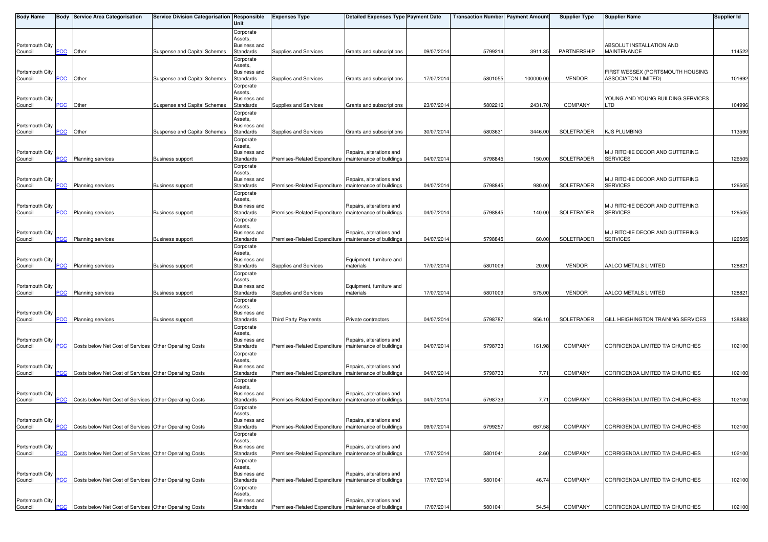| <b>Body Name</b>           |                  | <b>Body Service Area Categorisation</b>                | Service Division Categorisation Responsible | Unit                             | <b>Expenses Type</b>                                    | <b>Detailed Expenses Type Payment Date</b>           |            | <b>Transaction Number Payment Amount</b> |           | <b>Supplier Type</b> | <b>Supplier Name</b>                               | <b>Supplier Id</b> |
|----------------------------|------------------|--------------------------------------------------------|---------------------------------------------|----------------------------------|---------------------------------------------------------|------------------------------------------------------|------------|------------------------------------------|-----------|----------------------|----------------------------------------------------|--------------------|
|                            |                  |                                                        |                                             | Corporate                        |                                                         |                                                      |            |                                          |           |                      |                                                    |                    |
| Portsmouth City            |                  |                                                        |                                             | Assets,<br>Business and          |                                                         |                                                      |            |                                          |           |                      | ABSOLUT INSTALLATION AND                           |                    |
| Council                    | <b>PCC</b>       | Other                                                  | Suspense and Capital Schemes                | Standards                        | Supplies and Services                                   | Grants and subscriptions                             | 09/07/2014 | 5799214                                  | 3911.35   | PARTNERSHIP          | <b>MAINTENANCE</b>                                 | 114522             |
|                            |                  |                                                        |                                             | Corporate                        |                                                         |                                                      |            |                                          |           |                      |                                                    |                    |
| Portsmouth City            |                  |                                                        |                                             | Assets,<br>Business and          |                                                         |                                                      |            |                                          |           |                      | FIRST WESSEX (PORTSMOUTH HOUSING                   |                    |
| Council                    | <b>PCC</b>       | Other                                                  | Suspense and Capital Schemes                | Standards                        | Supplies and Services                                   | Grants and subscriptions                             | 17/07/2014 | 5801055                                  | 100000.00 | <b>VENDOR</b>        | <b>ASSOCIATON LIMITED)</b>                         | 101692             |
|                            |                  |                                                        |                                             | Corporate                        |                                                         |                                                      |            |                                          |           |                      |                                                    |                    |
|                            |                  |                                                        |                                             | Assets,                          |                                                         |                                                      |            |                                          |           |                      |                                                    |                    |
| Portsmouth City<br>Council | <u>PCC</u>       | Other                                                  | Suspense and Capital Schemes                | Business and<br>Standards        | Supplies and Services                                   | Grants and subscriptions                             | 23/07/2014 | 5802216                                  | 2431.70   | <b>COMPANY</b>       | YOUNG AND YOUNG BUILDING SERVICES<br>LTD           | 104996             |
|                            |                  |                                                        |                                             | Corporate                        |                                                         |                                                      |            |                                          |           |                      |                                                    |                    |
|                            |                  |                                                        |                                             | Assets,                          |                                                         |                                                      |            |                                          |           |                      |                                                    |                    |
| Portsmouth City<br>Council | <b>PCC</b>       | Other                                                  | Suspense and Capital Schemes                | <b>Business and</b><br>Standards | Supplies and Services                                   | Grants and subscriptions                             | 30/07/2014 | 580363                                   | 3446.00   | SOLETRADER           | <b>KJS PLUMBING</b>                                | 113590             |
|                            |                  |                                                        |                                             | Corporate                        |                                                         |                                                      |            |                                          |           |                      |                                                    |                    |
|                            |                  |                                                        |                                             | Assets,                          |                                                         |                                                      |            |                                          |           |                      |                                                    |                    |
| Portsmouth City<br>Council | <b>PCC</b>       | <b>Planning services</b>                               | <b>Business support</b>                     | Business and<br>Standards        | Premises-Related Expenditure                            | Repairs, alterations and<br>maintenance of buildings | 04/07/2014 | 579884                                   | 150.00    | SOLETRADER           | M J RITCHIE DECOR AND GUTTERING<br><b>SERVICES</b> | 126505             |
|                            |                  |                                                        |                                             | Corporate                        |                                                         |                                                      |            |                                          |           |                      |                                                    |                    |
|                            |                  |                                                        |                                             | Assets,                          |                                                         |                                                      |            |                                          |           |                      |                                                    |                    |
| Portsmouth City<br>Council | <b>PCC</b>       | Planning services                                      | <b>Business support</b>                     | Business and<br>Standards        | Premises-Related Expenditure   maintenance of buildings | Repairs, alterations and                             | 04/07/2014 | 5798845                                  | 980.00    | SOLETRADER           | M J RITCHIE DECOR AND GUTTERING<br><b>SERVICES</b> | 126505             |
|                            |                  |                                                        |                                             | Corporate                        |                                                         |                                                      |            |                                          |           |                      |                                                    |                    |
|                            |                  |                                                        |                                             | Assets.                          |                                                         |                                                      |            |                                          |           |                      |                                                    |                    |
| Portsmouth City<br>Council | <b>PCC</b>       | <b>Planning services</b>                               | <b>Business support</b>                     | Business and<br>Standards        | Premises-Related Expenditure   maintenance of buildings | Repairs, alterations and                             | 04/07/201  | 579884                                   | 140.00    | SOLETRADER           | M J RITCHIE DECOR AND GUTTERING<br><b>SERVICES</b> | 126505             |
|                            |                  |                                                        |                                             | Corporate                        |                                                         |                                                      |            |                                          |           |                      |                                                    |                    |
|                            |                  |                                                        |                                             | Assets,                          |                                                         |                                                      |            |                                          |           |                      |                                                    |                    |
| Portsmouth City<br>Council | <b>PCC</b>       | <b>Planning services</b>                               | <b>Business support</b>                     | Business and<br>Standards        | Premises-Related Expenditure   maintenance of buildings | Repairs, alterations and                             | 04/07/2014 | 5798845                                  | 60.00     | SOLETRADER           | M J RITCHIE DECOR AND GUTTERING<br><b>SERVICES</b> | 126505             |
|                            |                  |                                                        |                                             | Corporate                        |                                                         |                                                      |            |                                          |           |                      |                                                    |                    |
|                            |                  |                                                        |                                             | Assets.                          |                                                         |                                                      |            |                                          |           |                      |                                                    |                    |
| Portsmouth City<br>Council | PCC              | <b>Planning services</b>                               | Business support                            | <b>Business and</b><br>Standards | Supplies and Services                                   | Equipment, furniture and<br>materials                | 17/07/2014 | 5801009                                  | 20.00     | <b>VENDOR</b>        | AALCO METALS LIMITED                               | 128821             |
|                            |                  |                                                        |                                             | Corporate                        |                                                         |                                                      |            |                                          |           |                      |                                                    |                    |
|                            |                  |                                                        |                                             | Assets,                          |                                                         |                                                      |            |                                          |           |                      |                                                    |                    |
| Portsmouth City            |                  |                                                        |                                             | <b>Business and</b>              |                                                         | Equipment, furniture and                             |            |                                          |           |                      |                                                    |                    |
| Council                    | $\overline{PCC}$ | <b>Planning services</b>                               | <b>Business support</b>                     | Standards<br>Corporate           | Supplies and Services                                   | materials                                            | 17/07/2014 | 5801009                                  | 575.00    | <b>VENDOR</b>        | AALCO METALS LIMITED                               | 128821             |
|                            |                  |                                                        |                                             | Assets,                          |                                                         |                                                      |            |                                          |           |                      |                                                    |                    |
| Portsmouth City            | PCC              |                                                        |                                             | <b>Business and</b>              |                                                         |                                                      | 04/07/2014 | 5798787                                  | 956.10    | SOLETRADER           | GILL HEIGHINGTON TRAINING SERVICES                 | 138883             |
| Council                    |                  | Planning services                                      | <b>Business support</b>                     | Standards<br>Corporate           | Third Party Payments                                    | Private contractors                                  |            |                                          |           |                      |                                                    |                    |
|                            |                  |                                                        |                                             | Assets,                          |                                                         |                                                      |            |                                          |           |                      |                                                    |                    |
| Portsmouth City            |                  |                                                        |                                             | <b>Business and</b>              | Premises-Related Expenditure   maintenance of buildings | Repairs, alterations and                             |            |                                          |           | <b>COMPANY</b>       | CORRIGENDA LIMITED T/A CHURCHES                    |                    |
| Council                    | PCC              | Costs below Net Cost of Services Other Operating Costs |                                             | Standards<br>Corporate           |                                                         |                                                      | 04/07/2014 | 5798733                                  | 161.98    |                      |                                                    | 102100             |
|                            |                  |                                                        |                                             | Assets,                          |                                                         |                                                      |            |                                          |           |                      |                                                    |                    |
| Portsmouth City            |                  |                                                        |                                             | Business and                     |                                                         | Repairs, alterations and                             |            |                                          |           | <b>COMPANY</b>       |                                                    |                    |
| Council                    | PCC              | Costs below Net Cost of Services Other Operating Costs |                                             | Standards<br>Corporate           | Premises-Related Expenditure   maintenance of buildings |                                                      | 04/07/2014 | 5798733                                  | 7.71      |                      | CORRIGENDA LIMITED T/A CHURCHES                    | 102100             |
|                            |                  |                                                        |                                             | Assets,                          |                                                         |                                                      |            |                                          |           |                      |                                                    |                    |
| Portsmouth City            |                  |                                                        |                                             | <b>Business and</b>              |                                                         | Repairs, alterations and                             |            |                                          |           |                      | CORRIGENDA LIMITED T/A CHURCHES                    |                    |
| Council                    | <b>PCC</b>       | Costs below Net Cost of Services Other Operating Costs |                                             | Standards<br>Corporate           | Premises-Related Expenditure   maintenance of buildings |                                                      | 04/07/2014 | 5798733                                  | 7.71      | <b>COMPANY</b>       |                                                    | 102100             |
|                            |                  |                                                        |                                             | Assets,                          |                                                         |                                                      |            |                                          |           |                      |                                                    |                    |
| Portsmouth City            |                  |                                                        |                                             | Business and                     |                                                         | Repairs, alterations and                             |            |                                          |           |                      |                                                    |                    |
| Council                    | <b>PCC</b>       | Costs below Net Cost of Services Other Operating Costs |                                             | Standards<br>Corporate           | Premises-Related Expenditure   maintenance of buildings |                                                      | 09/07/2014 | 5799257                                  | 667.58    | <b>COMPANY</b>       | CORRIGENDA LIMITED T/A CHURCHES                    | 102100             |
|                            |                  |                                                        |                                             | Assets,                          |                                                         |                                                      |            |                                          |           |                      |                                                    |                    |
| Portsmouth City            |                  |                                                        |                                             | <b>Business and</b>              |                                                         | Repairs, alterations and                             |            |                                          |           |                      |                                                    |                    |
| Council                    | <b>PCC</b>       | Costs below Net Cost of Services Other Operating Costs |                                             | Standards                        | Premises-Related Expenditure   maintenance of buildings |                                                      | 17/07/2014 | 580104                                   | 2.60      | <b>COMPANY</b>       | CORRIGENDA LIMITED T/A CHURCHES                    | 102100             |
|                            |                  |                                                        |                                             | Corporate<br>Assets,             |                                                         |                                                      |            |                                          |           |                      |                                                    |                    |
| Portsmouth City            |                  |                                                        |                                             | <b>Business and</b>              |                                                         | Repairs, alterations and                             |            |                                          |           |                      |                                                    |                    |
| Council                    | <u>PCC</u>       | Costs below Net Cost of Services Other Operating Costs |                                             | Standards                        | Premises-Related Expenditure   maintenance of buildings |                                                      | 17/07/2014 | 5801041                                  | 46.74     | <b>COMPANY</b>       | CORRIGENDA LIMITED T/A CHURCHES                    | 102100             |
|                            |                  |                                                        |                                             | Corporate<br>Assets,             |                                                         |                                                      |            |                                          |           |                      |                                                    |                    |
| Portsmouth City            |                  |                                                        |                                             | Business and                     |                                                         | Repairs, alterations and                             |            |                                          |           |                      |                                                    |                    |
| Council                    | <b>PCC</b>       | Costs below Net Cost of Services Other Operating Costs |                                             | Standards                        | Premises-Related Expenditure   maintenance of buildings |                                                      | 17/07/2014 | 5801041                                  | 54.54     | <b>COMPANY</b>       | CORRIGENDA LIMITED T/A CHURCHES                    | 102100             |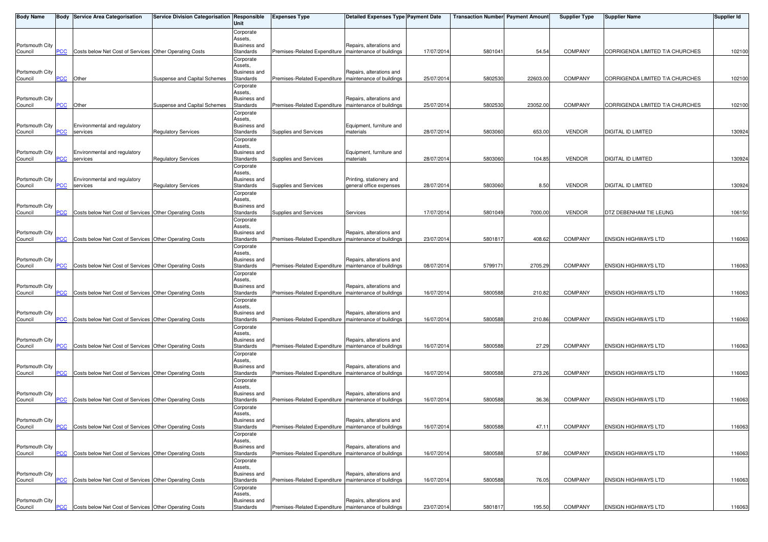| <b>Body Name</b>           |                | <b>Body Service Area Categorisation</b>                | Service Division Categorisation Responsible | Unit                           | <b>Expenses Type</b>                                    | <b>Detailed Expenses Type Payment Date</b> |            | <b>Transaction Number Payment Amount</b> |          | <b>Supplier Type</b> | <b>Supplier Name</b>            | Supplier Id |
|----------------------------|----------------|--------------------------------------------------------|---------------------------------------------|--------------------------------|---------------------------------------------------------|--------------------------------------------|------------|------------------------------------------|----------|----------------------|---------------------------------|-------------|
|                            |                |                                                        |                                             | Corporate                      |                                                         |                                            |            |                                          |          |                      |                                 |             |
| Portsmouth City            |                |                                                        |                                             | Assets,<br>Business and        |                                                         | Repairs, alterations and                   |            |                                          |          |                      |                                 |             |
| Council                    | PСC            | Costs below Net Cost of Services Other Operating Costs |                                             | Standards                      | Premises-Related Expenditure                            | maintenance of buildings                   | 17/07/201  | 580104                                   | 54.54    | <b>COMPANY</b>       | CORRIGENDA LIMITED T/A CHURCHES | 102100      |
|                            |                |                                                        |                                             | Corporate<br>Assets.           |                                                         |                                            |            |                                          |          |                      |                                 |             |
| Portsmouth City            |                |                                                        |                                             | Business and                   |                                                         | Repairs, alterations and                   |            |                                          |          |                      |                                 |             |
| Council                    | PCC            | Other                                                  | Suspense and Capital Schemes                | Standards<br>Corporate         | Premises-Related Expenditure   maintenance of buildings |                                            | 25/07/201  | 5802530                                  | 22603.00 | <b>COMPANY</b>       | CORRIGENDA LIMITED T/A CHURCHES | 102100      |
|                            |                |                                                        |                                             | Assets,                        |                                                         |                                            |            |                                          |          |                      |                                 |             |
| Portsmouth City<br>Council | PCC            | Other                                                  | Suspense and Capital Schemes                | Business and<br>Standards      | Premises-Related Expenditure   maintenance of buildings | Repairs, alterations and                   | 25/07/201  | 5802530                                  | 23052.00 | <b>COMPANY</b>       | CORRIGENDA LIMITED T/A CHURCHES | 102100      |
|                            |                |                                                        |                                             | Corporate                      |                                                         |                                            |            |                                          |          |                      |                                 |             |
| Portsmouth City            |                | Environmental and regulatory                           |                                             | Assets,<br>Business and        |                                                         | Equipment, furniture and                   |            |                                          |          |                      |                                 |             |
| Council                    | <b>PCC</b>     | services                                               | <b>Regulatory Services</b>                  | Standards                      | Supplies and Services                                   | materials                                  | 28/07/201  | 5803060                                  | 653.00   | <b>VENDOR</b>        | DIGITAL ID LIMITED              | 130924      |
|                            |                |                                                        |                                             | Corporate                      |                                                         |                                            |            |                                          |          |                      |                                 |             |
| Portsmouth City            |                | Environmental and regulatory                           |                                             | Assets,<br>Business and        |                                                         | Equipment, furniture and                   |            |                                          |          |                      |                                 |             |
| Council                    | PCC            | services                                               | <b>Regulatory Services</b>                  | Standards                      | Supplies and Services                                   | materials                                  | 28/07/201  | 5803060                                  | 104.85   | <b>VENDOR</b>        | DIGITAL ID LIMITED              | 130924      |
|                            |                |                                                        |                                             | Corporate<br>Assets,           |                                                         |                                            |            |                                          |          |                      |                                 |             |
| Portsmouth City            |                | Environmental and regulatory                           |                                             | Business and                   |                                                         | Printing, stationery and                   |            |                                          |          |                      |                                 |             |
| Council                    | <b>PCC</b>     | services                                               | <b>Regulatory Services</b>                  | Standards<br>Corporate         | Supplies and Services                                   | general office expenses                    | 28/07/201  | 5803060                                  | 8.50     | <b>VENDOR</b>        | <b>DIGITAL ID LIMITED</b>       | 130924      |
|                            |                |                                                        |                                             | Assets.                        |                                                         |                                            |            |                                          |          |                      |                                 |             |
| Portsmouth City<br>Council | <b>PCC</b>     | Costs below Net Cost of Services Other Operating Costs |                                             | Business and<br>Standards      | Supplies and Services                                   | Services                                   | 17/07/201  | 5801049                                  | 7000.00  | <b>VENDOR</b>        | DTZ DEBENHAM TIE LEUNG          | 106150      |
|                            |                |                                                        |                                             | Corporate                      |                                                         |                                            |            |                                          |          |                      |                                 |             |
| Portsmouth City            |                |                                                        |                                             | Assets,<br><b>Business and</b> |                                                         | Repairs, alterations and                   |            |                                          |          |                      |                                 |             |
| Council                    | <u>PCC</u>     | Costs below Net Cost of Services Other Operating Costs |                                             | Standards                      | Premises-Related Expenditure   maintenance of buildings |                                            | 23/07/201  | 580181                                   | 408.62   | <b>COMPANY</b>       | ENSIGN HIGHWAYS LTD             | 116063      |
|                            |                |                                                        |                                             | Corporate<br>Assets,           |                                                         |                                            |            |                                          |          |                      |                                 |             |
| Portsmouth City            |                |                                                        |                                             | <b>Business and</b>            |                                                         | Repairs, alterations and                   |            |                                          |          |                      |                                 |             |
| Council                    | PСC            | Costs below Net Cost of Services Other Operating Costs |                                             | Standards                      | Premises-Related Expenditure   maintenance of buildings |                                            | 08/07/201  | 579917                                   | 2705.29  | <b>COMPANY</b>       | <b>ENSIGN HIGHWAYS LTD</b>      | 116063      |
|                            |                |                                                        |                                             | Corporate<br>Assets.           |                                                         |                                            |            |                                          |          |                      |                                 |             |
| Portsmouth City            |                |                                                        |                                             | Business and                   |                                                         | Repairs, alterations and                   |            |                                          |          |                      |                                 |             |
| Council                    | $\overline{C}$ | Costs below Net Cost of Services Other Operating Costs |                                             | Standards<br>Corporate         | Premises-Related Expenditure   maintenance of buildings |                                            | 16/07/201  | 5800588                                  | 210.82   | <b>COMPANY</b>       | ENSIGN HIGHWAYS LTD             | 116063      |
|                            |                |                                                        |                                             | Assets,                        |                                                         |                                            |            |                                          |          |                      |                                 |             |
| Portsmouth City<br>Council | PCC            | Costs below Net Cost of Services Other Operating Costs |                                             | Business and<br>Standards      | Premises-Related Expenditure   maintenance of buildings | Repairs, alterations and                   | 16/07/201  | 5800588                                  | 210.86   | <b>COMPANY</b>       | <b>ENSIGN HIGHWAYS LTD</b>      | 116063      |
|                            |                |                                                        |                                             | Corporate                      |                                                         |                                            |            |                                          |          |                      |                                 |             |
| Portsmouth City            |                |                                                        |                                             | Assets,<br>Business and        |                                                         | Repairs, alterations and                   |            |                                          |          |                      |                                 |             |
| Council                    | PCC            | Costs below Net Cost of Services Other Operating Costs |                                             | Standards                      | Premises-Related Expenditure   maintenance of buildings |                                            | 16/07/201  | 5800588                                  | 27.29    | <b>COMPANY</b>       | <b>ENSIGN HIGHWAYS LTD</b>      | 116063      |
|                            |                |                                                        |                                             | Corporate<br>Assets,           |                                                         |                                            |            |                                          |          |                      |                                 |             |
| Portsmouth City            |                |                                                        |                                             | Business and                   |                                                         | Repairs, alterations and                   |            |                                          |          |                      |                                 |             |
| Council                    | <b>PCC</b>     | Costs below Net Cost of Services Other Operating Costs |                                             | Standards<br>Corporate         | Premises-Related Expenditure   maintenance of buildings |                                            | 16/07/201  | 5800588                                  | 273.26   | <b>COMPANY</b>       | <b>ENSIGN HIGHWAYS LTD</b>      | 116063      |
|                            |                |                                                        |                                             | Assets,                        |                                                         |                                            |            |                                          |          |                      |                                 |             |
| Portsmouth City            | <b>PCC</b>     | Costs below Net Cost of Services Other Operating Costs |                                             | Business and<br>Standards      | Premises-Related Expenditure   maintenance of buildings | Repairs, alterations and                   | 16/07/201  | 5800588                                  | 36.36    | COMPANY              | <b>ENSIGN HIGHWAYS LTD</b>      | 116063      |
| Council                    |                |                                                        |                                             | Corporate                      |                                                         |                                            |            |                                          |          |                      |                                 |             |
|                            |                |                                                        |                                             | Assets.                        |                                                         |                                            |            |                                          |          |                      |                                 |             |
| Portsmouth City<br>Council | <b>PCC</b>     | Costs below Net Cost of Services Other Operating Costs |                                             | Business and<br>Standards      | Premises-Related Expenditure   maintenance of buildings | Repairs, alterations and                   | 16/07/2014 | 5800588                                  | 47.11    | <b>COMPANY</b>       | ENSIGN HIGHWAYS LTD             | 116063      |
|                            |                |                                                        |                                             | Corporate                      |                                                         |                                            |            |                                          |          |                      |                                 |             |
| Portsmouth City            |                |                                                        |                                             | Assets,<br>Business and        |                                                         | Repairs, alterations and                   |            |                                          |          |                      |                                 |             |
| Council                    | PCC            | Costs below Net Cost of Services Other Operating Costs |                                             | Standards                      | Premises-Related Expenditure   maintenance of buildings |                                            | 16/07/201  | 5800588                                  | 57.86    | <b>COMPANY</b>       | <b>ENSIGN HIGHWAYS LTD</b>      | 116063      |
|                            |                |                                                        |                                             | Corporate<br>Assets,           |                                                         |                                            |            |                                          |          |                      |                                 |             |
| Portsmouth City            |                |                                                        |                                             | Business and                   |                                                         | Repairs, alterations and                   |            |                                          |          |                      |                                 |             |
| Council                    | PCC            | Costs below Net Cost of Services Other Operating Costs |                                             | Standards<br>Corporate         | Premises-Related Expenditure   maintenance of buildings |                                            | 16/07/201  | 5800588                                  | 76.05    | <b>COMPANY</b>       | <b>ENSIGN HIGHWAYS LTD</b>      | 116063      |
|                            |                |                                                        |                                             | Assets,                        |                                                         |                                            |            |                                          |          |                      |                                 |             |
| Portsmouth City<br>Council | <b>PCC</b>     | Costs below Net Cost of Services Other Operating Costs |                                             | Business and<br>Standards      | Premises-Related Expenditure   maintenance of buildings | Repairs, alterations and                   | 23/07/201  | 5801817                                  | 195.50   | COMPANY              | <b>ENSIGN HIGHWAYS LTD</b>      | 116063      |
|                            |                |                                                        |                                             |                                |                                                         |                                            |            |                                          |          |                      |                                 |             |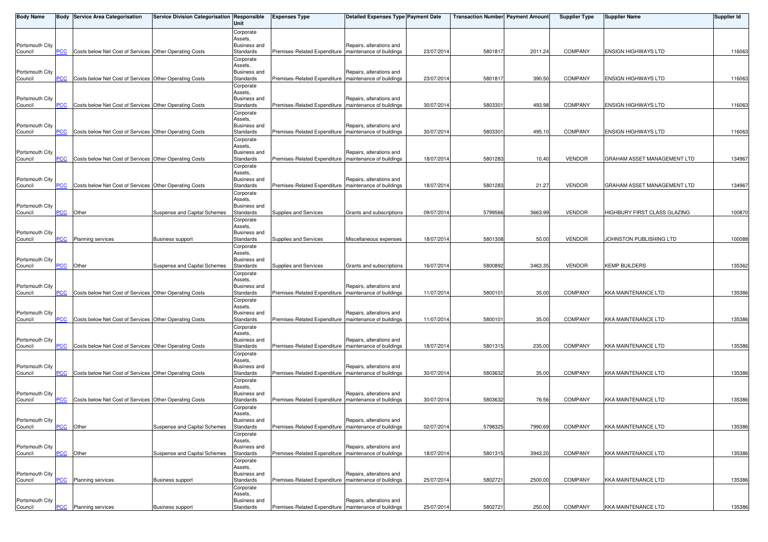| <b>Body Name</b>           |            | <b>Body Service Area Categorisation</b>                | Service Division Categorisation Responsible | Unit                      | <b>Expenses Type</b>                                    | <b>Detailed Expenses Type Payment Date</b>           |            | <b>Transaction Number Payment Amount</b> |         | <b>Supplier Type</b> | <b>Supplier Name</b>         | <b>Supplier Id</b> |
|----------------------------|------------|--------------------------------------------------------|---------------------------------------------|---------------------------|---------------------------------------------------------|------------------------------------------------------|------------|------------------------------------------|---------|----------------------|------------------------------|--------------------|
|                            |            |                                                        |                                             | Corporate                 |                                                         |                                                      |            |                                          |         |                      |                              |                    |
| Portsmouth City            |            |                                                        |                                             | Assets,<br>Business and   |                                                         | Repairs, alterations and                             |            |                                          |         |                      |                              |                    |
| Council                    | <b>PCC</b> | Costs below Net Cost of Services Other Operating Costs |                                             | Standards                 | Premises-Related Expenditure   maintenance of buildings |                                                      | 23/07/2014 | 5801817                                  | 2011.24 | <b>COMPANY</b>       | <b>ENSIGN HIGHWAYS LTD</b>   | 116063             |
|                            |            |                                                        |                                             | Corporate<br>Assets,      |                                                         |                                                      |            |                                          |         |                      |                              |                    |
| Portsmouth City            |            |                                                        |                                             | Business and              |                                                         | Repairs, alterations and                             |            |                                          |         |                      |                              |                    |
| Council                    | <b>PCC</b> | Costs below Net Cost of Services Other Operating Costs |                                             | Standards                 | Premises-Related Expenditure   maintenance of buildings |                                                      | 23/07/2014 | 5801817                                  | 390.50  | <b>COMPANY</b>       | <b>ENSIGN HIGHWAYS LTD</b>   | 116063             |
|                            |            |                                                        |                                             | Corporate<br>Assets,      |                                                         |                                                      |            |                                          |         |                      |                              |                    |
| Portsmouth City            |            |                                                        |                                             | Business and              |                                                         | Repairs, alterations and                             |            |                                          |         |                      |                              |                    |
| Council                    | PСC        | Costs below Net Cost of Services Other Operating Costs |                                             | Standards                 | Premises-Related Expenditure   maintenance of buildings |                                                      | 30/07/201  | 580330                                   | 493.98  | <b>COMPANY</b>       | <b>ENSIGN HIGHWAYS LTD</b>   | 116063             |
|                            |            |                                                        |                                             | Corporate<br>Assets,      |                                                         |                                                      |            |                                          |         |                      |                              |                    |
| Portsmouth City            |            |                                                        |                                             | Business and              |                                                         | Repairs, alterations and                             |            |                                          |         |                      |                              |                    |
| Council                    | <b>PCC</b> | Costs below Net Cost of Services Other Operating Costs |                                             | Standards<br>Corporate    | Premises-Related Expenditure   maintenance of buildings |                                                      | 30/07/2014 | 580330                                   | 495.10  | <b>COMPANY</b>       | <b>ENSIGN HIGHWAYS LTD</b>   | 116063             |
|                            |            |                                                        |                                             | Assets,                   |                                                         |                                                      |            |                                          |         |                      |                              |                    |
| Portsmouth City<br>Council | PСC        | Costs below Net Cost of Services Other Operating Costs |                                             | Business and<br>Standards | Premises-Related Expenditure                            | Repairs, alterations and<br>maintenance of buildings | 18/07/201  | 5801283                                  | 10.40   | <b>VENDOR</b>        | GRAHAM ASSET MANAGEMENT LTD  | 134967             |
|                            |            |                                                        |                                             | Corporate                 |                                                         |                                                      |            |                                          |         |                      |                              |                    |
|                            |            |                                                        |                                             | Assets,                   |                                                         |                                                      |            |                                          |         |                      |                              |                    |
| Portsmouth City<br>Council | <b>PCC</b> | Costs below Net Cost of Services Other Operating Costs |                                             | Business and<br>Standards | Premises-Related Expenditure   maintenance of buildings | Repairs, alterations and                             | 18/07/201  | 5801283                                  | 21.27   | <b>VENDOR</b>        | GRAHAM ASSET MANAGEMENT LTD  | 134967             |
|                            |            |                                                        |                                             | Corporate                 |                                                         |                                                      |            |                                          |         |                      |                              |                    |
| Portsmouth City            |            |                                                        |                                             | Assets,<br>Business and   |                                                         |                                                      |            |                                          |         |                      |                              |                    |
| Council                    | PCC        | Other                                                  | Suspense and Capital Schemes                | Standards                 | Supplies and Services                                   | Grants and subscriptions                             | 09/07/201  | 5799566                                  | 3663.99 | <b>VENDOR</b>        | HIGHBURY FIRST CLASS GLAZING | 100870             |
|                            |            |                                                        |                                             | Corporate                 |                                                         |                                                      |            |                                          |         |                      |                              |                    |
| Portsmouth City            |            |                                                        |                                             | Assets,<br>Business and   |                                                         |                                                      |            |                                          |         |                      |                              |                    |
| Council                    | <b>PCC</b> | <b>Planning services</b>                               | <b>Business support</b>                     | Standards                 | Supplies and Services                                   | Miscellaneous expenses                               | 18/07/201  | 5801308                                  | 50.00   | <b>VENDOR</b>        | JOHNSTON PUBLISHING LTD      | 100088             |
|                            |            |                                                        |                                             | Corporate<br>Assets.      |                                                         |                                                      |            |                                          |         |                      |                              |                    |
| Portsmouth City            |            |                                                        |                                             | Business and              |                                                         |                                                      |            |                                          |         |                      |                              |                    |
| Council                    | PCC        | Other                                                  | Suspense and Capital Schemes                | Standards                 | Supplies and Services                                   | Grants and subscriptions                             | 16/07/201  | 5800892                                  | 3463.35 | <b>VENDOR</b>        | KEMP BUILDERS                | 135362             |
|                            |            |                                                        |                                             | Corporate<br>Assets,      |                                                         |                                                      |            |                                          |         |                      |                              |                    |
| Portsmouth City            |            |                                                        |                                             | Business and              |                                                         | Repairs, alterations and                             |            |                                          |         |                      |                              |                    |
| Council                    | <u>PCC</u> | Costs below Net Cost of Services Other Operating Costs |                                             | Standards<br>Corporate    | Premises-Related Expenditure   maintenance of buildings |                                                      | 11/07/2014 | 580010                                   | 35.00   | <b>COMPANY</b>       | <b>KKA MAINTENANCE LTD</b>   | 135386             |
|                            |            |                                                        |                                             | Assets,                   |                                                         |                                                      |            |                                          |         |                      |                              |                    |
| Portsmouth City            | PCC        |                                                        |                                             | Business and              |                                                         | Repairs, alterations and                             |            |                                          | 35.00   |                      |                              | 135386             |
| Council                    |            | Costs below Net Cost of Services Other Operating Costs |                                             | Standards<br>Corporate    | Premises-Related Expenditure   maintenance of buildings |                                                      | 11/07/2014 | 5800101                                  |         | COMPANY              | <b>KKA MAINTENANCE LTD</b>   |                    |
|                            |            |                                                        |                                             | Assets.                   |                                                         |                                                      |            |                                          |         |                      |                              |                    |
| Portsmouth City<br>Council | PCC        | Costs below Net Cost of Services Other Operating Costs |                                             | Business and<br>Standards | Premises-Related Expenditure   maintenance of buildings | Repairs, alterations and                             | 18/07/2014 | 5801315                                  | 235.00  | <b>COMPANY</b>       | <b>KKA MAINTENANCE LTD</b>   | 135386             |
|                            |            |                                                        |                                             | Corporate                 |                                                         |                                                      |            |                                          |         |                      |                              |                    |
| Portsmouth City            |            |                                                        |                                             | Assets,<br>Business and   |                                                         | Repairs, alterations and                             |            |                                          |         |                      |                              |                    |
| Council                    | <b>PCC</b> | Costs below Net Cost of Services Other Operating Costs |                                             | Standards                 | Premises-Related Expenditure   maintenance of buildings |                                                      | 30/07/2014 | 5803632                                  | 35.00   | COMPANY              | <b>KKA MAINTENANCE LTD</b>   | 135386             |
|                            |            |                                                        |                                             | Corporate                 |                                                         |                                                      |            |                                          |         |                      |                              |                    |
| Portsmouth City            |            |                                                        |                                             | Assets,<br>Business and   |                                                         | Repairs, alterations and                             |            |                                          |         |                      |                              |                    |
| Council                    | <b>PCC</b> | Costs below Net Cost of Services Other Operating Costs |                                             | Standards                 | Premises-Related Expenditure   maintenance of buildings |                                                      | 30/07/2014 | 5803632                                  | 76.56   | <b>COMPANY</b>       | <b>KKA MAINTENANCE LTD</b>   | 135386             |
|                            |            |                                                        |                                             | Corporate<br>Assets,      |                                                         |                                                      |            |                                          |         |                      |                              |                    |
| Portsmouth City            |            |                                                        |                                             | Business and              |                                                         | Repairs, alterations and                             |            |                                          |         |                      |                              |                    |
| Council                    | PCC Other  |                                                        | Suspense and Capital Schemes                | Standards                 | Premises-Related Expenditure   maintenance of buildings |                                                      | 02/07/2014 | 5798325                                  | 7990.69 | <b>COMPANY</b>       | <b>KKA MAINTENANCE LTD</b>   | 135386             |
|                            |            |                                                        |                                             | Corporate<br>Assets,      |                                                         |                                                      |            |                                          |         |                      |                              |                    |
| Portsmouth City            |            |                                                        |                                             | Business and              |                                                         | Repairs, alterations and                             |            |                                          |         |                      |                              |                    |
| Council                    | <b>PCC</b> | Other                                                  | Suspense and Capital Schemes                | Standards<br>Corporate    | Premises-Related Expenditure   maintenance of buildings |                                                      | 18/07/201  | 5801315                                  | 3943.20 | COMPANY              | <b>KKA MAINTENANCE LTD</b>   | 135386             |
|                            |            |                                                        |                                             | Assets,                   |                                                         |                                                      |            |                                          |         |                      |                              |                    |
| Portsmouth City<br>Council |            | <b>Planning services</b>                               | <b>Business support</b>                     | Business and<br>Standards | Premises-Related Expenditure                            | Repairs, alterations and<br>maintenance of buildings | 25/07/201  | 580272                                   | 2500.00 | <b>COMPANY</b>       | <b>KKA MAINTENANCE LTD</b>   | 135386             |
|                            | <u>PCC</u> |                                                        |                                             | Corporate                 |                                                         |                                                      |            |                                          |         |                      |                              |                    |
|                            |            |                                                        |                                             | Assets,                   |                                                         |                                                      |            |                                          |         |                      |                              |                    |
| Portsmouth City<br>Council | <u>PCC</u> | <b>Planning services</b>                               | <b>Business support</b>                     | Business and<br>Standards | Premises-Related Expenditure   maintenance of buildings | Repairs, alterations and                             | 25/07/2014 | 5802721                                  | 250.00  | COMPANY              | <b>KKA MAINTENANCE LTD</b>   | 135386             |
|                            |            |                                                        |                                             |                           |                                                         |                                                      |            |                                          |         |                      |                              |                    |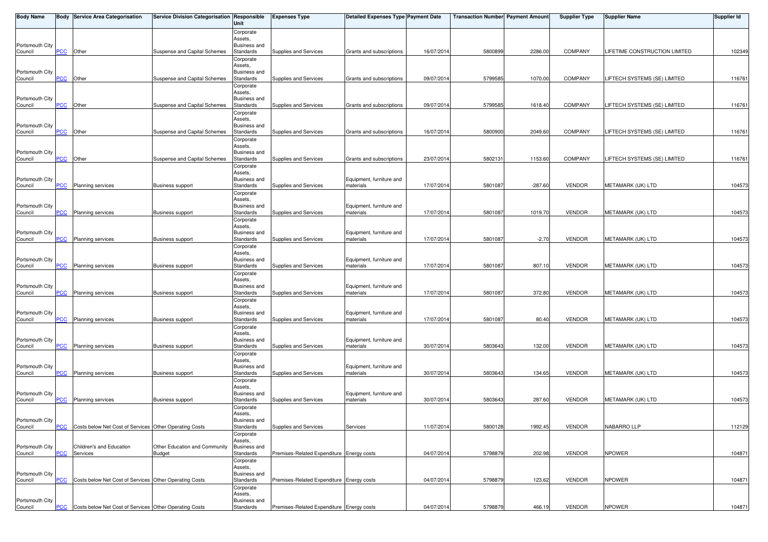| <b>Body Name</b>           |                           | <b>Body Service Area Categorisation</b>                | Service Division Categorisation Responsible    | Unit                             | <b>Expenses Type</b>                      | <b>Detailed Expenses Type Payment Date</b> |            | <b>Transaction Number Payment Amount</b> |           | <b>Supplier Type</b> | <b>Supplier Name</b>                 | <b>Supplier Id</b> |
|----------------------------|---------------------------|--------------------------------------------------------|------------------------------------------------|----------------------------------|-------------------------------------------|--------------------------------------------|------------|------------------------------------------|-----------|----------------------|--------------------------------------|--------------------|
|                            |                           |                                                        |                                                | Corporate                        |                                           |                                            |            |                                          |           |                      |                                      |                    |
| Portsmouth City            |                           |                                                        |                                                | Assets,<br>Business and          |                                           |                                            |            |                                          |           |                      |                                      |                    |
| Council                    | $\overline{C}$            | Other                                                  | Suspense and Capital Schemes                   | Standards                        | Supplies and Services                     | Grants and subscriptions                   | 16/07/2014 | 5800899                                  | 2286.00   | <b>COMPANY</b>       | <b>LIFETIME CONSTRUCTION LIMITED</b> | 102349             |
|                            |                           |                                                        |                                                | Corporate                        |                                           |                                            |            |                                          |           |                      |                                      |                    |
| Portsmouth City            |                           |                                                        |                                                | Assets.<br>Business and          |                                           |                                            |            |                                          |           |                      |                                      |                    |
| Council                    | PCC                       | Other                                                  | Suspense and Capital Schemes                   | Standards                        | Supplies and Services                     | Grants and subscriptions                   | 09/07/2014 | 5799585                                  | 1070.00   | <b>COMPANY</b>       | LIFTECH SYSTEMS (SE) LIMITED         | 116761             |
|                            |                           |                                                        |                                                | Corporate<br>Assets,             |                                           |                                            |            |                                          |           |                      |                                      |                    |
| Portsmouth City            |                           |                                                        |                                                | Business and                     |                                           |                                            |            |                                          |           |                      |                                      |                    |
| Council                    | <u>PCC</u>                | Other                                                  | Suspense and Capital Schemes                   | Standards                        | Supplies and Services                     | Grants and subscriptions                   | 09/07/201  | 5799585                                  | 1618.40   | <b>COMPANY</b>       | <b>LIFTECH SYSTEMS (SE) LIMITED</b>  | 116761             |
|                            |                           |                                                        |                                                | Corporate<br>Assets,             |                                           |                                            |            |                                          |           |                      |                                      |                    |
| Portsmouth City            |                           |                                                        |                                                | Business and                     |                                           |                                            |            |                                          |           |                      |                                      |                    |
| Council                    | <b>PCC</b>                | Other                                                  | Suspense and Capital Schemes                   | Standards                        | Supplies and Services                     | Grants and subscriptions                   | 16/07/201  | 5800900                                  | 2049.60   | <b>COMPANY</b>       | <b>LIFTECH SYSTEMS (SE) LIMITED</b>  | 116761             |
|                            |                           |                                                        |                                                | Corporate<br>Assets,             |                                           |                                            |            |                                          |           |                      |                                      |                    |
| Portsmouth City            |                           |                                                        |                                                | Business and                     |                                           |                                            |            |                                          |           |                      |                                      |                    |
| Council                    | $\overline{C}$            | Other                                                  | Suspense and Capital Schemes                   | Standards<br>Corporate           | Supplies and Services                     | Grants and subscriptions                   | 23/07/201  | 580213                                   | 1153.60   | <b>COMPANY</b>       | LIFTECH SYSTEMS (SE) LIMITED         | 116761             |
|                            |                           |                                                        |                                                | Assets,                          |                                           |                                            |            |                                          |           |                      |                                      |                    |
| Portsmouth City<br>Council | $\overline{\mathsf{PCC}}$ | Planning services                                      | <b>Business support</b>                        | Business and<br>Standards        | Supplies and Services                     | Equipment, furniture and<br>materials      | 17/07/201  | 5801087                                  | $-287.60$ | <b>VENDOR</b>        | METAMARK (UK) LTD                    | 104573             |
|                            |                           |                                                        |                                                | Corporate                        |                                           |                                            |            |                                          |           |                      |                                      |                    |
|                            |                           |                                                        |                                                | Assets.                          |                                           |                                            |            |                                          |           |                      |                                      |                    |
| Portsmouth City<br>Council | <b>PCC</b>                | Planning services                                      | <b>Business support</b>                        | Business and<br>Standards        | Supplies and Services                     | Equipment, furniture and<br>materials      | 17/07/201  | 5801087                                  | 1019.70   | <b>VENDOR</b>        | METAMARK (UK) LTD                    | 104573             |
|                            |                           |                                                        |                                                | Corporate                        |                                           |                                            |            |                                          |           |                      |                                      |                    |
|                            |                           |                                                        |                                                | Assets,                          |                                           |                                            |            |                                          |           |                      |                                      |                    |
| Portsmouth City<br>Council | <u>PCC</u>                | <b>Planning services</b>                               | <b>Business support</b>                        | <b>Business and</b><br>Standards | Supplies and Services                     | Equipment, furniture and<br>materials      | 17/07/201  | 5801087                                  | $-2.70$   | <b>VENDOR</b>        | METAMARK (UK) LTD                    | 104573             |
|                            |                           |                                                        |                                                | Corporate                        |                                           |                                            |            |                                          |           |                      |                                      |                    |
| Portsmouth City            |                           |                                                        |                                                | Assets,<br><b>Business and</b>   |                                           | Equipment, furniture and                   |            |                                          |           |                      |                                      |                    |
| Council                    | $\overline{C}$            | Planning services                                      | <b>Business support</b>                        | Standards                        | Supplies and Services                     | materials                                  | 17/07/201  | 5801087                                  | 807.10    | <b>VENDOR</b>        | METAMARK (UK) LTD                    | 104573             |
|                            |                           |                                                        |                                                | Corporate                        |                                           |                                            |            |                                          |           |                      |                                      |                    |
| Portsmouth City            |                           |                                                        |                                                | Assets.<br>Business and          |                                           | Equipment, furniture and                   |            |                                          |           |                      |                                      |                    |
| Council                    | $\overline{C}$            | <b>Planning services</b>                               | <b>Business support</b>                        | Standards                        | Supplies and Services                     | materials                                  | 17/07/2014 | 5801087                                  | 372.80    | <b>VENDOR</b>        | METAMARK (UK) LTD                    | 104573             |
|                            |                           |                                                        |                                                | Corporate<br>Assets,             |                                           |                                            |            |                                          |           |                      |                                      |                    |
| Portsmouth City            |                           |                                                        |                                                | Business and                     |                                           | Equipment, furniture and                   |            |                                          |           |                      |                                      |                    |
| Council                    | PCC                       | <b>Planning services</b>                               | <b>Business support</b>                        | Standards                        | Supplies and Services                     | materials                                  | 17/07/2014 | 5801087                                  | 80.40     | <b>VENDOR</b>        | METAMARK (UK) LTD                    | 104573             |
|                            |                           |                                                        |                                                | Corporate<br>Assets,             |                                           |                                            |            |                                          |           |                      |                                      |                    |
| Portsmouth City            |                           |                                                        |                                                | Business and                     |                                           | Equipment, furniture and                   |            |                                          |           |                      |                                      |                    |
| Council                    | PСC                       | Planning services                                      | <b>Business support</b>                        | Standards<br>Corporate           | Supplies and Services                     | materials                                  | 30/07/2014 | 5803643                                  | 132.00    | <b>VENDOR</b>        | METAMARK (UK) LTD                    | 104573             |
|                            |                           |                                                        |                                                | Assets,                          |                                           |                                            |            |                                          |           |                      |                                      |                    |
| Portsmouth City            |                           |                                                        |                                                | Business and                     |                                           | Equipment, furniture and                   |            |                                          |           |                      |                                      |                    |
| Council                    | <b>PCC</b>                | Planning services                                      | <b>Business support</b>                        | Standards<br>Corporate           | Supplies and Services                     | materials                                  | 30/07/2014 | 5803643                                  | 134.65    | <b>VENDOR</b>        | METAMARK (UK) LTD                    | 104573             |
|                            |                           |                                                        |                                                | Assets,                          |                                           |                                            |            |                                          |           |                      |                                      |                    |
| Portsmouth City<br>Council | <b>PCC</b>                | Planning services                                      | <b>Business support</b>                        | Business and<br>Standards        | Supplies and Services                     | Equipment, furniture and<br>materials      | 30/07/2014 | 5803643                                  | 287.60    | <b>VENDOR</b>        | METAMARK (UK) LTD                    | 104573             |
|                            |                           |                                                        |                                                | Corporate                        |                                           |                                            |            |                                          |           |                      |                                      |                    |
|                            |                           |                                                        |                                                | Assets,                          |                                           |                                            |            |                                          |           |                      |                                      |                    |
| Portsmouth City<br>Council | <b>PCC</b>                | Costs below Net Cost of Services Other Operating Costs |                                                | Business and<br>Standards        | Supplies and Services                     | Services                                   | 11/07/2014 | 5800128                                  | 1992.45   | <b>VENDOR</b>        | NABARRO LLP                          | 112129             |
|                            |                           |                                                        |                                                | Corporate                        |                                           |                                            |            |                                          |           |                      |                                      |                    |
|                            |                           |                                                        |                                                | Assets,                          |                                           |                                            |            |                                          |           |                      |                                      |                    |
| Portsmouth City<br>Council | PCC                       | Children's and Education<br>Services                   | Other Education and Community<br><b>Budget</b> | <b>Business and</b><br>Standards | Premises-Related Expenditure Energy costs |                                            | 04/07/2014 | 5798879                                  | 202.98    | <b>VENDOR</b>        | <b>NPOWER</b>                        | 104871             |
|                            |                           |                                                        |                                                | Corporate                        |                                           |                                            |            |                                          |           |                      |                                      |                    |
| Portsmouth City            |                           |                                                        |                                                | Assets,<br>Business and          |                                           |                                            |            |                                          |           |                      |                                      |                    |
| Council                    | PCC                       | Costs below Net Cost of Services Other Operating Costs |                                                | Standards                        | Premises-Related Expenditure Energy costs |                                            | 04/07/201  | 5798879                                  | 123.62    | <b>VENDOR</b>        | <b>NPOWER</b>                        | 104871             |
|                            |                           |                                                        |                                                | Corporate                        |                                           |                                            |            |                                          |           |                      |                                      |                    |
| Portsmouth City            |                           |                                                        |                                                | Assets,<br>Business and          |                                           |                                            |            |                                          |           |                      |                                      |                    |
| Council                    | <b>PCC</b>                | Costs below Net Cost of Services Other Operating Costs |                                                | Standards                        | Premises-Related Expenditure Energy costs |                                            | 04/07/2014 | 5798879                                  | 466.19    | VENDOR               | <b>NPOWER</b>                        | 104871             |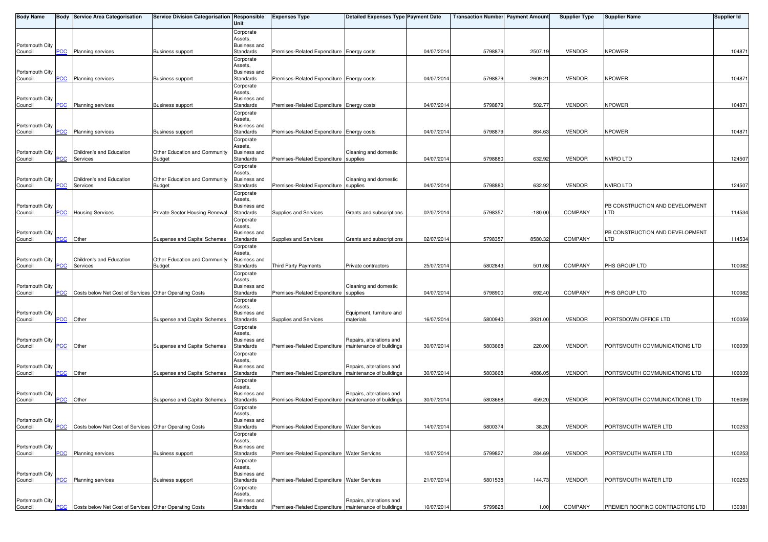| <b>Body Name</b>           |                | <b>Body Service Area Categorisation</b>                | Service Division Categorisation Responsible | Unit                             | <b>Expenses Type</b>                                    | <b>Detailed Expenses Type Payment Date</b> |            | <b>Transaction Number Payment Amount</b> |           | <b>Supplier Type</b> | <b>Supplier Name</b>            | <b>Supplier Id</b> |
|----------------------------|----------------|--------------------------------------------------------|---------------------------------------------|----------------------------------|---------------------------------------------------------|--------------------------------------------|------------|------------------------------------------|-----------|----------------------|---------------------------------|--------------------|
|                            |                |                                                        |                                             | Corporate                        |                                                         |                                            |            |                                          |           |                      |                                 |                    |
|                            |                |                                                        |                                             | Assets,                          |                                                         |                                            |            |                                          |           |                      |                                 |                    |
| Portsmouth City<br>Council | PСC            | <b>Planning services</b>                               | <b>Business support</b>                     | Business and<br>Standards        | Premises-Related Expenditure Energy costs               |                                            | 04/07/2014 | 5798879                                  | 2507.19   | <b>VENDOR</b>        | <b>NPOWER</b>                   | 104871             |
|                            |                |                                                        |                                             | Corporate                        |                                                         |                                            |            |                                          |           |                      |                                 |                    |
|                            |                |                                                        |                                             | Assets.                          |                                                         |                                            |            |                                          |           |                      |                                 |                    |
| Portsmouth City<br>Council | PCC            | Planning services                                      | <b>Business support</b>                     | <b>Business and</b><br>Standards | Premises-Related Expenditure Energy costs               |                                            | 04/07/2014 | 5798879                                  | 2609.21   | <b>VENDOR</b>        | <b>NPOWER</b>                   | 104871             |
|                            |                |                                                        |                                             | Corporate                        |                                                         |                                            |            |                                          |           |                      |                                 |                    |
|                            |                |                                                        |                                             | Assets,                          |                                                         |                                            |            |                                          |           |                      |                                 |                    |
| Portsmouth City<br>Council | <b>PCC</b>     | <b>Planning services</b>                               | <b>Business support</b>                     | <b>Business and</b><br>Standards | Premises-Related Expenditure Energy costs               |                                            | 04/07/2014 | 579887                                   | 502.77    | <b>VENDOR</b>        | <b>NPOWER</b>                   | 104871             |
|                            |                |                                                        |                                             | Corporate                        |                                                         |                                            |            |                                          |           |                      |                                 |                    |
|                            |                |                                                        |                                             | Assets,                          |                                                         |                                            |            |                                          |           |                      |                                 |                    |
| Portsmouth City<br>Council | <b>PCC</b>     | <b>Planning services</b>                               | <b>Business support</b>                     | <b>Business and</b><br>Standards | Premises-Related Expenditure Energy costs               |                                            | 04/07/2014 | 5798879                                  | 864.63    | <b>VENDOR</b>        | <b>NPOWER</b>                   | 104871             |
|                            |                |                                                        |                                             | Corporate                        |                                                         |                                            |            |                                          |           |                      |                                 |                    |
| Portsmouth City            |                | Children's and Education                               | Other Education and Community               | Assets,<br>Business and          |                                                         | Cleaning and domestic                      |            |                                          |           |                      |                                 |                    |
| Council                    | <u>PCC</u>     | Services                                               | <b>Budget</b>                               | Standards                        | Premises-Related Expenditure                            | supplies                                   | 04/07/2014 | 5798880                                  | 632.92    | <b>VENDOR</b>        | <b>NVIRO LTD</b>                | 124507             |
|                            |                |                                                        |                                             | Corporate                        |                                                         |                                            |            |                                          |           |                      |                                 |                    |
| Portsmouth City            |                | Children's and Education                               | Other Education and Community               | Assets,<br>Business and          |                                                         | Cleaning and domestic                      |            |                                          |           |                      |                                 |                    |
| Council                    | <b>PCC</b>     | Services                                               | <b>Budget</b>                               | Standards                        | Premises-Related Expenditure supplies                   |                                            | 04/07/2014 | 5798880                                  | 632.92    | <b>VENDOR</b>        | <b>NVIRO LTD</b>                | 124507             |
|                            |                |                                                        |                                             | Corporate                        |                                                         |                                            |            |                                          |           |                      |                                 |                    |
| Portsmouth City            |                |                                                        |                                             | Assets,<br>Business and          |                                                         |                                            |            |                                          |           |                      | PB CONSTRUCTION AND DEVELOPMENT |                    |
| Council                    | PCC            | <b>Housing Services</b>                                | Private Sector Housing Renewal              | Standards                        | Supplies and Services                                   | Grants and subscriptions                   | 02/07/201  | 579835                                   | $-180.00$ | <b>COMPANY</b>       | LTD                             | 114534             |
|                            |                |                                                        |                                             | Corporate                        |                                                         |                                            |            |                                          |           |                      |                                 |                    |
| Portsmouth City            |                |                                                        |                                             | Assets,<br>Business and          |                                                         |                                            |            |                                          |           |                      | PB CONSTRUCTION AND DEVELOPMENT |                    |
| Council                    | <b>PCC</b>     | Other                                                  | Suspense and Capital Schemes                | Standards                        | Supplies and Services                                   | Grants and subscriptions                   | 02/07/2014 | 579835                                   | 8580.32   | <b>COMPANY</b>       | LTD                             | 114534             |
|                            |                |                                                        |                                             | Corporate                        |                                                         |                                            |            |                                          |           |                      |                                 |                    |
| Portsmouth City            |                | Children's and Education                               | Other Education and Community               | Assets,<br><b>Business and</b>   |                                                         |                                            |            |                                          |           |                      |                                 |                    |
| Council                    | PСC            | Services                                               | <b>Budget</b>                               | Standards                        | Third Party Payments                                    | Private contractors                        | 25/07/2014 | 5802843                                  | 501.08    | COMPANY              | PHS GROUP LTD                   | 100082             |
|                            |                |                                                        |                                             | Corporate                        |                                                         |                                            |            |                                          |           |                      |                                 |                    |
| Portsmouth City            |                |                                                        |                                             | Assets,<br><b>Business and</b>   |                                                         | Cleaning and domestic                      |            |                                          |           |                      |                                 |                    |
| Council                    | <b>PCC</b>     | Costs below Net Cost of Services Other Operating Costs |                                             | Standards                        | Premises-Related Expenditure supplies                   |                                            | 04/07/2014 | 5798900                                  | 692.40    | <b>COMPANY</b>       | PHS GROUP LTD                   | 100082             |
|                            |                |                                                        |                                             | Corporate                        |                                                         |                                            |            |                                          |           |                      |                                 |                    |
| Portsmouth City            |                |                                                        |                                             | Assets,<br>Business and          |                                                         | Equipment, furniture and                   |            |                                          |           |                      |                                 |                    |
| Council                    | PCC            | Other                                                  | Suspense and Capital Schemes                | Standards                        | Supplies and Services                                   | materials                                  | 16/07/2014 | 5800940                                  | 3931.00   | <b>VENDOR</b>        | PORTSDOWN OFFICE LTD            | 100059             |
|                            |                |                                                        |                                             | Corporate                        |                                                         |                                            |            |                                          |           |                      |                                 |                    |
| Portsmouth City            |                |                                                        |                                             | Assets,<br>Business and          |                                                         | Repairs, alterations and                   |            |                                          |           |                      |                                 |                    |
| Council                    | PСC            | Other                                                  | Suspense and Capital Schemes                | Standards                        | Premises-Related Expenditure   maintenance of buildings |                                            | 30/07/2014 | 5803668                                  | 220.00    | <b>VENDOR</b>        | PORTSMOUTH COMMUNICATIONS LTD   | 106039             |
|                            |                |                                                        |                                             | Corporate                        |                                                         |                                            |            |                                          |           |                      |                                 |                    |
| Portsmouth City            |                |                                                        |                                             | Assets,<br>Business and          |                                                         | Repairs, alterations and                   |            |                                          |           |                      |                                 |                    |
| Council                    | $\overline{C}$ | Other                                                  | Suspense and Capital Schemes                | Standards                        | Premises-Related Expenditure   maintenance of buildings |                                            | 30/07/2014 | 5803668                                  | 4886.05   | <b>VENDOR</b>        | PORTSMOUTH COMMUNICATIONS LTD   | 106039             |
|                            |                |                                                        |                                             | Corporate                        |                                                         |                                            |            |                                          |           |                      |                                 |                    |
| Portsmouth City            |                |                                                        |                                             | Assets,<br><b>Business and</b>   |                                                         | Repairs, alterations and                   |            |                                          |           |                      |                                 |                    |
| Council                    | <b>PCC</b>     | Other                                                  | Suspense and Capital Schemes                | Standards                        | Premises-Related Expenditure   maintenance of buildings |                                            | 30/07/2014 | 5803668                                  | 459.20    | <b>VENDOR</b>        | PORTSMOUTH COMMUNICATIONS LTD   | 106039             |
|                            |                |                                                        |                                             | Corporate<br>Assets.             |                                                         |                                            |            |                                          |           |                      |                                 |                    |
| Portsmouth City            |                |                                                        |                                             | Business and                     |                                                         |                                            |            |                                          |           |                      |                                 |                    |
| Council                    | <b>PCC</b>     | Costs below Net Cost of Services Other Operating Costs |                                             | Standards                        | Premises-Related Expenditure Water Services             |                                            | 14/07/2014 | 5800374                                  | 38.20     | <b>VENDOR</b>        | PORTSMOUTH WATER LTD            | 100253             |
|                            |                |                                                        |                                             | Corporate<br>Assets,             |                                                         |                                            |            |                                          |           |                      |                                 |                    |
| Portsmouth City            |                |                                                        |                                             | <b>Business and</b>              |                                                         |                                            |            |                                          |           |                      |                                 |                    |
| Council                    | PCC            | Planning services                                      | <b>Business support</b>                     | Standards                        | Premises-Related Expenditure Water Services             |                                            | 10/07/2014 | 579982                                   | 284.69    | <b>VENDOR</b>        | PORTSMOUTH WATER LTD            | 100253             |
|                            |                |                                                        |                                             | Corporate<br>Assets,             |                                                         |                                            |            |                                          |           |                      |                                 |                    |
| Portsmouth City            |                |                                                        |                                             | Business and                     |                                                         |                                            |            |                                          |           |                      |                                 |                    |
| Council                    | PCC            | Planning services                                      | <b>Business support</b>                     | Standards                        | Premises-Related Expenditure Water Services             |                                            | 21/07/2014 | 5801538                                  | 144.73    | <b>VENDOR</b>        | PORTSMOUTH WATER LTD            | 100253             |
|                            |                |                                                        |                                             | Corporate<br>Assets,             |                                                         |                                            |            |                                          |           |                      |                                 |                    |
| Portsmouth City            |                |                                                        |                                             | <b>Business and</b>              |                                                         | Repairs, alterations and                   |            |                                          |           |                      |                                 |                    |
| Council                    | <u>PCC</u>     | Costs below Net Cost of Services Other Operating Costs |                                             | Standards                        | Premises-Related Expenditure   maintenance of buildings |                                            | 10/07/2014 | 5799828                                  | 1.00      | COMPANY              | PREMIER ROOFING CONTRACTORS LTD | 130381             |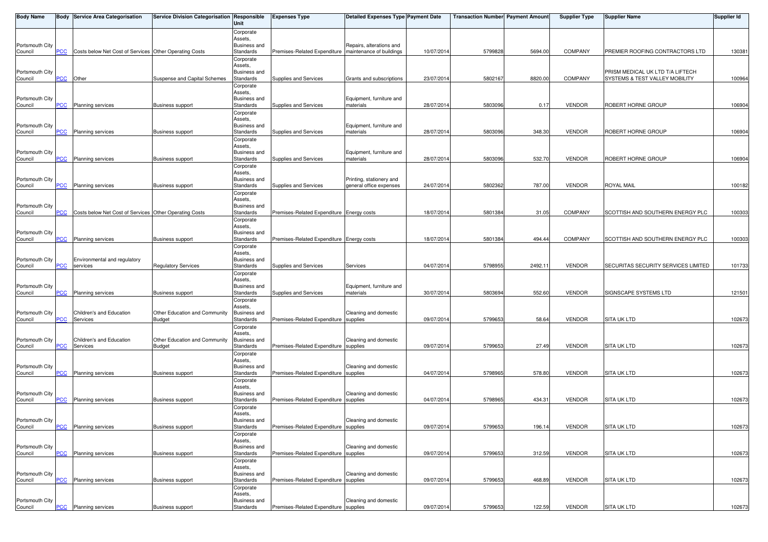| Body Name                  |                | <b>Body Service Area Categorisation</b>                | Service Division Categorisation Responsible | Unit                      | <b>Expenses Type</b>                      | <b>Detailed Expenses Type Payment Date</b>          |            | <b>Transaction Number Payment Amount</b> |         | <b>Supplier Type</b> | <b>Supplier Name</b>                | <b>Supplier Id</b> |
|----------------------------|----------------|--------------------------------------------------------|---------------------------------------------|---------------------------|-------------------------------------------|-----------------------------------------------------|------------|------------------------------------------|---------|----------------------|-------------------------------------|--------------------|
|                            |                |                                                        |                                             | Corporate                 |                                           |                                                     |            |                                          |         |                      |                                     |                    |
| Portsmouth City            |                |                                                        |                                             | Assets,<br>Business and   |                                           | Repairs, alterations and                            |            |                                          |         |                      |                                     |                    |
| Council                    | <u> PCC</u>    | Costs below Net Cost of Services Other Operating Costs |                                             | Standards                 | Premises-Related Expenditure              | maintenance of buildings                            | 10/07/2014 | 5799828                                  | 5694.00 | COMPANY              | PREMIER ROOFING CONTRACTORS LTD     | 130381             |
|                            |                |                                                        |                                             | Corporate<br>Assets,      |                                           |                                                     |            |                                          |         |                      |                                     |                    |
| Portsmouth City            |                |                                                        |                                             | Business and              |                                           |                                                     |            |                                          |         |                      | PRISM MEDICAL UK LTD T/A LIFTECH    |                    |
| Council                    | <b>PCC</b>     | Other                                                  | Suspense and Capital Schemes                | Standards                 | Supplies and Services                     | Grants and subscriptions                            | 23/07/201  | 5802167                                  | 8820.00 | <b>COMPANY</b>       | SYSTEMS & TEST VALLEY MOBILITY      | 100964             |
|                            |                |                                                        |                                             | Corporate<br>Assets,      |                                           |                                                     |            |                                          |         |                      |                                     |                    |
| Portsmouth City            |                |                                                        |                                             | Business and              |                                           | Equipment, furniture and                            |            |                                          |         |                      |                                     |                    |
| Council                    | PСC            | Planning services                                      | <b>Business support</b>                     | Standards                 | Supplies and Services                     | materials                                           | 28/07/201  | 5803096                                  | 0.17    | <b>VENDOR</b>        | ROBERT HORNE GROUP                  | 106904             |
|                            |                |                                                        |                                             | Corporate<br>Assets,      |                                           |                                                     |            |                                          |         |                      |                                     |                    |
| Portsmouth City            |                |                                                        |                                             | Business and              |                                           | Equipment, furniture and                            |            |                                          |         |                      |                                     |                    |
| Council                    | <b>PCC</b>     | Planning services                                      | <b>Business support</b>                     | Standards<br>Corporate    | Supplies and Services                     | materials                                           | 28/07/201  | 5803096                                  | 348.30  | <b>VENDOR</b>        | ROBERT HORNE GROUP                  | 106904             |
|                            |                |                                                        |                                             | Assets,                   |                                           |                                                     |            |                                          |         |                      |                                     |                    |
| Portsmouth City<br>Council | $\overline{C}$ | <b>Planning services</b>                               | <b>Business support</b>                     | Business and<br>Standards | Supplies and Services                     | Equipment, furniture and<br>materials               | 28/07/201  | 5803096                                  | 532.70  | <b>VENDOR</b>        | ROBERT HORNE GROUP                  | 106904             |
|                            |                |                                                        |                                             | Corporate                 |                                           |                                                     |            |                                          |         |                      |                                     |                    |
|                            |                |                                                        |                                             | Assets,                   |                                           |                                                     |            |                                          |         |                      |                                     |                    |
| Portsmouth City<br>Council | <b>PCC</b>     | <b>Planning services</b>                               | <b>Business support</b>                     | Business and<br>Standards | Supplies and Services                     | Printing, stationery and<br>general office expenses | 24/07/201  | 5802362                                  | 787.00  | <b>VENDOR</b>        | <b>ROYAL MAIL</b>                   | 100182             |
|                            |                |                                                        |                                             | Corporate                 |                                           |                                                     |            |                                          |         |                      |                                     |                    |
| Portsmouth City            |                |                                                        |                                             | Assets,<br>Business and   |                                           |                                                     |            |                                          |         |                      |                                     |                    |
| Council                    | PCC            | Costs below Net Cost of Services Other Operating Costs |                                             | Standards                 | Premises-Related Expenditure Energy costs |                                                     | 18/07/201  | 5801384                                  | 31.05   | <b>COMPANY</b>       | SCOTTISH AND SOUTHERN ENERGY PLC    | 100303             |
|                            |                |                                                        |                                             | Corporate                 |                                           |                                                     |            |                                          |         |                      |                                     |                    |
| Portsmouth City            |                |                                                        |                                             | Assets,<br>Business and   |                                           |                                                     |            |                                          |         |                      |                                     |                    |
| Council                    | <b>PCC</b>     | <b>Planning services</b>                               | <b>Business support</b>                     | Standards                 | Premises-Related Expenditure Energy costs |                                                     | 18/07/201  | 5801384                                  | 494.44  | <b>COMPANY</b>       | SCOTTISH AND SOUTHERN ENERGY PLC    | 100303             |
|                            |                |                                                        |                                             | Corporate<br>Assets.      |                                           |                                                     |            |                                          |         |                      |                                     |                    |
| Portsmouth City            |                | Environmental and regulatory                           |                                             | Business and              |                                           |                                                     |            |                                          |         |                      |                                     |                    |
| Council                    | PСC            | services                                               | <b>Regulatory Services</b>                  | Standards                 | Supplies and Services                     | Services                                            | 04/07/201  | 5798955                                  | 2492.11 | <b>VENDOR</b>        | SECURITAS SECURITY SERVICES LIMITED | 101733             |
|                            |                |                                                        |                                             | Corporate<br>Assets,      |                                           |                                                     |            |                                          |         |                      |                                     |                    |
| Portsmouth City            |                |                                                        |                                             | Business and              |                                           | Equipment, furniture and                            |            |                                          |         |                      |                                     |                    |
| Council                    | <u>PCC</u>     | Planning services                                      | <b>Business support</b>                     | Standards<br>Corporate    | Supplies and Services                     | materials                                           | 30/07/2014 | 5803694                                  | 552.60  | <b>VENDOR</b>        | SIGNSCAPE SYSTEMS LTD               | 121501             |
|                            |                |                                                        |                                             | Assets,                   |                                           |                                                     |            |                                          |         |                      |                                     |                    |
| Portsmouth City            | PСC            | Children's and Education                               | Other Education and Community               | Business and              |                                           | Cleaning and domestic                               |            | 5799653                                  | 58.64   |                      |                                     | 102673             |
| Council                    |                | Services                                               | <b>Budget</b>                               | Standards<br>Corporate    | Premises-Related Expenditure supplies     |                                                     | 09/07/2014 |                                          |         | <b>VENDOR</b>        | <b>SITA UK LTD</b>                  |                    |
|                            |                |                                                        |                                             | Assets.                   |                                           |                                                     |            |                                          |         |                      |                                     |                    |
| Portsmouth City<br>Council | PСC            | Children's and Education<br>Services                   | Other Education and Community<br>Budget     | Business and<br>Standards | Premises-Related Expenditure supplies     | Cleaning and domestic                               | 09/07/2014 | 5799653                                  | 27.49   | <b>VENDOR</b>        | <b>SITA UK LTD</b>                  | 102673             |
|                            |                |                                                        |                                             | Corporate                 |                                           |                                                     |            |                                          |         |                      |                                     |                    |
| Portsmouth City            |                |                                                        |                                             | Assets,<br>Business and   |                                           | Cleaning and domestic                               |            |                                          |         |                      |                                     |                    |
| Council                    | <b>PCC</b>     | <b>Planning services</b>                               | <b>Business support</b>                     | Standards                 | Premises-Related Expenditure supplies     |                                                     | 04/07/201  | 5798965                                  | 578.80  | VENDOR               | <b>SITA UK LTD</b>                  | 102673             |
|                            |                |                                                        |                                             | Corporate                 |                                           |                                                     |            |                                          |         |                      |                                     |                    |
| Portsmouth City            |                |                                                        |                                             | Assets.<br>Business and   |                                           | Cleaning and domestic                               |            |                                          |         |                      |                                     |                    |
| Council                    | PCC            | <b>Planning services</b>                               | <b>Business support</b>                     | Standards                 | Premises-Related Expenditure supplies     |                                                     | 04/07/2014 | 5798965                                  | 434.31  | <b>VENDOR</b>        | <b>SITA UK LTD</b>                  | 102673             |
|                            |                |                                                        |                                             | Corporate<br>Assets,      |                                           |                                                     |            |                                          |         |                      |                                     |                    |
| Portsmouth City            |                |                                                        |                                             | Business and              |                                           | Cleaning and domestic                               |            |                                          |         |                      |                                     |                    |
| Council                    | $PCC$          | Planning services                                      | <b>Business support</b>                     | Standards                 | Premises-Related Expenditure supplies     |                                                     | 09/07/2014 | 5799653                                  | 196.14  | <b>VENDOR</b>        | <b>SITA UK LTD</b>                  | 102673             |
|                            |                |                                                        |                                             | Corporate<br>Assets,      |                                           |                                                     |            |                                          |         |                      |                                     |                    |
| Portsmouth City            |                |                                                        |                                             | <b>Business and</b>       |                                           | Cleaning and domestic                               |            |                                          |         |                      |                                     |                    |
| Council                    | <b>PCC</b>     | Planning services                                      | <b>Business support</b>                     | Standards<br>Corporate    | Premises-Related Expenditure supplies     |                                                     | 09/07/201  | 5799653                                  | 312.59  | <b>VENDOR</b>        | <b>SITA UK LTD</b>                  | 102673             |
|                            |                |                                                        |                                             | Assets,                   |                                           |                                                     |            |                                          |         |                      |                                     |                    |
| Portsmouth City<br>Council | <u>PCC</u>     | Planning services                                      | <b>Business support</b>                     | Business and<br>Standards | Premises-Related Expenditure              | Cleaning and domestic<br>supplies                   | 09/07/201  | 5799653                                  | 468.89  | <b>VENDOR</b>        | <b>SITA UK LTD</b>                  | 102673             |
|                            |                |                                                        |                                             | Corporate                 |                                           |                                                     |            |                                          |         |                      |                                     |                    |
|                            |                |                                                        |                                             | Assets,                   |                                           |                                                     |            |                                          |         |                      |                                     |                    |
| Portsmouth City<br>Council | <u>PCC</u>     | <b>Planning services</b>                               | <b>Business support</b>                     | Business and<br>Standards | Premises-Related Expenditure supplies     | Cleaning and domestic                               | 09/07/2014 | 5799653                                  | 122.59  | <b>VENDOR</b>        | <b>SITA UK LTD</b>                  | 102673             |
|                            |                |                                                        |                                             |                           |                                           |                                                     |            |                                          |         |                      |                                     |                    |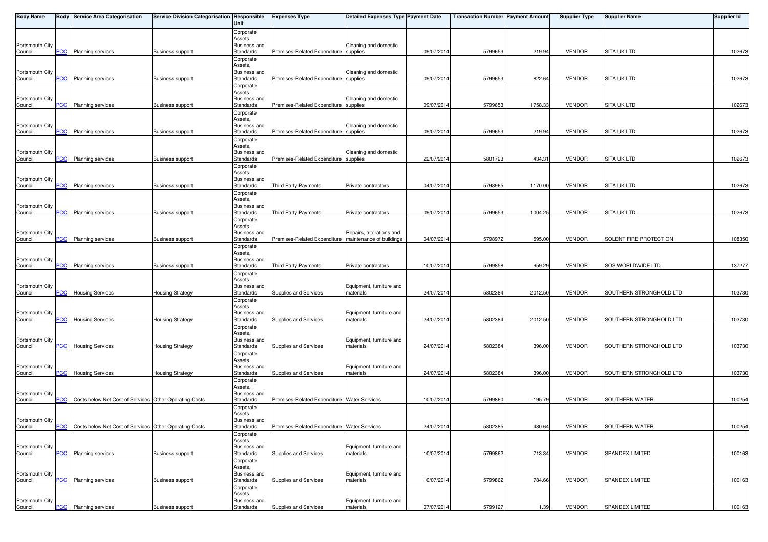| <b>Body Name</b> |                           | <b>Body Service Area Categorisation</b>                | Service Division Categorisation Responsible | Unit                           | <b>Expenses Type</b>                        | Detailed Expenses Type Payment Date |            | <b>Transaction Number Payment Amount</b> |           | <b>Supplier Type</b> | <b>Supplier Name</b>    | <b>Supplier Id</b> |
|------------------|---------------------------|--------------------------------------------------------|---------------------------------------------|--------------------------------|---------------------------------------------|-------------------------------------|------------|------------------------------------------|-----------|----------------------|-------------------------|--------------------|
|                  |                           |                                                        |                                             | Corporate                      |                                             |                                     |            |                                          |           |                      |                         |                    |
| Portsmouth City  |                           |                                                        |                                             | Assets,<br><b>Business and</b> |                                             | Cleaning and domestic               |            |                                          |           |                      |                         |                    |
| Council          | PCC                       | <b>Planning services</b>                               | <b>Business support</b>                     | Standards                      | Premises-Related Expenditure                | supplies                            | 09/07/2014 | 579965                                   | 219.94    | <b>VENDOR</b>        | <b>SITA UK LTD</b>      | 102673             |
|                  |                           |                                                        |                                             | Corporate                      |                                             |                                     |            |                                          |           |                      |                         |                    |
| Portsmouth City  |                           |                                                        |                                             | Assets,<br><b>Business and</b> |                                             | Cleaning and domestic               |            |                                          |           |                      |                         |                    |
| Council          | <b>PCC</b>                | <b>Planning services</b>                               | <b>Business support</b>                     | Standards                      | Premises-Related Expenditure supplies       |                                     | 09/07/2014 | 5799653                                  | 822.64    | <b>VENDOR</b>        | <b>SITA UK LTD</b>      | 102673             |
|                  |                           |                                                        |                                             | Corporate                      |                                             |                                     |            |                                          |           |                      |                         |                    |
| Portsmouth City  |                           |                                                        |                                             | Assets,<br><b>Business and</b> |                                             | Cleaning and domestic               |            |                                          |           |                      |                         |                    |
| Council          | <b>PCC</b>                | <b>Planning services</b>                               | <b>Business support</b>                     | Standards                      | Premises-Related Expenditure supplies       |                                     | 09/07/2014 | 579965                                   | 1758.33   | <b>VENDOR</b>        | <b>SITA UK LTD</b>      | 102673             |
|                  |                           |                                                        |                                             | Corporate                      |                                             |                                     |            |                                          |           |                      |                         |                    |
| Portsmouth City  |                           |                                                        |                                             | Assets,<br>Business and        |                                             | Cleaning and domestic               |            |                                          |           |                      |                         |                    |
| Council          | <b>PCC</b>                | <b>Planning services</b>                               | <b>Business support</b>                     | Standards                      | Premises-Related Expenditure supplies       |                                     | 09/07/2014 | 5799653                                  | 219.94    | <b>VENDOR</b>        | <b>SITA UK LTD</b>      | 102673             |
|                  |                           |                                                        |                                             | Corporate                      |                                             |                                     |            |                                          |           |                      |                         |                    |
| Portsmouth City  |                           |                                                        |                                             | Assets,<br><b>Business and</b> |                                             | Cleaning and domestic               |            |                                          |           |                      |                         |                    |
| Council          | <u>PCC</u>                | <b>Planning services</b>                               | <b>Business support</b>                     | Standards                      | Premises-Related Expenditure                | supplies                            | 22/07/201  | 5801723                                  | 434.31    | <b>VENDOR</b>        | <b>SITA UK LTD</b>      | 102673             |
|                  |                           |                                                        |                                             | Corporate                      |                                             |                                     |            |                                          |           |                      |                         |                    |
| Portsmouth City  |                           |                                                        |                                             | Assets,<br>Business and        |                                             |                                     |            |                                          |           |                      |                         |                    |
| Council          | <b>PCC</b>                | <b>Planning services</b>                               | <b>Business support</b>                     | Standards                      | Third Party Payments                        | Private contractors                 | 04/07/201  | 579896                                   | 1170.00   | <b>VENDOR</b>        | <b>SITA UK LTD</b>      | 102673             |
|                  |                           |                                                        |                                             | Corporate                      |                                             |                                     |            |                                          |           |                      |                         |                    |
| Portsmouth City  |                           |                                                        |                                             | Assets,<br><b>Business and</b> |                                             |                                     |            |                                          |           |                      |                         |                    |
| Council          | <b>PCC</b>                | Planning services                                      | <b>Business support</b>                     | Standards                      | Third Party Payments                        | Private contractors                 | 09/07/201  | 579965                                   | 1004.25   | <b>VENDOR</b>        | <b>SITA UK LTD</b>      | 102673             |
|                  |                           |                                                        |                                             | Corporate<br>Assets,           |                                             |                                     |            |                                          |           |                      |                         |                    |
| Portsmouth City  |                           |                                                        |                                             | <b>Business and</b>            |                                             | Repairs, alterations and            |            |                                          |           |                      |                         |                    |
| Council          | <u>PCC</u>                | <b>Planning services</b>                               | <b>Business support</b>                     | Standards                      | Premises-Related Expenditure                | maintenance of buildings            | 04/07/201  | 579897                                   | 595.00    | <b>VENDOR</b>        | SOLENT FIRE PROTECTION  | 108350             |
|                  |                           |                                                        |                                             | Corporate<br>Assets,           |                                             |                                     |            |                                          |           |                      |                         |                    |
| Portsmouth City  |                           |                                                        |                                             | <b>Business and</b>            |                                             |                                     |            |                                          |           |                      |                         |                    |
| Council          | PCC                       | Planning services                                      | <b>Business support</b>                     | Standards                      | Third Party Payments                        | Private contractors                 | 10/07/201  | 5799858                                  | 959.29    | <b>VENDOR</b>        | SOS WORLDWIDE LTD       | 137277             |
|                  |                           |                                                        |                                             | Corporate<br>Assets,           |                                             |                                     |            |                                          |           |                      |                         |                    |
| Portsmouth City  |                           |                                                        |                                             | <b>Business and</b>            |                                             | Equipment, furniture and            |            |                                          |           |                      |                         |                    |
| Council          | PCC                       | <b>Housing Services</b>                                | <b>Housing Strategy</b>                     | Standards                      | Supplies and Services                       | materials                           | 24/07/2014 | 5802384                                  | 2012.50   | <b>VENDOR</b>        | SOUTHERN STRONGHOLD LTD | 103730             |
|                  |                           |                                                        |                                             | Corporate<br>Assets,           |                                             |                                     |            |                                          |           |                      |                         |                    |
| Portsmouth City  |                           |                                                        |                                             | <b>Business and</b>            |                                             | Equipment, furniture and            |            |                                          |           |                      |                         |                    |
| Council          | PCC                       | <b>Housing Services</b>                                | Housing Strategy                            | Standards                      | Supplies and Services                       | materials                           | 24/07/2014 | 5802384                                  | 2012.50   | <b>VENDOR</b>        | SOUTHERN STRONGHOLD LTD | 103730             |
|                  |                           |                                                        |                                             | Corporate<br>Assets,           |                                             |                                     |            |                                          |           |                      |                         |                    |
| Portsmouth City  |                           |                                                        |                                             | <b>Business and</b>            |                                             | Equipment, furniture and            |            |                                          |           |                      |                         |                    |
| Council          | PCC                       | <b>Housing Services</b>                                | <b>Housing Strategy</b>                     | Standards                      | Supplies and Services                       | materials                           | 24/07/201  | 5802384                                  | 396.00    | <b>VENDOR</b>        | SOUTHERN STRONGHOLD LTD | 103730             |
|                  |                           |                                                        |                                             | Corporate<br>Assets,           |                                             |                                     |            |                                          |           |                      |                         |                    |
| Portsmouth City  |                           |                                                        |                                             | <b>Business and</b>            |                                             | Equipment, furniture and            |            |                                          |           |                      |                         |                    |
| Council          | <b>PCC</b>                | <b>Housing Services</b>                                | <b>Housing Strategy</b>                     | Standards                      | Supplies and Services                       | materials                           | 24/07/2014 | 5802384                                  | 396.00    | <b>VENDOR</b>        | SOUTHERN STRONGHOLD LTD | 103730             |
|                  |                           |                                                        |                                             | Corporate<br>Assets,           |                                             |                                     |            |                                          |           |                      |                         |                    |
| Portsmouth City  |                           |                                                        |                                             | Business and                   |                                             |                                     |            |                                          |           |                      |                         |                    |
| Council          | <b>PCC</b>                | Costs below Net Cost of Services Other Operating Costs |                                             | Standards                      | Premises-Related Expenditure Water Services |                                     | 10/07/2014 | 5799860                                  | $-195.79$ | <b>VENDOR</b>        | SOUTHERN WATER          | 100254             |
|                  |                           |                                                        |                                             | Corporate<br>Assets,           |                                             |                                     |            |                                          |           |                      |                         |                    |
| Portsmouth City  |                           |                                                        |                                             | <b>Business and</b>            |                                             |                                     |            |                                          |           |                      |                         |                    |
| Council          | <b>PCC</b>                | Costs below Net Cost of Services Other Operating Costs |                                             | Standards                      | Premises-Related Expenditure Water Services |                                     | 24/07/2014 | 5802385                                  | 480.64    | <b>VENDOR</b>        | <b>SOUTHERN WATER</b>   | 100254             |
|                  |                           |                                                        |                                             | Corporate<br>Assets,           |                                             |                                     |            |                                          |           |                      |                         |                    |
| Portsmouth City  |                           |                                                        |                                             | <b>Business and</b>            |                                             | Equipment, furniture and            |            |                                          |           |                      |                         |                    |
| Council          | PCC                       | Planning services                                      | <b>Business support</b>                     | Standards                      | Supplies and Services                       | materials                           | 10/07/2014 | 579986                                   | 713.34    | <b>VENDOR</b>        | SPANDEX LIMITED         | 100163             |
|                  |                           |                                                        |                                             | Corporate<br>Assets,           |                                             |                                     |            |                                          |           |                      |                         |                    |
| Portsmouth City  |                           |                                                        |                                             | Business and                   |                                             | Equipment, furniture and            |            |                                          |           |                      |                         |                    |
| Council          | PCC                       | Planning services                                      | <b>Business support</b>                     | Standards<br>Corporate         | Supplies and Services                       | materials                           | 10/07/201  | 5799862                                  | 784.66    | <b>VENDOR</b>        | SPANDEX LIMITED         | 100163             |
|                  |                           |                                                        |                                             | Assets,                        |                                             |                                     |            |                                          |           |                      |                         |                    |
| Portsmouth City  |                           |                                                        |                                             | <b>Business and</b>            |                                             | Equipment, furniture and            |            |                                          |           |                      |                         |                    |
| Council          | $\overline{\mathsf{PCC}}$ | Planning services                                      | <b>Business support</b>                     | Standards                      | Supplies and Services                       | materials                           | 07/07/2014 | 5799127                                  | 1.39      | <b>VENDOR</b>        | SPANDEX LIMITED         | 100163             |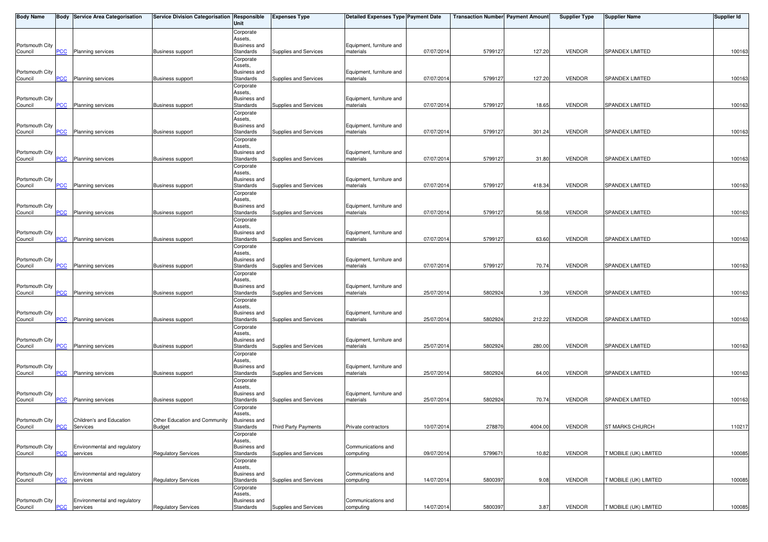| <b>Body Name</b>           |                           | <b>Body Service Area Categorisation</b>  | Service Division Categorisation Responsible | Unit                             | <b>Expenses Type</b>  | Detailed Expenses Type Payment Date   |            | <b>Transaction Number Payment Amount</b> |         | <b>Supplier Type</b> | <b>Supplier Name</b>   | <b>Supplier Id</b> |
|----------------------------|---------------------------|------------------------------------------|---------------------------------------------|----------------------------------|-----------------------|---------------------------------------|------------|------------------------------------------|---------|----------------------|------------------------|--------------------|
|                            |                           |                                          |                                             | Corporate                        |                       |                                       |            |                                          |         |                      |                        |                    |
| Portsmouth City            |                           |                                          |                                             | Assets,<br><b>Business and</b>   |                       | Equipment, furniture and              |            |                                          |         |                      |                        |                    |
| Council                    | $\overline{C}$            | <b>Planning services</b>                 | <b>Business support</b>                     | Standards                        | Supplies and Services | materials                             | 07/07/2014 | 5799127                                  | 127.20  | <b>VENDOR</b>        | <b>SPANDEX LIMITED</b> | 100163             |
|                            |                           |                                          |                                             | Corporate                        |                       |                                       |            |                                          |         |                      |                        |                    |
|                            |                           |                                          |                                             | Assets.                          |                       |                                       |            |                                          |         |                      |                        |                    |
| Portsmouth City            |                           |                                          |                                             | <b>Business and</b>              | Supplies and Services | Equipment, furniture and              |            |                                          |         |                      |                        |                    |
| Council                    | <b>PCC</b>                | Planning services                        | <b>Business support</b>                     | Standards                        |                       | materials                             | 07/07/2014 | 5799127                                  | 127.20  | <b>VENDOR</b>        | <b>SPANDEX LIMITED</b> | 100163             |
|                            |                           |                                          |                                             | Corporate<br>Assets,             |                       |                                       |            |                                          |         |                      |                        |                    |
| Portsmouth City            |                           |                                          |                                             | <b>Business and</b>              |                       | Equipment, furniture and              |            |                                          |         |                      |                        |                    |
| Council                    | <b>PCC</b>                | <b>Planning services</b>                 | <b>Business support</b>                     | Standards                        | Supplies and Services | materials                             | 07/07/2014 | 5799127                                  | 18.65   | <b>VENDOR</b>        | <b>SPANDEX LIMITED</b> | 100163             |
|                            |                           |                                          |                                             | Corporate                        |                       |                                       |            |                                          |         |                      |                        |                    |
| Portsmouth City            |                           |                                          |                                             | Assets,<br><b>Business and</b>   |                       | Equipment, furniture and              |            |                                          |         |                      |                        |                    |
| Council                    | <b>PCC</b>                | Planning services                        | <b>Business support</b>                     | Standards                        | Supplies and Services | materials                             | 07/07/2014 | 5799127                                  | 301.24  | <b>VENDOR</b>        | <b>SPANDEX LIMITED</b> | 100163             |
|                            |                           |                                          |                                             | Corporate                        |                       |                                       |            |                                          |         |                      |                        |                    |
|                            |                           |                                          |                                             | Assets,                          |                       |                                       |            |                                          |         |                      |                        |                    |
| Portsmouth City            |                           |                                          |                                             | <b>Business and</b>              |                       | Equipment, furniture and              |            |                                          |         |                      |                        |                    |
| Council                    | $\overline{\mathsf{PCC}}$ | <b>Planning services</b>                 | <b>Business support</b>                     | Standards                        | Supplies and Services | materials                             | 07/07/2014 | 5799127                                  | 31.80   | <b>VENDOR</b>        | <b>SPANDEX LIMITED</b> | 100163             |
|                            |                           |                                          |                                             | Corporate<br>Assets,             |                       |                                       |            |                                          |         |                      |                        |                    |
| Portsmouth City            |                           |                                          |                                             | Business and                     |                       | Equipment, furniture and              |            |                                          |         |                      |                        |                    |
| Council                    | <b>PCC</b>                | Planning services                        | <b>Business support</b>                     | Standards                        | Supplies and Services | materials                             | 07/07/2014 | 5799127                                  | 418.34  | <b>VENDOR</b>        | <b>SPANDEX LIMITED</b> | 100163             |
|                            |                           |                                          |                                             | Corporate                        |                       |                                       |            |                                          |         |                      |                        |                    |
|                            |                           |                                          |                                             | Assets,<br><b>Business and</b>   |                       |                                       |            |                                          |         |                      |                        |                    |
| Portsmouth City<br>Council | <b>PCC</b>                | Planning services                        | <b>Business support</b>                     | Standards                        | Supplies and Services | Equipment, furniture and<br>materials | 07/07/2014 | 5799127                                  | 56.58   | <b>VENDOR</b>        | <b>SPANDEX LIMITED</b> | 100163             |
|                            |                           |                                          |                                             | Corporate                        |                       |                                       |            |                                          |         |                      |                        |                    |
|                            |                           |                                          |                                             | Assets,                          |                       |                                       |            |                                          |         |                      |                        |                    |
| Portsmouth City            |                           |                                          |                                             | Business and                     |                       | Equipment, furniture and              |            |                                          |         |                      |                        |                    |
| Council                    | <b>PCC</b>                | <b>Planning services</b>                 | <b>Business support</b>                     | Standards                        | Supplies and Services | materials                             | 07/07/2014 | 5799127                                  | 63.60   | <b>VENDOR</b>        | <b>SPANDEX LIMITED</b> | 100163             |
|                            |                           |                                          |                                             | Corporate<br>Assets,             |                       |                                       |            |                                          |         |                      |                        |                    |
| Portsmouth City            |                           |                                          |                                             | <b>Business and</b>              |                       | Equipment, furniture and              |            |                                          |         |                      |                        |                    |
| Council                    | PCC                       | <b>Planning services</b>                 | Business support                            | Standards                        | Supplies and Services | materials                             | 07/07/2014 | 5799127                                  | 70.74   | <b>VENDOR</b>        | SPANDEX LIMITED        | 100163             |
|                            |                           |                                          |                                             | Corporate                        |                       |                                       |            |                                          |         |                      |                        |                    |
|                            |                           |                                          |                                             | Assets,                          |                       |                                       |            |                                          |         |                      |                        |                    |
| Portsmouth City<br>Council | <b>PCC</b>                | Planning services                        | Business support                            | <b>Business and</b><br>Standards | Supplies and Services | Equipment, furniture and<br>materials | 25/07/2014 | 5802924                                  | 1.39    | <b>VENDOR</b>        | <b>SPANDEX LIMITED</b> | 100163             |
|                            |                           |                                          |                                             | Corporate                        |                       |                                       |            |                                          |         |                      |                        |                    |
|                            |                           |                                          |                                             | Assets,                          |                       |                                       |            |                                          |         |                      |                        |                    |
| Portsmouth City            |                           |                                          |                                             | <b>Business and</b>              |                       | Equipment, furniture and              |            |                                          |         |                      |                        |                    |
| Council                    | PCC                       | <b>Planning services</b>                 | <b>Business support</b>                     | Standards                        | Supplies and Services | materials                             | 25/07/2014 | 5802924                                  | 212.22  | <b>VENDOR</b>        | <b>SPANDEX LIMITED</b> | 100163             |
|                            |                           |                                          |                                             | Corporate<br>Assets,             |                       |                                       |            |                                          |         |                      |                        |                    |
| Portsmouth City            |                           |                                          |                                             | Business and                     |                       | Equipment, furniture and              |            |                                          |         |                      |                        |                    |
| Council                    | PCC                       | Planning services                        | <b>Business support</b>                     | Standards                        | Supplies and Services | materials                             | 25/07/2014 | 5802924                                  | 280.00  | <b>VENDOR</b>        | <b>SPANDEX LIMITED</b> | 100163             |
|                            |                           |                                          |                                             | Corporate                        |                       |                                       |            |                                          |         |                      |                        |                    |
|                            |                           |                                          |                                             | Assets,                          |                       |                                       |            |                                          |         |                      |                        |                    |
| Portsmouth City<br>Council | <b>PCC</b>                | Planning services                        | <b>Business support</b>                     | <b>Business and</b><br>Standards | Supplies and Services | Equipment, furniture and<br>materials | 25/07/2014 | 5802924                                  | 64.00   | <b>VENDOR</b>        | <b>SPANDEX LIMITED</b> | 100163             |
|                            |                           |                                          |                                             | Corporate                        |                       |                                       |            |                                          |         |                      |                        |                    |
|                            |                           |                                          |                                             | Assets,                          |                       |                                       |            |                                          |         |                      |                        |                    |
| Portsmouth City            |                           |                                          |                                             | Business and                     |                       | Equipment, furniture and              |            |                                          |         |                      |                        |                    |
| Council                    | <b>PCC</b>                | Planning services                        | <b>Business support</b>                     | Standards                        | Supplies and Services | materials                             | 25/07/2014 | 580292                                   | 70.74   | <b>VENDOR</b>        | SPANDEX LIMITED        | 100163             |
|                            |                           |                                          |                                             | Corporate<br>Assets.             |                       |                                       |            |                                          |         |                      |                        |                    |
| Portsmouth City            |                           | Children's and Education                 | Other Education and Community               | <b>Business and</b>              |                       |                                       |            |                                          |         |                      |                        |                    |
| Council                    | $PCC$                     | Services                                 | <b>Budget</b>                               | Standards                        | Third Party Payments  | Private contractors                   | 10/07/2014 | 278870                                   | 4004.00 | <b>VENDOR</b>        | <b>ST MARKS CHURCH</b> | 110217             |
|                            |                           |                                          |                                             | Corporate                        |                       |                                       |            |                                          |         |                      |                        |                    |
|                            |                           |                                          |                                             | Assets,                          |                       |                                       |            |                                          |         |                      |                        |                    |
| Portsmouth City<br>Council | PCC                       | Environmental and regulatory<br>services | <b>Regulatory Services</b>                  | <b>Business and</b><br>Standards | Supplies and Services | Communications and<br>computing       | 09/07/2014 | 579967                                   | 10.82   | <b>VENDOR</b>        | T MOBILE (UK) LIMITED  | 100085             |
|                            |                           |                                          |                                             | Corporate                        |                       |                                       |            |                                          |         |                      |                        |                    |
|                            |                           |                                          |                                             | Assets,                          |                       |                                       |            |                                          |         |                      |                        |                    |
| Portsmouth City            |                           | Environmental and regulatory             |                                             | <b>Business and</b>              |                       | Communications and                    |            |                                          |         |                      |                        |                    |
| Council                    | PCC                       | services                                 | <b>Regulatory Services</b>                  | Standards                        | Supplies and Services | computing                             | 14/07/2014 | 580039                                   | 9.08    | <b>VENDOR</b>        | T MOBILE (UK) LIMITED  | 100085             |
|                            |                           |                                          |                                             | Corporate<br>Assets,             |                       |                                       |            |                                          |         |                      |                        |                    |
| Portsmouth City            |                           | Environmental and regulatory             |                                             | Business and                     |                       | Communications and                    |            |                                          |         |                      |                        |                    |
| Council                    | <u>PCC</u>                | services                                 | <b>Regulatory Services</b>                  | Standards                        | Supplies and Services | computing                             | 14/07/2014 | 5800397                                  | 3.87    | VENDOR               | T MOBILE (UK) LIMITED  | 100085             |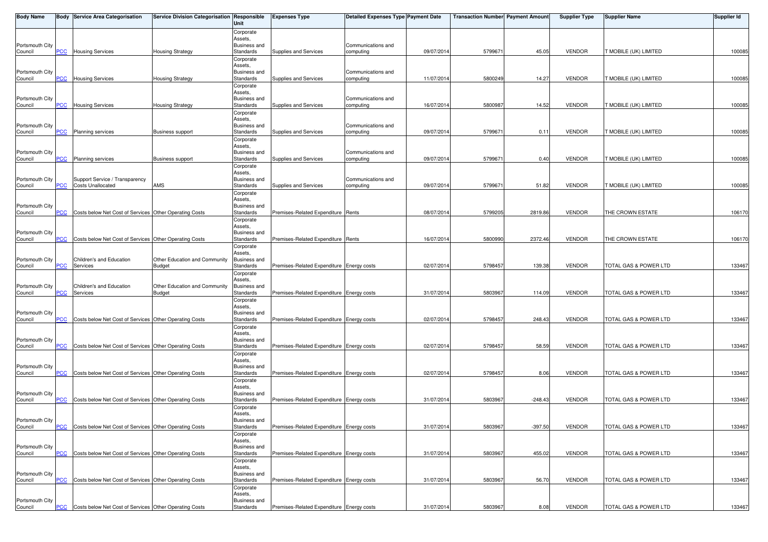| <b>Body Name</b>           |            | <b>Body Service Area Categorisation</b>                    | Service Division Categorisation Responsible | Unit                             | <b>Expenses Type</b>                      | <b>Detailed Expenses Type Payment Date</b> |            | <b>Transaction Number Payment Amount</b> |           | <b>Supplier Type</b> | Supplier Name         | <b>Supplier Id</b> |
|----------------------------|------------|------------------------------------------------------------|---------------------------------------------|----------------------------------|-------------------------------------------|--------------------------------------------|------------|------------------------------------------|-----------|----------------------|-----------------------|--------------------|
|                            |            |                                                            |                                             | Corporate                        |                                           |                                            |            |                                          |           |                      |                       |                    |
|                            |            |                                                            |                                             | Assets,                          |                                           |                                            |            |                                          |           |                      |                       |                    |
| Portsmouth City<br>Council | PCC        | <b>Housing Services</b>                                    | <b>Housing Strategy</b>                     | <b>Business and</b><br>Standards | Supplies and Services                     | Communications and<br>computing            | 09/07/201  | 579967                                   | 45.05     | <b>VENDOR</b>        | T MOBILE (UK) LIMITED | 100085             |
|                            |            |                                                            |                                             | Corporate                        |                                           |                                            |            |                                          |           |                      |                       |                    |
|                            |            |                                                            |                                             | Assets,                          |                                           |                                            |            |                                          |           |                      |                       |                    |
| Portsmouth City<br>Council | <b>PCC</b> | <b>Housing Services</b>                                    | <b>Housing Strategy</b>                     | <b>Business and</b><br>Standards | Supplies and Services                     | Communications and<br>computing            | 11/07/2014 | 5800249                                  | 14.27     | <b>VENDOR</b>        | T MOBILE (UK) LIMITED | 100085             |
|                            |            |                                                            |                                             | Corporate                        |                                           |                                            |            |                                          |           |                      |                       |                    |
|                            |            |                                                            |                                             | Assets,                          |                                           |                                            |            |                                          |           |                      |                       |                    |
| Portsmouth City<br>Council | <b>PCC</b> | <b>Housing Services</b>                                    | <b>Housing Strategy</b>                     | <b>Business and</b><br>Standards | Supplies and Services                     | Communications and<br>computing            | 16/07/201  | 580098                                   | 14.52     | <b>VENDOR</b>        | T MOBILE (UK) LIMITED | 100085             |
|                            |            |                                                            |                                             | Corporate                        |                                           |                                            |            |                                          |           |                      |                       |                    |
|                            |            |                                                            |                                             | Assets,                          |                                           |                                            |            |                                          |           |                      |                       |                    |
| Portsmouth City<br>Council | <b>PCC</b> | Planning services                                          | <b>Business support</b>                     | <b>Business and</b><br>Standards | Supplies and Services                     | Communications and<br>computing            | 09/07/2014 | 579967                                   | 0.11      | <b>VENDOR</b>        | T MOBILE (UK) LIMITED | 100085             |
|                            |            |                                                            |                                             | Corporate                        |                                           |                                            |            |                                          |           |                      |                       |                    |
|                            |            |                                                            |                                             | Assets,                          |                                           |                                            |            |                                          |           |                      |                       |                    |
| Portsmouth City<br>Council | PCC        | <b>Planning services</b>                                   | <b>Business support</b>                     | <b>Business and</b><br>Standards | Supplies and Services                     | Communications and<br>computing            | 09/07/201  | 579967                                   | 0.40      | <b>VENDOR</b>        | T MOBILE (UK) LIMITED | 100085             |
|                            |            |                                                            |                                             | Corporate                        |                                           |                                            |            |                                          |           |                      |                       |                    |
|                            |            |                                                            |                                             | Assets,                          |                                           |                                            |            |                                          |           |                      |                       |                    |
| Portsmouth City<br>Council | <b>PCC</b> | Support Service / Transparency<br><b>Costs Unallocated</b> | AMS                                         | <b>Business and</b><br>Standards | Supplies and Services                     | Communications and<br>computing            | 09/07/201  | 579967                                   | 51.82     | <b>VENDOR</b>        | T MOBILE (UK) LIMITED | 100085             |
|                            |            |                                                            |                                             | Corporate                        |                                           |                                            |            |                                          |           |                      |                       |                    |
|                            |            |                                                            |                                             | Assets,                          |                                           |                                            |            |                                          |           |                      |                       |                    |
| Portsmouth City<br>Council | <b>PCC</b> | Costs below Net Cost of Services Other Operating Costs     |                                             | <b>Business and</b><br>Standards | Premises-Related Expenditure Rents        |                                            | 08/07/201  | 579920                                   | 2819.86   | <b>VENDOR</b>        | THE CROWN ESTATE      | 106170             |
|                            |            |                                                            |                                             | Corporate                        |                                           |                                            |            |                                          |           |                      |                       |                    |
|                            |            |                                                            |                                             | Assets,                          |                                           |                                            |            |                                          |           |                      |                       |                    |
| Portsmouth City<br>Council | <u>PCC</u> | Costs below Net Cost of Services Other Operating Costs     |                                             | <b>Business and</b><br>Standards | Premises-Related Expenditure Rents        |                                            | 16/07/201  | 5800990                                  | 2372.46   | <b>VENDOR</b>        | THE CROWN ESTATE      | 106170             |
|                            |            |                                                            |                                             | Corporate                        |                                           |                                            |            |                                          |           |                      |                       |                    |
| Portsmouth City            |            | Children's and Education                                   | Other Education and Community               | Assets,<br><b>Business and</b>   |                                           |                                            |            |                                          |           |                      |                       |                    |
| Council                    | PCC        | Services                                                   | <b>Budget</b>                               | Standards                        | Premises-Related Expenditure Energy costs |                                            | 02/07/2014 | 5798457                                  | 139.38    | <b>VENDOR</b>        | TOTAL GAS & POWER LTD | 133467             |
|                            |            |                                                            |                                             | Corporate                        |                                           |                                            |            |                                          |           |                      |                       |                    |
|                            |            | Children's and Education                                   |                                             | Assets,                          |                                           |                                            |            |                                          |           |                      |                       |                    |
| Portsmouth City<br>Council | PCC        | Services                                                   | Other Education and Community<br>Budget     | <b>Business and</b><br>Standards | Premises-Related Expenditure Energy costs |                                            | 31/07/2014 | 580396                                   | 114.09    | <b>VENDOR</b>        | TOTAL GAS & POWER LTD | 133467             |
|                            |            |                                                            |                                             | Corporate                        |                                           |                                            |            |                                          |           |                      |                       |                    |
|                            |            |                                                            |                                             | Assets,<br><b>Business and</b>   |                                           |                                            |            |                                          |           |                      |                       |                    |
| Portsmouth City<br>Council | PCC        | Costs below Net Cost of Services Other Operating Costs     |                                             | Standards                        | Premises-Related Expenditure Energy costs |                                            | 02/07/2014 | 5798457                                  | 248.43    | <b>VENDOR</b>        | TOTAL GAS & POWER LTD | 133467             |
|                            |            |                                                            |                                             | Corporate                        |                                           |                                            |            |                                          |           |                      |                       |                    |
|                            |            |                                                            |                                             | Assets,<br><b>Business and</b>   |                                           |                                            |            |                                          |           |                      |                       |                    |
| Portsmouth City<br>Council | PCC        | Costs below Net Cost of Services Other Operating Costs     |                                             | Standards                        | Premises-Related Expenditure Energy costs |                                            | 02/07/2014 | 5798457                                  | 58.59     | <b>VENDOR</b>        | TOTAL GAS & POWER LTD | 133467             |
|                            |            |                                                            |                                             | Corporate                        |                                           |                                            |            |                                          |           |                      |                       |                    |
| Portsmouth City            |            |                                                            |                                             | Assets,<br><b>Business and</b>   |                                           |                                            |            |                                          |           |                      |                       |                    |
| Council                    | <b>PCC</b> | Costs below Net Cost of Services Other Operating Costs     |                                             | Standards                        | Premises-Related Expenditure Energy costs |                                            | 02/07/2014 | 5798457                                  | 8.06      | <b>VENDOR</b>        | TOTAL GAS & POWER LTD | 133467             |
|                            |            |                                                            |                                             | Corporate                        |                                           |                                            |            |                                          |           |                      |                       |                    |
| Portsmouth City            |            |                                                            |                                             | Assets,<br><b>Business and</b>   |                                           |                                            |            |                                          |           |                      |                       |                    |
| Council                    | PCC        | Costs below Net Cost of Services Other Operating Costs     |                                             | Standards                        | Premises-Related Expenditure Energy costs |                                            | 31/07/2014 | 5803967                                  | $-248.43$ | <b>VENDOR</b>        | TOTAL GAS & POWER LTD | 133467             |
|                            |            |                                                            |                                             | Corporate                        |                                           |                                            |            |                                          |           |                      |                       |                    |
| Portsmouth City            |            |                                                            |                                             | Assets,<br><b>Business and</b>   |                                           |                                            |            |                                          |           |                      |                       |                    |
| Council                    | $PCC$      | Costs below Net Cost of Services Other Operating Costs     |                                             | Standards                        | Premises-Related Expenditure Energy costs |                                            | 31/07/2014 | 5803967                                  | $-397.50$ | <b>VENDOR</b>        | TOTAL GAS & POWER LTD | 133467             |
|                            |            |                                                            |                                             | Corporate                        |                                           |                                            |            |                                          |           |                      |                       |                    |
| Portsmouth City            |            |                                                            |                                             | Assets,<br><b>Business and</b>   |                                           |                                            |            |                                          |           |                      |                       |                    |
| Council                    | <b>PCC</b> | Costs below Net Cost of Services Other Operating Costs     |                                             | Standards                        | Premises-Related Expenditure Energy costs |                                            | 31/07/201  | 580396                                   | 455.02    | <b>VENDOR</b>        | TOTAL GAS & POWER LTD | 133467             |
|                            |            |                                                            |                                             | Corporate                        |                                           |                                            |            |                                          |           |                      |                       |                    |
| Portsmouth City            |            |                                                            |                                             | Assets,<br><b>Business and</b>   |                                           |                                            |            |                                          |           |                      |                       |                    |
| Council                    | PCC        | Costs below Net Cost of Services Other Operating Costs     |                                             | Standards                        | Premises-Related Expenditure Energy costs |                                            | 31/07/201  | 5803967                                  | 56.70     | <b>VENDOR</b>        | TOTAL GAS & POWER LTD | 133467             |
|                            |            |                                                            |                                             | Corporate                        |                                           |                                            |            |                                          |           |                      |                       |                    |
| Portsmouth City            |            |                                                            |                                             | Assets,<br><b>Business and</b>   |                                           |                                            |            |                                          |           |                      |                       |                    |
| Council                    | <b>PCC</b> | Costs below Net Cost of Services Other Operating Costs     |                                             | Standards                        | Premises-Related Expenditure Energy costs |                                            | 31/07/2014 | 5803967                                  | 8.08      | VENDOR               | TOTAL GAS & POWER LTD | 133467             |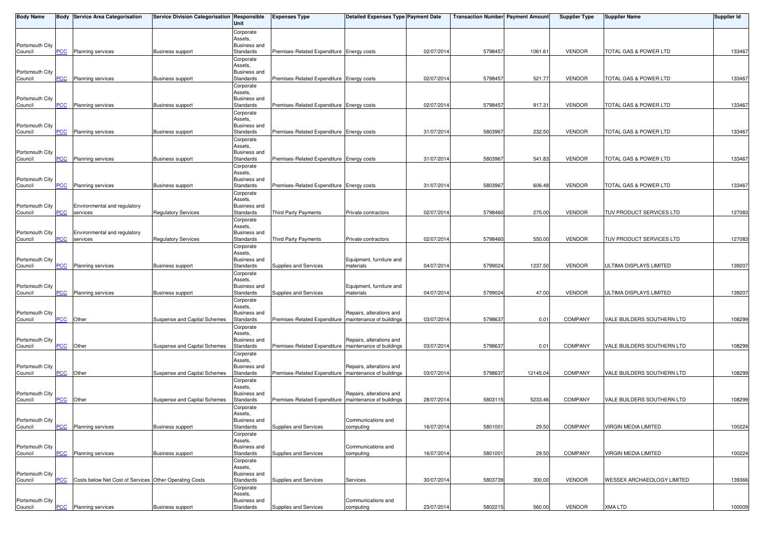| <b>Body Name</b>           |            | <b>Body Service Area Categorisation</b>                | Service Division Categorisation Responsible | Unit                             | <b>Expenses Type</b>                                    | <b>Detailed Expenses Type Payment Date</b> |            | <b>Transaction Number Payment Amount</b> |          | <b>Supplier Type</b> | <b>Supplier Name</b>              | <b>Supplier Id</b> |
|----------------------------|------------|--------------------------------------------------------|---------------------------------------------|----------------------------------|---------------------------------------------------------|--------------------------------------------|------------|------------------------------------------|----------|----------------------|-----------------------------------|--------------------|
|                            |            |                                                        |                                             | Corporate                        |                                                         |                                            |            |                                          |          |                      |                                   |                    |
|                            |            |                                                        |                                             | Assets,                          |                                                         |                                            |            |                                          |          |                      |                                   |                    |
| Portsmouth City<br>Council | <b>PCC</b> | <b>Planning services</b>                               | <b>Business support</b>                     | <b>Business and</b><br>Standards | Premises-Related Expenditure Energy costs               |                                            | 02/07/2014 | 5798457                                  | 1061.61  | <b>VENDOR</b>        | TOTAL GAS & POWER LTD             | 133467             |
|                            |            |                                                        |                                             | Corporate                        |                                                         |                                            |            |                                          |          |                      |                                   |                    |
|                            |            |                                                        |                                             | Assets,                          |                                                         |                                            |            |                                          |          |                      |                                   |                    |
| Portsmouth City<br>Council | <b>PCC</b> | Planning services                                      | <b>Business support</b>                     | <b>Business and</b><br>Standards | Premises-Related Expenditure Energy costs               |                                            | 02/07/2014 | 5798457                                  | 521.77   | <b>VENDOR</b>        | TOTAL GAS & POWER LTD             | 133467             |
|                            |            |                                                        |                                             | Corporate                        |                                                         |                                            |            |                                          |          |                      |                                   |                    |
|                            |            |                                                        |                                             | Assets,                          |                                                         |                                            |            |                                          |          |                      |                                   |                    |
| Portsmouth City<br>Council | <b>PCC</b> | <b>Planning services</b>                               | <b>Business support</b>                     | <b>Business and</b><br>Standards | Premises-Related Expenditure Energy costs               |                                            | 02/07/2014 | 5798457                                  | 917.31   | <b>VENDOR</b>        | TOTAL GAS & POWER LTD             | 133467             |
|                            |            |                                                        |                                             | Corporate                        |                                                         |                                            |            |                                          |          |                      |                                   |                    |
|                            |            |                                                        |                                             | Assets,                          |                                                         |                                            |            |                                          |          |                      |                                   |                    |
| Portsmouth City<br>Council | <b>PCC</b> | Planning services                                      | <b>Business support</b>                     | <b>Business and</b><br>Standards | Premises-Related Expenditure Energy costs               |                                            | 31/07/2014 | 5803967                                  | 232.50   | <b>VENDOR</b>        | TOTAL GAS & POWER LTD             | 133467             |
|                            |            |                                                        |                                             | Corporate                        |                                                         |                                            |            |                                          |          |                      |                                   |                    |
|                            |            |                                                        |                                             | Assets,                          |                                                         |                                            |            |                                          |          |                      |                                   |                    |
| Portsmouth City<br>Council | <b>PCC</b> | Planning services                                      | <b>Business support</b>                     | <b>Business and</b><br>Standards | Premises-Related Expenditure Energy costs               |                                            | 31/07/2014 | 5803967                                  | 541.83   | <b>VENDOR</b>        | TOTAL GAS & POWER LTD             | 133467             |
|                            |            |                                                        |                                             | Corporate                        |                                                         |                                            |            |                                          |          |                      |                                   |                    |
|                            |            |                                                        |                                             | Assets,                          |                                                         |                                            |            |                                          |          |                      |                                   |                    |
| Portsmouth City<br>Council | <u>PCC</u> | <b>Planning services</b>                               | <b>Business support</b>                     | Business and<br>Standards        | Premises-Related Expenditure Energy costs               |                                            | 31/07/2014 | 580396                                   | 606.48   | <b>VENDOR</b>        | TOTAL GAS & POWER LTD             | 133467             |
|                            |            |                                                        |                                             | Corporate                        |                                                         |                                            |            |                                          |          |                      |                                   |                    |
|                            |            |                                                        |                                             | Assets,                          |                                                         |                                            |            |                                          |          |                      |                                   |                    |
| Portsmouth City<br>Council | <b>PCC</b> | Environmental and regulatory<br>services               | <b>Regulatory Services</b>                  | <b>Business and</b><br>Standards | Third Party Payments                                    | Private contractors                        | 02/07/2014 | 5798460                                  | 275.00   | <b>VENDOR</b>        | TUV PRODUCT SERVICES LTD          | 127083             |
|                            |            |                                                        |                                             | Corporate                        |                                                         |                                            |            |                                          |          |                      |                                   |                    |
|                            |            |                                                        |                                             | Assets,                          |                                                         |                                            |            |                                          |          |                      |                                   |                    |
| Portsmouth City<br>Council | <u>PCC</u> | Environmental and regulatory<br>services               | Regulatory Services                         | <b>Business and</b><br>Standards | Third Party Payments                                    | Private contractors                        | 02/07/2014 | 5798460                                  | 550.00   | <b>VENDOR</b>        | TUV PRODUCT SERVICES LTD          | 127083             |
|                            |            |                                                        |                                             | Corporate                        |                                                         |                                            |            |                                          |          |                      |                                   |                    |
|                            |            |                                                        |                                             | Assets,                          |                                                         |                                            |            |                                          |          |                      |                                   |                    |
| Portsmouth City<br>Council | PCC        | <b>Planning services</b>                               | <b>Business support</b>                     | <b>Business and</b><br>Standards | Supplies and Services                                   | Equipment, furniture and<br>materials      | 04/07/2014 | 5799024                                  | 1237.50  | <b>VENDOR</b>        | ULTIMA DISPLAYS LIMITED           | 139207             |
|                            |            |                                                        |                                             | Corporate                        |                                                         |                                            |            |                                          |          |                      |                                   |                    |
|                            |            |                                                        |                                             | Assets,                          |                                                         |                                            |            |                                          |          |                      |                                   |                    |
| Portsmouth City<br>Council | <b>PCC</b> | <b>Planning services</b>                               | Business support                            | <b>Business and</b><br>Standards | Supplies and Services                                   | Equipment, furniture and<br>materials      | 04/07/2014 | 5799024                                  | 47.00    | <b>VENDOR</b>        | ULTIMA DISPLAYS LIMITED           | 139207             |
|                            |            |                                                        |                                             | Corporate                        |                                                         |                                            |            |                                          |          |                      |                                   |                    |
|                            |            |                                                        |                                             | Assets,                          |                                                         |                                            |            |                                          |          |                      |                                   |                    |
| Portsmouth City<br>Council | PCC        | Other                                                  | Suspense and Capital Schemes                | Business and<br>Standards        | Premises-Related Expenditure   maintenance of buildings | Repairs, alterations and                   | 03/07/2014 | 5798637                                  | 0.01     | <b>COMPANY</b>       | VALE BUILDERS SOUTHERN LTD        | 108299             |
|                            |            |                                                        |                                             | Corporate                        |                                                         |                                            |            |                                          |          |                      |                                   |                    |
|                            |            |                                                        |                                             | Assets,                          |                                                         |                                            |            |                                          |          |                      |                                   |                    |
| Portsmouth City<br>Council | <u>PCC</u> | Other                                                  | Suspense and Capital Schemes                | Business and<br>Standards        | Premises-Related Expenditure   maintenance of buildings | Repairs, alterations and                   | 03/07/2014 | 579863                                   | 0.01     | <b>COMPANY</b>       | VALE BUILDERS SOUTHERN LTD        | 108299             |
|                            |            |                                                        |                                             | Corporate                        |                                                         |                                            |            |                                          |          |                      |                                   |                    |
|                            |            |                                                        |                                             | Assets,                          |                                                         |                                            |            |                                          |          |                      |                                   |                    |
| Portsmouth City<br>Council | <b>PCC</b> | Other                                                  | Suspense and Capital Schemes                | Business and<br>Standards        | Premises-Related Expenditure   maintenance of buildings | Repairs, alterations and                   | 03/07/2014 | 5798637                                  | 12145.04 | <b>COMPANY</b>       | VALE BUILDERS SOUTHERN LTD        | 108299             |
|                            |            |                                                        |                                             | Corporate                        |                                                         |                                            |            |                                          |          |                      |                                   |                    |
|                            |            |                                                        |                                             | Assets,                          |                                                         |                                            |            |                                          |          |                      |                                   |                    |
| Portsmouth City<br>Council | PCC        | Other                                                  | Suspense and Capital Schemes                | <b>Business and</b><br>Standards | Premises-Related Expenditure   maintenance of buildings | Repairs, alterations and                   | 28/07/2014 | 5803115                                  | 5233.46  | COMPANY              | VALE BUILDERS SOUTHERN LTD        | 108299             |
|                            |            |                                                        |                                             | Corporate                        |                                                         |                                            |            |                                          |          |                      |                                   |                    |
|                            |            |                                                        |                                             | Assets,                          |                                                         |                                            |            |                                          |          |                      |                                   |                    |
| Portsmouth City<br>Council | <b>PCC</b> | Planning services                                      | <b>Business support</b>                     | Business and<br>Standards        | Supplies and Services                                   | Communications and<br>computing            | 16/07/2014 | 5801001                                  | 29.50    | COMPANY              | <b>VIRGIN MEDIA LIMITED</b>       | 100224             |
|                            |            |                                                        |                                             | Corporate                        |                                                         |                                            |            |                                          |          |                      |                                   |                    |
|                            |            |                                                        |                                             | Assets,                          |                                                         |                                            |            |                                          |          |                      |                                   |                    |
| Portsmouth City<br>Council | PCC        | Planning services                                      | <b>Business support</b>                     | <b>Business and</b><br>Standards | Supplies and Services                                   | Communications and<br>computing            | 16/07/2014 | 580100                                   | 29.50    | COMPANY              | <b>VIRGIN MEDIA LIMITED</b>       | 100224             |
|                            |            |                                                        |                                             | Corporate                        |                                                         |                                            |            |                                          |          |                      |                                   |                    |
|                            |            |                                                        |                                             | Assets,                          |                                                         |                                            |            |                                          |          |                      |                                   |                    |
| Portsmouth City<br>Council | PCC        | Costs below Net Cost of Services Other Operating Costs |                                             | Business and<br>Standards        | Supplies and Services                                   | Services                                   | 30/07/2014 | 5803739                                  | 300.00   | <b>VENDOR</b>        | <b>WESSEX ARCHAEOLOGY LIMITED</b> | 139366             |
|                            |            |                                                        |                                             | Corporate                        |                                                         |                                            |            |                                          |          |                      |                                   |                    |
|                            |            |                                                        |                                             | Assets,                          |                                                         |                                            |            |                                          |          |                      |                                   |                    |
| Portsmouth City<br>Council | <u>PCC</u> | Planning services                                      | <b>Business support</b>                     | <b>Business and</b><br>Standards | Supplies and Services                                   | Communications and<br>computing            | 23/07/2014 | 5802215                                  | 560.00   | VENDOR               | <b>XMA LTD</b>                    | 100009             |
|                            |            |                                                        |                                             |                                  |                                                         |                                            |            |                                          |          |                      |                                   |                    |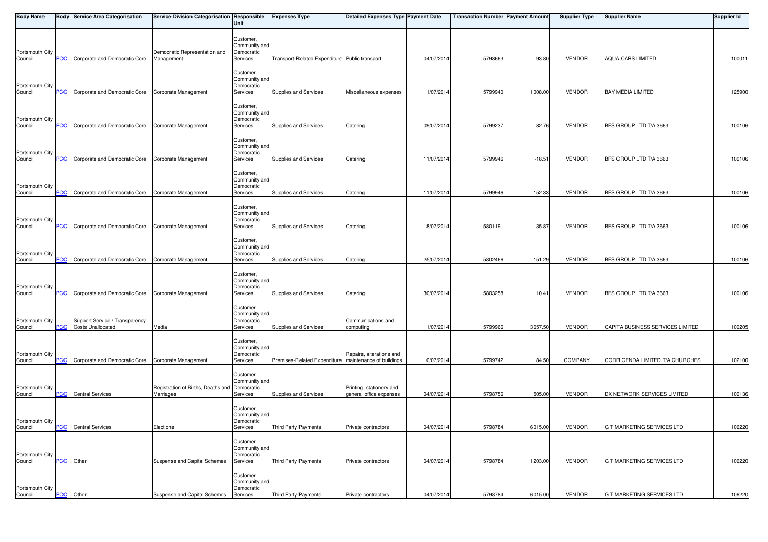| <b>Body Name</b>           |            | <b>Body Service Area Categorisation</b>                    | Service Division Categorisation Responsible   | Unit                                                 | <b>Expenses Type</b>                           | <b>Detailed Expenses Type Payment Date</b>           |            | <b>Transaction Number Payment Amount</b> |          | <b>Supplier Type</b> | <b>Supplier Name</b>             | <b>Supplier Id</b> |
|----------------------------|------------|------------------------------------------------------------|-----------------------------------------------|------------------------------------------------------|------------------------------------------------|------------------------------------------------------|------------|------------------------------------------|----------|----------------------|----------------------------------|--------------------|
|                            |            |                                                            |                                               | Customer,<br>Community and                           |                                                |                                                      |            |                                          |          |                      |                                  |                    |
| Portsmouth City<br>Council | <b>PCC</b> | Corporate and Democratic Core                              | Democratic Representation and<br>Management   | Democratic<br>Services                               | Transport-Related Expenditure Public transport |                                                      | 04/07/201  | 579866                                   | 93.80    | <b>VENDOR</b>        | <b>AQUA CARS LIMITED</b>         | 100011             |
|                            |            |                                                            |                                               | Customer,<br>Community and                           |                                                |                                                      |            |                                          |          |                      |                                  |                    |
| Portsmouth City<br>Council | <b>PCC</b> | Corporate and Democratic Core Corporate Management         |                                               | Democratic<br>Services                               | Supplies and Services                          | Miscellaneous expenses                               | 11/07/201  | 5799940                                  | 1008.00  | <b>VENDOR</b>        | <b>BAY MEDIA LIMITED</b>         | 125900             |
| Portsmouth City            |            |                                                            |                                               | Customer,<br>Community and<br>Democratic             |                                                |                                                      |            |                                          |          |                      |                                  |                    |
| Council                    | PCC        | Corporate and Democratic Core Corporate Management         |                                               | Services                                             | Supplies and Services                          | Catering                                             | 09/07/201  | 579923                                   | 82.76    | <b>VENDOR</b>        | BFS GROUP LTD T/A 3663           | 100106             |
| Portsmouth City<br>Council | PСC        | Corporate and Democratic Core Corporate Management         |                                               | Customer,<br>Community and<br>Democratic<br>Services | Supplies and Services                          | Catering                                             | 11/07/201  | 5799946                                  | $-18.51$ | <b>VENDOR</b>        | BFS GROUP LTD T/A 3663           | 100106             |
| Portsmouth City<br>Council | <b>PCC</b> | Corporate and Democratic Core Corporate Management         |                                               | Customer,<br>Community and<br>Democratic<br>Services | Supplies and Services                          | Catering                                             | 11/07/2014 | 5799946                                  | 152.33   | <b>VENDOR</b>        | BFS GROUP LTD T/A 3663           | 100106             |
| Portsmouth City            |            |                                                            |                                               | Customer,<br>Community and<br>Democratic             |                                                |                                                      |            |                                          |          |                      |                                  |                    |
| Council                    | PCC.       | Corporate and Democratic Core Corporate Management         |                                               | Services                                             | Supplies and Services                          | Catering                                             | 18/07/2014 | 5801191                                  | 135.87   | <b>VENDOR</b>        | BFS GROUP LTD T/A 3663           | 100106             |
| Portsmouth City<br>Council | PСC        | Corporate and Democratic Core Corporate Management         |                                               | Customer,<br>Community and<br>Democratic<br>Services | Supplies and Services                          | Catering                                             | 25/07/2014 | 5802466                                  | 151.29   | <b>VENDOR</b>        | BFS GROUP LTD T/A 3663           | 100106             |
| Portsmouth City            |            |                                                            |                                               | Customer,<br>Community and<br>Democratic             |                                                |                                                      |            |                                          |          |                      |                                  |                    |
| Council                    | PCC        | Corporate and Democratic Core Corporate Management         |                                               | Services                                             | Supplies and Services                          | Catering                                             | 30/07/201  | 5803258                                  | 10.41    | <b>VENDOR</b>        | BFS GROUP LTD T/A 3663           | 100106             |
| Portsmouth City<br>Council | <b>PCC</b> | Support Service / Transparency<br><b>Costs Unallocated</b> | Media                                         | Customer,<br>Community and<br>Democratic<br>Services | Supplies and Services                          | Communications and<br>computing                      | 11/07/2014 | 5799966                                  | 3657.50  | <b>VENDOR</b>        | CAPITA BUSINESS SERVICES LIMITED | 100205             |
| Portsmouth City<br>Council | PCC        | Corporate and Democratic Core Corporate Management         |                                               | Customer,<br>Community and<br>Democratic<br>Services | Premises-Related Expenditure                   | Repairs, alterations and<br>maintenance of buildings | 10/07/2014 | 5799742                                  | 84.50    | <b>COMPANY</b>       | CORRIGENDA LIMITED T/A CHURCHES  | 102100             |
| Portsmouth City            |            |                                                            | Registration of Births, Deaths and Democratic | Customer,<br>Community and                           |                                                | Printing, stationery and                             |            |                                          |          |                      |                                  |                    |
| Council                    | <b>PCC</b> | <b>Central Services</b>                                    | Marriages                                     | Services                                             | Supplies and Services                          | general office expenses                              | 04/07/2014 | 5798756                                  | 505.00   | <b>VENDOR</b>        | DX NETWORK SERVICES LIMITED      | 100136             |
| Portsmouth City<br>Council | <b>PCC</b> | <b>Central Services</b>                                    | Elections                                     | Customer.<br>Community and<br>Democratic<br>Services | Third Party Payments                           | Private contractors                                  | 04/07/2014 | 5798784                                  | 6015.00  | <b>VENDOR</b>        | G T MARKETING SERVICES LTD       | 106220             |
| Portsmouth City            |            |                                                            |                                               | Customer,<br>Community and<br>Democratic             |                                                |                                                      |            |                                          |          |                      |                                  |                    |
| Council                    | PCC        | Other                                                      | Suspense and Capital Schemes                  | Services                                             | Third Party Payments                           | Private contractors                                  | 04/07/2014 | 5798784                                  | 1203.00  | VENDOR               | G T MARKETING SERVICES LTD       | 106220             |
| Portsmouth City            |            |                                                            |                                               | Customer,<br>Community and<br>Democratic             |                                                |                                                      |            |                                          |          |                      |                                  |                    |
| Council                    | PCC        | Other                                                      | Suspense and Capital Schemes                  | Services                                             | Third Party Payments                           | Private contractors                                  | 04/07/2014 | 5798784                                  | 6015.00  | <b>VENDOR</b>        | G T MARKETING SERVICES LTD       | 106220             |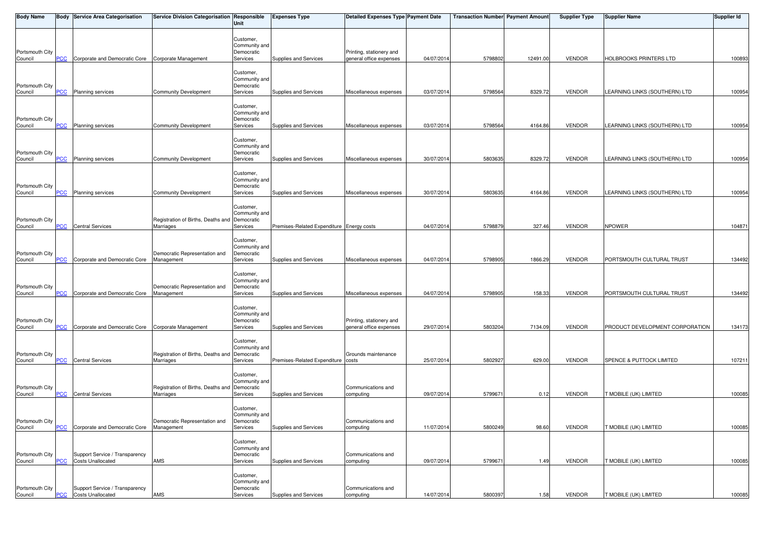| <b>Body Name</b>           |            | <b>Body Service Area Categorisation</b>                    | Service Division Categorisation Responsible                | Unit                                                 | <b>Expenses Type</b>                      | <b>Detailed Expenses Type Payment Date</b>          |            | <b>Transaction Number Payment Amount</b> |          | <b>Supplier Type</b> | <b>Supplier Name</b>            | <b>Supplier Id</b> |
|----------------------------|------------|------------------------------------------------------------|------------------------------------------------------------|------------------------------------------------------|-------------------------------------------|-----------------------------------------------------|------------|------------------------------------------|----------|----------------------|---------------------------------|--------------------|
| Portsmouth City            |            |                                                            |                                                            | Customer,<br>Community and<br>Democratic             |                                           | Printing, stationery and                            |            |                                          |          |                      |                                 |                    |
| Council                    | <b>PCC</b> | Corporate and Democratic Core Corporate Management         |                                                            | Services                                             | Supplies and Services                     | general office expenses                             | 04/07/201  | 5798802                                  | 12491.00 | <b>VENDOR</b>        | <b>HOLBROOKS PRINTERS LTD</b>   | 100893             |
| Portsmouth City<br>Council | <b>PCC</b> | Planning services                                          | <b>Community Development</b>                               | Customer,<br>Community and<br>Democratic<br>Services | Supplies and Services                     | Miscellaneous expenses                              | 03/07/201  | 5798564                                  | 8329.72  | <b>VENDOR</b>        | LEARNING LINKS (SOUTHERN) LTD   | 100954             |
| Portsmouth City<br>Council | <b>PCC</b> | Planning services                                          | Community Development                                      | Customer,<br>Community and<br>Democratic<br>Services | Supplies and Services                     | Miscellaneous expenses                              | 03/07/201  | 5798564                                  | 4164.86  | <b>VENDOR</b>        | LEARNING LINKS (SOUTHERN) LTD   | 100954             |
| Portsmouth City<br>Council | PCC        | <b>Planning services</b>                                   | <b>Community Development</b>                               | Customer,<br>Community and<br>Democratic<br>Services | Supplies and Services                     | Miscellaneous expenses                              | 30/07/201  | 5803635                                  | 8329.72  | <b>VENDOR</b>        | LEARNING LINKS (SOUTHERN) LTD   | 100954             |
|                            |            |                                                            |                                                            |                                                      |                                           |                                                     |            |                                          |          |                      |                                 |                    |
| Portsmouth City<br>Council | PCC        | Planning services                                          | <b>Community Development</b>                               | Customer,<br>Community and<br>Democratic<br>Services | Supplies and Services                     | Miscellaneous expenses                              | 30/07/201  | 5803635                                  | 4164.86  | <b>VENDOR</b>        | LEARNING LINKS (SOUTHERN) LTD   | 100954             |
| Portsmouth City<br>Council | PCC.       | <b>Central Services</b>                                    | Registration of Births, Deaths and Democratic<br>Marriages | Customer,<br>Community and<br>Services               | Premises-Related Expenditure Energy costs |                                                     | 04/07/2014 | 5798879                                  | 327.46   | <b>VENDOR</b>        | <b>NPOWER</b>                   | 104871             |
|                            |            |                                                            |                                                            |                                                      |                                           |                                                     |            |                                          |          |                      |                                 |                    |
| Portsmouth City<br>Council | PСC        | Corporate and Democratic Core                              | Democratic Representation and<br>Management                | Customer,<br>Community and<br>Democratic<br>Services | Supplies and Services                     | Miscellaneous expenses                              | 04/07/2014 | 5798905                                  | 1866.29  | <b>VENDOR</b>        | PORTSMOUTH CULTURAL TRUST       | 134492             |
| Portsmouth City<br>Council | PCC        | Corporate and Democratic Core                              | Democratic Representation and<br>Management                | Customer,<br>Community and<br>Democratic<br>Services | Supplies and Services                     | Miscellaneous expenses                              | 04/07/201  | 5798905                                  | 158.33   | VENDOR               | PORTSMOUTH CULTURAL TRUST       | 134492             |
| Portsmouth City<br>Council | <b>PCC</b> | Corporate and Democratic Core Corporate Management         |                                                            | Customer,<br>Community and<br>Democratic<br>Services | Supplies and Services                     | Printing, stationery and<br>general office expenses | 29/07/201  | 5803204                                  | 7134.09  | <b>VENDOR</b>        | PRODUCT DEVELOPMENT CORPORATION | 134173             |
| Portsmouth City<br>Council |            | <b>PCC</b> Central Services                                | Registration of Births, Deaths and<br>Marriages            | Customer,<br>Community and<br>Democratic<br>Services | Premises-Related Expenditure costs        | Grounds maintenance                                 | 25/07/2014 | 5802927                                  | 629.00   | <b>VENDOR</b>        | SPENCE & PUTTOCK LIMITED        | 10721              |
| Portsmouth City<br>Council |            | <b>PCC</b> Central Services                                | Registration of Births, Deaths and Democratic<br>Marriages | Customer,<br>Community and<br>Services               | Supplies and Services                     | Communications and<br>computing                     | 09/07/2014 | 5799671                                  | 0.12     | <b>VENDOR</b>        | T MOBILE (UK) LIMITED           | 100085             |
|                            |            |                                                            |                                                            | Customer,<br>Community and                           |                                           |                                                     |            |                                          |          |                      |                                 |                    |
| Portsmouth City<br>Council | <b>PCC</b> | Corporate and Democratic Core Management                   | Democratic Representation and                              | Democratic<br>Services                               | Supplies and Services                     | Communications and<br>computing                     | 11/07/2014 | 5800249                                  | 98.60    | VENDOR               | T MOBILE (UK) LIMITED           | 100085             |
| Portsmouth City<br>Council | PCC        | Support Service / Transparency<br><b>Costs Unallocated</b> | AMS                                                        | Customer,<br>Community and<br>Democratic<br>Services | Supplies and Services                     | Communications and<br>computing                     | 09/07/2014 | 5799671                                  | 1.49     | VENDOR               | T MOBILE (UK) LIMITED           | 100085             |
| Portsmouth City            |            | Support Service / Transparency                             |                                                            | Customer,<br>Community and<br>Democratic             |                                           | Communications and                                  |            |                                          |          |                      |                                 |                    |
| Council                    | <b>PCC</b> | <b>Costs Unallocated</b>                                   | AMS                                                        | Services                                             | Supplies and Services                     | computing                                           | 14/07/2014 | 5800397                                  | 1.58     | VENDOR               | T MOBILE (UK) LIMITED           | 100085             |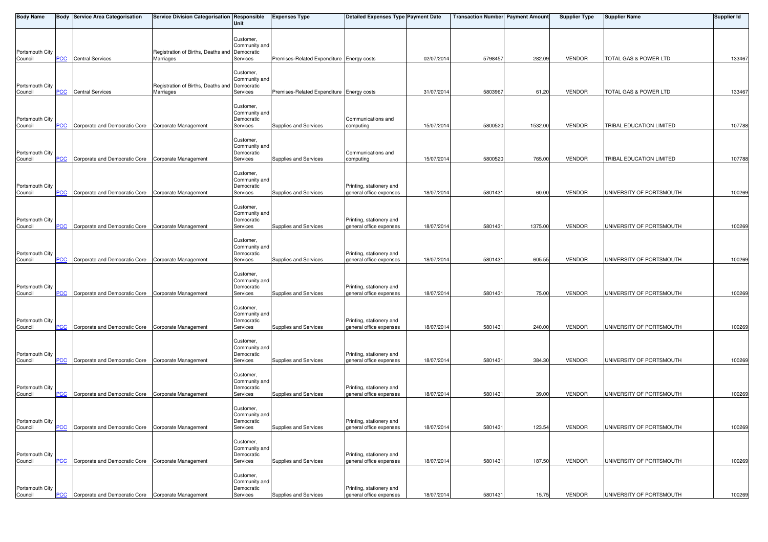| <b>Body Name</b>           |            | <b>Body Service Area Categorisation</b>                       | Service Division Categorisation Responsible                | Unit                                                 | <b>Expenses Type</b>                      | <b>Detailed Expenses Type Payment Date</b>          |            | Transaction Number Payment Amount |         | <b>Supplier Type</b> | Supplier Name            | <b>Supplier Id</b> |
|----------------------------|------------|---------------------------------------------------------------|------------------------------------------------------------|------------------------------------------------------|-------------------------------------------|-----------------------------------------------------|------------|-----------------------------------|---------|----------------------|--------------------------|--------------------|
| Portsmouth City            |            |                                                               | Registration of Births, Deaths and Democratic              | Customer,<br>Community and                           |                                           |                                                     |            |                                   |         |                      |                          |                    |
| Council                    | PCC        | <b>Central Services</b>                                       | Marriages                                                  | Services                                             | Premises-Related Expenditure Energy costs |                                                     | 02/07/201  | 5798457                           | 282.09  | <b>VENDOR</b>        | TOTAL GAS & POWER LTD    | 133467             |
| Portsmouth City<br>Council | PCC        | <b>Central Services</b>                                       | Registration of Births, Deaths and Democratic<br>Marriages | Customer,<br>Community and<br>Services               | Premises-Related Expenditure Energy costs |                                                     | 31/07/201  | 5803967                           | 61.20   | <b>VENDOR</b>        | TOTAL GAS & POWER LTD    | 133467             |
| Portsmouth City<br>Council | °СС        | Corporate and Democratic Core Corporate Management            |                                                            | Customer,<br>Community and<br>Democratic<br>Services | Supplies and Services                     | Communications and<br>computing                     | 15/07/201  | 5800520                           | 1532.00 | <b>VENDOR</b>        | TRIBAL EDUCATION LIMITED | 107788             |
| Portsmouth City<br>Council | PCC        | Corporate and Democratic Core Corporate Management            |                                                            | Customer,<br>Community and<br>Democratic<br>Services | Supplies and Services                     | Communications and<br>computing                     | 15/07/201  | 5800520                           | 765.00  | <b>VENDOR</b>        | TRIBAL EDUCATION LIMITED | 107788             |
| Portsmouth City<br>Council | PCC        | Corporate and Democratic Core Corporate Management            |                                                            | Customer,<br>Community and<br>Democratic<br>Services | Supplies and Services                     | Printing, stationery and<br>general office expenses | 18/07/2014 | 5801431                           | 60.00   | <b>VENDOR</b>        | UNIVERSITY OF PORTSMOUTH | 100269             |
| Portsmouth City<br>Council | сC         | Corporate and Democratic Core Corporate Management            |                                                            | Customer,<br>Community and<br>Democratic<br>Services | Supplies and Services                     | Printing, stationery and<br>general office expenses | 18/07/2014 | 5801431                           | 1375.00 | <b>VENDOR</b>        | UNIVERSITY OF PORTSMOUTH | 100269             |
| Portsmouth City<br>Council | PСC        | Corporate and Democratic Core Corporate Management            |                                                            | Customer,<br>Community and<br>Democratic<br>Services | Supplies and Services                     | Printing, stationery and<br>general office expenses | 18/07/2014 | 5801431                           | 605.55  | <b>VENDOR</b>        | UNIVERSITY OF PORTSMOUTH | 100269             |
| Portsmouth City<br>Council | PCC        | Corporate and Democratic Core Corporate Management            |                                                            | Customer,<br>Community and<br>Democratic<br>Services | Supplies and Services                     | Printing, stationery and<br>general office expenses | 18/07/201  | 5801431                           | 75.00   | <b>VENDOR</b>        | UNIVERSITY OF PORTSMOUTH | 100269             |
| Portsmouth City<br>Council | PCC        | Corporate and Democratic Core Corporate Management            |                                                            | Customer,<br>Community and<br>Democratic<br>Services | Supplies and Services                     | Printing, stationery and<br>general office expenses | 18/07/201  | 5801431                           | 240.00  | <b>VENDOR</b>        | UNIVERSITY OF PORTSMOUTH | 100269             |
| Portsmouth City<br>Council |            | <b>PCC</b> Corporate and Democratic Core Corporate Management |                                                            | Customer,<br>Community and<br>Democratic<br>Services | Supplies and Services                     | Printing, stationery and<br>general office expenses | 18/07/2014 | 5801431                           | 384.30  | <b>VENDOR</b>        | UNIVERSITY OF PORTSMOUTH | 100269             |
| Portsmouth City<br>Council | PCC        | Corporate and Democratic Core Corporate Management            |                                                            | Customer,<br>Community and<br>Democratic<br>Services | Supplies and Services                     | Printing, stationery and<br>general office expenses | 18/07/2014 | 5801431                           | 39.00   | VENDOR               | UNIVERSITY OF PORTSMOUTH | 100269             |
| Portsmouth City<br>Council | <b>PCC</b> | Corporate and Democratic Core Corporate Management            |                                                            | Customer,<br>Community and<br>Democratic<br>Services | Supplies and Services                     | Printing, stationery and<br>general office expenses | 18/07/2014 | 5801431                           | 123.54  | VENDOR               | UNIVERSITY OF PORTSMOUTH | 100269             |
| Portsmouth City<br>Council | <b>CC</b>  | Corporate and Democratic Core Corporate Management            |                                                            | Customer,<br>Community and<br>Democratic<br>Services | Supplies and Services                     | Printing, stationery and<br>general office expenses | 18/07/2014 | 5801431                           | 187.50  | <b>VENDOR</b>        | UNIVERSITY OF PORTSMOUTH | 100269             |
| Portsmouth City<br>Council | PCC        | Corporate and Democratic Core Corporate Management            |                                                            | Customer,<br>Community and<br>Democratic<br>Services | Supplies and Services                     | Printing, stationery and<br>general office expenses | 18/07/2014 | 5801431                           | 15.75   | <b>VENDOR</b>        | UNIVERSITY OF PORTSMOUTH | 100269             |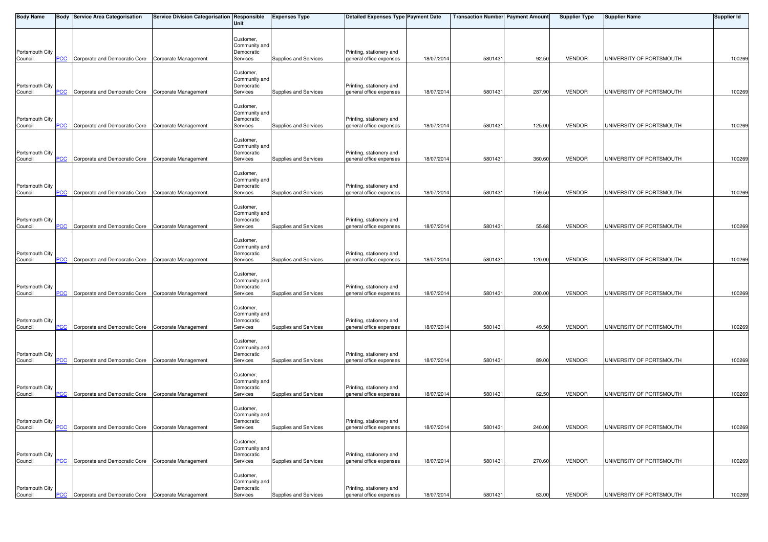| <b>Body Name</b>           |            | <b>Body Service Area Categorisation</b>            | Service Division Categorisation Responsible | Unit                                                 | <b>Expenses Type</b>  | <b>Detailed Expenses Type Payment Date</b>          |            | <b>Transaction Number Payment Amount</b> |        | <b>Supplier Type</b> | <b>Supplier Name</b>     | <b>Supplier Id</b> |
|----------------------------|------------|----------------------------------------------------|---------------------------------------------|------------------------------------------------------|-----------------------|-----------------------------------------------------|------------|------------------------------------------|--------|----------------------|--------------------------|--------------------|
| Portsmouth City            |            |                                                    |                                             | Customer,<br>Community and<br>Democratic             |                       | Printing, stationery and                            |            |                                          |        |                      |                          |                    |
| Council                    | <b>PCC</b> | Corporate and Democratic Core Corporate Management |                                             | Services                                             | Supplies and Services | general office expenses                             | 18/07/201  | 5801431                                  | 92.50  | <b>VENDOR</b>        | UNIVERSITY OF PORTSMOUTH | 100269             |
| Portsmouth City<br>Council | <b>PCC</b> | Corporate and Democratic Core Corporate Management |                                             | Customer,<br>Community and<br>Democratic<br>Services | Supplies and Services | Printing, stationery and<br>general office expenses | 18/07/201  | 580143                                   | 287.90 | <b>VENDOR</b>        | UNIVERSITY OF PORTSMOUTH | 100269             |
| Portsmouth City<br>Council | PCC        | Corporate and Democratic Core Corporate Management |                                             | Customer,<br>Community and<br>Democratic<br>Services | Supplies and Services | Printing, stationery and<br>general office expenses | 18/07/201  | 5801431                                  | 125.00 | <b>VENDOR</b>        | UNIVERSITY OF PORTSMOUTH | 100269             |
| Portsmouth City            | PCC        | Corporate and Democratic Core                      | Corporate Management                        | Customer,<br>Community and<br>Democratic<br>Services | Supplies and Services | Printing, stationery and<br>general office expenses | 18/07/201  | 5801431                                  | 360.60 | <b>VENDOR</b>        | UNIVERSITY OF PORTSMOUTH | 100269             |
| Council                    |            |                                                    |                                             |                                                      |                       |                                                     |            |                                          |        |                      |                          |                    |
| Portsmouth City<br>Council | <u>PCC</u> | Corporate and Democratic Core Corporate Management |                                             | Customer,<br>Community and<br>Democratic<br>Services | Supplies and Services | Printing, stationery and<br>general office expenses | 18/07/201  | 5801431                                  | 159.50 | <b>VENDOR</b>        | UNIVERSITY OF PORTSMOUTH | 100269             |
| Portsmouth City<br>Council | PCC        | Corporate and Democratic Core                      | Corporate Management                        | Customer,<br>Community and<br>Democratic<br>Services | Supplies and Services | Printing, stationery and<br>general office expenses | 18/07/2014 | 5801431                                  | 55.68  | <b>VENDOR</b>        | UNIVERSITY OF PORTSMOUTH | 100269             |
| Portsmouth City<br>Council | PСC        | Corporate and Democratic Core Corporate Management |                                             | Customer,<br>Community and<br>Democratic<br>Services | Supplies and Services | Printing, stationery and<br>general office expenses | 18/07/2014 | 5801431                                  | 120.00 | <b>VENDOR</b>        | UNIVERSITY OF PORTSMOUTH | 100269             |
| Portsmouth City<br>Council | <b>PCC</b> | Corporate and Democratic Core Corporate Management |                                             | Customer,<br>Community and<br>Democratic<br>Services | Supplies and Services | Printing, stationery and<br>general office expenses | 18/07/201  | 5801431                                  | 200.00 | VENDOR               | UNIVERSITY OF PORTSMOUTH | 100269             |
| Portsmouth City<br>Council | <b>PCC</b> | Corporate and Democratic Core Corporate Management |                                             | Customer,<br>Community and<br>Democratic<br>Services | Supplies and Services | Printing, stationery and<br>general office expenses | 18/07/201  | 5801431                                  | 49.50  | <b>VENDOR</b>        | UNIVERSITY OF PORTSMOUTH | 100269             |
| Portsmouth City<br>Council | <b>PCC</b> | Corporate and Democratic Core Corporate Management |                                             | Customer,<br>Community and<br>Democratic<br>Services | Supplies and Services | Printing, stationery and<br>general office expenses | 18/07/2014 | 5801431                                  | 89.00  | <b>VENDOR</b>        | UNIVERSITY OF PORTSMOUTH | 100269             |
| Portsmouth City            |            |                                                    |                                             | Customer,<br>Community and<br>Democratic             |                       | Printing, stationery and<br>general office expenses |            |                                          |        |                      |                          |                    |
| Council                    | <b>PCC</b> | Corporate and Democratic Core Corporate Management |                                             | Services                                             | Supplies and Services |                                                     | 18/07/2014 | 5801431                                  | 62.50  | <b>VENDOR</b>        | UNIVERSITY OF PORTSMOUTH | 100269             |
| Portsmouth City<br>Council | <b>PCC</b> | Corporate and Democratic Core Corporate Management |                                             | Customer,<br>Community and<br>Democratic<br>Services | Supplies and Services | Printing, stationery and<br>general office expenses | 18/07/2014 | 5801431                                  | 240.00 | VENDOR               | UNIVERSITY OF PORTSMOUTH | 100269             |
| Portsmouth City<br>Council | <b>PCC</b> | Corporate and Democratic Core Corporate Management |                                             | Customer,<br>Community and<br>Democratic<br>Services | Supplies and Services | Printing, stationery and<br>general office expenses | 18/07/2014 | 5801431                                  | 270.60 | VENDOR               | UNIVERSITY OF PORTSMOUTH | 100269             |
| Portsmouth City<br>Council | PCC        | Corporate and Democratic Core Corporate Management |                                             | Customer,<br>Community and<br>Democratic<br>Services | Supplies and Services | Printing, stationery and<br>general office expenses | 18/07/2014 | 5801431                                  | 63.00  | <b>VENDOR</b>        | UNIVERSITY OF PORTSMOUTH | 100269             |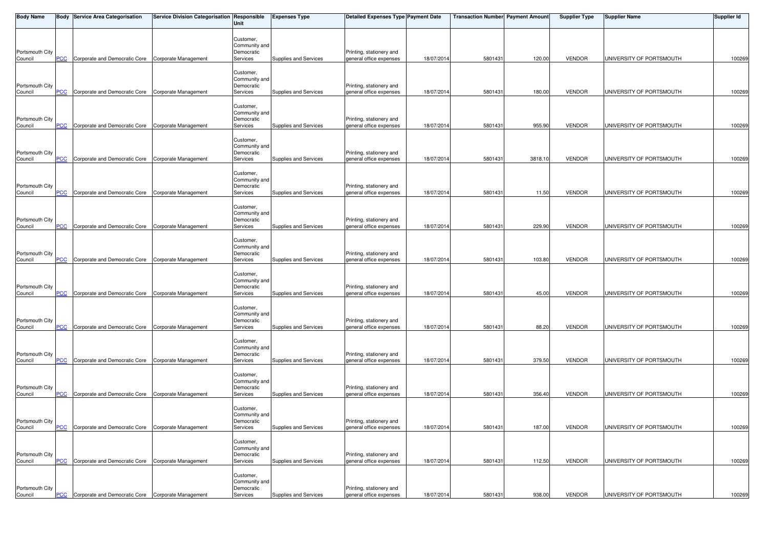| <b>Body Name</b>           |            | <b>Body Service Area Categorisation</b>            | Service Division Categorisation Responsible | Unit                                                 | <b>Expenses Type</b>  | <b>Detailed Expenses Type Payment Date</b>          |            | <b>Transaction Number Payment Amount</b> |         | <b>Supplier Type</b> | <b>Supplier Name</b>     | <b>Supplier Id</b> |
|----------------------------|------------|----------------------------------------------------|---------------------------------------------|------------------------------------------------------|-----------------------|-----------------------------------------------------|------------|------------------------------------------|---------|----------------------|--------------------------|--------------------|
| Portsmouth City            |            |                                                    |                                             | Customer,<br>Community and<br>Democratic             |                       | Printing, stationery and                            |            |                                          |         |                      |                          |                    |
| Council                    | <b>PCC</b> | Corporate and Democratic Core Corporate Management |                                             | Services                                             | Supplies and Services | general office expenses                             | 18/07/201  | 5801431                                  | 120.00  | <b>VENDOR</b>        | UNIVERSITY OF PORTSMOUTH | 100269             |
| Portsmouth City<br>Council | <b>PCC</b> | Corporate and Democratic Core                      | Corporate Management                        | Customer,<br>Community and<br>Democratic<br>Services | Supplies and Services | Printing, stationery and<br>general office expenses | 18/07/201  | 580143                                   | 180.00  | <b>VENDOR</b>        | UNIVERSITY OF PORTSMOUTH | 100269             |
| Portsmouth City<br>Council | PCC        | Corporate and Democratic Core Corporate Management |                                             | Customer,<br>Community and<br>Democratic<br>Services | Supplies and Services | Printing, stationery and<br>general office expenses | 18/07/201  | 5801431                                  | 955.90  | <b>VENDOR</b>        | UNIVERSITY OF PORTSMOUTH | 100269             |
| Portsmouth City            | PCC        | Corporate and Democratic Core                      | Corporate Management                        | Customer,<br>Community and<br>Democratic<br>Services | Supplies and Services | Printing, stationery and<br>general office expenses | 18/07/201  | 5801431                                  | 3818.10 | <b>VENDOR</b>        | UNIVERSITY OF PORTSMOUTH | 100269             |
| Council                    |            |                                                    |                                             |                                                      |                       |                                                     |            |                                          |         |                      |                          |                    |
| Portsmouth City<br>Council | <u>PCC</u> | Corporate and Democratic Core Corporate Management |                                             | Customer,<br>Community and<br>Democratic<br>Services | Supplies and Services | Printing, stationery and<br>general office expenses | 18/07/201  | 5801431                                  | 11.50   | <b>VENDOR</b>        | UNIVERSITY OF PORTSMOUTH | 100269             |
| Portsmouth City<br>Council | PCC        | Corporate and Democratic Core                      | Corporate Management                        | Customer,<br>Community and<br>Democratic<br>Services | Supplies and Services | Printing, stationery and<br>general office expenses | 18/07/2014 | 5801431                                  | 229.90  | <b>VENDOR</b>        | UNIVERSITY OF PORTSMOUTH | 100269             |
| Portsmouth City<br>Council | PСC        | Corporate and Democratic Core Corporate Management |                                             | Customer,<br>Community and<br>Democratic<br>Services | Supplies and Services | Printing, stationery and<br>general office expenses | 18/07/2014 | 5801431                                  | 103.80  | <b>VENDOR</b>        | UNIVERSITY OF PORTSMOUTH | 100269             |
| Portsmouth City<br>Council | <b>PCC</b> | Corporate and Democratic Core Corporate Management |                                             | Customer,<br>Community and<br>Democratic<br>Services | Supplies and Services | Printing, stationery and<br>general office expenses | 18/07/201  | 5801431                                  | 45.00   | VENDOR               | UNIVERSITY OF PORTSMOUTH | 100269             |
| Portsmouth City<br>Council | <b>PCC</b> | Corporate and Democratic Core Corporate Management |                                             | Customer,<br>Community and<br>Democratic<br>Services | Supplies and Services | Printing, stationery and<br>general office expenses | 18/07/201  | 5801431                                  | 88.20   | <b>VENDOR</b>        | UNIVERSITY OF PORTSMOUTH | 100269             |
| Portsmouth City<br>Council | <b>PCC</b> | Corporate and Democratic Core Corporate Management |                                             | Customer,<br>Community and<br>Democratic<br>Services | Supplies and Services | Printing, stationery and<br>general office expenses | 18/07/2014 | 5801431                                  | 379.50  | <b>VENDOR</b>        | UNIVERSITY OF PORTSMOUTH | 100269             |
| Portsmouth City<br>Council | <b>PCC</b> | Corporate and Democratic Core Corporate Management |                                             | Customer,<br>Community and<br>Democratic<br>Services | Supplies and Services | Printing, stationery and<br>general office expenses | 18/07/2014 | 5801431                                  | 356.40  | <b>VENDOR</b>        | UNIVERSITY OF PORTSMOUTH | 100269             |
|                            |            |                                                    |                                             |                                                      |                       |                                                     |            |                                          |         |                      |                          |                    |
| Portsmouth City<br>Council | <b>PCC</b> | Corporate and Democratic Core Corporate Management |                                             | Customer,<br>Community and<br>Democratic<br>Services | Supplies and Services | Printing, stationery and<br>general office expenses | 18/07/2014 | 5801431                                  | 187.00  | VENDOR               | UNIVERSITY OF PORTSMOUTH | 100269             |
| Portsmouth City<br>Council | <b>PCC</b> | Corporate and Democratic Core Corporate Management |                                             | Customer,<br>Community and<br>Democratic<br>Services | Supplies and Services | Printing, stationery and<br>general office expenses | 18/07/2014 | 5801431                                  | 112.50  | VENDOR               | UNIVERSITY OF PORTSMOUTH | 100269             |
| Portsmouth City<br>Council | PCC        | Corporate and Democratic Core Corporate Management |                                             | Customer,<br>Community and<br>Democratic<br>Services | Supplies and Services | Printing, stationery and<br>general office expenses | 18/07/2014 | 5801431                                  | 938.00  | <b>VENDOR</b>        | UNIVERSITY OF PORTSMOUTH | 100269             |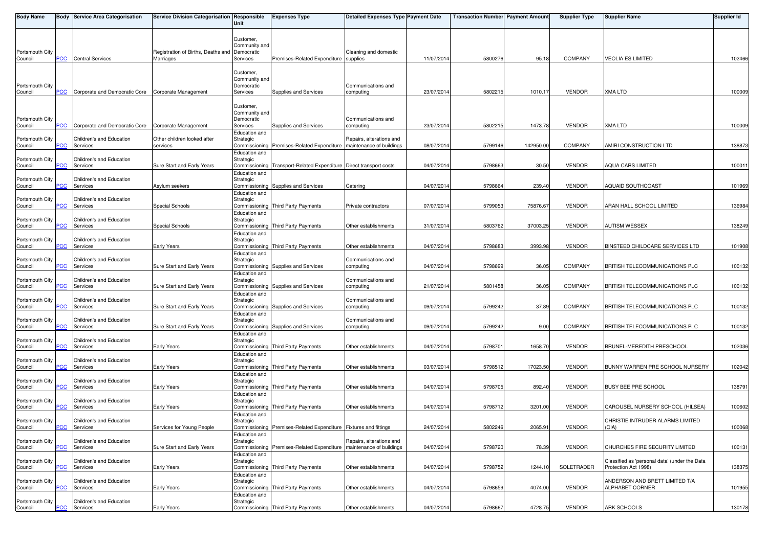| <b>Body Name</b>           |            | <b>Body Service Area Categorisation</b> | Service Division Categorisation Responsible | Unit                        | <b>Expenses Type</b>                                               | <b>Detailed Expenses Type Payment Date</b>           |            | <b>Transaction Number Payment Amount</b> |           | <b>Supplier Type</b> | <b>Supplier Name</b>                          | <b>Supplier Id</b> |
|----------------------------|------------|-----------------------------------------|---------------------------------------------|-----------------------------|--------------------------------------------------------------------|------------------------------------------------------|------------|------------------------------------------|-----------|----------------------|-----------------------------------------------|--------------------|
|                            |            |                                         |                                             |                             |                                                                    |                                                      |            |                                          |           |                      |                                               |                    |
|                            |            |                                         |                                             | Customer,<br>Community and  |                                                                    |                                                      |            |                                          |           |                      |                                               |                    |
| Portsmouth City            |            |                                         | Registration of Births, Deaths and          | Democratic                  |                                                                    | Cleaning and domestic                                |            |                                          |           |                      |                                               |                    |
| Council                    | <b>PCC</b> | <b>Central Services</b>                 | Marriages                                   | Services                    | Premises-Related Expenditure supplies                              |                                                      | 11/07/2014 | 5800276                                  | 95.18     | <b>COMPANY</b>       | <b>VEOLIA ES LIMITED</b>                      | 102466             |
|                            |            |                                         |                                             | Customer,                   |                                                                    |                                                      |            |                                          |           |                      |                                               |                    |
|                            |            |                                         |                                             | Community and               |                                                                    |                                                      |            |                                          |           |                      |                                               |                    |
| Portsmouth City<br>Council | <b>PCC</b> | Corporate and Democratic Core           | Corporate Management                        | Democratic<br>Services      | Supplies and Services                                              | Communications and<br>computing                      | 23/07/2014 | 580221                                   | 1010.17   | <b>VENDOR</b>        | <b>XMA LTD</b>                                | 100009             |
|                            |            |                                         |                                             |                             |                                                                    |                                                      |            |                                          |           |                      |                                               |                    |
|                            |            |                                         |                                             | Customer,                   |                                                                    |                                                      |            |                                          |           |                      |                                               |                    |
| Portsmouth City            |            |                                         |                                             | Community and<br>Democratic |                                                                    | Communications and                                   |            |                                          |           |                      |                                               |                    |
| Council                    | PCC        | Corporate and Democratic Core           | Corporate Management                        | Services                    | Supplies and Services                                              | computing                                            | 23/07/2014 | 580221                                   | 1473.78   | <b>VENDOR</b>        | <b>XMA LTD</b>                                | 100009             |
| Portsmouth City            |            | Children's and Education                | Other children looked after                 | Education and<br>Strategic  |                                                                    | Repairs, alterations and                             |            |                                          |           |                      |                                               |                    |
| Council                    | PCC.       | Services                                | services                                    |                             | Commissioning Premises-Related Expenditure                         | maintenance of buildings                             | 08/07/2014 | 5799146                                  | 142950.00 | <b>COMPANY</b>       | AMIRI CONSTRUCTION LTD                        | 138873             |
|                            |            |                                         |                                             | Education and               |                                                                    |                                                      |            |                                          |           |                      |                                               |                    |
| Portsmouth City<br>Council | PСC        | Children's and Education<br>Services    | Sure Start and Early Years                  | Strategic                   | Commissioning Transport-Related Expenditure Direct transport costs |                                                      | 04/07/2014 | 5798663                                  | 30.50     | <b>VENDOR</b>        | <b>AQUA CARS LIMITED</b>                      | 100011             |
|                            |            |                                         |                                             | Education and               |                                                                    |                                                      |            |                                          |           |                      |                                               |                    |
| Portsmouth City<br>Council | <u>PCC</u> | Children's and Education<br>Services    | Asylum seekers                              | Strategic                   | Commissioning Supplies and Services                                | Catering                                             | 04/07/2014 | 5798664                                  | 239.40    | <b>VENDOR</b>        | <b>AQUAID SOUTHCOAST</b>                      | 101969             |
|                            |            |                                         |                                             | Education and               |                                                                    |                                                      |            |                                          |           |                      |                                               |                    |
| Portsmouth City            |            | Children's and Education                |                                             | Strategic                   |                                                                    |                                                      |            |                                          |           |                      |                                               |                    |
| Council                    | PCC        | Services                                | Special Schools                             | Education and               | Commissioning Third Party Payments                                 | Private contractors                                  | 07/07/2014 | 5799053                                  | 75876.67  | <b>VENDOR</b>        | ARAN HALL SCHOOL LIMITED                      | 136984             |
| Portsmouth City            |            | Children's and Education                |                                             | Strategic                   |                                                                    |                                                      |            |                                          |           |                      |                                               |                    |
| Council                    | PСC        | Services                                | Special Schools                             | Commissioning               | <b>Third Party Payments</b>                                        | Other establishments                                 | 31/07/2014 | 5803762                                  | 37003.25  | <b>VENDOR</b>        | <b>AUTISM WESSEX</b>                          | 138249             |
| Portsmouth City            |            | Children's and Education                |                                             | Education and<br>Strategic  |                                                                    |                                                      |            |                                          |           |                      |                                               |                    |
| Council                    | <b>PCC</b> | Services                                | Early Years                                 |                             | Commissioning Third Party Payments                                 | Other establishments                                 | 04/07/2014 | 5798683                                  | 3993.98   | <b>VENDOR</b>        | BINSTEED CHILDCARE SERVICES LTD               | 101908             |
| Portsmouth City            |            | Children's and Education                |                                             | Education and<br>Strategic  |                                                                    | Communications and                                   |            |                                          |           |                      |                                               |                    |
| Council                    | <u>PCC</u> | Services                                | Sure Start and Early Years                  |                             | Commissioning Supplies and Services                                | computing                                            | 04/07/201  | 579869                                   | 36.05     | <b>COMPANY</b>       | BRITISH TELECOMMUNICATIONS PLC                | 100132             |
|                            |            |                                         |                                             | Education and               |                                                                    |                                                      |            |                                          |           |                      |                                               |                    |
| Portsmouth City<br>Council | PСC        | Children's and Education<br>Services    | Sure Start and Early Years                  | Strategic                   | Commissioning Supplies and Services                                | Communications and<br>computing                      | 21/07/2014 | 5801458                                  | 36.05     | <b>COMPANY</b>       | <b>BRITISH TELECOMMUNICATIONS PLC</b>         | 100132             |
|                            |            |                                         |                                             | Education and               |                                                                    |                                                      |            |                                          |           |                      |                                               |                    |
| Portsmouth City<br>Council | PCC        | Children's and Education<br>Services    | Sure Start and Early Years                  | Strategic                   | Commissioning Supplies and Services                                | Communications and<br>computing                      | 09/07/2014 | 5799242                                  | 37.89     | <b>COMPANY</b>       | <b>BRITISH TELECOMMUNICATIONS PLC</b>         | 100132             |
|                            |            |                                         |                                             | Education and               |                                                                    |                                                      |            |                                          |           |                      |                                               |                    |
| Portsmouth City            |            | Children's and Education                |                                             | Strategic                   |                                                                    | Communications and                                   |            |                                          |           |                      |                                               |                    |
| Council                    | PCC        | Services                                | Sure Start and Early Years                  | Education and               | Commissioning Supplies and Services                                | computing                                            | 09/07/2014 | 5799242                                  | 9.00      | <b>COMPANY</b>       | BRITISH TELECOMMUNICATIONS PLC                | 100132             |
| Portsmouth City            |            | Children's and Education                |                                             | Strategic                   |                                                                    |                                                      |            |                                          |           |                      |                                               |                    |
| Council                    | PСC        | Services                                | Early Years                                 | Education and               | Commissioning Third Party Payments                                 | Other establishments                                 | 04/07/2014 | 579870                                   | 1658.70   | <b>VENDOR</b>        | BRUNEL-MEREDITH PRESCHOOL                     | 102036             |
| Portsmouth City            |            | Children's and Education                |                                             | Strategic                   |                                                                    |                                                      |            |                                          |           |                      |                                               |                    |
| Council                    | <b>PCC</b> | Services                                | Early Years                                 |                             | Commissioning Third Party Payments                                 | Other establishments                                 | 03/07/2014 | 5798512                                  | 17023.50  | <b>VENDOR</b>        | BUNNY WARREN PRE SCHOOL NURSERY               | 102042             |
| Portsmouth City            |            | Children's and Education                |                                             | Education and<br>Strategic  |                                                                    |                                                      |            |                                          |           |                      |                                               |                    |
| Council                    | <u>PCC</u> | Services                                | Early Years                                 |                             | Commissioning Third Party Payments                                 | Other establishments                                 | 04/07/201  | 5798705                                  | 892.40    | <b>VENDOR</b>        | <b>BUSY BEE PRE SCHOOL</b>                    | 138791             |
| Portsmouth City            |            | Children's and Education                |                                             | Education and               |                                                                    |                                                      |            |                                          |           |                      |                                               |                    |
| Council                    | <b>PCC</b> | Services                                | Early Years                                 | Strategic                   | Commissioning Third Party Payments                                 | Other establishments                                 | 04/07/2014 | 5798712                                  | 3201.00   | <b>VENDOR</b>        | CAROUSEL NURSERY SCHOOL (HILSEA)              | 100602             |
|                            |            |                                         |                                             | Education and               |                                                                    |                                                      |            |                                          |           |                      |                                               |                    |
| Portsmouth City<br>Council | PCC        | Children's and Education<br>Services    | Services for Young People                   | Strategic                   | Commissioning Premises-Related Expenditure Fixtures and fittings   |                                                      | 24/07/2014 | 5802246                                  | 2065.91   | <b>VENDOR</b>        | CHRISTIE INTRUDER ALARMS LIMITED<br>(CIA)     | 100068             |
|                            |            |                                         |                                             | Education and               |                                                                    |                                                      |            |                                          |           |                      |                                               |                    |
| Portsmouth City            |            | Children's and Education                |                                             | Strategic                   |                                                                    | Repairs, alterations and<br>maintenance of buildings |            |                                          |           |                      |                                               |                    |
| Council                    | <u>PCC</u> | Services                                | Sure Start and Early Years                  | Education and               | Commissioning Premises-Related Expenditure                         |                                                      | 04/07/201  | 5798720                                  | 78.39     | <b>VENDOR</b>        | CHURCHES FIRE SECURITY LIMITED                | 100131             |
| Portsmouth City            |            | Children's and Education                |                                             | Strategic                   |                                                                    |                                                      |            |                                          |           |                      | Classified as 'personal data' (under the Data |                    |
| Council                    | эсс        | Services                                | Early Years                                 | Education and               | Commissioning Third Party Payments                                 | Other establishments                                 | 04/07/2014 | 5798752                                  | 1244.10   | SOLETRADER           | Protection Act 1998)                          | 138375             |
| Portsmouth City            |            | Children's and Education                |                                             | Strategic                   |                                                                    |                                                      |            |                                          |           |                      | ANDERSON AND BRETT LIMITED T/A                |                    |
| Council                    | <b>PCC</b> | Services                                | Early Years                                 |                             | Commissioning Third Party Payments                                 | Other establishments                                 | 04/07/2014 | 5798659                                  | 4074.00   | <b>VENDOR</b>        | ALPHABET CORNER                               | 101955             |
| Portsmouth City            |            | Children's and Education                |                                             | Education and<br>Strategic  |                                                                    |                                                      |            |                                          |           |                      |                                               |                    |
| Council                    | PCC        | Services                                | Early Years                                 |                             | Commissioning Third Party Payments                                 | Other establishments                                 | 04/07/2014 | 5798667                                  | 4728.75   | <b>VENDOR</b>        | ARK SCHOOLS                                   | 130178             |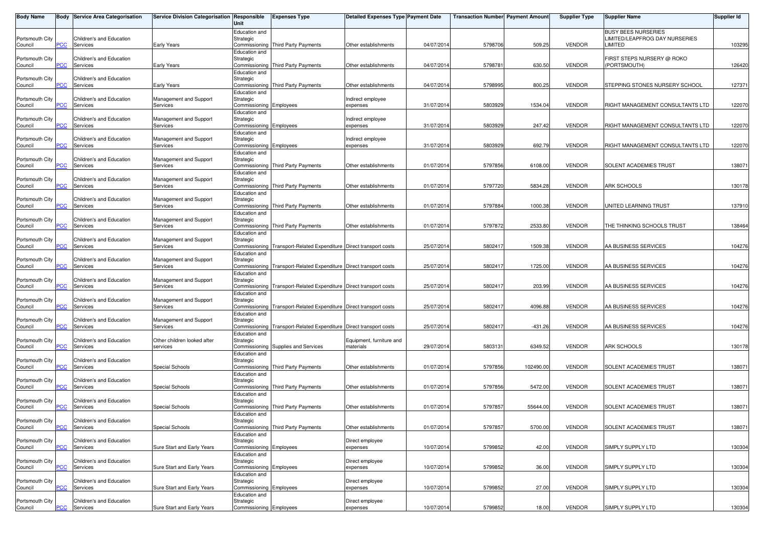| <b>Body Name</b>           |                | <b>Body Service Area Categorisation</b> | Service Division Categorisation   Responsible | Unit                                        | <b>Expenses Type</b>                                 | Detailed Expenses Type Payment Date |            | <b>Transaction Number  Payment Amount </b> |           | <b>Supplier Type</b> | <b>Supplier Name</b>                                 | Supplier Id |
|----------------------------|----------------|-----------------------------------------|-----------------------------------------------|---------------------------------------------|------------------------------------------------------|-------------------------------------|------------|--------------------------------------------|-----------|----------------------|------------------------------------------------------|-------------|
| Portsmouth City            |                | <b>Children's and Education</b>         |                                               | Education and<br>Strategic                  |                                                      |                                     |            |                                            |           |                      | BUSY BEES NURSERIES<br>IMITED/LEAPFROG DAY NURSERIES |             |
| Council                    | PСC            | Services                                | <b>Early Years</b>                            |                                             | Commissioning Third Party Payments                   | Other establishments                | 04/07/201  | 5798706                                    | 509.25    | <b>VENDOR</b>        | IMITED                                               | 103295      |
| Portsmouth City<br>Council | PCC            | Children's and Education<br>Services    | <b>Early Years</b>                            | Education and<br>Strategic<br>Commissioning | Third Party Payments                                 | Other establishments                | 04/07/201  | 579878                                     | 630.50    | <b>VENDOR</b>        | FIRST STEPS NURSERY @ ROKO<br>(PORTSMOUTH)           | 126420      |
|                            |                |                                         |                                               | Education and                               |                                                      |                                     |            |                                            |           |                      |                                                      |             |
| Portsmouth City<br>Council | PСC            | Children's and Education<br>Services    | <b>Early Years</b>                            | Strategic                                   | Commissioning Third Party Payments                   | Other establishments                | 04/07/201  | 5798995                                    | 800.25    | <b>VENDOR</b>        | STEPPING STONES NURSERY SCHOOL                       | 127371      |
|                            |                |                                         |                                               | Education and                               |                                                      |                                     |            |                                            |           |                      |                                                      |             |
| Portsmouth City<br>Council | PCC            | Children's and Education<br>Services    | Management and Support<br>Services            | Strategic<br>Commissioning Employees        |                                                      | Indirect employee<br>expenses       | 31/07/201  | 5803929                                    | 1534.04   | <b>VENDOR</b>        | RIGHT MANAGEMENT CONSULTANTS LTD                     | 122070      |
|                            |                |                                         |                                               | Education and                               |                                                      |                                     |            |                                            |           |                      |                                                      |             |
| Portsmouth City<br>Council | <b>PCC</b>     | Children's and Education<br>Services    | Management and Support<br>Services            | Strategic<br>Commissioning Employees        |                                                      | Indirect employee<br>expenses       | 31/07/201  | 5803929                                    | 247.42    | <b>VENDOR</b>        | RIGHT MANAGEMENT CONSULTANTS LTD                     | 122070      |
|                            |                |                                         |                                               | Education and                               |                                                      |                                     |            |                                            |           |                      |                                                      |             |
| Portsmouth City            |                | Children's and Education                | Management and Support                        | Strategic                                   |                                                      | Indirect employee                   |            |                                            |           |                      |                                                      |             |
| Council                    | PCC            | Services                                | Services                                      | Commissioning Employees                     |                                                      | expenses                            | 31/07/201  | 5803929                                    | 692.79    | <b>VENDOR</b>        | RIGHT MANAGEMENT CONSULTANTS LTD                     | 122070      |
|                            |                |                                         |                                               | Education and                               |                                                      |                                     |            |                                            |           |                      |                                                      |             |
| Portsmouth City            |                | Children's and Education                | Management and Support                        | Strategic                                   |                                                      |                                     |            |                                            |           |                      |                                                      |             |
| Council                    | PCC            | Services                                | Services                                      |                                             | Commissioning Third Party Payments                   | Other establishments                | 01/07/201  | 5797856                                    | 6108.00   | <b>VENDOR</b>        | SOLENT ACADEMIES TRUST                               | 138071      |
|                            |                |                                         |                                               | Education and                               |                                                      |                                     |            |                                            |           |                      |                                                      |             |
| Portsmouth City<br>Council | <b>PCC</b>     | Children's and Education                | Management and Support<br>Services            | Strategic                                   |                                                      | Other establishments                | 01/07/201  | 5797720                                    | 5834.28   | <b>VENDOR</b>        | <b>ARK SCHOOLS</b>                                   | 130178      |
|                            |                | Services                                |                                               | Education and                               | Commissioning Third Party Payments                   |                                     |            |                                            |           |                      |                                                      |             |
| Portsmouth City            |                | Children's and Education                | Management and Support                        | Strategic                                   |                                                      |                                     |            |                                            |           |                      |                                                      |             |
| Council                    | PСC            | Services                                | Services                                      |                                             | Commissioning Third Party Payments                   | Other establishments                | 01/07/201  | 5797884                                    | 1000.38   | <b>VENDOR</b>        | UNITED LEARNING TRUST                                | 137910      |
|                            |                |                                         |                                               | Education and                               |                                                      |                                     |            |                                            |           |                      |                                                      |             |
| Portsmouth City            |                | Children's and Education                | Management and Support                        | Strategic                                   |                                                      |                                     |            |                                            |           |                      |                                                      |             |
| Council                    | PСC            | Services                                | Services                                      |                                             | Commissioning Third Party Payments                   | Other establishments                | 01/07/201  | 5797872                                    | 2533.80   | <b>VENDOR</b>        | THE THINKING SCHOOLS TRUST                           | 138464      |
|                            |                |                                         |                                               | Education and                               |                                                      |                                     |            |                                            |           |                      |                                                      |             |
| Portsmouth City            |                | Children's and Education                | Management and Support                        | Strategic                                   |                                                      |                                     |            |                                            |           |                      |                                                      |             |
| Council                    | PCC            | Services                                | Services                                      | Commissioning                               | Transport-Related Expenditure Direct transport costs |                                     | 25/07/201  | 580241                                     | 1509.38   | <b>VENDOR</b>        | AA BUSINESS SERVICES                                 | 104276      |
| Portsmouth City            |                | Children's and Education                | Management and Support                        | Education and<br>Strategic                  |                                                      |                                     |            |                                            |           |                      |                                                      |             |
| Council                    | CC             | Services                                | Services                                      | Commissioning                               | Transport-Related Expenditure Direct transport costs |                                     | 25/07/201  | 5802417                                    | 1725.00   | <b>VENDOR</b>        | AA BUSINESS SERVICES                                 | 104276      |
|                            |                |                                         |                                               | Education and                               |                                                      |                                     |            |                                            |           |                      |                                                      |             |
| Portsmouth City            |                | Children's and Education                | Management and Support                        | Strategic                                   |                                                      |                                     |            |                                            |           |                      |                                                      |             |
| Council                    | PCC            | Services                                | Services                                      | Commissioning                               | Transport-Related Expenditure Direct transport costs |                                     | 25/07/201  | 5802417                                    | 203.99    | <b>VENDOR</b>        | AA BUSINESS SERVICES                                 | 104276      |
|                            |                |                                         |                                               | Education and                               |                                                      |                                     |            |                                            |           |                      |                                                      |             |
| Portsmouth City            |                | Children's and Education                | Management and Support                        | Strategic                                   |                                                      |                                     |            |                                            |           |                      |                                                      |             |
| Council                    | PCC            | Services                                | Services                                      | Commissioning                               | Transport-Related Expenditure Direct transport costs |                                     | 25/07/201  | 580241                                     | 4096.88   | <b>VENDOR</b>        | AA BUSINESS SERVICES                                 | 104276      |
|                            |                |                                         |                                               | Education and                               |                                                      |                                     |            |                                            |           |                      |                                                      |             |
| Portsmouth City<br>Council | $\overline{C}$ | Children's and Education<br>Services    | Management and Support<br>Services            | Strategic<br>Commissioning                  | Transport-Related Expenditure Direct transport costs |                                     | 25/07/201  | 5802417                                    | $-431.26$ | <b>VENDOR</b>        | AA BUSINESS SERVICES                                 | 104276      |
|                            |                |                                         |                                               | Education and                               |                                                      |                                     |            |                                            |           |                      |                                                      |             |
| Portsmouth City            |                | Children's and Education                | Other children looked after                   | Strategic                                   |                                                      | Equipment, furniture and            |            |                                            |           |                      |                                                      |             |
| Council                    | PCC            | Services                                | services                                      |                                             | Commissioning Supplies and Services                  | materials                           | 29/07/201  | 580313                                     | 6349.52   | <b>VENDOR</b>        | ARK SCHOOLS                                          | 130178      |
|                            |                |                                         |                                               | Education and                               |                                                      |                                     |            |                                            |           |                      |                                                      |             |
| Portsmouth City            |                | Children's and Education                |                                               | Strategic                                   |                                                      |                                     |            |                                            |           |                      |                                                      |             |
| Council                    | <b>PCC</b>     | Services                                | Special Schools                               |                                             | Commissioning Third Party Payments                   | Other establishments                | 01/07/201  | 5797856                                    | 102490.00 | <b>VENDOR</b>        | <b>SOLENT ACADEMIES TRUST</b>                        | 138071      |
|                            |                |                                         |                                               | Education and                               |                                                      |                                     |            |                                            |           |                      |                                                      |             |
| Portsmouth City            |                | Children's and Education                |                                               | Strategic                                   |                                                      |                                     |            |                                            |           |                      |                                                      |             |
| Council                    | сC             | Services                                | Special Schools                               | Commissioning<br>Education and              | <b>Third Party Payments</b>                          | Other establishments                | 01/07/201  | 5797856                                    | 5472.00   | VENDOR               | SOLENT ACADEMIES TRUST                               | 138071      |
| Portsmouth City            |                | Children's and Education                |                                               | Strategic                                   |                                                      |                                     |            |                                            |           |                      |                                                      |             |
| Council                    | PCC            | Services                                | <b>Special Schools</b>                        |                                             | Commissioning Third Party Payments                   | Other establishments                | 01/07/201  | 5797857                                    | 55644.00  | <b>VENDOR</b>        | SOLENT ACADEMIES TRUST                               | 138071      |
|                            |                |                                         |                                               | Education and                               |                                                      |                                     |            |                                            |           |                      |                                                      |             |
| Portsmouth City            |                | Children's and Education                |                                               | Strategic                                   |                                                      |                                     |            |                                            |           |                      |                                                      |             |
| Council                    | <b>PCC</b>     | Services                                | Special Schools                               |                                             | Commissioning Third Party Payments                   | Other establishments                | 01/07/2014 | 5797857                                    | 5700.00   | <b>VENDOR</b>        | SOLENT ACADEMIES TRUST                               | 138071      |
|                            |                |                                         |                                               | Education and                               |                                                      |                                     |            |                                            |           |                      |                                                      |             |
| Portsmouth City            |                | Children's and Education                |                                               | Strategic                                   |                                                      | Direct employee                     |            |                                            |           |                      |                                                      |             |
| Council                    | <b>PCC</b>     | Services                                | Sure Start and Early Years                    | Commissioning Employees                     |                                                      | expenses                            | 10/07/201  | 5799852                                    | 42.00     | <b>VENDOR</b>        | SIMPLY SUPPLY LTD                                    | 130304      |
| Portsmouth City            |                | Children's and Education                |                                               | Education and<br>Strategic                  |                                                      | Direct employee                     |            |                                            |           |                      |                                                      |             |
| Council                    | PCC            | Services                                | Sure Start and Early Years                    | Commissioning Employees                     |                                                      | expenses                            | 10/07/201  | 5799852                                    | 36.00     | <b>VENDOR</b>        | SIMPLY SUPPLY LTD                                    | 130304      |
|                            |                |                                         |                                               | Education and                               |                                                      |                                     |            |                                            |           |                      |                                                      |             |
| Portsmouth City            |                | Children's and Education                |                                               | Strategic                                   |                                                      | Direct employee                     |            |                                            |           |                      |                                                      |             |
| Council                    | PCC            | Services                                | Sure Start and Early Years                    | Commissioning Employees                     |                                                      | expenses                            | 10/07/201  | 5799852                                    | 27.00     | <b>VENDOR</b>        | SIMPLY SUPPLY LTD                                    | 130304      |
|                            |                |                                         |                                               | Education and                               |                                                      |                                     |            |                                            |           |                      |                                                      |             |
| Portsmouth City            |                | Children's and Education                |                                               | Strategic                                   |                                                      | Direct employee                     |            |                                            |           |                      |                                                      |             |
| Council                    | PCC            | Services                                | Sure Start and Early Years                    | Commissioning Employees                     |                                                      | expenses                            | 10/07/2014 | 5799852                                    | 18.00     | <b>VENDOR</b>        | SIMPLY SUPPLY LTD                                    | 130304      |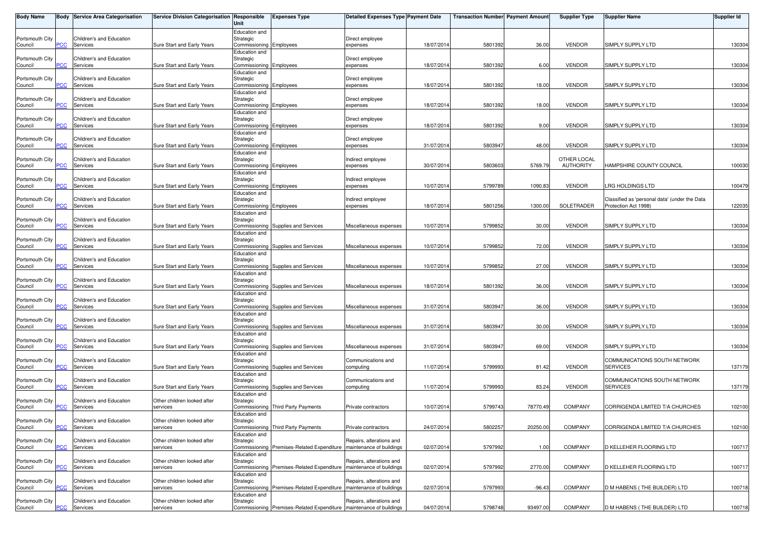| <b>Body Name</b>           |                | Body Service Area Categorisation                | Service Division Categorisation Responsible | Unit                                                  | <b>Expenses Type</b>                                                  | <b>Detailed Expenses Type Payment Date</b>           |            | <b>Transaction Number</b> Payment Amount |          | <b>Supplier Type</b>         | <b>Supplier Name</b>                                              | <b>Supplier Id</b> |
|----------------------------|----------------|-------------------------------------------------|---------------------------------------------|-------------------------------------------------------|-----------------------------------------------------------------------|------------------------------------------------------|------------|------------------------------------------|----------|------------------------------|-------------------------------------------------------------------|--------------------|
| Portsmouth City<br>Council | PCC            | Children's and Education<br>Services            | Sure Start and Early Years                  | Education and<br>Strategic<br>Commissioning Employees |                                                                       | Direct employee<br>expenses                          | 18/07/2014 | 5801392                                  | 36.00    | <b>VENDOR</b>                | SIMPLY SUPPLY LTD                                                 | 130304             |
| Portsmouth City<br>Council | PCC            | Children's and Education<br>Services            | Sure Start and Early Years                  | Education and<br>Strategic<br>Commissioning Employees |                                                                       | Direct employee<br>expenses                          | 18/07/2014 | 580139                                   | 6.00     | <b>VENDOR</b>                | SIMPLY SUPPLY LTD                                                 | 130304             |
| Portsmouth City<br>Council | PСC            | Children's and Education<br>Services            | Sure Start and Early Years                  | Education and<br>Strategic<br>Commissioning Employees |                                                                       | Direct employee<br>expenses                          | 18/07/2014 | 5801392                                  | 18.00    | <b>VENDOR</b>                | SIMPLY SUPPLY LTD                                                 | 130304             |
| Portsmouth City            | PCC            | Children's and Education                        |                                             | Education and<br>Strategic                            |                                                                       | Direct employee                                      | 18/07/2014 | 5801392                                  | 18.00    | <b>VENDOR</b>                |                                                                   |                    |
| Council<br>Portsmouth City |                | Services<br>Children's and Education            | Sure Start and Early Years                  | Commissioning Employees<br>Education and<br>Strategic |                                                                       | expenses<br>Direct employee                          |            |                                          |          |                              | SIMPLY SUPPLY LTD                                                 | 130304             |
| Council<br>Portsmouth City | PCC            | Services<br>Children's and Education            | Sure Start and Early Years                  | Commissioning Employees<br>Education and<br>Strategic |                                                                       | expenses<br>Direct employee                          | 18/07/201  | 5801392                                  | 9.00     | <b>VENDOR</b>                | SIMPLY SUPPLY LTD                                                 | 130304             |
| Council<br>Portsmouth City | $\overline{C}$ | Services<br>Children's and Education            | Sure Start and Early Years                  | Commissioning Employees<br>Education and<br>Strategic |                                                                       | expenses<br>Indirect employee                        | 31/07/2014 | 5803947                                  | 48.00    | <b>VENDOR</b><br>OTHER LOCAL | SIMPLY SUPPLY LTD                                                 | 130304             |
| Council<br>Portsmouth City | PCC            | Services<br>Children's and Education            | Sure Start and Early Years                  | Commissioning Employees<br>Education and<br>Strategic |                                                                       | expenses<br>Indirect employee                        | 30/07/2014 | 5803603                                  | 5769.79  | <b>AUTHORITY</b>             | HAMPSHIRE COUNTY COUNCIL                                          | 100030             |
| Council<br>Portsmouth City | <b>PCC</b>     | Services<br>Children's and Education            | Sure Start and Early Years                  | Commissioning Employees<br>Education and<br>Strategic |                                                                       | expenses<br>Indirect employee                        | 10/07/2014 | 5799789                                  | 1090.83  | <b>VENDOR</b>                | LRG HOLDINGS LTD<br>Classified as 'personal data' (under the Data | 100479             |
| Council                    | сC             | Services<br>Children's and Education            | Sure Start and Early Years                  | Commissioning Employees<br>Education and<br>Strategic |                                                                       | expenses                                             | 18/07/2014 | 5801256                                  | 1300.00  | SOLETRADER                   | Protection Act 1998)                                              | 122035             |
| Portsmouth City<br>Council | PCC            | Services                                        | Sure Start and Early Years                  | Education and                                         | Commissioning Supplies and Services                                   | Miscellaneous expenses                               | 10/07/2014 | 5799852                                  | 30.00    | <b>VENDOR</b>                | SIMPLY SUPPLY LTD                                                 | 130304             |
| Portsmouth City<br>Council | PCC            | Children's and Education<br>Services            | Sure Start and Early Years                  | Strategic<br>Education and                            | Commissioning Supplies and Services                                   | Miscellaneous expenses                               | 10/07/201  | 579985                                   | 72.00    | <b>VENDOR</b>                | SIMPLY SUPPLY LTD                                                 | 130304             |
| Portsmouth City<br>Council | сC             | Children's and Education<br>Services            | Sure Start and Early Years                  | Strategic<br>Education and                            | Commissioning Supplies and Services                                   | Miscellaneous expenses                               | 10/07/2014 | 5799852                                  | 27.00    | <b>VENDOR</b>                | SIMPLY SUPPLY LTD                                                 | 130304             |
| Portsmouth City<br>Council | PCC            | Children's and Education<br>Services            | Sure Start and Early Years                  | Strategic<br>Education and                            | Commissioning Supplies and Services                                   | Miscellaneous expenses                               | 18/07/2014 | 5801392                                  | 36.00    | <b>VENDOR</b>                | SIMPLY SUPPLY LTD                                                 | 130304             |
| Portsmouth City<br>Council | PCC            | Children's and Education<br>Services            | Sure Start and Early Years                  | Strategic<br>Education and                            | Commissioning Supplies and Services                                   | Miscellaneous expenses                               | 31/07/2014 | 580394                                   | 36.00    | <b>VENDOR</b>                | SIMPLY SUPPLY LTD                                                 | 130304             |
| Portsmouth City<br>Council | $\overline{C}$ | Children's and Education<br>Services            | Sure Start and Early Years                  | Strategic<br>Education and                            | Commissioning Supplies and Services                                   | Miscellaneous expenses                               | 31/07/2014 | 5803947                                  | 30.00    | <b>VENDOR</b>                | SIMPLY SUPPLY LTD                                                 | 130304             |
| Portsmouth City<br>Council | PCC            | Children's and Education<br>Services            | Sure Start and Early Years                  | Strategic                                             | Commissioning Supplies and Services                                   | Miscellaneous expenses                               | 31/07/2014 | 5803947                                  | 69.00    | <b>VENDOR</b>                | SIMPLY SUPPLY LTD                                                 | 130304             |
| Portsmouth City<br>Council | PCC            | Children's and Education<br>Services            | Sure Start and Early Years                  | Education and<br>Strategic                            | Commissioning Supplies and Services                                   | Communications and<br>computing                      | 11/07/2014 | 579999                                   | 81.42    | <b>VENDOR</b>                | COMMUNICATIONS SOUTH NETWORK<br><b>SERVICES</b>                   | 137179             |
| Portsmouth City<br>Council | PСC            | Children's and Education<br>Services            | Sure Start and Early Years                  | Education and<br>Strategic                            | Commissioning Supplies and Services                                   | Communications and<br>computing                      | 11/07/2014 | 5799993                                  | 83.24    | <b>VENDOR</b>                | COMMUNICATIONS SOUTH NETWORK<br><b>SERVICES</b>                   | 137179             |
| Portsmouth City<br>Council | <b>PCC</b>     | Children's and Education<br>Services            | Other children looked after<br>services     | Education and<br>Strategic                            | Commissioning Third Party Payments                                    | Private contractors                                  | 10/07/2014 | 5799743                                  | 78770.49 | <b>COMPANY</b>               | CORRIGENDA LIMITED T/A CHURCHES                                   | 102100             |
| Portsmouth City<br>Council |                | Children's and Education<br><b>PCC</b> Services | Other children looked after<br>services     | Education and<br>Strategic                            | Commissioning Third Party Payments                                    | Private contractors                                  | 24/07/2014 | 5802257                                  | 20250.00 | <b>COMPANY</b>               | CORRIGENDA LIMITED T/A CHURCHES                                   | 102100             |
| Portsmouth City<br>Council | PCC            | Children's and Education<br>Services            | Other children looked after<br>services     | Education and<br>Strategic                            | Commissioning Premises-Related Expenditure                            | Repairs, alterations and<br>maintenance of buildings | 02/07/2014 | 5797992                                  | 1.00     | COMPANY                      | D KELLEHER FLOORING LTD                                           | 100717             |
| Portsmouth City<br>Council | PСC            | Children's and Education<br>Services            | Other children looked after<br>services     | Education and<br>Strategic                            | Commissioning Premises-Related Expenditure                            | Repairs, alterations and<br>maintenance of buildings | 02/07/2014 | 5797992                                  | 2770.00  | COMPANY                      | D KELLEHER FLOORING LTD                                           | 100717             |
| Portsmouth City<br>Council | PCC            | Children's and Education<br>Services            | Other children looked after<br>services     | Education and<br>Strategic                            | Commissioning Premises-Related Expenditure   maintenance of buildings | Repairs, alterations and                             | 02/07/2014 | 5797993                                  | $-96.43$ | COMPANY                      | D M HABENS (THE BUILDER) LTD                                      | 100718             |
| Portsmouth City<br>Council | <u>PCC</u>     | Children's and Education<br>Services            | Other children looked after<br>services     | Education and<br>Strategic                            | Commissioning Premises-Related Expenditure   maintenance of buildings | Repairs, alterations and                             | 04/07/2014 | 5798748                                  | 93497.00 | COMPANY                      | D M HABENS (THE BUILDER) LTD                                      | 100718             |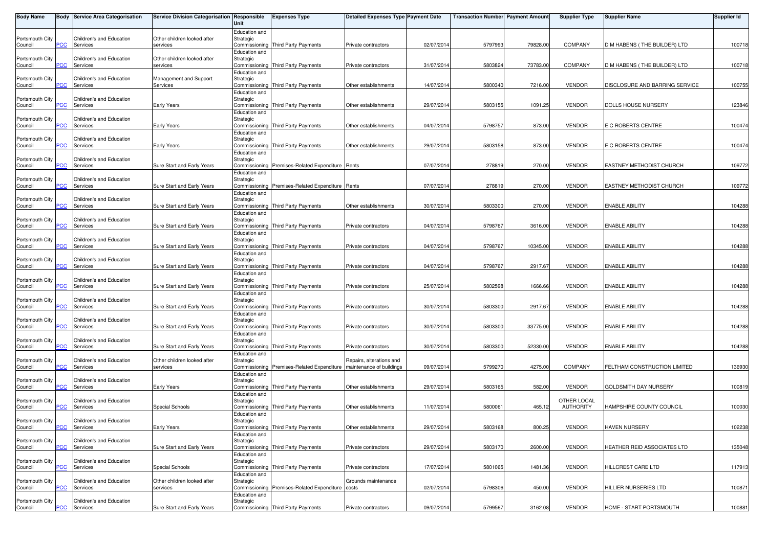| <b>Body Name</b>           |            | <b>Body Service Area Categorisation</b> | Service Division Categorisation Responsible               | Unit                       | <b>Expenses Type</b>                             | <b>Detailed Expenses Type Payment Date</b>      |            | <b>Transaction Number</b> Payment Amount |          | <b>Supplier Type</b>         | <b>Supplier Name</b>            | <b>Supplier Id</b> |
|----------------------------|------------|-----------------------------------------|-----------------------------------------------------------|----------------------------|--------------------------------------------------|-------------------------------------------------|------------|------------------------------------------|----------|------------------------------|---------------------------------|--------------------|
| Portsmouth City<br>Council | <b>PCC</b> | Children's and Education<br>Services    | Other children looked after<br>services                   | Education and<br>Strategic | Commissioning Third Party Payments               | Private contractors                             | 02/07/2014 | 5797993                                  | 79828.00 | <b>COMPANY</b>               | D M HABENS (THE BUILDER) LTD    | 100718             |
| Portsmouth City<br>Council | PCC        | Children's and Education<br>Services    | Other children looked after<br>services                   | Education and<br>Strategic | Commissioning Third Party Payments               | Private contractors                             | 31/07/2014 | 5803824                                  | 73783.00 | <b>COMPANY</b>               | D M HABENS (THE BUILDER) LTD    | 100718             |
| Portsmouth City<br>Council | PСC        | Children's and Education<br>Services    | Management and Support<br>Services                        | Education and<br>Strategic | Commissioning Third Party Payments               | Other establishments                            | 14/07/2014 | 5800340                                  | 7216.00  | <b>VENDOR</b>                | DISCLOSURE AND BARRING SERVICE  | 100755             |
| Portsmouth City<br>Council | <b>PCC</b> | Children's and Education<br>Services    | Early Years                                               | Education and<br>Strategic | Commissioning Third Party Payments               | Other establishments                            | 29/07/2014 | 5803155                                  | 1091.25  | <b>VENDOR</b>                | DOLLS HOUSE NURSERY             | 123846             |
| Portsmouth City<br>Council | <b>PCC</b> | Children's and Education<br>Services    | <b>Early Years</b>                                        | Education and<br>Strategic | Commissioning Third Party Payments               | Other establishments                            | 04/07/2014 | 5798757                                  | 873.00   | <b>VENDOR</b>                | E C ROBERTS CENTRE              | 100474             |
| Portsmouth City            | <b>CC</b>  | Children's and Education<br>Services    | <b>Early Years</b>                                        | Education and<br>Strategic | Commissioning Third Party Payments               | Other establishments                            | 29/07/2014 | 5803158                                  | 873.00   | <b>VENDOR</b>                | E C ROBERTS CENTRE              | 100474             |
| Council<br>Portsmouth City |            | Children's and Education                |                                                           | Education and<br>Strategic |                                                  |                                                 |            |                                          |          |                              |                                 |                    |
| Council<br>Portsmouth City | PCC.       | Services<br>Children's and Education    | Sure Start and Early Years                                | Education and<br>Strategic | Commissioning Premises-Related Expenditure Rents |                                                 | 07/07/2014 | 278819                                   | 270.00   | <b>VENDOR</b>                | <b>EASTNEY METHODIST CHURCH</b> | 109772             |
| Council<br>Portsmouth City | <b>PCC</b> | Services<br>Children's and Education    | Sure Start and Early Years                                | Education and<br>Strategic | Commissioning Premises-Related Expenditure Rents |                                                 | 07/07/2014 | 27881                                    | 270.00   | <b>VENDOR</b>                | <b>EASTNEY METHODIST CHURCH</b> | 109772             |
| Council<br>Portsmouth City | сC         | Services<br>Children's and Education    | Sure Start and Early Years                                | Education and<br>Strategic | Commissioning Third Party Payments               | Other establishments                            | 30/07/2014 | 5803300                                  | 270.00   | <b>VENDOR</b>                | <b>ENABLE ABILITY</b>           | 104288             |
| Council<br>Portsmouth City | PСC        | Services<br>Children's and Education    | Sure Start and Early Years                                | Education and<br>Strategic | Commissioning Third Party Payments               | Private contractors                             | 04/07/2014 | 5798767                                  | 3616.00  | <b>VENDOR</b>                | <b>ENABLE ABILITY</b>           | 104288             |
| Council<br>Portsmouth City | PСC        | Services<br>Children's and Education    | Sure Start and Early Years                                | Education and<br>Strategic | Commissioning Third Party Payments               | Private contractors                             | 04/07/2014 | 5798767                                  | 10345.00 | <b>VENDOR</b>                | <b>ENABLE ABILITY</b>           | 104288             |
| Council<br>Portsmouth City | сC         | Services<br>Children's and Education    | Sure Start and Early Years                                | Education and<br>Strategic | Commissioning Third Party Payments               | Private contractors                             | 04/07/2014 | 5798767                                  | 2917.67  | <b>VENDOR</b>                | <b>ENABLE ABILITY</b>           | 104288             |
| Council<br>Portsmouth City | PСC        | Services<br>Children's and Education    | Sure Start and Early Years                                | Education and<br>Strategic | Commissioning Third Party Payments               | Private contractors                             | 25/07/2014 | 580259                                   | 1666.66  | <b>VENDOR</b>                | <b>ENABLE ABILITY</b>           | 104288             |
| Council<br>Portsmouth City | PСC        | Services<br>Children's and Education    | Sure Start and Early Years                                | Education and<br>Strategic | Commissioning Third Party Payments               | Private contractors                             | 30/07/2014 | 5803300                                  | 2917.67  | <b>VENDOR</b>                | <b>ENABLE ABILITY</b>           | 104288             |
| Council<br>Portsmouth City | <u>'CC</u> | Services<br>Children's and Education    | Sure Start and Early Years                                | Education and<br>Strategic | Commissioning Third Party Payments               | Private contractors                             | 30/07/2014 | 5803300                                  | 33775.00 | <b>VENDOR</b>                | <b>ENABLE ABILITY</b>           | 104288             |
| Council<br>Portsmouth City | <b>PCC</b> | Services<br>Children's and Education    | Sure Start and Early Years<br>Other children looked after | Education and<br>Strategic | Commissioning Third Party Payments               | Private contractors<br>Repairs, alterations and | 30/07/2014 | 5803300                                  | 52330.00 | <b>VENDOR</b>                | <b>ENABLE ABILITY</b>           | 104288             |
| Council<br>Portsmouth City | <b>PCC</b> | Services<br>Children's and Education    | services                                                  | Education and<br>Strategic | Commissioning Premises-Related Expenditure       | maintenance of buildings                        | 09/07/2014 | 5799270                                  | 4275.00  | <b>COMPANY</b>               | FELTHAM CONSTRUCTION LIMITED    | 136930             |
| Council<br>Portsmouth City | PСC        | Services<br>Children's and Education    | Early Years                                               | Education and<br>Strategic | Commissioning Third Party Payments               | Other establishments                            | 29/07/2014 | 5803165                                  | 582.00   | <b>VENDOR</b><br>OTHER LOCAL | GOLDSMITH DAY NURSERY           | 100819             |
| Council<br>Portsmouth City | PСC        | Services<br>Children's and Education    | <b>Special Schools</b>                                    | Education and<br>Strategic | Commissioning Third Party Payments               | Other establishments                            | 11/07/2014 | 580006                                   | 465.12   | <b>AUTHORITY</b>             | HAMPSHIRE COUNTY COUNCIL        | 100030             |
| Council<br>Portsmouth City | <b>PCC</b> | Services<br>Children's and Education    | <b>Early Years</b>                                        | Education and<br>Strategic | Commissioning Third Party Payments               | Other establishments                            | 29/07/2014 | 5803168                                  | 800.25   | <b>VENDOR</b>                | <b>HAVEN NURSERY</b>            | 102238             |
| Council<br>Portsmouth City | PСC        | Services<br>Children's and Education    | Sure Start and Early Years                                | Education and<br>Strategic | Commissioning Third Party Payments               | Private contractors                             | 29/07/2014 | 5803170                                  | 2600.00  | <b>VENDOR</b>                | HEATHER REID ASSOCIATES LTD     | 135048             |
| Council                    | <b>CC</b>  | Services<br>Children's and Education    | Special Schools<br>Other children looked after            | Education and<br>Strategic | Commissioning Third Party Payments               | Private contractors                             | 17/07/2014 | 5801065                                  | 1481.36  | <b>VENDOR</b>                | HILLCREST CARE LTD              | 117913             |
| Portsmouth City<br>Council | PСC        | Services                                | services                                                  | Education and              | Commissioning Premises-Related Expenditure costs | Grounds maintenance                             | 02/07/2014 | 5798306                                  | 450.00   | <b>VENDOR</b>                | HILLIER NURSERIES LTD           | 100871             |
| Portsmouth City<br>Council | <b>PCC</b> | Children's and Education<br>Services    | Sure Start and Early Years                                | Strategic                  | Commissioning Third Party Payments               | Private contractors                             | 09/07/2014 | 5799567                                  | 3162.08  | <b>VENDOR</b>                | HOME - START PORTSMOUTH         | 100881             |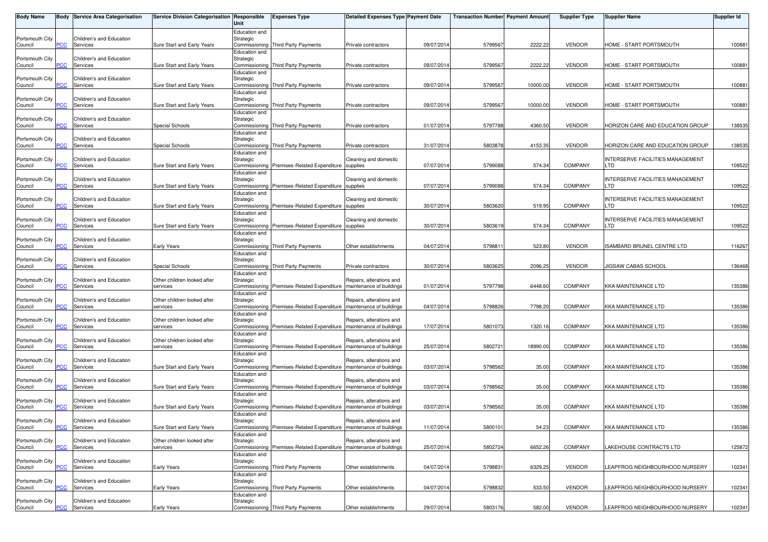| <b>Body Name</b>           |            | <b>Body Service Area Categorisation</b> | Service Division Categorisation Responsible | Unit                       | <b>Expenses Type</b>                                                | <b>Detailed Expenses Type Payment Date</b>           |            | <b>Transaction Number</b> Payment Amount |          | <b>Supplier Type</b> | <b>Supplier Name</b>                           | <b>Supplier Id</b> |
|----------------------------|------------|-----------------------------------------|---------------------------------------------|----------------------------|---------------------------------------------------------------------|------------------------------------------------------|------------|------------------------------------------|----------|----------------------|------------------------------------------------|--------------------|
| Portsmouth City<br>Council | PСC        | Children's and Education<br>Services    | Sure Start and Early Years                  | Education and<br>Strategic | Commissioning Third Party Payments                                  | Private contractors                                  | 09/07/2014 | 5799567                                  | 2222.22  | <b>VENDOR</b>        | HOME - START PORTSMOUTH                        | 100881             |
| Portsmouth City<br>Council | PСC        | Children's and Education<br>Services    | Sure Start and Early Years                  | Education and<br>Strategic | Commissioning Third Party Payments                                  | Private contractors                                  | 09/07/2014 | 5799567                                  | 2222.22  | <b>VENDOR</b>        | HOME - START PORTSMOUTH                        | 100881             |
| Portsmouth City<br>Council | сC         | Children's and Education<br>Services    | Sure Start and Early Years                  | Education and<br>Strategic | Commissioning Third Party Payments                                  | Private contractors                                  | 09/07/2014 | 579956                                   | 10000.00 | <b>VENDOR</b>        | HOME - START PORTSMOUTH                        | 100881             |
| Portsmouth City<br>Council | PСC        | Children's and Education<br>Services    | Sure Start and Early Years                  | Education and<br>Strategic | Commissioning Third Party Payments                                  | Private contractors                                  | 09/07/2014 | 579956                                   | 10000.00 | <b>VENDOR</b>        | HOME - START PORTSMOUTH                        | 100881             |
| Portsmouth City<br>Council | <b>PCC</b> | Children's and Education<br>Services    | <b>Special Schools</b>                      | Education and<br>Strategic | Commissioning Third Party Payments                                  | Private contractors                                  | 01/07/2014 | 5797788                                  | 4360.50  | <b>VENDOR</b>        | HORIZON CARE AND EDUCATION GROUP               | 138535             |
| Portsmouth City<br>Council | <b>CC</b>  | Children's and Education<br>Services    | Special Schools                             | Education and<br>Strategic | Commissioning Third Party Payments                                  | Private contractors                                  | 31/07/2014 | 5803878                                  | 4153.35  | <b>VENDOR</b>        | HORIZON CARE AND EDUCATION GROUP               | 138535             |
| Portsmouth City<br>Council | PCC.       | Children's and Education<br>Services    | Sure Start and Early Years                  | Education and<br>Strategic | Commissioning Premises-Related Expenditure supplies                 | Cleaning and domestic                                | 07/07/2014 | 5799088                                  | 574.34   | <b>COMPANY</b>       | INTERSERVE FACILITIES MANAGEMENT<br>LTD        | 109522             |
| Portsmouth City<br>Council | <b>PCC</b> | Children's and Education<br>Services    | Sure Start and Early Years                  | Education and<br>Strategic | Commissioning Premises-Related Expenditure supplies                 | Cleaning and domestic                                | 07/07/2014 | 5799088                                  | 574.34   | <b>COMPANY</b>       | INTERSERVE FACILITIES MANAGEMENT<br>LTD        | 109522             |
| Portsmouth City<br>Council | сC         | Children's and Education<br>Services    | Sure Start and Early Years                  | Education and<br>Strategic | Commissioning Premises-Related Expenditure                          | Cleaning and domestic<br>supplies                    | 30/07/2014 | 5803620                                  | 519.95   | <b>COMPANY</b>       | INTERSERVE FACILITIES MANAGEMENT<br>LTD        | 109522             |
| Portsmouth City<br>Council | PСC        | Children's and Education<br>Services    | Sure Start and Early Years                  | Education and<br>Strategic | Commissioning Premises-Related Expenditure supplies                 | Cleaning and domestic                                | 30/07/2014 | 580361                                   | 574.34   | <b>COMPANY</b>       | <b>INTERSERVE FACILITIES MANAGEMENT</b><br>.TD | 109522             |
| Portsmouth City<br>Council | PСC        | Children's and Education<br>Services    | Early Years                                 | Education and<br>Strategic | Commissioning Third Party Payments                                  | Other establishments                                 | 04/07/2014 | 579881                                   | 523.80   | <b>VENDOR</b>        | ISAMBARD BRUNEL CENTRE LTD                     | 116267             |
| Portsmouth City<br>Council | сC         | Children's and Education<br>Services    | Special Schools                             | Education and<br>Strategic | Commissioning Third Party Payments                                  | Private contractors                                  | 30/07/2014 | 580362                                   | 2096.25  | <b>VENDOR</b>        | <b>IIGSAW CABAS SCHOOL</b>                     | 136468             |
| Portsmouth City<br>Council | PСC        | Children's and Education<br>Services    | Other children looked after<br>services     | Education and<br>Strategic | Commissioning Premises-Related Expenditure                          | Repairs, alterations and<br>maintenance of buildings | 01/07/2014 | 5797798                                  | 6448.60  | <b>COMPANY</b>       | <b>KKA MAINTENANCE LTD</b>                     | 135386             |
| Portsmouth City<br>Council | PСC        | Children's and Education<br>Services    | Other children looked after<br>services     | Education and<br>Strategic | Commissioning Premises-Related Expenditure                          | Repairs, alterations and<br>maintenance of buildings | 04/07/2014 | 5798826                                  | 7798.20  | <b>COMPANY</b>       | <b>KKA MAINTENANCE LTD</b>                     | 135386             |
| Portsmouth City<br>Council | <u>'CC</u> | Children's and Education<br>Services    | Other children looked after<br>services     | Education and<br>Strategic | Commissioning Premises-Related Expenditure                          | Repairs, alterations and<br>maintenance of buildings | 17/07/2014 | 5801073                                  | 1320.16  | <b>COMPANY</b>       | <b>KKA MAINTENANCE LTD</b>                     | 135386             |
| Portsmouth City<br>Council | <b>PCC</b> | Children's and Education<br>Services    | Other children looked after<br>services     | Education and<br>Strategic | Commissioning Premises-Related Expenditure maintenance of buildings | Repairs, alterations and                             | 25/07/2014 | 580272                                   | 18990.00 | <b>COMPANY</b>       | <b>KKA MAINTENANCE LTD</b>                     | 135386             |
| Portsmouth City<br>Council | <b>PCC</b> | Children's and Education<br>Services    | Sure Start and Early Years                  | Education and<br>Strategic | Commissioning Premises-Related Expenditure maintenance of buildings | Repairs, alterations and                             | 03/07/2014 | 579856                                   | 35.00    | <b>COMPANY</b>       | <b>KKA MAINTENANCE LTD</b>                     | 135386             |
| Portsmouth City<br>Council | PСC        | Children's and Education<br>Services    | Sure Start and Early Years                  | Education and<br>Strategic | Commissioning Premises-Related Expenditure                          | Repairs, alterations and<br>maintenance of buildings | 03/07/2014 | 5798562                                  | 35.00    | <b>COMPANY</b>       | <b>KKA MAINTENANCE LTD</b>                     | 135386             |
| Portsmouth City<br>Council | PСC        | Children's and Education<br>Services    | Sure Start and Early Years                  | Education and<br>Strategic | Commissioning Premises-Related Expenditure                          | Repairs, alterations and<br>maintenance of buildings | 03/07/2014 | 5798562                                  | 35.00    | <b>COMPANY</b>       | <b>KKA MAINTENANCE LTD</b>                     | 135386             |
| Portsmouth City<br>Council | <b>PCC</b> | Children's and Education<br>Services    | Sure Start and Early Years                  | Education and<br>Strategic | Commissioning Premises-Related Expenditure maintenance of buildings | Repairs, alterations and                             | 11/07/2014 | 5800101                                  | 54.23    | <b>COMPANY</b>       | KKA MAINTENANCE LTD                            | 135386             |
| Portsmouth City<br>Council | PСC        | Children's and Education<br>Services    | Other children looked after<br>services     | Education and<br>Strategic | Commissioning Premises-Related Expenditure                          | Repairs, alterations and<br>maintenance of buildings | 25/07/2014 | 5802724                                  | 6652.26  | <b>COMPANY</b>       | LAKEHOUSE CONTRACTS LTD                        | 125872             |
| Portsmouth City<br>Council | сC         | Children's and Education<br>Services    | <b>Early Years</b>                          | Education and<br>Strategic | Commissioning Third Party Payments                                  | Other establishments                                 | 04/07/2014 | 579883                                   | 6329.25  | <b>VENDOR</b>        | LEAPFROG NEIGHBOURHOOD NURSERY                 | 102341             |
| Portsmouth City<br>Council | PСC        | Children's and Education<br>Services    | <b>Early Years</b>                          | Education and<br>Strategic | Commissioning Third Party Payments                                  | Other establishments                                 | 04/07/2014 | 5798832                                  | 533.50   | <b>VENDOR</b>        | LEAPFROG NEIGHBOURHOOD NURSERY                 | 102341             |
| Portsmouth City<br>Council | <u>PCC</u> | Children's and Education<br>Services    | <b>Early Years</b>                          | Education and<br>Strategic | Commissioning Third Party Payments                                  | Other establishments                                 | 29/07/2014 | 5803176                                  | 582.00   | <b>VENDOR</b>        | LEAPFROG NEIGHBOURHOOD NURSERY                 | 102341             |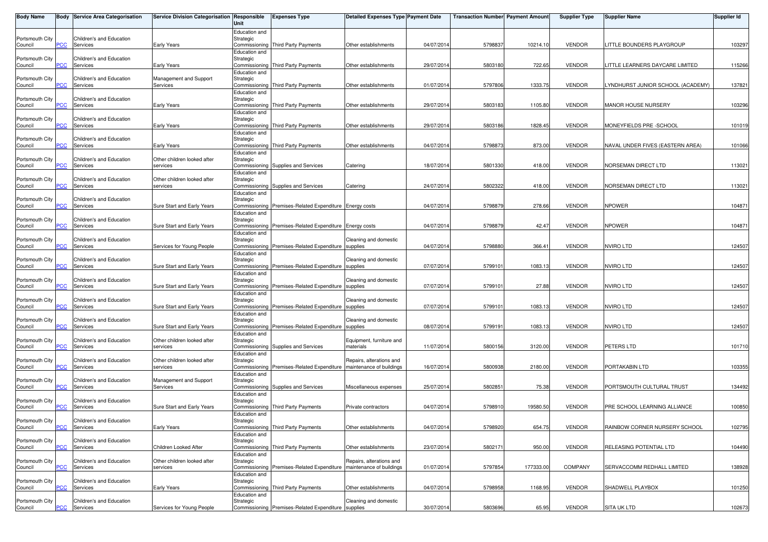| Body Name                             |            | <b>Body Service Area Categorisation</b>          | Service Division Categorisation   Responsible                         | Unit                       | <b>Expenses Type</b>                                                                       | Detailed Expenses Type Payment Date                  |                          | <b>Transaction Number</b> Payment Amount |                    | <b>Supplier Type</b>           | <b>Supplier Name</b>                 | Supplier Id      |
|---------------------------------------|------------|--------------------------------------------------|-----------------------------------------------------------------------|----------------------------|--------------------------------------------------------------------------------------------|------------------------------------------------------|--------------------------|------------------------------------------|--------------------|--------------------------------|--------------------------------------|------------------|
| Portsmouth City<br>Council            | PСC        | Children's and Education<br>Services             | Early Years                                                           | Education and<br>Strategic | Commissioning Third Party Payments                                                         | Other establishments                                 | 04/07/2014               | 579883                                   | 10214.10           | <b>VENDOR</b>                  | LITTLE BOUNDERS PLAYGROUP            | 103297           |
| Portsmouth City<br>Council            | PСC        | Children's and Education<br>Services             | Early Years                                                           | Education and<br>Strategic | Commissioning Third Party Payments                                                         | Other establishments                                 | 29/07/2014               | 5803180                                  | 722.65             | <b>VENDOR</b>                  | ITTLE LEARNERS DAYCARE LIMITED.      | 115266           |
| Portsmouth City<br>Council            | PСC        | Children's and Education<br>Services             | Management and Support<br>Services                                    | Education and<br>Strategic | Commissioning Third Party Payments                                                         | Other establishments                                 | 01/07/2014               | 5797806                                  | 1333.75            | <b>VENDOR</b>                  | YNDHURST JUNIOR SCHOOL (ACADEMY)     | 137821           |
| Portsmouth City<br>Council            | PСC        | Children's and Education<br>Services             | Early Years                                                           | Education and<br>Strategic | Commissioning Third Party Payments                                                         | Other establishments                                 | 29/07/2014               | 5803183                                  | 1105.80            | <b>VENDOR</b>                  | MANOR HOUSE NURSERY                  | 103296           |
| Portsmouth City<br>Council            | <u>PCC</u> | Children's and Education<br>Services             | <b>Early Years</b>                                                    | Education and<br>Strategic | Commissioning Third Party Payments                                                         | Other establishments                                 | 29/07/2014               | 5803186                                  | 1828.45            | <b>VENDOR</b>                  | MONEYFIELDS PRE -SCHOOL              | 101019           |
| Portsmouth City<br>Council            | PСC        | Children's and Education<br>Services             | Early Years                                                           | Education and<br>Strategic | Commissioning Third Party Payments                                                         | Other establishments                                 | 04/07/2014               | 5798873                                  | 873.00             | <b>VENDOR</b>                  | NAVAL UNDER FIVES (EASTERN AREA)     | 101066           |
| Portsmouth City<br>Council            | <b>PCC</b> | Children's and Education<br>Services             | Other children looked after<br>services                               | Education and<br>Strategic | Commissioning Supplies and Services                                                        | Catering                                             | 18/07/2014               | 5801330                                  | 418.00             | <b>VENDOR</b>                  | NORSEMAN DIRECT LTD                  | 113021           |
| Portsmouth City<br>Council            | <b>PCC</b> | Children's and Education<br>Services             | Other children looked after<br>services                               | Education and<br>Strategic | Commissioning Supplies and Services                                                        | Catering                                             | 24/07/2014               | 5802322                                  | 418.00             | <b>VENDOR</b>                  | NORSEMAN DIRECT LTD                  | 113021           |
| Portsmouth City<br>Council            | сC         | Children's and Education<br>Services             | Sure Start and Early Years                                            | Education and<br>Strategic | Commissioning Premises-Related Expenditure Energy costs                                    |                                                      | 04/07/2014               | 5798879                                  | 278.66             | <b>VENDOR</b>                  | <b>NPOWER</b>                        | 104871           |
| Portsmouth City                       |            | Children's and Education                         |                                                                       | Education and<br>Strategic |                                                                                            |                                                      |                          |                                          |                    |                                |                                      |                  |
| Council<br>Portsmouth City            | PСC        | Services<br>Children's and Education             | Sure Start and Early Years                                            | Education and<br>Strategic | Commissioning Premises-Related Expenditure Energy costs                                    | Cleaning and domestic                                | 04/07/2014               | 579887                                   | 42.47              | <b>VENDOR</b>                  | <b>NPOWER</b>                        | 104871           |
| Council<br>Portsmouth City            | PCC        | Services<br>Children's and Education             | Services for Young People                                             | Education and<br>Strategic | Commissioning Premises-Related Expenditure supplies                                        | Cleaning and domestic                                | 04/07/2014               | 5798880                                  | 366.41             | <b>VENDOR</b>                  | <b>NVIRO LTD</b>                     | 124507           |
| Council<br>Portsmouth City            | сC         | Services<br>Children's and Education             | Sure Start and Early Years                                            | Education and<br>Strategic | Commissioning Premises-Related Expenditure supplies                                        | Cleaning and domestic                                | 07/07/2014               | 579910                                   | 1083.13            | <b>VENDOR</b>                  | <b>NVIRO LTD</b>                     | 124507           |
| Council<br>Portsmouth City            | PСC        | Services<br>Children's and Education             | Sure Start and Early Years                                            | Education and<br>Strategic | Commissioning Premises-Related Expenditure supplies                                        | Cleaning and domestic                                | 07/07/2014               | 579910                                   | 27.88              | <b>VENDOR</b>                  | <b>NVIRO LTD</b>                     | 124507           |
| Council<br>Portsmouth City            | <b>PCC</b> | Services<br>Children's and Education             | Sure Start and Early Years                                            | Education and<br>Strategic | Commissioning Premises-Related Expenditure supplies                                        | Cleaning and domestic                                | 07/07/2014               | 579910                                   | 1083.13<br>1083.13 | <b>VENDOR</b><br><b>VENDOR</b> | <b>NVIRO LTD</b><br><b>NVIRO LTD</b> | 124507           |
| Council<br>Portsmouth City<br>Council | сc<br>PСC  | Services<br>Children's and Education<br>Services | Sure Start and Early Years<br>Other children looked after<br>services | Education and<br>Strategic | Commissioning Premises-Related Expenditure supplies<br>Commissioning Supplies and Services | Equipment, furniture and<br>materials                | 08/07/2014<br>11/07/2014 | 5799191<br>5800156                       | 3120.00            | <b>VENDOR</b>                  | PETERS LTD                           | 124507<br>101710 |
| Portsmouth City<br>Council            | PСC        | Children's and Education<br>Services             | Other children looked after<br>services                               | Education and<br>Strategic | Commissioning Premises-Related Expenditure                                                 | Repairs, alterations and<br>maintenance of buildings | 16/07/2014               | 580093                                   | 2180.00            | <b>VENDOR</b>                  | PORTAKABIN LTD                       | 103355           |
| Portsmouth City<br>Council            | сC         | Children's and Education<br>Services             | Management and Support<br>Services                                    | Education and<br>Strategic | Commissioning Supplies and Services                                                        | Miscellaneous expenses                               | 25/07/2014               | 580285                                   | 75.38              | <b>VENDOR</b>                  | PORTSMOUTH CULTURAL TRUST            | 134492           |
| Portsmouth City<br>Council            | PСC        | Children's and Education<br>Services             | Sure Start and Early Years                                            | Education and<br>Strategic | Commissioning Third Party Payments                                                         | Private contractors                                  | 04/07/2014               | 579891                                   | 19580.50           | <b>VENDOR</b>                  | PRE SCHOOL LEARNING ALLIANCE         | 100850           |
| Portsmouth City<br>Council            | <b>PCC</b> | Children's and Education<br>Services             | <b>Early Years</b>                                                    | Education and<br>Strategic | Commissioning Third Party Payments                                                         | Other establishments                                 | 04/07/2014               | 5798920                                  | 654.75             | <b>VENDOR</b>                  | RAINBOW CORNER NURSERY SCHOOL        | 102795           |
| Portsmouth City<br>Council            | PСC        | Children's and Education<br>Services             | Children Looked After                                                 | Education and<br>Strategic | Commissioning Third Party Payments                                                         | Other establishments                                 | 23/07/2014               | 580217                                   | 950.00             | <b>VENDOR</b>                  | RELEASING POTENTIAL LTD              | 104490           |
| Portsmouth City<br>Council            | PСC        | Children's and Education<br>Services             | Other children looked after<br>services                               | Education and<br>Strategic | Commissioning Premises-Related Expenditure                                                 | Repairs, alterations and<br>maintenance of buildings | 01/07/2014               | 5797854                                  | 177333.00          | <b>COMPANY</b>                 | SERVACCOMM REDHALL LIMITED           | 138928           |
| Portsmouth City<br>Council            | PСC        | Children's and Education<br>Services             | Early Years                                                           | Education and<br>Strategic | Commissioning Third Party Payments                                                         | Other establishments                                 | 04/07/2014               | 5798958                                  | 1168.95            | <b>VENDOR</b>                  | SHADWELL PLAYBOX                     | 101250           |
| Portsmouth City                       | <u>PCC</u> | Children's and Education<br>Services             | Services for Young People                                             | Education and<br>Strategic | Commissioning Premises-Related Expenditure supplies                                        | Cleaning and domestic                                | 30/07/2014               | 5803696                                  | 65.95              | <b>VENDOR</b>                  |                                      | 102673           |
| Council                               |            |                                                  |                                                                       |                            |                                                                                            |                                                      |                          |                                          |                    |                                | <b>SITA UK LTD</b>                   |                  |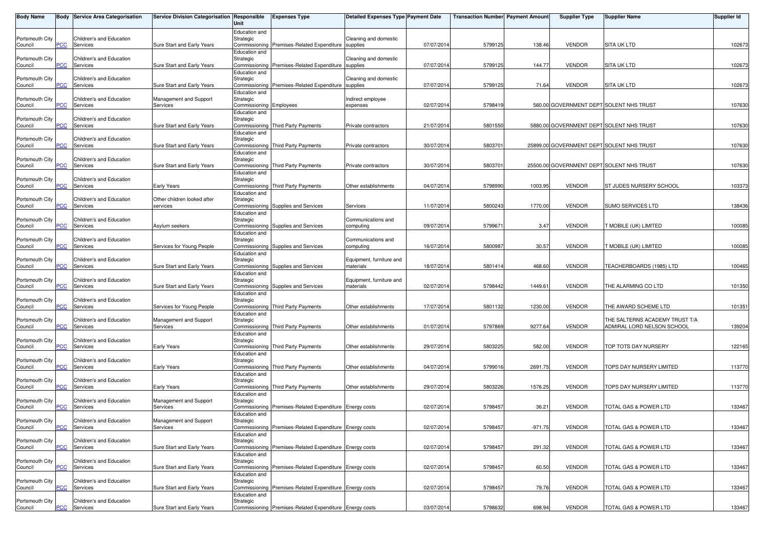| <b>Body Name</b>           |            | <b>Body Service Area Categorisation</b> | Service Division Categorisation Responsible | Unit                                                  | <b>Expenses Type</b>                                    | Detailed Expenses Type Payment Date   |            | <b>Transaction Number</b> Payment Amount |           | <b>Supplier Type</b>                      | <b>Supplier Name</b>                                         | <b>Supplier Id</b> |
|----------------------------|------------|-----------------------------------------|---------------------------------------------|-------------------------------------------------------|---------------------------------------------------------|---------------------------------------|------------|------------------------------------------|-----------|-------------------------------------------|--------------------------------------------------------------|--------------------|
| Portsmouth City<br>Council | PСC        | Children's and Education<br>Services    | Sure Start and Early Years                  | Education and<br>Strategic                            | Commissioning Premises-Related Expenditure supplies     | Cleaning and domestic                 | 07/07/2014 | 5799125                                  | 138.46    | <b>VENDOR</b>                             | <b>SITA UK LTD</b>                                           | 102673             |
| Portsmouth City<br>Council | PCC        | Children's and Education<br>Services    | Sure Start and Early Years                  | Education and<br>Strategic                            | Commissioning Premises-Related Expenditure supplies     | Cleaning and domestic                 | 07/07/2014 | 5799125                                  | 144.77    | <b>VENDOR</b>                             | <b>SITA UK LTD</b>                                           | 102673             |
| Portsmouth City<br>Council | PСC        | Children's and Education<br>Services    | Sure Start and Early Years                  | Education and<br>Strategic                            | Commissioning Premises-Related Expenditure supplies     | Cleaning and domestic                 | 07/07/2014 | 5799125                                  | 71.64     | <b>VENDOR</b>                             | <b>SITA UK LTD</b>                                           | 102673             |
| Portsmouth City<br>Council | <b>PCC</b> | Children's and Education<br>Services    | Management and Support<br>Services          | Education and<br>Strategic<br>Commissioning Employees |                                                         | Indirect employee<br>expenses         | 02/07/2014 | 579841                                   |           |                                           | 560.00 GOVERNMENT DEPT SOLENT NHS TRUST                      | 107630             |
| Portsmouth City<br>Council | <b>PCC</b> | Children's and Education<br>Services    | Sure Start and Early Years                  | Education and<br>Strategic                            | Commissioning Third Party Payments                      | Private contractors                   | 21/07/2014 | 5801550                                  |           | 5880.00 GOVERNMENT DEPT SOLENT NHS TRUST  |                                                              | 107630             |
| Portsmouth City<br>Council | <b>CC</b>  | Children's and Education<br>Services    | Sure Start and Early Years                  | Education and<br>Strategic                            | Commissioning Third Party Payments                      | Private contractors                   | 30/07/2014 | 580370                                   |           | 25899.00 GOVERNMENT DEPT SOLENT NHS TRUST |                                                              | 107630             |
| Portsmouth City<br>Council | PCC.       | Children's and Education<br>Services    | Sure Start and Early Years                  | Education and<br>Strategic                            | Commissioning Third Party Payments                      | Private contractors                   | 30/07/2014 | 580370                                   |           | 25500.00 GOVERNMENT DEPT SOLENT NHS TRUST |                                                              | 107630             |
| Portsmouth City<br>Council | <b>PCC</b> | Children's and Education<br>Services    | Early Years                                 | Education and<br>Strategic                            | Commissioning Third Party Payments                      | Other establishments                  | 04/07/2014 | 5798990                                  | 1003.95   | <b>VENDOR</b>                             | <b>ST JUDES NURSERY SCHOOL</b>                               | 103373             |
| Portsmouth City<br>Council | сC         | Children's and Education<br>Services    | Other children looked after<br>services     | Education and<br>Strategic                            | Commissioning Supplies and Services                     | Services                              | 11/07/2014 | 5800243                                  | 1770.00   | <b>VENDOR</b>                             | <b>SUMO SERVICES LTD</b>                                     | 138436             |
| Portsmouth City<br>Council | PСC        | Children's and Education<br>Services    | Asylum seekers                              | Education and<br>Strategic                            | Commissioning Supplies and Services                     | Communications and<br>computing       | 09/07/2014 | 579967                                   | 3.47      | <b>VENDOR</b>                             | <b>FMOBILE (UK) LIMITED</b>                                  | 100085             |
| Portsmouth City<br>Council | PCC        | Children's and Education<br>Services    | Services for Young People                   | Education and<br>Strategic                            | Commissioning Supplies and Services                     | Communications and<br>computing       | 16/07/2014 | 580098                                   | 30.57     | <b>VENDOR</b>                             | <b>FMOBILE (UK) LIMITED</b>                                  | 100085             |
| Portsmouth City<br>Council | сC         | Children's and Education<br>Services    | Sure Start and Early Years                  | Education and<br>Strategic                            | Commissioning Supplies and Services                     | Equipment, furniture and<br>materials | 18/07/2014 | 5801414                                  | 468.60    | <b>VENDOR</b>                             | TEACHERBOARDS (1985) LTD                                     | 100465             |
| Portsmouth City<br>Council | PСC        | Children's and Education<br>Services    | Sure Start and Early Years                  | Education and<br>Strategic                            | Commissioning Supplies and Services                     | Equipment, furniture and<br>materials | 02/07/2014 | 5798442                                  | 1449.61   | <b>VENDOR</b>                             | THE ALARMING CO LTD                                          | 101350             |
| Portsmouth City<br>Council | PСC        | Children's and Education<br>Services    | Services for Young People                   | Education and<br>Strategic                            | Commissioning Third Party Payments                      | Other establishments                  | 17/07/2014 | 5801132                                  | 1230.00   | <b>VENDOR</b>                             | THE AWARD SCHEME LTD                                         | 101351             |
| Portsmouth City<br>Council | <u>'CC</u> | Children's and Education<br>Services    | Management and Support<br>Services          | Education and<br>Strategic                            | Commissioning Third Party Payments                      | Other establishments                  | 01/07/2014 | 5797869                                  | 9277.64   | <b>VENDOR</b>                             | THE SALTERNS ACADEMY TRUST T/A<br>ADMIRAL LORD NELSON SCHOOL | 139204             |
| Portsmouth City<br>Council | <b>PCC</b> | Children's and Education<br>Services    | <b>Early Years</b>                          | Education and<br>Strategic                            | Commissioning Third Party Payments                      | Other establishments                  | 29/07/2014 | 580322                                   | 582.00    | <b>VENDOR</b>                             | TOP TOTS DAY NURSERY                                         | 122165             |
| Portsmouth City<br>Council | <b>PCC</b> | Children's and Education<br>Services    | Early Years                                 | Education and<br>Strategic                            | Commissioning Third Party Payments                      | Other establishments                  | 04/07/2014 | 579901                                   | 2691.75   | <b>VENDOR</b>                             | TOPS DAY NURSERY LIMITED                                     | 113770             |
| Portsmouth City<br>Council | PСC        | Children's and Education<br>Services    | <b>Early Years</b>                          | Education and<br>Strategic                            | Commissioning Third Party Payments                      | Other establishments                  | 29/07/2014 | 5803226                                  | 1576.25   | <b>VENDOR</b>                             | TOPS DAY NURSERY LIMITED                                     | 113770             |
| Portsmouth City<br>Council | PСC        | Children's and Education<br>Services    | Management and Support<br>Services          | Education and<br>Strategic                            | Commissioning Premises-Related Expenditure Energy costs |                                       | 02/07/2014 | 5798457                                  | 36.21     | <b>VENDOR</b>                             | TOTAL GAS & POWER LTD                                        | 133467             |
| Portsmouth City<br>Council | <b>PCC</b> | Children's and Education<br>Services    | Management and Support<br>Services          | Education and<br>Strategic                            | Commissioning Premises-Related Expenditure Energy costs |                                       | 02/07/2014 | 5798457                                  | $-971.75$ | VENDOR                                    | TOTAL GAS & POWER LTD                                        | 133467             |
| Portsmouth City<br>Council | PСC        | Children's and Education<br>Services    | Sure Start and Early Years                  | Education and<br>Strategic                            | Commissioning Premises-Related Expenditure Energy costs |                                       | 02/07/2014 | 5798457                                  | 291.32    | <b>VENDOR</b>                             | TOTAL GAS & POWER LTD                                        | 133467             |
| Portsmouth City<br>Council | PСC        | Children's and Education<br>Services    | Sure Start and Early Years                  | Education and<br>Strategic                            | Commissioning Premises-Related Expenditure Energy costs |                                       | 02/07/2014 | 5798457                                  | 60.50     | <b>VENDOR</b>                             | TOTAL GAS & POWER LTD                                        | 133467             |
| Portsmouth City<br>Council | PСC        | Children's and Education<br>Services    | Sure Start and Early Years                  | Education and<br>Strategic                            | Commissioning Premises-Related Expenditure Energy costs |                                       | 02/07/2014 | 5798457                                  | 79.76     | <b>VENDOR</b>                             | TOTAL GAS & POWER LTD                                        | 133467             |
| Portsmouth City<br>Council | <b>PCC</b> | Children's and Education<br>Services    | Sure Start and Early Years                  | Education and<br>Strategic                            | Commissioning Premises-Related Expenditure Energy costs |                                       | 03/07/2014 | 5798632                                  | 698.94    | <b>VENDOR</b>                             | TOTAL GAS & POWER LTD                                        | 133467             |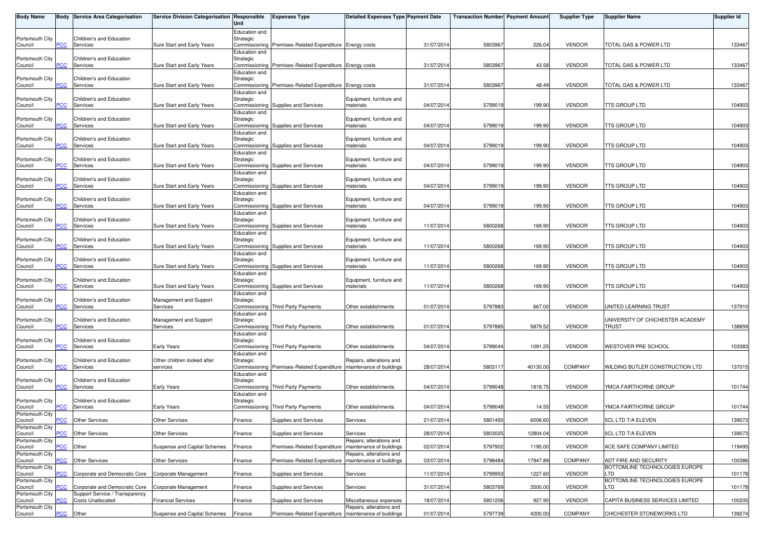| <b>Body Name</b>                              |                         | Body Service Area Categorisation                                | Service Division Categorisation Responsible               | Unit                                        | <b>Expenses Type</b>                                                             | <b>Detailed Expenses Type Payment Date</b>                                       |                          | <b>Transaction Number</b> Payment Amount |                     | <b>Supplier Type</b>           | <b>Supplier Name</b>                                           | <b>Supplier Id</b> |
|-----------------------------------------------|-------------------------|-----------------------------------------------------------------|-----------------------------------------------------------|---------------------------------------------|----------------------------------------------------------------------------------|----------------------------------------------------------------------------------|--------------------------|------------------------------------------|---------------------|--------------------------------|----------------------------------------------------------------|--------------------|
| Portsmouth City<br>Council                    | PCC                     | Children's and Education<br>Services                            | Sure Start and Early Years                                | Education and<br>Strategic                  | Commissioning Premises-Related Expenditure Energy costs                          |                                                                                  | 31/07/2014               | 5803967                                  | 226.04              | <b>VENDOR</b>                  | TOTAL GAS & POWER LTD                                          | 133467             |
| Portsmouth City<br>Council                    | PCC                     | Children's and Education<br>Services                            | Sure Start and Early Years                                | Education and<br>Strategic<br>Commissioning | Premises-Related Expenditure Energy costs                                        |                                                                                  | 31/07/2014               | 580396                                   | 43.58               | <b>VENDOR</b>                  | TOTAL GAS & POWER LTD                                          | 133467             |
| Portsmouth City<br>Council                    | PСC                     | Children's and Education<br>Services                            | Sure Start and Early Years                                | Education and<br>Strategic                  | Commissioning Premises-Related Expenditure Energy costs                          |                                                                                  | 31/07/2014               | 580396                                   | 48.49               | <b>VENDOR</b>                  | TOTAL GAS & POWER LTD                                          | 133467             |
| Portsmouth City<br>Council                    | PCC                     | Children's and Education<br>Services                            | Sure Start and Early Years                                | Education and<br>Strategic                  | Commissioning Supplies and Services                                              | Equipment, furniture and<br>materials                                            | 04/07/2014               | 579901                                   | 199.90              | <b>VENDOR</b>                  | TTS GROUP LTD                                                  | 104903             |
| Portsmouth City<br>Council                    | PCC                     | Children's and Education<br>Services                            | Sure Start and Early Years                                | Education and<br>Strategic                  | Commissioning Supplies and Services                                              | Equipment, furniture and<br>materials                                            | 04/07/201                | 579901                                   | 199.90              | <b>VENDOR</b>                  | TTS GROUP LTD                                                  | 104903             |
| Portsmouth City<br>Council                    | $\overline{C}$          | Children's and Education<br>Services                            | Sure Start and Early Years                                | Education and<br>Strategic                  | Commissioning Supplies and Services                                              | Equipment, furniture and<br>materials                                            | 04/07/2014               | 5799019                                  | 199.90              | <b>VENDOR</b>                  | TTS GROUP LTD                                                  | 104903             |
| Portsmouth City<br>Council                    | PCC                     | Children's and Education<br>Services                            | Sure Start and Early Years                                | Education and<br>Strategic                  | Commissioning Supplies and Services                                              | Equipment, furniture and<br>materials                                            | 04/07/2014               | 579901                                   | 199.90              | <b>VENDOR</b>                  | TTS GROUP LTD                                                  | 104903             |
| Portsmouth City<br>Council                    | PCC                     | Children's and Education<br>Services                            | Sure Start and Early Years                                | Education and<br>Strategic                  | Commissioning Supplies and Services                                              | Equipment, furniture and<br>materials                                            | 04/07/2014               | 579901                                   | 199.90              | <b>VENDOR</b>                  | TTS GROUP LTD                                                  | 104903             |
| Portsmouth City<br>Council                    | сC                      | Children's and Education<br>Services                            | Sure Start and Early Years                                | Education and<br>Strategic                  | Commissioning Supplies and Services                                              | Equipment, furniture and<br>materials                                            | 04/07/2014               | 5799019                                  | 199.90              | <b>VENDOR</b>                  | TTS GROUP LTD                                                  | 104903             |
| Portsmouth City<br>Council                    | PCC                     | Children's and Education<br>Services                            | Sure Start and Early Years                                | Education and<br>Strategic                  | Commissioning Supplies and Services                                              | Equipment, furniture and<br>materials                                            | 11/07/2014               | 5800268                                  | 169.90              | <b>VENDOR</b>                  | TTS GROUP LTD                                                  | 104903             |
| Portsmouth City<br>Council                    | PCC                     | Children's and Education<br>Services                            | Sure Start and Early Years                                | Education and<br>Strategic<br>Education and | Commissioning Supplies and Services                                              | Equipment, furniture and<br>materials                                            | 11/07/201                | 5800268                                  | 169.90              | <b>VENDOR</b>                  | TTS GROUP LTD                                                  | 104903             |
| Portsmouth City<br>Council                    | сC                      | Children's and Education<br>Services                            | Sure Start and Early Years                                | Strategic<br>Education and                  | Commissioning Supplies and Services                                              | Equipment, furniture and<br>materials                                            | 11/07/2014               | 5800268                                  | 169.90              | <b>VENDOR</b>                  | ITS GROUP LTD                                                  | 104903             |
| Portsmouth City<br>Council                    | PCC                     | Children's and Education<br>Services                            | Sure Start and Early Years                                | Strategic<br>Education and                  | Commissioning Supplies and Services                                              | Equipment, furniture and<br>materials                                            | 11/07/2014               | 5800268                                  | 169.90              | <b>VENDOR</b>                  | TTS GROUP LTD                                                  | 104903             |
| Portsmouth City<br>Council                    | PCC                     | Children's and Education<br>Services                            | Management and Support<br>Services                        | Strategic<br>Education and                  | Commissioning Third Party Payments                                               | Other establishments                                                             | 01/07/2014               | 579788                                   | 667.00              | <b>VENDOR</b>                  | UNITED LEARNING TRUST                                          | 137910             |
| Portsmouth City<br>Council                    | $\overline{C}$          | Children's and Education<br>Services                            | Management and Support<br>Services                        | Strategic<br>Education and                  | Commissioning Third Party Payments                                               | Other establishments                                                             | 01/07/2014               | 5797885                                  | 5879.52             | <b>VENDOR</b>                  | UNIVERSITY OF CHICHESTER ACADEMY<br>TRUST                      | 138859             |
| Portsmouth City<br>Council                    | PCC                     | Children's and Education<br>Services                            | <b>Early Years</b>                                        | Strategic<br>Education and                  | Commissioning Third Party Payments                                               | Other establishments                                                             | 04/07/2014               | 5799044                                  | 1091.25             | <b>VENDOR</b>                  | <b>WESTOVER PRE SCHOOL</b>                                     | 103383             |
| Portsmouth City<br>Council                    | PCC                     | Children's and Education<br>Services                            | Other children looked after<br>services                   | Strategic<br>Education and                  | Commissioning Premises-Related Expenditure                                       | Repairs, alterations and<br>maintenance of buildings                             | 28/07/2014               | 5803117                                  | 40130.00            | <b>COMPANY</b>                 | WILDING BUTLER CONSTRUCTION LTD                                | 137015             |
| Portsmouth City<br>Council                    | PСC                     | Children's and Education<br>Services                            | <b>Early Years</b>                                        | Strategic<br>Education and                  | Commissioning Third Party Payments                                               | Other establishments                                                             | 04/07/2014               | 5799048                                  | 1818.75             | <b>VENDOR</b>                  | YMCA FAIRTHORNE GROUP                                          | 101744             |
| Portsmouth City<br>Council<br>Portsmouth City | <b>PCC</b>              | Children's and Education<br>Services                            | <b>Early Years</b>                                        | Strategic                                   | Commissioning Third Party Payments                                               | Other establishments                                                             | 04/07/2014               | 5799048                                  | 14.55               | <b>VENDOR</b>                  | YMCA FAIRTHORNE GROUP                                          | 101744             |
| Council<br>Portsmouth City<br>Council         | PCC                     | <b>PCC</b> Other Services<br><b>Other Services</b>              | <b>Other Services</b><br><b>Other Services</b>            | Finance<br>Finance                          | Supplies and Services<br>Supplies and Services                                   | Services<br>Services                                                             | 21/07/2014<br>28/07/2014 | 5801450<br>5803025                       | 6006.60<br>12804.04 | <b>VENDOR</b><br><b>VENDOR</b> | 5CL LTD T/A ELEVEN<br>5CL LTD T/A ELEVEN                       | 139073<br>139073   |
| Portsmouth City<br>Council<br>Portsmouth City | $\overline{C}$          | Other                                                           | Suspense and Capital Schemes                              | Finance                                     | Premises-Related Expenditure                                                     | Repairs, alterations and<br>maintenance of buildings<br>Repairs, alterations and | 02/07/2014               | 5797902                                  | 1195.00             | <b>VENDOR</b>                  | ACE SAFE COMPANY LIMITED                                       | 119495             |
| Council<br>Portsmouth City<br>Council         | $\overline{C}$<br>сC    | <b>Other Services</b><br>Corporate and Democratic Core          | <b>Other Services</b><br>Corporate Management             | Finance<br>Finance                          | Premises-Related Expenditure<br>Supplies and Services                            | maintenance of buildings<br>Services                                             | 03/07/2014<br>11/07/2014 | 5798484<br>5799953                       | 17947.89<br>1227.60 | COMPANY<br><b>VENDOR</b>       | ADT FIRE AND SECURITY<br>BOTTOMLINE TECHNOLOGIES EUROPE<br>LTD | 100386<br>101178   |
| Portsmouth City<br>Council<br>Portsmouth City | <b>PCC</b>              | Corporate and Democratic Core<br>Support Service / Transparency | Corporate Management                                      | Finance                                     | Supplies and Services                                                            | Services                                                                         | 31/07/2014               | 5803769                                  | 3500.00             | VENDOR                         | BOTTOMLINE TECHNOLOGIES EUROPE<br>LTD.                         | 101178             |
| Council<br>Portsmouth City<br>Council         | <u>CC</u><br><b>PCC</b> | Costs Unallocated<br>Other                                      | <b>Financial Services</b><br>Suspense and Capital Schemes | Finance<br>Finance                          | Supplies and Services<br>Premises-Related Expenditure   maintenance of buildings | Miscellaneous expenses<br>Repairs, alterations and                               | 18/07/2014<br>01/07/2014 | 5801206<br>5797739                       | 927.90<br>4200.00   | <b>VENDOR</b><br>COMPANY       | CAPITA BUSINESS SERVICES LIMITED<br>CHICHESTER STONEWORKS LTD  | 100205<br>139274   |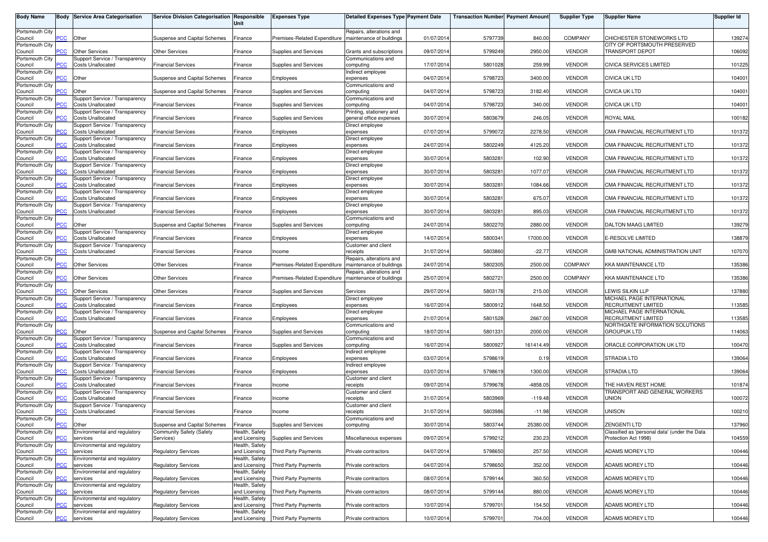| <b>Body Name</b>           |                | <b>Body Service Area Categorisation</b>                    | Service Division Categorisation Responsible | <b>Unit</b>                     | <b>Expenses Type</b>         | <b>Detailed Expenses Type Payment Date</b>           |            | <b>Transaction Number Payment Amount</b> |            | <b>Supplier Type</b> | <b>Supplier Name</b>                                 | <b>Supplier Id</b> |
|----------------------------|----------------|------------------------------------------------------------|---------------------------------------------|---------------------------------|------------------------------|------------------------------------------------------|------------|------------------------------------------|------------|----------------------|------------------------------------------------------|--------------------|
| Portsmouth City            |                |                                                            |                                             |                                 |                              |                                                      |            |                                          |            |                      |                                                      |                    |
| Council                    | $\overline{C}$ | Other                                                      | Suspense and Capital Schemes                | Finance                         | Premises-Related Expenditure | Repairs, alterations and<br>maintenance of buildings | 01/07/2014 | 5797739                                  | 840.00     | COMPANY              | CHICHESTER STONEWORKS LTD                            | 139274             |
| Portsmouth City            |                |                                                            |                                             |                                 |                              |                                                      |            |                                          |            |                      | CITY OF PORTSMOUTH PRESERVED                         |                    |
| Council<br>Portsmouth City | $\overline{C}$ | <b>Other Services</b><br>Support Service / Transparency    | <b>Other Services</b>                       | Finance                         | Supplies and Services        | Grants and subscriptions<br>Communications and       | 09/07/2014 | 5799249                                  | 2950.00    | <b>VENDOR</b>        | TRANSPORT DEPOT                                      | 106092             |
| Council                    | PСC            | <b>Costs Unallocated</b>                                   | <b>Financial Services</b>                   | Finance                         | Supplies and Services        | computing                                            | 17/07/2014 | 5801028                                  | 259.99     | <b>VENDOR</b>        | CIVICA SERVICES LIMITED                              | 101225             |
| Portsmouth City            |                |                                                            |                                             |                                 |                              | Indirect employee                                    |            |                                          |            |                      |                                                      |                    |
| Council<br>Portsmouth City | PСC            | Other                                                      | Suspense and Capital Schemes                | Finance                         | Employees                    | expenses<br>Communications and                       | 04/07/2014 | 5798723                                  | 3400.00    | <b>VENDOR</b>        | <b>CIVICA UK LTD</b>                                 | 104001             |
| Council                    | <b>PCC</b>     | Other                                                      | Suspense and Capital Schemes                | Finance                         | Supplies and Services        | computing                                            | 04/07/201  | 5798723                                  | 3182.40    | <b>VENDOR</b>        | <b>CIVICA UK LTD</b>                                 | 104001             |
| Portsmouth City            |                | Support Service / Transparency                             |                                             |                                 |                              | Communications and                                   |            |                                          |            |                      |                                                      |                    |
| Council<br>Portsmouth City | PСC            | <b>Costs Unallocated</b><br>Support Service / Transparency | <b>Financial Services</b>                   | Finance                         | Supplies and Services        | computing<br>Printing, stationery and                | 04/07/2014 | 5798723                                  | 340.00     | <b>VENDOR</b>        | <b>CIVICA UK LTD</b>                                 | 104001             |
| Council                    | PCC            | <b>Costs Unallocated</b>                                   | <b>Financial Services</b>                   | Finance                         | Supplies and Services        | general office expenses                              | 30/07/2014 | 5803679                                  | 246.05     | <b>VENDOR</b>        | <b>ROYAL MAIL</b>                                    | 100182             |
| Portsmouth City            |                | Support Service / Transparency                             |                                             |                                 |                              | Direct employee                                      |            |                                          | 2278.50    | <b>VENDOR</b>        |                                                      |                    |
| Council<br>Portsmouth City | $\overline{C}$ | <b>Costs Unallocated</b><br>Support Service / Transparency | <b>Financial Services</b>                   | Finance                         | Employees                    | expenses<br>Direct employee                          | 07/07/2014 | 5799072                                  |            |                      | CMA FINANCIAL RECRUITMENT LTD                        | 101372             |
| Council                    | PСC            | <b>Costs Unallocated</b>                                   | <b>Financial Services</b>                   | Finance                         | Employees                    | expenses                                             | 24/07/2014 | 5802249                                  | 4125.20    | <b>VENDOR</b>        | CMA FINANCIAL RECRUITMENT LTD                        | 101372             |
| Portsmouth City            | PСC            | Support Service / Transparency<br><b>Costs Unallocated</b> | <b>Financial Services</b>                   | Finance                         |                              | Direct employee                                      | 30/07/2014 | 580328                                   | 102.90     | <b>VENDOR</b>        | CMA FINANCIAL RECRUITMENT LTD                        | 101372             |
| Council<br>Portsmouth City |                | Support Service / Transparency                             |                                             |                                 | Employees                    | expenses<br>Direct employee                          |            |                                          |            |                      |                                                      |                    |
| Council                    | PСC            | <b>Costs Unallocated</b>                                   | <b>Financial Services</b>                   | Finance                         | Employees                    | expenses                                             | 30/07/2014 | 5803281                                  | 1077.07    | <b>VENDOR</b>        | CMA FINANCIAL RECRUITMENT LTD                        | 101372             |
| Portsmouth City<br>Council | PСC            | Support Service / Transparency<br><b>Costs Unallocated</b> | <b>Financial Services</b>                   | Finance                         | Employees                    | Direct employee<br>expenses                          | 30/07/2014 | 5803281                                  | 1084.66    | <b>VENDOR</b>        | CMA FINANCIAL RECRUITMENT LTD                        | 101372             |
| Portsmouth City            |                | Support Service / Transparency                             |                                             |                                 |                              | Direct employee                                      |            |                                          |            |                      |                                                      |                    |
| Council                    | PСC            | <b>Costs Unallocated</b>                                   | <b>Financial Services</b>                   | Finance                         | Employees                    | expenses                                             | 30/07/2014 | 5803281                                  | 675.07     | <b>VENDOR</b>        | CMA FINANCIAL RECRUITMENT LTD                        | 101372             |
| Portsmouth City<br>Council | PCC            | Support Service / Transparency<br><b>Costs Unallocated</b> | <b>Financial Services</b>                   | Finance                         | Employees                    | Direct employee<br>expenses                          | 30/07/2014 | 580328                                   | 895.03     | <b>VENDOR</b>        | CMA FINANCIAL RECRUITMENT LTD                        | 101372             |
| Portsmouth City            |                |                                                            |                                             |                                 |                              | Communications and                                   |            |                                          |            |                      |                                                      |                    |
| Council                    | PCC            | Other                                                      | Suspense and Capital Schemes                | Finance                         | Supplies and Services        | computing                                            | 24/07/2014 | 5802270                                  | 2880.00    | <b>VENDOR</b>        | <b>DALTON MAAG LIMITED</b>                           | 139279             |
| Portsmouth City<br>Council | PСC            | Support Service / Transparency<br><b>Costs Unallocated</b> | <b>Financial Services</b>                   | Finance                         | <b>Employees</b>             | Direct employee<br>expenses                          | 14/07/2014 | 5800341                                  | 17000.00   | <b>VENDOR</b>        | E-RESOLVE LIMITED                                    | 138879             |
| Portsmouth City            |                | Support Service / Transparency                             |                                             |                                 |                              | Customer and client                                  |            |                                          |            |                      |                                                      |                    |
| Council                    | PCC            | <b>Costs Unallocated</b>                                   | <b>Financial Services</b>                   | Finance                         | Income                       | receipts                                             | 31/07/2014 | 5803860                                  | $-22.77$   | <b>VENDOR</b>        | GMB NATIONAL ADMINISTRATION UNIT                     | 107070             |
| Portsmouth City<br>Council | <b>PCC</b>     | <b>Other Services</b>                                      | <b>Other Services</b>                       | Finance                         | Premises-Related Expenditure | Repairs, alterations and<br>maintenance of buildings | 24/07/2014 | 5802305                                  | 2500.00    | <b>COMPANY</b>       | <b>KKA MAINTENANCE LTD</b>                           | 135386             |
| Portsmouth City            |                |                                                            |                                             |                                 |                              | Repairs, alterations and                             |            |                                          |            |                      |                                                      |                    |
| Council                    | PCC            | <b>Other Services</b>                                      | Other Services                              | Finance                         | Premises-Related Expenditure | maintenance of buildings                             | 25/07/201  | 5802721                                  | 2500.00    | COMPANY              | <b>KKA MAINTENANCE LTD</b>                           | 135386             |
| Portsmouth City<br>Council | PСC            | <b>Other Services</b>                                      | <b>Other Services</b>                       | Finance                         | Supplies and Services        | Services                                             | 29/07/2014 | 5803178                                  | 215.00     | <b>VENDOR</b>        | LEWIS SILKIN LLP                                     | 137880             |
| Portsmouth City            |                | Support Service / Transparency                             |                                             |                                 |                              | Direct employee                                      |            |                                          |            |                      | MICHAEL PAGE INTERNATIONAL                           |                    |
| Council                    | PСC            | <b>Costs Unallocated</b>                                   | <b>Financial Services</b>                   | Finance                         | Employees                    | expenses                                             | 16/07/201  | 5800912                                  | 1648.50    | <b>VENDOR</b>        | RECRUITMENT LIMITED                                  | 113585             |
| Portsmouth City<br>Council | PСC            | Support Service / Transparency<br><b>Costs Unallocated</b> | <b>Financial Services</b>                   | Finance                         | Employees                    | Direct employee<br>expenses                          | 21/07/2014 | 5801528                                  | 2667.00    | <b>VENDOR</b>        | MICHAEL PAGE INTERNATIONAL<br>RECRUITMENT LIMITED    | 113585             |
| Portsmouth City            |                |                                                            |                                             |                                 |                              | Communications and                                   |            |                                          |            |                      | NORTHGATE INFORMATION SOLUTIONS                      |                    |
| Council                    | PСC            | Other                                                      | Suspense and Capital Schemes                | Finance                         | Supplies and Services        | computing                                            | 18/07/201  | 5801331                                  | 2000.0     | <b>VENDOR</b>        | <b>GROUPUK LTD</b>                                   | 114063             |
| Portsmouth City<br>Council | PСC            | Support Service / Transparency<br><b>Costs Unallocated</b> | <b>Financial Services</b>                   | Finance                         | Supplies and Services        | Communications and<br>computing                      | 16/07/2014 | 5800927                                  | 161414.49  | <b>VENDOR</b>        | ORACLE CORPORATION UK LTD                            | 100470             |
| Portsmouth City            |                | Support Service / Transparency                             |                                             |                                 |                              | Indirect employee                                    |            |                                          |            |                      |                                                      |                    |
| Council                    | <b>PCC</b>     | <b>Costs Unallocated</b>                                   | <b>Financial Services</b>                   | Finance                         | Employees                    | expenses                                             | 03/07/2014 | 5798619                                  | 0.19       | <b>VENDOR</b>        | STRADIA LTD                                          | 139064             |
| Portsmouth City<br>Council | $\overline{C}$ | Support Service / Transparency<br><b>Costs Unallocated</b> | <b>Financial Services</b>                   | Finance                         | Employees                    | Indirect employee<br>expenses                        | 03/07/2014 | 5798619                                  | 1300.00    | <b>VENDOR</b>        | STRADIA LTD                                          | 139064             |
| Portsmouth City            |                | Support Service / Transparency                             |                                             |                                 |                              | Customer and client                                  |            |                                          |            |                      |                                                      |                    |
| Council                    | <b>PCC</b>     | <b>Costs Unallocated</b>                                   | Financial Services                          | Finance                         | Income                       | eceipts<br>Customer and client                       | 09/07/2014 | 5799678                                  | $-4858.05$ | <b>VENDOR</b>        | THE HAVEN REST HOME<br>TRANSPORT AND GENERAL WORKERS | 101874             |
| Portsmouth City<br>Council | PСC            | Support Service / Transparency<br><b>Costs Unallocated</b> | <b>Financial Services</b>                   | Finance                         | Income                       | eceipts                                              | 31/07/2014 | 5803969                                  | $-119.48$  | <b>VENDOR</b>        | UNION                                                | 100072             |
| Portsmouth City            |                | Support Service / Transparency                             |                                             |                                 |                              | Customer and client                                  |            |                                          |            |                      |                                                      |                    |
| Council<br>Portsmouth City | PСC            | <b>Costs Unallocated</b>                                   | <b>Financial Services</b>                   | Finance                         | Income                       | receipts<br>Communications and                       | 31/07/2014 | 5803986                                  | $-11.98$   | <b>VENDOR</b>        | <b>UNISON</b>                                        | 100210             |
| Council                    | <b>PCC</b>     | Other                                                      | Suspense and Capital Schemes                | Finance                         | Supplies and Services        | computing                                            | 30/07/2014 | 5803744                                  | 25380.00   | <b>VENDOR</b>        | <b>ZENGENTI LTD</b>                                  | 137960             |
| Portsmouth City            |                | Environmental and regulatory                               | Community Safety (Safety                    | Health, Safety                  |                              |                                                      |            |                                          |            |                      | Classified as 'personal data' (under the Data        |                    |
| Council<br>Portsmouth City | PСC            | services<br>Environmental and regulatory                   | Services)                                   | and Licensing<br>Health, Safety | Supplies and Services        | Miscellaneous expenses                               | 09/07/2014 | 5799212                                  | 230.23     | <b>VENDOR</b>        | Protection Act 1998)                                 | 104559             |
| Council                    | PСC            | services                                                   | <b>Regulatory Services</b>                  | and Licensing                   | Third Party Payments         | Private contractors                                  | 04/07/2014 | 5798650                                  | 257.50     | <b>VENDOR</b>        | <b>ADAMS MOREY LTD</b>                               | 100446             |
| Portsmouth City            |                | Environmental and regulatory                               |                                             | Health, Safety                  |                              |                                                      |            |                                          |            |                      |                                                      |                    |
| Council<br>Portsmouth City | PСC            | services<br>Environmental and regulatory                   | <b>Regulatory Services</b>                  | and Licensing<br>Health, Safety | Third Party Payments         | Private contractors                                  | 04/07/2014 | 5798650                                  | 352.00     | <b>VENDOR</b>        | ADAMS MOREY LTD                                      | 100446             |
| Council                    | PСC            | services                                                   | <b>Regulatory Services</b>                  | and Licensing                   | <b>Third Party Payments</b>  | Private contractors                                  | 08/07/2014 | 5799144                                  | 360.50     | <b>VENDOR</b>        | ADAMS MOREY LTD                                      | 100446             |
| Portsmouth City            |                | Environmental and regulatory                               |                                             | Health, Safety                  |                              |                                                      |            |                                          |            |                      |                                                      |                    |
| Council<br>Portsmouth City | PСC            | services<br>Environmental and regulatory                   | <b>Regulatory Services</b>                  | and Licensing<br>Health, Safety | Third Party Payments         | Private contractors                                  | 08/07/2014 | 5799144                                  | 880.00     | <b>VENDOR</b>        | ADAMS MOREY LTD                                      | 100446             |
| Council                    | °СС            | services                                                   | <b>Regulatory Services</b>                  | and Licensing                   | <b>Third Party Payments</b>  | Private contractors                                  | 10/07/2014 | 5799701                                  | 154.50     | <b>VENDOR</b>        | <b>ADAMS MOREY LTD</b>                               | 100446             |
| Portsmouth City            |                | Environmental and regulatory                               |                                             | Health, Safety                  |                              |                                                      |            |                                          |            |                      |                                                      |                    |
| Council                    | PCC            | services                                                   | <b>Regulatory Services</b>                  | and Licensing                   | <b>Third Party Payments</b>  | Private contractors                                  | 10/07/2014 | 5799701                                  | 704.00     | <b>VENDOR</b>        | ADAMS MOREY LTD                                      | 100446             |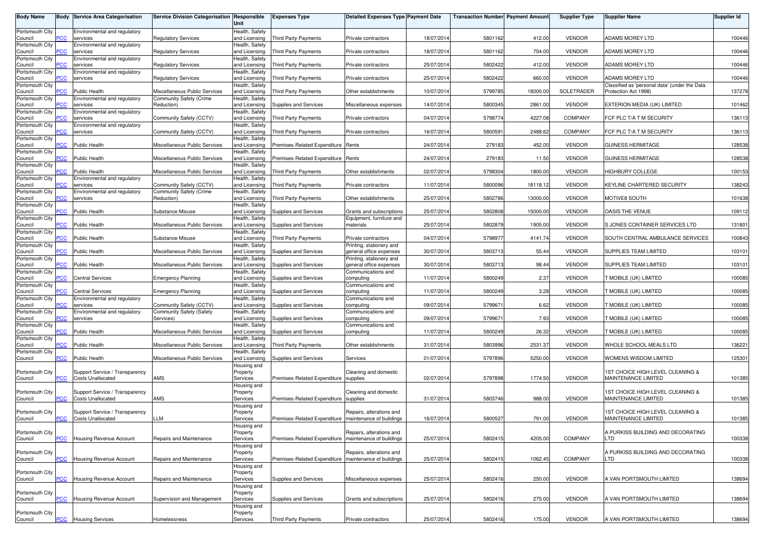| <b>Body Name</b>           |                | <b>Body Service Area Categorisation</b>                    | <b>Service Division Categorisation Responsible</b> | Unit                            | <b>Expenses Type</b>                                    | <b>Detailed Expenses Type Payment Date</b>          |            | <b>Transaction Number Payment Amount</b> |          | <b>Supplier Type</b> | Supplier Name                                                           | Supplier Id |
|----------------------------|----------------|------------------------------------------------------------|----------------------------------------------------|---------------------------------|---------------------------------------------------------|-----------------------------------------------------|------------|------------------------------------------|----------|----------------------|-------------------------------------------------------------------------|-------------|
| Portsmouth City<br>Council | сC             | Environmental and regulatory<br>services                   | <b>Regulatory Services</b>                         | Health, Safety<br>and Licensing | Third Party Payments                                    | Private contractors                                 | 18/07/2014 | 5801162                                  | 412.00   | <b>VENDOR</b>        | <b>ADAMS MOREY LTD</b>                                                  | 100446      |
| Portsmouth City            |                | Environmental and regulatory                               |                                                    | Health, Safety                  |                                                         |                                                     |            |                                          |          |                      |                                                                         |             |
| Council<br>Portsmouth City | <u>'CC</u>     | services<br>Environmental and regulatory                   | <b>Regulatory Services</b>                         | and Licensing<br>Health, Safety | Third Party Payments                                    | Private contractors                                 | 18/07/2014 | 5801162                                  | 704.00   | <b>VENDOR</b>        | <b>ADAMS MOREY LTD</b>                                                  | 100446      |
| Council<br>Portsmouth City | ۲CC            | services<br>Environmental and regulatory                   | Regulatory Services                                | and Licensing<br>Health, Safety | <b>Third Party Payments</b>                             | Private contractors                                 | 25/07/201  | 5802422                                  | 412.00   | <b>VENDOR</b>        | <b>ADAMS MOREY LTD</b>                                                  | 100446      |
| Council<br>Portsmouth City | ٥СC            | services                                                   | <b>Regulatory Services</b>                         | and Licensing<br>Health, Safety | <b>Third Party Payments</b>                             | Private contractors                                 | 25/07/201  | 5802422                                  | 660.00   | <b>VENDOR</b>        | <b>ADAMS MOREY LTD</b><br>Classified as 'personal data' (under the Data | 100446      |
| Council                    | CC             | <b>Public Health</b>                                       | Miscellaneous Public Services                      | and Licensing                   | Third Party Payments                                    | Other establishments                                | 10/07/201  | 5799785                                  | 18000.00 | SOLETRADER           | Protection Act 1998)                                                    | 137278      |
| Portsmouth City<br>Council | °СС            | Environmental and regulatory<br>services                   | Community Safety (Crime<br>Reduction)              | Health, Safety<br>and Licensing | Supplies and Services                                   | Miscellaneous expenses                              | 14/07/201  | 5800345                                  | 2861.00  | <b>VENDOR</b>        | EXTERION MEDIA (UK) LIMITED                                             | 101462      |
| Portsmouth City<br>Council | <b>CC</b>      | Environmental and regulatory<br>services                   | Community Safety (CCTV)                            | Health, Safety<br>and Licensing | <b>Third Party Payments</b>                             | Private contractors                                 | 04/07/201  | 5798774                                  | 4227.08  | <b>COMPANY</b>       | FCF PLC T/A T M SECURITY                                                | 136113      |
| Portsmouth City<br>Council | ٥СC            | Environmental and regulatory<br>services                   | Community Safety (CCTV)                            | Health, Safety<br>and Licensing | Third Party Payments                                    | Private contractors                                 | 16/07/201  | 5800591                                  | 2488.62  | <b>COMPANY</b>       | FCF PLC T/A T M SECURITY                                                | 136113      |
| Portsmouth City            |                |                                                            |                                                    | Health, Safety                  |                                                         |                                                     |            |                                          |          |                      |                                                                         |             |
| Council<br>Portsmouth City | °СС            | <b>Public Health</b>                                       | Miscellaneous Public Services                      | and Licensing<br>Health, Safety | Premises-Related Expenditure Rents                      |                                                     | 24/07/2014 | 279183                                   | 452.00   | <b>VENDOR</b>        | <b>GUINESS HERMITAGE</b>                                                | 128538      |
| Council<br>Portsmouth City | $\overline{C}$ | <b>Public Health</b>                                       | Miscellaneous Public Services                      | and Licensing<br>Health, Safety | Premises-Related Expenditure Rents                      |                                                     | 24/07/2014 | 279183                                   | 11.50    | <b>VENDOR</b>        | <b>GUINESS HERMITAGE</b>                                                | 128538      |
| Council<br>Portsmouth City | сC             | <b>Public Health</b><br>Environmental and regulatory       | Miscellaneous Public Services                      | and Licensing<br>Health, Safety | <b>Third Party Payments</b>                             | Other establishments                                | 02/07/2014 | 5798304                                  | 1800.00  | <b>VENDOR</b>        | HIGHBURY COLLEGE                                                        | 100153      |
| Council                    | ۲CC            | services                                                   | Community Safety (CCTV)                            | and Licensing                   | <b>Third Party Payments</b>                             | Private contractors                                 | 11/07/201  | 5800096                                  | 18118.12 | <b>VENDOR</b>        | KEYLINE CHARTERED SECURITY                                              | 138243      |
| Portsmouth City<br>Council | ۲CC            | Environmental and regulatory<br>services                   | Community Safety (Crime<br>Reduction)              | Health, Safety<br>and Licensing | <b>Third Party Payments</b>                             | Other establishments                                | 25/07/201  | 5802786                                  | 13000.00 | <b>VENDOR</b>        | MOTIVE8 SOUTH                                                           | 101638      |
| Portsmouth City<br>Council | <b>PCC</b>     | <b>Public Health</b>                                       | Substance Misuse                                   | Health, Safety<br>and Licensing | Supplies and Services                                   | Grants and subscriptions                            | 25/07/201  | 5802808                                  | 15000.00 | <b>VENDOR</b>        | OASIS THE VENUE                                                         | 109112      |
| Portsmouth City<br>Council | PСC            | <b>Public Health</b>                                       | Miscellaneous Public Services                      | Health, Safety<br>and Licensing | Supplies and Services                                   | Equipment, furniture and<br>materials               | 25/07/201  | 5802879                                  | 1905.00  | <b>VENDOR</b>        | S JONES CONTAINER SERVICES LTD                                          | 131801      |
| Portsmouth City            |                |                                                            |                                                    | Health, Safety                  |                                                         |                                                     |            |                                          |          |                      |                                                                         |             |
| Council<br>Portsmouth City | PСC            | <b>Public Health</b>                                       | Substance Misuse                                   | and Licensing<br>Health, Safety | <b>Third Party Payments</b>                             | Private contractors<br>Printing, stationery and     | 04/07/2014 | 5798977                                  | 4141.74  | <b>VENDOR</b>        | SOUTH CENTRAL AMBULANCE SERVICES                                        | 100843      |
| Council<br>Portsmouth City | сC             | <b>Public Health</b>                                       | Miscellaneous Public Services                      | and Licensing<br>Health, Safety | Supplies and Services                                   | general office expenses<br>Printing, stationery and | 30/07/2014 | 5803713                                  | 55.44    | <b>VENDOR</b>        | SUPPLIES TEAM LIMITED                                                   | 103101      |
| Council<br>Portsmouth City | °СС            | <b>Public Health</b>                                       | Miscellaneous Public Services                      | and Licensing<br>Health, Safety | Supplies and Services                                   | general office expenses<br>Communications and       | 30/07/201  | 5803713                                  | 98.44    | <b>VENDOR</b>        | SUPPLIES TEAM LIMITED                                                   | 103101      |
| Council                    | PСC            | <b>Central Services</b>                                    | <b>Emergency Planning</b>                          | and Licensing                   | Supplies and Services                                   | computing                                           | 11/07/201  | 5800249                                  | 2.37     | <b>VENDOR</b>        | T MOBILE (UK) LIMITED                                                   | 100085      |
| Portsmouth City<br>Council | сC             | <b>Central Services</b>                                    | <b>Emergency Planning</b>                          | Health, Safety<br>and Licensing | Supplies and Services                                   | Communications and<br>computing                     | 11/07/201  | 5800249                                  | 3.28     | <b>VENDOR</b>        | T MOBILE (UK) LIMITED                                                   | 100085      |
| Portsmouth City<br>Council | сC             | Environmental and regulatory<br>services                   | Community Safety (CCTV)                            | Health, Safety<br>and Licensing | Supplies and Services                                   | Communications and<br>computing                     | 09/07/201  | 579967                                   | 6.62     | <b>VENDOR</b>        | T MOBILE (UK) LIMITED                                                   | 100085      |
| Portsmouth City<br>Council | ۲CC            | Environmental and regulatory<br>services                   | Community Safety (Safety<br>Services)              | Health, Safety<br>and Licensing | Supplies and Services                                   | Communications and<br>computing                     | 09/07/201  | 579967                                   | 7.93     | <b>VENDOR</b>        | MOBILE (UK) LIMITED                                                     | 100085      |
| Portsmouth City            |                |                                                            |                                                    | Health, Safety                  |                                                         | Communications and                                  |            |                                          |          |                      |                                                                         |             |
| Council<br>Portsmouth City | <b>PCC</b>     | <b>Public Health</b>                                       | Miscellaneous Public Services                      | and Licensing<br>Health, Safety | Supplies and Services                                   | computing                                           | 11/07/201  | 5800249                                  | 26.32    | <b>VENDOR</b>        | <b>T MOBILE (UK) LIMITED</b>                                            | 100085      |
| Council<br>Portsmouth City | PСC            | <b>Public Health</b>                                       | Miscellaneous Public Services                      | and Licensing<br>Health, Safety | Third Party Payments                                    | Other establishments                                | 31/07/2014 | 5803996                                  | 2531.37  | <b>VENDOR</b>        | WHOLE SCHOOL MEALS LTD                                                  | 136221      |
| Council                    | PCC.           | <b>Public Health</b>                                       | Miscellaneous Public Services                      | and Licensing<br>Housing and    | Supplies and Services                                   | Services                                            | 01/07/2014 | 5797896                                  | 5250.00  | <b>VENDOR</b>        | WOMENS WISDOM LIMITED                                                   | 125301      |
| Portsmouth City            |                | Support Service / Transparency                             |                                                    | Property                        |                                                         | Cleaning and domestic                               |            |                                          |          |                      | 1ST CHOICE HIGH LEVEL CLEANING &                                        |             |
| Council                    | ۲CC            | <b>Costs Unallocated</b>                                   | AMS                                                | Services<br>Housing and         | Premises-Related Expenditure                            | supplies                                            | 02/07/201  | 5797898                                  | 1774.50  | <b>VENDOR</b>        | MAINTENANCE LIMITED                                                     | 101385      |
| Portsmouth City<br>Council | PСC            | Support Service / Transparency<br><b>Costs Unallocated</b> | AMS                                                | Property<br>Services            | Premises-Related Expenditure                            | Cleaning and domestic<br>supplies                   | 31/07/201  | 5803746                                  | 988.00   | <b>VENDOR</b>        | 1ST CHOICE HIGH LEVEL CLEANING &<br>MAINTENANCE LIMITED                 | 101385      |
| Portsmouth City            |                | Support Service / Transparency                             |                                                    | Housing and<br>Property         |                                                         | Repairs, alterations and                            |            |                                          |          |                      | 1ST CHOICE HIGH LEVEL CLEANING &                                        |             |
| Council                    | PCC            | <b>Costs Unallocated</b>                                   | LLM                                                | Services                        | Premises-Related Expenditure   maintenance of buildings |                                                     | 16/07/2014 | 5800527                                  | 791.00   | <b>VENDOR</b>        | MAINTENANCE LIMITED                                                     | 101385      |
| Portsmouth City            |                |                                                            |                                                    | Housing and<br>Property         |                                                         | Repairs, alterations and                            |            |                                          |          |                      | A PURKISS BUILDING AND DECORATING                                       |             |
| Council                    | PСC            | Housing Revenue Account                                    | Repairs and Maintenance                            | Services<br>Housing and         | Premises-Related Expenditure   maintenance of buildings |                                                     | 25/07/2014 | 5802415                                  | 4205.00  | COMPANY              | LTD                                                                     | 100338      |
| Portsmouth City<br>Council | PСC            | Housing Revenue Account                                    | Repairs and Maintenance                            | Property<br>Services            | Premises-Related Expenditure   maintenance of buildings | Repairs, alterations and                            | 25/07/201  | 5802415                                  | 1062.45  | COMPANY              | A PURKISS BUILDING AND DECORATING<br>_TD                                | 100338      |
|                            |                |                                                            |                                                    | Housing and                     |                                                         |                                                     |            |                                          |          |                      |                                                                         |             |
| Portsmouth City<br>Council | PCC            | Housing Revenue Account                                    | Repairs and Maintenance                            | Property<br>Services            | Supplies and Services                                   | Miscellaneous expenses                              | 25/07/2014 | 5802416                                  | 250.00   | <b>VENDOR</b>        | A VAN PORTSMOUTH LIMITED                                                | 138694      |
| Portsmouth City            |                |                                                            |                                                    | Housing and<br>Property         |                                                         |                                                     |            |                                          |          |                      |                                                                         |             |
| Council                    | PСC            | Housing Revenue Account                                    | Supervision and Management                         | Services                        | Supplies and Services                                   | Grants and subscriptions                            | 25/07/2014 | 5802416                                  | 275.00   | <b>VENDOR</b>        | A VAN PORTSMOUTH LIMITED                                                | 138694      |
| Portsmouth City            |                |                                                            |                                                    | Housing and<br>Property         |                                                         |                                                     |            |                                          |          |                      |                                                                         |             |
| Council                    | $\overline{C}$ | <b>Housing Services</b>                                    | Homelessness                                       | Services                        | Third Party Payments                                    | Private contractors                                 | 25/07/2014 | 5802416                                  | 175.00   | <b>VENDOR</b>        | A VAN PORTSMOUTH LIMITED                                                | 138694      |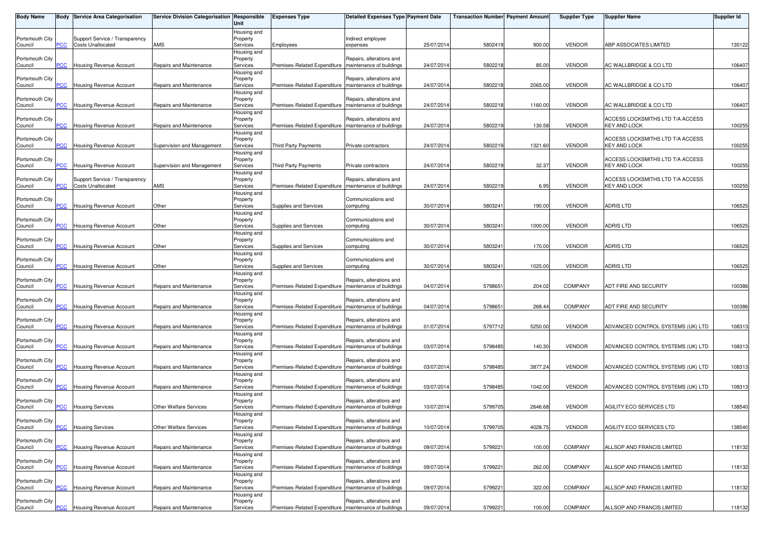| <b>Body Name</b>           |                 | Body Service Area Categorisation                           | Service Division Categorisation Responsible | Unit                                | <b>Expenses Type</b>                                    | <b>Detailed Expenses Type Payment Date</b>           |            | <b>Transaction Number</b> Payment Amount |         | <b>Supplier Type</b> | <b>Supplier Name</b>                                    | <b>Supplier Id</b> |
|----------------------------|-----------------|------------------------------------------------------------|---------------------------------------------|-------------------------------------|---------------------------------------------------------|------------------------------------------------------|------------|------------------------------------------|---------|----------------------|---------------------------------------------------------|--------------------|
| Portsmouth City<br>Council | PCC             | Support Service / Transparency<br><b>Costs Unallocated</b> | AMS                                         | Housing and<br>Property<br>Services | Employees                                               | Indirect employee<br>expenses                        | 25/07/2014 | 5802419                                  | 900.00  | <b>VENDOR</b>        | ABP ASSOCIATES LIMITED                                  | 135122             |
|                            |                 |                                                            |                                             | Housing and                         |                                                         |                                                      |            |                                          |         |                      |                                                         |                    |
| Portsmouth City<br>Council | PCC             | Housing Revenue Account                                    | Repairs and Maintenance                     | Property<br>Services                | Premises-Related Expenditure                            | Repairs, alterations and<br>maintenance of buildings | 24/07/2014 | 580221                                   | 85.00   | <b>VENDOR</b>        | AC WALLBRIDGE & CO LTD                                  | 106407             |
| Portsmouth City            | <b>PCC</b>      |                                                            |                                             | Housing and<br>Property             |                                                         | Repairs, alterations and<br>maintenance of buildings |            |                                          | 2065.00 | <b>VENDOR</b>        |                                                         |                    |
| Council                    |                 | <b>Housing Revenue Account</b>                             | Repairs and Maintenance                     | Services<br>Housing and             | Premises-Related Expenditure                            |                                                      | 24/07/2014 | 5802218                                  |         |                      | AC WALLBRIDGE & CO LTD                                  | 106407             |
| Portsmouth City<br>Council | PCC             | <b>Housing Revenue Account</b>                             | Repairs and Maintenance                     | Property<br>Services                | Premises-Related Expenditure   maintenance of buildings | Repairs, alterations and                             | 24/07/2014 | 5802218                                  | 1160.00 | <b>VENDOR</b>        | AC WALLBRIDGE & CO LTD                                  | 106407             |
|                            |                 |                                                            |                                             | Housing and                         |                                                         |                                                      |            |                                          |         |                      |                                                         |                    |
| Portsmouth City            | PCC             | <b>Housing Revenue Account</b>                             | Repairs and Maintenance                     | Property                            |                                                         | Repairs, alterations and<br>maintenance of buildings | 24/07/201  | 580221                                   | 130.58  | <b>VENDOR</b>        | ACCESS LOCKSMITHS LTD T/A ACCESS<br><b>KEY AND LOCK</b> | 100255             |
| Council                    |                 |                                                            |                                             | Services<br>Housing and             | Premises-Related Expenditure                            |                                                      |            |                                          |         |                      |                                                         |                    |
| Portsmouth City            |                 |                                                            |                                             | Property                            |                                                         |                                                      |            |                                          |         |                      | ACCESS LOCKSMITHS LTD T/A ACCESS                        |                    |
| Council                    | $\overline{C}$  | Housing Revenue Account                                    | Supervision and Management                  | Services                            | <b>Third Party Payments</b>                             | Private contractors                                  | 24/07/2014 | 5802219                                  | 1321.60 | <b>VENDOR</b>        | <b>KEY AND LOCK</b>                                     | 100255             |
| Portsmouth City            |                 |                                                            |                                             | Housing and<br>Property             |                                                         |                                                      |            |                                          |         |                      | ACCESS LOCKSMITHS LTD T/A ACCESS                        |                    |
| Council                    | PCC             | Housing Revenue Account                                    | Supervision and Management                  | Services                            | Third Party Payments                                    | Private contractors                                  | 24/07/2014 | 5802219                                  | 32.37   | <b>VENDOR</b>        | <b>KEY AND LOCK</b>                                     | 100255             |
|                            |                 |                                                            |                                             | Housing and                         |                                                         |                                                      |            |                                          |         |                      |                                                         |                    |
| Portsmouth City            |                 | Support Service / Transparency                             |                                             | Property                            |                                                         | Repairs, alterations and                             |            |                                          |         |                      | ACCESS LOCKSMITHS LTD T/A ACCESS                        |                    |
| Council                    | <b>PCC</b>      | <b>Costs Unallocated</b>                                   | AMS                                         | Services<br>Housing and             | Premises-Related Expenditure                            | maintenance of buildings                             | 24/07/2014 | 580221                                   | 6.95    | <b>VENDOR</b>        | <b>KEY AND LOCK</b>                                     | 100255             |
| Portsmouth City            |                 |                                                            |                                             | Property                            |                                                         | Communications and                                   |            |                                          |         |                      |                                                         |                    |
| Council                    | сC              | Housing Revenue Account                                    | Other                                       | Services                            | Supplies and Services                                   | computing                                            | 30/07/2014 | 5803241                                  | 190.00  | <b>VENDOR</b>        | ADRIS LTD                                               | 106525             |
| Portsmouth City            |                 |                                                            |                                             | Housing and<br>Property             |                                                         | Communications and                                   |            |                                          |         |                      |                                                         |                    |
| Council                    | PCC             | Housing Revenue Account                                    | Other                                       | Services                            | Supplies and Services                                   | computing                                            | 30/07/2014 | 5803241                                  | 1000.00 | <b>VENDOR</b>        | <b>ADRIS LTD</b>                                        | 106525             |
|                            |                 |                                                            |                                             | Housing and                         |                                                         |                                                      |            |                                          |         |                      |                                                         |                    |
| Portsmouth City            |                 |                                                            |                                             | Property                            |                                                         | Communications and                                   |            |                                          |         |                      |                                                         |                    |
| Council                    | PCC             | <b>Housing Revenue Account</b>                             | Other                                       | Services<br>Housing and             | Supplies and Services                                   | computing                                            | 30/07/2014 | 580324                                   | 170.00  | <b>VENDOR</b>        | ADRIS LTD                                               | 106525             |
| Portsmouth City            |                 |                                                            |                                             | Property                            |                                                         | Communications and                                   |            |                                          |         |                      |                                                         |                    |
| Council                    | PСC             | <b>Housing Revenue Account</b>                             | Other                                       | Services                            | Supplies and Services                                   | computing                                            | 30/07/2014 | 5803241                                  | 1025.00 | <b>VENDOR</b>        | ADRIS LTD                                               | 106525             |
|                            |                 |                                                            |                                             | Housing and                         |                                                         |                                                      |            |                                          |         |                      |                                                         |                    |
| Portsmouth City<br>Council | PCC             | Housing Revenue Account                                    | Repairs and Maintenance                     | Property<br>Services                | Premises-Related Expenditure                            | Repairs, alterations and<br>maintenance of buildings | 04/07/2014 | 579865                                   | 204.02  | <b>COMPANY</b>       | ADT FIRE AND SECURITY                                   | 100386             |
|                            |                 |                                                            |                                             | Housing and                         |                                                         |                                                      |            |                                          |         |                      |                                                         |                    |
| Portsmouth City            |                 |                                                            |                                             | Property                            |                                                         | Repairs, alterations and                             |            |                                          |         |                      |                                                         |                    |
| Council                    | PCC             | Housing Revenue Account                                    | Repairs and Maintenance                     | Services                            | Premises-Related Expenditure                            | maintenance of buildings                             | 04/07/2014 | 579865                                   | 268.44  | <b>COMPANY</b>       | ADT FIRE AND SECURITY                                   | 100386             |
| Portsmouth City            |                 |                                                            |                                             | Housing and<br>Property             |                                                         | Repairs, alterations and                             |            |                                          |         |                      |                                                         |                    |
| Council                    | $\overline{C}$  | Housing Revenue Account                                    | Repairs and Maintenance                     | Services                            | Premises-Related Expenditure                            | maintenance of buildings                             | 01/07/2014 | 5797712                                  | 5250.00 | <b>VENDOR</b>        | ADVANCED CONTROL SYSTEMS (UK) LTD                       | 108313             |
|                            |                 |                                                            |                                             | Housing and                         |                                                         |                                                      |            |                                          |         |                      |                                                         |                    |
| Portsmouth City<br>Council | PCC             | Housing Revenue Account                                    | Repairs and Maintenance                     | Property<br>Services                | Premises-Related Expenditure                            | Repairs, alterations and<br>maintenance of buildings | 03/07/2014 | 5798485                                  | 140.30  | <b>VENDOR</b>        | ADVANCED CONTROL SYSTEMS (UK) LTD                       | 108313             |
|                            |                 |                                                            |                                             | Housing and                         |                                                         |                                                      |            |                                          |         |                      |                                                         |                    |
| Portsmouth City            |                 |                                                            |                                             | Property                            |                                                         | Repairs, alterations and                             |            |                                          |         |                      |                                                         |                    |
| Council                    | PCC             | Housing Revenue Account                                    | Repairs and Maintenance                     | Services                            | Premises-Related Expenditure                            | maintenance of buildings                             | 03/07/2014 | 579848                                   | 3877.24 | <b>VENDOR</b>        | ADVANCED CONTROL SYSTEMS (UK) LTD                       | 108313             |
| Portsmouth City            |                 |                                                            |                                             | Housing and<br>Property             |                                                         | Repairs, alterations and                             |            |                                          |         |                      |                                                         |                    |
| Council                    | $\overline{CC}$ | Housing Revenue Account                                    | Repairs and Maintenance                     | Services                            | Premises-Related Expenditure                            | maintenance of buildings                             | 03/07/2014 | 5798485                                  | 1042.00 | <b>VENDOR</b>        | ADVANCED CONTROL SYSTEMS (UK) LTD                       | 108313             |
|                            |                 |                                                            |                                             | Housing and                         |                                                         |                                                      |            |                                          |         |                      |                                                         |                    |
| Portsmouth City<br>Council | PСC             | <b>Housing Services</b>                                    | Other Welfare Services                      | Property<br>Services                | Premises-Related Expenditure                            | Repairs, alterations and<br>maintenance of buildings | 10/07/2014 | 5799705                                  | 2646.68 | <b>VENDOR</b>        | AGILITY ECO SERVICES LTD                                | 138540             |
|                            |                 |                                                            |                                             | Housing and                         |                                                         |                                                      |            |                                          |         |                      |                                                         |                    |
| Portsmouth City            |                 |                                                            |                                             | Property                            |                                                         | Repairs, alterations and                             |            |                                          |         |                      |                                                         |                    |
| Council                    | <b>PCC</b>      | <b>Housing Services</b>                                    | <b>Other Welfare Services</b>               | Services                            | Premises-Related Expenditure   maintenance of buildings |                                                      | 10/07/2014 | 5799705                                  | 4028.75 | <b>VENDOR</b>        | AGILITY ECO SERVICES LTD                                | 138540             |
| Portsmouth City            |                 |                                                            |                                             | Housing and<br>Property             |                                                         | Repairs, alterations and                             |            |                                          |         |                      |                                                         |                    |
| Council                    | PCC             | <b>Housing Revenue Account</b>                             | Repairs and Maintenance                     | Services                            | Premises-Related Expenditure                            | maintenance of buildings                             | 09/07/2014 | 579922                                   | 100.00  | COMPANY              | ALLSOP AND FRANCIS LIMITED                              | 118132             |
|                            |                 |                                                            |                                             | Housing and                         |                                                         |                                                      |            |                                          |         |                      |                                                         |                    |
| Portsmouth City<br>Council | PCC             | Housing Revenue Account                                    | Repairs and Maintenance                     | Property<br>Services                | Premises-Related Expenditure                            | Repairs, alterations and<br>maintenance of buildings | 09/07/2014 | 579922                                   | 262.00  | COMPANY              | ALLSOP AND FRANCIS LIMITED                              | 118132             |
|                            |                 |                                                            |                                             | Housing and                         |                                                         |                                                      |            |                                          |         |                      |                                                         |                    |
| Portsmouth City            |                 |                                                            |                                             | Property                            |                                                         | Repairs, alterations and                             |            |                                          |         |                      |                                                         |                    |
| Council                    | PCC             | <b>Housing Revenue Account</b>                             | Repairs and Maintenance                     | Services                            | Premises-Related Expenditure   maintenance of buildings |                                                      | 09/07/2014 | 5799221                                  | 322.00  | COMPANY              | ALLSOP AND FRANCIS LIMITED                              | 118132             |
| Portsmouth City            |                 |                                                            |                                             | Housing and<br>Property             |                                                         | Repairs, alterations and                             |            |                                          |         |                      |                                                         |                    |
| Council                    | <u>PCC</u>      | <b>Housing Revenue Account</b>                             | Repairs and Maintenance                     | Services                            | Premises-Related Expenditure   maintenance of buildings |                                                      | 09/07/2014 | 5799221                                  | 100.00  | COMPANY              | ALLSOP AND FRANCIS LIMITED                              | 118132             |
|                            |                 |                                                            |                                             |                                     |                                                         |                                                      |            |                                          |         |                      |                                                         |                    |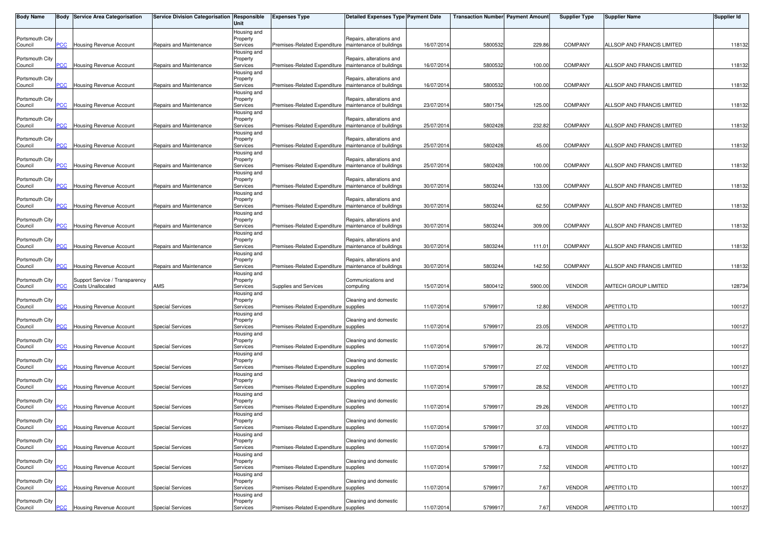| <b>Body Name</b>           |                | Body Service Area Categorisation | Service Division Categorisation Responsible | Unit                    | <b>Expenses Type</b>                                    | <b>Detailed Expenses Type Payment Date</b>           |            | <b>Transaction Number Payment Amount</b> |         | <b>Supplier Type</b> | <b>Supplier Name</b>       | <b>Supplier Id</b> |
|----------------------------|----------------|----------------------------------|---------------------------------------------|-------------------------|---------------------------------------------------------|------------------------------------------------------|------------|------------------------------------------|---------|----------------------|----------------------------|--------------------|
|                            |                |                                  |                                             | Housing and             |                                                         |                                                      |            |                                          |         |                      |                            |                    |
| Portsmouth City<br>Council | PCC            | Housing Revenue Account          | Repairs and Maintenance                     | Property<br>Services    | Premises-Related Expenditure                            | Repairs, alterations and<br>maintenance of buildings | 16/07/2014 | 5800532                                  | 229.86  | <b>COMPANY</b>       | ALLSOP AND FRANCIS LIMITED | 118132             |
|                            |                |                                  |                                             | Housing and             |                                                         |                                                      |            |                                          |         |                      |                            |                    |
| Portsmouth City            |                |                                  |                                             | Property                |                                                         | Repairs, alterations and                             |            |                                          |         |                      |                            |                    |
| Council                    | PCC            | Housing Revenue Account          | Repairs and Maintenance                     | Services<br>Housing and | Premises-Related Expenditure                            | maintenance of buildings                             | 16/07/2014 | 5800532                                  | 100.00  | <b>COMPANY</b>       | ALLSOP AND FRANCIS LIMITED | 118132             |
| Portsmouth City            |                |                                  |                                             | Property                |                                                         | Repairs, alterations and                             |            |                                          |         |                      |                            |                    |
| Council                    | <b>PCC</b>     | Housing Revenue Account          | Repairs and Maintenance                     | Services                | Premises-Related Expenditure                            | maintenance of buildings                             | 16/07/2014 | 5800532                                  | 100.00  | <b>COMPANY</b>       | ALLSOP AND FRANCIS LIMITED | 118132             |
| Portsmouth City            |                |                                  |                                             | Housing and             |                                                         | Repairs, alterations and                             |            |                                          |         |                      |                            |                    |
| Council                    | PCC            | Housing Revenue Account          | Repairs and Maintenance                     | Property<br>Services    | Premises-Related Expenditure   maintenance of buildings |                                                      | 23/07/2014 | 5801754                                  | 125.00  | <b>COMPANY</b>       | ALLSOP AND FRANCIS LIMITED | 118132             |
|                            |                |                                  |                                             | Housing and             |                                                         |                                                      |            |                                          |         |                      |                            |                    |
| Portsmouth City            | PCC            |                                  |                                             | Property                | Premises-Related Expenditure                            | Repairs, alterations and<br>maintenance of buildings | 25/07/2014 |                                          | 232.82  |                      |                            |                    |
| Council                    |                | Housing Revenue Account          | Repairs and Maintenance                     | Services<br>Housing and |                                                         |                                                      |            | 5802428                                  |         | COMPANY              | ALLSOP AND FRANCIS LIMITED | 118132             |
| Portsmouth City            |                |                                  |                                             | Property                |                                                         | Repairs, alterations and                             |            |                                          |         |                      |                            |                    |
| Council                    | $\overline{C}$ | Housing Revenue Account          | Repairs and Maintenance                     | Services                | Premises-Related Expenditure                            | maintenance of buildings                             | 25/07/2014 | 5802428                                  | 45.00   | <b>COMPANY</b>       | ALLSOP AND FRANCIS LIMITED | 118132             |
| Portsmouth City            |                |                                  |                                             | Housing and<br>Property |                                                         | Repairs, alterations and                             |            |                                          |         |                      |                            |                    |
| Council                    | PCC            | <b>Housing Revenue Account</b>   | Repairs and Maintenance                     | Services                | Premises-Related Expenditure                            | maintenance of buildings                             | 25/07/2014 | 5802428                                  | 100.00  | <b>COMPANY</b>       | ALLSOP AND FRANCIS LIMITED | 118132             |
|                            |                |                                  |                                             | Housing and             |                                                         |                                                      |            |                                          |         |                      |                            |                    |
| Portsmouth City<br>Council | <b>PCC</b>     | Housing Revenue Account          | Repairs and Maintenance                     | Property<br>Services    | Premises-Related Expenditure                            | Repairs, alterations and<br>maintenance of buildings | 30/07/2014 | 5803244                                  | 133.00  | <b>COMPANY</b>       | ALLSOP AND FRANCIS LIMITED | 118132             |
|                            |                |                                  |                                             | Housing and             |                                                         |                                                      |            |                                          |         |                      |                            |                    |
| Portsmouth City            |                |                                  |                                             | Property                |                                                         | Repairs, alterations and                             |            |                                          |         |                      |                            |                    |
| Council                    | PСC            | Housing Revenue Account          | Repairs and Maintenance                     | Services                | Premises-Related Expenditure                            | maintenance of buildings                             | 30/07/2014 | 5803244                                  | 62.50   | <b>COMPANY</b>       | ALLSOP AND FRANCIS LIMITED | 118132             |
| Portsmouth City            |                |                                  |                                             | Housing and<br>Property |                                                         | Repairs, alterations and                             |            |                                          |         |                      |                            |                    |
| Council                    | PCC            | Housing Revenue Account          | Repairs and Maintenance                     | Services                | Premises-Related Expenditure                            | maintenance of buildings                             | 30/07/2014 | 5803244                                  | 309.00  | <b>COMPANY</b>       | ALLSOP AND FRANCIS LIMITED | 118132             |
|                            |                |                                  |                                             | Housing and             |                                                         | Repairs, alterations and                             |            |                                          |         |                      |                            |                    |
| Portsmouth City<br>Council | PCC            | <b>Housing Revenue Account</b>   | Repairs and Maintenance                     | Property<br>Services    | Premises-Related Expenditure                            | maintenance of buildings                             | 30/07/2014 | 5803244                                  | 111.01  | <b>COMPANY</b>       | ALLSOP AND FRANCIS LIMITED | 118132             |
|                            |                |                                  |                                             | Housing and             |                                                         |                                                      |            |                                          |         |                      |                            |                    |
| Portsmouth City            | сC             |                                  | Repairs and Maintenance                     | Property                |                                                         | Repairs, alterations and                             | 30/07/2014 | 5803244                                  | 142.50  | <b>COMPANY</b>       | ALLSOP AND FRANCIS LIMITED | 118132             |
| Council                    |                | Housing Revenue Account          |                                             | Services<br>Housing and | Premises-Related Expenditure                            | maintenance of buildings                             |            |                                          |         |                      |                            |                    |
| Portsmouth City            |                | Support Service / Transparency   |                                             | Property                |                                                         | Communications and                                   |            |                                          |         |                      |                            |                    |
| Council                    | PCC            | <b>Costs Unallocated</b>         | AMS                                         | Services                | Supplies and Services                                   | computing                                            | 15/07/2014 | 5800412                                  | 5900.00 | <b>VENDOR</b>        | AMTECH GROUP LIMITED       | 128734             |
| Portsmouth City            |                |                                  |                                             | Housing and<br>Property |                                                         | Cleaning and domestic                                |            |                                          |         |                      |                            |                    |
| Council                    | PCC            | Housing Revenue Account          | <b>Special Services</b>                     | Services                | Premises-Related Expenditure supplies                   |                                                      | 11/07/2014 | 579991                                   | 12.80   | <b>VENDOR</b>        | <b>APETITO LTD</b>         | 100127             |
|                            |                |                                  |                                             | Housing and             |                                                         |                                                      |            |                                          |         |                      |                            |                    |
| Portsmouth City<br>Council | <b>PCC</b>     | Housing Revenue Account          | <b>Special Services</b>                     | Property<br>Services    | Premises-Related Expenditure supplies                   | Cleaning and domestic                                | 11/07/2014 | 579991                                   | 23.05   | <b>VENDOR</b>        | <b>APETITO LTD</b>         | 100127             |
|                            |                |                                  |                                             | Housing and             |                                                         |                                                      |            |                                          |         |                      |                            |                    |
| Portsmouth City            |                |                                  |                                             | Property                |                                                         | Cleaning and domestic                                |            |                                          |         |                      |                            |                    |
| Council                    | PCC            | Housing Revenue Account          | <b>Special Services</b>                     | Services<br>Housing and | Premises-Related Expenditure supplies                   |                                                      | 11/07/2014 | 5799917                                  | 26.72   | <b>VENDOR</b>        | <b>APETITO LTD</b>         | 100127             |
| Portsmouth City            |                |                                  |                                             | Property                |                                                         | Cleaning and domestic                                |            |                                          |         |                      |                            |                    |
| Council                    | PCC            | Housing Revenue Account          | <b>Special Services</b>                     | Services                | Premises-Related Expenditure supplies                   |                                                      | 11/07/2014 | 579991                                   | 27.02   | <b>VENDOR</b>        | <b>APETITO LTD</b>         | 100127             |
| Portsmouth City            |                |                                  |                                             | Housing and             |                                                         | Cleaning and domestic                                |            |                                          |         |                      |                            |                    |
| Council                    | <b>PCC</b>     | Housing Revenue Account          | <b>Special Services</b>                     | Property<br>Services    | Premises-Related Expenditure                            | supplies                                             | 11/07/2014 | 579991                                   | 28.52   | <b>VENDOR</b>        | APETITO LTD                | 100127             |
|                            |                |                                  |                                             | Housing and             |                                                         |                                                      |            |                                          |         |                      |                            |                    |
| Portsmouth City            | PCC            | Housing Revenue Account          | <b>Special Services</b>                     | Property<br>Services    | Premises-Related Expenditure                            | Cleaning and domestic<br>supplies                    | 11/07/2014 | 5799917                                  | 29.26   | <b>VENDOR</b>        | APETITO LTD                | 100127             |
| Council                    |                |                                  |                                             | Housing and             |                                                         |                                                      |            |                                          |         |                      |                            |                    |
| Portsmouth City            |                |                                  |                                             | Property                |                                                         | Cleaning and domestic                                |            |                                          |         |                      |                            |                    |
| Council                    | <b>PCC</b>     | <b>Housing Revenue Account</b>   | <b>Special Services</b>                     | Services                | Premises-Related Expenditure supplies                   |                                                      | 11/07/2014 | 5799917                                  | 37.03   | <b>VENDOR</b>        | APETITO LTD                | 100127             |
| Portsmouth City            |                |                                  |                                             | Housing and<br>Property |                                                         | Cleaning and domestic                                |            |                                          |         |                      |                            |                    |
| Council                    | PCC            | Housing Revenue Account          | <b>Special Services</b>                     | Services                | Premises-Related Expenditure                            | supplies                                             | 11/07/2014 | 579991                                   | 6.73    | <b>VENDOR</b>        | <b>APETITO LTD</b>         | 100127             |
|                            |                |                                  |                                             | Housing and             |                                                         |                                                      |            |                                          |         |                      |                            |                    |
| Portsmouth City<br>Council | PCC            | Housing Revenue Account          | <b>Special Services</b>                     | Property<br>Services    | Premises-Related Expenditure                            | Cleaning and domestic<br>supplies                    | 11/07/2014 | 579991                                   | 7.52    | <b>VENDOR</b>        | <b>APETITO LTD</b>         | 100127             |
|                            |                |                                  |                                             | Housing and             |                                                         |                                                      |            |                                          |         |                      |                            |                    |
| Portsmouth City            |                |                                  |                                             | Property                |                                                         | Cleaning and domestic                                |            |                                          |         |                      |                            |                    |
| Council                    | PCC            | Housing Revenue Account          | <b>Special Services</b>                     | Services<br>Housing and | Premises-Related Expenditure supplies                   |                                                      | 11/07/2014 | 579991                                   | 7.67    | <b>VENDOR</b>        | <b>APETITO LTD</b>         | 100127             |
| Portsmouth City            |                |                                  |                                             | Property                |                                                         | Cleaning and domestic                                |            |                                          |         |                      |                            |                    |
| Council                    | PCC            | <b>Housing Revenue Account</b>   | <b>Special Services</b>                     | Services                | Premises-Related Expenditure supplies                   |                                                      | 11/07/2014 | 5799917                                  | 7.67    | <b>VENDOR</b>        | <b>APETITO LTD</b>         | 100127             |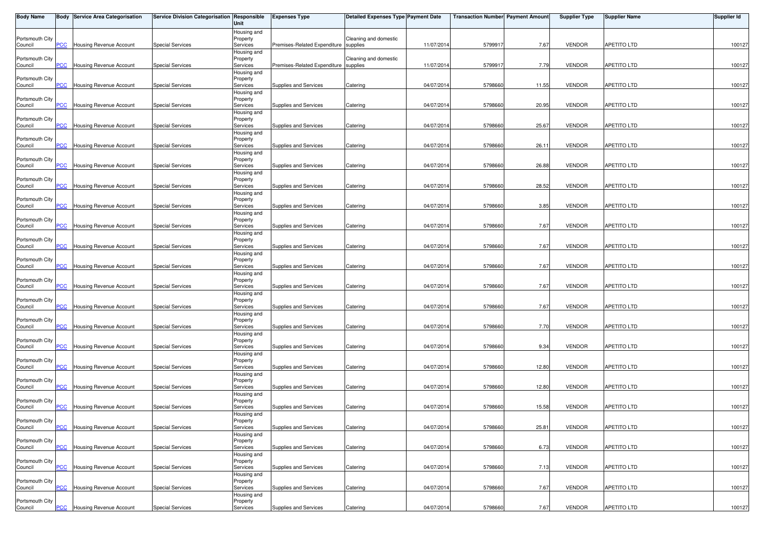| <b>Body Name</b>           |                | <b>Body Service Area Categorisation</b> | <b>Service Division Categorisation Responsible</b> | Unit                                | <b>Expenses Type</b>                  | Detailed Expenses Type Payment Date |            | <b>Transaction Number Payment Amount</b> |       | <b>Supplier Type</b> | <b>Supplier Name</b> | <b>Supplier Id</b> |
|----------------------------|----------------|-----------------------------------------|----------------------------------------------------|-------------------------------------|---------------------------------------|-------------------------------------|------------|------------------------------------------|-------|----------------------|----------------------|--------------------|
| Portsmouth City<br>Council | $\overline{C}$ | Housing Revenue Account                 | <b>Special Services</b>                            | Housing and<br>Property<br>Services | Premises-Related Expenditure supplies | Cleaning and domestic               | 11/07/2014 | 579991                                   | 7.67  | <b>VENDOR</b>        | <b>APETITO LTD</b>   | 100127             |
| Portsmouth City<br>Council | <b>PCC</b>     | <b>Housing Revenue Account</b>          | <b>Special Services</b>                            | Housing and<br>Property<br>Services | Premises-Related Expenditure supplies | Cleaning and domestic               | 11/07/2014 | 579991                                   | 7.79  | <b>VENDOR</b>        | <b>APETITO LTD</b>   | 100127             |
| Portsmouth City<br>Council | <b>PCC</b>     | Housing Revenue Account                 | <b>Special Services</b>                            | Housing and<br>Property<br>Services | Supplies and Services                 | Catering                            | 04/07/2014 | 5798660                                  | 11.55 | <b>VENDOR</b>        | <b>APETITO LTD</b>   | 100127             |
| Portsmouth City            |                |                                         |                                                    | Housing and<br>Property             |                                       |                                     |            |                                          |       |                      |                      |                    |
| Council<br>Portsmouth City | PCC            | Housing Revenue Account                 | <b>Special Services</b>                            | Services<br>Housing and<br>Property | Supplies and Services                 | Catering                            | 04/07/2014 | 5798660                                  | 20.95 | <b>VENDOR</b>        | APETITO LTD          | 100127             |
| Council<br>Portsmouth City | <b>PCC</b>     | Housing Revenue Account                 | <b>Special Services</b>                            | Services<br>Housing and<br>Property | Supplies and Services                 | Catering                            | 04/07/201  | 5798660                                  | 25.67 | <b>VENDOR</b>        | <b>APETITO LTD</b>   | 100127             |
| Council<br>Portsmouth City | $\overline{C}$ | Housing Revenue Account                 | <b>Special Services</b>                            | Services<br>Housing and<br>Property | Supplies and Services                 | Catering                            | 04/07/2014 | 5798660                                  | 26.11 | <b>VENDOR</b>        | <b>APETITO LTD</b>   | 100127             |
| Council                    | <b>PCC</b>     | Housing Revenue Account                 | <b>Special Services</b>                            | Services<br>Housing and             | Supplies and Services                 | Catering                            | 04/07/2014 | 5798660                                  | 26.88 | <b>VENDOR</b>        | <b>APETITO LTD</b>   | 100127             |
| Portsmouth City<br>Council | <b>PCC</b>     | Housing Revenue Account                 | <b>Special Services</b>                            | Property<br>Services<br>Housing and | Supplies and Services                 | Catering                            | 04/07/2014 | 5798660                                  | 28.52 | <b>VENDOR</b>        | <b>APETITO LTD</b>   | 100127             |
| Portsmouth City<br>Council | PСC            | Housing Revenue Account                 | <b>Special Services</b>                            | Property<br>Services<br>Housing and | Supplies and Services                 | Catering                            | 04/07/2014 | 5798660                                  | 3.85  | <b>VENDOR</b>        | <b>APETITO LTD</b>   | 100127             |
| Portsmouth City<br>Council | <b>PCC</b>     | Housing Revenue Account                 | <b>Special Services</b>                            | Property<br>Services<br>Housing and | Supplies and Services                 | Catering                            | 04/07/2014 | 5798660                                  | 7.67  | <b>VENDOR</b>        | APETITO LTD          | 100127             |
| Portsmouth City<br>Council | PCC            | Housing Revenue Account                 | <b>Special Services</b>                            | Property<br>Services<br>Housing and | Supplies and Services                 | Catering                            | 04/07/201  | 579866                                   | 7.67  | <b>VENDOR</b>        | APETITO LTD          | 100127             |
| Portsmouth City<br>Council | <b>PCC</b>     | Housing Revenue Account                 | <b>Special Services</b>                            | Property<br>Services<br>Housing and | Supplies and Services                 | Catering                            | 04/07/2014 | 5798660                                  | 7.67  | <b>VENDOR</b>        | <b>APETITO LTD</b>   | 100127             |
| Portsmouth City<br>Council | <b>PCC</b>     | Housing Revenue Account                 | <b>Special Services</b>                            | Property<br>Services                | Supplies and Services                 | Catering                            | 04/07/2014 | 5798660                                  | 7.67  | <b>VENDOR</b>        | <b>APETITO LTD</b>   | 100127             |
| Portsmouth City<br>Council | <b>PCC</b>     | Housing Revenue Account                 | <b>Special Services</b>                            | Housing and<br>Property<br>Services | Supplies and Services                 | Catering                            | 04/07/2014 | 579866                                   | 7.67  | <b>VENDOR</b>        | <b>APETITO LTD</b>   | 100127             |
| Portsmouth City<br>Council | $\overline{C}$ | Housing Revenue Account                 | <b>Special Services</b>                            | Housing and<br>Property<br>Services | Supplies and Services                 | Catering                            | 04/07/2014 | 5798660                                  | 7.70  | VENDOR               | <b>APETITO LTD</b>   | 100127             |
| Portsmouth City<br>Council | <b>PCC</b>     | Housing Revenue Account                 | <b>Special Services</b>                            | Housing and<br>Property<br>Services | Supplies and Services                 | Catering                            | 04/07/2014 | 5798660                                  | 9.34  | <b>VENDOR</b>        | <b>APETITO LTD</b>   | 100127             |
| Portsmouth City<br>Council | $\overline{C}$ | Housing Revenue Account                 | <b>Special Services</b>                            | Housing and<br>Property<br>Services | Supplies and Services                 | Catering                            | 04/07/2014 | 579866                                   | 12.80 | <b>VENDOR</b>        | APETITO LTD          | 100127             |
| Portsmouth City<br>Council | $\overline{C}$ | Housing Revenue Account                 | <b>Special Services</b>                            | Housing and<br>Property<br>Services | Supplies and Services                 | Catering                            | 04/07/2014 | 5798660                                  | 12.80 | <b>VENDOR</b>        | APETITO LTD          | 100127             |
| Portsmouth City<br>Council | <b>PCC</b>     | <b>Housing Revenue Account</b>          | <b>Special Services</b>                            | Housing and<br>Property<br>Services | Supplies and Services                 | Catering                            | 04/07/2014 | 5798660                                  | 15.58 | <b>VENDOR</b>        | APETITO LTD          | 100127             |
| Portsmouth City<br>Council | <b>PCC</b>     | <b>Housing Revenue Account</b>          | <b>Special Services</b>                            | Housing and<br>Property<br>Services | Supplies and Services                 | Catering                            | 04/07/2014 | 5798660                                  | 25.81 | <b>VENDOR</b>        | APETITO LTD          | 100127             |
| Portsmouth City            |                |                                         |                                                    | Housing and<br>Property             |                                       |                                     |            |                                          |       |                      |                      |                    |
| Council<br>Portsmouth City | PCC            | Housing Revenue Account                 | <b>Special Services</b>                            | Services<br>Housing and<br>Property | Supplies and Services                 | Catering                            | 04/07/2014 | 5798660                                  | 6.73  | <b>VENDOR</b>        | APETITO LTD          | 100127             |
| Council<br>Portsmouth City | <b>PCC</b>     | Housing Revenue Account                 | <b>Special Services</b>                            | Services<br>Housing and<br>Property | Supplies and Services                 | Catering                            | 04/07/2014 | 5798660                                  | 7.13  | <b>VENDOR</b>        | <b>APETITO LTD</b>   | 100127             |
| Council<br>Portsmouth City | PCC            | Housing Revenue Account                 | <b>Special Services</b>                            | Services<br>Housing and<br>Property | Supplies and Services                 | Catering                            | 04/07/2014 | 5798660                                  | 7.67  | <b>VENDOR</b>        | APETITO LTD          | 100127             |
| Council                    | <b>PCC</b>     | Housing Revenue Account                 | <b>Special Services</b>                            | Services                            | Supplies and Services                 | Catering                            | 04/07/2014 | 5798660                                  | 7.67  | <b>VENDOR</b>        | <b>APETITO LTD</b>   | 100127             |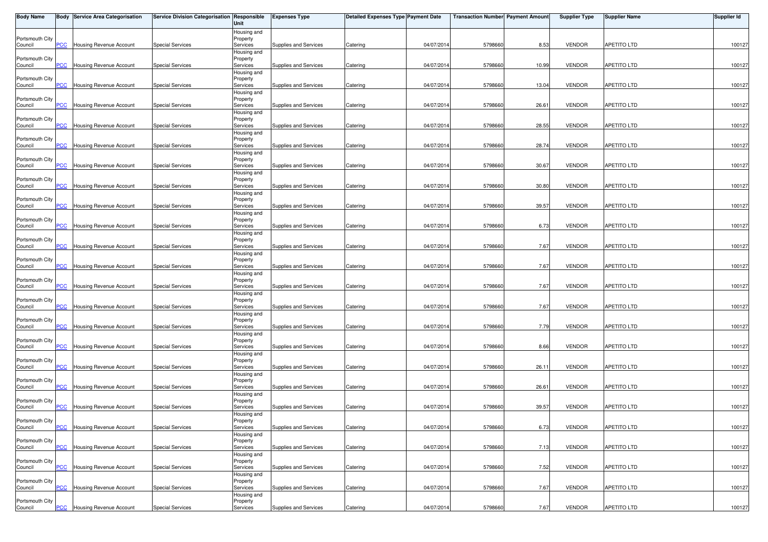| <b>Body Name</b>           |                           | <b>Body Service Area Categorisation</b> | Service Division Categorisation Responsible | Unit                    | <b>Expenses Type</b>  | Detailed Expenses Type Payment Date |            | <b>Transaction Number Payment Amount</b> |       | <b>Supplier Type</b> | <b>Supplier Name</b> | <b>Supplier Id</b> |
|----------------------------|---------------------------|-----------------------------------------|---------------------------------------------|-------------------------|-----------------------|-------------------------------------|------------|------------------------------------------|-------|----------------------|----------------------|--------------------|
|                            |                           |                                         |                                             | Housing and             |                       |                                     |            |                                          |       |                      |                      |                    |
| Portsmouth City<br>Council | PCC                       | Housing Revenue Account                 | <b>Special Services</b>                     | Property<br>Services    | Supplies and Services | Catering                            | 04/07/2014 | 5798660                                  | 8.53  | <b>VENDOR</b>        | <b>APETITO LTD</b>   | 100127             |
|                            |                           |                                         |                                             | Housing and             |                       |                                     |            |                                          |       |                      |                      |                    |
| Portsmouth City            |                           |                                         |                                             | Property                |                       |                                     |            |                                          |       |                      |                      |                    |
| Council                    | <b>PCC</b>                | <b>Housing Revenue Account</b>          | <b>Special Services</b>                     | Services                | Supplies and Services | Catering                            | 04/07/2014 | 5798660                                  | 10.99 | <b>VENDOR</b>        | <b>APETITO LTD</b>   | 100127             |
| Portsmouth City            |                           |                                         |                                             | Housing and<br>Property |                       |                                     |            |                                          |       |                      |                      |                    |
| Council                    | PCC                       | Housing Revenue Account                 | <b>Special Services</b>                     | Services                | Supplies and Services | Catering                            | 04/07/2014 | 5798660                                  | 13.04 | <b>VENDOR</b>        | <b>APETITO LTD</b>   | 100127             |
|                            |                           |                                         |                                             | Housing and             |                       |                                     |            |                                          |       |                      |                      |                    |
| Portsmouth City<br>Council | <b>PCC</b>                | Housing Revenue Account                 | <b>Special Services</b>                     | Property<br>Services    | Supplies and Services | Catering                            | 04/07/2014 | 5798660                                  | 26.61 | <b>VENDOR</b>        | <b>APETITO LTD</b>   | 100127             |
|                            |                           |                                         |                                             | Housing and             |                       |                                     |            |                                          |       |                      |                      |                    |
| Portsmouth City            |                           |                                         |                                             | Property                |                       |                                     |            |                                          |       |                      |                      |                    |
| Council                    | <b>PCC</b>                | <b>Housing Revenue Account</b>          | <b>Special Services</b>                     | Services<br>Housing and | Supplies and Services | Catering                            | 04/07/2014 | 5798660                                  | 28.55 | <b>VENDOR</b>        | <b>APETITO LTD</b>   | 100127             |
| Portsmouth City            |                           |                                         |                                             | Property                |                       |                                     |            |                                          |       |                      |                      |                    |
| Council                    | PCC                       | Housing Revenue Account                 | <b>Special Services</b>                     | Services                | Supplies and Services | Catering                            | 04/07/2014 | 5798660                                  | 28.74 | <b>VENDOR</b>        | <b>APETITO LTD</b>   | 100127             |
| Portsmouth City            |                           |                                         |                                             | Housing and<br>Property |                       |                                     |            |                                          |       |                      |                      |                    |
| Council                    | <b>PCC</b>                | Housing Revenue Account                 | <b>Special Services</b>                     | Services                | Supplies and Services | Catering                            | 04/07/2014 | 5798660                                  | 30.67 | <b>VENDOR</b>        | <b>APETITO LTD</b>   | 100127             |
|                            |                           |                                         |                                             | Housing and             |                       |                                     |            |                                          |       |                      |                      |                    |
| Portsmouth City            | <u>PCC</u>                |                                         | <b>Special Services</b>                     | Property                |                       |                                     | 04/07/2014 | 5798660                                  | 30.80 | <b>VENDOR</b>        | <b>APETITO LTD</b>   |                    |
| Council                    |                           | Housing Revenue Account                 |                                             | Services<br>Housing and | Supplies and Services | Catering                            |            |                                          |       |                      |                      | 100127             |
| Portsmouth City            |                           |                                         |                                             | Property                |                       |                                     |            |                                          |       |                      |                      |                    |
| Council                    | PCC                       | Housing Revenue Account                 | <b>Special Services</b>                     | Services                | Supplies and Services | Catering                            | 04/07/2014 | 5798660                                  | 39.57 | <b>VENDOR</b>        | <b>APETITO LTD</b>   | 100127             |
| Portsmouth City            |                           |                                         |                                             | Housing and<br>Property |                       |                                     |            |                                          |       |                      |                      |                    |
| Council                    | PCC                       | Housing Revenue Account                 | <b>Special Services</b>                     | Services                | Supplies and Services | Catering                            | 04/07/2014 | 5798660                                  | 6.73  | <b>VENDOR</b>        | <b>APETITO LTD</b>   | 100127             |
|                            |                           |                                         |                                             | Housing and             |                       |                                     |            |                                          |       |                      |                      |                    |
| Portsmouth City            | PCC                       | Housing Revenue Account                 | <b>Special Services</b>                     | Property<br>Services    | Supplies and Services | Catering                            | 04/07/2014 | 579866                                   | 7.67  | <b>VENDOR</b>        | <b>APETITO LTD</b>   | 100127             |
| Council                    |                           |                                         |                                             | Housing and             |                       |                                     |            |                                          |       |                      |                      |                    |
| Portsmouth City            |                           |                                         |                                             | Property                |                       |                                     |            |                                          |       |                      |                      |                    |
| Council                    | PСC                       | Housing Revenue Account                 | <b>Special Services</b>                     | Services                | Supplies and Services | Catering                            | 04/07/2014 | 5798660                                  | 7.67  | <b>VENDOR</b>        | <b>APETITO LTD</b>   | 100127             |
| Portsmouth City            |                           |                                         |                                             | Housing and<br>Property |                       |                                     |            |                                          |       |                      |                      |                    |
| Council                    | PCC                       | Housing Revenue Account                 | <b>Special Services</b>                     | Services                | Supplies and Services | Catering                            | 04/07/2014 | 5798660                                  | 7.67  | <b>VENDOR</b>        | <b>APETITO LTD</b>   | 100127             |
|                            |                           |                                         |                                             | Housing and             |                       |                                     |            |                                          |       |                      |                      |                    |
| Portsmouth City            | <b>PCC</b>                | Housing Revenue Account                 | <b>Special Services</b>                     | Property                | Supplies and Services |                                     | 04/07/2014 | 5798660                                  | 7.67  | <b>VENDOR</b>        | <b>APETITO LTD</b>   | 100127             |
| Council                    |                           |                                         |                                             | Services<br>Housing and |                       | Catering                            |            |                                          |       |                      |                      |                    |
| Portsmouth City            |                           |                                         |                                             | Property                |                       |                                     |            |                                          |       |                      |                      |                    |
| Council                    | PCC                       | Housing Revenue Account                 | <b>Special Services</b>                     | Services                | Supplies and Services | Catering                            | 04/07/2014 | 5798660                                  | 7.79  | <b>VENDOR</b>        | <b>APETITO LTD</b>   | 100127             |
| Portsmouth City            |                           |                                         |                                             | Housing and<br>Property |                       |                                     |            |                                          |       |                      |                      |                    |
| Council                    | <b>PCC</b>                | Housing Revenue Account                 | <b>Special Services</b>                     | Services                | Supplies and Services | Catering                            | 04/07/2014 | 5798660                                  | 8.66  | <b>VENDOR</b>        | APETITO LTD          | 100127             |
|                            |                           |                                         |                                             | Housing and             |                       |                                     |            |                                          |       |                      |                      |                    |
| Portsmouth City            | $\overline{\mathsf{PCC}}$ | Housing Revenue Account                 | <b>Special Services</b>                     | Property<br>Services    | Supplies and Services | Catering                            | 04/07/2014 | 5798660                                  | 26.11 | <b>VENDOR</b>        | APETITO LTD          | 100127             |
| Council                    |                           |                                         |                                             | Housing and             |                       |                                     |            |                                          |       |                      |                      |                    |
| Portsmouth City            |                           |                                         |                                             | Property                |                       |                                     |            |                                          |       |                      |                      |                    |
| Council                    | <b>PCC</b>                | <b>Housing Revenue Account</b>          | <b>Special Services</b>                     | Services                | Supplies and Services | Catering                            | 04/07/2014 | 5798660                                  | 26.61 | <b>VENDOR</b>        | APETITO LTD          | 100127             |
| Portsmouth City            |                           |                                         |                                             | Housing and<br>Property |                       |                                     |            |                                          |       |                      |                      |                    |
| Council                    | PCC                       | <b>Housing Revenue Account</b>          | <b>Special Services</b>                     | Services                | Supplies and Services | Catering                            | 04/07/2014 | 5798660                                  | 39.57 | <b>VENDOR</b>        | APETITO LTD          | 100127             |
|                            |                           |                                         |                                             | Housing and             |                       |                                     |            |                                          |       |                      |                      |                    |
| Portsmouth City            |                           | <b>PCC</b> Housing Revenue Account      | <b>Special Services</b>                     | Property<br>Services    |                       | Catering                            | 04/07/2014 | 5798660                                  | 6.73  | <b>VENDOR</b>        | <b>APETITO LTD</b>   | 100127             |
| Council                    |                           |                                         |                                             | Housing and             | Supplies and Services |                                     |            |                                          |       |                      |                      |                    |
| Portsmouth City            |                           |                                         |                                             | Property                |                       |                                     |            |                                          |       |                      |                      |                    |
| Council                    | PCC                       | Housing Revenue Account                 | <b>Special Services</b>                     | Services                | Supplies and Services | Catering                            | 04/07/2014 | 579866                                   | 7.13  | <b>VENDOR</b>        | APETITO LTD          | 100127             |
| Portsmouth City            |                           |                                         |                                             | Housing and<br>Property |                       |                                     |            |                                          |       |                      |                      |                    |
| Council                    | PCC                       | Housing Revenue Account                 | <b>Special Services</b>                     | Services                | Supplies and Services | Catering                            | 04/07/2014 | 5798660                                  | 7.52  | <b>VENDOR</b>        | <b>APETITO LTD</b>   | 100127             |
|                            |                           |                                         |                                             | Housing and             |                       |                                     |            |                                          |       |                      |                      |                    |
| Portsmouth City            | PCC                       | Housing Revenue Account                 | <b>Special Services</b>                     | Property                | Supplies and Services |                                     | 04/07/2014 | 5798660                                  | 7.67  | <b>VENDOR</b>        | APETITO LTD          | 100127             |
| Council                    |                           |                                         |                                             | Services<br>Housing and |                       | Catering                            |            |                                          |       |                      |                      |                    |
| Portsmouth City            |                           |                                         |                                             | Property                |                       |                                     |            |                                          |       |                      |                      |                    |
| Council                    |                           | <b>PCC</b> Housing Revenue Account      | <b>Special Services</b>                     | Services                | Supplies and Services | Catering                            | 04/07/2014 | 5798660                                  | 7.67  | <b>VENDOR</b>        | <b>APETITO LTD</b>   | 100127             |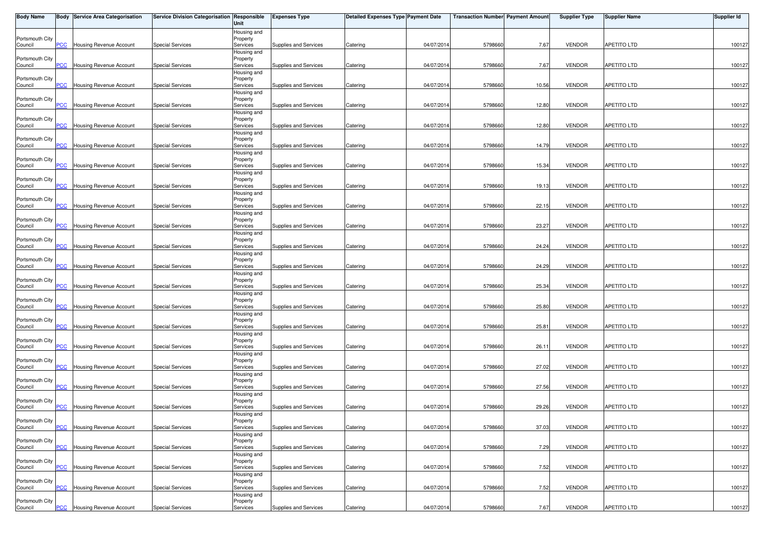| <b>Body Name</b>           |                           | <b>Body Service Area Categorisation</b> | Service Division Categorisation Responsible | Unit                    | <b>Expenses Type</b>  | Detailed Expenses Type Payment Date |            | <b>Transaction Number Payment Amount</b> |       | <b>Supplier Type</b> | <b>Supplier Name</b> | <b>Supplier Id</b> |
|----------------------------|---------------------------|-----------------------------------------|---------------------------------------------|-------------------------|-----------------------|-------------------------------------|------------|------------------------------------------|-------|----------------------|----------------------|--------------------|
|                            |                           |                                         |                                             | Housing and             |                       |                                     |            |                                          |       |                      |                      |                    |
| Portsmouth City<br>Council | PCC                       | Housing Revenue Account                 | <b>Special Services</b>                     | Property<br>Services    | Supplies and Services | Catering                            | 04/07/2014 | 5798660                                  | 7.67  | <b>VENDOR</b>        | <b>APETITO LTD</b>   | 100127             |
|                            |                           |                                         |                                             | Housing and             |                       |                                     |            |                                          |       |                      |                      |                    |
| Portsmouth City            |                           |                                         |                                             | Property                |                       |                                     |            |                                          |       |                      |                      |                    |
| Council                    | <b>PCC</b>                | <b>Housing Revenue Account</b>          | <b>Special Services</b>                     | Services                | Supplies and Services | Catering                            | 04/07/2014 | 5798660                                  | 7.67  | <b>VENDOR</b>        | <b>APETITO LTD</b>   | 100127             |
| Portsmouth City            |                           |                                         |                                             | Housing and<br>Property |                       |                                     |            |                                          |       |                      |                      |                    |
| Council                    | PCC                       | Housing Revenue Account                 | <b>Special Services</b>                     | Services                | Supplies and Services | Catering                            | 04/07/2014 | 5798660                                  | 10.56 | <b>VENDOR</b>        | <b>APETITO LTD</b>   | 100127             |
|                            |                           |                                         |                                             | Housing and             |                       |                                     |            |                                          |       |                      |                      |                    |
| Portsmouth City<br>Council | <b>PCC</b>                | Housing Revenue Account                 | <b>Special Services</b>                     | Property<br>Services    | Supplies and Services | Catering                            | 04/07/2014 | 5798660                                  | 12.80 | <b>VENDOR</b>        | <b>APETITO LTD</b>   | 100127             |
|                            |                           |                                         |                                             | Housing and             |                       |                                     |            |                                          |       |                      |                      |                    |
| Portsmouth City            |                           |                                         |                                             | Property                |                       |                                     |            |                                          |       |                      |                      |                    |
| Council                    | <b>PCC</b>                | Housing Revenue Account                 | <b>Special Services</b>                     | Services<br>Housing and | Supplies and Services | Catering                            | 04/07/2014 | 5798660                                  | 12.80 | <b>VENDOR</b>        | <b>APETITO LTD</b>   | 100127             |
| Portsmouth City            |                           |                                         |                                             | Property                |                       |                                     |            |                                          |       |                      |                      |                    |
| Council                    | PCC                       | Housing Revenue Account                 | <b>Special Services</b>                     | Services                | Supplies and Services | Catering                            | 04/07/2014 | 5798660                                  | 14.79 | <b>VENDOR</b>        | <b>APETITO LTD</b>   | 100127             |
| Portsmouth City            |                           |                                         |                                             | Housing and<br>Property |                       |                                     |            |                                          |       |                      |                      |                    |
| Council                    | <b>PCC</b>                | Housing Revenue Account                 | <b>Special Services</b>                     | Services                | Supplies and Services | Catering                            | 04/07/2014 | 5798660                                  | 15.34 | <b>VENDOR</b>        | <b>APETITO LTD</b>   | 100127             |
|                            |                           |                                         |                                             | Housing and             |                       |                                     |            |                                          |       |                      |                      |                    |
| Portsmouth City            | <u>PCC</u>                |                                         | <b>Special Services</b>                     | Property                |                       |                                     | 04/07/2014 | 5798660                                  |       | <b>VENDOR</b>        | <b>APETITO LTD</b>   |                    |
| Council                    |                           | Housing Revenue Account                 |                                             | Services<br>Housing and | Supplies and Services | Catering                            |            |                                          | 19.13 |                      |                      | 100127             |
| Portsmouth City            |                           |                                         |                                             | Property                |                       |                                     |            |                                          |       |                      |                      |                    |
| Council                    | PCC                       | Housing Revenue Account                 | <b>Special Services</b>                     | Services                | Supplies and Services | Catering                            | 04/07/2014 | 5798660                                  | 22.15 | <b>VENDOR</b>        | <b>APETITO LTD</b>   | 100127             |
| Portsmouth City            |                           |                                         |                                             | Housing and<br>Property |                       |                                     |            |                                          |       |                      |                      |                    |
| Council                    | PCC                       | Housing Revenue Account                 | <b>Special Services</b>                     | Services                | Supplies and Services | Catering                            | 04/07/2014 | 5798660                                  | 23.27 | <b>VENDOR</b>        | APETITO LTD          | 100127             |
|                            |                           |                                         |                                             | Housing and             |                       |                                     |            |                                          |       |                      |                      |                    |
| Portsmouth City            | PCC                       | Housing Revenue Account                 | <b>Special Services</b>                     | Property<br>Services    | Supplies and Services | Catering                            | 04/07/2014 | 579866                                   | 24.24 | <b>VENDOR</b>        | <b>APETITO LTD</b>   | 100127             |
| Council                    |                           |                                         |                                             | Housing and             |                       |                                     |            |                                          |       |                      |                      |                    |
| Portsmouth City            |                           |                                         |                                             | Property                |                       |                                     |            |                                          |       |                      |                      |                    |
| Council                    | PСC                       | Housing Revenue Account                 | <b>Special Services</b>                     | Services                | Supplies and Services | Catering                            | 04/07/2014 | 5798660                                  | 24.29 | <b>VENDOR</b>        | <b>APETITO LTD</b>   | 100127             |
| Portsmouth City            |                           |                                         |                                             | Housing and<br>Property |                       |                                     |            |                                          |       |                      |                      |                    |
| Council                    | PCC                       | Housing Revenue Account                 | <b>Special Services</b>                     | Services                | Supplies and Services | Catering                            | 04/07/2014 | 5798660                                  | 25.34 | <b>VENDOR</b>        | <b>APETITO LTD</b>   | 100127             |
|                            |                           |                                         |                                             | Housing and             |                       |                                     |            |                                          |       |                      |                      |                    |
| Portsmouth City            | <b>PCC</b>                | Housing Revenue Account                 | <b>Special Services</b>                     | Property                | Supplies and Services |                                     | 04/07/2014 | 5798660                                  | 25.80 | <b>VENDOR</b>        | <b>APETITO LTD</b>   | 100127             |
| Council                    |                           |                                         |                                             | Services<br>Housing and |                       | Catering                            |            |                                          |       |                      |                      |                    |
| Portsmouth City            |                           |                                         |                                             | Property                |                       |                                     |            |                                          |       |                      |                      |                    |
| Council                    | PCC                       | Housing Revenue Account                 | <b>Special Services</b>                     | Services                | Supplies and Services | Catering                            | 04/07/2014 | 5798660                                  | 25.81 | <b>VENDOR</b>        | <b>APETITO LTD</b>   | 100127             |
| Portsmouth City            |                           |                                         |                                             | Housing and<br>Property |                       |                                     |            |                                          |       |                      |                      |                    |
| Council                    | <b>PCC</b>                | Housing Revenue Account                 | <b>Special Services</b>                     | Services                | Supplies and Services | Catering                            | 04/07/2014 | 5798660                                  | 26.11 | <b>VENDOR</b>        | APETITO LTD          | 100127             |
|                            |                           |                                         |                                             | Housing and             |                       |                                     |            |                                          |       |                      |                      |                    |
| Portsmouth City            | $\overline{\mathsf{PCC}}$ | Housing Revenue Account                 | <b>Special Services</b>                     | Property<br>Services    | Supplies and Services | Catering                            | 04/07/2014 | 5798660                                  | 27.02 | <b>VENDOR</b>        | APETITO LTD          | 100127             |
| Council                    |                           |                                         |                                             | Housing and             |                       |                                     |            |                                          |       |                      |                      |                    |
| Portsmouth City            |                           |                                         |                                             | Property                |                       |                                     |            |                                          |       |                      |                      |                    |
| Council                    | <b>PCC</b>                | <b>Housing Revenue Account</b>          | <b>Special Services</b>                     | Services                | Supplies and Services | Catering                            | 04/07/2014 | 5798660                                  | 27.56 | <b>VENDOR</b>        | APETITO LTD          | 100127             |
| Portsmouth City            |                           |                                         |                                             | Housing and<br>Property |                       |                                     |            |                                          |       |                      |                      |                    |
| Council                    | PCC                       | <b>Housing Revenue Account</b>          | <b>Special Services</b>                     | Services                | Supplies and Services | Catering                            | 04/07/2014 | 5798660                                  | 29.26 | <b>VENDOR</b>        | APETITO LTD          | 100127             |
|                            |                           |                                         |                                             | Housing and             |                       |                                     |            |                                          |       |                      |                      |                    |
| Portsmouth City            |                           | <b>PCC</b> Housing Revenue Account      | <b>Special Services</b>                     | Property                |                       |                                     | 04/07/2014 |                                          | 37.03 | <b>VENDOR</b>        | <b>APETITO LTD</b>   | 100127             |
| Council                    |                           |                                         |                                             | Services<br>Housing and | Supplies and Services | Catering                            |            | 5798660                                  |       |                      |                      |                    |
| Portsmouth City            |                           |                                         |                                             | Property                |                       |                                     |            |                                          |       |                      |                      |                    |
| Council                    | PCC                       | Housing Revenue Account                 | <b>Special Services</b>                     | Services                | Supplies and Services | Catering                            | 04/07/2014 | 579866                                   | 7.29  | <b>VENDOR</b>        | APETITO LTD          | 100127             |
| Portsmouth City            |                           |                                         |                                             | Housing and             |                       |                                     |            |                                          |       |                      |                      |                    |
| Council                    | PCC                       | Housing Revenue Account                 | <b>Special Services</b>                     | Property<br>Services    | Supplies and Services | Catering                            | 04/07/2014 | 5798660                                  | 7.52  | <b>VENDOR</b>        | <b>APETITO LTD</b>   | 100127             |
|                            |                           |                                         |                                             | Housing and             |                       |                                     |            |                                          |       |                      |                      |                    |
| Portsmouth City            |                           |                                         | <b>Special Services</b>                     | Property                |                       |                                     |            |                                          |       |                      |                      |                    |
| Council                    | PCC                       | Housing Revenue Account                 |                                             | Services<br>Housing and | Supplies and Services | Catering                            | 04/07/2014 | 5798660                                  | 7.52  | <b>VENDOR</b>        | APETITO LTD          | 100127             |
| Portsmouth City            |                           |                                         |                                             | Property                |                       |                                     |            |                                          |       |                      |                      |                    |
| Council                    |                           | <b>PCC</b> Housing Revenue Account      | <b>Special Services</b>                     | Services                | Supplies and Services | Catering                            | 04/07/2014 | 5798660                                  | 7.67  | <b>VENDOR</b>        | <b>APETITO LTD</b>   | 100127             |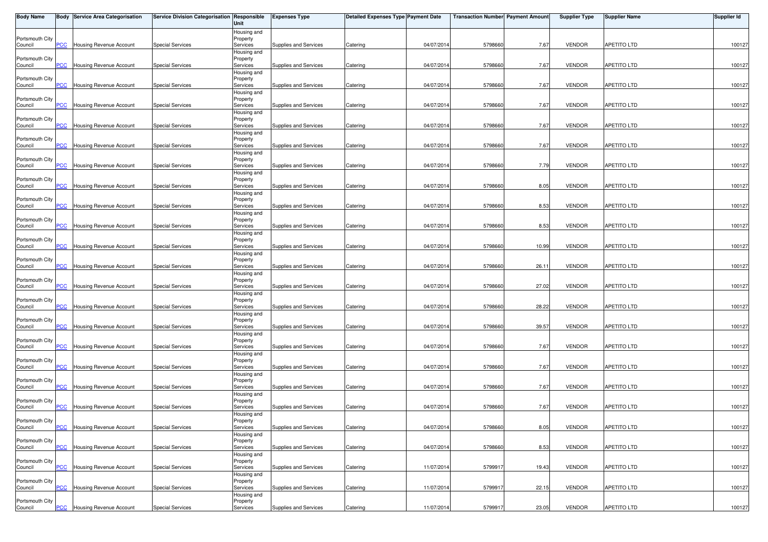| <b>Body Name</b>           |                           | <b>Body Service Area Categorisation</b> | Service Division Categorisation Responsible | Unit                    | <b>Expenses Type</b>  | Detailed Expenses Type Payment Date |            | <b>Transaction Number Payment Amount</b> |       | <b>Supplier Type</b> | <b>Supplier Name</b> | <b>Supplier Id</b> |
|----------------------------|---------------------------|-----------------------------------------|---------------------------------------------|-------------------------|-----------------------|-------------------------------------|------------|------------------------------------------|-------|----------------------|----------------------|--------------------|
|                            |                           |                                         |                                             | Housing and             |                       |                                     |            |                                          |       |                      |                      |                    |
| Portsmouth City<br>Council | PCC                       | Housing Revenue Account                 | <b>Special Services</b>                     | Property<br>Services    | Supplies and Services | Catering                            | 04/07/2014 | 5798660                                  | 7.67  | <b>VENDOR</b>        | <b>APETITO LTD</b>   | 100127             |
|                            |                           |                                         |                                             | Housing and             |                       |                                     |            |                                          |       |                      |                      |                    |
| Portsmouth City            |                           |                                         |                                             | Property                |                       |                                     |            |                                          |       |                      |                      |                    |
| Council                    | <b>PCC</b>                | <b>Housing Revenue Account</b>          | <b>Special Services</b>                     | Services                | Supplies and Services | Catering                            | 04/07/2014 | 5798660                                  | 7.67  | <b>VENDOR</b>        | <b>APETITO LTD</b>   | 100127             |
| Portsmouth City            |                           |                                         |                                             | Housing and<br>Property |                       |                                     |            |                                          |       |                      |                      |                    |
| Council                    | PCC                       | Housing Revenue Account                 | <b>Special Services</b>                     | Services                | Supplies and Services | Catering                            | 04/07/2014 | 5798660                                  | 7.67  | <b>VENDOR</b>        | <b>APETITO LTD</b>   | 100127             |
|                            |                           |                                         |                                             | Housing and             |                       |                                     |            |                                          |       |                      |                      |                    |
| Portsmouth City<br>Council | <b>PCC</b>                | Housing Revenue Account                 | <b>Special Services</b>                     | Property<br>Services    | Supplies and Services | Catering                            | 04/07/2014 | 5798660                                  | 7.67  | <b>VENDOR</b>        | <b>APETITO LTD</b>   | 100127             |
|                            |                           |                                         |                                             | Housing and             |                       |                                     |            |                                          |       |                      |                      |                    |
| Portsmouth City            |                           |                                         |                                             | Property                |                       |                                     |            |                                          |       |                      |                      |                    |
| Council                    | <b>PCC</b>                | <b>Housing Revenue Account</b>          | <b>Special Services</b>                     | Services<br>Housing and | Supplies and Services | Catering                            | 04/07/2014 | 5798660                                  | 7.67  | <b>VENDOR</b>        | <b>APETITO LTD</b>   | 100127             |
| Portsmouth City            |                           |                                         |                                             | Property                |                       |                                     |            |                                          |       |                      |                      |                    |
| Council                    | PCC                       | Housing Revenue Account                 | <b>Special Services</b>                     | Services                | Supplies and Services | Catering                            | 04/07/2014 | 5798660                                  | 7.67  | <b>VENDOR</b>        | <b>APETITO LTD</b>   | 100127             |
| Portsmouth City            |                           |                                         |                                             | Housing and<br>Property |                       |                                     |            |                                          |       |                      |                      |                    |
| Council                    | <b>PCC</b>                | Housing Revenue Account                 | <b>Special Services</b>                     | Services                | Supplies and Services | Catering                            | 04/07/2014 | 5798660                                  | 7.79  | <b>VENDOR</b>        | <b>APETITO LTD</b>   | 100127             |
|                            |                           |                                         |                                             | Housing and             |                       |                                     |            |                                          |       |                      |                      |                    |
| Portsmouth City            | <u>PCC</u>                |                                         | <b>Special Services</b>                     | Property                |                       |                                     | 04/07/2014 | 5798660                                  | 8.05  | <b>VENDOR</b>        | <b>APETITO LTD</b>   |                    |
| Council                    |                           | Housing Revenue Account                 |                                             | Services<br>Housing and | Supplies and Services | Catering                            |            |                                          |       |                      |                      | 100127             |
| Portsmouth City            |                           |                                         |                                             | Property                |                       |                                     |            |                                          |       |                      |                      |                    |
| Council                    | PCC                       | Housing Revenue Account                 | <b>Special Services</b>                     | Services                | Supplies and Services | Catering                            | 04/07/2014 | 5798660                                  | 8.53  | <b>VENDOR</b>        | <b>APETITO LTD</b>   | 100127             |
| Portsmouth City            |                           |                                         |                                             | Housing and<br>Property |                       |                                     |            |                                          |       |                      |                      |                    |
| Council                    | PCC                       | Housing Revenue Account                 | <b>Special Services</b>                     | Services                | Supplies and Services | Catering                            | 04/07/2014 | 5798660                                  | 8.53  | <b>VENDOR</b>        | APETITO LTD          | 100127             |
|                            |                           |                                         |                                             | Housing and             |                       |                                     |            |                                          |       |                      |                      |                    |
| Portsmouth City            | PCC                       | Housing Revenue Account                 | Special Services                            | Property<br>Services    | Supplies and Services | Catering                            | 04/07/2014 | 579866                                   | 10.99 | <b>VENDOR</b>        | <b>APETITO LTD</b>   | 100127             |
| Council                    |                           |                                         |                                             | Housing and             |                       |                                     |            |                                          |       |                      |                      |                    |
| Portsmouth City            |                           |                                         |                                             | Property                |                       |                                     |            |                                          |       |                      |                      |                    |
| Council                    | PСC                       | Housing Revenue Account                 | Special Services                            | Services                | Supplies and Services | Catering                            | 04/07/2014 | 5798660                                  | 26.11 | <b>VENDOR</b>        | <b>APETITO LTD</b>   | 100127             |
| Portsmouth City            |                           |                                         |                                             | Housing and<br>Property |                       |                                     |            |                                          |       |                      |                      |                    |
| Council                    | PCC                       | Housing Revenue Account                 | <b>Special Services</b>                     | Services                | Supplies and Services | Catering                            | 04/07/2014 | 5798660                                  | 27.02 | <b>VENDOR</b>        | <b>APETITO LTD</b>   | 100127             |
|                            |                           |                                         |                                             | Housing and             |                       |                                     |            |                                          |       |                      |                      |                    |
| Portsmouth City            | <b>PCC</b>                | Housing Revenue Account                 | <b>Special Services</b>                     | Property                | Supplies and Services |                                     | 04/07/2014 | 5798660                                  | 28.22 | <b>VENDOR</b>        | <b>APETITO LTD</b>   | 100127             |
| Council                    |                           |                                         |                                             | Services<br>Housing and |                       | Catering                            |            |                                          |       |                      |                      |                    |
| Portsmouth City            |                           |                                         |                                             | Property                |                       |                                     |            |                                          |       |                      |                      |                    |
| Council                    | PCC                       | Housing Revenue Account                 | <b>Special Services</b>                     | Services                | Supplies and Services | Catering                            | 04/07/2014 | 5798660                                  | 39.57 | <b>VENDOR</b>        | <b>APETITO LTD</b>   | 100127             |
| Portsmouth City            |                           |                                         |                                             | Housing and<br>Property |                       |                                     |            |                                          |       |                      |                      |                    |
| Council                    | <b>PCC</b>                | Housing Revenue Account                 | <b>Special Services</b>                     | Services                | Supplies and Services | Catering                            | 04/07/2014 | 5798660                                  | 7.67  | <b>VENDOR</b>        | APETITO LTD          | 100127             |
|                            |                           |                                         |                                             | Housing and             |                       |                                     |            |                                          |       |                      |                      |                    |
| Portsmouth City            | $\overline{\mathsf{PCC}}$ | Housing Revenue Account                 | <b>Special Services</b>                     | Property<br>Services    | Supplies and Services | Catering                            | 04/07/2014 | 5798660                                  | 7.67  | <b>VENDOR</b>        | APETITO LTD          | 100127             |
| Council                    |                           |                                         |                                             | Housing and             |                       |                                     |            |                                          |       |                      |                      |                    |
| Portsmouth City            |                           |                                         |                                             | Property                |                       |                                     |            |                                          |       |                      |                      |                    |
| Council                    | <b>PCC</b>                | <b>Housing Revenue Account</b>          | <b>Special Services</b>                     | Services                | Supplies and Services | Catering                            | 04/07/2014 | 5798660                                  | 7.67  | <b>VENDOR</b>        | APETITO LTD          | 100127             |
| Portsmouth City            |                           |                                         |                                             | Housing and<br>Property |                       |                                     |            |                                          |       |                      |                      |                    |
| Council                    | PCC                       | <b>Housing Revenue Account</b>          | <b>Special Services</b>                     | Services                | Supplies and Services | Catering                            | 04/07/2014 | 5798660                                  | 7.67  | <b>VENDOR</b>        | APETITO LTD          | 100127             |
|                            |                           |                                         |                                             | Housing and             |                       |                                     |            |                                          |       |                      |                      |                    |
| Portsmouth City            |                           | <b>PCC</b> Housing Revenue Account      | <b>Special Services</b>                     | Property                |                       |                                     | 04/07/2014 |                                          | 8.05  | <b>VENDOR</b>        | <b>APETITO LTD</b>   | 100127             |
| Council                    |                           |                                         |                                             | Services<br>Housing and | Supplies and Services | Catering                            |            | 5798660                                  |       |                      |                      |                    |
| Portsmouth City            |                           |                                         |                                             | Property                |                       |                                     |            |                                          |       |                      |                      |                    |
| Council                    | PCC                       | Housing Revenue Account                 | <b>Special Services</b>                     | Services                | Supplies and Services | Catering                            | 04/07/2014 | 579866                                   | 8.53  | <b>VENDOR</b>        | APETITO LTD          | 100127             |
| Portsmouth City            |                           |                                         |                                             | Housing and             |                       |                                     |            |                                          |       |                      |                      |                    |
| Council                    | PCC                       | Housing Revenue Account                 | <b>Special Services</b>                     | Property<br>Services    | Supplies and Services | Catering                            | 11/07/2014 | 5799917                                  | 19.43 | <b>VENDOR</b>        | <b>APETITO LTD</b>   | 100127             |
|                            |                           |                                         |                                             | Housing and             |                       |                                     |            |                                          |       |                      |                      |                    |
| Portsmouth City            |                           |                                         | <b>Special Services</b>                     | Property                |                       |                                     |            |                                          |       |                      |                      |                    |
| Council                    | PCC                       | Housing Revenue Account                 |                                             | Services<br>Housing and | Supplies and Services | Catering                            | 11/07/2014 | 579991                                   | 22.15 | <b>VENDOR</b>        | APETITO LTD          | 100127             |
| Portsmouth City            |                           |                                         |                                             | Property                |                       |                                     |            |                                          |       |                      |                      |                    |
| Council                    |                           | <b>PCC</b> Housing Revenue Account      | <b>Special Services</b>                     | Services                | Supplies and Services | Catering                            | 11/07/2014 | 5799917                                  | 23.05 | <b>VENDOR</b>        | <b>APETITO LTD</b>   | 100127             |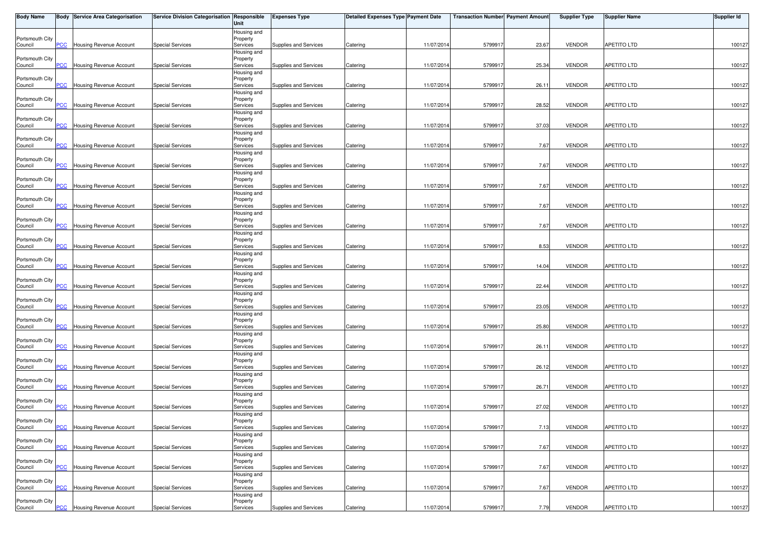| <b>Body Name</b>           |                           | <b>Body Service Area Categorisation</b> | Service Division Categorisation Responsible | Unit                    | <b>Expenses Type</b>  | Detailed Expenses Type Payment Date |            | Transaction Number Payment Amount |       | <b>Supplier Type</b> | <b>Supplier Name</b> | Supplier Id |
|----------------------------|---------------------------|-----------------------------------------|---------------------------------------------|-------------------------|-----------------------|-------------------------------------|------------|-----------------------------------|-------|----------------------|----------------------|-------------|
|                            |                           |                                         |                                             | Housing and             |                       |                                     |            |                                   |       |                      |                      |             |
| Portsmouth City<br>Council | PCC                       | <b>Housing Revenue Account</b>          | <b>Special Services</b>                     | Property<br>Services    | Supplies and Services | Catering                            | 11/07/2014 | 5799917                           | 23.67 | <b>VENDOR</b>        | <b>APETITO LTD</b>   | 100127      |
|                            |                           |                                         |                                             | Housing and             |                       |                                     |            |                                   |       |                      |                      |             |
| Portsmouth City            |                           |                                         |                                             | Property                |                       |                                     |            |                                   |       |                      |                      |             |
| Council                    |                           | <b>PCC</b> Housing Revenue Account      | <b>Special Services</b>                     | Services<br>Housing and | Supplies and Services | Catering                            | 11/07/2014 | 579991                            | 25.34 | <b>VENDOR</b>        | <b>APETITO LTD</b>   | 100127      |
| Portsmouth City            |                           |                                         |                                             | Property                |                       |                                     |            |                                   |       |                      |                      |             |
| Council                    | PCC                       | <b>Housing Revenue Account</b>          | <b>Special Services</b>                     | Services                | Supplies and Services | Catering                            | 11/07/2014 | 579991                            | 26.11 | <b>VENDOR</b>        | <b>APETITO LTD</b>   | 100127      |
| Portsmouth City            |                           |                                         |                                             | Housing and<br>Property |                       |                                     |            |                                   |       |                      |                      |             |
| Council                    | PCC                       | Housing Revenue Account                 | <b>Special Services</b>                     | Services                | Supplies and Services | Catering                            | 11/07/2014 | 579991                            | 28.52 | <b>VENDOR</b>        | APETITO LTD          | 100127      |
|                            |                           |                                         |                                             | Housing and             |                       |                                     |            |                                   |       |                      |                      |             |
| Portsmouth City            | $\overline{\mathsf{PCC}}$ | Housing Revenue Account                 | <b>Special Services</b>                     | Property<br>Services    | Supplies and Services | Catering                            | 11/07/2014 | 579991                            | 37.03 | <b>VENDOR</b>        | <b>APETITO LTD</b>   | 100127      |
| Council                    |                           |                                         |                                             | Housing and             |                       |                                     |            |                                   |       |                      |                      |             |
| Portsmouth City            |                           |                                         |                                             | Property                |                       |                                     |            |                                   |       |                      |                      |             |
| Council                    | PCC                       | Housing Revenue Account                 | <b>Special Services</b>                     | Services                | Supplies and Services | Catering                            | 11/07/2014 | 5799917                           | 7.67  | <b>VENDOR</b>        | <b>APETITO LTD</b>   | 100127      |
| Portsmouth City            |                           |                                         |                                             | Housing and<br>Property |                       |                                     |            |                                   |       |                      |                      |             |
| Council                    | <b>PCC</b>                | Housing Revenue Account                 | <b>Special Services</b>                     | Services                | Supplies and Services | Catering                            | 11/07/2014 | 579991                            | 7.67  | <b>VENDOR</b>        | <b>APETITO LTD</b>   | 100127      |
|                            |                           |                                         |                                             | Housing and             |                       |                                     |            |                                   |       |                      |                      |             |
| Portsmouth City<br>Council | <b>PCC</b>                | Housing Revenue Account                 | <b>Special Services</b>                     | Property<br>Services    | Supplies and Services | Catering                            | 11/07/2014 | 579991                            | 7.67  | <b>VENDOR</b>        | <b>APETITO LTD</b>   | 100127      |
|                            |                           |                                         |                                             | Housing and             |                       |                                     |            |                                   |       |                      |                      |             |
| Portsmouth City            |                           |                                         |                                             | Property                |                       |                                     |            |                                   |       |                      |                      |             |
| Council                    | <b>PCC</b>                | <b>Housing Revenue Account</b>          | <b>Special Services</b>                     | Services                | Supplies and Services | Catering                            | 11/07/2014 | 579991                            | 7.67  | <b>VENDOR</b>        | APETITO LTD          | 100127      |
| Portsmouth City            |                           |                                         |                                             | Housing and<br>Property |                       |                                     |            |                                   |       |                      |                      |             |
| Council                    | <b>PCC</b>                | Housing Revenue Account                 | <b>Special Services</b>                     | Services                | Supplies and Services | Catering                            | 11/07/2014 | 579991                            | 7.67  | <b>VENDOR</b>        | APETITO LTD          | 100127      |
|                            |                           |                                         |                                             | Housing and             |                       |                                     |            |                                   |       |                      |                      |             |
| Portsmouth City<br>Council | PCC                       | Housing Revenue Account                 | <b>Special Services</b>                     | Property<br>Services    | Supplies and Services | Catering                            | 11/07/2014 | 579991                            | 8.53  | <b>VENDOR</b>        | <b>APETITO LTD</b>   | 100127      |
|                            |                           |                                         |                                             | Housing and             |                       |                                     |            |                                   |       |                      |                      |             |
| Portsmouth City            |                           |                                         |                                             | Property                |                       |                                     |            |                                   |       |                      |                      |             |
| Council                    | PCC                       | Housing Revenue Account                 | <b>Special Services</b>                     | Services                | Supplies and Services | Catering                            | 11/07/2014 | 5799917                           | 14.04 | <b>VENDOR</b>        | <b>APETITO LTD</b>   | 100127      |
| Portsmouth City            |                           |                                         |                                             | Housing and<br>Property |                       |                                     |            |                                   |       |                      |                      |             |
| Council                    | <b>PCC</b>                | Housing Revenue Account                 | <b>Special Services</b>                     | Services                | Supplies and Services | Catering                            | 11/07/2014 | 579991                            | 22.44 | <b>VENDOR</b>        | <b>APETITO LTD</b>   | 100127      |
|                            |                           |                                         |                                             | Housing and             |                       |                                     |            |                                   |       |                      |                      |             |
| Portsmouth City<br>Council | <u>PCC</u>                | Housing Revenue Account                 | <b>Special Services</b>                     | Property<br>Services    | Supplies and Services | Catering                            | 11/07/2014 | 579991                            | 23.05 | <b>VENDOR</b>        | <b>APETITO LTD</b>   | 100127      |
|                            |                           |                                         |                                             | Housing and             |                       |                                     |            |                                   |       |                      |                      |             |
| Portsmouth City            |                           |                                         |                                             | Property                |                       |                                     |            |                                   |       |                      |                      |             |
| Council                    | PCC                       | Housing Revenue Account                 | <b>Special Services</b>                     | Services                | Supplies and Services | Catering                            | 11/07/2014 | 579991                            | 25.80 | <b>VENDOR</b>        | <b>APETITO LTD</b>   | 100127      |
| Portsmouth City            |                           |                                         |                                             | Housing and<br>Property |                       |                                     |            |                                   |       |                      |                      |             |
| Council                    | <b>PCC</b>                | Housing Revenue Account                 | <b>Special Services</b>                     | Services                | Supplies and Services | Catering                            | 11/07/2014 | 5799917                           | 26.11 | <b>VENDOR</b>        | <b>APETITO LTD</b>   | 100127      |
|                            |                           |                                         |                                             | Housing and             |                       |                                     |            |                                   |       |                      |                      |             |
| Portsmouth City<br>Council | <u>PCC</u>                | <b>Housing Revenue Account</b>          | <b>Special Services</b>                     | Property<br>Services    | Supplies and Services | Catering                            | 11/07/2014 | 579991                            | 26.12 | <b>VENDOR</b>        | APETITO LTD          | 100127      |
|                            |                           |                                         |                                             | Housing and             |                       |                                     |            |                                   |       |                      |                      |             |
| Portsmouth City            |                           |                                         |                                             | Property                |                       |                                     |            |                                   |       |                      |                      |             |
| Council                    | $\overline{C}$            | Housing Revenue Account                 | <b>Special Services</b>                     | Services                | Supplies and Services | Catering                            | 11/07/2014 | 579991                            | 26.71 | <b>VENDOR</b>        | APETITO LTD          | 100127      |
| Portsmouth City            |                           |                                         |                                             | Housing and<br>Property |                       |                                     |            |                                   |       |                      |                      |             |
| Council                    | PCC                       | Housing Revenue Account                 | Special Services                            | Services                | Supplies and Services | Catering                            | 11/07/2014 | 579991                            | 27.02 | <b>VENDOR</b>        | APETITO LTD          | 100127      |
|                            |                           |                                         |                                             | Housing and             |                       |                                     |            |                                   |       |                      |                      |             |
| Portsmouth City<br>Council | <b>PCC</b>                | <b>Housing Revenue Account</b>          | <b>Special Services</b>                     | Property<br>Services    | Supplies and Services | Catering                            | 11/07/2014 | 5799917                           | 7.13  | <b>VENDOR</b>        | APETITO LTD          | 100127      |
|                            |                           |                                         |                                             | Housing and             |                       |                                     |            |                                   |       |                      |                      |             |
| Portsmouth City            |                           |                                         |                                             | Property                |                       |                                     |            |                                   |       |                      |                      |             |
| Council                    | PCC                       | Housing Revenue Account                 | <b>Special Services</b>                     | Services                | Supplies and Services | Catering                            | 11/07/2014 | 5799917                           | 7.67  | <b>VENDOR</b>        | <b>APETITO LTD</b>   | 100127      |
| Portsmouth City            |                           |                                         |                                             | Housing and<br>Property |                       |                                     |            |                                   |       |                      |                      |             |
| Council                    | PCC                       | Housing Revenue Account                 | <b>Special Services</b>                     | Services                | Supplies and Services | Catering                            | 11/07/2014 | 5799917                           | 7.67  | <b>VENDOR</b>        | <b>APETITO LTD</b>   | 100127      |
|                            |                           |                                         |                                             | Housing and             |                       |                                     |            |                                   |       |                      |                      |             |
| Portsmouth City<br>Council | PCC                       | Housing Revenue Account                 | <b>Special Services</b>                     | Property<br>Services    | Supplies and Services | Catering                            | 11/07/2014 | 5799917                           | 7.67  | <b>VENDOR</b>        | APETITO LTD          | 100127      |
|                            |                           |                                         |                                             | Housing and             |                       |                                     |            |                                   |       |                      |                      |             |
| Portsmouth City            |                           |                                         |                                             | Property                |                       |                                     |            |                                   |       |                      |                      |             |
| Council                    |                           | <b>PCC</b> Housing Revenue Account      | <b>Special Services</b>                     | Services                | Supplies and Services | Catering                            | 11/07/2014 | 5799917                           | 7.79  | VENDOR               | <b>APETITO LTD</b>   | 100127      |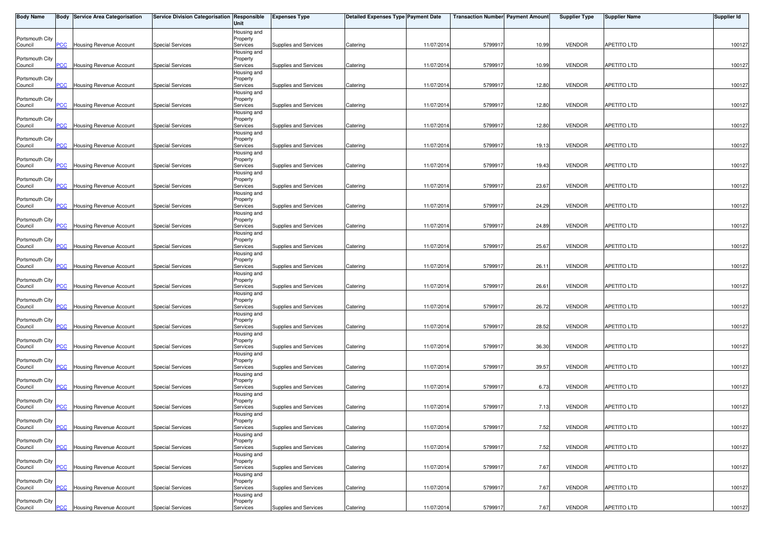| <b>Body Name</b>           |                           | <b>Body Service Area Categorisation</b> | Service Division Categorisation Responsible | Unit                    | <b>Expenses Type</b>  | Detailed Expenses Type Payment Date |            | <b>Transaction Number Payment Amount</b> |       | <b>Supplier Type</b> | <b>Supplier Name</b> | <b>Supplier Id</b> |
|----------------------------|---------------------------|-----------------------------------------|---------------------------------------------|-------------------------|-----------------------|-------------------------------------|------------|------------------------------------------|-------|----------------------|----------------------|--------------------|
|                            |                           |                                         |                                             | Housing and             |                       |                                     |            |                                          |       |                      |                      |                    |
| Portsmouth City<br>Council | PCC                       | Housing Revenue Account                 | <b>Special Services</b>                     | Property<br>Services    | Supplies and Services | Catering                            | 11/07/2014 | 579991                                   | 10.99 | <b>VENDOR</b>        | <b>APETITO LTD</b>   | 100127             |
|                            |                           |                                         |                                             | Housing and             |                       |                                     |            |                                          |       |                      |                      |                    |
| Portsmouth City            |                           |                                         |                                             | Property                |                       |                                     |            |                                          |       |                      |                      |                    |
| Council                    | <b>PCC</b>                | <b>Housing Revenue Account</b>          | <b>Special Services</b>                     | Services<br>Housing and | Supplies and Services | Catering                            | 11/07/2014 | 579991                                   | 10.99 | <b>VENDOR</b>        | <b>APETITO LTD</b>   | 100127             |
| Portsmouth City            |                           |                                         |                                             | Property                |                       |                                     |            |                                          |       |                      |                      |                    |
| Council                    | PCC                       | Housing Revenue Account                 | <b>Special Services</b>                     | Services                | Supplies and Services | Catering                            | 11/07/2014 | 5799917                                  | 12.80 | <b>VENDOR</b>        | <b>APETITO LTD</b>   | 100127             |
|                            |                           |                                         |                                             | Housing and             |                       |                                     |            |                                          |       |                      |                      |                    |
| Portsmouth City<br>Council | <b>PCC</b>                | Housing Revenue Account                 | <b>Special Services</b>                     | Property<br>Services    | Supplies and Services | Catering                            | 11/07/2014 | 579991                                   | 12.80 | <b>VENDOR</b>        | <b>APETITO LTD</b>   | 100127             |
|                            |                           |                                         |                                             | Housing and             |                       |                                     |            |                                          |       |                      |                      |                    |
| Portsmouth City            |                           |                                         |                                             | Property                |                       |                                     |            |                                          |       |                      |                      |                    |
| Council                    | <b>PCC</b>                | <b>Housing Revenue Account</b>          | <b>Special Services</b>                     | Services<br>Housing and | Supplies and Services | Catering                            | 11/07/2014 | 579991                                   | 12.80 | <b>VENDOR</b>        | <b>APETITO LTD</b>   | 100127             |
| Portsmouth City            |                           |                                         |                                             | Property                |                       |                                     |            |                                          |       |                      |                      |                    |
| Council                    | PCC                       | Housing Revenue Account                 | <b>Special Services</b>                     | Services                | Supplies and Services | Catering                            | 11/07/2014 | 5799917                                  | 19.13 | <b>VENDOR</b>        | <b>APETITO LTD</b>   | 100127             |
| Portsmouth City            |                           |                                         |                                             | Housing and<br>Property |                       |                                     |            |                                          |       |                      |                      |                    |
| Council                    | <b>PCC</b>                | Housing Revenue Account                 | <b>Special Services</b>                     | Services                | Supplies and Services | Catering                            | 11/07/2014 | 579991                                   | 19.43 | <b>VENDOR</b>        | <b>APETITO LTD</b>   | 100127             |
|                            |                           |                                         |                                             | Housing and             |                       |                                     |            |                                          |       |                      |                      |                    |
| Portsmouth City            | <b>PCC</b>                |                                         | <b>Special Services</b>                     | Property                |                       |                                     | 11/07/2014 | 579991                                   | 23.67 | <b>VENDOR</b>        | <b>APETITO LTD</b>   |                    |
| Council                    |                           | Housing Revenue Account                 |                                             | Services<br>Housing and | Supplies and Services | Catering                            |            |                                          |       |                      |                      | 100127             |
| Portsmouth City            |                           |                                         |                                             | Property                |                       |                                     |            |                                          |       |                      |                      |                    |
| Council                    | PCC                       | Housing Revenue Account                 | <b>Special Services</b>                     | Services                | Supplies and Services | Catering                            | 11/07/2014 | 579991                                   | 24.29 | <b>VENDOR</b>        | <b>APETITO LTD</b>   | 100127             |
| Portsmouth City            |                           |                                         |                                             | Housing and<br>Property |                       |                                     |            |                                          |       |                      |                      |                    |
| Council                    | PCC                       | Housing Revenue Account                 | <b>Special Services</b>                     | Services                | Supplies and Services | Catering                            | 11/07/2014 | 579991                                   | 24.89 | <b>VENDOR</b>        | <b>APETITO LTD</b>   | 100127             |
|                            |                           |                                         |                                             | Housing and             |                       |                                     |            |                                          |       |                      |                      |                    |
| Portsmouth City            | PCC                       | Housing Revenue Account                 | Special Services                            | Property<br>Services    | Supplies and Services | Catering                            | 11/07/2014 | 579991                                   | 25.67 | <b>VENDOR</b>        | <b>APETITO LTD</b>   | 100127             |
| Council                    |                           |                                         |                                             | Housing and             |                       |                                     |            |                                          |       |                      |                      |                    |
| Portsmouth City            |                           |                                         |                                             | Property                |                       |                                     |            |                                          |       |                      |                      |                    |
| Council                    | PСC                       | Housing Revenue Account                 | Special Services                            | Services                | Supplies and Services | Catering                            | 11/07/2014 | 579991                                   | 26.11 | <b>VENDOR</b>        | <b>APETITO LTD</b>   | 100127             |
| Portsmouth City            |                           |                                         |                                             | Housing and<br>Property |                       |                                     |            |                                          |       |                      |                      |                    |
| Council                    | PCC                       | Housing Revenue Account                 | <b>Special Services</b>                     | Services                | Supplies and Services | Catering                            | 11/07/2014 | 579991                                   | 26.61 | <b>VENDOR</b>        | <b>APETITO LTD</b>   | 100127             |
|                            |                           |                                         |                                             | Housing and             |                       |                                     |            |                                          |       |                      |                      |                    |
| Portsmouth City            | <b>PCC</b>                | Housing Revenue Account                 | <b>Special Services</b>                     | Property                | Supplies and Services |                                     | 11/07/2014 | 579991                                   | 26.72 | <b>VENDOR</b>        | <b>APETITO LTD</b>   | 100127             |
| Council                    |                           |                                         |                                             | Services<br>Housing and |                       | Catering                            |            |                                          |       |                      |                      |                    |
| Portsmouth City            |                           |                                         |                                             | Property                |                       |                                     |            |                                          |       |                      |                      |                    |
| Council                    | PCC                       | Housing Revenue Account                 | <b>Special Services</b>                     | Services                | Supplies and Services | Catering                            | 11/07/2014 | 579991                                   | 28.52 | <b>VENDOR</b>        | <b>APETITO LTD</b>   | 100127             |
| Portsmouth City            |                           |                                         |                                             | Housing and<br>Property |                       |                                     |            |                                          |       |                      |                      |                    |
| Council                    | <b>PCC</b>                | Housing Revenue Account                 | <b>Special Services</b>                     | Services                | Supplies and Services | Catering                            | 11/07/2014 | 5799917                                  | 36.30 | <b>VENDOR</b>        | APETITO LTD          | 100127             |
|                            |                           |                                         |                                             | Housing and             |                       |                                     |            |                                          |       |                      |                      |                    |
| Portsmouth City            | $\overline{\mathsf{PCC}}$ | Housing Revenue Account                 | <b>Special Services</b>                     | Property<br>Services    | Supplies and Services | Catering                            | 11/07/2014 | 5799917                                  | 39.57 | <b>VENDOR</b>        | APETITO LTD          | 100127             |
| Council                    |                           |                                         |                                             | Housing and             |                       |                                     |            |                                          |       |                      |                      |                    |
| Portsmouth City            |                           |                                         |                                             | Property                |                       |                                     |            |                                          |       |                      |                      |                    |
| Council                    | <b>PCC</b>                | <b>Housing Revenue Account</b>          | <b>Special Services</b>                     | Services                | Supplies and Services | Catering                            | 11/07/2014 | 579991                                   | 6.73  | <b>VENDOR</b>        | APETITO LTD          | 100127             |
| Portsmouth City            |                           |                                         |                                             | Housing and<br>Property |                       |                                     |            |                                          |       |                      |                      |                    |
| Council                    | PCC                       | <b>Housing Revenue Account</b>          | <b>Special Services</b>                     | Services                | Supplies and Services | Catering                            | 11/07/2014 | 5799917                                  | 7.13  | <b>VENDOR</b>        | APETITO LTD          | 100127             |
|                            |                           |                                         |                                             | Housing and             |                       |                                     |            |                                          |       |                      |                      |                    |
| Portsmouth City            |                           | <b>PCC</b> Housing Revenue Account      | <b>Special Services</b>                     | Property                |                       |                                     |            |                                          |       | <b>VENDOR</b>        | <b>APETITO LTD</b>   | 100127             |
| Council                    |                           |                                         |                                             | Services<br>Housing and | Supplies and Services | Catering                            | 11/07/2014 | 5799917                                  | 7.52  |                      |                      |                    |
| Portsmouth City            |                           |                                         |                                             | Property                |                       |                                     |            |                                          |       |                      |                      |                    |
| Council                    | PCC                       | Housing Revenue Account                 | <b>Special Services</b>                     | Services                | Supplies and Services | Catering                            | 11/07/2014 | 579991                                   | 7.52  | <b>VENDOR</b>        | APETITO LTD          | 100127             |
| Portsmouth City            |                           |                                         |                                             | Housing and             |                       |                                     |            |                                          |       |                      |                      |                    |
| Council                    | PCC                       | Housing Revenue Account                 | <b>Special Services</b>                     | Property<br>Services    | Supplies and Services | Catering                            | 11/07/2014 | 5799917                                  | 7.67  | <b>VENDOR</b>        | <b>APETITO LTD</b>   | 100127             |
|                            |                           |                                         |                                             | Housing and             |                       |                                     |            |                                          |       |                      |                      |                    |
| Portsmouth City            |                           |                                         | <b>Special Services</b>                     | Property                |                       |                                     |            |                                          |       |                      |                      |                    |
| Council                    | PCC                       | Housing Revenue Account                 |                                             | Services<br>Housing and | Supplies and Services | Catering                            | 11/07/2014 | 579991                                   | 7.67  | <b>VENDOR</b>        | APETITO LTD          | 100127             |
| Portsmouth City            |                           |                                         |                                             | Property                |                       |                                     |            |                                          |       |                      |                      |                    |
| Council                    |                           | <b>PCC</b> Housing Revenue Account      | <b>Special Services</b>                     | Services                | Supplies and Services | Catering                            | 11/07/2014 | 5799917                                  | 7.67  | <b>VENDOR</b>        | <b>APETITO LTD</b>   | 100127             |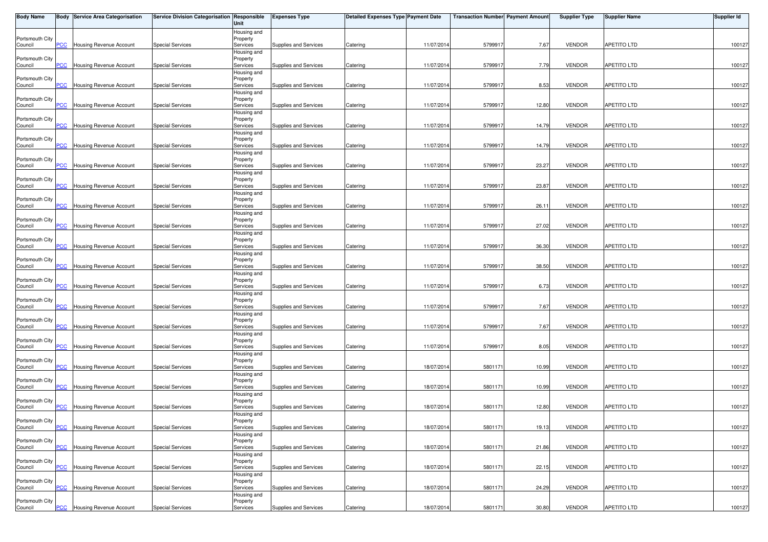| <b>Body Name</b>           |                           | <b>Body Service Area Categorisation</b> | Service Division Categorisation Responsible | Unit                    | <b>Expenses Type</b>  | Detailed Expenses Type Payment Date |            | <b>Transaction Number Payment Amount</b> |       | <b>Supplier Type</b> | <b>Supplier Name</b> | <b>Supplier Id</b> |
|----------------------------|---------------------------|-----------------------------------------|---------------------------------------------|-------------------------|-----------------------|-------------------------------------|------------|------------------------------------------|-------|----------------------|----------------------|--------------------|
|                            |                           |                                         |                                             | Housing and             |                       |                                     |            |                                          |       |                      |                      |                    |
| Portsmouth City<br>Council | PCC                       | Housing Revenue Account                 | <b>Special Services</b>                     | Property<br>Services    | Supplies and Services | Catering                            | 11/07/2014 | 579991                                   | 7.67  | <b>VENDOR</b>        | <b>APETITO LTD</b>   | 100127             |
|                            |                           |                                         |                                             | Housing and             |                       |                                     |            |                                          |       |                      |                      |                    |
| Portsmouth City            |                           |                                         |                                             | Property                |                       |                                     |            |                                          |       |                      |                      |                    |
| Council                    | <b>PCC</b>                | <b>Housing Revenue Account</b>          | <b>Special Services</b>                     | Services<br>Housing and | Supplies and Services | Catering                            | 11/07/2014 | 579991                                   | 7.79  | <b>VENDOR</b>        | <b>APETITO LTD</b>   | 100127             |
| Portsmouth City            |                           |                                         |                                             | Property                |                       |                                     |            |                                          |       |                      |                      |                    |
| Council                    | PCC                       | Housing Revenue Account                 | <b>Special Services</b>                     | Services                | Supplies and Services | Catering                            | 11/07/2014 | 5799917                                  | 8.53  | <b>VENDOR</b>        | <b>APETITO LTD</b>   | 100127             |
|                            |                           |                                         |                                             | Housing and             |                       |                                     |            |                                          |       |                      |                      |                    |
| Portsmouth City<br>Council | <b>PCC</b>                | Housing Revenue Account                 | <b>Special Services</b>                     | Property<br>Services    | Supplies and Services | Catering                            | 11/07/2014 | 579991                                   | 12.80 | <b>VENDOR</b>        | <b>APETITO LTD</b>   | 100127             |
|                            |                           |                                         |                                             | Housing and             |                       |                                     |            |                                          |       |                      |                      |                    |
| Portsmouth City            |                           |                                         |                                             | Property                |                       |                                     |            |                                          |       |                      |                      |                    |
| Council                    | <b>PCC</b>                | Housing Revenue Account                 | <b>Special Services</b>                     | Services<br>Housing and | Supplies and Services | Catering                            | 11/07/2014 | 579991                                   | 14.79 | <b>VENDOR</b>        | <b>APETITO LTD</b>   | 100127             |
| Portsmouth City            |                           |                                         |                                             | Property                |                       |                                     |            |                                          |       |                      |                      |                    |
| Council                    | PCC                       | Housing Revenue Account                 | <b>Special Services</b>                     | Services                | Supplies and Services | Catering                            | 11/07/2014 | 5799917                                  | 14.79 | <b>VENDOR</b>        | <b>APETITO LTD</b>   | 100127             |
| Portsmouth City            |                           |                                         |                                             | Housing and<br>Property |                       |                                     |            |                                          |       |                      |                      |                    |
| Council                    | <b>PCC</b>                | Housing Revenue Account                 | <b>Special Services</b>                     | Services                | Supplies and Services | Catering                            | 11/07/2014 | 579991                                   | 23.27 | <b>VENDOR</b>        | <b>APETITO LTD</b>   | 100127             |
|                            |                           |                                         |                                             | Housing and             |                       |                                     |            |                                          |       |                      |                      |                    |
| Portsmouth City            | <b>PCC</b>                |                                         | <b>Special Services</b>                     | Property                |                       |                                     | 11/07/2014 | 579991                                   | 23.87 | <b>VENDOR</b>        | <b>APETITO LTD</b>   |                    |
| Council                    |                           | Housing Revenue Account                 |                                             | Services<br>Housing and | Supplies and Services | Catering                            |            |                                          |       |                      |                      | 100127             |
| Portsmouth City            |                           |                                         |                                             | Property                |                       |                                     |            |                                          |       |                      |                      |                    |
| Council                    | PCC                       | Housing Revenue Account                 | <b>Special Services</b>                     | Services                | Supplies and Services | Catering                            | 11/07/2014 | 579991                                   | 26.11 | <b>VENDOR</b>        | <b>APETITO LTD</b>   | 100127             |
| Portsmouth City            |                           |                                         |                                             | Housing and<br>Property |                       |                                     |            |                                          |       |                      |                      |                    |
| Council                    | PCC                       | Housing Revenue Account                 | <b>Special Services</b>                     | Services                | Supplies and Services | Catering                            | 11/07/2014 | 579991                                   | 27.02 | <b>VENDOR</b>        | <b>APETITO LTD</b>   | 100127             |
|                            |                           |                                         |                                             | Housing and             |                       |                                     |            |                                          |       |                      |                      |                    |
| Portsmouth City            | PCC                       | Housing Revenue Account                 | <b>Special Services</b>                     | Property<br>Services    | Supplies and Services | Catering                            | 11/07/2014 | 579991                                   | 36.30 | <b>VENDOR</b>        | <b>APETITO LTD</b>   | 100127             |
| Council                    |                           |                                         |                                             | Housing and             |                       |                                     |            |                                          |       |                      |                      |                    |
| Portsmouth City            |                           |                                         |                                             | Property                |                       |                                     |            |                                          |       |                      |                      |                    |
| Council                    | PСC                       | Housing Revenue Account                 | Special Services                            | Services                | Supplies and Services | Catering                            | 11/07/2014 | 579991                                   | 38.50 | <b>VENDOR</b>        | <b>APETITO LTD</b>   | 100127             |
| Portsmouth City            |                           |                                         |                                             | Housing and<br>Property |                       |                                     |            |                                          |       |                      |                      |                    |
| Council                    | PCC                       | Housing Revenue Account                 | <b>Special Services</b>                     | Services                | Supplies and Services | Catering                            | 11/07/2014 | 579991                                   | 6.73  | <b>VENDOR</b>        | <b>APETITO LTD</b>   | 100127             |
|                            |                           |                                         |                                             | Housing and             |                       |                                     |            |                                          |       |                      |                      |                    |
| Portsmouth City            | <b>PCC</b>                |                                         |                                             | Property                |                       |                                     |            |                                          |       |                      | <b>APETITO LTD</b>   |                    |
| Council                    |                           | Housing Revenue Account                 | <b>Special Services</b>                     | Services<br>Housing and | Supplies and Services | Catering                            | 11/07/2014 | 579991                                   | 7.67  | <b>VENDOR</b>        |                      | 100127             |
| Portsmouth City            |                           |                                         |                                             | Property                |                       |                                     |            |                                          |       |                      |                      |                    |
| Council                    | PCC                       | Housing Revenue Account                 | <b>Special Services</b>                     | Services                | Supplies and Services | Catering                            | 11/07/2014 | 579991                                   | 7.67  | <b>VENDOR</b>        | <b>APETITO LTD</b>   | 100127             |
| Portsmouth City            |                           |                                         |                                             | Housing and<br>Property |                       |                                     |            |                                          |       |                      |                      |                    |
| Council                    | <b>PCC</b>                | Housing Revenue Account                 | <b>Special Services</b>                     | Services                | Supplies and Services | Catering                            | 11/07/2014 | 5799917                                  | 8.05  | <b>VENDOR</b>        | APETITO LTD          | 100127             |
|                            |                           |                                         |                                             | Housing and             |                       |                                     |            |                                          |       |                      |                      |                    |
| Portsmouth City            | $\overline{\mathsf{PCC}}$ | Housing Revenue Account                 | <b>Special Services</b>                     | Property<br>Services    | Supplies and Services | Catering                            | 18/07/2014 | 5801171                                  | 10.99 | <b>VENDOR</b>        | APETITO LTD          | 100127             |
| Council                    |                           |                                         |                                             | Housing and             |                       |                                     |            |                                          |       |                      |                      |                    |
| Portsmouth City            |                           |                                         |                                             | Property                |                       |                                     |            |                                          |       |                      |                      |                    |
| Council                    | <b>PCC</b>                | <b>Housing Revenue Account</b>          | <b>Special Services</b>                     | Services                | Supplies and Services | Catering                            | 18/07/2014 | 5801171                                  | 10.99 | <b>VENDOR</b>        | APETITO LTD          | 100127             |
| Portsmouth City            |                           |                                         |                                             | Housing and<br>Property |                       |                                     |            |                                          |       |                      |                      |                    |
| Council                    | PCC                       | <b>Housing Revenue Account</b>          | <b>Special Services</b>                     | Services                | Supplies and Services | Catering                            | 18/07/2014 | 5801171                                  | 12.80 | <b>VENDOR</b>        | APETITO LTD          | 100127             |
|                            |                           |                                         |                                             | Housing and             |                       |                                     |            |                                          |       |                      |                      |                    |
| Portsmouth City<br>Council |                           | <b>PCC</b> Housing Revenue Account      | <b>Special Services</b>                     | Property<br>Services    | Supplies and Services | Catering                            | 18/07/2014 | 5801171                                  | 19.13 | <b>VENDOR</b>        | <b>APETITO LTD</b>   | 100127             |
|                            |                           |                                         |                                             | Housing and             |                       |                                     |            |                                          |       |                      |                      |                    |
| Portsmouth City            |                           |                                         |                                             | Property                |                       |                                     |            |                                          |       |                      |                      |                    |
| Council                    | PCC                       | Housing Revenue Account                 | <b>Special Services</b>                     | Services                | Supplies and Services | Catering                            | 18/07/2014 | 580117                                   | 21.86 | <b>VENDOR</b>        | APETITO LTD          | 100127             |
| Portsmouth City            |                           |                                         |                                             | Housing and<br>Property |                       |                                     |            |                                          |       |                      |                      |                    |
| Council                    | PCC                       | Housing Revenue Account                 | <b>Special Services</b>                     | Services                | Supplies and Services | Catering                            | 18/07/2014 | 5801171                                  | 22.15 | <b>VENDOR</b>        | <b>APETITO LTD</b>   | 100127             |
|                            |                           |                                         |                                             | Housing and             |                       |                                     |            |                                          |       |                      |                      |                    |
| Portsmouth City            | PCC                       | Housing Revenue Account                 | <b>Special Services</b>                     | Property                | Supplies and Services |                                     | 18/07/2014 | 5801171                                  | 24.29 | <b>VENDOR</b>        | APETITO LTD          | 100127             |
| Council                    |                           |                                         |                                             | Services<br>Housing and |                       | Catering                            |            |                                          |       |                      |                      |                    |
| Portsmouth City            |                           |                                         |                                             | Property                |                       |                                     |            |                                          |       |                      |                      |                    |
| Council                    |                           | <b>PCC</b> Housing Revenue Account      | <b>Special Services</b>                     | Services                | Supplies and Services | Catering                            | 18/07/2014 | 5801171                                  | 30.80 | <b>VENDOR</b>        | <b>APETITO LTD</b>   | 100127             |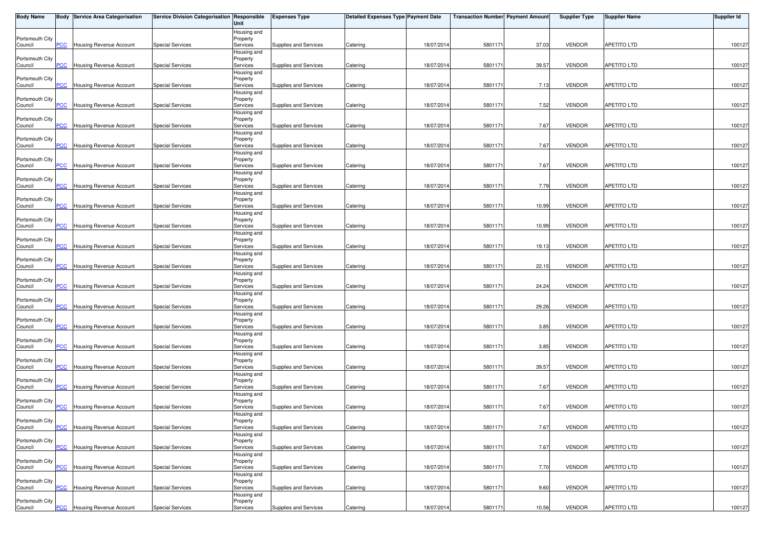| <b>Body Name</b>           |                | <b>Body Service Area Categorisation</b> | <b>Service Division Categorisation Responsible</b> | Unit                                | <b>Expenses Type</b>  | <b>Detailed Expenses Type Payment Date</b> |            | <b>Transaction Number Payment Amount</b> |       | <b>Supplier Type</b> | <b>Supplier Name</b> | <b>Supplier Id</b> |
|----------------------------|----------------|-----------------------------------------|----------------------------------------------------|-------------------------------------|-----------------------|--------------------------------------------|------------|------------------------------------------|-------|----------------------|----------------------|--------------------|
| Portsmouth City<br>Council | $\overline{C}$ | Housing Revenue Account                 | <b>Special Services</b>                            | Housing and<br>Property<br>Services | Supplies and Services | Catering                                   | 18/07/2014 | 5801171                                  | 37.03 | <b>VENDOR</b>        | <b>APETITO LTD</b>   | 100127             |
|                            |                |                                         |                                                    | Housing and                         |                       |                                            |            |                                          |       |                      |                      |                    |
| Portsmouth City<br>Council | <b>PCC</b>     | <b>Housing Revenue Account</b>          | <b>Special Services</b>                            | Property<br>Services                | Supplies and Services | Catering                                   | 18/07/201  | 5801171                                  | 39.57 | <b>VENDOR</b>        | <b>APETITO LTD</b>   | 100127             |
| Portsmouth City            |                |                                         |                                                    | Housing and<br>Property             |                       |                                            |            |                                          |       |                      |                      |                    |
| Council                    | <b>PCC</b>     | Housing Revenue Account                 | <b>Special Services</b>                            | Services<br>Housing and             | Supplies and Services | Catering                                   | 18/07/2014 | 5801171                                  | 7.13  | <b>VENDOR</b>        | <b>APETITO LTD</b>   | 100127             |
| Portsmouth City<br>Council | $\overline{C}$ | Housing Revenue Account                 | <b>Special Services</b>                            | Property<br>Services                | Supplies and Services | Catering                                   | 18/07/2014 | 5801171                                  | 7.52  | <b>VENDOR</b>        | APETITO LTD          | 100127             |
|                            |                |                                         |                                                    | Housing and                         |                       |                                            |            |                                          |       |                      |                      |                    |
| Portsmouth City<br>Council | <b>PCC</b>     | Housing Revenue Account                 | <b>Special Services</b>                            | Property<br>Services                | Supplies and Services | Catering                                   | 18/07/201  | 5801171                                  | 7.67  | <b>VENDOR</b>        | <b>APETITO LTD</b>   | 100127             |
| Portsmouth City            |                |                                         |                                                    | Housing and<br>Property             |                       |                                            |            |                                          |       |                      |                      |                    |
| Council                    | $\overline{C}$ | Housing Revenue Account                 | <b>Special Services</b>                            | Services                            | Supplies and Services | Catering                                   | 18/07/2014 | 5801171                                  | 7.67  | <b>VENDOR</b>        | <b>APETITO LTD</b>   | 100127             |
| Portsmouth City            |                |                                         |                                                    | Housing and<br>Property             |                       |                                            |            |                                          |       |                      |                      |                    |
| Council                    | <b>PCC</b>     | Housing Revenue Account                 | <b>Special Services</b>                            | Services                            | Supplies and Services | Catering                                   | 18/07/2014 | 5801171                                  | 7.67  | <b>VENDOR</b>        | <b>APETITO LTD</b>   | 100127             |
| Portsmouth City            |                |                                         |                                                    | Housing and<br>Property             |                       |                                            |            |                                          |       |                      |                      |                    |
| Council                    | <b>PCC</b>     | Housing Revenue Account                 | <b>Special Services</b>                            | Services                            | Supplies and Services | Catering                                   | 18/07/201  | 5801171                                  | 7.79  | <b>VENDOR</b>        | <b>APETITO LTD</b>   | 100127             |
| Portsmouth City            |                |                                         |                                                    | Housing and<br>Property             |                       |                                            |            |                                          |       |                      |                      |                    |
| Council                    | PСC            | Housing Revenue Account                 | <b>Special Services</b>                            | Services                            | Supplies and Services | Catering                                   | 18/07/2014 | 5801171                                  | 10.99 | <b>VENDOR</b>        | <b>APETITO LTD</b>   | 100127             |
| Portsmouth City            |                |                                         |                                                    | Housing and<br>Property             |                       |                                            |            |                                          |       |                      |                      |                    |
| Council                    | <b>PCC</b>     | Housing Revenue Account                 | <b>Special Services</b>                            | Services                            | Supplies and Services | Catering                                   | 18/07/2014 | 5801171                                  | 10.99 | <b>VENDOR</b>        | APETITO LTD          | 100127             |
| Portsmouth City            |                |                                         |                                                    | Housing and<br>Property             |                       |                                            |            |                                          |       |                      |                      |                    |
| Council                    | <b>PCC</b>     | <b>Housing Revenue Account</b>          | <b>Special Services</b>                            | Services                            | Supplies and Services | Catering                                   | 18/07/201  | 5801171                                  | 19.13 | <b>VENDOR</b>        | APETITO LTD          | 100127             |
| Portsmouth City            |                |                                         |                                                    | Housing and<br>Property             |                       |                                            |            |                                          |       |                      |                      |                    |
| Council                    | <b>PCC</b>     | Housing Revenue Account                 | <b>Special Services</b>                            | Services                            | Supplies and Services | Catering                                   | 18/07/2014 | 5801171                                  | 22.15 | <b>VENDOR</b>        | <b>APETITO LTD</b>   | 100127             |
| Portsmouth City            |                |                                         |                                                    | Housing and<br>Property             |                       |                                            |            |                                          |       |                      |                      |                    |
| Council                    | PCC            | Housing Revenue Account                 | <b>Special Services</b>                            | Services                            | Supplies and Services | Catering                                   | 18/07/2014 | 5801171                                  | 24.24 | <b>VENDOR</b>        | <b>APETITO LTD</b>   | 100127             |
| Portsmouth City            |                |                                         |                                                    | Housing and<br>Property             |                       |                                            |            |                                          |       |                      |                      |                    |
| Council                    | <b>PCC</b>     | Housing Revenue Account                 | <b>Special Services</b>                            | Services                            | Supplies and Services | Catering                                   | 18/07/2014 | 5801171                                  | 29.26 | <b>VENDOR</b>        | APETITO LTD          | 100127             |
| Portsmouth City            |                |                                         |                                                    | Housing and<br>Property             |                       |                                            |            |                                          |       |                      |                      |                    |
| Council                    | $\overline{C}$ | Housing Revenue Account                 | <b>Special Services</b>                            | Services                            | Supplies and Services | Catering                                   | 18/07/2014 | 5801171                                  | 3.85  | <b>VENDOR</b>        | APETITO LTD          | 100127             |
| Portsmouth City            |                |                                         |                                                    | Housing and<br>Property             |                       |                                            |            |                                          |       |                      |                      |                    |
| Council                    | <b>PCC</b>     | Housing Revenue Account                 | <b>Special Services</b>                            | Services                            | Supplies and Services | Catering                                   | 18/07/2014 | 5801171                                  | 3.85  | <b>VENDOR</b>        | APETITO LTD          | 100127             |
| Portsmouth City            |                |                                         |                                                    | Housing and<br>Property             |                       |                                            |            |                                          |       |                      |                      |                    |
| Council                    | <u>PCC</u>     | Housing Revenue Account                 | <b>Special Services</b>                            | Services                            | Supplies and Services | Catering                                   | 18/07/2014 | 5801171                                  | 39.57 | <b>VENDOR</b>        | APETITO LTD          | 100127             |
| Portsmouth City            |                |                                         |                                                    | Housing and<br>Property             |                       |                                            |            |                                          |       |                      |                      |                    |
| Council                    | $\overline{C}$ | Housing Revenue Account                 | <b>Special Services</b>                            | Services                            | Supplies and Services | Catering                                   | 18/07/201  | 5801171                                  | 7.67  | <b>VENDOR</b>        | APETITO LTD          | 100127             |
| Portsmouth City            |                |                                         |                                                    | Housing and<br>Property             |                       |                                            |            |                                          |       |                      |                      |                    |
| Council                    | PCC            | <b>Housing Revenue Account</b>          | <b>Special Services</b>                            | Services                            | Supplies and Services | Catering                                   | 18/07/2014 | 5801171                                  | 7.67  | <b>VENDOR</b>        | APETITO LTD          | 100127             |
| Portsmouth City            |                |                                         |                                                    | Housing and<br>Property             |                       |                                            |            |                                          |       |                      |                      |                    |
| Council                    | <b>PCC</b>     | <b>Housing Revenue Account</b>          | <b>Special Services</b>                            | Services                            | Supplies and Services | Catering                                   | 18/07/2014 | 5801171                                  | 7.67  | <b>VENDOR</b>        | APETITO LTD          | 100127             |
| Portsmouth City            |                |                                         |                                                    | Housing and<br>Property             |                       |                                            |            |                                          |       |                      |                      |                    |
| Council                    | PCC            | Housing Revenue Account                 | <b>Special Services</b>                            | Services                            | Supplies and Services | Catering                                   | 18/07/2014 | 5801171                                  | 7.67  | <b>VENDOR</b>        | <b>APETITO LTD</b>   | 100127             |
| Portsmouth City            |                |                                         |                                                    | Housing and<br>Property             |                       |                                            |            |                                          |       |                      |                      |                    |
| Council                    | <b>PCC</b>     | <b>Housing Revenue Account</b>          | <b>Special Services</b>                            | Services                            | Supplies and Services | Catering                                   | 18/07/2014 | 5801171                                  | 7.70  | <b>VENDOR</b>        | <b>APETITO LTD</b>   | 100127             |
| Portsmouth City            |                |                                         |                                                    | Housing and<br>Property             |                       |                                            |            |                                          |       |                      |                      |                    |
| Council                    | PCC            | Housing Revenue Account                 | <b>Special Services</b>                            | Services                            | Supplies and Services | Catering                                   | 18/07/2014 | 5801171                                  | 9.60  | <b>VENDOR</b>        | APETITO LTD          | 100127             |
| Portsmouth City            |                |                                         |                                                    | Housing and<br>Property             |                       |                                            |            |                                          |       |                      |                      |                    |
| Council                    | <b>PCC</b>     | Housing Revenue Account                 | <b>Special Services</b>                            | Services                            | Supplies and Services | Catering                                   | 18/07/2014 | 5801171                                  | 10.56 | <b>VENDOR</b>        | <b>APETITO LTD</b>   | 100127             |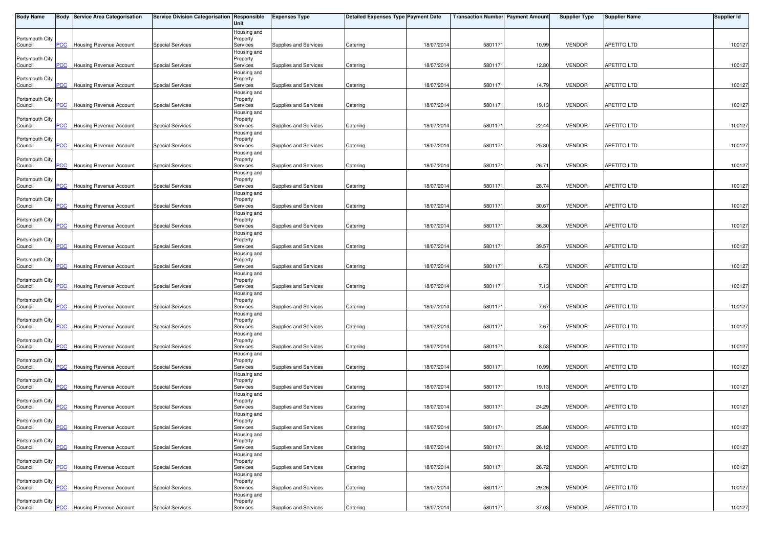| <b>Body Name</b>           |                           | <b>Body Service Area Categorisation</b> | Service Division Categorisation Responsible | Unit                    | <b>Expenses Type</b>  | Detailed Expenses Type Payment Date |            | <b>Transaction Number Payment Amount</b> |       | <b>Supplier Type</b> | <b>Supplier Name</b> | <b>Supplier Id</b> |
|----------------------------|---------------------------|-----------------------------------------|---------------------------------------------|-------------------------|-----------------------|-------------------------------------|------------|------------------------------------------|-------|----------------------|----------------------|--------------------|
|                            |                           |                                         |                                             | Housing and             |                       |                                     |            |                                          |       |                      |                      |                    |
| Portsmouth City<br>Council | PCC                       | Housing Revenue Account                 | <b>Special Services</b>                     | Property<br>Services    | Supplies and Services | Catering                            | 18/07/2014 | 5801171                                  | 10.99 | <b>VENDOR</b>        | <b>APETITO LTD</b>   | 100127             |
|                            |                           |                                         |                                             | Housing and             |                       |                                     |            |                                          |       |                      |                      |                    |
| Portsmouth City            |                           |                                         |                                             | Property                |                       |                                     |            |                                          |       |                      |                      |                    |
| Council                    | <b>PCC</b>                | <b>Housing Revenue Account</b>          | <b>Special Services</b>                     | Services                | Supplies and Services | Catering                            | 18/07/2014 | 5801171                                  | 12.80 | <b>VENDOR</b>        | <b>APETITO LTD</b>   | 100127             |
| Portsmouth City            |                           |                                         |                                             | Housing and<br>Property |                       |                                     |            |                                          |       |                      |                      |                    |
| Council                    | PCC                       | Housing Revenue Account                 | <b>Special Services</b>                     | Services                | Supplies and Services | Catering                            | 18/07/2014 | 5801171                                  | 14.79 | <b>VENDOR</b>        | <b>APETITO LTD</b>   | 100127             |
|                            |                           |                                         |                                             | Housing and             |                       |                                     |            |                                          |       |                      |                      |                    |
| Portsmouth City<br>Council | <b>PCC</b>                | Housing Revenue Account                 | <b>Special Services</b>                     | Property<br>Services    | Supplies and Services | Catering                            | 18/07/2014 | 5801171                                  | 19.13 | <b>VENDOR</b>        | <b>APETITO LTD</b>   | 100127             |
|                            |                           |                                         |                                             | Housing and             |                       |                                     |            |                                          |       |                      |                      |                    |
| Portsmouth City            |                           |                                         |                                             | Property                |                       |                                     |            |                                          |       |                      |                      |                    |
| Council                    | <b>PCC</b>                | Housing Revenue Account                 | <b>Special Services</b>                     | Services<br>Housing and | Supplies and Services | Catering                            | 18/07/2014 | 580117                                   | 22.44 | <b>VENDOR</b>        | <b>APETITO LTD</b>   | 100127             |
| Portsmouth City            |                           |                                         |                                             | Property                |                       |                                     |            |                                          |       |                      |                      |                    |
| Council                    | PCC                       | Housing Revenue Account                 | <b>Special Services</b>                     | Services                | Supplies and Services | Catering                            | 18/07/2014 | 5801171                                  | 25.80 | <b>VENDOR</b>        | <b>APETITO LTD</b>   | 100127             |
| Portsmouth City            |                           |                                         |                                             | Housing and<br>Property |                       |                                     |            |                                          |       |                      |                      |                    |
| Council                    | <b>PCC</b>                | Housing Revenue Account                 | <b>Special Services</b>                     | Services                | Supplies and Services | Catering                            | 18/07/2014 | 5801171                                  | 26.71 | <b>VENDOR</b>        | <b>APETITO LTD</b>   | 100127             |
|                            |                           |                                         |                                             | Housing and             |                       |                                     |            |                                          |       |                      |                      |                    |
| Portsmouth City            |                           |                                         |                                             | Property                |                       |                                     |            |                                          |       |                      |                      |                    |
| Council                    | <b>PCC</b>                | Housing Revenue Account                 | <b>Special Services</b>                     | Services<br>Housing and | Supplies and Services | Catering                            | 18/07/2014 | 580117                                   | 28.74 | <b>VENDOR</b>        | <b>APETITO LTD</b>   | 100127             |
| Portsmouth City            |                           |                                         |                                             | Property                |                       |                                     |            |                                          |       |                      |                      |                    |
| Council                    | PCC                       | Housing Revenue Account                 | <b>Special Services</b>                     | Services                | Supplies and Services | Catering                            | 18/07/2014 | 5801171                                  | 30.67 | <b>VENDOR</b>        | <b>APETITO LTD</b>   | 100127             |
| Portsmouth City            |                           |                                         |                                             | Housing and             |                       |                                     |            |                                          |       |                      |                      |                    |
| Council                    | PCC                       | Housing Revenue Account                 | <b>Special Services</b>                     | Property<br>Services    | Supplies and Services | Catering                            | 18/07/2014 | 5801171                                  | 36.30 | <b>VENDOR</b>        | APETITO LTD          | 100127             |
|                            |                           |                                         |                                             | Housing and             |                       |                                     |            |                                          |       |                      |                      |                    |
| Portsmouth City            |                           |                                         |                                             | Property                |                       |                                     |            |                                          |       |                      |                      |                    |
| Council                    | PCC                       | Housing Revenue Account                 | <b>Special Services</b>                     | Services<br>Housing and | Supplies and Services | Catering                            | 18/07/2014 | 580117                                   | 39.57 | <b>VENDOR</b>        | APETITO LTD          | 100127             |
| Portsmouth City            |                           |                                         |                                             | Property                |                       |                                     |            |                                          |       |                      |                      |                    |
| Council                    | PСC                       | Housing Revenue Account                 | Special Services                            | Services                | Supplies and Services | Catering                            | 18/07/2014 | 5801171                                  | 6.73  | <b>VENDOR</b>        | <b>APETITO LTD</b>   | 100127             |
|                            |                           |                                         |                                             | Housing and             |                       |                                     |            |                                          |       |                      |                      |                    |
| Portsmouth City<br>Council | PCC                       | Housing Revenue Account                 | <b>Special Services</b>                     | Property<br>Services    | Supplies and Services | Catering                            | 18/07/2014 | 5801171                                  | 7.13  | <b>VENDOR</b>        | <b>APETITO LTD</b>   | 100127             |
|                            |                           |                                         |                                             | Housing and             |                       |                                     |            |                                          |       |                      |                      |                    |
| Portsmouth City            |                           |                                         |                                             | Property                |                       |                                     |            |                                          |       |                      |                      |                    |
| Council                    | <b>PCC</b>                | Housing Revenue Account                 | <b>Special Services</b>                     | Services                | Supplies and Services | Catering                            | 18/07/2014 | 5801171                                  | 7.67  | <b>VENDOR</b>        | <b>APETITO LTD</b>   | 100127             |
| Portsmouth City            |                           |                                         |                                             | Housing and<br>Property |                       |                                     |            |                                          |       |                      |                      |                    |
| Council                    | PCC                       | Housing Revenue Account                 | <b>Special Services</b>                     | Services                | Supplies and Services | Catering                            | 18/07/2014 | 5801171                                  | 7.67  | <b>VENDOR</b>        | <b>APETITO LTD</b>   | 100127             |
|                            |                           |                                         |                                             | Housing and             |                       |                                     |            |                                          |       |                      |                      |                    |
| Portsmouth City<br>Council | <b>PCC</b>                | Housing Revenue Account                 | <b>Special Services</b>                     | Property<br>Services    | Supplies and Services | Catering                            | 18/07/2014 | 5801171                                  | 8.53  | <b>VENDOR</b>        | APETITO LTD          | 100127             |
|                            |                           |                                         |                                             | Housing and             |                       |                                     |            |                                          |       |                      |                      |                    |
| Portsmouth City            |                           |                                         |                                             | Property                |                       |                                     |            |                                          |       |                      |                      |                    |
| Council                    | $\overline{\mathsf{PCC}}$ | Housing Revenue Account                 | <b>Special Services</b>                     | Services                | Supplies and Services | Catering                            | 18/07/2014 | 5801171                                  | 10.99 | <b>VENDOR</b>        | APETITO LTD          | 100127             |
| Portsmouth City            |                           |                                         |                                             | Housing and<br>Property |                       |                                     |            |                                          |       |                      |                      |                    |
| Council                    | <b>PCC</b>                | <b>Housing Revenue Account</b>          | <b>Special Services</b>                     | Services                | Supplies and Services | Catering                            | 18/07/2014 | 5801171                                  | 19.13 | <b>VENDOR</b>        | APETITO LTD          | 100127             |
|                            |                           |                                         |                                             | Housing and             |                       |                                     |            |                                          |       |                      |                      |                    |
| Portsmouth City<br>Council | PCC                       | <b>Housing Revenue Account</b>          | <b>Special Services</b>                     | Property<br>Services    | Supplies and Services | Catering                            | 18/07/2014 | 5801171                                  | 24.29 | <b>VENDOR</b>        | APETITO LTD          | 100127             |
|                            |                           |                                         |                                             | Housing and             |                       |                                     |            |                                          |       |                      |                      |                    |
| Portsmouth City            |                           |                                         |                                             | Property                |                       |                                     |            |                                          |       |                      |                      |                    |
| Council                    |                           | <b>PCC</b> Housing Revenue Account      | <b>Special Services</b>                     | Services                | Supplies and Services | Catering                            | 18/07/2014 | 5801171                                  | 25.80 | <b>VENDOR</b>        | <b>APETITO LTD</b>   | 100127             |
| Portsmouth City            |                           |                                         |                                             | Housing and<br>Property |                       |                                     |            |                                          |       |                      |                      |                    |
| Council                    | PCC                       | Housing Revenue Account                 | <b>Special Services</b>                     | Services                | Supplies and Services | Catering                            | 18/07/2014 | 580117                                   | 26.12 | <b>VENDOR</b>        | APETITO LTD          | 100127             |
|                            |                           |                                         |                                             | Housing and             |                       |                                     |            |                                          |       |                      |                      |                    |
| Portsmouth City<br>Council | PCC                       | Housing Revenue Account                 | <b>Special Services</b>                     | Property<br>Services    | Supplies and Services | Catering                            | 18/07/2014 | 5801171                                  | 26.72 | <b>VENDOR</b>        | <b>APETITO LTD</b>   | 100127             |
|                            |                           |                                         |                                             | Housing and             |                       |                                     |            |                                          |       |                      |                      |                    |
| Portsmouth City            |                           |                                         |                                             | Property                |                       |                                     |            |                                          |       |                      |                      |                    |
| Council                    | PCC                       | Housing Revenue Account                 | <b>Special Services</b>                     | Services                | Supplies and Services | Catering                            | 18/07/2014 | 5801171                                  | 29.26 | <b>VENDOR</b>        | APETITO LTD          | 100127             |
| Portsmouth City            |                           |                                         |                                             | Housing and<br>Property |                       |                                     |            |                                          |       |                      |                      |                    |
| Council                    |                           | <b>PCC</b> Housing Revenue Account      | <b>Special Services</b>                     | Services                | Supplies and Services | Catering                            | 18/07/2014 | 5801171                                  | 37.03 | <b>VENDOR</b>        | <b>APETITO LTD</b>   | 100127             |
|                            |                           |                                         |                                             |                         |                       |                                     |            |                                          |       |                      |                      |                    |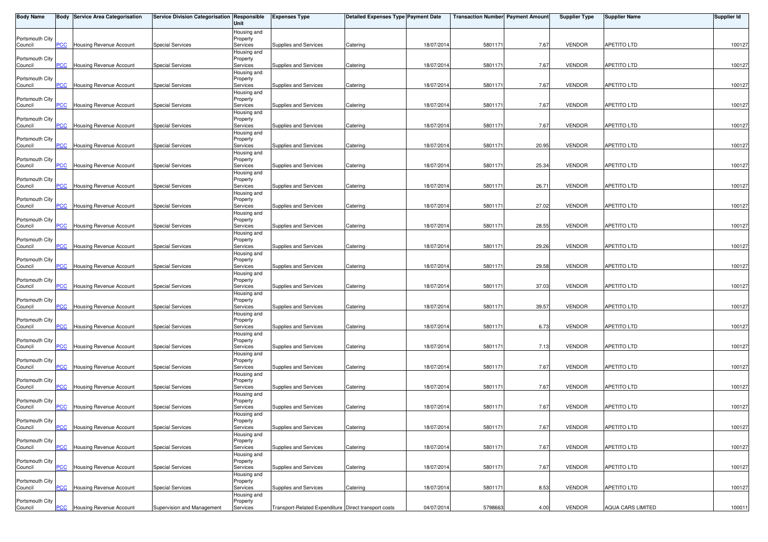| <b>Body Name</b>           |                           | <b>Body Service Area Categorisation</b> | Service Division Categorisation Responsible | Unit                    | <b>Expenses Type</b>                                 | Detailed Expenses Type Payment Date |            | <b>Transaction Number Payment Amount</b> |       | <b>Supplier Type</b> | <b>Supplier Name</b> | <b>Supplier Id</b> |
|----------------------------|---------------------------|-----------------------------------------|---------------------------------------------|-------------------------|------------------------------------------------------|-------------------------------------|------------|------------------------------------------|-------|----------------------|----------------------|--------------------|
|                            |                           |                                         |                                             | Housing and             |                                                      |                                     |            |                                          |       |                      |                      |                    |
| Portsmouth City<br>Council | PCC                       | Housing Revenue Account                 | <b>Special Services</b>                     | Property<br>Services    | Supplies and Services                                | Catering                            | 18/07/2014 | 5801171                                  | 7.67  | <b>VENDOR</b>        | <b>APETITO LTD</b>   | 100127             |
|                            |                           |                                         |                                             | Housing and             |                                                      |                                     |            |                                          |       |                      |                      |                    |
| Portsmouth City            |                           |                                         |                                             | Property                |                                                      |                                     |            |                                          |       |                      |                      |                    |
| Council                    | <b>PCC</b>                | <b>Housing Revenue Account</b>          | <b>Special Services</b>                     | Services                | Supplies and Services                                | Catering                            | 18/07/2014 | 580117                                   | 7.67  | <b>VENDOR</b>        | <b>APETITO LTD</b>   | 100127             |
| Portsmouth City            |                           |                                         |                                             | Housing and<br>Property |                                                      |                                     |            |                                          |       |                      |                      |                    |
| Council                    | PCC                       | Housing Revenue Account                 | <b>Special Services</b>                     | Services                | Supplies and Services                                | Catering                            | 18/07/2014 | 5801171                                  | 7.67  | <b>VENDOR</b>        | <b>APETITO LTD</b>   | 100127             |
|                            |                           |                                         |                                             | Housing and             |                                                      |                                     |            |                                          |       |                      |                      |                    |
| Portsmouth City<br>Council | <b>PCC</b>                | Housing Revenue Account                 | <b>Special Services</b>                     | Property<br>Services    | Supplies and Services                                | Catering                            | 18/07/2014 | 5801171                                  | 7.67  | <b>VENDOR</b>        | <b>APETITO LTD</b>   | 100127             |
|                            |                           |                                         |                                             | Housing and             |                                                      |                                     |            |                                          |       |                      |                      |                    |
| Portsmouth City            |                           |                                         |                                             | Property                |                                                      |                                     |            |                                          |       |                      |                      |                    |
| Council                    | <b>PCC</b>                | <b>Housing Revenue Account</b>          | <b>Special Services</b>                     | Services<br>Housing and | Supplies and Services                                | Catering                            | 18/07/2014 | 580117                                   | 7.67  | <b>VENDOR</b>        | <b>APETITO LTD</b>   | 100127             |
| Portsmouth City            |                           |                                         |                                             | Property                |                                                      |                                     |            |                                          |       |                      |                      |                    |
| Council                    | PCC                       | Housing Revenue Account                 | <b>Special Services</b>                     | Services                | Supplies and Services                                | Catering                            | 18/07/2014 | 5801171                                  | 20.95 | <b>VENDOR</b>        | <b>APETITO LTD</b>   | 100127             |
| Portsmouth City            |                           |                                         |                                             | Housing and<br>Property |                                                      |                                     |            |                                          |       |                      |                      |                    |
| Council                    | <b>PCC</b>                | Housing Revenue Account                 | <b>Special Services</b>                     | Services                | Supplies and Services                                | Catering                            | 18/07/2014 | 5801171                                  | 25.34 | <b>VENDOR</b>        | <b>APETITO LTD</b>   | 100127             |
|                            |                           |                                         |                                             | Housing and             |                                                      |                                     |            |                                          |       |                      |                      |                    |
| Portsmouth City            | <b>PCC</b>                |                                         | <b>Special Services</b>                     | Property                |                                                      |                                     | 18/07/2014 | 580117                                   | 26.71 | <b>VENDOR</b>        | <b>APETITO LTD</b>   |                    |
| Council                    |                           | Housing Revenue Account                 |                                             | Services<br>Housing and | Supplies and Services                                | Catering                            |            |                                          |       |                      |                      | 100127             |
| Portsmouth City            |                           |                                         |                                             | Property                |                                                      |                                     |            |                                          |       |                      |                      |                    |
| Council                    | PCC                       | Housing Revenue Account                 | <b>Special Services</b>                     | Services                | Supplies and Services                                | Catering                            | 18/07/2014 | 5801171                                  | 27.02 | <b>VENDOR</b>        | <b>APETITO LTD</b>   | 100127             |
| Portsmouth City            |                           |                                         |                                             | Housing and<br>Property |                                                      |                                     |            |                                          |       |                      |                      |                    |
| Council                    | PCC                       | Housing Revenue Account                 | <b>Special Services</b>                     | Services                | Supplies and Services                                | Catering                            | 18/07/2014 | 5801171                                  | 28.55 | <b>VENDOR</b>        | <b>APETITO LTD</b>   | 100127             |
|                            |                           |                                         |                                             | Housing and             |                                                      |                                     |            |                                          |       |                      |                      |                    |
| Portsmouth City            | PCC                       | Housing Revenue Account                 | <b>Special Services</b>                     | Property<br>Services    | Supplies and Services                                | Catering                            | 18/07/2014 | 580117                                   | 29.26 | <b>VENDOR</b>        | <b>APETITO LTD</b>   | 100127             |
| Council                    |                           |                                         |                                             | Housing and             |                                                      |                                     |            |                                          |       |                      |                      |                    |
| Portsmouth City            |                           |                                         |                                             | Property                |                                                      |                                     |            |                                          |       |                      |                      |                    |
| Council                    | PСC                       | Housing Revenue Account                 | Special Services                            | Services                | Supplies and Services                                | Catering                            | 18/07/2014 | 5801171                                  | 29.58 | <b>VENDOR</b>        | <b>APETITO LTD</b>   | 100127             |
| Portsmouth City            |                           |                                         |                                             | Housing and<br>Property |                                                      |                                     |            |                                          |       |                      |                      |                    |
| Council                    | PCC                       | Housing Revenue Account                 | <b>Special Services</b>                     | Services                | Supplies and Services                                | Catering                            | 18/07/2014 | 5801171                                  | 37.03 | <b>VENDOR</b>        | <b>APETITO LTD</b>   | 100127             |
|                            |                           |                                         |                                             | Housing and             |                                                      |                                     |            |                                          |       |                      |                      |                    |
| Portsmouth City            | <b>PCC</b>                | Housing Revenue Account                 | <b>Special Services</b>                     | Property                | Supplies and Services                                |                                     | 18/07/2014 | 5801171                                  | 39.57 | <b>VENDOR</b>        | <b>APETITO LTD</b>   | 100127             |
| Council                    |                           |                                         |                                             | Services<br>Housing and |                                                      | Catering                            |            |                                          |       |                      |                      |                    |
| Portsmouth City            |                           |                                         |                                             | Property                |                                                      |                                     |            |                                          |       |                      |                      |                    |
| Council                    | PCC                       | Housing Revenue Account                 | <b>Special Services</b>                     | Services                | Supplies and Services                                | Catering                            | 18/07/2014 | 5801171                                  | 6.73  | <b>VENDOR</b>        | <b>APETITO LTD</b>   | 100127             |
| Portsmouth City            |                           |                                         |                                             | Housing and<br>Property |                                                      |                                     |            |                                          |       |                      |                      |                    |
| Council                    | <b>PCC</b>                | Housing Revenue Account                 | <b>Special Services</b>                     | Services                | Supplies and Services                                | Catering                            | 18/07/2014 | 5801171                                  | 7.13  | <b>VENDOR</b>        | APETITO LTD          | 100127             |
|                            |                           |                                         |                                             | Housing and             |                                                      |                                     |            |                                          |       |                      |                      |                    |
| Portsmouth City<br>Council | $\overline{\mathsf{PCC}}$ | Housing Revenue Account                 | <b>Special Services</b>                     | Property<br>Services    | Supplies and Services                                | Catering                            | 18/07/2014 | 5801171                                  | 7.67  | <b>VENDOR</b>        | APETITO LTD          | 100127             |
|                            |                           |                                         |                                             | Housing and             |                                                      |                                     |            |                                          |       |                      |                      |                    |
| Portsmouth City            |                           |                                         |                                             | Property                |                                                      |                                     |            |                                          |       |                      |                      |                    |
| Council                    | <b>PCC</b>                | <b>Housing Revenue Account</b>          | <b>Special Services</b>                     | Services                | Supplies and Services                                | Catering                            | 18/07/2014 | 5801171                                  | 7.67  | <b>VENDOR</b>        | APETITO LTD          | 100127             |
| Portsmouth City            |                           |                                         |                                             | Housing and<br>Property |                                                      |                                     |            |                                          |       |                      |                      |                    |
| Council                    | PCC                       | <b>Housing Revenue Account</b>          | <b>Special Services</b>                     | Services                | Supplies and Services                                | Catering                            | 18/07/2014 | 5801171                                  | 7.67  | <b>VENDOR</b>        | APETITO LTD          | 100127             |
|                            |                           |                                         |                                             | Housing and             |                                                      |                                     |            |                                          |       |                      |                      |                    |
| Portsmouth City<br>Council |                           | <b>PCC</b> Housing Revenue Account      | <b>Special Services</b>                     | Property<br>Services    | Supplies and Services                                | Catering                            | 18/07/2014 | 5801171                                  | 7.67  | <b>VENDOR</b>        | <b>APETITO LTD</b>   | 100127             |
|                            |                           |                                         |                                             | Housing and             |                                                      |                                     |            |                                          |       |                      |                      |                    |
| Portsmouth City            |                           |                                         |                                             | Property                |                                                      |                                     |            |                                          |       |                      |                      |                    |
| Council                    | PCC                       | Housing Revenue Account                 | <b>Special Services</b>                     | Services                | Supplies and Services                                | Catering                            | 18/07/2014 | 580117                                   | 7.67  | <b>VENDOR</b>        | APETITO LTD          | 100127             |
| Portsmouth City            |                           |                                         |                                             | Housing and<br>Property |                                                      |                                     |            |                                          |       |                      |                      |                    |
| Council                    | PCC                       | Housing Revenue Account                 | <b>Special Services</b>                     | Services                | Supplies and Services                                | Catering                            | 18/07/2014 | 5801171                                  | 7.67  | <b>VENDOR</b>        | <b>APETITO LTD</b>   | 100127             |
|                            |                           |                                         |                                             | Housing and             |                                                      |                                     |            |                                          |       |                      |                      |                    |
| Portsmouth City<br>Council | PCC                       | Housing Revenue Account                 | <b>Special Services</b>                     | Property<br>Services    | Supplies and Services                                | Catering                            | 18/07/2014 | 5801171                                  | 8.53  | <b>VENDOR</b>        | APETITO LTD          | 100127             |
|                            |                           |                                         |                                             | Housing and             |                                                      |                                     |            |                                          |       |                      |                      |                    |
| Portsmouth City            |                           |                                         |                                             | Property                |                                                      |                                     |            |                                          |       |                      |                      |                    |
| Council                    |                           | <b>PCC</b> Housing Revenue Account      | Supervision and Management                  | Services                | Transport-Related Expenditure Direct transport costs |                                     | 04/07/2014 | 5798663                                  | 4.00  | <b>VENDOR</b>        | AQUA CARS LIMITED    | 100011             |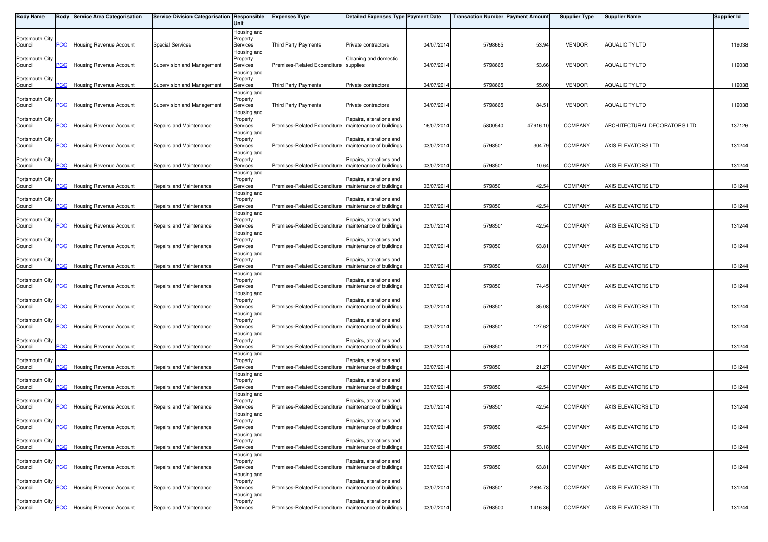| <b>Body Name</b>           |                | <b>Body Service Area Categorisation</b> | Service Division Categorisation Responsible | Unit                                | <b>Expenses Type</b>                                    | <b>Detailed Expenses Type Payment Date</b>           |            | <b>Transaction Number</b> Payment Amount |          | <b>Supplier Type</b> | <b>Supplier Name</b>         | <b>Supplier Id</b> |
|----------------------------|----------------|-----------------------------------------|---------------------------------------------|-------------------------------------|---------------------------------------------------------|------------------------------------------------------|------------|------------------------------------------|----------|----------------------|------------------------------|--------------------|
| Portsmouth City<br>Council | PCC            | Housing Revenue Account                 | <b>Special Services</b>                     | Housing and<br>Property<br>Services | Third Party Payments                                    | Private contractors                                  | 04/07/2014 | 5798665                                  | 53.94    | <b>VENDOR</b>        | <b>AQUALICITY LTD</b>        | 119038             |
|                            |                |                                         |                                             | Housing and                         |                                                         |                                                      |            |                                          |          |                      |                              |                    |
| Portsmouth City<br>Council | PCC            | <b>Housing Revenue Account</b>          | Supervision and Management                  | Property<br>Services                | Premises-Related Expenditure supplies                   | Cleaning and domestic                                | 04/07/2014 | 5798665                                  | 153.66   | <b>VENDOR</b>        | <b>AQUALICITY LTD</b>        | 119038             |
|                            |                |                                         |                                             | Housing and                         |                                                         |                                                      |            |                                          |          |                      |                              |                    |
| Portsmouth City<br>Council | PСC            | <b>Housing Revenue Account</b>          | Supervision and Management                  | Property<br>Services                | <b>Third Party Payments</b>                             | Private contractors                                  | 04/07/2014 | 5798665                                  | 55.00    | <b>VENDOR</b>        | <b>AQUALICITY LTD</b>        | 119038             |
|                            |                |                                         |                                             | Housing and                         |                                                         |                                                      |            |                                          |          |                      |                              |                    |
| Portsmouth City<br>Council | PСC            | <b>Housing Revenue Account</b>          | Supervision and Management                  | Property<br>Services                | Third Party Payments                                    | Private contractors                                  | 04/07/2014 | 579866                                   | 84.51    | <b>VENDOR</b>        | <b>AQUALICITY LTD</b>        | 119038             |
|                            |                |                                         |                                             | Housing and                         |                                                         |                                                      |            |                                          |          |                      |                              |                    |
| Portsmouth City            |                |                                         |                                             | Property                            |                                                         | Repairs, alterations and                             |            |                                          |          |                      |                              |                    |
| Council                    | <b>PCC</b>     | Housing Revenue Account                 | Repairs and Maintenance                     | Services<br>Housing and             | Premises-Related Expenditure                            | maintenance of buildings                             | 16/07/2014 | 5800540                                  | 47916.10 | <b>COMPANY</b>       | ARCHITECTURAL DECORATORS LTD | 137126             |
| Portsmouth City            |                |                                         |                                             | Property                            |                                                         | Repairs, alterations and                             |            |                                          |          |                      |                              |                    |
| Council                    | $\overline{C}$ | Housing Revenue Account                 | Repairs and Maintenance                     | Services                            | Premises-Related Expenditure                            | maintenance of buildings                             | 03/07/2014 | 579850                                   | 304.79   | <b>COMPANY</b>       | AXIS ELEVATORS LTD           | 131244             |
| Portsmouth City            |                |                                         |                                             | Housing and<br>Property             |                                                         | Repairs, alterations and                             |            |                                          |          |                      |                              |                    |
| Council                    | PСC            | Housing Revenue Account                 | Repairs and Maintenance                     | Services                            | Premises-Related Expenditure   maintenance of buildings |                                                      | 03/07/2014 | 579850                                   | 10.64    | <b>COMPANY</b>       | AXIS ELEVATORS LTD           | 131244             |
| Portsmouth City            |                |                                         |                                             | Housing and<br>Property             |                                                         | Repairs, alterations and                             |            |                                          |          |                      |                              |                    |
| Council                    | <b>PCC</b>     | Housing Revenue Account                 | Repairs and Maintenance                     | Services                            | Premises-Related Expenditure                            | maintenance of buildings                             | 03/07/2014 | 579850                                   | 42.54    | <b>COMPANY</b>       | AXIS ELEVATORS LTD           | 131244             |
|                            |                |                                         |                                             | Housing and                         |                                                         |                                                      |            |                                          |          |                      |                              |                    |
| Portsmouth City<br>Council | сC             | Housing Revenue Account                 | Repairs and Maintenance                     | Property<br>Services                | Premises-Related Expenditure                            | Repairs, alterations and<br>maintenance of buildings | 03/07/2014 | 579850                                   | 42.54    | <b>COMPANY</b>       | AXIS ELEVATORS LTD           | 131244             |
|                            |                |                                         |                                             | Housing and                         |                                                         |                                                      |            |                                          |          |                      |                              |                    |
| Portsmouth City<br>Council | PCC            | Housing Revenue Account                 | Repairs and Maintenance                     | Property<br>Services                | Premises-Related Expenditure   maintenance of buildings | Repairs, alterations and                             | 03/07/2014 | 579850                                   | 42.54    | <b>COMPANY</b>       | AXIS ELEVATORS LTD           | 131244             |
|                            |                |                                         |                                             | Housing and                         |                                                         |                                                      |            |                                          |          |                      |                              |                    |
| Portsmouth City            |                |                                         |                                             | Property                            |                                                         | Repairs, alterations and                             |            |                                          |          |                      |                              |                    |
| Council                    | PСC            | Housing Revenue Account                 | Repairs and Maintenance                     | Services<br>Housing and             | Premises-Related Expenditure                            | maintenance of buildings                             | 03/07/2014 | 579850                                   | 63.81    | <b>COMPANY</b>       | AXIS ELEVATORS LTD           | 131244             |
| Portsmouth City            |                |                                         |                                             | Property                            |                                                         | Repairs, alterations and                             |            |                                          |          |                      |                              |                    |
| Council                    | сC             | Housing Revenue Account                 | Repairs and Maintenance                     | Services                            | Premises-Related Expenditure                            | maintenance of buildings                             | 03/07/2014 | 579850                                   | 63.81    | <b>COMPANY</b>       | AXIS ELEVATORS LTD           | 131244             |
| Portsmouth City            |                |                                         |                                             | Housing and<br>Property             |                                                         | Repairs, alterations and                             |            |                                          |          |                      |                              |                    |
| Council                    | PCC            | Housing Revenue Account                 | Repairs and Maintenance                     | Services                            | Premises-Related Expenditure                            | maintenance of buildings                             | 03/07/2014 | 579850                                   | 74.45    | <b>COMPANY</b>       | AXIS ELEVATORS LTD           | 131244             |
| Portsmouth City            |                |                                         |                                             | Housing and<br>Property             |                                                         | Repairs, alterations and                             |            |                                          |          |                      |                              |                    |
| Council                    | <b>PCC</b>     | Housing Revenue Account                 | Repairs and Maintenance                     | Services                            | Premises-Related Expenditure   maintenance of buildings |                                                      | 03/07/2014 | 579850                                   | 85.08    | <b>COMPANY</b>       | AXIS ELEVATORS LTD           | 131244             |
|                            |                |                                         |                                             | Housing and                         |                                                         |                                                      |            |                                          |          |                      |                              |                    |
| Portsmouth City<br>Council | <u>PCC</u>     | Housing Revenue Account                 | Repairs and Maintenance                     | Property<br>Services                | Premises-Related Expenditure                            | Repairs, alterations and<br>maintenance of buildings | 03/07/2014 | 579850                                   | 127.62   | <b>COMPANY</b>       | AXIS ELEVATORS LTD           | 131244             |
|                            |                |                                         |                                             | Housing and                         |                                                         |                                                      |            |                                          |          |                      |                              |                    |
| Portsmouth City<br>Council | <b>PCC</b>     | Housing Revenue Account                 | Repairs and Maintenance                     | Property<br>Services                | Premises-Related Expenditure   maintenance of buildings | Repairs, alterations and                             | 03/07/2014 | 579850                                   | 21.27    | <b>COMPANY</b>       | AXIS ELEVATORS LTD           | 131244             |
|                            |                |                                         |                                             | Housing and                         |                                                         |                                                      |            |                                          |          |                      |                              |                    |
| Portsmouth City            |                |                                         |                                             | Property                            |                                                         | Repairs, alterations and                             |            |                                          |          |                      |                              |                    |
| Council                    | <u>PCC</u>     | Housing Revenue Account                 | Repairs and Maintenance                     | Services<br>Housing and             | Premises-Related Expenditure   maintenance of buildings |                                                      | 03/07/2014 | 579850                                   | 21.27    | <b>COMPANY</b>       | AXIS ELEVATORS LTD           | 131244             |
| Portsmouth City            |                |                                         |                                             | Property                            |                                                         | Repairs, alterations and                             |            |                                          |          |                      |                              |                    |
| Council                    | <u>PCC</u>     | <b>Housing Revenue Account</b>          | Repairs and Maintenance                     | Services                            | Premises-Related Expenditure                            | maintenance of buildings                             | 03/07/2014 | 579850                                   | 42.54    | <b>COMPANY</b>       | AXIS ELEVATORS LTD           | 131244             |
| Portsmouth City            |                |                                         |                                             | Housing and<br>Property             |                                                         | Repairs, alterations and                             |            |                                          |          |                      |                              |                    |
| Council                    | PСC            | Housing Revenue Account                 | Repairs and Maintenance                     | Services                            | Premises-Related Expenditure                            | maintenance of buildings                             | 03/07/2014 | 579850                                   | 42.54    | <b>COMPANY</b>       | AXIS ELEVATORS LTD           | 131244             |
| Portsmouth City            |                |                                         |                                             | Housing and<br>Property             |                                                         | Repairs, alterations and                             |            |                                          |          |                      |                              |                    |
| Council                    | <b>PCC</b>     | <b>Housing Revenue Account</b>          | Repairs and Maintenance                     | Services                            | Premises-Related Expenditure   maintenance of buildings |                                                      | 03/07/2014 | 5798501                                  | 42.54    | <b>COMPANY</b>       | AXIS ELEVATORS LTD           | 131244             |
|                            |                |                                         |                                             | Housing and                         |                                                         |                                                      |            |                                          |          |                      |                              |                    |
| Portsmouth City<br>Council | PСC            | Housing Revenue Account                 | Repairs and Maintenance                     | Property<br>Services                | Premises-Related Expenditure                            | Repairs, alterations and<br>maintenance of buildings | 03/07/2014 | 579850                                   | 53.18    | <b>COMPANY</b>       | AXIS ELEVATORS LTD           | 131244             |
|                            |                |                                         |                                             | Housing and                         |                                                         |                                                      |            |                                          |          |                      |                              |                    |
| Portsmouth City<br>Council | <b>PCC</b>     | Housing Revenue Account                 | Repairs and Maintenance                     | Property<br>Services                | Premises-Related Expenditure                            | Repairs, alterations and<br>maintenance of buildings | 03/07/2014 | 579850                                   | 63.81    | <b>COMPANY</b>       | AXIS ELEVATORS LTD           | 131244             |
|                            |                |                                         |                                             | Housing and                         |                                                         |                                                      |            |                                          |          |                      |                              |                    |
| Portsmouth City            |                |                                         |                                             | Property                            |                                                         | Repairs, alterations and                             |            |                                          |          |                      |                              |                    |
| Council                    | PCC            | <b>Housing Revenue Account</b>          | Repairs and Maintenance                     | Services<br>Housing and             | Premises-Related Expenditure maintenance of buildings   |                                                      | 03/07/2014 | 5798501                                  | 2894.73  | <b>COMPANY</b>       | AXIS ELEVATORS LTD           | 131244             |
| Portsmouth City            |                |                                         |                                             | Property                            |                                                         | Repairs, alterations and                             |            |                                          |          |                      |                              |                    |
| Council                    | $PCC$          | Housing Revenue Account                 | Repairs and Maintenance                     | Services                            | Premises-Related Expenditure   maintenance of buildings |                                                      | 03/07/2014 | 5798500                                  | 1416.36  | <b>COMPANY</b>       | AXIS ELEVATORS LTD           | 131244             |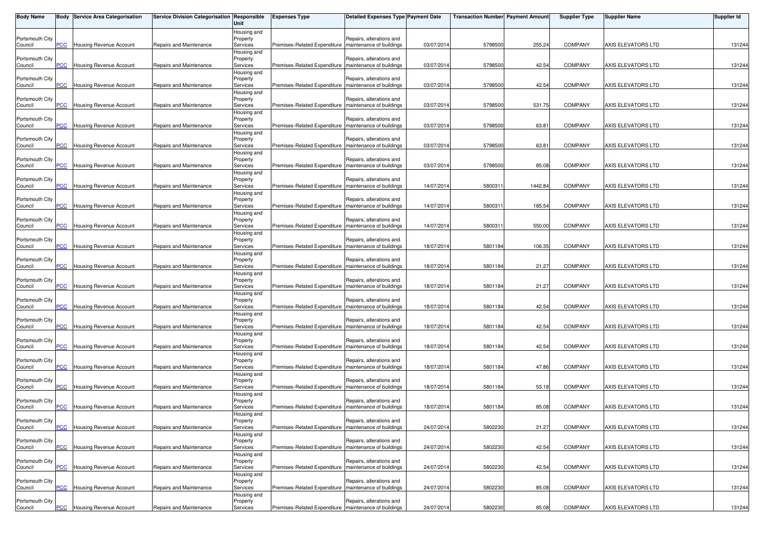| <b>Body Name</b>           |                | Body Service Area Categorisation | Service Division Categorisation Responsible | Unit                    | <b>Expenses Type</b>                                    | <b>Detailed Expenses Type Payment Date</b>           |            | <b>Transaction Number Payment Amount</b> |         | <b>Supplier Type</b> | <b>Supplier Name</b> | <b>Supplier Id</b> |
|----------------------------|----------------|----------------------------------|---------------------------------------------|-------------------------|---------------------------------------------------------|------------------------------------------------------|------------|------------------------------------------|---------|----------------------|----------------------|--------------------|
| Portsmouth City            |                |                                  |                                             | Housing and             |                                                         |                                                      |            |                                          |         |                      |                      |                    |
| Council                    | PCC            | <b>Housing Revenue Account</b>   | Repairs and Maintenance                     | Property<br>Services    | Premises-Related Expenditure   maintenance of buildings | Repairs, alterations and                             | 03/07/2014 | 5798500                                  | 255.24  | <b>COMPANY</b>       | AXIS ELEVATORS LTD   | 131244             |
|                            |                |                                  |                                             | Housing and             |                                                         |                                                      |            |                                          |         |                      |                      |                    |
| Portsmouth City<br>Council | PCC            | Housing Revenue Account          | Repairs and Maintenance                     | Property<br>Services    | Premises-Related Expenditure   maintenance of buildings | Repairs, alterations and                             | 03/07/2014 | 5798500                                  | 42.54   | <b>COMPANY</b>       | AXIS ELEVATORS LTD   | 131244             |
|                            |                |                                  |                                             | Housing and             |                                                         |                                                      |            |                                          |         |                      |                      |                    |
| Portsmouth City            |                |                                  |                                             | Property                |                                                         | Repairs, alterations and                             |            |                                          |         |                      |                      |                    |
| Council                    | PCC            | Housing Revenue Account          | Repairs and Maintenance                     | Services                | Premises-Related Expenditure                            | maintenance of buildings                             | 03/07/2014 | 5798500                                  | 42.54   | <b>COMPANY</b>       | AXIS ELEVATORS LTD   | 131244             |
| Portsmouth City            |                |                                  |                                             | Housing and<br>Property |                                                         | Repairs, alterations and                             |            |                                          |         |                      |                      |                    |
| Council                    | PCC            | Housing Revenue Account          | Repairs and Maintenance                     | Services                | Premises-Related Expenditure   maintenance of buildings |                                                      | 03/07/2014 | 5798500                                  | 531.75  | <b>COMPANY</b>       | AXIS ELEVATORS LTD   | 131244             |
|                            |                |                                  |                                             | Housing and             |                                                         | Repairs, alterations and                             |            |                                          |         |                      |                      |                    |
| Portsmouth City<br>Council | PCC            | Housing Revenue Account          | Repairs and Maintenance                     | Property<br>Services    | Premises-Related Expenditure                            | maintenance of buildings                             | 03/07/2014 | 5798500                                  | 63.81   | <b>COMPANY</b>       | AXIS ELEVATORS LTD   | 131244             |
|                            |                |                                  |                                             | Housing and             |                                                         |                                                      |            |                                          |         |                      |                      |                    |
| Portsmouth City            | $\overline{C}$ |                                  | Repairs and Maintenance                     | Property                | Premises-Related Expenditure                            | Repairs, alterations and                             | 03/07/2014 |                                          | 63.81   | <b>COMPANY</b>       | AXIS ELEVATORS LTD   | 131244             |
| Council                    |                | Housing Revenue Account          |                                             | Services<br>Housing and |                                                         | maintenance of buildings                             |            | 5798500                                  |         |                      |                      |                    |
| Portsmouth City            |                |                                  |                                             | Property                |                                                         | Repairs, alterations and                             |            |                                          |         |                      |                      |                    |
| Council                    | PCC            | Housing Revenue Account          | Repairs and Maintenance                     | Services                | Premises-Related Expenditure   maintenance of buildings |                                                      | 03/07/2014 | 5798500                                  | 85.08   | <b>COMPANY</b>       | AXIS ELEVATORS LTD   | 131244             |
| Portsmouth City            |                |                                  |                                             | Housing and<br>Property |                                                         | Repairs, alterations and                             |            |                                          |         |                      |                      |                    |
| Council                    | <b>PCC</b>     | <b>Housing Revenue Account</b>   | Repairs and Maintenance                     | Services                | Premises-Related Expenditure                            | maintenance of buildings                             | 14/07/2014 | 580031                                   | 1442.84 | COMPANY              | AXIS ELEVATORS LTD   | 131244             |
|                            |                |                                  |                                             | Housing and             |                                                         |                                                      |            |                                          |         |                      |                      |                    |
| Portsmouth City<br>Council | $\overline{C}$ | Housing Revenue Account          | Repairs and Maintenance                     | Property<br>Services    | Premises-Related Expenditure                            | Repairs, alterations and<br>maintenance of buildings | 14/07/2014 | 580031                                   | 185.54  | <b>COMPANY</b>       | AXIS ELEVATORS LTD   | 131244             |
|                            |                |                                  |                                             | Housing and             |                                                         |                                                      |            |                                          |         |                      |                      |                    |
| Portsmouth City            |                |                                  |                                             | Property                |                                                         | Repairs, alterations and                             |            |                                          |         |                      |                      |                    |
| Council                    | PCC            | Housing Revenue Account          | Repairs and Maintenance                     | Services<br>Housing and | Premises-Related Expenditure   maintenance of buildings |                                                      | 14/07/2014 | 580031                                   | 550.00  | <b>COMPANY</b>       | AXIS ELEVATORS LTD   | 131244             |
| Portsmouth City            |                |                                  |                                             | Property                |                                                         | Repairs, alterations and                             |            |                                          |         |                      |                      |                    |
| Council                    | PCC            | <b>Housing Revenue Account</b>   | Repairs and Maintenance                     | Services                | Premises-Related Expenditure                            | maintenance of buildings                             | 18/07/2014 | 5801184                                  | 106.35  | COMPANY              | AXIS ELEVATORS LTD   | 131244             |
| Portsmouth City            |                |                                  |                                             | Housing and<br>Property |                                                         | Repairs, alterations and                             |            |                                          |         |                      |                      |                    |
| Council                    | PСC            | <b>Housing Revenue Account</b>   | Repairs and Maintenance                     | Services                | Premises-Related Expenditure                            | maintenance of buildings                             | 18/07/2014 | 5801184                                  | 21.27   | <b>COMPANY</b>       | AXIS ELEVATORS LTD   | 131244             |
|                            |                |                                  |                                             | Housing and             |                                                         |                                                      |            |                                          |         |                      |                      |                    |
| Portsmouth City<br>Council | PCC            | Housing Revenue Account          | Repairs and Maintenance                     | Property<br>Services    | Premises-Related Expenditure                            | Repairs, alterations and<br>maintenance of buildings | 18/07/2014 | 5801184                                  | 21.27   | <b>COMPANY</b>       | AXIS ELEVATORS LTD   | 131244             |
|                            |                |                                  |                                             | Housing and             |                                                         |                                                      |            |                                          |         |                      |                      |                    |
| Portsmouth City            |                |                                  |                                             | Property                |                                                         | Repairs, alterations and                             |            |                                          |         |                      |                      |                    |
| Council                    | <b>PCC</b>     | Housing Revenue Account          | Repairs and Maintenance                     | Services                | Premises-Related Expenditure   maintenance of buildings |                                                      | 18/07/2014 | 5801184                                  | 42.54   | COMPANY              | AXIS ELEVATORS LTD   | 131244             |
| Portsmouth City            |                |                                  |                                             | Housing and<br>Property |                                                         | Repairs, alterations and                             |            |                                          |         |                      |                      |                    |
| Council                    | PCC            | Housing Revenue Account          | Repairs and Maintenance                     | Services                | Premises-Related Expenditure                            | maintenance of buildings                             | 18/07/2014 | 5801184                                  | 42.54   | <b>COMPANY</b>       | AXIS ELEVATORS LTD   | 131244             |
|                            |                |                                  |                                             | Housing and             |                                                         |                                                      |            |                                          |         |                      |                      |                    |
| Portsmouth City<br>Council | <u>PCC</u>     | Housing Revenue Account          | Repairs and Maintenance                     | Property<br>Services    | Premises-Related Expenditure   maintenance of buildings | Repairs, alterations and                             | 18/07/2014 | 5801184                                  | 42.54   | <b>COMPANY</b>       | AXIS ELEVATORS LTD   | 131244             |
|                            |                |                                  |                                             | Housing and             |                                                         |                                                      |            |                                          |         |                      |                      |                    |
| Portsmouth City            |                |                                  |                                             | Property                |                                                         | Repairs, alterations and                             |            |                                          |         |                      |                      |                    |
| Council                    | PCC            | Housing Revenue Account          | Repairs and Maintenance                     | Services<br>Housing and | Premises-Related Expenditure   maintenance of buildings |                                                      | 18/07/2014 | 5801184                                  | 47.86   | <b>COMPANY</b>       | AXIS ELEVATORS LTD   | 131244             |
| Portsmouth City            |                |                                  |                                             | Property                |                                                         | Repairs, alterations and                             |            |                                          |         |                      |                      |                    |
| Council                    | $\overline{C}$ | Housing Revenue Account          | Repairs and Maintenance                     | Services                | Premises-Related Expenditure                            | maintenance of buildings                             | 18/07/2014 | 5801184                                  | 53.18   | COMPANY              | AXIS ELEVATORS LTD   | 131244             |
| Portsmouth City            |                |                                  |                                             | Housing and<br>Property |                                                         | Repairs, alterations and                             |            |                                          |         |                      |                      |                    |
| Council                    | PCC            | Housing Revenue Account          | Repairs and Maintenance                     | Services                | Premises-Related Expenditure                            | maintenance of buildings                             | 18/07/2014 | 5801184                                  | 85.08   | <b>COMPANY</b>       | AXIS ELEVATORS LTD   | 131244             |
|                            |                |                                  |                                             | Housing and             |                                                         |                                                      |            |                                          |         |                      |                      |                    |
| Portsmouth City<br>Council | PCC            | <b>Housing Revenue Account</b>   | Repairs and Maintenance                     | Property<br>Services    | Premises-Related Expenditure   maintenance of buildings | Repairs, alterations and                             | 24/07/2014 | 5802230                                  | 21.27   | <b>COMPANY</b>       | AXIS ELEVATORS LTD   | 131244             |
|                            |                |                                  |                                             | Housing and             |                                                         |                                                      |            |                                          |         |                      |                      |                    |
| Portsmouth City            |                |                                  |                                             | Property                |                                                         | Repairs, alterations and                             |            |                                          |         |                      |                      |                    |
| Council                    | PCC            | Housing Revenue Account          | Repairs and Maintenance                     | Services<br>Housing and | Premises-Related Expenditure   maintenance of buildings |                                                      | 24/07/2014 | 580223                                   | 42.54   | COMPANY              | AXIS ELEVATORS LTD   | 131244             |
| Portsmouth City            |                |                                  |                                             | Property                |                                                         | Repairs, alterations and                             |            |                                          |         |                      |                      |                    |
| Council                    | PCC            | Housing Revenue Account          | Repairs and Maintenance                     | Services                | Premises-Related Expenditure                            | maintenance of buildings                             | 24/07/2014 | 5802230                                  | 42.54   | COMPANY              | AXIS ELEVATORS LTD   | 131244             |
| Portsmouth City            |                |                                  |                                             | Housing and             |                                                         | Repairs, alterations and                             |            |                                          |         |                      |                      |                    |
| Council                    | PCC            | <b>Housing Revenue Account</b>   | Repairs and Maintenance                     | Property<br>Services    | Premises-Related Expenditure   maintenance of buildings |                                                      | 24/07/2014 | 5802230                                  | 85.08   | COMPANY              | AXIS ELEVATORS LTD   | 131244             |
|                            |                |                                  |                                             | Housing and             |                                                         |                                                      |            |                                          |         |                      |                      |                    |
| Portsmouth City            |                |                                  |                                             | Property                |                                                         | Repairs, alterations and                             |            |                                          |         |                      |                      |                    |
| Council                    | <u>PCC</u>     | <b>Housing Revenue Account</b>   | Repairs and Maintenance                     | Services                | Premises-Related Expenditure   maintenance of buildings |                                                      | 24/07/2014 | 5802230                                  | 85.08   | COMPANY              | AXIS ELEVATORS LTD   | 131244             |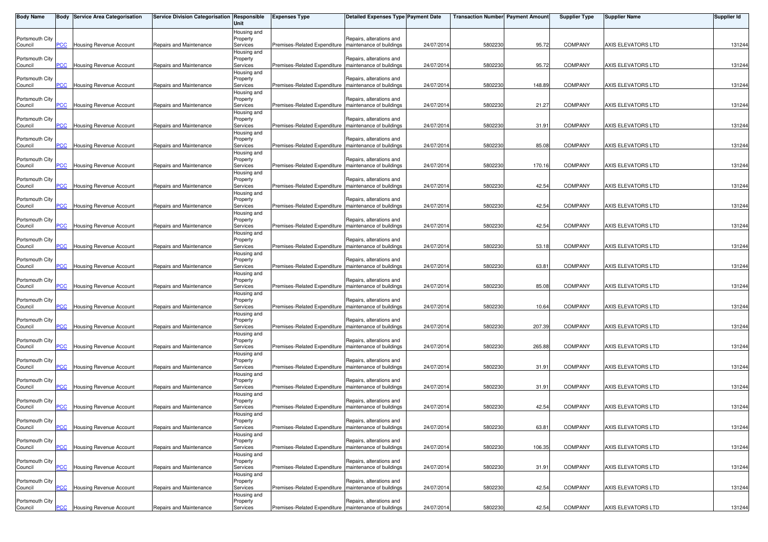| <b>Body Name</b>           |                | Body Service Area Categorisation | Service Division Categorisation Responsible | Unit                    | <b>Expenses Type</b>                                    | <b>Detailed Expenses Type Payment Date</b>           |            | <b>Transaction Number Payment Amount</b> |        | <b>Supplier Type</b> | <b>Supplier Name</b> | <b>Supplier Id</b> |
|----------------------------|----------------|----------------------------------|---------------------------------------------|-------------------------|---------------------------------------------------------|------------------------------------------------------|------------|------------------------------------------|--------|----------------------|----------------------|--------------------|
| Portsmouth City            |                |                                  |                                             | Housing and<br>Property |                                                         | Repairs, alterations and                             |            |                                          |        |                      |                      |                    |
| Council                    | PCC            | <b>Housing Revenue Account</b>   | Repairs and Maintenance                     | Services                | Premises-Related Expenditure   maintenance of buildings |                                                      | 24/07/2014 | 5802230                                  | 95.72  | <b>COMPANY</b>       | AXIS ELEVATORS LTD   | 131244             |
| Portsmouth City            |                |                                  |                                             | Housing and<br>Property |                                                         | Repairs, alterations and                             |            |                                          |        |                      |                      |                    |
| Council                    | <b>PCC</b>     | Housing Revenue Account          | Repairs and Maintenance                     | Services                | Premises-Related Expenditure   maintenance of buildings |                                                      | 24/07/2014 | 580223                                   | 95.72  | <b>COMPANY</b>       | AXIS ELEVATORS LTD   | 131244             |
| Portsmouth City            |                |                                  |                                             | Housing and             |                                                         | Repairs, alterations and                             |            |                                          |        |                      |                      |                    |
| Council                    | PCC            | Housing Revenue Account          | Repairs and Maintenance                     | Property<br>Services    | Premises-Related Expenditure                            | maintenance of buildings                             | 24/07/2014 | 580223                                   | 148.89 | <b>COMPANY</b>       | AXIS ELEVATORS LTD   | 131244             |
|                            |                |                                  |                                             | Housing and             |                                                         |                                                      |            |                                          |        |                      |                      |                    |
| Portsmouth City<br>Council | PCC            | Housing Revenue Account          | Repairs and Maintenance                     | Property<br>Services    | Premises-Related Expenditure   maintenance of buildings | Repairs, alterations and                             | 24/07/2014 | 580223                                   | 21.27  | <b>COMPANY</b>       | AXIS ELEVATORS LTD   | 131244             |
|                            |                |                                  |                                             | Housing and             |                                                         |                                                      |            |                                          |        |                      |                      |                    |
| Portsmouth City<br>Council | PCC            | Housing Revenue Account          | Repairs and Maintenance                     | Property<br>Services    | Premises-Related Expenditure                            | Repairs, alterations and<br>maintenance of buildings | 24/07/2014 | 580223                                   | 31.91  | <b>COMPANY</b>       | AXIS ELEVATORS LTD   | 131244             |
|                            |                |                                  |                                             | Housing and             |                                                         |                                                      |            |                                          |        |                      |                      |                    |
| Portsmouth City<br>Council | $\overline{C}$ | <b>Housing Revenue Account</b>   | Repairs and Maintenance                     | Property<br>Services    | Premises-Related Expenditure                            | Repairs, alterations and<br>maintenance of buildings | 24/07/2014 | 580223                                   | 85.08  | <b>COMPANY</b>       | AXIS ELEVATORS LTD   | 131244             |
|                            |                |                                  |                                             | Housing and             |                                                         |                                                      |            |                                          |        |                      |                      |                    |
| Portsmouth City<br>Council | PCC            | Housing Revenue Account          | Repairs and Maintenance                     | Property<br>Services    | Premises-Related Expenditure   maintenance of buildings | Repairs, alterations and                             | 24/07/2014 | 580223                                   | 170.16 | <b>COMPANY</b>       | AXIS ELEVATORS LTD   | 131244             |
|                            |                |                                  |                                             | Housing and             |                                                         |                                                      |            |                                          |        |                      |                      |                    |
| Portsmouth City            | <b>PCC</b>     |                                  |                                             | Property                |                                                         | Repairs, alterations and<br>maintenance of buildings | 24/07/2014 | 5802230                                  | 42.54  | COMPANY              | AXIS ELEVATORS LTD   |                    |
| Council                    |                | <b>Housing Revenue Account</b>   | Repairs and Maintenance                     | Services<br>Housing and | Premises-Related Expenditure                            |                                                      |            |                                          |        |                      |                      | 131244             |
| Portsmouth City            |                |                                  |                                             | Property                |                                                         | Repairs, alterations and                             |            |                                          |        |                      |                      |                    |
| Council                    | $\overline{C}$ | Housing Revenue Account          | Repairs and Maintenance                     | Services<br>Housing and | Premises-Related Expenditure                            | maintenance of buildings                             | 24/07/2014 | 5802230                                  | 42.54  | <b>COMPANY</b>       | AXIS ELEVATORS LTD   | 131244             |
| Portsmouth City            |                |                                  |                                             | Property                |                                                         | Repairs, alterations and                             |            |                                          |        |                      |                      |                    |
| Council                    | PCC            | Housing Revenue Account          | Repairs and Maintenance                     | Services<br>Housing and | Premises-Related Expenditure   maintenance of buildings |                                                      | 24/07/2014 | 580223                                   | 42.54  | <b>COMPANY</b>       | AXIS ELEVATORS LTD   | 131244             |
| Portsmouth City            |                |                                  |                                             | Property                |                                                         | Repairs, alterations and                             |            |                                          |        |                      |                      |                    |
| Council                    | PCC            | <b>Housing Revenue Account</b>   | Repairs and Maintenance                     | Services<br>Housing and | Premises-Related Expenditure                            | maintenance of buildings                             | 24/07/2014 | 580223                                   | 53.18  | COMPANY              | AXIS ELEVATORS LTD   | 131244             |
| Portsmouth City            |                |                                  |                                             | Property                |                                                         | Repairs, alterations and                             |            |                                          |        |                      |                      |                    |
| Council                    | PСC            | <b>Housing Revenue Account</b>   | Repairs and Maintenance                     | Services                | Premises-Related Expenditure                            | maintenance of buildings                             | 24/07/2014 | 5802230                                  | 63.81  | <b>COMPANY</b>       | AXIS ELEVATORS LTD   | 131244             |
| Portsmouth City            |                |                                  |                                             | Housing and<br>Property |                                                         | Repairs, alterations and                             |            |                                          |        |                      |                      |                    |
| Council                    | PCC            | Housing Revenue Account          | Repairs and Maintenance                     | Services                | Premises-Related Expenditure                            | maintenance of buildings                             | 24/07/2014 | 580223                                   | 85.08  | <b>COMPANY</b>       | AXIS ELEVATORS LTD   | 131244             |
| Portsmouth City            |                |                                  |                                             | Housing and<br>Property |                                                         | Repairs, alterations and                             |            |                                          |        |                      |                      |                    |
| Council                    | <b>PCC</b>     | Housing Revenue Account          | Repairs and Maintenance                     | Services                | Premises-Related Expenditure   maintenance of buildings |                                                      | 24/07/2014 | 580223                                   | 10.64  | COMPANY              | AXIS ELEVATORS LTD   | 131244             |
| Portsmouth City            |                |                                  |                                             | Housing and<br>Property |                                                         | Repairs, alterations and                             |            |                                          |        |                      |                      |                    |
| Council                    | PCC            | Housing Revenue Account          | Repairs and Maintenance                     | Services                | Premises-Related Expenditure                            | maintenance of buildings                             | 24/07/2014 | 5802230                                  | 207.39 | <b>COMPANY</b>       | AXIS ELEVATORS LTD   | 131244             |
| Portsmouth City            |                |                                  |                                             | Housing and<br>Property |                                                         | Repairs, alterations and                             |            |                                          |        |                      |                      |                    |
| Council                    | <u>PCC</u>     | Housing Revenue Account          | Repairs and Maintenance                     | Services                | Premises-Related Expenditure   maintenance of buildings |                                                      | 24/07/2014 | 5802230                                  | 265.88 | <b>COMPANY</b>       | AXIS ELEVATORS LTD   | 131244             |
| Portsmouth City            |                |                                  |                                             | Housing and             |                                                         |                                                      |            |                                          |        |                      |                      |                    |
| Council                    | PCC            | Housing Revenue Account          | Repairs and Maintenance                     | Property<br>Services    | Premises-Related Expenditure   maintenance of buildings | Repairs, alterations and                             | 24/07/2014 | 580223                                   | 31.91  | <b>COMPANY</b>       | AXIS ELEVATORS LTD   | 131244             |
|                            |                |                                  |                                             | Housing and             |                                                         |                                                      |            |                                          |        |                      |                      |                    |
| Portsmouth City<br>Council | $\overline{C}$ | Housing Revenue Account          | Repairs and Maintenance                     | Property<br>Services    | Premises-Related Expenditure                            | Repairs, alterations and<br>maintenance of buildings | 24/07/2014 | 5802230                                  | 31.91  | COMPANY              | AXIS ELEVATORS LTD   | 131244             |
|                            |                |                                  |                                             | Housing and             |                                                         |                                                      |            |                                          |        |                      |                      |                    |
| Portsmouth City<br>Council | PCC            | Housing Revenue Account          | Repairs and Maintenance                     | Property<br>Services    | Premises-Related Expenditure                            | Repairs, alterations and<br>maintenance of buildings | 24/07/2014 | 5802230                                  | 42.54  | <b>COMPANY</b>       | AXIS ELEVATORS LTD   | 131244             |
|                            |                |                                  |                                             | Housing and             |                                                         |                                                      |            |                                          |        |                      |                      |                    |
| Portsmouth City<br>Council | PCC            | <b>Housing Revenue Account</b>   | Repairs and Maintenance                     | Property<br>Services    | Premises-Related Expenditure   maintenance of buildings | Repairs, alterations and                             | 24/07/2014 | 5802230                                  | 63.81  | <b>COMPANY</b>       | AXIS ELEVATORS LTD   | 131244             |
|                            |                |                                  |                                             | Housing and             |                                                         |                                                      |            |                                          |        |                      |                      |                    |
| Portsmouth City<br>Council | PCC            | Housing Revenue Account          | Repairs and Maintenance                     | Property<br>Services    | Premises-Related Expenditure   maintenance of buildings | Repairs, alterations and                             | 24/07/2014 | 580223                                   | 106.35 | COMPANY              | AXIS ELEVATORS LTD   | 131244             |
|                            |                |                                  |                                             | Housing and             |                                                         |                                                      |            |                                          |        |                      |                      |                    |
| Portsmouth City            | PCC            | Housing Revenue Account          | Repairs and Maintenance                     | Property<br>Services    | Premises-Related Expenditure                            | Repairs, alterations and<br>maintenance of buildings | 24/07/2014 | 5802230                                  |        | COMPANY              | AXIS ELEVATORS LTD   |                    |
| Council                    |                |                                  |                                             | Housing and             |                                                         |                                                      |            |                                          | 31.91  |                      |                      | 131244             |
| Portsmouth City            |                |                                  |                                             | Property                |                                                         | Repairs, alterations and                             |            |                                          |        |                      |                      |                    |
| Council                    | PCC            | <b>Housing Revenue Account</b>   | Repairs and Maintenance                     | Services<br>Housing and | Premises-Related Expenditure   maintenance of buildings |                                                      | 24/07/2014 | 5802230                                  | 42.54  | COMPANY              | AXIS ELEVATORS LTD   | 131244             |
| Portsmouth City            |                |                                  |                                             | Property                |                                                         | Repairs, alterations and                             |            |                                          |        |                      |                      |                    |
| Council                    | <u>PCC</u>     | <b>Housing Revenue Account</b>   | Repairs and Maintenance                     | Services                | Premises-Related Expenditure   maintenance of buildings |                                                      | 24/07/2014 | 5802230                                  | 42.54  | COMPANY              | AXIS ELEVATORS LTD   | 131244             |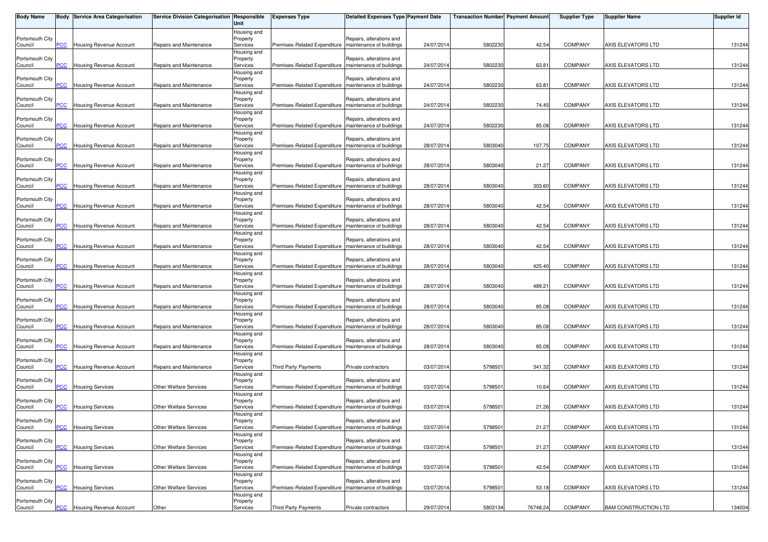| <b>Body Name</b>           |                | Body Service Area Categorisation | Service Division Categorisation Responsible | Unit                    | <b>Expenses Type</b>                                    | <b>Detailed Expenses Type Payment Date</b>           |            | <b>Transaction Number Payment Amount</b> |          | <b>Supplier Type</b> | <b>Supplier Name</b>        | <b>Supplier Id</b> |
|----------------------------|----------------|----------------------------------|---------------------------------------------|-------------------------|---------------------------------------------------------|------------------------------------------------------|------------|------------------------------------------|----------|----------------------|-----------------------------|--------------------|
|                            |                |                                  |                                             | Housing and             |                                                         |                                                      |            |                                          |          |                      |                             |                    |
| Portsmouth City<br>Council | PCC            | Housing Revenue Account          | Repairs and Maintenance                     | Property<br>Services    | Premises-Related Expenditure                            | Repairs, alterations and<br>maintenance of buildings | 24/07/2014 | 5802230                                  | 42.54    | <b>COMPANY</b>       | AXIS ELEVATORS LTD          | 131244             |
|                            |                |                                  |                                             | Housing and             |                                                         |                                                      |            |                                          |          |                      |                             |                    |
| Portsmouth City            |                |                                  |                                             | Property                |                                                         | Repairs, alterations and                             |            |                                          |          |                      |                             |                    |
| Council                    | PCC            | Housing Revenue Account          | Repairs and Maintenance                     | Services                | Premises-Related Expenditure   maintenance of buildings |                                                      | 24/07/2014 | 5802230                                  | 63.81    | <b>COMPANY</b>       | AXIS ELEVATORS LTD          | 131244             |
| Portsmouth City            |                |                                  |                                             | Housing and<br>Property |                                                         | Repairs, alterations and                             |            |                                          |          |                      |                             |                    |
| Council                    | <b>PCC</b>     | Housing Revenue Account          | Repairs and Maintenance                     | Services                | Premises-Related Expenditure                            | maintenance of buildings                             | 24/07/2014 | 5802230                                  | 63.81    | <b>COMPANY</b>       | AXIS ELEVATORS LTD          | 131244             |
|                            |                |                                  |                                             | Housing and             |                                                         |                                                      |            |                                          |          |                      |                             |                    |
| Portsmouth City<br>Council | PCC            | Housing Revenue Account          | Repairs and Maintenance                     | Property<br>Services    | Premises-Related Expenditure   maintenance of buildings | Repairs, alterations and                             | 24/07/2014 | 580223                                   | 74.45    | <b>COMPANY</b>       | AXIS ELEVATORS LTD          | 131244             |
|                            |                |                                  |                                             | Housing and             |                                                         |                                                      |            |                                          |          |                      |                             |                    |
| Portsmouth City            |                |                                  |                                             | Property                |                                                         | Repairs, alterations and                             |            |                                          |          |                      |                             |                    |
| Council                    | PCC            | Housing Revenue Account          | Repairs and Maintenance                     | Services<br>Housing and | Premises-Related Expenditure                            | maintenance of buildings                             | 24/07/2014 | 5802230                                  | 85.08    | COMPANY              | AXIS ELEVATORS LTD          | 131244             |
| Portsmouth City            |                |                                  |                                             | Property                |                                                         | Repairs, alterations and                             |            |                                          |          |                      |                             |                    |
| Council                    | $\overline{C}$ | Housing Revenue Account          | Repairs and Maintenance                     | Services                | Premises-Related Expenditure                            | maintenance of buildings                             | 28/07/2014 | 5803040                                  | 107.75   | <b>COMPANY</b>       | AXIS ELEVATORS LTD          | 131244             |
|                            |                |                                  |                                             | Housing and             |                                                         |                                                      |            |                                          |          |                      |                             |                    |
| Portsmouth City<br>Council | PCC            | <b>Housing Revenue Account</b>   | Repairs and Maintenance                     | Property<br>Services    | Premises-Related Expenditure                            | Repairs, alterations and<br>maintenance of buildings | 28/07/2014 | 5803040                                  | 21.27    | <b>COMPANY</b>       | AXIS ELEVATORS LTD          | 131244             |
|                            |                |                                  |                                             | Housing and             |                                                         |                                                      |            |                                          |          |                      |                             |                    |
| Portsmouth City            |                |                                  |                                             | Property                |                                                         | Repairs, alterations and                             |            |                                          |          |                      |                             |                    |
| Council                    | <b>PCC</b>     | Housing Revenue Account          | Repairs and Maintenance                     | Services<br>Housing and | Premises-Related Expenditure                            | maintenance of buildings                             | 28/07/2014 | 5803040                                  | 303.60   | <b>COMPANY</b>       | AXIS ELEVATORS LTD          | 131244             |
| Portsmouth City            |                |                                  |                                             | Property                |                                                         | Repairs, alterations and                             |            |                                          |          |                      |                             |                    |
| Council                    | PСC            | Housing Revenue Account          | Repairs and Maintenance                     | Services                | Premises-Related Expenditure                            | maintenance of buildings                             | 28/07/2014 | 5803040                                  | 42.54    | <b>COMPANY</b>       | AXIS ELEVATORS LTD          | 131244             |
| Portsmouth City            |                |                                  |                                             | Housing and<br>Property |                                                         | Repairs, alterations and                             |            |                                          |          |                      |                             |                    |
| Council                    | PCC            | Housing Revenue Account          | Repairs and Maintenance                     | Services                | Premises-Related Expenditure                            | maintenance of buildings                             | 28/07/2014 | 5803040                                  | 42.54    | <b>COMPANY</b>       | AXIS ELEVATORS LTD          | 131244             |
|                            |                |                                  |                                             | Housing and             |                                                         |                                                      |            |                                          |          |                      |                             |                    |
| Portsmouth City            | PCC            | <b>Housing Revenue Account</b>   | Repairs and Maintenance                     | Property<br>Services    | Premises-Related Expenditure                            | Repairs, alterations and<br>maintenance of buildings | 28/07/2014 | 5803040                                  | 42.54    | <b>COMPANY</b>       | AXIS ELEVATORS LTD          | 131244             |
| Council                    |                |                                  |                                             | Housing and             |                                                         |                                                      |            |                                          |          |                      |                             |                    |
| Portsmouth City            |                |                                  |                                             | Property                |                                                         | Repairs, alterations and                             |            |                                          |          |                      |                             |                    |
| Council                    | PСC            | Housing Revenue Account          | Repairs and Maintenance                     | Services                | Premises-Related Expenditure                            | maintenance of buildings                             | 28/07/2014 | 5803040                                  | 425.40   | <b>COMPANY</b>       | AXIS ELEVATORS LTD          | 131244             |
| Portsmouth City            |                |                                  |                                             | Housing and<br>Property |                                                         | Repairs, alterations and                             |            |                                          |          |                      |                             |                    |
| Council                    | PCC            | <b>Housing Revenue Account</b>   | Repairs and Maintenance                     | Services                | Premises-Related Expenditure                            | maintenance of buildings                             | 28/07/2014 | 5803040                                  | 489.21   | <b>COMPANY</b>       | AXIS ELEVATORS LTD          | 131244             |
|                            |                |                                  |                                             | Housing and             |                                                         |                                                      |            |                                          |          |                      |                             |                    |
| Portsmouth City<br>Council | PCC            | Housing Revenue Account          | Repairs and Maintenance                     | Property<br>Services    | Premises-Related Expenditure                            | Repairs, alterations and<br>maintenance of buildings | 28/07/2014 | 5803040                                  | 85.08    | <b>COMPANY</b>       | AXIS ELEVATORS LTD          | 131244             |
|                            |                |                                  |                                             | Housing and             |                                                         |                                                      |            |                                          |          |                      |                             |                    |
| Portsmouth City            |                |                                  |                                             | Property                |                                                         | Repairs, alterations and                             |            |                                          |          |                      |                             |                    |
| Council                    | PCC            | Housing Revenue Account          | Repairs and Maintenance                     | Services                | Premises-Related Expenditure                            | maintenance of buildings                             | 28/07/2014 | 5803040                                  | 85.08    | <b>COMPANY</b>       | AXIS ELEVATORS LTD          | 131244             |
| Portsmouth City            |                |                                  |                                             | Housing and<br>Property |                                                         | Repairs, alterations and                             |            |                                          |          |                      |                             |                    |
| Council                    | PCC            | Housing Revenue Account          | Repairs and Maintenance                     | Services                | Premises-Related Expenditure                            | maintenance of buildings                             | 28/07/2014 | 5803040                                  | 85.08    | <b>COMPANY</b>       | AXIS ELEVATORS LTD          | 131244             |
|                            |                |                                  |                                             | Housing and             |                                                         |                                                      |            |                                          |          |                      |                             |                    |
| Portsmouth City<br>Council | PCC            | Housing Revenue Account          | Repairs and Maintenance                     | Property<br>Services    | <b>Third Party Payments</b>                             | Private contractors                                  | 03/07/2014 | 579850                                   | 341.32   | <b>COMPANY</b>       | AXIS ELEVATORS LTD          | 131244             |
|                            |                |                                  |                                             | Housing and             |                                                         |                                                      |            |                                          |          |                      |                             |                    |
| Portsmouth City            |                |                                  |                                             | Property                |                                                         | Repairs, alterations and                             |            |                                          |          |                      |                             |                    |
| Council                    | <b>PCC</b>     | <b>Housing Services</b>          | <b>Other Welfare Services</b>               | Services<br>Housing and | Premises-Related Expenditure                            | maintenance of buildings                             | 03/07/2014 | 579850                                   | 10.64    | COMPANY              | AXIS ELEVATORS LTD          | 131244             |
| Portsmouth City            |                |                                  |                                             | Property                |                                                         | Repairs, alterations and                             |            |                                          |          |                      |                             |                    |
| Council                    | PCC            | <b>Housing Services</b>          | <b>Other Welfare Services</b>               | Services                | Premises-Related Expenditure                            | maintenance of buildings                             | 03/07/2014 | 5798501                                  | 21.26    | COMPANY              | AXIS ELEVATORS LTD          | 131244             |
| Portsmouth City            |                |                                  |                                             | Housing and<br>Property |                                                         | Repairs, alterations and                             |            |                                          |          |                      |                             |                    |
| Council                    |                | <b>PCC</b> Housing Services      | <b>Other Welfare Services</b>               | Services                | Premises-Related Expenditure   maintenance of buildings |                                                      | 03/07/2014 | 5798501                                  | 21.27    | <b>COMPANY</b>       | AXIS ELEVATORS LTD          | 131244             |
|                            |                |                                  |                                             | Housing and             |                                                         |                                                      |            |                                          |          |                      |                             |                    |
| Portsmouth City            | PCC            | <b>Housing Services</b>          | Other Welfare Services                      | Property<br>Services    | Premises-Related Expenditure                            | Repairs, alterations and<br>maintenance of buildings | 03/07/2014 | 579850                                   | 21.27    | COMPANY              | AXIS ELEVATORS LTD          | 131244             |
| Council                    |                |                                  |                                             | Housing and             |                                                         |                                                      |            |                                          |          |                      |                             |                    |
| Portsmouth City            |                |                                  |                                             | Property                |                                                         | Repairs, alterations and                             |            |                                          |          |                      |                             |                    |
| Council                    | PCC            | <b>Housing Services</b>          | Other Welfare Services                      | Services                | Premises-Related Expenditure                            | maintenance of buildings                             | 03/07/2014 | 579850                                   | 42.54    | COMPANY              | AXIS ELEVATORS LTD          | 131244             |
| Portsmouth City            |                |                                  |                                             | Housing and<br>Property |                                                         | Repairs, alterations and                             |            |                                          |          |                      |                             |                    |
| Council                    | PCC            | <b>Housing Services</b>          | Other Welfare Services                      | Services                | Premises-Related Expenditure   maintenance of buildings |                                                      | 03/07/2014 | 579850                                   | 53.18    | COMPANY              | AXIS ELEVATORS LTD          | 131244             |
|                            |                |                                  |                                             | Housing and             |                                                         |                                                      |            |                                          |          |                      |                             |                    |
| Portsmouth City<br>Council | $PCC$          | <b>Housing Revenue Account</b>   | Other                                       | Property<br>Services    | Third Party Payments                                    | Private contractors                                  | 29/07/2014 | 5803134                                  | 76748.24 | COMPANY              | <b>BAM CONSTRUCTION LTD</b> | 134004             |
|                            |                |                                  |                                             |                         |                                                         |                                                      |            |                                          |          |                      |                             |                    |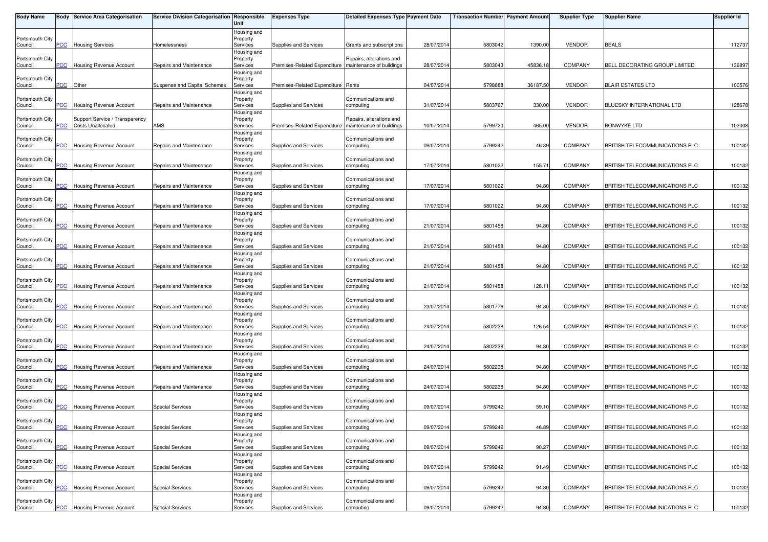| <b>Body Name</b>           |                | <b>Body Service Area Categorisation</b> | Service Division Categorisation Responsible | Unit                    | <b>Expenses Type</b>               | Detailed Expenses Type Payment Date                  |            | <b>Transaction Number</b> Payment Amount |          | <b>Supplier Type</b> | Supplier Name                         | <b>Supplier Id</b> |
|----------------------------|----------------|-----------------------------------------|---------------------------------------------|-------------------------|------------------------------------|------------------------------------------------------|------------|------------------------------------------|----------|----------------------|---------------------------------------|--------------------|
| Portsmouth City            |                |                                         |                                             | Housing and             |                                    |                                                      |            |                                          |          |                      |                                       |                    |
| Council                    | PCC            | <b>Housing Services</b>                 | Homelessness                                | Property<br>Services    | Supplies and Services              | Grants and subscriptions                             | 28/07/201  | 5803042                                  | 1390.00  | <b>VENDOR</b>        | <b>BEALS</b>                          | 112737             |
|                            |                |                                         |                                             | Housing and             |                                    |                                                      |            |                                          |          |                      |                                       |                    |
| Portsmouth City<br>Council | PCC            | <b>Housing Revenue Account</b>          | Repairs and Maintenance                     | Property<br>Services    | Premises-Related Expenditure       | Repairs, alterations and<br>maintenance of buildings | 28/07/201  | 5803043                                  | 45836.18 | <b>COMPANY</b>       | BELL DECORATING GROUP LIMITED         | 136897             |
|                            |                |                                         |                                             | Housing and             |                                    |                                                      |            |                                          |          |                      |                                       |                    |
| Portsmouth City            |                |                                         |                                             | Property                |                                    |                                                      |            |                                          |          |                      |                                       |                    |
| Council                    | PCC            | Other                                   | Suspense and Capital Schemes                | Services<br>Housing and | Premises-Related Expenditure Rents |                                                      | 04/07/2014 | 5798688                                  | 36187.50 | <b>VENDOR</b>        | <b>BLAIR ESTATES LTD</b>              | 100576             |
| Portsmouth City            |                |                                         |                                             | Property                |                                    | Communications and                                   |            |                                          |          |                      |                                       |                    |
| Council                    | PCC            | <b>Housing Revenue Account</b>          | Repairs and Maintenance                     | Services                | Supplies and Services              | computing                                            | 31/07/201  | 5803767                                  | 330.00   | <b>VENDOR</b>        | BLUESKY INTERNATIONAL LTD             | 128678             |
| Portsmouth City            |                | Support Service / Transparency          |                                             | Housing and<br>Property |                                    | Repairs, alterations and                             |            |                                          |          |                      |                                       |                    |
| Council                    | PCC            | <b>Costs Unallocated</b>                | AMS                                         | Services                | Premises-Related Expenditure       | maintenance of buildings                             | 10/07/201  | 5799720                                  | 465.00   | <b>VENDOR</b>        | <b>BONWYKE LTD</b>                    | 102008             |
|                            |                |                                         |                                             | Housing and             |                                    | Communications and                                   |            |                                          |          |                      |                                       |                    |
| Portsmouth City<br>Council | PCC            | <b>Housing Revenue Account</b>          | Repairs and Maintenance                     | Property<br>Services    | Supplies and Services              | computing                                            | 09/07/201  | 5799242                                  | 46.89    | <b>COMPANY</b>       | BRITISH TELECOMMUNICATIONS PLC        | 100132             |
|                            |                |                                         |                                             | Housing and             |                                    |                                                      |            |                                          |          |                      |                                       |                    |
| Portsmouth City<br>Council | PCC            | <b>Housing Revenue Account</b>          | Repairs and Maintenance                     | Property<br>Services    | Supplies and Services              | Communications and<br>computing                      | 17/07/2014 | 5801022                                  | 155.71   | <b>COMPANY</b>       | BRITISH TELECOMMUNICATIONS PLC        | 100132             |
|                            |                |                                         |                                             | Housing and             |                                    |                                                      |            |                                          |          |                      |                                       |                    |
| Portsmouth City            |                |                                         |                                             | Property                |                                    | Communications and                                   |            |                                          |          |                      |                                       |                    |
| Council                    | <b>PCC</b>     | <b>Housing Revenue Account</b>          | Repairs and Maintenance                     | Services                | Supplies and Services              | computing                                            | 17/07/201  | 5801022                                  | 94.80    | <b>COMPANY</b>       | BRITISH TELECOMMUNICATIONS PLC        | 100132             |
| Portsmouth City            |                |                                         |                                             | Housing and<br>Property |                                    | Communications and                                   |            |                                          |          |                      |                                       |                    |
| Council                    | $\overline{C}$ | <b>Housing Revenue Account</b>          | Repairs and Maintenance                     | Services                | Supplies and Services              | computing                                            | 17/07/201  | 5801022                                  | 94.80    | <b>COMPANY</b>       | BRITISH TELECOMMUNICATIONS PLC        | 100132             |
| Portsmouth City            |                |                                         |                                             | Housing and<br>Property |                                    | Communications and                                   |            |                                          |          |                      |                                       |                    |
| Council                    | PCC            | Housing Revenue Account                 | Repairs and Maintenance                     | Services                | Supplies and Services              | computing                                            | 21/07/201  | 5801458                                  | 94.80    | <b>COMPANY</b>       | BRITISH TELECOMMUNICATIONS PLC        | 100132             |
|                            |                |                                         |                                             | Housing and             |                                    |                                                      |            |                                          |          |                      |                                       |                    |
| Portsmouth City<br>Council | PCC            | <b>Housing Revenue Account</b>          | Repairs and Maintenance                     | Property<br>Services    | Supplies and Services              | Communications and<br>computing                      | 21/07/201  | 5801458                                  | 94.80    | <b>COMPANY</b>       | BRITISH TELECOMMUNICATIONS PLC        | 100132             |
|                            |                |                                         |                                             | Housing and             |                                    |                                                      |            |                                          |          |                      |                                       |                    |
| Portsmouth City            |                |                                         |                                             | Property                |                                    | Communications and                                   |            |                                          |          |                      |                                       |                    |
| Council                    | PСC            | <b>Housing Revenue Account</b>          | Repairs and Maintenance                     | Services<br>Housing and | Supplies and Services              | computing                                            | 21/07/201  | 5801458                                  | 94.80    | <b>COMPANY</b>       | BRITISH TELECOMMUNICATIONS PLC        | 100132             |
| Portsmouth City            |                |                                         |                                             | Property                |                                    | Communications and                                   |            |                                          |          |                      |                                       |                    |
| Council                    | PCC            | <b>Housing Revenue Account</b>          | Repairs and Maintenance                     | Services                | Supplies and Services              | computing                                            | 21/07/201  | 5801458                                  | 128.11   | <b>COMPANY</b>       | BRITISH TELECOMMUNICATIONS PLC        | 100132             |
| Portsmouth City            |                |                                         |                                             | Housing and<br>Property |                                    | Communications and                                   |            |                                          |          |                      |                                       |                    |
| Council                    | <b>PCC</b>     | <b>Housing Revenue Account</b>          | Repairs and Maintenance                     | Services                | Supplies and Services              | computing                                            | 23/07/201  | 5801776                                  | 94.80    | <b>COMPANY</b>       | BRITISH TELECOMMUNICATIONS PLC        | 100132             |
|                            |                |                                         |                                             | Housing and             |                                    |                                                      |            |                                          |          |                      |                                       |                    |
| Portsmouth City<br>Council | PCC            | Housing Revenue Account                 | Repairs and Maintenance                     | Property<br>Services    | Supplies and Services              | Communications and<br>computing                      | 24/07/201  | 5802238                                  | 126.54   | <b>COMPANY</b>       | BRITISH TELECOMMUNICATIONS PLC        | 100132             |
|                            |                |                                         |                                             | Housing and             |                                    |                                                      |            |                                          |          |                      |                                       |                    |
| Portsmouth City<br>Council | <u>PCC</u>     | Housing Revenue Account                 | Repairs and Maintenance                     | Property<br>Services    | Supplies and Services              | Communications and<br>computing                      | 24/07/201  | 5802238                                  | 94.80    | <b>COMPANY</b>       | BRITISH TELECOMMUNICATIONS PLC        | 100132             |
|                            |                |                                         |                                             | Housing and             |                                    |                                                      |            |                                          |          |                      |                                       |                    |
| Portsmouth City            |                |                                         |                                             | Property                |                                    | Communications and                                   |            |                                          |          |                      |                                       |                    |
| Council                    | PCC            | Housing Revenue Account                 | Repairs and Maintenance                     | Services<br>Housing and | Supplies and Services              | computing                                            | 24/07/201  | 580223                                   | 94.80    | <b>COMPANY</b>       | BRITISH TELECOMMUNICATIONS PLC        | 100132             |
| Portsmouth City            |                |                                         |                                             | Property                |                                    | Communications and                                   |            |                                          |          |                      |                                       |                    |
| Council                    | $\overline{C}$ | Housing Revenue Account                 | Repairs and Maintenance                     | Services                | Supplies and Services              | computing                                            | 24/07/201  | 5802238                                  | 94.80    | <b>COMPANY</b>       | BRITISH TELECOMMUNICATIONS PLC        | 100132             |
| Portsmouth City            |                |                                         |                                             | Housing and<br>Property |                                    | Communications and                                   |            |                                          |          |                      |                                       |                    |
| Council                    | PСC            | <b>Housing Revenue Account</b>          | <b>Special Services</b>                     | Services                | Supplies and Services              | computing                                            | 09/07/201  | 5799242                                  | 59.10    | <b>COMPANY</b>       | BRITISH TELECOMMUNICATIONS PLC        | 100132             |
|                            |                |                                         |                                             | Housing and             |                                    |                                                      |            |                                          |          |                      |                                       |                    |
| Portsmouth City<br>Council | <b>PCC</b>     | <b>Housing Revenue Account</b>          | <b>Special Services</b>                     | Property<br>Services    | Supplies and Services              | Communications and<br>computing                      | 09/07/2014 | 5799242                                  | 46.89    | <b>COMPANY</b>       | <b>BRITISH TELECOMMUNICATIONS PLC</b> | 100132             |
|                            |                |                                         |                                             | Housing and             |                                    |                                                      |            |                                          |          |                      |                                       |                    |
| Portsmouth City            | PCC            |                                         | <b>Special Services</b>                     | Property                |                                    | Communications and                                   | 09/07/201  | 5799242                                  | 90.27    | <b>COMPANY</b>       | BRITISH TELECOMMUNICATIONS PLC        | 100132             |
| Council                    |                | Housing Revenue Account                 |                                             | Services<br>Housing and | Supplies and Services              | computing                                            |            |                                          |          |                      |                                       |                    |
| Portsmouth City            |                |                                         |                                             | Property                |                                    | Communications and                                   |            |                                          |          |                      |                                       |                    |
| Council                    | PCC            | Housing Revenue Account                 | <b>Special Services</b>                     | Services<br>Housing and | Supplies and Services              | computing                                            | 09/07/2014 | 5799242                                  | 91.49    | <b>COMPANY</b>       | BRITISH TELECOMMUNICATIONS PLC        | 100132             |
| Portsmouth City            |                |                                         |                                             | Property                |                                    | Communications and                                   |            |                                          |          |                      |                                       |                    |
| Council                    | PCC            | <b>Housing Revenue Account</b>          | <b>Special Services</b>                     | Services                | Supplies and Services              | computing                                            | 09/07/2014 | 5799242                                  | 94.80    | <b>COMPANY</b>       | BRITISH TELECOMMUNICATIONS PLC        | 100132             |
| Portsmouth City            |                |                                         |                                             | Housing and<br>Property |                                    | Communications and                                   |            |                                          |          |                      |                                       |                    |
| Council                    | <u>PCC</u>     | Housing Revenue Account                 | <b>Special Services</b>                     | Services                | Supplies and Services              | computing                                            | 09/07/2014 | 5799242                                  | 94.80    | COMPANY              | BRITISH TELECOMMUNICATIONS PLC        | 100132             |
|                            |                |                                         |                                             |                         |                                    |                                                      |            |                                          |          |                      |                                       |                    |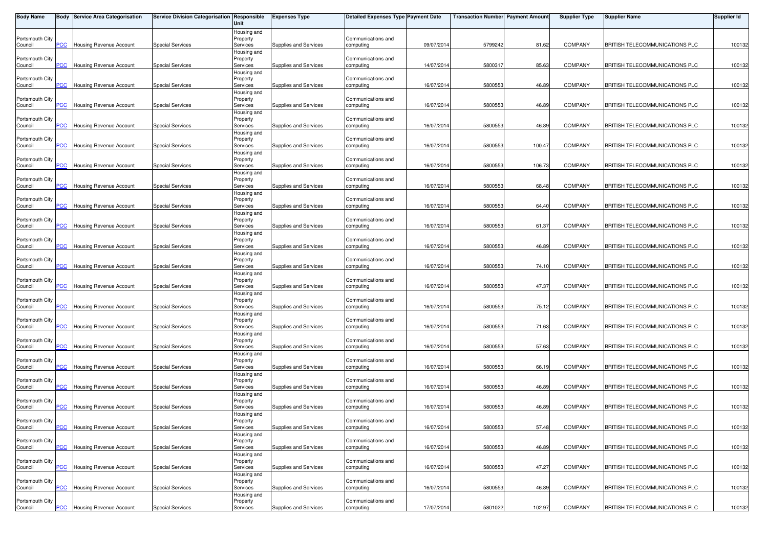| <b>Body Name</b>           |                         | <b>Body Service Area Categorisation</b> | Service Division Categorisation Responsible | Unit                    | <b>Expenses Type</b>  | Detailed Expenses Type Payment Date |            | <b>Transaction Number Payment Amount</b> |        | <b>Supplier Type</b> | Supplier Name                         | Supplier Id |
|----------------------------|-------------------------|-----------------------------------------|---------------------------------------------|-------------------------|-----------------------|-------------------------------------|------------|------------------------------------------|--------|----------------------|---------------------------------------|-------------|
|                            |                         |                                         |                                             | Housing and             |                       |                                     |            |                                          |        |                      |                                       |             |
| Portsmouth City<br>Council | PCC                     | <b>Housing Revenue Account</b>          | <b>Special Services</b>                     | Property<br>Services    | Supplies and Services | Communications and<br>computing     | 09/07/2014 | 5799242                                  | 81.62  | <b>COMPANY</b>       | <b>BRITISH TELECOMMUNICATIONS PLC</b> | 100132      |
|                            |                         |                                         |                                             | Housing and             |                       |                                     |            |                                          |        |                      |                                       |             |
| Portsmouth City            |                         |                                         |                                             | Property                |                       | Communications and                  |            |                                          |        |                      |                                       |             |
| Council                    | <b>PCC</b>              | <b>Housing Revenue Account</b>          | <b>Special Services</b>                     | Services                | Supplies and Services | computing                           | 14/07/201  | 580031                                   | 85.63  | <b>COMPANY</b>       | BRITISH TELECOMMUNICATIONS PLC        | 100132      |
| Portsmouth City            |                         |                                         |                                             | Housing and<br>Property |                       | Communications and                  |            |                                          |        |                      |                                       |             |
| Council                    | PСC                     | Housing Revenue Account                 | <b>Special Services</b>                     | Services                | Supplies and Services | computing                           | 16/07/201  | 5800553                                  | 46.89  | <b>COMPANY</b>       | BRITISH TELECOMMUNICATIONS PLC        | 100132      |
|                            |                         |                                         |                                             | Housing and             |                       |                                     |            |                                          |        |                      |                                       |             |
| Portsmouth City            |                         |                                         |                                             | Property                |                       | Communications and                  |            |                                          |        |                      |                                       |             |
| Council                    | PCC                     | Housing Revenue Account                 | <b>Special Services</b>                     | Services                | Supplies and Services | computing                           | 16/07/201  | 5800553                                  | 46.89  | <b>COMPANY</b>       | BRITISH TELECOMMUNICATIONS PLC        | 100132      |
| Portsmouth City            |                         |                                         |                                             | Housing and<br>Property |                       | Communications and                  |            |                                          |        |                      |                                       |             |
| Council                    | <u>PCC</u>              | <b>Housing Revenue Account</b>          | <b>Special Services</b>                     | Services                | Supplies and Services | computing                           | 16/07/201  | 5800553                                  | 46.89  | COMPANY              | BRITISH TELECOMMUNICATIONS PLC        | 100132      |
|                            |                         |                                         |                                             | Housing and             |                       |                                     |            |                                          |        |                      |                                       |             |
| Portsmouth City<br>Council | $\overline{C}$          | Housing Revenue Account                 | <b>Special Services</b>                     | Property<br>Services    | Supplies and Services | Communications and<br>computing     | 16/07/201  | 5800553                                  | 100.47 | <b>COMPANY</b>       | BRITISH TELECOMMUNICATIONS PLC        | 100132      |
|                            |                         |                                         |                                             | Housing and             |                       |                                     |            |                                          |        |                      |                                       |             |
| Portsmouth City            |                         |                                         |                                             | Property                |                       | Communications and                  |            |                                          |        |                      |                                       |             |
| Council                    | $\overline{C}$          | Housing Revenue Account                 | <b>Special Services</b>                     | Services                | Supplies and Services | computing                           | 16/07/201  | 5800553                                  | 106.73 | <b>COMPANY</b>       | BRITISH TELECOMMUNICATIONS PLC        | 100132      |
| Portsmouth City            |                         |                                         |                                             | Housing and             |                       | Communications and                  |            |                                          |        |                      |                                       |             |
| Council                    | <b>PCC</b>              | Housing Revenue Account                 | <b>Special Services</b>                     | Property<br>Services    | Supplies and Services | computing                           | 16/07/201  | 5800553                                  | 68.48  | <b>COMPANY</b>       | <b>BRITISH TELECOMMUNICATIONS PLC</b> | 100132      |
|                            |                         |                                         |                                             | Housing and             |                       |                                     |            |                                          |        |                      |                                       |             |
| Portsmouth City            |                         |                                         |                                             | Property                |                       | Communications and                  |            |                                          |        |                      |                                       |             |
| Council                    | PСC                     | <b>Housing Revenue Account</b>          | <b>Special Services</b>                     | Services                | Supplies and Services | computing                           | 16/07/201  | 5800553                                  | 64.40  | <b>COMPANY</b>       | BRITISH TELECOMMUNICATIONS PLC        | 100132      |
| Portsmouth City            |                         |                                         |                                             | Housing and<br>Property |                       | Communications and                  |            |                                          |        |                      |                                       |             |
| Council                    | PCC                     | Housing Revenue Account                 | <b>Special Services</b>                     | Services                | Supplies and Services | computing                           | 16/07/201  | 5800553                                  | 61.37  | <b>COMPANY</b>       | BRITISH TELECOMMUNICATIONS PLC        | 100132      |
|                            |                         |                                         |                                             | Housing and             |                       |                                     |            |                                          |        |                      |                                       |             |
| Portsmouth City            | PCC                     |                                         |                                             | Property                |                       | Communications and                  | 16/07/201  | 5800553                                  | 46.89  | COMPANY              | BRITISH TELECOMMUNICATIONS PLC        |             |
| Council                    |                         | <b>Housing Revenue Account</b>          | <b>Special Services</b>                     | Services<br>Housing and | Supplies and Services | computing                           |            |                                          |        |                      |                                       | 100132      |
| Portsmouth City            |                         |                                         |                                             | Property                |                       | Communications and                  |            |                                          |        |                      |                                       |             |
| Council                    | <b>PCC</b>              | <b>Housing Revenue Account</b>          | <b>Special Services</b>                     | Services                | Supplies and Services | computing                           | 16/07/201  | 5800553                                  | 74.10  | <b>COMPANY</b>       | BRITISH TELECOMMUNICATIONS PLC        | 100132      |
|                            |                         |                                         |                                             | Housing and             |                       |                                     |            |                                          |        |                      |                                       |             |
| Portsmouth City<br>Council | PCC                     | Housing Revenue Account                 | <b>Special Services</b>                     | Property<br>Services    | Supplies and Services | Communications and<br>computing     | 16/07/201  | 5800553                                  | 47.37  | <b>COMPANY</b>       | BRITISH TELECOMMUNICATIONS PLC        | 100132      |
|                            |                         |                                         |                                             | Housing and             |                       |                                     |            |                                          |        |                      |                                       |             |
| Portsmouth City            |                         |                                         |                                             | Property                |                       | Communications and                  |            |                                          |        |                      |                                       |             |
| Council                    | $\overline{C}$          | <b>Housing Revenue Account</b>          | <b>Special Services</b>                     | Services                | Supplies and Services | computing                           | 16/07/201  | 580055                                   | 75.12  | <b>COMPANY</b>       | BRITISH TELECOMMUNICATIONS PLC        | 100132      |
| Portsmouth City            |                         |                                         |                                             | Housing and<br>Property |                       | Communications and                  |            |                                          |        |                      |                                       |             |
| Council                    | $\overline{\text{PCC}}$ | <b>Housing Revenue Account</b>          | <b>Special Services</b>                     | Services                | Supplies and Services | computing                           | 16/07/201  | 5800553                                  | 71.63  | <b>COMPANY</b>       | BRITISH TELECOMMUNICATIONS PLC        | 100132      |
|                            |                         |                                         |                                             | Housing and             |                       |                                     |            |                                          |        |                      |                                       |             |
| Portsmouth City            |                         |                                         |                                             | Property                |                       | Communications and                  |            |                                          |        |                      |                                       |             |
| Council                    | <b>PCC</b>              | Housing Revenue Account                 | <b>Special Services</b>                     | Services<br>Housing and | Supplies and Services | computing                           | 16/07/2014 | 5800553                                  | 57.63  | <b>COMPANY</b>       | <b>BRITISH TELECOMMUNICATIONS PLC</b> | 100132      |
| Portsmouth City            |                         |                                         |                                             | Property                |                       | Communications and                  |            |                                          |        |                      |                                       |             |
| Council                    | PCC                     | <b>Housing Revenue Account</b>          | <b>Special Services</b>                     | Services                | Supplies and Services | computing                           | 16/07/201  | 5800553                                  | 66.19  | <b>COMPANY</b>       | BRITISH TELECOMMUNICATIONS PLC        | 100132      |
|                            |                         |                                         |                                             | Housing and             |                       |                                     |            |                                          |        |                      |                                       |             |
| Portsmouth City<br>Council | $\overline{PCC}$        | <b>Housing Revenue Account</b>          | <b>Special Services</b>                     | Property<br>Services    | Supplies and Services | Communications and<br>computing     | 16/07/201  | 5800553                                  | 46.89  | <b>COMPANY</b>       | BRITISH TELECOMMUNICATIONS PLC        | 100132      |
|                            |                         |                                         |                                             | Housing and             |                       |                                     |            |                                          |        |                      |                                       |             |
| Portsmouth City            |                         |                                         |                                             | Property                |                       | Communications and                  |            |                                          |        |                      |                                       |             |
| Council                    | PCC                     | <b>Housing Revenue Account</b>          | <b>Special Services</b>                     | Services                | Supplies and Services | computing                           | 16/07/201  | 5800553                                  | 46.89  | <b>COMPANY</b>       | <b>BRITISH TELECOMMUNICATIONS PLC</b> | 100132      |
| Portsmouth City            |                         |                                         |                                             | Housing and<br>Property |                       | Communications and                  |            |                                          |        |                      |                                       |             |
| Council                    | <b>PCC</b>              | <b>Housing Revenue Account</b>          | <b>Special Services</b>                     | Services                | Supplies and Services | computing                           | 16/07/2014 | 5800553                                  | 57.48  | <b>COMPANY</b>       | BRITISH TELECOMMUNICATIONS PLC        | 100132      |
|                            |                         |                                         |                                             | Housing and             |                       |                                     |            |                                          |        |                      |                                       |             |
| Portsmouth City            |                         |                                         |                                             | Property                |                       | Communications and                  |            |                                          |        |                      |                                       |             |
| Council                    | PCC                     | <b>Housing Revenue Account</b>          | <b>Special Services</b>                     | Services<br>Housing and | Supplies and Services | computing                           | 16/07/201  | 580055                                   | 46.89  | <b>COMPANY</b>       | BRITISH TELECOMMUNICATIONS PLC        | 100132      |
| Portsmouth City            |                         |                                         |                                             | Property                |                       | Communications and                  |            |                                          |        |                      |                                       |             |
| Council                    | PСC                     | Housing Revenue Account                 | <b>Special Services</b>                     | Services                | Supplies and Services | computing                           | 16/07/2014 | 5800553                                  | 47.27  | <b>COMPANY</b>       | <b>BRITISH TELECOMMUNICATIONS PLC</b> | 100132      |
|                            |                         |                                         |                                             | Housing and             |                       |                                     |            |                                          |        |                      |                                       |             |
| Portsmouth City<br>Council | PCC                     | <b>Housing Revenue Account</b>          | <b>Special Services</b>                     | Property<br>Services    | Supplies and Services | Communications and<br>computing     | 16/07/2014 | 5800553                                  | 46.89  | <b>COMPANY</b>       | BRITISH TELECOMMUNICATIONS PLC        | 100132      |
|                            |                         |                                         |                                             | Housing and             |                       |                                     |            |                                          |        |                      |                                       |             |
| Portsmouth City            |                         |                                         |                                             | Property                |                       | Communications and                  |            |                                          |        |                      |                                       |             |
| Council                    | <b>PCC</b>              | <b>Housing Revenue Account</b>          | <b>Special Services</b>                     | Services                | Supplies and Services | computing                           | 17/07/2014 | 5801022                                  | 102.97 | <b>COMPANY</b>       | <b>BRITISH TELECOMMUNICATIONS PLC</b> | 100132      |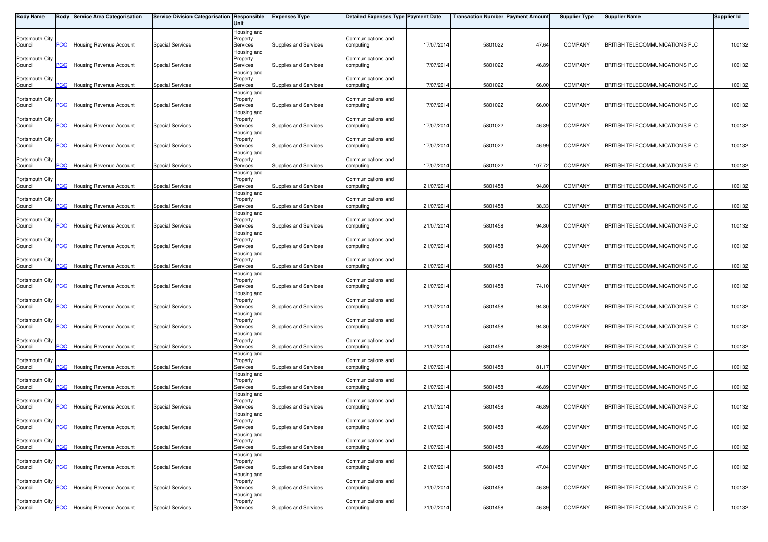| <b>Body Name</b>           |                | Body Service Area Categorisation | Service Division Categorisation Responsible | Unit                    | <b>Expenses Type</b>  | <b>Detailed Expenses Type Payment Date</b> |            | <b>Transaction Number Payment Amount</b> |        | <b>Supplier Type</b> | <b>Supplier Name</b>           | <b>Supplier Id</b> |
|----------------------------|----------------|----------------------------------|---------------------------------------------|-------------------------|-----------------------|--------------------------------------------|------------|------------------------------------------|--------|----------------------|--------------------------------|--------------------|
|                            |                |                                  |                                             | Housing and             |                       |                                            |            |                                          |        |                      |                                |                    |
| Portsmouth City<br>Council | PCC            | Housing Revenue Account          | <b>Special Services</b>                     | Property<br>Services    | Supplies and Services | Communications and<br>computing            | 17/07/2014 | 5801022                                  | 47.64  | <b>COMPANY</b>       | BRITISH TELECOMMUNICATIONS PLC | 100132             |
|                            |                |                                  |                                             | Housing and             |                       |                                            |            |                                          |        |                      |                                |                    |
| Portsmouth City            |                |                                  |                                             | Property                |                       | Communications and                         |            |                                          |        |                      |                                |                    |
| Council                    | PCC            | <b>Housing Revenue Account</b>   | <b>Special Services</b>                     | Services                | Supplies and Services | computing                                  | 17/07/201  | 5801022                                  | 46.89  | <b>COMPANY</b>       | BRITISH TELECOMMUNICATIONS PLC | 100132             |
| Portsmouth City            |                |                                  |                                             | Housing and<br>Property |                       | Communications and                         |            |                                          |        |                      |                                |                    |
| Council                    | PCC            | Housing Revenue Account          | <b>Special Services</b>                     | Services                | Supplies and Services | computing                                  | 17/07/2014 | 5801022                                  | 66.00  | <b>COMPANY</b>       | BRITISH TELECOMMUNICATIONS PLC | 100132             |
|                            |                |                                  |                                             | Housing and             |                       |                                            |            |                                          |        |                      |                                |                    |
| Portsmouth City<br>Council | PCC            | Housing Revenue Account          | <b>Special Services</b>                     | Property<br>Services    | Supplies and Services | Communications and<br>computing            | 17/07/201  | 5801022                                  | 66.00  | <b>COMPANY</b>       | BRITISH TELECOMMUNICATIONS PLC | 100132             |
|                            |                |                                  |                                             | Housing and             |                       |                                            |            |                                          |        |                      |                                |                    |
| Portsmouth City            |                |                                  |                                             | Property                |                       | Communications and                         |            |                                          |        |                      |                                |                    |
| Council                    | PCC            | <b>Housing Revenue Account</b>   | <b>Special Services</b>                     | Services                | Supplies and Services | computing                                  | 17/07/201  | 5801022                                  | 46.89  | <b>COMPANY</b>       | BRITISH TELECOMMUNICATIONS PLC | 100132             |
|                            |                |                                  |                                             | Housing and             |                       |                                            |            |                                          |        |                      |                                |                    |
| Portsmouth City<br>Council | $\overline{C}$ | <b>Housing Revenue Account</b>   | <b>Special Services</b>                     | Property<br>Services    | Supplies and Services | Communications and<br>computing            | 17/07/2014 | 5801022                                  | 46.99  | <b>COMPANY</b>       | BRITISH TELECOMMUNICATIONS PLC | 100132             |
|                            |                |                                  |                                             | Housing and             |                       |                                            |            |                                          |        |                      |                                |                    |
| Portsmouth City            |                |                                  |                                             | Property                |                       | Communications and                         |            |                                          |        |                      |                                |                    |
| Council                    | <b>PCC</b>     | <b>Housing Revenue Account</b>   | <b>Special Services</b>                     | Services                | Supplies and Services | computing                                  | 17/07/2014 | 5801022                                  | 107.72 | <b>COMPANY</b>       | BRITISH TELECOMMUNICATIONS PLC | 100132             |
| Portsmouth City            |                |                                  |                                             | Housing and<br>Property |                       | Communications and                         |            |                                          |        |                      |                                |                    |
| Council                    | <b>PCC</b>     | <b>Housing Revenue Account</b>   | <b>Special Services</b>                     | Services                | Supplies and Services | computing                                  | 21/07/201  | 5801458                                  | 94.80  | <b>COMPANY</b>       | BRITISH TELECOMMUNICATIONS PLC | 100132             |
|                            |                |                                  |                                             | Housing and             |                       |                                            |            |                                          |        |                      |                                |                    |
| Portsmouth City<br>Council | PСC            | <b>Housing Revenue Account</b>   | <b>Special Services</b>                     | Property<br>Services    | Supplies and Services | Communications and<br>computing            | 21/07/201  | 5801458                                  | 138.33 | <b>COMPANY</b>       | BRITISH TELECOMMUNICATIONS PLC | 100132             |
|                            |                |                                  |                                             | Housing and             |                       |                                            |            |                                          |        |                      |                                |                    |
| Portsmouth City            |                |                                  |                                             | Property                |                       | Communications and                         |            |                                          |        |                      |                                |                    |
| Council                    | PCC            | Housing Revenue Account          | <b>Special Services</b>                     | Services                | Supplies and Services | computing                                  | 21/07/201  | 5801458                                  | 94.80  | <b>COMPANY</b>       | BRITISH TELECOMMUNICATIONS PLC | 100132             |
| Portsmouth City            |                |                                  |                                             | Housing and             |                       | Communications and                         |            |                                          |        |                      |                                |                    |
| Council                    | PCC            | <b>Housing Revenue Account</b>   | <b>Special Services</b>                     | Property<br>Services    | Supplies and Services | computing                                  | 21/07/201  | 5801458                                  | 94.80  | <b>COMPANY</b>       | BRITISH TELECOMMUNICATIONS PLC | 100132             |
|                            |                |                                  |                                             | Housing and             |                       |                                            |            |                                          |        |                      |                                |                    |
| Portsmouth City            |                |                                  |                                             | Property                |                       | Communications and                         |            |                                          |        |                      |                                |                    |
| Council                    | PСC            | <b>Housing Revenue Account</b>   | <b>Special Services</b>                     | Services                | Supplies and Services | computing                                  | 21/07/201  | 5801458                                  | 94.80  | <b>COMPANY</b>       | BRITISH TELECOMMUNICATIONS PLC | 100132             |
| Portsmouth City            |                |                                  |                                             | Housing and<br>Property |                       | Communications and                         |            |                                          |        |                      |                                |                    |
| Council                    | PCC            | <b>Housing Revenue Account</b>   | <b>Special Services</b>                     | Services                | Supplies and Services | computing                                  | 21/07/2014 | 5801458                                  | 74.10  | <b>COMPANY</b>       | BRITISH TELECOMMUNICATIONS PLC | 100132             |
|                            |                |                                  |                                             | Housing and             |                       |                                            |            |                                          |        |                      |                                |                    |
| Portsmouth City            |                |                                  |                                             | Property                |                       | Communications and                         |            |                                          |        |                      |                                |                    |
| Council                    | PCC            | <b>Housing Revenue Account</b>   | <b>Special Services</b>                     | Services<br>Housing and | Supplies and Services | computing                                  | 21/07/201  | 5801458                                  | 94.80  | <b>COMPANY</b>       | BRITISH TELECOMMUNICATIONS PLC | 100132             |
| Portsmouth City            |                |                                  |                                             | Property                |                       | Communications and                         |            |                                          |        |                      |                                |                    |
| Council                    | PCC            | Housing Revenue Account          | <b>Special Services</b>                     | Services                | Supplies and Services | computing                                  | 21/07/201  | 5801458                                  | 94.80  | <b>COMPANY</b>       | BRITISH TELECOMMUNICATIONS PLC | 100132             |
|                            |                |                                  |                                             | Housing and             |                       |                                            |            |                                          |        |                      |                                |                    |
| Portsmouth City<br>Council | PCC            | Housing Revenue Account          | <b>Special Services</b>                     | Property<br>Services    | Supplies and Services | Communications and<br>computing            | 21/07/2014 | 5801458                                  | 89.89  | <b>COMPANY</b>       | BRITISH TELECOMMUNICATIONS PLC | 100132             |
|                            |                |                                  |                                             | Housing and             |                       |                                            |            |                                          |        |                      |                                |                    |
| Portsmouth City            |                |                                  |                                             | Property                |                       | Communications and                         |            |                                          |        |                      |                                |                    |
| Council                    | PCC            | <b>Housing Revenue Account</b>   | <b>Special Services</b>                     | Services                | Supplies and Services | computing                                  | 21/07/201  | 5801458                                  | 81.17  | <b>COMPANY</b>       | BRITISH TELECOMMUNICATIONS PLC | 100132             |
| Portsmouth City            |                |                                  |                                             | Housing and<br>Property |                       | Communications and                         |            |                                          |        |                      |                                |                    |
| Council                    | $\overline{C}$ | <b>Housing Revenue Account</b>   | <b>Special Services</b>                     | Services                | Supplies and Services | computing                                  | 21/07/201  | 5801458                                  | 46.89  | <b>COMPANY</b>       | BRITISH TELECOMMUNICATIONS PLC | 100132             |
|                            |                |                                  |                                             | Housing and             |                       |                                            |            |                                          |        |                      |                                |                    |
| Portsmouth City            | PCC            | <b>Housing Revenue Account</b>   |                                             | Property                |                       | Communications and                         |            |                                          | 46.89  | <b>COMPANY</b>       |                                |                    |
| Council                    |                |                                  | <b>Special Services</b>                     | Services<br>Housing and | Supplies and Services | computing                                  | 21/07/201  | 5801458                                  |        |                      | BRITISH TELECOMMUNICATIONS PLC | 100132             |
| Portsmouth City            |                |                                  |                                             | Property                |                       | Communications and                         |            |                                          |        |                      |                                |                    |
| Council                    | <b>PCC</b>     | <b>Housing Revenue Account</b>   | <b>Special Services</b>                     | Services                | Supplies and Services | computing                                  | 21/07/2014 | 5801458                                  | 46.89  | <b>COMPANY</b>       | BRITISH TELECOMMUNICATIONS PLC | 100132             |
|                            |                |                                  |                                             | Housing and             |                       |                                            |            |                                          |        |                      |                                |                    |
| Portsmouth City<br>Council | PCC            | Housing Revenue Account          | <b>Special Services</b>                     | Property<br>Services    | Supplies and Services | Communications and<br>computing            | 21/07/201  | 5801458                                  | 46.89  | <b>COMPANY</b>       | BRITISH TELECOMMUNICATIONS PLC | 100132             |
|                            |                |                                  |                                             | Housing and             |                       |                                            |            |                                          |        |                      |                                |                    |
| Portsmouth City            |                |                                  |                                             | Property                |                       | Communications and                         |            |                                          |        |                      |                                |                    |
| Council                    | PCC            | Housing Revenue Account          | <b>Special Services</b>                     | Services                | Supplies and Services | computing                                  | 21/07/2014 | 5801458                                  | 47.04  | <b>COMPANY</b>       | BRITISH TELECOMMUNICATIONS PLC | 100132             |
| Portsmouth City            |                |                                  |                                             | Housing and<br>Property |                       | Communications and                         |            |                                          |        |                      |                                |                    |
| Council                    | PCC            | Housing Revenue Account          | <b>Special Services</b>                     | Services                | Supplies and Services | computing                                  | 21/07/201  | 5801458                                  | 46.89  | COMPANY              | BRITISH TELECOMMUNICATIONS PLC | 100132             |
|                            |                |                                  |                                             | Housing and             |                       |                                            |            |                                          |        |                      |                                |                    |
| Portsmouth City            |                |                                  |                                             | Property                |                       | Communications and                         |            |                                          |        |                      |                                |                    |
| Council                    | <b>PCC</b>     | <b>Housing Revenue Account</b>   | <b>Special Services</b>                     | Services                | Supplies and Services | computing                                  | 21/07/2014 | 5801458                                  | 46.89  | COMPANY              | BRITISH TELECOMMUNICATIONS PLC | 100132             |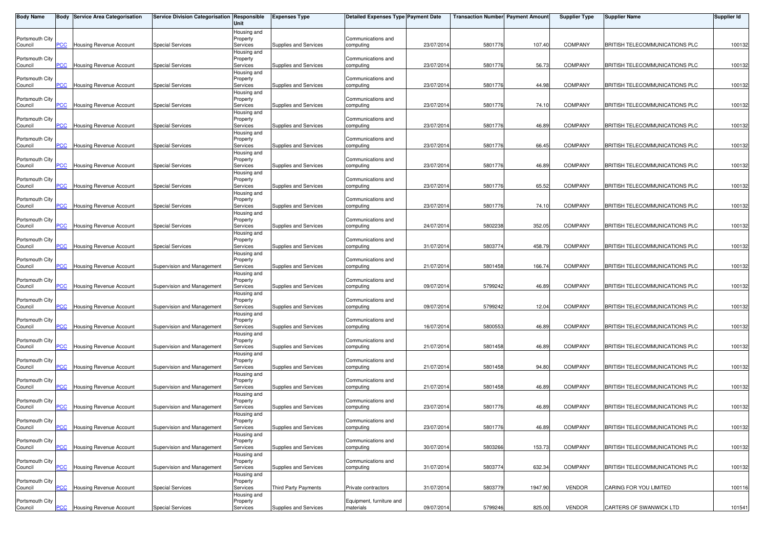| <b>Body Name</b>           |                | Body Service Area Categorisation | Service Division Categorisation Responsible | Unit                    | <b>Expenses Type</b>  | <b>Detailed Expenses Type Payment Date</b> |            | <b>Transaction Number Payment Amount</b> |         | <b>Supplier Type</b> | Supplier Name                  | <b>Supplier Id</b> |
|----------------------------|----------------|----------------------------------|---------------------------------------------|-------------------------|-----------------------|--------------------------------------------|------------|------------------------------------------|---------|----------------------|--------------------------------|--------------------|
|                            |                |                                  |                                             | Housing and             |                       |                                            |            |                                          |         |                      |                                |                    |
| Portsmouth City<br>Council | PCC            | Housing Revenue Account          | <b>Special Services</b>                     | Property<br>Services    | Supplies and Services | Communications and<br>computing            | 23/07/2014 | 5801776                                  | 107.40  | <b>COMPANY</b>       | BRITISH TELECOMMUNICATIONS PLC | 100132             |
|                            |                |                                  |                                             | Housing and             |                       |                                            |            |                                          |         |                      |                                |                    |
| Portsmouth City            | PCC            |                                  | <b>Special Services</b>                     | Property                |                       | Communications and                         | 23/07/201  | 5801776                                  | 56.73   | <b>COMPANY</b>       | BRITISH TELECOMMUNICATIONS PLC | 100132             |
| Council                    |                | <b>Housing Revenue Account</b>   |                                             | Services<br>Housing and | Supplies and Services | computing                                  |            |                                          |         |                      |                                |                    |
| Portsmouth City            |                |                                  |                                             | Property                |                       | Communications and                         |            |                                          |         |                      |                                |                    |
| Council                    | PCC            | Housing Revenue Account          | <b>Special Services</b>                     | Services                | Supplies and Services | computing                                  | 23/07/2014 | 5801776                                  | 44.98   | <b>COMPANY</b>       | BRITISH TELECOMMUNICATIONS PLC | 100132             |
| Portsmouth City            |                |                                  |                                             | Housing and<br>Property |                       | Communications and                         |            |                                          |         |                      |                                |                    |
| Council                    | PCC            | Housing Revenue Account          | <b>Special Services</b>                     | Services                | Supplies and Services | computing                                  | 23/07/201  | 5801776                                  | 74.10   | <b>COMPANY</b>       | BRITISH TELECOMMUNICATIONS PLC | 100132             |
|                            |                |                                  |                                             | Housing and             |                       |                                            |            |                                          |         |                      |                                |                    |
| Portsmouth City<br>Council | PCC            | <b>Housing Revenue Account</b>   | <b>Special Services</b>                     | Property<br>Services    | Supplies and Services | Communications and<br>computing            | 23/07/201  | 5801776                                  | 46.89   | <b>COMPANY</b>       | BRITISH TELECOMMUNICATIONS PLC | 100132             |
|                            |                |                                  |                                             | Housing and             |                       |                                            |            |                                          |         |                      |                                |                    |
| Portsmouth City            |                |                                  |                                             | Property                |                       | Communications and                         |            |                                          |         |                      |                                |                    |
| Council                    | $\overline{C}$ | <b>Housing Revenue Account</b>   | <b>Special Services</b>                     | Services<br>Housing and | Supplies and Services | computing                                  | 23/07/2014 | 5801776                                  | 66.45   | <b>COMPANY</b>       | BRITISH TELECOMMUNICATIONS PLC | 100132             |
| Portsmouth City            |                |                                  |                                             | Property                |                       | Communications and                         |            |                                          |         |                      |                                |                    |
| Council                    | PCC            | <b>Housing Revenue Account</b>   | <b>Special Services</b>                     | Services                | Supplies and Services | computing                                  | 23/07/201  | 5801776                                  | 46.89   | <b>COMPANY</b>       | BRITISH TELECOMMUNICATIONS PLC | 100132             |
| Portsmouth City            |                |                                  |                                             | Housing and             |                       | Communications and                         |            |                                          |         |                      |                                |                    |
| Council                    | <b>PCC</b>     | <b>Housing Revenue Account</b>   | <b>Special Services</b>                     | Property<br>Services    | Supplies and Services | computing                                  | 23/07/201  | 5801776                                  | 65.52   | <b>COMPANY</b>       | BRITISH TELECOMMUNICATIONS PLC | 100132             |
|                            |                |                                  |                                             | Housing and             |                       |                                            |            |                                          |         |                      |                                |                    |
| Portsmouth City            |                |                                  |                                             | Property                |                       | Communications and                         |            |                                          | 74.10   | <b>COMPANY</b>       |                                |                    |
| Council                    | PСC            | <b>Housing Revenue Account</b>   | <b>Special Services</b>                     | Services<br>Housing and | Supplies and Services | computing                                  | 23/07/201  | 5801776                                  |         |                      | BRITISH TELECOMMUNICATIONS PLC | 100132             |
| Portsmouth City            |                |                                  |                                             | Property                |                       | Communications and                         |            |                                          |         |                      |                                |                    |
| Council                    | PCC            | Housing Revenue Account          | <b>Special Services</b>                     | Services                | Supplies and Services | computing                                  | 24/07/201  | 5802238                                  | 352.05  | <b>COMPANY</b>       | BRITISH TELECOMMUNICATIONS PLC | 100132             |
| Portsmouth City            |                |                                  |                                             | Housing and<br>Property |                       | Communications and                         |            |                                          |         |                      |                                |                    |
| Council                    | PCC            | <b>Housing Revenue Account</b>   | <b>Special Services</b>                     | Services                | Supplies and Services | computing                                  | 31/07/201  | 580377                                   | 458.79  | <b>COMPANY</b>       | BRITISH TELECOMMUNICATIONS PLC | 100132             |
|                            |                |                                  |                                             | Housing and             |                       |                                            |            |                                          |         |                      |                                |                    |
| Portsmouth City<br>Council | PСC            | <b>Housing Revenue Account</b>   | Supervision and Management                  | Property<br>Services    | Supplies and Services | Communications and<br>computing            | 21/07/201  | 5801458                                  | 166.74  | <b>COMPANY</b>       | BRITISH TELECOMMUNICATIONS PLC | 100132             |
|                            |                |                                  |                                             | Housing and             |                       |                                            |            |                                          |         |                      |                                |                    |
| Portsmouth City            |                |                                  |                                             | Property                |                       | Communications and                         |            |                                          |         |                      |                                |                    |
| Council                    | PCC            | <b>Housing Revenue Account</b>   | Supervision and Management                  | Services                | Supplies and Services | computing                                  | 09/07/201  | 5799242                                  | 46.89   | <b>COMPANY</b>       | BRITISH TELECOMMUNICATIONS PLC | 100132             |
| Portsmouth City            |                |                                  |                                             | Housing and<br>Property |                       | Communications and                         |            |                                          |         |                      |                                |                    |
| Council                    | PCC            | <b>Housing Revenue Account</b>   | Supervision and Management                  | Services                | Supplies and Services | computing                                  | 09/07/201  | 5799242                                  | 12.04   | <b>COMPANY</b>       | BRITISH TELECOMMUNICATIONS PLC | 100132             |
|                            |                |                                  |                                             | Housing and             |                       |                                            |            |                                          |         |                      |                                |                    |
| Portsmouth City<br>Council | PCC            | Housing Revenue Account          | Supervision and Management                  | Property<br>Services    | Supplies and Services | Communications and<br>computing            | 16/07/201  | 5800553                                  | 46.89   | <b>COMPANY</b>       | BRITISH TELECOMMUNICATIONS PLC | 100132             |
|                            |                |                                  |                                             | Housing and             |                       |                                            |            |                                          |         |                      |                                |                    |
| Portsmouth City            |                |                                  |                                             | Property                |                       | Communications and                         |            |                                          |         |                      |                                |                    |
| Council                    | PCC            | Housing Revenue Account          | Supervision and Management                  | Services<br>Housing and | Supplies and Services | computing                                  | 21/07/2014 | 5801458                                  | 46.89   | <b>COMPANY</b>       | BRITISH TELECOMMUNICATIONS PLC | 100132             |
| Portsmouth City            |                |                                  |                                             | Property                |                       | Communications and                         |            |                                          |         |                      |                                |                    |
| Council                    | PCC            | <b>Housing Revenue Account</b>   | Supervision and Management                  | Services                | Supplies and Services | computing                                  | 21/07/201  | 5801458                                  | 94.80   | <b>COMPANY</b>       | BRITISH TELECOMMUNICATIONS PLC | 100132             |
| Portsmouth City            |                |                                  |                                             | Housing and<br>Property |                       | Communications and                         |            |                                          |         |                      |                                |                    |
| Council                    | $\overline{C}$ | <b>Housing Revenue Account</b>   | Supervision and Management                  | Services                | Supplies and Services | computing                                  | 21/07/201  | 5801458                                  | 46.89   | <b>COMPANY</b>       | BRITISH TELECOMMUNICATIONS PLC | 100132             |
|                            |                |                                  |                                             | Housing and             |                       |                                            |            |                                          |         |                      |                                |                    |
| Portsmouth City<br>Council | PCC            | <b>Housing Revenue Account</b>   | Supervision and Management                  | Property<br>Services    | Supplies and Services | Communications and<br>computing            | 23/07/201  | 5801776                                  | 46.89   | <b>COMPANY</b>       | BRITISH TELECOMMUNICATIONS PLC | 100132             |
|                            |                |                                  |                                             | Housing and             |                       |                                            |            |                                          |         |                      |                                |                    |
| Portsmouth City            |                |                                  |                                             | Property                |                       | Communications and                         |            |                                          |         |                      |                                |                    |
| Council                    | <b>PCC</b>     | <b>Housing Revenue Account</b>   | Supervision and Management                  | Services                | Supplies and Services | computing                                  | 23/07/2014 | 5801776                                  | 46.89   | <b>COMPANY</b>       | BRITISH TELECOMMUNICATIONS PLC | 100132             |
| Portsmouth City            |                |                                  |                                             | Housing and<br>Property |                       | Communications and                         |            |                                          |         |                      |                                |                    |
| Council                    | PCC            | Housing Revenue Account          | Supervision and Management                  | Services                | Supplies and Services | computing                                  | 30/07/201  | 5803266                                  | 153.73  | <b>COMPANY</b>       | BRITISH TELECOMMUNICATIONS PLC | 100132             |
|                            |                |                                  |                                             | Housing and             |                       |                                            |            |                                          |         |                      |                                |                    |
| Portsmouth City<br>Council | PCC            | Housing Revenue Account          | Supervision and Management                  | Property<br>Services    | Supplies and Services | Communications and<br>computing            | 31/07/2014 | 580377                                   | 632.34  | <b>COMPANY</b>       | BRITISH TELECOMMUNICATIONS PLC | 100132             |
|                            |                |                                  |                                             | Housing and             |                       |                                            |            |                                          |         |                      |                                |                    |
| Portsmouth City            |                |                                  |                                             | Property                |                       |                                            |            |                                          |         |                      |                                |                    |
| Council                    | PCC            | Housing Revenue Account          | <b>Special Services</b>                     | Services<br>Housing and | Third Party Payments  | Private contractors                        | 31/07/201  | 5803779                                  | 1947.90 | <b>VENDOR</b>        | CARING FOR YOU LIMITED         | 100116             |
| Portsmouth City            |                |                                  |                                             | Property                |                       | Equipment, furniture and                   |            |                                          |         |                      |                                |                    |
| Council                    | <b>PCC</b>     | <b>Housing Revenue Account</b>   | <b>Special Services</b>                     | Services                | Supplies and Services | materials                                  | 09/07/201  | 5799246                                  | 825.00  | <b>VENDOR</b>        | CARTERS OF SWANWICK LTD        | 101541             |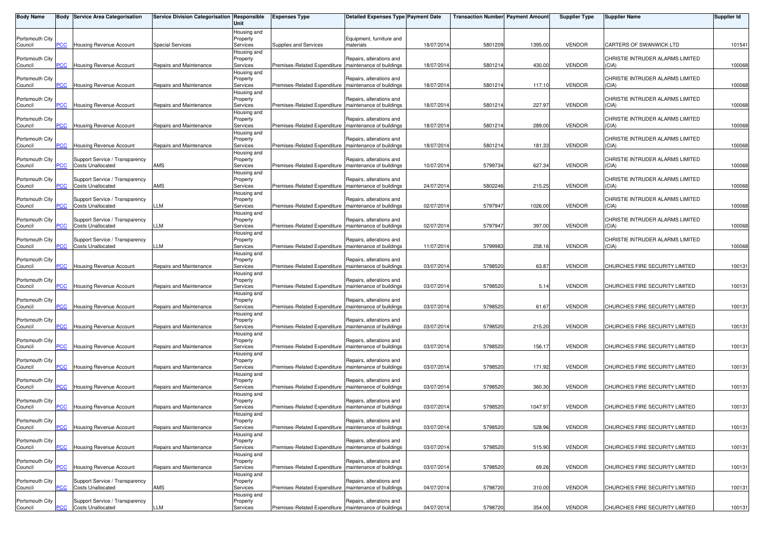| <b>Body Name</b>           |                | Body Service Area Categorisation                           | Service Division Categorisation Responsible | Unit                                | <b>Expenses Type</b>                                    | <b>Detailed Expenses Type Payment Date</b>           |            | <b>Transaction Number Payment Amount</b> |         | <b>Supplier Type</b> | <b>Supplier Name</b>                      | <b>Supplier Id</b> |
|----------------------------|----------------|------------------------------------------------------------|---------------------------------------------|-------------------------------------|---------------------------------------------------------|------------------------------------------------------|------------|------------------------------------------|---------|----------------------|-------------------------------------------|--------------------|
| Portsmouth City            |                |                                                            |                                             | Housing and<br>Property             |                                                         | Equipment, furniture and                             |            |                                          |         |                      |                                           |                    |
| Council                    | PCC            | Housing Revenue Account                                    | <b>Special Services</b>                     | Services<br>Housing and             | Supplies and Services                                   | materials                                            | 18/07/2014 | 5801209                                  | 1395.00 | <b>VENDOR</b>        | CARTERS OF SWANWICK LTD                   | 101541             |
| Portsmouth City<br>Council | PCC            | Housing Revenue Account                                    | Repairs and Maintenance                     | Property<br>Services                | Premises-Related Expenditure                            | Repairs, alterations and<br>maintenance of buildings | 18/07/2014 | 5801214                                  | 430.00  | <b>VENDOR</b>        | CHRISTIE INTRUDER ALARMS LIMITED<br>(CIA) | 100068             |
| Portsmouth City<br>Council | PСC            | Housing Revenue Account                                    | Repairs and Maintenance                     | Housing and<br>Property<br>Services | Premises-Related Expenditure                            | Repairs, alterations and<br>maintenance of buildings | 18/07/2014 | 5801214                                  | 117.10  | <b>VENDOR</b>        | CHRISTIE INTRUDER ALARMS LIMITED<br>(CIA) | 100068             |
|                            |                |                                                            |                                             | Housing and                         |                                                         |                                                      |            |                                          |         |                      |                                           |                    |
| Portsmouth City<br>Council | PCC            | Housing Revenue Account                                    | Repairs and Maintenance                     | Property<br>Services                | Premises-Related Expenditure   maintenance of buildings | Repairs, alterations and                             | 18/07/2014 | 5801214                                  | 227.97  | <b>VENDOR</b>        | CHRISTIE INTRUDER ALARMS LIMITED<br>(CIA) | 100068             |
|                            |                |                                                            |                                             | Housing and                         |                                                         |                                                      |            |                                          |         |                      |                                           |                    |
| Portsmouth City<br>Council | PCC            | Housing Revenue Account                                    | Repairs and Maintenance                     | Property<br>Services                | Premises-Related Expenditure                            | Repairs, alterations and<br>maintenance of buildings | 18/07/2014 | 580121                                   | 289.00  | <b>VENDOR</b>        | CHRISTIE INTRUDER ALARMS LIMITED<br>(CIA) | 100068             |
|                            |                |                                                            |                                             | Housing and                         |                                                         |                                                      |            |                                          |         |                      |                                           |                    |
| Portsmouth City            |                |                                                            |                                             | Property                            |                                                         | Repairs, alterations and<br>maintenance of buildings |            |                                          | 181.33  |                      | CHRISTIE INTRUDER ALARMS LIMITED          |                    |
| Council                    | $\overline{C}$ | Housing Revenue Account                                    | Repairs and Maintenance                     | Services<br>Housing and             | Premises-Related Expenditure                            |                                                      | 18/07/2014 | 5801214                                  |         | <b>VENDOR</b>        | (CIA)                                     | 100068             |
| Portsmouth City            |                | Support Service / Transparency                             |                                             | Property                            |                                                         | Repairs, alterations and                             |            |                                          |         |                      | CHRISTIE INTRUDER ALARMS LIMITED          |                    |
| Council                    | PCC            | <b>Costs Unallocated</b>                                   | AMS                                         | Services                            | Premises-Related Expenditure                            | maintenance of buildings                             | 10/07/2014 | 5799734                                  | 627.34  | <b>VENDOR</b>        | (CIA)                                     | 100068             |
| Portsmouth City            |                | Support Service / Transparency                             |                                             | Housing and<br>Property             |                                                         | Repairs, alterations and                             |            |                                          |         |                      | CHRISTIE INTRUDER ALARMS LIMITED          |                    |
| Council                    | PCC            | <b>Costs Unallocated</b>                                   | AMS                                         | Services                            | Premises-Related Expenditure                            | maintenance of buildings                             | 24/07/2014 | 5802246                                  | 215.25  | <b>VENDOR</b>        | (CIA)                                     | 100068             |
|                            |                |                                                            |                                             | Housing and                         |                                                         |                                                      |            |                                          |         |                      |                                           |                    |
| Portsmouth City<br>Council | сC             | Support Service / Transparency<br><b>Costs Unallocated</b> | LLM                                         | Property<br>Services                | Premises-Related Expenditure                            | Repairs, alterations and<br>maintenance of buildings | 02/07/2014 | 5797947                                  | 1026.00 | <b>VENDOR</b>        | CHRISTIE INTRUDER ALARMS LIMITED<br>(CIA) | 100068             |
|                            |                |                                                            |                                             | Housing and                         |                                                         |                                                      |            |                                          |         |                      |                                           |                    |
| Portsmouth City            |                | Support Service / Transparency                             |                                             | Property                            |                                                         | Repairs, alterations and                             |            |                                          |         |                      | CHRISTIE INTRUDER ALARMS LIMITED          |                    |
| Council                    | PCC            | <b>Costs Unallocated</b>                                   | LLM                                         | Services                            | Premises-Related Expenditure                            | maintenance of buildings                             | 02/07/2014 | 5797947                                  | 397.00  | <b>VENDOR</b>        | (CIA)                                     | 100068             |
| Portsmouth City            |                | Support Service / Transparency                             |                                             | Housing and<br>Property             |                                                         | Repairs, alterations and                             |            |                                          |         |                      | CHRISTIE INTRUDER ALARMS LIMITED          |                    |
| Council                    | PCC            | <b>Costs Unallocated</b>                                   | LLM                                         | Services                            | Premises-Related Expenditure                            | maintenance of buildings                             | 11/07/2014 | 579998                                   | 258.16  | <b>VENDOR</b>        | (CIA)                                     | 100068             |
|                            |                |                                                            |                                             | Housing and                         |                                                         |                                                      |            |                                          |         |                      |                                           |                    |
| Portsmouth City<br>Council | сC             | Housing Revenue Account                                    | Repairs and Maintenance                     | Property<br>Services                | Premises-Related Expenditure                            | Repairs, alterations and<br>maintenance of buildings | 03/07/2014 | 579852                                   | 63.87   | <b>VENDOR</b>        | CHURCHES FIRE SECURITY LIMITED            | 100131             |
|                            |                |                                                            |                                             | Housing and                         |                                                         |                                                      |            |                                          |         |                      |                                           |                    |
| Portsmouth City            |                |                                                            |                                             | Property                            |                                                         | Repairs, alterations and                             |            |                                          |         |                      |                                           |                    |
| Council                    | PCC            | <b>Housing Revenue Account</b>                             | Repairs and Maintenance                     | Services<br>Housing and             | Premises-Related Expenditure                            | maintenance of buildings                             | 03/07/2014 | 5798520                                  | 5.14    | <b>VENDOR</b>        | CHURCHES FIRE SECURITY LIMITED            | 100131             |
| Portsmouth City            |                |                                                            |                                             | Property                            |                                                         | Repairs, alterations and                             |            |                                          |         |                      |                                           |                    |
| Council                    | PCC            | Housing Revenue Account                                    | Repairs and Maintenance                     | Services                            | Premises-Related Expenditure                            | maintenance of buildings                             | 03/07/2014 | 5798520                                  | 61.67   | <b>VENDOR</b>        | CHURCHES FIRE SECURITY LIMITED            | 100131             |
|                            |                |                                                            |                                             | Housing and                         |                                                         |                                                      |            |                                          |         |                      |                                           |                    |
| Portsmouth City<br>Council | PCC            | Housing Revenue Account                                    | Repairs and Maintenance                     | Property<br>Services                | Premises-Related Expenditure                            | Repairs, alterations and<br>maintenance of buildings | 03/07/2014 | 5798520                                  | 215.20  | <b>VENDOR</b>        | CHURCHES FIRE SECURITY LIMITED            | 100131             |
|                            |                |                                                            |                                             | Housing and                         |                                                         |                                                      |            |                                          |         |                      |                                           |                    |
| Portsmouth City            |                |                                                            |                                             | Property                            |                                                         | Repairs, alterations and                             |            |                                          |         |                      |                                           |                    |
| Council                    | PCC            | Housing Revenue Account                                    | Repairs and Maintenance                     | Services<br>Housing and             | Premises-Related Expenditure                            | maintenance of buildings                             | 03/07/2014 | 5798520                                  | 156.17  | <b>VENDOR</b>        | CHURCHES FIRE SECURITY LIMITED            | 100131             |
| Portsmouth City            |                |                                                            |                                             | Property                            |                                                         | Repairs, alterations and                             |            |                                          |         |                      |                                           |                    |
| Council                    | PCC            | Housing Revenue Account                                    | Repairs and Maintenance                     | Services                            | Premises-Related Expenditure   maintenance of buildings |                                                      | 03/07/2014 | 5798520                                  | 171.92  | <b>VENDOR</b>        | CHURCHES FIRE SECURITY LIMITED            | 100131             |
| Portsmouth City            |                |                                                            |                                             | Housing and<br>Property             |                                                         | Repairs, alterations and                             |            |                                          |         |                      |                                           |                    |
| Council                    | PСC            | <b>Housing Revenue Account</b>                             | Repairs and Maintenance                     | Services                            | Premises-Related Expenditure                            | maintenance of buildings                             | 03/07/201  | 579852                                   | 360.30  | <b>VENDOR</b>        | CHURCHES FIRE SECURITY LIMITED            | 100131             |
|                            |                |                                                            |                                             | Housing and                         |                                                         |                                                      |            |                                          |         |                      |                                           |                    |
| Portsmouth City<br>Council | PCC            | Housing Revenue Account                                    | Repairs and Maintenance                     | Property<br>Services                | Premises-Related Expenditure                            | Repairs, alterations and<br>maintenance of buildings | 03/07/2014 | 5798520                                  | 1047.97 | <b>VENDOR</b>        | CHURCHES FIRE SECURITY LIMITED            | 100131             |
|                            |                |                                                            |                                             | Housing and                         |                                                         |                                                      |            |                                          |         |                      |                                           |                    |
| Portsmouth City            |                |                                                            |                                             | Property                            |                                                         | Repairs, alterations and                             |            |                                          |         |                      |                                           |                    |
| Council                    | <b>PCC</b>     | <b>Housing Revenue Account</b>                             | Repairs and Maintenance                     | Services                            | Premises-Related Expenditure   maintenance of buildings |                                                      | 03/07/2014 | 5798520                                  | 528.96  | <b>VENDOR</b>        | CHURCHES FIRE SECURITY LIMITED            | 100131             |
| Portsmouth City            |                |                                                            |                                             | Housing and<br>Property             |                                                         | Repairs, alterations and                             |            |                                          |         |                      |                                           |                    |
| Council                    | PCC            | Housing Revenue Account                                    | Repairs and Maintenance                     | Services                            | Premises-Related Expenditure                            | maintenance of buildings                             | 03/07/2014 | 579852                                   | 515.90  | <b>VENDOR</b>        | CHURCHES FIRE SECURITY LIMITED            | 100131             |
|                            |                |                                                            |                                             | Housing and                         |                                                         |                                                      |            |                                          |         |                      |                                           |                    |
| Portsmouth City<br>Council | PСC            | Housing Revenue Account                                    | Repairs and Maintenance                     | Property<br>Services                | Premises-Related Expenditure                            | Repairs, alterations and<br>maintenance of buildings | 03/07/2014 | 5798520                                  | 69.26   | <b>VENDOR</b>        | CHURCHES FIRE SECURITY LIMITED            | 100131             |
|                            |                |                                                            |                                             | Housing and                         |                                                         |                                                      |            |                                          |         |                      |                                           |                    |
| Portsmouth City            |                | Support Service / Transparency                             |                                             | Property                            |                                                         | Repairs, alterations and                             |            |                                          |         |                      |                                           |                    |
| Council                    | PCC            | <b>Costs Unallocated</b>                                   | AMS                                         | Services<br>Housing and             | Premises-Related Expenditure   maintenance of buildings |                                                      | 04/07/2014 | 5798720                                  | 310.00  | <b>VENDOR</b>        | CHURCHES FIRE SECURITY LIMITED            | 100131             |
| Portsmouth City            |                | Support Service / Transparency                             |                                             | Property                            |                                                         | Repairs, alterations and                             |            |                                          |         |                      |                                           |                    |
| Council                    | <b>PCC</b>     | <b>Costs Unallocated</b>                                   | LLM                                         | Services                            | Premises-Related Expenditure   maintenance of buildings |                                                      | 04/07/2014 | 5798720                                  | 354.00  | <b>VENDOR</b>        | CHURCHES FIRE SECURITY LIMITED            | 100131             |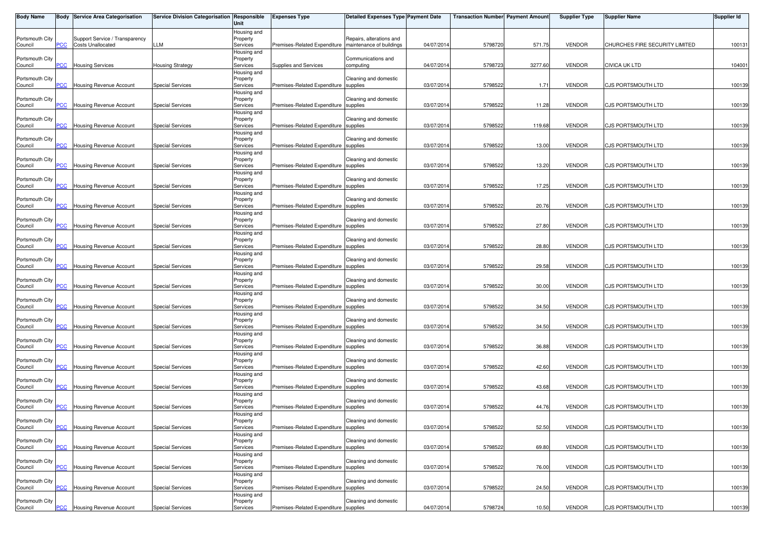| <b>Body Name</b>           |                | <b>Body Service Area Categorisation</b>                    | Service Division Categorisation Responsible | Unit                                | <b>Expenses Type</b>                  | <b>Detailed Expenses Type Payment Date</b>           |            | <b>Transaction Number Payment Amount</b> |         | <b>Supplier Type</b> | <b>Supplier Name</b>           | <b>Supplier Id</b> |
|----------------------------|----------------|------------------------------------------------------------|---------------------------------------------|-------------------------------------|---------------------------------------|------------------------------------------------------|------------|------------------------------------------|---------|----------------------|--------------------------------|--------------------|
| Portsmouth City<br>Council | PCC            | Support Service / Transparency<br><b>Costs Unallocated</b> | LLM                                         | Housing and<br>Property<br>Services | Premises-Related Expenditure          | Repairs, alterations and<br>maintenance of buildings | 04/07/2014 | 5798720                                  | 571.75  | <b>VENDOR</b>        | CHURCHES FIRE SECURITY LIMITED | 100131             |
| Portsmouth City<br>Council | PCC            | <b>Housing Services</b>                                    | <b>Housing Strategy</b>                     | Housing and<br>Property<br>Services | Supplies and Services                 | Communications and<br>computing                      | 04/07/2014 | 5798723                                  | 3277.60 | <b>VENDOR</b>        | <b>CIVICA UK LTD</b>           | 104001             |
| Portsmouth City<br>Council | <b>PCC</b>     | Housing Revenue Account                                    | <b>Special Services</b>                     | Housing and<br>Property<br>Services | Premises-Related Expenditure supplies | Cleaning and domestic                                | 03/07/2014 | 5798522                                  | 1.71    | <b>VENDOR</b>        | CJS PORTSMOUTH LTD             | 100139             |
| Portsmouth City            | PCC            |                                                            |                                             | Housing and<br>Property             |                                       | Cleaning and domestic                                | 03/07/2014 | 5798522                                  |         | <b>VENDOR</b>        |                                |                    |
| Council<br>Portsmouth City |                | Housing Revenue Account                                    | <b>Special Services</b>                     | Services<br>Housing and<br>Property | Premises-Related Expenditure supplies | Cleaning and domestic                                |            |                                          | 11.28   |                      | CJS PORTSMOUTH LTD             | 100139             |
| Council<br>Portsmouth City | PCC            | Housing Revenue Account                                    | <b>Special Services</b>                     | Services<br>Housing and<br>Property | Premises-Related Expenditure supplies | Cleaning and domestic                                | 03/07/2014 | 5798522                                  | 119.68  | <b>VENDOR</b>        | CJS PORTSMOUTH LTD             | 100139             |
| Council<br>Portsmouth City | $\overline{C}$ | <b>Housing Revenue Account</b>                             | <b>Special Services</b>                     | Services<br>Housing and<br>Property | Premises-Related Expenditure supplies | Cleaning and domestic                                | 03/07/2014 | 5798522                                  | 13.00   | <b>VENDOR</b>        | CJS PORTSMOUTH LTD             | 100139             |
| Council<br>Portsmouth City | PCC            | <b>Housing Revenue Account</b>                             | <b>Special Services</b>                     | Services<br>Housing and<br>Property | Premises-Related Expenditure supplies | Cleaning and domestic                                | 03/07/2014 | 5798522                                  | 13.20   | <b>VENDOR</b>        | CJS PORTSMOUTH LTD             | 100139             |
| Council<br>Portsmouth City | <b>PCC</b>     | Housing Revenue Account                                    | <b>Special Services</b>                     | Services<br>Housing and<br>Property | Premises-Related Expenditure supplies | Cleaning and domestic                                | 03/07/2014 | 579852                                   | 17.25   | <b>VENDOR</b>        | CJS PORTSMOUTH LTD             | 100139             |
| Council<br>Portsmouth City | PСC            | Housing Revenue Account                                    | <b>Special Services</b>                     | Services<br>Housing and<br>Property | Premises-Related Expenditure supplies | Cleaning and domestic                                | 03/07/2014 | 5798522                                  | 20.76   | <b>VENDOR</b>        | CJS PORTSMOUTH LTD             | 100139             |
| Council<br>Portsmouth City | PCC            | <b>Housing Revenue Account</b>                             | <b>Special Services</b>                     | Services<br>Housing and<br>Property | Premises-Related Expenditure supplies | Cleaning and domestic                                | 03/07/2014 | 579852                                   | 27.80   | <b>VENDOR</b>        | CJS PORTSMOUTH LTD             | 100139             |
| Council<br>Portsmouth City | PCC            | <b>Housing Revenue Account</b>                             | <b>Special Services</b>                     | Services<br>Housing and<br>Property | Premises-Related Expenditure supplies | Cleaning and domestic                                | 03/07/2014 | 579852                                   | 28.80   | <b>VENDOR</b>        | CJS PORTSMOUTH LTD             | 100139             |
| Council<br>Portsmouth City | сC             | <b>Housing Revenue Account</b>                             | <b>Special Services</b>                     | Services<br>Housing and<br>Property | Premises-Related Expenditure supplies | Cleaning and domestic                                | 03/07/2014 | 5798522                                  | 29.58   | <b>VENDOR</b>        | CJS PORTSMOUTH LTD             | 100139             |
| Council<br>Portsmouth City | PCC            | <b>Housing Revenue Account</b>                             | <b>Special Services</b>                     | Services<br>Housing and<br>Property | Premises-Related Expenditure supplies | Cleaning and domestic                                | 03/07/2014 | 5798522                                  | 30.00   | <b>VENDOR</b>        | CJS PORTSMOUTH LTD             | 100139             |
| Council<br>Portsmouth City | PCC            | Housing Revenue Account                                    | <b>Special Services</b>                     | Services<br>Housing and<br>Property | Premises-Related Expenditure supplies | Cleaning and domestic                                | 03/07/2014 | 5798522                                  | 34.50   | <b>VENDOR</b>        | CJS PORTSMOUTH LTD             | 100139             |
| Council<br>Portsmouth City | <b>PCC</b>     | <b>Housing Revenue Account</b>                             | <b>Special Services</b>                     | Services<br>Housing and<br>Property | Premises-Related Expenditure supplies | Cleaning and domestic                                | 03/07/2014 | 5798522                                  | 34.50   | <b>VENDOR</b>        | <b>CJS PORTSMOUTH LTD</b>      | 100139             |
| Council<br>Portsmouth City | PCC            | Housing Revenue Account                                    | <b>Special Services</b>                     | Services<br>Housing and<br>Property | Premises-Related Expenditure supplies | Cleaning and domestic                                | 03/07/2014 | 5798522                                  | 36.88   | <b>VENDOR</b>        | CJS PORTSMOUTH LTD             | 100139             |
| Council<br>Portsmouth City | PCC            | Housing Revenue Account                                    | <b>Special Services</b>                     | Services<br>Housing and<br>Property | Premises-Related Expenditure supplies | Cleaning and domestic                                | 03/07/2014 | 5798522                                  | 42.60   | <b>VENDOR</b>        | <b>CJS PORTSMOUTH LTD</b>      | 100139             |
| Council<br>Portsmouth City | <b>PCC</b>     | <b>Housing Revenue Account</b>                             | <b>Special Services</b>                     | Services<br>Housing and<br>Property | Premises-Related Expenditure          | supplies<br>Cleaning and domestic                    | 03/07/2014 | 579852                                   | 43.68   | <b>VENDOR</b>        | CJS PORTSMOUTH LTD             | 100139             |
| Council<br>Portsmouth City | PCC            | Housing Revenue Account                                    | <b>Special Services</b>                     | Services<br>Housing and<br>Property | Premises-Related Expenditure          | supplies<br>Cleaning and domestic                    | 03/07/2014 | 5798522                                  | 44.76   | <b>VENDOR</b>        | CJS PORTSMOUTH LTD             | 100139             |
| Council<br>Portsmouth City | <b>PCC</b>     | <b>Housing Revenue Account</b>                             | <b>Special Services</b>                     | Services<br>Housing and<br>Property | Premises-Related Expenditure supplies | Cleaning and domestic                                | 03/07/2014 | 5798522                                  | 52.50   | <b>VENDOR</b>        | CJS PORTSMOUTH LTD             | 100139             |
| Council                    | PCC            | Housing Revenue Account                                    | <b>Special Services</b>                     | Services<br>Housing and             | Premises-Related Expenditure          | supplies                                             | 03/07/2014 | 579852                                   | 69.80   | <b>VENDOR</b>        | CJS PORTSMOUTH LTD             | 100139             |
| Portsmouth City<br>Council | PCC            | Housing Revenue Account                                    | <b>Special Services</b>                     | Property<br>Services<br>Housing and | Premises-Related Expenditure          | Cleaning and domestic<br>supplies                    | 03/07/2014 | 5798522                                  | 76.00   | <b>VENDOR</b>        | CJS PORTSMOUTH LTD             | 100139             |
| Portsmouth City<br>Council | PCC            | <b>Housing Revenue Account</b>                             | <b>Special Services</b>                     | Property<br>Services<br>Housing and | Premises-Related Expenditure supplies | Cleaning and domestic                                | 03/07/2014 | 579852                                   | 24.50   | <b>VENDOR</b>        | CJS PORTSMOUTH LTD             | 100139             |
| Portsmouth City<br>Council | $PCC$          | <b>Housing Revenue Account</b>                             | <b>Special Services</b>                     | Property<br>Services                | Premises-Related Expenditure supplies | Cleaning and domestic                                | 04/07/2014 | 5798724                                  | 10.50   | <b>VENDOR</b>        | CJS PORTSMOUTH LTD             | 100139             |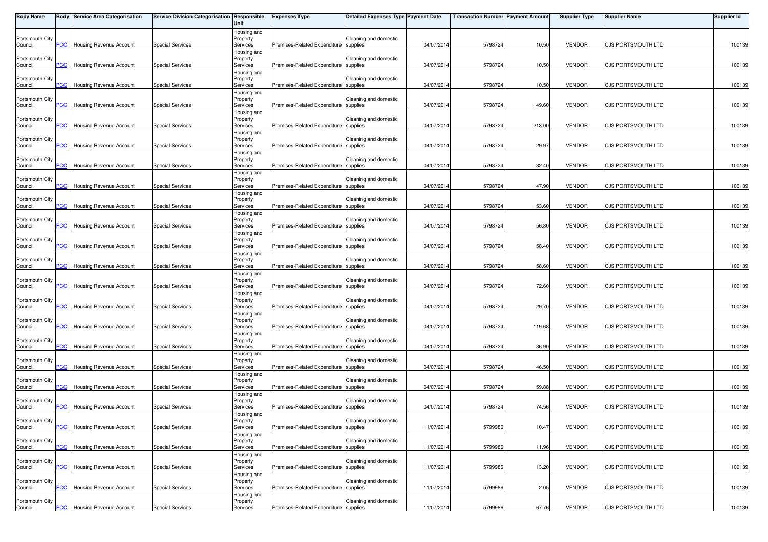| <b>Body Name</b>           |                | <b>Body Service Area Categorisation</b> | Service Division Categorisation Responsible | Unit                                | <b>Expenses Type</b>                  | Detailed Expenses Type Payment Date |            | <b>Transaction Number Payment Amount</b> |        | <b>Supplier Type</b> | <b>Supplier Name</b>      | Supplier Id |
|----------------------------|----------------|-----------------------------------------|---------------------------------------------|-------------------------------------|---------------------------------------|-------------------------------------|------------|------------------------------------------|--------|----------------------|---------------------------|-------------|
| Portsmouth City<br>Council | PCC.           | Housing Revenue Account                 | <b>Special Services</b>                     | Housing and<br>Property<br>Services | Premises-Related Expenditure supplies | Cleaning and domestic               | 04/07/2014 | 5798724                                  | 10.50  | <b>VENDOR</b>        | CJS PORTSMOUTH LTD        | 100139      |
| Portsmouth City<br>Council | <b>PCC</b>     | Housing Revenue Account                 | <b>Special Services</b>                     | Housing and<br>Property<br>Services | Premises-Related Expenditure supplies | Cleaning and domestic               | 04/07/201  | 5798724                                  | 10.50  | <b>VENDOR</b>        | CJS PORTSMOUTH LTD        | 100139      |
| Portsmouth City<br>Council | CC             | Housing Revenue Account                 | <b>Special Services</b>                     | Housing and<br>Property<br>Services | Premises-Related Expenditure supplies | Cleaning and domestic               | 04/07/2014 | 5798724                                  | 10.50  | <b>VENDOR</b>        | CJS PORTSMOUTH LTD        | 100139      |
| Portsmouth City<br>Council | PCC            | Housing Revenue Account                 | <b>Special Services</b>                     | Housing and<br>Property<br>Services | Premises-Related Expenditure supplies | Cleaning and domestic               | 04/07/2014 | 5798724                                  | 149.60 | <b>VENDOR</b>        | CJS PORTSMOUTH LTD        | 100139      |
| Portsmouth City<br>Council | <b>PCC</b>     | Housing Revenue Account                 | <b>Special Services</b>                     | Housing and<br>Property<br>Services | Premises-Related Expenditure supplies | Cleaning and domestic               | 04/07/201  | 5798724                                  | 213.00 | <b>VENDOR</b>        | CJS PORTSMOUTH LTD        | 100139      |
| Portsmouth City            |                |                                         |                                             | Housing and<br>Property             | Premises-Related Expenditure supplies | Cleaning and domestic               |            |                                          |        |                      |                           |             |
| Council<br>Portsmouth City | <b>CC</b>      | Housing Revenue Account                 | <b>Special Services</b>                     | Services<br>Housing and<br>Property |                                       | Cleaning and domestic               | 04/07/2014 | 5798724                                  | 29.97  | <b>VENDOR</b>        | CJS PORTSMOUTH LTD        | 100139      |
| Council<br>Portsmouth City | PСC            | <b>Housing Revenue Account</b>          | <b>Special Services</b>                     | Services<br>Housing and<br>Property | Premises-Related Expenditure supplies | Cleaning and domestic               | 04/07/2014 | 5798724                                  | 32.40  | <b>VENDOR</b>        | CJS PORTSMOUTH LTD        | 100139      |
| Council<br>Portsmouth City | <b>PCC</b>     | <b>Housing Revenue Account</b>          | <b>Special Services</b>                     | Services<br>Housing and<br>Property | Premises-Related Expenditure supplies | Cleaning and domestic               | 04/07/2014 | 5798724                                  | 47.90  | <b>VENDOR</b>        | CJS PORTSMOUTH LTD        | 100139      |
| Council<br>Portsmouth City | сC             | Housing Revenue Account                 | <b>Special Services</b>                     | Services<br>Housing and<br>Property | Premises-Related Expenditure          | supplies<br>Cleaning and domestic   | 04/07/2014 | 5798724                                  | 53.60  | <b>VENDOR</b>        | CJS PORTSMOUTH LTD        | 100139      |
| Council<br>Portsmouth City | PСC            | Housing Revenue Account                 | <b>Special Services</b>                     | Services<br>Housing and<br>Property | Premises-Related Expenditure supplies | Cleaning and domestic               | 04/07/2014 | 5798724                                  | 56.80  | <b>VENDOR</b>        | CJS PORTSMOUTH LTD        | 100139      |
| Council<br>Portsmouth City | PCC            | <b>Housing Revenue Account</b>          | <b>Special Services</b>                     | Services<br>Housing and<br>Property | Premises-Related Expenditure supplies | Cleaning and domestic               | 04/07/201  | 5798724                                  | 58.40  | <b>VENDOR</b>        | CJS PORTSMOUTH LTD        | 100139      |
| Council<br>Portsmouth City | <b>PCC</b>     | Housing Revenue Account                 | <b>Special Services</b>                     | Services<br>Housing and<br>Property | Premises-Related Expenditure supplies | Cleaning and domestic               | 04/07/2014 | 5798724                                  | 58.60  | <b>VENDOR</b>        | CJS PORTSMOUTH LTD        | 100139      |
| Council                    | PСC            | Housing Revenue Account                 | <b>Special Services</b>                     | Services<br>Housing and             | Premises-Related Expenditure supplies |                                     | 04/07/2014 | 5798724                                  | 72.60  | <b>VENDOR</b>        | CJS PORTSMOUTH LTD        | 100139      |
| Portsmouth City<br>Council | $\overline{C}$ | Housing Revenue Account                 | <b>Special Services</b>                     | Property<br>Services<br>Housing and | Premises-Related Expenditure supplies | Cleaning and domestic               | 04/07/2014 | 5798724                                  | 29.70  | <b>VENDOR</b>        | CJS PORTSMOUTH LTD        | 100139      |
| Portsmouth City<br>Council | <b>PCC</b>     | <b>Housing Revenue Account</b>          | <b>Special Services</b>                     | Property<br>Services<br>Housing and | Premises-Related Expenditure          | Cleaning and domestic<br>supplies   | 04/07/201  | 5798724                                  | 119.68 | <b>VENDOR</b>        | <b>CJS PORTSMOUTH LTD</b> | 100139      |
| Portsmouth City<br>Council | PСC            | Housing Revenue Account                 | <b>Special Services</b>                     | Property<br>Services<br>Housing and | Premises-Related Expenditure supplies | Cleaning and domestic               | 04/07/2014 | 5798724                                  | 36.90  | <b>VENDOR</b>        | CJS PORTSMOUTH LTD        | 100139      |
| Portsmouth City<br>Council | $\overline{C}$ | Housing Revenue Account                 | <b>Special Services</b>                     | Property<br>Services<br>Housing and | Premises-Related Expenditure supplies | Cleaning and domestic               | 04/07/2014 | 5798724                                  | 46.50  | <b>VENDOR</b>        | CJS PORTSMOUTH LTD        | 100139      |
| Portsmouth City<br>Council | <b>PCC</b>     | Housing Revenue Account                 | <b>Special Services</b>                     | Property<br>Services<br>Housing and | Premises-Related Expenditure          | Cleaning and domestic<br>supplies   | 04/07/201  | 5798724                                  | 59.88  | <b>VENDOR</b>        | CJS PORTSMOUTH LTD        | 100139      |
| Portsmouth City<br>Council | PCC            | Housing Revenue Account                 | <b>Special Services</b>                     | Property<br>Services<br>Housing and | Premises-Related Expenditure          | Cleaning and domestic<br>supplies   | 04/07/2014 | 5798724                                  | 74.56  | <b>VENDOR</b>        | CJS PORTSMOUTH LTD        | 100139      |
| Portsmouth City<br>Council | <b>PCC</b>     | <b>Housing Revenue Account</b>          | <b>Special Services</b>                     | Property<br>Services<br>Housing and | Premises-Related Expenditure supplies | Cleaning and domestic               | 11/07/2014 | 5799986                                  | 10.47  | <b>VENDOR</b>        | CJS PORTSMOUTH LTD        | 100139      |
| Portsmouth City<br>Council | PСC            | Housing Revenue Account                 | <b>Special Services</b>                     | Property<br>Services<br>Housing and | Premises-Related Expenditure          | Cleaning and domestic<br>supplies   | 11/07/201  | 579998                                   | 11.96  | <b>VENDOR</b>        | CJS PORTSMOUTH LTD        | 100139      |
| Portsmouth City<br>Council | PСC            | Housing Revenue Account                 | <b>Special Services</b>                     | Property<br>Services                | Premises-Related Expenditure          | Cleaning and domestic<br>supplies   | 11/07/2014 | 579998                                   | 13.20  | <b>VENDOR</b>        | CJS PORTSMOUTH LTD        | 100139      |
| Portsmouth City<br>Council | PСC            | Housing Revenue Account                 | <b>Special Services</b>                     | Housing and<br>Property<br>Services | Premises-Related Expenditure supplies | Cleaning and domestic               | 11/07/2014 | 5799986                                  | 2.05   | <b>VENDOR</b>        | CJS PORTSMOUTH LTD        | 100139      |
| Portsmouth City<br>Council | <b>PCC</b>     | <b>Housing Revenue Account</b>          | <b>Special Services</b>                     | Housing and<br>Property<br>Services | Premises-Related Expenditure supplies | Cleaning and domestic               | 11/07/2014 | 5799986                                  | 67.76  | <b>VENDOR</b>        | CJS PORTSMOUTH LTD        | 100139      |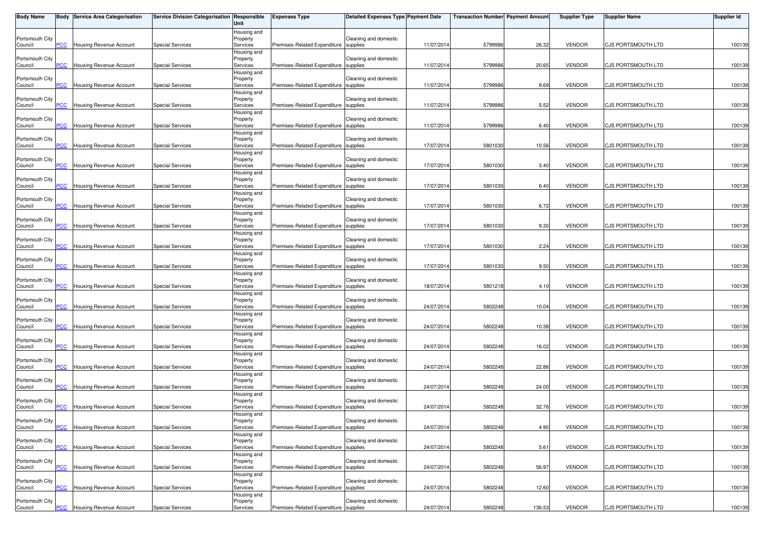| <b>Body Name</b>           |                | <b>Body Service Area Categorisation</b> | Service Division Categorisation Responsible | Unit                                | <b>Expenses Type</b>                  | Detailed Expenses Type Payment Date |            | <b>Transaction Number Payment Amount</b> |        | <b>Supplier Type</b> | <b>Supplier Name</b>      | Supplier Id |
|----------------------------|----------------|-----------------------------------------|---------------------------------------------|-------------------------------------|---------------------------------------|-------------------------------------|------------|------------------------------------------|--------|----------------------|---------------------------|-------------|
| Portsmouth City<br>Council | PCC.           | Housing Revenue Account                 | <b>Special Services</b>                     | Housing and<br>Property<br>Services | Premises-Related Expenditure supplies | Cleaning and domestic               | 11/07/2014 | 5799986                                  | 26.32  | <b>VENDOR</b>        | CJS PORTSMOUTH LTD        | 100139      |
| Portsmouth City<br>Council | <b>PCC</b>     | Housing Revenue Account                 | <b>Special Services</b>                     | Housing and<br>Property<br>Services | Premises-Related Expenditure supplies | Cleaning and domestic               | 11/07/201  | 5799986                                  | 20.65  | <b>VENDOR</b>        | CJS PORTSMOUTH LTD        | 100139      |
| Portsmouth City<br>Council | CC             | Housing Revenue Account                 | <b>Special Services</b>                     | Housing and<br>Property<br>Services | Premises-Related Expenditure supplies | Cleaning and domestic               | 11/07/2014 | 5799986                                  | 9.69   | <b>VENDOR</b>        | CJS PORTSMOUTH LTD        | 100139      |
| Portsmouth City<br>Council | PCC            | Housing Revenue Account                 | <b>Special Services</b>                     | Housing and<br>Property<br>Services | Premises-Related Expenditure supplies | Cleaning and domestic               | 11/07/2014 | 5799986                                  | 5.52   | <b>VENDOR</b>        | CJS PORTSMOUTH LTD        | 100139      |
| Portsmouth City<br>Council | <b>PCC</b>     | Housing Revenue Account                 | <b>Special Services</b>                     | Housing and<br>Property<br>Services | Premises-Related Expenditure supplies | Cleaning and domestic               | 11/07/201  | 5799986                                  | 6.40   | <b>VENDOR</b>        | CJS PORTSMOUTH LTD        | 100139      |
| Portsmouth City            |                |                                         |                                             | Housing and<br>Property             | Premises-Related Expenditure supplies | Cleaning and domestic               |            |                                          |        |                      |                           |             |
| Council<br>Portsmouth City | $\overline{C}$ | Housing Revenue Account                 | <b>Special Services</b>                     | Services<br>Housing and<br>Property |                                       | Cleaning and domestic               | 17/07/2014 | 5801030                                  | 10.56  | <b>VENDOR</b>        | CJS PORTSMOUTH LTD        | 100139      |
| Council<br>Portsmouth City | PСC            | <b>Housing Revenue Account</b>          | <b>Special Services</b>                     | Services<br>Housing and<br>Property | Premises-Related Expenditure supplies | Cleaning and domestic               | 17/07/2014 | 5801030                                  | 3.40   | <b>VENDOR</b>        | CJS PORTSMOUTH LTD        | 100139      |
| Council<br>Portsmouth City | <b>PCC</b>     | <b>Housing Revenue Account</b>          | <b>Special Services</b>                     | Services<br>Housing and<br>Property | Premises-Related Expenditure supplies | Cleaning and domestic               | 17/07/2014 | 5801030                                  | 6.40   | <b>VENDOR</b>        | CJS PORTSMOUTH LTD        | 100139      |
| Council<br>Portsmouth City | сC             | Housing Revenue Account                 | <b>Special Services</b>                     | Services<br>Housing and<br>Property | Premises-Related Expenditure          | supplies<br>Cleaning and domestic   | 17/07/2014 | 5801030                                  | 6.72   | <b>VENDOR</b>        | CJS PORTSMOUTH LTD        | 100139      |
| Council<br>Portsmouth City | PСC            | Housing Revenue Account                 | <b>Special Services</b>                     | Services<br>Housing and<br>Property | Premises-Related Expenditure supplies | Cleaning and domestic               | 17/07/2014 | 580103                                   | 9.30   | <b>VENDOR</b>        | CJS PORTSMOUTH LTD        | 100139      |
| Council<br>Portsmouth City | PCC            | <b>Housing Revenue Account</b>          | <b>Special Services</b>                     | Services<br>Housing and<br>Property | Premises-Related Expenditure supplies | Cleaning and domestic               | 17/07/201  | 5801030                                  | 2.24   | <b>VENDOR</b>        | CJS PORTSMOUTH LTD        | 100139      |
| Council<br>Portsmouth City | $\overline{C}$ | Housing Revenue Account                 | <b>Special Services</b>                     | Services<br>Housing and<br>Property | Premises-Related Expenditure supplies | Cleaning and domestic               | 17/07/2014 | 5801030                                  | 9.50   | <b>VENDOR</b>        | CJS PORTSMOUTH LTD        | 100139      |
| Council                    | PСC            | Housing Revenue Account                 | <b>Special Services</b>                     | Services<br>Housing and             | Premises-Related Expenditure supplies |                                     | 18/07/2014 | 5801218                                  | 4.10   | <b>VENDOR</b>        | CJS PORTSMOUTH LTD        | 100139      |
| Portsmouth City<br>Council | $\overline{C}$ | Housing Revenue Account                 | <b>Special Services</b>                     | Property<br>Services<br>Housing and | Premises-Related Expenditure supplies | Cleaning and domestic               | 24/07/2014 | 5802248                                  | 10.04  | <b>VENDOR</b>        | CJS PORTSMOUTH LTD        | 100139      |
| Portsmouth City<br>Council | <b>PCC</b>     | <b>Housing Revenue Account</b>          | <b>Special Services</b>                     | Property<br>Services<br>Housing and | Premises-Related Expenditure          | Cleaning and domestic<br>supplies   | 24/07/201  | 5802248                                  | 10.38  | <b>VENDOR</b>        | <b>CJS PORTSMOUTH LTD</b> | 100139      |
| Portsmouth City<br>Council | PСC            | Housing Revenue Account                 | <b>Special Services</b>                     | Property<br>Services<br>Housing and | Premises-Related Expenditure supplies | Cleaning and domestic               | 24/07/2014 | 5802248                                  | 16.02  | <b>VENDOR</b>        | CJS PORTSMOUTH LTD        | 100139      |
| Portsmouth City<br>Council | $\overline{C}$ | Housing Revenue Account                 | <b>Special Services</b>                     | Property<br>Services<br>Housing and | Premises-Related Expenditure supplies | Cleaning and domestic               | 24/07/2014 | 5802248                                  | 22.86  | <b>VENDOR</b>        | CJS PORTSMOUTH LTD        | 100139      |
| Portsmouth City<br>Council | <b>PCC</b>     | Housing Revenue Account                 | <b>Special Services</b>                     | Property<br>Services<br>Housing and | Premises-Related Expenditure          | Cleaning and domestic<br>supplies   | 24/07/201  | 5802248                                  | 24.00  | <b>VENDOR</b>        | CJS PORTSMOUTH LTD        | 100139      |
| Portsmouth City<br>Council | PCC            | Housing Revenue Account                 | <b>Special Services</b>                     | Property<br>Services<br>Housing and | Premises-Related Expenditure          | Cleaning and domestic<br>supplies   | 24/07/2014 | 5802248                                  | 32.76  | <b>VENDOR</b>        | CJS PORTSMOUTH LTD        | 100139      |
| Portsmouth City<br>Council | <b>PCC</b>     | <b>Housing Revenue Account</b>          | <b>Special Services</b>                     | Property<br>Services<br>Housing and | Premises-Related Expenditure supplies | Cleaning and domestic               | 24/07/2014 | 5802248                                  | 4.90   | <b>VENDOR</b>        | CJS PORTSMOUTH LTD        | 100139      |
| Portsmouth City<br>Council | PСC            | Housing Revenue Account                 | <b>Special Services</b>                     | Property<br>Services<br>Housing and | Premises-Related Expenditure          | Cleaning and domestic<br>supplies   | 24/07/201  | 5802248                                  | 5.61   | <b>VENDOR</b>        | CJS PORTSMOUTH LTD        | 100139      |
| Portsmouth City<br>Council | PСC            | Housing Revenue Account                 | <b>Special Services</b>                     | Property<br>Services                | Premises-Related Expenditure          | Cleaning and domestic<br>supplies   | 24/07/2014 | 5802248                                  | 56.97  | <b>VENDOR</b>        | CJS PORTSMOUTH LTD        | 100139      |
| Portsmouth City<br>Council | PСC            | Housing Revenue Account                 | <b>Special Services</b>                     | Housing and<br>Property<br>Services | Premises-Related Expenditure supplies | Cleaning and domestic               | 24/07/2014 | 5802248                                  | 12.60  | <b>VENDOR</b>        | CJS PORTSMOUTH LTD        | 100139      |
| Portsmouth City<br>Council | <b>PCC</b>     | <b>Housing Revenue Account</b>          | <b>Special Services</b>                     | Housing and<br>Property<br>Services | Premises-Related Expenditure supplies | Cleaning and domestic               | 24/07/2014 | 5802248                                  | 136.53 | <b>VENDOR</b>        | CJS PORTSMOUTH LTD        | 100139      |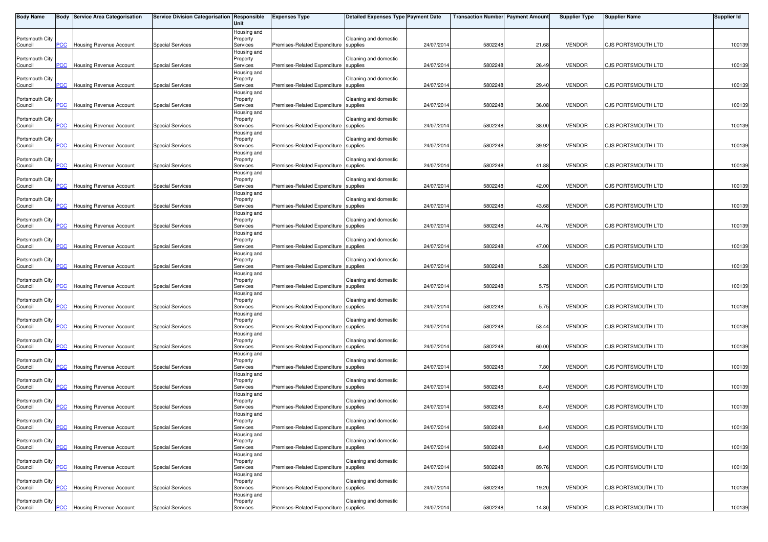| <b>Body Name</b>           |                | <b>Body Service Area Categorisation</b> | Service Division Categorisation Responsible | Unit                                               | <b>Expenses Type</b>                  | Detailed Expenses Type Payment Date |            | <b>Transaction Number Payment Amount</b> |       | <b>Supplier Type</b> | <b>Supplier Name</b>      | Supplier Id |
|----------------------------|----------------|-----------------------------------------|---------------------------------------------|----------------------------------------------------|---------------------------------------|-------------------------------------|------------|------------------------------------------|-------|----------------------|---------------------------|-------------|
| Portsmouth City<br>Council | PCC.           | Housing Revenue Account                 | <b>Special Services</b>                     | Housing and<br>Property<br>Services                | Premises-Related Expenditure supplies | Cleaning and domestic               | 24/07/2014 | 5802248                                  | 21.68 | <b>VENDOR</b>        | CJS PORTSMOUTH LTD        | 100139      |
| Portsmouth City<br>Council | <b>PCC</b>     | Housing Revenue Account                 | <b>Special Services</b>                     | Housing and<br>Property<br>Services                | Premises-Related Expenditure supplies | Cleaning and domestic               | 24/07/201  | 5802248                                  | 26.49 | <b>VENDOR</b>        | CJS PORTSMOUTH LTD        | 100139      |
| Portsmouth City<br>Council | CC             | Housing Revenue Account                 | <b>Special Services</b>                     | Housing and<br>Property<br>Services                | Premises-Related Expenditure supplies | Cleaning and domestic               | 24/07/2014 | 5802248                                  | 29.40 | <b>VENDOR</b>        | CJS PORTSMOUTH LTD        | 100139      |
| Portsmouth City<br>Council | PCC            | Housing Revenue Account                 | <b>Special Services</b>                     | Housing and<br>Property<br>Services                | Premises-Related Expenditure supplies | Cleaning and domestic               | 24/07/2014 | 5802248                                  | 36.08 | <b>VENDOR</b>        | CJS PORTSMOUTH LTD        | 100139      |
| Portsmouth City<br>Council | <b>PCC</b>     | Housing Revenue Account                 | <b>Special Services</b>                     | Housing and<br>Property<br>Services                | Premises-Related Expenditure supplies | Cleaning and domestic               | 24/07/201  | 5802248                                  | 38.00 | <b>VENDOR</b>        | CJS PORTSMOUTH LTD        | 100139      |
| Portsmouth City<br>Council | $\overline{C}$ | Housing Revenue Account                 | <b>Special Services</b>                     | Housing and<br>Property<br>Services                | Premises-Related Expenditure supplies | Cleaning and domestic               | 24/07/2014 | 5802248                                  | 39.92 | <b>VENDOR</b>        | CJS PORTSMOUTH LTD        | 100139      |
| Portsmouth City<br>Council | PСC            | <b>Housing Revenue Account</b>          | <b>Special Services</b>                     | Housing and<br>Property<br>Services                | Premises-Related Expenditure supplies | Cleaning and domestic               | 24/07/2014 | 5802248                                  | 41.88 | <b>VENDOR</b>        | CJS PORTSMOUTH LTD        | 100139      |
| Portsmouth City<br>Council | <b>PCC</b>     | <b>Housing Revenue Account</b>          | <b>Special Services</b>                     | Housing and<br>Property<br>Services                | Premises-Related Expenditure supplies | Cleaning and domestic               | 24/07/2014 | 5802248                                  | 42.00 | <b>VENDOR</b>        | CJS PORTSMOUTH LTD        | 100139      |
| Portsmouth City<br>Council | сC             | Housing Revenue Account                 | <b>Special Services</b>                     | Housing and<br>Property<br>Services                | Premises-Related Expenditure          | Cleaning and domestic<br>supplies   | 24/07/2014 | 5802248                                  | 43.68 | <b>VENDOR</b>        | CJS PORTSMOUTH LTD        | 100139      |
| Portsmouth City<br>Council | PСC            | Housing Revenue Account                 | <b>Special Services</b>                     | Housing and<br>Property<br>Services                | Premises-Related Expenditure supplies | Cleaning and domestic               | 24/07/2014 | 5802248                                  | 44.76 | <b>VENDOR</b>        | CJS PORTSMOUTH LTD        | 100139      |
| Portsmouth City<br>Council | PCC            | <b>Housing Revenue Account</b>          | <b>Special Services</b>                     | Housing and<br>Property<br>Services                | Premises-Related Expenditure supplies | Cleaning and domestic               | 24/07/201  | 5802248                                  | 47.00 | <b>VENDOR</b>        | CJS PORTSMOUTH LTD        | 100139      |
| Portsmouth City<br>Council | <b>PCC</b>     | Housing Revenue Account                 | <b>Special Services</b>                     | Housing and<br>Property<br>Services                | Premises-Related Expenditure supplies | Cleaning and domestic               | 24/07/2014 | 5802248                                  | 5.28  | <b>VENDOR</b>        | CJS PORTSMOUTH LTD        | 100139      |
| Portsmouth City<br>Council | PСC            | Housing Revenue Account                 | <b>Special Services</b>                     | Housing and<br>Property<br>Services                | Premises-Related Expenditure supplies | Cleaning and domestic               | 24/07/2014 | 5802248                                  | 5.75  | <b>VENDOR</b>        | CJS PORTSMOUTH LTD        | 100139      |
| Portsmouth City<br>Council | $\overline{C}$ | Housing Revenue Account                 | <b>Special Services</b>                     | Housing and<br>Property<br>Services                | Premises-Related Expenditure supplies | Cleaning and domestic               | 24/07/2014 | 5802248                                  | 5.75  | <b>VENDOR</b>        | CJS PORTSMOUTH LTD        | 100139      |
| Portsmouth City<br>Council | <b>PCC</b>     | <b>Housing Revenue Account</b>          | <b>Special Services</b>                     | Housing and<br>Property<br>Services                | Premises-Related Expenditure          | Cleaning and domestic<br>supplies   | 24/07/201  | 5802248                                  | 53.44 | <b>VENDOR</b>        | <b>CJS PORTSMOUTH LTD</b> | 100139      |
| Portsmouth City<br>Council | PСC            | Housing Revenue Account                 | <b>Special Services</b>                     | Housing and<br>Property<br>Services                | Premises-Related Expenditure supplies | Cleaning and domestic               | 24/07/2014 | 5802248                                  | 60.00 | <b>VENDOR</b>        | CJS PORTSMOUTH LTD        | 100139      |
| Portsmouth City<br>Council | $\overline{C}$ | Housing Revenue Account                 | <b>Special Services</b>                     | Housing and<br>Property<br>Services                | Premises-Related Expenditure supplies | Cleaning and domestic               | 24/07/2014 | 5802248                                  | 7.80  | <b>VENDOR</b>        | CJS PORTSMOUTH LTD        | 100139      |
| Portsmouth City<br>Council | <b>PCC</b>     | Housing Revenue Account                 | <b>Special Services</b>                     | Housing and<br>Property<br>Services                | Premises-Related Expenditure          | Cleaning and domestic<br>supplies   | 24/07/201  | 5802248                                  | 8.40  | <b>VENDOR</b>        | CJS PORTSMOUTH LTD        | 100139      |
| Portsmouth City<br>Council | PCC            | Housing Revenue Account                 | <b>Special Services</b>                     | Housing and<br>Property<br>Services<br>Housing and | Premises-Related Expenditure          | Cleaning and domestic<br>supplies   | 24/07/2014 | 5802248                                  | 8.40  | <b>VENDOR</b>        | CJS PORTSMOUTH LTD        | 100139      |
| Portsmouth City<br>Council | <b>PCC</b>     | <b>Housing Revenue Account</b>          | <b>Special Services</b>                     | Property<br>Services<br>Housing and                | Premises-Related Expenditure supplies | Cleaning and domestic               | 24/07/2014 | 5802248                                  | 8.40  | <b>VENDOR</b>        | CJS PORTSMOUTH LTD        | 100139      |
| Portsmouth City<br>Council | PСC            | Housing Revenue Account                 | <b>Special Services</b>                     | Property<br>Services<br>Housing and                | Premises-Related Expenditure          | Cleaning and domestic<br>supplies   | 24/07/201  | 5802248                                  | 8.40  | <b>VENDOR</b>        | CJS PORTSMOUTH LTD        | 100139      |
| Portsmouth City<br>Council | PСC            | Housing Revenue Account                 | <b>Special Services</b>                     | Property<br>Services<br>Housing and                | Premises-Related Expenditure          | Cleaning and domestic<br>supplies   | 24/07/2014 | 5802248                                  | 89.76 | <b>VENDOR</b>        | CJS PORTSMOUTH LTD        | 100139      |
| Portsmouth City<br>Council | PСC            | Housing Revenue Account                 | <b>Special Services</b>                     | Property<br>Services<br>Housing and                | Premises-Related Expenditure supplies | Cleaning and domestic               | 24/07/2014 | 5802248                                  | 19.20 | <b>VENDOR</b>        | CJS PORTSMOUTH LTD        | 100139      |
| Portsmouth City<br>Council | <b>PCC</b>     | <b>Housing Revenue Account</b>          | <b>Special Services</b>                     | Property<br>Services                               | Premises-Related Expenditure supplies | Cleaning and domestic               | 24/07/2014 | 5802248                                  | 14.80 | <b>VENDOR</b>        | CJS PORTSMOUTH LTD        | 100139      |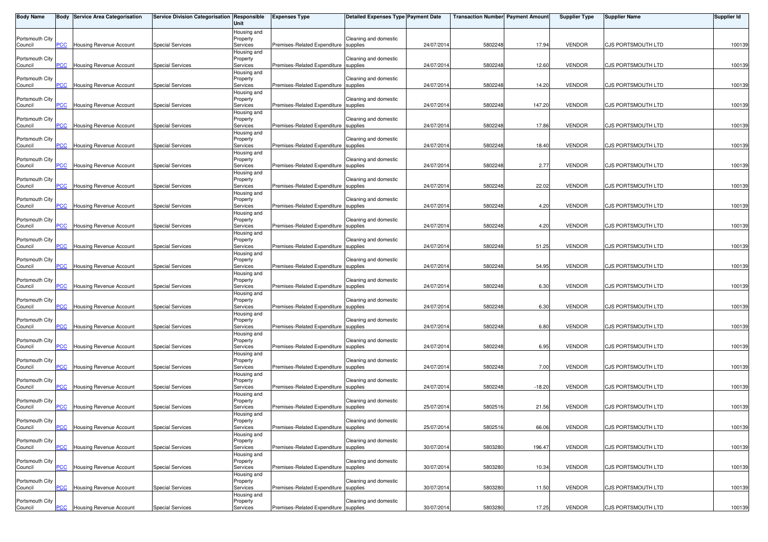| <b>Body Name</b>           |                | <b>Body Service Area Categorisation</b> | Service Division Categorisation Responsible | Unit                                | <b>Expenses Type</b>                  | <b>Detailed Expenses Type Payment Date</b> |            | <b>Transaction Number Payment Amount</b> |          | <b>Supplier Type</b> | <b>Supplier Name</b>      | Supplier Id |
|----------------------------|----------------|-----------------------------------------|---------------------------------------------|-------------------------------------|---------------------------------------|--------------------------------------------|------------|------------------------------------------|----------|----------------------|---------------------------|-------------|
| Portsmouth City<br>Council | PCC.           | Housing Revenue Account                 | <b>Special Services</b>                     | Housing and<br>Property<br>Services | Premises-Related Expenditure supplies | Cleaning and domestic                      | 24/07/2014 | 5802248                                  | 17.94    | <b>VENDOR</b>        | CJS PORTSMOUTH LTD        | 100139      |
| Portsmouth City<br>Council | <b>PCC</b>     | Housing Revenue Account                 | <b>Special Services</b>                     | Housing and<br>Property<br>Services | Premises-Related Expenditure supplies | Cleaning and domestic                      | 24/07/201  | 5802248                                  | 12.60    | <b>VENDOR</b>        | CJS PORTSMOUTH LTD        | 100139      |
| Portsmouth City<br>Council | CC             | Housing Revenue Account                 | <b>Special Services</b>                     | Housing and<br>Property<br>Services | Premises-Related Expenditure supplies | Cleaning and domestic                      | 24/07/2014 | 5802248                                  | 14.20    | <b>VENDOR</b>        | CJS PORTSMOUTH LTD        | 100139      |
| Portsmouth City<br>Council | PCC            | Housing Revenue Account                 | <b>Special Services</b>                     | Housing and<br>Property<br>Services | Premises-Related Expenditure supplies | Cleaning and domestic                      | 24/07/2014 | 5802248                                  | 147.20   | <b>VENDOR</b>        | CJS PORTSMOUTH LTD        | 100139      |
| Portsmouth City<br>Council | <b>PCC</b>     | Housing Revenue Account                 | <b>Special Services</b>                     | Housing and<br>Property<br>Services | Premises-Related Expenditure supplies | Cleaning and domestic                      | 24/07/201  | 5802248                                  | 17.86    | <b>VENDOR</b>        | CJS PORTSMOUTH LTD        | 100139      |
| Portsmouth City            |                |                                         |                                             | Housing and<br>Property             |                                       | Cleaning and domestic                      |            |                                          |          |                      |                           |             |
| Council<br>Portsmouth City | $\overline{C}$ | Housing Revenue Account                 | <b>Special Services</b>                     | Services<br>Housing and<br>Property | Premises-Related Expenditure supplies | Cleaning and domestic                      | 24/07/2014 | 5802248                                  | 18.40    | <b>VENDOR</b>        | CJS PORTSMOUTH LTD        | 100139      |
| Council<br>Portsmouth City | PСC            | <b>Housing Revenue Account</b>          | <b>Special Services</b>                     | Services<br>Housing and<br>Property | Premises-Related Expenditure supplies | Cleaning and domestic                      | 24/07/2014 | 5802248                                  | 2.77     | <b>VENDOR</b>        | CJS PORTSMOUTH LTD        | 100139      |
| Council<br>Portsmouth City | <b>PCC</b>     | <b>Housing Revenue Account</b>          | <b>Special Services</b>                     | Services<br>Housing and<br>Property | Premises-Related Expenditure supplies | Cleaning and domestic                      | 24/07/2014 | 5802248                                  | 22.02    | <b>VENDOR</b>        | CJS PORTSMOUTH LTD        | 100139      |
| Council<br>Portsmouth City | сC             | Housing Revenue Account                 | <b>Special Services</b>                     | Services<br>Housing and<br>Property | Premises-Related Expenditure          | supplies<br>Cleaning and domestic          | 24/07/2014 | 5802248                                  | 4.20     | <b>VENDOR</b>        | CJS PORTSMOUTH LTD        | 100139      |
| Council<br>Portsmouth City | PСC            | Housing Revenue Account                 | <b>Special Services</b>                     | Services<br>Housing and<br>Property | Premises-Related Expenditure supplies | Cleaning and domestic                      | 24/07/2014 | 5802248                                  | 4.20     | <b>VENDOR</b>        | CJS PORTSMOUTH LTD        | 100139      |
| Council<br>Portsmouth City | PCC            | <b>Housing Revenue Account</b>          | <b>Special Services</b>                     | Services<br>Housing and<br>Property | Premises-Related Expenditure supplies | Cleaning and domestic                      | 24/07/201  | 5802248                                  | 51.25    | <b>VENDOR</b>        | CJS PORTSMOUTH LTD        | 100139      |
| Council<br>Portsmouth City | <b>PCC</b>     | Housing Revenue Account                 | <b>Special Services</b>                     | Services<br>Housing and<br>Property | Premises-Related Expenditure supplies | Cleaning and domestic                      | 24/07/2014 | 5802248                                  | 54.95    | <b>VENDOR</b>        | CJS PORTSMOUTH LTD        | 100139      |
| Council                    | PСC            | Housing Revenue Account                 | <b>Special Services</b>                     | Services<br>Housing and             | Premises-Related Expenditure supplies |                                            | 24/07/2014 | 5802248                                  | 6.30     | <b>VENDOR</b>        | CJS PORTSMOUTH LTD        | 100139      |
| Portsmouth City<br>Council | $\overline{C}$ | Housing Revenue Account                 | <b>Special Services</b>                     | Property<br>Services<br>Housing and | Premises-Related Expenditure supplies | Cleaning and domestic                      | 24/07/2014 | 5802248                                  | 6.30     | <b>VENDOR</b>        | CJS PORTSMOUTH LTD        | 100139      |
| Portsmouth City<br>Council | <b>PCC</b>     | <b>Housing Revenue Account</b>          | <b>Special Services</b>                     | Property<br>Services<br>Housing and | Premises-Related Expenditure          | Cleaning and domestic<br>supplies          | 24/07/201  | 5802248                                  | 6.80     | <b>VENDOR</b>        | <b>CJS PORTSMOUTH LTD</b> | 100139      |
| Portsmouth City<br>Council | PСC            | Housing Revenue Account                 | <b>Special Services</b>                     | Property<br>Services<br>Housing and | Premises-Related Expenditure supplies | Cleaning and domestic                      | 24/07/2014 | 5802248                                  | 6.95     | <b>VENDOR</b>        | CJS PORTSMOUTH LTD        | 100139      |
| Portsmouth City<br>Council | $\overline{C}$ | Housing Revenue Account                 | <b>Special Services</b>                     | Property<br>Services<br>Housing and | Premises-Related Expenditure supplies | Cleaning and domestic                      | 24/07/2014 | 5802248                                  | 7.00     | <b>VENDOR</b>        | CJS PORTSMOUTH LTD        | 100139      |
| Portsmouth City<br>Council | <b>PCC</b>     | Housing Revenue Account                 | <b>Special Services</b>                     | Property<br>Services<br>Housing and | Premises-Related Expenditure          | Cleaning and domestic<br>supplies          | 24/07/201  | 5802248                                  | $-18.20$ | <b>VENDOR</b>        | CJS PORTSMOUTH LTD        | 100139      |
| Portsmouth City<br>Council | PCC            | Housing Revenue Account                 | <b>Special Services</b>                     | Property<br>Services<br>Housing and | Premises-Related Expenditure          | Cleaning and domestic<br>supplies          | 25/07/2014 | 5802516                                  | 21.56    | <b>VENDOR</b>        | CJS PORTSMOUTH LTD        | 100139      |
| Portsmouth City<br>Council | <b>PCC</b>     | <b>Housing Revenue Account</b>          | <b>Special Services</b>                     | Property<br>Services<br>Housing and | Premises-Related Expenditure supplies | Cleaning and domestic                      | 25/07/2014 | 5802516                                  | 66.06    | <b>VENDOR</b>        | CJS PORTSMOUTH LTD        | 100139      |
| Portsmouth City<br>Council | PСC            | Housing Revenue Account                 | <b>Special Services</b>                     | Property<br>Services<br>Housing and | Premises-Related Expenditure          | Cleaning and domestic<br>supplies          | 30/07/201  | 580328                                   | 196.47   | <b>VENDOR</b>        | CJS PORTSMOUTH LTD        | 100139      |
| Portsmouth City<br>Council | PСC            | Housing Revenue Account                 | <b>Special Services</b>                     | Property<br>Services                | Premises-Related Expenditure          | Cleaning and domestic<br>supplies          | 30/07/2014 | 580328                                   | 10.34    | <b>VENDOR</b>        | CJS PORTSMOUTH LTD        | 100139      |
| Portsmouth City<br>Council | PСC            | Housing Revenue Account                 | <b>Special Services</b>                     | Housing and<br>Property<br>Services | Premises-Related Expenditure supplies | Cleaning and domestic                      | 30/07/2014 | 580328                                   | 11.50    | <b>VENDOR</b>        | CJS PORTSMOUTH LTD        | 100139      |
| Portsmouth City<br>Council | <b>PCC</b>     | <b>Housing Revenue Account</b>          | <b>Special Services</b>                     | Housing and<br>Property<br>Services | Premises-Related Expenditure supplies | Cleaning and domestic                      | 30/07/2014 | 5803280                                  | 17.25    | <b>VENDOR</b>        | CJS PORTSMOUTH LTD        | 100139      |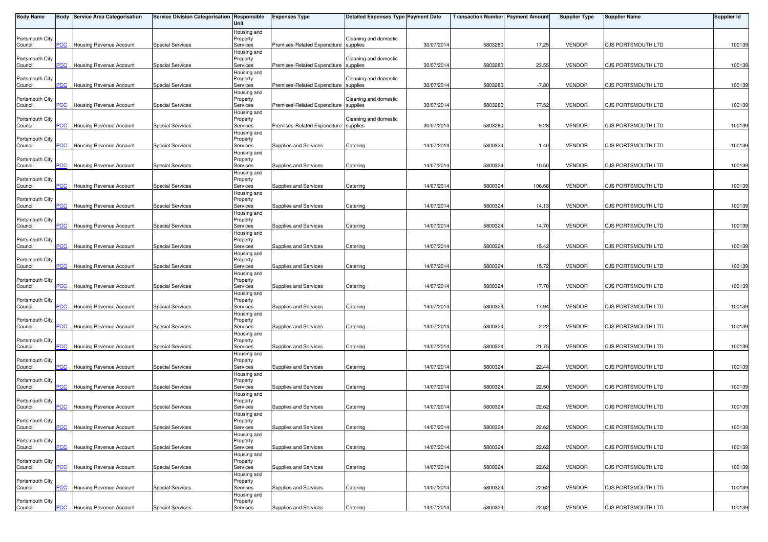| <b>Body Name</b>           |                | <b>Body Service Area Categorisation</b> | Service Division Categorisation Responsible | Unit                                | <b>Expenses Type</b>                  | <b>Detailed Expenses Type Payment Date</b> |            | <b>Transaction Number Payment Amount</b> |         | <b>Supplier Type</b> | <b>Supplier Name</b>      | Supplier Id |
|----------------------------|----------------|-----------------------------------------|---------------------------------------------|-------------------------------------|---------------------------------------|--------------------------------------------|------------|------------------------------------------|---------|----------------------|---------------------------|-------------|
| Portsmouth City<br>Council | PCC.           | Housing Revenue Account                 | <b>Special Services</b>                     | Housing and<br>Property<br>Services | Premises-Related Expenditure supplies | Cleaning and domestic                      | 30/07/2014 | 5803280                                  | 17.25   | <b>VENDOR</b>        | CJS PORTSMOUTH LTD        | 100139      |
| Portsmouth City<br>Council | <b>PCC</b>     | <b>Housing Revenue Account</b>          | <b>Special Services</b>                     | Housing and<br>Property<br>Services | Premises-Related Expenditure supplies | Cleaning and domestic                      | 30/07/201  | 5803280                                  | 23.55   | <b>VENDOR</b>        | CJS PORTSMOUTH LTD        | 100139      |
| Portsmouth City<br>Council | <b>PCC</b>     | Housing Revenue Account                 | <b>Special Services</b>                     | Housing and<br>Property<br>Services | Premises-Related Expenditure supplies | Cleaning and domestic                      | 30/07/2014 | 5803280                                  | $-7.80$ | <b>VENDOR</b>        | CJS PORTSMOUTH LTD        | 100139      |
| Portsmouth City<br>Council | <b>PCC</b>     | Housing Revenue Account                 | <b>Special Services</b>                     | Housing and<br>Property<br>Services | Premises-Related Expenditure supplies | Cleaning and domestic                      | 30/07/2014 | 5803280                                  | 77.52   | <b>VENDOR</b>        | CJS PORTSMOUTH LTD        | 100139      |
| Portsmouth City<br>Council | <b>PCC</b>     | Housing Revenue Account                 | <b>Special Services</b>                     | Housing and<br>Property<br>Services | Premises-Related Expenditure supplies | Cleaning and domestic                      | 30/07/201  | 5803280                                  | 9.28    | <b>VENDOR</b>        | CJS PORTSMOUTH LTD        | 100139      |
| Portsmouth City            |                |                                         |                                             | Housing and<br>Property             |                                       |                                            |            |                                          |         |                      |                           |             |
| Council<br>Portsmouth City | $\overline{C}$ | Housing Revenue Account                 | <b>Special Services</b>                     | Services<br>Housing and<br>Property | Supplies and Services                 | Catering                                   | 14/07/2014 | 5800324                                  | 1.40    | <b>VENDOR</b>        | CJS PORTSMOUTH LTD        | 100139      |
| Council<br>Portsmouth City | PCC.           | Housing Revenue Account                 | <b>Special Services</b>                     | Services<br>Housing and<br>Property | Supplies and Services                 | Catering                                   | 14/07/2014 | 5800324                                  | 10.50   | <b>VENDOR</b>        | CJS PORTSMOUTH LTD        | 100139      |
| Council<br>Portsmouth City | <b>PCC</b>     | Housing Revenue Account                 | <b>Special Services</b>                     | Services<br>Housing and<br>Property | Supplies and Services                 | Catering                                   | 14/07/2014 | 580032                                   | 106.68  | <b>VENDOR</b>        | CJS PORTSMOUTH LTD        | 100139      |
| Council<br>Portsmouth City | сC             | Housing Revenue Account                 | <b>Special Services</b>                     | Services<br>Housing and<br>Property | Supplies and Services                 | Catering                                   | 14/07/2014 | 5800324                                  | 14.13   | <b>VENDOR</b>        | CJS PORTSMOUTH LTD        | 100139      |
| Council<br>Portsmouth City | PСC            | Housing Revenue Account                 | <b>Special Services</b>                     | Services<br>Housing and<br>Property | Supplies and Services                 | Catering                                   | 14/07/201  | 5800324                                  | 14.70   | <b>VENDOR</b>        | CJS PORTSMOUTH LTD        | 100139      |
| Council<br>Portsmouth City | PCC            | Housing Revenue Account                 | <b>Special Services</b>                     | Services<br>Housing and<br>Property | Supplies and Services                 | Catering                                   | 14/07/201  | 580032                                   | 15.42   | <b>VENDOR</b>        | CJS PORTSMOUTH LTD        | 100139      |
| Council                    | $\overline{C}$ | Housing Revenue Account                 | <b>Special Services</b>                     | Services<br>Housing and             | Supplies and Services                 | Catering                                   | 14/07/2014 | 5800324                                  | 15.72   | <b>VENDOR</b>        | CJS PORTSMOUTH LTD        | 100139      |
| Portsmouth City<br>Council | <b>PCC</b>     | Housing Revenue Account                 | <b>Special Services</b>                     | Property<br>Services<br>Housing and | Supplies and Services                 | Catering                                   | 14/07/2014 | 5800324                                  | 17.70   | <b>VENDOR</b>        | CJS PORTSMOUTH LTD        | 100139      |
| Portsmouth City<br>Council | <b>PCC</b>     | Housing Revenue Account                 | <b>Special Services</b>                     | Property<br>Services<br>Housing and | Supplies and Services                 | Catering                                   | 14/07/2014 | 580032                                   | 17.94   | <b>VENDOR</b>        | CJS PORTSMOUTH LTD        | 100139      |
| Portsmouth City<br>Council | $\overline{C}$ | Housing Revenue Account                 | <b>Special Services</b>                     | Property<br>Services<br>Housing and | Supplies and Services                 | Catering                                   | 14/07/201  | 5800324                                  | 2.22    | <b>VENDOR</b>        | <b>CJS PORTSMOUTH LTD</b> | 100139      |
| Portsmouth City<br>Council | <b>PCC</b>     | Housing Revenue Account                 | <b>Special Services</b>                     | Property<br>Services<br>Housing and | Supplies and Services                 | Catering                                   | 14/07/2014 | 5800324                                  | 21.75   | <b>VENDOR</b>        | CJS PORTSMOUTH LTD        | 100139      |
| Portsmouth City<br>Council | $\overline{C}$ | Housing Revenue Account                 | <b>Special Services</b>                     | Property<br>Services<br>Housing and | Supplies and Services                 | Catering                                   | 14/07/2014 | 5800324                                  | 22.44   | <b>VENDOR</b>        | CJS PORTSMOUTH LTD        | 100139      |
| Portsmouth City<br>Council | $\overline{C}$ | Housing Revenue Account                 | <b>Special Services</b>                     | Property<br>Services<br>Housing and | Supplies and Services                 | Catering                                   | 14/07/201  | 580032                                   | 22.50   | <b>VENDOR</b>        | CJS PORTSMOUTH LTD        | 100139      |
| Portsmouth City<br>Council | PCC            | Housing Revenue Account                 | <b>Special Services</b>                     | Property<br>Services<br>Housing and | Supplies and Services                 | Catering                                   | 14/07/2014 | 5800324                                  | 22.62   | <b>VENDOR</b>        | CJS PORTSMOUTH LTD        | 100139      |
| Portsmouth City<br>Council | <b>PCC</b>     | <b>Housing Revenue Account</b>          | <b>Special Services</b>                     | Property<br>Services                | Supplies and Services                 | Catering                                   | 14/07/2014 | 5800324                                  | 22.62   | <b>VENDOR</b>        | CJS PORTSMOUTH LTD        | 100139      |
| Portsmouth City<br>Council | PCC            | Housing Revenue Account                 | <b>Special Services</b>                     | Housing and<br>Property<br>Services | Supplies and Services                 | Catering                                   | 14/07/201  | 580032                                   | 22.62   | <b>VENDOR</b>        | CJS PORTSMOUTH LTD        | 100139      |
| Portsmouth City<br>Council | PСC            | Housing Revenue Account                 | <b>Special Services</b>                     | Housing and<br>Property<br>Services | Supplies and Services                 | Catering                                   | 14/07/2014 | 5800324                                  | 22.62   | <b>VENDOR</b>        | CJS PORTSMOUTH LTD        | 100139      |
| Portsmouth City<br>Council | PCC            | Housing Revenue Account                 | <b>Special Services</b>                     | Housing and<br>Property<br>Services | Supplies and Services                 | Catering                                   | 14/07/2014 | 580032                                   | 22.62   | <b>VENDOR</b>        | CJS PORTSMOUTH LTD        | 100139      |
| Portsmouth City<br>Council | <b>PCC</b>     | <b>Housing Revenue Account</b>          | <b>Special Services</b>                     | Housing and<br>Property<br>Services | Supplies and Services                 | Catering                                   | 14/07/2014 | 5800324                                  | 22.62   | <b>VENDOR</b>        | CJS PORTSMOUTH LTD        | 100139      |
|                            |                |                                         |                                             |                                     |                                       |                                            |            |                                          |         |                      |                           |             |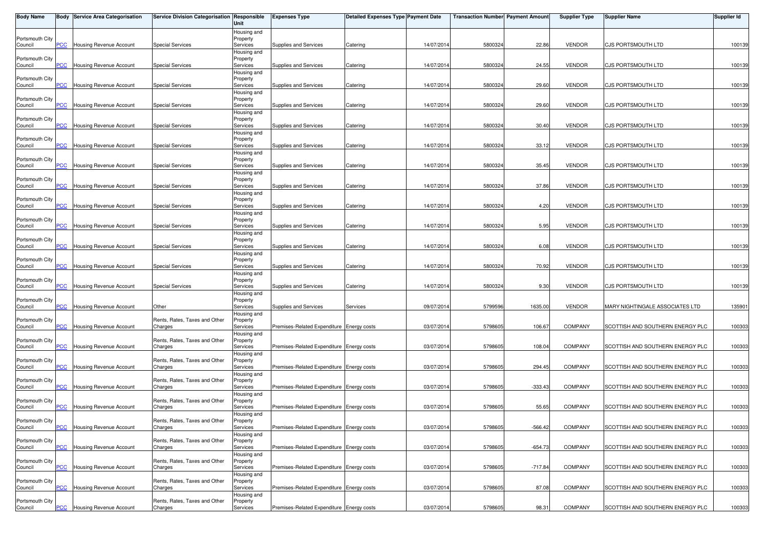| <b>Body Name</b>           |                | <b>Body Service Area Categorisation</b> | Service Division Categorisation Responsible | Unit                    | <b>Expenses Type</b>                      | <b>Detailed Expenses Type Payment Date</b> |            | <b>Transaction Number Payment Amount</b> |           | <b>Supplier Type</b> | <b>Supplier Name</b>             | <b>Supplier Id</b> |
|----------------------------|----------------|-----------------------------------------|---------------------------------------------|-------------------------|-------------------------------------------|--------------------------------------------|------------|------------------------------------------|-----------|----------------------|----------------------------------|--------------------|
|                            |                |                                         |                                             | Housing and             |                                           |                                            |            |                                          |           |                      |                                  |                    |
| Portsmouth City<br>Council | PCC            | Housing Revenue Account                 | <b>Special Services</b>                     | Property<br>Services    | Supplies and Services                     | Catering                                   | 14/07/2014 | 5800324                                  | 22.86     | <b>VENDOR</b>        | CJS PORTSMOUTH LTD               | 100139             |
|                            |                |                                         |                                             | Housing and             |                                           |                                            |            |                                          |           |                      |                                  |                    |
| Portsmouth City            |                |                                         |                                             | Property                |                                           |                                            |            |                                          |           |                      |                                  |                    |
| Council                    | PCC            | <b>Housing Revenue Account</b>          | <b>Special Services</b>                     | Services                | Supplies and Services                     | Catering                                   | 14/07/2014 | 5800324                                  | 24.55     | <b>VENDOR</b>        | CJS PORTSMOUTH LTD               | 100139             |
| Portsmouth City            |                |                                         |                                             | Housing and<br>Property |                                           |                                            |            |                                          |           |                      |                                  |                    |
| Council                    | <b>PCC</b>     | Housing Revenue Account                 | <b>Special Services</b>                     | Services                | Supplies and Services                     | Catering                                   | 14/07/2014 | 5800324                                  | 29.60     | <b>VENDOR</b>        | CJS PORTSMOUTH LTD               | 100139             |
|                            |                |                                         |                                             | Housing and             |                                           |                                            |            |                                          |           |                      |                                  |                    |
| Portsmouth City            |                |                                         |                                             | Property                |                                           |                                            |            |                                          |           |                      |                                  |                    |
| Council                    | PCC            | Housing Revenue Account                 | <b>Special Services</b>                     | Services<br>Housing and | Supplies and Services                     | Catering                                   | 14/07/2014 | 5800324                                  | 29.60     | <b>VENDOR</b>        | CJS PORTSMOUTH LTD               | 100139             |
| Portsmouth City            |                |                                         |                                             | Property                |                                           |                                            |            |                                          |           |                      |                                  |                    |
| Council                    | <b>PCC</b>     | Housing Revenue Account                 | <b>Special Services</b>                     | Services                | Supplies and Services                     | Catering                                   | 14/07/2014 | 580032                                   | 30.40     | <b>VENDOR</b>        | CJS PORTSMOUTH LTD               | 100139             |
|                            |                |                                         |                                             | Housing and             |                                           |                                            |            |                                          |           |                      |                                  |                    |
| Portsmouth City            |                |                                         |                                             | Property                |                                           |                                            |            |                                          | 33.12     | <b>VENDOR</b>        |                                  |                    |
| Council                    | $\overline{C}$ | <b>Housing Revenue Account</b>          | <b>Special Services</b>                     | Services<br>Housing and | Supplies and Services                     | Catering                                   | 14/07/2014 | 5800324                                  |           |                      | CJS PORTSMOUTH LTD               | 100139             |
| Portsmouth City            |                |                                         |                                             | Property                |                                           |                                            |            |                                          |           |                      |                                  |                    |
| Council                    | PCC            | <b>Housing Revenue Account</b>          | <b>Special Services</b>                     | Services                | Supplies and Services                     | Catering                                   | 14/07/2014 | 5800324                                  | 35.45     | <b>VENDOR</b>        | CJS PORTSMOUTH LTD               | 100139             |
|                            |                |                                         |                                             | Housing and             |                                           |                                            |            |                                          |           |                      |                                  |                    |
| Portsmouth City<br>Council | <u>PCC</u>     | Housing Revenue Account                 | <b>Special Services</b>                     | Property<br>Services    | Supplies and Services                     | Catering                                   | 14/07/2014 | 580032                                   | 37.86     | <b>VENDOR</b>        | CJS PORTSMOUTH LTD               | 100139             |
|                            |                |                                         |                                             | Housing and             |                                           |                                            |            |                                          |           |                      |                                  |                    |
| Portsmouth City            |                |                                         |                                             | Property                |                                           |                                            |            |                                          |           |                      |                                  |                    |
| Council                    | PСC            | <b>Housing Revenue Account</b>          | <b>Special Services</b>                     | Services                | Supplies and Services                     | Catering                                   | 14/07/2014 | 5800324                                  | 4.20      | <b>VENDOR</b>        | CJS PORTSMOUTH LTD               | 100139             |
|                            |                |                                         |                                             | Housing and             |                                           |                                            |            |                                          |           |                      |                                  |                    |
| Portsmouth City<br>Council | PCC            | Housing Revenue Account                 | <b>Special Services</b>                     | Property<br>Services    | Supplies and Services                     | Catering                                   | 14/07/2014 | 5800324                                  | 5.95      | <b>VENDOR</b>        | CJS PORTSMOUTH LTD               | 100139             |
|                            |                |                                         |                                             | Housing and             |                                           |                                            |            |                                          |           |                      |                                  |                    |
| Portsmouth City            |                |                                         |                                             | Property                |                                           |                                            |            |                                          |           |                      |                                  |                    |
| Council                    | PCC            | Housing Revenue Account                 | <b>Special Services</b>                     | Services                | Supplies and Services                     | Catering                                   | 14/07/2014 | 580032                                   | 6.08      | <b>VENDOR</b>        | CJS PORTSMOUTH LTD               | 100139             |
|                            |                |                                         |                                             | Housing and             |                                           |                                            |            |                                          |           |                      |                                  |                    |
| Portsmouth City<br>Council | PСC            | <b>Housing Revenue Account</b>          | <b>Special Services</b>                     | Property<br>Services    | Supplies and Services                     | Catering                                   | 14/07/2014 | 580032                                   | 70.92     | <b>VENDOR</b>        | CJS PORTSMOUTH LTD               | 100139             |
|                            |                |                                         |                                             | Housing and             |                                           |                                            |            |                                          |           |                      |                                  |                    |
| Portsmouth City            |                |                                         |                                             | Property                |                                           |                                            |            |                                          |           |                      |                                  |                    |
| Council                    | PCC            | <b>Housing Revenue Account</b>          | <b>Special Services</b>                     | Services                | Supplies and Services                     | Catering                                   | 14/07/2014 | 5800324                                  | 9.30      | <b>VENDOR</b>        | CJS PORTSMOUTH LTD               | 100139             |
|                            |                |                                         |                                             | Housing and             |                                           |                                            |            |                                          |           |                      |                                  |                    |
| Portsmouth City<br>Council | PCC            | Housing Revenue Account                 | Other                                       | Property<br>Services    | Supplies and Services                     | Services                                   | 09/07/2014 | 5799596                                  | 1635.00   | <b>VENDOR</b>        | MARY NIGHTINGALE ASSOCIATES LTD  | 135901             |
|                            |                |                                         |                                             | Housing and             |                                           |                                            |            |                                          |           |                      |                                  |                    |
| Portsmouth City            |                |                                         | Rents, Rates, Taxes and Other               | Property                |                                           |                                            |            |                                          |           |                      |                                  |                    |
| Council                    | <b>PCC</b>     | Housing Revenue Account                 | Charges                                     | Services                | Premises-Related Expenditure Energy costs |                                            | 03/07/2014 | 5798605                                  | 106.67    | COMPANY              | SCOTTISH AND SOUTHERN ENERGY PLC | 100303             |
|                            |                |                                         |                                             | Housing and             |                                           |                                            |            |                                          |           |                      |                                  |                    |
| Portsmouth City<br>Council | <b>PCC</b>     | Housing Revenue Account                 | Rents, Rates, Taxes and Other<br>Charges    | Property<br>Services    | Premises-Related Expenditure Energy costs |                                            | 03/07/2014 | 5798605                                  | 108.04    | <b>COMPANY</b>       | SCOTTISH AND SOUTHERN ENERGY PLC | 100303             |
|                            |                |                                         |                                             | Housing and             |                                           |                                            |            |                                          |           |                      |                                  |                    |
| Portsmouth City            |                |                                         | Rents, Rates, Taxes and Other               | Property                |                                           |                                            |            |                                          |           |                      |                                  |                    |
| Council                    | <b>PCC</b>     | Housing Revenue Account                 | Charges                                     | Services                | Premises-Related Expenditure Energy costs |                                            | 03/07/2014 | 5798605                                  | 294.45    | <b>COMPANY</b>       | SCOTTISH AND SOUTHERN ENERGY PLC | 100303             |
| Portsmouth City            |                |                                         | Rents, Rates, Taxes and Other               | Housing and<br>Property |                                           |                                            |            |                                          |           |                      |                                  |                    |
| Council                    | <b>PCC</b>     | <b>Housing Revenue Account</b>          | Charges                                     | Services                | Premises-Related Expenditure Energy costs |                                            | 03/07/2014 | 5798605                                  | $-333.43$ | <b>COMPANY</b>       | SCOTTISH AND SOUTHERN ENERGY PLC | 100303             |
|                            |                |                                         |                                             | Housing and             |                                           |                                            |            |                                          |           |                      |                                  |                    |
| Portsmouth City            |                |                                         | Rents, Rates, Taxes and Other               | Property                |                                           |                                            |            |                                          |           |                      |                                  |                    |
| Council                    | PCC            | Housing Revenue Account                 | Charges                                     | Services                | Premises-Related Expenditure Energy costs |                                            | 03/07/2014 | 5798605                                  | 55.65     | <b>COMPANY</b>       | SCOTTISH AND SOUTHERN ENERGY PLC | 100303             |
| Portsmouth City            |                |                                         | Rents, Rates, Taxes and Other               | Housing and<br>Property |                                           |                                            |            |                                          |           |                      |                                  |                    |
| Council                    | <b>PCC</b>     | <b>Housing Revenue Account</b>          | Charges                                     | Services                | Premises-Related Expenditure Energy costs |                                            | 03/07/2014 | 5798605                                  | $-566.42$ | <b>COMPANY</b>       | SCOTTISH AND SOUTHERN ENERGY PLC | 100303             |
|                            |                |                                         |                                             | Housing and             |                                           |                                            |            |                                          |           |                      |                                  |                    |
| Portsmouth City            |                |                                         | Rents, Rates, Taxes and Other               | Property                |                                           |                                            |            |                                          |           |                      |                                  |                    |
| Council                    | PCC            | Housing Revenue Account                 | Charges                                     | Services                | Premises-Related Expenditure Energy costs |                                            | 03/07/2014 | 579860                                   | $-654.73$ | COMPANY              | SCOTTISH AND SOUTHERN ENERGY PLC | 100303             |
| Portsmouth City            |                |                                         | Rents, Rates, Taxes and Other               | Housing and<br>Property |                                           |                                            |            |                                          |           |                      |                                  |                    |
| Council                    | PCC            | Housing Revenue Account                 | Charges                                     | Services                | Premises-Related Expenditure Energy costs |                                            | 03/07/2014 | 5798605                                  | $-717.84$ | <b>COMPANY</b>       | SCOTTISH AND SOUTHERN ENERGY PLC | 100303             |
|                            |                |                                         |                                             | Housing and             |                                           |                                            |            |                                          |           |                      |                                  |                    |
| Portsmouth City            |                |                                         | Rents, Rates, Taxes and Other               | Property                |                                           |                                            |            |                                          |           |                      |                                  |                    |
| Council                    | PCC            | Housing Revenue Account                 | Charges                                     | Services                | Premises-Related Expenditure Energy costs |                                            | 03/07/2014 | 5798605                                  | 87.08     | COMPANY              | SCOTTISH AND SOUTHERN ENERGY PLC | 100303             |
| Portsmouth City            |                |                                         | Rents, Rates, Taxes and Other               | Housing and<br>Property |                                           |                                            |            |                                          |           |                      |                                  |                    |
| Council                    |                | <b>PCC</b> Housing Revenue Account      | Charges                                     | Services                | Premises-Related Expenditure Energy costs |                                            | 03/07/2014 | 5798605                                  | 98.31     | COMPANY              | SCOTTISH AND SOUTHERN ENERGY PLC | 100303             |
|                            |                |                                         |                                             |                         |                                           |                                            |            |                                          |           |                      |                                  |                    |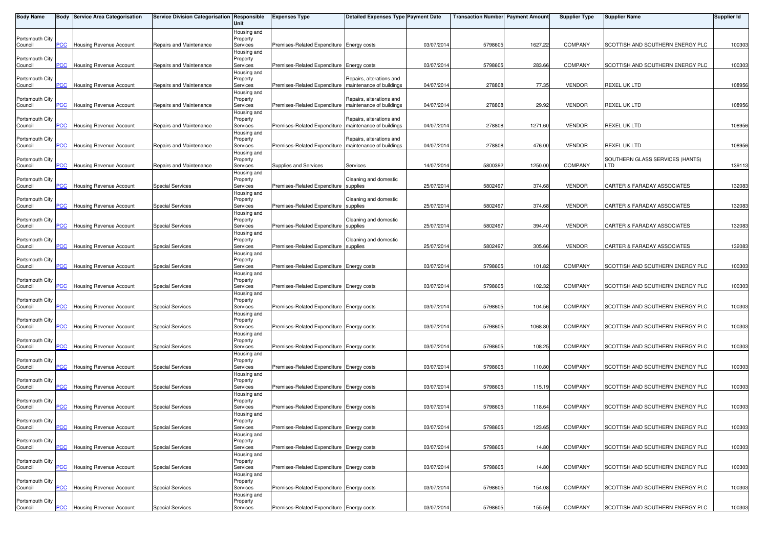| <b>Body Name</b>           |                          | <b>Body Service Area Categorisation</b> | Service Division Categorisation Responsible | Unit                    | <b>Expenses Type</b>                                    | <b>Detailed Expenses Type Payment Date</b> |            | <b>Transaction Number Payment Amount</b> |         | <b>Supplier Type</b> | <b>Supplier Name</b>             | <b>Supplier Id</b> |
|----------------------------|--------------------------|-----------------------------------------|---------------------------------------------|-------------------------|---------------------------------------------------------|--------------------------------------------|------------|------------------------------------------|---------|----------------------|----------------------------------|--------------------|
|                            |                          |                                         |                                             | Housing and             |                                                         |                                            |            |                                          |         |                      |                                  |                    |
| Portsmouth City            |                          |                                         |                                             | Property                |                                                         |                                            |            |                                          |         |                      |                                  |                    |
| Council                    | <b>PCC</b>               | <b>Housing Revenue Account</b>          | Repairs and Maintenance                     | Services<br>Housing and | Premises-Related Expenditure Energy costs               |                                            | 03/07/2014 | 5798605                                  | 1627.22 | <b>COMPANY</b>       | SCOTTISH AND SOUTHERN ENERGY PLC | 100303             |
| Portsmouth City            |                          |                                         |                                             | Property                |                                                         |                                            |            |                                          |         |                      |                                  |                    |
| Council                    | <b>PCC</b>               | <b>Housing Revenue Account</b>          | Repairs and Maintenance                     | Services                | Premises-Related Expenditure Energy costs               |                                            | 03/07/2014 | 5798605                                  | 283.66  | <b>COMPANY</b>       | SCOTTISH AND SOUTHERN ENERGY PLC | 100303             |
|                            |                          |                                         |                                             | Housing and             |                                                         |                                            |            |                                          |         |                      |                                  |                    |
| Portsmouth City            |                          |                                         |                                             | Property                |                                                         | Repairs, alterations and                   |            |                                          |         |                      |                                  |                    |
| Council                    | PСC                      | <b>Housing Revenue Account</b>          | Repairs and Maintenance                     | Services                | Premises-Related Expenditure   maintenance of buildings |                                            | 04/07/2014 | 278808                                   | 77.35   | <b>VENDOR</b>        | REXEL UK LTD                     | 108956             |
| Portsmouth City            |                          |                                         |                                             | Housing and<br>Property |                                                         | Repairs, alterations and                   |            |                                          |         |                      |                                  |                    |
| Council                    | PСC                      | Housing Revenue Account                 | Repairs and Maintenance                     | Services                | Premises-Related Expenditure   maintenance of buildings |                                            | 04/07/201  | 278808                                   | 29.92   | <b>VENDOR</b>        | <b>REXEL UK LTD</b>              | 108956             |
|                            |                          |                                         |                                             | Housing and             |                                                         |                                            |            |                                          |         |                      |                                  |                    |
| Portsmouth City            |                          |                                         |                                             | Property                |                                                         | Repairs, alterations and                   |            |                                          |         |                      |                                  |                    |
| Council                    | <b>PCC</b>               | <b>Housing Revenue Account</b>          | Repairs and Maintenance                     | Services                | Premises-Related Expenditure   maintenance of buildings |                                            | 04/07/201  | 278808                                   | 1271.60 | <b>VENDOR</b>        | <b>REXEL UK LTD</b>              | 108956             |
| Portsmouth City            |                          |                                         |                                             | Housing and<br>Property |                                                         | Repairs, alterations and                   |            |                                          |         |                      |                                  |                    |
| Council                    | $\overline{C}$           | <b>Housing Revenue Account</b>          | Repairs and Maintenance                     | Services                | Premises-Related Expenditure                            | maintenance of buildings                   | 04/07/201  | 278808                                   | 476.00  | <b>VENDOR</b>        | REXEL UK LTD                     | 108956             |
|                            |                          |                                         |                                             | Housing and             |                                                         |                                            |            |                                          |         |                      |                                  |                    |
| Portsmouth City            |                          |                                         |                                             | Property                |                                                         |                                            |            |                                          |         |                      | SOUTHERN GLASS SERVICES (HANTS)  |                    |
| Council                    | PСC                      | Housing Revenue Account                 | Repairs and Maintenance                     | Services                | Supplies and Services                                   | Services                                   | 14/07/2014 | 5800392                                  | 1250.00 | <b>COMPANY</b>       | _TD                              | 139113             |
| Portsmouth City            |                          |                                         |                                             | Housing and<br>Property |                                                         | Cleaning and domestic                      |            |                                          |         |                      |                                  |                    |
| Council                    | <b>PCC</b>               | Housing Revenue Account                 | <b>Special Services</b>                     | Services                | Premises-Related Expenditure supplies                   |                                            | 25/07/201  | 5802497                                  | 374.68  | <b>VENDOR</b>        | CARTER & FARADAY ASSOCIATES      | 132083             |
|                            |                          |                                         |                                             | Housing and             |                                                         |                                            |            |                                          |         |                      |                                  |                    |
| Portsmouth City            |                          |                                         |                                             | Property                |                                                         | Cleaning and domestic                      |            |                                          |         |                      |                                  |                    |
| Council                    | <b>PCC</b>               | <b>Housing Revenue Account</b>          | <b>Special Services</b>                     | Services                | Premises-Related Expenditure supplies                   |                                            | 25/07/201  | 5802497                                  | 374.68  | <b>VENDOR</b>        | CARTER & FARADAY ASSOCIATES      | 132083             |
| Portsmouth City            |                          |                                         |                                             | Housing and<br>Property |                                                         | Cleaning and domestic                      |            |                                          |         |                      |                                  |                    |
| Council                    | PСC                      | Housing Revenue Account                 | <b>Special Services</b>                     | Services                | Premises-Related Expenditure supplies                   |                                            | 25/07/2014 | 5802497                                  | 394.40  | <b>VENDOR</b>        | CARTER & FARADAY ASSOCIATES      | 132083             |
|                            |                          |                                         |                                             | Housing and             |                                                         |                                            |            |                                          |         |                      |                                  |                    |
| Portsmouth City            |                          |                                         |                                             | Property                |                                                         | Cleaning and domestic                      |            |                                          |         |                      |                                  |                    |
| Council                    | PСC                      | Housing Revenue Account                 | <b>Special Services</b>                     | Services                | Premises-Related Expenditure supplies                   |                                            | 25/07/201  | 5802497                                  | 305.66  | <b>VENDOR</b>        | CARTER & FARADAY ASSOCIATES      | 132083             |
|                            |                          |                                         |                                             | Housing and             |                                                         |                                            |            |                                          |         |                      |                                  |                    |
| Portsmouth City<br>Council | PСC                      | <b>Housing Revenue Account</b>          | <b>Special Services</b>                     | Property<br>Services    | Premises-Related Expenditure Energy costs               |                                            | 03/07/201  | 5798605                                  | 101.82  | <b>COMPANY</b>       | SCOTTISH AND SOUTHERN ENERGY PLC | 100303             |
|                            |                          |                                         |                                             | Housing and             |                                                         |                                            |            |                                          |         |                      |                                  |                    |
| Portsmouth City            |                          |                                         |                                             | Property                |                                                         |                                            |            |                                          |         |                      |                                  |                    |
| Council                    | <b>PCC</b>               | Housing Revenue Account                 | <b>Special Services</b>                     | Services                | Premises-Related Expenditure Energy costs               |                                            | 03/07/2014 | 5798605                                  | 102.32  | <b>COMPANY</b>       | SCOTTISH AND SOUTHERN ENERGY PLC | 100303             |
|                            |                          |                                         |                                             | Housing and             |                                                         |                                            |            |                                          |         |                      |                                  |                    |
| Portsmouth City<br>Council | $\overline{\text{p}}$ CC | Housing Revenue Account                 | <b>Special Services</b>                     | Property<br>Services    | Premises-Related Expenditure Energy costs               |                                            | 03/07/2014 | 5798605                                  | 104.56  | <b>COMPANY</b>       | SCOTTISH AND SOUTHERN ENERGY PLC | 100303             |
|                            |                          |                                         |                                             | Housing and             |                                                         |                                            |            |                                          |         |                      |                                  |                    |
| Portsmouth City            |                          |                                         |                                             | Property                |                                                         |                                            |            |                                          |         |                      |                                  |                    |
| Council                    | PCC                      | Housing Revenue Account                 | <b>Special Services</b>                     | Services                | Premises-Related Expenditure Energy costs               |                                            | 03/07/201  | 5798605                                  | 1068.80 | <b>COMPANY</b>       | SCOTTISH AND SOUTHERN ENERGY PLC | 100303             |
|                            |                          |                                         |                                             | Housing and             |                                                         |                                            |            |                                          |         |                      |                                  |                    |
| Portsmouth City<br>Council | PСC                      | Housing Revenue Account                 | <b>Special Services</b>                     | Property<br>Services    | Premises-Related Expenditure Energy costs               |                                            | 03/07/2014 | 5798605                                  | 108.25  | <b>COMPANY</b>       | SCOTTISH AND SOUTHERN ENERGY PLC | 100303             |
|                            |                          |                                         |                                             | Housing and             |                                                         |                                            |            |                                          |         |                      |                                  |                    |
| Portsmouth City            |                          |                                         |                                             | Property                |                                                         |                                            |            |                                          |         |                      |                                  |                    |
| Council                    | <b>PCC</b>               | Housing Revenue Account                 | <b>Special Services</b>                     | Services                | Premises-Related Expenditure Energy costs               |                                            | 03/07/2014 | 5798605                                  | 110.80  | <b>COMPANY</b>       | SCOTTISH AND SOUTHERN ENERGY PLC | 100303             |
|                            |                          |                                         |                                             | Housing and             |                                                         |                                            |            |                                          |         |                      |                                  |                    |
| Portsmouth City<br>Council | <u>PCC</u>               | <b>Housing Revenue Account</b>          | <b>Special Services</b>                     | Property<br>Services    | Premises-Related Expenditure Energy costs               |                                            | 03/07/201  | 5798605                                  | 115.19  | <b>COMPANY</b>       | SCOTTISH AND SOUTHERN ENERGY PLC | 100303             |
|                            |                          |                                         |                                             | Housing and             |                                                         |                                            |            |                                          |         |                      |                                  |                    |
| Portsmouth City            |                          |                                         |                                             | Property                |                                                         |                                            |            |                                          |         |                      |                                  |                    |
| Council                    | <b>PCC</b>               | <b>Housing Revenue Account</b>          | <b>Special Services</b>                     | Services                | Premises-Related Expenditure Energy costs               |                                            | 03/07/201  | 5798605                                  | 118.64  | <b>COMPANY</b>       | SCOTTISH AND SOUTHERN ENERGY PLC | 100303             |
|                            |                          |                                         |                                             | Housing and             |                                                         |                                            |            |                                          |         |                      |                                  |                    |
| Portsmouth City<br>Council | <b>PCC</b>               | <b>Housing Revenue Account</b>          | <b>Special Services</b>                     | Property<br>Services    | Premises-Related Expenditure Energy costs               |                                            | 03/07/2014 | 5798605                                  | 123.65  | <b>COMPANY</b>       | SCOTTISH AND SOUTHERN ENERGY PLC | 100303             |
|                            |                          |                                         |                                             | Housing and             |                                                         |                                            |            |                                          |         |                      |                                  |                    |
| Portsmouth City            |                          |                                         |                                             | Property                |                                                         |                                            |            |                                          |         |                      |                                  |                    |
| Council                    | PCC                      | <b>Housing Revenue Account</b>          | <b>Special Services</b>                     | Services                | Premises-Related Expenditure Energy costs               |                                            | 03/07/201  | 5798605                                  | 14.80   | <b>COMPANY</b>       | SCOTTISH AND SOUTHERN ENERGY PLC | 100303             |
|                            |                          |                                         |                                             | Housing and             |                                                         |                                            |            |                                          |         |                      |                                  |                    |
| Portsmouth City            |                          | <b>Housing Revenue Account</b>          | <b>Special Services</b>                     | Property                |                                                         |                                            |            |                                          |         | <b>COMPANY</b>       |                                  |                    |
| Council                    | сC                       |                                         |                                             | Services<br>Housing and | Premises-Related Expenditure Energy costs               |                                            | 03/07/2014 | 5798605                                  | 14.80   |                      | SCOTTISH AND SOUTHERN ENERGY PLC | 100303             |
| Portsmouth City            |                          |                                         |                                             | Property                |                                                         |                                            |            |                                          |         |                      |                                  |                    |
| Council                    | <b>PCC</b>               | Housing Revenue Account                 | <b>Special Services</b>                     | Services                | Premises-Related Expenditure Energy costs               |                                            | 03/07/2014 | 5798605                                  | 154.08  | <b>COMPANY</b>       | SCOTTISH AND SOUTHERN ENERGY PLC | 100303             |
|                            |                          |                                         |                                             | Housing and             |                                                         |                                            |            |                                          |         |                      |                                  |                    |
| Portsmouth City            |                          |                                         |                                             | Property                |                                                         |                                            |            |                                          |         |                      |                                  |                    |
| Council                    | <b>PCC</b>               | Housing Revenue Account                 | <b>Special Services</b>                     | Services                | Premises-Related Expenditure Energy costs               |                                            | 03/07/2014 | 5798605                                  | 155.59  | COMPANY              | SCOTTISH AND SOUTHERN ENERGY PLC | 100303             |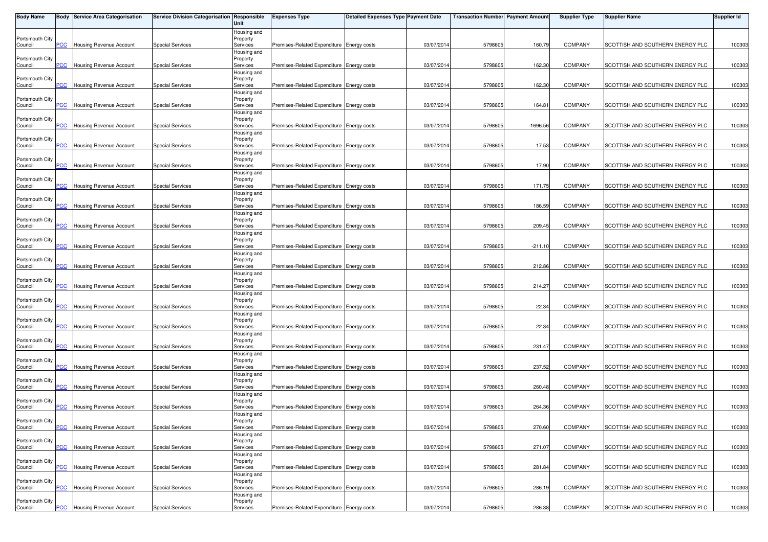| <b>Body Name</b>           |                         | <b>Body Service Area Categorisation</b> | Service Division Categorisation Responsible | Unit                    | <b>Expenses Type</b>                      | <b>Detailed Expenses Type Payment Date</b> |            | <b>Transaction Number Payment Amount</b> |            | <b>Supplier Type</b> | Supplier Name                    | <b>Supplier Id</b> |
|----------------------------|-------------------------|-----------------------------------------|---------------------------------------------|-------------------------|-------------------------------------------|--------------------------------------------|------------|------------------------------------------|------------|----------------------|----------------------------------|--------------------|
|                            |                         |                                         |                                             | Housing and             |                                           |                                            |            |                                          |            |                      |                                  |                    |
| Portsmouth City<br>Council | PCC                     | <b>Housing Revenue Account</b>          | <b>Special Services</b>                     | Property<br>Services    | Premises-Related Expenditure Energy costs |                                            | 03/07/2014 | 5798605                                  | 160.79     | <b>COMPANY</b>       | SCOTTISH AND SOUTHERN ENERGY PLC | 100303             |
|                            |                         |                                         |                                             | Housing and             |                                           |                                            |            |                                          |            |                      |                                  |                    |
| Portsmouth City            |                         |                                         |                                             | Property                |                                           |                                            |            |                                          |            |                      |                                  |                    |
| Council                    | <b>PCC</b>              | <b>Housing Revenue Account</b>          | <b>Special Services</b>                     | Services                | Premises-Related Expenditure Energy costs |                                            | 03/07/201  | 5798605                                  | 162.30     | <b>COMPANY</b>       | SCOTTISH AND SOUTHERN ENERGY PLC | 100303             |
| Portsmouth City            |                         |                                         |                                             | Housing and<br>Property |                                           |                                            |            |                                          |            |                      |                                  |                    |
| Council                    | PСC                     | Housing Revenue Account                 | <b>Special Services</b>                     | Services                | Premises-Related Expenditure Energy costs |                                            | 03/07/2014 | 5798605                                  | 162.30     | <b>COMPANY</b>       | SCOTTISH AND SOUTHERN ENERGY PLC | 100303             |
|                            |                         |                                         |                                             | Housing and             |                                           |                                            |            |                                          |            |                      |                                  |                    |
| Portsmouth City            |                         |                                         |                                             | Property                |                                           |                                            |            | 5798605                                  | 164.81     | <b>COMPANY</b>       | SCOTTISH AND SOUTHERN ENERGY PLC |                    |
| Council                    | PCC                     | Housing Revenue Account                 | <b>Special Services</b>                     | Services<br>Housing and | Premises-Related Expenditure Energy costs |                                            | 03/07/201  |                                          |            |                      |                                  | 100303             |
| Portsmouth City            |                         |                                         |                                             | Property                |                                           |                                            |            |                                          |            |                      |                                  |                    |
| Council                    | $\overline{C}$          | <b>Housing Revenue Account</b>          | <b>Special Services</b>                     | Services                | Premises-Related Expenditure Energy costs |                                            | 03/07/201  | 5798605                                  | $-1696.56$ | COMPANY              | SCOTTISH AND SOUTHERN ENERGY PLC | 100303             |
| Portsmouth City            |                         |                                         |                                             | Housing and<br>Property |                                           |                                            |            |                                          |            |                      |                                  |                    |
| Council                    | $\overline{C}$          | Housing Revenue Account                 | <b>Special Services</b>                     | Services                | Premises-Related Expenditure Energy costs |                                            | 03/07/201  | 5798605                                  | 17.53      | <b>COMPANY</b>       | SCOTTISH AND SOUTHERN ENERGY PLC | 100303             |
|                            |                         |                                         |                                             | Housing and             |                                           |                                            |            |                                          |            |                      |                                  |                    |
| Portsmouth City            |                         |                                         |                                             | Property                |                                           |                                            |            |                                          |            |                      |                                  |                    |
| Council                    | PCC                     | Housing Revenue Account                 | <b>Special Services</b>                     | Services<br>Housing and | Premises-Related Expenditure Energy costs |                                            | 03/07/201  | 5798605                                  | 17.90      | <b>COMPANY</b>       | SCOTTISH AND SOUTHERN ENERGY PLC | 100303             |
| Portsmouth City            |                         |                                         |                                             | Property                |                                           |                                            |            |                                          |            |                      |                                  |                    |
| Council                    | $\overline{C}$          | <b>Housing Revenue Account</b>          | <b>Special Services</b>                     | Services                | Premises-Related Expenditure Energy costs |                                            | 03/07/2014 | 5798605                                  | 171.75     | <b>COMPANY</b>       | SCOTTISH AND SOUTHERN ENERGY PLC | 100303             |
|                            |                         |                                         |                                             | Housing and             |                                           |                                            |            |                                          |            |                      |                                  |                    |
| Portsmouth City<br>Council | PСC                     | Housing Revenue Account                 | <b>Special Services</b>                     | Property<br>Services    | Premises-Related Expenditure Energy costs |                                            | 03/07/201  | 5798605                                  | 186.59     | <b>COMPANY</b>       | SCOTTISH AND SOUTHERN ENERGY PLC | 100303             |
|                            |                         |                                         |                                             | Housing and             |                                           |                                            |            |                                          |            |                      |                                  |                    |
| Portsmouth City            |                         |                                         |                                             | Property                |                                           |                                            |            |                                          |            |                      |                                  |                    |
| Council                    | PСC                     | Housing Revenue Account                 | <b>Special Services</b>                     | Services<br>Housing and | Premises-Related Expenditure Energy costs |                                            | 03/07/201  | 5798605                                  | 209.45     | <b>COMPANY</b>       | SCOTTISH AND SOUTHERN ENERGY PLC | 100303             |
| Portsmouth City            |                         |                                         |                                             | Property                |                                           |                                            |            |                                          |            |                      |                                  |                    |
| Council                    | PСC                     | <b>Housing Revenue Account</b>          | <b>Special Services</b>                     | Services                | Premises-Related Expenditure Energy costs |                                            | 03/07/201  | 5798605                                  | $-211.10$  | <b>COMPANY</b>       | SCOTTISH AND SOUTHERN ENERGY PLC | 100303             |
|                            |                         |                                         |                                             | Housing and             |                                           |                                            |            |                                          |            |                      |                                  |                    |
| Portsmouth City<br>Council | $\overline{\text{c}}$   | <b>Housing Revenue Account</b>          | <b>Special Services</b>                     | Property<br>Services    | Premises-Related Expenditure Energy costs |                                            | 03/07/201  | 5798605                                  | 212.86     | <b>COMPANY</b>       | SCOTTISH AND SOUTHERN ENERGY PLC | 100303             |
|                            |                         |                                         |                                             | Housing and             |                                           |                                            |            |                                          |            |                      |                                  |                    |
| Portsmouth City            |                         |                                         |                                             | Property                |                                           |                                            |            |                                          |            |                      |                                  |                    |
| Council                    | PCC.                    | Housing Revenue Account                 | <b>Special Services</b>                     | Services                | Premises-Related Expenditure Energy costs |                                            | 03/07/201  | 5798605                                  | 214.27     | <b>COMPANY</b>       | SCOTTISH AND SOUTHERN ENERGY PLC | 100303             |
| Portsmouth City            |                         |                                         |                                             | Housing and<br>Property |                                           |                                            |            |                                          |            |                      |                                  |                    |
| Council                    | $\overline{C}$          | Housing Revenue Account                 | <b>Special Services</b>                     | Services                | Premises-Related Expenditure Energy costs |                                            | 03/07/201  | 5798605                                  | 22.34      | <b>COMPANY</b>       | SCOTTISH AND SOUTHERN ENERGY PLC | 100303             |
|                            |                         |                                         |                                             | Housing and             |                                           |                                            |            |                                          |            |                      |                                  |                    |
| Portsmouth City<br>Council | $\overline{PCC}$        | Housing Revenue Account                 | <b>Special Services</b>                     | Property<br>Services    | Premises-Related Expenditure Energy costs |                                            | 03/07/201  | 5798605                                  | 22.34      | <b>COMPANY</b>       | SCOTTISH AND SOUTHERN ENERGY PLC | 100303             |
|                            |                         |                                         |                                             | Housing and             |                                           |                                            |            |                                          |            |                      |                                  |                    |
| Portsmouth City            |                         |                                         |                                             | Property                |                                           |                                            |            |                                          |            |                      |                                  |                    |
| Council                    | <b>PCC</b>              | Housing Revenue Account                 | <b>Special Services</b>                     | Services                | Premises-Related Expenditure Energy costs |                                            | 03/07/2014 | 5798605                                  | 231.47     | <b>COMPANY</b>       | SCOTTISH AND SOUTHERN ENERGY PLC | 100303             |
| Portsmouth City            |                         |                                         |                                             | Housing and<br>Property |                                           |                                            |            |                                          |            |                      |                                  |                    |
| Council                    | $\overline{\text{PCC}}$ | <b>Housing Revenue Account</b>          | <b>Special Services</b>                     | Services                | Premises-Related Expenditure Energy costs |                                            | 03/07/201  | 5798605                                  | 237.52     | <b>COMPANY</b>       | SCOTTISH AND SOUTHERN ENERGY PLC | 100303             |
|                            |                         |                                         |                                             | Housing and             |                                           |                                            |            |                                          |            |                      |                                  |                    |
| Portsmouth City<br>Council | $\overline{C}$          | <b>Housing Revenue Account</b>          | <b>Special Services</b>                     | Property<br>Services    | Premises-Related Expenditure Energy costs |                                            | 03/07/201  | 5798605                                  | 260.48     | <b>COMPANY</b>       | SCOTTISH AND SOUTHERN ENERGY PLC | 100303             |
|                            |                         |                                         |                                             | Housing and             |                                           |                                            |            |                                          |            |                      |                                  |                    |
| Portsmouth City            |                         |                                         |                                             | Property                |                                           |                                            |            |                                          |            |                      |                                  |                    |
| Council                    | PСC                     | <b>Housing Revenue Account</b>          | <b>Special Services</b>                     | Services                | Premises-Related Expenditure Energy costs |                                            | 03/07/201  | 5798605                                  | 264.36     | <b>COMPANY</b>       | SCOTTISH AND SOUTHERN ENERGY PLC | 100303             |
| Portsmouth City            |                         |                                         |                                             | Housing and<br>Property |                                           |                                            |            |                                          |            |                      |                                  |                    |
| Council                    | <b>PCC</b>              | <b>Housing Revenue Account</b>          | <b>Special Services</b>                     | Services                | Premises-Related Expenditure Energy costs |                                            | 03/07/2014 | 5798605                                  | 270.60     | <b>COMPANY</b>       | SCOTTISH AND SOUTHERN ENERGY PLC | 100303             |
|                            |                         |                                         |                                             | Housing and             |                                           |                                            |            |                                          |            |                      |                                  |                    |
| Portsmouth City<br>Council | PCC                     | <b>Housing Revenue Account</b>          | <b>Special Services</b>                     | Property<br>Services    | Premises-Related Expenditure Energy costs |                                            | 03/07/201  | 5798605                                  | 271.07     | <b>COMPANY</b>       | SCOTTISH AND SOUTHERN ENERGY PLC | 100303             |
|                            |                         |                                         |                                             | Housing and             |                                           |                                            |            |                                          |            |                      |                                  |                    |
| Portsmouth City            |                         |                                         |                                             | Property                |                                           |                                            |            |                                          |            |                      |                                  |                    |
| Council                    | PСC                     | Housing Revenue Account                 | <b>Special Services</b>                     | Services                | Premises-Related Expenditure Energy costs |                                            | 03/07/2014 | 5798605                                  | 281.84     | COMPANY              | SCOTTISH AND SOUTHERN ENERGY PLC | 100303             |
| Portsmouth City            |                         |                                         |                                             | Housing and<br>Property |                                           |                                            |            |                                          |            |                      |                                  |                    |
| Council                    | PCC                     | <b>Housing Revenue Account</b>          | <b>Special Services</b>                     | Services                | Premises-Related Expenditure Energy costs |                                            | 03/07/2014 | 5798605                                  | 286.19     | <b>COMPANY</b>       | SCOTTISH AND SOUTHERN ENERGY PLC | 100303             |
|                            |                         |                                         |                                             | Housing and             |                                           |                                            |            |                                          |            |                      |                                  |                    |
| Portsmouth City<br>Council | <b>PCC</b>              | <b>Housing Revenue Account</b>          | <b>Special Services</b>                     | Property<br>Services    | Premises-Related Expenditure Energy costs |                                            | 03/07/2014 | 5798605                                  | 286.38     | <b>COMPANY</b>       | SCOTTISH AND SOUTHERN ENERGY PLC | 100303             |
|                            |                         |                                         |                                             |                         |                                           |                                            |            |                                          |            |                      |                                  |                    |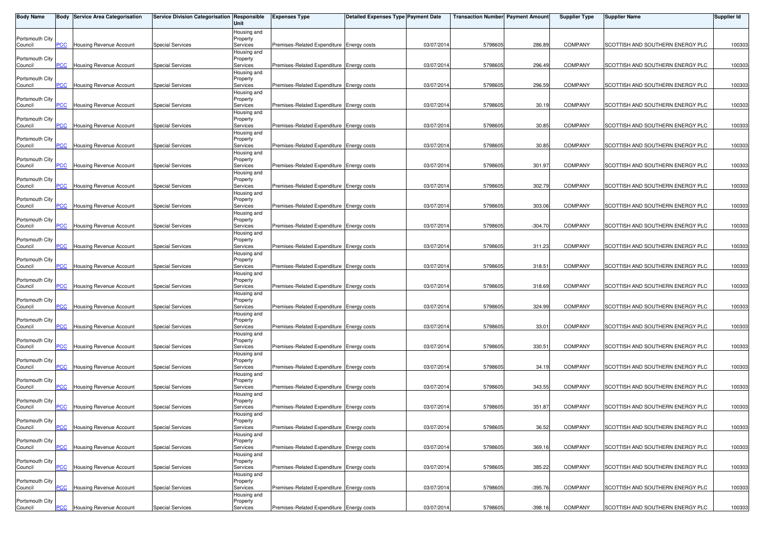| <b>Body Name</b>           |                         | <b>Body Service Area Categorisation</b> | Service Division Categorisation Responsible | Unit                    | <b>Expenses Type</b>                      | <b>Detailed Expenses Type Payment Date</b> |            | <b>Transaction Number Payment Amount</b> |           | <b>Supplier Type</b> | Supplier Name                    | <b>Supplier Id</b> |
|----------------------------|-------------------------|-----------------------------------------|---------------------------------------------|-------------------------|-------------------------------------------|--------------------------------------------|------------|------------------------------------------|-----------|----------------------|----------------------------------|--------------------|
|                            |                         |                                         |                                             | Housing and             |                                           |                                            |            |                                          |           |                      |                                  |                    |
| Portsmouth City<br>Council | PCC                     | <b>Housing Revenue Account</b>          | <b>Special Services</b>                     | Property<br>Services    | Premises-Related Expenditure Energy costs |                                            | 03/07/2014 | 5798605                                  | 286.89    | <b>COMPANY</b>       | SCOTTISH AND SOUTHERN ENERGY PLC | 100303             |
|                            |                         |                                         |                                             | Housing and             |                                           |                                            |            |                                          |           |                      |                                  |                    |
| Portsmouth City            |                         |                                         |                                             | Property                |                                           |                                            |            |                                          |           |                      |                                  |                    |
| Council                    | <b>PCC</b>              | <b>Housing Revenue Account</b>          | <b>Special Services</b>                     | Services                | Premises-Related Expenditure Energy costs |                                            | 03/07/201  | 5798605                                  | 296.49    | <b>COMPANY</b>       | SCOTTISH AND SOUTHERN ENERGY PLC | 100303             |
| Portsmouth City            |                         |                                         |                                             | Housing and<br>Property |                                           |                                            |            |                                          |           |                      |                                  |                    |
| Council                    | PСC                     | Housing Revenue Account                 | <b>Special Services</b>                     | Services                | Premises-Related Expenditure Energy costs |                                            | 03/07/2014 | 5798605                                  | 296.59    | <b>COMPANY</b>       | SCOTTISH AND SOUTHERN ENERGY PLC | 100303             |
|                            |                         |                                         |                                             | Housing and             |                                           |                                            |            |                                          |           |                      |                                  |                    |
| Portsmouth City            |                         |                                         |                                             | Property                |                                           |                                            |            | 5798605                                  | 30.19     | <b>COMPANY</b>       | SCOTTISH AND SOUTHERN ENERGY PLC |                    |
| Council                    | PCC                     | Housing Revenue Account                 | <b>Special Services</b>                     | Services<br>Housing and | Premises-Related Expenditure Energy costs |                                            | 03/07/201  |                                          |           |                      |                                  | 100303             |
| Portsmouth City            |                         |                                         |                                             | Property                |                                           |                                            |            |                                          |           |                      |                                  |                    |
| Council                    | $\overline{C}$          | <b>Housing Revenue Account</b>          | <b>Special Services</b>                     | Services                | Premises-Related Expenditure Energy costs |                                            | 03/07/201  | 5798605                                  | 30.85     | <b>COMPANY</b>       | SCOTTISH AND SOUTHERN ENERGY PLC | 100303             |
| Portsmouth City            |                         |                                         |                                             | Housing and<br>Property |                                           |                                            |            |                                          |           |                      |                                  |                    |
| Council                    | $\overline{C}$          | Housing Revenue Account                 | <b>Special Services</b>                     | Services                | Premises-Related Expenditure Energy costs |                                            | 03/07/201  | 5798605                                  | 30.85     | <b>COMPANY</b>       | SCOTTISH AND SOUTHERN ENERGY PLC | 100303             |
|                            |                         |                                         |                                             | Housing and             |                                           |                                            |            |                                          |           |                      |                                  |                    |
| Portsmouth City            |                         |                                         |                                             | Property                |                                           |                                            |            |                                          |           |                      |                                  |                    |
| Council                    | PCC                     | Housing Revenue Account                 | <b>Special Services</b>                     | Services<br>Housing and | Premises-Related Expenditure Energy costs |                                            | 03/07/201  | 5798605                                  | 301.97    | <b>COMPANY</b>       | SCOTTISH AND SOUTHERN ENERGY PLC | 100303             |
| Portsmouth City            |                         |                                         |                                             | Property                |                                           |                                            |            |                                          |           |                      |                                  |                    |
| Council                    | $\overline{C}$          | <b>Housing Revenue Account</b>          | <b>Special Services</b>                     | Services                | Premises-Related Expenditure Energy costs |                                            | 03/07/2014 | 5798605                                  | 302.79    | <b>COMPANY</b>       | SCOTTISH AND SOUTHERN ENERGY PLC | 100303             |
|                            |                         |                                         |                                             | Housing and             |                                           |                                            |            |                                          |           |                      |                                  |                    |
| Portsmouth City<br>Council | PСC                     | Housing Revenue Account                 | <b>Special Services</b>                     | Property<br>Services    | Premises-Related Expenditure Energy costs |                                            | 03/07/201  | 5798605                                  | 303.06    | <b>COMPANY</b>       | SCOTTISH AND SOUTHERN ENERGY PLC | 100303             |
|                            |                         |                                         |                                             | Housing and             |                                           |                                            |            |                                          |           |                      |                                  |                    |
| Portsmouth City            |                         |                                         |                                             | Property                |                                           |                                            |            |                                          |           |                      |                                  |                    |
| Council                    | PСC                     | Housing Revenue Account                 | <b>Special Services</b>                     | Services<br>Housing and | Premises-Related Expenditure Energy costs |                                            | 03/07/201  | 5798605                                  | $-304.70$ | <b>COMPANY</b>       | SCOTTISH AND SOUTHERN ENERGY PLC | 100303             |
| Portsmouth City            |                         |                                         |                                             | Property                |                                           |                                            |            |                                          |           |                      |                                  |                    |
| Council                    | PСC                     | <b>Housing Revenue Account</b>          | <b>Special Services</b>                     | Services                | Premises-Related Expenditure Energy costs |                                            | 03/07/201  | 5798605                                  | 311.23    | <b>COMPANY</b>       | SCOTTISH AND SOUTHERN ENERGY PLC | 100303             |
|                            |                         |                                         |                                             | Housing and             |                                           |                                            |            |                                          |           |                      |                                  |                    |
| Portsmouth City<br>Council | $\overline{\text{c}}$   | <b>Housing Revenue Account</b>          | <b>Special Services</b>                     | Property<br>Services    | Premises-Related Expenditure Energy costs |                                            | 03/07/201  | 5798605                                  | 318.51    | <b>COMPANY</b>       | SCOTTISH AND SOUTHERN ENERGY PLC | 100303             |
|                            |                         |                                         |                                             | Housing and             |                                           |                                            |            |                                          |           |                      |                                  |                    |
| Portsmouth City            |                         |                                         |                                             | Property                |                                           |                                            |            |                                          |           |                      |                                  |                    |
| Council                    | PCC                     | Housing Revenue Account                 | <b>Special Services</b>                     | Services                | Premises-Related Expenditure Energy costs |                                            | 03/07/201  | 5798605                                  | 318.69    | <b>COMPANY</b>       | SCOTTISH AND SOUTHERN ENERGY PLC | 100303             |
| Portsmouth City            |                         |                                         |                                             | Housing and<br>Property |                                           |                                            |            |                                          |           |                      |                                  |                    |
| Council                    | $\overline{C}$          | Housing Revenue Account                 | <b>Special Services</b>                     | Services                | Premises-Related Expenditure Energy costs |                                            | 03/07/201  | 5798605                                  | 324.99    | <b>COMPANY</b>       | SCOTTISH AND SOUTHERN ENERGY PLC | 100303             |
|                            |                         |                                         |                                             | Housing and             |                                           |                                            |            |                                          |           |                      |                                  |                    |
| Portsmouth City<br>Council | $\overline{PCC}$        | Housing Revenue Account                 | <b>Special Services</b>                     | Property<br>Services    | Premises-Related Expenditure Energy costs |                                            | 03/07/201  | 5798605                                  | 33.01     | <b>COMPANY</b>       | SCOTTISH AND SOUTHERN ENERGY PLC | 100303             |
|                            |                         |                                         |                                             | Housing and             |                                           |                                            |            |                                          |           |                      |                                  |                    |
| Portsmouth City            |                         |                                         |                                             | Property                |                                           |                                            |            |                                          |           |                      |                                  |                    |
| Council                    | <b>PCC</b>              | Housing Revenue Account                 | <b>Special Services</b>                     | Services                | Premises-Related Expenditure Energy costs |                                            | 03/07/2014 | 5798605                                  | 330.51    | <b>COMPANY</b>       | SCOTTISH AND SOUTHERN ENERGY PLC | 100303             |
| Portsmouth City            |                         |                                         |                                             | Housing and<br>Property |                                           |                                            |            |                                          |           |                      |                                  |                    |
| Council                    | $\overline{\text{PCC}}$ | <b>Housing Revenue Account</b>          | <b>Special Services</b>                     | Services                | Premises-Related Expenditure Energy costs |                                            | 03/07/201  | 5798605                                  | 34.19     | <b>COMPANY</b>       | SCOTTISH AND SOUTHERN ENERGY PLC | 100303             |
|                            |                         |                                         |                                             | Housing and             |                                           |                                            |            |                                          |           |                      |                                  |                    |
| Portsmouth City<br>Council | $\overline{C}$          | <b>Housing Revenue Account</b>          | <b>Special Services</b>                     | Property<br>Services    | Premises-Related Expenditure Energy costs |                                            | 03/07/201  | 5798605                                  | 343.55    | <b>COMPANY</b>       | SCOTTISH AND SOUTHERN ENERGY PLC | 100303             |
|                            |                         |                                         |                                             | Housing and             |                                           |                                            |            |                                          |           |                      |                                  |                    |
| Portsmouth City            |                         |                                         |                                             | Property                |                                           |                                            |            |                                          |           |                      |                                  |                    |
| Council                    | PCC                     | <b>Housing Revenue Account</b>          | <b>Special Services</b>                     | Services                | Premises-Related Expenditure Energy costs |                                            | 03/07/201  | 5798605                                  | 351.87    | <b>COMPANY</b>       | SCOTTISH AND SOUTHERN ENERGY PLC | 100303             |
| Portsmouth City            |                         |                                         |                                             | Housing and<br>Property |                                           |                                            |            |                                          |           |                      |                                  |                    |
| Council                    | <b>PCC</b>              | <b>Housing Revenue Account</b>          | <b>Special Services</b>                     | Services                | Premises-Related Expenditure Energy costs |                                            | 03/07/2014 | 5798605                                  | 36.52     | <b>COMPANY</b>       | SCOTTISH AND SOUTHERN ENERGY PLC | 100303             |
|                            |                         |                                         |                                             | Housing and             |                                           |                                            |            |                                          |           |                      |                                  |                    |
| Portsmouth City<br>Council | PCC                     | <b>Housing Revenue Account</b>          | <b>Special Services</b>                     | Property<br>Services    | Premises-Related Expenditure Energy costs |                                            | 03/07/201  | 5798605                                  | 369.1     | <b>COMPANY</b>       | SCOTTISH AND SOUTHERN ENERGY PLC | 100303             |
|                            |                         |                                         |                                             | Housing and             |                                           |                                            |            |                                          |           |                      |                                  |                    |
| Portsmouth City            |                         |                                         |                                             | Property                |                                           |                                            |            |                                          |           |                      |                                  |                    |
| Council                    | PСC                     | Housing Revenue Account                 | <b>Special Services</b>                     | Services                | Premises-Related Expenditure Energy costs |                                            | 03/07/2014 | 5798605                                  | 385.22    | COMPANY              | SCOTTISH AND SOUTHERN ENERGY PLC | 100303             |
| Portsmouth City            |                         |                                         |                                             | Housing and<br>Property |                                           |                                            |            |                                          |           |                      |                                  |                    |
| Council                    | PCC                     | Housing Revenue Account                 | <b>Special Services</b>                     | Services                | Premises-Related Expenditure Energy costs |                                            | 03/07/2014 | 5798605                                  | $-395.76$ | <b>COMPANY</b>       | SCOTTISH AND SOUTHERN ENERGY PLC | 100303             |
|                            |                         |                                         |                                             | Housing and             |                                           |                                            |            |                                          |           |                      |                                  |                    |
| Portsmouth City<br>Council | <b>PCC</b>              | <b>Housing Revenue Account</b>          | <b>Special Services</b>                     | Property<br>Services    | Premises-Related Expenditure Energy costs |                                            | 03/07/2014 | 5798605                                  | $-398.16$ | <b>COMPANY</b>       | SCOTTISH AND SOUTHERN ENERGY PLC | 100303             |
|                            |                         |                                         |                                             |                         |                                           |                                            |            |                                          |           |                      |                                  |                    |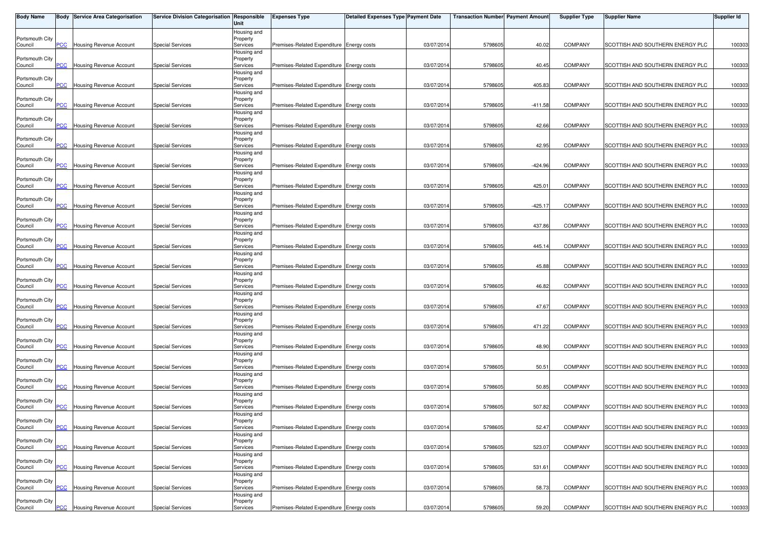| <b>Body Name</b>           |                         | <b>Body Service Area Categorisation</b> | Service Division Categorisation Responsible | Unit                    | <b>Expenses Type</b>                      | <b>Detailed Expenses Type Payment Date</b> |            | <b>Transaction Number Payment Amount</b> |           | <b>Supplier Type</b> | Supplier Name                    | <b>Supplier Id</b> |
|----------------------------|-------------------------|-----------------------------------------|---------------------------------------------|-------------------------|-------------------------------------------|--------------------------------------------|------------|------------------------------------------|-----------|----------------------|----------------------------------|--------------------|
|                            |                         |                                         |                                             | Housing and             |                                           |                                            |            |                                          |           |                      |                                  |                    |
| Portsmouth City<br>Council | PCC                     | <b>Housing Revenue Account</b>          | <b>Special Services</b>                     | Property<br>Services    | Premises-Related Expenditure Energy costs |                                            | 03/07/2014 | 5798605                                  | 40.02     | <b>COMPANY</b>       | SCOTTISH AND SOUTHERN ENERGY PLC | 100303             |
|                            |                         |                                         |                                             | Housing and             |                                           |                                            |            |                                          |           |                      |                                  |                    |
| Portsmouth City            |                         |                                         |                                             | Property                |                                           |                                            |            |                                          |           |                      |                                  |                    |
| Council                    | <b>PCC</b>              | <b>Housing Revenue Account</b>          | <b>Special Services</b>                     | Services                | Premises-Related Expenditure Energy costs |                                            | 03/07/201  | 5798605                                  | 40.45     | <b>COMPANY</b>       | SCOTTISH AND SOUTHERN ENERGY PLC | 100303             |
| Portsmouth City            |                         |                                         |                                             | Housing and<br>Property |                                           |                                            |            |                                          |           |                      |                                  |                    |
| Council                    | PСC                     | Housing Revenue Account                 | <b>Special Services</b>                     | Services                | Premises-Related Expenditure Energy costs |                                            | 03/07/2014 | 5798605                                  | 405.83    | <b>COMPANY</b>       | SCOTTISH AND SOUTHERN ENERGY PLC | 100303             |
|                            |                         |                                         |                                             | Housing and             |                                           |                                            |            |                                          |           |                      |                                  |                    |
| Portsmouth City            |                         |                                         |                                             | Property                | Premises-Related Expenditure Energy costs |                                            |            | 5798605                                  | $-411.58$ | <b>COMPANY</b>       | SCOTTISH AND SOUTHERN ENERGY PLC |                    |
| Council                    | PCC                     | Housing Revenue Account                 | <b>Special Services</b>                     | Services<br>Housing and |                                           |                                            | 03/07/201  |                                          |           |                      |                                  | 100303             |
| Portsmouth City            |                         |                                         |                                             | Property                |                                           |                                            |            |                                          |           |                      |                                  |                    |
| Council                    | $\overline{C}$          | <b>Housing Revenue Account</b>          | <b>Special Services</b>                     | Services                | Premises-Related Expenditure Energy costs |                                            | 03/07/201  | 5798605                                  | 42.66     | <b>COMPANY</b>       | SCOTTISH AND SOUTHERN ENERGY PLC | 100303             |
| Portsmouth City            |                         |                                         |                                             | Housing and<br>Property |                                           |                                            |            |                                          |           |                      |                                  |                    |
| Council                    | $\overline{C}$          | <b>Housing Revenue Account</b>          | <b>Special Services</b>                     | Services                | Premises-Related Expenditure Energy costs |                                            | 03/07/201  | 5798605                                  | 42.95     | <b>COMPANY</b>       | SCOTTISH AND SOUTHERN ENERGY PLC | 100303             |
|                            |                         |                                         |                                             | Housing and             |                                           |                                            |            |                                          |           |                      |                                  |                    |
| Portsmouth City            |                         |                                         |                                             | Property                |                                           |                                            |            |                                          |           |                      |                                  |                    |
| Council                    | PCC                     | Housing Revenue Account                 | <b>Special Services</b>                     | Services<br>Housing and | Premises-Related Expenditure Energy costs |                                            | 03/07/201  | 5798605                                  | $-424.96$ | <b>COMPANY</b>       | SCOTTISH AND SOUTHERN ENERGY PLC | 100303             |
| Portsmouth City            |                         |                                         |                                             | Property                |                                           |                                            |            |                                          |           |                      |                                  |                    |
| Council                    | $\overline{C}$          | <b>Housing Revenue Account</b>          | <b>Special Services</b>                     | Services                | Premises-Related Expenditure Energy costs |                                            | 03/07/2014 | 5798605                                  | 425.01    | <b>COMPANY</b>       | SCOTTISH AND SOUTHERN ENERGY PLC | 100303             |
|                            |                         |                                         |                                             | Housing and             |                                           |                                            |            |                                          |           |                      |                                  |                    |
| Portsmouth City<br>Council | PСC                     | Housing Revenue Account                 | <b>Special Services</b>                     | Property<br>Services    | Premises-Related Expenditure Energy costs |                                            | 03/07/201  | 5798605                                  | $-425.17$ | <b>COMPANY</b>       | SCOTTISH AND SOUTHERN ENERGY PLC | 100303             |
|                            |                         |                                         |                                             | Housing and             |                                           |                                            |            |                                          |           |                      |                                  |                    |
| Portsmouth City            |                         |                                         |                                             | Property                |                                           |                                            |            |                                          |           |                      |                                  |                    |
| Council                    | PСC                     | Housing Revenue Account                 | <b>Special Services</b>                     | Services<br>Housing and | Premises-Related Expenditure Energy costs |                                            | 03/07/201  | 5798605                                  | 437.86    | <b>COMPANY</b>       | SCOTTISH AND SOUTHERN ENERGY PLC | 100303             |
| Portsmouth City            |                         |                                         |                                             | Property                |                                           |                                            |            |                                          |           |                      |                                  |                    |
| Council                    | PСC                     | <b>Housing Revenue Account</b>          | <b>Special Services</b>                     | Services                | Premises-Related Expenditure Energy costs |                                            | 03/07/201  | 5798605                                  | 445.14    | COMPANY              | SCOTTISH AND SOUTHERN ENERGY PLC | 100303             |
|                            |                         |                                         |                                             | Housing and             |                                           |                                            |            |                                          |           |                      |                                  |                    |
| Portsmouth City<br>Council | $\overline{\text{c}}$   | <b>Housing Revenue Account</b>          | <b>Special Services</b>                     | Property<br>Services    | Premises-Related Expenditure Energy costs |                                            | 03/07/201  | 5798605                                  | 45.88     | <b>COMPANY</b>       | SCOTTISH AND SOUTHERN ENERGY PLC | 100303             |
|                            |                         |                                         |                                             | Housing and             |                                           |                                            |            |                                          |           |                      |                                  |                    |
| Portsmouth City            |                         |                                         |                                             | Property                |                                           |                                            |            |                                          |           |                      |                                  |                    |
| Council                    | PCC                     | Housing Revenue Account                 | <b>Special Services</b>                     | Services                | Premises-Related Expenditure Energy costs |                                            | 03/07/201  | 5798605                                  | 46.82     | <b>COMPANY</b>       | SCOTTISH AND SOUTHERN ENERGY PLC | 100303             |
| Portsmouth City            |                         |                                         |                                             | Housing and<br>Property |                                           |                                            |            |                                          |           |                      |                                  |                    |
| Council                    | $\overline{C}$          | Housing Revenue Account                 | <b>Special Services</b>                     | Services                | Premises-Related Expenditure Energy costs |                                            | 03/07/201  | 5798605                                  | 47.67     | <b>COMPANY</b>       | SCOTTISH AND SOUTHERN ENERGY PLC | 100303             |
|                            |                         |                                         |                                             | Housing and             |                                           |                                            |            |                                          |           |                      |                                  |                    |
| Portsmouth City<br>Council | $\overline{PCC}$        | Housing Revenue Account                 | <b>Special Services</b>                     | Property<br>Services    | Premises-Related Expenditure Energy costs |                                            | 03/07/201  | 5798605                                  | 471.22    | <b>COMPANY</b>       | SCOTTISH AND SOUTHERN ENERGY PLC | 100303             |
|                            |                         |                                         |                                             | Housing and             |                                           |                                            |            |                                          |           |                      |                                  |                    |
| Portsmouth City            |                         |                                         |                                             | Property                |                                           |                                            |            |                                          |           |                      |                                  |                    |
| Council                    | <b>PCC</b>              | Housing Revenue Account                 | <b>Special Services</b>                     | Services                | Premises-Related Expenditure Energy costs |                                            | 03/07/2014 | 5798605                                  | 48.90     | <b>COMPANY</b>       | SCOTTISH AND SOUTHERN ENERGY PLC | 100303             |
| Portsmouth City            |                         |                                         |                                             | Housing and<br>Property |                                           |                                            |            |                                          |           |                      |                                  |                    |
| Council                    | $\overline{\text{PCC}}$ | <b>Housing Revenue Account</b>          | <b>Special Services</b>                     | Services                | Premises-Related Expenditure Energy costs |                                            | 03/07/201  | 5798605                                  | 50.51     | <b>COMPANY</b>       | SCOTTISH AND SOUTHERN ENERGY PLC | 100303             |
|                            |                         |                                         |                                             | Housing and             |                                           |                                            |            |                                          |           |                      |                                  |                    |
| Portsmouth City<br>Council | $\overline{C}$          | <b>Housing Revenue Account</b>          | <b>Special Services</b>                     | Property<br>Services    | Premises-Related Expenditure Energy costs |                                            | 03/07/201  | 5798605                                  | 50.85     | <b>COMPANY</b>       | SCOTTISH AND SOUTHERN ENERGY PLC | 100303             |
|                            |                         |                                         |                                             | Housing and             |                                           |                                            |            |                                          |           |                      |                                  |                    |
| Portsmouth City            |                         |                                         |                                             | Property                |                                           |                                            |            |                                          |           |                      |                                  |                    |
| Council                    | PCC                     | <b>Housing Revenue Account</b>          | <b>Special Services</b>                     | Services                | Premises-Related Expenditure Energy costs |                                            | 03/07/201  | 5798605                                  | 507.82    | <b>COMPANY</b>       | SCOTTISH AND SOUTHERN ENERGY PLC | 100303             |
| Portsmouth City            |                         |                                         |                                             | Housing and<br>Property |                                           |                                            |            |                                          |           |                      |                                  |                    |
| Council                    | <b>PCC</b>              | <b>Housing Revenue Account</b>          | <b>Special Services</b>                     | Services                | Premises-Related Expenditure Energy costs |                                            | 03/07/2014 | 5798605                                  | 52.47     | <b>COMPANY</b>       | SCOTTISH AND SOUTHERN ENERGY PLC | 100303             |
|                            |                         |                                         |                                             | Housing and             |                                           |                                            |            |                                          |           |                      |                                  |                    |
| Portsmouth City<br>Council | PCC                     | <b>Housing Revenue Account</b>          | <b>Special Services</b>                     | Property<br>Services    | Premises-Related Expenditure Energy costs |                                            | 03/07/201  | 5798605                                  | 523.07    | <b>COMPANY</b>       | SCOTTISH AND SOUTHERN ENERGY PLC | 100303             |
|                            |                         |                                         |                                             | Housing and             |                                           |                                            |            |                                          |           |                      |                                  |                    |
| Portsmouth City            |                         |                                         |                                             | Property                |                                           |                                            |            |                                          |           |                      |                                  |                    |
| Council                    | PСC                     | Housing Revenue Account                 | <b>Special Services</b>                     | Services                | Premises-Related Expenditure Energy costs |                                            | 03/07/2014 | 5798605                                  | 531.61    | <b>COMPANY</b>       | SCOTTISH AND SOUTHERN ENERGY PLC | 100303             |
| Portsmouth City            |                         |                                         |                                             | Housing and<br>Property |                                           |                                            |            |                                          |           |                      |                                  |                    |
| Council                    | PCC                     | <b>Housing Revenue Account</b>          | <b>Special Services</b>                     | Services                | Premises-Related Expenditure Energy costs |                                            | 03/07/2014 | 5798605                                  | 58.73     | <b>COMPANY</b>       | SCOTTISH AND SOUTHERN ENERGY PLC | 100303             |
|                            |                         |                                         |                                             | Housing and             |                                           |                                            |            |                                          |           |                      |                                  |                    |
| Portsmouth City<br>Council | <b>PCC</b>              | <b>Housing Revenue Account</b>          | <b>Special Services</b>                     | Property<br>Services    | Premises-Related Expenditure Energy costs |                                            | 03/07/2014 | 5798605                                  | 59.20     | <b>COMPANY</b>       | SCOTTISH AND SOUTHERN ENERGY PLC | 100303             |
|                            |                         |                                         |                                             |                         |                                           |                                            |            |                                          |           |                      |                                  |                    |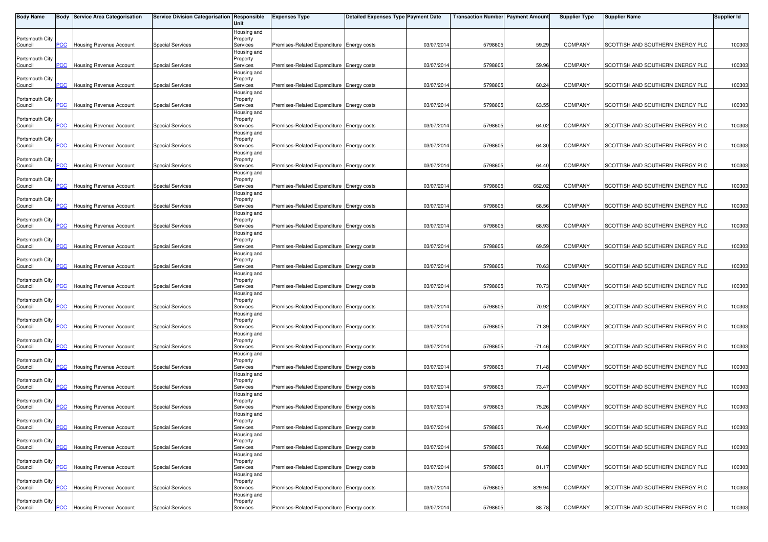| <b>Body Name</b>           |                       | <b>Body Service Area Categorisation</b> | Service Division Categorisation Responsible | Unit                    | <b>Expenses Type</b>                      | <b>Detailed Expenses Type Payment Date</b> |            | <b>Transaction Number</b> Payment Amount |          | <b>Supplier Type</b> | Supplier Name                    | <b>Supplier Id</b> |
|----------------------------|-----------------------|-----------------------------------------|---------------------------------------------|-------------------------|-------------------------------------------|--------------------------------------------|------------|------------------------------------------|----------|----------------------|----------------------------------|--------------------|
|                            |                       |                                         |                                             | Housing and             |                                           |                                            |            |                                          |          |                      |                                  |                    |
| Portsmouth City            |                       |                                         |                                             | Property                |                                           |                                            |            |                                          |          |                      | SCOTTISH AND SOUTHERN ENERGY PLC |                    |
| Council                    | PCC                   | Housing Revenue Account                 | <b>Special Services</b>                     | Services<br>Housing and | Premises-Related Expenditure Energy costs |                                            | 03/07/2014 | 5798605                                  | 59.29    | <b>COMPANY</b>       |                                  | 100303             |
| Portsmouth City            |                       |                                         |                                             | Property                |                                           |                                            |            |                                          |          |                      |                                  |                    |
| Council                    | <b>PCC</b>            | <b>Housing Revenue Account</b>          | <b>Special Services</b>                     | Services                | Premises-Related Expenditure Energy costs |                                            | 03/07/201  | 5798605                                  | 59.96    | <b>COMPANY</b>       | SCOTTISH AND SOUTHERN ENERGY PLC | 100303             |
|                            |                       |                                         |                                             | Housing and             |                                           |                                            |            |                                          |          |                      |                                  |                    |
| Portsmouth City            |                       |                                         |                                             | Property                |                                           |                                            |            |                                          |          |                      |                                  |                    |
| Council                    | PСC                   | Housing Revenue Account                 | <b>Special Services</b>                     | Services                | Premises-Related Expenditure Energy costs |                                            | 03/07/2014 | 5798605                                  | 60.24    | <b>COMPANY</b>       | SCOTTISH AND SOUTHERN ENERGY PLC | 100303             |
| Portsmouth City            |                       |                                         |                                             | Housing and<br>Property |                                           |                                            |            |                                          |          |                      |                                  |                    |
| Council                    | PСC                   | <b>Housing Revenue Account</b>          | <b>Special Services</b>                     | Services                | Premises-Related Expenditure Energy costs |                                            | 03/07/201  | 5798605                                  | 63.55    | <b>COMPANY</b>       | SCOTTISH AND SOUTHERN ENERGY PLC | 100303             |
|                            |                       |                                         |                                             | Housing and             |                                           |                                            |            |                                          |          |                      |                                  |                    |
| Portsmouth City            |                       |                                         |                                             | Property                |                                           |                                            |            |                                          |          |                      |                                  |                    |
| Council                    | $\overline{C}$        | <b>Housing Revenue Account</b>          | <b>Special Services</b>                     | Services                | Premises-Related Expenditure Energy costs |                                            | 03/07/201  | 5798605                                  | 64.02    | <b>COMPANY</b>       | SCOTTISH AND SOUTHERN ENERGY PLC | 100303             |
| Portsmouth City            |                       |                                         |                                             | Housing and             |                                           |                                            |            |                                          |          |                      |                                  |                    |
| Council                    | $\overline{C}$        | Housing Revenue Account                 | <b>Special Services</b>                     | Property<br>Services    | Premises-Related Expenditure Energy costs |                                            | 03/07/2014 | 5798605                                  | 64.30    | <b>COMPANY</b>       | SCOTTISH AND SOUTHERN ENERGY PLC | 100303             |
|                            |                       |                                         |                                             | Housing and             |                                           |                                            |            |                                          |          |                      |                                  |                    |
| Portsmouth City            |                       |                                         |                                             | Property                |                                           |                                            |            |                                          |          |                      |                                  |                    |
| Council                    | <b>PCC</b>            | Housing Revenue Account                 | <b>Special Services</b>                     | Services                | Premises-Related Expenditure Energy costs |                                            | 03/07/2014 | 5798605                                  | 64.40    | <b>COMPANY</b>       | SCOTTISH AND SOUTHERN ENERGY PLC | 100303             |
|                            |                       |                                         |                                             | Housing and             |                                           |                                            |            |                                          |          |                      |                                  |                    |
| Portsmouth City<br>Council | <b>PCC</b>            | Housing Revenue Account                 | <b>Special Services</b>                     | Property<br>Services    | Premises-Related Expenditure Energy costs |                                            | 03/07/2014 | 5798605                                  | 662.02   | <b>COMPANY</b>       | SCOTTISH AND SOUTHERN ENERGY PLC | 100303             |
|                            |                       |                                         |                                             | Housing and             |                                           |                                            |            |                                          |          |                      |                                  |                    |
| Portsmouth City            |                       |                                         |                                             | Property                |                                           |                                            |            |                                          |          |                      |                                  |                    |
| Council                    | PСC                   | Housing Revenue Account                 | <b>Special Services</b>                     | Services                | Premises-Related Expenditure Energy costs |                                            | 03/07/201  | 5798605                                  | 68.56    | <b>COMPANY</b>       | SCOTTISH AND SOUTHERN ENERGY PLC | 100303             |
|                            |                       |                                         |                                             | Housing and             |                                           |                                            |            |                                          |          |                      |                                  |                    |
| Portsmouth City            |                       |                                         |                                             | Property                | Premises-Related Expenditure Energy costs |                                            |            |                                          |          |                      |                                  |                    |
| Council                    | PCC                   | Housing Revenue Account                 | <b>Special Services</b>                     | Services<br>Housing and |                                           |                                            | 03/07/2014 | 5798605                                  | 68.93    | <b>COMPANY</b>       | SCOTTISH AND SOUTHERN ENERGY PLC | 100303             |
| Portsmouth City            |                       |                                         |                                             | Property                |                                           |                                            |            |                                          |          |                      |                                  |                    |
| Council                    | $\overline{C}$        | <b>Housing Revenue Account</b>          | <b>Special Services</b>                     | Services                | Premises-Related Expenditure Energy costs |                                            | 03/07/201  | 5798605                                  | 69.59    | <b>COMPANY</b>       | SCOTTISH AND SOUTHERN ENERGY PLC | 100303             |
|                            |                       |                                         |                                             | Housing and             |                                           |                                            |            |                                          |          |                      |                                  |                    |
| Portsmouth City            |                       |                                         |                                             | Property                |                                           |                                            |            |                                          |          |                      |                                  |                    |
| Council                    | PСC                   | <b>Housing Revenue Account</b>          | <b>Special Services</b>                     | Services                | Premises-Related Expenditure Energy costs |                                            | 03/07/2014 | 5798605                                  | 70.63    | <b>COMPANY</b>       | SCOTTISH AND SOUTHERN ENERGY PLC | 100303             |
| Portsmouth City            |                       |                                         |                                             | Housing and<br>Property |                                           |                                            |            |                                          |          |                      |                                  |                    |
| Council                    | PCC                   | <b>Housing Revenue Account</b>          | <b>Special Services</b>                     | Services                | Premises-Related Expenditure Energy costs |                                            | 03/07/201  | 5798605                                  | 70.73    | <b>COMPANY</b>       | SCOTTISH AND SOUTHERN ENERGY PLC | 100303             |
|                            |                       |                                         |                                             | Housing and             |                                           |                                            |            |                                          |          |                      |                                  |                    |
| Portsmouth City            |                       |                                         |                                             | Property                |                                           |                                            |            |                                          |          |                      |                                  |                    |
| Council                    | <b>PCC</b>            | Housing Revenue Account                 | Special Services                            | Services                | Premises-Related Expenditure Energy costs |                                            | 03/07/201  | 5798605                                  | 70.92    | <b>COMPANY</b>       | SCOTTISH AND SOUTHERN ENERGY PLC | 100303             |
|                            |                       |                                         |                                             | Housing and             |                                           |                                            |            |                                          |          |                      |                                  |                    |
| Portsmouth City<br>Council | $\overline{C}$        | Housing Revenue Account                 | <b>Special Services</b>                     | Property<br>Services    | Premises-Related Expenditure Energy costs |                                            | 03/07/2014 | 5798605                                  | 71.39    | <b>COMPANY</b>       | SCOTTISH AND SOUTHERN ENERGY PLC | 100303             |
|                            |                       |                                         |                                             | Housing and             |                                           |                                            |            |                                          |          |                      |                                  |                    |
| Portsmouth City            |                       |                                         |                                             | Property                |                                           |                                            |            |                                          |          |                      |                                  |                    |
| Council                    | <b>PCC</b>            | Housing Revenue Account                 | <b>Special Services</b>                     | Services                | Premises-Related Expenditure Energy costs |                                            | 03/07/2014 | 5798605                                  | $-71.46$ | <b>COMPANY</b>       | SCOTTISH AND SOUTHERN ENERGY PLC | 100303             |
|                            |                       |                                         |                                             | Housing and             |                                           |                                            |            |                                          |          |                      |                                  |                    |
| Portsmouth City<br>Council | <u>PCC</u>            | Housing Revenue Account                 | <b>Special Services</b>                     | Property<br>Services    | Premises-Related Expenditure Energy costs |                                            | 03/07/201  | 5798605                                  | 71.48    | <b>COMPANY</b>       | SCOTTISH AND SOUTHERN ENERGY PLC | 100303             |
|                            |                       |                                         |                                             | Housing and             |                                           |                                            |            |                                          |          |                      |                                  |                    |
| Portsmouth City            |                       |                                         |                                             | Property                |                                           |                                            |            |                                          |          |                      |                                  |                    |
| Council                    | $\overline{\text{C}}$ | <b>Housing Revenue Account</b>          | <b>Special Services</b>                     | Services                | Premises-Related Expenditure Energy costs |                                            | 03/07/201  | 5798605                                  | 73.47    | <b>COMPANY</b>       | SCOTTISH AND SOUTHERN ENERGY PLC | 100303             |
|                            |                       |                                         |                                             | Housing and             |                                           |                                            |            |                                          |          |                      |                                  |                    |
| Portsmouth City            |                       |                                         |                                             | Property                |                                           |                                            |            |                                          |          |                      |                                  |                    |
| Council                    | PCC.                  | <b>Housing Revenue Account</b>          | <b>Special Services</b>                     | Services<br>Housing and | Premises-Related Expenditure Energy costs |                                            | 03/07/201  | 5798605                                  | 75.26    | <b>COMPANY</b>       | SCOTTISH AND SOUTHERN ENERGY PLC | 100303             |
| Portsmouth City            |                       |                                         |                                             | Property                |                                           |                                            |            |                                          |          |                      |                                  |                    |
| Council                    | <b>PCC</b>            | Housing Revenue Account                 | <b>Special Services</b>                     | Services                | Premises-Related Expenditure Energy costs |                                            | 03/07/2014 | 5798605                                  | 76.40    | <b>COMPANY</b>       | SCOTTISH AND SOUTHERN ENERGY PLC | 100303             |
|                            |                       |                                         |                                             | Housing and             |                                           |                                            |            |                                          |          |                      |                                  |                    |
| Portsmouth City            |                       |                                         |                                             | Property                |                                           |                                            |            |                                          |          |                      |                                  |                    |
| Council                    | PСC                   | Housing Revenue Account                 | <b>Special Services</b>                     | Services                | Premises-Related Expenditure Energy costs |                                            | 03/07/201  | 5798605                                  | 76.68    | <b>COMPANY</b>       | SCOTTISH AND SOUTHERN ENERGY PLC | 100303             |
| Portsmouth City            |                       |                                         |                                             | Housing and<br>Property |                                           |                                            |            |                                          |          |                      |                                  |                    |
| Council                    | PСC                   | Housing Revenue Account                 | <b>Special Services</b>                     | Services                | Premises-Related Expenditure Energy costs |                                            | 03/07/2014 | 5798605                                  | 81.17    | COMPANY              | SCOTTISH AND SOUTHERN ENERGY PLC | 100303             |
|                            |                       |                                         |                                             | Housing and             |                                           |                                            |            |                                          |          |                      |                                  |                    |
| Portsmouth City            |                       |                                         |                                             | Property                |                                           |                                            |            |                                          |          |                      |                                  |                    |
| Council                    | $\overline{C}$        | <b>Housing Revenue Account</b>          | <b>Special Services</b>                     | Services                | Premises-Related Expenditure Energy costs |                                            | 03/07/2014 | 5798605                                  | 829.94   | <b>COMPANY</b>       | SCOTTISH AND SOUTHERN ENERGY PLC | 100303             |
|                            |                       |                                         |                                             | Housing and             |                                           |                                            |            |                                          |          |                      |                                  |                    |
| Portsmouth City<br>Council | <u>PCC</u>            | Housing Revenue Account                 | <b>Special Services</b>                     | Property<br>Services    | Premises-Related Expenditure Energy costs |                                            | 03/07/2014 | 5798605                                  | 88.78    | <b>COMPANY</b>       | SCOTTISH AND SOUTHERN ENERGY PLC | 100303             |
|                            |                       |                                         |                                             |                         |                                           |                                            |            |                                          |          |                      |                                  |                    |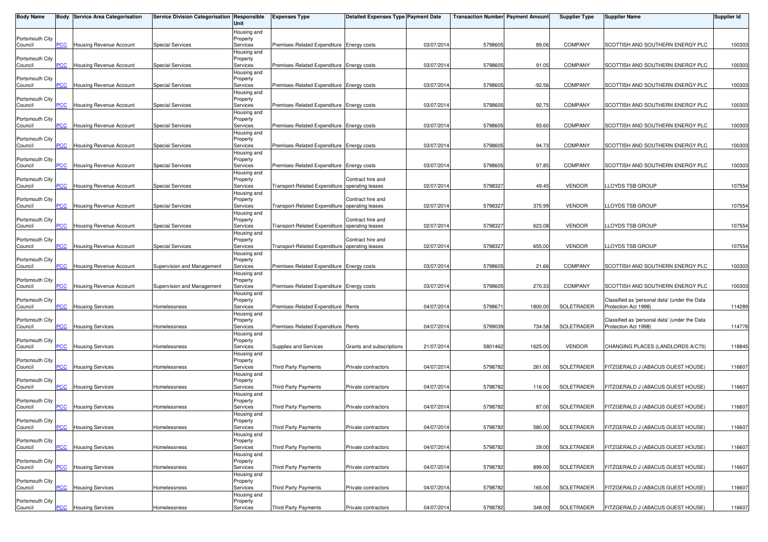| <b>Body Name</b>           |                | <b>Body Service Area Categorisation</b> | Service Division Categorisation Responsible | Unit                    | <b>Expenses Type</b>                           | <b>Detailed Expenses Type Payment Date</b> |            | <b>Transaction Number Payment Amount</b> |          | <b>Supplier Type</b> | Supplier Name                                                         | Supplier Id |
|----------------------------|----------------|-----------------------------------------|---------------------------------------------|-------------------------|------------------------------------------------|--------------------------------------------|------------|------------------------------------------|----------|----------------------|-----------------------------------------------------------------------|-------------|
|                            |                |                                         |                                             | Housing and             |                                                |                                            |            |                                          |          |                      |                                                                       |             |
| Portsmouth City<br>Council | PCC            | <b>Housing Revenue Account</b>          | <b>Special Services</b>                     | Property<br>Services    | Premises-Related Expenditure Energy costs      |                                            | 03/07/201  | 5798605                                  | 89.06    | <b>COMPANY</b>       | SCOTTISH AND SOUTHERN ENERGY PLC                                      | 100303      |
|                            |                |                                         |                                             | Housing and             |                                                |                                            |            |                                          |          |                      |                                                                       |             |
| Portsmouth City            |                |                                         |                                             | Property                |                                                |                                            |            |                                          |          |                      |                                                                       |             |
| Council                    | <b>PCC</b>     | <b>Housing Revenue Account</b>          | <b>Special Services</b>                     | Services                | Premises-Related Expenditure Energy costs      |                                            | 03/07/201  | 5798605                                  | 91.05    | <b>COMPANY</b>       | SCOTTISH AND SOUTHERN ENERGY PLC                                      | 100303      |
| Portsmouth City            |                |                                         |                                             | Housing and<br>Property |                                                |                                            |            |                                          |          |                      |                                                                       |             |
| Council                    | PСC            | Housing Revenue Account                 | <b>Special Services</b>                     | Services                | Premises-Related Expenditure Energy costs      |                                            | 03/07/201  | 5798605                                  | $-92.56$ | <b>COMPANY</b>       | SCOTTISH AND SOUTHERN ENERGY PLC                                      | 100303      |
|                            |                |                                         |                                             | Housing and             |                                                |                                            |            |                                          |          |                      |                                                                       |             |
| Portsmouth City            |                |                                         |                                             | Property                |                                                |                                            |            |                                          |          |                      |                                                                       |             |
| Council                    | PСC            | Housing Revenue Account                 | <b>Special Services</b>                     | Services                | Premises-Related Expenditure Energy costs      |                                            | 03/07/201  | 5798605                                  | 92.75    | <b>COMPANY</b>       | SCOTTISH AND SOUTHERN ENERGY PLC                                      | 100303      |
| Portsmouth City            |                |                                         |                                             | Housing and<br>Property |                                                |                                            |            |                                          |          |                      |                                                                       |             |
| Council                    | $\overline{C}$ | <b>Housing Revenue Account</b>          | <b>Special Services</b>                     | Services                | Premises-Related Expenditure Energy costs      |                                            | 03/07/201  | 5798605                                  | 93.60    | COMPANY              | SCOTTISH AND SOUTHERN ENERGY PLC                                      | 100303      |
|                            |                |                                         |                                             | Housing and             |                                                |                                            |            |                                          |          |                      |                                                                       |             |
| Portsmouth City            | <u>CC</u>      | Housing Revenue Account                 | <b>Special Services</b>                     | Property                | Premises-Related Expenditure Energy costs      |                                            | 03/07/201  | 5798605                                  | 94.73    | <b>COMPANY</b>       | SCOTTISH AND SOUTHERN ENERGY PLC                                      | 100303      |
| Council                    |                |                                         |                                             | Services<br>Housing and |                                                |                                            |            |                                          |          |                      |                                                                       |             |
| Portsmouth City            |                |                                         |                                             | Property                |                                                |                                            |            |                                          |          |                      |                                                                       |             |
| Council                    | PCC            | Housing Revenue Account                 | <b>Special Services</b>                     | Services                | Premises-Related Expenditure Energy costs      |                                            | 03/07/201  | 5798605                                  | 97.85    | <b>COMPANY</b>       | SCOTTISH AND SOUTHERN ENERGY PLC                                      | 100303      |
|                            |                |                                         |                                             | Housing and             |                                                |                                            |            |                                          |          |                      |                                                                       |             |
| Portsmouth City<br>Council | $\overline{C}$ | Housing Revenue Account                 | <b>Special Services</b>                     | Property<br>Services    | Transport-Related Expenditure operating leases | Contract hire and                          | 02/07/201  | 579832                                   | 49.45    | <b>VENDOR</b>        | LLOYDS TSB GROUP                                                      | 107554      |
|                            |                |                                         |                                             | Housing and             |                                                |                                            |            |                                          |          |                      |                                                                       |             |
| Portsmouth City            |                |                                         |                                             | Property                |                                                | Contract hire and                          |            |                                          |          |                      |                                                                       |             |
| Council                    | сC             | Housing Revenue Account                 | <b>Special Services</b>                     | Services                | Transport-Related Expenditure operating leases |                                            | 02/07/201  | 579832                                   | 375.99   | <b>VENDOR</b>        | LOYDS TSB GROUP.                                                      | 107554      |
| Portsmouth City            |                |                                         |                                             | Housing and<br>Property |                                                | Contract hire and                          |            |                                          |          |                      |                                                                       |             |
| Council                    | PСC            | Housing Revenue Account                 | <b>Special Services</b>                     | Services                | Transport-Related Expenditure operating leases |                                            | 02/07/201  | 579832                                   | 623.08   | <b>VENDOR</b>        | LOYDS TSB GROUP                                                       | 107554      |
|                            |                |                                         |                                             | Housing and             |                                                |                                            |            |                                          |          |                      |                                                                       |             |
| Portsmouth City            |                |                                         |                                             | Property                |                                                | Contract hire and                          |            |                                          |          |                      |                                                                       |             |
| Council                    | PCC            | Housing Revenue Account                 | <b>Special Services</b>                     | Services                | Transport-Related Expenditure operating leases |                                            | 02/07/201  | 579832                                   | 655.00   | <b>VENDOR</b>        | LLOYDS TSB GROUP                                                      | 107554      |
| Portsmouth City            |                |                                         |                                             | Housing and<br>Property |                                                |                                            |            |                                          |          |                      |                                                                       |             |
| Council                    | PСC            | Housing Revenue Account                 | Supervision and Management                  | Services                | Premises-Related Expenditure Energy costs      |                                            | 03/07/201  | 5798605                                  | 21.66    | <b>COMPANY</b>       | SCOTTISH AND SOUTHERN ENERGY PLC                                      | 100303      |
|                            |                |                                         |                                             | Housing and             |                                                |                                            |            |                                          |          |                      |                                                                       |             |
| Portsmouth City            | PCC.           | Housing Revenue Account                 |                                             | Property<br>Services    | Premises-Related Expenditure Energy costs      |                                            | 03/07/201  | 5798605                                  | 270.33   | <b>COMPANY</b>       | SCOTTISH AND SOUTHERN ENERGY PLC                                      |             |
| Council                    |                |                                         | Supervision and Management                  | Housing and             |                                                |                                            |            |                                          |          |                      |                                                                       | 100303      |
| Portsmouth City            |                |                                         |                                             | Property                |                                                |                                            |            |                                          |          |                      | Classified as 'personal data' (under the Data                         |             |
| Council                    | $\overline{C}$ | <b>Housing Services</b>                 | Homelessness                                | Services                | Premises-Related Expenditure Rents             |                                            | 04/07/201  | 579867                                   | 1800.00  | SOLETRADER           | Protection Act 1998)                                                  | 114289      |
|                            |                |                                         |                                             | Housing and             |                                                |                                            |            |                                          |          |                      |                                                                       |             |
| Portsmouth City<br>Council | PСC            | <b>Housing Services</b>                 | Homelessness                                | Property<br>Services    | Premises-Related Expenditure Rents             |                                            | 04/07/201  | 5799039                                  | 734.58   | SOLETRADER           | Classified as 'personal data' (under the Data<br>Protection Act 1998) | 114778      |
|                            |                |                                         |                                             | Housing and             |                                                |                                            |            |                                          |          |                      |                                                                       |             |
| Portsmouth City            |                |                                         |                                             | Property                |                                                |                                            |            |                                          |          |                      |                                                                       |             |
| Council                    | <b>PCC</b>     | <b>Housing Services</b>                 | Homelessness                                | Services                | Supplies and Services                          | Grants and subscriptions                   | 21/07/2014 | 5801462                                  | 1625.00  | <b>VENDOR</b>        | CHANGING PLACES (LANDLORDS A/C70)                                     | 118845      |
| Portsmouth City            |                |                                         |                                             | Housing and<br>Property |                                                |                                            |            |                                          |          |                      |                                                                       |             |
| Council                    | $\overline{C}$ | <b>Housing Services</b>                 | Homelessness                                | Services                | <b>Third Party Payments</b>                    | Private contractors                        | 04/07/201  | 5798782                                  | 261.00   | SOLETRADER           | FITZGERALD J (ABACUS GUEST HOUSE)                                     | 116607      |
|                            |                |                                         |                                             | Housing and             |                                                |                                            |            |                                          |          |                      |                                                                       |             |
| Portsmouth City            |                |                                         |                                             | Property                |                                                |                                            |            |                                          |          |                      |                                                                       |             |
| Council                    | PCC            | <b>Housing Services</b>                 | Homelessness                                | Services<br>Housing and | Third Party Payments                           | Private contractors                        | 04/07/201  | 5798782                                  | 116.00   | SOLETRADER           | FITZGERALD J (ABACUS GUEST HOUSE)                                     | 116607      |
| Portsmouth City            |                |                                         |                                             | Property                |                                                |                                            |            |                                          |          |                      |                                                                       |             |
| Council                    | PСC            | <b>Housing Services</b>                 | Homelessness                                | Services                | Third Party Payments                           | Private contractors                        | 04/07/201  | 5798782                                  | 87.00    | SOLETRADER           | FITZGERALD J (ABACUS GUEST HOUSE)                                     | 116607      |
|                            |                |                                         |                                             | Housing and             |                                                |                                            |            |                                          |          |                      |                                                                       |             |
| Portsmouth City<br>Council | <b>PCC</b>     | <b>Housing Services</b>                 | Homelessness                                | Property<br>Services    | Third Party Payments                           | Private contractors                        | 04/07/2014 | 5798782                                  | 580.00   | SOLETRADER           | FITZGERALD J (ABACUS GUEST HOUSE)                                     | 116607      |
|                            |                |                                         |                                             | Housing and             |                                                |                                            |            |                                          |          |                      |                                                                       |             |
| Portsmouth City            |                |                                         |                                             | Property                |                                                |                                            |            |                                          |          |                      |                                                                       |             |
| Council                    | <b>PCC</b>     | <b>Housing Services</b>                 | Homelessness                                | Services                | Third Party Payments                           | Private contractors                        | 04/07/201  | 5798782                                  | 29.00    | SOLETRADER           | FITZGERALD J (ABACUS GUEST HOUSE)                                     | 116607      |
|                            |                |                                         |                                             | Housing and             |                                                |                                            |            |                                          |          |                      |                                                                       |             |
| Portsmouth City<br>Council | PСC            | <b>Housing Services</b>                 | Homelessness                                | Property<br>Services    | Third Party Payments                           | Private contractors                        | 04/07/2014 | 5798782                                  | 899.00   | SOLETRADER           | FITZGERALD J (ABACUS GUEST HOUSE)                                     | 116607      |
|                            |                |                                         |                                             | Housing and             |                                                |                                            |            |                                          |          |                      |                                                                       |             |
| Portsmouth City            |                |                                         |                                             | Property                |                                                |                                            |            |                                          |          |                      |                                                                       |             |
| Council                    | PCC            | <b>Housing Services</b>                 | Homelessness                                | Services                | Third Party Payments                           | Private contractors                        | 04/07/2014 | 5798782                                  | 165.00   | SOLETRADER           | FITZGERALD J (ABACUS GUEST HOUSE)                                     | 116607      |
| Portsmouth City            |                |                                         |                                             | Housing and<br>Property |                                                |                                            |            |                                          |          |                      |                                                                       |             |
| Council                    | <b>PCC</b>     | <b>Housing Services</b>                 | Homelessness                                | Services                | Third Party Payments                           | Private contractors                        | 04/07/2014 | 5798782                                  | 348.00   | SOLETRADER           | FITZGERALD J (ABACUS GUEST HOUSE)                                     | 116607      |
|                            |                |                                         |                                             |                         |                                                |                                            |            |                                          |          |                      |                                                                       |             |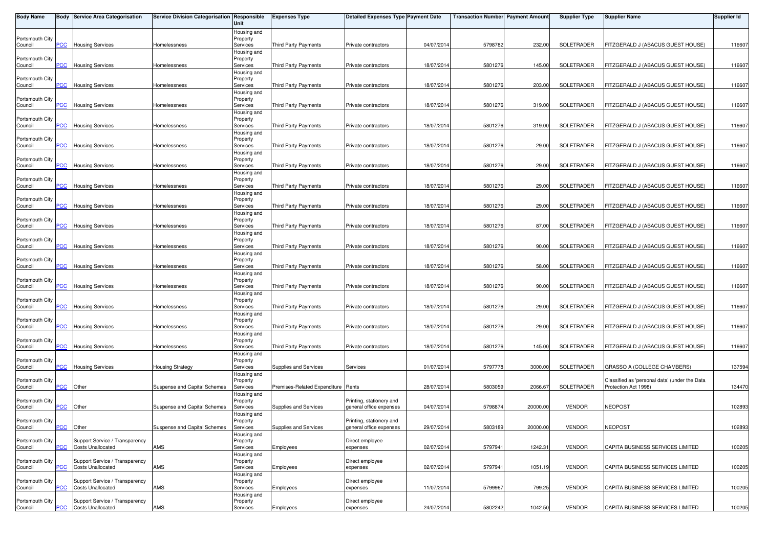| <b>Body Name</b>           |                         | <b>Body Service Area Categorisation</b>             | Service Division Categorisation Responsible | Unit                    | <b>Expenses Type</b>               | <b>Detailed Expenses Type Payment Date</b>          |            | <b>Transaction Number Payment Amount</b> |          | <b>Supplier Type</b> | <b>Supplier Name</b>                                                  | Supplier Id |
|----------------------------|-------------------------|-----------------------------------------------------|---------------------------------------------|-------------------------|------------------------------------|-----------------------------------------------------|------------|------------------------------------------|----------|----------------------|-----------------------------------------------------------------------|-------------|
|                            |                         |                                                     |                                             | Housing and             |                                    |                                                     |            |                                          |          |                      |                                                                       |             |
| Portsmouth City            |                         |                                                     |                                             | Property                |                                    |                                                     |            |                                          |          |                      | FITZGERALD J (ABACUS GUEST HOUSE)                                     |             |
| Council                    | PCC                     | <b>Housing Services</b>                             | Homelessness                                | Services<br>Housing and | Third Party Payments               | Private contractors                                 | 04/07/201  | 5798782                                  | 232.00   | SOLETRADER           |                                                                       | 116607      |
| Portsmouth City            |                         |                                                     |                                             | Property                |                                    |                                                     |            |                                          |          |                      |                                                                       |             |
| Council                    | <b>PCC</b>              | <b>Housing Services</b>                             | Homelessness                                | Services                | Third Party Payments               | Private contractors                                 | 18/07/201  | 5801276                                  | 145.00   | SOLETRADER           | FITZGERALD J (ABACUS GUEST HOUSE)                                     | 116607      |
|                            |                         |                                                     |                                             | Housing and             |                                    |                                                     |            |                                          |          |                      |                                                                       |             |
| Portsmouth City<br>Council | PСC                     | <b>Housing Services</b>                             | Homelessness                                | Property<br>Services    | Third Party Payments               | Private contractors                                 | 18/07/201  | 5801276                                  | 203.00   | SOLETRADER           | FITZGERALD J (ABACUS GUEST HOUSE)                                     | 116607      |
|                            |                         |                                                     |                                             | Housing and             |                                    |                                                     |            |                                          |          |                      |                                                                       |             |
| Portsmouth City            |                         |                                                     |                                             | Property                |                                    |                                                     |            |                                          |          |                      |                                                                       |             |
| Council                    | PCC                     | <b>Housing Services</b>                             | Homelessness                                | Services                | Third Party Payments               | Private contractors                                 | 18/07/201  | 5801276                                  | 319.00   | SOLETRADER           | FITZGERALD J (ABACUS GUEST HOUSE)                                     | 116607      |
|                            |                         |                                                     |                                             | Housing and             |                                    |                                                     |            |                                          |          |                      |                                                                       |             |
| Portsmouth City<br>Council | <u>PCC</u>              | <b>Housing Services</b>                             | Homelessness                                | Property<br>Services    | Third Party Payments               | Private contractors                                 | 18/07/201  | 5801276                                  | 319.00   | SOLETRADER           | FITZGERALD J (ABACUS GUEST HOUSE)                                     | 116607      |
|                            |                         |                                                     |                                             | Housing and             |                                    |                                                     |            |                                          |          |                      |                                                                       |             |
| Portsmouth City            |                         |                                                     |                                             | Property                |                                    |                                                     |            |                                          |          |                      |                                                                       |             |
| Council                    | $\overline{C}$          | <b>Housing Services</b>                             | Homelessness                                | Services                | Third Party Payments               | Private contractors                                 | 18/07/201  | 5801276                                  | 29.00    | SOLETRADER           | FITZGERALD J (ABACUS GUEST HOUSE)                                     | 116607      |
|                            |                         |                                                     |                                             | Housing and             |                                    |                                                     |            |                                          |          |                      |                                                                       |             |
| Portsmouth City<br>Council | $\overline{C}$          | <b>Housing Services</b>                             | Homelessness                                | Property<br>Services    | Third Party Payments               | Private contractors                                 | 18/07/201  | 5801276                                  | 29.00    | SOLETRADER           | FITZGERALD J (ABACUS GUEST HOUSE)                                     | 116607      |
|                            |                         |                                                     |                                             | Housing and             |                                    |                                                     |            |                                          |          |                      |                                                                       |             |
| Portsmouth City            |                         |                                                     |                                             | Property                |                                    |                                                     |            |                                          |          |                      |                                                                       |             |
| Council                    | $\overline{C}$          | <b>Housing Services</b>                             | Homelessness                                | Services                | Third Party Payments               | Private contractors                                 | 18/07/201  | 5801276                                  | 29.00    | SOLETRADER           | FITZGERALD J (ABACUS GUEST HOUSE)                                     | 116607      |
| Portsmouth City            |                         |                                                     |                                             | Housing and<br>Property |                                    |                                                     |            |                                          |          |                      |                                                                       |             |
| Council                    | PСC                     | <b>Housing Services</b>                             | Homelessness                                | Services                | Third Party Payments               | Private contractors                                 | 18/07/201  | 5801276                                  | 29.00    | SOLETRADER           | FITZGERALD J (ABACUS GUEST HOUSE)                                     | 116607      |
|                            |                         |                                                     |                                             | Housing and             |                                    |                                                     |            |                                          |          |                      |                                                                       |             |
| Portsmouth City            |                         |                                                     |                                             | Property                |                                    |                                                     |            |                                          |          |                      |                                                                       |             |
| Council                    | PCC                     | <b>Housing Services</b>                             | Homelessness                                | Services                | Third Party Payments               | Private contractors                                 | 18/07/201  | 5801276                                  | 87.00    | SOLETRADER           | FITZGERALD J (ABACUS GUEST HOUSE)                                     | 116607      |
| Portsmouth City            |                         |                                                     |                                             | Housing and<br>Property |                                    |                                                     |            |                                          |          |                      |                                                                       |             |
| Council                    | $\overline{C}$          | <b>Housing Services</b>                             | Homelessness                                | Services                | Third Party Payments               | Private contractors                                 | 18/07/201  | 5801276                                  | 90.00    | SOLETRADER           | FITZGERALD J (ABACUS GUEST HOUSE)                                     | 116607      |
|                            |                         |                                                     |                                             | Housing and             |                                    |                                                     |            |                                          |          |                      |                                                                       |             |
| Portsmouth City            |                         |                                                     |                                             | Property                |                                    |                                                     |            |                                          |          |                      |                                                                       |             |
| Council                    | <b>PCC</b>              | <b>Housing Services</b>                             | Homelessness                                | Services                | Third Party Payments               | Private contractors                                 | 18/07/201  | 5801276                                  | 58.00    | SOLETRADER           | FITZGERALD J (ABACUS GUEST HOUSE)                                     | 116607      |
| Portsmouth City            |                         |                                                     |                                             | Housing and<br>Property |                                    |                                                     |            |                                          |          |                      |                                                                       |             |
| Council                    | PCC                     | <b>Housing Services</b>                             | Homelessness                                | Services                | Third Party Payments               | Private contractors                                 | 18/07/201  | 5801276                                  | 90.00    | SOLETRADER           | FITZGERALD J (ABACUS GUEST HOUSE)                                     | 116607      |
|                            |                         |                                                     |                                             | Housing and             |                                    |                                                     |            |                                          |          |                      |                                                                       |             |
| Portsmouth City            |                         |                                                     |                                             | Property                |                                    |                                                     |            |                                          |          |                      |                                                                       |             |
| Council                    | $\overline{C}$          | <b>Housing Services</b>                             | Homelessness                                | Services<br>Housing and | Third Party Payments               | Private contractors                                 | 18/07/201  | 5801276                                  | 29.00    | SOLETRADER           | FITZGERALD J (ABACUS GUEST HOUSE)                                     | 116607      |
| Portsmouth City            |                         |                                                     |                                             | Property                |                                    |                                                     |            |                                          |          |                      |                                                                       |             |
| Council                    | $\overline{\text{PCC}}$ | <b>Housing Services</b>                             | Homelessness                                | Services                | Third Party Payments               | Private contractors                                 | 18/07/201  | 5801276                                  | 29.00    | SOLETRADER           | FITZGERALD J (ABACUS GUEST HOUSE)                                     | 116607      |
|                            |                         |                                                     |                                             | Housing and             |                                    |                                                     |            |                                          |          |                      |                                                                       |             |
| Portsmouth City<br>Council | $\overline{C}$          |                                                     |                                             | Property<br>Services    | Third Party Payments               | Private contractors                                 | 18/07/2014 | 5801276                                  | 145.00   | SOLETRADER           | FITZGERALD J (ABACUS GUEST HOUSE)                                     | 116607      |
|                            |                         | <b>Housing Services</b>                             | Homelessness                                | Housing and             |                                    |                                                     |            |                                          |          |                      |                                                                       |             |
| Portsmouth City            |                         |                                                     |                                             | Property                |                                    |                                                     |            |                                          |          |                      |                                                                       |             |
| Council                    | PCC                     | <b>Housing Services</b>                             | <b>Housing Strategy</b>                     | Services                | Supplies and Services              | Services                                            | 01/07/201  | 5797778                                  | 3000.00  | SOLETRADER           | GRASSO A (COLLEGE CHAMBERS)                                           | 137594      |
|                            |                         |                                                     |                                             | Housing and             |                                    |                                                     |            |                                          |          |                      |                                                                       |             |
| Portsmouth City<br>Council | PCC                     | Other                                               | Suspense and Capital Schemes                | Property<br>Services    | Premises-Related Expenditure Rents |                                                     | 28/07/201  | 5803059                                  | 2066.67  | SOLETRADER           | Classified as 'personal data' (under the Data<br>Protection Act 1998) | 134470      |
|                            |                         |                                                     |                                             | Housing and             |                                    |                                                     |            |                                          |          |                      |                                                                       |             |
| Portsmouth City            |                         |                                                     |                                             | Property                |                                    | Printing, stationery and                            |            |                                          |          |                      |                                                                       |             |
| Council                    | <b>PCC</b>              | Other                                               | Suspense and Capital Schemes                | Services                | Supplies and Services              | general office expenses                             | 04/07/201  | 579887                                   | 20000.00 | <b>VENDOR</b>        | <b>NEOPOST</b>                                                        | 102893      |
|                            |                         |                                                     |                                             | Housing and             |                                    |                                                     |            |                                          |          |                      |                                                                       |             |
| Portsmouth City<br>Council | PCC Other               |                                                     | Suspense and Capital Schemes                | Property<br>Services    | Supplies and Services              | Printing, stationery and<br>general office expenses | 29/07/2014 | 5803189                                  | 20000.00 | <b>VENDOR</b>        | <b>NEOPOST</b>                                                        | 102893      |
|                            |                         |                                                     |                                             | Housing and             |                                    |                                                     |            |                                          |          |                      |                                                                       |             |
| Portsmouth City            |                         | Support Service / Transparency                      |                                             | Property                |                                    | Direct employee                                     |            |                                          |          |                      |                                                                       |             |
| Council                    | PСC                     | <b>Costs Unallocated</b>                            | AMS                                         | Services                | Employees                          | expenses                                            | 02/07/201  | 579794                                   | 1242.31  | <b>VENDOR</b>        | CAPITA BUSINESS SERVICES LIMITED                                      | 100205      |
|                            |                         |                                                     |                                             | Housing and             |                                    |                                                     |            |                                          |          |                      |                                                                       |             |
| Portsmouth City<br>Council | PСC                     | Support Service / Transparency<br>Costs Unallocated | AMS                                         | Property<br>Services    | Employees                          | Direct employee<br>expenses                         | 02/07/2014 | 5797941                                  | 1051.19  | VENDOR               | CAPITA BUSINESS SERVICES LIMITED                                      | 100205      |
|                            |                         |                                                     |                                             | Housing and             |                                    |                                                     |            |                                          |          |                      |                                                                       |             |
| Portsmouth City            |                         | Support Service / Transparency                      |                                             | Property                |                                    | Direct employee                                     |            |                                          |          |                      |                                                                       |             |
| Council                    | PСC                     | <b>Costs Unallocated</b>                            | AMS                                         | Services                | Employees                          | expenses                                            | 11/07/201  | 5799967                                  | 799.25   | <b>VENDOR</b>        | CAPITA BUSINESS SERVICES LIMITED                                      | 100205      |
| Portsmouth City            |                         | Support Service / Transparency                      |                                             | Housing and<br>Property |                                    | Direct employee                                     |            |                                          |          |                      |                                                                       |             |
| Council                    | <b>PCC</b>              | <b>Costs Unallocated</b>                            | AMS                                         | Services                | Employees                          | expenses                                            | 24/07/201  | 5802242                                  | 1042.50  | <b>VENDOR</b>        | CAPITA BUSINESS SERVICES LIMITED                                      | 100205      |
|                            |                         |                                                     |                                             |                         |                                    |                                                     |            |                                          |          |                      |                                                                       |             |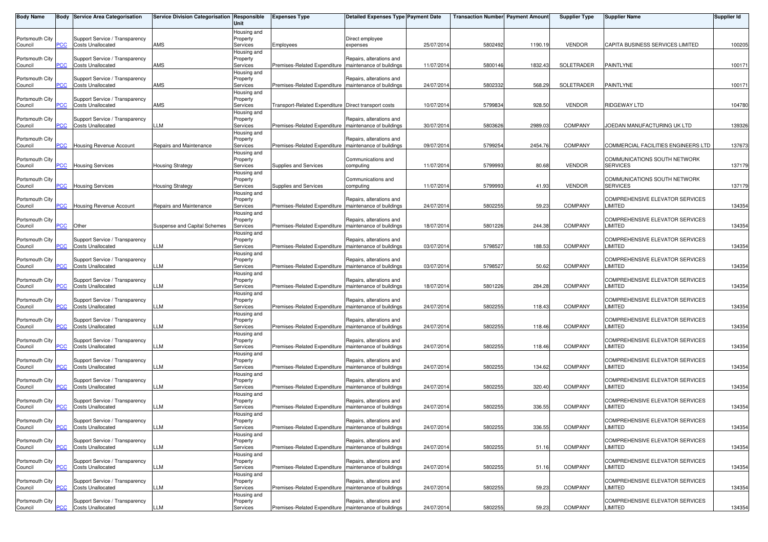| <b>Body Name</b>           |                | Body Service Area Categorisation                           | Service Division Categorisation Responsible | Unit                                | <b>Expenses Type</b>                                    | Detailed Expenses Type Payment Date                  |            | <b>Transaction Number</b> Payment Amount |         | <b>Supplier Type</b> | <b>Supplier Name</b>                              | <b>Supplier Id</b> |
|----------------------------|----------------|------------------------------------------------------------|---------------------------------------------|-------------------------------------|---------------------------------------------------------|------------------------------------------------------|------------|------------------------------------------|---------|----------------------|---------------------------------------------------|--------------------|
| Portsmouth City<br>Council | °СС            | Support Service / Transparency<br><b>Costs Unallocated</b> | AMS                                         | Housing and<br>Property<br>Services | Employees                                               | Direct employee<br>expenses                          | 25/07/201  | 5802492                                  | 1190.19 | <b>VENDOR</b>        | CAPITA BUSINESS SERVICES LIMITED                  | 100205             |
| Portsmouth City<br>Council | PCC            | Support Service / Transparency<br><b>Costs Unallocated</b> | AMS                                         | lousing and<br>Property<br>Services | Premises-Related Expenditure                            | Repairs, alterations and<br>maintenance of buildings | 11/07/201  | 5800146                                  | 1832.43 | SOLETRADER           | PAINTLYNE                                         | 100171             |
| Portsmouth City<br>Council |                | Support Service / Transparency<br><b>Costs Unallocated</b> | AMS                                         | Housing and<br>Property<br>Services | Premises-Related Expenditure                            | Repairs, alterations and<br>maintenance of buildings | 24/07/201  | 5802332                                  | 568.29  | SOLETRADER           | PAINTLYNE                                         | 100171             |
| Portsmouth City<br>Council | сC             | Support Service / Transparency<br><b>Costs Unallocated</b> | AMS                                         | Housing and<br>Property<br>Services | Transport-Related Expenditure Direct transport costs    |                                                      | 10/07/201  | 5799834                                  | 928.50  | <b>VENDOR</b>        | RIDGEWAY LTD                                      | 104780             |
| Portsmouth City<br>Council |                | Support Service / Transparency<br><b>Costs Unallocated</b> | LLM                                         | Housing and<br>Property<br>Services | Premises-Related Expenditure                            | Repairs, alterations and<br>maintenance of buildings | 30/07/201  | 5803626                                  | 2989.03 | <b>COMPANY</b>       | JOEDAN MANUFACTURING UK LTD                       | 139326             |
| Portsmouth City<br>Council | $\overline{C}$ | Housing Revenue Account                                    | Repairs and Maintenance                     | Housing and<br>Property<br>Services | Premises-Related Expenditure                            | Repairs, alterations and<br>maintenance of buildings | 09/07/2014 | 5799254                                  | 2454.76 | <b>COMPANY</b>       | COMMERCIAL FACILITIES ENGINEERS LTD               | 137673             |
| Portsmouth City<br>Council | PСC            | <b>Housing Services</b>                                    | <b>Housing Strategy</b>                     | Housing and<br>Property<br>Services | Supplies and Services                                   | Communications and<br>computing                      | 11/07/201  | 5799993                                  | 80.68   | <b>VENDOR</b>        | COMMUNICATIONS SOUTH NETWORK<br>SERVICES          | 137179             |
| Portsmouth City<br>Council | PСC            | <b>Housing Services</b>                                    | <b>Housing Strategy</b>                     | Housing and<br>Property<br>Services | Supplies and Services                                   | Communications and<br>computing                      | 11/07/201  | 5799993                                  | 41.93   | <b>VENDOR</b>        | COMMUNICATIONS SOUTH NETWORK<br><b>SERVICES</b>   | 137179             |
| Portsmouth City<br>Council | сC             | <b>Housing Revenue Account</b>                             | Repairs and Maintenance                     | Housing and<br>Property<br>Services | Premises-Related Expenditure                            | Repairs, alterations and<br>maintenance of buildings | 24/07/2014 | 5802255                                  | 59.23   | <b>COMPANY</b>       | COMPREHENSIVE ELEVATOR SERVICES<br>LIMITED        | 134354             |
| Portsmouth City<br>Council | PCC            | Other                                                      | Suspense and Capital Schemes                | Housing and<br>Property<br>Services | Premises-Related Expenditure   maintenance of buildings | Repairs, alterations and                             | 18/07/201  | 5801226                                  | 244.38  | <b>COMPANY</b>       | COMPREHENSIVE ELEVATOR SERVICES<br>LIMITED        | 134354             |
| Portsmouth City<br>Council | PСC            | Support Service / Transparency<br><b>Costs Unallocated</b> | LM                                          | lousing and<br>Property<br>Services | Premises-Related Expenditure                            | Repairs, alterations and<br>maintenance of buildings | 03/07/201  | 5798527                                  | 188.53  | COMPANY              | COMPREHENSIVE ELEVATOR SERVICES<br>LIMITED        | 134354             |
| Portsmouth City<br>Council | CС             | Support Service / Transparency<br><b>Costs Unallocated</b> | LM.                                         | Housing and<br>Property<br>Services | Premises-Related Expenditure                            | Repairs, alterations and<br>maintenance of buildings | 03/07/201  | 5798527                                  | 50.62   | COMPANY              | COMPREHENSIVE ELEVATOR SERVICES<br>LIMITED        | 134354             |
| Portsmouth City<br>Council | PСC            | Support Service / Transparency<br><b>Costs Unallocated</b> | LM                                          | Housing and<br>Property<br>Services | Premises-Related Expenditure   maintenance of buildings | Repairs, alterations and                             | 18/07/2014 | 5801226                                  | 284.28  | <b>COMPANY</b>       | COMPREHENSIVE ELEVATOR SERVICES<br>LIMITED        | 134354             |
| Portsmouth City<br>Council | PCC            | Support Service / Transparency<br><b>Costs Unallocated</b> | LLM                                         | Housing and<br>Property<br>Services | Premises-Related Expenditure                            | Repairs, alterations and<br>maintenance of buildings | 24/07/201  | 5802255                                  | 118.43  | COMPANY              | COMPREHENSIVE ELEVATOR SERVICES<br>LIMITED        | 134354             |
| Portsmouth City<br>Council | <u>'CC</u>     | Support Service / Transparency<br><b>Costs Unallocated</b> | LM.                                         | lousing and<br>Property<br>Services | Premises-Related Expenditure                            | Repairs, alterations and<br>maintenance of buildings | 24/07/201  | 5802255                                  | 118.46  | COMPANY              | COMPREHENSIVE ELEVATOR SERVICES<br>LIMITED        | 134354             |
| Portsmouth City<br>Council |                | Support Service / Transparency<br><b>Costs Unallocated</b> | LM.                                         | Housing and<br>Property<br>Services | Premises-Related Expenditure   maintenance of buildings | Repairs, alterations and                             | 24/07/201  | 5802255                                  | 118.46  | <b>COMPANY</b>       | COMPREHENSIVE ELEVATOR SERVICES<br>LIMITED        | 134354             |
| Portsmouth City<br>Council |                | Support Service / Transparency<br><b>Costs Unallocated</b> | LLM                                         | Housing and<br>Property<br>Services | Premises-Related Expenditure                            | Repairs, alterations and<br>maintenance of buildings | 24/07/201  | 5802255                                  | 134.62  | COMPANY              | COMPREHENSIVE ELEVATOR SERVICES<br>LIMITED        | 134354             |
| Portsmouth City<br>Council | °СС            | Support Service / Transparency<br><b>Costs Unallocated</b> | LLM                                         | Housing and<br>Property<br>Services | Premises-Related Expenditure                            | Repairs, alterations and<br>maintenance of buildings | 24/07/201  | 5802255                                  | 320.40  | COMPANY              | COMPREHENSIVE ELEVATOR SERVICES<br><b>LIMITED</b> | 134354             |
| Portsmouth City<br>Council |                | Support Service / Transparency<br><b>Costs Unallocated</b> | LM.                                         | Housing and<br>Property<br>Services | Premises-Related Expenditure                            | Repairs, alterations and<br>maintenance of buildings | 24/07/201  | 5802255                                  | 336.55  | COMPANY              | COMPREHENSIVE ELEVATOR SERVICES<br>LIMITED        | 134354             |
| Portsmouth City<br>Council | <b>PCC</b>     | Support Service / Transparency<br><b>Costs Unallocated</b> | LLM                                         | Housing and<br>Property<br>Services | Premises-Related Expenditure   maintenance of buildings | Repairs, alterations and                             | 24/07/2014 | 5802255                                  | 336.55  | COMPANY              | COMPREHENSIVE ELEVATOR SERVICES<br>LIMITED        | 134354             |
| Portsmouth City<br>Council | PCC            | Support Service / Transparency<br><b>Costs Unallocated</b> | LLM                                         | Housing and<br>Property<br>Services | Premises-Related Expenditure                            | Repairs, alterations and<br>maintenance of buildings | 24/07/201  | 5802255                                  | 51.16   | COMPANY              | COMPREHENSIVE ELEVATOR SERVICES<br><b>LIMITED</b> | 134354             |
| Portsmouth City<br>Council | <b>CC</b>      | Support Service / Transparency<br><b>Costs Unallocated</b> | LLM                                         | Housing and<br>Property<br>Services | Premises-Related Expenditure                            | Repairs, alterations and<br>maintenance of buildings | 24/07/201  | 5802255                                  | 51.16   | COMPANY              | COMPREHENSIVE ELEVATOR SERVICES<br>LIMITED        | 134354             |
| Portsmouth City<br>Council | сC             | Support Service / Transparency<br><b>Costs Unallocated</b> | LLM                                         | Housing and<br>Property<br>Services | Premises-Related Expenditure   maintenance of buildings | Repairs, alterations and                             | 24/07/201  | 5802255                                  | 59.23   | COMPANY              | <b>COMPREHENSIVE ELEVATOR SERVICES</b><br>LIMITED | 134354             |
| Portsmouth City<br>Council | <u>PCC</u>     | Support Service / Transparency<br><b>Costs Unallocated</b> | LLM                                         | Housing and<br>Property<br>Services | Premises-Related Expenditure   maintenance of buildings | Repairs, alterations and                             | 24/07/2014 | 5802255                                  | 59.23   | COMPANY              | COMPREHENSIVE ELEVATOR SERVICES<br>LIMITED        | 134354             |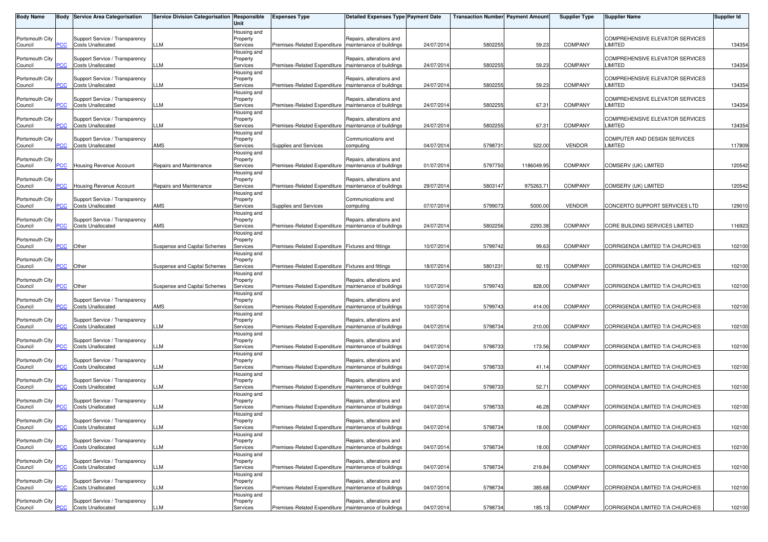| <b>Body Name</b>           |            | <b>Body Service Area Categorisation</b>                    | Service Division Categorisation Responsible | Unit                                | <b>Expenses Type</b>                                    | <b>Detailed Expenses Type Payment Date</b>           |            | <b>Transaction Number</b> Payment Amount |            | <b>Supplier Type</b> | <b>Supplier Name</b>                                    | <b>Supplier Id</b> |
|----------------------------|------------|------------------------------------------------------------|---------------------------------------------|-------------------------------------|---------------------------------------------------------|------------------------------------------------------|------------|------------------------------------------|------------|----------------------|---------------------------------------------------------|--------------------|
| Portsmouth City<br>Council | PСC        | Support Service / Transparency<br><b>Costs Unallocated</b> | LLM                                         | Housing and<br>Property<br>Services | Premises-Related Expenditure   maintenance of buildings | Repairs, alterations and                             | 24/07/2014 | 5802255                                  | 59.23      | <b>COMPANY</b>       | COMPREHENSIVE ELEVATOR SERVICES<br>LIMITED              | 134354             |
| Portsmouth City<br>Council | PСC        | Support Service / Transparency<br><b>Costs Unallocated</b> | LLM                                         | Housing and<br>Property<br>Services | Premises-Related Expenditure                            | Repairs, alterations and<br>maintenance of buildings | 24/07/2014 | 580225                                   | 59.23      | <b>COMPANY</b>       | COMPREHENSIVE ELEVATOR SERVICES<br>LIMITED              | 134354             |
| Portsmouth City<br>Council | сC         | Support Service / Transparency<br><b>Costs Unallocated</b> | LLM                                         | Housing and<br>Property<br>Services | Premises-Related Expenditure                            | Repairs, alterations and<br>maintenance of buildings | 24/07/2014 | 580225                                   | 59.23      | <b>COMPANY</b>       | <b>COMPREHENSIVE ELEVATOR SERVICES</b><br>LIMITED       | 134354             |
| Portsmouth City<br>Council | PСC        | Support Service / Transparency<br><b>Costs Unallocated</b> | LLM                                         | Housing and<br>Property<br>Services | Premises-Related Expenditure   maintenance of buildings | Repairs, alterations and                             | 24/07/2014 | 580225                                   | 67.31      | <b>COMPANY</b>       | <b>COMPREHENSIVE ELEVATOR SERVICES</b><br><b>IMITED</b> | 134354             |
| Portsmouth City<br>Council | <b>PCC</b> | Support Service / Transparency<br><b>Costs Unallocated</b> | LLM                                         | Housing and<br>Property<br>Services | Premises-Related Expenditure                            | Repairs, alterations and<br>maintenance of buildings | 24/07/2014 | 5802255                                  | 67.31      | <b>COMPANY</b>       | <b>COMPREHENSIVE ELEVATOR SERVICES</b><br>LIMITED       | 134354             |
| Portsmouth City<br>Council | <b>PCC</b> | Support Service / Transparency<br><b>Costs Unallocated</b> | AMS                                         | Housing and<br>Property<br>Services | Supplies and Services                                   | Communications and<br>computing                      | 04/07/2014 | 579873                                   | 522.00     | <b>VENDOR</b>        | COMPUTER AND DESIGN SERVICES<br>LIMITED                 | 117809             |
| Portsmouth City<br>Council | PСC        | Housing Revenue Account                                    | Repairs and Maintenance                     | Housing and<br>Property<br>Services | Premises-Related Expenditure                            | Repairs, alterations and<br>maintenance of buildings | 01/07/2014 | 5797750                                  | 1186049.95 | <b>COMPANY</b>       | COMSERV (UK) LIMITED                                    | 120542             |
| Portsmouth City<br>Council | <b>PCC</b> | Housing Revenue Account                                    | Repairs and Maintenance                     | Housing and<br>Property<br>Services | Premises-Related Expenditure                            | Repairs, alterations and<br>maintenance of buildings | 29/07/2014 | 5803147                                  | 975263.71  | <b>COMPANY</b>       | COMSERV (UK) LIMITED                                    | 120542             |
| Portsmouth City<br>Council | сC         | Support Service / Transparency<br><b>Costs Unallocated</b> | AMS                                         | Housing and<br>Property<br>Services | Supplies and Services                                   | Communications and<br>computing                      | 07/07/2014 | 5799073                                  | 5000.00    | <b>VENDOR</b>        | CONCERTO SUPPORT SERVICES LTD                           | 129010             |
| Portsmouth City<br>Council | PСC        | Support Service / Transparency<br><b>Costs Unallocated</b> | AMS                                         | Housing and<br>Property<br>Services | Premises-Related Expenditure   maintenance of buildings | Repairs, alterations and                             | 24/07/2014 | 5802256                                  | 2293.38    | <b>COMPANY</b>       | CORE BUILDING SERVICES LIMITED                          | 116923             |
| Portsmouth City            | <b>PCC</b> |                                                            |                                             | Housing and<br>Property             |                                                         |                                                      |            |                                          | 99.63      | <b>COMPANY</b>       | CORRIGENDA LIMITED T/A CHURCHES                         |                    |
| Council<br>Portsmouth City |            | Other                                                      | Suspense and Capital Schemes                | Services<br>Housing and<br>Property | Premises-Related Expenditure Fixtures and fittings      |                                                      | 10/07/2014 | 5799742                                  |            |                      |                                                         | 102100             |
| Council<br>Portsmouth City | сC         | Other                                                      | Suspense and Capital Schemes                | Services<br>Housing and<br>Property | Premises-Related Expenditure Fixtures and fittings      | Repairs, alterations and                             | 18/07/2014 | 580123                                   | 92.15      | <b>COMPANY</b>       | CORRIGENDA LIMITED T/A CHURCHES                         | 102100             |
| Council<br>Portsmouth City | PСC        | Other<br>Support Service / Transparency                    | Suspense and Capital Schemes                | Services<br>Housing and<br>Property | Premises-Related Expenditure                            | maintenance of buildings<br>Repairs, alterations and | 10/07/2014 | 5799743                                  | 828.00     | <b>COMPANY</b>       | CORRIGENDA LIMITED T/A CHURCHES                         | 102100             |
| Council<br>Portsmouth City | PСC        | <b>Costs Unallocated</b><br>Support Service / Transparency | <b>AMS</b>                                  | Services<br>Housing and<br>Property | Premises-Related Expenditure   maintenance of buildings | Repairs, alterations and                             | 10/07/2014 | 5799743                                  | 414.00     | <b>COMPANY</b>       | CORRIGENDA LIMITED T/A CHURCHES                         | 102100             |
| Council<br>Portsmouth City | <u>'CC</u> | <b>Costs Unallocated</b><br>Support Service / Transparency | LM                                          | Services<br>Housing and<br>Property | Premises-Related Expenditure                            | maintenance of buildings<br>Repairs, alterations and | 04/07/2014 | 5798734                                  | 210.00     | <b>COMPANY</b>       | CORRIGENDA LIMITED T/A CHURCHES                         | 102100             |
| Council<br>Portsmouth City | <b>PCC</b> | <b>Costs Unallocated</b><br>Support Service / Transparency | LLM                                         | Services<br>Housing and<br>Property | Premises-Related Expenditure   maintenance of buildings | Repairs, alterations and                             | 04/07/2014 | 5798733                                  | 173.56     | <b>COMPANY</b>       | CORRIGENDA LIMITED T/A CHURCHES                         | 102100             |
| Council<br>Portsmouth City | <b>PCC</b> | <b>Costs Unallocated</b><br>Support Service / Transparency | LLM                                         | Services<br>Housing and<br>Property | Premises-Related Expenditure   maintenance of buildings | Repairs, alterations and                             | 04/07/2014 | 579873                                   | 41.14      | <b>COMPANY</b>       | CORRIGENDA LIMITED T/A CHURCHES                         | 102100             |
| Council<br>Portsmouth City | PСC        | <b>Costs Unallocated</b><br>Support Service / Transparency | LLM                                         | Services<br>Housing and<br>Property | Premises-Related Expenditure                            | maintenance of buildings<br>Repairs, alterations and | 04/07/2014 | 5798733                                  | 52.71      | <b>COMPANY</b>       | CORRIGENDA LIMITED T/A CHURCHES                         | 102100             |
| Council<br>Portsmouth City | PСC        | <b>Costs Unallocated</b><br>Support Service / Transparency | LLM                                         | Services<br>Housing and<br>Property | Premises-Related Expenditure                            | maintenance of buildings<br>Repairs, alterations and | 04/07/2014 | 5798733                                  | 46.28      | <b>COMPANY</b>       | CORRIGENDA LIMITED T/A CHURCHES                         | 102100             |
| Council<br>Portsmouth City | <b>PCC</b> | <b>Costs Unallocated</b><br>Support Service / Transparency | LLM                                         | Services<br>Housing and<br>Property | Premises-Related Expenditure   maintenance of buildings | Repairs, alterations and                             | 04/07/2014 | 5798734                                  | 18.00      | <b>COMPANY</b>       | CORRIGENDA LIMITED T/A CHURCHES                         | 102100             |
| Council<br>Portsmouth City | PСC        | <b>Costs Unallocated</b><br>Support Service / Transparency | LLM                                         | Services<br>Housing and<br>Property | Premises-Related Expenditure                            | maintenance of buildings<br>Repairs, alterations and | 04/07/2014 | 5798734                                  | 18.00      | <b>COMPANY</b>       | CORRIGENDA LIMITED T/A CHURCHES                         | 102100             |
| Council<br>Portsmouth City | PСC        | <b>Costs Unallocated</b><br>Support Service / Transparency | LLM                                         | Services<br>Housing and<br>Property | Premises-Related Expenditure                            | maintenance of buildings<br>Repairs, alterations and | 04/07/2014 | 5798734                                  | 219.84     | <b>COMPANY</b>       | CORRIGENDA LIMITED T/A CHURCHES                         | 102100             |
| Council<br>Portsmouth City | PСC        | <b>Costs Unallocated</b><br>Support Service / Transparency | LLM                                         | Services<br>Housing and<br>Property | Premises-Related Expenditure   maintenance of buildings | Repairs, alterations and                             | 04/07/2014 | 5798734                                  | 385.68     | <b>COMPANY</b>       | CORRIGENDA LIMITED T/A CHURCHES                         | 102100             |
| Council                    | <b>PCC</b> | <b>Costs Unallocated</b>                                   | <b>LLM</b>                                  | Services                            | Premises-Related Expenditure   maintenance of buildings |                                                      | 04/07/2014 | 5798734                                  | 185.13     | <b>COMPANY</b>       | CORRIGENDA LIMITED T/A CHURCHES                         | 102100             |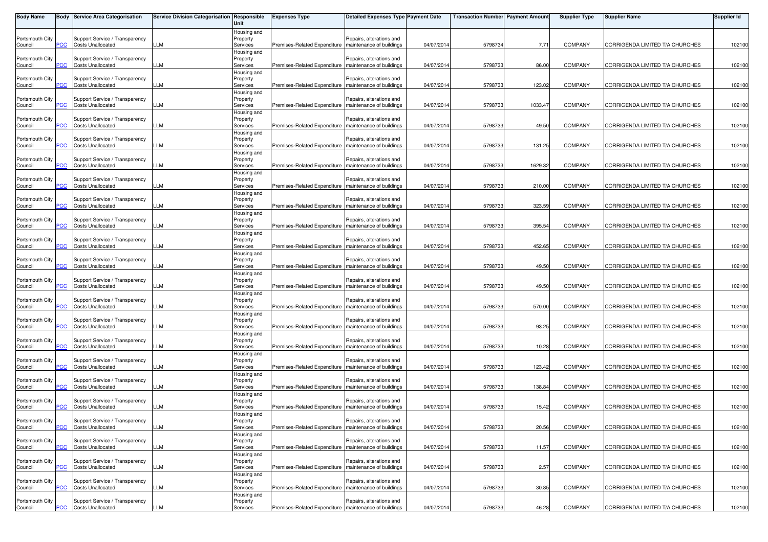| <b>Body Name</b>           |            | <b>Body Service Area Categorisation</b>                    | Service Division Categorisation Responsible | Unit                    | <b>Expenses Type</b>                                    | <b>Detailed Expenses Type Payment Date</b>           |            | <b>Transaction Number Payment Amount</b> |         | <b>Supplier Type</b> | <b>Supplier Name</b>            | <b>Supplier Id</b> |
|----------------------------|------------|------------------------------------------------------------|---------------------------------------------|-------------------------|---------------------------------------------------------|------------------------------------------------------|------------|------------------------------------------|---------|----------------------|---------------------------------|--------------------|
|                            |            |                                                            |                                             | Housing and             |                                                         |                                                      |            |                                          |         |                      |                                 |                    |
| Portsmouth City<br>Council | PСC        | Support Service / Transparency<br><b>Costs Unallocated</b> | LLM                                         | Property<br>Services    | Premises-Related Expenditure maintenance of buildings   | Repairs, alterations and                             | 04/07/2014 | 5798734                                  | 7.71    | <b>COMPANY</b>       | CORRIGENDA LIMITED T/A CHURCHES | 102100             |
|                            |            |                                                            |                                             | Housing and             |                                                         |                                                      |            |                                          |         |                      |                                 |                    |
| Portsmouth City            |            | Support Service / Transparency                             |                                             | Property                |                                                         | Repairs, alterations and                             |            |                                          |         |                      |                                 |                    |
| Council                    | PCC        | <b>Costs Unallocated</b>                                   | LLM                                         | Services                | Premises-Related Expenditure                            | maintenance of buildings                             | 04/07/2014 | 5798733                                  | 86.00   | <b>COMPANY</b>       | CORRIGENDA LIMITED T/A CHURCHES | 102100             |
| Portsmouth City            |            | Support Service / Transparency                             |                                             | Housing and<br>Property |                                                         | Repairs, alterations and                             |            |                                          |         |                      |                                 |                    |
| Council                    |            | <b>Costs Unallocated</b>                                   | LLM                                         | Services                | Premises-Related Expenditure   maintenance of buildings |                                                      | 04/07/2014 | 5798733                                  | 123.02  | <b>COMPANY</b>       | CORRIGENDA LIMITED T/A CHURCHES | 102100             |
|                            |            |                                                            |                                             | Housing and             |                                                         |                                                      |            |                                          |         |                      |                                 |                    |
| Portsmouth City            |            | Support Service / Transparency                             |                                             | Property                |                                                         | Repairs, alterations and                             |            |                                          |         |                      |                                 |                    |
| Council                    | сC         | <b>Costs Unallocated</b>                                   | LLM                                         | Services<br>Housing and | Premises-Related Expenditure   maintenance of buildings |                                                      | 04/07/2014 | 5798733                                  | 1033.47 | COMPANY              | CORRIGENDA LIMITED T/A CHURCHES | 102100             |
| Portsmouth City            |            | Support Service / Transparency                             |                                             | Property                |                                                         | Repairs, alterations and                             |            |                                          |         |                      |                                 |                    |
| Council                    | <u>PCC</u> | <b>Costs Unallocated</b>                                   | LM                                          | Services                | Premises-Related Expenditure                            | maintenance of buildings                             | 04/07/2014 | 5798733                                  | 49.50   | <b>COMPANY</b>       | CORRIGENDA LIMITED T/A CHURCHES | 102100             |
|                            |            |                                                            |                                             | Housing and             |                                                         |                                                      |            |                                          |         |                      |                                 |                    |
| Portsmouth City<br>Council | <u>'CC</u> | Support Service / Transparency<br><b>Costs Unallocated</b> | LM.                                         | Property<br>Services    | Premises-Related Expenditure   maintenance of buildings | Repairs, alterations and                             | 04/07/2014 | 5798733                                  | 131.25  | <b>COMPANY</b>       | CORRIGENDA LIMITED T/A CHURCHES | 102100             |
|                            |            |                                                            |                                             | Housing and             |                                                         |                                                      |            |                                          |         |                      |                                 |                    |
| Portsmouth City            |            | Support Service / Transparency                             |                                             | Property                |                                                         | Repairs, alterations and                             |            |                                          |         |                      |                                 |                    |
| Council                    | PCC        | <b>Costs Unallocated</b>                                   | LLM                                         | Services                | Premises-Related Expenditure   maintenance of buildings |                                                      | 04/07/2014 | 5798733                                  | 1629.32 | <b>COMPANY</b>       | CORRIGENDA LIMITED T/A CHURCHES | 102100             |
|                            |            |                                                            |                                             | Housing and             |                                                         |                                                      |            |                                          |         |                      |                                 |                    |
| Portsmouth City<br>Council | PCC        | Support Service / Transparency<br><b>Costs Unallocated</b> | LLM                                         | Property<br>Services    | Premises-Related Expenditure   maintenance of buildings | Repairs, alterations and                             | 04/07/2014 | 5798733                                  | 210.00  | COMPANY              | CORRIGENDA LIMITED T/A CHURCHES | 102100             |
|                            |            |                                                            |                                             | Housing and             |                                                         |                                                      |            |                                          |         |                      |                                 |                    |
| Portsmouth City            |            | Support Service / Transparency                             |                                             | Property                |                                                         | Repairs, alterations and                             |            |                                          |         |                      |                                 |                    |
| Council                    |            | <b>Costs Unallocated</b>                                   | LM                                          | Services                | Premises-Related Expenditure                            | maintenance of buildings                             | 04/07/2014 | 5798733                                  | 323.59  | <b>COMPANY</b>       | CORRIGENDA LIMITED T/A CHURCHES | 102100             |
|                            |            |                                                            |                                             | Housing and             |                                                         |                                                      |            |                                          |         |                      |                                 |                    |
| Portsmouth City<br>Council | PCC        | Support Service / Transparency<br><b>Costs Unallocated</b> | LLM                                         | Property<br>Services    | Premises-Related Expenditure   maintenance of buildings | Repairs, alterations and                             | 04/07/2014 | 5798733                                  | 395.54  | <b>COMPANY</b>       | CORRIGENDA LIMITED T/A CHURCHES | 102100             |
|                            |            |                                                            |                                             | Housing and             |                                                         |                                                      |            |                                          |         |                      |                                 |                    |
| Portsmouth City            |            | Support Service / Transparency                             |                                             | Property                |                                                         | Repairs, alterations and                             |            |                                          |         |                      |                                 |                    |
| Council                    | PCC        | <b>Costs Unallocated</b>                                   | LLM                                         | Services                | Premises-Related Expenditure   maintenance of buildings |                                                      | 04/07/2014 | 5798733                                  | 452.65  | COMPANY              | CORRIGENDA LIMITED T/A CHURCHES | 102100             |
|                            |            |                                                            |                                             | Housing and             |                                                         |                                                      |            |                                          |         |                      |                                 |                    |
| Portsmouth City<br>Council | сc         | Support Service / Transparency<br><b>Costs Unallocated</b> | LM                                          | Property<br>Services    | Premises-Related Expenditure maintenance of buildings   | Repairs, alterations and                             | 04/07/2014 | 5798733                                  | 49.50   | <b>COMPANY</b>       | CORRIGENDA LIMITED T/A CHURCHES | 102100             |
|                            |            |                                                            |                                             | Housing and             |                                                         |                                                      |            |                                          |         |                      |                                 |                    |
| Portsmouth City            |            | Support Service / Transparency                             |                                             | Property                |                                                         | Repairs, alterations and                             |            |                                          |         |                      |                                 |                    |
| Council                    | PCC        | <b>Costs Unallocated</b>                                   | LLM                                         | Services                | Premises-Related Expenditure   maintenance of buildings |                                                      | 04/07/2014 | 5798733                                  | 49.50   | <b>COMPANY</b>       | CORRIGENDA LIMITED T/A CHURCHES | 102100             |
|                            |            |                                                            |                                             | Housing and             |                                                         |                                                      |            |                                          |         |                      |                                 |                    |
| Portsmouth City<br>Council | PCC        | Support Service / Transparency<br><b>Costs Unallocated</b> | LLM                                         | Property<br>Services    | Premises-Related Expenditure   maintenance of buildings | Repairs, alterations and                             | 04/07/2014 | 5798733                                  | 570.00  | <b>COMPANY</b>       | CORRIGENDA LIMITED T/A CHURCHES | 102100             |
|                            |            |                                                            |                                             | Housing and             |                                                         |                                                      |            |                                          |         |                      |                                 |                    |
| Portsmouth City            |            | Support Service / Transparency                             |                                             | Property                |                                                         | Repairs, alterations and                             |            |                                          |         |                      |                                 |                    |
| Council                    | сc         | <b>Costs Unallocated</b>                                   | LM                                          | Services                | Premises-Related Expenditure maintenance of buildings   |                                                      | 04/07/2014 | 5798733                                  | 93.25   | <b>COMPANY</b>       | CORRIGENDA LIMITED T/A CHURCHES | 102100             |
|                            |            |                                                            |                                             | Housing and             |                                                         |                                                      |            |                                          |         |                      |                                 |                    |
| Portsmouth City<br>Council |            | Support Service / Transparency<br><b>Costs Unallocated</b> | LLM                                         | Property<br>Services    | Premises-Related Expenditure   maintenance of buildings | Repairs, alterations and                             | 04/07/2014 | 5798733                                  | 10.28   | <b>COMPANY</b>       | CORRIGENDA LIMITED T/A CHURCHES | 102100             |
|                            |            |                                                            |                                             | Housing and             |                                                         |                                                      |            |                                          |         |                      |                                 |                    |
| Portsmouth City            |            | Support Service / Transparency                             |                                             | Property                |                                                         | Repairs, alterations and                             |            |                                          |         |                      |                                 |                    |
| Council                    | <u>PCC</u> | <b>Costs Unallocated</b>                                   | LLM                                         | Services                | Premises-Related Expenditure   maintenance of buildings |                                                      | 04/07/2014 | 5798733                                  | 123.42  | <b>COMPANY</b>       | CORRIGENDA LIMITED T/A CHURCHES | 102100             |
|                            |            |                                                            |                                             | Housing and             |                                                         |                                                      |            |                                          |         |                      |                                 |                    |
| Portsmouth City<br>Council | PCC.       | Support Service / Transparency<br><b>Costs Unallocated</b> | LLM                                         | Property<br>Services    | Premises-Related Expenditure                            | Repairs, alterations and<br>maintenance of buildings | 04/07/2014 | 5798733                                  | 138.84  | <b>COMPANY</b>       | CORRIGENDA LIMITED T/A CHURCHES | 102100             |
|                            |            |                                                            |                                             | Housing and             |                                                         |                                                      |            |                                          |         |                      |                                 |                    |
| Portsmouth City            |            | Support Service / Transparency                             |                                             | Property                |                                                         | Repairs, alterations and                             |            |                                          |         |                      |                                 |                    |
| Council                    | PСC        | <b>Costs Unallocated</b>                                   | LLM                                         | Services                | Premises-Related Expenditure   maintenance of buildings |                                                      | 04/07/2014 | 5798733                                  | 15.42   | <b>COMPANY</b>       | CORRIGENDA LIMITED T/A CHURCHES | 102100             |
|                            |            |                                                            |                                             | Housing and             |                                                         |                                                      |            |                                          |         |                      |                                 |                    |
| Portsmouth City<br>Council | <b>PCC</b> | Support Service / Transparency<br><b>Costs Unallocated</b> | LLM                                         | Property<br>Services    | Premises-Related Expenditure   maintenance of buildings | Repairs, alterations and                             | 04/07/2014 | 5798733                                  | 20.56   | <b>COMPANY</b>       | CORRIGENDA LIMITED T/A CHURCHES | 102100             |
|                            |            |                                                            |                                             | Housing and             |                                                         |                                                      |            |                                          |         |                      |                                 |                    |
| Portsmouth City            |            | Support Service / Transparency                             |                                             | Property                |                                                         | Repairs, alterations and                             |            |                                          |         |                      |                                 |                    |
| Council                    | PCC        | <b>Costs Unallocated</b>                                   | LLM                                         | Services                | Premises-Related Expenditure                            | maintenance of buildings                             | 04/07/2014 | 5798733                                  | 11.57   | <b>COMPANY</b>       | CORRIGENDA LIMITED T/A CHURCHES | 102100             |
|                            |            |                                                            |                                             | Housing and             |                                                         | Repairs, alterations and                             |            |                                          |         |                      |                                 |                    |
| Portsmouth City<br>Council | ۲CС        | Support Service / Transparency<br><b>Costs Unallocated</b> | LLM                                         | Property<br>Services    | Premises-Related Expenditure                            | maintenance of buildings                             | 04/07/2014 | 5798733                                  | 2.57    | COMPANY              | CORRIGENDA LIMITED T/A CHURCHES | 102100             |
|                            |            |                                                            |                                             | Housing and             |                                                         |                                                      |            |                                          |         |                      |                                 |                    |
| Portsmouth City            |            | Support Service / Transparency                             |                                             | Property                |                                                         | Repairs, alterations and                             |            |                                          |         |                      |                                 |                    |
| Council                    | PCC        | <b>Costs Unallocated</b>                                   | LLM                                         | Services                | Premises-Related Expenditure   maintenance of buildings |                                                      | 04/07/2014 | 5798733                                  | 30.85   | <b>COMPANY</b>       | CORRIGENDA LIMITED T/A CHURCHES | 102100             |
| Portsmouth City            |            | Support Service / Transparency                             |                                             | Housing and             |                                                         | Repairs, alterations and                             |            |                                          |         |                      |                                 |                    |
| Council                    | <b>PCC</b> | <b>Costs Unallocated</b>                                   | LLM                                         | Property<br>Services    | Premises-Related Expenditure   maintenance of buildings |                                                      | 04/07/2014 | 5798733                                  | 46.28   | <b>COMPANY</b>       | CORRIGENDA LIMITED T/A CHURCHES | 102100             |
|                            |            |                                                            |                                             |                         |                                                         |                                                      |            |                                          |         |                      |                                 |                    |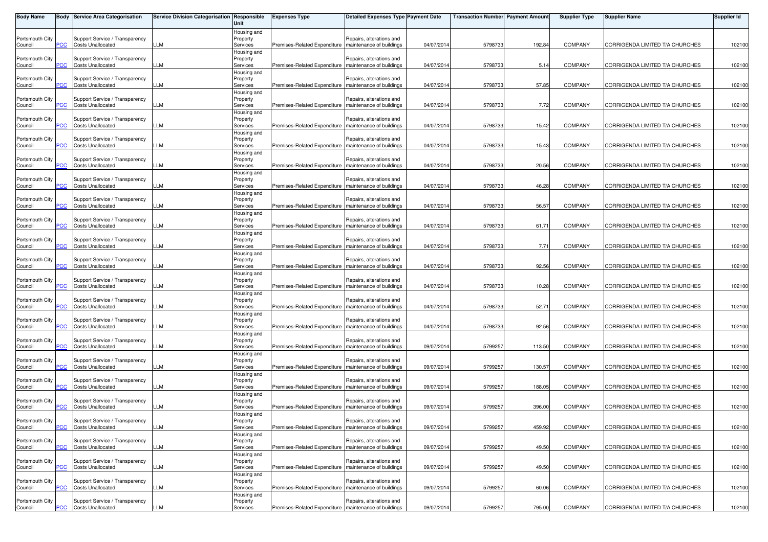| <b>Body Name</b>           |            | <b>Body Service Area Categorisation</b>                    | Service Division Categorisation Responsible | Unit                                               | <b>Expenses Type</b>                                    | Detailed Expenses Type Payment Date                  |            | <b>Transaction Number Payment Amount</b> |        | <b>Supplier Type</b> | <b>Supplier Name</b>            | <b>Supplier Id</b> |
|----------------------------|------------|------------------------------------------------------------|---------------------------------------------|----------------------------------------------------|---------------------------------------------------------|------------------------------------------------------|------------|------------------------------------------|--------|----------------------|---------------------------------|--------------------|
| Portsmouth City<br>Council | PСC        | Support Service / Transparency<br><b>Costs Unallocated</b> | LLM                                         | Housing and<br>Property<br>Services                | Premises-Related Expenditure   maintenance of buildings | Repairs, alterations and                             | 04/07/2014 | 5798733                                  | 192.84 | <b>COMPANY</b>       | CORRIGENDA LIMITED T/A CHURCHES | 102100             |
| Portsmouth City<br>Council | PCC        | Support Service / Transparency<br><b>Costs Unallocated</b> | LLM                                         | Housing and<br>Property<br>Services                | Premises-Related Expenditure   maintenance of buildings | Repairs, alterations and                             | 04/07/2014 | 5798733                                  | 5.14   | <b>COMPANY</b>       | CORRIGENDA LIMITED T/A CHURCHES | 102100             |
| Portsmouth City<br>Council |            | Support Service / Transparency<br><b>Costs Unallocated</b> | LM.                                         | Housing and<br>Property<br>Services                | Premises-Related Expenditure   maintenance of buildings | Repairs, alterations and                             | 04/07/2014 | 5798733                                  | 57.85  | <b>COMPANY</b>       | CORRIGENDA LIMITED T/A CHURCHES | 102100             |
| Portsmouth City<br>Council | PСC        | Support Service / Transparency<br><b>Costs Unallocated</b> | LLM                                         | Housing and<br>Property<br>Services                | Premises-Related Expenditure Imaintenance of buildings  | Repairs, alterations and                             | 04/07/2014 | 5798733                                  | 7.72   | <b>COMPANY</b>       | CORRIGENDA LIMITED T/A CHURCHES | 102100             |
| Portsmouth City<br>Council | PСC        | Support Service / Transparency<br><b>Costs Unallocated</b> | LLM                                         | Housing and<br>Property<br>Services                | Premises-Related Expenditure                            | Repairs, alterations and<br>maintenance of buildings | 04/07/2014 | 5798733                                  | 15.42  | <b>COMPANY</b>       | CORRIGENDA LIMITED T/A CHURCHES | 102100             |
| Portsmouth City<br>Council | сc         | Support Service / Transparency<br><b>Costs Unallocated</b> | LM                                          | Housing and<br>Property<br>Services                | Premises-Related Expenditure   maintenance of buildings | Repairs, alterations and                             | 04/07/2014 | 5798733                                  | 15.43  | <b>COMPANY</b>       | CORRIGENDA LIMITED T/A CHURCHES | 102100             |
| Portsmouth City<br>Council | PСC        | Support Service / Transparency<br><b>Costs Unallocated</b> | LLM                                         | Housing and<br>Property<br>Services                | Premises-Related Expenditure   maintenance of buildings | Repairs, alterations and                             | 04/07/2014 | 5798733                                  | 20.56  | <b>COMPANY</b>       | CORRIGENDA LIMITED T/A CHURCHES | 102100             |
| Portsmouth City<br>Council | PCC        | Support Service / Transparency<br><b>Costs Unallocated</b> | LLM                                         | Housing and<br>Property<br>Services                | Premises-Related Expenditure   maintenance of buildings | Repairs, alterations and                             | 04/07/2014 | 5798733                                  | 46.28  | <b>COMPANY</b>       | CORRIGENDA LIMITED T/A CHURCHES | 102100             |
| Portsmouth City<br>Council | cс         | Support Service / Transparency<br><b>Costs Unallocated</b> | LM                                          | Housing and<br>Property<br>Services                | Premises-Related Expenditure                            | Repairs, alterations and<br>maintenance of buildings | 04/07/2014 | 5798733                                  | 56.57  | <b>COMPANY</b>       | CORRIGENDA LIMITED T/A CHURCHES | 102100             |
| Portsmouth City<br>Council |            | Support Service / Transparency<br><b>Costs Unallocated</b> | LLM                                         | Housing and<br>Property<br>Services                | Premises-Related Expenditure   maintenance of buildings | Repairs, alterations and                             | 04/07/2014 | 5798733                                  | 61.71  | <b>COMPANY</b>       | CORRIGENDA LIMITED T/A CHURCHES | 102100             |
| Portsmouth City<br>Council | PCC        | Support Service / Transparency<br><b>Costs Unallocated</b> | LLM                                         | Housing and<br>Property<br>Services                | Premises-Related Expenditure   maintenance of buildings | Repairs, alterations and                             | 04/07/2014 | 5798733                                  | 7.71   | <b>COMPANY</b>       | CORRIGENDA LIMITED T/A CHURCHES | 102100             |
| Portsmouth City<br>Council | CС         | Support Service / Transparency<br><b>Costs Unallocated</b> | LM                                          | Housing and<br>Property<br>Services                | Premises-Related Expenditure                            | Repairs, alterations and<br>maintenance of buildings | 04/07/2014 | 5798733                                  | 92.56  | <b>COMPANY</b>       | CORRIGENDA LIMITED T/A CHURCHES | 102100             |
| Portsmouth City<br>Council | PСC        | Support Service / Transparency<br><b>Costs Unallocated</b> | LLM                                         | Housing and<br>Property<br>Services                | Premises-Related Expenditure   maintenance of buildings | Repairs, alterations and                             | 04/07/2014 | 5798733                                  | 10.28  | <b>COMPANY</b>       | CORRIGENDA LIMITED T/A CHURCHES | 102100             |
| Portsmouth City<br>Council | <u>PCC</u> | Support Service / Transparency<br><b>Costs Unallocated</b> | LLM                                         | Housing and<br>Property<br>Services                | Premises-Related Expenditure   maintenance of buildings | Repairs, alterations and                             | 04/07/2014 | 5798733                                  | 52.71  | <b>COMPANY</b>       | CORRIGENDA LIMITED T/A CHURCHES | 102100             |
| Portsmouth City<br>Council | PСC        | Support Service / Transparency<br><b>Costs Unallocated</b> | LLM                                         | Housing and<br>Property<br>Services                | Premises-Related Expenditure   maintenance of buildings | Repairs, alterations and                             | 04/07/2014 | 5798733                                  | 92.56  | <b>COMPANY</b>       | CORRIGENDA LIMITED T/A CHURCHES | 102100             |
| Portsmouth City<br>Council |            | Support Service / Transparency<br><b>Costs Unallocated</b> | LLM                                         | Housing and<br>Property<br>Services                | Premises-Related Expenditure   maintenance of buildings | Repairs, alterations and                             | 09/07/2014 | 5799257                                  | 113.50 | <b>COMPANY</b>       | CORRIGENDA LIMITED T/A CHURCHES | 102100             |
| Portsmouth City<br>Council | ۲CC        | Support Service / Transparency<br><b>Costs Unallocated</b> | LLM                                         | Housing and<br>Property<br>Services                | Premises-Related Expenditure   maintenance of buildings | Repairs, alterations and                             | 09/07/2014 | 5799257                                  | 130.57 | <b>COMPANY</b>       | CORRIGENDA LIMITED T/A CHURCHES | 102100             |
| Portsmouth City<br>Council | PCC        | Support Service / Transparency<br><b>Costs Unallocated</b> | LM                                          | Housing and<br>Property<br>Services                | Premises-Related Expenditure                            | Repairs, alterations and<br>maintenance of buildings | 09/07/2014 | 5799257                                  | 188.05 | <b>COMPANY</b>       | CORRIGENDA LIMITED T/A CHURCHES | 102100             |
| Portsmouth City<br>Council | ۲CС        | Support Service / Transparency<br><b>Costs Unallocated</b> | LM                                          | Housing and<br>Property<br>Services<br>Housing and | Premises-Related Expenditure                            | Repairs, alterations and<br>maintenance of buildings | 09/07/2014 | 5799257                                  | 396.00 | <b>COMPANY</b>       | CORRIGENDA LIMITED T/A CHURCHES | 102100             |
| Portsmouth City<br>Council | <b>PCC</b> | Support Service / Transparency<br><b>Costs Unallocated</b> | LLM                                         | Property<br>Services<br>Housing and                | Premises-Related Expenditure   maintenance of buildings | Repairs, alterations and                             | 09/07/2014 | 5799257                                  | 459.92 | <b>COMPANY</b>       | CORRIGENDA LIMITED T/A CHURCHES | 102100             |
| Portsmouth City<br>Council | PCC        | Support Service / Transparency<br><b>Costs Unallocated</b> | LLM                                         | Property<br>Services<br>Housing and                | Premises-Related Expenditure                            | Repairs, alterations and<br>maintenance of buildings | 09/07/2014 | 5799257                                  | 49.50  | <b>COMPANY</b>       | CORRIGENDA LIMITED T/A CHURCHES | 102100             |
| Portsmouth City<br>Council | ۲CС        | Support Service / Transparency<br><b>Costs Unallocated</b> | LLM                                         | Property<br>Services<br>Housing and                | Premises-Related Expenditure                            | Repairs, alterations and<br>maintenance of buildings | 09/07/2014 | 5799257                                  | 49.50  | <b>COMPANY</b>       | CORRIGENDA LIMITED T/A CHURCHES | 102100             |
| Portsmouth City<br>Council | PСC        | Support Service / Transparency<br><b>Costs Unallocated</b> | LLM                                         | Property<br>Services<br>Housing and                | Premises-Related Expenditure   maintenance of buildings | Repairs, alterations and                             | 09/07/2014 | 5799257                                  | 60.06  | <b>COMPANY</b>       | CORRIGENDA LIMITED T/A CHURCHES | 102100             |
| Portsmouth City<br>Council | <b>PCC</b> | Support Service / Transparency<br><b>Costs Unallocated</b> | LLM                                         | Property<br>Services                               | Premises-Related Expenditure   maintenance of buildings | Repairs, alterations and                             | 09/07/2014 | 5799257                                  | 795.00 | <b>COMPANY</b>       | CORRIGENDA LIMITED T/A CHURCHES | 102100             |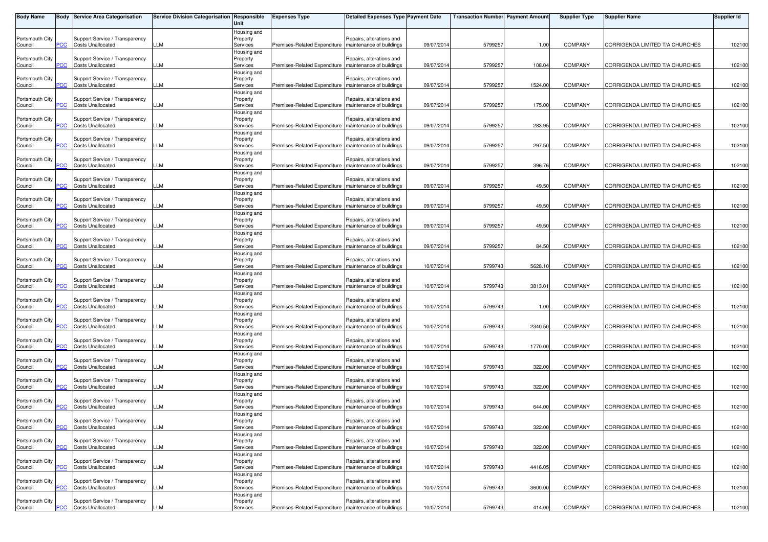| <b>Body Name</b>           |            | <b>Body Service Area Categorisation</b>                    | Service Division Categorisation Responsible | Unit                    | <b>Expenses Type</b>                                    | <b>Detailed Expenses Type Payment Date</b> |            | <b>Transaction Number Payment Amount</b> |         | <b>Supplier Type</b> | <b>Supplier Name</b>            | Supplier Id |
|----------------------------|------------|------------------------------------------------------------|---------------------------------------------|-------------------------|---------------------------------------------------------|--------------------------------------------|------------|------------------------------------------|---------|----------------------|---------------------------------|-------------|
|                            |            |                                                            |                                             | Housing and             |                                                         |                                            |            |                                          |         |                      |                                 |             |
| Portsmouth City<br>Council | PСC        | Support Service / Transparency<br><b>Costs Unallocated</b> | LLM                                         | Property<br>Services    | Premises-Related Expenditure maintenance of buildings   | Repairs, alterations and                   | 09/07/2014 | 5799257                                  | 1.00    | <b>COMPANY</b>       | CORRIGENDA LIMITED T/A CHURCHES | 102100      |
|                            |            |                                                            |                                             | Housing and             |                                                         |                                            |            |                                          |         |                      |                                 |             |
| Portsmouth City            |            | Support Service / Transparency                             |                                             | Property                |                                                         | Repairs, alterations and                   |            |                                          |         |                      |                                 |             |
| Council                    | PCC        | <b>Costs Unallocated</b>                                   | LLM                                         | Services                | Premises-Related Expenditure                            | maintenance of buildings                   | 09/07/2014 | 5799257                                  | 108.04  | <b>COMPANY</b>       | CORRIGENDA LIMITED T/A CHURCHES | 102100      |
| Portsmouth City            |            | Support Service / Transparency                             |                                             | Housing and<br>Property |                                                         | Repairs, alterations and                   |            |                                          |         |                      |                                 |             |
| Council                    |            | <b>Costs Unallocated</b>                                   | LLM                                         | Services                | Premises-Related Expenditure   maintenance of buildings |                                            | 09/07/2014 | 5799257                                  | 1524.00 | <b>COMPANY</b>       | CORRIGENDA LIMITED T/A CHURCHES | 102100      |
|                            |            |                                                            |                                             | Housing and             |                                                         |                                            |            |                                          |         |                      |                                 |             |
| Portsmouth City            |            | Support Service / Transparency                             |                                             | Property                |                                                         | Repairs, alterations and                   |            |                                          |         |                      |                                 |             |
| Council                    | сC         | <b>Costs Unallocated</b>                                   | LLM                                         | Services<br>Housing and | Premises-Related Expenditure   maintenance of buildings |                                            | 09/07/2014 | 5799257                                  | 175.00  | COMPANY              | CORRIGENDA LIMITED T/A CHURCHES | 102100      |
| Portsmouth City            |            | Support Service / Transparency                             |                                             | Property                |                                                         | Repairs, alterations and                   |            |                                          |         |                      |                                 |             |
| Council                    | <u>PCC</u> | <b>Costs Unallocated</b>                                   | LM                                          | Services                | Premises-Related Expenditure                            | maintenance of buildings                   | 09/07/2014 | 5799257                                  | 283.95  | <b>COMPANY</b>       | CORRIGENDA LIMITED T/A CHURCHES | 102100      |
|                            |            |                                                            |                                             | Housing and             |                                                         |                                            |            |                                          |         |                      |                                 |             |
| Portsmouth City<br>Council | <u>'CC</u> | Support Service / Transparency<br><b>Costs Unallocated</b> | LM.                                         | Property<br>Services    | Premises-Related Expenditure   maintenance of buildings | Repairs, alterations and                   | 09/07/2014 | 5799257                                  | 297.50  | <b>COMPANY</b>       | CORRIGENDA LIMITED T/A CHURCHES | 102100      |
|                            |            |                                                            |                                             | Housing and             |                                                         |                                            |            |                                          |         |                      |                                 |             |
| Portsmouth City            |            | Support Service / Transparency                             |                                             | Property                |                                                         | Repairs, alterations and                   |            |                                          |         |                      |                                 |             |
| Council                    | PCC        | <b>Costs Unallocated</b>                                   | LLM                                         | Services                | Premises-Related Expenditure   maintenance of buildings |                                            | 09/07/2014 | 5799257                                  | 396.76  | <b>COMPANY</b>       | CORRIGENDA LIMITED T/A CHURCHES | 102100      |
|                            |            |                                                            |                                             | Housing and             |                                                         |                                            |            |                                          |         |                      |                                 |             |
| Portsmouth City<br>Council | PCC        | Support Service / Transparency<br><b>Costs Unallocated</b> | LLM                                         | Property<br>Services    | Premises-Related Expenditure   maintenance of buildings | Repairs, alterations and                   | 09/07/2014 | 5799257                                  | 49.50   | <b>COMPANY</b>       | CORRIGENDA LIMITED T/A CHURCHES | 102100      |
|                            |            |                                                            |                                             | Housing and             |                                                         |                                            |            |                                          |         |                      |                                 |             |
| Portsmouth City            |            | Support Service / Transparency                             |                                             | Property                |                                                         | Repairs, alterations and                   |            |                                          |         |                      |                                 |             |
| Council                    |            | <b>Costs Unallocated</b>                                   | LM                                          | Services                | Premises-Related Expenditure                            | maintenance of buildings                   | 09/07/2014 | 5799257                                  | 49.50   | <b>COMPANY</b>       | CORRIGENDA LIMITED T/A CHURCHES | 102100      |
|                            |            |                                                            |                                             | Housing and             |                                                         |                                            |            |                                          |         |                      |                                 |             |
| Portsmouth City<br>Council | PCC        | Support Service / Transparency<br><b>Costs Unallocated</b> | LLM                                         | Property<br>Services    | Premises-Related Expenditure   maintenance of buildings | Repairs, alterations and                   | 09/07/2014 | 5799257                                  | 49.50   | <b>COMPANY</b>       | CORRIGENDA LIMITED T/A CHURCHES | 102100      |
|                            |            |                                                            |                                             | Housing and             |                                                         |                                            |            |                                          |         |                      |                                 |             |
| Portsmouth City            |            | Support Service / Transparency                             |                                             | Property                |                                                         | Repairs, alterations and                   |            |                                          |         |                      |                                 |             |
| Council                    | PCC        | <b>Costs Unallocated</b>                                   | LLM                                         | Services                | Premises-Related Expenditure   maintenance of buildings |                                            | 09/07/2014 | 5799257                                  | 84.50   | <b>COMPANY</b>       | CORRIGENDA LIMITED T/A CHURCHES | 102100      |
|                            |            |                                                            |                                             | Housing and             |                                                         |                                            |            |                                          |         |                      |                                 |             |
| Portsmouth City<br>Council | сc         | Support Service / Transparency<br><b>Costs Unallocated</b> | LM                                          | Property<br>Services    | Premises-Related Expenditure   maintenance of buildings | Repairs, alterations and                   | 10/07/2014 | 5799743                                  | 5628.10 | <b>COMPANY</b>       | CORRIGENDA LIMITED T/A CHURCHES | 102100      |
|                            |            |                                                            |                                             | Housing and             |                                                         |                                            |            |                                          |         |                      |                                 |             |
| Portsmouth City            |            | Support Service / Transparency                             |                                             | Property                |                                                         | Repairs, alterations and                   |            |                                          |         |                      |                                 |             |
| Council                    | PCC        | <b>Costs Unallocated</b>                                   | LLM                                         | Services                | Premises-Related Expenditure   maintenance of buildings |                                            | 10/07/2014 | 5799743                                  | 3813.01 | <b>COMPANY</b>       | CORRIGENDA LIMITED T/A CHURCHES | 102100      |
| Portsmouth City            |            | Support Service / Transparency                             |                                             | Housing and             |                                                         | Repairs, alterations and                   |            |                                          |         |                      |                                 |             |
| Council                    | PCC        | <b>Costs Unallocated</b>                                   | LLM                                         | Property<br>Services    | Premises-Related Expenditure   maintenance of buildings |                                            | 10/07/2014 | 5799743                                  | 1.00    | <b>COMPANY</b>       | CORRIGENDA LIMITED T/A CHURCHES | 102100      |
|                            |            |                                                            |                                             | Housing and             |                                                         |                                            |            |                                          |         |                      |                                 |             |
| Portsmouth City            |            | Support Service / Transparency                             |                                             | Property                |                                                         | Repairs, alterations and                   |            |                                          |         |                      |                                 |             |
| Council                    | сc         | <b>Costs Unallocated</b>                                   | LM                                          | Services                | Premises-Related Expenditure maintenance of buildings   |                                            | 10/07/2014 | 5799743                                  | 2340.50 | <b>COMPANY</b>       | CORRIGENDA LIMITED T/A CHURCHES | 102100      |
| Portsmouth City            |            | Support Service / Transparency                             |                                             | Housing and<br>Property |                                                         | Repairs, alterations and                   |            |                                          |         |                      |                                 |             |
| Council                    |            | <b>Costs Unallocated</b>                                   | LLM                                         | Services                | Premises-Related Expenditure   maintenance of buildings |                                            | 10/07/2014 | 5799743                                  | 1770.00 | <b>COMPANY</b>       | CORRIGENDA LIMITED T/A CHURCHES | 102100      |
|                            |            |                                                            |                                             | Housing and             |                                                         |                                            |            |                                          |         |                      |                                 |             |
| Portsmouth City            |            | Support Service / Transparency                             |                                             | Property                |                                                         | Repairs, alterations and                   |            |                                          |         |                      |                                 |             |
| Council                    | <u>PCC</u> | <b>Costs Unallocated</b>                                   | LLM                                         | Services                | Premises-Related Expenditure   maintenance of buildings |                                            | 10/07/2014 | 5799743                                  | 322.00  | <b>COMPANY</b>       | CORRIGENDA LIMITED T/A CHURCHES | 102100      |
| Portsmouth City            |            | Support Service / Transparency                             |                                             | Housing and<br>Property |                                                         | Repairs, alterations and                   |            |                                          |         |                      |                                 |             |
| Council                    | PCC.       | <b>Costs Unallocated</b>                                   | LLM                                         | Services                | Premises-Related Expenditure                            | maintenance of buildings                   | 10/07/2014 | 5799743                                  | 322.00  | <b>COMPANY</b>       | CORRIGENDA LIMITED T/A CHURCHES | 102100      |
|                            |            |                                                            |                                             | Housing and             |                                                         |                                            |            |                                          |         |                      |                                 |             |
| Portsmouth City            |            | Support Service / Transparency                             |                                             | Property                |                                                         | Repairs, alterations and                   |            |                                          |         |                      |                                 |             |
| Council                    | PСC        | <b>Costs Unallocated</b>                                   | LLM                                         | Services<br>Housing and | Premises-Related Expenditure   maintenance of buildings |                                            | 10/07/2014 | 5799743                                  | 644.00  | <b>COMPANY</b>       | CORRIGENDA LIMITED T/A CHURCHES | 102100      |
| Portsmouth City            |            | Support Service / Transparency                             |                                             | Property                |                                                         | Repairs, alterations and                   |            |                                          |         |                      |                                 |             |
| Council                    | <b>PCC</b> | <b>Costs Unallocated</b>                                   | LLM                                         | Services                | Premises-Related Expenditure   maintenance of buildings |                                            | 10/07/2014 | 5799743                                  | 322.00  | <b>COMPANY</b>       | CORRIGENDA LIMITED T/A CHURCHES | 102100      |
|                            |            |                                                            |                                             | Housing and             |                                                         |                                            |            |                                          |         |                      |                                 |             |
| Portsmouth City            |            | Support Service / Transparency                             |                                             | Property                |                                                         | Repairs, alterations and                   |            |                                          |         |                      |                                 |             |
| Council                    | PCC        | <b>Costs Unallocated</b>                                   | LLM                                         | Services<br>Housing and | Premises-Related Expenditure                            | maintenance of buildings                   | 10/07/2014 | 5799743                                  | 322.00  | <b>COMPANY</b>       | CORRIGENDA LIMITED T/A CHURCHES | 102100      |
| Portsmouth City            |            | Support Service / Transparency                             |                                             | Property                |                                                         | Repairs, alterations and                   |            |                                          |         |                      |                                 |             |
| Council                    | ۲CС        | <b>Costs Unallocated</b>                                   | LLM                                         | Services                | Premises-Related Expenditure                            | maintenance of buildings                   | 10/07/2014 | 5799743                                  | 4416.05 | COMPANY              | CORRIGENDA LIMITED T/A CHURCHES | 102100      |
|                            |            |                                                            |                                             | Housing and             |                                                         |                                            |            |                                          |         |                      |                                 |             |
| Portsmouth City            |            | Support Service / Transparency                             |                                             | Property                |                                                         | Repairs, alterations and                   |            |                                          |         |                      |                                 |             |
| Council                    | PCC        | <b>Costs Unallocated</b>                                   | LLM                                         | Services<br>Housing and | Premises-Related Expenditure   maintenance of buildings |                                            | 10/07/2014 | 5799743                                  | 3600.00 | <b>COMPANY</b>       | CORRIGENDA LIMITED T/A CHURCHES | 102100      |
| Portsmouth City            |            | Support Service / Transparency                             |                                             | Property                |                                                         | Repairs, alterations and                   |            |                                          |         |                      |                                 |             |
| Council                    | <b>PCC</b> | <b>Costs Unallocated</b>                                   | LLM                                         | Services                | Premises-Related Expenditure   maintenance of buildings |                                            | 10/07/2014 | 5799743                                  | 414.00  | <b>COMPANY</b>       | CORRIGENDA LIMITED T/A CHURCHES | 102100      |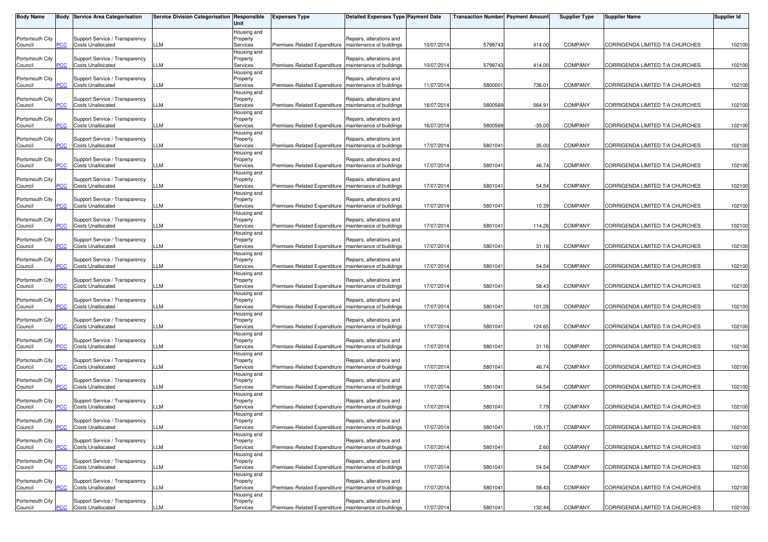| <b>Body Name</b>           |            | <b>Body Service Area Categorisation</b>                    | Service Division Categorisation Responsible | Unit                    | <b>Expenses Type</b>                                    | <b>Detailed Expenses Type Payment Date</b>           |            | <b>Transaction Number Payment Amount</b> |          | <b>Supplier Type</b> | <b>Supplier Name</b>            | Supplier Id |
|----------------------------|------------|------------------------------------------------------------|---------------------------------------------|-------------------------|---------------------------------------------------------|------------------------------------------------------|------------|------------------------------------------|----------|----------------------|---------------------------------|-------------|
|                            |            |                                                            |                                             | Housing and             |                                                         |                                                      |            |                                          |          |                      |                                 |             |
| Portsmouth City<br>Council | PСC        | Support Service / Transparency<br><b>Costs Unallocated</b> | LLM                                         | Property<br>Services    | Premises-Related Expenditure   maintenance of buildings | Repairs, alterations and                             | 10/07/2014 | 5799743                                  | 414.00   | <b>COMPANY</b>       | CORRIGENDA LIMITED T/A CHURCHES | 102100      |
|                            |            |                                                            |                                             | Housing and             |                                                         |                                                      |            |                                          |          |                      |                                 |             |
| Portsmouth City<br>Council | PCC        | Support Service / Transparency<br><b>Costs Unallocated</b> | LLM                                         | Property<br>Services    | Premises-Related Expenditure                            | Repairs, alterations and<br>maintenance of buildings | 10/07/2014 | 5799743                                  | 414.00   | <b>COMPANY</b>       | CORRIGENDA LIMITED T/A CHURCHES | 102100      |
|                            |            |                                                            |                                             | Housing and             |                                                         |                                                      |            |                                          |          |                      |                                 |             |
| Portsmouth City            |            | Support Service / Transparency                             |                                             | Property                |                                                         | Repairs, alterations and                             |            |                                          |          |                      |                                 |             |
| Council                    |            | <b>Costs Unallocated</b>                                   | LLM                                         | Services                | Premises-Related Expenditure   maintenance of buildings |                                                      | 11/07/2014 | 580000                                   | 736.01   | <b>COMPANY</b>       | CORRIGENDA LIMITED T/A CHURCHES | 102100      |
| Portsmouth City            |            | Support Service / Transparency                             |                                             | Housing and<br>Property |                                                         | Repairs, alterations and                             |            |                                          |          |                      |                                 |             |
| Council                    | сC         | <b>Costs Unallocated</b>                                   | LLM                                         | Services                | Premises-Related Expenditure   maintenance of buildings |                                                      | 16/07/2014 | 5800569                                  | 564.91   | COMPANY              | CORRIGENDA LIMITED T/A CHURCHES | 102100      |
|                            |            |                                                            |                                             | Housing and             |                                                         |                                                      |            |                                          |          |                      |                                 |             |
| Portsmouth City<br>Council | <u>PCC</u> | Support Service / Transparency<br><b>Costs Unallocated</b> | LM                                          | Property<br>Services    | Premises-Related Expenditure                            | Repairs, alterations and<br>maintenance of buildings | 16/07/2014 | 5800569                                  | $-35.00$ | <b>COMPANY</b>       | CORRIGENDA LIMITED T/A CHURCHES | 102100      |
|                            |            |                                                            |                                             | Housing and             |                                                         |                                                      |            |                                          |          |                      |                                 |             |
| Portsmouth City            |            | Support Service / Transparency                             | LM.                                         | Property                |                                                         | Repairs, alterations and                             |            |                                          |          |                      |                                 |             |
| Council                    | <u>'CC</u> | <b>Costs Unallocated</b>                                   |                                             | Services<br>Housing and | Premises-Related Expenditure   maintenance of buildings |                                                      | 17/07/2014 | 5801041                                  | 35.00    | <b>COMPANY</b>       | CORRIGENDA LIMITED T/A CHURCHES | 102100      |
| Portsmouth City            |            | Support Service / Transparency                             |                                             | Property                |                                                         | Repairs, alterations and                             |            |                                          |          |                      |                                 |             |
| Council                    | PCC        | <b>Costs Unallocated</b>                                   | LLM                                         | Services                | Premises-Related Expenditure   maintenance of buildings |                                                      | 17/07/2014 | 5801041                                  | 46.74    | <b>COMPANY</b>       | CORRIGENDA LIMITED T/A CHURCHES | 102100      |
| Portsmouth City            |            | Support Service / Transparency                             |                                             | Housing and<br>Property |                                                         | Repairs, alterations and                             |            |                                          |          |                      |                                 |             |
| Council                    | PCC        | <b>Costs Unallocated</b>                                   | LLM                                         | Services                | Premises-Related Expenditure   maintenance of buildings |                                                      | 17/07/2014 | 580104                                   | 54.54    | <b>COMPANY</b>       | CORRIGENDA LIMITED T/A CHURCHES | 102100      |
|                            |            |                                                            |                                             | Housing and             |                                                         |                                                      |            |                                          |          |                      |                                 |             |
| Portsmouth City<br>Council |            | Support Service / Transparency<br><b>Costs Unallocated</b> | LM                                          | Property<br>Services    | Premises-Related Expenditure                            | Repairs, alterations and<br>maintenance of buildings | 17/07/2014 | 5801041                                  | 10.39    | <b>COMPANY</b>       | CORRIGENDA LIMITED T/A CHURCHES | 102100      |
|                            |            |                                                            |                                             | Housing and             |                                                         |                                                      |            |                                          |          |                      |                                 |             |
| Portsmouth City            |            | Support Service / Transparency                             |                                             | Property                |                                                         | Repairs, alterations and                             |            |                                          |          |                      |                                 |             |
| Council                    | PCC        | <b>Costs Unallocated</b>                                   | LLM                                         | Services<br>Housing and | Premises-Related Expenditure   maintenance of buildings |                                                      | 17/07/2014 | 5801041                                  | 114.26   | <b>COMPANY</b>       | CORRIGENDA LIMITED T/A CHURCHES | 102100      |
| Portsmouth City            |            | Support Service / Transparency                             |                                             | Property                |                                                         | Repairs, alterations and                             |            |                                          |          |                      |                                 |             |
| Council                    | PCC        | <b>Costs Unallocated</b>                                   | LLM                                         | Services                | Premises-Related Expenditure   maintenance of buildings |                                                      | 17/07/2014 | 580104                                   | 31.16    | COMPANY              | CORRIGENDA LIMITED T/A CHURCHES | 102100      |
|                            |            |                                                            |                                             | Housing and             |                                                         |                                                      |            |                                          |          |                      |                                 |             |
| Portsmouth City<br>Council | сc         | Support Service / Transparency<br><b>Costs Unallocated</b> | LM                                          | Property<br>Services    | Premises-Related Expenditure   maintenance of buildings | Repairs, alterations and                             | 17/07/2014 | 5801041                                  | 54.54    | <b>COMPANY</b>       | CORRIGENDA LIMITED T/A CHURCHES | 102100      |
|                            |            |                                                            |                                             | Housing and             |                                                         |                                                      |            |                                          |          |                      |                                 |             |
| Portsmouth City            |            | Support Service / Transparency                             |                                             | Property                |                                                         | Repairs, alterations and                             |            |                                          |          |                      |                                 |             |
| Council                    | PCC        | <b>Costs Unallocated</b>                                   | LLM                                         | Services<br>Housing and | Premises-Related Expenditure   maintenance of buildings |                                                      | 17/07/2014 | 5801041                                  | 58.43    | <b>COMPANY</b>       | CORRIGENDA LIMITED T/A CHURCHES | 102100      |
| Portsmouth City            |            | Support Service / Transparency                             |                                             | Property                |                                                         | Repairs, alterations and                             |            |                                          |          |                      |                                 |             |
| Council                    | PCC        | <b>Costs Unallocated</b>                                   | LLM                                         | Services                | Premises-Related Expenditure   maintenance of buildings |                                                      | 17/07/2014 | 5801041                                  | 101.28   | <b>COMPANY</b>       | CORRIGENDA LIMITED T/A CHURCHES | 102100      |
| Portsmouth City            |            | Support Service / Transparency                             |                                             | Housing and<br>Property |                                                         | Repairs, alterations and                             |            |                                          |          |                      |                                 |             |
| Council                    | сc         | <b>Costs Unallocated</b>                                   | LM                                          | Services                | Premises-Related Expenditure   maintenance of buildings |                                                      | 17/07/2014 | 5801041                                  | 124.65   | <b>COMPANY</b>       | CORRIGENDA LIMITED T/A CHURCHES | 102100      |
|                            |            |                                                            |                                             | Housing and             |                                                         |                                                      |            |                                          |          |                      |                                 |             |
| Portsmouth City            |            | Support Service / Transparency<br><b>Costs Unallocated</b> | LLM                                         | Property<br>Services    | Premises-Related Expenditure   maintenance of buildings | Repairs, alterations and                             | 17/07/2014 | 5801041                                  | 31.16    | <b>COMPANY</b>       | CORRIGENDA LIMITED T/A CHURCHES | 102100      |
| Council                    |            |                                                            |                                             | Housing and             |                                                         |                                                      |            |                                          |          |                      |                                 |             |
| Portsmouth City            |            | Support Service / Transparency                             |                                             | Property                |                                                         | Repairs, alterations and                             |            |                                          |          |                      |                                 |             |
| Council                    | PСC        | <b>Costs Unallocated</b>                                   | LLM                                         | Services                | Premises-Related Expenditure maintenance of buildings   |                                                      | 17/07/2014 | 5801041                                  | 46.74    | <b>COMPANY</b>       | CORRIGENDA LIMITED T/A CHURCHES | 102100      |
| Portsmouth City            |            | Support Service / Transparency                             |                                             | Housing and<br>Property |                                                         | Repairs, alterations and                             |            |                                          |          |                      |                                 |             |
| Council                    | PCC.       | <b>Costs Unallocated</b>                                   | LLM                                         | Services                | Premises-Related Expenditure                            | maintenance of buildings                             | 17/07/2014 | 5801041                                  | 54.54    | <b>COMPANY</b>       | CORRIGENDA LIMITED T/A CHURCHES | 102100      |
|                            |            |                                                            |                                             | Housing and             |                                                         |                                                      |            |                                          |          |                      |                                 |             |
| Portsmouth City<br>Council | PСC        | Support Service / Transparency<br><b>Costs Unallocated</b> | LLM                                         | Property<br>Services    | Premises-Related Expenditure   maintenance of buildings | Repairs, alterations and                             | 17/07/2014 | 5801041                                  | 7.79     | <b>COMPANY</b>       | CORRIGENDA LIMITED T/A CHURCHES | 102100      |
|                            |            |                                                            |                                             | Housing and             |                                                         |                                                      |            |                                          |          |                      |                                 |             |
| Portsmouth City            |            | Support Service / Transparency                             |                                             | Property                |                                                         | Repairs, alterations and                             |            |                                          |          |                      |                                 |             |
| Council                    | <b>PCC</b> | <b>Costs Unallocated</b>                                   | LLM                                         | Services<br>Housing and | Premises-Related Expenditure   maintenance of buildings |                                                      | 17/07/2014 | 5801041                                  | 105.17   | <b>COMPANY</b>       | CORRIGENDA LIMITED T/A CHURCHES | 102100      |
| Portsmouth City            |            | Support Service / Transparency                             |                                             | Property                |                                                         | Repairs, alterations and                             |            |                                          |          |                      |                                 |             |
| Council                    | PCC        | <b>Costs Unallocated</b>                                   | LLM                                         | Services                | Premises-Related Expenditure                            | maintenance of buildings                             | 17/07/2014 | 5801041                                  | 2.60     | <b>COMPANY</b>       | CORRIGENDA LIMITED T/A CHURCHES | 102100      |
|                            |            |                                                            |                                             | Housing and             |                                                         | Repairs, alterations and                             |            |                                          |          |                      |                                 |             |
| Portsmouth City<br>Council | ۲CС        | Support Service / Transparency<br><b>Costs Unallocated</b> | LLM                                         | Property<br>Services    | Premises-Related Expenditure                            | maintenance of buildings                             | 17/07/2014 | 5801041                                  | 54.54    | COMPANY              | CORRIGENDA LIMITED T/A CHURCHES | 102100      |
|                            |            |                                                            |                                             | Housing and             |                                                         |                                                      |            |                                          |          |                      |                                 |             |
| Portsmouth City            |            | Support Service / Transparency                             |                                             | Property                |                                                         | Repairs, alterations and                             |            |                                          |          |                      |                                 |             |
| Council                    | PCC        | <b>Costs Unallocated</b>                                   | LLM                                         | Services<br>Housing and | Premises-Related Expenditure   maintenance of buildings |                                                      | 17/07/2014 | 5801041                                  | 58.43    | <b>COMPANY</b>       | CORRIGENDA LIMITED T/A CHURCHES | 102100      |
| Portsmouth City            |            | Support Service / Transparency                             |                                             | Property                |                                                         | Repairs, alterations and                             |            |                                          |          |                      |                                 |             |
| Council                    | <b>PCC</b> | <b>Costs Unallocated</b>                                   | LLM                                         | Services                | Premises-Related Expenditure   maintenance of buildings |                                                      | 17/07/2014 | 5801041                                  | 132.44   | <b>COMPANY</b>       | CORRIGENDA LIMITED T/A CHURCHES | 102100      |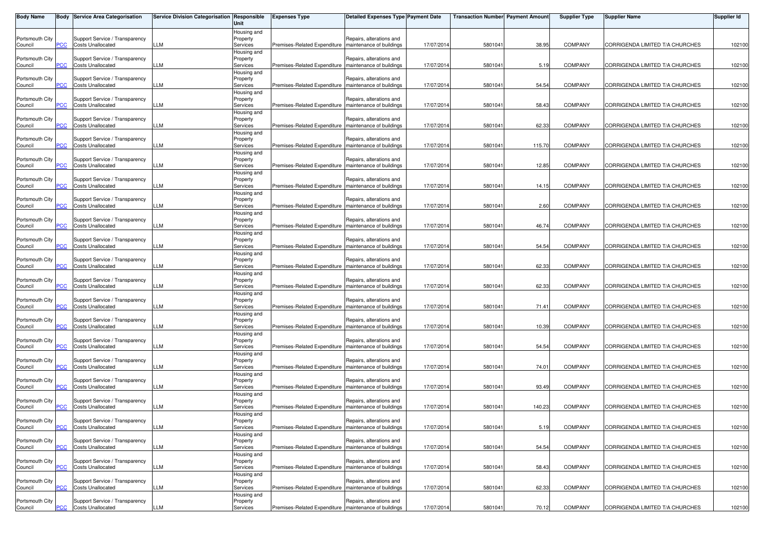| <b>Body Name</b>           |            | <b>Body Service Area Categorisation</b>                    | Service Division Categorisation Responsible | Unit                                               | <b>Expenses Type</b>                                    | Detailed Expenses Type Payment Date                  |            | <b>Transaction Number Payment Amount</b> |        | <b>Supplier Type</b> | <b>Supplier Name</b>            | Supplier Id |
|----------------------------|------------|------------------------------------------------------------|---------------------------------------------|----------------------------------------------------|---------------------------------------------------------|------------------------------------------------------|------------|------------------------------------------|--------|----------------------|---------------------------------|-------------|
| Portsmouth City<br>Council | PСC        | Support Service / Transparency<br><b>Costs Unallocated</b> | LLM                                         | Housing and<br>Property<br>Services                | Premises-Related Expenditure   maintenance of buildings | Repairs, alterations and                             | 17/07/2014 | 5801041                                  | 38.95  | <b>COMPANY</b>       | CORRIGENDA LIMITED T/A CHURCHES | 102100      |
| Portsmouth City<br>Council | PCC        | Support Service / Transparency<br><b>Costs Unallocated</b> | LLM                                         | Housing and<br>Property<br>Services                | Premises-Related Expenditure   maintenance of buildings | Repairs, alterations and                             | 17/07/2014 | 580104                                   | 5.19   | <b>COMPANY</b>       | CORRIGENDA LIMITED T/A CHURCHES | 102100      |
| Portsmouth City<br>Council |            | Support Service / Transparency<br><b>Costs Unallocated</b> | LM.                                         | Housing and<br>Property<br>Services                | Premises-Related Expenditure   maintenance of buildings | Repairs, alterations and                             | 17/07/2014 | 5801041                                  | 54.54  | <b>COMPANY</b>       | CORRIGENDA LIMITED T/A CHURCHES | 102100      |
| Portsmouth City<br>Council | PСC        | Support Service / Transparency<br><b>Costs Unallocated</b> | LLM                                         | Housing and<br>Property<br>Services                | Premises-Related Expenditure Imaintenance of buildings  | Repairs, alterations and                             | 17/07/2014 | 5801041                                  | 58.43  | <b>COMPANY</b>       | CORRIGENDA LIMITED T/A CHURCHES | 102100      |
| Portsmouth City<br>Council | PСC        | Support Service / Transparency<br><b>Costs Unallocated</b> | LLM                                         | Housing and<br>Property<br>Services                | Premises-Related Expenditure                            | Repairs, alterations and<br>maintenance of buildings | 17/07/2014 | 580104                                   | 62.33  | COMPANY              | CORRIGENDA LIMITED T/A CHURCHES | 102100      |
| Portsmouth City<br>Council | сc         | Support Service / Transparency<br><b>Costs Unallocated</b> | LM                                          | Housing and<br>Property<br>Services                | Premises-Related Expenditure   maintenance of buildings | Repairs, alterations and                             | 17/07/2014 | 5801041                                  | 115.70 | <b>COMPANY</b>       | CORRIGENDA LIMITED T/A CHURCHES | 102100      |
| Portsmouth City<br>Council | PСC        | Support Service / Transparency<br><b>Costs Unallocated</b> | LLM                                         | Housing and<br>Property<br>Services                | Premises-Related Expenditure   maintenance of buildings | Repairs, alterations and                             | 17/07/2014 | 5801041                                  | 12.85  | <b>COMPANY</b>       | CORRIGENDA LIMITED T/A CHURCHES | 102100      |
| Portsmouth City<br>Council | PCC        | Support Service / Transparency<br><b>Costs Unallocated</b> | LLM                                         | Housing and<br>Property<br>Services                | Premises-Related Expenditure   maintenance of buildings | Repairs, alterations and                             | 17/07/2014 | 5801041                                  | 14.15  | <b>COMPANY</b>       | CORRIGENDA LIMITED T/A CHURCHES | 102100      |
| Portsmouth City<br>Council | cс         | Support Service / Transparency<br><b>Costs Unallocated</b> | LM                                          | Housing and<br>Property<br>Services                | Premises-Related Expenditure                            | Repairs, alterations and<br>maintenance of buildings | 17/07/2014 | 5801041                                  | 2.60   | <b>COMPANY</b>       | CORRIGENDA LIMITED T/A CHURCHES | 102100      |
| Portsmouth City<br>Council |            | Support Service / Transparency<br><b>Costs Unallocated</b> | LLM                                         | Housing and<br>Property<br>Services                | Premises-Related Expenditure maintenance of buildings   | Repairs, alterations and                             | 17/07/2014 | 5801041                                  | 46.74  | <b>COMPANY</b>       | CORRIGENDA LIMITED T/A CHURCHES | 102100      |
| Portsmouth City<br>Council | PCC        | Support Service / Transparency<br><b>Costs Unallocated</b> | LLM                                         | Housing and<br>Property<br>Services                | Premises-Related Expenditure   maintenance of buildings | Repairs, alterations and                             | 17/07/2014 | 580104                                   | 54.54  | <b>COMPANY</b>       | CORRIGENDA LIMITED T/A CHURCHES | 102100      |
| Portsmouth City<br>Council | CС         | Support Service / Transparency<br><b>Costs Unallocated</b> | LM                                          | Housing and<br>Property<br>Services                | Premises-Related Expenditure                            | Repairs, alterations and<br>maintenance of buildings | 17/07/2014 | 5801041                                  | 62.33  | <b>COMPANY</b>       | CORRIGENDA LIMITED T/A CHURCHES | 102100      |
| Portsmouth City<br>Council | PСC        | Support Service / Transparency<br><b>Costs Unallocated</b> | LLM                                         | Housing and<br>Property<br>Services                | Premises-Related Expenditure   maintenance of buildings | Repairs, alterations and                             | 17/07/2014 | 5801041                                  | 62.33  | <b>COMPANY</b>       | CORRIGENDA LIMITED T/A CHURCHES | 102100      |
| Portsmouth City<br>Council | <u>PCC</u> | Support Service / Transparency<br><b>Costs Unallocated</b> | LLM                                         | Housing and<br>Property<br>Services                | Premises-Related Expenditure   maintenance of buildings | Repairs, alterations and                             | 17/07/2014 | 5801041                                  | 71.41  | <b>COMPANY</b>       | CORRIGENDA LIMITED T/A CHURCHES | 102100      |
| Portsmouth City<br>Council | PСC        | Support Service / Transparency<br><b>Costs Unallocated</b> | LLM                                         | Housing and<br>Property<br>Services                | Premises-Related Expenditure   maintenance of buildings | Repairs, alterations and                             | 17/07/2014 | 5801041                                  | 10.39  | <b>COMPANY</b>       | CORRIGENDA LIMITED T/A CHURCHES | 102100      |
| Portsmouth City<br>Council |            | Support Service / Transparency<br><b>Costs Unallocated</b> | LLM                                         | Housing and<br>Property<br>Services                | Premises-Related Expenditure   maintenance of buildings | Repairs, alterations and                             | 17/07/2014 | 5801041                                  | 54.54  | <b>COMPANY</b>       | CORRIGENDA LIMITED T/A CHURCHES | 102100      |
| Portsmouth City<br>Council | ۲CC        | Support Service / Transparency<br><b>Costs Unallocated</b> | LLM                                         | Housing and<br>Property<br>Services                | Premises-Related Expenditure   maintenance of buildings | Repairs, alterations and                             | 17/07/2014 | 5801041                                  | 74.01  | <b>COMPANY</b>       | CORRIGENDA LIMITED T/A CHURCHES | 102100      |
| Portsmouth City<br>Council | PCC        | Support Service / Transparency<br><b>Costs Unallocated</b> | LM                                          | Housing and<br>Property<br>Services                | Premises-Related Expenditure                            | Repairs, alterations and<br>maintenance of buildings | 17/07/2014 | 5801041                                  | 93.49  | <b>COMPANY</b>       | CORRIGENDA LIMITED T/A CHURCHES | 102100      |
| Portsmouth City<br>Council | ۲CС        | Support Service / Transparency<br><b>Costs Unallocated</b> | LM                                          | Housing and<br>Property<br>Services<br>Housing and | Premises-Related Expenditure                            | Repairs, alterations and<br>maintenance of buildings | 17/07/2014 | 5801041                                  | 140.23 | <b>COMPANY</b>       | CORRIGENDA LIMITED T/A CHURCHES | 102100      |
| Portsmouth City<br>Council | <b>PCC</b> | Support Service / Transparency<br><b>Costs Unallocated</b> | LLM                                         | Property<br>Services<br>Housing and                | Premises-Related Expenditure   maintenance of buildings | Repairs, alterations and                             | 17/07/2014 | 5801041                                  | 5.19   | COMPANY              | CORRIGENDA LIMITED T/A CHURCHES | 102100      |
| Portsmouth City<br>Council | PCC        | Support Service / Transparency<br><b>Costs Unallocated</b> | LLM                                         | Property<br>Services                               | Premises-Related Expenditure                            | Repairs, alterations and<br>maintenance of buildings | 17/07/2014 | 580104                                   | 54.54  | <b>COMPANY</b>       | CORRIGENDA LIMITED T/A CHURCHES | 102100      |
| Portsmouth City<br>Council | ۲CС        | Support Service / Transparency<br><b>Costs Unallocated</b> | LLM                                         | Housing and<br>Property<br>Services<br>Housing and | Premises-Related Expenditure                            | Repairs, alterations and<br>maintenance of buildings | 17/07/2014 | 5801041                                  | 58.43  | <b>COMPANY</b>       | CORRIGENDA LIMITED T/A CHURCHES | 102100      |
| Portsmouth City<br>Council | PСC        | Support Service / Transparency<br><b>Costs Unallocated</b> | LLM                                         | Property<br>Services                               | Premises-Related Expenditure   maintenance of buildings | Repairs, alterations and                             | 17/07/2014 | 5801041                                  | 62.33  | <b>COMPANY</b>       | CORRIGENDA LIMITED T/A CHURCHES | 102100      |
| Portsmouth City<br>Council | <b>PCC</b> | Support Service / Transparency<br><b>Costs Unallocated</b> | LLM                                         | Housing and<br>Property<br>Services                | Premises-Related Expenditure   maintenance of buildings | Repairs, alterations and                             | 17/07/2014 | 5801041                                  | 70.12  | COMPANY              | CORRIGENDA LIMITED T/A CHURCHES | 102100      |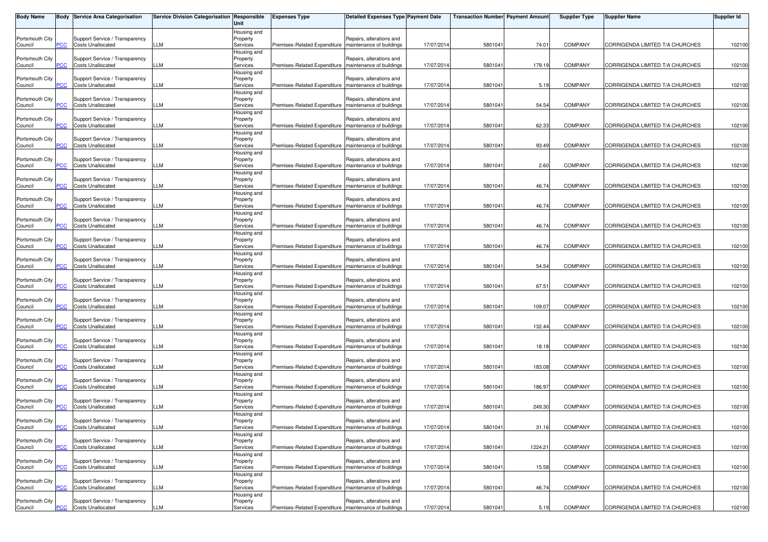| <b>Body Name</b>           |            | <b>Body Service Area Categorisation</b>                    | Service Division Categorisation Responsible | Unit                    | <b>Expenses Type</b>                                    | <b>Detailed Expenses Type Payment Date</b> |            | <b>Transaction Number Payment Amount</b> |         | <b>Supplier Type</b> | <b>Supplier Name</b>            | Supplier Id |
|----------------------------|------------|------------------------------------------------------------|---------------------------------------------|-------------------------|---------------------------------------------------------|--------------------------------------------|------------|------------------------------------------|---------|----------------------|---------------------------------|-------------|
|                            |            |                                                            |                                             | Housing and             |                                                         |                                            |            |                                          |         |                      |                                 |             |
| Portsmouth City<br>Council | PСC        | Support Service / Transparency<br><b>Costs Unallocated</b> | LLM                                         | Property<br>Services    | Premises-Related Expenditure   maintenance of buildings | Repairs, alterations and                   | 17/07/2014 | 5801041                                  | 74.01   | <b>COMPANY</b>       | CORRIGENDA LIMITED T/A CHURCHES | 102100      |
|                            |            |                                                            |                                             | Housing and             |                                                         |                                            |            |                                          |         |                      |                                 |             |
| Portsmouth City            |            | Support Service / Transparency                             |                                             | Property                |                                                         | Repairs, alterations and                   |            |                                          |         |                      |                                 |             |
| Council                    | PCC        | <b>Costs Unallocated</b>                                   | LLM                                         | Services<br>Housing and | Premises-Related Expenditure                            | maintenance of buildings                   | 17/07/2014 | 5801041                                  | 179.19  | <b>COMPANY</b>       | CORRIGENDA LIMITED T/A CHURCHES | 102100      |
| Portsmouth City            |            | Support Service / Transparency                             |                                             | Property                |                                                         | Repairs, alterations and                   |            |                                          |         |                      |                                 |             |
| Council                    |            | <b>Costs Unallocated</b>                                   | LLM                                         | Services                | Premises-Related Expenditure   maintenance of buildings |                                            | 17/07/2014 | 5801041                                  | 5.19    | <b>COMPANY</b>       | CORRIGENDA LIMITED T/A CHURCHES | 102100      |
| Portsmouth City            |            | Support Service / Transparency                             |                                             | Housing and<br>Property |                                                         | Repairs, alterations and                   |            |                                          |         |                      |                                 |             |
| Council                    | сC         | <b>Costs Unallocated</b>                                   | LLM                                         | Services                | Premises-Related Expenditure   maintenance of buildings |                                            | 17/07/2014 | 5801041                                  | 54.54   | COMPANY              | CORRIGENDA LIMITED T/A CHURCHES | 102100      |
|                            |            |                                                            |                                             | Housing and             |                                                         |                                            |            |                                          |         |                      |                                 |             |
| Portsmouth City            |            | Support Service / Transparency<br><b>Costs Unallocated</b> | LM                                          | Property                |                                                         | Repairs, alterations and                   |            |                                          |         | <b>COMPANY</b>       |                                 |             |
| Council                    | <u>PCC</u> |                                                            |                                             | Services<br>Housing and | Premises-Related Expenditure                            | maintenance of buildings                   | 17/07/2014 | 580104                                   | 62.33   |                      | CORRIGENDA LIMITED T/A CHURCHES | 102100      |
| Portsmouth City            |            | Support Service / Transparency                             |                                             | Property                |                                                         | Repairs, alterations and                   |            |                                          |         |                      |                                 |             |
| Council                    | <u>'CC</u> | <b>Costs Unallocated</b>                                   | LM.                                         | Services                | Premises-Related Expenditure   maintenance of buildings |                                            | 17/07/2014 | 5801041                                  | 93.49   | <b>COMPANY</b>       | CORRIGENDA LIMITED T/A CHURCHES | 102100      |
| Portsmouth City            |            | Support Service / Transparency                             |                                             | Housing and<br>Property |                                                         | Repairs, alterations and                   |            |                                          |         |                      |                                 |             |
| Council                    | PCC        | <b>Costs Unallocated</b>                                   | LLM                                         | Services                | Premises-Related Expenditure   maintenance of buildings |                                            | 17/07/2014 | 5801041                                  | 2.60    | <b>COMPANY</b>       | CORRIGENDA LIMITED T/A CHURCHES | 102100      |
|                            |            |                                                            |                                             | Housing and             |                                                         |                                            |            |                                          |         |                      |                                 |             |
| Portsmouth City<br>Council | PCC        | Support Service / Transparency<br><b>Costs Unallocated</b> | LLM                                         | Property                | Premises-Related Expenditure   maintenance of buildings | Repairs, alterations and                   | 17/07/2014 | 580104                                   | 46.74   | COMPANY              |                                 |             |
|                            |            |                                                            |                                             | Services<br>Housing and |                                                         |                                            |            |                                          |         |                      | CORRIGENDA LIMITED T/A CHURCHES | 102100      |
| Portsmouth City            |            | Support Service / Transparency                             |                                             | Property                |                                                         | Repairs, alterations and                   |            |                                          |         |                      |                                 |             |
| Council                    |            | <b>Costs Unallocated</b>                                   | LM                                          | Services                | Premises-Related Expenditure                            | maintenance of buildings                   | 17/07/2014 | 5801041                                  | 46.74   | <b>COMPANY</b>       | CORRIGENDA LIMITED T/A CHURCHES | 102100      |
| Portsmouth City            |            | Support Service / Transparency                             |                                             | Housing and<br>Property |                                                         | Repairs, alterations and                   |            |                                          |         |                      |                                 |             |
| Council                    | PCC        | <b>Costs Unallocated</b>                                   | LLM                                         | Services                | Premises-Related Expenditure   maintenance of buildings |                                            | 17/07/2014 | 5801041                                  | 46.74   | <b>COMPANY</b>       | CORRIGENDA LIMITED T/A CHURCHES | 102100      |
|                            |            |                                                            |                                             | Housing and             |                                                         |                                            |            |                                          |         |                      |                                 |             |
| Portsmouth City            | PCC        | Support Service / Transparency<br><b>Costs Unallocated</b> | LLM                                         | Property                |                                                         | Repairs, alterations and                   |            |                                          | 46.74   |                      |                                 |             |
| Council                    |            |                                                            |                                             | Services<br>Housing and | Premises-Related Expenditure   maintenance of buildings |                                            | 17/07/2014 | 580104                                   |         | COMPANY              | CORRIGENDA LIMITED T/A CHURCHES | 102100      |
| Portsmouth City            |            | Support Service / Transparency                             |                                             | Property                |                                                         | Repairs, alterations and                   |            |                                          |         |                      |                                 |             |
| Council                    | сc         | <b>Costs Unallocated</b>                                   | LM                                          | Services                | Premises-Related Expenditure   maintenance of buildings |                                            | 17/07/2014 | 5801041                                  | 54.54   | <b>COMPANY</b>       | CORRIGENDA LIMITED T/A CHURCHES | 102100      |
| Portsmouth City            |            | Support Service / Transparency                             |                                             | Housing and<br>Property |                                                         | Repairs, alterations and                   |            |                                          |         |                      |                                 |             |
| Council                    | PCC        | <b>Costs Unallocated</b>                                   | LLM                                         | Services                | Premises-Related Expenditure   maintenance of buildings |                                            | 17/07/2014 | 5801041                                  | 67.51   | <b>COMPANY</b>       | CORRIGENDA LIMITED T/A CHURCHES | 102100      |
|                            |            |                                                            |                                             | Housing and             |                                                         |                                            |            |                                          |         |                      |                                 |             |
| Portsmouth City            |            | Support Service / Transparency                             | LLM                                         | Property                | Premises-Related Expenditure   maintenance of buildings | Repairs, alterations and                   |            |                                          |         | <b>COMPANY</b>       |                                 |             |
| Council                    | PCC        | <b>Costs Unallocated</b>                                   |                                             | Services<br>Housing and |                                                         |                                            | 17/07/2014 | 5801041                                  | 109.07  |                      | CORRIGENDA LIMITED T/A CHURCHES | 102100      |
| Portsmouth City            |            | Support Service / Transparency                             |                                             | Property                |                                                         | Repairs, alterations and                   |            |                                          |         |                      |                                 |             |
| Council                    | сc         | <b>Costs Unallocated</b>                                   | LM                                          | Services                | Premises-Related Expenditure   maintenance of buildings |                                            | 17/07/2014 | 5801041                                  | 132.44  | <b>COMPANY</b>       | CORRIGENDA LIMITED T/A CHURCHES | 102100      |
| Portsmouth City            |            | Support Service / Transparency                             |                                             | Housing and<br>Property |                                                         | Repairs, alterations and                   |            |                                          |         |                      |                                 |             |
| Council                    |            | <b>Costs Unallocated</b>                                   | LLM                                         | Services                | Premises-Related Expenditure   maintenance of buildings |                                            | 17/07/2014 | 5801041                                  | 18.18   | <b>COMPANY</b>       | CORRIGENDA LIMITED T/A CHURCHES | 102100      |
|                            |            |                                                            |                                             | Housing and             |                                                         |                                            |            |                                          |         |                      |                                 |             |
| Portsmouth City<br>Council | PСC        | Support Service / Transparency<br><b>Costs Unallocated</b> | LLM                                         | Property<br>Services    | Premises-Related Expenditure maintenance of buildings   | Repairs, alterations and                   | 17/07/2014 | 5801041                                  | 183.08  | <b>COMPANY</b>       | CORRIGENDA LIMITED T/A CHURCHES | 102100      |
|                            |            |                                                            |                                             | Housing and             |                                                         |                                            |            |                                          |         |                      |                                 |             |
| Portsmouth City            |            | Support Service / Transparency                             |                                             | Property                |                                                         | Repairs, alterations and                   |            |                                          |         |                      |                                 |             |
| Council                    | PCC.       | <b>Costs Unallocated</b>                                   | LLM                                         | Services                | Premises-Related Expenditure                            | maintenance of buildings                   | 17/07/2014 | 5801041                                  | 186.97  | <b>COMPANY</b>       | CORRIGENDA LIMITED T/A CHURCHES | 102100      |
| Portsmouth City            |            | Support Service / Transparency                             |                                             | Housing and<br>Property |                                                         | Repairs, alterations and                   |            |                                          |         |                      |                                 |             |
| Council                    | PСC        | <b>Costs Unallocated</b>                                   | LLM                                         | Services                | Premises-Related Expenditure   maintenance of buildings |                                            | 17/07/2014 | 5801041                                  | 249.30  | <b>COMPANY</b>       | CORRIGENDA LIMITED T/A CHURCHES | 102100      |
|                            |            |                                                            |                                             | Housing and             |                                                         |                                            |            |                                          |         |                      |                                 |             |
| Portsmouth City<br>Council | <b>PCC</b> | Support Service / Transparency<br><b>Costs Unallocated</b> | LLM                                         | Property<br>Services    | Premises-Related Expenditure   maintenance of buildings | Repairs, alterations and                   | 17/07/2014 | 5801041                                  | 31.16   | <b>COMPANY</b>       | CORRIGENDA LIMITED T/A CHURCHES | 102100      |
|                            |            |                                                            |                                             | Housing and             |                                                         |                                            |            |                                          |         |                      |                                 |             |
| Portsmouth City            |            | Support Service / Transparency                             |                                             | Property                |                                                         | Repairs, alterations and                   |            |                                          |         |                      |                                 |             |
| Council                    | PCC        | <b>Costs Unallocated</b>                                   | LLM                                         | Services                | Premises-Related Expenditure                            | maintenance of buildings                   | 17/07/2014 | 5801041                                  | 1224.21 | <b>COMPANY</b>       | CORRIGENDA LIMITED T/A CHURCHES | 102100      |
| Portsmouth City            |            | Support Service / Transparency                             |                                             | Housing and<br>Property |                                                         | Repairs, alterations and                   |            |                                          |         |                      |                                 |             |
| Council                    | ۲CС        | <b>Costs Unallocated</b>                                   | LLM                                         | Services                | Premises-Related Expenditure                            | maintenance of buildings                   | 17/07/2014 | 5801041                                  | 15.58   | COMPANY              | CORRIGENDA LIMITED T/A CHURCHES | 102100      |
|                            |            |                                                            |                                             | Housing and             |                                                         |                                            |            |                                          |         |                      |                                 |             |
| Portsmouth City<br>Council | PCC        | Support Service / Transparency<br><b>Costs Unallocated</b> | LLM                                         | Property<br>Services    | Premises-Related Expenditure   maintenance of buildings | Repairs, alterations and                   | 17/07/2014 | 5801041                                  | 46.74   | <b>COMPANY</b>       | CORRIGENDA LIMITED T/A CHURCHES | 102100      |
|                            |            |                                                            |                                             | Housing and             |                                                         |                                            |            |                                          |         |                      |                                 |             |
| Portsmouth City            |            | Support Service / Transparency                             |                                             | Property                |                                                         | Repairs, alterations and                   |            |                                          |         |                      |                                 |             |
| Council                    | <b>PCC</b> | <b>Costs Unallocated</b>                                   | LLM                                         | Services                | Premises-Related Expenditure   maintenance of buildings |                                            | 17/07/2014 | 5801041                                  | 5.19    | COMPANY              | CORRIGENDA LIMITED T/A CHURCHES | 102100      |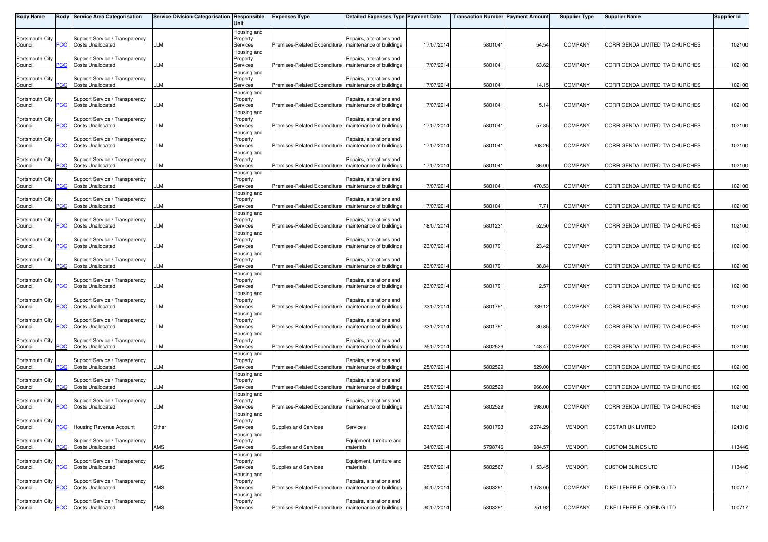| <b>Body Name</b>           |            | <b>Body Service Area Categorisation</b>                    | <b>Service Division Categorisation Responsible</b> | Unit                                | <b>Expenses Type</b>                                    | <b>Detailed Expenses Type Payment Date</b>           |            | <b>Transaction Number Payment Amount</b> |         | <b>Supplier Type</b> | <b>Supplier Name</b>            | Supplier Id |
|----------------------------|------------|------------------------------------------------------------|----------------------------------------------------|-------------------------------------|---------------------------------------------------------|------------------------------------------------------|------------|------------------------------------------|---------|----------------------|---------------------------------|-------------|
| Portsmouth City<br>Council | сC         | Support Service / Transparency<br><b>Costs Unallocated</b> | LLM                                                | Housing and<br>Property<br>Services | Premises-Related Expenditure                            | Repairs, alterations and<br>maintenance of buildings | 17/07/2014 | 580104                                   | 54.54   | <b>COMPANY</b>       | CORRIGENDA LIMITED T/A CHURCHES | 102100      |
| Portsmouth City<br>Council | PCC        | Support Service / Transparency<br><b>Costs Unallocated</b> | LLM                                                | Housing and<br>Property<br>Services | Premises-Related Expenditure                            | Repairs, alterations and<br>maintenance of buildings | 17/07/201  | 580104                                   | 63.62   | <b>COMPANY</b>       | CORRIGENDA LIMITED T/A CHURCHES | 102100      |
| Portsmouth City<br>Council |            | Support Service / Transparency<br><b>Costs Unallocated</b> | LLM                                                | Housing and<br>Property<br>Services | Premises-Related Expenditure                            | Repairs, alterations and<br>maintenance of buildings | 17/07/2014 | 580104                                   | 14.15   | <b>COMPANY</b>       | CORRIGENDA LIMITED T/A CHURCHES | 102100      |
| Portsmouth City<br>Council | PCC        | Support Service / Transparency<br><b>Costs Unallocated</b> | LLM                                                | Housing and<br>Property<br>Services | Premises-Related Expenditure   maintenance of buildings | Repairs, alterations and                             | 17/07/2014 | 580104                                   | 5.14    | <b>COMPANY</b>       | CORRIGENDA LIMITED T/A CHURCHES | 102100      |
| Portsmouth City<br>Council | PСC        | Support Service / Transparency<br><b>Costs Unallocated</b> | LLM                                                | Housing and<br>Property<br>Services | Premises-Related Expenditure                            | Repairs, alterations and<br>maintenance of buildings | 17/07/201  | 580104                                   | 57.85   | <b>COMPANY</b>       | CORRIGENDA LIMITED T/A CHURCHES | 102100      |
| Portsmouth City<br>Council |            | Support Service / Transparency<br><b>Costs Unallocated</b> | LM.                                                | Housing and<br>Property<br>Services | Premises-Related Expenditure                            | Repairs, alterations and<br>maintenance of buildings | 17/07/2014 | 580104                                   | 208.26  | <b>COMPANY</b>       | CORRIGENDA LIMITED T/A CHURCHES | 102100      |
| Portsmouth City<br>Council | PСC        | Support Service / Transparency<br><b>Costs Unallocated</b> | LLM                                                | Housing and<br>Property<br>Services | Premises-Related Expenditure                            | Repairs, alterations and<br>maintenance of buildings | 17/07/2014 | 5801041                                  | 36.00   | <b>COMPANY</b>       | CORRIGENDA LIMITED T/A CHURCHES | 102100      |
| Portsmouth City<br>Council | PСC        | Support Service / Transparency<br><b>Costs Unallocated</b> | LLM                                                | Housing and<br>Property<br>Services | Premises-Related Expenditure                            | Repairs, alterations and<br>maintenance of buildings | 17/07/2014 | 580104                                   | 470.53  | <b>COMPANY</b>       | CORRIGENDA LIMITED T/A CHURCHES | 102100      |
| Portsmouth City<br>Council |            | Support Service / Transparency<br><b>Costs Unallocated</b> | LM.                                                | Housing and<br>Property<br>Services | Premises-Related Expenditure                            | Repairs, alterations and<br>maintenance of buildings | 17/07/201  | 580104                                   | 7.71    | <b>COMPANY</b>       | CORRIGENDA LIMITED T/A CHURCHES | 102100      |
| Portsmouth City<br>Council |            | Support Service / Transparency<br><b>Costs Unallocated</b> | LLM                                                | Housing and<br>Property<br>Services | Premises-Related Expenditure                            | Repairs, alterations and<br>maintenance of buildings | 18/07/2014 | 580123                                   | 52.50   | <b>COMPANY</b>       | CORRIGENDA LIMITED T/A CHURCHES | 102100      |
| Portsmouth City            |            | Support Service / Transparency<br><b>Costs Unallocated</b> | LLM                                                | Housing and<br>Property<br>Services | Premises-Related Expenditure                            | Repairs, alterations and                             |            |                                          | 123.42  | <b>COMPANY</b>       |                                 |             |
| Council<br>Portsmouth City | PCC        | Support Service / Transparency                             |                                                    | Housing and<br>Property             |                                                         | maintenance of buildings<br>Repairs, alterations and | 23/07/201  | 580179                                   |         |                      | CORRIGENDA LIMITED T/A CHURCHES | 102100      |
| Council<br>Portsmouth City | сC         | <b>Costs Unallocated</b><br>Support Service / Transparency | LM.                                                | Services<br>Housing and<br>Property | Premises-Related Expenditure                            | maintenance of buildings<br>Repairs, alterations and | 23/07/2014 | 580179                                   | 138.84  | <b>COMPANY</b>       | CORRIGENDA LIMITED T/A CHURCHES | 102100      |
| Council<br>Portsmouth City | PСC        | <b>Costs Unallocated</b><br>Support Service / Transparency | LLM                                                | Services<br>Housing and<br>Property | Premises-Related Expenditure                            | maintenance of buildings<br>Repairs, alterations and | 23/07/2014 | 580179                                   | 2.57    | <b>COMPANY</b>       | CORRIGENDA LIMITED T/A CHURCHES | 102100      |
| Council<br>Portsmouth City | <u>PCC</u> | <b>Costs Unallocated</b><br>Support Service / Transparency | LLM                                                | Services<br>Housing and<br>Property | Premises-Related Expenditure   maintenance of buildings | Repairs, alterations and                             | 23/07/2014 | 580179                                   | 239.12  | <b>COMPANY</b>       | CORRIGENDA LIMITED T/A CHURCHES | 102100      |
| Council<br>Portsmouth City | PСC        | <b>Costs Unallocated</b><br>Support Service / Transparency | LLM                                                | Services<br>Housing and<br>Property | Premises-Related Expenditure                            | maintenance of buildings<br>Repairs, alterations and | 23/07/2014 | 580179                                   | 30.85   | <b>COMPANY</b>       | CORRIGENDA LIMITED T/A CHURCHES | 102100      |
| Council<br>Portsmouth City |            | <b>Costs Unallocated</b><br>Support Service / Transparency | LLM                                                | Services<br>Housing and<br>Property | Premises-Related Expenditure                            | maintenance of buildings<br>Repairs, alterations and | 25/07/2014 | 5802529                                  | 148.47  | <b>COMPANY</b>       | CORRIGENDA LIMITED T/A CHURCHES | 102100      |
| Council<br>Portsmouth City | сC         | <b>Costs Unallocated</b><br>Support Service / Transparency | LLM                                                | Services<br>Housing and<br>Property | Premises-Related Expenditure   maintenance of buildings | Repairs, alterations and                             | 25/07/2014 | 5802529                                  | 529.00  | <b>COMPANY</b>       | CORRIGENDA LIMITED T/A CHURCHES | 102100      |
| Council<br>Portsmouth City | PCC        | <b>Costs Unallocated</b><br>Support Service / Transparency | LLM                                                | Services<br>Housing and<br>Property | Premises-Related Expenditure                            | maintenance of buildings<br>Repairs, alterations and | 25/07/201  | 5802529                                  | 966.00  | <b>COMPANY</b>       | CORRIGENDA LIMITED T/A CHURCHES | 102100      |
| Council<br>Portsmouth City | сC         | <b>Costs Unallocated</b>                                   | LLM                                                | Services<br>Housing and<br>Property | Premises-Related Expenditure                            | maintenance of buildings                             | 25/07/2014 | 5802529                                  | 598.00  | COMPANY              | CORRIGENDA LIMITED T/A CHURCHES | 102100      |
| Council<br>Portsmouth City | <b>PCC</b> | Housing Revenue Account<br>Support Service / Transparency  | Other                                              | Services<br>Housing and<br>Property | Supplies and Services                                   | Services<br>Equipment, furniture and                 | 23/07/2014 | 5801793                                  | 2074.29 | VENDOR               | <b>COSTAR UK LIMITED</b>        | 124316      |
| Council<br>Portsmouth City | <b>PCC</b> | <b>Costs Unallocated</b><br>Support Service / Transparency | AMS                                                | Services<br>Housing and<br>Property | Supplies and Services                                   | materials<br>Equipment, furniture and                | 04/07/201  | 5798746                                  | 984.57  | <b>VENDOR</b>        | <b>CUSTOM BLINDS LTD</b>        | 113446      |
| Council<br>Portsmouth City | PСC        | <b>Costs Unallocated</b><br>Support Service / Transparency | AMS                                                | Services<br>Housing and<br>Property | Supplies and Services                                   | materials<br>Repairs, alterations and                | 25/07/2014 | 5802567                                  | 1153.45 | <b>VENDOR</b>        | <b>CUSTOM BLINDS LTD</b>        | 113446      |
| Council<br>Portsmouth City | PCC        | <b>Costs Unallocated</b><br>Support Service / Transparency | AMS                                                | Services<br>Housing and<br>Property | Premises-Related Expenditure                            | maintenance of buildings<br>Repairs, alterations and | 30/07/2014 | 580329                                   | 1378.00 | <b>COMPANY</b>       | D KELLEHER FLOORING LTD         | 100717      |
| Council                    | <b>PCC</b> | <b>Costs Unallocated</b>                                   | AMS                                                | Services                            | Premises-Related Expenditure Imaintenance of buildings  |                                                      | 30/07/2014 | 580329                                   | 251.92  | <b>COMPANY</b>       | <b>D KELLEHER FLOORING LTD</b>  | 100717      |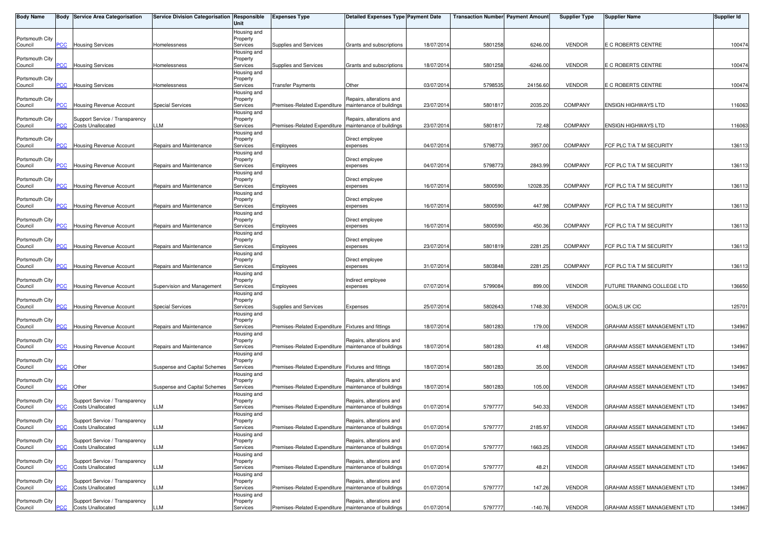| <b>Body Name</b>           |                 | Body Service Area Categorisation                           | Service Division Categorisation Responsible | Unit                    | <b>Expenses Type</b>                                    | <b>Detailed Expenses Type Payment Date</b>           |            | <b>Transaction Number</b> Payment Amount |            | <b>Supplier Type</b> | <b>Supplier Name</b>        | <b>Supplier Id</b> |
|----------------------------|-----------------|------------------------------------------------------------|---------------------------------------------|-------------------------|---------------------------------------------------------|------------------------------------------------------|------------|------------------------------------------|------------|----------------------|-----------------------------|--------------------|
|                            |                 |                                                            |                                             | Housing and             |                                                         |                                                      |            |                                          |            |                      |                             |                    |
| Portsmouth City<br>Council | PCC             | <b>Housing Services</b>                                    | Homelessness                                | Property<br>Services    | Supplies and Services                                   | Grants and subscriptions                             | 18/07/2014 | 5801258                                  | 6246.00    | <b>VENDOR</b>        | E C ROBERTS CENTRE          | 100474             |
|                            |                 |                                                            |                                             | Housing and             |                                                         |                                                      |            |                                          |            |                      |                             |                    |
| Portsmouth City            | PCC             | <b>Housing Services</b>                                    | Homelessness                                | Property                | Supplies and Services                                   | Grants and subscriptions                             | 18/07/2014 | 5801258                                  | $-6246.00$ | <b>VENDOR</b>        | E C ROBERTS CENTRE          | 100474             |
| Council                    |                 |                                                            |                                             | Services<br>Housing and |                                                         |                                                      |            |                                          |            |                      |                             |                    |
| Portsmouth City            |                 |                                                            |                                             | Property                |                                                         |                                                      |            |                                          |            |                      |                             |                    |
| Council                    | <b>PCC</b>      | <b>Housing Services</b>                                    | Homelessness                                | Services                | <b>Transfer Payments</b>                                | Other                                                | 03/07/2014 | 579853                                   | 24156.60   | <b>VENDOR</b>        | E C ROBERTS CENTRE          | 100474             |
| Portsmouth City            |                 |                                                            |                                             | Housing and<br>Property |                                                         | Repairs, alterations and                             |            |                                          |            |                      |                             |                    |
| Council                    | PCC             | Housing Revenue Account                                    | <b>Special Services</b>                     | Services                | Premises-Related Expenditure   maintenance of buildings |                                                      | 23/07/2014 | 580181                                   | 2035.20    | <b>COMPANY</b>       | <b>ENSIGN HIGHWAYS LTD</b>  | 116063             |
|                            |                 |                                                            |                                             | Housing and             |                                                         |                                                      |            |                                          |            |                      |                             |                    |
| Portsmouth City<br>Council | PCC             | Support Service / Transparency<br><b>Costs Unallocated</b> | LLM                                         | Property<br>Services    | Premises-Related Expenditure                            | Repairs, alterations and<br>maintenance of buildings | 23/07/201  | 580181                                   | 72.48      | <b>COMPANY</b>       | <b>ENSIGN HIGHWAYS LTD</b>  | 116063             |
|                            |                 |                                                            |                                             | Housing and             |                                                         |                                                      |            |                                          |            |                      |                             |                    |
| Portsmouth City            |                 |                                                            |                                             | Property                |                                                         | Direct employee                                      |            |                                          |            |                      |                             |                    |
| Council                    | $\overline{C}$  | Housing Revenue Account                                    | Repairs and Maintenance                     | Services<br>Housing and | Employees                                               | expenses                                             | 04/07/2014 | 5798773                                  | 3957.00    | <b>COMPANY</b>       | FCF PLC T/A T M SECURITY    | 136113             |
| Portsmouth City            |                 |                                                            |                                             | Property                |                                                         | Direct employee                                      |            |                                          |            |                      |                             |                    |
| Council                    | PCC             | Housing Revenue Account                                    | Repairs and Maintenance                     | Services                | Employees                                               | expenses                                             | 04/07/2014 | 5798773                                  | 2843.99    | <b>COMPANY</b>       | FCF PLC T/A T M SECURITY    | 136113             |
|                            |                 |                                                            |                                             | Housing and             |                                                         |                                                      |            |                                          |            |                      |                             |                    |
| Portsmouth City<br>Council | <b>PCC</b>      | <b>Housing Revenue Account</b>                             | Repairs and Maintenance                     | Property<br>Services    | Employees                                               | Direct employee<br>expenses                          | 16/07/2014 | 5800590                                  | 12028.35   | COMPANY              | FCF PLC T/A T M SECURITY    | 136113             |
|                            |                 |                                                            |                                             | Housing and             |                                                         |                                                      |            |                                          |            |                      |                             |                    |
| Portsmouth City            |                 |                                                            |                                             | Property                |                                                         | Direct employee                                      |            |                                          |            |                      |                             |                    |
| Council                    | $\overline{C}$  | Housing Revenue Account                                    | Repairs and Maintenance                     | Services<br>Housing and | Employees                                               | expenses                                             | 16/07/2014 | 5800590                                  | 447.98     | <b>COMPANY</b>       | FCF PLC T/A T M SECURITY    | 136113             |
| Portsmouth City            |                 |                                                            |                                             | Property                |                                                         | Direct employee                                      |            |                                          |            |                      |                             |                    |
| Council                    | PCC             | Housing Revenue Account                                    | Repairs and Maintenance                     | Services                | Employees                                               | expenses                                             | 16/07/2014 | 580059                                   | 450.36     | <b>COMPANY</b>       | FCF PLC T/A T M SECURITY    | 136113             |
| Portsmouth City            |                 |                                                            |                                             | Housing and<br>Property |                                                         | Direct employee                                      |            |                                          |            |                      |                             |                    |
| Council                    | PCC             | <b>Housing Revenue Account</b>                             | Repairs and Maintenance                     | Services                | Employees                                               | expenses                                             | 23/07/2014 | 580181                                   | 2281.25    | COMPANY              | FCF PLC T/A T M SECURITY    | 136113             |
|                            |                 |                                                            |                                             | Housing and             |                                                         |                                                      |            |                                          |            |                      |                             |                    |
| Portsmouth City<br>Council | PСC             | <b>Housing Revenue Account</b>                             | Repairs and Maintenance                     | Property<br>Services    | Employees                                               | Direct employee<br>expenses                          | 31/07/2014 | 5803848                                  | 2281.25    | <b>COMPANY</b>       | FCF PLC T/A T M SECURITY    | 136113             |
|                            |                 |                                                            |                                             | Housing and             |                                                         |                                                      |            |                                          |            |                      |                             |                    |
| Portsmouth City            |                 |                                                            |                                             | Property                |                                                         | Indirect employee                                    |            |                                          |            |                      |                             |                    |
| Council                    | PCC             | Housing Revenue Account                                    | Supervision and Management                  | Services                | Employees                                               | expenses                                             | 07/07/2014 | 5799084                                  | 899.00     | <b>VENDOR</b>        | FUTURE TRAINING COLLEGE LTD | 136650             |
| Portsmouth City            |                 |                                                            |                                             | Housing and<br>Property |                                                         |                                                      |            |                                          |            |                      |                             |                    |
| Council                    | PCC             | Housing Revenue Account                                    | <b>Special Services</b>                     | Services                | Supplies and Services                                   | Expenses                                             | 25/07/2014 | 5802643                                  | 1748.30    | <b>VENDOR</b>        | GOALS UK CIC                | 125701             |
|                            |                 |                                                            |                                             | Housing and             |                                                         |                                                      |            |                                          |            |                      |                             |                    |
| Portsmouth City<br>Council | PCC             | Housing Revenue Account                                    | Repairs and Maintenance                     | Property<br>Services    | Premises-Related Expenditure Fixtures and fittings      |                                                      | 18/07/2014 | 5801283                                  | 179.00     | <b>VENDOR</b>        | GRAHAM ASSET MANAGEMENT LTD | 134967             |
|                            |                 |                                                            |                                             | Housing and             |                                                         |                                                      |            |                                          |            |                      |                             |                    |
| Portsmouth City            |                 |                                                            |                                             | Property                |                                                         | Repairs, alterations and                             |            |                                          |            |                      |                             |                    |
| Council                    | PCC             | Housing Revenue Account                                    | Repairs and Maintenance                     | Services                | Premises-Related Expenditure   maintenance of buildings |                                                      | 18/07/2014 | 5801283                                  | 41.48      | <b>VENDOR</b>        | GRAHAM ASSET MANAGEMENT LTD | 134967             |
| Portsmouth City            |                 |                                                            |                                             | Housing and<br>Property |                                                         |                                                      |            |                                          |            |                      |                             |                    |
| Council                    | <u>PCC</u>      | Other                                                      | Suspense and Capital Schemes                | Services                | Premises-Related Expenditure Fixtures and fittings      |                                                      | 18/07/2014 | 580128                                   | 35.00      | <b>VENDOR</b>        | GRAHAM ASSET MANAGEMENT LTD | 134967             |
|                            |                 |                                                            |                                             | Housing and             |                                                         |                                                      |            |                                          |            |                      |                             |                    |
| Portsmouth City<br>Council | $\overline{CC}$ | Other                                                      | Suspense and Capital Schemes                | Property<br>Services    | Premises-Related Expenditure                            | Repairs, alterations and<br>maintenance of buildings | 18/07/2014 | 5801283                                  | 105.00     | <b>VENDOR</b>        | GRAHAM ASSET MANAGEMENT LTD | 134967             |
|                            |                 |                                                            |                                             | Housing and             |                                                         |                                                      |            |                                          |            |                      |                             |                    |
| Portsmouth City            | <b>PCC</b>      | Support Service / Transparency                             |                                             | Property                | Premises-Related Expenditure                            | Repairs, alterations and                             |            |                                          |            |                      |                             |                    |
| Council                    |                 | <b>Costs Unallocated</b>                                   | LLM                                         | Services<br>Housing and |                                                         | maintenance of buildings                             | 01/07/2014 | 5797777                                  | 540.33     | <b>VENDOR</b>        | GRAHAM ASSET MANAGEMENT LTD | 134967             |
| Portsmouth City            |                 | Support Service / Transparency                             |                                             | Property                |                                                         | Repairs, alterations and                             |            |                                          |            |                      |                             |                    |
| Council                    | <b>PCC</b>      | <b>Costs Unallocated</b>                                   | LLM                                         | Services                | Premises-Related Expenditure   maintenance of buildings |                                                      | 01/07/2014 | 5797777                                  | 2185.97    | <b>VENDOR</b>        | GRAHAM ASSET MANAGEMENT LTD | 134967             |
| Portsmouth City            |                 | Support Service / Transparency                             |                                             | Housing and<br>Property |                                                         | Repairs, alterations and                             |            |                                          |            |                      |                             |                    |
| Council                    | PCC             | <b>Costs Unallocated</b>                                   | LLM                                         | Services                | Premises-Related Expenditure                            | maintenance of buildings                             | 01/07/2014 | 5797777                                  | 1663.25    | <b>VENDOR</b>        | GRAHAM ASSET MANAGEMENT LTD | 134967             |
|                            |                 |                                                            |                                             | Housing and             |                                                         |                                                      |            |                                          |            |                      |                             |                    |
| Portsmouth City<br>Council | PСC             | Support Service / Transparency<br>Costs Unallocated        | LLM                                         | Property<br>Services    | Premises-Related Expenditure                            | Repairs, alterations and<br>maintenance of buildings | 01/07/2014 | 5797777                                  | 48.21      | <b>VENDOR</b>        | GRAHAM ASSET MANAGEMENT LTD | 134967             |
|                            |                 |                                                            |                                             | Housing and             |                                                         |                                                      |            |                                          |            |                      |                             |                    |
| Portsmouth City            |                 | Support Service / Transparency                             |                                             | Property                |                                                         | Repairs, alterations and                             |            |                                          |            |                      |                             |                    |
| Council                    | PCC             | <b>Costs Unallocated</b>                                   | LLM                                         | Services                | Premises-Related Expenditure   maintenance of buildings |                                                      | 01/07/2014 | 5797777                                  | 147.26     | <b>VENDOR</b>        | GRAHAM ASSET MANAGEMENT LTD | 134967             |
| Portsmouth City            |                 | Support Service / Transparency                             |                                             | Housing and<br>Property |                                                         | Repairs, alterations and                             |            |                                          |            |                      |                             |                    |
| Council                    | <b>PCC</b>      | <b>Costs Unallocated</b>                                   | <b>LLM</b>                                  | Services                | Premises-Related Expenditure   maintenance of buildings |                                                      | 01/07/2014 | 5797777                                  | $-140.76$  | <b>VENDOR</b>        | GRAHAM ASSET MANAGEMENT LTD | 134967             |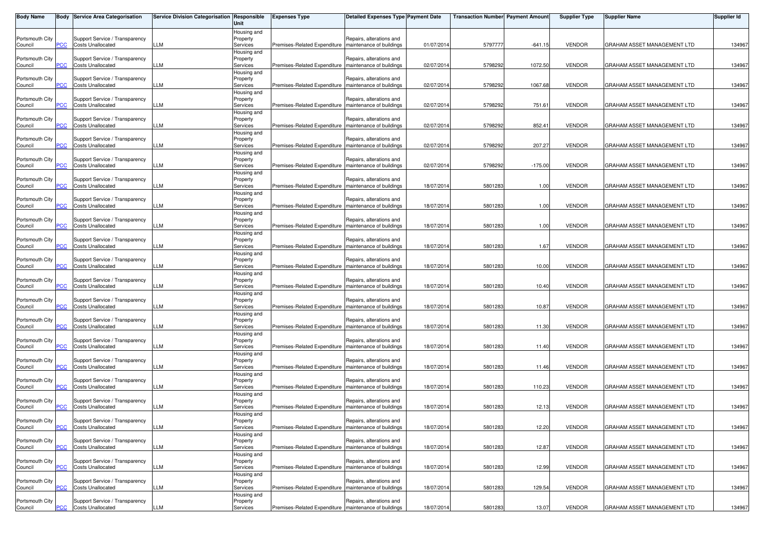| <b>Body Name</b>           |            | <b>Body Service Area Categorisation</b>                    | Service Division Categorisation Responsible | Unit                                | <b>Expenses Type</b>                                    | <b>Detailed Expenses Type Payment Date</b>           |            | <b>Transaction Number</b> Payment Amount |           | <b>Supplier Type</b> | <b>Supplier Name</b>        | <b>Supplier Id</b> |
|----------------------------|------------|------------------------------------------------------------|---------------------------------------------|-------------------------------------|---------------------------------------------------------|------------------------------------------------------|------------|------------------------------------------|-----------|----------------------|-----------------------------|--------------------|
| Portsmouth City<br>Council | сC         | Support Service / Transparency<br><b>Costs Unallocated</b> | LLM                                         | Housing and<br>Property<br>Services | Premises-Related Expenditure   maintenance of buildings | Repairs, alterations and                             | 01/07/2014 | 5797777                                  | $-641.15$ | <b>VENDOR</b>        | GRAHAM ASSET MANAGEMENT LTD | 134967             |
| Portsmouth City<br>Council | PCC        | Support Service / Transparency<br><b>Costs Unallocated</b> | LLM                                         | Housing and<br>Property<br>Services | Premises-Related Expenditure                            | Repairs, alterations and<br>maintenance of buildings | 02/07/201  | 5798292                                  | 1072.50   | <b>VENDOR</b>        | GRAHAM ASSET MANAGEMENT LTD | 134967             |
| Portsmouth City<br>Council |            | Support Service / Transparency<br><b>Costs Unallocated</b> | LLM                                         | Housing and<br>Property<br>Services | Premises-Related Expenditure                            | Repairs, alterations and<br>maintenance of buildings | 02/07/2014 | 5798292                                  | 1067.68   | <b>VENDOR</b>        | GRAHAM ASSET MANAGEMENT LTD | 134967             |
| Portsmouth City<br>Council | сC         | Support Service / Transparency<br><b>Costs Unallocated</b> | LLM                                         | Housing and<br>Property<br>Services | Premises-Related Expenditure                            | Repairs, alterations and<br>maintenance of buildings | 02/07/2014 | 5798292                                  | 751.61    | <b>VENDOR</b>        | GRAHAM ASSET MANAGEMENT LTD | 134967             |
| Portsmouth City<br>Council |            | Support Service / Transparency<br><b>Costs Unallocated</b> | LLM                                         | Housing and<br>Property<br>Services | Premises-Related Expenditure                            | Repairs, alterations and<br>maintenance of buildings | 02/07/201  | 5798292                                  | 852.41    | <b>VENDOR</b>        | GRAHAM ASSET MANAGEMENT LTD | 134967             |
| Portsmouth City<br>Council | <u>'CC</u> | Support Service / Transparency<br><b>Costs Unallocated</b> | LLM                                         | Housing and<br>Property<br>Services | Premises-Related Expenditure                            | Repairs, alterations and<br>maintenance of buildings | 02/07/2014 | 5798292                                  | 207.27    | <b>VENDOR</b>        | GRAHAM ASSET MANAGEMENT LTD | 134967             |
| Portsmouth City<br>Council | PCC        | Support Service / Transparency<br><b>Costs Unallocated</b> | LLM                                         | Housing and<br>Property<br>Services | Premises-Related Expenditure   maintenance of buildings | Repairs, alterations and                             | 02/07/2014 | 5798292                                  | $-175.00$ | <b>VENDOR</b>        | GRAHAM ASSET MANAGEMENT LTD | 134967             |
| Portsmouth City<br>Council | PСC        | Support Service / Transparency<br><b>Costs Unallocated</b> | <b>LLM</b>                                  | Housing and<br>Property<br>Services | Premises-Related Expenditure                            | Repairs, alterations and<br>maintenance of buildings | 18/07/2014 | 5801283                                  | 1.00      | <b>VENDOR</b>        | GRAHAM ASSET MANAGEMENT LTD | 134967             |
| Portsmouth City<br>Council | °СС        | Support Service / Transparency<br><b>Costs Unallocated</b> | LLM                                         | Housing and<br>Property<br>Services | Premises-Related Expenditure                            | Repairs, alterations and<br>maintenance of buildings | 18/07/2014 | 5801283                                  | 1.00      | <b>VENDOR</b>        | GRAHAM ASSET MANAGEMENT LTD | 134967             |
| Portsmouth City            | PCC        | Support Service / Transparency<br><b>Costs Unallocated</b> | LLM                                         | Housing and<br>Property<br>Services |                                                         | Repairs, alterations and                             | 18/07/2014 |                                          | 1.00      | <b>VENDOR</b>        | GRAHAM ASSET MANAGEMENT LTD | 134967             |
| Council<br>Portsmouth City |            | Support Service / Transparency<br><b>Costs Unallocated</b> |                                             | Housing and<br>Property             | Premises-Related Expenditure   maintenance of buildings | Repairs, alterations and<br>maintenance of buildings |            | 5801283                                  |           |                      |                             |                    |
| Council<br>Portsmouth City | PСC        | Support Service / Transparency                             | LLM                                         | Services<br>Housing and<br>Property | Premises-Related Expenditure                            | Repairs, alterations and                             | 18/07/201  | 5801283                                  | 1.67      | <b>VENDOR</b>        | GRAHAM ASSET MANAGEMENT LTD | 134967             |
| Council<br>Portsmouth City | сc         | <b>Costs Unallocated</b><br>Support Service / Transparency | LM.                                         | Services<br>Housing and<br>Property | Premises-Related Expenditure                            | maintenance of buildings<br>Repairs, alterations and | 18/07/2014 | 5801283                                  | 10.00     | <b>VENDOR</b>        | GRAHAM ASSET MANAGEMENT LTD | 134967             |
| Council<br>Portsmouth City | PСC        | <b>Costs Unallocated</b><br>Support Service / Transparency | LLM                                         | Services<br>Housing and<br>Property | Premises-Related Expenditure                            | maintenance of buildings<br>Repairs, alterations and | 18/07/2014 | 5801283                                  | 10.40     | <b>VENDOR</b>        | GRAHAM ASSET MANAGEMENT LTD | 134967             |
| Council<br>Portsmouth City | PCC        | <b>Costs Unallocated</b><br>Support Service / Transparency | <b>LLM</b>                                  | Services<br>Housing and<br>Property | Premises-Related Expenditure                            | maintenance of buildings<br>Repairs, alterations and | 18/07/2014 | 5801283                                  | 10.87     | <b>VENDOR</b>        | GRAHAM ASSET MANAGEMENT LTD | 134967             |
| Council<br>Portsmouth City | сc         | <b>Costs Unallocated</b><br>Support Service / Transparency | LLM                                         | Services<br>Housing and<br>Property | Premises-Related Expenditure                            | maintenance of buildings<br>Repairs, alterations and | 18/07/2014 | 5801283                                  | 11.30     | <b>VENDOR</b>        | GRAHAM ASSET MANAGEMENT LTD | 134967             |
| Council<br>Portsmouth City |            | <b>Costs Unallocated</b><br>Support Service / Transparency | LLM                                         | Services<br>Housing and<br>Property | Premises-Related Expenditure   maintenance of buildings | Repairs, alterations and                             | 18/07/2014 | 5801283                                  | 11.40     | <b>VENDOR</b>        | GRAHAM ASSET MANAGEMENT LTD | 134967             |
| Council<br>Portsmouth City | <u>PCC</u> | <b>Costs Unallocated</b><br>Support Service / Transparency | LLM                                         | Services<br>Housing and<br>Property | Premises-Related Expenditure                            | maintenance of buildings<br>Repairs, alterations and | 18/07/2014 | 5801283                                  | 11.46     | <b>VENDOR</b>        | GRAHAM ASSET MANAGEMENT LTD | 134967             |
| Council<br>Portsmouth City | PСC        | <b>Costs Unallocated</b><br>Support Service / Transparency | LLM                                         | Services<br>Housing and<br>Property | Premises-Related Expenditure                            | maintenance of buildings<br>Repairs, alterations and | 18/07/2014 | 5801283                                  | 110.23    | <b>VENDOR</b>        | GRAHAM ASSET MANAGEMENT LTD | 134967             |
| Council<br>Portsmouth City | PСC        | <b>Costs Unallocated</b><br>Support Service / Transparency | LLM                                         | Services<br>Housing and<br>Property | Premises-Related Expenditure   maintenance of buildings | Repairs, alterations and                             | 18/07/2014 | 5801283                                  | 12.13     | <b>VENDOR</b>        | GRAHAM ASSET MANAGEMENT LTD | 134967             |
| Council<br>Portsmouth City | <b>PCC</b> | <b>Costs Unallocated</b><br>Support Service / Transparency | LLM                                         | Services<br>Housing and<br>Property | Premises-Related Expenditure   maintenance of buildings | Repairs, alterations and                             | 18/07/2014 | 5801283                                  | 12.20     | <b>VENDOR</b>        | GRAHAM ASSET MANAGEMENT LTD | 134967             |
| Council<br>Portsmouth City | PCC        | <b>Costs Unallocated</b><br>Support Service / Transparency | LLM                                         | Services<br>Housing and<br>Property | Premises-Related Expenditure                            | maintenance of buildings<br>Repairs, alterations and | 18/07/2014 | 5801283                                  | 12.87     | <b>VENDOR</b>        | GRAHAM ASSET MANAGEMENT LTD | 134967             |
| Council<br>Portsmouth City | ۲CС        | <b>Costs Unallocated</b><br>Support Service / Transparency | <b>LLM</b>                                  | Services<br>Housing and<br>Property | Premises-Related Expenditure                            | maintenance of buildings<br>Repairs, alterations and | 18/07/2014 | 5801283                                  | 12.99     | <b>VENDOR</b>        | GRAHAM ASSET MANAGEMENT LTD | 134967             |
| Council<br>Portsmouth City | PСC        | <b>Costs Unallocated</b><br>Support Service / Transparency | LLM                                         | Services<br>Housing and<br>Property | Premises-Related Expenditure                            | maintenance of buildings<br>Repairs, alterations and | 18/07/2014 | 5801283                                  | 129.54    | <b>VENDOR</b>        | GRAHAM ASSET MANAGEMENT LTD | 134967             |
| Council                    | <b>PCC</b> | <b>Costs Unallocated</b>                                   | <b>LLM</b>                                  | Services                            | Premises-Related Expenditure   maintenance of buildings |                                                      | 18/07/2014 | 5801283                                  | 13.07     | <b>VENDOR</b>        | GRAHAM ASSET MANAGEMENT LTD | 134967             |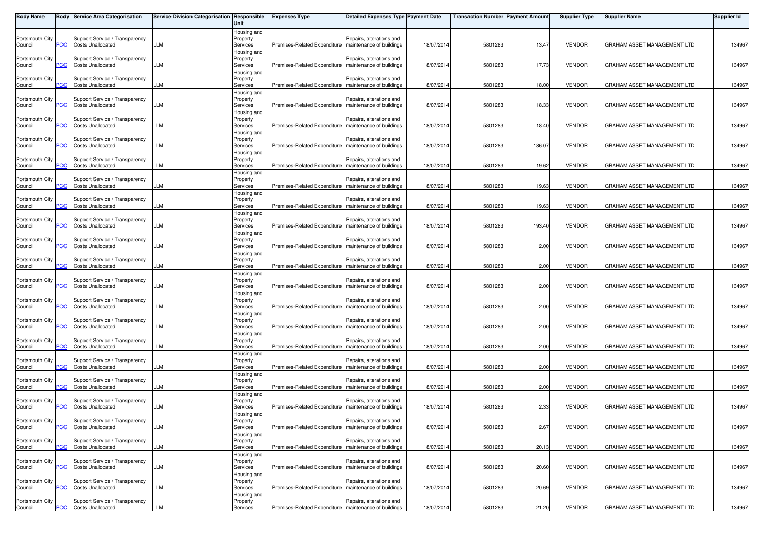| <b>Body Name</b>           |            | <b>Body Service Area Categorisation</b>                    | Service Division Categorisation Responsible | Unit                                | <b>Expenses Type</b>                                    | <b>Detailed Expenses Type Payment Date</b>           |            | <b>Transaction Number Payment Amount</b> |        | <b>Supplier Type</b> | <b>Supplier Name</b>        | <b>Supplier Id</b> |
|----------------------------|------------|------------------------------------------------------------|---------------------------------------------|-------------------------------------|---------------------------------------------------------|------------------------------------------------------|------------|------------------------------------------|--------|----------------------|-----------------------------|--------------------|
| Portsmouth City<br>Council | сC         | Support Service / Transparency<br><b>Costs Unallocated</b> | LLM                                         | Housing and<br>Property<br>Services | Premises-Related Expenditure   maintenance of buildings | Repairs, alterations and                             | 18/07/2014 | 5801283                                  | 13.47  | <b>VENDOR</b>        | GRAHAM ASSET MANAGEMENT LTD | 134967             |
| Portsmouth City<br>Council | PCC        | Support Service / Transparency<br><b>Costs Unallocated</b> | LLM                                         | Housing and<br>Property<br>Services | Premises-Related Expenditure                            | Repairs, alterations and<br>maintenance of buildings | 18/07/201  | 5801283                                  | 17.73  | <b>VENDOR</b>        | GRAHAM ASSET MANAGEMENT LTD | 134967             |
| Portsmouth City<br>Council |            | Support Service / Transparency<br><b>Costs Unallocated</b> | LLM                                         | Housing and<br>Property<br>Services | Premises-Related Expenditure                            | Repairs, alterations and<br>maintenance of buildings | 18/07/2014 | 5801283                                  | 18.00  | <b>VENDOR</b>        | GRAHAM ASSET MANAGEMENT LTD | 134967             |
| Portsmouth City<br>Council | сC         | Support Service / Transparency<br><b>Costs Unallocated</b> | LLM                                         | Housing and<br>Property<br>Services | Premises-Related Expenditure                            | Repairs, alterations and<br>maintenance of buildings | 18/07/2014 | 5801283                                  | 18.33  | <b>VENDOR</b>        | GRAHAM ASSET MANAGEMENT LTD | 134967             |
| Portsmouth City<br>Council |            | Support Service / Transparency<br><b>Costs Unallocated</b> | LLM                                         | Housing and<br>Property<br>Services | Premises-Related Expenditure                            | Repairs, alterations and<br>maintenance of buildings | 18/07/201  | 5801283                                  | 18.40  | <b>VENDOR</b>        | GRAHAM ASSET MANAGEMENT LTD | 134967             |
| Portsmouth City<br>Council | <u>'CC</u> | Support Service / Transparency<br><b>Costs Unallocated</b> | LLM                                         | Housing and<br>Property<br>Services | Premises-Related Expenditure                            | Repairs, alterations and<br>maintenance of buildings | 18/07/2014 | 5801283                                  | 186.07 | <b>VENDOR</b>        | GRAHAM ASSET MANAGEMENT LTD | 134967             |
| Portsmouth City<br>Council | PCC        | Support Service / Transparency<br><b>Costs Unallocated</b> | LLM                                         | Housing and<br>Property<br>Services | Premises-Related Expenditure   maintenance of buildings | Repairs, alterations and                             | 18/07/2014 | 5801283                                  | 19.62  | <b>VENDOR</b>        | GRAHAM ASSET MANAGEMENT LTD | 134967             |
| Portsmouth City<br>Council | PCC        | Support Service / Transparency<br><b>Costs Unallocated</b> | <b>LLM</b>                                  | Housing and<br>Property<br>Services | Premises-Related Expenditure                            | Repairs, alterations and<br>maintenance of buildings | 18/07/2014 | 5801283                                  | 19.63  | <b>VENDOR</b>        | GRAHAM ASSET MANAGEMENT LTD | 134967             |
| Portsmouth City<br>Council | °СС        | Support Service / Transparency<br><b>Costs Unallocated</b> | LLM                                         | Housing and<br>Property<br>Services | Premises-Related Expenditure                            | Repairs, alterations and<br>maintenance of buildings | 18/07/2014 | 5801283                                  | 19.63  | <b>VENDOR</b>        | GRAHAM ASSET MANAGEMENT LTD | 134967             |
| Portsmouth City            | PCC        | Support Service / Transparency<br><b>Costs Unallocated</b> | LLM                                         | Housing and<br>Property<br>Services |                                                         | Repairs, alterations and                             | 18/07/2014 |                                          | 193.40 | <b>VENDOR</b>        | GRAHAM ASSET MANAGEMENT LTD | 134967             |
| Council<br>Portsmouth City |            | Support Service / Transparency<br><b>Costs Unallocated</b> |                                             | Housing and<br>Property             | Premises-Related Expenditure   maintenance of buildings | Repairs, alterations and<br>maintenance of buildings |            | 5801283                                  |        |                      |                             |                    |
| Council<br>Portsmouth City | PСC        | Support Service / Transparency                             | LLM                                         | Services<br>Housing and<br>Property | Premises-Related Expenditure                            | Repairs, alterations and                             | 18/07/201  | 5801283                                  | 2.00   | <b>VENDOR</b>        | GRAHAM ASSET MANAGEMENT LTD | 134967             |
| Council<br>Portsmouth City | сc         | <b>Costs Unallocated</b><br>Support Service / Transparency | LM.                                         | Services<br>Housing and<br>Property | Premises-Related Expenditure                            | maintenance of buildings<br>Repairs, alterations and | 18/07/2014 | 5801283                                  | 2.00   | <b>VENDOR</b>        | GRAHAM ASSET MANAGEMENT LTD | 134967             |
| Council<br>Portsmouth City | PСC        | <b>Costs Unallocated</b><br>Support Service / Transparency | LLM                                         | Services<br>Housing and<br>Property | Premises-Related Expenditure                            | maintenance of buildings<br>Repairs, alterations and | 18/07/2014 | 5801283                                  | 2.00   | <b>VENDOR</b>        | GRAHAM ASSET MANAGEMENT LTD | 134967             |
| Council<br>Portsmouth City | PCC        | <b>Costs Unallocated</b><br>Support Service / Transparency | <b>LLM</b>                                  | Services<br>Housing and<br>Property | Premises-Related Expenditure   maintenance of buildings | Repairs, alterations and                             | 18/07/2014 | 5801283                                  | 2.00   | <b>VENDOR</b>        | GRAHAM ASSET MANAGEMENT LTD | 134967             |
| Council<br>Portsmouth City | сc         | <b>Costs Unallocated</b><br>Support Service / Transparency | LLM                                         | Services<br>Housing and<br>Property | Premises-Related Expenditure                            | maintenance of buildings<br>Repairs, alterations and | 18/07/2014 | 5801283                                  | 2.00   | <b>VENDOR</b>        | GRAHAM ASSET MANAGEMENT LTD | 134967             |
| Council<br>Portsmouth City |            | <b>Costs Unallocated</b><br>Support Service / Transparency | LLM                                         | Services<br>Housing and<br>Property | Premises-Related Expenditure   maintenance of buildings | Repairs, alterations and                             | 18/07/2014 | 5801283                                  | 2.00   | <b>VENDOR</b>        | GRAHAM ASSET MANAGEMENT LTD | 134967             |
| Council<br>Portsmouth City | <u>PCC</u> | <b>Costs Unallocated</b><br>Support Service / Transparency | LLM                                         | Services<br>Housing and<br>Property | Premises-Related Expenditure                            | maintenance of buildings<br>Repairs, alterations and | 18/07/2014 | 5801283                                  | 2.00   | <b>VENDOR</b>        | GRAHAM ASSET MANAGEMENT LTD | 134967             |
| Council<br>Portsmouth City | PСC        | <b>Costs Unallocated</b><br>Support Service / Transparency | LLM                                         | Services<br>Housing and<br>Property | Premises-Related Expenditure                            | maintenance of buildings<br>Repairs, alterations and | 18/07/2014 | 5801283                                  | 2.00   | <b>VENDOR</b>        | GRAHAM ASSET MANAGEMENT LTD | 134967             |
| Council<br>Portsmouth City |            | <b>Costs Unallocated</b><br>Support Service / Transparency | LLM                                         | Services<br>Housing and<br>Property | Premises-Related Expenditure   maintenance of buildings | Repairs, alterations and                             | 18/07/2014 | 5801283                                  | 2.33   | <b>VENDOR</b>        | GRAHAM ASSET MANAGEMENT LTD | 134967             |
| Council<br>Portsmouth City | <b>PCC</b> | <b>Costs Unallocated</b><br>Support Service / Transparency | LLM                                         | Services<br>Housing and<br>Property | Premises-Related Expenditure   maintenance of buildings | Repairs, alterations and                             | 18/07/2014 | 5801283                                  | 2.67   | <b>VENDOR</b>        | GRAHAM ASSET MANAGEMENT LTD | 134967             |
| Council<br>Portsmouth City | PCC        | <b>Costs Unallocated</b><br>Support Service / Transparency | LLM                                         | Services<br>Housing and<br>Property | Premises-Related Expenditure                            | maintenance of buildings<br>Repairs, alterations and | 18/07/2014 | 5801283                                  | 20.13  | <b>VENDOR</b>        | GRAHAM ASSET MANAGEMENT LTD | 134967             |
| Council<br>Portsmouth City | ۲CС        | <b>Costs Unallocated</b><br>Support Service / Transparency | <b>LLM</b>                                  | Services<br>Housing and<br>Property | Premises-Related Expenditure                            | maintenance of buildings<br>Repairs, alterations and | 18/07/2014 | 5801283                                  | 20.60  | <b>VENDOR</b>        | GRAHAM ASSET MANAGEMENT LTD | 134967             |
| Council<br>Portsmouth City | PСC        | <b>Costs Unallocated</b><br>Support Service / Transparency | LLM                                         | Services<br>Housing and<br>Property | Premises-Related Expenditure                            | maintenance of buildings<br>Repairs, alterations and | 18/07/2014 | 5801283                                  | 20.69  | <b>VENDOR</b>        | GRAHAM ASSET MANAGEMENT LTD | 134967             |
| Council                    | <b>PCC</b> | <b>Costs Unallocated</b>                                   | <b>LLM</b>                                  | Services                            | Premises-Related Expenditure   maintenance of buildings |                                                      | 18/07/2014 | 5801283                                  | 21.20  | <b>VENDOR</b>        | GRAHAM ASSET MANAGEMENT LTD | 134967             |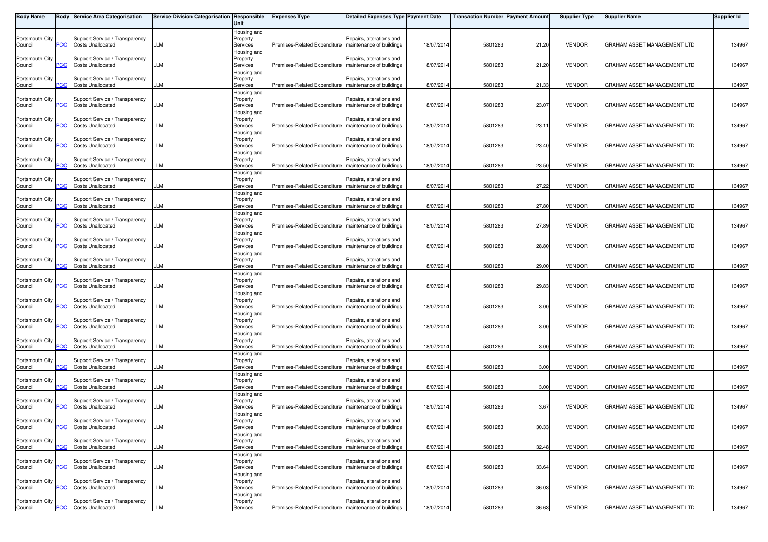| <b>Body Name</b>           |            | <b>Body Service Area Categorisation</b>                    | Service Division Categorisation Responsible | Unit                                | <b>Expenses Type</b>                                    | <b>Detailed Expenses Type Payment Date</b>           |            | <b>Transaction Number Payment Amount</b> |       | <b>Supplier Type</b> | <b>Supplier Name</b>        | <b>Supplier Id</b> |
|----------------------------|------------|------------------------------------------------------------|---------------------------------------------|-------------------------------------|---------------------------------------------------------|------------------------------------------------------|------------|------------------------------------------|-------|----------------------|-----------------------------|--------------------|
| Portsmouth City<br>Council | сC         | Support Service / Transparency<br><b>Costs Unallocated</b> | LLM                                         | Housing and<br>Property<br>Services | Premises-Related Expenditure   maintenance of buildings | Repairs, alterations and                             | 18/07/2014 | 5801283                                  | 21.20 | <b>VENDOR</b>        | GRAHAM ASSET MANAGEMENT LTD | 134967             |
| Portsmouth City<br>Council | PCC        | Support Service / Transparency<br><b>Costs Unallocated</b> | LLM                                         | Housing and<br>Property<br>Services | Premises-Related Expenditure                            | Repairs, alterations and<br>maintenance of buildings | 18/07/201  | 5801283                                  | 21.20 | <b>VENDOR</b>        | GRAHAM ASSET MANAGEMENT LTD | 134967             |
| Portsmouth City<br>Council |            | Support Service / Transparency<br><b>Costs Unallocated</b> | LLM                                         | Housing and<br>Property<br>Services | Premises-Related Expenditure                            | Repairs, alterations and<br>maintenance of buildings | 18/07/2014 | 5801283                                  | 21.33 | <b>VENDOR</b>        | GRAHAM ASSET MANAGEMENT LTD | 134967             |
| Portsmouth City<br>Council | сC         | Support Service / Transparency<br><b>Costs Unallocated</b> | LLM                                         | Housing and<br>Property<br>Services | Premises-Related Expenditure                            | Repairs, alterations and<br>maintenance of buildings | 18/07/2014 | 5801283                                  | 23.07 | <b>VENDOR</b>        | GRAHAM ASSET MANAGEMENT LTD | 134967             |
| Portsmouth City<br>Council |            | Support Service / Transparency<br><b>Costs Unallocated</b> | LLM                                         | Housing and<br>Property<br>Services | Premises-Related Expenditure                            | Repairs, alterations and<br>maintenance of buildings | 18/07/201  | 5801283                                  | 23.11 | <b>VENDOR</b>        | GRAHAM ASSET MANAGEMENT LTD | 134967             |
| Portsmouth City<br>Council | <u>'CC</u> | Support Service / Transparency<br><b>Costs Unallocated</b> | LLM                                         | Housing and<br>Property<br>Services | Premises-Related Expenditure                            | Repairs, alterations and<br>maintenance of buildings | 18/07/2014 | 5801283                                  | 23.40 | <b>VENDOR</b>        | GRAHAM ASSET MANAGEMENT LTD | 134967             |
| Portsmouth City<br>Council | PCC        | Support Service / Transparency<br><b>Costs Unallocated</b> | LLM                                         | Housing and<br>Property<br>Services | Premises-Related Expenditure   maintenance of buildings | Repairs, alterations and                             | 18/07/2014 | 5801283                                  | 23.50 | <b>VENDOR</b>        | GRAHAM ASSET MANAGEMENT LTD | 134967             |
| Portsmouth City<br>Council | PСC        | Support Service / Transparency<br><b>Costs Unallocated</b> | <b>LLM</b>                                  | Housing and<br>Property<br>Services | Premises-Related Expenditure                            | Repairs, alterations and<br>maintenance of buildings | 18/07/2014 | 5801283                                  | 27.22 | <b>VENDOR</b>        | GRAHAM ASSET MANAGEMENT LTD | 134967             |
| Portsmouth City<br>Council | °СС        | Support Service / Transparency<br><b>Costs Unallocated</b> | LLM                                         | Housing and<br>Property<br>Services | Premises-Related Expenditure                            | Repairs, alterations and<br>maintenance of buildings | 18/07/2014 | 5801283                                  | 27.80 | <b>VENDOR</b>        | GRAHAM ASSET MANAGEMENT LTD | 134967             |
| Portsmouth City<br>Council | PCC        | Support Service / Transparency<br><b>Costs Unallocated</b> | LLM                                         | Housing and<br>Property<br>Services | Premises-Related Expenditure   maintenance of buildings | Repairs, alterations and                             | 18/07/2014 | 5801283                                  | 27.89 | <b>VENDOR</b>        | GRAHAM ASSET MANAGEMENT LTD | 134967             |
| Portsmouth City<br>Council | PСC        | Support Service / Transparency<br><b>Costs Unallocated</b> | LLM                                         | Housing and<br>Property<br>Services | Premises-Related Expenditure                            | Repairs, alterations and<br>maintenance of buildings | 18/07/201  | 5801283                                  | 28.80 | <b>VENDOR</b>        | GRAHAM ASSET MANAGEMENT LTD | 134967             |
| Portsmouth City            |            | Support Service / Transparency<br><b>Costs Unallocated</b> | LM.                                         | Housing and<br>Property             |                                                         | Repairs, alterations and                             | 18/07/2014 |                                          | 29.00 | <b>VENDOR</b>        |                             |                    |
| Council<br>Portsmouth City | сc         | Support Service / Transparency                             |                                             | Services<br>Housing and<br>Property | Premises-Related Expenditure                            | maintenance of buildings<br>Repairs, alterations and |            | 5801283                                  |       |                      | GRAHAM ASSET MANAGEMENT LTD | 134967             |
| Council<br>Portsmouth City | PСC        | <b>Costs Unallocated</b><br>Support Service / Transparency | LLM                                         | Services<br>Housing and<br>Property | Premises-Related Expenditure                            | maintenance of buildings<br>Repairs, alterations and | 18/07/2014 | 5801283                                  | 29.83 | <b>VENDOR</b>        | GRAHAM ASSET MANAGEMENT LTD | 134967             |
| Council<br>Portsmouth City | PCC        | <b>Costs Unallocated</b><br>Support Service / Transparency | <b>LLM</b>                                  | Services<br>Housing and<br>Property | Premises-Related Expenditure   maintenance of buildings | Repairs, alterations and                             | 18/07/2014 | 5801283                                  | 3.00  | <b>VENDOR</b>        | GRAHAM ASSET MANAGEMENT LTD | 134967             |
| Council<br>Portsmouth City | сc         | <b>Costs Unallocated</b><br>Support Service / Transparency | LLM                                         | Services<br>Housing and<br>Property | Premises-Related Expenditure                            | maintenance of buildings<br>Repairs, alterations and | 18/07/2014 | 5801283                                  | 3.00  | <b>VENDOR</b>        | GRAHAM ASSET MANAGEMENT LTD | 134967             |
| Council<br>Portsmouth City |            | <b>Costs Unallocated</b><br>Support Service / Transparency | LLM                                         | Services<br>Housing and<br>Property | Premises-Related Expenditure   maintenance of buildings | Repairs, alterations and                             | 18/07/2014 | 5801283                                  | 3.00  | <b>VENDOR</b>        | GRAHAM ASSET MANAGEMENT LTD | 134967             |
| Council<br>Portsmouth City | <u>PCC</u> | <b>Costs Unallocated</b><br>Support Service / Transparency | LLM                                         | Services<br>Housing and<br>Property | Premises-Related Expenditure                            | maintenance of buildings<br>Repairs, alterations and | 18/07/2014 | 5801283                                  | 3.00  | <b>VENDOR</b>        | GRAHAM ASSET MANAGEMENT LTD | 134967             |
| Council<br>Portsmouth City | PСC        | <b>Costs Unallocated</b><br>Support Service / Transparency | LLM                                         | Services<br>Housing and<br>Property | Premises-Related Expenditure                            | maintenance of buildings<br>Repairs, alterations and | 18/07/2014 | 5801283                                  | 3.00  | <b>VENDOR</b>        | GRAHAM ASSET MANAGEMENT LTD | 134967             |
| Council<br>Portsmouth City |            | <b>Costs Unallocated</b><br>Support Service / Transparency | LLM                                         | Services<br>Housing and<br>Property | Premises-Related Expenditure   maintenance of buildings | Repairs, alterations and                             | 18/07/2014 | 5801283                                  | 3.67  | <b>VENDOR</b>        | GRAHAM ASSET MANAGEMENT LTD | 134967             |
| Council<br>Portsmouth City | <b>PCC</b> | <b>Costs Unallocated</b><br>Support Service / Transparency | LLM                                         | Services<br>Housing and<br>Property | Premises-Related Expenditure   maintenance of buildings | Repairs, alterations and                             | 18/07/2014 | 5801283                                  | 30.33 | <b>VENDOR</b>        | GRAHAM ASSET MANAGEMENT LTD | 134967             |
| Council<br>Portsmouth City | PCC        | <b>Costs Unallocated</b><br>Support Service / Transparency | LLM                                         | Services<br>Housing and<br>Property | Premises-Related Expenditure                            | maintenance of buildings<br>Repairs, alterations and | 18/07/2014 | 5801283                                  | 32.48 | <b>VENDOR</b>        | GRAHAM ASSET MANAGEMENT LTD | 134967             |
| Council<br>Portsmouth City | ۲CС        | <b>Costs Unallocated</b><br>Support Service / Transparency | <b>LLM</b>                                  | Services<br>Housing and<br>Property | Premises-Related Expenditure                            | maintenance of buildings<br>Repairs, alterations and | 18/07/2014 | 5801283                                  | 33.64 | <b>VENDOR</b>        | GRAHAM ASSET MANAGEMENT LTD | 134967             |
| Council<br>Portsmouth City | PСC        | <b>Costs Unallocated</b><br>Support Service / Transparency | LLM                                         | Services<br>Housing and<br>Property | Premises-Related Expenditure                            | maintenance of buildings<br>Repairs, alterations and | 18/07/2014 | 5801283                                  | 36.03 | <b>VENDOR</b>        | GRAHAM ASSET MANAGEMENT LTD | 134967             |
| Council                    | <b>PCC</b> | <b>Costs Unallocated</b>                                   | <b>LLM</b>                                  | Services                            | Premises-Related Expenditure   maintenance of buildings |                                                      | 18/07/2014 | 5801283                                  | 36.63 | <b>VENDOR</b>        | GRAHAM ASSET MANAGEMENT LTD | 134967             |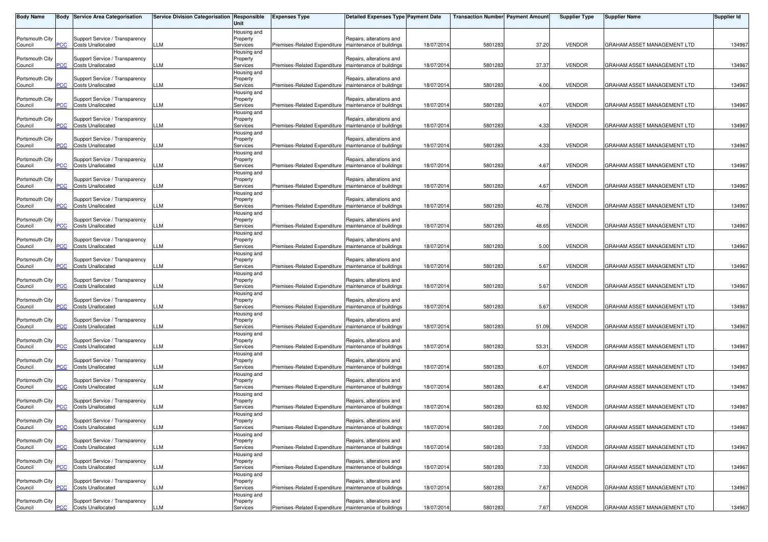| <b>Body Name</b>           |            | <b>Body Service Area Categorisation</b>                    | Service Division Categorisation Responsible | Unit                                | <b>Expenses Type</b>                                    | <b>Detailed Expenses Type Payment Date</b>           |            | <b>Transaction Number Payment Amount</b> |       | <b>Supplier Type</b> | <b>Supplier Name</b>        | <b>Supplier Id</b> |
|----------------------------|------------|------------------------------------------------------------|---------------------------------------------|-------------------------------------|---------------------------------------------------------|------------------------------------------------------|------------|------------------------------------------|-------|----------------------|-----------------------------|--------------------|
| Portsmouth City<br>Council | сC         | Support Service / Transparency<br><b>Costs Unallocated</b> | LLM                                         | Housing and<br>Property<br>Services | Premises-Related Expenditure   maintenance of buildings | Repairs, alterations and                             | 18/07/2014 | 5801283                                  | 37.20 | <b>VENDOR</b>        | GRAHAM ASSET MANAGEMENT LTD | 134967             |
| Portsmouth City<br>Council | PCC        | Support Service / Transparency<br><b>Costs Unallocated</b> | LLM                                         | Housing and<br>Property<br>Services | Premises-Related Expenditure                            | Repairs, alterations and<br>maintenance of buildings | 18/07/201  | 5801283                                  | 37.37 | <b>VENDOR</b>        | GRAHAM ASSET MANAGEMENT LTD | 134967             |
| Portsmouth City<br>Council |            | Support Service / Transparency<br><b>Costs Unallocated</b> | LLM                                         | Housing and<br>Property<br>Services | Premises-Related Expenditure                            | Repairs, alterations and<br>maintenance of buildings | 18/07/2014 | 5801283                                  | 4.00  | <b>VENDOR</b>        | GRAHAM ASSET MANAGEMENT LTD | 134967             |
| Portsmouth City<br>Council | сC         | Support Service / Transparency<br><b>Costs Unallocated</b> | LLM                                         | Housing and<br>Property<br>Services | Premises-Related Expenditure                            | Repairs, alterations and<br>maintenance of buildings | 18/07/2014 | 5801283                                  | 4.07  | <b>VENDOR</b>        | GRAHAM ASSET MANAGEMENT LTD | 134967             |
| Portsmouth City<br>Council |            | Support Service / Transparency<br><b>Costs Unallocated</b> | LLM                                         | Housing and<br>Property<br>Services | Premises-Related Expenditure                            | Repairs, alterations and<br>maintenance of buildings | 18/07/201  | 5801283                                  | 4.33  | <b>VENDOR</b>        | GRAHAM ASSET MANAGEMENT LTD | 134967             |
| Portsmouth City<br>Council | <u>'CC</u> | Support Service / Transparency<br><b>Costs Unallocated</b> | LLM                                         | Housing and<br>Property<br>Services | Premises-Related Expenditure                            | Repairs, alterations and<br>maintenance of buildings | 18/07/2014 | 5801283                                  | 4.33  | <b>VENDOR</b>        | GRAHAM ASSET MANAGEMENT LTD | 134967             |
| Portsmouth City<br>Council | PCC        | Support Service / Transparency<br><b>Costs Unallocated</b> | LLM                                         | Housing and<br>Property<br>Services | Premises-Related Expenditure   maintenance of buildings | Repairs, alterations and                             | 18/07/2014 | 5801283                                  | 4.67  | <b>VENDOR</b>        | GRAHAM ASSET MANAGEMENT LTD | 134967             |
| Portsmouth City<br>Council | PCC        | Support Service / Transparency<br><b>Costs Unallocated</b> | <b>LLM</b>                                  | Housing and<br>Property<br>Services | Premises-Related Expenditure                            | Repairs, alterations and<br>maintenance of buildings | 18/07/2014 | 5801283                                  | 4.67  | <b>VENDOR</b>        | GRAHAM ASSET MANAGEMENT LTD | 134967             |
| Portsmouth City<br>Council |            | Support Service / Transparency<br><b>Costs Unallocated</b> | LLM                                         | Housing and<br>Property<br>Services | Premises-Related Expenditure                            | Repairs, alterations and<br>maintenance of buildings | 18/07/2014 | 5801283                                  | 40.78 | <b>VENDOR</b>        | GRAHAM ASSET MANAGEMENT LTD | 134967             |
| Portsmouth City            | °СС        | Support Service / Transparency                             |                                             | Housing and<br>Property             |                                                         | Repairs, alterations and                             |            |                                          |       |                      |                             |                    |
| Council<br>Portsmouth City | PCC        | <b>Costs Unallocated</b><br>Support Service / Transparency | LLM                                         | Services<br>Housing and<br>Property | Premises-Related Expenditure   maintenance of buildings | Repairs, alterations and                             | 18/07/2014 | 5801283                                  | 48.65 | <b>VENDOR</b>        | GRAHAM ASSET MANAGEMENT LTD | 134967             |
| Council<br>Portsmouth City | PСC        | <b>Costs Unallocated</b><br>Support Service / Transparency | LLM                                         | Services<br>Housing and<br>Property | Premises-Related Expenditure                            | maintenance of buildings<br>Repairs, alterations and | 18/07/201  | 5801283                                  | 5.00  | <b>VENDOR</b>        | GRAHAM ASSET MANAGEMENT LTD | 134967             |
| Council<br>Portsmouth City | сc         | <b>Costs Unallocated</b><br>Support Service / Transparency | LM.                                         | Services<br>Housing and<br>Property | Premises-Related Expenditure                            | maintenance of buildings<br>Repairs, alterations and | 18/07/2014 | 5801283                                  | 5.67  | <b>VENDOR</b>        | GRAHAM ASSET MANAGEMENT LTD | 134967             |
| Council<br>Portsmouth City | PСC        | <b>Costs Unallocated</b><br>Support Service / Transparency | LLM                                         | Services<br>Housing and<br>Property | Premises-Related Expenditure                            | maintenance of buildings<br>Repairs, alterations and | 18/07/2014 | 5801283                                  | 5.67  | <b>VENDOR</b>        | GRAHAM ASSET MANAGEMENT LTD | 134967             |
| Council<br>Portsmouth City | PCC        | <b>Costs Unallocated</b><br>Support Service / Transparency | <b>LLM</b>                                  | Services<br>Housing and<br>Property | Premises-Related Expenditure   maintenance of buildings | Repairs, alterations and                             | 18/07/2014 | 5801283                                  | 5.67  | <b>VENDOR</b>        | GRAHAM ASSET MANAGEMENT LTD | 134967             |
| Council<br>Portsmouth City | сc         | <b>Costs Unallocated</b><br>Support Service / Transparency | LLM                                         | Services<br>Housing and<br>Property | Premises-Related Expenditure                            | maintenance of buildings<br>Repairs, alterations and | 18/07/2014 | 5801283                                  | 51.09 | <b>VENDOR</b>        | GRAHAM ASSET MANAGEMENT LTD | 134967             |
| Council<br>Portsmouth City |            | <b>Costs Unallocated</b><br>Support Service / Transparency | LLM                                         | Services<br>Housing and<br>Property | Premises-Related Expenditure   maintenance of buildings | Repairs, alterations and                             | 18/07/2014 | 5801283                                  | 53.31 | <b>VENDOR</b>        | GRAHAM ASSET MANAGEMENT LTD | 134967             |
| Council<br>Portsmouth City | <u>PCC</u> | <b>Costs Unallocated</b><br>Support Service / Transparency | LLM                                         | Services<br>Housing and<br>Property | Premises-Related Expenditure                            | maintenance of buildings<br>Repairs, alterations and | 18/07/2014 | 5801283                                  | 6.07  | <b>VENDOR</b>        | GRAHAM ASSET MANAGEMENT LTD | 134967             |
| Council<br>Portsmouth City | PСC        | <b>Costs Unallocated</b><br>Support Service / Transparency | LLM                                         | Services<br>Housing and<br>Property | Premises-Related Expenditure                            | maintenance of buildings<br>Repairs, alterations and | 18/07/2014 | 5801283                                  | 6.47  | <b>VENDOR</b>        | GRAHAM ASSET MANAGEMENT LTD | 134967             |
| Council<br>Portsmouth City | PСC        | <b>Costs Unallocated</b><br>Support Service / Transparency | LLM                                         | Services<br>Housing and<br>Property | Premises-Related Expenditure   maintenance of buildings | Repairs, alterations and                             | 18/07/2014 | 5801283                                  | 63.92 | <b>VENDOR</b>        | GRAHAM ASSET MANAGEMENT LTD | 134967             |
| Council<br>Portsmouth City | <b>PCC</b> | <b>Costs Unallocated</b><br>Support Service / Transparency | LLM                                         | Services<br>Housing and<br>Property | Premises-Related Expenditure   maintenance of buildings | Repairs, alterations and                             | 18/07/2014 | 5801283                                  | 7.00  | <b>VENDOR</b>        | GRAHAM ASSET MANAGEMENT LTD | 134967             |
| Council<br>Portsmouth City | PCC        | <b>Costs Unallocated</b><br>Support Service / Transparency | LLM                                         | Services<br>Housing and<br>Property | Premises-Related Expenditure                            | maintenance of buildings<br>Repairs, alterations and | 18/07/2014 | 5801283                                  | 7.33  | <b>VENDOR</b>        | GRAHAM ASSET MANAGEMENT LTD | 134967             |
| Council<br>Portsmouth City | ۲CС        | <b>Costs Unallocated</b><br>Support Service / Transparency | <b>LLM</b>                                  | Services<br>Housing and<br>Property | Premises-Related Expenditure                            | maintenance of buildings<br>Repairs, alterations and | 18/07/2014 | 5801283                                  | 7.33  | <b>VENDOR</b>        | GRAHAM ASSET MANAGEMENT LTD | 134967             |
| Council<br>Portsmouth City | PСC        | <b>Costs Unallocated</b><br>Support Service / Transparency | LLM                                         | Services<br>Housing and<br>Property | Premises-Related Expenditure                            | maintenance of buildings<br>Repairs, alterations and | 18/07/2014 | 5801283                                  | 7.67  | <b>VENDOR</b>        | GRAHAM ASSET MANAGEMENT LTD | 134967             |
| Council                    | <b>PCC</b> | Costs Unallocated                                          | LLM                                         | Services                            | Premises-Related Expenditure   maintenance of buildings |                                                      | 18/07/2014 | 5801283                                  | 7.67  | <b>VENDOR</b>        | GRAHAM ASSET MANAGEMENT LTD | 134967             |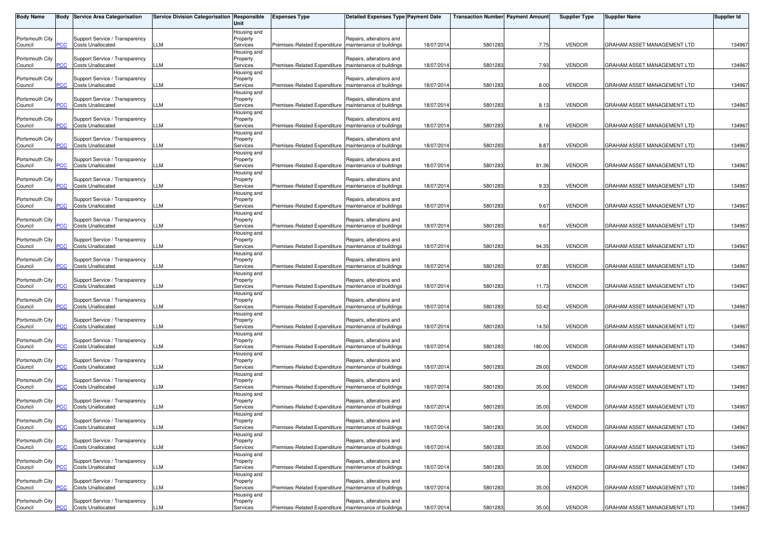| <b>Body Name</b>           |            | <b>Body Service Area Categorisation</b>                    | Service Division Categorisation Responsible | Unit                                | <b>Expenses Type</b>                                    | <b>Detailed Expenses Type Payment Date</b>           |            | <b>Transaction Number Payment Amount</b> |        | <b>Supplier Type</b> | <b>Supplier Name</b>        | <b>Supplier Id</b> |
|----------------------------|------------|------------------------------------------------------------|---------------------------------------------|-------------------------------------|---------------------------------------------------------|------------------------------------------------------|------------|------------------------------------------|--------|----------------------|-----------------------------|--------------------|
| Portsmouth City<br>Council | сC         | Support Service / Transparency<br><b>Costs Unallocated</b> | LLM                                         | Housing and<br>Property<br>Services | Premises-Related Expenditure   maintenance of buildings | Repairs, alterations and                             | 18/07/2014 | 5801283                                  | 7.75   | <b>VENDOR</b>        | GRAHAM ASSET MANAGEMENT LTD | 134967             |
| Portsmouth City<br>Council | PCC        | Support Service / Transparency<br><b>Costs Unallocated</b> | LLM                                         | Housing and<br>Property<br>Services | Premises-Related Expenditure                            | Repairs, alterations and<br>maintenance of buildings | 18/07/201  | 5801283                                  | 7.93   | <b>VENDOR</b>        | GRAHAM ASSET MANAGEMENT LTD | 134967             |
| Portsmouth City<br>Council |            | Support Service / Transparency<br><b>Costs Unallocated</b> | LLM                                         | Housing and<br>Property<br>Services | Premises-Related Expenditure                            | Repairs, alterations and<br>maintenance of buildings | 18/07/2014 | 5801283                                  | 8.00   | <b>VENDOR</b>        | GRAHAM ASSET MANAGEMENT LTD | 134967             |
| Portsmouth City<br>Council | сC         | Support Service / Transparency<br><b>Costs Unallocated</b> | LLM                                         | Housing and<br>Property<br>Services | Premises-Related Expenditure   maintenance of buildings | Repairs, alterations and                             | 18/07/2014 | 5801283                                  | 8.13   | <b>VENDOR</b>        | GRAHAM ASSET MANAGEMENT LTD | 134967             |
| Portsmouth City<br>Council |            | Support Service / Transparency<br><b>Costs Unallocated</b> | LLM                                         | Housing and<br>Property<br>Services | Premises-Related Expenditure                            | Repairs, alterations and<br>maintenance of buildings | 18/07/201  | 5801283                                  | 8.16   | <b>VENDOR</b>        | GRAHAM ASSET MANAGEMENT LTD | 134967             |
| Portsmouth City<br>Council | <u>'CC</u> | Support Service / Transparency<br><b>Costs Unallocated</b> | LLM                                         | Housing and<br>Property<br>Services | Premises-Related Expenditure                            | Repairs, alterations and<br>maintenance of buildings | 18/07/2014 | 5801283                                  | 8.87   | <b>VENDOR</b>        | GRAHAM ASSET MANAGEMENT LTD | 134967             |
| Portsmouth City<br>Council | PCC        | Support Service / Transparency<br><b>Costs Unallocated</b> | LLM                                         | Housing and<br>Property<br>Services | Premises-Related Expenditure   maintenance of buildings | Repairs, alterations and                             | 18/07/2014 | 5801283                                  | 81.36  | <b>VENDOR</b>        | GRAHAM ASSET MANAGEMENT LTD | 134967             |
| Portsmouth City<br>Council | PCC        | Support Service / Transparency<br><b>Costs Unallocated</b> | <b>LLM</b>                                  | Housing and<br>Property<br>Services | Premises-Related Expenditure                            | Repairs, alterations and<br>maintenance of buildings | 18/07/2014 | 5801283                                  | 9.33   | <b>VENDOR</b>        | GRAHAM ASSET MANAGEMENT LTD | 134967             |
| Portsmouth City<br>Council | °СС        | Support Service / Transparency<br><b>Costs Unallocated</b> | LLM                                         | Housing and<br>Property<br>Services | Premises-Related Expenditure                            | Repairs, alterations and<br>maintenance of buildings | 18/07/2014 | 5801283                                  | 9.67   | <b>VENDOR</b>        | GRAHAM ASSET MANAGEMENT LTD | 134967             |
| Portsmouth City<br>Council | PCC        | Support Service / Transparency<br><b>Costs Unallocated</b> | LLM                                         | Housing and<br>Property<br>Services | Premises-Related Expenditure   maintenance of buildings | Repairs, alterations and                             | 18/07/2014 | 5801283                                  | 9.67   | <b>VENDOR</b>        | GRAHAM ASSET MANAGEMENT LTD | 134967             |
| Portsmouth City            | PСC        | Support Service / Transparency<br><b>Costs Unallocated</b> | LLM                                         | Housing and<br>Property<br>Services | Premises-Related Expenditure                            | Repairs, alterations and<br>maintenance of buildings | 18/07/201  | 5801283                                  | 94.35  | <b>VENDOR</b>        | GRAHAM ASSET MANAGEMENT LTD | 134967             |
| Council<br>Portsmouth City |            | Support Service / Transparency                             |                                             | Housing and<br>Property             |                                                         | Repairs, alterations and                             |            |                                          |        |                      |                             |                    |
| Council<br>Portsmouth City | сc         | <b>Costs Unallocated</b><br>Support Service / Transparency | LM.                                         | Services<br>Housing and<br>Property | Premises-Related Expenditure   maintenance of buildings | Repairs, alterations and                             | 18/07/2014 | 5801283                                  | 97.85  | <b>VENDOR</b>        | GRAHAM ASSET MANAGEMENT LTD | 134967             |
| Council<br>Portsmouth City | PСC        | <b>Costs Unallocated</b><br>Support Service / Transparency | LLM                                         | Services<br>Housing and<br>Property | Premises-Related Expenditure                            | maintenance of buildings<br>Repairs, alterations and | 18/07/2014 | 5801283                                  | 11.73  | <b>VENDOR</b>        | GRAHAM ASSET MANAGEMENT LTD | 134967             |
| Council<br>Portsmouth City | PCC        | <b>Costs Unallocated</b><br>Support Service / Transparency | <b>LLM</b>                                  | Services<br>Housing and<br>Property | Premises-Related Expenditure   maintenance of buildings | Repairs, alterations and                             | 18/07/2014 | 5801283                                  | 53.42  | <b>VENDOR</b>        | GRAHAM ASSET MANAGEMENT LTD | 134967             |
| Council<br>Portsmouth City | сc         | <b>Costs Unallocated</b><br>Support Service / Transparency | LLM                                         | Services<br>Housing and<br>Property | Premises-Related Expenditure                            | maintenance of buildings<br>Repairs, alterations and | 18/07/2014 | 5801283                                  | 14.50  | <b>VENDOR</b>        | GRAHAM ASSET MANAGEMENT LTD | 134967             |
| Council<br>Portsmouth City |            | <b>Costs Unallocated</b><br>Support Service / Transparency | LLM                                         | Services<br>Housing and<br>Property | Premises-Related Expenditure   maintenance of buildings | Repairs, alterations and                             | 18/07/2014 | 5801283                                  | 180.00 | <b>VENDOR</b>        | GRAHAM ASSET MANAGEMENT LTD | 134967             |
| Council<br>Portsmouth City | <u>PCC</u> | <b>Costs Unallocated</b><br>Support Service / Transparency | LLM                                         | Services<br>Housing and<br>Property | Premises-Related Expenditure                            | maintenance of buildings<br>Repairs, alterations and | 18/07/2014 | 5801283                                  | 29.00  | <b>VENDOR</b>        | GRAHAM ASSET MANAGEMENT LTD | 134967             |
| Council<br>Portsmouth City | PСC        | <b>Costs Unallocated</b><br>Support Service / Transparency | LLM                                         | Services<br>Housing and<br>Property | Premises-Related Expenditure                            | maintenance of buildings<br>Repairs, alterations and | 18/07/2014 | 5801283                                  | 35.00  | <b>VENDOR</b>        | GRAHAM ASSET MANAGEMENT LTD | 134967             |
| Council<br>Portsmouth City |            | <b>Costs Unallocated</b><br>Support Service / Transparency | LLM                                         | Services<br>Housing and<br>Property | Premises-Related Expenditure   maintenance of buildings | Repairs, alterations and                             | 18/07/2014 | 5801283                                  | 35.00  | <b>VENDOR</b>        | GRAHAM ASSET MANAGEMENT LTD | 134967             |
| Council<br>Portsmouth City | <b>PCC</b> | <b>Costs Unallocated</b><br>Support Service / Transparency | LLM                                         | Services<br>Housing and<br>Property | Premises-Related Expenditure   maintenance of buildings | Repairs, alterations and                             | 18/07/2014 | 5801283                                  | 35.00  | <b>VENDOR</b>        | GRAHAM ASSET MANAGEMENT LTD | 134967             |
| Council<br>Portsmouth City | PCC        | <b>Costs Unallocated</b><br>Support Service / Transparency | LLM                                         | Services<br>Housing and<br>Property | Premises-Related Expenditure                            | maintenance of buildings<br>Repairs, alterations and | 18/07/2014 | 5801283                                  | 35.00  | <b>VENDOR</b>        | GRAHAM ASSET MANAGEMENT LTD | 134967             |
| Council<br>Portsmouth City | ۲CС        | <b>Costs Unallocated</b><br>Support Service / Transparency | <b>LLM</b>                                  | Services<br>Housing and<br>Property | Premises-Related Expenditure                            | maintenance of buildings<br>Repairs, alterations and | 18/07/2014 | 5801283                                  | 35.00  | <b>VENDOR</b>        | GRAHAM ASSET MANAGEMENT LTD | 134967             |
| Council<br>Portsmouth City | PСC        | <b>Costs Unallocated</b><br>Support Service / Transparency | LLM                                         | Services<br>Housing and<br>Property | Premises-Related Expenditure                            | maintenance of buildings<br>Repairs, alterations and | 18/07/2014 | 5801283                                  | 35.00  | <b>VENDOR</b>        | GRAHAM ASSET MANAGEMENT LTD | 134967             |
| Council                    | <b>PCC</b> | <b>Costs Unallocated</b>                                   | <b>LLM</b>                                  | Services                            | Premises-Related Expenditure   maintenance of buildings |                                                      | 18/07/2014 | 5801283                                  | 35.00  | <b>VENDOR</b>        | GRAHAM ASSET MANAGEMENT LTD | 134967             |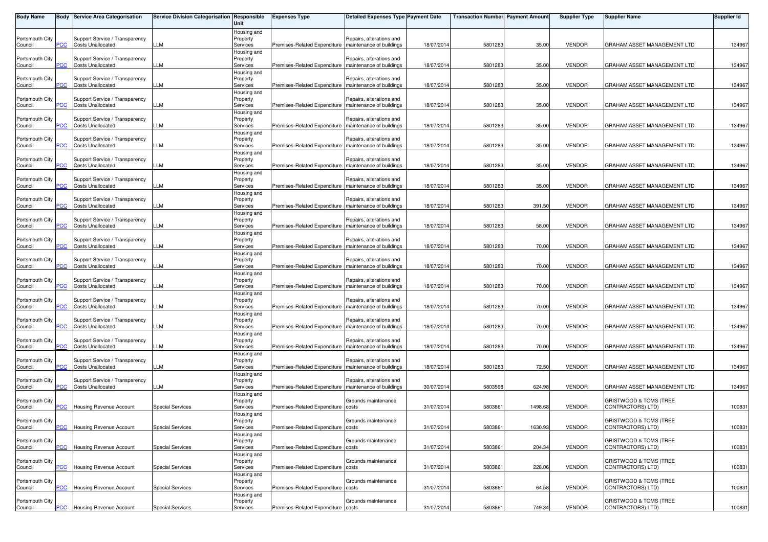| <b>Body Name</b>           |            | <b>Body Service Area Categorisation</b>                    | Service Division Categorisation Responsible | Unit                                | <b>Expenses Type</b>                                    | <b>Detailed Expenses Type Payment Date</b>           |            | <b>Transaction Number Payment Amount</b> |         | <b>Supplier Type</b> | <b>Supplier Name</b>                                    | <b>Supplier Id</b> |
|----------------------------|------------|------------------------------------------------------------|---------------------------------------------|-------------------------------------|---------------------------------------------------------|------------------------------------------------------|------------|------------------------------------------|---------|----------------------|---------------------------------------------------------|--------------------|
| Portsmouth City<br>Council | сC         | Support Service / Transparency<br><b>Costs Unallocated</b> | LM                                          | Housing and<br>Property<br>Services | Premises-Related Expenditure                            | Repairs, alterations and<br>maintenance of buildings | 18/07/201  | 5801283                                  | 35.00   | <b>VENDOR</b>        | GRAHAM ASSET MANAGEMENT LTD                             | 134967             |
| Portsmouth City<br>Council | PCC        | Support Service / Transparency<br><b>Costs Unallocated</b> | LLM                                         | Housing and<br>Property<br>Services | Premises-Related Expenditure   maintenance of buildings | Repairs, alterations and                             | 18/07/201  | 5801283                                  | 35.00   | <b>VENDOR</b>        | GRAHAM ASSET MANAGEMENT LTD                             | 134967             |
| Portsmouth City<br>Council |            | Support Service / Transparency<br><b>Costs Unallocated</b> | LLM                                         | Housing and<br>Property<br>Services | Premises-Related Expenditure                            | Repairs, alterations and<br>maintenance of buildings | 18/07/2014 | 5801283                                  | 35.00   | <b>VENDOR</b>        | GRAHAM ASSET MANAGEMENT LTD                             | 134967             |
| Portsmouth City<br>Council | PСC        | Support Service / Transparency<br><b>Costs Unallocated</b> | LM                                          | Housing and<br>Property<br>Services | Premises-Related Expenditure   maintenance of buildings | Repairs, alterations and                             | 18/07/201  | 5801283                                  | 35.00   | <b>VENDOR</b>        | GRAHAM ASSET MANAGEMENT LTD                             | 134967             |
| Portsmouth City<br>Council | ۲CС        | Support Service / Transparency<br><b>Costs Unallocated</b> | LLM                                         | Housing and<br>Property<br>Services | Premises-Related Expenditure                            | Repairs, alterations and<br>maintenance of buildings | 18/07/201  | 5801283                                  | 35.00   | <b>VENDOR</b>        | GRAHAM ASSET MANAGEMENT LTD                             | 134967             |
| Portsmouth City<br>Council |            | Support Service / Transparency<br><b>Costs Unallocated</b> | LM.                                         | Housing and<br>Property<br>Services | Premises-Related Expenditure                            | Repairs, alterations and<br>maintenance of buildings | 18/07/2014 | 5801283                                  | 35.00   | <b>VENDOR</b>        | GRAHAM ASSET MANAGEMENT LTD                             | 134967             |
| Portsmouth City<br>Council |            | Support Service / Transparency<br><b>Costs Unallocated</b> | LM                                          | Housing and<br>Property<br>Services | Premises-Related Expenditure   maintenance of buildings | Repairs, alterations and                             | 18/07/2014 | 5801283                                  | 35.00   | <b>VENDOR</b>        | GRAHAM ASSET MANAGEMENT LTD                             | 134967             |
| Portsmouth City<br>Council | PCC        | Support Service / Transparency<br><b>Costs Unallocated</b> | LLM                                         | Housing and<br>Property<br>Services | Premises-Related Expenditure                            | Repairs, alterations and<br>maintenance of buildings | 18/07/201  | 5801283                                  | 35.00   | <b>VENDOR</b>        | GRAHAM ASSET MANAGEMENT LTD                             | 134967             |
| Portsmouth City<br>Council | сc         | Support Service / Transparency<br><b>Costs Unallocated</b> | LM                                          | Housing and<br>Property<br>Services | Premises-Related Expenditure                            | Repairs, alterations and<br>maintenance of buildings | 18/07/201  | 5801283                                  | 391.50  | <b>VENDOR</b>        | GRAHAM ASSET MANAGEMENT LTD                             | 134967             |
| Portsmouth City<br>Council | PСC        | Support Service / Transparency<br><b>Costs Unallocated</b> | LLM                                         | Housing and<br>Property<br>Services | Premises-Related Expenditure   maintenance of buildings | Repairs, alterations and                             | 18/07/201  | 5801283                                  | 58.00   | <b>VENDOR</b>        | GRAHAM ASSET MANAGEMENT LTD                             | 134967             |
| Portsmouth City<br>Council | PСC        | Support Service / Transparency<br><b>Costs Unallocated</b> | LLM                                         | Housing and<br>Property<br>Services | Premises-Related Expenditure                            | Repairs, alterations and<br>maintenance of buildings | 18/07/201  | 5801283                                  | 70.00   | <b>VENDOR</b>        | GRAHAM ASSET MANAGEMENT LTD                             | 134967             |
| Portsmouth City<br>Council | сC         | Support Service / Transparency<br><b>Costs Unallocated</b> | LM.                                         | Housing and<br>Property<br>Services | Premises-Related Expenditure                            | Repairs, alterations and<br>maintenance of buildings | 18/07/201  | 5801283                                  | 70.00   | <b>VENDOR</b>        | GRAHAM ASSET MANAGEMENT LTD                             | 134967             |
| Portsmouth City<br>Council | ۲CC        | Support Service / Transparency<br><b>Costs Unallocated</b> | LLM                                         | Housing and<br>Property<br>Services | Premises-Related Expenditure   maintenance of buildings | Repairs, alterations and                             | 18/07/201  | 5801283                                  | 70.00   | <b>VENDOR</b>        | GRAHAM ASSET MANAGEMENT LTD                             | 134967             |
| Portsmouth City<br>Council | <u>PCC</u> | Support Service / Transparency<br><b>Costs Unallocated</b> | LLM                                         | Housing and<br>Property<br>Services | Premises-Related Expenditure                            | Repairs, alterations and<br>maintenance of buildings | 18/07/201  | 5801283                                  | 70.00   | <b>VENDOR</b>        | GRAHAM ASSET MANAGEMENT LTD                             | 134967             |
| Portsmouth City<br>Council | PСC        | Support Service / Transparency<br><b>Costs Unallocated</b> | LM                                          | Housing and<br>Property<br>Services | Premises-Related Expenditure                            | Repairs, alterations and<br>maintenance of buildings | 18/07/201  | 5801283                                  | 70.00   | <b>VENDOR</b>        | GRAHAM ASSET MANAGEMENT LTD                             | 134967             |
| Portsmouth City<br>Council |            | Support Service / Transparency<br><b>Costs Unallocated</b> | LLM                                         | Housing and<br>Property<br>Services | Premises-Related Expenditure                            | Repairs, alterations and<br>maintenance of buildings | 18/07/201  | 5801283                                  | 70.00   | <b>VENDOR</b>        | GRAHAM ASSET MANAGEMENT LTD                             | 134967             |
| Portsmouth City<br>Council | сc         | Support Service / Transparency<br><b>Costs Unallocated</b> | LM                                          | Housing and<br>Property<br>Services | Premises-Related Expenditure   maintenance of buildings | Repairs, alterations and                             | 18/07/201  | 5801283                                  | 72.50   | <b>VENDOR</b>        | GRAHAM ASSET MANAGEMENT LTD                             | 134967             |
| Portsmouth City<br>Council | PСC        | Support Service / Transparency<br><b>Costs Unallocated</b> | LM.                                         | Housing and<br>Property<br>Services | Premises-Related Expenditure                            | Repairs, alterations and<br>maintenance of buildings | 30/07/201  | 5803598                                  | 624.98  | <b>VENDOR</b>        | GRAHAM ASSET MANAGEMENT LTD                             | 134967             |
| Portsmouth City<br>Council | сC         | <b>Housing Revenue Account</b>                             | <b>Special Services</b>                     | Housing and<br>Property<br>Services | Premises-Related Expenditure                            | Grounds maintenance<br>costs                         | 31/07/201  | 580386                                   | 1498.68 | <b>VENDOR</b>        | <b>GRISTWOOD &amp; TOMS (TREE)</b><br>CONTRACTORS) LTD) | 100831             |
| Portsmouth City<br>Council | PCC        | <b>Housing Revenue Account</b>                             | Special Services                            | Housing and<br>Property<br>Services | Premises-Related Expenditure costs                      | Grounds maintenance                                  | 31/07/2014 | 5803861                                  | 1630.93 | <b>VENDOR</b>        | GRISTWOOD & TOMS (TREE<br>CONTRACTORS) LTD)             | 100831             |
| Portsmouth City<br>Council | PCC        | Housing Revenue Account                                    | <b>Special Services</b>                     | Housing and<br>Property<br>Services | Premises-Related Expenditure                            | Grounds maintenance<br>costs                         | 31/07/201  | 580386                                   | 204.34  | <b>VENDOR</b>        | GRISTWOOD & TOMS (TREE<br>CONTRACTORS) LTD)             | 100831             |
| Portsmouth City<br>Council | ۲CC        | Housing Revenue Account                                    | <b>Special Services</b>                     | Housing and<br>Property<br>Services | Premises-Related Expenditure                            | Grounds maintenance<br>costs                         | 31/07/2014 | 5803861                                  | 228.06  | <b>VENDOR</b>        | GRISTWOOD & TOMS (TREE<br>CONTRACTORS) LTD)             | 100831             |
| Portsmouth City<br>Council | <b>PCC</b> | Housing Revenue Account                                    | <b>Special Services</b>                     | Housing and<br>Property<br>Services | Premises-Related Expenditure costs                      | Grounds maintenance                                  | 31/07/201  | 580386                                   | 64.58   | <b>VENDOR</b>        | GRISTWOOD & TOMS (TREE<br>CONTRACTORS) LTD)             | 100831             |
| Portsmouth City<br>Council | <b>PCC</b> | Housing Revenue Account                                    | <b>Special Services</b>                     | Housing and<br>Property<br>Services | Premises-Related Expenditure costs                      | Grounds maintenance                                  | 31/07/2014 | 5803861                                  | 749.34  | <b>VENDOR</b>        | GRISTWOOD & TOMS (TREE<br>CONTRACTORS) LTD)             | 100831             |
|                            |            |                                                            |                                             |                                     |                                                         |                                                      |            |                                          |         |                      |                                                         |                    |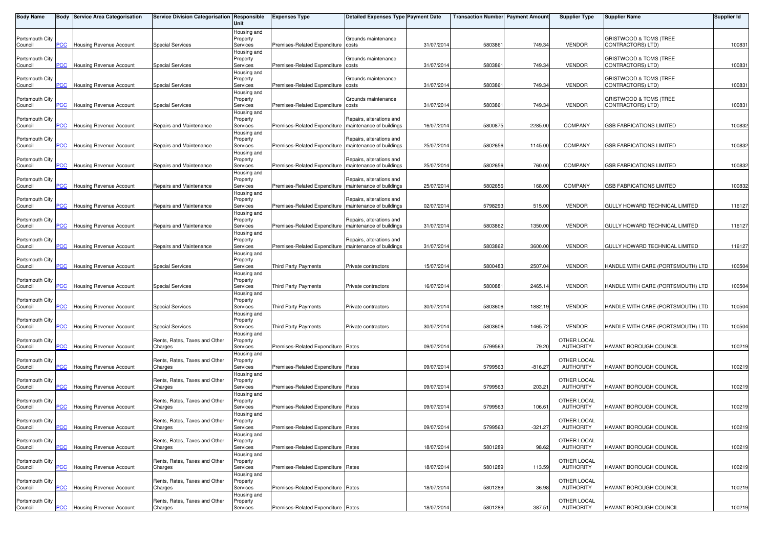| <b>Body Name</b>           |                | <b>Body Service Area Categorisation</b> | Service Division Categorisation Responsible | Unit                                | <b>Expenses Type</b>                                    | <b>Detailed Expenses Type Payment Date</b>           |            | <b>Transaction Number Payment Amount</b> |           | <b>Supplier Type</b>            | <b>Supplier Name</b>                        | <b>Supplier Id</b> |
|----------------------------|----------------|-----------------------------------------|---------------------------------------------|-------------------------------------|---------------------------------------------------------|------------------------------------------------------|------------|------------------------------------------|-----------|---------------------------------|---------------------------------------------|--------------------|
| Portsmouth City<br>Council | PСC            | Housing Revenue Account                 | <b>Special Services</b>                     | Housing and<br>Property<br>Services | Premises-Related Expenditure costs                      | Grounds maintenance                                  | 31/07/2014 | 5803861                                  | 749.34    | <b>VENDOR</b>                   | GRISTWOOD & TOMS (TREE<br>CONTRACTORS) LTD) | 100831             |
| Portsmouth City<br>Council | <b>PCC</b>     | <b>Housing Revenue Account</b>          | <b>Special Services</b>                     | Housing and<br>Property<br>Services | Premises-Related Expenditure costs                      | Grounds maintenance                                  | 31/07/201  | 580386                                   | 749.34    | <b>VENDOR</b>                   | GRISTWOOD & TOMS (TREE<br>CONTRACTORS) LTD) | 100831             |
| Portsmouth City<br>Council | ۲CC            | Housing Revenue Account                 | <b>Special Services</b>                     | Housing and<br>Property<br>Services | Premises-Related Expenditure costs                      | Grounds maintenance                                  | 31/07/2014 | 580386                                   | 749.34    | <b>VENDOR</b>                   | GRISTWOOD & TOMS (TREE<br>CONTRACTORS) LTD) | 100831             |
| Portsmouth City<br>Council | PСC            | <b>Housing Revenue Account</b>          | <b>Special Services</b>                     | Housing and<br>Property<br>Services | Premises-Related Expenditure costs                      | Grounds maintenance                                  | 31/07/201  | 580386                                   | 749.34    | <b>VENDOR</b>                   | GRISTWOOD & TOMS (TREE<br>CONTRACTORS) LTD) | 100831             |
| Portsmouth City<br>Council | <b>PCC</b>     | Housing Revenue Account                 | Repairs and Maintenance                     | Housing and<br>Property<br>Services | Premises-Related Expenditure                            | Repairs, alterations and<br>maintenance of buildings | 16/07/201  | 5800875                                  | 2285.00   | COMPANY                         | <b>GSB FABRICATIONS LIMITED</b>             | 100832             |
| Portsmouth City<br>Council | <b>CC</b>      | Housing Revenue Account                 | Repairs and Maintenance                     | Housing and<br>Property<br>Services | Premises-Related Expenditure                            | Repairs, alterations and<br>maintenance of buildings | 25/07/2014 | 5802656                                  | 1145.00   | <b>COMPANY</b>                  | <b>GSB FABRICATIONS LIMITED</b>             | 100832             |
| Portsmouth City            | PСC            | <b>Housing Revenue Account</b>          |                                             | Housing and<br>Property             | Premises-Related Expenditure                            | Repairs, alterations and<br>maintenance of buildings |            |                                          | 760.00    | <b>COMPANY</b>                  | <b>GSB FABRICATIONS LIMITED</b>             |                    |
| Council<br>Portsmouth City |                |                                         | Repairs and Maintenance                     | Services<br>Housing and<br>Property |                                                         | Repairs, alterations and                             | 25/07/2014 | 5802656                                  |           |                                 |                                             | 100832             |
| Council<br>Portsmouth City | <b>PCC</b>     | Housing Revenue Account                 | Repairs and Maintenance                     | Services<br>Housing and<br>Property | Premises-Related Expenditure   maintenance of buildings | Repairs, alterations and                             | 25/07/201  | 5802656                                  | 168.00    | <b>COMPANY</b>                  | <b>GSB FABRICATIONS LIMITED</b>             | 100832             |
| Council<br>Portsmouth City | сC             | Housing Revenue Account                 | Repairs and Maintenance                     | Services<br>Housing and<br>Property | Premises-Related Expenditure                            | maintenance of buildings<br>Repairs, alterations and | 02/07/2014 | 5798293                                  | 515.00    | <b>VENDOR</b>                   | GULLY HOWARD TECHNICAL LIMITED              | 116127             |
| Council<br>Portsmouth City | PСC            | Housing Revenue Account                 | Repairs and Maintenance                     | Services<br>Housing and<br>Property | Premises-Related Expenditure   maintenance of buildings | Repairs, alterations and                             | 31/07/201  | 580386                                   | 1350.00   | <b>VENDOR</b>                   | GULLY HOWARD TECHNICAL LIMITED              | 116127             |
| Council<br>Portsmouth City | PСC            | Housing Revenue Account                 | Repairs and Maintenance                     | Services<br>Housing and<br>Property | Premises-Related Expenditure                            | maintenance of buildings                             | 31/07/201  | 580386                                   | 3600.00   | <b>VENDOR</b>                   | GULLY HOWARD TECHNICAL LIMITED              | 116127             |
| Council<br>Portsmouth City | сC             | Housing Revenue Account                 | <b>Special Services</b>                     | Services<br>Housing and<br>Property | Third Party Payments                                    | Private contractors                                  | 15/07/2014 | 5800483                                  | 2507.04   | <b>VENDOR</b>                   | HANDLE WITH CARE (PORTSMOUTH) LTD           | 100504             |
| Council                    | PСC            | <b>Housing Revenue Account</b>          | <b>Special Services</b>                     | Services<br>Housing and             | <b>Third Party Payments</b>                             | Private contractors                                  | 16/07/2014 | 5800881                                  | 2465.14   | <b>VENDOR</b>                   | HANDLE WITH CARE (PORTSMOUTH) LTD           | 100504             |
| Portsmouth City<br>Council | $\overline{C}$ | Housing Revenue Account                 | <b>Special Services</b>                     | Property<br>Services<br>Housing and | <b>Third Party Payments</b>                             | Private contractors                                  | 30/07/2014 | 5803606                                  | 1882.19   | <b>VENDOR</b>                   | HANDLE WITH CARE (PORTSMOUTH) LTD           | 100504             |
| Portsmouth City<br>Council | PCC.           | <b>Housing Revenue Account</b>          | <b>Special Services</b>                     | Property<br>Services<br>Housing and | <b>Third Party Payments</b>                             | Private contractors                                  | 30/07/201  | 5803606                                  | 1465.72   | <b>VENDOR</b>                   | HANDLE WITH CARE (PORTSMOUTH) LTD           | 100504             |
| Portsmouth City<br>Council | PСC            | Housing Revenue Account                 | Rents, Rates, Taxes and Other<br>Charges    | Property<br>Services<br>Housing and | Premises-Related Expenditure Rates                      |                                                      | 09/07/2014 | 5799563                                  | 79.20     | OTHER LOCAL<br><b>AUTHORITY</b> | HAVANT BOROUGH COUNCIL                      | 100219             |
| Portsmouth City<br>Council | <b>PCC</b>     | Housing Revenue Account                 | Rents, Rates, Taxes and Other<br>Charges    | Property<br>Services<br>Housing and | Premises-Related Expenditure Rates                      |                                                      | 09/07/2014 | 5799563                                  | $-816.27$ | OTHER LOCAL<br><b>AUTHORITY</b> | HAVANT BOROUGH COUNCIL                      | 100219             |
| Portsmouth City<br>Council | PСC            | Housing Revenue Account                 | Rents, Rates, Taxes and Other<br>Charges    | Property<br>Services<br>Housing and | Premises-Related Expenditure Rates                      |                                                      | 09/07/201  | 5799563                                  | 203.21    | OTHER LOCAL<br><b>AUTHORITY</b> | HAVANT BOROUGH COUNCIL                      | 100219             |
| Portsmouth City<br>Council | PСC            | <b>Housing Revenue Account</b>          | Rents, Rates, Taxes and Other<br>Charges    | Property<br>Services                | Premises-Related Expenditure Rates                      |                                                      | 09/07/201  | 5799563                                  | 106.61    | OTHER LOCAL<br><b>AUTHORITY</b> | HAVANT BOROUGH COUNCIL                      | 100219             |
| Portsmouth City<br>Council | <b>PCC</b>     | <b>Housing Revenue Account</b>          | Rents, Rates, Taxes and Other<br>Charges    | Housing and<br>Property<br>Services | Premises-Related Expenditure Rates                      |                                                      | 09/07/2014 | 5799563                                  | $-321.27$ | OTHER LOCAL<br><b>AUTHORITY</b> | HAVANT BOROUGH COUNCIL                      | 100219             |
| Portsmouth City<br>Council | PCC            | Housing Revenue Account                 | Rents, Rates, Taxes and Other<br>Charges    | Housing and<br>Property<br>Services | Premises-Related Expenditure Rates                      |                                                      | 18/07/201  | 580128                                   | 98.62     | OTHER LOCAL<br><b>AUTHORITY</b> | HAVANT BOROUGH COUNCIL                      | 100219             |
| Portsmouth City<br>Council | PСC            | Housing Revenue Account                 | Rents, Rates, Taxes and Other<br>Charges    | Housing and<br>Property<br>Services | Premises-Related Expenditure Rates                      |                                                      | 18/07/2014 | 5801289                                  | 113.59    | OTHER LOCAL<br><b>AUTHORITY</b> | HAVANT BOROUGH COUNCIL                      | 100219             |
| Portsmouth City<br>Council | PCC            | Housing Revenue Account                 | Rents, Rates, Taxes and Other<br>Charges    | Housing and<br>Property<br>Services | Premises-Related Expenditure Rates                      |                                                      | 18/07/2014 | 5801289                                  | 36.98     | OTHER LOCAL<br><b>AUTHORITY</b> | <b>HAVANT BOROUGH COUNCIL</b>               | 100219             |
| Portsmouth City<br>Council | <b>PCC</b>     | <b>Housing Revenue Account</b>          | Rents, Rates, Taxes and Other<br>Charges    | Housing and<br>Property<br>Services | Premises-Related Expenditure Rates                      |                                                      | 18/07/2014 | 5801289                                  | 387.51    | OTHER LOCAL<br>AUTHORITY        | HAVANT BOROUGH COUNCIL                      | 100219             |
|                            |                |                                         |                                             |                                     |                                                         |                                                      |            |                                          |           |                                 |                                             |                    |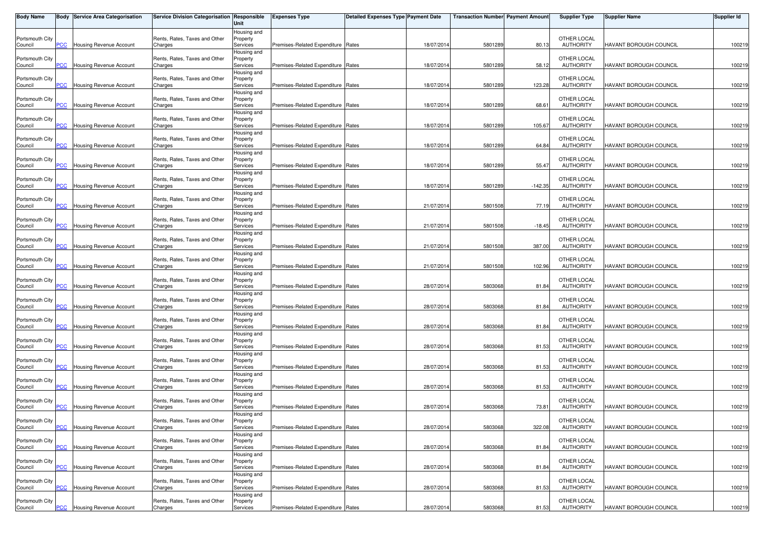| <b>Body Name</b>           |                | Body Service Area Categorisation   | Service Division Categorisation Responsible | Unit                    | <b>Expenses Type</b>               | <b>Detailed Expenses Type Payment Date</b> |            | <b>Transaction Number Payment Amount</b> |           | <b>Supplier Type</b>            | <b>Supplier Name</b>          | <b>Supplier Id</b> |
|----------------------------|----------------|------------------------------------|---------------------------------------------|-------------------------|------------------------------------|--------------------------------------------|------------|------------------------------------------|-----------|---------------------------------|-------------------------------|--------------------|
|                            |                |                                    |                                             | Housing and             |                                    |                                            |            |                                          |           |                                 |                               |                    |
| Portsmouth City<br>Council | PCC            | Housing Revenue Account            | Rents, Rates, Taxes and Other<br>Charges    | Property<br>Services    | Premises-Related Expenditure Rates |                                            | 18/07/2014 | 5801289                                  | 80.13     | OTHER LOCAL<br><b>AUTHORITY</b> | <b>HAVANT BOROUGH COUNCIL</b> | 100219             |
|                            |                |                                    |                                             | Housing and             |                                    |                                            |            |                                          |           |                                 |                               |                    |
| Portsmouth City            |                |                                    | Rents, Rates, Taxes and Other               | Property                |                                    |                                            |            |                                          |           | OTHER LOCAL                     |                               |                    |
| Council                    | PCC            | Housing Revenue Account            | Charges                                     | Services                | Premises-Related Expenditure Rates |                                            | 18/07/2014 | 5801289                                  | 58.12     | <b>AUTHORITY</b>                | HAVANT BOROUGH COUNCIL        | 100219             |
| Portsmouth City            |                |                                    | Rents, Rates, Taxes and Other               | Housing and<br>Property |                                    |                                            |            |                                          |           | OTHER LOCAL                     |                               |                    |
| Council                    | <b>PCC</b>     | Housing Revenue Account            | Charges                                     | Services                | Premises-Related Expenditure Rates |                                            | 18/07/2014 | 5801289                                  | 123.28    | <b>AUTHORITY</b>                | HAVANT BOROUGH COUNCIL        | 100219             |
|                            |                |                                    |                                             | Housing and             |                                    |                                            |            |                                          |           |                                 |                               |                    |
| Portsmouth City            |                |                                    | Rents, Rates, Taxes and Other               | Property                |                                    |                                            |            |                                          |           | OTHER LOCAL                     |                               |                    |
| Council                    | PCC            | Housing Revenue Account            | Charges                                     | Services                | Premises-Related Expenditure Rates |                                            | 18/07/2014 | 5801289                                  | 68.61     | <b>AUTHORITY</b>                | HAVANT BOROUGH COUNCIL        | 100219             |
| Portsmouth City            |                |                                    | Rents, Rates, Taxes and Other               | Housing and<br>Property |                                    |                                            |            |                                          |           | OTHER LOCAL                     |                               |                    |
| Council                    | PCC            | Housing Revenue Account            | Charges                                     | Services                | Premises-Related Expenditure Rates |                                            | 18/07/2014 | 5801289                                  | 105.67    | <b>AUTHORITY</b>                | HAVANT BOROUGH COUNCIL        | 100219             |
|                            |                |                                    |                                             | Housing and             |                                    |                                            |            |                                          |           |                                 |                               |                    |
| Portsmouth City            |                | <b>Housing Revenue Account</b>     | Rents, Rates, Taxes and Other               | Property                | Premises-Related Expenditure Rates |                                            |            |                                          | 64.84     | OTHER LOCAL                     | <b>HAVANT BOROUGH COUNCIL</b> |                    |
| Council                    | $\overline{C}$ |                                    | Charges                                     | Services<br>Housing and |                                    |                                            | 18/07/2014 | 5801289                                  |           | <b>AUTHORITY</b>                |                               | 100219             |
| Portsmouth City            |                |                                    | Rents, Rates, Taxes and Other               | Property                |                                    |                                            |            |                                          |           | OTHER LOCAL                     |                               |                    |
| Council                    | PCC            | Housing Revenue Account            | Charges                                     | Services                | Premises-Related Expenditure Rates |                                            | 18/07/2014 | 5801289                                  | 55.47     | <b>AUTHORITY</b>                | HAVANT BOROUGH COUNCIL        | 100219             |
|                            |                |                                    |                                             | Housing and             |                                    |                                            |            |                                          |           |                                 |                               |                    |
| Portsmouth City            | <b>PCC</b>     |                                    | Rents, Rates, Taxes and Other               | Property                | Premises-Related Expenditure Rates |                                            | 18/07/2014 |                                          | $-142.35$ | OTHER LOCAL<br><b>AUTHORITY</b> | HAVANT BOROUGH COUNCIL        |                    |
| Council                    |                | <b>Housing Revenue Account</b>     | Charges                                     | Services<br>Housing and |                                    |                                            |            | 5801289                                  |           |                                 |                               | 100219             |
| Portsmouth City            |                |                                    | Rents, Rates, Taxes and Other               | Property                |                                    |                                            |            |                                          |           | OTHER LOCAL                     |                               |                    |
| Council                    | PСC            | <b>Housing Revenue Account</b>     | Charges                                     | Services                | Premises-Related Expenditure Rates |                                            | 21/07/2014 | 5801508                                  | 77.19     | <b>AUTHORITY</b>                | <b>HAVANT BOROUGH COUNCIL</b> | 100219             |
|                            |                |                                    |                                             | Housing and             |                                    |                                            |            |                                          |           |                                 |                               |                    |
| Portsmouth City<br>Council | PCC            | Housing Revenue Account            | Rents, Rates, Taxes and Other<br>Charges    | Property<br>Services    | Premises-Related Expenditure Rates |                                            | 21/07/2014 | 5801508                                  | $-18.45$  | OTHER LOCAL<br><b>AUTHORITY</b> | HAVANT BOROUGH COUNCIL        | 100219             |
|                            |                |                                    |                                             | Housing and             |                                    |                                            |            |                                          |           |                                 |                               |                    |
| Portsmouth City            |                |                                    | Rents, Rates, Taxes and Other               | Property                |                                    |                                            |            |                                          |           | OTHER LOCAL                     |                               |                    |
| Council                    | PCC            | <b>Housing Revenue Account</b>     | Charges                                     | Services                | Premises-Related Expenditure Rates |                                            | 21/07/2014 | 5801508                                  | 387.00    | <b>AUTHORITY</b>                | HAVANT BOROUGH COUNCIL        | 100219             |
|                            |                |                                    |                                             | Housing and             |                                    |                                            |            |                                          |           |                                 |                               |                    |
| Portsmouth City<br>Council | сC             | <b>Housing Revenue Account</b>     | Rents, Rates, Taxes and Other<br>Charges    | Property<br>Services    | Premises-Related Expenditure Rates |                                            | 21/07/2014 | 5801508                                  | 102.96    | OTHER LOCAL<br><b>AUTHORITY</b> | HAVANT BOROUGH COUNCIL        | 100219             |
|                            |                |                                    |                                             | Housing and             |                                    |                                            |            |                                          |           |                                 |                               |                    |
| Portsmouth City            |                |                                    | Rents, Rates, Taxes and Other               | Property                |                                    |                                            |            |                                          |           | OTHER LOCAL                     |                               |                    |
| Council                    | PCC            | Housing Revenue Account            | Charges                                     | Services                | Premises-Related Expenditure Rates |                                            | 28/07/2014 | 5803068                                  | 81.84     | <b>AUTHORITY</b>                | HAVANT BOROUGH COUNCIL        | 100219             |
|                            |                |                                    |                                             | Housing and             |                                    |                                            |            |                                          |           |                                 |                               |                    |
| Portsmouth City<br>Council | PCC            | Housing Revenue Account            | Rents, Rates, Taxes and Other<br>Charges    | Property<br>Services    | Premises-Related Expenditure Rates |                                            | 28/07/2014 | 5803068                                  | 81.84     | OTHER LOCAL<br><b>AUTHORITY</b> | HAVANT BOROUGH COUNCIL        | 100219             |
|                            |                |                                    |                                             | Housing and             |                                    |                                            |            |                                          |           |                                 |                               |                    |
| Portsmouth City            |                |                                    | Rents, Rates, Taxes and Other               | Property                |                                    |                                            |            |                                          |           | OTHER LOCAL                     |                               |                    |
| Council                    | <b>PCC</b>     | Housing Revenue Account            | Charges                                     | Services                | Premises-Related Expenditure Rates |                                            | 28/07/2014 | 5803068                                  | 81.84     | <b>AUTHORITY</b>                | HAVANT BOROUGH COUNCIL        | 100219             |
|                            |                |                                    |                                             | Housing and             |                                    |                                            |            |                                          |           |                                 |                               |                    |
| Portsmouth City<br>Council | PCC            | Housing Revenue Account            | Rents, Rates, Taxes and Other<br>Charges    | Property<br>Services    | Premises-Related Expenditure Rates |                                            | 28/07/2014 | 5803068                                  | 81.53     | OTHER LOCAL<br><b>AUTHORITY</b> | <b>HAVANT BOROUGH COUNCIL</b> | 100219             |
|                            |                |                                    |                                             | Housing and             |                                    |                                            |            |                                          |           |                                 |                               |                    |
| Portsmouth City            |                |                                    | Rents, Rates, Taxes and Other               | Property                |                                    |                                            |            |                                          |           | OTHER LOCAL                     |                               |                    |
| Council                    | PCC            | Housing Revenue Account            | Charges                                     | Services                | Premises-Related Expenditure Rates |                                            | 28/07/2014 | 5803068                                  | 81.53     | <b>AUTHORITY</b>                | HAVANT BOROUGH COUNCIL        | 100219             |
| Portsmouth City            |                |                                    |                                             | Housing and             |                                    |                                            |            |                                          |           | OTHER LOCAL                     |                               |                    |
| Council                    | <b>PCC</b>     | <b>Housing Revenue Account</b>     | Rents, Rates, Taxes and Other<br>Charges    | Property<br>Services    | Premises-Related Expenditure Rates |                                            | 28/07/2014 | 5803068                                  | 81.53     | <b>AUTHORITY</b>                | HAVANT BOROUGH COUNCIL        | 100219             |
|                            |                |                                    |                                             | Housing and             |                                    |                                            |            |                                          |           |                                 |                               |                    |
| Portsmouth City            |                |                                    | Rents, Rates, Taxes and Other               | Property                |                                    |                                            |            |                                          |           | OTHER LOCAL                     |                               |                    |
| Council                    | PCC            | Housing Revenue Account            | Charges                                     | Services                | Premises-Related Expenditure Rates |                                            | 28/07/2014 | 5803068                                  | 73.81     | <b>AUTHORITY</b>                | HAVANT BOROUGH COUNCIL        | 100219             |
| Portsmouth City            |                |                                    | Rents, Rates, Taxes and Other               | Housing and<br>Property |                                    |                                            |            |                                          |           | OTHER LOCAL                     |                               |                    |
| Council                    |                | <b>PCC</b> Housing Revenue Account | Charges                                     | Services                | Premises-Related Expenditure Rates |                                            | 28/07/2014 | 5803068                                  | 322.08    | <b>AUTHORITY</b>                | HAVANT BOROUGH COUNCIL        | 100219             |
|                            |                |                                    |                                             | Housing and             |                                    |                                            |            |                                          |           |                                 |                               |                    |
| Portsmouth City            |                |                                    | Rents, Rates, Taxes and Other               | Property                |                                    |                                            |            |                                          |           | OTHER LOCAL                     |                               |                    |
| Council                    | PCC            | Housing Revenue Account            | Charges                                     | Services                | Premises-Related Expenditure Rates |                                            | 28/07/2014 | 580306                                   | 81.84     | <b>AUTHORITY</b>                | HAVANT BOROUGH COUNCIL        | 100219             |
| Portsmouth City            |                |                                    | Rents, Rates, Taxes and Other               | Housing and<br>Property |                                    |                                            |            |                                          |           | OTHER LOCAL                     |                               |                    |
| Council                    | PCC            | Housing Revenue Account            | Charges                                     | Services                | Premises-Related Expenditure Rates |                                            | 28/07/2014 | 5803068                                  | 81.84     | <b>AUTHORITY</b>                | HAVANT BOROUGH COUNCIL        | 100219             |
|                            |                |                                    |                                             | Housing and             |                                    |                                            |            |                                          |           |                                 |                               |                    |
| Portsmouth City            |                |                                    | Rents, Rates, Taxes and Other               | Property                |                                    |                                            |            |                                          |           | OTHER LOCAL                     |                               |                    |
| Council                    | PCC            | Housing Revenue Account            | Charges                                     | Services                | Premises-Related Expenditure Rates |                                            | 28/07/2014 | 5803068                                  | 81.53     | <b>AUTHORITY</b>                | <b>HAVANT BOROUGH COUNCIL</b> | 100219             |
| Portsmouth City            |                |                                    | Rents, Rates, Taxes and Other               | Housing and<br>Property |                                    |                                            |            |                                          |           | OTHER LOCAL                     |                               |                    |
| Council                    |                | <b>PCC</b> Housing Revenue Account | Charges                                     | Services                | Premises-Related Expenditure Rates |                                            | 28/07/2014 | 5803068                                  | 81.53     | AUTHORITY                       | HAVANT BOROUGH COUNCIL        | 100219             |
|                            |                |                                    |                                             |                         |                                    |                                            |            |                                          |           |                                 |                               |                    |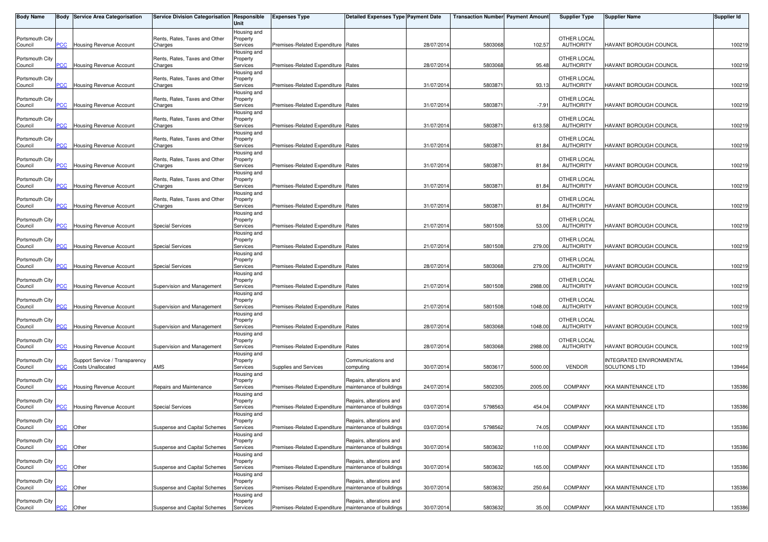| <b>Body Name</b>           |                | <b>Body Service Area Categorisation</b>                    | Service Division Categorisation Responsible | Unit                    | <b>Expenses Type</b>                                    | <b>Detailed Expenses Type Payment Date</b> |            | <b>Transaction Number Payment Amount</b> |         | <b>Supplier Type</b>            | <b>Supplier Name</b>                      | <b>Supplier Id</b> |
|----------------------------|----------------|------------------------------------------------------------|---------------------------------------------|-------------------------|---------------------------------------------------------|--------------------------------------------|------------|------------------------------------------|---------|---------------------------------|-------------------------------------------|--------------------|
|                            |                |                                                            |                                             | Housing and             |                                                         |                                            |            |                                          |         |                                 |                                           |                    |
| Portsmouth City<br>Council | PCC            | Housing Revenue Account                                    | Rents, Rates, Taxes and Other<br>Charges    | Property<br>Services    | Premises-Related Expenditure Rates                      |                                            | 28/07/2014 | 5803068                                  | 102.57  | OTHER LOCAL<br><b>AUTHORITY</b> | <b>HAVANT BOROUGH COUNCIL</b>             | 100219             |
|                            |                |                                                            |                                             | Housing and             |                                                         |                                            |            |                                          |         |                                 |                                           |                    |
| Portsmouth City            |                |                                                            | Rents, Rates, Taxes and Other               | Property                |                                                         |                                            |            |                                          |         | OTHER LOCAL                     |                                           |                    |
| Council                    | PCC            | Housing Revenue Account                                    | Charges                                     | Services<br>Housing and | Premises-Related Expenditure Rates                      |                                            | 28/07/2014 | 5803068                                  | 95.48   | <b>AUTHORITY</b>                | HAVANT BOROUGH COUNCIL                    | 100219             |
| Portsmouth City            |                |                                                            | Rents, Rates, Taxes and Other               | Property                |                                                         |                                            |            |                                          |         | OTHER LOCAL                     |                                           |                    |
| Council                    | <b>PCC</b>     | Housing Revenue Account                                    | Charges                                     | Services                | Premises-Related Expenditure Rates                      |                                            | 31/07/2014 | 580387                                   | 93.13   | <b>AUTHORITY</b>                | HAVANT BOROUGH COUNCIL                    | 100219             |
| Portsmouth City            |                |                                                            | Rents, Rates, Taxes and Other               | Housing and<br>Property |                                                         |                                            |            |                                          |         | OTHER LOCAL                     |                                           |                    |
| Council                    | PCC            | Housing Revenue Account                                    | Charges                                     | Services                | Premises-Related Expenditure Rates                      |                                            | 31/07/2014 | 580387                                   | $-7.91$ | <b>AUTHORITY</b>                | HAVANT BOROUGH COUNCIL                    | 100219             |
|                            |                |                                                            |                                             | Housing and             |                                                         |                                            |            |                                          |         |                                 |                                           |                    |
| Portsmouth City            | PCC            | Housing Revenue Account                                    | Rents, Rates, Taxes and Other               | Property                | Premises-Related Expenditure Rates                      |                                            |            |                                          |         | OTHER LOCAL                     |                                           |                    |
| Council                    |                |                                                            | Charges                                     | Services<br>Housing and |                                                         |                                            | 31/07/2014 | 580387                                   | 613.58  | <b>AUTHORITY</b>                | HAVANT BOROUGH COUNCIL                    | 100219             |
| Portsmouth City            |                |                                                            | Rents, Rates, Taxes and Other               | Property                |                                                         |                                            |            |                                          |         | OTHER LOCAL                     |                                           |                    |
| Council                    | $\overline{C}$ | Housing Revenue Account                                    | Charges                                     | Services                | Premises-Related Expenditure Rates                      |                                            | 31/07/2014 | 580387                                   | 81.84   | <b>AUTHORITY</b>                | HAVANT BOROUGH COUNCIL                    | 100219             |
| Portsmouth City            |                |                                                            | Rents, Rates, Taxes and Other               | Housing and<br>Property |                                                         |                                            |            |                                          |         | OTHER LOCAL                     |                                           |                    |
| Council                    | PCC            | Housing Revenue Account                                    | Charges                                     | Services                | Premises-Related Expenditure Rates                      |                                            | 31/07/2014 | 580387                                   | 81.84   | <b>AUTHORITY</b>                | HAVANT BOROUGH COUNCIL                    | 100219             |
|                            |                |                                                            |                                             | Housing and             |                                                         |                                            |            |                                          |         |                                 |                                           |                    |
| Portsmouth City<br>Council | <b>PCC</b>     | <b>Housing Revenue Account</b>                             | Rents, Rates, Taxes and Other<br>Charges    | Property<br>Services    | Premises-Related Expenditure Rates                      |                                            | 31/07/2014 | 580387                                   | 81.84   | OTHER LOCAL<br><b>AUTHORITY</b> | HAVANT BOROUGH COUNCIL                    | 100219             |
|                            |                |                                                            |                                             | Housing and             |                                                         |                                            |            |                                          |         |                                 |                                           |                    |
| Portsmouth City            |                |                                                            | Rents, Rates, Taxes and Other               | Property                |                                                         |                                            |            |                                          |         | OTHER LOCAL                     |                                           |                    |
| Council                    | PСC            | Housing Revenue Account                                    | Charges                                     | Services                | Premises-Related Expenditure Rates                      |                                            | 31/07/2014 | 580387                                   | 81.84   | <b>AUTHORITY</b>                | <b>HAVANT BOROUGH COUNCIL</b>             | 100219             |
| Portsmouth City            |                |                                                            |                                             | Housing and<br>Property |                                                         |                                            |            |                                          |         | OTHER LOCAL                     |                                           |                    |
| Council                    | PCC            | Housing Revenue Account                                    | Special Services                            | Services                | Premises-Related Expenditure Rates                      |                                            | 21/07/2014 | 5801508                                  | 53.00   | <b>AUTHORITY</b>                | HAVANT BOROUGH COUNCIL                    | 100219             |
|                            |                |                                                            |                                             | Housing and             |                                                         |                                            |            |                                          |         |                                 |                                           |                    |
| Portsmouth City<br>Council | PCC            | <b>Housing Revenue Account</b>                             | <b>Special Services</b>                     | Property<br>Services    | Premises-Related Expenditure Rates                      |                                            | 21/07/2014 | 5801508                                  | 279.00  | OTHER LOCAL<br><b>AUTHORITY</b> | HAVANT BOROUGH COUNCIL                    | 100219             |
|                            |                |                                                            |                                             | Housing and             |                                                         |                                            |            |                                          |         |                                 |                                           |                    |
| Portsmouth City            |                |                                                            |                                             | Property                |                                                         |                                            |            |                                          |         | OTHER LOCAL                     |                                           |                    |
| Council                    | сC             | <b>Housing Revenue Account</b>                             | <b>Special Services</b>                     | Services                | Premises-Related Expenditure Rates                      |                                            | 28/07/2014 | 5803068                                  | 279.00  | <b>AUTHORITY</b>                | HAVANT BOROUGH COUNCIL                    | 100219             |
| Portsmouth City            |                |                                                            |                                             | Housing and<br>Property |                                                         |                                            |            |                                          |         | OTHER LOCAL                     |                                           |                    |
| Council                    | PCC            | <b>Housing Revenue Account</b>                             | Supervision and Management                  | Services                | Premises-Related Expenditure Rates                      |                                            | 21/07/2014 | 5801508                                  | 2988.00 | <b>AUTHORITY</b>                | HAVANT BOROUGH COUNCIL                    | 100219             |
|                            |                |                                                            |                                             | Housing and             |                                                         |                                            |            |                                          |         |                                 |                                           |                    |
| Portsmouth City<br>Council | PCC            | <b>Housing Revenue Account</b>                             | Supervision and Management                  | Property<br>Services    | Premises-Related Expenditure Rates                      |                                            | 21/07/2014 | 5801508                                  | 1048.00 | OTHER LOCAL<br><b>AUTHORITY</b> | HAVANT BOROUGH COUNCIL                    | 100219             |
|                            |                |                                                            |                                             | Housing and             |                                                         |                                            |            |                                          |         |                                 |                                           |                    |
| Portsmouth City            |                |                                                            |                                             | Property                |                                                         |                                            |            |                                          |         | OTHER LOCAL                     |                                           |                    |
| Council                    | <b>PCC</b>     | Housing Revenue Account                                    | Supervision and Management                  | Services                | Premises-Related Expenditure Rates                      |                                            | 28/07/2014 | 5803068                                  | 1048.00 | <b>AUTHORITY</b>                | HAVANT BOROUGH COUNCIL                    | 100219             |
| Portsmouth City            |                |                                                            |                                             | Housing and<br>Property |                                                         |                                            |            |                                          |         | OTHER LOCAL                     |                                           |                    |
| Council                    | PCC            | Housing Revenue Account                                    | Supervision and Management                  | Services                | Premises-Related Expenditure Rates                      |                                            | 28/07/2014 | 5803068                                  | 2988.00 | <b>AUTHORITY</b>                | HAVANT BOROUGH COUNCIL                    | 100219             |
|                            |                |                                                            |                                             | Housing and             |                                                         |                                            |            |                                          |         |                                 |                                           |                    |
| Portsmouth City<br>Council | PCC            | Support Service / Transparency<br><b>Costs Unallocated</b> | AMS                                         | Property<br>Services    | Supplies and Services                                   | Communications and<br>computing            | 30/07/2014 | 580361                                   | 5000.00 | <b>VENDOR</b>                   | INTEGRATED ENVIRONMENTAL<br>SOLUTIONS LTD | 139464             |
|                            |                |                                                            |                                             | Housing and             |                                                         |                                            |            |                                          |         |                                 |                                           |                    |
| Portsmouth City            |                |                                                            |                                             | Property                |                                                         | Repairs, alterations and                   |            |                                          |         |                                 |                                           |                    |
| Council                    | <b>PCC</b>     | Housing Revenue Account                                    | Repairs and Maintenance                     | Services<br>Housing and | Premises-Related Expenditure                            | maintenance of buildings                   | 24/07/2014 | 580230                                   | 2005.00 | COMPANY                         | KKA MAINTENANCE LTD                       | 135386             |
| Portsmouth City            |                |                                                            |                                             | Property                |                                                         | Repairs, alterations and                   |            |                                          |         |                                 |                                           |                    |
| Council                    | PCC            | Housing Revenue Account                                    | <b>Special Services</b>                     | Services                | Premises-Related Expenditure                            | maintenance of buildings                   | 03/07/2014 | 5798563                                  | 454.04  | <b>COMPANY</b>                  | KKA MAINTENANCE LTD                       | 135386             |
| Portsmouth City            |                |                                                            |                                             | Housing and<br>Property |                                                         | Repairs, alterations and                   |            |                                          |         |                                 |                                           |                    |
| Council                    | PCC Other      |                                                            | Suspense and Capital Schemes                | Services                | Premises-Related Expenditure   maintenance of buildings |                                            | 03/07/2014 | 5798562                                  | 74.05   | COMPANY                         | <b>KKA MAINTENANCE LTD</b>                | 135386             |
|                            |                |                                                            |                                             | Housing and             |                                                         |                                            |            |                                          |         |                                 |                                           |                    |
| Portsmouth City            |                |                                                            |                                             | Property                |                                                         | Repairs, alterations and                   |            |                                          |         |                                 |                                           |                    |
| Council                    | PCC            | Other                                                      | Suspense and Capital Schemes                | Services<br>Housing and | Premises-Related Expenditure                            | maintenance of buildings                   | 30/07/2014 | 580363                                   | 110.00  | COMPANY                         | KKA MAINTENANCE LTD                       | 135386             |
| Portsmouth City            |                |                                                            |                                             | Property                |                                                         | Repairs, alterations and                   |            |                                          |         |                                 |                                           |                    |
| Council                    | PCC            | Other                                                      | Suspense and Capital Schemes                | Services                | Premises-Related Expenditure                            | maintenance of buildings                   | 30/07/2014 | 5803632                                  | 165.00  | <b>COMPANY</b>                  | KKA MAINTENANCE LTD                       | 135386             |
| Portsmouth City            |                |                                                            |                                             | Housing and<br>Property |                                                         | Repairs, alterations and                   |            |                                          |         |                                 |                                           |                    |
| Council                    | PCC            | Other                                                      | Suspense and Capital Schemes                | Services                | Premises-Related Expenditure   maintenance of buildings |                                            | 30/07/2014 | 580363                                   | 250.64  | COMPANY                         | KKA MAINTENANCE LTD                       | 135386             |
|                            |                |                                                            |                                             | Housing and             |                                                         |                                            |            |                                          |         |                                 |                                           |                    |
| Portsmouth City            |                |                                                            | Suspense and Capital Schemes                | Property                |                                                         | Repairs, alterations and                   |            |                                          |         |                                 |                                           |                    |
| Council                    | <b>PCC</b>     | Other                                                      |                                             | Services                | Premises-Related Expenditure   maintenance of buildings |                                            | 30/07/2014 | 5803632                                  | 35.00   | COMPANY                         | <b>KKA MAINTENANCE LTD</b>                | 135386             |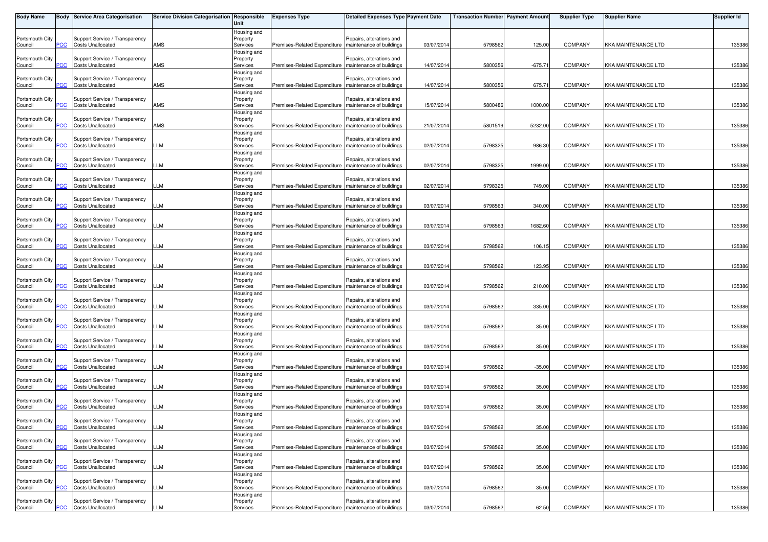| <b>Body Name</b>           |            | <b>Body Service Area Categorisation</b>                    | Service Division Categorisation Responsible | Unit                                | <b>Expenses Type</b>                                    | <b>Detailed Expenses Type Payment Date</b>           |            | <b>Transaction Number</b> Payment Amount |           | <b>Supplier Type</b> | Supplier Name              | <b>Supplier Id</b> |
|----------------------------|------------|------------------------------------------------------------|---------------------------------------------|-------------------------------------|---------------------------------------------------------|------------------------------------------------------|------------|------------------------------------------|-----------|----------------------|----------------------------|--------------------|
| Portsmouth City<br>Council | PСC        | Support Service / Transparency<br><b>Costs Unallocated</b> | AMS                                         | Housing and<br>Property<br>Services | Premises-Related Expenditure   maintenance of buildings | Repairs, alterations and                             | 03/07/2014 | 5798562                                  | 125.00    | <b>COMPANY</b>       | <b>KKA MAINTENANCE LTD</b> | 135386             |
| Portsmouth City<br>Council | PСC        | Support Service / Transparency<br><b>Costs Unallocated</b> | AMS                                         | Housing and<br>Property<br>Services | Premises-Related Expenditure                            | Repairs, alterations and<br>maintenance of buildings | 14/07/2014 | 5800356                                  | $-675.71$ | <b>COMPANY</b>       | <b>KKA MAINTENANCE LTD</b> | 135386             |
| Portsmouth City<br>Council | сC         | Support Service / Transparency<br><b>Costs Unallocated</b> | AMS                                         | Housing and<br>Property<br>Services | Premises-Related Expenditure                            | Repairs, alterations and<br>maintenance of buildings | 14/07/2014 | 5800356                                  | 675.71    | <b>COMPANY</b>       | <b>KKA MAINTENANCE LTD</b> | 135386             |
| Portsmouth City<br>Council | PСC        | Support Service / Transparency<br><b>Costs Unallocated</b> | AMS                                         | Housing and<br>Property<br>Services | Premises-Related Expenditure   maintenance of buildings | Repairs, alterations and                             | 15/07/2014 | 5800486                                  | 1000.00   | <b>COMPANY</b>       | KKA MAINTENANCE LTD        | 135386             |
| Portsmouth City<br>Council | <b>PCC</b> | Support Service / Transparency<br><b>Costs Unallocated</b> | AMS                                         | Housing and<br>Property<br>Services | Premises-Related Expenditure                            | Repairs, alterations and<br>maintenance of buildings | 21/07/2014 | 5801519                                  | 5232.00   | <b>COMPANY</b>       | <b>KKA MAINTENANCE LTD</b> | 135386             |
| Portsmouth City<br>Council | сC         | Support Service / Transparency<br><b>Costs Unallocated</b> | LM.                                         | Housing and<br>Property<br>Services | Premises-Related Expenditure                            | Repairs, alterations and<br>maintenance of buildings | 02/07/2014 | 5798325                                  | 986.30    | <b>COMPANY</b>       | <b>KKA MAINTENANCE LTD</b> | 135386             |
| Portsmouth City<br>Council | PСC        | Support Service / Transparency<br><b>Costs Unallocated</b> | LLM                                         | Housing and<br>Property<br>Services | Premises-Related Expenditure   maintenance of buildings | Repairs, alterations and                             | 02/07/2014 | 5798325                                  | 1999.00   | <b>COMPANY</b>       | <b>KKA MAINTENANCE LTD</b> | 135386             |
| Portsmouth City<br>Council | <u>PCC</u> | Support Service / Transparency<br><b>Costs Unallocated</b> | LLM                                         | Housing and<br>Property<br>Services | Premises-Related Expenditure                            | Repairs, alterations and<br>maintenance of buildings | 02/07/2014 | 5798325                                  | 749.00    | <b>COMPANY</b>       | <b>KKA MAINTENANCE LTD</b> | 135386             |
| Portsmouth City            |            | Support Service / Transparency<br><b>Costs Unallocated</b> |                                             | Housing and<br>Property             |                                                         | Repairs, alterations and                             |            |                                          |           |                      |                            |                    |
| Council<br>Portsmouth City | сC         | Support Service / Transparency                             | LM                                          | Services<br>Housing and<br>Property | Premises-Related Expenditure                            | maintenance of buildings<br>Repairs, alterations and | 03/07/2014 | 5798563                                  | 340.00    | <b>COMPANY</b>       | <b>KKA MAINTENANCE LTD</b> | 135386             |
| Council<br>Portsmouth City | PСC        | <b>Costs Unallocated</b><br>Support Service / Transparency | LLM                                         | Services<br>Housing and<br>Property | Premises-Related Expenditure   maintenance of buildings | Repairs, alterations and                             | 03/07/2014 | 5798563                                  | 1682.60   | <b>COMPANY</b>       | <b>KKA MAINTENANCE LTD</b> | 135386             |
| Council<br>Portsmouth City | PСC        | <b>Costs Unallocated</b><br>Support Service / Transparency | LLM                                         | Services<br>Housing and<br>Property | Premises-Related Expenditure                            | maintenance of buildings<br>Repairs, alterations and | 03/07/2014 | 5798562                                  | 106.15    | <b>COMPANY</b>       | <b>KKA MAINTENANCE LTD</b> | 135386             |
| Council<br>Portsmouth City | сC         | <b>Costs Unallocated</b><br>Support Service / Transparency | LM.                                         | Services<br>Housing and<br>Property | Premises-Related Expenditure                            | maintenance of buildings<br>Repairs, alterations and | 03/07/2014 | 5798562                                  | 123.95    | <b>COMPANY</b>       | KKA MAINTENANCE LTD        | 135386             |
| Council<br>Portsmouth City | PСC        | <b>Costs Unallocated</b><br>Support Service / Transparency | LLM                                         | Services<br>Housing and<br>Property | Premises-Related Expenditure                            | maintenance of buildings<br>Repairs, alterations and | 03/07/2014 | 5798562                                  | 210.00    | <b>COMPANY</b>       | <b>KKA MAINTENANCE LTD</b> | 135386             |
| Council<br>Portsmouth City | PСC        | <b>Costs Unallocated</b><br>Support Service / Transparency | LLM                                         | Services<br>Housing and<br>Property | Premises-Related Expenditure   maintenance of buildings | Repairs, alterations and                             | 03/07/2014 | 5798562                                  | 335.00    | <b>COMPANY</b>       | <b>KKA MAINTENANCE LTD</b> | 135386             |
| Council<br>Portsmouth City | <u>'СС</u> | <b>Costs Unallocated</b><br>Support Service / Transparency | LM                                          | Services<br>Housing and<br>Property | Premises-Related Expenditure                            | maintenance of buildings<br>Repairs, alterations and | 03/07/2014 | 5798562                                  | 35.00     | <b>COMPANY</b>       | <b>KKA MAINTENANCE LTD</b> | 135386             |
| Council<br>Portsmouth City | PСC        | <b>Costs Unallocated</b><br>Support Service / Transparency | LLM                                         | Services<br>Housing and<br>Property | Premises-Related Expenditure   maintenance of buildings | Repairs, alterations and                             | 03/07/2014 | 5798562                                  | 35.00     | <b>COMPANY</b>       | KKA MAINTENANCE LTD        | 135386             |
| Council<br>Portsmouth City | <b>PCC</b> | <b>Costs Unallocated</b><br>Support Service / Transparency | LLM                                         | Services<br>Housing and<br>Property | Premises-Related Expenditure   maintenance of buildings | Repairs, alterations and                             | 03/07/2014 | 579856                                   | $-35.00$  | <b>COMPANY</b>       | <b>KKA MAINTENANCE LTD</b> | 135386             |
| Council<br>Portsmouth City | PСC        | <b>Costs Unallocated</b><br>Support Service / Transparency | LLM                                         | Services<br>Housing and<br>Property | Premises-Related Expenditure                            | maintenance of buildings<br>Repairs, alterations and | 03/07/2014 | 5798562                                  | 35.00     | <b>COMPANY</b>       | KKA MAINTENANCE LTD        | 135386             |
| Council<br>Portsmouth City | PСC        | <b>Costs Unallocated</b><br>Support Service / Transparency | LLM                                         | Services<br>Housing and<br>Property | Premises-Related Expenditure                            | maintenance of buildings<br>Repairs, alterations and | 03/07/2014 | 5798562                                  | 35.00     | <b>COMPANY</b>       | <b>KKA MAINTENANCE LTD</b> | 135386             |
| Council<br>Portsmouth City | <b>PCC</b> | <b>Costs Unallocated</b><br>Support Service / Transparency | LLM                                         | Services<br>Housing and<br>Property | Premises-Related Expenditure   maintenance of buildings | Repairs, alterations and                             | 03/07/2014 | 5798562                                  | 35.00     | <b>COMPANY</b>       | <b>KKA MAINTENANCE LTD</b> | 135386             |
| Council                    | PСC        | <b>Costs Unallocated</b>                                   | LLM                                         | Services<br>Housing and             | Premises-Related Expenditure                            | maintenance of buildings<br>Repairs, alterations and | 03/07/2014 | 5798562                                  | 35.00     | <b>COMPANY</b>       | KKA MAINTENANCE LTD        | 135386             |
| Portsmouth City<br>Council | PСC        | Support Service / Transparency<br><b>Costs Unallocated</b> | LLM                                         | Property<br>Services<br>Housing and | Premises-Related Expenditure                            | maintenance of buildings                             | 03/07/2014 | 5798562                                  | 35.00     | <b>COMPANY</b>       | KKA MAINTENANCE LTD        | 135386             |
| Portsmouth City<br>Council | PСC        | Support Service / Transparency<br><b>Costs Unallocated</b> | LLM                                         | Property<br>Services<br>Housing and | Premises-Related Expenditure   maintenance of buildings | Repairs, alterations and                             | 03/07/2014 | 5798562                                  | 35.00     | <b>COMPANY</b>       | KKA MAINTENANCE LTD        | 135386             |
| Portsmouth City<br>Council | <b>PCC</b> | Support Service / Transparency<br><b>Costs Unallocated</b> | <b>LLM</b>                                  | Property<br>Services                | Premises-Related Expenditure   maintenance of buildings | Repairs, alterations and                             | 03/07/2014 | 5798562                                  | 62.50     | <b>COMPANY</b>       | KKA MAINTENANCE LTD        | 135386             |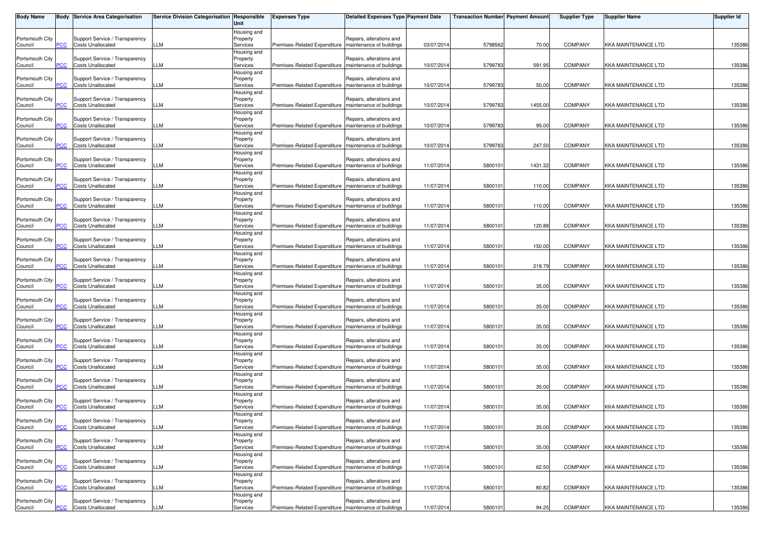| <b>Body Name</b>           |            | <b>Body Service Area Categorisation</b>                    | Service Division Categorisation Responsible | Unit                                | <b>Expenses Type</b>                                    | <b>Detailed Expenses Type Payment Date</b>           |            | <b>Transaction Number</b> Payment Amount |         | <b>Supplier Type</b> | <b>Supplier Name</b>       | <b>Supplier Id</b> |
|----------------------------|------------|------------------------------------------------------------|---------------------------------------------|-------------------------------------|---------------------------------------------------------|------------------------------------------------------|------------|------------------------------------------|---------|----------------------|----------------------------|--------------------|
| Portsmouth City<br>Council | °СС        | Support Service / Transparency<br><b>Costs Unallocated</b> | LM                                          | Housing and<br>Property<br>Services | Premises-Related Expenditure   maintenance of buildings | Repairs, alterations and                             | 03/07/201  | 5798562                                  | 70.00   | <b>COMPANY</b>       | <b>KKA MAINTENANCE LTD</b> | 135386             |
| Portsmouth City<br>Council | <b>PCC</b> | Support Service / Transparency<br><b>Costs Unallocated</b> | LLM                                         | lousing and<br>Property<br>Services | Premises-Related Expenditure                            | Repairs, alterations and<br>maintenance of buildings | 10/07/201  | 5799783                                  | 591.95  | <b>COMPANY</b>       | <b>KKA MAINTENANCE LTD</b> | 135386             |
| Portsmouth City<br>Council |            | Support Service / Transparency<br><b>Costs Unallocated</b> | LLM                                         | Housing and<br>Property<br>Services | Premises-Related Expenditure                            | Repairs, alterations and<br>maintenance of buildings | 10/07/201  | 5799783                                  | 50.00   | <b>COMPANY</b>       | <b>KKA MAINTENANCE LTD</b> | 135386             |
| Portsmouth City<br>Council | сC         | Support Service / Transparency<br><b>Costs Unallocated</b> | LLM                                         | Housing and<br>Property<br>Services | Premises-Related Expenditure   maintenance of buildings | Repairs, alterations and                             | 10/07/201  | 5799783                                  | 1455.00 | <b>COMPANY</b>       | KKA MAINTENANCE LTD        | 135386             |
| Portsmouth City<br>Council |            | Support Service / Transparency<br><b>Costs Unallocated</b> | LLM                                         | Housing and<br>Property<br>Services | Premises-Related Expenditure                            | Repairs, alterations and<br>maintenance of buildings | 10/07/201  | 5799783                                  | 95.00   | <b>COMPANY</b>       | KKA MAINTENANCE LTD        | 135386             |
| Portsmouth City<br>Council | <u>'CC</u> | Support Service / Transparency<br><b>Costs Unallocated</b> | LLM                                         | Housing and<br>Property<br>Services | Premises-Related Expenditure                            | Repairs, alterations and<br>maintenance of buildings | 10/07/2014 | 5799783                                  | 247.50  | <b>COMPANY</b>       | <b>KKA MAINTENANCE LTD</b> | 135386             |
| Portsmouth City<br>Council | PCC.       | Support Service / Transparency<br><b>Costs Unallocated</b> | LLM                                         | Housing and<br>Property<br>Services | Premises-Related Expenditure   maintenance of buildings | Repairs, alterations and                             | 11/07/201  | 5800101                                  | 1431.32 | <b>COMPANY</b>       | <b>KKA MAINTENANCE LTD</b> | 135386             |
| Portsmouth City<br>Council | PСC        | Support Service / Transparency<br><b>Costs Unallocated</b> | LLM                                         | Housing and<br>Property<br>Services | Premises-Related Expenditure                            | Repairs, alterations and<br>maintenance of buildings | 11/07/201  | 5800101                                  | 110.00  | <b>COMPANY</b>       | KKA MAINTENANCE LTD        | 135386             |
| Portsmouth City<br>Council |            | Support Service / Transparency<br><b>Costs Unallocated</b> | LM                                          | Housing and<br>Property<br>Services | Premises-Related Expenditure                            | Repairs, alterations and<br>maintenance of buildings | 11/07/2014 | 5800101                                  | 110.00  | <b>COMPANY</b>       | KKA MAINTENANCE LTD        | 135386             |
| Portsmouth City<br>Council | PCC        | Support Service / Transparency<br><b>Costs Unallocated</b> | LLM                                         | Housing and<br>Property<br>Services | Premises-Related Expenditure   maintenance of buildings | Repairs, alterations and                             | 11/07/201  | 5800101                                  | 120.88  | <b>COMPANY</b>       | <b>KKA MAINTENANCE LTD</b> | 135386             |
| Portsmouth City            | PСC        | Support Service / Transparency<br><b>Costs Unallocated</b> | LLM                                         | Housing and<br>Property<br>Services | Premises-Related Expenditure                            | Repairs, alterations and<br>maintenance of buildings | 11/07/201  | 5800101                                  | 150.00  | COMPANY              | KKA MAINTENANCE LTD        | 135386             |
| Council<br>Portsmouth City |            | Support Service / Transparency                             |                                             | Housing and<br>Property             |                                                         | Repairs, alterations and                             |            |                                          |         |                      |                            |                    |
| Council<br>Portsmouth City | сc         | <b>Costs Unallocated</b><br>Support Service / Transparency | LM.                                         | Services<br>Housing and<br>Property | Premises-Related Expenditure                            | maintenance of buildings<br>Repairs, alterations and | 11/07/201  | 5800101                                  | 219.79  | <b>COMPANY</b>       | KKA MAINTENANCE LTD        | 135386             |
| Council<br>Portsmouth City | PСC        | <b>Costs Unallocated</b><br>Support Service / Transparency | LM                                          | Services<br>Housing and<br>Property | Premises-Related Expenditure   maintenance of buildings | Repairs, alterations and                             | 11/07/2014 | 5800101                                  | 35.00   | <b>COMPANY</b>       | <b>KKA MAINTENANCE LTD</b> | 135386             |
| Council<br>Portsmouth City | PCC        | <b>Costs Unallocated</b><br>Support Service / Transparency | LLM                                         | Services<br>lousing and<br>Property | Premises-Related Expenditure                            | maintenance of buildings<br>Repairs, alterations and | 11/07/201  | 5800101                                  | 35.00   | COMPANY              | <b>KKA MAINTENANCE LTD</b> | 135386             |
| Council<br>Portsmouth City | <u>'CC</u> | <b>Costs Unallocated</b><br>Support Service / Transparency | LM.                                         | Services<br>Housing and<br>Property | Premises-Related Expenditure                            | maintenance of buildings<br>Repairs, alterations and | 11/07/201  | 5800101                                  | 35.00   | <b>COMPANY</b>       | <b>KKA MAINTENANCE LTD</b> | 135386             |
| Council<br>Portsmouth City |            | <b>Costs Unallocated</b><br>Support Service / Transparency | LM.                                         | Services<br>Housing and<br>Property | Premises-Related Expenditure   maintenance of buildings | Repairs, alterations and                             | 11/07/201  | 5800101                                  | 35.00   | <b>COMPANY</b>       | KKA MAINTENANCE LTD        | 135386             |
| Council<br>Portsmouth City |            | <b>Costs Unallocated</b><br>Support Service / Transparency | LLM                                         | Services<br>Housing and<br>Property | Premises-Related Expenditure                            | maintenance of buildings<br>Repairs, alterations and | 11/07/201  | 5800101                                  | 35.00   | COMPANY              | <b>KKA MAINTENANCE LTD</b> | 135386             |
| Council<br>Portsmouth City | °СС        | <b>Costs Unallocated</b><br>Support Service / Transparency | LM.                                         | Services<br>Housing and<br>Property | Premises-Related Expenditure                            | maintenance of buildings<br>Repairs, alterations and | 11/07/201  | 5800101                                  | 35.00   | COMPANY              | KKA MAINTENANCE LTD        | 135386             |
| Council<br>Portsmouth City |            | <b>Costs Unallocated</b><br>Support Service / Transparency | LM.                                         | Services<br>Housing and<br>Property | Premises-Related Expenditure   maintenance of buildings | Repairs, alterations and                             | 11/07/201  | 5800101                                  | 35.00   | <b>COMPANY</b>       | <b>KKA MAINTENANCE LTD</b> | 135386             |
| Council<br>Portsmouth City | <b>PCC</b> | <b>Costs Unallocated</b><br>Support Service / Transparency | LLM                                         | Services<br>Housing and<br>Property | Premises-Related Expenditure   maintenance of buildings | Repairs, alterations and                             | 11/07/2014 | 5800101                                  | 35.00   | <b>COMPANY</b>       | KKA MAINTENANCE LTD        | 135386             |
| Council<br>Portsmouth City | PCC        | <b>Costs Unallocated</b><br>Support Service / Transparency | LLM                                         | Services<br>Housing and<br>Property | Premises-Related Expenditure                            | maintenance of buildings<br>Repairs, alterations and | 11/07/201  | 5800101                                  | 35.00   | COMPANY              | <b>KKA MAINTENANCE LTD</b> | 135386             |
| Council<br>Portsmouth City | <b>CC</b>  | <b>Costs Unallocated</b><br>Support Service / Transparency | LLM                                         | Services<br>Housing and<br>Property | Premises-Related Expenditure                            | maintenance of buildings<br>Repairs, alterations and | 11/07/201  | 5800101                                  | 62.50   | COMPANY              | <b>KKA MAINTENANCE LTD</b> | 135386             |
| Council                    | PСC        | <b>Costs Unallocated</b><br>Support Service / Transparency | LLM                                         | Services<br>Housing and             | Premises-Related Expenditure   maintenance of buildings | Repairs, alterations and                             | 11/07/201  | 5800101                                  | 80.82   | COMPANY              | <b>KKA MAINTENANCE LTD</b> | 135386             |
| Portsmouth City<br>Council | <b>PCC</b> | <b>Costs Unallocated</b>                                   | LLM                                         | Property<br>Services                | Premises-Related Expenditure   maintenance of buildings |                                                      | 11/07/2014 | 5800101                                  | 94.25   | COMPANY              | KKA MAINTENANCE LTD        | 135386             |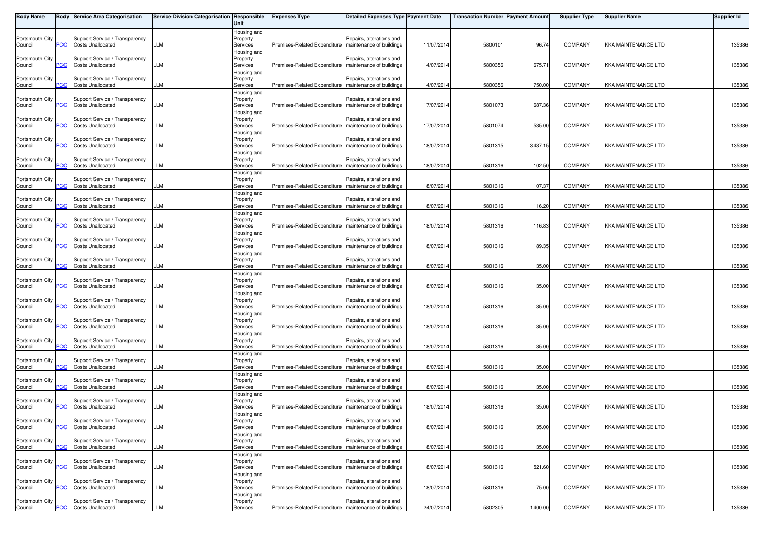| <b>Body Name</b>           |            | <b>Body Service Area Categorisation</b>                    | Service Division Categorisation Responsible | Unit                                | <b>Expenses Type</b>                                    | <b>Detailed Expenses Type Payment Date</b>           |            | <b>Transaction Number</b> Payment Amount |         | <b>Supplier Type</b> | <b>Supplier Name</b>       | <b>Supplier Id</b> |
|----------------------------|------------|------------------------------------------------------------|---------------------------------------------|-------------------------------------|---------------------------------------------------------|------------------------------------------------------|------------|------------------------------------------|---------|----------------------|----------------------------|--------------------|
| Portsmouth City<br>Council | °СС        | Support Service / Transparency<br><b>Costs Unallocated</b> | LM                                          | Housing and<br>Property<br>Services | Premises-Related Expenditure   maintenance of buildings | Repairs, alterations and                             | 11/07/201  | 5800101                                  | 96.74   | <b>COMPANY</b>       | <b>KKA MAINTENANCE LTD</b> | 135386             |
| Portsmouth City<br>Council | <b>PCC</b> | Support Service / Transparency<br><b>Costs Unallocated</b> | LLM                                         | lousing and<br>Property<br>Services | Premises-Related Expenditure                            | Repairs, alterations and<br>maintenance of buildings | 14/07/201  | 5800356                                  | 675.71  | <b>COMPANY</b>       | <b>KKA MAINTENANCE LTD</b> | 135386             |
| Portsmouth City<br>Council |            | Support Service / Transparency<br><b>Costs Unallocated</b> | LLM                                         | Housing and<br>Property<br>Services | Premises-Related Expenditure                            | Repairs, alterations and<br>maintenance of buildings | 14/07/201  | 5800356                                  | 750.00  | <b>COMPANY</b>       | <b>KKA MAINTENANCE LTD</b> | 135386             |
| Portsmouth City<br>Council | сC         | Support Service / Transparency<br><b>Costs Unallocated</b> | LLM                                         | Housing and<br>Property<br>Services | Premises-Related Expenditure   maintenance of buildings | Repairs, alterations and                             | 17/07/201  | 5801073                                  | 687.36  | <b>COMPANY</b>       | <b>KKA MAINTENANCE LTD</b> | 135386             |
| Portsmouth City<br>Council |            | Support Service / Transparency<br><b>Costs Unallocated</b> | LLM                                         | Housing and<br>Property<br>Services | Premises-Related Expenditure                            | Repairs, alterations and<br>maintenance of buildings | 17/07/201  | 5801074                                  | 535.00  | <b>COMPANY</b>       | <b>KKA MAINTENANCE LTD</b> | 135386             |
| Portsmouth City<br>Council | <u>'CC</u> | Support Service / Transparency<br><b>Costs Unallocated</b> | LLM                                         | Housing and<br>Property<br>Services | Premises-Related Expenditure                            | Repairs, alterations and<br>maintenance of buildings | 18/07/2014 | 5801315                                  | 3437.15 | <b>COMPANY</b>       | <b>KKA MAINTENANCE LTD</b> | 135386             |
| Portsmouth City<br>Council | PCC.       | Support Service / Transparency<br><b>Costs Unallocated</b> | LLM                                         | Housing and<br>Property<br>Services | Premises-Related Expenditure   maintenance of buildings | Repairs, alterations and                             | 18/07/201  | 5801316                                  | 102.50  | <b>COMPANY</b>       | <b>KKA MAINTENANCE LTD</b> | 135386             |
| Portsmouth City<br>Council | PСC        | Support Service / Transparency<br><b>Costs Unallocated</b> | LLM                                         | Housing and<br>Property<br>Services | Premises-Related Expenditure                            | Repairs, alterations and<br>maintenance of buildings | 18/07/201  | 5801316                                  | 107.37  | COMPANY              | KKA MAINTENANCE LTD        | 135386             |
| Portsmouth City<br>Council |            | Support Service / Transparency<br><b>Costs Unallocated</b> | LM                                          | Housing and<br>Property<br>Services | Premises-Related Expenditure                            | Repairs, alterations and<br>maintenance of buildings | 18/07/2014 | 5801316                                  | 116.20  | <b>COMPANY</b>       | KKA MAINTENANCE LTD        | 135386             |
| Portsmouth City<br>Council | PCC        | Support Service / Transparency<br><b>Costs Unallocated</b> | LLM                                         | Housing and<br>Property<br>Services | Premises-Related Expenditure   maintenance of buildings | Repairs, alterations and                             | 18/07/201  | 5801316                                  | 116.83  | <b>COMPANY</b>       | <b>KKA MAINTENANCE LTD</b> | 135386             |
| Portsmouth City            |            | Support Service / Transparency                             |                                             | Housing and<br>Property             |                                                         | Repairs, alterations and                             |            |                                          |         |                      |                            |                    |
| Council<br>Portsmouth City | PСC        | <b>Costs Unallocated</b><br>Support Service / Transparency | LLM                                         | Services<br>Housing and<br>Property | Premises-Related Expenditure                            | maintenance of buildings<br>Repairs, alterations and | 18/07/201  | 5801316                                  | 189.35  | COMPANY              | KKA MAINTENANCE LTD        | 135386             |
| Council<br>Portsmouth City | сc         | <b>Costs Unallocated</b><br>Support Service / Transparency | LM.                                         | Services<br>Housing and<br>Property | Premises-Related Expenditure                            | maintenance of buildings<br>Repairs, alterations and | 18/07/201  | 5801316                                  | 35.00   | <b>COMPANY</b>       | KKA MAINTENANCE LTD        | 135386             |
| Council<br>Portsmouth City | PСC        | <b>Costs Unallocated</b><br>Support Service / Transparency | LM                                          | Services<br>Housing and<br>Property | Premises-Related Expenditure   maintenance of buildings | Repairs, alterations and                             | 18/07/2014 | 5801316                                  | 35.00   | <b>COMPANY</b>       | <b>KKA MAINTENANCE LTD</b> | 135386             |
| Council<br>Portsmouth City | PCC        | <b>Costs Unallocated</b><br>Support Service / Transparency | LLM                                         | Services<br>lousing and<br>Property | Premises-Related Expenditure                            | maintenance of buildings<br>Repairs, alterations and | 18/07/201  | 5801316                                  | 35.00   | <b>COMPANY</b>       | <b>KKA MAINTENANCE LTD</b> | 135386             |
| Council<br>Portsmouth City | <u>'CC</u> | <b>Costs Unallocated</b><br>Support Service / Transparency | LM.                                         | Services<br>Housing and<br>Property | Premises-Related Expenditure                            | maintenance of buildings<br>Repairs, alterations and | 18/07/201  | 5801316                                  | 35.00   | <b>COMPANY</b>       | <b>KKA MAINTENANCE LTD</b> | 135386             |
| Council<br>Portsmouth City |            | <b>Costs Unallocated</b><br>Support Service / Transparency | LM.                                         | Services<br>Housing and<br>Property | Premises-Related Expenditure   maintenance of buildings | Repairs, alterations and                             | 18/07/201  | 5801316                                  | 35.00   | <b>COMPANY</b>       | KKA MAINTENANCE LTD        | 135386             |
| Council<br>Portsmouth City |            | <b>Costs Unallocated</b><br>Support Service / Transparency | LLM                                         | Services<br>Housing and<br>Property | Premises-Related Expenditure                            | maintenance of buildings<br>Repairs, alterations and | 18/07/201  | 5801316                                  | 35.00   | COMPANY              | <b>KKA MAINTENANCE LTD</b> | 135386             |
| Council<br>Portsmouth City | °СС        | <b>Costs Unallocated</b><br>Support Service / Transparency | LM.                                         | Services<br>Housing and<br>Property | Premises-Related Expenditure                            | maintenance of buildings<br>Repairs, alterations and | 18/07/201  | 5801316                                  | 35.00   | COMPANY              | <b>KKA MAINTENANCE LTD</b> | 135386             |
| Council<br>Portsmouth City |            | <b>Costs Unallocated</b><br>Support Service / Transparency | LM.                                         | Services<br>Housing and<br>Property | Premises-Related Expenditure   maintenance of buildings | Repairs, alterations and                             | 18/07/201  | 5801316                                  | 35.00   | <b>COMPANY</b>       | <b>KKA MAINTENANCE LTD</b> | 135386             |
| Council<br>Portsmouth City | <b>PCC</b> | <b>Costs Unallocated</b><br>Support Service / Transparency | LLM                                         | Services<br>Housing and<br>Property | Premises-Related Expenditure   maintenance of buildings | Repairs, alterations and                             | 18/07/2014 | 5801316                                  | 35.00   | <b>COMPANY</b>       | KKA MAINTENANCE LTD        | 135386             |
| Council                    | PCC        | <b>Costs Unallocated</b>                                   | LLM                                         | Services<br>Housing and             | Premises-Related Expenditure                            | maintenance of buildings                             | 18/07/201  | 5801316                                  | 35.00   | <b>COMPANY</b>       | KKA MAINTENANCE LTD        | 135386             |
| Portsmouth City<br>Council | <b>CC</b>  | Support Service / Transparency<br><b>Costs Unallocated</b> | LLM                                         | Property<br>Services<br>Housing and | Premises-Related Expenditure                            | Repairs, alterations and<br>maintenance of buildings | 18/07/201  | 5801316                                  | 521.60  | COMPANY              | <b>KKA MAINTENANCE LTD</b> | 135386             |
| Portsmouth City<br>Council | PСC        | Support Service / Transparency<br><b>Costs Unallocated</b> | LLM                                         | Property<br>Services<br>Housing and | Premises-Related Expenditure   maintenance of buildings | Repairs, alterations and                             | 18/07/201  | 5801316                                  | 75.00   | <b>COMPANY</b>       | KKA MAINTENANCE LTD        | 135386             |
| Portsmouth City<br>Council | <b>PCC</b> | Support Service / Transparency<br><b>Costs Unallocated</b> | LLM                                         | Property<br>Services                | Premises-Related Expenditure   maintenance of buildings | Repairs, alterations and                             | 24/07/2014 | 5802305                                  | 1400.00 | <b>COMPANY</b>       | KKA MAINTENANCE LTD        | 135386             |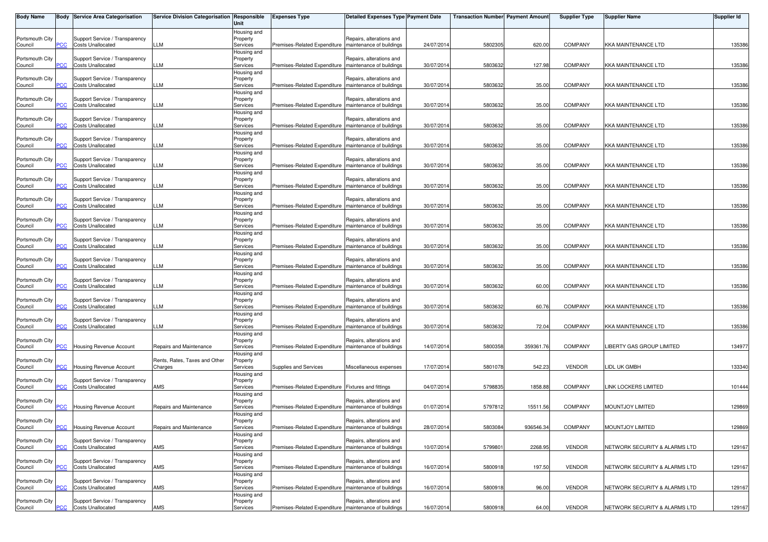| <b>Body Name</b>           |            | <b>Body Service Area Categorisation</b>                    | Service Division Categorisation Responsible | Unit                                | <b>Expenses Type</b>                                    | <b>Detailed Expenses Type Payment Date</b>           |            | <b>Transaction Number</b> Payment Amount |           | <b>Supplier Type</b> | <b>Supplier Name</b>          | <b>Supplier Id</b> |
|----------------------------|------------|------------------------------------------------------------|---------------------------------------------|-------------------------------------|---------------------------------------------------------|------------------------------------------------------|------------|------------------------------------------|-----------|----------------------|-------------------------------|--------------------|
| Portsmouth City<br>Council | PСC        | Support Service / Transparency<br><b>Costs Unallocated</b> | LLM                                         | Housing and<br>Property<br>Services | Premises-Related Expenditure   maintenance of buildings | Repairs, alterations and                             | 24/07/2014 | 5802305                                  | 620.00    | <b>COMPANY</b>       | <b>KKA MAINTENANCE LTD</b>    | 135386             |
| Portsmouth City<br>Council | PСC        | Support Service / Transparency<br><b>Costs Unallocated</b> | LLM                                         | Housing and<br>Property<br>Services | Premises-Related Expenditure                            | Repairs, alterations and<br>maintenance of buildings | 30/07/2014 | 580363                                   | 127.98    | <b>COMPANY</b>       | <b>KKA MAINTENANCE LTD</b>    | 135386             |
| Portsmouth City<br>Council | сC         | Support Service / Transparency<br><b>Costs Unallocated</b> | LLM                                         | Housing and<br>Property<br>Services | Premises-Related Expenditure                            | Repairs, alterations and<br>maintenance of buildings | 30/07/2014 | 5803632                                  | 35.00     | <b>COMPANY</b>       | <b>KKA MAINTENANCE LTD</b>    | 135386             |
| Portsmouth City<br>Council | PСC        | Support Service / Transparency<br><b>Costs Unallocated</b> | LLM                                         | Housing and<br>Property<br>Services | Premises-Related Expenditure   maintenance of buildings | Repairs, alterations and                             | 30/07/2014 | 5803632                                  | 35.00     | <b>COMPANY</b>       | KKA MAINTENANCE LTD           | 135386             |
| Portsmouth City<br>Council | <b>PCC</b> | Support Service / Transparency<br><b>Costs Unallocated</b> | LLM                                         | Housing and<br>Property<br>Services | Premises-Related Expenditure                            | Repairs, alterations and<br>maintenance of buildings | 30/07/2014 | 5803632                                  | 35.00     | <b>COMPANY</b>       | <b>KKA MAINTENANCE LTD</b>    | 135386             |
| Portsmouth City<br>Council | <u>CC</u>  | Support Service / Transparency<br><b>Costs Unallocated</b> | LM                                          | Housing and<br>Property<br>Services | Premises-Related Expenditure                            | Repairs, alterations and<br>maintenance of buildings | 30/07/2014 | 5803632                                  | 35.00     | <b>COMPANY</b>       | <b>KKA MAINTENANCE LTD</b>    | 135386             |
| Portsmouth City<br>Council | PСC        | Support Service / Transparency<br><b>Costs Unallocated</b> | LLM                                         | Housing and<br>Property<br>Services | Premises-Related Expenditure   maintenance of buildings | Repairs, alterations and                             | 30/07/2014 | 5803632                                  | 35.00     | <b>COMPANY</b>       | <b>KKA MAINTENANCE LTD</b>    | 135386             |
| Portsmouth City<br>Council | <u>PCC</u> | Support Service / Transparency<br><b>Costs Unallocated</b> | LLM                                         | Housing and<br>Property<br>Services | Premises-Related Expenditure                            | Repairs, alterations and<br>maintenance of buildings | 30/07/2014 | 5803632                                  | 35.00     | <b>COMPANY</b>       | <b>KKA MAINTENANCE LTD</b>    | 135386             |
| Portsmouth City<br>Council | сC         | Support Service / Transparency<br><b>Costs Unallocated</b> | LM                                          | Housing and<br>Property<br>Services | Premises-Related Expenditure                            | Repairs, alterations and<br>maintenance of buildings | 30/07/2014 | 5803632                                  | 35.00     | <b>COMPANY</b>       | <b>KKA MAINTENANCE LTD</b>    | 135386             |
| Portsmouth City<br>Council | PСC        | Support Service / Transparency<br><b>Costs Unallocated</b> | LLM                                         | Housing and<br>Property<br>Services | Premises-Related Expenditure   maintenance of buildings | Repairs, alterations and                             | 30/07/2014 | 5803632                                  | 35.00     | <b>COMPANY</b>       | <b>KKA MAINTENANCE LTD</b>    | 135386             |
| Portsmouth City<br>Council | PСC        | Support Service / Transparency<br><b>Costs Unallocated</b> | LLM                                         | Housing and<br>Property<br>Services | Premises-Related Expenditure                            | Repairs, alterations and<br>maintenance of buildings | 30/07/2014 | 5803632                                  | 35.00     | <b>COMPANY</b>       | <b>KKA MAINTENANCE LTD</b>    | 135386             |
| Portsmouth City<br>Council | сC         | Support Service / Transparency<br><b>Costs Unallocated</b> | LM.                                         | Housing and<br>Property<br>Services | Premises-Related Expenditure                            | Repairs, alterations and<br>maintenance of buildings | 30/07/2014 | 5803632                                  | 35.00     | <b>COMPANY</b>       | KKA MAINTENANCE LTD           | 135386             |
| Portsmouth City<br>Council | PСC        | Support Service / Transparency<br><b>Costs Unallocated</b> | LLM                                         | Housing and<br>Property<br>Services | Premises-Related Expenditure                            | Repairs, alterations and<br>maintenance of buildings | 30/07/2014 | 580363                                   | 60.00     | <b>COMPANY</b>       | <b>KKA MAINTENANCE LTD</b>    | 135386             |
| Portsmouth City<br>Council | PСC        | Support Service / Transparency<br><b>Costs Unallocated</b> | LLM                                         | Housing and<br>Property<br>Services | Premises-Related Expenditure   maintenance of buildings | Repairs, alterations and                             | 30/07/2014 | 580363                                   | 60.76     | <b>COMPANY</b>       | <b>KKA MAINTENANCE LTD</b>    | 135386             |
| Portsmouth City<br>Council | <u>'CC</u> | Support Service / Transparency<br><b>Costs Unallocated</b> | LM                                          | Housing and<br>Property<br>Services | Premises-Related Expenditure                            | Repairs, alterations and<br>maintenance of buildings | 30/07/2014 | 5803632                                  | 72.04     | <b>COMPANY</b>       | <b>KKA MAINTENANCE LTD</b>    | 135386             |
| Portsmouth City<br>Council | <b>PCC</b> | Housing Revenue Account                                    | Repairs and Maintenance                     | Housing and<br>Property<br>Services | Premises-Related Expenditure   maintenance of buildings | Repairs, alterations and                             | 14/07/2014 | 5800358                                  | 359361.76 | <b>COMPANY</b>       | IBERTY GAS GROUP LIMITED      | 134977             |
| Portsmouth City<br>Council | <u>PCC</u> | Housing Revenue Account                                    | Rents, Rates, Taxes and Other<br>Charges    | Housing and<br>Property<br>Services | Supplies and Services                                   | Miscellaneous expenses                               | 17/07/2014 | 5801078                                  | 542.23    | <b>VENDOR</b>        | LIDL UK GMBH                  | 133340             |
| Portsmouth City<br>Council | PСC        | Support Service / Transparency<br><b>Costs Unallocated</b> | AMS                                         | Housing and<br>Property<br>Services | Premises-Related Expenditure Fixtures and fittings      |                                                      | 04/07/2014 | 5798835                                  | 1858.88   | <b>COMPANY</b>       | LINK LOCKERS LIMITED          | 101444             |
| Portsmouth City<br>Council | PСC        | Housing Revenue Account                                    | Repairs and Maintenance                     | Housing and<br>Property<br>Services | Premises-Related Expenditure                            | Repairs, alterations and<br>maintenance of buildings | 01/07/2014 | 5797812                                  | 15511.56  | <b>COMPANY</b>       | <b>MOUNTJOY LIMITED</b>       | 129869             |
| Portsmouth City<br>Council | <b>PCC</b> | <b>Housing Revenue Account</b>                             | Repairs and Maintenance                     | Housing and<br>Property<br>Services | Premises-Related Expenditure   maintenance of buildings | Repairs, alterations and                             | 28/07/2014 | 5803084                                  | 936546.34 | <b>COMPANY</b>       | <b>MOUNTJOY LIMITED</b>       | 129869             |
| Portsmouth City<br>Council | PСC        | Support Service / Transparency<br><b>Costs Unallocated</b> | AMS                                         | Housing and<br>Property<br>Services | Premises-Related Expenditure                            | Repairs, alterations and<br>maintenance of buildings | 10/07/2014 | 579980                                   | 2268.95   | <b>VENDOR</b>        | NETWORK SECURITY & ALARMS LTD | 129167             |
| Portsmouth City<br>Council | PСC        | Support Service / Transparency<br><b>Costs Unallocated</b> | AMS                                         | Housing and<br>Property<br>Services | Premises-Related Expenditure                            | Repairs, alterations and<br>maintenance of buildings | 16/07/2014 | 5800918                                  | 197.50    | <b>VENDOR</b>        | NETWORK SECURITY & ALARMS LTD | 129167             |
| Portsmouth City<br>Council | PСC        | Support Service / Transparency<br><b>Costs Unallocated</b> | AMS                                         | Housing and<br>Property<br>Services | Premises-Related Expenditure   maintenance of buildings | Repairs, alterations and                             | 16/07/2014 | 5800918                                  | 96.00     | <b>VENDOR</b>        | NETWORK SECURITY & ALARMS LTD | 129167             |
| Portsmouth City<br>Council | <b>PCC</b> | Support Service / Transparency<br><b>Costs Unallocated</b> | AMS                                         | Housing and<br>Property<br>Services | Premises-Related Expenditure   maintenance of buildings | Repairs, alterations and                             | 16/07/2014 | 5800918                                  | 64.00     | <b>VENDOR</b>        | NETWORK SECURITY & ALARMS LTD | 129167             |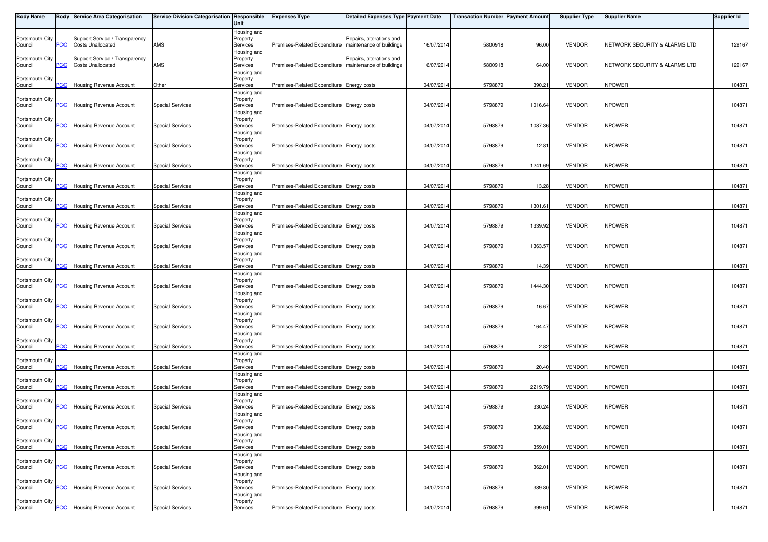| <b>Body Name</b>           |                | <b>Body Service Area Categorisation</b>                    | Service Division Categorisation Responsible | Unit                                | <b>Expenses Type</b>                                    | <b>Detailed Expenses Type Payment Date</b> |            | <b>Transaction Number Payment Amount</b> |         | <b>Supplier Type</b> | <b>Supplier Name</b>          | Supplier Id |
|----------------------------|----------------|------------------------------------------------------------|---------------------------------------------|-------------------------------------|---------------------------------------------------------|--------------------------------------------|------------|------------------------------------------|---------|----------------------|-------------------------------|-------------|
| Portsmouth City<br>Council | PСC            | Support Service / Transparency<br><b>Costs Unallocated</b> | AMS                                         | Housing and<br>Property<br>Services | Premises-Related Expenditure   maintenance of buildings | Repairs, alterations and                   | 16/07/2014 | 5800918                                  | 96.00   | <b>VENDOR</b>        | NETWORK SECURITY & ALARMS LTD | 129167      |
| Portsmouth City<br>Council | <b>PCC</b>     | Support Service / Transparency<br><b>Costs Unallocated</b> | AMS                                         | Housing and<br>Property<br>Services | Premises-Related Expenditure   maintenance of buildings | Repairs, alterations and                   | 16/07/2014 | 580091                                   | 64.00   | <b>VENDOR</b>        | NETWORK SECURITY & ALARMS LTD | 129167      |
| Portsmouth City<br>Council | PСC            | Housing Revenue Account                                    | Other                                       | Housing and<br>Property<br>Services | Premises-Related Expenditure Energy costs               |                                            | 04/07/2014 | 5798879                                  | 390.21  | <b>VENDOR</b>        | <b>NPOWER</b>                 | 104871      |
| Portsmouth City<br>Council | PСC            | Housing Revenue Account                                    | <b>Special Services</b>                     | Housing and<br>Property<br>Services | Premises-Related Expenditure Energy costs               |                                            | 04/07/2014 | 5798879                                  | 1016.64 | <b>VENDOR</b>        | <b>NPOWER</b>                 | 104871      |
| Portsmouth City            | PCC            | Housing Revenue Account                                    | Special Services                            | Housing and<br>Property<br>Services | Premises-Related Expenditure Energy costs               |                                            | 04/07/201  | 5798879                                  | 1087.36 | <b>VENDOR</b>        | <b>NPOWER</b>                 | 104871      |
| Council<br>Portsmouth City |                |                                                            |                                             | Housing and<br>Property             |                                                         |                                            |            |                                          |         |                      |                               |             |
| Council<br>Portsmouth City | $\overline{C}$ | <b>Housing Revenue Account</b>                             | <b>Special Services</b>                     | Services<br>Housing and<br>Property | Premises-Related Expenditure Energy costs               |                                            | 04/07/2014 | 5798879                                  | 12.81   | <b>VENDOR</b>        | <b>NPOWER</b>                 | 104871      |
| Council<br>Portsmouth City | <b>PCC</b>     | Housing Revenue Account                                    | <b>Special Services</b>                     | Services<br>Housing and<br>Property | Premises-Related Expenditure Energy costs               |                                            | 04/07/2014 | 5798879                                  | 1241.69 | <b>VENDOR</b>        | <b>NPOWER</b>                 | 104871      |
| Council<br>Portsmouth City | <b>PCC</b>     | Housing Revenue Account                                    | <b>Special Services</b>                     | Services<br>Housing and<br>Property | Premises-Related Expenditure Energy costs               |                                            | 04/07/2014 | 579887                                   | 13.28   | <b>VENDOR</b>        | <b>NPOWER</b>                 | 104871      |
| Council<br>Portsmouth City | PСC            | <b>Housing Revenue Account</b>                             | Special Services                            | Services<br>Housing and<br>Property | Premises-Related Expenditure Energy costs               |                                            | 04/07/2014 | 5798879                                  | 1301.61 | <b>VENDOR</b>        | <b>NPOWER</b>                 | 104871      |
| Council<br>Portsmouth City | <b>PCC</b>     | Housing Revenue Account                                    | <b>Special Services</b>                     | Services<br>Housing and<br>Property | Premises-Related Expenditure Energy costs               |                                            | 04/07/2014 | 5798879                                  | 1339.92 | <b>VENDOR</b>        | <b>NPOWER</b>                 | 104871      |
| Council<br>Portsmouth City | PCC            | Housing Revenue Account                                    | <b>Special Services</b>                     | Services<br>Housing and<br>Property | Premises-Related Expenditure Energy costs               |                                            | 04/07/201  | 579887                                   | 1363.57 | <b>VENDOR</b>        | <b>NPOWER</b>                 | 104871      |
| Council                    | °СС            | <b>Housing Revenue Account</b>                             | <b>Special Services</b>                     | Services<br>Housing and             | Premises-Related Expenditure Energy costs               |                                            | 04/07/2014 | 5798879                                  | 14.39   | <b>VENDOR</b>        | <b>NPOWER</b>                 | 104871      |
| Portsmouth City<br>Council | PCC            | Housing Revenue Account                                    | <b>Special Services</b>                     | Property<br>Services<br>Housing and | Premises-Related Expenditure Energy costs               |                                            | 04/07/2014 | 579887                                   | 1444.30 | <b>VENDOR</b>        | <b>NPOWER</b>                 | 104871      |
| Portsmouth City<br>Council | <b>PCC</b>     | Housing Revenue Account                                    | <b>Special Services</b>                     | Property<br>Services<br>Housing and | Premises-Related Expenditure Energy costs               |                                            | 04/07/2014 | 579887                                   | 16.67   | <b>VENDOR</b>        | <b>NPOWER</b>                 | 104871      |
| Portsmouth City<br>Council | $\overline{C}$ | Housing Revenue Account                                    | <b>Special Services</b>                     | Property<br>Services<br>Housing and | Premises-Related Expenditure Energy costs               |                                            | 04/07/2014 | 5798879                                  | 164.47  | <b>VENDOR</b>        | <b>NPOWER</b>                 | 104871      |
| Portsmouth City<br>Council | PCC            | Housing Revenue Account                                    | <b>Special Services</b>                     | Property<br>Services<br>Housing and | Premises-Related Expenditure Energy costs               |                                            | 04/07/2014 | 5798879                                  | 2.82    | <b>VENDOR</b>        | <b>NPOWER</b>                 | 104871      |
| Portsmouth City<br>Council | PCC            | Housing Revenue Account                                    | <b>Special Services</b>                     | Property<br>Services<br>Housing and | Premises-Related Expenditure Energy costs               |                                            | 04/07/2014 | 579887                                   | 20.40   | <b>VENDOR</b>        | <b>NPOWER</b>                 | 104871      |
| Portsmouth City<br>Council | $\overline{C}$ | Housing Revenue Account                                    | <b>Special Services</b>                     | Property<br>Services<br>Housing and | Premises-Related Expenditure Energy costs               |                                            | 04/07/2014 | 5798879                                  | 2219.79 | <b>VENDOR</b>        | <b>NPOWER</b>                 | 104871      |
| Portsmouth City<br>Council | PCC            | <b>Housing Revenue Account</b>                             | <b>Special Services</b>                     | Property<br>Services<br>Housing and | Premises-Related Expenditure Energy costs               |                                            | 04/07/2014 | 5798879                                  | 330.24  | <b>VENDOR</b>        | <b>NPOWER</b>                 | 104871      |
| Portsmouth City<br>Council | <b>PCC</b>     | Housing Revenue Account                                    | Special Services                            | Property<br>Services                | Premises-Related Expenditure Energy costs               |                                            | 04/07/2014 | 5798879                                  | 336.82  | <b>VENDOR</b>        | <b>NPOWER</b>                 | 104871      |
| Portsmouth City<br>Council | PCC            | Housing Revenue Account                                    | <b>Special Services</b>                     | Housing and<br>Property<br>Services | Premises-Related Expenditure Energy costs               |                                            | 04/07/2014 | 5798879                                  | 359.01  | VENDOR               | <b>NPOWER</b>                 | 104871      |
| Portsmouth City<br>Council | PСC            | Housing Revenue Account                                    | <b>Special Services</b>                     | Housing and<br>Property<br>Services | Premises-Related Expenditure Energy costs               |                                            | 04/07/2014 | 5798879                                  | 362.01  | <b>VENDOR</b>        | <b>NPOWER</b>                 | 104871      |
| Portsmouth City<br>Council | PCC            | Housing Revenue Account                                    | <b>Special Services</b>                     | Housing and<br>Property<br>Services | Premises-Related Expenditure Energy costs               |                                            | 04/07/2014 | 5798879                                  | 389.80  | <b>VENDOR</b>        | <b>NPOWER</b>                 | 104871      |
| Portsmouth City<br>Council | <b>PCC</b>     | Housing Revenue Account                                    | <b>Special Services</b>                     | Housing and<br>Property<br>Services | Premises-Related Expenditure Energy costs               |                                            | 04/07/2014 | 5798879                                  | 399.61  | VENDOR               | <b>NPOWER</b>                 | 104871      |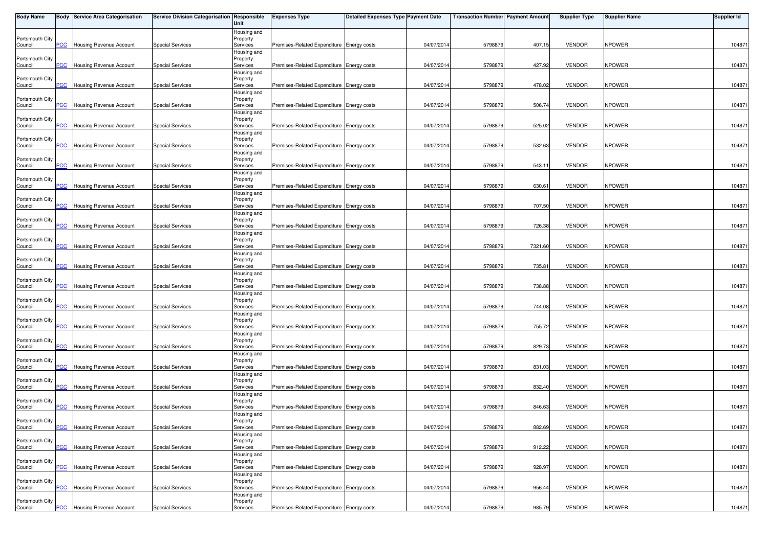| <b>Body Name</b>           |                | <b>Body Service Area Categorisation</b> | Service Division Categorisation Responsible | Unit                    | <b>Expenses Type</b>                      | <b>Detailed Expenses Type Payment Date</b> |            | <b>Transaction Number Payment Amount</b> |         | <b>Supplier Type</b> | <b>Supplier Name</b> | <b>Supplier Id</b> |
|----------------------------|----------------|-----------------------------------------|---------------------------------------------|-------------------------|-------------------------------------------|--------------------------------------------|------------|------------------------------------------|---------|----------------------|----------------------|--------------------|
|                            |                |                                         |                                             | Housing and             |                                           |                                            |            |                                          |         |                      |                      |                    |
| Portsmouth City<br>Council | PCC.           | Housing Revenue Account                 | <b>Special Services</b>                     | Property<br>Services    | Premises-Related Expenditure Energy costs |                                            | 04/07/2014 | 5798879                                  | 407.15  | <b>VENDOR</b>        | <b>NPOWER</b>        | 104871             |
|                            |                |                                         |                                             | Housing and             |                                           |                                            |            |                                          |         |                      |                      |                    |
| Portsmouth City<br>Council | <b>PCC</b>     | <b>Housing Revenue Account</b>          | <b>Special Services</b>                     | Property<br>Services    | Premises-Related Expenditure Energy costs |                                            | 04/07/2014 | 5798879                                  | 427.92  | <b>VENDOR</b>        | <b>NPOWER</b>        | 104871             |
|                            |                |                                         |                                             | Housing and             |                                           |                                            |            |                                          |         |                      |                      |                    |
| Portsmouth City            |                |                                         |                                             | Property                |                                           |                                            |            |                                          |         |                      |                      |                    |
| Council                    | сC             | Housing Revenue Account                 | <b>Special Services</b>                     | Services                | Premises-Related Expenditure Energy costs |                                            | 04/07/2014 | 5798879                                  | 478.02  | <b>VENDOR</b>        | <b>NPOWER</b>        | 104871             |
| Portsmouth City            |                |                                         |                                             | Housing and<br>Property |                                           |                                            |            |                                          |         |                      |                      |                    |
| Council                    | <b>PCC</b>     | Housing Revenue Account                 | <b>Special Services</b>                     | Services                | Premises-Related Expenditure Energy costs |                                            | 04/07/2014 | 579887                                   | 506.74  | <b>VENDOR</b>        | <b>NPOWER</b>        | 104871             |
|                            |                |                                         |                                             | Housing and             |                                           |                                            |            |                                          |         |                      |                      |                    |
| Portsmouth City<br>Council | <b>PCC</b>     | Housing Revenue Account                 | <b>Special Services</b>                     | Property<br>Services    | Premises-Related Expenditure Energy costs |                                            | 04/07/2014 | 5798879                                  | 525.02  | <b>VENDOR</b>        | <b>NPOWER</b>        | 104871             |
|                            |                |                                         |                                             | Housing and             |                                           |                                            |            |                                          |         |                      |                      |                    |
| Portsmouth City            |                |                                         |                                             | Property                |                                           |                                            |            |                                          |         |                      |                      |                    |
| Council                    | $\overline{C}$ | Housing Revenue Account                 | <b>Special Services</b>                     | Services                | Premises-Related Expenditure Energy costs |                                            | 04/07/2014 | 5798879                                  | 532.63  | <b>VENDOR</b>        | <b>NPOWER</b>        | 104871             |
| Portsmouth City            |                |                                         |                                             | Housing and<br>Property |                                           |                                            |            |                                          |         |                      |                      |                    |
| Council                    | PСC            | Housing Revenue Account                 | <b>Special Services</b>                     | Services                | Premises-Related Expenditure Energy costs |                                            | 04/07/2014 | 579887                                   | 543.11  | <b>VENDOR</b>        | <b>NPOWER</b>        | 104871             |
|                            |                |                                         |                                             | Housing and             |                                           |                                            |            |                                          |         |                      |                      |                    |
| Portsmouth City<br>Council | <b>PCC</b>     | Housing Revenue Account                 | <b>Special Services</b>                     | Property<br>Services    | Premises-Related Expenditure Energy costs |                                            | 04/07/2014 | 579887                                   | 630.61  | <b>VENDOR</b>        | <b>NPOWER</b>        | 104871             |
|                            |                |                                         |                                             | Housing and             |                                           |                                            |            |                                          |         |                      |                      |                    |
| Portsmouth City            |                |                                         |                                             | Property                |                                           |                                            |            |                                          |         |                      |                      |                    |
| Council                    | сC             | Housing Revenue Account                 | <b>Special Services</b>                     | Services<br>Housing and | Premises-Related Expenditure Energy costs |                                            | 04/07/2014 | 5798879                                  | 707.50  | <b>VENDOR</b>        | <b>NPOWER</b>        | 104871             |
| Portsmouth City            |                |                                         |                                             | Property                |                                           |                                            |            |                                          |         |                      |                      |                    |
| Council                    | PСC            | Housing Revenue Account                 | <b>Special Services</b>                     | Services                | Premises-Related Expenditure Energy costs |                                            | 04/07/2014 | 579887                                   | 726.38  | <b>VENDOR</b>        | <b>NPOWER</b>        | 104871             |
| Portsmouth City            |                |                                         |                                             | Housing and<br>Property |                                           |                                            |            |                                          |         |                      |                      |                    |
| Council                    | PCC            | Housing Revenue Account                 | <b>Special Services</b>                     | Services                | Premises-Related Expenditure Energy costs |                                            | 04/07/2014 | 5798879                                  | 7321.60 | <b>VENDOR</b>        | <b>NPOWER</b>        | 104871             |
|                            |                |                                         |                                             | Housing and             |                                           |                                            |            |                                          |         |                      |                      |                    |
| Portsmouth City<br>Council | $\overline{C}$ | Housing Revenue Account                 | <b>Special Services</b>                     | Property<br>Services    | Premises-Related Expenditure Energy costs |                                            | 04/07/2014 | 579887                                   | 735.81  | <b>VENDOR</b>        | NPOWER               | 104871             |
|                            |                |                                         |                                             | Housing and             |                                           |                                            |            |                                          |         |                      |                      |                    |
| Portsmouth City            |                |                                         |                                             | Property                |                                           |                                            |            |                                          |         |                      |                      |                    |
| Council                    | PCC.           | <b>Housing Revenue Account</b>          | <b>Special Services</b>                     | Services                | Premises-Related Expenditure Energy costs |                                            | 04/07/2014 | 5798879                                  | 738.88  | <b>VENDOR</b>        | <b>NPOWER</b>        | 104871             |
| Portsmouth City            |                |                                         |                                             | Housing and<br>Property |                                           |                                            |            |                                          |         |                      |                      |                    |
| Council                    | <b>PCC</b>     | Housing Revenue Account                 | <b>Special Services</b>                     | Services                | Premises-Related Expenditure Energy costs |                                            | 04/07/2014 | 5798879                                  | 744.08  | <b>VENDOR</b>        | <b>NPOWER</b>        | 104871             |
|                            |                |                                         |                                             | Housing and             |                                           |                                            |            |                                          |         |                      |                      |                    |
| Portsmouth City<br>Council | PСC            | Housing Revenue Account                 | <b>Special Services</b>                     | Property<br>Services    | Premises-Related Expenditure Energy costs |                                            | 04/07/2014 | 5798879                                  | 755.72  | <b>VENDOR</b>        | <b>NPOWER</b>        | 104871             |
|                            |                |                                         |                                             | Housing and             |                                           |                                            |            |                                          |         |                      |                      |                    |
| Portsmouth City            |                |                                         |                                             | Property                |                                           |                                            |            |                                          |         |                      |                      |                    |
| Council                    | PСC            | Housing Revenue Account                 | <b>Special Services</b>                     | Services<br>Housing and | Premises-Related Expenditure Energy costs |                                            | 04/07/2014 | 5798879                                  | 829.73  | <b>VENDOR</b>        | <b>NPOWER</b>        | 104871             |
| Portsmouth City            |                |                                         |                                             | Property                |                                           |                                            |            |                                          |         |                      |                      |                    |
| Council                    | $\overline{C}$ | Housing Revenue Account                 | <b>Special Services</b>                     | Services                | Premises-Related Expenditure Energy costs |                                            | 04/07/2014 | 5798879                                  | 831.03  | <b>VENDOR</b>        | <b>NPOWER</b>        | 104871             |
| Portsmouth City            |                |                                         |                                             | Housing and<br>Property |                                           |                                            |            |                                          |         |                      |                      |                    |
| Council                    | PCC            | <b>Housing Revenue Account</b>          | <b>Special Services</b>                     | Services                | Premises-Related Expenditure Energy costs |                                            | 04/07/2014 | 579887                                   | 832.40  | <b>VENDOR</b>        | <b>NPOWER</b>        | 104871             |
|                            |                |                                         |                                             | Housing and             |                                           |                                            |            |                                          |         |                      |                      |                    |
| Portsmouth City<br>Council | PCC            | Housing Revenue Account                 | <b>Special Services</b>                     | Property<br>Services    | Premises-Related Expenditure Energy costs |                                            | 04/07/2014 | 5798879                                  | 846.63  | <b>VENDOR</b>        | <b>NPOWER</b>        | 104871             |
|                            |                |                                         |                                             | Housing and             |                                           |                                            |            |                                          |         |                      |                      |                    |
| Portsmouth City            |                |                                         |                                             | Property                |                                           |                                            |            |                                          |         |                      |                      |                    |
| Council                    | <b>PCC</b>     | <b>Housing Revenue Account</b>          | <b>Special Services</b>                     | Services                | Premises-Related Expenditure Energy costs |                                            | 04/07/2014 | 5798879                                  | 882.69  | <b>VENDOR</b>        | <b>NPOWER</b>        | 104871             |
| Portsmouth City            |                |                                         |                                             | Housing and<br>Property |                                           |                                            |            |                                          |         |                      |                      |                    |
| Council                    | PCC            | Housing Revenue Account                 | <b>Special Services</b>                     | Services                | Premises-Related Expenditure Energy costs |                                            | 04/07/2014 | 579887                                   | 912.22  | <b>VENDOR</b>        | <b>NPOWER</b>        | 104871             |
|                            |                |                                         |                                             | Housing and             |                                           |                                            |            |                                          |         |                      |                      |                    |
| Portsmouth City<br>Council | PСC            | Housing Revenue Account                 | <b>Special Services</b>                     | Property<br>Services    | Premises-Related Expenditure Energy costs |                                            | 04/07/2014 | 5798879                                  | 928.97  | <b>VENDOR</b>        | <b>NPOWER</b>        | 104871             |
|                            |                |                                         |                                             | Housing and             |                                           |                                            |            |                                          |         |                      |                      |                    |
| Portsmouth City            |                |                                         |                                             | Property                |                                           |                                            |            |                                          |         |                      |                      |                    |
| Council                    | PCC            | Housing Revenue Account                 | <b>Special Services</b>                     | Services                | Premises-Related Expenditure Energy costs |                                            | 04/07/2014 | 5798879                                  | 956.44  | <b>VENDOR</b>        | <b>NPOWER</b>        | 104871             |
| Portsmouth City            |                |                                         |                                             | Housing and<br>Property |                                           |                                            |            |                                          |         |                      |                      |                    |
| Council                    | <b>PCC</b>     | <b>Housing Revenue Account</b>          | <b>Special Services</b>                     | Services                | Premises-Related Expenditure Energy costs |                                            | 04/07/2014 | 5798879                                  | 985.79  | <b>VENDOR</b>        | <b>NPOWER</b>        | 104871             |
|                            |                |                                         |                                             |                         |                                           |                                            |            |                                          |         |                      |                      |                    |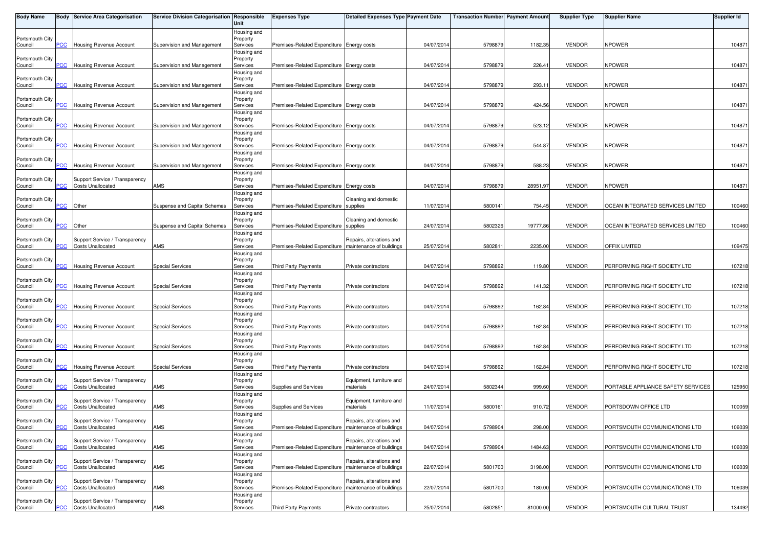| <b>Body Name</b>           |                | Body Service Area Categorisation                           | Service Division Categorisation Responsible | Unit                    | <b>Expenses Type</b>                                    | <b>Detailed Expenses Type Payment Date</b> |            | <b>Transaction Number Payment Amount</b> |          | <b>Supplier Type</b> | <b>Supplier Name</b>               | Supplier Id |
|----------------------------|----------------|------------------------------------------------------------|---------------------------------------------|-------------------------|---------------------------------------------------------|--------------------------------------------|------------|------------------------------------------|----------|----------------------|------------------------------------|-------------|
|                            |                |                                                            |                                             | Housing and             |                                                         |                                            |            |                                          |          |                      |                                    |             |
| Portsmouth City<br>Council | PCC            | Housing Revenue Account                                    | Supervision and Management                  | Property<br>Services    | Premises-Related Expenditure Energy costs               |                                            | 04/07/2014 | 5798879                                  | 1182.35  | <b>VENDOR</b>        | <b>NPOWER</b>                      | 104871      |
|                            |                |                                                            |                                             | Housing and             |                                                         |                                            |            |                                          |          |                      |                                    |             |
| Portsmouth City            |                |                                                            |                                             | Property                |                                                         |                                            |            |                                          |          |                      |                                    |             |
| Council                    | PCC            | <b>Housing Revenue Account</b>                             | Supervision and Management                  | Services                | Premises-Related Expenditure Energy costs               |                                            | 04/07/201  | 5798879                                  | 226.41   | <b>VENDOR</b>        | <b>NPOWER</b>                      | 104871      |
| Portsmouth City            |                |                                                            |                                             | Housing and             |                                                         |                                            |            |                                          |          |                      |                                    |             |
| Council                    | <b>PCC</b>     | Housing Revenue Account                                    | Supervision and Management                  | Property<br>Services    | Premises-Related Expenditure Energy costs               |                                            | 04/07/2014 | 5798879                                  | 293.11   | <b>VENDOR</b>        | <b>NPOWER</b>                      | 104871      |
|                            |                |                                                            |                                             | Housing and             |                                                         |                                            |            |                                          |          |                      |                                    |             |
| Portsmouth City            |                |                                                            |                                             | Property                |                                                         |                                            |            |                                          |          |                      |                                    |             |
| Council                    | PCC            | Housing Revenue Account                                    | Supervision and Management                  | Services                | Premises-Related Expenditure Energy costs               |                                            | 04/07/201  | 5798879                                  | 424.56   | <b>VENDOR</b>        | <b>NPOWER</b>                      | 104871      |
| Portsmouth City            |                |                                                            |                                             | Housing and<br>Property |                                                         |                                            |            |                                          |          |                      |                                    |             |
| Council                    | PCC            | Housing Revenue Account                                    | Supervision and Management                  | Services                | Premises-Related Expenditure Energy costs               |                                            | 04/07/201  | 5798879                                  | 523.12   | <b>VENDOR</b>        | <b>NPOWER</b>                      | 104871      |
|                            |                |                                                            |                                             | Housing and             |                                                         |                                            |            |                                          |          |                      |                                    |             |
| Portsmouth City            |                |                                                            |                                             | Property                |                                                         |                                            |            |                                          |          |                      |                                    |             |
| Council                    | $\overline{C}$ | <b>Housing Revenue Account</b>                             | Supervision and Management                  | Services<br>Housing and | Premises-Related Expenditure Energy costs               |                                            | 04/07/2014 | 5798879                                  | 544.87   | <b>VENDOR</b>        | <b>NPOWER</b>                      | 104871      |
| Portsmouth City            |                |                                                            |                                             | Property                |                                                         |                                            |            |                                          |          |                      |                                    |             |
| Council                    | PCC            | Housing Revenue Account                                    | Supervision and Management                  | Services                | Premises-Related Expenditure Energy costs               |                                            | 04/07/2014 | 5798879                                  | 588.23   | <b>VENDOR</b>        | <b>NPOWER</b>                      | 104871      |
|                            |                |                                                            |                                             | Housing and             |                                                         |                                            |            |                                          |          |                      |                                    |             |
| Portsmouth City<br>Council | <u>PCC</u>     | Support Service / Transparency<br><b>Costs Unallocated</b> | AMS                                         | Property<br>Services    | Premises-Related Expenditure Energy costs               |                                            | 04/07/2014 | 5798879                                  | 28951.97 | <b>VENDOR</b>        | <b>NPOWER</b>                      | 104871      |
|                            |                |                                                            |                                             | Housing and             |                                                         |                                            |            |                                          |          |                      |                                    |             |
| Portsmouth City            |                |                                                            |                                             | Property                |                                                         | Cleaning and domestic                      |            |                                          |          |                      |                                    |             |
| Council                    | CC             | Other                                                      | Suspense and Capital Schemes                | Services                | Premises-Related Expenditure supplies                   |                                            | 11/07/201  | 580014                                   | 754.45   | <b>VENDOR</b>        | OCEAN INTEGRATED SERVICES LIMITED  | 100460      |
| Portsmouth City            |                |                                                            |                                             | Housing and             |                                                         | Cleaning and domestic                      |            |                                          |          |                      |                                    |             |
| Council                    | PCC            | Other                                                      | Suspense and Capital Schemes                | Property<br>Services    | Premises-Related Expenditure supplies                   |                                            | 24/07/2014 | 5802326                                  | 19777.86 | <b>VENDOR</b>        | OCEAN INTEGRATED SERVICES LIMITED  | 100460      |
|                            |                |                                                            |                                             | Housing and             |                                                         |                                            |            |                                          |          |                      |                                    |             |
| Portsmouth City            |                | Support Service / Transparency                             |                                             | Property                |                                                         | Repairs, alterations and                   |            |                                          |          |                      |                                    |             |
| Council                    | <b>PCC</b>     | <b>Costs Unallocated</b>                                   | AMS                                         | Services                | Premises-Related Expenditure Imaintenance of buildings  |                                            | 25/07/201  | 580281                                   | 2235.00  | <b>VENDOR</b>        | OFFIX LIMITED                      | 109475      |
| Portsmouth City            |                |                                                            |                                             | Housing and<br>Property |                                                         |                                            |            |                                          |          |                      |                                    |             |
| Council                    | сC             | <b>Housing Revenue Account</b>                             | <b>Special Services</b>                     | Services                | Third Party Payments                                    | Private contractors                        | 04/07/201  | 5798892                                  | 119.80   | <b>VENDOR</b>        | PERFORMING RIGHT SOCIETY LTD       | 107218      |
|                            |                |                                                            |                                             | Housing and             |                                                         |                                            |            |                                          |          |                      |                                    |             |
| Portsmouth City            |                |                                                            |                                             | Property                |                                                         |                                            |            |                                          |          |                      |                                    |             |
| Council                    | PCC            | <b>Housing Revenue Account</b>                             | <b>Special Services</b>                     | Services<br>Housing and | <b>Third Party Payments</b>                             | Private contractors                        | 04/07/201  | 5798892                                  | 141.32   | <b>VENDOR</b>        | PERFORMING RIGHT SOCIETY LTD       | 107218      |
| Portsmouth City            |                |                                                            |                                             | Property                |                                                         |                                            |            |                                          |          |                      |                                    |             |
| Council                    | PCC            | <b>Housing Revenue Account</b>                             | <b>Special Services</b>                     | Services                | <b>Third Party Payments</b>                             | Private contractors                        | 04/07/2014 | 5798892                                  | 162.84   | <b>VENDOR</b>        | PERFORMING RIGHT SOCIETY LTD       | 107218      |
|                            |                |                                                            |                                             | Housing and             |                                                         |                                            |            |                                          |          |                      |                                    |             |
| Portsmouth City<br>Council | PCC            | Housing Revenue Account                                    | <b>Special Services</b>                     | Property<br>Services    | <b>Third Party Payments</b>                             | Private contractors                        | 04/07/201  | 5798892                                  | 162.84   | <b>VENDOR</b>        | PERFORMING RIGHT SOCIETY LTD       | 107218      |
|                            |                |                                                            |                                             | Housing and             |                                                         |                                            |            |                                          |          |                      |                                    |             |
| Portsmouth City            |                |                                                            |                                             | Property                |                                                         |                                            |            |                                          |          |                      |                                    |             |
| Council                    | PCC            | Housing Revenue Account                                    | <b>Special Services</b>                     | Services                | <b>Third Party Payments</b>                             | Private contractors                        | 04/07/2014 | 5798892                                  | 162.84   | <b>VENDOR</b>        | PERFORMING RIGHT SOCIETY LTD       | 107218      |
|                            |                |                                                            |                                             | Housing and             |                                                         |                                            |            |                                          |          |                      |                                    |             |
| Portsmouth City<br>Council | PCC            | Housing Revenue Account                                    | Special Services                            | Property<br>Services    | Third Party Payments                                    | Private contractors                        | 04/07/2014 | 5798892                                  | 162.84   | <b>VENDOR</b>        | PERFORMING RIGHT SOCIETY LTD       | 107218      |
|                            |                |                                                            |                                             | Housing and             |                                                         |                                            |            |                                          |          |                      |                                    |             |
| Portsmouth City            |                | Support Service / Transparency                             |                                             | Property                |                                                         | Equipment, furniture and                   |            |                                          |          |                      |                                    |             |
| Council                    | PСC            | <b>Costs Unallocated</b>                                   | AMS                                         | Services                | Supplies and Services                                   | materials                                  | 24/07/201  | 5802344                                  | 999.60   | <b>VENDOR</b>        | PORTABLE APPLIANCE SAFETY SERVICES | 125950      |
| Portsmouth City            |                | Support Service / Transparency                             |                                             | Housing and<br>Property |                                                         | Equipment, furniture and                   |            |                                          |          |                      |                                    |             |
| Council                    | PCC            | Costs Unallocated                                          | AMS                                         | Services                | Supplies and Services                                   | materials                                  | 11/07/2014 | 5800161                                  | 910.72   | <b>VENDOR</b>        | PORTSDOWN OFFICE LTD               | 100059      |
|                            |                |                                                            |                                             | Housing and             |                                                         |                                            |            |                                          |          |                      |                                    |             |
| Portsmouth City            |                | Support Service / Transparency                             |                                             | Property                |                                                         | Repairs, alterations and                   |            |                                          |          |                      |                                    |             |
| Council                    |                | <b>PCC</b> Costs Unallocated                               | AMS                                         | Services                | Premises-Related Expenditure   maintenance of buildings |                                            | 04/07/2014 | 5798904                                  | 298.00   | <b>VENDOR</b>        | PORTSMOUTH COMMUNICATIONS LTD      | 106039      |
| Portsmouth City            |                | Support Service / Transparency                             |                                             | Housing and<br>Property |                                                         | Repairs, alterations and                   |            |                                          |          |                      |                                    |             |
| Council                    | PCC            | <b>Costs Unallocated</b>                                   | AMS                                         | Services                | Premises-Related Expenditure   maintenance of buildings |                                            | 04/07/201  | 5798904                                  | 1484.63  | <b>VENDOR</b>        | PORTSMOUTH COMMUNICATIONS LTD      | 106039      |
|                            |                |                                                            |                                             | Housing and             |                                                         |                                            |            |                                          |          |                      |                                    |             |
| Portsmouth City            |                | Support Service / Transparency                             |                                             | Property                |                                                         | Repairs, alterations and                   |            |                                          |          |                      |                                    |             |
| Council                    | PCC            | Costs Unallocated                                          | AMS                                         | Services                | Premises-Related Expenditure                            | maintenance of buildings                   | 22/07/2014 | 5801700                                  | 3198.00  | <b>VENDOR</b>        | PORTSMOUTH COMMUNICATIONS LTD      | 106039      |
| Portsmouth City            |                | Support Service / Transparency                             |                                             | Housing and<br>Property |                                                         | Repairs, alterations and                   |            |                                          |          |                      |                                    |             |
| Council                    | PCC            | <b>Costs Unallocated</b>                                   | AMS                                         | Services                | Premises-Related Expenditure   maintenance of buildings |                                            | 22/07/201  | 5801700                                  | 180.00   | <b>VENDOR</b>        | PORTSMOUTH COMMUNICATIONS LTD      | 106039      |
|                            |                |                                                            |                                             | Housing and             |                                                         |                                            |            |                                          |          |                      |                                    |             |
| Portsmouth City            |                | Support Service / Transparency                             |                                             | Property                |                                                         |                                            |            |                                          |          |                      |                                    |             |
| Council                    | <b>PCC</b>     | <b>Costs Unallocated</b>                                   | AMS                                         | Services                | Third Party Payments                                    | Private contractors                        | 25/07/201  | 5802851                                  | 81000.00 | <b>VENDOR</b>        | PORTSMOUTH CULTURAL TRUST          | 134492      |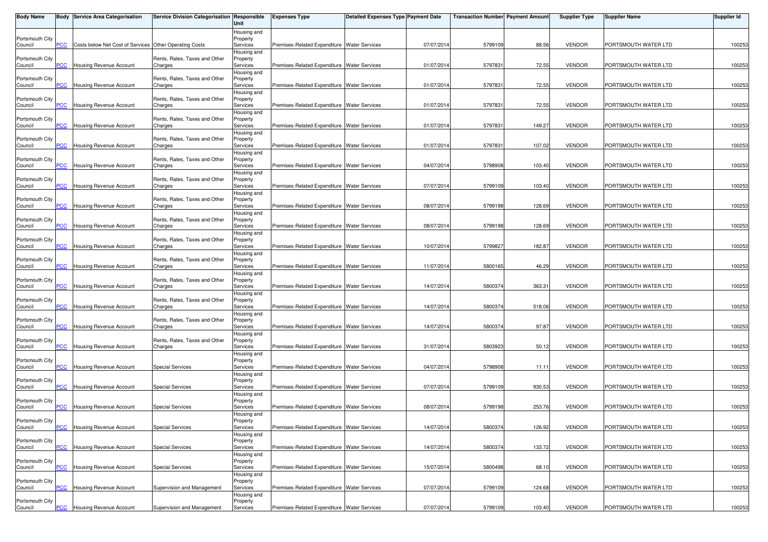| <b>Body Name</b>           |                | Body Service Area Categorisation                       | Service Division Categorisation Responsible | Unit                    | <b>Expenses Type</b>                          | <b>Detailed Expenses Type Payment Date</b> |            | <b>Transaction Number Payment Amount</b> |        | <b>Supplier Type</b> | <b>Supplier Name</b> | <b>Supplier Id</b> |
|----------------------------|----------------|--------------------------------------------------------|---------------------------------------------|-------------------------|-----------------------------------------------|--------------------------------------------|------------|------------------------------------------|--------|----------------------|----------------------|--------------------|
|                            |                |                                                        |                                             | Housing and             |                                               |                                            |            |                                          |        |                      |                      |                    |
| Portsmouth City<br>Council | PCC            | Costs below Net Cost of Services Other Operating Costs |                                             | Property<br>Services    | Premises-Related Expenditure Water Services   |                                            | 07/07/2014 | 5799109                                  | 88.56  | <b>VENDOR</b>        | PORTSMOUTH WATER LTD | 100253             |
|                            |                |                                                        |                                             | Housing and             |                                               |                                            |            |                                          |        |                      |                      |                    |
| Portsmouth City            |                |                                                        | Rents, Rates, Taxes and Other               | Property                |                                               |                                            |            |                                          |        |                      |                      |                    |
| Council                    | <b>PCC</b>     | Housing Revenue Account                                | Charges                                     | Services                | Premises-Related Expenditure Water Services   |                                            | 01/07/2014 | 579783                                   | 72.55  | <b>VENDOR</b>        | PORTSMOUTH WATER LTD | 100253             |
| Portsmouth City            |                |                                                        | Rents, Rates, Taxes and Other               | Housing and<br>Property |                                               |                                            |            |                                          |        |                      |                      |                    |
| Council                    | <b>PCC</b>     | Housing Revenue Account                                | Charges                                     | Services                | Premises-Related Expenditure Water Services   |                                            | 01/07/2014 | 579783                                   | 72.55  | <b>VENDOR</b>        | PORTSMOUTH WATER LTD | 100253             |
|                            |                |                                                        |                                             | Housing and             |                                               |                                            |            |                                          |        |                      |                      |                    |
| Portsmouth City<br>Council | PCC            | Housing Revenue Account                                | Rents, Rates, Taxes and Other<br>Charges    | Property<br>Services    | Premises-Related Expenditure Water Services   |                                            | 01/07/2014 | 579783                                   | 72.55  | <b>VENDOR</b>        | PORTSMOUTH WATER LTD | 100253             |
|                            |                |                                                        |                                             | Housing and             |                                               |                                            |            |                                          |        |                      |                      |                    |
| Portsmouth City            |                |                                                        | Rents, Rates, Taxes and Other               | Property                |                                               |                                            |            |                                          |        |                      |                      |                    |
| Council                    | PCC            | Housing Revenue Account                                | Charges                                     | Services<br>Housing and | Premises-Related Expenditure Water Services   |                                            | 01/07/2014 | 579783                                   | 149.27 | <b>VENDOR</b>        | PORTSMOUTH WATER LTD | 100253             |
| Portsmouth City            |                |                                                        | Rents, Rates, Taxes and Other               | Property                |                                               |                                            |            |                                          |        |                      |                      |                    |
| Council                    | $\overline{C}$ | <b>Housing Revenue Account</b>                         | Charges                                     | Services                | Premises-Related Expenditure Water Services   |                                            | 01/07/2014 | 579783                                   | 107.02 | <b>VENDOR</b>        | PORTSMOUTH WATER LTD | 100253             |
|                            |                |                                                        |                                             | Housing and             |                                               |                                            |            |                                          |        |                      |                      |                    |
| Portsmouth City<br>Council | <b>PCC</b>     | Housing Revenue Account                                | Rents, Rates, Taxes and Other<br>Charges    | Property<br>Services    | Premises-Related Expenditure Water Services   |                                            | 04/07/2014 | 5798908                                  | 103.40 | <b>VENDOR</b>        | PORTSMOUTH WATER LTD | 100253             |
|                            |                |                                                        |                                             | Housing and             |                                               |                                            |            |                                          |        |                      |                      |                    |
| Portsmouth City            |                |                                                        | Rents, Rates, Taxes and Other               | Property                |                                               |                                            |            |                                          |        |                      |                      |                    |
| Council                    | <u>PCC</u>     | <b>Housing Revenue Account</b>                         | Charges                                     | Services<br>Housing and | Premises-Related Expenditure Water Services   |                                            | 07/07/2014 | 5799109                                  | 103.40 | <b>VENDOR</b>        | PORTSMOUTH WATER LTD | 100253             |
| Portsmouth City            |                |                                                        | Rents, Rates, Taxes and Other               | Property                |                                               |                                            |            |                                          |        |                      |                      |                    |
| Council                    | PСC            | <b>Housing Revenue Account</b>                         | Charges                                     | Services                | Premises-Related Expenditure Water Services   |                                            | 08/07/2014 | 5799198                                  | 128.69 | <b>VENDOR</b>        | PORTSMOUTH WATER LTD | 100253             |
|                            |                |                                                        |                                             | Housing and             |                                               |                                            |            |                                          |        |                      |                      |                    |
| Portsmouth City<br>Council | PCC            | Housing Revenue Account                                | Rents, Rates, Taxes and Other<br>Charges    | Property<br>Services    | Premises-Related Expenditure Water Services   |                                            | 08/07/2014 | 5799198                                  | 128.69 | <b>VENDOR</b>        | PORTSMOUTH WATER LTD | 100253             |
|                            |                |                                                        |                                             | Housing and             |                                               |                                            |            |                                          |        |                      |                      |                    |
| Portsmouth City            |                |                                                        | Rents, Rates, Taxes and Other               | Property                |                                               |                                            |            |                                          |        |                      |                      |                    |
| Council                    | PCC            | Housing Revenue Account                                | Charges                                     | Services<br>Housing and | Premises-Related Expenditure Water Services   |                                            | 10/07/2014 | 579982                                   | 182.87 | <b>VENDOR</b>        | PORTSMOUTH WATER LTD | 100253             |
| Portsmouth City            |                |                                                        | Rents, Rates, Taxes and Other               | Property                |                                               |                                            |            |                                          |        |                      |                      |                    |
| Council                    | PСC            | <b>Housing Revenue Account</b>                         | Charges                                     | Services                | Premises-Related Expenditure Water Services   |                                            | 11/07/2014 | 5800165                                  | 46.29  | <b>VENDOR</b>        | PORTSMOUTH WATER LTD | 100253             |
|                            |                |                                                        |                                             | Housing and             |                                               |                                            |            |                                          |        |                      |                      |                    |
| Portsmouth City<br>Council | PCC            | Housing Revenue Account                                | Rents, Rates, Taxes and Other<br>Charges    | Property<br>Services    | Premises-Related Expenditure Water Services   |                                            | 14/07/2014 | 5800374                                  | 363.31 | <b>VENDOR</b>        | PORTSMOUTH WATER LTD | 100253             |
|                            |                |                                                        |                                             | Housing and             |                                               |                                            |            |                                          |        |                      |                      |                    |
| Portsmouth City            |                |                                                        | Rents, Rates, Taxes and Other               | Property                |                                               |                                            |            |                                          |        |                      |                      |                    |
| Council                    | PCC            | Housing Revenue Account                                | Charges                                     | Services<br>Housing and | Premises-Related Expenditure Water Services   |                                            | 14/07/2014 | 5800374                                  | 518.06 | <b>VENDOR</b>        | PORTSMOUTH WATER LTD | 100253             |
| Portsmouth City            |                |                                                        | Rents, Rates, Taxes and Other               | Property                |                                               |                                            |            |                                          |        |                      |                      |                    |
| Council                    | <b>PCC</b>     | Housing Revenue Account                                | Charges                                     | Services                | Premises-Related Expenditure Water Services   |                                            | 14/07/2014 | 5800374                                  | 97.87  | <b>VENDOR</b>        | PORTSMOUTH WATER LTD | 100253             |
|                            |                |                                                        |                                             | Housing and             |                                               |                                            |            |                                          |        |                      |                      |                    |
| Portsmouth City<br>Council | PCC            | Housing Revenue Account                                | Rents, Rates, Taxes and Other<br>Charges    | Property<br>Services    | Premises-Related Expenditure Water Services   |                                            | 31/07/2014 | 5803923                                  | 50.12  | <b>VENDOR</b>        | PORTSMOUTH WATER LTD | 100253             |
|                            |                |                                                        |                                             | Housing and             |                                               |                                            |            |                                          |        |                      |                      |                    |
| Portsmouth City            |                |                                                        |                                             | Property                |                                               |                                            |            |                                          |        |                      |                      |                    |
| Council                    | PCC            | <b>Housing Revenue Account</b>                         | <b>Special Services</b>                     | Services<br>Housing and | Premises-Related Expenditure Water Services   |                                            | 04/07/2014 | 5798908                                  | 11.11  | <b>VENDOR</b>        | PORTSMOUTH WATER LTD | 100253             |
| Portsmouth City            |                |                                                        |                                             | Property                |                                               |                                            |            |                                          |        |                      |                      |                    |
| Council                    | <b>PCC</b>     | Housing Revenue Account                                | <b>Special Services</b>                     | Services                | Premises-Related Expenditure Water Services   |                                            | 07/07/2014 | 5799109                                  | 930.53 | <b>VENDOR</b>        | PORTSMOUTH WATER LTD | 100253             |
| Portsmouth City            |                |                                                        |                                             | Housing and<br>Property |                                               |                                            |            |                                          |        |                      |                      |                    |
| Council                    | PCC            | <b>Housing Revenue Account</b>                         | <b>Special Services</b>                     | Services                | Premises-Related Expenditure Water Services   |                                            | 08/07/2014 | 5799198                                  | 253.76 | <b>VENDOR</b>        | PORTSMOUTH WATER LTD | 100253             |
|                            |                |                                                        |                                             | Housing and             |                                               |                                            |            |                                          |        |                      |                      |                    |
| Portsmouth City            | <b>PCC</b>     | <b>Housing Revenue Account</b>                         | <b>Special Services</b>                     | Property<br>Services    | Premises-Related Expenditure   Water Services |                                            | 14/07/2014 | 5800374                                  | 126.92 | <b>VENDOR</b>        | PORTSMOUTH WATER LTD | 100253             |
| Council                    |                |                                                        |                                             | Housing and             |                                               |                                            |            |                                          |        |                      |                      |                    |
| Portsmouth City            |                |                                                        |                                             | Property                |                                               |                                            |            |                                          |        |                      |                      |                    |
| Council                    | PCC            | Housing Revenue Account                                | <b>Special Services</b>                     | Services                | Premises-Related Expenditure Water Services   |                                            | 14/07/2014 | 580037                                   | 133.72 | <b>VENDOR</b>        | PORTSMOUTH WATER LTD | 100253             |
| Portsmouth City            |                |                                                        |                                             | Housing and<br>Property |                                               |                                            |            |                                          |        |                      |                      |                    |
| Council                    | PCC            | Housing Revenue Account                                | <b>Special Services</b>                     | Services                | Premises-Related Expenditure Water Services   |                                            | 15/07/2014 | 5800498                                  | 68.10  | <b>VENDOR</b>        | PORTSMOUTH WATER LTD | 100253             |
|                            |                |                                                        |                                             | Housing and             |                                               |                                            |            |                                          |        |                      |                      |                    |
| Portsmouth City            | PCC            | Housing Revenue Account                                | Supervision and Management                  | Property<br>Services    | Premises-Related Expenditure Water Services   |                                            | 07/07/2014 | 5799109                                  | 124.68 | <b>VENDOR</b>        | PORTSMOUTH WATER LTD | 100253             |
| Council                    |                |                                                        |                                             | Housing and             |                                               |                                            |            |                                          |        |                      |                      |                    |
| Portsmouth City            |                |                                                        |                                             | Property                |                                               |                                            |            |                                          |        |                      |                      |                    |
| Council                    | $PCC$          | <b>Housing Revenue Account</b>                         | Supervision and Management                  | Services                | Premises-Related Expenditure Water Services   |                                            | 07/07/2014 | 5799109                                  | 103.40 | <b>VENDOR</b>        | PORTSMOUTH WATER LTD | 100253             |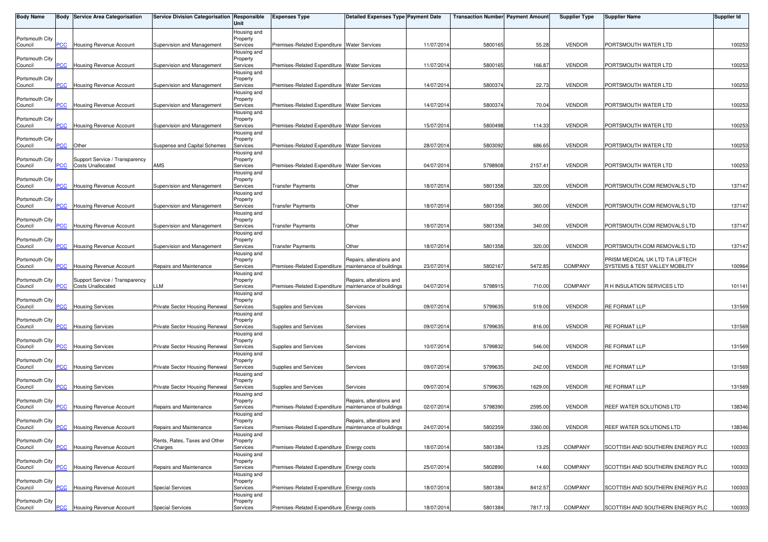| <b>Body Name</b>           |                | <b>Body Service Area Categorisation</b>                    | Service Division Categorisation Responsible | Unit                                | <b>Expenses Type</b>                                    | <b>Detailed Expenses Type Payment Date</b>           |            | <b>Transaction Number</b> Payment Amount |         | <b>Supplier Type</b> | <b>Supplier Name</b>                                               | Supplier Id |
|----------------------------|----------------|------------------------------------------------------------|---------------------------------------------|-------------------------------------|---------------------------------------------------------|------------------------------------------------------|------------|------------------------------------------|---------|----------------------|--------------------------------------------------------------------|-------------|
| Portsmouth City<br>Council | PCC            | <b>Housing Revenue Account</b>                             | Supervision and Management                  | Housing and<br>Property<br>Services | Premises-Related Expenditure Water Services             |                                                      | 11/07/2014 | 5800165                                  | 55.28   | <b>VENDOR</b>        | PORTSMOUTH WATER LTD                                               | 100253      |
| Portsmouth City            |                |                                                            |                                             | Housing and<br>Property             |                                                         |                                                      |            |                                          |         |                      |                                                                    |             |
| Council                    | <b>PCC</b>     | <b>Housing Revenue Account</b>                             | Supervision and Management                  | Services<br>Housing and             | Premises-Related Expenditure Water Services             |                                                      | 11/07/2014 | 5800165                                  | 166.87  | <b>VENDOR</b>        | PORTSMOUTH WATER LTD                                               | 100253      |
| Portsmouth City<br>Council | PСC            | <b>Housing Revenue Account</b>                             | Supervision and Management                  | Property<br>Services                | Premises-Related Expenditure Water Services             |                                                      | 14/07/2014 | 5800374                                  | 22.73   | <b>VENDOR</b>        | PORTSMOUTH WATER LTD                                               | 100253      |
| Portsmouth City            |                |                                                            |                                             | Housing and<br>Property             |                                                         |                                                      |            |                                          |         |                      |                                                                    |             |
| Council                    | PСC            | <b>Housing Revenue Account</b>                             | Supervision and Management                  | Services<br>Housing and             | Premises-Related Expenditure Water Services             |                                                      | 14/07/2014 | 580037                                   | 70.04   | <b>VENDOR</b>        | PORTSMOUTH WATER LTD                                               | 100253      |
| Portsmouth City<br>Council | <b>PCC</b>     | Housing Revenue Account                                    | Supervision and Management                  | Property<br>Services                | Premises-Related Expenditure Water Services             |                                                      | 15/07/2014 | 5800498                                  | 114.33  | <b>VENDOR</b>        | PORTSMOUTH WATER LTD                                               | 100253      |
| Portsmouth City<br>Council | $\overline{C}$ | Other                                                      | Suspense and Capital Schemes                | Housing and<br>Property<br>Services | Premises-Related Expenditure Water Services             |                                                      | 28/07/2014 | 5803092                                  | 686.65  | <b>VENDOR</b>        | PORTSMOUTH WATER LTD                                               | 100253      |
| Portsmouth City            |                | Support Service / Transparency                             |                                             | Housing and<br>Property             |                                                         |                                                      |            |                                          |         |                      |                                                                    |             |
| Council                    | PСC            | <b>Costs Unallocated</b>                                   | AMS                                         | Services<br>Housing and             | Premises-Related Expenditure Water Services             |                                                      | 04/07/2014 | 5798908                                  | 2157.41 | <b>VENDOR</b>        | PORTSMOUTH WATER LTD                                               | 100253      |
| Portsmouth City<br>Council | <b>PCC</b>     | Housing Revenue Account                                    | Supervision and Management                  | Property<br>Services                | <b>Transfer Payments</b>                                | Other                                                | 18/07/2014 | 5801358                                  | 320.00  | <b>VENDOR</b>        | PORTSMOUTH.COM REMOVALS LTD                                        | 137147      |
| Portsmouth City            |                |                                                            |                                             | Housing and<br>Property             |                                                         |                                                      |            |                                          |         |                      |                                                                    |             |
| Council                    | сC             | Housing Revenue Account                                    | Supervision and Management                  | Services<br>Housing and             | <b>Transfer Payments</b>                                | Other                                                | 18/07/2014 | 5801358                                  | 360.00  | <b>VENDOR</b>        | PORTSMOUTH.COM REMOVALS LTD                                        | 137147      |
| Portsmouth City<br>Council | PCC            | Housing Revenue Account                                    | Supervision and Management                  | Property<br>Services                | Transfer Payments                                       | Other                                                | 18/07/2014 | 5801358                                  | 340.00  | <b>VENDOR</b>        | PORTSMOUTH.COM REMOVALS LTD                                        | 137147      |
| Portsmouth City            |                |                                                            |                                             | Housing and<br>Property             |                                                         |                                                      |            |                                          |         |                      |                                                                    |             |
| Council                    | PСC            | Housing Revenue Account                                    | Supervision and Management                  | Services<br>Housing and             | Transfer Payments                                       | Other                                                | 18/07/2014 | 5801358                                  | 320.00  | <b>VENDOR</b>        | PORTSMOUTH.COM REMOVALS LTD                                        | 137147      |
| Portsmouth City<br>Council | сC             | Housing Revenue Account                                    | Repairs and Maintenance                     | Property<br>Services                | Premises-Related Expenditure                            | Repairs, alterations and<br>maintenance of buildings | 23/07/2014 | 5802167                                  | 5472.85 | <b>COMPANY</b>       | PRISM MEDICAL UK LTD T/A LIFTECH<br>SYSTEMS & TEST VALLEY MOBILITY | 100964      |
| Portsmouth City<br>Council | PСC            | Support Service / Transparency<br><b>Costs Unallocated</b> | LLM                                         | Housing and<br>Property<br>Services | Premises-Related Expenditure                            | Repairs, alterations and<br>maintenance of buildings | 04/07/2014 | 579891                                   | 710.00  | <b>COMPANY</b>       | R H INSULATION SERVICES LTD                                        | 101141      |
| Portsmouth City<br>Council | <b>PCC</b>     | <b>Housing Services</b>                                    | Private Sector Housing Renewal              | Housing and<br>Property<br>Services | Supplies and Services                                   | Services                                             | 09/07/2014 | 579963                                   | 519.00  | <b>VENDOR</b>        | <b>RE FORMAT LLP</b>                                               | 131569      |
| Portsmouth City            |                |                                                            |                                             | Housing and<br>Property             |                                                         |                                                      |            |                                          |         |                      |                                                                    |             |
| Council                    | <u>'CC</u>     | <b>Housing Services</b>                                    | Private Sector Housing Renewal              | Services<br>Housing and             | Supplies and Services                                   | Services                                             | 09/07/2014 | 5799635                                  | 816.00  | <b>VENDOR</b>        | RE FORMAT LLP                                                      | 131569      |
| Portsmouth City<br>Council | <b>PCC</b>     | <b>Housing Services</b>                                    | Private Sector Housing Renewal              | Property<br>Services                | Supplies and Services                                   | Services                                             | 10/07/2014 | 5799832                                  | 546.00  | <b>VENDOR</b>        | <b>RE FORMAT LLP</b>                                               | 131569      |
| Portsmouth City<br>Council | <b>PCC</b>     | <b>Housing Services</b>                                    | Private Sector Housing Renewal              | Housing and<br>Property<br>Services | Supplies and Services                                   | Services                                             | 09/07/2014 | 579963                                   | 242.00  | <b>VENDOR</b>        | <b>RE FORMAT LLP</b>                                               | 131569      |
| Portsmouth City<br>Council | <u>PCC</u>     | <b>Housing Services</b>                                    | Private Sector Housing Renewal              | Housing and<br>Property<br>Services | Supplies and Services                                   | Services                                             | 09/07/2014 | 5799635                                  | 1629.00 | <b>VENDOR</b>        | RE FORMAT LLP                                                      | 131569      |
| Portsmouth City<br>Council | PСC            | Housing Revenue Account                                    | Repairs and Maintenance                     | Housing and<br>Property<br>Services | Premises-Related Expenditure                            | Repairs, alterations and<br>maintenance of buildings | 02/07/2014 | 5798390                                  | 2595.00 | <b>VENDOR</b>        | REEF WATER SOLUTIONS LTD                                           | 138346      |
| Portsmouth City<br>Council | <b>PCC</b>     | <b>Housing Revenue Account</b>                             | Repairs and Maintenance                     | Housing and<br>Property<br>Services | Premises-Related Expenditure   maintenance of buildings | Repairs, alterations and                             | 24/07/2014 | 5802359                                  | 3360.00 | <b>VENDOR</b>        | REEF WATER SOLUTIONS LTD                                           | 138346      |
| Portsmouth City<br>Council | PСC            | Housing Revenue Account                                    | Rents, Rates, Taxes and Other<br>Charges    | Housing and<br>Property<br>Services | Premises-Related Expenditure Energy costs               |                                                      | 18/07/2014 | 5801384                                  | 13.25   | <b>COMPANY</b>       | SCOTTISH AND SOUTHERN ENERGY PLC                                   | 100303      |
| Portsmouth City            |                |                                                            |                                             | Housing and<br>Property             |                                                         |                                                      |            |                                          |         |                      |                                                                    |             |
| Council                    | PСC            | Housing Revenue Account                                    | Repairs and Maintenance                     | Services<br>Housing and             | Premises-Related Expenditure Energy costs               |                                                      | 25/07/2014 | 5802890                                  | 14.60   | <b>COMPANY</b>       | SCOTTISH AND SOUTHERN ENERGY PLC                                   | 100303      |
| Portsmouth City<br>Council | PCC            | <b>Housing Revenue Account</b>                             | <b>Special Services</b>                     | Property<br>Services                | Premises-Related Expenditure Energy costs               |                                                      | 18/07/2014 | 5801384                                  | 8412.57 | <b>COMPANY</b>       | SCOTTISH AND SOUTHERN ENERGY PLC                                   | 100303      |
| Portsmouth City            |                |                                                            |                                             | Housing and<br>Property             |                                                         |                                                      |            |                                          |         |                      |                                                                    |             |
| Council                    | $PCC$          | Housing Revenue Account                                    | <b>Special Services</b>                     | Services                            | Premises-Related Expenditure Energy costs               |                                                      | 18/07/2014 | 5801384                                  | 7817.13 | <b>COMPANY</b>       | SCOTTISH AND SOUTHERN ENERGY PLC                                   | 100303      |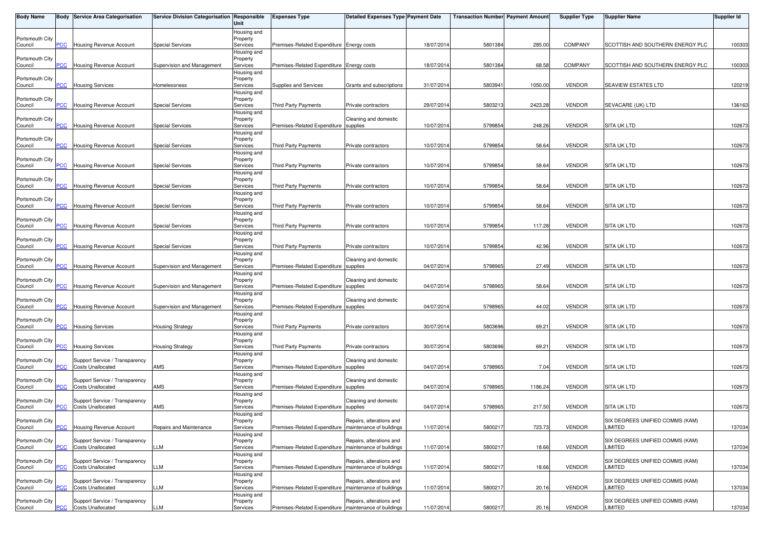| <b>Body Name</b>           |                | <b>Body Service Area Categorisation</b>                    | Service Division Categorisation Responsible | Unit                    | <b>Expenses Type</b>                                    | <b>Detailed Expenses Type Payment Date</b>           |            | <b>Transaction Number</b> Payment Amount |         | <b>Supplier Type</b> | Supplier Name                              | <b>Supplier Id</b> |
|----------------------------|----------------|------------------------------------------------------------|---------------------------------------------|-------------------------|---------------------------------------------------------|------------------------------------------------------|------------|------------------------------------------|---------|----------------------|--------------------------------------------|--------------------|
|                            |                |                                                            |                                             | Housing and             |                                                         |                                                      |            |                                          |         |                      |                                            |                    |
| Portsmouth City<br>Council | PCC            | <b>Housing Revenue Account</b>                             | <b>Special Services</b>                     | Property<br>Services    | Premises-Related Expenditure Energy costs               |                                                      | 18/07/201  | 5801384                                  | 285.00  | <b>COMPANY</b>       | SCOTTISH AND SOUTHERN ENERGY PLC           | 100303             |
|                            |                |                                                            |                                             | Housing and             |                                                         |                                                      |            |                                          |         |                      |                                            |                    |
| Portsmouth City            |                | Housing Revenue Account                                    |                                             | Property                |                                                         |                                                      |            |                                          |         | <b>COMPANY</b>       |                                            |                    |
| Council                    | PCC            |                                                            | Supervision and Management                  | Services<br>Housing and | Premises-Related Expenditure Energy costs               |                                                      | 18/07/201  | 5801384                                  | 68.58   |                      | SCOTTISH AND SOUTHERN ENERGY PLC           | 100303             |
| Portsmouth City            |                |                                                            |                                             | Property                |                                                         |                                                      |            |                                          |         |                      |                                            |                    |
| Council                    | PCC            | <b>Housing Services</b>                                    | Homelessness                                | Services                | Supplies and Services                                   | Grants and subscriptions                             | 31/07/2014 | 580394                                   | 1050.00 | <b>VENDOR</b>        | SEAVIEW ESTATES LTD                        | 120219             |
| Portsmouth City            |                |                                                            |                                             | Housing and<br>Property |                                                         |                                                      |            |                                          |         |                      |                                            |                    |
| Council                    | PCC            | <b>Housing Revenue Account</b>                             | <b>Special Services</b>                     | Services                | Third Party Payments                                    | Private contractors                                  | 29/07/201  | 5803213                                  | 2423.28 | <b>VENDOR</b>        | SEVACARE (UK) LTD                          | 136163             |
|                            |                |                                                            |                                             | Housing and             |                                                         |                                                      |            |                                          |         |                      |                                            |                    |
| Portsmouth City<br>Council | PCC            | <b>Housing Revenue Account</b>                             | <b>Special Services</b>                     | Property<br>Services    | Premises-Related Expenditure                            | Cleaning and domestic<br>supplies                    | 10/07/201  | 5799854                                  | 248.26  | <b>VENDOR</b>        | <b>SITA UK LTD</b>                         | 102673             |
|                            |                |                                                            |                                             | Housing and             |                                                         |                                                      |            |                                          |         |                      |                                            |                    |
| Portsmouth City            |                |                                                            |                                             | Property                |                                                         |                                                      |            |                                          |         |                      |                                            |                    |
| Council                    | $\overline{C}$ | Housing Revenue Account                                    | <b>Special Services</b>                     | Services<br>Housing and | Third Party Payments                                    | Private contractors                                  | 10/07/201  | 5799854                                  | 58.64   | <b>VENDOR</b>        | <b>SITA UK LTD</b>                         | 102673             |
| Portsmouth City            |                |                                                            |                                             | Property                |                                                         |                                                      |            |                                          |         |                      |                                            |                    |
| Council                    | PCC            | Housing Revenue Account                                    | <b>Special Services</b>                     | Services                | Third Party Payments                                    | Private contractors                                  | 10/07/2014 | 5799854                                  | 58.64   | <b>VENDOR</b>        | <b>SITA UK LTD</b>                         | 102673             |
|                            |                |                                                            |                                             | Housing and             |                                                         |                                                      |            |                                          |         |                      |                                            |                    |
| Portsmouth City<br>Council | <b>PCC</b>     | <b>Housing Revenue Account</b>                             | <b>Special Services</b>                     | Property<br>Services    | <b>Third Party Payments</b>                             | Private contractors                                  | 10/07/201  | 5799854                                  | 58.64   | <b>VENDOR</b>        | <b>SITA UK LTD</b>                         | 102673             |
|                            |                |                                                            |                                             | Housing and             |                                                         |                                                      |            |                                          |         |                      |                                            |                    |
| Portsmouth City            |                |                                                            | <b>Special Services</b>                     | Property                | Third Party Payments                                    |                                                      |            |                                          | 58.64   | <b>VENDOR</b>        | <b>SITA UK LTD</b>                         |                    |
| Council                    | $\overline{C}$ | <b>Housing Revenue Account</b>                             |                                             | Services<br>Housing and |                                                         | Private contractors                                  | 10/07/201  | 5799854                                  |         |                      |                                            | 102673             |
| Portsmouth City            |                |                                                            |                                             | Property                |                                                         |                                                      |            |                                          |         |                      |                                            |                    |
| Council                    | PCC            | Housing Revenue Account                                    | <b>Special Services</b>                     | Services                | Third Party Payments                                    | Private contractors                                  | 10/07/201  | 5799854                                  | 117.28  | <b>VENDOR</b>        | SITA UK LTD                                | 102673             |
| Portsmouth City            |                |                                                            |                                             | Housing and<br>Property |                                                         |                                                      |            |                                          |         |                      |                                            |                    |
| Council                    | PCC            | <b>Housing Revenue Account</b>                             | <b>Special Services</b>                     | Services                | Third Party Payments                                    | Private contractors                                  | 10/07/201  | 5799854                                  | 42.96   | <b>VENDOR</b>        | <b>SITA UK LTD</b>                         | 102673             |
|                            |                |                                                            |                                             | Housing and             |                                                         |                                                      |            |                                          |         |                      |                                            |                    |
| Portsmouth City<br>Council | PСC            | <b>Housing Revenue Account</b>                             | Supervision and Management                  | Property<br>Services    | Premises-Related Expenditure                            | Cleaning and domestic<br>supplies                    | 04/07/201  | 5798965                                  | 27.49   | <b>VENDOR</b>        | SITA UK LTD                                | 102673             |
|                            |                |                                                            |                                             | Housing and             |                                                         |                                                      |            |                                          |         |                      |                                            |                    |
| Portsmouth City            |                |                                                            |                                             | Property                |                                                         | Cleaning and domestic                                |            |                                          |         |                      |                                            |                    |
| Council                    | PCC            | <b>Housing Revenue Account</b>                             | Supervision and Management                  | Services                | Premises-Related Expenditure supplies                   |                                                      | 04/07/201  | 5798965                                  | 58.64   | <b>VENDOR</b>        | <b>SITA UK LTD</b>                         | 102673             |
| Portsmouth City            |                |                                                            |                                             | Housing and<br>Property |                                                         | Cleaning and domestic                                |            |                                          |         |                      |                                            |                    |
| Council                    | PCC            | <b>Housing Revenue Account</b>                             | Supervision and Management                  | Services                | Premises-Related Expenditure supplies                   |                                                      | 04/07/201  | 5798965                                  | 44.02   | <b>VENDOR</b>        | <b>SITA UK LTD</b>                         | 102673             |
|                            |                |                                                            |                                             | Housing and             |                                                         |                                                      |            |                                          |         |                      |                                            |                    |
| Portsmouth City<br>Council | $\overline{C}$ | <b>Housing Services</b>                                    | <b>Housing Strategy</b>                     | Property<br>Services    | Third Party Payments                                    | Private contractors                                  | 30/07/201  | 5803696                                  | 69.21   | <b>VENDOR</b>        | <b>SITA UK LTD</b>                         | 102673             |
|                            |                |                                                            |                                             | Housing and             |                                                         |                                                      |            |                                          |         |                      |                                            |                    |
| Portsmouth City            |                |                                                            |                                             | Property                |                                                         |                                                      |            |                                          |         |                      |                                            |                    |
| Council                    | PCC            | <b>Housing Services</b>                                    | <b>Housing Strategy</b>                     | Services<br>Housing and | Third Party Payments                                    | Private contractors                                  | 30/07/201  | 5803696                                  | 69.21   | <b>VENDOR</b>        | <b>SITA UK LTD</b>                         | 102673             |
| Portsmouth City            |                | Support Service / Transparency                             |                                             | Property                |                                                         | Cleaning and domestic                                |            |                                          |         |                      |                                            |                    |
| Council                    | PCC            | <b>Costs Unallocated</b>                                   | AMS                                         | Services                | Premises-Related Expenditure supplies                   |                                                      | 04/07/201  | 5798965                                  | 7.04    | <b>VENDOR</b>        | <b>SITA UK LTD</b>                         | 102673             |
| Portsmouth City            |                | Support Service / Transparency                             |                                             | Housing and<br>Property |                                                         | Cleaning and domestic                                |            |                                          |         |                      |                                            |                    |
| Council                    | $\overline{C}$ | <b>Costs Unallocated</b>                                   | AMS                                         | Services                | Premises-Related Expenditure                            | supplies                                             | 04/07/201  | 5798965                                  | 1186.24 | <b>VENDOR</b>        | <b>SITA UK LTD</b>                         | 102673             |
|                            |                |                                                            |                                             | Housing and             |                                                         |                                                      |            |                                          |         |                      |                                            |                    |
| Portsmouth City<br>Council | <b>PCC</b>     | Support Service / Transparency<br><b>Costs Unallocated</b> | AMS                                         | Property<br>Services    | Premises-Related Expenditure supplies                   | Cleaning and domestic                                | 04/07/201  | 5798965                                  | 217.50  | <b>VENDOR</b>        | <b>SITA UK LTD</b>                         | 102673             |
|                            |                |                                                            |                                             | Housing and             |                                                         |                                                      |            |                                          |         |                      |                                            |                    |
| Portsmouth City            |                |                                                            |                                             | Property                |                                                         | Repairs, alterations and                             |            |                                          |         |                      | SIX DEGREES UNIFIED COMMS (KAM)            |                    |
| Council                    | PCC            | <b>Housing Revenue Account</b>                             | Repairs and Maintenance                     | Services                | Premises-Related Expenditure   maintenance of buildings |                                                      | 11/07/2014 | 5800217                                  | 723.73  | <b>VENDOR</b>        | LIMITED                                    | 137034             |
| Portsmouth City            |                | Support Service / Transparency                             |                                             | Housing and<br>Property |                                                         | Repairs, alterations and                             |            |                                          |         |                      | SIX DEGREES UNIFIED COMMS (KAM)            |                    |
| Council                    | PCC            | <b>Costs Unallocated</b>                                   | LLM                                         | Services                | Premises-Related Expenditure                            | maintenance of buildings                             | 11/07/201  | 580021                                   | 18.66   | <b>VENDOR</b>        | LIMITED                                    | 137034             |
|                            |                |                                                            |                                             | Housing and             |                                                         |                                                      |            |                                          |         |                      |                                            |                    |
| Portsmouth City<br>Council | PСC            | Support Service / Transparency<br>Costs Unallocated        | LLM                                         | Property<br>Services    | Premises-Related Expenditure                            | Repairs, alterations and<br>maintenance of buildings | 11/07/2014 | 5800217                                  | 18.66   | <b>VENDOR</b>        | SIX DEGREES UNIFIED COMMS (KAM)<br>_IMITED | 137034             |
|                            |                |                                                            |                                             | Housing and             |                                                         |                                                      |            |                                          |         |                      |                                            |                    |
| Portsmouth City            |                | Support Service / Transparency                             |                                             | Property                |                                                         | Repairs, alterations and                             |            |                                          |         |                      | SIX DEGREES UNIFIED COMMS (KAM)            |                    |
| Council                    | PCC            | <b>Costs Unallocated</b>                                   | LLM                                         | Services<br>Housing and | Premises-Related Expenditure maintenance of buildings   |                                                      | 11/07/201  | 5800217                                  | 20.16   | <b>VENDOR</b>        | LIMITED                                    | 137034             |
| Portsmouth City            |                | Support Service / Transparency                             |                                             | Property                |                                                         | Repairs, alterations and                             |            |                                          |         |                      | SIX DEGREES UNIFIED COMMS (KAM)            |                    |
| Council                    | <u>PCC</u>     | <b>Costs Unallocated</b>                                   | <b>LLM</b>                                  | Services                | Premises-Related Expenditure   maintenance of buildings |                                                      | 11/07/2014 | 5800217                                  | 20.16   | VENDOR               | <b>LIMITED</b>                             | 137034             |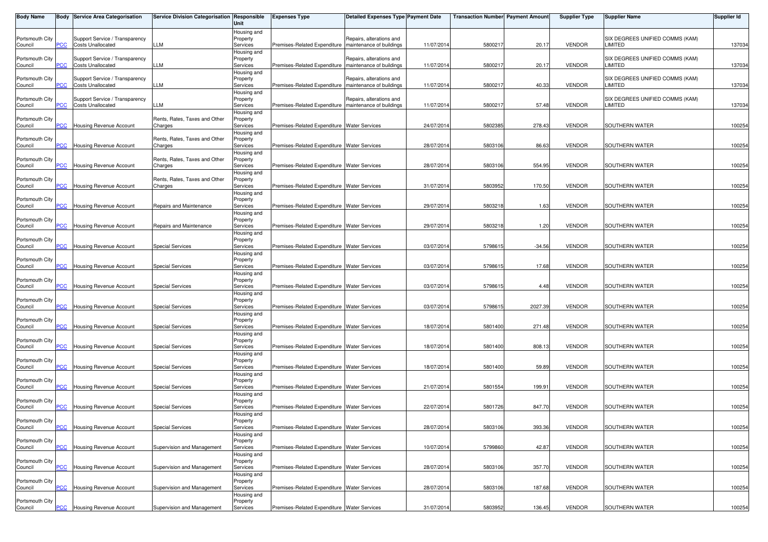| <b>Body Name</b>           |                | <b>Body Service Area Categorisation</b>                    | Service Division Categorisation Responsible | Unit                                | <b>Expenses Type</b>                                    | <b>Detailed Expenses Type Payment Date</b>           |            | <b>Transaction Number Payment Amount</b> |          | <b>Supplier Type</b> | <b>Supplier Name</b>                       | Supplier Id |
|----------------------------|----------------|------------------------------------------------------------|---------------------------------------------|-------------------------------------|---------------------------------------------------------|------------------------------------------------------|------------|------------------------------------------|----------|----------------------|--------------------------------------------|-------------|
| Portsmouth City<br>Council | PCC            | Support Service / Transparency<br><b>Costs Unallocated</b> | LLM                                         | Housing and<br>Property<br>Services | Premises-Related Expenditure                            | Repairs, alterations and<br>maintenance of buildings | 11/07/2014 | 580021                                   | 20.17    | <b>VENDOR</b>        | SIX DEGREES UNIFIED COMMS (KAM)<br>LIMITED | 137034      |
| Portsmouth City<br>Council | PCC            | Support Service / Transparency<br><b>Costs Unallocated</b> | LLM                                         | Housing and<br>Property<br>Services | Premises-Related Expenditure                            | Repairs, alterations and<br>maintenance of buildings | 11/07/2014 | 580021                                   | 20.17    | <b>VENDOR</b>        | SIX DEGREES UNIFIED COMMS (KAM)<br>LIMITED | 137034      |
| Portsmouth City<br>Council | PСC            | Support Service / Transparency<br><b>Costs Unallocated</b> | LLM                                         | Housing and<br>Property<br>Services | Premises-Related Expenditure                            | Repairs, alterations and<br>maintenance of buildings | 11/07/2014 | 580021                                   | 40.33    | <b>VENDOR</b>        | SIX DEGREES UNIFIED COMMS (KAM)<br>LIMITED | 137034      |
| Portsmouth City<br>Council | PCC            | Support Service / Transparency<br><b>Costs Unallocated</b> | LLM                                         | Housing and<br>Property<br>Services | Premises-Related Expenditure   maintenance of buildings | Repairs, alterations and                             | 11/07/2014 | 580021                                   | 57.48    | <b>VENDOR</b>        | SIX DEGREES UNIFIED COMMS (KAM)<br>LIMITED | 137034      |
| Portsmouth City<br>Council | PCC            | Housing Revenue Account                                    | Rents, Rates, Taxes and Other<br>Charges    | Housing and<br>Property<br>Services | Premises-Related Expenditure Water Services             |                                                      | 24/07/2014 | 580238                                   | 278.43   | <b>VENDOR</b>        | SOUTHERN WATER                             | 100254      |
| Portsmouth City<br>Council | $\overline{C}$ | <b>Housing Revenue Account</b>                             | Rents, Rates, Taxes and Other<br>Charges    | Housing and<br>Property<br>Services | Premises-Related Expenditure Water Services             |                                                      | 28/07/2014 | 5803106                                  | 86.63    | <b>VENDOR</b>        | SOUTHERN WATER                             | 100254      |
| Portsmouth City<br>Council | PCC            | Housing Revenue Account                                    | Rents, Rates, Taxes and Other<br>Charges    | Housing and<br>Property<br>Services | Premises-Related Expenditure Water Services             |                                                      | 28/07/2014 | 5803106                                  | 554.95   | <b>VENDOR</b>        | SOUTHERN WATER                             | 100254      |
| Portsmouth City            |                |                                                            | Rents, Rates, Taxes and Other               | Housing and<br>Property             |                                                         |                                                      |            |                                          |          | <b>VENDOR</b>        | SOUTHERN WATER                             |             |
| Council<br>Portsmouth City | <u>PCC</u>     | Housing Revenue Account                                    | Charges                                     | Services<br>Housing and<br>Property | Premises-Related Expenditure Water Services             |                                                      | 31/07/2014 | 580395                                   | 170.50   |                      |                                            | 100254      |
| Council<br>Portsmouth City | PСC            | Housing Revenue Account                                    | Repairs and Maintenance                     | Services<br>Housing and<br>Property | Premises-Related Expenditure Water Services             |                                                      | 29/07/2014 | 5803218                                  | 1.63     | <b>VENDOR</b>        | SOUTHERN WATER                             | 100254      |
| Council<br>Portsmouth City | PCC            | <b>Housing Revenue Account</b>                             | Repairs and Maintenance                     | Services<br>Housing and<br>Property | Premises-Related Expenditure Water Services             |                                                      | 29/07/2014 | 5803218                                  | 1.20     | <b>VENDOR</b>        | SOUTHERN WATER                             | 100254      |
| Council<br>Portsmouth City | PCC            | <b>Housing Revenue Account</b>                             | <b>Special Services</b>                     | Services<br>Housing and<br>Property | Premises-Related Expenditure Water Services             |                                                      | 03/07/2014 | 579861                                   | $-34.56$ | <b>VENDOR</b>        | SOUTHERN WATER                             | 100254      |
| Council<br>Portsmouth City | PСC            | <b>Housing Revenue Account</b>                             | <b>Special Services</b>                     | Services<br>Housing and<br>Property | Premises-Related Expenditure Water Services             |                                                      | 03/07/2014 | 579861                                   | 17.68    | <b>VENDOR</b>        | SOUTHERN WATER                             | 100254      |
| Council<br>Portsmouth City | PCC            | Housing Revenue Account                                    | <b>Special Services</b>                     | Services<br>Housing and<br>Property | Premises-Related Expenditure Water Services             |                                                      | 03/07/2014 | 5798615                                  | 4.48     | <b>VENDOR</b>        | SOUTHERN WATER                             | 100254      |
| Council<br>Portsmouth City | PCC            | Housing Revenue Account                                    | <b>Special Services</b>                     | Services<br>Housing and<br>Property | Premises-Related Expenditure Water Services             |                                                      | 03/07/2014 | 5798615                                  | 2027.39  | <b>VENDOR</b>        | SOUTHERN WATER                             | 100254      |
| Council<br>Portsmouth City | <b>PCC</b>     | Housing Revenue Account                                    | <b>Special Services</b>                     | Services<br>Housing and<br>Property | Premises-Related Expenditure Water Services             |                                                      | 18/07/2014 | 5801400                                  | 271.48   | <b>VENDOR</b>        | SOUTHERN WATER                             | 100254      |
| Council<br>Portsmouth City | PCC            | Housing Revenue Account                                    | <b>Special Services</b>                     | Services<br>Housing and<br>Property | Premises-Related Expenditure Water Services             |                                                      | 18/07/2014 | 5801400                                  | 808.13   | <b>VENDOR</b>        | SOUTHERN WATER                             | 100254      |
| Council<br>Portsmouth City | PCC            | Housing Revenue Account                                    | Special Services                            | Services<br>Housing and<br>Property | Premises-Related Expenditure Water Services             |                                                      | 18/07/2014 | 5801400                                  | 59.89    | <b>VENDOR</b>        | SOUTHERN WATER                             | 100254      |
| Council<br>Portsmouth City | <b>PCC</b>     | Housing Revenue Account                                    | <b>Special Services</b>                     | Services<br>Housing and<br>Property | Premises-Related Expenditure Water Services             |                                                      | 21/07/2014 | 5801554                                  | 199.91   | <b>VENDOR</b>        | SOUTHERN WATER                             | 100254      |
| Council<br>Portsmouth City | PCC            | Housing Revenue Account                                    | <b>Special Services</b>                     | Services<br>Housing and<br>Property | Premises-Related Expenditure Water Services             |                                                      | 22/07/2014 | 5801726                                  | 847.70   | <b>VENDOR</b>        | SOUTHERN WATER                             | 100254      |
| Council<br>Portsmouth City | <b>PCC</b>     | <b>Housing Revenue Account</b>                             | <b>Special Services</b>                     | Services<br>Housing and<br>Property | Premises-Related Expenditure   Water Services           |                                                      | 28/07/2014 | 5803106                                  | 393.36   | <b>VENDOR</b>        | SOUTHERN WATER                             | 100254      |
| Council<br>Portsmouth City | PCC            | Housing Revenue Account                                    | Supervision and Management                  | Services<br>Housing and<br>Property | Premises-Related Expenditure Water Services             |                                                      | 10/07/2014 | 579986                                   | 42.87    | <b>VENDOR</b>        | SOUTHERN WATER                             | 100254      |
| Council<br>Portsmouth City | PCC            | Housing Revenue Account                                    | Supervision and Management                  | Services<br>Housing and<br>Property | Premises-Related Expenditure Water Services             |                                                      | 28/07/2014 | 5803106                                  | 357.70   | <b>VENDOR</b>        | SOUTHERN WATER                             | 100254      |
| Council<br>Portsmouth City | PCC            | Housing Revenue Account                                    | Supervision and Management                  | Services<br>Housing and<br>Property | Premises-Related Expenditure Water Services             |                                                      | 28/07/2014 | 5803106                                  | 187.68   | <b>VENDOR</b>        | SOUTHERN WATER                             | 100254      |
| Council                    |                | <b>PCC</b> Housing Revenue Account                         | Supervision and Management                  | Services                            | Premises-Related Expenditure Water Services             |                                                      | 31/07/2014 | 5803952                                  | 136.45   | <b>VENDOR</b>        | SOUTHERN WATER                             | 100254      |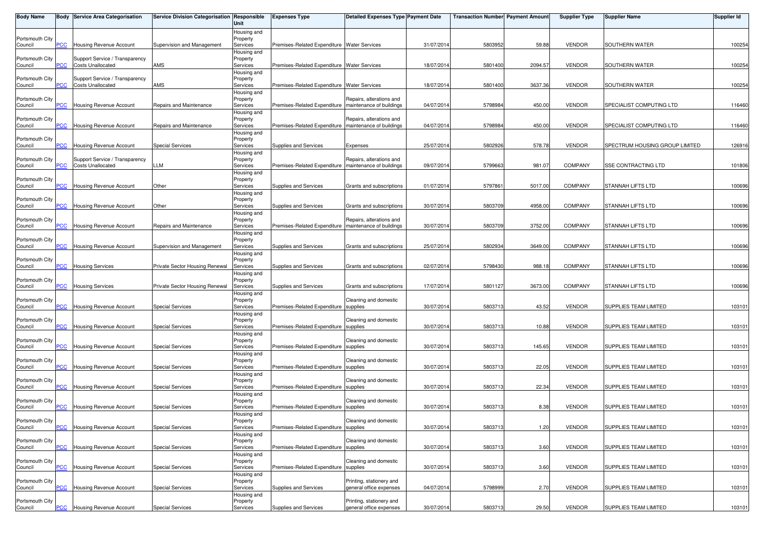| <b>Body Name</b>           |                       | <b>Body Service Area Categorisation</b>                    | Service Division Categorisation Responsible | Unit                    | <b>Expenses Type</b>                                    | <b>Detailed Expenses Type Payment Date</b>           |            | <b>Transaction Number Payment Amount</b> |         | <b>Supplier Type</b> | <b>Supplier Name</b>           | Supplier Id |
|----------------------------|-----------------------|------------------------------------------------------------|---------------------------------------------|-------------------------|---------------------------------------------------------|------------------------------------------------------|------------|------------------------------------------|---------|----------------------|--------------------------------|-------------|
| Portsmouth City            |                       |                                                            |                                             | Housing and<br>Property |                                                         |                                                      |            |                                          |         |                      |                                |             |
| Council                    | PСC                   | Housing Revenue Account                                    | Supervision and Management                  | Services                | Premises-Related Expenditure Water Services             |                                                      | 31/07/2014 | 5803952                                  | 59.88   | <b>VENDOR</b>        | SOUTHERN WATER                 | 100254      |
|                            |                       |                                                            |                                             | Housing and             |                                                         |                                                      |            |                                          |         |                      |                                |             |
| Portsmouth City<br>Council | PCC                   | Support Service / Transparency<br><b>Costs Unallocated</b> | AMS                                         | Property<br>Services    | Premises-Related Expenditure Water Services             |                                                      | 18/07/2014 | 5801400                                  | 2094.57 | <b>VENDOR</b>        | <b>SOUTHERN WATER</b>          | 100254      |
|                            |                       |                                                            |                                             | Housing and             |                                                         |                                                      |            |                                          |         |                      |                                |             |
| Portsmouth City            |                       | Support Service / Transparency                             |                                             | Property                |                                                         |                                                      |            |                                          |         |                      |                                |             |
| Council                    | сC                    | <b>Costs Unallocated</b>                                   | AMS                                         | Services<br>Housing and | Premises-Related Expenditure Water Services             |                                                      | 18/07/2014 | 5801400                                  | 3637.36 | <b>VENDOR</b>        | SOUTHERN WATER                 | 100254      |
| Portsmouth City            |                       |                                                            |                                             | Property                |                                                         | Repairs, alterations and                             |            |                                          |         |                      |                                |             |
| Council                    | PCC                   | Housing Revenue Account                                    | Repairs and Maintenance                     | Services                | Premises-Related Expenditure   maintenance of buildings |                                                      | 04/07/2014 | 5798984                                  | 450.00  | <b>VENDOR</b>        | SPECIALIST COMPUTING LTD       | 116460      |
| Portsmouth City            |                       |                                                            |                                             | Housing and<br>Property |                                                         | Repairs, alterations and                             |            |                                          |         |                      |                                |             |
| Council                    | <b>PCC</b>            | Housing Revenue Account                                    | Repairs and Maintenance                     | Services                | Premises-Related Expenditure                            | maintenance of buildings                             | 04/07/2014 | 5798984                                  | 450.00  | <b>VENDOR</b>        | SPECIALIST COMPUTING LTD       | 116460      |
|                            |                       |                                                            |                                             | Housing and             |                                                         |                                                      |            |                                          |         |                      |                                |             |
| Portsmouth City<br>Council | <b>CC</b>             | Housing Revenue Account                                    | <b>Special Services</b>                     | Property<br>Services    | Supplies and Services                                   | Expenses                                             | 25/07/2014 | 5802926                                  | 578.78  | <b>VENDOR</b>        | SPECTRUM HOUSING GROUP LIMITED | 126916      |
|                            |                       |                                                            |                                             | Housing and             |                                                         |                                                      |            |                                          |         |                      |                                |             |
| Portsmouth City<br>Council | PСC                   | Support Service / Transparency<br><b>Costs Unallocated</b> | LLM                                         | Property<br>Services    | Premises-Related Expenditure                            | Repairs, alterations and<br>maintenance of buildings | 09/07/2014 | 5799663                                  | 981.07  | <b>COMPANY</b>       | SSE CONTRACTING LTD            | 101806      |
|                            |                       |                                                            |                                             | Housing and             |                                                         |                                                      |            |                                          |         |                      |                                |             |
| Portsmouth City            |                       |                                                            |                                             | Property                |                                                         |                                                      |            |                                          |         |                      |                                |             |
| Council                    | <b>PCC</b>            | Housing Revenue Account                                    | Other                                       | Services                | Supplies and Services                                   | Grants and subscriptions                             | 01/07/2014 | 579786                                   | 5017.00 | <b>COMPANY</b>       | STANNAH LIFTS LTD              | 100696      |
| Portsmouth City            |                       |                                                            |                                             | Housing and<br>Property |                                                         |                                                      |            |                                          |         |                      |                                |             |
| Council                    | сC                    | Housing Revenue Account                                    | Other                                       | Services                | Supplies and Services                                   | Grants and subscriptions                             | 30/07/2014 | 5803709                                  | 4958.00 | <b>COMPANY</b>       | STANNAH LIFTS LTD              | 100696      |
| Portsmouth City            |                       |                                                            |                                             | Housing and             |                                                         |                                                      |            |                                          |         |                      |                                |             |
| Council                    | PСC                   | Housing Revenue Account                                    | Repairs and Maintenance                     | Property<br>Services    | Premises-Related Expenditure                            | Repairs, alterations and<br>maintenance of buildings | 30/07/2014 | 5803709                                  | 3752.00 | <b>COMPANY</b>       | STANNAH LIFTS LTD              | 100696      |
|                            |                       |                                                            |                                             | Housing and             |                                                         |                                                      |            |                                          |         |                      |                                |             |
| Portsmouth City<br>Council | PСC                   | <b>Housing Revenue Account</b>                             | Supervision and Management                  | Property<br>Services    | Supplies and Services                                   | Grants and subscriptions                             | 25/07/2014 | 580293                                   | 3649.00 | <b>COMPANY</b>       | STANNAH LIFTS LTD              | 100696      |
|                            |                       |                                                            |                                             | Housing and             |                                                         |                                                      |            |                                          |         |                      |                                |             |
| Portsmouth City            |                       |                                                            |                                             | Property                |                                                         |                                                      |            |                                          |         |                      |                                |             |
| Council                    | $\overline{C}$        | <b>Housing Services</b>                                    | Private Sector Housing Renewal              | Services<br>Housing and | Supplies and Services                                   | Grants and subscriptions                             | 02/07/2014 | 5798430                                  | 988.18  | <b>COMPANY</b>       | STANNAH LIFTS LTD              | 100696      |
| Portsmouth City            |                       |                                                            |                                             | Property                |                                                         |                                                      |            |                                          |         |                      |                                |             |
| Council                    | PСC                   | <b>Housing Services</b>                                    | Private Sector Housing Renewal              | Services                | Supplies and Services                                   | Grants and subscriptions                             | 17/07/2014 | 5801127                                  | 3673.00 | <b>COMPANY</b>       | STANNAH LIFTS LTD              | 100696      |
| Portsmouth City            |                       |                                                            |                                             | Housing and             |                                                         | Cleaning and domestic                                |            |                                          |         |                      |                                |             |
| Council                    | $\overline{C}$        | Housing Revenue Account                                    | <b>Special Services</b>                     | Property<br>Services    | Premises-Related Expenditure supplies                   |                                                      | 30/07/2014 | 5803713                                  | 43.52   | <b>VENDOR</b>        | SUPPLIES TEAM LIMITED          | 103101      |
|                            |                       |                                                            |                                             | Housing and             |                                                         |                                                      |            |                                          |         |                      |                                |             |
| Portsmouth City<br>Council | PCC.                  | Housing Revenue Account                                    | <b>Special Services</b>                     | Property<br>Services    | Premises-Related Expenditure supplies                   | Cleaning and domestic                                | 30/07/2014 | 5803713                                  | 10.88   | <b>VENDOR</b>        | <b>SUPPLIES TEAM LIMITED</b>   | 103101      |
|                            |                       |                                                            |                                             | Housing and             |                                                         |                                                      |            |                                          |         |                      |                                |             |
| Portsmouth City            |                       |                                                            |                                             | Property                |                                                         | Cleaning and domestic                                |            |                                          |         |                      |                                |             |
| Council                    | PСC                   | Housing Revenue Account                                    | <b>Special Services</b>                     | Services<br>Housing and | Premises-Related Expenditure supplies                   |                                                      | 30/07/2014 | 5803713                                  | 145.65  | <b>VENDOR</b>        | SUPPLIES TEAM LIMITED          | 103101      |
| Portsmouth City            |                       |                                                            |                                             | Property                |                                                         | Cleaning and domestic                                |            |                                          |         |                      |                                |             |
| Council                    | <b>PCC</b>            | Housing Revenue Account                                    | <b>Special Services</b>                     | Services                | Premises-Related Expenditure supplies                   |                                                      | 30/07/2014 | 5803713                                  | 22.05   | <b>VENDOR</b>        | SUPPLIES TEAM LIMITED          | 103101      |
| Portsmouth City            |                       |                                                            |                                             | Housing and<br>Property |                                                         | Cleaning and domestic                                |            |                                          |         |                      |                                |             |
| Council                    | $\overline{\text{c}}$ | Housing Revenue Account                                    | <b>Special Services</b>                     | Services                | Premises-Related Expenditure                            | supplies                                             | 30/07/2014 | 5803713                                  | 22.34   | <b>VENDOR</b>        | SUPPLIES TEAM LIMITED          | 103101      |
|                            |                       |                                                            |                                             | Housing and             |                                                         |                                                      |            |                                          |         |                      |                                |             |
| Portsmouth City<br>Council | <b>PCC</b>            | Housing Revenue Account                                    | <b>Special Services</b>                     | Property<br>Services    | Premises-Related Expenditure                            | Cleaning and domestic<br>supplies                    | 30/07/2014 | 5803713                                  | 8.38    | <b>VENDOR</b>        | SUPPLIES TEAM LIMITED          | 103101      |
|                            |                       |                                                            |                                             | Housing and             |                                                         |                                                      |            |                                          |         |                      |                                |             |
| Portsmouth City            |                       |                                                            |                                             | Property                |                                                         | Cleaning and domestic                                |            |                                          |         |                      |                                |             |
| Council                    | <b>PCC</b>            | <b>Housing Revenue Account</b>                             | <b>Special Services</b>                     | Services<br>Housing and | Premises-Related Expenditure supplies                   |                                                      | 30/07/2014 | 5803713                                  | 1.20    | <b>VENDOR</b>        | SUPPLIES TEAM LIMITED          | 103101      |
| Portsmouth City            |                       |                                                            |                                             | Property                |                                                         | Cleaning and domestic                                |            |                                          |         |                      |                                |             |
| Council                    | PСC                   | Housing Revenue Account                                    | <b>Special Services</b>                     | Services                | Premises-Related Expenditure                            | supplies                                             | 30/07/2014 | 580371                                   | 3.60    | <b>VENDOR</b>        | SUPPLIES TEAM LIMITED          | 103101      |
| Portsmouth City            |                       |                                                            |                                             | Housing and<br>Property |                                                         | Cleaning and domestic                                |            |                                          |         |                      |                                |             |
| Council                    | PСC                   | Housing Revenue Account                                    | <b>Special Services</b>                     | Services                | Premises-Related Expenditure                            | supplies                                             | 30/07/2014 | 5803713                                  | 3.60    | <b>VENDOR</b>        | SUPPLIES TEAM LIMITED          | 103101      |
|                            |                       |                                                            |                                             | Housing and             |                                                         |                                                      |            |                                          |         |                      |                                |             |
| Portsmouth City<br>Council | PСC                   | Housing Revenue Account                                    | <b>Special Services</b>                     | Property<br>Services    | Supplies and Services                                   | Printing, stationery and<br>general office expenses  | 04/07/2014 | 5798999                                  | 2.70    | <b>VENDOR</b>        | SUPPLIES TEAM LIMITED          | 103101      |
|                            |                       |                                                            |                                             | Housing and             |                                                         |                                                      |            |                                          |         |                      |                                |             |
| Portsmouth City            |                       |                                                            |                                             | Property                |                                                         | Printing, stationery and                             |            |                                          |         |                      |                                |             |
| Council                    | <b>PCC</b>            | <b>Housing Revenue Account</b>                             | <b>Special Services</b>                     | Services                | Supplies and Services                                   | general office expenses                              | 30/07/2014 | 5803713                                  | 29.50   | <b>VENDOR</b>        | SUPPLIES TEAM LIMITED          | 103101      |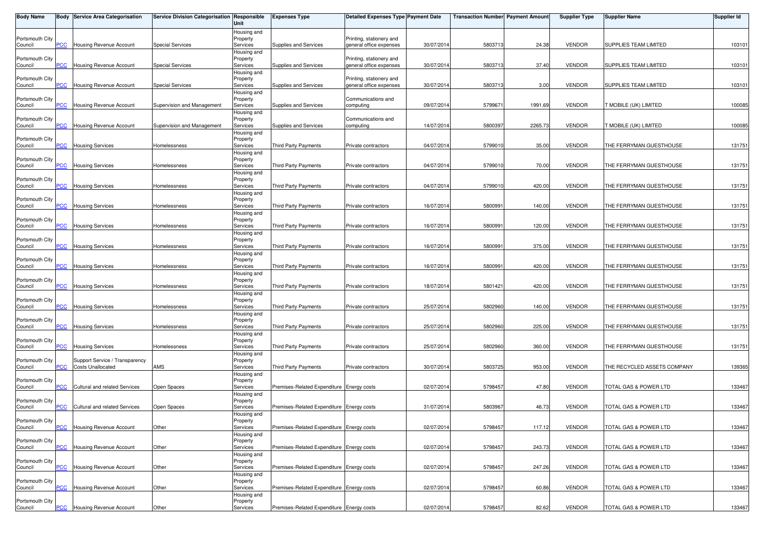| <b>Body Name</b>           |                | <b>Body Service Area Categorisation</b>                    | Service Division Categorisation Responsible | Unit                    | <b>Expenses Type</b>                      | <b>Detailed Expenses Type Payment Date</b>          |            | <b>Transaction Number Payment Amount</b> |         | <b>Supplier Type</b> | <b>Supplier Name</b>         | <b>Supplier Id</b> |
|----------------------------|----------------|------------------------------------------------------------|---------------------------------------------|-------------------------|-------------------------------------------|-----------------------------------------------------|------------|------------------------------------------|---------|----------------------|------------------------------|--------------------|
| Portsmouth City            |                |                                                            |                                             | Housing and<br>Property |                                           | Printing, stationery and                            |            |                                          |         |                      |                              |                    |
| Council                    | PCC            | Housing Revenue Account                                    | <b>Special Services</b>                     | Services                | Supplies and Services                     | general office expenses                             | 30/07/2014 | 5803713                                  | 24.38   | <b>VENDOR</b>        | SUPPLIES TEAM LIMITED        | 103101             |
| Portsmouth City            |                |                                                            |                                             | Housing and<br>Property |                                           | Printing, stationery and                            |            |                                          |         |                      |                              |                    |
| Council                    | PCC            | Housing Revenue Account                                    | <b>Special Services</b>                     | Services<br>Housing and | Supplies and Services                     | general office expenses                             | 30/07/201  | 580371                                   | 37.40   | <b>VENDOR</b>        | SUPPLIES TEAM LIMITED        | 103101             |
| Portsmouth City            | <b>PCC</b>     | Housing Revenue Account                                    | <b>Special Services</b>                     | Property<br>Services    | Supplies and Services                     | Printing, stationery and<br>general office expenses | 30/07/2014 | 5803713                                  | 3.00    | <b>VENDOR</b>        | SUPPLIES TEAM LIMITED        | 103101             |
| Council                    |                |                                                            |                                             | Housing and             |                                           |                                                     |            |                                          |         |                      |                              |                    |
| Portsmouth City<br>Council | PCC            | Housing Revenue Account                                    | Supervision and Management                  | Property<br>Services    | Supplies and Services                     | Communications and<br>computing                     | 09/07/2014 | 579967                                   | 1991.69 | <b>VENDOR</b>        | <b>T MOBILE (UK) LIMITED</b> | 100085             |
|                            |                |                                                            |                                             | Housing and             |                                           |                                                     |            |                                          |         |                      |                              |                    |
| Portsmouth City<br>Council | PCC            | Housing Revenue Account                                    | Supervision and Management                  | Property<br>Services    | Supplies and Services                     | Communications and<br>computing                     | 14/07/201  | 580039                                   | 2265.73 | <b>VENDOR</b>        | <b>T MOBILE (UK) LIMITED</b> | 100085             |
| Portsmouth City            |                |                                                            |                                             | Housing and<br>Property |                                           |                                                     |            |                                          |         |                      |                              |                    |
| Council                    | $\overline{C}$ | <b>Housing Services</b>                                    | Homelessness                                | Services                | <b>Third Party Payments</b>               | Private contractors                                 | 04/07/2014 | 5799010                                  | 35.00   | <b>VENDOR</b>        | THE FERRYMAN GUESTHOUSE      | 131751             |
| Portsmouth City            |                |                                                            |                                             | Housing and<br>Property |                                           |                                                     |            |                                          |         |                      |                              |                    |
| Council                    | PCC            | <b>Housing Services</b>                                    | Homelessness                                | Services                | Third Party Payments                      | Private contractors                                 | 04/07/2014 | 579901                                   | 70.00   | <b>VENDOR</b>        | THE FERRYMAN GUESTHOUSE      | 131751             |
| Portsmouth City            |                |                                                            |                                             | Housing and<br>Property |                                           |                                                     |            |                                          |         |                      |                              |                    |
| Council                    | <u>PCC</u>     | <b>Housing Services</b>                                    | Homelessness                                | Services<br>Housing and | <b>Third Party Payments</b>               | Private contractors                                 | 04/07/2014 | 579901                                   | 420.00  | <b>VENDOR</b>        | THE FERRYMAN GUESTHOUSE      | 131751             |
| Portsmouth City            |                |                                                            |                                             | Property                |                                           |                                                     |            |                                          | 140.00  | <b>VENDOR</b>        |                              |                    |
| Council                    | CC             | <b>Housing Services</b>                                    | Homelessness                                | Services<br>Housing and | Third Party Payments                      | Private contractors                                 | 16/07/2014 | 580099                                   |         |                      | THE FERRYMAN GUESTHOUSE      | 131751             |
| Portsmouth City<br>Council | PCC            | <b>Housing Services</b>                                    | Homelessness                                | Property<br>Services    | Third Party Payments                      | Private contractors                                 | 16/07/2014 | 580099                                   | 120.00  | <b>VENDOR</b>        | THE FERRYMAN GUESTHOUSE      | 131751             |
|                            |                |                                                            |                                             | Housing and             |                                           |                                                     |            |                                          |         |                      |                              |                    |
| Portsmouth City<br>Council | <b>PCC</b>     | <b>Housing Services</b>                                    | Homelessness                                | Property<br>Services    | <b>Third Party Payments</b>               | Private contractors                                 | 16/07/2014 | 580099                                   | 375.00  | <b>VENDOR</b>        | THE FERRYMAN GUESTHOUSE      | 131751             |
| Portsmouth City            |                |                                                            |                                             | Housing and<br>Property |                                           |                                                     |            |                                          |         |                      |                              |                    |
| Council                    | °СС            | <b>Housing Services</b>                                    | Homelessness                                | Services                | <b>Third Party Payments</b>               | Private contractors                                 | 16/07/2014 | 580099                                   | 420.00  | <b>VENDOR</b>        | THE FERRYMAN GUESTHOUSE      | 131751             |
| Portsmouth City            |                |                                                            |                                             | Housing and<br>Property |                                           |                                                     |            |                                          |         |                      |                              |                    |
| Council                    | PCC            | <b>Housing Services</b>                                    | Homelessness                                | Services                | Third Party Payments                      | Private contractors                                 | 18/07/2014 | 5801421                                  | 420.00  | <b>VENDOR</b>        | THE FERRYMAN GUESTHOUSE      | 131751             |
| Portsmouth City            |                |                                                            |                                             | Housing and<br>Property |                                           |                                                     |            |                                          |         |                      |                              |                    |
| Council                    | PCC            | <b>Housing Services</b>                                    | Homelessness                                | Services<br>Housing and | Third Party Payments                      | Private contractors                                 | 25/07/2014 | 5802960                                  | 140.00  | <b>VENDOR</b>        | THE FERRYMAN GUESTHOUSE      | 131751             |
| Portsmouth City            |                |                                                            |                                             | Property                |                                           |                                                     |            |                                          |         |                      |                              |                    |
| Council                    | <b>PCC</b>     | <b>Housing Services</b>                                    | Homelessness                                | Services<br>Housing and | Third Party Payments                      | Private contractors                                 | 25/07/2014 | 5802960                                  | 225.00  | <b>VENDOR</b>        | THE FERRYMAN GUESTHOUSE      | 131751             |
| Portsmouth City<br>Council | PCC            | <b>Housing Services</b>                                    | Homelessness                                | Property<br>Services    | Third Party Payments                      | Private contractors                                 | 25/07/2014 | 5802960                                  | 360.00  | <b>VENDOR</b>        | THE FERRYMAN GUESTHOUSE      | 131751             |
|                            |                |                                                            |                                             | Housing and             |                                           |                                                     |            |                                          |         |                      |                              |                    |
| Portsmouth City<br>Council | PCC            | Support Service / Transparency<br><b>Costs Unallocated</b> | AMS                                         | Property<br>Services    | <b>Third Party Payments</b>               | Private contractors                                 | 30/07/2014 | 5803725                                  | 953.00  | <b>VENDOR</b>        | THE RECYCLED ASSETS COMPANY  | 139365             |
| Portsmouth City            |                |                                                            |                                             | Housing and<br>Property |                                           |                                                     |            |                                          |         |                      |                              |                    |
| Council                    | $\overline{C}$ | <b>Cultural and related Services</b>                       | Open Spaces                                 | Services                | Premises-Related Expenditure Energy costs |                                                     | 02/07/201  | 5798457                                  | 47.80   | <b>VENDOR</b>        | TOTAL GAS & POWER LTD        | 133467             |
| Portsmouth City            |                |                                                            |                                             | Housing and<br>Property |                                           |                                                     |            |                                          |         |                      |                              |                    |
| Council                    | PCC            | Cultural and related Services                              | Open Spaces                                 | Services                | Premises-Related Expenditure Energy costs |                                                     | 31/07/2014 | 5803967                                  | 46.73   | <b>VENDOR</b>        | TOTAL GAS & POWER LTD        | 133467             |
| Portsmouth City            |                |                                                            |                                             | Housing and<br>Property |                                           |                                                     |            |                                          |         |                      |                              |                    |
| Council                    | <b>PCC</b>     | <b>Housing Revenue Account</b>                             | Other                                       | Services<br>Housing and | Premises-Related Expenditure Energy costs |                                                     | 02/07/2014 | 5798457                                  | 117.12  | <b>VENDOR</b>        | TOTAL GAS & POWER LTD        | 133467             |
| Portsmouth City            |                |                                                            |                                             | Property                |                                           |                                                     |            |                                          |         |                      |                              |                    |
| Council                    | PCC            | Housing Revenue Account                                    | Other                                       | Services<br>Housing and | Premises-Related Expenditure Energy costs |                                                     | 02/07/2014 | 5798457                                  | 243.73  | <b>VENDOR</b>        | TOTAL GAS & POWER LTD        | 133467             |
| Portsmouth City<br>Council | PCC            | Housing Revenue Account                                    | Other                                       | Property<br>Services    | Premises-Related Expenditure Energy costs |                                                     | 02/07/2014 | 579845                                   | 247.26  | <b>VENDOR</b>        | TOTAL GAS & POWER LTD        | 133467             |
|                            |                |                                                            |                                             | Housing and             |                                           |                                                     |            |                                          |         |                      |                              |                    |
| Portsmouth City<br>Council | PCC            | Housing Revenue Account                                    | Other                                       | Property<br>Services    | Premises-Related Expenditure Energy costs |                                                     | 02/07/2014 | 5798457                                  | 60.86   | <b>VENDOR</b>        | TOTAL GAS & POWER LTD        | 133467             |
| Portsmouth City            |                |                                                            |                                             | Housing and<br>Property |                                           |                                                     |            |                                          |         |                      |                              |                    |
| Council                    | $PCC$          | <b>Housing Revenue Account</b>                             | Other                                       | Services                | Premises-Related Expenditure Energy costs |                                                     | 02/07/2014 | 5798457                                  | 82.62   | <b>VENDOR</b>        | TOTAL GAS & POWER LTD        | 133467             |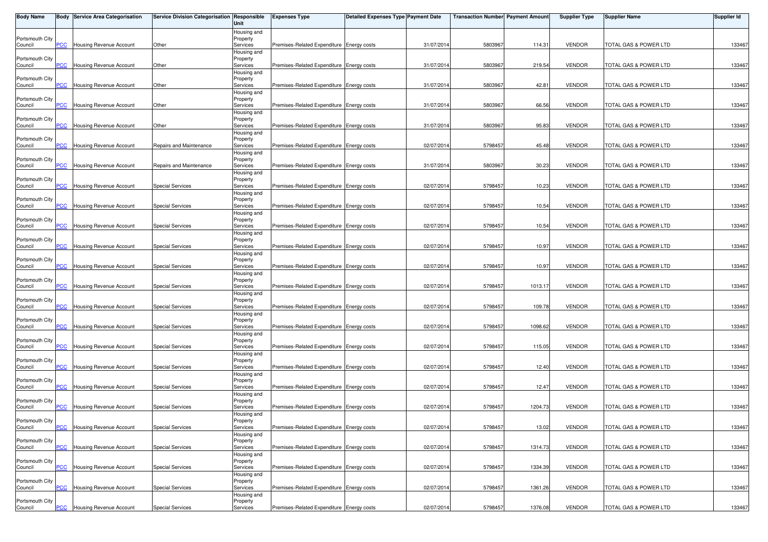| <b>Body Name</b>           |                | <b>Body Service Area Categorisation</b> | Service Division Categorisation Responsible | Unit                                | <b>Expenses Type</b>                      | <b>Detailed Expenses Type Payment Date</b> |            | Transaction Number  Payment Amount |         | <b>Supplier Type</b> | <b>Supplier Name</b>  | Supplier Id |
|----------------------------|----------------|-----------------------------------------|---------------------------------------------|-------------------------------------|-------------------------------------------|--------------------------------------------|------------|------------------------------------|---------|----------------------|-----------------------|-------------|
| Portsmouth City<br>Council | PCC            | Housing Revenue Account                 | Other                                       | Housing and<br>Property<br>Services | Premises-Related Expenditure Energy costs |                                            | 31/07/2014 | 5803967                            | 114.31  | <b>VENDOR</b>        | TOTAL GAS & POWER LTD | 133467      |
|                            |                |                                         |                                             | Housing and                         |                                           |                                            |            |                                    |         |                      |                       |             |
| Portsmouth City<br>Council | <b>PCC</b>     | Housing Revenue Account                 | Other                                       | Property<br>Services                | Premises-Related Expenditure Energy costs |                                            | 31/07/2014 | 580396                             | 219.54  | <b>VENDOR</b>        | TOTAL GAS & POWER LTD | 133467      |
| Portsmouth City            |                |                                         |                                             | Housing and<br>Property             |                                           |                                            |            |                                    |         |                      |                       |             |
| Council                    | PСC            | <b>Housing Revenue Account</b>          | Other                                       | Services<br>Housing and             | Premises-Related Expenditure Energy costs |                                            | 31/07/2014 | 580396                             | 42.81   | <b>VENDOR</b>        | TOTAL GAS & POWER LTD | 133467      |
| Portsmouth City<br>Council | PCC            | Housing Revenue Account                 | Other                                       | Property<br>Services                | Premises-Related Expenditure Energy costs |                                            | 31/07/2014 | 580396                             | 66.56   | <b>VENDOR</b>        | TOTAL GAS & POWER LTD | 133467      |
|                            |                |                                         |                                             | Housing and                         |                                           |                                            |            |                                    |         |                      |                       |             |
| Portsmouth City<br>Council | $\overline{C}$ | Housing Revenue Account                 | Other                                       | Property<br>Services                | Premises-Related Expenditure Energy costs |                                            | 31/07/201  | 5803967                            | 95.83   | <b>VENDOR</b>        | TOTAL GAS & POWER LTD | 133467      |
| Portsmouth City            |                |                                         |                                             | Housing and<br>Property             |                                           |                                            |            |                                    |         |                      |                       |             |
| Council                    | $\overline{C}$ | Housing Revenue Account                 | Repairs and Maintenance                     | Services                            | Premises-Related Expenditure Energy costs |                                            | 02/07/2014 | 5798457                            | 45.48   | <b>VENDOR</b>        | TOTAL GAS & POWER LTD | 133467      |
| Portsmouth City            |                |                                         |                                             | Housing and<br>Property             |                                           |                                            |            |                                    |         |                      |                       |             |
| Council                    | <b>PCC</b>     | Housing Revenue Account                 | Repairs and Maintenance                     | Services                            | Premises-Related Expenditure Energy costs |                                            | 31/07/2014 | 580396                             | 30.23   | <b>VENDOR</b>        | TOTAL GAS & POWER LTD | 133467      |
| Portsmouth City            |                |                                         |                                             | Housing and<br>Property             |                                           |                                            |            |                                    |         |                      |                       |             |
| Council                    | <b>PCC</b>     | Housing Revenue Account                 | <b>Special Services</b>                     | Services                            | Premises-Related Expenditure Energy costs |                                            | 02/07/2014 | 579845                             | 10.23   | <b>VENDOR</b>        | TOTAL GAS & POWER LTD | 133467      |
| Portsmouth City            |                |                                         |                                             | Housing and<br>Property             |                                           |                                            |            |                                    |         |                      |                       |             |
| Council                    | сC             | Housing Revenue Account                 | <b>Special Services</b>                     | Services                            | Premises-Related Expenditure Energy costs |                                            | 02/07/2014 | 5798457                            | 10.54   | <b>VENDOR</b>        | TOTAL GAS & POWER LTD | 133467      |
| Portsmouth City            |                |                                         |                                             | Housing and<br>Property             |                                           |                                            |            |                                    |         |                      |                       |             |
| Council                    | <b>PCC</b>     | Housing Revenue Account                 | <b>Special Services</b>                     | Services                            | Premises-Related Expenditure Energy costs |                                            | 02/07/2014 | 5798457                            | 10.54   | <b>VENDOR</b>        | TOTAL GAS & POWER LTD | 133467      |
| Portsmouth City            |                |                                         |                                             | Housing and<br>Property             |                                           |                                            |            |                                    |         |                      |                       |             |
| Council                    | PCC            | <b>Housing Revenue Account</b>          | <b>Special Services</b>                     | Services                            | Premises-Related Expenditure Energy costs |                                            | 02/07/201  | 579845                             | 10.97   | <b>VENDOR</b>        | TOTAL GAS & POWER LTD | 133467      |
|                            |                |                                         |                                             | Housing and                         |                                           |                                            |            |                                    |         |                      |                       |             |
| Portsmouth City<br>Council | сC             | Housing Revenue Account                 | <b>Special Services</b>                     | Property<br>Services                | Premises-Related Expenditure Energy costs |                                            | 02/07/2014 | 579845                             | 10.97   | <b>VENDOR</b>        | TOTAL GAS & POWER LTD | 133467      |
|                            |                |                                         |                                             | Housing and                         |                                           |                                            |            |                                    |         |                      |                       |             |
| Portsmouth City<br>Council | PCC.           | Housing Revenue Account                 | <b>Special Services</b>                     | Property<br>Services                | Premises-Related Expenditure Energy costs |                                            | 02/07/2014 | 5798457                            | 1013.17 | <b>VENDOR</b>        | TOTAL GAS & POWER LTD | 133467      |
|                            |                |                                         |                                             | Housing and                         |                                           |                                            |            |                                    |         |                      |                       |             |
| Portsmouth City<br>Council | <b>PCC</b>     | Housing Revenue Account                 | <b>Special Services</b>                     | Property<br>Services                | Premises-Related Expenditure Energy costs |                                            | 02/07/2014 | 579845                             | 109.78  | <b>VENDOR</b>        | TOTAL GAS & POWER LTD | 133467      |
|                            |                |                                         |                                             | Housing and                         |                                           |                                            |            |                                    |         |                      |                       |             |
| Portsmouth City<br>Council | <b>CC</b>      | Housing Revenue Account                 | <b>Special Services</b>                     | Property<br>Services                | Premises-Related Expenditure Energy costs |                                            | 02/07/2014 | 5798457                            | 1098.62 | <b>VENDOR</b>        | TOTAL GAS & POWER LTD | 133467      |
|                            |                |                                         |                                             | Housing and                         |                                           |                                            |            |                                    |         |                      |                       |             |
| Portsmouth City<br>Council | <b>PCC</b>     | Housing Revenue Account                 | <b>Special Services</b>                     | Property<br>Services                | Premises-Related Expenditure Energy costs |                                            | 02/07/2014 | 5798457                            | 115.05  | <b>VENDOR</b>        | TOTAL GAS & POWER LTD | 133467      |
|                            |                |                                         |                                             | Housing and                         |                                           |                                            |            |                                    |         |                      |                       |             |
| Portsmouth City<br>Council | <b>PCC</b>     | Housing Revenue Account                 | <b>Special Services</b>                     | Property<br>Services                | Premises-Related Expenditure Energy costs |                                            | 02/07/2014 | 579845                             | 12.40   | <b>VENDOR</b>        | TOTAL GAS & POWER LTD | 133467      |
|                            |                |                                         |                                             | Housing and                         |                                           |                                            |            |                                    |         |                      |                       |             |
| Portsmouth City<br>Council | <u>PCC</u>     | <b>Housing Revenue Account</b>          | <b>Special Services</b>                     | Property<br>Services                | Premises-Related Expenditure Energy costs |                                            | 02/07/201  | 5798457                            | 12.47   | <b>VENDOR</b>        | TOTAL GAS & POWER LTD | 133467      |
|                            |                |                                         |                                             | Housing and                         |                                           |                                            |            |                                    |         |                      |                       |             |
| Portsmouth City<br>Council | PCC.           | Housing Revenue Account                 | <b>Special Services</b>                     | Property<br>Services                | Premises-Related Expenditure Energy costs |                                            | 02/07/201  | 5798457                            | 1204.73 | <b>VENDOR</b>        | TOTAL GAS & POWER LTD | 133467      |
|                            |                |                                         |                                             | Housing and                         |                                           |                                            |            |                                    |         |                      |                       |             |
| Portsmouth City<br>Council | <b>PCC</b>     | <b>Housing Revenue Account</b>          | Special Services                            | Property<br>Services                | Premises-Related Expenditure Energy costs |                                            | 02/07/2014 | 5798457                            | 13.02   | <b>VENDOR</b>        | TOTAL GAS & POWER LTD | 133467      |
|                            |                |                                         |                                             | Housing and                         |                                           |                                            |            |                                    |         |                      |                       |             |
| Portsmouth City<br>Council | PСC            | Housing Revenue Account                 | <b>Special Services</b>                     | Property<br>Services                | Premises-Related Expenditure Energy costs |                                            | 02/07/2014 | 5798457                            | 1314.73 | <b>VENDOR</b>        | TOTAL GAS & POWER LTD | 133467      |
|                            |                |                                         |                                             | Housing and                         |                                           |                                            |            |                                    |         |                      |                       |             |
| Portsmouth City<br>Council | <b>PCC</b>     | Housing Revenue Account                 | <b>Special Services</b>                     | Property<br>Services                | Premises-Related Expenditure Energy costs |                                            | 02/07/2014 | 5798457                            | 1334.39 | <b>VENDOR</b>        | TOTAL GAS & POWER LTD | 133467      |
|                            |                |                                         |                                             | Housing and                         |                                           |                                            |            |                                    |         |                      |                       |             |
| Portsmouth City<br>Council | PCC            | Housing Revenue Account                 | <b>Special Services</b>                     | Property<br>Services                | Premises-Related Expenditure Energy costs |                                            | 02/07/2014 | 5798457                            | 1361.26 | <b>VENDOR</b>        | TOTAL GAS & POWER LTD | 133467      |
|                            |                |                                         |                                             | Housing and                         |                                           |                                            |            |                                    |         |                      |                       |             |
| Portsmouth City<br>Council | $PCC$          | Housing Revenue Account                 | <b>Special Services</b>                     | Property<br>Services                | Premises-Related Expenditure Energy costs |                                            | 02/07/2014 | 5798457                            | 1376.08 | <b>VENDOR</b>        | TOTAL GAS & POWER LTD | 133467      |
|                            |                |                                         |                                             |                                     |                                           |                                            |            |                                    |         |                      |                       |             |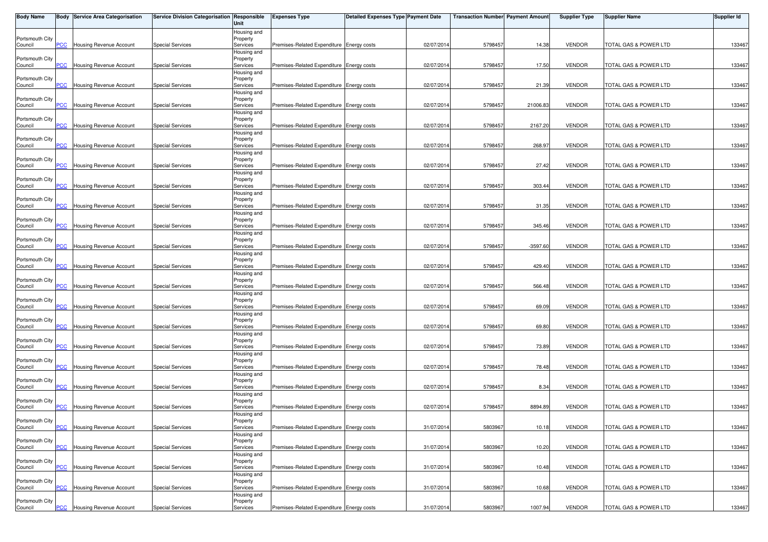| <b>Body Name</b>           |                | <b>Body Service Area Categorisation</b> | Service Division Categorisation Responsible | Unit                                | <b>Expenses Type</b>                      | <b>Detailed Expenses Type Payment Date</b> |            | Transaction Number  Payment Amount |            | <b>Supplier Type</b> | <b>Supplier Name</b>  | Supplier Id |
|----------------------------|----------------|-----------------------------------------|---------------------------------------------|-------------------------------------|-------------------------------------------|--------------------------------------------|------------|------------------------------------|------------|----------------------|-----------------------|-------------|
| Portsmouth City<br>Council | PCC            | Housing Revenue Account                 | <b>Special Services</b>                     | Housing and<br>Property<br>Services | Premises-Related Expenditure Energy costs |                                            | 02/07/2014 | 5798457                            | 14.38      | <b>VENDOR</b>        | TOTAL GAS & POWER LTD | 133467      |
| Portsmouth City<br>Council | <b>PCC</b>     | Housing Revenue Account                 | <b>Special Services</b>                     | Housing and<br>Property<br>Services | Premises-Related Expenditure Energy costs |                                            | 02/07/2014 | 579845                             | 17.50      | <b>VENDOR</b>        | TOTAL GAS & POWER LTD | 133467      |
| Portsmouth City            |                |                                         |                                             | Housing and<br>Property             |                                           |                                            |            |                                    |            |                      |                       |             |
| Council<br>Portsmouth City | PСC            | <b>Housing Revenue Account</b>          | <b>Special Services</b>                     | Services<br>Housing and<br>Property | Premises-Related Expenditure Energy costs |                                            | 02/07/2014 | 579845                             | 21.39      | <b>VENDOR</b>        | TOTAL GAS & POWER LTD | 133467      |
| Council<br>Portsmouth City | PCC            | Housing Revenue Account                 | <b>Special Services</b>                     | Services<br>Housing and<br>Property | Premises-Related Expenditure Energy costs |                                            | 02/07/2014 | 5798457                            | 21006.83   | <b>VENDOR</b>        | TOTAL GAS & POWER LTD | 133467      |
| Council                    | $\overline{C}$ | Housing Revenue Account                 | <b>Special Services</b>                     | Services<br>Housing and             | Premises-Related Expenditure Energy costs |                                            | 02/07/201  | 5798457                            | 2167.20    | <b>VENDOR</b>        | TOTAL GAS & POWER LTD | 133467      |
| Portsmouth City<br>Council | $\overline{C}$ | Housing Revenue Account                 | <b>Special Services</b>                     | Property<br>Services<br>Housing and | Premises-Related Expenditure Energy costs |                                            | 02/07/2014 | 5798457                            | 268.97     | <b>VENDOR</b>        | TOTAL GAS & POWER LTD | 133467      |
| Portsmouth City<br>Council | <b>PCC</b>     | Housing Revenue Account                 | <b>Special Services</b>                     | Property<br>Services<br>Housing and | Premises-Related Expenditure Energy costs |                                            | 02/07/2014 | 5798457                            | 27.42      | <b>VENDOR</b>        | TOTAL GAS & POWER LTD | 133467      |
| Portsmouth City<br>Council | <b>PCC</b>     | Housing Revenue Account                 | <b>Special Services</b>                     | Property<br>Services<br>Housing and | Premises-Related Expenditure Energy costs |                                            | 02/07/2014 | 5798457                            | 303.44     | <b>VENDOR</b>        | TOTAL GAS & POWER LTD | 133467      |
| Portsmouth City<br>Council | сC             | Housing Revenue Account                 | <b>Special Services</b>                     | Property<br>Services                | Premises-Related Expenditure Energy costs |                                            | 02/07/2014 | 5798457                            | 31.35      | <b>VENDOR</b>        | TOTAL GAS & POWER LTD | 133467      |
| Portsmouth City<br>Council | <b>PCC</b>     | Housing Revenue Account                 | <b>Special Services</b>                     | Housing and<br>Property<br>Services | Premises-Related Expenditure Energy costs |                                            | 02/07/201  | 5798457                            | 345.46     | <b>VENDOR</b>        | TOTAL GAS & POWER LTD | 133467      |
| Portsmouth City<br>Council | PCC            | <b>Housing Revenue Account</b>          | <b>Special Services</b>                     | Housing and<br>Property<br>Services | Premises-Related Expenditure Energy costs |                                            | 02/07/201  | 579845                             | $-3597.60$ | <b>VENDOR</b>        | TOTAL GAS & POWER LTD | 133467      |
| Portsmouth City<br>Council | сC             | Housing Revenue Account                 | <b>Special Services</b>                     | Housing and<br>Property<br>Services | Premises-Related Expenditure Energy costs |                                            | 02/07/2014 | 5798457                            | 429.40     | <b>VENDOR</b>        | TOTAL GAS & POWER LTD | 133467      |
| Portsmouth City            |                |                                         |                                             | Housing and<br>Property             |                                           |                                            |            |                                    |            |                      |                       |             |
| Council<br>Portsmouth City | PСC            | Housing Revenue Account                 | <b>Special Services</b>                     | Services<br>Housing and<br>Property | Premises-Related Expenditure Energy costs |                                            | 02/07/2014 | 5798457                            | 566.48     | <b>VENDOR</b>        | TOTAL GAS & POWER LTD | 133467      |
| Council<br>Portsmouth City | <b>PCC</b>     | Housing Revenue Account                 | <b>Special Services</b>                     | Services<br>Housing and<br>Property | Premises-Related Expenditure Energy costs |                                            | 02/07/2014 | 579845                             | 69.09      | <b>VENDOR</b>        | TOTAL GAS & POWER LTD | 133467      |
| Council<br>Portsmouth City | $\overline{C}$ | Housing Revenue Account                 | <b>Special Services</b>                     | Services<br>Housing and<br>Property | Premises-Related Expenditure Energy costs |                                            | 02/07/2014 | 579845                             | 69.80      | <b>VENDOR</b>        | TOTAL GAS & POWER LTD | 133467      |
| Council                    | <b>PCC</b>     | Housing Revenue Account                 | <b>Special Services</b>                     | Services<br>Housing and             | Premises-Related Expenditure Energy costs |                                            | 02/07/2014 | 5798457                            | 73.89      | <b>VENDOR</b>        | TOTAL GAS & POWER LTD | 133467      |
| Portsmouth City<br>Council | <b>PCC</b>     | Housing Revenue Account                 | <b>Special Services</b>                     | Property<br>Services<br>Housing and | Premises-Related Expenditure Energy costs |                                            | 02/07/2014 | 579845                             | 78.48      | <b>VENDOR</b>        | TOTAL GAS & POWER LTD | 133467      |
| Portsmouth City<br>Council | <u>PCC</u>     | <b>Housing Revenue Account</b>          | <b>Special Services</b>                     | Property<br>Services<br>Housing and | Premises-Related Expenditure Energy costs |                                            | 02/07/201  | 5798457                            | 8.34       | <b>VENDOR</b>        | TOTAL GAS & POWER LTD | 133467      |
| Portsmouth City<br>Council | PCC.           | Housing Revenue Account                 | <b>Special Services</b>                     | Property<br>Services<br>Housing and | Premises-Related Expenditure Energy costs |                                            | 02/07/201  | 5798457                            | 8894.89    | <b>VENDOR</b>        | TOTAL GAS & POWER LTD | 133467      |
| Portsmouth City<br>Council | <b>PCC</b>     | <b>Housing Revenue Account</b>          | Special Services                            | Property<br>Services                | Premises-Related Expenditure Energy costs |                                            | 31/07/2014 | 5803967                            | 10.18      | <b>VENDOR</b>        | TOTAL GAS & POWER LTD | 133467      |
| Portsmouth City<br>Council | PСC            | Housing Revenue Account                 | <b>Special Services</b>                     | Housing and<br>Property<br>Services | Premises-Related Expenditure Energy costs |                                            | 31/07/2014 | 580396                             | 10.20      | <b>VENDOR</b>        | TOTAL GAS & POWER LTD | 133467      |
| Portsmouth City<br>Council | <b>PCC</b>     | Housing Revenue Account                 | <b>Special Services</b>                     | Housing and<br>Property<br>Services | Premises-Related Expenditure Energy costs |                                            | 31/07/2014 | 5803967                            | 10.48      | <b>VENDOR</b>        | TOTAL GAS & POWER LTD | 133467      |
| Portsmouth City<br>Council | PCC            | Housing Revenue Account                 | <b>Special Services</b>                     | Housing and<br>Property<br>Services | Premises-Related Expenditure Energy costs |                                            | 31/07/2014 | 5803967                            | 10.68      | <b>VENDOR</b>        | TOTAL GAS & POWER LTD | 133467      |
| Portsmouth City            |                |                                         |                                             | Housing and<br>Property             |                                           |                                            |            |                                    |            |                      |                       |             |
| Council                    | $PCC$          | Housing Revenue Account                 | <b>Special Services</b>                     | Services                            | Premises-Related Expenditure Energy costs |                                            | 31/07/2014 | 5803967                            | 1007.94    | <b>VENDOR</b>        | TOTAL GAS & POWER LTD | 133467      |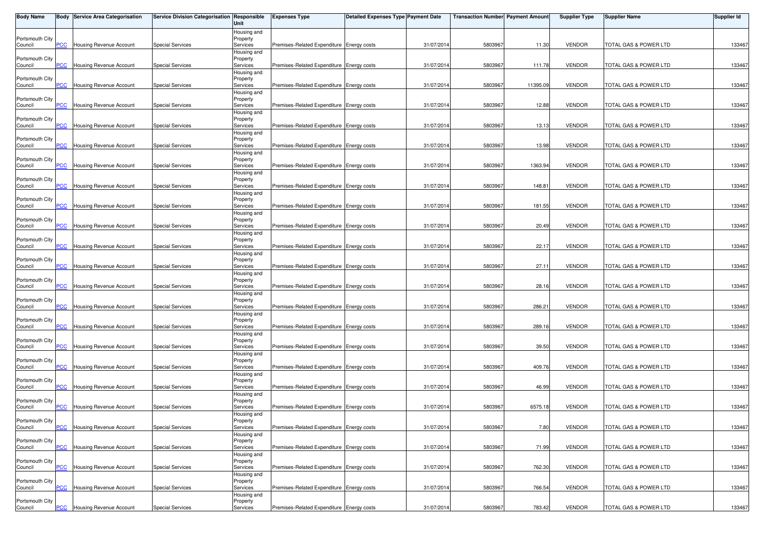| <b>Body Name</b>           |                | <b>Body Service Area Categorisation</b> | Service Division Categorisation Responsible | Unit                                | <b>Expenses Type</b>                      | <b>Detailed Expenses Type Payment Date</b> |            | Transaction Number  Payment Amount |          | <b>Supplier Type</b> | <b>Supplier Name</b>  | Supplier Id |
|----------------------------|----------------|-----------------------------------------|---------------------------------------------|-------------------------------------|-------------------------------------------|--------------------------------------------|------------|------------------------------------|----------|----------------------|-----------------------|-------------|
| Portsmouth City<br>Council | PCC            | Housing Revenue Account                 | <b>Special Services</b>                     | Housing and<br>Property<br>Services | Premises-Related Expenditure Energy costs |                                            | 31/07/2014 | 5803967                            | 11.30    | <b>VENDOR</b>        | TOTAL GAS & POWER LTD | 133467      |
| Portsmouth City<br>Council | <b>PCC</b>     | Housing Revenue Account                 | <b>Special Services</b>                     | Housing and<br>Property<br>Services | Premises-Related Expenditure Energy costs |                                            | 31/07/2014 | 580396                             | 111.78   | <b>VENDOR</b>        | TOTAL GAS & POWER LTD | 133467      |
| Portsmouth City            |                |                                         |                                             | Housing and<br>Property             |                                           |                                            |            |                                    |          |                      |                       |             |
| Council<br>Portsmouth City | PСC            | <b>Housing Revenue Account</b>          | <b>Special Services</b>                     | Services<br>Housing and<br>Property | Premises-Related Expenditure Energy costs |                                            | 31/07/2014 | 580396                             | 11395.09 | <b>VENDOR</b>        | TOTAL GAS & POWER LTD | 133467      |
| Council<br>Portsmouth City | PCC            | Housing Revenue Account                 | <b>Special Services</b>                     | Services<br>Housing and<br>Property | Premises-Related Expenditure Energy costs |                                            | 31/07/2014 | 580396                             | 12.88    | <b>VENDOR</b>        | TOTAL GAS & POWER LTD | 133467      |
| Council                    | $\overline{C}$ | Housing Revenue Account                 | <b>Special Services</b>                     | Services<br>Housing and             | Premises-Related Expenditure Energy costs |                                            | 31/07/201  | 580396                             | 13.13    | <b>VENDOR</b>        | TOTAL GAS & POWER LTD | 133467      |
| Portsmouth City<br>Council | $\overline{C}$ | Housing Revenue Account                 | <b>Special Services</b>                     | Property<br>Services<br>Housing and | Premises-Related Expenditure Energy costs |                                            | 31/07/2014 | 580396                             | 13.98    | <b>VENDOR</b>        | TOTAL GAS & POWER LTD | 133467      |
| Portsmouth City<br>Council | <b>PCC</b>     | Housing Revenue Account                 | <b>Special Services</b>                     | Property<br>Services<br>Housing and | Premises-Related Expenditure Energy costs |                                            | 31/07/2014 | 580396                             | 1363.94  | <b>VENDOR</b>        | TOTAL GAS & POWER LTD | 133467      |
| Portsmouth City<br>Council | <b>PCC</b>     | Housing Revenue Account                 | <b>Special Services</b>                     | Property<br>Services<br>Housing and | Premises-Related Expenditure Energy costs |                                            | 31/07/2014 | 580396                             | 148.81   | <b>VENDOR</b>        | TOTAL GAS & POWER LTD | 133467      |
| Portsmouth City<br>Council | сC             | Housing Revenue Account                 | <b>Special Services</b>                     | Property<br>Services                | Premises-Related Expenditure Energy costs |                                            | 31/07/2014 | 5803967                            | 181.55   | <b>VENDOR</b>        | TOTAL GAS & POWER LTD | 133467      |
| Portsmouth City<br>Council | <b>PCC</b>     | Housing Revenue Account                 | <b>Special Services</b>                     | Housing and<br>Property<br>Services | Premises-Related Expenditure Energy costs |                                            | 31/07/2014 | 580396                             | 20.49    | <b>VENDOR</b>        | TOTAL GAS & POWER LTD | 133467      |
| Portsmouth City<br>Council | PCC            | Housing Revenue Account                 | <b>Special Services</b>                     | Housing and<br>Property<br>Services | Premises-Related Expenditure Energy costs |                                            | 31/07/201  | 580396                             | 22.17    | <b>VENDOR</b>        | TOTAL GAS & POWER LTD | 133467      |
| Portsmouth City<br>Council | сC             | Housing Revenue Account                 | <b>Special Services</b>                     | Housing and<br>Property<br>Services | Premises-Related Expenditure Energy costs |                                            | 31/07/2014 | 5803967                            | 27.11    | <b>VENDOR</b>        | TOTAL GAS & POWER LTD | 133467      |
| Portsmouth City            |                |                                         |                                             | Housing and<br>Property             |                                           |                                            |            |                                    |          |                      |                       |             |
| Council<br>Portsmouth City | PCC.           | Housing Revenue Account                 | <b>Special Services</b>                     | Services<br>Housing and<br>Property | Premises-Related Expenditure Energy costs |                                            | 31/07/2014 | 580396                             | 28.16    | <b>VENDOR</b>        | TOTAL GAS & POWER LTD | 133467      |
| Council<br>Portsmouth City | <b>PCC</b>     | Housing Revenue Account                 | <b>Special Services</b>                     | Services<br>Housing and<br>Property | Premises-Related Expenditure Energy costs |                                            | 31/07/2014 | 580396                             | 286.21   | <b>VENDOR</b>        | TOTAL GAS & POWER LTD | 133467      |
| Council<br>Portsmouth City | $\overline{C}$ | Housing Revenue Account                 | <b>Special Services</b>                     | Services<br>Housing and<br>Property | Premises-Related Expenditure Energy costs |                                            | 31/07/2014 | 580396                             | 289.16   | <b>VENDOR</b>        | TOTAL GAS & POWER LTD | 133467      |
| Council                    | <b>PCC</b>     | Housing Revenue Account                 | <b>Special Services</b>                     | Services<br>Housing and             | Premises-Related Expenditure Energy costs |                                            | 31/07/2014 | 5803967                            | 39.50    | <b>VENDOR</b>        | TOTAL GAS & POWER LTD | 133467      |
| Portsmouth City<br>Council | <b>PCC</b>     | Housing Revenue Account                 | <b>Special Services</b>                     | Property<br>Services<br>Housing and | Premises-Related Expenditure Energy costs |                                            | 31/07/2014 | 580396                             | 409.76   | <b>VENDOR</b>        | TOTAL GAS & POWER LTD | 133467      |
| Portsmouth City<br>Council | $\overline{C}$ | <b>Housing Revenue Account</b>          | <b>Special Services</b>                     | Property<br>Services<br>Housing and | Premises-Related Expenditure Energy costs |                                            | 31/07/201  | 5803967                            | 46.99    | <b>VENDOR</b>        | TOTAL GAS & POWER LTD | 133467      |
| Portsmouth City<br>Council | PCC.           | Housing Revenue Account                 | <b>Special Services</b>                     | Property<br>Services<br>Housing and | Premises-Related Expenditure Energy costs |                                            | 31/07/201  | 5803967                            | 6575.18  | <b>VENDOR</b>        | TOTAL GAS & POWER LTD | 133467      |
| Portsmouth City<br>Council | <b>PCC</b>     | <b>Housing Revenue Account</b>          | Special Services                            | Property<br>Services                | Premises-Related Expenditure Energy costs |                                            | 31/07/2014 | 5803967                            | 7.80     | <b>VENDOR</b>        | TOTAL GAS & POWER LTD | 133467      |
| Portsmouth City<br>Council | PСC            | Housing Revenue Account                 | <b>Special Services</b>                     | Housing and<br>Property<br>Services | Premises-Related Expenditure Energy costs |                                            | 31/07/2014 | 580396                             | 71.99    | <b>VENDOR</b>        | TOTAL GAS & POWER LTD | 133467      |
| Portsmouth City<br>Council | <b>PCC</b>     | Housing Revenue Account                 | <b>Special Services</b>                     | Housing and<br>Property<br>Services | Premises-Related Expenditure Energy costs |                                            | 31/07/2014 | 5803967                            | 762.30   | <b>VENDOR</b>        | TOTAL GAS & POWER LTD | 133467      |
| Portsmouth City<br>Council | PCC            | Housing Revenue Account                 | <b>Special Services</b>                     | Housing and<br>Property<br>Services | Premises-Related Expenditure Energy costs |                                            | 31/07/2014 | 5803967                            | 766.54   | <b>VENDOR</b>        | TOTAL GAS & POWER LTD | 133467      |
| Portsmouth City            |                |                                         |                                             | Housing and<br>Property             |                                           |                                            |            |                                    |          |                      |                       |             |
| Council                    | $PCC$          | Housing Revenue Account                 | <b>Special Services</b>                     | Services                            | Premises-Related Expenditure Energy costs |                                            | 31/07/2014 | 5803967                            | 783.42   | <b>VENDOR</b>        | TOTAL GAS & POWER LTD | 133467      |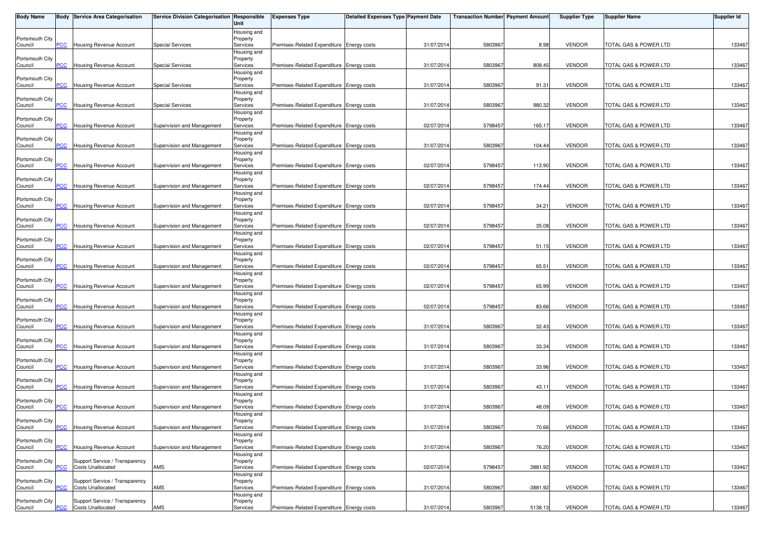| <b>Body Name</b>           |                | Body Service Area Categorisation | Service Division Categorisation Responsible | Unit                    | <b>Expenses Type</b>                      | <b>Detailed Expenses Type Payment Date</b> |            | <b>Transaction Number Payment Amount</b> |            | <b>Supplier Type</b> | <b>Supplier Name</b>  | <b>Supplier Id</b> |
|----------------------------|----------------|----------------------------------|---------------------------------------------|-------------------------|-------------------------------------------|--------------------------------------------|------------|------------------------------------------|------------|----------------------|-----------------------|--------------------|
|                            |                |                                  |                                             | Housing and             |                                           |                                            |            |                                          |            |                      |                       |                    |
| Portsmouth City<br>Council | PCC            | <b>Housing Revenue Account</b>   | Special Services                            | Property<br>Services    | Premises-Related Expenditure Energy costs |                                            | 31/07/2014 | 5803967                                  | 8.98       | <b>VENDOR</b>        | TOTAL GAS & POWER LTD | 133467             |
|                            |                |                                  |                                             | Housing and             |                                           |                                            |            |                                          |            |                      |                       |                    |
| Portsmouth City            |                |                                  |                                             | Property                |                                           |                                            |            |                                          |            |                      |                       |                    |
| Council                    | <b>PCC</b>     | Housing Revenue Account          | <b>Special Services</b>                     | Services<br>Housing and | Premises-Related Expenditure Energy costs |                                            | 31/07/2014 | 580396                                   | 808.45     | <b>VENDOR</b>        | TOTAL GAS & POWER LTD | 133467             |
| Portsmouth City            |                |                                  |                                             | Property                |                                           |                                            |            |                                          |            |                      |                       |                    |
| Council                    | PCC            | <b>Housing Revenue Account</b>   | <b>Special Services</b>                     | Services                | Premises-Related Expenditure Energy costs |                                            | 31/07/2014 | 580396                                   | 91.31      | <b>VENDOR</b>        | TOTAL GAS & POWER LTD | 133467             |
| Portsmouth City            |                |                                  |                                             | Housing and<br>Property |                                           |                                            |            |                                          |            |                      |                       |                    |
| Council                    | PCC            | Housing Revenue Account          | <b>Special Services</b>                     | Services                | Premises-Related Expenditure Energy costs |                                            | 31/07/2014 | 5803967                                  | 980.32     | <b>VENDOR</b>        | TOTAL GAS & POWER LTD | 133467             |
|                            |                |                                  |                                             | Housing and             |                                           |                                            |            |                                          |            |                      |                       |                    |
| Portsmouth City            |                |                                  |                                             | Property                |                                           |                                            |            |                                          |            | <b>VENDOR</b>        |                       |                    |
| Council                    | PCC            | Housing Revenue Account          | Supervision and Management                  | Services<br>Housing and | Premises-Related Expenditure Energy costs |                                            | 02/07/2014 | 5798457                                  | 165.17     |                      | TOTAL GAS & POWER LTD | 133467             |
| Portsmouth City            |                |                                  |                                             | Property                |                                           |                                            |            |                                          |            |                      |                       |                    |
| Council                    | PCC            | Housing Revenue Account          | Supervision and Management                  | Services                | Premises-Related Expenditure Energy costs |                                            | 31/07/2014 | 580396                                   | 104.44     | <b>VENDOR</b>        | TOTAL GAS & POWER LTD | 133467             |
| Portsmouth City            |                |                                  |                                             | Housing and<br>Property |                                           |                                            |            |                                          |            |                      |                       |                    |
| Council                    | PCC            | Housing Revenue Account          | Supervision and Management                  | Services                | Premises-Related Expenditure Energy costs |                                            | 02/07/2014 | 579845                                   | 113.90     | <b>VENDOR</b>        | TOTAL GAS & POWER LTD | 133467             |
|                            |                |                                  |                                             | Housing and             |                                           |                                            |            |                                          |            |                      |                       |                    |
| Portsmouth City            | <b>PCC</b>     |                                  |                                             | Property                |                                           |                                            |            |                                          |            |                      |                       |                    |
| Council                    |                | Housing Revenue Account          | Supervision and Management                  | Services<br>Housing and | Premises-Related Expenditure Energy costs |                                            | 02/07/2014 | 5798457                                  | 174.44     | <b>VENDOR</b>        | TOTAL GAS & POWER LTD | 133467             |
| Portsmouth City            |                |                                  |                                             | Property                |                                           |                                            |            |                                          |            |                      |                       |                    |
| Council                    | $\overline{C}$ | Housing Revenue Account          | Supervision and Management                  | Services                | Premises-Related Expenditure Energy costs |                                            | 02/07/2014 | 5798457                                  | 34.21      | <b>VENDOR</b>        | TOTAL GAS & POWER LTD | 133467             |
| Portsmouth City            |                |                                  |                                             | Housing and<br>Property |                                           |                                            |            |                                          |            |                      |                       |                    |
| Council                    | <b>PCC</b>     | Housing Revenue Account          | Supervision and Management                  | Services                | Premises-Related Expenditure Energy costs |                                            | 02/07/2014 | 5798457                                  | 35.08      | <b>VENDOR</b>        | TOTAL GAS & POWER LTD | 133467             |
|                            |                |                                  |                                             | Housing and             |                                           |                                            |            |                                          |            |                      |                       |                    |
| Portsmouth City            | PCC            |                                  |                                             | Property                |                                           |                                            | 02/07/2014 | 579845                                   | 51.15      | <b>VENDOR</b>        | TOTAL GAS & POWER LTD |                    |
| Council                    |                | <b>Housing Revenue Account</b>   | Supervision and Management                  | Services<br>Housing and | Premises-Related Expenditure Energy costs |                                            |            |                                          |            |                      |                       | 133467             |
| Portsmouth City            |                |                                  |                                             | Property                |                                           |                                            |            |                                          |            |                      |                       |                    |
| Council                    | PСC            | <b>Housing Revenue Account</b>   | Supervision and Management                  | Services                | Premises-Related Expenditure Energy costs |                                            | 02/07/2014 | 5798457                                  | 65.51      | <b>VENDOR</b>        | TOTAL GAS & POWER LTD | 133467             |
| Portsmouth City            |                |                                  |                                             | Housing and<br>Property |                                           |                                            |            |                                          |            |                      |                       |                    |
| Council                    | PCC            | Housing Revenue Account          | Supervision and Management                  | Services                | Premises-Related Expenditure Energy costs |                                            | 02/07/2014 | 5798457                                  | 65.99      | <b>VENDOR</b>        | TOTAL GAS & POWER LTD | 133467             |
|                            |                |                                  |                                             | Housing and             |                                           |                                            |            |                                          |            |                      |                       |                    |
| Portsmouth City            | <b>PCC</b>     |                                  |                                             | Property                |                                           |                                            |            |                                          |            |                      |                       |                    |
| Council                    |                | Housing Revenue Account          | Supervision and Management                  | Services<br>Housing and | Premises-Related Expenditure Energy costs |                                            | 02/07/2014 | 579845                                   | 83.66      | <b>VENDOR</b>        | TOTAL GAS & POWER LTD | 133467             |
| Portsmouth City            |                |                                  |                                             | Property                |                                           |                                            |            |                                          |            |                      |                       |                    |
| Council                    | PCC            | Housing Revenue Account          | Supervision and Management                  | Services                | Premises-Related Expenditure Energy costs |                                            | 31/07/2014 | 5803967                                  | 32.43      | <b>VENDOR</b>        | TOTAL GAS & POWER LTD | 133467             |
| Portsmouth City            |                |                                  |                                             | Housing and<br>Property |                                           |                                            |            |                                          |            |                      |                       |                    |
| Council                    | <u>PCC</u>     | Housing Revenue Account          | Supervision and Management                  | Services                | Premises-Related Expenditure Energy costs |                                            | 31/07/2014 | 5803967                                  | 33.34      | <b>VENDOR</b>        | TOTAL GAS & POWER LTD | 133467             |
|                            |                |                                  |                                             | Housing and             |                                           |                                            |            |                                          |            |                      |                       |                    |
| Portsmouth City            | PCC            | Housing Revenue Account          |                                             | Property                |                                           |                                            | 31/07/2014 | 580396                                   | 33.96      | <b>VENDOR</b>        | TOTAL GAS & POWER LTD | 133467             |
| Council                    |                |                                  | Supervision and Management                  | Services<br>Housing and | Premises-Related Expenditure Energy costs |                                            |            |                                          |            |                      |                       |                    |
| Portsmouth City            |                |                                  |                                             | Property                |                                           |                                            |            |                                          |            |                      |                       |                    |
| Council                    | $\overline{C}$ | Housing Revenue Account          | Supervision and Management                  | Services                | Premises-Related Expenditure Energy costs |                                            | 31/07/2014 | 5803967                                  | 43.11      | <b>VENDOR</b>        | TOTAL GAS & POWER LTD | 133467             |
| Portsmouth City            |                |                                  |                                             | Housing and<br>Property |                                           |                                            |            |                                          |            |                      |                       |                    |
| Council                    | PCC            | Housing Revenue Account          | Supervision and Management                  | Services                | Premises-Related Expenditure Energy costs |                                            | 31/07/2014 | 5803967                                  | 48.09      | <b>VENDOR</b>        | TOTAL GAS & POWER LTD | 133467             |
|                            |                |                                  |                                             | Housing and             |                                           |                                            |            |                                          |            |                      |                       |                    |
| Portsmouth City            | PCC            |                                  | Supervision and Management                  | Property                |                                           |                                            |            |                                          |            |                      |                       |                    |
| Council                    |                | <b>Housing Revenue Account</b>   |                                             | Services<br>Housing and | Premises-Related Expenditure Energy costs |                                            | 31/07/2014 | 5803967                                  | 70.66      | <b>VENDOR</b>        | TOTAL GAS & POWER LTD | 133467             |
| Portsmouth City            |                |                                  |                                             | Property                |                                           |                                            |            |                                          |            |                      |                       |                    |
| Council                    | PCC            | <b>Housing Revenue Account</b>   | Supervision and Management                  | Services                | Premises-Related Expenditure Energy costs |                                            | 31/07/2014 | 580396                                   | 76.20      | <b>VENDOR</b>        | TOTAL GAS & POWER LTD | 133467             |
| Portsmouth City            |                | Support Service / Transparency   |                                             | Housing and<br>Property |                                           |                                            |            |                                          |            |                      |                       |                    |
| Council                    | PСC            | <b>Costs Unallocated</b>         | AMS                                         | Services                | Premises-Related Expenditure Energy costs |                                            | 02/07/2014 | 5798457                                  | 3881.92    | <b>VENDOR</b>        | TOTAL GAS & POWER LTD | 133467             |
|                            |                |                                  |                                             | Housing and             |                                           |                                            |            |                                          |            |                      |                       |                    |
| Portsmouth City            |                | Support Service / Transparency   |                                             | Property                |                                           |                                            |            |                                          |            |                      | TOTAL GAS & POWER LTD |                    |
| Council                    | PCC            | <b>Costs Unallocated</b>         | AMS                                         | Services<br>Housing and | Premises-Related Expenditure Energy costs |                                            | 31/07/2014 | 5803967                                  | $-3881.92$ | <b>VENDOR</b>        |                       | 133467             |
| Portsmouth City            |                | Support Service / Transparency   |                                             | Property                |                                           |                                            |            |                                          |            |                      |                       |                    |
| Council                    | <b>PCC</b>     | <b>Costs Unallocated</b>         | AMS                                         | Services                | Premises-Related Expenditure Energy costs |                                            | 31/07/2014 | 5803967                                  | 5138.13    | <b>VENDOR</b>        | TOTAL GAS & POWER LTD | 133467             |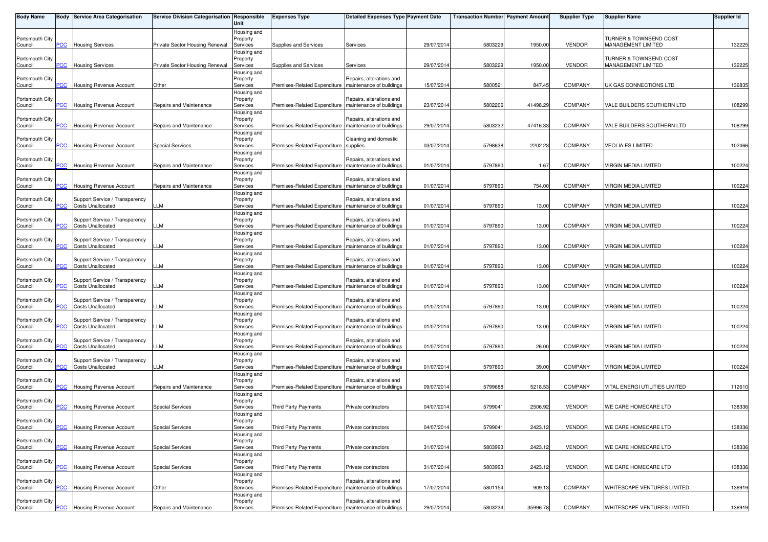| <b>Body Name</b>           |                           | Body Service Area Categorisation                           | Service Division Categorisation Responsible | Unit                                | <b>Expenses Type</b>                                    | <b>Detailed Expenses Type Payment Date</b>           |            | <b>Transaction Number Payment Amount</b> |          | <b>Supplier Type</b> | <b>Supplier Name</b>                         | <b>Supplier Id</b> |
|----------------------------|---------------------------|------------------------------------------------------------|---------------------------------------------|-------------------------------------|---------------------------------------------------------|------------------------------------------------------|------------|------------------------------------------|----------|----------------------|----------------------------------------------|--------------------|
| Portsmouth City<br>Council | PCC                       | <b>Housing Services</b>                                    | Private Sector Housing Renewal              | Housing and<br>Property<br>Services | Supplies and Services                                   | Services                                             | 29/07/2014 | 5803229                                  | 1950.00  | <b>VENDOR</b>        | TURNER & TOWNSEND COST<br>MANAGEMENT LIMITED | 132225             |
| Portsmouth City<br>Council | PCC                       | <b>Housing Services</b>                                    | Private Sector Housing Renewal              | Housing and<br>Property<br>Services | Supplies and Services                                   | Services                                             | 29/07/2014 | 5803229                                  | 1950.00  | <b>VENDOR</b>        | TURNER & TOWNSEND COST<br>MANAGEMENT LIMITED | 132225             |
| Portsmouth City            |                           |                                                            |                                             | Housing and<br>Property             |                                                         | Repairs, alterations and                             |            |                                          |          |                      |                                              |                    |
| Council<br>Portsmouth City | PСC                       | Housing Revenue Account                                    | Other                                       | Services<br>Housing and<br>Property | Premises-Related Expenditure                            | maintenance of buildings<br>Repairs, alterations and | 15/07/2014 | 580052                                   | 847.45   | <b>COMPANY</b>       | UK GAS CONNECTIONS LTD                       | 136835             |
| Council                    | PCC                       | Housing Revenue Account                                    | Repairs and Maintenance                     | Services<br>Housing and             | Premises-Related Expenditure   maintenance of buildings |                                                      | 23/07/2014 | 5802206                                  | 41498.29 | <b>COMPANY</b>       | VALE BUILDERS SOUTHERN LTD                   | 108299             |
| Portsmouth City<br>Council | PCC                       | <b>Housing Revenue Account</b>                             | Repairs and Maintenance                     | Property<br>Services                | Premises-Related Expenditure                            | Repairs, alterations and<br>maintenance of buildings | 29/07/201  | 5803232                                  | 47416.33 | <b>COMPANY</b>       | VALE BUILDERS SOUTHERN LTD                   | 108299             |
| Portsmouth City<br>Council | $\overline{C}$            | <b>Housing Revenue Account</b>                             | <b>Special Services</b>                     | Housing and<br>Property<br>Services | Premises-Related Expenditure supplies                   | Cleaning and domestic                                | 03/07/2014 | 5798638                                  | 2202.23  | <b>COMPANY</b>       | VEOLIA ES LIMITED                            | 102466             |
| Portsmouth City            | PCC                       | <b>Housing Revenue Account</b>                             | Repairs and Maintenance                     | Housing and<br>Property             | Premises-Related Expenditure                            | Repairs, alterations and<br>maintenance of buildings | 01/07/2014 |                                          |          | <b>COMPANY</b>       | VIRGIN MEDIA LIMITED                         | 100224             |
| Council<br>Portsmouth City |                           |                                                            |                                             | Services<br>Housing and<br>Property |                                                         | Repairs, alterations and                             |            | 579789                                   | 1.67     |                      |                                              |                    |
| Council                    | <b>PCC</b>                | Housing Revenue Account                                    | Repairs and Maintenance                     | Services<br>Housing and             | Premises-Related Expenditure                            | maintenance of buildings                             | 01/07/2014 | 5797890                                  | 754.00   | <b>COMPANY</b>       | VIRGIN MEDIA LIMITED                         | 100224             |
| Portsmouth City<br>Council | PСC                       | Support Service / Transparency<br><b>Costs Unallocated</b> | LLM                                         | Property<br>Services<br>Housing and | Premises-Related Expenditure                            | Repairs, alterations and<br>maintenance of buildings | 01/07/2014 | 5797890                                  | 13.00    | <b>COMPANY</b>       | VIRGIN MEDIA LIMITED                         | 100224             |
| Portsmouth City<br>Council | PCC                       | Support Service / Transparency<br><b>Costs Unallocated</b> | <b>LLM</b>                                  | Property<br>Services                | Premises-Related Expenditure                            | Repairs, alterations and<br>maintenance of buildings | 01/07/2014 | 579789                                   | 13.00    | <b>COMPANY</b>       | VIRGIN MEDIA LIMITED                         | 100224             |
| Portsmouth City<br>Council | <b>PCC</b>                | Support Service / Transparency<br><b>Costs Unallocated</b> | LLM                                         | Housing and<br>Property<br>Services | Premises-Related Expenditure                            | Repairs, alterations and<br>maintenance of buildings | 01/07/2014 | 5797890                                  | 13.00    | <b>COMPANY</b>       | VIRGIN MEDIA LIMITED                         | 100224             |
| Portsmouth City            | PСC                       | Support Service / Transparency<br><b>Costs Unallocated</b> | LLM                                         | Housing and<br>Property<br>Services | Premises-Related Expenditure                            | Repairs, alterations and<br>maintenance of buildings | 01/07/2014 | 5797890                                  | 13.00    | <b>COMPANY</b>       | VIRGIN MEDIA LIMITED                         | 100224             |
| Council<br>Portsmouth City |                           | Support Service / Transparency                             |                                             | Housing and<br>Property             |                                                         | Repairs, alterations and                             |            |                                          |          |                      |                                              |                    |
| Council<br>Portsmouth City | PCC                       | <b>Costs Unallocated</b><br>Support Service / Transparency | LLM                                         | Services<br>Housing and<br>Property | Premises-Related Expenditure   maintenance of buildings | Repairs, alterations and                             | 01/07/2014 | 5797890                                  | 13.00    | <b>COMPANY</b>       | VIRGIN MEDIA LIMITED                         | 100224             |
| Council                    | PCC                       | <b>Costs Unallocated</b>                                   | LLM                                         | Services<br>Housing and             | Premises-Related Expenditure                            | maintenance of buildings                             | 01/07/2014 | 5797890                                  | 13.00    | COMPANY              | VIRGIN MEDIA LIMITED                         | 100224             |
| Portsmouth City<br>Council | PСC                       | Support Service / Transparency<br><b>Costs Unallocated</b> | LLM                                         | Property<br>Services<br>Housing and | Premises-Related Expenditure                            | Repairs, alterations and<br>maintenance of buildings | 01/07/2014 | 5797890                                  | 13.00    | COMPANY              | VIRGIN MEDIA LIMITED                         | 100224             |
| Portsmouth City<br>Council | PCC                       | Support Service / Transparency<br><b>Costs Unallocated</b> | LLM                                         | Property<br>Services                | Premises-Related Expenditure                            | Repairs, alterations and<br>maintenance of buildings | 01/07/2014 | 5797890                                  | 26.00    | <b>COMPANY</b>       | VIRGIN MEDIA LIMITED                         | 100224             |
| Portsmouth City<br>Council | PCC                       | Support Service / Transparency<br><b>Costs Unallocated</b> | LLM                                         | Housing and<br>Property<br>Services | Premises-Related Expenditure   maintenance of buildings | Repairs, alterations and                             | 01/07/2014 | 5797890                                  | 39.00    | <b>COMPANY</b>       | VIRGIN MEDIA LIMITED                         | 100224             |
| Portsmouth City<br>Council | $\overline{C}$            | Housing Revenue Account                                    | Repairs and Maintenance                     | Housing and<br>Property<br>Services | Premises-Related Expenditure                            | Repairs, alterations and<br>maintenance of buildings | 09/07/2014 | 5799688                                  | 5218.53  | COMPANY              | VITAL ENERGI UTILITIES LIMITED               | 112610             |
| Portsmouth City<br>Council | PCC                       | <b>Housing Revenue Account</b>                             | <b>Special Services</b>                     | Housing and<br>Property<br>Services | <b>Third Party Payments</b>                             | Private contractors                                  | 04/07/2014 | 579904                                   | 2506.92  | <b>VENDOR</b>        | WE CARE HOMECARE LTD                         | 138336             |
| Portsmouth City            |                           |                                                            |                                             | Housing and<br>Property             |                                                         |                                                      |            |                                          |          |                      |                                              |                    |
| Council<br>Portsmouth City | <b>PCC</b>                | <b>Housing Revenue Account</b>                             | <b>Special Services</b>                     | Services<br>Housing and<br>Property | Third Party Payments                                    | Private contractors                                  | 04/07/2014 | 5799041                                  | 2423.12  | <b>VENDOR</b>        | WE CARE HOMECARE LTD                         | 138336             |
| Council                    | PCC                       | Housing Revenue Account                                    | <b>Special Services</b>                     | Services<br>Housing and             | Third Party Payments                                    | Private contractors                                  | 31/07/2014 | 580399                                   | 2423.12  | <b>VENDOR</b>        | WE CARE HOMECARE LTD                         | 138336             |
| Portsmouth City<br>Council | PCC                       | Housing Revenue Account                                    | <b>Special Services</b>                     | Property<br>Services<br>Housing and | Third Party Payments                                    | Private contractors                                  | 31/07/2014 | 580399                                   | 2423.12  | <b>VENDOR</b>        | WE CARE HOMECARE LTD                         | 138336             |
| Portsmouth City<br>Council | PCC                       | Housing Revenue Account                                    | Other                                       | Property<br>Services                | Premises-Related Expenditure   maintenance of buildings | Repairs, alterations and                             | 17/07/2014 | 5801154                                  | 909.13   | COMPANY              | WHITESCAPE VENTURES LIMITED                  | 136919             |
| Portsmouth City<br>Council | $\overline{\mathsf{PCC}}$ | <b>Housing Revenue Account</b>                             | Repairs and Maintenance                     | Housing and<br>Property<br>Services | Premises-Related Expenditure   maintenance of buildings | Repairs, alterations and                             | 29/07/2014 | 5803234                                  | 35996.78 | COMPANY              | WHITESCAPE VENTURES LIMITED                  | 136919             |
|                            |                           |                                                            |                                             |                                     |                                                         |                                                      |            |                                          |          |                      |                                              |                    |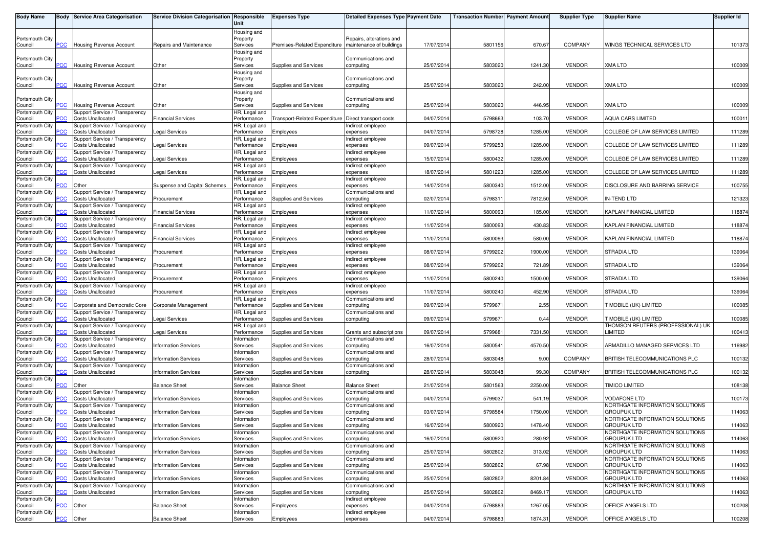| <b>Body Name</b>           |            | <b>Body Service Area Categorisation</b>                    | Service Division Categorisation Responsible | Unit                         | <b>Expenses Type</b>                                   | <b>Detailed Expenses Type Payment Date</b> |            | <b>Transaction Number Payment Amount</b> |         | <b>Supplier Type</b> | <b>Supplier Name</b>                                  | <b>Supplier Id</b> |
|----------------------------|------------|------------------------------------------------------------|---------------------------------------------|------------------------------|--------------------------------------------------------|--------------------------------------------|------------|------------------------------------------|---------|----------------------|-------------------------------------------------------|--------------------|
|                            |            |                                                            |                                             | Housing and                  |                                                        |                                            |            |                                          |         |                      |                                                       |                    |
| Portsmouth City            |            |                                                            |                                             | Property                     |                                                        | Repairs, alterations and                   |            |                                          |         |                      |                                                       |                    |
| Council                    | <b>PCC</b> | <b>Housing Revenue Account</b>                             | Repairs and Maintenance                     | Services<br>Housing and      | Premises-Related Expenditure Imaintenance of buildings |                                            | 17/07/2014 | 5801156                                  | 670.67  | <b>COMPANY</b>       | WINGS TECHNICAL SERVICES LTD                          | 101373             |
| Portsmouth City            |            |                                                            |                                             | Property                     |                                                        | Communications and                         |            |                                          |         |                      |                                                       |                    |
| Council                    | PCC        | <b>Housing Revenue Account</b>                             | Other                                       | Services                     | Supplies and Services                                  | computing                                  | 25/07/201  | 5803020                                  | 1241.30 | <b>VENDOR</b>        | <b>XMA LTD</b>                                        | 100009             |
| Portsmouth City            |            |                                                            |                                             | Housing and<br>Property      |                                                        | Communications and                         |            |                                          |         |                      |                                                       |                    |
| Council                    | сC         | Housing Revenue Account                                    | Other                                       | Services                     | Supplies and Services                                  | computing                                  | 25/07/2014 | 5803020                                  | 242.00  | <b>VENDOR</b>        | XMA LTD                                               | 100009             |
|                            |            |                                                            |                                             | Housing and                  |                                                        |                                            |            |                                          |         |                      |                                                       |                    |
| Portsmouth City            | PСC        | <b>Housing Revenue Account</b>                             |                                             | Property                     |                                                        | Communications and                         |            |                                          | 446.95  |                      | XMA LTD                                               |                    |
| Council<br>Portsmouth City |            | Support Service / Transparency                             | Other                                       | Services<br>HR, Legal and    | Supplies and Services                                  | computing                                  | 25/07/2014 | 5803020                                  |         | <b>VENDOR</b>        |                                                       | 100009             |
| Council                    | PСC        | <b>Costs Unallocated</b>                                   | <b>Financial Services</b>                   | Performance                  | Transport-Related Expenditure Direct transport costs   |                                            | 04/07/2014 | 5798663                                  | 103.70  | <b>VENDOR</b>        | <b>AQUA CARS LIMITED</b>                              | 100011             |
| Portsmouth City            |            | Support Service / Transparency                             |                                             | HR, Legal and                |                                                        | Indirect employee                          |            |                                          |         |                      |                                                       |                    |
| Council<br>Portsmouth City | сC         | <b>Costs Unallocated</b><br>Support Service / Transparency | Legal Services                              | Performance<br>HR, Legal and | Employees                                              | expenses<br>ndirect employee               | 04/07/2014 | 5798728                                  | 1285.00 | <b>VENDOR</b>        | COLLEGE OF LAW SERVICES LIMITED                       | 111289             |
| Council                    |            | <b>Costs Unallocated</b>                                   | egal Services                               | Performance                  | Employees                                              | expenses                                   | 09/07/2014 | 5799253                                  | 1285.00 | <b>VENDOR</b>        | COLLEGE OF LAW SERVICES LIMITED                       | 111289             |
| Portsmouth City            |            | Support Service / Transparency                             |                                             | HR, Legal and                |                                                        | Indirect employee                          |            |                                          |         |                      |                                                       |                    |
| Council<br>Portsmouth City |            | <b>Costs Unallocated</b><br>Support Service / Transparency | Legal Services                              | Performance<br>HR, Legal and | Employees                                              | expenses<br>Indirect employee              | 15/07/2014 | 5800432                                  | 1285.00 | <b>VENDOR</b>        | COLLEGE OF LAW SERVICES LIMITED                       | 111289             |
| Council                    |            | <b>Costs Unallocated</b>                                   | Legal Services                              | Performance                  | Employees                                              | expenses                                   | 18/07/2014 | 5801223                                  | 1285.00 | <b>VENDOR</b>        | COLLEGE OF LAW SERVICES LIMITED                       | 111289             |
| Portsmouth City            |            |                                                            |                                             | HR, Legal and                |                                                        | Indirect employee                          |            |                                          |         |                      |                                                       |                    |
| Council<br>Portsmouth City | <b>CC</b>  | Other<br>Support Service / Transparency                    | Suspense and Capital Schemes                | Performance<br>HR, Legal and | Employees                                              | expenses<br>Communications and             | 14/07/2014 | 5800340                                  | 1512.00 | <b>VENDOR</b>        | DISCLOSURE AND BARRING SERVICE                        | 100755             |
| Council                    |            | <b>Costs Unallocated</b>                                   | Procurement                                 | Performance                  | Supplies and Services                                  | computing                                  | 02/07/2014 | 579831                                   | 7812.50 | <b>VENDOR</b>        | <b>IN-TEND LTD</b>                                    | 121323             |
| Portsmouth City            |            | Support Service / Transparency                             |                                             | HR, Legal and                |                                                        | Indirect employee                          |            |                                          |         |                      |                                                       |                    |
| Council<br>Portsmouth City | PCC        | <b>Costs Unallocated</b><br>Support Service / Transparency | <b>Financial Services</b>                   | Performance<br>HR, Legal and | Employees                                              | expenses<br>Indirect employee              | 11/07/201  | 5800093                                  | 185.00  | <b>VENDOR</b>        | KAPLAN FINANCIAL LIMITED                              | 118874             |
| Council                    |            | <b>Costs Unallocated</b>                                   | <b>Financial Services</b>                   | Performance                  | Employees                                              | expenses                                   | 11/07/2014 | 5800093                                  | 430.83  | <b>VENDOR</b>        | <b>KAPLAN FINANCIAL LIMITED</b>                       | 118874             |
| Portsmouth City            |            | Support Service / Transparency                             |                                             | HR, Legal and                |                                                        | Indirect employee                          |            |                                          |         |                      |                                                       |                    |
| Council<br>Portsmouth City |            | <b>Costs Unallocated</b><br>Support Service / Transparency | <b>Financial Services</b>                   | Performance<br>HR, Legal and | Employees                                              | expenses<br>Indirect employee              | 11/07/2014 | 5800093                                  | 580.00  | <b>VENDOR</b>        | KAPLAN FINANCIAL LIMITED                              | 118874             |
| Council                    | сC         | <b>Costs Unallocated</b>                                   | Procurement                                 | Performance                  | Employees                                              | expenses                                   | 08/07/2014 | 5799202                                  | 1900.00 | <b>VENDOR</b>        | STRADIA LTD                                           | 139064             |
| Portsmouth City            |            | Support Service / Transparency                             |                                             | HR, Legal and                |                                                        | ndirect employee                           |            |                                          |         |                      |                                                       |                    |
| Council<br>Portsmouth City |            | <b>Costs Unallocated</b><br>Support Service / Transparency | Procurement                                 | Performance<br>HR, Legal and | Employees                                              | expenses<br>Indirect employee              | 08/07/2014 | 5799202                                  | 721.89  | <b>VENDOR</b>        | <b>STRADIA LTD</b>                                    | 139064             |
| Council                    |            | <b>Costs Unallocated</b>                                   | Procurement                                 | Performance                  | Employees                                              | expenses                                   | 11/07/2014 | 5800240                                  | 1500.00 | <b>VENDOR</b>        | STRADIA LTD                                           | 139064             |
| Portsmouth City            |            | Support Service / Transparency                             |                                             | HR, Legal and                |                                                        | Indirect employee                          |            |                                          |         |                      |                                                       |                    |
| Council                    |            | <b>Costs Unallocated</b>                                   | Procurement                                 | Performance                  | Employees                                              | expenses                                   | 11/07/2014 | 5800240                                  | 452.90  | <b>VENDOR</b>        | STRADIA LTD                                           | 139064             |
| Portsmouth City<br>Council | CC         | Corporate and Democratic Core                              | Corporate Management                        | HR, Legal and<br>Performance | Supplies and Services                                  | Communications and<br>computing            | 09/07/2014 | 579967                                   | 2.55    | <b>VENDOR</b>        | <b>T MOBILE (UK) LIMITED</b>                          | 100085             |
| Portsmouth City            |            | Support Service / Transparency                             |                                             | HR, Legal and                |                                                        | Communications and                         |            |                                          |         |                      |                                                       |                    |
| Council                    |            | <b>Costs Unallocated</b>                                   | Legal Services                              | Performance                  | Supplies and Services                                  | computing                                  | 09/07/2014 | 579967                                   | 0.44    | <b>VENDOR</b>        | <b><i>F MOBILE (UK) LIMITED</i></b>                   | 100085             |
| Portsmouth City<br>Council |            | Support Service / Transparency<br><b>Costs Unallocated</b> | Legal Services                              | HR, Legal and<br>Performance | Supplies and Services                                  | Grants and subscriptions                   | 09/07/201  | 579968                                   | 7331.50 | <b>VENDOR</b>        | THOMSON REUTERS (PROFESSIONAL) UK<br><b>IMITED</b>    | 100413             |
| Portsmouth City            |            | Support Service / Transparency                             |                                             | Information                  |                                                        | Communications and                         |            |                                          |         |                      |                                                       |                    |
| Council                    |            | <b>Costs Unallocated</b>                                   | <b>Information Services</b>                 | Services                     | Supplies and Services                                  | computing                                  | 16/07/2014 | 5800541                                  | 4570.50 | <b>VENDOR</b>        | ARMADILLO MANAGED SERVICES LTD                        | 116982             |
| Portsmouth City<br>Council | CС         | Support Service / Transparency<br><b>Costs Unallocated</b> | <b>Information Services</b>                 | Information<br>Services      | Supplies and Services                                  | Communications and<br>computing            | 28/07/2014 | 5803048                                  | 9.00    | COMPANY              | BRITISH TELECOMMUNICATIONS PLC                        | 100132             |
| Portsmouth City            |            | Support Service / Transparency                             |                                             | Information                  |                                                        | Communications and                         |            |                                          |         |                      |                                                       |                    |
| Council                    | сC         | <b>Costs Unallocated</b>                                   | <b>Information Services</b>                 | Services<br>Information      | Supplies and Services                                  | computing                                  | 28/07/2014 | 5803048                                  | 99.30   | COMPANY              | BRITISH TELECOMMUNICATIONS PLC                        | 100132             |
| Portsmouth City<br>Council |            | Other                                                      | <b>Balance Sheet</b>                        | Services                     | <b>Balance Sheet</b>                                   | <b>Balance Sheet</b>                       | 21/07/2014 | 5801563                                  | 2250.00 | <b>VENDOR</b>        | <b>TIMICO LIMITED</b>                                 | 108138             |
| Portsmouth City            |            | Support Service / Transparency                             |                                             | Information                  |                                                        | Communications and                         |            |                                          |         |                      |                                                       |                    |
| Council                    |            | <b>Costs Unallocated</b>                                   | <b>Information Services</b>                 | Services                     | Supplies and Services                                  | computing                                  | 04/07/2014 | 5799037                                  | 541.19  | <b>VENDOR</b>        | <b>VODAFONE LTD</b>                                   | 100173             |
| Portsmouth City<br>Council | сC         | Support Service / Transparency<br><b>Costs Unallocated</b> | <b>Information Services</b>                 | Information<br>Services      | Supplies and Services                                  | Communications and<br>computing            | 03/07/2014 | 5798584                                  | 1750.00 | <b>VENDOR</b>        | NORTHGATE INFORMATION SOLUTIONS<br><b>GROUPUK LTD</b> | 114063             |
| Portsmouth City            |            | Support Service / Transparency                             |                                             | Information                  |                                                        | Communications and                         |            |                                          |         |                      | NORTHGATE INFORMATION SOLUTIONS                       |                    |
| Council                    |            | <b>Costs Unallocated</b>                                   | <b>Information Services</b>                 | Services                     | Supplies and Services                                  | computing                                  | 16/07/2014 | 5800920                                  | 1478.40 | <b>VENDOR</b>        | <b>GROUPUK LTD</b><br>NORTHGATE INFORMATION SOLUTIONS | 114063             |
| Portsmouth City<br>Council |            | Support Service / Transparency<br><b>Costs Unallocated</b> | <b>Information Services</b>                 | Information<br>Services      | Supplies and Services                                  | Communications and<br>computing            | 16/07/2014 | 5800920                                  | 280.92  | <b>VENDOR</b>        | <b>GROUPUK LTD</b>                                    | 114063             |
| Portsmouth City            |            | Support Service / Transparency                             |                                             | Information                  |                                                        | Communications and                         |            |                                          |         |                      | NORTHGATE INFORMATION SOLUTIONS                       |                    |
| Council                    | PСC        | <b>Costs Unallocated</b>                                   | <b>Information Services</b>                 | Services                     | Supplies and Services                                  | computing                                  | 25/07/2014 | 5802802                                  | 313.02  | <b>VENDOR</b>        | <b>GROUPUK LTD</b>                                    | 114063             |
| Portsmouth City<br>Council | сC         | Support Service / Transparency<br><b>Costs Unallocated</b> | <b>Information Services</b>                 | Information<br>Services      | Supplies and Services                                  | Communications and<br>computing            | 25/07/2014 | 5802802                                  | 67.98   | <b>VENDOR</b>        | NORTHGATE INFORMATION SOLUTIONS<br><b>GROUPUK LTD</b> | 114063             |
| Portsmouth City            |            | Support Service / Transparency                             |                                             | Information                  |                                                        | Communications and                         |            |                                          |         |                      | NORTHGATE INFORMATION SOLUTIONS                       |                    |
| Council                    |            | <b>Costs Unallocated</b>                                   | <b>Information Services</b>                 | Services                     | Supplies and Services                                  | computing                                  | 25/07/2014 | 5802802                                  | 8201.84 | <b>VENDOR</b>        | <b>GROUPUK LTD</b>                                    | 114063             |
| Portsmouth City<br>Council | °СС        | Support Service / Transparency<br><b>Costs Unallocated</b> | <b>Information Services</b>                 | Information<br>Services      | Supplies and Services                                  | Communications and<br>computing            | 25/07/2014 | 5802802                                  | 8469.17 | <b>VENDOR</b>        | NORTHGATE INFORMATION SOLUTIONS<br><b>GROUPUK LTD</b> | 114063             |
| Portsmouth City            |            |                                                            |                                             | Information                  |                                                        | Indirect employee                          |            |                                          |         |                      |                                                       |                    |
| Council                    | CС         | Other                                                      | <b>Balance Sheet</b>                        | Services                     | Employees                                              | expenses                                   | 04/07/2014 | 5798883                                  | 1267.05 | <b>VENDOR</b>        | OFFICE ANGELS LTD                                     | 100208             |
| Portsmouth City<br>Council | <b>PCC</b> | Other                                                      | <b>Balance Sheet</b>                        | Information<br>Services      | Employees                                              | Indirect employee<br>expenses              | 04/07/2014 | 5798883                                  | 1874.31 | <b>VENDOR</b>        | OFFICE ANGELS LTD                                     | 100208             |
|                            |            |                                                            |                                             |                              |                                                        |                                            |            |                                          |         |                      |                                                       |                    |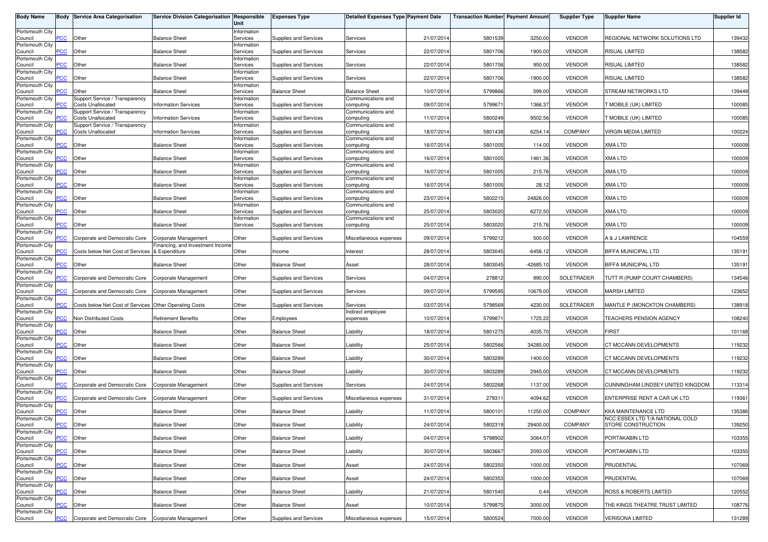| <b>Body Name</b>           |                | <b>Body Service Area Categorisation</b>                    | Service Division Categorisation Responsible | Unit                    | <b>Expenses Type</b>         | Detailed Expenses Type Payment Date |            | <b>Transaction Number Payment Amount</b> |            | <b>Supplier Type</b> | <b>Supplier Name</b>                                  | Supplier Id |
|----------------------------|----------------|------------------------------------------------------------|---------------------------------------------|-------------------------|------------------------------|-------------------------------------|------------|------------------------------------------|------------|----------------------|-------------------------------------------------------|-------------|
| Portsmouth City            | <b>PCC</b>     | Other                                                      | <b>Balance Sheet</b>                        | Information<br>Services | Supplies and Services        | Services                            | 21/07/2014 | 5801539                                  | 3250.00    | <b>VENDOR</b>        | REGIONAL NETWORK SOLUTIONS LTD                        | 139432      |
| Council<br>Portsmouth City |                |                                                            |                                             | Information             |                              |                                     |            |                                          |            |                      |                                                       |             |
| Council<br>Portsmouth City | $\overline{C}$ | Other                                                      | <b>Balance Sheet</b>                        | Services<br>Information | Supplies and Services        | Services                            | 22/07/2014 | 5801706                                  | 1900.00    | <b>VENDOR</b>        | RISUAL LIMITED                                        | 138582      |
| Council<br>Portsmouth City | $\overline{C}$ | Other                                                      | <b>Balance Sheet</b>                        | Services<br>Information | Supplies and Services        | Services                            | 22/07/201  | 5801706                                  | 950.00     | <b>VENDOR</b>        | RISUAL LIMITED                                        | 138582      |
| Council<br>Portsmouth City | <b>CC</b>      | Other                                                      | <b>Balance Sheet</b>                        | Services<br>Information | Supplies and Services        | Services                            | 22/07/201  | 5801706                                  | $-1900.00$ | <b>VENDOR</b>        | RISUAL LIMITED                                        | 138582      |
| Council                    | $\overline{C}$ | Other                                                      | <b>Balance Sheet</b>                        | Services                | <b>Balance Sheet</b>         | <b>Balance Sheet</b>                | 10/07/201  | 5799866                                  | 599.00     | <b>VENDOR</b>        | STREAM NETWORKS LTD                                   | 139449      |
| Portsmouth City<br>Council | °СС            | Support Service / Transparency<br>Costs Unallocated        | <b>Information Services</b>                 | Information<br>Services | Supplies and Services        | Communications and<br>computing     | 09/07/201  | 5799671                                  | 1366.37    | <b>VENDOR</b>        | T MOBILE (UK) LIMITED                                 | 100085      |
| Portsmouth City<br>Council | PCC            | Support Service / Transparency<br>Costs Unallocated        | <b>Information Services</b>                 | Information<br>Services | Supplies and Services        | Communications and<br>computing     | 11/07/201  | 5800249                                  | 9502.56    | <b>VENDOR</b>        | <b>FMOBILE (UK) LIMITED</b>                           | 100085      |
| Portsmouth City<br>Council | PCC            | Support Service / Transparency<br><b>Costs Unallocated</b> | <b>Information Services</b>                 | Information<br>Services | Supplies and Services        | Communications and<br>computing     | 18/07/2014 | 5801438                                  | 6254.14    | COMPANY              | VIRGIN MEDIA LIMITED                                  | 100224      |
| Portsmouth City<br>Council | $\overline{C}$ | Other                                                      | <b>Balance Sheet</b>                        | Information<br>Services | Supplies and Services        | Communications and<br>computing     | 16/07/201  | 5801005                                  | 114.00     | <b>VENDOR</b>        | XMA LTD                                               | 100009      |
| Portsmouth City            |                |                                                            |                                             | Information             |                              | Communications and                  |            |                                          |            |                      |                                                       |             |
| Council<br>Portsmouth City | PCC            | Other                                                      | <b>Balance Sheet</b>                        | Services<br>Information | Supplies and Services        | computing<br>Communications and     | 16/07/201  | 5801005                                  | 1461.36    | <b>VENDOR</b>        | <b>XMA LTD</b>                                        | 100009      |
| Council<br>Portsmouth City | CC             | Other                                                      | <b>Balance Sheet</b>                        | Services<br>Information | Supplies and Services        | computing<br>Communications and     | 16/07/201  | 5801005                                  | 215.76     | <b>VENDOR</b>        | <b>XMA LTD</b>                                        | 100009      |
| Council<br>Portsmouth City | <b>PCC</b>     | Other                                                      | <b>Balance Sheet</b>                        | Services<br>Information | <b>Supplies and Services</b> | computing<br>Communications and     | 16/07/201  | 5801005                                  | 28.12      | <b>VENDOR</b>        | <b>XMA LTD</b>                                        | 100009      |
| Council                    | <b>CC</b>      | Other                                                      | <b>Balance Sheet</b>                        | Services                | Supplies and Services        | computing                           | 23/07/201  | 5802215                                  | 24826.00   | <b>VENDOR</b>        | <b>XMA LTD</b>                                        | 100009      |
| Portsmouth City<br>Council | PCC            | Other                                                      | <b>Balance Sheet</b>                        | Information<br>Services | Supplies and Services        | Communications and<br>computing     | 25/07/201  | 5803020                                  | 6272.50    | <b>VENDOR</b>        | <b>XMA LTD</b>                                        | 100009      |
| Portsmouth City<br>Council | PCC            | Other                                                      | <b>Balance Sheet</b>                        | Information<br>Services | Supplies and Services        | Communications and<br>computing     | 25/07/2014 | 5803020                                  | 215.76     | <b>VENDOR</b>        | <b>XMA LTD</b>                                        | 100009      |
| Portsmouth City<br>Council | PCC            | Corporate and Democratic Core                              | Corporate Management                        | Other                   | Supplies and Services        | Miscellaneous expenses              | 09/07/201  | 5799212                                  | 500.00     | <b>VENDOR</b>        | A & J LAWRENCE                                        | 104559      |
| Portsmouth City            |                |                                                            | Financing, and Investment Income            |                         |                              |                                     |            |                                          |            |                      |                                                       |             |
| Council<br>Portsmouth City | PCC            | Costs below Net Cost of Services & Expenditure             |                                             | Other                   | Income                       | Interest                            | 28/07/2014 | 5803045                                  | $-6456.12$ | <b>VENDOR</b>        | BIFFA MUNICIPAL LTD                                   | 135191      |
| Council<br>Portsmouth City | <b>CC</b>      | Other                                                      | <b>Balance Sheet</b>                        | Other                   | <b>Balance Sheet</b>         | Asset                               | 28/07/201  | 5803045                                  | $-42685.1$ | <b>VENDOR</b>        | BIFFA MUNICIPAL LTD                                   | 135191      |
| Council<br>Portsmouth City | PCC            | Corporate and Democratic Core                              | Corporate Management                        | Other                   | Supplies and Services        | Services                            | 04/07/201  | 278812                                   | 990.00     | SOLETRADER           | TUTT R (PUMP COURT CHAMBERS)                          | 134546      |
| Council                    | <b>CC</b>      | Corporate and Democratic Core                              | Corporate Management                        | Other                   | Supplies and Services        | Services                            | 09/07/201  | 5799595                                  | 10679.00   | <b>VENDOR</b>        | <b>MARSH LIMITED</b>                                  | 123652      |
| Portsmouth City<br>Council | PCC            | Costs below Net Cost of Services Other Operating Costs     |                                             | Other                   | Supplies and Services        | Services                            | 03/07/201  | 5798569                                  | 4230.00    | SOLETRADER           | MANTLE P (MONCKTON CHAMBERS)                          | 138918      |
| Portsmouth City<br>Council | PСC            | Non Distributed Costs                                      | <b>Retirement Benefits</b>                  | Other                   | Employees                    | Indirect employee<br>expenses       | 10/07/201  | 5799871                                  | 1725.22    | <b>VENDOR</b>        | TEACHERS PENSION AGENCY                               | 108240      |
| Portsmouth City<br>Council | $\overline{C}$ | Other                                                      | <b>Balance Sheet</b>                        | Other                   | <b>Balance Sheet</b>         | .iability                           | 18/07/201  | 5801275                                  | 4035.70    | <b>VENDOR</b>        | <b>FIRST</b>                                          | 101168      |
| Portsmouth City<br>Council | $\overline{C}$ | Other                                                      | <b>Balance Sheet</b>                        | Other                   | <b>Balance Sheet</b>         | Liability                           | 25/07/2014 | 5802566                                  | 34285.00   | <b>VENDOR</b>        | CT MCCANN DEVELOPMENTS                                | 119232      |
| Portsmouth City            |                |                                                            |                                             |                         |                              |                                     |            |                                          |            |                      |                                                       |             |
| Council<br>Portsmouth City | $\overline{C}$ | Other                                                      | <b>Balance Sheet</b>                        | Other                   | <b>Balance Sheet</b>         | Liability                           | 30/07/2014 | 5803289                                  | 1400.00    | <b>VENDOR</b>        | CT MCCANN DEVELOPMENTS                                | 119232      |
| Council<br>Portsmouth City | $\overline{C}$ | Other                                                      | <b>Balance Sheet</b>                        | Other                   | <b>Balance Sheet</b>         | Liability                           | 30/07/2014 | 5803289                                  | 2945.00    | <b>VENDOR</b>        | CT MCCANN DEVELOPMENTS                                | 119232      |
| Council<br>Portsmouth City | °СС            | Corporate and Democratic Core                              | Corporate Management                        | Other                   | Supplies and Services        | Services                            | 24/07/201  | 5802268                                  | 1137.00    | <b>VENDOR</b>        | CUNNINGHAM LINDSEY UNITED KINGDOM                     | 113314      |
| Council                    | PCC            | Corporate and Democratic Core                              | Corporate Management                        | Other                   | Supplies and Services        | Miscellaneous expenses              | 31/07/201  | 279311                                   | 4094.62    | <b>VENDOR</b>        | ENTERPRISE RENT A CAR UK LTD                          | 119361      |
| Portsmouth City<br>Council | $\overline{C}$ | Other                                                      | <b>Balance Sheet</b>                        | Other                   | <b>Balance Sheet</b>         | Liability                           | 11/07/201  | 5800101                                  | 11250.00   | COMPANY              | <b>KKA MAINTENANCE LTD</b>                            | 135386      |
| Portsmouth City<br>Council | PCC Other      |                                                            | <b>Balance Sheet</b>                        | Other                   | <b>Balance Sheet</b>         | Liability                           | 24/07/2014 | 5802319                                  | 29400.00   | <b>COMPANY</b>       | NCC ESSEX LTD T/A NATIONAL COLD<br>STORE CONSTRUCTION | 139250      |
| Portsmouth City<br>Council | <b>PCC</b>     | Other                                                      | <b>Balance Sheet</b>                        | Other                   | <b>Balance Sheet</b>         | Liability                           | 04/07/2014 | 5798902                                  | 3064.07    | <b>VENDOR</b>        | PORTAKABIN LTD                                        | 103355      |
| Portsmouth City            |                |                                                            |                                             |                         |                              |                                     |            |                                          |            |                      |                                                       |             |
| Council<br>Portsmouth City | PCC Other      |                                                            | <b>Balance Sheet</b>                        | Other                   | <b>Balance Sheet</b>         | Liability                           | 30/07/2014 | 5803667                                  | 2093.00    | <b>VENDOR</b>        | PORTAKABIN LTD                                        | 103355      |
| Council<br>Portsmouth City | PCC Other      |                                                            | <b>Balance Sheet</b>                        | Other                   | <b>Balance Sheet</b>         | Asset                               | 24/07/2014 | 5802350                                  | 1000.00    | <b>VENDOR</b>        | PRUDENTIAL                                            | 107069      |
| Council<br>Portsmouth City | PCC Other      |                                                            | <b>Balance Sheet</b>                        | Other                   | <b>Balance Sheet</b>         | Asset                               | 24/07/2014 | 5802353                                  | 1000.00    | <b>VENDOR</b>        | PRUDENTIAL                                            | 107069      |
| Council<br>Portsmouth City | PCC Other      |                                                            | <b>Balance Sheet</b>                        | Other                   | <b>Balance Sheet</b>         | Liability                           | 21/07/2014 | 5801540                                  | 0.44       | <b>VENDOR</b>        | <b>ROSS &amp; ROBERTS LIMITED</b>                     | 120552      |
| Council                    | CC             | Other                                                      | <b>Balance Sheet</b>                        | Other                   | <b>Balance Sheet</b>         | Asset                               | 10/07/2014 | 5799875                                  | 3000.00    | <b>VENDOR</b>        | THE KINGS THEATRE TRUST LIMITED                       | 108776      |
| Portsmouth City<br>Council | PCC            | Corporate and Democratic Core                              | Corporate Management                        | Other                   | Supplies and Services        | Miscellaneous expenses              | 15/07/2014 | 5800524                                  | 7000.00    | <b>VENDOR</b>        | <b>VERISONA LIMITED</b>                               | 131289      |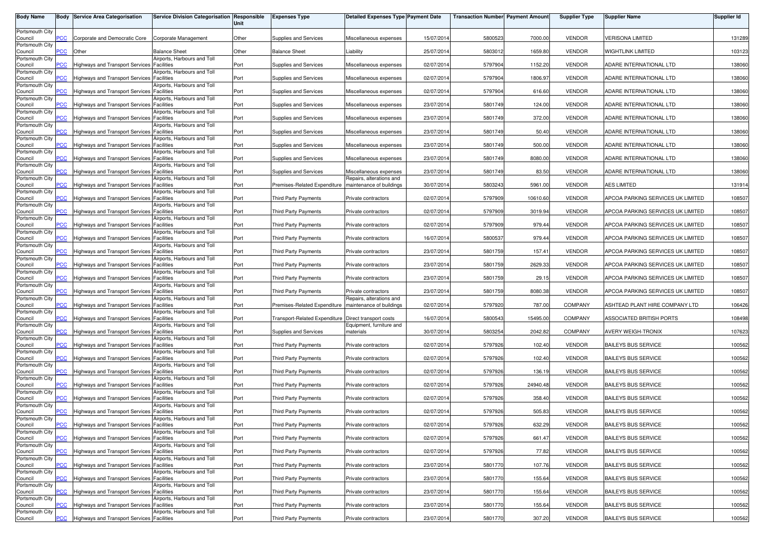| <b>Body Name</b>           |                | <b>Body Service Area Categorisation</b>           | <b>Service Division Categorisation</b>           | Responsible<br>Unit | <b>Expenses Type</b>          | <b>Detailed Expenses Type Payment Date</b>         |            | <b>Transaction Number Payment Amount</b> |          | <b>Supplier Type</b> | <b>Supplier Name</b>              | <b>Supplier Id</b> |
|----------------------------|----------------|---------------------------------------------------|--------------------------------------------------|---------------------|-------------------------------|----------------------------------------------------|------------|------------------------------------------|----------|----------------------|-----------------------------------|--------------------|
| Portsmouth City<br>Council | сC             | Corporate and Democratic Core                     | Corporate Management                             | Other               | Supplies and Services         | Miscellaneous expenses                             | 15/07/2014 | 5800523                                  | 7000.00  | <b>VENDOR</b>        | <b>VERISONA LIMITED</b>           | 131289             |
| Portsmouth City<br>Council | <u>CC</u>      | Other                                             | <b>Balance Sheet</b>                             | Other               | <b>Balance Sheet</b>          | .iability                                          | 25/07/2014 | 5803012                                  | 1659.80  | <b>VENDOR</b>        | <b>WIGHTLINK LIMITED</b>          | 103123             |
| Portsmouth City            |                |                                                   | Airports, Harbours and Toll                      |                     |                               |                                                    |            |                                          |          |                      |                                   |                    |
| Council<br>Portsmouth City | <u>CC</u>      | Highways and Transport Services Facilities        | Airports, Harbours and Toll                      | Port                | Supplies and Services         | Miscellaneous expenses                             | 02/07/2014 | 5797904                                  | 1152.20  | <b>VENDOR</b>        | ADARE INTERNATIONAL LTD           | 138060             |
| Council<br>Portsmouth City |                | <b>Highways and Transport Services</b>            | <b>Facilities</b><br>Airports, Harbours and Toll | Port                | Supplies and Services         | Miscellaneous expenses                             | 02/07/201  | 5797904                                  | 1806.97  | <b>VENDOR</b>        | ADARE INTERNATIONAL LTD           | 138060             |
| Council<br>Portsmouth City | сC             | Highways and Transport Services                   | Facilities<br>Airports, Harbours and Toll        | Port                | Supplies and Services         | Miscellaneous expenses                             | 02/07/201  | 5797904                                  | 616.60   | <b>VENDOR</b>        | ADARE INTERNATIONAL LTD           | 138060             |
| Council<br>Portsmouth City |                | Highways and Transport Services                   | <b>Facilities</b><br>Airports, Harbours and Toll | Port                | Supplies and Services         | Miscellaneous expenses                             | 23/07/201  | 5801749                                  | 124.00   | <b>VENDOR</b>        | ADARE INTERNATIONAL LTD           | 138060             |
| Council                    | <u>CC</u>      | Highways and Transport Services Facilities        |                                                  | Port                | Supplies and Services         | Miscellaneous expenses                             | 23/07/201  | 5801749                                  | 372.00   | <b>VENDOR</b>        | ADARE INTERNATIONAL LTD           | 138060             |
| Portsmouth City<br>Council |                | Highways and Transport Services Facilities        | Airports, Harbours and Toll                      | Port                | Supplies and Services         | Miscellaneous expenses                             | 23/07/201  | 5801749                                  | 50.40    | <b>VENDOR</b>        | ADARE INTERNATIONAL LTD           | 138060             |
| Portsmouth City<br>Council | CC             | Highways and Transport Services Facilities        | irports, Harbours and Toll                       | Port                | Supplies and Services         | Miscellaneous expenses                             | 23/07/201  | 5801749                                  | 500.00   | <b>VENDOR</b>        | ADARE INTERNATIONAL LTD           | 138060             |
| Portsmouth City<br>Council | $\overline{C}$ | Highways and Transport Services Facilities        | Airports, Harbours and Toll                      | Port                | Supplies and Services         | Miscellaneous expenses                             | 23/07/201  | 5801749                                  | 8080.00  | <b>VENDOR</b>        | ADARE INTERNATIONAL LTD           | 138060             |
| Portsmouth City<br>Council |                | <b>Highways and Transport Services</b>            | Airports, Harbours and Toll<br>Facilities        | Port                | Supplies and Services         | Miscellaneous expenses                             | 23/07/2014 | 5801749                                  | 83.50    | <b>VENDOR</b>        | ADARE INTERNATIONAL LTD           | 138060             |
| Portsmouth City            |                |                                                   | Airports, Harbours and Toll                      |                     |                               | Repairs, alterations and                           |            |                                          |          |                      |                                   |                    |
| Council<br>Portsmouth City | <b>PCC</b>     | Highways and Transport Services                   | <b>Facilities</b><br>Airports, Harbours and Toll | Port                | Premises-Related Expenditure  | maintenance of buildings                           | 30/07/201  | 5803243                                  | 5961.00  | <b>VENDOR</b>        | <b>AES LIMITED</b>                | 131914             |
| Council<br>Portsmouth City |                | Highways and Transport Services Facilities        | Airports, Harbours and Toll                      | Port                | <b>Third Party Payments</b>   | Private contractors                                | 02/07/201  | 5797909                                  | 10610.60 | <b>VENDOR</b>        | APCOA PARKING SERVICES UK LIMITED | 108507             |
| Council<br>Portsmouth City | PСC            | Highways and Transport Services Facilities        | Airports, Harbours and Toll                      | Port                | Third Party Payments          | Private contractors                                | 02/07/201  | 5797909                                  | 3019.94  | <b>VENDOR</b>        | APCOA PARKING SERVICES UK LIMITED | 108507             |
| Council<br>Portsmouth City | PСC            | Highways and Transport Services                   | <b>Facilities</b><br>Airports, Harbours and Toll | Port                | Third Party Payments          | Private contractors                                | 02/07/2014 | 5797909                                  | 979.44   | <b>VENDOR</b>        | APCOA PARKING SERVICES UK LIMITED | 108507             |
| Council                    | PСC            | <b>Highways and Transport Services Facilities</b> |                                                  | Port                | <b>Third Party Payments</b>   | Private contractors                                | 16/07/201  | 5800537                                  | 979.44   | <b>VENDOR</b>        | APCOA PARKING SERVICES UK LIMITED | 108507             |
| Portsmouth City<br>Council | 'CC            | Highways and Transport Services Facilities        | Airports, Harbours and Toll                      | Port                | Third Party Payments          | Private contractors                                | 23/07/2014 | 5801759                                  | 157.41   | <b>VENDOR</b>        | APCOA PARKING SERVICES UK LIMITED | 108507             |
| Portsmouth City<br>Council |                | Highways and Transport Services                   | irports, Harbours and Toll<br><b>Facilities</b>  | Port                | Third Party Payments          | Private contractors                                | 23/07/201  | 5801759                                  | 2629.33  | <b>VENDOR</b>        | APCOA PARKING SERVICES UK LIMITED | 108507             |
| Portsmouth City<br>Council | $\overline{C}$ | Highways and Transport Services Facilities        | Airports, Harbours and Toll                      | Port                | Third Party Payments          | Private contractors                                | 23/07/2014 | 5801759                                  | 29.15    | <b>VENDOR</b>        | APCOA PARKING SERVICES UK LIMITED | 108507             |
| Portsmouth City<br>Council |                |                                                   | Airports, Harbours and Toll<br>Facilities        |                     |                               |                                                    | 23/07/201  |                                          | 8080.38  | <b>VENDOR</b>        |                                   |                    |
| Portsmouth City            | сC             | <b>Highways and Transport Services</b>            | Airports, Harbours and Toll                      | Port                | <b>Third Party Payments</b>   | Private contractors<br>Repairs, alterations and    |            | 5801759                                  |          |                      | APCOA PARKING SERVICES UK LIMITED | 108507             |
| Council<br>Portsmouth City | PСC            | Highways and Transport Services Facilities        | Airports, Harbours and Toll                      | Port                | Premises-Related Expenditure  | maintenance of buildings                           | 02/07/201  | 5797920                                  | 787.00   | COMPANY              | ASHTEAD PLANT HIRE COMPANY LTD    | 106426             |
| Council<br>Portsmouth City |                | Highways and Transport Services Facilities        | Airports, Harbours and Toll                      | Port                | Transport-Related Expenditure | Direct transport costs<br>Equipment, furniture and | 16/07/201  | 5800543                                  | 15495.00 | COMPANY              | ASSOCIATED BRITISH PORTS          | 108498             |
| Council<br>Portsmouth City | ۲CC            | Highways and Transport Services Facilities        | irports, Harbours and Toll                       | Port                | Supplies and Services         | materials                                          | 30/07/201  | 5803254                                  | 2042.82  | <b>COMPANY</b>       | AVERY WEIGH-TRONIX                | 107623             |
| Council                    |                | Highways and Transport Services                   | <b>Facilities</b>                                | Port                | Third Party Payments          | Private contractors                                | 02/07/2014 | 5797926                                  | 102.40   | <b>VENDOR</b>        | <b>BAILEYS BUS SERVICE</b>        | 100562             |
| Portsmouth City<br>Council | PСC            | Highways and Transport Services Facilities        | Airports, Harbours and Toll                      | Port                | Third Party Payments          | Private contractors                                | 02/07/201  | 5797926                                  | 102.40   | <b>VENDOR</b>        | <b>BAILEYS BUS SERVICE</b>        | 100562             |
| Portsmouth City<br>Council | сC             | Highways and Transport Services Facilities        | Airports, Harbours and Toll                      | Port                | Third Party Payments          | Private contractors                                | 02/07/2014 | 5797926                                  | 136.19   | <b>VENDOR</b>        | <b>BAILEYS BUS SERVICE</b>        | 100562             |
| Portsmouth City<br>Council |                | <b>Highways and Transport Services</b>            | irports, Harbours and Toll<br><b>Facilities</b>  | Port                | <b>Third Party Payments</b>   | Private contractors                                | 02/07/201  | 5797926                                  | 24940.48 | <b>VENDOR</b>        | <b>BAILEYS BUS SERVICE</b>        | 100562             |
| Portsmouth City<br>Council | $\overline{C}$ | Highways and Transport Services                   | Airports, Harbours and Toll<br>Facilities        | Port                | Third Party Payments          | Private contractors                                | 02/07/2014 | 5797926                                  | 358.40   | <b>VENDOR</b>        | <b>BAILEYS BUS SERVICE</b>        | 100562             |
| Portsmouth City            |                |                                                   | irports, Harbours and Toll                       |                     |                               |                                                    |            |                                          |          |                      |                                   |                    |
| Council<br>Portsmouth City | <b>CC</b>      | <b>Highways and Transport Services</b>            | Facilities<br>Airports, Harbours and Toll        | Port                | <b>Third Party Payments</b>   | Private contractors                                | 02/07/201  | 5797926                                  | 505.83   | <b>VENDOR</b>        | <b>BAILEYS BUS SERVICE</b>        | 100562             |
| Council<br>Portsmouth City |                | Highways and Transport Services Facilities        | Airports, Harbours and Toll                      | Port                | Third Party Payments          | Private contractors                                | 02/07/2014 | 5797926                                  | 632.29   | <b>VENDOR</b>        | <b>BAILEYS BUS SERVICE</b>        | 100562             |
| Council<br>Portsmouth City |                | Highways and Transport Services Facilities        | Airports, Harbours and Toll                      | Port                | Third Party Payments          | Private contractors                                | 02/07/2014 | 5797926                                  | 661.47   | <b>VENDOR</b>        | <b>BAILEYS BUS SERVICE</b>        | 100562             |
| Council<br>Portsmouth City | PCC            | Highways and Transport Services Facilities        | Airports, Harbours and Toll                      | Port                | Third Party Payments          | Private contractors                                | 02/07/2014 | 5797926                                  | 77.82    | <b>VENDOR</b>        | <b>BAILEYS BUS SERVICE</b>        | 100562             |
| Council                    | PСC            | Highways and Transport Services Facilities        |                                                  | Port                | <b>Third Party Payments</b>   | Private contractors                                | 23/07/2014 | 5801770                                  | 107.76   | <b>VENDOR</b>        | <b>BAILEYS BUS SERVICE</b>        | 100562             |
| Portsmouth City<br>Council | CС             | Highways and Transport Services Facilities        | Airports, Harbours and Toll                      | Port                | <b>Third Party Payments</b>   | Private contractors                                | 23/07/2014 | 5801770                                  | 155.64   | <b>VENDOR</b>        | <b>BAILEYS BUS SERVICE</b>        | 100562             |
| Portsmouth City<br>Council | сC             | Highways and Transport Services Facilities        | Airports, Harbours and Toll                      | Port                | Third Party Payments          | Private contractors                                | 23/07/2014 | 5801770                                  | 155.64   | <b>VENDOR</b>        | <b>BAILEYS BUS SERVICE</b>        | 100562             |
| Portsmouth City<br>Council |                | Highways and Transport Services                   | Airports, Harbours and Toll<br><b>Facilities</b> | Port                | Third Party Payments          | Private contractors                                | 23/07/2014 | 5801770                                  | 155.64   | <b>VENDOR</b>        | <b>BAILEYS BUS SERVICE</b>        | 100562             |
| Portsmouth City            | <b>PCC</b>     |                                                   | Airports, Harbours and Toll                      |                     |                               |                                                    |            |                                          |          |                      |                                   |                    |
| Council                    |                | Highways and Transport Services Facilities        |                                                  | Port                | <b>Third Party Payments</b>   | Private contractors                                | 23/07/2014 | 5801770                                  | 307.20   | VENDOR               | <b>BAILEYS BUS SERVICE</b>        | 100562             |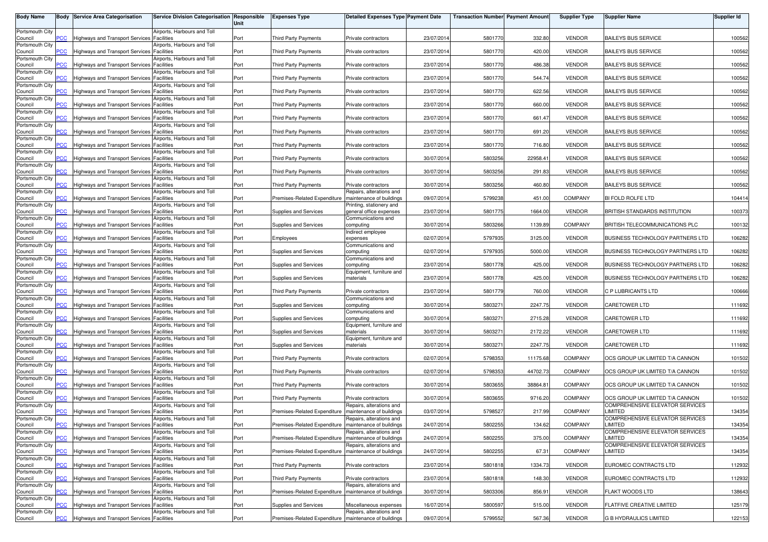| <b>Body Name</b>           |                | <b>Body Service Area Categorisation</b>           | Service Division Categorisation Responsible      | Unit | <b>Expenses Type</b>                                    | <b>Detailed Expenses Type Payment Date</b>           |            | <b>Transaction Number Payment Amount</b> |          | <b>Supplier Type</b> | <b>Supplier Name</b>                       | <b>Supplier Id</b> |
|----------------------------|----------------|---------------------------------------------------|--------------------------------------------------|------|---------------------------------------------------------|------------------------------------------------------|------------|------------------------------------------|----------|----------------------|--------------------------------------------|--------------------|
| Portsmouth City            |                |                                                   | Airports, Harbours and Toll                      |      |                                                         |                                                      |            |                                          |          |                      |                                            |                    |
| Council                    | PСC            | <b>Highways and Transport Services</b>            | Facilities                                       | Port | <b>Third Party Payments</b>                             | Private contractors                                  | 23/07/201  | 5801770                                  | 332.80   | <b>VENDOR</b>        | <b>BAILEYS BUS SERVICE</b>                 | 100562             |
| Portsmouth City<br>Council | <b>PCC</b>     | <b>Highways and Transport Services</b>            | Airports, Harbours and Toll<br>Facilities        | Port | <b>Third Party Payments</b>                             | Private contractors                                  | 23/07/201  | 5801770                                  | 420.00   | <b>VENDOR</b>        | <b>BAILEYS BUS SERVICE</b>                 | 100562             |
| Portsmouth City<br>Council | <b>PCC</b>     | Highways and Transport Services Facilities        | Airports, Harbours and Toll                      | Port | <b>Third Party Payments</b>                             | Private contractors                                  | 23/07/201  | 5801770                                  | 486.38   | <b>VENDOR</b>        | <b>BAILEYS BUS SERVICE</b>                 | 100562             |
| Portsmouth City            |                |                                                   | Airports, Harbours and Toll                      |      |                                                         |                                                      |            |                                          |          |                      |                                            |                    |
| Council<br>Portsmouth City | PСC            | Highways and Transport Services Facilities        | Airports, Harbours and Toll                      | Port | Third Party Payments                                    | Private contractors                                  | 23/07/201  | 5801770                                  | 544.74   | <b>VENDOR</b>        | <b>BAILEYS BUS SERVICE</b>                 | 100562             |
| Council                    | <u>PCC</u>     | Highways and Transport Services Facilities        |                                                  | Port | <b>Third Party Payments</b>                             | Private contractors                                  | 23/07/201  | 5801770                                  | 622.56   | <b>VENDOR</b>        | <b>BAILEYS BUS SERVICE</b>                 | 100562             |
| Portsmouth City<br>Council | <b>PCC</b>     | <b>Highways and Transport Services Facilities</b> | Airports, Harbours and Toll                      | Port | <b>Third Party Payments</b>                             | Private contractors                                  | 23/07/201  | 5801770                                  | 660.00   | <b>VENDOR</b>        | <b>BAILEYS BUS SERVICE</b>                 | 100562             |
| Portsmouth City<br>Council | <u>PCC</u>     | Highways and Transport Services Facilities        | Airports, Harbours and Toll                      | Port | <b>Third Party Payments</b>                             | Private contractors                                  | 23/07/2014 | 5801770                                  | 661.47   | <b>VENDOR</b>        | <b>BAILEYS BUS SERVICE</b>                 | 100562             |
| Portsmouth City            |                |                                                   | Airports, Harbours and Toll                      |      |                                                         |                                                      |            |                                          |          |                      |                                            |                    |
| Council<br>Portsmouth City | <b>PCC</b>     | Highways and Transport Services Facilities        | Airports, Harbours and Toll                      | Port | Third Party Payments                                    | Private contractors                                  | 23/07/2014 | 5801770                                  | 691.20   | <b>VENDOR</b>        | <b>BAILEYS BUS SERVICE</b>                 | 100562             |
| Council<br>Portsmouth City | <u>PCC</u>     | Highways and Transport Services                   | Facilities<br>Airports, Harbours and Toll        | Port | <b>Third Party Payments</b>                             | Private contractors                                  | 23/07/2014 | 5801770                                  | 716.80   | <b>VENDOR</b>        | <b>BAILEYS BUS SERVICE</b>                 | 100562             |
| Council                    | $\overline{C}$ | Highways and Transport Services                   | Facilities                                       | Port | <b>Third Party Payments</b>                             | Private contractors                                  | 30/07/201  | 5803256                                  | 22958.41 | <b>VENDOR</b>        | <b>BAILEYS BUS SERVICE</b>                 | 100562             |
| Portsmouth City<br>Council | PCC            | <b>Highways and Transport Services</b>            | Airports, Harbours and Toll<br>Facilities        | Port | <b>Third Party Payments</b>                             | Private contractors                                  | 30/07/201  | 5803256                                  | 291.83   | <b>VENDOR</b>        | <b>BAILEYS BUS SERVICE</b>                 | 100562             |
| Portsmouth City            | PCC            |                                                   | Airports, Harbours and Toll                      |      |                                                         |                                                      | 30/07/201  | 5803256                                  | 460.80   | <b>VENDOR</b>        | <b>BAILEYS BUS SERVICE</b>                 | 100562             |
| Council<br>Portsmouth City |                | Highways and Transport Services Facilities        | Airports, Harbours and Toll                      | Port | <b>Third Party Payments</b>                             | Private contractors<br>Repairs, alterations and      |            |                                          |          |                      |                                            |                    |
| Council<br>Portsmouth City | PСC            | Highways and Transport Services Facilities        | Airports, Harbours and Toll                      | Port | Premises-Related Expenditure                            | maintenance of buildings<br>Printing, stationery and | 09/07/201  | 579923                                   | 451.00   | <b>COMPANY</b>       | BI FOLD ROLFE LTD                          | 104414             |
| Council                    | PCC            | <b>Highways and Transport Services Facilities</b> |                                                  | Port | Supplies and Services                                   | general office expenses                              | 23/07/201  | 5801775                                  | 1664.00  | <b>VENDOR</b>        | BRITISH STANDARDS INSTITUTION              | 100373             |
| Portsmouth City<br>Council | PCC            | Highways and Transport Services Facilities        | Airports, Harbours and Toll                      | Port | Supplies and Services                                   | Communications and<br>computing                      | 30/07/201  | 5803266                                  | 1139.89  | COMPANY              | BRITISH TELECOMMUNICATIONS PLC             | 100132             |
| Portsmouth City<br>Council | PСC            | Highways and Transport Services Facilities        | Airports, Harbours and Toll                      | Port | Employees                                               | ndirect employee<br>expenses                         | 02/07/201  | 5797935                                  | 3125.00  | <b>VENDOR</b>        | BUSINESS TECHNOLOGY PARTNERS LTD           | 106282             |
| Portsmouth City            |                |                                                   | Airports, Harbours and Toll                      |      |                                                         | Communications and                                   |            |                                          |          |                      |                                            |                    |
| Council<br>Portsmouth City | PCC            | Highways and Transport Services Facilities        | Airports, Harbours and Toll                      | Port | Supplies and Services                                   | computing<br>Communications and                      | 02/07/2014 | 5797935                                  | 5000.00  | <b>VENDOR</b>        | BUSINESS TECHNOLOGY PARTNERS LTD           | 106282             |
| Council<br>Portsmouth City | PСC            | <b>Highways and Transport Services</b>            | Facilities<br>Airports, Harbours and Toll        | Port | Supplies and Services                                   | computing<br>Equipment, furniture and                | 23/07/201  | 5801778                                  | 425.00   | <b>VENDOR</b>        | BUSINESS TECHNOLOGY PARTNERS LTD           | 106282             |
| Council                    | PСC            | <b>Highways and Transport Services</b>            | Facilities                                       | Port | Supplies and Services                                   | materials                                            | 23/07/201  | 5801778                                  | 425.00   | <b>VENDOR</b>        | BUSINESS TECHNOLOGY PARTNERS LTD           | 106282             |
| Portsmouth City<br>Council | PСC            | <b>Highways and Transport Services</b>            | Airports, Harbours and Toll<br>Facilities        | Port | <b>Third Party Payments</b>                             | Private contractors                                  | 23/07/201  | 5801779                                  | 760.00   | <b>VENDOR</b>        | C P LUBRICANTS LTD                         | 100666             |
| Portsmouth City<br>Council | PСC            | Highways and Transport Services Facilities        | Airports, Harbours and Toll                      | Port | Supplies and Services                                   | Communications and<br>computing                      | 30/07/201  | 5803271                                  | 2247.75  | <b>VENDOR</b>        | <b>CARETOWER LTD</b>                       | 111692             |
| Portsmouth City            |                |                                                   | Airports, Harbours and Toll                      |      |                                                         | Communications and                                   |            |                                          |          |                      |                                            |                    |
| Council<br>Portsmouth City | PСC            | Highways and Transport Services Facilities        | Airports, Harbours and Toll                      | Port | Supplies and Services                                   | computing<br>Equipment, furniture and                | 30/07/201  | 580327                                   | 2715.28  | <b>VENDOR</b>        | <b>CARETOWER LTD</b>                       | 111692             |
| Council                    | PСC            | Highways and Transport Services                   | <b>Facilities</b>                                | Port | Supplies and Services                                   | materials                                            | 30/07/201  | 580327                                   | 2172.22  | <b>VENDOR</b>        | CARETOWER LTD                              | 111692             |
| Portsmouth City<br>Council | $\overline{C}$ | Highways and Transport Services Facilities        | Airports, Harbours and Toll                      | Port | Supplies and Services                                   | Equipment, furniture and<br>materials                | 30/07/201  | 5803271                                  | 2247.75  | <b>VENDOR</b>        | <b>CARETOWER LTD</b>                       | 111692             |
| Portsmouth City<br>Council | <u>PCC</u>     | Highways and Transport Services                   | Airports, Harbours and Toll<br><b>Facilities</b> | Port | <b>Third Party Payments</b>                             | Private contractors                                  | 02/07/201  | 5798353                                  | 11175.68 | <b>COMPANY</b>       | OCS GROUP UK LIMITED T/A CANNON            | 101502             |
| Portsmouth City            |                |                                                   | Airports, Harbours and Toll                      |      |                                                         |                                                      |            |                                          |          |                      |                                            |                    |
| Council<br>Portsmouth City | <u>PCC</u>     | Highways and Transport Services Facilities        | Airports, Harbours and Toll                      | Port | Third Party Payments                                    | Private contractors                                  | 02/07/2014 | 5798353                                  | 44702.73 | <b>COMPANY</b>       | OCS GROUP UK LIMITED T/A CANNON            | 101502             |
| Council<br>Portsmouth City | PСC            | <b>Highways and Transport Services</b>            | Facilities<br>Airports, Harbours and Toll        | Port | <b>Third Party Payments</b>                             | Private contractors                                  | 30/07/201  | 5803655                                  | 38864.81 | <b>COMPANY</b>       | OCS GROUP UK LIMITED T/A CANNON            | 101502             |
| Council                    | <b>PCC</b>     | <b>Highways and Transport Services</b>            | Facilities                                       | Port | <b>Third Party Payments</b>                             | Private contractors                                  | 30/07/201  | 5803655                                  | 9716.20  | <b>COMPANY</b>       | OCS GROUP UK LIMITED T/A CANNON            | 101502             |
| Portsmouth City<br>Council | <b>PCC</b>     | <b>Highways and Transport Services</b>            | Airports, Harbours and Toll<br><b>Facilities</b> | Port | Premises-Related Expenditure                            | Repairs, alterations and<br>maintenance of buildings | 03/07/2014 | 5798527                                  | 217.99   | <b>COMPANY</b>       | COMPREHENSIVE ELEVATOR SERVICES<br>LIMITED | 134354             |
| Portsmouth City<br>Council | <b>PCC</b>     | Highways and Transport Services Facilities        | Airports, Harbours and Toll                      | Port | Premises-Related Expenditure   maintenance of buildings | Repairs, alterations and                             | 24/07/2014 | 5802255                                  | 134.62   | COMPANY              | COMPREHENSIVE ELEVATOR SERVICES<br>LIMITED | 134354             |
| Portsmouth City            |                |                                                   | Airports, Harbours and Toll                      |      |                                                         | Repairs, alterations and                             |            |                                          |          |                      | COMPREHENSIVE ELEVATOR SERVICES            |                    |
| Council<br>Portsmouth City | <b>PCC</b>     | <b>Highways and Transport Services Facilities</b> | Airports, Harbours and Toll                      | Port | Premises-Related Expenditure   maintenance of buildings | Repairs, alterations and                             | 24/07/2014 | 5802255                                  | 375.00   | COMPANY              | LIMITED<br>COMPREHENSIVE ELEVATOR SERVICES | 134354             |
| Council<br>Portsmouth City | PCC            | Highways and Transport Services Facilities        | Airports, Harbours and Toll                      | Port | Premises-Related Expenditure                            | maintenance of buildings                             | 24/07/2014 | 5802255                                  | 67.31    | COMPANY              | LIMITED                                    | 134354             |
| Council                    | PСC            | Highways and Transport Services Facilities        |                                                  | Port | Third Party Payments                                    | Private contractors                                  | 23/07/2014 | 5801818                                  | 1334.73  | <b>VENDOR</b>        | EUROMEC CONTRACTS LTD                      | 112932             |
| Portsmouth City<br>Council | PСC            | Highways and Transport Services Facilities        | Airports, Harbours and Toll                      | Port | <b>Third Party Payments</b>                             | Private contractors                                  | 23/07/2014 | 5801818                                  | 148.30   | <b>VENDOR</b>        | EUROMEC CONTRACTS LTD                      | 112932             |
| Portsmouth City<br>Council | PCC            | Highways and Transport Services Facilities        | Airports, Harbours and Toll                      | Port | Premises-Related Expenditure                            | Repairs, alterations and<br>maintenance of buildings | 30/07/2014 | 5803306                                  | 856.91   | <b>VENDOR</b>        | FLAKT WOODS LTD                            | 138643             |
| Portsmouth City            |                |                                                   | Airports, Harbours and Toll                      |      |                                                         |                                                      |            |                                          |          |                      |                                            |                    |
| Council<br>Portsmouth City | PСC            | Highways and Transport Services Facilities        | Airports, Harbours and Toll                      | Port | Supplies and Services                                   | Miscellaneous expenses<br>Repairs, alterations and   | 16/07/201  | 5800597                                  | 515.00   | <b>VENDOR</b>        | FLATFIVE CREATIVE LIMITED                  | 125179             |
| Council                    | <b>PCC</b>     | Highways and Transport Services Facilities        |                                                  | Port | Premises-Related Expenditure   maintenance of buildings |                                                      | 09/07/2014 | 5799552                                  | 567.36   | <b>VENDOR</b>        | <b>G B HYDRAULICS LIMITED</b>              | 122153             |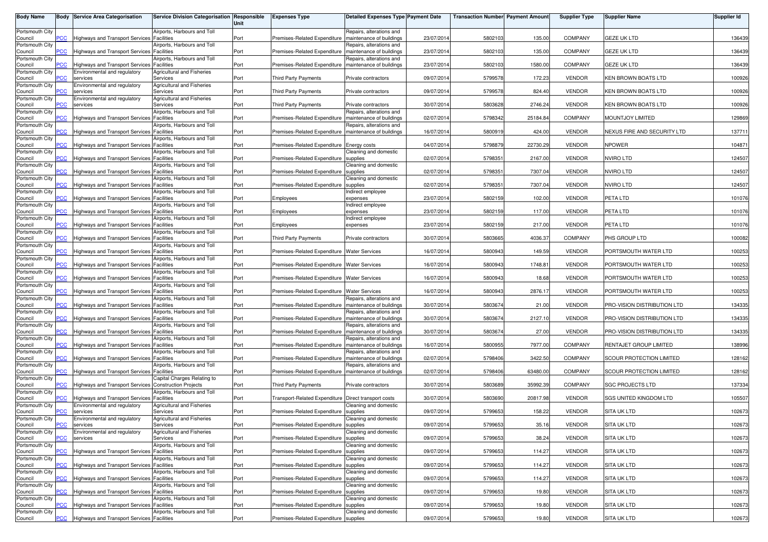| <b>Body Name</b>           |                | <b>Body Service Area Categorisation</b>                         | Service Division Categorisation Responsible            | Unit | <b>Expenses Type</b>                                    | <b>Detailed Expenses Type Payment Date</b>           |            | <b>Transaction Number Payment Amount</b> |          | <b>Supplier Type</b> | <b>Supplier Name</b>        | <b>Supplier Id</b> |
|----------------------------|----------------|-----------------------------------------------------------------|--------------------------------------------------------|------|---------------------------------------------------------|------------------------------------------------------|------------|------------------------------------------|----------|----------------------|-----------------------------|--------------------|
| Portsmouth City<br>Council | сC             | Highways and Transport Services Facilities                      | Airports, Harbours and Toll                            | Port | Premises-Related Expenditure                            | Repairs, alterations and<br>maintenance of buildings | 23/07/2014 | 5802103                                  | 135.00   | <b>COMPANY</b>       | GEZE UK LTD                 | 136439             |
| Portsmouth City<br>Council | CС             | Highways and Transport Services Facilities                      | Airports, Harbours and Toll                            | Port | Premises-Related Expenditure                            | Repairs, alterations and<br>maintenance of buildings | 23/07/201  | 5802103                                  | 135.00   | <b>COMPANY</b>       | GEZE UK LTD                 | 136439             |
| Portsmouth City            |                |                                                                 | Airports, Harbours and Toll                            |      |                                                         | Repairs, alterations and                             |            |                                          |          |                      |                             |                    |
| Council<br>Portsmouth City | сC             | Highways and Transport Services<br>Environmental and regulatory | <b>Facilities</b><br><b>Agricultural and Fisheries</b> | Port | Premises-Related Expenditure                            | maintenance of buildings                             | 23/07/2014 | 5802103                                  | 1580.00  | COMPANY              | GEZE UK LTD                 | 136439             |
| Council<br>Portsmouth City |                | services<br>Environmental and regulatory                        | Services<br><b>Agricultural and Fisheries</b>          | Port | <b>Third Party Payments</b>                             | Private contractors                                  | 09/07/201  | 5799578                                  | 172.23   | <b>VENDOR</b>        | <b>KEN BROWN BOATS LTD</b>  | 100926             |
| Council<br>Portsmouth City |                | services<br>Environmental and regulatory                        | Services<br><b>Agricultural and Fisheries</b>          | Port | Third Party Payments                                    | Private contractors                                  | 09/07/201  | 5799578                                  | 824.40   | <b>VENDOR</b>        | KEN BROWN BOATS LTD         | 100926             |
| Council<br>Portsmouth City |                | services                                                        | Services<br>Airports, Harbours and Toll                | Port | <b>Third Party Payments</b>                             | Private contractors<br>Repairs, alterations and      | 30/07/201  | 5803628                                  | 2746.24  | <b>VENDOR</b>        | KEN BROWN BOATS LTD         | 100926             |
| Council                    | <u>CC</u>      | Highways and Transport Services Facilities                      |                                                        | Port | Premises-Related Expenditure                            | maintenance of buildings                             | 02/07/201  | 5798342                                  | 25184.84 | <b>COMPANY</b>       | MOUNTJOY LIMITED            | 129869             |
| Portsmouth City<br>Council |                | Highways and Transport Services Facilities                      | Airports, Harbours and Toll                            | Port | Premises-Related Expenditure   maintenance of buildings | Repairs, alterations and                             | 16/07/201  | 5800919                                  | 424.00   | <b>VENDOR</b>        | NEXUS FIRE AND SECURITY LTD | 137711             |
| Portsmouth City<br>Council | CС             | Highways and Transport Services Facilities                      | irports, Harbours and Toll                             | Port | Premises-Related Expenditure Energy costs               |                                                      | 04/07/201  | 5798879                                  | 22730.29 | <b>VENDOR</b>        | <b>NPOWER</b>               | 104871             |
| Portsmouth City<br>Council | <u>CC</u>      | Highways and Transport Services Facilities                      | Airports, Harbours and Toll                            | Port | Premises-Related Expenditure                            | Cleaning and domestic<br>supplies                    | 02/07/2014 | 5798351                                  | 2167.00  | <b>VENDOR</b>        | <b>NVIRO LTD</b>            | 124507             |
| Portsmouth City<br>Council |                | <b>Highways and Transport Services</b>                          | Airports, Harbours and Toll<br>Facilities              | Port | Premises-Related Expenditure                            | Cleaning and domestic<br>supplies                    | 02/07/2014 | 5798351                                  | 7307.04  | <b>VENDOR</b>        | NVIRO LTD                   | 124507             |
| Portsmouth City<br>Council | <b>PCC</b>     | Highways and Transport Services                                 | Airports, Harbours and Toll<br><b>Facilities</b>       | Port | Premises-Related Expenditure                            | Cleaning and domestic<br>supplies                    | 02/07/201  | 5798351                                  | 7307.04  | <b>VENDOR</b>        | NVIRO LTD                   | 124507             |
| Portsmouth City            |                |                                                                 | Airports, Harbours and Toll                            |      |                                                         | Indirect employee                                    |            |                                          |          |                      |                             |                    |
| Council<br>Portsmouth City |                | Highways and Transport Services Facilities                      | Airports, Harbours and Toll                            | Port | Employees                                               | expenses<br>Indirect employee                        | 23/07/201  | 5802159                                  | 102.00   | <b>VENDOR</b>        | PETA LTD                    | 101076             |
| Council<br>Portsmouth City | PСC            | Highways and Transport Services Facilities                      | Airports, Harbours and Toll                            | Port | Employees                                               | expenses<br>Indirect employee                        | 23/07/201  | 5802159                                  | 117.00   | <b>VENDOR</b>        | PETA LTD                    | 101076             |
| Council<br>Portsmouth City | °СС            | Highways and Transport Services Facilities                      | Airports, Harbours and Toll                            | Port | Employees                                               | expenses                                             | 23/07/2014 | 5802159                                  | 217.00   | <b>VENDOR</b>        | PETA LTD                    | 101076             |
| Council<br>Portsmouth City | PСC            | Highways and Transport Services Facilities                      | Airports, Harbours and Toll                            | Port | Third Party Payments                                    | Private contractors                                  | 30/07/201  | 5803665                                  | 4036.37  | <b>COMPANY</b>       | PHS GROUP LTD               | 100082             |
| Council                    | 'CC            | Highways and Transport Services Facilities                      |                                                        | Port | Premises-Related Expenditure Water Services             |                                                      | 16/07/201  | 5800943                                  | 149.59   | <b>VENDOR</b>        | PORTSMOUTH WATER LTD        | 100253             |
| Portsmouth City<br>Council |                | Highways and Transport Services Facilities                      | irports, Harbours and Toll                             | Port | Premises-Related Expenditure   Water Services           |                                                      | 16/07/201  | 5800943                                  | 1748.81  | <b>VENDOR</b>        | PORTSMOUTH WATER LTD        | 100253             |
| Portsmouth City<br>Council | $\overline{C}$ | Highways and Transport Services Facilities                      | Airports, Harbours and Toll                            | Port | Premises-Related Expenditure Water Services             |                                                      | 16/07/2014 | 5800943                                  | 18.68    | <b>VENDOR</b>        | PORTSMOUTH WATER LTD        | 100253             |
| Portsmouth City<br>Council | сC             | <b>Highways and Transport Services</b>                          | Airports, Harbours and Toll<br>Facilities              | Port | Premises-Related Expenditure                            | <b>Water Services</b>                                | 16/07/201  | 5800943                                  | 2876.17  | <b>VENDOR</b>        | PORTSMOUTH WATER LTD        | 100253             |
| Portsmouth City<br>Council | PСC            | Highways and Transport Services Facilities                      | Airports, Harbours and Toll                            | Port | Premises-Related Expenditure                            | Repairs, alterations and<br>maintenance of buildings | 30/07/201  | 5803674                                  | 21.00    | <b>VENDOR</b>        | PRO-VISION DISTRIBUTION LTD | 134335             |
| Portsmouth City            |                |                                                                 | Airports, Harbours and Toll                            |      |                                                         | Repairs, alterations and                             |            |                                          |          | <b>VENDOR</b>        |                             |                    |
| Council<br>Portsmouth City |                | Highways and Transport Services Facilities                      | Airports, Harbours and Toll                            | Port | Premises-Related Expenditure                            | maintenance of buildings<br>Repairs, alterations and | 30/07/201  | 5803674                                  | 2127.1   |                      | PRO-VISION DISTRIBUTION LTD | 134335             |
| Council<br>Portsmouth City | ۲CC            | Highways and Transport Services Facilities                      | irports, Harbours and Toll                             | Port | Premises-Related Expenditure                            | maintenance of buildings<br>Repairs, alterations and | 30/07/201  | 5803674                                  | 27.00    | <b>VENDOR</b>        | PRO-VISION DISTRIBUTION LTD | 134335             |
| Council<br>Portsmouth City |                | Highways and Transport Services                                 | <b>Facilities</b><br>Airports, Harbours and Toll       | Port | Premises-Related Expenditure                            | maintenance of buildings<br>Repairs, alterations and | 16/07/201  | 5800955                                  | 7977.00  | <b>COMPANY</b>       | RENTAJET GROUP LIMITED      | 138996             |
| Council<br>Portsmouth City | 'СС            | Highways and Transport Services Facilities                      | Airports, Harbours and Toll                            | Port | Premises-Related Expenditure                            | maintenance of buildings<br>Repairs, alterations and | 02/07/201  | 5798406                                  | 3422.50  | <b>COMPANY</b>       | SCOUR PROTECTION LIMITED    | 128162             |
| Council                    | сC             | Highways and Transport Services Facilities                      |                                                        | Port | Premises-Related Expenditure                            | maintenance of buildings                             | 02/07/201  | 5798406                                  | 63480.00 | COMPANY              | SCOUR PROTECTION LIMITED    | 128162             |
| Portsmouth City<br>Council |                | Highways and Transport Services Construction Projects           | Capital Charges Relating to                            | Port | Third Party Payments                                    | Private contractors                                  | 30/07/201  | 5803689                                  | 35992.39 | <b>COMPANY</b>       | <b>SGC PROJECTS LTD</b>     | 137334             |
| Portsmouth City<br>Council | <b>CC</b>      | Highways and Transport Services                                 | Airports, Harbours and Toll<br><b>Facilities</b>       | Port | Transport-Related Expenditure                           | Direct transport costs                               | 30/07/201  | 5803690                                  | 20817.98 | <b>VENDOR</b>        | SGS UNITED KINGDOM LTD      | 105507             |
| Portsmouth City<br>Council |                | Environmental and regulatory<br>services                        | <b>Agricultural and Fisheries</b><br>Services          | Port | Premises-Related Expenditure                            | Cleaning and domestic<br>supplies                    | 09/07/201  | 5799653                                  | 158.22   | <b>VENDOR</b>        | <b>SITA UK LTD</b>          | 102673             |
| Portsmouth City<br>Council | PCC            | Environmental and regulatory<br>services                        | <b>Agricultural and Fisheries</b><br>Services          | Port | Premises-Related Expenditure supplies                   | Cleaning and domestic                                | 09/07/2014 | 5799653                                  | 35.16    | <b>VENDOR</b>        | SITA UK LTD                 | 102673             |
| Portsmouth City<br>Council |                | Environmental and regulatory<br>services                        | <b>Agricultural and Fisheries</b><br>Services          | Port | Premises-Related Expenditure                            | Cleaning and domestic<br>supplies                    | 09/07/2014 | 5799653                                  | 38.24    | <b>VENDOR</b>        | <b>SITA UK LTD</b>          | 102673             |
| Portsmouth City            |                |                                                                 | Airports, Harbours and Toll                            |      |                                                         | Cleaning and domestic                                |            |                                          |          |                      |                             |                    |
| Council<br>Portsmouth City | PCC            | Highways and Transport Services Facilities                      | Airports, Harbours and Toll                            | Port | Premises-Related Expenditure                            | supplies<br>Cleaning and domestic                    | 09/07/2014 | 5799653                                  | 114.27   | <b>VENDOR</b>        | <b>SITA UK LTD</b>          | 102673             |
| Council<br>Portsmouth City | PСC            | Highways and Transport Services Facilities                      | Airports, Harbours and Toll                            | Port | Premises-Related Expenditure                            | supplies<br>Cleaning and domestic                    | 09/07/2014 | 5799653                                  | 114.27   | <b>VENDOR</b>        | <b>SITA UK LTD</b>          | 102673             |
| Council<br>Portsmouth City | CС             | Highways and Transport Services Facilities                      | Airports, Harbours and Toll                            | Port | Premises-Related Expenditure                            | supplies<br>Cleaning and domestic                    | 09/07/2014 | 5799653                                  | 114.27   | <b>VENDOR</b>        | <b>SITA UK LTD</b>          | 102673             |
| Council<br>Portsmouth City | сC             | Highways and Transport Services Facilities                      | Airports, Harbours and Toll                            | Port | Premises-Related Expenditure                            | supplies<br>Cleaning and domestic                    | 09/07/2014 | 5799653                                  | 19.80    | <b>VENDOR</b>        | <b>SITA UK LTD</b>          | 102673             |
| Council                    |                | Highways and Transport Services                                 | <b>Facilities</b>                                      | Port | Premises-Related Expenditure                            | supplies                                             | 09/07/2014 | 5799653                                  | 19.80    | <b>VENDOR</b>        | <b>SITA UK LTD</b>          | 102673             |
| Portsmouth City<br>Council | <b>PCC</b>     | Highways and Transport Services Facilities                      | Airports, Harbours and Toll                            | Port | Premises-Related Expenditure supplies                   | Cleaning and domestic                                | 09/07/2014 | 5799653                                  | 19.80    | <b>VENDOR</b>        | SITA UK LTD                 | 102673             |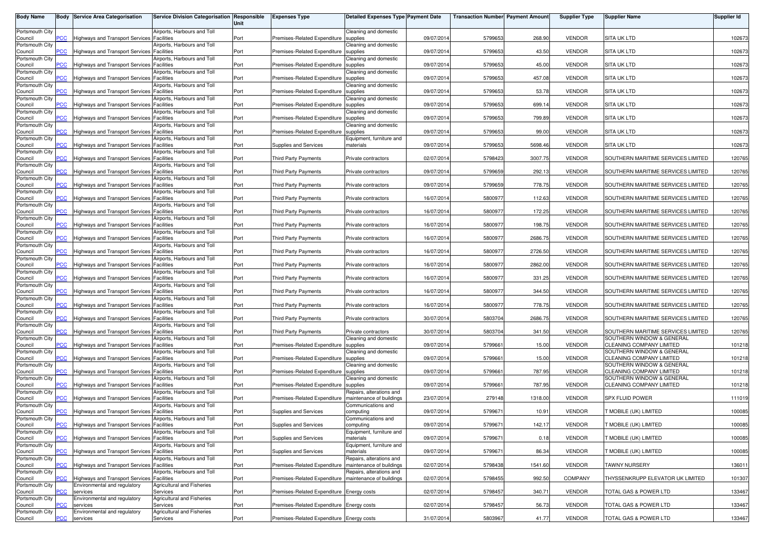| <b>Body Name</b>           |                | <b>Body Service Area Categorisation</b>    | Service Division Categorisation Responsible                  | Unit | <b>Expenses Type</b>                      | <b>Detailed Expenses Type Payment Date</b>           |            | <b>Transaction Number Payment Amount</b> |         | <b>Supplier Type</b> | <b>Supplier Name</b>                                  | <b>Supplier Id</b> |
|----------------------------|----------------|--------------------------------------------|--------------------------------------------------------------|------|-------------------------------------------|------------------------------------------------------|------------|------------------------------------------|---------|----------------------|-------------------------------------------------------|--------------------|
| Portsmouth City            |                |                                            | Airports, Harbours and Toll                                  |      |                                           | Cleaning and domestic                                |            |                                          |         |                      |                                                       |                    |
| Council<br>Portsmouth City | PСC            | <b>Highways and Transport Services</b>     | Facilities<br>Airports, Harbours and Toll                    | Port | Premises-Related Expenditure              | supplies<br>Cleaning and domestic                    | 09/07/2014 | 5799653                                  | 268.90  | <b>VENDOR</b>        | <b>SITA UK LTD</b>                                    | 102673             |
| Council                    | <u>PCC</u>     | Highways and Transport Services            | Facilities                                                   | Port | Premises-Related Expenditure              | supplies                                             | 09/07/2014 | 5799653                                  | 43.50   | <b>VENDOR</b>        | <b>SITA UK LTD</b>                                    | 102673             |
| Portsmouth City<br>Council | PCC            | Highways and Transport Services Facilities | Airports, Harbours and Toll                                  | Port | Premises-Related Expenditure              | Cleaning and domestic<br>supplies                    | 09/07/2014 | 5799653                                  | 45.00   | <b>VENDOR</b>        | <b>SITA UK LTD</b>                                    | 102673             |
| Portsmouth City            |                |                                            | Airports, Harbours and Toll                                  |      |                                           | Cleaning and domestic                                |            |                                          |         |                      |                                                       |                    |
| Council<br>Portsmouth City | PСC            | <b>Highways and Transport Services</b>     | Facilities<br>Airports, Harbours and Toll                    | Port | Premises-Related Expenditure              | supplies<br>Cleaning and domestic                    | 09/07/2014 | 5799653                                  | 457.08  | <b>VENDOR</b>        | <b>SITA UK LTD</b>                                    | 102673             |
| Council                    | PCC            | <b>Highways and Transport Services</b>     | Facilities                                                   | Port | Premises-Related Expenditure              | supplies                                             | 09/07/2014 | 5799653                                  | 53.78   | <b>VENDOR</b>        | <b>SITA UK LTD</b>                                    | 102673             |
| Portsmouth City<br>Council | PCC            | <b>Highways and Transport Services</b>     | Airports, Harbours and Toll<br>Facilities                    | Port | Premises-Related Expenditure              | Cleaning and domestic<br>supplies                    | 09/07/2014 | 5799653                                  | 699.14  | <b>VENDOR</b>        | <b>SITA UK LTD</b>                                    | 102673             |
| Portsmouth City            |                |                                            | Airports, Harbours and Toll                                  |      |                                           | Cleaning and domestic                                |            |                                          |         |                      |                                                       |                    |
| Council<br>Portsmouth City | <u>PCC</u>     | <b>Highways and Transport Services</b>     | Facilities<br>Airports, Harbours and Toll                    | Port | Premises-Related Expenditure              | supplies<br>Cleaning and domestic                    | 09/07/2014 | 5799653                                  | 799.89  | <b>VENDOR</b>        | <b>SITA UK LTD</b>                                    | 102673             |
| Council<br>Portsmouth City | PCC            | Highways and Transport Services            | Facilities                                                   | Port | Premises-Related Expenditure              | supplies                                             | 09/07/2014 | 5799653                                  | 99.00   | <b>VENDOR</b>        | <b>SITA UK LTD</b>                                    | 102673             |
| Council                    | PСC            | Highways and Transport Services            | Airports, Harbours and Toll<br>Facilities                    | Port | Supplies and Services                     | Equipment, furniture and<br>materials                | 09/07/2014 | 5799653                                  | 5698.46 | <b>VENDOR</b>        | SITA UK LTD                                           | 102673             |
| Portsmouth City<br>Council | PCC            | Highways and Transport Services Facilities | Airports, Harbours and Toll                                  | Port | Third Party Payments                      | Private contractors                                  | 02/07/2014 | 5798423                                  | 3007.75 | <b>VENDOR</b>        | SOUTHERN MARITIME SERVICES LIMITED                    | 120765             |
| Portsmouth City            |                |                                            | Airports, Harbours and Toll                                  |      |                                           |                                                      |            |                                          |         |                      |                                                       |                    |
| Council<br>Portsmouth City | PСC            | <b>Highways and Transport Services</b>     | Facilities<br>Airports, Harbours and Toll                    | Port | <b>Third Party Payments</b>               | Private contractors                                  | 09/07/2014 | 5799659                                  | 292.13  | <b>VENDOR</b>        | SOUTHERN MARITIME SERVICES LIMITED                    | 120765             |
| Council                    | PCC            | <b>Highways and Transport Services</b>     | Facilities                                                   | Port | Third Party Payments                      | Private contractors                                  | 09/07/2014 | 5799659                                  | 778.75  | <b>VENDOR</b>        | SOUTHERN MARITIME SERVICES LIMITED                    | 120765             |
| Portsmouth City<br>Council | PСC            | <b>Highways and Transport Services</b>     | Airports, Harbours and Toll<br>Facilities                    | Port | Third Party Payments                      | Private contractors                                  | 16/07/2014 | 5800977                                  | 112.63  | <b>VENDOR</b>        | SOUTHERN MARITIME SERVICES LIMITED                    | 120765             |
| Portsmouth City            |                |                                            | Airports, Harbours and Toll                                  |      |                                           |                                                      |            |                                          |         |                      |                                                       |                    |
| Council<br>Portsmouth City | PCC            | <b>Highways and Transport Services</b>     | Facilities<br>Airports, Harbours and Toll                    | Port | <b>Third Party Payments</b>               | Private contractors                                  | 16/07/2014 | 5800977                                  | 172.25  | <b>VENDOR</b>        | SOUTHERN MARITIME SERVICES LIMITED                    | 120765             |
| Council<br>Portsmouth City | PCC            | <b>Highways and Transport Services</b>     | Facilities<br><b>Nirports, Harbours and Toll</b>             | Port | Third Party Payments                      | Private contractors                                  | 16/07/2014 | 5800977                                  | 198.75  | <b>VENDOR</b>        | SOUTHERN MARITIME SERVICES LIMITED                    | 120765             |
| Council                    | PCC            | Highways and Transport Services            | <sup>=</sup> acilities                                       | Port | <b>Third Party Payments</b>               | Private contractors                                  | 16/07/2014 | 5800977                                  | 2686.75 | <b>VENDOR</b>        | SOUTHERN MARITIME SERVICES LIMITED                    | 120765             |
| Portsmouth City<br>Council | PCC            | Highways and Transport Services Facilities | Airports, Harbours and Toll                                  | Port | <b>Third Party Payments</b>               | Private contractors                                  | 16/07/2014 | 5800977                                  | 2726.50 | <b>VENDOR</b>        | SOUTHERN MARITIME SERVICES LIMITED                    | 120765             |
| Portsmouth City            |                |                                            | Airports, Harbours and Toll                                  |      |                                           |                                                      |            |                                          |         |                      |                                                       |                    |
| Council<br>Portsmouth City | PСC            | <b>Highways and Transport Services</b>     | <sup>=</sup> acilities<br>Airports, Harbours and Toll        | Port | <b>Third Party Payments</b>               | Private contractors                                  | 16/07/2014 | 5800977                                  | 2862.00 | <b>VENDOR</b>        | SOUTHERN MARITIME SERVICES LIMITED                    | 120765             |
| Council                    | PCC            | Highways and Transport Services            | Facilities                                                   | Port | <b>Third Party Payments</b>               | Private contractors                                  | 16/07/2014 | 5800977                                  | 331.25  | <b>VENDOR</b>        | SOUTHERN MARITIME SERVICES LIMITED                    | 120765             |
| Portsmouth City<br>Council | PСC            | <b>Highways and Transport Services</b>     | Airports, Harbours and Toll<br>Facilities                    | Port | Third Party Payments                      | Private contractors                                  | 16/07/2014 | 5800977                                  | 344.50  | <b>VENDOR</b>        | SOUTHERN MARITIME SERVICES LIMITED                    | 120765             |
| Portsmouth City            |                |                                            | Airports, Harbours and Toll                                  |      |                                           |                                                      |            |                                          |         |                      |                                                       |                    |
| Council<br>Portsmouth City | PCC            | Highways and Transport Services            | Facilities<br>Airports, Harbours and Toll                    | Port | Third Party Payments                      | Private contractors                                  | 16/07/2014 | 5800977                                  | 778.75  | <b>VENDOR</b>        | SOUTHERN MARITIME SERVICES LIMITED                    | 120765             |
| Council                    | PСC            | <b>Highways and Transport Services</b>     | Facilities                                                   | Port | <b>Third Party Payments</b>               | Private contractors                                  | 30/07/2014 | 5803704                                  | 2686.75 | <b>VENDOR</b>        | SOUTHERN MARITIME SERVICES LIMITED                    | 120765             |
| Portsmouth City<br>Council | <b>PCC</b>     | <b>Highways and Transport Services</b>     | Airports, Harbours and Toll<br>Facilities                    | Port | Third Party Payments                      | Private contractors                                  | 30/07/2014 | 5803704                                  | 341.50  | <b>VENDOR</b>        | SOUTHERN MARITIME SERVICES LIMITED                    | 120765             |
| Portsmouth City<br>Council | <u>PCC</u>     | <b>Highways and Transport Services</b>     | <b>Nirports, Harbours and Toll</b><br><sup>=</sup> acilities | Port | Premises-Related Expenditure              | Cleaning and domestic<br>supplies                    | 09/07/2014 | 5799661                                  | 15.00   | <b>VENDOR</b>        | SOUTHERN WINDOW & GENERAL<br>CLEANING COMPANY LIMITED | 101218             |
| Portsmouth City            |                |                                            | Airports, Harbours and Toll                                  |      |                                           | Cleaning and domestic                                |            |                                          |         |                      | SOUTHERN WINDOW & GENERAL                             |                    |
| Council<br>Portsmouth City | PCC            | <b>Highways and Transport Services</b>     | Facilities<br>Airports, Harbours and Toll                    | Port | Premises-Related Expenditure              | supplies<br>Cleaning and domestic                    | 09/07/2014 | 5799661                                  | 15.00   | <b>VENDOR</b>        | CLEANING COMPANY LIMITED<br>SOUTHERN WINDOW & GENERAL | 101218             |
| Council                    | PCC            | Highways and Transport Services            | Facilities                                                   | Port | Premises-Related Expenditure              | supplies                                             | 09/07/2014 | 5799661                                  | 787.95  | <b>VENDOR</b>        | CLEANING COMPANY LIMITED                              | 101218             |
| Portsmouth City<br>Council | <u>PCC</u>     | <b>Highways and Transport Services</b>     | irports, Harbours and Toll<br><sup>=</sup> acilities         | Port | Premises-Related Expenditure              | Cleaning and domestic<br>supplies                    | 09/07/2014 | 5799661                                  | 787.95  | <b>VENDOR</b>        | SOUTHERN WINDOW & GENERAL<br>CLEANING COMPANY LIMITED | 101218             |
| Portsmouth City            |                |                                            | Airports, Harbours and Toll                                  |      |                                           | Repairs, alterations and                             |            |                                          |         |                      |                                                       |                    |
| Council<br>Portsmouth City | PCC            | Highways and Transport Services            | Facilities<br>Airports, Harbours and Toll                    | Port | Premises-Related Expenditure              | maintenance of buildings<br>Communications and       | 23/07/2014 | 279148                                   | 1318.00 | <b>VENDOR</b>        | SPX FLUID POWER                                       | 111019             |
| Council<br>Portsmouth City | $\overline{C}$ | <b>Highways and Transport Services</b>     | <sup>=</sup> acilities<br>Airports, Harbours and Toll        | Port | Supplies and Services                     | computing                                            | 09/07/2014 | 5799671                                  | 10.91   | <b>VENDOR</b>        | T MOBILE (UK) LIMITED                                 | 100085             |
| Council                    | <b>PCC</b>     | Highways and Transport Services Facilities |                                                              | Port | Supplies and Services                     | Communications and<br>computing                      | 09/07/2014 | 5799671                                  | 142.17  | <b>VENDOR</b>        | T MOBILE (UK) LIMITED                                 | 100085             |
| Portsmouth City<br>Council | <b>PCC</b>     | Highways and Transport Services Facilities | Airports, Harbours and Toll                                  | Port | Supplies and Services                     | Equipment, furniture and<br>materials                | 09/07/2014 | 5799671                                  | 0.18    | <b>VENDOR</b>        | T MOBILE (UK) LIMITED                                 | 100085             |
| Portsmouth City            |                |                                            | Airports, Harbours and Toll                                  |      |                                           | Equipment, furniture and                             |            |                                          |         |                      |                                                       |                    |
| Council<br>Portsmouth City | <b>PCC</b>     | Highways and Transport Services Facilities | Airports, Harbours and Toll                                  | Port | Supplies and Services                     | materials<br>Repairs, alterations and                | 09/07/2014 | 5799671                                  | 86.34   | <b>VENDOR</b>        | T MOBILE (UK) LIMITED                                 | 100085             |
| Council                    | PCC            | Highways and Transport Services Facilities |                                                              | Port | Premises-Related Expenditure              | maintenance of buildings                             | 02/07/2014 | 5798438                                  | 1541.60 | <b>VENDOR</b>        | TAWNY NURSERY                                         | 136011             |
| Portsmouth City<br>Council | PСC            | Highways and Transport Services Facilities | Airports, Harbours and Toll                                  | Port | Premises-Related Expenditure              | Repairs, alterations and<br>maintenance of buildings | 02/07/2014 | 5798455                                  | 992.50  | <b>COMPANY</b>       | THYSSENKRUPP ELEVATOR UK LIMITED                      | 101307             |
| Portsmouth City            |                | Environmental and regulatory               | <b>Agricultural and Fisheries</b>                            |      |                                           |                                                      |            |                                          |         |                      |                                                       |                    |
| Council<br>Portsmouth City | PCC            | services<br>Environmental and regulatory   | Services<br>Agricultural and Fisheries                       | Port | Premises-Related Expenditure Energy costs |                                                      | 02/07/2014 | 5798457                                  | 340.7   | <b>VENDOR</b>        | TOTAL GAS & POWER LTD                                 | 133467             |
| Council<br>Portsmouth City | °СС            | services<br>Environmental and regulatory   | Services<br><b>Agricultural and Fisheries</b>                | Port | Premises-Related Expenditure Energy costs |                                                      | 02/07/2014 | 5798457                                  | 56.73   | <b>VENDOR</b>        | TOTAL GAS & POWER LTD                                 | 133467             |
| Council                    | <b>PCC</b>     | services                                   | Services                                                     | Port | Premises-Related Expenditure Energy costs |                                                      | 31/07/2014 | 5803967                                  | 41.77   | VENDOR               | TOTAL GAS & POWER LTD                                 | 133467             |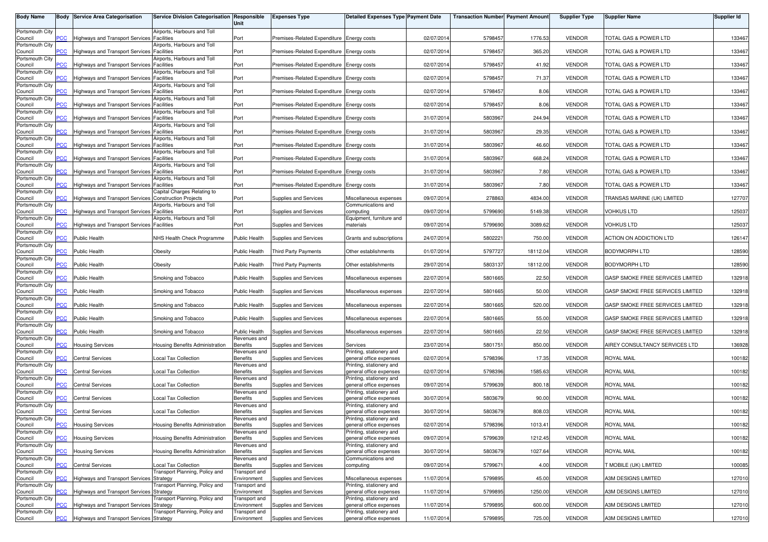| <b>Body Name</b>           |                | <b>Body Service Area Categorisation</b>               | Service Division Categorisation Responsible            | Unit                            | <b>Expenses Type</b>                      | <b>Detailed Expenses Type Payment Date</b>          |            | <b>Transaction Number Payment Amoun</b> |          | <b>Supplier Type</b> | <b>Supplier Name</b>             | <b>Supplier Id</b> |
|----------------------------|----------------|-------------------------------------------------------|--------------------------------------------------------|---------------------------------|-------------------------------------------|-----------------------------------------------------|------------|-----------------------------------------|----------|----------------------|----------------------------------|--------------------|
| Portsmouth City            |                |                                                       | Airports, Harbours and Toll                            |                                 |                                           |                                                     |            |                                         |          |                      |                                  |                    |
| Council<br>Portsmouth City | <b>PCC</b>     | Highways and Transport Services                       | <b>Facilities</b><br>Airports, Harbours and Toll       | Port                            | Premises-Related Expenditure Energy costs |                                                     | 02/07/2014 | 5798457                                 | 1776.53  | <b>VENDOR</b>        | <b>TOTAL GAS &amp; POWER LTD</b> | 133467             |
| Council                    | 'CC            | <b>Highways and Transport Services</b>                | Facilities                                             | Port                            | Premises-Related Expenditure Energy costs |                                                     | 02/07/2014 | 5798457                                 | 365.20   | <b>VENDOR</b>        | TOTAL GAS & POWER LTD            | 133467             |
| Portsmouth City<br>Council | <b>PCC</b>     | Highways and Transport Services                       | Airports, Harbours and Toll<br><b>Facilities</b>       | Port                            | Premises-Related Expenditure Energy costs |                                                     | 02/07/2014 | 5798457                                 | 41.92    | <b>VENDOR</b>        | TOTAL GAS & POWER LTD            | 133467             |
| Portsmouth City<br>Council |                | <b>Highways and Transport Services</b>                | Airports, Harbours and Toll<br><b>Facilities</b>       | Port                            | Premises-Related Expenditure Energy costs |                                                     | 02/07/2014 | 5798457                                 | 71.37    | <b>VENDOR</b>        | TOTAL GAS & POWER LTD            | 133467             |
| Portsmouth City            |                |                                                       | Airports, Harbours and Toll                            |                                 |                                           |                                                     |            |                                         |          |                      |                                  |                    |
| Council<br>Portsmouth City | $\overline{C}$ | Highways and Transport Services                       | <b>Facilities</b><br>Airports, Harbours and Toll       | Port                            | Premises-Related Expenditure Energy costs |                                                     | 02/07/2014 | 5798457                                 | 8.06     | <b>VENDOR</b>        | TOTAL GAS & POWER LTD            | 133467             |
| Council                    | PСC            | <b>Highways and Transport Services</b>                | <b>Facilities</b>                                      | Port                            | Premises-Related Expenditure Energy costs |                                                     | 02/07/2014 | 5798457                                 | 8.06     | <b>VENDOR</b>        | TOTAL GAS & POWER LTD            | 133467             |
| Portsmouth City<br>Council | PСC            | Highways and Transport Services Facilities            | Airports, Harbours and Toll                            | Port                            | Premises-Related Expenditure Energy costs |                                                     | 31/07/2014 | 5803967                                 | 244.94   | <b>VENDOR</b>        | TOTAL GAS & POWER LTD            | 133467             |
| Portsmouth City<br>Council | <b>CC</b>      | Highways and Transport Services Facilities            | Airports, Harbours and Toll                            | Port                            | Premises-Related Expenditure Energy costs |                                                     | 31/07/2014 | 5803967                                 | 29.35    | <b>VENDOR</b>        | TOTAL GAS & POWER LTD            | 133467             |
| Portsmouth City            |                |                                                       | Airports, Harbours and Toll                            |                                 |                                           |                                                     |            |                                         |          |                      |                                  |                    |
| Council<br>Portsmouth City |                | Highways and Transport Services Facilities            | Airports, Harbours and Toll                            | Port                            | Premises-Related Expenditure Energy costs |                                                     | 31/07/2014 | 5803967                                 | 46.60    | <b>VENDOR</b>        | TOTAL GAS & POWER LTD            | 133467             |
| Council<br>Portsmouth City | <b>PCC</b>     | Highways and Transport Services                       | <b>Facilities</b><br>Airports, Harbours and Toll       | Port                            | Premises-Related Expenditure Energy costs |                                                     | 31/07/2014 | 5803967                                 | 668.24   | <b>VENDOR</b>        | TOTAL GAS & POWER LTD            | 133467             |
| Council                    | CС             | <b>Highways and Transport Services</b>                | <b>Facilities</b>                                      | Port                            | Premises-Related Expenditure Energy costs |                                                     | 31/07/2014 | 5803967                                 | 7.80     | <b>VENDOR</b>        | TOTAL GAS & POWER LTD            | 133467             |
| Portsmouth City<br>Council | <b>PCC</b>     | Highways and Transport Services Facilities            | Airports, Harbours and Toll                            | Port                            | Premises-Related Expenditure Energy costs |                                                     | 31/07/2014 | 5803967                                 | 7.80     | <b>VENDOR</b>        | TOTAL GAS & POWER LTD            | 133467             |
| Portsmouth City<br>Council |                | Highways and Transport Services Construction Projects | Capital Charges Relating to                            | Port                            | Supplies and Services                     | Miscellaneous expenses                              | 09/07/2014 | 278863                                  | 4834.00  | <b>VENDOR</b>        | TRANSAS MARINE (UK) LIMITED      | 127707             |
| Portsmouth City            |                |                                                       | Airports, Harbours and Toll                            |                                 |                                           | Communications and                                  |            |                                         |          |                      |                                  |                    |
| Council<br>Portsmouth City | <b>PCC</b>     | Highways and Transport Services Facilities            | Airports, Harbours and Toll                            | Port                            | Supplies and Services                     | computing<br>Equipment, furniture and               | 09/07/2014 | 5799690                                 | 5149.38  | <b>VENDOR</b>        | VOHKUS LTD                       | 125037             |
| Council<br>Portsmouth City | PСC            | Highways and Transport Services Facilities            |                                                        | Port                            | Supplies and Services                     | materials                                           | 09/07/2014 | 5799690                                 | 3089.62  | <b>VENDOR</b>        | <b>VOHKUS LTD</b>                | 125037             |
| Council                    | 'CC            | <b>Public Health</b>                                  | NHS Health Check Programme                             | Public Health                   | Supplies and Services                     | Grants and subscriptions                            | 24/07/2014 | 5802221                                 | 750.00   | <b>VENDOR</b>        | ACTION ON ADDICTION LTD          | 126147             |
| Portsmouth City<br>Council | <b>CC</b>      | <b>Public Health</b>                                  | Obesity                                                | <b>Public Health</b>            | <b>Third Party Payments</b>               | Other establishments                                | 01/07/2014 | 5797727                                 | 18112.04 | <b>VENDOR</b>        | <b>BODYMORPH LTD</b>             | 128590             |
| Portsmouth City            |                |                                                       |                                                        |                                 |                                           |                                                     |            |                                         |          |                      |                                  |                    |
| Council<br>Portsmouth City |                | <b>Public Health</b>                                  | Obesity                                                | Public Health                   | <b>Third Party Payments</b>               | Other establishments                                | 29/07/2014 | 5803137                                 | 18112.00 | <b>VENDOR</b>        | <b>BODYMORPH LTD</b>             | 128590             |
| Council<br>Portsmouth City | <b>PCC</b>     | <b>Public Health</b>                                  | Smoking and Tobacco                                    | <b>Public Health</b>            | Supplies and Services                     | Miscellaneous expenses                              | 22/07/2014 | 5801665                                 | 22.50    | <b>VENDOR</b>        | GASP SMOKE FREE SERVICES LIMITED | 132918             |
| Council                    | CС             | <b>Public Health</b>                                  | Smoking and Tobacco                                    | Public Health                   | Supplies and Services                     | Miscellaneous expenses                              | 22/07/2014 | 5801665                                 | 50.00    | <b>VENDOR</b>        | GASP SMOKE FREE SERVICES LIMITED | 132918             |
| Portsmouth City<br>Council | PСC            | Public Health                                         | Smoking and Tobacco                                    | <b>Public Health</b>            | Supplies and Services                     | Miscellaneous expenses                              | 22/07/2014 | 5801665                                 | 520.00   | <b>VENDOR</b>        | GASP SMOKE FREE SERVICES LIMITED | 132918             |
| Portsmouth City<br>Council | PСC            | <b>Public Health</b>                                  | Smoking and Tobacco                                    | Public Health                   | Supplies and Services                     | Miscellaneous expenses                              | 22/07/2014 | 5801665                                 | 55.00    | <b>VENDOR</b>        | GASP SMOKE FREE SERVICES LIMITED | 132918             |
| Portsmouth City            |                |                                                       |                                                        |                                 |                                           |                                                     |            |                                         |          |                      |                                  |                    |
| Council<br>Portsmouth City | $\overline{C}$ | <b>Public Health</b>                                  | Smoking and Tobacco                                    | Public Health<br>Revenues and   | Supplies and Services                     | Miscellaneous expenses                              | 22/07/2014 | 5801665                                 | 22.50    | <b>VENDOR</b>        | GASP SMOKE FREE SERVICES LIMITED | 132918             |
| Council                    | PСC            | <b>Housing Services</b>                               | Housing Benefits Administration                        | Benefits                        | Supplies and Services                     | Services                                            | 23/07/2014 | 5801751                                 | 850.00   | <b>VENDOR</b>        | AIREY CONSULTANCY SERVICES LTD   | 136928             |
| Portsmouth City<br>Council | 'CC            | <b>Central Services</b>                               | Local Tax Collection                                   | Revenues and<br>Benefits        | Supplies and Services                     | Printing, stationery and<br>general office expenses | 02/07/2014 | 5798396                                 | 17.35    | <b>VENDOR</b>        | <b>ROYAL MAIL</b>                | 100182             |
| Portsmouth City<br>Council | <u>CC</u>      | <b>Central Services</b>                               | Local Tax Collection                                   | Revenues and<br><b>Benefits</b> | Supplies and Services                     | Printing, stationery and<br>general office expenses | 02/07/2014 | 5798396                                 | 1585.63  | <b>VENDOR</b>        | <b>ROYAL MAIL</b>                | 100182             |
| Portsmouth City            | сC             | <b>Central Services</b>                               |                                                        | Revenues and<br><b>Benefits</b> | Supplies and Services                     | Printing, stationery and<br>eneral office expenses  |            |                                         | 800.18   | <b>VENDOR</b>        | ROYAL MAIL                       |                    |
| Council<br>Portsmouth City |                |                                                       | Local Tax Collection                                   | Revenues and                    |                                           | Printing, stationery and                            | 09/07/2014 | 5799639                                 |          |                      |                                  | 100182             |
| Council<br>Portsmouth City | <b>PCC</b>     | <b>Central Services</b>                               | Local Tax Collection                                   | Benefits<br>Revenues and        | Supplies and Services                     | general office expenses<br>Printing, stationery and | 30/07/2014 | 5803679                                 | 90.00    | <b>VENDOR</b>        | <b>ROYAL MAIL</b>                | 100182             |
| Council                    | <b>CC</b>      | <b>Central Services</b>                               | <b>Local Tax Collection</b>                            | Benefits                        | Supplies and Services                     | general office expenses                             | 30/07/2014 | 5803679                                 | 808.03   | <b>VENDOR</b>        | <b>ROYAL MAIL</b>                | 100182             |
| Portsmouth City<br>Council |                | <b>Housing Services</b>                               | Housing Benefits Administration                        | Revenues and<br><b>Benefits</b> | Supplies and Services                     | Printing, stationery and<br>general office expenses | 02/07/2014 | 5798396                                 | 1013.41  | <b>VENDOR</b>        | ROYAL MAIL                       | 100182             |
| Portsmouth City<br>Council | PСC            | <b>Housing Services</b>                               | Housing Benefits Administration                        | Revenues and<br><b>Benefits</b> | Supplies and Services                     | Printing, stationery and<br>general office expenses | 09/07/2014 | 5799639                                 | 1212.45  | <b>VENDOR</b>        | ROYAL MAIL                       | 100182             |
| Portsmouth City            |                |                                                       |                                                        | Revenues and                    |                                           | Printing, stationery and                            |            |                                         |          |                      |                                  |                    |
| Council<br>Portsmouth City | PСC            | <b>Housing Services</b>                               | <b>Housing Benefits Administration</b>                 | Benefits<br>Revenues and        | Supplies and Services                     | general office expenses<br>Communications and       | 30/07/2014 | 5803679                                 | 1027.64  | <b>VENDOR</b>        | ROYAL MAIL                       | 100182             |
| Council<br>Portsmouth City | <b>CC</b>      | <b>Central Services</b>                               | Local Tax Collection<br>Transport Planning, Policy and | <b>Benefits</b><br>ransport and | Supplies and Services                     | computing                                           | 09/07/2014 | 5799671                                 | 4.00     | <b>VENDOR</b>        | <b>FMOBILE (UK) LIMITED</b>      | 100085             |
| Council                    |                | Highways and Transport Services Strategy              |                                                        | Environment                     | Supplies and Services                     | Miscellaneous expenses                              | 11/07/2014 | 5799895                                 | 45.00    | <b>VENDOR</b>        | A3M DESIGNS LIMITED              | 127010             |
| Portsmouth City<br>Council | <b>PCC</b>     | Highways and Transport Services Strategy              | Transport Planning, Policy and                         | Transport and<br>Environment    | Supplies and Services                     | Printing, stationery and<br>general office expenses | 11/07/2014 | 5799895                                 | 1250.00  | <b>VENDOR</b>        | A3M DESIGNS LIMITED              | 127010             |
| Portsmouth City<br>Council | CС             | Highways and Transport Services Strategy              | Fransport Planning, Policy and                         | Transport and<br>Environment    | Supplies and Services                     | Printing, stationery and<br>general office expenses | 11/07/2014 | 5799895                                 | 600.00   | <b>VENDOR</b>        | A3M DESIGNS LIMITED              | 127010             |
| Portsmouth City            |                |                                                       | Fransport Planning, Policy and                         | Transport and                   |                                           | Printing, stationery and                            |            |                                         |          |                      |                                  |                    |
| Council                    | PCC            | Highways and Transport Services Strategy              |                                                        | Environment                     | Supplies and Services                     | general office expenses                             | 11/07/2014 | 5799895                                 | 725.00   | <b>VENDOR</b>        | A3M DESIGNS LIMITED              | 127010             |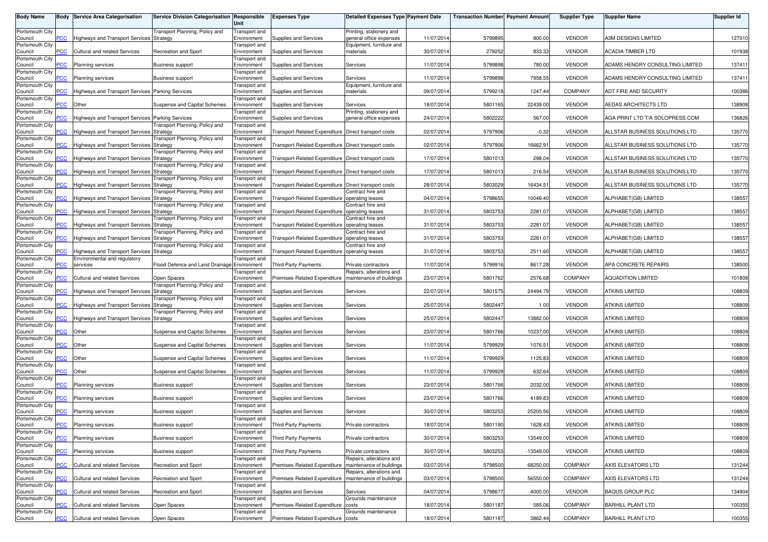| <b>Body Name</b>           |                | <b>Body Service Area Categorisation</b>          | Service Division Categorisation Responsible | Unit                                | <b>Expenses Type</b>                                 | Detailed Expenses Type Payment Date                  |            | <b>Transaction Number</b> Payment Amount |             | <b>Supplier Type</b> | Supplier Name                   | Supplier Id |
|----------------------------|----------------|--------------------------------------------------|---------------------------------------------|-------------------------------------|------------------------------------------------------|------------------------------------------------------|------------|------------------------------------------|-------------|----------------------|---------------------------------|-------------|
| Portsmouth City<br>Council | <b>CC</b>      | <b>Highways and Transport Services</b>           | Transport Planning, Policy and<br>Strategy  | Transport and<br>Environment        | Supplies and Services                                | Printing, stationery and<br>general office expenses  | 11/07/2014 | 5799895                                  | 800.00      | <b>VENDOR</b>        | A3M DESIGNS LIMITED             | 127010      |
| Portsmouth City<br>Council | $\overline{c}$ | <b>Cultural and related Services</b>             | Recreation and Sport                        | Transport and<br>Environment        | Supplies and Services                                | Equipment, furniture and<br>materials                | 30/07/2014 | 279252                                   | 833.33      | <b>VENDOR</b>        | ACADIA TIMBER LTD               | 101938      |
| Portsmouth City            |                |                                                  |                                             | Transport and                       |                                                      |                                                      |            |                                          |             |                      |                                 |             |
| Council<br>Portsmouth City | $\overline{C}$ | <b>Planning services</b>                         | <b>Business support</b>                     | Environment<br>Transport and        | Supplies and Services                                | Services                                             | 11/07/2014 | 5799898                                  | 780.00      | <b>VENDOR</b>        | ADAMS HENDRY CONSULTING LIMITED | 137411      |
| Council<br>Portsmouth City | <b>CC</b>      | Planning services                                | <b>Business support</b>                     | Environment<br>Transport and        | Supplies and Services                                | Services<br>Equipment, furniture and                 | 11/07/2014 | 5799898                                  | 7958.55     | <b>VENDOR</b>        | ADAMS HENDRY CONSULTING LIMITED | 137411      |
| Council<br>Portsmouth City | PCC            | Highways and Transport Services Parking Services |                                             | Environment<br>Transport and        | Supplies and Services                                | materials                                            | 09/07/2014 | 5799218                                  | 1247.44     | COMPANY              | ADT FIRE AND SECURITY           | 100386      |
| Council<br>Portsmouth City | <b>CC</b>      | Other                                            | Suspense and Capital Schemes                | Environment<br>Transport and        | Supplies and Services                                | Services<br>Printing, stationery and                 | 18/07/2014 | 5801165                                  | 22439.00    | <b>VENDOR</b>        | AEDAS ARCHITECTS LTD            | 138908      |
| Council                    | $\overline{C}$ | Highways and Transport Services Parking Services |                                             | Environment                         | Supplies and Services                                | general office expenses                              | 24/07/2014 | 5802222                                  | 567.00      | <b>VENDOR</b>        | AGA PRINT LTD T/A SOLOPRESS.COM | 136826      |
| Portsmouth City<br>Council | PСC            | Highways and Transport Services Strategy         | ransport Planning, Policy and               | <b>Transport</b> and<br>Environment | Transport-Related Expenditure Direct transport costs |                                                      | 02/07/2014 | 5797906                                  | $-0.32$     | <b>VENDOR</b>        | ALLSTAR BUSINESS SOLUTIONS LTD  | 135770      |
| Portsmouth City<br>Council | сC             | <b>Highways and Transport Services</b>           | ransport Planning, Policy and<br>Strategy   | Transport and<br>Environment        | Transport-Related Expenditure Direct transport costs |                                                      | 02/07/2014 | 5797906                                  | 16662.91    | <b>VENDOR</b>        | ALLSTAR BUSINESS SOLUTIONS LTD  | 135770      |
| Portsmouth City<br>Council | $\overline{C}$ | Highways and Transport Services Strategy         | ransport Planning, Policy and               | Transport and<br>Environment        | Fransport-Related Expenditure Direct transport costs |                                                      | 17/07/2014 | 5801013                                  | 298.04      | <b>VENDOR</b>        | ALLSTAR BUSINESS SOLUTIONS LTD  | 135770      |
| Portsmouth City<br>Council | <b>CC</b>      | <b>Highways and Transport Services</b>           | ransport Planning, Policy and<br>Strategy   | Transport and<br>Environment        | Transport-Related Expenditure Direct transport costs |                                                      | 17/07/2014 | 5801013                                  | 216.54      | <b>VENDOR</b>        | ALLSTAR BUSINESS SOLUTIONS LTD  | 135770      |
| Portsmouth City<br>Council | PCC            | Highways and Transport Services Strategy         | Fransport Planning, Policy and              | Transport and<br>Environment        | Fransport-Related Expenditure Direct transport costs |                                                      | 28/07/2014 | 5803029                                  | 16434.51    | <b>VENDOR</b>        | ALLSTAR BUSINESS SOLUTIONS LTD  | 135770      |
| Portsmouth City            |                |                                                  | Fransport Planning, Policy and              | Transport and                       |                                                      | Contract hire and                                    |            |                                          |             |                      |                                 |             |
| Council<br>Portsmouth City | PСC            | Highways and Transport Services                  | Strategy<br>Fransport Planning, Policy and  | Environment<br>Transport and        | Transport-Related Expenditure operating leases       | Contract hire and                                    | 04/07/2014 | 5798655                                  | 10046.40    | <b>VENDOR</b>        | ALPHABET(GB) LIMITED            | 138557      |
| Council<br>Portsmouth City | PCC            | <b>Highways and Transport Services</b>           | Strategy<br>ransport Planning, Policy and   | Environment<br>Transport and        | Fransport-Related Expenditure operating leases       | Contract hire and                                    | 31/07/2014 | 5803753                                  | 2281.07     | <b>VENDOR</b>        | ALPHABET(GB) LIMITED            | 138557      |
| Council<br>Portsmouth City | PCC            | <b>Highways and Transport Services</b>           | Strategy<br>Fransport Planning, Policy and  | Environment<br>Transport and        | Transport-Related Expenditure operating leases       | Contract hire and                                    | 31/07/2014 | 5803753                                  | 2281.07     | <b>VENDOR</b>        | ALPHABET(GB) LIMITED            | 138557      |
| Council                    | PСC            | <b>Highways and Transport Services</b>           | Strategy                                    | Environment                         | Fransport-Related Expenditure   operating leases     |                                                      | 31/07/2014 | 5803753                                  | 2281.07     | <b>VENDOR</b>        | ALPHABET(GB) LIMITED            | 138557      |
| Portsmouth City<br>Council | <b>CC</b>      | <b>Highways and Transport Services Strategy</b>  | ransport Planning, Policy and               | Transport and<br>Environment        | Fransport-Related Expenditure operating leases       | Contract hire and                                    | 31/07/2014 | 5803753                                  | 2511.60     | <b>VENDOR</b>        | ALPHABET(GB) LIMITED            | 138557      |
| Portsmouth City<br>Council | сC             | Environmental and regulatory<br>services         | Flood Defence and Land Drainage Environment | Transport and                       | <b>Third Party Payments</b>                          | Private contractors                                  | 11/07/2014 | 5799916                                  | 8617.28     | <b>VENDOR</b>        | APA CONCRETE REPAIRS            | 138500      |
| Portsmouth City<br>Council | PCC            | Cultural and related Services                    | Open Spaces                                 | Transport and<br>Environment        | Premises-Related Expenditure                         | Repairs, alterations and<br>maintenance of buildings | 23/07/2014 | 5801762                                  | 2576.68     | <b>COMPANY</b>       | <b>AQUADITION LIMITED</b>       | 101808      |
| Portsmouth City<br>Council | <b>CC</b>      | Highways and Transport Services                  | Transport Planning, Policy and<br>Strategy  | Transport and<br>Environment        | Supplies and Services                                | Services                                             | 22/07/2014 | 5801575                                  | 24494.79    | <b>VENDOR</b>        | ATKINS LIMITED                  | 108809      |
| Portsmouth City            | PCC            |                                                  | ransport Planning, Policy and               | Transport and                       |                                                      |                                                      | 25/07/2014 |                                          |             | <b>VENDOR</b>        | ATKINS LIMITED                  |             |
| Council<br>Portsmouth City |                | <b>Highways and Transport Services</b>           | Strategy<br>ransport Planning, Policy and   | Environment<br>Transport and        | Supplies and Services                                | Services                                             |            | 5802447                                  | 1.00        |                      |                                 | 108809      |
| Council<br>Portsmouth City | ۲CC            | Highways and Transport Services                  | Strategy                                    | Environment<br>Transport and        | Supplies and Services                                | Services                                             | 25/07/201  | 5802447                                  | 13882.00    | <b>VENDOR</b>        | ATKINS LIMITED                  | 108809      |
| Council<br>Portsmouth City | PCC            | Other                                            | Suspense and Capital Schemes                | Environment<br><b>Transport</b> and | Supplies and Services                                | Services                                             | 23/07/201  | 5801766                                  | 10237.00    | <b>VENDOR</b>        | ATKINS LIMITED                  | 108809      |
| Council<br>Portsmouth City | $\overline{C}$ | Other                                            | Suspense and Capital Schemes                | Environment<br>Transport and        | Supplies and Services                                | Services                                             | 11/07/2014 | 5799929                                  | 1076.51     | <b>VENDOR</b>        | <b>ATKINS LIMITED</b>           | 108809      |
| Council                    | $\overline{C}$ | Other                                            | Suspense and Capital Schemes                | Environment                         | Supplies and Services                                | Services                                             | 11/07/2014 | 5799929                                  | 1125.83     | <b>VENDOR</b>        | ATKINS LIMITED                  | 108809      |
| Portsmouth City<br>Council | $\overline{C}$ | Other                                            | Suspense and Capital Schemes                | <b>Transport</b> and<br>Environment | Supplies and Services                                | Services                                             | 11/07/2014 | 5799929                                  | 632.64      | <b>VENDOR</b>        | ATKINS LIMITED                  | 108809      |
| Portsmouth City<br>Council | сC             | <b>Planning services</b>                         | <b>Business support</b>                     | Fransport and<br>Environment        | Supplies and Services                                | Services                                             | 23/07/2014 | 5801766                                  | 2032.00     | <b>VENDOR</b>        | ATKINS LIMITED                  | 108809      |
| Portsmouth City<br>Council | PCC            | <b>Planning services</b>                         | <b>Business support</b>                     | Transport and<br>Environment        | Supplies and Services                                | Services                                             | 23/07/2014 | 5801766                                  | 4189.83     | <b>VENDOR</b>        | ATKINS LIMITED                  | 108809      |
| Portsmouth City<br>Council | $\overline{C}$ | Planning services                                | <b>Business support</b>                     | Transport and<br>Environment        | Supplies and Services                                | Services                                             | 30/07/2014 | 5803253                                  | 25205.56    | <b>VENDOR</b>        | <b>ATKINS LIMITED</b>           | 108809      |
| Portsmouth City            |                |                                                  |                                             | Transport and                       |                                                      |                                                      |            |                                          |             |                      |                                 |             |
| Council<br>Portsmouth City | <b>PCC</b>     | <b>Planning services</b>                         | <b>Business support</b>                     | Environment<br>Transport and        | Third Party Payments                                 | Private contractors                                  | 18/07/2014 | 5801180                                  | 1628.43     | <b>VENDOR</b>        | <b>ATKINS LIMITED</b>           | 108809      |
| Council<br>Portsmouth City | PCC            | Planning services                                | <b>Business support</b>                     | Environment<br>Transport and        | <b>Third Party Payments</b>                          | Private contractors                                  | 30/07/2014 | 5803253                                  | 13549.00    | <b>VENDOR</b>        | <b>ATKINS LIMITED</b>           | 108809      |
| Council<br>Portsmouth City | PCC            | <b>Planning services</b>                         | <b>Business support</b>                     | Environment<br>Transport and        | Third Party Payments                                 | Private contractors<br>Repairs, alterations and      | 30/07/2014 | 5803253                                  | $-13549.00$ | <b>VENDOR</b>        | <b>ATKINS LIMITED</b>           | 108809      |
| Council<br>Portsmouth City | PCC            | <b>Cultural and related Services</b>             | Recreation and Sport                        | Environment<br>Transport and        | Premises-Related Expenditure                         | maintenance of buildings<br>Repairs, alterations and | 03/07/2014 | 5798500                                  | 68250.00    | COMPANY              | AXIS ELEVATORS LTD              | 131244      |
| Council                    | сC             | Cultural and related Services                    | Recreation and Sport                        | Environment                         | Premises-Related Expenditure                         | maintenance of buildings                             | 03/07/2014 | 5798500                                  | 56550.00    | COMPANY              | AXIS ELEVATORS LTD              | 131244      |
| Portsmouth City<br>Council | PCC            | Cultural and related Services                    | Recreation and Sport                        | Transport and<br>Environment        | Supplies and Services                                | Services                                             | 04/07/2014 | 5798677                                  | 4000.00     | <b>VENDOR</b>        | <b>BAQUS GROUP PLC</b>          | 134904      |
| Portsmouth City<br>Council | сC             | Cultural and related Services                    | Open Spaces                                 | Transport and<br>Environment        | Premises-Related Expenditure                         | Grounds maintenance<br>costs                         | 18/07/2014 | 5801187                                  | 585.06      | COMPANY              | <b>BARHILL PLANT LTD</b>        | 100355      |
| Portsmouth City<br>Council | PCC            | Cultural and related Services                    | Open Spaces                                 | Transport and<br>Environment        | Premises-Related Expenditure costs                   | Grounds maintenance                                  | 18/07/2014 | 5801187                                  | 3862.44     | COMPANY              | <b>BARHILL PLANT LTD</b>        | 100355      |
|                            |                |                                                  |                                             |                                     |                                                      |                                                      |            |                                          |             |                      |                                 |             |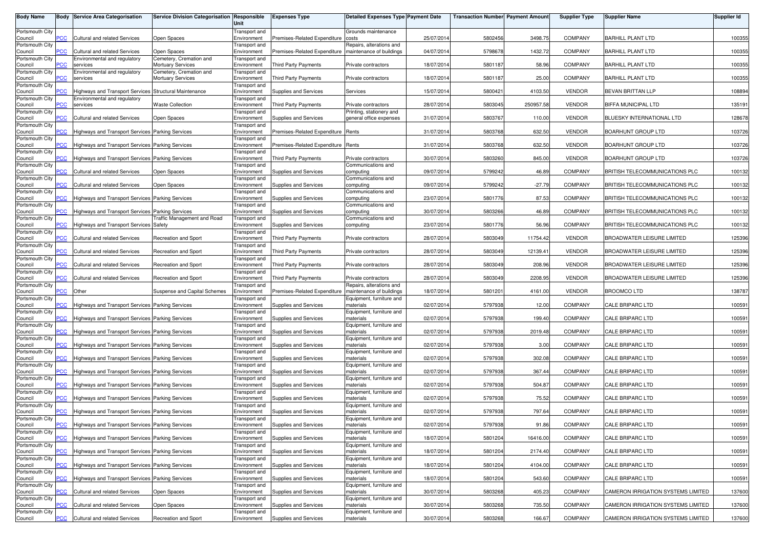| <b>Body Name</b>           |                | <b>Body Service Area Categorisation</b>                         | Service Division Categorisation Responsible         | Unit                         | <b>Expenses Type</b>               | <b>Detailed Expenses Type Payment Date</b>           |            | <b>Transaction Number Payment Amount</b> |           | <b>Supplier Type</b> | <b>Supplier Name</b>               | <b>Supplier Id</b> |
|----------------------------|----------------|-----------------------------------------------------------------|-----------------------------------------------------|------------------------------|------------------------------------|------------------------------------------------------|------------|------------------------------------------|-----------|----------------------|------------------------------------|--------------------|
| Portsmouth City<br>Council | <b>PCC</b>     | <b>Cultural and related Services</b>                            | Open Spaces                                         | Transport and<br>Environment | Premises-Related Expenditure       | Grounds maintenance<br>costs                         | 25/07/2014 | 5802456                                  | 3498.75   | <b>COMPANY</b>       | BARHILL PLANT LTD                  | 100355             |
| Portsmouth City<br>Council | $\overline{C}$ | <b>Cultural and related Services</b>                            | Open Spaces                                         | Transport and<br>Environment | Premises-Related Expenditure       | Repairs, alterations and<br>maintenance of buildings | 04/07/2014 | 5798678                                  | 1432.72   | <b>COMPANY</b>       | BARHILL PLANT LTD                  | 100355             |
| Portsmouth City            |                | Environmental and regulatory                                    | Cemetery, Cremation and                             | Transport and                |                                    |                                                      |            |                                          |           |                      |                                    |                    |
| Council<br>Portsmouth City | <b>CC</b>      | services<br>Environmental and regulatory                        | <b>Mortuary Services</b><br>Cemetery, Cremation and | Environment<br>Transport and | Third Party Payments               | Private contractors                                  | 18/07/2014 | 5801187                                  | 58.96     | COMPANY              | <b>BARHILL PLANT LTD</b>           | 100355             |
| Council<br>Portsmouth City | <b>CC</b>      | services                                                        | <b>Mortuary Services</b>                            | Environment<br>Transport and | Third Party Payments               | Private contractors                                  | 18/07/2014 | 5801187                                  | 25.00     | COMPANY              | <b>BARHILL PLANT LTD</b>           | 100355             |
| Council<br>Portsmouth City | PCC            | Highways and Transport Services<br>Environmental and regulatory | Structural Maintenance                              | Environment<br>Transport and | Supplies and Services              | Services                                             | 15/07/2014 | 5800421                                  | 4103.50   | <b>VENDOR</b>        | BEVAN BRITTAN LLP                  | 108894             |
| Council                    | ۲CC            | services                                                        | <b>Waste Collection</b>                             | Environment                  | Third Party Payments               | Private contractors                                  | 28/07/2014 | 5803045                                  | 250957.58 | <b>VENDOR</b>        | BIFFA MUNICIPAL LTD                | 135191             |
| Portsmouth City<br>Council | PСC            | <b>Cultural and related Services</b>                            | Open Spaces                                         | Transport and<br>Environment | Supplies and Services              | Printing, stationery and<br>general office expenses  | 31/07/2014 | 5803767                                  | 110.00    | <b>VENDOR</b>        | BLUESKY INTERNATIONAL LTD          | 128678             |
| Portsmouth City<br>Council | <b>PCC</b>     | Highways and Transport Services Parking Services                |                                                     | Transport and<br>Environment | Premises-Related Expenditure Rents |                                                      | 31/07/2014 | 5803768                                  | 632.50    | <b>VENDOR</b>        | BOARHUNT GROUP LTD                 | 103726             |
| Portsmouth City<br>Council | °СС            | Highways and Transport Services Parking Services                |                                                     | Transport and<br>Environment | Premises-Related Expenditure Rents |                                                      | 31/07/2014 | 5803768                                  | 632.50    | <b>VENDOR</b>        | BOARHUNT GROUP LTD                 | 103726             |
| Portsmouth City            |                |                                                                 |                                                     | Transport and                |                                    |                                                      |            |                                          |           |                      |                                    |                    |
| Council<br>Portsmouth City | $\overline{C}$ | Highways and Transport Services Parking Services                |                                                     | Environment<br>Transport and | Third Party Payments               | Private contractors<br>Communications and            | 30/07/2014 | 5803260                                  | 845.00    | <b>VENDOR</b>        | <b>BOARHUNT GROUP LTD</b>          | 103726             |
| Council<br>Portsmouth City | <b>PCC</b>     | <b>Cultural and related Services</b>                            | Open Spaces                                         | Environment<br>Transport and | Supplies and Services              | computing<br>Communications and                      | 09/07/2014 | 5799242                                  | 46.89     | COMPANY              | BRITISH TELECOMMUNICATIONS PLC     | 100132             |
| Council<br>Portsmouth City | PCC            | <b>Cultural and related Services</b>                            | Open Spaces                                         | Environment<br>Transport and | Supplies and Services              | computing<br>Communications and                      | 09/07/2014 | 5799242                                  | $-27.79$  | COMPANY              | BRITISH TELECOMMUNICATIONS PLC     | 100132             |
| Council                    | PСC            | Highways and Transport Services Parking Services                |                                                     | Environment                  | Supplies and Services              | computing                                            | 23/07/2014 | 5801776                                  | 87.53     | COMPANY              | BRITISH TELECOMMUNICATIONS PLC     | 100132             |
| Portsmouth City<br>Council | PСC⊹           | Highways and Transport Services Parking Services                |                                                     | Transport and<br>Environment | Supplies and Services              | Communications and<br>computing                      | 30/07/2014 | 5803266                                  | 46.89     | <b>COMPANY</b>       | BRITISH TELECOMMUNICATIONS PLC     | 100132             |
| Portsmouth City<br>Council | PCC            | <b>Highways and Transport Services Safety</b>                   | <b>Traffic Management and Road</b>                  | Transport and<br>Environment | Supplies and Services              | Communications and<br>computing                      | 23/07/2014 | 5801776                                  | 56.96     | <b>COMPANY</b>       | BRITISH TELECOMMUNICATIONS PLC     | 100132             |
| Portsmouth City<br>Council | <b>PCC</b>     | Cultural and related Services                                   | Recreation and Sport                                | Transport and<br>Environment | <b>Third Party Payments</b>        | Private contractors                                  | 28/07/2014 | 5803049                                  | 11754.42  | <b>VENDOR</b>        | <b>BROADWATER LEISURE LIMITED</b>  | 125396             |
| Portsmouth City            | PCC            | Cultural and related Services                                   | <b>Recreation and Sport</b>                         | Transport and<br>Environment | <b>Third Party Payments</b>        | Private contractors                                  | 28/07/2014 | 5803049                                  | 12139.41  | <b>VENDOR</b>        | <b>BROADWATER LEISURE LIMITED</b>  | 125396             |
| Council<br>Portsmouth City |                |                                                                 |                                                     | Transport and                |                                    |                                                      |            |                                          |           |                      |                                    |                    |
| Council<br>Portsmouth City | сC             | <b>Cultural and related Services</b>                            | <b>Recreation and Sport</b>                         | Environment<br>Transport and | <b>Third Party Payments</b>        | Private contractors                                  | 28/07/2014 | 5803049                                  | 208.96    | <b>VENDOR</b>        | <b>BROADWATER LEISURE LIMITED</b>  | 125396             |
| Council<br>Portsmouth City | PCC            | Cultural and related Services                                   | <b>Recreation and Sport</b>                         | Environment<br>Transport and | <b>Third Party Payments</b>        | Private contractors<br>Repairs, alterations and      | 28/07/2014 | 5803049                                  | 2208.95   | <b>VENDOR</b>        | <b>BROADWATER LEISURE LIMITED</b>  | 125396             |
| Council<br>Portsmouth City | <b>PCC</b>     | Other                                                           | Suspense and Capital Schemes                        | Environment                  | Premises-Related Expenditure       | maintenance of buildings                             | 18/07/2014 | 5801201                                  | 4161.00   | <b>VENDOR</b>        | <b>BROOMCO LTD</b>                 | 138787             |
| Council                    | PCC            | Highways and Transport Services Parking Services                |                                                     | Transport and<br>Environment | Supplies and Services              | Equipment, furniture and<br>materials                | 02/07/2014 | 5797938                                  | 12.00     | <b>COMPANY</b>       | CALE BRIPARC LTD                   | 100591             |
| Portsmouth City<br>Council | PСC            | Highways and Transport Services Parking Services                |                                                     | Transport and<br>Environment | Supplies and Services              | Equipment, furniture and<br>materials                | 02/07/2014 | 5797938                                  | 199.40    | <b>COMPANY</b>       | CALE BRIPARC LTD                   | 100591             |
| Portsmouth City<br>Council | PСC            | Highways and Transport Services Parking Services                |                                                     | Transport and<br>Environment | Supplies and Services              | Equipment, furniture and<br>materials                | 02/07/201  | 5797938                                  | 2019.48   | <b>COMPANY</b>       | CALE BRIPARC LTD                   | 100591             |
| Portsmouth City<br>Council | PCC            | Highways and Transport Services Parking Services                |                                                     | Transport and<br>Environment | Supplies and Services              | Equipment, furniture and<br>materials                | 02/07/2014 | 5797938                                  | 3.00      | <b>COMPANY</b>       | CALE BRIPARC LTD                   | 100591             |
| Portsmouth City            |                |                                                                 |                                                     | Transport and                |                                    | Equipment, furniture and                             |            |                                          |           |                      |                                    |                    |
| Council<br>Portsmouth City | °СС            | Highways and Transport Services Parking Services                |                                                     | Environment<br>Transport and | Supplies and Services              | materials<br>Equipment, furniture and                | 02/07/2014 | 5797938                                  | 302.08    | COMPANY              | CALE BRIPARC LTD                   | 100591             |
| Council<br>Portsmouth City | $\overline{C}$ | Highways and Transport Services Parking Services                |                                                     | Environment<br>Transport and | Supplies and Services              | materials<br>Equipment, furniture and                | 02/07/2014 | 5797938                                  | 367.44    | <b>COMPANY</b>       | CALE BRIPARC LTD                   | 100591             |
| Council<br>Portsmouth City | <b>CC</b>      | Highways and Transport Services Parking Services                |                                                     | Environment<br>Transport and | <b>Supplies and Services</b>       | materials<br>Equipment, furniture and                | 02/07/2014 | 5797938                                  | 504.87    | <b>COMPANY</b>       | CALE BRIPARC LTD                   | 100591             |
| Council                    | PCC            | Highways and Transport Services Parking Services                |                                                     | Environment                  | Supplies and Services              | materials                                            | 02/07/2014 | 5797938                                  | 75.52     | <b>COMPANY</b>       | CALE BRIPARC LTD                   | 100591             |
| Portsmouth City<br>Council | PCC            | Highways and Transport Services Parking Services                |                                                     | Transport and<br>Environment | Supplies and Services              | Equipment, furniture and<br>materials                | 02/07/2014 | 5797938                                  | 797.64    | COMPANY              | <b>CALE BRIPARC LTD</b>            | 100591             |
| Portsmouth City<br>Council | <b>PCC</b>     | Highways and Transport Services Parking Services                |                                                     | Transport and<br>Environment | Supplies and Services              | Equipment, furniture and<br>materials                | 02/07/2014 | 5797938                                  | 91.86     | <b>COMPANY</b>       | CALE BRIPARC LTD                   | 100591             |
| Portsmouth City<br>Council | PCC            | Highways and Transport Services Parking Services                |                                                     | Transport and<br>Environment | Supplies and Services              | Equipment, furniture and<br>materials                | 18/07/2014 | 5801204                                  | 16416.00  | COMPANY              | CALE BRIPARC LTD                   | 100591             |
| Portsmouth City            |                |                                                                 |                                                     | Transport and                |                                    | Equipment, furniture and                             |            |                                          |           |                      |                                    |                    |
| Council<br>Portsmouth City | PCC            | Highways and Transport Services Parking Services                |                                                     | Environment<br>Transport and | Supplies and Services              | materials<br>Equipment, furniture and                | 18/07/2014 | 5801204                                  | 2174.40   | COMPANY              | CALE BRIPARC LTD                   | 100591             |
| Council<br>Portsmouth City | <b>PCC</b>     | Highways and Transport Services Parking Services                |                                                     | Environment<br>Transport and | Supplies and Services              | materials<br>Equipment, furniture and                | 18/07/2014 | 5801204                                  | 4104.00   | COMPANY              | CALE BRIPARC LTD                   | 100591             |
| Council<br>Portsmouth City | °СС            | Highways and Transport Services Parking Services                |                                                     | Environment<br>Transport and | Supplies and Services              | materials<br>Equipment, furniture and                | 18/07/2014 | 5801204                                  | 543.60    | <b>COMPANY</b>       | CALE BRIPARC LTD                   | 100591             |
| Council<br>Portsmouth City | PCC            | Cultural and related Services                                   | Open Spaces                                         | Environment<br>Transport and | Supplies and Services              | materials                                            | 30/07/2014 | 5803268                                  | 405.23    | <b>COMPANY</b>       | CAMERON IRRIGATION SYSTEMS LIMITED | 137600             |
| Council                    | <b>CC</b>      | <b>Cultural and related Services</b>                            | Open Spaces                                         | Environment                  | Supplies and Services              | Equipment, furniture and<br>materials                | 30/07/2014 | 5803268                                  | 735.50    | <b>COMPANY</b>       | CAMERON IRRIGATION SYSTEMS LIMITED | 137600             |
| Portsmouth City<br>Council | PCC            | Cultural and related Services                                   | <b>Recreation and Sport</b>                         | Transport and<br>Environment | Supplies and Services              | Equipment, furniture and<br>materials                | 30/07/2014 | 5803268                                  | 166.67    | COMPANY              | CAMERON IRRIGATION SYSTEMS LIMITED | 137600             |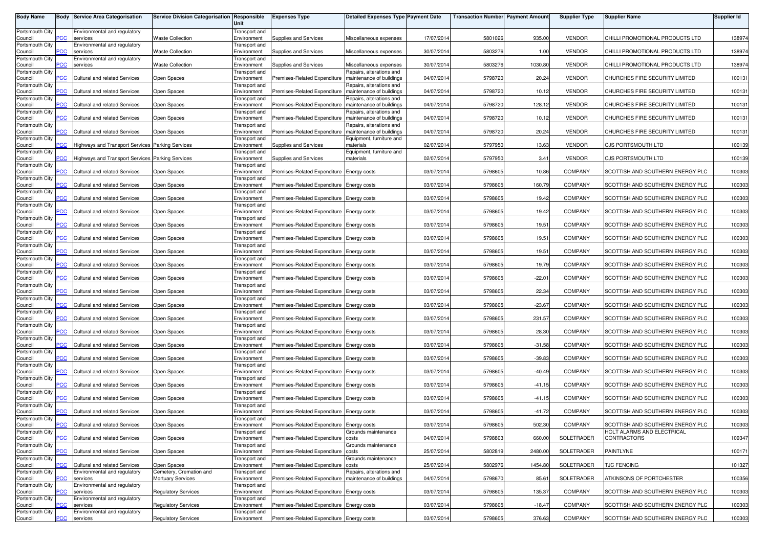| <b>Body Name</b>           |                       | <b>Body Service Area Categorisation</b>          | <b>Service Division Categorisation</b> | Responsible                         | <b>Expenses Type</b>                                    | <b>Detailed Expenses Type Payment Date</b>           |            | <b>Transaction Number Payment Amount</b> |          | <b>Supplier Type</b> | <b>Supplier Name</b>             | <b>Supplier Id</b> |
|----------------------------|-----------------------|--------------------------------------------------|----------------------------------------|-------------------------------------|---------------------------------------------------------|------------------------------------------------------|------------|------------------------------------------|----------|----------------------|----------------------------------|--------------------|
|                            |                       |                                                  |                                        | Unit                                |                                                         |                                                      |            |                                          |          |                      |                                  |                    |
| Portsmouth City            |                       | Environmental and regulatory                     |                                        | Transport and                       |                                                         |                                                      |            |                                          |          |                      |                                  |                    |
| Council                    | сC                    | services                                         | <b>Waste Collection</b>                | Environment                         | Supplies and Services                                   | Miscellaneous expenses                               | 17/07/2014 | 5801026                                  | 935.00   | <b>VENDOR</b>        | CHILLI PROMOTIONAL PRODUCTS LTD  | 138974             |
| Portsmouth City<br>Council | °СС                   | Environmental and regulatory<br>services         | <b>Waste Collection</b>                | Fransport and<br>Environment        | Supplies and Services                                   | Miscellaneous expenses                               | 30/07/2014 | 5803276                                  | 1.00     | <b>VENDOR</b>        | CHILLI PROMOTIONAL PRODUCTS LTD  | 138974             |
| Portsmouth City            |                       | Environmental and regulatory                     |                                        | Transport and                       |                                                         |                                                      |            |                                          |          |                      |                                  |                    |
| Council                    | сC                    | services                                         | <b>Waste Collection</b>                | Environment                         | Supplies and Services                                   | Miscellaneous expenses                               | 30/07/2014 | 5803276                                  | 1030.80  | <b>VENDOR</b>        | CHILLI PROMOTIONAL PRODUCTS LTD  | 138974             |
| Portsmouth City            |                       |                                                  |                                        | Transport and                       |                                                         | Repairs, alterations and                             |            |                                          |          |                      |                                  |                    |
| Council<br>Portsmouth City | сC                    | <b>Cultural and related Services</b>             | Open Spaces                            | Environment<br>Fransport and        | Premises-Related Expenditure                            | maintenance of buildings<br>Repairs, alterations and | 04/07/2014 | 5798720                                  | 20.24    | <b>VENDOR</b>        | CHURCHES FIRE SECURITY LIMITED   | 100131             |
| Council                    | <b>PCC</b>            | Cultural and related Services                    | Open Spaces                            | Environment                         | Premises-Related Expenditure                            | maintenance of buildings                             | 04/07/2014 | 5798720                                  | 10.12    | <b>VENDOR</b>        | CHURCHES FIRE SECURITY LIMITED   | 100131             |
| Portsmouth City            |                       |                                                  |                                        | Transport and                       |                                                         | Repairs, alterations and                             |            |                                          |          |                      |                                  |                    |
| Council                    | <b>CC</b>             | Cultural and related Services                    | Open Spaces                            | Environment                         | Premises-Related Expenditure                            | maintenance of buildings                             | 04/07/2014 | 5798720                                  | 128.12   | <b>VENDOR</b>        | CHURCHES FIRE SECURITY LIMITED   | 100131             |
| Portsmouth City<br>Council | $\overline{C}$        | Cultural and related Services                    | Open Spaces                            | Transport and<br>Environment        | Premises-Related Expenditure                            | Repairs, alterations and<br>maintenance of buildings | 04/07/201  | 5798720                                  | 10.12    | <b>VENDOR</b>        | CHURCHES FIRE SECURITY LIMITED   | 100131             |
| Portsmouth City            |                       |                                                  |                                        | Transport and                       |                                                         | Repairs, alterations and                             |            |                                          |          |                      |                                  |                    |
| Council                    | PСC                   | Cultural and related Services                    | Open Spaces                            | Environment                         | Premises-Related Expenditure                            | maintenance of buildings                             | 04/07/2014 | 5798720                                  | 20.24    | <b>VENDOR</b>        | CHURCHES FIRE SECURITY LIMITED   | 100131             |
| Portsmouth City            |                       |                                                  |                                        | Transport and                       |                                                         | Equipment, furniture and                             |            |                                          |          |                      |                                  |                    |
| Council<br>Portsmouth City | °СС                   | Highways and Transport Services Parking Services |                                        | Environment<br>Fransport and        | Supplies and Services                                   | materials<br>Equipment, furniture and                | 02/07/2014 | 5797950                                  | 13.63    | <b>VENDOR</b>        | <b>CJS PORTSMOUTH LTD</b>        | 100139             |
| Council                    | <u>PCC</u>            | Highways and Transport Services Parking Services |                                        | Environment                         | Supplies and Services                                   | materials                                            | 02/07/2014 | 5797950                                  | 3.41     | <b>VENDOR</b>        | CJS PORTSMOUTH LTD               | 100139             |
| Portsmouth City            |                       |                                                  |                                        | Fransport and                       |                                                         |                                                      |            |                                          |          |                      |                                  |                    |
| Council                    | CC                    | Cultural and related Services                    | Open Spaces                            | Environment                         | Premises-Related Expenditure Energy costs               |                                                      | 03/07/2014 | 5798605                                  | 10.86    | <b>COMPANY</b>       | SCOTTISH AND SOUTHERN ENERGY PLC | 100303             |
| Portsmouth City<br>Council | <b>PCC</b>            | Cultural and related Services                    | Open Spaces                            | Transport and<br>Environment        | Premises-Related Expenditure Energy costs               |                                                      | 03/07/2014 | 5798605                                  | 160.79   | <b>COMPANY</b>       | SCOTTISH AND SOUTHERN ENERGY PLC | 100303             |
| Portsmouth City            |                       |                                                  |                                        | Transport and                       |                                                         |                                                      |            |                                          |          |                      |                                  |                    |
| Council                    | сC                    | Cultural and related Services                    | Open Spaces                            | Environment                         | Premises-Related Expenditure Energy costs               |                                                      | 03/07/2014 | 5798605                                  | 19.42    | <b>COMPANY</b>       | SCOTTISH AND SOUTHERN ENERGY PLC | 100303             |
| Portsmouth City            |                       |                                                  |                                        | <b>Transport</b> and                |                                                         |                                                      |            |                                          |          |                      |                                  |                    |
| Council<br>Portsmouth City | <b>PCC</b>            | Cultural and related Services                    | Open Spaces                            | Environment<br>Transport and        | Premises-Related Expenditure Energy costs               |                                                      | 03/07/2014 | 5798605                                  | 19.42    | COMPANY              | SCOTTISH AND SOUTHERN ENERGY PLC | 100303             |
| Council                    | PСC                   | Cultural and related Services                    | Open Spaces                            | Environment                         | Premises-Related Expenditure Energy costs               |                                                      | 03/07/2014 | 5798605                                  | 19.51    | <b>COMPANY</b>       | SCOTTISH AND SOUTHERN ENERGY PLC | 100303             |
| Portsmouth City            |                       |                                                  |                                        | Transport and                       |                                                         |                                                      |            |                                          |          |                      |                                  |                    |
| Council                    | $\overline{C}$        | Cultural and related Services                    | Open Spaces                            | Environment                         | Premises-Related Expenditure Energy costs               |                                                      | 03/07/2014 | 5798605                                  | 19.51    | <b>COMPANY</b>       | SCOTTISH AND SOUTHERN ENERGY PLC | 100303             |
| Portsmouth City<br>Council | PСC                   | Cultural and related Services                    | Open Spaces                            | <b>Transport</b> and<br>Environment | Premises-Related Expenditure Energy costs               |                                                      | 03/07/2014 | 5798605                                  | 19.51    | <b>COMPANY</b>       | SCOTTISH AND SOUTHERN ENERGY PLC | 100303             |
| Portsmouth City            |                       |                                                  |                                        | Fransport and                       |                                                         |                                                      |            |                                          |          |                      |                                  |                    |
| Council                    | °СС                   | Cultural and related Services                    | Open Spaces                            | Environment                         | Premises-Related Expenditure Energy costs               |                                                      | 03/07/2014 | 5798605                                  | 19.79    | COMPANY              | SCOTTISH AND SOUTHERN ENERGY PLC | 100303             |
| Portsmouth City            |                       |                                                  |                                        | Transport and                       |                                                         |                                                      |            |                                          |          |                      |                                  |                    |
| Council<br>Portsmouth City | <b>PCC</b>            | Cultural and related Services                    | Open Spaces                            | Environment<br>Transport and        | Premises-Related Expenditure Energy costs               |                                                      | 03/07/2014 | 5798605                                  | $-22.01$ | COMPANY              | SCOTTISH AND SOUTHERN ENERGY PLC | 100303             |
| Council                    | сC                    | Cultural and related Services                    | Open Spaces                            | Environment                         | Premises-Related Expenditure Energy costs               |                                                      | 03/07/2014 | 5798605                                  | 22.34    | <b>COMPANY</b>       | SCOTTISH AND SOUTHERN ENERGY PLC | 100303             |
| Portsmouth City            |                       |                                                  |                                        | Fransport and                       |                                                         |                                                      |            |                                          |          |                      |                                  |                    |
| Council                    | <b>PCC</b>            | Cultural and related Services                    | Open Spaces                            | Environment                         | Premises-Related Expenditure Energy costs               |                                                      | 03/07/2014 | 5798605                                  | $-23.67$ | <b>COMPANY</b>       | SCOTTISH AND SOUTHERN ENERGY PLC | 100303             |
| Portsmouth City<br>Council | сC                    | Cultural and related Services                    | Open Spaces                            | Transport and<br>Environment        | Premises-Related Expenditure Energy costs               |                                                      | 03/07/2014 | 5798605                                  | 231.57   | <b>COMPANY</b>       | SCOTTISH AND SOUTHERN ENERGY PLC | 100303             |
| Portsmouth City            |                       |                                                  |                                        | <b>Transport</b> and                |                                                         |                                                      |            |                                          |          |                      |                                  |                    |
| Council                    | <b>PCC</b>            | Cultural and related Services                    | Open Spaces                            | Environment                         | Premises-Related Expenditure Energy costs               |                                                      | 03/07/2014 | 5798605                                  | 28.30    | COMPANY              | SCOTTISH AND SOUTHERN ENERGY PLC | 100303             |
| Portsmouth City            |                       |                                                  |                                        | Transport and                       |                                                         |                                                      |            |                                          |          |                      |                                  |                    |
| Council<br>Portsmouth City | <b>PCC</b>            | Cultural and related Services                    | Open Spaces                            | Environment<br>Transport and        | Premises-Related Expenditure Energy costs               |                                                      | 03/07/2014 | 5798605                                  | $-31.58$ | <b>COMPANY</b>       | SCOTTISH AND SOUTHERN ENERGY PLC | 100303             |
| Council                    | $\overline{\text{C}}$ | Cultural and related Services                    | Open Spaces                            | Environment                         | Premises-Related Expenditure Energy costs               |                                                      | 03/07/2014 | 5798605                                  | $-39.83$ | <b>COMPANY</b>       | SCOTTISH AND SOUTHERN ENERGY PLC | 100303             |
| Portsmouth City            |                       |                                                  |                                        | <b>Transport</b> and                |                                                         |                                                      |            |                                          |          |                      |                                  |                    |
| Council                    | PСC                   | Cultural and related Services                    | Open Spaces                            | Environment                         | Premises-Related Expenditure Energy costs               |                                                      | 03/07/2014 | 5798605                                  | $-40.49$ | <b>COMPANY</b>       | SCOTTISH AND SOUTHERN ENERGY PLC | 100303             |
| Portsmouth City            | °СС                   | Cultural and related Services                    |                                        | Fransport and                       |                                                         |                                                      |            | 5798605                                  | $-41.15$ | COMPANY              |                                  | 100303             |
| Council<br>Portsmouth City |                       |                                                  | Open Spaces                            | Environment<br>Fransport and        | Premises-Related Expenditure Energy costs               |                                                      | 03/07/2014 |                                          |          |                      | SCOTTISH AND SOUTHERN ENERGY PLC |                    |
| Council                    | $\overline{C}$        | Cultural and related Services                    | Open Spaces                            | Environment                         | Premises-Related Expenditure Energy costs               |                                                      | 03/07/2014 | 5798605                                  | $-41.15$ | <b>COMPANY</b>       | SCOTTISH AND SOUTHERN ENERGY PLC | 100303             |
| Portsmouth City            |                       |                                                  |                                        | Fransport and                       |                                                         |                                                      |            |                                          |          |                      |                                  |                    |
| Council                    | $\overline{C}$        | Cultural and related Services                    | Open Spaces                            | Environment                         | Premises-Related Expenditure Energy costs               |                                                      | 03/07/2014 | 5798605                                  | $-41.72$ | <b>COMPANY</b>       | SCOTTISH AND SOUTHERN ENERGY PLC | 100303             |
| Portsmouth City<br>Council | <b>PCC</b>            | Cultural and related Services                    | Open Spaces                            | Transport and<br>Environment        | Premises-Related Expenditure Energy costs               |                                                      | 03/07/2014 | 5798605                                  | 502.30   | COMPANY              | SCOTTISH AND SOUTHERN ENERGY PLC | 100303             |
| Portsmouth City            |                       |                                                  |                                        | <b>Transport</b> and                |                                                         | Grounds maintenance                                  |            |                                          |          |                      | HOLT ALARMS AND ELECTRICAL       |                    |
| Council                    | <b>PCC</b>            | Cultural and related Services                    | Open Spaces                            | Environment                         | Premises-Related Expenditure                            | costs                                                | 04/07/2014 | 5798803                                  | 660.00   | SOLETRADER           | CONTRACTORS                      | 109347             |
| Portsmouth City<br>Council | PСC                   | Cultural and related Services                    | Open Spaces                            | Transport and<br>Environment        | Premises-Related Expenditure costs                      | Grounds maintenance                                  | 25/07/2014 | 5802819                                  | 2480.00  | SOLETRADER           | PAINTLYNE                        | 100171             |
| Portsmouth City            |                       |                                                  |                                        | <b>Transport</b> and                |                                                         | Grounds maintenance                                  |            |                                          |          |                      |                                  |                    |
| Council                    | °СС                   | Cultural and related Services                    | Open Spaces                            | Environment                         | Premises-Related Expenditure                            | costs                                                | 25/07/2014 | 5802976                                  | 1454.80  | SOLETRADER           | <b>TJC FENCING</b>               | 101327             |
| Portsmouth City            |                       | Environmental and regulatory                     | Cemetery, Cremation and                | Transport and                       |                                                         | Repairs, alterations and                             |            |                                          |          |                      |                                  |                    |
| Council<br>Portsmouth City | PCC.                  | services<br>Environmental and regulatory         | <b>Mortuary Services</b>               | Environment<br>Transport and        | Premises-Related Expenditure   maintenance of buildings |                                                      | 04/07/2014 | 5798670                                  | 85.61    | SOLETRADER           | ATKINSONS OF PORTCHESTER         | 100356             |
| Council                    | сC                    | services                                         | <b>Regulatory Services</b>             | Environment                         | Premises-Related Expenditure Energy costs               |                                                      | 03/07/2014 | 5798605                                  | 135.37   | <b>COMPANY</b>       | SCOTTISH AND SOUTHERN ENERGY PLC | 100303             |
| Portsmouth City            |                       | Environmental and regulatory                     |                                        | Transport and                       |                                                         |                                                      |            |                                          |          |                      |                                  |                    |
| Council                    | сC                    | services                                         | <b>Regulatory Services</b>             | Environment                         | Premises-Related Expenditure Energy costs               |                                                      | 03/07/2014 | 5798605                                  | $-18.47$ | <b>COMPANY</b>       | SCOTTISH AND SOUTHERN ENERGY PLC | 100303             |
| Portsmouth City<br>Council | $\overline{C}$        | Environmental and regulatory<br>services         | <b>Regulatory Services</b>             | Transport and<br>Environment        | Premises-Related Expenditure Energy costs               |                                                      | 03/07/2014 | 5798605                                  | 376.63   | COMPANY              | SCOTTISH AND SOUTHERN ENERGY PLC | 100303             |
|                            |                       |                                                  |                                        |                                     |                                                         |                                                      |            |                                          |          |                      |                                  |                    |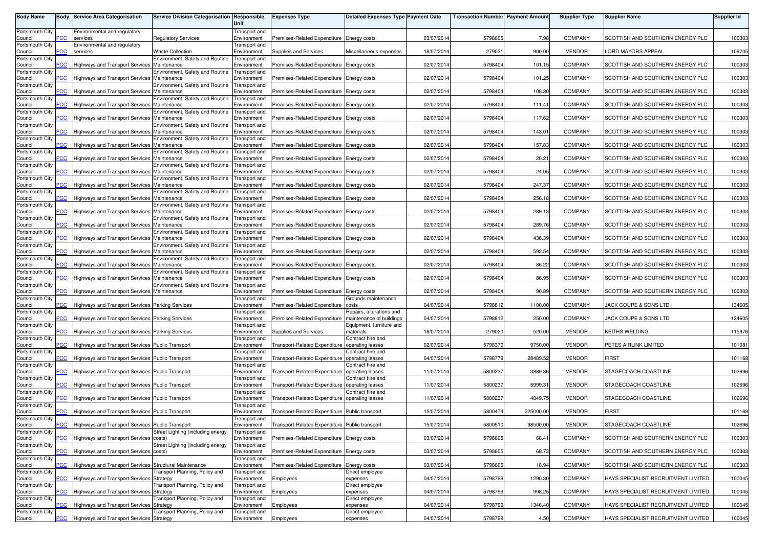| <b>Body Name</b>           |                | <b>Body Service Area Categorisation</b>                | <b>Service Division Categorisation</b>         | Responsible                         | <b>Expenses Type</b>                           | <b>Detailed Expenses Type Payment Date</b>           |            | <b>Transaction Number Payment Amount</b> |           | <b>Supplier Type</b> | <b>Supplier Name</b>                | Supplier Id |
|----------------------------|----------------|--------------------------------------------------------|------------------------------------------------|-------------------------------------|------------------------------------------------|------------------------------------------------------|------------|------------------------------------------|-----------|----------------------|-------------------------------------|-------------|
|                            |                |                                                        |                                                | Unit                                |                                                |                                                      |            |                                          |           |                      |                                     |             |
| Portsmouth City            |                | Environmental and regulatory                           |                                                | Transport and                       |                                                |                                                      |            |                                          |           |                      |                                     |             |
| Council                    | сc             | services                                               | <b>Regulatory Services</b>                     | Environment                         | Premises-Related Expenditure Energy costs      |                                                      | 03/07/2014 | 5798605                                  | 7.98      | <b>COMPANY</b>       | SCOTTISH AND SOUTHERN ENERGY PLC    | 100303      |
| Portsmouth City<br>Council | 'CC            | Environmental and regulatory<br>services               | Waste Collection                               | Fransport and<br>Environment        | Supplies and Services                          | Miscellaneous expenses                               | 18/07/2014 | 279021                                   | 900.00    | <b>VENDOR</b>        | ORD MAYORS APPEAL                   | 109705      |
| Portsmouth City            |                |                                                        | Environment, Safety and Routine                | Transport and                       |                                                |                                                      |            |                                          |           |                      |                                     |             |
| Council                    | <u>CC</u>      | Highways and Transport Services Maintenance            |                                                | Environment                         | Premises-Related Expenditure Energy costs      |                                                      | 02/07/2014 | 5798404                                  | 101.15    | <b>COMPANY</b>       | SCOTTISH AND SOUTHERN ENERGY PLC    | 100303      |
| Portsmouth City            |                |                                                        | <b>Environment, Safety and Routine</b>         | ransport and                        |                                                |                                                      |            |                                          |           |                      |                                     |             |
| Council                    |                | Highways and Transport Services                        | Maintenance                                    | Environment                         | Premises-Related Expenditure Energy costs      |                                                      | 02/07/2014 | 5798404                                  | 101.25    | <b>COMPANY</b>       | SCOTTISH AND SOUTHERN ENERGY PLC    | 100303      |
| Portsmouth City<br>Council | ۲CC            | Highways and Transport Services                        | Environment, Safety and Routine<br>Maintenance | Transport and<br>Environment        | Premises-Related Expenditure Energy costs      |                                                      | 02/07/2014 | 5798404                                  | 108.30    | <b>COMPANY</b>       | SCOTTISH AND SOUTHERN ENERGY PLC    | 100303      |
| Portsmouth City            |                |                                                        | invironment, Safety and Routine                | Transport and                       |                                                |                                                      |            |                                          |           |                      |                                     |             |
| Council                    |                | Highways and Transport Services                        | Maintenance                                    | Environment                         | Premises-Related Expenditure Energy costs      |                                                      | 02/07/2014 | 5798404                                  | 111.41    | <b>COMPANY</b>       | SCOTTISH AND SOUTHERN ENERGY PLC    | 100303      |
| Portsmouth City            |                |                                                        | Environment, Safety and Routine                | Transport and                       |                                                |                                                      |            |                                          |           |                      |                                     |             |
| Council                    | ۲CC            | <b>Highways and Transport Services Maintenance</b>     |                                                | Environment                         | Premises-Related Expenditure Energy costs      |                                                      | 02/07/2014 | 5798404                                  | 117.62    | <b>COMPANY</b>       | SCOTTISH AND SOUTHERN ENERGY PLC    | 100303      |
| Portsmouth City            |                |                                                        | Environment, Safety and Routine                | Transport and                       |                                                |                                                      |            |                                          |           |                      |                                     |             |
| Council<br>Portsmouth City |                | Highways and Transport Services Maintenance            | invironment, Safety and Routine                | Environment<br>Transport and        | Premises-Related Expenditure Energy costs      |                                                      | 02/07/2014 | 5798404                                  | 143.01    | <b>COMPANY</b>       | SCOTTISH AND SOUTHERN ENERGY PLC    | 100303      |
| Council                    | 'СС            | Highways and Transport Services Maintenance            |                                                | Environment                         | Premises-Related Expenditure Energy costs      |                                                      | 02/07/2014 | 5798404                                  | 157.83    | <b>COMPANY</b>       | SCOTTISH AND SOUTHERN ENERGY PLC    | 100303      |
| Portsmouth City            |                |                                                        | invironment, Safety and Routine                | Fransport and                       |                                                |                                                      |            |                                          |           |                      |                                     |             |
| Council                    | сC             | Highways and Transport Services Maintenance            |                                                | Environment                         | Premises-Related Expenditure Energy costs      |                                                      | 02/07/2014 | 5798404                                  | 20.21     | <b>COMPANY</b>       | SCOTTISH AND SOUTHERN ENERGY PLC    | 100303      |
| Portsmouth City            |                |                                                        | nvironment, Safety and Routine:                | ransport and                        |                                                |                                                      |            |                                          |           |                      |                                     |             |
| Council                    | CС             | Highways and Transport Services Maintenance            |                                                | Environment                         | Premises-Related Expenditure Energy costs      |                                                      | 02/07/2014 | 5798404                                  | 24.05     | <b>COMPANY</b>       | SCOTTISH AND SOUTHERN ENERGY PLC    | 100303      |
| Portsmouth City<br>Council | сC             | Highways and Transport Services Maintenance            | <b>Environment, Safety and Routine</b>         | Fransport and<br>Environment        | Premises-Related Expenditure Energy costs      |                                                      | 02/07/2014 | 5798404                                  | 247.37    | <b>COMPANY</b>       | SCOTTISH AND SOUTHERN ENERGY PLC    | 100303      |
| Portsmouth City            |                |                                                        | Environment, Safety and Routine                | Fransport and                       |                                                |                                                      |            |                                          |           |                      |                                     |             |
| Council                    |                | Highways and Transport Services                        | Maintenance                                    | Environment                         | Premises-Related Expenditure Energy costs      |                                                      | 02/07/2014 | 5798404                                  | 256.18    | <b>COMPANY</b>       | SCOTTISH AND SOUTHERN ENERGY PLC    | 100303      |
| Portsmouth City            |                |                                                        | invironment, Safety and Routine                | Transport and                       |                                                |                                                      |            |                                          |           |                      |                                     |             |
| Council                    | сC             | Highways and Transport Services                        | Maintenance                                    | Environment                         | Premises-Related Expenditure Energy costs      |                                                      | 02/07/201  | 5798404                                  | 289.13    | <b>COMPANY</b>       | SCOTTISH AND SOUTHERN ENERGY PLC    | 100303      |
| Portsmouth City            |                |                                                        | Environment, Safety and Routine                | Transport and                       |                                                |                                                      |            |                                          | 289.76    | <b>COMPANY</b>       | SCOTTISH AND SOUTHERN ENERGY PLC    |             |
| Council<br>Portsmouth City | сc             | Highways and Transport Services Maintenance            | invironment, Safety and Routine                | Environment<br>Transport and        | Premises-Related Expenditure Energy costs      |                                                      | 02/07/2014 | 5798404                                  |           |                      |                                     | 100303      |
| Council                    | PСC            | Highways and Transport Services Maintenance            |                                                | Environment                         | Premises-Related Expenditure Energy costs      |                                                      | 02/07/2014 | 5798404                                  | 436.39    | <b>COMPANY</b>       | SCOTTISH AND SOUTHERN ENERGY PLC    | 100303      |
| Portsmouth City            |                |                                                        | invironment, Safety and Routine                | Transport and                       |                                                |                                                      |            |                                          |           |                      |                                     |             |
| Council                    | PСC            | Highways and Transport Services Maintenance            |                                                | Environment                         | Premises-Related Expenditure Energy costs      |                                                      | 02/07/2014 | 5798404                                  | 592.54    | <b>COMPANY</b>       | SCOTTISH AND SOUTHERN ENERGY PLC    | 100303      |
| Portsmouth City            |                |                                                        | invironment, Safety and Routine                | Fransport and                       |                                                |                                                      |            |                                          |           |                      |                                     |             |
| Council<br>Portsmouth City | сC             | Highways and Transport Services                        | Maintenance<br>invironment, Safety and Routine | Environment<br>Fransport and        | Premises-Related Expenditure Energy costs      |                                                      | 02/07/2014 | 5798404                                  | 86.22     | <b>COMPANY</b>       | SCOTTISH AND SOUTHERN ENERGY PLC    | 100303      |
| Council                    | CC             | Highways and Transport Services Maintenance            |                                                | Environment                         | Premises-Related Expenditure Energy costs      |                                                      | 02/07/2014 | 5798404                                  | 86.95     | <b>COMPANY</b>       | SCOTTISH AND SOUTHERN ENERGY PLC    | 100303      |
| Portsmouth City            |                |                                                        | invironment, Safety and Routine                | Transport and                       |                                                |                                                      |            |                                          |           |                      |                                     |             |
| Council                    | сC             | Highways and Transport Services Maintenance            |                                                | Environment                         | Premises-Related Expenditure                   | Energy costs                                         | 02/07/2014 | 5798404                                  | 90.89     | <b>COMPANY</b>       | SCOTTISH AND SOUTHERN ENERGY PLC    | 100303      |
| Portsmouth City            |                |                                                        |                                                | Fransport and                       |                                                | Grounds maintenance                                  |            |                                          |           |                      |                                     |             |
| Council                    | сC             | Highways and Transport Services Parking Services       |                                                | Environment                         | Premises-Related Expenditure                   | costs                                                | 04/07/201  | 5798812                                  | 1100.00   | <b>COMPANY</b>       | JACK COUPE & SONS LTD               | 134605      |
| Portsmouth City<br>Council |                | Highways and Transport Services Parking Services       |                                                | Fransport and<br>Environment        | Premises-Related Expenditure                   | Repairs, alterations and<br>maintenance of buildings | 04/07/201  | 5798812                                  | 250.00    | <b>COMPANY</b>       | JACK COUPE & SONS LTD               | 134605      |
| Portsmouth City            |                |                                                        |                                                | Fransport and                       |                                                | Equipment, furniture and                             |            |                                          |           |                      |                                     |             |
| Council                    | $\overline{C}$ | Highways and Transport Services Parking Services       |                                                | Environment                         | Supplies and Services                          | naterials                                            | 18/07/201  | 279020                                   | 520.00    | <b>VENDOR</b>        | KEITHS WELDING                      | 115976      |
| Portsmouth City            |                |                                                        |                                                | Transport and                       |                                                | Contract hire and                                    |            |                                          |           |                      |                                     |             |
| Council                    |                | Highways and Transport Services Public Transport       |                                                | Environment                         | <b>Transport-Related Expenditure</b>           | operating leases                                     | 02/07/2014 | 5798370                                  | 9750.00   | <b>VENDOR</b>        | PETES AIRLINK LIMITED               | 101081      |
| Portsmouth City            | <u>CC</u>      | Highways and Transport Services Public Transport       |                                                | Fransport and<br>Environment        | Transport-Related Expenditure                  | Contract hire and<br>operating leases                | 04/07/201  | 5798779                                  | 28489.52  | <b>VENDOR</b>        | FIRST                               | 101168      |
| Council<br>Portsmouth City |                |                                                        |                                                | <b>Transport</b> and                |                                                | Contract hire and                                    |            |                                          |           |                      |                                     |             |
| Council                    | 'CC            | Highways and Transport Services Public Transport       |                                                | Environment                         | Transport-Related Expenditure                  | operating leases                                     | 11/07/2014 | 580023                                   | 3889.36   | <b>VENDOR</b>        | STAGECOACH COASTLINE                | 102696      |
| Portsmouth City            |                |                                                        |                                                | Fransport and                       |                                                | Contract hire and                                    |            |                                          |           |                      |                                     |             |
| Council                    | 'CC            | Highways and Transport Services Public Transport       |                                                | Environment                         | Transport-Related Expenditure                  | operating leases                                     | 11/07/2014 | 580023                                   | 5999.31   | <b>VENDOR</b>        | STAGECOACH COASTLINE                | 102696      |
| Portsmouth City<br>Council | <u>CC</u>      | Highways and Transport Services Public Transport       |                                                | Fransport and<br>Environment        | Transport-Related Expenditure operating leases | Contract hire and                                    | 11/07/2014 | 5800237                                  | 4049.75   | <b>VENDOR</b>        | STAGECOACH COASTLINE                | 102696      |
| Portsmouth City            |                |                                                        |                                                | Fransport and                       |                                                |                                                      |            |                                          |           |                      |                                     |             |
| Council                    | <u>CC</u>      | Highways and Transport Services Public Transport       |                                                | Environment                         | Transport-Related Expenditure Public transport |                                                      | 15/07/2014 | 5800474                                  | 225000.00 | <b>VENDOR</b>        | FIRST                               | 101168      |
| Portsmouth City            |                |                                                        |                                                | Transport and                       |                                                |                                                      |            |                                          |           |                      |                                     |             |
| Council                    |                | Highways and Transport Services Public Transport       |                                                | Environment                         | Transport-Related Expenditure Public transport |                                                      | 15/07/2014 | 5800510                                  | 98500.00  | VENDOR               | STAGECOACH COASTLINE                | 102696      |
| Portsmouth City            |                |                                                        | Street Lighting (including energy              | Transport and                       |                                                |                                                      |            |                                          |           |                      |                                     |             |
| Council<br>Portsmouth City |                | Highways and Transport Services costs)                 | Street Lighting (including energy              | Environment<br>Transport and        | Premises-Related Expenditure Energy costs      |                                                      | 03/07/2014 | 5798605                                  | 68.41     | COMPANY              | SCOTTISH AND SOUTHERN ENERGY PLC    | 100303      |
| Council                    | PСC            | Highways and Transport Services costs)                 |                                                | Environment                         | Premises-Related Expenditure Energy costs      |                                                      | 03/07/2014 | 5798605                                  | 68.73     | COMPANY              | SCOTTISH AND SOUTHERN ENERGY PLC    | 100303      |
| Portsmouth City            |                |                                                        |                                                | <b>Transport</b> and                |                                                |                                                      |            |                                          |           |                      |                                     |             |
| Council                    |                | Highways and Transport Services Structural Maintenance |                                                | Environment                         | Premises-Related Expenditure Energy costs      |                                                      | 03/07/2014 | 5798605                                  | 18.94     | <b>COMPANY</b>       | SCOTTISH AND SOUTHERN ENERGY PLC    | 100303      |
| Portsmouth City            |                |                                                        | ransport Planning, Policy and                  | Transport and                       |                                                | Direct employee                                      |            |                                          |           |                      |                                     |             |
| Council<br>Portsmouth City | PСC            | Highways and Transport Services Strategy               | ransport Planning, Policy and                  | Environment<br><b>Transport</b> and | Employees                                      | expenses<br>Direct employee                          | 04/07/2014 | 5798799                                  | 1290.30   | <b>COMPANY</b>       | HAYS SPECIALIST RECRUITMENT LIMITED | 100045      |
| Council                    | сC             | Highways and Transport Services Strategy               |                                                | Environment                         | Employees                                      | expenses                                             | 04/07/2014 | 5798799                                  | 998.25    | <b>COMPANY</b>       | HAYS SPECIALIST RECRUITMENT LIMITED | 100045      |
| Portsmouth City            |                |                                                        | ransport Planning, Policy and                  | Transport and                       |                                                | Direct employee                                      |            |                                          |           |                      |                                     |             |
| Council                    | cс             | Highways and Transport Services Strategy               |                                                | Environment                         | Employees                                      | expenses                                             | 04/07/2014 | 5798799                                  | 1346.40   | COMPANY              | HAYS SPECIALIST RECRUITMENT LIMITED | 100045      |
| Portsmouth City            |                |                                                        | Fransport Planning, Policy and                 | Transport and                       |                                                | Direct employee                                      |            |                                          |           |                      |                                     |             |
| Council                    | <b>PCC</b>     | Highways and Transport Services Strategy               |                                                | Environment                         | Employees                                      | expenses                                             | 04/07/2014 | 5798799                                  | 4.50      | COMPANY              | HAYS SPECIALIST RECRUITMENT LIMITED | 100045      |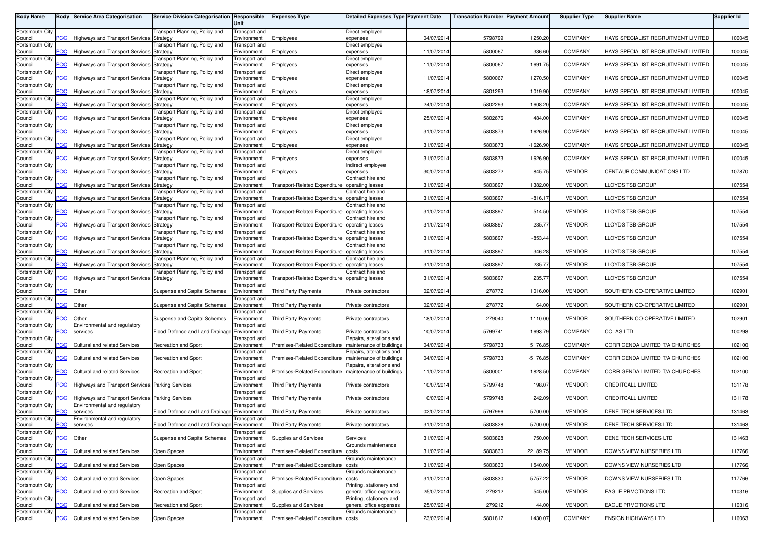| <b>Body Name</b>           |                | <b>Body Service Area Categorisation</b>                                          | <b>Service Division Categorisation</b>      | Responsible<br>Unit                 | <b>Expenses Type</b>                           | Detailed Expenses Type Payment Date                  |            | <b>Transaction Number Payment Amount</b> |            | <b>Supplier Type</b> | <b>Supplier Name</b>                | Supplier Id |
|----------------------------|----------------|----------------------------------------------------------------------------------|---------------------------------------------|-------------------------------------|------------------------------------------------|------------------------------------------------------|------------|------------------------------------------|------------|----------------------|-------------------------------------|-------------|
| Portsmouth City<br>Council | сC             | Highways and Transport Services Strategy                                         | ransport Planning, Policy and               | Transport and<br>Environment        |                                                | Direct employee<br>expenses                          | 04/07/2014 | 5798799                                  | 1250.20    | <b>COMPANY</b>       | HAYS SPECIALIST RECRUITMENT LIMITED | 100045      |
| Portsmouth City            |                |                                                                                  | ransport Planning, Policy and               | Transport and                       | Employees                                      | Direct employee                                      |            |                                          |            |                      |                                     |             |
| Council<br>Portsmouth City | <u>CC</u>      | Highways and Transport Services Strategy                                         | ransport Planning, Policy and               | Environment<br>Transport and        | Employees                                      | expenses<br>Direct employee                          | 11/07/2014 | 5800067                                  | 336.60     | <b>COMPANY</b>       | HAYS SPECIALIST RECRUITMENT LIMITED | 100045      |
| Council<br>Portsmouth City | $\overline{C}$ | Highways and Transport Services Strategy                                         | ransport Planning, Policy and               | Environment<br>Transport and        | Employees                                      | expenses<br>Direct employee                          | 11/07/2014 | 5800067                                  | 1691.75    | <b>COMPANY</b>       | HAYS SPECIALIST RECRUITMENT LIMITED | 100045      |
| Council<br>Portsmouth City |                | <b>Highways and Transport Services Strategy</b>                                  | ransport Planning, Policy and               | Environment<br><b>Transport</b> and | Employees                                      | expenses<br>Direct employee                          | 11/07/2014 | 5800067                                  | 1270.50    | <b>COMPANY</b>       | HAYS SPECIALIST RECRUITMENT LIMITED | 100045      |
| Council                    | <b>CC</b>      | Highways and Transport Services Strategy                                         |                                             | Environment                         | Employees                                      | expenses                                             | 18/07/2014 | 5801293                                  | 1019.90    | <b>COMPANY</b>       | HAYS SPECIALIST RECRUITMENT LIMITED | 100045      |
| Portsmouth City<br>Council | <u>'CC</u>     | <b>Highways and Transport Services</b>                                           | ransport Planning, Policy and<br>Strategy   | Transport and<br>Environment        | Employees                                      | Direct employee<br>expenses                          | 24/07/2014 | 5802293                                  | 1608.20    | COMPANY              | HAYS SPECIALIST RECRUITMENT LIMITED | 100045      |
| Portsmouth City<br>Council | <u>PCC</u>     | Highways and Transport Services Strategy                                         | ransport Planning, Policy and               | Transport and<br>Environment        | Employees                                      | Direct employee<br>expenses                          | 25/07/2014 | 5802676                                  | 484.00     | <b>COMPANY</b>       | HAYS SPECIALIST RECRUITMENT LIMITED | 100045      |
| Portsmouth City<br>Council | <b>CC</b>      | Highways and Transport Services Strategy                                         | ransport Planning, Policy and               | <b>Transport</b> and<br>Environment | Employees                                      | Direct employee<br>expenses                          | 31/07/2014 | 5803873                                  | 1626.90    | <b>COMPANY</b>       | HAYS SPECIALIST RECRUITMENT LIMITED | 100045      |
| Portsmouth City<br>Council | 'CC            | Highways and Transport Services Strategy                                         | ransport Planning, Policy and               | Transport and<br>Environment        | Employees                                      | Direct employee<br>expenses                          | 31/07/201  | 5803873                                  | $-1626.90$ | <b>COMPANY</b>       | HAYS SPECIALIST RECRUITMENT LIMITED | 100045      |
| Portsmouth City<br>Council | $\overline{C}$ |                                                                                  | ransport Planning, Policy and               | Transport and                       |                                                | Direct employee                                      | 31/07/2014 | 5803873                                  | 1626.90    | <b>COMPANY</b>       | HAYS SPECIALIST RECRUITMENT LIMITED | 100045      |
| Portsmouth City            |                | Highways and Transport Services Strategy                                         | ransport Planning, Policy and               | Environment<br>Transport and        | Employees                                      | expenses<br>Indirect employee                        |            |                                          |            |                      |                                     |             |
| Council<br>Portsmouth City | сC             | Highways and Transport Services Strategy                                         | ransport Planning, Policy and               | Environment<br>Transport and        | Employees                                      | expenses<br>Contract hire and                        | 30/07/2014 | 5803272                                  | 845.75     | <b>VENDOR</b>        | CENTAUR COMMUNICATIONS LTD          | 107870      |
| Council<br>Portsmouth City | PCC            | <b>Highways and Transport Services Strategy</b>                                  | ransport Planning, Policy and               | Environment<br>Transport and        | Transport-Related Expenditure                  | operating leases<br>Contract hire and                | 31/07/2014 | 5803897                                  | 1382.00    | <b>VENDOR</b>        | LOYDS TSB GROUP                     | 107554      |
| Council<br>Portsmouth City |                | Highways and Transport Services Strategy                                         | ransport Planning, Policy and               | Environment<br>Transport and        | Transport-Related Expenditure                  | operating leases<br>Contract hire and                | 31/07/2014 | 5803897                                  | $-816.17$  | <b>VENDOR</b>        | LOYDS TSB GROUP                     | 107554      |
| Council<br>Portsmouth City | PСC            | Highways and Transport Services Strategy                                         |                                             | Environment                         | Transport-Related Expenditure operating leases |                                                      | 31/07/201  | 5803897                                  | 514.50     | <b>VENDOR</b>        | LOYDS TSB GROUP                     | 107554      |
| Council                    | PСC            | Highways and Transport Services Strategy                                         | ransport Planning, Policy and               | Transport and<br>Environment        | Transport-Related Expenditure operating leases | Contract hire and                                    | 31/07/2014 | 5803897                                  | 235.77     | <b>VENDOR</b>        | LOYDS TSB GROUP                     | 107554      |
| Portsmouth City<br>Council | PCC            | <b>Highways and Transport Services Strategy</b>                                  | ransport Planning, Policy and               | Transport and<br>Environment        | Transport-Related Expenditure                  | Contract hire and<br>operating leases                | 31/07/2014 | 5803897                                  | $-853.44$  | <b>VENDOR</b>        | LOYDS TSB GROUP                     | 107554      |
| Portsmouth City<br>Council | °СС            | Highways and Transport Services Strategy                                         | ransport Planning, Policy and               | Transport and<br>Environment        | Transport-Related Expenditure operating leases | Contract hire and                                    | 31/07/2014 | 5803897                                  | 346.28     | <b>VENDOR</b>        | <b>LOYDS TSB GROUP</b>              | 107554      |
| Portsmouth City<br>Council |                | Highways and Transport Services Strategy                                         | ransport Planning, Policy and               | Transport and<br>Environment        | Transport-Related Expenditure                  | Contract hire and<br>operating leases                | 31/07/2014 | 5803897                                  | 235.77     | <b>VENDOR</b>        | LOYDS TSB GROUP                     | 107554      |
| Portsmouth City            |                |                                                                                  | ransport Planning, Policy and               | Transport and                       |                                                | Contract hire and                                    | 31/07/2014 |                                          |            | <b>VENDOR</b>        | LOYDS TSB GROUP                     | 107554      |
| Council<br>Portsmouth City | сC             | Highways and Transport Services Strategy                                         |                                             | Environment<br>Transport and        | Transport-Related Expenditure operating leases |                                                      |            | 5803897                                  | 235.77     |                      |                                     |             |
| Council<br>Portsmouth City | сC             | Other                                                                            | Suspense and Capital Schemes                | Environment<br>Transport and        | Third Party Payments                           | Private contractors                                  | 02/07/2014 | 278772                                   | 1016.00    | <b>VENDOR</b>        | SOUTHERN CO-OPERATIVE LIMITED       | 102901      |
| Council<br>Portsmouth City | CC             | Other                                                                            | Suspense and Capital Schemes                | Environment<br>Fransport and        | Third Party Payments                           | Private contractors                                  | 02/07/2014 | 278772                                   | 164.00     | <b>VENDOR</b>        | SOUTHERN CO-OPERATIVE LIMITED       | 102901      |
| Council<br>Portsmouth City |                | Other<br>Environmental and regulatory                                            | Suspense and Capital Schemes                | Environment<br>Fransport anc        | <b>Third Party Payments</b>                    | Private contractors                                  | 18/07/201  | 279040                                   | 1110.00    | <b>VENDOR</b>        | SOUTHERN CO-OPERATIVE LIMITED       | 102901      |
| Council                    | <u>PCC</u>     | services                                                                         | Flood Defence and Land Drainage             | Environment                         | Third Party Payments                           | Private contractors                                  | 10/07/201  | 579974                                   | 1693.79    | <b>COMPANY</b>       | <b>COLAS LTD</b>                    | 100298      |
| Portsmouth City<br>Council | сC             | <b>Cultural and related Services</b>                                             | Recreation and Sport                        | Transport and<br>Environment        | Premises-Related Expenditure                   | Repairs, alterations and<br>maintenance of buildings | 04/07/2014 | 5798733                                  | 5176.85    | <b>COMPANY</b>       | CORRIGENDA LIMITED T/A CHURCHES     | 102100      |
| Portsmouth City<br>Council | °СС            | <b>Cultural and related Services</b>                                             | Recreation and Sport                        | Transport and<br>Environment        | Premises-Related Expenditure                   | Repairs, alterations and<br>maintenance of buildings | 04/07/2014 | 5798733                                  | $-5176.85$ | <b>COMPANY</b>       | CORRIGENDA LIMITED T/A CHURCHES     | 102100      |
| Portsmouth City<br>Council | сC             | Cultural and related Services                                                    | Recreation and Sport                        | Transport and<br>Environment        | Premises-Related Expenditure                   | Repairs, alterations and<br>maintenance of buildings | 11/07/2014 | 580000                                   | 1828.50    | COMPANY              | CORRIGENDA LIMITED T/A CHURCHES     | 102100      |
| Portsmouth City<br>Council |                | Highways and Transport Services Parking Services                                 |                                             | Fransport and<br>Environment        | Third Party Payments                           | Private contractors                                  | 10/07/201  | 5799748                                  | 198.07     | <b>VENDOR</b>        | CREDITCALL LIMITED                  | 131178      |
| Portsmouth City            |                |                                                                                  |                                             | Transport and                       |                                                |                                                      |            |                                          |            |                      |                                     |             |
| Council<br>Portsmouth City | сC             | Highways and Transport Services Parking Services<br>Environmental and regulatory |                                             | Environment<br>Transport and        | <b>Third Party Payments</b>                    | Private contractors                                  | 10/07/2014 | 5799748                                  | 242.09     | <b>VENDOR</b>        | CREDITCALL LIMITED                  | 131178      |
| Council<br>Portsmouth City | сc             | services<br>Environmental and regulatory                                         | Flood Defence and Land Drainage             | Environment<br>Transport and        | <b>Third Party Payments</b>                    | Private contractors                                  | 02/07/2014 | 5797996                                  | 5700.00    | <b>VENDOR</b>        | DENE TECH SERVICES LTD              | 131463      |
| Council<br>Portsmouth City | <b>PCC</b>     | services                                                                         | Flood Defence and Land Drainage Environment | <b>Transport</b> and                | Third Party Payments                           | Private contractors                                  | 31/07/2014 | 5803828                                  | 5700.00    | VENDOR               | DENE TECH SERVICES LTD              | 131463      |
| Council                    | <b>PCC</b>     | Other                                                                            | Suspense and Capital Schemes                | Environment<br><b>Transport</b> and | Supplies and Services                          | Services<br>Grounds maintenance                      | 31/07/2014 | 5803828                                  | 750.00     | <b>VENDOR</b>        | DENE TECH SERVICES LTD              | 131463      |
| Portsmouth City<br>Council | PCC            | Cultural and related Services                                                    | Open Spaces                                 | Environment                         | Premises-Related Expenditure                   | costs                                                | 31/07/2014 | 5803830                                  | 22189.75   | <b>VENDOR</b>        | DOWNS VIEW NURSERIES LTD            | 117766      |
| Portsmouth City<br>Council | PСC            | Cultural and related Services                                                    | Open Spaces                                 | Transport and<br>Environment        | Premises-Related Expenditure costs             | Grounds maintenance                                  | 31/07/2014 | 5803830                                  | 1540.00    | <b>VENDOR</b>        | DOWNS VIEW NURSERIES LTD            | 117766      |
| Portsmouth City<br>Council | CС             | Cultural and related Services                                                    | Open Spaces                                 | Transport and<br>Environment        | Premises-Related Expenditure                   | Grounds maintenance<br>costs                         | 31/07/2014 | 5803830                                  | 5757.22    | <b>VENDOR</b>        | DOWNS VIEW NURSERIES LTD            | 117766      |
| Portsmouth City<br>Council | CC             | Cultural and related Services                                                    | Recreation and Sport                        | Transport and<br>Environment        | Supplies and Services                          | Printing, stationery and<br>general office expenses  | 25/07/2014 | 279212                                   | 545.00     | <b>VENDOR</b>        | EAGLE PRMOTIONS LTD                 | 110316      |
| Portsmouth City            |                |                                                                                  |                                             | <b>Transport</b> and                |                                                | Printing, stationery and                             |            |                                          |            |                      |                                     |             |
| Council<br>Portsmouth City | CС             | Cultural and related Services                                                    | Recreation and Sport                        | Environment<br>Transport and        | Supplies and Services                          | general office expenses<br>Grounds maintenance       | 25/07/2014 | 279212                                   | 44.00      | VENDOR               | <b>EAGLE PRMOTIONS LTD</b>          | 110316      |
| Council                    | <b>PCC</b>     | Cultural and related Services                                                    | Open Spaces                                 | Environment                         | Premises-Related Expenditure costs             |                                                      | 23/07/2014 | 5801817                                  | 1430.07    | <b>COMPANY</b>       | <b>ENSIGN HIGHWAYS LTD</b>          | 116063      |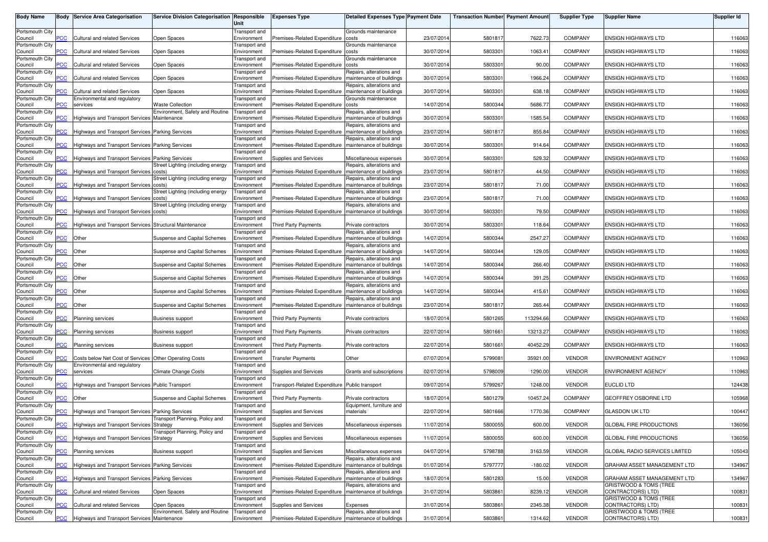| <b>Body Name</b>           |                | <b>Body Service Area Categorisation</b>                                                | Service Division Categorisation Responsible    | Unit                         | <b>Expenses Type</b>                                    | Detailed Expenses Type Payment Date                  |            | <b>Transaction Number Payment Amount</b> |           | <b>Supplier Type</b> | <b>Supplier Name</b>                                   | <b>Supplier Id</b> |
|----------------------------|----------------|----------------------------------------------------------------------------------------|------------------------------------------------|------------------------------|---------------------------------------------------------|------------------------------------------------------|------------|------------------------------------------|-----------|----------------------|--------------------------------------------------------|--------------------|
| Portsmouth City<br>Council | <b>PCC</b>     | <b>Cultural and related Services</b>                                                   | Open Spaces                                    | Transport and<br>Environment | Premises-Related Expenditure                            | Grounds maintenance<br>costs                         | 23/07/2014 | 5801817                                  | 7622.73   | <b>COMPANY</b>       | <b>ENSIGN HIGHWAYS LTD</b>                             | 116063             |
| Portsmouth City            |                |                                                                                        |                                                | Transport and                |                                                         | Grounds maintenance                                  |            |                                          |           |                      |                                                        |                    |
| Council<br>Portsmouth City | $\overline{c}$ | Cultural and related Services                                                          | Open Spaces                                    | Environment<br>Transport and | Premises-Related Expenditure                            | costs<br>Grounds maintenance                         | 30/07/2014 | 5803301                                  | 1063.41   | <b>COMPANY</b>       | ENSIGN HIGHWAYS LTD                                    | 116063             |
| Council<br>Portsmouth City | $\overline{C}$ | Cultural and related Services                                                          | Open Spaces                                    | Environment<br>Transport and | Premises-Related Expenditure                            | costs<br>Repairs, alterations and                    | 30/07/2014 | 580330                                   | 90.00     | <b>COMPANY</b>       | <b>ENSIGN HIGHWAYS LTD</b>                             | 116063             |
| Council<br>Portsmouth City | $\overline{C}$ | <b>Cultural and related Services</b>                                                   | Open Spaces                                    | Environment<br>Transport and | Premises-Related Expenditure                            | maintenance of buildings<br>Repairs, alterations and | 30/07/2014 | 580330                                   | 1966.24   | <b>COMPANY</b>       | <b>ENSIGN HIGHWAYS LTD</b>                             | 116063             |
| Council                    | <b>PCC</b>     | Cultural and related Services                                                          | Open Spaces                                    | Environment                  | Premises-Related Expenditure                            | maintenance of buildings                             | 30/07/2014 | 580330                                   | 638.18    | <b>COMPANY</b>       | ENSIGN HIGHWAYS LTD                                    | 116063             |
| Portsmouth City<br>Council | <b>CC</b>      | Environmental and regulatory<br>services                                               | <b>Waste Collection</b>                        | Transport and<br>Environment | Premises-Related Expenditure                            | Grounds maintenance<br>costs                         | 14/07/2014 | 5800344                                  | 5686.77   | COMPANY              | <b>ENSIGN HIGHWAYS LTD</b>                             | 116063             |
| Portsmouth City<br>Council | $\overline{C}$ | <b>Highways and Transport Services</b>                                                 | Environment, Safety and Routine<br>Maintenance | Transport and<br>Environment | Premises-Related Expenditure                            | Repairs, alterations and<br>maintenance of buildings | 30/07/2014 | 580330                                   | 1585.54   | COMPANY              | ENSIGN HIGHWAYS LTD                                    | 116063             |
| Portsmouth City<br>Council | PСC            | Highways and Transport Services Parking Services                                       |                                                | Transport and<br>Environment | Premises-Related Expenditure                            | Repairs, alterations and<br>maintenance of buildings | 23/07/2014 | 5801817                                  | 855.84    | <b>COMPANY</b>       | <b>ENSIGN HIGHWAYS LTD</b>                             | 116063             |
| Portsmouth City            |                |                                                                                        |                                                | Transport and                |                                                         | Repairs, alterations and                             |            |                                          |           |                      |                                                        |                    |
| Council<br>Portsmouth City | сC             | Highways and Transport Services Parking Services                                       |                                                | Environment<br>Transport and | Premises-Related Expenditure                            | maintenance of buildings                             | 30/07/2014 | 580330                                   | 914.64    | COMPANY              | <b>ENSIGN HIGHWAYS LTD</b>                             | 116063             |
| Council<br>Portsmouth City | $\overline{C}$ | Highways and Transport Services Parking Services                                       | Street Lighting (including energy              | Environment<br>Transport and | Supplies and Services                                   | Miscellaneous expenses<br>Repairs, alterations and   | 30/07/2014 | 5803301                                  | 529.32    | <b>COMPANY</b>       | ENSIGN HIGHWAYS LTD                                    | 116063             |
| Council<br>Portsmouth City | <b>CC</b>      | Highways and Transport Services costs)                                                 | Street Lighting (including energy              | Environment<br>Transport and | Premises-Related Expenditure                            | maintenance of buildings<br>Repairs, alterations and | 23/07/2014 | 5801817                                  | 44.50     | <b>COMPANY</b>       | ENSIGN HIGHWAYS LTD                                    | 116063             |
| Council<br>Portsmouth City | PCC            | Highways and Transport Services costs)                                                 |                                                | Environment                  | Premises-Related Expenditure                            | maintenance of buildings                             | 23/07/2014 | 580181                                   | 71.00     | COMPANY              | ENSIGN HIGHWAYS LTD                                    | 116063             |
| Council                    | PCC            | <b>Highways and Transport Services</b>                                                 | Street Lighting (including energy<br>osts)     | Transport and<br>Environment | Premises-Related Expenditure                            | Repairs, alterations and<br>maintenance of buildings | 23/07/2014 | 5801817                                  | 71.00     | COMPANY              | <b>ENSIGN HIGHWAYS LTD</b>                             | 116063             |
| Portsmouth City<br>Council | PCC            | Highways and Transport Services costs)                                                 | Street Lighting (including energy              | Transport and<br>Environment | Premises-Related Expenditure                            | Repairs, alterations and<br>maintenance of buildings | 30/07/2014 | 580330                                   | 79.50     | <b>COMPANY</b>       | ENSIGN HIGHWAYS LTD                                    | 116063             |
| Portsmouth City<br>Council | PCC            | Highways and Transport Services Structural Maintenance                                 |                                                | Transport and<br>Environment | <b>Third Party Payments</b>                             | Private contractors                                  | 30/07/2014 | 580330                                   | 118.64    | <b>COMPANY</b>       | <b>ENSIGN HIGHWAYS LTD</b>                             | 116063             |
| Portsmouth City<br>Council | <b>PCC</b>     | Other                                                                                  | Suspense and Capital Schemes                   | Transport and<br>Environment | Premises-Related Expenditure                            | Repairs, alterations and<br>maintenance of buildings | 14/07/2014 | 5800344                                  | 2547.27   | COMPANY              | ENSIGN HIGHWAYS LTD                                    | 116063             |
| Portsmouth City            |                |                                                                                        |                                                | Transport and                |                                                         | Repairs, alterations and                             |            |                                          |           |                      |                                                        |                    |
| Council<br>Portsmouth City | <b>CC</b>      | Other                                                                                  | Suspense and Capital Schemes                   | Environment<br>ransport and  | Premises-Related Expenditure                            | maintenance of buildings<br>Repairs, alterations and | 14/07/2014 | 5800344                                  | 129.05    | COMPANY              | <b>ENSIGN HIGHWAYS LTD</b>                             | 116063             |
| Council<br>Portsmouth City | <b>CC</b>      | Other                                                                                  | Suspense and Capital Schemes                   | Environment<br>Transport and | Premises-Related Expenditure                            | maintenance of buildings<br>Repairs, alterations and | 14/07/2014 | 5800344                                  | 266.40    | <b>COMPANY</b>       | <b>ENSIGN HIGHWAYS LTD</b>                             | 116063             |
| Council<br>Portsmouth City | PCC            | Other                                                                                  | Suspense and Capital Schemes                   | Environment<br>Transport and | Premises-Related Expenditure                            | maintenance of buildings<br>Repairs, alterations and | 14/07/2014 | 5800344                                  | 391.25    | <b>COMPANY</b>       | ENSIGN HIGHWAYS LTD                                    | 116063             |
| Council                    | <b>CC</b>      | Other                                                                                  | Suspense and Capital Schemes                   | Environment                  | Premises-Related Expenditure                            | maintenance of buildings                             | 14/07/2014 | 5800344                                  | 415.61    | <b>COMPANY</b>       | <b>ENSIGN HIGHWAYS LTD</b>                             | 116063             |
| Portsmouth City<br>Council | PCC            | Other                                                                                  | Suspense and Capital Schemes                   | Transport and<br>Environment | Premises-Related Expenditure                            | Repairs, alterations and<br>maintenance of buildings | 23/07/2014 | 5801817                                  | 265.44    | COMPANY              | <b>ENSIGN HIGHWAYS LTD</b>                             | 116063             |
| Portsmouth City<br>Council | сC             | Planning services                                                                      | <b>Business support</b>                        | Transport and<br>Environment | <b>Third Party Payments</b>                             | Private contractors                                  | 18/07/2014 | 5801265                                  | 113294.66 | COMPANY              | <b>ENSIGN HIGHWAYS LTD</b>                             | 116063             |
| Portsmouth City<br>Council | PCC            | <b>Planning services</b>                                                               | <b>Business support</b>                        | Transport and<br>Environment | <b>Third Party Payments</b>                             | Private contractors                                  | 22/07/2014 | 5801661                                  | 13213.27  | <b>COMPANY</b>       | ENSIGN HIGHWAYS LTD                                    | 116063             |
| Portsmouth City<br>Council | PCC            | Planning services                                                                      | <b>Business support</b>                        | Transport and<br>Environment | <b>Third Party Payments</b>                             | Private contractors                                  | 22/07/2014 | 5801661                                  | 40452.29  | <b>COMPANY</b>       | <b>ENSIGN HIGHWAYS LTD</b>                             | 116063             |
| Portsmouth City            |                |                                                                                        |                                                | Transport and                |                                                         |                                                      |            |                                          |           |                      |                                                        |                    |
| Council<br>Portsmouth City | PСC            | Costs below Net Cost of Services Other Operating Costs<br>Environmental and regulatory |                                                | Environment<br>Transport and | <b>Transfer Payments</b>                                | Other                                                | 07/07/2014 | 5799081                                  | 35921.00  | <b>VENDOR</b>        | ENVIRONMENT AGENCY                                     | 110963             |
| Council<br>Portsmouth City | $\overline{C}$ | services                                                                               | <b>Climate Change Costs</b>                    | Environment<br>Fransport and | Supplies and Services                                   | Grants and subscriptions                             | 02/07/2014 | 5798009                                  | 1290.00   | <b>VENDOR</b>        | ENVIRONMENT AGENCY                                     | 110963             |
| Council<br>Portsmouth City | ۲CC            | Highways and Transport Services Public Transport                                       |                                                | Environment<br>Transport and | Transport-Related Expenditure Public transport          |                                                      | 09/07/2014 | 5799267                                  | 1248.00   | <b>VENDOR</b>        | <b>EUCLID LTD</b>                                      | 124438             |
| Council                    | PCC            | Other                                                                                  | Suspense and Capital Schemes                   | Environment                  | <b>Third Party Payments</b>                             | Private contractors                                  | 18/07/2014 | 5801279                                  | 10457.24  | <b>COMPANY</b>       | GEOFFREY OSBORNE LTD                                   | 105968             |
| Portsmouth City<br>Council | <b>CC</b>      | Highways and Transport Services Parking Services                                       |                                                | Transport and<br>Environment | Supplies and Services                                   | Equipment, furniture and<br>materials                | 22/07/2014 | 5801666                                  | 1770.36   | <b>COMPANY</b>       | <b>GLASDON UK LTD</b>                                  | 100447             |
| Portsmouth City<br>Council | <b>PCC</b>     | <b>Highways and Transport Services Strategy</b>                                        | Transport Planning, Policy and                 | Transport and<br>Environment | Supplies and Services                                   | Miscellaneous expenses                               | 11/07/2014 | 5800055                                  | 600.00    | <b>VENDOR</b>        | GLOBAL FIRE PRODUCTIONS                                | 136056             |
| Portsmouth City<br>Council | PCC            | Highways and Transport Services Strategy                                               | Transport Planning, Policy and                 | Transport and<br>Environment | Supplies and Services                                   | Miscellaneous expenses                               | 11/07/2014 | 5800055                                  | 600.00    | <b>VENDOR</b>        | GLOBAL FIRE PRODUCTIONS                                | 136056             |
| Portsmouth City            |                |                                                                                        |                                                | Transport and                |                                                         |                                                      |            |                                          |           |                      |                                                        |                    |
| Council<br>Portsmouth City | PCC            | <b>Planning services</b>                                                               | <b>Business support</b>                        | Environment<br>Transport and | <b>Supplies and Services</b>                            | Miscellaneous expenses<br>Repairs, alterations and   | 04/07/2014 | 5798788                                  | 3163.59   | <b>VENDOR</b>        | GLOBAL RADIO SERVICES LIMITED                          | 105043             |
| Council<br>Portsmouth City | PСC            | Highways and Transport Services Parking Services                                       |                                                | Environment<br>Transport and | Premises-Related Expenditure                            | maintenance of buildings<br>Repairs, alterations and | 01/07/2014 | 5797777                                  | $-180.02$ | <b>VENDOR</b>        | GRAHAM ASSET MANAGEMENT LTD                            | 134967             |
| Council<br>Portsmouth City | сC             | Highways and Transport Services Parking Services                                       |                                                | Environment<br>Transport and | Premises-Related Expenditure                            | maintenance of buildings<br>Repairs, alterations and | 18/07/2014 | 5801283                                  | 15.00     | <b>VENDOR</b>        | GRAHAM ASSET MANAGEMENT LTD<br>GRISTWOOD & TOMS (TREE  | 134967             |
| Council<br>Portsmouth City | PCC            | Cultural and related Services                                                          | Open Spaces                                    | Environment<br>Transport and | Premises-Related Expenditure                            | maintenance of buildings                             | 31/07/2014 | 5803861                                  | 8239.12   | <b>VENDOR</b>        | CONTRACTORS) LTD)<br>GRISTWOOD & TOMS (TREE            | 100831             |
| Council                    | сC             | Cultural and related Services                                                          | Open Spaces                                    | Environment                  | Supplies and Services                                   | Expenses                                             | 31/07/2014 | 5803861                                  | 2345.38   | <b>VENDOR</b>        | CONTRACTORS) LTD)                                      | 100831             |
| Portsmouth City<br>Council | PCC            | Highways and Transport Services Maintenance                                            | Environment, Safety and Routine                | Transport and<br>Environment | Premises-Related Expenditure   maintenance of buildings | Repairs, alterations and                             | 31/07/2014 | 5803861                                  | 1314.62   | VENDOR               | <b>GRISTWOOD &amp; TOMS (TREE</b><br>CONTRACTORS) LTD) | 100831             |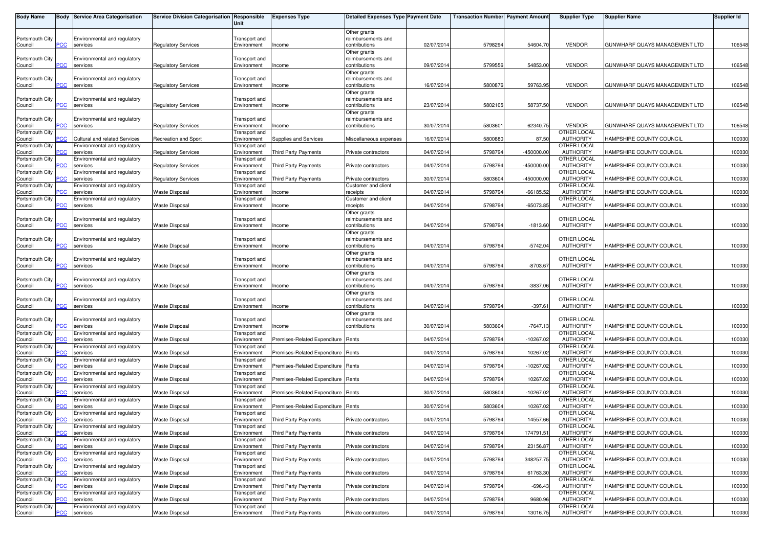| <b>Body Name</b>                              |                 | <b>Body Service Area Categorisation</b>                                  | Service Division Categorisation Responsible    | Unit                                               | <b>Expenses Type</b>                                         | <b>Detailed Expenses Type Payment Date</b>          |                          | <b>Transaction Number Payment Amount</b> |                            | <b>Supplier Type</b>                                  | <b>Supplier Name</b>                                 | <b>Supplier Id</b> |
|-----------------------------------------------|-----------------|--------------------------------------------------------------------------|------------------------------------------------|----------------------------------------------------|--------------------------------------------------------------|-----------------------------------------------------|--------------------------|------------------------------------------|----------------------------|-------------------------------------------------------|------------------------------------------------------|--------------------|
| Portsmouth City<br>Council                    | сc              | Environmental and regulatory<br>services                                 | <b>Regulatory Services</b>                     | Transport and<br>Environment                       | Income                                                       | Other grants<br>reimbursements and<br>contributions | 02/07/2014               | 5798294                                  | 54604.70                   | <b>VENDOR</b>                                         | GUNWHARF QUAYS MANAGEMENT LTD                        | 106548             |
| Portsmouth City<br>Council                    | PСC             | Environmental and regulatory<br>services                                 | <b>Regulatory Services</b>                     | Transport and<br>Environment                       | Income                                                       | Other grants<br>reimbursements and<br>contributions | 09/07/201                | 5799556                                  | 54853.00                   | <b>VENDOR</b>                                         | GUNWHARF QUAYS MANAGEMENT LTD                        | 106548             |
| Portsmouth City<br>Council                    |                 | Environmental and regulatory<br>services                                 | Regulatory Services                            | Transport and<br>Environment                       | Income                                                       | Other grants<br>reimbursements and<br>contributions | 16/07/2014               | 5800876                                  | 59763.95                   | <b>VENDOR</b>                                         | GUNWHARF QUAYS MANAGEMENT LTD                        | 106548             |
| Portsmouth City<br>Council                    | PСC             | Environmental and regulatory<br>services                                 | <b>Regulatory Services</b>                     | Transport and<br>Environment                       | Income                                                       | Other grants<br>reimbursements and<br>contributions | 23/07/2014               | 5802105                                  | 58737.50                   | <b>VENDOR</b>                                         | GUNWHARF QUAYS MANAGEMENT LTD                        | 106548             |
| Portsmouth City<br>Council                    | <u>CC</u>       | Environmental and regulatory<br>services                                 | <b>Regulatory Services</b>                     | Transport and<br>Environment                       | Income                                                       | Other grants<br>reimbursements and<br>contributions | 30/07/2014               | 580360                                   | 62340.75                   | <b>VENDOR</b>                                         | GUNWHARF QUAYS MANAGEMENT LTD                        | 106548             |
| Portsmouth City<br>Council                    | PСC             | Cultural and related Services                                            | <b>Recreation and Sport</b>                    | Transport and<br>Environment                       | Supplies and Services                                        | Miscellaneous expenses                              | 16/07/2014               | 5800880                                  | 87.50                      | OTHER LOCAL<br><b>AUTHORITY</b>                       | HAMPSHIRE COUNTY COUNCIL                             | 100030             |
| Portsmouth City<br>Council<br>Portsmouth City | сc              | Environmental and regulatory<br>services<br>Environmental and regulatory | Regulatory Services                            | Transport and<br>Environment<br>Transport and      | <b>Third Party Payments</b>                                  | Private contractors                                 | 04/07/2014               | 5798794                                  | $-450000.00$               | OTHER LOCAL<br><b>AUTHORITY</b><br><b>OTHER LOCAL</b> | HAMPSHIRE COUNTY COUNCIL                             | 100030             |
| Council<br>Portsmouth City                    | сc              | services<br>Environmental and regulatory                                 | <b>Regulatory Services</b>                     | Environment<br><b>Transport</b> and                | <b>Third Party Payments</b>                                  | Private contractors                                 | 04/07/2014               | 5798794                                  | -450000.00                 | <b>AUTHORITY</b><br>OTHER LOCAL                       | HAMPSHIRE COUNTY COUNCIL                             | 100030             |
| Council<br>Portsmouth City                    | cс              | services<br>Environmental and regulatory                                 | Regulatory Services                            | Environment<br>Transport and                       | Third Party Payments                                         | Private contractors<br>Customer and client          | 30/07/2014               | 5803604                                  | $-450000.00$               | <b>AUTHORITY</b><br>OTHER LOCAL                       | HAMPSHIRE COUNTY COUNCIL                             | 100030             |
| Council<br>Portsmouth City<br>Council         | сc<br>сc        | services<br>Environmental and regulatory<br>services                     | <b>Waste Disposal</b><br><b>Waste Disposal</b> | Environment<br>Transport and<br>Environment        | ncome<br>Income                                              | receipts<br>Customer and client<br>receipts         | 04/07/2014<br>04/07/2014 | 5798794<br>5798794                       | $-66185.52$<br>$-65073.85$ | <b>AUTHORITY</b><br>OTHER LOCAL<br><b>AUTHORITY</b>   | HAMPSHIRE COUNTY COUNCIL<br>HAMPSHIRE COUNTY COUNCIL | 100030<br>100030   |
| Portsmouth City<br>Council                    | PСC             | Environmental and regulatory<br>services                                 | <b>Waste Disposal</b>                          | Transport and<br>Environment                       | Income                                                       | Other grants<br>reimbursements and<br>contributions | 04/07/2014               | 5798794                                  | $-1813.60$                 | OTHER LOCAL<br><b>AUTHORITY</b>                       | HAMPSHIRE COUNTY COUNCIL                             | 100030             |
| Portsmouth City<br>Council                    | PСC             | Environmental and regulatory<br>services                                 | <b>Waste Disposal</b>                          | Transport and<br>Environment                       | Income                                                       | Other grants<br>reimbursements and<br>contributions | 04/07/2014               | 579879                                   | $-5742.04$                 | OTHER LOCAL<br><b>AUTHORITY</b>                       | HAMPSHIRE COUNTY COUNCIL                             | 100030             |
| Portsmouth City<br>Council                    | <u>'CC</u>      | Environmental and regulatory<br>services                                 | <b>Waste Disposal</b>                          | Transport and<br>Environment                       | ncome                                                        | Other grants<br>reimbursements and<br>contributions | 04/07/2014               | 5798794                                  | $-8703.67$                 | OTHER LOCAL<br><b>AUTHORITY</b>                       | HAMPSHIRE COUNTY COUNCIL                             | 100030             |
| Portsmouth City<br>Council                    | сC              | Environmental and regulatory<br>services                                 | <b>Waste Disposal</b>                          | Transport and<br>Environment                       | Income                                                       | Other grants<br>reimbursements and<br>contributions | 04/07/2014               | 5798794                                  | $-3837.06$                 | OTHER LOCAL<br><b>AUTHORITY</b>                       | HAMPSHIRE COUNTY COUNCIL                             | 100030             |
| Portsmouth City<br>Council                    | PСC             | Environmental and regulatory<br>services                                 | <b>Waste Disposal</b>                          | Transport and<br>Environment                       | Income                                                       | Other grants<br>reimbursements and<br>contributions | 04/07/2014               | 5798794                                  | $-397.61$                  | OTHER LOCAL<br><b>AUTHORITY</b>                       | HAMPSHIRE COUNTY COUNCIL                             | 100030             |
| Portsmouth City<br>Council                    | cс              | Environmental and regulatory<br>services                                 | <b>Waste Disposal</b>                          | Transport and<br>Environment                       | Income                                                       | Other grants<br>reimbursements and<br>contributions | 30/07/2014               | 5803604                                  | $-7647.13$                 | OTHER LOCAL<br><b>AUTHORITY</b>                       | HAMPSHIRE COUNTY COUNCIL                             | 100030             |
| Portsmouth City<br>Council                    | сc              | Environmental and regulatory<br>services                                 | <b>Waste Disposal</b>                          | Transport and<br>Environment                       | Premises-Related Expenditure Rents                           |                                                     | 04/07/2014               | 5798794                                  | $-10267.02$                | OTHER LOCAL<br><b>AUTHORITY</b>                       | HAMPSHIRE COUNTY COUNCIL                             | 100030             |
| Portsmouth City<br>Council<br>Portsmouth City | сc              | Environmental and regulatory<br>services<br>Environmental and regulatory | Waste Disposal                                 | Transport and<br>Environment<br>Transport and      | Premises-Related Expenditure                                 | Rents                                               | 04/07/2014               | 5798794                                  | 10267.02                   | OTHER LOCAL<br><b>AUTHORITY</b><br>OTHER LOCAL        | HAMPSHIRE COUNTY COUNCIL                             | 100030             |
| Council<br>Portsmouth City                    | сC              | services<br>Environmental and regulatory                                 | <b>Waste Disposal</b>                          | Environment<br>Transport and                       | Premises-Related Expenditure                                 | Rents                                               | 04/07/2014               | 5798794                                  | $-10267.02$                | <b>AUTHORITY</b><br>OTHER LOCAL                       | HAMPSHIRE COUNTY COUNCIL                             | 100030             |
| Council<br>Portsmouth City<br>Council         | сc<br><u>CC</u> | services<br>Environmental and regulatory<br>services                     | <b>Waste Disposal</b><br><b>Waste Disposal</b> | Environment<br><b>Transport</b> and<br>Environment | Premises-Related Expenditure<br>Premises-Related Expenditure | Rents<br>Rents                                      | 04/07/2014<br>30/07/2014 | 5798794<br>5803604                       | 10267.02<br>$-10267.02$    | <b>AUTHORITY</b><br>OTHER LOCAL<br><b>AUTHORITY</b>   | HAMPSHIRE COUNTY COUNCIL<br>HAMPSHIRE COUNTY COUNCIL | 100030<br>100030   |
| Portsmouth City<br>Council                    |                 | Environmental and regulatory<br>services                                 | <b>Waste Disposal</b>                          | Transport and<br>Environment                       | Premises-Related Expenditure Rents                           |                                                     | 30/07/2014               | 5803604                                  | 10267.02                   | OTHER LOCAL<br><b>AUTHORITY</b>                       | <b>HAMPSHIRE COUNTY COUNCIL</b>                      | 100030             |
| Portsmouth City<br>Council                    | PCC⊹            | Environmental and regulatory<br>services                                 | <b>Waste Disposal</b>                          | Transport and<br>Environment                       | Third Party Payments                                         | Private contractors                                 | 04/07/2014               | 5798794                                  | 14557.66                   | OTHER LOCAL<br><b>AUTHORITY</b>                       | HAMPSHIRE COUNTY COUNCIL                             | 100030             |
| Portsmouth City<br>Council<br>Portsmouth City | сc              | Environmental and regulatory<br>services<br>Environmental and regulatory | <b>Waste Disposal</b>                          | Transport and<br>Environment<br>Transport and      | Third Party Payments                                         | Private contractors                                 | 04/07/2014               | 5798794                                  | 174791.51                  | OTHER LOCAL<br><b>AUTHORITY</b><br>OTHER LOCAL        | HAMPSHIRE COUNTY COUNCIL                             | 100030             |
| Council<br>Portsmouth City                    | сc              | services<br>Environmental and regulatory                                 | <b>Waste Disposal</b>                          | Environment<br>Transport and                       | <b>Third Party Payments</b>                                  | Private contractors                                 | 04/07/2014               | 5798794                                  | 23156.87                   | <b>AUTHORITY</b><br>OTHER LOCAL                       | HAMPSHIRE COUNTY COUNCIL                             | 100030             |
| Council<br>Portsmouth City<br>Council         | сc              | services<br>Environmental and regulatory<br>services                     | <b>Waste Disposal</b><br><b>Waste Disposal</b> | Environment<br>Transport and<br>Environment        | <b>Third Party Payments</b><br>Third Party Payments          | Private contractors<br>Private contractors          | 04/07/2014<br>04/07/2014 | 5798794<br>5798794                       | 348257.75<br>61763.30      | <b>AUTHORITY</b><br>OTHER LOCAL<br><b>AUTHORITY</b>   | HAMPSHIRE COUNTY COUNCIL<br>HAMPSHIRE COUNTY COUNCIL | 100030<br>100030   |
| Portsmouth City<br>Council                    | сC              | Environmental and regulatory<br>services                                 | <b>Waste Disposal</b>                          | Transport and<br>Environment                       | Third Party Payments                                         | Private contractors                                 | 04/07/2014               | 5798794                                  | $-696.43$                  | OTHER LOCAL<br><b>AUTHORITY</b>                       | HAMPSHIRE COUNTY COUNCIL                             | 100030             |
| Portsmouth City<br>Council                    | 'СC             | Environmental and regulatory<br>services                                 | <b>Waste Disposal</b>                          | Transport and<br>Environment                       | <b>Third Party Payments</b>                                  | Private contractors                                 | 04/07/2014               | 5798794                                  | 9680.96                    | OTHER LOCAL<br><b>AUTHORITY</b><br>OTHER LOCAL        | HAMPSHIRE COUNTY COUNCIL                             | 100030             |
| Portsmouth City<br>Council                    | <b>PCC</b>      | Environmental and regulatory<br>services                                 | <b>Waste Disposal</b>                          | Transport and<br>Environment                       | Third Party Payments                                         | Private contractors                                 | 04/07/2014               | 5798794                                  | 13016.75                   | <b>AUTHORITY</b>                                      | HAMPSHIRE COUNTY COUNCIL                             | 100030             |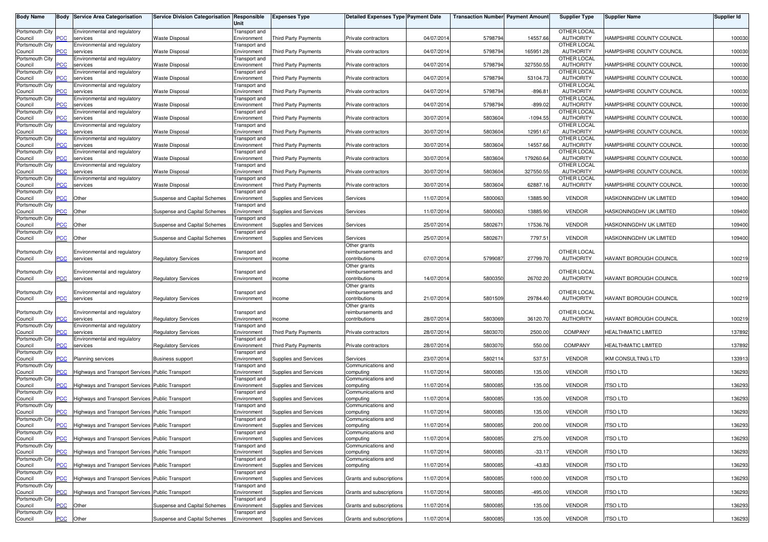| <b>Body Name</b>           |                | <b>Body Service Area Categorisation</b>          | Service Division Categorisation Responsible | Unit                                | <b>Expenses Type</b>        | <b>Detailed Expenses Type Payment Date</b> |            | <b>Transaction Number Payment Amoun</b> |            | <b>Supplier Type</b>            | <b>Supplier Name</b>       | <b>Supplier Id</b> |
|----------------------------|----------------|--------------------------------------------------|---------------------------------------------|-------------------------------------|-----------------------------|--------------------------------------------|------------|-----------------------------------------|------------|---------------------------------|----------------------------|--------------------|
| Portsmouth City            |                | Environmental and regulatory                     |                                             | Transport and                       |                             |                                            |            |                                         |            | OTHER LOCAL                     |                            |                    |
| Council<br>Portsmouth City | PСC            | services<br>Environmental and regulatory         | <b>Waste Disposal</b>                       | Environment<br>Transport and        | <b>Third Party Payments</b> | Private contractors                        | 04/07/2014 | 5798794                                 | 14557.66   | <b>AUTHORITY</b><br>OTHER LOCAL | HAMPSHIRE COUNTY COUNCIL   | 100030             |
| Council                    | <b>PCC</b>     | services                                         | <b>Waste Disposal</b>                       | Environment                         | <b>Third Party Payments</b> | Private contractors                        | 04/07/2014 | 5798794                                 | 165951.2   | <b>AUTHORITY</b>                | HAMPSHIRE COUNTY COUNCIL   | 100030             |
| Portsmouth City<br>Council | PСC            | Environmental and regulatory<br>services         | <b>Waste Disposal</b>                       | Transport and<br>Environment        | <b>Third Party Payments</b> | Private contractors                        | 04/07/201  | 5798794                                 | 327550.55  | OTHER LOCAL<br><b>AUTHORITY</b> | HAMPSHIRE COUNTY COUNCIL   | 100030             |
| Portsmouth City            |                | Environmental and regulatory                     |                                             | Transport and                       |                             |                                            |            |                                         |            | OTHER LOCAL                     |                            |                    |
| Council<br>Portsmouth City | PСC            | services<br>Environmental and regulatory         | <b>Waste Disposal</b>                       | Environment<br>Transport and        | Third Party Payments        | Private contractors                        | 04/07/2014 | 5798794                                 | 53104.73   | <b>AUTHORITY</b><br>OTHER LOCAL | HAMPSHIRE COUNTY COUNCIL   | 100030             |
| Council                    | PСC            | services                                         | <b>Waste Disposal</b>                       | Environment                         | Third Party Payments        | Private contractors                        | 04/07/201  | 5798794                                 | $-896.81$  | <b>AUTHORITY</b>                | HAMPSHIRE COUNTY COUNCIL   | 100030             |
| Portsmouth City<br>Council | PСC            | Environmental and regulatory<br>services         | <b>Waste Disposal</b>                       | Transport and<br>Environment        | <b>Third Party Payments</b> | Private contractors                        | 04/07/2014 | 5798794                                 | $-899.02$  | OTHER LOCAL<br><b>AUTHORITY</b> | HAMPSHIRE COUNTY COUNCIL   | 100030             |
| Portsmouth City            |                | Environmental and regulatory                     |                                             | Transport and                       |                             |                                            |            |                                         |            | OTHER LOCAL                     |                            |                    |
| Council<br>Portsmouth City | PСC            | services<br>Environmental and regulatory         | <b>Waste Disposal</b>                       | Environment<br>Transport and        | Third Party Payments        | Private contractors                        | 30/07/2014 | 5803604                                 | $-1094.55$ | <b>AUTHORITY</b><br>OTHER LOCAL | HAMPSHIRE COUNTY COUNCIL   | 100030             |
| Council                    | $\overline{C}$ | services                                         | <b>Waste Disposal</b>                       | Environment                         | Third Party Payments        | Private contractors                        | 30/07/2014 | 5803604                                 | 12951.67   | <b>AUTHORITY</b>                | HAMPSHIRE COUNTY COUNCIL   | 100030             |
| Portsmouth City<br>Council | ٥С             | Environmental and regulatory<br>services         | <b>Waste Disposal</b>                       | Transport and<br>Environment        | <b>Third Party Payments</b> | Private contractors                        | 30/07/2014 | 5803604                                 | 14557.66   | OTHER LOCAL<br><b>AUTHORITY</b> | HAMPSHIRE COUNTY COUNCIL   | 100030             |
| Portsmouth City            |                | Environmental and regulatory                     |                                             | Transport and                       |                             |                                            |            |                                         |            | OTHER LOCAL                     |                            |                    |
| Council<br>Portsmouth City | PСC            | services<br>Environmental and regulatory         | <b>Waste Disposal</b>                       | Environment<br>Transport and        | <b>Third Party Payments</b> | Private contractors                        | 30/07/2014 | 5803604                                 | 179260.64  | <b>AUTHORITY</b><br>OTHER LOCAL | HAMPSHIRE COUNTY COUNCIL   | 100030             |
| Council                    | PСC            | services                                         | <b>Waste Disposal</b>                       | Environment                         | <b>Third Party Payments</b> | Private contractors                        | 30/07/2014 | 5803604                                 | 327550.5   | <b>AUTHORITY</b>                | HAMPSHIRE COUNTY COUNCIL   | 100030             |
| Portsmouth City<br>Council | PСC            | Environmental and regulatory<br>services         | <b>Waste Disposal</b>                       | Transport and<br>Environment        | <b>Third Party Payments</b> | Private contractors                        | 30/07/2014 | 5803604                                 | 62887.1    | OTHER LOCAL<br><b>AUTHORITY</b> | HAMPSHIRE COUNTY COUNCIL   | 100030             |
| Portsmouth City            |                |                                                  |                                             | ransport and                        |                             |                                            |            |                                         |            |                                 |                            |                    |
| Council<br>Portsmouth City | PСC            | Other                                            | Suspense and Capital Schemes                | Environment<br>ransport and         | Supplies and Services       | Services                                   | 11/07/2014 | 5800063                                 | 13885.90   | <b>VENDOR</b>                   | HASKONINGDHV UK LIMITED    | 109400             |
| Council                    | $\overline{C}$ | Other                                            | <b>Suspense and Capital Schemes</b>         | Environment                         | Supplies and Services       | Services                                   | 11/07/201  | 5800063                                 | 13885.9    | <b>VENDOR</b>                   | HASKONINGDHV UK LIMITED    | 109400             |
| Portsmouth City<br>Council | PСC            | Other                                            | Suspense and Capital Schemes                | ransport and<br>Environment         | Supplies and Services       | Services                                   | 25/07/2014 | 5802671                                 | 17536.76   | <b>VENDOR</b>                   | HASKONINGDHV UK LIMITED    | 109400             |
| Portsmouth City<br>Council | PCC            | Other                                            | Suspense and Capital Schemes                | ransport and<br>Environment         | Supplies and Services       | Services                                   | 25/07/2014 | 5802671                                 | 7797.51    | <b>VENDOR</b>                   | HASKONINGDHV UK LIMITED    | 109400             |
|                            |                |                                                  |                                             |                                     |                             | Other grants                               |            |                                         |            |                                 |                            |                    |
| Portsmouth City<br>Council | PСC            | Environmental and regulatory<br>services         | <b>Regulatory Services</b>                  | Transport and<br>Environment        | Income                      | reimbursements and<br>contributions        | 07/07/2014 | 5799087                                 | 27799.70   | OTHER LOCAL<br><b>AUTHORITY</b> | HAVANT BOROUGH COUNCIL     | 100219             |
|                            |                |                                                  |                                             |                                     |                             | Other grants                               |            |                                         |            |                                 |                            |                    |
| Portsmouth City<br>Council | PСC            | Environmental and regulatory<br>services         | <b>Regulatory Services</b>                  | Transport and<br>Environment        | Income                      | reimbursements and<br>contributions        | 14/07/201  | 5800350                                 | 26702.20   | OTHER LOCAL<br><b>AUTHORITY</b> | HAVANT BOROUGH COUNCIL     | 100219             |
|                            |                |                                                  |                                             |                                     |                             | Other grants                               |            |                                         |            |                                 |                            |                    |
| Portsmouth City<br>Council | PСC            | Environmental and regulatory<br>services         | <b>Regulatory Services</b>                  | Transport and<br>Environment        | Income                      | reimbursements and<br>contributions        | 21/07/201  | 5801509                                 | 29784.40   | OTHER LOCAL<br><b>AUTHORITY</b> | HAVANT BOROUGH COUNCIL     | 100219             |
|                            |                |                                                  |                                             |                                     |                             | Other grants                               |            |                                         |            |                                 |                            |                    |
| Portsmouth City<br>Council | PСC            | Environmental and regulatory<br>services         | <b>Regulatory Services</b>                  | Transport and<br>Environment        | Income                      | reimbursements and<br>contributions        | 28/07/2014 | 5803069                                 | 36120.70   | OTHER LOCAL<br><b>AUTHORITY</b> | HAVANT BOROUGH COUNCIL     | 100219             |
| Portsmouth City            |                | Environmental and regulatory                     |                                             | Transport and                       |                             |                                            |            |                                         |            |                                 |                            |                    |
| Council<br>Portsmouth City | PСC            | services<br>Environmental and regulatory         | <b>Regulatory Services</b>                  | Environment<br>Transport and        | Third Party Payments        | Private contractors                        | 28/07/201  | 5803070                                 | 2500.00    | COMPANY                         | HEALTHMATIC LIMITED        | 137892             |
| Council                    | PСC            | services                                         | <b>Regulatory Services</b>                  | Environment                         | <b>Third Party Payments</b> | Private contractors                        | 28/07/2014 | 5803070                                 | 550.00     | <b>COMPANY</b>                  | <b>HEALTHMATIC LIMITED</b> | 137892             |
| Portsmouth City<br>Council | PCC            | <b>Planning services</b>                         | Business support                            | Transport and<br>Environment        | Supplies and Services       | Services                                   | 23/07/2014 | 5802114                                 | 537.5      | <b>VENDOR</b>                   | IKM CONSULTING LTD         | 133913             |
| Portsmouth City            |                |                                                  |                                             | Transport and                       |                             | Communications and                         |            |                                         |            |                                 |                            |                    |
| Council<br>Portsmouth City | PCC            | Highways and Transport Services Public Transport |                                             | Environment<br><b>Transport</b> and | Supplies and Services       | computing<br>Communications and            | 11/07/2014 | 5800085                                 | 135.00     | <b>VENDOR</b>                   | <b>ITSO LTD</b>            | 136293             |
| Council                    | PСC            | Highways and Transport Services Public Transport |                                             | Environment                         | Supplies and Services       | computing                                  | 11/07/2014 | 5800085                                 | 135.00     | <b>VENDOR</b>                   | <b>ITSO LTD</b>            | 136293             |
| Portsmouth City<br>Council | PCC            | Highways and Transport Services Public Transport |                                             | Transport and<br>Environment        | Supplies and Services       | Communications and<br>computing            | 11/07/2014 | 5800085                                 | 135.00     | <b>VENDOR</b>                   | <b>ITSO LTD</b>            | 136293             |
| Portsmouth City            |                |                                                  |                                             | Transport and                       |                             | Communications and                         |            |                                         |            |                                 |                            |                    |
| Council<br>Portsmouth City | <b>PCC</b>     | Highways and Transport Services Public Transport |                                             | Environment<br>Transport and        | Supplies and Services       | computing<br>Communications and            | 11/07/2014 | 5800085                                 | 135.00     | <b>VENDOR</b>                   | <b>ITSO LTD</b>            | 136293             |
| Council                    | <b>PCC</b>     | Highways and Transport Services Public Transport |                                             | Environment                         | Supplies and Services       | computing                                  | 11/07/2014 | 5800085                                 | 200.00     | <b>VENDOR</b>                   | <b>ITSO LTD</b>            | 136293             |
| Portsmouth City<br>Council | PCC            | Highways and Transport Services Public Transport |                                             | Transport and<br>Environment        | Supplies and Services       | Communications and<br>computing            | 11/07/2014 | 5800085                                 | 275.00     | <b>VENDOR</b>                   | <b>ITSO LTD</b>            | 136293             |
| Portsmouth City            |                |                                                  |                                             | Transport and                       |                             | Communications and                         |            |                                         |            |                                 |                            |                    |
| Council<br>Portsmouth City | PCC            | Highways and Transport Services Public Transport |                                             | Environment<br>Transport and        | Supplies and Services       | computing<br>Communications and            | 11/07/2014 | 5800085                                 | $-33.17$   | <b>VENDOR</b>                   | <b>ITSO LTD</b>            | 136293             |
| Council                    | <b>PCC</b>     | Highways and Transport Services Public Transport |                                             | Environment                         | Supplies and Services       | computing                                  | 11/07/2014 | 5800085                                 | $-43.83$   | <b>VENDOR</b>                   | <b>ITSO LTD</b>            | 136293             |
| Portsmouth City<br>Council | PСC            | Highways and Transport Services Public Transport |                                             | Transport and<br>Environment        | Supplies and Services       | Grants and subscriptions                   | 11/07/2014 | 5800085                                 | 1000.00    | <b>VENDOR</b>                   | <b>ITSO LTD</b>            | 136293             |
| Portsmouth City            | PCC            | Highways and Transport Services Public Transport |                                             | Transport and<br>Environment        | Supplies and Services       | Grants and subscriptions                   | 11/07/2014 | 5800085                                 | $-495.00$  | <b>VENDOR</b>                   | <b>ITSO LTD</b>            | 136293             |
| Council<br>Portsmouth City |                |                                                  |                                             | Transport and                       |                             |                                            |            |                                         |            |                                 |                            |                    |
| Council<br>Portsmouth City | <b>PCC</b>     | Other                                            | Suspense and Capital Schemes                | Environment<br>Transport and        | Supplies and Services       | Grants and subscriptions                   | 11/07/2014 | 5800085                                 | 135.00     | <b>VENDOR</b>                   | <b>ITSO LTD</b>            | 136293             |
| Council                    | $\overline{C}$ | Other                                            | Suspense and Capital Schemes                | Environment                         | Supplies and Services       | Grants and subscriptions                   | 11/07/2014 | 5800085                                 | 135.00     | <b>VENDOR</b>                   | <b>ITSO LTD</b>            | 136293             |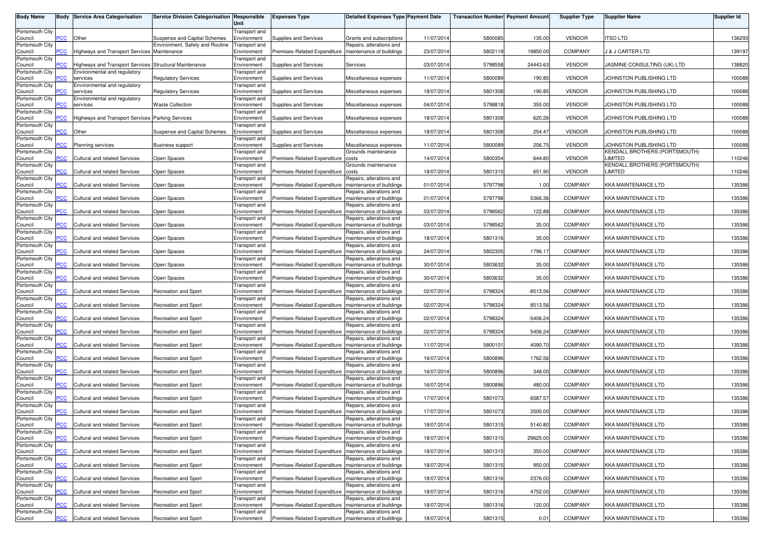| <b>Body Name</b>           |                | <b>Body Service Area Categorisation</b>                 | Service Division Categorisation Responsible                     | Unit                         | <b>Expenses Type</b>                                    | <b>Detailed Expenses Type Payment Date</b>           |            | <b>Transaction Number Payment Amount</b> |            | <b>Supplier Type</b> | <b>Supplier Name</b>                     | Supplier Id |
|----------------------------|----------------|---------------------------------------------------------|-----------------------------------------------------------------|------------------------------|---------------------------------------------------------|------------------------------------------------------|------------|------------------------------------------|------------|----------------------|------------------------------------------|-------------|
| Portsmouth City            |                |                                                         |                                                                 | Transport and                |                                                         |                                                      | 11/07/2014 | 580008                                   | 135.00     | <b>VENDOR</b>        |                                          |             |
| Council<br>Portsmouth City | $\overline{C}$ | Other                                                   | Suspense and Capital Schemes<br>Environment, Safety and Routine | Environment<br>Transport and | Supplies and Services                                   | Grants and subscriptions<br>Repairs, alterations and |            |                                          |            |                      | itso ltd                                 | 136293      |
| Council                    | <b>CC</b>      | Highways and Transport Services Maintenance             |                                                                 | Environment                  | Premises-Related Expenditure                            | maintenance of buildings                             | 23/07/2014 | 5802119                                  | 19850.00   | <b>COMPANY</b>       | <b>J &amp; J CARTER LTD</b>              | 139197      |
| Portsmouth City<br>Council | PCC            | Highways and Transport Services Structural Maintenance  |                                                                 | Transport and<br>Environment | Supplies and Services                                   | Services                                             | 03/07/2014 | 5798558                                  | 24443.63   | <b>VENDOR</b>        | JASMINE CONSULTING (UK) LTD              | 138820      |
| Portsmouth City<br>Council | сC             | Environmental and regulatory<br>services                | <b>Regulatory Services</b>                                      | Transport and<br>Environment | Supplies and Services                                   | Miscellaneous expenses                               | 11/07/2014 | 5800089                                  | 190.85     | <b>VENDOR</b>        | JOHNSTON PUBLISHING LTD                  | 100088      |
| Portsmouth City<br>Council | PCC            | Environmental and regulatory<br>services                | <b>Regulatory Services</b>                                      | Transport and<br>Environment | Supplies and Services                                   | Miscellaneous expenses                               | 18/07/2014 | 5801308                                  | 190.85     | <b>VENDOR</b>        | JOHNSTON PUBLISHING LTD                  | 100088      |
| Portsmouth City            |                | Environmental and regulatory                            |                                                                 | Transport and                |                                                         |                                                      |            |                                          |            |                      |                                          |             |
| Council<br>Portsmouth City | ۲CC            | services                                                | <b>Waste Collection</b>                                         | Environment<br>Transport and | Supplies and Services                                   | Miscellaneous expenses                               | 04/07/2014 | 5798818                                  | 355.00     | <b>VENDOR</b>        | JOHNSTON PUBLISHING LTD                  | 100088      |
| Council<br>Portsmouth City | PСC            | <b>Highways and Transport Services Parking Services</b> |                                                                 | Environment<br>Transport and | Supplies and Services                                   | Miscellaneous expenses                               | 18/07/2014 | 5801308                                  | 620.26     | <b>VENDOR</b>        | JOHNSTON PUBLISHING LTD                  | 100088      |
| Council                    | $\overline{C}$ | Other                                                   | Suspense and Capital Schemes                                    | Environment                  | Supplies and Services                                   | Miscellaneous expenses                               | 18/07/2014 | 5801308                                  | 254.47     | <b>VENDOR</b>        | JOHNSTON PUBLISHING LTD                  | 100088      |
| Portsmouth City<br>Council | сC             | <b>Planning services</b>                                | <b>Business support</b>                                         | Transport and<br>Environment | Supplies and Services                                   | Miscellaneous expenses                               | 11/07/2014 | 5800089                                  | 206.75     | <b>VENDOR</b>        | JOHNSTON PUBLISHING LTD                  | 100088      |
| Portsmouth City            |                |                                                         |                                                                 | Transport and                |                                                         | Grounds maintenance                                  |            |                                          |            |                      | KENDALL BROTHERS (PORTSMOUTH)            |             |
| Council<br>Portsmouth City | PCC            | <b>Cultural and related Services</b>                    | Open Spaces                                                     | Environment<br>Transport and | Premises-Related Expenditure                            | costs<br>Grounds maintenance                         | 14/07/2014 | 5800354                                  | 644.80     | <b>VENDOR</b>        | LIMITED<br>KENDALL BROTHERS (PORTSMOUTH) | 110246      |
| Council                    | <b>PCC</b>     | <b>Cultural and related Services</b>                    | Open Spaces                                                     | Environment                  | Premises-Related Expenditure                            | costs                                                | 18/07/2014 | 5801310                                  | 651.90     | <b>VENDOR</b>        | LIMITED                                  | 110246      |
| Portsmouth City<br>Council | PCC            | <b>Cultural and related Services</b>                    | Open Spaces                                                     | Transport and<br>Environment | Premises-Related Expenditure                            | Repairs, alterations and<br>maintenance of buildings | 01/07/2014 | 5797798                                  | 1.00       | COMPANY              | KKA MAINTENANCE LTD                      | 135386      |
| Portsmouth City            |                | Cultural and related Services                           | Open Spaces                                                     | Transport and                |                                                         | Repairs, alterations and                             |            |                                          |            | COMPANY              |                                          |             |
| Council<br>Portsmouth City | PСC            |                                                         |                                                                 | Environment<br>Transport and | Premises-Related Expenditure                            | maintenance of buildings<br>Repairs, alterations and | 01/07/2014 | 5797798                                  | 5366.36    |                      | <b>KKA MAINTENANCE LTD</b>               | 135386      |
| Council                    | PCC            | Cultural and related Services                           | Open Spaces                                                     | Environment                  | Premises-Related Expenditure                            | maintenance of buildings                             | 03/07/2014 | 5798562                                  | 122.88     | <b>COMPANY</b>       | KKA MAINTENANCE LTD                      | 135386      |
| Portsmouth City<br>Council | PCC            | Cultural and related Services                           | Open Spaces                                                     | Transport and<br>Environment | Premises-Related Expenditure                            | Repairs, alterations and<br>maintenance of buildings | 03/07/2014 | 5798562                                  | 35.00      | <b>COMPANY</b>       | KKA MAINTENANCE LTD                      | 135386      |
| Portsmouth City<br>Council | PСC            | Cultural and related Services                           | Open Spaces                                                     | Transport and<br>Environment | Premises-Related Expenditure                            | Repairs, alterations and<br>maintenance of buildings | 18/07/2014 | 5801316                                  | 35.00      | COMPANY              | KKA MAINTENANCE LTD                      | 135386      |
| Portsmouth City            | PCC            | Cultural and related Services                           | Open Spaces                                                     | Transport and                | Premises-Related Expenditure                            | Repairs, alterations and<br>maintenance of buildings | 24/07/2014 | 5802305                                  | 1796.17    | <b>COMPANY</b>       | KKA MAINTENANCE LTD                      | 135386      |
| Council<br>Portsmouth City |                |                                                         |                                                                 | Environment<br>Transport and |                                                         | Repairs, alterations and                             |            |                                          |            |                      |                                          |             |
| Council<br>Portsmouth City | сC             | <b>Cultural and related Services</b>                    | Open Spaces                                                     | Environment<br>Transport and | Premises-Related Expenditure                            | maintenance of buildings<br>Repairs, alterations and | 30/07/2014 | 5803632                                  | 35.00      | <b>COMPANY</b>       | KKA MAINTENANCE LTD                      | 135386      |
| Council                    | PCC            | <b>Cultural and related Services</b>                    | Open Spaces                                                     | Environment                  | Premises-Related Expenditure                            | maintenance of buildings                             | 30/07/2014 | 5803632                                  | 35.00      | <b>COMPANY</b>       | KKA MAINTENANCE LTD                      | 135386      |
| Portsmouth City<br>Council | $\overline{C}$ | Cultural and related Services                           | Recreation and Sport                                            | Transport and<br>Environment | Premises-Related Expenditure                            | Repairs, alterations and<br>maintenance of buildings | 02/07/2014 | 5798324                                  | $-8513.56$ | COMPANY              | KKA MAINTENANCE LTD                      | 135386      |
| Portsmouth City<br>Council | PCC            | Cultural and related Services                           | Recreation and Sport                                            | Transport and<br>Environment | Premises-Related Expenditure                            | Repairs, alterations and<br>maintenance of buildings | 02/07/2014 | 5798324                                  | 8513.56    | <b>COMPANY</b>       | KKA MAINTENANCE LTD                      | 135386      |
| Portsmouth City<br>Council | PСC            | <b>Cultural and related Services</b>                    | <b>Recreation and Sport</b>                                     | Transport and<br>Environment | Premises-Related Expenditure                            | Repairs, alterations and<br>maintenance of buildings | 02/07/2014 | 5798324                                  | $-5406.24$ | <b>COMPANY</b>       | <b>KKA MAINTENANCE LTD</b>               | 135386      |
| Portsmouth City<br>Council | $\overline{C}$ | <b>Cultural and related Services</b>                    | Recreation and Sport                                            | Transport and<br>Environment | Premises-Related Expenditure                            | Repairs, alterations and<br>maintenance of buildings | 02/07/2014 | 5798324                                  | 5406.24    | <b>COMPANY</b>       | KKA MAINTENANCE LTD                      | 135386      |
| Portsmouth City<br>Council | PCC            | <b>Cultural and related Services</b>                    | <b>Recreation and Sport</b>                                     | Transport and<br>Environment | Premises-Related Expenditure                            | Repairs, alterations and<br>maintenance of buildings | 11/07/2014 | 5800101                                  | 4090.70    | <b>COMPANY</b>       | <b>KKA MAINTENANCE LTD</b>               | 135386      |
| Portsmouth City            | °СС            |                                                         |                                                                 | Transport and                |                                                         | Repairs, alterations and                             | 16/07/2014 |                                          | 1762.56    | <b>COMPANY</b>       |                                          |             |
| Council<br>Portsmouth City |                | Cultural and related Services                           | Recreation and Sport                                            | Environment<br>Transport and | Premises-Related Expenditure                            | maintenance of buildings<br>Repairs, alterations and |            | 5800896                                  |            |                      | KKA MAINTENANCE LTD                      | 135386      |
| Council<br>Portsmouth City | $\overline{C}$ | <b>Cultural and related Services</b>                    | Recreation and Sport                                            | Environment<br>Transport and | Premises-Related Expenditure                            | maintenance of buildings<br>Repairs, alterations and | 16/07/2014 | 5800896                                  | 348.00     | <b>COMPANY</b>       | KKA MAINTENANCE LTD                      | 135386      |
| Council                    | сC             | <b>Cultural and related Services</b>                    | Recreation and Sport                                            | Environment                  | Premises-Related Expenditure                            | maintenance of buildings                             | 16/07/2014 | 5800896                                  | 480.00     | <b>COMPANY</b>       | <b>KKA MAINTENANCE LTD</b>               | 135386      |
| Portsmouth City<br>Council | PCC            | <b>Cultural and related Services</b>                    | <b>Recreation and Sport</b>                                     | Transport and<br>Environment | Premises-Related Expenditure                            | Repairs, alterations and<br>maintenance of buildings | 17/07/2014 | 5801073                                  | 6587.57    | <b>COMPANY</b>       | KKA MAINTENANCE LTD                      | 135386      |
| Portsmouth City            |                |                                                         |                                                                 | Transport and                |                                                         | Repairs, alterations and                             |            |                                          |            |                      |                                          |             |
| Council<br>Portsmouth City | <b>PCC</b>     | Cultural and related Services                           | <b>Recreation and Sport</b>                                     | Environment<br>Transport and | Premises-Related Expenditure                            | maintenance of buildings<br>Repairs, alterations and | 17/07/2014 | 5801073                                  | 3500.00    | COMPANY              | KKA MAINTENANCE LTD                      | 135386      |
| Council                    | <b>PCC</b>     | Cultural and related Services                           | Recreation and Sport                                            | Environment                  | Premises-Related Expenditure maintenance of buildings   |                                                      | 18/07/2014 | 5801315                                  | 5140.80    | <b>COMPANY</b>       | <b>KKA MAINTENANCE LTD</b>               | 135386      |
| Portsmouth City<br>Council | PCC            | Cultural and related Services                           | Recreation and Sport                                            | Transport and<br>Environment | Premises-Related Expenditure   maintenance of buildings | Repairs, alterations and                             | 18/07/2014 | 5801315                                  | 29625.00   | COMPANY              | <b>KKA MAINTENANCE LTD</b>               | 135386      |
| Portsmouth City            | PCC            | Cultural and related Services                           |                                                                 | Transport and                |                                                         | Repairs, alterations and                             |            |                                          | 350.00     | COMPANY              | <b>KKA MAINTENANCE LTD</b>               | 135386      |
| Council<br>Portsmouth City |                |                                                         | Recreation and Sport                                            | Environment<br>Transport and | Premises-Related Expenditure   maintenance of buildings | Repairs, alterations and                             | 18/07/2014 | 5801315                                  |            |                      |                                          |             |
| Council<br>Portsmouth City | PCC            | Cultural and related Services                           | <b>Recreation and Sport</b>                                     | Environment<br>Transport and | Premises-Related Expenditure   maintenance of buildings | Repairs, alterations and                             | 18/07/2014 | 5801315                                  | 950.00     | COMPANY              | KKA MAINTENANCE LTD                      | 135386      |
| Council                    | °СС            | <b>Cultural and related Services</b>                    | Recreation and Sport                                            | Environment                  | Premises-Related Expenditure                            | maintenance of buildings                             | 18/07/2014 | 5801316                                  | 2376.00    | COMPANY              | KKA MAINTENANCE LTD                      | 135386      |
| Portsmouth City<br>Council | PCC            | Cultural and related Services                           | Recreation and Sport                                            | Transport and<br>Environment | Premises-Related Expenditure   maintenance of buildings | Repairs, alterations and                             | 18/07/2014 | 5801316                                  | 4752.00    | COMPANY              | <b>KKA MAINTENANCE LTD</b>               | 135386      |
| Portsmouth City            |                |                                                         |                                                                 | Transport and                |                                                         | Repairs, alterations and                             |            |                                          |            |                      |                                          |             |
| Council<br>Portsmouth City | <b>CC</b>      | <b>Cultural and related Services</b>                    | <b>Recreation and Sport</b>                                     | Environment<br>Transport and | Premises-Related Expenditure                            | maintenance of buildings<br>Repairs, alterations and | 18/07/2014 | 5801316                                  | 120.00     | COMPANY              | <b>KKA MAINTENANCE LTD</b>               | 135386      |
| Council                    | PCC            | Cultural and related Services                           | Recreation and Sport                                            | Environment                  | Premises-Related Expenditure   maintenance of buildings |                                                      | 18/07/2014 | 5801315                                  | 0.01       | COMPANY              | <b>KKA MAINTENANCE LTD</b>               | 135386      |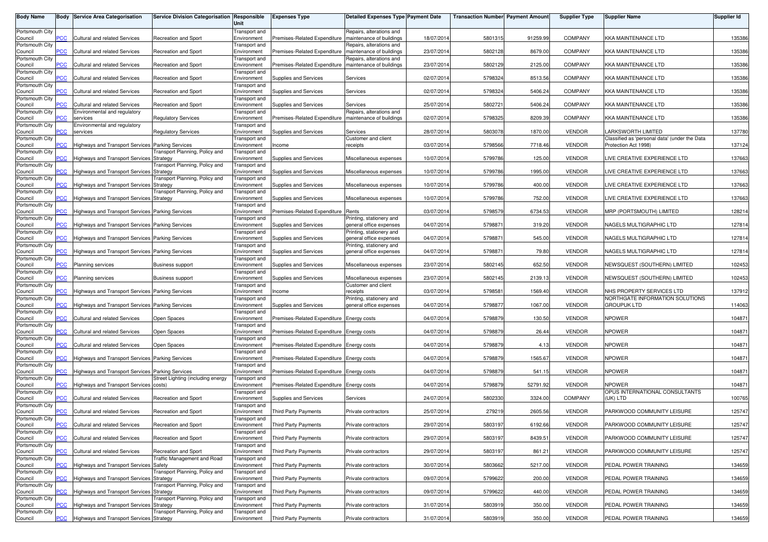| <b>Body Name</b>           |                | <b>Body Service Area Categorisation</b>          | Service Division Categorisation Responsible | Unit                         | <b>Expenses Type</b>                      | Detailed Expenses Type Payment Date                  |            | <b>Transaction Number Payment Amount</b> |          | <b>Supplier Type</b> | Supplier Name                                         | Supplier Id |
|----------------------------|----------------|--------------------------------------------------|---------------------------------------------|------------------------------|-------------------------------------------|------------------------------------------------------|------------|------------------------------------------|----------|----------------------|-------------------------------------------------------|-------------|
| Portsmouth City<br>Council | <b>CC</b>      | <b>Cultural and related Services</b>             | Recreation and Sport                        | Transport and<br>Environment | Premises-Related Expenditure              | Repairs, alterations and<br>maintenance of buildings | 18/07/2014 | 5801315                                  | 91259.99 | <b>COMPANY</b>       | KKA MAINTENANCE LTD                                   | 135386      |
| Portsmouth City<br>Council | <b>CC</b>      | <b>Cultural and related Services</b>             | Recreation and Sport                        | Transport and<br>Environment | Premises-Related Expenditure              | Repairs, alterations and<br>maintenance of buildings | 23/07/2014 | 5802128                                  | 8679.00  | <b>COMPANY</b>       | KKA MAINTENANCE LTD                                   | 135386      |
| Portsmouth City            |                |                                                  |                                             | Transport and                |                                           | Repairs, alterations and                             |            |                                          |          |                      |                                                       |             |
| Council<br>Portsmouth City | $\overline{C}$ | <b>Cultural and related Services</b>             | Recreation and Sport                        | Environment<br>Transport and | Premises-Related Expenditure              | maintenance of buildings                             | 23/07/2014 | 5802129                                  | 2125.00  | <b>COMPANY</b>       | KKA MAINTENANCE LTD                                   | 135386      |
| Council<br>Portsmouth City | <b>CC</b>      | Cultural and related Services                    | <b>Recreation and Sport</b>                 | Environment<br>Transport and | Supplies and Services                     | Services                                             | 02/07/2014 | 5798324                                  | 8513.56  | COMPANY              | <b>KKA MAINTENANCE LTD</b>                            | 135386      |
| Council<br>Portsmouth City | PCC            | <b>Cultural and related Services</b>             | <b>Recreation and Sport</b>                 | Environment                  | Supplies and Services                     | Services                                             | 02/07/2014 | 5798324                                  | 5406.24  | <b>COMPANY</b>       | <b>KKA MAINTENANCE LTD</b>                            | 135386      |
| Council                    | PСC            | Cultural and related Services                    | <b>Recreation and Sport</b>                 | Transport and<br>Environment | Supplies and Services                     | Services                                             | 25/07/2014 | 5802721                                  | 5406.24  | COMPANY              | <b>KKA MAINTENANCE LTD</b>                            | 135386      |
| Portsmouth City<br>Council | <b>PCC</b>     | Environmental and regulatory<br>services         | <b>Regulatory Services</b>                  | Transport and<br>Environment | Premises-Related Expenditure              | Repairs, alterations and<br>maintenance of buildings | 02/07/2014 | 5798325                                  | 8209.39  | <b>COMPANY</b>       | KKA MAINTENANCE LTD                                   | 135386      |
| Portsmouth City<br>Council | ۲CC            | Environmental and regulatory<br>services         | <b>Regulatory Services</b>                  | Transport and<br>Environment | Supplies and Services                     | Services                                             | 28/07/2014 | 5803078                                  | 1870.00  | <b>VENDOR</b>        | LARKSWORTH LIMITED                                    | 137780      |
| Portsmouth City            | сC             |                                                  |                                             | Transport and                |                                           | Customer and client                                  | 03/07/2014 | 5798566                                  | 7718.46  | <b>VENDOR</b>        | Classified as 'personal data' (under the Data         |             |
| Council<br>Portsmouth City |                | Highways and Transport Services Parking Services | ransport Planning, Policy and               | Environment<br>Transport and | Income                                    | receipts                                             |            |                                          |          |                      | Protection Act 1998)                                  | 137124      |
| Council<br>Portsmouth City | $\overline{C}$ | Highways and Transport Services Strategy         | ransport Planning, Policy and               | Environment<br>Transport and | Supplies and Services                     | Miscellaneous expenses                               | 10/07/2014 | 5799786                                  | 125.00   | <b>VENDOR</b>        | LIVE CREATIVE EXPERIENCE LTD                          | 137663      |
| Council<br>Portsmouth City | <b>CC</b>      | <b>Highways and Transport Services</b>           | Strategy<br>Fransport Planning, Policy and  | Environment<br>Transport and | Supplies and Services                     | Miscellaneous expenses                               | 10/07/2014 | 5799786                                  | 1995.00  | <b>VENDOR</b>        | LIVE CREATIVE EXPERIENCE LTD                          | 137663      |
| Council                    | PCC            | Highways and Transport Services Strategy         |                                             | Environment                  | Supplies and Services                     | Miscellaneous expenses                               | 10/07/2014 | 5799786                                  | 400.00   | <b>VENDOR</b>        | LIVE CREATIVE EXPERIENCE LTD                          | 137663      |
| Portsmouth City<br>Council | PСC            | Highways and Transport Services Strategy         | Fransport Planning, Policy and              | Transport and<br>Environment | Supplies and Services                     | Miscellaneous expenses                               | 10/07/2014 | 5799786                                  | 752.00   | <b>VENDOR</b>        | LIVE CREATIVE EXPERIENCE LTD                          | 137663      |
| Portsmouth City<br>Council | PCC            | Highways and Transport Services Parking Services |                                             | Transport and<br>Environment | Premises-Related Expenditure              | Rents                                                | 03/07/201  | 5798579                                  | 6734.53  | <b>VENDOR</b>        | MRP (PORTSMOUTH) LIMITED                              | 128214      |
| Portsmouth City<br>Council | PCC            | Highways and Transport Services Parking Services |                                             | Transport and<br>Environment | Supplies and Services                     | Printing, stationery and<br>general office expenses  | 04/07/2014 | 579887                                   | 319.20   | <b>VENDOR</b>        | NAGELS MULTIGRAPHIC LTD                               | 127814      |
| Portsmouth City            |                |                                                  |                                             | Transport and                |                                           | Printing, stationery and                             |            |                                          |          |                      |                                                       |             |
| Council<br>Portsmouth City | PCC            | Highways and Transport Services Parking Services |                                             | Environment<br>Transport and | Supplies and Services                     | general office expenses<br>Printing, stationery and  | 04/07/2014 | 579887                                   | 545.00   | <b>VENDOR</b>        | NAGELS MULTIGRAPHIC LTD                               | 127814      |
| Council<br>Portsmouth City | <b>PCC</b>     | Highways and Transport Services Parking Services |                                             | Environment<br>Transport and | Supplies and Services                     | general office expenses                              | 04/07/2014 | 579887                                   | 79.80    | <b>VENDOR</b>        | NAGELS MULTIGRAPHIC LTD                               | 127814      |
| Council<br>Portsmouth City | °СС            | <b>Planning services</b>                         | <b>Business support</b>                     | Environment                  | Supplies and Services                     | Miscellaneous expenses                               | 23/07/2014 | 5802145                                  | 652.50   | <b>VENDOR</b>        | NEWSQUEST (SOUTHERN) LIMITED                          | 102453      |
| Council                    | PCC            | <b>Planning services</b>                         | <b>Business support</b>                     | Transport and<br>Environment | Supplies and Services                     | Miscellaneous expenses                               | 23/07/2014 | 5802145                                  | 2139.13  | <b>VENDOR</b>        | NEWSQUEST (SOUTHERN) LIMITED                          | 102453      |
| Portsmouth City<br>Council | сC             | Highways and Transport Services Parking Services |                                             | Transport and<br>Environment | Income                                    | Customer and client<br>eceipts                       | 03/07/2014 | 579858                                   | 1569.40  | <b>VENDOR</b>        | NHS PROPERTY SERVICES LTD                             | 137912      |
| Portsmouth City<br>Council | PCC            | Highways and Transport Services Parking Services |                                             | Transport and<br>Environment | Supplies and Services                     | Printing, stationery and<br>general office expenses  | 04/07/2014 | 5798877                                  | 1067.00  | <b>VENDOR</b>        | NORTHGATE INFORMATION SOLUTIONS<br><b>GROUPUK LTD</b> | 114063      |
| Portsmouth City            |                |                                                  |                                             | Transport and                |                                           |                                                      |            |                                          |          |                      |                                                       |             |
| Council<br>Portsmouth City | PСC            | <b>Cultural and related Services</b>             | Open Spaces                                 | Environment<br>Transport and | Premises-Related Expenditure Energy costs |                                                      | 04/07/201  | 5798879                                  | 130.50   | <b>VENDOR</b>        | <b>NPOWER</b>                                         | 104871      |
| Council<br>Portsmouth City | PCC            | <b>Cultural and related Services</b>             | Open Spaces                                 | Environment<br>Transport and | Premises-Related Expenditure Energy costs |                                                      | 04/07/201  | 5798879                                  | 26.44    | <b>VENDOR</b>        | NPOWER                                                | 104871      |
| Council<br>Portsmouth City | PCC            | Cultural and related Services                    | Open Spaces                                 | Environment<br>Transport and | Premises-Related Expenditure Energy costs |                                                      | 04/07/2014 | 579887                                   | 4.13     | <b>VENDOR</b>        | <b>NPOWER</b>                                         | 104871      |
| Council                    | PСC            | Highways and Transport Services Parking Services |                                             | Environment                  | Premises-Related Expenditure Energy costs |                                                      | 04/07/2014 | 5798879                                  | 1565.67  | <b>VENDOR</b>        | <b>NPOWER</b>                                         | 104871      |
| Portsmouth City<br>Council | $\overline{C}$ | Highways and Transport Services Parking Services |                                             | Transport and<br>Environment | Premises-Related Expenditure Energy costs |                                                      | 04/07/2014 | 5798879                                  | 541.15   | <b>VENDOR</b>        | <b>NPOWER</b>                                         | 104871      |
| Portsmouth City<br>Council | сC             | Highways and Transport Services costs)           | Street Lighting (including energy           | Transport and<br>Environment | Premises-Related Expenditure Energy costs |                                                      | 04/07/2014 | 5798879                                  | 52791.92 | <b>VENDOR</b>        | NPOWER                                                | 104871      |
| Portsmouth City<br>Council | PCC            | <b>Cultural and related Services</b>             | <b>Recreation and Sport</b>                 | Transport and<br>Environment | Supplies and Services                     | Services                                             | 24/07/2014 | 5802330                                  | 3324.00  | <b>COMPANY</b>       | OPUS INTERNATIONAL CONSULTANTS<br>(UK) LTD            | 100765      |
| Portsmouth City            |                |                                                  |                                             | Transport and                |                                           |                                                      |            |                                          |          |                      |                                                       |             |
| Council<br>Portsmouth City | $\overline{C}$ | Cultural and related Services                    | <b>Recreation and Sport</b>                 | Environment<br>Transport and | <b>Third Party Payments</b>               | Private contractors                                  | 25/07/2014 | 279219                                   | 2605.56  | <b>VENDOR</b>        | PARKWOOD COMMUNITY LEISURE                            | 125747      |
| Council<br>Portsmouth City | <b>PCC</b>     | Cultural and related Services                    | Recreation and Sport                        | Environment<br>Transport and | Third Party Payments                      | Private contractors                                  | 29/07/2014 | 5803197                                  | 6192.66  | <b>VENDOR</b>        | PARKWOOD COMMUNITY LEISURE                            | 125747      |
| Council                    | PCC            | Cultural and related Services                    | Recreation and Sport                        | Environment                  | Third Party Payments                      | Private contractors                                  | 29/07/2014 | 5803197                                  | 8439.51  | <b>VENDOR</b>        | PARKWOOD COMMUNITY LEISURE                            | 125747      |
| Portsmouth City<br>Council | PCC            | Cultural and related Services                    | Recreation and Sport                        | Transport and<br>Environment | Third Party Payments                      | Private contractors                                  | 29/07/2014 | 5803197                                  | 861.21   | <b>VENDOR</b>        | PARKWOOD COMMUNITY LEISURE                            | 125747      |
| Portsmouth City<br>Council | PСC            | Highways and Transport Services Safety           | Traffic Management and Road                 | Transport and<br>Environment | Third Party Payments                      | Private contractors                                  | 30/07/2014 | 5803662                                  | 5217.00  | <b>VENDOR</b>        | PEDAL POWER TRAINING                                  | 134659      |
| Portsmouth City<br>Council | сC             | Highways and Transport Services Strategy         | Transport Planning, Policy and              | Transport and<br>Environment | <b>Third Party Payments</b>               | Private contractors                                  | 09/07/2014 | 5799622                                  | 200.00   | <b>VENDOR</b>        | PEDAL POWER TRAINING                                  | 134659      |
| Portsmouth City            |                |                                                  | Transport Planning, Policy and              | Transport and                |                                           |                                                      |            |                                          |          |                      |                                                       |             |
| Council<br>Portsmouth City | <b>PCC</b>     | Highways and Transport Services Strategy         | Fransport Planning, Policy and              | Environment<br>Transport and | <b>Third Party Payments</b>               | Private contractors                                  | 09/07/2014 | 5799622                                  | 440.00   | <b>VENDOR</b>        | PEDAL POWER TRAINING                                  | 134659      |
| Council<br>Portsmouth City | 'СC            | Highways and Transport Services Strategy         | Transport Planning, Policy and              | Environment<br>Transport and | <b>Third Party Payments</b>               | Private contractors                                  | 31/07/2014 | 5803919                                  | 350.00   | <b>VENDOR</b>        | PEDAL POWER TRAINING                                  | 134659      |
| Council                    | PCC            | <b>Highways and Transport Services Strategy</b>  |                                             | Environment                  | Third Party Payments                      | Private contractors                                  | 31/07/2014 | 5803919                                  | 350.00   | <b>VENDOR</b>        | PEDAL POWER TRAINING                                  | 134659      |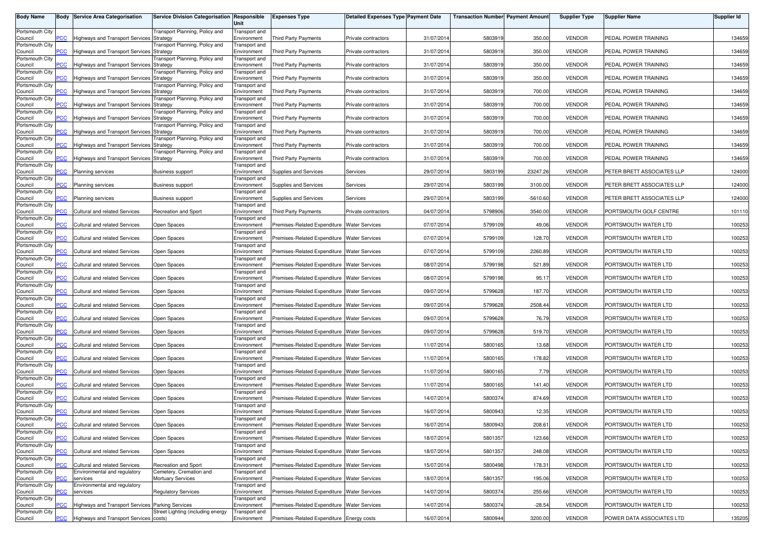| <b>Body Name</b>           |                | <b>Body Service Area Categorisation</b>                       | Service Division Categorisation Responsible     | Unit                                | <b>Expenses Type</b>                          | <b>Detailed Expenses Type Payment Date</b> |            | <b>Transaction Number Payment Amount</b> |            | <b>Supplier Type</b> | <b>Supplier Name</b>       | Supplier Id |
|----------------------------|----------------|---------------------------------------------------------------|-------------------------------------------------|-------------------------------------|-----------------------------------------------|--------------------------------------------|------------|------------------------------------------|------------|----------------------|----------------------------|-------------|
| Portsmouth City            |                |                                                               | Transport Planning, Policy and                  | Transport and                       |                                               |                                            |            |                                          |            |                      |                            |             |
| Council<br>Portsmouth City | <b>PCC</b>     | Highways and Transport Services Strategy                      | ransport Planning, Policy and                   | Environment<br>Transport and        | <b>Third Party Payments</b>                   | Private contractors                        | 31/07/2014 | 5803919                                  | 350.00     | <b>VENDOR</b>        | PEDAL POWER TRAINING       | 134659      |
| Council                    | $\overline{c}$ | <b>Highways and Transport Services</b>                        | Strategy                                        | Environment                         | <b>Third Party Payments</b>                   | Private contractors                        | 31/07/2014 | 5803919                                  | 350.00     | <b>VENDOR</b>        | PEDAL POWER TRAINING       | 134659      |
| Portsmouth City<br>Council | PCC            | <b>Highways and Transport Services</b>                        | Fransport Planning, Policy and<br>Strategy      | Transport and<br>Environment        | Third Party Payments                          | Private contractors                        | 31/07/2014 | 5803919                                  | 350.00     | <b>VENDOR</b>        | PEDAL POWER TRAINING       | 134659      |
| Portsmouth City<br>Council | <b>CC</b>      | lighways and Transport Services                               | Fransport Planning, Policy and<br>Strategy      | Transport and<br>Environment        | Third Party Payments                          | Private contractors                        | 31/07/2014 | 5803919                                  | 350.00     | <b>VENDOR</b>        | PEDAL POWER TRAINING       | 134659      |
| Portsmouth City            |                |                                                               | Fransport Planning, Policy and                  | <b>Transport</b> and                |                                               |                                            |            |                                          |            |                      |                            |             |
| Council<br>Portsmouth City | PCC            | <b>Highways and Transport Services</b>                        | Strategy<br>ransport Planning, Policy and       | Environment<br>Transport and        | <b>Third Party Payments</b>                   | Private contractors                        | 31/07/2014 | 5803919                                  | 700.00     | <b>VENDOR</b>        | PEDAL POWER TRAINING       | 134659      |
| Council                    | $\overline{C}$ | <b>Highways and Transport Services</b>                        | Strategy                                        | Environment                         | Third Party Payments                          | Private contractors                        | 31/07/2014 | 580391                                   | 700.00     | <b>VENDOR</b>        | PEDAL POWER TRAINING       | 134659      |
| Portsmouth City<br>Council | PСC            | <b>Highways and Transport Services</b>                        | ransport Planning, Policy and<br>Strategy       | Transport and<br>Environment        | Third Party Payments                          | Private contractors                        | 31/07/2014 | 5803919                                  | 700.00     | <b>VENDOR</b>        | PEDAL POWER TRAINING       | 134659      |
| Portsmouth City<br>Council | <b>PCC</b>     | <b>Highways and Transport Services</b>                        | ransport Planning, Policy and<br>Strategy       | Transport and<br>Environment        | <b>Third Party Payments</b>                   | Private contractors                        | 31/07/2014 | 5803919                                  | 700.00     | <b>VENDOR</b>        | PEDAL POWER TRAINING       | 134659      |
| Portsmouth City<br>Council | сC             | Highways and Transport Services Strategy                      | ransport Planning, Policy and                   | Transport and<br>Environment        | <b>Third Party Payments</b>                   | Private contractors                        | 31/07/2014 | 5803919                                  | 700.00     | <b>VENDOR</b>        | PEDAL POWER TRAINING       | 134659      |
| Portsmouth City            |                |                                                               | ransport Planning, Policy and                   | Transport and                       |                                               |                                            |            |                                          |            |                      |                            |             |
| Council<br>Portsmouth City | $\overline{C}$ | <b>Highways and Transport Services Strategy</b>               |                                                 | Environment<br>Transport and        | Third Party Payments                          | Private contractors                        | 31/07/2014 | 5803919                                  | 700.00     | <b>VENDOR</b>        | PEDAL POWER TRAINING       | 134659      |
| Council                    | <b>PCC</b>     | <b>Planning services</b>                                      | <b>Business support</b>                         | Environment                         | Supplies and Services                         | Services                                   | 29/07/2014 | 5803199                                  | 23247.26   | <b>VENDOR</b>        | PETER BRETT ASSOCIATES LLP | 124000      |
| Portsmouth City<br>Council | PCC            | <b>Planning services</b>                                      | <b>Business support</b>                         | Transport and<br>Environment        | Supplies and Services                         | Services                                   | 29/07/2014 | 5803199                                  | 3100.00    | <b>VENDOR</b>        | PETER BRETT ASSOCIATES LLP | 124000      |
| Portsmouth City<br>Council | PСC            | Planning services                                             | <b>Business support</b>                         | Transport and<br>Environment        | Supplies and Services                         | Services                                   | 29/07/2014 | 5803199                                  | $-5610.60$ | <b>VENDOR</b>        | PETER BRETT ASSOCIATES LLP | 124000      |
| Portsmouth City<br>Council | PСC⊹           | <b>Cultural and related Services</b>                          | <b>Recreation and Sport</b>                     | Transport and<br>Environment        | <b>Third Party Payments</b>                   | Private contractors                        | 04/07/2014 | 5798906                                  | 3540.00    | <b>VENDOR</b>        | PORTSMOUTH GOLF CENTRE     | 101110      |
| Portsmouth City            |                |                                                               |                                                 | Transport and                       |                                               |                                            |            |                                          |            |                      |                            |             |
| Council<br>Portsmouth City | PCC            | <b>Cultural and related Services</b>                          | Open Spaces                                     | Environment<br>Transport and        | Premises-Related Expenditure Water Services   |                                            | 07/07/2014 | 5799109                                  | 49.06      | <b>VENDOR</b>        | PORTSMOUTH WATER LTD       | 100253      |
| Council<br>Portsmouth City | °СС            | <b>Cultural and related Services</b>                          | Open Spaces                                     | Environment<br>Transport and        | Premises-Related Expenditure   Water Services |                                            | 07/07/2014 | 5799109                                  | 128.70     | <b>VENDOR</b>        | PORTSMOUTH WATER LTD       | 100253      |
| Council<br>Portsmouth City | PCC            | Cultural and related Services                                 | Open Spaces                                     | Environment                         | Premises-Related Expenditure Water Services   |                                            | 07/07/2014 | 5799109                                  | 2260.89    | <b>VENDOR</b>        | PORTSMOUTH WATER LTD       | 100253      |
| Council                    | <b>CC</b>      | <b>Cultural and related Services</b>                          | Open Spaces                                     | Transport and<br>Environment        | Premises-Related Expenditure Water Services   |                                            | 08/07/2014 | 5799198                                  | 521.89     | <b>VENDOR</b>        | PORTSMOUTH WATER LTD       | 100253      |
| Portsmouth City<br>Council | PCC            | <b>Cultural and related Services</b>                          | Open Spaces                                     | Transport and<br>Environment        | Premises-Related Expenditure Water Services   |                                            | 08/07/2014 | 5799198                                  | 95.17      | <b>VENDOR</b>        | PORTSMOUTH WATER LTD       | 100253      |
| Portsmouth City<br>Council | <b>PCC</b>     | Cultural and related Services                                 | Open Spaces                                     | Transport and<br>Environment        | Premises-Related Expenditure   Water Services |                                            | 09/07/2014 | 5799628                                  | 187.70     | <b>VENDOR</b>        | PORTSMOUTH WATER LTD       | 100253      |
| Portsmouth City<br>Council | PCC            | Cultural and related Services                                 | Open Spaces                                     | Transport and<br>Environment        | Premises-Related Expenditure Water Services   |                                            | 09/07/2014 | 5799628                                  | 2508.44    | <b>VENDOR</b>        | PORTSMOUTH WATER LTD       | 100253      |
| Portsmouth City            |                |                                                               |                                                 | Transport and                       |                                               |                                            |            |                                          |            |                      |                            |             |
| Council<br>Portsmouth City | PСC            | <b>Cultural and related Services</b>                          | Open Spaces                                     | Environment<br>Transport and        | Premises-Related Expenditure Water Services   |                                            | 09/07/2014 | 5799628                                  | 76.79      | <b>VENDOR</b>        | PORTSMOUTH WATER LTD       | 100253      |
| Council<br>Portsmouth City | PСC            | <b>Cultural and related Services</b>                          | Open Spaces                                     | Environment                         | Premises-Related Expenditure   Water Services |                                            | 09/07/2014 | 5799628                                  | 519.70     | <b>VENDOR</b>        | PORTSMOUTH WATER LTD       | 100253      |
| Council                    | PСC            | <b>Cultural and related Services</b>                          | Open Spaces                                     | Transport and<br>Environment        | Premises-Related Expenditure Water Services   |                                            | 11/07/2014 | 5800165                                  | 13.68      | <b>VENDOR</b>        | PORTSMOUTH WATER LTD       | 100253      |
| Portsmouth City<br>Council | °СС            | Cultural and related Services                                 | Open Spaces                                     | <b>Transport</b> and<br>Environment | Premises-Related Expenditure   Water Services |                                            | 11/07/2014 | 5800165                                  | 178.82     | <b>VENDOR</b>        | PORTSMOUTH WATER LTD       | 100253      |
| Portsmouth City            | $\overline{C}$ | <b>Cultural and related Services</b>                          | Open Spaces                                     | Transport and<br>Environment        | Premises-Related Expenditure Water Services   |                                            | 11/07/2014 | 5800165                                  | 7.79       | <b>VENDOR</b>        | PORTSMOUTH WATER LTD       | 100253      |
| Council<br>Portsmouth City |                |                                                               |                                                 | Transport and                       |                                               |                                            |            |                                          |            |                      |                            |             |
| Council<br>Portsmouth City | сC             | <b>Cultural and related Services</b>                          | Open Spaces                                     | Environment<br>Transport and        | Premises-Related Expenditure Water Services   |                                            | 11/07/2014 | 5800165                                  | 141.40     | <b>VENDOR</b>        | PORTSMOUTH WATER LTD       | 100253      |
| Council<br>Portsmouth City | PCC            | <b>Cultural and related Services</b>                          | Open Spaces                                     | Environment<br>Transport and        | Premises-Related Expenditure                  | <b>Water Services</b>                      | 14/07/2014 | 5800374                                  | 874.69     | <b>VENDOR</b>        | PORTSMOUTH WATER LTD       | 100253      |
| Council                    | PCC            | Cultural and related Services                                 | Open Spaces                                     | Environment                         | Premises-Related Expenditure Water Services   |                                            | 16/07/2014 | 5800943                                  | 12.35      | <b>VENDOR</b>        | PORTSMOUTH WATER LTD       | 100253      |
| Portsmouth City<br>Council | <b>PCC</b>     | Cultural and related Services                                 | Open Spaces                                     | Transport and<br>Environment        | Premises-Related Expenditure Water Services   |                                            | 16/07/2014 | 5800943                                  | 208.61     | <b>VENDOR</b>        | PORTSMOUTH WATER LTD       | 100253      |
| Portsmouth City<br>Council | PCC            | Cultural and related Services                                 | Open Spaces                                     | Transport and<br>Environment        | Premises-Related Expenditure Water Services   |                                            | 18/07/2014 | 5801357                                  | 123.66     | <b>VENDOR</b>        | PORTSMOUTH WATER LTD       | 100253      |
| Portsmouth City            |                |                                                               |                                                 | Transport and                       |                                               |                                            |            |                                          |            |                      |                            |             |
| Council<br>Portsmouth City | PСC            | Cultural and related Services                                 | Open Spaces                                     | Environment<br>Transport and        | Premises-Related Expenditure Water Services   |                                            | 18/07/2014 | 5801357                                  | 248.08     | <b>VENDOR</b>        | PORTSMOUTH WATER LTD       | 100253      |
| Council<br>Portsmouth City | <b>PCC</b>     | Cultural and related Services<br>Environmental and regulatory | Recreation and Sport<br>Cemetery, Cremation and | Environment<br>Transport and        | Premises-Related Expenditure Water Services   |                                            | 15/07/2014 | 5800498                                  | 178.31     | <b>VENDOR</b>        | PORTSMOUTH WATER LTD       | 100253      |
| Council                    | ۲CC            | services                                                      | <b>Mortuary Services</b>                        | Environment                         | Premises-Related Expenditure Water Services   |                                            | 18/07/2014 | 5801357                                  | 195.06     | <b>VENDOR</b>        | PORTSMOUTH WATER LTD       | 100253      |
| Portsmouth City<br>Council | PCC            | Environmental and regulatory<br>services                      | <b>Regulatory Services</b>                      | Transport and<br>Environment        | Premises-Related Expenditure Water Services   |                                            | 14/07/2014 | 5800374                                  | 255.66     | <b>VENDOR</b>        | PORTSMOUTH WATER LTD       | 100253      |
| Portsmouth City<br>Council | сC             | Highways and Transport Services Parking Services              |                                                 | Transport and<br>Environment        | Premises-Related Expenditure Water Services   |                                            | 14/07/2014 | 5800374                                  | $-28.54$   | <b>VENDOR</b>        | PORTSMOUTH WATER LTD       | 100253      |
| Portsmouth City            |                |                                                               | Street Lighting (including energy               | Transport and                       |                                               |                                            |            |                                          |            |                      |                            |             |
| Council                    | PCC            | Highways and Transport Services costs)                        |                                                 | Environment                         | Premises-Related Expenditure Energy costs     |                                            | 16/07/2014 | 5800944                                  | 3200.00    | <b>VENDOR</b>        | POWER DATA ASSOCIATES LTD  | 135205      |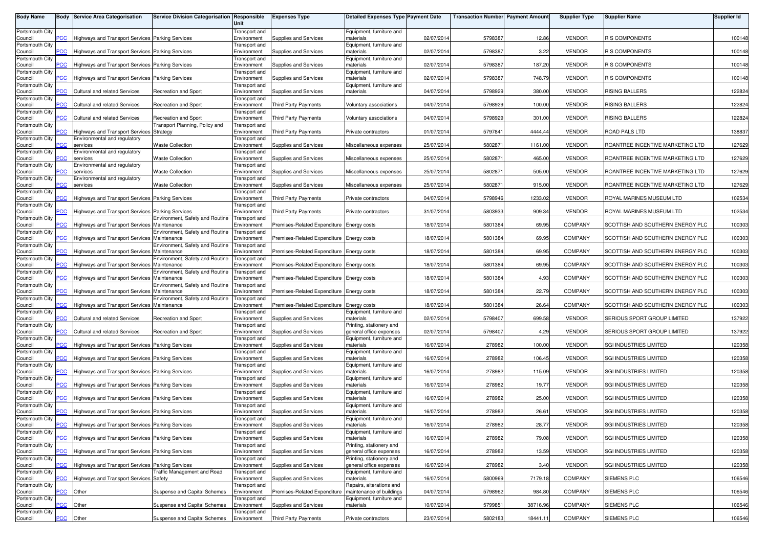| <b>Body Name</b>           |                | <b>Body Service Area Categorisation</b>                 | Service Division Categorisation Responsible    | Unit                                | <b>Expenses Type</b>                      | <b>Detailed Expenses Type Payment Date</b>          |            | <b>Transaction Number Payment Amount</b> |          | <b>Supplier Type</b> | <b>Supplier Name</b>             | <b>Supplier Id</b> |
|----------------------------|----------------|---------------------------------------------------------|------------------------------------------------|-------------------------------------|-------------------------------------------|-----------------------------------------------------|------------|------------------------------------------|----------|----------------------|----------------------------------|--------------------|
| Portsmouth City            |                |                                                         |                                                | Transport and                       |                                           | Equipment, furniture and                            |            |                                          |          |                      |                                  |                    |
| Council<br>Portsmouth City | PСC            | Highways and Transport Services Parking Services        |                                                | Environment<br>Transport and        | Supplies and Services                     | materials<br>Equipment, furniture and               | 02/07/201  | 5798387                                  | 12.86    | <b>VENDOR</b>        | <b>R S COMPONENTS</b>            | 100148             |
| Council                    | <u>CC</u>      | <b>Highways and Transport Services Parking Services</b> |                                                | Environment                         | Supplies and Services                     | naterials                                           | 02/07/201  | 5798387                                  | 3.22     | <b>VENDOR</b>        | <b>R S COMPONENTS</b>            | 100148             |
| Portsmouth City<br>Council | PСC            | Highways and Transport Services Parking Services        |                                                | Transport and<br>Environment        | Supplies and Services                     | Equipment, furniture and<br>materials               | 02/07/201  | 5798387                                  | 187.20   | <b>VENDOR</b>        | <b>R S COMPONENTS</b>            | 100148             |
| Portsmouth City            |                |                                                         |                                                | Transport and                       |                                           | Equipment, furniture and                            |            |                                          |          |                      |                                  |                    |
| Council<br>Portsmouth City |                | Highways and Transport Services Parking Services        |                                                | Environment                         | Supplies and Services                     | materials<br>Equipment, furniture and               | 02/07/201  | 5798387                                  | 748.79   | <b>VENDOR</b>        | <b>R S COMPONENTS</b>            | 100148             |
| Council                    | $\overline{C}$ | Cultural and related Services                           | Recreation and Sport                           | Transport and<br>Environment        | Supplies and Services                     | materials                                           | 04/07/201  | 5798929                                  | 380.00   | <b>VENDOR</b>        | <b>RISING BALLERS</b>            | 122824             |
| Portsmouth City            |                | Cultural and related Services                           |                                                | Transport and                       |                                           |                                                     | 04/07/2014 |                                          | 100.00   | <b>VENDOR</b>        | <b>RISING BALLERS</b>            |                    |
| Council<br>Portsmouth City | PСC            |                                                         | Recreation and Sport                           | Environment<br>Transport and        | Third Party Payments                      | Voluntary associations                              |            | 5798929                                  |          |                      |                                  | 122824             |
| Council                    | 'CC            | Cultural and related Services                           | Recreation and Sport                           | Environment                         | <b>Third Party Payments</b>               | Voluntary associations                              | 04/07/201  | 5798929                                  | 301.00   | <b>VENDOR</b>        | RISING BALLERS                   | 122824             |
| Portsmouth City<br>Council | сC             | Highways and Transport Services Strategy                | Transport Planning, Policy and                 | Transport and<br>Environment        | Third Party Payments                      | Private contractors                                 | 01/07/201  | 5797841                                  | 4444.44  | <b>VENDOR</b>        | ROAD PALS LTD                    | 138837             |
| Portsmouth City            |                | Environmental and regulatory                            |                                                | Transport and                       |                                           |                                                     |            |                                          |          |                      |                                  |                    |
| Council<br>Portsmouth City | сc             | services<br>Environmental and regulatory                | <b>Waste Collection</b>                        | Environment<br>Transport and        | Supplies and Services                     | Miscellaneous expenses                              | 25/07/201  | 580287                                   | 1161.00  | <b>VENDOR</b>        | ROANTREE INCENTIVE MARKETING LTD | 127629             |
| Council                    | сC             | services                                                | <b>Waste Collection</b>                        | Environment                         | Supplies and Services                     | Miscellaneous expenses                              | 25/07/201  | 580287                                   | 465.00   | <b>VENDOR</b>        | ROANTREE INCENTIVE MARKETING LTD | 127629             |
| Portsmouth City<br>Council | сc             | Environmental and regulatory<br>services                | <b>Waste Collection</b>                        | Transport and<br>Environment        | Supplies and Services                     | Miscellaneous expenses                              | 25/07/201  | 580287                                   | 505.00   | <b>VENDOR</b>        | ROANTREE INCENTIVE MARKETING LTD | 127629             |
| Portsmouth City            |                | Environmental and regulatory                            |                                                | Transport and                       |                                           |                                                     |            |                                          |          |                      |                                  |                    |
| Council<br>Portsmouth City | сC             | services                                                | <b>Waste Collection</b>                        | Environment<br>Transport and        | Supplies and Services                     | Miscellaneous expenses                              | 25/07/201  | 580287                                   | 915.00   | <b>VENDOR</b>        | ROANTREE INCENTIVE MARKETING LTD | 127629             |
| Council                    | PСC            | Highways and Transport Services Parking Services        |                                                | Environment                         | <b>Third Party Payments</b>               | Private contractors                                 | 04/07/201  | 5798946                                  | 1233.02  | <b>VENDOR</b>        | ROYAL MARINES MUSEUM LTD         | 102534             |
| Portsmouth City<br>Council | PСC            | Highways and Transport Services Parking Services        |                                                | Transport and<br>Environment        | Third Party Payments                      | Private contractors                                 | 31/07/201  | 5803933                                  | 909.34   | <b>VENDOR</b>        | ROYAL MARINES MUSEUM LTD         | 102534             |
| Portsmouth City            |                |                                                         | Environment, Safety and Routine                | Transport and                       |                                           |                                                     |            |                                          |          |                      |                                  |                    |
| Council<br>Portsmouth City | PCC⊹           | Highways and Transport Services Maintenance             | Environment, Safety and Routine                | Environment<br>Transport and        | Premises-Related Expenditure Energy costs |                                                     | 18/07/2014 | 5801384                                  | 69.95    | <b>COMPANY</b>       | SCOTTISH AND SOUTHERN ENERGY PLC | 100303             |
| Council                    | 'CC            | Highways and Transport Services Maintenance             |                                                | Environment                         | Premises-Related Expenditure Energy costs |                                                     | 18/07/2014 | 5801384                                  | 69.95    | <b>COMPANY</b>       | SCOTTISH AND SOUTHERN ENERGY PLC | 100303             |
| Portsmouth City            |                |                                                         | Environment, Safety and Routine                | Transport and                       |                                           |                                                     |            |                                          |          |                      |                                  |                    |
| Council<br>Portsmouth City | PСC            | Highways and Transport Services Maintenance             | <b>Environment, Safety and Routine</b>         | Environment<br>Transport and        | Premises-Related Expenditure Energy costs |                                                     | 18/07/201  | 5801384                                  | 69.95    | <b>COMPANY</b>       | SCOTTISH AND SOUTHERN ENERGY PLC | 100303             |
| Council                    | сc             | Highways and Transport Services Maintenance             |                                                | Environment                         | Premises-Related Expenditure Energy costs |                                                     | 18/07/201  | 5801384                                  | 69.95    | <b>COMPANY</b>       | SCOTTISH AND SOUTHERN ENERGY PLC | 100303             |
| Portsmouth City<br>Council | $\overline{C}$ | <b>Highways and Transport Services Maintenance</b>      | Environment, Safety and Routine                | Transport and<br>Environment        | Premises-Related Expenditure Energy costs |                                                     | 18/07/201  | 5801384                                  | 4.93     | <b>COMPANY</b>       | SCOTTISH AND SOUTHERN ENERGY PLC | 100303             |
| Portsmouth City            |                |                                                         | Environment, Safety and Routine                | Transport and                       |                                           |                                                     |            |                                          |          |                      |                                  |                    |
| Council<br>Portsmouth City | сC             | <b>Highways and Transport Services</b>                  | Maintenance<br>Environment, Safety and Routine | Environment<br>Transport and        | Premises-Related Expenditure Energy costs |                                                     | 18/07/2014 | 5801384                                  | 22.79    | COMPANY              | SCOTTISH AND SOUTHERN ENERGY PLC | 100303             |
| Council                    | PСC            | Highways and Transport Services Maintenance             |                                                | Environment                         | Premises-Related Expenditure Energy costs |                                                     | 18/07/201  | 5801384                                  | 26.64    | <b>COMPANY</b>       | SCOTTISH AND SOUTHERN ENERGY PLC | 100303             |
| Portsmouth City<br>Council | сc             | <b>Cultural and related Services</b>                    | Recreation and Sport                           | <b>Transport</b> and<br>Environment | Supplies and Services                     | Equipment, furniture and<br>materials               | 02/07/201  | 5798407                                  | 699.58   | <b>VENDOR</b>        | SERIOUS SPORT GROUP LIMITED      | 137922             |
| Portsmouth City            |                |                                                         |                                                | Transport and                       |                                           | Printing, stationery and                            |            |                                          |          |                      |                                  |                    |
| Council<br>Portsmouth City | 'CC            | Cultural and related Services                           | Recreation and Sport                           | Environment<br>Transport and        | Supplies and Services                     | general office expenses<br>Equipment, furniture and | 02/07/201  | 5798407                                  | 4.29     | <b>VENDOR</b>        | SERIOUS SPORT GROUP LIMITED      | 137922             |
| Council                    | PСC            | Highways and Transport Services Parking Services        |                                                | Environment                         | Supplies and Services                     | materials                                           | 16/07/2014 | 278982                                   | 100.00   | <b>VENDOR</b>        | SGI INDUSTRIES LIMITED           | 120358             |
| Portsmouth City<br>Council | 'CC            | <b>Highways and Transport Services Parking Services</b> |                                                | Transport and<br>Environment        | Supplies and Services                     | Equipment, furniture and<br>materials               | 16/07/201  | 278982                                   | 106.45   | <b>VENDOR</b>        | SGI INDUSTRIES LIMITED           | 120358             |
| Portsmouth City            |                |                                                         |                                                | Transport and                       |                                           | Equipment, furniture and                            |            |                                          |          |                      |                                  |                    |
| Council                    | $\overline{C}$ | Highways and Transport Services Parking Services        |                                                | Environment                         | Supplies and Services                     | materials                                           | 16/07/201  | 278982                                   | 115.09   | <b>VENDOR</b>        | SGI INDUSTRIES LIMITED           | 120358             |
| Portsmouth City<br>Council | сc             | Highways and Transport Services Parking Services        |                                                | Transport and<br>Environment        | Supplies and Services                     | Equipment, furniture and<br>materials               | 16/07/201  | 278982                                   | 19.77    | <b>VENDOR</b>        | <b>SGI INDUSTRIES LIMITED</b>    | 120358             |
| Portsmouth City            |                |                                                         |                                                | Transport and                       |                                           | Equipment, furniture and                            |            |                                          |          |                      |                                  |                    |
| Council<br>Portsmouth City | <b>PCC</b>     | <b>Highways and Transport Services Parking Services</b> |                                                | Environment<br>Transport and        | Supplies and Services                     | naterials<br>Equipment, furniture and               | 16/07/201  | 278982                                   | 25.00    | <b>VENDOR</b>        | SGI INDUSTRIES LIMITED           | 120358             |
| Council                    | <b>PCC</b>     | Highways and Transport Services Parking Services        |                                                | Environment                         | Supplies and Services                     | materials                                           | 16/07/2014 | 278982                                   | 26.61    | <b>VENDOR</b>        | SGI INDUSTRIES LIMITED           | 120358             |
| Portsmouth City<br>Council | <b>PCC</b>     | Highways and Transport Services Parking Services        |                                                | Transport and<br>Environment        | Supplies and Services                     | Equipment, furniture and<br>materials               | 16/07/2014 | 278982                                   | 28.77    | <b>VENDOR</b>        | SGI INDUSTRIES LIMITED           | 120358             |
| Portsmouth City            |                |                                                         |                                                | Transport and                       |                                           | Equipment, furniture and                            |            |                                          |          |                      |                                  |                    |
| Council<br>Portsmouth City | <b>PCC</b>     | Highways and Transport Services Parking Services        |                                                | Environment<br>Transport and        | Supplies and Services                     | materials<br>Printing, stationery and               | 16/07/2014 | 278982                                   | 79.08    | <b>VENDOR</b>        | <b>SGI INDUSTRIES LIMITED</b>    | 120358             |
| Council                    | PCC.           | Highways and Transport Services Parking Services        |                                                | Environment                         | Supplies and Services                     | general office expenses                             | 16/07/2014 | 278982                                   | 13.59    | VENDOR               | SGI INDUSTRIES LIMITED           | 120358             |
| Portsmouth City<br>Council | PСC            | Highways and Transport Services Parking Services        |                                                | Transport and<br>Environment        | Supplies and Services                     | Printing, stationery and<br>general office expenses | 16/07/2014 | 278982                                   | 3.40     | <b>VENDOR</b>        | SGI INDUSTRIES LIMITED           | 120358             |
| Portsmouth City            |                |                                                         | <b>Traffic Management and Road</b>             | Transport and                       |                                           | Equipment, furniture and                            |            |                                          |          |                      |                                  |                    |
| Council<br>Portsmouth City | 'CC            | <b>Highways and Transport Services Safety</b>           |                                                | Environment<br>Transport and        | Supplies and Services                     | materials<br>Repairs, alterations and               | 16/07/201  | 5800969                                  | 7179.18  | <b>COMPANY</b>       | SIEMENS PLC                      | 106546             |
| Council                    | $\overline{C}$ | Other                                                   | Suspense and Capital Schemes                   | Environment                         | Premises-Related Expenditure              | maintenance of buildings                            | 04/07/201  | 5798962                                  | 984.80   | <b>COMPANY</b>       | SIEMENS PLC                      | 106546             |
| Portsmouth City<br>Council | сC             | Other                                                   | Suspense and Capital Schemes                   | Transport and<br>Environment        | Supplies and Services                     | Equipment, furniture and<br>materials               | 10/07/2014 | 5799851                                  | 38716.96 | <b>COMPANY</b>       | SIEMENS PLC                      | 106546             |
| Portsmouth City            |                |                                                         |                                                | Transport and                       |                                           |                                                     |            |                                          |          |                      |                                  |                    |
| Council                    | <b>PCC</b>     | Other                                                   | Suspense and Capital Schemes                   | Environment                         | <b>Third Party Payments</b>               | Private contractors                                 | 23/07/2014 | 5802183                                  | 18441.11 | <b>COMPANY</b>       | SIEMENS PLC                      | 106546             |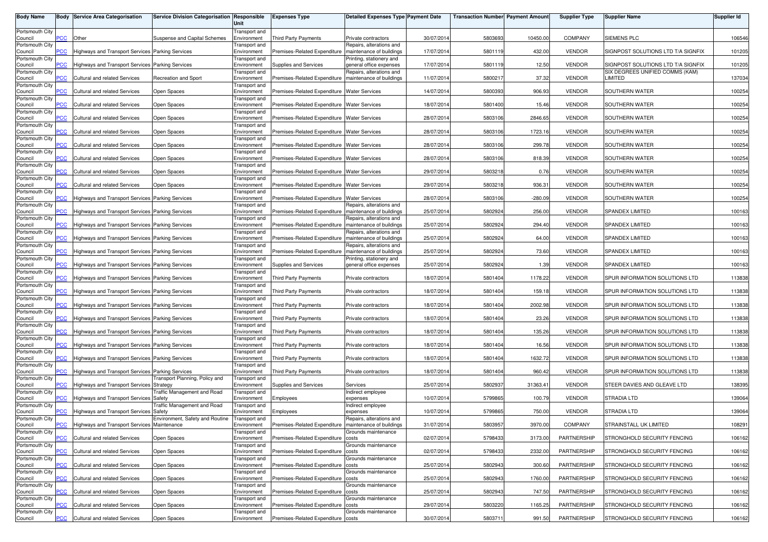| <b>Body Name</b>           |                | <b>Body Service Area Categorisation</b>                 | Service Division Categorisation Responsible | Unit                         | <b>Expenses Type</b>                                  | <b>Detailed Expenses Type Payment Date</b>           |            | <b>Transaction Number Payment Amount</b> |           | <b>Supplier Type</b> | <b>Supplier Name</b>                                                  | Supplier Id |
|----------------------------|----------------|---------------------------------------------------------|---------------------------------------------|------------------------------|-------------------------------------------------------|------------------------------------------------------|------------|------------------------------------------|-----------|----------------------|-----------------------------------------------------------------------|-------------|
| Portsmouth City            |                |                                                         |                                             | Transport and                |                                                       |                                                      |            |                                          |           |                      |                                                                       |             |
| Council<br>Portsmouth City | <b>CC</b>      | Other                                                   | Suspense and Capital Schemes                | Environment<br>Transport and | <b>Third Party Payments</b>                           | Private contractors<br>Repairs, alterations and      | 30/07/2014 | 5803693                                  | 10450.00  | <b>COMPANY</b>       | SIEMENS PLC                                                           | 106546      |
| Council                    | <u>CC</u>      | Highways and Transport Services Parking Services        |                                             | Environment                  | Premises-Related Expenditure                          | maintenance of buildings                             | 17/07/2014 | 5801119                                  | 432.00    | <b>VENDOR</b>        | SIGNPOST SOLUTIONS LTD T/A SIGNFIX                                    | 101205      |
| Portsmouth City            |                |                                                         |                                             | Transport and                |                                                       | Printing, stationery and                             |            |                                          |           |                      |                                                                       |             |
| Council<br>Portsmouth City | PСC            | Highways and Transport Services Parking Services        |                                             | Environment<br>Transport and | Supplies and Services                                 | general office expenses<br>Repairs, alterations and  | 17/07/2014 | 5801119                                  | 12.50     | <b>VENDOR</b>        | SIGNPOST SOLUTIONS LTD T/A SIGNFIX<br>SIX DEGREES UNIFIED COMMS (KAM) | 101205      |
| Council                    | сc             | Cultural and related Services                           | Recreation and Sport                        | Environment                  | Premises-Related Expenditure                          | maintenance of buildings                             | 11/07/2014 | 5800217                                  | 37.32     | <b>VENDOR</b>        | LIMITED                                                               | 137034      |
| Portsmouth City<br>Council | $\overline{C}$ | Cultural and related Services                           | Open Spaces                                 | Transport and<br>Environment | Premises-Related Expenditure Water Services           |                                                      | 14/07/2014 | 5800393                                  | 906.93    | <b>VENDOR</b>        | SOUTHERN WATER                                                        | 100254      |
| Portsmouth City            |                |                                                         |                                             | Transport and                |                                                       |                                                      |            |                                          |           |                      |                                                                       |             |
| Council                    | <u>PCC</u>     | Cultural and related Services                           | Open Spaces                                 | Environment                  | Premises-Related Expenditure Water Services           |                                                      | 18/07/2014 | 5801400                                  | 15.46     | <b>VENDOR</b>        | SOUTHERN WATER                                                        | 100254      |
| Portsmouth City<br>Council | 'CC            | Cultural and related Services                           | Open Spaces                                 | Transport and<br>Environment | Premises-Related Expenditure Water Services           |                                                      | 28/07/2014 | 5803106                                  | 2846.65   | <b>VENDOR</b>        | SOUTHERN WATER                                                        | 100254      |
| Portsmouth City            |                |                                                         |                                             | Transport and                |                                                       |                                                      |            |                                          |           |                      |                                                                       |             |
| Council                    | сC             | Cultural and related Services                           | Open Spaces                                 | Environment                  | Premises-Related Expenditure Water Services           |                                                      | 28/07/2014 | 5803106                                  | 1723.16   | <b>VENDOR</b>        | SOUTHERN WATER                                                        | 100254      |
| Portsmouth City<br>Council | 'CC            | Cultural and related Services                           | Open Spaces                                 | Transport and<br>Environment | Premises-Related Expenditure Water Services           |                                                      | 28/07/2014 | 5803106                                  | 299.78    | <b>VENDOR</b>        | SOUTHERN WATER                                                        | 100254      |
| Portsmouth City            |                |                                                         |                                             | Transport and                |                                                       |                                                      |            |                                          |           |                      |                                                                       |             |
| Council<br>Portsmouth City | <b>PCC</b>     | Cultural and related Services                           | Open Spaces                                 | Environment<br>Transport and | Premises-Related Expenditure Water Services           |                                                      | 28/07/2014 | 5803106                                  | 818.39    | <b>VENDOR</b>        | SOUTHERN WATER                                                        | 100254      |
| Council                    | сC             | Cultural and related Services                           | Open Spaces                                 | Environment                  | Premises-Related Expenditure Water Services           |                                                      | 29/07/2014 | 5803218                                  | 0.76      | <b>VENDOR</b>        | SOUTHERN WATER                                                        | 100254      |
| Portsmouth City            | <b>PCC</b>     | Cultural and related Services                           | Open Spaces                                 | Transport and<br>Environment | Premises-Related Expenditure Water Services           |                                                      | 29/07/2014 | 5803218                                  | 936.31    | <b>VENDOR</b>        | SOUTHERN WATER                                                        | 100254      |
| Council<br>Portsmouth City |                |                                                         |                                             | Transport and                |                                                       |                                                      |            |                                          |           |                      |                                                                       |             |
| Council                    | PСC            | Highways and Transport Services Parking Services        |                                             | Environment                  | Premises-Related Expenditure Water Services           |                                                      | 28/07/2014 | 5803106                                  | $-280.09$ | <b>VENDOR</b>        | SOUTHERN WATER                                                        | 100254      |
| Portsmouth City<br>Council | PСC            | Highways and Transport Services Parking Services        |                                             | Transport and<br>Environment | Premises-Related Expenditure                          | Repairs, alterations and<br>maintenance of buildings | 25/07/2014 | 5802924                                  | 256.00    | <b>VENDOR</b>        | SPANDEX LIMITED                                                       | 100163      |
| Portsmouth City            |                |                                                         |                                             | Transport and                |                                                       | Repairs, alterations and                             |            |                                          |           |                      |                                                                       |             |
| Council                    | PCC.           | Highways and Transport Services Parking Services        |                                             | Environment                  | Premises-Related Expenditure                          | maintenance of buildings                             | 25/07/2014 | 5802924                                  | 294.40    | <b>VENDOR</b>        | <b>SPANDEX LIMITED</b>                                                | 100163      |
| Portsmouth City<br>Council | 'CC            | <b>Highways and Transport Services Parking Services</b> |                                             | Transport and<br>Environment | Premises-Related Expenditure                          | Repairs, alterations and<br>maintenance of buildings | 25/07/2014 | 5802924                                  | 64.00     | <b>VENDOR</b>        | SPANDEX LIMITED                                                       | 100163      |
| Portsmouth City            |                |                                                         |                                             | Transport and                |                                                       | Repairs, alterations and                             |            |                                          |           |                      |                                                                       |             |
| Council<br>Portsmouth City | <b>PCC</b>     | Highways and Transport Services Parking Services        |                                             | Environment<br>Transport and | Premises-Related Expenditure                          | maintenance of buildings<br>Printing, stationery and | 25/07/2014 | 5802924                                  | 73.60     | <b>VENDOR</b>        | SPANDEX LIMITED                                                       | 100163      |
| Council                    | сC             | Highways and Transport Services Parking Services        |                                             | Environment                  | Supplies and Services                                 | general office expenses                              | 25/07/2014 | 5802924                                  | 1.39      | <b>VENDOR</b>        | <b>SPANDEX LIMITED</b>                                                | 100163      |
| Portsmouth City<br>Council | PСC            | Highways and Transport Services Parking Services        |                                             | Transport and<br>Environment | Third Party Payments                                  | Private contractors                                  | 18/07/2014 | 5801404                                  | 1178.22   | <b>VENDOR</b>        | SPUR INFORMATION SOLUTIONS LTD                                        | 113838      |
| Portsmouth City            |                |                                                         |                                             | Transport and                |                                                       |                                                      |            |                                          |           |                      |                                                                       |             |
| Council                    | сC             | Highways and Transport Services Parking Services        |                                             | Environment                  | <b>Third Party Payments</b>                           | Private contractors                                  | 18/07/2014 | 5801404                                  | 159.18    | <b>VENDOR</b>        | SPUR INFORMATION SOLUTIONS LTD                                        | 113838      |
| Portsmouth City<br>Council | PСC            | Highways and Transport Services Parking Services        |                                             | Transport anc<br>Environment | Third Party Payments                                  | Private contractors                                  | 18/07/2014 | 5801404                                  | 2002.98   | <b>VENDOR</b>        | SPUR INFORMATION SOLUTIONS LTD                                        | 113838      |
| Portsmouth City            |                |                                                         |                                             | Transport and                |                                                       |                                                      |            |                                          |           |                      |                                                                       |             |
| Council                    | сc             | Highways and Transport Services Parking Services        |                                             | Environment                  | <b>Third Party Payments</b>                           | Private contractors                                  | 18/07/2014 | 5801404                                  | 23.26     | <b>VENDOR</b>        | SPUR INFORMATION SOLUTIONS LTD                                        | 113838      |
| Portsmouth City<br>Council | 'CC            | Highways and Transport Services Parking Services        |                                             | Transport and<br>Environment | <b>Third Party Payments</b>                           | Private contractors                                  | 18/07/2014 | 5801404                                  | 135.26    | <b>VENDOR</b>        | SPUR INFORMATION SOLUTIONS LTD                                        | 113838      |
| Portsmouth City            |                |                                                         |                                             | Transport and                |                                                       |                                                      |            |                                          |           |                      |                                                                       |             |
| Council<br>Portsmouth City | сC             | Highways and Transport Services Parking Services        |                                             | Environment<br>Transport and | Third Party Payments                                  | Private contractors                                  | 18/07/2014 | 5801404                                  | 16.56     | <b>VENDOR</b>        | SPUR INFORMATION SOLUTIONS LTD                                        | 113838      |
| Council                    | 'CC            | <b>Highways and Transport Services Parking Services</b> |                                             | Environment                  | <b>Third Party Payments</b>                           | Private contractors                                  | 18/07/2014 | 5801404                                  | 1632.72   | <b>VENDOR</b>        | SPUR INFORMATION SOLUTIONS LTD                                        | 113838      |
| Portsmouth City            |                |                                                         |                                             | Transport and                | <b>Third Party Payments</b>                           |                                                      |            |                                          |           |                      |                                                                       |             |
| Council<br>Portsmouth City | <b>PCC</b>     | Highways and Transport Services Parking Services        | ransport Planning, Policy and               | Environment<br>Transport and |                                                       | Private contractors                                  | 18/07/2014 | 5801404                                  | 960.42    | <b>VENDOR</b>        | SPUR INFORMATION SOLUTIONS LTD                                        | 113838      |
| Council                    | сC             | <b>Highways and Transport Services Strategy</b>         |                                             | Environment                  | Supplies and Services                                 | Services                                             | 25/07/2014 | 5802937                                  | 31363.41  | <b>VENDOR</b>        | STEER DAVIES AND GLEAVE LTD                                           | 138395      |
| Portsmouth City<br>Council | <b>PCC</b>     | <b>Highways and Transport Services Safety</b>           | <b>Fraffic Management and Road</b>          | Transport and<br>Environment | Employees                                             | Indirect employee<br>expenses                        | 10/07/2014 | 5799865                                  | 100.79    | <b>VENDOR</b>        | STRADIA LTD                                                           | 139064      |
| Portsmouth City            |                |                                                         | <b>Traffic Management and Road</b>          | Transport and                |                                                       | ndirect employee                                     |            |                                          |           |                      |                                                                       |             |
| Council                    | <u>CC</u>      | <b>Highways and Transport Services Safety</b>           |                                             | Environment                  | Employees                                             | expenses                                             | 10/07/2014 | 5799865                                  | 750.00    | <b>VENDOR</b>        | <b>STRADIA LTD</b>                                                    | 139064      |
| Portsmouth City<br>Council | <b>PCC</b>     | Highways and Transport Services Maintenance             | Environment, Safety and Routine             | Transport and<br>Environment | Premises-Related Expenditure maintenance of buildings | Repairs, alterations and                             | 31/07/2014 | 5803957                                  | 3970.00   | COMPANY              | STRAINSTALL UK LIMITED                                                | 108291      |
| Portsmouth City            |                |                                                         |                                             | Transport and                |                                                       | Grounds maintenance                                  |            |                                          |           |                      |                                                                       |             |
| Council<br>Portsmouth City | $\overline{C}$ | Cultural and related Services                           | Open Spaces                                 | Environment<br>Transport and | Premises-Related Expenditure costs                    | Grounds maintenance                                  | 02/07/2014 | 5798433                                  | 3173.00   | PARTNERSHIP          | STRONGHOLD SECURITY FENCING                                           | 106162      |
| Council                    | PCC.           | Cultural and related Services                           | Open Spaces                                 | Environment                  | Premises-Related Expenditure                          | costs                                                | 02/07/2014 | 5798433                                  | 2332.00   | PARTNERSHIP          | STRONGHOLD SECURITY FENCING                                           | 106162      |
| Portsmouth City            |                |                                                         |                                             | Transport and                |                                                       | Grounds maintenance                                  |            |                                          |           |                      |                                                                       |             |
| Council<br>Portsmouth City | PСC            | Cultural and related Services                           | Open Spaces                                 | Environment<br>Transport and | Premises-Related Expenditure costs                    | Grounds maintenance                                  | 25/07/2014 | 5802943                                  | 300.60    | PARTNERSHIP          | STRONGHOLD SECURITY FENCING                                           | 106162      |
| Council                    | 'CC            | Cultural and related Services                           | Open Spaces                                 | Environment                  | Premises-Related Expenditure                          | costs                                                | 25/07/2014 | 5802943                                  | 1760.00   | PARTNERSHIP          | STRONGHOLD SECURITY FENCING                                           | 106162      |
| Portsmouth City<br>Council | PСC            | Cultural and related Services                           | Open Spaces                                 | Transport and<br>Environment | Premises-Related Expenditure costs                    | Grounds maintenance                                  | 25/07/2014 | 5802943                                  | 747.50    | PARTNERSHIP          | STRONGHOLD SECURITY FENCING                                           | 106162      |
| Portsmouth City            |                |                                                         |                                             | Transport and                |                                                       | Grounds maintenance                                  |            |                                          |           |                      |                                                                       |             |
| Council<br>Portsmouth City | сC             | Cultural and related Services                           | Open Spaces                                 | Environment                  | Premises-Related Expenditure                          | costs<br>Grounds maintenance                         | 29/07/2014 | 5803220                                  | 1165.25   | PARTNERSHIP          | STRONGHOLD SECURITY FENCING                                           | 106162      |
| Council                    | PCC            | Cultural and related Services                           | Open Spaces                                 | Transport and<br>Environment | Premises-Related Expenditure costs                    |                                                      | 30/07/2014 | 5803711                                  | 991.50    | PARTNERSHIP          | STRONGHOLD SECURITY FENCING                                           | 106162      |
|                            |                |                                                         |                                             |                              |                                                       |                                                      |            |                                          |           |                      |                                                                       |             |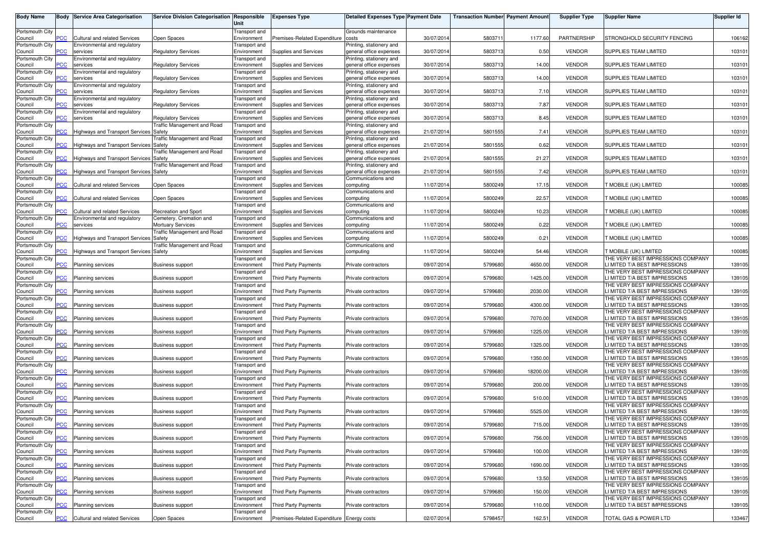| <b>Body Name</b>           |                | <b>Body Service Area Categorisation</b>                              | Service Division Categorisation Responsible            | Unit                                | <b>Expenses Type</b>                      | <b>Detailed Expenses Type Payment Date</b>          |            | <b>Transaction Number Payment Amoun</b> |          | <b>Supplier Type</b> | <b>Supplier Name</b>                                               | Supplier Id |
|----------------------------|----------------|----------------------------------------------------------------------|--------------------------------------------------------|-------------------------------------|-------------------------------------------|-----------------------------------------------------|------------|-----------------------------------------|----------|----------------------|--------------------------------------------------------------------|-------------|
| Portsmouth City<br>Council | PСC            | Cultural and related Services                                        | Open Spaces                                            | Transport and<br>Environment        | Premises-Related Expenditure              | Grounds maintenance<br>costs                        | 30/07/201  | 5803711                                 | 1177.60  | PARTNERSHIP          | STRONGHOLD SECURITY FENCING                                        | 106162      |
| Portsmouth City            |                | Environmental and regulatory                                         |                                                        | Transport and                       |                                           | Printing, stationery and                            |            |                                         |          |                      |                                                                    |             |
| Council<br>Portsmouth City | ۲CC            | services<br>Environmental and regulatory                             | <b>Regulatory Services</b>                             | Environment<br>Transport and        | Supplies and Services                     | general office expenses<br>Printing, stationery and | 30/07/201  | 5803713                                 | 0.50     | <b>VENDOR</b>        | SUPPLIES TEAM LIMITED                                              | 103101      |
| Council<br>Portsmouth City | ۲CС            | services<br>Environmental and regulatory                             | <b>Regulatory Services</b>                             | Environment<br>Transport and        | Supplies and Services                     | general office expenses<br>Printing, stationery and | 30/07/201  | 5803713                                 | 14.00    | <b>VENDOR</b>        | SUPPLIES TEAM LIMITED                                              | 103101      |
| Council                    |                | services                                                             | <b>Regulatory Services</b>                             | Environment                         | Supplies and Services                     | general office expenses                             | 30/07/201  | 5803713                                 | 14.00    | <b>VENDOR</b>        | <b>SUPPLIES TEAM LIMITED</b>                                       | 103101      |
| Portsmouth City<br>Council | ۲CС            | Environmental and regulatory<br>services                             | <b>Regulatory Services</b>                             | Transport and<br>Environment        | Supplies and Services                     | Printing, stationery and<br>general office expenses | 30/07/201  | 5803713                                 | 7.10     | <b>VENDOR</b>        | SUPPLIES TEAM LIMITED                                              | 103101      |
| Portsmouth City<br>Council |                | Environmental and regulatory<br>services                             | <b>Regulatory Services</b>                             | Transport and<br>Environment        | Supplies and Services                     | Printing, stationery and<br>general office expenses | 30/07/201  | 5803713                                 | 7.87     | <b>VENDOR</b>        | SUPPLIES TEAM LIMITED                                              | 103101      |
| Portsmouth City            | <b>PCC</b>     | Environmental and regulatory                                         | <b>Regulatory Services</b>                             | Transport and                       |                                           | Printing, stationery and<br>general office expenses | 30/07/201  | 5803713                                 | 8.45     | <b>VENDOR</b>        | SUPPLIES TEAM LIMITED                                              | 103101      |
| Council<br>Portsmouth City |                | services                                                             | Traffic Management and Road                            | Environment<br>Transport and        | Supplies and Services                     | Printing, stationery and                            |            |                                         |          |                      |                                                                    |             |
| Council<br>Portsmouth City | <b>PCC</b>     | <b>Highways and Transport Services</b>                               | Safety<br>raffic Management and Road                   | Environment<br>Transport and        | Supplies and Services                     | general office expenses<br>Printing, stationery and | 21/07/201  | 5801555                                 | 7.41     | <b>VENDOR</b>        | SUPPLIES TEAM LIMITED                                              | 103101      |
| Council<br>Portsmouth City | PСC            | Highways and Transport Services                                      | Safety<br>raffic Management and Road                   | Environment<br>Transport and        | Supplies and Services                     | general office expenses<br>Printing, stationery and | 21/07/201  | 5801555                                 | 0.62     | <b>VENDOR</b>        | SUPPLIES TEAM LIMITED                                              | 103101      |
| Council                    | <b>PCC</b>     | <b>Highways and Transport Services Safety</b>                        |                                                        | Environment                         | Supplies and Services                     | general office expenses                             | 21/07/201  | 5801555                                 | 21.27    | <b>VENDOR</b>        | SUPPLIES TEAM LIMITED                                              | 103101      |
| Portsmouth City<br>Council | PCC            | Highways and Transport Services Safety                               | raffic Management and Road                             | Transport and<br>Environment        | Supplies and Services                     | Printing, stationery and<br>general office expenses | 21/07/201  | 5801555                                 | 7.42     | <b>VENDOR</b>        | SUPPLIES TEAM LIMITED                                              | 103101      |
| Portsmouth City<br>Council | PCC            | <b>Cultural and related Services</b>                                 | Open Spaces                                            | Transport and<br>Environment        | Supplies and Services                     | Communications and<br>computing                     | 11/07/201  | 5800249                                 | 17.15    | <b>VENDOR</b>        | <b>FMOBILE (UK) LIMITED</b>                                        | 100085      |
| Portsmouth City            |                |                                                                      |                                                        | Transport and                       |                                           | Communications and                                  |            |                                         |          |                      |                                                                    |             |
| Council<br>Portsmouth City | ۲CС            | <b>Cultural and related Services</b>                                 | Open Spaces                                            | Environment<br>Transport and        | Supplies and Services                     | computing<br>Communications and                     | 11/07/201  | 5800249                                 | 22.57    | <b>VENDOR</b>        | MOBILE (UK) LIMITED                                                | 100085      |
| Council<br>Portsmouth City | PСC            | <b>Cultural and related Services</b><br>Environmental and regulatory | <b>Recreation and Sport</b><br>Cemetery, Cremation and | Environment<br><b>Transport</b> and | Supplies and Services                     | computing<br>Communications and                     | 11/07/201  | 5800249                                 | 10.23    | <b>VENDOR</b>        | MOBILE (UK) LIMITED                                                | 100085      |
| Council                    | PСC            | services                                                             | <b>Mortuary Services</b>                               | Environment                         | Supplies and Services                     | computing                                           | 11/07/201  | 5800249                                 | 0.22     | <b>VENDOR</b>        | <b>NOBILE (UK) LIMITED</b>                                         | 100085      |
| Portsmouth City<br>Council | PCC            | <b>Highways and Transport Services</b>                               | <b>Fraffic Management and Road</b><br>Safety           | Transport and<br>Environment        | Supplies and Services                     | Communications and<br>computing                     | 11/07/201  | 5800249                                 | 0.21     | <b>VENDOR</b>        | <b>NOBILE (UK) LIMITED</b>                                         | 100085      |
| Portsmouth City<br>Council | PСC            | <b>Highways and Transport Services Safety</b>                        | raffic Management and Road                             | Transport and<br>Environment        | Supplies and Services                     | Communications and<br>computing                     | 11/07/201  | 5800249                                 | 54.46    | <b>VENDOR</b>        | T MOBILE (UK) LIMITED                                              | 100085      |
| Portsmouth City            |                |                                                                      |                                                        | Transport and                       |                                           |                                                     |            |                                         |          |                      | THE VERY BEST IMPRESSIONS COMPANY                                  |             |
| Council<br>Portsmouth City | сC             | <b>Planning services</b>                                             | <b>Business support</b>                                | Environment<br>Transport and        | <b>Third Party Payments</b>               | Private contractors                                 | 09/07/201  | 5799680                                 | 4650.00  | <b>VENDOR</b>        | LI MITED T/A BEST IMPRESSIONS<br>THE VERY BEST IMPRESSIONS COMPANY | 139105      |
| Council<br>Portsmouth City | PCC            | Planning services                                                    | <b>Business support</b>                                | Environment<br>Transport and        | Third Party Payments                      | Private contractors                                 | 09/07/201  | 5799680                                 | 1425.00  | <b>VENDOR</b>        | LI MITED T/A BEST IMPRESSIONS<br>THE VERY BEST IMPRESSIONS COMPANY | 139105      |
| Council                    | PСC            | <b>Planning services</b>                                             | <b>Business support</b>                                | Environment                         | Third Party Payments                      | Private contractors                                 | 09/07/201  | 5799680                                 | 2030.00  | <b>VENDOR</b>        | LI MITED T/A BEST IMPRESSIONS                                      | 139105      |
| Portsmouth City<br>Council | PCC            | <b>Planning services</b>                                             | <b>Business support</b>                                | Transport and<br>Environment        | Third Party Payments                      | Private contractors                                 | 09/07/201  | 5799680                                 | 4300.00  | <b>VENDOR</b>        | THE VERY BEST IMPRESSIONS COMPANY<br>LI MITED T/A BEST IMPRESSIONS | 139105      |
| Portsmouth City<br>Council | ۲CС            | <b>Planning services</b>                                             | <b>Business support</b>                                | Transport and<br>Environment        | Third Party Payments                      | Private contractors                                 | 09/07/201  | 5799680                                 | 7070.00  | <b>VENDOR</b>        | THE VERY BEST IMPRESSIONS COMPANY<br>LI MITED T/A BEST IMPRESSIONS | 139105      |
| Portsmouth City<br>Council | PСC            | <b>Planning services</b>                                             | <b>Business support</b>                                | Transport and<br>Environment        | Third Party Payments                      | Private contractors                                 | 09/07/201  | 5799680                                 | 1225.00  | <b>VENDOR</b>        | THE VERY BEST IMPRESSIONS COMPANY<br>LI MITED T/A BEST IMPRESSIONS | 139105      |
| Portsmouth City            |                |                                                                      |                                                        | Transport and                       |                                           |                                                     |            |                                         |          |                      | THE VERY BEST IMPRESSIONS COMPANY                                  |             |
| Council<br>Portsmouth City | PСC            | <b>Planning services</b>                                             | <b>Business support</b>                                | Environment<br>Transport and        | <b>Third Party Payments</b>               | Private contractors                                 | 09/07/2014 | 5799680                                 | 1325.00  | <b>VENDOR</b>        | LI MITED T/A BEST IMPRESSIONS<br>THE VERY BEST IMPRESSIONS COMPANY | 139105      |
| Council<br>Portsmouth City | <b>PCC</b>     | <b>Planning services</b>                                             | <b>Business support</b>                                | Environment<br>Transport and        | <b>Third Party Payments</b>               | Private contractors                                 | 09/07/201  | 5799680                                 | 1350.00  | <b>VENDOR</b>        | LI MITED T/A BEST IMPRESSIONS<br>THE VERY BEST IMPRESSIONS COMPANY | 139105      |
| Council                    | <b>PCC</b>     | Planning services                                                    | <b>Business support</b>                                | Environment                         | Third Party Payments                      | Private contractors                                 | 09/07/201  | 5799680                                 | 18200.00 | <b>VENDOR</b>        | <b>I MITED T/A BEST IMPRESSIONS</b>                                | 139105      |
| Portsmouth City<br>Council | сC             | <b>Planning services</b>                                             | <b>Business support</b>                                | Transport and<br>Environment        | <b>Third Party Payments</b>               | Private contractors                                 | 09/07/201  | 5799680                                 | 200.00   | <b>VENDOR</b>        | THE VERY BEST IMPRESSIONS COMPANY<br>LI MITED T/A BEST IMPRESSIONS | 139105      |
| Portsmouth City<br>Council | $\overline{C}$ | Planning services                                                    | <b>Business support</b>                                | Transport and<br>Environment        | Third Party Payments                      | Private contractors                                 | 09/07/201  | 5799680                                 | 510.00   | <b>VENDOR</b>        | THE VERY BEST IMPRESSIONS COMPANY<br>LI MITED T/A BEST IMPRESSIONS | 139105      |
| Portsmouth City            |                |                                                                      |                                                        | Transport and                       |                                           |                                                     |            |                                         |          |                      | THE VERY BEST IMPRESSIONS COMPANY                                  |             |
| Council<br>Portsmouth City | $\overline{C}$ | Planning services                                                    | <b>Business support</b>                                | Environment<br>Transport and        | <b>Third Party Payments</b>               | Private contractors                                 | 09/07/201  | 5799680                                 | 5525.00  | <b>VENDOR</b>        | LI MITED T/A BEST IMPRESSIONS<br>THE VERY BEST IMPRESSIONS COMPANY | 139105      |
| Council<br>Portsmouth City | $\overline{C}$ | Planning services                                                    | <b>Business support</b>                                | Environment<br>Transport and        | Third Party Payments                      | Private contractors                                 | 09/07/2014 | 5799680                                 | 715.00   | <b>VENDOR</b>        | LI MITED T/A BEST IMPRESSIONS<br>THE VERY BEST IMPRESSIONS COMPANY | 139105      |
| Council                    | <b>PCC</b>     | Planning services                                                    | <b>Business support</b>                                | Environment                         | Third Party Payments                      | Private contractors                                 | 09/07/2014 | 5799680                                 | 756.00   | <b>VENDOR</b>        | LI MITED T/A BEST IMPRESSIONS                                      | 139105      |
| Portsmouth City<br>Council | PCC            | <b>Planning services</b>                                             | <b>Business support</b>                                | Transport and<br>Environment        | <b>Third Party Payments</b>               | Private contractors                                 | 09/07/2014 | 5799680                                 | 100.00   | <b>VENDOR</b>        | THE VERY BEST IMPRESSIONS COMPANY<br>LI MITED T/A BEST IMPRESSIONS | 139105      |
| Portsmouth City<br>Council | PCC            | <b>Planning services</b>                                             | <b>Business support</b>                                | Transport and<br>Environment        | Third Party Payments                      | Private contractors                                 | 09/07/2014 | 5799680                                 | 1690.00  | <b>VENDOR</b>        | THE VERY BEST IMPRESSIONS COMPANY<br>LI MITED T/A BEST IMPRESSIONS | 139105      |
| Portsmouth City<br>Council | <b>PCC</b>     | <b>Planning services</b>                                             |                                                        | Transport and<br>Environment        | <b>Third Party Payments</b>               | Private contractors                                 | 09/07/2014 | 5799680                                 | 13.50    | <b>VENDOR</b>        | THE VERY BEST IMPRESSIONS COMPANY<br>LI MITED T/A BEST IMPRESSIONS | 139105      |
| Portsmouth City            |                |                                                                      | <b>Business support</b>                                | Transport and                       |                                           |                                                     |            |                                         |          |                      | THE VERY BEST IMPRESSIONS COMPANY                                  |             |
| Council<br>Portsmouth City | PCC            | Planning services                                                    | <b>Business support</b>                                | Environment<br>Transport and        | <b>Third Party Payments</b>               | Private contractors                                 | 09/07/2014 | 5799680                                 | 150.00   | <b>VENDOR</b>        | LI MITED T/A BEST IMPRESSIONS<br>THE VERY BEST IMPRESSIONS COMPANY | 139105      |
| Council<br>Portsmouth City | ۲CС            | Planning services                                                    | <b>Business support</b>                                | Environment<br>Transport and        | Third Party Payments                      | Private contractors                                 | 09/07/2014 | 5799680                                 | 110.00   | <b>VENDOR</b>        | LI MITED T/A BEST IMPRESSIONS                                      | 139105      |
| Council                    | PCC            | Cultural and related Services                                        | Open Spaces                                            | Environment                         | Premises-Related Expenditure Energy costs |                                                     | 02/07/2014 | 5798457                                 | 162.51   | <b>VENDOR</b>        | TOTAL GAS & POWER LTD                                              | 133467      |